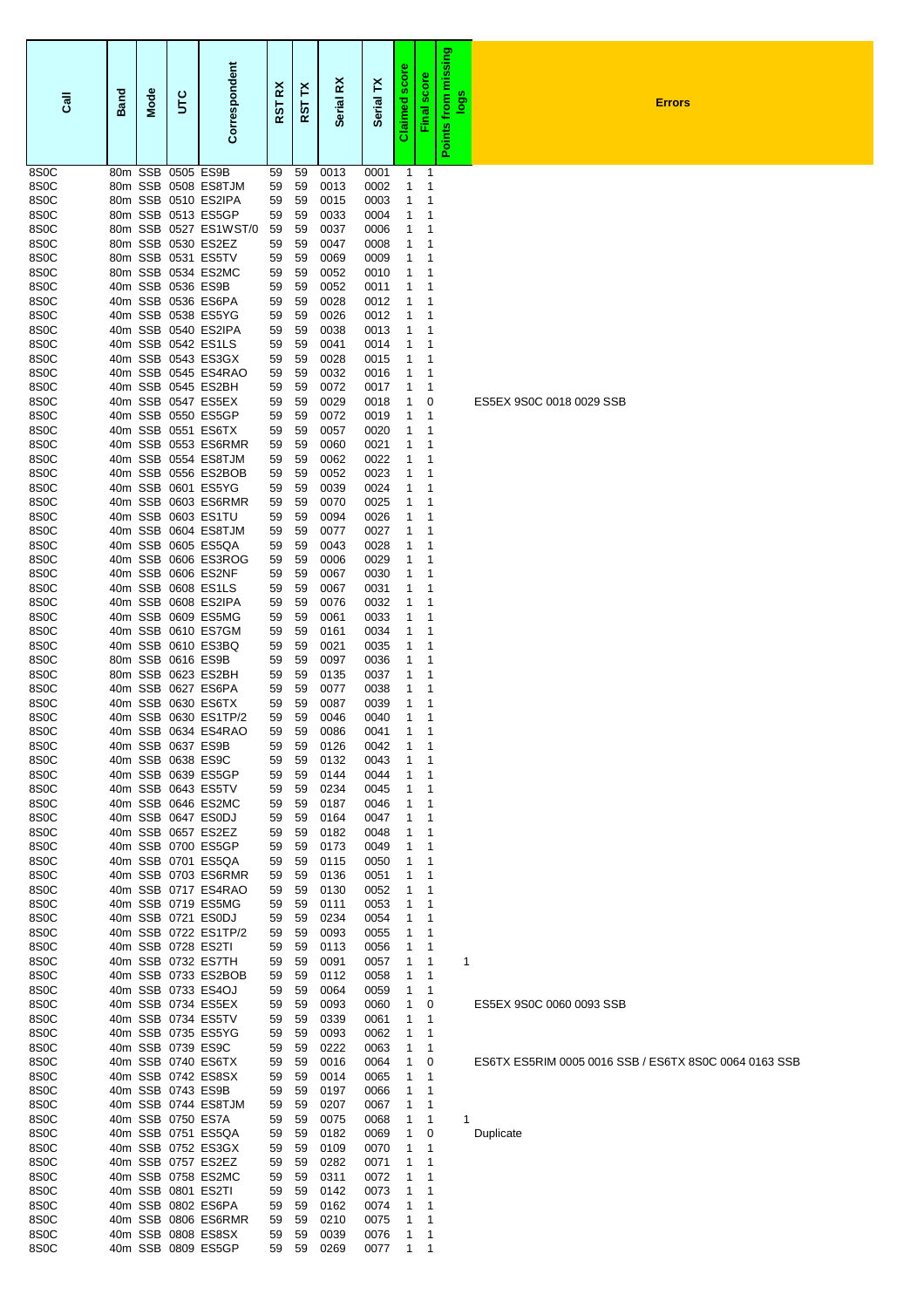| $\overline{3}$            | <b>Band</b> | <b>Mode</b> | š | orrespondent<br>ن                           | ř<br>5<br>œ | ř<br>RST | ž<br><b>Serial</b> | ř<br><b>Serial</b> | scor<br>Claimed | score<br>Final   | missing<br><b>Spol</b><br>from<br>Points | <b>Errors</b>            |
|---------------------------|-------------|-------------|---|---------------------------------------------|-------------|----------|--------------------|--------------------|-----------------|------------------|------------------------------------------|--------------------------|
| 8S0C<br>8S0C              |             |             |   | 80m SSB 0505 ES9B<br>80m SSB 0508 ES8TJM    | 59<br>59    | 59<br>59 | 0013<br>0013       | 0001<br>0002       | 1<br>1          | 1<br>1           |                                          |                          |
| 8S0C                      |             |             |   | 80m SSB 0510 ES2IPA                         | 59          | 59       | 0015               | 0003               | 1               | 1                |                                          |                          |
| 8S0C                      |             |             |   | 80m SSB 0513 ES5GP                          | 59          | 59       | 0033               | 0004               | 1               | 1                |                                          |                          |
| 8S0C<br>8S0C              |             |             |   | 80m SSB 0527 ES1WST/0<br>80m SSB 0530 ES2EZ | 59<br>59    | 59<br>59 | 0037<br>0047       | 0006<br>0008       | 1<br>1          | 1<br>1           |                                          |                          |
| 8S0C                      |             |             |   | 80m SSB 0531 ES5TV                          | 59          | 59       | 0069               | 0009               | 1               | 1                |                                          |                          |
| 8S0C                      |             |             |   | 80m SSB 0534 ES2MC                          | 59          | 59       | 0052               | 0010               | 1               | 1                |                                          |                          |
| 8S0C                      |             |             |   | 40m SSB 0536 ES9B                           | 59          | 59       | 0052               | 0011               | 1               | 1                |                                          |                          |
| 8S <sub>0</sub> C<br>8S0C |             |             |   | 40m SSB 0536 ES6PA<br>40m SSB 0538 ES5YG    | 59<br>59    | 59<br>59 | 0028<br>0026       | 0012<br>0012       | 1<br>1          | 1<br>1           |                                          |                          |
| 8S0C                      |             |             |   | 40m SSB 0540 ES2IPA                         | 59          | 59       | 0038               | 0013               | 1               | 1                |                                          |                          |
| 8S0C                      |             |             |   | 40m SSB 0542 ES1LS                          | 59          | 59       | 0041               | 0014               | 1               | 1                |                                          |                          |
| 8S0C                      |             |             |   | 40m SSB 0543 ES3GX                          | 59          | 59       | 0028               | 0015               | 1               | 1<br>1           |                                          |                          |
| 8S0C<br>8S0C              |             |             |   | 40m SSB 0545 ES4RAO<br>40m SSB 0545 ES2BH   | 59<br>59    | 59<br>59 | 0032<br>0072       | 0016<br>0017       | 1<br>1          | -1               |                                          |                          |
| 8S0C                      |             |             |   | 40m SSB 0547 ES5EX                          | 59          | 59       | 0029               | 0018               | 1               | 0                |                                          | ES5EX 9S0C 0018 0029 SSB |
| 8S0C                      |             |             |   | 40m SSB 0550 ES5GP                          | 59          | 59       | 0072               | 0019               | 1               | -1               |                                          |                          |
| 8S0C<br>8S0C              |             |             |   | 40m SSB 0551 ES6TX<br>40m SSB 0553 ES6RMR   | 59<br>59    | 59<br>59 | 0057<br>0060       | 0020<br>0021       | 1<br>1          | 1<br>1           |                                          |                          |
| 8S0C                      |             |             |   | 40m SSB 0554 ES8TJM                         | 59          | 59       | 0062               | 0022               | 1               | 1                |                                          |                          |
| 8S0C                      |             |             |   | 40m SSB 0556 ES2BOB                         | 59          | 59       | 0052               | 0023               | 1               | 1                |                                          |                          |
| 8S0C                      |             |             |   | 40m SSB 0601 ES5YG                          | 59          | 59       | 0039               | 0024               | 1               | 1                |                                          |                          |
| 8S0C<br>8S0C              |             |             |   | 40m SSB 0603 ES6RMR<br>40m SSB 0603 ES1TU   | 59<br>59    | 59<br>59 | 0070<br>0094       | 0025<br>0026       | 1<br>1          | 1<br>1           |                                          |                          |
| 8S0C                      |             |             |   | 40m SSB 0604 ES8TJM                         | 59          | 59       | 0077               | 0027               | 1               | 1                |                                          |                          |
| 8S0C                      |             |             |   | 40m SSB 0605 ES5QA                          | 59          | 59       | 0043               | 0028               | 1               | 1                |                                          |                          |
| 8S0C                      |             |             |   | 40m SSB 0606 ES3ROG                         | 59          | 59       | 0006               | 0029               | 1               | 1                |                                          |                          |
| 8S0C<br>8S0C              |             |             |   | 40m SSB 0606 ES2NF<br>40m SSB 0608 ES1LS    | 59<br>59    | 59<br>59 | 0067<br>0067       | 0030<br>0031       | 1<br>1          | 1<br>1           |                                          |                          |
| 8S0C                      |             |             |   | 40m SSB 0608 ES2IPA                         | 59          | 59       | 0076               | 0032               | 1               | 1                |                                          |                          |
| 8S0C                      |             |             |   | 40m SSB 0609 ES5MG                          | 59          | 59       | 0061               | 0033               | 1               | 1                |                                          |                          |
| 8S0C<br>8S <sub>0</sub> C |             |             |   | 40m SSB 0610 ES7GM<br>40m SSB 0610 ES3BQ    | 59          | 59       | 0161               | 0034               | 1               | 1                |                                          |                          |
| 8S0C                      |             |             |   | 80m SSB 0616 ES9B                           | 59<br>59    | 59<br>59 | 0021<br>0097       | 0035<br>0036       | 1<br>1          | 1<br>1           |                                          |                          |
| 8S0C                      |             |             |   | 80m SSB 0623 ES2BH                          | 59          | 59       | 0135               | 0037               | 1               | -1               |                                          |                          |
| 8S0C                      |             |             |   | 40m SSB 0627 ES6PA                          | 59          | 59       | 0077               | 0038               | 1               | -1               |                                          |                          |
| 8S0C<br>8S0C              |             |             |   | 40m SSB 0630 ES6TX<br>40m SSB 0630 ES1TP/2  | 59<br>59    | 59<br>59 | 0087<br>0046       | 0039<br>0040       | 1<br>1          | 1<br>1           |                                          |                          |
| 8S0C                      |             |             |   | 40m SSB 0634 ES4RAO                         | 59          | 59       | 0086               | 0041               | 1               | 1                |                                          |                          |
| 8S0C                      |             |             |   | 40m SSB 0637 ES9B                           | 59          | 59       | 0126               | 0042               | 1               | 1                |                                          |                          |
| 8S0C                      |             |             |   | 40m SSB 0638 ES9C                           | 59          | 59       | 0132               | 0043               | 1               | 1                |                                          |                          |
| 8S0C<br>8S0C              |             |             |   | 40m SSB 0639 ES5GP<br>40m SSB 0643 ES5TV    | 59<br>59    | 59<br>59 | 0144<br>0234       | 0044<br>0045       | 1<br>1          | $\mathbf 1$<br>1 |                                          |                          |
| 8S0C                      |             |             |   | 40m SSB 0646 ES2MC                          | 59          | 59       | 0187               | 0046               | 1               | 1                |                                          |                          |
| 8S0C                      |             |             |   | 40m SSB 0647 ES0DJ                          | 59          | 59       | 0164               | 0047               | 1               | -1               |                                          |                          |
| 8S <sub>0</sub> C<br>8S0C |             |             |   | 40m SSB 0657 ES2EZ<br>40m SSB 0700 ES5GP    | 59<br>59    | 59<br>59 | 0182<br>0173       | 0048<br>0049       | 1<br>1          | 1<br>1           |                                          |                          |
| 8S0C                      |             |             |   | 40m SSB 0701 ES5QA                          | 59          | 59       | 0115               | 0050               | 1               | 1                |                                          |                          |
| 8S0C                      |             |             |   | 40m SSB 0703 ES6RMR                         | 59          | 59       | 0136               | 0051               | 1               | -1               |                                          |                          |
| 8S0C                      |             |             |   | 40m SSB 0717 ES4RAO                         | 59          | 59       | 0130               | 0052               | 1               | 1                |                                          |                          |
| 8S0C<br>8S0C              |             |             |   | 40m SSB 0719 ES5MG<br>40m SSB 0721 ES0DJ    | 59<br>59    | 59<br>59 | 0111<br>0234       | 0053<br>0054       | 1<br>1          | 1<br>1           |                                          |                          |
| 8S0C                      |             |             |   | 40m SSB 0722 ES1TP/2                        | 59          | 59       | 0093               | 0055               | 1               | -1               |                                          |                          |
| 8S0C                      |             |             |   | 40m SSB 0728 ES2TI                          | 59          | 59       | 0113               | 0056               | 1               | 1                |                                          |                          |
| 8S0C                      |             |             |   | 40m SSB 0732 ES7TH                          | 59          | 59       | 0091               | 0057               | 1               | 1                | 1                                        |                          |
| 8S0C<br>8S0C              |             |             |   | 40m SSB 0733 ES2BOB<br>40m SSB 0733 ES4OJ   | 59<br>59    | 59<br>59 | 0112<br>0064       | 0058<br>0059       | 1<br>1          | 1<br>$\mathbf 1$ |                                          |                          |
| 8S0C                      |             |             |   | 40m SSB 0734 ES5EX                          | 59          | 59       | 0093               | 0060               | 1               | 0                |                                          | ES5EX 9S0C 0060 0093 SSB |
| 8S0C                      |             |             |   | 40m SSB 0734 ES5TV                          | 59          | 59       | 0339               | 0061               | 1               | -1               |                                          |                          |
| 8S0C<br>8S0C              |             |             |   | 40m SSB 0735 ES5YG<br>40m SSB 0739 ES9C     | 59<br>59    | 59<br>59 | 0093<br>0222       | 0062<br>0063       | 1<br>1          | -1<br>-1         |                                          |                          |
| 8S0C                      |             |             |   | 40m SSB 0740 ES6TX                          | 59          | 59       | 0016               | 0064               | 1               | 0                |                                          |                          |
| 8S0C                      |             |             |   | 40m SSB 0742 ES8SX                          | 59          | 59       | 0014               | 0065               | 1               | -1               |                                          |                          |
| 8S0C                      |             |             |   | 40m SSB 0743 ES9B                           | 59          | 59       | 0197               | 0066               | 1               | 1                |                                          |                          |
| 8S0C<br>8S0C              |             |             |   | 40m SSB 0744 ES8TJM<br>40m SSB 0750 ES7A    | 59<br>59    | 59<br>59 | 0207<br>0075       | 0067<br>0068       | 1<br>1          | 1<br>1           | 1                                        |                          |
| 8S0C                      |             |             |   | 40m SSB 0751 ES5QA                          | 59          | 59       | 0182               | 0069               | 1               | 0                |                                          | Duplicate                |
| 8S0C                      |             |             |   | 40m SSB 0752 ES3GX                          | 59          | 59       | 0109               | 0070               | 1               | -1               |                                          |                          |
| 8S0C<br>8S0C              |             |             |   | 40m SSB 0757 ES2EZ<br>40m SSB 0758 ES2MC    | 59          | 59       | 0282               | 0071               | 1               | 1                |                                          |                          |
| 8S0C                      |             |             |   | 40m SSB 0801 ES2TI                          | 59<br>59    | 59<br>59 | 0311<br>0142       | 0072<br>0073       | 1<br>1          | 1<br>1           |                                          |                          |
| 8S0C                      |             |             |   | 40m SSB 0802 ES6PA                          | 59          | 59       | 0162               | 0074               | 1               | -1               |                                          |                          |
| 8S0C                      |             |             |   | 40m SSB 0806 ES6RMR                         | 59          | 59       | 0210               | 0075               | 1               | 1                |                                          |                          |
| 8S0C<br>8S0C              |             |             |   | 40m SSB 0808 ES8SX<br>40m SSB 0809 ES5GP    | 59<br>59    | 59<br>59 | 0039<br>0269       | 0076<br>0077       | 1<br>1          | 1<br>1           |                                          |                          |
|                           |             |             |   |                                             |             |          |                    |                    |                 |                  |                                          |                          |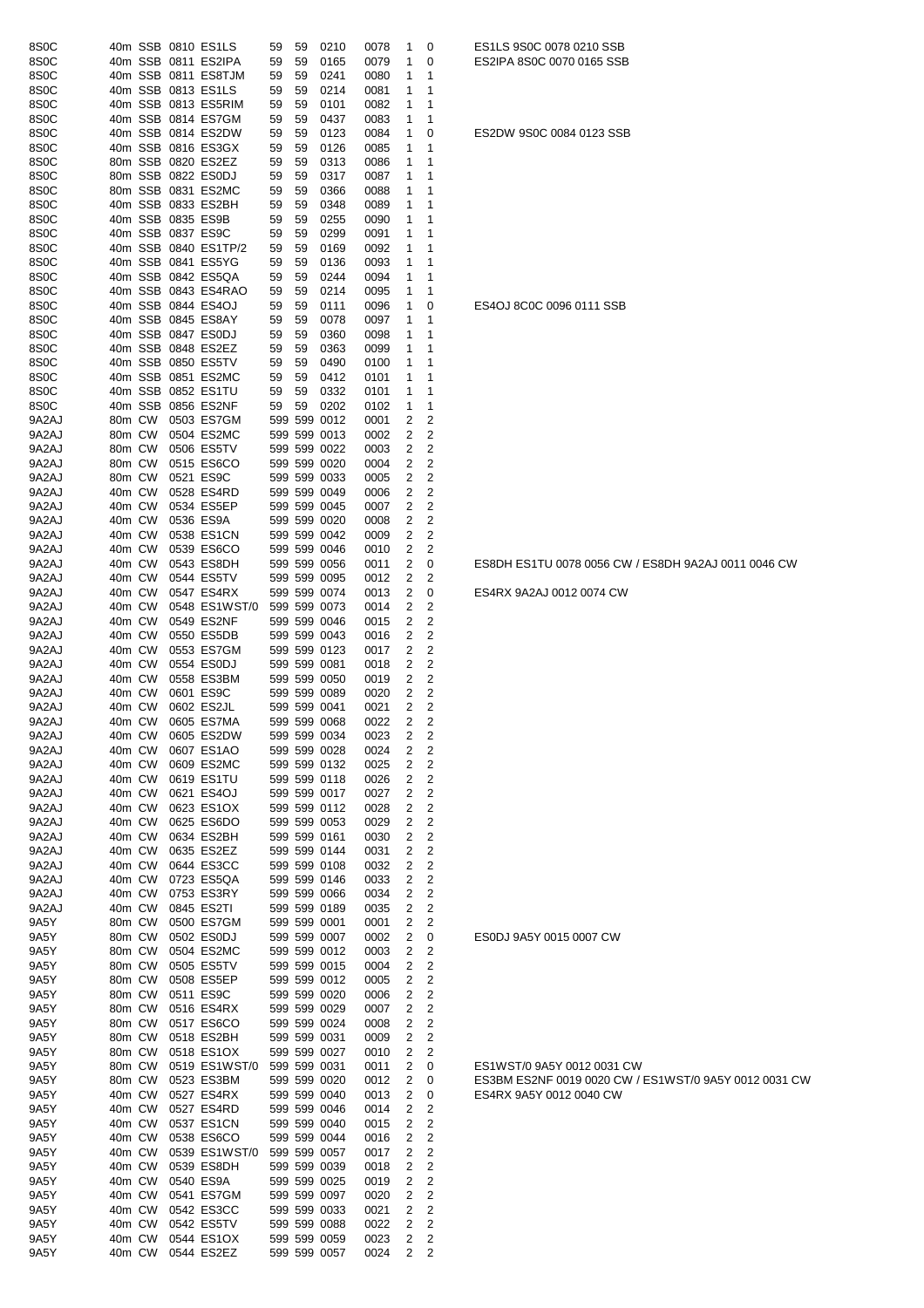| 8S <sub>0</sub> C |        |  | 40m SSB 0810 ES1LS   | 59 | 59 | 0210         | 0078 | 1                       | 0              | ES1LS 9S0C 0078 0210 SSB                              |
|-------------------|--------|--|----------------------|----|----|--------------|------|-------------------------|----------------|-------------------------------------------------------|
| 8S <sub>0</sub> C |        |  | 40m SSB 0811 ES2IPA  | 59 | 59 | 0165         | 0079 | 1                       | 0              | ES2IPA 8S0C 0070 0165 SSB                             |
| 8S <sub>0</sub> C |        |  | 40m SSB 0811 ES8TJM  | 59 | 59 | 0241         | 0080 | 1                       | 1              |                                                       |
| 8S <sub>0</sub> C |        |  | 40m SSB 0813 ES1LS   | 59 | 59 | 0214         | 0081 | 1                       | 1              |                                                       |
| 8S <sub>0</sub> C |        |  | 40m SSB 0813 ES5RIM  | 59 | 59 | 0101         | 0082 | 1                       | 1              |                                                       |
| 8S <sub>0</sub> C |        |  | 40m SSB 0814 ES7GM   | 59 | 59 | 0437         | 0083 | 1                       | 1              |                                                       |
| 8S <sub>0</sub> C |        |  | 40m SSB 0814 ES2DW   | 59 | 59 | 0123         | 0084 | 1                       | 0              | ES2DW 9S0C 0084 0123 SSB                              |
|                   |        |  |                      |    |    |              |      |                         |                |                                                       |
| 8S <sub>0</sub> C |        |  | 40m SSB 0816 ES3GX   | 59 | 59 | 0126         | 0085 | 1                       | 1              |                                                       |
| 8S <sub>0</sub> C |        |  | 80m SSB 0820 ES2EZ   | 59 | 59 | 0313         | 0086 | 1                       | 1              |                                                       |
| 8S <sub>0</sub> C |        |  | 80m SSB 0822 ES0DJ   | 59 | 59 | 0317         | 0087 | 1                       | 1              |                                                       |
| 8S <sub>0</sub> C |        |  | 80m SSB 0831 ES2MC   | 59 | 59 | 0366         | 0088 | 1                       | 1              |                                                       |
| 8S <sub>0</sub> C |        |  | 40m SSB 0833 ES2BH   | 59 | 59 | 0348         | 0089 | 1                       | 1              |                                                       |
| 8S <sub>0</sub> C |        |  | 40m SSB 0835 ES9B    | 59 | 59 | 0255         | 0090 | 1                       | 1              |                                                       |
| 8S <sub>0</sub> C |        |  | 40m SSB 0837 ES9C    | 59 | 59 | 0299         | 0091 | 1                       | 1              |                                                       |
| 8S <sub>0</sub> C |        |  | 40m SSB 0840 ES1TP/2 | 59 | 59 | 0169         | 0092 | 1                       | 1              |                                                       |
| 8S <sub>0</sub> C |        |  | 40m SSB 0841 ES5YG   | 59 | 59 | 0136         | 0093 | 1                       | 1              |                                                       |
| 8S <sub>0</sub> C |        |  | 40m SSB 0842 ES5QA   | 59 | 59 | 0244         | 0094 | 1                       | 1              |                                                       |
| 8S <sub>0</sub> C |        |  | 40m SSB 0843 ES4RAO  | 59 | 59 | 0214         | 0095 | 1                       | 1              |                                                       |
| 8S <sub>0</sub> C |        |  | 40m SSB 0844 ES4OJ   | 59 | 59 | 0111         | 0096 | 1                       | 0              | ES4OJ 8C0C 0096 0111 SSB                              |
|                   |        |  |                      |    |    |              |      |                         |                |                                                       |
| 8S <sub>0</sub> C |        |  | 40m SSB 0845 ES8AY   | 59 | 59 | 0078         | 0097 | 1                       | 1              |                                                       |
| 8S <sub>0</sub> C |        |  | 40m SSB 0847 ES0DJ   | 59 | 59 | 0360         | 0098 | 1                       | 1              |                                                       |
| 8S <sub>0</sub> C |        |  | 40m SSB 0848 ES2EZ   | 59 | 59 | 0363         | 0099 | 1                       | 1              |                                                       |
| 8S <sub>0</sub> C |        |  | 40m SSB 0850 ES5TV   | 59 | 59 | 0490         | 0100 | 1                       | 1              |                                                       |
| 8S <sub>0</sub> C |        |  | 40m SSB 0851 ES2MC   | 59 | 59 | 0412         | 0101 | 1                       | 1              |                                                       |
| 8S <sub>0</sub> C |        |  | 40m SSB 0852 ES1TU   | 59 | 59 | 0332         | 0101 | 1                       | 1              |                                                       |
| 8S <sub>0</sub> C |        |  | 40m SSB 0856 ES2NF   | 59 | 59 | 0202         | 0102 | 1                       | 1              |                                                       |
| 9A2AJ             | 80m CW |  | 0503 ES7GM           |    |    | 599 599 0012 | 0001 | 2                       | 2              |                                                       |
| 9A2AJ             | 80m CW |  | 0504 ES2MC           |    |    | 599 599 0013 | 0002 | 2                       | 2              |                                                       |
| 9A2AJ             | 80m CW |  | 0506 ES5TV           |    |    | 599 599 0022 | 0003 | 2                       | 2              |                                                       |
|                   | 80m CW |  |                      |    |    |              |      |                         | 2              |                                                       |
| 9A2AJ             |        |  | 0515 ES6CO           |    |    | 599 599 0020 | 0004 | 2                       |                |                                                       |
| 9A2AJ             | 80m CW |  | 0521 ES9C            |    |    | 599 599 0033 | 0005 | 2                       | 2              |                                                       |
| 9A2AJ             | 40m CW |  | 0528 ES4RD           |    |    | 599 599 0049 | 0006 | 2                       | $\overline{2}$ |                                                       |
| 9A2AJ             | 40m CW |  | 0534 ES5EP           |    |    | 599 599 0045 | 0007 | 2                       | 2              |                                                       |
| 9A2AJ             | 40m CW |  | 0536 ES9A            |    |    | 599 599 0020 | 0008 | 2                       | 2              |                                                       |
| 9A2AJ             | 40m CW |  | 0538 ES1CN           |    |    | 599 599 0042 | 0009 | 2                       | 2              |                                                       |
| 9A2AJ             | 40m CW |  | 0539 ES6CO           |    |    | 599 599 0046 | 0010 | 2                       | 2              |                                                       |
| 9A2AJ             | 40m CW |  | 0543 ES8DH           |    |    | 599 599 0056 | 0011 | 2                       | 0              | ES8DH ES1TU 0078 0056 CW / ES8DH 9A2AJ 0011 0046 CW   |
| 9A2AJ             | 40m CW |  | 0544 ES5TV           |    |    | 599 599 0095 | 0012 | 2                       | $\overline{c}$ |                                                       |
| 9A2AJ             | 40m CW |  | 0547 ES4RX           |    |    | 599 599 0074 | 0013 | 2                       | 0              | ES4RX 9A2AJ 0012 0074 CW                              |
| 9A2AJ             | 40m CW |  | 0548 ES1WST/0        |    |    | 599 599 0073 | 0014 | 2                       | 2              |                                                       |
|                   |        |  |                      |    |    |              |      |                         | 2              |                                                       |
| 9A2AJ             | 40m CW |  | 0549 ES2NF           |    |    | 599 599 0046 | 0015 | 2                       |                |                                                       |
| 9A2AJ             | 40m CW |  | 0550 ES5DB           |    |    | 599 599 0043 | 0016 | 2                       | 2              |                                                       |
| 9A2AJ             | 40m CW |  | 0553 ES7GM           |    |    | 599 599 0123 | 0017 | 2                       | 2              |                                                       |
| 9A2AJ             | 40m CW |  | 0554 ES0DJ           |    |    | 599 599 0081 | 0018 | $\overline{\mathbf{c}}$ | 2              |                                                       |
| 9A2AJ             | 40m CW |  | 0558 ES3BM           |    |    | 599 599 0050 | 0019 | 2                       | $\overline{c}$ |                                                       |
| 9A2AJ             | 40m CW |  | 0601 ES9C            |    |    | 599 599 0089 | 0020 | 2                       | 2              |                                                       |
| 9A2AJ             | 40m CW |  | 0602 ES2JL           |    |    | 599 599 0041 | 0021 | 2                       | 2              |                                                       |
| 9A2AJ             | 40m CW |  | 0605 ES7MA           |    |    | 599 599 0068 | 0022 | 2                       | 2              |                                                       |
| 9A2AJ             |        |  | 40m CW 0605 ES2DW    |    |    | 599 599 0034 | 0023 | 2                       | 2              |                                                       |
| 9A2AJ             | 40m CW |  | 0607 ES1AO           |    |    | 599 599 0028 | 0024 | 2                       | $\overline{2}$ |                                                       |
| 9A2AJ             | 40m CW |  | 0609 ES2MC           |    |    | 599 599 0132 | 0025 | 2                       | 2              |                                                       |
| 9A2AJ             | 40m CW |  | 0619 ES1TU           |    |    | 599 599 0118 | 0026 | 2                       | 2              |                                                       |
| 9A2AJ             | 40m CW |  | 0621 ES4OJ           |    |    | 599 599 0017 |      | 2                       | 2              |                                                       |
|                   |        |  |                      |    |    |              | 0027 |                         |                |                                                       |
| 9A2AJ             | 40m CW |  | 0623 ES1OX           |    |    | 599 599 0112 | 0028 | 2                       | 2              |                                                       |
| 9A2AJ             | 40m CW |  | 0625 ES6DO           |    |    | 599 599 0053 | 0029 | 2                       | 2              |                                                       |
| 9A2AJ             | 40m CW |  | 0634 ES2BH           |    |    | 599 599 0161 | 0030 | 2                       | $\overline{c}$ |                                                       |
| 9A2AJ             | 40m CW |  | 0635 ES2EZ           |    |    | 599 599 0144 | 0031 | 2                       | 2              |                                                       |
| 9A2AJ             | 40m CW |  | 0644 ES3CC           |    |    | 599 599 0108 | 0032 | 2                       | $\overline{c}$ |                                                       |
| 9A2AJ             | 40m CW |  | 0723 ES5QA           |    |    | 599 599 0146 | 0033 | 2                       | 2              |                                                       |
| 9A2AJ             | 40m CW |  | 0753 ES3RY           |    |    | 599 599 0066 | 0034 | 2                       | $\overline{c}$ |                                                       |
| 9A2AJ             | 40m CW |  | 0845 ES2TI           |    |    | 599 599 0189 | 0035 | 2                       | 2              |                                                       |
| 9A5Y              | 80m CW |  | 0500 ES7GM           |    |    | 599 599 0001 | 0001 | 2                       | $\overline{c}$ |                                                       |
| 9A5Y              | 80m CW |  | 0502 ES0DJ           |    |    | 599 599 0007 | 0002 | 2                       | 0              | ES0DJ 9A5Y 0015 0007 CW                               |
|                   |        |  |                      |    |    |              |      |                         |                |                                                       |
| 9A5Y              | 80m CW |  | 0504 ES2MC           |    |    | 599 599 0012 | 0003 | 2                       | 2              |                                                       |
| 9A5Y              | 80m CW |  | 0505 ES5TV           |    |    | 599 599 0015 | 0004 | 2                       | 2              |                                                       |
| 9A5Y              | 80m CW |  | 0508 ES5EP           |    |    | 599 599 0012 | 0005 | 2                       | 2              |                                                       |
| 9A5Y              | 80m CW |  | 0511 ES9C            |    |    | 599 599 0020 | 0006 | 2                       | $\overline{c}$ |                                                       |
| 9A5Y              | 80m CW |  | 0516 ES4RX           |    |    | 599 599 0029 | 0007 | 2                       | 2              |                                                       |
| 9A5Y              | 80m CW |  | 0517 ES6CO           |    |    | 599 599 0024 | 0008 | 2                       | 2              |                                                       |
| 9A5Y              | 80m CW |  | 0518 ES2BH           |    |    | 599 599 0031 | 0009 | 2                       | 2              |                                                       |
| 9A5Y              | 80m CW |  | 0518 ES1OX           |    |    | 599 599 0027 | 0010 | 2                       | 2              |                                                       |
| 9A5Y              | 80m CW |  | 0519 ES1WST/0        |    |    | 599 599 0031 | 0011 | 2                       | 0              | ES1WST/0 9A5Y 0012 0031 CW                            |
| 9A5Y              | 80m CW |  | 0523 ES3BM           |    |    | 599 599 0020 | 0012 | 2                       | 0              | ES3BM ES2NF 0019 0020 CW / ES1WST/0 9A5Y 0012 0031 CW |
| 9A5Y              | 40m CW |  | 0527 ES4RX           |    |    | 599 599 0040 | 0013 | 2                       | 0              | ES4RX 9A5Y 0012 0040 CW                               |
| 9A5Y              | 40m CW |  | 0527 ES4RD           |    |    | 599 599 0046 |      | 2                       | 2              |                                                       |
|                   |        |  |                      |    |    |              | 0014 |                         |                |                                                       |
| 9A5Y              | 40m CW |  | 0537 ES1CN           |    |    | 599 599 0040 | 0015 | 2                       | 2              |                                                       |
| 9A5Y              | 40m CW |  | 0538 ES6CO           |    |    | 599 599 0044 | 0016 | 2                       | 2              |                                                       |
| 9A5Y              | 40m CW |  | 0539 ES1WST/0        |    |    | 599 599 0057 | 0017 | 2                       | 2              |                                                       |
| 9A5Y              | 40m CW |  | 0539 ES8DH           |    |    | 599 599 0039 | 0018 | 2                       | 2              |                                                       |
| 9A5Y              | 40m CW |  | 0540 ES9A            |    |    | 599 599 0025 | 0019 | 2                       | 2              |                                                       |
| 9A5Y              | 40m CW |  | 0541 ES7GM           |    |    | 599 599 0097 | 0020 | 2                       | 2              |                                                       |
| 9A5Y              | 40m CW |  | 0542 ES3CC           |    |    | 599 599 0033 | 0021 | 2                       | $\overline{c}$ |                                                       |
| 9A5Y              | 40m CW |  | 0542 ES5TV           |    |    | 599 599 0088 | 0022 | 2                       | 2              |                                                       |
| 9A5Y              | 40m CW |  | 0544 ES1OX           |    |    | 599 599 0059 | 0023 | 2                       | $\overline{c}$ |                                                       |
| 9A5Y              | 40m CW |  | 0544 ES2EZ           |    |    | 599 599 0057 | 0024 | 2                       | 2              |                                                       |
|                   |        |  |                      |    |    |              |      |                         |                |                                                       |

ES1LS 9S0C 0078 0210 SSB ES2IPA 8S0C 0070 0165 SSB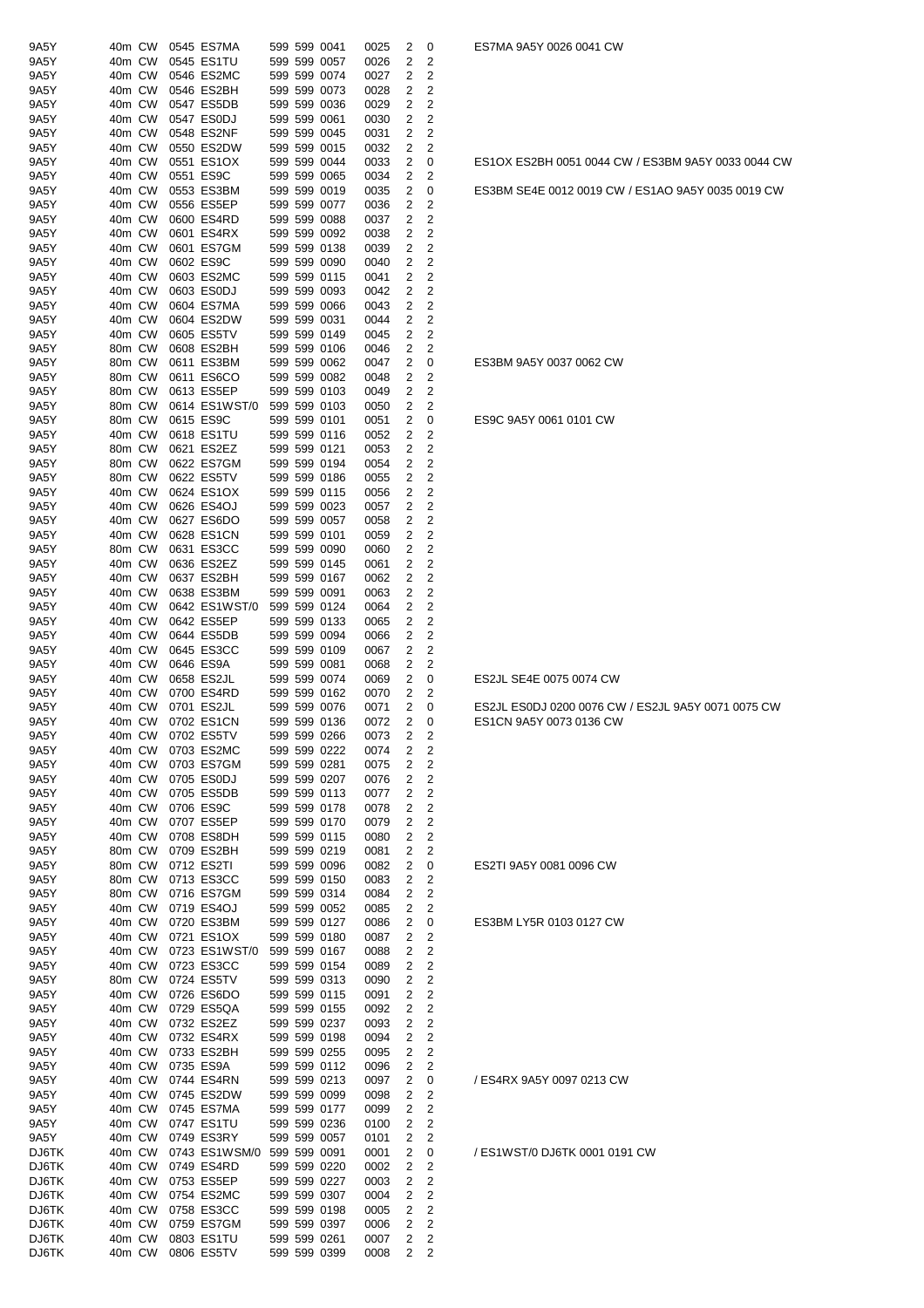| 9A5Y           | 40m CW           |  | 0545 ES7MA                  |  | 599 599 0041                 | 0025         | 2                       | 0                       |
|----------------|------------------|--|-----------------------------|--|------------------------------|--------------|-------------------------|-------------------------|
| 9A5Y           | 40m CW           |  | 0545 ES1TU                  |  | 599 599 0057                 | 0026         | 2                       | 2                       |
| 9A5Y           | 40m CW           |  | 0546 ES2MC                  |  | 599 599 0074                 | 0027         | 2                       | $\overline{2}$          |
| 9A5Y           | 40m CW           |  | 0546 ES2BH                  |  | 599 599 0073                 | 0028         | 2                       | $\overline{c}$          |
| 9A5Y           | 40m CW           |  | 0547 ES5DB                  |  | 599 599 0036                 | 0029         | 2                       | $\overline{c}$          |
| 9A5Y           | 40m CW           |  | 0547 ES0DJ                  |  | 599 599 0061                 | 0030         | 2                       | $\mathbf 2$             |
| 9A5Y           | 40m CW           |  | 0548 ES2NF                  |  | 599 599 0045                 | 0031         | 2                       | $\overline{c}$          |
| 9A5Y           | 40m CW           |  | 0550 ES2DW                  |  | 599 599 0015                 | 0032         | 2                       | $\overline{c}$          |
| 9A5Y           | 40m CW           |  | 0551 ES1OX                  |  | 599 599 0044                 | 0033         | 2                       | 0                       |
| 9A5Y           | 40m CW           |  | 0551 ES9C                   |  | 599 599 0065                 | 0034         | 2                       | 2                       |
| 9A5Y           | 40m CW           |  | 0553 ES3BM                  |  | 599 599 0019                 | 0035         | 2                       | 0                       |
| 9A5Y           | 40m CW           |  | 0556 ES5EP                  |  | 599 599 0077                 | 0036         | 2                       | 2                       |
| 9A5Y           | 40m CW           |  | 0600 ES4RD                  |  | 599 599 0088                 | 0037         | 2                       | 2                       |
| 9A5Y           | 40m CW           |  | 0601 ES4RX                  |  | 599 599 0092                 | 0038         | 2                       | 2                       |
| 9A5Y           | 40m CW           |  | 0601 ES7GM                  |  | 599 599 0138                 | 0039         | 2                       | 2                       |
| 9A5Y           | 40m CW           |  | 0602 ES9C                   |  | 599 599 0090                 | 0040         | 2                       | $\overline{2}$          |
| 9A5Y           | 40m CW           |  | 0603 ES2MC                  |  | 599 599 0115                 | 0041         | 2                       | $\overline{c}$          |
| 9A5Y           | 40m CW           |  | 0603 ES0DJ                  |  | 599 599 0093                 | 0042         | 2                       | $\overline{c}$          |
| 9A5Y           | 40m CW           |  | 0604 ES7MA                  |  | 599 599 0066                 | 0043         | 2                       | 2                       |
| 9A5Y           | 40m CW           |  | 0604 ES2DW                  |  | 599 599 0031                 | 0044         | 2                       | 2                       |
| 9A5Y           | 40m CW           |  | 0605 ES5TV                  |  | 599 599 0149                 | 0045         | 2                       | $\overline{c}$          |
| 9A5Y           | 80m CW           |  | 0608 ES2BH                  |  | 599 599 0106                 | 0046         | 2                       | 2                       |
| 9A5Y           | 80m CW           |  | 0611 ES3BM                  |  | 599 599 0062                 | 0047         | 2                       | 0                       |
| 9A5Y           | 80m CW           |  | 0611 ES6CO                  |  | 599 599 0082                 | 0048         | 2                       | $\overline{c}$          |
| 9A5Y           | 80m CW           |  | 0613 ES5EP                  |  | 599 599 0103                 | 0049         | 2                       | 2                       |
| 9A5Y           | 80m CW           |  | 0614 ES1WST/0               |  | 599 599 0103                 | 0050         | 2                       | 2                       |
| 9A5Y           | 80m CW           |  | 0615 ES9C                   |  | 599 599 0101                 | 0051         | 2                       | 0                       |
| 9A5Y           | 40m CW           |  | 0618 ES1TU                  |  | 599 599 0116                 | 0052         | 2                       | 2                       |
| 9A5Y           | 80m CW           |  | 0621 ES2EZ                  |  | 599 599 0121                 | 0053         | 2                       | $\overline{c}$          |
| 9A5Y           | 80m CW           |  | 0622 ES7GM                  |  | 599 599 0194                 | 0054         | $\overline{\mathbf{c}}$ | $\overline{c}$          |
| 9A5Y           | 80m CW           |  | 0622 ES5TV                  |  | 599 599 0186                 | 0055         | 2                       | $\overline{c}$          |
| 9A5Y           | 40m CW           |  | 0624 ES1OX                  |  | 599 599 0115                 | 0056         | 2                       | $\mathbf 2$             |
| 9A5Y           | 40m CW           |  | 0626 ES4OJ                  |  | 599 599 0023                 | 0057         | 2                       | $\overline{\mathbf{c}}$ |
| 9A5Y           | 40m CW           |  | 0627 ES6DO                  |  | 599 599 0057                 | 0058         | $\overline{\mathbf{c}}$ | $\overline{c}$          |
| 9A5Y           | 40m CW           |  | 0628 ES1CN                  |  | 599 599 0101                 | 0059         | 2                       | $\overline{c}$          |
| 9A5Y           | 80m CW           |  | 0631 ES3CC                  |  | 599 599 0090                 | 0060         | 2                       | $\overline{c}$          |
| 9A5Y           | 40m CW           |  | 0636 ES2EZ                  |  | 599 599 0145                 | 0061         | 2                       | $\overline{c}$          |
| 9A5Y           | 40m CW           |  | 0637 ES2BH                  |  | 599 599 0167                 | 0062         | 2                       | $\overline{2}$          |
| 9A5Y           | 40m CW           |  | 0638 ES3BM                  |  | 599 599 0091                 | 0063         | 2                       | 2                       |
| 9A5Y           | 40m CW           |  | 0642 ES1WST/0               |  | 599 599 0124                 | 0064         | 2                       | 2                       |
| 9A5Y           | 40m CW           |  | 0642 ES5EP                  |  | 599 599 0133                 | 0065         | $\overline{2}$          | $\overline{c}$          |
| 9A5Y           | 40m CW           |  | 0644 ES5DB                  |  | 599 599 0094                 | 0066         | 2                       | $\overline{c}$          |
| 9A5Y           | 40m CW           |  | 0645 ES3CC                  |  | 599 599 0109                 | 0067         | $\overline{\mathbf{c}}$ | $\overline{c}$          |
| 9A5Y           | 40m CW           |  | 0646 ES9A                   |  | 599 599 0081                 | 0068         | 2                       | $\overline{c}$          |
| 9A5Y           | 40m CW           |  | 0658 ES2JL                  |  | 599 599 0074                 | 0069         | 2                       | 0                       |
| 9A5Y           | 40m CW           |  | 0700 ES4RD                  |  | 599 599 0162                 | 0070         | 2                       | 2                       |
| 9A5Y           | 40m CW           |  | 0701 ES2JL                  |  | 599 599 0076                 | 0071         | 2                       | 0                       |
| 9A5Y           | 40m CW           |  | 0702 ES1CN                  |  | 599 599 0136                 | 0072         | $\overline{2}$          | 0                       |
| 9A5Y           | 40m CW           |  | 0702 ES5TV                  |  | 599 599 0266                 | 0073         | 2                       | 2                       |
| 9A5Y           | 40m CW           |  | 0703 ES2MC                  |  | 599 599 0222                 | 0074         | 2                       | 2                       |
| 9A5Y           | 40m CW           |  | 0703 ES7GM                  |  | 599 599 0281                 | 0075         | 2                       | 2                       |
| 9A5Y           | 40m CW           |  | 0705 ES0DJ                  |  | 599 599 0207                 | 0076         | 2                       | $\overline{c}$          |
| 9A5Y           | 40m CW           |  | 0705 ES5DB                  |  | 599 599 0113                 | 0077         | 2                       | $\overline{c}$          |
| 9A5Y           | 40m CW           |  | 0706 ES9C                   |  | 599 599 0178                 | 0078         | 2                       | 2                       |
| 9A5Y           | 40m CW           |  | 0707 ES5EP                  |  | 599 599 0170                 | 0079         | 2                       | 2                       |
| 9A5Y           | 40m CW           |  | 0708 ES8DH                  |  | 599 599 0115                 | 0080         | 2                       | $\overline{c}$          |
| 9A5Y           | 80m CW           |  | 0709 ES2BH                  |  | 599 599 0219                 | 0081         | 2                       | 2                       |
| 9A5Y           | 80m CW           |  | 0712 ES2TI                  |  | 599 599 0096                 | 0082         | 2                       | 0                       |
| 9A5Y           | 80m CW           |  | 0713 ES3CC                  |  | 599 599 0150                 | 0083         | 2                       | 2                       |
| 9A5Y           | 80m CW           |  | 0716 ES7GM                  |  | 599 599 0314                 | 0084         | 2                       | $\overline{c}$          |
| 9A5Y           | 40m CW           |  | 0719 ES4OJ                  |  | 599 599 0052                 | 0085         | 2                       | 2                       |
| 9A5Y           | 40m CW           |  | 0720 ES3BM                  |  | 599 599 0127                 | 0086         | 2                       | 0                       |
| 9A5Y           | 40m CW           |  | 0721 ES1OX                  |  | 599 599 0180                 | 0087         | 2                       | 2                       |
| 9A5Y           | 40m CW           |  | 0723 ES1WST/0               |  | 599 599 0167                 | 0088         | 2                       | 2                       |
| 9A5Y           | 40m CW           |  | 0723 ES3CC                  |  | 599 599 0154                 | 0089         | 2                       | $\overline{c}$          |
| 9A5Y           | 80m CW           |  | 0724 ES5TV                  |  | 599 599 0313                 | 0090         | 2                       | $\overline{c}$          |
| 9A5Y           | 40m CW           |  | 0726 ES6DO                  |  | 599 599 0115                 | 0091         | $\overline{\mathbf{c}}$ | $\overline{c}$          |
| 9A5Y           | 40m CW           |  | 0729 ES5QA                  |  | 599 599 0155                 | 0092         | 2                       | 2                       |
| 9A5Y           | 40m CW           |  | 0732 ES2EZ                  |  | 599 599 0237                 | 0093         | 2                       | $\overline{c}$          |
| 9A5Y           | 40m CW           |  | 0732 ES4RX                  |  | 599 599 0198                 | 0094         | 2                       | 2                       |
| 9A5Y           | 40m CW           |  | 0733 ES2BH                  |  | 599 599 0255                 | 0095         | $\overline{c}$          | 2                       |
| 9A5Y           | 40m CW           |  | 0735 ES9A                   |  | 599 599 0112                 | 0096         | 2                       | $\overline{c}$          |
| 9A5Y           | 40m CW           |  | 0744 ES4RN                  |  | 599 599 0213                 | 0097         | 2                       | 0                       |
| 9A5Y           | 40m CW           |  | 0745 ES2DW                  |  | 599 599 0099                 | 0098         | 2                       | 2                       |
| 9A5Y           | 40m CW           |  | 0745 ES7MA                  |  | 599 599 0177                 | 0099         | 2                       | 2                       |
| 9A5Y           | 40m CW           |  | 0747 ES1TU                  |  | 599 599 0236                 | 0100         | 2                       | $\overline{c}$          |
| 9A5Y           | 40m CW<br>40m CW |  | 0749 ES3RY                  |  | 599 599 0057<br>599 599 0091 | 0101         | 2<br>2                  | 2                       |
| DJ6TK<br>DJ6TK | 40m CW           |  | 0743 ES1WSM/0<br>0749 ES4RD |  | 599 599 0220                 | 0001         | 2                       | 0<br>2                  |
| DJ6TK          | 40m CW           |  | 0753 ES5EP                  |  | 599 599 0227                 | 0002<br>0003 | 2                       | $\overline{c}$          |
| DJ6TK          | 40m CW           |  | 0754 ES2MC                  |  | 599 599 0307                 | 0004         | 2                       | $\overline{c}$          |
| DJ6TK          | 40m CW           |  | 0758 ES3CC                  |  | 599 599 0198                 | 0005         | 2                       | $\overline{c}$          |
| DJ6TK          | 40m CW           |  | 0759 ES7GM                  |  | 599 599 0397                 | 0006         | 2                       | 2                       |
| DJ6TK          | 40m CW           |  | 0803 ES1TU                  |  | 599 599 0261                 | 0007         | 2                       | $\overline{c}$          |
| DJ6TK          | 40m CW           |  | 0806 ES5TV                  |  | 599 599 0399                 | 0008         | 2                       | 2                       |
|                |                  |  |                             |  |                              |              |                         |                         |

ES1OX ES2BH 0051 0044 CW / ES3BM 9A5Y 0033 0044 CW

ES3BM SE4E 0012 0019 CW / ES1AO 9A5Y 0035 0019 CW

ES3BM 9A5Y 0037 0062 CW

ES9C 9A5Y 0061 0101 CW

# ES2JL SE4E 0075 0074 CW

ES2JL ES0DJ 0200 0076 CW / ES2JL 9A5Y 0071 0075 CW ES1CN 9A5Y 0073 0136 CW

ES2TI 9A5Y 0081 0096 CW

### ES3BM LY5R 0103 0127 CW

/ ES4RX 9A5Y 0097 0213 CW

/ ES1WST/0 DJ6TK 0001 0191 CW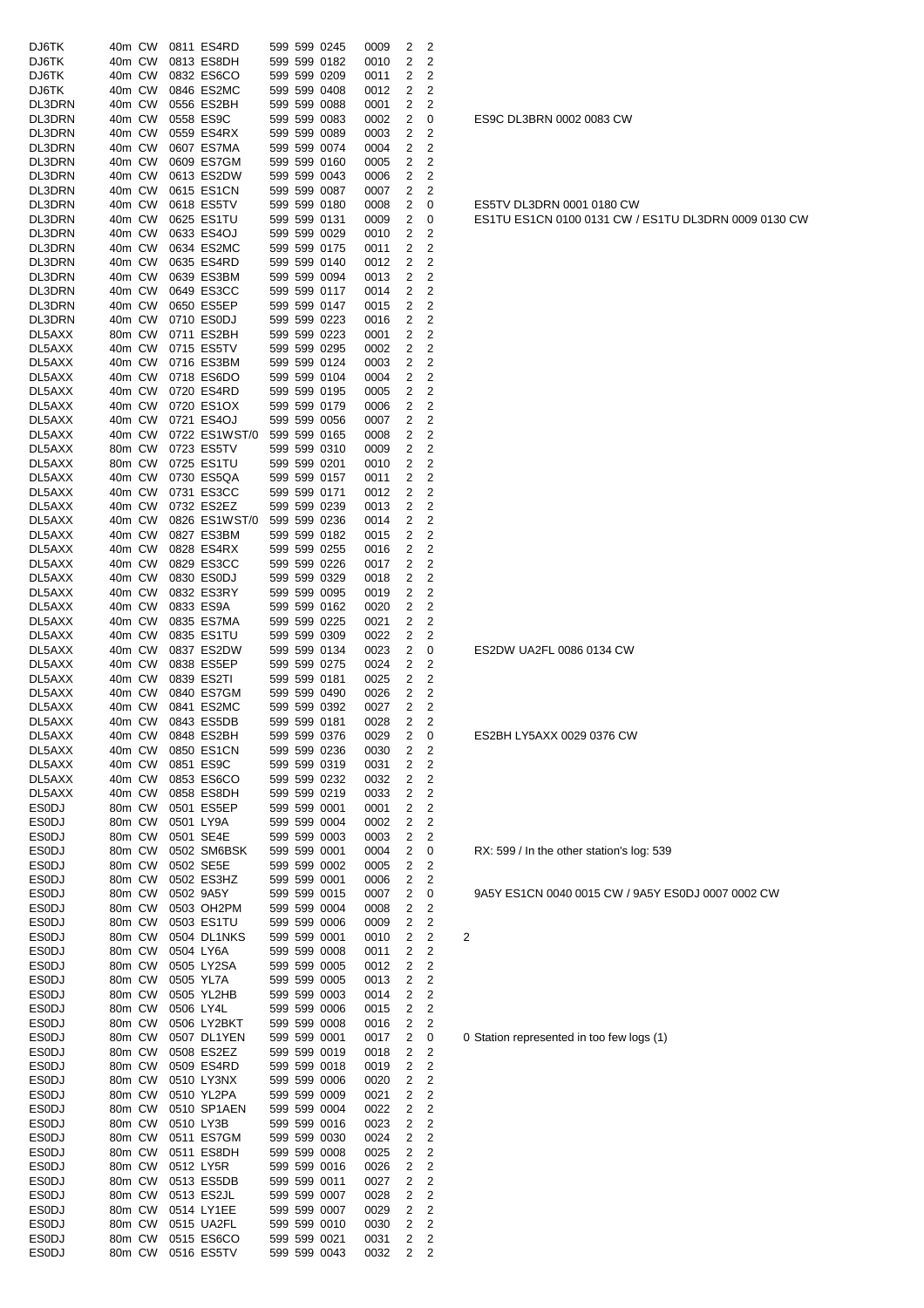| DJ6TK        | 40m CW |           | 0811 ES4RD        |  | 599 599 0245 | 0009 | 2            | 2              |                         |
|--------------|--------|-----------|-------------------|--|--------------|------|--------------|----------------|-------------------------|
|              |        |           |                   |  |              |      |              |                |                         |
| DJ6TK        | 40m CW |           | 0813 ES8DH        |  | 599 599 0182 | 0010 | 2            | 2              |                         |
| DJ6TK        | 40m CW |           | 0832 ES6CO        |  | 599 599 0209 | 0011 | 2            | 2              |                         |
| DJ6TK        | 40m CW |           | 0846 ES2MC        |  | 599 599 0408 | 0012 | 2            | 2              |                         |
| DL3DRN       | 40m CW |           | 0556 ES2BH        |  | 599 599 0088 | 0001 | 2            | 2              |                         |
| DL3DRN       | 40m CW |           | 0558 ES9C         |  | 599 599 0083 | 0002 | 2            | 0              |                         |
| DL3DRN       | 40m CW |           | 0559 ES4RX        |  | 599 599 0089 | 0003 | 2            | 2              |                         |
| DL3DRN       | 40m CW |           | 0607 ES7MA        |  | 599 599 0074 |      | 2            | 2              |                         |
|              |        |           |                   |  |              | 0004 |              |                |                         |
| DL3DRN       | 40m CW |           | 0609 ES7GM        |  | 599 599 0160 | 0005 | 2            | 2              |                         |
| DL3DRN       | 40m CW |           | 0613 ES2DW        |  | 599 599 0043 | 0006 | 2            | 2              |                         |
| DL3DRN       | 40m CW |           | 0615 ES1CN        |  | 599 599 0087 | 0007 | 2            | 2              |                         |
| DL3DRN       | 40m CW |           | 0618 ES5TV        |  | 599 599 0180 | 0008 | 2            | 0              |                         |
| DL3DRN       | 40m CW |           | 0625 ES1TU        |  | 599 599 0131 |      | 2            |                |                         |
|              |        |           |                   |  |              | 0009 |              | 0              |                         |
| DL3DRN       | 40m CW |           | 0633 ES4OJ        |  | 599 599 0029 | 0010 | 2            | 2              |                         |
| DL3DRN       | 40m CW |           | 0634 ES2MC        |  | 599 599 0175 | 0011 | 2            | 2              |                         |
| DL3DRN       | 40m CW |           | 0635 ES4RD        |  | 599 599 0140 | 0012 | 2            | 2              |                         |
| DL3DRN       | 40m CW |           | 0639 ES3BM        |  | 599 599 0094 | 0013 | 2            | 2              |                         |
|              | 40m CW |           | 0649 ES3CC        |  | 599 599 0117 |      | 2            | 2              |                         |
| DL3DRN       |        |           |                   |  |              | 0014 |              |                |                         |
| DL3DRN       | 40m CW |           | 0650 ES5EP        |  | 599 599 0147 | 0015 | 2            | 2              |                         |
| DL3DRN       | 40m CW |           | 0710 ES0DJ        |  | 599 599 0223 | 0016 | 2            | 2              |                         |
| DL5AXX       | 80m CW |           | 0711 ES2BH        |  | 599 599 0223 | 0001 | 2            | 2              |                         |
| DL5AXX       | 40m CW |           | 0715 ES5TV        |  | 599 599 0295 | 0002 | 2            | 2              |                         |
|              |        |           |                   |  |              |      |              |                |                         |
| DL5AXX       | 40m CW |           | 0716 ES3BM        |  | 599 599 0124 | 0003 | 2            | 2              |                         |
| DL5AXX       | 40m CW |           | 0718 ES6DO        |  | 599 599 0104 | 0004 | 2            | 2              |                         |
| DL5AXX       | 40m CW |           | 0720 ES4RD        |  | 599 599 0195 | 0005 | 2            | 2              |                         |
| DL5AXX       | 40m CW |           | 0720 ES1OX        |  | 599 599 0179 | 0006 | 2            | 2              |                         |
| DL5AXX       | 40m CW |           | 0721 ES4OJ        |  | 599 599 0056 | 0007 | 2            | 2              |                         |
|              |        |           |                   |  |              |      |              |                |                         |
| DL5AXX       | 40m CW |           | 0722 ES1WST/0     |  | 599 599 0165 | 0008 | 2            | 2              |                         |
| DL5AXX       | 80m CW |           | 0723 ES5TV        |  | 599 599 0310 | 0009 | 2            | 2              |                         |
| DL5AXX       | 80m CW |           | 0725 ES1TU        |  | 599 599 0201 | 0010 | 2            | 2              |                         |
| DL5AXX       | 40m CW |           | 0730 ES5QA        |  | 599 599 0157 | 0011 | 2            | 2              |                         |
| DL5AXX       | 40m CW |           | 0731 ES3CC        |  | 599 599 0171 | 0012 | 2            | 2              |                         |
|              |        |           |                   |  |              |      |              |                |                         |
| DL5AXX       | 40m CW |           | 0732 ES2EZ        |  | 599 599 0239 | 0013 | 2            | 2              |                         |
| DL5AXX       | 40m CW |           | 0826 ES1WST/0     |  | 599 599 0236 | 0014 | 2            | 2              |                         |
| DL5AXX       | 40m CW |           | 0827 ES3BM        |  | 599 599 0182 | 0015 | 2            | 2              |                         |
| DL5AXX       | 40m CW |           | 0828 ES4RX        |  | 599 599 0255 | 0016 | 2            | 2              |                         |
| DL5AXX       | 40m CW |           | 0829 ES3CC        |  | 599 599 0226 | 0017 | 2            | 2              |                         |
|              |        |           |                   |  |              |      |              |                |                         |
| DL5AXX       | 40m CW |           | 0830 ES0DJ        |  | 599 599 0329 | 0018 | 2            | 2              |                         |
| DL5AXX       | 40m CW |           | 0832 ES3RY        |  | 599 599 0095 | 0019 | 2            | 2              |                         |
| DL5AXX       | 40m CW |           | 0833 ES9A         |  | 599 599 0162 | 0020 | 2            | 2              |                         |
| DL5AXX       | 40m CW |           | 0835 ES7MA        |  | 599 599 0225 | 0021 | 2            | 2              |                         |
| DL5AXX       | 40m CW |           | 0835 ES1TU        |  | 599 599 0309 | 0022 | 2            | 2              |                         |
|              |        |           |                   |  |              |      |              |                |                         |
| DL5AXX       | 40m CW |           | 0837 ES2DW        |  | 599 599 0134 | 0023 | 2            | 0              |                         |
| DL5AXX       | 40m CW |           | 0838 ES5EP        |  | 599 599 0275 | 0024 | 2            | 2              |                         |
| DL5AXX       | 40m CW |           | 0839 ES2TI        |  | 599 599 0181 | 0025 | 2            | 2              |                         |
| DL5AXX       | 40m CW |           | 0840 ES7GM        |  | 599 599 0490 | 0026 | 2            | 2              |                         |
| DL5AXX       | 40m CW |           | 0841 ES2MC        |  | 599 599 0392 | 0027 | 2            | 2              |                         |
|              |        |           |                   |  |              |      |              |                |                         |
| DL5AXX       | 40m CW |           | 0843 ES5DB        |  | 599 599 0181 | 0028 | 2            | 2              |                         |
| DL5AXX       |        |           | 40m CW 0848 ES2BH |  | 599 599 0376 | 0029 | $\mathbf{2}$ | 0              |                         |
| DL5AXX       | 40m CW |           | 0850 ES1CN        |  | 599 599 0236 | 0030 | 2            | 2              |                         |
| DL5AXX       | 40m CW |           | 0851 ES9C         |  | 599 599 0319 | 0031 | 2            | 2              |                         |
| DL5AXX       | 40m CW |           | 0853 ES6CO        |  | 599 599 0232 | 0032 | 2            | 2              |                         |
|              |        |           |                   |  |              |      |              |                |                         |
| DL5AXX       | 40m CW |           | 0858 ES8DH        |  | 599 599 0219 | 0033 | 2            | 2              |                         |
| <b>ESODJ</b> | 80m CW |           | 0501 ES5EP        |  | 599 599 0001 | 0001 | 2            | $\overline{c}$ |                         |
| <b>ESODJ</b> | 80m CW |           | 0501 LY9A         |  | 599 599 0004 | 0002 | 2            | 2              |                         |
| <b>ESODJ</b> | 80m CW |           | 0501 SE4E         |  | 599 599 0003 | 0003 | 2            | 2              |                         |
| <b>ESODJ</b> | 80m CW |           | 0502 SM6BSK       |  | 599 599 0001 | 0004 | 2            | 0              |                         |
|              |        |           |                   |  |              |      |              |                |                         |
| <b>ESODJ</b> | 80m CW |           | 0502 SE5E         |  | 599 599 0002 | 0005 | 2            | $\overline{c}$ |                         |
| <b>ESODJ</b> | 80m CW |           | 0502 ES3HZ        |  | 599 599 0001 | 0006 | 2            | 2              |                         |
| <b>ESODJ</b> | 80m CW |           | 0502 9A5Y         |  | 599 599 0015 | 0007 | 2            | 0              |                         |
| <b>ESODJ</b> | 80m CW |           | 0503 OH2PM        |  | 599 599 0004 | 0008 | 2            | 2              |                         |
| <b>ESODJ</b> | 80m CW |           | 0503 ES1TU        |  | 599 599 0006 | 0009 | 2            | 2              |                         |
| <b>ESODJ</b> | 80m CW |           | 0504 DL1NKS       |  | 599 599 0001 |      | 2            | 2              |                         |
|              |        |           |                   |  |              | 0010 |              |                | $\overline{\mathbf{c}}$ |
| <b>ESODJ</b> | 80m CW |           | 0504 LY6A         |  | 599 599 0008 | 0011 | 2            | 2              |                         |
| <b>ESODJ</b> | 80m CW |           | 0505 LY2SA        |  | 599 599 0005 | 0012 | 2            | 2              |                         |
| <b>ESODJ</b> | 80m CW |           | 0505 YL7A         |  | 599 599 0005 | 0013 | 2            | 2              |                         |
| <b>ESODJ</b> | 80m CW |           | 0505 YL2HB        |  | 599 599 0003 | 0014 | 2            | 2              |                         |
|              |        | 0506 LY4L |                   |  |              |      |              | 2              |                         |
| <b>ESODJ</b> | 80m CW |           |                   |  | 599 599 0006 | 0015 | 2            |                |                         |
| <b>ESODJ</b> | 80m CW |           | 0506 LY2BKT       |  | 599 599 0008 | 0016 | 2            | 2              |                         |
| <b>ESODJ</b> | 80m CW |           | 0507 DL1YEN       |  | 599 599 0001 | 0017 | 2            | 0              | 0                       |
| <b>ESODJ</b> | 80m CW |           | 0508 ES2EZ        |  | 599 599 0019 | 0018 | 2            | 2              |                         |
| <b>ESODJ</b> | 80m CW |           | 0509 ES4RD        |  | 599 599 0018 | 0019 | 2            | 2              |                         |
|              |        |           |                   |  |              |      |              |                |                         |
| <b>ESODJ</b> | 80m CW |           | 0510 LY3NX        |  | 599 599 0006 | 0020 | 2            | 2              |                         |
| <b>ESODJ</b> | 80m CW |           | 0510 YL2PA        |  | 599 599 0009 | 0021 | 2            | 2              |                         |
| <b>ESODJ</b> | 80m CW |           | 0510 SP1AEN       |  | 599 599 0004 | 0022 | 2            | 2              |                         |
| <b>ESODJ</b> | 80m CW |           | 0510 LY3B         |  | 599 599 0016 | 0023 | 2            | 2              |                         |
| <b>ESODJ</b> | 80m CW |           | 0511 ES7GM        |  | 599 599 0030 | 0024 | 2            | 2              |                         |
|              |        |           |                   |  |              |      |              |                |                         |
| <b>ESODJ</b> | 80m CW |           | 0511 ES8DH        |  | 599 599 0008 | 0025 | 2            | 2              |                         |
| <b>ESODJ</b> | 80m CW |           | 0512 LY5R         |  | 599 599 0016 | 0026 | 2            | 2              |                         |
| <b>ESODJ</b> | 80m CW |           | 0513 ES5DB        |  | 599 599 0011 | 0027 | 2            | 2              |                         |
| <b>ESODJ</b> | 80m CW |           | 0513 ES2JL        |  | 599 599 0007 | 0028 | 2            | 2              |                         |
| <b>ESODJ</b> | 80m CW |           | 0514 LY1EE        |  | 599 599 0007 |      | 2            | $\overline{c}$ |                         |
|              |        |           |                   |  |              | 0029 |              |                |                         |
| <b>ESODJ</b> | 80m CW |           | 0515 UA2FL        |  | 599 599 0010 | 0030 | 2            | 2              |                         |
| <b>ESODJ</b> | 80m CW |           | 0515 ES6CO        |  | 599 599 0021 | 0031 | 2            | 2              |                         |
| <b>ESODJ</b> | 80m CW |           | 0516 ES5TV        |  | 599 599 0043 | 0032 | 2            | 2              |                         |

ES2DW UA2FL 0086 0134 CW

ES2BH LY5AXX 0029 0376 CW

RX: 599 / In the other station's log: 539

9A5Y ES1CN 0040 0015 CW / 9A5Y ES0DJ 0007 0002 CW

0 Station represented in too few logs (1)

ES5TV DL3DRN 0001 0180 CW ES1TU ES1CN 0100 0131 CW / ES1TU DL3DRN 0009 0130 CW

ES9C DL3BRN 0002 0083 CW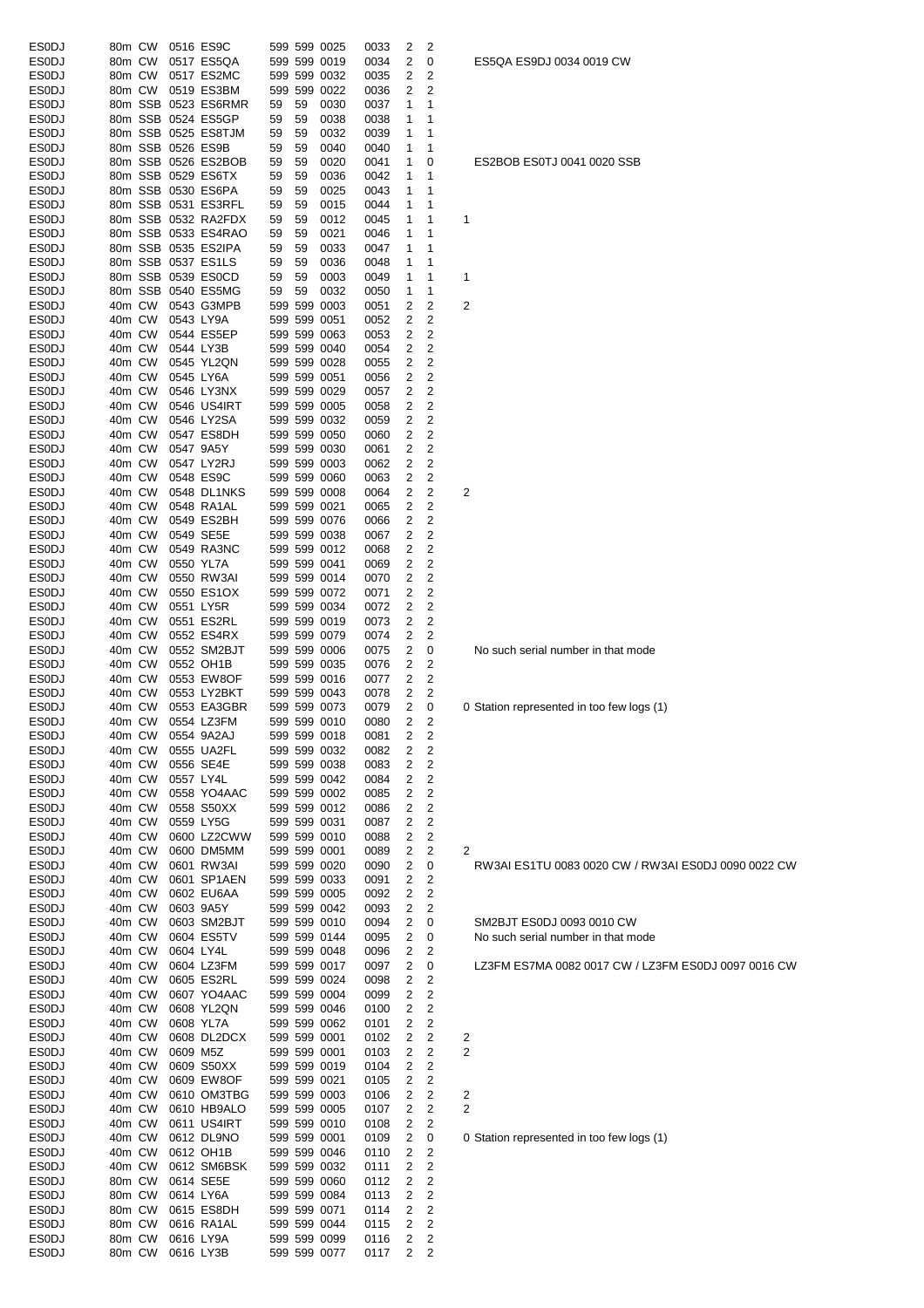| <b>ESODJ</b> | 80m CW |           | 0516 ES9C           |    |         | 599 599 0025 | 0033 | 2 | 2                       |     |
|--------------|--------|-----------|---------------------|----|---------|--------------|------|---|-------------------------|-----|
| <b>ESODJ</b> | 80m CW |           | 0517 ES5QA          |    |         | 599 599 0019 | 0034 | 2 | 0                       | Е   |
| <b>ESODJ</b> | 80m CW |           | 0517 ES2MC          |    |         | 599 599 0032 | 0035 | 2 | 2                       |     |
| <b>ESODJ</b> | 80m CW |           | 0519 ES3BM          |    | 599 599 | 0022         | 0036 | 2 | 2                       |     |
|              |        |           |                     |    |         |              |      |   |                         |     |
| <b>ESODJ</b> |        |           | 80m SSB 0523 ES6RMR | 59 | 59      | 0030         | 0037 | 1 | 1                       |     |
| <b>ESODJ</b> |        |           | 80m SSB 0524 ES5GP  | 59 | 59      | 0038         | 0038 | 1 | 1                       |     |
| ESODJ        |        |           | 80m SSB 0525 ES8TJM | 59 | 59      | 0032         | 0039 | 1 | 1                       |     |
| <b>ESODJ</b> |        |           | 80m SSB 0526 ES9B   | 59 | 59      | 0040         | 0040 | 1 | 1                       |     |
| ESODJ        |        |           | 80m SSB 0526 ES2BOB | 59 | 59      | 0020         | 0041 | 1 | 0                       | Е   |
| <b>ESODJ</b> |        |           | 80m SSB 0529 ES6TX  | 59 | 59      |              | 0042 | 1 | 1                       |     |
|              |        |           |                     |    |         | 0036         |      |   |                         |     |
| <b>ESODJ</b> |        |           | 80m SSB 0530 ES6PA  | 59 | 59      | 0025         | 0043 | 1 | 1                       |     |
| ESODJ        |        |           | 80m SSB 0531 ES3RFL | 59 | 59      | 0015         | 0044 | 1 | 1                       |     |
| <b>ESODJ</b> |        |           | 80m SSB 0532 RA2FDX | 59 | 59      | 0012         | 0045 | 1 | 1                       | 1   |
| ESODJ        |        |           | 80m SSB 0533 ES4RAO | 59 | 59      | 0021         | 0046 | 1 | 1                       |     |
| <b>ESODJ</b> |        |           | 80m SSB 0535 ES2IPA | 59 | 59      |              | 0047 | 1 | 1                       |     |
|              |        |           |                     |    |         | 0033         |      |   |                         |     |
| <b>ESODJ</b> |        |           | 80m SSB 0537 ES1LS  | 59 | 59      | 0036         | 0048 | 1 | 1                       |     |
| <b>ESODJ</b> |        |           | 80m SSB 0539 ES0CD  | 59 | 59      | 0003         | 0049 | 1 | 1                       | 1   |
| ESODJ        |        |           | 80m SSB 0540 ES5MG  | 59 | 59      | 0032         | 0050 | 1 | 1                       |     |
| <b>ESODJ</b> | 40m CW |           | 0543 G3MPB          |    |         | 599 599 0003 | 0051 | 2 | 2                       | 2   |
| ESODJ        | 40m CW |           | 0543 LY9A           |    |         | 599 599 0051 | 0052 | 2 | 2                       |     |
|              |        |           |                     |    |         |              |      |   |                         |     |
| ESODJ        | 40m CW |           | 0544 ES5EP          |    |         | 599 599 0063 | 0053 | 2 | 2                       |     |
| <b>ESODJ</b> | 40m CW |           | 0544 LY3B           |    |         | 599 599 0040 | 0054 | 2 | 2                       |     |
| ESODJ        | 40m CW |           | 0545 YL2QN          |    |         | 599 599 0028 | 0055 | 2 | 2                       |     |
| <b>ESODJ</b> | 40m CW |           | 0545 LY6A           |    |         | 599 599 0051 | 0056 | 2 | 2                       |     |
| <b>ESODJ</b> | 40m CW |           | 0546 LY3NX          |    |         | 599 599 0029 | 0057 | 2 | $\overline{\mathbf{c}}$ |     |
|              |        |           |                     |    |         |              |      |   |                         |     |
| ESODJ        | 40m CW |           | 0546 US4IRT         |    |         | 599 599 0005 | 0058 | 2 | 2                       |     |
| <b>ESODJ</b> | 40m CW |           | 0546 LY2SA          |    |         | 599 599 0032 | 0059 | 2 | 2                       |     |
| <b>ESODJ</b> | 40m CW |           | 0547 ES8DH          |    |         | 599 599 0050 | 0060 | 2 | 2                       |     |
| <b>ESODJ</b> | 40m CW |           | 0547 9A5Y           |    |         | 599 599 0030 | 0061 | 2 | 2                       |     |
| <b>ESODJ</b> | 40m CW |           | 0547 LY2RJ          |    |         | 599 599 0003 | 0062 | 2 | 2                       |     |
|              |        |           |                     |    |         |              |      |   |                         |     |
| ESODJ        | 40m CW |           | 0548 ES9C           |    |         | 599 599 0060 | 0063 | 2 | 2                       |     |
| <b>ESODJ</b> | 40m CW |           | 0548 DL1NKS         |    |         | 599 599 0008 | 0064 | 2 | 2                       | 2   |
| <b>ESODJ</b> | 40m CW |           | 0548 RA1AL          |    |         | 599 599 0021 | 0065 | 2 | 2                       |     |
| ESODJ        | 40m CW |           | 0549 ES2BH          |    |         | 599 599 0076 | 0066 | 2 | 2                       |     |
| <b>ESODJ</b> | 40m CW |           | 0549 SE5E           |    |         | 599 599 0038 | 0067 | 2 | 2                       |     |
|              |        |           |                     |    |         |              |      |   |                         |     |
| ESODJ        | 40m CW |           | 0549 RA3NC          |    |         | 599 599 0012 | 0068 | 2 | 2                       |     |
| ESODJ        | 40m CW |           | 0550 YL7A           |    |         | 599 599 0041 | 0069 | 2 | 2                       |     |
| ESODJ        | 40m CW |           | 0550 RW3AI          |    |         | 599 599 0014 | 0070 | 2 | 2                       |     |
| ES0DJ        | 40m CW |           | 0550 ES1OX          |    |         | 599 599 0072 | 0071 | 2 | 2                       |     |
| <b>ESODJ</b> | 40m CW |           | 0551 LY5R           |    |         | 599 599 0034 | 0072 | 2 | 2                       |     |
|              |        |           |                     |    |         |              |      |   |                         |     |
| <b>ESODJ</b> | 40m CW |           | 0551 ES2RL          |    |         | 599 599 0019 | 0073 | 2 | 2                       |     |
| <b>ESODJ</b> | 40m CW |           | 0552 ES4RX          |    |         | 599 599 0079 | 0074 | 2 | 2                       |     |
| <b>ESODJ</b> | 40m CW |           | 0552 SM2BJT         |    |         | 599 599 0006 | 0075 | 2 | 0                       | ľ   |
| <b>ESODJ</b> | 40m CW |           | 0552 OH1B           |    |         | 599 599 0035 | 0076 | 2 | 2                       |     |
|              | 40m CW |           | 0553 EW8OF          |    |         | 599 599 0016 | 0077 |   | 2                       |     |
| ESODJ        |        |           |                     |    |         |              |      | 2 |                         |     |
| ESODJ        | 40m CW |           | 0553 LY2BKT         |    |         | 599 599 0043 | 0078 | 2 | 2                       |     |
| <b>ESODJ</b> | 40m CW |           | 0553 EA3GBR         |    |         | 599 599 0073 | 0079 | 2 | 0                       | 0 S |
| <b>ESODJ</b> | 40m CW |           | 0554 LZ3FM          |    |         | 599 599 0010 | 0080 | 2 | 2                       |     |
| <b>ES0DJ</b> | 40m CW |           | 0554 9A2AJ          |    |         | 599 599 0018 | 0081 | 2 | $\overline{c}$          |     |
| <b>ESODJ</b> |        |           | 0555 UA2FL          |    |         | 599 599 0032 |      |   |                         |     |
|              | 40m CW |           |                     |    |         |              | 0082 | 2 | 2                       |     |
| <b>ESODJ</b> | 40m CW |           | 0556 SE4E           |    |         | 599 599 0038 | 0083 | 2 | 2                       |     |
| <b>ESODJ</b> | 40m CW |           | 0557 LY4L           |    |         | 599 599 0042 | 0084 | 2 | 2                       |     |
| <b>ESODJ</b> | 40m CW |           | 0558 YO4AAC         |    |         | 599 599 0002 | 0085 | 2 | 2                       |     |
| <b>ESODJ</b> | 40m CW |           | 0558 S50XX          |    |         | 599 599 0012 | 0086 | 2 | 2                       |     |
|              |        |           |                     |    |         | 599 599 0031 |      |   |                         |     |
| ESODJ        | 40m CW |           | 0559 LY5G           |    |         |              | 0087 | 2 | 2                       |     |
| <b>ESODJ</b> | 40m CW |           | 0600 LZ2CWW         |    |         | 599 599 0010 | 0088 | 2 | 2                       |     |
| ESODJ        | 40m CW |           | 0600 DM5MM          |    |         | 599 599 0001 | 0089 | 2 | 2                       | 2   |
| <b>ESODJ</b> | 40m CW |           | 0601 RW3AI          |    |         | 599 599 0020 | 0090 | 2 | 0                       | F   |
| <b>ESODJ</b> | 40m CW |           | 0601 SP1AEN         |    |         | 599 599 0033 | 0091 | 2 | 2                       |     |
| <b>ESODJ</b> | 40m CW |           | 0602 EU6AA          |    |         | 599 599 0005 | 0092 | 2 | 2                       |     |
|              |        |           |                     |    |         |              |      |   |                         |     |
| <b>ESODJ</b> | 40m CW |           | 0603 9A5Y           |    |         | 599 599 0042 | 0093 | 2 | 2                       |     |
| <b>ESODJ</b> | 40m CW |           | 0603 SM2BJT         |    |         | 599 599 0010 | 0094 | 2 | 0                       | ξ   |
| ESODJ        | 40m CW |           | 0604 ES5TV          |    |         | 599 599 0144 | 0095 | 2 | 0                       | ľ   |
| <b>ESODJ</b> | 40m CW | 0604 LY4L |                     |    |         | 599 599 0048 | 0096 | 2 | 2                       |     |
| <b>ESODJ</b> | 40m CW |           | 0604 LZ3FM          |    |         | 599 599 0017 | 0097 | 2 | 0                       | L   |
|              |        |           |                     |    |         |              |      |   |                         |     |
| <b>ESODJ</b> | 40m CW |           | 0605 ES2RL          |    |         | 599 599 0024 | 0098 | 2 | 2                       |     |
| <b>ESODJ</b> | 40m CW |           | 0607 YO4AAC         |    |         | 599 599 0004 | 0099 | 2 | $\overline{c}$          |     |
| ESODJ        | 40m CW |           | 0608 YL2QN          |    |         | 599 599 0046 | 0100 | 2 | 2                       |     |
| <b>ESODJ</b> | 40m CW |           | 0608 YL7A           |    |         | 599 599 0062 | 0101 | 2 | 2                       |     |
| <b>ESODJ</b> | 40m CW |           | 0608 DL2DCX         |    |         | 599 599 0001 |      | 2 | 2                       |     |
|              |        |           |                     |    |         |              | 0102 |   |                         | 2   |
| ESODJ        | 40m CW | 0609 M5Z  |                     |    |         | 599 599 0001 | 0103 | 2 | 2                       | 2   |
| <b>ESODJ</b> | 40m CW |           | 0609 S50XX          |    |         | 599 599 0019 | 0104 | 2 | 2                       |     |
| <b>ESODJ</b> | 40m CW |           | 0609 EW8OF          |    |         | 599 599 0021 | 0105 | 2 | 2                       |     |
| <b>ESODJ</b> | 40m CW |           | 0610 OM3TBG         |    |         | 599 599 0003 | 0106 | 2 | 2                       | 2   |
|              |        |           |                     |    |         |              |      |   |                         | 2   |
| ESODJ        | 40m CW |           | 0610 HB9ALO         |    |         | 599 599 0005 | 0107 | 2 | 2                       |     |
| ES0DJ        | 40m CW |           | 0611 US4IRT         |    |         | 599 599 0010 | 0108 | 2 | 2                       |     |
| <b>ESODJ</b> | 40m CW |           | 0612 DL9NO          |    |         | 599 599 0001 | 0109 | 2 | 0                       | 0 S |
| <b>ESODJ</b> | 40m CW |           | 0612 OH1B           |    |         | 599 599 0046 | 0110 | 2 | 2                       |     |
| <b>ESODJ</b> | 40m CW |           | 0612 SM6BSK         |    |         | 599 599 0032 | 0111 | 2 | 2                       |     |
|              |        |           |                     |    |         |              |      |   |                         |     |
| <b>ESODJ</b> | 80m CW |           | 0614 SE5E           |    |         | 599 599 0060 | 0112 | 2 | 2                       |     |
| ESODJ        | 80m CW |           | 0614 LY6A           |    |         | 599 599 0084 | 0113 | 2 | 2                       |     |
| ESODJ        | 80m CW |           | 0615 ES8DH          |    |         | 599 599 0071 | 0114 | 2 | $\overline{c}$          |     |
| <b>ESODJ</b> | 80m CW |           | 0616 RA1AL          |    |         | 599 599 0044 | 0115 | 2 | 2                       |     |
| <b>ESODJ</b> | 80m CW |           | 0616 LY9A           |    |         | 599 599 0099 | 0116 | 2 | 2                       |     |
|              |        |           |                     |    |         |              |      |   |                         |     |
| <b>ESODJ</b> | 80m CW |           | 0616 LY3B           |    |         | 599 599 0077 | 0117 | 2 | 2                       |     |

ES5QA ES9DJ 0034 0019 CW

# ES2BOB ES0TJ 0041 0020 SSB

No such serial number in that mode

Station represented in too few logs (1)

RW3AI ES1TU 0083 0020 CW / RW3AI ES0DJ 0090 0022 CW

SM 2BJT ES0DJ 0093 0010 CW No such serial number in that mode

LZ3FM ES7MA 0082 0017 CW / LZ3FM ES0DJ 0097 0016 CW

Station represented in too few logs (1)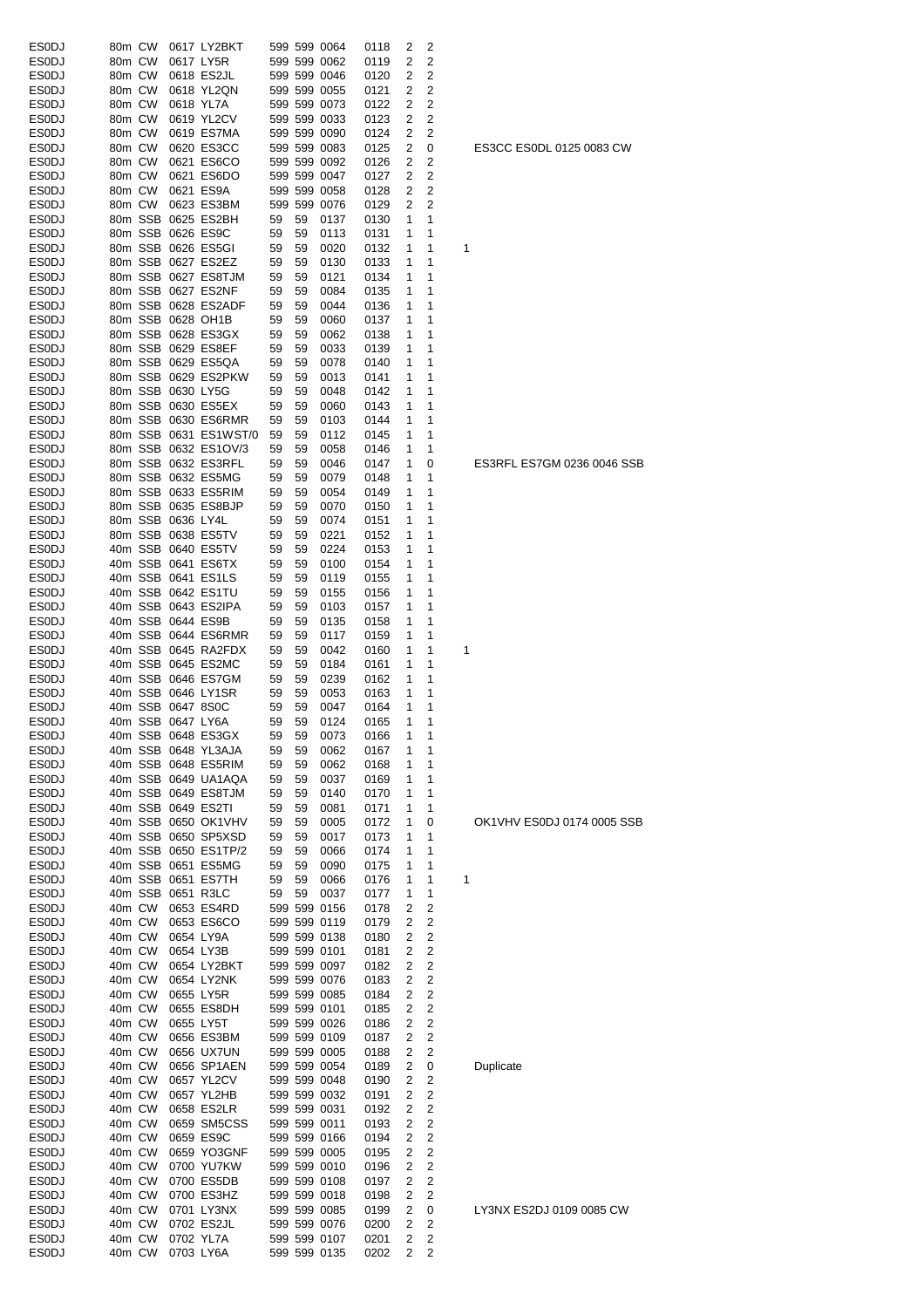| ESODJ          | 80m CW |                   | 0617 LY2BKT                             |    |    | 599 599 0064 | 0118 | 2 | 2      |                            |
|----------------|--------|-------------------|-----------------------------------------|----|----|--------------|------|---|--------|----------------------------|
| <b>ESODJ</b>   | 80m CW |                   | 0617 LY5R                               |    |    | 599 599 0062 | 0119 | 2 | 2      |                            |
| ESODJ          | 80m CW |                   | 0618 ES2JL                              |    |    | 599 599 0046 | 0120 | 2 | 2      |                            |
| ESODJ          | 80m CW |                   | 0618 YL2QN                              |    |    | 599 599 0055 | 0121 | 2 | 2      |                            |
| ESODJ          | 80m CW |                   | 0618 YL7A                               |    |    | 599 599 0073 | 0122 | 2 | 2      |                            |
| ESODJ          | 80m CW |                   | 0619 YL2CV                              |    |    | 599 599 0033 | 0123 | 2 | 2      |                            |
| ESODJ          | 80m CW |                   | 0619 ES7MA                              |    |    | 599 599 0090 | 0124 | 2 | 2      |                            |
| ESODJ          | 80m CW |                   | 0620 ES3CC                              |    |    | 599 599 0083 | 0125 | 2 | 0      | ES3CC ES0DL 0125 0083 CW   |
|                |        |                   |                                         |    |    |              |      |   |        |                            |
| ESODJ          | 80m CW |                   | 0621 ES6CO                              |    |    | 599 599 0092 | 0126 | 2 | 2      |                            |
| ESODJ          | 80m CW |                   | 0621 ES6DO                              |    |    | 599 599 0047 | 0127 | 2 | 2      |                            |
| ESODJ          | 80m CW |                   | 0621 ES9A                               |    |    | 599 599 0058 | 0128 | 2 | 2      |                            |
| ESODJ          | 80m CW |                   | 0623 ES3BM                              |    |    | 599 599 0076 | 0129 | 2 | 2      |                            |
| <b>ESODJ</b>   |        |                   | 80m SSB 0625 ES2BH                      | 59 | 59 | 0137         | 0130 | 1 | 1      |                            |
| ESODJ          |        |                   | 80m SSB 0626 ES9C                       | 59 | 59 | 0113         | 0131 | 1 | 1      |                            |
| ES0DJ          |        |                   | 80m SSB 0626 ES5GI                      | 59 | 59 | 0020         | 0132 | 1 | 1      | 1                          |
| ESODJ          |        |                   | 80m SSB 0627 ES2EZ                      | 59 | 59 | 0130         | 0133 | 1 | 1      |                            |
| ESODJ          |        |                   | 80m SSB 0627 ES8TJM                     | 59 | 59 | 0121         | 0134 | 1 | 1      |                            |
| ESODJ          |        |                   | 80m SSB 0627 ES2NF                      | 59 | 59 | 0084         | 0135 | 1 | 1      |                            |
| ESODJ          |        |                   | 80m SSB 0628 ES2ADF                     | 59 | 59 | 0044         | 0136 | 1 | 1      |                            |
| ESODJ          |        |                   | 80m SSB 0628 OH1B                       | 59 | 59 | 0060         | 0137 | 1 | 1      |                            |
| ESODJ          |        |                   | 80m SSB 0628 ES3GX                      | 59 | 59 | 0062         | 0138 | 1 | 1      |                            |
| ESODJ          |        |                   | 80m SSB 0629 ES8EF                      | 59 | 59 | 0033         | 0139 | 1 | 1      |                            |
| ESODJ          |        |                   | 80m SSB 0629 ES5QA                      | 59 | 59 | 0078         | 0140 | 1 | 1      |                            |
| <b>ESODJ</b>   |        |                   | 80m SSB 0629 ES2PKW                     | 59 | 59 | 0013         | 0141 | 1 | 1      |                            |
| ES0DJ          |        | 80m SSB 0630 LY5G |                                         | 59 | 59 | 0048         | 0142 | 1 | 1      |                            |
|                |        |                   | 80m SSB 0630 ES5EX                      | 59 | 59 |              |      | 1 |        |                            |
| ESODJ          |        |                   |                                         |    |    | 0060         | 0143 |   | 1      |                            |
| ES0DJ          |        |                   | 80m SSB 0630 ES6RMR                     | 59 | 59 | 0103         | 0144 | 1 | 1      |                            |
| ESODJ          |        |                   | 80m SSB 0631 ES1WST/0                   | 59 | 59 | 0112         | 0145 | 1 | 1      |                            |
| ESODJ          |        |                   | 80m SSB 0632 ES1OV/3                    | 59 | 59 | 0058         | 0146 | 1 | 1      |                            |
| ESODJ          |        |                   | 80m SSB 0632 ES3RFL                     | 59 | 59 | 0046         | 0147 | 1 | 0      | ES3RFL ES7GM 0236 0046 SSB |
| ESODJ          |        |                   | 80m SSB 0632 ES5MG                      | 59 | 59 | 0079         | 0148 | 1 | 1      |                            |
| ESODJ          |        |                   | 80m SSB 0633 ES5RIM                     | 59 | 59 | 0054         | 0149 | 1 | 1      |                            |
| ESODJ          |        |                   | 80m SSB 0635 ES8BJP                     | 59 | 59 | 0070         | 0150 | 1 | 1      |                            |
| ESODJ          |        | 80m SSB 0636 LY4L |                                         | 59 | 59 | 0074         | 0151 | 1 | 1      |                            |
| ESODJ          |        |                   | 80m SSB 0638 ES5TV                      | 59 | 59 | 0221         | 0152 | 1 | 1      |                            |
| ES0DJ          |        |                   | 40m SSB 0640 ES5TV                      | 59 | 59 | 0224         | 0153 | 1 | 1      |                            |
| ESODJ          |        |                   | 40m SSB 0641 ES6TX                      | 59 | 59 | 0100         | 0154 | 1 | 1      |                            |
| ESODJ          |        |                   | 40m SSB 0641 ES1LS                      | 59 | 59 | 0119         | 0155 | 1 | 1      |                            |
| ESODJ          |        |                   | 40m SSB 0642 ES1TU                      | 59 | 59 | 0155         | 0156 | 1 | 1      |                            |
| ESODJ          |        |                   | 40m SSB 0643 ES2IPA                     | 59 | 59 | 0103         | 0157 | 1 | 1      |                            |
| ESODJ          |        |                   | 40m SSB 0644 ES9B                       | 59 | 59 | 0135         | 0158 | 1 | 1      |                            |
|                |        |                   |                                         |    |    |              |      | 1 | 1      |                            |
| ESODJ          |        |                   | 40m SSB 0644 ES6RMR                     | 59 | 59 | 0117         | 0159 |   |        |                            |
| ESODJ          |        |                   | 40m SSB 0645 RA2FDX                     | 59 | 59 | 0042         | 0160 | 1 | 1      | 1                          |
| ESODJ          |        |                   | 40m SSB 0645 ES2MC                      | 59 | 59 | 0184         | 0161 | 1 | 1      |                            |
| <b>ESODJ</b>   |        |                   | 40m SSB 0646 ES7GM                      | 59 | 59 | 0239         | 0162 | 1 | 1      |                            |
| ESODJ          |        |                   | 40m SSB 0646 LY1SR                      | 59 | 59 | 0053         | 0163 | 1 | 1      |                            |
| ESODJ          |        | 40m SSB 0647 8S0C |                                         | 59 | 59 | 0047         | 0164 | 1 | 1      |                            |
| ESODJ          |        | 40m SSB 0647 LY6A |                                         | 59 | 59 | 0124         | 0165 | 1 | 1      |                            |
| ESODJ          |        |                   | 40m SSB 0648 ES3GX                      | 59 | 59 | 0073         | 0166 | 1 |        |                            |
| ESODJ          |        |                   | 40m SSB 0648 YL3AJA                     | 59 | 59 | 0062         | 0167 | 1 | 1      |                            |
| <b>ESODJ</b>   |        |                   | 40m SSB 0648 ES5RIM                     | 59 | 59 | 0062         | 0168 | 1 | 1      |                            |
| ES0DJ          |        |                   | 40m SSB 0649 UA1AQA                     | 59 | 59 | 0037         | 0169 | 1 | 1      |                            |
| ESODJ          |        |                   | 40m SSB 0649 ES8TJM                     | 59 | 59 | 0140         | 0170 | 1 | 1      |                            |
| ESODJ          |        |                   | 40m SSB 0649 ES2TI                      | 59 | 59 | 0081         | 0171 | 1 | 1      |                            |
| ESODJ          |        |                   | 40m SSB 0650 OK1VHV                     | 59 | 59 | 0005         | 0172 | 1 | 0      | OK1VHV ES0DJ 0174 0005 SSB |
| ES0DJ          |        |                   | 40m SSB 0650 SP5XSD                     | 59 | 59 | 0017         | 0173 | 1 | 1      |                            |
| ESODJ          |        |                   | 40m SSB 0650 ES1TP/2                    | 59 | 59 | 0066         | 0174 | 1 | 1      |                            |
| ES0DJ          |        |                   | 40m SSB 0651 ES5MG                      | 59 | 59 | 0090         | 0175 | 1 | 1      |                            |
|                |        |                   |                                         |    |    |              |      |   |        |                            |
| ESODJ<br>ES0DJ |        |                   | 40m SSB 0651 ES7TH<br>40m SSB 0651 R3LC | 59 | 59 | 0066         | 0176 | 1 | 1<br>1 | 1                          |
|                |        |                   |                                         | 59 | 59 | 0037         | 0177 | 1 |        |                            |
| ES0DJ          | 40m CW |                   | 0653 ES4RD                              |    |    | 599 599 0156 | 0178 | 2 | 2      |                            |
| ES0DJ          | 40m CW |                   | 0653 ES6CO                              |    |    | 599 599 0119 | 0179 | 2 | 2      |                            |
| ES0DJ          | 40m CW |                   | 0654 LY9A                               |    |    | 599 599 0138 | 0180 | 2 | 2      |                            |
| ES0DJ          | 40m CW |                   | 0654 LY3B                               |    |    | 599 599 0101 | 0181 | 2 | 2      |                            |
| ES0DJ          | 40m CW |                   | 0654 LY2BKT                             |    |    | 599 599 0097 | 0182 | 2 | 2      |                            |
| ESODJ          | 40m CW |                   | 0654 LY2NK                              |    |    | 599 599 0076 | 0183 | 2 | 2      |                            |
| ESODJ          | 40m CW |                   | 0655 LY5R                               |    |    | 599 599 0085 | 0184 | 2 | 2      |                            |
| ESODJ          | 40m CW |                   | 0655 ES8DH                              |    |    | 599 599 0101 | 0185 | 2 | 2      |                            |
| ES0DJ          | 40m CW |                   | 0655 LY5T                               |    |    | 599 599 0026 | 0186 | 2 | 2      |                            |
| ESODJ          | 40m CW |                   | 0656 ES3BM                              |    |    | 599 599 0109 | 0187 | 2 | 2      |                            |
| ES0DJ          | 40m CW |                   | 0656 UX7UN                              |    |    | 599 599 0005 | 0188 | 2 | 2      |                            |
| ESODJ          | 40m CW |                   | 0656 SP1AEN                             |    |    | 599 599 0054 | 0189 | 2 | 0      | Duplicate                  |
| ES0DJ          | 40m CW |                   | 0657 YL2CV                              |    |    | 599 599 0048 | 0190 | 2 | 2      |                            |
| ES0DJ          | 40m CW |                   | 0657 YL2HB                              |    |    | 599 599 0032 | 0191 | 2 | 2      |                            |
| ES0DJ          | 40m CW |                   | 0658 ES2LR                              |    |    | 599 599 0031 | 0192 | 2 | 2      |                            |
| ESODJ          | 40m CW |                   | 0659 SM5CSS                             |    |    | 599 599 0011 | 0193 | 2 | 2      |                            |
| ES0DJ          | 40m CW |                   | 0659 ES9C                               |    |    | 599 599 0166 | 0194 | 2 | 2      |                            |
| ES0DJ          | 40m CW |                   | 0659 YO3GNF                             |    |    | 599 599 0005 | 0195 | 2 | 2      |                            |
|                |        |                   |                                         |    |    |              |      |   |        |                            |
| ESODJ          | 40m CW |                   | 0700 YU7KW                              |    |    | 599 599 0010 | 0196 | 2 | 2      |                            |
| ESODJ          | 40m CW |                   | 0700 ES5DB                              |    |    | 599 599 0108 | 0197 | 2 | 2      |                            |
| ESODJ          | 40m CW |                   | 0700 ES3HZ                              |    |    | 599 599 0018 | 0198 | 2 | 2      |                            |
| ESODJ          | 40m CW |                   | 0701 LY3NX                              |    |    | 599 599 0085 | 0199 | 2 | 0      | LY3NX ES2DJ 0109 0085 CW   |
| ESODJ          | 40m CW |                   | 0702 ES2JL                              |    |    | 599 599 0076 | 0200 | 2 | 2      |                            |
| ESODJ          | 40m CW |                   | 0702 YL7A                               |    |    | 599 599 0107 | 0201 | 2 | 2      |                            |
| ESODJ          | 40m CW |                   | 0703 LY6A                               |    |    | 599 599 0135 | 0202 | 2 | 2      |                            |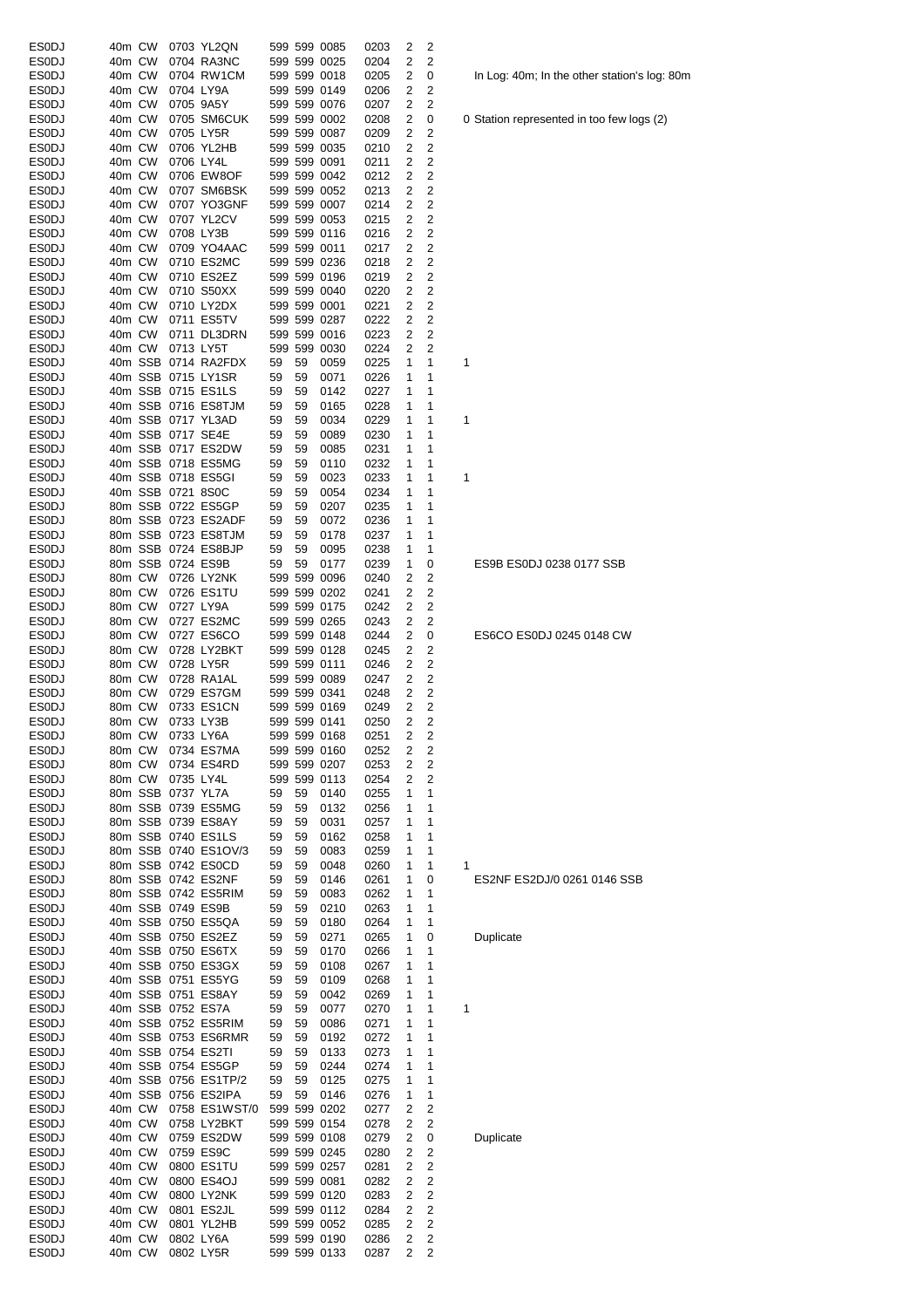| <b>ESODJ</b> | 40m CW |        |                   | 0703 YL2QN           |    |    | 599 599 0085 | 0203 | 2              | 2              |   |
|--------------|--------|--------|-------------------|----------------------|----|----|--------------|------|----------------|----------------|---|
| <b>ESODJ</b> | 40m CW |        |                   | 0704 RA3NC           |    |    | 599 599 0025 | 0204 | 2              | 2              |   |
| ESODJ        | 40m CW |        |                   | 0704 RW1CM           |    |    | 599 599 0018 | 0205 | 2              | 0              |   |
| ESODJ        | 40m CW |        |                   | 0704 LY9A            |    |    | 599 599 0149 | 0206 | 2              | 2              |   |
| <b>ESODJ</b> | 40m CW |        |                   | 0705 9A5Y            |    |    | 599 599 0076 | 0207 | 2              | 2              |   |
| <b>ES0DJ</b> | 40m CW |        |                   | 0705 SM6CUK          |    |    | 599 599 0002 | 0208 | 2              | 0              | 0 |
| <b>ESODJ</b> | 40m CW |        |                   | 0705 LY5R            |    |    | 599 599 0087 | 0209 | 2              | 2              |   |
| <b>ESODJ</b> | 40m CW |        |                   | 0706 YL2HB           |    |    | 599 599 0035 | 0210 | 2              | 2              |   |
| <b>ESODJ</b> | 40m CW |        | 0706 LY4L         |                      |    |    | 599 599 0091 | 0211 | 2              | 2              |   |
| <b>ESODJ</b> | 40m CW |        |                   | 0706 EW8OF           |    |    | 599 599 0042 | 0212 | 2              | 2              |   |
| ESODJ        | 40m CW |        |                   | 0707 SM6BSK          |    |    | 599 599 0052 | 0213 | 2              | 2              |   |
| ES0DJ        | 40m CW |        |                   | 0707 YO3GNF          |    |    | 599 599 0007 |      | 2              | 2              |   |
|              |        |        |                   |                      |    |    |              | 0214 |                |                |   |
| <b>ESODJ</b> | 40m CW |        |                   | 0707 YL2CV           |    |    | 599 599 0053 | 0215 | 2              | 2              |   |
| <b>ESODJ</b> | 40m CW |        |                   | 0708 LY3B            |    |    | 599 599 0116 | 0216 | 2              | 2              |   |
| <b>ESODJ</b> | 40m CW |        |                   | 0709 YO4AAC          |    |    | 599 599 0011 | 0217 | 2              | 2              |   |
| <b>ESODJ</b> | 40m CW |        |                   | 0710 ES2MC           |    |    | 599 599 0236 | 0218 | 2              | 2              |   |
| <b>ESODJ</b> | 40m CW |        |                   | 0710 ES2EZ           |    |    | 599 599 0196 | 0219 | 2              | 2              |   |
| <b>ESODJ</b> | 40m CW |        |                   | 0710 S50XX           |    |    | 599 599 0040 | 0220 | 2              | 2              |   |
| <b>ESODJ</b> | 40m CW |        |                   | 0710 LY2DX           |    |    | 599 599 0001 | 0221 | 2              | 2              |   |
| <b>ESODJ</b> | 40m CW |        |                   | 0711 ES5TV           |    |    | 599 599 0287 | 0222 | 2              | 2              |   |
| <b>ESODJ</b> | 40m CW |        |                   | 0711 DL3DRN          |    |    | 599 599 0016 | 0223 | 2              | 2              |   |
| <b>ESODJ</b> | 40m CW |        | 0713 LY5T         |                      |    |    | 599 599 0030 | 0224 | 2              | 2              |   |
| ES0DJ        |        |        |                   | 40m SSB 0714 RA2FDX  | 59 | 59 | 0059         | 0225 | 1              | 1              | 1 |
| <b>ESODJ</b> |        |        |                   | 40m SSB 0715 LY1SR   | 59 | 59 | 0071         | 0226 | 1              | 1              |   |
|              |        |        |                   | 40m SSB 0715 ES1LS   |    |    |              |      | 1              | 1              |   |
| ES0DJ        |        |        |                   |                      | 59 | 59 | 0142         | 0227 |                |                |   |
| <b>ESODJ</b> |        |        |                   | 40m SSB 0716 ES8TJM  | 59 | 59 | 0165         | 0228 | 1              | 1              |   |
| <b>ESODJ</b> |        |        |                   | 40m SSB 0717 YL3AD   | 59 | 59 | 0034         | 0229 | 1              | 1              | 1 |
| <b>ESODJ</b> |        |        | 40m SSB 0717 SE4E |                      | 59 | 59 | 0089         | 0230 | 1              | 1              |   |
| ESODJ        |        |        |                   | 40m SSB 0717 ES2DW   | 59 | 59 | 0085         | 0231 | 1              | 1              |   |
| <b>ESODJ</b> |        |        |                   | 40m SSB 0718 ES5MG   | 59 | 59 | 0110         | 0232 | 1              | 1              |   |
| <b>ESODJ</b> |        |        |                   | 40m SSB 0718 ES5GI   | 59 | 59 | 0023         | 0233 | 1              | 1              | 1 |
| <b>ESODJ</b> |        |        | 40m SSB 0721 8S0C |                      | 59 | 59 | 0054         | 0234 | 1              | 1              |   |
| <b>ESODJ</b> |        |        |                   | 80m SSB 0722 ES5GP   | 59 | 59 | 0207         | 0235 | 1              | 1              |   |
| <b>ESODJ</b> |        |        |                   | 80m SSB 0723 ES2ADF  | 59 | 59 | 0072         | 0236 | 1              | 1              |   |
| <b>ESODJ</b> |        |        |                   | 80m SSB 0723 ES8TJM  | 59 | 59 | 0178         | 0237 | 1              | 1              |   |
|              |        |        |                   |                      |    |    |              |      | 1              |                |   |
| ES0DJ        |        |        |                   | 80m SSB 0724 ES8BJP  | 59 | 59 | 0095         | 0238 |                | 1              |   |
| <b>ESODJ</b> |        |        |                   | 80m SSB 0724 ES9B    | 59 | 59 | 0177         | 0239 | 1              | 0              |   |
| <b>ESODJ</b> | 80m CW |        |                   | 0726 LY2NK           |    |    | 599 599 0096 | 0240 | 2              | 2              |   |
| <b>ESODJ</b> | 80m CW |        |                   | 0726 ES1TU           |    |    | 599 599 0202 | 0241 | 2              | 2              |   |
| ESODJ        | 80m CW |        |                   | 0727 LY9A            |    |    | 599 599 0175 | 0242 | 2              | 2              |   |
| <b>ESODJ</b> | 80m CW |        |                   | 0727 ES2MC           |    |    | 599 599 0265 | 0243 | 2              | 2              |   |
| <b>ESODJ</b> | 80m CW |        |                   | 0727 ES6CO           |    |    | 599 599 0148 | 0244 | 2              | 0              |   |
| <b>ESODJ</b> | 80m CW |        |                   | 0728 LY2BKT          |    |    | 599 599 0128 | 0245 | 2              | 2              |   |
| <b>ESODJ</b> | 80m CW |        |                   | 0728 LY5R            |    |    | 599 599 0111 | 0246 | 2              | 2              |   |
| <b>ESODJ</b> | 80m CW |        |                   | 0728 RA1AL           |    |    | 599 599 0089 | 0247 | 2              | 2              |   |
| <b>ESODJ</b> | 80m CW |        |                   | 0729 ES7GM           |    |    | 599 599 0341 | 0248 | 2              | 2              |   |
|              |        |        |                   |                      |    |    |              |      |                |                |   |
| <b>ESODJ</b> | 80m CW |        |                   | 0733 ES1CN           |    |    | 599 599 0169 | 0249 | 2              | 2              |   |
| <b>ESODJ</b> | 80m CW |        |                   | 0733 LY3B            |    |    | 599 599 0141 | 0250 | 2              | 2              |   |
| <b>ESODJ</b> |        |        |                   | 80m CW 0733 LY6A     |    |    | 599 599 0168 | 0251 | $\overline{2}$ | 2              |   |
| <b>ESODJ</b> | 80m CW |        |                   | 0734 ES7MA           |    |    | 599 599 0160 | 0252 | 2              | 2              |   |
| <b>ESODJ</b> | 80m CW |        |                   | 0734 ES4RD           |    |    | 599 599 0207 | 0253 | 2              | 2              |   |
| <b>ESODJ</b> |        | 80m CW | 0735 LY4L         |                      |    |    | 599 599 0113 | 0254 | 2              | 2              |   |
| <b>ESODJ</b> |        |        | 80m SSB 0737 YL7A |                      | 59 | 59 | 0140         | 0255 | 1              | $\mathbf{1}$   |   |
| <b>ESODJ</b> |        |        |                   | 80m SSB 0739 ES5MG   | 59 | 59 | 0132         | 0256 | 1              | 1              |   |
| <b>ESODJ</b> |        |        |                   | 80m SSB 0739 ES8AY   | 59 | 59 | 0031         | 0257 | 1              | 1              |   |
| <b>ESODJ</b> |        |        |                   | 80m SSB 0740 ES1LS   | 59 | 59 | 0162         | 0258 | 1              | 1              |   |
| <b>ESODJ</b> |        |        |                   | 80m SSB 0740 ES1OV/3 | 59 | 59 | 0083         | 0259 | 1              | 1              |   |
|              |        |        |                   | 80m SSB 0742 ES0CD   |    |    |              |      |                | 1              |   |
| <b>ESODJ</b> |        |        |                   |                      | 59 | 59 | 0048         | 0260 | 1              |                | 1 |
| <b>ESODJ</b> |        |        |                   | 80m SSB 0742 ES2NF   | 59 | 59 | 0146         | 0261 | 1              | 0              |   |
| ESODJ        |        |        |                   | 80m SSB 0742 ES5RIM  | 59 | 59 | 0083         | 0262 | 1              | 1              |   |
| <b>ESODJ</b> |        |        |                   | 40m SSB 0749 ES9B    | 59 | 59 | 0210         | 0263 | 1              | 1              |   |
| ES0DJ        |        |        |                   | 40m SSB 0750 ES5QA   | 59 | 59 | 0180         | 0264 | 1              | 1              |   |
| <b>ESODJ</b> |        |        |                   | 40m SSB 0750 ES2EZ   | 59 | 59 | 0271         | 0265 | 1              | 0              |   |
| <b>ESODJ</b> |        |        |                   | 40m SSB 0750 ES6TX   | 59 | 59 | 0170         | 0266 | 1              | 1              |   |
| <b>ESODJ</b> |        |        |                   | 40m SSB 0750 ES3GX   | 59 | 59 | 0108         | 0267 | 1              | 1              |   |
| <b>ESODJ</b> |        |        |                   | 40m SSB 0751 ES5YG   | 59 | 59 | 0109         | 0268 | 1              | 1              |   |
| <b>ESODJ</b> |        |        |                   | 40m SSB 0751 ES8AY   | 59 | 59 | 0042         | 0269 | 1              | 1              |   |
| <b>ESODJ</b> |        |        |                   | 40m SSB 0752 ES7A    | 59 | 59 | 0077         | 0270 | 1              | 1              | 1 |
| <b>ESODJ</b> |        |        |                   | 40m SSB 0752 ES5RIM  | 59 | 59 | 0086         | 0271 | 1              | 1              |   |
|              |        |        |                   |                      |    |    |              |      |                |                |   |
| <b>ESODJ</b> |        |        |                   | 40m SSB 0753 ES6RMR  | 59 | 59 | 0192         | 0272 | 1              | 1              |   |
| <b>ESODJ</b> |        |        |                   | 40m SSB 0754 ES2TI   | 59 | 59 | 0133         | 0273 | 1              | 1              |   |
| <b>ESODJ</b> |        |        |                   | 40m SSB 0754 ES5GP   | 59 | 59 | 0244         | 0274 | 1              | 1              |   |
| <b>ESODJ</b> |        |        |                   | 40m SSB 0756 ES1TP/2 | 59 | 59 | 0125         | 0275 | 1              | 1              |   |
| <b>ESODJ</b> |        |        |                   | 40m SSB 0756 ES2IPA  | 59 | 59 | 0146         | 0276 | 1              | 1              |   |
| <b>ESODJ</b> | 40m CW |        |                   | 0758 ES1WST/0        |    |    | 599 599 0202 | 0277 | 2              | 2              |   |
| <b>ESODJ</b> | 40m CW |        |                   | 0758 LY2BKT          |    |    | 599 599 0154 | 0278 | 2              | 2              |   |
| <b>ESODJ</b> | 40m CW |        |                   | 0759 ES2DW           |    |    | 599 599 0108 | 0279 | 2              | 0              |   |
| <b>ESODJ</b> | 40m CW |        |                   | 0759 ES9C            |    |    | 599 599 0245 | 0280 | 2              | 2              |   |
| ES0DJ        | 40m CW |        |                   | 0800 ES1TU           |    |    | 599 599 0257 | 0281 | 2              | 2              |   |
|              |        |        |                   |                      |    |    |              |      |                |                |   |
| <b>ESODJ</b> | 40m CW |        |                   | 0800 ES4OJ           |    |    | 599 599 0081 | 0282 | 2              | 2              |   |
| <b>ESODJ</b> | 40m CW |        |                   | 0800 LY2NK           |    |    | 599 599 0120 | 0283 | 2              | $\overline{c}$ |   |
| <b>ESODJ</b> | 40m CW |        |                   | 0801 ES2JL           |    |    | 599 599 0112 | 0284 | 2              | $\overline{c}$ |   |
| <b>ESODJ</b> | 40m CW |        |                   | 0801 YL2HB           |    |    | 599 599 0052 | 0285 | 2              | $\overline{c}$ |   |
| <b>ESODJ</b> |        | 40m CW |                   | 0802 LY6A            |    |    | 599 599 0190 | 0286 | 2              | 2              |   |
| <b>ESODJ</b> | 40m CW |        |                   | 0802 LY5R            |    |    | 599 599 0133 | 0287 | 2              | 2              |   |

In Log: 40m; In the other station's log: 80m

0 Station represented in too few logs (2)

ES9B ES0DJ 0238 0177 SSB

ES6CO ES0DJ 0245 0148 CW

ES2NF ES2DJ/0 0261 0146 SSB

**Duplicate** 

**Duplicate**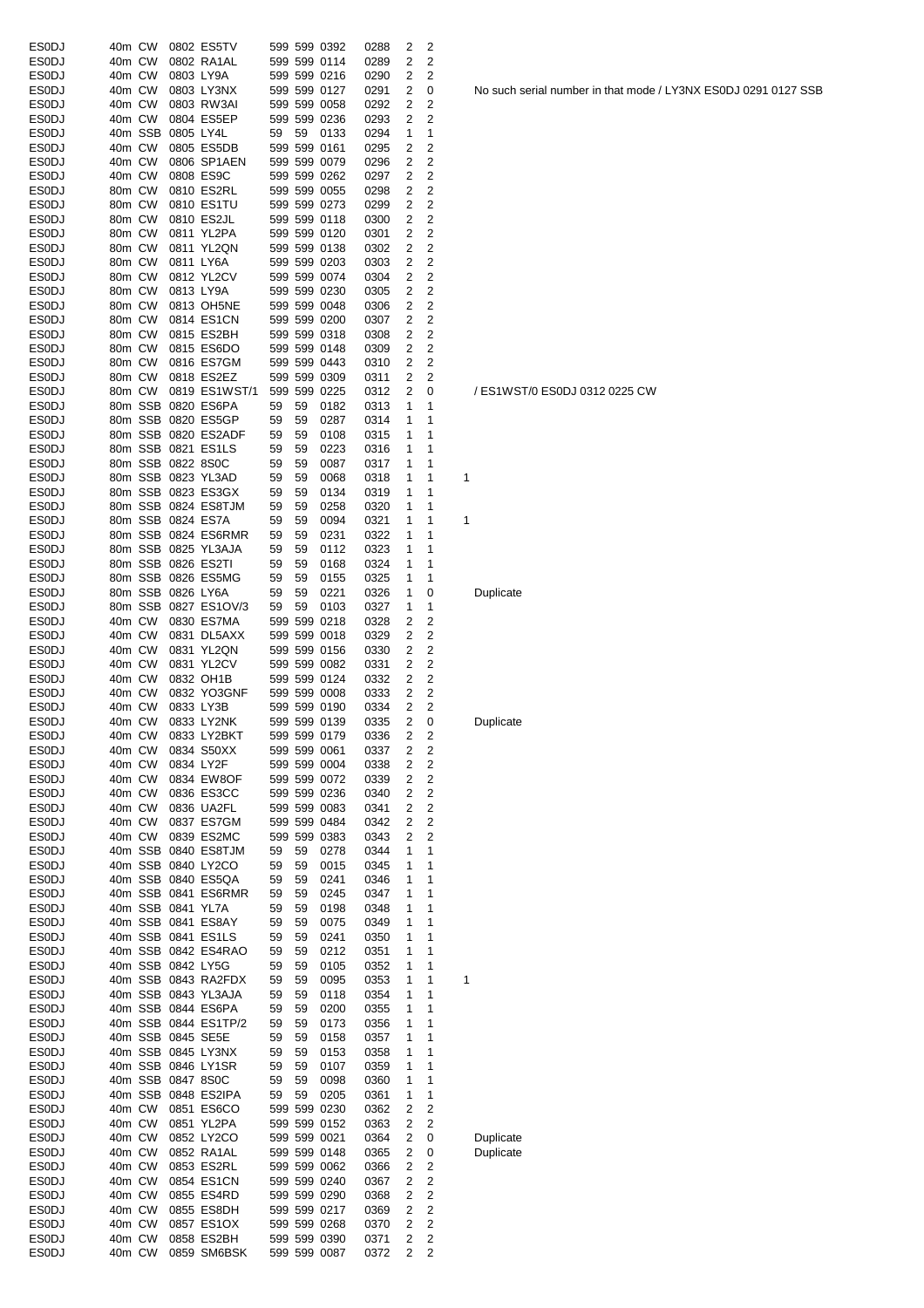| <b>ESODJ</b> | 40m CW |         |                   | 0802 ES5TV           |    |    | 599 599 0392 | 0288 | 2 | 2              |   |           |
|--------------|--------|---------|-------------------|----------------------|----|----|--------------|------|---|----------------|---|-----------|
| <b>ESODJ</b> | 40m CW |         |                   | 0802 RA1AL           |    |    | 599 599 0114 | 0289 | 2 | 2              |   |           |
| <b>ESODJ</b> | 40m CW |         |                   | 0803 LY9A            |    |    | 599 599 0216 | 0290 | 2 | 2              |   |           |
| <b>ESODJ</b> | 40m CW |         |                   | 0803 LY3NX           |    |    | 599 599 0127 | 0291 | 2 | 0              |   | No such : |
| <b>ES0DJ</b> | 40m CW |         |                   | 0803 RW3AI           |    |    | 599 599 0058 | 0292 | 2 | 2              |   |           |
| <b>ESODJ</b> | 40m CW |         |                   | 0804 ES5EP           |    |    | 599 599 0236 | 0293 | 2 | 2              |   |           |
| <b>ESODJ</b> |        | 40m SSB | 0805 LY4L         |                      | 59 | 59 | 0133         | 0294 | 1 | 1              |   |           |
| <b>ESODJ</b> | 40m CW |         |                   | 0805 ES5DB           |    |    | 599 599 0161 | 0295 | 2 | 2              |   |           |
| <b>ESODJ</b> | 40m CW |         |                   | 0806 SP1AEN          |    |    | 599 599 0079 | 0296 | 2 | 2              |   |           |
| <b>ESODJ</b> | 40m CW |         |                   | 0808 ES9C            |    |    | 599 599 0262 | 0297 | 2 | 2              |   |           |
| <b>ESODJ</b> | 80m CW |         |                   | 0810 ES2RL           |    |    | 599 599 0055 | 0298 | 2 | 2              |   |           |
| <b>ESODJ</b> | 80m CW |         |                   | 0810 ES1TU           |    |    | 599 599 0273 | 0299 | 2 | 2              |   |           |
| <b>ESODJ</b> | 80m CW |         |                   | 0810 ES2JL           |    |    | 599 599 0118 | 0300 | 2 | 2              |   |           |
| <b>ESODJ</b> | 80m CW |         |                   | 0811 YL2PA           |    |    | 599 599 0120 | 0301 | 2 | 2              |   |           |
| <b>ESODJ</b> | 80m CW |         |                   | 0811 YL2QN           |    |    | 599 599 0138 | 0302 | 2 | 2              |   |           |
| <b>ESODJ</b> | 80m CW |         |                   | 0811 LY6A            |    |    | 599 599 0203 | 0303 | 2 | $\overline{c}$ |   |           |
| <b>ESODJ</b> | 80m CW |         |                   | 0812 YL2CV           |    |    | 599 599 0074 | 0304 | 2 | 2              |   |           |
| <b>ESODJ</b> | 80m CW |         |                   | 0813 LY9A            |    |    | 599 599 0230 | 0305 | 2 | 2              |   |           |
| <b>ES0DJ</b> | 80m CW |         |                   | 0813 OH5NE           |    |    | 599 599 0048 | 0306 | 2 | 2              |   |           |
| <b>ESODJ</b> | 80m CW |         |                   | 0814 ES1CN           |    |    | 599 599 0200 | 0307 | 2 | 2              |   |           |
| <b>ESODJ</b> | 80m CW |         |                   | 0815 ES2BH           |    |    | 599 599 0318 | 0308 | 2 | $\overline{c}$ |   |           |
| <b>ESODJ</b> | 80m CW |         |                   | 0815 ES6DO           |    |    | 599 599 0148 | 0309 | 2 | 2              |   |           |
| <b>ESODJ</b> | 80m CW |         |                   | 0816 ES7GM           |    |    | 599 599 0443 | 0310 | 2 | 2              |   |           |
| <b>ESODJ</b> | 80m CW |         |                   | 0818 ES2EZ           |    |    | 599 599 0309 | 0311 | 2 | 2              |   |           |
| <b>ESODJ</b> | 80m CW |         |                   | 0819 ES1WST/1        |    |    | 599 599 0225 | 0312 | 2 | 0              |   | /ES1WS    |
| <b>ESODJ</b> |        |         |                   | 80m SSB 0820 ES6PA   | 59 | 59 | 0182         | 0313 | 1 | 1              |   |           |
| <b>ESODJ</b> |        |         |                   | 80m SSB 0820 ES5GP   | 59 | 59 | 0287         | 0314 | 1 | 1              |   |           |
| <b>ESODJ</b> |        |         |                   | 80m SSB 0820 ES2ADF  | 59 | 59 | 0108         | 0315 | 1 | 1              |   |           |
| <b>ESODJ</b> |        |         |                   | 80m SSB 0821 ES1LS   | 59 | 59 | 0223         | 0316 | 1 | 1              |   |           |
| <b>ESODJ</b> |        |         | 80m SSB 0822 8S0C |                      | 59 | 59 |              |      | 1 | 1              |   |           |
| <b>ESODJ</b> |        |         |                   |                      |    |    | 0087         | 0317 |   |                |   |           |
|              |        |         |                   | 80m SSB 0823 YL3AD   | 59 | 59 | 0068         | 0318 | 1 | 1              | 1 |           |
| <b>ESODJ</b> |        |         |                   | 80m SSB 0823 ES3GX   | 59 | 59 | 0134         | 0319 | 1 | 1              |   |           |
| <b>ESODJ</b> |        |         |                   | 80m SSB 0824 ES8TJM  | 59 | 59 | 0258         | 0320 | 1 | 1              |   |           |
| <b>ESODJ</b> |        |         |                   | 80m SSB 0824 ES7A    | 59 | 59 | 0094         | 0321 | 1 | 1              | 1 |           |
| <b>ESODJ</b> |        |         |                   | 80m SSB 0824 ES6RMR  | 59 | 59 | 0231         | 0322 | 1 | 1              |   |           |
| <b>ESODJ</b> |        |         |                   | 80m SSB 0825 YL3AJA  | 59 | 59 | 0112         | 0323 | 1 | 1              |   |           |
| <b>ESODJ</b> |        |         |                   | 80m SSB 0826 ES2TI   | 59 | 59 | 0168         | 0324 | 1 | 1              |   |           |
| <b>ESODJ</b> |        |         |                   | 80m SSB 0826 ES5MG   | 59 | 59 | 0155         | 0325 | 1 | 1              |   |           |
| <b>ESODJ</b> |        |         | 80m SSB 0826 LY6A |                      | 59 | 59 | 0221         | 0326 | 1 | 0              |   | Duplicate |
| <b>ESODJ</b> |        |         |                   | 80m SSB 0827 ES1OV/3 | 59 | 59 | 0103         | 0327 | 1 | 1              |   |           |
| <b>ESODJ</b> | 40m CW |         |                   | 0830 ES7MA           |    |    | 599 599 0218 | 0328 | 2 | 2              |   |           |
| <b>ES0DJ</b> | 40m CW |         |                   | 0831 DL5AXX          |    |    | 599 599 0018 | 0329 | 2 | 2              |   |           |
| <b>ESODJ</b> | 40m CW |         |                   | 0831 YL2QN           |    |    | 599 599 0156 | 0330 | 2 | 2              |   |           |
| <b>ESODJ</b> | 40m CW |         |                   | 0831 YL2CV           |    |    | 599 599 0082 | 0331 | 2 | 2              |   |           |
| <b>ESODJ</b> | 40m CW |         |                   | 0832 OH1B            |    |    | 599 599 0124 | 0332 | 2 | $\overline{c}$ |   |           |
| <b>ESODJ</b> | 40m CW |         |                   | 0832 YO3GNF          |    |    | 599 599 0008 | 0333 | 2 | 2              |   |           |
| <b>ESODJ</b> | 40m CW |         |                   | 0833 LY3B            |    |    | 599 599 0190 | 0334 | 2 | 2              |   |           |
| <b>ESODJ</b> | 40m CW |         |                   | 0833 LY2NK           |    |    | 599 599 0139 | 0335 | 2 | 0              |   | Duplicate |
| ESODJ        |        | 40m CW  |                   | 0833 LY2BKT          |    |    | 599 599 0179 | 0336 | 2 | 2              |   |           |
| <b>ESODJ</b> | 40m CW |         |                   | 0834 S50XX           |    |    | 599 599 0061 | 0337 | 2 | 2              |   |           |
| <b>ESODJ</b> | 40m CW |         |                   | 0834 LY2F            |    |    | 599 599 0004 | 0338 | 2 | 2              |   |           |
| <b>ESODJ</b> | 40m CW |         |                   | 0834 EW8OF           |    |    | 599 599 0072 | 0339 | 2 | 2              |   |           |
| <b>ESODJ</b> | 40m CW |         |                   | 0836 ES3CC           |    |    | 599 599 0236 | 0340 | 2 | $\overline{c}$ |   |           |
| <b>ESODJ</b> | 40m CW |         |                   | 0836 UA2FL           |    |    | 599 599 0083 | 0341 | 2 | 2              |   |           |
| <b>ESODJ</b> | 40m CW |         |                   | 0837 ES7GM           |    |    | 599 599 0484 | 0342 | 2 | 2              |   |           |
| <b>ESODJ</b> | 40m CW |         |                   | 0839 ES2MC           |    |    | 599 599 0383 | 0343 | 2 | 2              |   |           |
| <b>ESODJ</b> |        |         |                   | 40m SSB 0840 ES8TJM  | 59 | 59 | 0278         | 0344 | 1 | 1              |   |           |
| <b>ESODJ</b> |        |         |                   | 40m SSB 0840 LY2CO   | 59 | 59 | 0015         | 0345 | 1 | 1              |   |           |
| <b>ESODJ</b> |        |         |                   | 40m SSB 0840 ES5QA   | 59 | 59 | 0241         | 0346 | 1 | 1              |   |           |
| <b>ESODJ</b> |        |         |                   | 40m SSB 0841 ES6RMR  | 59 | 59 | 0245         | 0347 | 1 | 1              |   |           |
| <b>ESODJ</b> |        |         | 40m SSB 0841 YL7A |                      | 59 | 59 | 0198         | 0348 | 1 | 1              |   |           |
| <b>ESODJ</b> |        |         |                   | 40m SSB 0841 ES8AY   | 59 | 59 | 0075         | 0349 | 1 | 1              |   |           |
| <b>ESODJ</b> |        |         |                   | 40m SSB 0841 ES1LS   | 59 | 59 | 0241         | 0350 | 1 | 1              |   |           |
|              |        |         |                   |                      |    |    |              |      |   |                |   |           |
| <b>ESODJ</b> |        |         |                   | 40m SSB 0842 ES4RAO  | 59 | 59 | 0212         | 0351 | 1 | 1              |   |           |
| <b>ESODJ</b> |        |         |                   | 40m SSB 0842 LY5G    | 59 | 59 | 0105         | 0352 | 1 | 1              |   |           |
| <b>ESODJ</b> |        |         |                   | 40m SSB 0843 RA2FDX  | 59 | 59 | 0095         | 0353 | 1 | 1              | 1 |           |
| <b>ESODJ</b> |        |         |                   | 40m SSB 0843 YL3AJA  | 59 | 59 | 0118         | 0354 | 1 | 1              |   |           |
| <b>ESODJ</b> |        |         |                   | 40m SSB 0844 ES6PA   | 59 | 59 | 0200         | 0355 | 1 | 1              |   |           |
| <b>ESODJ</b> |        |         |                   | 40m SSB 0844 ES1TP/2 | 59 | 59 | 0173         | 0356 | 1 | 1              |   |           |
| <b>ESODJ</b> |        |         |                   | 40m SSB 0845 SE5E    | 59 | 59 | 0158         | 0357 | 1 | 1              |   |           |
| <b>ESODJ</b> |        |         |                   | 40m SSB 0845 LY3NX   | 59 | 59 | 0153         | 0358 | 1 | 1              |   |           |
| <b>ESODJ</b> |        |         |                   | 40m SSB 0846 LY1SR   | 59 | 59 | 0107         | 0359 | 1 | 1              |   |           |
| <b>ESODJ</b> |        |         | 40m SSB 0847 8S0C |                      | 59 | 59 | 0098         | 0360 | 1 | 1              |   |           |
| <b>ESODJ</b> |        |         |                   | 40m SSB 0848 ES2IPA  | 59 | 59 | 0205         | 0361 | 1 | 1              |   |           |
| <b>ESODJ</b> | 40m CW |         |                   | 0851 ES6CO           |    |    | 599 599 0230 | 0362 | 2 | 2              |   |           |
| <b>ESODJ</b> | 40m CW |         |                   | 0851 YL2PA           |    |    | 599 599 0152 | 0363 | 2 | 2              |   |           |
| <b>ESODJ</b> | 40m CW |         |                   | 0852 LY2CO           |    |    | 599 599 0021 | 0364 | 2 | 0              |   | Duplicate |
| <b>ESODJ</b> | 40m CW |         |                   | 0852 RA1AL           |    |    | 599 599 0148 | 0365 | 2 | 0              |   | Duplicate |
| <b>ESODJ</b> | 40m CW |         |                   | 0853 ES2RL           |    |    | 599 599 0062 | 0366 | 2 | 2              |   |           |
| <b>ESODJ</b> | 40m CW |         |                   | 0854 ES1CN           |    |    | 599 599 0240 | 0367 | 2 | 2              |   |           |
| <b>ESODJ</b> | 40m CW |         |                   | 0855 ES4RD           |    |    | 599 599 0290 | 0368 | 2 | 2              |   |           |
| <b>ESODJ</b> | 40m CW |         |                   | 0855 ES8DH           |    |    | 599 599 0217 | 0369 | 2 | 2              |   |           |
| <b>ESODJ</b> | 40m CW |         |                   | 0857 ES1OX           |    |    | 599 599 0268 | 0370 | 2 | 2              |   |           |
| <b>ESODJ</b> | 40m CW |         |                   | 0858 ES2BH           |    |    | 599 599 0390 | 0371 | 2 | 2              |   |           |
| <b>ESODJ</b> | 40m CW |         |                   | 0859 SM6BSK          |    |    | 599 599 0087 | 0372 | 2 | 2              |   |           |

No such serial number in that mode / LY3NX ES0DJ 0291 0127 SSB

/ ES1WST/0 ES0DJ 0312 0225 CW

**Duplicate**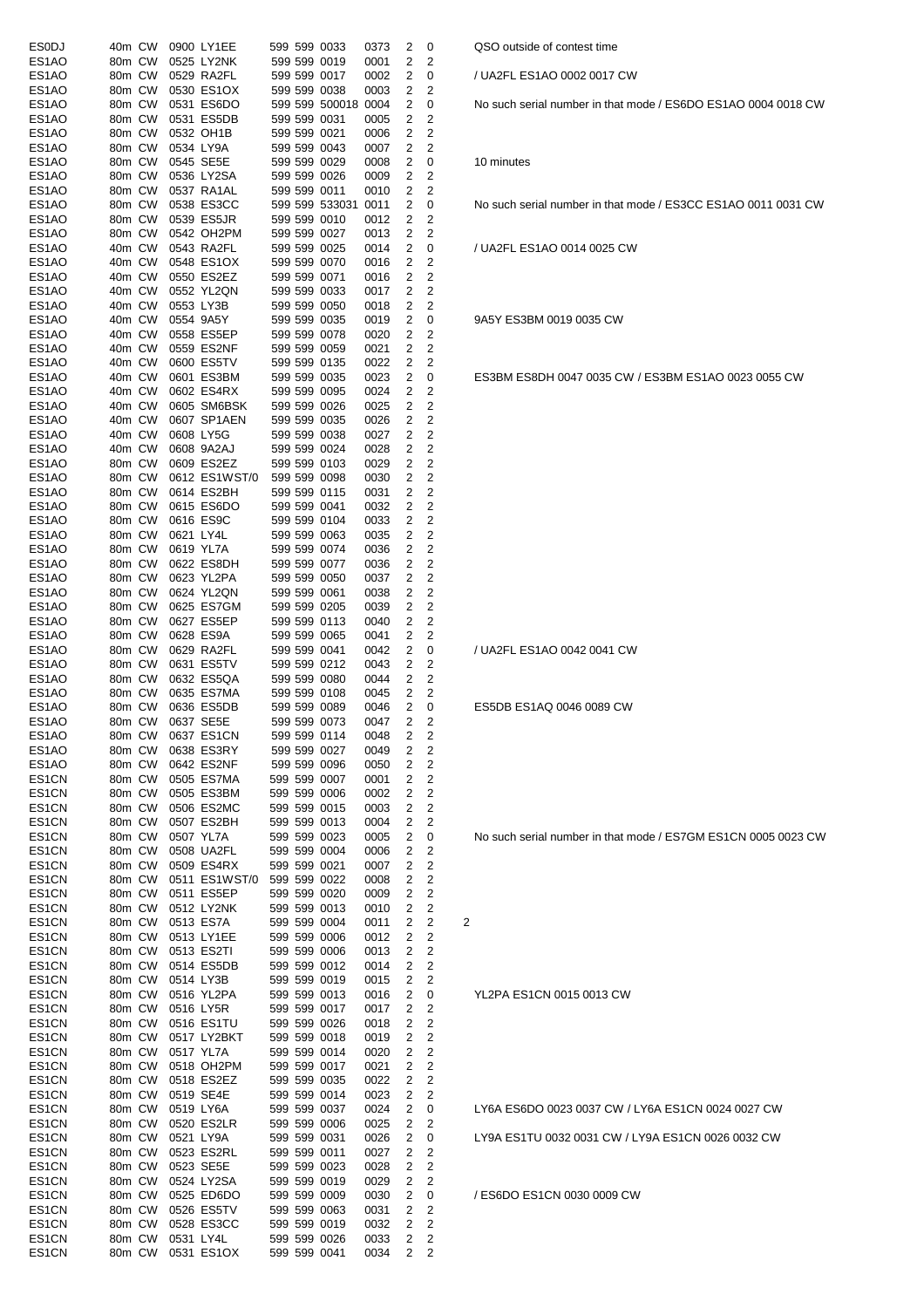| ESODJ              | 40m CW |           | 0900 LY1EE    |  | 599 599 0033        | 0373 | 2 | 0                       |   |
|--------------------|--------|-----------|---------------|--|---------------------|------|---|-------------------------|---|
| ES1AO              | 80m CW |           | 0525 LY2NK    |  | 599 599 0019        | 0001 | 2 | 2                       |   |
| ES1AO              | 80m CW |           | 0529 RA2FL    |  | 599 599 0017        | 0002 | 2 | 0                       |   |
|                    |        |           |               |  |                     |      |   |                         |   |
| ES1AO              | 80m CW |           | 0530 ES1OX    |  | 599 599 0038        | 0003 | 2 | 2                       |   |
| ES1AO              | 80m CW |           | 0531 ES6DO    |  | 599 599 500018 0004 |      | 2 | 0                       |   |
| ES1AO              | 80m CW |           | 0531 ES5DB    |  | 599 599 0031        | 0005 | 2 | 2                       |   |
| ES1AO              | 80m CW |           | 0532 OH1B     |  | 599 599 0021        | 0006 | 2 | 2                       |   |
|                    |        |           |               |  |                     |      |   |                         |   |
| ES <sub>1</sub> AO | 80m CW |           | 0534 LY9A     |  | 599 599 0043        | 0007 | 2 | 2                       |   |
| ES1AO              | 80m CW |           | 0545 SE5E     |  | 599 599 0029        | 0008 | 2 | 0                       |   |
| ES1AO              | 80m CW |           | 0536 LY2SA    |  | 599 599 0026        | 0009 | 2 | 2                       |   |
| ES1AO              | 80m CW |           |               |  | 599 599 0011        |      | 2 | 2                       |   |
|                    |        |           | 0537 RA1AL    |  |                     | 0010 |   |                         |   |
| ES1AO              | 80m CW |           | 0538 ES3CC    |  | 599 599 533031      | 0011 | 2 | 0                       |   |
| ES1AO              | 80m CW |           | 0539 ES5JR    |  | 599 599 0010        | 0012 | 2 | 2                       |   |
| ES1AO              | 80m CW |           | 0542 OH2PM    |  | 599 599 0027        | 0013 | 2 | 2                       |   |
|                    |        |           |               |  |                     |      |   |                         |   |
| ES1AO              | 40m CW |           | 0543 RA2FL    |  | 599 599 0025        | 0014 | 2 | 0                       |   |
| ES1AO              | 40m CW |           | 0548 ES1OX    |  | 599 599 0070        | 0016 | 2 | 2                       |   |
| ES1AO              | 40m CW |           | 0550 ES2EZ    |  | 599 599 0071        | 0016 | 2 | 2                       |   |
| ES1AO              | 40m CW |           | 0552 YL2QN    |  | 599 599 0033        | 0017 | 2 | 2                       |   |
|                    |        |           |               |  |                     |      |   |                         |   |
| ES1AO              | 40m CW | 0553 LY3B |               |  | 599 599 0050        | 0018 | 2 | 2                       |   |
| ES1AO              | 40m CW |           | 0554 9A5Y     |  | 599 599 0035        | 0019 | 2 | 0                       |   |
| ES1AO              | 40m CW |           | 0558 ES5EP    |  | 599 599 0078        | 0020 | 2 | 2                       |   |
|                    |        |           |               |  |                     |      |   |                         |   |
| ES1AO              | 40m CW |           | 0559 ES2NF    |  | 599 599 0059        | 0021 | 2 | 2                       |   |
| ES1AO              | 40m CW |           | 0600 ES5TV    |  | 599 599 0135        | 0022 | 2 | 2                       |   |
| ES1AO              | 40m CW |           | 0601 ES3BM    |  | 599 599 0035        | 0023 | 2 | 0                       |   |
| ES1AO              | 40m CW |           | 0602 ES4RX    |  | 599 599 0095        | 0024 | 2 | 2                       |   |
|                    |        |           |               |  |                     |      |   |                         |   |
| ES1AO              | 40m CW |           | 0605 SM6BSK   |  | 599 599 0026        | 0025 | 2 | 2                       |   |
| ES1AO              | 40m CW |           | 0607 SP1AEN   |  | 599 599 0035        | 0026 | 2 | 2                       |   |
| ES1AO              | 40m CW |           | 0608 LY5G     |  | 599 599 0038        | 0027 | 2 | 2                       |   |
|                    |        |           |               |  |                     |      |   |                         |   |
| ES1AO              | 40m CW |           | 0608 9A2AJ    |  | 599 599 0024        | 0028 | 2 | 2                       |   |
| ES <sub>1</sub> AO | 80m CW |           | 0609 ES2EZ    |  | 599 599 0103        | 0029 | 2 | 2                       |   |
| ES1AO              | 80m CW |           | 0612 ES1WST/0 |  | 599 599 0098        | 0030 | 2 | 2                       |   |
|                    |        |           |               |  |                     |      |   |                         |   |
| ES1AO              | 80m CW |           | 0614 ES2BH    |  | 599 599 0115        | 0031 | 2 | 2                       |   |
| ES1AO              | 80m CW |           | 0615 ES6DO    |  | 599 599 0041        | 0032 | 2 | 2                       |   |
| ES1AO              | 80m CW |           | 0616 ES9C     |  | 599 599 0104        | 0033 | 2 | 2                       |   |
| ES1AO              | 80m CW | 0621 LY4L |               |  | 599 599 0063        | 0035 | 2 | 2                       |   |
|                    |        |           |               |  |                     |      |   |                         |   |
| ES1AO              | 80m CW |           | 0619 YL7A     |  | 599 599 0074        | 0036 | 2 | 2                       |   |
| ES1AO              | 80m CW |           | 0622 ES8DH    |  | 599 599 0077        | 0036 | 2 | 2                       |   |
| ES1AO              | 80m CW |           | 0623 YL2PA    |  | 599 599 0050        | 0037 | 2 | 2                       |   |
|                    |        |           |               |  |                     |      |   |                         |   |
| ES1AO              | 80m CW |           | 0624 YL2QN    |  | 599 599 0061        | 0038 | 2 | 2                       |   |
| ES1AO              | 80m CW |           | 0625 ES7GM    |  | 599 599 0205        | 0039 | 2 | 2                       |   |
| ES1AO              | 80m CW |           | 0627 ES5EP    |  | 599 599 0113        | 0040 | 2 | 2                       |   |
| ES1AO              | 80m CW |           | 0628 ES9A     |  | 599 599 0065        | 0041 | 2 | 2                       |   |
|                    |        |           |               |  |                     |      |   |                         |   |
| ES1AO              | 80m CW |           | 0629 RA2FL    |  | 599 599 0041        | 0042 | 2 | 0                       |   |
| ES1AO              | 80m CW |           | 0631 ES5TV    |  | 599 599 0212        | 0043 | 2 | 2                       |   |
| ES1AO              | 80m CW |           | 0632 ES5QA    |  | 599 599 0080        | 0044 | 2 | 2                       |   |
|                    |        |           | 0635 ES7MA    |  | 599 599 0108        |      | 2 | 2                       |   |
| ES1AO              | 80m CW |           |               |  |                     | 0045 |   |                         |   |
| ES1AO              | 80m CW |           | 0636 ES5DB    |  | 599 599 0089        | 0046 | 2 | 0                       |   |
| ES1AO              | 80m CW |           | 0637 SE5E     |  | 599 599 0073        | 0047 | 2 | 2                       |   |
| ES1AO              | 80m CW |           | 0637 ES1CN    |  | 599 599 0114        | 0048 | 2 | 2                       |   |
|                    |        |           |               |  |                     |      |   |                         |   |
| ES1AO              | 80m CW |           | 0638 ES3RY    |  | 599 599 0027        | 0049 | 2 | $\overline{\mathbf{c}}$ |   |
| ES1AO              | 80m CW |           | 0642 ES2NF    |  | 599 599 0096        | 0050 | 2 | $\overline{c}$          |   |
| ES1CN              | 80m CW |           | 0505 ES7MA    |  | 599 599 0007        | 0001 | 2 | 2                       |   |
| ES1CN              | 80m CW |           | 0505 ES3BM    |  | 599 599 0006        | 0002 | 2 | $\overline{\mathbf{c}}$ |   |
|                    |        |           |               |  |                     |      |   |                         |   |
| ES1CN              | 80m CW |           | 0506 ES2MC    |  | 599 599 0015        | 0003 | 2 | 2                       |   |
| ES1CN              | 80m CW |           | 0507 ES2BH    |  | 599 599 0013        | 0004 | 2 | 2                       |   |
| ES1CN              | 80m CW |           | 0507 YL7A     |  | 599 599 0023        | 0005 | 2 | 0                       |   |
|                    |        |           |               |  |                     |      |   |                         |   |
| ES1CN              | 80m CW |           | 0508 UA2FL    |  | 599 599 0004        | 0006 | 2 | 2                       |   |
| ES1CN              | 80m CW |           | 0509 ES4RX    |  | 599 599 0021        | 0007 | 2 | 2                       |   |
| ES1CN              | 80m CW |           | 0511 ES1WST/0 |  | 599 599 0022        | 0008 | 2 | $\overline{c}$          |   |
| ES1CN              | 80m CW |           | 0511 ES5EP    |  | 599 599 0020        | 0009 | 2 | $\overline{c}$          |   |
|                    |        |           |               |  |                     |      |   |                         |   |
| ES1CN              | 80m CW |           | 0512 LY2NK    |  | 599 599 0013        | 0010 | 2 | $\overline{c}$          |   |
| ES1CN              | 80m CW |           | 0513 ES7A     |  | 599 599 0004        | 0011 | 2 | 2                       | 2 |
| ES1CN              | 80m CW |           | 0513 LY1EE    |  | 599 599 0006        | 0012 | 2 | 2                       |   |
| ES1CN              | 80m CW |           | 0513 ES2TI    |  | 599 599 0006        | 0013 | 2 | 2                       |   |
|                    |        |           |               |  |                     |      |   |                         |   |
| ES1CN              | 80m CW |           | 0514 ES5DB    |  | 599 599 0012        | 0014 | 2 | 2                       |   |
| ES1CN              | 80m CW |           | 0514 LY3B     |  | 599 599 0019        | 0015 | 2 | 2                       |   |
| ES1CN              | 80m CW |           | 0516 YL2PA    |  | 599 599 0013        | 0016 | 2 | 0                       |   |
| ES1CN              | 80m CW |           | 0516 LY5R     |  | 599 599 0017        | 0017 | 2 | 2                       |   |
|                    |        |           |               |  |                     |      |   |                         |   |
| ES1CN              | 80m CW |           | 0516 ES1TU    |  | 599 599 0026        | 0018 | 2 | 2                       |   |
| ES1CN              | 80m CW |           | 0517 LY2BKT   |  | 599 599 0018        | 0019 | 2 | 2                       |   |
| ES1CN              | 80m CW |           | 0517 YL7A     |  | 599 599 0014        | 0020 | 2 | 2                       |   |
|                    |        |           |               |  |                     |      |   | $\overline{c}$          |   |
| ES1CN              | 80m CW |           | 0518 OH2PM    |  | 599 599 0017        | 0021 | 2 |                         |   |
| ES1CN              | 80m CW |           | 0518 ES2EZ    |  | 599 599 0035        | 0022 | 2 | 2                       |   |
| ES1CN              | 80m CW |           | 0519 SE4E     |  | 599 599 0014        | 0023 | 2 | 2                       |   |
| ES1CN              | 80m CW |           | 0519 LY6A     |  | 599 599 0037        | 0024 | 2 | 0                       |   |
|                    |        |           |               |  |                     |      |   |                         |   |
| ES1CN              | 80m CW |           | 0520 ES2LR    |  | 599 599 0006        | 0025 | 2 | 2                       |   |
| ES1CN              | 80m CW |           | 0521 LY9A     |  | 599 599 0031        | 0026 | 2 | 0                       |   |
| ES1CN              | 80m CW |           | 0523 ES2RL    |  | 599 599 0011        | 0027 | 2 | 2                       |   |
|                    |        |           |               |  |                     |      |   |                         |   |
| ES1CN              | 80m CW |           | 0523 SE5E     |  | 599 599 0023        | 0028 | 2 | 2                       |   |
| ES1CN              | 80m CW |           | 0524 LY2SA    |  | 599 599 0019        | 0029 | 2 | 2                       |   |
| ES1CN              | 80m CW |           | 0525 ED6DO    |  | 599 599 0009        | 0030 | 2 | 0                       |   |
| ES1CN              | 80m CW |           | 0526 ES5TV    |  | 599 599 0063        | 0031 | 2 | 2                       |   |
|                    |        |           |               |  |                     |      |   |                         |   |
| ES1CN              | 80m CW |           | 0528 ES3CC    |  | 599 599 0019        | 0032 | 2 | 2                       |   |
| ES1CN              | 80m CW | 0531 LY4L |               |  | 599 599 0026        | 0033 | 2 | 2                       |   |
| ES1CN              | 80m CW |           | 0531 ES1OX    |  | 599 599 0041        | 0034 | 2 | 2                       |   |

QSO outside of contest time

/ UA2FL ES1AO 0002 0017 CW

No such serial number in that mode / ES6DO ES1AO 0004 0018 CW

10 minutes

No such serial number in that mode / ES3CC ES1AO 0011 0031 CW

/ UA2FL ES1AO 0014 0025 CW

9A5Y ES3BM 0019 0035 CW

ES3BM ES8DH 0047 0035 CW / ES3BM ES1AO 0023 0055 CW

/ UA2FL ES1AO 0042 0041 CW

ES5DB ES1AQ 0046 0089 CW

No such serial number in that mode / ES7GM ES1CN 0005 0023 CW

YL2PA ES1CN 0015 0013 CW

LY6A ES6DO 0023 0037 CW / LY6A ES1CN 0024 0027 CW LY9A ES1TU 0032 0031 CW / LY9A ES1CN 0026 0032 CW

/ ES6DO ES1CN 0030 0009 CW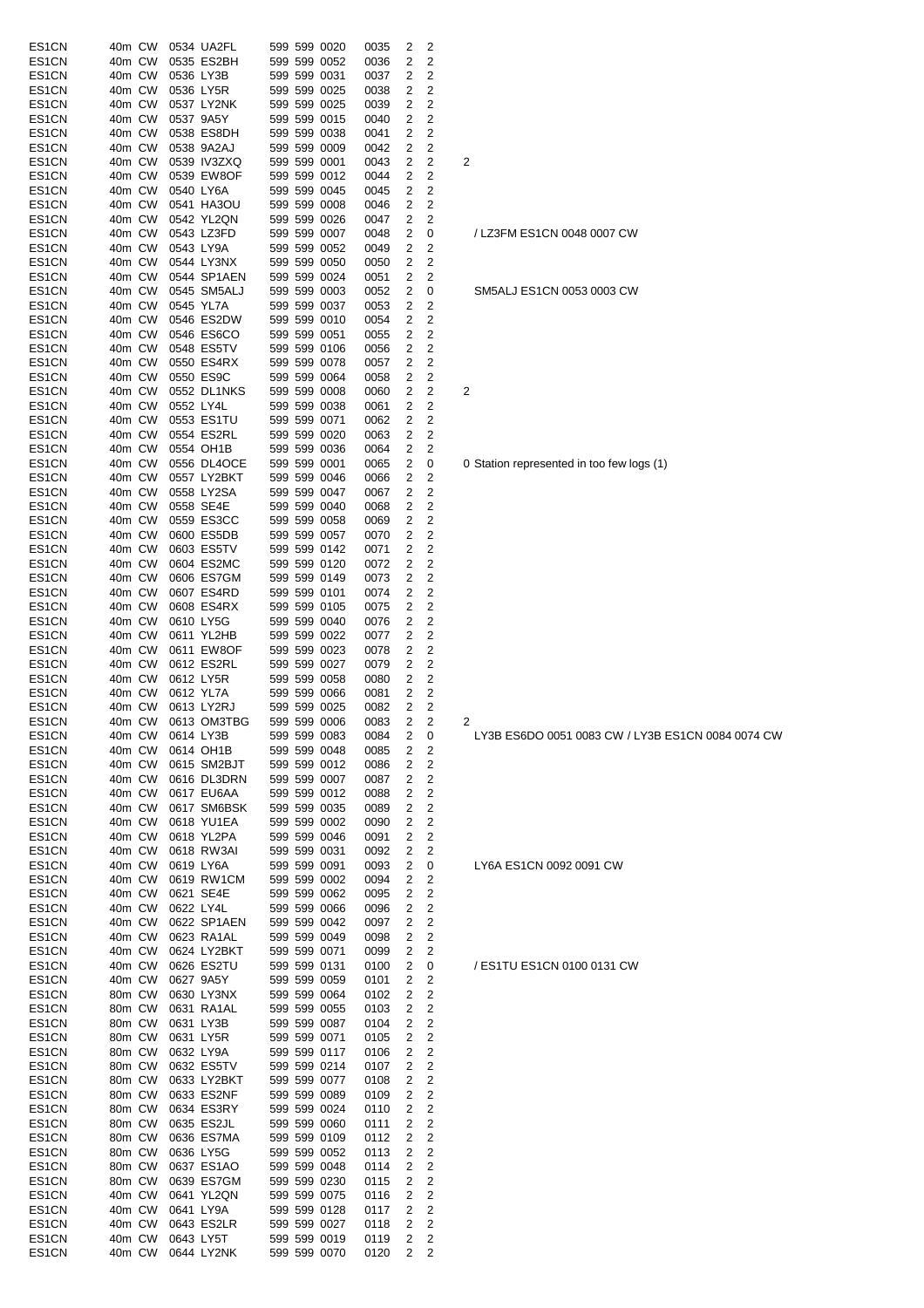| ES1CN          | 40m CW           |  | 0534 UA2FL                             |  | 599 599 0020                 | 0035         | 2                 | 2                   |                                     |
|----------------|------------------|--|----------------------------------------|--|------------------------------|--------------|-------------------|---------------------|-------------------------------------|
| ES1CN          | 40m CW           |  | 0535 ES2BH                             |  | 599 599 0052                 | 0036         | 2                 | 2                   |                                     |
| ES1CN          | 40m CW           |  | 0536 LY3B                              |  | 599 599 0031                 | 0037         | 2                 | 2                   |                                     |
| ES1CN          | 40m CW           |  | 0536 LY5R                              |  | 599 599 0025                 | 0038         | 2                 | 2                   |                                     |
| ES1CN          | 40m CW           |  | 0537 LY2NK                             |  | 599 599 0025                 | 0039         | 2                 | 2                   |                                     |
| ES1CN          | 40m CW           |  | 0537 9A5Y                              |  | 599 599 0015                 | 0040         | 2                 | 2                   |                                     |
| ES1CN          | 40m CW           |  | 0538 ES8DH                             |  | 599 599 0038                 | 0041         | 2                 | 2                   |                                     |
| ES1CN          | 40m CW<br>40m CW |  | 0538 9A2AJ<br>0539 IV3ZXQ              |  | 599 599 0009<br>599 599 0001 | 0042         | 2<br>2            | 2<br>2              | 2                                   |
| ES1CN<br>ES1CN | 40m CW           |  | 0539 EW8OF                             |  | 599 599 0012                 | 0043<br>0044 | 2                 | $\overline{2}$      |                                     |
| ES1CN          | 40m CW           |  | 0540 LY6A                              |  | 599 599 0045                 | 0045         | 2                 | 2                   |                                     |
| ES1CN          | 40m CW           |  | 0541 HA3OU                             |  | 599 599 0008                 | 0046         | 2                 | 2                   |                                     |
| ES1CN          | 40m CW           |  | 0542 YL2QN                             |  | 599 599 0026                 | 0047         | 2                 | 2                   |                                     |
| ES1CN          | 40m CW           |  | 0543 LZ3FD                             |  | 599 599 0007                 | 0048         | 2                 | 0                   | / LZ3FM ES1CN 0048 0007 CW          |
| ES1CN          | 40m CW           |  | 0543 LY9A                              |  | 599 599 0052                 | 0049         | 2                 | 2                   |                                     |
| ES1CN          | 40m CW           |  | 0544 LY3NX                             |  | 599 599 0050                 | 0050         | 2                 | 2                   |                                     |
| ES1CN          | 40m CW           |  | 0544 SP1AEN                            |  | 599 599 0024                 | 0051         | 2                 | 2                   |                                     |
| ES1CN          | 40m CW           |  | 0545 SM5ALJ                            |  | 599 599 0003                 | 0052         | 2                 | 0                   | SM5ALJ ES1CN 0053 0003 CW           |
| ES1CN          | 40m CW           |  | 0545 YL7A                              |  | 599 599 0037                 | 0053         | 2                 | 2                   |                                     |
| ES1CN          | 40m CW           |  | 0546 ES2DW                             |  | 599 599 0010                 | 0054         | 2                 | 2                   |                                     |
| ES1CN          | 40m CW           |  | 0546 ES6CO                             |  | 599 599 0051                 | 0055         | 2                 | 2                   |                                     |
| ES1CN          | 40m CW           |  | 0548 ES5TV                             |  | 599 599 0106                 | 0056         | 2                 | 2                   |                                     |
| ES1CN          | 40m CW           |  | 0550 ES4RX                             |  | 599 599 0078                 | 0057         | 2                 | 2                   |                                     |
| ES1CN          | 40m CW           |  | 0550 ES9C                              |  | 599 599 0064                 | 0058         | 2                 | 2                   |                                     |
| ES1CN          | 40m CW           |  | 0552 DL1NKS                            |  | 599 599 0008                 | 0060         | 2                 | 2                   | 2                                   |
| ES1CN          | 40m CW           |  | 0552 LY4L                              |  | 599 599 0038                 | 0061         | 2                 | 2                   |                                     |
| ES1CN          | 40m CW           |  | 0553 ES1TU                             |  | 599 599 0071                 | 0062         | 2                 | 2                   |                                     |
| ES1CN          | 40m CW           |  | 0554 ES2RL                             |  | 599 599 0020<br>599 599 0036 | 0063         | 2                 | 2<br>2              |                                     |
| ES1CN<br>ES1CN | 40m CW<br>40m CW |  | 0554 OH1B<br>0556 DL4OCE               |  | 599 599 0001                 | 0064<br>0065 | 2<br>2            | 0                   | 0 Station represented in too few lo |
| ES1CN          | 40m CW           |  | 0557 LY2BKT                            |  | 599 599 0046                 | 0066         | 2                 | 2                   |                                     |
| ES1CN          | 40m CW           |  | 0558 LY2SA                             |  | 599 599 0047                 | 0067         | 2                 | 2                   |                                     |
| ES1CN          | 40m CW           |  | 0558 SE4E                              |  | 599 599 0040                 | 0068         | 2                 | 2                   |                                     |
| ES1CN          | 40m CW           |  | 0559 ES3CC                             |  | 599 599 0058                 | 0069         | 2                 | 2                   |                                     |
| ES1CN          | 40m CW           |  | 0600 ES5DB                             |  | 599 599 0057                 | 0070         | 2                 | $\mathbf 2$         |                                     |
| ES1CN          | 40m CW           |  | 0603 ES5TV                             |  | 599 599 0142                 | 0071         | 2                 | 2                   |                                     |
| ES1CN          | 40m CW           |  | 0604 ES2MC                             |  | 599 599 0120                 | 0072         | 2                 | 2                   |                                     |
| ES1CN          | 40m CW           |  | 0606 ES7GM                             |  | 599 599 0149                 | 0073         | 2                 | 2                   |                                     |
| ES1CN          | 40m CW           |  | 0607 ES4RD                             |  | 599 599 0101                 | 0074         | 2                 | 2                   |                                     |
| ES1CN          | 40m CW           |  | 0608 ES4RX                             |  | 599 599 0105                 | 0075         | 2                 | 2                   |                                     |
| ES1CN          | 40m CW           |  | 0610 LY5G                              |  | 599 599 0040                 | 0076         | 2                 | 2                   |                                     |
| ES1CN          | 40m CW           |  | 0611 YL2HB                             |  | 599 599 0022                 | 0077         | 2                 | 2                   |                                     |
| ES1CN          | 40m CW           |  | 0611 EW8OF                             |  | 599 599 0023                 | 0078         | 2                 | 2                   |                                     |
| ES1CN          | 40m CW           |  | 0612 ES2RL                             |  | 599 599 0027                 | 0079         | 2                 | 2                   |                                     |
| ES1CN          | 40m CW           |  | 0612 LY5R                              |  | 599 599 0058                 | 0080         | 2                 | 2                   |                                     |
| ES1CN          | 40m CW           |  | 0612 YL7A                              |  | 599 599 0066                 | 0081         | 2                 | 2                   |                                     |
| ES1CN          | 40m CW           |  | 0613 LY2RJ                             |  | 599 599 0025                 | 0082         | 2                 | 2<br>2              |                                     |
| ES1CN<br>ES1CN |                  |  | 40m CW 0613 OM3TBG<br>40m CW 0614 LY3B |  | 599 599 0006<br>599 599 0083 | 0083<br>0084 | 2<br>$2 \quad 0$  |                     | 2<br>LY3B ES6DO 0051 0083 CW / L    |
| ES1CN          | 40m CW           |  | 0614 OH1B                              |  | 599 599 0048                 | 0085         | 2                 | 2                   |                                     |
| ES1CN          | 40m CW           |  | 0615 SM2BJT                            |  | 599 599 0012                 | 0086         | 2                 | 2                   |                                     |
| ES1CN          | 40m CW           |  | 0616 DL3DRN                            |  | 599 599 0007                 | 0087         | 2                 | 2                   |                                     |
| ES1CN          | 40m CW           |  | 0617 EU6AA                             |  | 599 599 0012                 | 0088         | 2                 | 2                   |                                     |
| ES1CN          | 40m CW           |  | 0617 SM6BSK                            |  | 599 599 0035                 | 0089         | 2                 | 2                   |                                     |
| ES1CN          | 40m CW           |  | 0618 YU1EA                             |  | 599 599 0002                 | 0090         | 2                 | 2                   |                                     |
| ES1CN          | 40m CW           |  | 0618 YL2PA                             |  | 599 599 0046                 | 0091         | 2                 | 2                   |                                     |
| ES1CN          | 40m CW           |  | 0618 RW3AI                             |  | 599 599 0031                 | 0092         | 2                 | 2                   |                                     |
| ES1CN          | 40m CW           |  | 0619 LY6A                              |  | 599 599 0091                 | 0093         | 2                 | 0                   | LY6A ES1CN 0092 0091 CW             |
| ES1CN          | 40m CW           |  | 0619 RW1CM                             |  | 599 599 0002                 | 0094         | 2                 | 2                   |                                     |
| ES1CN          | 40m CW           |  | 0621 SE4E                              |  | 599 599 0062                 | 0095         | 2                 | 2                   |                                     |
| ES1CN          | 40m CW           |  | 0622 LY4L                              |  | 599 599 0066                 | 0096         | 2                 | 2                   |                                     |
| ES1CN          | 40m CW           |  | 0622 SP1AEN                            |  | 599 599 0042                 | 0097         | 2                 | 2                   |                                     |
| ES1CN          | 40m CW           |  | 0623 RA1AL                             |  | 599 599 0049                 | 0098         | 2                 | 2                   |                                     |
| ES1CN          | 40m CW           |  | 0624 LY2BKT                            |  | 599 599 0071                 | 0099         | 2                 | 2                   |                                     |
| ES1CN          | 40m CW           |  | 0626 ES2TU                             |  | 599 599 0131                 | 0100         | 2                 | 0                   | / ES1TU ES1CN 0100 0131 CW          |
| ES1CN<br>ES1CN | 40m CW<br>80m CW |  | 0627 9A5Y<br>0630 LY3NX                |  | 599 599 0059<br>599 599 0064 | 0101         | 2<br>2            | 2<br>2              |                                     |
| ES1CN          | 80m CW           |  | 0631 RA1AL                             |  | 599 599 0055                 | 0102<br>0103 | 2                 | 2                   |                                     |
| ES1CN          | 80m CW           |  | 0631 LY3B                              |  | 599 599 0087                 | 0104         | 2                 | 2                   |                                     |
| ES1CN          | 80m CW           |  | 0631 LY5R                              |  | 599 599 0071                 | 0105         | 2                 | 2                   |                                     |
| ES1CN          | 80m CW           |  | 0632 LY9A                              |  | 599 599 0117                 | 0106         | 2                 | 2                   |                                     |
| ES1CN          | 80m CW           |  | 0632 ES5TV                             |  | 599 599 0214                 | 0107         | 2                 | 2                   |                                     |
| ES1CN          | 80m CW           |  | 0633 LY2BKT                            |  | 599 599 0077                 | 0108         | 2                 | $\mathbf 2$         |                                     |
| ES1CN          | 80m CW           |  | 0633 ES2NF                             |  | 599 599 0089                 | 0109         | 2                 | 2                   |                                     |
| ES1CN          | 80m CW           |  | 0634 ES3RY                             |  | 599 599 0024                 | 0110         | 2                 | 2                   |                                     |
| ES1CN          | 80m CW           |  | 0635 ES2JL                             |  | 599 599 0060                 | 0111         | 2                 | 2                   |                                     |
| ES1CN          | 80m CW           |  | 0636 ES7MA                             |  | 599 599 0109                 | 0112         | 2                 | 2                   |                                     |
| ES1CN          | 80m CW           |  | 0636 LY5G                              |  | 599 599 0052                 | 0113         | 2                 | 2                   |                                     |
| ES1CN          | 80m CW           |  | 0637 ES1AO                             |  | 599 599 0048                 | 0114         | 2                 | 2                   |                                     |
| ES1CN          | 80m CW           |  | 0639 ES7GM                             |  | 599 599 0230                 | 0115         | 2                 | 2                   |                                     |
| ES1CN          | 40m CW           |  | 0641 YL2QN                             |  | 599 599 0075                 | 0116         | 2                 | 2                   |                                     |
| ES1CN          | 40m CW           |  | 0641 LY9A                              |  | 599 599 0128                 | 0117         | 2                 | 2                   |                                     |
| ES1CN<br>ES1CN | 40m CW<br>40m CW |  | 0643 ES2LR<br>0643 LY5T                |  | 599 599 0027                 | 0118         | 2                 | 2                   |                                     |
| ES1CN          |                  |  | 40m CW 0644 LY2NK                      |  | 599 599 0019<br>599 599 0070 | 0119<br>0120 | 2<br>$\mathbf{2}$ | 2<br>$\overline{2}$ |                                     |
|                |                  |  |                                        |  |                              |              |                   |                     |                                     |

|--|

# SM5ALJ ES1CN 0053 0003 CW

0 Station represented in too few logs (1)

LY3B ES6DO 0051 0083 CW / LY3B ES1CN 0084 0074 CW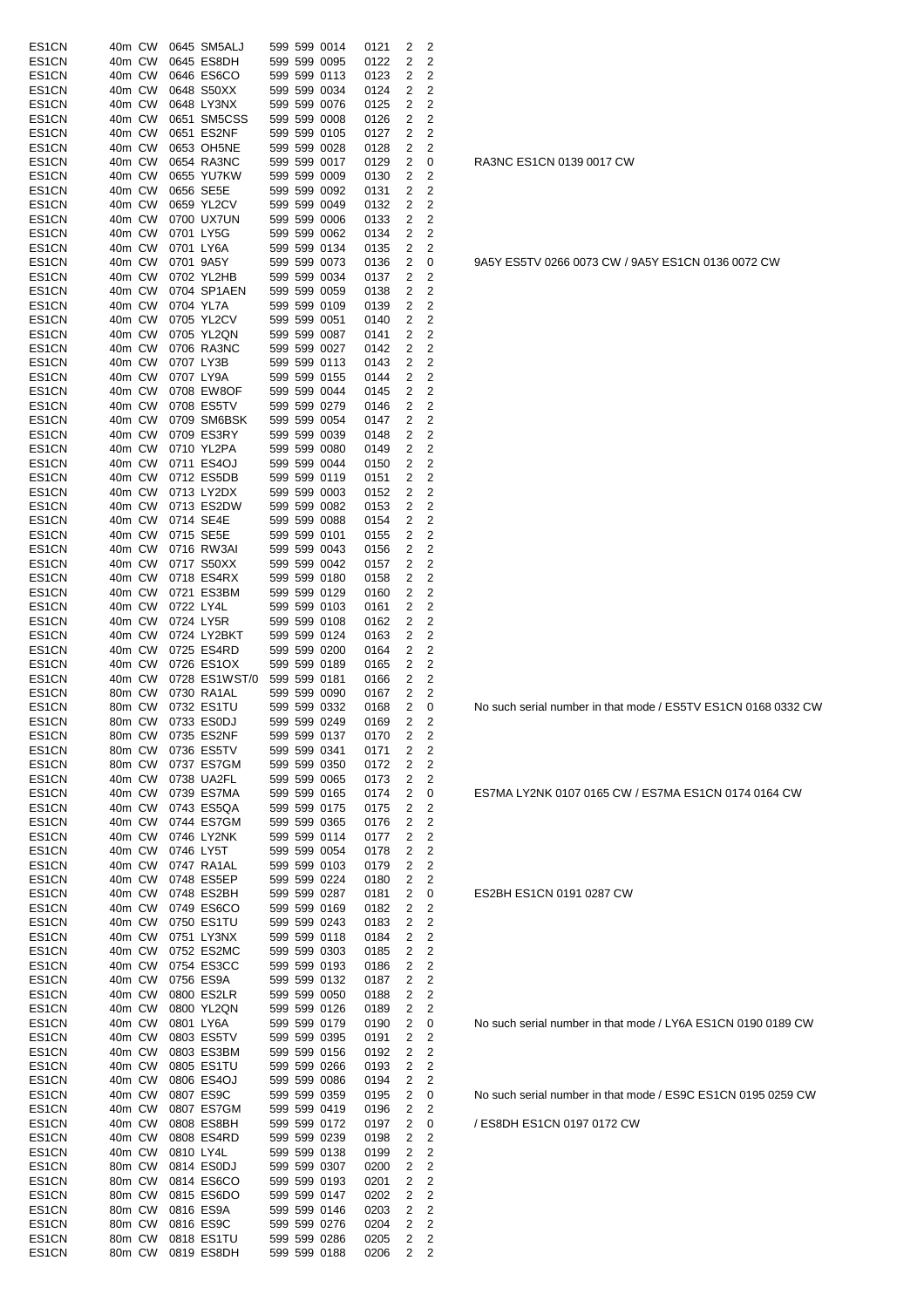| ES1CN              | 40m CW           | 0645 SM5ALJ              |  | 599 599 0014                 | 0121         | 2      | 2              |
|--------------------|------------------|--------------------------|--|------------------------------|--------------|--------|----------------|
| ES1CN              | 40m CW           | 0645 ES8DH               |  | 599 599 0095                 | 0122         | 2      | 2              |
|                    |                  |                          |  |                              |              |        |                |
| ES1CN              | 40m CW           | 0646 ES6CO               |  | 599 599 0113                 | 0123         | 2      | 2              |
| ES <sub>1</sub> CN | 40m CW           | 0648 S50XX               |  | 599 599 0034                 | 0124         | 2      | 2              |
| ES1CN              | 40m CW           | 0648 LY3NX               |  | 599 599 0076                 | 0125         | 2      | 2              |
|                    | 40m CW           | 0651 SM5CSS              |  | 599 599 0008                 |              | 2      | 2              |
| ES1CN              |                  |                          |  |                              | 0126         |        |                |
| ES1CN              | 40m CW           | 0651 ES2NF               |  | 599 599 0105                 | 0127         | 2      | 2              |
| ES <sub>1</sub> CN | 40m CW           | 0653 OH5NE               |  | 599 599 0028                 | 0128         | 2      | 2              |
| ES1CN              | 40m CW           | 0654 RA3NC               |  | 599 599 0017                 | 0129         | 2      | 0              |
| ES1CN              | 40m CW           | 0655 YU7KW               |  | 599 599 0009                 | 0130         | 2      | $\overline{2}$ |
|                    |                  |                          |  |                              |              |        |                |
| ES1CN              | 40m CW           | 0656 SE5E                |  | 599 599 0092                 | 0131         | 2      | 2              |
| ES1CN              | 40m CW           | 0659 YL2CV               |  | 599 599 0049                 | 0132         | 2      | $\overline{2}$ |
| ES <sub>1</sub> CN | 40m CW           | 0700 UX7UN               |  | 599 599 0006                 | 0133         | 2      | $\overline{c}$ |
| ES1CN              | 40m CW           | 0701 LY5G                |  | 599 599 0062                 | 0134         | 2      | 2              |
| ES <sub>1</sub> CN | 40m CW           |                          |  |                              |              |        |                |
|                    |                  | 0701 LY6A                |  | 599 599 0134                 | 0135         | 2      | 2              |
| ES1CN              | 40m CW           | 0701 9A5Y                |  | 599 599 0073                 | 0136         | 2      | 0              |
| ES1CN              | 40m CW           | 0702 YL2HB               |  | 599 599 0034                 | 0137         | 2      | 2              |
| ES1CN              | 40m CW           | 0704 SP1AEN              |  | 599 599 0059                 | 0138         | 2      | 2              |
| ES1CN              | 40m CW           | 0704 YL7A                |  | 599 599 0109                 | 0139         | 2      | $\overline{c}$ |
|                    |                  |                          |  |                              |              |        |                |
| ES1CN              | 40m CW           | 0705 YL2CV               |  | 599 599 0051                 | 0140         | 2      | 2              |
| ES1CN              | 40m CW           | 0705 YL2QN               |  | 599 599 0087                 | 0141         | 2      | 2              |
| ES <sub>1</sub> CN | 40m CW           | 0706 RA3NC               |  | 599 599 0027                 | 0142         | 2      | 2              |
| ES1CN              | 40m CW           | 0707 LY3B                |  | 599 599 0113                 | 0143         | 2      | 2              |
| ES1CN              | 40m CW           | 0707 LY9A                |  | 599 599 0155                 | 0144         | 2      | $\overline{c}$ |
|                    |                  |                          |  |                              |              |        |                |
| ES1CN              | 40m CW           | 0708 EW8OF               |  | 599 599 0044                 | 0145         | 2      | $\overline{c}$ |
| ES1CN              | 40m CW           | 0708 ES5TV               |  | 599 599 0279                 | 0146         | 2      | 2              |
| ES <sub>1</sub> CN | 40m CW           | 0709 SM6BSK              |  | 599 599 0054                 | 0147         | 2      | 2              |
| ES1CN              | 40m CW           | 0709 ES3RY               |  | 599 599 0039                 | 0148         | 2      | $\overline{2}$ |
| ES <sub>1</sub> CN | 40m CW           | 0710 YL2PA               |  | 599 599 0080                 | 0149         | 2      | 2              |
|                    |                  |                          |  |                              |              |        |                |
| ES1CN              | 40m CW           | 0711 ES4OJ               |  | 599 599 0044                 | 0150         | 2      | $\overline{2}$ |
| ES1CN              | 40m CW           | 0712 ES5DB               |  | 599 599 0119                 | 0151         | 2      | 2              |
| ES1CN              | 40m CW           | 0713 LY2DX               |  | 599 599 0003                 | 0152         | 2      | $\overline{c}$ |
| ES1CN              | 40m CW           | 0713 ES2DW               |  | 599 599 0082                 | 0153         | 2      | 2              |
|                    | 40m CW           | 0714 SE4E                |  | 599 599 0088                 |              | 2      |                |
| ES1CN              |                  |                          |  |                              | 0154         |        | 2              |
| ES1CN              | 40m CW           | 0715 SE5E                |  | 599 599 0101                 | 0155         | 2      | 2              |
| ES1CN              | 40m CW           | 0716 RW3AI               |  | 599 599 0043                 | 0156         | 2      | $\overline{2}$ |
| ES1CN              | 40m CW           | 0717 S50XX               |  | 599 599 0042                 | 0157         | 2      | $\overline{2}$ |
| ES1CN              | 40m CW           | 0718 ES4RX               |  | 599 599 0180                 | 0158         | 2      | 2              |
|                    |                  |                          |  |                              |              |        |                |
| ES1CN              | 40m CW           | 0721 ES3BM               |  | 599 599 0129                 | 0160         | 2      | 2              |
| ES1CN              | 40m CW           | 0722 LY4L                |  | 599 599 0103                 | 0161         | 2      | 2              |
| ES1CN              | 40m CW           | 0724 LY5R                |  | 599 599 0108                 | 0162         | 2      | 2              |
| ES1CN              | 40m CW           | 0724 LY2BKT              |  | 599 599 0124                 | 0163         | 2      | 2              |
| ES1CN              | 40m CW           | 0725 ES4RD               |  | 599 599 0200                 | 0164         | 2      | 2              |
|                    |                  |                          |  |                              |              |        |                |
| ES1CN              | 40m CW           | 0726 ES1OX               |  | 599 599 0189                 | 0165         | 2      | 2              |
| ES1CN              | 40m CW           | 0728 ES1WST/0            |  | 599 599 0181                 | 0166         | 2      | 2              |
| ES1CN              | 80m CW           | 0730 RA1AL               |  | 599 599 0090                 | 0167         | 2      | 2              |
| ES1CN              | 80m CW           | 0732 ES1TU               |  | 599 599 0332                 | 0168         | 2      | 0              |
| ES1CN              | 80m CW           | 0733 ES0DJ               |  | 599 599 0249                 | 0169         | 2      | 2              |
|                    | 80m CW           |                          |  |                              |              |        |                |
| ES1CN              |                  | 0735 ES2NF               |  | 599 599 0137                 | 0170         | 2      | 2              |
| ES1CN              | 80m CW           | 0736 ES5TV               |  | 599 599 0341                 | 0171         | 2      | 2              |
| ES1CN              | 80m CW           | 0737 ES7GM               |  | 599 599 0350                 | 0172         | 2      | 2              |
| ES1CN              | 40m CW           | 0738 UA2FL               |  | 599 599 0065                 | 0173         | 2      | 2              |
| ES1CN              | 40m CW           | 0739 ES7MA               |  | 599 599 0165                 | 0174         | 2      | 0              |
|                    |                  | 0743 ES5QA               |  |                              |              |        | 2              |
| ES1CN              | 40m CW           |                          |  |                              |              |        |                |
| ES1CN              | 40m CW           |                          |  | 599 599 0175                 | 0175         | 2      |                |
| ES1CN              |                  | 0744 ES7GM               |  | 599 599 0365                 | 0176         | 2      | 2              |
|                    | 40m CW           | 0746 LY2NK               |  | 599 599 0114                 | 0177         | 2      | $\overline{c}$ |
| ES1CN              | 40m CW           | 0746 LY5T                |  | 599 599 0054                 | 0178         | 2      | 2              |
|                    |                  |                          |  |                              |              |        |                |
| ES1CN              | 40m CW           | 0747 RA1AL               |  | 599 599 0103                 | 0179         | 2      | 2              |
| ES1CN              | 40m CW           | 0748 ES5EP               |  | 599 599 0224                 | 0180         | 2      | 2              |
| ES1CN              | 40m CW           | 0748 ES2BH               |  | 599 599 0287                 | 0181         | 2      | 0              |
| ES1CN              | 40m CW           | 0749 ES6CO               |  | 599 599 0169                 | 0182         | 2      | $\overline{c}$ |
| ES1CN              | 40m CW           | 0750 ES1TU               |  | 599 599 0243                 | 0183         | 2      | 2              |
|                    |                  |                          |  |                              |              |        |                |
| ES1CN              | 40m CW           | 0751 LY3NX               |  | 599 599 0118                 | 0184         | 2      | 2              |
| ES1CN              | 40m CW           | 0752 ES2MC               |  | 599 599 0303                 | 0185         | 2      | 2              |
| ES1CN              | 40m CW           | 0754 ES3CC               |  | 599 599 0193                 | 0186         | 2      | 2              |
| ES1CN              | 40m CW           | 0756 ES9A                |  | 599 599 0132                 | 0187         | 2      | 2              |
| ES1CN              | 40m CW           | 0800 ES2LR               |  | 599 599 0050                 | 0188         | 2      | $\overline{c}$ |
|                    |                  |                          |  |                              |              |        |                |
| ES1CN              | 40m CW           | 0800 YL2QN               |  | 599 599 0126                 | 0189         | 2      | 2              |
| ES1CN              | 40m CW           | 0801 LY6A                |  | 599 599 0179                 | 0190         | 2      | 0              |
| ES1CN              | 40m CW           | 0803 ES5TV               |  | 599 599 0395                 | 0191         | 2      | 2              |
| ES1CN              | 40m CW           | 0803 ES3BM               |  | 599 599 0156                 | 0192         | 2      | 2              |
| ES1CN              | 40m CW           | 0805 ES1TU               |  | 599 599 0266                 | 0193         | 2      | 2              |
|                    |                  |                          |  |                              |              |        |                |
| ES1CN              | 40m CW           | 0806 ES4OJ               |  | 599 599 0086                 | 0194         | 2      | $\overline{2}$ |
| ES1CN              | 40m CW           | 0807 ES9C                |  | 599 599 0359                 | 0195         | 2      | 0              |
| ES1CN              | 40m CW           | 0807 ES7GM               |  | 599 599 0419                 | 0196         | 2      | 2              |
| ES1CN              | 40m CW           | 0808 ES8BH               |  | 599 599 0172                 | 0197         | 2      | 0              |
| ES1CN              | 40m CW           |                          |  | 599 599 0239                 | 0198         | 2      | 2              |
|                    |                  | 0808 ES4RD               |  |                              |              |        |                |
| ES1CN              | 40m CW           | 0810 LY4L                |  | 599 599 0138                 | 0199         | 2      | 2              |
| ES1CN              | 80m CW           | 0814 ES0DJ               |  | 599 599 0307                 | 0200         | 2      | 2              |
| ES1CN              | 80m CW           | 0814 ES6CO               |  | 599 599 0193                 | 0201         | 2      | 2              |
| ES1CN              | 80m CW           | 0815 ES6DO               |  | 599 599 0147                 | 0202         | 2      | 2              |
| ES1CN              | 80m CW           | 0816 ES9A                |  | 599 599 0146                 | 0203         | 2      | 2              |
|                    |                  |                          |  |                              |              |        |                |
| ES1CN              | 80m CW           | 0816 ES9C                |  | 599 599 0276                 | 0204         | 2      | 2              |
| ES1CN<br>ES1CN     | 80m CW<br>80m CW | 0818 ES1TU<br>0819 ES8DH |  | 599 599 0286<br>599 599 0188 | 0205<br>0206 | 2<br>2 | 2<br>2         |

RA3NC ES1CN 0139 0017 CW

9A5Y ES5TV 0266 0073 CW / 9A5Y ES1CN 0136 0072 CW

No such serial number in that mode / ES5TV ES1CN 0168 0332 CW

ES7MA LY2NK 0107 0165 CW / ES7MA ES1CN 0174 0164 CW

ES2BH ES1CN 0191 0287 CW

No such serial number in that mode / LY6A ES1CN 0190 0189 CW

No such serial number in that mode / ES9C ES1CN 0195 0259 CW

/ ES8DH ES1CN 0197 0172 CW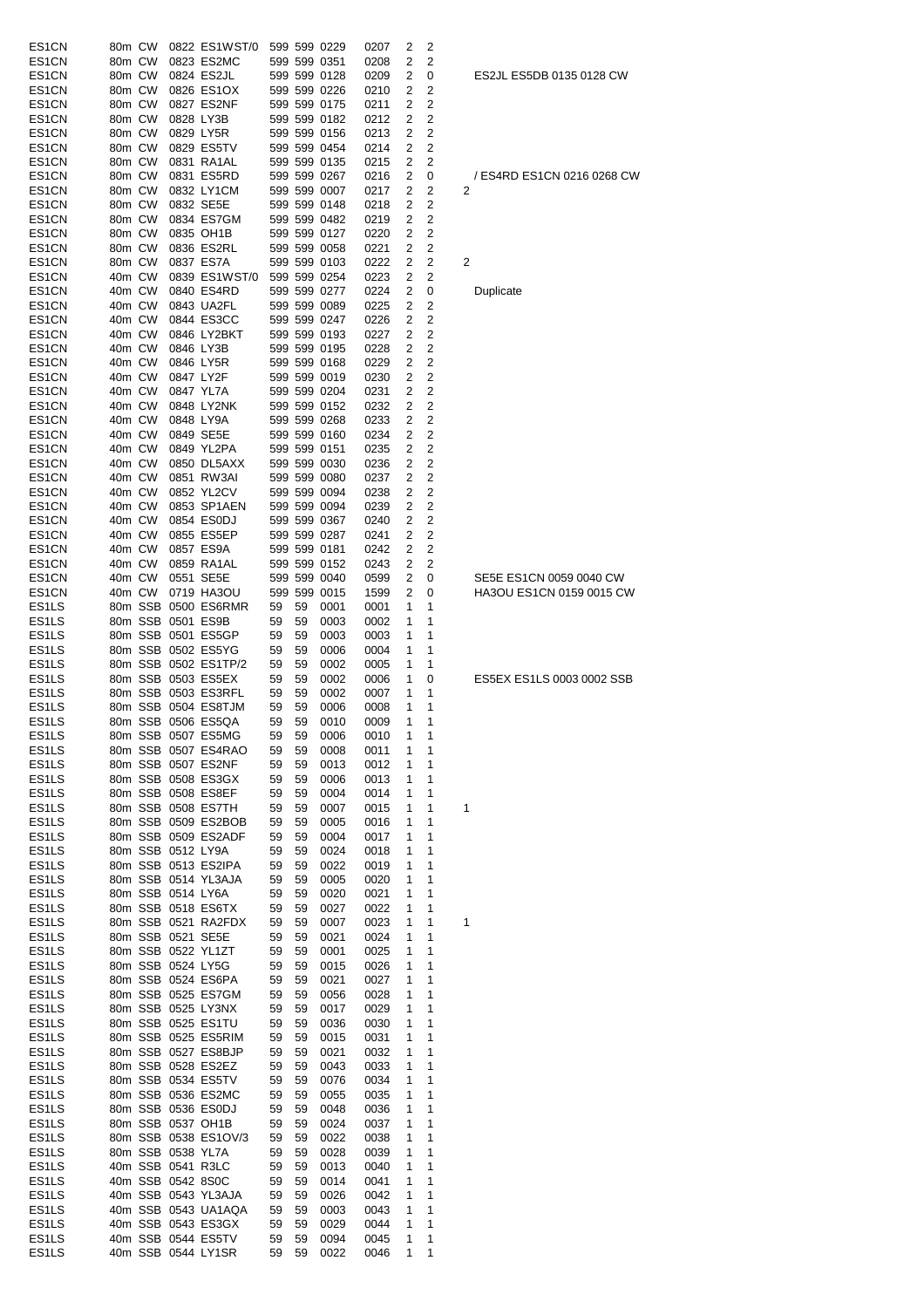| ES1CN                       | 80m CW |                    | 0822 ES1WST/0                            |       |    | 599 599 0229                 | 0207 | 2            | 2 |                            |
|-----------------------------|--------|--------------------|------------------------------------------|-------|----|------------------------------|------|--------------|---|----------------------------|
| ES <sub>1</sub> CN          | 80m CW |                    | 0823 ES2MC                               |       |    | 599 599 0351                 | 0208 | 2            | 2 |                            |
| ES <sub>1</sub> CN          | 80m CW |                    | 0824 ES2JL                               |       |    | 599 599 0128                 | 0209 | 2            | 0 | ES2JL ES5DB 0135 0128 CW   |
|                             |        |                    |                                          |       |    | 599 599 0226                 |      |              |   |                            |
| ES <sub>1</sub> CN          | 80m CW |                    | 0826 ES1OX                               |       |    |                              | 0210 | 2            | 2 |                            |
| ES <sub>1</sub> CN          | 80m CW |                    | 0827 ES2NF                               |       |    | 599 599 0175                 | 0211 | 2            | 2 |                            |
| ES <sub>1</sub> CN          | 80m CW |                    | 0828 LY3B                                |       |    | 599 599 0182                 | 0212 | 2            | 2 |                            |
| ES <sub>1</sub> CN          | 80m CW |                    | 0829 LY5R                                |       |    | 599 599 0156                 | 0213 | 2            | 2 |                            |
| ES <sub>1</sub> CN          | 80m CW |                    | 0829 ES5TV                               |       |    | 599 599 0454                 | 0214 | 2            | 2 |                            |
| ES <sub>1</sub> CN          | 80m CW |                    | 0831 RA1AL                               |       |    | 599 599 0135                 | 0215 | 2            | 2 |                            |
| ES <sub>1</sub> CN          | 80m CW |                    | 0831 ES5RD                               |       |    | 599 599 0267                 | 0216 | 2            | 0 | / ES4RD ES1CN 0216 0268 CV |
| ES <sub>1</sub> CN          | 80m CW |                    | 0832 LY1CM                               |       |    | 599 599 0007                 | 0217 | 2            | 2 | 2                          |
| ES <sub>1</sub> CN          | 80m CW |                    | 0832 SE5E                                |       |    | 599 599 0148                 | 0218 | 2            | 2 |                            |
| ES <sub>1</sub> CN          | 80m CW |                    | 0834 ES7GM                               |       |    | 599 599 0482                 | 0219 | 2            | 2 |                            |
| ES <sub>1</sub> CN          | 80m CW |                    | 0835 OH1B                                |       |    | 599 599 0127                 | 0220 | 2            | 2 |                            |
| ES <sub>1</sub> CN          | 80m CW |                    | 0836 ES2RL                               |       |    | 599 599 0058                 | 0221 | 2            | 2 |                            |
| ES <sub>1</sub> CN          | 80m CW |                    | 0837 ES7A                                |       |    | 599 599 0103                 | 0222 | 2            | 2 | 2                          |
| ES <sub>1</sub> CN          | 40m CW |                    | 0839 ES1WST/0                            |       |    | 599 599 0254                 | 0223 | 2            | 2 |                            |
| ES <sub>1</sub> CN          | 40m CW |                    | 0840 ES4RD                               |       |    | 599 599 0277                 | 0224 | 2            | 0 | Duplicate                  |
| ES <sub>1</sub> CN          | 40m CW |                    | 0843 UA2FL                               |       |    | 599 599 0089                 | 0225 | 2            | 2 |                            |
| ES <sub>1</sub> CN          | 40m CW |                    | 0844 ES3CC                               |       |    | 599 599 0247                 | 0226 | 2            | 2 |                            |
| ES <sub>1</sub> CN          | 40m CW |                    | 0846 LY2BKT                              |       |    | 599 599 0193                 | 0227 | 2            | 2 |                            |
|                             |        |                    |                                          |       |    |                              |      |              |   |                            |
| ES <sub>1</sub> CN          | 40m CW |                    | 0846 LY3B                                |       |    | 599 599 0195<br>599 599 0168 | 0228 | 2            | 2 |                            |
| ES <sub>1</sub> CN          | 40m CW |                    | 0846 LY5R                                |       |    |                              | 0229 | 2            | 2 |                            |
| ES <sub>1</sub> CN          | 40m CW |                    | 0847 LY2F                                |       |    | 599 599 0019                 | 0230 | 2            | 2 |                            |
| ES <sub>1</sub> CN          | 40m CW |                    | 0847 YL7A                                |       |    | 599 599 0204                 | 0231 | 2            | 2 |                            |
| ES <sub>1</sub> CN          | 40m CW |                    | 0848 LY2NK                               |       |    | 599 599 0152                 | 0232 | 2            | 2 |                            |
| ES <sub>1</sub> CN          | 40m CW |                    | 0848 LY9A                                |       |    | 599 599 0268                 | 0233 | 2            | 2 |                            |
| ES <sub>1</sub> CN          | 40m CW |                    | 0849 SE5E                                |       |    | 599 599 0160                 | 0234 | 2            | 2 |                            |
| ES <sub>1</sub> CN          | 40m CW |                    | 0849 YL2PA                               |       |    | 599 599 0151                 | 0235 | 2            | 2 |                            |
| ES <sub>1</sub> CN          | 40m CW |                    | 0850 DL5AXX                              |       |    | 599 599 0030                 | 0236 | 2            | 2 |                            |
| ES1CN                       | 40m CW |                    | 0851 RW3AI                               |       |    | 599 599 0080                 | 0237 | 2            | 2 |                            |
| ES <sub>1</sub> CN          | 40m CW |                    | 0852 YL2CV                               |       |    | 599 599 0094                 | 0238 | 2            | 2 |                            |
| ES <sub>1</sub> CN          | 40m CW |                    | 0853 SP1AEN                              |       |    | 599 599 0094                 | 0239 | 2            | 2 |                            |
| ES <sub>1</sub> CN          | 40m CW |                    | 0854 ES0DJ                               |       |    | 599 599 0367                 | 0240 | 2            | 2 |                            |
| ES <sub>1</sub> CN          | 40m CW |                    | 0855 ES5EP                               |       |    | 599 599 0287                 | 0241 | 2            | 2 |                            |
| ES <sub>1</sub> CN          | 40m CW |                    | 0857 ES9A                                |       |    | 599 599 0181                 | 0242 | 2            | 2 |                            |
| ES <sub>1</sub> CN          | 40m CW |                    | 0859 RA1AL                               |       |    | 599 599 0152                 | 0243 | 2            | 2 |                            |
| ES <sub>1</sub> CN          | 40m CW |                    | 0551 SE5E                                |       |    | 599 599 0040                 | 0599 | 2            | 0 | SE5E ES1CN 0059 0040 CW    |
|                             |        | 40m CW             | 0719 HA3OU                               |       |    |                              |      |              |   | HA3OU ES1CN 0159 0015 CW   |
| ES <sub>1</sub> CN          |        |                    |                                          |       |    | 599 599 0015                 | 1599 | 2            | 0 |                            |
| ES <sub>1</sub> LS          |        |                    | 80m SSB 0500 ES6RMR                      | 59    | 59 | 0001                         | 0001 | 1            | 1 |                            |
| ES <sub>1</sub> LS          |        |                    | 80m SSB 0501 ES9B                        | 59    | 59 | 0003                         | 0002 | 1            | 1 |                            |
| ES <sub>1</sub> LS          |        |                    | 80m SSB 0501 ES5GP                       | 59    | 59 | 0003                         | 0003 | 1            | 1 |                            |
| ES <sub>1</sub> LS          |        |                    | 80m SSB 0502 ES5YG                       | 59    | 59 | 0006                         | 0004 | 1            | 1 |                            |
| ES <sub>1</sub> LS          |        |                    | 80m SSB 0502 ES1TP/2                     | 59    | 59 | 0002                         | 0005 | 1            | 1 |                            |
| ES <sub>1</sub> LS          |        |                    | 80m SSB 0503 ES5EX                       | 59    | 59 | 0002                         | 0006 | 1            | 0 | ES5EX ES1LS 0003 0002 SSB  |
| ES <sub>1</sub> LS          |        |                    | 80m SSB 0503 ES3RFL                      | 59    | 59 | 0002                         | 0007 | 1            | 1 |                            |
| ES <sub>1</sub> LS          |        |                    | 80m SSB 0504 ES8TJM                      | 59    | 59 | 0006                         | 0008 | 1            | 1 |                            |
| ES <sub>1</sub> LS          |        |                    | 80m SSB 0506 ES5QA                       | 59    | 59 | 0010                         | 0009 | 1            | 1 |                            |
| ES1LS                       |        |                    | 80m SSB 0507 ES5MG                       | 59 59 |    | 0006                         | 0010 | $\mathbf{1}$ | 1 |                            |
| ES <sub>1</sub> LS          |        |                    | 80m SSB 0507 ES4RAO                      | 59    | 59 | 0008                         | 0011 | 1            | 1 |                            |
| ES1LS                       |        |                    | 80m SSB 0507 ES2NF                       | 59    | 59 | 0013                         | 0012 | 1            | 1 |                            |
| ES <sub>1</sub> LS          |        |                    | 80m SSB 0508 ES3GX                       | 59    | 59 | 0006                         | 0013 | 1            | 1 |                            |
| ES <sub>1</sub> LS          |        |                    | 80m SSB 0508 ES8EF                       | 59    | 59 | 0004                         | 0014 | 1            | 1 |                            |
| ES <sub>1</sub> LS          |        |                    | 80m SSB 0508 ES7TH                       | 59    | 59 | 0007                         | 0015 | 1            | 1 | 1                          |
| ES <sub>1</sub> LS          |        |                    | 80m SSB 0509 ES2BOB                      | 59    | 59 | 0005                         | 0016 | 1            | 1 |                            |
| ES1LS                       |        |                    | 80m SSB 0509 ES2ADF                      | 59    | 59 | 0004                         | 0017 | 1            | 1 |                            |
| ES1LS                       |        |                    |                                          |       |    |                              |      |              |   |                            |
|                             |        |                    | 80m SSB 0512 LY9A                        | 59    | 59 | 0024                         | 0018 | 1            | 1 |                            |
| ES <sub>1</sub> LS          |        |                    | 80m SSB 0513 ES2IPA                      | 59    | 59 | 0022                         | 0019 | 1            | 1 |                            |
| ES <sub>1</sub> LS          |        |                    | 80m SSB 0514 YL3AJA                      | 59    | 59 | 0005                         | 0020 | 1            | 1 |                            |
| ES <sub>1</sub> LS          |        |                    | 80m SSB 0514 LY6A                        | 59    | 59 | 0020                         | 0021 | 1            | 1 |                            |
| ES <sub>1</sub> LS          |        |                    | 80m SSB 0518 ES6TX                       | 59    | 59 | 0027                         | 0022 | 1            | 1 |                            |
| ES1LS                       |        |                    | 80m SSB 0521 RA2FDX                      | 59    | 59 | 0007                         | 0023 | 1            | 1 | 1                          |
| ES1LS                       |        |                    | 80m SSB 0521 SE5E                        | 59    | 59 | 0021                         | 0024 | 1            | 1 |                            |
| ES1LS                       |        |                    | 80m SSB 0522 YL1ZT                       | 59    | 59 | 0001                         | 0025 | 1            | 1 |                            |
| ES1LS                       |        |                    | 80m SSB 0524 LY5G                        | 59    | 59 | 0015                         | 0026 | 1            | 1 |                            |
| ES1LS                       |        |                    | 80m SSB 0524 ES6PA                       | 59    | 59 | 0021                         | 0027 | 1            | 1 |                            |
| ES <sub>1</sub> LS          |        |                    | 80m SSB 0525 ES7GM                       | 59    | 59 | 0056                         | 0028 | 1            | 1 |                            |
| ES1LS                       |        |                    | 80m SSB 0525 LY3NX                       | 59    | 59 | 0017                         | 0029 | 1            | 1 |                            |
| ES1LS                       |        |                    | 80m SSB 0525 ES1TU                       | 59    | 59 | 0036                         | 0030 | 1            | 1 |                            |
| ES <sub>1</sub> LS          |        |                    | 80m SSB 0525 ES5RIM                      | 59    | 59 | 0015                         | 0031 | 1            | 1 |                            |
| ES1LS                       |        |                    | 80m SSB 0527 ES8BJP                      | 59    | 59 | 0021                         | 0032 | 1            | 1 |                            |
| ES <sub>1</sub> LS          |        |                    | 80m SSB 0528 ES2EZ                       | 59    | 59 | 0043                         | 0033 | 1            | 1 |                            |
| ES1LS                       |        |                    | 80m SSB 0534 ES5TV                       | 59    | 59 | 0076                         | 0034 | 1            | 1 |                            |
| ES <sub>1</sub> LS          |        |                    | 80m SSB 0536 ES2MC                       | 59    | 59 | 0055                         | 0035 | 1            | 1 |                            |
|                             |        |                    |                                          | 59    | 59 | 0048                         | 0036 | 1            | 1 |                            |
|                             |        |                    |                                          |       |    |                              |      |              |   |                            |
| ES1LS                       |        | 80m SSB 0536 ES0DJ |                                          |       |    |                              |      |              |   |                            |
| ES <sub>1</sub> LS          |        |                    | 80m SSB 0537 OH1B                        | 59    | 59 | 0024                         | 0037 | 1            | 1 |                            |
| ES1LS                       |        |                    | 80m SSB 0538 ES1OV/3                     | 59    | 59 | 0022                         | 0038 | 1            | 1 |                            |
| ES <sub>1</sub> LS          |        |                    | 80m SSB 0538 YL7A                        | 59    | 59 | 0028                         | 0039 | 1            | 1 |                            |
| ES1LS                       |        |                    | 40m SSB 0541 R3LC                        | 59    | 59 | 0013                         | 0040 | 1            | 1 |                            |
| ES <sub>1</sub> LS          |        |                    | 40m SSB 0542 8S0C                        | 59    | 59 | 0014                         | 0041 | 1            | 1 |                            |
| ES1LS                       |        |                    | 40m SSB 0543 YL3AJA                      | 59    | 59 | 0026                         | 0042 | 1            | 1 |                            |
| ES <sub>1</sub> LS          |        |                    | 40m SSB 0543 UA1AQA                      | 59    | 59 | 0003                         | 0043 | 1            | 1 |                            |
| ES <sub>1</sub> LS          |        |                    | 40m SSB 0543 ES3GX                       | 59    | 59 | 0029                         | 0044 | 1            | 1 |                            |
| ES <sub>1</sub> LS<br>ES1LS |        |                    | 40m SSB 0544 ES5TV<br>40m SSB 0544 LY1SR | 59    | 59 | 0094                         | 0045 | 1            | 1 |                            |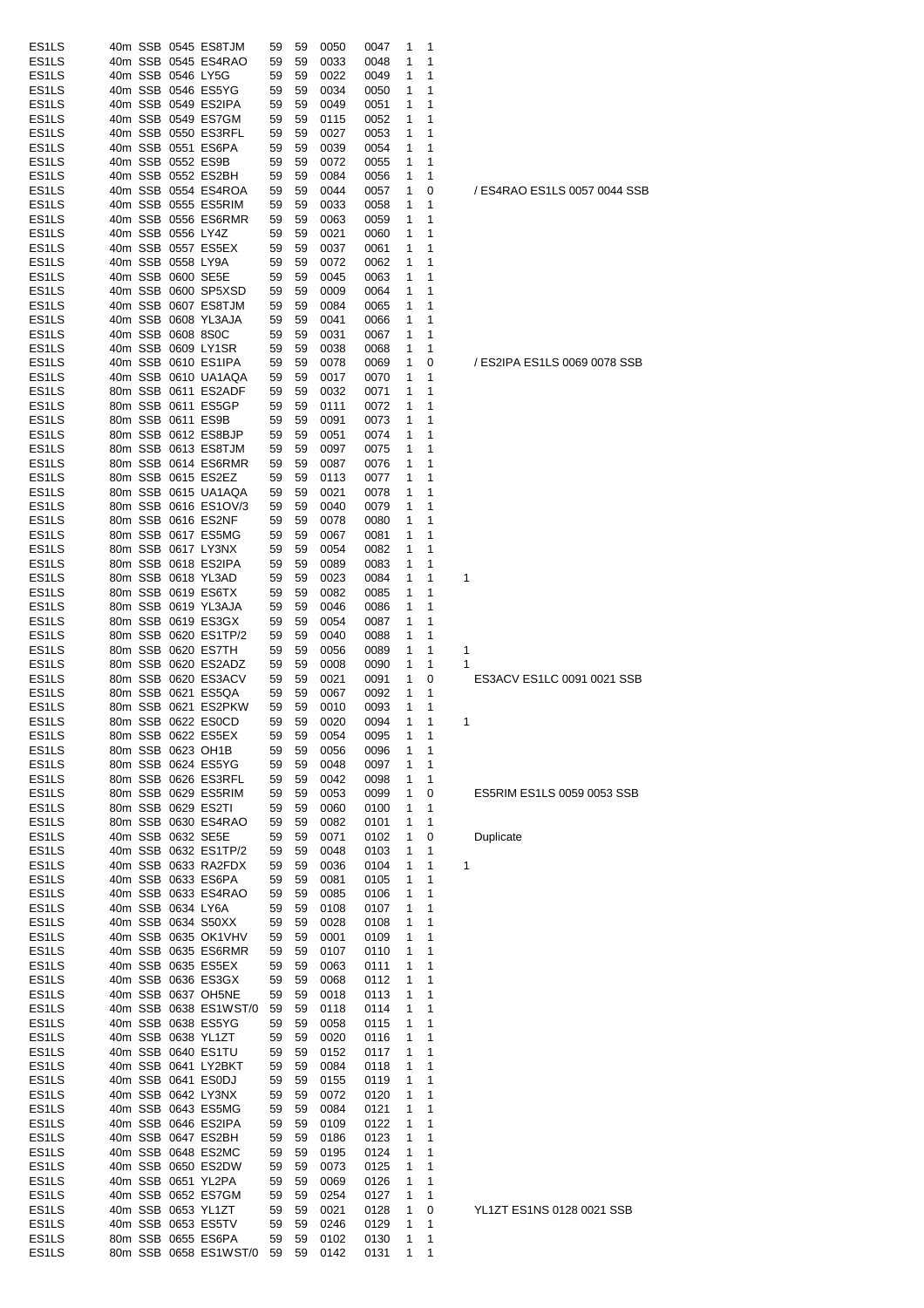| ES <sub>1</sub> LS |  |                   | 40m SSB 0545 ES8TJM      | 59 | 59 | 0050 | 0047 | 1 | 1 |                              |
|--------------------|--|-------------------|--------------------------|----|----|------|------|---|---|------------------------------|
| ES <sub>1</sub> LS |  |                   | 40m SSB 0545 ES4RAO      | 59 | 59 | 0033 | 0048 | 1 | 1 |                              |
| ES <sub>1</sub> LS |  |                   | 40m SSB 0546 LY5G        | 59 | 59 | 0022 | 0049 | 1 | 1 |                              |
| ES <sub>1</sub> LS |  |                   | 40m SSB 0546 ES5YG       | 59 | 59 | 0034 | 0050 | 1 | 1 |                              |
| ES <sub>1</sub> LS |  |                   | 40m SSB 0549 ES2IPA      | 59 | 59 | 0049 | 0051 | 1 | 1 |                              |
| ES <sub>1</sub> LS |  |                   | 40m SSB 0549 ES7GM       | 59 | 59 | 0115 | 0052 | 1 | 1 |                              |
| ES <sub>1</sub> LS |  |                   | 40m SSB 0550 ES3RFL      | 59 | 59 | 0027 | 0053 | 1 | 1 |                              |
| ES <sub>1</sub> LS |  |                   | 40m SSB 0551 ES6PA       | 59 | 59 | 0039 | 0054 | 1 | 1 |                              |
| ES <sub>1</sub> LS |  |                   | 40m SSB 0552 ES9B        | 59 | 59 | 0072 | 0055 | 1 | 1 |                              |
| ES <sub>1</sub> LS |  |                   | 40m SSB 0552 ES2BH       | 59 | 59 | 0084 | 0056 | 1 | 1 |                              |
| ES <sub>1</sub> LS |  |                   | 40m SSB 0554 ES4ROA      | 59 | 59 | 0044 | 0057 | 1 | 0 | / ES4RAO ES1LS 0057 0044 SSB |
| ES <sub>1</sub> LS |  |                   | 40m SSB 0555 ES5RIM      | 59 | 59 | 0033 | 0058 | 1 | 1 |                              |
| ES1LS              |  |                   | 40m SSB 0556 ES6RMR      | 59 | 59 | 0063 | 0059 | 1 | 1 |                              |
| ES <sub>1</sub> LS |  | 40m SSB 0556 LY4Z |                          | 59 | 59 |      |      | 1 | 1 |                              |
|                    |  |                   |                          |    |    | 0021 | 0060 |   |   |                              |
| ES <sub>1</sub> LS |  |                   | 40m SSB 0557 ES5EX       | 59 | 59 | 0037 | 0061 | 1 | 1 |                              |
| ES <sub>1</sub> LS |  | 40m SSB 0558 LY9A |                          | 59 | 59 | 0072 | 0062 | 1 | 1 |                              |
| ES <sub>1</sub> LS |  |                   | 40m SSB 0600 SE5E        | 59 | 59 | 0045 | 0063 | 1 | 1 |                              |
| ES <sub>1</sub> LS |  |                   | 40m SSB 0600 SP5XSD      | 59 | 59 | 0009 | 0064 | 1 | 1 |                              |
| ES <sub>1</sub> LS |  |                   | 40m SSB 0607 ES8TJM      | 59 | 59 | 0084 | 0065 | 1 | 1 |                              |
| ES <sub>1</sub> LS |  |                   | 40m SSB 0608 YL3AJA      | 59 | 59 | 0041 | 0066 | 1 | 1 |                              |
| ES <sub>1</sub> LS |  | 40m SSB 0608 8S0C |                          | 59 | 59 | 0031 | 0067 | 1 | 1 |                              |
| ES <sub>1</sub> LS |  |                   | 40m SSB 0609 LY1SR       | 59 | 59 | 0038 | 0068 | 1 | 1 |                              |
| ES <sub>1</sub> LS |  |                   | 40m SSB 0610 ES1IPA      | 59 | 59 | 0078 | 0069 | 1 | 0 | / ES2IPA ES1LS 0069 0078 SSB |
| ES <sub>1</sub> LS |  |                   | 40m SSB 0610 UA1AQA      | 59 | 59 | 0017 | 0070 | 1 | 1 |                              |
| ES <sub>1</sub> LS |  |                   | 80m SSB 0611 ES2ADF      | 59 | 59 | 0032 | 0071 | 1 | 1 |                              |
| ES1LS              |  |                   | 80m SSB 0611 ES5GP       | 59 | 59 | 0111 | 0072 | 1 | 1 |                              |
| ES <sub>1</sub> LS |  |                   | 80m SSB 0611 ES9B        | 59 | 59 | 0091 | 0073 | 1 | 1 |                              |
| ES <sub>1</sub> LS |  |                   | 80m SSB 0612 ES8BJP      | 59 | 59 | 0051 | 0074 | 1 | 1 |                              |
|                    |  |                   | 80m SSB 0613 ES8TJM      |    |    |      |      |   |   |                              |
| ES <sub>1</sub> LS |  |                   |                          | 59 | 59 | 0097 | 0075 | 1 | 1 |                              |
| ES <sub>1</sub> LS |  |                   | 80m SSB 0614 ES6RMR      | 59 | 59 | 0087 | 0076 | 1 | 1 |                              |
| ES <sub>1</sub> LS |  |                   | 80m SSB 0615 ES2EZ       | 59 | 59 | 0113 | 0077 | 1 | 1 |                              |
| ES <sub>1</sub> LS |  |                   | 80m SSB 0615 UA1AQA      | 59 | 59 | 0021 | 0078 | 1 | 1 |                              |
| ES <sub>1</sub> LS |  |                   | 80m SSB 0616 ES1OV/3     | 59 | 59 | 0040 | 0079 | 1 | 1 |                              |
| ES <sub>1</sub> LS |  |                   | 80m SSB 0616 ES2NF       | 59 | 59 | 0078 | 0080 | 1 | 1 |                              |
| ES <sub>1</sub> LS |  |                   | 80m SSB 0617 ES5MG       | 59 | 59 | 0067 | 0081 | 1 | 1 |                              |
| ES <sub>1</sub> LS |  |                   | 80m SSB 0617 LY3NX       | 59 | 59 | 0054 | 0082 | 1 | 1 |                              |
| ES <sub>1</sub> LS |  |                   | 80m SSB 0618 ES2IPA      | 59 | 59 | 0089 | 0083 | 1 | 1 |                              |
| ES <sub>1</sub> LS |  |                   | 80m SSB 0618 YL3AD       | 59 | 59 | 0023 | 0084 | 1 | 1 | 1                            |
| ES1LS              |  |                   | 80m SSB 0619 ES6TX       | 59 | 59 | 0082 | 0085 | 1 | 1 |                              |
| ES <sub>1</sub> LS |  |                   | 80m SSB 0619 YL3AJA      | 59 | 59 | 0046 | 0086 | 1 | 1 |                              |
| ES <sub>1</sub> LS |  |                   | 80m SSB 0619 ES3GX       | 59 | 59 | 0054 | 0087 | 1 | 1 |                              |
|                    |  |                   |                          |    |    |      |      |   |   |                              |
| ES <sub>1</sub> LS |  |                   | 80m SSB 0620 ES1TP/2     | 59 | 59 | 0040 | 0088 | 1 | 1 |                              |
| ES <sub>1</sub> LS |  |                   | 80m SSB 0620 ES7TH       | 59 | 59 | 0056 | 0089 | 1 | 1 | 1                            |
| ES <sub>1</sub> LS |  |                   | 80m SSB 0620 ES2ADZ      | 59 | 59 | 0008 | 0090 | 1 | 1 | 1                            |
| ES <sub>1</sub> LS |  |                   | 80m SSB 0620 ES3ACV      | 59 | 59 | 0021 | 0091 | 1 | 0 | ES3ACV ES1LC 0091 0021 SSB   |
| ES <sub>1</sub> LS |  |                   | 80m SSB 0621 ES5QA       | 59 | 59 | 0067 | 0092 | 1 | 1 |                              |
| ES <sub>1</sub> LS |  |                   | 80m SSB 0621 ES2PKW      | 59 | 59 | 0010 | 0093 | 1 | 1 |                              |
| ES <sub>1</sub> LS |  |                   | 80m SSB 0622 ES0CD       | 59 | 59 | 0020 | 0094 | 1 | 1 | 1                            |
| ES <sub>1</sub> LS |  |                   | 80m SSB 0622 ES5EX       | 59 | 59 | 0054 | 0095 | 1 | 1 |                              |
| ES <sub>1</sub> LS |  |                   | 80m SSB 0623 OH1B        | 59 | 59 | 0056 | 0096 | 1 | 1 |                              |
| ES <sub>1</sub> LS |  |                   | 80m SSB 0624 ES5YG       | 59 | 59 | 0048 | 0097 | 1 | 1 |                              |
| ES1LS              |  |                   | 80m SSB 0626 ES3RFL      | 59 | 59 | 0042 | 0098 | 1 | 1 |                              |
| ES <sub>1</sub> LS |  |                   | 80m SSB 0629 ES5RIM      | 59 | 59 | 0053 | 0099 | 1 | 0 | ES5RIM ES1LS 0059 0053 SSB   |
| ES <sub>1</sub> LS |  |                   | 80m SSB 0629 ES2TI       | 59 | 59 | 0060 | 0100 | 1 | 1 |                              |
|                    |  |                   |                          |    |    |      |      |   |   |                              |
| ES1LS              |  |                   | 80m SSB 0630 ES4RAO      | 59 | 59 | 0082 | 0101 | 1 | 1 |                              |
| ES <sub>1</sub> LS |  |                   | 40m SSB 0632 SE5E        | 59 | 59 | 0071 | 0102 | 1 | 0 | Duplicate                    |
| ES <sub>1</sub> LS |  |                   | 40m SSB 0632 ES1TP/2     | 59 | 59 | 0048 | 0103 | 1 | 1 |                              |
| ES <sub>1</sub> LS |  |                   | 40m SSB 0633 RA2FDX      | 59 | 59 | 0036 | 0104 | 1 | 1 | 1                            |
| ES1LS              |  |                   | 40m SSB 0633 ES6PA       | 59 | 59 | 0081 | 0105 | 1 | 1 |                              |
| ES <sub>1</sub> LS |  |                   | 40m SSB 0633 ES4RAO      | 59 | 59 | 0085 | 0106 | 1 | 1 |                              |
| ES1LS              |  | 40m SSB 0634 LY6A |                          | 59 | 59 | 0108 | 0107 | 1 | 1 |                              |
| ES <sub>1</sub> LS |  |                   | 40m SSB 0634 S50XX       | 59 | 59 | 0028 | 0108 | 1 | 1 |                              |
| ES1LS              |  |                   | 40m SSB 0635 OK1VHV      | 59 | 59 | 0001 | 0109 | 1 | 1 |                              |
| ES <sub>1</sub> LS |  |                   | 40m SSB 0635 ES6RMR      | 59 | 59 | 0107 | 0110 | 1 | 1 |                              |
| ES <sub>1</sub> LS |  |                   | 40m SSB 0635 ES5EX       | 59 | 59 | 0063 | 0111 | 1 | 1 |                              |
| ES <sub>1</sub> LS |  |                   | 40m SSB 0636 ES3GX       | 59 | 59 | 0068 | 0112 | 1 | 1 |                              |
| ES1LS              |  |                   | 40m SSB 0637 OH5NE       | 59 | 59 | 0018 | 0113 | 1 | 1 |                              |
| ES1LS              |  |                   | 40m SSB 0638 ES1WST/0    | 59 | 59 | 0118 | 0114 | 1 | 1 |                              |
|                    |  |                   |                          |    |    |      |      |   |   |                              |
| ES <sub>1</sub> LS |  |                   | 40m SSB 0638 ES5YG       | 59 | 59 | 0058 | 0115 | 1 | 1 |                              |
| ES <sub>1</sub> LS |  |                   | 40m SSB 0638 YL1ZT       | 59 | 59 | 0020 | 0116 | 1 | 1 |                              |
| ES <sub>1</sub> LS |  |                   | 40m SSB 0640 ES1TU       | 59 | 59 | 0152 | 0117 | 1 | 1 |                              |
| ES <sub>1</sub> LS |  |                   | 40m SSB 0641 LY2BKT      | 59 | 59 | 0084 | 0118 | 1 | 1 |                              |
| ES <sub>1</sub> LS |  |                   | 40m SSB 0641 ES0DJ       | 59 | 59 | 0155 | 0119 | 1 | 1 |                              |
| ES1LS              |  |                   | 40m SSB 0642 LY3NX       | 59 | 59 | 0072 | 0120 | 1 | 1 |                              |
| ES <sub>1</sub> LS |  |                   | 40m SSB 0643 ES5MG       | 59 | 59 | 0084 | 0121 | 1 | 1 |                              |
| ES1LS              |  |                   | 40m SSB 0646 ES2IPA      | 59 | 59 | 0109 | 0122 | 1 | 1 |                              |
| ES <sub>1</sub> LS |  |                   | 40m SSB 0647 ES2BH       | 59 | 59 | 0186 | 0123 | 1 | 1 |                              |
| ES1LS              |  |                   | 40m SSB 0648 ES2MC       | 59 | 59 | 0195 | 0124 | 1 | 1 |                              |
| ES1LS              |  |                   | 40m SSB 0650 ES2DW       | 59 | 59 | 0073 | 0125 | 1 | 1 |                              |
| ES <sub>1</sub> LS |  |                   | 40m SSB 0651 YL2PA       | 59 | 59 | 0069 | 0126 | 1 | 1 |                              |
| ES <sub>1</sub> LS |  |                   | 40m SSB 0652 ES7GM       | 59 | 59 | 0254 | 0127 | 1 | 1 |                              |
| ES <sub>1</sub> LS |  |                   | 40m SSB 0653 YL1ZT       | 59 | 59 | 0021 | 0128 | 1 | 0 | YL1ZT ES1NS 0128 0021 SSB    |
| ES <sub>1</sub> LS |  |                   | 40m SSB 0653 ES5TV       | 59 | 59 | 0246 |      | 1 | 1 |                              |
|                    |  |                   |                          |    |    |      | 0129 |   |   |                              |
| ES1LS              |  |                   | 80m SSB 0655 ES6PA       | 59 | 59 | 0102 | 0130 | 1 | 1 |                              |
| ES1LS              |  |                   | 80m SSB 0658 ES1WST/0 59 |    | 59 | 0142 | 0131 | 1 | 1 |                              |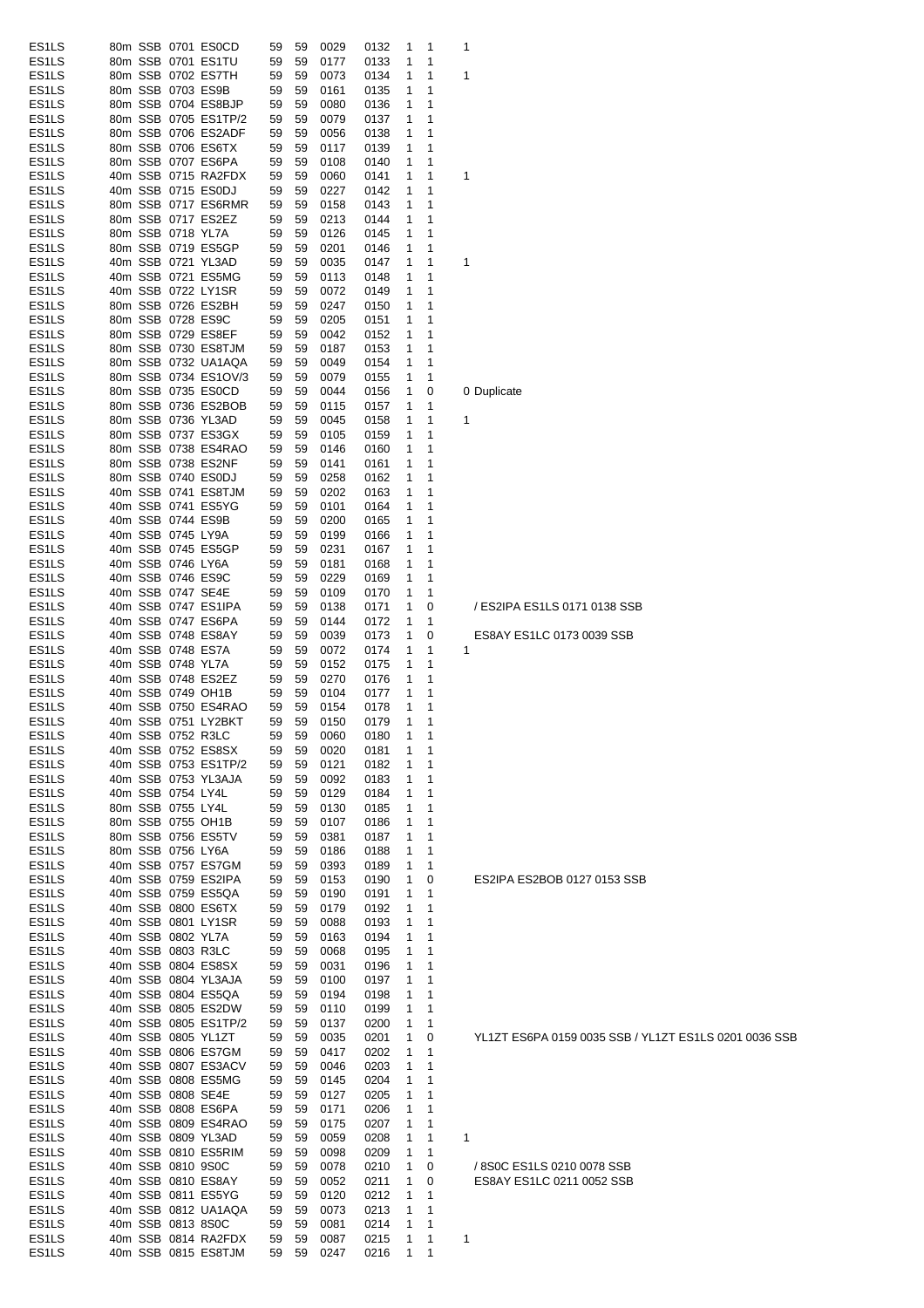| ES <sub>1</sub> LS<br>ES <sub>1</sub> LS |                      |           |              |                  |                                                       |
|------------------------------------------|----------------------|-----------|--------------|------------------|-------------------------------------------------------|
|                                          | 80m SSB 0701 ES0CD   | 59<br>59  | 0029<br>0132 | 1<br>1           | 1                                                     |
|                                          | 80m SSB 0701 ES1TU   | 59<br>59  | 0177<br>0133 | 1<br>1           |                                                       |
| ES1LS                                    | 80m SSB 0702 ES7TH   | 59<br>59  | 0073<br>0134 | 1<br>1           | 1                                                     |
| ES <sub>1</sub> LS                       | 80m SSB 0703 ES9B    | 59<br>59  | 0161<br>0135 | 1<br>1           |                                                       |
| ES <sub>1</sub> LS                       | 80m SSB 0704 ES8BJP  | 59<br>59  | 0080<br>0136 | 1<br>1           |                                                       |
| ES <sub>1</sub> LS                       | 80m SSB 0705 ES1TP/2 | 59<br>59  | 0079<br>0137 | 1<br>1           |                                                       |
| ES1LS                                    | 80m SSB 0706 ES2ADF  | 59<br>59  | 0056<br>0138 | 1<br>1           |                                                       |
| ES1LS                                    | 80m SSB 0706 ES6TX   | 59<br>59  | 0139<br>0117 | 1<br>1           |                                                       |
| ES1LS                                    | 80m SSB 0707 ES6PA   | 59<br>59  | 0108<br>0140 | 1<br>1           |                                                       |
| ES <sub>1</sub> LS                       | 40m SSB 0715 RA2FDX  | 59<br>59  | 0060<br>0141 | 1<br>1           | 1                                                     |
| ES <sub>1</sub> LS                       | 40m SSB 0715 ES0DJ   | 59<br>59  | 0227<br>0142 | 1<br>1           |                                                       |
| ES <sub>1</sub> LS                       | 80m SSB 0717 ES6RMR  | 59<br>59  | 0158<br>0143 | 1<br>1           |                                                       |
| ES <sub>1</sub> LS                       | 80m SSB 0717 ES2EZ   | 59<br>59  | 0213<br>0144 | 1<br>1           |                                                       |
| ES <sub>1</sub> LS                       | 80m SSB 0718 YL7A    | 59<br>59  | 0126<br>0145 | 1<br>1           |                                                       |
| ES1LS                                    | 80m SSB 0719 ES5GP   | 59<br>59  | 0201<br>0146 | 1<br>1           |                                                       |
| ES1LS                                    | 40m SSB 0721 YL3AD   | 59<br>59  | 0035<br>0147 | 1<br>1           | 1                                                     |
| ES1LS                                    | 40m SSB 0721 ES5MG   | 59<br>59  | 0113<br>0148 | 1<br>1           |                                                       |
| ES1LS                                    | 40m SSB 0722 LY1SR   | 59<br>59  | 0072<br>0149 | 1<br>1           |                                                       |
| ES <sub>1</sub> LS                       | 80m SSB 0726 ES2BH   | 59<br>59  | 0247<br>0150 | 1<br>1           |                                                       |
| ES <sub>1</sub> LS                       | 80m SSB 0728 ES9C    | 59<br>59  | 0205<br>0151 | 1<br>1           |                                                       |
| ES1LS                                    | 80m SSB 0729 ES8EF   | 59<br>59  | 0042<br>0152 | 1<br>1           |                                                       |
| ES <sub>1</sub> LS                       | 80m SSB 0730 ES8TJM  |           |              |                  |                                                       |
|                                          | 80m SSB 0732 UA1AQA  | 59<br>59  | 0187<br>0153 | 1<br>1           |                                                       |
| ES <sub>1</sub> LS                       |                      | 59<br>59  | 0049<br>0154 | 1<br>1           |                                                       |
| ES <sub>1</sub> LS                       | 80m SSB 0734 ES1OV/3 | 59<br>59  | 0079<br>0155 | 1<br>1           |                                                       |
| ES <sub>1</sub> LS                       | 80m SSB 0735 ES0CD   | 59<br>59  | 0044<br>0156 | 1<br>0           | 0 Duplicate                                           |
| ES <sub>1</sub> LS                       | 80m SSB 0736 ES2BOB  | 59<br>59  | 0115<br>0157 | 1<br>1           |                                                       |
| ES1LS                                    | 80m SSB 0736 YL3AD   | 59<br>59  | 0045<br>0158 | 1<br>1           | 1                                                     |
| ES1LS                                    | 80m SSB 0737 ES3GX   | 59<br>59  | 0105<br>0159 | 1<br>1           |                                                       |
| ES1LS                                    | 80m SSB 0738 ES4RAO  | 59<br>59  | 0146<br>0160 | 1<br>1           |                                                       |
| ES <sub>1</sub> LS                       | 80m SSB 0738 ES2NF   | 59<br>59  | 0141<br>0161 | 1<br>1           |                                                       |
| ES1LS                                    | 80m SSB 0740 ES0DJ   | 59<br>59  | 0258<br>0162 | 1<br>1           |                                                       |
| ES1LS                                    | 40m SSB 0741 ES8TJM  | 59<br>59  | 0202<br>0163 | 1<br>1           |                                                       |
| ES1LS                                    | 40m SSB 0741 ES5YG   | 59<br>59  | 0101<br>0164 | 1<br>1           |                                                       |
| ES <sub>1</sub> LS                       | 40m SSB 0744 ES9B    | 59<br>59  | 0200<br>0165 | 1<br>1           |                                                       |
| ES <sub>1</sub> LS                       | 40m SSB 0745 LY9A    | 59<br>59  | 0199<br>0166 | 1<br>1           |                                                       |
| ES <sub>1</sub> LS                       | 40m SSB 0745 ES5GP   | 59<br>59  | 0231<br>0167 | 1<br>1           |                                                       |
| ES <sub>1</sub> LS                       | 40m SSB 0746 LY6A    | 59<br>59  | 0181<br>0168 | 1<br>1           |                                                       |
| ES <sub>1</sub> LS                       | 40m SSB 0746 ES9C    | 59<br>59  | 0229<br>0169 | 1<br>1           |                                                       |
| ES1LS                                    | 40m SSB 0747 SE4E    | 59<br>59  | 0109<br>0170 | 1<br>1           |                                                       |
| ES1LS                                    | 40m SSB 0747 ES1IPA  | 59<br>59  | 0138<br>0171 | 1<br>0           | / ES2IPA ES1LS 0171 0138 SSB                          |
| ES1LS                                    | 40m SSB 0747 ES6PA   | 59<br>59  | 0172<br>0144 | 1<br>1           |                                                       |
| ES <sub>1</sub> LS                       | 40m SSB 0748 ES8AY   | 59<br>59  | 0039<br>0173 | 1<br>0           | ES8AY ES1LC 0173 0039 SSB                             |
| ES <sub>1</sub> LS                       | 40m SSB 0748 ES7A    | 59<br>59  | 0072<br>0174 | 1<br>1           | 1                                                     |
| ES <sub>1</sub> LS                       | 40m SSB 0748 YL7A    | 59<br>59  | 0152<br>0175 | 1<br>1           |                                                       |
| ES1LS                                    | 40m SSB 0748 ES2EZ   | 59<br>59  | 0270<br>0176 | 1<br>1           |                                                       |
|                                          |                      |           | 0104<br>0177 | 1<br>1           |                                                       |
|                                          |                      |           |              |                  |                                                       |
| ES <sub>1</sub> LS                       | 40m SSB 0749 OH1B    | 59<br>59  |              |                  |                                                       |
| ES <sub>1</sub> LS                       | 40m SSB 0750 ES4RAO  | 59<br>59  | 0154<br>0178 | 1<br>1           |                                                       |
| ES <sub>1</sub> LS                       | 40m SSB 0751 LY2BKT  | 59<br>59  | 0150<br>0179 | 1<br>1<br>1      |                                                       |
| ES <sub>1</sub> LS                       | 40m SSB 0752 R3LC    | 59<br>59  | 0060<br>0180 | $\mathbf{1}$     |                                                       |
| ES <sub>1</sub> LS                       | 40m SSB 0752 ES8SX   | 59<br>59  | 0020<br>0181 | 1<br>1           |                                                       |
| ES <sub>1</sub> LS                       | 40m SSB 0753 ES1TP/2 | 59 59     | 0121<br>0182 | 1<br>1           |                                                       |
| ES1LS                                    | 40m SSB 0753 YL3AJA  | 59<br>-59 | 0092<br>0183 | 1<br>1           |                                                       |
| ES1LS                                    | 40m SSB 0754 LY4L    | 59<br>59  | 0129<br>0184 | 1<br>1           |                                                       |
| ES1LS                                    | 80m SSB 0755 LY4L    | 59<br>-59 | 0130<br>0185 | 1<br>1           |                                                       |
| ES1LS                                    | 80m SSB 0755 OH1B    | 59<br>59  | 0107<br>0186 | 1<br>1           |                                                       |
| ES1LS                                    | 80m SSB 0756 ES5TV   | 59<br>-59 | 0381<br>0187 | 1<br>1           |                                                       |
| ES1LS                                    | 80m SSB 0756 LY6A    | 59<br>59  | 0186<br>0188 | 1<br>1           |                                                       |
| ES1LS                                    | 40m SSB 0757 ES7GM   | 59<br>59  | 0393<br>0189 | 1<br>1           |                                                       |
| ES1LS                                    | 40m SSB 0759 ES2IPA  | 59<br>59  | 0153<br>0190 | 1<br>0           | ES2IPA ES2BOB 0127 0153 SSB                           |
| ES1LS                                    | 40m SSB 0759 ES5QA   | 59<br>-59 | 0190<br>0191 | 1<br>1           |                                                       |
| ES <sub>1</sub> LS                       | 40m SSB 0800 ES6TX   | 59<br>-59 | 0192<br>0179 | 1<br>1           |                                                       |
| ES1LS                                    | 40m SSB 0801 LY1SR   | 59<br>59  | 0088<br>0193 | 1<br>1           |                                                       |
| ES <sub>1</sub> LS                       | 40m SSB 0802 YL7A    | -59<br>59 | 0194<br>0163 | 1<br>1           |                                                       |
| ES1LS                                    | 40m SSB 0803 R3LC    | 59<br>59  | 0068<br>0195 | 1<br>1           |                                                       |
| ES1LS                                    | 40m SSB 0804 ES8SX   | 59<br>59  | 0031<br>0196 | 1<br>1           |                                                       |
| ES1LS                                    | 40m SSB 0804 YL3AJA  | 59<br>59  | 0100<br>0197 | 1<br>1           |                                                       |
| ES1LS                                    | 40m SSB 0804 ES5QA   | 59<br>-59 | 0194<br>0198 | 1<br>1           |                                                       |
| ES1LS                                    | 40m SSB 0805 ES2DW   | 59<br>59  | 0110<br>0199 | 1<br>1           |                                                       |
| ES1LS                                    | 40m SSB 0805 ES1TP/2 | 59<br>59  | 0137<br>0200 | 1<br>1           |                                                       |
| ES1LS                                    | 40m SSB 0805 YL1ZT   | 59<br>59  | 0035<br>0201 | 1<br>0           | YL1ZT ES6PA 0159 0035 SSB / YL1ZT ES1LS 0201 0036 SSB |
| ES1LS                                    | 40m SSB 0806 ES7GM   | 59<br>59  | 0417<br>0202 | 1<br>1           |                                                       |
| ES1LS                                    | 40m SSB 0807 ES3ACV  | 59<br>-59 | 0203<br>0046 | 1<br>1           |                                                       |
| ES1LS                                    | 40m SSB 0808 ES5MG   | 59<br>59  | 0145<br>0204 | 1<br>1           |                                                       |
| ES <sub>1</sub> LS                       | 40m SSB 0808 SE4E    | 59<br>59  | 0127<br>0205 | 1<br>1           |                                                       |
| ES1LS                                    | 40m SSB 0808 ES6PA   | 59<br>59  | 0171<br>0206 | 1<br>1           |                                                       |
| ES1LS                                    | 40m SSB 0809 ES4RAO  | 59<br>-59 | 0207<br>0175 | 1<br>1           |                                                       |
| ES1LS                                    | 40m SSB 0809 YL3AD   | 59<br>59  | 0059<br>0208 | 1<br>$\mathbf 1$ | 1                                                     |
| ES1LS                                    | 40m SSB 0810 ES5RIM  | 59<br>59  | 0098<br>0209 | 1<br>1           |                                                       |
| ES1LS                                    | 40m SSB 0810 9S0C    | 59<br>59  | 0078<br>0210 | 1<br>0           | / 8S0C ES1LS 0210 0078 SSB                            |
| ES <sub>1</sub> LS                       | 40m SSB 0810 ES8AY   | 59<br>59  | 0211<br>0052 | 1<br>0           | ES8AY ES1LC 0211 0052 SSB                             |
| ES1LS                                    | 40m SSB 0811 ES5YG   | 59<br>59  | 0120<br>0212 | 1<br>1           |                                                       |
| ES1LS                                    | 40m SSB 0812 UA1AQA  | 59<br>59  | 0073<br>0213 | 1<br>1           |                                                       |
| ES1LS                                    | 40m SSB 0813 8S0C    | 59<br>59  | 0081<br>0214 | 1<br>1           |                                                       |
| ES1LS                                    | 40m SSB 0814 RA2FDX  | 59 59     | 0215<br>0087 | 1<br>1           | 1                                                     |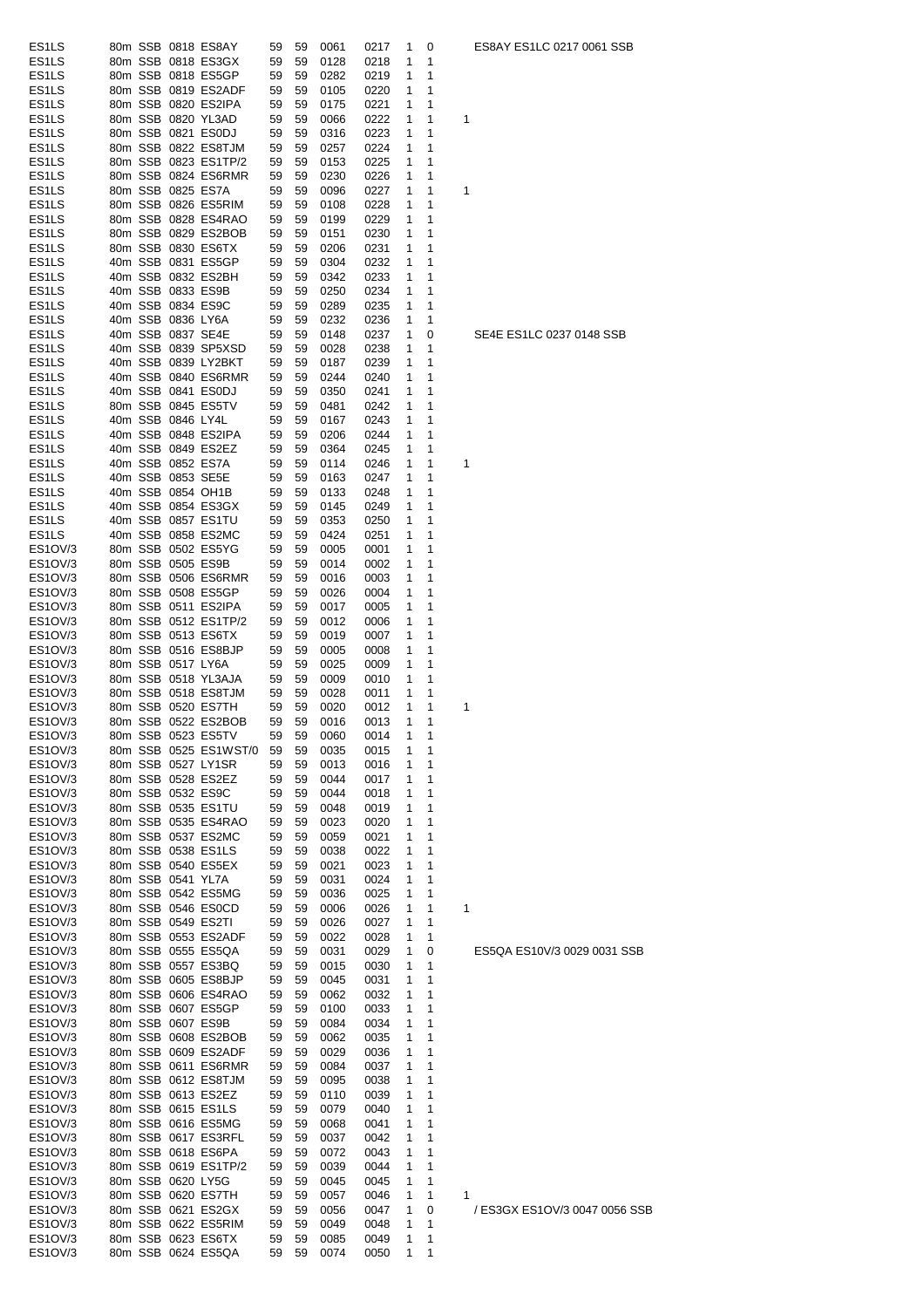| ES <sub>1</sub> LS |  |                   | 80m SSB 0818 ES8AY    | 59 | 59 | 0061 | 0217 | 1            | 0              | ES8AY ES1LC 0217 0061 SSB     |
|--------------------|--|-------------------|-----------------------|----|----|------|------|--------------|----------------|-------------------------------|
| ES <sub>1</sub> LS |  |                   | 80m SSB 0818 ES3GX    | 59 | 59 | 0128 | 0218 | 1            | 1              |                               |
| ES <sub>1</sub> LS |  |                   | 80m SSB 0818 ES5GP    | 59 | 59 | 0282 | 0219 | 1            | 1              |                               |
| ES <sub>1</sub> LS |  |                   | 80m SSB 0819 ES2ADF   | 59 | 59 | 0105 | 0220 | 1            | 1              |                               |
| ES <sub>1</sub> LS |  |                   | 80m SSB 0820 ES2IPA   | 59 | 59 | 0175 | 0221 | 1            | 1              |                               |
| ES <sub>1</sub> LS |  |                   | 80m SSB 0820 YL3AD    | 59 | 59 | 0066 | 0222 | 1            | 1              | 1                             |
| ES <sub>1</sub> LS |  |                   | 80m SSB 0821 ES0DJ    | 59 | 59 | 0316 | 0223 | 1            | 1              |                               |
| ES <sub>1</sub> LS |  |                   | 80m SSB 0822 ES8TJM   | 59 | 59 | 0257 | 0224 | 1            | 1              |                               |
| ES <sub>1</sub> LS |  |                   | 80m SSB 0823 ES1TP/2  | 59 | 59 | 0153 | 0225 | 1            | 1              |                               |
| ES <sub>1</sub> LS |  |                   | 80m SSB 0824 ES6RMR   | 59 | 59 | 0230 | 0226 | 1            | 1              |                               |
| ES <sub>1</sub> LS |  |                   | 80m SSB 0825 ES7A     | 59 | 59 | 0096 | 0227 | 1            | 1              | 1                             |
| ES <sub>1</sub> LS |  |                   | 80m SSB 0826 ES5RIM   | 59 | 59 | 0108 | 0228 | 1            | 1              |                               |
| ES <sub>1</sub> LS |  |                   | 80m SSB 0828 ES4RAO   | 59 | 59 | 0199 | 0229 | 1            | 1              |                               |
| ES <sub>1</sub> LS |  |                   | 80m SSB 0829 ES2BOB   | 59 | 59 | 0151 | 0230 | 1            | 1              |                               |
| ES <sub>1</sub> LS |  |                   | 80m SSB 0830 ES6TX    | 59 | 59 | 0206 | 0231 | 1            | 1              |                               |
| ES <sub>1</sub> LS |  |                   | 40m SSB 0831 ES5GP    | 59 | 59 | 0304 | 0232 | 1            | 1              |                               |
| ES <sub>1</sub> LS |  |                   | 40m SSB 0832 ES2BH    | 59 | 59 | 0342 | 0233 | 1            | 1              |                               |
| ES <sub>1</sub> LS |  |                   | 40m SSB 0833 ES9B     | 59 | 59 | 0250 | 0234 | 1            | 1              |                               |
| ES <sub>1</sub> LS |  |                   | 40m SSB 0834 ES9C     | 59 | 59 | 0289 | 0235 | 1            | 1              |                               |
| ES <sub>1</sub> LS |  | 40m SSB 0836 LY6A |                       | 59 | 59 | 0232 | 0236 | 1            | 1              |                               |
| ES <sub>1</sub> LS |  |                   | 40m SSB 0837 SE4E     | 59 | 59 | 0148 | 0237 | 1            | 0              | SE4E ES1LC 0237 0148 SSB      |
| ES <sub>1</sub> LS |  |                   | 40m SSB 0839 SP5XSD   | 59 | 59 | 0028 | 0238 | 1            | 1              |                               |
| ES <sub>1</sub> LS |  |                   | 40m SSB 0839 LY2BKT   | 59 | 59 | 0187 | 0239 | 1            | 1              |                               |
| ES <sub>1</sub> LS |  |                   | 40m SSB 0840 ES6RMR   | 59 | 59 | 0244 | 0240 | 1            | 1              |                               |
| ES <sub>1</sub> LS |  |                   | 40m SSB 0841 ES0DJ    | 59 | 59 | 0350 | 0241 | 1            | 1              |                               |
| ES <sub>1</sub> LS |  |                   | 80m SSB 0845 ES5TV    | 59 | 59 | 0481 | 0242 | 1            | 1              |                               |
| ES <sub>1</sub> LS |  | 40m SSB 0846 LY4L |                       | 59 | 59 | 0167 | 0243 | 1            | 1              |                               |
| ES <sub>1</sub> LS |  |                   | 40m SSB 0848 ES2IPA   | 59 | 59 | 0206 | 0244 | 1            | 1              |                               |
| ES <sub>1</sub> LS |  |                   | 40m SSB 0849 ES2EZ    | 59 | 59 | 0364 | 0245 | 1            | 1              |                               |
| ES <sub>1</sub> LS |  |                   | 40m SSB 0852 ES7A     | 59 | 59 | 0114 | 0246 | 1            | 1              | 1                             |
| ES <sub>1</sub> LS |  |                   | 40m SSB 0853 SE5E     | 59 | 59 | 0163 | 0247 | 1            | 1              |                               |
| ES <sub>1</sub> LS |  |                   | 40m SSB 0854 OH1B     | 59 | 59 | 0133 | 0248 | 1            | 1              |                               |
| ES <sub>1</sub> LS |  |                   | 40m SSB 0854 ES3GX    | 59 | 59 | 0145 | 0249 | 1            | 1              |                               |
| ES <sub>1</sub> LS |  |                   | 40m SSB 0857 ES1TU    | 59 | 59 | 0353 | 0250 | 1            | 1              |                               |
| ES <sub>1</sub> LS |  |                   | 40m SSB 0858 ES2MC    | 59 | 59 | 0424 | 0251 | 1            | 1              |                               |
| ES1OV/3            |  |                   | 80m SSB 0502 ES5YG    | 59 | 59 | 0005 | 0001 | 1            | 1              |                               |
| ES1OV/3            |  |                   | 80m SSB 0505 ES9B     | 59 | 59 | 0014 | 0002 | 1            | 1              |                               |
| ES1OV/3            |  |                   | 80m SSB 0506 ES6RMR   | 59 | 59 | 0016 | 0003 | 1            | 1              |                               |
| ES1OV/3            |  |                   | 80m SSB 0508 ES5GP    | 59 | 59 | 0026 | 0004 | 1            | 1              |                               |
| ES1OV/3            |  |                   | 80m SSB 0511 ES2IPA   | 59 | 59 | 0017 | 0005 | 1            | 1              |                               |
| ES1OV/3            |  |                   | 80m SSB 0512 ES1TP/2  | 59 | 59 | 0012 | 0006 | 1            | 1              |                               |
| ES1OV/3            |  |                   | 80m SSB 0513 ES6TX    | 59 | 59 | 0019 | 0007 | 1            | 1              |                               |
| ES1OV/3            |  |                   | 80m SSB 0516 ES8BJP   | 59 | 59 | 0005 | 0008 | 1            | 1              |                               |
| ES1OV/3            |  | 80m SSB 0517 LY6A |                       | 59 | 59 | 0025 | 0009 | 1            | 1              |                               |
| ES1OV/3            |  |                   | 80m SSB 0518 YL3AJA   | 59 | 59 | 0009 | 0010 | 1            | 1              |                               |
| ES1OV/3            |  |                   | 80m SSB 0518 ES8TJM   | 59 | 59 | 0028 | 0011 | 1            | 1              |                               |
| ES1OV/3            |  |                   | 80m SSB 0520 ES7TH    | 59 | 59 | 0020 | 0012 | 1            | 1              | 1                             |
| ES1OV/3            |  |                   | 80m SSB 0522 ES2BOB   | 59 | 59 | 0016 | 0013 | 1            | 1              |                               |
| ES1OV/3            |  |                   | 80m SSB 0523 ES5TV    | 59 | 59 | 0060 | 0014 | $\mathbf{1}$ | $\overline{ }$ |                               |
| ES1OV/3            |  |                   | 80m SSB 0525 ES1WST/0 | 59 | 59 | 0035 | 0015 | 1            | 1              |                               |
| ES1OV/3            |  |                   | 80m SSB 0527 LY1SR    | 59 | 59 | 0013 | 0016 | 1            | 1              |                               |
| ES1OV/3            |  |                   | 80m SSB 0528 ES2EZ    | 59 | 59 | 0044 | 0017 | 1            | 1              |                               |
| ES1OV/3            |  |                   | 80m SSB 0532 ES9C     | 59 | 59 | 0044 | 0018 | 1            | 1              |                               |
| ES1OV/3            |  |                   | 80m SSB 0535 ES1TU    | 59 | 59 | 0048 | 0019 | 1            | 1              |                               |
| ES1OV/3            |  |                   | 80m SSB 0535 ES4RAO   | 59 | 59 | 0023 | 0020 | 1            | 1              |                               |
| ES1OV/3            |  |                   | 80m SSB 0537 ES2MC    | 59 | 59 | 0059 | 0021 | 1            | 1              |                               |
| ES1OV/3            |  |                   | 80m SSB 0538 ES1LS    | 59 | 59 | 0038 | 0022 | 1            | 1              |                               |
| ES1OV/3            |  |                   | 80m SSB 0540 ES5EX    | 59 | 59 | 0021 | 0023 | 1            | 1              |                               |
| ES1OV/3            |  | 80m SSB 0541 YL7A |                       | 59 | 59 | 0031 | 0024 | 1            | 1              |                               |
| ES1OV/3            |  |                   | 80m SSB 0542 ES5MG    | 59 | 59 | 0036 | 0025 | 1            | 1              |                               |
| ES1OV/3            |  |                   | 80m SSB 0546 ES0CD    | 59 | 59 | 0006 | 0026 | 1            | 1              | 1                             |
| ES1OV/3            |  |                   | 80m SSB 0549 ES2TI    | 59 | 59 | 0026 | 0027 | 1            | 1              |                               |
| ES1OV/3            |  |                   | 80m SSB 0553 ES2ADF   | 59 | 59 | 0022 | 0028 | 1            | 1              |                               |
| ES1OV/3            |  |                   | 80m SSB 0555 ES5QA    | 59 | 59 | 0031 | 0029 | 1            | 0              | ES5QA ES10V/3 0029 0031 SSB   |
| ES1OV/3            |  |                   | 80m SSB 0557 ES3BQ    | 59 | 59 | 0015 | 0030 | 1            | 1              |                               |
| ES1OV/3            |  |                   | 80m SSB 0605 ES8BJP   | 59 | 59 | 0045 | 0031 | 1            | 1              |                               |
| ES1OV/3            |  |                   | 80m SSB 0606 ES4RAO   | 59 | 59 | 0062 | 0032 | 1            | 1              |                               |
| ES1OV/3            |  |                   | 80m SSB 0607 ES5GP    | 59 | 59 | 0100 | 0033 | 1            | 1              |                               |
| ES1OV/3            |  |                   | 80m SSB 0607 ES9B     | 59 | 59 | 0084 | 0034 | 1            | 1              |                               |
| ES1OV/3            |  |                   | 80m SSB 0608 ES2BOB   | 59 | 59 | 0062 | 0035 | 1            | 1              |                               |
| ES1OV/3            |  |                   | 80m SSB 0609 ES2ADF   | 59 | 59 | 0029 | 0036 | 1            | 1              |                               |
| ES1OV/3            |  |                   | 80m SSB 0611 ES6RMR   | 59 | 59 | 0084 | 0037 | 1            | 1              |                               |
| ES1OV/3            |  |                   | 80m SSB 0612 ES8TJM   | 59 | 59 | 0095 | 0038 | 1            | 1              |                               |
| ES1OV/3            |  |                   | 80m SSB 0613 ES2EZ    | 59 | 59 | 0110 | 0039 | 1            | 1              |                               |
| ES1OV/3            |  |                   | 80m SSB 0615 ES1LS    | 59 | 59 | 0079 | 0040 | 1            | 1              |                               |
| ES1OV/3            |  |                   | 80m SSB 0616 ES5MG    | 59 | 59 | 0068 | 0041 | 1            | 1              |                               |
| ES1OV/3            |  |                   | 80m SSB 0617 ES3RFL   | 59 | 59 | 0037 | 0042 | 1            | 1              |                               |
| ES1OV/3            |  |                   | 80m SSB 0618 ES6PA    | 59 | 59 | 0072 | 0043 | 1            | 1              |                               |
| ES1OV/3            |  |                   | 80m SSB 0619 ES1TP/2  | 59 | 59 | 0039 | 0044 | 1            | 1              |                               |
| ES1OV/3            |  |                   | 80m SSB 0620 LY5G     | 59 | 59 | 0045 | 0045 | 1            | 1              |                               |
| ES1OV/3            |  |                   | 80m SSB 0620 ES7TH    | 59 | 59 | 0057 | 0046 | 1            | 1              | 1                             |
| ES1OV/3            |  |                   | 80m SSB 0621 ES2GX    | 59 | 59 | 0056 | 0047 | 1            | 0              | / ES3GX ES1OV/3 0047 0056 SSI |
| ES1OV/3            |  |                   | 80m SSB 0622 ES5RIM   | 59 | 59 | 0049 | 0048 | 1            | 1              |                               |
| ES1OV/3            |  |                   | 80m SSB 0623 ES6TX    | 59 | 59 | 0085 | 0049 | 1            | 1              |                               |
| ES1OV/3            |  |                   | 80m SSB 0624 ES5QA    | 59 | 59 | 0074 | 0050 | 1            | 1              |                               |

# es<br>0237 0148 SSB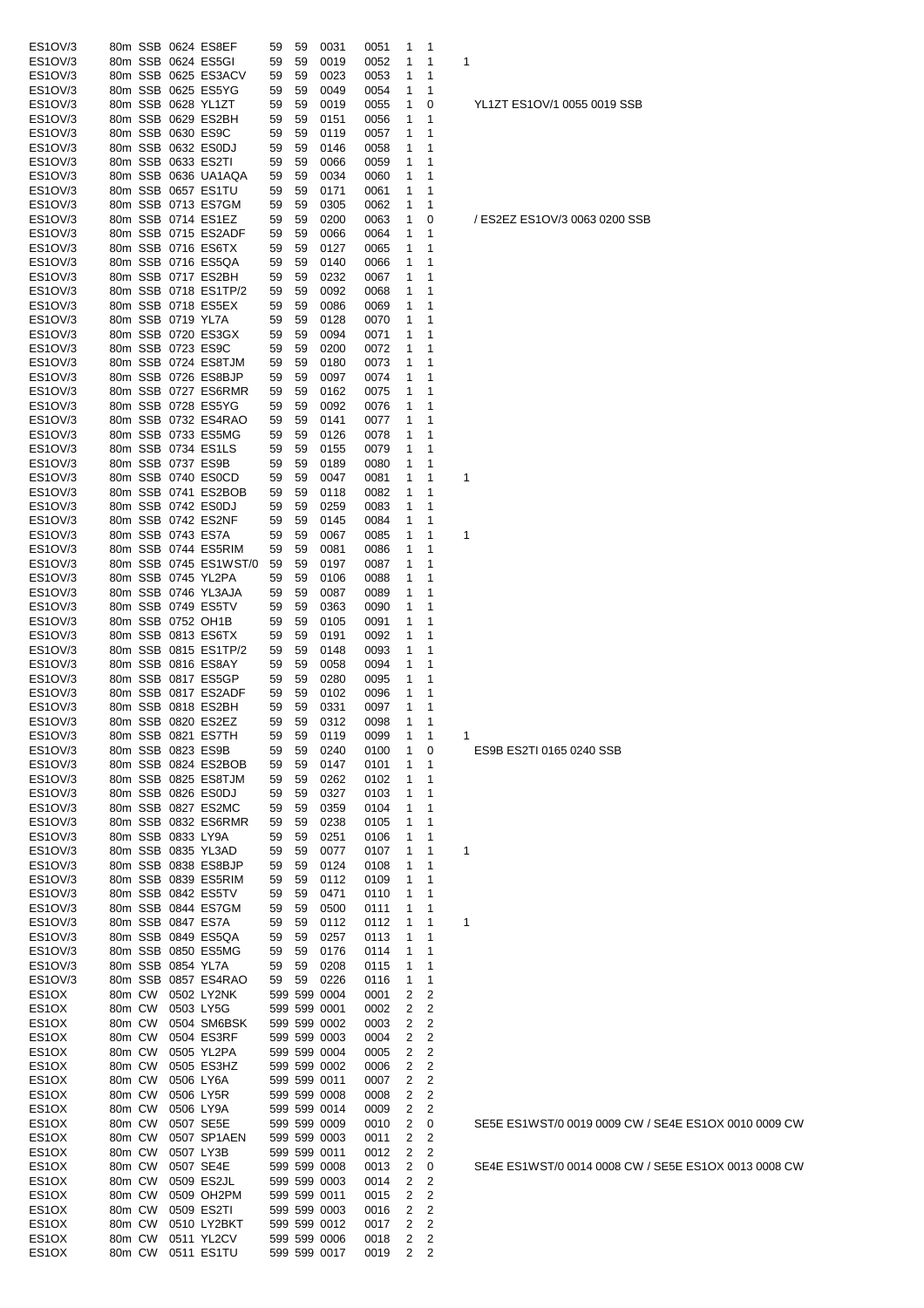| ES1OV/3                                  |                   |           | 80m SSB 0624 ES8EF       | 59 | 59 | 0031                         | 0051         | 1      | 1                       |                               |
|------------------------------------------|-------------------|-----------|--------------------------|----|----|------------------------------|--------------|--------|-------------------------|-------------------------------|
| ES1OV/3                                  |                   |           | 80m SSB 0624 ES5GI       | 59 | 59 | 0019                         | 0052         | 1      | 1                       | 1                             |
| ES1OV/3                                  |                   |           | 80m SSB 0625 ES3ACV      | 59 | 59 | 0023                         | 0053         | 1      | 1                       |                               |
| ES1OV/3                                  |                   |           | 80m SSB 0625 ES5YG       | 59 | 59 | 0049                         | 0054         | 1      | 1                       |                               |
| ES1OV/3                                  |                   |           | 80m SSB 0628 YL1ZT       | 59 | 59 | 0019                         | 0055         | 1      | 0                       | YL1ZT ES1OV/1 0055 0019 SSB   |
| ES1OV/3                                  |                   |           | 80m SSB 0629 ES2BH       | 59 | 59 | 0151                         | 0056         | 1      | 1                       |                               |
|                                          |                   |           |                          |    |    |                              |              |        |                         |                               |
| ES1OV/3                                  | 80m SSB 0630 ES9C |           |                          | 59 | 59 | 0119                         | 0057         | 1      | 1                       |                               |
| ES1OV/3                                  |                   |           | 80m SSB 0632 ES0DJ       | 59 | 59 | 0146                         | 0058         | 1      | 1                       |                               |
| ES1OV/3                                  |                   |           | 80m SSB 0633 ES2TI       | 59 | 59 | 0066                         | 0059         | 1      | 1                       |                               |
| ES1OV/3                                  |                   |           | 80m SSB 0636 UA1AQA      | 59 | 59 | 0034                         | 0060         | 1      | 1                       |                               |
| ES1OV/3                                  |                   |           | 80m SSB 0657 ES1TU       | 59 | 59 | 0171                         | 0061         | 1      | 1                       |                               |
| ES1OV/3                                  |                   |           | 80m SSB 0713 ES7GM       | 59 | 59 | 0305                         | 0062         | 1      | 1                       |                               |
| ES1OV/3                                  |                   |           | 80m SSB 0714 ES1EZ       | 59 | 59 | 0200                         | 0063         | 1      | 0                       | / ES2EZ ES1OV/3 0063 0200 SSB |
| ES1OV/3                                  |                   |           | 80m SSB 0715 ES2ADF      | 59 | 59 | 0066                         | 0064         | 1      | 1                       |                               |
|                                          |                   |           |                          |    |    |                              |              |        |                         |                               |
| ES1OV/3                                  |                   |           | 80m SSB 0716 ES6TX       | 59 | 59 | 0127                         | 0065         | 1      | 1                       |                               |
| ES1OV/3                                  |                   |           | 80m SSB 0716 ES5QA       | 59 | 59 | 0140                         | 0066         | 1      | 1                       |                               |
| ES1OV/3                                  |                   |           | 80m SSB 0717 ES2BH       | 59 | 59 | 0232                         | 0067         | 1      | 1                       |                               |
| ES1OV/3                                  |                   |           | 80m SSB 0718 ES1TP/2     | 59 | 59 | 0092                         | 0068         | 1      | 1                       |                               |
| ES1OV/3                                  |                   |           | 80m SSB 0718 ES5EX       | 59 | 59 | 0086                         | 0069         | 1      | 1                       |                               |
| ES1OV/3                                  | 80m SSB 0719 YL7A |           |                          | 59 | 59 | 0128                         | 0070         | 1      | 1                       |                               |
| ES1OV/3                                  |                   |           | 80m SSB 0720 ES3GX       | 59 | 59 | 0094                         | 0071         | 1      | 1                       |                               |
| ES1OV/3                                  | 80m SSB 0723 ES9C |           |                          | 59 | 59 | 0200                         | 0072         | 1      | 1                       |                               |
|                                          |                   |           |                          |    |    |                              |              |        |                         |                               |
| ES1OV/3                                  |                   |           | 80m SSB 0724 ES8TJM      | 59 | 59 | 0180                         | 0073         | 1      | 1                       |                               |
| ES1OV/3                                  |                   |           | 80m SSB 0726 ES8BJP      | 59 | 59 | 0097                         | 0074         | 1      | 1                       |                               |
| ES1OV/3                                  |                   |           | 80m SSB 0727 ES6RMR      | 59 | 59 | 0162                         | 0075         | 1      | 1                       |                               |
| ES1OV/3                                  |                   |           | 80m SSB 0728 ES5YG       | 59 | 59 | 0092                         | 0076         | 1      | 1                       |                               |
| ES1OV/3                                  |                   |           | 80m SSB 0732 ES4RAO      | 59 | 59 | 0141                         | 0077         | 1      | 1                       |                               |
| ES1OV/3                                  |                   |           | 80m SSB 0733 ES5MG       | 59 | 59 | 0126                         | 0078         | 1      | 1                       |                               |
| ES1OV/3                                  |                   |           | 80m SSB 0734 ES1LS       | 59 | 59 | 0155                         | 0079         | 1      | 1                       |                               |
| ES1OV/3                                  | 80m SSB 0737 ES9B |           |                          | 59 | 59 | 0189                         | 0080         | 1      | 1                       |                               |
|                                          |                   |           |                          |    |    |                              |              |        |                         |                               |
| ES1OV/3                                  |                   |           | 80m SSB 0740 ES0CD       | 59 | 59 | 0047                         | 0081         | 1      | 1                       | 1                             |
| ES1OV/3                                  |                   |           | 80m SSB 0741 ES2BOB      | 59 | 59 | 0118                         | 0082         | 1      | 1                       |                               |
| ES1OV/3                                  |                   |           | 80m SSB 0742 ES0DJ       | 59 | 59 | 0259                         | 0083         | 1      | 1                       |                               |
| ES1OV/3                                  |                   |           | 80m SSB 0742 ES2NF       | 59 | 59 | 0145                         | 0084         | 1      | 1                       |                               |
| ES1OV/3                                  | 80m SSB 0743 ES7A |           |                          | 59 | 59 | 0067                         | 0085         | 1      | 1                       | 1                             |
| ES1OV/3                                  |                   |           | 80m SSB 0744 ES5RIM      | 59 | 59 | 0081                         | 0086         | 1      | 1                       |                               |
| ES1OV/3                                  |                   |           | 80m SSB 0745 ES1WST/0    | 59 | 59 | 0197                         | 0087         | 1      | 1                       |                               |
|                                          |                   |           |                          |    |    |                              |              |        |                         |                               |
| ES1OV/3                                  |                   |           | 80m SSB 0745 YL2PA       | 59 | 59 | 0106                         | 0088         | 1      | 1                       |                               |
| ES1OV/3                                  |                   |           | 80m SSB 0746 YL3AJA      | 59 | 59 | 0087                         | 0089         | 1      | 1                       |                               |
| ES1OV/3                                  |                   |           | 80m SSB 0749 ES5TV       | 59 | 59 | 0363                         | 0090         | 1      | 1                       |                               |
| ES1OV/3                                  |                   |           | 80m SSB 0752 OH1B        | 59 | 59 | 0105                         | 0091         | 1      | 1                       |                               |
| ES1OV/3                                  |                   |           | 80m SSB 0813 ES6TX       | 59 | 59 | 0191                         | 0092         | 1      | 1                       |                               |
| ES1OV/3                                  |                   |           | 80m SSB 0815 ES1TP/2     | 59 | 59 | 0148                         | 0093         | 1      | 1                       |                               |
| ES1OV/3                                  |                   |           | 80m SSB 0816 ES8AY       | 59 | 59 | 0058                         | 0094         | 1      | 1                       |                               |
|                                          |                   |           |                          |    |    |                              |              |        |                         |                               |
| ES1OV/3                                  |                   |           | 80m SSB 0817 ES5GP       | 59 | 59 | 0280                         | 0095         | 1      | 1                       |                               |
| ES1OV/3                                  |                   |           | 80m SSB 0817 ES2ADF      | 59 | 59 | 0102                         | 0096         | 1      | 1                       |                               |
| ES1OV/3                                  |                   |           | 80m SSB 0818 ES2BH       | 59 | 59 | 0331                         | 0097         | 1      | 1                       |                               |
| ES1OV/3                                  |                   |           | 80m SSB 0820 ES2EZ       | 59 | 59 | 0312                         | 0098         | 1      | 1                       |                               |
| ES1OV/3                                  |                   |           | 80m SSB 0821 ES7TH       | 59 | 59 | 0119                         | 0099         | 1      | 1                       | 1                             |
| ES1OV/3                                  | 80m SSB 0823 ES9B |           |                          | 59 | 59 | 0240                         | 0100         | 1      | 0                       | ES9B ES2TI 0165 0240 SSB      |
| ES1OV/3                                  |                   |           | 80m SSB 0824 ES2BOB      | 59 | 59 | 0147                         | 0101         | 1      | 1                       |                               |
| ES1OV/3                                  |                   |           | 80m SSB 0825 ES8TJM      | 59 | 59 | 0262                         | 0102         | 1      | 1                       |                               |
|                                          |                   |           | 80m SSB 0826 ES0DJ       |    |    | 0327                         |              |        |                         |                               |
| ES1OV/3                                  |                   |           |                          | 59 | 59 |                              | 0103         | 1      | 1                       |                               |
| ES1OV/3                                  |                   |           | 80m SSB 0827 ES2MC       | 59 | 59 | 0359                         | 0104         | 1      | 1                       |                               |
| ES1OV/3                                  |                   |           | 80m SSB 0832 ES6RMR      | 59 | 59 | 0238                         | 0105         | 1      | 1                       |                               |
| ES1OV/3                                  | 80m SSB 0833 LY9A |           |                          | 59 | 59 | 0251                         | 0106         | 1      | 1                       |                               |
| ES1OV/3                                  |                   |           | 80m SSB 0835 YL3AD       | 59 | 59 | 0077                         | 0107         | 1      | 1                       | 1                             |
| ES1OV/3                                  |                   |           | 80m SSB 0838 ES8BJP      | 59 | 59 | 0124                         | 0108         | 1      | 1                       |                               |
| ES1OV/3                                  |                   |           | 80m SSB 0839 ES5RIM      | 59 | 59 | 0112                         | 0109         | 1      | 1                       |                               |
| ES1OV/3                                  |                   |           | 80m SSB 0842 ES5TV       | 59 | 59 | 0471                         | 0110         | 1      | 1                       |                               |
|                                          |                   |           | 80m SSB 0844 ES7GM       |    |    |                              |              |        |                         |                               |
| ES1OV/3                                  |                   |           |                          | 59 | 59 | 0500                         | 0111         | 1      | 1                       |                               |
| ES1OV/3                                  | 80m SSB 0847 ES7A |           |                          | 59 | 59 | 0112                         | 0112         | 1      | 1                       | 1                             |
| ES1OV/3                                  |                   |           | 80m SSB 0849 ES5QA       | 59 | 59 | 0257                         | 0113         | 1      | 1                       |                               |
| ES1OV/3                                  |                   |           | 80m SSB 0850 ES5MG       | 59 | 59 | 0176                         | 0114         | 1      | 1                       |                               |
| ES1OV/3                                  | 80m SSB 0854 YL7A |           |                          | 59 | 59 | 0208                         | 0115         | 1      | 1                       |                               |
| ES1OV/3                                  |                   |           | 80m SSB 0857 ES4RAO      | 59 | 59 | 0226                         | 0116         | 1      | 1                       |                               |
| ES <sub>1</sub> OX                       | 80m CW            |           | 0502 LY2NK               |    |    | 599 599 0004                 | 0001         | 2      | 2                       |                               |
| ES <sub>1</sub> OX                       | 80m CW            |           | 0503 LY5G                |    |    | 599 599 0001                 | 0002         | 2      | 2                       |                               |
| ES <sub>1</sub> OX                       | 80m CW            |           | 0504 SM6BSK              |    |    | 599 599 0002                 | 0003         | 2      | 2                       |                               |
|                                          |                   |           |                          |    |    |                              |              |        |                         |                               |
| ES1OX                                    | 80m CW            |           | 0504 ES3RF               |    |    | 599 599 0003                 | 0004         | 2      | 2                       |                               |
| ES <sub>1</sub> OX                       | 80m CW            |           | 0505 YL2PA               |    |    | 599 599 0004                 | 0005         | 2      | 2                       |                               |
| ES <sub>1</sub> OX                       | 80m CW            |           | 0505 ES3HZ               |    |    | 599 599 0002                 | 0006         | 2      | 2                       |                               |
| ES <sub>1</sub> OX                       | 80m CW            |           | 0506 LY6A                |    |    | 599 599 0011                 | 0007         | 2      | 2                       |                               |
| ES <sub>1</sub> OX                       | 80m CW            |           | 0506 LY5R                |    |    | 599 599 0008                 | 0008         | 2      | 2                       |                               |
| ES <sub>1</sub> OX                       | 80m CW            |           | 0506 LY9A                |    |    | 599 599 0014                 | 0009         | 2      | $\overline{\mathbf{c}}$ |                               |
| ES <sub>1</sub> OX                       | 80m CW            |           | 0507 SE5E                |    |    | 599 599 0009                 | 0010         | 2      | 0                       | SE5E ES1WST/0 0019 0009 CW /  |
|                                          |                   |           |                          |    |    |                              |              |        |                         |                               |
| ES <sub>1</sub> OX                       | 80m CW            |           | 0507 SP1AEN              |    |    | 599 599 0003                 | 0011         | 2      | $\overline{\mathbf{c}}$ |                               |
|                                          |                   |           | 0507 LY3B                |    |    | 599 599 0011                 | 0012         | 2      | 2                       |                               |
| ES <sub>1</sub> OX                       | 80m CW            |           |                          |    |    | 599 599 0008                 | 0013         | 2      | 0                       | SE4E ES1WST/0 0014 0008 CW /  |
| ES <sub>1</sub> OX                       | 80m CW            | 0507 SE4E |                          |    |    |                              |              |        |                         |                               |
| ES <sub>1</sub> OX                       | 80m CW            |           | 0509 ES2JL               |    |    | 599 599 0003                 | 0014         | 2      | 2                       |                               |
| ES <sub>1</sub> OX                       | 80m CW            |           | 0509 OH2PM               |    |    | 599 599 0011                 | 0015         | 2      | $\overline{c}$          |                               |
|                                          |                   |           |                          |    |    |                              |              |        |                         |                               |
| ES <sub>1</sub> OX                       | 80m CW            |           | 0509 ES2TI               |    |    | 599 599 0003                 | 0016         | 2      | 2                       |                               |
| ES <sub>1</sub> OX                       | 80m CW            |           | 0510 LY2BKT              |    |    | 599 599 0012                 | 0017         | 2      | 2                       |                               |
| ES <sub>1</sub> OX<br>ES <sub>1</sub> OX | 80m CW<br>80m CW  |           | 0511 YL2CV<br>0511 ES1TU |    |    | 599 599 0006<br>599 599 0017 | 0018<br>0019 | 2<br>2 | 2<br>2                  |                               |

V / SE4E ES1OX 0010 0009 CW

V / SE5E ES1OX 0013 0008 CW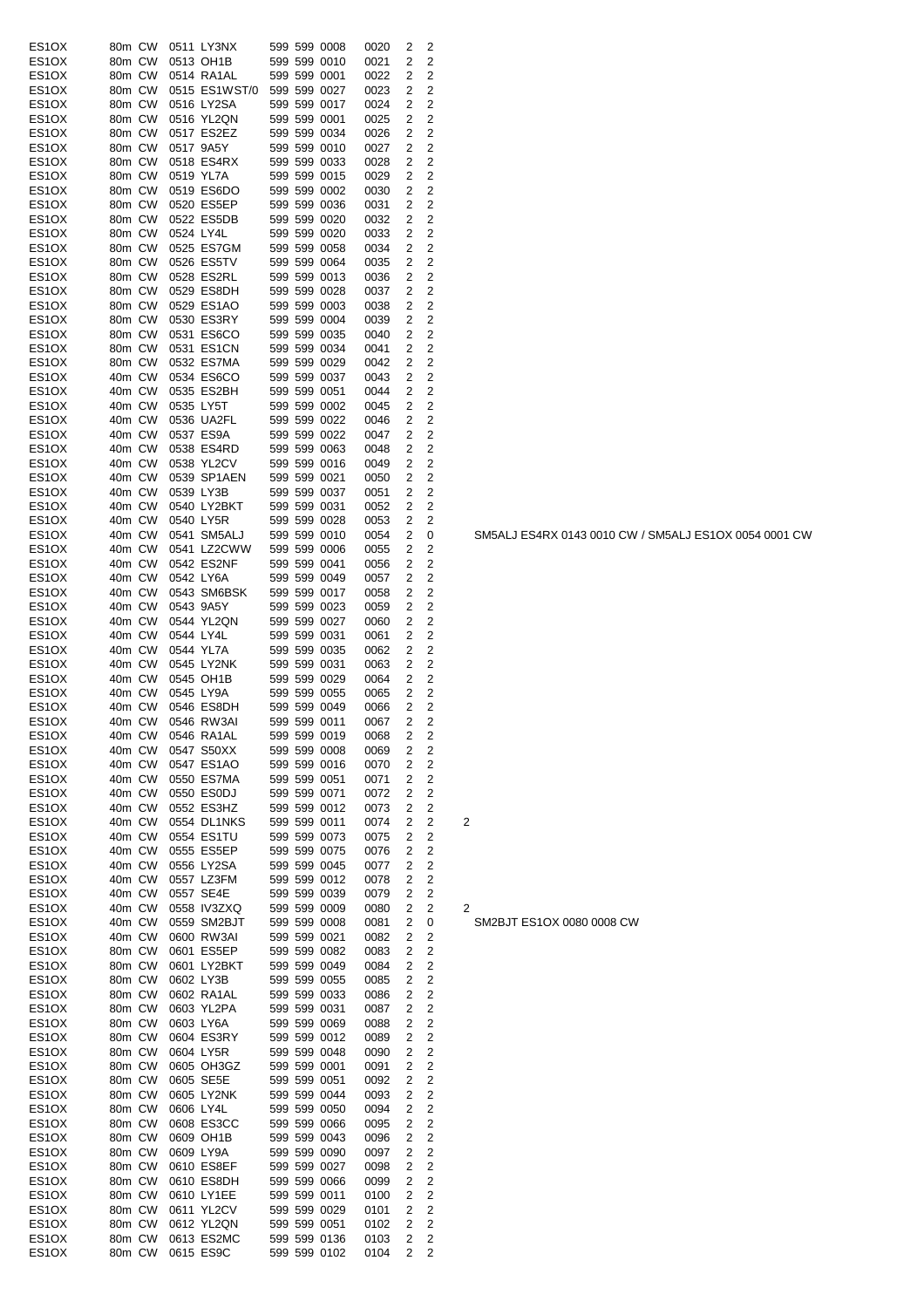| ES1OX              | 80m CW |           | 0511 LY3NX        |  | 599 599 0008 | 0020 | 2              | 2                       |                         |
|--------------------|--------|-----------|-------------------|--|--------------|------|----------------|-------------------------|-------------------------|
|                    |        |           |                   |  |              |      |                |                         |                         |
| ES1OX              | 80m CW |           | 0513 OH1B         |  | 599 599 0010 | 0021 | 2              | 2                       |                         |
| ES1OX              | 80m CW |           | 0514 RA1AL        |  | 599 599 0001 | 0022 | 2              | $\overline{\mathbf{c}}$ |                         |
| ES1OX              | 80m CW |           | 0515 ES1WST/0     |  | 599 599 0027 | 0023 | 2              | 2                       |                         |
| ES1OX              | 80m CW |           | 0516 LY2SA        |  | 599 599 0017 | 0024 | 2              | 2                       |                         |
| ES1OX              | 80m CW |           | 0516 YL2QN        |  | 599 599 0001 | 0025 | 2              | $\overline{c}$          |                         |
|                    |        |           |                   |  |              |      |                |                         |                         |
| ES1OX              | 80m CW |           | 0517 ES2EZ        |  | 599 599 0034 | 0026 | 2              | 2                       |                         |
| ES1OX              | 80m CW | 0517 9A5Y |                   |  | 599 599 0010 | 0027 | 2              | $\overline{\mathbf{c}}$ |                         |
| ES1OX              | 80m CW |           | 0518 ES4RX        |  | 599 599 0033 | 0028 | 2              | 2                       |                         |
| ES1OX              | 80m CW | 0519 YL7A |                   |  | 599 599 0015 | 0029 | 2              | 2                       |                         |
| ES1OX              | 80m CW |           | 0519 ES6DO        |  | 599 599 0002 | 0030 | 2              | 2                       |                         |
|                    |        |           |                   |  |              |      |                |                         |                         |
| ES1OX              | 80m CW |           | 0520 ES5EP        |  | 599 599 0036 | 0031 | 2              | 2                       |                         |
| ES1OX              | 80m CW |           | 0522 ES5DB        |  | 599 599 0020 | 0032 | 2              | 2                       |                         |
| ES1OX              | 80m CW | 0524 LY4L |                   |  | 599 599 0020 | 0033 | 2              | 2                       |                         |
| ES1OX              | 80m CW |           | 0525 ES7GM        |  | 599 599 0058 | 0034 | 2              | 2                       |                         |
| ES1OX              | 80m CW |           | 0526 ES5TV        |  | 599 599 0064 | 0035 | 2              | 2                       |                         |
|                    |        |           |                   |  |              |      |                |                         |                         |
| ES1OX              | 80m CW |           | 0528 ES2RL        |  | 599 599 0013 | 0036 | 2              | 2                       |                         |
| ES1OX              | 80m CW |           | 0529 ES8DH        |  | 599 599 0028 | 0037 | 2              | 2                       |                         |
| ES1OX              | 80m CW |           | 0529 ES1AO        |  | 599 599 0003 | 0038 | 2              | 2                       |                         |
| ES1OX              | 80m CW |           | 0530 ES3RY        |  | 599 599 0004 | 0039 | 2              | 2                       |                         |
| ES1OX              | 80m CW |           | 0531 ES6CO        |  | 599 599 0035 | 0040 | 2              | 2                       |                         |
| ES1OX              | 80m CW |           | 0531 ES1CN        |  | 599 599 0034 | 0041 | 2              | 2                       |                         |
|                    |        |           |                   |  |              |      |                |                         |                         |
| ES1OX              | 80m CW |           | 0532 ES7MA        |  | 599 599 0029 | 0042 | 2              | 2                       |                         |
| ES1OX              | 40m CW |           | 0534 ES6CO        |  | 599 599 0037 | 0043 | 2              | 2                       |                         |
| ES1OX              | 40m CW |           | 0535 ES2BH        |  | 599 599 0051 | 0044 | 2              | 2                       |                         |
| ES1OX              | 40m CW | 0535 LY5T |                   |  | 599 599 0002 | 0045 | 2              | 2                       |                         |
| ES1OX              | 40m CW |           | 0536 UA2FL        |  | 599 599 0022 | 0046 | 2              | 2                       |                         |
|                    |        |           |                   |  |              |      |                |                         |                         |
| ES1OX              | 40m CW |           | 0537 ES9A         |  | 599 599 0022 | 0047 | 2              | 2                       |                         |
| ES1OX              | 40m CW |           | 0538 ES4RD        |  | 599 599 0063 | 0048 | 2              | 2                       |                         |
| ES1OX              | 40m CW |           | 0538 YL2CV        |  | 599 599 0016 | 0049 | 2              | 2                       |                         |
| ES1OX              | 40m CW |           | 0539 SP1AEN       |  | 599 599 0021 | 0050 | 2              | 2                       |                         |
| ES1OX              | 40m CW | 0539 LY3B |                   |  | 599 599 0037 |      | 2              | $\overline{\mathbf{c}}$ |                         |
|                    |        |           |                   |  |              | 0051 |                |                         |                         |
| ES1OX              | 40m CW |           | 0540 LY2BKT       |  | 599 599 0031 | 0052 | 2              | 2                       |                         |
| ES1OX              | 40m CW | 0540 LY5R |                   |  | 599 599 0028 | 0053 | 2              | $\overline{\mathbf{c}}$ |                         |
| ES1OX              | 40m CW |           | 0541 SM5ALJ       |  | 599 599 0010 | 0054 | 2              | 0                       |                         |
| ES1OX              | 40m CW |           | 0541 LZ2CWW       |  | 599 599 0006 | 0055 | 2              | 2                       |                         |
| ES1OX              | 40m CW |           | 0542 ES2NF        |  | 599 599 0041 |      | 2              | 2                       |                         |
|                    |        |           |                   |  |              | 0056 |                |                         |                         |
| ES1OX              | 40m CW |           | 0542 LY6A         |  | 599 599 0049 | 0057 | 2              | 2                       |                         |
| ES1OX              | 40m CW |           | 0543 SM6BSK       |  | 599 599 0017 | 0058 | 2              | 2                       |                         |
| ES1OX              | 40m CW | 0543 9A5Y |                   |  | 599 599 0023 | 0059 | 2              | $\overline{\mathbf{c}}$ |                         |
| ES1OX              | 40m CW |           | 0544 YL2QN        |  | 599 599 0027 | 0060 | 2              | 2                       |                         |
|                    | 40m CW | 0544 LY4L |                   |  | 599 599 0031 |      | 2              | $\overline{2}$          |                         |
| ES1OX              |        |           |                   |  |              | 0061 |                |                         |                         |
| ES1OX              | 40m CW | 0544 YL7A |                   |  | 599 599 0035 | 0062 | 2              | $\overline{\mathbf{c}}$ |                         |
| ES1OX              | 40m CW |           | 0545 LY2NK        |  | 599 599 0031 | 0063 | 2              | 2                       |                         |
| ES1OX              | 40m CW |           | 0545 OH1B         |  | 599 599 0029 | 0064 | 2              | $\overline{\mathbf{c}}$ |                         |
| ES1OX              | 40m CW | 0545 LY9A |                   |  | 599 599 0055 | 0065 | 2              | 2                       |                         |
| ES1OX              | 40m CW |           | 0546 ES8DH        |  | 599 599 0049 | 0066 | 2              | 2                       |                         |
|                    |        |           |                   |  |              |      |                |                         |                         |
| ES1OX              | 40m CW |           | 0546 RW3AI        |  | 599 599 0011 | 0067 | 2              | 2                       |                         |
| ES1OX              |        |           | 40m CW 0546 RA1AL |  | 599 599 0019 | 0068 | $\overline{a}$ | 2                       |                         |
| ES1OX              | 40m CW |           | 0547 S50XX        |  | 599 599 0008 | 0069 | 2              | 2                       |                         |
| ES1OX              | 40m CW |           | 0547 ES1AO        |  | 599 599 0016 | 0070 | 2              | 2                       |                         |
| ES1OX              | 40m CW |           | 0550 ES7MA        |  | 599 599 0051 | 0071 | 2              | $\overline{\mathbf{c}}$ |                         |
|                    |        |           |                   |  |              |      |                |                         |                         |
| ES1OX              | 40m CW |           | 0550 ES0DJ        |  | 599 599 0071 | 0072 | 2              | 2                       |                         |
| ES1OX              | 40m CW |           | 0552 ES3HZ        |  | 599 599 0012 | 0073 | 2              | 2                       |                         |
| ES1OX              | 40m CW |           | 0554 DL1NKS       |  | 599 599 0011 | 0074 | 2              | 2                       | $\overline{\mathbf{c}}$ |
| ES <sub>1</sub> OX | 40m CW |           | 0554 ES1TU        |  | 599 599 0073 | 0075 | 2              | $\overline{\mathbf{c}}$ |                         |
| ES1OX              | 40m CW |           | 0555 ES5EP        |  | 599 599 0075 | 0076 | 2              | 2                       |                         |
|                    |        |           |                   |  |              |      |                |                         |                         |
| ES1OX              | 40m CW |           | 0556 LY2SA        |  | 599 599 0045 | 0077 | 2              | $\overline{c}$          |                         |
| ES1OX              | 40m CW |           | 0557 LZ3FM        |  | 599 599 0012 | 0078 | 2              | 2                       |                         |
| ES1OX              | 40m CW |           | 0557 SE4E         |  | 599 599 0039 | 0079 | 2              | 2                       |                         |
| ES1OX              | 40m CW |           | 0558 IV3ZXQ       |  | 599 599 0009 | 0080 | 2              | 2                       | $\overline{\mathbf{c}}$ |
| ES1OX              | 40m CW |           | 0559 SM2BJT       |  | 599 599 0008 | 0081 | 2              | 0                       |                         |
|                    |        |           |                   |  |              |      |                |                         |                         |
| ES1OX              | 40m CW |           | 0600 RW3AI        |  | 599 599 0021 | 0082 | 2              | 2                       |                         |
| ES1OX              | 80m CW |           | 0601 ES5EP        |  | 599 599 0082 | 0083 | 2              | 2                       |                         |
| ES1OX              | 80m CW |           | 0601 LY2BKT       |  | 599 599 0049 | 0084 | 2              | $\overline{c}$          |                         |
| ES1OX              | 80m CW | 0602 LY3B |                   |  | 599 599 0055 | 0085 | 2              | $\overline{c}$          |                         |
| ES1OX              | 80m CW |           | 0602 RA1AL        |  | 599 599 0033 | 0086 | 2              | $\overline{c}$          |                         |
|                    |        |           |                   |  |              |      |                | $\mathbf 2$             |                         |
| ES1OX              | 80m CW |           | 0603 YL2PA        |  | 599 599 0031 | 0087 | 2              |                         |                         |
| ES1OX              | 80m CW |           | 0603 LY6A         |  | 599 599 0069 | 0088 | 2              | $\overline{c}$          |                         |
| ES1OX              | 80m CW |           | 0604 ES3RY        |  | 599 599 0012 | 0089 | 2              | $\overline{c}$          |                         |
| ES1OX              | 80m CW |           | 0604 LY5R         |  | 599 599 0048 | 0090 | 2              | $\overline{c}$          |                         |
| ES1OX              | 80m CW |           | 0605 OH3GZ        |  | 599 599 0001 | 0091 | 2              | 2                       |                         |
|                    |        |           |                   |  |              |      |                |                         |                         |
| ES1OX              | 80m CW |           | 0605 SE5E         |  | 599 599 0051 | 0092 | 2              | $\overline{c}$          |                         |
| ES1OX              | 80m CW |           | 0605 LY2NK        |  | 599 599 0044 | 0093 | 2              | 2                       |                         |
| ES1OX              | 80m CW |           | 0606 LY4L         |  | 599 599 0050 | 0094 | 2              | $\overline{c}$          |                         |
| ES1OX              | 80m CW |           | 0608 ES3CC        |  | 599 599 0066 | 0095 | 2              | 2                       |                         |
| ES1OX              | 80m CW |           | 0609 OH1B         |  | 599 599 0043 | 0096 | 2              | $\overline{c}$          |                         |
|                    |        |           |                   |  |              |      |                |                         |                         |
| ES1OX              | 80m CW |           | 0609 LY9A         |  | 599 599 0090 | 0097 | 2              | 2                       |                         |
| ES1OX              | 80m CW |           | 0610 ES8EF        |  | 599 599 0027 | 0098 | 2              | $\overline{c}$          |                         |
| ES1OX              | 80m CW |           | 0610 ES8DH        |  | 599 599 0066 | 0099 | 2              | $\overline{c}$          |                         |
| ES1OX              | 80m CW |           | 0610 LY1EE        |  | 599 599 0011 | 0100 | 2              | 2                       |                         |
| ES1OX              | 80m CW |           | 0611 YL2CV        |  | 599 599 0029 | 0101 | 2              | $\overline{c}$          |                         |
|                    |        |           |                   |  |              |      |                |                         |                         |
| ES1OX              | 80m CW |           | 0612 YL2QN        |  | 599 599 0051 | 0102 | 2              | 2                       |                         |
| ES1OX              | 80m CW |           | 0613 ES2MC        |  | 599 599 0136 | 0103 | 2              | 2                       |                         |
| ES1OX              | 80m CW |           | 0615 ES9C         |  | 599 599 0102 | 0104 | 2              | 2                       |                         |

 $\overline{\phantom{a}}$  SM2BJT ES1OX 0080 0008 CW

SM5ALJ ES4RX 0143 0010 CW / SM5ALJ ES1OX 0054 0001 CW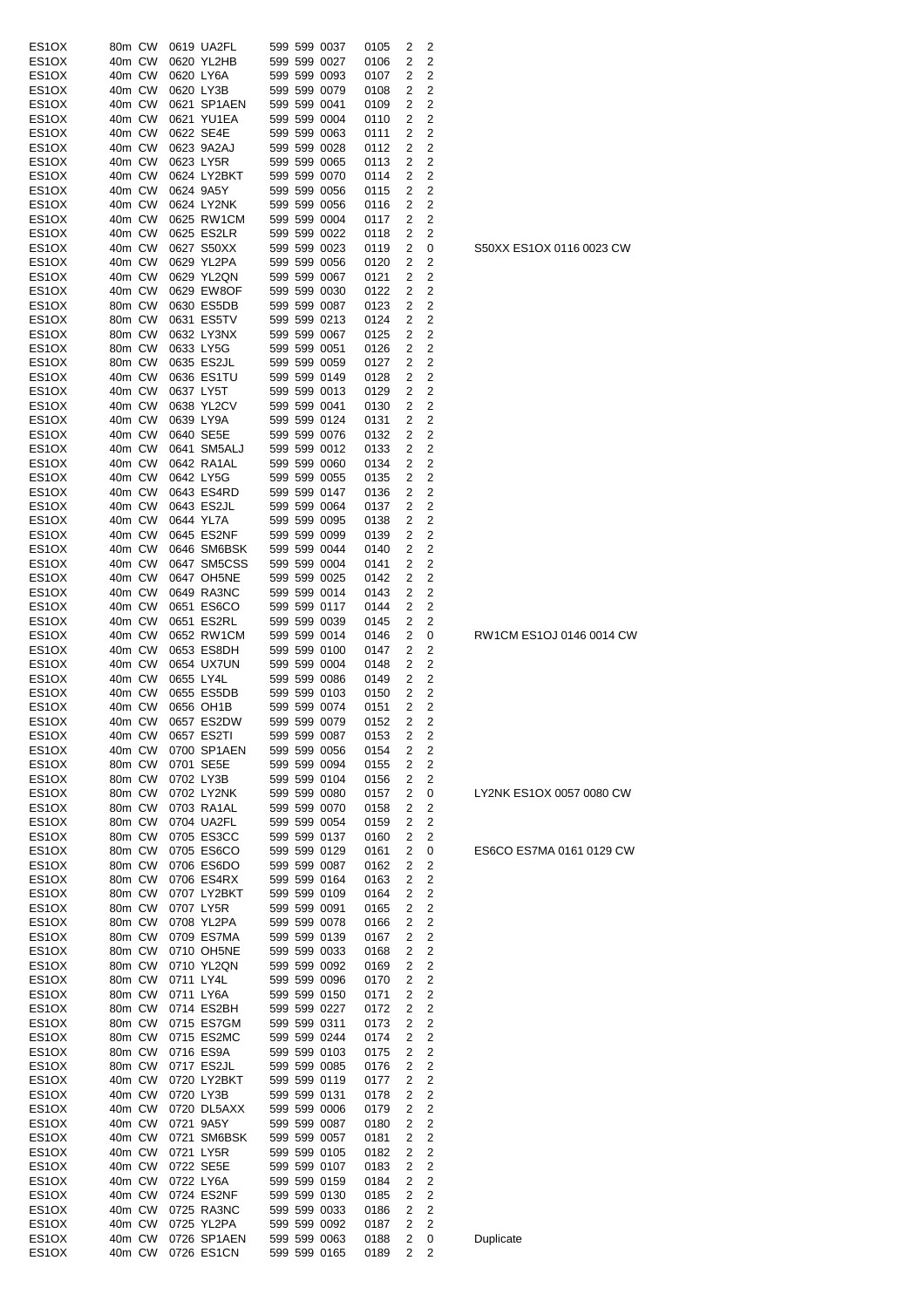| ES1OX                          | 80m CW |           | 0619 UA2FL  |  | 599 599 0037 | 0105 | 2              | 2              |
|--------------------------------|--------|-----------|-------------|--|--------------|------|----------------|----------------|
| ES1OX                          | 40m CW |           | 0620 YL2HB  |  | 599 599 0027 | 0106 | 2              | 2              |
| ES1OX                          | 40m CW |           | 0620 LY6A   |  | 599 599 0093 | 0107 | 2              | 2              |
|                                | 40m CW |           | 0620 LY3B   |  | 599 599 0079 | 0108 | 2              | 2              |
| ES1OX                          |        |           |             |  |              |      |                |                |
| ES <sub>1</sub> OX             | 40m CW |           | 0621 SP1AEN |  | 599 599 0041 | 0109 | 2              | 2              |
| ES1OX                          | 40m CW |           | 0621 YU1EA  |  | 599 599 0004 | 0110 | 2              | 2              |
| ES <sub>1</sub> OX             | 40m CW |           | 0622 SE4E   |  | 599 599 0063 | 0111 | 2              | 2              |
|                                |        |           |             |  |              |      |                |                |
| ES <sub>1</sub> OX             | 40m CW |           | 0623 9A2AJ  |  | 599 599 0028 | 0112 | 2              | 2              |
| ES1OX                          | 40m CW |           | 0623 LY5R   |  | 599 599 0065 | 0113 | 2              | 2              |
| ES <sub>1</sub> OX             | 40m CW |           | 0624 LY2BKT |  | 599 599 0070 | 0114 | 2              | 2              |
| ES1OX                          | 40m CW |           | 0624 9A5Y   |  | 599 599 0056 | 0115 | 2              | 2              |
|                                |        |           |             |  |              |      |                |                |
| ES <sub>1</sub> OX             | 40m CW |           | 0624 LY2NK  |  | 599 599 0056 | 0116 | 2              | 2              |
| ES <sub>1</sub> OX             | 40m CW |           | 0625 RW1CM  |  | 599 599 0004 | 0117 | 2              | 2              |
| ES1OX                          | 40m CW |           | 0625 ES2LR  |  | 599 599 0022 | 0118 | 2              | 2              |
| ES <sub>1</sub> OX             | 40m CW |           | 0627 S50XX  |  | 599 599 0023 | 0119 | 2              | 0              |
|                                |        |           |             |  |              |      |                |                |
| ES <sub>1</sub> OX             | 40m CW |           | 0629 YL2PA  |  | 599 599 0056 | 0120 | 2              | 2              |
| ES1OX                          | 40m CW |           | 0629 YL2QN  |  | 599 599 0067 | 0121 | 2              | 2              |
| ES1OX                          | 40m CW |           | 0629 EW8OF  |  | 599 599 0030 | 0122 | 2              | 2              |
|                                |        |           |             |  |              |      |                | $\overline{2}$ |
| ES <sub>1</sub> OX             | 80m CW |           | 0630 ES5DB  |  | 599 599 0087 | 0123 | 2              |                |
| ES1OX                          | 80m CW |           | 0631 ES5TV  |  | 599 599 0213 | 0124 | 2              | 2              |
| ES1OX                          | 80m CW |           | 0632 LY3NX  |  | 599 599 0067 | 0125 | 2              | 2              |
| ES <sub>1</sub> OX             | 80m CW |           | 0633 LY5G   |  | 599 599 0051 | 0126 | 2              | 2              |
|                                |        |           |             |  |              |      |                |                |
| ES <sub>1</sub> OX             | 80m CW |           | 0635 ES2JL  |  | 599 599 0059 | 0127 | 2              | 2              |
| ES <sub>1</sub> OX             | 40m CW |           | 0636 ES1TU  |  | 599 599 0149 | 0128 | 2              | 2              |
| ES <sub>1</sub> OX             | 40m CW |           | 0637 LY5T   |  | 599 599 0013 | 0129 | 2              | 2              |
| ES1OX                          | 40m CW |           | 0638 YL2CV  |  | 599 599 0041 |      | 2              | 2              |
|                                |        |           |             |  |              | 0130 |                |                |
| ES1OX                          | 40m CW |           | 0639 LY9A   |  | 599 599 0124 | 0131 | 2              | 2              |
| ES <sub>1</sub> OX             | 40m CW |           | 0640 SE5E   |  | 599 599 0076 | 0132 | 2              | 2              |
| ES1OX                          | 40m CW |           | 0641 SM5ALJ |  | 599 599 0012 | 0133 | 2              | 2              |
|                                |        |           |             |  |              |      |                |                |
| ES <sub>1</sub> OX             | 40m CW |           | 0642 RA1AL  |  | 599 599 0060 | 0134 | 2              | $\overline{2}$ |
| ES1OX                          | 40m CW |           | 0642 LY5G   |  | 599 599 0055 | 0135 | 2              | 2              |
| ES <sub>1</sub> OX             | 40m CW |           | 0643 ES4RD  |  | 599 599 0147 | 0136 | 2              | 2              |
|                                |        |           |             |  |              |      |                |                |
| ES1OX                          | 40m CW |           | 0643 ES2JL  |  | 599 599 0064 | 0137 | 2              | 2              |
| ES1OX                          | 40m CW |           | 0644 YL7A   |  | 599 599 0095 | 0138 | 2              | 2              |
| ES1OX                          | 40m CW |           | 0645 ES2NF  |  | 599 599 0099 | 0139 | 2              | 2              |
| ES <sub>1</sub> OX             | 40m CW |           | 0646 SM6BSK |  | 599 599 0044 | 0140 | 2              | 2              |
|                                |        |           |             |  |              |      |                |                |
| ES <sub>1</sub> OX             | 40m CW |           | 0647 SM5CSS |  | 599 599 0004 | 0141 | 2              | 2              |
| ES1OX                          | 40m CW |           | 0647 OH5NE  |  | 599 599 0025 | 0142 | 2              | 2              |
| ES <sub>1</sub> OX             | 40m CW |           | 0649 RA3NC  |  | 599 599 0014 | 0143 | 2              | 2              |
|                                |        |           |             |  |              |      | 2              |                |
| ES1OX                          | 40m CW |           | 0651 ES6CO  |  | 599 599 0117 | 0144 |                | 2              |
| ES <sub>1</sub> OX             | 40m CW |           | 0651 ES2RL  |  | 599 599 0039 | 0145 | 2              | 2              |
| ES <sub>1</sub> OX             | 40m CW |           | 0652 RW1CM  |  | 599 599 0014 | 0146 | 2              | 0              |
| ES1OX                          | 40m CW |           | 0653 ES8DH  |  | 599 599 0100 | 0147 | 2              | 2              |
|                                |        |           |             |  |              |      |                |                |
| ES1OX                          | 40m CW |           | 0654 UX7UN  |  | 599 599 0004 | 0148 | 2              | 2              |
| ES1OX                          | 40m CW | 0655 LY4L |             |  | 599 599 0086 | 0149 | 2              | 2              |
| ES1OX                          | 40m CW |           | 0655 ES5DB  |  | 599 599 0103 | 0150 | 2              | 2              |
|                                |        |           |             |  |              |      |                |                |
| ES <sub>1</sub> OX             | 40m CW |           | 0656 OH1B   |  | 599 599 0074 | 0151 | 2              | 2              |
| ES <sub>1</sub> OX             | 40m CW |           | 0657 ES2DW  |  | 599 599 0079 | 0152 | 2              | 2              |
| ES1OX                          | 40m CW |           | 0657 ES211  |  | 599 599 0087 | 0153 | $\overline{z}$ | $\overline{z}$ |
| ES1OX                          | 40m CW |           | 0700 SP1AEN |  | 599 599 0056 | 0154 | 2              | 2              |
|                                |        |           |             |  |              |      |                |                |
| ES1OX                          | 80m CW |           | 0701 SE5E   |  | 599 599 0094 | 0155 | 2              | 2              |
| ES1OX                          | 80m CW |           | 0702 LY3B   |  | 599 599 0104 | 0156 | 2              | 2              |
| ES <sub>1</sub> OX             | 80m CW |           | 0702 LY2NK  |  | 599 599 0080 | 0157 | 2              | 0              |
|                                | 80m CW |           |             |  | 599 599 0070 |      | 2              | 2              |
| ES1OX                          |        |           | 0703 RA1AL  |  |              | 0158 |                |                |
| ES1OX                          | 80m CW |           | 0704 UA2FL  |  | 599 599 0054 | 0159 | 2              | 2              |
| ES <sub>1</sub> OX             | 80m CW |           | 0705 ES3CC  |  | 599 599 0137 | 0160 | 2              | 2              |
| ES1OX                          | 80m CW |           | 0705 ES6CO  |  | 599 599 0129 | 0161 | 2              | 0              |
|                                |        |           |             |  |              |      |                |                |
| ES1OX                          | 80m CW |           | 0706 ES6DO  |  | 599 599 0087 | 0162 | 2              | 2              |
| ES <sub>1</sub> O <sub>X</sub> | 80m CW |           | 0706 ES4RX  |  | 599 599 0164 | 0163 | 2              | 2              |
| ES1OX                          | 80m CW |           | 0707 LY2BKT |  | 599 599 0109 | 0164 | 2              | 2              |
| ES1OX                          | 80m CW |           | 0707 LY5R   |  | 599 599 0091 | 0165 | 2              | 2              |
|                                |        |           |             |  |              |      |                |                |
| ES <sub>1</sub> O <sub>X</sub> | 80m CW |           | 0708 YL2PA  |  | 599 599 0078 | 0166 | 2              | 2              |
| ES1OX                          | 80m CW |           | 0709 ES7MA  |  | 599 599 0139 | 0167 | 2              | 2              |
| ES1OX                          | 80m CW |           | 0710 OH5NE  |  | 599 599 0033 | 0168 | 2              | 2              |
| ES1OX                          | 80m CW |           | 0710 YL2QN  |  | 599 599 0092 | 0169 | 2              | 2              |
|                                |        |           |             |  |              |      |                |                |
| ES1OX                          | 80m CW |           | 0711 LY4L   |  | 599 599 0096 | 0170 | 2              | 2              |
| ES <sub>1</sub> OX             | 80m CW |           | 0711 LY6A   |  | 599 599 0150 | 0171 | 2              | 2              |
| ES1OX                          | 80m CW |           | 0714 ES2BH  |  | 599 599 0227 | 0172 | 2              | 2              |
|                                |        |           |             |  |              |      |                | $\overline{c}$ |
| ES1OX                          | 80m CW |           | 0715 ES7GM  |  | 599 599 0311 | 0173 | 2              |                |
| ES1OX                          | 80m CW |           | 0715 ES2MC  |  | 599 599 0244 | 0174 | 2              | 2              |
| ES1OX                          | 80m CW |           | 0716 ES9A   |  | 599 599 0103 | 0175 | 2              | 2              |
| ES1OX                          | 80m CW |           | 0717 ES2JL  |  | 599 599 0085 | 0176 | 2              | 2              |
|                                |        |           |             |  |              |      |                |                |
| ES <sub>1</sub> OX             | 40m CW |           | 0720 LY2BKT |  | 599 599 0119 | 0177 | 2              | 2              |
| ES1OX                          | 40m CW |           | 0720 LY3B   |  | 599 599 0131 | 0178 | 2              | 2              |
| ES1OX                          | 40m CW |           | 0720 DL5AXX |  | 599 599 0006 | 0179 | 2              | 2              |
|                                |        |           |             |  |              |      |                |                |
| ES <sub>1</sub> OX             | 40m CW |           | 0721 9A5Y   |  | 599 599 0087 | 0180 | 2              | 2              |
| ES1OX                          | 40m CW |           | 0721 SM6BSK |  | 599 599 0057 | 0181 | 2              | 2              |
| ES1OX                          | 40m CW |           | 0721 LY5R   |  | 599 599 0105 | 0182 | 2              | 2              |
| ES1OX                          | 40m CW |           | 0722 SE5E   |  | 599 599 0107 | 0183 | 2              | 2              |
|                                |        |           |             |  |              |      |                |                |
| ES1OX                          | 40m CW |           | 0722 LY6A   |  | 599 599 0159 | 0184 | 2              | 2              |
| ES1OX                          | 40m CW |           | 0724 ES2NF  |  | 599 599 0130 | 0185 | 2              | 2              |
| ES1OX                          | 40m CW |           | 0725 RA3NC  |  | 599 599 0033 | 0186 | 2              | 2              |
|                                |        |           | 0725 YL2PA  |  |              |      |                |                |
| ES1OX                          | 40m CW |           |             |  | 599 599 0092 | 0187 | 2              | 2              |
| ES <sub>1</sub> O <sub>X</sub> | 40m CW |           | 0726 SP1AEN |  | 599 599 0063 | 0188 | 2              | 0              |
| ES1OX                          | 40m CW |           | 0726 ES1CN  |  | 599 599 0165 | 0189 | 2              | 2              |

S50XX ES1OX 0116 0023 CW

RW1CM ES1OJ 0146 0014 CW

LY2NK ES1OX 0057 0080 CW

ES6CO ES7MA 0161 0129 CW

**Duplicate**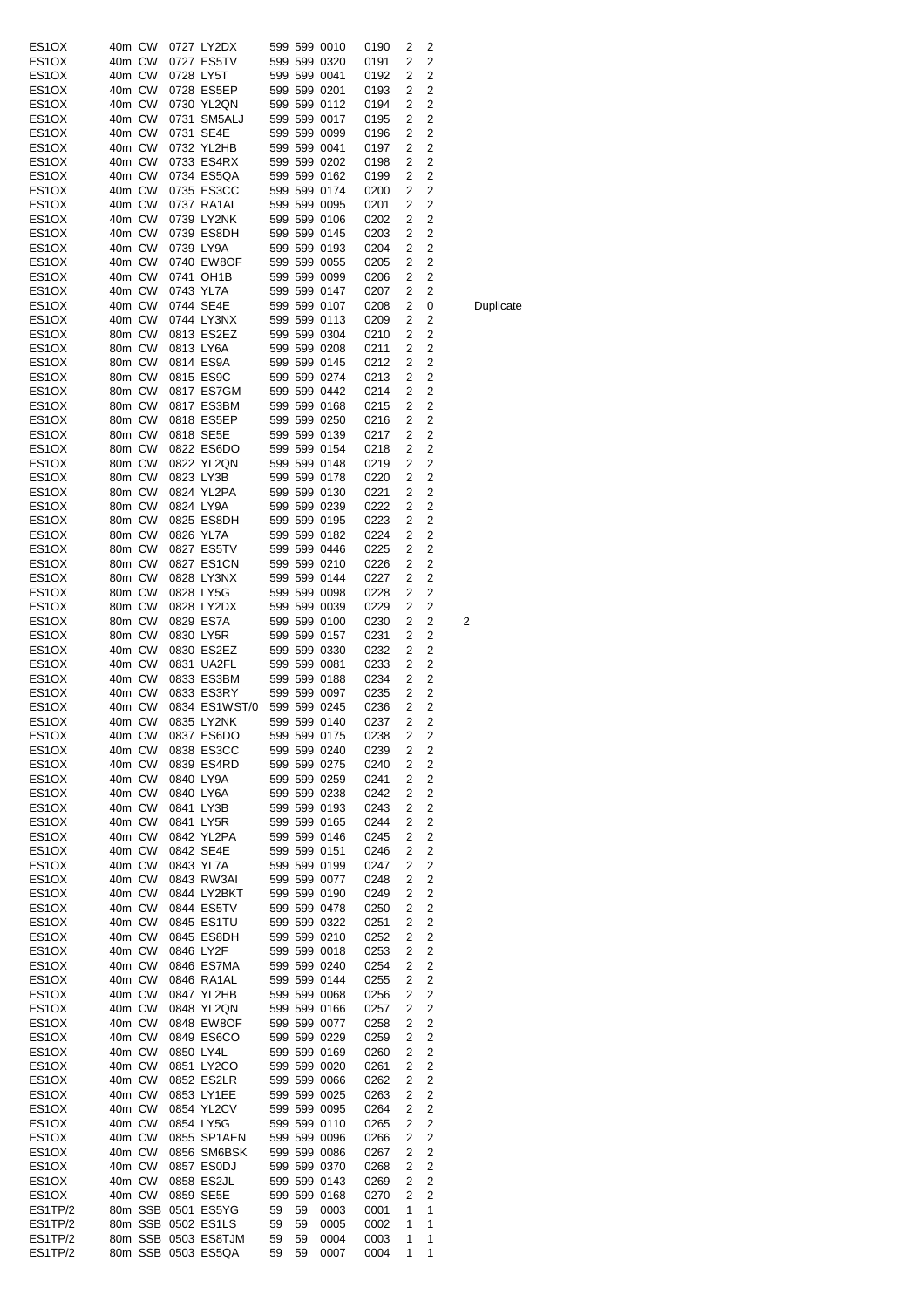| ES1OX   | 40m CW |        |           | 0727 LY2DX            |    |    | 599 599 0010 | 0190 | 2              | 2              |                         |
|---------|--------|--------|-----------|-----------------------|----|----|--------------|------|----------------|----------------|-------------------------|
| ES1OX   | 40m CW |        |           | 0727 ES5TV            |    |    | 599 599 0320 | 0191 | 2              | 2              |                         |
| ES1OX   | 40m CW |        | 0728 LY5T |                       |    |    | 599 599 0041 | 0192 | 2              | 2              |                         |
| ES1OX   | 40m CW |        |           | 0728 ES5EP            |    |    | 599 599 0201 | 0193 | 2              | 2              |                         |
| ES1OX   | 40m CW |        |           | 0730 YL2QN            |    |    | 599 599 0112 | 0194 | 2              | 2              |                         |
| ES1OX   | 40m CW |        |           | 0731 SM5ALJ           |    |    | 599 599 0017 | 0195 | 2              | 2              |                         |
| ES1OX   | 40m CW |        |           | 0731 SE4E             |    |    | 599 599 0099 | 0196 | 2              | 2              |                         |
| ES1OX   | 40m CW |        |           | 0732 YL2HB            |    |    | 599 599 0041 | 0197 | 2              | 2              |                         |
| ES1OX   | 40m CW |        |           | 0733 ES4RX            |    |    | 599 599 0202 | 0198 | 2              | 2              |                         |
| ES1OX   | 40m CW |        |           | 0734 ES5QA            |    |    | 599 599 0162 | 0199 | 2              | 2              |                         |
|         |        |        |           |                       |    |    |              |      | 2              |                |                         |
| ES1OX   | 40m CW |        |           | 0735 ES3CC            |    |    | 599 599 0174 | 0200 |                | 2              |                         |
| ES1OX   | 40m CW |        |           | 0737 RA1AL            |    |    | 599 599 0095 | 0201 | 2              | 2              |                         |
| ES1OX   | 40m CW |        |           | 0739 LY2NK            |    |    | 599 599 0106 | 0202 | 2              | 2              |                         |
| ES1OX   | 40m CW |        |           | 0739 ES8DH            |    |    | 599 599 0145 | 0203 | 2              | 2              |                         |
| ES1OX   | 40m CW |        |           | 0739 LY9A             |    |    | 599 599 0193 | 0204 | 2              | $\overline{c}$ |                         |
| ES1OX   | 40m CW |        |           | 0740 EW8OF            |    |    | 599 599 0055 | 0205 | 2              | 2              |                         |
| ES1OX   | 40m CW |        |           | 0741 OH1B             |    |    | 599 599 0099 | 0206 | 2              | 2              |                         |
| ES1OX   | 40m CW |        |           | 0743 YL7A             |    |    | 599 599 0147 | 0207 | 2              | 2              |                         |
| ES1OX   | 40m CW |        |           | 0744 SE4E             |    |    | 599 599 0107 | 0208 | 2              | 0              |                         |
| ES1OX   | 40m CW |        |           | 0744 LY3NX            |    |    | 599 599 0113 | 0209 | 2              | 2              |                         |
| ES1OX   | 80m CW |        |           | 0813 ES2EZ            |    |    | 599 599 0304 | 0210 | 2              | 2              |                         |
| ES1OX   | 80m CW |        |           | 0813 LY6A             |    |    | 599 599 0208 | 0211 | 2              | 2              |                         |
| ES1OX   | 80m CW |        |           | 0814 ES9A             |    |    | 599 599 0145 | 0212 | 2              | 2              |                         |
|         |        |        |           |                       |    |    |              |      | 2              |                |                         |
| ES1OX   | 80m CW |        |           | 0815 ES9C             |    |    | 599 599 0274 | 0213 |                | 2              |                         |
| ES1OX   | 80m CW |        |           | 0817 ES7GM            |    |    | 599 599 0442 | 0214 | 2              | 2              |                         |
| ES1OX   | 80m CW |        |           | 0817 ES3BM            |    |    | 599 599 0168 | 0215 | 2              | 2              |                         |
| ES1OX   | 80m CW |        |           | 0818 ES5EP            |    |    | 599 599 0250 | 0216 | 2              | 2              |                         |
| ES1OX   | 80m CW |        |           | 0818 SE5E             |    |    | 599 599 0139 | 0217 | 2              | 2              |                         |
| ES1OX   | 80m CW |        |           | 0822 ES6DO            |    |    | 599 599 0154 | 0218 | 2              | 2              |                         |
| ES1OX   | 80m CW |        |           | 0822 YL2QN            |    |    | 599 599 0148 | 0219 | 2              | $\overline{c}$ |                         |
| ES1OX   | 80m CW |        |           | 0823 LY3B             |    |    | 599 599 0178 | 0220 | 2              | 2              |                         |
| ES1OX   | 80m CW |        |           | 0824 YL2PA            |    |    | 599 599 0130 | 0221 | 2              | 2              |                         |
| ES1OX   | 80m CW |        |           | 0824 LY9A             |    |    | 599 599 0239 | 0222 | 2              | 2              |                         |
| ES1OX   | 80m CW |        |           | 0825 ES8DH            |    |    | 599 599 0195 | 0223 | 2              | 2              |                         |
|         |        |        |           |                       |    |    |              |      |                | $\overline{c}$ |                         |
| ES1OX   | 80m CW |        |           | 0826 YL7A             |    |    | 599 599 0182 | 0224 | 2              |                |                         |
| ES1OX   | 80m CW |        |           | 0827 ES5TV            |    |    | 599 599 0446 | 0225 | 2              | $\overline{c}$ |                         |
| ES1OX   | 80m CW |        |           | 0827 ES1CN            |    |    | 599 599 0210 | 0226 | 2              | $\overline{c}$ |                         |
| ES1OX   | 80m CW |        |           | 0828 LY3NX            |    |    | 599 599 0144 | 0227 | 2              | $\overline{2}$ |                         |
| ES1OX   | 80m CW |        |           | 0828 LY5G             |    |    | 599 599 0098 | 0228 | 2              | $\overline{c}$ |                         |
| ES1OX   | 80m CW |        |           | 0828 LY2DX            |    |    | 599 599 0039 | 0229 | 2              | 2              |                         |
| ES1OX   | 80m CW |        |           | 0829 ES7A             |    |    | 599 599 0100 | 0230 | 2              | 2              | $\overline{\mathbf{c}}$ |
| ES1OX   | 80m CW |        |           | 0830 LY5R             |    |    | 599 599 0157 | 0231 | 2              | 2              |                         |
| ES1OX   | 40m CW |        |           | 0830 ES2EZ            |    |    | 599 599 0330 | 0232 | 2              | 2              |                         |
| ES1OX   | 40m CW |        |           | 0831 UA2FL            |    |    | 599 599 0081 | 0233 | 2              | 2              |                         |
|         | 40m CW |        |           |                       |    |    | 599 599 0188 |      | 2              | $\overline{c}$ |                         |
| ES1OX   |        |        |           | 0833 ES3BM            |    |    |              | 0234 |                |                |                         |
| ES1OX   | 40m CW |        |           | 0833 ES3RY            |    |    | 599 599 0097 | 0235 | 2              | 2              |                         |
| ES1OX   | 40m CW |        |           | 0834 ES1WST/0         |    |    | 599 599 0245 | 0236 | 2              | 2              |                         |
| ES1OX   | 40m CW |        |           | 0835 LY2NK            |    |    | 599 599 0140 | 0237 | 2              | 2              |                         |
| ES1OX   |        | 40m CW |           | 0837 ES6DO            |    |    | 599 599 0175 | 0238 | $\overline{2}$ | 2              |                         |
| ES1OX   | 40m CW |        |           | 0838 ES3CC            |    |    | 599 599 0240 | 0239 | 2              | 2              |                         |
| ES1OX   |        | 40m CW |           | 0839 ES4RD            |    |    | 599 599 0275 | 0240 | 2              | 2              |                         |
| ES1OX   | 40m CW |        |           | 0840 LY9A             |    |    | 599 599 0259 | 0241 | 2              | $\overline{c}$ |                         |
| ES1OX   | 40m CW |        |           | 0840 LY6A             |    |    | 599 599 0238 | 0242 | 2              | $\overline{c}$ |                         |
| ES1OX   | 40m CW |        |           | 0841 LY3B             |    |    | 599 599 0193 | 0243 | 2              | $\overline{c}$ |                         |
| ES1OX   | 40m CW |        |           | 0841 LY5R             |    |    | 599 599 0165 | 0244 | 2              | 2              |                         |
| ES1OX   | 40m CW |        |           | 0842 YL2PA            |    |    | 599 599 0146 | 0245 | 2              | $\overline{c}$ |                         |
| ES1OX   | 40m CW |        |           | 0842 SE4E             |    |    | 599 599 0151 | 0246 | 2              | 2              |                         |
|         |        |        |           | 0843 YL7A             |    |    |              |      | 2              | $\overline{c}$ |                         |
| ES1OX   | 40m CW |        |           |                       |    |    | 599 599 0199 | 0247 |                |                |                         |
| ES1OX   | 40m CW |        |           | 0843 RW3AI            |    |    | 599 599 0077 | 0248 | 2              | $\overline{c}$ |                         |
| ES1OX   | 40m CW |        |           | 0844 LY2BKT           |    |    | 599 599 0190 | 0249 | 2              | $\overline{c}$ |                         |
| ES1OX   | 40m CW |        |           | 0844 ES5TV            |    |    | 599 599 0478 | 0250 | 2              | $\overline{c}$ |                         |
| ES1OX   | 40m CW |        |           | 0845 ES1TU            |    |    | 599 599 0322 | 0251 | 2              | 2              |                         |
| ES1OX   | 40m CW |        |           | 0845 ES8DH            |    |    | 599 599 0210 | 0252 | 2              | 2              |                         |
| ES1OX   | 40m CW |        |           | 0846 LY2F             |    |    | 599 599 0018 | 0253 | 2              | $\overline{c}$ |                         |
| ES1OX   | 40m CW |        |           | 0846 ES7MA            |    |    | 599 599 0240 | 0254 | 2              | $\overline{c}$ |                         |
| ES1OX   | 40m CW |        |           | 0846 RA1AL            |    |    | 599 599 0144 | 0255 | 2              | $\overline{c}$ |                         |
| ES1OX   | 40m CW |        |           | 0847 YL2HB            |    |    | 599 599 0068 | 0256 | 2              | $\overline{c}$ |                         |
| ES1OX   | 40m CW |        |           | 0848 YL2QN            |    |    | 599 599 0166 | 0257 | 2              | 2              |                         |
| ES1OX   | 40m CW |        |           | 0848 EW8OF            |    |    | 599 599 0077 |      | 2              | $\overline{c}$ |                         |
|         |        |        |           |                       |    |    |              | 0258 |                |                |                         |
| ES1OX   | 40m CW |        |           | 0849 ES6CO            |    |    | 599 599 0229 | 0259 | 2              | 2              |                         |
| ES1OX   | 40m CW |        |           | 0850 LY4L             |    |    | 599 599 0169 | 0260 | 2              | $\overline{c}$ |                         |
| ES1OX   | 40m CW |        |           | 0851 LY2CO            |    |    | 599 599 0020 | 0261 | 2              | $\overline{c}$ |                         |
| ES1OX   | 40m CW |        |           | 0852 ES2LR            |    |    | 599 599 0066 | 0262 | 2              | $\overline{c}$ |                         |
| ES1OX   | 40m CW |        |           | 0853 LY1EE            |    |    | 599 599 0025 | 0263 | 2              | $\overline{c}$ |                         |
| ES1OX   |        | 40m CW |           | 0854 YL2CV            |    |    | 599 599 0095 | 0264 | 2              | $\overline{2}$ |                         |
| ES1OX   | 40m CW |        |           | 0854 LY5G             |    |    | 599 599 0110 | 0265 | 2              | $\overline{c}$ |                         |
| ES1OX   |        | 40m CW |           | 0855 SP1AEN           |    |    | 599 599 0096 | 0266 | 2              | $\overline{c}$ |                         |
| ES1OX   |        | 40m CW |           | 0856 SM6BSK           |    |    | 599 599 0086 | 0267 | 2              | $\overline{c}$ |                         |
| ES1OX   |        |        |           |                       |    |    |              |      |                |                |                         |
|         |        | 40m CW |           | 0857 ES0DJ            |    |    | 599 599 0370 | 0268 | 2              | 2              |                         |
| ES1OX   | 40m CW |        |           | 0858 ES2JL            |    |    | 599 599 0143 | 0269 | 2              | $\overline{c}$ |                         |
| ES1OX   | 40m CW |        |           | 0859 SE5E             |    |    | 599 599 0168 | 0270 | 2              | 2              |                         |
| ES1TP/2 |        |        |           | 80m SSB 0501 ES5YG    | 59 | 59 | 0003         | 0001 | 1              | 1              |                         |
| ES1TP/2 |        |        |           | 80m SSB 0502 ES1LS    | 59 | 59 | 0005         | 0002 | 1              | 1              |                         |
| ES1TP/2 |        |        |           | 80m SSB 0503 ES8TJM   | 59 | 59 | 0004         | 0003 | 1              | 1              |                         |
| ES1TP/2 |        |        |           | 80m SSB 0503 ES5QA 59 |    | 59 | 0007         | 0004 | 1              | 1              |                         |

**Duplicate**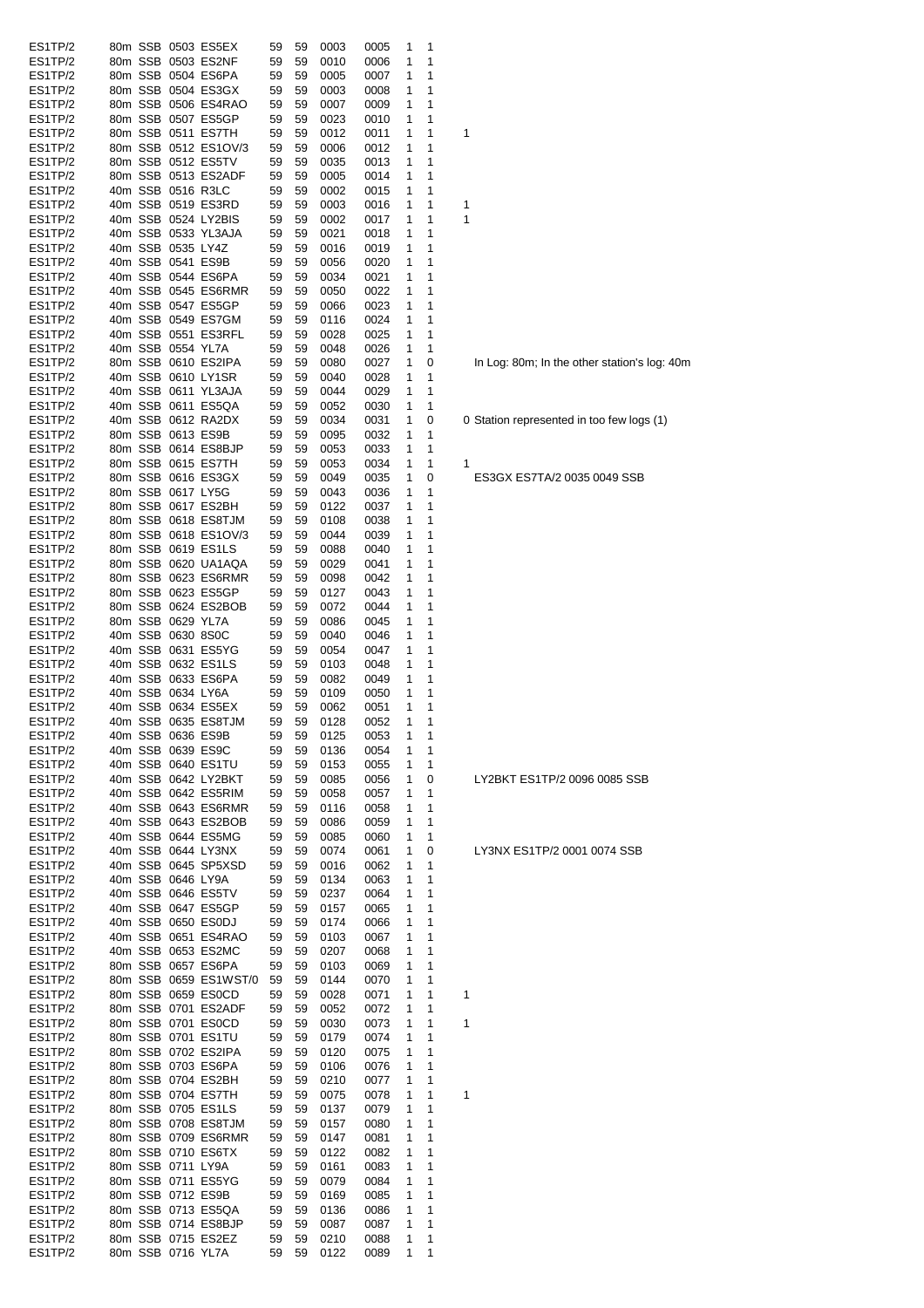| ES1TP/2 |  |                   | 80m SSB 0503 ES5EX    | 59 | 59 | 0003 | 0005 | 1 | 1 |                                              |
|---------|--|-------------------|-----------------------|----|----|------|------|---|---|----------------------------------------------|
| ES1TP/2 |  |                   | 80m SSB 0503 ES2NF    | 59 | 59 | 0010 | 0006 | 1 | 1 |                                              |
| ES1TP/2 |  |                   | 80m SSB 0504 ES6PA    | 59 | 59 | 0005 | 0007 | 1 | 1 |                                              |
| ES1TP/2 |  |                   | 80m SSB 0504 ES3GX    | 59 | 59 | 0003 | 0008 | 1 | 1 |                                              |
| ES1TP/2 |  |                   | 80m SSB 0506 ES4RAO   | 59 | 59 | 0007 | 0009 | 1 | 1 |                                              |
| ES1TP/2 |  |                   | 80m SSB 0507 ES5GP    | 59 | 59 | 0023 | 0010 | 1 | 1 |                                              |
| ES1TP/2 |  |                   | 80m SSB 0511 ES7TH    | 59 | 59 | 0012 | 0011 | 1 | 1 | 1                                            |
| ES1TP/2 |  |                   |                       |    |    |      |      |   | 1 |                                              |
|         |  |                   | 80m SSB 0512 ES1OV/3  | 59 | 59 | 0006 | 0012 | 1 |   |                                              |
| ES1TP/2 |  |                   | 80m SSB 0512 ES5TV    | 59 | 59 | 0035 | 0013 | 1 | 1 |                                              |
| ES1TP/2 |  |                   | 80m SSB 0513 ES2ADF   | 59 | 59 | 0005 | 0014 | 1 | 1 |                                              |
| ES1TP/2 |  |                   | 40m SSB 0516 R3LC     | 59 | 59 | 0002 | 0015 | 1 | 1 |                                              |
| ES1TP/2 |  |                   | 40m SSB 0519 ES3RD    | 59 | 59 | 0003 | 0016 | 1 | 1 | 1                                            |
| ES1TP/2 |  |                   | 40m SSB 0524 LY2BIS   | 59 | 59 | 0002 | 0017 | 1 | 1 | 1                                            |
| ES1TP/2 |  |                   | 40m SSB 0533 YL3AJA   | 59 | 59 | 0021 | 0018 | 1 | 1 |                                              |
| ES1TP/2 |  | 40m SSB 0535 LY4Z |                       | 59 | 59 | 0016 | 0019 | 1 | 1 |                                              |
| ES1TP/2 |  |                   | 40m SSB 0541 ES9B     | 59 | 59 | 0056 | 0020 | 1 | 1 |                                              |
| ES1TP/2 |  |                   | 40m SSB 0544 ES6PA    | 59 | 59 | 0034 | 0021 | 1 | 1 |                                              |
| ES1TP/2 |  |                   | 40m SSB 0545 ES6RMR   | 59 | 59 | 0050 | 0022 | 1 | 1 |                                              |
| ES1TP/2 |  |                   | 40m SSB 0547 ES5GP    | 59 | 59 | 0066 | 0023 | 1 | 1 |                                              |
| ES1TP/2 |  |                   | 40m SSB 0549 ES7GM    | 59 | 59 | 0116 | 0024 | 1 | 1 |                                              |
|         |  |                   |                       |    |    |      |      |   |   |                                              |
| ES1TP/2 |  |                   | 40m SSB 0551 ES3RFL   | 59 | 59 | 0028 | 0025 | 1 | 1 |                                              |
| ES1TP/2 |  | 40m SSB 0554 YL7A |                       | 59 | 59 | 0048 | 0026 | 1 | 1 |                                              |
| ES1TP/2 |  |                   | 80m SSB 0610 ES2IPA   | 59 | 59 | 0080 | 0027 | 1 | 0 | In Log: 80m; In the other station's log: 40m |
| ES1TP/2 |  |                   | 40m SSB 0610 LY1SR    | 59 | 59 | 0040 | 0028 | 1 | 1 |                                              |
| ES1TP/2 |  |                   | 40m SSB 0611 YL3AJA   | 59 | 59 | 0044 | 0029 | 1 | 1 |                                              |
| ES1TP/2 |  |                   | 40m SSB 0611 ES5QA    | 59 | 59 | 0052 | 0030 | 1 | 1 |                                              |
| ES1TP/2 |  |                   | 40m SSB 0612 RA2DX    | 59 | 59 | 0034 | 0031 | 1 | 0 | 0 Station represented in too few logs (1)    |
| ES1TP/2 |  |                   | 80m SSB 0613 ES9B     | 59 | 59 | 0095 | 0032 | 1 | 1 |                                              |
| ES1TP/2 |  |                   | 80m SSB 0614 ES8BJP   | 59 | 59 | 0053 | 0033 | 1 | 1 |                                              |
| ES1TP/2 |  |                   | 80m SSB 0615 ES7TH    | 59 | 59 | 0053 | 0034 | 1 | 1 | 1                                            |
| ES1TP/2 |  |                   | 80m SSB 0616 ES3GX    |    |    |      |      |   |   |                                              |
|         |  |                   |                       | 59 | 59 | 0049 | 0035 | 1 | 0 | ES3GX ES7TA/2 0035 0049 SSB                  |
| ES1TP/2 |  |                   | 80m SSB 0617 LY5G     | 59 | 59 | 0043 | 0036 | 1 | 1 |                                              |
| ES1TP/2 |  |                   | 80m SSB 0617 ES2BH    | 59 | 59 | 0122 | 0037 | 1 | 1 |                                              |
| ES1TP/2 |  |                   | 80m SSB 0618 ES8TJM   | 59 | 59 | 0108 | 0038 | 1 | 1 |                                              |
| ES1TP/2 |  |                   | 80m SSB 0618 ES1OV/3  | 59 | 59 | 0044 | 0039 | 1 | 1 |                                              |
| ES1TP/2 |  |                   | 80m SSB 0619 ES1LS    | 59 | 59 | 0088 | 0040 | 1 | 1 |                                              |
| ES1TP/2 |  |                   | 80m SSB 0620 UA1AQA   | 59 | 59 | 0029 | 0041 | 1 | 1 |                                              |
| ES1TP/2 |  |                   | 80m SSB 0623 ES6RMR   | 59 | 59 | 0098 | 0042 | 1 | 1 |                                              |
| ES1TP/2 |  |                   | 80m SSB 0623 ES5GP    | 59 | 59 | 0127 | 0043 | 1 | 1 |                                              |
| ES1TP/2 |  |                   | 80m SSB 0624 ES2BOB   | 59 | 59 | 0072 | 0044 | 1 | 1 |                                              |
| ES1TP/2 |  | 80m SSB 0629 YL7A |                       | 59 | 59 | 0086 | 0045 | 1 | 1 |                                              |
|         |  |                   |                       |    |    |      |      |   |   |                                              |
| ES1TP/2 |  | 40m SSB 0630 8S0C |                       | 59 | 59 | 0040 | 0046 | 1 | 1 |                                              |
| ES1TP/2 |  |                   | 40m SSB 0631 ES5YG    | 59 | 59 | 0054 | 0047 | 1 | 1 |                                              |
| ES1TP/2 |  |                   | 40m SSB 0632 ES1LS    | 59 | 59 | 0103 | 0048 | 1 | 1 |                                              |
| ES1TP/2 |  |                   | 40m SSB 0633 ES6PA    | 59 | 59 | 0082 | 0049 | 1 | 1 |                                              |
| ES1TP/2 |  | 40m SSB 0634 LY6A |                       | 59 | 59 | 0109 | 0050 | 1 | 1 |                                              |
| ES1TP/2 |  |                   | 40m SSB 0634 ES5EX    | 59 | 59 | 0062 | 0051 | 1 | 1 |                                              |
| ES1TP/2 |  |                   | 40m SSB 0635 ES8TJM   | 59 | 59 | 0128 | 0052 | 1 | 1 |                                              |
| ES1TP/2 |  |                   | 40m SSB 0636 ES9B     | 59 | 59 | 0125 | 0053 | 1 | 1 |                                              |
| ES1TP/2 |  |                   | 40m SSB 0639 ES9C     | 59 | 59 | 0136 | 0054 | 1 | 1 |                                              |
| ES1TP/2 |  |                   | 40m SSB 0640 ES1TU    | 59 | 59 | 0153 | 0055 | 1 | 1 |                                              |
| ES1TP/2 |  |                   | 40m SSB 0642 LY2BKT   | 59 | 59 | 0085 | 0056 | 1 | 0 | LY2BKT ES1TP/2 0096 0085 SSB                 |
|         |  |                   | 40m SSB 0642 ES5RIM   |    |    |      |      |   |   |                                              |
| ES1TP/2 |  |                   |                       | 59 | 59 | 0058 | 0057 | 1 | 1 |                                              |
| ES1TP/2 |  |                   | 40m SSB 0643 ES6RMR   | 59 | 59 | 0116 | 0058 | 1 | 1 |                                              |
| ES1TP/2 |  |                   | 40m SSB 0643 ES2BOB   | 59 | 59 | 0086 | 0059 | 1 | 1 |                                              |
| ES1TP/2 |  |                   | 40m SSB 0644 ES5MG    | 59 | 59 | 0085 | 0060 | 1 | 1 |                                              |
| ES1TP/2 |  |                   | 40m SSB 0644 LY3NX    | 59 | 59 | 0074 | 0061 | 1 | 0 | LY3NX ES1TP/2 0001 0074 SSB                  |
| ES1TP/2 |  |                   | 40m SSB 0645 SP5XSD   | 59 | 59 | 0016 | 0062 | 1 | 1 |                                              |
| ES1TP/2 |  | 40m SSB 0646 LY9A |                       | 59 | 59 | 0134 | 0063 | 1 | 1 |                                              |
| ES1TP/2 |  |                   | 40m SSB 0646 ES5TV    | 59 | 59 | 0237 | 0064 | 1 | 1 |                                              |
| ES1TP/2 |  |                   | 40m SSB 0647 ES5GP    | 59 | 59 | 0157 | 0065 | 1 | 1 |                                              |
| ES1TP/2 |  |                   | 40m SSB 0650 ES0DJ    | 59 | 59 | 0174 | 0066 | 1 | 1 |                                              |
| ES1TP/2 |  |                   | 40m SSB 0651 ES4RAO   | 59 | 59 | 0103 | 0067 | 1 | 1 |                                              |
| ES1TP/2 |  |                   | 40m SSB 0653 ES2MC    | 59 | 59 | 0207 | 0068 | 1 | 1 |                                              |
|         |  |                   |                       |    |    |      |      |   |   |                                              |
| ES1TP/2 |  |                   | 80m SSB 0657 ES6PA    | 59 | 59 | 0103 | 0069 | 1 | 1 |                                              |
| ES1TP/2 |  |                   | 80m SSB 0659 ES1WST/0 | 59 | 59 | 0144 | 0070 | 1 | 1 |                                              |
| ES1TP/2 |  |                   | 80m SSB 0659 ES0CD    | 59 | 59 | 0028 | 0071 | 1 | 1 | 1                                            |
| ES1TP/2 |  |                   | 80m SSB 0701 ES2ADF   | 59 | 59 | 0052 | 0072 | 1 | 1 |                                              |
| ES1TP/2 |  |                   | 80m SSB 0701 ES0CD    | 59 | 59 | 0030 | 0073 | 1 | 1 | 1                                            |
| ES1TP/2 |  |                   | 80m SSB 0701 ES1TU    | 59 | 59 | 0179 | 0074 | 1 | 1 |                                              |
| ES1TP/2 |  |                   | 80m SSB 0702 ES2IPA   | 59 | 59 | 0120 | 0075 | 1 | 1 |                                              |
| ES1TP/2 |  |                   | 80m SSB 0703 ES6PA    | 59 | 59 | 0106 | 0076 | 1 | 1 |                                              |
| ES1TP/2 |  |                   | 80m SSB 0704 ES2BH    | 59 | 59 | 0210 | 0077 | 1 | 1 |                                              |
| ES1TP/2 |  |                   | 80m SSB 0704 ES7TH    | 59 | 59 | 0075 | 0078 | 1 | 1 | 1                                            |
|         |  |                   |                       |    |    |      |      |   |   |                                              |
| ES1TP/2 |  |                   | 80m SSB 0705 ES1LS    | 59 | 59 | 0137 | 0079 | 1 | 1 |                                              |
| ES1TP/2 |  |                   | 80m SSB 0708 ES8TJM   | 59 | 59 | 0157 | 0080 | 1 | 1 |                                              |
| ES1TP/2 |  |                   | 80m SSB 0709 ES6RMR   | 59 | 59 | 0147 | 0081 | 1 | 1 |                                              |
| ES1TP/2 |  |                   | 80m SSB 0710 ES6TX    | 59 | 59 | 0122 | 0082 | 1 | 1 |                                              |
| ES1TP/2 |  | 80m SSB 0711 LY9A |                       | 59 | 59 | 0161 | 0083 | 1 | 1 |                                              |
| ES1TP/2 |  |                   | 80m SSB 0711 ES5YG    | 59 | 59 | 0079 | 0084 | 1 | 1 |                                              |
| ES1TP/2 |  |                   | 80m SSB 0712 ES9B     | 59 | 59 | 0169 | 0085 | 1 | 1 |                                              |
| ES1TP/2 |  |                   | 80m SSB 0713 ES5QA    | 59 | 59 | 0136 | 0086 | 1 | 1 |                                              |
| ES1TP/2 |  |                   | 80m SSB 0714 ES8BJP   | 59 | 59 | 0087 | 0087 | 1 | 1 |                                              |
| ES1TP/2 |  |                   | 80m SSB 0715 ES2EZ    | 59 | 59 | 0210 | 0088 | 1 | 1 |                                              |
|         |  |                   |                       |    |    |      |      | 1 |   |                                              |
| ES1TP/2 |  | 80m SSB 0716 YL7A |                       | 59 | 59 | 0122 | 0089 |   | 1 |                                              |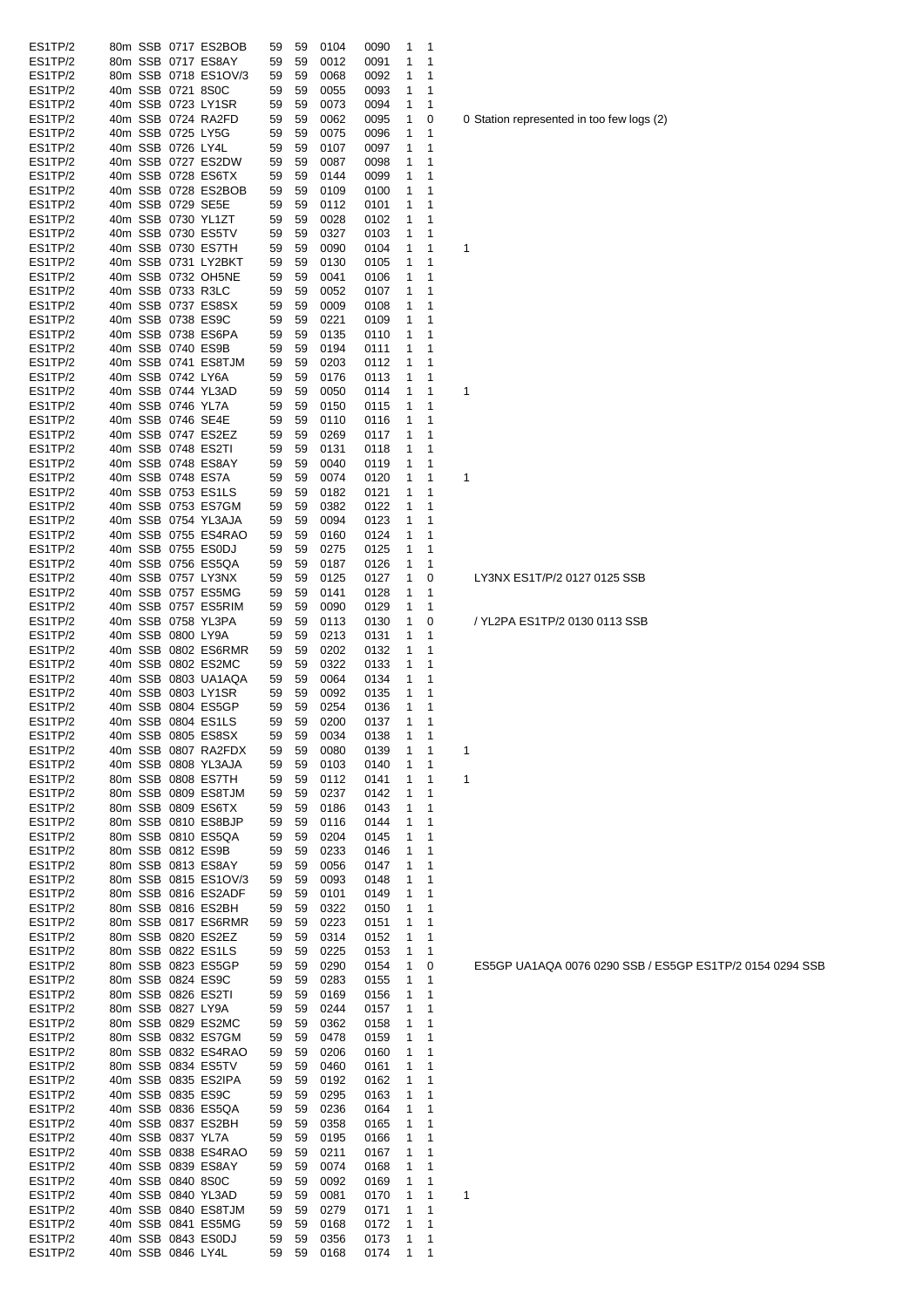| ES1TP/2 | 80m SSB 0717 ES2BOB                       | 59 | 59       | 0104 | 0090 | 1 | 1 |                                       |
|---------|-------------------------------------------|----|----------|------|------|---|---|---------------------------------------|
| ES1TP/2 | 80m SSB 0717 ES8AY                        | 59 | 59       | 0012 | 0091 | 1 | 1 |                                       |
| ES1TP/2 | 80m SSB 0718 ES1OV/3                      | 59 | 59       | 0068 | 0092 | 1 | 1 |                                       |
| ES1TP/2 | 40m SSB 0721 8S0C                         | 59 | 59       | 0055 | 0093 | 1 | 1 |                                       |
| ES1TP/2 | 40m SSB 0723 LY1SR                        | 59 | 59       | 0073 | 0094 | 1 | 1 |                                       |
| ES1TP/2 | 40m SSB 0724 RA2FD                        | 59 | 59       | 0062 | 0095 | 1 | 0 | 0 Station represented in too few logs |
| ES1TP/2 | 40m SSB 0725 LY5G                         | 59 | 59       | 0075 | 0096 | 1 | 1 |                                       |
| ES1TP/2 | 40m SSB 0726 LY4L                         | 59 | 59       | 0107 | 0097 | 1 | 1 |                                       |
| ES1TP/2 | 40m SSB 0727 ES2DW                        | 59 | 59       | 0087 | 0098 | 1 | 1 |                                       |
| ES1TP/2 | 40m SSB 0728 ES6TX                        | 59 | 59       | 0144 | 0099 | 1 | 1 |                                       |
| ES1TP/2 | 40m SSB 0728 ES2BOB                       | 59 | 59       | 0109 | 0100 | 1 | 1 |                                       |
| ES1TP/2 | 40m SSB 0729 SE5E                         | 59 | 59       | 0112 | 0101 | 1 | 1 |                                       |
| ES1TP/2 | 40m SSB 0730 YL1ZT                        |    | 59       |      |      |   | 1 |                                       |
|         |                                           | 59 |          | 0028 | 0102 | 1 | 1 |                                       |
| ES1TP/2 | 40m SSB 0730 ES5TV                        | 59 | 59       | 0327 | 0103 | 1 |   |                                       |
| ES1TP/2 | 40m SSB 0730 ES7TH                        | 59 | 59       | 0090 | 0104 | 1 | 1 | 1                                     |
| ES1TP/2 | 40m SSB 0731 LY2BKT                       | 59 | 59       | 0130 | 0105 | 1 | 1 |                                       |
| ES1TP/2 | 40m SSB 0732 OH5NE                        | 59 | 59       | 0041 | 0106 | 1 | 1 |                                       |
| ES1TP/2 | 40m SSB 0733 R3LC                         | 59 | 59       | 0052 | 0107 | 1 | 1 |                                       |
| ES1TP/2 | 40m SSB 0737 ES8SX                        | 59 | 59       | 0009 | 0108 | 1 | 1 |                                       |
| ES1TP/2 | 40m SSB 0738 ES9C                         | 59 | 59       | 0221 | 0109 | 1 | 1 |                                       |
| ES1TP/2 | 40m SSB 0738 ES6PA                        | 59 | 59       | 0135 | 0110 | 1 | 1 |                                       |
| ES1TP/2 | 40m SSB 0740 ES9B                         | 59 | 59       | 0194 | 0111 | 1 | 1 |                                       |
| ES1TP/2 | 40m SSB 0741 ES8TJM                       | 59 | 59       | 0203 | 0112 | 1 | 1 |                                       |
| ES1TP/2 | 40m SSB 0742 LY6A                         | 59 | 59       | 0176 | 0113 | 1 | 1 |                                       |
| ES1TP/2 | 40m SSB 0744 YL3AD                        | 59 | 59       | 0050 | 0114 | 1 | 1 | 1                                     |
| ES1TP/2 | 40m SSB 0746 YL7A                         | 59 | 59       | 0150 | 0115 | 1 | 1 |                                       |
| ES1TP/2 | 40m SSB 0746 SE4E                         | 59 | 59       | 0110 | 0116 | 1 | 1 |                                       |
| ES1TP/2 | 40m SSB 0747 ES2EZ                        | 59 | 59       | 0269 | 0117 | 1 | 1 |                                       |
| ES1TP/2 | 40m SSB 0748 ES2TI                        | 59 | 59       | 0131 | 0118 | 1 | 1 |                                       |
| ES1TP/2 | 40m SSB 0748 ES8AY                        | 59 | 59       | 0040 | 0119 | 1 | 1 |                                       |
| ES1TP/2 | 40m SSB 0748 ES7A                         | 59 | 59       | 0074 | 0120 | 1 | 1 | 1                                     |
| ES1TP/2 | 40m SSB 0753 ES1LS                        | 59 | 59       | 0182 | 0121 | 1 | 1 |                                       |
| ES1TP/2 | 40m SSB 0753 ES7GM                        | 59 | 59       | 0382 | 0122 | 1 | 1 |                                       |
| ES1TP/2 | 40m SSB 0754 YL3AJA                       | 59 | 59       | 0094 | 0123 | 1 | 1 |                                       |
| ES1TP/2 | 40m SSB 0755 ES4RAO                       | 59 | 59       | 0160 | 0124 | 1 | 1 |                                       |
| ES1TP/2 | 40m SSB 0755 ES0DJ                        | 59 | 59       | 0275 | 0125 | 1 | 1 |                                       |
| ES1TP/2 | 40m SSB 0756 ES5QA                        | 59 | 59       | 0187 | 0126 | 1 | 1 |                                       |
| ES1TP/2 | 40m SSB 0757 LY3NX                        | 59 | 59       | 0125 | 0127 | 1 | 0 | LY3NX ES1T/P/2 0127 0125 SSB          |
| ES1TP/2 | 40m SSB 0757 ES5MG                        | 59 | 59       | 0141 | 0128 | 1 | 1 |                                       |
| ES1TP/2 | 40m SSB 0757 ES5RIM                       | 59 | 59       | 0090 | 0129 | 1 | 1 |                                       |
| ES1TP/2 | 40m SSB 0758 YL3PA                        | 59 | 59       | 0113 | 0130 | 1 | 0 | / YL2PA ES1TP/2 0130 0113 SSB         |
| ES1TP/2 | 40m SSB 0800 LY9A                         | 59 | 59       | 0213 | 0131 | 1 | 1 |                                       |
| ES1TP/2 | 40m SSB 0802 ES6RMR                       | 59 | 59       | 0202 | 0132 | 1 | 1 |                                       |
| ES1TP/2 | 40m SSB 0802 ES2MC                        | 59 | 59       | 0322 | 0133 | 1 | 1 |                                       |
| ES1TP/2 |                                           |    |          |      |      |   | 1 |                                       |
| ES1TP/2 | 40m SSB 0803 UA1AQA<br>40m SSB 0803 LY1SR | 59 | 59<br>59 | 0064 | 0134 | 1 | 1 |                                       |
|         |                                           | 59 |          | 0092 | 0135 | 1 |   |                                       |
| ES1TP/2 | 40m SSB 0804 ES5GP                        | 59 | 59       | 0254 | 0136 | 1 | 1 |                                       |
| ES1TP/2 | 40m SSB 0804 ES1LS                        | 59 | 59       | 0200 | 0137 | 1 | 1 |                                       |
| ES1TP/2 | 40m SSB 0805 ES8SX                        | 59 | 59       | 0034 | 0138 | 1 | 1 |                                       |
| ES1TP/2 | 40m SSB 0807 RA2FDX                       | 59 | 59       | 0080 | 0139 | 1 | 1 | 1                                     |
| ES1TP/2 | 40m SSB 0808 YL3AJA                       | 59 | 59       | 0103 | 0140 | 1 | 1 |                                       |
| ES1TP/2 | 80m SSB 0808 ES7TH                        | 59 | 59       | 0112 | 0141 | 1 | 1 | 1                                     |
| ES1TP/2 | 80m SSB 0809 ES8TJM                       | 59 | 59       | 0237 | 0142 | 1 | 1 |                                       |
| ES1TP/2 | 80m SSB 0809 ES6TX                        | 59 | 59       | 0186 | 0143 | 1 | 1 |                                       |
| ES1TP/2 | 80m SSB 0810 ES8BJP                       | 59 | 59       | 0116 | 0144 | 1 | 1 |                                       |
| ES1TP/2 | 80m SSB 0810 ES5QA                        | 59 | 59       | 0204 | 0145 | 1 | 1 |                                       |
| ES1TP/2 | 80m SSB 0812 ES9B                         | 59 | 59       | 0233 | 0146 | 1 | 1 |                                       |
| ES1TP/2 | 80m SSB 0813 ES8AY                        | 59 | 59       | 0056 | 0147 | 1 | 1 |                                       |
| ES1TP/2 | 80m SSB 0815 ES1OV/3                      | 59 | 59       | 0093 | 0148 | 1 | 1 |                                       |
| ES1TP/2 | 80m SSB 0816 ES2ADF                       | 59 | 59       | 0101 | 0149 | 1 | 1 |                                       |
| ES1TP/2 | 80m SSB 0816 ES2BH                        | 59 | 59       | 0322 | 0150 | 1 | 1 |                                       |
| ES1TP/2 | 80m SSB 0817 ES6RMR                       | 59 | 59       | 0223 | 0151 | 1 | 1 |                                       |
| ES1TP/2 | 80m SSB 0820 ES2EZ                        | 59 | 59       | 0314 | 0152 | 1 | 1 |                                       |
| ES1TP/2 | 80m SSB 0822 ES1LS                        | 59 | 59       | 0225 | 0153 | 1 | 1 |                                       |
| ES1TP/2 | 80m SSB 0823 ES5GP                        | 59 | 59       | 0290 | 0154 | 1 | 0 | ES5GP UA1AQA 0076 0290 SSB /          |
| ES1TP/2 | 80m SSB 0824 ES9C                         | 59 | 59       | 0283 | 0155 | 1 | 1 |                                       |
| ES1TP/2 | 80m SSB 0826 ES2TI                        | 59 | 59       | 0169 | 0156 | 1 | 1 |                                       |
| ES1TP/2 | 80m SSB 0827 LY9A                         | 59 | 59       | 0244 | 0157 | 1 | 1 |                                       |
| ES1TP/2 | 80m SSB 0829 ES2MC                        | 59 | 59       | 0362 | 0158 | 1 | 1 |                                       |
| ES1TP/2 | 80m SSB 0832 ES7GM                        | 59 | 59       | 0478 | 0159 | 1 | 1 |                                       |
| ES1TP/2 | 80m SSB 0832 ES4RAO                       | 59 | 59       | 0206 | 0160 | 1 | 1 |                                       |
| ES1TP/2 | 80m SSB 0834 ES5TV                        | 59 | 59       | 0460 | 0161 | 1 | 1 |                                       |
| ES1TP/2 | 40m SSB 0835 ES2IPA                       | 59 | 59       | 0192 | 0162 | 1 | 1 |                                       |
| ES1TP/2 | 40m SSB 0835 ES9C                         | 59 | 59       | 0295 | 0163 | 1 | 1 |                                       |
| ES1TP/2 | 40m SSB 0836 ES5QA                        | 59 | 59       | 0236 | 0164 | 1 | 1 |                                       |
| ES1TP/2 | 40m SSB 0837 ES2BH                        | 59 | 59       | 0358 | 0165 | 1 | 1 |                                       |
| ES1TP/2 | 40m SSB 0837 YL7A                         | 59 | 59       | 0195 | 0166 | 1 | 1 |                                       |
| ES1TP/2 | 40m SSB 0838 ES4RAO                       | 59 | 59       | 0211 | 0167 | 1 | 1 |                                       |
| ES1TP/2 | 40m SSB 0839 ES8AY                        | 59 | 59       | 0074 | 0168 | 1 | 1 |                                       |
| ES1TP/2 | 40m SSB 0840 8S0C                         | 59 | 59       | 0092 | 0169 | 1 | 1 |                                       |
| ES1TP/2 | 40m SSB 0840 YL3AD                        | 59 | 59       | 0081 | 0170 | 1 | 1 | 1                                     |
| ES1TP/2 | 40m SSB 0840 ES8TJM                       | 59 | 59       | 0279 | 0171 | 1 | 1 |                                       |
| ES1TP/2 | 40m SSB 0841 ES5MG                        | 59 | 59       | 0168 | 0172 | 1 | 1 |                                       |
| ES1TP/2 | 40m SSB 0843 ES0DJ                        | 59 | 59       | 0356 | 0173 | 1 | 1 |                                       |
| ES1TP/2 | 40m SSB 0846 LY4L                         | 59 | 59       | 0168 | 0174 | 1 | 1 |                                       |

Station represented in too few logs (2)

ES5GP UA1AQA 0076 0290 SSB / ES5GP ES1TP/2 0154 0294 SSB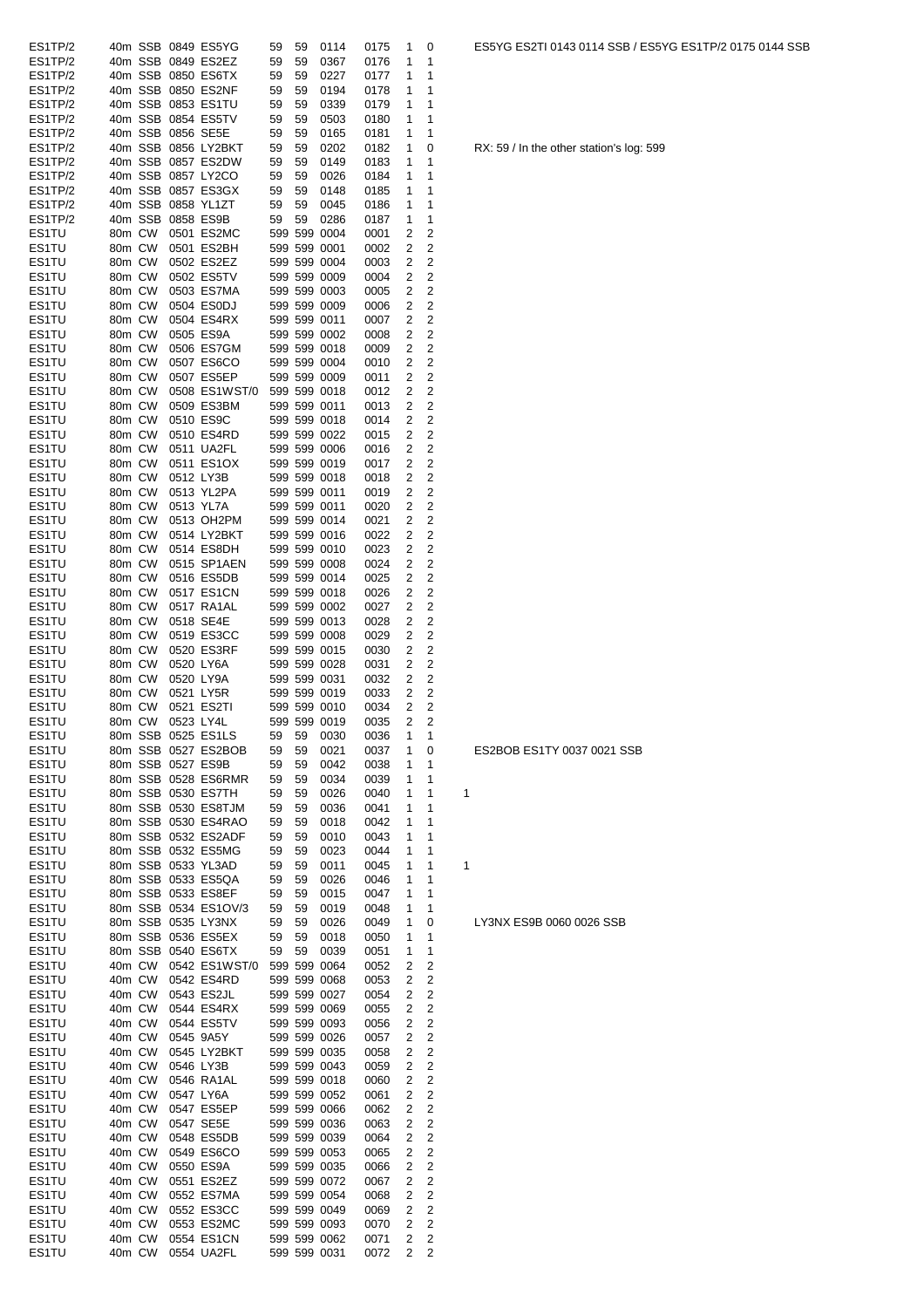| ES1TP/2 |        |         |                   | 40m SSB 0849 ES5YG   | 59 | 59 | 0114         | 0175 | 1 | 0                       |   |
|---------|--------|---------|-------------------|----------------------|----|----|--------------|------|---|-------------------------|---|
| ES1TP/2 |        |         |                   | 40m SSB 0849 ES2EZ   | 59 | 59 | 0367         | 0176 | 1 | 1                       |   |
| ES1TP/2 |        |         |                   | 40m SSB 0850 ES6TX   | 59 | 59 | 0227         | 0177 | 1 | 1                       |   |
| ES1TP/2 |        |         |                   | 40m SSB 0850 ES2NF   | 59 | 59 | 0194         | 0178 | 1 | 1                       |   |
| ES1TP/2 |        |         |                   | 40m SSB 0853 ES1TU   | 59 | 59 | 0339         | 0179 | 1 | 1                       |   |
| ES1TP/2 |        |         |                   | 40m SSB 0854 ES5TV   | 59 | 59 | 0503         | 0180 | 1 | 1                       |   |
| ES1TP/2 |        |         | 40m SSB 0856 SE5E |                      | 59 | 59 | 0165         | 0181 | 1 | 1                       |   |
| ES1TP/2 |        |         |                   | 40m SSB 0856 LY2BKT  | 59 | 59 | 0202         | 0182 | 1 | 0                       |   |
| ES1TP/2 |        |         |                   | 40m SSB 0857 ES2DW   | 59 | 59 | 0149         | 0183 | 1 | 1                       |   |
| ES1TP/2 |        |         |                   | 40m SSB 0857 LY2CO   | 59 | 59 | 0026         | 0184 | 1 | 1                       |   |
| ES1TP/2 |        |         |                   | 40m SSB 0857 ES3GX   | 59 | 59 | 0148         | 0185 | 1 | 1                       |   |
| ES1TP/2 |        |         |                   | 40m SSB 0858 YL1ZT   | 59 | 59 | 0045         | 0186 | 1 | 1                       |   |
| ES1TP/2 |        | 40m SSB |                   | 0858 ES9B            | 59 | 59 | 0286         | 0187 | 1 | 1                       |   |
| ES1TU   | 80m CW |         |                   | 0501 ES2MC           |    |    | 599 599 0004 | 0001 | 2 | 2                       |   |
| ES1TU   | 80m CW |         |                   | 0501 ES2BH           |    |    | 599 599 0001 | 0002 | 2 | 2                       |   |
| ES1TU   | 80m CW |         |                   | 0502 ES2EZ           |    |    | 599 599 0004 | 0003 | 2 | 2                       |   |
| ES1TU   | 80m CW |         |                   | 0502 ES5TV           |    |    | 599 599 0009 | 0004 | 2 | 2                       |   |
|         | 80m CW |         |                   | 0503 ES7MA           |    |    | 599 599 0003 |      |   | 2                       |   |
| ES1TU   |        |         |                   |                      |    |    |              | 0005 | 2 | 2                       |   |
| ES1TU   | 80m CW |         |                   | 0504 ES0DJ           |    |    | 599 599 0009 | 0006 | 2 |                         |   |
| ES1TU   | 80m CW |         |                   | 0504 ES4RX           |    |    | 599 599 0011 | 0007 | 2 | 2                       |   |
| ES1TU   | 80m CW |         |                   | 0505 ES9A            |    |    | 599 599 0002 | 0008 | 2 | 2                       |   |
| ES1TU   | 80m CW |         |                   | 0506 ES7GM           |    |    | 599 599 0018 | 0009 | 2 | 2                       |   |
| ES1TU   | 80m CW |         |                   | 0507 ES6CO           |    |    | 599 599 0004 | 0010 | 2 | 2                       |   |
| ES1TU   | 80m CW |         |                   | 0507 ES5EP           |    |    | 599 599 0009 | 0011 | 2 | $\overline{c}$          |   |
| ES1TU   | 80m CW |         |                   | 0508 ES1WST/0        |    |    | 599 599 0018 | 0012 | 2 | 2                       |   |
| ES1TU   | 80m CW |         |                   | 0509 ES3BM           |    |    | 599 599 0011 | 0013 | 2 | 2                       |   |
| ES1TU   | 80m CW |         |                   | 0510 ES9C            |    |    | 599 599 0018 | 0014 | 2 | 2                       |   |
| ES1TU   | 80m CW |         |                   | 0510 ES4RD           |    |    | 599 599 0022 | 0015 | 2 | 2                       |   |
| ES1TU   | 80m CW |         |                   | 0511 UA2FL           |    |    | 599 599 0006 | 0016 | 2 | 2                       |   |
| ES1TU   | 80m CW |         |                   | 0511 ES1OX           |    |    | 599 599 0019 | 0017 | 2 | 2                       |   |
| ES1TU   | 80m CW |         |                   | 0512 LY3B            |    |    | 599 599 0018 | 0018 | 2 | 2                       |   |
| ES1TU   | 80m CW |         |                   | 0513 YL2PA           |    |    | 599 599 0011 | 0019 | 2 | 2                       |   |
| ES1TU   | 80m CW |         |                   | 0513 YL7A            |    |    | 599 599 0011 | 0020 | 2 | 2                       |   |
| ES1TU   | 80m CW |         |                   | 0513 OH2PM           |    |    | 599 599 0014 | 0021 | 2 | 2                       |   |
| ES1TU   | 80m CW |         |                   | 0514 LY2BKT          |    |    | 599 599 0016 | 0022 | 2 | 2                       |   |
| ES1TU   | 80m CW |         |                   | 0514 ES8DH           |    |    | 599 599 0010 | 0023 | 2 | $\overline{c}$          |   |
|         |        |         |                   | 0515 SP1AEN          |    |    | 599 599 0008 |      | 2 | $\overline{c}$          |   |
| ES1TU   | 80m CW |         |                   |                      |    |    |              | 0024 |   |                         |   |
| ES1TU   | 80m CW |         |                   | 0516 ES5DB           |    |    | 599 599 0014 | 0025 | 2 | 2                       |   |
| ES1TU   | 80m CW |         |                   | 0517 ES1CN           |    |    | 599 599 0018 | 0026 | 2 | 2                       |   |
| ES1TU   | 80m CW |         |                   | 0517 RA1AL           |    |    | 599 599 0002 | 0027 | 2 | 2                       |   |
| ES1TU   | 80m CW |         |                   | 0518 SE4E            |    |    | 599 599 0013 | 0028 | 2 | 2                       |   |
| ES1TU   | 80m CW |         |                   | 0519 ES3CC           |    |    | 599 599 0008 | 0029 | 2 | 2                       |   |
| ES1TU   | 80m CW |         |                   | 0520 ES3RF           |    |    | 599 599 0015 | 0030 | 2 | 2                       |   |
| ES1TU   | 80m CW |         |                   | 0520 LY6A            |    |    | 599 599 0028 | 0031 | 2 | 2                       |   |
| ES1TU   | 80m CW |         |                   | 0520 LY9A            |    |    | 599 599 0031 | 0032 | 2 | 2                       |   |
| ES1TU   | 80m CW |         |                   | 0521 LY5R            |    |    | 599 599 0019 | 0033 | 2 | 2                       |   |
| ES1TU   | 80m CW |         |                   | 0521 ES2TI           |    |    | 599 599 0010 | 0034 | 2 | 2                       |   |
| ES1TU   | 80m CW |         |                   | 0523 LY4L            |    |    | 599 599 0019 | 0035 | 2 | $\overline{2}$          |   |
| ES1TU   |        |         |                   | 80m SSB 0525 ES1LS   | 59 | 59 | 0030         | 0036 | 1 | 1                       |   |
| ES1TU   |        |         |                   | 80m SSB 0527 ES2BOB  | 59 | 59 | 0021         | 0037 | 1 | 0                       |   |
| ES1TU   |        |         |                   | 80m SSB 0527 ES9B    | 59 | 59 | 0042         | 0038 | 1 | 1                       |   |
| ES1TU   |        |         |                   | 80m SSB 0528 ES6RMR  | 59 | 59 | 0034         | 0039 | 1 | 1                       |   |
| ES1TU   |        |         |                   | 80m SSB 0530 ES7TH   | 59 | 59 | 0026         | 0040 | 1 | 1                       | 1 |
| ES1TU   |        |         |                   | 80m SSB 0530 ES8TJM  | 59 | 59 | 0036         | 0041 | 1 | 1                       |   |
| ES1TU   |        |         |                   | 80m SSB 0530 ES4RAO  | 59 | 59 | 0018         | 0042 | 1 | 1                       |   |
| ES1TU   |        |         |                   | 80m SSB 0532 ES2ADF  | 59 | 59 | 0010         | 0043 | 1 | 1                       |   |
| ES1TU   |        |         |                   | 80m SSB 0532 ES5MG   | 59 | 59 | 0023         | 0044 | 1 | 1                       |   |
| ES1TU   |        |         |                   | 80m SSB 0533 YL3AD   | 59 | 59 | 0011         | 0045 | 1 | 1                       | 1 |
| ES1TU   |        |         |                   | 80m SSB 0533 ES5QA   | 59 | 59 | 0026         | 0046 | 1 | 1                       |   |
| ES1TU   |        |         |                   | 80m SSB 0533 ES8EF   | 59 | 59 | 0015         | 0047 | 1 | 1                       |   |
| ES1TU   |        |         |                   | 80m SSB 0534 ES1OV/3 | 59 | 59 | 0019         | 0048 | 1 | 1                       |   |
| ES1TU   |        |         |                   | 80m SSB 0535 LY3NX   | 59 | 59 | 0026         | 0049 | 1 | 0                       |   |
|         |        |         |                   |                      | 59 |    |              |      |   | 1                       |   |
| ES1TU   |        |         |                   | 80m SSB 0536 ES5EX   |    | 59 | 0018         | 0050 | 1 |                         |   |
| ES1TU   |        |         |                   | 80m SSB 0540 ES6TX   | 59 | 59 | 0039         | 0051 | 1 | 1                       |   |
| ES1TU   |        | 40m CW  |                   | 0542 ES1WST/0        |    |    | 599 599 0064 | 0052 | 2 | 2                       |   |
| ES1TU   |        | 40m CW  |                   | 0542 ES4RD           |    |    | 599 599 0068 | 0053 | 2 | $\overline{c}$          |   |
| ES1TU   | 40m CW |         |                   | 0543 ES2JL           |    |    | 599 599 0027 | 0054 | 2 | $\overline{c}$          |   |
| ES1TU   | 40m CW |         |                   | 0544 ES4RX           |    |    | 599 599 0069 | 0055 | 2 | 2                       |   |
| ES1TU   | 40m CW |         |                   | 0544 ES5TV           |    |    | 599 599 0093 | 0056 | 2 | 2                       |   |
| ES1TU   | 40m CW |         |                   | 0545 9A5Y            |    |    | 599 599 0026 | 0057 | 2 | $\overline{\mathbf{c}}$ |   |
| ES1TU   | 40m CW |         |                   | 0545 LY2BKT          |    |    | 599 599 0035 | 0058 | 2 | 2                       |   |
| ES1TU   | 40m CW |         |                   | 0546 LY3B            |    |    | 599 599 0043 | 0059 | 2 | $\overline{c}$          |   |
| ES1TU   | 40m CW |         |                   | 0546 RA1AL           |    |    | 599 599 0018 | 0060 | 2 | $\overline{c}$          |   |
| ES1TU   | 40m CW |         |                   | 0547 LY6A            |    |    | 599 599 0052 | 0061 | 2 | $\overline{c}$          |   |
| ES1TU   | 40m CW |         |                   | 0547 ES5EP           |    |    | 599 599 0066 | 0062 | 2 | $\overline{2}$          |   |
| ES1TU   | 40m CW |         |                   | 0547 SE5E            |    |    | 599 599 0036 | 0063 | 2 | $\overline{c}$          |   |
| ES1TU   | 40m CW |         |                   | 0548 ES5DB           |    |    | 599 599 0039 | 0064 | 2 | $\overline{c}$          |   |
| ES1TU   | 40m CW |         |                   | 0549 ES6CO           |    |    | 599 599 0053 | 0065 | 2 | $\overline{c}$          |   |
| ES1TU   | 40m CW |         |                   | 0550 ES9A            |    |    | 599 599 0035 | 0066 | 2 | $\overline{c}$          |   |
| ES1TU   | 40m CW |         |                   | 0551 ES2EZ           |    |    | 599 599 0072 | 0067 | 2 | $\overline{c}$          |   |
| ES1TU   | 40m CW |         |                   | 0552 ES7MA           |    |    | 599 599 0054 | 0068 | 2 | 2                       |   |
| ES1TU   | 40m CW |         |                   | 0552 ES3CC           |    |    | 599 599 0049 | 0069 | 2 | 2                       |   |
| ES1TU   | 40m CW |         |                   | 0553 ES2MC           |    |    | 599 599 0093 | 0070 | 2 | 2                       |   |
| ES1TU   | 40m CW |         |                   | 0554 ES1CN           |    |    | 599 599 0062 | 0071 | 2 | $\overline{c}$          |   |
| ES1TU   | 40m CW |         |                   | 0554 UA2FL           |    |    | 599 599 0031 | 0072 | 2 | 2                       |   |
|         |        |         |                   |                      |    |    |              |      |   |                         |   |

RX: 59 / In the other station's log: 599

# ES2BOB ES1TY 0037 0021 SSB

LY3NX ES9B 0060 0026 SSB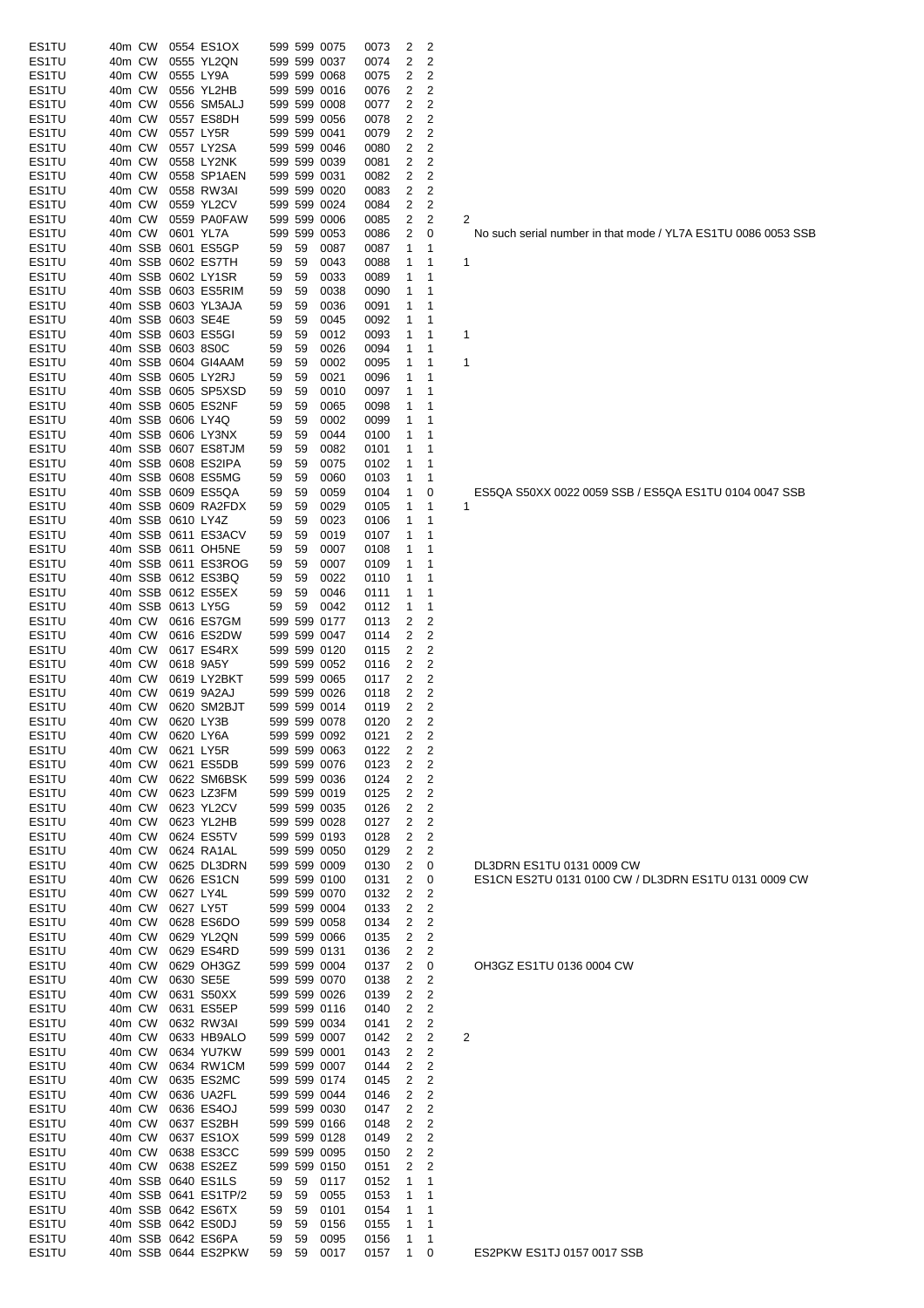| ES1TU | 40m CW |         |                   | 0554 ES1OX           |    |    | 599 599 0075                 | 0073 | 2              | 2                       |                         |
|-------|--------|---------|-------------------|----------------------|----|----|------------------------------|------|----------------|-------------------------|-------------------------|
| ES1TU | 40m CW |         |                   | 0555 YL2QN           |    |    | 599 599 0037                 | 0074 | 2              | 2                       |                         |
| ES1TU | 40m CW |         |                   | 0555 LY9A            |    |    | 599 599 0068                 | 0075 | 2              | 2                       |                         |
| ES1TU | 40m CW |         |                   | 0556 YL2HB           |    |    | 599 599 0016                 | 0076 | 2              | 2                       |                         |
| ES1TU | 40m CW |         |                   | 0556 SM5ALJ          |    |    | 599 599 0008                 | 0077 | 2              | 2                       |                         |
| ES1TU | 40m CW |         |                   | 0557 ES8DH           |    |    | 599 599 0056                 | 0078 | 2              | 2                       |                         |
| ES1TU | 40m CW |         |                   | 0557 LY5R            |    |    | 599 599 0041                 | 0079 | 2              | 2                       |                         |
| ES1TU | 40m CW |         |                   | 0557 LY2SA           |    |    | 599 599 0046                 | 0080 | 2              | 2                       |                         |
| ES1TU | 40m CW |         |                   | 0558 LY2NK           |    |    | 599 599 0039                 | 0081 | 2              | 2                       |                         |
| ES1TU | 40m CW |         |                   | 0558 SP1AEN          |    |    | 599 599 0031                 | 0082 | 2              | 2                       |                         |
| ES1TU | 40m CW |         |                   | 0558 RW3AI           |    |    | 599 599 0020                 | 0083 | 2              | 2                       |                         |
| ES1TU | 40m CW |         |                   | 0559 YL2CV           |    |    | 599 599 0024                 |      | 2              | 2                       |                         |
|       |        |         |                   |                      |    |    |                              | 0084 |                |                         |                         |
| ES1TU | 40m CW |         |                   | 0559 PA0FAW          |    |    | 599 599 0006                 | 0085 | 2              | 2                       | $\overline{\mathbf{c}}$ |
| ES1TU | 40m CW |         | 0601 YL7A         |                      |    |    | 599 599 0053                 | 0086 | 2              | 0                       |                         |
| ES1TU |        | 40m SSB |                   | 0601 ES5GP           | 59 | 59 | 0087                         | 0087 | 1              | 1                       |                         |
| ES1TU |        | 40m SSB |                   | 0602 ES7TH           | 59 | 59 | 0043                         | 0088 | 1              | 1                       | 1                       |
| ES1TU |        |         |                   | 40m SSB 0602 LY1SR   | 59 | 59 | 0033                         | 0089 | 1              | 1                       |                         |
| ES1TU |        |         |                   | 40m SSB 0603 ES5RIM  | 59 | 59 | 0038                         | 0090 | 1              | 1                       |                         |
| ES1TU |        |         |                   | 40m SSB 0603 YL3AJA  | 59 | 59 | 0036                         | 0091 | 1              | 1                       |                         |
| ES1TU |        |         | 40m SSB 0603 SE4E |                      | 59 | 59 | 0045                         | 0092 | 1              | 1                       |                         |
| ES1TU |        |         |                   | 40m SSB 0603 ES5GI   | 59 | 59 | 0012                         | 0093 | 1              | 1                       | 1                       |
| ES1TU |        |         | 40m SSB 0603 8S0C |                      | 59 | 59 | 0026                         | 0094 | 1              | 1                       |                         |
| ES1TU |        |         |                   | 40m SSB 0604 GI4AAM  | 59 | 59 | 0002                         | 0095 | 1              | 1                       | 1                       |
| ES1TU |        |         |                   | 40m SSB 0605 LY2RJ   | 59 | 59 | 0021                         | 0096 | 1              | 1                       |                         |
| ES1TU |        |         |                   | 40m SSB 0605 SP5XSD  | 59 | 59 | 0010                         | 0097 | 1              | 1                       |                         |
| ES1TU |        |         |                   | 40m SSB 0605 ES2NF   | 59 | 59 | 0065                         | 0098 | 1              | 1                       |                         |
| ES1TU |        |         | 40m SSB 0606 LY4Q |                      | 59 | 59 | 0002                         | 0099 | 1              | 1                       |                         |
| ES1TU |        |         |                   | 40m SSB 0606 LY3NX   | 59 | 59 | 0044                         | 0100 | 1              | 1                       |                         |
| ES1TU |        |         |                   | 40m SSB 0607 ES8TJM  | 59 | 59 | 0082                         | 0101 | 1              | 1                       |                         |
| ES1TU |        |         |                   | 40m SSB 0608 ES2IPA  | 59 | 59 | 0075                         | 0102 | 1              | 1                       |                         |
| ES1TU |        |         |                   | 40m SSB 0608 ES5MG   | 59 | 59 | 0060                         | 0103 | 1              | 1                       |                         |
| ES1TU |        |         |                   | 40m SSB 0609 ES5QA   | 59 | 59 | 0059                         | 0104 | 1              | 0                       |                         |
| ES1TU |        |         |                   | 40m SSB 0609 RA2FDX  | 59 | 59 | 0029                         | 0105 | 1              | 1                       | 1                       |
|       |        |         | 40m SSB 0610 LY4Z |                      | 59 |    | 0023                         |      | 1              | 1                       |                         |
| ES1TU |        |         |                   |                      |    | 59 |                              | 0106 |                |                         |                         |
| ES1TU |        |         |                   | 40m SSB 0611 ES3ACV  | 59 | 59 | 0019                         | 0107 | 1              | 1                       |                         |
| ES1TU |        |         |                   | 40m SSB 0611 OH5NE   | 59 | 59 | 0007                         | 0108 | 1              | 1                       |                         |
| ES1TU |        |         |                   | 40m SSB 0611 ES3ROG  | 59 | 59 | 0007                         | 0109 | 1              | 1                       |                         |
| ES1TU |        |         |                   | 40m SSB 0612 ES3BQ   | 59 | 59 | 0022                         | 0110 | 1              | 1                       |                         |
| ES1TU |        |         |                   | 40m SSB 0612 ES5EX   | 59 | 59 | 0046                         | 0111 | 1              | 1                       |                         |
| ES1TU |        |         | 40m SSB 0613 LY5G |                      | 59 | 59 | 0042                         | 0112 | 1              | 1                       |                         |
| ES1TU | 40m CW |         |                   | 0616 ES7GM           |    |    | 599 599 0177                 | 0113 | 2              | 2                       |                         |
| ES1TU | 40m CW |         |                   | 0616 ES2DW           |    |    | 599 599 0047                 | 0114 | 2              | 2                       |                         |
| ES1TU | 40m CW |         |                   | 0617 ES4RX           |    |    | 599 599 0120                 | 0115 | 2              | 2                       |                         |
| ES1TU | 40m CW |         |                   | 0618 9A5Y            |    |    | 599 599 0052                 | 0116 | 2              | 2                       |                         |
| ES1TU | 40m CW |         |                   | 0619 LY2BKT          |    |    | 599 599 0065                 | 0117 | $\overline{2}$ | 2                       |                         |
| ES1TU | 40m CW |         |                   | 0619 9A2AJ           |    |    | 599 599 0026                 | 0118 | 2              | 2                       |                         |
| ES1TU | 40m CW |         |                   | 0620 SM2BJT          |    |    | 599 599 0014                 | 0119 | 2              | 2                       |                         |
| ES1TU | 40m CW |         |                   | 0620 LY3B            |    |    | 599 599 0078                 | 0120 | 2              | 2                       |                         |
| ES1TU |        | 40m CW  |                   | 0620 LY6A            |    |    | 599 599 0092                 | 0121 | z              | 2                       |                         |
| ES1TU | 40m CW |         |                   | 0621 LY5R            |    |    | 599 599 0063                 | 0122 | 2              | $\overline{\mathbf{c}}$ |                         |
| ES1TU | 40m CW |         |                   | 0621 ES5DB           |    |    | 599 599 0076                 | 0123 | 2              | $\overline{\mathbf{c}}$ |                         |
| ES1TU | 40m CW |         |                   | 0622 SM6BSK          |    |    | 599 599 0036                 | 0124 | 2              | $\overline{c}$          |                         |
| ES1TU | 40m CW |         |                   | 0623 LZ3FM           |    |    | 599 599 0019                 | 0125 | 2              | 2                       |                         |
| ES1TU | 40m CW |         |                   | 0623 YL2CV           |    |    | 599 599 0035                 | 0126 | 2              | $\overline{c}$          |                         |
| ES1TU | 40m CW |         |                   | 0623 YL2HB           |    |    | 599 599 0028                 | 0127 | 2              | 2                       |                         |
|       |        |         |                   |                      |    |    |                              |      |                | $\overline{c}$          |                         |
| ES1TU | 40m CW |         |                   | 0624 ES5TV           |    |    | 599 599 0193<br>599 599 0050 | 0128 | 2              | 2                       |                         |
| ES1TU | 40m CW |         |                   | 0624 RA1AL           |    |    |                              | 0129 | 2              |                         |                         |
| ES1TU | 40m CW |         |                   | 0625 DL3DRN          |    |    | 599 599 0009                 | 0130 | 2              | 0                       |                         |
| ES1TU | 40m CW |         |                   | 0626 ES1CN           |    |    | 599 599 0100                 | 0131 | 2              | 0                       |                         |
| ES1TU | 40m CW |         | 0627 LY4L         |                      |    |    | 599 599 0070                 | 0132 | 2              | 2                       |                         |
| ES1TU | 40m CW |         |                   | 0627 LY5T            |    |    | 599 599 0004                 | 0133 | 2              | 2                       |                         |
| ES1TU | 40m CW |         |                   | 0628 ES6DO           |    |    | 599 599 0058                 | 0134 | 2              | $\overline{2}$          |                         |
| ES1TU | 40m CW |         |                   | 0629 YL2QN           |    |    | 599 599 0066                 | 0135 | 2              | $\overline{c}$          |                         |
| ES1TU | 40m CW |         |                   | 0629 ES4RD           |    |    | 599 599 0131                 | 0136 | 2              | 2                       |                         |
| ES1TU | 40m CW |         |                   | 0629 OH3GZ           |    |    | 599 599 0004                 | 0137 | 2              | 0                       |                         |
| ES1TU | 40m CW |         |                   | 0630 SE5E            |    |    | 599 599 0070                 | 0138 | 2              | 2                       |                         |
| ES1TU | 40m CW |         |                   | 0631 S50XX           |    |    | 599 599 0026                 | 0139 | 2              | 2                       |                         |
| ES1TU | 40m CW |         |                   | 0631 ES5EP           |    |    | 599 599 0116                 | 0140 | 2              | 2                       |                         |
| ES1TU | 40m CW |         |                   | 0632 RW3AI           |    |    | 599 599 0034                 | 0141 | 2              | $\overline{c}$          |                         |
| ES1TU | 40m CW |         |                   | 0633 HB9ALO          |    |    | 599 599 0007                 | 0142 | 2              | $\overline{c}$          | 2                       |
| ES1TU | 40m CW |         |                   | 0634 YU7KW           |    |    | 599 599 0001                 | 0143 | 2              | 2                       |                         |
| ES1TU | 40m CW |         |                   | 0634 RW1CM           |    |    | 599 599 0007                 | 0144 | 2              | 2                       |                         |
| ES1TU | 40m CW |         |                   | 0635 ES2MC           |    |    | 599 599 0174                 | 0145 | 2              | 2                       |                         |
| ES1TU | 40m CW |         |                   | 0636 UA2FL           |    |    | 599 599 0044                 | 0146 | 2              | 2                       |                         |
| ES1TU | 40m CW |         |                   | 0636 ES4OJ           |    |    | 599 599 0030                 | 0147 | 2              | $\overline{2}$          |                         |
| ES1TU | 40m CW |         |                   | 0637 ES2BH           |    |    | 599 599 0166                 | 0148 | 2              | $\overline{c}$          |                         |
| ES1TU | 40m CW |         |                   | 0637 ES1OX           |    |    | 599 599 0128                 | 0149 | 2              | 2                       |                         |
| ES1TU | 40m CW |         |                   | 0638 ES3CC           |    |    | 599 599 0095                 | 0150 | 2              | 2                       |                         |
| ES1TU | 40m CW |         |                   | 0638 ES2EZ           |    |    | 599 599 0150                 | 0151 | 2              | 2                       |                         |
| ES1TU |        |         |                   | 40m SSB 0640 ES1LS   | 59 | 59 | 0117                         | 0152 | 1              | 1                       |                         |
| ES1TU |        |         |                   | 40m SSB 0641 ES1TP/2 | 59 | 59 | 0055                         | 0153 | 1              | 1                       |                         |
| ES1TU |        |         |                   | 40m SSB 0642 ES6TX   |    |    |                              |      | 1              | 1                       |                         |
|       |        |         |                   |                      | 59 | 59 | 0101                         | 0154 |                |                         |                         |
| ES1TU |        |         |                   | 40m SSB 0642 ES0DJ   | 59 | 59 | 0156                         | 0155 | 1              | 1                       |                         |
| ES1TU |        |         |                   | 40m SSB 0642 ES6PA   | 59 | 59 | 0095                         | 0156 | 1              | 1                       |                         |
| ES1TU |        |         |                   | 40m SSB 0644 ES2PKW  | 59 | 59 | 0017                         | 0157 | 1              | 0                       |                         |

.<br>No such serial number in that mode / YL7A ES1TU 0086 0053 SSB

ES5QA S50XX 0022 0059 SSB / ES5QA ES1TU 0104 0047 SSB 1

DL3DRN ES1TU 0131 0009 CW ESSIN LEST O 0131 0100 CW / DL3DRN ES1TU 0131 0009 CW

OH3GZ ES1TU 0136 0004 CW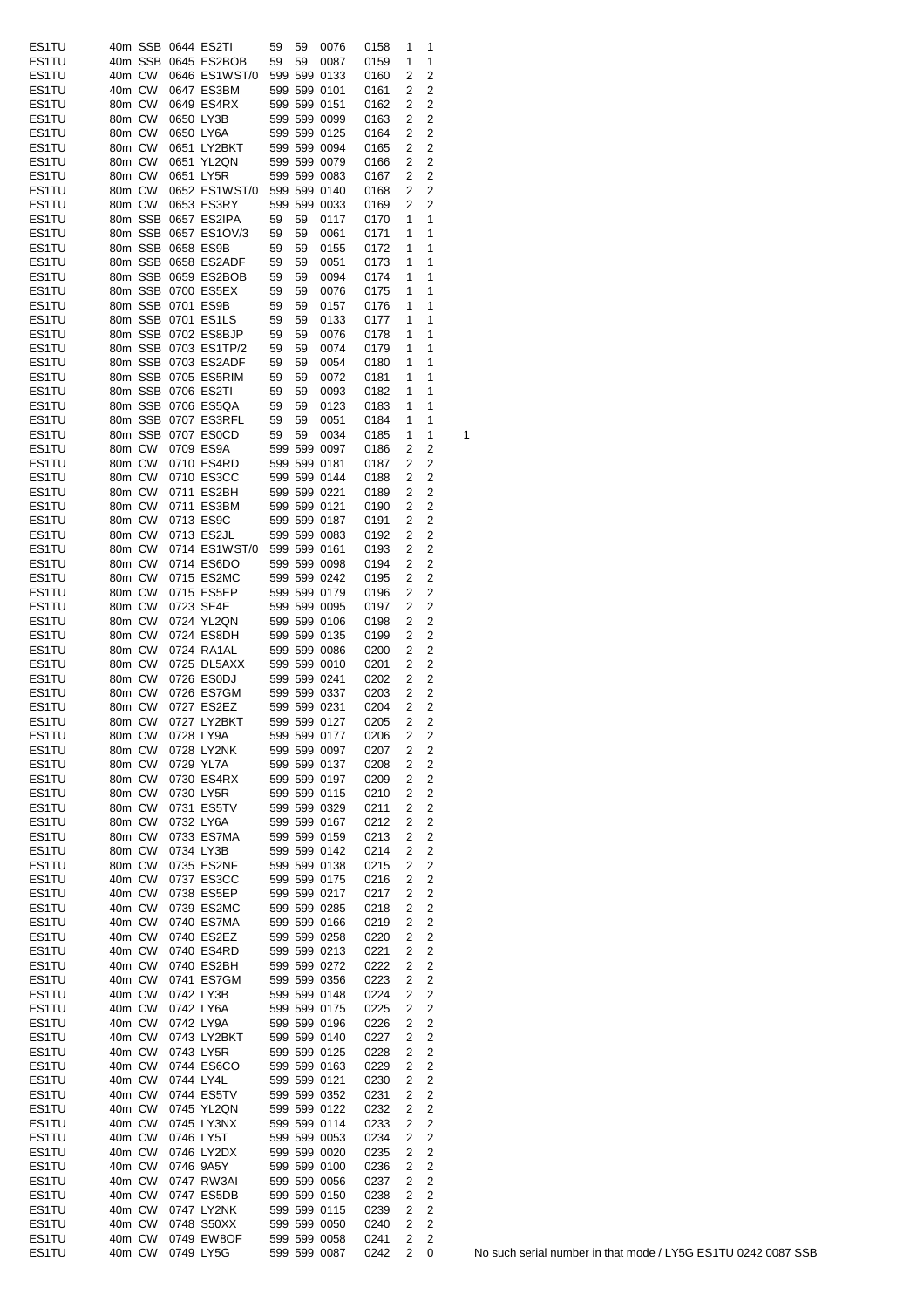| ES1TU |        |         |                   | 40m SSB 0644 ES2TI   | 59 | 59 | 0076                         | 0158 | 1              | 1                       |   |
|-------|--------|---------|-------------------|----------------------|----|----|------------------------------|------|----------------|-------------------------|---|
|       |        |         |                   |                      |    |    |                              |      |                |                         |   |
| ES1TU |        | 40m SSB |                   | 0645 ES2BOB          | 59 | 59 | 0087                         | 0159 | 1              | 1                       |   |
| ES1TU | 40m CW |         |                   | 0646 ES1WST/0        |    |    | 599 599 0133                 | 0160 | 2              | 2                       |   |
| ES1TU | 40m CW |         |                   | 0647 ES3BM           |    |    | 599 599 0101                 | 0161 | 2              | 2                       |   |
| ES1TU | 80m CW |         |                   | 0649 ES4RX           |    |    | 599 599 0151                 | 0162 | 2              | 2                       |   |
| ES1TU | 80m CW |         | 0650 LY3B         |                      |    |    | 599 599 0099                 | 0163 | 2              | $\overline{c}$          |   |
| ES1TU | 80m CW |         | 0650 LY6A         |                      |    |    | 599 599 0125                 | 0164 | 2              | $\overline{c}$          |   |
|       |        |         |                   |                      |    |    | 599 599 0094                 |      |                |                         |   |
| ES1TU | 80m CW |         |                   | 0651 LY2BKT          |    |    |                              | 0165 | 2              | 2                       |   |
| ES1TU | 80m CW |         |                   | 0651 YL2QN           |    |    | 599 599 0079                 | 0166 | 2              | 2                       |   |
| ES1TU | 80m CW |         |                   | 0651 LY5R            |    |    | 599 599 0083                 | 0167 | 2              | 2                       |   |
| ES1TU | 80m CW |         |                   | 0652 ES1WST/0        |    |    | 599 599 0140                 | 0168 | 2              | 2                       |   |
| ES1TU | 80m CW |         |                   | 0653 ES3RY           |    |    | 599 599 0033                 | 0169 | 2              | 2                       |   |
| ES1TU |        | 80m SSB |                   | 0657 ES2IPA          | 59 | 59 | 0117                         | 0170 | 1              | 1                       |   |
|       |        |         |                   |                      |    |    |                              |      |                |                         |   |
| ES1TU |        |         |                   | 80m SSB 0657 ES1OV/3 | 59 | 59 | 0061                         | 0171 | 1              | 1                       |   |
| ES1TU |        |         | 80m SSB 0658 ES9B |                      | 59 | 59 | 0155                         | 0172 | 1              | 1                       |   |
| ES1TU |        |         |                   | 80m SSB 0658 ES2ADF  | 59 | 59 | 0051                         | 0173 | 1              | 1                       |   |
| ES1TU |        |         |                   | 80m SSB 0659 ES2BOB  | 59 | 59 | 0094                         | 0174 | 1              | 1                       |   |
| ES1TU |        |         |                   | 80m SSB 0700 ES5EX   | 59 | 59 | 0076                         | 0175 | 1              | 1                       |   |
|       |        |         | 80m SSB 0701 ES9B |                      |    |    |                              |      |                | 1                       |   |
| ES1TU |        |         |                   |                      | 59 | 59 | 0157                         | 0176 | 1              |                         |   |
| ES1TU |        |         |                   | 80m SSB 0701 ES1LS   | 59 | 59 | 0133                         | 0177 | 1              | 1                       |   |
| ES1TU |        |         |                   | 80m SSB 0702 ES8BJP  | 59 | 59 | 0076                         | 0178 | 1              | 1                       |   |
| ES1TU |        |         |                   | 80m SSB 0703 ES1TP/2 | 59 | 59 | 0074                         | 0179 | 1              | 1                       |   |
| ES1TU |        |         |                   | 80m SSB 0703 ES2ADF  | 59 | 59 | 0054                         | 0180 | 1              | 1                       |   |
| ES1TU |        |         |                   | 80m SSB 0705 ES5RIM  | 59 | 59 | 0072                         | 0181 | 1              | 1                       |   |
|       |        |         |                   |                      |    |    |                              |      |                |                         |   |
| ES1TU |        |         |                   | 80m SSB 0706 ES2TI   | 59 | 59 | 0093                         | 0182 | 1              | 1                       |   |
| ES1TU |        |         |                   | 80m SSB 0706 ES5QA   | 59 | 59 | 0123                         | 0183 | 1              | 1                       |   |
| ES1TU |        |         |                   | 80m SSB 0707 ES3RFL  | 59 | 59 | 0051                         | 0184 | 1              | 1                       |   |
| ES1TU |        |         |                   | 80m SSB 0707 ES0CD   | 59 | 59 | 0034                         | 0185 | 1              | 1                       | 1 |
| ES1TU | 80m CW |         |                   | 0709 ES9A            |    |    | 599 599 0097                 | 0186 | 2              | 2                       |   |
|       |        |         |                   |                      |    |    |                              |      |                |                         |   |
| ES1TU | 80m CW |         |                   | 0710 ES4RD           |    |    | 599 599 0181                 | 0187 | 2              | 2                       |   |
| ES1TU | 80m CW |         |                   | 0710 ES3CC           |    |    | 599 599 0144                 | 0188 | 2              | 2                       |   |
| ES1TU | 80m CW |         |                   | 0711 ES2BH           |    |    | 599 599 0221                 | 0189 | 2              | $\overline{c}$          |   |
| ES1TU | 80m CW |         |                   | 0711 ES3BM           |    |    | 599 599 0121                 | 0190 | 2              | 2                       |   |
| ES1TU | 80m CW |         |                   | 0713 ES9C            |    |    | 599 599 0187                 | 0191 | 2              | 2                       |   |
|       |        |         |                   |                      |    |    |                              |      |                |                         |   |
| ES1TU | 80m CW |         |                   | 0713 ES2JL           |    |    | 599 599 0083                 | 0192 | 2              | 2                       |   |
| ES1TU | 80m CW |         |                   | 0714 ES1WST/0        |    |    | 599 599 0161                 | 0193 | 2              | 2                       |   |
| ES1TU | 80m CW |         |                   | 0714 ES6DO           |    |    | 599 599 0098                 | 0194 | 2              | 2                       |   |
| ES1TU | 80m CW |         |                   | 0715 ES2MC           |    |    | 599 599 0242                 | 0195 | 2              | 2                       |   |
| ES1TU | 80m CW |         |                   | 0715 ES5EP           |    |    | 599 599 0179                 | 0196 | 2              | $\overline{c}$          |   |
|       |        |         |                   |                      |    |    |                              |      |                |                         |   |
| ES1TU | 80m CW |         |                   | 0723 SE4E            |    |    | 599 599 0095                 | 0197 | 2              | $\overline{c}$          |   |
| ES1TU | 80m CW |         |                   | 0724 YL2QN           |    |    | 599 599 0106                 | 0198 | 2              | 2                       |   |
| ES1TU | 80m CW |         |                   | 0724 ES8DH           |    |    | 599 599 0135                 | 0199 | 2              | 2                       |   |
| ES1TU | 80m CW |         |                   | 0724 RA1AL           |    |    | 599 599 0086                 | 0200 | 2              | $\overline{c}$          |   |
| ES1TU | 80m CW |         |                   | 0725 DL5AXX          |    |    | 599 599 0010                 | 0201 | 2              | 2                       |   |
|       |        |         |                   |                      |    |    |                              |      |                |                         |   |
| ES1TU | 80m CW |         |                   | 0726 ES0DJ           |    |    | 599 599 0241                 | 0202 | 2              | $\overline{c}$          |   |
| ES1TU | 80m CW |         |                   | 0726 ES7GM           |    |    | 599 599 0337                 | 0203 | 2              | 2                       |   |
| ES1TU | 80m CW |         |                   | 0727 ES2EZ           |    |    | 599 599 0231                 | 0204 | 2              | 2                       |   |
| ES1TU | 80m CW |         |                   | 0727 LY2BKT          |    |    | 599 599 0127                 | 0205 | 2              | 2                       |   |
| ES1TU |        |         |                   | 80m CW 0728 LY9A     |    |    | 599 599 0177                 | 0206 | $\overline{2}$ | $\overline{\mathbf{c}}$ |   |
|       |        |         |                   |                      |    |    |                              |      |                |                         |   |
| ES1TU |        | 80m CW  |                   | 0728 LY2NK           |    |    | 599 599 0097                 | 0207 | 2              | 2                       |   |
| ES1TU |        | 80m CW  |                   | 0729 YL7A            |    |    | 599 599 0137                 | 0208 | 2              | 2                       |   |
| ES1TU |        | 80m CW  |                   | 0730 ES4RX           |    |    | 599 599 0197                 | 0209 | 2              | 2                       |   |
| ES1TU |        | 80m CW  |                   | 0730 LY5R            |    |    | 599 599 0115                 | 0210 | 2              | 2                       |   |
| ES1TU |        | 80m CW  |                   | 0731 ES5TV           |    |    | 599 599 0329                 | 0211 | 2              | 2                       |   |
| ES1TU |        | 80m CW  |                   | 0732 LY6A            |    |    | 599 599 0167                 |      | 2              | 2                       |   |
|       |        |         |                   |                      |    |    |                              | 0212 |                |                         |   |
| ES1TU | 80m CW |         |                   | 0733 ES7MA           |    |    | 599 599 0159                 | 0213 | 2              | $\overline{c}$          |   |
| ES1TU |        | 80m CW  |                   | 0734 LY3B            |    |    | 599 599 0142                 | 0214 | 2              | 2                       |   |
| ES1TU |        | 80m CW  |                   | 0735 ES2NF           |    |    | 599 599 0138                 | 0215 | 2              | $\overline{c}$          |   |
| ES1TU |        | 40m CW  |                   | 0737 ES3CC           |    |    | 599 599 0175                 | 0216 | 2              | 2                       |   |
| ES1TU | 40m CW |         |                   | 0738 ES5EP           |    |    | 599 599 0217                 | 0217 | 2              | 2                       |   |
|       |        | 40m CW  |                   |                      |    |    |                              |      |                |                         |   |
| ES1TU |        |         |                   | 0739 ES2MC           |    |    | 599 599 0285                 | 0218 | 2              | 2                       |   |
| ES1TU |        | 40m CW  |                   | 0740 ES7MA           |    |    | 599 599 0166                 | 0219 | 2              | $\overline{c}$          |   |
| ES1TU |        | 40m CW  |                   | 0740 ES2EZ           |    |    | 599 599 0258                 | 0220 | 2              | 2                       |   |
| ES1TU |        | 40m CW  |                   | 0740 ES4RD           |    |    | 599 599 0213                 | 0221 | 2              | 2                       |   |
| ES1TU |        | 40m CW  |                   | 0740 ES2BH           |    |    | 599 599 0272                 | 0222 | 2              | 2                       |   |
| ES1TU |        | 40m CW  |                   | 0741 ES7GM           |    |    | 599 599 0356                 | 0223 | 2              | 2                       |   |
|       |        |         |                   |                      |    |    |                              |      |                |                         |   |
| ES1TU |        | 40m CW  |                   | 0742 LY3B            |    |    | 599 599 0148                 | 0224 | 2              | $\overline{c}$          |   |
| ES1TU |        | 40m CW  |                   | 0742 LY6A            |    |    | 599 599 0175                 | 0225 | 2              | $\mathbf 2$             |   |
| ES1TU | 40m CW |         |                   | 0742 LY9A            |    |    | 599 599 0196                 | 0226 | 2              | $\overline{c}$          |   |
| ES1TU |        | 40m CW  |                   | 0743 LY2BKT          |    |    | 599 599 0140                 | 0227 | 2              | 2                       |   |
| ES1TU |        | 40m CW  |                   | 0743 LY5R            |    |    | 599 599 0125                 | 0228 | 2              | $\overline{c}$          |   |
|       |        |         |                   |                      |    |    |                              |      |                |                         |   |
| ES1TU |        | 40m CW  |                   | 0744 ES6CO           |    |    | 599 599 0163                 | 0229 | 2              | 2                       |   |
| ES1TU |        | 40m CW  | 0744 LY4L         |                      |    |    | 599 599 0121                 | 0230 | 2              | $\overline{c}$          |   |
| ES1TU |        | 40m CW  |                   | 0744 ES5TV           |    |    | 599 599 0352                 | 0231 | 2              | $\overline{\mathbf{c}}$ |   |
| ES1TU |        | 40m CW  |                   | 0745 YL2QN           |    |    | 599 599 0122                 | 0232 | 2              | $\overline{c}$          |   |
| ES1TU |        | 40m CW  |                   | 0745 LY3NX           |    |    | 599 599 0114                 | 0233 | 2              | 2                       |   |
| ES1TU |        | 40m CW  |                   | 0746 LY5T            |    |    | 599 599 0053                 | 0234 | 2              | 2                       |   |
|       |        |         |                   |                      |    |    |                              |      |                |                         |   |
| ES1TU | 40m CW |         |                   | 0746 LY2DX           |    |    | 599 599 0020                 | 0235 | 2              | 2                       |   |
| ES1TU | 40m CW |         |                   | 0746 9A5Y            |    |    | 599 599 0100                 | 0236 | 2              | $\mathbf 2$             |   |
| ES1TU | 40m CW |         |                   | 0747 RW3AI           |    |    | 599 599 0056                 | 0237 | 2              | $\overline{c}$          |   |
| ES1TU | 40m CW |         |                   | 0747 ES5DB           |    |    | 599 599 0150                 | 0238 | 2              | 2                       |   |
| ES1TU | 40m CW |         |                   | 0747 LY2NK           |    |    | 599 599 0115                 | 0239 | 2              | 2                       |   |
|       |        |         |                   |                      |    |    |                              |      |                |                         |   |
| ES1TU |        | 40m CW  |                   | 0748 S50XX           |    |    | 599 599 0050<br>599 599 0058 | 0240 | 2              | 2                       |   |
| ES1TU |        | 40m CW  |                   | 0749 EW8OF           |    |    |                              | 0241 | 2              | 2                       |   |
| ES1TU |        | 40m CW  |                   | 0749 LY5G            |    |    | 599 599 0087                 | 0242 | 2              | 0                       |   |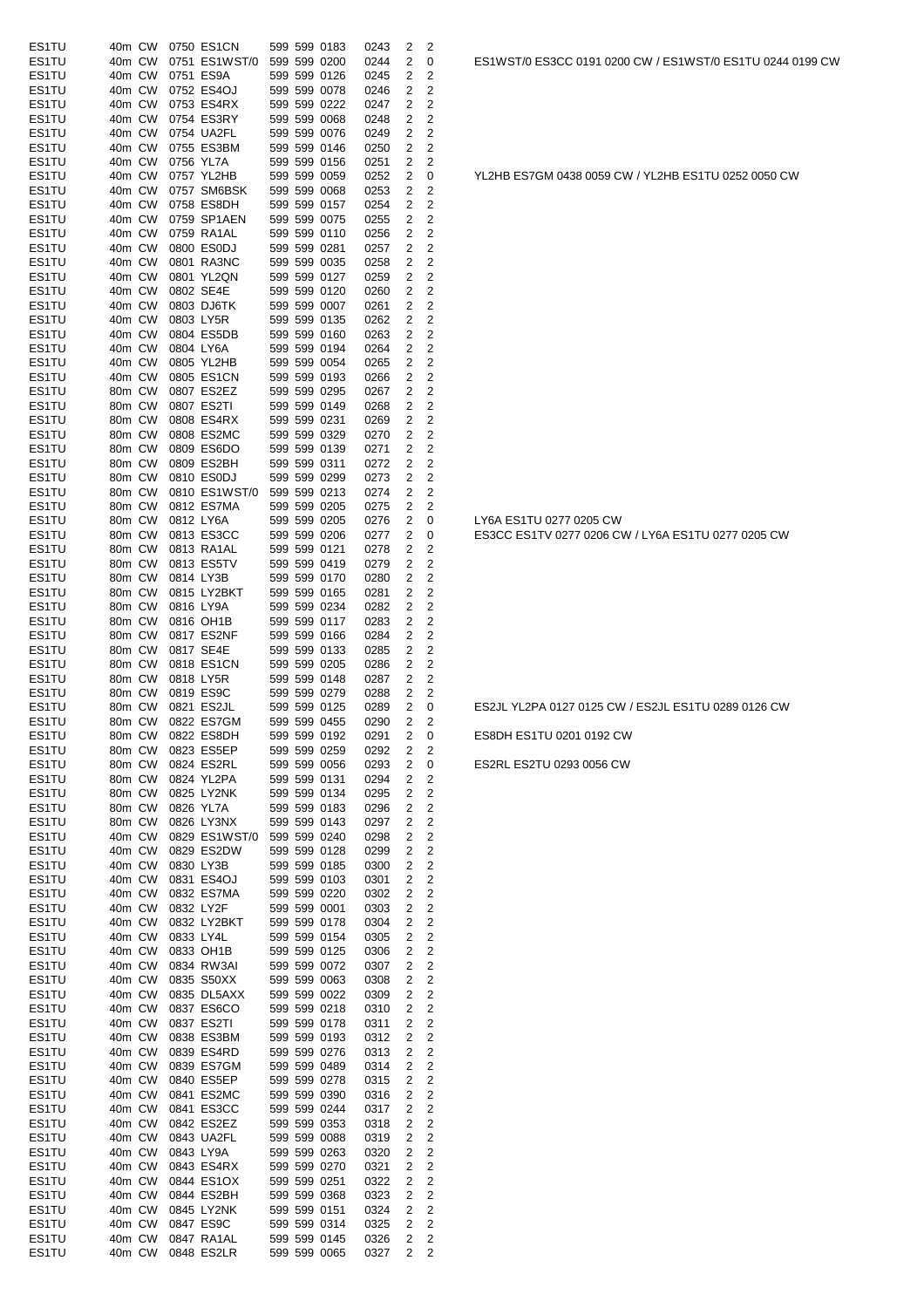| ES1TU          |                  | 40m CW           | 0750 ES1CN               |  | 599 599 0183                 | 0243         | 2              | 2                       |                                                     |
|----------------|------------------|------------------|--------------------------|--|------------------------------|--------------|----------------|-------------------------|-----------------------------------------------------|
| ES1TU          | 40m CW           |                  | 0751 ES1WST/0            |  | 599 599 0200                 | 0244         | 2              | 0                       | ES1WST/0 ES3CC 0191 0200 CW / ES1WST/0 ES1TU 0244   |
| ES1TU<br>ES1TU | 40m CW           | 40m CW           | 0751 ES9A<br>0752 ES4OJ  |  | 599 599 0126<br>599 599 0078 | 0245<br>0246 | 2<br>2         | 2<br>2                  |                                                     |
| ES1TU          | 40m CW           |                  | 0753 ES4RX               |  | 599 599 0222                 | 0247         | 2              | 2                       |                                                     |
| ES1TU          | 40m CW           |                  | 0754 ES3RY               |  | 599 599 0068                 | 0248         | 2              | 2                       |                                                     |
| ES1TU          | 40m CW           |                  | 0754 UA2FL               |  | 599 599 0076                 | 0249         | 2              | 2                       |                                                     |
| ES1TU          | 40m CW           |                  | 0755 ES3BM               |  | 599 599 0146                 | 0250         | 2              | 2                       |                                                     |
| ES1TU          | 40m CW           |                  | 0756 YL7A                |  | 599 599 0156                 | 0251         | 2              | 2                       |                                                     |
| ES1TU          | 40m CW           |                  | 0757 YL2HB               |  | 599 599 0059                 | 0252         | 2              | 0                       | YL2HB ES7GM 0438 0059 CW / YL2HB ES1TU 0252 0050 C  |
| ES1TU          |                  | 40m CW           | 0757 SM6BSK              |  | 599 599 0068                 | 0253         | 2              | 2                       |                                                     |
| ES1TU          |                  | 40m CW           | 0758 ES8DH               |  | 599 599 0157                 | 0254         | 2              | 2                       |                                                     |
| ES1TU          | 40m CW           |                  | 0759 SP1AEN              |  | 599 599 0075                 | 0255         | 2              | 2                       |                                                     |
| ES1TU          | 40m CW           |                  | 0759 RA1AL<br>0800 ES0DJ |  | 599 599 0110                 | 0256         | 2<br>2         | 2<br>$\overline{2}$     |                                                     |
| ES1TU<br>ES1TU | 40m CW<br>40m CW |                  | 0801 RA3NC               |  | 599 599 0281<br>599 599 0035 | 0257<br>0258 | 2              | 2                       |                                                     |
| ES1TU          | 40m CW           |                  | 0801 YL2QN               |  | 599 599 0127                 | 0259         | 2              | 2                       |                                                     |
| ES1TU          | 40m CW           |                  | 0802 SE4E                |  | 599 599 0120                 | 0260         | 2              | 2                       |                                                     |
| ES1TU          | 40m CW           |                  | 0803 DJ6TK               |  | 599 599 0007                 | 0261         | 2              | 2                       |                                                     |
| ES1TU          | 40m CW           |                  | 0803 LY5R                |  | 599 599 0135                 | 0262         | 2              | 2                       |                                                     |
| ES1TU          | 40m CW           |                  | 0804 ES5DB               |  | 599 599 0160                 | 0263         | 2              | 2                       |                                                     |
| ES1TU          | 40m CW           |                  | 0804 LY6A                |  | 599 599 0194                 | 0264         | 2              | 2                       |                                                     |
| ES1TU          | 40m CW           |                  | 0805 YL2HB               |  | 599 599 0054                 | 0265         | 2              | 2                       |                                                     |
| ES1TU          |                  | 40m CW           | 0805 ES1CN               |  | 599 599 0193                 | 0266         | 2              | 2                       |                                                     |
| ES1TU          | 80m CW           |                  | 0807 ES2EZ               |  | 599 599 0295                 | 0267         | 2              | 2                       |                                                     |
| ES1TU<br>ES1TU | 80m CW           |                  | 0807 ES2TI               |  | 599 599 0149                 | 0268         | 2              | 2                       |                                                     |
| ES1TU          | 80m CW<br>80m CW |                  | 0808 ES4RX<br>0808 ES2MC |  | 599 599 0231<br>599 599 0329 | 0269<br>0270 | 2<br>2         | 2<br>2                  |                                                     |
| ES1TU          | 80m CW           |                  | 0809 ES6DO               |  | 599 599 0139                 | 0271         | 2              | 2                       |                                                     |
| ES1TU          | 80m CW           |                  | 0809 ES2BH               |  | 599 599 0311                 | 0272         | 2              | 2                       |                                                     |
| ES1TU          | 80m CW           |                  | 0810 ES0DJ               |  | 599 599 0299                 | 0273         | 2              | 2                       |                                                     |
| ES1TU          | 80m CW           |                  | 0810 ES1WST/0            |  | 599 599 0213                 | 0274         | 2              | 2                       |                                                     |
| ES1TU          | 80m CW           |                  | 0812 ES7MA               |  | 599 599 0205                 | 0275         | 2              | 2                       |                                                     |
| ES1TU          | 80m CW           |                  | 0812 LY6A                |  | 599 599 0205                 | 0276         | 2              | 0                       | LY6A ES1TU 0277 0205 CW                             |
| ES1TU          | 80m CW           |                  | 0813 ES3CC               |  | 599 599 0206                 | 0277         | 2              | 0                       | ES3CC ES1TV 0277 0206 CW / LY6A ES1TU 0277 0205 CW  |
| ES1TU          | 80m CW           |                  | 0813 RA1AL               |  | 599 599 0121                 | 0278         | 2              | 2                       |                                                     |
| ES1TU          | 80m CW           |                  | 0813 ES5TV               |  | 599 599 0419                 | 0279         | 2              | 2                       |                                                     |
| ES1TU          | 80m CW           |                  | 0814 LY3B                |  | 599 599 0170                 | 0280         | 2              | 2                       |                                                     |
| ES1TU<br>ES1TU | 80m CW<br>80m CW |                  | 0815 LY2BKT<br>0816 LY9A |  | 599 599 0165<br>599 599 0234 | 0281         | 2              | 2                       |                                                     |
| ES1TU          | 80m CW           |                  | 0816 OH1B                |  | 599 599 0117                 | 0282<br>0283 | 2<br>2         | 2<br>2                  |                                                     |
| ES1TU          | 80m CW           |                  | 0817 ES2NF               |  | 599 599 0166                 | 0284         | 2              | 2                       |                                                     |
| ES1TU          | 80m CW           |                  | 0817 SE4E                |  | 599 599 0133                 | 0285         | 2              | 2                       |                                                     |
| ES1TU          | 80m CW           |                  | 0818 ES1CN               |  | 599 599 0205                 | 0286         | 2              | 2                       |                                                     |
| ES1TU          | 80m CW           |                  | 0818 LY5R                |  | 599 599 0148                 | 0287         | 2              | 2                       |                                                     |
| ES1TU          | 80m CW           |                  | 0819 ES9C                |  | 599 599 0279                 | 0288         | 2              | 2                       |                                                     |
| ES1TU          |                  | 80m CW           | 0821 ES2JL               |  | 599 599 0125                 | 0289         | 2              | 0                       | ES2JL YL2PA 0127 0125 CW / ES2JL ES1TU 0289 0126 CW |
| ES1TU          |                  |                  | 80m CW 0822 ES7GM        |  | 599 599 0455                 | 0290         | 2              | 2                       |                                                     |
| ES1TU          |                  |                  | 80m CW 0822 ES8DH        |  | 599 599 0192                 | 0291         | $\overline{2}$ | 0                       | ES8DH ES1TU 0201 0192 CW                            |
| ES1TU          |                  | 80m CW           | 0823 ES5EP               |  | 599 599 0259                 | 0292         | 2              | 2                       |                                                     |
| ES1TU          | 80m CW           |                  | 0824 ES2RL               |  | 599 599 0056                 | 0293         | 2              | 0                       | ES2RL ES2TU 0293 0056 CW                            |
| ES1TU<br>ES1TU |                  | 80m CW<br>80m CW | 0824 YL2PA<br>0825 LY2NK |  | 599 599 0131<br>599 599 0134 | 0294<br>0295 | 2<br>2         | 2<br>2                  |                                                     |
| ES1TU          |                  | 80m CW           | 0826 YL7A                |  | 599 599 0183                 | 0296         | 2              | 2                       |                                                     |
| ES1TU          |                  | 80m CW           | 0826 LY3NX               |  | 599 599 0143                 | 0297         | 2              | 2                       |                                                     |
| ES1TU          |                  | 40m CW           | 0829 ES1WST/0            |  | 599 599 0240                 | 0298         | 2              | 2                       |                                                     |
| ES1TU          |                  | 40m CW           | 0829 ES2DW               |  | 599 599 0128                 | 0299         | 2              | 2                       |                                                     |
| ES1TU          |                  | 40m CW           | 0830 LY3B                |  | 599 599 0185                 | 0300         | 2              | 2                       |                                                     |
| ES1TU          |                  | 40m CW           | 0831 ES4OJ               |  | 599 599 0103                 | 0301         | 2              | 2                       |                                                     |
| ES1TU          |                  | 40m CW           | 0832 ES7MA               |  | 599 599 0220                 | 0302         | 2              | 2                       |                                                     |
| ES1TU          |                  | 40m CW           | 0832 LY2F                |  | 599 599 0001                 | 0303         | 2              | 2                       |                                                     |
| ES1TU          |                  | 40m CW           | 0832 LY2BKT              |  | 599 599 0178                 | 0304         | 2              | $\overline{\mathbf{c}}$ |                                                     |
| ES1TU          |                  | 40m CW           | 0833 LY4L                |  | 599 599 0154                 | 0305         | 2              | $\overline{\mathbf{c}}$ |                                                     |
| ES1TU          |                  | 40m CW           | 0833 OH1B                |  | 599 599 0125                 | 0306         | 2              | 2                       |                                                     |
| ES1TU<br>ES1TU |                  | 40m CW<br>40m CW | 0834 RW3AI<br>0835 S50XX |  | 599 599 0072<br>599 599 0063 | 0307<br>0308 | 2<br>2         | 2<br>2                  |                                                     |
| ES1TU          | 40m CW           |                  | 0835 DL5AXX              |  | 599 599 0022                 | 0309         | 2              | 2                       |                                                     |
| ES1TU          | 40m CW           |                  | 0837 ES6CO               |  | 599 599 0218                 | 0310         | 2              | 2                       |                                                     |
| ES1TU          |                  | 40m CW           | 0837 ES2TI               |  | 599 599 0178                 | 0311         | 2              | $\overline{\mathbf{c}}$ |                                                     |
| ES1TU          |                  | 40m CW           | 0838 ES3BM               |  | 599 599 0193                 | 0312         | 2              | 2                       |                                                     |
| ES1TU          | 40m CW           |                  | 0839 ES4RD               |  | 599 599 0276                 | 0313         | 2              | 2                       |                                                     |
| ES1TU          |                  | 40m CW           | 0839 ES7GM               |  | 599 599 0489                 | 0314         | 2              | 2                       |                                                     |
| ES1TU          |                  | 40m CW           | 0840 ES5EP               |  | 599 599 0278                 | 0315         | 2              | 2                       |                                                     |
| ES1TU          |                  | 40m CW           | 0841 ES2MC               |  | 599 599 0390                 | 0316         | 2              | 2                       |                                                     |
| ES1TU          |                  | 40m CW           | 0841 ES3CC               |  | 599 599 0244                 | 0317         | 2              | 2                       |                                                     |
| ES1TU          | 40m CW           |                  | 0842 ES2EZ               |  | 599 599 0353                 | 0318         | 2              | $\overline{2}$          |                                                     |
| ES1TU          | 40m CW           |                  | 0843 UA2FL               |  | 599 599 0088                 | 0319         | 2              | 2                       |                                                     |
| ES1TU          |                  | 40m CW           | 0843 LY9A                |  | 599 599 0263<br>599 599 0270 | 0320         | 2              | 2<br>2                  |                                                     |
| ES1TU<br>ES1TU |                  | 40m CW<br>40m CW | 0843 ES4RX<br>0844 ES1OX |  | 599 599 0251                 | 0321<br>0322 | 2<br>2         | 2                       |                                                     |
| ES1TU          |                  | 40m CW           | 0844 ES2BH               |  | 599 599 0368                 | 0323         | 2              | 2                       |                                                     |
| ES1TU          |                  | 40m CW           | 0845 LY2NK               |  | 599 599 0151                 | 0324         | 2              | 2                       |                                                     |
| ES1TU          |                  | 40m CW           | 0847 ES9C                |  | 599 599 0314                 | 0325         | 2              | 2                       |                                                     |
| ES1TU          |                  | 40m CW           | 0847 RA1AL               |  | 599 599 0145                 | 0326         | 2              | 2                       |                                                     |
| ES1TU          |                  |                  | 40m CW 0848 ES2LR        |  | 599 599 0065                 | 0327         | $\overline{2}$ | $\overline{2}$          |                                                     |

ES1WST/0 ES3CC 0191 0200 CW / ES1WST/0 ES1TU 0244 0199 CW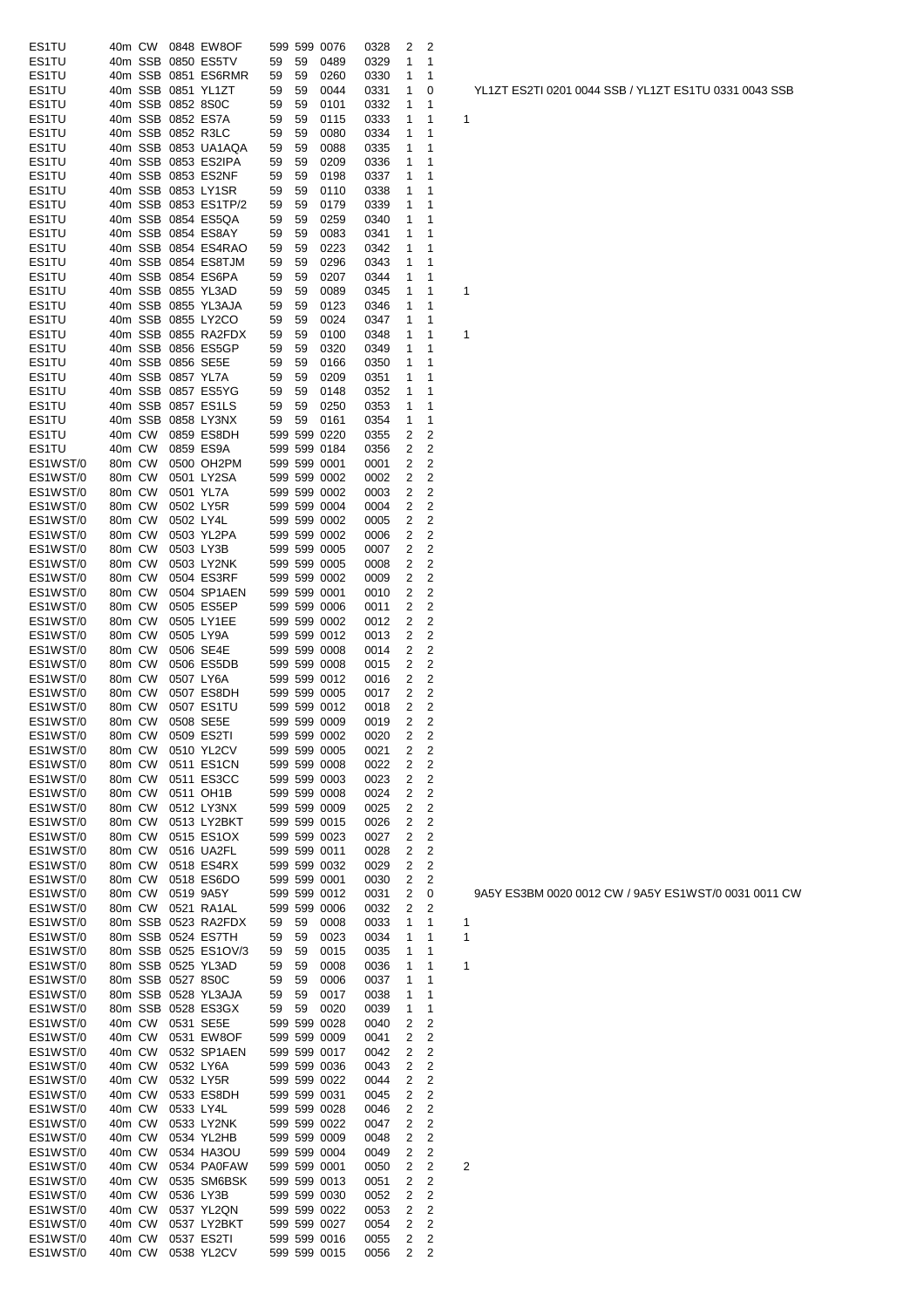| ES1TU    | 40m CW |         |                   | 0848 EW8OF           |    |    | 599 599 0076                 | 0328 | 2              | 2              |                         |
|----------|--------|---------|-------------------|----------------------|----|----|------------------------------|------|----------------|----------------|-------------------------|
| ES1TU    |        | 40m SSB |                   | 0850 ES5TV           | 59 | 59 | 0489                         | 0329 | 1              | 1              |                         |
| ES1TU    |        | 40m SSB |                   | 0851 ES6RMR          | 59 | 59 | 0260                         | 0330 | 1              | 1              |                         |
| ES1TU    |        |         |                   | 40m SSB 0851 YL1ZT   | 59 | 59 | 0044                         | 0331 | 1              | 0              |                         |
| ES1TU    |        |         | 40m SSB 0852 8S0C |                      | 59 | 59 | 0101                         | 0332 | 1              | 1              |                         |
| ES1TU    |        | 40m SSB |                   | 0852 ES7A            | 59 | 59 | 0115                         | 0333 | 1              | 1              | 1                       |
| ES1TU    |        |         | 40m SSB 0852 R3LC |                      | 59 | 59 | 0080                         | 0334 | 1              | 1              |                         |
| ES1TU    |        |         |                   | 40m SSB 0853 UA1AQA  | 59 | 59 | 0088                         | 0335 | 1              | 1              |                         |
| ES1TU    |        |         |                   | 40m SSB 0853 ES2IPA  | 59 | 59 | 0209                         | 0336 | 1              | 1              |                         |
| ES1TU    |        |         |                   | 40m SSB 0853 ES2NF   | 59 | 59 | 0198                         | 0337 | 1              | 1              |                         |
| ES1TU    |        |         |                   | 40m SSB 0853 LY1SR   | 59 | 59 | 0110                         | 0338 | 1              | 1              |                         |
| ES1TU    |        |         |                   | 40m SSB 0853 ES1TP/2 | 59 | 59 | 0179                         | 0339 | 1              | 1              |                         |
| ES1TU    |        |         |                   | 40m SSB 0854 ES5QA   | 59 | 59 | 0259                         | 0340 | 1              | 1              |                         |
| ES1TU    |        |         |                   | 40m SSB 0854 ES8AY   | 59 | 59 | 0083                         | 0341 | 1              | 1              |                         |
| ES1TU    |        |         |                   | 40m SSB 0854 ES4RAO  | 59 | 59 | 0223                         | 0342 | 1              | 1              |                         |
| ES1TU    |        |         |                   | 40m SSB 0854 ES8TJM  | 59 | 59 | 0296                         | 0343 | 1              | 1              |                         |
| ES1TU    |        |         |                   | 40m SSB 0854 ES6PA   | 59 | 59 | 0207                         | 0344 | 1              | 1              |                         |
| ES1TU    |        |         |                   | 40m SSB 0855 YL3AD   | 59 | 59 | 0089                         | 0345 | 1              | 1              | 1                       |
| ES1TU    |        |         |                   | 40m SSB 0855 YL3AJA  | 59 | 59 | 0123                         | 0346 | 1              | 1              |                         |
| ES1TU    |        |         |                   | 40m SSB 0855 LY2CO   | 59 | 59 | 0024                         | 0347 | 1              | 1              |                         |
|          |        |         |                   | 40m SSB 0855 RA2FDX  |    |    |                              |      | 1              | 1              |                         |
| ES1TU    |        |         |                   |                      | 59 | 59 | 0100                         | 0348 |                |                | 1                       |
| ES1TU    |        |         |                   | 40m SSB 0856 ES5GP   | 59 | 59 | 0320                         | 0349 | 1              | 1              |                         |
| ES1TU    |        | 40m SSB |                   | 0856 SE5E            | 59 | 59 | 0166                         | 0350 | 1              | 1              |                         |
| ES1TU    |        | 40m SSB |                   | 0857 YL7A            | 59 | 59 | 0209                         | 0351 | 1              | 1              |                         |
| ES1TU    |        | 40m SSB |                   | 0857 ES5YG           | 59 | 59 | 0148                         | 0352 | 1              | 1              |                         |
| ES1TU    |        | 40m SSB |                   | 0857 ES1LS           | 59 | 59 | 0250                         | 0353 | 1              | 1              |                         |
| ES1TU    |        | 40m SSB |                   | 0858 LY3NX           | 59 | 59 | 0161                         | 0354 | 1              | 1              |                         |
| ES1TU    | 40m CW |         |                   | 0859 ES8DH           |    |    | 599 599 0220                 | 0355 | 2              | 2              |                         |
| ES1TU    | 40m CW |         |                   | 0859 ES9A            |    |    | 599 599 0184                 | 0356 | 2              | 2              |                         |
| ES1WST/0 | 80m CW |         |                   | 0500 OH2PM           |    |    | 599 599 0001                 | 0001 | 2              | 2              |                         |
| ES1WST/0 | 80m CW |         |                   | 0501 LY2SA           |    |    | 599 599 0002                 | 0002 | 2              | 2              |                         |
| ES1WST/0 | 80m CW |         |                   | 0501 YL7A            |    |    | 599 599 0002                 | 0003 | 2              | 2              |                         |
| ES1WST/0 | 80m CW |         |                   | 0502 LY5R            |    |    | 599 599 0004                 | 0004 | 2              | 2              |                         |
| ES1WST/0 | 80m CW |         | 0502 LY4L         |                      |    |    | 599 599 0002                 | 0005 | 2              | 2              |                         |
| ES1WST/0 | 80m CW |         |                   | 0503 YL2PA           |    |    | 599 599 0002                 | 0006 | 2              | 2              |                         |
| ES1WST/0 | 80m CW |         |                   | 0503 LY3B            |    |    | 599 599 0005                 | 0007 | 2              | 2              |                         |
| ES1WST/0 | 80m CW |         |                   | 0503 LY2NK           |    |    | 599 599 0005                 | 0008 | 2              | 2              |                         |
| ES1WST/0 | 80m CW |         |                   | 0504 ES3RF           |    |    | 599 599 0002                 | 0009 | 2              | 2              |                         |
| ES1WST/0 | 80m CW |         |                   | 0504 SP1AEN          |    |    | 599 599 0001                 | 0010 | 2              | 2              |                         |
| ES1WST/0 | 80m CW |         |                   | 0505 ES5EP           |    |    | 599 599 0006                 | 0011 | 2              | $\overline{c}$ |                         |
| ES1WST/0 | 80m CW |         |                   | 0505 LY1EE           |    |    | 599 599 0002                 | 0012 | 2              | 2              |                         |
| ES1WST/0 | 80m CW |         |                   | 0505 LY9A            |    |    | 599 599 0012                 | 0013 | 2              | 2              |                         |
| ES1WST/0 | 80m CW |         |                   | 0506 SE4E            |    |    | 599 599 0008                 | 0014 | 2              | 2              |                         |
| ES1WST/0 | 80m CW |         |                   | 0506 ES5DB           |    |    | 599 599 0008                 | 0015 | 2              | 2              |                         |
| ES1WST/0 | 80m CW |         | 0507 LY6A         |                      |    |    | 599 599 0012                 | 0016 | 2              | 2              |                         |
| ES1WST/0 | 80m CW |         |                   | 0507 ES8DH           |    |    | 599 599 0005                 | 0017 | 2              | 2              |                         |
| ES1WST/0 | 80m CW |         |                   | 0507 ES1TU           |    |    | 599 599 0012                 | 0018 | 2              | 2              |                         |
| ES1WST/0 | 80m CW |         |                   | 0508 SE5E            |    |    | 599 599 0009                 | 0019 | 2              | 2              |                         |
| ES1WST/0 |        |         |                   | 80m CW 0509 ES2TI    |    |    | 599 599 0002                 | 0020 | $\overline{2}$ | $\overline{c}$ |                         |
| ES1WST/0 | 80m CW |         |                   | 0510 YL2CV           |    |    | 599 599 0005                 | 0021 | 2              | 2              |                         |
| ES1WST/0 | 80m CW |         |                   | 0511 ES1CN           |    |    | 599 599 0008                 | 0022 | 2              | 2              |                         |
| ES1WST/0 |        |         |                   | 0511 ES3CC           |    |    |                              |      | 2              | 2              |                         |
|          | 80m CW |         |                   |                      |    |    | 599 599 0003<br>599 599 0008 | 0023 |                | 2              |                         |
| ES1WST/0 | 80m CW |         |                   | 0511 OH1B            |    |    |                              | 0024 | 2              |                |                         |
| ES1WST/0 | 80m CW |         |                   | 0512 LY3NX           |    |    | 599 599 0009                 | 0025 | 2              | 2              |                         |
| ES1WST/0 | 80m CW |         |                   | 0513 LY2BKT          |    |    | 599 599 0015                 | 0026 | 2              | 2              |                         |
| ES1WST/0 | 80m CW |         |                   | 0515 ES1OX           |    |    | 599 599 0023                 | 0027 | 2              | 2              |                         |
| ES1WST/0 | 80m CW |         |                   | 0516 UA2FL           |    |    | 599 599 0011                 | 0028 | 2              | 2              |                         |
| ES1WST/0 | 80m CW |         |                   | 0518 ES4RX           |    |    | 599 599 0032                 | 0029 | 2              | 2              |                         |
| ES1WST/0 | 80m CW |         |                   | 0518 ES6DO           |    |    | 599 599 0001                 | 0030 | 2              | 2              |                         |
| ES1WST/0 | 80m CW |         |                   | 0519 9A5Y            |    |    | 599 599 0012                 | 0031 | 2              | 0              |                         |
| ES1WST/0 | 80m CW |         |                   | 0521 RA1AL           |    |    | 599 599 0006                 | 0032 | 2              | 2              |                         |
| ES1WST/0 |        | 80m SSB |                   | 0523 RA2FDX          | 59 | 59 | 0008                         | 0033 | 1              | 1              | 1                       |
| ES1WST/0 |        | 80m SSB |                   | 0524 ES7TH           | 59 | 59 | 0023                         | 0034 | 1              | 1              | 1                       |
| ES1WST/0 |        | 80m SSB |                   | 0525 ES1OV/3         | 59 | 59 | 0015                         | 0035 | 1              | 1              |                         |
| ES1WST/0 |        | 80m SSB |                   | 0525 YL3AD           | 59 | 59 | 0008                         | 0036 | 1              | 1              | 1                       |
| ES1WST/0 |        |         | 80m SSB 0527 8S0C |                      | 59 | 59 | 0006                         | 0037 | 1              | 1              |                         |
| ES1WST/0 |        | 80m SSB |                   | 0528 YL3AJA          | 59 | 59 | 0017                         | 0038 | 1              | 1              |                         |
| ES1WST/0 |        | 80m SSB |                   | 0528 ES3GX           | 59 | 59 | 0020                         | 0039 | 1              | 1              |                         |
| ES1WST/0 | 40m CW |         |                   | 0531 SE5E            |    |    | 599 599 0028                 | 0040 | 2              | 2              |                         |
| ES1WST/0 | 40m CW |         |                   | 0531 EW8OF           |    |    | 599 599 0009                 | 0041 | 2              | 2              |                         |
| ES1WST/0 | 40m CW |         |                   | 0532 SP1AEN          |    |    | 599 599 0017                 | 0042 | 2              | 2              |                         |
| ES1WST/0 | 40m CW |         |                   | 0532 LY6A            |    |    | 599 599 0036                 | 0043 | 2              | 2              |                         |
| ES1WST/0 | 40m CW |         |                   | 0532 LY5R            |    |    | 599 599 0022                 | 0044 | 2              | 2              |                         |
| ES1WST/0 | 40m CW |         |                   | 0533 ES8DH           |    |    | 599 599 0031                 | 0045 | 2              | 2              |                         |
| ES1WST/0 | 40m CW |         |                   | 0533 LY4L            |    |    | 599 599 0028                 | 0046 | 2              | 2              |                         |
| ES1WST/0 | 40m CW |         |                   | 0533 LY2NK           |    |    | 599 599 0022                 | 0047 | 2              | $\overline{2}$ |                         |
| ES1WST/0 | 40m CW |         |                   | 0534 YL2HB           |    |    | 599 599 0009                 | 0048 | 2              | $\overline{2}$ |                         |
| ES1WST/0 | 40m CW |         |                   | 0534 HA3OU           |    |    | 599 599 0004                 | 0049 | 2              | 2              |                         |
| ES1WST/0 | 40m CW |         |                   | 0534 PA0FAW          |    |    | 599 599 0001                 | 0050 | 2              | 2              | $\overline{\mathbf{c}}$ |
| ES1WST/0 | 40m CW |         |                   | 0535 SM6BSK          |    |    | 599 599 0013                 | 0051 | 2              | $\overline{2}$ |                         |
| ES1WST/0 | 40m CW |         |                   | 0536 LY3B            |    |    | 599 599 0030                 | 0052 | 2              | 2              |                         |
| ES1WST/0 | 40m CW |         |                   | 0537 YL2QN           |    |    | 599 599 0022                 | 0053 | 2              | 2              |                         |
| ES1WST/0 | 40m CW |         |                   | 0537 LY2BKT          |    |    | 599 599 0027                 | 0054 | 2              | 2              |                         |
| ES1WST/0 | 40m CW |         |                   | 0537 ES2TI           |    |    | 599 599 0016                 | 0055 | 2              | 2              |                         |
| ES1WST/0 | 40m CW |         |                   | 0538 YL2CV           |    |    | 599 599 0015                 | 0056 | 2              | 2              |                         |
|          |        |         |                   |                      |    |    |                              |      |                |                |                         |

YL1ZT ES2TI 0201 0044 SSB / YL1ZT ES1TU 0331 0043 SSB

9A5Y ES3BM 0020 0012 CW / 9A5Y ES1WST/0 0031 0011 CW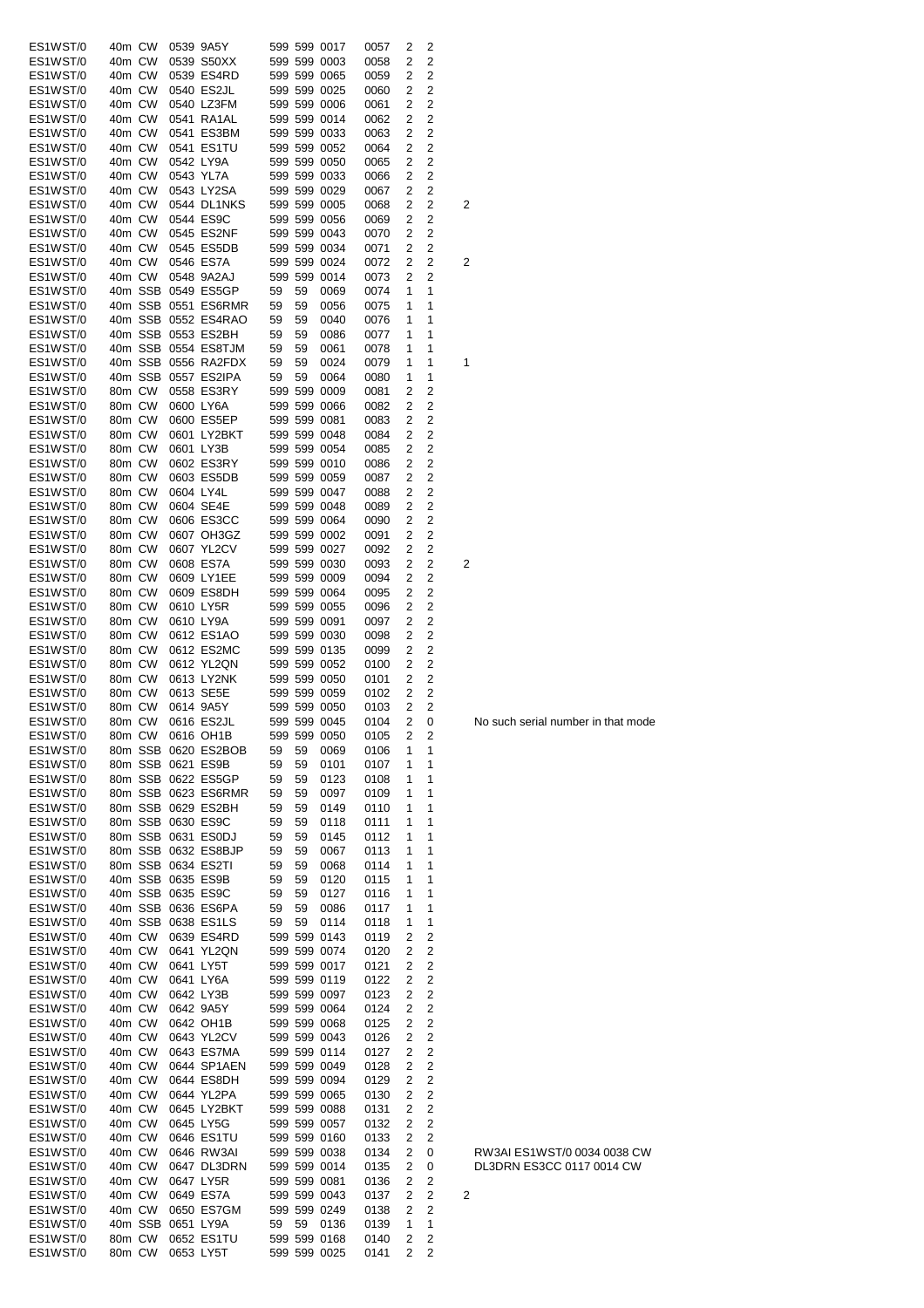| ES1WST/0 | 40m CW |        |           | 0539 9A5Y           |    |    | 599 599 0017 | 0057 | 2 | 2 |                                    |
|----------|--------|--------|-----------|---------------------|----|----|--------------|------|---|---|------------------------------------|
| ES1WST/0 | 40m CW |        |           | 0539 S50XX          |    |    | 599 599 0003 | 0058 | 2 | 2 |                                    |
| ES1WST/0 | 40m CW |        |           | 0539 ES4RD          |    |    | 599 599 0065 | 0059 | 2 | 2 |                                    |
| ES1WST/0 | 40m CW |        |           | 0540 ES2JL          |    |    | 599 599 0025 | 0060 | 2 | 2 |                                    |
| ES1WST/0 | 40m CW |        |           | 0540 LZ3FM          |    |    | 599 599 0006 | 0061 | 2 | 2 |                                    |
| ES1WST/0 | 40m CW |        |           | 0541 RA1AL          |    |    | 599 599 0014 | 0062 | 2 | 2 |                                    |
|          |        |        |           |                     |    |    |              |      |   |   |                                    |
| ES1WST/0 | 40m CW |        |           | 0541 ES3BM          |    |    | 599 599 0033 | 0063 | 2 | 2 |                                    |
| ES1WST/0 | 40m CW |        |           | 0541 ES1TU          |    |    | 599 599 0052 | 0064 | 2 | 2 |                                    |
| ES1WST/0 | 40m CW |        |           | 0542 LY9A           |    |    | 599 599 0050 | 0065 | 2 | 2 |                                    |
| ES1WST/0 | 40m CW |        |           | 0543 YL7A           |    |    | 599 599 0033 | 0066 | 2 | 2 |                                    |
| ES1WST/0 | 40m CW |        |           | 0543 LY2SA          |    |    | 599 599 0029 | 0067 | 2 | 2 |                                    |
| ES1WST/0 | 40m CW |        |           | 0544 DL1NKS         |    |    | 599 599 0005 | 0068 | 2 | 2 | 2                                  |
| ES1WST/0 | 40m CW |        |           | 0544 ES9C           |    |    | 599 599 0056 |      |   | 2 |                                    |
|          |        |        |           |                     |    |    |              | 0069 | 2 |   |                                    |
| ES1WST/0 | 40m CW |        |           | 0545 ES2NF          |    |    | 599 599 0043 | 0070 | 2 | 2 |                                    |
| ES1WST/0 | 40m CW |        |           | 0545 ES5DB          |    |    | 599 599 0034 | 0071 | 2 | 2 |                                    |
| ES1WST/0 | 40m CW |        |           | 0546 ES7A           |    |    | 599 599 0024 | 0072 | 2 | 2 | 2                                  |
| ES1WST/0 | 40m CW |        |           | 0548 9A2AJ          |    |    | 599 599 0014 | 0073 | 2 | 2 |                                    |
| ES1WST/0 |        |        |           | 40m SSB 0549 ES5GP  | 59 | 59 | 0069         | 0074 | 1 | 1 |                                    |
| ES1WST/0 |        |        |           | 40m SSB 0551 ES6RMR | 59 | 59 | 0056         | 0075 | 1 | 1 |                                    |
|          |        |        |           |                     |    | 59 |              |      |   | 1 |                                    |
| ES1WST/0 |        |        |           | 40m SSB 0552 ES4RAO | 59 |    | 0040         | 0076 | 1 |   |                                    |
| ES1WST/0 |        |        |           | 40m SSB 0553 ES2BH  | 59 | 59 | 0086         | 0077 | 1 | 1 |                                    |
| ES1WST/0 |        |        |           | 40m SSB 0554 ES8TJM | 59 | 59 | 0061         | 0078 | 1 | 1 |                                    |
| ES1WST/0 |        |        |           | 40m SSB 0556 RA2FDX | 59 | 59 | 0024         | 0079 | 1 | 1 | 1                                  |
| ES1WST/0 |        |        |           | 40m SSB 0557 ES2IPA | 59 | 59 | 0064         | 0080 | 1 | 1 |                                    |
| ES1WST/0 | 80m CW |        |           | 0558 ES3RY          |    |    | 599 599 0009 | 0081 | 2 | 2 |                                    |
| ES1WST/0 | 80m CW |        |           | 0600 LY6A           |    |    | 599 599 0066 | 0082 | 2 | 2 |                                    |
|          |        |        |           |                     |    |    |              |      |   |   |                                    |
| ES1WST/0 | 80m CW |        |           | 0600 ES5EP          |    |    | 599 599 0081 | 0083 | 2 | 2 |                                    |
| ES1WST/0 | 80m CW |        |           | 0601 LY2BKT         |    |    | 599 599 0048 | 0084 | 2 | 2 |                                    |
| ES1WST/0 | 80m CW |        |           | 0601 LY3B           |    |    | 599 599 0054 | 0085 | 2 | 2 |                                    |
| ES1WST/0 | 80m CW |        |           | 0602 ES3RY          |    |    | 599 599 0010 | 0086 | 2 | 2 |                                    |
| ES1WST/0 | 80m CW |        |           | 0603 ES5DB          |    |    | 599 599 0059 | 0087 | 2 | 2 |                                    |
| ES1WST/0 | 80m CW |        |           | 0604 LY4L           |    |    | 599 599 0047 | 0088 | 2 | 2 |                                    |
|          |        |        |           |                     |    |    |              |      |   |   |                                    |
| ES1WST/0 | 80m CW |        |           | 0604 SE4E           |    |    | 599 599 0048 | 0089 | 2 | 2 |                                    |
| ES1WST/0 | 80m CW |        |           | 0606 ES3CC          |    |    | 599 599 0064 | 0090 | 2 | 2 |                                    |
| ES1WST/0 | 80m CW |        |           | 0607 OH3GZ          |    |    | 599 599 0002 | 0091 | 2 | 2 |                                    |
| ES1WST/0 | 80m CW |        |           | 0607 YL2CV          |    |    | 599 599 0027 | 0092 | 2 | 2 |                                    |
| ES1WST/0 | 80m CW |        |           | 0608 ES7A           |    |    | 599 599 0030 | 0093 | 2 | 2 | 2                                  |
| ES1WST/0 | 80m CW |        |           | 0609 LY1EE          |    |    | 599 599 0009 | 0094 | 2 | 2 |                                    |
| ES1WST/0 | 80m CW |        |           | 0609 ES8DH          |    |    | 599 599 0064 |      | 2 | 2 |                                    |
|          |        |        |           |                     |    |    |              | 0095 |   |   |                                    |
| ES1WST/0 | 80m CW |        |           | 0610 LY5R           |    |    | 599 599 0055 | 0096 | 2 | 2 |                                    |
| ES1WST/0 | 80m CW |        |           | 0610 LY9A           |    |    | 599 599 0091 | 0097 | 2 | 2 |                                    |
| ES1WST/0 | 80m CW |        |           | 0612 ES1AO          |    |    | 599 599 0030 | 0098 | 2 | 2 |                                    |
| ES1WST/0 | 80m CW |        |           | 0612 ES2MC          |    |    | 599 599 0135 | 0099 | 2 | 2 |                                    |
| ES1WST/0 | 80m CW |        |           | 0612 YL2QN          |    |    | 599 599 0052 | 0100 | 2 | 2 |                                    |
| ES1WST/0 | 80m CW |        |           | 0613 LY2NK          |    |    | 599 599 0050 | 0101 | 2 | 2 |                                    |
| ES1WST/0 | 80m CW |        |           | 0613 SE5E           |    |    | 599 599 0059 | 0102 | 2 | 2 |                                    |
|          |        |        |           |                     |    |    |              |      |   |   |                                    |
| ES1WST/0 | 80m CW |        |           | 0614 9A5Y           |    |    | 599 599 0050 | 0103 | 2 | 2 |                                    |
| ES1WST/0 | 80m CW |        |           | 0616 ES2JL          |    |    | 599 599 0045 | 0104 | 2 | 0 | No such serial number in that mode |
| ES1WST/0 |        |        |           | 80m CW 0616 OH1B    |    |    | 599 599 0050 | 0105 | 2 | 2 |                                    |
| ES1WST/0 |        |        |           | 80m SSB 0620 ES2BOB | 59 | 59 | 0069         | 0106 | 1 | 1 |                                    |
| ES1WST/0 |        |        |           | 80m SSB 0621 ES9B   | 59 | 59 | 0101         | 0107 | 1 | 1 |                                    |
| ES1WST/0 |        |        |           | 80m SSB 0622 ES5GP  | 59 | 59 | 0123         | 0108 | 1 | 1 |                                    |
|          |        |        |           | 80m SSB 0623 ES6RMR |    |    |              |      |   |   |                                    |
| ES1WST/0 |        |        |           |                     | 59 | 59 | 0097         | 0109 | 1 | 1 |                                    |
| ES1WST/0 |        |        |           | 80m SSB 0629 ES2BH  | 59 | 59 | 0149         | 0110 | 1 | 1 |                                    |
| ES1WST/0 |        |        |           | 80m SSB 0630 ES9C   | 59 | 59 | 0118         | 0111 | 1 | 1 |                                    |
| ES1WST/0 |        |        |           | 80m SSB 0631 ES0DJ  | 59 | 59 | 0145         | 0112 | 1 | 1 |                                    |
| ES1WST/0 |        |        |           | 80m SSB 0632 ES8BJP | 59 | 59 | 0067         | 0113 | 1 | 1 |                                    |
| ES1WST/0 |        |        |           | 80m SSB 0634 ES2TI  | 59 | 59 | 0068         | 0114 | 1 | 1 |                                    |
| ES1WST/0 |        |        |           | 40m SSB 0635 ES9B   | 59 | 59 | 0120         | 0115 | 1 | 1 |                                    |
| ES1WST/0 |        |        |           | 40m SSB 0635 ES9C   |    | 59 | 0127         | 0116 | 1 | 1 |                                    |
|          |        |        |           |                     | 59 |    |              |      |   |   |                                    |
| ES1WST/0 |        |        |           | 40m SSB 0636 ES6PA  | 59 | 59 | 0086         | 0117 | 1 | 1 |                                    |
| ES1WST/0 |        |        |           | 40m SSB 0638 ES1LS  | 59 | 59 | 0114         | 0118 | 1 | 1 |                                    |
| ES1WST/0 | 40m CW |        |           | 0639 ES4RD          |    |    | 599 599 0143 | 0119 | 2 | 2 |                                    |
| ES1WST/0 | 40m CW |        |           | 0641 YL2QN          |    |    | 599 599 0074 | 0120 | 2 | 2 |                                    |
| ES1WST/0 | 40m CW |        |           | 0641 LY5T           |    |    | 599 599 0017 | 0121 | 2 | 2 |                                    |
| ES1WST/0 | 40m CW |        |           | 0641 LY6A           |    |    | 599 599 0119 | 0122 | 2 | 2 |                                    |
|          | 40m CW |        |           | 0642 LY3B           |    |    | 599 599 0097 |      |   | 2 |                                    |
| ES1WST/0 |        |        |           |                     |    |    |              | 0123 | 2 |   |                                    |
| ES1WST/0 | 40m CW |        |           | 0642 9A5Y           |    |    | 599 599 0064 | 0124 | 2 | 2 |                                    |
| ES1WST/0 | 40m CW |        |           | 0642 OH1B           |    |    | 599 599 0068 | 0125 | 2 | 2 |                                    |
| ES1WST/0 | 40m CW |        |           | 0643 YL2CV          |    |    | 599 599 0043 | 0126 | 2 | 2 |                                    |
| ES1WST/0 | 40m CW |        |           | 0643 ES7MA          |    |    | 599 599 0114 | 0127 | 2 | 2 |                                    |
| ES1WST/0 | 40m CW |        |           | 0644 SP1AEN         |    |    | 599 599 0049 | 0128 | 2 | 2 |                                    |
| ES1WST/0 | 40m CW |        |           | 0644 ES8DH          |    |    | 599 599 0094 | 0129 | 2 | 2 |                                    |
| ES1WST/0 | 40m CW |        |           | 0644 YL2PA          |    |    | 599 599 0065 | 0130 | 2 | 2 |                                    |
|          |        |        |           |                     |    |    |              |      |   |   |                                    |
| ES1WST/0 | 40m CW |        |           | 0645 LY2BKT         |    |    | 599 599 0088 | 0131 | 2 | 2 |                                    |
| ES1WST/0 | 40m CW |        |           | 0645 LY5G           |    |    | 599 599 0057 | 0132 | 2 | 2 |                                    |
| ES1WST/0 | 40m CW |        |           | 0646 ES1TU          |    |    | 599 599 0160 | 0133 | 2 | 2 |                                    |
| ES1WST/0 | 40m CW |        |           | 0646 RW3AI          |    |    | 599 599 0038 | 0134 | 2 | 0 | RW3AI ES1WST/0 0034 0038 CW        |
| ES1WST/0 | 40m CW |        |           | 0647 DL3DRN         |    |    | 599 599 0014 | 0135 | 2 | 0 | DL3DRN ES3CC 0117 0014 CW          |
| ES1WST/0 | 40m CW |        |           | 0647 LY5R           |    |    | 599 599 0081 | 0136 | 2 | 2 |                                    |
|          |        |        |           |                     |    |    |              |      |   |   |                                    |
| ES1WST/0 | 40m CW |        |           | 0649 ES7A           |    |    | 599 599 0043 | 0137 | 2 | 2 | 2                                  |
| ES1WST/0 | 40m CW |        |           | 0650 ES7GM          |    |    | 599 599 0249 | 0138 | 2 | 2 |                                    |
| ES1WST/0 |        |        |           | 40m SSB 0651 LY9A   | 59 |    | 59 0136      | 0139 | 1 | 1 |                                    |
| ES1WST/0 | 80m CW |        |           | 0652 ES1TU          |    |    | 599 599 0168 | 0140 | 2 | 2 |                                    |
| ES1WST/0 |        | 80m CW | 0653 LY5T |                     |    |    | 599 599 0025 | 0141 | 2 | 2 |                                    |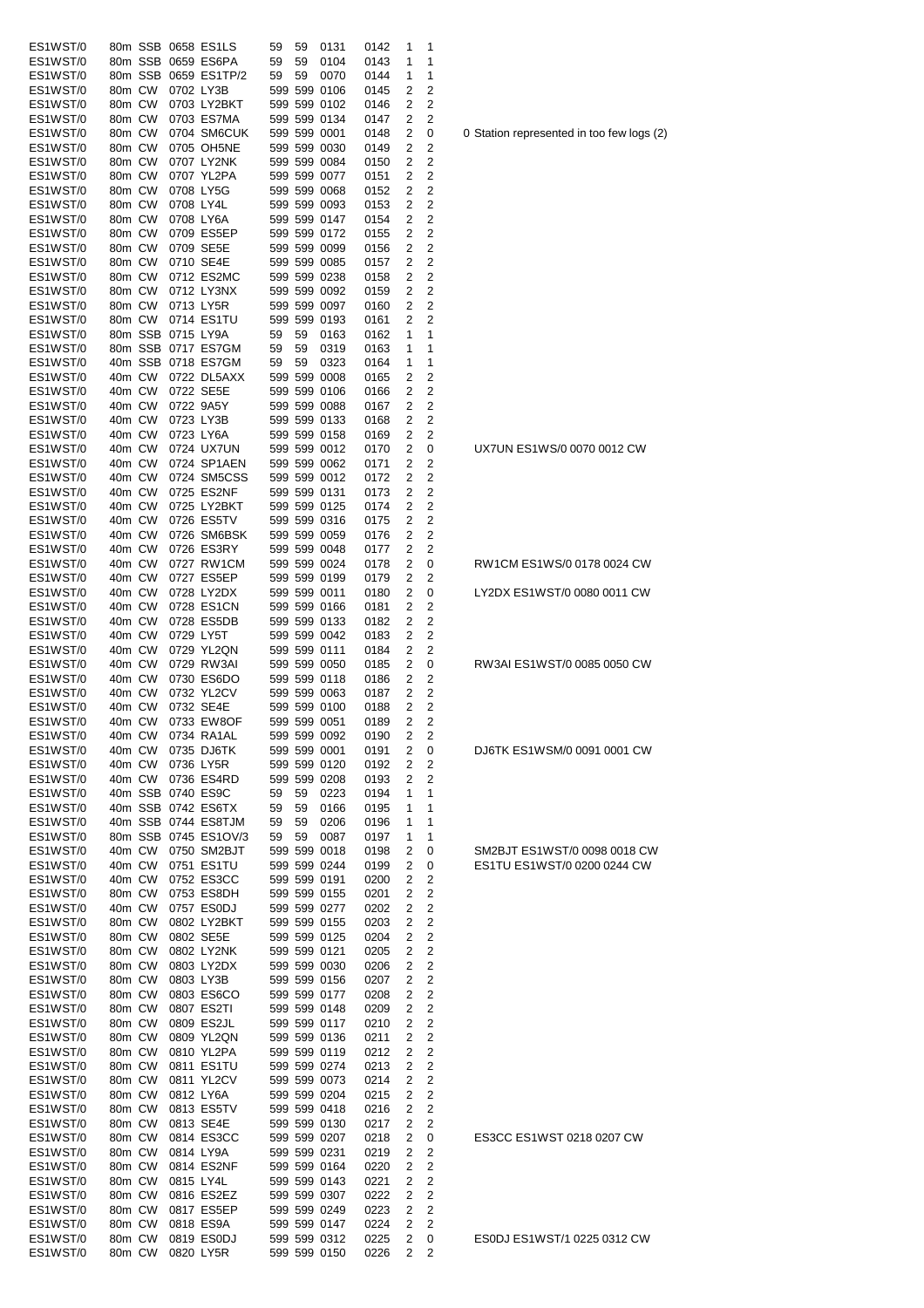| ES1WST/0 | 80m SSB 0658 ES1LS   |             | 59 | 59 | 0131         | 0142 | 1 | 1              |                                          |
|----------|----------------------|-------------|----|----|--------------|------|---|----------------|------------------------------------------|
| ES1WST/0 | 80m SSB 0659 ES6PA   |             | 59 | 59 | 0104         | 0143 | 1 | 1              |                                          |
| ES1WST/0 | 80m SSB 0659 ES1TP/2 |             | 59 | 59 | 0070         | 0144 | 1 | 1              |                                          |
| ES1WST/0 | 80m CW               | 0702 LY3B   |    |    | 599 599 0106 | 0145 | 2 | 2              |                                          |
| ES1WST/0 | 80m CW               | 0703 LY2BKT |    |    | 599 599 0102 | 0146 | 2 | 2              |                                          |
| ES1WST/0 | 80m CW               | 0703 ES7MA  |    |    | 599 599 0134 | 0147 | 2 | 2              |                                          |
| ES1WST/0 | 80m CW               | 0704 SM6CUK |    |    | 599 599 0001 | 0148 | 2 | 0              | 0 Station represented in too few logs (2 |
| ES1WST/0 | 80m CW               | 0705 OH5NE  |    |    | 599 599 0030 | 0149 | 2 | 2              |                                          |
| ES1WST/0 | 80m CW               | 0707 LY2NK  |    |    | 599 599 0084 | 0150 | 2 | 2              |                                          |
| ES1WST/0 | 80m CW               | 0707 YL2PA  |    |    | 599 599 0077 | 0151 | 2 | 2              |                                          |
| ES1WST/0 | 80m CW               | 0708 LY5G   |    |    | 599 599 0068 | 0152 | 2 | 2              |                                          |
| ES1WST/0 | 80m CW               | 0708 LY4L   |    |    | 599 599 0093 | 0153 | 2 | 2              |                                          |
| ES1WST/0 | 80m CW               | 0708 LY6A   |    |    | 599 599 0147 | 0154 | 2 | 2              |                                          |
| ES1WST/0 | 80m CW               | 0709 ES5EP  |    |    | 599 599 0172 | 0155 | 2 | 2              |                                          |
| ES1WST/0 | 80m CW               | 0709 SE5E   |    |    | 599 599 0099 | 0156 | 2 | 2              |                                          |
| ES1WST/0 | 80m CW               | 0710 SE4E   |    |    | 599 599 0085 | 0157 | 2 | 2              |                                          |
| ES1WST/0 | 80m CW               | 0712 ES2MC  |    |    | 599 599 0238 | 0158 | 2 | 2              |                                          |
| ES1WST/0 | 80m CW               | 0712 LY3NX  |    |    | 599 599 0092 | 0159 | 2 | 2              |                                          |
| ES1WST/0 | 80m CW               | 0713 LY5R   |    |    | 599 599 0097 | 0160 | 2 | 2              |                                          |
| ES1WST/0 | 80m CW               | 0714 ES1TU  |    |    | 599 599 0193 | 0161 | 2 | 2              |                                          |
| ES1WST/0 | 80m SSB 0715 LY9A    |             | 59 | 59 | 0163         | 0162 | 1 | 1              |                                          |
| ES1WST/0 | 80m SSB 0717 ES7GM   |             | 59 | 59 | 0319         | 0163 | 1 | 1              |                                          |
| ES1WST/0 | 40m SSB 0718 ES7GM   |             | 59 | 59 | 0323         | 0164 | 1 | 1              |                                          |
| ES1WST/0 | 40m CW               | 0722 DL5AXX |    |    | 599 599 0008 | 0165 | 2 | 2              |                                          |
| ES1WST/0 | 40m CW               | 0722 SE5E   |    |    | 599 599 0106 | 0166 | 2 | 2              |                                          |
| ES1WST/0 | 40m CW               | 0722 9A5Y   |    |    | 599 599 0088 | 0167 | 2 | 2              |                                          |
| ES1WST/0 | 40m CW               | 0723 LY3B   |    |    | 599 599 0133 | 0168 | 2 | 2              |                                          |
| ES1WST/0 | 40m CW               | 0723 LY6A   |    |    | 599 599 0158 | 0169 | 2 | 2              |                                          |
| ES1WST/0 | 40m CW               | 0724 UX7UN  |    |    | 599 599 0012 | 0170 | 2 | 0              | UX7UN ES1WS/0 0070 0012 CW               |
| ES1WST/0 | 40m CW               | 0724 SP1AEN |    |    | 599 599 0062 | 0171 | 2 | 2              |                                          |
| ES1WST/0 | 40m CW               | 0724 SM5CSS |    |    | 599 599 0012 | 0172 | 2 | 2              |                                          |
| ES1WST/0 | 40m CW               | 0725 ES2NF  |    |    | 599 599 0131 | 0173 | 2 | 2              |                                          |
| ES1WST/0 | 40m CW               | 0725 LY2BKT |    |    | 599 599 0125 | 0174 | 2 | 2              |                                          |
| ES1WST/0 | 40m CW               | 0726 ES5TV  |    |    | 599 599 0316 | 0175 | 2 | 2              |                                          |
| ES1WST/0 | 40m CW               | 0726 SM6BSK |    |    | 599 599 0059 | 0176 | 2 | 2              |                                          |
| ES1WST/0 | 40m CW               | 0726 ES3RY  |    |    | 599 599 0048 | 0177 | 2 | 2              |                                          |
| ES1WST/0 | 40m CW               | 0727 RW1CM  |    |    | 599 599 0024 | 0178 | 2 | 0              | RW1CM ES1WS/0 0178 0024 CW               |
| ES1WST/0 | 40m CW               | 0727 ES5EP  |    |    | 599 599 0199 | 0179 | 2 | 2              |                                          |
| ES1WST/0 | 40m CW               | 0728 LY2DX  |    |    | 599 599 0011 | 0180 | 2 | 0              | LY2DX ES1WST/0 0080 0011 CW              |
| ES1WST/0 | 40m CW               | 0728 ES1CN  |    |    | 599 599 0166 | 0181 | 2 | 2              |                                          |
| ES1WST/0 | 40m CW               | 0728 ES5DB  |    |    | 599 599 0133 | 0182 | 2 | 2              |                                          |
| ES1WST/0 | 40m CW               | 0729 LY5T   |    |    | 599 599 0042 | 0183 | 2 | 2              |                                          |
| ES1WST/0 | 40m CW               | 0729 YL2QN  |    |    | 599 599 0111 | 0184 | 2 | 2              |                                          |
| ES1WST/0 | 40m CW               | 0729 RW3AI  |    |    | 599 599 0050 | 0185 | 2 | 0              | RW3AI ES1WST/0 0085 0050 CW              |
| ES1WST/0 | 40m CW               | 0730 ES6DO  |    |    | 599 599 0118 | 0186 | 2 | 2              |                                          |
| ES1WST/0 | 40m CW               | 0732 YL2CV  |    |    | 599 599 0063 | 0187 | 2 | 2              |                                          |
| ES1WST/0 | 40m CW               | 0732 SE4E   |    |    | 599 599 0100 | 0188 | 2 | 2              |                                          |
| ES1WST/0 | 40m CW               | 0733 EW8OF  |    |    | 599 599 0051 | 0189 | 2 | 2              |                                          |
| ES1WST/0 | 40m CW               | 0734 RA1AL  |    |    | 599 599 0092 | 0190 | 2 | 2              |                                          |
| ES1WST/0 | 40m CW               | 0735 DJ6TK  |    |    | 599 599 0001 | 0191 | 2 | 0              | DJ6TK ES1WSM/0 0091 0001 CW              |
| ES1WST/0 | 40m CW               | 0736 LY5R   |    |    | 599 599 0120 | 0192 | 2 | 2              |                                          |
| ES1WST/0 | 40m CW               | 0736 ES4RD  |    |    | 599 599 0208 | 0193 | 2 | 2              |                                          |
| ES1WST/0 | 40m SSB 0740 ES9C    |             | 59 | 59 | 0223         | 0194 | 1 | 1              |                                          |
| ES1WST/0 | 40m SSB 0742 ES6TX   |             | 59 | 59 | 0166         | 0195 | 1 | 1              |                                          |
| ES1WST/0 | 40m SSB 0744 ES8TJM  |             | 59 | 59 | 0206         | 0196 | 1 | 1              |                                          |
| ES1WST/0 | 80m SSB 0745 ES1OV/3 |             | 59 | 59 | 0087         | 0197 | 1 | 1              |                                          |
| ES1WST/0 | 40m CW               | 0750 SM2BJT |    |    | 599 599 0018 | 0198 | 2 | 0              | SM2BJT ES1WST/0 0098 0018 CW             |
| ES1WST/0 | 40m CW               | 0751 ES1TU  |    |    | 599 599 0244 | 0199 | 2 | 0              | ES1TU ES1WST/0 0200 0244 CW              |
| ES1WST/0 | 40m CW               | 0752 ES3CC  |    |    | 599 599 0191 | 0200 | 2 | 2              |                                          |
| ES1WST/0 | 80m CW               | 0753 ES8DH  |    |    | 599 599 0155 | 0201 | 2 | 2              |                                          |
| ES1WST/0 | 40m CW               | 0757 ES0DJ  |    |    | 599 599 0277 | 0202 | 2 | 2              |                                          |
| ES1WST/0 | 80m CW               | 0802 LY2BKT |    |    | 599 599 0155 | 0203 | 2 | 2              |                                          |
| ES1WST/0 | 80m CW               | 0802 SE5E   |    |    | 599 599 0125 | 0204 | 2 | 2              |                                          |
| ES1WST/0 | 80m CW               | 0802 LY2NK  |    |    | 599 599 0121 | 0205 | 2 | 2              |                                          |
| ES1WST/0 | 80m CW               | 0803 LY2DX  |    |    | 599 599 0030 | 0206 | 2 | 2              |                                          |
| ES1WST/0 | 80m CW               | 0803 LY3B   |    |    | 599 599 0156 | 0207 | 2 | 2              |                                          |
| ES1WST/0 | 80m CW               | 0803 ES6CO  |    |    | 599 599 0177 | 0208 | 2 | 2              |                                          |
| ES1WST/0 | 80m CW               | 0807 ES2TI  |    |    | 599 599 0148 | 0209 | 2 | 2              |                                          |
| ES1WST/0 | 80m CW               | 0809 ES2JL  |    |    | 599 599 0117 | 0210 | 2 | 2              |                                          |
| ES1WST/0 | 80m CW               | 0809 YL2QN  |    |    | 599 599 0136 | 0211 | 2 | 2              |                                          |
| ES1WST/0 | 80m CW               | 0810 YL2PA  |    |    | 599 599 0119 | 0212 | 2 | 2              |                                          |
| ES1WST/0 | 80m CW               | 0811 ES1TU  |    |    | 599 599 0274 | 0213 | 2 | 2              |                                          |
| ES1WST/0 | 80m CW               | 0811 YL2CV  |    |    | 599 599 0073 | 0214 | 2 | 2              |                                          |
| ES1WST/0 | 80m CW               | 0812 LY6A   |    |    | 599 599 0204 | 0215 | 2 | 2              |                                          |
| ES1WST/0 | 80m CW               | 0813 ES5TV  |    |    | 599 599 0418 | 0216 | 2 | 2              |                                          |
| ES1WST/0 | 80m CW               | 0813 SE4E   |    |    | 599 599 0130 | 0217 | 2 | 2              |                                          |
| ES1WST/0 | 80m CW               | 0814 ES3CC  |    |    | 599 599 0207 | 0218 | 2 | 0              | ES3CC ES1WST 0218 0207 CW                |
| ES1WST/0 | 80m CW               | 0814 LY9A   |    |    | 599 599 0231 | 0219 | 2 | 2              |                                          |
| ES1WST/0 | 80m CW               | 0814 ES2NF  |    |    | 599 599 0164 | 0220 | 2 | $\overline{2}$ |                                          |
| ES1WST/0 | 80m CW               | 0815 LY4L   |    |    | 599 599 0143 | 0221 | 2 | 2              |                                          |
| ES1WST/0 | 80m CW               | 0816 ES2EZ  |    |    | 599 599 0307 | 0222 | 2 | 2              |                                          |
| ES1WST/0 | 80m CW               | 0817 ES5EP  |    |    | 599 599 0249 | 0223 | 2 | 2              |                                          |
| ES1WST/0 | 80m CW               | 0818 ES9A   |    |    | 599 599 0147 | 0224 | 2 | 2              |                                          |
| ES1WST/0 | 80m CW               | 0819 ES0DJ  |    |    | 599 599 0312 | 0225 | 2 | 0              | ES0DJ ES1WST/1 0225 0312 CW              |
| ES1WST/0 | 80m CW               | 0820 LY5R   |    |    | 599 599 0150 | 0226 | 2 | 2              |                                          |
|          |                      |             |    |    |              |      |   |                |                                          |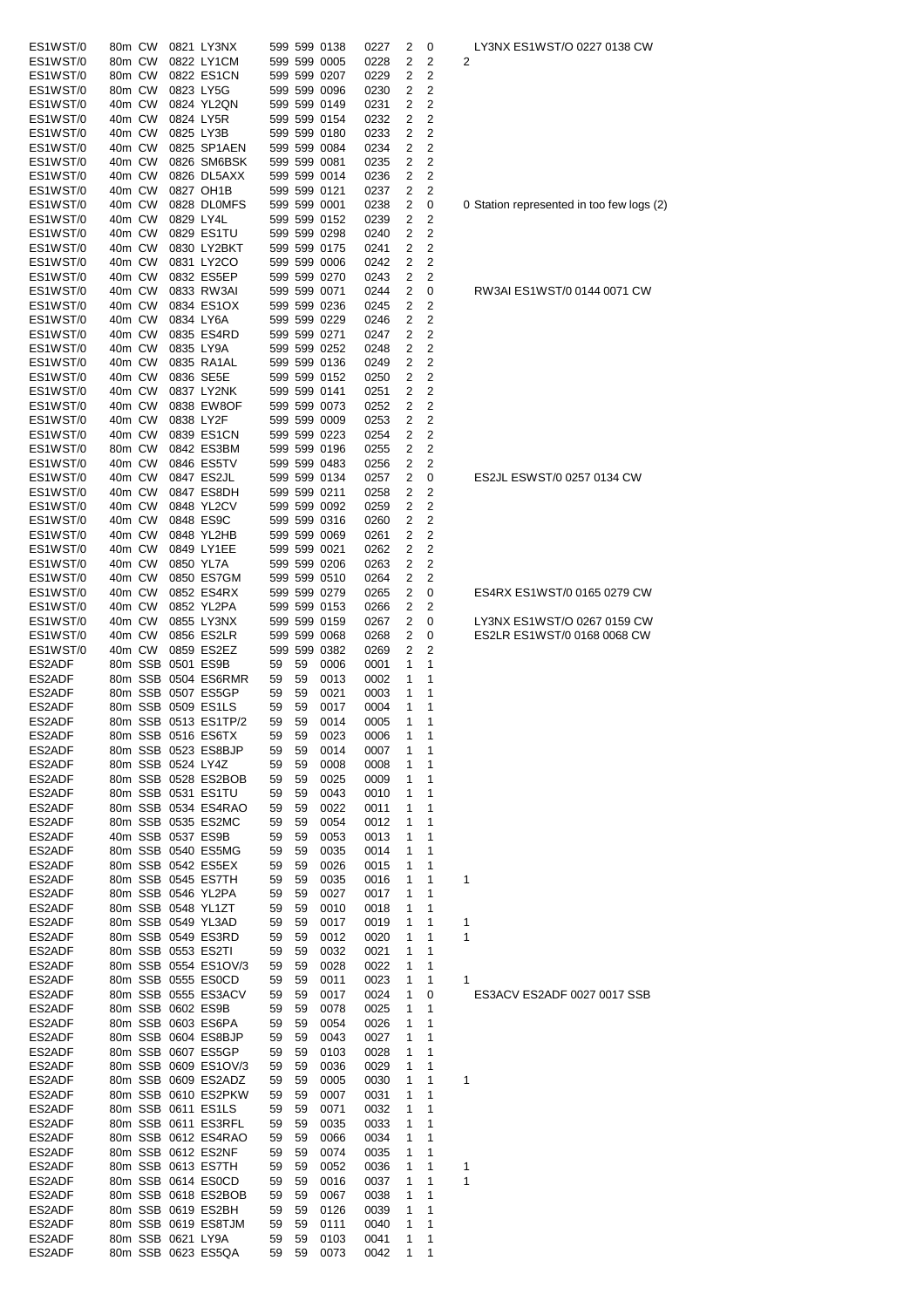| ES1WST/0         | 80m CW |                    | 0821 LY3NX           |          |          | 599 599 0138 | 0227         | 2      | 0              | LY3NX ES1WST/O 0227 0138 CW           |
|------------------|--------|--------------------|----------------------|----------|----------|--------------|--------------|--------|----------------|---------------------------------------|
|                  |        |                    | 0822 LY1CM           |          |          |              |              |        |                |                                       |
| ES1WST/0         | 80m CW |                    |                      |          |          | 599 599 0005 | 0228         | 2      | 2              | 2                                     |
| ES1WST/0         | 80m CW |                    | 0822 ES1CN           |          |          | 599 599 0207 | 0229         | 2      | 2              |                                       |
| ES1WST/0         | 80m CW |                    | 0823 LY5G            |          |          | 599 599 0096 | 0230         | 2      | 2              |                                       |
| ES1WST/0         | 40m CW |                    | 0824 YL2QN           |          |          | 599 599 0149 | 0231         | 2      | 2              |                                       |
| ES1WST/0         | 40m CW |                    | 0824 LY5R            |          |          | 599 599 0154 | 0232         | 2      | 2              |                                       |
| ES1WST/0         | 40m CW |                    | 0825 LY3B            |          |          | 599 599 0180 | 0233         | 2      | 2              |                                       |
| ES1WST/0         | 40m CW |                    | 0825 SP1AEN          |          |          | 599 599 0084 | 0234         | 2      | $\overline{2}$ |                                       |
|                  |        |                    |                      |          |          |              |              |        |                |                                       |
| ES1WST/0         | 40m CW |                    | 0826 SM6BSK          |          |          | 599 599 0081 | 0235         | 2      | 2              |                                       |
| ES1WST/0         | 40m CW |                    | 0826 DL5AXX          |          |          | 599 599 0014 | 0236         | 2      | $\overline{2}$ |                                       |
| ES1WST/0         | 40m CW |                    | 0827 OH1B            |          |          | 599 599 0121 | 0237         | 2      | 2              |                                       |
| ES1WST/0         | 40m CW |                    | 0828 DLOMFS          |          |          | 599 599 0001 | 0238         | 2      | 0              | 0 Station represented in too few logs |
| ES1WST/0         | 40m CW | 0829 LY4L          |                      |          |          | 599 599 0152 | 0239         | 2      | 2              |                                       |
| ES1WST/0         | 40m CW |                    | 0829 ES1TU           |          |          | 599 599 0298 | 0240         | 2      | 2              |                                       |
|                  |        |                    | 0830 LY2BKT          |          |          |              |              |        | $\overline{2}$ |                                       |
| ES1WST/0         | 40m CW |                    |                      |          |          | 599 599 0175 | 0241         | 2      |                |                                       |
| ES1WST/0         | 40m CW |                    | 0831 LY2CO           |          |          | 599 599 0006 | 0242         | 2      | $\overline{2}$ |                                       |
| ES1WST/0         | 40m CW |                    | 0832 ES5EP           |          |          | 599 599 0270 | 0243         | 2      | 2              |                                       |
| ES1WST/0         | 40m CW |                    | 0833 RW3AI           |          |          | 599 599 0071 | 0244         | 2      | 0              | RW3AI ES1WST/0 0144 0071 CW           |
| ES1WST/0         | 40m CW |                    | 0834 ES1OX           |          |          | 599 599 0236 | 0245         | 2      | 2              |                                       |
| ES1WST/0         | 40m CW |                    | 0834 LY6A            |          |          | 599 599 0229 | 0246         | 2      | 2              |                                       |
| ES1WST/0         | 40m CW |                    | 0835 ES4RD           |          |          | 599 599 0271 | 0247         | 2      | $\overline{2}$ |                                       |
|                  |        |                    |                      |          |          |              |              |        |                |                                       |
| ES1WST/0         | 40m CW |                    | 0835 LY9A            |          |          | 599 599 0252 | 0248         | 2      | 2              |                                       |
| ES1WST/0         | 40m CW |                    | 0835 RA1AL           |          |          | 599 599 0136 | 0249         | 2      | 2              |                                       |
| ES1WST/0         | 40m CW |                    | 0836 SE5E            |          |          | 599 599 0152 | 0250         | 2      | 2              |                                       |
| ES1WST/0         | 40m CW |                    | 0837 LY2NK           |          |          | 599 599 0141 | 0251         | 2      | 2              |                                       |
| ES1WST/0         | 40m CW |                    | 0838 EW8OF           |          |          | 599 599 0073 | 0252         | 2      | 2              |                                       |
| ES1WST/0         | 40m CW | 0838 LY2F          |                      |          |          | 599 599 0009 | 0253         | 2      | $\overline{2}$ |                                       |
| ES1WST/0         | 40m CW |                    | 0839 ES1CN           |          |          | 599 599 0223 | 0254         | 2      | $\overline{2}$ |                                       |
|                  |        |                    |                      |          |          |              |              |        |                |                                       |
| ES1WST/0         | 80m CW |                    | 0842 ES3BM           |          |          | 599 599 0196 | 0255         | 2      | 2              |                                       |
| ES1WST/0         | 40m CW |                    | 0846 ES5TV           |          |          | 599 599 0483 | 0256         | 2      | 2              |                                       |
| ES1WST/0         | 40m CW |                    | 0847 ES2JL           |          |          | 599 599 0134 | 0257         | 2      | 0              | ES2JL ESWST/0 0257 0134 CW            |
| ES1WST/0         | 40m CW |                    | 0847 ES8DH           |          |          | 599 599 0211 | 0258         | 2      | 2              |                                       |
| ES1WST/0         | 40m CW |                    | 0848 YL2CV           |          |          | 599 599 0092 | 0259         | 2      | 2              |                                       |
| ES1WST/0         | 40m CW |                    | 0848 ES9C            |          |          | 599 599 0316 | 0260         | 2      | 2              |                                       |
|                  |        |                    |                      |          |          |              |              |        |                |                                       |
| ES1WST/0         | 40m CW |                    | 0848 YL2HB           |          |          | 599 599 0069 | 0261         | 2      | 2              |                                       |
| ES1WST/0         | 40m CW |                    | 0849 LY1EE           |          |          | 599 599 0021 | 0262         | 2      | 2              |                                       |
| ES1WST/0         | 40m CW |                    | 0850 YL7A            |          |          | 599 599 0206 | 0263         | 2      | 2              |                                       |
| ES1WST/0         | 40m CW |                    | 0850 ES7GM           |          |          | 599 599 0510 | 0264         | 2      | 2              |                                       |
| ES1WST/0         | 40m CW |                    | 0852 ES4RX           |          |          | 599 599 0279 | 0265         | 2      | 0              | ES4RX ES1WST/0 0165 0279 CW           |
| ES1WST/0         | 40m CW |                    | 0852 YL2PA           |          |          | 599 599 0153 | 0266         | 2      | 2              |                                       |
| ES1WST/0         | 40m CW |                    | 0855 LY3NX           |          |          | 599 599 0159 | 0267         | 2      | 0              | LY3NX ES1WST/O 0267 0159 CW           |
| ES1WST/0         | 40m CW |                    | 0856 ES2LR           |          |          | 599 599 0068 | 0268         | 2      | 0              | ES2LR ES1WST/0 0168 0068 CW           |
|                  |        |                    |                      |          |          |              |              |        |                |                                       |
| ES1WST/0         | 40m CW |                    | 0859 ES2EZ           |          |          | 599 599 0382 | 0269         | 2      | 2              |                                       |
| ES2ADF           |        | 80m SSB 0501 ES9B  |                      | 59       | 59       | 0006         | 0001         | 1      | 1              |                                       |
| ES2ADF           |        |                    | 80m SSB 0504 ES6RMR  | 59       | 59       | 0013         | 0002         | 1      | 1              |                                       |
| ES2ADF           |        |                    | 80m SSB 0507 ES5GP   | 59       | 59       | 0021         | 0003         | 1      | 1              |                                       |
| ES2ADF           |        |                    | 80m SSB 0509 ES1LS   | 59       | 59       | 0017         | 0004         | 1      | 1              |                                       |
| ES2ADF           |        |                    | 80m SSB 0513 ES1TP/2 | 59       | 59       | 0014         | 0005         | 1      | 1              |                                       |
| ES2ADF           |        |                    |                      |          | 59       | 0023         |              | 1      | 1              |                                       |
|                  |        |                    |                      |          |          |              |              |        |                |                                       |
|                  |        | 80m SSB 0516 ES6TX |                      | 59       |          |              | 0006         |        |                |                                       |
| ES2ADF           |        |                    | 80m SSB 0523 ES8BJP  | 59       | 59       | 0014         | 0007         | 1      | 1              |                                       |
| ES2ADF           |        | 80m SSB 0524 LY4Z  |                      | 59       | 59       | 0008         | 0008         | 1      | 1              |                                       |
| ES2ADF           |        |                    | 80m SSB 0528 ES2BOB  | 59       | 59       | 0025         | 0009         | 1      | 1              |                                       |
| ES2ADF           |        |                    | 80m SSB 0531 ES1TU   | 59       | 59       | 0043         | 0010         | 1      | 1              |                                       |
|                  |        |                    |                      |          |          |              |              |        |                |                                       |
| ES2ADF           |        |                    | 80m SSB 0534 ES4RAO  | 59       | 59       | 0022         | 0011         | 1      | 1              |                                       |
| ES2ADF           |        |                    | 80m SSB 0535 ES2MC   | 59       | 59       | 0054         | 0012         | 1      | 1              |                                       |
| ES2ADF           |        |                    | 40m SSB 0537 ES9B    | 59       | 59       | 0053         | 0013         | 1      | 1              |                                       |
| ES2ADF           |        |                    | 80m SSB 0540 ES5MG   | 59       | 59       | 0035         | 0014         | 1      | 1              |                                       |
| ES2ADF           |        |                    | 80m SSB 0542 ES5EX   | 59       | 59       | 0026         | 0015         | 1      | 1              |                                       |
| ES2ADF           |        |                    | 80m SSB 0545 ES7TH   | 59       | 59       | 0035         | 0016         | 1      | 1              | 1                                     |
| ES2ADF           |        |                    | 80m SSB 0546 YL2PA   | 59       | 59       | 0027         | 0017         | 1      | 1              |                                       |
|                  |        |                    |                      |          |          |              |              |        |                |                                       |
| ES2ADF           |        |                    | 80m SSB 0548 YL1ZT   | 59       | 59       | 0010         | 0018         | 1      | 1              |                                       |
| ES2ADF           |        |                    | 80m SSB 0549 YL3AD   | 59       | 59       | 0017         | 0019         | 1      | 1              | 1                                     |
| ES2ADF           |        |                    | 80m SSB 0549 ES3RD   | 59       | 59       | 0012         | 0020         | 1      | 1              | 1                                     |
| ES2ADF           |        |                    | 80m SSB 0553 ES2TI   | 59       | 59       | 0032         | 0021         | 1      | 1              |                                       |
| ES2ADF           |        |                    | 80m SSB 0554 ES1OV/3 | 59       | 59       | 0028         | 0022         | 1      | 1              |                                       |
| ES2ADF           |        |                    | 80m SSB 0555 ES0CD   | 59       | 59       | 0011         | 0023         | 1      | 1              | 1                                     |
| ES2ADF           |        |                    | 80m SSB 0555 ES3ACV  | 59       | 59       | 0017         | 0024         | 1      | 0              | ES3ACV ES2ADF 0027 0017 SSB           |
|                  |        |                    |                      | 59       | 59       | 0078         | 0025         | 1      | 1              |                                       |
| ES2ADF           |        |                    | 80m SSB 0602 ES9B    |          |          |              |              |        |                |                                       |
| ES2ADF           |        |                    | 80m SSB 0603 ES6PA   | 59       | 59       | 0054         | 0026         | 1      | 1              |                                       |
| ES2ADF           |        |                    | 80m SSB 0604 ES8BJP  | 59       | 59       | 0043         | 0027         | 1      | 1              |                                       |
| ES2ADF           |        |                    | 80m SSB 0607 ES5GP   | 59       | 59       | 0103         | 0028         | 1      | 1              |                                       |
| ES2ADF           |        |                    | 80m SSB 0609 ES1OV/3 | 59       | 59       | 0036         | 0029         | 1      | 1              |                                       |
| ES2ADF           |        |                    | 80m SSB 0609 ES2ADZ  | 59       | 59       | 0005         | 0030         | 1      | 1              | 1                                     |
| ES2ADF           |        |                    | 80m SSB 0610 ES2PKW  | 59       | 59       | 0007         | 0031         | 1      | 1              |                                       |
| ES2ADF           |        |                    |                      | 59       | 59       | 0071         | 0032         | 1      | 1              |                                       |
|                  |        |                    | 80m SSB 0611 ES1LS   |          |          |              |              |        |                |                                       |
| ES2ADF           |        |                    | 80m SSB 0611 ES3RFL  | 59       | 59       | 0035         | 0033         | 1      | 1              |                                       |
| ES2ADF           |        |                    | 80m SSB 0612 ES4RAO  | 59       | 59       | 0066         | 0034         | 1      | 1              |                                       |
| ES2ADF           |        |                    | 80m SSB 0612 ES2NF   | 59       | 59       | 0074         | 0035         | 1      | 1              |                                       |
| ES2ADF           |        |                    | 80m SSB 0613 ES7TH   | 59       | 59       | 0052         | 0036         | 1      | 1              | 1                                     |
| ES2ADF           |        |                    | 80m SSB 0614 ES0CD   | 59       | 59       | 0016         | 0037         | 1      | 1              | 1                                     |
| ES2ADF           |        |                    | 80m SSB 0618 ES2BOB  | 59       | 59       | 0067         | 0038         | 1      | 1              |                                       |
| ES2ADF           |        |                    | 80m SSB 0619 ES2BH   | 59       | 59       | 0126         | 0039         | 1      | 1              |                                       |
|                  |        |                    |                      |          |          |              |              |        |                |                                       |
| ES2ADF           |        |                    | 80m SSB 0619 ES8TJM  | 59       | 59       | 0111         | 0040         | 1      | 1              |                                       |
| ES2ADF<br>ES2ADF |        | 80m SSB 0621 LY9A  | 80m SSB 0623 ES5QA   | 59<br>59 | 59<br>59 | 0103<br>0073 | 0041<br>0042 | 1<br>1 | 1<br>1         |                                       |

S1WST/O 0227 0138 CW

presented in too few logs (2)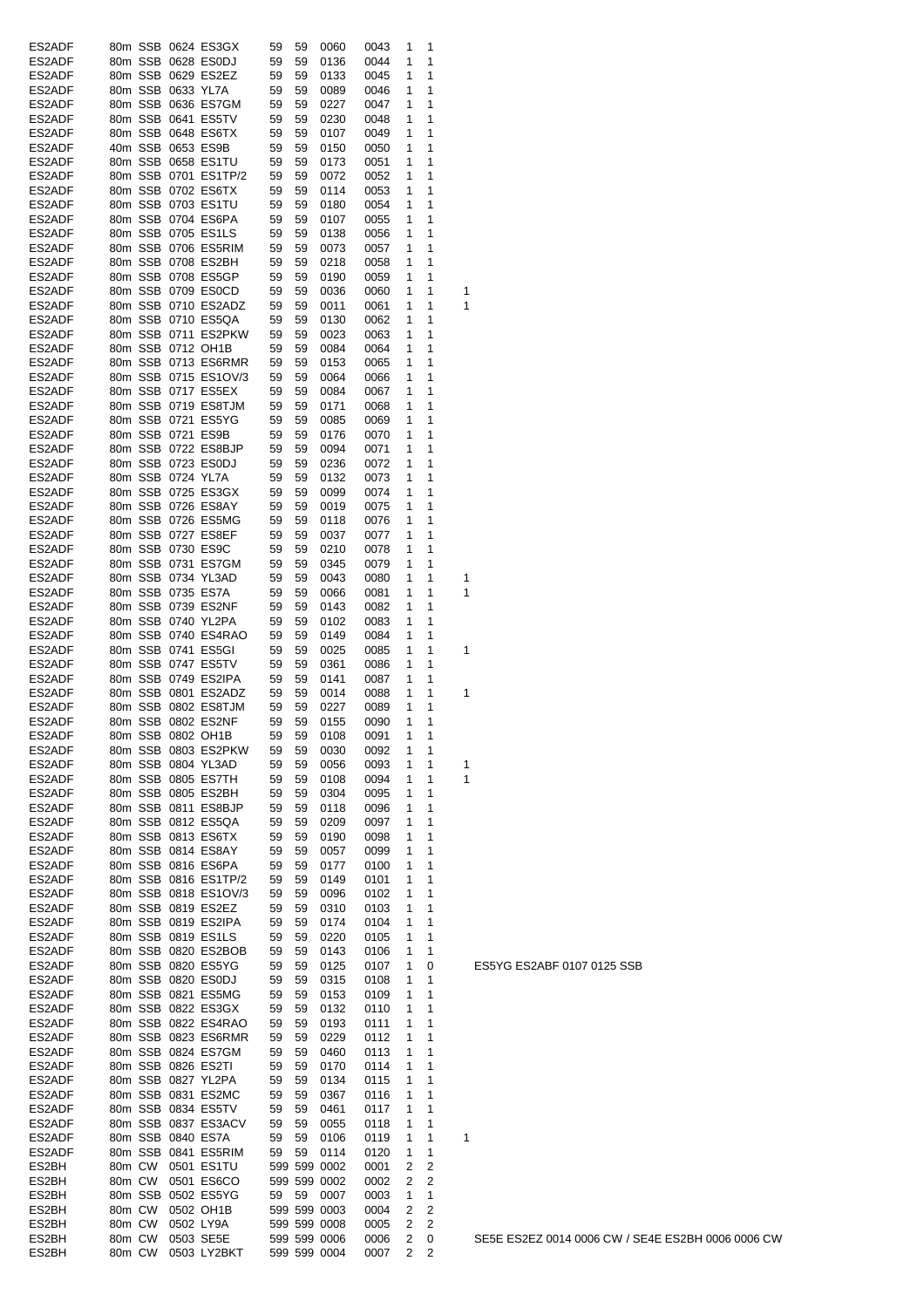| ES2ADF           |        |         |                   | 80m SSB 0624 ES3GX                        | 59       | 59       | 0060         | 0043         | 1      | 1              |   |
|------------------|--------|---------|-------------------|-------------------------------------------|----------|----------|--------------|--------------|--------|----------------|---|
| ES2ADF           |        |         |                   | 80m SSB 0628 ES0DJ                        | 59       | 59       | 0136         | 0044         | 1      | 1              |   |
| ES2ADF           |        |         |                   | 80m SSB 0629 ES2EZ                        | 59       | 59       | 0133         | 0045         | 1      | 1              |   |
| ES2ADF           |        |         | 80m SSB 0633 YL7A |                                           | 59       | 59       | 0089         | 0046         | 1      | 1              |   |
| ES2ADF           |        |         |                   | 80m SSB 0636 ES7GM                        | 59       | 59       | 0227         | 0047         | 1      | 1              |   |
| ES2ADF           |        |         |                   | 80m SSB 0641 ES5TV                        | 59       | 59       | 0230         | 0048         | 1      | 1              |   |
| ES2ADF           |        |         |                   | 80m SSB 0648 ES6TX                        | 59       | 59       | 0107         | 0049         | 1      | 1              |   |
| ES2ADF           |        |         |                   | 40m SSB 0653 ES9B                         | 59       | 59       | 0150         | 0050         | 1      | 1              |   |
| ES2ADF           |        |         |                   | 80m SSB 0658 ES1TU                        | 59       | 59       | 0173         | 0051         | 1      | 1              |   |
| ES2ADF           |        |         |                   | 80m SSB 0701 ES1TP/2                      | 59       | 59       | 0072         | 0052         | 1      | 1              |   |
| ES2ADF           |        |         |                   | 80m SSB 0702 ES6TX                        | 59       | 59       | 0114         | 0053         | 1      | 1              |   |
| ES2ADF           |        |         |                   | 80m SSB 0703 ES1TU                        | 59       | 59       | 0180         | 0054         | 1      | 1              |   |
| ES2ADF           |        |         |                   | 80m SSB 0704 ES6PA                        | 59       | 59       | 0107         | 0055         | 1      | 1              |   |
| ES2ADF           |        |         |                   | 80m SSB 0705 ES1LS                        | 59       | 59       | 0138         | 0056         | 1      | 1              |   |
| ES2ADF           |        |         |                   | 80m SSB 0706 ES5RIM                       | 59       | 59       | 0073         | 0057         | 1      | 1              |   |
| ES2ADF           |        |         |                   | 80m SSB 0708 ES2BH                        | 59       | 59       | 0218         | 0058         | 1      | 1              |   |
| ES2ADF           |        |         |                   | 80m SSB 0708 ES5GP                        | 59       | 59       | 0190         | 0059         | 1      | 1              |   |
| ES2ADF           |        |         |                   | 80m SSB 0709 ES0CD                        | 59       | 59       | 0036         | 0060         | 1      | 1              | 1 |
| ES2ADF           |        |         |                   | 80m SSB 0710 ES2ADZ                       | 59       | 59       | 0011         | 0061         | 1      | 1              | 1 |
| ES2ADF           |        |         |                   | 80m SSB 0710 ES5QA                        | 59       | 59       | 0130         | 0062         | 1      | 1              |   |
| ES2ADF           |        |         |                   | 80m SSB 0711 ES2PKW                       | 59       | 59       | 0023         | 0063         | 1      | 1              |   |
| ES2ADF           |        |         |                   | 80m SSB 0712 OH1B                         | 59       | 59       | 0084         | 0064         | 1      | 1              |   |
| ES2ADF           |        |         |                   | 80m SSB 0713 ES6RMR                       | 59       | 59       | 0153         | 0065         | 1      | 1              |   |
| ES2ADF           |        |         |                   | 80m SSB 0715 ES1OV/3                      | 59       | 59       | 0064         | 0066         | 1      | 1              |   |
| ES2ADF           |        |         |                   | 80m SSB 0717 ES5EX                        | 59       | 59       | 0084         | 0067         | 1      | 1              |   |
| ES2ADF           |        |         |                   | 80m SSB 0719 ES8TJM                       | 59       | 59       | 0171         | 0068         | 1      | 1              |   |
| ES2ADF           |        |         |                   | 80m SSB 0721 ES5YG                        | 59       | 59       | 0085         | 0069         | 1      | 1              |   |
| ES2ADF           |        |         |                   | 80m SSB 0721 ES9B                         | 59       | 59       | 0176         | 0070         | 1      | 1              |   |
| ES2ADF           |        |         |                   | 80m SSB 0722 ES8BJP                       | 59       | 59       | 0094         | 0071         | 1      | 1              |   |
| ES2ADF           |        |         |                   | 80m SSB 0723 ES0DJ                        | 59       | 59       | 0236         | 0072         | 1      | 1<br>1         |   |
| ES2ADF           |        |         | 80m SSB 0724 YL7A |                                           | 59       | 59       | 0132         | 0073         | 1      |                |   |
| ES2ADF           |        |         |                   | 80m SSB 0725 ES3GX                        | 59       | 59       | 0099         | 0074         | 1      | 1              |   |
| ES2ADF           |        |         |                   | 80m SSB 0726 ES8AY                        | 59       | 59       | 0019         | 0075         | 1      | 1              |   |
| ES2ADF           |        |         |                   | 80m SSB 0726 ES5MG                        | 59       | 59       | 0118         | 0076         | 1      | 1              |   |
| ES2ADF           |        |         |                   | 80m SSB 0727 ES8EF                        | 59       | 59       | 0037         | 0077         | 1      | 1              |   |
| ES2ADF           |        |         |                   | 80m SSB 0730 ES9C                         | 59       | 59       | 0210         | 0078         | 1      | 1              |   |
| ES2ADF           |        |         |                   | 80m SSB 0731 ES7GM                        | 59       | 59       | 0345         | 0079         | 1      | 1              |   |
| ES2ADF           |        |         |                   | 80m SSB 0734 YL3AD                        | 59       | 59       | 0043         | 0080         | 1      | 1              | 1 |
| ES2ADF           |        |         |                   | 80m SSB 0735 ES7A                         | 59       | 59       | 0066         | 0081         | 1      | 1              | 1 |
| ES2ADF           |        |         |                   | 80m SSB 0739 ES2NF                        | 59       | 59       | 0143         | 0082         | 1      | 1<br>1         |   |
| ES2ADF           |        |         |                   | 80m SSB 0740 YL2PA                        | 59       | 59       | 0102         | 0083         | 1      |                |   |
| ES2ADF           |        |         |                   | 80m SSB 0740 ES4RAO<br>80m SSB 0741 ES5GI | 59       | 59       | 0149         | 0084         | 1<br>1 | 1<br>1         | 1 |
| ES2ADF           |        |         |                   | 80m SSB 0747 ES5TV                        | 59       | 59       | 0025         | 0085         |        | 1              |   |
| ES2ADF           |        |         |                   | 80m SSB 0749 ES2IPA                       | 59       | 59       | 0361<br>0141 | 0086         | 1      | 1              |   |
| ES2ADF<br>ES2ADF |        |         |                   | 80m SSB 0801 ES2ADZ                       | 59<br>59 | 59<br>59 | 0014         | 0087<br>0088 | 1<br>1 | 1              | 1 |
| ES2ADF           |        |         |                   | 80m SSB 0802 ES8TJM                       | 59       | 59       | 0227         | 0089         | 1      | 1              |   |
| ES2ADF           |        |         |                   | 80m SSB 0802 ES2NF                        | 59       | 59       | 0155         | 0090         | 1      | 1              |   |
|                  |        |         |                   |                                           |          |          |              |              |        |                |   |
| ES2ADF<br>ES2ADF |        |         |                   | 80m SSB 0802 OH1B<br>80m SSB 0803 ES2PKW  | 59<br>59 | 59<br>59 | 0108<br>0030 | 0091<br>0092 | 1<br>1 | 1<br>1         |   |
| ES2ADF           |        |         |                   | 80m SSB 0804 YL3AD                        | 59       | 59       | 0056         | 0093         | 1      | 1              | 1 |
| ES2ADF           |        |         |                   | 80m SSB 0805 ES7TH                        | 59       | 59       | 0108         | 0094         | 1      | 1              | 1 |
| ES2ADF           |        |         |                   | 80m SSB 0805 ES2BH                        | 59       | 59       | 0304         | 0095         | 1      | 1              |   |
| ES2ADF           |        |         |                   | 80m SSB 0811 ES8BJP                       | 59       | 59       | 0118         | 0096         | 1      | 1              |   |
| ES2ADF           |        |         |                   | 80m SSB 0812 ES5QA                        | 59       | 59       | 0209         | 0097         | 1      | 1              |   |
| ES2ADF           |        |         |                   | 80m SSB 0813 ES6TX                        | 59       | 59       | 0190         | 0098         | 1      | 1              |   |
| ES2ADF           |        |         |                   | 80m SSB 0814 ES8AY                        | 59       | 59       | 0057         | 0099         | 1      | 1              |   |
| ES2ADF           |        |         |                   | 80m SSB 0816 ES6PA                        | 59       | 59       | 0177         | 0100         | 1      | 1              |   |
| ES2ADF           |        |         |                   | 80m SSB 0816 ES1TP/2                      | 59       | 59       | 0149         | 0101         | 1      | 1              |   |
| ES2ADF           |        |         |                   | 80m SSB 0818 ES1OV/3                      | 59       | 59       | 0096         | 0102         | 1      | 1              |   |
| ES2ADF           |        |         |                   | 80m SSB 0819 ES2EZ                        | 59       | 59       | 0310         | 0103         | 1      | 1              |   |
| ES2ADF           |        |         |                   | 80m SSB 0819 ES2IPA                       | 59       | 59       | 0174         | 0104         | 1      | 1              |   |
| ES2ADF           |        |         |                   | 80m SSB 0819 ES1LS                        | 59       | 59       | 0220         | 0105         | 1      | 1              |   |
| ES2ADF           |        |         |                   | 80m SSB 0820 ES2BOB                       | 59       | 59       | 0143         | 0106         | 1      | 1              |   |
| ES2ADF           |        |         |                   | 80m SSB 0820 ES5YG                        | 59       | 59       | 0125         | 0107         | 1      | 0              |   |
| ES2ADF           |        |         |                   | 80m SSB 0820 ES0DJ                        | 59       | 59       | 0315         | 0108         | 1      | 1              |   |
| ES2ADF           |        |         |                   | 80m SSB 0821 ES5MG                        | 59       | 59       | 0153         | 0109         | 1      | 1              |   |
| ES2ADF           |        |         |                   | 80m SSB 0822 ES3GX                        | 59       | 59       | 0132         | 0110         | 1      | 1              |   |
| ES2ADF           |        |         |                   | 80m SSB 0822 ES4RAO                       | 59       | 59       | 0193         | 0111         | 1      | 1              |   |
| ES2ADF           |        |         |                   | 80m SSB 0823 ES6RMR                       | 59       | 59       | 0229         | 0112         | 1      | 1              |   |
| ES2ADF           |        |         |                   | 80m SSB 0824 ES7GM                        | 59       | 59       | 0460         | 0113         | 1      | 1              |   |
| ES2ADF           |        |         |                   | 80m SSB 0826 ES2TI                        | 59       | 59       | 0170         | 0114         | 1      | 1              |   |
| ES2ADF           |        |         |                   | 80m SSB 0827 YL2PA                        | 59       | 59       | 0134         | 0115         | 1      | 1              |   |
| ES2ADF           |        |         |                   | 80m SSB 0831 ES2MC                        | 59       | 59       | 0367         | 0116         | 1      | 1              |   |
| ES2ADF           |        |         |                   | 80m SSB 0834 ES5TV                        | 59       | 59       | 0461         | 0117         | 1      | 1              |   |
| ES2ADF           |        |         |                   | 80m SSB 0837 ES3ACV                       | 59       | 59       | 0055         | 0118         | 1      | 1              |   |
| ES2ADF           |        |         |                   | 80m SSB 0840 ES7A                         | 59       | 59       | 0106         | 0119         | 1      | 1              | 1 |
| ES2ADF           |        |         |                   | 80m SSB 0841 ES5RIM                       | 59       | 59       | 0114         | 0120         | 1      | 1              |   |
| ES2BH            | 80m CW |         |                   | 0501 ES1TU                                |          |          | 599 599 0002 | 0001         | 2      | 2              |   |
| ES2BH            | 80m CW |         |                   | 0501 ES6CO                                |          |          | 599 599 0002 | 0002         | 2      | 2              |   |
| ES2BH            |        | 80m SSB |                   | 0502 ES5YG                                | 59       | 59       | 0007         | 0003         | 1      | 1              |   |
| ES2BH            | 80m CW |         |                   | 0502 OH1B                                 |          |          | 599 599 0003 | 0004         | 2      | 2              |   |
| ES2BH            | 80m CW |         |                   | 0502 LY9A                                 |          |          | 599 599 0008 | 0005         | 2      | 2              |   |
| ES2BH            | 80m CW |         |                   | 0503 SE5E                                 |          |          | 599 599 0006 | 0006         | 2      | 0              |   |
| ES2BH            | 80m CW |         |                   | 0503 LY2BKT                               |          |          | 599 599 0004 | 0007         | 2      | $\overline{c}$ |   |

ES5YG ES2ABF 0107 0125 SSB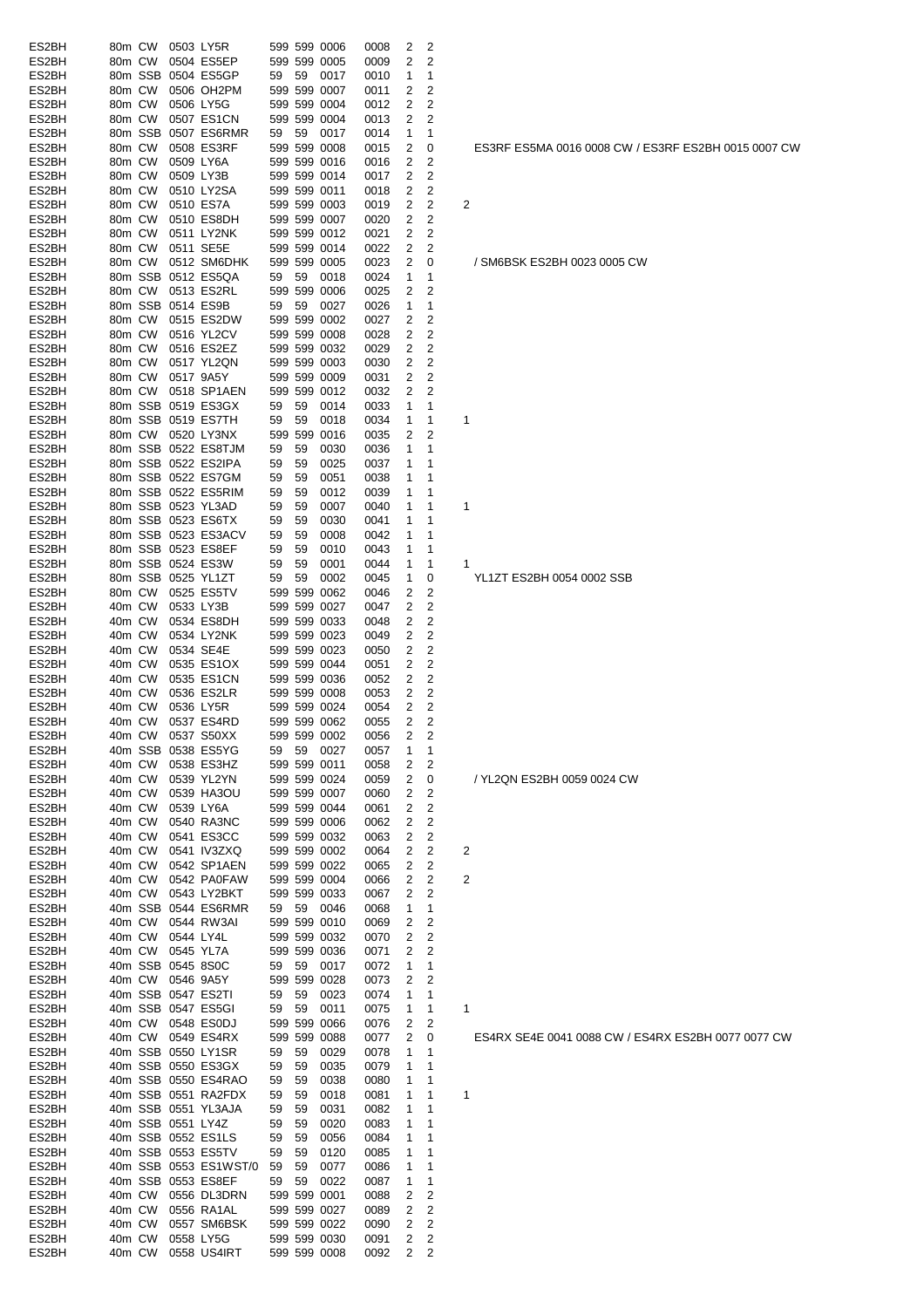| ES2BH          | 80m CW           |        |                   | 0503 LY5R                                |          |          | 599 599 0006                 | 0008         | 2              | 2                       |                                                     |
|----------------|------------------|--------|-------------------|------------------------------------------|----------|----------|------------------------------|--------------|----------------|-------------------------|-----------------------------------------------------|
| ES2BH          | 80m CW           |        |                   | 0504 ES5EP                               |          |          | 599 599 0005                 | 0009         | 2              | 2                       |                                                     |
| ES2BH          |                  |        |                   | 80m SSB 0504 ES5GP                       | 59       | 59       | 0017                         | 0010         | 1              | 1                       |                                                     |
| ES2BH          | 80m CW           |        |                   | 0506 OH2PM                               |          |          | 599 599 0007                 | 0011         | 2              | 2                       |                                                     |
| ES2BH          | 80m CW           |        |                   | 0506 LY5G                                |          |          | 599 599 0004                 | 0012         | 2              | 2                       |                                                     |
| ES2BH          | 80m CW           |        |                   | 0507 ES1CN                               |          |          | 599 599 0004                 | 0013         | 2              | 2                       |                                                     |
| ES2BH          | 80m CW           |        |                   | 80m SSB 0507 ES6RMR<br>0508 ES3RF        | 59       | 59       | 0017<br>599 599 0008         | 0014         | 1              | 1                       |                                                     |
| ES2BH<br>ES2BH | 80m CW           |        |                   |                                          |          |          |                              | 0015<br>0016 | 2<br>2         | 0<br>2                  | ES3RF ES5MA 0016 0008 CW / ES3RF ES2BH 0015 0007 CV |
| ES2BH          | 80m CW           |        |                   | 0509 LY6A<br>0509 LY3B                   |          |          | 599 599 0016<br>599 599 0014 | 0017         | 2              | 2                       |                                                     |
| ES2BH          | 80m CW           |        |                   | 0510 LY2SA                               |          |          | 599 599 0011                 | 0018         | 2              | 2                       |                                                     |
| ES2BH          | 80m CW           |        |                   | 0510 ES7A                                |          |          | 599 599 0003                 | 0019         | 2              | 2                       | 2                                                   |
| ES2BH          | 80m CW           |        |                   | 0510 ES8DH                               |          |          | 599 599 0007                 | 0020         | 2              | $\overline{\mathbf{c}}$ |                                                     |
| ES2BH          | 80m CW           |        |                   | 0511 LY2NK                               |          |          | 599 599 0012                 | 0021         | 2              | 2                       |                                                     |
| ES2BH          | 80m CW           |        |                   | 0511 SE5E                                |          |          | 599 599 0014                 | 0022         | 2              | 2                       |                                                     |
| ES2BH          | 80m CW           |        |                   | 0512 SM6DHK                              |          |          | 599 599 0005                 | 0023         | 2              | 0                       | / SM6BSK ES2BH 0023 0005 CW                         |
| ES2BH          |                  |        |                   | 80m SSB 0512 ES5QA                       | 59       | 59       | 0018                         | 0024         | 1              | 1                       |                                                     |
| ES2BH          |                  | 80m CW |                   | 0513 ES2RL                               |          |          | 599 599 0006                 | 0025         | 2              | 2                       |                                                     |
| ES2BH          |                  |        |                   | 80m SSB 0514 ES9B                        | 59       | 59       | 0027                         | 0026         | 1              | 1                       |                                                     |
| ES2BH          | 80m CW           |        |                   | 0515 ES2DW                               |          |          | 599 599 0002                 | 0027         | 2              | 2                       |                                                     |
| ES2BH          | 80m CW           |        |                   | 0516 YL2CV                               |          |          | 599 599 0008                 | 0028         | 2              | 2                       |                                                     |
| ES2BH          | 80m CW           |        |                   | 0516 ES2EZ                               |          |          | 599 599 0032                 | 0029         | 2              | 2                       |                                                     |
| ES2BH          | 80m CW           |        |                   | 0517 YL2QN                               |          |          | 599 599 0003                 | 0030         | 2              | 2                       |                                                     |
| ES2BH          | 80m CW           |        |                   | 0517 9A5Y                                |          |          | 599 599 0009                 | 0031         | 2              | 2                       |                                                     |
| ES2BH          | 80m CW           |        |                   | 0518 SP1AEN                              |          |          | 599 599 0012                 | 0032         | 2              | 2                       |                                                     |
| ES2BH          |                  |        |                   | 80m SSB 0519 ES3GX                       | 59       | 59       | 0014                         | 0033         | 1              | 1                       |                                                     |
| ES2BH          |                  |        |                   | 80m SSB 0519 ES7TH                       | 59       | 59       | 0018                         | 0034         | 1              | 1                       | $\mathbf 1$                                         |
| ES2BH          |                  |        |                   | 80m CW 0520 LY3NX                        |          |          | 599 599 0016                 | 0035         | 2              | 2                       |                                                     |
| ES2BH          |                  |        |                   | 80m SSB 0522 ES8TJM                      | 59       | 59       | 0030                         | 0036         | 1              | 1                       |                                                     |
| ES2BH          |                  |        |                   | 80m SSB 0522 ES2IPA                      | 59       | 59       | 0025                         | 0037         | 1              | 1                       |                                                     |
| ES2BH          |                  |        |                   | 80m SSB 0522 ES7GM                       | 59       | 59       | 0051                         | 0038         | 1              | 1                       |                                                     |
| ES2BH          |                  |        |                   | 80m SSB 0522 ES5RIM                      | 59       | 59       | 0012                         | 0039         | 1              | 1                       |                                                     |
| ES2BH          |                  |        |                   | 80m SSB 0523 YL3AD                       | 59       | 59       | 0007                         | 0040         | 1              | 1                       | $\mathbf 1$                                         |
| ES2BH          |                  |        |                   | 80m SSB 0523 ES6TX                       | 59       | 59       | 0030                         | 0041         | 1              | 1                       |                                                     |
| ES2BH          |                  |        |                   | 80m SSB 0523 ES3ACV                      | 59       | 59       | 0008                         | 0042         | 1              | 1                       |                                                     |
| ES2BH          |                  |        |                   | 80m SSB 0523 ES8EF                       | 59       | 59       | 0010                         | 0043         | 1              | 1                       |                                                     |
| ES2BH          |                  |        |                   | 80m SSB 0524 ES3W                        | 59       | 59       | 0001                         | 0044         | 1              | 1                       | 1                                                   |
| ES2BH          |                  |        |                   | 80m SSB 0525 YL1ZT                       | 59       | 59       | 0002                         | 0045         | 1              | 0                       | YL1ZT ES2BH 0054 0002 SSB                           |
| ES2BH          |                  | 80m CW |                   | 0525 ES5TV                               |          |          | 599 599 0062                 | 0046         | 2              | 2                       |                                                     |
| ES2BH<br>ES2BH | 40m CW<br>40m CW |        | 0533 LY3B         | 0534 ES8DH                               |          |          | 599 599 0027<br>599 599 0033 | 0047<br>0048 | 2<br>2         | 2<br>2                  |                                                     |
| ES2BH          | 40m CW           |        |                   | 0534 LY2NK                               |          |          | 599 599 0023                 | 0049         | 2              | 2                       |                                                     |
| ES2BH          | 40m CW           |        |                   | 0534 SE4E                                |          |          | 599 599 0023                 | 0050         | 2              | 2                       |                                                     |
| ES2BH          | 40m CW           |        |                   | 0535 ES1OX                               |          |          | 599 599 0044                 | 0051         | 2              | 2                       |                                                     |
| ES2BH          | 40m CW           |        |                   | 0535 ES1CN                               |          |          | 599 599 0036                 | 0052         | 2              | 2                       |                                                     |
| ES2BH          | 40m CW           |        |                   | 0536 ES2LR                               |          |          | 599 599 0008                 | 0053         | 2              | 2                       |                                                     |
| ES2BH          | 40m CW           |        |                   | 0536 LY5R                                |          |          | 599 599 0024                 | 0054         | $\overline{2}$ | 2                       |                                                     |
| ES2BH          |                  | 40m CW |                   | 0537 ES4RD                               |          |          | 599 599 0062                 | 0055         | 2              | 2                       |                                                     |
| ES2BH          |                  |        |                   | 40m CW 0537 S50XX                        |          |          | 599 599 0002                 | 0056         | $\overline{2}$ | 2                       |                                                     |
| ES2BH          |                  |        |                   | 40m SSB 0538 ES5YG                       | 59       |          | 59 0027                      | 0057         | 1              | 1                       |                                                     |
| ES2BH          | 40m CW           |        |                   | 0538 ES3HZ                               |          |          | 599 599 0011                 | 0058         | 2              | 2                       |                                                     |
| ES2BH          | 40m CW           |        |                   | 0539 YL2YN                               |          |          | 599 599 0024                 | 0059         | 2              | 0                       | / YL2QN ES2BH 0059 0024 CW                          |
| ES2BH          | 40m CW           |        |                   | 0539 HA3OU                               |          |          | 599 599 0007                 | 0060         | 2              | 2                       |                                                     |
| ES2BH          | 40m CW           |        |                   | 0539 LY6A                                |          |          | 599 599 0044                 | 0061         | 2              | 2                       |                                                     |
| ES2BH          | 40m CW           |        |                   | 0540 RA3NC                               |          |          | 599 599 0006                 | 0062         | 2              | 2                       |                                                     |
| ES2BH          | 40m CW           |        |                   | 0541 ES3CC                               |          |          | 599 599 0032                 | 0063         | 2              | 2                       |                                                     |
| ES2BH          |                  | 40m CW |                   | 0541 IV3ZXQ                              |          |          | 599 599 0002                 | 0064         | 2              | 2                       | 2                                                   |
| ES2BH          | 40m CW           |        |                   | 0542 SP1AEN                              |          |          | 599 599 0022                 | 0065         | 2              | 2                       |                                                     |
| ES2BH          |                  | 40m CW |                   | 0542 PA0FAW                              |          |          | 599 599 0004                 | 0066         | 2              | 2                       | 2                                                   |
| ES2BH          |                  | 40m CW |                   | 0543 LY2BKT                              |          |          | 599 599 0033                 | 0067         | 2              | 2                       |                                                     |
| ES2BH          |                  |        |                   | 40m SSB 0544 ES6RMR                      | 59       |          | 59 0046                      | 0068         | 1              | 1                       |                                                     |
| ES2BH          |                  | 40m CW |                   | 0544 RW3AI                               |          |          | 599 599 0010                 | 0069         | 2              | 2                       |                                                     |
| ES2BH          |                  | 40m CW | 0544 LY4L         |                                          |          |          | 599 599 0032                 | 0070         | 2              | 2                       |                                                     |
| ES2BH          |                  | 40m CW | 0545 YL7A         |                                          |          |          | 599 599 0036                 | 0071         | 2              | 2                       |                                                     |
| ES2BH          |                  |        |                   | 40m SSB 0545 8S0C                        | 59       | 59       | 0017                         | 0072         | 1              | 1                       |                                                     |
| ES2BH          |                  |        | 40m CW 0546 9A5Y  |                                          |          |          | 599 599 0028                 | 0073         | 2              | 2                       |                                                     |
| ES2BH<br>ES2BH |                  |        |                   | 40m SSB 0547 ES2TI<br>40m SSB 0547 ES5GI | 59<br>59 | 59<br>59 | 0023<br>0011                 | 0074<br>0075 | 1<br>1         | 1<br>1                  | 1                                                   |
| ES2BH          |                  |        |                   | 40m CW 0548 ES0DJ                        |          |          | 599 599 0066                 | 0076         | 2              | 2                       |                                                     |
| ES2BH          |                  |        |                   | 40m CW 0549 ES4RX                        |          |          | 599 599 0088                 | 0077         | 2              | 0                       | ES4RX SE4E 0041 0088 CW / ES4RX ES2BH 0077 0077 CW  |
| ES2BH          |                  |        |                   | 40m SSB 0550 LY1SR                       | 59       | 59       | 0029                         | 0078         | 1              | 1                       |                                                     |
| ES2BH          |                  |        |                   | 40m SSB 0550 ES3GX                       | 59       | 59       | 0035                         | 0079         | 1              | 1                       |                                                     |
| ES2BH          |                  |        |                   | 40m SSB 0550 ES4RAO                      | 59       | 59       | 0038                         | 0080         | 1              | 1                       |                                                     |
| ES2BH          |                  |        |                   | 40m SSB 0551 RA2FDX                      | 59       | 59       | 0018                         | 0081         | 1              | 1                       | 1                                                   |
| ES2BH          |                  |        |                   | 40m SSB 0551 YL3AJA                      | 59       | 59       | 0031                         | 0082         | 1              | 1                       |                                                     |
| ES2BH          |                  |        | 40m SSB 0551 LY4Z |                                          | 59       | 59       | 0020                         | 0083         | 1              | 1                       |                                                     |
| ES2BH          |                  |        |                   | 40m SSB 0552 ES1LS                       | 59       | 59       | 0056                         | 0084         | 1              | 1                       |                                                     |
| ES2BH          |                  |        |                   | 40m SSB 0553 ES5TV                       | 59       | 59       | 0120                         | 0085         | 1              | 1                       |                                                     |
| ES2BH          |                  |        |                   | 40m SSB 0553 ES1WST/0                    | 59       | 59       | 0077                         | 0086         | 1              | 1                       |                                                     |
| ES2BH          |                  |        |                   | 40m SSB 0553 ES8EF                       | 59       | 59       | 0022                         | 0087         | 1              | 1                       |                                                     |
| ES2BH          |                  |        |                   | 40m CW 0556 DL3DRN                       |          |          | 599 599 0001                 | 0088         | 2              | 2                       |                                                     |
| ES2BH          |                  | 40m CW |                   | 0556 RA1AL                               |          |          | 599 599 0027                 | 0089         | 2              | 2                       |                                                     |
| ES2BH          | 40m CW           |        |                   | 0557 SM6BSK                              |          |          | 599 599 0022                 | 0090         | 2              | 2                       |                                                     |
| ES2BH          | 40m CW           |        |                   | 0558 LY5G                                |          |          | 599 599 0030                 | 0091         | 2              | 2                       |                                                     |
| ES2BH          |                  | 40m CW |                   | 0558 US4IRT                              |          |          | 599 599 0008                 | 0092         | 2              | 2                       |                                                     |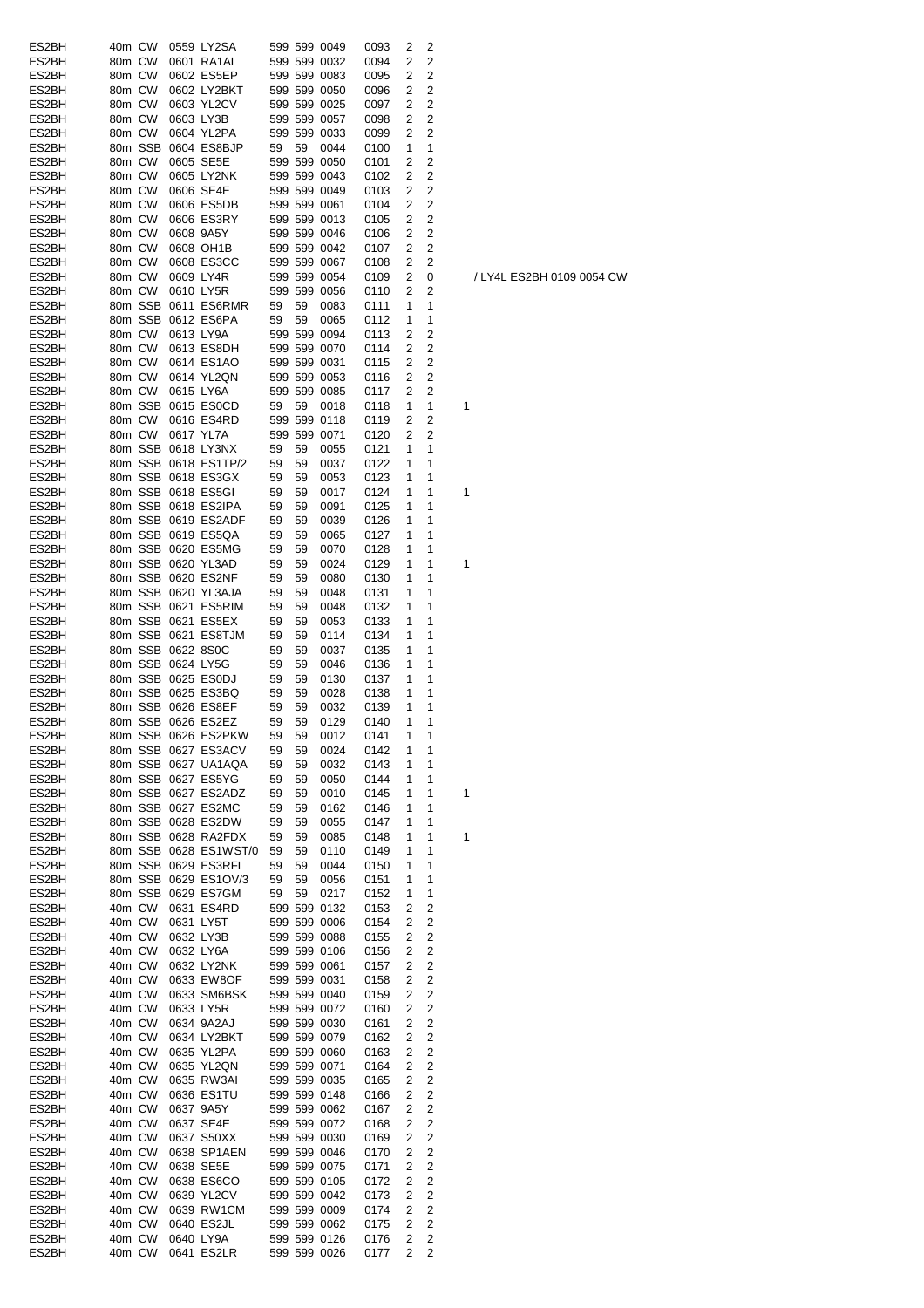| ES2BH | 40m CW |         |                   | 0559 LY2SA            |    |    | 599 599 0049 | 0093 | 2 | 2              |   |
|-------|--------|---------|-------------------|-----------------------|----|----|--------------|------|---|----------------|---|
|       |        |         |                   |                       |    |    |              |      |   |                |   |
| ES2BH | 80m CW |         |                   | 0601 RA1AL            |    |    | 599 599 0032 | 0094 | 2 | 2              |   |
| ES2BH | 80m CW |         |                   | 0602 ES5EP            |    |    | 599 599 0083 | 0095 | 2 | 2              |   |
| ES2BH | 80m CW |         |                   | 0602 LY2BKT           |    |    | 599 599 0050 | 0096 | 2 | 2              |   |
| ES2BH | 80m CW |         |                   | 0603 YL2CV            |    |    | 599 599 0025 | 0097 | 2 | 2              |   |
| ES2BH | 80m CW |         |                   | 0603 LY3B             |    |    | 599 599 0057 | 0098 | 2 | 2              |   |
| ES2BH | 80m CW |         |                   | 0604 YL2PA            |    |    | 599 599 0033 | 0099 | 2 | 2              |   |
|       |        |         |                   |                       |    |    |              |      |   |                |   |
| ES2BH |        | 80m SSB |                   | 0604 ES8BJP           | 59 | 59 | 0044         | 0100 | 1 | 1              |   |
| ES2BH | 80m CW |         |                   | 0605 SE5E             |    |    | 599 599 0050 | 0101 | 2 | 2              |   |
| ES2BH | 80m CW |         |                   | 0605 LY2NK            |    |    | 599 599 0043 | 0102 | 2 | 2              |   |
| ES2BH | 80m CW |         |                   | 0606 SE4E             |    |    | 599 599 0049 | 0103 | 2 | 2              |   |
| ES2BH | 80m CW |         |                   | 0606 ES5DB            |    |    | 599 599 0061 | 0104 | 2 | 2              |   |
| ES2BH |        |         |                   |                       |    |    |              |      |   |                |   |
|       | 80m CW |         |                   | 0606 ES3RY            |    |    | 599 599 0013 | 0105 | 2 | 2              |   |
| ES2BH | 80m CW |         |                   | 0608 9A5Y             |    |    | 599 599 0046 | 0106 | 2 | 2              |   |
| ES2BH | 80m CW |         |                   | 0608 OH1B             |    |    | 599 599 0042 | 0107 | 2 | $\overline{c}$ |   |
| ES2BH | 80m CW |         |                   | 0608 ES3CC            |    |    | 599 599 0067 | 0108 | 2 | 2              |   |
| ES2BH | 80m CW |         |                   | 0609 LY4R             |    |    | 599 599 0054 | 0109 | 2 | 0              |   |
|       |        |         |                   |                       |    |    |              |      |   |                |   |
| ES2BH | 80m CW |         |                   | 0610 LY5R             |    |    | 599 599 0056 | 0110 | 2 | 2              |   |
| ES2BH |        | 80m SSB |                   | 0611 ES6RMR           | 59 | 59 | 0083         | 0111 | 1 | 1              |   |
| ES2BH |        | 80m SSB |                   | 0612 ES6PA            | 59 | 59 | 0065         | 0112 | 1 | 1              |   |
| ES2BH | 80m CW |         |                   | 0613 LY9A             |    |    | 599 599 0094 | 0113 | 2 | 2              |   |
| ES2BH | 80m CW |         |                   | 0613 ES8DH            |    |    | 599 599 0070 | 0114 | 2 | 2              |   |
|       |        |         |                   |                       |    |    |              |      |   |                |   |
| ES2BH | 80m CW |         |                   | 0614 ES1AO            |    |    | 599 599 0031 | 0115 | 2 | 2              |   |
| ES2BH | 80m CW |         |                   | 0614 YL2QN            |    |    | 599 599 0053 | 0116 | 2 | 2              |   |
| ES2BH | 80m CW |         |                   | 0615 LY6A             |    |    | 599 599 0085 | 0117 | 2 | $\overline{2}$ |   |
| ES2BH |        |         |                   | 80m SSB 0615 ES0CD    | 59 | 59 | 0018         | 0118 | 1 | 1              | 1 |
| ES2BH | 80m CW |         |                   | 0616 ES4RD            |    |    | 599 599 0118 | 0119 | 2 | 2              |   |
|       |        |         |                   |                       |    |    |              |      |   |                |   |
| ES2BH | 80m CW |         |                   | 0617 YL7A             |    |    | 599 599 0071 | 0120 | 2 | 2              |   |
| ES2BH |        |         |                   | 80m SSB 0618 LY3NX    | 59 | 59 | 0055         | 0121 | 1 | 1              |   |
| ES2BH |        |         |                   | 80m SSB 0618 ES1TP/2  | 59 | 59 | 0037         | 0122 | 1 | 1              |   |
| ES2BH |        |         |                   | 80m SSB 0618 ES3GX    | 59 | 59 | 0053         | 0123 | 1 | 1              |   |
|       |        |         |                   |                       |    |    |              |      |   |                |   |
| ES2BH |        |         |                   | 80m SSB 0618 ES5GI    | 59 | 59 | 0017         | 0124 | 1 | 1              | 1 |
| ES2BH |        |         |                   | 80m SSB 0618 ES2IPA   | 59 | 59 | 0091         | 0125 | 1 | 1              |   |
| ES2BH |        |         |                   | 80m SSB 0619 ES2ADF   | 59 | 59 | 0039         | 0126 | 1 | 1              |   |
| ES2BH |        |         |                   | 80m SSB 0619 ES5QA    | 59 | 59 | 0065         | 0127 | 1 | 1              |   |
|       |        |         |                   |                       |    |    |              |      |   |                |   |
| ES2BH |        |         |                   | 80m SSB 0620 ES5MG    | 59 | 59 | 0070         | 0128 | 1 | 1              |   |
| ES2BH |        |         |                   | 80m SSB 0620 YL3AD    | 59 | 59 | 0024         | 0129 | 1 | 1              | 1 |
| ES2BH |        |         |                   | 80m SSB 0620 ES2NF    | 59 | 59 | 0080         | 0130 | 1 | 1              |   |
| ES2BH |        |         |                   | 80m SSB 0620 YL3AJA   | 59 | 59 | 0048         | 0131 | 1 | 1              |   |
|       |        |         |                   |                       |    |    |              |      |   | 1              |   |
| ES2BH |        |         |                   | 80m SSB 0621 ES5RIM   | 59 | 59 | 0048         | 0132 | 1 |                |   |
| ES2BH |        |         |                   | 80m SSB 0621 ES5EX    | 59 | 59 | 0053         | 0133 | 1 | 1              |   |
| ES2BH |        |         |                   | 80m SSB 0621 ES8TJM   | 59 | 59 | 0114         | 0134 | 1 | 1              |   |
| ES2BH |        |         | 80m SSB 0622 8S0C |                       | 59 | 59 | 0037         | 0135 | 1 | 1              |   |
| ES2BH |        |         | 80m SSB 0624 LY5G |                       | 59 | 59 | 0046         | 0136 | 1 | 1              |   |
|       |        |         |                   |                       |    |    |              |      |   |                |   |
| ES2BH |        |         |                   | 80m SSB 0625 ES0DJ    | 59 | 59 | 0130         | 0137 | 1 | 1              |   |
| ES2BH |        |         |                   | 80m SSB 0625 ES3BQ    | 59 | 59 | 0028         | 0138 | 1 | 1              |   |
| ES2BH |        |         |                   | 80m SSB 0626 ES8EF    | 59 | 59 | 0032         | 0139 | 1 | 1              |   |
| ES2BH |        |         |                   | 80m SSB 0626 ES2EZ    | 59 | 59 | 0129         | 0140 | 1 | 1              |   |
|       |        |         |                   |                       |    |    |              |      |   |                |   |
| ES2BH |        |         |                   | 80m SSB 0626 ES2PKW   | 59 | 59 | 0012         | 0141 | 1 | 1              |   |
| ES2BH |        |         |                   | 80m SSB 0627 ES3ACV   | 59 | 59 | 0024         | 0142 | 1 | 1              |   |
| ES2BH |        |         |                   | 80m SSB 0627 UA1AQA   | 59 | 59 | 0032         | 0143 | 1 | 1              |   |
| ES2BH |        |         |                   | 80m SSB 0627 ES5YG    | 59 | 59 | 0050         | 0144 | 1 | 1              |   |
| ES2BH |        |         |                   | 80m SSB 0627 ES2ADZ   | 59 | 59 | 0010         | 0145 | 1 | 1              | 1 |
|       |        |         |                   |                       |    |    |              |      |   |                |   |
| ES2BH |        |         |                   | 80m SSB 0627 ES2MC    | 59 | 59 | 0162         | 0146 | 1 | 1              |   |
| ES2BH |        |         |                   | 80m SSB 0628 ES2DW    | 59 | 59 | 0055         | 0147 | 1 | 1              |   |
| ES2BH |        |         |                   | 80m SSB 0628 RA2FDX   | 59 | 59 | 0085         | 0148 | 1 | 1              | 1 |
| ES2BH |        |         |                   | 80m SSB 0628 ES1WST/0 | 59 | 59 | 0110         | 0149 | 1 | 1              |   |
|       |        |         |                   | 80m SSB 0629 ES3RFL   |    |    |              |      | 1 | 1              |   |
| ES2BH |        |         |                   |                       | 59 | 59 | 0044         | 0150 |   |                |   |
| ES2BH |        |         |                   | 80m SSB 0629 ES1OV/3  | 59 | 59 | 0056         | 0151 | 1 | 1              |   |
| ES2BH |        |         |                   | 80m SSB 0629 ES7GM    | 59 | 59 | 0217         | 0152 | 1 | 1              |   |
| ES2BH |        | 40m CW  |                   | 0631 ES4RD            |    |    | 599 599 0132 | 0153 | 2 | 2              |   |
| ES2BH | 40m CW |         |                   | 0631 LY5T             |    |    | 599 599 0006 | 0154 | 2 | 2              |   |
| ES2BH |        |         |                   | 0632 LY3B             |    |    |              |      |   |                |   |
|       | 40m CW |         |                   |                       |    |    | 599 599 0088 | 0155 | 2 | 2              |   |
| ES2BH | 40m CW |         |                   | 0632 LY6A             |    |    | 599 599 0106 | 0156 | 2 | 2              |   |
| ES2BH | 40m CW |         |                   | 0632 LY2NK            |    |    | 599 599 0061 | 0157 | 2 | $\overline{c}$ |   |
| ES2BH | 40m CW |         |                   | 0633 EW8OF            |    |    | 599 599 0031 | 0158 | 2 | 2              |   |
| ES2BH | 40m CW |         |                   | 0633 SM6BSK           |    |    | 599 599 0040 | 0159 | 2 | $\overline{c}$ |   |
|       |        |         |                   |                       |    |    |              |      |   |                |   |
| ES2BH | 40m CW |         |                   | 0633 LY5R             |    |    | 599 599 0072 | 0160 | 2 | $\overline{c}$ |   |
| ES2BH | 40m CW |         |                   | 0634 9A2AJ            |    |    | 599 599 0030 | 0161 | 2 | $\overline{c}$ |   |
| ES2BH | 40m CW |         |                   | 0634 LY2BKT           |    |    | 599 599 0079 | 0162 | 2 | 2              |   |
| ES2BH | 40m CW |         |                   | 0635 YL2PA            |    |    | 599 599 0060 | 0163 | 2 | $\overline{c}$ |   |
| ES2BH | 40m CW |         |                   | 0635 YL2QN            |    |    | 599 599 0071 | 0164 | 2 | 2              |   |
|       |        |         |                   |                       |    |    |              |      |   |                |   |
| ES2BH | 40m CW |         |                   | 0635 RW3AI            |    |    | 599 599 0035 | 0165 | 2 | $\overline{c}$ |   |
| ES2BH | 40m CW |         |                   | 0636 ES1TU            |    |    | 599 599 0148 | 0166 | 2 | 2              |   |
| ES2BH | 40m CW |         |                   | 0637 9A5Y             |    |    | 599 599 0062 | 0167 | 2 | $\overline{c}$ |   |
| ES2BH | 40m CW |         |                   | 0637 SE4E             |    |    | 599 599 0072 | 0168 | 2 | 2              |   |
|       |        |         |                   |                       |    |    |              |      |   |                |   |
| ES2BH | 40m CW |         |                   | 0637 S50XX            |    |    | 599 599 0030 | 0169 | 2 | 2              |   |
| ES2BH | 40m CW |         |                   | 0638 SP1AEN           |    |    | 599 599 0046 | 0170 | 2 | 2              |   |
| ES2BH | 40m CW |         |                   | 0638 SE5E             |    |    | 599 599 0075 | 0171 | 2 | $\overline{2}$ |   |
| ES2BH | 40m CW |         |                   | 0638 ES6CO            |    |    | 599 599 0105 | 0172 | 2 | $\overline{c}$ |   |
|       |        |         |                   |                       |    |    |              |      |   |                |   |
| ES2BH | 40m CW |         |                   | 0639 YL2CV            |    |    | 599 599 0042 | 0173 | 2 | 2              |   |
| ES2BH | 40m CW |         |                   | 0639 RW1CM            |    |    | 599 599 0009 | 0174 | 2 | 2              |   |
| ES2BH | 40m CW |         |                   | 0640 ES2JL            |    |    | 599 599 0062 | 0175 | 2 | 2              |   |
| ES2BH | 40m CW |         |                   | 0640 LY9A             |    |    | 599 599 0126 | 0176 | 2 | 2              |   |
| ES2BH | 40m CW |         |                   | 0641 ES2LR            |    |    | 599 599 0026 |      |   | 2              |   |
|       |        |         |                   |                       |    |    |              | 0177 | 2 |                |   |

/ LY4L ES2BH 0109 0054 CW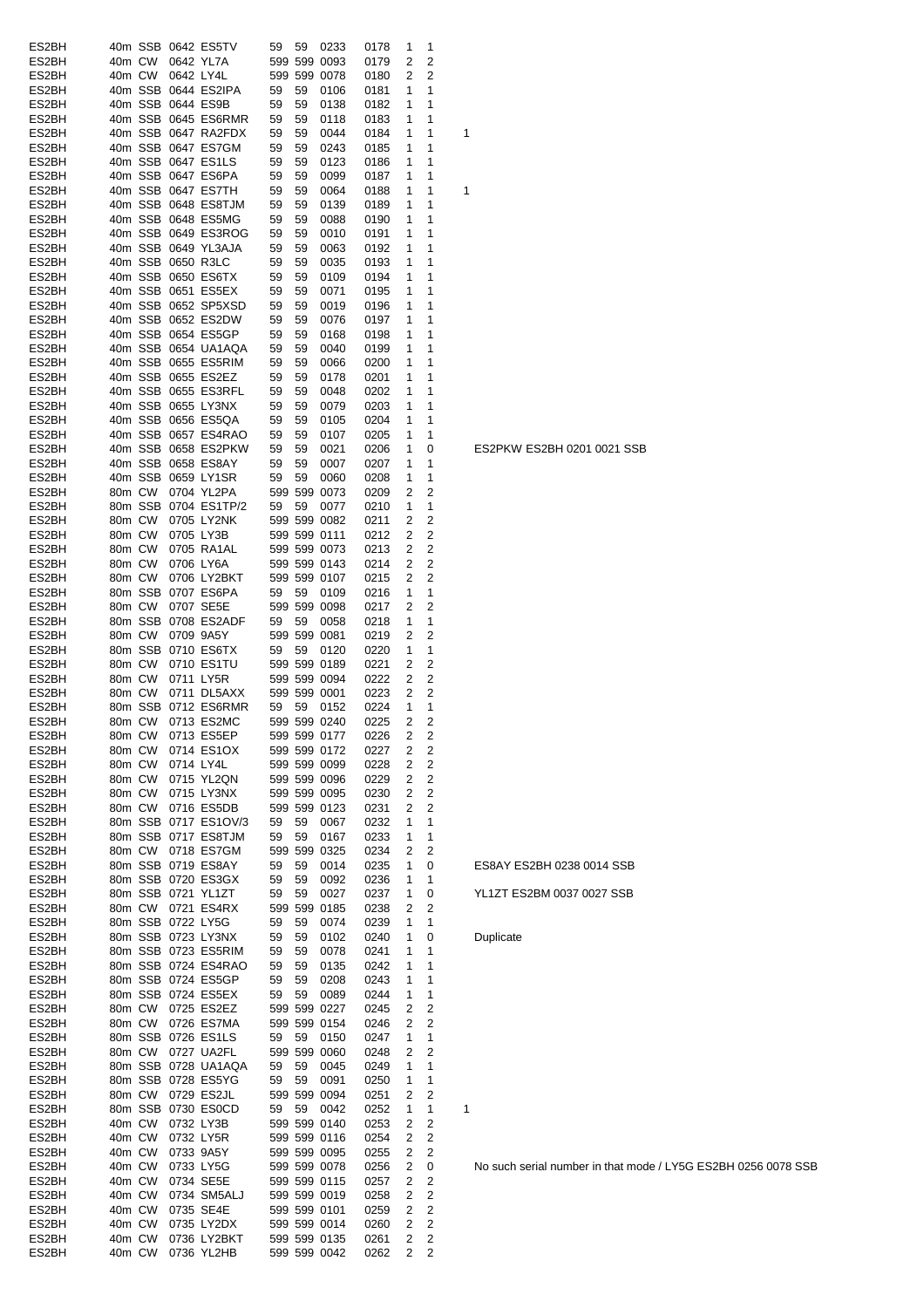| ES2BH          |                  |        |                   | 40m SSB 0642 ES5TV        | 59 | 59 | 0233                         | 0178         | 1                   | 1                   |   |
|----------------|------------------|--------|-------------------|---------------------------|----|----|------------------------------|--------------|---------------------|---------------------|---|
|                |                  |        |                   |                           |    |    |                              |              |                     |                     |   |
| ES2BH          | 40m CW           |        |                   | 0642 YL7A                 |    |    | 599 599 0093                 | 0179         | 2                   | 2                   |   |
| ES2BH          | 40m CW           |        | 0642 LY4L         |                           |    |    | 599 599 0078                 | 0180         | 2                   | 2                   |   |
| ES2BH          |                  |        |                   | 40m SSB 0644 ES2IPA       | 59 | 59 | 0106                         | 0181         | 1                   | 1                   |   |
| ES2BH          |                  |        | 40m SSB 0644 ES9B |                           | 59 | 59 | 0138                         | 0182         | 1                   | 1                   |   |
|                |                  |        |                   |                           |    |    |                              |              |                     |                     |   |
| ES2BH          |                  |        |                   | 40m SSB 0645 ES6RMR       | 59 | 59 | 0118                         | 0183         | 1                   | 1                   |   |
| ES2BH          |                  |        |                   | 40m SSB 0647 RA2FDX       | 59 | 59 | 0044                         | 0184         | 1                   | 1                   | 1 |
| ES2BH          |                  |        |                   | 40m SSB 0647 ES7GM        | 59 | 59 | 0243                         | 0185         | 1                   | 1                   |   |
| ES2BH          |                  |        |                   | 40m SSB 0647 ES1LS        | 59 | 59 | 0123                         | 0186         | 1                   | 1                   |   |
|                |                  |        |                   |                           |    |    |                              |              |                     |                     |   |
| ES2BH          |                  |        |                   | 40m SSB 0647 ES6PA        | 59 | 59 | 0099                         | 0187         | 1                   | 1                   |   |
| ES2BH          |                  |        |                   | 40m SSB 0647 ES7TH        | 59 | 59 | 0064                         | 0188         | 1                   | 1                   | 1 |
| ES2BH          |                  |        |                   | 40m SSB 0648 ES8TJM       | 59 | 59 | 0139                         | 0189         | 1                   | 1                   |   |
|                |                  |        |                   |                           |    |    |                              |              |                     |                     |   |
| ES2BH          |                  |        |                   | 40m SSB 0648 ES5MG        | 59 | 59 | 0088                         | 0190         | 1                   | 1                   |   |
| ES2BH          |                  |        |                   | 40m SSB 0649 ES3ROG       | 59 | 59 | 0010                         | 0191         | 1                   | 1                   |   |
| ES2BH          |                  |        |                   | 40m SSB 0649 YL3AJA       | 59 | 59 | 0063                         | 0192         | 1                   | 1                   |   |
| ES2BH          |                  |        | 40m SSB 0650 R3LC |                           | 59 | 59 | 0035                         | 0193         | 1                   | 1                   |   |
|                |                  |        |                   |                           |    |    |                              |              |                     |                     |   |
| ES2BH          |                  |        |                   | 40m SSB 0650 ES6TX        | 59 | 59 | 0109                         | 0194         | 1                   | 1                   |   |
| ES2BH          |                  |        |                   | 40m SSB 0651 ES5EX        | 59 | 59 | 0071                         | 0195         | 1                   | 1                   |   |
| ES2BH          |                  |        |                   | 40m SSB 0652 SP5XSD       | 59 | 59 | 0019                         | 0196         | 1                   | 1                   |   |
|                |                  |        |                   |                           |    |    |                              |              |                     |                     |   |
| ES2BH          |                  |        |                   | 40m SSB 0652 ES2DW        | 59 | 59 | 0076                         | 0197         | 1                   | 1                   |   |
| ES2BH          |                  |        |                   | 40m SSB 0654 ES5GP        | 59 | 59 | 0168                         | 0198         | 1                   | 1                   |   |
| ES2BH          |                  |        |                   | 40m SSB 0654 UA1AQA       | 59 | 59 | 0040                         | 0199         | 1                   | 1                   |   |
| ES2BH          |                  |        |                   | 40m SSB 0655 ES5RIM       | 59 | 59 |                              |              | 1                   | 1                   |   |
|                |                  |        |                   |                           |    |    | 0066                         | 0200         |                     |                     |   |
| ES2BH          |                  |        |                   | 40m SSB 0655 ES2EZ        | 59 | 59 | 0178                         | 0201         | 1                   | 1                   |   |
| ES2BH          |                  |        |                   | 40m SSB 0655 ES3RFL       | 59 | 59 | 0048                         | 0202         | 1                   | 1                   |   |
| ES2BH          |                  |        |                   | 40m SSB 0655 LY3NX        | 59 | 59 | 0079                         | 0203         | 1                   | 1                   |   |
|                |                  |        |                   |                           |    |    |                              |              |                     |                     |   |
| ES2BH          |                  |        |                   | 40m SSB 0656 ES5QA        | 59 | 59 | 0105                         | 0204         | 1                   | 1                   |   |
| ES2BH          |                  |        |                   | 40m SSB 0657 ES4RAO       | 59 | 59 | 0107                         | 0205         | 1                   | 1                   |   |
| ES2BH          |                  |        |                   | 40m SSB 0658 ES2PKW       | 59 | 59 | 0021                         | 0206         | 1                   | 0                   |   |
|                |                  |        |                   |                           |    |    |                              |              |                     |                     |   |
| ES2BH          |                  |        |                   | 40m SSB 0658 ES8AY        | 59 | 59 | 0007                         | 0207         | 1                   | 1                   |   |
| ES2BH          |                  |        |                   | 40m SSB 0659 LY1SR        | 59 | 59 | 0060                         | 0208         | 1                   | 1                   |   |
| ES2BH          | 80m CW           |        |                   | 0704 YL2PA                |    |    | 599 599 0073                 | 0209         | 2                   | 2                   |   |
|                |                  |        |                   |                           |    |    |                              |              |                     |                     |   |
| ES2BH          |                  |        |                   | 80m SSB 0704 ES1TP/2      | 59 | 59 | 0077                         | 0210         | 1                   | 1                   |   |
| ES2BH          | 80m CW           |        |                   | 0705 LY2NK                |    |    | 599 599 0082                 | 0211         | 2                   | 2                   |   |
| ES2BH          | 80m CW           |        |                   | 0705 LY3B                 |    |    | 599 599 0111                 | 0212         | 2                   | 2                   |   |
|                | 80m CW           |        |                   | 0705 RA1AL                |    |    | 599 599 0073                 |              | 2                   | 2                   |   |
| ES2BH          |                  |        |                   |                           |    |    |                              | 0213         |                     |                     |   |
| ES2BH          | 80m CW           |        | 0706 LY6A         |                           |    |    | 599 599 0143                 | 0214         | 2                   | 2                   |   |
| ES2BH          | 80m CW           |        |                   | 0706 LY2BKT               |    |    | 599 599 0107                 | 0215         | 2                   | 2                   |   |
| ES2BH          |                  |        |                   | 80m SSB 0707 ES6PA        | 59 | 59 | 0109                         | 0216         | 1                   | 1                   |   |
|                |                  |        |                   |                           |    |    |                              |              |                     |                     |   |
| ES2BH          | 80m CW           |        |                   | 0707 SE5E                 |    |    | 599 599 0098                 | 0217         | 2                   | 2                   |   |
| ES2BH          |                  |        |                   | 80m SSB 0708 ES2ADF       | 59 | 59 | 0058                         | 0218         | 1                   | 1                   |   |
| ES2BH          | 80m CW           |        |                   | 0709 9A5Y                 |    |    | 599 599 0081                 | 0219         | 2                   | $\overline{2}$      |   |
|                |                  |        |                   |                           |    |    | 0120                         | 0220         |                     | 1                   |   |
| ES2BH          |                  |        |                   | 80m SSB 0710 ES6TX        | 59 | 59 |                              |              | 1                   |                     |   |
| ES2BH          | 80m CW           |        |                   | 0710 ES1TU                |    |    | 599 599 0189                 | 0221         | 2                   | 2                   |   |
| ES2BH          | 80m CW           |        |                   | 0711 LY5R                 |    |    | 599 599 0094                 | 0222         | 2                   | 2                   |   |
| ES2BH          | 80m CW           |        |                   | 0711 DL5AXX               |    |    | 599 599 0001                 | 0223         | 2                   | 2                   |   |
|                |                  |        |                   |                           |    |    |                              |              |                     |                     |   |
| ES2BH          |                  |        |                   | 80m SSB 0712 ES6RMR       | 59 | 59 | 0152                         | 0224         | 1                   | 1                   |   |
| ES2BH          | 80m CW           |        |                   | 0713 ES2MC                |    |    | 599 599 0240                 | 0225         | 2                   | 2                   |   |
| ES2BH          |                  |        |                   | 80m CW 0713 ES5EP         |    |    | 599 599 0177                 | 0226         | $\overline{2}$      | 2                   |   |
|                |                  |        |                   |                           |    |    |                              |              |                     |                     |   |
| ES2BH          |                  |        |                   | 80m CW 0714 ES1OX         |    |    | 599 599 0172                 | 0227         | 2                   | 2                   |   |
| ES2BH          |                  | 80m CW |                   | 0714 LY4L                 |    |    | 599 599 0099                 | 0228         | 2                   | 2                   |   |
| ES2BH          |                  |        |                   | 80m CW 0715 YL2QN         |    |    | 599 599 0096                 | 0229         | 2                   | 2                   |   |
|                |                  | 80m CW |                   | 0715 LY3NX                |    |    |                              |              | 2                   | $\overline{c}$      |   |
| ES2BH          |                  |        |                   |                           |    |    | 599 599 0095                 | 0230         |                     |                     |   |
| ES2BH          |                  | 80m CW |                   | 0716 ES5DB                |    |    | 599 599 0123                 | 0231         | 2                   | 2                   |   |
| ES2BH          |                  |        |                   | 80m SSB 0717 ES1OV/3      | 59 | 59 | 0067                         | 0232         | 1                   | 1                   |   |
| ES2BH          |                  |        |                   | 80m SSB 0717 ES8TJM       | 59 | 59 | 0167                         | 0233         | 1                   | 1                   |   |
|                |                  |        |                   |                           |    |    |                              |              |                     |                     |   |
| ES2BH          |                  | 80m CW |                   | 0718 ES7GM                |    |    | 599 599 0325                 | 0234         | 2                   | 2                   |   |
| ES2BH          |                  |        |                   | 80m SSB 0719 ES8AY        | 59 | 59 | 0014                         | 0235         | 1                   | 0                   |   |
| ES2BH          |                  |        |                   | 80m SSB 0720 ES3GX        | 59 | 59 | 0092                         | 0236         | 1                   | 1                   |   |
| ES2BH          |                  |        |                   | 80m SSB 0721 YL1ZT        | 59 | 59 | 0027                         | 0237         | 1                   | 0                   |   |
|                |                  |        |                   |                           |    |    |                              |              |                     |                     |   |
| ES2BH          |                  |        |                   | 80m CW 0721 ES4RX         |    |    | 599 599 0185                 | 0238         | 2                   | 2                   |   |
| ES2BH          |                  |        |                   | 80m SSB 0722 LY5G         | 59 | 59 | 0074                         | 0239         | 1                   | 1                   |   |
| ES2BH          |                  |        |                   | 80m SSB 0723 LY3NX        | 59 | 59 | 0102                         | 0240         | 1                   | 0                   |   |
|                |                  |        |                   | 80m SSB 0723 ES5RIM       | 59 |    |                              |              | 1                   | 1                   |   |
| ES2BH          |                  |        |                   |                           |    | 59 | 0078                         | 0241         |                     |                     |   |
| ES2BH          |                  |        |                   | 80m SSB 0724 ES4RAO       | 59 | 59 | 0135                         | 0242         | 1                   | 1                   |   |
| ES2BH          |                  |        |                   | 80m SSB 0724 ES5GP        | 59 | 59 | 0208                         | 0243         | 1                   | 1                   |   |
| ES2BH          |                  |        |                   | 80m SSB 0724 ES5EX        | 59 | 59 | 0089                         | 0244         | 1                   | 1                   |   |
|                |                  |        |                   |                           |    |    |                              |              |                     |                     |   |
| ES2BH          |                  |        |                   | 80m CW 0725 ES2EZ         |    |    | 599 599 0227                 | 0245         | 2                   | $\overline{c}$      |   |
| ES2BH          |                  | 80m CW |                   | 0726 ES7MA                |    |    | 599 599 0154                 | 0246         | 2                   | 2                   |   |
| ES2BH          |                  |        |                   | 80m SSB 0726 ES1LS        | 59 | 59 | 0150                         | 0247         | 1                   | 1                   |   |
|                |                  |        |                   |                           |    |    |                              |              |                     |                     |   |
| ES2BH          |                  |        |                   | 80m CW 0727 UA2FL         |    |    | 599 599 0060                 | 0248         | 2                   | 2                   |   |
| ES2BH          |                  |        |                   | 80m SSB 0728 UA1AQA       | 59 | 59 | 0045                         | 0249         | 1                   | 1                   |   |
| ES2BH          |                  |        |                   | 80m SSB 0728 ES5YG        | 59 | 59 | 0091                         | 0250         | 1                   | 1                   |   |
| ES2BH          |                  |        |                   | 80m CW 0729 ES2JL         |    |    | 599 599 0094                 | 0251         | 2                   | 2                   |   |
|                |                  |        |                   |                           |    |    |                              |              |                     |                     |   |
| ES2BH          |                  |        |                   | 80m SSB 0730 ES0CD        | 59 | 59 | 0042                         | 0252         | 1                   | 1                   | 1 |
| ES2BH          |                  | 40m CW |                   | 0732 LY3B                 |    |    | 599 599 0140                 | 0253         | 2                   | 2                   |   |
| ES2BH          | 40m CW           |        |                   | 0732 LY5R                 |    |    | 599 599 0116                 | 0254         | 2                   | 2                   |   |
|                |                  |        |                   |                           |    |    |                              |              |                     |                     |   |
| ES2BH          | 40m CW           |        |                   | 0733 9A5Y                 |    |    | 599 599 0095                 | 0255         | 2                   | 2                   |   |
| ES2BH          | 40m CW           |        |                   | 0733 LY5G                 |    |    | 599 599 0078                 | 0256         | 2                   | 0                   |   |
| ES2BH          |                  | 40m CW |                   | 0734 SE5E                 |    |    | 599 599 0115                 | 0257         | 2                   | 2                   |   |
| ES2BH          | 40m CW           |        |                   |                           |    |    |                              |              |                     | $\overline{c}$      |   |
|                |                  |        |                   | 0734 SM5ALJ               |    |    | 599 599 0019                 | 0258         | 2                   |                     |   |
|                |                  |        |                   |                           |    |    |                              |              | 2                   |                     |   |
| ES2BH          | 40m CW           |        | 0735 SE4E         |                           |    |    | 599 599 0101                 | 0259         |                     | $\overline{c}$      |   |
|                |                  |        |                   |                           |    |    | 599 599 0014                 |              | 2                   | $\overline{2}$      |   |
| ES2BH          | 40m CW           |        |                   | 0735 LY2DX                |    |    |                              | 0260         |                     |                     |   |
| ES2BH<br>ES2BH | 40m CW<br>40m CW |        |                   | 0736 LY2BKT<br>0736 YL2HB |    |    | 599 599 0135<br>599 599 0042 | 0261<br>0262 | 2<br>$\overline{2}$ | 2<br>$\overline{2}$ |   |

No such serial number in that mode / LY5G ES2BH 0256 0078 SSB

**Duplicate** 

YL1ZT ES2BM 0037 0027 SSB

ES8AY ES2BH 0238 0014 SSB

ES2PKW ES2BH 0201 0021 SSB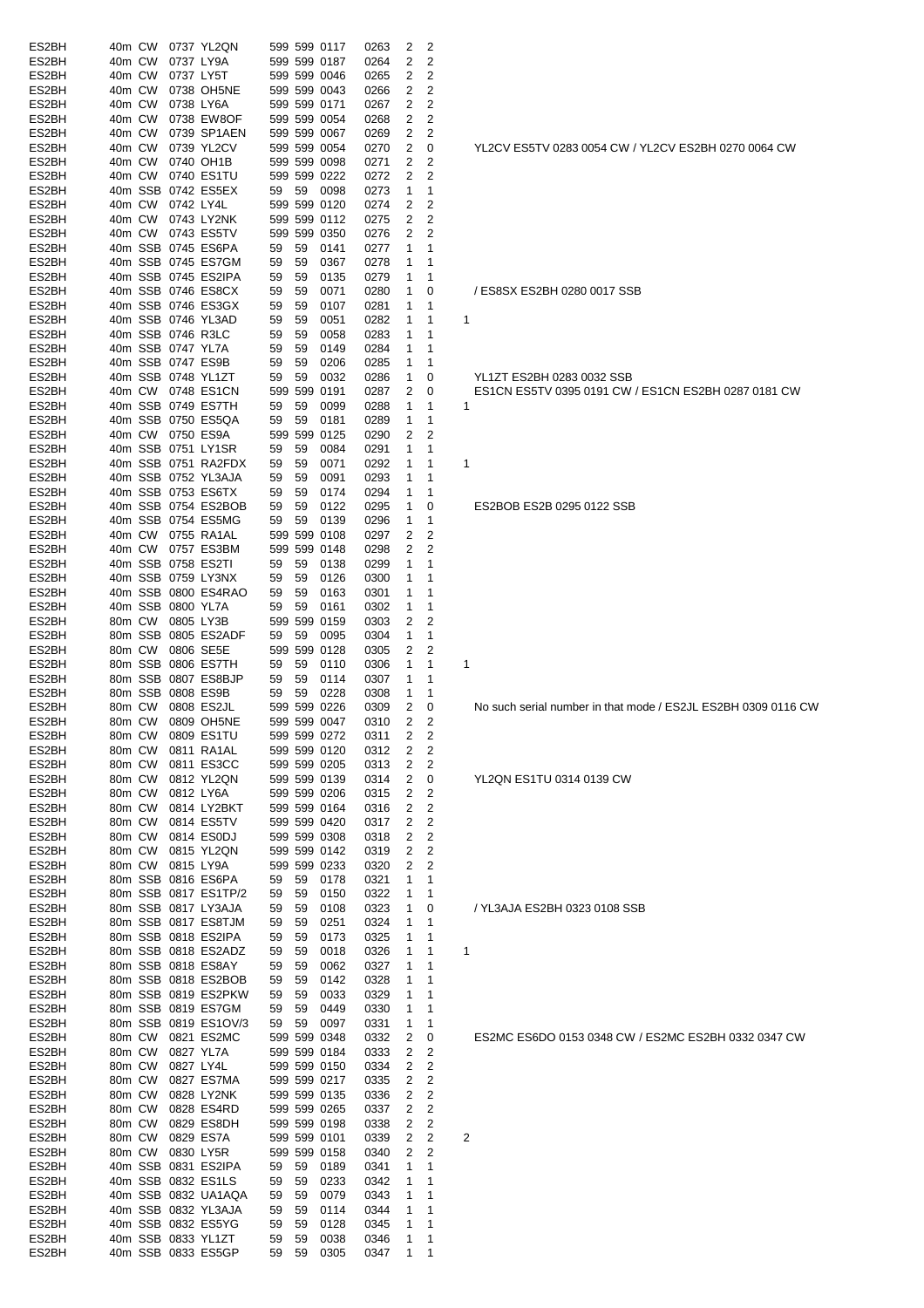| ES2BH          | 40m CW                                   |           |             |                        |      |              |                         |                          |                                                               |
|----------------|------------------------------------------|-----------|-------------|------------------------|------|--------------|-------------------------|--------------------------|---------------------------------------------------------------|
|                |                                          |           | 0737 YL2QN  | 599 599 0117           |      | 0263         | 2                       | 2                        |                                                               |
| ES2BH          | 40m CW                                   | 0737 LY9A |             | 599 599 0187           |      | 0264         | $\overline{\mathbf{c}}$ | $\overline{2}$           |                                                               |
| ES2BH          | 40m CW                                   | 0737 LY5T |             | 599 599 0046           |      | 0265         | 2                       | 2                        |                                                               |
| ES2BH          | 40m CW                                   |           | 0738 OH5NE  | 599 599 0043           |      | 0266         | 2                       | 2                        |                                                               |
| ES2BH          | 40m CW                                   | 0738 LY6A |             | 599 599 0171           |      | 0267         | 2                       | 2                        |                                                               |
| ES2BH          | 40m CW                                   |           |             |                        |      |              |                         |                          |                                                               |
|                |                                          |           | 0738 EW8OF  | 599 599 0054           |      | 0268         | 2                       | 2                        |                                                               |
| ES2BH          | 40m CW                                   |           | 0739 SP1AEN | 599 599 0067           |      | 0269         | 2                       | 2                        |                                                               |
| ES2BH          | 40m CW                                   |           | 0739 YL2CV  | 599 599 0054           |      | 0270         | 2                       | 0                        | YL2CV ES5TV 0283 0054 CW / YL2CV ES2BH 0270 0064 CW           |
| ES2BH          | 40m CW                                   |           | 0740 OH1B   | 599 599 0098           |      | 0271         | 2                       | 2                        |                                                               |
| ES2BH          | 40m CW 0740 ES1TU                        |           |             | 599 599 0222           |      | 0272         | 2                       | 2                        |                                                               |
|                |                                          |           |             |                        |      |              |                         |                          |                                                               |
| ES2BH          | 40m SSB 0742 ES5EX                       |           |             | 59<br>59               | 0098 | 0273         | 1                       | 1                        |                                                               |
| ES2BH          | 40m CW                                   | 0742 LY4L |             | 599 599 0120           |      | 0274         | 2                       | 2                        |                                                               |
| ES2BH          | 40m CW                                   |           | 0743 LY2NK  | 599 599 0112           |      | 0275         | 2                       | 2                        |                                                               |
| ES2BH          | 40m CW                                   |           | 0743 ES5TV  | 599 599 0350           |      | 0276         | 2                       | 2                        |                                                               |
| ES2BH          | 40m SSB 0745 ES6PA                       |           |             | 59<br>59               | 0141 | 0277         | 1                       | 1                        |                                                               |
|                |                                          |           |             |                        |      |              |                         |                          |                                                               |
| ES2BH          | 40m SSB 0745 ES7GM                       |           |             | 59<br>59               | 0367 | 0278         | 1                       | -1                       |                                                               |
| ES2BH          | 40m SSB 0745 ES2IPA                      |           |             | 59<br>59               | 0135 | 0279         | 1                       | -1                       |                                                               |
| ES2BH          | 40m SSB 0746 ES8CX                       |           |             | 59<br>59               | 0071 | 0280         | 1                       | 0                        | / ES8SX ES2BH 0280 0017 SSB                                   |
| ES2BH          | 40m SSB 0746 ES3GX                       |           |             | 59<br>59               | 0107 | 0281         | 1                       | 1                        |                                                               |
| ES2BH          | 40m SSB 0746 YL3AD                       |           |             | 59<br>59               | 0051 | 0282         | 1                       | $\mathbf{1}$             | 1                                                             |
|                |                                          |           |             |                        |      |              |                         |                          |                                                               |
| ES2BH          | 40m SSB 0746 R3LC                        |           |             | 59<br>59               | 0058 | 0283         | 1                       | 1                        |                                                               |
| ES2BH          | 40m SSB 0747 YL7A                        |           |             | 59<br>59               | 0149 | 0284         | 1                       | 1                        |                                                               |
| ES2BH          | 40m SSB 0747 ES9B                        |           |             | 59<br>59               | 0206 | 0285         | 1                       | 1                        |                                                               |
| ES2BH          | 40m SSB 0748 YL1ZT                       |           |             | 59<br>59               | 0032 | 0286         | 1                       | 0                        | YL1ZT ES2BH 0283 0032 SSB                                     |
|                |                                          |           |             |                        |      |              |                         |                          |                                                               |
| ES2BH          | 40m CW 0748 ES1CN                        |           |             | 599 599 0191           |      | 0287         | 2                       | 0                        | ES1CN ES5TV 0395 0191 CW / ES1CN ES2BH 0287 0181 CW           |
| ES2BH          | 40m SSB 0749 ES7TH                       |           |             | 59<br>59               | 0099 | 0288         | 1                       | $\mathbf{1}$             | 1                                                             |
| ES2BH          | 40m SSB 0750 ES5QA                       |           |             | 59<br>59               | 0181 | 0289         | 1                       | 1                        |                                                               |
| ES2BH          | 40m CW 0750 ES9A                         |           |             | 599 599 0125           |      | 0290         | 2                       | 2                        |                                                               |
| ES2BH          | 40m SSB 0751 LY1SR                       |           |             | 59                     |      |              |                         |                          |                                                               |
|                |                                          |           |             | 59                     | 0084 | 0291         | 1                       | 1                        |                                                               |
| ES2BH          | 40m SSB 0751 RA2FDX                      |           |             | 59<br>59               | 0071 | 0292         | 1                       | $\mathbf{1}$             | 1                                                             |
| ES2BH          | 40m SSB 0752 YL3AJA                      |           |             | 59<br>59               | 0091 | 0293         | 1                       | -1                       |                                                               |
| ES2BH          | 40m SSB 0753 ES6TX                       |           |             | 59<br>59               | 0174 | 0294         | 1                       | 1                        |                                                               |
| ES2BH          | 40m SSB 0754 ES2BOB                      |           |             | 59<br>59               | 0122 | 0295         | 1                       | 0                        | ES2BOB ES2B 0295 0122 SSB                                     |
|                |                                          |           |             |                        |      |              |                         |                          |                                                               |
| ES2BH          | 40m SSB 0754 ES5MG                       |           |             | 59<br>59               | 0139 | 0296         | 1                       | 1                        |                                                               |
| ES2BH          | 40m CW 0755 RA1AL                        |           |             | 599 599 0108           |      | 0297         | 2                       | 2                        |                                                               |
| ES2BH          | 40m CW 0757 ES3BM                        |           |             | 599 599 0148           |      | 0298         | 2                       | 2                        |                                                               |
| ES2BH          | 40m SSB 0758 ES2TI                       |           |             | 59<br>59               | 0138 | 0299         | 1                       | 1                        |                                                               |
| ES2BH          | 40m SSB 0759 LY3NX                       |           |             |                        |      |              |                         |                          |                                                               |
|                |                                          |           |             | 59<br>59               | 0126 | 0300         | 1                       | 1                        |                                                               |
| ES2BH          | 40m SSB 0800 ES4RAO                      |           |             | 59<br>59               | 0163 | 0301         | 1                       | 1                        |                                                               |
| ES2BH          | 40m SSB 0800 YL7A                        |           |             | 59<br>59               | 0161 | 0302         | 1                       | 1                        |                                                               |
| ES2BH          | 80m CW 0805 LY3B                         |           |             | 599 599 0159           |      | 0303         | 2                       | 2                        |                                                               |
| ES2BH          | 80m SSB 0805 ES2ADF                      |           |             | 59<br>59               | 0095 | 0304         | 1                       | 1                        |                                                               |
|                |                                          |           |             |                        |      |              |                         |                          |                                                               |
| ES2BH          | 80m CW                                   | 0806 SE5E |             | 599 599 0128           |      | 0305         | 2                       | 2                        |                                                               |
| ES2BH          | 80m SSB 0806 ES7TH                       |           |             | 59<br>59               | 0110 | 0306         | 1                       | 1                        | 1                                                             |
| ES2BH          | 80m SSB 0807 ES8BJP                      |           |             | 59<br>59               | 0114 | 0307         | 1                       | 1                        |                                                               |
| ES2BH          | 80m SSB 0808 ES9B                        |           |             | 59<br>59               | 0228 | 0308         | 1                       | 1                        |                                                               |
|                | 80m CW 0808 ES2JL                        |           |             | 599 599 0226           |      |              |                         |                          | No such serial number in that mode / ES2JL ES2BH 0309 0116 CW |
| ES2BH          |                                          |           |             |                        |      | 0309         | 2                       | 0                        |                                                               |
| ES2BH          | 80m CW 0809 OH5NE                        |           |             | 599 599 0047           |      | 0310         | 2                       | 2                        |                                                               |
|                |                                          |           |             | 599 599 0272           |      | 0311         | 2 <sub>2</sub>          |                          |                                                               |
| ES2BH          | 80m CW 0809 ES1TU                        |           |             |                        |      |              |                         |                          |                                                               |
|                |                                          |           |             |                        |      |              |                         |                          |                                                               |
| ES2BH          | 80m CW 0811 RA1AL                        |           |             | 599 599 0120           |      | 0312         | 2 <sub>2</sub>          |                          |                                                               |
| ES2BH          | 80m CW                                   |           | 0811 ES3CC  | 599 599 0205           |      | 0313         | 2                       | $\overline{2}$           |                                                               |
| ES2BH          | 80m CW 0812 YL2QN                        |           |             | 599 599 0139           |      | 0314         | $\overline{2}$          | $\overline{\mathbf{0}}$  | YL2QN ES1TU 0314 0139 CW                                      |
| ES2BH          | 80m CW                                   | 0812 LY6A |             | 599 599 0206           |      | 0315         | 2                       | 2                        |                                                               |
| ES2BH          | 80m CW                                   |           | 0814 LY2BKT | 599 599 0164           |      | 0316         | 2                       | $\overline{2}$           |                                                               |
|                | 80m CW                                   |           |             |                        |      |              |                         |                          |                                                               |
| ES2BH          |                                          |           | 0814 ES5TV  | 599 599 0420           |      | 0317         | 2                       | 2                        |                                                               |
| ES2BH          | 80m CW                                   |           | 0814 ES0DJ  | 599 599 0308           |      | 0318         | $\overline{c}$          | $\overline{2}$           |                                                               |
| ES2BH          | 80m CW                                   |           | 0815 YL2QN  | 599 599 0142           |      | 0319         | 2                       | 2                        |                                                               |
| ES2BH          | 80m CW 0815 LY9A                         |           |             | 599 599 0233           |      | 0320         | 2                       | $\overline{2}$           |                                                               |
| ES2BH          | 80m SSB 0816 ES6PA                       |           |             | 59 59                  | 0178 | 0321         | 1                       | $\mathbf 1$              |                                                               |
|                |                                          |           |             |                        |      |              |                         |                          |                                                               |
| ES2BH          | 80m SSB 0817 ES1TP/2                     |           |             | 59<br>59               | 0150 | 0322         | 1                       | $\mathbf{1}$             |                                                               |
| ES2BH          | 80m SSB 0817 LY3AJA                      |           |             | 59<br>59               | 0108 | 0323         | 1                       | 0                        | / YL3AJA ES2BH 0323 0108 SSB                                  |
| ES2BH          | 80m SSB 0817 ES8TJM                      |           |             | 59<br>59               | 0251 | 0324         | $\mathbf{1}$            | $\overline{1}$           |                                                               |
| ES2BH          | 80m SSB 0818 ES2IPA                      |           |             | 59<br>59               | 0173 | 0325         | 1                       | $\overline{1}$           |                                                               |
|                |                                          |           |             | 59                     |      |              |                         | $\mathbf{1}$             | 1                                                             |
| ES2BH          | 80m SSB 0818 ES2ADZ                      |           |             | 59                     | 0018 | 0326         | 1                       |                          |                                                               |
| ES2BH          | 80m SSB 0818 ES8AY                       |           |             | 59<br>59               | 0062 | 0327         | 1                       | $\mathbf{1}$             |                                                               |
| ES2BH          | 80m SSB 0818 ES2BOB                      |           |             | 59<br>59               | 0142 | 0328         | 1                       | $\overline{1}$           |                                                               |
| ES2BH          | 80m SSB 0819 ES2PKW                      |           |             | 59<br>59               | 0033 | 0329         | 1                       | $\mathbf{1}$             |                                                               |
| ES2BH          | 80m SSB 0819 ES7GM                       |           |             | 59<br>59               | 0449 | 0330         | 1                       | $\mathbf{1}$             |                                                               |
|                |                                          |           |             |                        |      |              |                         |                          |                                                               |
| ES2BH          | 80m SSB 0819 ES1OV/3                     |           |             | 59<br>59               | 0097 | 0331         | 1                       | $\overline{1}$           |                                                               |
| ES2BH          | 80m CW 0821 ES2MC                        |           |             | 599 599 0348           |      | 0332         | 2                       | 0                        | ES2MC ES6DO 0153 0348 CW / ES2MC ES2BH 0332 0347 CW           |
| ES2BH          | 80m CW 0827 YL7A                         |           |             | 599 599 0184           |      | 0333         | $\overline{2}$          | $\overline{\phantom{a}}$ |                                                               |
| ES2BH          | 80m CW 0827 LY4L                         |           |             | 599 599 0150           |      | 0334         | 2                       | $\overline{2}$           |                                                               |
| ES2BH          | 80m CW 0827 ES7MA                        |           |             | 599 599 0217           |      | 0335         |                         | $\overline{2}$           |                                                               |
|                |                                          |           |             |                        |      |              | 2                       |                          |                                                               |
| ES2BH          | 80m CW 0828 LY2NK                        |           |             | 599 599 0135           |      | 0336         | 2                       | 2                        |                                                               |
| ES2BH          | 80m CW                                   |           | 0828 ES4RD  | 599 599 0265           |      | 0337         | 2                       | $\overline{2}$           |                                                               |
| ES2BH          | 80m CW 0829 ES8DH                        |           |             | 599 599 0198           |      | 0338         | 2                       | $\overline{2}$           |                                                               |
| ES2BH          | 80m CW 0829 ES7A                         |           |             | 599 599 0101           |      | 0339         | 2                       | $\overline{2}$           | 2                                                             |
|                |                                          |           |             |                        |      |              |                         |                          |                                                               |
| ES2BH          | 80m CW 0830 LY5R                         |           |             | 599 599 0158           |      | 0340         | 2                       | $\overline{2}$           |                                                               |
| ES2BH          | 40m SSB 0831 ES2IPA                      |           |             | 59<br>59               | 0189 | 0341         | 1                       | 1                        |                                                               |
| ES2BH          | 40m SSB 0832 ES1LS                       |           |             | 59<br>59               | 0233 | 0342         | 1                       | $\mathbf{1}$             |                                                               |
| ES2BH          | 40m SSB 0832 UA1AQA                      |           |             | 59<br>59               | 0079 | 0343         | 1                       | 1                        |                                                               |
| ES2BH          | 40m SSB 0832 YL3AJA                      |           |             | 59<br>59               | 0114 | 0344         | 1                       | 1                        |                                                               |
|                |                                          |           |             |                        |      |              |                         |                          |                                                               |
| ES2BH<br>ES2BH | 40m SSB 0832 ES5YG<br>40m SSB 0833 YL1ZT |           |             | 59<br>59<br>59 59 0038 | 0128 | 0345<br>0346 | 1<br>1                  | 1<br>$\mathbf{1}$        |                                                               |

ES2BH 40m SSB 0833 ES5GP 59 59 0305 0347 1 1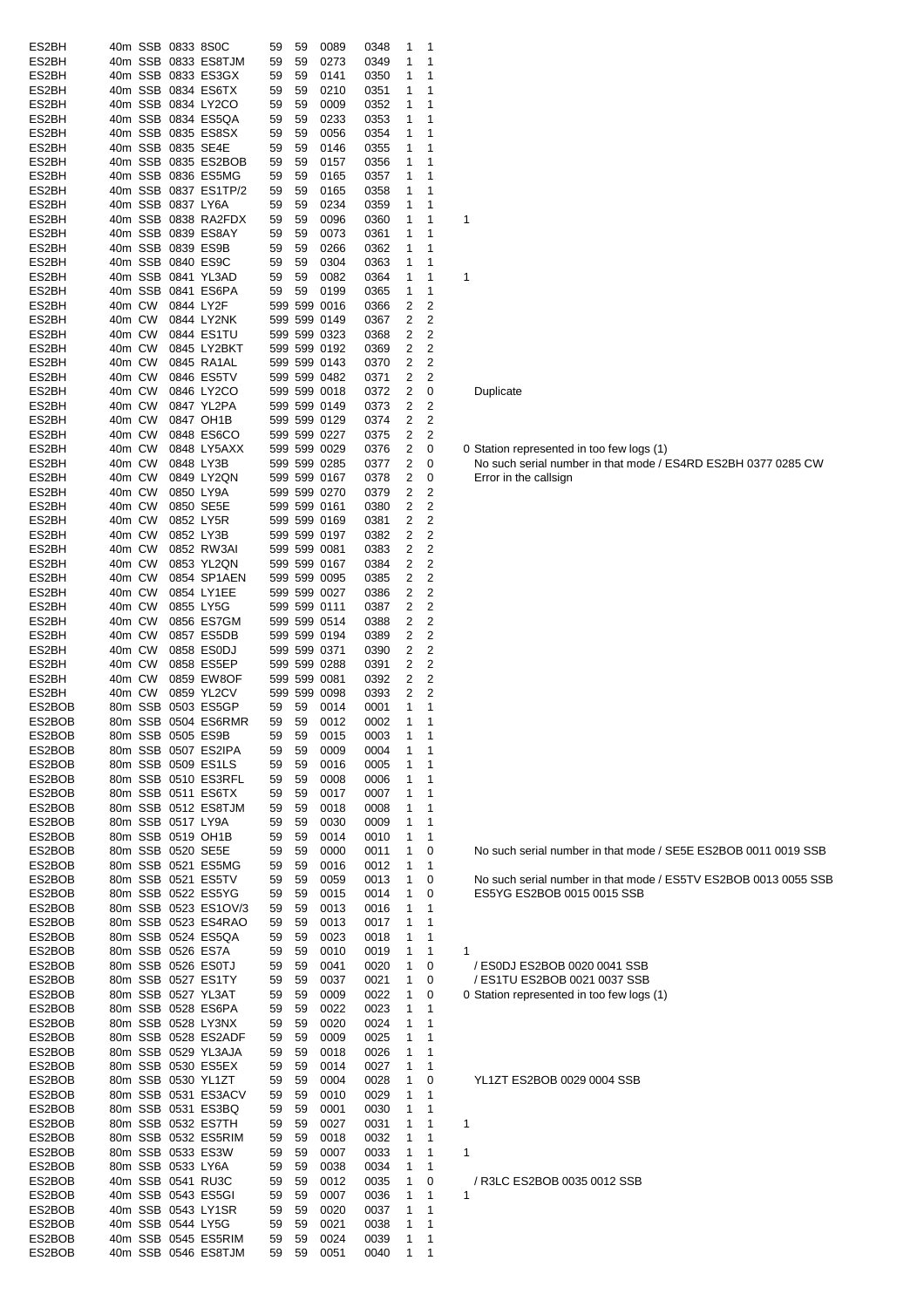| ES2BH            |        | 40m SSB 0833 8S0C |                                           | 59       | 59       | 0089         | 0348         | 1      | $\mathbf 1$    |                                                                |
|------------------|--------|-------------------|-------------------------------------------|----------|----------|--------------|--------------|--------|----------------|----------------------------------------------------------------|
| ES2BH            |        |                   | 40m SSB 0833 ES8TJM                       | 59       | 59       | 0273         | 0349         | 1      | 1              |                                                                |
| ES2BH            |        |                   | 40m SSB 0833 ES3GX                        | 59       | 59       | 0141         | 0350         | 1      | 1              |                                                                |
| ES2BH            |        |                   | 40m SSB 0834 ES6TX                        | 59       | 59       | 0210         | 0351         | 1      | $\mathbf 1$    |                                                                |
| ES2BH            |        |                   | 40m SSB 0834 LY2CO                        | 59       | 59       | 0009         | 0352         | 1      | $\mathbf 1$    |                                                                |
| ES2BH            |        |                   | 40m SSB 0834 ES5QA                        | 59       | 59       | 0233         | 0353         | 1      | $\mathbf 1$    |                                                                |
| ES2BH            |        |                   | 40m SSB 0835 ES8SX                        | 59       | 59       | 0056         | 0354         | 1      | 1              |                                                                |
| ES2BH            |        | 40m SSB 0835 SE4E |                                           | 59       | 59       | 0146         | 0355         | 1      | 1              |                                                                |
| ES2BH            |        |                   | 40m SSB 0835 ES2BOB                       | 59       | 59       | 0157         | 0356         | 1      | 1              |                                                                |
| ES2BH            |        |                   | 40m SSB 0836 ES5MG                        | 59       | 59       | 0165         | 0357         | 1      | 1              |                                                                |
| ES2BH            |        |                   | 40m SSB 0837 ES1TP/2                      | 59       | 59       | 0165         | 0358         | 1      | 1              |                                                                |
| ES2BH            |        | 40m SSB 0837 LY6A |                                           | 59       | 59       | 0234         | 0359         | 1      | 1              |                                                                |
| ES2BH            |        |                   | 40m SSB 0838 RA2FDX                       | 59       | 59       | 0096         | 0360         | 1      | $\mathbf 1$    | 1                                                              |
| ES2BH            |        |                   | 40m SSB 0839 ES8AY                        | 59       | 59       | 0073         | 0361         | 1      | 1              |                                                                |
| ES2BH            |        | 40m SSB 0839 ES9B |                                           | 59       | 59       | 0266         | 0362         | 1      | 1              |                                                                |
| ES2BH            |        |                   | 40m SSB 0840 ES9C                         | 59       | 59       | 0304         | 0363         | 1      | 1              |                                                                |
| ES2BH            |        |                   | 40m SSB 0841 YL3AD                        | 59       | 59       | 0082         | 0364         | 1      | $\mathbf 1$    | 1                                                              |
| ES2BH            |        |                   | 40m SSB 0841 ES6PA                        | 59       | 59       | 0199         | 0365         | 1      | $\mathbf 1$    |                                                                |
| ES2BH            | 40m CW | 0844 LY2F         |                                           |          |          | 599 599 0016 | 0366         | 2      | 2              |                                                                |
| ES2BH            | 40m CW |                   | 0844 LY2NK                                |          |          | 599 599 0149 | 0367         | 2      | 2              |                                                                |
| ES2BH            | 40m CW |                   | 0844 ES1TU                                |          |          | 599 599 0323 | 0368         | 2      | $\overline{2}$ |                                                                |
| ES2BH            | 40m CW |                   | 0845 LY2BKT                               |          |          | 599 599 0192 | 0369         | 2      | $\overline{2}$ |                                                                |
| ES2BH            | 40m CW |                   | 0845 RA1AL                                |          |          | 599 599 0143 | 0370         | 2      | 2              |                                                                |
| ES2BH            | 40m CW |                   | 0846 ES5TV                                |          |          | 599 599 0482 | 0371         | 2      | $\overline{2}$ |                                                                |
| ES2BH            | 40m CW |                   | 0846 LY2CO                                |          |          | 599 599 0018 | 0372         | 2      | 0              | Duplicate                                                      |
| ES2BH            | 40m CW |                   | 0847 YL2PA                                |          |          | 599 599 0149 | 0373         | 2      | 2              |                                                                |
| ES2BH            | 40m CW |                   | 0847 OH1B                                 |          |          | 599 599 0129 | 0374         | 2      | 2              |                                                                |
| ES2BH            | 40m CW |                   | 0848 ES6CO                                |          |          | 599 599 0227 | 0375         | 2      | 2              |                                                                |
| ES2BH            | 40m CW |                   | 0848 LY5AXX                               |          |          | 599 599 0029 | 0376         | 2      | 0              | 0 Station represented in too few logs (1)                      |
| ES2BH            | 40m CW | 0848 LY3B         |                                           |          |          | 599 599 0285 | 0377         | 2      | 0              | No such serial number in that mode / ES4RD ES2BH 0377 0285 CW  |
| ES2BH            | 40m CW |                   | 0849 LY2QN                                |          |          | 599 599 0167 | 0378         | 2      | 0              | Error in the callsign                                          |
| ES2BH            | 40m CW | 0850 LY9A         |                                           |          |          | 599 599 0270 | 0379         | 2      | 2              |                                                                |
| ES2BH            | 40m CW |                   | 0850 SE5E                                 |          |          | 599 599 0161 | 0380         | 2      | $\overline{2}$ |                                                                |
| ES2BH            | 40m CW |                   | 0852 LY5R                                 |          |          | 599 599 0169 | 0381         | 2      | 2              |                                                                |
| ES2BH            | 40m CW |                   | 0852 LY3B                                 |          |          | 599 599 0197 | 0382         | 2      | $\overline{2}$ |                                                                |
| ES2BH            | 40m CW |                   | 0852 RW3AI                                |          |          | 599 599 0081 | 0383         | 2      | $\overline{2}$ |                                                                |
| ES2BH            | 40m CW |                   | 0853 YL2QN                                |          |          | 599 599 0167 | 0384         | 2      | $\overline{2}$ |                                                                |
| ES2BH            | 40m CW |                   | 0854 SP1AEN                               |          |          | 599 599 0095 | 0385         | 2      | 2              |                                                                |
| ES2BH            | 40m CW |                   | 0854 LY1EE                                |          |          | 599 599 0027 | 0386         | 2      | 2              |                                                                |
| ES2BH            | 40m CW |                   | 0855 LY5G                                 |          |          | 599 599 0111 | 0387         | 2      | $\overline{2}$ |                                                                |
| ES2BH            | 40m CW |                   | 0856 ES7GM                                |          |          | 599 599 0514 | 0388         | 2      | $\overline{2}$ |                                                                |
| ES2BH            | 40m CW |                   | 0857 ES5DB                                |          |          | 599 599 0194 | 0389         | 2      | 2              |                                                                |
| ES2BH            | 40m CW |                   | 0858 ES0DJ                                |          |          | 599 599 0371 | 0390         | 2      | 2              |                                                                |
| ES2BH            | 40m CW |                   | 0858 ES5EP                                |          |          | 599 599 0288 | 0391         | 2      | 2              |                                                                |
| ES2BH            | 40m CW |                   | 0859 EW8OF                                |          |          | 599 599 0081 | 0392         | 2      | 2              |                                                                |
| ES2BH            | 40m CW |                   | 0859 YL2CV                                |          |          | 599 599 0098 | 0393         | 2      | $\overline{2}$ |                                                                |
| ES2BOB           |        |                   | 80m SSB 0503 ES5GP                        | 59       | 59       | 0014         | 0001         | 1      | $\mathbf{1}$   |                                                                |
| ES2BOB<br>ES2BOB |        | 80m SSB 0505 ES9B | 80m SSB 0504 ES6RMR                       | 59       | 59       | 0012         | 0002<br>0003 | 1<br>1 | 1              |                                                                |
|                  |        |                   |                                           | 59       | 59       | 0015         |              |        |                |                                                                |
| ES2BOB<br>ES2BOB |        |                   | 80m SSB 0507 ES2IPA<br>80m SSB 0509 ES1LS | 59       | 59       | 0009<br>0016 | 0004<br>0005 | 1      | 1<br>1         |                                                                |
| ES2BOB           |        |                   | 80m SSB 0510 ES3RFL                       | 59<br>59 | 59<br>59 | 0008         | 0006         | 1      | $\mathbf 1$    |                                                                |
| ES2BOB           |        |                   | 80m SSB 0511 ES6TX                        | 59       | 59       | 0017         | 0007         | 1      | $\mathbf 1$    |                                                                |
| ES2BOB           |        |                   | 80m SSB 0512 ES8TJM                       | 59       | 59       | 0018         | 0008         | 1      | $\mathbf 1$    |                                                                |
| ES2BOB           |        | 80m SSB 0517 LY9A |                                           | 59       | 59       | 0030         | 0009         | 1      | $\mathbf 1$    |                                                                |
| ES2BOB           |        |                   | 80m SSB 0519 OH1B                         | 59       | 59       | 0014         |              | 1      | 1              |                                                                |
| ES2BOB           |        |                   | 80m SSB 0520 SE5E                         | 59       | 59       | 0000         | 0010<br>0011 | 1      | 0              | No such serial number in that mode / SE5E ES2BOB 0011 0019 SSE |
| ES2BOB           |        |                   | 80m SSB 0521 ES5MG                        | 59       | 59       | 0016         | 0012         | 1      | $\mathbf 1$    |                                                                |
| ES2BOB           |        |                   | 80m SSB 0521 ES5TV                        | 59       | 59       | 0059         | 0013         | 1      | 0              | No such serial number in that mode / ES5TV ES2BOB 0013 0055 SS |
| ES2BOB           |        |                   | 80m SSB 0522 ES5YG                        | 59       | 59       | 0015         | 0014         | 1      | 0              | ES5YG ES2BOB 0015 0015 SSB                                     |
| ES2BOB           |        |                   | 80m SSB 0523 ES1OV/3                      | 59       | 59       | 0013         | 0016         | 1      | 1              |                                                                |
| ES2BOB           |        |                   | 80m SSB 0523 ES4RAO                       | 59       | 59       | 0013         | 0017         | 1      | 1              |                                                                |
| ES2BOB           |        |                   | 80m SSB 0524 ES5QA                        | 59       | 59       | 0023         | 0018         | 1      | $\mathbf 1$    |                                                                |
| ES2BOB           |        |                   | 80m SSB 0526 ES7A                         | 59       | 59       | 0010         | 0019         | 1      | 1              | 1                                                              |
| ES2BOB           |        |                   | 80m SSB 0526 ES0TJ                        | 59       | 59       | 0041         | 0020         | 1      | 0              | / ES0DJ ES2BOB 0020 0041 SSB                                   |
| ES2BOB           |        |                   | 80m SSB 0527 ES1TY                        | 59       | 59       | 0037         | 0021         | 1      | 0              | / ES1TU ES2BOB 0021 0037 SSB                                   |
| ES2BOB           |        |                   | 80m SSB 0527 YL3AT                        | 59       | 59       | 0009         | 0022         | 1      | 0              | 0 Station represented in too few logs (1)                      |
| ES2BOB           |        |                   | 80m SSB 0528 ES6PA                        | 59       | 59       | 0022         | 0023         | 1      | 1              |                                                                |
| ES2BOB           |        |                   | 80m SSB 0528 LY3NX                        | 59       | 59       | 0020         | 0024         | 1      | $\mathbf{1}$   |                                                                |
| ES2BOB           |        |                   | 80m SSB 0528 ES2ADF                       | 59       | 59       | 0009         | 0025         | 1      | $\mathbf 1$    |                                                                |
| ES2BOB           |        |                   | 80m SSB 0529 YL3AJA                       | 59       | 59       | 0018         | 0026         | 1      | $\mathbf 1$    |                                                                |
| ES2BOB           |        |                   | 80m SSB 0530 ES5EX                        | 59       | 59       | 0014         | 0027         | 1      | 1              |                                                                |
| ES2BOB           |        |                   | 80m SSB 0530 YL1ZT                        | 59       | 59       | 0004         | 0028         | 1      | 0              | YL1ZT ES2BOB 0029 0004 SSB                                     |
| ES2BOB           |        |                   | 80m SSB 0531 ES3ACV                       | 59       | 59       | 0010         | 0029         | 1      | 1              |                                                                |
| ES2BOB           |        |                   | 80m SSB 0531 ES3BQ                        | 59       | 59       | 0001         | 0030         | 1      | 1              |                                                                |
| ES2BOB           |        |                   | 80m SSB 0532 ES7TH                        | 59       | 59       | 0027         | 0031         | 1      | 1              | 1                                                              |
| ES2BOB           |        |                   | 80m SSB 0532 ES5RIM                       | 59       | 59       | 0018         | 0032         | 1      | -1             |                                                                |
| ES2BOB           |        |                   | 80m SSB 0533 ES3W                         | 59       | 59       | 0007         | 0033         | 1      | 1              | 1                                                              |
| ES2BOB           |        | 80m SSB 0533 LY6A |                                           | 59       | 59       | 0038         | 0034         | 1      | 1              |                                                                |
| ES2BOB           |        |                   | 40m SSB 0541 RU3C                         | 59       | 59       | 0012         | 0035         | 1      | 0              | / R3LC ES2BOB 0035 0012 SSB                                    |
| ES2BOB           |        |                   | 40m SSB 0543 ES5GI                        | 59       | 59       | 0007         | 0036         | 1      | 1              | 1                                                              |
| ES2BOB           |        |                   | 40m SSB 0543 LY1SR                        | 59       | 59       | 0020         | 0037         | 1      | 1              |                                                                |
| ES2BOB           |        | 40m SSB 0544 LY5G |                                           | 59       | 59       | 0021         | 0038         | 1      | $\mathbf 1$    |                                                                |
| ES2BOB           |        |                   | 40m SSB 0545 ES5RIM                       | 59       | 59       | 0024         | 0039         | 1      | 1              |                                                                |
| ES2BOB           |        |                   | 40m SSB 0546 ES8TJM                       | 59       | 59       | 0051         | 0040         | 1      | $\mathbf{1}$   |                                                                |

# **Duplicate**

- 
-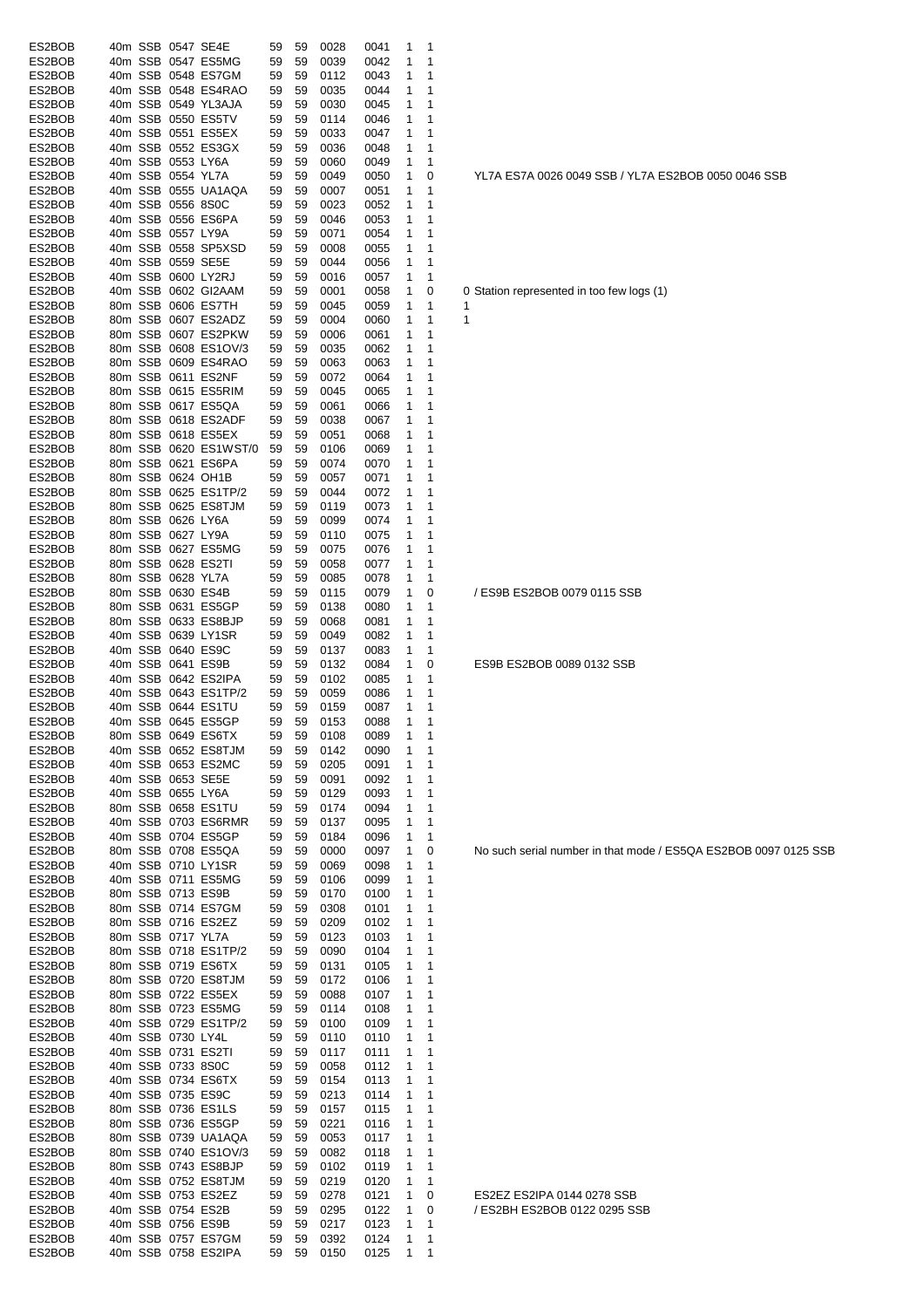| ES2BOB           |  |                   | 40m SSB 0547 SE4E                         | 59       | 59       | 0028         | 0041         | 1      | 1      |                                      |
|------------------|--|-------------------|-------------------------------------------|----------|----------|--------------|--------------|--------|--------|--------------------------------------|
| ES2BOB           |  |                   | 40m SSB 0547 ES5MG                        | 59       | 59       | 0039         | 0042         | 1      | 1      |                                      |
| ES2BOB           |  |                   | 40m SSB 0548 ES7GM                        | 59       | 59       | 0112         | 0043         | 1      | 1      |                                      |
| ES2BOB           |  |                   | 40m SSB 0548 ES4RAO                       | 59       | 59       | 0035         | 0044         | 1      | 1      |                                      |
| ES2BOB           |  |                   | 40m SSB 0549 YL3AJA                       | 59       | 59       | 0030         | 0045         | 1      | 1      |                                      |
| ES2BOB           |  |                   | 40m SSB 0550 ES5TV                        | 59       | 59       | 0114         | 0046         | 1      | 1      |                                      |
| ES2BOB           |  |                   | 40m SSB 0551 ES5EX                        | 59       | 59       | 0033         | 0047         | 1      | 1      |                                      |
|                  |  |                   |                                           |          |          |              |              |        |        |                                      |
| ES2BOB           |  |                   | 40m SSB 0552 ES3GX                        | 59       | 59       | 0036         | 0048         | 1      | 1      |                                      |
| ES2BOB           |  | 40m SSB 0553 LY6A |                                           | 59       | 59       | 0060         | 0049         | 1      | 1      |                                      |
| ES2BOB           |  | 40m SSB 0554 YL7A |                                           | 59       | 59       | 0049         | 0050         | 1      | 0      | YL7A ES7A 0026 0049 SSB / YL7        |
| ES2BOB           |  |                   | 40m SSB 0555 UA1AQA                       | 59       | 59       | 0007         | 0051         | 1      | 1      |                                      |
| ES2BOB           |  | 40m SSB 0556 8S0C |                                           | 59       | 59       | 0023         | 0052         | 1      | 1      |                                      |
| ES2BOB           |  |                   | 40m SSB 0556 ES6PA                        | 59       | 59       | 0046         | 0053         | 1      | 1      |                                      |
| ES2BOB           |  | 40m SSB 0557 LY9A |                                           | 59       | 59       | 0071         | 0054         | 1      | 1      |                                      |
| ES2BOB           |  |                   | 40m SSB 0558 SP5XSD                       | 59       | 59       | 0008         | 0055         | 1      | 1      |                                      |
| ES2BOB           |  |                   | 40m SSB 0559 SE5E                         | 59       | 59       |              |              | 1      | 1      |                                      |
|                  |  |                   |                                           |          |          | 0044         | 0056         |        |        |                                      |
| ES2BOB           |  |                   | 40m SSB 0600 LY2RJ                        | 59       | 59       | 0016         | 0057         | 1      | 1      |                                      |
| ES2BOB           |  |                   | 40m SSB 0602 GI2AAM                       | 59       | 59       | 0001         | 0058         | 1      | 0      | 0 Station represented in too few log |
| ES2BOB           |  |                   | 80m SSB 0606 ES7TH                        | 59       | 59       | 0045         | 0059         | 1      | 1      | 1                                    |
| ES2BOB           |  |                   | 80m SSB 0607 ES2ADZ                       | 59       | 59       | 0004         | 0060         | 1      | 1      | 1                                    |
| ES2BOB           |  |                   | 80m SSB 0607 ES2PKW                       | 59       | 59       | 0006         | 0061         | 1      | 1      |                                      |
| ES2BOB           |  |                   | 80m SSB 0608 ES1OV/3                      | 59       | 59       | 0035         | 0062         | 1      | 1      |                                      |
| ES2BOB           |  |                   | 80m SSB 0609 ES4RAO                       | 59       | 59       | 0063         | 0063         | 1      | 1      |                                      |
| ES2BOB           |  |                   | 80m SSB 0611 ES2NF                        | 59       | 59       | 0072         | 0064         | 1      | 1      |                                      |
|                  |  |                   | 80m SSB 0615 ES5RIM                       | 59       |          | 0045         |              | 1      | 1      |                                      |
| ES2BOB           |  |                   |                                           |          | 59       |              | 0065         |        |        |                                      |
| ES2BOB           |  |                   | 80m SSB 0617 ES5QA                        | 59       | 59       | 0061         | 0066         | 1      | 1      |                                      |
| ES2BOB           |  |                   | 80m SSB 0618 ES2ADF                       | 59       | 59       | 0038         | 0067         | 1      | 1      |                                      |
| ES2BOB           |  |                   | 80m SSB 0618 ES5EX                        | 59       | 59       | 0051         | 0068         | 1      | 1      |                                      |
| ES2BOB           |  |                   | 80m SSB 0620 ES1WST/0                     | 59       | 59       | 0106         | 0069         | 1      | 1      |                                      |
| ES2BOB           |  |                   | 80m SSB 0621 ES6PA                        | 59       | 59       | 0074         | 0070         | 1      | 1      |                                      |
| ES2BOB           |  |                   | 80m SSB 0624 OH1B                         | 59       | 59       | 0057         | 0071         | 1      | 1      |                                      |
| ES2BOB           |  |                   | 80m SSB 0625 ES1TP/2                      | 59       | 59       | 0044         | 0072         | 1      | 1      |                                      |
| ES2BOB           |  |                   | 80m SSB 0625 ES8TJM                       | 59       | 59       | 0119         | 0073         | 1      | 1      |                                      |
|                  |  |                   |                                           |          |          |              |              |        |        |                                      |
| ES2BOB           |  |                   | 80m SSB 0626 LY6A                         | 59       | 59       | 0099         | 0074         | 1      | 1      |                                      |
| ES2BOB           |  | 80m SSB 0627 LY9A |                                           | 59       | 59       | 0110         | 0075         | 1      | 1      |                                      |
| ES2BOB           |  |                   | 80m SSB 0627 ES5MG                        | 59       | 59       | 0075         | 0076         | 1      | 1      |                                      |
| ES2BOB           |  |                   | 80m SSB 0628 ES2TI                        | 59       | 59       | 0058         | 0077         | 1      | 1      |                                      |
| ES2BOB           |  |                   | 80m SSB 0628 YL7A                         | 59       | 59       | 0085         | 0078         | 1      | 1      |                                      |
| ES2BOB           |  |                   | 80m SSB 0630 ES4B                         | 59       | 59       | 0115         | 0079         | 1      | 0      | / ES9B ES2BOB 0079 0115 SSB          |
| ES2BOB           |  |                   | 80m SSB 0631 ES5GP                        | 59       | 59       | 0138         | 0080         | 1      | 1      |                                      |
| ES2BOB           |  |                   | 80m SSB 0633 ES8BJP                       | 59       | 59       | 0068         | 0081         | 1      | 1      |                                      |
| ES2BOB           |  |                   | 40m SSB 0639 LY1SR                        | 59       | 59       | 0049         | 0082         | 1      | 1      |                                      |
|                  |  |                   |                                           |          |          |              |              |        |        |                                      |
| ES2BOB           |  |                   | 40m SSB 0640 ES9C                         | 59       | 59       | 0137         | 0083         | 1      | 1      |                                      |
| ES2BOB           |  |                   | 40m SSB 0641 ES9B                         | 59       | 59       | 0132         | 0084         | 1      | 0      | ES9B ES2BOB 0089 0132 SSB            |
| ES2BOB           |  |                   | 40m SSB 0642 ES2IPA                       | 59       | 59       | 0102         | 0085         | 1      | 1      |                                      |
| ES2BOB           |  |                   | 40m SSB 0643 ES1TP/2                      | 59       | -59      | 0059         | 0086         | 1      | 1      |                                      |
| ES2BOB           |  |                   | 40m SSB 0644 ES1TU                        | 59       | 59       | 0159         | 0087         | 1      | 1      |                                      |
| ES2BOB           |  |                   | 40m SSB 0645 ES5GP                        | 59       | 59       | 0153         | 0088         | 1      | 1      |                                      |
|                  |  |                   | 80m SSB 0649 ES6TX                        |          | 59 59    | 0108         | 0089         | 1      | 1      |                                      |
|                  |  |                   | 40m SSB 0652 ES8TJM                       | 59       | 59       | 0142         | 0090         | 1      | 1      |                                      |
| ES2BOB           |  |                   |                                           |          | 59       |              |              |        | 1      |                                      |
| ES2BOB           |  |                   |                                           |          |          |              |              |        |        |                                      |
| ES2BOB           |  |                   | 40m SSB 0653 ES2MC                        | 59       |          | 0205         | 0091         | 1      |        |                                      |
| ES2BOB           |  |                   | 40m SSB 0653 SE5E                         | 59       | 59       | 0091         | 0092         | 1      | 1      |                                      |
| ES2BOB           |  |                   | 40m SSB 0655 LY6A                         | 59       | 59       | 0129         | 0093         | 1      | 1      |                                      |
| ES2BOB           |  |                   | 80m SSB 0658 ES1TU                        | 59       | 59       | 0174         | 0094         | 1      | 1      |                                      |
| ES2BOB           |  |                   | 40m SSB 0703 ES6RMR                       | 59       | 59       | 0137         | 0095         | 1      | 1      |                                      |
| ES2BOB           |  |                   | 40m SSB 0704 ES5GP                        | 59       | 59       | 0184         | 0096         | 1      | 1      |                                      |
| ES2BOB           |  |                   | 80m SSB 0708 ES5QA                        | 59       | 59       | 0000         | 0097         | 1      | 0      | No such serial number in that mo     |
| ES2BOB           |  |                   | 40m SSB 0710 LY1SR                        | 59       | 59       | 0069         | 0098         | 1      | 1      |                                      |
|                  |  |                   |                                           |          |          |              |              |        |        |                                      |
| ES2BOB           |  |                   | 40m SSB 0711 ES5MG                        | 59       | 59       | 0106         | 0099         | 1      | 1      |                                      |
| ES2BOB           |  |                   | 80m SSB 0713 ES9B                         | 59       | 59       | 0170         | 0100         | 1      | 1      |                                      |
| ES2BOB           |  |                   | 80m SSB 0714 ES7GM                        | 59       | 59       | 0308         | 0101         | 1      | 1      |                                      |
| ES2BOB           |  |                   | 80m SSB 0716 ES2EZ                        | 59       | 59       | 0209         | 0102         | 1      | 1      |                                      |
| ES2BOB           |  |                   | 80m SSB 0717 YL7A                         | 59       | 59       | 0123         | 0103         | 1      | 1      |                                      |
| ES2BOB           |  |                   | 80m SSB 0718 ES1TP/2                      | 59       | 59       | 0090         | 0104         | 1      | 1      |                                      |
| ES2BOB           |  |                   | 80m SSB 0719 ES6TX                        | 59       | 59       | 0131         | 0105         | 1      | 1      |                                      |
| ES2BOB           |  |                   | 80m SSB 0720 ES8TJM                       | 59       | 59       | 0172         | 0106         | 1      | 1      |                                      |
| ES2BOB           |  |                   | 80m SSB 0722 ES5EX                        | 59       | 59       | 0088         | 0107         | 1      | 1      |                                      |
|                  |  |                   |                                           | 59       | 59       | 0114         |              | 1      | 1      |                                      |
| ES2BOB           |  |                   | 80m SSB 0723 ES5MG                        |          |          |              | 0108         |        |        |                                      |
| ES2BOB           |  |                   | 40m SSB 0729 ES1TP/2                      | 59       | 59       | 0100         | 0109         | 1      | 1      |                                      |
| ES2BOB           |  | 40m SSB 0730 LY4L |                                           | 59       | 59       | 0110         | 0110         | 1      | 1      |                                      |
| ES2BOB           |  |                   | 40m SSB 0731 ES2TI                        | 59       | 59       | 0117         | 0111         | 1      | 1      |                                      |
| ES2BOB           |  |                   | 40m SSB 0733 8S0C                         | 59       | 59       | 0058         | 0112         | 1      | 1      |                                      |
| ES2BOB           |  |                   | 40m SSB 0734 ES6TX                        | 59       | 59       | 0154         | 0113         | 1      | 1      |                                      |
| ES2BOB           |  |                   | 40m SSB 0735 ES9C                         | 59       | 59       | 0213         | 0114         | 1      | 1      |                                      |
| ES2BOB           |  |                   | 80m SSB 0736 ES1LS                        | 59       | 59       | 0157         | 0115         | 1      | 1      |                                      |
| ES2BOB           |  |                   | 80m SSB 0736 ES5GP                        | 59       | 59       | 0221         | 0116         | 1      | 1      |                                      |
| ES2BOB           |  |                   | 80m SSB 0739 UA1AQA                       | 59       | 59       | 0053         | 0117         | 1      | 1      |                                      |
| ES2BOB           |  |                   | 80m SSB 0740 ES1OV/3                      | 59       | 59       | 0082         | 0118         | 1      | 1      |                                      |
|                  |  |                   |                                           |          |          |              |              |        |        |                                      |
| ES2BOB           |  |                   | 80m SSB 0743 ES8BJP                       | 59       | 59       | 0102         | 0119         | 1      | 1      |                                      |
| ES2BOB           |  |                   | 40m SSB 0752 ES8TJM                       | 59       | 59       | 0219         | 0120         | 1      | 1      |                                      |
| ES2BOB           |  |                   | 40m SSB 0753 ES2EZ                        | 59       | 59       | 0278         | 0121         | 1      | 0      | ES2EZ ES2IPA 0144 0278 SSB           |
| ES2BOB           |  |                   | 40m SSB 0754 ES2B                         | 59       | 59       | 0295         | 0122         | 1      | 0      | / ES2BH ES2BOB 0122 0295 SSI         |
| ES2BOB           |  |                   | 40m SSB 0756 ES9B                         | 59       | 59       | 0217         | 0123         | 1      | 1      |                                      |
| ES2BOB<br>ES2BOB |  |                   | 40m SSB 0757 ES7GM<br>40m SSB 0758 ES2IPA | 59<br>59 | 59<br>59 | 0392<br>0150 | 0124<br>0125 | 1<br>1 | 1<br>1 |                                      |

YL7A ES7A 0026 0049 SSB / YL7A ES2BOB 0050 0046 SSB

Station represented in too few logs (1)

No such serial number in that mode / ES5QA ES2BOB 0097 0125 SSB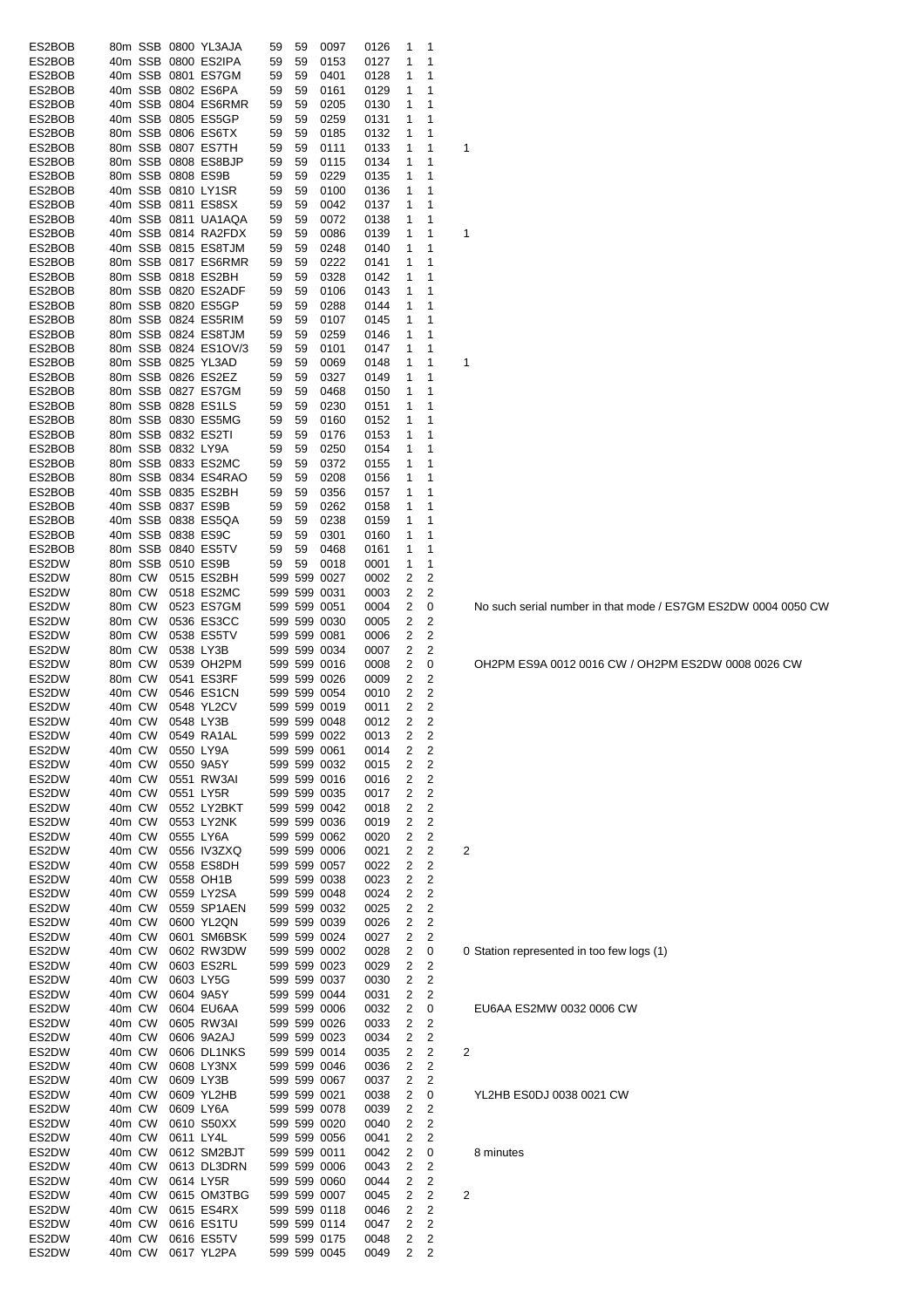| ES2BOB |        |         |                   | 80m SSB 0800 YL3AJA  | 59 | 59 | 0097         | 0126 | 1              | 1              |                         |
|--------|--------|---------|-------------------|----------------------|----|----|--------------|------|----------------|----------------|-------------------------|
| ES2BOB |        |         |                   | 40m SSB 0800 ES2IPA  | 59 | 59 | 0153         | 0127 | 1              | 1              |                         |
| ES2BOB |        |         |                   | 40m SSB 0801 ES7GM   | 59 | 59 | 0401         | 0128 | 1              | 1              |                         |
| ES2BOB |        |         |                   | 40m SSB 0802 ES6PA   | 59 | 59 | 0161         | 0129 | 1              | 1              |                         |
| ES2BOB |        |         |                   | 40m SSB 0804 ES6RMR  | 59 | 59 | 0205         | 0130 | 1              | 1              |                         |
| ES2BOB |        |         |                   | 40m SSB 0805 ES5GP   | 59 | 59 | 0259         | 0131 | 1              | 1              |                         |
| ES2BOB |        |         |                   | 80m SSB 0806 ES6TX   | 59 | 59 | 0185         | 0132 | 1              | 1              |                         |
| ES2BOB |        |         |                   | 80m SSB 0807 ES7TH   | 59 | 59 | 0111         | 0133 | 1              | 1              | 1                       |
| ES2BOB |        |         |                   | 80m SSB 0808 ES8BJP  | 59 | 59 | 0115         | 0134 | 1              | 1              |                         |
| ES2BOB |        |         | 80m SSB 0808 ES9B |                      | 59 | 59 | 0229         | 0135 | 1              | 1              |                         |
| ES2BOB |        |         |                   | 40m SSB 0810 LY1SR   | 59 | 59 | 0100         | 0136 | 1              | 1              |                         |
| ES2BOB |        |         |                   | 40m SSB 0811 ES8SX   | 59 | 59 | 0042         | 0137 | 1              | 1              |                         |
| ES2BOB |        |         |                   | 40m SSB 0811 UA1AQA  | 59 | 59 | 0072         | 0138 | 1              | 1              |                         |
|        |        |         |                   | 40m SSB 0814 RA2FDX  | 59 | 59 |              |      | 1              | 1              | 1                       |
| ES2BOB |        |         |                   |                      |    |    | 0086         | 0139 |                |                |                         |
| ES2BOB |        |         |                   | 40m SSB 0815 ES8TJM  | 59 | 59 | 0248         | 0140 | 1              | 1              |                         |
| ES2BOB |        |         |                   | 80m SSB 0817 ES6RMR  | 59 | 59 | 0222         | 0141 | 1              | 1              |                         |
| ES2BOB |        |         |                   | 80m SSB 0818 ES2BH   | 59 | 59 | 0328         | 0142 | 1              | 1              |                         |
| ES2BOB |        |         |                   | 80m SSB 0820 ES2ADF  | 59 | 59 | 0106         | 0143 | 1              | 1              |                         |
| ES2BOB |        |         |                   | 80m SSB 0820 ES5GP   | 59 | 59 | 0288         | 0144 | 1              | 1              |                         |
| ES2BOB |        |         |                   | 80m SSB 0824 ES5RIM  | 59 | 59 | 0107         | 0145 | 1              | 1              |                         |
| ES2BOB |        |         |                   | 80m SSB 0824 ES8TJM  | 59 | 59 | 0259         | 0146 | 1              | 1              |                         |
| ES2BOB |        |         |                   | 80m SSB 0824 ES1OV/3 | 59 | 59 | 0101         | 0147 | 1              | 1              |                         |
| ES2BOB |        |         |                   | 80m SSB 0825 YL3AD   | 59 | 59 | 0069         | 0148 | 1              | 1              | 1                       |
| ES2BOB |        |         |                   | 80m SSB 0826 ES2EZ   | 59 | 59 | 0327         | 0149 | 1              | 1              |                         |
| ES2BOB |        |         |                   | 80m SSB 0827 ES7GM   | 59 | 59 | 0468         | 0150 | 1              | 1              |                         |
| ES2BOB |        |         |                   | 80m SSB 0828 ES1LS   | 59 | 59 | 0230         | 0151 | 1              | 1              |                         |
| ES2BOB |        |         |                   | 80m SSB 0830 ES5MG   | 59 | 59 | 0160         | 0152 | 1              | 1              |                         |
| ES2BOB |        |         |                   | 80m SSB 0832 ES2TI   | 59 | 59 | 0176         | 0153 | 1              | 1              |                         |
| ES2BOB |        |         | 80m SSB 0832 LY9A |                      | 59 | 59 | 0250         | 0154 | 1              | 1              |                         |
|        |        |         |                   |                      |    |    |              |      |                |                |                         |
| ES2BOB |        |         |                   | 80m SSB 0833 ES2MC   | 59 | 59 | 0372         | 0155 | 1              | 1              |                         |
| ES2BOB |        |         |                   | 80m SSB 0834 ES4RAO  | 59 | 59 | 0208         | 0156 | 1              | 1              |                         |
| ES2BOB |        |         |                   | 40m SSB 0835 ES2BH   | 59 | 59 | 0356         | 0157 | 1              | 1              |                         |
| ES2BOB |        |         | 40m SSB 0837 ES9B |                      | 59 | 59 | 0262         | 0158 | 1              | 1              |                         |
| ES2BOB |        |         |                   | 40m SSB 0838 ES5QA   | 59 | 59 | 0238         | 0159 | 1              | 1              |                         |
| ES2BOB |        | 40m SSB |                   | 0838 ES9C            | 59 | 59 | 0301         | 0160 | 1              | 1              |                         |
| ES2BOB |        | 80m SSB |                   | 0840 ES5TV           | 59 | 59 | 0468         | 0161 | 1              | 1              |                         |
| ES2DW  |        | 80m SSB |                   | 0510 ES9B            | 59 | 59 | 0018         | 0001 | 1              | 1              |                         |
| ES2DW  | 80m CW |         |                   | 0515 ES2BH           |    |    | 599 599 0027 | 0002 | 2              | 2              |                         |
| ES2DW  | 80m CW |         |                   | 0518 ES2MC           |    |    | 599 599 0031 | 0003 | 2              | 2              |                         |
| ES2DW  | 80m CW |         |                   | 0523 ES7GM           |    |    | 599 599 0051 | 0004 | 2              | 0              |                         |
| ES2DW  | 80m CW |         |                   | 0536 ES3CC           |    |    | 599 599 0030 | 0005 | 2              | 2              |                         |
| ES2DW  | 80m CW |         |                   | 0538 ES5TV           |    |    | 599 599 0081 | 0006 | 2              | 2              |                         |
| ES2DW  | 80m CW |         | 0538 LY3B         |                      |    |    | 599 599 0034 | 0007 | 2              | 2              |                         |
| ES2DW  | 80m CW |         |                   | 0539 OH2PM           |    |    | 599 599 0016 | 0008 | 2              | 0              |                         |
| ES2DW  | 80m CW |         |                   | 0541 ES3RF           |    |    | 599 599 0026 | 0009 | 2              | 2              |                         |
|        | 40m CW |         |                   | 0546 ES1CN           |    |    |              |      | 2              |                |                         |
| ES2DW  |        |         |                   |                      |    |    | 599 599 0054 | 0010 |                | 2              |                         |
| ES2DW  | 40m CW |         |                   | 0548 YL2CV           |    |    | 599 599 0019 | 0011 | 2              | 2              |                         |
| ES2DW  | 40m CW |         |                   | 0548 LY3B            |    |    | 599 599 0048 | 0012 | 2              | 2              |                         |
| ES2DW  |        | 40m CW  |                   | 0549 RA1AL           |    |    | 599 599 0022 | 0013 | $\overline{2}$ | 2              |                         |
| ES2DW  | 40m CW |         |                   | 0550 LY9A            |    |    | 599 599 0061 | 0014 | 2              | 2              |                         |
| ES2DW  | 40m CW |         |                   | 0550 9A5Y            |    |    | 599 599 0032 | 0015 | 2              | 2              |                         |
| ES2DW  | 40m CW |         |                   | 0551 RW3AI           |    |    | 599 599 0016 | 0016 | 2              | $\overline{c}$ |                         |
| ES2DW  | 40m CW |         |                   | 0551 LY5R            |    |    | 599 599 0035 | 0017 | 2              | $\overline{2}$ |                         |
| ES2DW  | 40m CW |         |                   | 0552 LY2BKT          |    |    | 599 599 0042 | 0018 | 2              | $\overline{c}$ |                         |
| ES2DW  | 40m CW |         |                   | 0553 LY2NK           |    |    | 599 599 0036 | 0019 | 2              | 2              |                         |
| ES2DW  | 40m CW |         |                   | 0555 LY6A            |    |    | 599 599 0062 | 0020 | 2              | $\overline{c}$ |                         |
| ES2DW  | 40m CW |         |                   | 0556 IV3ZXQ          |    |    | 599 599 0006 | 0021 | 2              | 2              | 2                       |
| ES2DW  | 40m CW |         |                   | 0558 ES8DH           |    |    | 599 599 0057 | 0022 | 2              | $\overline{c}$ |                         |
| ES2DW  | 40m CW |         |                   | 0558 OH1B            |    |    | 599 599 0038 | 0023 | 2              | 2              |                         |
| ES2DW  | 40m CW |         |                   | 0559 LY2SA           |    |    | 599 599 0048 | 0024 | 2              | $\overline{c}$ |                         |
| ES2DW  | 40m CW |         |                   | 0559 SP1AEN          |    |    | 599 599 0032 | 0025 | 2              | $\overline{c}$ |                         |
| ES2DW  | 40m CW |         |                   | 0600 YL2QN           |    |    | 599 599 0039 | 0026 | 2              | $\overline{c}$ |                         |
| ES2DW  | 40m CW |         |                   | 0601 SM6BSK          |    |    | 599 599 0024 | 0027 | 2              | 2              |                         |
| ES2DW  | 40m CW |         |                   | 0602 RW3DW           |    |    | 599 599 0002 | 0028 | 2              | 0              | 0                       |
| ES2DW  | 40m CW |         |                   | 0603 ES2RL           |    |    | 599 599 0023 | 0029 | 2              | 2              |                         |
| ES2DW  | 40m CW |         |                   | 0603 LY5G            |    |    | 599 599 0037 | 0030 | 2              | 2              |                         |
|        | 40m CW |         |                   |                      |    |    |              |      |                | 2              |                         |
| ES2DW  |        |         |                   | 0604 9A5Y            |    |    | 599 599 0044 | 0031 | 2              |                |                         |
| ES2DW  | 40m CW |         |                   | 0604 EU6AA           |    |    | 599 599 0006 | 0032 | 2              | 0              |                         |
| ES2DW  | 40m CW |         |                   | 0605 RW3AI           |    |    | 599 599 0026 | 0033 | 2              | 2              |                         |
| ES2DW  | 40m CW |         |                   | 0606 9A2AJ           |    |    | 599 599 0023 | 0034 | 2              | 2              |                         |
| ES2DW  | 40m CW |         |                   | 0606 DL1NKS          |    |    | 599 599 0014 | 0035 | 2              | 2              | $\overline{\mathbf{c}}$ |
| ES2DW  | 40m CW |         |                   | 0608 LY3NX           |    |    | 599 599 0046 | 0036 | 2              | 2              |                         |
| ES2DW  | 40m CW |         |                   | 0609 LY3B            |    |    | 599 599 0067 | 0037 | 2              | 2              |                         |
| ES2DW  | 40m CW |         |                   | 0609 YL2HB           |    |    | 599 599 0021 | 0038 | 2              | 0              |                         |
| ES2DW  | 40m CW |         |                   | 0609 LY6A            |    |    | 599 599 0078 | 0039 | 2              | 2              |                         |
| ES2DW  | 40m CW |         |                   | 0610 S50XX           |    |    | 599 599 0020 | 0040 | 2              | 2              |                         |
| ES2DW  | 40m CW |         |                   | 0611 LY4L            |    |    | 599 599 0056 | 0041 | 2              | 2              |                         |
| ES2DW  | 40m CW |         |                   | 0612 SM2BJT          |    |    | 599 599 0011 | 0042 | 2              | 0              |                         |
| ES2DW  | 40m CW |         |                   | 0613 DL3DRN          |    |    | 599 599 0006 | 0043 | 2              | 2              |                         |
| ES2DW  | 40m CW |         |                   | 0614 LY5R            |    |    | 599 599 0060 | 0044 | 2              | 2              |                         |
| ES2DW  | 40m CW |         |                   | 0615 OM3TBG          |    |    | 599 599 0007 | 0045 | 2              | 2              | $\overline{\mathbf{c}}$ |
| ES2DW  | 40m CW |         |                   | 0615 ES4RX           |    |    | 599 599 0118 | 0046 | 2              | 2              |                         |
| ES2DW  | 40m CW |         |                   | 0616 ES1TU           |    |    | 599 599 0114 | 0047 | 2              | 2              |                         |
| ES2DW  | 40m CW |         |                   | 0616 ES5TV           |    |    | 599 599 0175 | 0048 | 2              | $\overline{c}$ |                         |
| ES2DW  | 40m CW |         |                   | 0617 YL2PA           |    |    | 599 599 0045 | 0049 | 2              | $\overline{c}$ |                         |
|        |        |         |                   |                      |    |    |              |      |                |                |                         |

No such serial number in that mode / ES7GM ES2DW 0004 0050 CW

OH2PM ES9A 0012 0016 CW / OH2PM ES2DW 0008 0026 CW

0 Station represented in too few logs (1)

EU6AA ES2MW 0032 0006 CW

YL2HB ES0DJ 0038 0021 CW

# 8 minutes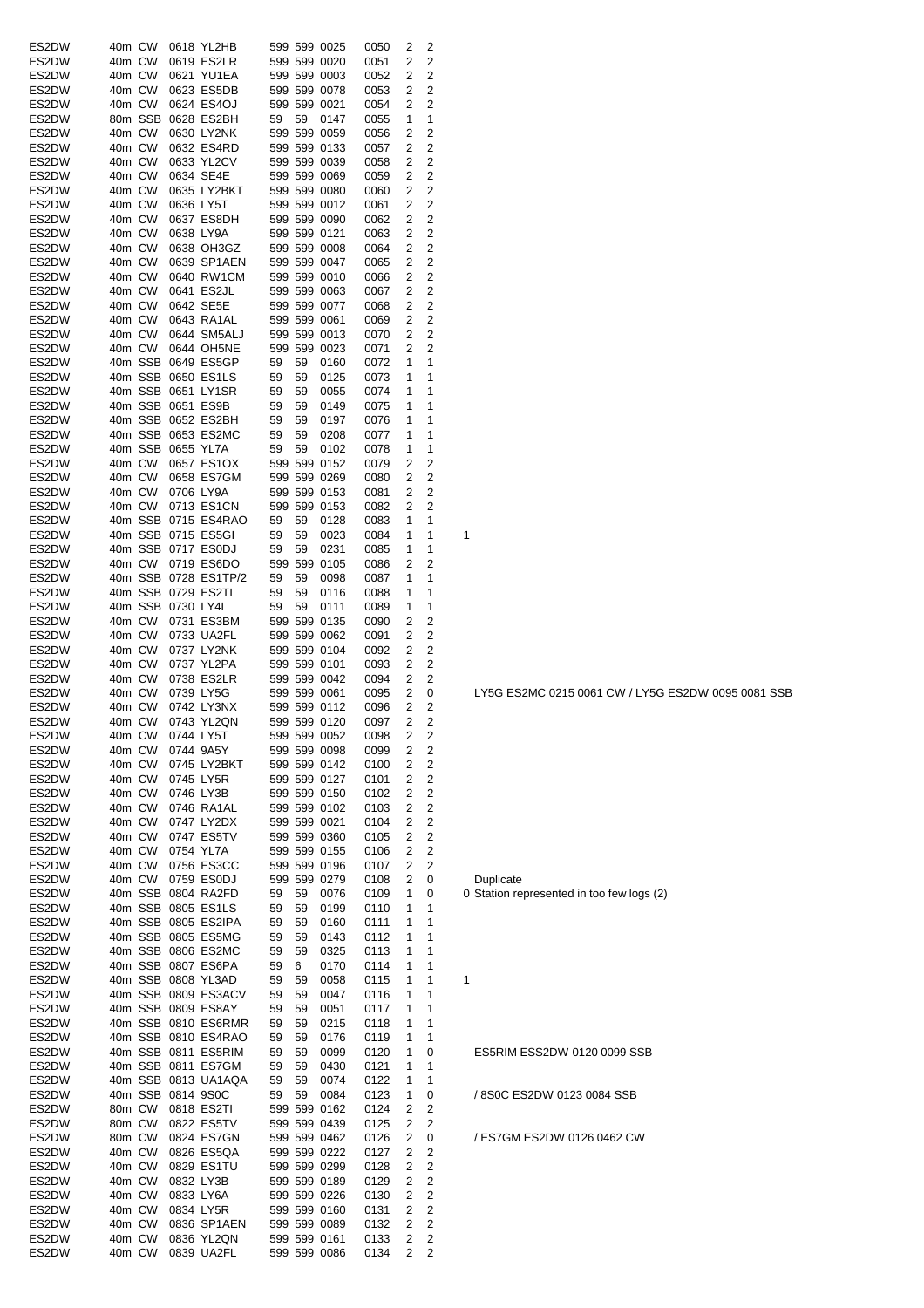| ES2DW | 40m CW |        |                   | 0618 YL2HB           |    |    | 599 599 0025 | 0050 | 2              | 2                       |                                           |
|-------|--------|--------|-------------------|----------------------|----|----|--------------|------|----------------|-------------------------|-------------------------------------------|
|       |        |        |                   |                      |    |    |              |      |                |                         |                                           |
| ES2DW | 40m CW |        |                   | 0619 ES2LR           |    |    | 599 599 0020 | 0051 | 2              | 2                       |                                           |
| ES2DW | 40m CW |        |                   | 0621 YU1EA           |    |    | 599 599 0003 | 0052 | 2              | 2                       |                                           |
| ES2DW | 40m CW |        |                   | 0623 ES5DB           |    |    | 599 599 0078 | 0053 | 2              | $\mathbf 2$             |                                           |
| ES2DW | 40m CW |        |                   | 0624 ES4OJ           |    |    | 599 599 0021 | 0054 | 2              | $\overline{2}$          |                                           |
| ES2DW |        |        |                   | 80m SSB 0628 ES2BH   | 59 | 59 | 0147         | 0055 | 1              | 1                       |                                           |
| ES2DW | 40m CW |        |                   | 0630 LY2NK           |    |    | 599 599 0059 |      | 2              | 2                       |                                           |
|       |        |        |                   |                      |    |    |              | 0056 |                |                         |                                           |
| ES2DW | 40m CW |        |                   | 0632 ES4RD           |    |    | 599 599 0133 | 0057 | 2              | 2                       |                                           |
| ES2DW | 40m CW |        |                   | 0633 YL2CV           |    |    | 599 599 0039 | 0058 | 2              | 2                       |                                           |
| ES2DW | 40m CW |        |                   | 0634 SE4E            |    |    | 599 599 0069 | 0059 | 2              | 2                       |                                           |
| ES2DW | 40m CW |        |                   | 0635 LY2BKT          |    |    | 599 599 0080 | 0060 | 2              | 2                       |                                           |
|       | 40m CW |        |                   | 0636 LY5T            |    |    | 599 599 0012 |      | 2              | 2                       |                                           |
| ES2DW |        |        |                   |                      |    |    |              | 0061 |                |                         |                                           |
| ES2DW | 40m CW |        |                   | 0637 ES8DH           |    |    | 599 599 0090 | 0062 | 2              | 2                       |                                           |
| ES2DW | 40m CW |        |                   | 0638 LY9A            |    |    | 599 599 0121 | 0063 | 2              | 2                       |                                           |
| ES2DW | 40m CW |        |                   | 0638 OH3GZ           |    |    | 599 599 0008 | 0064 | 2              | 2                       |                                           |
| ES2DW | 40m CW |        |                   | 0639 SP1AEN          |    |    | 599 599 0047 | 0065 | 2              | $\mathbf 2$             |                                           |
| ES2DW | 40m CW |        |                   | 0640 RW1CM           |    |    | 599 599 0010 | 0066 | 2              | 2                       |                                           |
|       |        |        |                   |                      |    |    |              |      |                |                         |                                           |
| ES2DW | 40m CW |        |                   | 0641 ES2JL           |    |    | 599 599 0063 | 0067 | 2              | $\mathbf 2$             |                                           |
| ES2DW | 40m CW |        |                   | 0642 SE5E            |    |    | 599 599 0077 | 0068 | 2              | 2                       |                                           |
| ES2DW | 40m CW |        |                   | 0643 RA1AL           |    |    | 599 599 0061 | 0069 | 2              | 2                       |                                           |
| ES2DW | 40m CW |        |                   | 0644 SM5ALJ          |    |    | 599 599 0013 | 0070 | 2              | 2                       |                                           |
| ES2DW | 40m CW |        |                   | 0644 OH5NE           |    |    | 599 599 0023 | 0071 | 2              | 2                       |                                           |
|       |        |        |                   |                      |    |    |              |      |                |                         |                                           |
| ES2DW |        |        |                   | 40m SSB 0649 ES5GP   | 59 | 59 | 0160         | 0072 | 1              | 1                       |                                           |
| ES2DW |        |        |                   | 40m SSB 0650 ES1LS   | 59 | 59 | 0125         | 0073 | 1              | 1                       |                                           |
| ES2DW |        |        |                   | 40m SSB 0651 LY1SR   | 59 | 59 | 0055         | 0074 | 1              | 1                       |                                           |
| ES2DW |        |        |                   | 40m SSB 0651 ES9B    | 59 | 59 | 0149         | 0075 | 1              | 1                       |                                           |
| ES2DW |        |        |                   | 40m SSB 0652 ES2BH   | 59 | 59 | 0197         | 0076 | 1              | 1                       |                                           |
|       |        |        |                   |                      |    |    |              |      |                |                         |                                           |
| ES2DW |        |        |                   | 40m SSB 0653 ES2MC   | 59 | 59 | 0208         | 0077 | 1              | 1                       |                                           |
| ES2DW |        |        | 40m SSB 0655 YL7A |                      | 59 | 59 | 0102         | 0078 | 1              | 1                       |                                           |
| ES2DW | 40m CW |        |                   | 0657 ES1OX           |    |    | 599 599 0152 | 0079 | 2              | 2                       |                                           |
| ES2DW | 40m CW |        |                   | 0658 ES7GM           |    |    | 599 599 0269 | 0080 | 2              | 2                       |                                           |
| ES2DW | 40m CW |        |                   | 0706 LY9A            |    |    | 599 599 0153 | 0081 | 2              | 2                       |                                           |
|       |        |        |                   |                      |    |    |              |      |                |                         |                                           |
| ES2DW | 40m CW |        |                   | 0713 ES1CN           |    |    | 599 599 0153 | 0082 | 2              | 2                       |                                           |
| ES2DW |        |        |                   | 40m SSB 0715 ES4RAO  | 59 | 59 | 0128         | 0083 | 1              | 1                       |                                           |
| ES2DW |        |        |                   | 40m SSB 0715 ES5GI   | 59 | 59 | 0023         | 0084 | 1              | 1                       | 1                                         |
| ES2DW |        |        |                   | 40m SSB 0717 ES0DJ   | 59 | 59 | 0231         | 0085 | 1              | 1                       |                                           |
| ES2DW |        | 40m CW |                   | 0719 ES6DO           |    |    | 599 599 0105 | 0086 | 2              | 2                       |                                           |
|       |        |        |                   |                      |    |    |              |      |                |                         |                                           |
| ES2DW |        |        |                   | 40m SSB 0728 ES1TP/2 | 59 | 59 | 0098         | 0087 | 1              | 1                       |                                           |
| ES2DW |        |        |                   | 40m SSB 0729 ES2TI   | 59 | 59 | 0116         | 0088 | 1              | 1                       |                                           |
| ES2DW |        |        | 40m SSB 0730 LY4L |                      | 59 | 59 | 0111         | 0089 | 1              | 1                       |                                           |
| ES2DW | 40m CW |        |                   | 0731 ES3BM           |    |    | 599 599 0135 | 0090 | 2              | 2                       |                                           |
| ES2DW | 40m CW |        |                   | 0733 UA2FL           |    |    | 599 599 0062 | 0091 | 2              | $\mathbf 2$             |                                           |
|       |        |        |                   |                      |    |    |              |      |                |                         |                                           |
| ES2DW | 40m CW |        |                   | 0737 LY2NK           |    |    | 599 599 0104 | 0092 | 2              | 2                       |                                           |
| ES2DW | 40m CW |        |                   | 0737 YL2PA           |    |    | 599 599 0101 | 0093 | 2              | 2                       |                                           |
| ES2DW | 40m CW |        |                   | 0738 ES2LR           |    |    | 599 599 0042 | 0094 | 2              | 2                       |                                           |
| ES2DW | 40m CW |        |                   | 0739 LY5G            |    |    | 599 599 0061 | 0095 | 2              | 0                       | LY5G ES2MC 0215 0061 CW / LY5G            |
| ES2DW | 40m CW |        |                   | 0742 LY3NX           |    |    | 599 599 0112 | 0096 | 2              | 2                       |                                           |
| ES2DW |        | 40m CW |                   | 0743 YL2QN           |    |    | 599 599 0120 |      | 2              | 2                       |                                           |
|       |        |        |                   |                      |    |    |              | 0097 |                |                         |                                           |
| ES2DW |        |        |                   | 40m CW 0744 LY5T     |    |    | 599 599 0052 | 0098 | $\overline{2}$ | 2                       |                                           |
| ES2DW |        | 40m CW |                   | 0744 9A5Y            |    |    | 599 599 0098 | 0099 | 2              | 2                       |                                           |
| ES2DW |        | 40m CW |                   | 0745 LY2BKT          |    |    | 599 599 0142 | 0100 | 2              | 2                       |                                           |
| ES2DW |        | 40m CW |                   | 0745 LY5R            |    |    | 599 599 0127 | 0101 | 2              | $\overline{\mathbf{c}}$ |                                           |
|       |        |        |                   |                      |    |    |              |      |                | $\mathbf 2$             |                                           |
| ES2DW | 40m CW |        |                   | 0746 LY3B            |    |    | 599 599 0150 | 0102 | 2              |                         |                                           |
| ES2DW |        | 40m CW |                   | 0746 RA1AL           |    |    | 599 599 0102 | 0103 | 2              | $\overline{\mathbf{c}}$ |                                           |
| ES2DW | 40m CW |        |                   | 0747 LY2DX           |    |    | 599 599 0021 | 0104 | 2              | 2                       |                                           |
| ES2DW | 40m CW |        |                   | 0747 ES5TV           |    |    | 599 599 0360 | 0105 | 2              | 2                       |                                           |
| ES2DW | 40m CW |        |                   | 0754 YL7A            |    |    | 599 599 0155 | 0106 | 2              | 2                       |                                           |
|       |        |        |                   |                      |    |    |              |      |                |                         |                                           |
| ES2DW |        | 40m CW |                   | 0756 ES3CC           |    |    | 599 599 0196 | 0107 | 2              | 2                       |                                           |
| ES2DW |        | 40m CW |                   | 0759 ES0DJ           |    |    | 599 599 0279 | 0108 | 2              | 0                       | Duplicate                                 |
| ES2DW |        |        |                   | 40m SSB 0804 RA2FD   | 59 | 59 | 0076         | 0109 | 1              | 0                       | 0 Station represented in too few logs (2) |
| ES2DW |        |        |                   | 40m SSB 0805 ES1LS   | 59 | 59 | 0199         | 0110 | 1              | 1                       |                                           |
| ES2DW |        |        |                   | 40m SSB 0805 ES2IPA  | 59 | 59 | 0160         | 0111 | 1              | 1                       |                                           |
| ES2DW |        |        |                   | 40m SSB 0805 ES5MG   | 59 | 59 | 0143         | 0112 | 1              | 1                       |                                           |
|       |        |        |                   |                      |    |    |              |      |                |                         |                                           |
| ES2DW |        |        |                   | 40m SSB 0806 ES2MC   | 59 | 59 | 0325         | 0113 | 1              | 1                       |                                           |
| ES2DW |        |        |                   | 40m SSB 0807 ES6PA   | 59 | 6  | 0170         | 0114 | 1              | 1                       |                                           |
| ES2DW |        |        |                   | 40m SSB 0808 YL3AD   | 59 | 59 | 0058         | 0115 | 1              | 1                       | 1                                         |
| ES2DW |        |        |                   | 40m SSB 0809 ES3ACV  | 59 | 59 | 0047         | 0116 | 1              | 1                       |                                           |
| ES2DW |        |        |                   | 40m SSB 0809 ES8AY   |    | 59 |              |      |                | 1                       |                                           |
|       |        |        |                   |                      | 59 |    | 0051         | 0117 | 1              |                         |                                           |
| ES2DW |        |        |                   | 40m SSB 0810 ES6RMR  | 59 | 59 | 0215         | 0118 | 1              | 1                       |                                           |
| ES2DW |        |        |                   | 40m SSB 0810 ES4RAO  | 59 | 59 | 0176         | 0119 | 1              | 1                       |                                           |
| ES2DW |        |        |                   | 40m SSB 0811 ES5RIM  | 59 | 59 | 0099         | 0120 | 1              | 0                       | ES5RIM ESS2DW 0120 0099 SSB               |
| ES2DW |        |        |                   | 40m SSB 0811 ES7GM   | 59 | 59 | 0430         | 0121 | 1              | 1                       |                                           |
|       |        |        |                   |                      |    |    |              |      |                |                         |                                           |
| ES2DW |        |        |                   | 40m SSB 0813 UA1AQA  | 59 | 59 | 0074         | 0122 | 1              | 1                       |                                           |
| ES2DW |        |        |                   | 40m SSB 0814 9S0C    | 59 | 59 | 0084         | 0123 | 1              | 0                       | / 8S0C ES2DW 0123 0084 SSB                |
| ES2DW |        | 80m CW |                   | 0818 ES2TI           |    |    | 599 599 0162 | 0124 | 2              | 2                       |                                           |
| ES2DW | 80m CW |        |                   | 0822 ES5TV           |    |    | 599 599 0439 | 0125 | 2              | 2                       |                                           |
| ES2DW | 80m CW |        |                   | 0824 ES7GN           |    |    | 599 599 0462 | 0126 | 2              | 0                       | / ES7GM ES2DW 0126 0462 CW                |
|       |        |        |                   |                      |    |    |              |      |                |                         |                                           |
| ES2DW | 40m CW |        |                   | 0826 ES5QA           |    |    | 599 599 0222 | 0127 | 2              | 2                       |                                           |
| ES2DW | 40m CW |        |                   | 0829 ES1TU           |    |    | 599 599 0299 | 0128 | 2              | 2                       |                                           |
| ES2DW | 40m CW |        |                   | 0832 LY3B            |    |    | 599 599 0189 | 0129 | 2              | $\overline{\mathbf{c}}$ |                                           |
| ES2DW | 40m CW |        |                   | 0833 LY6A            |    |    | 599 599 0226 | 0130 | 2              | 2                       |                                           |
| ES2DW | 40m CW |        |                   | 0834 LY5R            |    |    | 599 599 0160 | 0131 | 2              | 2                       |                                           |
| ES2DW | 40m CW |        |                   | 0836 SP1AEN          |    |    | 599 599 0089 | 0132 | 2              | 2                       |                                           |
|       |        |        |                   |                      |    |    |              |      |                |                         |                                           |
| ES2DW | 40m CW |        |                   | 0836 YL2QN           |    |    | 599 599 0161 | 0133 | 2              | 2                       |                                           |
| ES2DW |        | 40m CW |                   | 0839 UA2FL           |    |    | 599 599 0086 | 0134 | 2              | 2                       |                                           |

| ES5RIM ESS2DW 0120 0099 SSB |
|-----------------------------|
| 8S0C ES2DW 0123 0084 SSB    |
|                             |

LY5G ES2MC 0215 0061 CW / LY5G ES2DW 0095 0081 SSB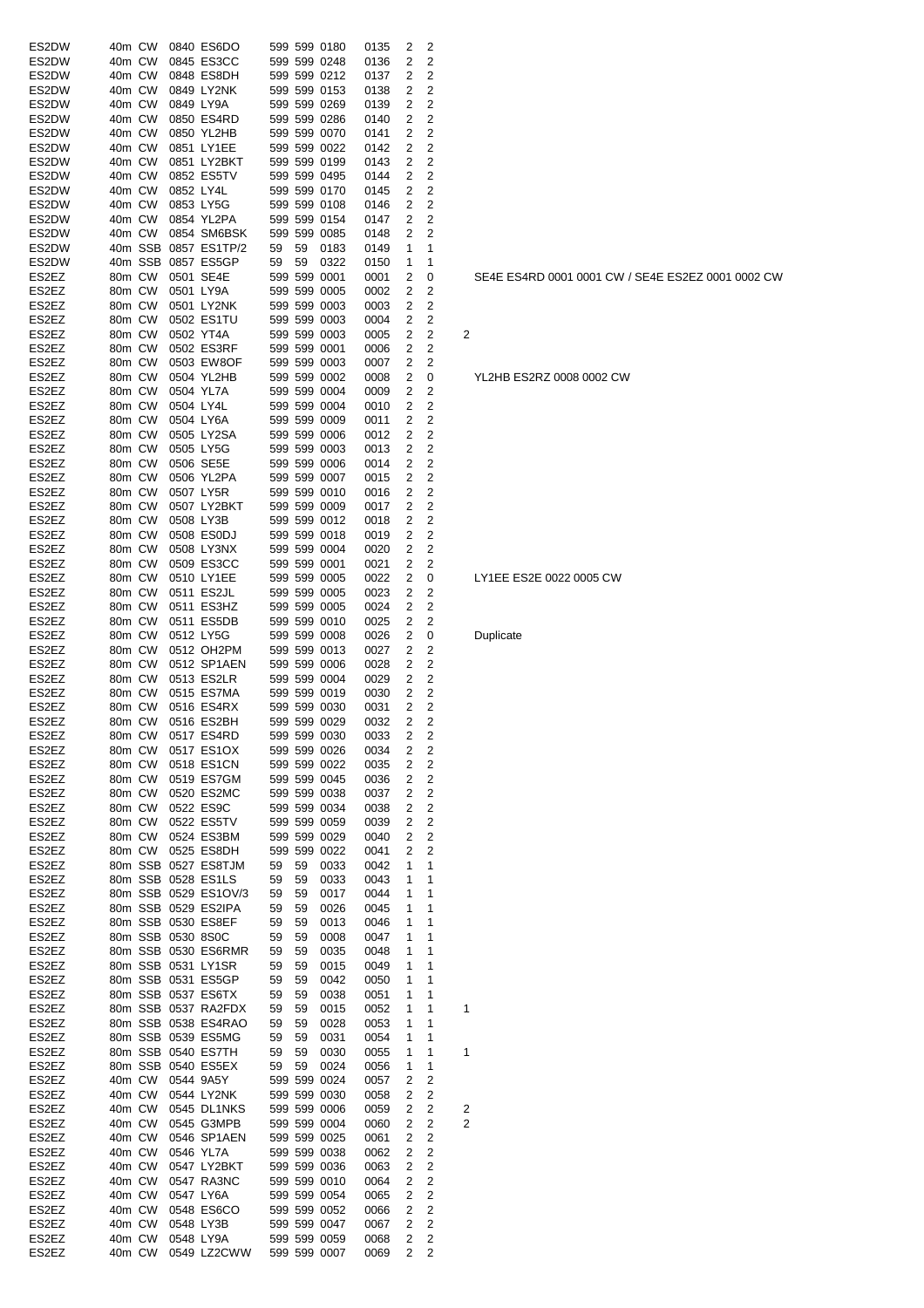| ES2DW | 40m CW |         |                   | 0840 ES6DO               |    |    | 599 599 0180      | 0135 | 2              | 2                       |                         |
|-------|--------|---------|-------------------|--------------------------|----|----|-------------------|------|----------------|-------------------------|-------------------------|
| ES2DW | 40m CW |         |                   | 0845 ES3CC               |    |    | 599 599 0248      | 0136 | 2              | 2                       |                         |
| ES2DW | 40m CW |         |                   | 0848 ES8DH               |    |    | 599 599 0212      | 0137 | 2              | 2                       |                         |
| ES2DW | 40m CW |         |                   | 0849 LY2NK               |    |    | 599 599 0153      | 0138 | 2              | 2                       |                         |
| ES2DW | 40m CW |         |                   | 0849 LY9A                |    |    | 599 599 0269      | 0139 | 2              | 2                       |                         |
| ES2DW | 40m CW |         |                   | 0850 ES4RD               |    |    | 599 599 0286      | 0140 | 2              | $\overline{c}$          |                         |
| ES2DW | 40m CW |         |                   | 0850 YL2HB               |    |    | 599 599 0070      | 0141 | 2              | 2                       |                         |
| ES2DW | 40m CW |         |                   | 0851 LY1EE               |    |    | 599 599 0022      | 0142 | 2              | 2                       |                         |
|       |        |         |                   |                          |    |    |                   |      |                |                         |                         |
| ES2DW | 40m CW |         |                   | 0851 LY2BKT              |    |    | 599 599 0199      | 0143 | 2              | 2                       |                         |
| ES2DW | 40m CW |         |                   | 0852 ES5TV               |    |    | 599 599 0495      | 0144 | 2              | 2                       |                         |
| ES2DW | 40m CW |         | 0852 LY4L         |                          |    |    | 599 599 0170      | 0145 | 2              | 2                       |                         |
| ES2DW | 40m CW |         |                   | 0853 LY5G                |    |    | 599 599 0108      | 0146 | 2              | 2                       |                         |
| ES2DW | 40m CW |         |                   | 0854 YL2PA               |    |    | 599 599 0154      | 0147 | 2              | 2                       |                         |
| ES2DW | 40m CW |         |                   | 0854 SM6BSK              |    |    | 599 599 0085      | 0148 | 2              | 2                       |                         |
| ES2DW |        | 40m SSB |                   | 0857 ES1TP/2             | 59 | 59 | 0183              | 0149 | 1              | 1                       |                         |
| ES2DW |        | 40m SSB |                   | 0857 ES5GP               | 59 | 59 | 0322              | 0150 | 1              | 1                       |                         |
| ES2EZ | 80m CW |         |                   | 0501 SE4E                |    |    | 599 599 0001      | 0001 | 2              | 0                       |                         |
| ES2EZ | 80m CW |         |                   | 0501 LY9A                |    |    | 599 599 0005      | 0002 | 2              | 2                       |                         |
| ES2EZ | 80m CW |         |                   | 0501 LY2NK               |    |    | 599 599 0003      | 0003 | 2              | 2                       |                         |
| ES2EZ | 80m CW |         |                   | 0502 ES1TU               |    |    | 599 599 0003      | 0004 | 2              | 2                       |                         |
| ES2EZ | 80m CW |         |                   | 0502 YT4A                |    |    | 599 599 0003      | 0005 | 2              | 2                       | 2                       |
| ES2EZ | 80m CW |         |                   | 0502 ES3RF               |    |    | 599 599 0001      | 0006 | 2              | 2                       |                         |
| ES2EZ | 80m CW |         |                   | 0503 EW8OF               |    |    | 599 599 0003      | 0007 | 2              | 2                       |                         |
| ES2EZ | 80m CW |         |                   | 0504 YL2HB               |    |    | 599 599 0002      | 0008 | 2              | 0                       |                         |
| ES2EZ | 80m CW |         |                   | 0504 YL7A                |    |    | 599 599 0004      | 0009 | 2              | 2                       |                         |
| ES2EZ | 80m CW |         |                   | 0504 LY4L                |    |    | 599 599 0004      | 0010 | 2              | 2                       |                         |
| ES2EZ | 80m CW |         |                   | 0504 LY6A                |    |    | 599 599 0009      | 0011 | 2              | 2                       |                         |
| ES2EZ | 80m CW |         |                   | 0505 LY2SA               |    |    | 599 599 0006      | 0012 | 2              | 2                       |                         |
|       |        |         |                   |                          |    |    |                   |      |                |                         |                         |
| ES2EZ | 80m CW |         |                   | 0505 LY5G                |    |    | 599 599 0003      | 0013 | 2              | 2                       |                         |
| ES2EZ | 80m CW |         |                   | 0506 SE5E                |    |    | 599 599 0006      | 0014 | 2              | 2                       |                         |
| ES2EZ | 80m CW |         |                   | 0506 YL2PA               |    |    | 599 599 0007      | 0015 | 2              | 2                       |                         |
| ES2EZ | 80m CW |         |                   | 0507 LY5R                |    |    | 599 599 0010      | 0016 | 2              | 2                       |                         |
| ES2EZ | 80m CW |         |                   | 0507 LY2BKT              |    |    | 599 599 0009      | 0017 | 2              | 2                       |                         |
| ES2EZ | 80m CW |         |                   | 0508 LY3B                |    |    | 599 599 0012      | 0018 | 2              | 2                       |                         |
| ES2EZ | 80m CW |         |                   | 0508 ES0DJ               |    |    | 599 599 0018      | 0019 | 2              | 2                       |                         |
| ES2EZ | 80m CW |         |                   | 0508 LY3NX               |    |    | 599 599 0004      | 0020 | 2              | 2                       |                         |
| ES2EZ | 80m CW |         |                   | 0509 ES3CC               |    |    | 599 599 0001      | 0021 | 2              | 2                       |                         |
| ES2EZ | 80m CW |         |                   | 0510 LY1EE               |    |    | 599 599 0005      | 0022 | 2              | 0                       |                         |
| ES2EZ | 80m CW |         |                   | 0511 ES2JL               |    |    | 599 599 0005      | 0023 | 2              | 2                       |                         |
| ES2EZ | 80m CW |         |                   | 0511 ES3HZ               |    |    | 599 599 0005      | 0024 | 2              | 2                       |                         |
| ES2EZ | 80m CW |         |                   | 0511 ES5DB               |    |    | 599 599 0010      | 0025 | 2              | 2                       |                         |
| ES2EZ | 80m CW |         |                   | 0512 LY5G                |    |    | 599 599 0008      | 0026 | 2              | 0                       |                         |
| ES2EZ | 80m CW |         |                   | 0512 OH2PM               |    |    | 599 599 0013      | 0027 | 2              | 2                       |                         |
| ES2EZ | 80m CW |         |                   | 0512 SP1AEN              |    |    | 599 599 0006      | 0028 | 2              | 2                       |                         |
| ES2EZ | 80m CW |         |                   | 0513 ES2LR               |    |    | 599 599 0004      | 0029 | 2              | 2                       |                         |
| ES2EZ | 80m CW |         |                   | 0515 ES7MA               |    |    | 599 599 0019      | 0030 | 2              | 2                       |                         |
| ES2EZ | 80m CW |         |                   | 0516 ES4RX               |    |    | 599 599 0030      | 0031 | 2              | 2                       |                         |
| ES2EZ | 80m CW |         |                   | 0516 ES2BH               |    |    | 599 599 0029      | 0032 | 2              | 2                       |                         |
|       |        |         |                   |                          |    |    |                   |      |                |                         |                         |
| ES2EZ |        |         |                   | 80m CW 0517 ES4RD        |    |    | 599 599 0030 0033 |      | $\overline{2}$ | 2                       |                         |
| ES2EZ | 80m CW |         |                   | 0517 ES1OX               |    |    | 599 599 0026      | 0034 | 2              | 2                       |                         |
| ES2EZ | 80m CW |         |                   | 0518 ES1CN               |    |    | 599 599 0022      | 0035 | 2              | 2                       |                         |
| ES2EZ | 80m CW |         |                   | 0519 ES7GM               |    |    | 599 599 0045      | 0036 | 2              | $\overline{c}$          |                         |
| ES2EZ | 80m CW |         |                   | 0520 ES2MC               |    |    | 599 599 0038      | 0037 | 2              | 2                       |                         |
| ES2EZ | 80m CW |         |                   | 0522 ES9C                |    |    | 599 599 0034      | 0038 | 2              | 2                       |                         |
| ES2EZ |        | 80m CW  |                   | 0522 ES5TV               |    |    | 599 599 0059      | 0039 | 2              | 2                       |                         |
| ES2EZ |        | 80m CW  |                   | 0524 ES3BM               |    |    | 599 599 0029      | 0040 | 2              | 2                       |                         |
| ES2EZ |        | 80m CW  |                   | 0525 ES8DH               |    |    | 599 599 0022      | 0041 | 2              | 2                       |                         |
| ES2EZ |        |         |                   | 80m SSB 0527 ES8TJM      | 59 | 59 | 0033              | 0042 | 1              | 1                       |                         |
| ES2EZ |        |         |                   | 80m SSB 0528 ES1LS       | 59 | 59 | 0033              | 0043 | 1              | 1                       |                         |
| ES2EZ |        |         |                   | 80m SSB 0529 ES1OV/3     | 59 | 59 | 0017              | 0044 | 1              | 1                       |                         |
| ES2EZ |        |         |                   | 80m SSB 0529 ES2IPA      | 59 | 59 | 0026              | 0045 | 1              | 1                       |                         |
| ES2EZ |        |         |                   | 80m SSB 0530 ES8EF       | 59 | 59 | 0013              | 0046 | 1              | 1                       |                         |
| ES2EZ |        |         | 80m SSB 0530 8S0C |                          | 59 | 59 | 0008              | 0047 | 1              | 1                       |                         |
| ES2EZ |        |         |                   | 80m SSB 0530 ES6RMR      | 59 | 59 | 0035              | 0048 | 1              | 1                       |                         |
| ES2EZ |        |         |                   | 80m SSB 0531 LY1SR       | 59 | 59 | 0015              | 0049 | 1              | 1                       |                         |
| ES2EZ |        |         |                   | 80m SSB 0531 ES5GP       | 59 | 59 | 0042              | 0050 | 1              | 1                       |                         |
| ES2EZ |        |         |                   | 80m SSB 0537 ES6TX       | 59 | 59 | 0038              | 0051 | 1              | 1                       |                         |
| ES2EZ |        |         |                   | 80m SSB 0537 RA2FDX      | 59 | 59 | 0015              | 0052 | 1              | 1                       | 1                       |
| ES2EZ |        |         |                   | 80m SSB 0538 ES4RAO      | 59 | 59 | 0028              | 0053 | 1              | 1                       |                         |
| ES2EZ |        |         |                   | 80m SSB 0539 ES5MG       | 59 | 59 | 0031              | 0054 | 1              | 1                       |                         |
| ES2EZ |        |         |                   | 80m SSB 0540 ES7TH       | 59 | 59 | 0030              | 0055 | 1              | 1                       | 1                       |
|       |        |         |                   | 80m SSB 0540 ES5EX       |    |    |                   |      |                |                         |                         |
| ES2EZ |        |         |                   |                          | 59 | 59 | 0024              | 0056 | 1              | 1                       |                         |
| ES2EZ |        | 40m CW  |                   | 0544 9A5Y                |    |    | 599 599 0024      | 0057 | 2              | 2                       |                         |
| ES2EZ |        | 40m CW  |                   | 0544 LY2NK               |    |    | 599 599 0030      | 0058 | 2              | 2                       |                         |
| ES2EZ |        | 40m CW  |                   | 0545 DL1NKS              |    |    | 599 599 0006      | 0059 | 2              | $\overline{\mathbf{c}}$ | $\overline{\mathbf{c}}$ |
| ES2EZ | 40m CW |         |                   | 0545 G3MPB               |    |    | 599 599 0004      | 0060 | 2              | 2                       | $\overline{\mathbf{c}}$ |
| ES2EZ | 40m CW |         |                   | 0546 SP1AEN              |    |    | 599 599 0025      | 0061 | 2              | $\overline{\mathbf{c}}$ |                         |
| ES2EZ | 40m CW |         |                   | 0546 YL7A                |    |    | 599 599 0038      | 0062 | 2              | $\overline{c}$          |                         |
| ES2EZ | 40m CW |         |                   | 0547 LY2BKT              |    |    | 599 599 0036      | 0063 | 2              | $\overline{\mathbf{c}}$ |                         |
| ES2EZ | 40m CW |         |                   | 0547 RA3NC               |    |    | 599 599 0010      | 0064 | 2              | 2                       |                         |
| ES2EZ | 40m CW |         |                   | 0547 LY6A                |    |    | 599 599 0054      | 0065 | 2              | 2                       |                         |
| ES2EZ | 40m CW |         |                   | 0548 ES6CO               |    |    | 599 599 0052      | 0066 | 2              | 2                       |                         |
| ES2EZ | 40m CW |         |                   | 0548 LY3B                |    |    | 599 599 0047      | 0067 | 2              | $\overline{2}$          |                         |
| ES2EZ | 40m CW |         |                   | 0548 LY9A                |    |    | 599 599 0059      | 0068 | 2              | $\overline{c}$          |                         |
| ES2EZ | 40m CW |         |                   | 0549 LZ2CWW 599 599 0007 |    |    |                   | 0069 | 2              | 2                       |                         |

SE4E ES4RD 0001 0001 CW / SE4E ES2EZ 0001 0002 CW

YL2HB ES2RZ 0008 0002 CW

# LY1EE ES2E 0022 0005 CW

**Duplicate**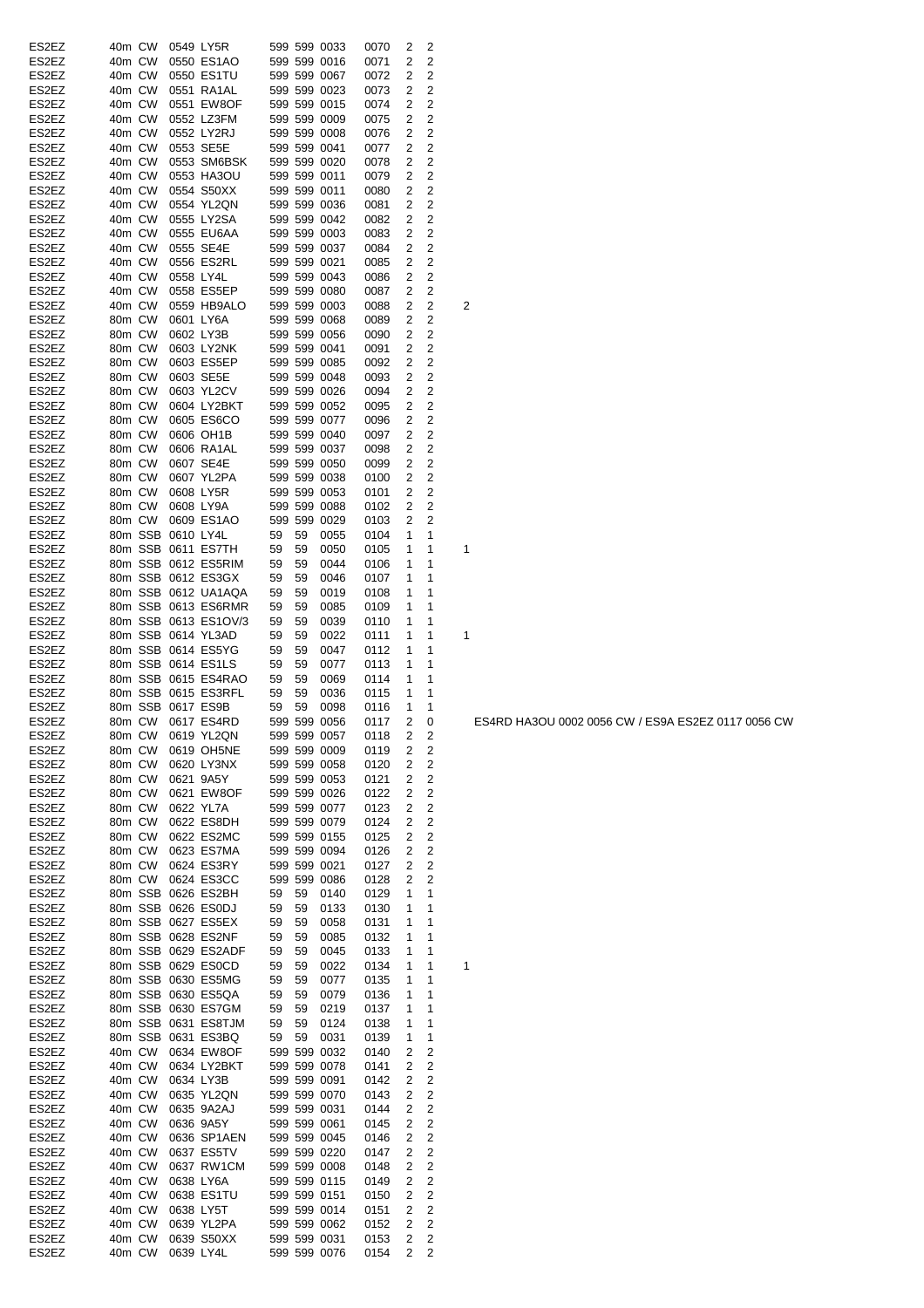| ES2EZ          | 40m CW           |        |                   | 0549 LY5R              |    |    | 599 599 0033                 | 0070         | 2            | 2                                |   |
|----------------|------------------|--------|-------------------|------------------------|----|----|------------------------------|--------------|--------------|----------------------------------|---|
| ES2EZ          | 40m CW           |        |                   | 0550 ES1AO             |    |    | 599 599 0016                 | 0071         | 2            | 2                                |   |
| ES2EZ          | 40m CW           |        |                   | 0550 ES1TU             |    |    | 599 599 0067                 | 0072         | 2            | 2                                |   |
| ES2EZ          | 40m CW           |        |                   | 0551 RA1AL             |    |    | 599 599 0023                 | 0073         | 2            | 2                                |   |
| ES2EZ          | 40m CW           |        |                   | 0551 EW8OF             |    |    | 599 599 0015                 | 0074         | 2            | 2                                |   |
| ES2EZ          | 40m CW           |        |                   | 0552 LZ3FM             |    |    | 599 599 0009                 | 0075         | 2            | $\overline{c}$                   |   |
| ES2EZ          | 40m CW           |        |                   | 0552 LY2RJ             |    |    | 599 599 0008                 | 0076         | 2            | 2                                |   |
| ES2EZ          | 40m CW           |        |                   | 0553 SE5E              |    |    | 599 599 0041                 | 0077         | 2            | 2                                |   |
| ES2EZ          | 40m CW           |        |                   | 0553 SM6BSK            |    |    | 599 599 0020                 | 0078         | 2            | 2                                |   |
| ES2EZ          | 40m CW           |        |                   | 0553 HA3OU             |    |    | 599 599 0011                 | 0079         | 2            | 2                                |   |
| ES2EZ          | 40m CW           |        |                   | 0554 S50XX             |    |    | 599 599 0011                 | 0080         | 2            | 2                                |   |
| ES2EZ          | 40m CW           |        |                   | 0554 YL2QN             |    |    | 599 599 0036                 | 0081         | 2            | 2                                |   |
| ES2EZ          | 40m CW           |        |                   | 0555 LY2SA             |    |    | 599 599 0042                 | 0082         | 2            | 2                                |   |
| ES2EZ          | 40m CW           |        |                   | 0555 EU6AA             |    |    | 599 599 0003                 | 0083         | 2            | 2                                |   |
| ES2EZ          | 40m CW           |        |                   | 0555 SE4E              |    |    | 599 599 0037                 | 0084         | 2            | 2                                |   |
| ES2EZ          | 40m CW           |        |                   | 0556 ES2RL             |    |    | 599 599 0021                 | 0085         | 2            | 2                                |   |
| ES2EZ          | 40m CW           |        |                   | 0558 LY4L              |    |    | 599 599 0043                 | 0086         | 2            | 2                                |   |
| ES2EZ          | 40m CW           |        |                   | 0558 ES5EP             |    |    | 599 599 0080                 | 0087         | 2            | 2                                |   |
| ES2EZ          | 40m CW           |        |                   | 0559 HB9ALO            |    |    | 599 599 0003                 | 0088         | 2            | 2                                | 2 |
| ES2EZ          | 80m CW           |        |                   | 0601 LY6A              |    |    | 599 599 0068                 | 0089         | 2            | 2                                |   |
| ES2EZ          | 80m CW           |        |                   | 0602 LY3B              |    |    | 599 599 0056                 | 0090         | 2            | 2                                |   |
| ES2EZ          | 80m CW           |        |                   | 0603 LY2NK             |    |    | 599 599 0041                 | 0091         | 2            | 2                                |   |
| ES2EZ          | 80m CW           |        |                   | 0603 ES5EP             |    |    | 599 599 0085                 | 0092         | 2            | 2                                |   |
| ES2EZ          | 80m CW           |        |                   | 0603 SE5E              |    |    | 599 599 0048                 | 0093         | 2            | 2                                |   |
| ES2EZ          | 80m CW           |        |                   | 0603 YL2CV             |    |    | 599 599 0026                 | 0094         | 2            | 2                                |   |
| ES2EZ          | 80m CW           |        |                   | 0604 LY2BKT            |    |    | 599 599 0052                 | 0095         | 2            | 2                                |   |
| ES2EZ          | 80m CW           |        |                   | 0605 ES6CO             |    |    | 599 599 0077                 | 0096         | 2            | 2                                |   |
| ES2EZ          | 80m CW           |        |                   | 0606 OH1B              |    |    | 599 599 0040                 | 0097         | 2            | 2                                |   |
| ES2EZ          | 80m CW           |        |                   | 0606 RA1AL             |    |    | 599 599 0037                 | 0098         | 2            | 2                                |   |
| ES2EZ<br>ES2EZ | 80m CW           |        |                   | 0607 SE4E              |    |    | 599 599 0050<br>599 599 0038 | 0099         | 2            | $\overline{c}$<br>$\overline{c}$ |   |
| ES2EZ          | 80m CW           |        |                   | 0607 YL2PA             |    |    |                              | 0100         | 2<br>2       | 2                                |   |
| ES2EZ          | 80m CW<br>80m CW |        |                   | 0608 LY5R<br>0608 LY9A |    |    | 599 599 0053<br>599 599 0088 | 0101         | 2            | 2                                |   |
| ES2EZ          | 80m CW           |        |                   | 0609 ES1AO             |    |    | 599 599 0029                 | 0102<br>0103 | 2            | 2                                |   |
| ES2EZ          |                  |        | 80m SSB 0610 LY4L |                        | 59 | 59 | 0055                         | 0104         | 1            | 1                                |   |
| ES2EZ          |                  |        |                   | 80m SSB 0611 ES7TH     | 59 | 59 | 0050                         | 0105         | 1            | 1                                | 1 |
| ES2EZ          |                  |        |                   | 80m SSB 0612 ES5RIM    | 59 | 59 | 0044                         | 0106         | 1            | 1                                |   |
| ES2EZ          |                  |        |                   | 80m SSB 0612 ES3GX     | 59 | 59 | 0046                         | 0107         | 1            | 1                                |   |
| ES2EZ          |                  |        |                   | 80m SSB 0612 UA1AQA    | 59 | 59 | 0019                         | 0108         | 1            | 1                                |   |
| ES2EZ          |                  |        |                   | 80m SSB 0613 ES6RMR    | 59 | 59 | 0085                         | 0109         | 1            | 1                                |   |
| ES2EZ          |                  |        |                   | 80m SSB 0613 ES1OV/3   | 59 | 59 | 0039                         | 0110         | 1            | 1                                |   |
| ES2EZ          |                  |        |                   | 80m SSB 0614 YL3AD     | 59 | 59 | 0022                         | 0111         | 1            | 1                                | 1 |
| ES2EZ          |                  |        |                   | 80m SSB 0614 ES5YG     | 59 | 59 | 0047                         | 0112         | 1            | 1                                |   |
| ES2EZ          |                  |        |                   | 80m SSB 0614 ES1LS     | 59 | 59 | 0077                         | 0113         | 1            | 1                                |   |
| ES2EZ          |                  |        |                   | 80m SSB 0615 ES4RAO    | 59 | 59 | 0069                         | 0114         | 1            | 1                                |   |
| ES2EZ          |                  |        |                   | 80m SSB 0615 ES3RFL    | 59 | 59 | 0036                         | 0115         | 1            | 1                                |   |
| ES2EZ          |                  |        |                   | 80m SSB 0617 ES9B      | 59 | 59 | 0098                         | 0116         | 1            | 1                                |   |
| ES2EZ          |                  | 80m CW |                   | 0617 ES4RD             |    |    | 599 599 0056                 | 0117         | 2            | 0                                |   |
| ES2EZ          |                  |        |                   | 80m CW 0619 YL2QN      |    |    | 599 599 0057 0118            |              | $\mathbf{2}$ | 2                                |   |
| ES2EZ          | 80m CW           |        |                   | 0619 OH5NE             |    |    | 599 599 0009                 | 0119         | 2            | 2                                |   |
| ES2EZ          | 80m CW           |        |                   | 0620 LY3NX             |    |    | 599 599 0058                 | 0120         | 2            | 2                                |   |
| ES2EZ          | 80m CW           |        |                   | 0621 9A5Y              |    |    | 599 599 0053                 | 0121         | 2            | $\overline{c}$                   |   |
| ES2EZ          | 80m CW           |        |                   | 0621 EW8OF             |    |    | 599 599 0026                 | 0122         | 2            | 2                                |   |
| ES2EZ          | 80m CW           |        |                   | 0622 YL7A              |    |    | 599 599 0077                 | 0123         | 2            | 2                                |   |
| ES2EZ          |                  | 80m CW |                   | 0622 ES8DH             |    |    | 599 599 0079                 | 0124         | 2            | 2                                |   |
| ES2EZ          | 80m CW           |        |                   | 0622 ES2MC             |    |    | 599 599 0155                 | 0125         | 2            | 2                                |   |
| ES2EZ          |                  | 80m CW |                   | 0623 ES7MA             |    |    | 599 599 0094                 | 0126         | 2            | 2                                |   |
| ES2EZ          |                  | 80m CW |                   | 0624 ES3RY             |    |    | 599 599 0021                 | 0127         | 2            | $\overline{c}$                   |   |
| ES2EZ          |                  | 80m CW |                   | 0624 ES3CC             |    |    | 599 599 0086                 | 0128         | 2            | 2                                |   |
| ES2EZ          |                  |        |                   | 80m SSB 0626 ES2BH     | 59 | 59 | 0140                         | 0129         | 1            | 1                                |   |
| ES2EZ          |                  |        |                   | 80m SSB 0626 ES0DJ     | 59 | 59 | 0133                         | 0130         | 1            | 1                                |   |
| ES2EZ          |                  |        |                   | 80m SSB 0627 ES5EX     | 59 | 59 | 0058                         | 0131         | 1            | 1                                |   |
| ES2EZ          |                  |        |                   | 80m SSB 0628 ES2NF     | 59 | 59 | 0085                         | 0132         | 1            | 1                                |   |
| ES2EZ          |                  |        |                   | 80m SSB 0629 ES2ADF    | 59 | 59 | 0045                         | 0133         | 1            | 1                                |   |
| ES2EZ          |                  |        |                   | 80m SSB 0629 ES0CD     | 59 | 59 | 0022                         | 0134         | 1            | 1                                | 1 |
| ES2EZ          |                  |        |                   | 80m SSB 0630 ES5MG     | 59 | 59 | 0077                         | 0135         | 1            | $\mathbf{1}$                     |   |
| ES2EZ          |                  |        |                   | 80m SSB 0630 ES5QA     | 59 | 59 | 0079                         | 0136         | 1            | 1                                |   |
| ES2EZ          |                  |        |                   | 80m SSB 0630 ES7GM     | 59 | 59 | 0219                         | 0137         | 1            | 1                                |   |
| ES2EZ          |                  |        |                   | 80m SSB 0631 ES8TJM    | 59 | 59 | 0124                         | 0138         | 1            | 1                                |   |
| ES2EZ          |                  |        |                   | 80m SSB 0631 ES3BQ     | 59 | 59 | 0031                         | 0139         | 1            | 1                                |   |
| ES2EZ          |                  | 40m CW |                   | 0634 EW8OF             |    |    | 599 599 0032                 | 0140         | 2            | 2                                |   |
| ES2EZ          |                  | 40m CW |                   | 0634 LY2BKT            |    |    | 599 599 0078                 | 0141         | 2            | 2                                |   |
| ES2EZ          | 40m CW           |        |                   | 0634 LY3B              |    |    | 599 599 0091                 | 0142         | 2            | $\overline{c}$                   |   |
| ES2EZ          | 40m CW           |        |                   | 0635 YL2QN             |    |    | 599 599 0070                 | 0143         | 2            | $\overline{c}$                   |   |
| ES2EZ          | 40m CW           |        |                   | 0635 9A2AJ             |    |    | 599 599 0031                 | 0144         | 2            | $\overline{c}$                   |   |
| ES2EZ          | 40m CW           |        |                   | 0636 9A5Y              |    |    | 599 599 0061                 | 0145         | 2            | $\overline{\mathbf{c}}$          |   |
| ES2EZ          | 40m CW           |        |                   | 0636 SP1AEN            |    |    | 599 599 0045                 | 0146         | 2            | $\overline{c}$                   |   |
| ES2EZ          | 40m CW           |        |                   | 0637 ES5TV             |    |    | 599 599 0220                 | 0147         | 2            | $\overline{c}$                   |   |
| ES2EZ          | 40m CW           |        |                   | 0637 RW1CM             |    |    | 599 599 0008                 | 0148         | 2            | $\overline{c}$                   |   |
| ES2EZ          | 40m CW           |        |                   | 0638 LY6A              |    |    | 599 599 0115                 | 0149         | 2            | $\overline{c}$                   |   |
| ES2EZ          | 40m CW           |        |                   | 0638 ES1TU             |    |    | 599 599 0151                 | 0150         | 2            | 2                                |   |
| ES2EZ          | 40m CW           |        |                   | 0638 LY5T              |    |    | 599 599 0014                 | 0151         | 2            | 2                                |   |
| ES2EZ          | 40m CW           |        |                   | 0639 YL2PA             |    |    | 599 599 0062<br>599 599 0031 | 0152         | 2            | $\overline{2}$                   |   |
| ES2EZ          | 40m CW           |        |                   | 0639 S50XX             |    |    |                              | 0153         | 2            | 2                                |   |
| ES2EZ          | 40m CW           |        |                   | 0639 LY4L              |    |    | 599 599 0076                 | 0154         | 2            | 2                                |   |

ES4RD HA3OU 0002 0056 CW / ES9A ES2EZ 0117 0056 CW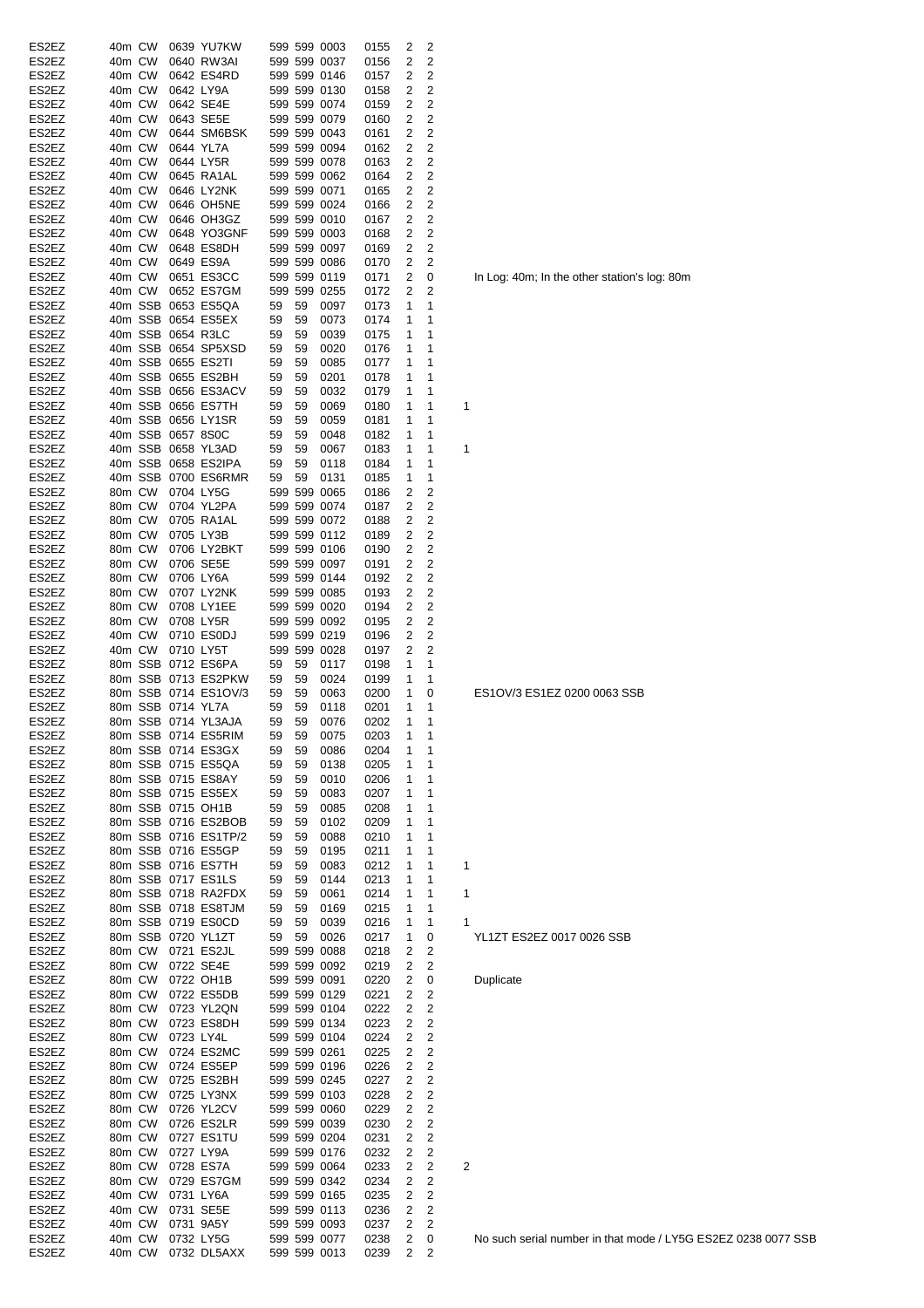| ES2EZ | 40m CW           |        |                   | 0639 YU7KW               |       |    | 599 599 0003 | 0155   | 2 | 2                       |   |
|-------|------------------|--------|-------------------|--------------------------|-------|----|--------------|--------|---|-------------------------|---|
| ES2EZ | 40m CW           |        |                   | 0640 RW3AI               |       |    | 599 599 0037 | 0156   | 2 | 2                       |   |
|       |                  |        |                   |                          |       |    |              |        |   |                         |   |
| ES2EZ | 40m CW           |        |                   | 0642 ES4RD               |       |    | 599 599 0146 | 0157   | 2 | 2                       |   |
| ES2EZ | 40m CW           |        |                   | 0642 LY9A                |       |    | 599 599 0130 | 0158   | 2 | 2                       |   |
| ES2EZ | 40m CW           |        |                   | 0642 SE4E                |       |    | 599 599 0074 | 0159   | 2 | 2                       |   |
| ES2EZ | 40m CW           |        |                   | 0643 SE5E                |       |    | 599 599 0079 | 0160   | 2 | 2                       |   |
| ES2EZ | 40m CW           |        |                   | 0644 SM6BSK 599 599 0043 |       |    |              | 0161   | 2 | 2                       |   |
| ES2EZ | 40m CW           |        |                   | 0644 YL7A                |       |    | 599 599 0094 | 0162   | 2 | 2                       |   |
| ES2EZ | 40m CW           |        |                   | 0644 LY5R                |       |    | 599 599 0078 | 0163   | 2 | 2                       |   |
| ES2EZ | 40m CW           |        |                   | 0645 RA1AL               |       |    | 599 599 0062 | 0164   | 2 | 2                       |   |
| ES2EZ | 40m CW           |        |                   | 0646 LY2NK               |       |    | 599 599 0071 |        | 2 | 2                       |   |
|       |                  |        |                   |                          |       |    |              | 0165   |   |                         |   |
| ES2EZ | 40m CW           |        |                   | 0646 OH5NE               |       |    | 599 599 0024 | 0166   | 2 | 2                       |   |
| ES2EZ | 40m CW           |        |                   | 0646 OH3GZ               |       |    | 599 599 0010 | 0167   | 2 | 2                       |   |
| ES2EZ | 40m CW           |        |                   | 0648 YO3GNF              |       |    | 599 599 0003 | 0168   | 2 | 2                       |   |
| ES2EZ | 40m CW           |        |                   | 0648 ES8DH               |       |    | 599 599 0097 | 0169   | 2 | 2                       |   |
| ES2EZ | 40m CW           |        |                   | 0649 ES9A                |       |    | 599 599 0086 | 0170   | 2 | 2                       |   |
| ES2EZ | 40m CW           |        |                   | 0651 ES3CC               |       |    | 599 599 0119 | 0171   | 2 | 0                       |   |
| ES2EZ | 40m CW           |        |                   | 0652 ES7GM               |       |    | 599 599 0255 | 0172   | 2 | 2                       |   |
| ES2EZ |                  |        |                   | 40m SSB 0653 ES5QA       | 59    | 59 | 0097         | 0173   | 1 | 1                       |   |
| ES2EZ |                  |        |                   | 40m SSB 0654 ES5EX       |       | 59 |              |        | 1 | 1                       |   |
|       |                  |        |                   |                          | 59    |    | 0073         | 0174   |   |                         |   |
| ES2EZ |                  |        |                   | 40m SSB 0654 R3LC        | 59    | 59 | 0039         | 0175   | 1 | 1                       |   |
| ES2EZ |                  |        |                   | 40m SSB 0654 SP5XSD      | - 59  | 59 | 0020         | 0176   | 1 | 1                       |   |
| ES2EZ |                  |        |                   | 40m SSB 0655 ES2TI       | 59    | 59 | 0085         | 0177   | 1 | 1                       |   |
| ES2EZ |                  |        |                   | 40m SSB 0655 ES2BH       | 59    | 59 | 0201         | 0178   | 1 | 1                       |   |
| ES2EZ |                  |        |                   | 40m SSB 0656 ES3ACV      | 59    | 59 | 0032         | 0179   | 1 | 1                       |   |
| ES2EZ |                  |        |                   | 40m SSB 0656 ES7TH       | 59    | 59 | 0069         | 0180   | 1 | 1                       | 1 |
| ES2EZ |                  |        |                   | 40m SSB 0656 LY1SR       | 59    | 59 | 0059         | 0181   | 1 | 1                       |   |
| ES2EZ |                  |        | 40m SSB 0657 8S0C |                          | 59    | 59 | 0048         |        | 1 | 1                       |   |
|       |                  |        |                   | 40m SSB 0658 YL3AD       |       |    |              | 0182   |   | 1                       |   |
| ES2EZ |                  |        |                   |                          | 59    | 59 | 0067         | 0183   | 1 |                         | 1 |
| ES2EZ |                  |        |                   | 40m SSB 0658 ES2IPA      | 59    | 59 | 0118         | 0184   | 1 | 1                       |   |
| ES2EZ |                  |        |                   | 40m SSB 0700 ES6RMR      | - 59  | 59 | 0131         | 0185   | 1 | 1                       |   |
| ES2EZ |                  | 80m CW |                   | 0704 LY5G                |       |    | 599 599 0065 | 0186   | 2 | 2                       |   |
| ES2EZ | 80m CW           |        |                   | 0704 YL2PA               |       |    | 599 599 0074 | 0187   | 2 | 2                       |   |
| ES2EZ | 80m CW           |        |                   | 0705 RA1AL               |       |    | 599 599 0072 | 0188   | 2 | 2                       |   |
| ES2EZ | 80m CW           |        |                   | 0705 LY3B                |       |    | 599 599 0112 | 0189   | 2 | 2                       |   |
| ES2EZ | 80m CW           |        |                   | 0706 LY2BKT              |       |    | 599 599 0106 | 0190   | 2 | 2                       |   |
|       |                  |        |                   | 0706 SE5E                |       |    | 599 599 0097 |        | 2 | $\overline{c}$          |   |
| ES2EZ | 80m CW           |        |                   |                          |       |    |              | 0191   |   |                         |   |
| ES2EZ | 80m CW           |        |                   | 0706 LY6A                |       |    | 599 599 0144 | 0192   | 2 | 2                       |   |
| ES2EZ | 80m CW           |        |                   | 0707 LY2NK               |       |    | 599 599 0085 | 0193   | 2 | 2                       |   |
| ES2EZ | 80m CW           |        |                   | 0708 LY1EE               |       |    | 599 599 0020 | 0194   | 2 | 2                       |   |
| ES2EZ | 80m CW           |        |                   | 0708 LY5R                |       |    | 599 599 0092 | 0195   | 2 | 2                       |   |
| ES2EZ | 40m CW           |        |                   | 0710 ES0DJ               |       |    | 599 599 0219 | 0196   | 2 | 2                       |   |
| ES2EZ | 40m CW           |        |                   | 0710 LY5T                |       |    | 599 599 0028 | 0197   | 2 | 2                       |   |
| ES2EZ |                  |        |                   | 80m SSB 0712 ES6PA       | 59    | 59 | 0117         | 0198   | 1 | 1                       |   |
| ES2EZ |                  |        |                   | 80m SSB 0713 ES2PKW      | 59    | 59 | 0024         | 0199   | 1 | 1                       |   |
| ES2EZ |                  |        |                   | 80m SSB 0714 ES1OV/3     | 59    | 59 | 0063         | 0200   | 1 | 0                       |   |
| ES2EZ |                  |        | 80m SSB 0714 YL7A |                          | 59    | 59 | 0118         | 0201   | 1 | 1                       |   |
|       |                  |        |                   |                          |       |    |              |        | 1 |                         |   |
| ES2EZ |                  |        |                   | 80m SSB 0714 YL3AJA      | 59    | 59 | 0076         | 0202   |   | 1                       |   |
| ES2EZ |                  |        |                   | 80m SSB 0714 ES5RIM      | 59 59 |    | 0075         | 0203 1 |   | 1                       |   |
| ES2EZ |                  |        |                   | 80m SSB 0714 ES3GX       | 59    | 59 | 0086         | 0204   | 1 | 1                       |   |
| ES2EZ |                  |        |                   | 80m SSB 0715 ES5QA       | 59    | 59 | 0138         | 0205   | 1 | 1                       |   |
| ES2EZ |                  |        |                   | 80m SSB 0715 ES8AY       | 59    | 59 | 0010         | 0206   | 1 | 1                       |   |
| ES2EZ |                  |        |                   | 80m SSB 0715 ES5EX       | 59    | 59 | 0083         | 0207   | 1 | 1                       |   |
| ES2EZ |                  |        |                   | 80m SSB 0715 OH1B        | 59    | 59 | 0085         | 0208   | 1 | 1                       |   |
| ES2EZ |                  |        |                   | 80m SSB 0716 ES2BOB      | 59    | 59 | 0102         | 0209   | 1 | 1                       |   |
| ES2EZ |                  |        |                   | 80m SSB 0716 ES1TP/2     | 59    | 59 | 0088         | 0210   | 1 | 1                       |   |
| ES2EZ |                  |        |                   | 80m SSB 0716 ES5GP       | 59    | 59 | 0195         | 0211   | 1 | 1                       |   |
| ES2EZ |                  |        |                   | 80m SSB 0716 ES7TH       | 59    | 59 |              |        | 1 | 1                       | 1 |
|       |                  |        |                   |                          |       |    | 0083         | 0212   |   | 1                       |   |
| ES2EZ |                  |        |                   | 80m SSB 0717 ES1LS       | 59    | 59 | 0144         | 0213   | 1 |                         |   |
| ES2EZ |                  |        |                   | 80m SSB 0718 RA2FDX      | 59    | 59 | 0061         | 0214   | 1 | 1                       | 1 |
| ES2EZ |                  |        |                   | 80m SSB 0718 ES8TJM      | 59    | 59 | 0169         | 0215   | 1 | 1                       |   |
| ES2EZ |                  |        |                   | 80m SSB 0719 ES0CD       | 59    | 59 | 0039         | 0216   | 1 | 1                       | 1 |
| ES2EZ |                  |        |                   | 80m SSB 0720 YL1ZT       | 59    | 59 | 0026         | 0217   | 1 | 0                       |   |
| ES2EZ | 80m CW           |        |                   | 0721 ES2JL               |       |    | 599 599 0088 | 0218   | 2 | $\overline{c}$          |   |
| ES2EZ |                  | 80m CW |                   | 0722 SE4E                |       |    | 599 599 0092 | 0219   | 2 | $\overline{c}$          |   |
| ES2EZ |                  | 80m CW |                   | 0722 OH1B                |       |    | 599 599 0091 | 0220   | 2 | 0                       |   |
| ES2EZ | 80m CW           |        |                   | 0722 ES5DB               |       |    | 599 599 0129 | 0221   | 2 | $\overline{c}$          |   |
| ES2EZ | 80m CW           |        |                   | 0723 YL2QN               |       |    | 599 599 0104 | 0222   | 2 | 2                       |   |
| ES2EZ | 80m CW           |        |                   | 0723 ES8DH               |       |    | 599 599 0134 | 0223   | 2 | $\overline{c}$          |   |
|       |                  |        |                   |                          |       |    |              |        |   |                         |   |
| ES2EZ | 80m CW           |        |                   | 0723 LY4L                |       |    | 599 599 0104 | 0224   | 2 | $\overline{\mathbf{c}}$ |   |
| ES2EZ | 80m CW           |        |                   | 0724 ES2MC               |       |    | 599 599 0261 | 0225   | 2 | $\overline{c}$          |   |
| ES2EZ | 80m CW           |        |                   | 0724 ES5EP               |       |    | 599 599 0196 | 0226   | 2 | $\overline{c}$          |   |
| ES2EZ | 80m CW           |        |                   | 0725 ES2BH               |       |    | 599 599 0245 | 0227   | 2 | $\overline{c}$          |   |
| ES2EZ | 80m CW           |        |                   | 0725 LY3NX               |       |    | 599 599 0103 | 0228   | 2 | $\overline{c}$          |   |
| ES2EZ | 80m CW           |        |                   | 0726 YL2CV               |       |    | 599 599 0060 | 0229   | 2 | $\overline{2}$          |   |
| ES2EZ | 80m CW           |        |                   | 0726 ES2LR               |       |    | 599 599 0039 | 0230   | 2 | $\overline{c}$          |   |
| ES2EZ | 80m CW           |        |                   | 0727 ES1TU               |       |    | 599 599 0204 | 0231   | 2 | $\overline{c}$          |   |
| ES2EZ | 80m CW           |        |                   | 0727 LY9A                |       |    | 599 599 0176 | 0232   | 2 | $\overline{c}$          |   |
| ES2EZ | 80m CW           |        |                   | 0728 ES7A                |       |    | 599 599 0064 | 0233   | 2 | 2                       | 2 |
|       |                  |        |                   |                          |       |    |              |        |   | $\overline{c}$          |   |
| ES2EZ | 80m CW           |        |                   | 0729 ES7GM               |       |    | 599 599 0342 | 0234   | 2 |                         |   |
| ES2EZ | 40m CW           |        |                   | 0731 LY6A                |       |    | 599 599 0165 | 0235   | 2 | 2                       |   |
| ES2EZ | 40m CW           |        |                   | 0731 SE5E                |       |    | 599 599 0113 | 0236   | 2 | 2                       |   |
| ES2EZ | 40m CW           |        |                   | 0731 9A5Y                |       |    | 599 599 0093 | 0237   | 2 | 2                       |   |
| ES2EZ |                  |        |                   | 0732 LY5G                |       |    | 599 599 0077 | 0238   | 2 | 0                       |   |
| ES2EZ | 40m CW<br>40m CW |        |                   | 0732 DL5AXX 599 599 0013 |       |    |              | 0239   | 2 | 2                       |   |

In Log: 40m; In the other station's log: 80m

ES1OV/3 ES1EZ 0200 0063 SSB

1<br>YL1ZT ES2EZ 0017 0026 SSB

**Duplicate**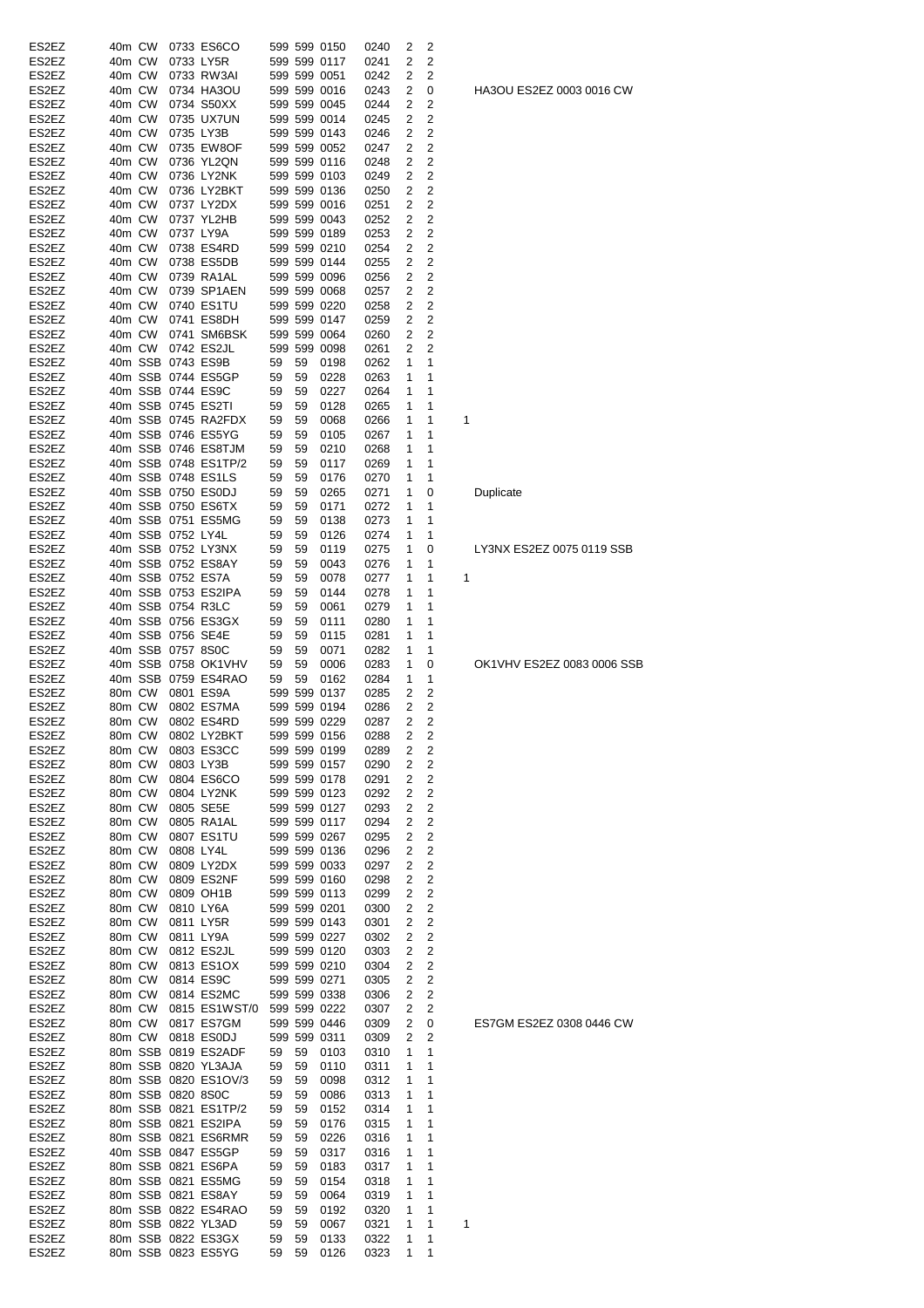| ES2EZ | 40m CW |        |                   | 0733 ES6CO           |    |    | 599 599 0150      | 0240 | 2              | 2              |   |
|-------|--------|--------|-------------------|----------------------|----|----|-------------------|------|----------------|----------------|---|
| ES2EZ | 40m CW |        |                   | 0733 LY5R            |    |    | 599 599 0117      | 0241 | 2              | 2              |   |
| ES2EZ | 40m CW |        |                   | 0733 RW3AI           |    |    | 599 599 0051      | 0242 | 2              | 2              |   |
| ES2EZ | 40m CW |        |                   | 0734 HA3OU           |    |    | 599 599 0016      | 0243 | 2              | 0              |   |
| ES2EZ | 40m CW |        |                   | 0734 S50XX           |    |    | 599 599 0045      | 0244 | 2              | 2              |   |
| ES2EZ | 40m CW |        |                   | 0735 UX7UN           |    |    | 599 599 0014      | 0245 | 2              | 2              |   |
| ES2EZ | 40m CW |        |                   | 0735 LY3B            |    |    | 599 599 0143      | 0246 | 2              | 2              |   |
|       | 40m CW |        |                   |                      |    |    | 599 599 0052      | 0247 |                | 2              |   |
| ES2EZ |        |        |                   | 0735 EW8OF           |    |    |                   |      | 2              |                |   |
| ES2EZ | 40m CW |        |                   | 0736 YL2QN           |    |    | 599 599 0116      | 0248 | 2              | 2              |   |
| ES2EZ | 40m CW |        |                   | 0736 LY2NK           |    |    | 599 599 0103      | 0249 | 2              | 2              |   |
| ES2EZ | 40m CW |        |                   | 0736 LY2BKT          |    |    | 599 599 0136      | 0250 | 2              | 2              |   |
| ES2EZ | 40m CW |        |                   | 0737 LY2DX           |    |    | 599 599 0016      | 0251 | 2              | 2              |   |
| ES2EZ | 40m CW |        |                   | 0737 YL2HB           |    |    | 599 599 0043      | 0252 | 2              | 2              |   |
| ES2EZ | 40m CW |        |                   | 0737 LY9A            |    |    | 599 599 0189      | 0253 | 2              | 2              |   |
| ES2EZ | 40m CW |        |                   | 0738 ES4RD           |    |    | 599 599 0210      | 0254 | 2              | 2              |   |
| ES2EZ | 40m CW |        |                   | 0738 ES5DB           |    |    | 599 599 0144      | 0255 | 2              | 2              |   |
| ES2EZ |        | 40m CW |                   | 0739 RA1AL           |    |    | 599 599 0096      | 0256 | 2              | 2              |   |
| ES2EZ |        | 40m CW |                   | 0739 SP1AEN          |    |    | 599 599 0068      | 0257 | 2              | 2              |   |
| ES2EZ |        | 40m CW |                   | 0740 ES1TU           |    |    | 599 599 0220      | 0258 | 2              | 2              |   |
| ES2EZ |        | 40m CW |                   | 0741 ES8DH           |    |    | 599 599 0147      |      | 2              | 2              |   |
|       |        |        |                   |                      |    |    |                   | 0259 |                |                |   |
| ES2EZ |        | 40m CW |                   | 0741 SM6BSK          |    |    | 599 599 0064      | 0260 | 2              | 2              |   |
| ES2EZ |        | 40m CW |                   | 0742 ES2JL           |    |    | 599 599 0098      | 0261 | 2              | $\overline{2}$ |   |
| ES2EZ |        |        |                   | 40m SSB 0743 ES9B    | 59 | 59 | 0198              | 0262 | 1              | 1              |   |
| ES2EZ |        |        |                   | 40m SSB 0744 ES5GP   | 59 | 59 | 0228              | 0263 | 1              | 1              |   |
| ES2EZ |        |        |                   | 40m SSB 0744 ES9C    | 59 | 59 | 0227              | 0264 | 1              | 1              |   |
| ES2EZ |        |        |                   | 40m SSB 0745 ES2TI   | 59 | 59 | 0128              | 0265 | 1              | 1              |   |
| ES2EZ |        |        |                   | 40m SSB 0745 RA2FDX  | 59 | 59 | 0068              | 0266 | 1              | 1              | 1 |
| ES2EZ |        |        |                   | 40m SSB 0746 ES5YG   | 59 | 59 | 0105              | 0267 | 1              | 1              |   |
| ES2EZ |        |        |                   | 40m SSB 0746 ES8TJM  | 59 | 59 | 0210              | 0268 | 1              | 1              |   |
| ES2EZ |        |        |                   | 40m SSB 0748 ES1TP/2 |    |    | 0117              |      | 1              | 1              |   |
|       |        |        |                   |                      | 59 | 59 |                   | 0269 |                | 1              |   |
| ES2EZ |        |        |                   | 40m SSB 0748 ES1LS   | 59 | 59 | 0176              | 0270 | 1              |                |   |
| ES2EZ |        |        |                   | 40m SSB 0750 ES0DJ   | 59 | 59 | 0265              | 0271 | 1              | 0              |   |
| ES2EZ |        |        |                   | 40m SSB 0750 ES6TX   | 59 | 59 | 0171              | 0272 | 1              | 1              |   |
| ES2EZ |        |        |                   | 40m SSB 0751 ES5MG   | 59 | 59 | 0138              | 0273 | 1              | 1              |   |
| ES2EZ |        |        | 40m SSB 0752 LY4L |                      | 59 | 59 | 0126              | 0274 | 1              | 1              |   |
| ES2EZ |        |        |                   | 40m SSB 0752 LY3NX   | 59 | 59 | 0119              | 0275 | 1              | 0              |   |
| ES2EZ |        |        |                   | 40m SSB 0752 ES8AY   | 59 | 59 | 0043              | 0276 | 1              | 1              |   |
| ES2EZ |        |        |                   | 40m SSB 0752 ES7A    | 59 | 59 | 0078              | 0277 | 1              | 1              | 1 |
| ES2EZ |        |        |                   | 40m SSB 0753 ES2IPA  | 59 | 59 | 0144              | 0278 | 1              | 1              |   |
| ES2EZ |        |        |                   | 40m SSB 0754 R3LC    | 59 | 59 | 0061              | 0279 | 1              | 1              |   |
|       |        |        |                   |                      |    |    |                   |      |                |                |   |
| ES2EZ |        |        |                   | 40m SSB 0756 ES3GX   | 59 | 59 | 0111              | 0280 | 1              | 1              |   |
| ES2EZ |        |        |                   | 40m SSB 0756 SE4E    | 59 | 59 | 0115              | 0281 | 1              | 1              |   |
| ES2EZ |        |        | 40m SSB 0757 8S0C |                      | 59 | 59 | 0071              | 0282 | 1              | 1              |   |
| ES2EZ |        |        |                   | 40m SSB 0758 OK1VHV  | 59 | 59 | 0006              | 0283 | 1              | 0              |   |
| ES2EZ |        |        |                   | 40m SSB 0759 ES4RAO  | 59 | 59 | 0162              | 0284 | 1              | 1              |   |
| ES2EZ |        | 80m CW |                   | 0801 ES9A            |    |    | 599 599 0137      | 0285 | 2              | 2              |   |
| ES2EZ | 80m CW |        |                   | 0802 ES7MA           |    |    | 599 599 0194      | 0286 | 2              | 2              |   |
| ES2EZ | 80m CW |        |                   | 0802 ES4RD           |    |    | 599 599 0229      | 0287 | $\overline{2}$ | 2              |   |
| ES2EZ |        |        |                   | 80m CW 0802 LY2BKT   |    |    | 599 599 0156 0288 |      | $\overline{2}$ | 2              |   |
| ES2EZ | 80m CW |        |                   | 0803 ES3CC           |    |    | 599 599 0199      | 0289 | 2              | 2              |   |
| ES2EZ | 80m CW |        |                   | 0803 LY3B            |    |    | 599 599 0157      | 0290 | 2              | 2              |   |
| ES2EZ | 80m CW |        |                   | 0804 ES6CO           |    |    | 599 599 0178      | 0291 | 2              | 2              |   |
|       | 80m CW |        |                   |                      |    |    |                   |      |                | $\overline{c}$ |   |
| ES2EZ |        |        |                   | 0804 LY2NK           |    |    | 599 599 0123      | 0292 | 2              |                |   |
| ES2EZ | 80m CW |        |                   | 0805 SE5E            |    |    | 599 599 0127      | 0293 | 2              | 2              |   |
| ES2EZ | 80m CW |        |                   | 0805 RA1AL           |    |    | 599 599 0117      | 0294 | 2              | 2              |   |
| ES2EZ | 80m CW |        |                   | 0807 ES1TU           |    |    | 599 599 0267      | 0295 | 2              | 2              |   |
| ES2EZ | 80m CW |        | 0808 LY4L         |                      |    |    | 599 599 0136      | 0296 | 2              | 2              |   |
| ES2EZ | 80m CW |        |                   | 0809 LY2DX           |    |    | 599 599 0033      | 0297 | 2              | 2              |   |
| ES2EZ | 80m CW |        |                   | 0809 ES2NF           |    |    | 599 599 0160      | 0298 | 2              | 2              |   |
| ES2EZ | 80m CW |        |                   | 0809 OH1B            |    |    | 599 599 0113      | 0299 | 2              | 2              |   |
| ES2EZ | 80m CW |        |                   | 0810 LY6A            |    |    | 599 599 0201      | 0300 | 2              | 2              |   |
| ES2EZ | 80m CW |        |                   | 0811 LY5R            |    |    | 599 599 0143      | 0301 | 2              | 2              |   |
| ES2EZ | 80m CW |        |                   | 0811 LY9A            |    |    | 599 599 0227      | 0302 | 2              | 2              |   |
| ES2EZ | 80m CW |        |                   | 0812 ES2JL           |    |    | 599 599 0120      | 0303 | 2              | $\overline{c}$ |   |
| ES2EZ | 80m CW |        |                   | 0813 ES1OX           |    |    | 599 599 0210      | 0304 | 2              | $\overline{c}$ |   |
|       |        |        |                   |                      |    |    |                   |      |                |                |   |
| ES2EZ | 80m CW |        |                   | 0814 ES9C            |    |    | 599 599 0271      | 0305 | 2              | $\overline{c}$ |   |
| ES2EZ |        | 80m CW |                   | 0814 ES2MC           |    |    | 599 599 0338      | 0306 | 2              | 2              |   |
| ES2EZ |        | 80m CW |                   | 0815 ES1WST/0        |    |    | 599 599 0222      | 0307 | 2              | 2              |   |
| ES2EZ |        | 80m CW |                   | 0817 ES7GM           |    |    | 599 599 0446      | 0309 | 2              | 0              |   |
| ES2EZ |        | 80m CW |                   | 0818 ES0DJ           |    |    | 599 599 0311      | 0309 | 2              | 2              |   |
| ES2EZ |        |        |                   | 80m SSB 0819 ES2ADF  | 59 | 59 | 0103              | 0310 | 1              | 1              |   |
| ES2EZ |        |        |                   | 80m SSB 0820 YL3AJA  | 59 | 59 | 0110              | 0311 | 1              | 1              |   |
| ES2EZ |        |        |                   | 80m SSB 0820 ES1OV/3 | 59 | 59 | 0098              | 0312 | 1              | 1              |   |
| ES2EZ |        |        | 80m SSB 0820 8S0C |                      | 59 | 59 | 0086              | 0313 | 1              | 1              |   |
| ES2EZ |        |        |                   | 80m SSB 0821 ES1TP/2 | 59 | 59 | 0152              | 0314 | 1              | 1              |   |
|       |        |        |                   | 80m SSB 0821 ES2IPA  |    |    |                   |      |                |                |   |
| ES2EZ |        |        |                   |                      | 59 | 59 | 0176              | 0315 | 1              | 1              |   |
| ES2EZ |        |        |                   | 80m SSB 0821 ES6RMR  | 59 | 59 | 0226              | 0316 | 1              | 1              |   |
| ES2EZ |        |        |                   | 40m SSB 0847 ES5GP   | 59 | 59 | 0317              | 0316 | 1              | 1              |   |
| ES2EZ |        |        |                   | 80m SSB 0821 ES6PA   | 59 | 59 | 0183              | 0317 | 1              | 1              |   |
| ES2EZ |        |        |                   | 80m SSB 0821 ES5MG   | 59 | 59 | 0154              | 0318 | 1              | 1              |   |
| ES2EZ |        |        |                   | 80m SSB 0821 ES8AY   | 59 | 59 | 0064              | 0319 | 1              | 1              |   |
| ES2EZ |        |        |                   | 80m SSB 0822 ES4RAO  | 59 | 59 | 0192              | 0320 | 1              | 1              |   |
| ES2EZ |        |        |                   | 80m SSB 0822 YL3AD   | 59 | 59 | 0067              | 0321 | 1              | 1              | 1 |
| ES2EZ |        |        |                   | 80m SSB 0822 ES3GX   | 59 | 59 | 0133              | 0322 | 1              | 1              |   |
| ES2EZ |        |        |                   | 80m SSB 0823 ES5YG   | 59 | 59 | 0126              | 0323 | 1              | $\mathbf{1}$   |   |
|       |        |        |                   |                      |    |    |                   |      |                |                |   |

HA3OU ES2EZ 0003 0016 CW

ES7GM ES2EZ 0308 0446 CW

OK1VHV ES2EZ 0083 0006 SSB

LY3NX ES2EZ 0075 0119 SSB

**Duplicate**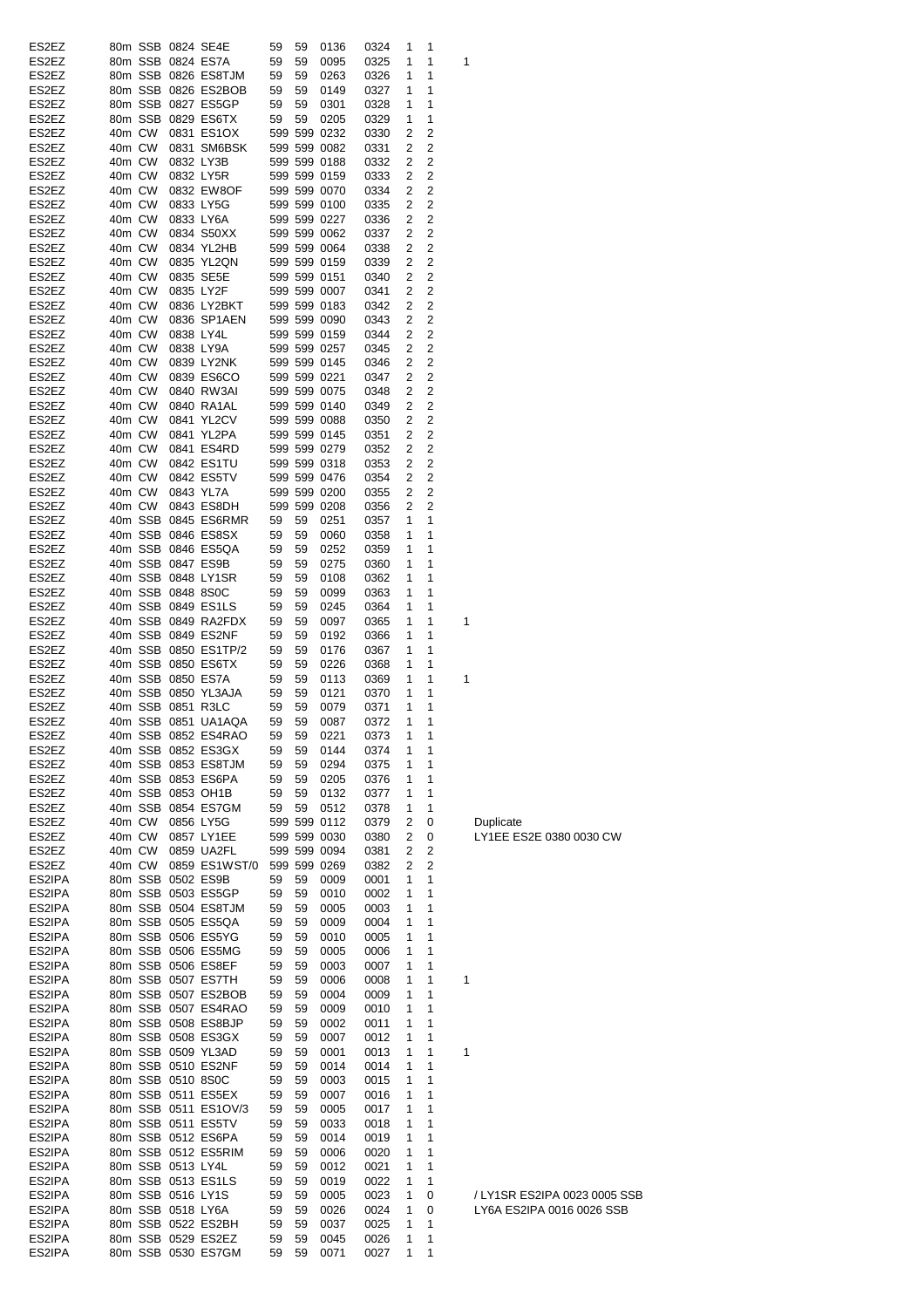| ES2EZ            |        |                   |                   | 80m SSB 0824 SE4E                        | 59       | 59       | 0136         | 0324         | 1 | 1      |   |
|------------------|--------|-------------------|-------------------|------------------------------------------|----------|----------|--------------|--------------|---|--------|---|
|                  |        |                   |                   |                                          |          |          |              |              |   |        |   |
| ES2EZ            |        |                   |                   | 80m SSB 0824 ES7A                        | 59       | 59       | 0095         | 0325         | 1 | 1      | 1 |
| ES2EZ            |        |                   |                   | 80m SSB 0826 ES8TJM                      | 59       | 59       | 0263         | 0326         | 1 | 1      |   |
| ES2EZ            |        |                   |                   | 80m SSB 0826 ES2BOB                      | 59       | 59       | 0149         | 0327         | 1 | 1      |   |
| ES2EZ            |        |                   |                   | 80m SSB 0827 ES5GP                       | 59       | 59       | 0301         | 0328         | 1 | 1      |   |
| ES2EZ            |        |                   |                   | 80m SSB 0829 ES6TX                       | 59       | 59       | 0205         | 0329         | 1 | 1      |   |
| ES2EZ            |        | 40m CW            |                   | 0831 ES1OX                               |          |          | 599 599 0232 | 0330         | 2 | 2      |   |
| ES2EZ            | 40m CW |                   |                   | 0831 SM6BSK                              |          |          | 599 599 0082 | 0331         | 2 | 2      |   |
|                  |        |                   |                   |                                          |          |          |              |              |   |        |   |
| ES2EZ            | 40m CW |                   |                   | 0832 LY3B                                |          |          | 599 599 0188 | 0332         | 2 | 2      |   |
| ES2EZ            | 40m CW |                   |                   | 0832 LY5R                                |          |          | 599 599 0159 | 0333         | 2 | 2      |   |
| ES2EZ            | 40m CW |                   |                   | 0832 EW8OF                               |          |          | 599 599 0070 | 0334         | 2 | 2      |   |
| ES2EZ            | 40m CW |                   |                   | 0833 LY5G                                |          |          | 599 599 0100 | 0335         | 2 | 2      |   |
| ES2EZ            | 40m CW |                   |                   | 0833 LY6A                                |          |          | 599 599 0227 | 0336         | 2 | 2      |   |
| ES2EZ            | 40m CW |                   |                   | 0834 S50XX                               |          |          | 599 599 0062 | 0337         | 2 | 2      |   |
|                  |        |                   |                   |                                          |          |          |              |              |   |        |   |
| ES2EZ            | 40m CW |                   |                   | 0834 YL2HB                               |          |          | 599 599 0064 | 0338         | 2 | 2      |   |
| ES2EZ            | 40m CW |                   |                   | 0835 YL2QN                               |          |          | 599 599 0159 | 0339         | 2 | 2      |   |
| ES2EZ            | 40m CW |                   |                   | 0835 SE5E                                |          |          | 599 599 0151 | 0340         | 2 | 2      |   |
| ES2EZ            | 40m CW |                   |                   | 0835 LY2F                                |          |          | 599 599 0007 | 0341         | 2 | 2      |   |
| ES2EZ            | 40m CW |                   |                   | 0836 LY2BKT                              |          |          | 599 599 0183 | 0342         | 2 | 2      |   |
| ES2EZ            | 40m CW |                   |                   | 0836 SP1AEN                              |          |          | 599 599 0090 | 0343         | 2 | 2      |   |
| ES2EZ            | 40m CW |                   |                   | 0838 LY4L                                |          |          | 599 599 0159 | 0344         | 2 | 2      |   |
|                  |        |                   |                   |                                          |          |          |              |              |   |        |   |
| ES2EZ            | 40m CW |                   |                   | 0838 LY9A                                |          |          | 599 599 0257 | 0345         | 2 | 2      |   |
| ES2EZ            | 40m CW |                   |                   | 0839 LY2NK                               |          |          | 599 599 0145 | 0346         | 2 | 2      |   |
| ES2EZ            | 40m CW |                   |                   | 0839 ES6CO                               |          |          | 599 599 0221 | 0347         | 2 | 2      |   |
| ES2EZ            | 40m CW |                   |                   | 0840 RW3AI                               |          |          | 599 599 0075 | 0348         | 2 | 2      |   |
| ES2EZ            | 40m CW |                   |                   | 0840 RA1AL                               |          |          | 599 599 0140 | 0349         | 2 | 2      |   |
| ES2EZ            | 40m CW |                   |                   | 0841 YL2CV                               |          |          | 599 599 0088 | 0350         | 2 | 2      |   |
|                  |        |                   |                   |                                          |          |          |              |              |   |        |   |
| ES2EZ            | 40m CW |                   |                   | 0841 YL2PA                               |          |          | 599 599 0145 | 0351         | 2 | 2      |   |
| ES2EZ            | 40m CW |                   |                   | 0841 ES4RD                               |          |          | 599 599 0279 | 0352         | 2 | 2      |   |
| ES2EZ            | 40m CW |                   |                   | 0842 ES1TU                               |          |          | 599 599 0318 | 0353         | 2 | 2      |   |
| ES2EZ            | 40m CW |                   |                   | 0842 ES5TV                               |          |          | 599 599 0476 | 0354         | 2 | 2      |   |
| ES2EZ            | 40m CW |                   |                   | 0843 YL7A                                |          |          | 599 599 0200 | 0355         | 2 | 2      |   |
| ES2EZ            |        | 40m CW            |                   | 0843 ES8DH                               |          |          | 599 599 0208 | 0356         | 2 | 2      |   |
|                  |        |                   |                   | 40m SSB 0845 ES6RMR                      |          | 59       |              |              | 1 | 1      |   |
| ES2EZ            |        |                   |                   |                                          | 59       |          | 0251         | 0357         |   |        |   |
| ES2EZ            |        |                   |                   | 40m SSB 0846 ES8SX                       | 59       | 59       | 0060         | 0358         | 1 | 1      |   |
| ES2EZ            |        |                   |                   | 40m SSB 0846 ES5QA                       | 59       | 59       | 0252         | 0359         | 1 | 1      |   |
| ES2EZ            |        |                   |                   | 40m SSB 0847 ES9B                        | 59       | 59       | 0275         | 0360         | 1 | 1      |   |
| ES2EZ            |        |                   |                   | 40m SSB 0848 LY1SR                       | 59       | 59       | 0108         | 0362         | 1 | 1      |   |
| ES2EZ            |        |                   | 40m SSB 0848 8S0C |                                          | 59       | 59       | 0099         | 0363         | 1 | 1      |   |
| ES2EZ            |        |                   |                   | 40m SSB 0849 ES1LS                       | 59       | 59       | 0245         | 0364         | 1 | 1      |   |
|                  |        |                   |                   |                                          |          |          |              |              |   |        |   |
| ES2EZ            |        |                   |                   | 40m SSB 0849 RA2FDX                      | 59       | 59       | 0097         | 0365         | 1 | 1      | 1 |
| ES2EZ            |        |                   |                   | 40m SSB 0849 ES2NF                       | 59       | 59       | 0192         | 0366         | 1 | 1      |   |
| ES2EZ            |        |                   |                   | 40m SSB 0850 ES1TP/2                     | 59       | 59       | 0176         | 0367         | 1 | 1      |   |
| ES2EZ            |        |                   |                   | 40m SSB 0850 ES6TX                       | 59       | 59       | 0226         | 0368         | 1 | 1      |   |
| ES2EZ            |        |                   |                   | 40m SSB 0850 ES7A                        | 59       | 59       | 0113         | 0369         | 1 | 1      | 1 |
| ES2EZ            |        |                   |                   | 40m SSB 0850 YL3AJA                      | 59       | 59       | 0121         | 0370         | 1 | 1      |   |
| ES2EZ            |        |                   | 40m SSB 0851 R3LC |                                          | 59       | 59       |              |              | 1 | 1      |   |
|                  |        |                   |                   |                                          |          |          | 0079         | 0371         |   |        |   |
| ES2EZ            |        |                   |                   | 40m SSB 0851 UA1AQA                      | 59       | 59       | 0087         | 0372         | 1 | 1      |   |
| ES2EZ            |        |                   |                   | 40m SSB 0852 ES4RAO                      | 59       | 59       | 0221         | 0373         | 1 | 1      |   |
| ES2EZ            |        |                   |                   | 40m SSB 0852 ES3GX                       | 59       | 59       | 0144         | 0374         | 1 | 1      |   |
| ES2EZ            |        |                   |                   | 40m SSB 0853 ES8TJM                      | 59       | 59       | 0294         | 0375         | 1 | 1      |   |
| ES2EZ            |        |                   |                   | 40m SSB 0853 ES6PA                       | 59       | 59       | 0205         | 0376         | 1 | 1      |   |
| ES2EZ            |        |                   |                   | 40m SSB 0853 OH1B                        | 59       | 59       | 0132         | 0377         | 1 | 1      |   |
|                  |        |                   |                   |                                          |          |          |              |              |   |        |   |
| ES2EZ            |        |                   |                   | 40m SSB 0854 ES7GM                       | 59       | 59       | 0512         | 0378         | 1 | 1      |   |
| ES2EZ            |        | 40m CW            |                   | 0856 LY5G                                |          |          | 599 599 0112 | 0379         | 2 | 0      |   |
| ES2EZ            |        | 40m CW            |                   | 0857 LY1EE                               |          |          | 599 599 0030 | 0380         | 2 | 0      |   |
| ES2EZ            |        | 40m CW            |                   | 0859 UA2FL                               |          |          | 599 599 0094 | 0381         | 2 | 2      |   |
| ES2EZ            |        | 40m CW            |                   | 0859 ES1WST/0                            |          |          | 599 599 0269 | 0382         | 2 | 2      |   |
| ES2IPA           |        |                   |                   | 80m SSB 0502 ES9B                        | 59       | 59       | 0009         | 0001         | 1 | 1      |   |
| ES2IPA           |        |                   |                   | 80m SSB 0503 ES5GP                       | 59       | 59       | 0010         | 0002         | 1 | 1      |   |
| ES2IPA           |        |                   |                   | 80m SSB 0504 ES8TJM                      | 59       | 59       | 0005         | 0003         | 1 | 1      |   |
|                  |        |                   |                   |                                          |          |          |              |              |   |        |   |
| ES2IPA           |        |                   |                   | 80m SSB 0505 ES5QA                       | 59       | 59       | 0009         | 0004         | 1 | 1      |   |
| ES2IPA           |        |                   |                   | 80m SSB 0506 ES5YG                       | 59       | 59       | 0010         | 0005         | 1 | 1      |   |
| ES2IPA           |        |                   |                   | 80m SSB 0506 ES5MG                       | 59       | 59       | 0005         | 0006         | 1 | 1      |   |
| ES2IPA           |        |                   |                   | 80m SSB 0506 ES8EF                       | 59       | 59       | 0003         | 0007         | 1 | 1      |   |
| ES2IPA           |        |                   |                   | 80m SSB 0507 ES7TH                       | 59       | 59       | 0006         | 0008         | 1 | 1      | 1 |
| ES2IPA           |        |                   |                   | 80m SSB 0507 ES2BOB                      | 59       | 59       | 0004         | 0009         | 1 | 1      |   |
| ES2IPA           |        |                   |                   | 80m SSB 0507 ES4RAO                      | 59       | 59       | 0009         | 0010         | 1 | 1      |   |
|                  |        |                   |                   |                                          |          |          |              |              |   |        |   |
| ES2IPA           |        |                   |                   | 80m SSB 0508 ES8BJP                      | 59       | 59       | 0002         | 0011         | 1 | 1      |   |
| ES2IPA           |        |                   |                   | 80m SSB 0508 ES3GX                       | 59       | 59       | 0007         | 0012         | 1 | 1      |   |
| ES2IPA           |        |                   |                   | 80m SSB 0509 YL3AD                       | 59       | 59       | 0001         | 0013         | 1 | 1      | 1 |
| ES2IPA           |        |                   |                   | 80m SSB 0510 ES2NF                       | 59       | 59       | 0014         | 0014         | 1 | 1      |   |
| ES2IPA           |        |                   | 80m SSB 0510 8S0C |                                          | 59       | 59       | 0003         | 0015         | 1 | 1      |   |
| ES2IPA           |        |                   |                   | 80m SSB 0511 ES5EX                       | 59       | 59       | 0007         | 0016         | 1 | 1      |   |
|                  |        |                   |                   |                                          |          |          |              |              |   |        |   |
| ES2IPA           |        |                   |                   | 80m SSB 0511 ES1OV/3                     | 59       | 59       | 0005         | 0017         | 1 | 1      |   |
| ES2IPA           |        |                   |                   | 80m SSB 0511 ES5TV                       | 59       | 59       | 0033         | 0018         | 1 | 1      |   |
| ES2IPA           |        |                   |                   | 80m SSB 0512 ES6PA                       | 59       | 59       | 0014         | 0019         | 1 | 1      |   |
| ES2IPA           |        |                   |                   | 80m SSB 0512 ES5RIM                      | 59       | 59       | 0006         | 0020         | 1 | 1      |   |
| ES2IPA           |        |                   |                   |                                          | 59       | 59       | 0012         | 0021         | 1 | 1      |   |
|                  |        | 80m SSB 0513 LY4L |                   |                                          |          |          |              |              |   |        |   |
|                  |        |                   |                   |                                          |          |          |              |              |   |        |   |
| ES2IPA           |        |                   |                   | 80m SSB 0513 ES1LS                       | 59       | 59       | 0019         | 0022         | 1 | 1      |   |
| ES2IPA           |        |                   | 80m SSB 0516 LY1S |                                          | 59       | 59       | 0005         | 0023         | 1 | 0      |   |
| ES2IPA           |        |                   | 80m SSB 0518 LY6A |                                          | 59       | 59       | 0026         | 0024         | 1 | 0      |   |
| ES2IPA           |        |                   |                   | 80m SSB 0522 ES2BH                       | 59       | 59       | 0037         | 0025         | 1 | 1      |   |
| ES2IPA<br>ES2IPA |        |                   |                   | 80m SSB 0529 ES2EZ<br>80m SSB 0530 ES7GM | 59<br>59 | 59<br>59 | 0045<br>0071 | 0026<br>0027 | 1 | 1<br>1 |   |

/ LY1SR ES2IPA 0023 0005 SSB ES2IPA 80m SSB 0518 LY6A 59 59 0026 0024 1 0 LY6A ES2IPA 0016 0026 SSB

Duplicate LY1EE ES2E 0380 0030 CW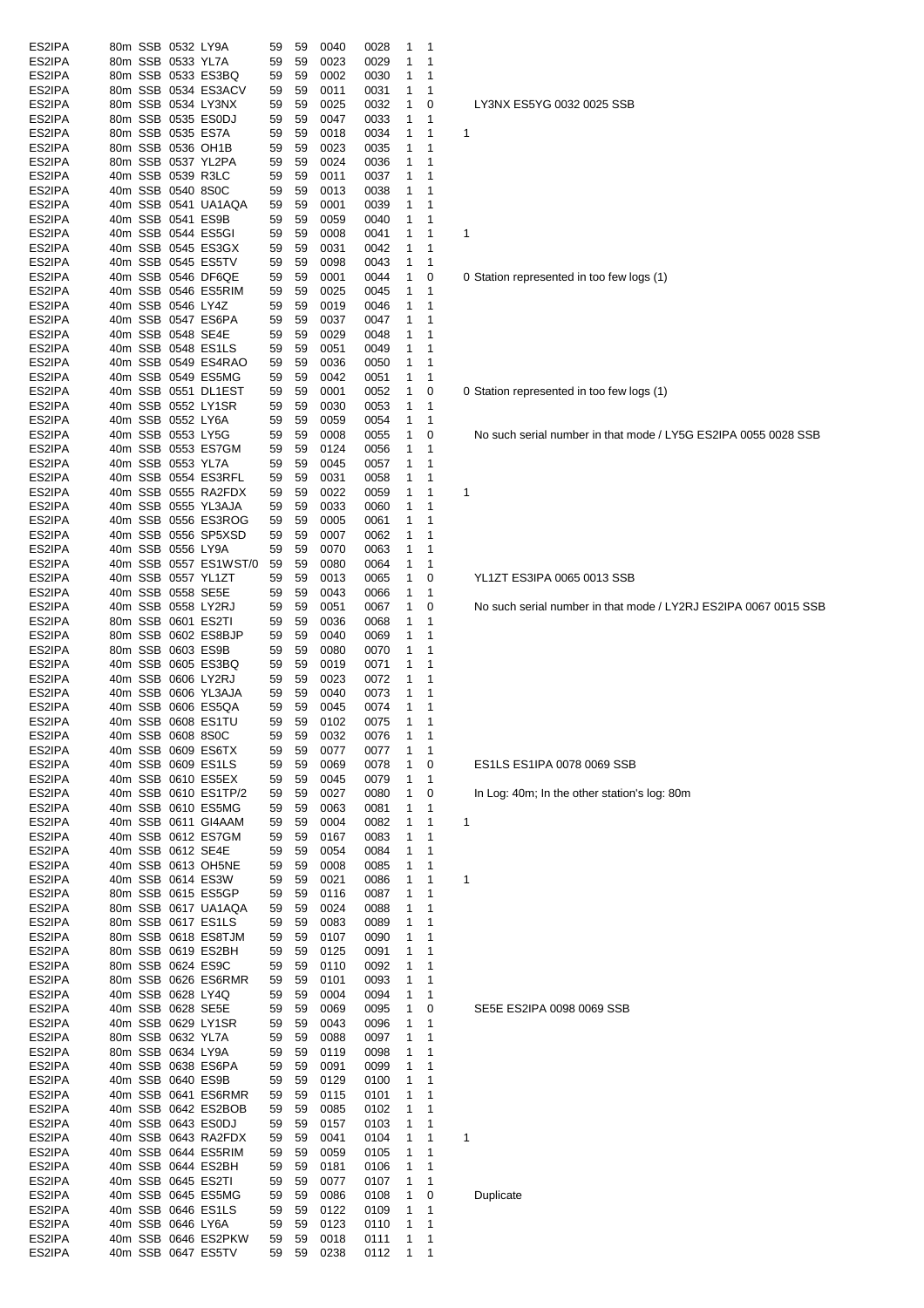| ES2IPA |  | 80m SSB 0532 LY9A |                       | 59 | 59 | 0040 | 0028 | 1 | 1            |   |              |
|--------|--|-------------------|-----------------------|----|----|------|------|---|--------------|---|--------------|
| ES2IPA |  | 80m SSB 0533 YL7A |                       | 59 | 59 | 0023 | 0029 | 1 | 1            |   |              |
| ES2IPA |  |                   | 80m SSB 0533 ES3BQ    | 59 | 59 | 0002 | 0030 | 1 | 1            |   |              |
| ES2IPA |  |                   | 80m SSB 0534 ES3ACV   | 59 | 59 | 0011 | 0031 | 1 | 1            |   |              |
| ES2IPA |  |                   | 80m SSB 0534 LY3NX    | 59 | 59 | 0025 | 0032 | 1 | 0            |   | LY3NX E      |
| ES2IPA |  |                   | 80m SSB 0535 ES0DJ    | 59 | 59 | 0047 | 0033 | 1 | 1            |   |              |
| ES2IPA |  |                   | 80m SSB 0535 ES7A     | 59 | 59 | 0018 | 0034 | 1 | 1            | 1 |              |
| ES2IPA |  |                   | 80m SSB 0536 OH1B     | 59 | 59 | 0023 | 0035 | 1 | 1            |   |              |
| ES2IPA |  |                   | 80m SSB 0537 YL2PA    | 59 | 59 | 0024 | 0036 | 1 | 1            |   |              |
| ES2IPA |  |                   | 40m SSB 0539 R3LC     | 59 | 59 | 0011 | 0037 | 1 | 1            |   |              |
| ES2IPA |  | 40m SSB 0540 8S0C |                       | 59 | 59 | 0013 | 0038 | 1 | 1            |   |              |
| ES2IPA |  |                   | 40m SSB 0541 UA1AQA   | 59 | 59 | 0001 | 0039 | 1 | 1            |   |              |
| ES2IPA |  |                   | 40m SSB 0541 ES9B     | 59 | 59 | 0059 | 0040 | 1 | 1            |   |              |
| ES2IPA |  |                   | 40m SSB 0544 ES5GI    | 59 | 59 | 0008 | 0041 | 1 | 1            | 1 |              |
| ES2IPA |  |                   | 40m SSB 0545 ES3GX    | 59 | 59 | 0031 | 0042 | 1 | 1            |   |              |
| ES2IPA |  |                   | 40m SSB 0545 ES5TV    | 59 | 59 | 0098 | 0043 | 1 | 1            |   |              |
| ES2IPA |  |                   | 40m SSB 0546 DF6QE    | 59 | 59 | 0001 | 0044 | 1 | 0            |   | 0 Station re |
|        |  |                   |                       |    |    |      |      |   |              |   |              |
| ES2IPA |  |                   | 40m SSB 0546 ES5RIM   | 59 | 59 | 0025 | 0045 | 1 | 1            |   |              |
| ES2IPA |  | 40m SSB 0546 LY4Z |                       | 59 | 59 | 0019 | 0046 | 1 | $\mathbf{1}$ |   |              |
| ES2IPA |  |                   | 40m SSB 0547 ES6PA    | 59 | 59 | 0037 | 0047 | 1 | 1            |   |              |
| ES2IPA |  |                   | 40m SSB 0548 SE4E     | 59 | 59 | 0029 | 0048 | 1 | 1            |   |              |
| ES2IPA |  |                   | 40m SSB 0548 ES1LS    | 59 | 59 | 0051 | 0049 | 1 | 1            |   |              |
| ES2IPA |  |                   | 40m SSB 0549 ES4RAO   | 59 | 59 | 0036 | 0050 | 1 | 1            |   |              |
| ES2IPA |  |                   | 40m SSB 0549 ES5MG    | 59 | 59 | 0042 | 0051 | 1 | 1            |   |              |
| ES2IPA |  |                   | 40m SSB 0551 DL1EST   | 59 | 59 | 0001 | 0052 | 1 | 0            |   | 0 Station re |
| ES2IPA |  |                   | 40m SSB 0552 LY1SR    | 59 | 59 | 0030 | 0053 | 1 | 1            |   |              |
| ES2IPA |  | 40m SSB 0552 LY6A |                       | 59 | 59 | 0059 | 0054 | 1 | 1            |   |              |
| ES2IPA |  | 40m SSB 0553 LY5G |                       | 59 | 59 | 0008 | 0055 | 1 | 0            |   | No such s    |
| ES2IPA |  |                   | 40m SSB 0553 ES7GM    | 59 | 59 | 0124 | 0056 | 1 | 1            |   |              |
| ES2IPA |  | 40m SSB 0553 YL7A |                       | 59 | 59 | 0045 | 0057 | 1 | $\mathbf{1}$ |   |              |
|        |  |                   |                       |    |    |      |      |   |              |   |              |
| ES2IPA |  |                   | 40m SSB 0554 ES3RFL   | 59 | 59 | 0031 | 0058 | 1 | 1            |   |              |
| ES2IPA |  |                   | 40m SSB 0555 RA2FDX   | 59 | 59 | 0022 | 0059 | 1 | 1            | 1 |              |
| ES2IPA |  |                   | 40m SSB 0555 YL3AJA   | 59 | 59 | 0033 | 0060 | 1 | 1            |   |              |
| ES2IPA |  |                   | 40m SSB 0556 ES3ROG   | 59 | 59 | 0005 | 0061 | 1 | 1            |   |              |
| ES2IPA |  |                   | 40m SSB 0556 SP5XSD   | 59 | 59 | 0007 | 0062 | 1 | 1            |   |              |
| ES2IPA |  | 40m SSB 0556 LY9A |                       | 59 | 59 | 0070 | 0063 | 1 | 1            |   |              |
| ES2IPA |  |                   | 40m SSB 0557 ES1WST/0 | 59 | 59 | 0080 | 0064 | 1 | 1            |   |              |
| ES2IPA |  |                   | 40m SSB 0557 YL1ZT    | 59 | 59 | 0013 | 0065 | 1 | 0            |   | YL1ZT ES     |
| ES2IPA |  |                   | 40m SSB 0558 SE5E     | 59 | 59 | 0043 | 0066 | 1 | 1            |   |              |
| ES2IPA |  |                   | 40m SSB 0558 LY2RJ    | 59 | 59 | 0051 | 0067 | 1 | 0            |   | No such s    |
| ES2IPA |  |                   | 80m SSB 0601 ES2TI    | 59 | 59 | 0036 | 0068 | 1 | 1            |   |              |
| ES2IPA |  |                   | 80m SSB 0602 ES8BJP   | 59 | 59 | 0040 | 0069 | 1 | 1            |   |              |
| ES2IPA |  |                   | 80m SSB 0603 ES9B     | 59 | 59 | 0080 | 0070 | 1 | 1            |   |              |
|        |  |                   | 40m SSB 0605 ES3BQ    |    |    | 0019 |      | 1 | 1            |   |              |
| ES2IPA |  |                   |                       | 59 | 59 |      | 0071 |   |              |   |              |
| ES2IPA |  |                   | 40m SSB 0606 LY2RJ    | 59 | 59 | 0023 | 0072 | 1 | 1            |   |              |
| ES2IPA |  |                   | 40m SSB 0606 YL3AJA   | 59 | 59 | 0040 | 0073 | 1 | 1            |   |              |
| ES2IPA |  |                   | 40m SSB 0606 ES5QA    | 59 | 59 | 0045 | 0074 | 1 | 1            |   |              |
| ES2IPA |  |                   | 40m SSB 0608 ES1TU    | 59 | 59 | 0102 | 0075 | 1 | 1            |   |              |
| ES2IPA |  | 40m SSB 0608 8S0C |                       | 59 | 59 | 0032 | 0076 | 1 | 1            |   |              |
| ES2IPA |  |                   | 40m SSB 0609 ES6TX    | 59 | 59 | 0077 | 0077 | 1 | 1            |   |              |
| ES2IPA |  |                   | 40m SSB 0609 ES1LS    | 59 | 59 | 0069 | 0078 | 1 | 0            |   | ES1LS E      |
| ES2IPA |  |                   | 40m SSB 0610 ES5EX    | 59 | 59 | 0045 | 0079 | 1 | 1            |   |              |
| ES2IPA |  |                   | 40m SSB 0610 ES1TP/2  | 59 | 59 | 0027 | 0080 | 1 | 0            |   | In Log: 40   |
| ES2IPA |  |                   | 40m SSB 0610 ES5MG    | 59 | 59 | 0063 | 0081 | 1 | 1            |   |              |
| ES2IPA |  |                   | 40m SSB 0611 GI4AAM   | 59 | 59 | 0004 | 0082 | 1 | 1            | 1 |              |
| ES2IPA |  |                   | 40m SSB 0612 ES7GM    | 59 | 59 | 0167 | 0083 | 1 | 1            |   |              |
| ES2IPA |  |                   | 40m SSB 0612 SE4E     | 59 | 59 | 0054 | 0084 | 1 | 1            |   |              |
|        |  |                   |                       |    |    |      |      |   |              |   |              |
| ES2IPA |  |                   | 40m SSB 0613 OH5NE    | 59 | 59 | 0008 | 0085 | 1 | 1            |   |              |
| ES2IPA |  |                   | 40m SSB 0614 ES3W     | 59 | 59 | 0021 | 0086 | 1 | 1            | 1 |              |
| ES2IPA |  |                   | 80m SSB 0615 ES5GP    | 59 | 59 | 0116 | 0087 | 1 | 1            |   |              |
| ES2IPA |  |                   | 80m SSB 0617 UA1AQA   | 59 | 59 | 0024 | 0088 | 1 | 1            |   |              |
| ES2IPA |  |                   | 80m SSB 0617 ES1LS    | 59 | 59 | 0083 | 0089 | 1 | 1            |   |              |
| ES2IPA |  |                   | 80m SSB 0618 ES8TJM   | 59 | 59 | 0107 | 0090 | 1 | 1            |   |              |
| ES2IPA |  |                   | 80m SSB 0619 ES2BH    | 59 | 59 | 0125 | 0091 | 1 | 1            |   |              |
| ES2IPA |  |                   | 80m SSB 0624 ES9C     | 59 | 59 | 0110 | 0092 | 1 | 1            |   |              |
| ES2IPA |  |                   | 80m SSB 0626 ES6RMR   | 59 | 59 | 0101 | 0093 | 1 | 1            |   |              |
| ES2IPA |  |                   | 40m SSB 0628 LY4Q     | 59 | 59 | 0004 | 0094 | 1 | 1            |   |              |
| ES2IPA |  |                   | 40m SSB 0628 SE5E     | 59 | 59 | 0069 | 0095 | 1 | 0            |   | SE5E ES      |
| ES2IPA |  |                   | 40m SSB 0629 LY1SR    | 59 | 59 | 0043 | 0096 | 1 | 1            |   |              |
| ES2IPA |  | 80m SSB 0632 YL7A |                       | 59 | 59 | 0088 | 0097 | 1 | 1            |   |              |
| ES2IPA |  | 80m SSB 0634 LY9A |                       | 59 | 59 | 0119 | 0098 | 1 | 1            |   |              |
| ES2IPA |  |                   | 40m SSB 0638 ES6PA    | 59 | 59 | 0091 | 0099 | 1 | 1            |   |              |
| ES2IPA |  |                   | 40m SSB 0640 ES9B     | 59 | 59 | 0129 | 0100 | 1 | 1            |   |              |
|        |  |                   | 40m SSB 0641 ES6RMR   |    |    |      |      |   |              |   |              |
| ES2IPA |  |                   |                       | 59 | 59 | 0115 | 0101 | 1 | 1            |   |              |
| ES2IPA |  |                   | 40m SSB 0642 ES2BOB   | 59 | 59 | 0085 | 0102 | 1 | 1            |   |              |
| ES2IPA |  |                   | 40m SSB 0643 ES0DJ    | 59 | 59 | 0157 | 0103 | 1 | 1            |   |              |
| ES2IPA |  |                   | 40m SSB 0643 RA2FDX   | 59 | 59 | 0041 | 0104 | 1 | 1            | 1 |              |
| ES2IPA |  |                   | 40m SSB 0644 ES5RIM   | 59 | 59 | 0059 | 0105 | 1 | 1            |   |              |
| ES2IPA |  |                   | 40m SSB 0644 ES2BH    | 59 | 59 | 0181 | 0106 | 1 | 1            |   |              |
| ES2IPA |  |                   | 40m SSB 0645 ES2TI    | 59 | 59 | 0077 | 0107 | 1 | 1            |   |              |
| ES2IPA |  |                   | 40m SSB 0645 ES5MG    | 59 | 59 | 0086 | 0108 | 1 | 0            |   | Duplicate    |
| ES2IPA |  |                   | 40m SSB 0646 ES1LS    | 59 | 59 | 0122 | 0109 | 1 | 1            |   |              |
| ES2IPA |  | 40m SSB 0646 LY6A |                       | 59 | 59 | 0123 | 0110 | 1 | 1            |   |              |
| ES2IPA |  |                   | 40m SSB 0646 ES2PKW   | 59 | 59 | 0018 | 0111 | 1 | 1            |   |              |
| ES2IPA |  |                   | 40m SSB 0647 ES5TV    | 59 | 59 | 0238 | 0112 | 1 | 1            |   |              |
|        |  |                   |                       |    |    |      |      |   |              |   |              |

ES5YG 0032 0025 SSB

epresented in too few logs (1)

epresented in too few logs (1)

serial number in that mode / LY5G ES2IPA 0055 0028 SSB

# ES3IPA 0065 0013 SSB

serial number in that mode / LY2RJ ES2IPA 0067 0015 SSB

### ES1IPA 0078 0069 SSB

10m; In the other station's log: 80m

### S2IPA 0098 0069 SSB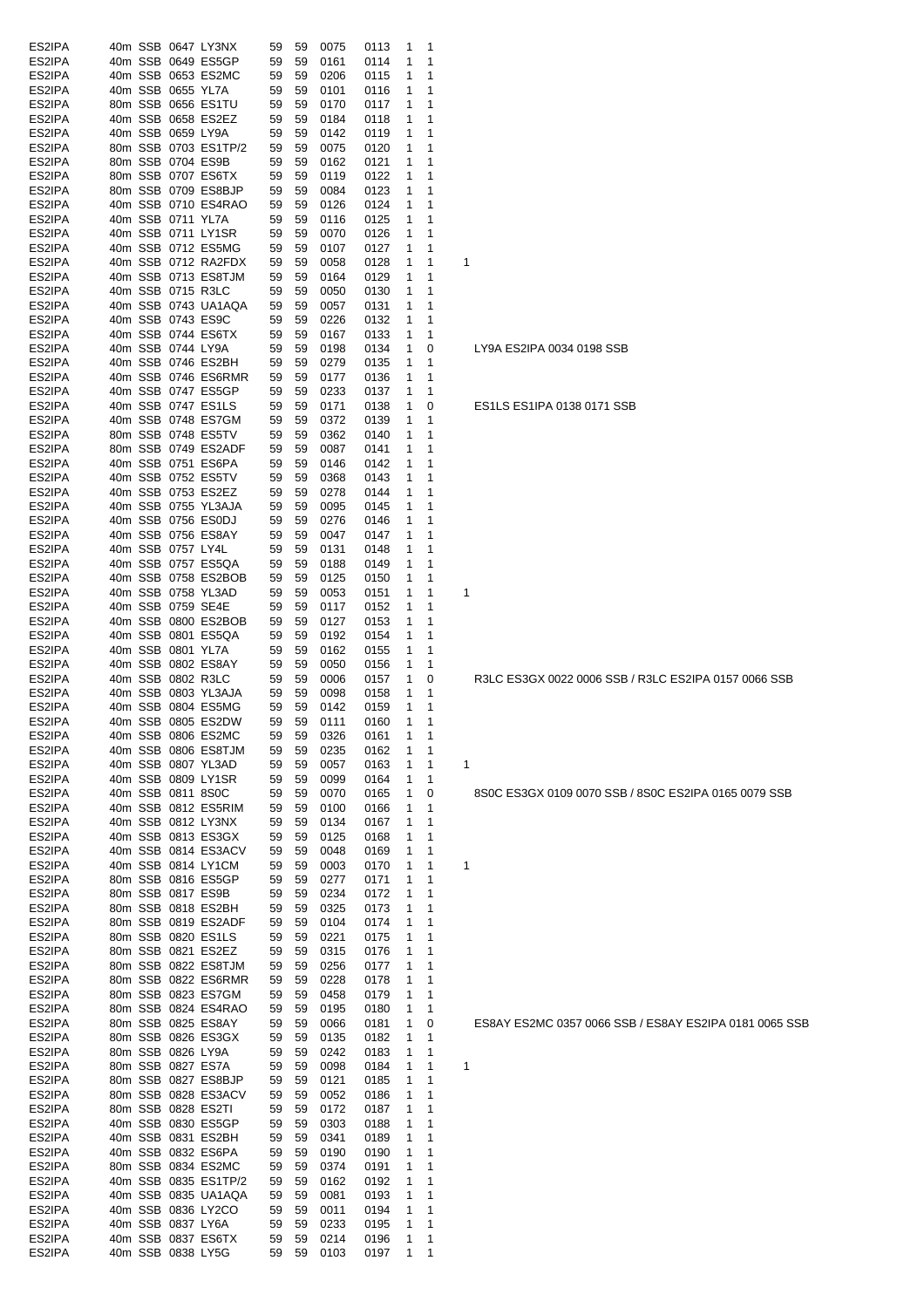| ES2IPA           | 40m SSB 0647 LY3NX                          | 0075<br>59<br>59<br>0113<br>-1                                                       | - 1                                                         |
|------------------|---------------------------------------------|--------------------------------------------------------------------------------------|-------------------------------------------------------------|
| ES2IPA           | 40m SSB 0649 ES5GP                          | 59<br>59<br>0161<br>0114<br>1                                                        | 1                                                           |
| ES2IPA           | 40m SSB 0653 ES2MC                          | 0206<br>59<br>59<br>0115<br>$\mathbf{1}$                                             | $\mathbf 1$                                                 |
| ES2IPA           | 40m SSB 0655 YL7A                           | 59<br>0101<br>59<br>0116<br>1                                                        | 1                                                           |
| ES2IPA<br>ES2IPA | 80m SSB 0656 ES1TU<br>40m SSB 0658 ES2EZ    | 59<br>0170<br>0117<br>59<br>$\mathbf{1}$<br>59<br>0184<br>59<br>0118<br>1            | 1<br>1                                                      |
| ES2IPA           | 40m SSB 0659 LY9A                           | 59<br>0142<br>0119<br>$\mathbf{1}$<br>59                                             | 1                                                           |
| ES2IPA           | 80m SSB 0703 ES1TP/2                        | 59<br>59<br>0075<br>0120<br>1                                                        | 1                                                           |
| ES2IPA           | 80m SSB 0704 ES9B                           | 59<br>59<br>0162<br>0121<br>1                                                        | 1                                                           |
| ES2IPA           | 80m SSB 0707 ES6TX                          | 59<br>0119<br>0122<br>1<br>59                                                        | $\mathbf 1$                                                 |
| ES2IPA           | 80m SSB 0709 ES8BJP                         | 0084<br>59<br>0123<br>$\mathbf{1}$<br>59                                             | 1                                                           |
| ES2IPA           | 40m SSB 0710 ES4RAO                         | 59<br>0126<br>0124<br>59<br>1                                                        | $\overline{1}$                                              |
| ES2IPA           | 40m SSB 0711 YL7A                           | 59<br>59<br>0116<br>0125<br>$\mathbf{1}$                                             | 1                                                           |
| ES2IPA           | 40m SSB 0711 LY1SR                          | 59<br>0070<br>0126<br>59<br>$\mathbf{1}$                                             | -1                                                          |
| ES2IPA           | 40m SSB 0712 ES5MG                          | 59<br>59<br>0107<br>0127<br>1                                                        | -1                                                          |
| ES2IPA           | 40m SSB 0712 RA2FDX                         | 59<br>0058<br>0128<br>1<br>59                                                        | $\mathbf 1$<br>1                                            |
| ES2IPA<br>ES2IPA | 40m SSB 0713 ES8TJM<br>40m SSB 0715 R3LC    | 59<br>59<br>0164<br>0129<br>1<br>59<br>0050<br>0130<br>$\mathbf{1}$                  | 1<br>$\mathbf 1$                                            |
| ES2IPA           | 40m SSB 0743 UA1AQA                         | 59<br>59<br>0057<br>0131<br>1<br>59                                                  | $\mathbf 1$                                                 |
| ES2IPA           | 40m SSB 0743 ES9C                           | 59<br>0226<br>0132<br>1<br>59                                                        | 1                                                           |
| ES2IPA           | 40m SSB 0744 ES6TX                          | 59<br>0167<br>0133<br>1<br>59                                                        | $\mathbf 1$                                                 |
| ES2IPA           | 40m SSB 0744 LY9A                           | 1<br>59<br>0198<br>0134<br>59                                                        | 0<br>LY9A ES2IPA 0034 0198 SSB                              |
| ES2IPA           | 40m SSB 0746 ES2BH                          | 0279<br>59<br>0135<br>1<br>59                                                        | $\mathbf 1$                                                 |
| ES2IPA           | 40m SSB 0746 ES6RMR                         | 59<br>0177<br>0136<br>$\mathbf{1}$<br>59                                             | $\mathbf{1}$                                                |
| ES2IPA           | 40m SSB 0747 ES5GP                          | 0233<br>59<br>59<br>0137<br>1                                                        | $\mathbf 1$                                                 |
| ES2IPA           | 40m SSB 0747 ES1LS                          | 59<br>59<br>0171<br>0138<br>-1                                                       | 0<br>ES1LS ES1IPA 0138 0171 SSB                             |
| ES2IPA           | 40m SSB 0748 ES7GM                          | 0372<br>59<br>59<br>0139<br>$\mathbf{1}$                                             | $\mathbf 1$                                                 |
| ES2IPA           | 80m SSB 0748 ES5TV                          | 0362<br>59<br>59<br>0140<br>1                                                        | 1                                                           |
| ES2IPA<br>ES2IPA | 80m SSB 0749 ES2ADF<br>40m SSB 0751 ES6PA   | 59<br>0087<br>0141<br>$\mathbf{1}$<br>59                                             | 1<br>1                                                      |
| ES2IPA           | 40m SSB 0752 ES5TV                          | 59<br>0146<br>59<br>0142<br>1<br>59<br>0368<br>0143<br>1<br>59                       | 1                                                           |
| ES2IPA           | 40m SSB 0753 ES2EZ                          | 59<br>0278<br>0144<br>1<br>59                                                        | 1                                                           |
| ES2IPA           | 40m SSB 0755 YL3AJA                         | 59<br>59<br>0095<br>0145<br>$\mathbf{1}$                                             | 1                                                           |
| ES2IPA           | 40m SSB 0756 ES0DJ                          | 59<br>0276<br>59<br>0146<br>1                                                        | 1                                                           |
| ES2IPA           | 40m SSB 0756 ES8AY                          | 59<br>0047<br>0147<br>1<br>59                                                        | 1                                                           |
| ES2IPA           | 40m SSB 0757 LY4L                           | 59<br>0131<br>0148<br>59<br>1                                                        | $\mathbf 1$                                                 |
| ES2IPA           | 40m SSB 0757 ES5QA                          | 59<br>0188<br>59<br>0149<br>$\mathbf{1}$                                             | 1                                                           |
| ES2IPA           | 40m SSB 0758 ES2BOB                         | 59<br>59<br>0125<br>0150<br>$\mathbf{1}$                                             | -1                                                          |
| ES2IPA           | 40m SSB 0758 YL3AD                          | 59<br>59<br>0053<br>0151<br>1                                                        | $\mathbf{1}$<br>1                                           |
| ES2IPA           | 40m SSB 0759 SE4E                           | 59<br>0117<br>0152<br>59<br>$\mathbf{1}$                                             | $\mathbf 1$                                                 |
| ES2IPA           | 40m SSB 0800 ES2BOB                         | 59<br>0127<br>0153<br>59<br>1                                                        | 1                                                           |
| ES2IPA<br>ES2IPA | 40m SSB 0801 ES5QA<br>40m SSB 0801 YL7A     | 59<br>0192<br>0154<br>1<br>59<br>59<br>0162                                          | 1<br>1                                                      |
| ES2IPA           | 40m SSB 0802 ES8AY                          | 59<br>0155<br>$\mathbf{1}$<br>59<br>0050<br>0156<br>1<br>59                          | $\mathbf 1$                                                 |
| ES2IPA           | 40m SSB 0802 R3LC                           | 59<br>0006<br>0157<br>1<br>59                                                        | 0<br>R3LC ES3GX 0022 0006 SSB / R3LC ES2IPA 0157 0066 SSB   |
| ES2IPA           | 40m SSB 0803 YL3AJA                         | 59<br>0098<br>0158<br>1<br>59                                                        | 1                                                           |
| ES2IPA           | 40m SSB 0804 ES5MG                          | 59<br>59<br>0142<br>0159<br>1                                                        | $\mathbf 1$                                                 |
| ES2IPA           | 40m SSB 0805 ES2DW                          | 59<br>59<br>0111<br>0160<br>$\mathbf{1}$                                             | 1                                                           |
| ES2IPA           | 40m SSB 0806 ES2MC                          | 0326<br>0161<br>$\mathbf{1}$<br>59<br>59                                             | $\overline{1}$                                              |
| ES2IPA           | 40m SSB 0806 ES8TJM                         | 59<br>59<br>0235<br>0162<br>1                                                        | -1                                                          |
| ES2IPA           | 40m SSB 0807 YL3AD                          | 0057<br>59<br>0163<br>59<br>1                                                        | $\mathbf{1}$<br>1                                           |
| ES2IPA           | 40m SSB 0809 LY1SR                          | 0099<br>59<br>59<br>0164<br>1                                                        | $\mathbf{1}$                                                |
| ES2IPA           | 40m SSB 0811 8S0C                           | 59<br>0070<br>0165<br>$\mathbf{1}$<br>59                                             | 8S0C ES3GX 0109 0070 SSB / 8S0C ES2IPA 0165 0079 SSB<br>0   |
| ES2IPA<br>ES2IPA | 40m SSB 0812 ES5RIM<br>40m SSB 0812 LY3NX   | 59<br>0100<br>0166<br>59<br>1<br>59<br>0134<br>0167<br>59<br>1                       | $\mathbf 1$<br>$\mathbf{1}$                                 |
| ES2IPA           | 40m SSB 0813 ES3GX                          | 59<br>0125<br>0168<br>59<br>1                                                        | $\mathbf{1}$                                                |
| ES2IPA           | 40m SSB 0814 ES3ACV                         | 59<br>0048<br>0169<br>59<br>1                                                        | $\mathbf{1}$                                                |
| ES2IPA           | 40m SSB 0814 LY1CM                          | 59<br>0003<br>0170<br>59<br>1                                                        | $\mathbf{1}$<br>1                                           |
| ES2IPA           | 80m SSB 0816 ES5GP                          | 59<br>0277<br>0171<br>59<br>$\mathbf{1}$                                             | $\mathbf 1$                                                 |
| ES2IPA           | 80m SSB 0817 ES9B                           | 0234<br>59<br>0172<br>59<br>$\mathbf{1}$                                             | $\mathbf 1$                                                 |
| ES2IPA           | 80m SSB 0818 ES2BH                          | 0325<br>59<br>0173<br>59<br>$\mathbf{1}$                                             | $\mathbf 1$                                                 |
| ES2IPA           | 80m SSB 0819 ES2ADF                         | 0104<br>0174<br>59<br>59<br>$\mathbf{1}$                                             | $\mathbf 1$                                                 |
| ES2IPA           | 80m SSB 0820 ES1LS                          | 0221<br>59<br>59<br>0175<br>$\mathbf{1}$                                             | -1                                                          |
| ES2IPA           | 80m SSB 0821 ES2EZ                          | 0315<br>59<br>0176<br>59<br>$\mathbf{1}$                                             | $\mathbf{1}$                                                |
| ES2IPA           | 80m SSB 0822 ES8TJM                         | 0256<br>59<br>59<br>0177<br>$\mathbf{1}$                                             | -1                                                          |
| ES2IPA           | 80m SSB 0822 ES6RMR                         | 0228<br>59<br>0178<br>59<br>1                                                        | $\mathbf{1}$                                                |
| ES2IPA<br>ES2IPA | 80m SSB 0823 ES7GM<br>80m SSB 0824 ES4RAO   | 59<br>0458<br>0179<br>59<br>1<br>59<br>0195<br>0180<br>59<br>1                       | $\mathbf 1$<br>$\mathbf{1}$                                 |
| ES2IPA           | 80m SSB 0825 ES8AY                          | 59<br>0066<br>0181<br>59<br>1                                                        | 0<br>ES8AY ES2MC 0357 0066 SSB / ES8AY ES2IPA 0181 0065 SSB |
| ES2IPA           | 80m SSB 0826 ES3GX                          | 59<br>0135<br>0182<br>1<br>59                                                        | 1                                                           |
| ES2IPA           | 80m SSB 0826 LY9A                           | 59<br>0242<br>0183<br>59<br>1                                                        | $\mathbf{1}$                                                |
| ES2IPA           | 80m SSB 0827 ES7A                           | 59<br>0098<br>0184<br>$\mathbf{1}$<br>59                                             | $\overline{1}$<br>1                                         |
| ES2IPA           | 80m SSB 0827 ES8BJP                         | 59<br>0121<br>0185<br>59<br>$\mathbf{1}$                                             | $\mathbf 1$                                                 |
| ES2IPA           | 80m SSB 0828 ES3ACV                         | 0052<br>59<br>0186<br>59<br>$\mathbf{1}$                                             | -1                                                          |
| ES2IPA           | 80m SSB 0828 ES2TI                          | 0172<br>59<br>0187<br>59<br>$\mathbf{1}$                                             | $\mathbf 1$                                                 |
| ES2IPA           | 40m SSB 0830 ES5GP                          | 0303<br>59<br>59<br>0188<br>1                                                        | 1                                                           |
| ES2IPA           | 40m SSB 0831 ES2BH                          | 0341<br>59<br>0189<br>59<br>$\mathbf{1}$                                             | $\mathbf{1}$                                                |
| ES2IPA           | 40m SSB 0832 ES6PA                          | 59<br>0190<br>0190<br>59<br>$\mathbf{1}$                                             | 1                                                           |
| ES2IPA           | 80m SSB 0834 ES2MC                          | 0374<br>59<br>0191<br>59<br>$\mathbf{1}$                                             | 1                                                           |
| ES2IPA<br>ES2IPA | 40m SSB 0835 ES1TP/2<br>40m SSB 0835 UA1AQA | 59<br>0162<br>0192<br>59<br>$\mathbf{1}$<br>59<br>0081<br>0193<br>$\mathbf{1}$<br>59 | $\mathbf 1$<br>$\mathbf{1}$                                 |
| ES2IPA           | 40m SSB 0836 LY2CO                          | 59<br>0011<br>0194<br>59<br>1                                                        | $\mathbf{1}$                                                |
| ES2IPA           | 40m SSB 0837 LY6A                           | 59<br>59<br>0233<br>0195<br>$\mathbf{1}$                                             | $\mathbf{1}$                                                |
| ES2IPA           | 40m SSB 0837 ES6TX                          | 0214<br>59<br>0196<br>59<br>$\mathbf{1}$                                             | $\mathbf{1}$                                                |
| ES2IPA           | 40m SSB 0838 LY5G                           | 59 59 0103<br>0197<br>$\mathbf{1}$                                                   | $\mathbf{1}$                                                |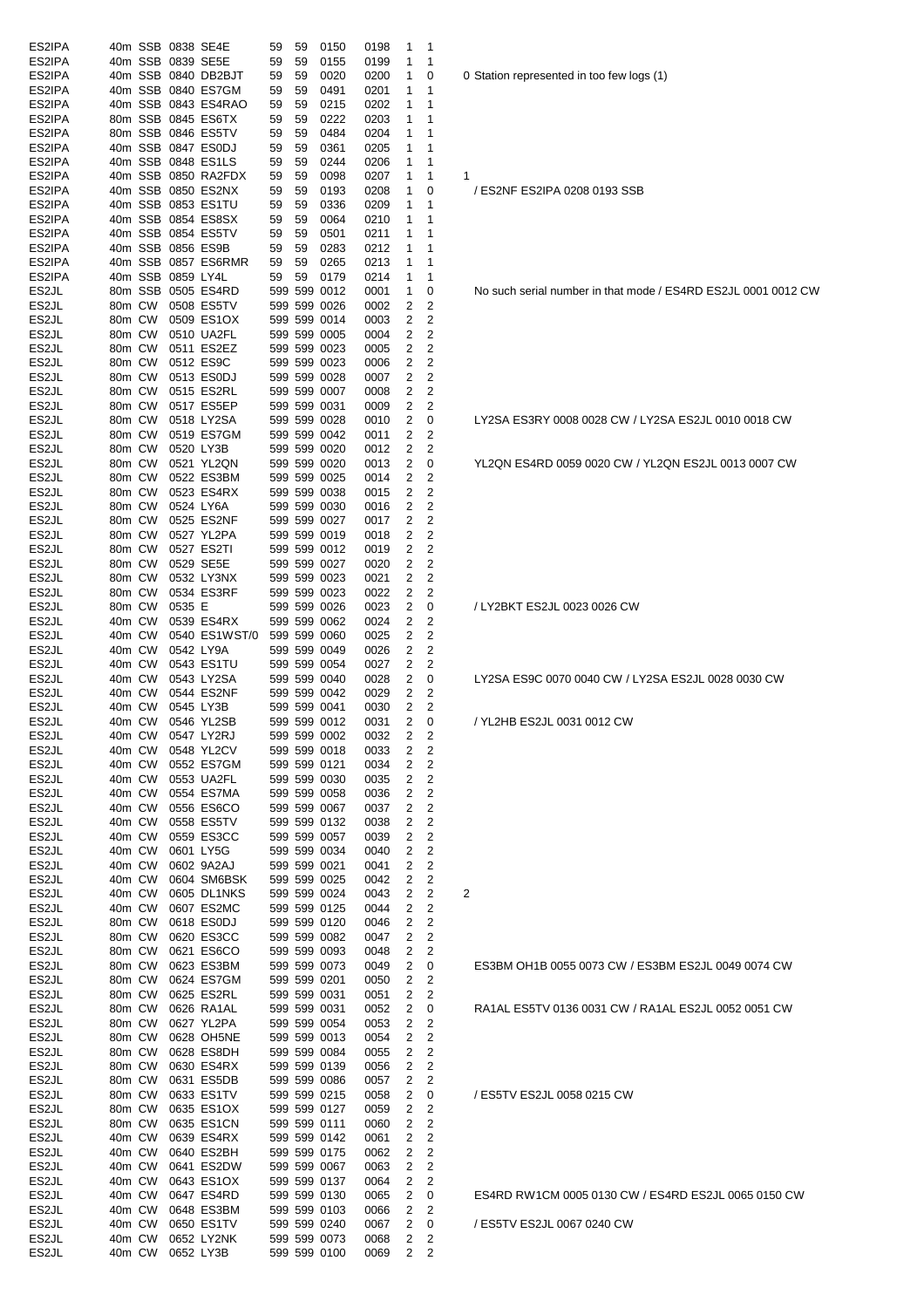| ES2IPA             |                  |                  |                   | 40m SSB 0838 SE4E                        | 59       | 59       | 0150                         | 0198         | $\mathbf{1}$                     | -1                |                                                               |
|--------------------|------------------|------------------|-------------------|------------------------------------------|----------|----------|------------------------------|--------------|----------------------------------|-------------------|---------------------------------------------------------------|
| ES2IPA<br>ES2IPA   |                  |                  |                   | 40m SSB 0839 SE5E<br>40m SSB 0840 DB2BJT | 59<br>59 | 59<br>59 | 0155<br>0020                 | 0199<br>0200 | 1<br>1                           | 1<br>0            | 0 Station represented in too few logs (1)                     |
| ES2IPA             |                  |                  |                   | 40m SSB 0840 ES7GM                       | 59       | 59       | 0491                         | 0201         | 1                                | 1                 |                                                               |
| ES2IPA             |                  |                  |                   | 40m SSB 0843 ES4RAO                      | 59       | 59       | 0215                         | 0202         | 1                                | 1                 |                                                               |
| ES2IPA<br>ES2IPA   |                  |                  |                   | 80m SSB 0845 ES6TX<br>80m SSB 0846 ES5TV | 59<br>59 | 59<br>59 | 0222<br>0484                 | 0203<br>0204 | 1<br>1                           | 1<br>1            |                                                               |
| ES2IPA             |                  |                  |                   | 40m SSB 0847 ES0DJ                       | 59       | 59       | 0361                         | 0205         | 1                                | 1                 |                                                               |
| ES2IPA             |                  |                  |                   | 40m SSB 0848 ES1LS                       | 59       | 59       | 0244                         | 0206         | 1                                | 1                 |                                                               |
| ES2IPA             |                  |                  |                   | 40m SSB 0850 RA2FDX                      | 59       | 59       | 0098                         | 0207         | 1                                | 1                 | 1                                                             |
| ES2IPA<br>ES2IPA   |                  |                  |                   | 40m SSB 0850 ES2NX<br>40m SSB 0853 ES1TU | 59<br>59 | 59<br>59 | 0193<br>0336                 | 0208<br>0209 | 1<br>1                           | 0<br>-1           | / ES2NF ES2IPA 0208 0193 SSB                                  |
| ES2IPA             |                  |                  |                   | 40m SSB 0854 ES8SX                       | 59       | 59       | 0064                         | 0210         | $\mathbf{1}$                     | -1                |                                                               |
| ES2IPA             |                  |                  |                   | 40m SSB 0854 ES5TV                       | 59       | 59       | 0501                         | 0211         | 1                                | 1                 |                                                               |
| ES2IPA<br>ES2IPA   |                  |                  |                   | 40m SSB 0856 ES9B<br>40m SSB 0857 ES6RMR | 59<br>59 | 59<br>59 | 0283<br>0265                 | 0212<br>0213 | $\mathbf{1}$<br>1                | $\mathbf{1}$<br>1 |                                                               |
| ES2IPA             |                  |                  | 40m SSB 0859 LY4L |                                          | 59       | 59       | 0179                         | 0214         | 1                                | 1                 |                                                               |
| ES2JL              |                  |                  |                   | 80m SSB 0505 ES4RD                       |          |          | 599 599 0012                 | 0001         | 1                                | 0                 | No such serial number in that mode / ES4RD ES2JL 0001 0012 CW |
| ES2JL<br>ES2JL     |                  |                  |                   | 80m CW 0508 ES5TV<br>80m CW 0509 ES1OX   |          |          | 599 599 0026<br>599 599 0014 | 0002<br>0003 | $\overline{c}$<br>2              | 2<br>2            |                                                               |
| ES2JL              |                  |                  |                   | 80m CW 0510 UA2FL                        |          |          | 599 599 0005                 | 0004         | 2                                | 2                 |                                                               |
| ES2JL              |                  |                  |                   | 80m CW 0511 ES2EZ                        |          |          | 599 599 0023                 | 0005         | 2                                | 2                 |                                                               |
| ES2JL              | 80m CW           |                  |                   | 0512 ES9C                                |          |          | 599 599 0023                 | 0006         | 2                                | 2                 |                                                               |
| ES2JL<br>ES2JL     |                  | 80m CW           |                   | 80m CW 0513 ES0DJ<br>0515 ES2RL          |          |          | 599 599 0028<br>599 599 0007 | 0007<br>0008 | $\overline{c}$<br>2              | 2<br>2            |                                                               |
| ES2JL              |                  |                  |                   | 80m CW 0517 ES5EP                        |          |          | 599 599 0031                 | 0009         | $\overline{c}$                   | 2                 |                                                               |
| ES2JL              | 80m CW           |                  |                   | 0518 LY2SA                               |          |          | 599 599 0028                 | 0010         | 2                                | 0                 | LY2SA ES3RY 0008 0028 CW / LY2SA ES2JL 0010 0018 CW           |
| ES2JL              | 80m CW           |                  |                   | 0519 ES7GM                               |          |          | 599 599 0042                 | 0011         | 2<br>2                           | 2<br>2            |                                                               |
| ES2JL<br>ES2JL     | 80m CW           | 80m CW           | 0520 LY3B         | 0521 YL2QN                               |          |          | 599 599 0020<br>599 599 0020 | 0012<br>0013 | $\overline{c}$                   | 0                 | YL2QN ES4RD 0059 0020 CW / YL2QN ES2JL 0013 0007 CW           |
| ES2JL              |                  | 80m CW           |                   | 0522 ES3BM                               |          |          | 599 599 0025                 | 0014         | 2                                | 2                 |                                                               |
| ES2JL              |                  | 80m CW           |                   | 0523 ES4RX                               |          |          | 599 599 0038                 | 0015         | $\overline{c}$                   | 2                 |                                                               |
| ES2JL<br>ES2JL     |                  | 80m CW<br>80m CW |                   | 0524 LY6A<br>0525 ES2NF                  |          |          | 599 599 0030<br>599 599 0027 | 0016<br>0017 | 2<br>2                           | 2<br>2            |                                                               |
| ES2JL              |                  | 80m CW           |                   | 0527 YL2PA                               |          |          | 599 599 0019                 | 0018         | 2                                | 2                 |                                                               |
| ES2JL              |                  | 80m CW           |                   | 0527 ES2TI                               |          |          | 599 599 0012                 | 0019         | $\overline{2}$                   | 2                 |                                                               |
| ES2JL              |                  |                  |                   | 80m CW 0529 SE5E                         |          |          | 599 599 0027                 | 0020         | $\overline{c}$<br>$\overline{2}$ | 2                 |                                                               |
| ES2JL<br>ES2JL     | 80m CW           | 80m CW           |                   | 0532 LY3NX<br>0534 ES3RF                 |          |          | 599 599 0023<br>599 599 0023 | 0021<br>0022 | 2                                | 2<br>2            |                                                               |
| ES2JL              | 80m CW           |                  | 0535 E            |                                          |          |          | 599 599 0026                 | 0023         | 2                                | 0                 | / LY2BKT ES2JL 0023 0026 CW                                   |
| ES2JL              | 40m CW           |                  |                   | 0539 ES4RX                               |          |          | 599 599 0062                 | 0024         | 2                                | 2                 |                                                               |
| ES2JL<br>ES2JL     |                  | 40m CW<br>40m CW | 0542 LY9A         | 0540 ES1WST/0                            |          |          | 599 599 0060<br>599 599 0049 | 0025<br>0026 | 2<br>$\overline{c}$              | 2<br>2            |                                                               |
| ES2JL              |                  | 40m CW           |                   | 0543 ES1TU                               |          |          | 599 599 0054                 | 0027         | 2                                | 2                 |                                                               |
| ES2JL              |                  | 40m CW           |                   | 0543 LY2SA                               |          |          | 599 599 0040                 | 0028         | 2                                | 0                 | LY2SA ES9C 0070 0040 CW / LY2SA ES2JL 0028 0030 CW            |
| ES2JL<br>ES2JL     |                  |                  | 40m CW 0545 LY3B  | 40m CW 0544 ES2NF                        |          |          | 599 599 0042<br>599 599 0041 | 0029<br>0030 | 2<br>2                           | 2<br>2            |                                                               |
| ES2JL              |                  |                  |                   | 40m CW 0546 YL2SB                        |          |          | 599 599 0012                 | 0031         | 2                                | 0                 | / YL2HB ES2JL 0031 0012 CW                                    |
| ES2JL              |                  |                  |                   | 40m CW 0547 LY2RJ                        |          |          | 599 599 0002                 | 0032         | $2^{\circ}$                      |                   |                                                               |
| ES2JL              | 40m CW<br>40m CW |                  |                   | 0548 YL2CV                               |          |          | 599 599 0018                 | 0033         | $\overline{c}$                   | 2                 |                                                               |
| ES2JL<br>ES2JL     | 40m CW           |                  |                   | 0552 ES7GM<br>0553 UA2FL                 |          |          | 599 599 0121<br>599 599 0030 | 0034<br>0035 | 2<br>$\overline{c}$              | 2<br>2            |                                                               |
| ES2JL              | 40m CW           |                  |                   | 0554 ES7MA                               |          |          | 599 599 0058                 | 0036         | 2                                | 2                 |                                                               |
| ES2JL              | 40m CW           |                  |                   | 0556 ES6CO                               |          |          | 599 599 0067                 | 0037         | $\overline{c}$                   | 2                 |                                                               |
| ES2JL<br>ES2JL     | 40m CW<br>40m CW |                  |                   | 0558 ES5TV<br>0559 ES3CC                 |          |          | 599 599 0132<br>599 599 0057 | 0038<br>0039 | 2<br>2                           | 2<br>2            |                                                               |
| ES2JL              | 40m CW           |                  |                   | 0601 LY5G                                |          |          | 599 599 0034                 | 0040         | 2                                | 2                 |                                                               |
| ES2JL              | 40m CW           |                  |                   | 0602 9A2AJ                               |          |          | 599 599 0021                 | 0041         | 2                                | 2                 |                                                               |
| ES2JL<br>ES2JL     | 40m CW<br>40m CW |                  |                   | 0604 SM6BSK<br>0605 DL1NKS               |          |          | 599 599 0025<br>599 599 0024 | 0042<br>0043 | 2<br>$\overline{c}$              | 2<br>2            | 2                                                             |
| ES2JL              | 40m CW           |                  |                   | 0607 ES2MC                               |          |          | 599 599 0125                 | 0044         | 2                                | 2                 |                                                               |
| ES2JL              | 80m CW           |                  |                   | 0618 ES0DJ                               |          |          | 599 599 0120                 | 0046         | 2                                | 2                 |                                                               |
| ES2JL              | 80m CW           |                  |                   | 0620 ES3CC                               |          |          | 599 599 0082                 | 0047         | 2                                | 2                 |                                                               |
| ES2JL<br>ES2JL     | 80m CW<br>80m CW |                  |                   | 0621 ES6CO<br>0623 ES3BM                 |          |          | 599 599 0093<br>599 599 0073 | 0048<br>0049 | 2<br>$\overline{c}$              | 2<br>0            | ES3BM OH1B 0055 0073 CW / ES3BM ES2JL 0049 0074 CW            |
| ES2JL              | 80m CW           |                  |                   | 0624 ES7GM                               |          |          | 599 599 0201                 | 0050         | 2                                | 2                 |                                                               |
| ES2JL              | 80m CW           |                  |                   | 0625 ES2RL                               |          |          | 599 599 0031                 | 0051         | 2                                | 2                 |                                                               |
| ES2JL<br>ES2JL     | 80m CW<br>80m CW |                  |                   | 0626 RA1AL<br>0627 YL2PA                 |          |          | 599 599 0031<br>599 599 0054 | 0052<br>0053 | 2<br>2                           | 0<br>2            | RA1AL ES5TV 0136 0031 CW / RA1AL ES2JL 0052 0051 CW           |
| ES2JL              | 80m CW           |                  |                   | 0628 OH5NE                               |          |          | 599 599 0013                 | 0054         | 2                                | 2                 |                                                               |
| ES2JL              | 80m CW           |                  |                   | 0628 ES8DH                               |          |          | 599 599 0084                 | 0055         | $\overline{c}$                   | 2                 |                                                               |
| ES2JL<br>ES2JL     | 80m CW           |                  |                   | 0630 ES4RX                               |          |          | 599 599 0139                 | 0056         | $\overline{c}$                   | 2                 |                                                               |
| ES2JL              | 80m CW<br>80m CW |                  |                   | 0631 ES5DB<br>0633 ES1TV                 |          |          | 599 599 0086<br>599 599 0215 | 0057<br>0058 | 2<br>$\overline{c}$              | 2<br>0            | / ES5TV ES2JL 0058 0215 CW                                    |
| ES2JL              | 80m CW           |                  |                   | 0635 ES1OX                               |          |          | 599 599 0127                 | 0059         | 2                                | 2                 |                                                               |
| ES2JL              | 80m CW           |                  |                   | 0635 ES1CN                               |          |          | 599 599 0111                 | 0060         | $\overline{c}$                   | 2                 |                                                               |
| ES2JL<br>ES2JL     | 40m CW<br>40m CW |                  |                   | 0639 ES4RX<br>0640 ES2BH                 |          |          | 599 599 0142<br>599 599 0175 | 0061<br>0062 | 2<br>2                           | 2<br>2            |                                                               |
| ES2JL              | 40m CW           |                  |                   | 0641 ES2DW                               |          |          | 599 599 0067                 | 0063         | 2                                | 2                 |                                                               |
| ES2JL              | 40m CW           |                  |                   | 0643 ES1OX                               |          |          | 599 599 0137                 | 0064         | $\overline{c}$                   | 2                 |                                                               |
| ES2JL<br>ES2JL     | 40m CW<br>40m CW |                  |                   | 0647 ES4RD<br>0648 ES3BM                 |          |          | 599 599 0130<br>599 599 0103 | 0065<br>0066 | 2<br>2                           | 0<br>2            | ES4RD RW1CM 0005 0130 CW / ES4RD ES2JL 0065 0150 CW           |
| ES2JL              | 40m CW           |                  |                   | 0650 ES1TV                               |          |          | 599 599 0240                 | 0067         | 2                                | 0                 | / ES5TV ES2JL 0067 0240 CW                                    |
| ES2JL              | 40m CW           |                  |                   | 0652 LY2NK                               |          |          | 599 599 0073                 | 0068         | 2                                | 2                 |                                                               |
| ES <sub>2</sub> JL |                  | 40m CW           | 0652 LY3B         |                                          |          |          | 599 599 0100                 | 0069         | $\overline{c}$                   | 2                 |                                                               |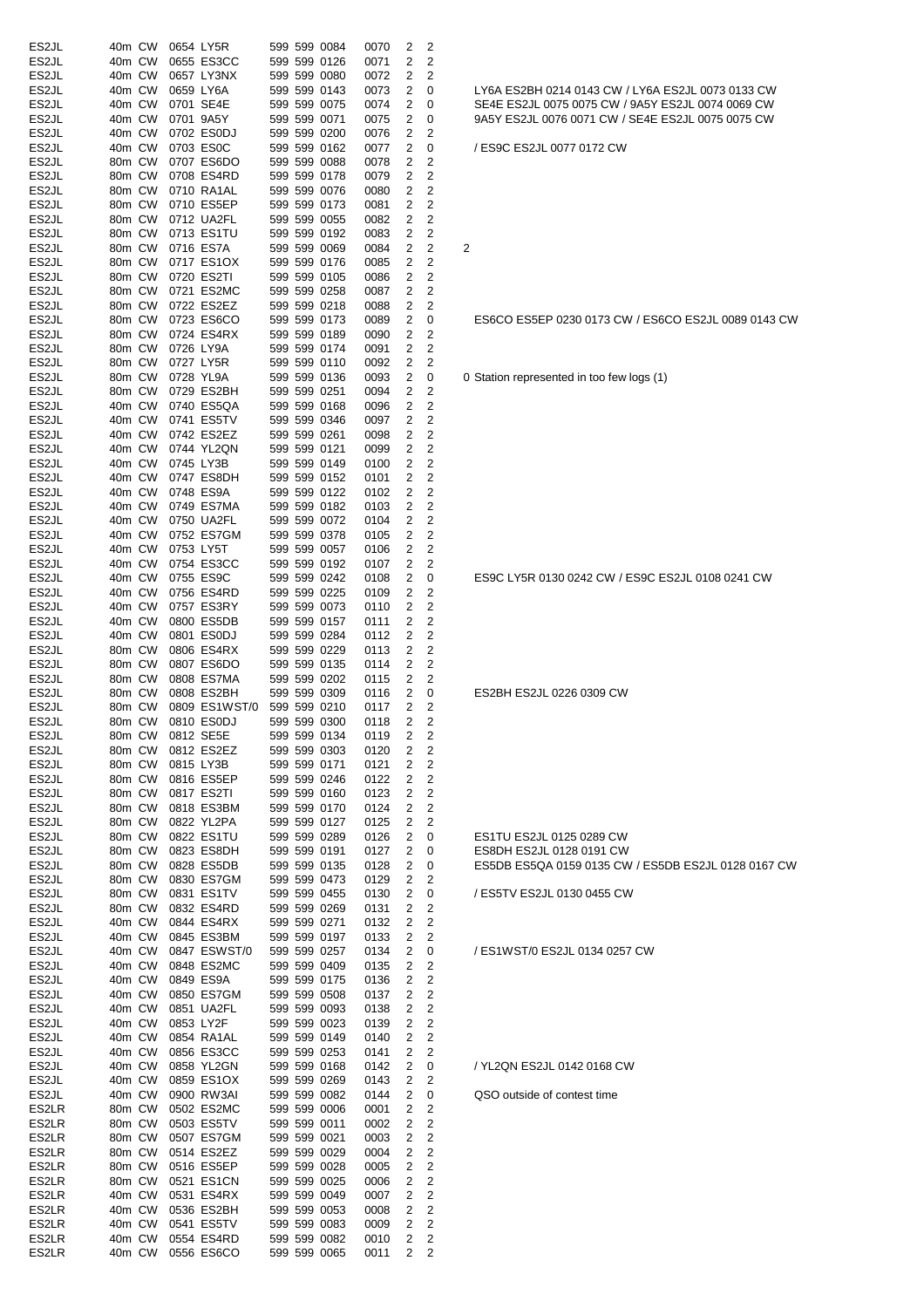| ES2JL              | 40m CW           |                  | 0654 LY5R                                                        |              | 599 599 0084                 | 0070         | 2              | 2                       |   |
|--------------------|------------------|------------------|------------------------------------------------------------------|--------------|------------------------------|--------------|----------------|-------------------------|---|
| ES2JL              | 40m CW           |                  | 0655 ES3CC                                                       |              | 599 599 0126                 | 0071         | 2              | 2                       |   |
| ES2JL              | 40m CW           |                  | 0657 LY3NX                                                       |              | 599 599 0080                 | 0072         | 2              | 2                       |   |
| ES2JL              | 40m CW           |                  | 0659 LY6A                                                        |              | 599 599 0143                 | 0073         | 2              | 0                       |   |
|                    |                  |                  |                                                                  |              |                              |              |                |                         |   |
| ES2JL              | 40m CW<br>40m CW |                  | 0701 SE4E<br>0701 9A5Y                                           |              | 599 599 0075                 | 0074         | 2              | 0                       |   |
| ES2JL              |                  |                  |                                                                  |              | 599 599 0071                 | 0075         | 2              | 0                       |   |
| ES2JL              | 40m CW           |                  | 0702 ES0DJ                                                       |              | 599 599 0200                 | 0076         | 2              | 2                       |   |
| ES2JL              | 40m CW           |                  | 0703 ES0C                                                        |              | 599 599 0162                 | 0077         | 2              | 0                       |   |
| ES2JL              | 80m CW           |                  | 0707 ES6DO                                                       |              | 599 599 0088                 | 0078         | 2              | 2                       |   |
| ES2JL              | 80m CW           |                  | 0708 ES4RD                                                       |              | 599 599 0178                 | 0079         | 2              | 2                       |   |
| ES2JL              | 80m CW           |                  | 0710 RA1AL                                                       |              | 599 599 0076                 | 0080         | 2              | 2                       |   |
| ES2JL              | 80m CW           |                  | 0710 ES5EP                                                       |              | 599 599 0173                 | 0081         | 2              | 2                       |   |
| ES <sub>2</sub> JL | 80m CW           |                  | 0712 UA2FL                                                       |              | 599 599 0055                 | 0082         | 2              | 2                       |   |
| ES2JL              | 80m CW           |                  | 0713 ES1TU                                                       |              | 599 599 0192                 | 0083         | 2              | 2                       |   |
| ES2JL              | 80m CW           |                  | 0716 ES7A                                                        |              | 599 599 0069                 | 0084         | 2              | 2                       | 2 |
| ES2JL              | 80m CW           |                  | 0717 ES1OX                                                       |              | 599 599 0176                 | 0085         | 2              | 2                       |   |
| ES2JL              | 80m CW           |                  | 0720 ES2TI                                                       |              | 599 599 0105                 | 0086         | 2              | 2                       |   |
| ES2JL              | 80m CW           |                  | 0721 ES2MC                                                       |              | 599 599 0258                 | 0087         | 2              | 2                       |   |
| ES2JL              | 80m CW           |                  | 0722 ES2EZ                                                       |              | 599 599 0218                 |              | 2              | 2                       |   |
|                    |                  |                  |                                                                  |              |                              | 0088         |                |                         |   |
| ES2JL              | 80m CW           |                  | 0723 ES6CO                                                       |              | 599 599 0173                 | 0089         | 2              | 0                       |   |
| ES2JL              | 80m CW           |                  | 0724 ES4RX                                                       |              | 599 599 0189                 | 0090         | 2              | 2                       |   |
| ES2JL              | 80m CW           |                  | 0726 LY9A                                                        |              | 599 599 0174                 | 0091         | 2              | 2                       |   |
| ES2JL              | 80m CW           |                  | 0727 LY5R                                                        |              | 599 599 0110                 | 0092         | 2              | 2                       |   |
| ES2JL              | 80m CW           |                  | 0728 YL9A                                                        |              | 599 599 0136                 | 0093         | 2              | 0                       | 0 |
| ES <sub>2</sub> JL | 80m CW           |                  | 0729 ES2BH                                                       |              | 599 599 0251                 | 0094         | 2              | 2                       |   |
| ES2JL              | 40m CW           |                  | 0740 ES5QA                                                       |              | 599 599 0168                 | 0096         | 2              | 2                       |   |
| ES2JL              | 40m CW           |                  | 0741 ES5TV                                                       |              | 599 599 0346                 | 0097         | 2              | 2                       |   |
| ES2JL              | 40m CW           |                  | 0742 ES2EZ                                                       |              | 599 599 0261                 | 0098         | 2              | 2                       |   |
| ES2JL              | 40m CW           |                  | 0744 YL2QN                                                       |              | 599 599 0121                 | 0099         | 2              | 2                       |   |
| ES2JL              | 40m CW           |                  | 0745 LY3B                                                        |              | 599 599 0149                 | 0100         | 2              | 2                       |   |
| ES2JL              | 40m CW           |                  | 0747 ES8DH                                                       |              | 599 599 0152                 | 0101         | 2              | 2                       |   |
|                    |                  |                  |                                                                  |              |                              |              |                |                         |   |
| ES2JL              | 40m CW           |                  | 0748 ES9A                                                        |              | 599 599 0122                 | 0102         | 2              | 2                       |   |
| ES2JL              | 40m CW           |                  | 0749 ES7MA                                                       |              | 599 599 0182                 | 0103         | 2              | 2                       |   |
| ES2JL              | 40m CW           |                  | 0750 UA2FL                                                       |              | 599 599 0072                 | 0104         | 2              | 2                       |   |
| ES2JL              | 40m CW           |                  | 0752 ES7GM                                                       |              | 599 599 0378                 | 0105         | 2              | 2                       |   |
| ES2JL              | 40m CW           |                  | 0753 LY5T                                                        |              | 599 599 0057                 | 0106         | 2              | 2                       |   |
| ES2JL              | 40m CW           |                  | 0754 ES3CC                                                       |              | 599 599 0192                 | 0107         | 2              | 2                       |   |
| ES2JL              | 40m CW           |                  | 0755 ES9C                                                        |              | 599 599 0242                 | 0108         | 2              | 0                       |   |
| ES2JL              | 40m CW           |                  | 0756 ES4RD                                                       |              | 599 599 0225                 | 0109         | 2              | 2                       |   |
| ES2JL              | 40m CW           |                  | 0757 ES3RY                                                       |              | 599 599 0073                 | 0110         | 2              | 2                       |   |
| ES2JL              | 40m CW           |                  | 0800 ES5DB                                                       |              | 599 599 0157                 | 0111         | 2              | 2                       |   |
| ES2JL              | 40m CW           |                  | 0801 ES0DJ                                                       |              | 599 599 0284                 | 0112         | 2              | 2                       |   |
| ES2JL              | 80m CW           |                  | 0806 ES4RX                                                       |              | 599 599 0229                 | 0113         | 2              | 2                       |   |
| ES2JL              | 80m CW           |                  | 0807 ES6DO                                                       |              | 599 599 0135                 | 0114         | 2              | 2                       |   |
| ES2JL              | 80m CW           |                  | 0808 ES7MA                                                       |              | 599 599 0202                 | 0115         | 2              | 2                       |   |
| ES2JL              | 80m CW           |                  | 0808 ES2BH                                                       |              | 599 599 0309                 | 0116         | 2              | 0                       |   |
| ES <sub>2</sub> JL |                  |                  |                                                                  |              |                              |              |                | 2                       |   |
| ES <sub>2JL</sub>  | 80m CW<br>80m CW |                  | 0809 ES1WST/0                                                    |              | 599 599 0210<br>599 599 0300 | 0117         | 2              |                         |   |
|                    |                  |                  | 0810 ES0DJ                                                       |              |                              | 0118         | 2              | 2                       |   |
| ES2JL              |                  |                  | 80m CW 0812 SE5E                                                 |              | 599 599 0134 0119            |              | $\overline{2}$ | 2                       |   |
| ES2JL              | 80m CW           |                  | 0812 ES2EZ                                                       |              | 599 599 0303                 | 0120         | 2              | 2                       |   |
| ES2JL              |                  | 80m CW           | 0815 LY3B                                                        |              | 599 599 0171                 | 0121         | $\overline{2}$ | 2                       |   |
| ES2JL              |                  | 80m CW           | 0816 ES5EP                                                       |              | 599 599 0246                 | 0122         | 2              | $\overline{\mathbf{c}}$ |   |
| ES2JL              |                  | 80m CW           | 0817 ES2TI                                                       |              | 599 599 0160                 | 0123         | $\overline{2}$ | 2                       |   |
| ES2JL              |                  | 80m CW           | 0818 ES3BM                                                       | 599 599 0170 |                              |              |                | 2                       |   |
| ES2JL              | 80m CW           |                  |                                                                  |              |                              | 0124         | 2              |                         |   |
| ES2JL              |                  |                  | 0822 YL2PA                                                       |              | 599 599 0127                 | 0125         | 2              | 2                       |   |
| ES2JL              |                  | 80m CW           | 0822 ES1TU                                                       |              | 599 599 0289                 | 0126         | 2              | 0                       |   |
|                    |                  | 80m CW           | 0823 ES8DH                                                       |              | 599 599 0191                 | 0127         | 2              | 0                       |   |
|                    |                  |                  |                                                                  |              |                              |              | 2              |                         |   |
| ES2JL              |                  | 80m CW           | 0828 ES5DB                                                       |              | 599 599 0135                 | 0128         |                | 0                       |   |
| ES2JL              |                  | 80m CW<br>80m CW | 0830 ES7GM                                                       |              |                              | 0129         | 2<br>2         | 2                       |   |
| ES2JL              |                  |                  | 0831 ES1TV                                                       |              | 599 599 0473<br>599 599 0455 | 0130         |                | 0                       |   |
| ES2JL              |                  | 80m CW           | 0832 ES4RD                                                       |              |                              | 0131         | 2              | 2                       |   |
| ES2JL              |                  | 40m CW           | 0844 ES4RX                                                       |              | 599 599 0269<br>599 599 0271 | 0132         | 2              | 2                       |   |
| ES2JL              |                  | 40m CW           | 0845 ES3BM 599 599 0197                                          |              |                              | 0133         | 2              | 2                       |   |
| ES2JL              |                  | 40m CW           | 0847 ESWST/0 599 599 0257                                        |              |                              | 0134         | $\overline{2}$ | 0                       |   |
| ES2JL              |                  | 40m CW           | 0848 ES2MC                                                       |              | 599 599 0409                 | 0135         | 2              | 2                       |   |
| ES2JL              |                  | 40m CW           | 0849 ES9A                                                        |              | 599 599 0175                 | 0136         | $\overline{c}$ | $\overline{\mathbf{c}}$ |   |
| ES2JL              | 40m CW           |                  | 0850 ES7GM                                                       |              | 599 599 0508                 | 0137         | 2              | $\overline{\mathbf{c}}$ |   |
| ES2JL              |                  | 40m CW           | 0851 UA2FL                                                       |              | 599 599 0093                 | 0138         | 2              | $\overline{\mathbf{c}}$ |   |
| ES2JL              |                  | 40m CW           | 0853 LY2F                                                        |              | 599 599 0023                 | 0139         | 2              | 2                       |   |
| ES2JL              |                  | 40m CW           | 0854 RA1AL                                                       |              | 599 599 0149                 | 0140         | 2              | $\mathbf 2$             |   |
| ES2JL              |                  | 40m CW           | 0856 ES3CC                                                       |              |                              | 0141         | 2              | $\overline{c}$          |   |
| ES2JL              |                  | 40m CW           | 0858 YL2GN                                                       |              | 599 599 0253<br>599 599 0168 | 0142         | 2              | 0                       |   |
| ES2JL              | 40m CW           |                  | 0859 ES1OX                                                       |              | 599 599 0269                 | 0143         | 2              | $\overline{c}$          |   |
| ES2JL              | 40m CW           |                  | 0900 RW3AI                                                       |              |                              | 0144         | 2              | 0                       |   |
|                    |                  |                  |                                                                  |              |                              |              |                |                         |   |
| ES2LR              |                  | 80m CW           | 0502 ES2MC                                                       |              | 599 599 0082<br>599 599 0006 | 0001         | 2              | $\overline{\mathbf{c}}$ |   |
| ES2LR              | 80m CW           |                  | 0503 ES5TV                                                       |              |                              | 0002         | 2              | $\overline{\mathbf{c}}$ |   |
| ES2LR              |                  | 80m CW           | 0507 ES7GM                                                       |              | 599 599 0011<br>599 599 0021 | 0003         | 2              | $\overline{\mathbf{c}}$ |   |
| ES2LR              | 80m CW           |                  | 0514 ES2EZ                                                       |              | 599 599 0029                 | 0004         | 2              | $\overline{c}$          |   |
| ES2LR              |                  | 80m CW           | 0516 ES5EP                                                       |              | 599 599 0028                 | 0005         | 2              | $\overline{\mathbf{c}}$ |   |
| ES2LR              | 80m CW           |                  | 0521 ES1CN                                                       |              | 599 599 0025                 | 0006         | 2              | $\overline{\mathbf{c}}$ |   |
| ES2LR              |                  | 40m CW           | 0531 ES4RX                                                       |              | 599 599 0049                 | 0007         | 2              | 2                       |   |
| ES2LR              |                  | 40m CW           | 0536 ES2BH                                                       |              | 599 599 0053                 | 0008         | 2              | 2                       |   |
| ES2LR              |                  | 40m CW           |                                                                  |              |                              | 0009         | 2              | $\overline{2}$          |   |
| ES2LR<br>ES2LR     |                  | 40m CW<br>40m CW | 0541 ES5TV 599 599 0083<br>0554 ES4RD 599 599 0082<br>0556 ES6CO |              | 599 599 0065                 | 0010<br>0011 | 2<br>2         | 2<br>2                  |   |

ES9C LY5R 0130 0242 CW / ES9C ES2JL 0108 0241 CW ES2BH ES2JL 0226 0309 CW

ES1TU ES2JL 0125 0289 CW ES8DH ES2JL 0128 0191 CW ES5DB ES5QA 0159 0135 CW / ES5DB ES2JL 0128 0167 CW

/ ES5TV ES2JL 0130 0455 CW

/ ES1WST/0 ES2JL 0134 0257 CW

/ YL2QN ES2JL 0142 0168 CW

QSO outside of contest time

0 Station represented in too few logs (1)

/ ES9C ES2JL 0077 0172 CW

LY6A ES2BH 0214 0143 CW / LY6A ES2JL 0073 0133 CW SE4E ES2JL 0075 0075 CW / 9A5Y ES2JL 0074 0069 CW 9A5Y ES2JL 0076 0071 CW / SE4E ES2JL 0075 0075 CW

ES6CO ES5EP 0230 0173 CW / ES6CO ES2JL 0089 0143 CW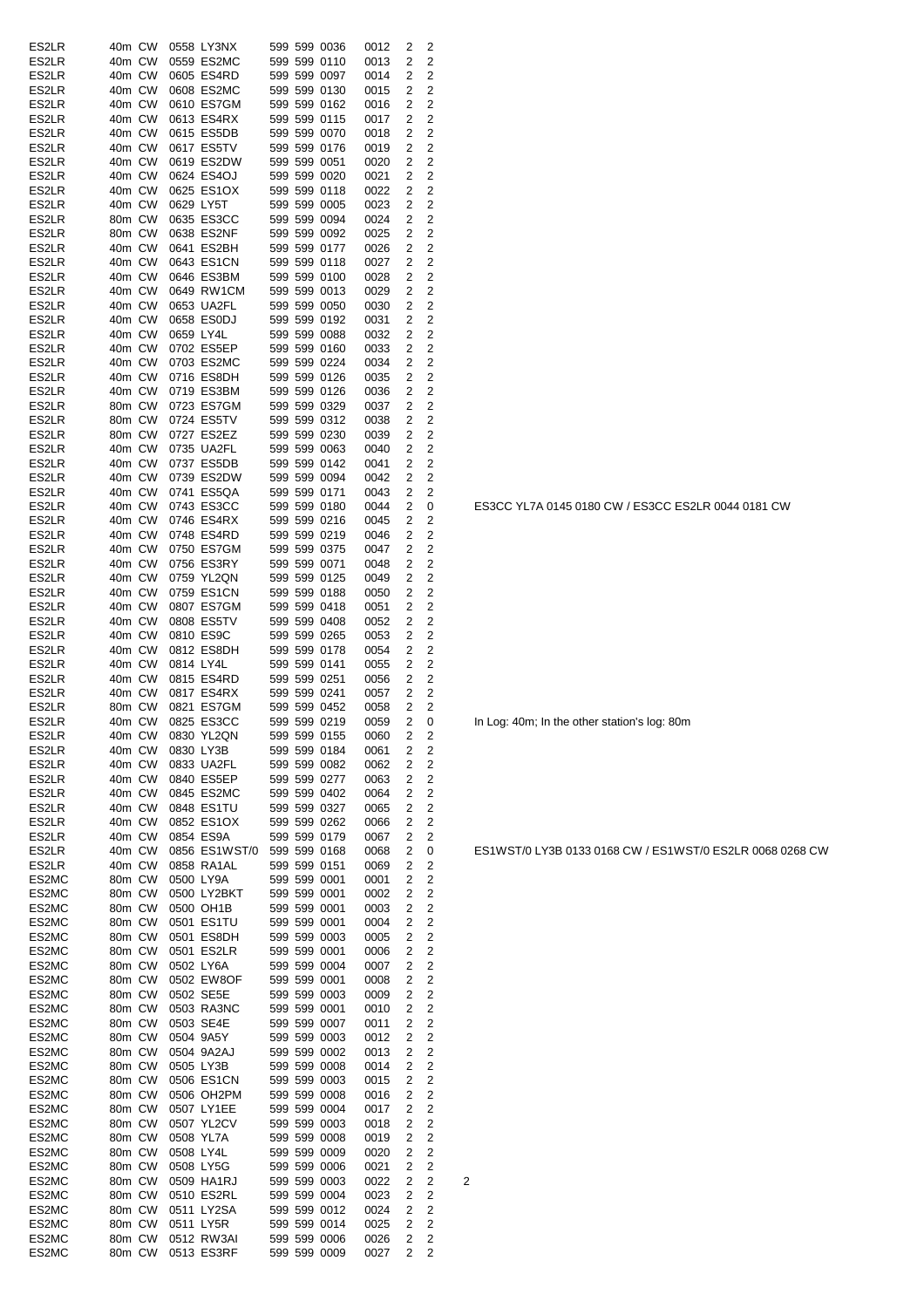| ES2LR | 40m CW |        |           | 0558 LY3NX                 |  | 599 599 0036                 | 0012 | 2              | 2              |                |
|-------|--------|--------|-----------|----------------------------|--|------------------------------|------|----------------|----------------|----------------|
| ES2LR | 40m CW |        |           | 0559 ES2MC                 |  | 599 599 0110                 | 0013 | 2              | 2              |                |
| ES2LR | 40m CW |        |           | 0605 ES4RD                 |  | 599 599 0097                 | 0014 | 2              | 2              |                |
| ES2LR | 40m CW |        |           | 0608 ES2MC                 |  | 599 599 0130                 | 0015 | 2              | 2              |                |
| ES2LR | 40m CW |        |           | 0610 ES7GM                 |  | 599 599 0162                 | 0016 | 2              | 2              |                |
| ES2LR | 40m CW |        |           | 0613 ES4RX                 |  | 599 599 0115                 | 0017 | 2              | 2              |                |
|       |        |        |           |                            |  |                              |      |                |                |                |
| ES2LR | 40m CW |        |           | 0615 ES5DB                 |  | 599 599 0070                 | 0018 | 2              | $\overline{2}$ |                |
| ES2LR | 40m CW |        |           | 0617 ES5TV                 |  | 599 599 0176                 | 0019 | 2              | 2              |                |
| ES2LR | 40m CW |        |           | 0619 ES2DW                 |  | 599 599 0051                 | 0020 | 2              | 2              |                |
| ES2LR | 40m CW |        |           | 0624 ES4OJ                 |  | 599 599 0020                 | 0021 | 2              | 2              |                |
| ES2LR | 40m CW |        |           | 0625 ES1OX                 |  | 599 599 0118                 | 0022 | 2              | 2              |                |
|       |        |        |           |                            |  |                              |      |                |                |                |
| ES2LR | 40m CW |        | 0629 LY5T |                            |  | 599 599 0005                 | 0023 | 2              | 2              |                |
| ES2LR | 80m CW |        |           | 0635 ES3CC                 |  | 599 599 0094                 | 0024 | 2              | 2              |                |
| ES2LR | 80m CW |        |           | 0638 ES2NF                 |  | 599 599 0092                 | 0025 | 2              | 2              |                |
| ES2LR | 40m CW |        |           | 0641 ES2BH                 |  | 599 599 0177                 | 0026 | 2              | $\overline{c}$ |                |
| ES2LR | 40m CW |        |           | 0643 ES1CN                 |  | 599 599 0118                 | 0027 | 2              | 2              |                |
|       |        |        |           |                            |  |                              |      |                |                |                |
| ES2LR | 40m CW |        |           | 0646 ES3BM                 |  | 599 599 0100                 | 0028 | 2              | 2              |                |
| ES2LR | 40m CW |        |           | 0649 RW1CM                 |  | 599 599 0013                 | 0029 | 2              | 2              |                |
| ES2LR | 40m CW |        |           | 0653 UA2FL                 |  | 599 599 0050                 | 0030 | 2              | 2              |                |
| ES2LR | 40m CW |        |           | 0658 ES0DJ                 |  | 599 599 0192                 | 0031 | 2              | $\overline{2}$ |                |
| ES2LR | 40m CW |        | 0659 LY4L |                            |  | 599 599 0088                 | 0032 | 2              | $\overline{c}$ |                |
| ES2LR | 40m CW |        |           | 0702 ES5EP                 |  | 599 599 0160                 | 0033 | 2              | 2              |                |
|       |        |        |           |                            |  |                              |      |                |                |                |
| ES2LR | 40m CW |        |           | 0703 ES2MC                 |  | 599 599 0224                 | 0034 | 2              | 2              |                |
| ES2LR | 40m CW |        |           | 0716 ES8DH                 |  | 599 599 0126                 | 0035 | 2              | 2              |                |
| ES2LR | 40m CW |        |           | 0719 ES3BM                 |  | 599 599 0126                 | 0036 | 2              | 2              |                |
| ES2LR | 80m CW |        |           | 0723 ES7GM                 |  | 599 599 0329                 | 0037 | 2              | 2              |                |
|       | 80m CW |        |           | 0724 ES5TV                 |  | 599 599 0312                 |      | 2              | 2              |                |
| ES2LR |        |        |           |                            |  |                              | 0038 |                |                |                |
| ES2LR | 80m CW |        |           | 0727 ES2EZ                 |  | 599 599 0230                 | 0039 | 2              | $\overline{c}$ |                |
| ES2LR | 40m CW |        |           | 0735 UA2FL                 |  | 599 599 0063                 | 0040 | 2              | 2              |                |
| ES2LR | 40m CW |        |           | 0737 ES5DB                 |  | 599 599 0142                 | 0041 | 2              | 2              |                |
| ES2LR | 40m CW |        |           | 0739 ES2DW                 |  | 599 599 0094                 | 0042 | 2              | 2              |                |
| ES2LR | 40m CW |        |           | 0741 ES5QA                 |  | 599 599 0171                 |      | 2              | 2              |                |
|       |        |        |           |                            |  |                              | 0043 |                |                |                |
| ES2LR | 40m CW |        |           | 0743 ES3CC                 |  | 599 599 0180                 | 0044 | 2              | 0              |                |
| ES2LR | 40m CW |        |           | 0746 ES4RX                 |  | 599 599 0216                 | 0045 | 2              | 2              |                |
| ES2LR | 40m CW |        |           | 0748 ES4RD                 |  | 599 599 0219                 | 0046 | 2              | 2              |                |
| ES2LR | 40m CW |        |           | 0750 ES7GM                 |  | 599 599 0375                 | 0047 | 2              | 2              |                |
|       |        |        |           |                            |  | 599 599 0071                 |      | 2              | 2              |                |
| ES2LR | 40m CW |        |           | 0756 ES3RY                 |  |                              | 0048 |                |                |                |
| ES2LR | 40m CW |        |           | 0759 YL2QN                 |  | 599 599 0125                 | 0049 | 2              | 2              |                |
| ES2LR | 40m CW |        |           | 0759 ES1CN                 |  | 599 599 0188                 | 0050 | 2              | 2              |                |
| ES2LR | 40m CW |        |           | 0807 ES7GM                 |  | 599 599 0418                 | 0051 | 2              | 2              |                |
| ES2LR | 40m CW |        |           | 0808 ES5TV                 |  | 599 599 0408                 | 0052 | 2              | 2              |                |
|       |        |        |           |                            |  |                              |      |                |                |                |
| ES2LR | 40m CW |        |           | 0810 ES9C                  |  | 599 599 0265                 | 0053 | 2              | 2              |                |
| ES2LR | 40m CW |        |           | 0812 ES8DH                 |  | 599 599 0178                 | 0054 | 2              | 2              |                |
| ES2LR | 40m CW |        | 0814 LY4L |                            |  | 599 599 0141                 | 0055 | 2              | 2              |                |
| ES2LR | 40m CW |        |           | 0815 ES4RD                 |  | 599 599 0251                 | 0056 | 2              | 2              |                |
| ES2LR | 40m CW |        |           | 0817 ES4RX                 |  | 599 599 0241                 | 0057 | 2              | 2              |                |
| ES2LR | 80m CW |        |           | 0821 ES7GM                 |  | 599 599 0452                 |      | 2              | 2              |                |
|       |        |        |           |                            |  |                              | 0058 |                |                |                |
| ES2LR | 40m CW |        |           | 0825 ES3CC                 |  | 599 599 0219                 | 0059 | 2              | 0              |                |
| ES2LR |        |        |           | 40m CW 0830 YL2QN          |  | 599 599 0155 0060            |      | $\mathbf{2}$   | 2              |                |
| ES2LR | 40m CW |        |           | 0830 LY3B                  |  | 599 599 0184                 | 0061 | 2              | 2              |                |
| ES2LR | 40m CW |        |           | 0833 UA2FL                 |  | 599 599 0082                 | 0062 | 2              | $\overline{c}$ |                |
| ES2LR | 40m CW |        |           | 0840 ES5EP                 |  | 599 599 0277                 | 0063 | 2              | $\overline{c}$ |                |
|       |        |        |           |                            |  |                              |      |                |                |                |
| ES2LR | 40m CW |        |           | 0845 ES2MC                 |  | 599 599 0402                 | 0064 | 2              | 2              |                |
| ES2LR | 40m CW |        |           | 0848 ES1TU                 |  | 599 599 0327                 | 0065 | 2              | $\overline{c}$ |                |
| ES2LR | 40m CW |        |           | 0852 ES1OX                 |  | 599 599 0262                 | 0066 | 2              | 2              |                |
| ES2LR | 40m CW |        |           | 0854 ES9A                  |  | 599 599 0179                 | 0067 | 2              | $\overline{c}$ |                |
|       |        |        |           |                            |  |                              |      |                |                |                |
| ES2LR | 40m CW |        |           | 0856 ES1WST/0 599 599 0168 |  |                              | 0068 | 2              | 0              |                |
| ES2LR | 40m CW |        |           | 0858 RA1AL                 |  | 599 599 0151                 | 0069 | 2              | $\overline{c}$ |                |
| ES2MC | 80m CW |        |           | 0500 LY9A                  |  | 599 599 0001                 | 0001 | 2              | 2              |                |
| ES2MC | 80m CW |        |           | 0500 LY2BKT                |  | 599 599 0001                 | 0002 | 2              | $\overline{c}$ |                |
| ES2MC | 80m CW |        |           | 0500 OH1B                  |  | 599 599 0001                 | 0003 | 2              | $\overline{c}$ |                |
|       | 80m CW |        |           | 0501 ES1TU                 |  | 599 599 0001                 |      | $\overline{2}$ | $\overline{c}$ |                |
| ES2MC |        |        |           |                            |  |                              | 0004 |                |                |                |
| ES2MC | 80m CW |        |           | 0501 ES8DH                 |  | 599 599 0003                 | 0005 | 2              | $\overline{c}$ |                |
| ES2MC | 80m CW |        |           | 0501 ES2LR                 |  | 599 599 0001                 | 0006 | 2              | $\overline{c}$ |                |
| ES2MC | 80m CW |        |           | 0502 LY6A                  |  | 599 599 0004                 | 0007 | 2              | 2              |                |
| ES2MC | 80m CW |        |           | 0502 EW8OF                 |  | 599 599 0001                 | 0008 | 2              | $\overline{2}$ |                |
| ES2MC | 80m CW |        |           | 0502 SE5E                  |  | 599 599 0003                 | 0009 | 2              | 2              |                |
|       |        |        |           |                            |  |                              |      |                |                |                |
| ES2MC | 80m CW |        |           | 0503 RA3NC                 |  | 599 599 0001                 | 0010 | 2              | 2              |                |
| ES2MC | 80m CW |        |           | 0503 SE4E                  |  | 599 599 0007                 | 0011 | 2              | $\overline{c}$ |                |
| ES2MC | 80m CW |        |           | 0504 9A5Y                  |  | 599 599 0003                 | 0012 | 2              | $\overline{c}$ |                |
| ES2MC | 80m CW |        |           | 0504 9A2AJ                 |  | 599 599 0002                 | 0013 | 2              | $\overline{c}$ |                |
| ES2MC | 80m CW |        |           | 0505 LY3B                  |  | 599 599 0008                 | 0014 | 2              | 2              |                |
|       |        |        |           |                            |  |                              |      |                |                |                |
| ES2MC | 80m CW |        |           | 0506 ES1CN                 |  | 599 599 0003                 | 0015 | 2              | 2              |                |
| ES2MC | 80m CW |        |           | 0506 OH2PM                 |  | 599 599 0008                 | 0016 | 2              | 2              |                |
| ES2MC | 80m CW |        |           | 0507 LY1EE                 |  | 599 599 0004                 | 0017 | 2              | $\overline{c}$ |                |
| ES2MC | 80m CW |        |           | 0507 YL2CV                 |  | 599 599 0003                 | 0018 | 2              | $\overline{c}$ |                |
| ES2MC | 80m CW |        |           | 0508 YL7A                  |  | 599 599 0008                 | 0019 | 2              | $\overline{c}$ |                |
|       |        |        |           |                            |  |                              |      |                |                |                |
| ES2MC | 80m CW |        |           | 0508 LY4L                  |  | 599 599 0009                 | 0020 | 2              | 2              |                |
| ES2MC | 80m CW |        |           | 0508 LY5G                  |  | 599 599 0006                 | 0021 | 2              | 2              |                |
| ES2MC | 80m CW |        |           | 0509 HA1RJ                 |  | 599 599 0003                 | 0022 | 2              | 2              | $\overline{2}$ |
| ES2MC | 80m CW |        |           | 0510 ES2RL                 |  | 599 599 0004                 | 0023 | 2              | 2              |                |
| ES2MC | 80m CW |        |           | 0511 LY2SA                 |  | 599 599 0012                 | 0024 | 2              | $\overline{c}$ |                |
|       |        |        |           |                            |  |                              |      |                |                |                |
| ES2MC | 80m CW |        |           | 0511 LY5R                  |  | 599 599 0014<br>599 599 0006 | 0025 | 2              | $\overline{2}$ |                |
| ES2MC | 80m CW |        |           | 0512 RW3AI                 |  |                              | 0026 | $\overline{2}$ | 2              |                |
| ES2MC |        | 80m CW |           | 0513 ES3RF 599 599 0009    |  |                              | 0027 | 2              | 2              |                |

ES3CC YL7A 0145 0180 CW / ES3CC ES2LR 0044 0181 CW

In Log: 40m; In the other station's log: 80m

ES1WST/0 LY3B 0133 0168 CW / ES1WST/0 ES2LR 0068 0268 CW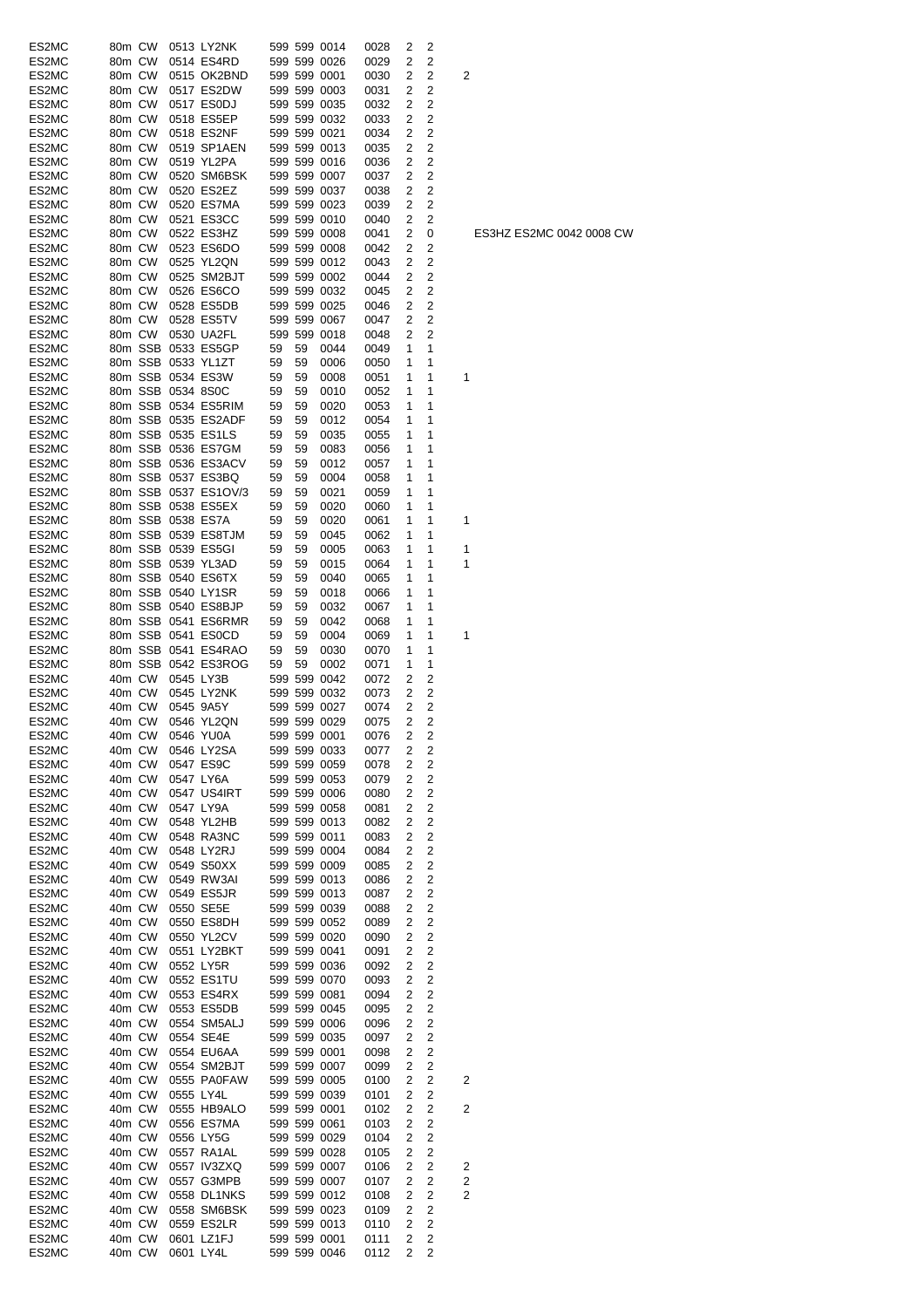| ES2MC | 80m CW |                   | 0513 LY2NK           |    |    | 599 599 0014                 | 0028         | 2      | 2                       |                |
|-------|--------|-------------------|----------------------|----|----|------------------------------|--------------|--------|-------------------------|----------------|
| ES2MC | 80m CW |                   | 0514 ES4RD           |    |    | 599 599 0026                 | 0029         | 2      | 2                       |                |
| ES2MC | 80m CW |                   | 0515 OK2BND          |    |    | 599 599 0001                 | 0030         | 2      | 2                       | $\overline{c}$ |
| ES2MC | 80m CW |                   | 0517 ES2DW           |    |    | 599 599 0003                 | 0031         | 2      | 2                       |                |
| ES2MC | 80m CW |                   | 0517 ES0DJ           |    |    | 599 599 0035                 | 0032         | 2      | 2                       |                |
| ES2MC | 80m CW |                   | 0518 ES5EP           |    |    | 599 599 0032                 | 0033         | 2      | 2                       |                |
|       |        |                   |                      |    |    |                              |              |        |                         |                |
| ES2MC | 80m CW |                   | 0518 ES2NF           |    |    | 599 599 0021                 | 0034         | 2      | 2                       |                |
| ES2MC | 80m CW |                   | 0519 SP1AEN          |    |    | 599 599 0013                 | 0035         | 2      | 2                       |                |
| ES2MC | 80m CW |                   | 0519 YL2PA           |    |    | 599 599 0016                 | 0036         | 2      | 2                       |                |
| ES2MC | 80m CW |                   | 0520 SM6BSK          |    |    | 599 599 0007                 | 0037         | 2      | 2                       |                |
| ES2MC | 80m CW |                   | 0520 ES2EZ           |    |    | 599 599 0037                 | 0038         | 2      | 2                       |                |
| ES2MC | 80m CW |                   | 0520 ES7MA           |    |    | 599 599 0023                 |              | 2      | 2                       |                |
|       |        |                   |                      |    |    |                              | 0039         |        |                         |                |
| ES2MC | 80m CW |                   | 0521 ES3CC           |    |    | 599 599 0010                 | 0040         | 2      | 2                       |                |
| ES2MC | 80m CW |                   | 0522 ES3HZ           |    |    | 599 599 0008                 | 0041         | 2      | 0                       |                |
| ES2MC | 80m CW |                   | 0523 ES6DO           |    |    | 599 599 0008                 | 0042         | 2      | 2                       |                |
| ES2MC | 80m CW |                   | 0525 YL2QN           |    |    | 599 599 0012                 | 0043         | 2      | 2                       |                |
| ES2MC | 80m CW |                   | 0525 SM2BJT          |    |    | 599 599 0002                 | 0044         | 2      | 2                       |                |
| ES2MC |        |                   |                      |    |    |                              |              | 2      |                         |                |
|       | 80m CW |                   | 0526 ES6CO           |    |    | 599 599 0032                 | 0045         |        | 2                       |                |
| ES2MC | 80m CW |                   | 0528 ES5DB           |    |    | 599 599 0025                 | 0046         | 2      | 2                       |                |
| ES2MC | 80m CW |                   | 0528 ES5TV           |    |    | 599 599 0067                 | 0047         | 2      | 2                       |                |
| ES2MC | 80m CW |                   | 0530 UA2FL           |    |    | 599 599 0018                 | 0048         | 2      | 2                       |                |
| ES2MC |        |                   | 80m SSB 0533 ES5GP   | 59 | 59 | 0044                         | 0049         | 1      | 1                       |                |
| ES2MC |        |                   | 80m SSB 0533 YL1ZT   | 59 | 59 | 0006                         | 0050         | 1      | 1                       |                |
|       |        |                   |                      |    |    |                              |              |        | 1                       |                |
| ES2MC |        |                   | 80m SSB 0534 ES3W    | 59 | 59 | 0008                         | 0051         | 1      |                         | 1              |
| ES2MC |        | 80m SSB 0534 8S0C |                      | 59 | 59 | 0010                         | 0052         | 1      | 1                       |                |
| ES2MC |        |                   | 80m SSB 0534 ES5RIM  | 59 | 59 | 0020                         | 0053         | 1      | 1                       |                |
| ES2MC |        |                   | 80m SSB 0535 ES2ADF  | 59 | 59 | 0012                         | 0054         | 1      | 1                       |                |
| ES2MC |        |                   | 80m SSB 0535 ES1LS   | 59 | 59 | 0035                         | 0055         | 1      | 1                       |                |
| ES2MC |        |                   | 80m SSB 0536 ES7GM   | 59 | 59 | 0083                         | 0056         | 1      | 1                       |                |
|       |        |                   |                      |    |    |                              |              |        |                         |                |
| ES2MC |        |                   | 80m SSB 0536 ES3ACV  | 59 | 59 | 0012                         | 0057         | 1      | 1                       |                |
| ES2MC |        |                   | 80m SSB 0537 ES3BQ   | 59 | 59 | 0004                         | 0058         | 1      | 1                       |                |
| ES2MC |        |                   | 80m SSB 0537 ES1OV/3 | 59 | 59 | 0021                         | 0059         | 1      | 1                       |                |
| ES2MC |        |                   | 80m SSB 0538 ES5EX   | 59 | 59 | 0020                         | 0060         | 1      | 1                       |                |
| ES2MC |        | 80m SSB 0538 ES7A |                      | 59 | 59 | 0020                         | 0061         | 1      | 1                       | 1              |
| ES2MC |        |                   | 80m SSB 0539 ES8TJM  | 59 | 59 | 0045                         |              | 1      | 1                       |                |
|       |        |                   |                      |    |    |                              | 0062         |        |                         |                |
| ES2MC |        |                   | 80m SSB 0539 ES5GI   | 59 | 59 | 0005                         | 0063         | 1      | 1                       | 1              |
| ES2MC |        |                   | 80m SSB 0539 YL3AD   | 59 | 59 | 0015                         | 0064         | 1      | 1                       | 1              |
| ES2MC |        |                   | 80m SSB 0540 ES6TX   | 59 | 59 | 0040                         | 0065         | 1      | 1                       |                |
| ES2MC |        |                   | 80m SSB 0540 LY1SR   | 59 | 59 | 0018                         | 0066         | 1      | 1                       |                |
| ES2MC |        |                   | 80m SSB 0540 ES8BJP  | 59 | 59 | 0032                         | 0067         | 1      | 1                       |                |
|       |        |                   |                      |    |    |                              |              |        |                         |                |
| ES2MC |        |                   | 80m SSB 0541 ES6RMR  | 59 | 59 | 0042                         | 0068         | 1      | 1                       |                |
| ES2MC |        |                   | 80m SSB 0541 ES0CD   | 59 | 59 | 0004                         | 0069         | 1      | 1                       | 1              |
| ES2MC |        |                   | 80m SSB 0541 ES4RAO  | 59 | 59 | 0030                         | 0070         | 1      | 1                       |                |
| ES2MC |        |                   | 80m SSB 0542 ES3ROG  | 59 | 59 | 0002                         | 0071         | 1      | 1                       |                |
| ES2MC | 40m CW |                   | 0545 LY3B            |    |    | 599 599 0042                 | 0072         | 2      | 2                       |                |
| ES2MC | 40m CW |                   | 0545 LY2NK           |    |    | 599 599 0032                 | 0073         | 2      | 2                       |                |
| ES2MC | 40m CW |                   | 0545 9A5Y            |    |    | 599 599 0027                 |              | 2      | 2                       |                |
|       |        |                   |                      |    |    |                              | 0074         |        |                         |                |
| ES2MC | 40m CW |                   | 0546 YL2QN           |    |    | 599 599 0029                 | 0075         | 2      | $\overline{2}$          |                |
| ES2MC |        |                   | 40m CW 0546 YU0A     |    |    | 599 599 0001                 | 0076         | 2      | 2                       |                |
| ES2MC | 40m CW |                   | 0546 LY2SA           |    |    | 599 599 0033                 | 0077         | 2      | 2                       |                |
| ES2MC | 40m CW |                   | 0547 ES9C            |    |    | 599 599 0059                 | 0078         | 2      | 2                       |                |
| ES2MC | 40m CW |                   | 0547 LY6A            |    |    | 599 599 0053                 | 0079         | 2      | $\overline{c}$          |                |
| ES2MC | 40m CW |                   | 0547 US4IRT          |    |    | 599 599 0006                 |              | 2      | 2                       |                |
|       |        |                   |                      |    |    |                              | 0080         |        |                         |                |
| ES2MC | 40m CW |                   | 0547 LY9A            |    |    | 599 599 0058                 | 0081         | 2      | $\overline{c}$          |                |
| ES2MC | 40m CW |                   | 0548 YL2HB           |    |    | 599 599 0013                 | 0082         | 2      | 2                       |                |
| ES2MC | 40m CW |                   | 0548 RA3NC           |    |    | 599 599 0011                 | 0083         | 2      | 2                       |                |
| ES2MC | 40m CW |                   | 0548 LY2RJ           |    |    | 599 599 0004                 | 0084         | 2      | 2                       |                |
| ES2MC | 40m CW |                   | 0549 S50XX           |    |    | 599 599 0009                 | 0085         | 2      | 2                       |                |
| ES2MC | 40m CW |                   | 0549 RW3AI           |    |    | 599 599 0013                 |              | 2      | 2                       |                |
|       |        |                   |                      |    |    |                              | 0086         |        |                         |                |
| ES2MC | 40m CW |                   | 0549 ES5JR           |    |    | 599 599 0013                 | 0087         | 2      | $\overline{c}$          |                |
| ES2MC | 40m CW |                   | 0550 SE5E            |    |    | 599 599 0039                 | 0088         | 2      | $\overline{c}$          |                |
| ES2MC | 40m CW |                   | 0550 ES8DH           |    |    | 599 599 0052                 | 0089         | 2      | 2                       |                |
| ES2MC | 40m CW |                   | 0550 YL2CV           |    |    | 599 599 0020                 | 0090         | 2      | 2                       |                |
| ES2MC | 40m CW |                   | 0551 LY2BKT          |    |    | 599 599 0041                 | 0091         | 2      | 2                       |                |
| ES2MC | 40m CW |                   | 0552 LY5R            |    |    | 599 599 0036                 | 0092         | 2      | $\overline{c}$          |                |
| ES2MC | 40m CW |                   | 0552 ES1TU           |    |    | 599 599 0070                 |              | 2      | $\overline{c}$          |                |
|       |        |                   |                      |    |    |                              | 0093         |        |                         |                |
| ES2MC | 40m CW |                   | 0553 ES4RX           |    |    | 599 599 0081                 | 0094         | 2      | 2                       |                |
| ES2MC | 40m CW |                   | 0553 ES5DB           |    |    | 599 599 0045                 | 0095         | 2      | 2                       |                |
| ES2MC | 40m CW |                   | 0554 SM5ALJ          |    |    | 599 599 0006                 | 0096         | 2      | 2                       |                |
| ES2MC | 40m CW |                   | 0554 SE4E            |    |    | 599 599 0035                 | 0097         | 2      | 2                       |                |
| ES2MC | 40m CW |                   | 0554 EU6AA           |    |    | 599 599 0001                 | 0098         | 2      | 2                       |                |
| ES2MC | 40m CW |                   | 0554 SM2BJT          |    |    | 599 599 0007                 |              | 2      | $\overline{c}$          |                |
|       |        |                   |                      |    |    |                              | 0099         |        |                         |                |
| ES2MC | 40m CW |                   | 0555 PA0FAW          |    |    | 599 599 0005                 | 0100         | 2      | $\overline{\mathbf{c}}$ | $\overline{c}$ |
| ES2MC | 40m CW |                   | 0555 LY4L            |    |    | 599 599 0039                 | 0101         | 2      | 2                       |                |
| ES2MC | 40m CW |                   | 0555 HB9ALO          |    |    | 599 599 0001                 | 0102         | 2      | 2                       | $\overline{2}$ |
| ES2MC | 40m CW |                   | 0556 ES7MA           |    |    | 599 599 0061                 | 0103         | 2      | $\overline{c}$          |                |
| ES2MC | 40m CW |                   | 0556 LY5G            |    |    | 599 599 0029                 | 0104         | 2      | 2                       |                |
|       |        |                   |                      |    |    |                              |              |        |                         |                |
| ES2MC | 40m CW |                   | 0557 RA1AL           |    |    | 599 599 0028                 | 0105         | 2      | $\overline{\mathbf{c}}$ |                |
| ES2MC | 40m CW |                   | 0557 IV3ZXQ          |    |    | 599 599 0007                 | 0106         | 2      | 2                       | 2              |
| ES2MC | 40m CW |                   | 0557 G3MPB           |    |    | 599 599 0007                 | 0107         | 2      | 2                       | 2              |
| ES2MC | 40m CW |                   | 0558 DL1NKS          |    |    | 599 599 0012                 | 0108         | 2      | 2                       | 2              |
| ES2MC | 40m CW |                   | 0558 SM6BSK          |    |    | 599 599 0023                 | 0109         | 2      | 2                       |                |
| ES2MC | 40m CW |                   | 0559 ES2LR           |    |    | 599 599 0013                 | 0110         | 2      | 2                       |                |
|       |        |                   |                      |    |    |                              |              |        |                         |                |
| ES2MC | 40m CW |                   | 0601 LZ1FJ           |    |    | 599 599 0001<br>599 599 0046 | 0111<br>0112 | 2<br>2 | 2<br>2                  |                |
| ES2MC | 40m CW | 0601 LY4L         |                      |    |    |                              |              |        |                         |                |

ES3HZ ES2MC 0042 0008 CW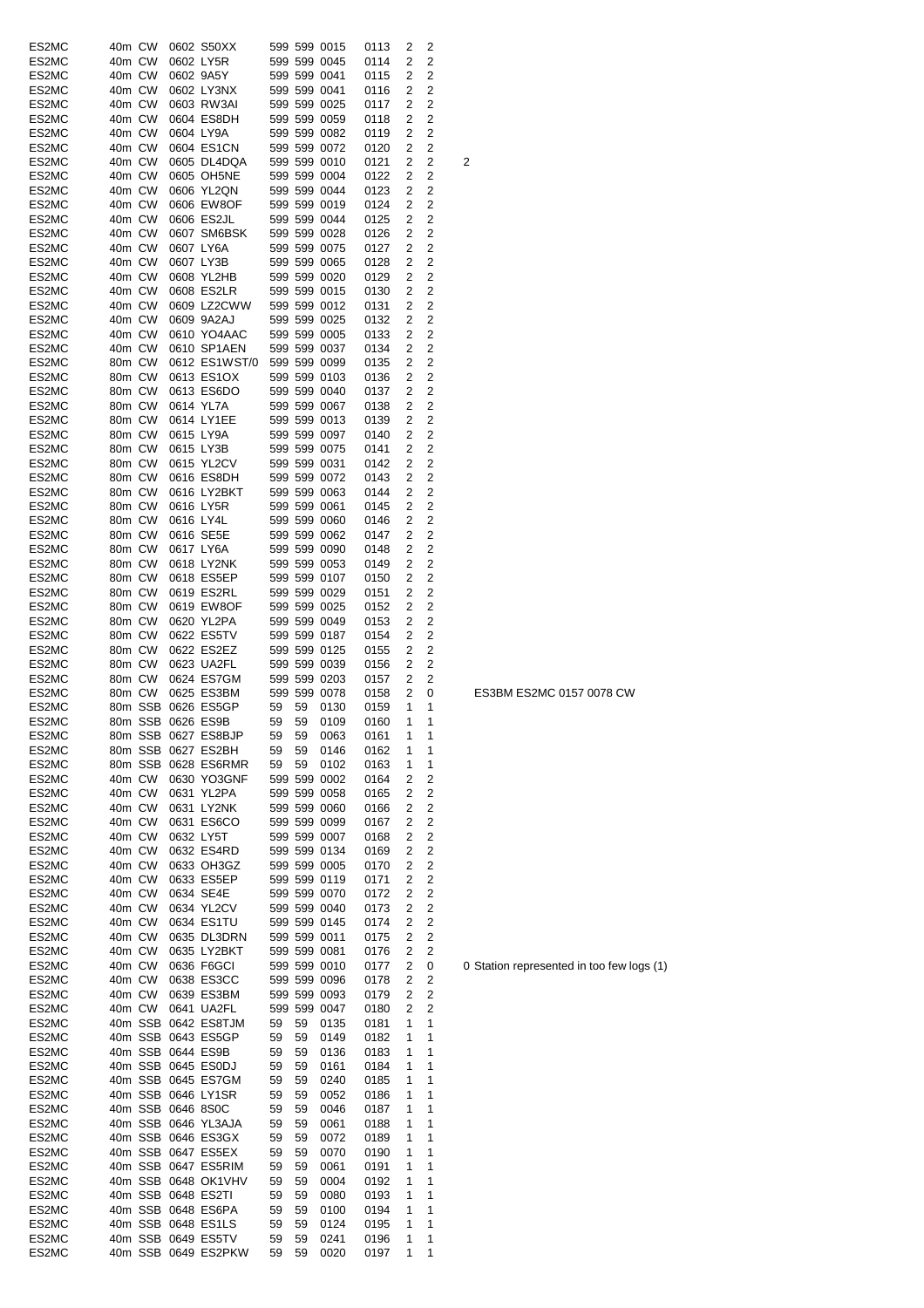| ES2MC | 40m CW |        | 0602 S50XX             |    |    | 599 599 0015 | 0113   | 2 | 2              |   |
|-------|--------|--------|------------------------|----|----|--------------|--------|---|----------------|---|
| ES2MC | 40m CW |        | 0602 LY5R              |    |    | 599 599 0045 | 0114   | 2 | 2              |   |
| ES2MC | 40m CW |        | 0602 9A5Y              |    |    | 599 599 0041 | 0115   | 2 | 2              |   |
| ES2MC | 40m CW |        | 0602 LY3NX             |    |    | 599 599 0041 | 0116   | 2 | 2              |   |
| ES2MC | 40m CW |        | 0603 RW3AI             |    |    | 599 599 0025 | 0117   | 2 | 2              |   |
| ES2MC | 40m CW |        | 0604 ES8DH             |    |    | 599 599 0059 | 0118   | 2 | 2              |   |
| ES2MC | 40m CW |        | 0604 LY9A              |    |    | 599 599 0082 | 0119   | 2 | 2              |   |
| ES2MC | 40m CW |        | 0604 ES1CN             |    |    | 599 599 0072 | 0120   | 2 | 2              |   |
| ES2MC | 40m CW |        | 0605 DL4DQA            |    |    | 599 599 0010 | 0121   | 2 | 2              | 2 |
| ES2MC | 40m CW |        | 0605 OH5NE             |    |    | 599 599 0004 | 0122   | 2 | 2              |   |
| ES2MC | 40m CW |        | 0606 YL2QN             |    |    | 599 599 0044 | 0123   | 2 | 2              |   |
| ES2MC | 40m CW |        | 0606 EW8OF             |    |    | 599 599 0019 | 0124   | 2 | 2              |   |
| ES2MC | 40m CW |        | 0606 ES2JL             |    |    | 599 599 0044 | 0125   | 2 | 2              |   |
| ES2MC | 40m CW |        | 0607 SM6BSK            |    |    | 599 599 0028 | 0126   | 2 | 2              |   |
| ES2MC | 40m CW |        | 0607 LY6A              |    |    | 599 599 0075 | 0127   | 2 | 2              |   |
| ES2MC | 40m CW |        | 0607 LY3B              |    |    | 599 599 0065 | 0128   | 2 | 2              |   |
| ES2MC | 40m CW |        | 0608 YL2HB             |    |    | 599 599 0020 | 0129   | 2 | 2              |   |
| ES2MC | 40m CW |        | 0608 ES2LR             |    |    | 599 599 0015 | 0130   | 2 | 2              |   |
|       |        |        |                        |    |    |              |        |   |                |   |
| ES2MC | 40m CW |        | 0609 LZ2CWW            |    |    | 599 599 0012 | 0131   | 2 | 2              |   |
| ES2MC | 40m CW |        | 0609 9A2AJ             |    |    | 599 599 0025 | 0132   | 2 | 2              |   |
| ES2MC | 40m CW |        | 0610 YO4AAC            |    |    | 599 599 0005 | 0133   | 2 | 2              |   |
| ES2MC | 40m CW |        | 0610 SP1AEN            |    |    | 599 599 0037 | 0134   | 2 | 2              |   |
| ES2MC | 80m CW |        | 0612 ES1WST/0          |    |    | 599 599 0099 | 0135   | 2 | 2              |   |
| ES2MC | 80m CW |        | 0613 ES1OX             |    |    | 599 599 0103 | 0136   | 2 | 2              |   |
| ES2MC | 80m CW |        | 0613 ES6DO             |    |    | 599 599 0040 | 0137   | 2 | 2              |   |
| ES2MC | 80m CW |        | 0614 YL7A              |    |    | 599 599 0067 | 0138   | 2 | 2              |   |
| ES2MC | 80m CW |        | 0614 LY1EE             |    |    | 599 599 0013 | 0139   | 2 | 2              |   |
| ES2MC | 80m CW |        | 0615 LY9A              |    |    | 599 599 0097 | 0140   | 2 | 2              |   |
| ES2MC | 80m CW |        | 0615 LY3B              |    |    | 599 599 0075 | 0141   | 2 | 2              |   |
| ES2MC | 80m CW |        | 0615 YL2CV             |    |    | 599 599 0031 | 0142   | 2 | 2              |   |
| ES2MC | 80m CW |        | 0616 ES8DH             |    |    | 599 599 0072 | 0143   | 2 | 2              |   |
| ES2MC | 80m CW |        | 0616 LY2BKT            |    |    | 599 599 0063 | 0144   | 2 | 2              |   |
| ES2MC | 80m CW |        | 0616 LY5R              |    |    | 599 599 0061 | 0145   | 2 | 2              |   |
|       |        |        | 0616 LY4L              |    |    |              |        |   | 2              |   |
| ES2MC | 80m CW |        |                        |    |    | 599 599 0060 | 0146   | 2 |                |   |
| ES2MC | 80m CW |        | 0616 SE5E              |    |    | 599 599 0062 | 0147   | 2 | 2              |   |
| ES2MC | 80m CW |        | 0617 LY6A              |    |    | 599 599 0090 | 0148   | 2 | 2              |   |
| ES2MC | 80m CW |        | 0618 LY2NK             |    |    | 599 599 0053 | 0149   | 2 | 2              |   |
| ES2MC | 80m CW |        | 0618 ES5EP             |    |    | 599 599 0107 | 0150   | 2 | 2              |   |
| ES2MC | 80m CW |        | 0619 ES2RL             |    |    | 599 599 0029 | 0151   | 2 | 2              |   |
| ES2MC | 80m CW |        | 0619 EW8OF             |    |    | 599 599 0025 | 0152   | 2 | 2              |   |
| ES2MC | 80m CW |        | 0620 YL2PA             |    |    | 599 599 0049 | 0153   | 2 | 2              |   |
| ES2MC | 80m CW |        | 0622 ES5TV             |    |    | 599 599 0187 | 0154   | 2 | 2              |   |
| ES2MC | 80m CW |        | 0622 ES2EZ             |    |    | 599 599 0125 | 0155   | 2 | 2              |   |
| ES2MC | 80m CW |        | 0623 UA2FL             |    |    | 599 599 0039 | 0156   | 2 | 2              |   |
| ES2MC | 80m CW |        | 0624 ES7GM             |    |    | 599 599 0203 | 0157   | 2 | 2              |   |
| ES2MC | 80m CW |        | 0625 ES3BM             |    |    | 599 599 0078 | 0158   | 2 | 0              |   |
| ES2MC |        |        | 80m SSB 0626 ES5GP     | 59 | 59 | 0130         | 0159   | 1 | 1              |   |
| ES2MC |        |        | 80m SSB 0626 ES9B      | 59 | 59 | 0109         | 0160   | 1 | 1              |   |
| ES2MC |        |        | 80m SSB 0627 ES8BJP    |    |    | 59 59 0063   | 0161 1 |   | 1              |   |
| ES2MC |        |        | 80m SSB 0627 ES2BH     | 59 | 59 | 0146         | 0162   | 1 | 1              |   |
| ES2MC |        |        | 80m SSB 0628 ES6RMR    | 59 | 59 | 0102         | 0163   | 1 | 1              |   |
|       | 40m CW |        | 0630 YO3GNF            |    |    | 599 599 0002 |        |   |                |   |
| ES2MC |        |        |                        |    |    |              | 0164   | 2 | 2              |   |
| ES2MC | 40m CW |        | 0631 YL2PA             |    |    | 599 599 0058 | 0165   | 2 | 2              |   |
| ES2MC | 40m CW |        | 0631 LY2NK             |    |    | 599 599 0060 | 0166   | 2 | $\overline{c}$ |   |
| ES2MC | 40m CW |        | 0631 ES6CO             |    |    | 599 599 0099 | 0167   | 2 | 2              |   |
| ES2MC | 40m CW |        | 0632 LY5T              |    |    | 599 599 0007 | 0168   | 2 | $\overline{c}$ |   |
| ES2MC | 40m CW |        | 0632 ES4RD             |    |    | 599 599 0134 | 0169   | 2 | $\overline{2}$ |   |
| ES2MC | 40m CW |        | 0633 OH3GZ             |    |    | 599 599 0005 | 0170   | 2 | $\overline{c}$ |   |
| ES2MC | 40m CW |        | 0633 ES5EP             |    |    | 599 599 0119 | 0171   | 2 | 2              |   |
| ES2MC | 40m CW |        | 0634 SE4E              |    |    | 599 599 0070 | 0172   | 2 | 2              |   |
| ES2MC | 40m CW |        | 0634 YL2CV             |    |    | 599 599 0040 | 0173   | 2 | 2              |   |
| ES2MC | 40m CW |        | 0634 ES1TU             |    |    | 599 599 0145 | 0174   | 2 | 2              |   |
| ES2MC | 40m CW |        | 0635 DL3DRN            |    |    | 599 599 0011 | 0175   | 2 | $\overline{c}$ |   |
| ES2MC | 40m CW |        | 0635 LY2BKT            |    |    | 599 599 0081 | 0176   | 2 | 2              |   |
| ES2MC | 40m CW |        | 0636 F6GCI             |    |    | 599 599 0010 | 0177   | 2 | 0              | 0 |
| ES2MC |        | 40m CW | 0638 ES3CC             |    |    | 599 599 0096 | 0178   | 2 | 2              |   |
| ES2MC |        | 40m CW | 0639 ES3BM             |    |    | 599 599 0093 | 0179   | 2 | 2              |   |
| ES2MC |        | 40m CW | 0641 UA2FL             |    |    | 599 599 0047 | 0180   | 2 | 2              |   |
| ES2MC |        |        | 40m SSB 0642 ES8TJM    | 59 | 59 | 0135         | 0181   | 1 | 1              |   |
| ES2MC |        |        | 40m SSB 0643 ES5GP     | 59 | 59 | 0149         | 0182   | 1 | 1              |   |
|       |        |        |                        |    |    |              |        |   | 1              |   |
| ES2MC |        |        | 40m SSB 0644 ES9B      | 59 | 59 | 0136         | 0183   | 1 |                |   |
| ES2MC |        |        | 40m SSB 0645 ES0DJ     | 59 | 59 | 0161         | 0184   | 1 | 1              |   |
| ES2MC |        |        | 40m SSB 0645 ES7GM     | 59 | 59 | 0240         | 0185   | 1 | 1              |   |
| ES2MC |        |        | 40m SSB 0646 LY1SR     | 59 | 59 | 0052         | 0186   | 1 | 1              |   |
| ES2MC |        |        | 40m SSB 0646 8S0C      | 59 | 59 | 0046         | 0187   | 1 | 1              |   |
| ES2MC |        |        | 40m SSB 0646 YL3AJA    | 59 | 59 | 0061         | 0188   | 1 | 1              |   |
| ES2MC |        |        | 40m SSB 0646 ES3GX     | 59 | 59 | 0072         | 0189   | 1 | 1              |   |
| ES2MC |        |        | 40m SSB 0647 ES5EX     | 59 | 59 | 0070         | 0190   | 1 | 1              |   |
| ES2MC |        |        | 40m SSB 0647 ES5RIM    | 59 | 59 | 0061         | 0191   | 1 | 1              |   |
| ES2MC |        |        | 40m SSB 0648 OK1VHV    | 59 | 59 | 0004         | 0192   | 1 | 1              |   |
| ES2MC |        |        | 40m SSB 0648 ES2TI     | 59 | 59 | 0080         | 0193   | 1 | 1              |   |
| ES2MC |        |        | 40m SSB 0648 ES6PA     | 59 | 59 | 0100         | 0194   | 1 | 1              |   |
| ES2MC |        |        | 40m SSB 0648 ES1LS     | 59 | 59 | 0124         | 0195   | 1 | 1              |   |
| ES2MC |        |        | 40m SSB 0649 ES5TV     | 59 | 59 | 0241         | 0196   | 1 | 1              |   |
| ES2MC |        |        | 40m SSB 0649 ES2PKW 59 |    | 59 | 0020         | 0197   | 1 | 1              |   |
|       |        |        |                        |    |    |              |        |   |                |   |

ES3BM ES2MC 0157 0078 CW

0 Station represented in too few logs (1)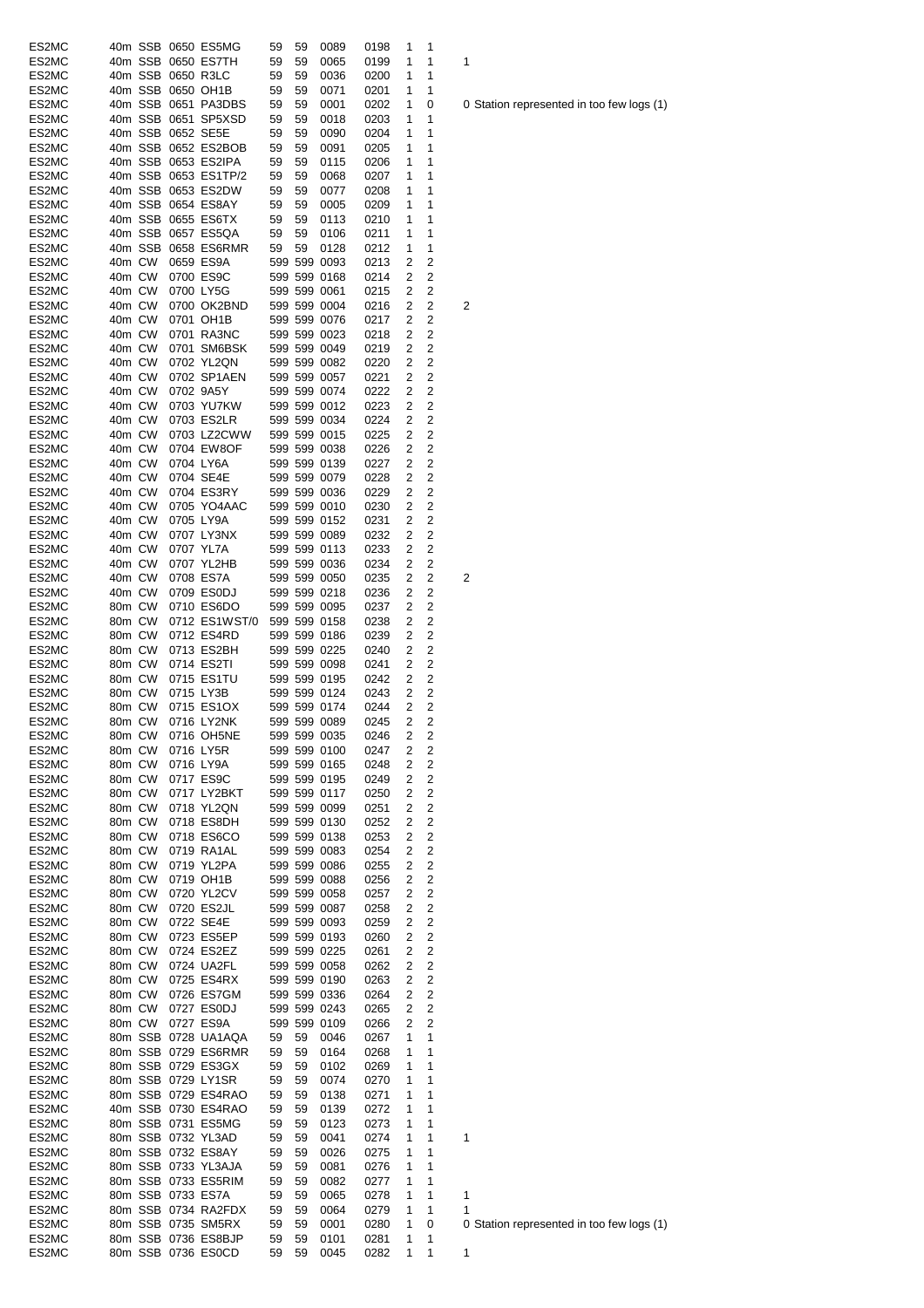| ES2MC |        |         |                   | 40m SSB 0650 ES5MG   | 59 | 59 | 0089         | 0198 | 1              | 1 |   |
|-------|--------|---------|-------------------|----------------------|----|----|--------------|------|----------------|---|---|
|       |        |         |                   | 40m SSB 0650 ES7TH   |    |    |              |      |                |   |   |
| ES2MC |        |         |                   |                      | 59 | 59 | 0065         | 0199 | 1              | 1 | 1 |
| ES2MC |        |         | 40m SSB 0650 R3LC |                      | 59 | 59 | 0036         | 0200 | 1              | 1 |   |
| ES2MC |        |         |                   | 40m SSB 0650 OH1B    | 59 | 59 | 0071         | 0201 | 1              | 1 |   |
| ES2MC |        |         |                   | 40m SSB 0651 PA3DBS  | 59 | 59 | 0001         | 0202 | 1              | 0 | 0 |
| ES2MC |        |         |                   | 40m SSB 0651 SP5XSD  | 59 | 59 | 0018         | 0203 | 1              | 1 |   |
| ES2MC |        |         | 40m SSB 0652 SE5E |                      | 59 | 59 | 0090         | 0204 | 1              | 1 |   |
| ES2MC |        |         |                   | 40m SSB 0652 ES2BOB  | 59 | 59 | 0091         | 0205 | 1              | 1 |   |
|       |        |         |                   |                      |    |    |              |      |                |   |   |
| ES2MC |        |         |                   | 40m SSB 0653 ES2IPA  | 59 | 59 | 0115         | 0206 | 1              | 1 |   |
| ES2MC |        |         |                   | 40m SSB 0653 ES1TP/2 | 59 | 59 | 0068         | 0207 | 1              | 1 |   |
| ES2MC |        |         |                   | 40m SSB 0653 ES2DW   | 59 | 59 | 0077         | 0208 | 1              | 1 |   |
| ES2MC |        |         |                   | 40m SSB 0654 ES8AY   | 59 | 59 | 0005         | 0209 | 1              | 1 |   |
| ES2MC |        |         |                   | 40m SSB 0655 ES6TX   | 59 | 59 | 0113         | 0210 | 1              | 1 |   |
| ES2MC |        | 40m SSB |                   | 0657 ES5QA           | 59 | 59 | 0106         | 0211 | 1              | 1 |   |
|       |        |         |                   |                      |    |    |              |      |                |   |   |
| ES2MC |        |         |                   | 40m SSB 0658 ES6RMR  | 59 | 59 | 0128         | 0212 | 1              | 1 |   |
| ES2MC | 40m CW |         |                   | 0659 ES9A            |    |    | 599 599 0093 | 0213 | 2              | 2 |   |
| ES2MC | 40m CW |         |                   | 0700 ES9C            |    |    | 599 599 0168 | 0214 | 2              | 2 |   |
| ES2MC | 40m CW |         |                   | 0700 LY5G            |    |    | 599 599 0061 | 0215 | 2              | 2 |   |
| ES2MC | 40m CW |         |                   | 0700 OK2BND          |    |    | 599 599 0004 | 0216 | 2              | 2 | 2 |
| ES2MC | 40m CW |         |                   | 0701 OH1B            |    |    | 599 599 0076 | 0217 | 2              | 2 |   |
| ES2MC | 40m CW |         |                   | 0701 RA3NC           |    |    | 599 599 0023 |      |                | 2 |   |
|       |        |         |                   |                      |    |    |              | 0218 | 2              |   |   |
| ES2MC | 40m CW |         |                   | 0701 SM6BSK          |    |    | 599 599 0049 | 0219 | 2              | 2 |   |
| ES2MC | 40m CW |         |                   | 0702 YL2QN           |    |    | 599 599 0082 | 0220 | 2              | 2 |   |
| ES2MC | 40m CW |         |                   | 0702 SP1AEN          |    |    | 599 599 0057 | 0221 | 2              | 2 |   |
| ES2MC | 40m CW |         |                   | 0702 9A5Y            |    |    | 599 599 0074 | 0222 | 2              | 2 |   |
| ES2MC | 40m CW |         |                   | 0703 YU7KW           |    |    | 599 599 0012 | 0223 | 2              | 2 |   |
| ES2MC | 40m CW |         |                   | 0703 ES2LR           |    |    | 599 599 0034 | 0224 | 2              | 2 |   |
|       |        |         |                   |                      |    |    |              |      |                |   |   |
| ES2MC | 40m CW |         |                   | 0703 LZ2CWW          |    |    | 599 599 0015 | 0225 | 2              | 2 |   |
| ES2MC | 40m CW |         |                   | 0704 EW8OF           |    |    | 599 599 0038 | 0226 | 2              | 2 |   |
| ES2MC | 40m CW |         |                   | 0704 LY6A            |    |    | 599 599 0139 | 0227 | 2              | 2 |   |
| ES2MC | 40m CW |         |                   | 0704 SE4E            |    |    | 599 599 0079 | 0228 | 2              | 2 |   |
| ES2MC | 40m CW |         |                   | 0704 ES3RY           |    |    | 599 599 0036 | 0229 | 2              | 2 |   |
| ES2MC | 40m CW |         |                   | 0705 YO4AAC          |    |    | 599 599 0010 | 0230 | 2              | 2 |   |
|       |        |         |                   |                      |    |    |              |      |                |   |   |
| ES2MC | 40m CW |         |                   | 0705 LY9A            |    |    | 599 599 0152 | 0231 | 2              | 2 |   |
| ES2MC | 40m CW |         |                   | 0707 LY3NX           |    |    | 599 599 0089 | 0232 | 2              | 2 |   |
| ES2MC | 40m CW |         |                   | 0707 YL7A            |    |    | 599 599 0113 | 0233 | 2              | 2 |   |
| ES2MC | 40m CW |         |                   | 0707 YL2HB           |    |    | 599 599 0036 | 0234 | 2              | 2 |   |
| ES2MC | 40m CW |         |                   | 0708 ES7A            |    |    | 599 599 0050 | 0235 | 2              | 2 | 2 |
| ES2MC | 40m CW |         |                   | 0709 ES0DJ           |    |    | 599 599 0218 | 0236 | 2              | 2 |   |
|       |        |         |                   |                      |    |    |              |      |                |   |   |
| ES2MC | 80m CW |         |                   | 0710 ES6DO           |    |    | 599 599 0095 | 0237 | 2              | 2 |   |
| ES2MC | 80m CW |         |                   | 0712 ES1WST/0        |    |    | 599 599 0158 | 0238 | 2              | 2 |   |
| ES2MC | 80m CW |         |                   | 0712 ES4RD           |    |    | 599 599 0186 | 0239 | 2              | 2 |   |
| ES2MC | 80m CW |         |                   | 0713 ES2BH           |    |    | 599 599 0225 | 0240 | 2              | 2 |   |
| ES2MC | 80m CW |         |                   | 0714 ES2TI           |    |    | 599 599 0098 | 0241 | 2              | 2 |   |
| ES2MC | 80m CW |         |                   | 0715 ES1TU           |    |    | 599 599 0195 | 0242 | 2              | 2 |   |
| ES2MC | 80m CW |         |                   | 0715 LY3B            |    |    | 599 599 0124 |      |                | 2 |   |
|       |        |         |                   |                      |    |    |              | 0243 | 2              |   |   |
| ES2MC | 80m CW |         |                   | 0715 ES1OX           |    |    | 599 599 0174 | 0244 | 2              | 2 |   |
| ES2MC | 80m CW |         |                   | 0716 LY2NK           |    |    | 599 599 0089 | 0245 | 2              | 2 |   |
| ES2MC |        | 80m CW  |                   | 0716 OH5NE           |    |    | 599 599 0035 | 0246 | $\overline{2}$ | 2 |   |
| ES2MC | 80m CW |         |                   | 0716 LY5R            |    |    | 599 599 0100 | 0247 | 2              | 2 |   |
| ES2MC | 80m CW |         |                   | 0716 LY9A            |    |    | 599 599 0165 | 0248 | 2              | 2 |   |
| ES2MC | 80m CW |         |                   | 0717 ES9C            |    |    | 599 599 0195 | 0249 | 2              | 2 |   |
|       |        |         |                   |                      |    |    |              |      |                |   |   |
| ES2MC | 80m CW |         |                   | 0717 LY2BKT          |    |    | 599 599 0117 | 0250 | 2              | 2 |   |
| ES2MC | 80m CW |         |                   | 0718 YL2QN           |    |    | 599 599 0099 | 0251 | 2              | 2 |   |
| ES2MC | 80m CW |         |                   | 0718 ES8DH           |    |    | 599 599 0130 | 0252 | 2              | 2 |   |
| ES2MC | 80m CW |         |                   | 0718 ES6CO           |    |    | 599 599 0138 | 0253 | 2              | 2 |   |
| ES2MC | 80m CW |         |                   | 0719 RA1AL           |    |    | 599 599 0083 | 0254 | 2              | 2 |   |
| ES2MC | 80m CW |         |                   | 0719 YL2PA           |    |    | 599 599 0086 | 0255 | 2              | 2 |   |
|       |        |         |                   |                      |    |    |              |      |                |   |   |
| ES2MC | 80m CW |         |                   | 0719 OH1B            |    |    | 599 599 0088 | 0256 | 2              | 2 |   |
| ES2MC | 80m CW |         |                   | 0720 YL2CV           |    |    | 599 599 0058 | 0257 | 2              | 2 |   |
| ES2MC | 80m CW |         |                   | 0720 ES2JL           |    |    | 599 599 0087 | 0258 | 2              | 2 |   |
| ES2MC | 80m CW |         |                   | 0722 SE4E            |    |    | 599 599 0093 | 0259 | 2              | 2 |   |
| ES2MC | 80m CW |         |                   | 0723 ES5EP           |    |    | 599 599 0193 | 0260 | 2              | 2 |   |
| ES2MC | 80m CW |         |                   | 0724 ES2EZ           |    |    | 599 599 0225 | 0261 | 2              | 2 |   |
| ES2MC | 80m CW |         |                   | 0724 UA2FL           |    |    | 599 599 0058 | 0262 | 2              | 2 |   |
|       |        |         |                   |                      |    |    |              |      |                |   |   |
| ES2MC | 80m CW |         |                   | 0725 ES4RX           |    |    | 599 599 0190 | 0263 | 2              | 2 |   |
| ES2MC | 80m CW |         |                   | 0726 ES7GM           |    |    | 599 599 0336 | 0264 | 2              | 2 |   |
| ES2MC | 80m CW |         |                   | 0727 ES0DJ           |    |    | 599 599 0243 | 0265 | 2              | 2 |   |
| ES2MC | 80m CW |         |                   | 0727 ES9A            |    |    | 599 599 0109 | 0266 | 2              | 2 |   |
| ES2MC |        |         |                   | 80m SSB 0728 UA1AQA  | 59 | 59 | 0046         | 0267 | 1              | 1 |   |
| ES2MC |        |         |                   | 80m SSB 0729 ES6RMR  | 59 | 59 | 0164         | 0268 | 1              | 1 |   |
| ES2MC |        |         |                   | 80m SSB 0729 ES3GX   | 59 | 59 | 0102         | 0269 | 1              | 1 |   |
|       |        |         |                   |                      |    |    |              |      |                | 1 |   |
| ES2MC |        |         |                   | 80m SSB 0729 LY1SR   | 59 | 59 | 0074         | 0270 | 1              |   |   |
| ES2MC |        |         |                   | 80m SSB 0729 ES4RAO  | 59 | 59 | 0138         | 0271 | 1              | 1 |   |
| ES2MC |        |         |                   | 40m SSB 0730 ES4RAO  | 59 | 59 | 0139         | 0272 | 1              | 1 |   |
| ES2MC |        |         |                   | 80m SSB 0731 ES5MG   | 59 | 59 | 0123         | 0273 | 1              | 1 |   |
| ES2MC |        |         |                   | 80m SSB 0732 YL3AD   | 59 | 59 | 0041         | 0274 | 1              | 1 | 1 |
| ES2MC |        |         |                   | 80m SSB 0732 ES8AY   | 59 | 59 | 0026         | 0275 | 1              | 1 |   |
| ES2MC |        |         |                   | 80m SSB 0733 YL3AJA  | 59 | 59 | 0081         |      | 1              | 1 |   |
|       |        |         |                   |                      |    |    |              | 0276 |                |   |   |
| ES2MC |        |         |                   | 80m SSB 0733 ES5RIM  | 59 | 59 | 0082         | 0277 | 1              | 1 |   |
| ES2MC |        |         |                   | 80m SSB 0733 ES7A    | 59 | 59 | 0065         | 0278 | 1              | 1 | 1 |
| ES2MC |        |         |                   | 80m SSB 0734 RA2FDX  | 59 | 59 | 0064         | 0279 | 1              | 1 | 1 |
| ES2MC |        |         |                   | 80m SSB 0735 SM5RX   | 59 | 59 | 0001         | 0280 | 1              | 0 | 0 |
| ES2MC |        |         |                   | 80m SSB 0736 ES8BJP  | 59 | 59 | 0101         | 0281 | 1              | 1 |   |
| ES2MC |        |         |                   | 80m SSB 0736 ES0CD   | 59 | 59 | 0045         | 0282 | 1              | 1 | 1 |
|       |        |         |                   |                      |    |    |              |      |                |   |   |

Station represented in too few logs (1)

Station represented in too few logs (1)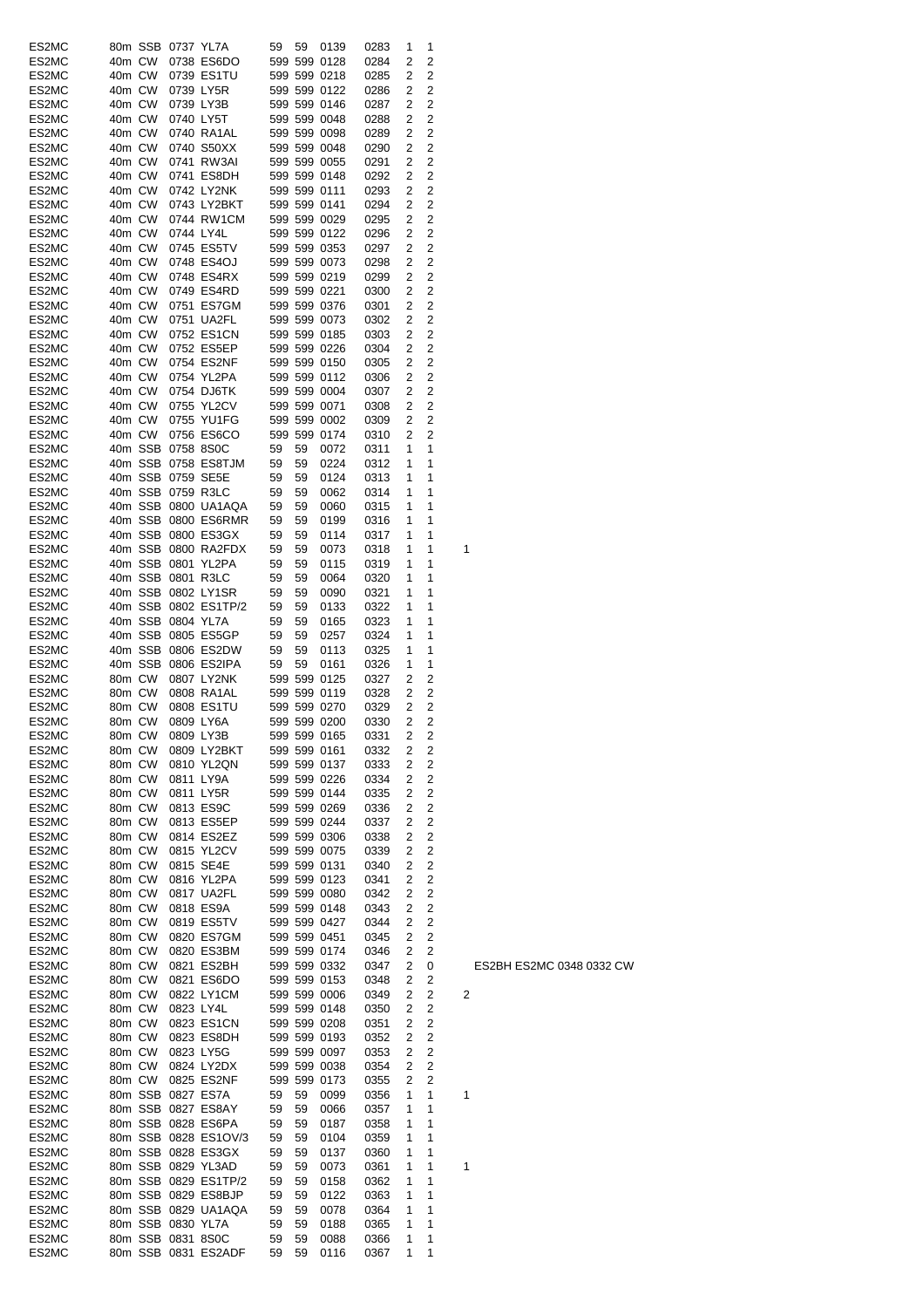| ES2MC |        | 80m SSB 0737 YL7A |                      | 59 | 59 | 0139         | 0283 | 1 | 1              |   |
|-------|--------|-------------------|----------------------|----|----|--------------|------|---|----------------|---|
| ES2MC | 40m CW |                   | 0738 ES6DO           |    |    | 599 599 0128 | 0284 | 2 | 2              |   |
| ES2MC | 40m CW |                   | 0739 ES1TU           |    |    | 599 599 0218 | 0285 | 2 | 2              |   |
| ES2MC | 40m CW |                   | 0739 LY5R            |    |    | 599 599 0122 | 0286 | 2 | 2              |   |
| ES2MC | 40m CW |                   | 0739 LY3B            |    |    | 599 599 0146 | 0287 | 2 | $\overline{2}$ |   |
| ES2MC | 40m CW |                   | 0740 LY5T            |    |    | 599 599 0048 | 0288 | 2 | 2              |   |
| ES2MC | 40m CW |                   | 0740 RA1AL           |    |    | 599 599 0098 | 0289 | 2 | 2              |   |
| ES2MC | 40m CW |                   | 0740 S50XX           |    |    | 599 599 0048 |      | 2 | 2              |   |
|       |        |                   |                      |    |    |              | 0290 |   |                |   |
| ES2MC | 40m CW |                   | 0741 RW3AI           |    |    | 599 599 0055 | 0291 | 2 | 2              |   |
| ES2MC | 40m CW |                   | 0741 ES8DH           |    |    | 599 599 0148 | 0292 | 2 | 2              |   |
| ES2MC | 40m CW |                   | 0742 LY2NK           |    |    | 599 599 0111 | 0293 | 2 | 2              |   |
| ES2MC | 40m CW |                   | 0743 LY2BKT          |    |    | 599 599 0141 | 0294 | 2 | 2              |   |
| ES2MC | 40m CW |                   | 0744 RW1CM           |    |    | 599 599 0029 | 0295 | 2 | 2              |   |
| ES2MC | 40m CW |                   | 0744 LY4L            |    |    | 599 599 0122 | 0296 | 2 | 2              |   |
| ES2MC | 40m CW |                   | 0745 ES5TV           |    |    | 599 599 0353 | 0297 | 2 | 2              |   |
| ES2MC | 40m CW |                   | 0748 ES4OJ           |    |    | 599 599 0073 | 0298 | 2 | 2              |   |
| ES2MC | 40m CW |                   | 0748 ES4RX           |    |    | 599 599 0219 | 0299 | 2 | 2              |   |
| ES2MC | 40m CW |                   | 0749 ES4RD           |    |    | 599 599 0221 | 0300 | 2 | 2              |   |
|       | 40m CW |                   | 0751 ES7GM           |    |    | 599 599 0376 |      |   | 2              |   |
| ES2MC |        |                   |                      |    |    |              | 0301 | 2 |                |   |
| ES2MC | 40m CW |                   | 0751 UA2FL           |    |    | 599 599 0073 | 0302 | 2 | 2              |   |
| ES2MC | 40m CW |                   | 0752 ES1CN           |    |    | 599 599 0185 | 0303 | 2 | 2              |   |
| ES2MC | 40m CW |                   | 0752 ES5EP           |    |    | 599 599 0226 | 0304 | 2 | 2              |   |
| ES2MC | 40m CW |                   | 0754 ES2NF           |    |    | 599 599 0150 | 0305 | 2 | 2              |   |
| ES2MC | 40m CW |                   | 0754 YL2PA           |    |    | 599 599 0112 | 0306 | 2 | 2              |   |
| ES2MC | 40m CW |                   | 0754 DJ6TK           |    |    | 599 599 0004 | 0307 | 2 | 2              |   |
| ES2MC | 40m CW |                   | 0755 YL2CV           |    |    | 599 599 0071 | 0308 | 2 | 2              |   |
| ES2MC | 40m CW |                   | 0755 YU1FG           |    |    | 599 599 0002 | 0309 | 2 | 2              |   |
|       |        |                   |                      |    |    |              |      |   |                |   |
| ES2MC | 40m CW |                   | 0756 ES6CO           |    |    | 599 599 0174 | 0310 | 2 | 2              |   |
| ES2MC |        | 40m SSB 0758 8S0C |                      | 59 | 59 | 0072         | 0311 | 1 | 1              |   |
| ES2MC |        |                   | 40m SSB 0758 ES8TJM  | 59 | 59 | 0224         | 0312 | 1 | 1              |   |
| ES2MC |        |                   | 40m SSB 0759 SE5E    | 59 | 59 | 0124         | 0313 | 1 | 1              |   |
| ES2MC |        |                   | 40m SSB 0759 R3LC    | 59 | 59 | 0062         | 0314 | 1 | 1              |   |
| ES2MC |        |                   | 40m SSB 0800 UA1AQA  | 59 | 59 | 0060         | 0315 | 1 | 1              |   |
| ES2MC |        |                   | 40m SSB 0800 ES6RMR  | 59 | 59 | 0199         | 0316 | 1 | 1              |   |
| ES2MC |        |                   | 40m SSB 0800 ES3GX   | 59 | 59 | 0114         | 0317 | 1 | 1              |   |
| ES2MC |        |                   | 40m SSB 0800 RA2FDX  | 59 | 59 | 0073         | 0318 | 1 | 1              | 1 |
| ES2MC |        |                   | 40m SSB 0801 YL2PA   | 59 | 59 | 0115         | 0319 | 1 | 1              |   |
|       |        |                   |                      |    |    |              |      |   |                |   |
| ES2MC |        |                   | 40m SSB 0801 R3LC    | 59 | 59 | 0064         | 0320 | 1 | 1              |   |
| ES2MC |        |                   | 40m SSB 0802 LY1SR   | 59 | 59 | 0090         | 0321 | 1 | 1              |   |
| ES2MC |        |                   | 40m SSB 0802 ES1TP/2 | 59 | 59 | 0133         | 0322 | 1 | 1              |   |
| ES2MC |        | 40m SSB 0804 YL7A |                      | 59 | 59 | 0165         | 0323 | 1 | 1              |   |
| ES2MC |        |                   | 40m SSB 0805 ES5GP   | 59 | 59 | 0257         | 0324 | 1 | 1              |   |
| ES2MC |        |                   | 40m SSB 0806 ES2DW   | 59 | 59 | 0113         | 0325 | 1 | 1              |   |
| ES2MC |        |                   | 40m SSB 0806 ES2IPA  | 59 | 59 | 0161         | 0326 | 1 | 1              |   |
| ES2MC | 80m CW |                   | 0807 LY2NK           |    |    | 599 599 0125 | 0327 | 2 | 2              |   |
| ES2MC | 80m CW |                   | 0808 RA1AL           |    |    | 599 599 0119 | 0328 | 2 | 2              |   |
| ES2MC | 80m CW |                   | 0808 ES1TU           |    |    | 599 599 0270 | 0329 | 2 | 2              |   |
|       |        |                   |                      |    |    |              |      |   |                |   |
| ES2MC | 80m CW |                   | 0809 LY6A            |    |    | 599 599 0200 | 0330 | 2 | 2              |   |
| ES2MC | 80m CW |                   | 0809 LY3B            |    |    | 599 599 0165 | 0331 | 2 | 2              |   |
| ES2MC | 80m CW |                   | 0809 LY2BKT          |    |    | 599 599 0161 | 0332 | 2 | $\overline{c}$ |   |
| ES2MC | 80m CW |                   | 0810 YL2QN           |    |    | 599 599 0137 | 0333 | 2 | $\overline{c}$ |   |
| ES2MC | 80m CW |                   | 0811 LY9A            |    |    | 599 599 0226 | 0334 | 2 | 2              |   |
| ES2MC | 80m CW |                   | 0811 LY5R            |    |    | 599 599 0144 | 0335 | 2 | 2              |   |
| ES2MC | 80m CW |                   | 0813 ES9C            |    |    | 599 599 0269 | 0336 | 2 | $\overline{c}$ |   |
| ES2MC | 80m CW |                   | 0813 ES5EP           |    |    | 599 599 0244 | 0337 | 2 | 2              |   |
| ES2MC | 80m CW |                   | 0814 ES2EZ           |    |    | 599 599 0306 | 0338 | 2 | $\overline{c}$ |   |
| ES2MC | 80m CW |                   | 0815 YL2CV           |    |    | 599 599 0075 | 0339 | 2 | $\overline{c}$ |   |
|       |        |                   | 0815 SE4E            |    |    |              |      |   |                |   |
| ES2MC | 80m CW |                   |                      |    |    | 599 599 0131 | 0340 | 2 | 2              |   |
| ES2MC | 80m CW |                   | 0816 YL2PA           |    |    | 599 599 0123 | 0341 | 2 | 2              |   |
| ES2MC | 80m CW |                   | 0817 UA2FL           |    |    | 599 599 0080 | 0342 | 2 | 2              |   |
| ES2MC | 80m CW |                   | 0818 ES9A            |    |    | 599 599 0148 | 0343 | 2 | 2              |   |
| ES2MC | 80m CW |                   | 0819 ES5TV           |    |    | 599 599 0427 | 0344 | 2 | $\overline{c}$ |   |
| ES2MC | 80m CW |                   | 0820 ES7GM           |    |    | 599 599 0451 | 0345 | 2 | $\overline{c}$ |   |
| ES2MC | 80m CW |                   | 0820 ES3BM           |    |    | 599 599 0174 | 0346 | 2 | 2              |   |
| ES2MC | 80m CW |                   | 0821 ES2BH           |    |    | 599 599 0332 | 0347 | 2 | 0              |   |
| ES2MC | 80m CW |                   | 0821 ES6DO           |    |    | 599 599 0153 | 0348 | 2 | 2              |   |
| ES2MC | 80m CW |                   | 0822 LY1CM           |    |    | 599 599 0006 | 0349 | 2 | 2              | 2 |
| ES2MC | 80m CW |                   | 0823 LY4L            |    |    | 599 599 0148 | 0350 | 2 | 2              |   |
|       |        |                   |                      |    |    |              |      |   | 2              |   |
| ES2MC | 80m CW |                   | 0823 ES1CN           |    |    | 599 599 0208 | 0351 | 2 |                |   |
| ES2MC | 80m CW |                   | 0823 ES8DH           |    |    | 599 599 0193 | 0352 | 2 | 2              |   |
| ES2MC | 80m CW |                   | 0823 LY5G            |    |    | 599 599 0097 | 0353 | 2 | 2              |   |
| ES2MC | 80m CW |                   | 0824 LY2DX           |    |    | 599 599 0038 | 0354 | 2 | 2              |   |
| ES2MC | 80m CW |                   | 0825 ES2NF           |    |    | 599 599 0173 | 0355 | 2 | $\overline{2}$ |   |
| ES2MC |        |                   | 80m SSB 0827 ES7A    | 59 | 59 | 0099         | 0356 | 1 | 1              | 1 |
| ES2MC |        |                   | 80m SSB 0827 ES8AY   | 59 | 59 | 0066         | 0357 | 1 | 1              |   |
| ES2MC |        |                   | 80m SSB 0828 ES6PA   | 59 | 59 | 0187         | 0358 | 1 | 1              |   |
| ES2MC |        |                   | 80m SSB 0828 ES1OV/3 | 59 | 59 | 0104         | 0359 | 1 | 1              |   |
|       |        |                   |                      |    | 59 |              |      | 1 | 1              |   |
| ES2MC |        |                   | 80m SSB 0828 ES3GX   | 59 |    | 0137         | 0360 |   |                |   |
| ES2MC |        |                   | 80m SSB 0829 YL3AD   | 59 | 59 | 0073         | 0361 | 1 | 1              | 1 |
| ES2MC |        |                   | 80m SSB 0829 ES1TP/2 | 59 | 59 | 0158         | 0362 | 1 | 1              |   |
| ES2MC |        |                   | 80m SSB 0829 ES8BJP  | 59 | 59 | 0122         | 0363 | 1 | 1              |   |
| ES2MC |        |                   | 80m SSB 0829 UA1AQA  | 59 | 59 | 0078         | 0364 | 1 | 1              |   |
| ES2MC |        | 80m SSB 0830 YL7A |                      | 59 | 59 | 0188         | 0365 | 1 | 1              |   |
| ES2MC |        | 80m SSB 0831 8S0C |                      | 59 | 59 | 0088         | 0366 | 1 | 1              |   |
| ES2MC |        |                   | 80m SSB 0831 ES2ADF  | 59 | 59 | 0116         | 0367 | 1 | 1              |   |
|       |        |                   |                      |    |    |              |      |   |                |   |

ES2BH ES2MC 0348 0332 CW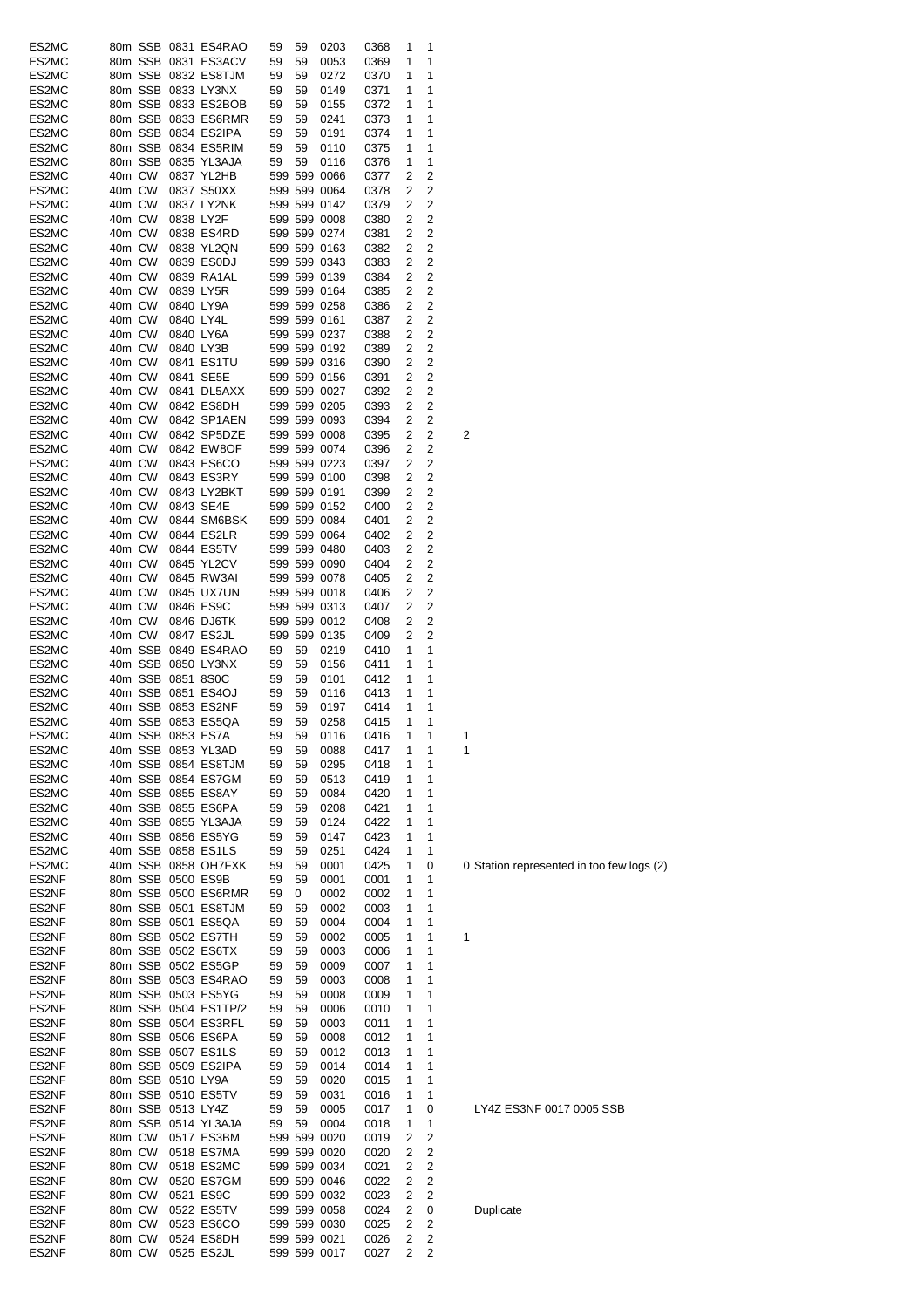| ES2MC          |                  |         |                   | 80m SSB 0831 ES4RAO                     | 59       | 59       | 0203                         | 0368         | 1      | 1              |   |
|----------------|------------------|---------|-------------------|-----------------------------------------|----------|----------|------------------------------|--------------|--------|----------------|---|
| ES2MC          |                  |         |                   | 80m SSB 0831 ES3ACV                     | 59       | 59       | 0053                         | 0369         | 1      | 1              |   |
| ES2MC          |                  |         |                   | 80m SSB 0832 ES8TJM                     | 59       | 59       | 0272                         | 0370         | 1      | 1              |   |
| ES2MC          |                  |         |                   | 80m SSB 0833 LY3NX                      | 59       | 59       | 0149                         | 0371         | 1      | 1              |   |
| ES2MC          |                  |         |                   | 80m SSB 0833 ES2BOB                     | 59       | 59       | 0155                         | 0372         | 1      | 1              |   |
| ES2MC          |                  |         |                   | 80m SSB 0833 ES6RMR                     | 59       | 59       | 0241                         | 0373         | 1      | 1              |   |
| ES2MC          |                  |         |                   | 80m SSB 0834 ES2IPA                     | 59       | 59       | 0191                         | 0374         | 1      | 1              |   |
| ES2MC          |                  |         |                   | 80m SSB 0834 ES5RIM                     | 59       | 59       | 0110                         | 0375         | 1      | 1              |   |
| ES2MC          |                  | 80m SSB |                   | 0835 YL3AJA                             | 59       | 59       | 0116                         | 0376         | 1      | 1              |   |
| ES2MC          | 40m CW           |         |                   | 0837 YL2HB                              |          |          | 599 599 0066                 | 0377         | 2      | 2              |   |
| ES2MC          | 40m CW           |         |                   | 0837 S50XX                              |          |          | 599 599 0064                 | 0378         | 2      | 2              |   |
| ES2MC          | 40m CW           |         |                   | 0837 LY2NK                              |          |          | 599 599 0142                 | 0379         | 2      | 2              |   |
| ES2MC          | 40m CW           |         | 0838 LY2F         |                                         |          |          | 599 599 0008                 | 0380         | 2      | 2              |   |
| ES2MC          | 40m CW           |         |                   | 0838 ES4RD                              |          |          | 599 599 0274                 | 0381         | 2      | 2              |   |
| ES2MC          | 40m CW           |         |                   | 0838 YL2QN                              |          |          | 599 599 0163                 | 0382         | 2      | 2              |   |
| ES2MC          | 40m CW           |         |                   | 0839 ES0DJ                              |          |          | 599 599 0343                 | 0383         | 2      | 2              |   |
| ES2MC          | 40m CW           |         |                   | 0839 RA1AL                              |          |          | 599 599 0139                 | 0384         | 2      | 2              |   |
| ES2MC          | 40m CW           |         |                   | 0839 LY5R                               |          |          | 599 599 0164                 | 0385         | 2      | 2              |   |
| ES2MC          | 40m CW           |         |                   | 0840 LY9A                               |          |          | 599 599 0258                 | 0386         | 2      | $\overline{2}$ |   |
| ES2MC          | 40m CW           |         |                   | 0840 LY4L                               |          |          | 599 599 0161                 | 0387         | 2      | 2              |   |
| ES2MC          | 40m CW           |         |                   | 0840 LY6A                               |          |          | 599 599 0237                 | 0388         | 2      | 2              |   |
| ES2MC          | 40m CW           |         |                   | 0840 LY3B                               |          |          | 599 599 0192                 | 0389         | 2      | 2              |   |
| ES2MC          | 40m CW           |         |                   | 0841 ES1TU                              |          |          | 599 599 0316                 | 0390         | 2      | 2              |   |
| ES2MC          | 40m CW           |         |                   | 0841 SE5E                               |          |          | 599 599 0156                 | 0391         | 2      | 2              |   |
| ES2MC          | 40m CW           |         |                   | 0841 DL5AXX                             |          |          | 599 599 0027                 | 0392         | 2      | 2              |   |
| ES2MC          | 40m CW           |         |                   | 0842 ES8DH                              |          |          | 599 599 0205                 | 0393         | 2      | 2              |   |
| ES2MC          | 40m CW           |         |                   | 0842 SP1AEN                             |          |          | 599 599 0093                 | 0394         | 2      | 2              |   |
| ES2MC          | 40m CW           |         |                   | 0842 SP5DZE                             |          |          | 599 599 0008                 | 0395         | 2      | 2              | 2 |
| ES2MC          | 40m CW<br>40m CW |         |                   | 0842 EW8OF                              |          |          | 599 599 0074                 | 0396         | 2      | 2              |   |
| ES2MC          |                  |         |                   | 0843 ES6CO                              |          |          | 599 599 0223                 | 0397         | 2      | 2              |   |
| ES2MC<br>ES2MC | 40m CW           |         |                   | 0843 ES3RY                              |          |          | 599 599 0100                 | 0398         | 2<br>2 | 2<br>2         |   |
|                | 40m CW           |         |                   | 0843 LY2BKT                             |          |          | 599 599 0191                 | 0399         |        |                |   |
| ES2MC          | 40m CW           |         |                   | 0843 SE4E<br>0844 SM6BSK                |          |          | 599 599 0152<br>599 599 0084 | 0400         | 2<br>2 | 2<br>2         |   |
| ES2MC          | 40m CW           |         |                   |                                         |          |          |                              | 0401         |        |                |   |
| ES2MC          | 40m CW           |         |                   | 0844 ES2LR                              |          |          | 599 599 0064                 | 0402         | 2      | 2              |   |
| ES2MC          | 40m CW           |         |                   | 0844 ES5TV                              |          |          | 599 599 0480                 | 0403         | 2<br>2 | 2<br>2         |   |
| ES2MC          | 40m CW           |         |                   | 0845 YL2CV                              |          |          | 599 599 0090                 | 0404         |        |                |   |
| ES2MC          | 40m CW           |         |                   | 0845 RW3AI                              |          |          | 599 599 0078                 | 0405         | 2      | 2              |   |
| ES2MC          | 40m CW           |         |                   | 0845 UX7UN                              |          |          | 599 599 0018                 | 0406         | 2      | 2              |   |
| ES2MC          | 40m CW           |         |                   | 0846 ES9C                               |          |          | 599 599 0313                 | 0407         | 2      | 2              |   |
| ES2MC          | 40m CW           |         |                   | 0846 DJ6TK                              |          |          | 599 599 0012                 | 0408         | 2      | 2              |   |
| ES2MC          | 40m CW           |         |                   | 0847 ES2JL                              |          |          | 599 599 0135<br>0219         | 0409         | 2<br>1 | 2<br>1         |   |
| ES2MC          |                  |         |                   | 40m SSB 0849 ES4RAO                     | 59       | 59       |                              | 0410         | 1      | 1              |   |
| ES2MC          |                  |         |                   | 40m SSB 0850 LY3NX                      | 59       | 59       | 0156                         | 0411         |        | 1              |   |
| ES2MC<br>ES2MC |                  | 40m SSB | 40m SSB 0851 8S0C | 0851 ES4OJ                              | 59<br>59 | 59<br>59 | 0101<br>0116                 | 0412<br>0413 | 1<br>1 | 1              |   |
| ES2MC          |                  |         |                   | 40m SSB 0853 ES2NF                      | 59       | 59       | 0197                         | 0414         | 1      | 1              |   |
| ES2MC          |                  |         |                   | 40m SSB 0853 ES5QA                      | 59       | 59       | 0258                         | 0415         | 1      | 1              |   |
|                |                  |         |                   |                                         |          |          |                              |              |        |                |   |
| ES2MC<br>ES2MC |                  |         |                   | 40m SSB 0853 ES/A<br>40m SSB 0853 YL3AD | 59<br>59 | 59<br>59 | 0116<br>0088                 | 0416<br>0417 | 1<br>1 | 1<br>1         | 1 |
| ES2MC          |                  |         |                   | 40m SSB 0854 ES8TJM                     | 59       | 59       | 0295                         | 0418         | 1      | 1              |   |
| ES2MC          |                  |         |                   | 40m SSB 0854 ES7GM                      | 59       | 59       | 0513                         | 0419         | 1      | 1              |   |
| ES2MC          |                  |         |                   | 40m SSB 0855 ES8AY                      | 59       | 59       | 0084                         | 0420         | 1      | 1              |   |
| ES2MC          |                  |         |                   | 40m SSB 0855 ES6PA                      | 59       | 59       | 0208                         | 0421         | 1      | 1              |   |
| ES2MC          |                  |         |                   | 40m SSB 0855 YL3AJA                     | 59       | 59       | 0124                         | 0422         | 1      | 1              |   |
| ES2MC          |                  |         |                   | 40m SSB 0856 ES5YG                      | 59       | 59       | 0147                         | 0423         | 1      | 1              |   |
| ES2MC          |                  |         |                   | 40m SSB 0858 ES1LS                      | 59       | 59       | 0251                         | 0424         | 1      | 1              |   |
| ES2MC          |                  |         |                   | 40m SSB 0858 OH7FXK                     | 59       | 59       | 0001                         | 0425         | 1      | 0              | 0 |
| ES2NF          |                  |         |                   | 80m SSB 0500 ES9B                       | 59       | 59       | 0001                         | 0001         | 1      | 1              |   |
| ES2NF          |                  |         |                   | 80m SSB 0500 ES6RMR                     | 59       | 0        | 0002                         | 0002         | 1      | 1              |   |
| ES2NF          |                  |         |                   | 80m SSB 0501 ES8TJM                     | 59       | 59       | 0002                         | 0003         | 1      | 1              |   |
| ES2NF          |                  |         |                   | 80m SSB 0501 ES5QA                      | 59       | 59       | 0004                         | 0004         | 1      | 1              |   |
| ES2NF          |                  |         |                   | 80m SSB 0502 ES7TH                      | 59       | 59       | 0002                         | 0005         | 1      | 1              | 1 |
| ES2NF          |                  |         |                   | 80m SSB 0502 ES6TX                      | 59       | 59       | 0003                         | 0006         | 1      | 1              |   |
| ES2NF          |                  |         |                   | 80m SSB 0502 ES5GP                      | 59       | 59       | 0009                         | 0007         | 1      | 1              |   |
| ES2NF          |                  |         |                   | 80m SSB 0503 ES4RAO                     | 59       | 59       | 0003                         | 0008         | 1      | 1              |   |
| ES2NF          |                  |         |                   | 80m SSB 0503 ES5YG                      | 59       | 59       | 0008                         | 0009         | 1      | 1              |   |
| ES2NF          |                  |         |                   | 80m SSB 0504 ES1TP/2                    | 59       | 59       | 0006                         | 0010         | 1      | 1              |   |
| ES2NF          |                  |         |                   | 80m SSB 0504 ES3RFL                     | 59       | 59       | 0003                         | 0011         | 1      | 1              |   |
| ES2NF          |                  |         |                   | 80m SSB 0506 ES6PA                      | 59       | 59       | 0008                         | 0012         | 1      | 1              |   |
| ES2NF          |                  |         |                   | 80m SSB 0507 ES1LS                      | 59       | 59       | 0012                         | 0013         | 1      | 1              |   |
| ES2NF          |                  |         |                   | 80m SSB 0509 ES2IPA                     | 59       | 59       | 0014                         | 0014         | 1      | 1              |   |
| ES2NF          |                  |         | 80m SSB 0510 LY9A |                                         | 59       | 59       | 0020                         | 0015         | 1      | 1              |   |
| ES2NF          |                  |         |                   | 80m SSB 0510 ES5TV                      | 59       | 59       | 0031                         | 0016         | 1      | 1              |   |
| ES2NF          |                  |         | 80m SSB 0513 LY4Z |                                         | 59       | 59       | 0005                         | 0017         | 1      | 0              |   |
| ES2NF          |                  |         |                   | 80m SSB 0514 YL3AJA                     | 59       | 59       | 0004                         | 0018         | 1      | 1              |   |
| ES2NF          | 80m CW           |         |                   | 0517 ES3BM                              |          |          | 599 599 0020                 | 0019         | 2      | 2              |   |
| ES2NF          | 80m CW           |         |                   | 0518 ES7MA                              |          |          | 599 599 0020                 | 0020         | 2      | 2              |   |
| ES2NF          | 80m CW           |         |                   | 0518 ES2MC                              |          |          | 599 599 0034                 | 0021         | 2      | 2              |   |
| ES2NF          | 80m CW           |         |                   | 0520 ES7GM                              |          |          | 599 599 0046                 | 0022         | 2      | 2              |   |
| ES2NF          | 80m CW           |         |                   | 0521 ES9C                               |          |          | 599 599 0032                 | 0023         | 2      | 2              |   |
| ES2NF          | 80m CW           |         |                   | 0522 ES5TV                              |          |          | 599 599 0058                 | 0024         | 2      | 0              |   |
| ES2NF          | 80m CW           |         |                   | 0523 ES6CO                              |          |          | 599 599 0030                 | 0025         | 2      | 2              |   |
| ES2NF          | 80m CW           |         |                   | 0524 ES8DH                              |          |          | 599 599 0021                 | 0026         | 2      | 2              |   |
| ES2NF          | 80m CW           |         |                   | 0525 ES2JL                              |          |          | 599 599 0017                 | 0027         | 2      | 2              |   |

0 Station represented in too few logs (2)

# LY4Z ES3NF 0017 0005 SSB

**Duplicate**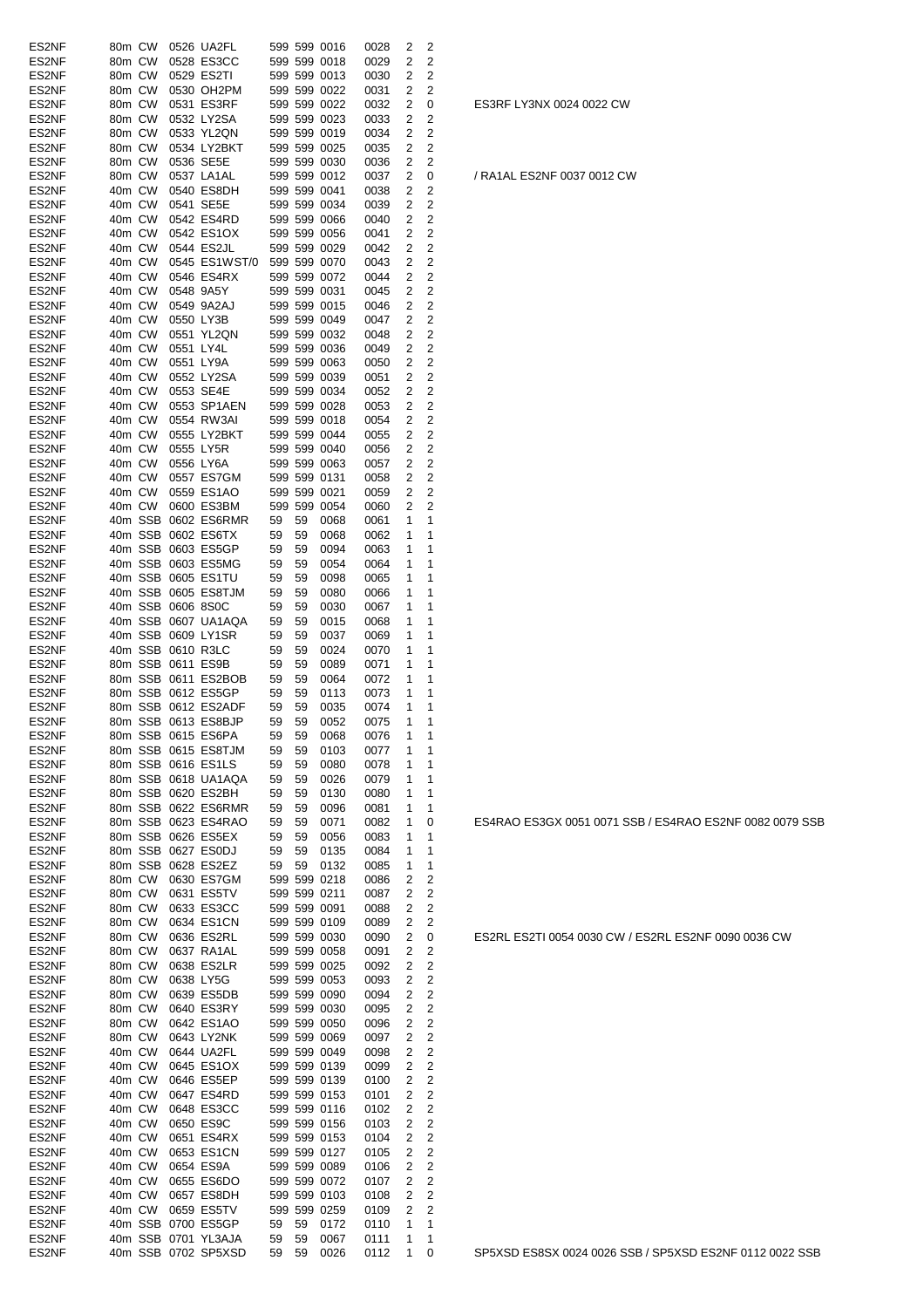| ES2NF | 80m CW |         |                   | 0526 UA2FL                |    |    | 599 599 0016 | 0028 | 2 | 2              |
|-------|--------|---------|-------------------|---------------------------|----|----|--------------|------|---|----------------|
|       | 80m CW |         |                   |                           |    |    |              |      |   |                |
| ES2NF |        |         |                   | 0528 ES3CC                |    |    | 599 599 0018 | 0029 | 2 | 2              |
| ES2NF | 80m CW |         |                   | 0529 ES2TI                |    |    | 599 599 0013 | 0030 | 2 | 2              |
| ES2NF | 80m CW |         |                   | 0530 OH2PM                |    |    | 599 599 0022 | 0031 | 2 | $\overline{2}$ |
| ES2NF | 80m CW |         |                   | 0531 ES3RF                |    |    | 599 599 0022 | 0032 | 2 | 0              |
|       |        |         |                   |                           |    |    |              |      |   |                |
| ES2NF | 80m CW |         |                   | 0532 LY2SA                |    |    | 599 599 0023 | 0033 | 2 | 2              |
| ES2NF | 80m CW |         |                   | 0533 YL2QN                |    |    | 599 599 0019 | 0034 | 2 | 2              |
| ES2NF | 80m CW |         |                   | 0534 LY2BKT               |    |    | 599 599 0025 | 0035 | 2 | 2              |
| ES2NF | 80m CW |         |                   | 0536 SE5E                 |    |    | 599 599 0030 | 0036 | 2 | 2              |
| ES2NF | 80m CW |         |                   | 0537 LA1AL                |    |    | 599 599 0012 | 0037 | 2 | 0              |
|       |        |         |                   |                           |    |    |              |      |   |                |
| ES2NF | 40m CW |         |                   | 0540 ES8DH                |    |    | 599 599 0041 | 0038 | 2 | 2              |
| ES2NF | 40m CW |         |                   | 0541 SE5E                 |    |    | 599 599 0034 | 0039 | 2 | 2              |
| ES2NF | 40m CW |         |                   | 0542 ES4RD                |    |    | 599 599 0066 | 0040 | 2 | 2              |
| ES2NF | 40m CW |         |                   | 0542 ES1OX                |    |    | 599 599 0056 | 0041 | 2 | 2              |
| ES2NF | 40m CW |         |                   | 0544 ES2JL                |    |    | 599 599 0029 | 0042 | 2 | 2              |
|       |        |         |                   |                           |    |    |              |      |   |                |
| ES2NF | 40m CW |         |                   | 0545 ES1WST/0             |    |    | 599 599 0070 | 0043 | 2 | 2              |
| ES2NF | 40m CW |         |                   | 0546 ES4RX                |    |    | 599 599 0072 | 0044 | 2 | 2              |
| ES2NF | 40m CW |         | 0548 9A5Y         |                           |    |    | 599 599 0031 | 0045 | 2 | 2              |
| ES2NF | 40m CW |         |                   | 0549 9A2AJ                |    |    | 599 599 0015 | 0046 | 2 | 2              |
| ES2NF | 40m CW |         | 0550 LY3B         |                           |    |    | 599 599 0049 |      |   |                |
|       |        |         |                   |                           |    |    |              | 0047 | 2 | 2              |
| ES2NF | 40m CW |         |                   | 0551 YL2QN                |    |    | 599 599 0032 | 0048 | 2 | 2              |
| ES2NF | 40m CW |         | 0551 LY4L         |                           |    |    | 599 599 0036 | 0049 | 2 | $\overline{2}$ |
| ES2NF | 40m CW |         | 0551 LY9A         |                           |    |    | 599 599 0063 | 0050 | 2 | 2              |
| ES2NF | 40m CW |         |                   | 0552 LY2SA                |    |    | 599 599 0039 | 0051 | 2 | $\overline{2}$ |
|       |        |         |                   |                           |    |    |              |      |   |                |
| ES2NF | 40m CW |         |                   | 0553 SE4E                 |    |    | 599 599 0034 | 0052 | 2 | 2              |
| ES2NF | 40m CW |         |                   | 0553 SP1AEN               |    |    | 599 599 0028 | 0053 | 2 | 2              |
| ES2NF | 40m CW |         |                   | 0554 RW3AI                |    |    | 599 599 0018 | 0054 | 2 | 2              |
| ES2NF | 40m CW |         |                   | 0555 LY2BKT               |    |    | 599 599 0044 | 0055 | 2 | $\overline{2}$ |
| ES2NF | 40m CW |         | 0555 LY5R         |                           |    |    | 599 599 0040 | 0056 | 2 | 2              |
|       |        |         |                   |                           |    |    |              |      |   |                |
| ES2NF | 40m CW |         | 0556 LY6A         |                           |    |    | 599 599 0063 | 0057 | 2 | $\overline{c}$ |
| ES2NF | 40m CW |         |                   | 0557 ES7GM                |    |    | 599 599 0131 | 0058 | 2 | 2              |
| ES2NF | 40m CW |         |                   | 0559 ES1AO                |    |    | 599 599 0021 | 0059 | 2 | 2              |
| ES2NF | 40m CW |         |                   | 0600 ES3BM                |    |    | 599 599 0054 | 0060 | 2 | 2              |
| ES2NF |        |         |                   |                           | 59 | 59 |              |      | 1 | 1              |
|       |        | 40m SSB |                   | 0602 ES6RMR               |    |    | 0068         | 0061 |   |                |
| ES2NF |        | 40m SSB |                   | 0602 ES6TX                | 59 | 59 | 0068         | 0062 | 1 | 1              |
| ES2NF |        | 40m SSB |                   | 0603 ES5GP                | 59 | 59 | 0094         | 0063 | 1 | 1              |
| ES2NF |        | 40m SSB |                   | 0603 ES5MG                | 59 | 59 | 0054         | 0064 | 1 | 1              |
| ES2NF |        | 40m SSB |                   | 0605 ES1TU                | 59 | 59 | 0098         | 0065 | 1 | 1              |
|       |        | 40m SSB |                   |                           |    |    |              |      |   |                |
| ES2NF |        |         |                   | 0605 ES8TJM               | 59 | 59 | 0080         | 0066 | 1 | 1              |
| ES2NF |        |         | 40m SSB 0606 8S0C |                           | 59 | 59 | 0030         | 0067 | 1 | 1              |
| ES2NF |        | 40m SSB |                   | 0607 UA1AQA               | 59 | 59 | 0015         | 0068 | 1 | 1              |
| ES2NF |        |         |                   | 40m SSB 0609 LY1SR        | 59 | 59 | 0037         | 0069 | 1 | 1              |
| ES2NF |        |         | 40m SSB 0610 R3LC |                           | 59 | 59 | 0024         | 0070 | 1 | 1              |
|       |        |         | 80m SSB 0611 ES9B |                           |    |    |              |      |   |                |
| ES2NF |        |         |                   |                           | 59 | 59 | 0089         | 0071 | 1 | 1              |
| ES2NF |        |         |                   | 80m SSB 0611 ES2BOB       | 59 | 59 | 0064         | 0072 | 1 | 1              |
| ES2NF |        | 80m SSB |                   | 0612 ES5GP                | 59 | 59 | 0113         | 0073 | 1 | 1              |
| ES2NF |        | 80m SSB |                   | 0612 ES2ADF               | 59 | 59 | 0035         | 0074 | 1 | 1              |
| ES2NF |        |         |                   | 80m SSB 0613 ES8BJP       | 59 | 59 | 0052         | 0075 | 1 | 1              |
| ES2NF |        |         |                   | 80m SSB 0615 ES6PA        |    |    |              |      |   |                |
|       |        |         |                   |                           | 59 | 59 | 0068         | 0076 | 1 | 1              |
| ES2NF |        |         |                   | 80m SSB 0615 ES8TJM       | 59 | 59 | 0103         | 0077 | 1 | 1              |
| ES2NF |        |         |                   | 80m SSB 0616 ES1LS        | 59 | 59 | 0080         | 0078 | 1 | 1              |
| ES2NF |        |         |                   | 80m SSB 0618 UA1AQA       | 59 | 59 | 0026         | 0079 | 1 | 1              |
| ES2NF |        |         |                   | 80m SSB 0620 ES2BH        | 59 | 59 | 0130         | 0080 | 1 | 1              |
|       |        |         |                   |                           |    |    |              |      |   |                |
| ES2NF |        |         |                   | 80m SSB 0622 ES6RMR       | 59 | 59 | 0096         | 0081 | 1 | 1              |
| ES2NF |        |         |                   | 80m SSB 0623 ES4RAO       | 59 | 59 | 0071         | 0082 | 1 | 0              |
| ES2NF |        |         |                   | 80m SSB 0626 ES5EX        | 59 | 59 | 0056         | 0083 | 1 | 1              |
| ES2NF |        |         |                   | 80m SSB 0627 ES0DJ        | 59 | 59 | 0135         | 0084 | 1 | 1              |
| ES2NF |        |         |                   | 80m SSB 0628 ES2EZ        | 59 | 59 | 0132         | 0085 | 1 | 1              |
|       |        |         |                   |                           |    |    |              |      |   |                |
| ES2NF | 80m CW |         |                   | 0630 ES7GM                |    |    | 599 599 0218 | 0086 | 2 | 2              |
| ES2NF | 80m CW |         |                   | 0631 ES5TV                |    |    | 599 599 0211 | 0087 | 2 | $\overline{c}$ |
| ES2NF | 80m CW |         |                   | 0633 ES3CC                |    |    | 599 599 0091 | 0088 | 2 | $\overline{c}$ |
| ES2NF | 80m CW |         |                   | 0634 ES1CN                |    |    | 599 599 0109 | 0089 | 2 | 2              |
| ES2NF | 80m CW |         |                   | 0636 ES2RL                |    |    | 599 599 0030 | 0090 | 2 | 0              |
|       |        |         |                   |                           |    |    |              |      |   |                |
| ES2NF | 80m CW |         |                   | 0637 RA1AL                |    |    | 599 599 0058 | 0091 | 2 | 2              |
| ES2NF | 80m CW |         |                   | 0638 ES2LR                |    |    | 599 599 0025 | 0092 | 2 | 2              |
| ES2NF | 80m CW |         |                   | 0638 LY5G                 |    |    | 599 599 0053 | 0093 | 2 | 2              |
| ES2NF | 80m CW |         |                   | 0639 ES5DB                |    |    | 599 599 0090 | 0094 | 2 | $\overline{c}$ |
| ES2NF | 80m CW |         |                   | 0640 ES3RY                |    |    | 599 599 0030 | 0095 | 2 | 2              |
|       |        |         |                   |                           |    |    |              |      |   |                |
| ES2NF | 80m CW |         |                   | 0642 ES1AO                |    |    | 599 599 0050 | 0096 | 2 | 2              |
| ES2NF | 80m CW |         |                   | 0643 LY2NK                |    |    | 599 599 0069 | 0097 | 2 | 2              |
| ES2NF | 40m CW |         |                   | 0644 UA2FL                |    |    | 599 599 0049 | 0098 | 2 | 2              |
| ES2NF | 40m CW |         |                   | 0645 ES1OX                |    |    | 599 599 0139 | 0099 | 2 | $\overline{c}$ |
| ES2NF | 40m CW |         |                   | 0646 ES5EP                |    |    | 599 599 0139 | 0100 | 2 | $\overline{c}$ |
| ES2NF | 40m CW |         |                   | 0647 ES4RD                |    |    | 599 599 0153 | 0101 | 2 | 2              |
|       |        |         |                   |                           |    |    |              |      |   |                |
| ES2NF | 40m CW |         |                   | 0648 ES3CC                |    |    | 599 599 0116 | 0102 | 2 | 2              |
| ES2NF | 40m CW |         |                   | 0650 ES9C                 |    |    | 599 599 0156 | 0103 | 2 | 2              |
| ES2NF | 40m CW |         |                   | 0651 ES4RX                |    |    | 599 599 0153 | 0104 | 2 | 2              |
| ES2NF | 40m CW |         |                   | 0653 ES1CN                |    |    | 599 599 0127 | 0105 | 2 | $\overline{c}$ |
|       |        |         |                   |                           |    |    |              |      |   |                |
| ES2NF | 40m CW |         |                   | 0654 ES9A                 |    |    | 599 599 0089 | 0106 | 2 | 2              |
| ES2NF | 40m CW |         |                   | 0655 ES6DO                |    |    | 599 599 0072 | 0107 | 2 | 2              |
| ES2NF | 40m CW |         |                   | 0657 ES8DH                |    |    | 599 599 0103 | 0108 | 2 | 2              |
| ES2NF | 40m CW |         |                   | 0659 ES5TV                |    |    | 599 599 0259 | 0109 | 2 | 2              |
| ES2NF |        |         |                   | 40m SSB 0700 ES5GP        | 59 | 59 | 0172         | 0110 | 1 | 1              |
|       |        |         |                   |                           |    |    |              |      | 1 | 1              |
| ES2NF |        |         |                   | 40m SSB 0701 YL3AJA       | 59 | 59 | 0067         | 0111 |   |                |
| ES2NF |        |         |                   | 40m SSB 0702 SP5XSD 59 59 |    |    | 0026         | 0112 | 1 | $\Omega$       |

ES3RF LY3NX 0024 0022 CW

/ RA1AL ES2NF 0037 0012 CW

ES4RAO ES3GX 0051 0071 SSB / ES4RAO ES2NF 0082 0079 SSB

ES2RL ES2TI 0054 0030 CW / ES2RL ES2NF 0090 0036 CW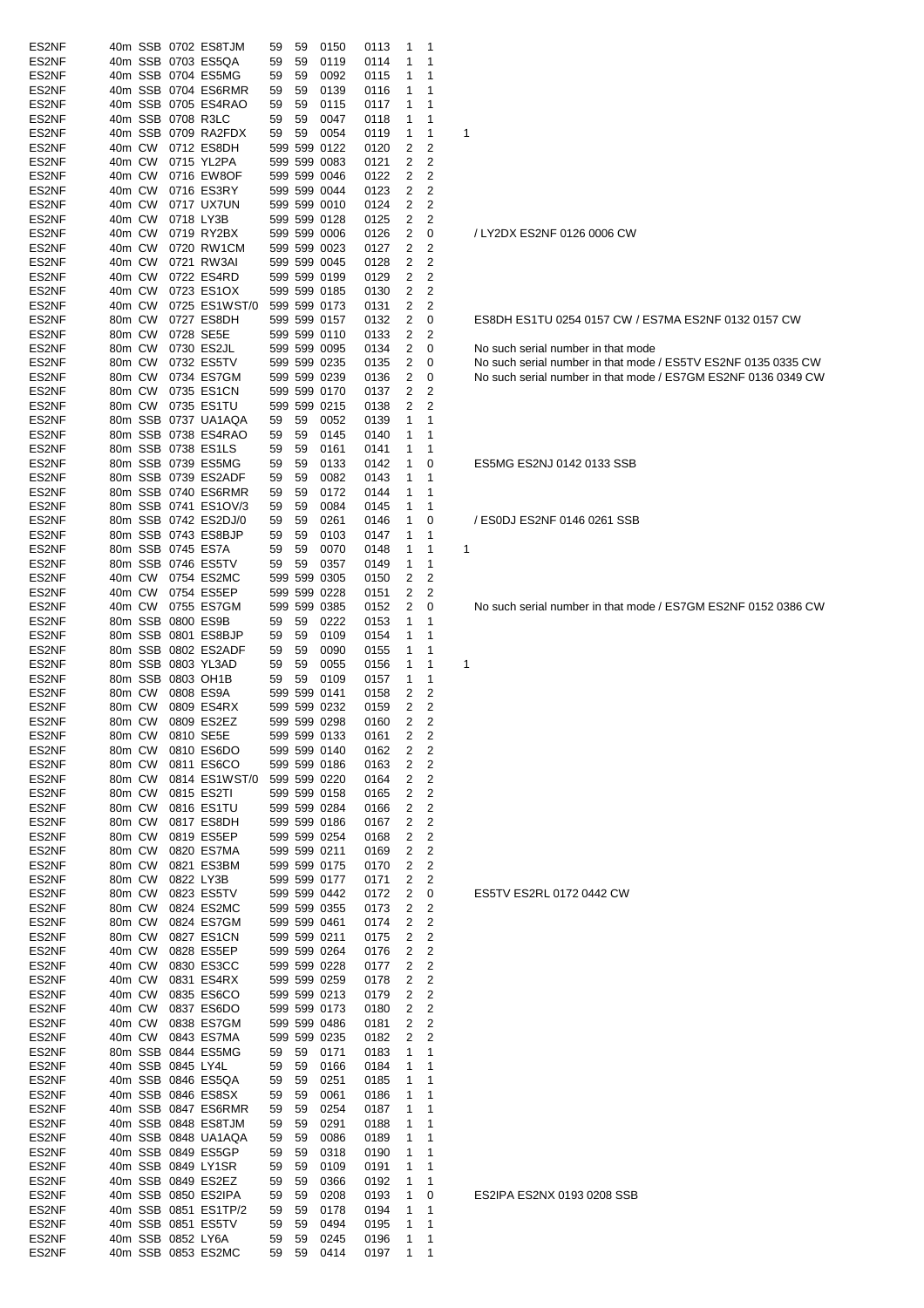| ES2NF          |        |         |                   | 40m SSB 0702 ES8TJM  | 59           | 59       | 0150         | 0113         | 1              | 1              |   |
|----------------|--------|---------|-------------------|----------------------|--------------|----------|--------------|--------------|----------------|----------------|---|
| ES2NF          |        |         |                   | 40m SSB 0703 ES5QA   | 59           | 59       | 0119         | 0114         | 1              | 1              |   |
|                |        |         |                   |                      |              |          |              |              |                |                |   |
| ES2NF          |        |         |                   | 40m SSB 0704 ES5MG   | 59           | 59       | 0092         | 0115         | 1              | 1              |   |
| ES2NF          |        |         |                   | 40m SSB 0704 ES6RMR  | 59           | 59       | 0139         | 0116         | 1              | 1              |   |
| ES2NF          |        |         |                   | 40m SSB 0705 ES4RAO  | 59           | 59       | 0115         | 0117         | 1              | 1              |   |
| ES2NF          |        |         |                   | 40m SSB 0708 R3LC    | 59           | 59       | 0047         | 0118         | 1              | 1              |   |
| ES2NF          |        |         |                   | 40m SSB 0709 RA2FDX  | 59           | 59       | 0054         | 0119         | 1              | 1              | 1 |
| ES2NF          | 40m CW |         |                   | 0712 ES8DH           |              |          | 599 599 0122 | 0120         | 2              | 2              |   |
|                | 40m CW |         |                   | 0715 YL2PA           |              |          | 599 599 0083 |              | 2              | 2              |   |
| ES2NF          |        |         |                   |                      |              |          |              | 0121         |                |                |   |
| ES2NF          | 40m CW |         |                   | 0716 EW8OF           |              |          | 599 599 0046 | 0122         | 2              | 2              |   |
| ES2NF          | 40m CW |         |                   | 0716 ES3RY           |              |          | 599 599 0044 | 0123         | 2              | 2              |   |
| ES2NF          | 40m CW |         |                   | 0717 UX7UN           |              |          | 599 599 0010 | 0124         | 2              | 2              |   |
| ES2NF          | 40m CW |         |                   | 0718 LY3B            |              |          | 599 599 0128 | 0125         | 2              | 2              |   |
| ES2NF          | 40m CW |         |                   | 0719 RY2BX           |              |          | 599 599 0006 | 0126         | 2              | 0              |   |
|                | 40m CW |         |                   |                      |              |          | 599 599 0023 |              |                |                |   |
| ES2NF          |        |         |                   | 0720 RW1CM           |              |          |              | 0127         | 2              | 2              |   |
| ES2NF          | 40m CW |         |                   | 0721 RW3AI           |              |          | 599 599 0045 | 0128         | 2              | 2              |   |
| ES2NF          | 40m CW |         |                   | 0722 ES4RD           |              |          | 599 599 0199 | 0129         | 2              | 2              |   |
| ES2NF          | 40m CW |         |                   | 0723 ES1OX           |              |          | 599 599 0185 | 0130         | 2              | 2              |   |
| ES2NF          | 40m CW |         |                   | 0725 ES1WST/0        |              |          | 599 599 0173 | 0131         | 2              | 2              |   |
| ES2NF          | 80m CW |         |                   | 0727 ES8DH           |              |          | 599 599 0157 | 0132         | 2              | 0              |   |
| ES2NF          | 80m CW |         |                   | 0728 SE5E            |              |          | 599 599 0110 |              |                | 2              |   |
|                |        |         |                   |                      |              |          |              | 0133         | 2              |                |   |
| ES2NF          | 80m CW |         |                   | 0730 ES2JL           |              |          | 599 599 0095 | 0134         | 2              | 0              |   |
| ES2NF          | 80m CW |         |                   | 0732 ES5TV           |              |          | 599 599 0235 | 0135         | 2              | 0              |   |
| ES2NF          | 80m CW |         |                   | 0734 ES7GM           |              |          | 599 599 0239 | 0136         | 2              | 0              |   |
| ES2NF          | 80m CW |         |                   | 0735 ES1CN           |              |          | 599 599 0170 | 0137         | 2              | 2              |   |
| ES2NF          | 80m CW |         |                   | 0735 ES1TU           |              |          | 599 599 0215 | 0138         | 2              | 2              |   |
|                |        |         |                   |                      |              |          |              |              |                |                |   |
| ES2NF          |        |         |                   | 80m SSB 0737 UA1AQA  | 59           | 59       | 0052         | 0139         | 1              | 1              |   |
| ES2NF          |        |         |                   | 80m SSB 0738 ES4RAO  | 59           | 59       | 0145         | 0140         | 1              | 1              |   |
| ES2NF          |        |         |                   | 80m SSB 0738 ES1LS   | 59           | 59       | 0161         | 0141         | 1              | 1              |   |
| ES2NF          |        |         |                   | 80m SSB 0739 ES5MG   | 59           | 59       | 0133         | 0142         | 1              | 0              |   |
| ES2NF          |        |         |                   | 80m SSB 0739 ES2ADF  | 59           | 59       | 0082         | 0143         | 1              | 1              |   |
| ES2NF          |        |         |                   | 80m SSB 0740 ES6RMR  | 59           | 59       | 0172         | 0144         | 1              | 1              |   |
|                |        |         |                   |                      |              |          |              |              |                |                |   |
| ES2NF          |        |         |                   | 80m SSB 0741 ES1OV/3 | 59           | 59       | 0084         | 0145         | 1              | 1              |   |
| ES2NF          |        |         |                   | 80m SSB 0742 ES2DJ/0 | 59           | 59       | 0261         | 0146         | 1              | 0              |   |
| ES2NF          |        |         |                   | 80m SSB 0743 ES8BJP  | 59           | 59       | 0103         | 0147         | 1              | 1              |   |
| ES2NF          |        |         |                   | 80m SSB 0745 ES7A    | 59           | 59       | 0070         | 0148         | 1              | 1              | 1 |
| ES2NF          |        |         |                   | 80m SSB 0746 ES5TV   | 59           | 59       | 0357         | 0149         | 1              | 1              |   |
| ES2NF          | 40m CW |         |                   | 0754 ES2MC           |              |          | 599 599 0305 | 0150         | 2              | 2              |   |
|                |        |         |                   |                      |              |          |              |              |                |                |   |
| ES2NF          | 40m CW |         |                   | 0754 ES5EP           |              |          | 599 599 0228 | 0151         | 2              | 2              |   |
| ES2NF          | 40m CW |         |                   | 0755 ES7GM           |              |          | 599 599 0385 | 0152         | 2              | 0              |   |
| ES2NF          |        | 80m SSB |                   | 0800 ES9B            | 59           | 59       | 0222         | 0153         | 1              | 1              |   |
| ES2NF          |        | 80m SSB |                   | 0801 ES8BJP          | 59           | 59       | 0109         | 0154         | 1              | 1              |   |
| ES2NF          |        |         |                   | 80m SSB 0802 ES2ADF  | 59           | 59       | 0090         | 0155         | 1              | 1              |   |
| ES2NF          |        |         |                   | 80m SSB 0803 YL3AD   | 59           | 59       | 0055         | 0156         | 1              | 1              | 1 |
|                |        |         |                   |                      |              |          |              |              |                |                |   |
| ES2NF          |        |         |                   | 80m SSB 0803 OH1B    | 59           | 59       | 0109         | 0157         | 1              | 1              |   |
| ES2NF          | 80m CW |         |                   | 0808 ES9A            |              |          | 599 599 0141 | 0158         | 2              | 2              |   |
| ES2NF          | 80m CW |         |                   | 0809 ES4RX           |              |          | 599 599 0232 | 0159         | 2              | 2              |   |
| ES2NF          | 80m CW |         |                   | 0809 ES2EZ           |              |          | 599 599 0298 | 0160         | 2              | 2              |   |
| ES2NF          |        | 80m CW  |                   | 0810 SE5E            |              |          | 599 599 0133 | 0161         | $\overline{c}$ | 2              |   |
| ES2NF          | 80m CW |         |                   | 0810 ES6DO           |              |          | 599 599 0140 | 0162         | 2              | 2              |   |
|                |        |         |                   |                      |              |          |              |              |                |                |   |
| ES2NF          | 80m CW |         |                   | 0811 ES6CO           |              |          | 599 599 0186 | 0163         | 2              | 2              |   |
| ES2NF          | 80m CW |         |                   | 0814 ES1WST/0        |              |          | 599 599 0220 | 0164         | 2              | 2              |   |
| ES2NF          | 80m CW |         |                   | 0815 ES2TI           |              |          | 599 599 0158 | 0165         | 2              | 2              |   |
| ES2NF          | 80m CW |         |                   | 0816 ES1TU           |              |          | 599 599 0284 | 0166         | 2              | 2              |   |
| ES2NF          | 80m CW |         |                   | 0817 ES8DH           |              |          | 599 599 0186 | 0167         | 2              | 2              |   |
| ES2NF          | 80m CW |         |                   | 0819 ES5EP           |              |          | 599 599 0254 | 0168         | 2              | 2              |   |
|                |        |         |                   |                      |              |          |              | 0169         |                | 2              |   |
| ES2NF          | 80m CW |         |                   | 0820 ES7MA           |              |          | 599 599 0211 |              | 2              |                |   |
| ES2NF          | 80m CW |         |                   | 0821 ES3BM           |              |          | 599 599 0175 | 0170         | 2              | 2              |   |
| ES2NF          | 80m CW |         |                   | 0822 LY3B            |              |          | 599 599 0177 | 0171         | 2              | 2              |   |
| ES2NF          | 80m CW |         |                   | 0823 ES5TV           |              |          | 599 599 0442 | 0172         | 2              | 0              |   |
| ES2NF          | 80m CW |         |                   | 0824 ES2MC           |              |          | 599 599 0355 | 0173         | 2              | 2              |   |
| ES2NF          | 80m CW |         |                   | 0824 ES7GM           |              |          | 599 599 0461 | 0174         | 2              | 2              |   |
| ES2NF          | 80m CW |         |                   | 0827 ES1CN           |              |          | 599 599 0211 | 0175         | 2              | 2              |   |
| ES2NF          | 40m CW |         |                   | 0828 ES5EP           |              |          | 599 599 0264 |              | 2              | 2              |   |
|                |        |         |                   |                      |              |          |              | 0176         |                |                |   |
| ES2NF          | 40m CW |         |                   | 0830 ES3CC           |              |          | 599 599 0228 | 0177         | 2              | 2              |   |
| ES2NF          | 40m CW |         |                   | 0831 ES4RX           |              |          | 599 599 0259 | 0178         | 2              | $\overline{c}$ |   |
| ES2NF          | 40m CW |         |                   | 0835 ES6CO           |              |          | 599 599 0213 | 0179         | 2              | 2              |   |
| ES2NF          | 40m CW |         |                   | 0837 ES6DO           |              |          | 599 599 0173 | 0180         | 2              | 2              |   |
| ES2NF          |        |         |                   |                      | 599 599 0486 |          |              | 0181         | 2              | 2              |   |
| ES2NF          |        |         |                   |                      |              |          |              |              |                |                |   |
|                |        | 40m CW  |                   | 0838 ES7GM           |              |          |              |              |                |                |   |
| ES2NF          | 40m CW |         |                   | 0843 ES7MA           |              |          | 599 599 0235 | 0182         | 2              | 2              |   |
|                |        |         |                   | 80m SSB 0844 ES5MG   | 59           | 59       | 0171         | 0183         | 1              | 1              |   |
| ES2NF          |        |         | 40m SSB 0845 LY4L |                      | 59           | 59       | 0166         | 0184         | 1              | 1              |   |
| ES2NF          |        |         |                   | 40m SSB 0846 ES5QA   | 59           | 59       | 0251         | 0185         | 1              | 1              |   |
| ES2NF          |        |         |                   | 40m SSB 0846 ES8SX   | 59           | 59       | 0061         | 0186         | 1              | 1              |   |
|                |        |         |                   |                      |              |          |              |              |                |                |   |
| ES2NF          |        |         |                   | 40m SSB 0847 ES6RMR  | 59           | 59       | 0254         | 0187         | 1              | 1              |   |
| ES2NF          |        |         |                   | 40m SSB 0848 ES8TJM  | 59           | 59       | 0291         | 0188         | 1              | 1              |   |
| ES2NF          |        |         |                   | 40m SSB 0848 UA1AQA  | 59           | 59       | 0086         | 0189         | 1              | 1              |   |
| ES2NF          |        |         |                   | 40m SSB 0849 ES5GP   | 59           | 59       | 0318         | 0190         | 1              | 1              |   |
| ES2NF          |        |         |                   | 40m SSB 0849 LY1SR   | 59           | 59       | 0109         | 0191         | 1              | 1              |   |
| ES2NF          |        |         |                   | 40m SSB 0849 ES2EZ   | 59           | 59       | 0366         | 0192         | 1              | 1              |   |
|                |        |         |                   |                      |              |          |              |              |                |                |   |
| ES2NF          |        |         |                   | 40m SSB 0850 ES2IPA  | 59           | 59       | 0208         | 0193         | 1              | 0              |   |
| ES2NF          |        |         |                   | 40m SSB 0851 ES1TP/2 | 59           | 59       | 0178         | 0194         | 1              | 1              |   |
| ES2NF          |        |         |                   | 40m SSB 0851 ES5TV   | 59           | 59       | 0494         | 0195         | 1              | 1              |   |
| ES2NF<br>ES2NF |        |         | 40m SSB 0852 LY6A | 40m SSB 0853 ES2MC   | 59<br>59     | 59<br>59 | 0245<br>0414 | 0196<br>0197 | 1<br>1         | 1<br>1         |   |

ES2IPA ES2NX 0193 0208 SSB

# ES5TV ES2RL 0172 0442 CW

No such serial number in that mode / ES7GM ES2NF 0152 0386 CW

/ ES0DJ ES2NF 0146 0261 SSB

ES5MG ES2NJ 0142 0133 SSB

No such serial number in that mode No such serial number in that mode / ES5TV ES2NF 0135 0335 CW ES2NF 80m CW 0734 ES7GM 599 599 0239 0136 2 0 No such serial number in that mode / ES7GM ES2NF 0136 0349 CW

ES8DH ES1TU 0254 0157 CW / ES7MA ES2NF 0132 0157 CW

/ LY2DX ES2NF 0126 0006 CW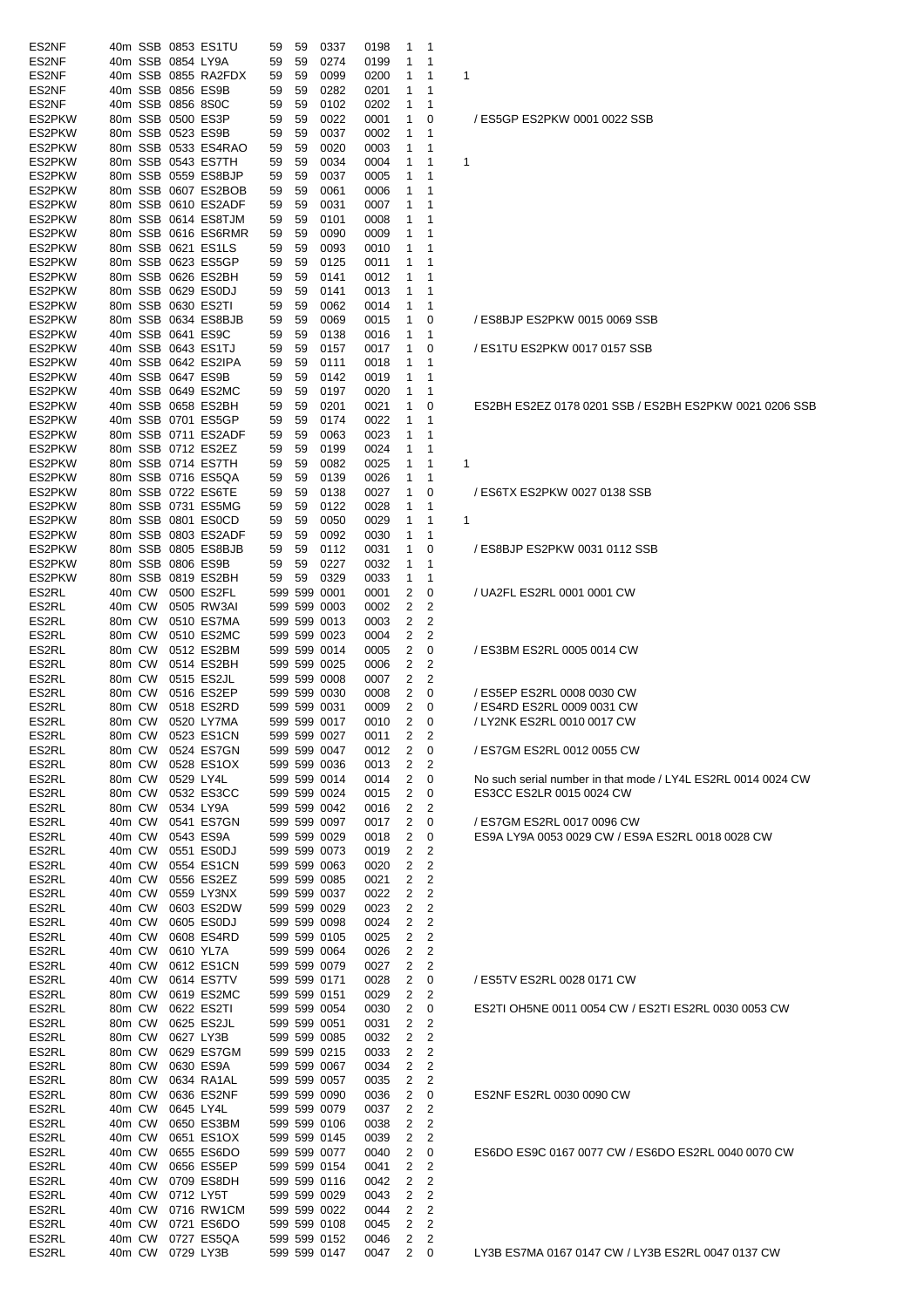| ES2NF  |        |        |                   | 40m SSB 0853 ES1TU  | 59 |          | 0337                         | 0198         | 1              | $\mathbf 1$             |                                                              |
|--------|--------|--------|-------------------|---------------------|----|----------|------------------------------|--------------|----------------|-------------------------|--------------------------------------------------------------|
| ES2NF  |        |        | 40m SSB 0854 LY9A |                     | 59 | 59<br>59 | 0274                         | 0199         |                | 1                       |                                                              |
| ES2NF  |        |        |                   | 40m SSB 0855 RA2FDX | 59 | 59       | 0099                         | 0200         | 1<br>1         | 1                       | 1                                                            |
| ES2NF  |        |        |                   | 40m SSB 0856 ES9B   | 59 | 59       | 0282                         | 0201         | 1              | 1                       |                                                              |
| ES2NF  |        |        |                   | 40m SSB 0856 8S0C   | 59 | 59       | 0102                         | 0202         | 1              | 1                       |                                                              |
| ES2PKW |        |        |                   | 80m SSB 0500 ES3P   | 59 | 59       | 0022                         | 0001         | 1              | 0                       | / ES5GP ES2PKW 0001 0022 SSB                                 |
| ES2PKW |        |        |                   | 80m SSB 0523 ES9B   | 59 | 59       | 0037                         | 0002         | 1              | 1                       |                                                              |
| ES2PKW |        |        |                   | 80m SSB 0533 ES4RAO | 59 | 59       | 0020                         | 0003         | 1              | 1                       |                                                              |
| ES2PKW |        |        |                   | 80m SSB 0543 ES7TH  | 59 | 59       | 0034                         | 0004         | 1              | 1                       | 1                                                            |
| ES2PKW |        |        |                   | 80m SSB 0559 ES8BJP | 59 | 59       | 0037                         | 0005         | 1              | 1                       |                                                              |
| ES2PKW |        |        |                   | 80m SSB 0607 ES2BOB | 59 | 59       | 0061                         | 0006         | 1              | 1                       |                                                              |
| ES2PKW |        |        |                   | 80m SSB 0610 ES2ADF | 59 | 59       | 0031                         | 0007         | 1              | 1                       |                                                              |
| ES2PKW |        |        |                   | 80m SSB 0614 ES8TJM | 59 | 59       | 0101                         | 0008         | 1              | 1                       |                                                              |
| ES2PKW |        |        |                   | 80m SSB 0616 ES6RMR | 59 | 59       | 0090                         | 0009         | 1              | 1                       |                                                              |
| ES2PKW |        |        |                   | 80m SSB 0621 ES1LS  | 59 | 59       | 0093                         | 0010         | 1              | 1                       |                                                              |
| ES2PKW |        |        |                   | 80m SSB 0623 ES5GP  | 59 | 59       | 0125                         | 0011         | 1              | 1                       |                                                              |
| ES2PKW |        |        |                   | 80m SSB 0626 ES2BH  | 59 | 59       | 0141                         | 0012         | 1              | 1                       |                                                              |
|        |        |        |                   |                     |    |          |                              |              |                |                         |                                                              |
| ES2PKW |        |        |                   | 80m SSB 0629 ES0DJ  | 59 | 59       | 0141                         | 0013         | 1              | 1                       |                                                              |
| ES2PKW |        |        |                   | 80m SSB 0630 ES2TI  | 59 | 59       | 0062                         | 0014         | 1              | $\mathbf{1}$            |                                                              |
| ES2PKW |        |        |                   | 80m SSB 0634 ES8BJB | 59 | 59       | 0069                         | 0015         | 1              | 0                       | / ES8BJP ES2PKW 0015 0069 SSB                                |
| ES2PKW |        |        |                   | 40m SSB 0641 ES9C   | 59 | 59       | 0138                         | 0016         | 1              | 1                       |                                                              |
| ES2PKW |        |        |                   | 40m SSB 0643 ES1TJ  | 59 | 59       | 0157                         | 0017         | $\mathbf{1}$   | 0                       | / ES1TU ES2PKW 0017 0157 SSB                                 |
| ES2PKW |        |        |                   | 40m SSB 0642 ES2IPA | 59 | 59       | 0111                         | 0018         | 1              | $\mathbf 1$             |                                                              |
| ES2PKW |        |        |                   | 40m SSB 0647 ES9B   | 59 | 59       | 0142                         | 0019         | 1              | 1                       |                                                              |
| ES2PKW |        |        |                   | 40m SSB 0649 ES2MC  | 59 | 59       | 0197                         | 0020         | 1              | $\mathbf 1$             |                                                              |
| ES2PKW |        |        |                   | 40m SSB 0658 ES2BH  | 59 | 59       | 0201                         | 0021         | 1              | 0                       | ES2BH ES2EZ 0178 0201 SSB / ES2BH ES2PKW 0021 0206 SSB       |
| ES2PKW |        |        |                   | 40m SSB 0701 ES5GP  | 59 | 59       | 0174                         | 0022         | 1              | 1                       |                                                              |
| ES2PKW |        |        |                   | 80m SSB 0711 ES2ADF | 59 | 59       | 0063                         | 0023         | 1              | 1                       |                                                              |
| ES2PKW |        |        |                   | 80m SSB 0712 ES2EZ  | 59 | 59       | 0199                         | 0024         | 1              | 1                       |                                                              |
| ES2PKW |        |        |                   | 80m SSB 0714 ES7TH  | 59 | 59       | 0082                         | 0025         | 1              | $\mathbf{1}$            | 1                                                            |
| ES2PKW |        |        |                   | 80m SSB 0716 ES5QA  | 59 | 59       | 0139                         | 0026         | 1              | 1                       |                                                              |
| ES2PKW |        |        |                   | 80m SSB 0722 ES6TE  | 59 | 59       | 0138                         | 0027         | 1              | 0                       | / ES6TX ES2PKW 0027 0138 SSB                                 |
| ES2PKW |        |        |                   | 80m SSB 0731 ES5MG  | 59 | 59       | 0122                         | 0028         | 1              | 1                       |                                                              |
| ES2PKW |        |        |                   | 80m SSB 0801 ES0CD  | 59 | 59       | 0050                         | 0029         | 1              | 1                       | 1                                                            |
| ES2PKW |        |        |                   | 80m SSB 0803 ES2ADF | 59 | 59       | 0092                         | 0030         | $\mathbf{1}$   | 1                       |                                                              |
| ES2PKW |        |        |                   | 80m SSB 0805 ES8BJB | 59 | 59       | 0112                         | 0031         | 1              | 0                       | / ES8BJP ES2PKW 0031 0112 SSB                                |
| ES2PKW |        |        |                   | 80m SSB 0806 ES9B   | 59 | 59       | 0227                         | 0032         | 1              | -1                      |                                                              |
| ES2PKW |        |        |                   | 80m SSB 0819 ES2BH  | 59 | 59       | 0329                         | 0033         | 1              | $\mathbf{1}$            |                                                              |
| ES2RL  |        | 40m CW |                   | 0500 ES2FL          |    |          | 599 599 0001                 | 0001         | 2              | 0                       | / UA2FL ES2RL 0001 0001 CW                                   |
| ES2RL  |        | 40m CW |                   | 0505 RW3AI          |    |          | 599 599 0003                 | 0002         | 2              | $\overline{2}$          |                                                              |
| ES2RL  |        | 80m CW |                   | 0510 ES7MA          |    |          | 599 599 0013                 | 0003         | 2              | 2                       |                                                              |
| ES2RL  |        | 80m CW |                   | 0510 ES2MC          |    |          | 599 599 0023                 | 0004         | 2              | 2                       |                                                              |
| ES2RL  |        | 80m CW |                   | 0512 ES2BM          |    |          | 599 599 0014                 | 0005         | 2              | 0                       | / ES3BM ES2RL 0005 0014 CW                                   |
| ES2RL  |        | 80m CW |                   | 0514 ES2BH          |    |          | 599 599 0025                 | 0006         | $\overline{2}$ | 2                       |                                                              |
| ES2RL  |        | 80m CW |                   | 0515 ES2JL          |    |          | 599 599 0008                 | 0007         | 2              | $\overline{2}$          |                                                              |
| ES2RL  |        | 80m CW |                   | 0516 ES2EP          |    |          | 599 599 0030                 | 0008         |                | $2 \quad 0$             | / ES5EP ES2RL 0008 0030 CW                                   |
| ES2RL  |        | 80m CW |                   | 0518 ES2RD          |    |          | 599 599 0031                 | 0009         | $\overline{2}$ | $\overline{\mathbf{0}}$ | / ES4RD ES2RL 0009 0031 CW                                   |
| ES2RL  |        | 80m CW |                   | 0520 LY7MA          |    |          | 599 599 0017                 | 0010         | $\overline{2}$ | $\overline{\mathbf{0}}$ | / LY2NK ES2RL 0010 0017 CW                                   |
| ES2RL  |        |        |                   | 80m CW 0523 ES1CN   |    |          | 599 599 0027                 | 0011         | $\overline{2}$ | 2                       |                                                              |
| ES2RL  |        | 80m CW |                   | 0524 ES7GN          |    |          | 599 599 0047                 | 0012         | 2              | $\overline{\mathbf{0}}$ | / ES7GM ES2RL 0012 0055 CW                                   |
| ES2RL  |        | 80m CW |                   | 0528 ES1OX          |    |          | 599 599 0036                 | 0013         | 2              | $\overline{\mathbf{2}}$ |                                                              |
| ES2RL  |        | 80m CW |                   | 0529 LY4L           |    |          | 599 599 0014                 | 0014         | 2              | $\mathbf 0$             | No such serial number in that mode / LY4L ES2RL 0014 0024 CW |
| ES2RL  |        | 80m CW |                   | 0532 ES3CC          |    |          | 599 599 0024                 | 0015         | 2              | 0                       | ES3CC ES2LR 0015 0024 CW                                     |
| ES2RL  |        | 80m CW |                   | 0534 LY9A           |    |          | 599 599 0042                 | 0016         | 2              | 2                       |                                                              |
| ES2RL  |        | 40m CW |                   | 0541 ES7GN          |    |          | 599 599 0097                 | 0017         | $\overline{2}$ | 0                       | / ES7GM ES2RL 0017 0096 CW                                   |
| ES2RL  |        | 40m CW |                   | 0543 ES9A           |    |          | 599 599 0029                 | 0018         | $\overline{2}$ | 0                       | ES9A LY9A 0053 0029 CW / ES9A ES2RL 0018 0028 CW             |
| ES2RL  |        | 40m CW |                   | 0551 ES0DJ          |    |          | 599 599 0073                 | 0019         | $\overline{2}$ | 2                       |                                                              |
| ES2RL  |        | 40m CW |                   | 0554 ES1CN          |    |          | 599 599 0063                 | 0020         | 2              | $\overline{c}$          |                                                              |
| ES2RL  |        | 40m CW |                   | 0556 ES2EZ          |    |          | 599 599 0085                 | 0021         | 2              | 2                       |                                                              |
| ES2RL  |        | 40m CW |                   | 0559 LY3NX          |    |          | 599 599 0037                 | 0022         | 2              | 2                       |                                                              |
| ES2RL  |        | 40m CW |                   | 0603 ES2DW          |    |          | 599 599 0029                 | 0023         | 2              | 2                       |                                                              |
| ES2RL  |        | 40m CW |                   | 0605 ES0DJ          |    |          | 599 599 0098                 | 0024         | $\overline{2}$ | 2                       |                                                              |
| ES2RL  |        | 40m CW |                   | 0608 ES4RD          |    |          | 599 599 0105                 | 0025         | 2              | 2                       |                                                              |
| ES2RL  |        | 40m CW |                   | 0610 YL7A           |    |          | 599 599 0064                 | 0026         | 2              | 2                       |                                                              |
| ES2RL  |        | 40m CW |                   | 0612 ES1CN          |    |          | 599 599 0079                 | 0027         | 2              | 2                       |                                                              |
| ES2RL  |        | 40m CW |                   | 0614 ES7TV          |    |          | 599 599 0171                 | 0028         | $\overline{2}$ | 0                       | / ES5TV ES2RL 0028 0171 CW                                   |
| ES2RL  |        | 80m CW |                   | 0619 ES2MC          |    |          |                              | 0029         | 2              | 2                       |                                                              |
| ES2RL  |        | 80m CW |                   | 0622 ES2TI          |    |          | 599 599 0151<br>599 599 0054 | 0030         |                | $2 \quad 0$             | ES2TI OH5NE 0011 0054 CW / ES2TI ES2RL 0030 0053 CW          |
| ES2RL  |        | 80m CW |                   | 0625 ES2JL          |    |          |                              | 0031         | 2              | 2                       |                                                              |
| ES2RL  |        | 80m CW |                   | 0627 LY3B           |    |          | 599 599 0051<br>599 599 0085 |              | 2              | 2                       |                                                              |
| ES2RL  |        | 80m CW |                   | 0629 ES7GM          |    |          | 599 599 0215                 | 0032<br>0033 | 2              | $\overline{c}$          |                                                              |
| ES2RL  | 80m CW |        |                   |                     |    |          |                              |              | 2              |                         |                                                              |
|        |        |        |                   | 0630 ES9A           |    |          | 599 599 0067                 | 0034         |                | 2                       |                                                              |
| ES2RL  |        | 80m CW |                   | 0634 RA1AL          |    |          | 599 599 0057                 | 0035         | 2              | $\overline{c}$          |                                                              |
| ES2RL  | 80m CW |        |                   | 0636 ES2NF          |    |          | 599 599 0090                 | 0036         | 2              | 0                       | ES2NF ES2RL 0030 0090 CW                                     |
| ES2RL  |        | 40m CW |                   | 0645 LY4L           |    |          | 599 599 0079                 | 0037         |                | 2 2                     |                                                              |
| ES2RL  |        | 40m CW |                   | 0650 ES3BM          |    |          | 599 599 0106                 | 0038         | 2              | $\overline{2}$          |                                                              |
| ES2RL  |        | 40m CW |                   | 0651 ES1OX          |    |          | 599 599 0145                 | 0039         |                | $2 \quad 2$             |                                                              |
| ES2RL  |        | 40m CW |                   | 0655 ES6DO          |    |          | 599 599 0077                 | 0040         | 2              | 0                       | ES6DO ES9C 0167 0077 CW / ES6DO ES2RL 0040 0070 CW           |
| ES2RL  |        | 40m CW |                   | 0656 ES5EP          |    |          | 599 599 0154                 | 0041         | 2              | 2                       |                                                              |
| ES2RL  |        | 40m CW |                   | 0709 ES8DH          |    |          | 599 599 0116                 | 0042         | 2              | 2                       |                                                              |
| ES2RL  |        | 40m CW |                   | 0712 LY5T           |    |          | 599 599 0029                 | 0043         | 2              | 2                       |                                                              |
| ES2RL  |        | 40m CW |                   | 0716 RW1CM          |    |          | 599 599 0022                 | 0044         | 2              | 2                       |                                                              |
| ES2RL  |        | 40m CW |                   | 0721 ES6DO          |    |          | 599 599 0108                 | 0045         | 2              | 2                       |                                                              |
| ES2RL  |        |        |                   | 40m CW 0727 ES5QA   |    |          | 599 599 0152                 | 0046         | $\overline{2}$ | $\overline{\mathbf{c}}$ |                                                              |
| ES2RL  |        |        |                   | 40m CW 0729 LY3B    |    |          | 599 599 0147                 | 0047         |                | $2 \quad 0$             | LY3B ES7MA 0167 0147 CW / LY3B ES2RL 0047 0137 CW            |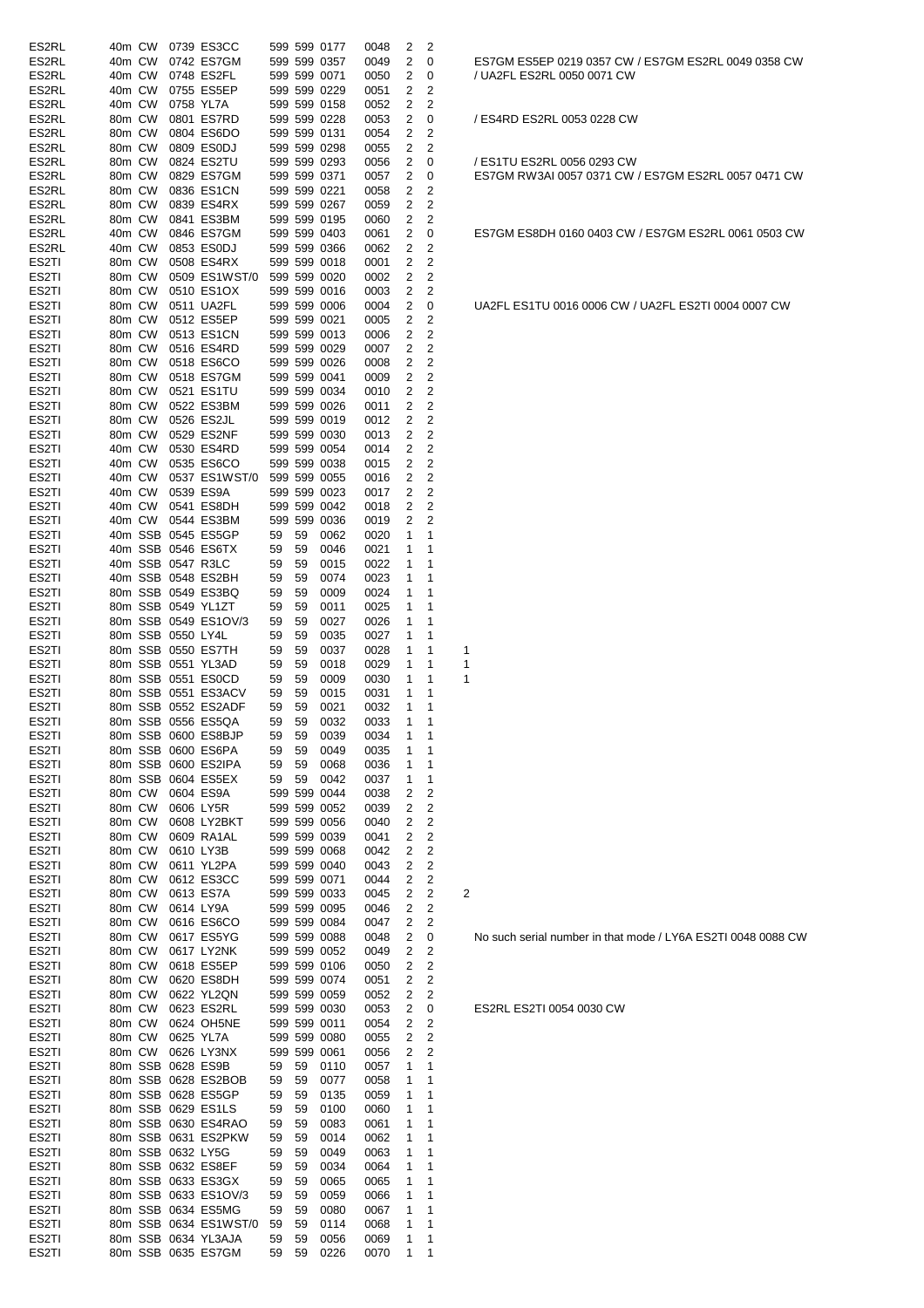| ES2RL              | 40m CW           |         |                   | 0739 ES3CC            |    |    | 599 599 0177 | 0048 | 2            | 2                       |   |
|--------------------|------------------|---------|-------------------|-----------------------|----|----|--------------|------|--------------|-------------------------|---|
| ES2RL              | 40m CW           |         |                   | 0742 ES7GM            |    |    | 599 599 0357 | 0049 | 2            | 0                       |   |
| ES2RL              | 40m CW           |         |                   | 0748 ES2FL            |    |    | 599 599 0071 | 0050 | 2            | 0                       |   |
| ES2RL              | 40m CW           |         |                   | 0755 ES5EP            |    |    | 599 599 0229 | 0051 | 2            | 2                       |   |
| ES2RL              | 40m CW           |         | 0758 YL7A         |                       |    |    | 599 599 0158 | 0052 | 2            | 2                       |   |
| ES2RL              | 80m CW           |         |                   | 0801 ES7RD            |    |    | 599 599 0228 | 0053 | 2            | 0                       |   |
| ES2RL              | 80m CW           |         |                   | 0804 ES6DO            |    |    | 599 599 0131 | 0054 | 2            | 2                       |   |
| ES2RL              | 80m CW           |         |                   |                       |    |    | 599 599 0298 |      | 2            | 2                       |   |
|                    |                  |         |                   | 0809 ES0DJ            |    |    |              | 0055 |              |                         |   |
| ES2RL              | 80m CW           |         |                   | 0824 ES2TU            |    |    | 599 599 0293 | 0056 | 2            | 0                       |   |
| ES2RL              | 80m CW           |         |                   | 0829 ES7GM            |    |    | 599 599 0371 | 0057 | 2            | 0                       |   |
| ES2RL              | 80m CW           |         |                   | 0836 ES1CN            |    |    | 599 599 0221 | 0058 | 2            | 2                       |   |
| ES2RL              | 80m CW           |         |                   | 0839 ES4RX            |    |    | 599 599 0267 | 0059 | 2            | 2                       |   |
| ES2RL              | 80m CW           |         |                   | 0841 ES3BM            |    |    | 599 599 0195 | 0060 | 2            | 2                       |   |
| ES2RL              | 40m CW           |         |                   | 0846 ES7GM            |    |    | 599 599 0403 | 0061 | 2            | 0                       |   |
| ES2RL              | 40m CW           |         |                   | 0853 ES0DJ            |    |    | 599 599 0366 | 0062 | 2            | 2                       |   |
| ES2TI              | 80m CW           |         |                   | 0508 ES4RX            |    |    | 599 599 0018 | 0001 | 2            | 2                       |   |
| ES2TI              | 80m CW           |         |                   | 0509 ES1WST/0         |    |    | 599 599 0020 | 0002 | 2            | 2                       |   |
| ES2TI              | 80m CW           |         |                   | 0510 ES1OX            |    |    | 599 599 0016 | 0003 | 2            | 2                       |   |
| ES <sub>2</sub> TI | 80m CW           |         |                   | 0511 UA2FL            |    |    | 599 599 0006 | 0004 | 2            | 0                       |   |
|                    |                  |         |                   |                       |    |    |              |      |              | 2                       |   |
| ES2TI              | 80m CW           |         |                   | 0512 ES5EP            |    |    | 599 599 0021 | 0005 | 2            |                         |   |
| ES <sub>2</sub> TI | 80m CW           |         |                   | 0513 ES1CN            |    |    | 599 599 0013 | 0006 | 2            | 2                       |   |
| ES <sub>2</sub> TI | 80m CW           |         |                   | 0516 ES4RD            |    |    | 599 599 0029 | 0007 | 2            | 2                       |   |
| ES2TI              | 80m CW           |         |                   | 0518 ES6CO            |    |    | 599 599 0026 | 0008 | 2            | 2                       |   |
| ES <sub>2</sub> TI | 80m CW           |         |                   | 0518 ES7GM            |    |    | 599 599 0041 | 0009 | 2            | 2                       |   |
| ES2TI              | 80m CW           |         |                   | 0521 ES1TU            |    |    | 599 599 0034 | 0010 | 2            | 2                       |   |
| ES <sub>2</sub> TI | 80m CW           |         |                   | 0522 ES3BM            |    |    | 599 599 0026 | 0011 | 2            | 2                       |   |
| ES2TI              | 80m CW           |         |                   | 0526 ES2JL            |    |    | 599 599 0019 | 0012 | 2            | 2                       |   |
| ES2TI              | 80m CW           |         |                   | 0529 ES2NF            |    |    | 599 599 0030 | 0013 | 2            | 2                       |   |
| ES2TI              | 40m CW           |         |                   | 0530 ES4RD            |    |    | 599 599 0054 | 0014 | 2            | 2                       |   |
| ES2TI              | 40m CW           |         |                   | 0535 ES6CO            |    |    | 599 599 0038 |      | 2            | 2                       |   |
|                    |                  |         |                   |                       |    |    |              | 0015 |              |                         |   |
| ES2TI              | 40m CW           |         |                   | 0537 ES1WST/0         |    |    | 599 599 0055 | 0016 | 2            | 2                       |   |
| ES <sub>2</sub> TI | 40m CW           |         |                   | 0539 ES9A             |    |    | 599 599 0023 | 0017 | 2            | 2                       |   |
| ES2TI              | 40m CW           |         |                   | 0541 ES8DH            |    |    | 599 599 0042 | 0018 | 2            | 2                       |   |
| ES <sub>2</sub> TI | 40m CW           |         |                   | 0544 ES3BM            |    |    | 599 599 0036 | 0019 | 2            | 2                       |   |
| ES2TI              |                  | 40m SSB |                   | 0545 ES5GP            | 59 | 59 | 0062         | 0020 | 1            | 1                       |   |
| ES2TI              |                  |         |                   | 40m SSB 0546 ES6TX    | 59 | 59 | 0046         | 0021 | 1            | 1                       |   |
| ES2TI              |                  |         | 40m SSB 0547 R3LC |                       | 59 | 59 | 0015         | 0022 | 1            | 1                       |   |
| ES2TI              |                  |         |                   | 40m SSB 0548 ES2BH    | 59 | 59 | 0074         | 0023 | 1            | 1                       |   |
| ES2TI              |                  |         |                   | 80m SSB 0549 ES3BQ    | 59 | 59 | 0009         | 0024 | 1            | 1                       |   |
|                    |                  |         |                   |                       |    |    |              |      |              |                         |   |
| ES2TI              |                  |         |                   | 80m SSB 0549 YL1ZT    | 59 | 59 | 0011         | 0025 | 1            | 1                       |   |
| ES2TI              |                  |         |                   | 80m SSB 0549 ES1OV/3  | 59 | 59 | 0027         | 0026 | 1            | 1                       |   |
| ES2TI              |                  |         | 80m SSB 0550 LY4L |                       | 59 | 59 | 0035         | 0027 | 1            | 1                       |   |
| ES2TI              |                  |         |                   | 80m SSB 0550 ES7TH    | 59 | 59 | 0037         | 0028 | 1            | 1                       | 1 |
| ES2TI              |                  |         |                   | 80m SSB 0551 YL3AD    | 59 | 59 | 0018         | 0029 | 1            | 1                       | 1 |
| ES2TI              |                  |         |                   | 80m SSB 0551 ES0CD    | 59 | 59 | 0009         | 0030 | 1            | 1                       | 1 |
| ES2TI              |                  |         |                   | 80m SSB 0551 ES3ACV   | 59 | 59 | 0015         | 0031 | 1            | 1                       |   |
| ES2TI              |                  |         |                   | 80m SSB 0552 ES2ADF   | 59 | 59 | 0021         | 0032 | 1            | 1                       |   |
| ES <sub>2</sub> TI |                  |         |                   | 80m SSB 0556 ES5QA    | 59 | 59 | 0032         | 0033 | 1            | 1                       |   |
| ES <sub>2</sub> TI |                  |         |                   | 80m SSB 0600 ES8BJP   | 59 | 59 | 0039         | 0034 | $\mathbf{1}$ | 1                       |   |
|                    |                  |         |                   | 80m SSB 0600 ES6PA    |    |    |              |      |              |                         |   |
| ES2TI              |                  |         |                   |                       | 59 | 59 | 0049         | 0035 | 1            | 1                       |   |
| ES2TI              |                  |         |                   | 80m SSB 0600 ES2IPA   | 59 | 59 | 0068         | 0036 | 1            | 1                       |   |
| ES2TI              |                  |         |                   | 80m SSB 0604 ES5EX    | 59 | 59 | 0042         | 0037 | 1            | 1                       |   |
| ES2TI              | 80m CW           |         |                   | 0604 ES9A             |    |    | 599 599 0044 | 0038 | 2            | 2                       |   |
| ES <sub>2</sub> TI | 80m CW           |         |                   | 0606 LY5R             |    |    | 599 599 0052 | 0039 | 2            | 2                       |   |
| ES2TI              | 80m CW           |         |                   | 0608 LY2BKT           |    |    | 599 599 0056 | 0040 | 2            | 2                       |   |
| ES2TI              | 80m CW           |         |                   | 0609 RA1AL            |    |    | 599 599 0039 | 0041 | 2            | 2                       |   |
| ES <sub>2</sub> TI | 80m CW           |         |                   | 0610 LY3B             |    |    | 599 599 0068 | 0042 | 2            | 2                       |   |
| ES2TI              | 80m CW           |         |                   | 0611 YL2PA            |    |    | 599 599 0040 | 0043 | 2            | $\overline{c}$          |   |
| ES2TI              | 80m CW           |         |                   | 0612 ES3CC            |    |    | 599 599 0071 | 0044 | 2            | $\overline{\mathbf{c}}$ |   |
| ES <sub>2</sub> TI | 80m CW           |         |                   | 0613 ES7A             |    |    | 599 599 0033 | 0045 | 2            | $\overline{\mathbf{c}}$ | 2 |
|                    |                  |         |                   |                       |    |    | 599 599 0095 |      |              |                         |   |
| ES <sub>2</sub> TI | 80m CW<br>80m CW |         |                   | 0614 LY9A             |    |    |              | 0046 | 2            | 2                       |   |
| ES2TI              |                  |         |                   | 0616 ES6CO            |    |    | 599 599 0084 | 0047 | 2            | 2                       |   |
| ES2TI              | 80m CW           |         |                   | 0617 ES5YG            |    |    | 599 599 0088 | 0048 | 2            | 0                       |   |
| ES2TI              | 80m CW           |         |                   | 0617 LY2NK            |    |    | 599 599 0052 | 0049 | 2            | $\overline{c}$          |   |
| ES <sub>2</sub> TI | 80m CW           |         |                   | 0618 ES5EP            |    |    | 599 599 0106 | 0050 | 2            | $\overline{c}$          |   |
| ES <sub>2</sub> TI | 80m CW           |         |                   | 0620 ES8DH            |    |    | 599 599 0074 | 0051 | 2            | $\overline{c}$          |   |
| ES <sub>2</sub> TI | 80m CW           |         |                   | 0622 YL2QN            |    |    | 599 599 0059 | 0052 | 2            | 2                       |   |
| ES <sub>2</sub> TI |                  |         |                   |                       |    |    |              |      |              |                         |   |
|                    |                  |         |                   |                       |    |    |              |      |              |                         |   |
|                    | 80m CW           |         |                   | 0623 ES2RL            |    |    | 599 599 0030 | 0053 | 2            | 0                       |   |
| ES2TI              |                  | 80m CW  |                   | 0624 OH5NE            |    |    | 599 599 0011 | 0054 | 2            | 2                       |   |
| ES2TI              |                  | 80m CW  |                   | 0625 YL7A             |    |    | 599 599 0080 | 0055 | 2            | 2                       |   |
| ES <sub>2</sub> TI |                  | 80m CW  |                   | 0626 LY3NX            |    |    | 599 599 0061 | 0056 | 2            | 2                       |   |
| ES2TI              |                  |         |                   | 80m SSB 0628 ES9B     | 59 | 59 | 0110         | 0057 | 1            | 1                       |   |
| ES2TI              |                  |         |                   | 80m SSB 0628 ES2BOB   | 59 | 59 | 0077         | 0058 | 1            | 1                       |   |
| ES <sub>2</sub> TI |                  |         |                   | 80m SSB 0628 ES5GP    | 59 | 59 | 0135         | 0059 | 1            | 1                       |   |
| ES2TI              |                  |         |                   | 80m SSB 0629 ES1LS    | 59 | 59 | 0100         | 0060 | 1            | 1                       |   |
|                    |                  |         |                   |                       |    |    |              |      |              |                         |   |
| ES2TI              |                  |         |                   | 80m SSB 0630 ES4RAO   | 59 | 59 | 0083         | 0061 | 1            | 1                       |   |
| ES2TI              |                  |         |                   | 80m SSB 0631 ES2PKW   | 59 | 59 | 0014         | 0062 | 1            | 1                       |   |
| ES <sub>2</sub> TI |                  |         |                   | 80m SSB 0632 LY5G     | 59 | 59 | 0049         | 0063 | 1            | 1                       |   |
| ES2TI              |                  |         |                   | 80m SSB 0632 ES8EF    | 59 | 59 | 0034         | 0064 | 1            | 1                       |   |
| ES <sub>2</sub> TI |                  |         |                   | 80m SSB 0633 ES3GX    | 59 | 59 | 0065         | 0065 | 1            | 1                       |   |
| ES <sub>2</sub> TI |                  |         |                   | 80m SSB 0633 ES1OV/3  | 59 | 59 | 0059         | 0066 | 1            | 1                       |   |
| ES <sub>2</sub> TI |                  |         |                   | 80m SSB 0634 ES5MG    | 59 | 59 | 0080         | 0067 | 1            | 1                       |   |
| ES <sub>2</sub> TI |                  |         |                   | 80m SSB 0634 ES1WST/0 | 59 | 59 | 0114         | 0068 | 1            | 1                       |   |
| ES2TI              |                  |         |                   | 80m SSB 0634 YL3AJA   | 59 | 59 | 0056         | 0069 | 1            | 1                       |   |

ES7GM ES5EP 0219 0357 CW / ES7GM ES2RL 0049 0358 CW / UA2FL ES2RL 0050 0071 CW

/ ES4RD ES2RL 0053 0228 CW

/ ES1TU ES2RL 0056 0293 CW ES7GM RW3AI 0057 0371 CW / ES7GM ES2RL 0057 0471 CW

ES7GM ES8DH 0160 0403 CW / ES7GM ES2RL 0061 0503 CW

UA2FL ES1TU 0016 0006 CW / UA2FL ES2TI 0004 0007 CW

No such serial number in that mode / LY6A ES2TI 0048 0088 CW

ES2RL ES2TI 0054 0030 CW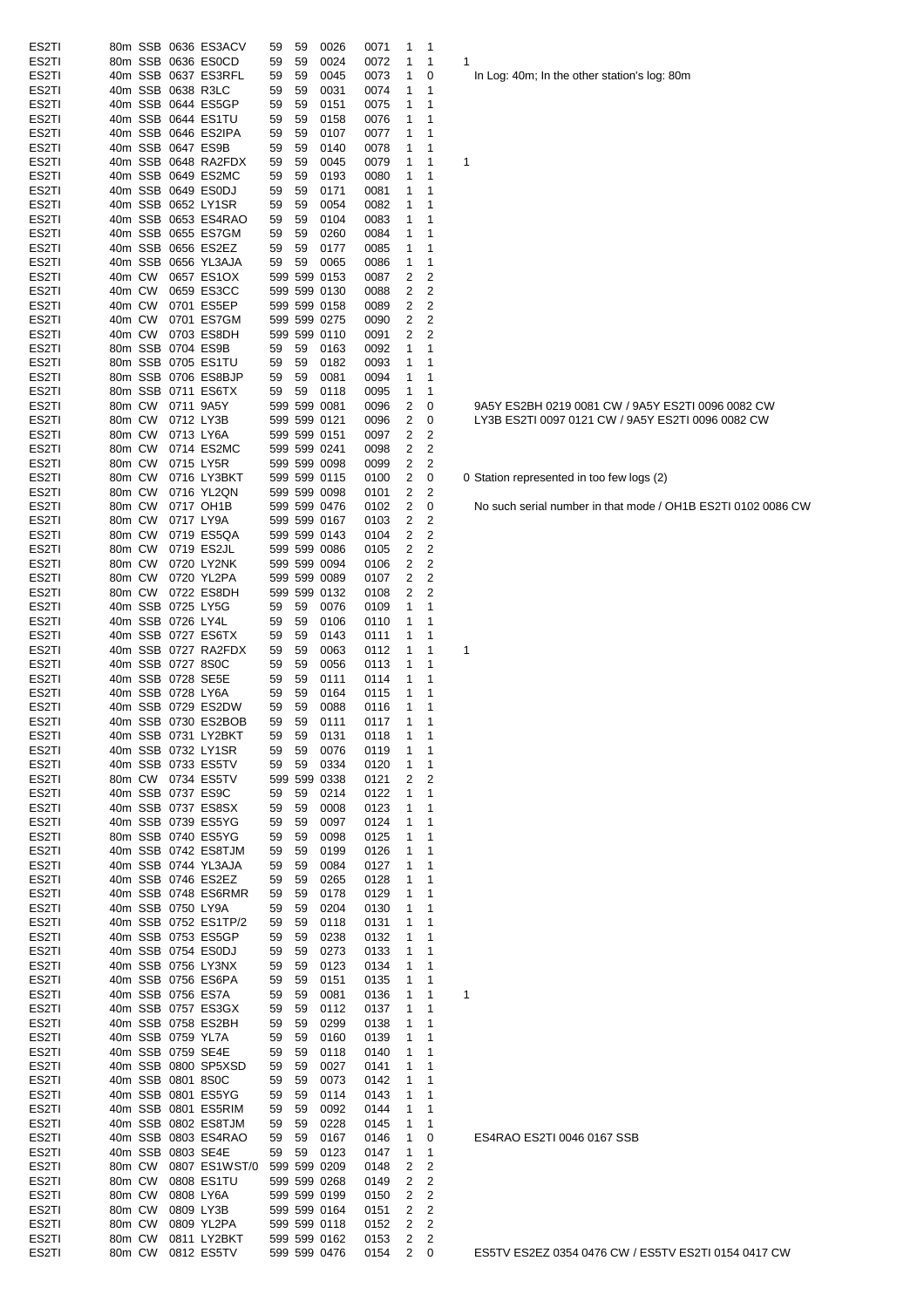| ES2TI |        |        |                   |                                         |              |    |              |              |             |                |                                                           |
|-------|--------|--------|-------------------|-----------------------------------------|--------------|----|--------------|--------------|-------------|----------------|-----------------------------------------------------------|
|       |        |        |                   | 80m SSB 0636 ES3ACV                     | 59           | 59 | 0026         | 0071         | 1           | 1              |                                                           |
| ES2TI |        |        |                   | 80m SSB 0636 ES0CD                      | 59           | 59 | 0024         | 0072         | 1           | 1              | 1                                                         |
| ES2TI |        |        |                   | 40m SSB 0637 ES3RFL                     | 59           | 59 | 0045         | 0073         | 1           | 0              | In Log: 40m; In the other station's log: 80m              |
| ES2TI |        |        |                   | 40m SSB 0638 R3LC                       | 59           | 59 | 0031         | 0074         | 1           | 1              |                                                           |
| ES2TI |        |        |                   | 40m SSB 0644 ES5GP                      | 59           | 59 | 0151         | 0075         | 1           | 1              |                                                           |
| ES2TI |        |        |                   | 40m SSB 0644 ES1TU                      | 59           | 59 | 0158         | 0076         | 1           | 1              |                                                           |
| ES2TI |        |        |                   | 40m SSB 0646 ES2IPA                     | 59           | 59 | 0107         | 0077         | 1           | 1              |                                                           |
| ES2TI |        |        |                   | 40m SSB 0647 ES9B                       | 59           | 59 | 0140         | 0078         | 1           | 1              |                                                           |
| ES2TI |        |        |                   | 40m SSB 0648 RA2FDX                     | 59           | 59 | 0045         | 0079         | 1           | 1              | $\mathbf 1$                                               |
| ES2TI |        |        |                   | 40m SSB 0649 ES2MC                      | 59           | 59 | 0193         | 0080         | 1           | 1              |                                                           |
| ES2TI |        |        |                   | 40m SSB 0649 ES0DJ                      | 59           | 59 | 0171         | 0081         | 1           | 1              |                                                           |
| ES2TI |        |        |                   | 40m SSB 0652 LY1SR                      | 59           | 59 | 0054         | 0082         | 1           | 1              |                                                           |
| ES2TI |        |        |                   | 40m SSB 0653 ES4RAO                     | 59           | 59 | 0104         | 0083         | 1           | 1              |                                                           |
| ES2TI |        |        |                   | 40m SSB 0655 ES7GM                      | 59           | 59 | 0260         | 0084         | 1           | 1              |                                                           |
| ES2TI |        |        |                   | 40m SSB 0656 ES2EZ                      | 59           | 59 | 0177         | 0085         | 1           | 1              |                                                           |
| ES2TI |        |        |                   | 40m SSB 0656 YL3AJA                     | 59           | 59 | 0065         | 0086         | 1           | 1              |                                                           |
| ES2TI | 40m CW |        |                   | 0657 ES1OX                              |              |    | 599 599 0153 | 0087         | 2           | 2              |                                                           |
| ES2TI | 40m CW |        |                   | 0659 ES3CC                              |              |    | 599 599 0130 | 0088         | 2           | $\overline{2}$ |                                                           |
| ES2TI | 40m CW |        |                   | 0701 ES5EP                              |              |    | 599 599 0158 | 0089         | 2           | 2              |                                                           |
| ES2TI | 40m CW |        |                   | 0701 ES7GM                              |              |    | 599 599 0275 | 0090         | 2           | 2              |                                                           |
|       | 40m CW |        |                   | 0703 ES8DH                              |              |    | 599 599 0110 | 0091         | 2           | 2              |                                                           |
| ES2TI |        |        |                   |                                         |              |    |              |              |             |                |                                                           |
| ES2TI |        |        |                   | 80m SSB 0704 ES9B<br>80m SSB 0705 ES1TU | 59           | 59 | 0163         | 0092         | 1           | 1              |                                                           |
| ES2TI |        |        |                   |                                         | 59           | 59 | 0182         | 0093         | 1           | 1              |                                                           |
| ES2TI |        |        |                   | 80m SSB 0706 ES8BJP                     | 59           | 59 | 0081         | 0094         | 1           | 1              |                                                           |
| ES2TI |        |        |                   | 80m SSB 0711 ES6TX                      | 59           | 59 | 0118         | 0095         | 1           | 1              |                                                           |
| ES2TI |        |        | 80m CW 0711 9A5Y  |                                         |              |    | 599 599 0081 | 0096         | 2           | 0              | 9A5Y ES2BH 0219 0081 CW / 9A5Y ES2TI 0096 0082 CW         |
| ES2TI | 80m CW |        | 0712 LY3B         |                                         |              |    | 599 599 0121 | 0096         | 2           | 0              | LY3B ES2TI 0097 0121 CW / 9A5Y ES2TI 0096 0082 CW         |
| ES2TI | 80m CW |        | 0713 LY6A         |                                         |              |    | 599 599 0151 | 0097         | 2           | 2              |                                                           |
| ES2TI | 80m CW |        |                   | 0714 ES2MC                              |              |    | 599 599 0241 | 0098         | 2           | 2              |                                                           |
| ES2TI | 80m CW |        |                   | 0715 LY5R                               |              |    | 599 599 0098 | 0099         | 2           | 2              |                                                           |
| ES2TI | 80m CW |        |                   | 0716 LY3BKT                             |              |    | 599 599 0115 | 0100         | 2           | 0              | 0 Station represented in too few logs (2)                 |
| ES2TI | 80m CW |        |                   | 0716 YL2QN                              |              |    | 599 599 0098 | 0101         | 2           | 2              |                                                           |
| ES2TI | 80m CW |        |                   | 0717 OH1B                               |              |    | 599 599 0476 | 0102         | 2           | 0              | No such serial number in that mode / OH1B ES2TI 0102 0086 |
| ES2TI | 80m CW |        | 0717 LY9A         |                                         |              |    | 599 599 0167 | 0103         | 2           | 2              |                                                           |
| ES2TI | 80m CW |        |                   | 0719 ES5QA                              |              |    | 599 599 0143 | 0104         | 2           | 2              |                                                           |
| ES2TI | 80m CW |        |                   | 0719 ES2JL                              |              |    | 599 599 0086 | 0105         | 2           | 2              |                                                           |
| ES2TI | 80m CW |        |                   | 0720 LY2NK                              |              |    | 599 599 0094 | 0106         | 2           | 2              |                                                           |
| ES2TI | 80m CW |        |                   | 0720 YL2PA                              |              |    | 599 599 0089 | 0107         | 2           | $\overline{2}$ |                                                           |
| ES2TI |        |        |                   | 80m CW 0722 ES8DH                       |              |    | 599 599 0132 | 0108         | 2           | 2              |                                                           |
| ES2TI |        |        |                   | 40m SSB 0725 LY5G                       | 59           | 59 | 0076         | 0109         | 1           | 1              |                                                           |
| ES2TI |        |        | 40m SSB 0726 LY4L |                                         | 59           | 59 | 0106         | 0110         | 1           | 1              |                                                           |
| ES2TI |        |        |                   | 40m SSB 0727 ES6TX                      |              | 59 |              |              |             | 1              |                                                           |
|       |        |        |                   | 40m SSB 0727 RA2FDX                     | 59           |    | 0143<br>0063 | 0111<br>0112 | 1           | 1              | $\mathbf 1$                                               |
| ES2TI |        |        |                   | 40m SSB 0727 8S0C                       | 59           | 59 |              |              | 1<br>1      | 1              |                                                           |
| ES2TI |        |        |                   |                                         | 59           | 59 | 0056         | 0113         |             |                |                                                           |
| ES2TI |        |        |                   | 40m SSB 0728 SE5E                       | 59           | 59 | 0111         | 0114         | 1           | 1              |                                                           |
| ES2TI |        |        | 40m SSB 0728 LY6A |                                         | 59           | 59 | 0164         | 0115         | 1           | 1              |                                                           |
| ES2TI |        |        |                   | 40m SSB 0729 ES2DW                      | 59           | 59 | 0088         | 0116         | 1           | 1              |                                                           |
| ES2TI |        |        |                   | 40m SSB 0730 ES2BOB                     | 59           | 59 | 0111         | 0117         | 1           | 1              |                                                           |
| ES2TI |        |        |                   | 40m SSB 0731 LY2BKT                     | 59           |    | 59 0131      | 0118         | $1 \quad 1$ |                |                                                           |
| ES2TI |        |        |                   | 40m SSB 0732 LY1SR                      | 59           | 59 | 0076         | 0119         | 1           | 1              |                                                           |
| ES2TI |        |        |                   | 40m SSB 0733 ES5TV                      | 59           | 59 | 0334         | 0120         | 1           | 1              |                                                           |
| ES2TI |        |        |                   | 80m CW 0734 ES5TV                       |              |    | 599 599 0338 | 0121         | 2           | 2              |                                                           |
| ES2TI |        |        |                   | 40m SSB 0737 ES9C                       | 59           | 59 | 0214         | 0122         | 1           | 1              |                                                           |
| ES2TI |        |        |                   | 40m SSB 0737 ES8SX                      | 59           | 59 | 0008         | 0123         | 1           | 1              |                                                           |
| ES2TI |        |        |                   | 40m SSB 0739 ES5YG                      | 59           | 59 | 0097         | 0124         | 1           | 1              |                                                           |
| ES2TI |        |        |                   | 80m SSB 0740 ES5YG                      | 59           | 59 | 0098         | 0125         | 1           | 1              |                                                           |
| ES2TI |        |        |                   | 40m SSB 0742 ES8TJM                     | 59           | 59 | 0199         | 0126         | 1           | 1              |                                                           |
| ES2TI |        |        |                   | 40m SSB 0744 YL3AJA                     | 59           | 59 | 0084         | 0127         | 1           | 1              |                                                           |
| ES2TI |        |        |                   | 40m SSB 0746 ES2EZ                      | 59           | 59 | 0265         | 0128         | 1           | 1              |                                                           |
| ES2TI |        |        |                   | 40m SSB 0748 ES6RMR                     | 59           | 59 | 0178         | 0129         | 1           | 1              |                                                           |
| ES2TI |        |        | 40m SSB 0750 LY9A |                                         | 59           | 59 | 0204         | 0130         | 1           | 1              |                                                           |
| ES2TI |        |        |                   | 40m SSB 0752 ES1TP/2                    | 59           | 59 | 0118         | 0131         | 1           | 1              |                                                           |
| ES2TI |        |        |                   | 40m SSB 0753 ES5GP                      | 59           | 59 | 0238         | 0132         | 1           | 1              |                                                           |
| ES2TI |        |        |                   | 40m SSB 0754 ES0DJ                      | 59           | 59 | 0273         | 0133         | 1           | 1              |                                                           |
| ES2TI |        |        |                   | 40m SSB 0756 LY3NX                      | 59           | 59 | 0123         | 0134         | 1           | 1              |                                                           |
| ES2TI |        |        |                   | 40m SSB 0756 ES6PA                      | 59           | 59 | 0151         | 0135         | 1           | 1              |                                                           |
| ES2TI |        |        |                   | 40m SSB 0756 ES7A                       | 59           | 59 | 0081         | 0136         | 1           | 1              | 1                                                         |
| ES2TI |        |        |                   | 40m SSB 0757 ES3GX                      | 59           | 59 | 0112         | 0137         | 1           | 1              |                                                           |
| ES2TI |        |        |                   | 40m SSB 0758 ES2BH                      | 59           | 59 | 0299         | 0138         | 1           | 1              |                                                           |
|       |        |        |                   |                                         |              |    |              |              |             |                |                                                           |
| ES2TI |        |        | 40m SSB 0759 YL7A |                                         | 59           | 59 | 0160         | 0139         | 1           | 1              |                                                           |
| ES2TI |        |        |                   | 40m SSB 0759 SE4E                       | 59           | 59 | 0118         | 0140         | 1           | 1              |                                                           |
| ES2TI |        |        |                   | 40m SSB 0800 SP5XSD                     | 59           | 59 | 0027         | 0141         | 1           | 1              |                                                           |
| ES2TI |        |        |                   | 40m SSB 0801 8S0C                       | 59           | 59 | 0073         | 0142         | 1           | 1              |                                                           |
| ES2TI |        |        |                   | 40m SSB 0801 ES5YG                      | 59           | 59 | 0114         | 0143         | 1           | 1              |                                                           |
| ES2TI |        |        |                   | 40m SSB 0801 ES5RIM                     | 59           | 59 | 0092         | 0144         | 1           | 1              |                                                           |
| ES2TI |        |        |                   | 40m SSB 0802 ES8TJM                     | 59           | 59 | 0228         | 0145         | 1           | 1              |                                                           |
| ES2TI |        |        |                   | 40m SSB 0803 ES4RAO                     | 59           | 59 | 0167         | 0146         | 1           | 0              | ES4RAO ES2TI 0046 0167 SSB                                |
| ES2TI |        |        |                   | 40m SSB 0803 SE4E                       | 59           | 59 | 0123         | 0147         | 1           | 1              |                                                           |
| ES2TI | 80m CW |        |                   | 0807 ES1WST/0                           |              |    | 599 599 0209 | 0148         | 2           | 2              |                                                           |
| ES2TI | 80m CW |        |                   | 0808 ES1TU                              |              |    | 599 599 0268 | 0149         | 2           | 2              |                                                           |
|       |        | 80m CW |                   | 0808 LY6A                               |              |    | 599 599 0199 | 0150         | 2           | 2              |                                                           |
| ES2TI |        |        |                   |                                         |              |    |              |              | 2           | 2              |                                                           |
| ES2TI | 80m CW |        |                   | 0809 LY3B                               | 599 599 0164 |    |              | 0151         |             |                |                                                           |
| ES2TI | 80m CW |        |                   | 0809 YL2PA                              |              |    | 599 599 0118 | 0152         | 2           | 2              |                                                           |
| ES2TI | 80m CW |        |                   | 0811 LY2BKT                             |              |    | 599 599 0162 | 0153         | 2           | 2              |                                                           |

No such serial number in that mode / OH1B ES2TI 0102 0086 CW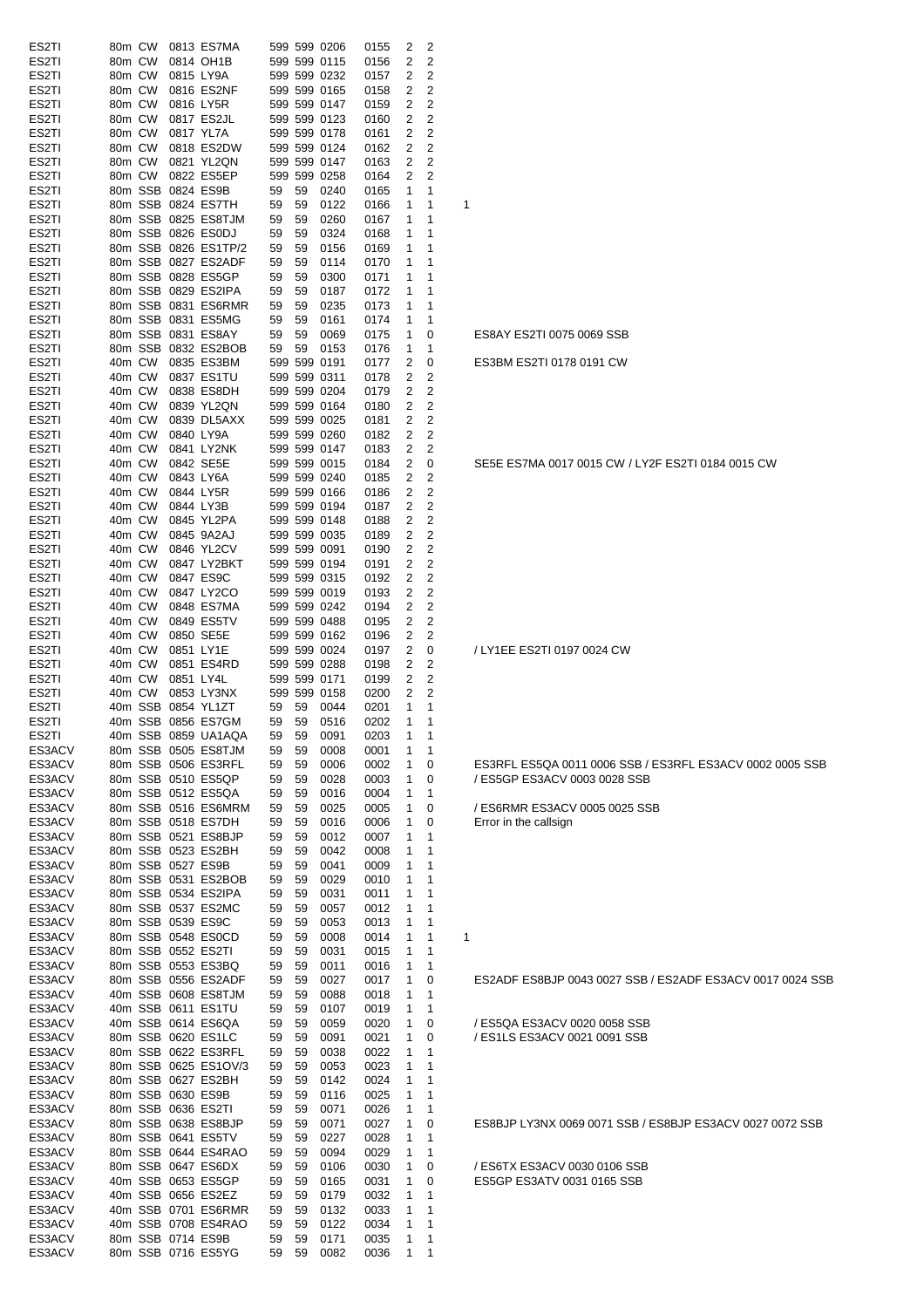| ES <sub>2</sub> TI | 80 <sub>m</sub> CW<br>0813 ES7MA | $\overline{2}$<br>599 599 0206<br>0155<br>2                             |                                                           |
|--------------------|----------------------------------|-------------------------------------------------------------------------|-----------------------------------------------------------|
| ES2TI              | 80m CW<br>0814 OH1B              | 2<br>2<br>599 599 0115<br>0156                                          |                                                           |
| ES <sub>2</sub> TI | 80m CW<br>0815 LY9A              | 599 599 0232<br>2<br>2<br>0157                                          |                                                           |
| ES <sub>2</sub> TI | 80m CW<br>0816 ES2NF             | 599 599 0165<br>2<br>2<br>0158                                          |                                                           |
| ES <sub>2</sub> TI | 80m CW<br>0816 LY5R              | 599 599 0147<br>2<br>2<br>0159                                          |                                                           |
| ES <sub>2</sub> TI | 80m CW<br>0817 ES2JL             | 599 599 0123<br>2<br>2<br>0160                                          |                                                           |
| ES <sub>2</sub> TI | 80m CW<br>0817 YL7A              | 599 599 0178<br>2<br>2<br>0161                                          |                                                           |
| ES2TI              | 80m CW<br>0818 ES2DW             | $\overline{\mathbf{c}}$<br>$\overline{2}$<br>599 599 0124<br>0162       |                                                           |
| ES2TI              | 80m CW<br>0821 YL2QN             | $\overline{2}$<br>599 599 0147<br>0163<br>2                             |                                                           |
| ES2TI              | 80m CW<br>0822 ES5EP             | 599 599 0258<br>0164<br>2<br>$\overline{2}$                             |                                                           |
| ES2TI              | 80m SSB 0824 ES9B                | 0240<br>59<br>59<br>0165<br>1<br>-1                                     |                                                           |
| ES2TI              | 80m SSB 0824 ES7TH               | 59<br>0122<br>0166<br>59<br>$\mathbf 1$<br>1                            | 1                                                         |
| ES2TI              | 80m SSB 0825 ES8TJM              | 59<br>0260<br>0167<br>59<br>1<br>1                                      |                                                           |
| ES <sub>2</sub> TI | 80m SSB 0826 ES0DJ               | 0324<br>0168<br>59<br>59<br>-1<br>1                                     |                                                           |
| ES2TI              | 80m SSB 0826 ES1TP/2             | 59<br>59<br>0156<br>0169<br>1<br>-1                                     |                                                           |
| ES <sub>2</sub> TI | 80m SSB 0827 ES2ADF              | 59<br>0114<br>0170<br>$\overline{1}$                                    |                                                           |
| ES <sub>2</sub> TI | 80m SSB 0828 ES5GP               | 59<br>1<br>59<br>0300<br>1                                              |                                                           |
|                    |                                  | 59<br>0171<br>-1<br>1                                                   |                                                           |
| ES <sub>2</sub> TI | 80m SSB 0829 ES2IPA              | 0172<br>59<br>59<br>0187<br>1                                           |                                                           |
| ES2TI              | 80m SSB 0831 ES6RMR              | 0235<br>0173<br>59<br>59<br>1<br>-1                                     |                                                           |
| ES <sub>2</sub> TI | 80m SSB 0831 ES5MG               | 0174<br>59<br>59<br>0161<br>1<br>1                                      |                                                           |
| ES2TI              | 80m SSB 0831 ES8AY               | 0069<br>0175<br>59<br>59<br>1<br>0                                      | ES8AY ES2TI 0075 0069 SSB                                 |
| ES2TI              | 80m SSB 0832 ES2BOB              | 0153<br>0176<br>59<br>59<br>1<br>-1                                     |                                                           |
| ES2TI              | 40m CW<br>0835 ES3BM             | 599 599 0191<br>0177<br>2<br>0                                          | ES3BM ES2TI 0178 0191 CW                                  |
| ES <sub>2</sub> TI | 40m CW<br>0837 ES1TU             | 599 599 0311<br>0178<br>2<br>2                                          |                                                           |
| ES <sub>2</sub> TI | 40m CW<br>0838 ES8DH             | 599 599 0204<br>0179<br>2<br>2                                          |                                                           |
| ES2TI              | 40m CW<br>0839 YL2QN             | 599 599 0164<br>0180<br>2<br>2                                          |                                                           |
| ES2TI              | 40m CW<br>0839 DL5AXX            | 599 599 0025<br>0181<br>2<br>2                                          |                                                           |
| ES2TI              | 40m CW<br>0840 LY9A              | 599 599 0260<br>2<br>2<br>0182                                          |                                                           |
| ES <sub>2</sub> TI | 40m CW<br>0841 LY2NK             | 599 599 0147<br>2<br>0183<br>2                                          |                                                           |
| ES <sub>2</sub> TI | 40m CW<br>0842 SE5E              | 599 599 0015<br>2<br>0184<br>0                                          | SE5E ES7MA 0017 0015 CW / LY2F ES2TI 0184 0015 CW         |
| ES <sub>2</sub> TI | 40m CW<br>0843 LY6A              | 599 599 0240<br>2<br>0185<br>2                                          |                                                           |
| ES2TI              | 40m CW<br>0844 LY5R              | 599 599 0166<br>2<br>$\overline{2}$<br>0186                             |                                                           |
| ES2TI              | 40m CW<br>0844 LY3B              | $\overline{2}$<br>599 599 0194<br>0187<br>2                             |                                                           |
| ES2TI              | 40m CW<br>0845 YL2PA             | 599 599 0148<br>0188<br>2<br>$\overline{2}$                             |                                                           |
| ES2TI              | 40m CW<br>0845 9A2AJ             | 599 599 0035<br>2<br>2<br>0189                                          |                                                           |
| ES2TI              | 40m CW<br>0846 YL2CV             | 599 599 0091<br>0190<br>2<br>$\overline{2}$                             |                                                           |
| ES <sub>2</sub> TI | 40m CW<br>0847 LY2BKT            | 599 599 0194<br>2<br>2<br>0191                                          |                                                           |
| ES <sub>2</sub> TI | 40m CW<br>0847 ES9C              | 599 599 0315<br>0192<br>2<br>2                                          |                                                           |
| ES2TI              | 40m CW<br>0847 LY2CO             | 599 599 0019<br>2<br>2<br>0193                                          |                                                           |
| ES2TI              | 40m CW<br>0848 ES7MA             | 599 599 0242<br>2<br>2<br>0194                                          |                                                           |
| ES2TI              | 40m CW<br>0849 ES5TV             | 2<br>2<br>599 599 0488<br>0195                                          |                                                           |
| ES2TI              | 40m CW<br>0850 SE5E              | 599 599 0162<br>0196<br>2<br>2                                          |                                                           |
| ES <sub>2</sub> TI | 40m CW<br>0851 LY1E              | 599 599 0024<br>2<br>0197<br>0                                          | / LY1EE ES2TI 0197 0024 CW                                |
| ES2TI              | 40m CW<br>0851 ES4RD             | 599 599 0288<br>0198<br>2<br>2                                          |                                                           |
| ES2TI              | 40m CW<br>0851 LY4L              | $\overline{2}$<br>599 599 0171<br>0199<br>$\overline{2}$                |                                                           |
| ES2TI              | 40m CW<br>0853 LY3NX             | 599 599 0158<br>0200<br>2<br>2                                          |                                                           |
| ES2TI              | 40m SSB 0854 YL1ZT               | 0044<br>0201<br>59<br>59<br>1<br>-1                                     |                                                           |
| ES <sub>2</sub> TI | 40m SSB 0856 ES7GM               | 0516<br>0202<br>59<br>59<br>1<br>-1                                     |                                                           |
| ES <sub>2</sub> TI | 40m SSB 0859 UA1AQA              | 59<br>59<br>0091<br>0203<br>$\mathbf{1}$<br>$\overline{1}$              |                                                           |
| ES3ACV             | 80m SSB 0505 ES8TJM              | 59<br>0008<br>0001<br>59<br>$\mathbf{1}$<br>$\overline{1}$              |                                                           |
| ES3ACV             | 80m SSB 0506 ES3RFL              | 0002<br>$\mathbf{1}$<br>59<br>59<br>0006<br>0                           | ES3RFL ES5QA 0011 0006 SSB / ES3RFL ES3ACV 0002 0005 SSB  |
| ES3ACV             | 80m SSB 0510 ES5QP               | $\mathbf{1}$<br>59<br>59<br>0028<br>0003<br>0                           | / ES5GP ES3ACV 0003 0028 SSB                              |
| ES3ACV             | 80m SSB 0512 ES5QA               | 59<br>-59<br>0016<br>0004<br>$\overline{1}$<br>$\overline{1}$           |                                                           |
| ES3ACV             | 80m SSB 0516 ES6MRM              | 59<br>-59<br>0025<br>0005<br>$\mathbf{1}$<br>0                          | / ES6RMR ES3ACV 0005 0025 SSB                             |
| ES3ACV             | 80m SSB 0518 ES7DH               | 59<br>59<br>0016<br>0006<br>$\mathbf{1}$<br>0                           | Error in the callsign                                     |
| ES3ACV             | 80m SSB 0521 ES8BJP              | 0007<br>59<br>-59<br>0012<br>1<br>$\overline{1}$                        |                                                           |
| ES3ACV             | 80m SSB 0523 ES2BH               | 0042<br>0008<br>59<br>59<br>$\overline{1}$<br>$\overline{1}$            |                                                           |
| ES3ACV             | 80m SSB 0527 ES9B                | 0009<br>59<br>-59<br>0041<br>$\overline{1}$<br>$\overline{1}$           |                                                           |
| ES3ACV             | 80m SSB 0531 ES2BOB              | 0029<br>59<br>59<br>0010<br>$\overline{1}$<br>$\mathbf 1$               |                                                           |
| ES3ACV             | 80m SSB 0534 ES2IPA              | 59<br>-59<br>0031<br>0011<br>$\overline{1}$<br>$\overline{\phantom{1}}$ |                                                           |
| ES3ACV             | 80m SSB 0537 ES2MC               | 0057<br>0012<br>59<br>59<br>$\overline{1}$<br>$\overline{1}$            |                                                           |
| ES3ACV             | 80m SSB 0539 ES9C                | 0013<br>59<br>59<br>0053<br>$\mathbf{1}$<br>$\overline{1}$              |                                                           |
| ES3ACV             | 80m SSB 0548 ES0CD               | 59<br>59<br>0008<br>0014<br>$\mathbf{1}$<br>$\overline{1}$              | 1                                                         |
| ES3ACV             | 80m SSB 0552 ES2TI               | 0015<br>59<br>59<br>0031<br>$\overline{1}$<br>$\overline{1}$            |                                                           |
| ES3ACV             | 80m SSB 0553 ES3BQ               | 59<br>59<br>0011<br>0016<br>$\mathbf{1}$<br>$\overline{1}$              |                                                           |
| ES3ACV             | 80m SSB 0556 ES2ADF              | 59<br>-59<br>0027<br>0017<br>$\mathbf{1}$<br>0                          | ES2ADF ES8BJP 0043 0027 SSB / ES2ADF ES3ACV 0017 0024 SSB |
| ES3ACV             | 40m SSB 0608 ES8TJM              | 0088<br>0018<br>-59<br>1<br>$\overline{1}$                              |                                                           |
|                    | 40m SSB 0611 ES1TU               | 59<br>59<br>$\overline{1}$<br>$\mathbf{1}$                              |                                                           |
| ES3ACV<br>ES3ACV   | 40m SSB 0614 ES6QA               | 59<br>0107<br>0019<br>0020<br>$\mathbf{1}$<br>59<br>0                   | / ES5QA ES3ACV 0020 0058 SSB                              |
|                    |                                  | 0059<br>59                                                              |                                                           |
| ES3ACV             | 80m SSB 0620 ES1LC               | 0091<br>0021<br>$\mathbf{1}$<br>59<br>59<br>0                           | / ES1LS ES3ACV 0021 0091 SSB                              |
| ES3ACV             | 80m SSB 0622 ES3RFL              | 0022<br>-59<br>0038<br>$\overline{1}$<br>59<br>$\overline{1}$           |                                                           |
| ES3ACV             | 80m SSB 0625 ES1OV/3             | 0023<br>$\overline{1}$<br>59<br>59<br>0053<br>$\overline{1}$            |                                                           |
| ES3ACV             | 80m SSB 0627 ES2BH               | 0024<br>59<br>59<br>0142<br>$\mathbf{1}$<br>$\overline{1}$              |                                                           |
| ES3ACV             | 80m SSB 0630 ES9B                | 0025<br>59<br>59<br>0116<br>$\overline{1}$<br>$\overline{1}$            |                                                           |
| ES3ACV             | 80m SSB 0636 ES2TI               | 0071<br>0026<br>59<br>59<br>$\overline{1}$<br>$\overline{1}$            |                                                           |
| ES3ACV             | 80m SSB 0638 ES8BJP              | 0071<br>0027<br>$\mathbf{1}$<br>59<br>59<br>0                           | ES8BJP LY3NX 0069 0071 SSB / ES8BJP ES3ACV 0027 0072 SSB  |
| ES3ACV             | 80m SSB 0641 ES5TV               | 0028<br>59<br>59<br>0227<br>$\mathbf{1}$<br>$\overline{1}$              |                                                           |
| ES3ACV             | 80m SSB 0644 ES4RAO              | 59<br>-59<br>0094<br>0029<br>$\mathbf{1}$<br>$\overline{1}$             |                                                           |
| ES3ACV             | 80m SSB 0647 ES6DX               | 0030<br>59<br>59<br>0106<br>$\mathbf{1}$<br>0                           | / ES6TX ES3ACV 0030 0106 SSB                              |
| ES3ACV             | 40m SSB 0653 ES5GP               | 59<br>-59<br>0165<br>0031<br>1<br>0                                     | ES5GP ES3ATV 0031 0165 SSB                                |
| ES3ACV             | 40m SSB 0656 ES2EZ               | 59<br>0032<br>$\overline{1}$<br>59<br>0179<br>$\overline{1}$            |                                                           |
| ES3ACV             | 40m SSB 0701 ES6RMR              | 0033<br>-59<br>0132<br>$\overline{1}$<br>$\overline{1}$<br>59           |                                                           |
| ES3ACV             | 40m SSB 0708 ES4RAO              | 0034<br>$\overline{1}$<br>59<br>59<br>0122<br>$\overline{1}$            |                                                           |
| ES3ACV             | 80m SSB 0714 ES9B                | 59<br>-59<br>0171<br>0035<br>$\overline{1}$<br>$\overline{1}$           |                                                           |
| ES3ACV             | 80m SSB 0716 ES5YG               | 59<br>59<br>0082<br>0036<br>$\overline{1}$<br>$\overline{\phantom{1}}$  |                                                           |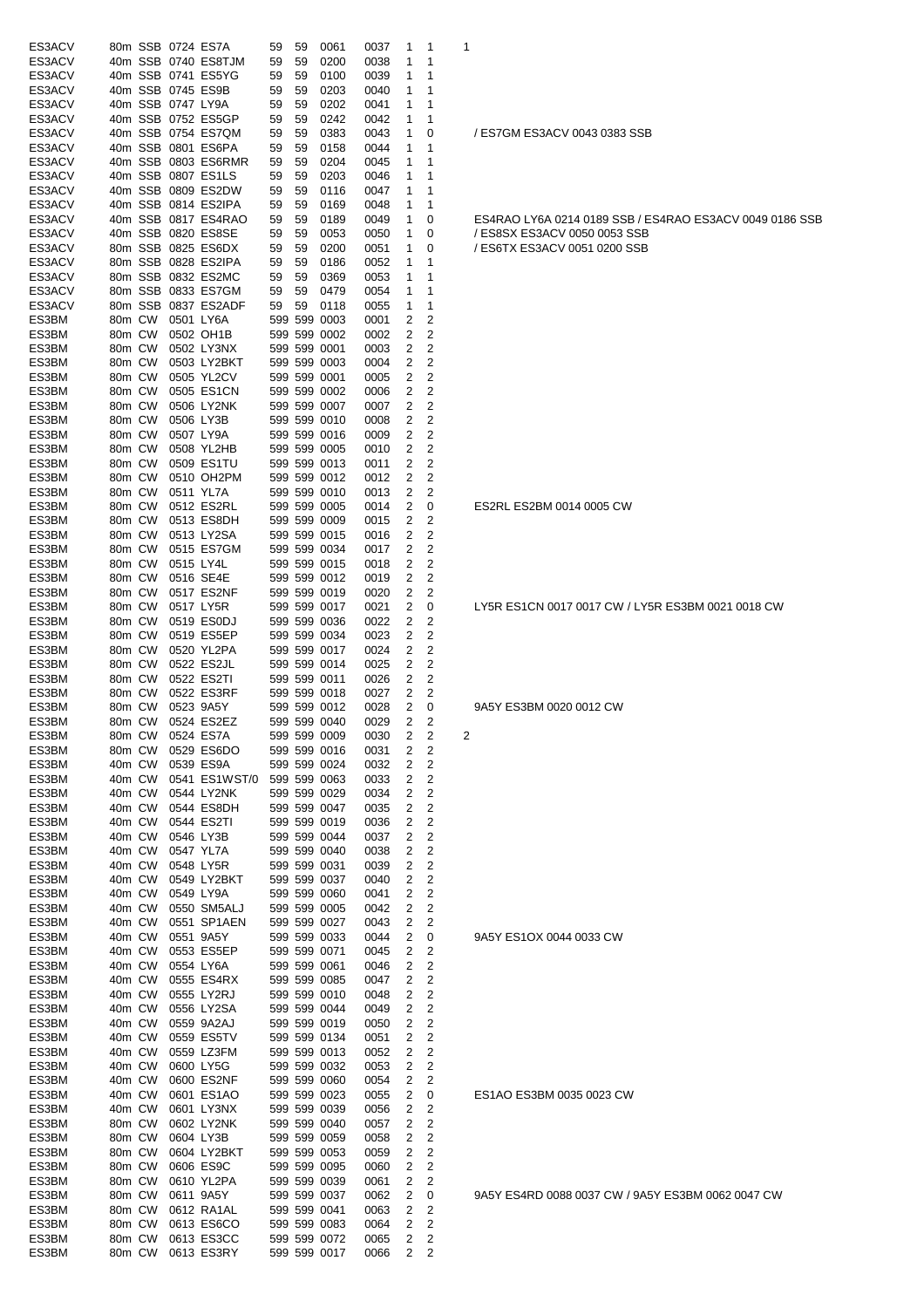| ES3ACV           |                    |        |                   | 80m SSB 0724 ES7A                        | 59       | 59       | 0061                         | 0037         | 1                            | -1                           | 1                                                       |
|------------------|--------------------|--------|-------------------|------------------------------------------|----------|----------|------------------------------|--------------|------------------------------|------------------------------|---------------------------------------------------------|
| ES3ACV           |                    |        |                   | 40m SSB 0740 ES8TJM                      | 59       | 59       | 0200                         | 0038         | 1                            | 1                            |                                                         |
| ES3ACV           |                    |        |                   | 40m SSB 0741 ES5YG<br>40m SSB 0745 ES9B  | 59       | 59       | 0100                         | 0039         | 1                            | 1                            |                                                         |
| ES3ACV<br>ES3ACV |                    |        | 40m SSB 0747 LY9A |                                          | 59<br>59 | 59<br>59 | 0203<br>0202                 | 0040<br>0041 | 1<br>1                       | 1<br>1                       |                                                         |
| ES3ACV           |                    |        |                   | 40m SSB 0752 ES5GP                       | 59       | 59       | 0242                         | 0042         | 1                            | 1                            |                                                         |
| ES3ACV           |                    |        |                   | 40m SSB 0754 ES7QM                       | 59       | 59       | 0383                         | 0043         | 1                            | 0                            | / ES7GM ES3ACV 0043 0383 SSB                            |
| ES3ACV           |                    |        |                   | 40m SSB 0801 ES6PA                       | 59       | 59       | 0158                         | 0044         | 1                            | -1                           |                                                         |
| ES3ACV           |                    |        |                   | 40m SSB 0803 ES6RMR                      | 59       | 59       | 0204                         | 0045         | 1                            | 1                            |                                                         |
| ES3ACV<br>ES3ACV |                    |        |                   | 40m SSB 0807 ES1LS<br>40m SSB 0809 ES2DW | 59<br>59 | 59<br>59 | 0203<br>0116                 | 0046<br>0047 | 1<br>1                       | 1<br>1                       |                                                         |
| ES3ACV           |                    |        |                   | 40m SSB 0814 ES2IPA                      | 59       | 59       | 0169                         | 0048         | 1                            | 1                            |                                                         |
| ES3ACV           |                    |        |                   | 40m SSB 0817 ES4RAO                      | 59       | 59       | 0189                         | 0049         | 1                            | 0                            | ES4RAO LY6A 0214 0189 SSB / ES4RAO ES3ACV 0049 0186 SSB |
| ES3ACV           |                    |        |                   | 40m SSB 0820 ES8SE                       | 59       | 59       | 0053                         | 0050         | 1                            | 0                            | / ES8SX ES3ACV 0050 0053 SSB                            |
| ES3ACV           |                    |        |                   | 80m SSB 0825 ES6DX                       | 59       | 59       | 0200                         | 0051         | 1                            | 0                            | / ES6TX ES3ACV 0051 0200 SSB                            |
| ES3ACV           |                    |        |                   | 80m SSB 0828 ES2IPA                      | 59       | 59       | 0186                         | 0052         | 1                            | 1                            |                                                         |
| ES3ACV<br>ES3ACV |                    |        |                   | 80m SSB 0832 ES2MC<br>80m SSB 0833 ES7GM | 59<br>59 | 59<br>59 | 0369<br>0479                 | 0053<br>0054 | 1<br>1                       | 1<br>1                       |                                                         |
| ES3ACV           |                    |        |                   | 80m SSB 0837 ES2ADF                      | 59       | 59       | 0118                         | 0055         | 1                            | 1                            |                                                         |
| ES3BM            | 80m CW             |        |                   | 0501 LY6A                                |          |          | 599 599 0003                 | 0001         | 2                            | 2                            |                                                         |
| ES3BM            | 80m CW             |        |                   | 0502 OH1B                                |          |          | 599 599 0002                 | 0002         | $\overline{2}$               | $\overline{2}$               |                                                         |
| ES3BM            | 80m CW             |        |                   | 0502 LY3NX                               |          |          | 599 599 0001                 | 0003         | $\overline{2}$               | 2                            |                                                         |
| ES3BM            | 80m CW             |        |                   | 0503 LY2BKT                              |          |          | 599 599 0003                 | 0004         | 2                            | 2                            |                                                         |
| ES3BM            | 80m CW             |        |                   | 0505 YL2CV                               |          |          | 599 599 0001                 | 0005         | 2                            | 2                            |                                                         |
| ES3BM<br>ES3BM   | 80m CW<br>80m CW   |        |                   | 0505 ES1CN<br>0506 LY2NK                 |          |          | 599 599 0002<br>599 599 0007 | 0006<br>0007 | 2<br>2                       | $\overline{2}$<br>2          |                                                         |
| ES3BM            | 80m CW             |        |                   | 0506 LY3B                                |          |          | 599 599 0010                 | 0008         | $\overline{\mathbf{c}}$      | $\overline{\mathbf{c}}$      |                                                         |
| ES3BM            | 80m CW             |        |                   | 0507 LY9A                                |          |          | 599 599 0016                 | 0009         | 2                            | 2                            |                                                         |
| ES3BM            | 80 <sub>m</sub> CW |        |                   | 0508 YL2HB                               |          |          | 599 599 0005                 | 0010         | 2                            | 2                            |                                                         |
| ES3BM            | 80m CW             |        |                   | 0509 ES1TU                               |          |          | 599 599 0013                 | 0011         | 2                            | 2                            |                                                         |
| ES3BM            | 80m CW             |        |                   | 0510 OH2PM                               |          |          | 599 599 0012                 | 0012         | 2                            | 2                            |                                                         |
| ES3BM            | 80m CW             |        |                   | 0511 YL7A                                |          |          | 599 599 0010                 | 0013         | $\overline{2}$               | 2                            |                                                         |
| ES3BM<br>ES3BM   | 80m CW<br>80m CW   |        |                   | 0512 ES2RL<br>0513 ES8DH                 |          |          | 599 599 0005<br>599 599 0009 | 0014<br>0015 | 2<br>2                       | 0<br>2                       | ES2RL ES2BM 0014 0005 CW                                |
| ES3BM            | 80m CW             |        |                   | 0513 LY2SA                               |          |          | 599 599 0015                 | 0016         | $\overline{2}$               | 2                            |                                                         |
| ES3BM            | 80m CW             |        |                   | 0515 ES7GM                               |          |          | 599 599 0034                 | 0017         | 2                            | 2                            |                                                         |
| ES3BM            | 80m CW             |        | 0515 LY4L         |                                          |          |          | 599 599 0015                 | 0018         | 2                            | 2                            |                                                         |
| ES3BM            | 80m CW             |        |                   | 0516 SE4E                                |          |          | 599 599 0012                 | 0019         | 2                            | $\overline{2}$               |                                                         |
| ES3BM            | 80m CW             |        |                   | 0517 ES2NF                               |          |          | 599 599 0019                 | 0020         | 2                            | 2                            |                                                         |
| ES3BM<br>ES3BM   | 80m CW<br>80m CW   |        |                   | 0517 LY5R<br>0519 ES0DJ                  |          |          | 599 599 0017<br>599 599 0036 | 0021<br>0022 | 2<br>2                       | 0<br>2                       | LY5R ES1CN 0017 0017 CW / LY5R ES3BM 0021 0018 CW       |
| ES3BM            | 80m CW             |        |                   | 0519 ES5EP                               |          |          | 599 599 0034                 | 0023         | 2                            | 2                            |                                                         |
| ES3BM            | 80m CW             |        |                   | 0520 YL2PA                               |          |          | 599 599 0017                 | 0024         | 2                            | 2                            |                                                         |
| ES3BM            | 80m CW             |        |                   | 0522 ES2JL                               |          |          | 599 599 0014                 | 0025         | $\overline{2}$               | 2                            |                                                         |
| ES3BM            | 80m CW             |        |                   | 0522 ES2TI                               |          |          | 599 599 0011                 | 0026         | $\overline{2}$               | $\overline{2}$               |                                                         |
| ES3BM            | 80m CW             |        |                   | 0522 ES3RF                               |          |          | 599 599 0018                 | 0027         | $\overline{2}$               | 2                            |                                                         |
| ES3BM            | 80m CW             |        | 0523 9A5Y         |                                          |          |          | 599 599 0012                 | 0028         | $\overline{2}$               | 0                            | 9A5Y ES3BM 0020 0012 CW                                 |
| ES3BM<br>ES3BM   | 80m CW             | 80m CW |                   | 0524 ES2EZ<br>0524 ES7A                  |          |          | 599 599 0040<br>599 599 0009 | 0029<br>0030 | 2<br>2                       | 2<br>2                       | 2                                                       |
| ES3BM            | 80m CW             |        |                   | 0529 ES6DO                               |          |          | 599 599 0016                 | 0031         | 2                            | 2                            |                                                         |
| ES3BM            | 40m CW             |        |                   | 0539 ES9A                                |          |          | 599 599 0024                 | 0032         | 2                            | 2                            |                                                         |
| ES3BM            | 40m CW             |        |                   | 0541 ES1WST/0                            |          |          | 599 599 0063                 | 0033         | 2                            | 2                            |                                                         |
| ES3BM            | 40m CW             |        |                   | 0544 LY2NK                               |          |          | 599 599 0029                 | 0034         | 2                            | $\overline{\mathbf{c}}$      |                                                         |
| ES3BM            | 40m CW             |        |                   | 0544 ES8DH                               |          |          | 599 599 0047                 | 0035         | 2                            | $\overline{\mathbf{c}}$      |                                                         |
| ES3BM<br>ES3BM   | 40m CW<br>40m CW   |        |                   | 0544 ES2TI<br>0546 LY3B                  |          |          | 599 599 0019<br>599 599 0044 | 0036<br>0037 | 2<br>2                       | 2<br>$\overline{\mathbf{c}}$ |                                                         |
| ES3BM            | 40m CW             |        |                   | 0547 YL7A                                |          |          | 599 599 0040                 | 0038         | $\overline{\mathbf{c}}$      | $\overline{\mathbf{c}}$      |                                                         |
| ES3BM            | 40m CW             |        |                   | 0548 LY5R                                |          |          | 599 599 0031                 | 0039         | 2                            | $\overline{\mathbf{c}}$      |                                                         |
| ES3BM            | 40m CW             |        |                   | 0549 LY2BKT                              |          |          | 599 599 0037                 | 0040         | 2                            | $\overline{\mathbf{c}}$      |                                                         |
| ES3BM            | 40m CW             |        |                   | 0549 LY9A                                |          |          | 599 599 0060                 | 0041         | 2                            | 2                            |                                                         |
| ES3BM            | 40m CW             |        |                   | 0550 SM5ALJ                              |          |          | 599 599 0005                 | 0042         | 2                            | 2                            |                                                         |
| ES3BM<br>ES3BM   | 40m CW<br>40m CW   |        |                   | 0551 SP1AEN<br>0551 9A5Y                 |          |          | 599 599 0027<br>599 599 0033 | 0043<br>0044 | 2<br>2                       | 2<br>0                       | 9A5Y ES1OX 0044 0033 CW                                 |
| ES3BM            | 40m CW             |        |                   | 0553 ES5EP                               |          |          | 599 599 0071                 | 0045         | 2                            | 2                            |                                                         |
| ES3BM            | 40m CW             |        |                   | 0554 LY6A                                |          |          | 599 599 0061                 | 0046         | 2                            | 2                            |                                                         |
| ES3BM            | 40m CW             |        |                   | 0555 ES4RX                               |          |          | 599 599 0085                 | 0047         | 2                            | 2                            |                                                         |
| ES3BM            | 40m CW             |        |                   | 0555 LY2RJ                               |          |          | 599 599 0010                 | 0048         | 2                            | 2                            |                                                         |
| ES3BM            | 40m CW             |        |                   | 0556 LY2SA                               |          |          | 599 599 0044                 | 0049         | 2                            | 2                            |                                                         |
| ES3BM<br>ES3BM   | 40m CW<br>40m CW   |        |                   | 0559 9A2AJ<br>0559 ES5TV                 |          |          | 599 599 0019<br>599 599 0134 | 0050<br>0051 | 2<br>$\overline{2}$          | 2<br>2                       |                                                         |
| ES3BM            | 40m CW             |        |                   | 0559 LZ3FM                               |          |          | 599 599 0013                 | 0052         | 2                            | 2                            |                                                         |
| ES3BM            | 40m CW             |        |                   | 0600 LY5G                                |          |          | 599 599 0032                 | 0053         | $\overline{2}$               | 2                            |                                                         |
| ES3BM            | 40m CW             |        |                   | 0600 ES2NF                               |          |          | 599 599 0060                 | 0054         | 2                            | 2                            |                                                         |
| ES3BM            | 40m CW             |        |                   | 0601 ES1AO                               |          |          | 599 599 0023                 | 0055         | 2                            | 0                            | ES1AO ES3BM 0035 0023 CW                                |
| ES3BM            | 40m CW             |        |                   | 0601 LY3NX                               |          |          | 599 599 0039                 | 0056         | 2                            | 2                            |                                                         |
| ES3BM<br>ES3BM   | 80m CW<br>80m CW   |        |                   | 0602 LY2NK<br>0604 LY3B                  |          |          | 599 599 0040<br>599 599 0059 | 0057<br>0058 | 2<br>2                       | 2<br>2                       |                                                         |
| ES3BM            | 80m CW             |        |                   | 0604 LY2BKT                              |          |          | 599 599 0053                 | 0059         | 2                            | 2                            |                                                         |
| ES3BM            | 80m CW             |        |                   | 0606 ES9C                                |          |          | 599 599 0095                 | 0060         | 2                            | 2                            |                                                         |
| ES3BM            | 80m CW             |        |                   | 0610 YL2PA                               |          |          | 599 599 0039                 | 0061         | 2                            | 2                            |                                                         |
| ES3BM            | 80m CW             |        |                   | 0611 9A5Y                                |          |          | 599 599 0037                 | 0062         | $\overline{\mathbf{c}}$      | 0                            | 9A5Y ES4RD 0088 0037 CW / 9A5Y ES3BM 0062 0047 CW       |
| ES3BM            | 80m CW             |        |                   | 0612 RA1AL                               |          |          | 599 599 0041                 | 0063         | 2                            | 2                            |                                                         |
| ES3BM<br>ES3BM   | 80m CW<br>80m CW   |        |                   | 0613 ES6CO<br>0613 ES3CC                 |          |          | 599 599 0083<br>599 599 0072 | 0064         | $\overline{\mathbf{c}}$      | 2                            |                                                         |
| ES3BM            | 80m CW             |        |                   | 0613 ES3RY                               |          |          | 599 599 0017                 | 0065<br>0066 | 2<br>$\overline{\mathbf{c}}$ | 2<br>2                       |                                                         |
|                  |                    |        |                   |                                          |          |          |                              |              |                              |                              |                                                         |

| 34RAO LY6A 0214 0189 SSB / ES4RAO ES3ACV 0049 0186<br>S8SX ES3ACV 0050 0053 SSB<br>S6TX ES3ACV 0051 0200 SSB |
|--------------------------------------------------------------------------------------------------------------|
|                                                                                                              |
|                                                                                                              |
| 32RL ES2BM 0014 0005 CW                                                                                      |
|                                                                                                              |
| 5R ES1CN 0017 0017 CW / LY5R ES3BM 0021 0018 CW                                                              |
|                                                                                                              |
| 5Y ES3BM 0020 0012 CW                                                                                        |
|                                                                                                              |
|                                                                                                              |
|                                                                                                              |
|                                                                                                              |
|                                                                                                              |
|                                                                                                              |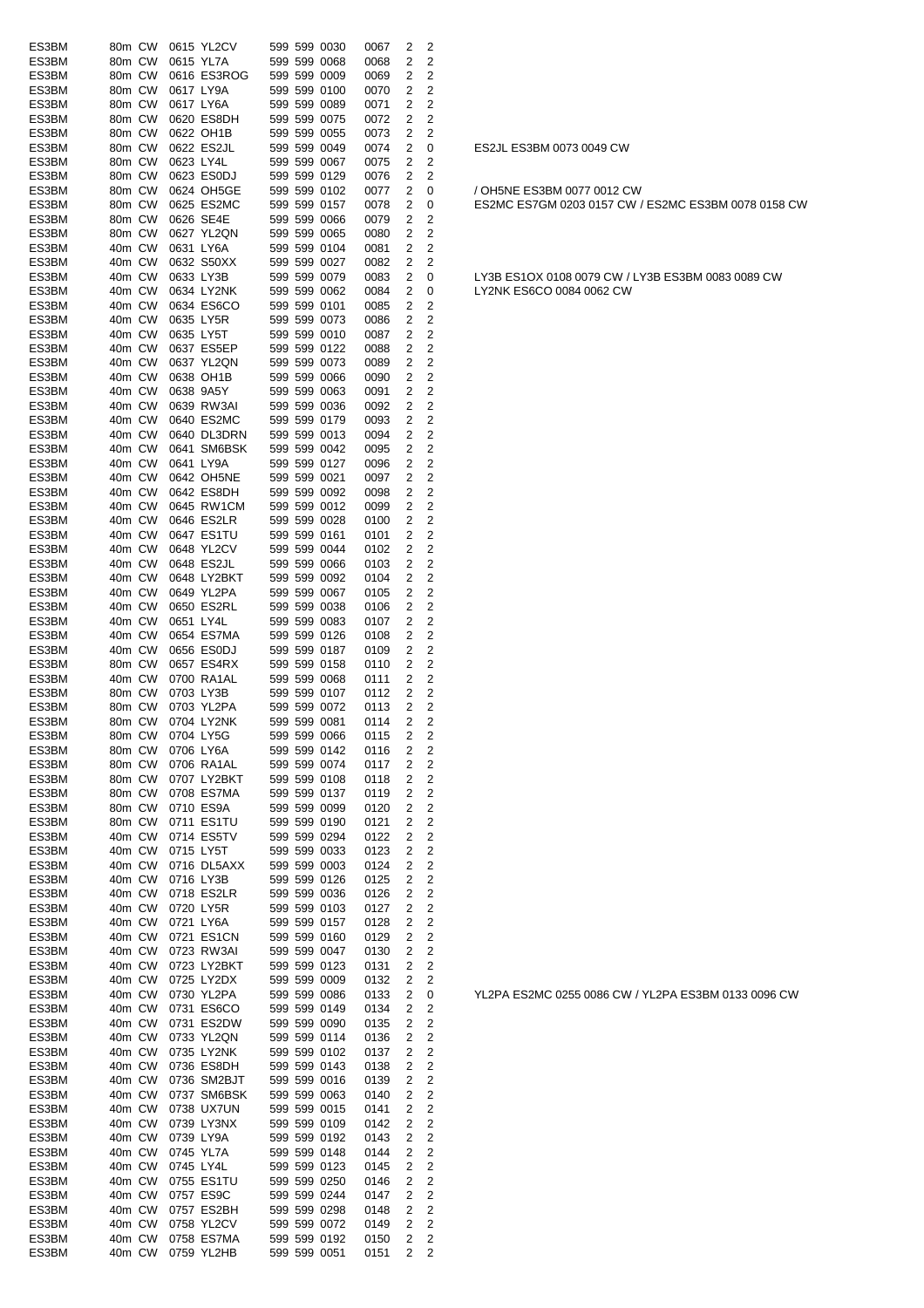| ES3BM          | 80m CW           |           | 0615 YL2CV                |  | 599 599 0030                 | 0067         | 2      | 2                   |
|----------------|------------------|-----------|---------------------------|--|------------------------------|--------------|--------|---------------------|
| ES3BM          | 80m CW           |           | 0615 YL7A                 |  | 599 599 0068                 | 0068         | 2      | 2                   |
| ES3BM          | 80m CW           |           | 0616 ES3ROG               |  | 599 599 0009                 | 0069         | 2      | 2                   |
| ES3BM          | 80m CW           |           | 0617 LY9A                 |  | 599 599 0100                 | 0070         | 2      | 2                   |
| ES3BM<br>ES3BM | 80m CW<br>80m CW |           | 0617 LY6A<br>0620 ES8DH   |  | 599 599 0089<br>599 599 0075 | 0071<br>0072 | 2<br>2 | 2<br>2              |
| ES3BM          | 80m CW           |           | 0622 OH1B                 |  | 599 599 0055                 | 0073         | 2      | 2                   |
| ES3BM          | 80m CW           |           | 0622 ES2JL                |  | 599 599 0049                 | 0074         | 2      | 0                   |
| ES3BM          | 80m CW           | 0623 LY4L |                           |  | 599 599 0067                 | 0075         | 2      | 2                   |
| ES3BM          | 80m CW           |           | 0623 ES0DJ                |  | 599 599 0129                 | 0076         | 2      | 2                   |
| ES3BM          | 80m CW           |           | 0624 OH5GE                |  | 599 599 0102                 | 0077         | 2      | 0                   |
| ES3BM          | 80m CW           |           | 0625 ES2MC                |  | 599 599 0157                 | 0078         | 2      | 0                   |
| ES3BM          | 80m CW           |           | 0626 SE4E                 |  | 599 599 0066                 | 0079         | 2      | 2                   |
| ES3BM          | 80m CW           |           | 0627 YL2QN                |  | 599 599 0065                 | 0080         | 2      | 2                   |
| ES3BM<br>ES3BM | 40m CW<br>40m CW |           | 0631 LY6A<br>0632 S50XX   |  | 599 599 0104<br>599 599 0027 | 0081<br>0082 | 2<br>2 | 2<br>2              |
| ES3BM          | 40m CW           |           | 0633 LY3B                 |  | 599 599 0079                 | 0083         | 2      | 0                   |
| ES3BM          | 40m CW           |           | 0634 LY2NK                |  | 599 599 0062                 | 0084         | 2      | 0                   |
| ES3BM          | 40m CW           |           | 0634 ES6CO                |  | 599 599 0101                 | 0085         | 2      | 2                   |
| ES3BM          | 40m CW           |           | 0635 LY5R                 |  | 599 599 0073                 | 0086         | 2      | 2                   |
| ES3BM          | 40m CW           |           | 0635 LY5T                 |  | 599 599 0010                 | 0087         | 2      | 2                   |
| ES3BM          | 40m CW           |           | 0637 ES5EP                |  | 599 599 0122                 | 0088         | 2      | 2                   |
| ES3BM          | 40m CW           |           | 0637 YL2QN                |  | 599 599 0073                 | 0089         | 2      | 2                   |
| ES3BM          | 40m CW           |           | 0638 OH1B                 |  | 599 599 0066                 | 0090         | 2      | 2                   |
| ES3BM<br>ES3BM | 40m CW<br>40m CW |           | 0638 9A5Y<br>0639 RW3AI   |  | 599 599 0063<br>599 599 0036 | 0091<br>0092 | 2<br>2 | 2<br>2              |
| ES3BM          | 40m CW           |           | 0640 ES2MC                |  | 599 599 0179                 | 0093         | 2      | 2                   |
| ES3BM          | 40m CW           |           | 0640 DL3DRN               |  | 599 599 0013                 | 0094         | 2      | 2                   |
| ES3BM          | 40m CW           |           | 0641 SM6BSK               |  | 599 599 0042                 | 0095         | 2      | 2                   |
| ES3BM          | 40m CW           |           | 0641 LY9A                 |  | 599 599 0127                 | 0096         | 2      | 2                   |
| ES3BM          | 40m CW           |           | 0642 OH5NE                |  | 599 599 0021                 | 0097         | 2      | 2                   |
| ES3BM          | 40m CW           |           | 0642 ES8DH                |  | 599 599 0092                 | 0098         | 2      | 2                   |
| ES3BM          | 40m CW           |           | 0645 RW1CM                |  | 599 599 0012                 | 0099         | 2      | 2                   |
| ES3BM          | 40m CW           |           | 0646 ES2LR                |  | 599 599 0028                 | 0100         | 2      | 2                   |
| ES3BM          | 40m CW           |           | 0647 ES1TU                |  | 599 599 0161                 | 0101         | 2      | 2                   |
| ES3BM<br>ES3BM | 40m CW<br>40m CW |           | 0648 YL2CV<br>0648 ES2JL  |  | 599 599 0044<br>599 599 0066 | 0102<br>0103 | 2<br>2 | 2<br>2              |
| ES3BM          | 40m CW           |           | 0648 LY2BKT               |  | 599 599 0092                 | 0104         | 2      | 2                   |
| ES3BM          | 40m CW           |           | 0649 YL2PA                |  | 599 599 0067                 | 0105         | 2      | 2                   |
| ES3BM          | 40m CW           |           | 0650 ES2RL                |  | 599 599 0038                 | 0106         | 2      | 2                   |
| ES3BM          | 40m CW           | 0651 LY4L |                           |  | 599 599 0083                 | 0107         | 2      | 2                   |
| ES3BM          | 40m CW           |           | 0654 ES7MA                |  | 599 599 0126                 | 0108         | 2      | 2                   |
| ES3BM          | 40m CW           |           | 0656 ES0DJ                |  | 599 599 0187                 | 0109         | 2      | 2                   |
| ES3BM          | 80m CW           |           | 0657 ES4RX                |  | 599 599 0158                 | 0110         | 2      | 2                   |
| ES3BM          | 40m CW           |           | 0700 RA1AL                |  | 599 599 0068                 | 0111         | 2      | $\overline{c}$      |
| ES3BM<br>ES3BM | 80m CW<br>80m CW |           | 0703 LY3B<br>0703 YL2PA   |  | 599 599 0107<br>599 599 0072 | 0112<br>0113 | 2<br>2 | 2<br>$\overline{c}$ |
| ES3BM          | 80m CW           |           | 0704 LY2NK                |  | 599 599 0081                 | 0114         | 2      | 2                   |
| ES3BM          | 80m CW           |           | 0704 LY5G                 |  | 599 599 0066                 | 0115         | 2      | 2                   |
| ES3BM          | 80m CW           |           | 0706 LY6A                 |  | 599 599 0142                 | 0116         | 2      | 2                   |
| ES3BM          | 80m CW           |           | 0706 RA1AL                |  | 599 599 0074                 | 0117         | 2      | 2                   |
| ES3BM          | 80m CW           |           | 0707 LY2BKT               |  | 599 599 0108                 | 0118         | 2      | 2                   |
| ES3BM          | 80m CW           |           | 0708 ES7MA                |  | 599 599 0137                 | 0119         | 2      | 2                   |
| ES3BM          | 80m CW           |           | 0710 ES9A                 |  | 599 599 0099                 | 0120         | 2      | 2                   |
| ES3BM          | 80m CW           |           | 0711 ES1TU<br>0714 ES5TV  |  | 599 599 0190                 | 0121         | 2      | 2                   |
| ES3BM<br>ES3BM | 40m CW<br>40m CW |           | 0715 LY5T                 |  | 599 599 0294<br>599 599 0033 | 0122<br>0123 | 2<br>2 | $\overline{2}$<br>2 |
| ES3BM          | 40m CW           |           | 0716 DL5AXX               |  | 599 599 0003                 | 0124         | 2      | 2                   |
| ES3BM          | 40m CW           |           | 0716 LY3B                 |  | 599 599 0126                 | 0125         | 2      | 2                   |
| ES3BM          | 40m CW           |           | 0718 ES2LR                |  | 599 599 0036                 | 0126         | 2      | 2                   |
| ES3BM          | 40m CW           |           | 0720 LY5R                 |  | 599 599 0103                 | 0127         | 2      | 2                   |
| ES3BM          | 40m CW           |           | 0721 LY6A                 |  | 599 599 0157                 | 0128         | 2      | $\overline{c}$      |
| ES3BM          | 40m CW           |           | 0721 ES1CN                |  | 599 599 0160                 | 0129         | 2      | 2                   |
| ES3BM          | 40m CW           |           | 0723 RW3AI                |  | 599 599 0047                 | 0130         | 2      | 2                   |
| ES3BM<br>ES3BM | 40m CW<br>40m CW |           | 0723 LY2BKT<br>0725 LY2DX |  | 599 599 0123<br>599 599 0009 | 0131<br>0132 | 2<br>2 | 2<br>2              |
| ES3BM          | 40m CW           |           | 0730 YL2PA                |  | 599 599 0086                 | 0133         | 2      | 0                   |
| ES3BM          | 40m CW           |           | 0731 ES6CO                |  | 599 599 0149                 | 0134         | 2      | 2                   |
| ES3BM          | 40m CW           |           | 0731 ES2DW                |  | 599 599 0090                 | 0135         | 2      | $\overline{2}$      |
| ES3BM          | 40m CW           |           | 0733 YL2QN                |  | 599 599 0114                 | 0136         | 2      | 2                   |
| ES3BM          | 40m CW           |           | 0735 LY2NK                |  | 599 599 0102                 | 0137         | 2      | 2                   |
| ES3BM          | 40m CW           |           | 0736 ES8DH                |  | 599 599 0143                 | 0138         | 2      | 2                   |
| ES3BM          | 40m CW           |           | 0736 SM2BJT               |  | 599 599 0016                 | 0139         | 2      | 2                   |
| ES3BM          | 40m CW           |           | 0737 SM6BSK               |  | 599 599 0063                 | 0140         | 2      | 2                   |
| ES3BM<br>ES3BM | 40m CW<br>40m CW |           | 0738 UX7UN<br>0739 LY3NX  |  | 599 599 0015<br>599 599 0109 | 0141<br>0142 | 2<br>2 | $\overline{c}$<br>2 |
| ES3BM          | 40m CW           |           | 0739 LY9A                 |  | 599 599 0192                 | 0143         | 2      | 2                   |
| ES3BM          | 40m CW           |           | 0745 YL7A                 |  | 599 599 0148                 | 0144         | 2      | 2                   |
| ES3BM          | 40m CW           | 0745 LY4L |                           |  | 599 599 0123                 | 0145         | 2      | 2                   |
| ES3BM          | 40m CW           |           | 0755 ES1TU                |  | 599 599 0250                 | 0146         | 2      | 2                   |
| ES3BM          | 40m CW           |           | 0757 ES9C                 |  | 599 599 0244                 | 0147         | 2      | 2                   |
| ES3BM          | 40m CW           |           | 0757 ES2BH                |  | 599 599 0298                 | 0148         | 2      | $\overline{2}$      |
| ES3BM          | 40m CW           |           | 0758 YL2CV                |  | 599 599 0072                 | 0149         | 2      | 2                   |
| ES3BM          | 40m CW           |           | 0758 ES7MA                |  | 599 599 0192                 | 0150         | 2      | 2                   |
| ES3BM          | 40m CW           |           | 0759 YL2HB                |  | 599 599 0051                 | 0151         | 2      | 2                   |

ES2JL ES3BM 0073 0049 CW

/ OH5NE ES3BM 0077 0012 CW ES2MC ES7GM 0203 0157 CW / ES2MC ES3BM 0078 0158 CW

LY3B ES1OX 0108 0079 CW / LY3B ES3BM 0083 0089 CW LY2NK ES6CO 0084 0062 CW

YL2PA ES2MC 0255 0086 CW / YL2PA ES3BM 0133 0096 CW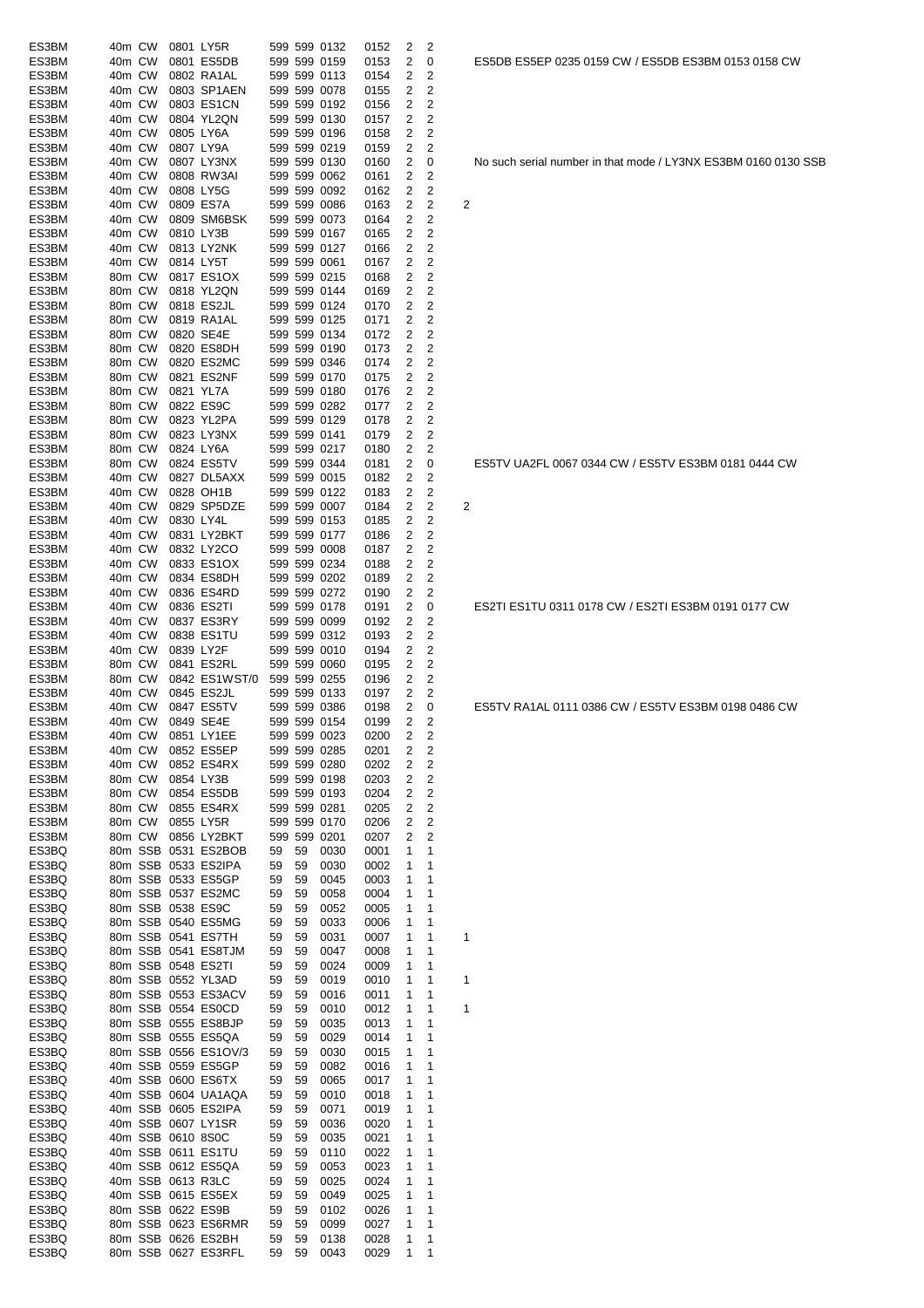| ES3BM | 40m CW |                   | 0801 LY5R            |    |    | 599 599 0132 | 0152 | 2 | 2              |   |
|-------|--------|-------------------|----------------------|----|----|--------------|------|---|----------------|---|
| ES3BM | 40m CW |                   | 0801 ES5DB           |    |    | 599 599 0159 | 0153 | 2 | 0              |   |
| ES3BM | 40m CW |                   | 0802 RA1AL           |    |    | 599 599 0113 | 0154 | 2 | 2              |   |
| ES3BM | 40m CW |                   | 0803 SP1AEN          |    |    | 599 599 0078 | 0155 | 2 | 2              |   |
| ES3BM | 40m CW |                   | 0803 ES1CN           |    |    | 599 599 0192 | 0156 | 2 | 2              |   |
| ES3BM | 40m CW |                   | 0804 YL2QN           |    |    | 599 599 0130 | 0157 | 2 | 2              |   |
| ES3BM | 40m CW |                   | 0805 LY6A            |    |    | 599 599 0196 | 0158 | 2 | 2              |   |
| ES3BM | 40m CW |                   | 0807 LY9A            |    |    | 599 599 0219 | 0159 | 2 | 2              |   |
| ES3BM | 40m CW |                   | 0807 LY3NX           |    |    | 599 599 0130 | 0160 | 2 | 0              |   |
| ES3BM | 40m CW |                   | 0808 RW3AI           |    |    | 599 599 0062 | 0161 | 2 | 2              |   |
| ES3BM | 40m CW |                   | 0808 LY5G            |    |    | 599 599 0092 | 0162 | 2 | 2              |   |
| ES3BM | 40m CW |                   | 0809 ES7A            |    |    | 599 599 0086 | 0163 | 2 | 2              | 2 |
| ES3BM | 40m CW |                   | 0809 SM6BSK          |    |    | 599 599 0073 | 0164 | 2 | 2              |   |
| ES3BM | 40m CW |                   | 0810 LY3B            |    |    | 599 599 0167 | 0165 | 2 | 2              |   |
| ES3BM | 40m CW |                   | 0813 LY2NK           |    |    | 599 599 0127 | 0166 | 2 | 2              |   |
| ES3BM | 40m CW |                   | 0814 LY5T            |    |    | 599 599 0061 | 0167 | 2 | 2              |   |
| ES3BM | 80m CW |                   | 0817 ES1OX           |    |    | 599 599 0215 | 0168 | 2 | 2              |   |
| ES3BM | 80m CW |                   | 0818 YL2QN           |    |    | 599 599 0144 | 0169 | 2 | 2              |   |
| ES3BM | 80m CW |                   | 0818 ES2JL           |    |    | 599 599 0124 | 0170 | 2 | 2              |   |
| ES3BM | 80m CW |                   | 0819 RA1AL           |    |    | 599 599 0125 | 0171 | 2 | 2              |   |
| ES3BM | 80m CW |                   | 0820 SE4E            |    |    | 599 599 0134 | 0172 | 2 | 2              |   |
| ES3BM | 80m CW |                   | 0820 ES8DH           |    |    | 599 599 0190 | 0173 | 2 | 2              |   |
| ES3BM | 80m CW |                   | 0820 ES2MC           |    |    | 599 599 0346 | 0174 | 2 | 2              |   |
| ES3BM | 80m CW |                   | 0821 ES2NF           |    |    | 599 599 0170 | 0175 | 2 | 2              |   |
| ES3BM | 80m CW |                   | 0821 YL7A            |    |    | 599 599 0180 | 0176 | 2 | 2              |   |
| ES3BM | 80m CW |                   | 0822 ES9C            |    |    | 599 599 0282 | 0177 | 2 | 2              |   |
| ES3BM | 80m CW |                   | 0823 YL2PA           |    |    | 599 599 0129 | 0178 | 2 | 2              |   |
| ES3BM | 80m CW |                   | 0823 LY3NX           |    |    | 599 599 0141 | 0179 | 2 | 2              |   |
| ES3BM | 80m CW |                   | 0824 LY6A            |    |    | 599 599 0217 | 0180 | 2 | 2              |   |
| ES3BM | 80m CW |                   | 0824 ES5TV           |    |    | 599 599 0344 | 0181 | 2 | 0              |   |
| ES3BM | 40m CW |                   | 0827 DL5AXX          |    |    | 599 599 0015 | 0182 | 2 | 2              |   |
| ES3BM | 40m CW |                   | 0828 OH1B            |    |    | 599 599 0122 | 0183 | 2 | 2              |   |
| ES3BM | 40m CW |                   | 0829 SP5DZE          |    |    | 599 599 0007 | 0184 | 2 | 2              | 2 |
| ES3BM | 40m CW |                   | 0830 LY4L            |    |    | 599 599 0153 | 0185 | 2 | 2              |   |
| ES3BM | 40m CW |                   | 0831 LY2BKT          |    |    | 599 599 0177 | 0186 | 2 | 2              |   |
| ES3BM | 40m CW |                   | 0832 LY2CO           |    |    | 599 599 0008 | 0187 | 2 | 2              |   |
| ES3BM | 40m CW |                   | 0833 ES1OX           |    |    | 599 599 0234 | 0188 | 2 | 2              |   |
| ES3BM | 40m CW |                   | 0834 ES8DH           |    |    | 599 599 0202 | 0189 | 2 | 2              |   |
| ES3BM | 40m CW |                   | 0836 ES4RD           |    |    | 599 599 0272 | 0190 | 2 | 2              |   |
| ES3BM | 40m CW |                   | 0836 ES2TI           |    |    | 599 599 0178 | 0191 | 2 | 0              |   |
| ES3BM | 40m CW |                   | 0837 ES3RY           |    |    | 599 599 0099 | 0192 | 2 | 2              |   |
| ES3BM | 40m CW |                   | 0838 ES1TU           |    |    | 599 599 0312 | 0193 | 2 | 2              |   |
| ES3BM | 40m CW |                   | 0839 LY2F            |    |    | 599 599 0010 | 0194 | 2 | 2              |   |
| ES3BM | 80m CW |                   | 0841 ES2RL           |    |    | 599 599 0060 | 0195 | 2 | 2              |   |
| ES3BM | 80m CW |                   | 0842 ES1WST/0        |    |    | 599 599 0255 | 0196 | 2 | 2              |   |
| ES3BM | 40m CW |                   | 0845 ES2JL           |    |    | 599 599 0133 | 0197 | 2 | 2              |   |
| ES3BM | 40m CW |                   | 0847 ES5TV           |    |    | 599 599 0386 | 0198 | 2 | 0              |   |
| ES3BM | 40m CW |                   | 0849 SE4E            |    |    | 599 599 0154 | 0199 | 2 | 2              |   |
| ES3BM | 40m CW |                   | 0851 LY1EE           |    |    | 599 599 0023 | 0200 | 2 | 2              |   |
| ES3BM | 40m CW |                   | 0852 ES5EP           |    |    | 599 599 0285 | 0201 | 2 | 2              |   |
| ES3BM | 40m CW |                   | 0852 ES4RX           |    |    | 599 599 0280 | 0202 | 2 | 2              |   |
| ES3BM | 80m CW |                   | 0854 LY3B            |    |    | 599 599 0198 | 0203 | 2 | 2              |   |
| ES3BM | 80m CW |                   | 0854 ES5DB           |    |    | 599 599 0193 | 0204 | 2 | $\overline{c}$ |   |
| ES3BM | 80m CW |                   | 0855 ES4RX           |    |    | 599 599 0281 | 0205 | 2 | 2              |   |
| ES3BM | 80m CW |                   | 0855 LY5R            |    |    | 599 599 0170 | 0206 | 2 | 2              |   |
| ES3BM | 80m CW |                   | 0856 LY2BKT          |    |    | 599 599 0201 | 0207 | 2 | 2              |   |
| ES3BQ |        |                   | 80m SSB 0531 ES2BOB  | 59 | 59 | 0030         | 0001 | 1 | 1              |   |
| ES3BQ |        |                   | 80m SSB 0533 ES2IPA  | 59 | 59 | 0030         | 0002 | 1 | 1              |   |
| ES3BQ |        |                   | 80m SSB 0533 ES5GP   | 59 | 59 | 0045         | 0003 | 1 | 1              |   |
| ES3BQ |        |                   | 80m SSB 0537 ES2MC   | 59 | 59 | 0058         | 0004 | 1 | 1              |   |
| ES3BQ |        |                   | 80m SSB 0538 ES9C    | 59 | 59 | 0052         | 0005 | 1 | 1              |   |
| ES3BQ |        |                   | 80m SSB 0540 ES5MG   | 59 | 59 | 0033         | 0006 | 1 | 1              |   |
| ES3BQ |        |                   | 80m SSB 0541 ES7TH   | 59 | 59 | 0031         | 0007 | 1 | 1              | 1 |
| ES3BQ |        |                   | 80m SSB 0541 ES8TJM  | 59 | 59 | 0047         | 0008 | 1 | 1              |   |
| ES3BQ |        |                   | 80m SSB 0548 ES2TI   | 59 | 59 | 0024         | 0009 | 1 | 1              |   |
| ES3BQ |        |                   | 80m SSB 0552 YL3AD   | 59 | 59 | 0019         | 0010 | 1 | 1              | 1 |
| ES3BQ |        |                   | 80m SSB 0553 ES3ACV  | 59 | 59 | 0016         | 0011 | 1 | 1              |   |
| ES3BQ |        |                   | 80m SSB 0554 ES0CD   | 59 | 59 | 0010         | 0012 | 1 | 1              | 1 |
| ES3BQ |        |                   | 80m SSB 0555 ES8BJP  | 59 | 59 | 0035         | 0013 | 1 | 1              |   |
| ES3BQ |        |                   | 80m SSB 0555 ES5QA   | 59 | 59 | 0029         | 0014 | 1 | 1              |   |
| ES3BQ |        |                   | 80m SSB 0556 ES1OV/3 | 59 | 59 | 0030         | 0015 | 1 | 1              |   |
| ES3BQ |        |                   | 40m SSB 0559 ES5GP   | 59 | 59 | 0082         | 0016 | 1 | 1              |   |
| ES3BQ |        |                   | 40m SSB 0600 ES6TX   | 59 | 59 | 0065         | 0017 | 1 | 1              |   |
| ES3BQ |        |                   | 40m SSB 0604 UA1AQA  | 59 | 59 | 0010         | 0018 | 1 | 1              |   |
| ES3BQ |        |                   | 40m SSB 0605 ES2IPA  | 59 | 59 | 0071         | 0019 | 1 | 1              |   |
| ES3BQ |        |                   | 40m SSB 0607 LY1SR   | 59 | 59 | 0036         | 0020 | 1 | 1              |   |
| ES3BQ |        | 40m SSB 0610 8S0C |                      | 59 | 59 | 0035         | 0021 | 1 | 1              |   |
| ES3BQ |        |                   | 40m SSB 0611 ES1TU   | 59 | 59 | 0110         | 0022 | 1 | 1              |   |
| ES3BQ |        |                   | 40m SSB 0612 ES5QA   | 59 | 59 | 0053         | 0023 | 1 | 1              |   |
| ES3BQ |        |                   | 40m SSB 0613 R3LC    | 59 | 59 | 0025         | 0024 | 1 | 1              |   |
| ES3BQ |        |                   | 40m SSB 0615 ES5EX   | 59 | 59 | 0049         | 0025 | 1 | 1              |   |
| ES3BQ |        |                   | 80m SSB 0622 ES9B    | 59 | 59 | 0102         | 0026 | 1 | 1              |   |
| ES3BQ |        |                   | 80m SSB 0623 ES6RMR  | 59 | 59 | 0099         | 0027 | 1 | 1              |   |
| ES3BQ |        |                   | 80m SSB 0626 ES2BH   | 59 | 59 | 0138         | 0028 | 1 | 1              |   |
| ES3BQ |        |                   | 80m SSB 0627 ES3RFL  | 59 | 59 | 0043         | 0029 | 1 | 1              |   |

No such serial number in that mode / LY3NX ES3BM 0160 0130 SSB

ES5TV UA2FL 0067 0344 CW / ES5TV ES3BM 0181 0444 CW

ES2TI ES1TU 0311 0178 CW / ES2TI ES3BM 0191 0177 CW

ES5TV RA1AL 0111 0386 CW / ES5TV ES3BM 0198 0486 CW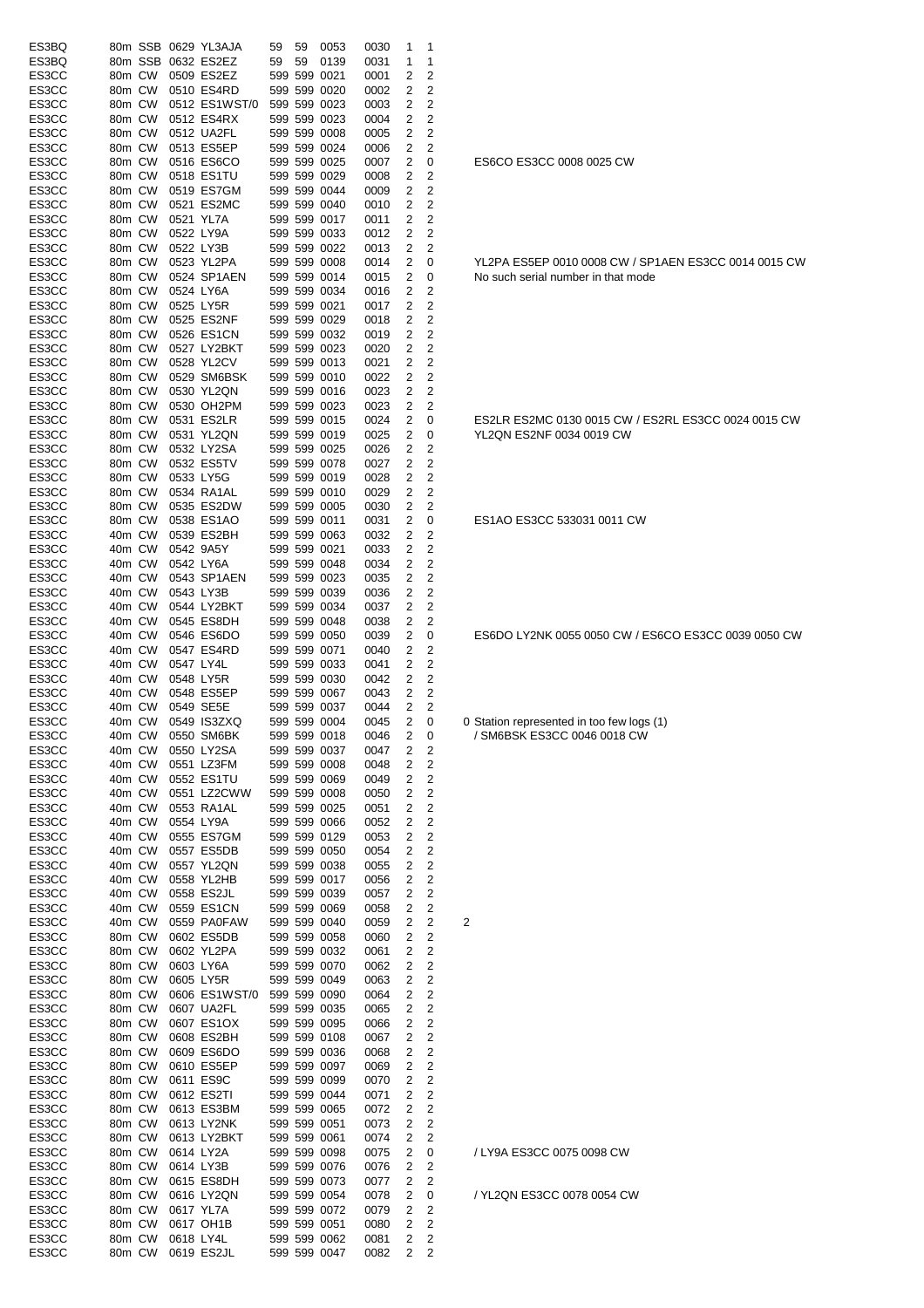| ES3BQ |        |        | 80m SSB 0629 YL3AJA | 59 | 59 | 0053         | 0030 | 1              | 1              |                                           |
|-------|--------|--------|---------------------|----|----|--------------|------|----------------|----------------|-------------------------------------------|
| ES3BQ |        |        | 80m SSB 0632 ES2EZ  | 59 | 59 | 0139         | 0031 | 1              | 1              |                                           |
| ES3CC | 80m CW |        | 0509 ES2EZ          |    |    | 599 599 0021 | 0001 | 2              | 2              |                                           |
| ES3CC | 80m CW |        | 0510 ES4RD          |    |    | 599 599 0020 | 0002 | 2              | 2              |                                           |
| ES3CC | 80m CW |        | 0512 ES1WST/0       |    |    | 599 599 0023 | 0003 | 2              | 2              |                                           |
| ES3CC | 80m CW |        | 0512 ES4RX          |    |    | 599 599 0023 | 0004 | 2              | 2              |                                           |
| ES3CC | 80m CW |        | 0512 UA2FL          |    |    | 599 599 0008 | 0005 | 2              | 2              |                                           |
| ES3CC | 80m CW |        | 0513 ES5EP          |    |    | 599 599 0024 | 0006 | 2              | 2              |                                           |
| ES3CC |        | 80m CW | 0516 ES6CO          |    |    | 599 599 0025 | 0007 | 2              | 0              | ES6CO ES3CC 0008 0025 CW                  |
|       | 80m CW |        |                     |    |    |              |      | 2              |                |                                           |
| ES3CC |        |        | 0518 ES1TU          |    |    | 599 599 0029 | 0008 |                | 2              |                                           |
| ES3CC | 80m CW |        | 0519 ES7GM          |    |    | 599 599 0044 | 0009 | 2              | 2              |                                           |
| ES3CC | 80m CW |        | 0521 ES2MC          |    |    | 599 599 0040 | 0010 | 2              | $\mathbf 2$    |                                           |
| ES3CC | 80m CW |        | 0521 YL7A           |    |    | 599 599 0017 | 0011 | 2              | $\mathbf 2$    |                                           |
| ES3CC | 80m CW |        | 0522 LY9A           |    |    | 599 599 0033 | 0012 | 2              | 2              |                                           |
| ES3CC | 80m CW |        | 0522 LY3B           |    |    | 599 599 0022 | 0013 | 2              | 2              |                                           |
| ES3CC | 80m CW |        | 0523 YL2PA          |    |    | 599 599 0008 | 0014 | 2              | 0              | YL2PA ES5EP 0010 0008 CW / SP1A           |
| ES3CC | 80m CW |        | 0524 SP1AEN         |    |    | 599 599 0014 | 0015 | 2              | 0              | No such serial number in that mode        |
| ES3CC | 80m CW |        | 0524 LY6A           |    |    | 599 599 0034 | 0016 | 2              | 2              |                                           |
| ES3CC | 80m CW |        | 0525 LY5R           |    |    | 599 599 0021 | 0017 | 2              | 2              |                                           |
| ES3CC | 80m CW |        | 0525 ES2NF          |    |    | 599 599 0029 | 0018 | 2              | 2              |                                           |
| ES3CC | 80m CW |        | 0526 ES1CN          |    |    | 599 599 0032 | 0019 | 2              | 2              |                                           |
|       |        |        |                     |    |    |              |      |                |                |                                           |
| ES3CC | 80m CW |        | 0527 LY2BKT         |    |    | 599 599 0023 | 0020 | 2              | 2              |                                           |
| ES3CC | 80m CW |        | 0528 YL2CV          |    |    | 599 599 0013 | 0021 | 2              | 2              |                                           |
| ES3CC | 80m CW |        | 0529 SM6BSK         |    |    | 599 599 0010 | 0022 | 2              | $\mathbf 2$    |                                           |
| ES3CC | 80m CW |        | 0530 YL2QN          |    |    | 599 599 0016 | 0023 | 2              | $\overline{2}$ |                                           |
| ES3CC | 80m CW |        | 0530 OH2PM          |    |    | 599 599 0023 | 0023 | 2              | 2              |                                           |
| ES3CC | 80m CW |        | 0531 ES2LR          |    |    | 599 599 0015 | 0024 | 2              | 0              | ES2LR ES2MC 0130 0015 CW / ES2F           |
| ES3CC | 80m CW |        | 0531 YL2QN          |    |    | 599 599 0019 | 0025 | 2              | 0              | YL2QN ES2NF 0034 0019 CW                  |
| ES3CC | 80m CW |        | 0532 LY2SA          |    |    | 599 599 0025 | 0026 | 2              | 2              |                                           |
| ES3CC | 80m CW |        | 0532 ES5TV          |    |    | 599 599 0078 | 0027 | 2              | 2              |                                           |
| ES3CC |        |        |                     |    |    |              |      | 2              | 2              |                                           |
|       | 80m CW |        | 0533 LY5G           |    |    | 599 599 0019 | 0028 |                |                |                                           |
| ES3CC | 80m CW |        | 0534 RA1AL          |    |    | 599 599 0010 | 0029 | 2              | 2              |                                           |
| ES3CC | 80m CW |        | 0535 ES2DW          |    |    | 599 599 0005 | 0030 | 2              | 2              |                                           |
| ES3CC | 80m CW |        | 0538 ES1AO          |    |    | 599 599 0011 | 0031 | 2              | 0              | ES1AO ES3CC 533031 0011 CW                |
| ES3CC | 40m CW |        | 0539 ES2BH          |    |    | 599 599 0063 | 0032 | 2              | 2              |                                           |
| ES3CC | 40m CW |        | 0542 9A5Y           |    |    | 599 599 0021 | 0033 | 2              | $\overline{2}$ |                                           |
| ES3CC | 40m CW |        | 0542 LY6A           |    |    | 599 599 0048 | 0034 | 2              | 2              |                                           |
| ES3CC | 40m CW |        | 0543 SP1AEN         |    |    | 599 599 0023 | 0035 | 2              | $\overline{2}$ |                                           |
| ES3CC | 40m CW |        | 0543 LY3B           |    |    | 599 599 0039 | 0036 | 2              | 2              |                                           |
|       |        |        |                     |    |    |              |      |                |                |                                           |
| ES3CC | 40m CW |        | 0544 LY2BKT         |    |    | 599 599 0034 | 0037 | 2              | 2              |                                           |
| ES3CC | 40m CW |        | 0545 ES8DH          |    |    | 599 599 0048 | 0038 | 2              | 2              |                                           |
| ES3CC | 40m CW |        | 0546 ES6DO          |    |    | 599 599 0050 | 0039 | 2              | 0              | ES6DO LY2NK 0055 0050 CW / ES60           |
| ES3CC | 40m CW |        | 0547 ES4RD          |    |    | 599 599 0071 | 0040 | 2              | 2              |                                           |
| ES3CC | 40m CW |        | 0547 LY4L           |    |    | 599 599 0033 | 0041 | 2              | 2              |                                           |
| ES3CC | 40m CW |        | 0548 LY5R           |    |    | 599 599 0030 | 0042 | 2              | 2              |                                           |
| ES3CC | 40m CW |        | 0548 ES5EP          |    |    | 599 599 0067 | 0043 | 2              | 2              |                                           |
| ES3CC | 40m CW |        | 0549 SE5E           |    |    | 599 599 0037 | 0044 | 2              | 2              |                                           |
| ES3CC |        | 40m CW | 0549 IS3ZXQ         |    |    | 599 599 0004 | 0045 | 2              | 0              |                                           |
|       |        |        |                     |    |    |              |      |                |                | 0 Station represented in too few logs (1) |
| ES3CC |        |        | 40m CW 0550 SM6BK   |    |    | 599 599 0018 | 0046 | $\overline{2}$ | 0              | / SM6BSK ES3CC 0046 0018 CW               |
| ES3CC | 40m CW |        | 0550 LY2SA          |    |    | 599 599 0037 | 0047 | 2              | 2              |                                           |
| ES3CC | 40m CW |        | 0551 LZ3FM          |    |    | 599 599 0008 | 0048 | 2              | 2              |                                           |
| ES3CC | 40m CW |        | 0552 ES1TU          |    |    | 599 599 0069 | 0049 | 2              | 2              |                                           |
| ES3CC | 40m CW |        | 0551 LZ2CWW         |    |    | 599 599 0008 | 0050 | 2              | 2              |                                           |
| ES3CC | 40m CW |        | 0553 RA1AL          |    |    | 599 599 0025 | 0051 | 2              | 2              |                                           |
| ES3CC |        | 40m CW | 0554 LY9A           |    |    | 599 599 0066 | 0052 | 2              | 2              |                                           |
| ES3CC | 40m CW |        | 0555 ES7GM          |    |    | 599 599 0129 | 0053 | 2              | 2              |                                           |
| ES3CC | 40m CW |        | 0557 ES5DB          |    |    | 599 599 0050 | 0054 | 2              | 2              |                                           |
|       |        |        |                     |    |    |              |      |                |                |                                           |
| ES3CC | 40m CW |        | 0557 YL2QN          |    |    | 599 599 0038 | 0055 | 2              | 2              |                                           |
| ES3CC |        | 40m CW | 0558 YL2HB          |    |    | 599 599 0017 | 0056 | 2              | 2              |                                           |
| ES3CC | 40m CW |        | 0558 ES2JL          |    |    | 599 599 0039 | 0057 | 2              | 2              |                                           |
| ES3CC | 40m CW |        | 0559 ES1CN          |    |    | 599 599 0069 | 0058 | 2              | 2              |                                           |
| ES3CC | 40m CW |        | 0559 PA0FAW         |    |    | 599 599 0040 | 0059 | 2              | 2              | 2                                         |
| ES3CC | 80m CW |        | 0602 ES5DB          |    |    | 599 599 0058 | 0060 | 2              | 2              |                                           |
| ES3CC | 80m CW |        | 0602 YL2PA          |    |    | 599 599 0032 | 0061 | 2              | 2              |                                           |
| ES3CC | 80m CW |        | 0603 LY6A           |    |    | 599 599 0070 | 0062 | 2              | 2              |                                           |
| ES3CC | 80m CW |        | 0605 LY5R           |    |    | 599 599 0049 | 0063 | 2              | 2              |                                           |
| ES3CC |        |        |                     |    |    |              |      |                |                |                                           |
|       | 80m CW |        | 0606 ES1WST/0       |    |    | 599 599 0090 | 0064 | 2              | 2              |                                           |
| ES3CC | 80m CW |        | 0607 UA2FL          |    |    | 599 599 0035 | 0065 | 2              | 2              |                                           |
| ES3CC | 80m CW |        | 0607 ES1OX          |    |    | 599 599 0095 | 0066 | 2              | 2              |                                           |
| ES3CC | 80m CW |        | 0608 ES2BH          |    |    | 599 599 0108 | 0067 | 2              | 2              |                                           |
| ES3CC | 80m CW |        | 0609 ES6DO          |    |    | 599 599 0036 | 0068 | 2              | 2              |                                           |
| ES3CC | 80m CW |        | 0610 ES5EP          |    |    | 599 599 0097 | 0069 | 2              | 2              |                                           |
| ES3CC | 80m CW |        | 0611 ES9C           |    |    | 599 599 0099 | 0070 | 2              | 2              |                                           |
| ES3CC | 80m CW |        | 0612 ES2TI          |    |    | 599 599 0044 | 0071 | 2              | 2              |                                           |
| ES3CC | 80m CW |        | 0613 ES3BM          |    |    | 599 599 0065 | 0072 | 2              | 2              |                                           |
|       |        |        |                     |    |    |              |      |                |                |                                           |
| ES3CC | 80m CW |        | 0613 LY2NK          |    |    | 599 599 0051 | 0073 | 2              | 2              |                                           |
| ES3CC | 80m CW |        | 0613 LY2BKT         |    |    | 599 599 0061 | 0074 | 2              | 2              |                                           |
| ES3CC | 80m CW |        | 0614 LY2A           |    |    | 599 599 0098 | 0075 | 2              | 0              | / LY9A ES3CC 0075 0098 CW                 |
| ES3CC | 80m CW |        | 0614 LY3B           |    |    | 599 599 0076 | 0076 | 2              | 2              |                                           |
| ES3CC | 80m CW |        | 0615 ES8DH          |    |    | 599 599 0073 | 0077 | 2              | 2              |                                           |
| ES3CC | 80m CW |        | 0616 LY2QN          |    |    | 599 599 0054 | 0078 | 2              | 0              | / YL2QN ES3CC 0078 0054 CW                |
| ES3CC | 80m CW |        | 0617 YL7A           |    |    | 599 599 0072 | 0079 | 2              | 2              |                                           |
| ES3CC |        | 80m CW | 0617 OH1B           |    |    | 599 599 0051 | 0080 | 2              | 2              |                                           |
|       |        |        |                     |    |    |              |      |                |                |                                           |
| ES3CC | 80m CW |        | 0618 LY4L           |    |    | 599 599 0062 | 0081 | 2              | 2              |                                           |
| ES3CC |        | 80m CW | 0619 ES2JL          |    |    | 599 599 0047 | 0082 | 2              | 2              |                                           |

YL2PA ES5EP 0010 0008 CW / SP1AEN ES3CC 0014 0015 CW No such serial number in that mode

ES2LR ES2MC 0130 0015 CW / ES2RL ES3CC 0024 0015 CW ES3CC 80m CW 0531 YL2QN 599 599 0019 0025 2 0 YL2QN ES2NF 0034 0019 CW

ES6DO LY2NK 0055 0050 CW / ES6CO ES3CC 0039 0050 CW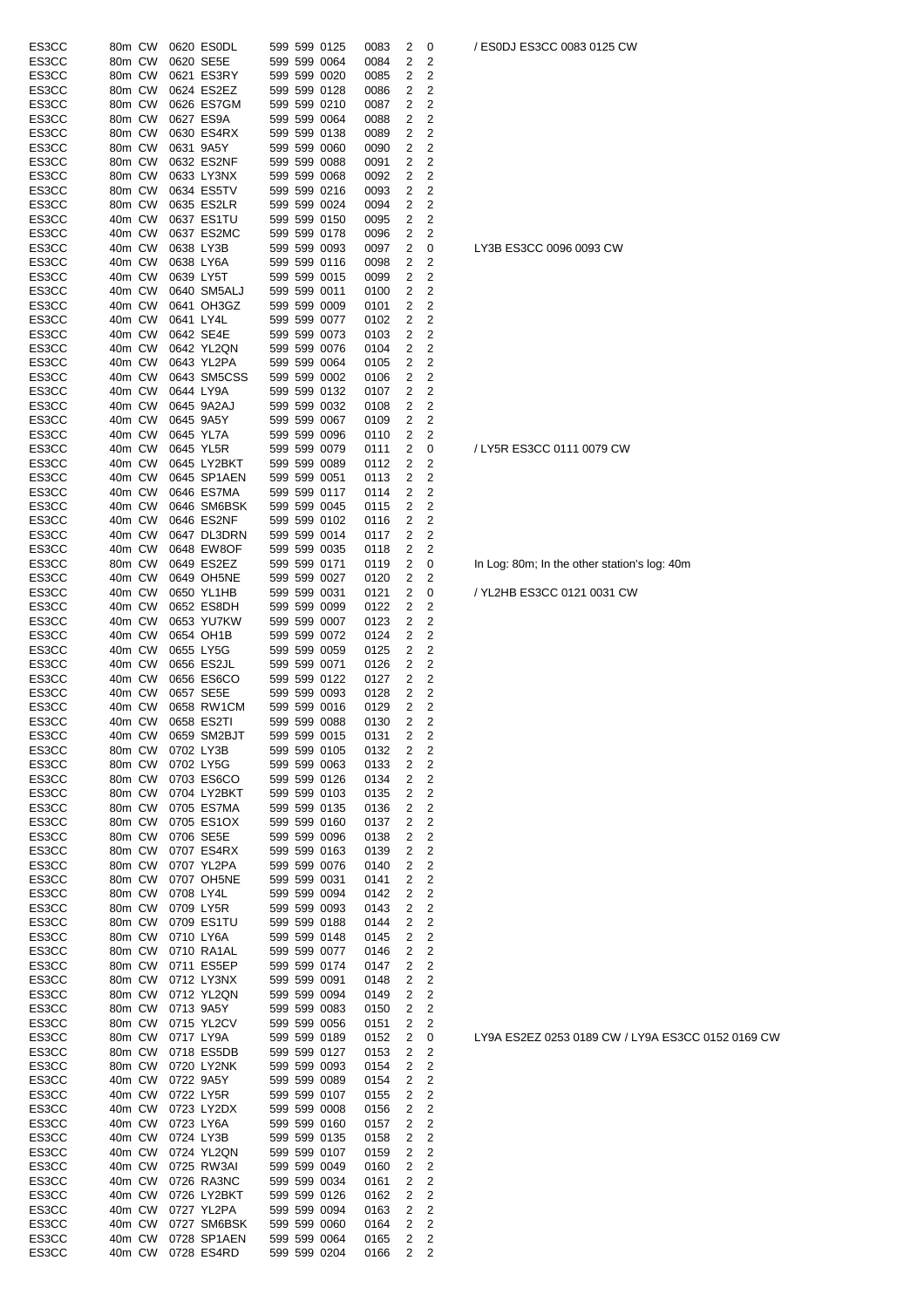| ES3CC | 80m CW |           | 0620 ES0DL  |  | 599 599 0125                 | 0083 | 2                       | 0                       |
|-------|--------|-----------|-------------|--|------------------------------|------|-------------------------|-------------------------|
| ES3CC | 80m CW |           | 0620 SE5E   |  | 599 599 0064                 | 0084 | 2                       | 2                       |
| ES3CC | 80m CW |           | 0621 ES3RY  |  | 599 599 0020                 | 0085 | 2                       | 2                       |
| ES3CC | 80m CW |           | 0624 ES2EZ  |  | 599 599 0128                 | 0086 | 2                       | 2                       |
| ES3CC | 80m CW |           | 0626 ES7GM  |  | 599 599 0210                 | 0087 | $\overline{2}$          | 2                       |
| ES3CC | 80m CW |           | 0627 ES9A   |  | 599 599 0064                 | 0088 | 2                       | 2                       |
| ES3CC | 80m CW |           | 0630 ES4RX  |  | 599 599 0138                 | 0089 | 2                       | 2                       |
| ES3CC | 80m CW | 0631 9A5Y |             |  | 599 599 0060                 | 0090 | 2                       | 2                       |
| ES3CC | 80m CW |           | 0632 ES2NF  |  | 599 599 0088                 | 0091 | 2                       | 2                       |
| ES3CC |        |           |             |  | 599 599 0068                 |      | 2                       | 2                       |
|       | 80m CW |           | 0633 LY3NX  |  |                              | 0092 |                         |                         |
| ES3CC | 80m CW |           | 0634 ES5TV  |  | 599 599 0216                 | 0093 | 2                       | 2                       |
| ES3CC | 80m CW |           | 0635 ES2LR  |  | 599 599 0024                 | 0094 | 2                       | 2                       |
| ES3CC | 40m CW |           | 0637 ES1TU  |  | 599 599 0150                 | 0095 | 2                       | $\overline{\mathbf{c}}$ |
| ES3CC | 40m CW |           | 0637 ES2MC  |  | 599 599 0178                 | 0096 | 2                       | $\overline{2}$          |
| ES3CC | 40m CW | 0638 LY3B |             |  | 599 599 0093                 | 0097 | 2                       | 0                       |
| ES3CC | 40m CW | 0638 LY6A |             |  | 599 599 0116                 | 0098 | 2                       | 2                       |
| ES3CC | 40m CW | 0639 LY5T |             |  | 599 599 0015                 | 0099 | 2                       | 2                       |
| ES3CC | 40m CW |           | 0640 SM5ALJ |  | 599 599 0011                 | 0100 | 2                       | $\overline{2}$          |
| ES3CC | 40m CW |           | 0641 OH3GZ  |  | 599 599 0009                 | 0101 | 2                       | $\overline{\mathbf{c}}$ |
| ES3CC | 40m CW | 0641 LY4L |             |  | 599 599 0077                 | 0102 | 2                       | 2                       |
| ES3CC | 40m CW |           | 0642 SE4E   |  | 599 599 0073                 | 0103 | 2                       | 2                       |
| ES3CC | 40m CW |           | 0642 YL2QN  |  | 599 599 0076                 | 0104 | 2                       | 2                       |
| ES3CC | 40m CW |           | 0643 YL2PA  |  | 599 599 0064                 | 0105 | 2                       | 2                       |
| ES3CC | 40m CW |           | 0643 SM5CSS |  | 599 599 0002                 | 0106 | 2                       | 2                       |
| ES3CC | 40m CW |           | 0644 LY9A   |  | 599 599 0132                 | 0107 | $\overline{\mathbf{c}}$ | $\overline{\mathbf{c}}$ |
| ES3CC | 40m CW |           | 0645 9A2AJ  |  | 599 599 0032                 | 0108 | 2                       | $\overline{\mathbf{c}}$ |
| ES3CC | 40m CW |           | 0645 9A5Y   |  | 599 599 0067                 | 0109 | 2                       | $\overline{2}$          |
| ES3CC | 40m CW |           | 0645 YL7A   |  | 599 599 0096                 | 0110 | 2                       | 2                       |
| ES3CC | 40m CW |           | 0645 YL5R   |  | 599 599 0079                 | 0111 | 2                       | 0                       |
| ES3CC | 40m CW |           | 0645 LY2BKT |  | 599 599 0089                 | 0112 | $\overline{2}$          | 2                       |
| ES3CC | 40m CW |           | 0645 SP1AEN |  | 599 599 0051                 | 0113 | 2                       | 2                       |
| ES3CC | 40m CW |           | 0646 ES7MA  |  | 599 599 0117                 | 0114 | 2                       | 2                       |
| ES3CC | 40m CW |           | 0646 SM6BSK |  | 599 599 0045                 | 0115 | 2                       | 2                       |
| ES3CC | 40m CW |           | 0646 ES2NF  |  | 599 599 0102                 | 0116 | 2                       | 2                       |
| ES3CC | 40m CW |           | 0647 DL3DRN |  | 599 599 0014                 | 0117 | 2                       | 2                       |
| ES3CC | 40m CW |           | 0648 EW8OF  |  | 599 599 0035                 | 0118 | $\overline{2}$          | 2                       |
| ES3CC | 80m CW |           | 0649 ES2EZ  |  | 599 599 0171                 | 0119 | 2                       | 0                       |
| ES3CC | 40m CW |           | 0649 OH5NE  |  | 599 599 0027                 | 0120 | 2                       | 2                       |
| ES3CC | 40m CW |           | 0650 YL1HB  |  | 599 599 0031                 | 0121 | 2                       | 0                       |
| ES3CC | 40m CW |           | 0652 ES8DH  |  | 599 599 0099                 | 0122 | 2                       | 2                       |
| ES3CC | 40m CW |           | 0653 YU7KW  |  | 599 599 0007                 | 0123 | 2                       | 2                       |
| ES3CC | 40m CW |           | 0654 OH1B   |  | 599 599 0072                 | 0124 | 2                       | 2                       |
| ES3CC | 40m CW |           | 0655 LY5G   |  | 599 599 0059                 | 0125 | 2                       | 2                       |
|       |        |           |             |  | 599 599 0071                 |      |                         | 2                       |
| ES3CC | 40m CW |           | 0656 ES2JL  |  |                              | 0126 | 2                       |                         |
| ES3CC | 40m CW |           | 0656 ES6CO  |  | 599 599 0122<br>599 599 0093 | 0127 | 2                       | 2                       |
| ES3CC | 40m CW |           | 0657 SE5E   |  |                              | 0128 | 2                       | $\overline{2}$          |
| ES3CC | 40m CW |           | 0658 RW1CM  |  | 599 599 0016                 | 0129 | 2                       | 2                       |
| ES3CC | 40m CW |           | 0658 ES2TI  |  | 599 599 0088                 | 0130 | 2                       | 2                       |
| ES3CC | 40m CW |           | 0659 SM2BJT |  | 599 599 0015 0131            |      | $\overline{2}$          | $\overline{2}$          |
| ES3CC | 80m CW |           | 0702 LY3B   |  | 599 599 0105                 | 0132 | 2                       | 2                       |
| ES3CC | 80m CW |           | 0702 LY5G   |  | 599 599 0063                 | 0133 | 2                       | $\overline{\mathbf{c}}$ |
| ES3CC | 80m CW |           | 0703 ES6CO  |  | 599 599 0126                 | 0134 | 2                       | $\overline{\mathbf{c}}$ |
| ES3CC | 80m CW |           | 0704 LY2BKT |  | 599 599 0103                 | 0135 | 2                       | 2                       |
| ES3CC | 80m CW |           | 0705 ES7MA  |  | 599 599 0135                 | 0136 | 2                       | 2                       |
| ES3CC | 80m CW |           | 0705 ES1OX  |  | 599 599 0160                 | 0137 | 2                       | $\overline{\mathbf{c}}$ |
| ES3CC | 80m CW |           | 0706 SE5E   |  | 599 599 0096                 | 0138 | 2                       | $\overline{\mathbf{c}}$ |
| ES3CC | 80m CW |           | 0707 ES4RX  |  | 599 599 0163                 | 0139 | 2                       | $\overline{\mathbf{c}}$ |
| ES3CC | 80m CW |           | 0707 YL2PA  |  | 599 599 0076                 | 0140 | 2                       | 2                       |
| ES3CC | 80m CW |           | 0707 OH5NE  |  | 599 599 0031                 | 0141 | 2                       | $\overline{2}$          |
| ES3CC | 80m CW | 0708 LY4L |             |  | 599 599 0094                 | 0142 | 2                       | $\overline{\mathbf{c}}$ |
| ES3CC | 80m CW | 0709 LY5R |             |  | 599 599 0093                 | 0143 | 2                       | $\overline{\mathbf{c}}$ |
| ES3CC | 80m CW |           | 0709 ES1TU  |  | 599 599 0188                 | 0144 | 2                       | $\overline{\mathbf{c}}$ |
| ES3CC | 80m CW | 0710 LY6A |             |  | 599 599 0148                 | 0145 | 2                       | $\overline{\mathbf{c}}$ |
| ES3CC | 80m CW |           | 0710 RA1AL  |  | 599 599 0077                 | 0146 | 2                       | 2                       |
| ES3CC | 80m CW |           | 0711 ES5EP  |  | 599 599 0174                 | 0147 | 2                       | 2                       |
| ES3CC | 80m CW |           | 0712 LY3NX  |  | 599 599 0091                 | 0148 | 2                       | $\overline{\mathbf{c}}$ |
| ES3CC | 80m CW |           | 0712 YL2QN  |  | 599 599 0094                 | 0149 | 2                       | $\overline{\mathbf{c}}$ |
| ES3CC | 80m CW |           | 0713 9A5Y   |  | 599 599 0083                 | 0150 | 2                       | $\overline{\mathbf{c}}$ |
| ES3CC | 80m CW |           | 0715 YL2CV  |  | 599 599 0056                 | 0151 | 2                       | $\overline{\mathbf{c}}$ |
| ES3CC | 80m CW |           | 0717 LY9A   |  | 599 599 0189                 | 0152 | 2                       | 0                       |
| ES3CC | 80m CW |           | 0718 ES5DB  |  | 599 599 0127                 | 0153 | 2                       | 2                       |
| ES3CC | 80m CW |           | 0720 LY2NK  |  | 599 599 0093                 | 0154 | 2                       | $\mathbf 2$             |
| ES3CC | 40m CW |           | 0722 9A5Y   |  | 599 599 0089                 | 0154 | 2                       | $\overline{\mathbf{c}}$ |
| ES3CC | 40m CW |           | 0722 LY5R   |  | 599 599 0107                 | 0155 | 2                       | $\overline{\mathbf{c}}$ |
| ES3CC | 40m CW |           | 0723 LY2DX  |  | 599 599 0008                 | 0156 | 2                       | $\overline{\mathbf{c}}$ |
| ES3CC | 40m CW | 0723 LY6A |             |  | 599 599 0160                 | 0157 | 2                       | 2                       |
| ES3CC | 40m CW | 0724 LY3B |             |  | 599 599 0135                 | 0158 | 2                       | 2                       |
| ES3CC | 40m CW |           | 0724 YL2QN  |  | 599 599 0107                 | 0159 | 2                       | $\overline{\mathbf{c}}$ |
| ES3CC | 40m CW |           | 0725 RW3AI  |  | 599 599 0049                 | 0160 | 2                       | 2                       |
| ES3CC | 40m CW |           | 0726 RA3NC  |  | 599 599 0034                 | 0161 | 2                       | $\overline{\mathbf{c}}$ |
| ES3CC | 40m CW |           | 0726 LY2BKT |  | 599 599 0126                 | 0162 | 2                       | $\overline{\mathbf{c}}$ |
| ES3CC | 40m CW |           | 0727 YL2PA  |  | 599 599 0094                 | 0163 | 2                       | $\overline{\mathbf{c}}$ |
| ES3CC | 40m CW |           | 0727 SM6BSK |  | 599 599 0060                 | 0164 | 2                       | $\overline{2}$          |
| ES3CC | 40m CW |           | 0728 SP1AEN |  | 599 599 0064                 | 0165 | $\overline{2}$          | $\overline{2}$          |
| ES3CC | 40m CW |           | 0728 ES4RD  |  | 599 599 0204                 | 0166 | 2                       | 2                       |
|       |        |           |             |  |                              |      |                         |                         |

/ ES0DJ ES3CC 0083 0125 CW

LY3B ES3CC 0096 0093 CW

/ LY5R ES3CC 0111 0079 CW

In Log: 80m; In the other station's log: 40m

/ YL2HB ES3CC 0121 0031 CW

LY9A ES2EZ 0253 0189 CW / LY9A ES3CC 0152 0169 CW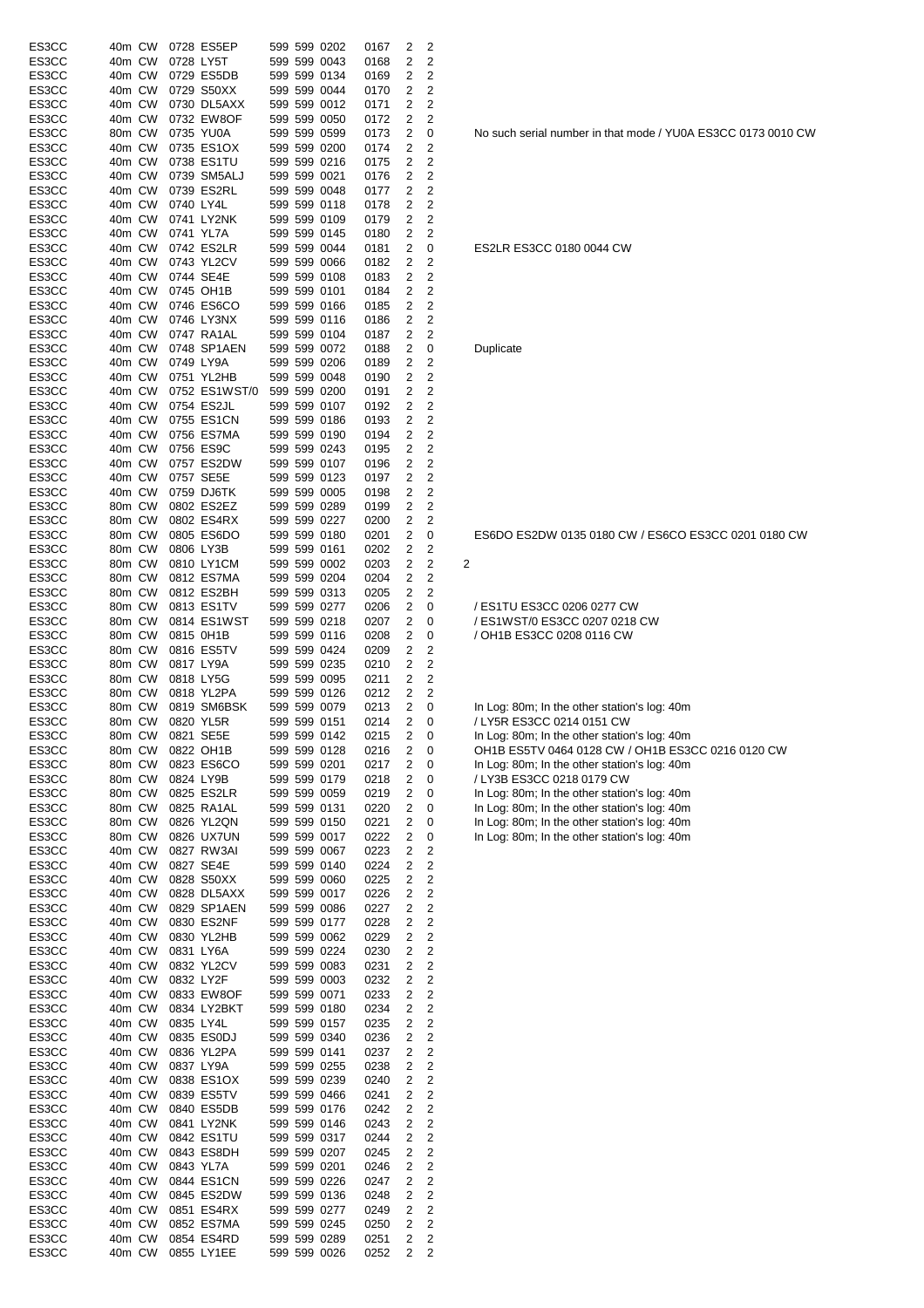| ES3CC          | 40m CW           |        |           | 0728 ES5EP                |  | 599 599 0202                 | 0167         | 2                            | 2                            |                                                                           |
|----------------|------------------|--------|-----------|---------------------------|--|------------------------------|--------------|------------------------------|------------------------------|---------------------------------------------------------------------------|
| ES3CC          | 40m CW           |        | 0728 LY5T |                           |  | 599 599 0043                 | 0168         | 2                            | 2                            |                                                                           |
| ES3CC<br>ES3CC | 40m CW           |        |           | 0729 ES5DB<br>0729 S50XX  |  | 599 599 0134                 | 0169         | 2                            | 2                            |                                                                           |
| ES3CC          | 40m CW<br>40m CW |        |           | 0730 DL5AXX               |  | 599 599 0044<br>599 599 0012 | 0170<br>0171 | 2<br>2                       | 2<br>2                       |                                                                           |
| ES3CC          | 40m CW           |        |           | 0732 EW8OF                |  | 599 599 0050                 | 0172         | 2                            | 2                            |                                                                           |
| ES3CC          | 80m CW           |        |           | 0735 YU0A                 |  | 599 599 0599                 | 0173         | 2                            | 0                            | No such serial number in that mode / YU0A ES3CC 0173 001                  |
| ES3CC          | 40m CW           |        |           | 0735 ES1OX                |  | 599 599 0200                 | 0174         | $\overline{2}$               | 2                            |                                                                           |
| ES3CC          | 40m CW           |        |           | 0738 ES1TU                |  | 599 599 0216                 | 0175         | 2                            | 2                            |                                                                           |
| ES3CC          | 40m CW           |        |           | 0739 SM5ALJ               |  | 599 599 0021                 | 0176         | $\overline{2}$               | 2                            |                                                                           |
| ES3CC          | 40m CW           |        |           | 0739 ES2RL                |  | 599 599 0048                 | 0177         | 2                            | $\overline{2}$               |                                                                           |
| ES3CC          | 40m CW           |        | 0740 LY4L |                           |  | 599 599 0118                 | 0178         | $\overline{c}$               | 2                            |                                                                           |
| ES3CC          | 40m CW<br>40m CW |        |           | 0741 LY2NK                |  | 599 599 0109                 | 0179         | 2                            | 2                            |                                                                           |
| ES3CC<br>ES3CC | 40m CW           |        |           | 0741 YL7A<br>0742 ES2LR   |  | 599 599 0145<br>599 599 0044 | 0180<br>0181 | 2<br>2                       | 2<br>0                       | ES2LR ES3CC 0180 0044 CW                                                  |
| ES3CC          | 40m CW           |        |           | 0743 YL2CV                |  | 599 599 0066                 | 0182         | 2                            | 2                            |                                                                           |
| ES3CC          | 40m CW           |        |           | 0744 SE4E                 |  | 599 599 0108                 | 0183         | 2                            | 2                            |                                                                           |
| ES3CC          | 40m CW           |        |           | 0745 OH1B                 |  | 599 599 0101                 | 0184         | 2                            | 2                            |                                                                           |
| ES3CC          | 40m CW           |        |           | 0746 ES6CO                |  | 599 599 0166                 | 0185         | 2                            | 2                            |                                                                           |
| ES3CC          | 40m CW           |        |           | 0746 LY3NX                |  | 599 599 0116                 | 0186         | 2                            | 2                            |                                                                           |
| ES3CC          | 40m CW           |        |           | 0747 RA1AL                |  | 599 599 0104                 | 0187         | 2                            | 2                            |                                                                           |
| ES3CC          | 40m CW<br>40m CW |        |           | 0748 SP1AEN               |  | 599 599 0072                 | 0188         | 2                            | 0                            | Duplicate                                                                 |
| ES3CC<br>ES3CC | 40m CW           |        | 0749 LY9A | 0751 YL2HB                |  | 599 599 0206<br>599 599 0048 | 0189<br>0190 | 2<br>2                       | 2<br>$\overline{2}$          |                                                                           |
| ES3CC          | 40m CW           |        |           | 0752 ES1WST/0             |  | 599 599 0200                 | 0191         | 2                            | 2                            |                                                                           |
| ES3CC          | 40m CW           |        |           | 0754 ES2JL                |  | 599 599 0107                 | 0192         | 2                            | 2                            |                                                                           |
| ES3CC          | 40m CW           |        |           | 0755 ES1CN                |  | 599 599 0186                 | 0193         | 2                            | 2                            |                                                                           |
| ES3CC          | 40m CW           |        |           | 0756 ES7MA                |  | 599 599 0190                 | 0194         | 2                            | 2                            |                                                                           |
| ES3CC          | 40m CW           |        |           | 0756 ES9C                 |  | 599 599 0243                 | 0195         | 2                            | 2                            |                                                                           |
| ES3CC          | 40m CW           |        |           | 0757 ES2DW                |  | 599 599 0107                 | 0196         | 2                            | 2                            |                                                                           |
| ES3CC          | 40m CW           |        |           | 0757 SE5E                 |  | 599 599 0123                 | 0197         | 2                            | 2                            |                                                                           |
| ES3CC          | 40m CW           |        |           | 0759 DJ6TK                |  | 599 599 0005                 | 0198         | 2                            | 2                            |                                                                           |
| ES3CC<br>ES3CC | 80m CW<br>80m CW |        |           | 0802 ES2EZ<br>0802 ES4RX  |  | 599 599 0289<br>599 599 0227 | 0199<br>0200 | 2<br>2                       | 2<br>2                       |                                                                           |
| ES3CC          | 80m CW           |        |           | 0805 ES6DO                |  | 599 599 0180                 | 0201         | 2                            | 0                            | ES6DO ES2DW 0135 0180 CW / ES6CO ES3CC 0201 0180                          |
| ES3CC          | 80m CW           |        |           | 0806 LY3B                 |  | 599 599 0161                 | 0202         | $\overline{c}$               | 2                            |                                                                           |
| ES3CC          | 80m CW           |        |           | 0810 LY1CM                |  | 599 599 0002                 | 0203         | 2                            | 2                            | 2                                                                         |
| ES3CC          | 80m CW           |        |           | 0812 ES7MA                |  | 599 599 0204                 | 0204         | 2                            | 2                            |                                                                           |
| ES3CC          | 80m CW           |        |           | 0812 ES2BH                |  | 599 599 0313                 | 0205         | 2                            | 2                            |                                                                           |
| ES3CC          | 80m CW           |        |           | 0813 ES1TV                |  | 599 599 0277                 | 0206         | 2                            | 0                            | / ES1TU ES3CC 0206 0277 CW                                                |
| ES3CC          | 80m CW           |        |           | 0814 ES1WST               |  | 599 599 0218                 | 0207         | 2                            | 0                            | / ES1WST/0 ES3CC 0207 0218 CW                                             |
| ES3CC          | 80m CW<br>80m CW |        |           | 0815 0H1B<br>0816 ES5TV   |  | 599 599 0116                 | 0208         | 2                            | 0<br>2                       | / OH1B ES3CC 0208 0116 CW                                                 |
| ES3CC<br>ES3CC | 80m CW           |        |           | 0817 LY9A                 |  | 599 599 0424<br>599 599 0235 | 0209<br>0210 | 2<br>2                       | 2                            |                                                                           |
| ES3CC          | 80m CW           |        |           | 0818 LY5G                 |  | 599 599 0095                 | 0211         | $\overline{2}$               | 2                            |                                                                           |
| ES3CC          | 80m CW           |        |           | 0818 YL2PA                |  | 599 599 0126                 | 0212         | 2                            | 2                            |                                                                           |
| ES3CC          | 80m CW           |        |           | 0819 SM6BSK               |  | 599 599 0079                 | 0213         | $\overline{c}$               | 0                            | In Log: 80m; In the other station's log: 40m                              |
| ES3CC          |                  | 80m CW |           | 0820 YL5R                 |  | 599 599 0151                 | 0214         | 2                            | 0                            | / LY5R ES3CC 0214 0151 CW                                                 |
| ES3CC          | 80m CW           |        | 0821 SE5E |                           |  | 599 599 0142                 | 0215         | $\overline{\mathbf{c}}$      | 0                            | In Log: 80m; In the other station's log: 40m                              |
| ES3CC          | 80m CW           |        |           | 0822 OH1B                 |  | 599 599 0128                 | 0216         | $\overline{\mathbf{c}}$      | 0                            | OH1B ES5TV 0464 0128 CW / OH1B ES3CC 0216 0120 CW                         |
| ES3CC          | 80m CW           |        |           | 0823 ES6CO                |  | 599 599 0201                 | 0217         | 2                            | 0                            | In Log: 80m; In the other station's log: 40m<br>/ LY3B ES3CC 0218 0179 CW |
| ES3CC<br>ES3CC | 80m CW<br>80m CW |        |           | 0824 LY9B<br>0825 ES2LR   |  | 599 599 0179<br>599 599 0059 | 0218<br>0219 | 2<br>2                       | 0<br>0                       | In Log: 80m; In the other station's log: 40m                              |
| ES3CC          | 80m CW           |        |           | 0825 RA1AL                |  | 599 599 0131                 | 0220         | 2                            | 0                            | In Log: 80m; In the other station's log: 40m                              |
| ES3CC          | 80m CW           |        |           | 0826 YL2QN                |  | 599 599 0150                 | 0221         | 2                            | 0                            | In Log: 80m; In the other station's log: 40m                              |
| ES3CC          | 80m CW           |        |           | 0826 UX7UN                |  | 599 599 0017                 | 0222         | $\overline{\mathbf{c}}$      | 0                            | In Log: 80m; In the other station's log: 40m                              |
| ES3CC          | 40m CW           |        |           | 0827 RW3AI                |  | 599 599 0067                 | 0223         | 2                            | 2                            |                                                                           |
| ES3CC          | 40m CW           |        |           | 0827 SE4E                 |  | 599 599 0140                 | 0224         | $\overline{\mathbf{c}}$      | 2                            |                                                                           |
| ES3CC          | 40m CW           |        |           | 0828 S50XX                |  | 599 599 0060                 | 0225         | $\overline{\mathbf{c}}$      | $\overline{\mathbf{c}}$      |                                                                           |
| ES3CC          | 40m CW           |        |           | 0828 DL5AXX               |  | 599 599 0017                 | 0226         | 2                            | 2                            |                                                                           |
| ES3CC<br>ES3CC | 40m CW<br>40m CW |        |           | 0829 SP1AEN<br>0830 ES2NF |  | 599 599 0086<br>599 599 0177 | 0227<br>0228 | $\overline{\mathbf{c}}$<br>2 | $\overline{\mathbf{c}}$<br>2 |                                                                           |
| ES3CC          | 40m CW           |        |           | 0830 YL2HB                |  | 599 599 0062                 | 0229         | $\overline{\mathbf{c}}$      | 2                            |                                                                           |
| ES3CC          | 40m CW           |        | 0831 LY6A |                           |  | 599 599 0224                 | 0230         | 2                            | 2                            |                                                                           |
| ES3CC          | 40m CW           |        |           | 0832 YL2CV                |  | 599 599 0083                 | 0231         | 2                            | 2                            |                                                                           |
| ES3CC          | 40m CW           |        | 0832 LY2F |                           |  | 599 599 0003                 | 0232         | 2                            | $\overline{\mathbf{c}}$      |                                                                           |
| ES3CC          | 40m CW           |        |           | 0833 EW8OF                |  | 599 599 0071                 | 0233         | $\overline{\mathbf{c}}$      | 2                            |                                                                           |
| ES3CC          | 40m CW           |        |           | 0834 LY2BKT               |  | 599 599 0180                 | 0234         | 2                            | 2                            |                                                                           |
| ES3CC          | 40m CW           |        | 0835 LY4L |                           |  | 599 599 0157                 | 0235         | $\overline{\mathbf{c}}$      | 2                            |                                                                           |
| ES3CC<br>ES3CC | 40m CW<br>40m CW |        |           | 0835 ES0DJ<br>0836 YL2PA  |  | 599 599 0340<br>599 599 0141 | 0236<br>0237 | 2<br>2                       | $\overline{\mathbf{c}}$<br>2 |                                                                           |
| ES3CC          | 40m CW           |        |           | 0837 LY9A                 |  | 599 599 0255                 | 0238         | $\overline{\mathbf{c}}$      | $\overline{c}$               |                                                                           |
| ES3CC          | 40m CW           |        |           | 0838 ES1OX                |  | 599 599 0239                 | 0240         | $\overline{\mathbf{c}}$      | $\overline{\mathbf{c}}$      |                                                                           |
| ES3CC          | 40m CW           |        |           | 0839 ES5TV                |  | 599 599 0466                 | 0241         | 2                            | $\overline{\mathbf{c}}$      |                                                                           |
| ES3CC          | 40m CW           |        |           | 0840 ES5DB                |  | 599 599 0176                 | 0242         | 2                            | 2                            |                                                                           |
| ES3CC          | 40m CW           |        |           | 0841 LY2NK                |  | 599 599 0146                 | 0243         | 2                            | 2                            |                                                                           |
| ES3CC          | 40m CW           |        |           | 0842 ES1TU                |  | 599 599 0317                 | 0244         | 2                            | 2                            |                                                                           |
| ES3CC          | 40m CW           |        |           | 0843 ES8DH                |  | 599 599 0207                 | 0245         | $\overline{2}$               | $\overline{2}$               |                                                                           |
| ES3CC<br>ES3CC | 40m CW<br>40m CW |        |           | 0843 YL7A<br>0844 ES1CN   |  | 599 599 0201<br>599 599 0226 | 0246<br>0247 | 2<br>2                       | 2<br>2                       |                                                                           |
| ES3CC          | 40m CW           |        |           | 0845 ES2DW                |  | 599 599 0136                 | 0248         | 2                            | 2                            |                                                                           |
| ES3CC          | 40m CW           |        |           | 0851 ES4RX                |  | 599 599 0277                 | 0249         | 2                            | 2                            |                                                                           |
| ES3CC          | 40m CW           |        |           | 0852 ES7MA                |  | 599 599 0245                 | 0250         | 2                            | $\overline{\mathbf{c}}$      |                                                                           |
| ES3CC          | 40m CW           |        |           | 0854 ES4RD                |  | 599 599 0289                 | 0251         | $\overline{\mathbf{c}}$      | $\overline{c}$               |                                                                           |
| ES3CC          |                  |        |           | 40m CW 0855 LY1EE         |  | 599 599 0026                 | 0252         | 2                            | $\overline{c}$               |                                                                           |

No such serial number in that mode / YU0A ES3CC 0173 0010 CW

ES6DO ES2DW 0135 0180 CW / ES6CO ES3CC 0201 0180 CW

| In Log: 80m; In the other station's log: 40m      |
|---------------------------------------------------|
| / LY5R ES3CC 0214 0151 CW                         |
| In Log: 80m; In the other station's log: 40m      |
| OH1B ES5TV 0464 0128 CW / OH1B ES3CC 0216 0120 CV |
| In Log: 80m; In the other station's log: 40m      |
| / LY3B ES3CC 0218 0179 CW                         |
| In Log: 80m; In the other station's log: 40m      |
| In Log: 80m; In the other station's log: 40m      |
| In Log: 80m; In the other station's log: 40m      |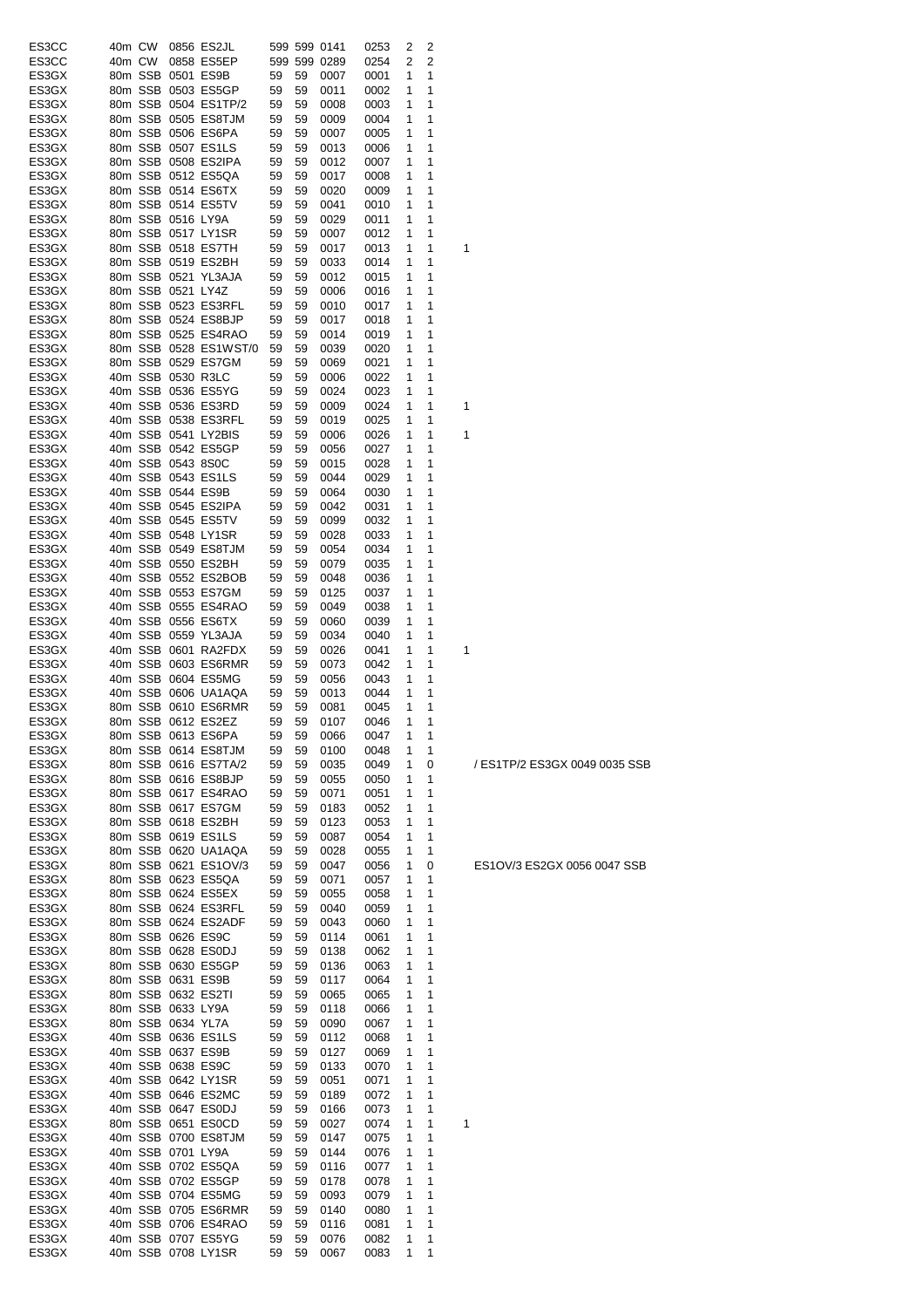| ES3CC          |        | 40m CW |                   | 0856 ES2JL                                |          |          | 599 599 0141 | 0253         | 2              | 2      |   |
|----------------|--------|--------|-------------------|-------------------------------------------|----------|----------|--------------|--------------|----------------|--------|---|
| ES3CC          | 40m CW |        |                   | 0858 ES5EP                                |          |          | 599 599 0289 | 0254         | $\overline{2}$ | 2      |   |
| ES3GX          |        |        |                   | 80m SSB 0501 ES9B                         | 59       | 59       | 0007         | 0001         | 1              | 1      |   |
| ES3GX          |        |        |                   | 80m SSB 0503 ES5GP                        | 59       | 59       | 0011         | 0002         | 1              | 1      |   |
| ES3GX          |        |        |                   | 80m SSB 0504 ES1TP/2                      | 59       | 59       | 0008         | 0003         | 1              | 1      |   |
| ES3GX          |        |        |                   | 80m SSB 0505 ES8TJM                       | 59       | 59       | 0009         | 0004         | 1              | 1      |   |
| ES3GX          |        |        |                   | 80m SSB 0506 ES6PA                        | 59       | 59       | 0007         | 0005         | 1              | 1      |   |
| ES3GX          |        |        |                   | 80m SSB 0507 ES1LS                        | 59       | 59       | 0013         | 0006         | 1              | 1      |   |
| ES3GX          |        |        |                   | 80m SSB 0508 ES2IPA                       | 59       | 59       | 0012         | 0007         | 1              | 1      |   |
| ES3GX          |        |        |                   | 80m SSB 0512 ES5QA<br>80m SSB 0514 ES6TX  | 59<br>59 | 59       | 0017         | 0008         | 1<br>1         | 1<br>1 |   |
| ES3GX<br>ES3GX |        |        |                   | 80m SSB 0514 ES5TV                        | 59       | 59<br>59 | 0020<br>0041 | 0009<br>0010 | 1              | 1      |   |
| ES3GX          |        |        | 80m SSB 0516 LY9A |                                           | 59       | 59       | 0029         | 0011         | 1              | 1      |   |
| ES3GX          |        |        |                   | 80m SSB 0517 LY1SR                        | 59       | 59       | 0007         | 0012         | 1              | 1      |   |
| ES3GX          |        |        |                   | 80m SSB 0518 ES7TH                        | 59       | 59       | 0017         | 0013         | 1              | 1      | 1 |
| ES3GX          |        |        |                   | 80m SSB 0519 ES2BH                        | 59       | 59       | 0033         | 0014         | 1              | 1      |   |
| ES3GX          |        |        |                   | 80m SSB 0521 YL3AJA                       | 59       | 59       | 0012         | 0015         | 1              | 1      |   |
| ES3GX          |        |        | 80m SSB 0521 LY4Z |                                           | 59       | 59       | 0006         | 0016         | 1              | 1      |   |
| ES3GX          |        |        |                   | 80m SSB 0523 ES3RFL                       | 59       | 59       | 0010         | 0017         | 1              | 1      |   |
| ES3GX          |        |        |                   | 80m SSB 0524 ES8BJP                       | 59       | 59       | 0017         | 0018         | 1              | 1      |   |
| ES3GX          |        |        |                   | 80m SSB 0525 ES4RAO                       | 59       | 59       | 0014         | 0019         | 1              | 1      |   |
| ES3GX          |        |        |                   | 80m SSB 0528 ES1WST/0                     | 59       | 59       | 0039         | 0020         | 1              | 1      |   |
| ES3GX          |        |        |                   | 80m SSB 0529 ES7GM                        | 59       | 59       | 0069         | 0021         | 1              | 1      |   |
| ES3GX          |        |        | 40m SSB 0530 R3LC |                                           | 59       | 59       | 0006         | 0022         | 1              | 1      |   |
| ES3GX          |        |        |                   | 40m SSB 0536 ES5YG                        | 59       | 59       | 0024         | 0023         | 1              | 1      |   |
| ES3GX          |        |        |                   | 40m SSB 0536 ES3RD                        | 59       | 59       | 0009         | 0024         | 1              | 1      | 1 |
| ES3GX          |        |        |                   | 40m SSB 0538 ES3RFL                       | 59       | 59       | 0019         | 0025         | 1              | 1      |   |
| ES3GX          |        |        |                   | 40m SSB 0541 LY2BIS                       | 59       | 59       | 0006         | 0026         | 1              | 1      | 1 |
| ES3GX          |        |        |                   | 40m SSB 0542 ES5GP                        | 59       | 59       | 0056         | 0027         | 1              | 1      |   |
| ES3GX          |        |        | 40m SSB 0543 8S0C |                                           | 59       | 59       | 0015         | 0028         | 1              | 1      |   |
| ES3GX          |        |        |                   | 40m SSB 0543 ES1LS                        | 59       | 59       | 0044         | 0029         | 1              | 1      |   |
| ES3GX          |        |        | 40m SSB 0544 ES9B |                                           | 59       | 59       | 0064         | 0030         | 1              | 1      |   |
| ES3GX          |        |        |                   | 40m SSB 0545 ES2IPA                       | 59       | 59       | 0042         | 0031         | 1              | 1      |   |
| ES3GX          |        |        |                   | 40m SSB 0545 ES5TV                        | 59       | 59       | 0099         | 0032         | 1              | 1      |   |
| ES3GX          |        |        |                   | 40m SSB 0548 LY1SR                        | 59       | 59       | 0028         | 0033         | 1              | 1      |   |
| ES3GX<br>ES3GX |        |        |                   | 40m SSB 0549 ES8TJM<br>40m SSB 0550 ES2BH | 59       | 59<br>59 | 0054         | 0034         | 1<br>1         | 1<br>1 |   |
| ES3GX          |        |        |                   | 40m SSB 0552 ES2BOB                       | 59<br>59 | 59       | 0079<br>0048 | 0035<br>0036 | 1              | 1      |   |
| ES3GX          |        |        |                   | 40m SSB 0553 ES7GM                        | 59       | 59       | 0125         | 0037         | 1              | 1      |   |
| ES3GX          |        |        |                   | 40m SSB 0555 ES4RAO                       | 59       | 59       | 0049         | 0038         | 1              | 1      |   |
| ES3GX          |        |        |                   | 40m SSB 0556 ES6TX                        | 59       | 59       | 0060         | 0039         | 1              | 1      |   |
| ES3GX          |        |        |                   | 40m SSB 0559 YL3AJA                       | 59       | 59       | 0034         | 0040         | 1              | 1      |   |
| ES3GX          |        |        |                   | 40m SSB 0601 RA2FDX                       | 59       | 59       | 0026         | 0041         | 1              | 1      | 1 |
| ES3GX          |        |        |                   | 40m SSB 0603 ES6RMR                       | 59       | 59       | 0073         | 0042         | 1              | 1      |   |
| ES3GX          |        |        |                   | 40m SSB 0604 ES5MG                        | 59       | 59       | 0056         | 0043         | 1              | 1      |   |
| ES3GX          |        |        |                   | 40m SSB 0606 UA1AQA                       | 59       | 59       | 0013         | 0044         | 1              | 1      |   |
| ES3GX          |        |        |                   | 80m SSB 0610 ES6RMR                       | 59       | 59       | 0081         | 0045         | 1              | 1      |   |
| ES3GX          |        |        |                   | 80m SSB 0612 ES2EZ                        | 59       | 59       | 0107         | 0046         | 1              | 1      |   |
| ES3GX          |        |        |                   | 80m SSB 0613 ES6PA                        | 59       |          | 59 0066      | 0047         | $\overline{1}$ | 1      |   |
| ES3GX          |        |        |                   | 80m SSB 0614 ES8TJM                       | 59       | 59       | 0100         | 0048         | 1              | 1      |   |
| ES3GX          |        |        |                   | 80m SSB 0616 ES7TA/2                      | 59       | 59       | 0035         | 0049         | 1              | 0      |   |
| ES3GX          |        |        |                   | 80m SSB 0616 ES8BJP                       | 59       | 59       | 0055         | 0050         | 1              | 1      |   |
| ES3GX          |        |        |                   | 80m SSB 0617 ES4RAO                       | 59       | 59       | 0071         | 0051         | 1              | 1      |   |
| ES3GX          |        |        |                   | 80m SSB 0617 ES7GM                        | 59       | 59       | 0183         | 0052         | 1              | 1      |   |
| ES3GX          |        |        |                   | 80m SSB 0618 ES2BH                        | 59       | 59       | 0123         | 0053         | 1              | 1      |   |
| ES3GX          |        |        |                   | 80m SSB 0619 ES1LS<br>80m SSB 0620 UA1AQA | 59       | 59<br>59 | 0087         | 0054         | 1<br>1         | 1<br>1 |   |
| ES3GX<br>ES3GX |        |        |                   | 80m SSB 0621 ES1OV/3                      | 59<br>59 | 59       | 0028<br>0047 | 0055<br>0056 | 1              | 0      |   |
| ES3GX          |        |        |                   | 80m SSB 0623 ES5QA                        | 59       | 59       | 0071         | 0057         | 1              | 1      |   |
| ES3GX          |        |        |                   | 80m SSB 0624 ES5EX                        | 59       | 59       | 0055         | 0058         | 1              | 1      |   |
| ES3GX          |        |        |                   | 80m SSB 0624 ES3RFL                       | 59       | 59       | 0040         | 0059         | 1              | 1      |   |
| ES3GX          |        |        |                   | 80m SSB 0624 ES2ADF                       | 59       | 59       | 0043         | 0060         | 1              | 1      |   |
| ES3GX          |        |        |                   | 80m SSB 0626 ES9C                         | 59       | 59       | 0114         | 0061         | 1              | 1      |   |
| ES3GX          |        |        |                   | 80m SSB 0628 ES0DJ                        | 59       | 59       | 0138         | 0062         | 1              | 1      |   |
| ES3GX          |        |        |                   | 80m SSB 0630 ES5GP                        | 59       | 59       | 0136         | 0063         | 1              | 1      |   |
| ES3GX          |        |        |                   | 80m SSB 0631 ES9B                         | 59       | 59       | 0117         | 0064         | 1              | 1      |   |
| ES3GX          |        |        |                   | 80m SSB 0632 ES2TI                        | 59       | 59       | 0065         | 0065         | 1              | 1      |   |
| ES3GX          |        |        | 80m SSB 0633 LY9A |                                           | 59       | 59       | 0118         | 0066         | 1              | 1      |   |
| ES3GX          |        |        | 80m SSB 0634 YL7A |                                           | 59       | 59       | 0090         | 0067         | 1              | 1      |   |
| ES3GX          |        |        |                   | 40m SSB 0636 ES1LS                        | 59       | 59       | 0112         | 0068         | 1              | 1      |   |
| ES3GX          |        |        |                   | 40m SSB 0637 ES9B                         | 59       | 59       | 0127         | 0069         | 1              | 1      |   |
| ES3GX          |        |        |                   | 40m SSB 0638 ES9C                         | 59       | 59       | 0133         | 0070         | 1              | 1      |   |
| ES3GX          |        |        |                   | 40m SSB 0642 LY1SR                        | 59       | 59       | 0051         | 0071         | 1              | 1      |   |
| ES3GX          |        |        |                   | 40m SSB 0646 ES2MC                        | 59       | 59       | 0189         | 0072         | 1              | 1      |   |
| ES3GX          |        |        |                   | 40m SSB 0647 ES0DJ                        | 59       | 59       | 0166         | 0073         | 1              | 1      |   |
| ES3GX          |        |        |                   | 80m SSB 0651 ES0CD                        | 59       | 59       | 0027         | 0074         | 1<br>1         | 1<br>1 | 1 |
| ES3GX<br>ES3GX |        |        | 40m SSB 0701 LY9A | 40m SSB 0700 ES8TJM                       | 59<br>59 | 59<br>59 | 0147<br>0144 | 0075<br>0076 | 1              | 1      |   |
| ES3GX          |        |        |                   | 40m SSB 0702 ES5QA                        | 59       | 59       | 0116         | 0077         | 1              | 1      |   |
| ES3GX          |        |        |                   | 40m SSB 0702 ES5GP                        | 59       | 59       | 0178         | 0078         | 1              | 1      |   |
| ES3GX          |        |        |                   | 40m SSB 0704 ES5MG                        | 59       | 59       | 0093         | 0079         | 1              | 1      |   |
| ES3GX          |        |        |                   | 40m SSB 0705 ES6RMR                       | 59       | 59       | 0140         | 0080         | 1              | 1      |   |
| ES3GX          |        |        |                   | 40m SSB 0706 ES4RAO                       | 59       | 59       | 0116         | 0081         | 1              | 1      |   |
| ES3GX          |        |        |                   | 40m SSB 0707 ES5YG                        | 59       | 59       | 0076         | 0082         | 1              | 1      |   |
| ES3GX          |        |        |                   | 40m SSB 0708 LY1SR                        | 59       | 59       | 0067         | 0083         | 1              | 1      |   |

/ ES1TP/2 ES3GX 0049 0035 SSB

ES1OV/3 ES2GX 0056 0047 SSB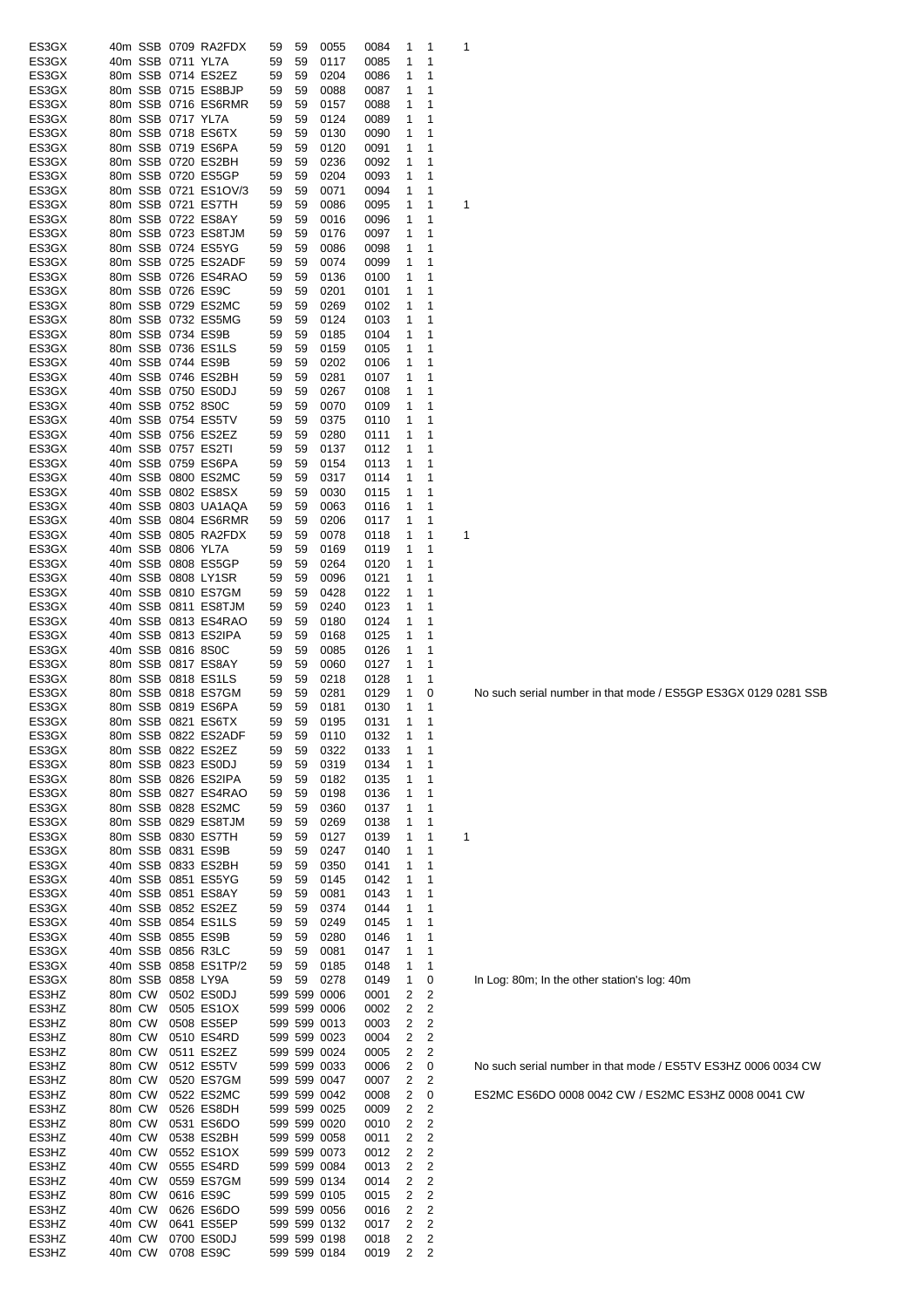| ES3GX          |        |                   | 40m SSB 0709 RA2FDX                       | 59       | 59       | 0055         | 0084         | 1      | 1                       | 1 |
|----------------|--------|-------------------|-------------------------------------------|----------|----------|--------------|--------------|--------|-------------------------|---|
| ES3GX          |        | 40m SSB 0711 YL7A |                                           | 59       | 59       | 0117         | 0085         | 1      | 1                       |   |
| ES3GX          |        |                   | 80m SSB 0714 ES2EZ                        | 59       | 59       | 0204         | 0086         | 1      | 1                       |   |
| ES3GX          |        |                   | 80m SSB 0715 ES8BJP                       | 59       | 59       | 0088         | 0087         | 1      | 1                       |   |
| ES3GX          |        |                   | 80m SSB 0716 ES6RMR                       | 59       | 59       | 0157         | 0088         | 1      | 1                       |   |
| ES3GX          |        | 80m SSB 0717 YL7A |                                           | 59       | 59       | 0124         | 0089         | 1      | 1                       |   |
| ES3GX          |        |                   | 80m SSB 0718 ES6TX                        | 59       | 59       | 0130         | 0090         | 1      | 1                       |   |
| ES3GX          |        |                   | 80m SSB 0719 ES6PA                        | 59       | 59       | 0120         | 0091         | 1      | 1                       |   |
| ES3GX          |        |                   | 80m SSB 0720 ES2BH                        | 59       | 59       | 0236         | 0092         | 1      | 1                       |   |
| ES3GX          |        |                   | 80m SSB 0720 ES5GP                        | 59       | 59       | 0204         | 0093         | 1      | 1                       |   |
| ES3GX          |        |                   | 80m SSB 0721 ES1OV/3                      | 59       | 59       | 0071         | 0094         | 1      | 1                       |   |
| ES3GX          |        |                   | 80m SSB 0721 ES7TH                        | 59       | 59       | 0086         | 0095         | 1      | 1                       | 1 |
| ES3GX          |        |                   | 80m SSB 0722 ES8AY                        | 59       | 59       | 0016         | 0096         | 1      | 1                       |   |
| ES3GX          |        |                   | 80m SSB 0723 ES8TJM                       | 59       | 59       | 0176         | 0097         | 1      | 1                       |   |
| ES3GX          |        |                   | 80m SSB 0724 ES5YG                        | 59       | 59       | 0086         | 0098         | 1      | 1                       |   |
| ES3GX          |        |                   | 80m SSB 0725 ES2ADF                       | 59       | 59       | 0074         | 0099         | 1      | 1                       |   |
| ES3GX          |        |                   | 80m SSB 0726 ES4RAO                       | 59       | 59       | 0136         | 0100         | 1      | 1                       |   |
| ES3GX          |        |                   | 80m SSB 0726 ES9C                         | 59       | 59       | 0201         | 0101         | 1      | 1                       |   |
| ES3GX          |        |                   | 80m SSB 0729 ES2MC                        | 59       | 59       | 0269         | 0102         | 1      | 1                       |   |
| ES3GX          |        |                   | 80m SSB 0732 ES5MG                        | 59       | 59       | 0124         | 0103         | 1      | 1                       |   |
| ES3GX          |        |                   | 80m SSB 0734 ES9B                         | 59       | 59       | 0185         | 0104         | 1      | 1                       |   |
| ES3GX          |        |                   | 80m SSB 0736 ES1LS                        | 59       | 59       | 0159         | 0105         | 1      | 1                       |   |
| ES3GX          |        |                   | 40m SSB 0744 ES9B                         | 59       | 59       | 0202         | 0106         | 1      | 1                       |   |
| ES3GX          |        |                   | 40m SSB 0746 ES2BH                        | 59       | 59       | 0281         | 0107         | 1      | 1                       |   |
| ES3GX          |        |                   | 40m SSB 0750 ES0DJ                        | 59       | 59       | 0267         | 0108         | 1      | 1                       |   |
| ES3GX          |        | 40m SSB 0752 8S0C |                                           | 59       | 59       | 0070         | 0109         | 1      | 1                       |   |
| ES3GX          |        |                   | 40m SSB 0754 ES5TV                        | 59       | 59       | 0375         | 0110         | 1      | 1                       |   |
| ES3GX          |        |                   | 40m SSB 0756 ES2EZ                        | 59       | 59       | 0280         | 0111         | 1      | 1                       |   |
| ES3GX          |        |                   | 40m SSB 0757 ES2TI                        | 59       | 59       | 0137         | 0112         | 1      | 1                       |   |
| ES3GX          |        |                   | 40m SSB 0759 ES6PA                        | 59       | 59       | 0154         | 0113         | 1      | 1                       |   |
| ES3GX          |        |                   | 40m SSB 0800 ES2MC                        | 59       | 59       | 0317         | 0114         | 1      | 1                       |   |
| ES3GX          |        |                   | 40m SSB 0802 ES8SX                        | 59       | 59       | 0030         | 0115         | 1      | 1                       |   |
| ES3GX          |        |                   | 40m SSB 0803 UA1AQA                       | 59       | 59       | 0063         | 0116         | 1      | 1                       |   |
| ES3GX          |        |                   | 40m SSB 0804 ES6RMR                       | 59       | 59       | 0206         | 0117         | 1      | 1                       |   |
| ES3GX          |        |                   | 40m SSB 0805 RA2FDX                       | 59       | 59       | 0078         | 0118         | 1      | 1                       | 1 |
| ES3GX          |        | 40m SSB 0806 YL7A |                                           | 59       | 59       | 0169         | 0119         | 1      | 1                       |   |
| ES3GX          |        |                   | 40m SSB 0808 ES5GP                        | 59       | 59       | 0264         | 0120         | 1      | 1                       |   |
| ES3GX          |        |                   | 40m SSB 0808 LY1SR                        | 59       | 59       | 0096         | 0121         | 1      | 1                       |   |
| ES3GX          |        |                   | 40m SSB 0810 ES7GM                        | 59       | 59       | 0428         | 0122         | 1      | 1                       |   |
| ES3GX          |        |                   | 40m SSB 0811 ES8TJM                       | 59       | 59       | 0240         | 0123         | 1      | 1                       |   |
| ES3GX          |        |                   | 40m SSB 0813 ES4RAO                       | 59       | 59       | 0180         | 0124         | 1      | 1                       |   |
| ES3GX          |        |                   | 40m SSB 0813 ES2IPA                       | 59       | 59       | 0168         | 0125         | 1      | 1                       |   |
| ES3GX          |        | 40m SSB 0816 8S0C |                                           | 59       | 59       | 0085         | 0126         | 1      | 1                       |   |
| ES3GX          |        |                   | 80m SSB 0817 ES8AY                        | 59       | 59       | 0060         | 0127         | 1      | 1                       |   |
| ES3GX          |        |                   | 80m SSB 0818 ES1LS                        | 59       | 59       | 0218         | 0128         | 1      | 1                       |   |
| ES3GX          |        |                   | 80m SSB 0818 ES7GM                        | 59       | 59       | 0281         | 0129         | 1      | 0                       |   |
| ES3GX          |        |                   | 80m SSB 0819 ES6PA                        | 59       | 59       | 0181         | 0130         | 1<br>1 | 1<br>1                  |   |
| ES3GX          |        |                   | 80m SSB 0821 ES6TX                        | 59       | 59       | 0195         | 0131         |        |                         |   |
| ES3GX          |        |                   | 80m SSB 0822 ES2ADF<br>80m SSB 0822 ES2EZ | 59       | 59       | 0110         | 0132         | 1      | 1                       |   |
| ES3GX<br>ES3GX |        |                   | 80m SSB 0823 ES0DJ                        | 59<br>59 | 59<br>59 | 0322<br>0319 | 0133<br>0134 | 1<br>1 | 1<br>1                  |   |
| ES3GX          |        |                   | 80m SSB 0826 ES2IPA                       | 59       | 59       | 0182         | 0135         | 1      | 1                       |   |
| ES3GX          |        |                   | 80m SSB 0827 ES4RAO                       | 59       | 59       | 0198         | 0136         | 1      | 1                       |   |
| ES3GX          |        |                   | 80m SSB 0828 ES2MC                        | 59       | 59       | 0360         | 0137         | 1      | 1                       |   |
| ES3GX          |        |                   | 80m SSB 0829 ES8TJM                       | 59       | 59       | 0269         | 0138         | 1      | 1                       |   |
| ES3GX          |        |                   | 80m SSB 0830 ES7TH                        | 59       | 59       | 0127         | 0139         | 1      | 1                       | 1 |
| ES3GX          |        |                   | 80m SSB 0831 ES9B                         | 59       | 59       | 0247         | 0140         | 1      | 1                       |   |
| ES3GX          |        |                   | 40m SSB 0833 ES2BH                        | 59       | 59       | 0350         | 0141         | 1      | 1                       |   |
| ES3GX          |        |                   | 40m SSB 0851 ES5YG                        | 59       | 59       | 0145         | 0142         | 1      | 1                       |   |
| ES3GX          |        |                   | 40m SSB 0851 ES8AY                        | 59       | 59       | 0081         | 0143         | 1      | 1                       |   |
| ES3GX          |        |                   | 40m SSB 0852 ES2EZ                        | 59       | 59       | 0374         | 0144         | 1      | 1                       |   |
| ES3GX          |        |                   | 40m SSB 0854 ES1LS                        | 59       | 59       | 0249         | 0145         | 1      | 1                       |   |
| ES3GX          |        |                   | 40m SSB 0855 ES9B                         | 59       | 59       | 0280         | 0146         | 1      | 1                       |   |
| ES3GX          |        |                   | 40m SSB 0856 R3LC                         | 59       | 59       | 0081         | 0147         | 1      | 1                       |   |
| ES3GX          |        |                   | 40m SSB 0858 ES1TP/2                      | 59       | 59       | 0185         | 0148         | 1      | 1                       |   |
| ES3GX          |        | 80m SSB 0858 LY9A |                                           | 59       | 59       | 0278         | 0149         | 1      | 0                       |   |
| ES3HZ          | 80m CW |                   | 0502 ES0DJ                                |          |          | 599 599 0006 | 0001         | 2      | 2                       |   |
| ES3HZ          | 80m CW |                   | 0505 ES1OX                                |          |          | 599 599 0006 | 0002         | 2      | $\overline{c}$          |   |
| ES3HZ          | 80m CW |                   | 0508 ES5EP                                |          |          | 599 599 0013 | 0003         | 2      | 2                       |   |
| ES3HZ          | 80m CW |                   | 0510 ES4RD                                |          |          | 599 599 0023 | 0004         | 2      | 2                       |   |
| ES3HZ          | 80m CW |                   | 0511 ES2EZ                                |          |          | 599 599 0024 | 0005         | 2      | 2                       |   |
| ES3HZ          | 80m CW |                   | 0512 ES5TV                                |          |          | 599 599 0033 | 0006         | 2      | 0                       |   |
| ES3HZ          | 80m CW |                   | 0520 ES7GM                                |          |          | 599 599 0047 | 0007         | 2      | 2                       |   |
| ES3HZ          | 80m CW |                   | 0522 ES2MC                                |          |          | 599 599 0042 | 0008         | 2      | 0                       |   |
| ES3HZ          | 80m CW |                   | 0526 ES8DH                                |          |          | 599 599 0025 | 0009         | 2      | $\overline{c}$          |   |
| ES3HZ          | 80m CW |                   | 0531 ES6DO                                |          |          | 599 599 0020 | 0010         | 2      | 2                       |   |
| ES3HZ          | 40m CW |                   | 0538 ES2BH                                |          |          | 599 599 0058 | 0011         | 2      | 2                       |   |
| ES3HZ          | 40m CW |                   | 0552 ES1OX                                |          |          | 599 599 0073 | 0012         | 2      | 2                       |   |
| ES3HZ          | 40m CW |                   | 0555 ES4RD                                |          |          | 599 599 0084 | 0013         | 2      | $\overline{c}$          |   |
| ES3HZ          | 40m CW |                   | 0559 ES7GM                                |          |          | 599 599 0134 | 0014         | 2      | $\overline{c}$          |   |
| ES3HZ          | 80m CW |                   | 0616 ES9C                                 |          |          | 599 599 0105 | 0015         | 2      | $\overline{c}$          |   |
| ES3HZ          | 40m CW |                   | 0626 ES6DO                                |          |          | 599 599 0056 | 0016         | 2      | 2                       |   |
| ES3HZ          | 40m CW |                   | 0641 ES5EP                                |          |          | 599 599 0132 | 0017         | 2      | 2                       |   |
| ES3HZ          | 40m CW |                   | 0700 ES0DJ                                |          |          | 599 599 0198 | 0018         | 2      | $\overline{\mathbf{c}}$ |   |
| ES3HZ          | 40m CW |                   | 0708 ES9C                                 |          |          | 599 599 0184 | 0019         | 2      | 2                       |   |

No such serial number in that mode / ES5GP ES3GX 0129 0281 SSB

In Log: 80m; In the other station's log: 40m

No such serial number in that mode / ES5TV ES3HZ 0006 0034 CW

ES2MC ES6DO 0008 0042 CW / ES2MC ES3HZ 0008 0041 CW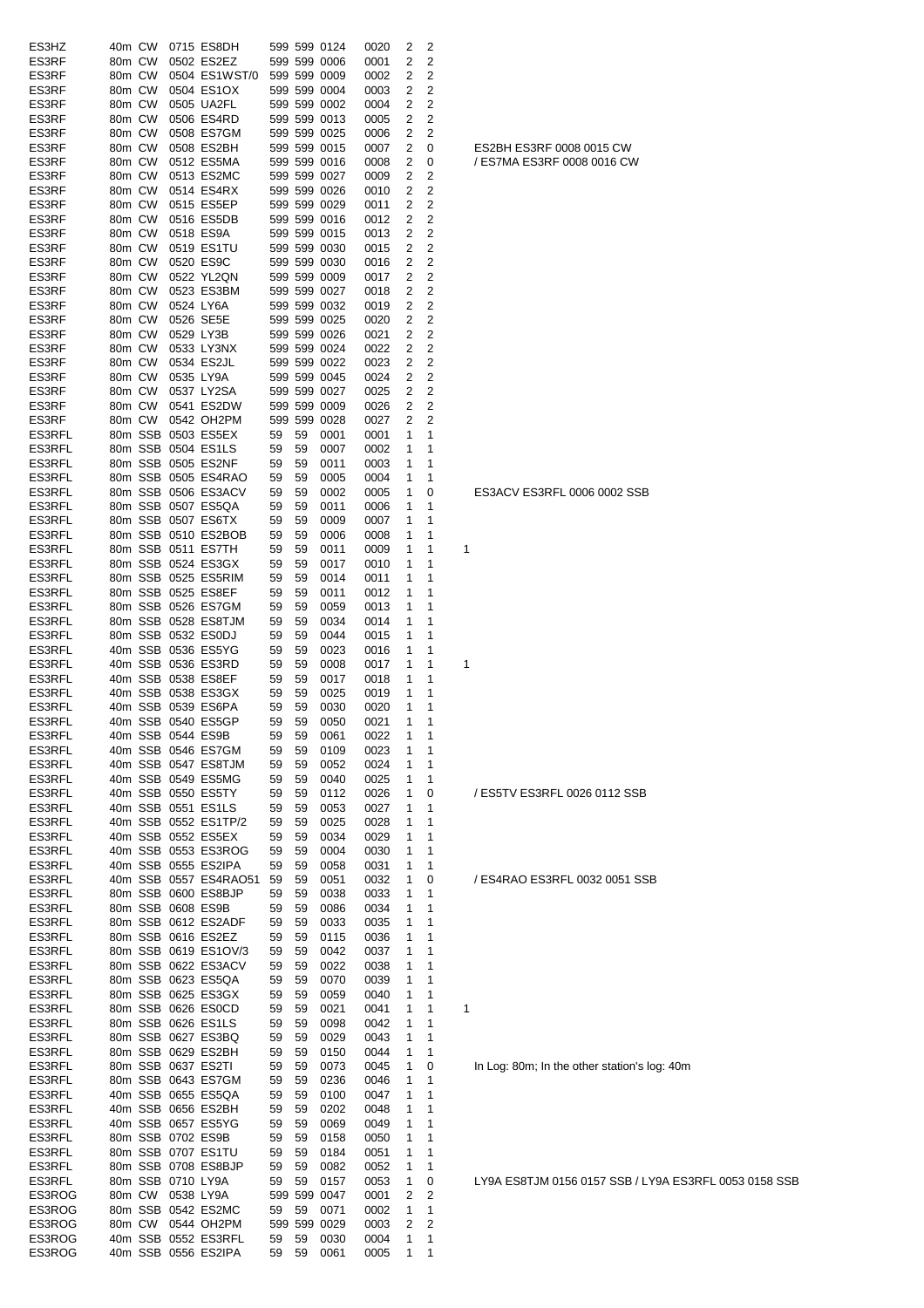|        |        |  |                       |       |    | 599 599 0124 |      |              |                         |                                              |
|--------|--------|--|-----------------------|-------|----|--------------|------|--------------|-------------------------|----------------------------------------------|
| ES3HZ  | 40m CW |  | 0715 ES8DH            |       |    |              | 0020 | 2            | 2                       |                                              |
| ES3RF  | 80m CW |  | 0502 ES2EZ            |       |    | 599 599 0006 | 0001 | 2            | 2                       |                                              |
| ES3RF  | 80m CW |  | 0504 ES1WST/0         |       |    | 599 599 0009 | 0002 | 2            | 2                       |                                              |
| ES3RF  | 80m CW |  | 0504 ES1OX            |       |    | 599 599 0004 | 0003 | 2            | 2                       |                                              |
| ES3RF  | 80m CW |  | 0505 UA2FL            |       |    | 599 599 0002 | 0004 | 2            | $\overline{2}$          |                                              |
| ES3RF  | 80m CW |  | 0506 ES4RD            |       |    | 599 599 0013 | 0005 | 2            | 2                       |                                              |
| ES3RF  | 80m CW |  | 0508 ES7GM            |       |    | 599 599 0025 | 0006 | 2            | 2                       |                                              |
| ES3RF  | 80m CW |  | 0508 ES2BH            |       |    | 599 599 0015 | 0007 | 2            | 0                       | ES2BH ES3RF 0008 0015 CW                     |
| ES3RF  | 80m CW |  | 0512 ES5MA            |       |    | 599 599 0016 | 0008 | 2            | 0                       | / ES7MA ES3RF 0008 0016 CW                   |
| ES3RF  | 80m CW |  | 0513 ES2MC            |       |    | 599 599 0027 | 0009 | 2            | 2                       |                                              |
| ES3RF  | 80m CW |  | 0514 ES4RX            |       |    | 599 599 0026 | 0010 | 2            | 2                       |                                              |
| ES3RF  | 80m CW |  | 0515 ES5EP            |       |    | 599 599 0029 | 0011 | 2            | $\overline{\mathbf{c}}$ |                                              |
| ES3RF  | 80m CW |  | 0516 ES5DB            |       |    | 599 599 0016 | 0012 | 2            | 2                       |                                              |
| ES3RF  | 80m CW |  | 0518 ES9A             |       |    | 599 599 0015 | 0013 | 2            | 2                       |                                              |
|        |        |  |                       |       |    |              |      |              |                         |                                              |
| ES3RF  | 80m CW |  | 0519 ES1TU            |       |    | 599 599 0030 | 0015 | 2            | 2                       |                                              |
| ES3RF  | 80m CW |  | 0520 ES9C             |       |    | 599 599 0030 | 0016 | 2            | 2                       |                                              |
| ES3RF  | 80m CW |  | 0522 YL2QN            |       |    | 599 599 0009 | 0017 | 2            | 2                       |                                              |
| ES3RF  | 80m CW |  | 0523 ES3BM            |       |    | 599 599 0027 | 0018 | 2            | $\overline{2}$          |                                              |
| ES3RF  | 80m CW |  | 0524 LY6A             |       |    | 599 599 0032 | 0019 | 2            | $\overline{2}$          |                                              |
| ES3RF  | 80m CW |  | 0526 SE5E             |       |    | 599 599 0025 | 0020 | 2            | 2                       |                                              |
| ES3RF  | 80m CW |  | 0529 LY3B             |       |    | 599 599 0026 | 0021 | 2            | 2                       |                                              |
| ES3RF  | 80m CW |  | 0533 LY3NX            |       |    | 599 599 0024 | 0022 | 2            | 2                       |                                              |
| ES3RF  | 80m CW |  | 0534 ES2JL            |       |    | 599 599 0022 | 0023 | 2            | 2                       |                                              |
| ES3RF  | 80m CW |  | 0535 LY9A             |       |    | 599 599 0045 | 0024 | 2            | 2                       |                                              |
| ES3RF  | 80m CW |  | 0537 LY2SA            |       |    | 599 599 0027 | 0025 | 2            | $\overline{2}$          |                                              |
| ES3RF  | 80m CW |  | 0541 ES2DW            |       |    | 599 599 0009 | 0026 | 2            | 2                       |                                              |
| ES3RF  | 80m CW |  | 0542 OH2PM            |       |    | 599 599 0028 | 0027 | 2            | 2                       |                                              |
|        |        |  |                       |       |    |              |      |              |                         |                                              |
| ES3RFL |        |  | 80m SSB 0503 ES5EX    | 59    | 59 | 0001         | 0001 | 1            | 1                       |                                              |
| ES3RFL |        |  | 80m SSB 0504 ES1LS    | 59    | 59 | 0007         | 0002 | 1            | 1                       |                                              |
| ES3RFL |        |  | 80m SSB 0505 ES2NF    | 59    | 59 | 0011         | 0003 | 1            | 1                       |                                              |
| ES3RFL |        |  | 80m SSB 0505 ES4RAO   | 59    | 59 | 0005         | 0004 | 1            | 1                       |                                              |
| ES3RFL |        |  | 80m SSB 0506 ES3ACV   | 59    | 59 | 0002         | 0005 | 1            | 0                       | ES3ACV ES3RFL 0006 0002 SSB                  |
| ES3RFL |        |  | 80m SSB 0507 ES5QA    | 59    | 59 | 0011         | 0006 | 1            | 1                       |                                              |
| ES3RFL |        |  | 80m SSB 0507 ES6TX    | 59    | 59 | 0009         | 0007 | 1            | 1                       |                                              |
| ES3RFL |        |  | 80m SSB 0510 ES2BOB   | 59    | 59 | 0006         | 0008 | 1            | 1                       |                                              |
| ES3RFL |        |  | 80m SSB 0511 ES7TH    | 59    | 59 | 0011         | 0009 | 1            | 1                       | 1                                            |
| ES3RFL |        |  | 80m SSB 0524 ES3GX    | 59    | 59 | 0017         | 0010 | 1            | 1                       |                                              |
| ES3RFL |        |  | 80m SSB 0525 ES5RIM   | 59    | 59 | 0014         | 0011 | 1            | 1                       |                                              |
| ES3RFL |        |  | 80m SSB 0525 ES8EF    | 59    | 59 | 0011         | 0012 | 1            | 1                       |                                              |
|        |        |  |                       |       |    |              |      |              |                         |                                              |
| ES3RFL |        |  | 80m SSB 0526 ES7GM    | 59    | 59 | 0059         | 0013 | 1            | 1                       |                                              |
| ES3RFL |        |  | 80m SSB 0528 ES8TJM   | 59    | 59 | 0034         | 0014 | 1            | 1                       |                                              |
| ES3RFL |        |  | 80m SSB 0532 ES0DJ    | 59    | 59 | 0044         | 0015 | 1            | 1                       |                                              |
| ES3RFL |        |  | 40m SSB 0536 ES5YG    | 59    | 59 | 0023         | 0016 | 1            | 1                       |                                              |
| ES3RFL |        |  | 40m SSB 0536 ES3RD    | 59    | 59 | 0008         | 0017 | 1            | 1                       | 1                                            |
| ES3RFL |        |  | 40m SSB 0538 ES8EF    | 59    | 59 | 0017         | 0018 | 1            | 1                       |                                              |
| ES3RFL |        |  | 40m SSB 0538 ES3GX    | 59    | 59 | 0025         | 0019 | 1            | 1                       |                                              |
| ES3RFL |        |  | 40m SSB 0539 ES6PA    | 59    | 59 | 0030         | 0020 | 1            | 1                       |                                              |
| ES3RFL |        |  | 40m SSB 0540 ES5GP    | 59    | 59 | 0050         | 0021 | 1            | 1                       |                                              |
| ES3RFL |        |  | 40m SSB 0544 ES9B     | 59    | 59 | 0061         | 0022 | $\mathbf{1}$ | 1                       |                                              |
| ES3RFL |        |  | 40m SSB 0546 ES7GM    | 59    | 59 | 0109         | 0023 | 1            | 1                       |                                              |
| ES3RFL |        |  | 40m SSB 0547 ES8TJM   | 59    | 59 | 0052         | 0024 | 1            | 1                       |                                              |
|        |        |  |                       |       |    |              |      |              |                         |                                              |
| ES3RFL |        |  | 40m SSB 0549 ES5MG    | 59    | 59 | 0040         | 0025 | 1            | 1                       |                                              |
| ES3RFL |        |  | 40m SSB 0550 ES5TY    | 59    | 59 | 0112         | 0026 | 1            | 0                       | / ES5TV ES3RFL 0026 0112 SSB                 |
| ES3RFL |        |  | 40m SSB 0551 ES1LS    | 59    | 59 | 0053         | 0027 | 1            | 1                       |                                              |
| ES3RFL |        |  | 40m SSB 0552 ES1TP/2  | 59    | 59 | 0025         | 0028 | 1            | 1                       |                                              |
| ES3RFL |        |  | 40m SSB 0552 ES5EX    | 59    | 59 | 0034         | 0029 | 1            | 1                       |                                              |
| ES3RFL |        |  | 40m SSB 0553 ES3ROG   | 59    | 59 | 0004         | 0030 | 1            | 1                       |                                              |
| ES3RFL |        |  | 40m SSB 0555 ES2IPA   | 59    | 59 | 0058         | 0031 | 1            | 1                       |                                              |
| ES3RFL |        |  | 40m SSB 0557 ES4RAO51 | 59    | 59 | 0051         | 0032 | 1            | 0                       | / ES4RAO ES3RFL 0032 0051 SSB                |
| ES3RFL |        |  | 80m SSB 0600 ES8BJP   | 59    | 59 | 0038         | 0033 | 1            | 1                       |                                              |
| ES3RFL |        |  | 80m SSB 0608 ES9B     | 59    | 59 | 0086         | 0034 | 1            | 1                       |                                              |
| ES3RFL |        |  | 80m SSB 0612 ES2ADF   | 59    | 59 | 0033         | 0035 | 1            | 1                       |                                              |
| ES3RFL |        |  | 80m SSB 0616 ES2EZ    | 59    | 59 | 0115         | 0036 | 1            | 1                       |                                              |
| ES3RFL |        |  | 80m SSB 0619 ES1OV/3  | 59    | 59 | 0042         | 0037 | 1            | 1                       |                                              |
| ES3RFL |        |  | 80m SSB 0622 ES3ACV   | 59    | 59 | 0022         |      |              | 1                       |                                              |
|        |        |  |                       |       |    |              | 0038 | 1            |                         |                                              |
| ES3RFL |        |  | 80m SSB 0623 ES5QA    | 59    | 59 | 0070         | 0039 | 1            | 1                       |                                              |
| ES3RFL |        |  | 80m SSB 0625 ES3GX    | 59    | 59 | 0059         | 0040 | 1            | 1                       |                                              |
| ES3RFL |        |  | 80m SSB 0626 ES0CD    | 59    | 59 | 0021         | 0041 | 1            | 1                       | 1                                            |
| ES3RFL |        |  | 80m SSB 0626 ES1LS    | 59    | 59 | 0098         | 0042 | 1            | 1                       |                                              |
| ES3RFL |        |  | 80m SSB 0627 ES3BQ    | 59    | 59 | 0029         | 0043 | 1            | 1                       |                                              |
| ES3RFL |        |  | 80m SSB 0629 ES2BH    | 59    | 59 | 0150         | 0044 | 1            | 1                       |                                              |
| ES3RFL |        |  | 80m SSB 0637 ES2TI    | 59    | 59 | 0073         | 0045 | 1            | 0                       | In Log: 80m; In the other station's log: 40m |
| ES3RFL |        |  | 80m SSB 0643 ES7GM    | 59    | 59 | 0236         | 0046 | 1            | 1                       |                                              |
| ES3RFL |        |  | 40m SSB 0655 ES5QA    | 59    | 59 | 0100         | 0047 | 1            | 1                       |                                              |
| ES3RFL |        |  | 40m SSB 0656 ES2BH    | 59    | 59 | 0202         | 0048 | 1            | 1                       |                                              |
| ES3RFL |        |  | 40m SSB 0657 ES5YG    | 59    | 59 | 0069         | 0049 | 1            | 1                       |                                              |
|        |        |  |                       |       |    |              |      |              |                         |                                              |
| ES3RFL |        |  | 80m SSB 0702 ES9B     | 59    | 59 | 0158         | 0050 | 1            | 1                       |                                              |
| ES3RFL |        |  | 80m SSB 0707 ES1TU    | 59    | 59 | 0184         | 0051 | 1            | 1                       |                                              |
| ES3RFL |        |  | 80m SSB 0708 ES8BJP   | 59    | 59 | 0082         | 0052 | 1            | 1                       |                                              |
| ES3RFL |        |  | 80m SSB 0710 LY9A     | 59    | 59 | 0157         | 0053 | 1            | 0                       | LY9A ES8TJM 0156 0157 SSB / LY9A ES3         |
| ES3ROG |        |  | 80m CW 0538 LY9A      |       |    | 599 599 0047 | 0001 | 2            | 2                       |                                              |
| ES3ROG |        |  | 80m SSB 0542 ES2MC    | 59 59 |    | 0071         | 0002 | 1            | 1                       |                                              |
| ES3ROG |        |  | 80m CW 0544 OH2PM     |       |    | 599 599 0029 | 0003 | 2            | 2                       |                                              |
| ES3ROG |        |  | 40m SSB 0552 ES3RFL   | 59    | 59 | 0030         | 0004 | 1            | 1                       |                                              |
| ES3ROG |        |  | 40m SSB 0556 ES2IPA   | 59    | 59 | 0061         | 0005 | 1            | 1                       |                                              |
|        |        |  |                       |       |    |              |      |              |                         |                                              |

0156 0157 SSB / LY9A ES3RFL 0053 0158 SSB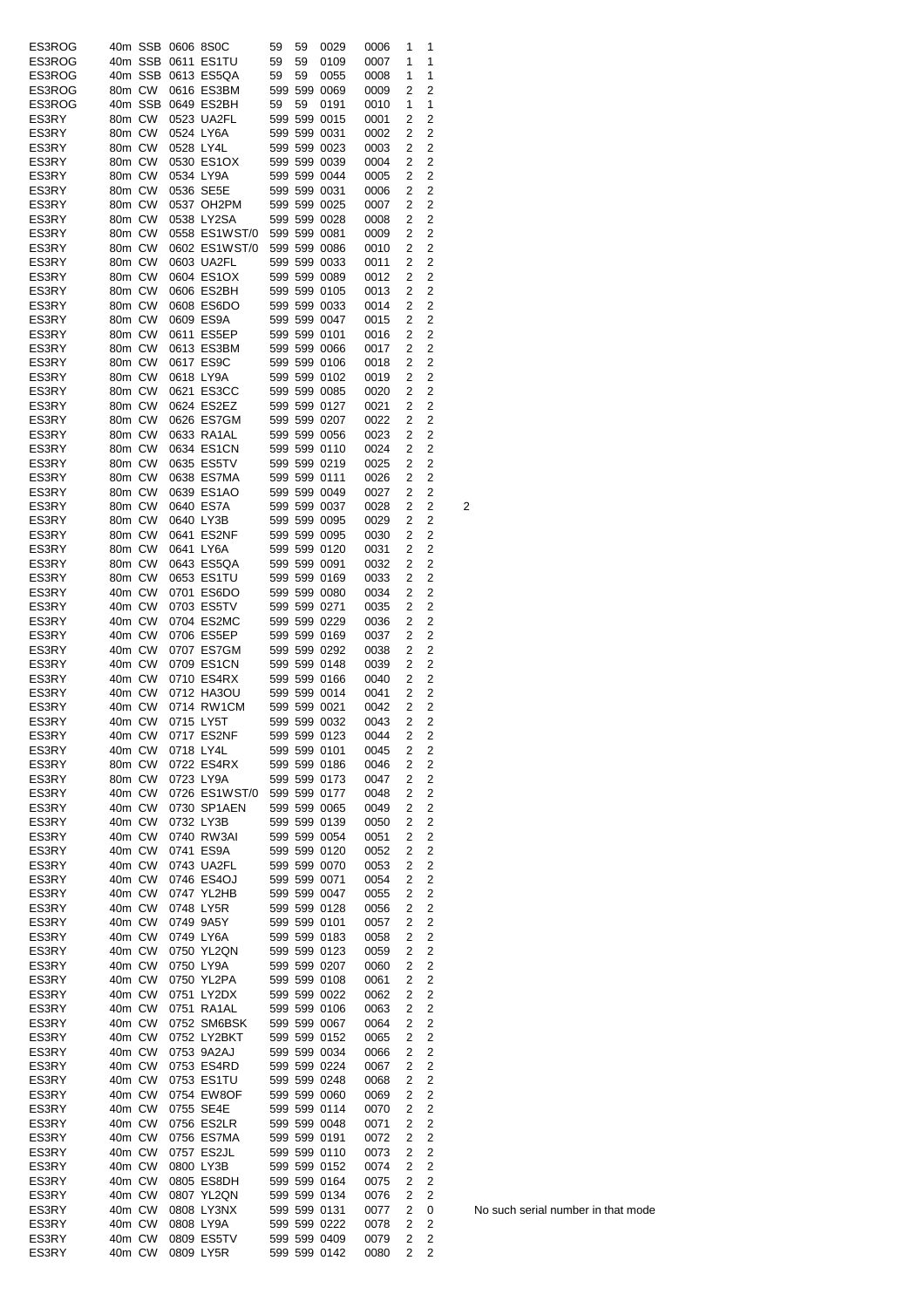| ES3ROG |        |         | 40m SSB 0606 8S0C |                            | 59 | 59 | 0029                         | 0006 | 1              | 1              |   |
|--------|--------|---------|-------------------|----------------------------|----|----|------------------------------|------|----------------|----------------|---|
| ES3ROG |        | 40m SSB |                   | 0611 ES1TU                 | 59 | 59 | 0109                         | 0007 | 1              | 1              |   |
| ES3ROG |        | 40m SSB |                   | 0613 ES5QA                 | 59 | 59 | 0055                         | 0008 | 1              | 1              |   |
| ES3ROG | 80m CW |         |                   | 0616 ES3BM                 |    |    | 599 599 0069                 | 0009 | 2              | 2              |   |
| ES3ROG |        | 40m SSB |                   | 0649 ES2BH                 | 59 | 59 | 0191                         | 0010 | 1              | 1              |   |
| ES3RY  | 80m CW |         |                   | 0523 UA2FL                 |    |    | 599 599 0015                 | 0001 | 2              | 2              |   |
| ES3RY  | 80m CW |         |                   | 0524 LY6A                  |    |    | 599 599 0031                 | 0002 | 2              | 2              |   |
| ES3RY  | 80m CW |         | 0528 LY4L         |                            |    |    | 599 599 0023                 | 0003 | 2              | 2              |   |
| ES3RY  | 80m CW |         |                   | 0530 ES1OX                 |    |    | 599 599 0039                 | 0004 | 2              | 2              |   |
| ES3RY  | 80m CW |         |                   | 0534 LY9A                  |    |    | 599 599 0044                 | 0005 | 2              | 2              |   |
| ES3RY  | 80m CW |         |                   | 0536 SE5E                  |    |    | 599 599 0031                 | 0006 | 2              | 2              |   |
| ES3RY  | 80m CW |         |                   | 0537 OH2PM                 |    |    | 599 599 0025                 | 0007 | 2              | 2              |   |
| ES3RY  | 80m CW |         |                   | 0538 LY2SA                 |    |    | 599 599 0028                 | 0008 | 2              | 2              |   |
| ES3RY  | 80m CW |         |                   | 0558 ES1WST/0 599 599 0081 |    |    |                              | 0009 | 2              | 2              |   |
| ES3RY  | 80m CW |         |                   | 0602 ES1WST/0              |    |    | 599 599 0086                 | 0010 | 2              | 2              |   |
| ES3RY  | 80m CW |         |                   | 0603 UA2FL                 |    |    | 599 599 0033                 | 0011 | 2              | 2              |   |
| ES3RY  | 80m CW |         |                   | 0604 ES1OX                 |    |    | 599 599 0089                 | 0012 | 2              | 2              |   |
| ES3RY  | 80m CW |         |                   | 0606 ES2BH                 |    |    | 599 599 0105                 | 0013 | 2              | 2              |   |
| ES3RY  | 80m CW |         |                   | 0608 ES6DO                 |    |    | 599 599 0033                 | 0014 | 2              | 2              |   |
| ES3RY  | 80m CW |         |                   | 0609 ES9A                  |    |    | 599 599 0047                 | 0015 | 2              | 2              |   |
| ES3RY  | 80m CW |         |                   | 0611 ES5EP                 |    |    | 599 599 0101                 | 0016 | 2              | 2              |   |
| ES3RY  | 80m CW |         |                   | 0613 ES3BM                 |    |    | 599 599 0066                 | 0017 | 2              | 2              |   |
| ES3RY  | 80m CW |         |                   | 0617 ES9C                  |    |    | 599 599 0106                 | 0018 | 2              | 2              |   |
| ES3RY  | 80m CW |         |                   | 0618 LY9A                  |    |    | 599 599 0102                 | 0019 | 2              | 2              |   |
| ES3RY  | 80m CW |         |                   | 0621 ES3CC                 |    |    | 599 599 0085                 | 0020 | 2              | 2              |   |
| ES3RY  | 80m CW |         |                   | 0624 ES2EZ                 |    |    | 599 599 0127                 | 0021 | 2              | 2              |   |
| ES3RY  | 80m CW |         |                   | 0626 ES7GM                 |    |    | 599 599 0207                 | 0022 | 2              | 2              |   |
| ES3RY  | 80m CW |         |                   | 0633 RA1AL                 |    |    | 599 599 0056                 | 0023 | 2              | 2              |   |
| ES3RY  | 80m CW |         |                   | 0634 ES1CN                 |    |    | 599 599 0110                 | 0024 | 2              | 2              |   |
| ES3RY  | 80m CW |         |                   | 0635 ES5TV                 |    |    | 599 599 0219                 | 0025 | 2              | 2              |   |
| ES3RY  | 80m CW |         |                   | 0638 ES7MA                 |    |    | 599 599 0111                 | 0026 | 2              | 2              |   |
| ES3RY  | 80m CW |         |                   | 0639 ES1AO                 |    |    | 599 599 0049                 | 0027 | 2              | 2              |   |
| ES3RY  | 80m CW |         |                   | 0640 ES7A                  |    |    | 599 599 0037                 | 0028 | 2              | 2              | 2 |
| ES3RY  | 80m CW |         |                   | 0640 LY3B                  |    |    | 599 599 0095                 | 0029 | 2              | 2              |   |
| ES3RY  | 80m CW |         |                   | 0641 ES2NF                 |    |    | 599 599 0095                 | 0030 | 2              | 2              |   |
| ES3RY  | 80m CW |         |                   | 0641 LY6A                  |    |    | 599 599 0120                 | 0031 | 2              | 2              |   |
| ES3RY  | 80m CW |         |                   | 0643 ES5QA                 |    |    | 599 599 0091                 | 0032 | 2              | 2              |   |
| ES3RY  | 80m CW |         |                   | 0653 ES1TU                 |    |    | 599 599 0169                 |      | 2              | 2              |   |
| ES3RY  | 40m CW |         |                   | 0701 ES6DO                 |    |    | 599 599 0080                 | 0033 | 2              | 2              |   |
|        |        |         |                   |                            |    |    |                              | 0034 | 2              | 2              |   |
| ES3RY  | 40m CW |         |                   | 0703 ES5TV                 |    |    | 599 599 0271                 | 0035 |                |                |   |
| ES3RY  | 40m CW |         |                   | 0704 ES2MC                 |    |    | 599 599 0229                 | 0036 | 2              | 2              |   |
| ES3RY  | 40m CW |         |                   | 0706 ES5EP                 |    |    | 599 599 0169                 | 0037 | 2              | 2              |   |
| ES3RY  | 40m CW |         |                   | 0707 ES7GM                 |    |    | 599 599 0292                 | 0038 | 2              | 2              |   |
| ES3RY  | 40m CW |         |                   | 0709 ES1CN                 |    |    | 599 599 0148                 | 0039 | 2              | 2              |   |
| ES3RY  | 40m CW |         |                   | 0710 ES4RX                 |    |    | 599 599 0166                 | 0040 | 2              | 2              |   |
| ES3RY  | 40m CW |         |                   | 0712 HA3OU                 |    |    | 599 599 0014                 | 0041 | 2              | 2              |   |
| ES3RY  | 40m CW |         |                   | 0714 RW1CM                 |    |    | 599 599 0021                 | 0042 | 2              | 2              |   |
| ES3RY  | 40m CW |         |                   | 0715 LY5T                  |    |    | 599 599 0032                 | 0043 | 2              | 2              |   |
| ES3RY  |        |         |                   | 40m CW 0717 ES2NF          |    |    | 599 599 0123                 | 0044 | $\overline{2}$ | 2              |   |
| ES3RY  | 40m CW |         |                   | 0718 LY4L                  |    |    | 599 599 0101                 | 0045 | 2              | 2              |   |
| ES3RY  | 80m CW |         |                   | 0722 ES4RX                 |    |    | 599 599 0186                 | 0046 | 2              | $\overline{c}$ |   |
| ES3RY  | 80m CW |         |                   | 0723 LY9A                  |    |    | 599 599 0173                 | 0047 | 2              | $\overline{c}$ |   |
| ES3RY  | 40m CW |         |                   | 0726 ES1WST/0 599 599 0177 |    |    |                              | 0048 | 2              | 2              |   |
| ES3RY  | 40m CW |         |                   | 0730 SP1AEN                |    |    | 599 599 0065                 | 0049 | 2              | $\overline{c}$ |   |
| ES3RY  | 40m CW |         |                   | 0732 LY3B                  |    |    | 599 599 0139                 | 0050 | 2              | 2              |   |
| ES3RY  | 40m CW |         |                   | 0740 RW3AI                 |    |    | 599 599 0054                 | 0051 | 2              | $\overline{c}$ |   |
| ES3RY  | 40m CW |         |                   | 0741 ES9A                  |    |    | 599 599 0120                 | 0052 | 2              | $\overline{2}$ |   |
| ES3RY  | 40m CW |         |                   | 0743 UA2FL                 |    |    | 599 599 0070                 | 0053 | 2              | $\overline{c}$ |   |
| ES3RY  | 40m CW |         |                   | 0746 ES4OJ                 |    |    | 599 599 0071                 | 0054 | 2              | 2              |   |
| ES3RY  | 40m CW |         |                   | 0747 YL2HB                 |    |    | 599 599 0047                 | 0055 | 2              | 2              |   |
| ES3RY  | 40m CW |         |                   | 0748 LY5R                  |    |    | 599 599 0128                 | 0056 | 2              | 2              |   |
| ES3RY  | 40m CW |         |                   | 0749 9A5Y                  |    |    | 599 599 0101                 | 0057 | 2              | $\overline{c}$ |   |
| ES3RY  | 40m CW |         |                   | 0749 LY6A                  |    |    | 599 599 0183                 | 0058 | 2              | 2              |   |
| ES3RY  | 40m CW |         |                   | 0750 YL2QN                 |    |    | 599 599 0123                 | 0059 | 2              | 2              |   |
| ES3RY  | 40m CW |         |                   | 0750 LY9A                  |    |    | 599 599 0207                 | 0060 | 2              | 2              |   |
| ES3RY  |        | 40m CW  |                   | 0750 YL2PA                 |    |    | 599 599 0108                 | 0061 | 2              | 2              |   |
| ES3RY  | 40m CW |         |                   | 0751 LY2DX                 |    |    | 599 599 0022                 | 0062 | 2              | 2              |   |
| ES3RY  | 40m CW |         |                   | 0751 RA1AL                 |    |    | 599 599 0106                 | 0063 | 2              | 2              |   |
| ES3RY  | 40m CW |         |                   | 0752 SM6BSK                |    |    | 599 599 0067                 | 0064 | 2              | $\overline{c}$ |   |
| ES3RY  | 40m CW |         |                   | 0752 LY2BKT                |    |    | 599 599 0152                 | 0065 | 2              | 2              |   |
| ES3RY  | 40m CW |         |                   | 0753 9A2AJ                 |    |    | 599 599 0034                 | 0066 | 2              | 2              |   |
| ES3RY  | 40m CW |         |                   | 0753 ES4RD                 |    |    | 599 599 0224                 | 0067 | 2              | 2              |   |
| ES3RY  | 40m CW |         |                   | 0753 ES1TU                 |    |    | 599 599 0248                 | 0068 | 2              | 2              |   |
| ES3RY  | 40m CW |         |                   | 0754 EW8OF                 |    |    | 599 599 0060                 | 0069 | 2              | 2              |   |
| ES3RY  | 40m CW |         |                   | 0755 SE4E                  |    |    | 599 599 0114                 | 0070 | 2              | $\overline{c}$ |   |
| ES3RY  | 40m CW |         |                   | 0756 ES2LR                 |    |    | 599 599 0048                 | 0071 | 2              | $\overline{c}$ |   |
| ES3RY  | 40m CW |         |                   | 0756 ES7MA                 |    |    | 599 599 0191                 | 0072 | 2              | $\overline{c}$ |   |
| ES3RY  | 40m CW |         |                   | 0757 ES2JL                 |    |    | 599 599 0110                 | 0073 | 2              | 2              |   |
| ES3RY  | 40m CW |         |                   | 0800 LY3B                  |    |    | 599 599 0152                 | 0074 | 2              | 2              |   |
| ES3RY  | 40m CW |         |                   | 0805 ES8DH                 |    |    | 599 599 0164                 | 0075 | 2              | 2              |   |
| ES3RY  | 40m CW |         |                   | 0807 YL2QN                 |    |    | 599 599 0134                 | 0076 | 2              | 2              |   |
| ES3RY  | 40m CW |         |                   | 0808 LY3NX                 |    |    | 599 599 0131                 | 0077 | 2              | 0              |   |
| ES3RY  | 40m CW |         |                   | 0808 LY9A                  |    |    | 599 599 0222<br>599 599 0409 | 0078 | 2              | 2              |   |
| ES3RY  | 40m CW |         |                   | 0809 ES5TV                 |    |    |                              | 0079 | 2              | 2              |   |
| ES3RY  |        | 40m CW  |                   | 0809 LY5R                  |    |    | 599 599 0142                 | 0080 | 2              | 2              |   |

No such serial number in that mode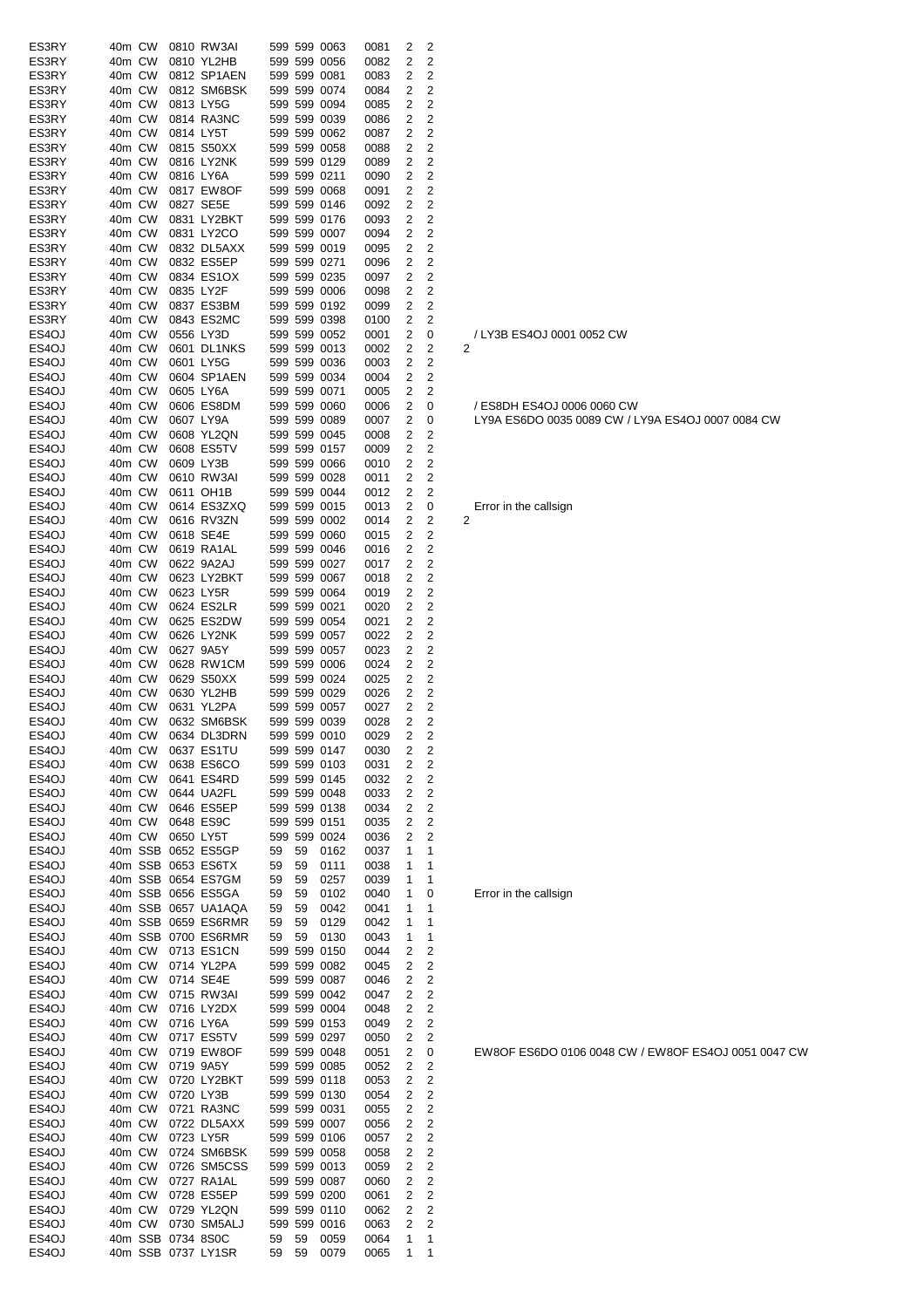| ES3RY              | 40m CW           |  | 0810 RW3AI                 |       |              | 599 599 0063                 | 0081         | 2      | 2                       |                                                   |
|--------------------|------------------|--|----------------------------|-------|--------------|------------------------------|--------------|--------|-------------------------|---------------------------------------------------|
| ES3RY              | 40m CW           |  | 0810 YL2HB                 |       |              | 599 599 0056                 | 0082         | 2      | $\overline{\mathbf{c}}$ |                                                   |
| ES3RY              | 40m CW           |  | 0812 SP1AEN                |       | 599 599 0081 |                              | 0083         | 2      | 2                       |                                                   |
| ES3RY<br>ES3RY     | 40m CW<br>40m CW |  | 0812 SM6BSK<br>0813 LY5G   |       | 599 599 0094 | 599 599 0074                 | 0084         | 2<br>2 | $\overline{\mathbf{c}}$ |                                                   |
| ES3RY              | 40m CW           |  | 0814 RA3NC                 |       |              | 599 599 0039                 | 0085<br>0086 | 2      | 2<br>2                  |                                                   |
| ES3RY              | 40m CW           |  | 0814 LY5T                  |       |              | 599 599 0062                 | 0087         | 2      | 2                       |                                                   |
| ES3RY              | 40m CW           |  | 0815 S50XX                 |       |              | 599 599 0058                 | 0088         | 2      | $\overline{\mathbf{c}}$ |                                                   |
| ES3RY              | 40m CW           |  | 0816 LY2NK                 |       | 599 599 0129 |                              | 0089         | 2      | $\overline{\mathbf{c}}$ |                                                   |
| ES3RY              | 40m CW           |  | 0816 LY6A                  |       | 599 599 0211 |                              | 0090         | 2      | 2                       |                                                   |
| ES3RY              | 40m CW           |  | 0817 EW8OF                 |       |              | 599 599 0068                 | 0091         | 2      | 2                       |                                                   |
| ES3RY              | 40m CW           |  | 0827 SE5E                  |       |              | 599 599 0146                 | 0092         | 2      | 2                       |                                                   |
| ES3RY              | 40m CW           |  | 0831 LY2BKT                |       |              | 599 599 0176                 | 0093         | 2      | $\overline{\mathbf{c}}$ |                                                   |
| ES3RY              | 40m CW           |  | 0831 LY2CO                 |       | 599 599 0007 |                              | 0094         | 2      | 2                       |                                                   |
| ES3RY              | 40m CW           |  | 0832 DL5AXX                |       |              | 599 599 0019                 | 0095         | 2      | $\overline{\mathbf{c}}$ |                                                   |
| ES3RY              | 40m CW           |  | 0832 ES5EP                 |       | 599 599 0271 |                              | 0096         | 2      | $\overline{\mathbf{c}}$ |                                                   |
| ES3RY              | 40m CW           |  | 0834 ES1OX                 |       |              | 599 599 0235                 | 0097         | 2      | $\overline{\mathbf{c}}$ |                                                   |
| ES3RY              | 40m CW           |  | 0835 LY2F                  |       |              | 599 599 0006                 | 0098         | 2      | 2                       |                                                   |
| ES3RY              | 40m CW           |  | 0837 ES3BM                 |       |              | 599 599 0192                 | 0099         | 2      | 2                       |                                                   |
| ES3RY              | 40m CW           |  | 0843 ES2MC                 |       |              | 599 599 0398                 | 0100         | 2      | 2                       |                                                   |
| ES4OJ              | 40m CW           |  | 0556 LY3D                  |       |              | 599 599 0052                 | 0001         | 2      | 0                       | / LY3B ES4OJ 0001 0052 CW                         |
| ES4OJ              | 40m CW           |  | 0601 DL1NKS                |       |              | 599 599 0013                 | 0002         | 2      | 2                       | 2                                                 |
| ES4OJ              | 40m CW           |  | 0601 LY5G                  |       |              | 599 599 0036                 | 0003         | 2      | 2                       |                                                   |
| ES <sub>4</sub> OJ | 40m CW           |  | 0604 SP1AEN                |       |              | 599 599 0034                 | 0004         | 2      | 2                       |                                                   |
| ES4OJ              | 40m CW           |  | 0605 LY6A                  |       | 599 599 0071 |                              | 0005         | 2      | 2                       |                                                   |
| ES4OJ              | 40m CW           |  | 0606 ES8DM                 |       |              | 599 599 0060                 | 0006         | 2      | 0                       | / ES8DH ES4OJ 0006 0060 CW                        |
| ES4OJ              | 40m CW           |  | 0607 LY9A                  |       |              | 599 599 0089                 | 0007         | 2      | 0                       | LY9A ES6DO 0035 0089 CW / LY9A ES4OJ 0007 0084 CW |
| ES4OJ              | 40m CW           |  | 0608 YL2QN                 |       |              | 599 599 0045                 | 0008         | 2      | 2                       |                                                   |
| ES4OJ              | 40m CW           |  | 0608 ES5TV                 |       | 599 599 0157 |                              | 0009         | 2      | $\overline{2}$          |                                                   |
| ES4OJ<br>ES4OJ     | 40m CW<br>40m CW |  | 0609 LY3B<br>0610 RW3AI    |       | 599 599 0028 | 599 599 0066                 | 0010<br>0011 | 2<br>2 | 2<br>2                  |                                                   |
| ES4OJ              | 40m CW           |  | 0611 OH1B                  |       |              | 599 599 0044                 | 0012         | 2      | 2                       |                                                   |
| ES4OJ              | 40m CW           |  | 0614 ES3ZXQ                |       |              | 599 599 0015                 | 0013         | 2      | 0                       | Error in the callsign                             |
| ES4OJ              | 40m CW           |  | 0616 RV3ZN                 |       |              | 599 599 0002                 | 0014         | 2      | 2                       | 2                                                 |
| ES4OJ              | 40m CW           |  | 0618 SE4E                  |       |              | 599 599 0060                 | 0015         | 2      | 2                       |                                                   |
| ES4OJ              | 40m CW           |  | 0619 RA1AL                 |       |              | 599 599 0046                 | 0016         | 2      | 2                       |                                                   |
| ES <sub>4</sub> OJ | 40m CW           |  | 0622 9A2AJ                 |       | 599 599 0027 |                              | 0017         | 2      | 2                       |                                                   |
| ES4OJ              | 40m CW           |  | 0623 LY2BKT                |       | 599 599 0067 |                              | 0018         | 2      | 2                       |                                                   |
| ES4OJ              | 40m CW           |  | 0623 LY5R                  |       |              | 599 599 0064                 | 0019         | 2      | $\overline{\mathbf{c}}$ |                                                   |
| ES4OJ              | 40m CW           |  | 0624 ES2LR                 |       | 599 599 0021 |                              | 0020         | 2      | 2                       |                                                   |
| ES4OJ              | 40m CW           |  | 0625 ES2DW                 |       |              | 599 599 0054                 | 0021         | 2      | $\overline{\mathbf{c}}$ |                                                   |
| ES4OJ              | 40m CW           |  | 0626 LY2NK                 |       | 599 599 0057 |                              | 0022         | 2      | 2                       |                                                   |
| ES4OJ              | 40m CW           |  | 0627 9A5Y                  |       | 599 599 0057 |                              | 0023         | 2      | 2                       |                                                   |
| ES4OJ              | 40m CW           |  | 0628 RW1CM                 |       | 599 599 0006 |                              | 0024         | 2      | 2                       |                                                   |
| ES4OJ              | 40m CW           |  | 0629 S50XX                 |       |              | 599 599 0024                 | 0025         | 2      | $\overline{\mathbf{c}}$ |                                                   |
| ES4OJ              | 40m CW           |  | 0630 YL2HB                 |       |              | 599 599 0029                 | 0026         | 2      | 2                       |                                                   |
| ES4OJ              | 40m CW           |  | 0631 YL2PA                 |       | 599 599 0057 |                              | 0027         | 2      | 2                       |                                                   |
| ES4OJ              | 40m CW           |  | 0632 SM6BSK                |       |              | 599 599 0039                 | 0028         | 2      | 2                       |                                                   |
| ES4OJ              |                  |  | 40m CW 0634 DL3DRN         |       |              | 599 599 0010                 | 0029         | 2      | 2                       |                                                   |
| ES4OJ              | 40m CW           |  | 0637 ES1TU                 |       | 599 599 0147 |                              | 0030         | 2      | 2                       |                                                   |
| ES4OJ              | 40m CW           |  | 0638 ES6CO                 |       |              | 599 599 0103                 | 0031         | 2      | 2                       |                                                   |
| ES4OJ              | 40m CW           |  | 0641 ES4RD                 |       |              | 599 599 0145                 | 0032         | 2      | 2                       |                                                   |
| ES4OJ<br>ES4OJ     | 40m CW<br>40m CW |  | 0644 UA2FL<br>0646 ES5EP   |       |              | 599 599 0048<br>599 599 0138 | 0033<br>0034 | 2<br>2 | 2<br>2                  |                                                   |
| ES4OJ              | 40m CW           |  | 0648 ES9C                  |       | 599 599 0151 |                              | 0035         | 2      | 2                       |                                                   |
| ES4OJ              | 40m CW           |  | 0650 LY5T                  |       |              | 599 599 0024                 | 0036         | 2      | $\overline{\mathbf{c}}$ |                                                   |
| ES4OJ              |                  |  | 40m SSB 0652 ES5GP         | 59    | 59           | 0162                         | 0037         | 1      | 1                       |                                                   |
| ES4OJ              |                  |  | 40m SSB 0653 ES6TX         | 59    | 59           | 0111                         | 0038         | 1      | 1                       |                                                   |
| ES4OJ              |                  |  | 40m SSB 0654 ES7GM         | 59    | 59           | 0257                         | 0039         | 1      | 1                       |                                                   |
| ES4OJ              |                  |  | 40m SSB 0656 ES5GA         | 59    | 59           | 0102                         | 0040         | 1      | 0                       | Error in the callsign                             |
| ES4OJ              |                  |  | 40m SSB 0657 UA1AQA        | 59    | 59           | 0042                         | 0041         | 1      | 1                       |                                                   |
| ES4OJ              |                  |  | 40m SSB 0659 ES6RMR        | 59    | 59           | 0129                         | 0042         | 1      | 1                       |                                                   |
| ES4OJ              |                  |  | 40m SSB 0700 ES6RMR        | 59    | 59           | 0130                         | 0043         | 1      | 1                       |                                                   |
| ES4OJ              | 40m CW           |  | 0713 ES1CN                 |       |              | 599 599 0150                 | 0044         | 2      | 2                       |                                                   |
| ES4OJ              | 40m CW           |  | 0714 YL2PA                 |       |              | 599 599 0082                 | 0045         | 2      | 2                       |                                                   |
| ES4OJ              | 40m CW           |  | 0714 SE4E                  |       |              | 599 599 0087                 | 0046         | 2      | 2                       |                                                   |
| ES4OJ              | 40m CW           |  | 0715 RW3AI                 |       |              | 599 599 0042                 | 0047         | 2      | 2                       |                                                   |
| ES4OJ              | 40m CW           |  | 0716 LY2DX                 |       |              | 599 599 0004                 | 0048         | 2      | 2                       |                                                   |
| ES4OJ              | 40m CW           |  | 0716 LY6A                  |       |              | 599 599 0153                 | 0049         | 2      | $\overline{\mathbf{c}}$ |                                                   |
| ES4OJ              | 40m CW           |  | 0717 ES5TV                 |       | 599 599 0297 |                              | 0050         | 2      | 2                       |                                                   |
| ES4OJ              | 40m CW           |  | 0719 EW8OF                 |       |              | 599 599 0048                 | 0051         | 2      | 0                       | EW8OF ES6DO 0106 0048 CW / EW8OF ES4OJ 0051 004   |
| ES4OJ              | 40m CW           |  | 0719 9A5Y                  |       |              | 599 599 0085                 | 0052         | 2      | 2                       |                                                   |
| ES4OJ              | 40m CW           |  | 0720 LY2BKT                |       |              | 599 599 0118                 | 0053         | 2      | 2                       |                                                   |
| ES4OJ              | 40m CW           |  | 0720 LY3B                  |       |              | 599 599 0130                 | 0054         | 2      | 2                       |                                                   |
| ES4OJ              | 40m CW           |  | 0721 RA3NC                 |       | 599 599 0031 |                              | 0055         | 2      | 2                       |                                                   |
| ES4OJ              | 40m CW           |  | 0722 DL5AXX                |       |              | 599 599 0007                 | 0056         | 2      | $\overline{\mathbf{c}}$ |                                                   |
| ES4OJ              | 40m CW           |  | 0723 LY5R                  |       |              | 599 599 0106                 | 0057         | 2      | 2                       |                                                   |
| ES4OJ<br>ES4OJ     | 40m CW<br>40m CW |  | 0724 SM6BSK<br>0726 SM5CSS |       |              | 599 599 0058<br>599 599 0013 | 0058<br>0059 | 2<br>2 | 2<br>2                  |                                                   |
| ES4OJ              | 40m CW           |  | 0727 RA1AL                 |       | 599 599 0087 |                              | 0060         | 2      | 2                       |                                                   |
| ES4OJ              | 40m CW           |  | 0728 ES5EP                 |       |              | 599 599 0200                 | 0061         | 2      | 2                       |                                                   |
| ES4OJ              | 40m CW           |  | 0729 YL2QN                 |       | 599 599 0110 |                              | 0062         | 2      | 2                       |                                                   |
| ES4OJ              | 40m CW           |  | 0730 SM5ALJ                |       |              | 599 599 0016                 | 0063         | 2      | 2                       |                                                   |
| ES4OJ              |                  |  | 40m SSB 0734 8S0C          | 59    | 59           | 0059                         | 0064         | 1      | 1                       |                                                   |
| ES4OJ              |                  |  | 40m SSB 0737 LY1SR         | 59 59 |              | 0079                         | 0065         | 1      | 1                       |                                                   |

EW8OF ES6DO 0106 0048 CW / EW8OF ES4OJ 0051 0047 CW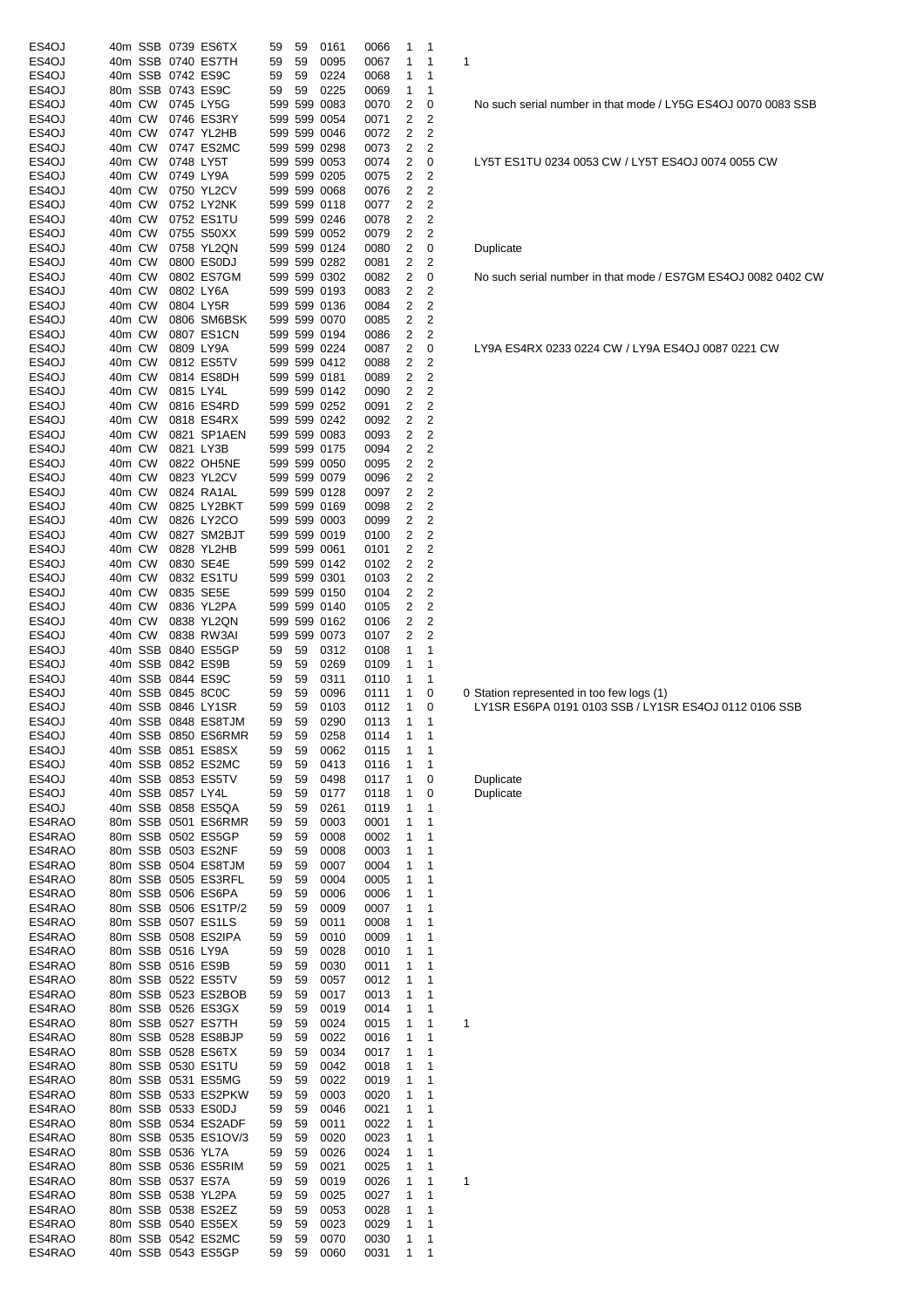| ES4OJ            |                  |                   | 40m SSB 0739 ES6TX                        | 59       | 59       | 0161                         | 0066         | 1                       | $\mathbf 1$         |   |                                                                                                    |
|------------------|------------------|-------------------|-------------------------------------------|----------|----------|------------------------------|--------------|-------------------------|---------------------|---|----------------------------------------------------------------------------------------------------|
| ES4OJ            |                  |                   | 40m SSB 0740 ES7TH                        | 59       | 59       | 0095                         | 0067         | 1                       | 1                   | 1 |                                                                                                    |
| ES4OJ<br>ES4OJ   |                  |                   | 40m SSB 0742 ES9C<br>80m SSB 0743 ES9C    | 59<br>59 | 59<br>59 | 0224<br>0225                 | 0068<br>0069 | 1<br>1                  | 1<br>1              |   |                                                                                                    |
| ES4OJ            | 40m CW           |                   | 0745 LY5G                                 |          |          | 599 599 0083                 | 0070         | 2                       | 0                   |   | No such serial number in that mode / LY5G ES4OJ 0070 0083 S                                        |
| ES4OJ            | 40m CW           |                   | 0746 ES3RY                                |          |          | 599 599 0054                 | 0071         | 2                       | 2                   |   |                                                                                                    |
| ES4OJ            | 40m CW           |                   | 0747 YL2HB                                |          |          | 599 599 0046                 | 0072         | 2                       | 2                   |   |                                                                                                    |
| ES4OJ<br>ES4OJ   | 40m CW<br>40m CW |                   | 0747 ES2MC<br>0748 LY5T                   |          |          | 599 599 0298<br>599 599 0053 | 0073<br>0074 | 2<br>2                  | 2<br>0              |   | LY5T ES1TU 0234 0053 CW / LY5T ES4OJ 0074 0055 CW                                                  |
| ES4OJ            | 40m CW           |                   | 0749 LY9A                                 |          |          | 599 599 0205                 | 0075         | 2                       | 2                   |   |                                                                                                    |
| ES4OJ            | 40m CW           |                   | 0750 YL2CV                                |          |          | 599 599 0068                 | 0076         | 2                       | 2                   |   |                                                                                                    |
| ES4OJ            | 40m CW<br>40m CW |                   | 0752 LY2NK                                |          |          | 599 599 0118                 | 0077         | 2                       | 2                   |   |                                                                                                    |
| ES4OJ<br>ES4OJ   | 40m CW           |                   | 0752 ES1TU<br>0755 S50XX                  |          |          | 599 599 0246<br>599 599 0052 | 0078<br>0079 | 2<br>2                  | 2<br>2              |   |                                                                                                    |
| ES4OJ            | 40m CW           |                   | 0758 YL2QN                                |          |          | 599 599 0124                 | 0080         | $\overline{2}$          | 0                   |   | Duplicate                                                                                          |
| ES4OJ            | 40m CW           |                   | 0800 ES0DJ                                |          |          | 599 599 0282                 | 0081         | 2                       | 2                   |   |                                                                                                    |
| ES4OJ            | 40m CW           |                   | 0802 ES7GM                                |          |          | 599 599 0302                 | 0082         | 2                       | 0                   |   | No such serial number in that mode / ES7GM ES4OJ 0082 0402                                         |
| ES4OJ<br>ES4OJ   | 40m CW<br>40m CW |                   | 0802 LY6A<br>0804 LY5R                    |          |          | 599 599 0193<br>599 599 0136 | 0083<br>0084 | 2<br>2                  | 2<br>2              |   |                                                                                                    |
| ES4OJ            | 40m CW           |                   | 0806 SM6BSK                               |          |          | 599 599 0070                 | 0085         | 2                       | 2                   |   |                                                                                                    |
| ES4OJ            | 40m CW           |                   | 0807 ES1CN                                |          |          | 599 599 0194                 | 0086         | 2                       | 2                   |   |                                                                                                    |
| ES4OJ            | 40m CW           |                   | 0809 LY9A                                 |          |          | 599 599 0224                 | 0087         | 2                       | 0                   |   | LY9A ES4RX 0233 0224 CW / LY9A ES4OJ 0087 0221 CW                                                  |
| ES4OJ<br>ES4OJ   | 40m CW<br>40m CW |                   | 0812 ES5TV<br>0814 ES8DH                  |          |          | 599 599 0412<br>599 599 0181 | 0088<br>0089 | 2<br>2                  | 2<br>2              |   |                                                                                                    |
| ES4OJ            | 40m CW           |                   | 0815 LY4L                                 |          |          | 599 599 0142                 | 0090         | 2                       | 2                   |   |                                                                                                    |
| ES4OJ            | 40m CW           |                   | 0816 ES4RD                                |          |          | 599 599 0252                 | 0091         | 2                       | 2                   |   |                                                                                                    |
| ES4OJ            | 40m CW           |                   | 0818 ES4RX                                |          |          | 599 599 0242                 | 0092         | 2                       | 2                   |   |                                                                                                    |
| ES4OJ            | 40m CW           |                   | 0821 SP1AEN                               |          |          | 599 599 0083                 | 0093         | $\overline{\mathbf{c}}$ | 2                   |   |                                                                                                    |
| ES4OJ<br>ES4OJ   | 40m CW<br>40m CW |                   | 0821 LY3B<br>0822 OH5NE                   |          |          | 599 599 0175<br>599 599 0050 | 0094<br>0095 | 2<br>2                  | $\overline{2}$<br>2 |   |                                                                                                    |
| ES4OJ            | 40m CW           |                   | 0823 YL2CV                                |          |          | 599 599 0079                 | 0096         | 2                       | 2                   |   |                                                                                                    |
| ES4OJ            | 40m CW           |                   | 0824 RA1AL                                |          |          | 599 599 0128                 | 0097         | 2                       | 2                   |   |                                                                                                    |
| ES4OJ            | 40m CW           |                   | 0825 LY2BKT                               |          |          | 599 599 0169                 | 0098         | 2                       | 2                   |   |                                                                                                    |
| ES4OJ            | 40m CW           |                   | 0826 LY2CO                                |          |          | 599 599 0003                 | 0099         | 2                       | 2                   |   |                                                                                                    |
| ES4OJ<br>ES4OJ   | 40m CW<br>40m CW |                   | 0827 SM2BJT<br>0828 YL2HB                 |          |          | 599 599 0019<br>599 599 0061 | 0100<br>0101 | 2<br>2                  | 2<br>2              |   |                                                                                                    |
| ES4OJ            | 40m CW           |                   | 0830 SE4E                                 |          |          | 599 599 0142                 | 0102         | 2                       | 2                   |   |                                                                                                    |
| ES4OJ            | 40m CW           |                   | 0832 ES1TU                                |          |          | 599 599 0301                 | 0103         | 2                       | 2                   |   |                                                                                                    |
| ES4OJ            | 40m CW           |                   | 0835 SE5E                                 |          |          | 599 599 0150                 | 0104         | 2                       | 2                   |   |                                                                                                    |
| ES4OJ<br>ES4OJ   | 40m CW<br>40m CW |                   | 0836 YL2PA<br>0838 YL2QN                  |          |          | 599 599 0140<br>599 599 0162 | 0105<br>0106 | 2<br>2                  | 2<br>$\overline{2}$ |   |                                                                                                    |
| ES4OJ            | 40m CW           |                   | 0838 RW3AI                                |          |          | 599 599 0073                 | 0107         | 2                       | 2                   |   |                                                                                                    |
| ES4OJ            |                  |                   | 40m SSB 0840 ES5GP                        | 59       | 59       | 0312                         | 0108         | 1                       | 1                   |   |                                                                                                    |
| ES4OJ            |                  |                   | 40m SSB 0842 ES9B                         | 59       | 59       | 0269                         | 0109         | 1                       | 1                   |   |                                                                                                    |
| ES4OJ            |                  |                   | 40m SSB 0844 ES9C<br>40m SSB 0845 8C0C    | 59       | 59       | 0311<br>0096                 | 0110         | 1<br>1                  | 1                   |   |                                                                                                    |
| ES4OJ<br>ES4OJ   |                  |                   | 40m SSB 0846 LY1SR                        | 59<br>59 | 59<br>59 | 0103                         | 0111<br>0112 | 1                       | 0<br>0              |   | 0 Station represented in too few logs (1)<br>LY1SR ES6PA 0191 0103 SSB / LY1SR ES4OJ 0112 0106 SSB |
| ES4OJ            |                  |                   | 40m SSB 0848 ES8TJM                       | 59       | 59       | 0290                         | 0113         | 1                       | 1                   |   |                                                                                                    |
| ES4OJ            |                  |                   | 40m SSB 0850 ES6RMR                       | 59       | 59       | 0258                         | 0114         | 1                       | 1                   |   |                                                                                                    |
| ES4OJ            |                  |                   | 40m SSB 0851 ES8SX                        | 59       | 59       | 0062                         | 0115         | 1                       | 1                   |   |                                                                                                    |
| ES4OJ<br>ES4OJ   |                  |                   | 40m SSB 0852 ES2MC<br>40m SSB 0853 ES5TV  | 59<br>59 | 59<br>59 | 0413<br>0498                 | 0116<br>0117 | 1<br>1                  | 1<br>0              |   | Duplicate                                                                                          |
| ES4OJ            |                  | 40m SSB 0857 LY4L |                                           | 59       | 59       | 0177                         | 0118         | 1                       | 0                   |   | Duplicate                                                                                          |
| ES4OJ            |                  |                   | 40m SSB 0858 ES5QA                        | 59       | 59       | 0261                         | 0119         | 1                       | 1                   |   |                                                                                                    |
| ES4RAO           |                  |                   | 80m SSB 0501 ES6RMR                       | 59       | 59       | 0003                         | 0001         | 1                       | 1                   |   |                                                                                                    |
| ES4RAO<br>ES4RAO |                  |                   | 80m SSB 0502 ES5GP<br>80m SSB 0503 ES2NF  | 59       | 59       | 0008                         | 0002         | 1                       | 1                   |   |                                                                                                    |
| ES4RAO           |                  |                   | 80m SSB 0504 ES8TJM                       | 59<br>59 | 59<br>59 | 0008<br>0007                 | 0003<br>0004 | 1<br>1                  | 1<br>1              |   |                                                                                                    |
| ES4RAO           |                  |                   | 80m SSB 0505 ES3RFL                       | 59       | 59       | 0004                         | 0005         | 1                       | 1                   |   |                                                                                                    |
| ES4RAO           |                  |                   | 80m SSB 0506 ES6PA                        | 59       | 59       | 0006                         | 0006         | 1                       | 1                   |   |                                                                                                    |
| ES4RAO           |                  |                   | 80m SSB 0506 ES1TP/2                      | 59       | 59       | 0009                         | 0007         | 1                       | 1                   |   |                                                                                                    |
| ES4RAO<br>ES4RAO |                  |                   | 80m SSB 0507 ES1LS<br>80m SSB 0508 ES2IPA | 59<br>59 | 59<br>59 | 0011<br>0010                 | 0008<br>0009 | 1<br>1                  | 1<br>1              |   |                                                                                                    |
| ES4RAO           |                  | 80m SSB 0516 LY9A |                                           | 59       | 59       | 0028                         | 0010         | 1                       | 1                   |   |                                                                                                    |
| ES4RAO           |                  |                   | 80m SSB 0516 ES9B                         | 59       | 59       | 0030                         | 0011         | 1                       | 1                   |   |                                                                                                    |
| ES4RAO           |                  |                   | 80m SSB 0522 ES5TV                        | 59       | 59       | 0057                         | 0012         | 1                       | 1                   |   |                                                                                                    |
| ES4RAO<br>ES4RAO |                  |                   | 80m SSB 0523 ES2BOB<br>80m SSB 0526 ES3GX | 59<br>59 | 59<br>59 | 0017<br>0019                 | 0013<br>0014 | 1<br>1                  | 1<br>1              |   |                                                                                                    |
| ES4RAO           |                  |                   | 80m SSB 0527 ES7TH                        | 59       | 59       | 0024                         | 0015         | 1                       | 1                   | 1 |                                                                                                    |
| ES4RAO           |                  |                   | 80m SSB 0528 ES8BJP                       | 59       | 59       | 0022                         | 0016         | 1                       | 1                   |   |                                                                                                    |
| ES4RAO           |                  |                   | 80m SSB 0528 ES6TX                        | 59       | 59       | 0034                         | 0017         | 1                       | 1                   |   |                                                                                                    |
| ES4RAO           |                  |                   | 80m SSB 0530 ES1TU                        | 59       | 59       | 0042                         | 0018         | 1                       | 1                   |   |                                                                                                    |
| ES4RAO<br>ES4RAO |                  |                   | 80m SSB 0531 ES5MG<br>80m SSB 0533 ES2PKW | 59<br>59 | 59<br>59 | 0022<br>0003                 | 0019<br>0020 | 1<br>1                  | 1<br>1              |   |                                                                                                    |
| ES4RAO           |                  |                   | 80m SSB 0533 ES0DJ                        | 59       | 59       | 0046                         | 0021         | 1                       | 1                   |   |                                                                                                    |
| ES4RAO           |                  |                   | 80m SSB 0534 ES2ADF                       | 59       | 59       | 0011                         | 0022         | 1                       | 1                   |   |                                                                                                    |
| ES4RAO           |                  |                   | 80m SSB 0535 ES1OV/3                      | 59       | 59       | 0020                         | 0023         | 1                       | $\mathbf 1$         |   |                                                                                                    |
| ES4RAO           |                  | 80m SSB 0536 YL7A |                                           | 59       | 59       | 0026                         | 0024         | 1                       | 1                   |   |                                                                                                    |
| ES4RAO<br>ES4RAO |                  |                   | 80m SSB 0536 ES5RIM<br>80m SSB 0537 ES7A  | 59<br>59 | 59<br>59 | 0021<br>0019                 | 0025<br>0026 | 1<br>1                  | $\mathbf 1$<br>1    | 1 |                                                                                                    |
| ES4RAO           |                  |                   | 80m SSB 0538 YL2PA                        | 59       | 59       | 0025                         | 0027         | 1                       | $\mathbf{1}$        |   |                                                                                                    |
| ES4RAO           |                  |                   | 80m SSB 0538 ES2EZ                        | 59       | 59       | 0053                         | 0028         | 1                       | 1                   |   |                                                                                                    |
| ES4RAO           |                  |                   | 80m SSB 0540 ES5EX                        | 59       | 59       | 0023                         | 0029         | 1                       | 1                   |   |                                                                                                    |
| ES4RAO<br>ES4RAO |                  |                   | 80m SSB 0542 ES2MC<br>40m SSB 0543 ES5GP  | 59<br>59 | 59<br>59 | 0070<br>0060                 | 0030<br>0031 | 1<br>$\mathbf{1}$       | 1<br>1              |   |                                                                                                    |
|                  |                  |                   |                                           |          |          |                              |              |                         |                     |   |                                                                                                    |

No such serial number in that mode / ES7GM ES4OJ 0082 0402 CW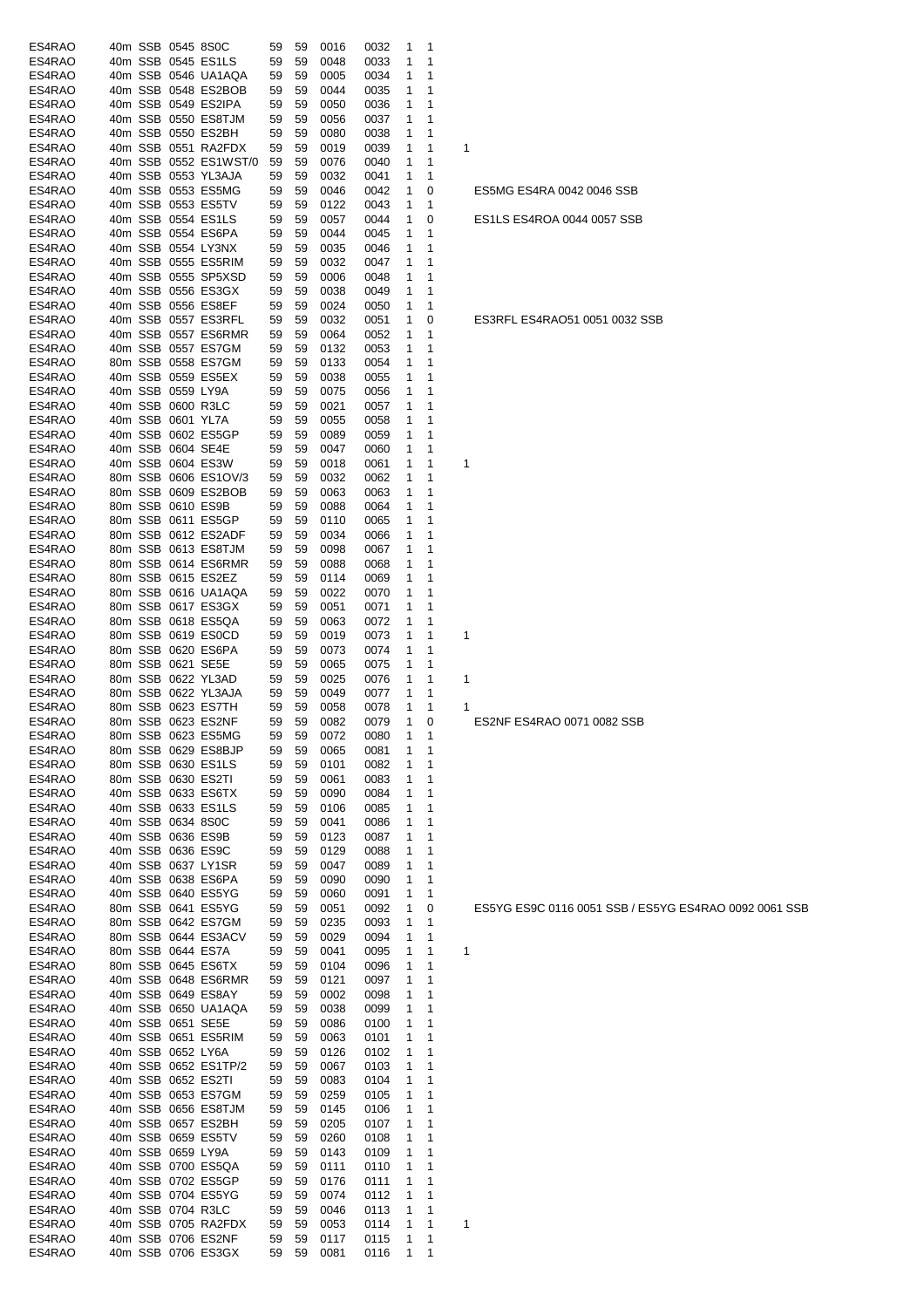| ES4RAO           | 40m SSB 0545 8S0C                        |                       | 59          | 59 | 0016         | 0032         | $\mathbf{1}$                | - 1                        |   |                                                       |
|------------------|------------------------------------------|-----------------------|-------------|----|--------------|--------------|-----------------------------|----------------------------|---|-------------------------------------------------------|
| ES4RAO           | 40m SSB 0545 ES1LS                       |                       | 59          | 59 | 0048         | 0033         | 1                           | 1                          |   |                                                       |
| ES4RAO           | 40m SSB 0546 UA1AQA                      |                       | 59          | 59 | 0005         | 0034         | 1                           | 1                          |   |                                                       |
| ES4RAO           | 40m SSB 0548 ES2BOB                      |                       | 59          | 59 | 0044         | 0035         | 1                           | 1                          |   |                                                       |
| ES4RAO           | 40m SSB 0549 ES2IPA                      |                       | 59          | 59 | 0050         | 0036         | 1                           | 1                          |   |                                                       |
| ES4RAO           | 40m SSB 0550 ES8TJM                      |                       | 59          | 59 | 0056         | 0037         | 1                           | 1                          |   |                                                       |
| ES4RAO           | 40m SSB 0550 ES2BH                       |                       | 59          | 59 | 0080         | 0038         | 1                           | 1                          |   |                                                       |
|                  |                                          |                       |             |    |              |              |                             |                            |   |                                                       |
| ES4RAO           | 40m SSB 0551 RA2FDX                      |                       | 59          | 59 | 0019         | 0039         | 1                           | 1                          | 1 |                                                       |
| ES4RAO           |                                          | 40m SSB 0552 ES1WST/0 | 59          | 59 | 0076         | 0040         | 1                           | 1                          |   |                                                       |
| ES4RAO           | 40m SSB 0553 YL3AJA                      |                       | 59          | 59 | 0032         | 0041         | 1                           | 1                          |   |                                                       |
| ES4RAO           | 40m SSB 0553 ES5MG                       |                       | 59          | 59 | 0046         | 0042         | $\mathbf{1}$                | 0                          |   | ES5MG ES4RA 0042 0046 SSB                             |
| ES4RAO           | 40m SSB 0553 ES5TV                       |                       | 59          | 59 | 0122         | 0043         | 1                           | $\mathbf 1$                |   |                                                       |
| ES4RAO           | 40m SSB 0554 ES1LS                       |                       | 59          | 59 | 0057         | 0044         | 1                           | 0                          |   | ES1LS ES4ROA 0044 0057 SSB                            |
| ES4RAO           | 40m SSB 0554 ES6PA                       |                       | 59          | 59 | 0044         | 0045         | 1                           | $\mathbf 1$                |   |                                                       |
| ES4RAO           | 40m SSB 0554 LY3NX                       |                       | 59          | 59 | 0035         | 0046         | 1                           | 1                          |   |                                                       |
| ES4RAO           | 40m SSB 0555 ES5RIM                      |                       | 59          | 59 | 0032         | 0047         | 1                           | 1                          |   |                                                       |
| ES4RAO           | 40m SSB 0555 SP5XSD                      |                       | 59          | 59 | 0006         | 0048         | 1                           | 1                          |   |                                                       |
| ES4RAO           | 40m SSB 0556 ES3GX                       |                       | 59          | 59 | 0038         | 0049         | 1                           | 1                          |   |                                                       |
| ES4RAO           | 40m SSB 0556 ES8EF                       |                       | 59          | 59 | 0024         | 0050         | 1                           | 1                          |   |                                                       |
| ES4RAO           | 40m SSB 0557 ES3RFL                      |                       | 59          | 59 | 0032         | 0051         | 1                           | 0                          |   | ES3RFL ES4RAO51 0051 0032 SSB                         |
| ES4RAO           |                                          | 40m SSB 0557 ES6RMR   | 59          | 59 | 0064         | 0052         | 1                           | 1                          |   |                                                       |
| ES4RAO           | 40m SSB 0557 ES7GM                       |                       | 59          | 59 | 0132         | 0053         | 1                           | 1                          |   |                                                       |
| ES4RAO           | 80m SSB 0558 ES7GM                       |                       | 59          | 59 | 0133         | 0054         | 1                           | 1                          |   |                                                       |
| ES4RAO           | 40m SSB 0559 ES5EX                       |                       | 59          | 59 | 0038         | 0055         | 1                           | 1                          |   |                                                       |
| ES4RAO           | 40m SSB 0559 LY9A                        |                       | 59          | 59 | 0075         | 0056         | 1                           | $\mathbf 1$                |   |                                                       |
|                  |                                          |                       |             | 59 | 0021         |              |                             |                            |   |                                                       |
| ES4RAO           | 40m SSB 0600 R3LC                        |                       | 59          |    |              | 0057         | 1                           | 1                          |   |                                                       |
| ES4RAO           | 40m SSB 0601 YL7A                        |                       | 59          | 59 | 0055         | 0058         | 1                           | 1                          |   |                                                       |
| ES4RAO           | 40m SSB 0602 ES5GP                       |                       | 59          | 59 | 0089         | 0059         | 1                           | 1                          |   |                                                       |
| ES4RAO           | 40m SSB 0604 SE4E                        |                       | 59          | 59 | 0047         | 0060         | 1                           | 1                          |   |                                                       |
| ES4RAO           | 40m SSB 0604 ES3W                        |                       | 59          | 59 | 0018         | 0061         | 1                           | 1                          | 1 |                                                       |
| ES4RAO           |                                          | 80m SSB 0606 ES1OV/3  | 59          | 59 | 0032         | 0062         | 1                           | 1                          |   |                                                       |
| ES4RAO           | 80m SSB 0609 ES2BOB                      |                       | 59          | 59 | 0063         | 0063         | 1                           | 1                          |   |                                                       |
| ES4RAO           | 80m SSB 0610 ES9B                        |                       | 59          | 59 | 0088         | 0064         | 1                           | 1                          |   |                                                       |
| ES4RAO           | 80m SSB 0611 ES5GP                       |                       | 59          | 59 | 0110         | 0065         | 1                           | 1                          |   |                                                       |
| ES4RAO           | 80m SSB 0612 ES2ADF                      |                       | 59          | 59 | 0034         | 0066         | 1                           | 1                          |   |                                                       |
| ES4RAO           | 80m SSB 0613 ES8TJM                      |                       | 59          | 59 | 0098         | 0067         | 1                           | 1                          |   |                                                       |
| ES4RAO           |                                          | 80m SSB 0614 ES6RMR   | 59          | 59 | 0088         | 0068         | 1                           | 1                          |   |                                                       |
| ES4RAO           | 80m SSB 0615 ES2EZ                       |                       | 59          | 59 | 0114         | 0069         | 1                           | $\mathbf 1$                |   |                                                       |
| ES4RAO           | 80m SSB 0616 UA1AQA                      |                       | 59          | 59 | 0022         | 0070         | 1                           | 1                          |   |                                                       |
| ES4RAO           | 80m SSB 0617 ES3GX                       |                       | 59          | 59 | 0051         | 0071         | 1                           | 1                          |   |                                                       |
| ES4RAO           | 80m SSB 0618 ES5QA                       |                       | 59          | 59 | 0063         | 0072         | 1                           | 1                          |   |                                                       |
|                  |                                          |                       |             |    |              |              |                             |                            |   |                                                       |
| ES4RAO           | 80m SSB 0619 ES0CD<br>80m SSB 0620 ES6PA |                       | 59          | 59 | 0019         | 0073         | 1                           | 1                          | 1 |                                                       |
| ES4RAO           |                                          |                       | 59          | 59 | 0073         | 0074         | 1                           | 1                          |   |                                                       |
| ES4RAO           | 80m SSB 0621 SE5E                        |                       | 59          | 59 | 0065         | 0075         | 1                           | 1                          |   |                                                       |
| ES4RAO           | 80m SSB 0622 YL3AD                       |                       | 59          | 59 | 0025         | 0076         | 1                           | 1                          | 1 |                                                       |
| ES4RAO           | 80m SSB 0622 YL3AJA                      |                       | 59          | 59 | 0049         | 0077         | 1                           | 1                          |   |                                                       |
| ES4RAO           | 80m SSB 0623 ES7TH                       |                       | 59          | 59 | 0058         | 0078         | 1                           | $\mathbf 1$                | 1 |                                                       |
| ES4RAO           | 80m SSB 0623 ES2NF                       |                       | 59          | 59 | 0082         | 0079         | $\mathbf{1}$                | 0                          |   | ES2NF ES4RAO 0071 0082 SSB                            |
| ES4RAO           | 80m SSB 0623 ES5MG                       |                       | 59          | 59 | 0072         | 0080         | $\mathbf{1}$                | $\overline{1}$             |   |                                                       |
| ES4RAO           | 80m SSB 0629 ES8BJP                      |                       | 59          | 59 | 0065         | 0081         | 1                           | $\overline{\phantom{0}}$ 1 |   |                                                       |
| ES4RAO           | 80m SSB 0630 ES1LS                       |                       | 59          | 59 | 0101         | 0082         | 1                           | $\mathbf{1}$               |   |                                                       |
| ES4RAO           | 80m SSB 0630 ES2TI                       |                       | 59          | 59 | 0061         | 0083         | 1                           | 1                          |   |                                                       |
| ES4RAO           | 40m SSB 0633 ES6TX                       |                       | 59          | 59 | 0090         | 0084         | 1                           | 1                          |   |                                                       |
| ES4RAO           | 40m SSB 0633 ES1LS                       |                       | 59          | 59 | 0106         | 0085         | 1                           | 1                          |   |                                                       |
| ES4RAO           | 40m SSB 0634 8S0C                        |                       | 59          | 59 | 0041         | 0086         | 1                           | 1                          |   |                                                       |
| ES4RAO           | 40m SSB 0636 ES9B                        |                       | 59          | 59 | 0123         | 0087         | 1                           | 1                          |   |                                                       |
| ES4RAO           | 40m SSB 0636 ES9C                        |                       | 59          | 59 | 0129         | 0088         | 1                           | 1                          |   |                                                       |
| ES4RAO           | 40m SSB 0637 LY1SR                       |                       | 59          | 59 | 0047         | 0089         | 1                           | 1                          |   |                                                       |
| ES4RAO           | 40m SSB 0638 ES6PA                       |                       | 59          | 59 | 0090         | 0090         | 1                           | 1                          |   |                                                       |
| ES4RAO           | 40m SSB 0640 ES5YG                       |                       | 59          | 59 | 0060         | 0091         | 1                           | $\mathbf{1}$               |   |                                                       |
| ES4RAO           | 80m SSB 0641 ES5YG                       |                       | 59          | 59 | 0051         | 0092         | $\mathbf{1}$                | 0                          |   | ES5YG ES9C 0116 0051 SSB / ES5YG ES4RAO 0092 0061 SSB |
| ES4RAO           | 80m SSB 0642 ES7GM                       |                       |             |    |              |              |                             |                            |   |                                                       |
|                  |                                          |                       | 59          | 59 | 0235         | 0093         | $\mathbf{1}$                | $\overline{1}$             |   |                                                       |
| ES4RAO           | 80m SSB 0644 ES3ACV                      |                       | 59          | 59 | 0029         | 0094         | 1                           | $\overline{1}$             |   |                                                       |
| ES4RAO           | 80m SSB 0644 ES7A                        |                       | 59          | 59 | 0041         | 0095         | 1                           | $\mathbf{1}$               | 1 |                                                       |
| ES4RAO           | 80m SSB 0645 ES6TX                       |                       | 59          | 59 | 0104         | 0096         | 1                           | 1                          |   |                                                       |
| ES4RAO           |                                          | 40m SSB 0648 ES6RMR   | 59          | 59 | 0121         | 0097         | 1                           | 1                          |   |                                                       |
| ES4RAO           | 40m SSB 0649 ES8AY                       |                       | 59          | 59 | 0002         | 0098         | 1                           | 1                          |   |                                                       |
| ES4RAO           | 40m SSB 0650 UA1AQA                      |                       | 59          | 59 | 0038         | 0099         | 1                           | 1                          |   |                                                       |
| ES4RAO           | 40m SSB 0651 SE5E                        |                       | 59          | 59 | 0086         | 0100         | 1                           | 1                          |   |                                                       |
| ES4RAO           | 40m SSB 0651 ES5RIM                      |                       | 59          | 59 | 0063         | 0101         | 1                           | 1                          |   |                                                       |
| ES4RAO           | 40m SSB 0652 LY6A                        |                       | 59          | 59 | 0126         | 0102         | 1                           | 1                          |   |                                                       |
| ES4RAO           | 40m SSB 0652 ES1TP/2                     |                       | 59          | 59 | 0067         | 0103         | $\mathbf{1}$                | 1                          |   |                                                       |
| ES4RAO           | 40m SSB 0652 ES2TI                       |                       | 59          | 59 | 0083         | 0104         | 1                           | $\mathbf{1}$               |   |                                                       |
| ES4RAO           | 40m SSB 0653 ES7GM                       |                       | 59          | 59 | 0259         | 0105         | $\mathbf{1}$                | $\mathbf 1$                |   |                                                       |
| ES4RAO           | 40m SSB 0656 ES8TJM                      |                       | 59          | 59 | 0145         | 0106         | $\mathbf{1}$                | $\overline{1}$             |   |                                                       |
| ES4RAO           | 40m SSB 0657 ES2BH                       |                       | 59          | 59 | 0205         | 0107         | $\mathbf{1}$                | $\mathbf 1$                |   |                                                       |
| ES4RAO           | 40m SSB 0659 ES5TV                       |                       | 59          | 59 | 0260         | 0108         | 1                           | 1                          |   |                                                       |
| ES4RAO           | 40m SSB 0659 LY9A                        |                       | 59          | 59 | 0143         | 0109         | 1                           | 1                          |   |                                                       |
| ES4RAO           | 40m SSB 0700 ES5QA                       |                       | 59          | 59 | 0111         | 0110         | 1                           | 1                          |   |                                                       |
| ES4RAO           | 40m SSB 0702 ES5GP                       |                       |             |    |              |              |                             |                            |   |                                                       |
|                  |                                          |                       | 59          | 59 | 0176         | 0111         | 1                           | 1                          |   |                                                       |
| ES4RAO           | 40m SSB 0704 ES5YG                       |                       | 59          | 59 | 0074         | 0112         | 1                           | 1                          |   |                                                       |
| ES4RAO           |                                          |                       |             | 59 | 0046         | 0113         | 1                           | $\mathbf{1}$               |   |                                                       |
|                  | 40m SSB 0704 R3LC                        |                       | 59          |    |              |              |                             |                            |   |                                                       |
| ES4RAO           | 40m SSB 0705 RA2FDX                      |                       | 59          | 59 | 0053         | 0114         | $\mathbf{1}$                | $\mathbf{1}$               | 1 |                                                       |
| ES4RAO<br>ES4RAO | 40m SSB 0706 ES2NF<br>40m SSB 0706 ES3GX |                       | 59<br>59 59 | 59 | 0117<br>0081 | 0115<br>0116 | $\mathbf{1}$<br>$1 \quad 1$ | $\overline{\phantom{0}}$ 1 |   |                                                       |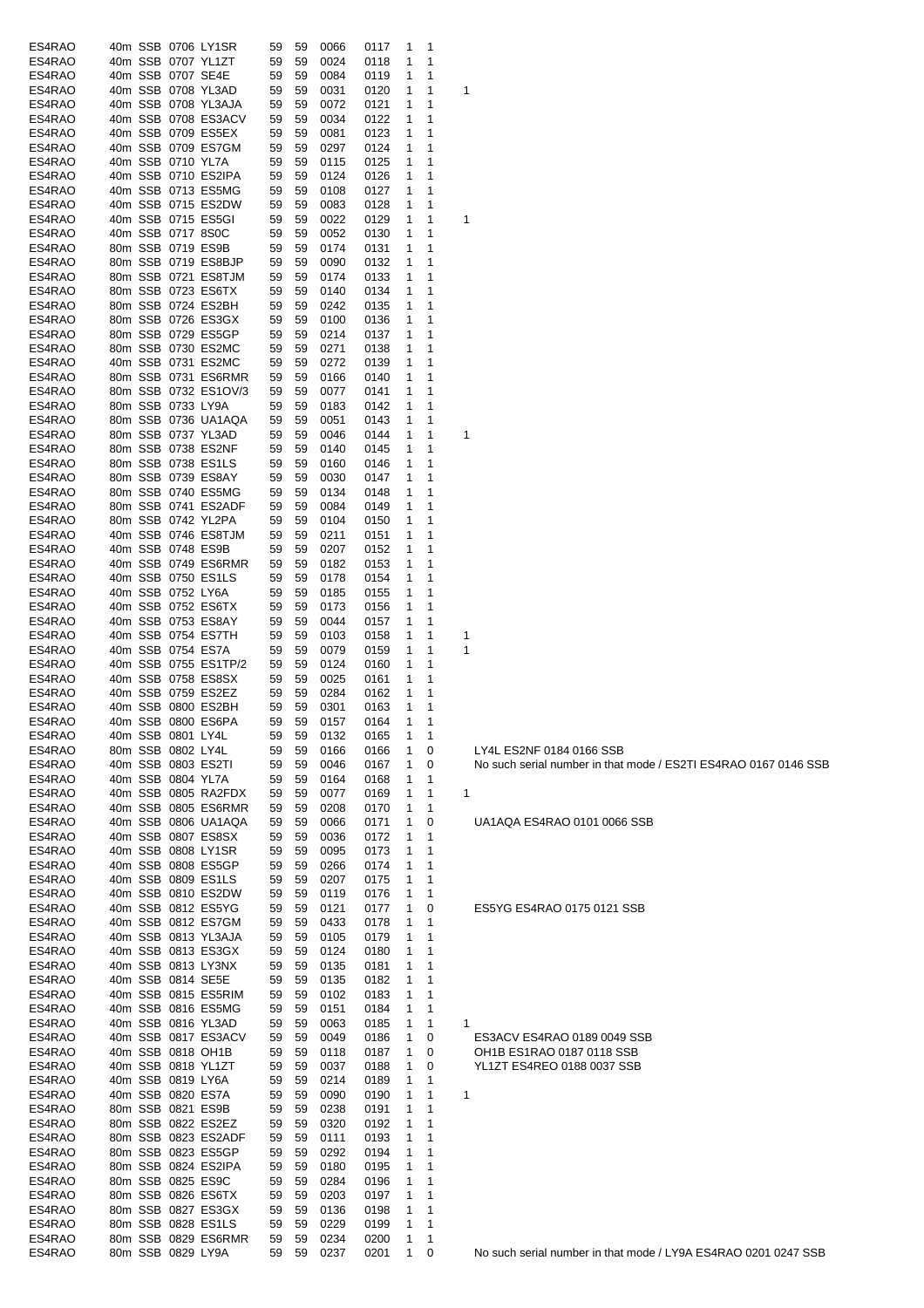| ES4RAO |  |                   | 40m SSB 0706 LY1SR   | 59 | 59 | 0066 | 0117 | 1 | 1 |   |                                   |
|--------|--|-------------------|----------------------|----|----|------|------|---|---|---|-----------------------------------|
| ES4RAO |  |                   | 40m SSB 0707 YL1ZT   | 59 | 59 | 0024 | 0118 | 1 | 1 |   |                                   |
| ES4RAO |  |                   | 40m SSB 0707 SE4E    | 59 | 59 | 0084 | 0119 | 1 | 1 |   |                                   |
|        |  |                   |                      |    |    |      |      |   |   |   |                                   |
| ES4RAO |  |                   | 40m SSB 0708 YL3AD   | 59 | 59 | 0031 | 0120 | 1 | 1 | 1 |                                   |
| ES4RAO |  |                   | 40m SSB 0708 YL3AJA  | 59 | 59 | 0072 | 0121 | 1 | 1 |   |                                   |
| ES4RAO |  |                   | 40m SSB 0708 ES3ACV  | 59 | 59 | 0034 | 0122 | 1 | 1 |   |                                   |
| ES4RAO |  |                   | 40m SSB 0709 ES5EX   | 59 | 59 | 0081 | 0123 | 1 | 1 |   |                                   |
| ES4RAO |  |                   | 40m SSB 0709 ES7GM   | 59 | 59 | 0297 | 0124 | 1 | 1 |   |                                   |
|        |  | 40m SSB 0710 YL7A |                      |    |    |      |      | 1 |   |   |                                   |
| ES4RAO |  |                   |                      | 59 | 59 | 0115 | 0125 |   | 1 |   |                                   |
| ES4RAO |  |                   | 40m SSB 0710 ES2IPA  | 59 | 59 | 0124 | 0126 | 1 | 1 |   |                                   |
| ES4RAO |  |                   | 40m SSB 0713 ES5MG   | 59 | 59 | 0108 | 0127 | 1 | 1 |   |                                   |
| ES4RAO |  |                   | 40m SSB 0715 ES2DW   | 59 | 59 | 0083 | 0128 | 1 | 1 |   |                                   |
| ES4RAO |  |                   | 40m SSB 0715 ES5GI   | 59 | 59 | 0022 | 0129 | 1 | 1 | 1 |                                   |
|        |  |                   |                      |    |    |      |      | 1 | 1 |   |                                   |
| ES4RAO |  |                   | 40m SSB 0717 8S0C    | 59 | 59 | 0052 | 0130 |   |   |   |                                   |
| ES4RAO |  |                   | 80m SSB 0719 ES9B    | 59 | 59 | 0174 | 0131 | 1 | 1 |   |                                   |
| ES4RAO |  |                   | 80m SSB 0719 ES8BJP  | 59 | 59 | 0090 | 0132 | 1 | 1 |   |                                   |
| ES4RAO |  |                   | 80m SSB 0721 ES8TJM  | 59 | 59 | 0174 | 0133 | 1 | 1 |   |                                   |
| ES4RAO |  |                   | 80m SSB 0723 ES6TX   | 59 | 59 | 0140 | 0134 | 1 | 1 |   |                                   |
| ES4RAO |  |                   | 80m SSB 0724 ES2BH   | 59 | 59 | 0242 | 0135 | 1 | 1 |   |                                   |
|        |  |                   |                      |    |    |      |      |   |   |   |                                   |
| ES4RAO |  |                   | 80m SSB 0726 ES3GX   | 59 | 59 | 0100 | 0136 | 1 | 1 |   |                                   |
| ES4RAO |  |                   | 80m SSB 0729 ES5GP   | 59 | 59 | 0214 | 0137 | 1 | 1 |   |                                   |
| ES4RAO |  |                   | 80m SSB 0730 ES2MC   | 59 | 59 | 0271 | 0138 | 1 | 1 |   |                                   |
| ES4RAO |  |                   | 40m SSB 0731 ES2MC   | 59 | 59 | 0272 | 0139 | 1 | 1 |   |                                   |
| ES4RAO |  |                   | 80m SSB 0731 ES6RMR  | 59 | 59 | 0166 | 0140 | 1 | 1 |   |                                   |
|        |  |                   |                      |    |    |      |      |   |   |   |                                   |
| ES4RAO |  |                   | 80m SSB 0732 ES1OV/3 | 59 | 59 | 0077 | 0141 | 1 | 1 |   |                                   |
| ES4RAO |  | 80m SSB 0733 LY9A |                      | 59 | 59 | 0183 | 0142 | 1 | 1 |   |                                   |
| ES4RAO |  |                   | 80m SSB 0736 UA1AQA  | 59 | 59 | 0051 | 0143 | 1 | 1 |   |                                   |
| ES4RAO |  |                   | 80m SSB 0737 YL3AD   | 59 | 59 | 0046 | 0144 | 1 | 1 | 1 |                                   |
| ES4RAO |  |                   | 80m SSB 0738 ES2NF   | 59 | 59 | 0140 | 0145 | 1 | 1 |   |                                   |
|        |  |                   |                      |    |    |      |      |   |   |   |                                   |
| ES4RAO |  |                   | 80m SSB 0738 ES1LS   | 59 | 59 | 0160 | 0146 | 1 | 1 |   |                                   |
| ES4RAO |  |                   | 80m SSB 0739 ES8AY   | 59 | 59 | 0030 | 0147 | 1 | 1 |   |                                   |
| ES4RAO |  |                   | 80m SSB 0740 ES5MG   | 59 | 59 | 0134 | 0148 | 1 | 1 |   |                                   |
| ES4RAO |  |                   | 80m SSB 0741 ES2ADF  | 59 | 59 | 0084 | 0149 | 1 | 1 |   |                                   |
| ES4RAO |  |                   | 80m SSB 0742 YL2PA   | 59 | 59 | 0104 | 0150 | 1 | 1 |   |                                   |
|        |  |                   |                      |    |    |      |      |   |   |   |                                   |
| ES4RAO |  |                   | 40m SSB 0746 ES8TJM  | 59 | 59 | 0211 | 0151 | 1 | 1 |   |                                   |
| ES4RAO |  |                   | 40m SSB 0748 ES9B    | 59 | 59 | 0207 | 0152 | 1 | 1 |   |                                   |
| ES4RAO |  |                   | 40m SSB 0749 ES6RMR  | 59 | 59 | 0182 | 0153 | 1 | 1 |   |                                   |
| ES4RAO |  |                   | 40m SSB 0750 ES1LS   | 59 | 59 | 0178 | 0154 | 1 | 1 |   |                                   |
| ES4RAO |  | 40m SSB 0752 LY6A |                      | 59 | 59 | 0185 | 0155 | 1 | 1 |   |                                   |
|        |  |                   |                      |    |    |      |      |   |   |   |                                   |
| ES4RAO |  |                   | 40m SSB 0752 ES6TX   | 59 | 59 | 0173 | 0156 | 1 | 1 |   |                                   |
| ES4RAO |  |                   | 40m SSB 0753 ES8AY   | 59 | 59 | 0044 | 0157 | 1 | 1 |   |                                   |
| ES4RAO |  |                   | 40m SSB 0754 ES7TH   | 59 | 59 | 0103 | 0158 | 1 | 1 | 1 |                                   |
| ES4RAO |  |                   | 40m SSB 0754 ES7A    | 59 | 59 | 0079 | 0159 | 1 | 1 | 1 |                                   |
| ES4RAO |  |                   | 40m SSB 0755 ES1TP/2 | 59 | 59 | 0124 | 0160 | 1 | 1 |   |                                   |
| ES4RAO |  |                   | 40m SSB 0758 ES8SX   | 59 | 59 | 0025 | 0161 | 1 | 1 |   |                                   |
|        |  |                   |                      |    |    |      |      |   |   |   |                                   |
| ES4RAO |  |                   | 40m SSB 0759 ES2EZ   | 59 | 59 | 0284 | 0162 | 1 | 1 |   |                                   |
| ES4RAO |  |                   | 40m SSB 0800 ES2BH   | 59 | 59 | 0301 | 0163 | 1 | 1 |   |                                   |
| ES4RAO |  |                   | 40m SSB 0800 ES6PA   | 59 | 59 | 0157 | 0164 | 1 | 1 |   |                                   |
| ES4RAO |  | 40m SSB 0801 LY4L |                      | 59 | 59 | 0132 | 0165 | 1 | 1 |   |                                   |
| ES4RAO |  | 80m SSB 0802 LY4L |                      | 59 | 59 | 0166 | 0166 | 1 | 0 |   | LY4L ES2NF 0184 0166 SSB          |
| ES4RAO |  |                   | 40m SSB 0803 ES2TI   | 59 | 59 | 0046 | 0167 | 1 | 0 |   | No such serial number in that mod |
|        |  | 40m SSB 0804 YL7A |                      |    |    |      |      |   |   |   |                                   |
| ES4RAO |  |                   |                      | 59 | 59 | 0164 | 0168 | 1 | 1 |   |                                   |
| ES4RAO |  |                   | 40m SSB 0805 RA2FDX  | 59 | 59 | 0077 | 0169 | 1 | 1 | 1 |                                   |
| ES4RAO |  |                   | 40m SSB 0805 ES6RMR  | 59 | 59 | 0208 | 0170 | 1 | 1 |   |                                   |
| ES4RAO |  |                   | 40m SSB 0806 UA1AQA  | 59 | 59 | 0066 | 0171 | 1 | 0 |   | UA1AQA ES4RAO 0101 0066 SSI       |
| ES4RAO |  |                   | 40m SSB 0807 ES8SX   | 59 | 59 | 0036 | 0172 | 1 | 1 |   |                                   |
|        |  |                   |                      |    |    |      |      |   |   |   |                                   |
| ES4RAO |  |                   | 40m SSB 0808 LY1SR   | 59 | 59 | 0095 | 0173 | 1 | 1 |   |                                   |
| ES4RAO |  |                   | 40m SSB 0808 ES5GP   | 59 | 59 | 0266 | 0174 | 1 | 1 |   |                                   |
| ES4RAO |  |                   | 40m SSB 0809 ES1LS   | 59 | 59 | 0207 | 0175 | 1 | 1 |   |                                   |
| ES4RAO |  |                   | 40m SSB 0810 ES2DW   | 59 | 59 | 0119 | 0176 | 1 | 1 |   |                                   |
| ES4RAO |  |                   | 40m SSB 0812 ES5YG   | 59 | 59 | 0121 | 0177 | 1 | 0 |   | ES5YG ES4RAO 0175 0121 SSB        |
| ES4RAO |  |                   | 40m SSB 0812 ES7GM   |    |    |      |      | 1 |   |   |                                   |
|        |  |                   |                      | 59 | 59 | 0433 | 0178 |   | 1 |   |                                   |
| ES4RAO |  |                   | 40m SSB 0813 YL3AJA  | 59 | 59 | 0105 | 0179 | 1 | 1 |   |                                   |
| ES4RAO |  |                   | 40m SSB 0813 ES3GX   | 59 | 59 | 0124 | 0180 | 1 | 1 |   |                                   |
| ES4RAO |  |                   | 40m SSB 0813 LY3NX   | 59 | 59 | 0135 | 0181 | 1 | 1 |   |                                   |
| ES4RAO |  |                   | 40m SSB 0814 SE5E    | 59 | 59 | 0135 | 0182 | 1 | 1 |   |                                   |
| ES4RAO |  |                   | 40m SSB 0815 ES5RIM  | 59 | 59 | 0102 | 0183 | 1 | 1 |   |                                   |
|        |  |                   |                      |    |    |      |      |   |   |   |                                   |
| ES4RAO |  |                   | 40m SSB 0816 ES5MG   | 59 | 59 | 0151 | 0184 | 1 | 1 |   |                                   |
| ES4RAO |  |                   | 40m SSB 0816 YL3AD   | 59 | 59 | 0063 | 0185 | 1 | 1 | 1 |                                   |
| ES4RAO |  |                   | 40m SSB 0817 ES3ACV  | 59 | 59 | 0049 | 0186 | 1 | 0 |   | ES3ACV ES4RAO 0189 0049 SSI       |
| ES4RAO |  |                   | 40m SSB 0818 OH1B    | 59 | 59 | 0118 | 0187 | 1 | 0 |   | OH1B ES1RAO 0187 0118 SSB         |
| ES4RAO |  |                   | 40m SSB 0818 YL1ZT   | 59 | 59 | 0037 | 0188 | 1 | 0 |   | YL1ZT ES4REO 0188 0037 SSB        |
|        |  | 40m SSB 0819 LY6A |                      |    |    |      |      | 1 |   |   |                                   |
| ES4RAO |  |                   |                      | 59 | 59 | 0214 | 0189 |   | 1 |   |                                   |
| ES4RAO |  |                   | 40m SSB 0820 ES7A    | 59 | 59 | 0090 | 0190 | 1 | 1 | 1 |                                   |
| ES4RAO |  |                   | 80m SSB 0821 ES9B    | 59 | 59 | 0238 | 0191 | 1 | 1 |   |                                   |
| ES4RAO |  |                   | 80m SSB 0822 ES2EZ   | 59 | 59 | 0320 | 0192 | 1 | 1 |   |                                   |
| ES4RAO |  |                   | 80m SSB 0823 ES2ADF  | 59 | 59 | 0111 | 0193 | 1 | 1 |   |                                   |
| ES4RAO |  |                   | 80m SSB 0823 ES5GP   | 59 | 59 | 0292 | 0194 | 1 | 1 |   |                                   |
|        |  |                   |                      |    |    |      |      |   |   |   |                                   |
| ES4RAO |  |                   | 80m SSB 0824 ES2IPA  | 59 | 59 | 0180 | 0195 | 1 | 1 |   |                                   |
| ES4RAO |  |                   | 80m SSB 0825 ES9C    | 59 | 59 | 0284 | 0196 | 1 | 1 |   |                                   |
| ES4RAO |  |                   | 80m SSB 0826 ES6TX   | 59 | 59 | 0203 | 0197 | 1 | 1 |   |                                   |
| ES4RAO |  |                   | 80m SSB 0827 ES3GX   | 59 | 59 | 0136 | 0198 | 1 | 1 |   |                                   |
| ES4RAO |  |                   | 80m SSB 0828 ES1LS   | 59 | 59 | 0229 | 0199 | 1 | 1 |   |                                   |
|        |  |                   | 80m SSB 0829 ES6RMR  |    |    |      |      | 1 | 1 |   |                                   |
| ES4RAO |  |                   |                      | 59 | 59 | 0234 | 0200 |   |   |   |                                   |
| ES4RAO |  | 80m SSB 0829 LY9A |                      | 59 | 59 | 0237 | 0201 | 1 | 0 |   | No such serial number in that mod |

S2NF 0184 0166 SSB ESARAO 1777 FRANCESES<br>I Serial number in that mode / ES2TI ES4RAO 0167 0146 SSB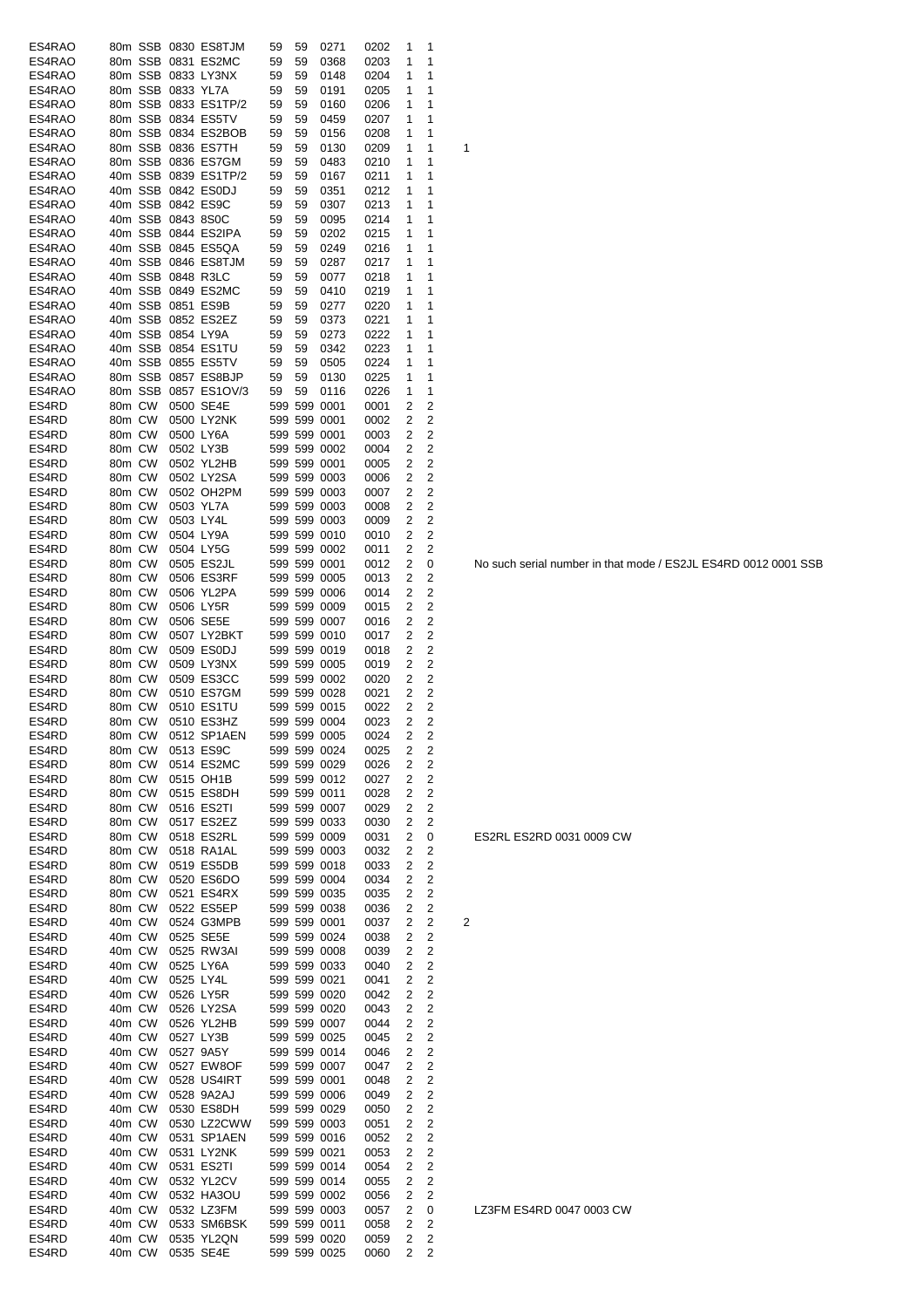| ES4RAO         |        |         |                   | 80m SSB 0830 ES8TJM  | 59 | 59 | 0271         | 0202 | 1              | 1                       |                |
|----------------|--------|---------|-------------------|----------------------|----|----|--------------|------|----------------|-------------------------|----------------|
| ES4RAO         |        |         |                   | 80m SSB 0831 ES2MC   | 59 | 59 | 0368         | 0203 | 1              | 1                       |                |
| ES4RAO         |        |         |                   | 80m SSB 0833 LY3NX   | 59 | 59 | 0148         | 0204 | 1              | 1                       |                |
| ES4RAO         |        |         | 80m SSB 0833 YL7A |                      | 59 | 59 | 0191         | 0205 | 1              | 1                       |                |
| ES4RAO         |        |         |                   | 80m SSB 0833 ES1TP/2 | 59 | 59 | 0160         | 0206 | 1              | 1                       |                |
| ES4RAO         |        |         |                   | 80m SSB 0834 ES5TV   | 59 | 59 | 0459         | 0207 | 1              | 1                       |                |
|                |        |         |                   | 80m SSB 0834 ES2BOB  |    |    |              |      |                |                         |                |
| ES4RAO         |        |         |                   |                      | 59 | 59 | 0156         | 0208 | 1              | 1                       |                |
| ES4RAO         |        |         |                   | 80m SSB 0836 ES7TH   | 59 | 59 | 0130         | 0209 | 1              | 1                       | 1              |
| ES4RAO         |        |         |                   | 80m SSB 0836 ES7GM   | 59 | 59 | 0483         | 0210 | 1              | 1                       |                |
| ES4RAO         |        |         |                   | 40m SSB 0839 ES1TP/2 | 59 | 59 | 0167         | 0211 | 1              | 1                       |                |
| ES4RAO         |        |         |                   | 40m SSB 0842 ES0DJ   | 59 | 59 | 0351         | 0212 | 1              | 1                       |                |
| ES4RAO         |        |         |                   | 40m SSB 0842 ES9C    | 59 | 59 | 0307         | 0213 | 1              | 1                       |                |
|                |        |         |                   |                      |    |    |              |      |                |                         |                |
| ES4RAO         |        |         | 40m SSB 0843 8S0C |                      | 59 | 59 | 0095         | 0214 | 1              | 1                       |                |
| ES4RAO         |        |         |                   | 40m SSB 0844 ES2IPA  | 59 | 59 | 0202         | 0215 | 1              | 1                       |                |
| ES4RAO         |        |         |                   | 40m SSB 0845 ES5QA   | 59 | 59 | 0249         | 0216 | 1              | 1                       |                |
| ES4RAO         |        |         |                   | 40m SSB 0846 ES8TJM  | 59 | 59 | 0287         | 0217 | 1              | 1                       |                |
| ES4RAO         |        |         | 40m SSB 0848 R3LC |                      | 59 | 59 | 0077         | 0218 | 1              | 1                       |                |
| ES4RAO         |        |         |                   | 40m SSB 0849 ES2MC   | 59 | 59 | 0410         | 0219 | 1              | 1                       |                |
| ES4RAO         |        |         | 40m SSB 0851 ES9B |                      |    |    |              |      | 1              | 1                       |                |
|                |        |         |                   |                      | 59 | 59 | 0277         | 0220 |                |                         |                |
| ES4RAO         |        |         |                   | 40m SSB 0852 ES2EZ   | 59 | 59 | 0373         | 0221 | 1              | 1                       |                |
| ES4RAO         |        |         | 40m SSB 0854 LY9A |                      | 59 | 59 | 0273         | 0222 | 1              | 1                       |                |
| ES4RAO         |        |         |                   | 40m SSB 0854 ES1TU   | 59 | 59 | 0342         | 0223 | 1              | 1                       |                |
| ES4RAO         |        |         |                   | 40m SSB 0855 ES5TV   | 59 | 59 | 0505         | 0224 | 1              | 1                       |                |
| ES4RAO         |        | 80m SSB |                   | 0857 ES8BJP          | 59 | 59 | 0130         | 0225 | 1              | 1                       |                |
| ES4RAO         |        | 80m SSB |                   | 0857 ES1OV/3         | 59 | 59 | 0116         | 0226 | 1              | 1                       |                |
|                |        |         |                   |                      |    |    |              |      |                |                         |                |
| ES4RD          | 80m CW |         |                   | 0500 SE4E            |    |    | 599 599 0001 | 0001 | 2              | 2                       |                |
| ES4RD          | 80m CW |         |                   | 0500 LY2NK           |    |    | 599 599 0001 | 0002 | 2              | 2                       |                |
| ES4RD          | 80m CW |         |                   | 0500 LY6A            |    |    | 599 599 0001 | 0003 | 2              | 2                       |                |
| ES4RD          | 80m CW |         |                   | 0502 LY3B            |    |    | 599 599 0002 | 0004 | 2              | 2                       |                |
| ES4RD          | 80m CW |         |                   | 0502 YL2HB           |    |    | 599 599 0001 | 0005 | 2              | 2                       |                |
| ES4RD          |        |         |                   | 0502 LY2SA           |    |    | 599 599 0003 |      | 2              | 2                       |                |
|                | 80m CW |         |                   |                      |    |    |              | 0006 |                |                         |                |
| ES4RD          | 80m CW |         |                   | 0502 OH2PM           |    |    | 599 599 0003 | 0007 | 2              | 2                       |                |
| ES4RD          | 80m CW |         |                   | 0503 YL7A            |    |    | 599 599 0003 | 0008 | 2              | 2                       |                |
| ES4RD          | 80m CW |         | 0503 LY4L         |                      |    |    | 599 599 0003 | 0009 | 2              | 2                       |                |
| ES4RD          | 80m CW |         |                   | 0504 LY9A            |    |    | 599 599 0010 | 0010 | 2              | 2                       |                |
| ES4RD          | 80m CW |         |                   | 0504 LY5G            |    |    | 599 599 0002 | 0011 | 2              | 2                       |                |
| ES4RD          | 80m CW |         |                   |                      |    |    | 599 599 0001 |      | 2              |                         |                |
|                |        |         |                   | 0505 ES2JL           |    |    |              | 0012 |                | 0                       |                |
| ES4RD          | 80m CW |         |                   | 0506 ES3RF           |    |    | 599 599 0005 | 0013 | 2              | 2                       |                |
| ES4RD          | 80m CW |         |                   | 0506 YL2PA           |    |    | 599 599 0006 | 0014 | 2              | 2                       |                |
| ES4RD          | 80m CW |         |                   | 0506 LY5R            |    |    | 599 599 0009 | 0015 | 2              | 2                       |                |
| ES4RD          | 80m CW |         |                   | 0506 SE5E            |    |    | 599 599 0007 | 0016 | 2              | 2                       |                |
| ES4RD          | 80m CW |         |                   | 0507 LY2BKT          |    |    | 599 599 0010 | 0017 | 2              | 2                       |                |
| ES4RD          | 80m CW |         |                   | 0509 ES0DJ           |    |    | 599 599 0019 |      | 2              | 2                       |                |
|                |        |         |                   |                      |    |    |              | 0018 |                |                         |                |
| ES4RD          | 80m CW |         |                   | 0509 LY3NX           |    |    | 599 599 0005 | 0019 | 2              | 2                       |                |
| ES4RD          | 80m CW |         |                   | 0509 ES3CC           |    |    | 599 599 0002 | 0020 | 2              | 2                       |                |
| ES4RD          | 80m CW |         |                   | 0510 ES7GM           |    |    | 599 599 0028 | 0021 | 2              | 2                       |                |
| ES4RD          | 80m CW |         |                   | 0510 ES1TU           |    |    | 599 599 0015 | 0022 | 2              | 2                       |                |
| ES4RD          | 80m CW |         |                   | 0510 ES3HZ           |    |    | 599 599 0004 | 0023 | 2              | 2                       |                |
| ES4RD          |        |         |                   | 80m CW 0512 SP1AEN   |    |    | 599 599 0005 | 0024 | $\overline{2}$ | $\overline{c}$          |                |
|                |        |         |                   |                      |    |    |              |      |                |                         |                |
| ES4RD          | 80m CW |         |                   | 0513 ES9C            |    |    | 599 599 0024 | 0025 | 2              | 2                       |                |
| ES4RD          | 80m CW |         |                   | 0514 ES2MC           |    |    | 599 599 0029 | 0026 | 2              | 2                       |                |
| ES4RD          | 80m CW |         |                   | 0515 OH1B            |    |    | 599 599 0012 | 0027 | 2              | $\overline{c}$          |                |
| ES4RD          | 80m CW |         |                   | 0515 ES8DH           |    |    | 599 599 0011 | 0028 | 2              | 2                       |                |
| ES4RD          | 80m CW |         |                   | 0516 ES2TI           |    |    | 599 599 0007 | 0029 | 2              | 2                       |                |
| ES4RD          | 80m CW |         |                   | 0517 ES2EZ           |    |    | 599 599 0033 | 0030 | 2              | 2                       |                |
|                |        |         |                   |                      |    |    |              |      |                |                         |                |
| ES4RD          | 80m CW |         |                   | 0518 ES2RL           |    |    | 599 599 0009 | 0031 | 2              | 0                       |                |
| ES4RD          | 80m CW |         |                   | 0518 RA1AL           |    |    | 599 599 0003 | 0032 | 2              | 2                       |                |
| ES4RD          | 80m CW |         |                   | 0519 ES5DB           |    |    | 599 599 0018 | 0033 | 2              | $\overline{2}$          |                |
| ES4RD          | 80m CW |         |                   | 0520 ES6DO           |    |    | 599 599 0004 | 0034 | 2              | 2                       |                |
| ES4RD          | 80m CW |         |                   | 0521 ES4RX           |    |    | 599 599 0035 | 0035 | 2              | 2                       |                |
| ES4RD          | 80m CW |         |                   | 0522 ES5EP           |    |    | 599 599 0038 | 0036 | 2              | 2                       |                |
| ES4RD          | 40m CW |         |                   |                      |    |    | 599 599 0001 | 0037 | 2              | 2                       |                |
|                |        |         |                   | 0524 G3MPB           |    |    |              |      |                |                         | $\overline{c}$ |
| ES4RD          | 40m CW |         |                   | 0525 SE5E            |    |    | 599 599 0024 | 0038 | 2              | 2                       |                |
| ES4RD          | 40m CW |         |                   | 0525 RW3AI           |    |    | 599 599 0008 | 0039 | 2              | 2                       |                |
| ES4RD          | 40m CW |         |                   | 0525 LY6A            |    |    | 599 599 0033 | 0040 | 2              | 2                       |                |
| ES4RD          | 40m CW |         |                   | 0525 LY4L            |    |    | 599 599 0021 | 0041 | 2              | $\overline{2}$          |                |
| ES4RD          | 40m CW |         |                   | 0526 LY5R            |    |    | 599 599 0020 | 0042 | 2              | $\overline{2}$          |                |
| ES4RD          | 40m CW |         |                   | 0526 LY2SA           |    |    | 599 599 0020 | 0043 | 2              | $\overline{2}$          |                |
|                |        |         |                   |                      |    |    |              |      |                |                         |                |
| ES4RD          | 40m CW |         |                   | 0526 YL2HB           |    |    | 599 599 0007 | 0044 | 2              | $\overline{2}$          |                |
| ES4RD          | 40m CW |         |                   | 0527 LY3B            |    |    | 599 599 0025 | 0045 | 2              | $\overline{2}$          |                |
| ES4RD          | 40m CW |         |                   | 0527 9A5Y            |    |    | 599 599 0014 | 0046 | 2              | $\overline{2}$          |                |
| ES4RD          | 40m CW |         |                   | 0527 EW8OF           |    |    | 599 599 0007 | 0047 | 2              | 2                       |                |
| ES4RD          | 40m CW |         |                   | 0528 US4IRT          |    |    | 599 599 0001 | 0048 | 2              | $\overline{c}$          |                |
| ES4RD          | 40m CW |         |                   | 0528 9A2AJ           |    |    | 599 599 0006 | 0049 | 2              | $\overline{\mathbf{c}}$ |                |
|                |        |         |                   |                      |    |    |              |      |                | $\overline{c}$          |                |
| ES4RD          | 40m CW |         |                   | 0530 ES8DH           |    |    | 599 599 0029 | 0050 | 2              |                         |                |
| ES4RD          | 40m CW |         |                   | 0530 LZ2CWW          |    |    | 599 599 0003 | 0051 | 2              | 2                       |                |
| ES4RD          | 40m CW |         |                   | 0531 SP1AEN          |    |    | 599 599 0016 | 0052 | 2              | $\overline{c}$          |                |
| ES4RD          | 40m CW |         |                   | 0531 LY2NK           |    |    | 599 599 0021 | 0053 | 2              | 2                       |                |
| ES4RD          | 40m CW |         |                   | 0531 ES2TI           |    |    | 599 599 0014 | 0054 | 2              | $\overline{2}$          |                |
| ES4RD          | 40m CW |         |                   | 0532 YL2CV           |    |    | 599 599 0014 | 0055 | 2              | $\overline{c}$          |                |
|                | 40m CW |         |                   | 0532 HA3OU           |    |    | 599 599 0002 | 0056 | 2              | 2                       |                |
|                |        |         |                   |                      |    |    |              |      |                |                         |                |
| ES4RD          |        |         |                   |                      |    |    |              |      |                |                         |                |
| ES4RD          | 40m CW |         |                   | 0532 LZ3FM           |    |    | 599 599 0003 | 0057 | 2              | 0                       |                |
| ES4RD          | 40m CW |         |                   | 0533 SM6BSK          |    |    | 599 599 0011 | 0058 | 2              | 2                       |                |
| ES4RD<br>ES4RD | 40m CW |         |                   | 0535 YL2QN           |    |    | 599 599 0020 | 0059 | 2              | 2                       |                |

No such serial number in that mode / ES2JL ES4RD 0012 0001 SSB

ES2RL ES2RD 0031 0009 CW

LZ3FM ES4RD 0047 0003 CW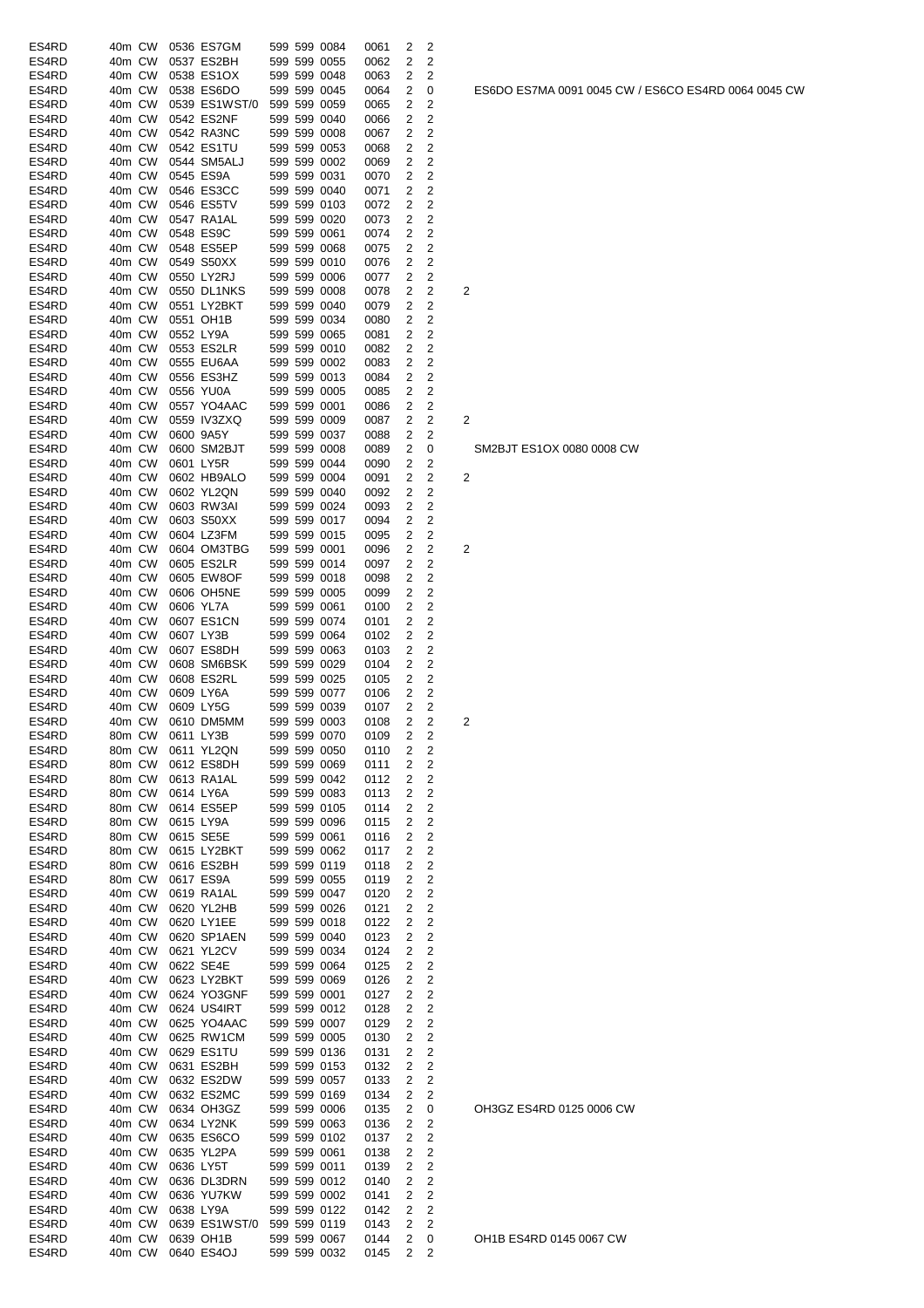| ES4RD          | 40m CW           |        |           | 0536 ES7GM                 |  | 599 599 0084                 | 0061 | 2              | 2                   |   |
|----------------|------------------|--------|-----------|----------------------------|--|------------------------------|------|----------------|---------------------|---|
| ES4RD          | 40m CW           |        |           | 0537 ES2BH                 |  | 599 599 0055                 | 0062 | 2              | 2                   |   |
| ES4RD          | 40m CW           |        |           | 0538 ES1OX                 |  | 599 599 0048                 | 0063 | 2              | 2                   |   |
| ES4RD          | 40m CW           |        |           | 0538 ES6DO                 |  | 599 599 0045                 | 0064 | 2              | 0                   |   |
| ES4RD          | 40m CW           |        |           | 0539 ES1WST/0              |  | 599 599 0059                 | 0065 | 2              | 2                   |   |
| ES4RD          | 40m CW           |        |           | 0542 ES2NF                 |  | 599 599 0040                 | 0066 | 2              | 2                   |   |
| ES4RD          | 40m CW           |        |           | 0542 RA3NC                 |  | 599 599 0008                 | 0067 | 2              | 2                   |   |
| ES4RD          | 40m CW           |        |           | 0542 ES1TU                 |  | 599 599 0053                 | 0068 | 2              | 2                   |   |
| ES4RD          | 40m CW           |        |           | 0544 SM5ALJ                |  | 599 599 0002                 | 0069 | 2              | 2                   |   |
| ES4RD          | 40m CW           |        |           | 0545 ES9A                  |  | 599 599 0031                 | 0070 | 2              | 2                   |   |
| ES4RD          | 40m CW           |        |           | 0546 ES3CC                 |  | 599 599 0040                 | 0071 | 2              | 2                   |   |
| ES4RD          | 40m CW           |        |           | 0546 ES5TV                 |  | 599 599 0103                 | 0072 | 2              | 2                   |   |
| ES4RD          | 40m CW           |        |           | 0547 RA1AL                 |  | 599 599 0020                 | 0073 | 2              | 2                   |   |
| ES4RD          | 40m CW           |        |           | 0548 ES9C                  |  | 599 599 0061                 | 0074 | 2              | 2                   |   |
| ES4RD          | 40m CW           |        |           | 0548 ES5EP                 |  | 599 599 0068                 | 0075 | 2              | 2                   |   |
| ES4RD          | 40m CW           |        |           | 0549 S50XX                 |  | 599 599 0010                 | 0076 | 2              | 2                   |   |
| ES4RD          | 40m CW           |        |           | 0550 LY2RJ                 |  | 599 599 0006                 | 0077 | 2              | 2                   |   |
| ES4RD          | 40m CW           |        |           | 0550 DL1NKS                |  | 599 599 0008                 | 0078 | 2              | 2                   | 2 |
| ES4RD          | 40m CW           |        |           | 0551 LY2BKT                |  | 599 599 0040                 | 0079 | 2              | 2                   |   |
| ES4RD          | 40m CW           |        |           | 0551 OH1B                  |  | 599 599 0034                 | 0080 | 2              | 2                   |   |
| ES4RD          | 40m CW           |        | 0552 LY9A |                            |  | 599 599 0065                 | 0081 | 2              | 2                   |   |
| ES4RD          | 40m CW           |        |           | 0553 ES2LR                 |  | 599 599 0010                 | 0082 | 2              | 2                   |   |
| ES4RD          | 40m CW           |        |           | 0555 EU6AA                 |  | 599 599 0002                 | 0083 | 2              | 2                   |   |
| ES4RD          | 40m CW           |        |           | 0556 ES3HZ                 |  | 599 599 0013                 | 0084 | 2              | 2                   |   |
| ES4RD          | 40m CW           |        |           | 0556 YU0A                  |  | 599 599 0005                 | 0085 | 2              | 2                   |   |
| ES4RD          | 40m CW           |        |           | 0557 YO4AAC                |  | 599 599 0001                 | 0086 | 2              | 2                   |   |
| ES4RD          | 40m CW           |        |           | 0559 IV3ZXQ                |  | 599 599 0009                 | 0087 | 2              | 2                   | 2 |
| ES4RD          | 40m CW           |        |           | 0600 9A5Y                  |  | 599 599 0037                 | 0088 | 2              | 2                   |   |
| ES4RD          | 40m CW           |        |           | 0600 SM2BJT                |  | 599 599 0008                 | 0089 | 2              | 0                   |   |
| ES4RD          | 40m CW           |        |           | 0601 LY5R                  |  | 599 599 0044                 | 0090 | 2              | 2                   |   |
| ES4RD          | 40m CW           |        |           | 0602 HB9ALO                |  | 599 599 0004                 | 0091 | 2              | 2                   | 2 |
| ES4RD          | 40m CW           |        |           | 0602 YL2QN                 |  | 599 599 0040                 | 0092 | 2              | 2                   |   |
| ES4RD          | 40m CW           |        |           | 0603 RW3AI                 |  | 599 599 0024                 | 0093 | 2              | 2                   |   |
| ES4RD          | 40m CW           |        |           | 0603 S50XX                 |  | 599 599 0017                 | 0094 | 2              | 2                   |   |
| ES4RD          | 40m CW           |        |           | 0604 LZ3FM                 |  | 599 599 0015                 | 0095 | 2              | 2                   |   |
| ES4RD          | 40m CW           |        |           | 0604 OM3TBG                |  | 599 599 0001                 | 0096 | 2              | 2                   | 2 |
| ES4RD          | 40m CW           |        |           | 0605 ES2LR                 |  | 599 599 0014                 | 0097 | 2              | 2                   |   |
| ES4RD          | 40m CW           |        |           | 0605 EW8OF                 |  | 599 599 0018                 | 0098 | 2              | 2                   |   |
| ES4RD          | 40m CW           |        |           | 0606 OH5NE                 |  | 599 599 0005                 | 0099 | 2              | 2                   |   |
| ES4RD          | 40m CW           |        | 0606 YL7A |                            |  | 599 599 0061                 | 0100 | 2              | 2                   |   |
| ES4RD          | 40m CW           |        |           | 0607 ES1CN                 |  | 599 599 0074                 | 0101 | 2              | 2                   |   |
| ES4RD          | 40m CW           |        | 0607 LY3B |                            |  | 599 599 0064                 |      | 2              | 2                   |   |
| ES4RD          | 40m CW           |        |           | 0607 ES8DH                 |  | 599 599 0063                 | 0102 | 2              | 2                   |   |
| ES4RD          | 40m CW           |        |           | 0608 SM6BSK                |  | 599 599 0029                 | 0103 | 2              | 2                   |   |
|                |                  |        |           |                            |  | 599 599 0025                 | 0104 |                |                     |   |
| ES4RD<br>ES4RD | 40m CW           |        | 0609 LY6A | 0608 ES2RL                 |  | 599 599 0077                 | 0105 | 2              | 2                   |   |
|                | 40m CW           |        |           |                            |  |                              | 0106 | 2              | 2                   |   |
| ES4RD          | 40m CW           |        | 0609 LY5G |                            |  | 599 599 0039                 | 0107 | 2              | 2                   |   |
| ES4RD          | 40m CW           | 80m CW |           | 0610 DM5MM                 |  | 599 599 0003<br>599 599 0070 | 0108 | 2              | 2                   | 2 |
| ES4RD          | 80m CW           |        |           | 0611 LY3B                  |  |                              | 0109 | $\overline{2}$ | 2                   |   |
| ES4RD          |                  |        |           | 0611 YL2QN                 |  | 599 599 0050<br>599 599 0069 | 0110 | 2              | 2<br>$\overline{c}$ |   |
| ES4RD          | 80m CW           |        |           | 0612 ES8DH                 |  |                              | 0111 | 2              |                     |   |
| ES4RD          | 80m CW<br>80m CW |        |           | 0613 RA1AL                 |  | 599 599 0042                 | 0112 | 2              | $\overline{c}$      |   |
| ES4RD          |                  |        |           | 0614 LY6A                  |  | 599 599 0083<br>599 599 0105 | 0113 | 2              | 2<br>$\overline{c}$ |   |
| ES4RD          | 80m CW           |        |           | 0614 ES5EP                 |  |                              | 0114 | 2              |                     |   |
| ES4RD          | 80m CW           |        |           | 0615 LY9A                  |  | 599 599 0096                 | 0115 | 2              | 2                   |   |
| ES4RD<br>ES4RD | 80m CW           |        |           | 0615 SE5E                  |  | 599 599 0061                 | 0116 | 2              | $\overline{c}$      |   |
|                | 80m CW           |        |           | 0615 LY2BKT                |  | 599 599 0062                 | 0117 | 2              | $\overline{2}$      |   |
| ES4RD          | 80m CW           |        |           | 0616 ES2BH                 |  | 599 599 0119                 | 0118 | 2              | $\overline{c}$      |   |
| ES4RD          | 80m CW           |        |           | 0617 ES9A                  |  | 599 599 0055                 | 0119 | 2              | 2<br>$\overline{c}$ |   |
| ES4RD<br>ES4RD | 40m CW<br>40m CW |        |           | 0619 RA1AL<br>0620 YL2HB   |  | 599 599 0047<br>599 599 0026 | 0120 | 2<br>2         | 2                   |   |
|                |                  |        |           |                            |  |                              | 0121 |                |                     |   |
| ES4RD          | 40m CW<br>40m CW |        |           | 0620 LY1EE                 |  | 599 599 0018                 | 0122 | 2              | $\overline{c}$      |   |
| ES4RD<br>ES4RD |                  |        |           | 0620 SP1AEN<br>0621 YL2CV  |  | 599 599 0040                 | 0123 | 2<br>2         | 2<br>2              |   |
|                | 40m CW           |        |           |                            |  | 599 599 0034                 | 0124 |                |                     |   |
| ES4RD          | 40m CW           |        |           | 0622 SE4E<br>0623 LY2BKT   |  | 599 599 0064                 | 0125 | 2              | 2                   |   |
| ES4RD          | 40m CW           |        |           |                            |  | 599 599 0069                 | 0126 | 2              | 2                   |   |
| ES4RD          | 40m CW           |        |           | 0624 YO3GNF                |  | 599 599 0001                 | 0127 | 2              | 2                   |   |
| ES4RD          | 40m CW           |        |           | 0624 US4IRT                |  | 599 599 0012                 | 0128 | 2              | 2                   |   |
| ES4RD          | 40m CW           |        |           | 0625 YO4AAC                |  | 599 599 0007                 | 0129 | 2              | $\overline{c}$      |   |
| ES4RD          | 40m CW           |        |           | 0625 RW1CM                 |  | 599 599 0005                 | 0130 | 2              | 2                   |   |
| ES4RD          | 40m CW           |        |           | 0629 ES1TU                 |  | 599 599 0136                 | 0131 | 2              | 2                   |   |
| ES4RD          | 40m CW           |        |           | 0631 ES2BH                 |  | 599 599 0153                 | 0132 | 2              | 2                   |   |
| ES4RD          | 40m CW           |        |           | 0632 ES2DW                 |  | 599 599 0057                 | 0133 | 2              | 2                   |   |
| ES4RD          | 40m CW           |        |           | 0632 ES2MC                 |  | 599 599 0169                 | 0134 | 2              | 2                   |   |
| ES4RD          | 40m CW           |        |           | 0634 OH3GZ                 |  | 599 599 0006                 | 0135 | 2              | 0                   |   |
| ES4RD          | 40m CW           |        |           | 0634 LY2NK                 |  | 599 599 0063                 | 0136 | 2              | 2                   |   |
| ES4RD          | 40m CW           |        |           | 0635 ES6CO                 |  | 599 599 0102                 | 0137 | 2              | $\overline{c}$      |   |
| ES4RD          | 40m CW           |        |           | 0635 YL2PA                 |  | 599 599 0061                 | 0138 | 2              | 2                   |   |
| ES4RD          | 40m CW           |        |           | 0636 LY5T                  |  | 599 599 0011                 | 0139 | 2              | 2                   |   |
| ES4RD          | 40m CW           |        |           | 0636 DL3DRN                |  | 599 599 0012                 | 0140 | 2              | 2                   |   |
| ES4RD          | 40m CW           |        |           | 0636 YU7KW                 |  | 599 599 0002                 | 0141 | 2              | 2                   |   |
| ES4RD          | 40m CW           |        |           | 0638 LY9A                  |  | 599 599 0122                 | 0142 | 2              | $\overline{c}$      |   |
| ES4RD          | 40m CW           |        |           | 0639 ES1WST/0 599 599 0119 |  |                              | 0143 | 2              | 2                   |   |
| ES4RD          | 40m CW           |        |           | 0639 OH1B                  |  | 599 599 0067                 | 0144 | 2              | 0                   |   |
| ES4RD          | 40m CW           |        |           | 0640 ES4OJ                 |  | 599 599 0032                 | 0145 | 2              | 2                   |   |

ES6DO ES7MA 0091 0045 CW / ES6CO ES4RD 0064 0045 CW

OH3GZ ES4RD 0125 0006 CW

SM2BJT ES1OX 0080 0008 CW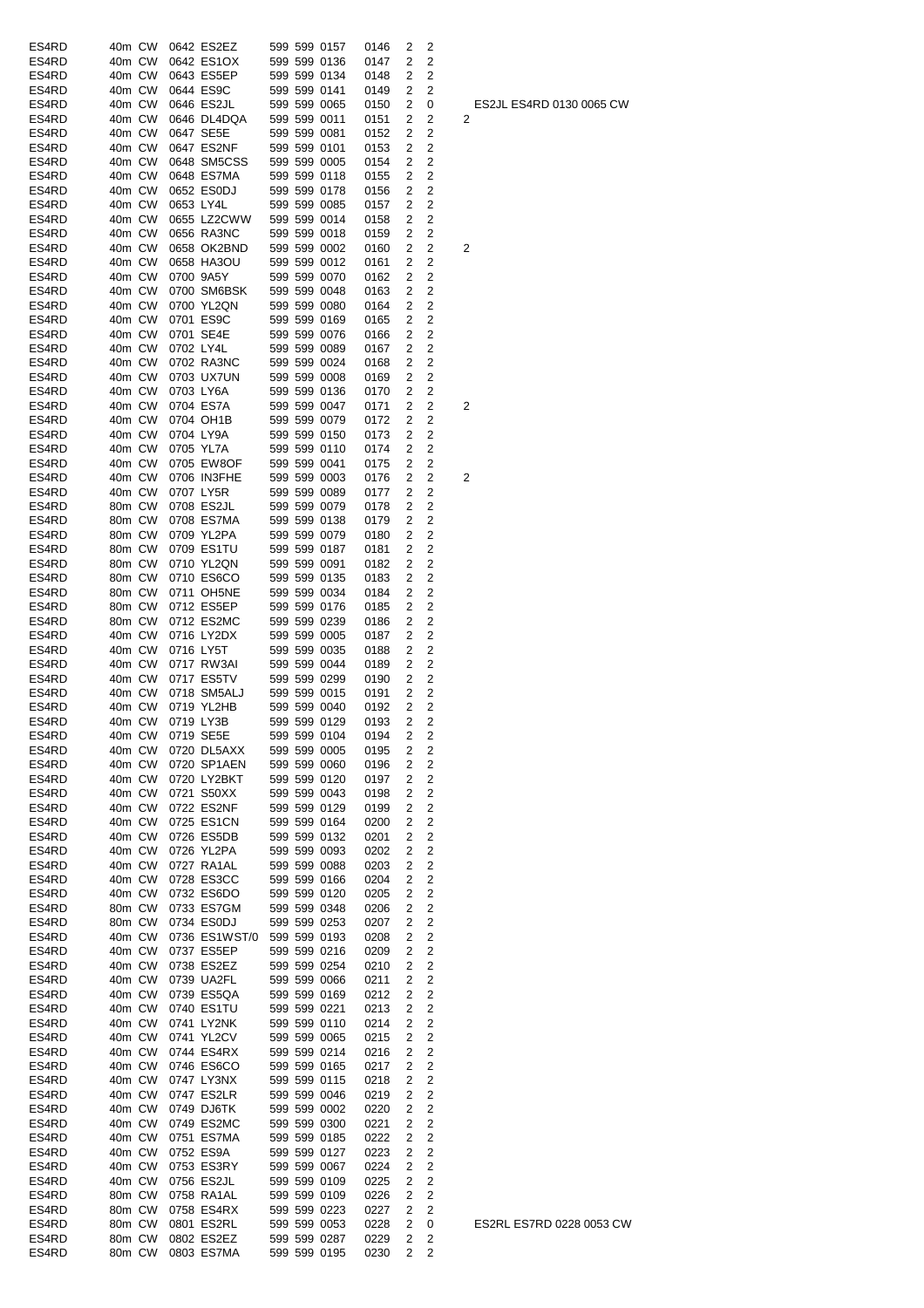| ES4RD | 40m CW |           | 0642 ES2EZ       |  | 599 599 0157 | 0146 | 2              | 2              |   |
|-------|--------|-----------|------------------|--|--------------|------|----------------|----------------|---|
| ES4RD | 40m CW |           | 0642 ES1OX       |  | 599 599 0136 | 0147 | 2              | 2              |   |
| ES4RD | 40m CW |           | 0643 ES5EP       |  | 599 599 0134 | 0148 | 2              | 2              |   |
| ES4RD | 40m CW |           | 0644 ES9C        |  | 599 599 0141 | 0149 | 2              | 2              |   |
| ES4RD | 40m CW |           | 0646 ES2JL       |  | 599 599 0065 | 0150 | 2              | 0              |   |
| ES4RD | 40m CW |           | 0646 DL4DQA      |  | 599 599 0011 |      | 2              | 2              |   |
|       |        |           |                  |  |              | 0151 |                |                | 2 |
| ES4RD | 40m CW |           | 0647 SE5E        |  | 599 599 0081 | 0152 | 2              | 2              |   |
| ES4RD | 40m CW |           | 0647 ES2NF       |  | 599 599 0101 | 0153 | 2              | 2              |   |
| ES4RD | 40m CW |           | 0648 SM5CSS      |  | 599 599 0005 | 0154 | 2              | 2              |   |
| ES4RD | 40m CW |           | 0648 ES7MA       |  | 599 599 0118 | 0155 | 2              | 2              |   |
| ES4RD | 40m CW |           | 0652 ES0DJ       |  | 599 599 0178 | 0156 | 2              | 2              |   |
|       |        |           |                  |  |              |      |                |                |   |
| ES4RD | 40m CW | 0653 LY4L |                  |  | 599 599 0085 | 0157 | 2              | 2              |   |
| ES4RD | 40m CW |           | 0655 LZ2CWW      |  | 599 599 0014 | 0158 | 2              | 2              |   |
| ES4RD | 40m CW |           | 0656 RA3NC       |  | 599 599 0018 | 0159 | 2              | 2              |   |
| ES4RD | 40m CW |           | 0658 OK2BND      |  | 599 599 0002 | 0160 | 2              | 2              | 2 |
| ES4RD | 40m CW |           | 0658 HA3OU       |  | 599 599 0012 | 0161 | 2              | 2              |   |
|       |        |           |                  |  |              |      |                |                |   |
| ES4RD | 40m CW |           | 0700 9A5Y        |  | 599 599 0070 | 0162 | 2              | 2              |   |
| ES4RD | 40m CW |           | 0700 SM6BSK      |  | 599 599 0048 | 0163 | 2              | 2              |   |
| ES4RD | 40m CW |           | 0700 YL2QN       |  | 599 599 0080 | 0164 | 2              | 2              |   |
| ES4RD | 40m CW |           | 0701 ES9C        |  | 599 599 0169 | 0165 | 2              | 2              |   |
| ES4RD | 40m CW |           | 0701 SE4E        |  | 599 599 0076 | 0166 | 2              | 2              |   |
|       |        |           |                  |  |              |      |                |                |   |
| ES4RD | 40m CW | 0702 LY4L |                  |  | 599 599 0089 | 0167 | 2              | 2              |   |
| ES4RD | 40m CW |           | 0702 RA3NC       |  | 599 599 0024 | 0168 | 2              | 2              |   |
| ES4RD | 40m CW |           | 0703 UX7UN       |  | 599 599 0008 | 0169 | 2              | 2              |   |
| ES4RD | 40m CW |           | 0703 LY6A        |  | 599 599 0136 | 0170 | $\overline{2}$ | 2              |   |
| ES4RD | 40m CW |           | 0704 ES7A        |  | 599 599 0047 | 0171 | 2              | 2              | 2 |
|       |        |           |                  |  |              |      |                |                |   |
| ES4RD | 40m CW |           | 0704 OH1B        |  | 599 599 0079 | 0172 | 2              | 2              |   |
| ES4RD | 40m CW |           | 0704 LY9A        |  | 599 599 0150 | 0173 | 2              | 2              |   |
| ES4RD | 40m CW |           | 0705 YL7A        |  | 599 599 0110 | 0174 | 2              | 2              |   |
| ES4RD | 40m CW |           | 0705 EW8OF       |  | 599 599 0041 | 0175 | 2              | 2              |   |
| ES4RD | 40m CW |           | 0706 IN3FHE      |  | 599 599 0003 | 0176 | 2              | 2              | 2 |
|       |        |           |                  |  |              |      |                |                |   |
| ES4RD | 40m CW |           | 0707 LY5R        |  | 599 599 0089 | 0177 | 2              | 2              |   |
| ES4RD | 80m CW |           | 0708 ES2JL       |  | 599 599 0079 | 0178 | 2              | 2              |   |
| ES4RD | 80m CW |           | 0708 ES7MA       |  | 599 599 0138 | 0179 | 2              | 2              |   |
| ES4RD | 80m CW |           | 0709 YL2PA       |  | 599 599 0079 | 0180 | 2              | 2              |   |
| ES4RD | 80m CW |           | 0709 ES1TU       |  | 599 599 0187 | 0181 | 2              | 2              |   |
|       |        |           |                  |  |              |      |                |                |   |
| ES4RD | 80m CW |           | 0710 YL2QN       |  | 599 599 0091 | 0182 | 2              | 2              |   |
| ES4RD | 80m CW |           | 0710 ES6CO       |  | 599 599 0135 | 0183 | 2              | 2              |   |
| ES4RD | 80m CW |           | 0711 OH5NE       |  | 599 599 0034 | 0184 | 2              | 2              |   |
| ES4RD | 80m CW |           | 0712 ES5EP       |  | 599 599 0176 | 0185 | 2              | 2              |   |
| ES4RD | 80m CW |           | 0712 ES2MC       |  | 599 599 0239 | 0186 | 2              | 2              |   |
|       |        |           |                  |  |              |      |                |                |   |
| ES4RD | 40m CW |           | 0716 LY2DX       |  | 599 599 0005 | 0187 | 2              | 2              |   |
| ES4RD | 40m CW | 0716 LY5T |                  |  | 599 599 0035 | 0188 | 2              | 2              |   |
| ES4RD | 40m CW |           | 0717 RW3AI       |  | 599 599 0044 | 0189 | 2              | 2              |   |
| ES4RD | 40m CW |           | 0717 ES5TV       |  | 599 599 0299 | 0190 | 2              | 2              |   |
| ES4RD | 40m CW |           | 0718 SM5ALJ      |  | 599 599 0015 | 0191 | 2              | 2              |   |
|       |        |           |                  |  |              |      |                |                |   |
| ES4RD | 40m CW |           | 0719 YL2HB       |  | 599 599 0040 | 0192 | 2              | 2              |   |
| ES4RD | 40m CW |           | 0719 LY3B        |  | 599 599 0129 | 0193 | 2              | 2              |   |
| ES4RD |        |           | 40m CW 0719 SE5E |  | 599 599 0104 | 0194 | $\overline{2}$ | $\overline{c}$ |   |
| ES4RD | 40m CW |           | 0720 DL5AXX      |  | 599 599 0005 | 0195 | 2              | 2              |   |
| ES4RD | 40m CW |           | 0720 SP1AEN      |  | 599 599 0060 | 0196 | 2              | 2              |   |
|       |        |           |                  |  |              |      |                |                |   |
| ES4RD | 40m CW |           | 0720 LY2BKT      |  | 599 599 0120 | 0197 | 2              | $\overline{c}$ |   |
| ES4RD | 40m CW |           | 0721 S50XX       |  | 599 599 0043 | 0198 | 2              | 2              |   |
| ES4RD | 40m CW |           | 0722 ES2NF       |  | 599 599 0129 | 0199 | 2              | 2              |   |
| ES4RD | 40m CW |           | 0725 ES1CN       |  | 599 599 0164 | 0200 | 2              | 2              |   |
| ES4RD | 40m CW |           | 0726 ES5DB       |  | 599 599 0132 | 0201 | 2              | $\overline{c}$ |   |
|       |        |           |                  |  |              |      |                |                |   |
| ES4RD | 40m CW |           | 0726 YL2PA       |  | 599 599 0093 | 0202 | 2              | 2              |   |
| ES4RD | 40m CW |           | 0727 RA1AL       |  | 599 599 0088 | 0203 | 2              | $\overline{c}$ |   |
| ES4RD | 40m CW |           | 0728 ES3CC       |  | 599 599 0166 | 0204 | 2              | 2              |   |
| ES4RD | 40m CW |           | 0732 ES6DO       |  | 599 599 0120 | 0205 | 2              | 2              |   |
| ES4RD | 80m CW |           | 0733 ES7GM       |  | 599 599 0348 | 0206 | 2              | 2              |   |
|       |        |           |                  |  |              |      |                |                |   |
| ES4RD | 80m CW |           | 0734 ES0DJ       |  | 599 599 0253 | 0207 | 2              | 2              |   |
| ES4RD | 40m CW |           | 0736 ES1WST/0    |  | 599 599 0193 | 0208 | 2              | 2              |   |
| ES4RD | 40m CW |           | 0737 ES5EP       |  | 599 599 0216 | 0209 | 2              | 2              |   |
| ES4RD | 40m CW |           | 0738 ES2EZ       |  | 599 599 0254 | 0210 | 2              | 2              |   |
| ES4RD | 40m CW |           | 0739 UA2FL       |  | 599 599 0066 | 0211 | 2              | 2              |   |
|       |        |           |                  |  |              |      |                | $\overline{c}$ |   |
| ES4RD | 40m CW |           | 0739 ES5QA       |  | 599 599 0169 | 0212 | 2              |                |   |
| ES4RD | 40m CW |           | 0740 ES1TU       |  | 599 599 0221 | 0213 | 2              | 2              |   |
| ES4RD | 40m CW |           | 0741 LY2NK       |  | 599 599 0110 | 0214 | 2              | $\overline{c}$ |   |
| ES4RD | 40m CW |           | 0741 YL2CV       |  | 599 599 0065 | 0215 | 2              | 2              |   |
| ES4RD | 40m CW |           | 0744 ES4RX       |  | 599 599 0214 | 0216 | 2              | 2              |   |
|       |        |           |                  |  |              |      |                |                |   |
| ES4RD | 40m CW |           | 0746 ES6CO       |  | 599 599 0165 | 0217 | 2              | 2              |   |
| ES4RD | 40m CW |           | 0747 LY3NX       |  | 599 599 0115 | 0218 | 2              | 2              |   |
| ES4RD | 40m CW |           | 0747 ES2LR       |  | 599 599 0046 | 0219 | 2              | 2              |   |
| ES4RD | 40m CW |           | 0749 DJ6TK       |  | 599 599 0002 | 0220 | 2              | $\overline{c}$ |   |
| ES4RD | 40m CW |           | 0749 ES2MC       |  | 599 599 0300 |      | 2              | 2              |   |
|       |        |           |                  |  |              | 0221 |                |                |   |
| ES4RD | 40m CW |           | 0751 ES7MA       |  | 599 599 0185 | 0222 | 2              | 2              |   |
| ES4RD | 40m CW |           | 0752 ES9A        |  | 599 599 0127 | 0223 | 2              | 2              |   |
| ES4RD | 40m CW |           | 0753 ES3RY       |  | 599 599 0067 | 0224 | 2              | $\overline{2}$ |   |
| ES4RD | 40m CW |           | 0756 ES2JL       |  | 599 599 0109 | 0225 | 2              | $\overline{c}$ |   |
|       | 80m CW |           |                  |  |              |      |                |                |   |
| ES4RD |        |           | 0758 RA1AL       |  | 599 599 0109 | 0226 | 2              | 2              |   |
|       |        |           |                  |  |              |      |                |                |   |
| ES4RD | 80m CW |           | 0758 ES4RX       |  | 599 599 0223 | 0227 | 2              | 2              |   |
| ES4RD | 80m CW |           | 0801 ES2RL       |  | 599 599 0053 | 0228 | 2              | 0              |   |
| ES4RD | 80m CW |           | 0802 ES2EZ       |  | 599 599 0287 | 0229 | 2              | 2              |   |

ES2JL ES4RD 0130 0065 CW 2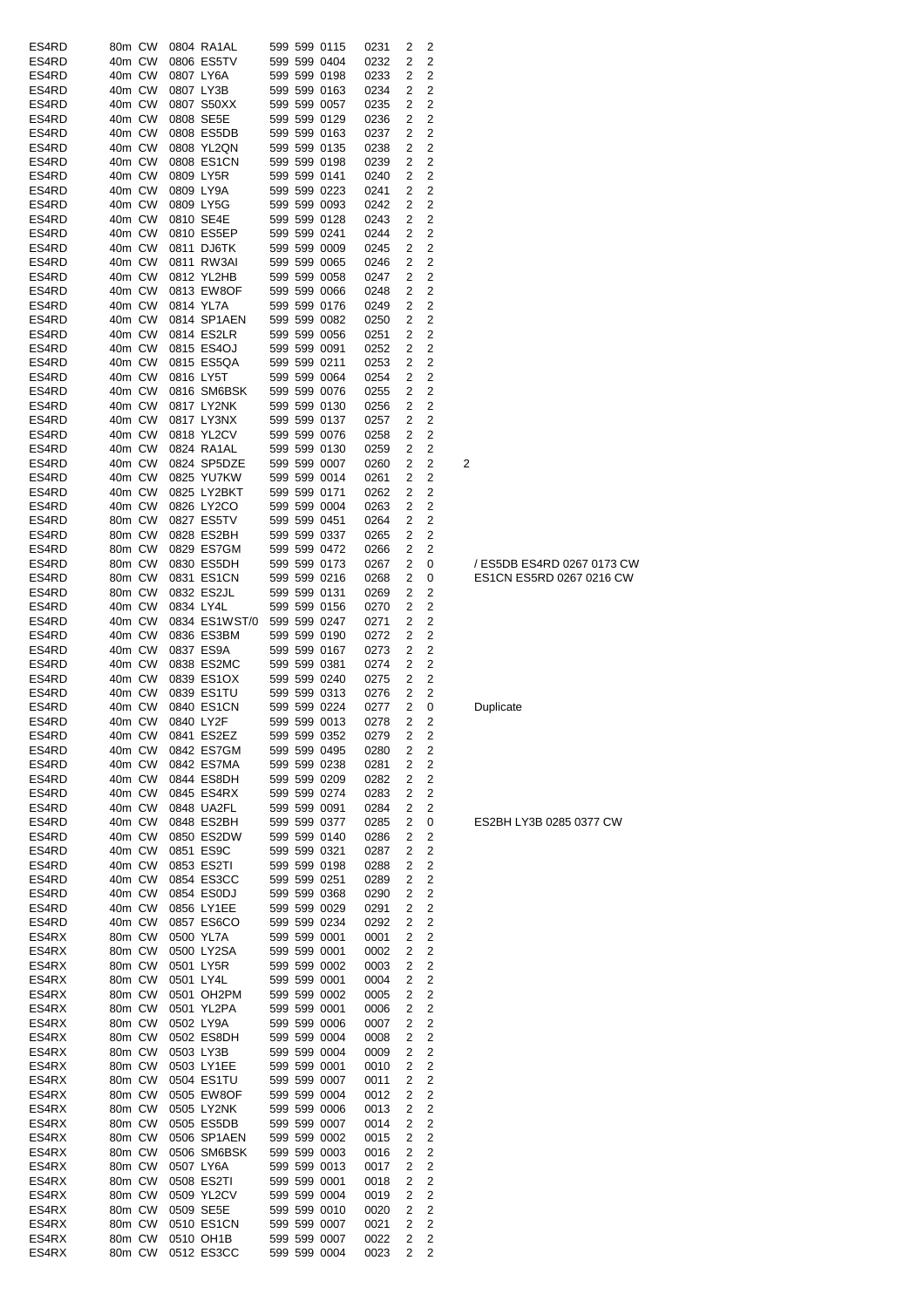| ES4RD          | 80m CW           |        | 0804 RA1AL              |  | 599 599 0115                 | 0231         | 2      | 2      |                            |
|----------------|------------------|--------|-------------------------|--|------------------------------|--------------|--------|--------|----------------------------|
| ES4RD          | 40m CW           |        | 0806 ES5TV              |  | 599 599 0404                 | 0232         | 2      | 2      |                            |
| ES4RD          | 40m CW           |        | 0807 LY6A               |  | 599 599 0198                 | 0233         | 2      | 2      |                            |
| ES4RD          | 40m CW           |        | 0807 LY3B               |  | 599 599 0163                 | 0234         | 2      | 2      |                            |
| ES4RD          | 40m CW           |        | 0807 S50XX              |  | 599 599 0057                 | 0235         | 2      | 2      |                            |
| ES4RD          | 40m CW           |        | 0808 SE5E               |  | 599 599 0129                 | 0236         | 2      | 2      |                            |
| ES4RD          | 40m CW           |        | 0808 ES5DB              |  | 599 599 0163                 | 0237         | 2      | 2      |                            |
| ES4RD          | 40m CW           |        | 0808 YL2QN              |  | 599 599 0135                 | 0238         | 2      | 2      |                            |
| ES4RD          | 40m CW           |        | 0808 ES1CN              |  | 599 599 0198                 | 0239         | 2      | 2      |                            |
| ES4RD          | 40m CW           |        | 0809 LY5R               |  | 599 599 0141                 | 0240         | 2      | 2      |                            |
| ES4RD          | 40m CW           |        | 0809 LY9A               |  | 599 599 0223                 | 0241         | 2      | 2      |                            |
| ES4RD          | 40m CW           |        | 0809 LY5G               |  | 599 599 0093                 | 0242         | 2      | 2      |                            |
| ES4RD          | 40m CW<br>40m CW |        | 0810 SE4E<br>0810 ES5EP |  | 599 599 0128                 | 0243<br>0244 | 2<br>2 | 2<br>2 |                            |
| ES4RD<br>ES4RD | 40m CW           |        | 0811 DJ6TK              |  | 599 599 0241<br>599 599 0009 | 0245         | 2      | 2      |                            |
| ES4RD          | 40m CW           |        | 0811 RW3AI              |  | 599 599 0065                 | 0246         | 2      | 2      |                            |
| ES4RD          | 40m CW           |        | 0812 YL2HB              |  | 599 599 0058                 | 0247         | 2      | 2      |                            |
| ES4RD          | 40m CW           |        | 0813 EW8OF              |  | 599 599 0066                 | 0248         | 2      | 2      |                            |
| ES4RD          | 40m CW           |        | 0814 YL7A               |  | 599 599 0176                 | 0249         | 2      | 2      |                            |
| ES4RD          | 40m CW           |        | 0814 SP1AEN             |  | 599 599 0082                 | 0250         | 2      | 2      |                            |
| ES4RD          | 40m CW           |        | 0814 ES2LR              |  | 599 599 0056                 | 0251         | 2      | 2      |                            |
| ES4RD          | 40m CW           |        | 0815 ES4OJ              |  | 599 599 0091                 | 0252         | 2      | 2      |                            |
| ES4RD          | 40m CW           |        | 0815 ES5QA              |  | 599 599 0211                 | 0253         | 2      | 2      |                            |
| ES4RD          | 40m CW           |        | 0816 LY5T               |  | 599 599 0064                 | 0254         | 2      | 2      |                            |
| ES4RD          | 40m CW           |        | 0816 SM6BSK             |  | 599 599 0076                 | 0255         | 2      | 2      |                            |
| ES4RD          | 40m CW           |        | 0817 LY2NK              |  | 599 599 0130                 | 0256         | 2      | 2      |                            |
| ES4RD          | 40m CW           |        | 0817 LY3NX              |  | 599 599 0137                 | 0257         | 2      | 2      |                            |
| ES4RD          | 40m CW           |        | 0818 YL2CV              |  | 599 599 0076                 | 0258         | 2      | 2      |                            |
| ES4RD          | 40m CW           |        | 0824 RA1AL              |  | 599 599 0130                 | 0259         | 2      | 2      |                            |
| ES4RD          | 40m CW           |        | 0824 SP5DZE             |  | 599 599 0007                 | 0260         | 2      | 2      | 2                          |
| ES4RD          | 40m CW           |        | 0825 YU7KW              |  | 599 599 0014                 | 0261         | 2      | 2      |                            |
| ES4RD          | 40m CW           |        | 0825 LY2BKT             |  | 599 599 0171                 | 0262         | 2      | 2      |                            |
| ES4RD          | 40m CW           |        | 0826 LY2CO              |  | 599 599 0004                 | 0263         | 2      | 2      |                            |
| ES4RD          | 80m CW           |        | 0827 ES5TV              |  | 599 599 0451                 | 0264         | 2      | 2      |                            |
| ES4RD          | 80m CW           |        | 0828 ES2BH              |  | 599 599 0337                 | 0265         | 2      | 2      |                            |
| ES4RD          | 80m CW           |        | 0829 ES7GM              |  | 599 599 0472                 | 0266         | 2      | 2      |                            |
| ES4RD          | 80m CW           |        | 0830 ES5DH              |  | 599 599 0173                 | 0267         | 2      | 0      | / ES5DB ES4RD 0267 0173 CW |
| ES4RD          | 80m CW           |        | 0831 ES1CN              |  | 599 599 0216                 | 0268         | 2      | 0      | ES1CN ES5RD 0267 0216 CW   |
| ES4RD          | 80m CW           |        | 0832 ES2JL              |  | 599 599 0131                 | 0269         | 2      | 2      |                            |
| ES4RD          | 40m CW           |        | 0834 LY4L               |  | 599 599 0156                 | 0270         | 2      | 2      |                            |
| ES4RD          | 40m CW           |        | 0834 ES1WST/0           |  | 599 599 0247                 | 0271         | 2      | 2      |                            |
| ES4RD<br>ES4RD | 40m CW<br>40m CW |        | 0836 ES3BM<br>0837 ES9A |  | 599 599 0190<br>599 599 0167 | 0272<br>0273 | 2<br>2 | 2<br>2 |                            |
| ES4RD          | 40m CW           |        | 0838 ES2MC              |  | 599 599 0381                 | 0274         | 2      | 2      |                            |
| ES4RD          | 40m CW           |        | 0839 ES1OX              |  | 599 599 0240                 | 0275         | 2      | 2      |                            |
| ES4RD          | 40m CW           |        | 0839 ES1TU              |  | 599 599 0313                 | 0276         | 2      | 2      |                            |
| ES4RD          | 40m CW           |        | 0840 ES1CN              |  | 599 599 0224                 | 0277         | 2      | 0      | Duplicate                  |
| ES4RD          | 40m CW           |        | 0840 LY2F               |  | 599 599 0013                 | 0278         | 2      | 2      |                            |
| ES4RD          | 40m CW           |        | 0841 ES2EZ              |  | 599 599 0352                 | 0279         | 2      | 2      |                            |
| ES4RD          |                  | 40m CW | 0842 ES7GM              |  | 599 599 0495                 | 0280         | 2      | 2      |                            |
| ES4RD          |                  | 40m CW | 0842 ES7MA              |  | 599 599 0238                 | 0281         | 2      | 2      |                            |
| ES4RD          |                  | 40m CW | 0844 ES8DH              |  | 599 599 0209                 | 0282         | 2      | 2      |                            |
| ES4RD          | 40m CW           |        | 0845 ES4RX              |  | 599 599 0274                 | 0283         | 2      | 2      |                            |
| ES4RD          | 40m CW           |        | 0848 UA2FL              |  | 599 599 0091                 | 0284         | 2      | 2      |                            |
| ES4RD          |                  | 40m CW | 0848 ES2BH              |  | 599 599 0377                 | 0285         | 2      | 0      | ES2BH LY3B 0285 0377 CW    |
| ES4RD          | 40m CW           |        | 0850 ES2DW              |  | 599 599 0140                 | 0286         | 2      | 2      |                            |
| ES4RD          | 40m CW           |        | 0851 ES9C               |  | 599 599 0321                 | 0287         | 2      | 2      |                            |
| ES4RD          | 40m CW           |        | 0853 ES2TI              |  | 599 599 0198                 | 0288         | 2      | 2      |                            |
| ES4RD          | 40m CW           |        | 0854 ES3CC              |  | 599 599 0251                 | 0289         | 2      | 2      |                            |
| ES4RD          | 40m CW           |        | 0854 ES0DJ              |  | 599 599 0368                 | 0290         | 2      | 2      |                            |
| ES4RD          | 40m CW           |        | 0856 LY1EE              |  | 599 599 0029                 | 0291         | 2      | 2      |                            |
| ES4RD          | 40m CW           |        | 0857 ES6CO              |  | 599 599 0234                 | 0292         | 2      | 2      |                            |
| ES4RX          | 80m CW           |        | 0500 YL7A               |  | 599 599 0001                 | 0001         | 2      | 2      |                            |
| ES4RX          | 80m CW           |        | 0500 LY2SA              |  | 599 599 0001                 | 0002         | 2      | 2      |                            |
| ES4RX          | 80m CW           |        | 0501 LY5R               |  | 599 599 0002                 | 0003         | 2      | 2      |                            |
| ES4RX<br>ES4RX | 80m CW           | 80m CW | 0501 LY4L<br>0501 OH2PM |  | 599 599 0001<br>599 599 0002 | 0004<br>0005 | 2<br>2 | 2<br>2 |                            |
| ES4RX          |                  | 80m CW | 0501 YL2PA              |  | 599 599 0001                 | 0006         | 2      | 2      |                            |
| ES4RX          | 80m CW           |        | 0502 LY9A               |  | 599 599 0006                 | 0007         | 2      | 2      |                            |
| ES4RX          | 80m CW           |        | 0502 ES8DH              |  | 599 599 0004                 | 0008         | 2      | 2      |                            |
| ES4RX          | 80m CW           |        | 0503 LY3B               |  | 599 599 0004                 | 0009         | 2      | 2      |                            |
| ES4RX          | 80m CW           |        | 0503 LY1EE              |  | 599 599 0001                 | 0010         | 2      | 2      |                            |
| ES4RX          | 80m CW           |        | 0504 ES1TU              |  | 599 599 0007                 | 0011         | 2      | 2      |                            |
| ES4RX          | 80m CW           |        | 0505 EW8OF              |  | 599 599 0004                 | 0012         | 2      | 2      |                            |
| ES4RX          | 80m CW           |        | 0505 LY2NK              |  | 599 599 0006                 | 0013         | 2      | 2      |                            |
| ES4RX          | 80m CW           |        | 0505 ES5DB              |  | 599 599 0007                 | 0014         | 2      | 2      |                            |
| ES4RX          | 80m CW           |        | 0506 SP1AEN             |  | 599 599 0002                 | 0015         | 2      | 2      |                            |
| ES4RX          | 80m CW           |        | 0506 SM6BSK             |  | 599 599 0003                 | 0016         | 2      | 2      |                            |
| ES4RX          |                  | 80m CW | 0507 LY6A               |  | 599 599 0013                 | 0017         | 2      | 2      |                            |
| ES4RX          |                  | 80m CW | 0508 ES2TI              |  | 599 599 0001                 | 0018         | 2      | 2      |                            |
| ES4RX          | 80m CW           |        | 0509 YL2CV              |  | 599 599 0004                 | 0019         | 2      | 2      |                            |
| ES4RX          | 80m CW           |        | 0509 SE5E               |  | 599 599 0010                 | 0020         | 2      | 2      |                            |
| ES4RX          | 80m CW           |        | 0510 ES1CN              |  | 599 599 0007                 | 0021         | 2      | 2      |                            |
| ES4RX          | 80m CW           |        | 0510 OH1B               |  | 599 599 0007                 | 0022         | 2      | 2      |                            |
| ES4RX          | 80m CW           |        | 0512 ES3CC              |  | 599 599 0004                 | 0023         | 2      | 2      |                            |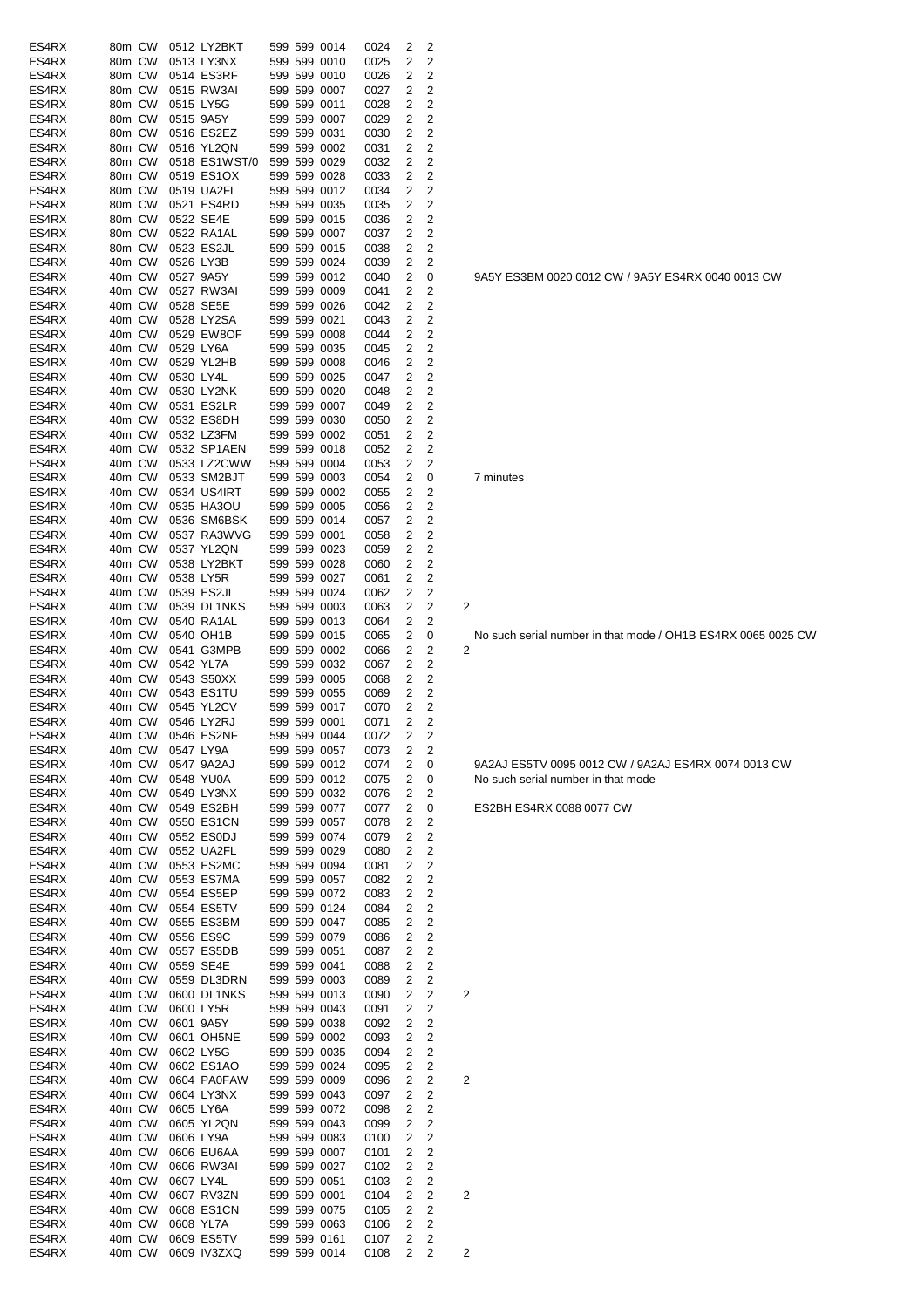| ES4RX          | 80m CW           |        | 0512 LY2BKT               |              | 599 599 0014                 | 0024         | 2                       | 2              |                         |
|----------------|------------------|--------|---------------------------|--------------|------------------------------|--------------|-------------------------|----------------|-------------------------|
| ES4RX          | 80m CW           |        | 0513 LY3NX                |              | 599 599 0010                 | 0025         | 2                       | 2              |                         |
| ES4RX          | 80m CW           |        | 0514 ES3RF                |              | 599 599 0010                 | 0026         | 2                       | 2              |                         |
| ES4RX          | 80m CW           |        | 0515 RW3AI                |              | 599 599 0007                 | 0027         | 2                       | 2              |                         |
| ES4RX          | 80m CW           |        | 0515 LY5G                 |              | 599 599 0011                 | 0028         | 2                       | 2              |                         |
| ES4RX          | 80m CW           |        | 0515 9A5Y                 |              | 599 599 0007                 | 0029         | 2                       | 2              |                         |
| ES4RX          | 80m CW           |        | 0516 ES2EZ                |              | 599 599 0031                 | 0030         | 2                       | 2              |                         |
| ES4RX          | 80m CW           |        | 0516 YL2QN                |              | 599 599 0002                 | 0031         | 2                       | 2              |                         |
| ES4RX          | 80m CW           |        | 0518 ES1WST/0             |              | 599 599 0029                 | 0032         | 2                       | 2              |                         |
| ES4RX          | 80m CW           |        | 0519 ES1OX                |              | 599 599 0028                 | 0033         | 2                       | 2              |                         |
| ES4RX          | 80m CW           |        | 0519 UA2FL                |              | 599 599 0012                 | 0034         | 2                       | 2              |                         |
| ES4RX          | 80m CW           |        | 0521 ES4RD                |              | 599 599 0035                 | 0035         | 2                       | 2              |                         |
| ES4RX          | 80m CW           |        | 0522 SE4E                 |              | 599 599 0015                 | 0036         | 2                       | 2              |                         |
| ES4RX          | 80m CW           |        | 0522 RA1AL                |              | 599 599 0007                 | 0037         | 2                       | 2              |                         |
| ES4RX          | 80m CW           |        | 0523 ES2JL                |              | 599 599 0015                 | 0038         | 2                       | 2              |                         |
| ES4RX          | 40m CW           |        |                           |              | 599 599 0024                 |              | 2                       | 2              |                         |
|                |                  |        | 0526 LY3B                 |              |                              | 0039         |                         |                |                         |
| ES4RX          | 40m CW           |        | 0527 9A5Y                 |              | 599 599 0012                 | 0040         | 2                       | 0              |                         |
| ES4RX          | 40m CW           |        | 0527 RW3AI                |              | 599 599 0009                 | 0041         | 2                       | 2              |                         |
| ES4RX          | 40m CW           |        | 0528 SE5E                 |              | 599 599 0026                 | 0042         | 2                       | 2              |                         |
| ES4RX          | 40m CW           |        | 0528 LY2SA                |              | 599 599 0021                 | 0043         | 2                       | 2              |                         |
| ES4RX          | 40m CW           |        | 0529 EW8OF                |              | 599 599 0008                 | 0044         | 2                       | 2              |                         |
| ES4RX          | 40m CW           |        | 0529 LY6A                 |              | 599 599 0035                 | 0045         | 2                       | 2              |                         |
| ES4RX          | 40m CW           |        | 0529 YL2HB                |              | 599 599 0008                 | 0046         | 2                       | 2              |                         |
| ES4RX          | 40m CW           |        | 0530 LY4L                 |              | 599 599 0025                 | 0047         | 2                       | 2              |                         |
| ES4RX          | 40m CW           |        | 0530 LY2NK                |              | 599 599 0020                 | 0048         | 2                       | 2              |                         |
| ES4RX          | 40m CW           |        | 0531 ES2LR                |              | 599 599 0007                 | 0049         | 2                       | 2              |                         |
| ES4RX          | 40m CW           |        | 0532 ES8DH                |              | 599 599 0030                 | 0050         | 2                       | 2              |                         |
| ES4RX          | 40m CW           |        | 0532 LZ3FM                |              | 599 599 0002                 | 0051         | 2                       | 2              |                         |
| ES4RX          | 40m CW           |        | 0532 SP1AEN               |              | 599 599 0018                 | 0052         | 2                       | 2              |                         |
| ES4RX          | 40m CW           |        | 0533 LZ2CWW               |              | 599 599 0004                 | 0053         | 2                       | 2              |                         |
| ES4RX          | 40m CW           |        | 0533 SM2BJT               |              | 599 599 0003                 | 0054         | 2                       | 0              |                         |
| ES4RX          | 40m CW           |        | 0534 US4IRT               |              | 599 599 0002                 | 0055         | 2                       | 2              |                         |
| ES4RX          | 40m CW           |        | 0535 HA3OU                |              | 599 599 0005                 | 0056         | 2                       | 2              |                         |
| ES4RX          |                  |        |                           |              | 599 599 0014                 |              | 2                       | 2              |                         |
|                | 40m CW           |        | 0536 SM6BSK               |              |                              | 0057         |                         |                |                         |
| ES4RX          | 40m CW           |        | 0537 RA3WVG               |              | 599 599 0001                 | 0058         | 2                       | 2              |                         |
| ES4RX          | 40m CW           |        | 0537 YL2QN                |              | 599 599 0023                 | 0059         | 2                       | 2              |                         |
| ES4RX          | 40m CW           |        | 0538 LY2BKT               |              | 599 599 0028                 | 0060         | 2                       | 2              |                         |
| ES4RX          | 40m CW           |        | 0538 LY5R                 |              | 599 599 0027                 | 0061         | 2                       | 2              |                         |
| ES4RX          | 40m CW           |        | 0539 ES2JL                |              | 599 599 0024                 | 0062         | 2                       | 2              |                         |
| ES4RX          | 40m CW           |        | 0539 DL1NKS               |              | 599 599 0003                 | 0063         | 2                       | 2              | 2                       |
| ES4RX          | 40m CW           |        | 0540 RA1AL                |              | 599 599 0013                 | 0064         | 2                       | 2              |                         |
| ES4RX          | 40m CW           |        | 0540 OH1B                 |              | 599 599 0015                 | 0065         | 2                       | 0              |                         |
| ES4RX          | 40m CW           |        | 0541 G3MPB                |              | 599 599 0002                 | 0066         | 2                       | 2              | 2                       |
| ES4RX          | 40m CW           |        | 0542 YL7A                 |              | 599 599 0032                 | 0067         | 2                       | 2              |                         |
| ES4RX          | 40m CW           |        | 0543 S50XX                |              | 599 599 0005                 | 0068         | 2                       | 2              |                         |
| ES4RX          | 40m CW           |        | 0543 ES1TU                |              | 599 599 0055                 | 0069         | 2                       | 2              |                         |
| ES4RX          | 40m CW           |        | 0545 YL2CV                |              | 599 599 0017                 | 0070         | 2                       | 2              |                         |
| ES4RX          | 40m CW           |        | 0546 LY2RJ                |              | 599 599 0001                 | 0071         | 2                       | 2              |                         |
| ES4RX          |                  | 40m CW | 0546 ES2NF                |              | 599 599 0044                 | 0072         | $\overline{\mathbf{c}}$ | 2              |                         |
| ES4RX          | 40m CW           |        | 0547 LY9A                 |              | 599 599 0057                 | 0073         | 2                       | 2              |                         |
| ES4RX          | 40m CW           |        | 0547 9A2AJ                |              | 599 599 0012                 | 0074         | 2                       | 0              |                         |
| ES4RX          | 40m CW           |        | 0548 YU0A                 |              | 599 599 0012                 | 0075         | 2                       | 0              |                         |
| ES4RX          | 40m CW           |        | 0549 LY3NX                |              | 599 599 0032                 | 0076         | 2                       | 2              |                         |
| ES4RX          | 40m CW           |        | 0549 ES2BH                |              | 599 599 0077                 | 0077         | 2                       | 0              |                         |
| ES4RX          |                  |        |                           |              |                              |              | 2                       |                |                         |
|                | 40m CW           |        | 0550 ES1CN                |              | 599 599 0057                 | 0078         |                         | 2              |                         |
| ES4RX          | 40m CW           |        | 0552 ES0DJ                |              | 599 599 0074                 | 0079         | 2                       | 2              |                         |
| ES4RX          | 40m CW           |        | 0552 UA2FL                |              | 599 599 0029                 | 0080         | 2                       | 2              |                         |
| ES4RX          | 40m CW           |        | 0553 ES2MC                |              | 599 599 0094                 | 0081         | 2                       | 2              |                         |
| ES4RX          | 40m CW           |        | 0553 ES7MA                |              | 599 599 0057                 | 0082         | 2                       | 2              |                         |
| ES4RX          | 40m CW           |        | 0554 ES5EP                |              | 599 599 0072                 | 0083         | 2                       | 2              |                         |
| ES4RX          | 40m CW           |        | 0554 ES5TV                |              | 599 599 0124                 | 0084         | 2                       | $\overline{c}$ |                         |
| ES4RX          | 40m CW           |        | 0555 ES3BM                |              | 599 599 0047                 | 0085         | 2                       | 2              |                         |
| ES4RX          | 40m CW           |        | 0556 ES9C                 |              | 599 599 0079                 | 0086         | 2                       | $\overline{c}$ |                         |
| ES4RX          | 40m CW           |        | 0557 ES5DB                |              | 599 599 0051                 | 0087         | 2                       | 2              |                         |
| ES4RX          | 40m CW           |        | 0559 SE4E                 |              | 599 599 0041                 | 0088         | 2                       | 2              |                         |
| ES4RX          | 40m CW           |        | 0559 DL3DRN               |              | 599 599 0003                 | 0089         | 2                       | 2              |                         |
| ES4RX          | 40m CW           |        | 0600 DL1NKS               |              | 599 599 0013                 | 0090         | 2                       | $\overline{c}$ | 2                       |
| ES4RX          | 40m CW           |        | 0600 LY5R                 |              | 599 599 0043                 | 0091         | 2                       | 2              |                         |
| ES4RX          | 40m CW           |        | 0601 9A5Y                 |              | 599 599 0038                 | 0092         | 2                       | 2              |                         |
| ES4RX          | 40m CW           |        | 0601 OH5NE                |              | 599 599 0002                 | 0093         | 2                       | 2              |                         |
| ES4RX          | 40m CW           |        | 0602 LY5G                 |              | 599 599 0035                 | 0094         | 2                       | 2              |                         |
| ES4RX          | 40m CW           |        | 0602 ES1AO                |              | 599 599 0024                 | 0095         | 2                       | 2              |                         |
| ES4RX          | 40m CW           |        | 0604 PA0FAW               |              | 599 599 0009                 | 0096         | 2                       | 2              | 2                       |
| ES4RX          | 40m CW           |        | 0604 LY3NX                |              | 599 599 0043                 | 0097         | 2                       | 2              |                         |
| ES4RX          | 40m CW           |        | 0605 LY6A                 |              | 599 599 0072                 | 0098         | 2                       | 2              |                         |
| ES4RX          | 40m CW           |        | 0605 YL2QN                |              | 599 599 0043                 | 0099         | 2                       | 2              |                         |
| ES4RX          | 40m CW           |        | 0606 LY9A                 |              | 599 599 0083                 | 0100         | 2                       | 2              |                         |
| ES4RX          | 40m CW           |        | 0606 EU6AA                |              | 599 599 0007                 | 0101         | 2                       | $\overline{c}$ |                         |
| ES4RX          | 40m CW           |        | 0606 RW3AI                |              | 599 599 0027                 |              | 2                       | 2              |                         |
| ES4RX          | 40m CW           |        | 0607 LY4L                 |              | 599 599 0051                 | 0102         | 2                       | 2              |                         |
|                |                  |        |                           |              |                              | 0103         |                         |                |                         |
| ES4RX          | 40m CW           |        | 0607 RV3ZN                |              | 599 599 0001                 | 0104         | 2                       | 2              | 2                       |
| ES4RX          |                  |        |                           |              |                              |              |                         |                |                         |
|                | 40m CW           |        | 0608 ES1CN                | 599 599 0075 |                              | 0105         | 2                       | 2              |                         |
| ES4RX          | 40m CW           |        | 0608 YL7A                 |              | 599 599 0063                 | 0106         | 2                       | 2              |                         |
| ES4RX<br>ES4RX | 40m CW<br>40m CW |        | 0609 ES5TV<br>0609 IV3ZXQ |              | 599 599 0161<br>599 599 0014 | 0107<br>0108 | 2<br>2                  | 2<br>2         | $\overline{\mathbf{c}}$ |

# 9A5Y ES3BM 0020 0012 CW / 9A5Y ES4RX 0040 0013 CW

# 7 minutes

No such serial number in that mode / OH1B ES4RX 0065 0025 CW 2

9A2AJ ES5TV 0095 0012 CW / 9A2AJ ES4RX 0074 0013 CW No such serial number in that mode

ES2BH ES4RX 0088 0077 CW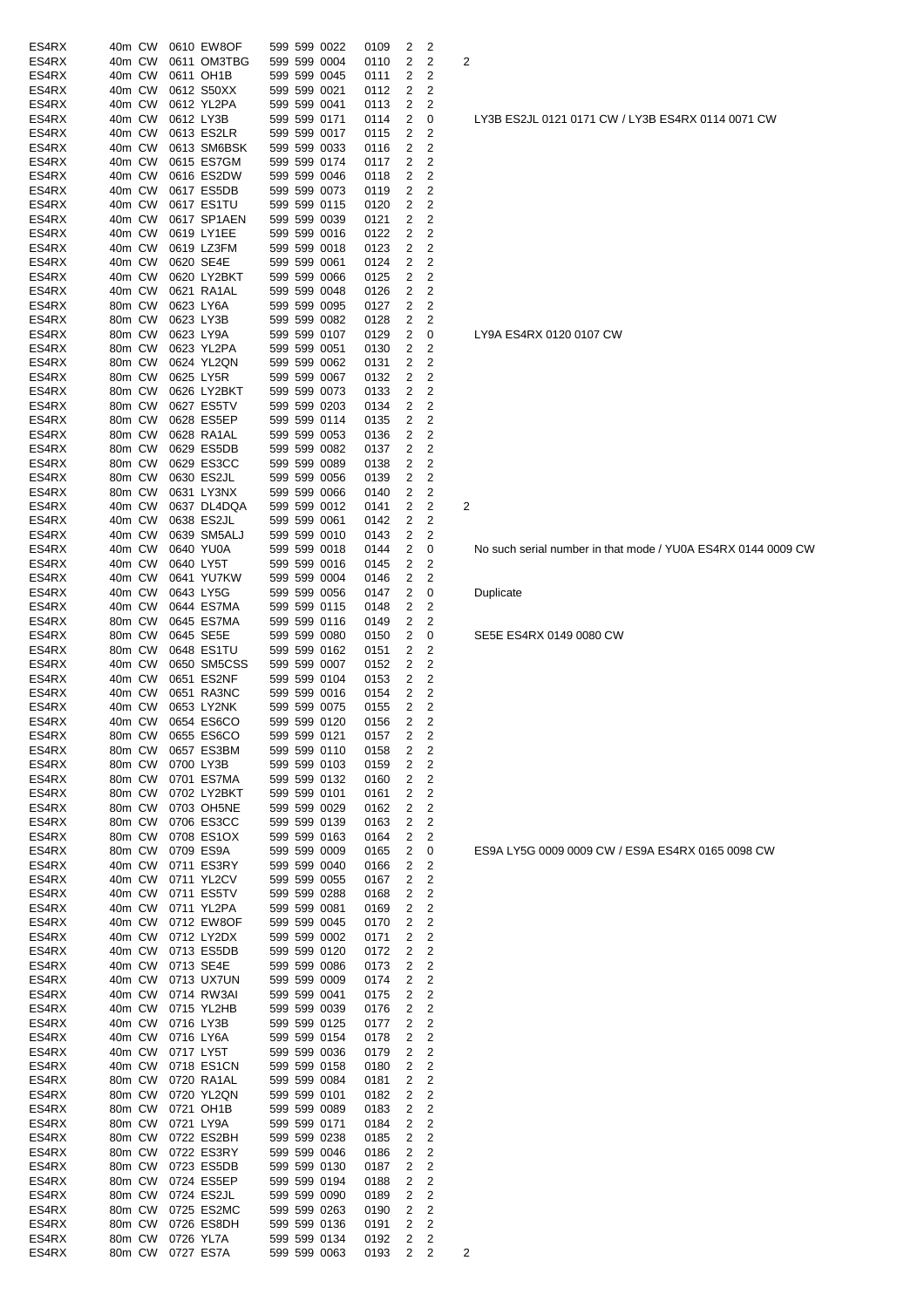| ES4RX          | 40m CW           |  | 0610 EW8OF               |  | 599 599 0022                 | 0109         | 2      | 2                   |                         |
|----------------|------------------|--|--------------------------|--|------------------------------|--------------|--------|---------------------|-------------------------|
| ES4RX          | 40m CW           |  | 0611 OM3TBG              |  | 599 599 0004                 | 0110         | 2      | $\overline{2}$      | 2                       |
| ES4RX          | 40m CW           |  | 0611 OH1B                |  | 599 599 0045                 | 0111         | 2      | 2                   |                         |
| ES4RX<br>ES4RX | 40m CW<br>40m CW |  | 0612 S50XX<br>0612 YL2PA |  | 599 599 0021<br>599 599 0041 | 0112         | 2<br>2 | 2<br>2              |                         |
| ES4RX          | 40m CW           |  | 0612 LY3B                |  | 599 599 0171                 | 0113<br>0114 | 2      | 0                   |                         |
| ES4RX          | 40m CW           |  | 0613 ES2LR               |  | 599 599 0017                 | 0115         | 2      | 2                   |                         |
| ES4RX          | 40m CW           |  | 0613 SM6BSK              |  | 599 599 0033                 | 0116         | 2      | $\overline{2}$      |                         |
| ES4RX          | 40m CW           |  | 0615 ES7GM               |  | 599 599 0174                 | 0117         | 2      | 2                   |                         |
| ES4RX          | 40m CW           |  | 0616 ES2DW               |  | 599 599 0046                 | 0118         | 2      | 2                   |                         |
| ES4RX          | 40m CW           |  | 0617 ES5DB               |  | 599 599 0073                 | 0119         | 2      | 2                   |                         |
| ES4RX          | 40m CW           |  | 0617 ES1TU               |  | 599 599 0115                 | 0120         | 2      | 2                   |                         |
| ES4RX          | 40m CW           |  | 0617 SP1AEN              |  | 599 599 0039                 | 0121         | 2      | 2                   |                         |
| ES4RX          | 40m CW           |  | 0619 LY1EE               |  | 599 599 0016                 | 0122         | 2      | 2                   |                         |
| ES4RX          | 40m CW           |  | 0619 LZ3FM               |  | 599 599 0018                 | 0123         | 2      | $\overline{2}$      |                         |
| ES4RX          | 40m CW           |  | 0620 SE4E                |  | 599 599 0061                 | 0124         | 2      | 2                   |                         |
| ES4RX          | 40m CW           |  | 0620 LY2BKT              |  | 599 599 0066                 | 0125         | 2      | 2                   |                         |
| ES4RX          | 40m CW           |  | 0621 RA1AL               |  | 599 599 0048                 | 0126         | 2      | 2                   |                         |
| ES4RX          | 80m CW           |  | 0623 LY6A                |  | 599 599 0095                 | 0127         | 2<br>2 | 2<br>$\overline{2}$ |                         |
| ES4RX<br>ES4RX | 80m CW<br>80m CW |  | 0623 LY3B                |  | 599 599 0082<br>599 599 0107 | 0128         | 2      |                     |                         |
| ES4RX          | 80m CW           |  | 0623 LY9A<br>0623 YL2PA  |  | 599 599 0051                 | 0129<br>0130 | 2      | 0<br>2              |                         |
| ES4RX          | 80m CW           |  | 0624 YL2QN               |  | 599 599 0062                 | 0131         | 2      | 2                   |                         |
| ES4RX          | 80m CW           |  | 0625 LY5R                |  | 599 599 0067                 | 0132         | 2      | 2                   |                         |
| ES4RX          | 80m CW           |  | 0626 LY2BKT              |  | 599 599 0073                 | 0133         | 2      | 2                   |                         |
| ES4RX          | 80m CW           |  | 0627 ES5TV               |  | 599 599 0203                 | 0134         | 2      | 2                   |                         |
| ES4RX          | 80m CW           |  | 0628 ES5EP               |  | 599 599 0114                 | 0135         | 2      | 2                   |                         |
| ES4RX          | 80m CW           |  | 0628 RA1AL               |  | 599 599 0053                 | 0136         | 2      | 2                   |                         |
| ES4RX          | 80m CW           |  | 0629 ES5DB               |  | 599 599 0082                 | 0137         | 2      | 2                   |                         |
| ES4RX          | 80m CW           |  | 0629 ES3CC               |  | 599 599 0089                 | 0138         | 2      | 2                   |                         |
| ES4RX          | 80m CW           |  | 0630 ES2JL               |  | 599 599 0056                 | 0139         | 2      | 2                   |                         |
| ES4RX          | 80m CW           |  | 0631 LY3NX               |  | 599 599 0066                 | 0140         | 2      | 2                   |                         |
| ES4RX          | 40m CW           |  | 0637 DL4DQA              |  | 599 599 0012                 | 0141         | 2      | $\overline{2}$      | 2                       |
| ES4RX          | 40m CW           |  | 0638 ES2JL               |  | 599 599 0061                 | 0142         | 2      | 2                   |                         |
| ES4RX          | 40m CW           |  | 0639 SM5ALJ              |  | 599 599 0010                 | 0143         | 2      | 2                   |                         |
| ES4RX          | 40m CW           |  | 0640 YU0A                |  | 599 599 0018                 | 0144         | 2      | 0                   |                         |
| ES4RX<br>ES4RX | 40m CW<br>40m CW |  | 0640 LY5T<br>0641 YU7KW  |  | 599 599 0016<br>599 599 0004 | 0145<br>0146 | 2<br>2 | 2<br>2              |                         |
| ES4RX          | 40m CW           |  | 0643 LY5G                |  | 599 599 0056                 | 0147         | 2      | 0                   |                         |
| ES4RX          | 40m CW           |  | 0644 ES7MA               |  | 599 599 0115                 | 0148         | 2      | 2                   |                         |
| ES4RX          | 80m CW           |  | 0645 ES7MA               |  | 599 599 0116                 | 0149         | 2      | 2                   |                         |
| ES4RX          | 80m CW           |  | 0645 SE5E                |  | 599 599 0080                 | 0150         | 2      | 0                   |                         |
| ES4RX          | 80m CW           |  | 0648 ES1TU               |  | 599 599 0162                 | 0151         | 2      | 2                   |                         |
| ES4RX          | 40m CW           |  | 0650 SM5CSS              |  | 599 599 0007                 | 0152         | 2      | 2                   |                         |
| ES4RX          | 40m CW           |  | 0651 ES2NF               |  | 599 599 0104                 | 0153         | 2      | 2                   |                         |
| ES4RX          | 40m CW           |  | 0651 RA3NC               |  | 599 599 0016                 | 0154         | 2      | 2                   |                         |
| ES4RX          | 40m CW           |  | 0653 LY2NK               |  | 599 599 0075                 | 0155         | 2      | 2                   |                         |
| ES4RX          | 40m CW           |  | 0654 ES6CO               |  | 599 599 0120                 | 0156         | 2      | 2                   |                         |
| ES4RX          | 80m CW           |  | 0655 ES6CO               |  | 599 599 0121                 | 0157         | 2      | 2                   |                         |
| ES4RX          | 80m CW           |  | 0657 ES3BM<br>0700 LY3B  |  | 599 599 0110                 | 0158         | 2      | 2<br>2              |                         |
| ES4RX<br>ES4RX | 80m CW<br>80m CW |  | 0701 ES7MA               |  | 599 599 0103<br>599 599 0132 | 0159<br>0160 | 2<br>2 | 2                   |                         |
| ES4RX          | 80m CW           |  | 0702 LY2BKT              |  | 599 599 0101                 | 0161         | 2      | $\overline{c}$      |                         |
| ES4RX          | 80m CW           |  | 0703 OH5NE               |  | 599 599 0029                 | 0162         | 2      | 2                   |                         |
| ES4RX          | 80m CW           |  | 0706 ES3CC               |  | 599 599 0139                 | 0163         | 2      | 2                   |                         |
| ES4RX          | 80m CW           |  | 0708 ES1OX               |  | 599 599 0163                 | 0164         | 2      | 2                   |                         |
| ES4RX          | 80m CW           |  | 0709 ES9A                |  | 599 599 0009                 | 0165         | 2      | 0                   |                         |
| ES4RX          | 40m CW           |  | 0711 ES3RY               |  | 599 599 0040                 | 0166         | 2      | 2                   |                         |
| ES4RX          | 40m CW           |  | 0711 YL2CV               |  | 599 599 0055                 | 0167         | 2      | 2                   |                         |
| ES4RX          | 40m CW           |  | 0711 ES5TV               |  | 599 599 0288                 | 0168         | 2      | 2                   |                         |
| ES4RX          | 40m CW           |  | 0711 YL2PA               |  | 599 599 0081                 | 0169         | 2      | 2                   |                         |
| ES4RX          | 40m CW           |  | 0712 EW8OF               |  | 599 599 0045                 | 0170         | 2      | 2                   |                         |
| ES4RX          | 40m CW           |  | 0712 LY2DX               |  | 599 599 0002                 | 0171         | 2      | 2                   |                         |
| ES4RX          | 40m CW           |  | 0713 ES5DB               |  | 599 599 0120                 | 0172         | 2      | 2<br>2              |                         |
| ES4RX<br>ES4RX | 40m CW<br>40m CW |  | 0713 SE4E<br>0713 UX7UN  |  | 599 599 0086<br>599 599 0009 | 0173         | 2<br>2 | 2                   |                         |
| ES4RX          | 40m CW           |  | 0714 RW3AI               |  | 599 599 0041                 | 0174<br>0175 | 2      | 2                   |                         |
| ES4RX          | 40m CW           |  | 0715 YL2HB               |  | 599 599 0039                 | 0176         | 2      | 2                   |                         |
| ES4RX          | 40m CW           |  | 0716 LY3B                |  | 599 599 0125                 | 0177         | 2      | 2                   |                         |
| ES4RX          | 40m CW           |  | 0716 LY6A                |  | 599 599 0154                 | 0178         | 2      | 2                   |                         |
| ES4RX          | 40m CW           |  | 0717 LY5T                |  | 599 599 0036                 | 0179         | 2      | 2                   |                         |
| ES4RX          | 40m CW           |  | 0718 ES1CN               |  | 599 599 0158                 | 0180         | 2      | 2                   |                         |
| ES4RX          | 80m CW           |  | 0720 RA1AL               |  | 599 599 0084                 | 0181         | 2      | 2                   |                         |
| ES4RX          | 80m CW           |  | 0720 YL2QN               |  | 599 599 0101                 | 0182         | 2      | 2                   |                         |
| ES4RX          | 80m CW           |  | 0721 OH1B                |  | 599 599 0089                 | 0183         | 2      | 2                   |                         |
| ES4RX          | 80m CW           |  | 0721 LY9A                |  | 599 599 0171                 | 0184         | 2      | 2                   |                         |
| ES4RX          | 80m CW           |  | 0722 ES2BH               |  | 599 599 0238                 | 0185         | 2      | 2                   |                         |
| ES4RX          | 80m CW           |  | 0722 ES3RY               |  | 599 599 0046                 | 0186         | 2      | 2                   |                         |
| ES4RX          | 80m CW           |  | 0723 ES5DB               |  | 599 599 0130                 | 0187         | 2      | 2                   |                         |
| ES4RX<br>ES4RX | 80m CW<br>80m CW |  | 0724 ES5EP<br>0724 ES2JL |  | 599 599 0194<br>599 599 0090 | 0188<br>0189 | 2<br>2 | 2<br>2              |                         |
| ES4RX          | 80m CW           |  | 0725 ES2MC               |  | 599 599 0263                 | 0190         | 2      | 2                   |                         |
| ES4RX          | 80m CW           |  | 0726 ES8DH               |  | 599 599 0136                 | 0191         | 2      | 2                   |                         |
| ES4RX          | 80m CW           |  | 0726 YL7A                |  | 599 599 0134                 | 0192         | 2      | 2                   |                         |
| ES4RX          | 80m CW           |  | 0727 ES7A                |  | 599 599 0063                 | 0193         | 2      | 2                   | $\overline{\mathbf{c}}$ |

### LY3B ES2JL 0121 0171 CW / LY3B ES4RX 0114 0071 CW

# LY9A ES4RX 0120 0107 CW

No such serial number in that mode / YU0A ES4RX 0144 0009 CW

**Duplicate** 

SE5E ES4RX 0149 0080 CW

ES9A LY5G 0009 0009 CW / ES9A ES4RX 0165 0098 CW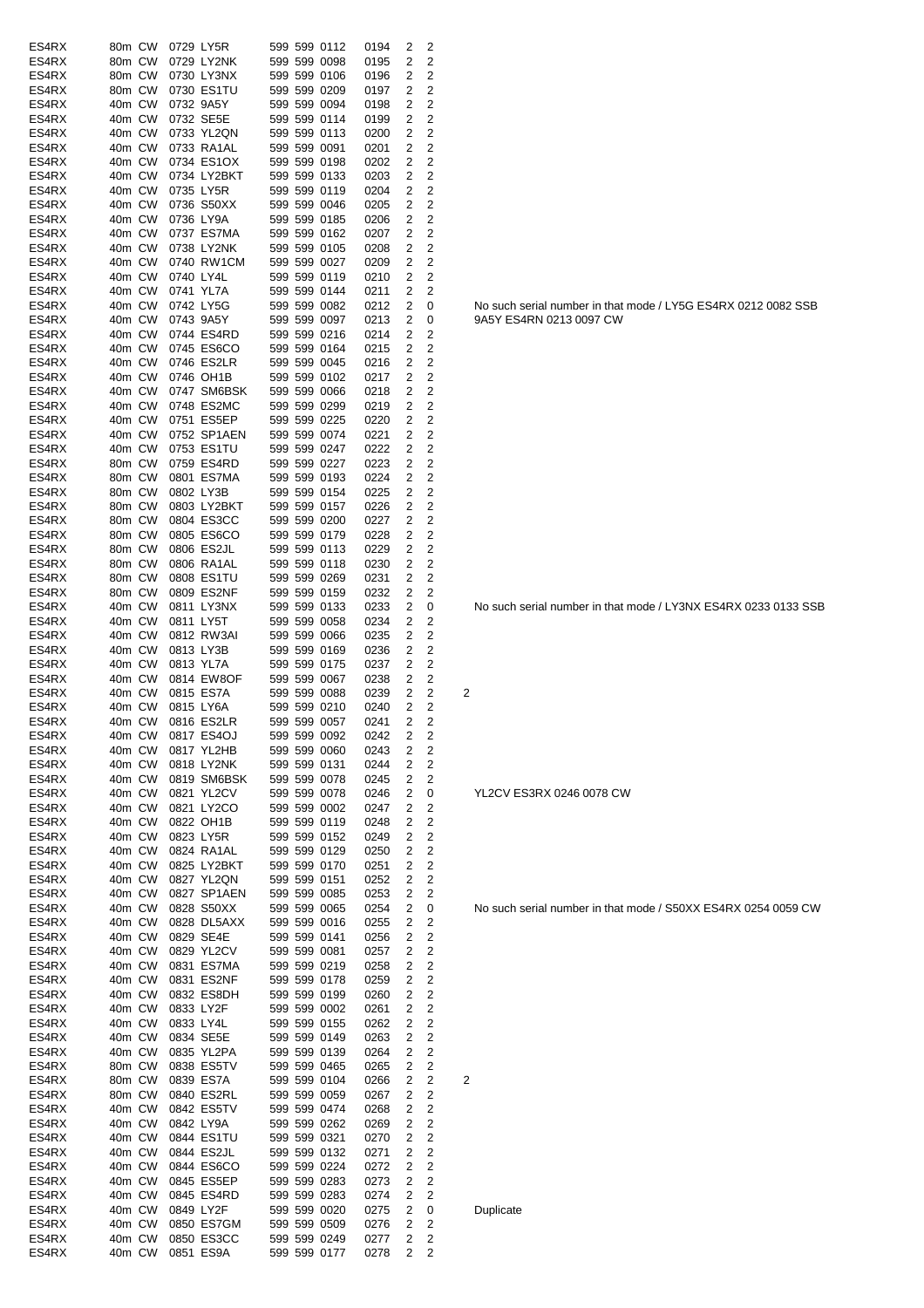| ES4RX | 80m CW |        | 0729 LY5R |                   |  | 599 599 0112 | 0194 | 2                       | 2                       |                                                               |
|-------|--------|--------|-----------|-------------------|--|--------------|------|-------------------------|-------------------------|---------------------------------------------------------------|
| ES4RX | 80m CW |        |           | 0729 LY2NK        |  | 599 599 0098 | 0195 | 2                       | 2                       |                                                               |
| ES4RX | 80m CW |        |           | 0730 LY3NX        |  | 599 599 0106 | 0196 | 2                       | 2                       |                                                               |
| ES4RX | 80m CW |        |           | 0730 ES1TU        |  | 599 599 0209 | 0197 | 2                       | 2                       |                                                               |
| ES4RX | 40m CW |        | 0732 9A5Y |                   |  | 599 599 0094 | 0198 | 2                       | 2                       |                                                               |
| ES4RX | 40m CW |        |           | 0732 SE5E         |  | 599 599 0114 | 0199 | 2                       | 2                       |                                                               |
| ES4RX | 40m CW |        |           | 0733 YL2QN        |  | 599 599 0113 | 0200 | 2                       | 2                       |                                                               |
| ES4RX | 40m CW |        |           | 0733 RA1AL        |  | 599 599 0091 | 0201 | 2                       | $\overline{2}$          |                                                               |
| ES4RX | 40m CW |        |           | 0734 ES1OX        |  | 599 599 0198 | 0202 | 2                       | 2                       |                                                               |
| ES4RX | 40m CW |        |           | 0734 LY2BKT       |  | 599 599 0133 | 0203 | 2                       | 2                       |                                                               |
| ES4RX | 40m CW |        | 0735 LY5R |                   |  | 599 599 0119 | 0204 | 2                       | 2                       |                                                               |
| ES4RX | 40m CW |        |           | 0736 S50XX        |  | 599 599 0046 | 0205 | $\overline{2}$          | $\overline{2}$          |                                                               |
| ES4RX | 40m CW |        | 0736 LY9A |                   |  | 599 599 0185 | 0206 | 2                       | $\overline{2}$          |                                                               |
| ES4RX | 40m CW |        |           | 0737 ES7MA        |  | 599 599 0162 | 0207 | $\overline{\mathbf{c}}$ | 2                       |                                                               |
| ES4RX | 40m CW |        |           | 0738 LY2NK        |  |              |      | 2                       | $\overline{\mathbf{c}}$ |                                                               |
|       |        |        |           |                   |  | 599 599 0105 | 0208 |                         |                         |                                                               |
| ES4RX | 40m CW |        |           | 0740 RW1CM        |  | 599 599 0027 | 0209 | 2                       | 2                       |                                                               |
| ES4RX | 40m CW |        | 0740 LY4L |                   |  | 599 599 0119 | 0210 | 2                       | 2                       |                                                               |
| ES4RX | 40m CW |        | 0741 YL7A |                   |  | 599 599 0144 | 0211 | 2                       | 2                       |                                                               |
| ES4RX | 40m CW |        |           | 0742 LY5G         |  | 599 599 0082 | 0212 | 2                       | 0                       | No such serial number in that mode / LY5G ES4RX 0212 0082 SSB |
| ES4RX | 40m CW |        | 0743 9A5Y |                   |  | 599 599 0097 | 0213 | 2                       | 0                       | 9A5Y ES4RN 0213 0097 CW                                       |
| ES4RX | 40m CW |        |           | 0744 ES4RD        |  | 599 599 0216 | 0214 | 2                       | 2                       |                                                               |
| ES4RX | 40m CW |        |           | 0745 ES6CO        |  | 599 599 0164 | 0215 | 2                       | 2                       |                                                               |
| ES4RX | 40m CW |        |           | 0746 ES2LR        |  | 599 599 0045 | 0216 | 2                       | 2                       |                                                               |
| ES4RX | 40m CW |        |           | 0746 OH1B         |  | 599 599 0102 | 0217 | 2                       | 2                       |                                                               |
| ES4RX | 40m CW |        |           | 0747 SM6BSK       |  | 599 599 0066 | 0218 | 2                       | $\overline{2}$          |                                                               |
| ES4RX | 40m CW |        |           | 0748 ES2MC        |  | 599 599 0299 | 0219 | 2                       | $\overline{2}$          |                                                               |
| ES4RX | 40m CW |        |           | 0751 ES5EP        |  | 599 599 0225 | 0220 | $\overline{2}$          | 2                       |                                                               |
| ES4RX | 40m CW |        |           | 0752 SP1AEN       |  | 599 599 0074 | 0221 | 2                       | 2                       |                                                               |
| ES4RX | 40m CW |        |           | 0753 ES1TU        |  | 599 599 0247 | 0222 | 2                       | 2                       |                                                               |
| ES4RX | 80m CW |        |           | 0759 ES4RD        |  | 599 599 0227 | 0223 | 2                       | 2                       |                                                               |
| ES4RX | 80m CW |        |           | 0801 ES7MA        |  | 599 599 0193 | 0224 | 2                       | 2                       |                                                               |
|       |        |        |           |                   |  |              |      |                         |                         |                                                               |
| ES4RX | 80m CW |        | 0802 LY3B |                   |  | 599 599 0154 | 0225 | $\overline{\mathbf{c}}$ | $\overline{2}$          |                                                               |
| ES4RX | 80m CW |        |           | 0803 LY2BKT       |  | 599 599 0157 | 0226 | 2                       | 2                       |                                                               |
| ES4RX | 80m CW |        |           | 0804 ES3CC        |  | 599 599 0200 | 0227 | 2                       | 2                       |                                                               |
| ES4RX | 80m CW |        |           | 0805 ES6CO        |  | 599 599 0179 | 0228 | 2                       | 2                       |                                                               |
| ES4RX | 80m CW |        |           | 0806 ES2JL        |  | 599 599 0113 | 0229 | $\overline{\mathbf{c}}$ | 2                       |                                                               |
| ES4RX | 80m CW |        |           | 0806 RA1AL        |  | 599 599 0118 | 0230 | 2                       | 2                       |                                                               |
| ES4RX | 80m CW |        |           | 0808 ES1TU        |  | 599 599 0269 | 0231 | 2                       | 2                       |                                                               |
| ES4RX | 80m CW |        |           | 0809 ES2NF        |  | 599 599 0159 | 0232 | 2                       | 2                       |                                                               |
| ES4RX | 40m CW |        |           | 0811 LY3NX        |  | 599 599 0133 | 0233 | $\overline{2}$          | 0                       | No such serial number in that mode / LY3NX ES4RX 0233 0133 SS |
| ES4RX | 40m CW |        | 0811 LY5T |                   |  | 599 599 0058 | 0234 | 2                       | 2                       |                                                               |
| ES4RX | 40m CW |        |           | 0812 RW3AI        |  | 599 599 0066 | 0235 | 2                       | 2                       |                                                               |
| ES4RX | 40m CW |        | 0813 LY3B |                   |  | 599 599 0169 | 0236 | 2                       | 2                       |                                                               |
| ES4RX | 40m CW |        | 0813 YL7A |                   |  | 599 599 0175 | 0237 | 2                       | 2                       |                                                               |
| ES4RX | 40m CW |        |           | 0814 EW8OF        |  | 599 599 0067 | 0238 | 2                       | 2                       |                                                               |
| ES4RX | 40m CW |        |           | 0815 ES7A         |  | 599 599 0088 | 0239 | 2                       | 2                       | 2                                                             |
| ES4RX | 40m CW |        | 0815 LY6A |                   |  | 599 599 0210 | 0240 | 2                       | 2                       |                                                               |
| ES4RX |        | 40m CW |           | 0816 ES2LR        |  | 599 599 0057 | 0241 | 2                       | 2                       |                                                               |
|       |        |        |           |                   |  |              | 0242 |                         |                         |                                                               |
| ES4RX |        |        |           | 40m CW 0817 ES4OJ |  | 599 599 0092 |      | $\overline{2}$          | 2                       |                                                               |
| ES4RX | 40m CW |        |           | 0817 YL2HB        |  | 599 599 0060 | 0243 | 2                       | 2                       |                                                               |
| ES4RX | 40m CW |        |           | 0818 LY2NK        |  | 599 599 0131 | 0244 | 2                       | 2                       |                                                               |
| ES4RX | 40m CW |        |           | 0819 SM6BSK       |  | 599 599 0078 | 0245 | 2                       | 2                       |                                                               |
| ES4RX | 40m CW |        |           | 0821 YL2CV        |  | 599 599 0078 | 0246 | 2                       | 0                       | YL2CV ES3RX 0246 0078 CW                                      |
| ES4RX | 40m CW |        |           | 0821 LY2CO        |  | 599 599 0002 | 0247 | 2                       | 2                       |                                                               |
| ES4RX | 40m CW |        |           | 0822 OH1B         |  | 599 599 0119 | 0248 | 2                       | 2                       |                                                               |
| ES4RX | 40m CW |        |           | 0823 LY5R         |  | 599 599 0152 | 0249 | 2                       | 2                       |                                                               |
| ES4RX | 40m CW |        |           | 0824 RA1AL        |  | 599 599 0129 | 0250 | 2                       | 2                       |                                                               |
| ES4RX | 40m CW |        |           | 0825 LY2BKT       |  | 599 599 0170 | 0251 | 2                       | 2                       |                                                               |
| ES4RX | 40m CW |        |           | 0827 YL2QN        |  | 599 599 0151 | 0252 | 2                       | 2                       |                                                               |
| ES4RX | 40m CW |        |           | 0827 SP1AEN       |  | 599 599 0085 | 0253 | 2                       | 2                       |                                                               |
| ES4RX |        | 40m CW |           | 0828 S50XX        |  | 599 599 0065 | 0254 | 2                       | 0                       | No such serial number in that mode / S50XX ES4RX 0254 0059 CW |
| ES4RX | 40m CW |        |           | 0828 DL5AXX       |  | 599 599 0016 | 0255 | 2                       | 2                       |                                                               |
| ES4RX | 40m CW |        |           | 0829 SE4E         |  | 599 599 0141 | 0256 | 2                       | 2                       |                                                               |
| ES4RX | 40m CW |        |           | 0829 YL2CV        |  | 599 599 0081 | 0257 | 2                       | 2                       |                                                               |
| ES4RX | 40m CW |        |           | 0831 ES7MA        |  | 599 599 0219 | 0258 | 2                       | $\overline{\mathbf{c}}$ |                                                               |
| ES4RX | 40m CW |        |           | 0831 ES2NF        |  | 599 599 0178 | 0259 | 2                       | $\overline{\mathbf{c}}$ |                                                               |
| ES4RX | 40m CW |        |           | 0832 ES8DH        |  | 599 599 0199 | 0260 | 2                       | 2                       |                                                               |
|       |        |        |           |                   |  |              |      |                         |                         |                                                               |
| ES4RX | 40m CW |        | 0833 LY2F |                   |  | 599 599 0002 | 0261 | 2                       | 2                       |                                                               |
| ES4RX | 40m CW |        | 0833 LY4L |                   |  | 599 599 0155 | 0262 | 2                       | 2                       |                                                               |
| ES4RX | 40m CW |        |           | 0834 SE5E         |  | 599 599 0149 | 0263 | 2                       | 2                       |                                                               |
| ES4RX | 40m CW |        |           | 0835 YL2PA        |  | 599 599 0139 | 0264 | 2                       | 2                       |                                                               |
| ES4RX | 80m CW |        |           | 0838 ES5TV        |  | 599 599 0465 | 0265 | 2                       | 2                       |                                                               |
| ES4RX | 80m CW |        |           | 0839 ES7A         |  | 599 599 0104 | 0266 | $\overline{\mathbf{c}}$ | 2                       | 2                                                             |
| ES4RX | 80m CW |        |           | 0840 ES2RL        |  | 599 599 0059 | 0267 | 2                       | 2                       |                                                               |
| ES4RX | 40m CW |        |           | 0842 ES5TV        |  | 599 599 0474 | 0268 | $\overline{\mathbf{c}}$ | 2                       |                                                               |
| ES4RX | 40m CW |        | 0842 LY9A |                   |  | 599 599 0262 | 0269 | 2                       | $\overline{\mathbf{c}}$ |                                                               |
| ES4RX | 40m CW |        |           | 0844 ES1TU        |  | 599 599 0321 | 0270 | 2                       | 2                       |                                                               |
| ES4RX | 40m CW |        |           | 0844 ES2JL        |  | 599 599 0132 | 0271 | 2                       | 2                       |                                                               |
| ES4RX | 40m CW |        |           | 0844 ES6CO        |  | 599 599 0224 | 0272 | 2                       | 2                       |                                                               |
| ES4RX | 40m CW |        |           | 0845 ES5EP        |  | 599 599 0283 | 0273 | 2                       | 2                       |                                                               |
| ES4RX | 40m CW |        |           | 0845 ES4RD        |  | 599 599 0283 | 0274 | 2                       | 2                       |                                                               |
| ES4RX | 40m CW |        | 0849 LY2F |                   |  | 599 599 0020 | 0275 | 2                       | 0                       | Duplicate                                                     |
| ES4RX | 40m CW |        |           | 0850 ES7GM        |  | 599 599 0509 | 0276 | 2                       | 2                       |                                                               |
| ES4RX | 40m CW |        |           | 0850 ES3CC        |  | 599 599 0249 | 0277 | 2                       | 2                       |                                                               |
| ES4RX |        | 40m CW |           | 0851 ES9A         |  | 599 599 0177 | 0278 | 2                       | $\overline{2}$          |                                                               |
|       |        |        |           |                   |  |              |      |                         |                         |                                                               |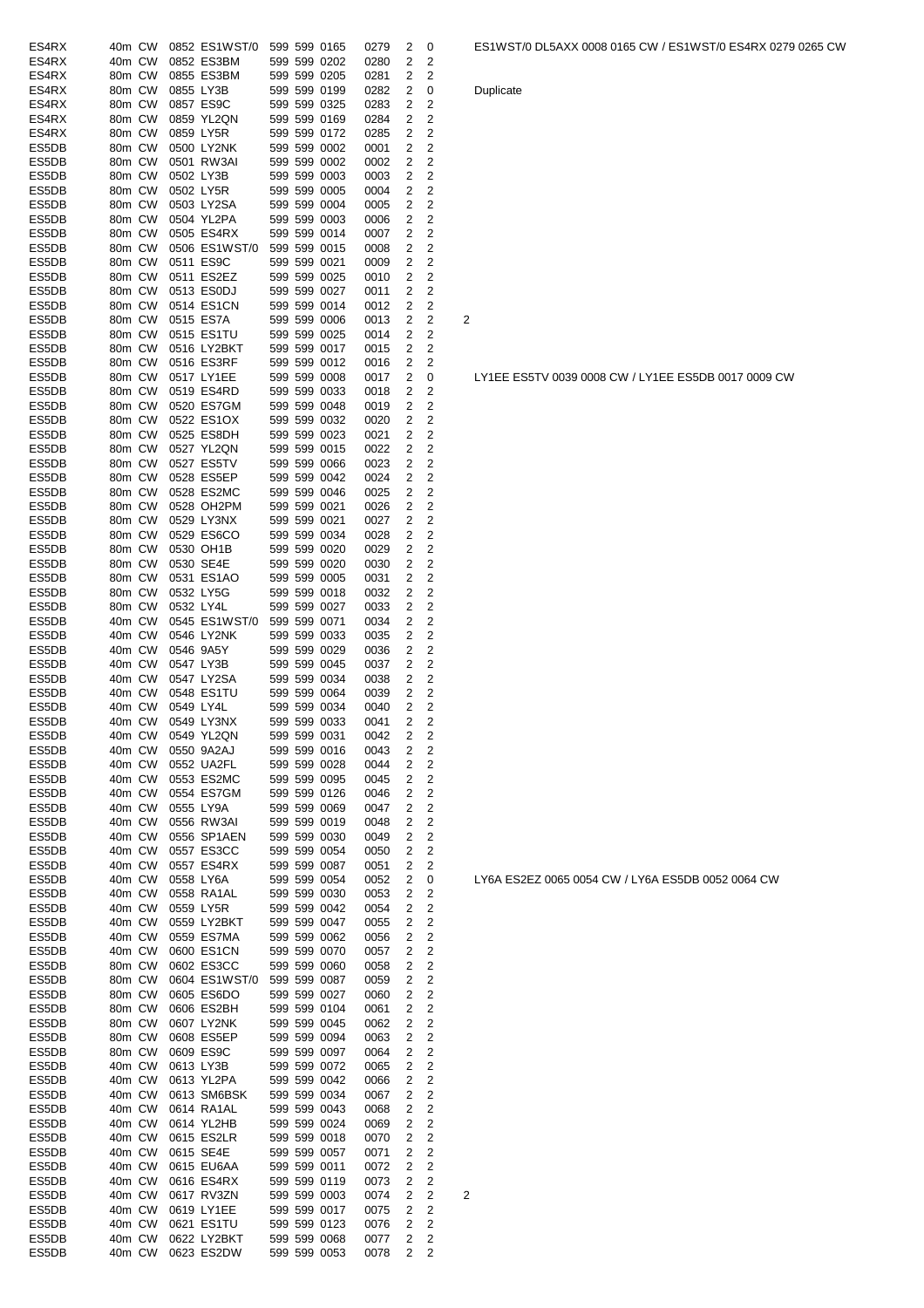| ES4RX | 40m CW |           | 0852 ES1WST/0              |  | 599 599 0165 | 0279 | 2              | 0              |                         |
|-------|--------|-----------|----------------------------|--|--------------|------|----------------|----------------|-------------------------|
| ES4RX | 40m CW |           | 0852 ES3BM                 |  | 599 599 0202 | 0280 | 2              | 2              |                         |
| ES4RX | 80m CW |           | 0855 ES3BM                 |  | 599 599 0205 | 0281 | 2              | 2              |                         |
| ES4RX | 80m CW |           | 0855 LY3B                  |  | 599 599 0199 | 0282 | 2              | 0              |                         |
| ES4RX | 80m CW |           | 0857 ES9C                  |  | 599 599 0325 | 0283 | 2              | 2              |                         |
| ES4RX | 80m CW |           | 0859 YL2QN                 |  | 599 599 0169 | 0284 | 2              | 2              |                         |
| ES4RX | 80m CW |           | 0859 LY5R                  |  | 599 599 0172 | 0285 | 2              | 2              |                         |
| ES5DB | 80m CW |           | 0500 LY2NK                 |  | 599 599 0002 | 0001 | 2              | 2              |                         |
| ES5DB | 80m CW |           | 0501 RW3AI                 |  | 599 599 0002 | 0002 | 2              | 2              |                         |
| ES5DB | 80m CW |           | 0502 LY3B                  |  | 599 599 0003 | 0003 | 2              | 2              |                         |
|       |        |           |                            |  |              |      |                |                |                         |
| ES5DB | 80m CW |           | 0502 LY5R                  |  | 599 599 0005 | 0004 | 2              | 2              |                         |
| ES5DB | 80m CW |           | 0503 LY2SA                 |  | 599 599 0004 | 0005 | 2              | 2              |                         |
| ES5DB | 80m CW |           | 0504 YL2PA                 |  | 599 599 0003 | 0006 | 2              | 2              |                         |
| ES5DB | 80m CW |           | 0505 ES4RX                 |  | 599 599 0014 | 0007 | 2              | 2              |                         |
| ES5DB | 80m CW |           | 0506 ES1WST/0              |  | 599 599 0015 | 0008 | 2              | 2              |                         |
| ES5DB | 80m CW |           | 0511 ES9C                  |  | 599 599 0021 | 0009 | 2              | 2              |                         |
| ES5DB | 80m CW |           | 0511 ES2EZ                 |  | 599 599 0025 | 0010 | 2              | $\overline{c}$ |                         |
| ES5DB | 80m CW |           | 0513 ES0DJ                 |  | 599 599 0027 | 0011 | 2              | 2              |                         |
| ES5DB | 80m CW |           | 0514 ES1CN                 |  | 599 599 0014 | 0012 | 2              | 2              |                         |
| ES5DB | 80m CW |           | 0515 ES7A                  |  | 599 599 0006 | 0013 | 2              | 2              | 2                       |
|       |        |           |                            |  |              |      |                |                |                         |
| ES5DB | 80m CW |           | 0515 ES1TU                 |  | 599 599 0025 | 0014 | 2              | 2              |                         |
| ES5DB | 80m CW |           | 0516 LY2BKT                |  | 599 599 0017 | 0015 | 2              | 2              |                         |
| ES5DB | 80m CW |           | 0516 ES3RF                 |  | 599 599 0012 | 0016 | 2              | 2              |                         |
| ES5DB | 80m CW |           | 0517 LY1EE                 |  | 599 599 0008 | 0017 | 2              | 0              |                         |
| ES5DB | 80m CW |           | 0519 ES4RD                 |  | 599 599 0033 | 0018 | 2              | 2              |                         |
| ES5DB | 80m CW |           | 0520 ES7GM                 |  | 599 599 0048 | 0019 | 2              | 2              |                         |
| ES5DB | 80m CW |           | 0522 ES1OX                 |  | 599 599 0032 | 0020 | 2              | 2              |                         |
|       |        |           |                            |  |              |      |                | $\overline{c}$ |                         |
| ES5DB | 80m CW |           | 0525 ES8DH                 |  | 599 599 0023 | 0021 | 2              |                |                         |
| ES5DB | 80m CW |           | 0527 YL2QN                 |  | 599 599 0015 | 0022 | 2              | 2              |                         |
| ES5DB | 80m CW |           | 0527 ES5TV                 |  | 599 599 0066 | 0023 | 2              | 2              |                         |
| ES5DB | 80m CW |           | 0528 ES5EP                 |  | 599 599 0042 | 0024 | 2              | 2              |                         |
| ES5DB | 80m CW |           | 0528 ES2MC                 |  | 599 599 0046 | 0025 | 2              | 2              |                         |
| ES5DB | 80m CW |           | 0528 OH2PM                 |  | 599 599 0021 | 0026 | 2              | 2              |                         |
| ES5DB | 80m CW |           | 0529 LY3NX                 |  | 599 599 0021 | 0027 | 2              | 2              |                         |
| ES5DB | 80m CW |           | 0529 ES6CO                 |  | 599 599 0034 | 0028 | 2              | 2              |                         |
|       |        |           |                            |  |              |      |                |                |                         |
| ES5DB | 80m CW |           | 0530 OH1B                  |  | 599 599 0020 | 0029 | 2              | 2              |                         |
| ES5DB | 80m CW |           | 0530 SE4E                  |  | 599 599 0020 | 0030 | 2              | 2              |                         |
| ES5DB | 80m CW |           | 0531 ES1AO                 |  | 599 599 0005 | 0031 | 2              | 2              |                         |
| ES5DB | 80m CW |           | 0532 LY5G                  |  | 599 599 0018 | 0032 | 2              | 2              |                         |
| ES5DB | 80m CW | 0532 LY4L |                            |  | 599 599 0027 | 0033 | 2              | 2              |                         |
| ES5DB | 40m CW |           | 0545 ES1WST/0              |  | 599 599 0071 | 0034 | 2              | 2              |                         |
| ES5DB | 40m CW |           | 0546 LY2NK                 |  | 599 599 0033 | 0035 | 2              | 2              |                         |
| ES5DB | 40m CW |           | 0546 9A5Y                  |  | 599 599 0029 | 0036 | 2              | 2              |                         |
|       |        |           |                            |  |              |      |                |                |                         |
| ES5DB | 40m CW |           | 0547 LY3B                  |  | 599 599 0045 | 0037 | 2              | 2              |                         |
| ES5DB | 40m CW |           | 0547 LY2SA                 |  | 599 599 0034 | 0038 | 2              | 2              |                         |
| ES5DB | 40m CW |           | 0548 ES1TU                 |  | 599 599 0064 | 0039 | 2              | 2              |                         |
| ES5DB | 40m CW | 0549 LY4L |                            |  | 599 599 0034 | 0040 | 2              | 2              |                         |
| ES5DB | 40m CW |           | 0549 LY3NX                 |  | 599 599 0033 | 0041 | 2              | 2              |                         |
| ES5DB |        |           | 40m CW 0549 YL2QN          |  | 599 599 0031 | 0042 | $\overline{2}$ | 2              |                         |
| ES5DB | 40m CW |           | 0550 9A2AJ                 |  | 599 599 0016 | 0043 | 2              | 2              |                         |
| ES5DB | 40m CW |           | 0552 UA2FL                 |  | 599 599 0028 | 0044 | 2              | $\overline{c}$ |                         |
|       |        |           |                            |  |              |      |                |                |                         |
| ES5DB | 40m CW |           | 0553 ES2MC                 |  | 599 599 0095 | 0045 | 2              | 2              |                         |
| ES5DB | 40m CW |           | 0554 ES7GM                 |  | 599 599 0126 | 0046 | 2              | 2              |                         |
| ES5DB | 40m CW |           | 0555 LY9A                  |  | 599 599 0069 | 0047 | 2              | $\overline{c}$ |                         |
| ES5DB | 40m CW |           | 0556 RW3AI                 |  | 599 599 0019 | 0048 | 2              | 2              |                         |
| ES5DB | 40m CW |           | 0556 SP1AEN                |  | 599 599 0030 | 0049 | 2              | $\overline{c}$ |                         |
| ES5DB | 40m CW |           | 0557 ES3CC                 |  | 599 599 0054 | 0050 | 2              | $\overline{2}$ |                         |
| ES5DB | 40m CW |           | 0557 ES4RX                 |  | 599 599 0087 | 0051 | 2              | 2              |                         |
| ES5DB | 40m CW |           | 0558 LY6A                  |  | 599 599 0054 | 0052 | 2              | 0              |                         |
| ES5DB | 40m CW |           | 0558 RA1AL                 |  | 599 599 0030 | 0053 | 2              | 2              |                         |
|       | 40m CW |           | 0559 LY5R                  |  | 599 599 0042 |      |                |                |                         |
| ES5DB |        |           |                            |  |              | 0054 | 2              | 2              |                         |
| ES5DB | 40m CW |           | 0559 LY2BKT                |  | 599 599 0047 | 0055 | 2              | 2              |                         |
| ES5DB | 40m CW |           | 0559 ES7MA                 |  | 599 599 0062 | 0056 | 2              | 2              |                         |
| ES5DB | 40m CW |           | 0600 ES1CN                 |  | 599 599 0070 | 0057 | 2              | 2              |                         |
| ES5DB | 80m CW |           | 0602 ES3CC                 |  | 599 599 0060 | 0058 | 2              | 2              |                         |
| ES5DB | 80m CW |           | 0604 ES1WST/0 599 599 0087 |  |              | 0059 | 2              | 2              |                         |
| ES5DB | 80m CW |           | 0605 ES6DO                 |  | 599 599 0027 | 0060 | 2              | 2              |                         |
| ES5DB | 80m CW |           | 0606 ES2BH                 |  | 599 599 0104 | 0061 | 2              | 2              |                         |
| ES5DB | 80m CW |           | 0607 LY2NK                 |  | 599 599 0045 | 0062 | 2              | $\overline{c}$ |                         |
|       |        |           |                            |  |              |      |                |                |                         |
| ES5DB | 80m CW |           | 0608 ES5EP                 |  | 599 599 0094 | 0063 | 2              | 2              |                         |
| ES5DB | 80m CW |           | 0609 ES9C                  |  | 599 599 0097 | 0064 | 2              | 2              |                         |
| ES5DB | 40m CW |           | 0613 LY3B                  |  | 599 599 0072 | 0065 | 2              | 2              |                         |
| ES5DB | 40m CW |           | 0613 YL2PA                 |  | 599 599 0042 | 0066 | 2              | 2              |                         |
| ES5DB | 40m CW |           | 0613 SM6BSK                |  | 599 599 0034 | 0067 | 2              | 2              |                         |
| ES5DB | 40m CW |           | 0614 RA1AL                 |  | 599 599 0043 | 0068 | 2              | 2              |                         |
| ES5DB | 40m CW |           | 0614 YL2HB                 |  | 599 599 0024 | 0069 | 2              | 2              |                         |
| ES5DB | 40m CW |           | 0615 ES2LR                 |  | 599 599 0018 | 0070 | 2              | $\overline{c}$ |                         |
|       |        |           |                            |  |              |      |                |                |                         |
| ES5DB | 40m CW |           | 0615 SE4E                  |  | 599 599 0057 | 0071 | 2              | 2              |                         |
| ES5DB | 40m CW |           | 0615 EU6AA                 |  | 599 599 0011 | 0072 | 2              | 2              |                         |
| ES5DB | 40m CW |           | 0616 ES4RX                 |  | 599 599 0119 | 0073 | 2              | 2              |                         |
| ES5DB | 40m CW |           | 0617 RV3ZN                 |  | 599 599 0003 | 0074 | 2              | 2              | $\overline{\mathbf{c}}$ |
| ES5DB | 40m CW |           | 0619 LY1EE                 |  | 599 599 0017 | 0075 | 2              | $\overline{c}$ |                         |
| ES5DB | 40m CW |           | 0621 ES1TU                 |  | 599 599 0123 | 0076 | 2              | 2              |                         |
| ES5DB | 40m CW |           | 0622 LY2BKT                |  | 599 599 0068 | 0077 | 2              | 2              |                         |
| ES5DB | 40m CW |           | 0623 ES2DW 599 599 0053    |  |              | 0078 | 2              | 2              |                         |

# **Duplicate**

LY1EE ES5TV 0039 0008 CW / LY1EE ES5DB 0017 0009 CW

LY6A ES2EZ 0065 0054 CW / LY6A ES5DB 0052 0064 CW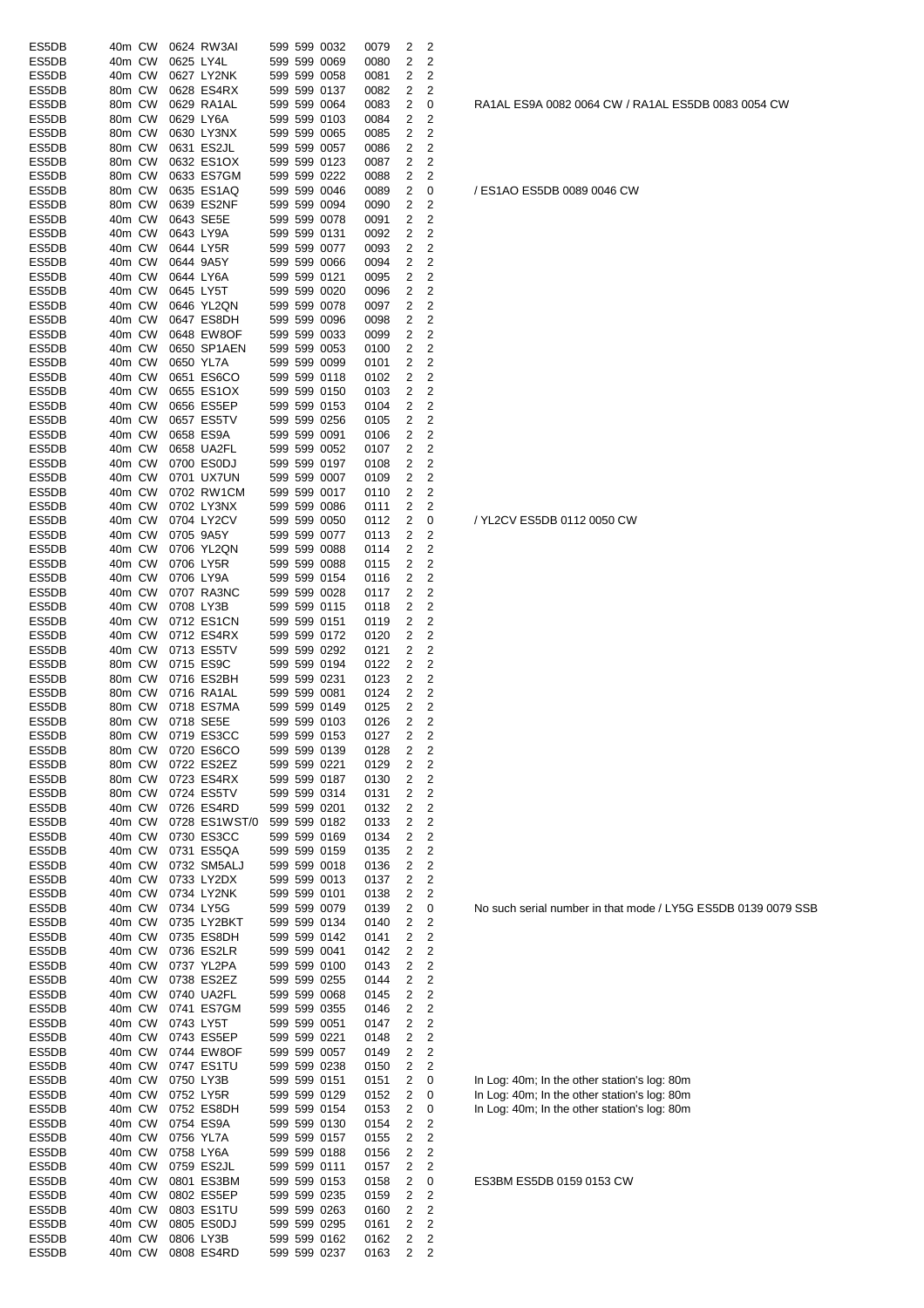| ES5DB          | 40m CW           |  | 0624 RW3AI               |  | 599 599 0032                 | 0079         | 2              | 2      |                                                                                              |
|----------------|------------------|--|--------------------------|--|------------------------------|--------------|----------------|--------|----------------------------------------------------------------------------------------------|
| ES5DB          | 40m CW           |  | 0625 LY4L                |  | 599 599 0069                 | 0080         | 2              | 2      |                                                                                              |
| ES5DB          | 40m CW           |  | 0627 LY2NK               |  | 599 599 0058                 | 0081         | 2              | 2      |                                                                                              |
| ES5DB<br>ES5DB | 80m CW<br>80m CW |  | 0628 ES4RX<br>0629 RA1AL |  | 599 599 0137                 | 0082         | 2              | 2      |                                                                                              |
| ES5DB          | 80m CW           |  | 0629 LY6A                |  | 599 599 0064<br>599 599 0103 | 0083<br>0084 | 2<br>2         | 0<br>2 | RA1AL ES9A 0082 0064 CW / RA1AL ES5                                                          |
| ES5DB          | 80m CW           |  | 0630 LY3NX               |  | 599 599 0065                 | 0085         | 2              | 2      |                                                                                              |
| ES5DB          | 80m CW           |  | 0631 ES2JL               |  | 599 599 0057                 | 0086         | 2              | 2      |                                                                                              |
| ES5DB          | 80m CW           |  | 0632 ES1OX               |  | 599 599 0123                 | 0087         | 2              | 2      |                                                                                              |
| ES5DB          | 80m CW           |  | 0633 ES7GM               |  | 599 599 0222                 | 0088         | 2              | 2      |                                                                                              |
| ES5DB          | 80m CW           |  | 0635 ES1AQ               |  | 599 599 0046                 | 0089         | 2              | 0      | / ES1AO ES5DB 0089 0046 CW                                                                   |
| ES5DB          | 80m CW           |  | 0639 ES2NF               |  | 599 599 0094                 | 0090         | 2              | 2      |                                                                                              |
| ES5DB          | 40m CW           |  | 0643 SE5E                |  | 599 599 0078                 | 0091         | 2              | 2      |                                                                                              |
| ES5DB<br>ES5DB | 40m CW<br>40m CW |  | 0643 LY9A<br>0644 LY5R   |  | 599 599 0131<br>599 599 0077 | 0092<br>0093 | 2<br>2         | 2<br>2 |                                                                                              |
| ES5DB          | 40m CW           |  | 0644 9A5Y                |  | 599 599 0066                 | 0094         | 2              | 2      |                                                                                              |
| ES5DB          | 40m CW           |  | 0644 LY6A                |  | 599 599 0121                 | 0095         | 2              | 2      |                                                                                              |
| ES5DB          | 40m CW           |  | 0645 LY5T                |  | 599 599 0020                 | 0096         | 2              | 2      |                                                                                              |
| ES5DB          | 40m CW           |  | 0646 YL2QN               |  | 599 599 0078                 | 0097         | 2              | 2      |                                                                                              |
| ES5DB          | 40m CW           |  | 0647 ES8DH               |  | 599 599 0096                 | 0098         | 2              | 2      |                                                                                              |
| ES5DB          | 40m CW           |  | 0648 EW8OF               |  | 599 599 0033                 | 0099         | 2              | 2      |                                                                                              |
| ES5DB          | 40m CW           |  | 0650 SP1AEN              |  | 599 599 0053                 | 0100         | 2              | 2      |                                                                                              |
| ES5DB<br>ES5DB | 40m CW<br>40m CW |  | 0650 YL7A<br>0651 ES6CO  |  | 599 599 0099<br>599 599 0118 | 0101<br>0102 | 2<br>2         | 2<br>2 |                                                                                              |
| ES5DB          | 40m CW           |  | 0655 ES1OX               |  | 599 599 0150                 | 0103         | 2              | 2      |                                                                                              |
| ES5DB          | 40m CW           |  | 0656 ES5EP               |  | 599 599 0153                 | 0104         | 2              | 2      |                                                                                              |
| ES5DB          | 40m CW           |  | 0657 ES5TV               |  | 599 599 0256                 | 0105         | 2              | 2      |                                                                                              |
| ES5DB          | 40m CW           |  | 0658 ES9A                |  | 599 599 0091                 | 0106         | 2              | 2      |                                                                                              |
| ES5DB          | 40m CW           |  | 0658 UA2FL               |  | 599 599 0052                 | 0107         | 2              | 2      |                                                                                              |
| ES5DB          | 40m CW           |  | 0700 ES0DJ               |  | 599 599 0197                 | 0108         | 2              | 2      |                                                                                              |
| ES5DB          | 40m CW           |  | 0701 UX7UN               |  | 599 599 0007                 | 0109         | 2              | 2      |                                                                                              |
| ES5DB          | 40m CW           |  | 0702 RW1CM               |  | 599 599 0017                 | 0110         | 2              | 2      |                                                                                              |
| ES5DB          | 40m CW           |  | 0702 LY3NX               |  | 599 599 0086                 | 0111         | 2              | 2      |                                                                                              |
| ES5DB<br>ES5DB | 40m CW<br>40m CW |  | 0704 LY2CV<br>0705 9A5Y  |  | 599 599 0050<br>599 599 0077 | 0112<br>0113 | 2<br>2         | 0<br>2 | / YL2CV ES5DB 0112 0050 CW                                                                   |
| ES5DB          | 40m CW           |  | 0706 YL2QN               |  | 599 599 0088                 | 0114         | 2              | 2      |                                                                                              |
| ES5DB          | 40m CW           |  | 0706 LY5R                |  | 599 599 0088                 | 0115         | 2              | 2      |                                                                                              |
| ES5DB          | 40m CW           |  | 0706 LY9A                |  | 599 599 0154                 | 0116         | 2              | 2      |                                                                                              |
| ES5DB          | 40m CW           |  | 0707 RA3NC               |  | 599 599 0028                 | 0117         | 2              | 2      |                                                                                              |
| ES5DB          | 40m CW           |  | 0708 LY3B                |  | 599 599 0115                 | 0118         | 2              | 2      |                                                                                              |
| ES5DB          | 40m CW           |  | 0712 ES1CN               |  | 599 599 0151                 | 0119         | 2              | 2      |                                                                                              |
| ES5DB          | 40m CW           |  | 0712 ES4RX               |  | 599 599 0172                 | 0120         | 2              | 2      |                                                                                              |
| ES5DB          | 40m CW           |  | 0713 ES5TV               |  | 599 599 0292                 | 0121         | 2              | 2      |                                                                                              |
| ES5DB<br>ES5DB | 80m CW<br>80m CW |  | 0715 ES9C<br>0716 ES2BH  |  | 599 599 0194<br>599 599 0231 | 0122<br>0123 | 2<br>2         | 2<br>2 |                                                                                              |
| ES5DB          | 80m CW           |  | 0716 RA1AL               |  | 599 599 0081                 | 0124         | 2              | 2      |                                                                                              |
| ES5DB          | 80m CW           |  | 0718 ES7MA               |  | 599 599 0149                 | 0125         | 2              | 2      |                                                                                              |
| ES5DB          |                  |  | 80m CW 0718 SE5E         |  | 599 599 0103                 | 0126         | 2              | 2      |                                                                                              |
| ES5DB          |                  |  | 80m CW 0719 ES3CC        |  | 599 599 0153                 | 0127         | $\overline{c}$ | 2      |                                                                                              |
| ES5DB          | 80m CW           |  | 0720 ES6CO               |  | 599 599 0139                 | 0128         | 2              | 2      |                                                                                              |
| ES5DB          | 80m CW           |  | 0722 ES2EZ               |  | 599 599 0221                 | 0129         | 2              | 2      |                                                                                              |
| ES5DB          | 80m CW           |  | 0723 ES4RX               |  | 599 599 0187                 | 0130         | 2              | 2      |                                                                                              |
| ES5DB<br>ES5DB | 80m CW<br>40m CW |  | 0724 ES5TV<br>0726 ES4RD |  | 599 599 0314<br>599 599 0201 | 0131<br>0132 | 2<br>2         | 2<br>2 |                                                                                              |
| ES5DB          | 40m CW           |  | 0728 ES1WST/0            |  | 599 599 0182                 | 0133         | 2              | 2      |                                                                                              |
| ES5DB          | 40m CW           |  | 0730 ES3CC               |  | 599 599 0169                 | 0134         | 2              | 2      |                                                                                              |
| ES5DB          | 40m CW           |  | 0731 ES5QA               |  | 599 599 0159                 | 0135         | 2              | 2      |                                                                                              |
| ES5DB          | 40m CW           |  | 0732 SM5ALJ              |  | 599 599 0018                 | 0136         | 2              | 2      |                                                                                              |
| ES5DB          | 40m CW           |  | 0733 LY2DX               |  | 599 599 0013                 | 0137         | 2              | 2      |                                                                                              |
| ES5DB          | 40m CW           |  | 0734 LY2NK               |  | 599 599 0101                 | 0138         | 2              | 2      |                                                                                              |
| ES5DB          | 40m CW           |  | 0734 LY5G                |  | 599 599 0079                 | 0139         | 2              | 0      | No such serial number in that mode / LY50                                                    |
| ES5DB          | 40m CW           |  | 0735 LY2BKT              |  | 599 599 0134                 | 0140         | 2              | 2      |                                                                                              |
| ES5DB<br>ES5DB | 40m CW<br>40m CW |  | 0735 ES8DH<br>0736 ES2LR |  | 599 599 0142<br>599 599 0041 | 0141<br>0142 | 2<br>2         | 2<br>2 |                                                                                              |
| ES5DB          | 40m CW           |  | 0737 YL2PA               |  | 599 599 0100                 | 0143         | 2              | 2      |                                                                                              |
| ES5DB          | 40m CW           |  | 0738 ES2EZ               |  | 599 599 0255                 | 0144         | 2              | 2      |                                                                                              |
| ES5DB          | 40m CW           |  | 0740 UA2FL               |  | 599 599 0068                 | 0145         | 2              | 2      |                                                                                              |
| ES5DB          | 40m CW           |  | 0741 ES7GM               |  | 599 599 0355                 | 0146         | 2              | 2      |                                                                                              |
| ES5DB          | 40m CW           |  | 0743 LY5T                |  | 599 599 0051                 | 0147         | 2              | 2      |                                                                                              |
| ES5DB          | 40m CW           |  | 0743 ES5EP               |  | 599 599 0221                 | 0148         | 2              | 2      |                                                                                              |
| ES5DB          | 40m CW           |  | 0744 EW8OF               |  | 599 599 0057                 | 0149         | 2              | 2      |                                                                                              |
| ES5DB          | 40m CW           |  | 0747 ES1TU               |  | 599 599 0238                 | 0150         | 2              | 2      |                                                                                              |
| ES5DB<br>ES5DB | 40m CW<br>40m CW |  | 0750 LY3B<br>0752 LY5R   |  | 599 599 0151<br>599 599 0129 | 0151<br>0152 | 2<br>2         | 0<br>0 | In Log: 40m; In the other station's log: 80m<br>In Log: 40m; In the other station's log: 80m |
| ES5DB          | 40m CW           |  | 0752 ES8DH               |  | 599 599 0154                 | 0153         | 2              | 0      | In Log: 40m; In the other station's log: 80m                                                 |
| ES5DB          | 40m CW           |  | 0754 ES9A                |  | 599 599 0130                 | 0154         | 2              | 2      |                                                                                              |
| ES5DB          | 40m CW           |  | 0756 YL7A                |  | 599 599 0157                 | 0155         | 2              | 2      |                                                                                              |
| ES5DB          | 40m CW           |  | 0758 LY6A                |  | 599 599 0188                 | 0156         | 2              | 2      |                                                                                              |
| ES5DB          | 40m CW           |  | 0759 ES2JL               |  | 599 599 0111                 | 0157         | 2              | 2      |                                                                                              |
| ES5DB          | 40m CW           |  | 0801 ES3BM               |  | 599 599 0153                 | 0158         | 2              | 0      | ES3BM ES5DB 0159 0153 CW                                                                     |
| ES5DB          | 40m CW           |  | 0802 ES5EP               |  | 599 599 0235                 | 0159         | 2              | 2      |                                                                                              |
| ES5DB          | 40m CW           |  | 0803 ES1TU               |  | 599 599 0263                 | 0160         | 2              | 2      |                                                                                              |
| ES5DB<br>ES5DB | 40m CW<br>40m CW |  | 0805 ES0DJ<br>0806 LY3B  |  | 599 599 0295<br>599 599 0162 | 0161<br>0162 | 2<br>2         | 2<br>2 |                                                                                              |
| ES5DB          | 40m CW           |  | 0808 ES4RD               |  | 599 599 0237                 | 0163         | 2              | 2      |                                                                                              |
|                |                  |  |                          |  |                              |              |                |        |                                                                                              |

RA1AL ES9A 0082 0064 CW / RA1AL ES5DB 0083 0054 CW

No such serial number in that mode / LY5G ES5DB 0139 0079 SSB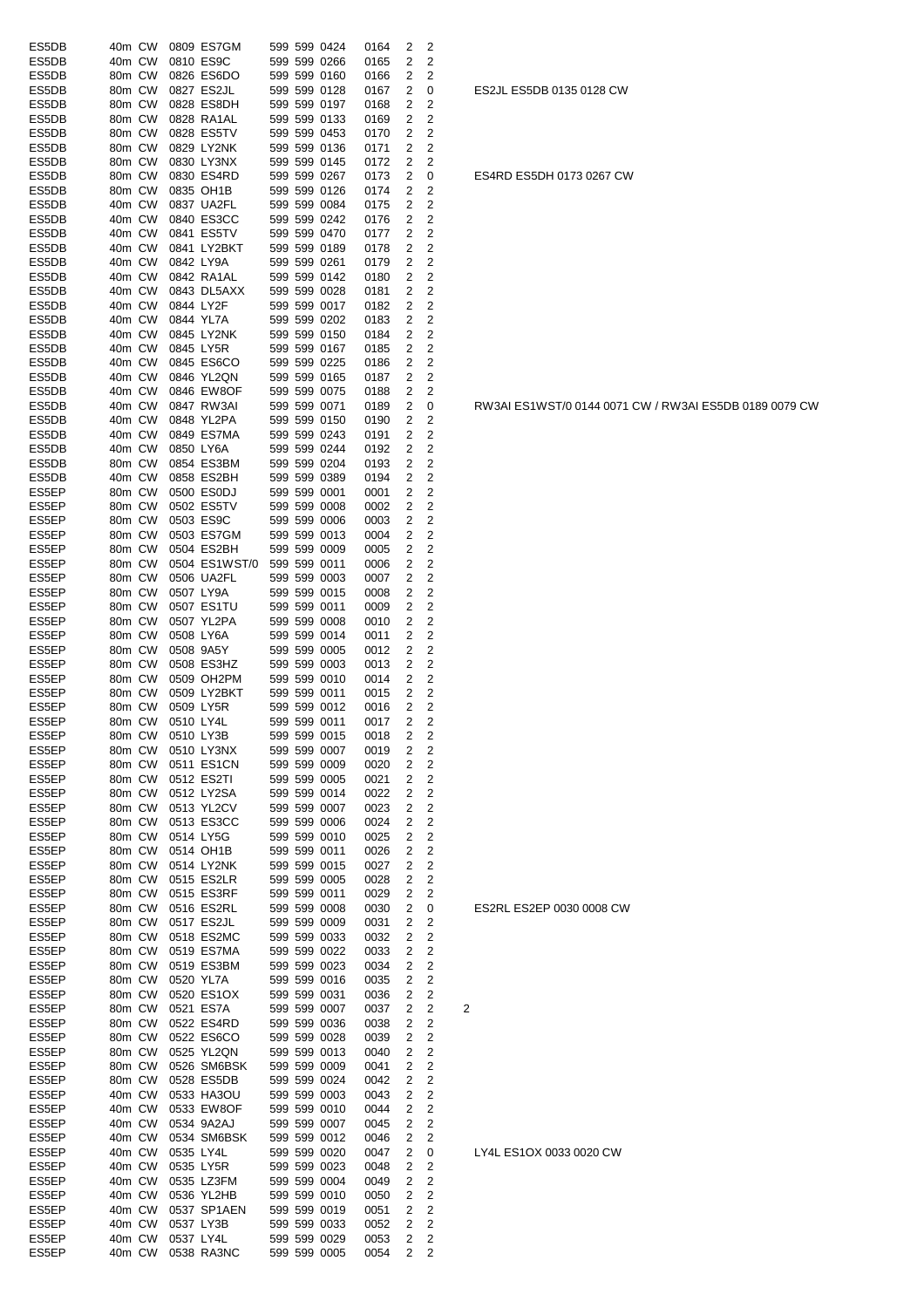| ES5DB          | 40m CW |        |           | 0809 ES7GM                           |  | 599 599 0424                 | 0164         | 2              | 2                       |                |
|----------------|--------|--------|-----------|--------------------------------------|--|------------------------------|--------------|----------------|-------------------------|----------------|
| ES5DB          | 40m CW |        |           | 0810 ES9C                            |  | 599 599 0266                 | 0165         | 2              | 2                       |                |
| ES5DB          | 80m CW |        |           | 0826 ES6DO                           |  | 599 599 0160                 | 0166         | 2              | 2                       |                |
| ES5DB          | 80m CW |        |           | 0827 ES2JL                           |  | 599 599 0128                 | 0167         | 2              | 0                       |                |
| ES5DB          | 80m CW |        |           | 0828 ES8DH                           |  | 599 599 0197                 | 0168         | 2              | 2                       |                |
| ES5DB          | 80m CW |        |           | 0828 RA1AL                           |  | 599 599 0133                 | 0169         | 2              | 2                       |                |
| ES5DB          | 80m CW |        |           | 0828 ES5TV                           |  | 599 599 0453                 | 0170         | 2              | 2                       |                |
| ES5DB          | 80m CW |        |           | 0829 LY2NK                           |  | 599 599 0136                 | 0171         | 2              | 2                       |                |
| ES5DB          | 80m CW |        |           | 0830 LY3NX                           |  | 599 599 0145                 | 0172         | 2              | 2                       |                |
| ES5DB          | 80m CW |        |           | 0830 ES4RD                           |  | 599 599 0267                 | 0173         | 2              | 0                       |                |
| ES5DB          | 80m CW |        |           | 0835 OH1B                            |  | 599 599 0126                 | 0174         | 2              | 2                       |                |
| ES5DB          | 40m CW |        |           | 0837 UA2FL                           |  | 599 599 0084                 | 0175         | 2              | 2                       |                |
| ES5DB          | 40m CW |        |           | 0840 ES3CC                           |  | 599 599 0242                 | 0176         | 2              | 2                       |                |
| ES5DB          | 40m CW |        |           | 0841 ES5TV                           |  | 599 599 0470                 | 0177         | 2              | 2                       |                |
| ES5DB          | 40m CW |        |           | 0841 LY2BKT                          |  | 599 599 0189                 | 0178         | 2              | 2                       |                |
| ES5DB          | 40m CW |        |           | 0842 LY9A                            |  | 599 599 0261                 | 0179         | 2              | 2                       |                |
| ES5DB          | 40m CW |        |           | 0842 RA1AL                           |  | 599 599 0142                 | 0180         | 2              | $\overline{c}$          |                |
| ES5DB          | 40m CW |        |           | 0843 DL5AXX                          |  | 599 599 0028                 | 0181         | 2              | 2                       |                |
| ES5DB          | 40m CW |        |           | 0844 LY2F                            |  | 599 599 0017                 | 0182         | 2              | 2                       |                |
|                |        |        |           |                                      |  |                              |              |                |                         |                |
| ES5DB          | 40m CW |        |           | 0844 YL7A                            |  | 599 599 0202                 | 0183         | 2              | 2                       |                |
| ES5DB          | 40m CW |        |           | 0845 LY2NK                           |  | 599 599 0150                 | 0184         | 2              | 2                       |                |
| ES5DB          | 40m CW |        |           | 0845 LY5R                            |  | 599 599 0167                 | 0185         | 2              | 2                       |                |
| ES5DB          | 40m CW |        |           | 0845 ES6CO                           |  | 599 599 0225                 | 0186         | 2              | 2                       |                |
| ES5DB          | 40m CW |        |           | 0846 YL2QN                           |  | 599 599 0165                 | 0187         | 2              | 2                       |                |
| ES5DB          | 40m CW |        |           | 0846 EW8OF                           |  | 599 599 0075                 | 0188         | 2              | 2                       |                |
| ES5DB          | 40m CW |        |           | 0847 RW3AI                           |  | 599 599 0071                 | 0189         | 2              | 0                       |                |
| ES5DB          | 40m CW |        |           | 0848 YL2PA                           |  | 599 599 0150                 | 0190         | 2              | 2                       |                |
| ES5DB          | 40m CW |        |           | 0849 ES7MA                           |  | 599 599 0243                 | 0191         | 2              | 2                       |                |
| ES5DB          | 40m CW |        |           | 0850 LY6A                            |  | 599 599 0244                 | 0192         | 2              | $\overline{2}$          |                |
| ES5DB          | 80m CW |        |           | 0854 ES3BM                           |  | 599 599 0204                 | 0193         | 2              | 2                       |                |
| ES5DB          | 40m CW |        |           | 0858 ES2BH                           |  | 599 599 0389                 | 0194         | 2              | 2                       |                |
| ES5EP          | 80m CW |        |           | 0500 ES0DJ                           |  | 599 599 0001                 | 0001         | 2              | 2                       |                |
| ES5EP          | 80m CW |        |           | 0502 ES5TV                           |  | 599 599 0008                 | 0002         | 2              | 2                       |                |
| ES5EP          | 80m CW |        |           | 0503 ES9C                            |  | 599 599 0006                 | 0003         | 2              | 2                       |                |
| ES5EP          | 80m CW |        |           | 0503 ES7GM                           |  | 599 599 0013                 | 0004         | 2              | 2                       |                |
| ES5EP          | 80m CW |        |           | 0504 ES2BH                           |  | 599 599 0009                 | 0005         | 2              | 2                       |                |
| ES5EP          | 80m CW |        |           | 0504 ES1WST/0                        |  | 599 599 0011                 | 0006         | 2              | 2                       |                |
| ES5EP          | 80m CW |        |           | 0506 UA2FL                           |  | 599 599 0003                 | 0007         | 2              | 2                       |                |
| ES5EP          | 80m CW |        |           | 0507 LY9A                            |  | 599 599 0015                 | 0008         | 2              | 2                       |                |
| ES5EP          | 80m CW |        |           | 0507 ES1TU                           |  | 599 599 0011                 | 0009         | 2              | 2                       |                |
| ES5EP          | 80m CW |        |           | 0507 YL2PA                           |  | 599 599 0008                 | 0010         | 2              | 2                       |                |
| ES5EP          | 80m CW |        |           | 0508 LY6A                            |  | 599 599 0014                 |              | 2              | 2                       |                |
|                |        |        |           |                                      |  |                              | 0011         |                |                         |                |
| ES5EP          | 80m CW |        |           | 0508 9A5Y                            |  | 599 599 0005                 | 0012         | 2              | 2                       |                |
| ES5EP          | 80m CW |        |           | 0508 ES3HZ                           |  | 599 599 0003                 | 0013         | 2              | 2                       |                |
| ES5EP          | 80m CW |        |           | 0509 OH2PM                           |  | 599 599 0010                 | 0014         | 2              | 2                       |                |
| ES5EP          | 80m CW |        |           | 0509 LY2BKT                          |  | 599 599 0011                 | 0015         | 2              | 2                       |                |
| ES5EP          | 80m CW |        |           | 0509 LY5R                            |  | 599 599 0012                 | 0016         | 2              | 2                       |                |
| ES5EP          | 80m CW |        | 0510 LY4L |                                      |  | 599 599 0011                 | 0017         | 2              | 2                       |                |
| ES5EP          |        |        |           | 80m CW 0510 LY3B                     |  | 599 599 0015                 | 0018         | $\overline{2}$ | 2                       |                |
| ES5EP          |        | 80m CW |           | 0510 LY3NX                           |  | 599 599 0007                 | 0019         | 2              | 2                       |                |
| ES5EP          |        | 80m CW |           | 0511 ES1CN                           |  | 599 599 0009                 | 0020         | 2              | 2                       |                |
| ES5EP          | 80m CW |        |           | 0512 ES2TI                           |  | 599 599 0005                 | 0021         | 2              | 2                       |                |
| ES5EP          | 80m CW |        |           | 0512 LY2SA                           |  | 599 599 0014                 | 0022         | 2              | $\overline{c}$          |                |
| ES5EP          | 80m CW |        |           | 0513 YL2CV                           |  | 599 599 0007                 | 0023         | 2              | $\overline{c}$          |                |
| ES5EP          | 80m CW |        |           | 0513 ES3CC                           |  | 599 599 0006                 | 0024         | 2              | 2                       |                |
| ES5EP          | 80m CW |        |           | 0514 LY5G                            |  | 599 599 0010                 | 0025         | 2              | $\overline{c}$          |                |
| ES5EP          | 80m CW |        |           | 0514 OH1B                            |  | 599 599 0011                 | 0026         | 2              | 2                       |                |
| ES5EP          | 80m CW |        |           | 0514 LY2NK                           |  | 599 599 0015                 | 0027         | 2              | $\overline{c}$          |                |
| ES5EP          | 80m CW |        |           | 0515 ES2LR                           |  | 599 599 0005                 | 0028         | 2              | $\overline{\mathbf{c}}$ |                |
| ES5EP          | 80m CW |        |           | 0515 ES3RF                           |  | 599 599 0011                 | 0029         | 2              | $\overline{c}$          |                |
| ES5EP          | 80m CW |        |           | 0516 ES2RL                           |  | 599 599 0008                 | 0030         | 2              | 0                       |                |
| ES5EP          |        | 80m CW |           | 0517 ES2JL                           |  | 599 599 0009                 | 0031         | 2              | $\overline{c}$          |                |
| ES5EP          |        | 80m CW |           | 0518 ES2MC                           |  | 599 599 0033                 | 0032         | 2              | 2                       |                |
| ES5EP          | 80m CW |        |           | 0519 ES7MA                           |  | 599 599 0022                 | 0033         | 2              | 2                       |                |
| ES5EP          |        | 80m CW |           | 0519 ES3BM                           |  | 599 599 0023                 | 0034         | 2              | 2                       |                |
| ES5EP          | 80m CW |        |           | 0520 YL7A                            |  | 599 599 0016                 | 0035         | 2              | 2                       |                |
| ES5EP          | 80m CW |        |           | 0520 ES1OX                           |  | 599 599 0031                 | 0036         | 2              | $\overline{c}$          |                |
| ES5EP          | 80m CW |        |           | 0521 ES7A                            |  | 599 599 0007                 | 0037         | 2              | 2                       | $\overline{c}$ |
| ES5EP          | 80m CW |        |           | 0522 ES4RD                           |  | 599 599 0036                 | 0038         | 2              | 2                       |                |
| ES5EP          | 80m CW |        |           | 0522 ES6CO                           |  | 599 599 0028                 | 0039         | 2              | 2                       |                |
| ES5EP          |        | 80m CW |           | 0525 YL2QN                           |  | 599 599 0013                 | 0040         | 2              | 2                       |                |
| ES5EP          | 80m CW |        |           | 0526 SM6BSK                          |  | 599 599 0009                 |              | 2              | 2                       |                |
|                |        |        |           | 0528 ES5DB                           |  | 599 599 0024                 | 0041         |                | $\overline{c}$          |                |
| ES5EP          | 80m CW |        |           |                                      |  |                              | 0042         | 2              |                         |                |
| ES5EP          | 40m CW |        |           | 0533 HA3OU                           |  | 599 599 0003                 | 0043         | 2              | 2                       |                |
| ES5EP          | 40m CW |        |           | 0533 EW8OF                           |  | 599 599 0010                 | 0044         | 2              | 2                       |                |
| ES5EP          | 40m CW |        |           | 0534 9A2AJ                           |  | 599 599 0007                 | 0045         | 2              | 2                       |                |
| ES5EP          |        |        |           | 0534 SM6BSK                          |  | 599 599 0012                 | 0046         | 2              | 2                       |                |
|                | 40m CW |        |           |                                      |  |                              |              |                |                         |                |
| ES5EP          | 40m CW |        |           | 0535 LY4L                            |  | 599 599 0020                 | 0047         | 2              | 0                       |                |
| ES5EP          | 40m CW |        |           | 0535 LY5R                            |  | 599 599 0023                 | 0048         | 2              | 2                       |                |
| ES5EP          | 40m CW |        |           | 0535 LZ3FM                           |  | 599 599 0004                 | 0049         | 2              | 2                       |                |
| ES5EP          | 40m CW |        |           | 0536 YL2HB                           |  | 599 599 0010                 | 0050         | 2              | 2                       |                |
| ES5EP          | 40m CW |        |           | 0537 SP1AEN                          |  | 599 599 0019                 | 0051         | 2              | $\overline{c}$          |                |
| ES5EP          | 40m CW |        |           | 0537 LY3B                            |  |                              | 0052         | 2              | 2                       |                |
| ES5EP<br>ES5EP | 40m CW | 40m CW |           | 0537 LY4L<br>0538 RA3NC 599 599 0005 |  | 599 599 0033<br>599 599 0029 | 0053<br>0054 | 2<br>2         | $\overline{c}$<br>2     |                |

# LY4L ES1OX 0033 0020 CW

### ES2RL ES2EP 0030 0008 CW

RW3AI ES1WST/0 0144 0071 CW / RW3AI ES5DB 0189 0079 CW

ES4RD ES5DH 0173 0267 CW

ES2JL ES5DB 0135 0128 CW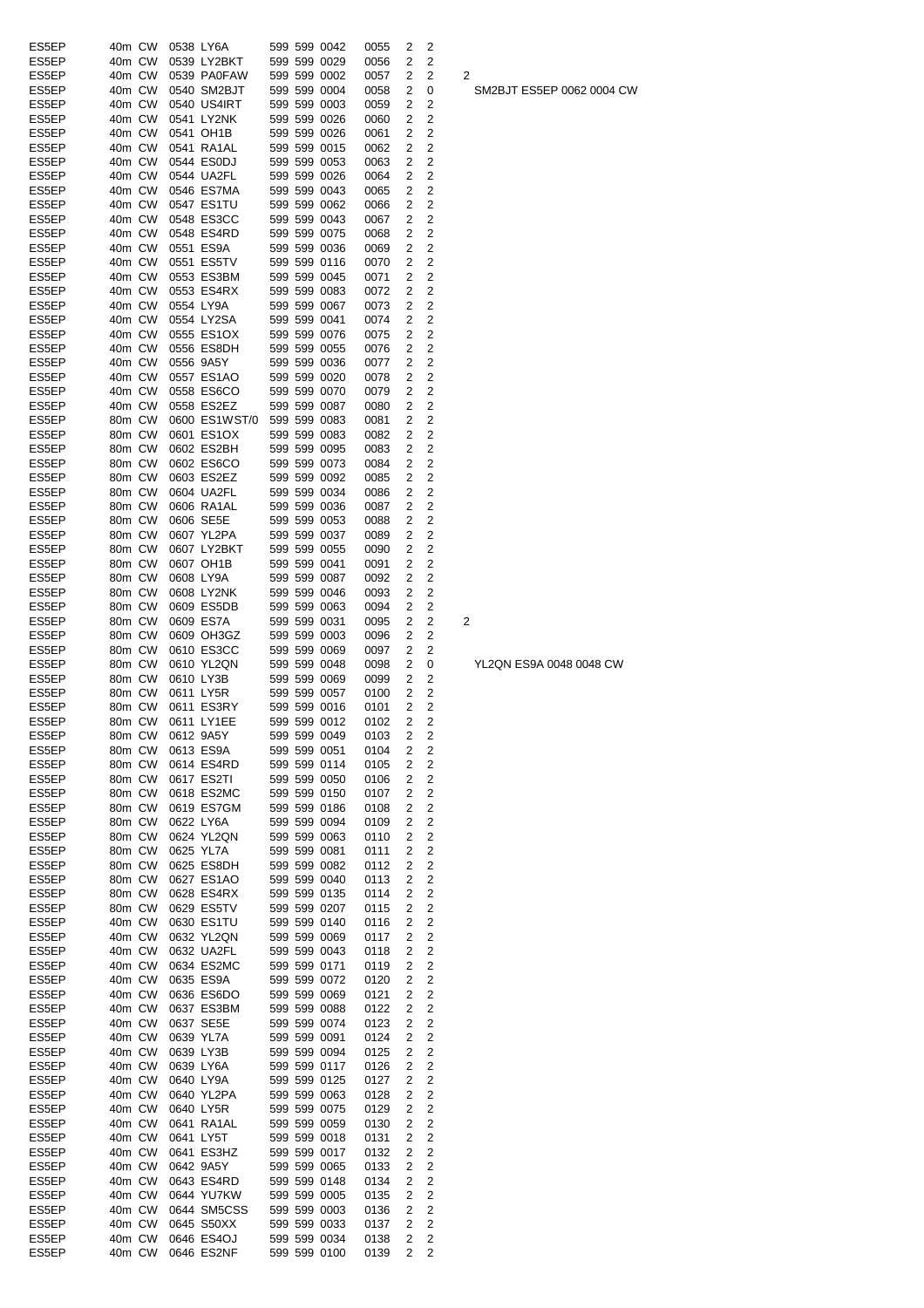| ES5EP | 40m CW |  | 0538 LY6A     |  | 599 599 0042 | 0055 | 2 | 2              |   |
|-------|--------|--|---------------|--|--------------|------|---|----------------|---|
| ES5EP | 40m CW |  | 0539 LY2BKT   |  | 599 599 0029 | 0056 | 2 | 2              |   |
|       |        |  |               |  |              |      |   |                |   |
| ES5EP | 40m CW |  | 0539 PA0FAW   |  | 599 599 0002 | 0057 | 2 | 2              | 2 |
| ES5EP | 40m CW |  | 0540 SM2BJT   |  | 599 599 0004 | 0058 | 2 | 0              |   |
| ES5EP | 40m CW |  | 0540 US4IRT   |  | 599 599 0003 | 0059 | 2 | 2              |   |
| ES5EP | 40m CW |  | 0541 LY2NK    |  | 599 599 0026 | 0060 | 2 | 2              |   |
| ES5EP | 40m CW |  | 0541 OH1B     |  | 599 599 0026 | 0061 | 2 | 2              |   |
|       |        |  |               |  |              |      |   |                |   |
| ES5EP | 40m CW |  | 0541 RA1AL    |  | 599 599 0015 | 0062 | 2 | 2              |   |
| ES5EP | 40m CW |  | 0544 ES0DJ    |  | 599 599 0053 | 0063 | 2 | 2              |   |
| ES5EP | 40m CW |  | 0544 UA2FL    |  | 599 599 0026 | 0064 | 2 | 2              |   |
| ES5EP | 40m CW |  | 0546 ES7MA    |  | 599 599 0043 | 0065 | 2 | 2              |   |
| ES5EP | 40m CW |  | 0547 ES1TU    |  | 599 599 0062 | 0066 | 2 | 2              |   |
|       |        |  |               |  |              |      |   |                |   |
| ES5EP | 40m CW |  | 0548 ES3CC    |  | 599 599 0043 | 0067 | 2 | 2              |   |
| ES5EP | 40m CW |  | 0548 ES4RD    |  | 599 599 0075 | 0068 | 2 | 2              |   |
| ES5EP | 40m CW |  | 0551 ES9A     |  | 599 599 0036 | 0069 | 2 | 2              |   |
| ES5EP | 40m CW |  | 0551 ES5TV    |  | 599 599 0116 | 0070 | 2 | 2              |   |
| ES5EP | 40m CW |  | 0553 ES3BM    |  | 599 599 0045 | 0071 | 2 | 2              |   |
|       |        |  |               |  |              |      |   |                |   |
| ES5EP | 40m CW |  | 0553 ES4RX    |  | 599 599 0083 | 0072 | 2 | 2              |   |
| ES5EP | 40m CW |  | 0554 LY9A     |  | 599 599 0067 | 0073 | 2 | 2              |   |
| ES5EP | 40m CW |  | 0554 LY2SA    |  | 599 599 0041 | 0074 | 2 | 2              |   |
| ES5EP | 40m CW |  | 0555 ES1OX    |  | 599 599 0076 | 0075 | 2 | 2              |   |
| ES5EP | 40m CW |  | 0556 ES8DH    |  | 599 599 0055 | 0076 | 2 | 2              |   |
|       |        |  |               |  |              |      |   |                |   |
| ES5EP | 40m CW |  | 0556 9A5Y     |  | 599 599 0036 | 0077 | 2 | 2              |   |
| ES5EP | 40m CW |  | 0557 ES1AO    |  | 599 599 0020 | 0078 | 2 | 2              |   |
| ES5EP | 40m CW |  | 0558 ES6CO    |  | 599 599 0070 | 0079 | 2 | 2              |   |
| ES5EP | 40m CW |  | 0558 ES2EZ    |  | 599 599 0087 | 0080 | 2 | 2              |   |
|       |        |  |               |  |              |      |   |                |   |
| ES5EP | 80m CW |  | 0600 ES1WST/0 |  | 599 599 0083 | 0081 | 2 | 2              |   |
| ES5EP | 80m CW |  | 0601 ES1OX    |  | 599 599 0083 | 0082 | 2 | 2              |   |
| ES5EP | 80m CW |  | 0602 ES2BH    |  | 599 599 0095 | 0083 | 2 | 2              |   |
| ES5EP | 80m CW |  | 0602 ES6CO    |  | 599 599 0073 | 0084 | 2 | 2              |   |
| ES5EP | 80m CW |  | 0603 ES2EZ    |  | 599 599 0092 | 0085 | 2 | 2              |   |
|       |        |  |               |  |              |      |   |                |   |
| ES5EP | 80m CW |  | 0604 UA2FL    |  | 599 599 0034 | 0086 | 2 | 2              |   |
| ES5EP | 80m CW |  | 0606 RA1AL    |  | 599 599 0036 | 0087 | 2 | 2              |   |
| ES5EP | 80m CW |  | 0606 SE5E     |  | 599 599 0053 | 0088 | 2 | 2              |   |
| ES5EP | 80m CW |  | 0607 YL2PA    |  | 599 599 0037 | 0089 | 2 | 2              |   |
|       |        |  |               |  |              |      |   |                |   |
| ES5EP | 80m CW |  | 0607 LY2BKT   |  | 599 599 0055 | 0090 | 2 | 2              |   |
| ES5EP | 80m CW |  | 0607 OH1B     |  | 599 599 0041 | 0091 | 2 | 2              |   |
| ES5EP | 80m CW |  | 0608 LY9A     |  | 599 599 0087 | 0092 | 2 | 2              |   |
| ES5EP | 80m CW |  | 0608 LY2NK    |  | 599 599 0046 | 0093 | 2 | 2              |   |
| ES5EP |        |  | 0609 ES5DB    |  | 599 599 0063 |      |   | 2              |   |
|       | 80m CW |  |               |  |              | 0094 | 2 |                |   |
| ES5EP | 80m CW |  | 0609 ES7A     |  | 599 599 0031 | 0095 | 2 | 2              | 2 |
| ES5EP | 80m CW |  | 0609 OH3GZ    |  | 599 599 0003 | 0096 | 2 | 2              |   |
| ES5EP | 80m CW |  | 0610 ES3CC    |  | 599 599 0069 | 0097 | 2 | 2              |   |
|       |        |  |               |  |              |      |   |                |   |
| ES5EP | 80m CW |  | 0610 YL2QN    |  | 599 599 0048 | 0098 | 2 | 0              |   |
| ES5EP | 80m CW |  | 0610 LY3B     |  | 599 599 0069 | 0099 | 2 | 2              |   |
| ES5EP | 80m CW |  | 0611 LY5R     |  | 599 599 0057 | 0100 | 2 | 2              |   |
| ES5EP | 80m CW |  | 0611 ES3RY    |  | 599 599 0016 | 0101 | 2 | 2              |   |
| ES5EP | 80m CW |  | 0611 LY1EE    |  | 599 599 0012 | 0102 | 2 | 2              |   |
|       |        |  |               |  |              |      |   |                |   |
| ES5EP | 80m CW |  | 0612 9A5Y     |  | 599 599 0049 | 0103 | 2 | 2              |   |
| ES5EP | 80m CW |  | 0613 ES9A     |  | 599 599 0051 | 0104 | 2 | 2              |   |
| ES5EP | 80m CW |  | 0614 ES4RD    |  | 599 599 0114 | 0105 | 2 | 2              |   |
| ES5EP | 80m CW |  | 0617 ES2TI    |  | 599 599 0050 | 0106 | 2 | 2              |   |
| ES5EP | 80m CW |  | 0618 ES2MC    |  | 599 599 0150 |      | 2 | $\overline{c}$ |   |
|       |        |  |               |  |              | 0107 |   |                |   |
| ES5EP | 80m CW |  | 0619 ES7GM    |  | 599 599 0186 | 0108 | 2 | 2              |   |
| ES5EP | 80m CW |  | 0622 LY6A     |  | 599 599 0094 | 0109 | 2 | 2              |   |
| ES5EP | 80m CW |  | 0624 YL2QN    |  | 599 599 0063 | 0110 | 2 | 2              |   |
| ES5EP | 80m CW |  | 0625 YL7A     |  | 599 599 0081 | 0111 | 2 | 2              |   |
|       |        |  | 0625 ES8DH    |  | 599 599 0082 |      |   |                |   |
| ES5EP | 80m CW |  |               |  |              | 0112 | 2 | 2              |   |
| ES5EP | 80m CW |  | 0627 ES1AO    |  | 599 599 0040 | 0113 | 2 | 2              |   |
| ES5EP | 80m CW |  | 0628 ES4RX    |  | 599 599 0135 | 0114 | 2 | 2              |   |
| ES5EP | 80m CW |  | 0629 ES5TV    |  | 599 599 0207 | 0115 | 2 | 2              |   |
| ES5EP | 40m CW |  | 0630 ES1TU    |  | 599 599 0140 | 0116 | 2 | 2              |   |
|       |        |  | 0632 YL2QN    |  | 599 599 0069 |      |   | 2              |   |
| ES5EP | 40m CW |  |               |  |              | 0117 | 2 |                |   |
| ES5EP | 40m CW |  | 0632 UA2FL    |  | 599 599 0043 | 0118 | 2 | 2              |   |
| ES5EP | 40m CW |  | 0634 ES2MC    |  | 599 599 0171 | 0119 | 2 | 2              |   |
| ES5EP | 40m CW |  | 0635 ES9A     |  | 599 599 0072 | 0120 | 2 | $\overline{c}$ |   |
| ES5EP | 40m CW |  | 0636 ES6DO    |  | 599 599 0069 | 0121 | 2 | 2              |   |
|       |        |  |               |  |              |      |   |                |   |
| ES5EP | 40m CW |  | 0637 ES3BM    |  | 599 599 0088 | 0122 | 2 | 2              |   |
| ES5EP | 40m CW |  | 0637 SE5E     |  | 599 599 0074 | 0123 | 2 | 2              |   |
| ES5EP | 40m CW |  | 0639 YL7A     |  | 599 599 0091 | 0124 | 2 | 2              |   |
| ES5EP | 40m CW |  | 0639 LY3B     |  | 599 599 0094 | 0125 | 2 | 2              |   |
| ES5EP | 40m CW |  | 0639 LY6A     |  | 599 599 0117 | 0126 | 2 | 2              |   |
|       |        |  |               |  |              |      |   |                |   |
| ES5EP | 40m CW |  | 0640 LY9A     |  | 599 599 0125 | 0127 | 2 | 2              |   |
| ES5EP | 40m CW |  | 0640 YL2PA    |  | 599 599 0063 | 0128 | 2 | 2              |   |
| ES5EP | 40m CW |  | 0640 LY5R     |  | 599 599 0075 | 0129 | 2 | 2              |   |
| ES5EP | 40m CW |  | 0641 RA1AL    |  | 599 599 0059 | 0130 | 2 | 2              |   |
|       |        |  |               |  |              |      |   |                |   |
| ES5EP | 40m CW |  | 0641 LY5T     |  | 599 599 0018 | 0131 | 2 | 2              |   |
| ES5EP | 40m CW |  | 0641 ES3HZ    |  | 599 599 0017 | 0132 | 2 | 2              |   |
| ES5EP | 40m CW |  | 0642 9A5Y     |  | 599 599 0065 | 0133 | 2 | 2              |   |
| ES5EP | 40m CW |  | 0643 ES4RD    |  | 599 599 0148 | 0134 | 2 | 2              |   |
|       | 40m CW |  | 0644 YU7KW    |  |              |      |   | 2              |   |
| ES5EP |        |  |               |  | 599 599 0005 | 0135 | 2 |                |   |
| ES5EP | 40m CW |  | 0644 SM5CSS   |  | 599 599 0003 | 0136 | 2 | 2              |   |
| ES5EP | 40m CW |  | 0645 S50XX    |  | 599 599 0033 | 0137 | 2 | 2              |   |
| ES5EP | 40m CW |  | 0646 ES4OJ    |  | 599 599 0034 | 0138 | 2 | 2              |   |
| ES5EP | 40m CW |  | 0646 ES2NF    |  | 599 599 0100 | 0139 | 2 | 2              |   |
|       |        |  |               |  |              |      |   |                |   |

2<br>SM2BJT ES5EP 0062 0004 CW

YL2QN ES9A 0048 0048 CW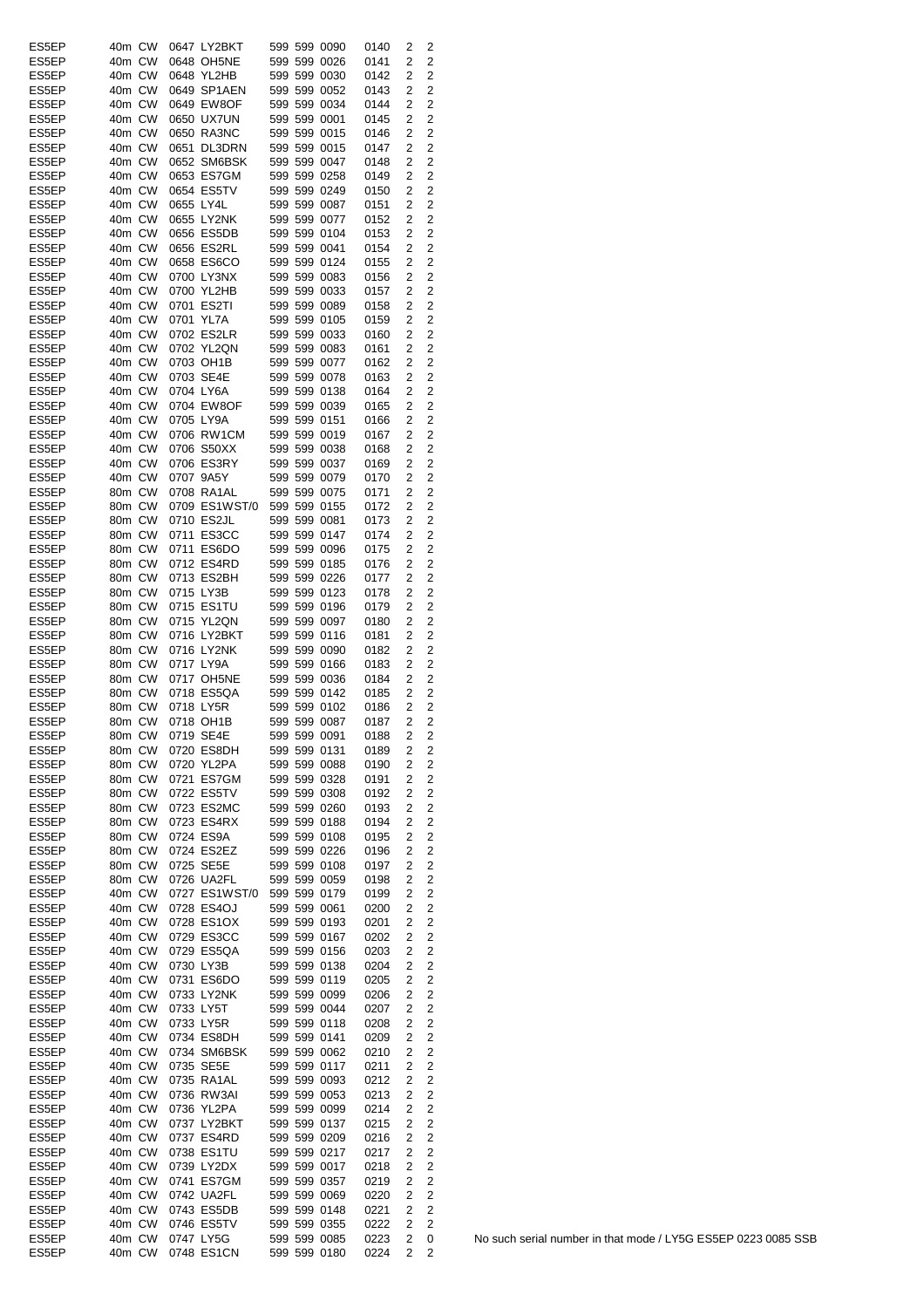| ES5EP          | 40m CW           | 0647 LY2BKT                |  | 599 599 0090                 | 0140         | 2              | 2                                |
|----------------|------------------|----------------------------|--|------------------------------|--------------|----------------|----------------------------------|
| ES5EP          | 40m CW           | 0648 OH5NE                 |  | 599 599 0026                 | 0141         | 2              | $\overline{c}$                   |
| ES5EP          | 40m CW           | 0648 YL2HB                 |  | 599 599 0030                 | 0142         | 2              | 2                                |
| ES5EP          | 40m CW           | 0649 SP1AEN                |  | 599 599 0052                 | 0143         | 2              | $\overline{c}$                   |
| ES5EP          | 40m CW           | 0649 EW8OF                 |  | 599 599 0034                 | 0144         | 2              | $\overline{c}$<br>$\overline{c}$ |
| ES5EP<br>ES5EP | 40m CW<br>40m CW | 0650 UX7UN<br>0650 RA3NC   |  | 599 599 0001<br>599 599 0015 | 0145<br>0146 | 2<br>2         | $\overline{2}$                   |
| ES5EP          | 40m CW           | 0651 DL3DRN                |  | 599 599 0015                 | 0147         | 2              | 2                                |
| ES5EP          | 40m CW           | 0652 SM6BSK                |  | 599 599 0047                 | 0148         | 2              | 2                                |
| ES5EP          | 40m CW           | 0653 ES7GM                 |  | 599 599 0258                 | 0149         | 2              | 2                                |
| ES5EP          | 40m CW           | 0654 ES5TV                 |  | 599 599 0249                 | 0150         | 2              | $\overline{2}$                   |
| ES5EP          | 40m CW           | 0655 LY4L                  |  | 599 599 0087                 | 0151         | 2              | $\overline{c}$                   |
| ES5EP          | 40m CW           | 0655 LY2NK                 |  | 599 599 0077                 | 0152         | 2              | 2                                |
| ES5EP          | 40m CW           | 0656 ES5DB                 |  | 599 599 0104                 | 0153         | 2              | 2                                |
| ES5EP          | 40m CW           | 0656 ES2RL                 |  | 599 599 0041                 | 0154         | 2              | 2                                |
| ES5EP          | 40m CW           | 0658 ES6CO                 |  | 599 599 0124                 | 0155         | $\overline{2}$ | 2                                |
| ES5EP          | 40m CW           | 0700 LY3NX                 |  | 599 599 0083                 | 0156         | 2              | $\overline{c}$                   |
| ES5EP          | 40m CW           | 0700 YL2HB                 |  | 599 599 0033                 | 0157         | 2              | 2                                |
| ES5EP          | 40m CW           | 0701 ES2TI                 |  | 599 599 0089                 | 0158         | 2              | $\overline{2}$                   |
| ES5EP          | 40m CW           | 0701 YL7A                  |  | 599 599 0105                 | 0159         | 2              | 2                                |
| ES5EP<br>ES5EP | 40m CW<br>40m CW | 0702 ES2LR                 |  | 599 599 0033<br>599 599 0083 | 0160         | 2              | 2<br>$\overline{2}$              |
| ES5EP          | 40m CW           | 0702 YL2QN<br>0703 OH1B    |  | 599 599 0077                 | 0161<br>0162 | 2<br>2         | 2                                |
| ES5EP          | 40m CW           | 0703 SE4E                  |  | 599 599 0078                 | 0163         | 2              | $\overline{c}$                   |
| ES5EP          | 40m CW           | 0704 LY6A                  |  | 599 599 0138                 | 0164         | 2              | 2                                |
| ES5EP          | 40m CW           | 0704 EW8OF                 |  | 599 599 0039                 | 0165         | 2              | 2                                |
| ES5EP          | 40m CW           | 0705 LY9A                  |  | 599 599 0151                 | 0166         | 2              | 2                                |
| ES5EP          | 40m CW           | 0706 RW1CM                 |  | 599 599 0019                 | 0167         | 2              | 2                                |
| ES5EP          | 40m CW           | 0706 S50XX                 |  | 599 599 0038                 | 0168         | 2              | $\overline{c}$                   |
| ES5EP          | 40m CW           | 0706 ES3RY                 |  | 599 599 0037                 | 0169         | 2              | $\overline{c}$                   |
| ES5EP          | 40m CW           | 0707 9A5Y                  |  | 599 599 0079                 | 0170         | 2              | $\overline{c}$                   |
| ES5EP          | 80m CW           | 0708 RA1AL                 |  | 599 599 0075                 | 0171         | 2              | 2                                |
| ES5EP          | 80m CW           | 0709 ES1WST/0              |  | 599 599 0155                 | 0172         | 2              | 2                                |
| ES5EP          | 80m CW           | 0710 ES2JL                 |  | 599 599 0081                 | 0173         | 2              | 2                                |
| ES5EP          | 80m CW           | 0711 ES3CC                 |  | 599 599 0147                 | 0174         | 2              | $\overline{2}$                   |
| ES5EP          | 80m CW           | 0711 ES6DO                 |  | 599 599 0096                 | 0175         | 2              | $\overline{\mathbf{c}}$          |
| ES5EP          | 80m CW           | 0712 ES4RD                 |  | 599 599 0185                 | 0176         | 2              | $\overline{c}$<br>$\overline{2}$ |
| ES5EP<br>ES5EP | 80m CW<br>80m CW | 0713 ES2BH<br>0715 LY3B    |  | 599 599 0226<br>599 599 0123 | 0177<br>0178 | 2<br>2         | $\overline{c}$                   |
| ES5EP          | 80m CW           | 0715 ES1TU                 |  | 599 599 0196                 | 0179         | 2              | $\overline{c}$                   |
| ES5EP          | 80m CW           | 0715 YL2QN                 |  | 599 599 0097                 | 0180         | 2              | $\overline{c}$                   |
| ES5EP          | 80m CW           | 0716 LY2BKT                |  | 599 599 0116                 | 0181         | 2              | $\overline{c}$                   |
| ES5EP          | 80m CW           | 0716 LY2NK                 |  | 599 599 0090                 | 0182         | 2              | $\overline{c}$                   |
| ES5EP          | 80m CW           | 0717 LY9A                  |  | 599 599 0166                 | 0183         | 2              | $\overline{2}$                   |
| ES5EP          | 80m CW           | 0717 OH5NE                 |  | 599 599 0036                 | 0184         | 2              | 2                                |
| ES5EP          | 80m CW           | 0718 ES5QA                 |  | 599 599 0142                 | 0185         | 2              | $\overline{2}$                   |
| ES5EP          | 80m CW           | 0718 LY5R                  |  | 599 599 0102                 | 0186         | 2              | 2                                |
| ES5EP          | 80m CW           | 0718 OH1B                  |  | 599 599 0087                 | 0187         | 2              | 2                                |
| ES5EP          | 80m CW 0719 SE4E |                            |  | 599 599 0091                 | 0188         | $\mathbf{2}$   | 2                                |
| ES5EP          | 80m CW           | 0720 ES8DH                 |  | 599 599 0131                 | 0189         | 2              | 2                                |
| ES5EP          | 80m CW           | 0720 YL2PA                 |  | 599 599 0088                 | 0190         | 2              | 2                                |
| ES5EP<br>ES5EP | 80m CW<br>80m CW | 0721 ES7GM<br>0722 ES5TV   |  | 599 599 0328<br>599 599 0308 | 0191<br>0192 | 2<br>2         | 2<br>$\overline{c}$              |
| ES5EP          | 80m CW           | 0723 ES2MC                 |  | 599 599 0260                 | 0193         | 2              | $\overline{c}$                   |
| ES5EP          | 80m CW           | 0723 ES4RX                 |  | 599 599 0188                 | 0194         | 2              | $\overline{c}$                   |
| ES5EP          | 80m CW           | 0724 ES9A                  |  | 599 599 0108                 | 0195         | 2              | $\overline{2}$                   |
| ES5EP          | 80m CW           | 0724 ES2EZ                 |  | 599 599 0226                 | 0196         | 2              | 2                                |
| ES5EP          | 80m CW           | 0725 SE5E                  |  | 599 599 0108                 | 0197         | 2              | $\overline{c}$                   |
| ES5EP          | 80m CW           | 0726 UA2FL                 |  | 599 599 0059                 | 0198         | 2              | $\overline{c}$                   |
| ES5EP          | 40m CW           | 0727 ES1WST/0 599 599 0179 |  |                              | 0199         | 2              | $\overline{c}$                   |
| ES5EP          | 40m CW           | 0728 ES4OJ                 |  | 599 599 0061                 | 0200         | 2              | $\overline{c}$                   |
| ES5EP          | 40m CW           | 0728 ES1OX                 |  | 599 599 0193                 | 0201         | 2              | $\overline{c}$                   |
| ES5EP          | 40m CW           | 0729 ES3CC                 |  | 599 599 0167                 | 0202         | 2              | 2                                |
| ES5EP          | 40m CW           | 0729 ES5QA                 |  | 599 599 0156                 | 0203         | 2              | $\overline{2}$<br>$\overline{2}$ |
| ES5EP<br>ES5EP | 40m CW<br>40m CW | 0730 LY3B<br>0731 ES6DO    |  | 599 599 0138<br>599 599 0119 | 0204         | 2<br>2         | $\overline{c}$                   |
| ES5EP          | 40m CW           | 0733 LY2NK                 |  | 599 599 0099                 | 0205<br>0206 | 2              | $\overline{c}$                   |
| ES5EP          | 40m CW           | 0733 LY5T                  |  | 599 599 0044                 | 0207         | 2              | $\overline{c}$                   |
| ES5EP          | 40m CW           | 0733 LY5R                  |  | 599 599 0118                 | 0208         | 2              | $\overline{2}$                   |
| ES5EP          | 40m CW           | 0734 ES8DH                 |  | 599 599 0141                 | 0209         | 2              | $\overline{2}$                   |
| ES5EP          | 40m CW           | 0734 SM6BSK                |  | 599 599 0062                 | 0210         | 2              | $\overline{c}$                   |
| ES5EP          | 40m CW           | 0735 SE5E                  |  | 599 599 0117                 | 0211         | 2              | $\overline{c}$                   |
| ES5EP          | 40m CW           | 0735 RA1AL                 |  | 599 599 0093                 | 0212         | 2              | $\overline{\mathbf{c}}$          |
| ES5EP          | 40m CW           | 0736 RW3AI                 |  | 599 599 0053                 | 0213         | 2              | $\overline{c}$                   |
| ES5EP          | 40m CW           | 0736 YL2PA                 |  | 599 599 0099                 | 0214         | 2              | $\overline{2}$                   |
| ES5EP          | 40m CW           | 0737 LY2BKT                |  | 599 599 0137                 | 0215         | 2              | $\overline{c}$                   |
| ES5EP          | 40m CW           | 0737 ES4RD                 |  | 599 599 0209                 | 0216         | 2              | $\overline{2}$                   |
| ES5EP          | 40m CW           | 0738 ES1TU                 |  | 599 599 0217                 | 0217         | 2              | $\overline{c}$                   |
| ES5EP          | 40m CW           | 0739 LY2DX                 |  | 599 599 0017                 | 0218         | 2              | $\overline{c}$                   |
| ES5EP          | 40m CW           | 0741 ES7GM                 |  | 599 599 0357                 | 0219         | 2              | $\overline{c}$                   |
| ES5EP<br>ES5EP | 40m CW<br>40m CW | 0742 UA2FL<br>0743 ES5DB   |  | 599 599 0069<br>599 599 0148 | 0220<br>0221 | 2<br>2         | $\overline{2}$<br>2              |
| ES5EP          | 40m CW           | 0746 ES5TV                 |  | 599 599 0355                 | 0222         | 2              | $\overline{2}$                   |
| ES5EP          | 40m CW           | 0747 LY5G                  |  | 599 599 0085                 | 0223         | 2              | 0                                |
| ES5EP          | 40m CW           | 0748 ES1CN                 |  | 599 599 0180                 | 0224         | 2              | 2                                |
|                |                  |                            |  |                              |              |                |                                  |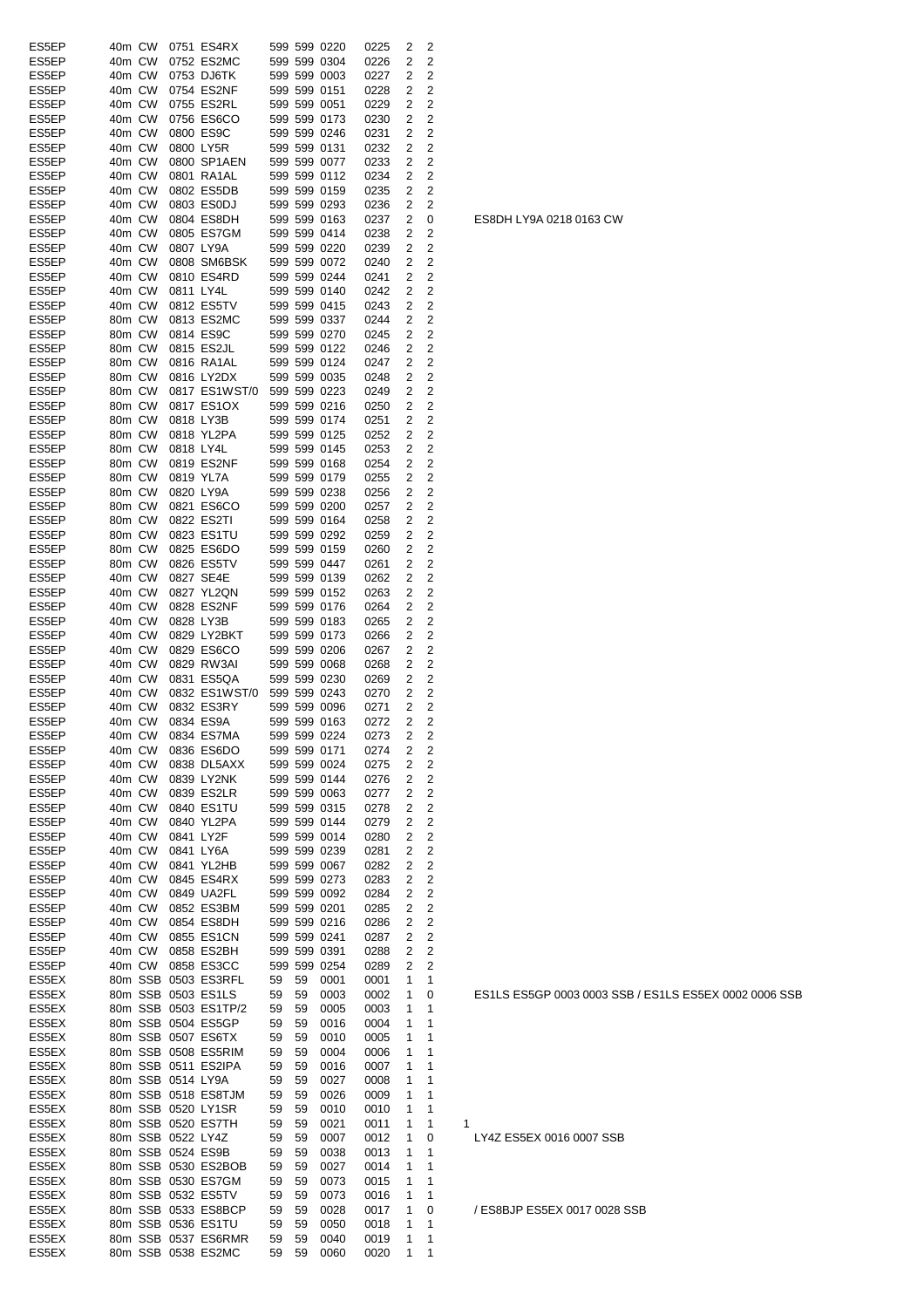| ES5EP | 40m CW |                   | 0751 ES4RX                 |    |    | 599 599 0220      | 0225 | 2              | 2              |   |
|-------|--------|-------------------|----------------------------|----|----|-------------------|------|----------------|----------------|---|
|       |        |                   |                            |    |    |                   |      |                |                |   |
| ES5EP | 40m CW |                   | 0752 ES2MC                 |    |    | 599 599 0304      | 0226 | 2              | 2              |   |
| ES5EP | 40m CW |                   | 0753 DJ6TK                 |    |    | 599 599 0003      | 0227 | 2              | 2              |   |
| ES5EP | 40m CW |                   | 0754 ES2NF                 |    |    | 599 599 0151      | 0228 | 2              | 2              |   |
| ES5EP | 40m CW |                   | 0755 ES2RL                 |    |    | 599 599 0051      | 0229 | 2              | 2              |   |
| ES5EP | 40m CW |                   | 0756 ES6CO                 |    |    | 599 599 0173      | 0230 | 2              | 2              |   |
| ES5EP | 40m CW |                   | 0800 ES9C                  |    |    | 599 599 0246      | 0231 | 2              | 2              |   |
|       |        |                   |                            |    |    | 599 599 0131      |      |                | 2              |   |
| ES5EP | 40m CW |                   | 0800 LY5R                  |    |    |                   | 0232 | 2              |                |   |
| ES5EP | 40m CW |                   | 0800 SP1AEN                |    |    | 599 599 0077      | 0233 | 2              | 2              |   |
| ES5EP | 40m CW |                   | 0801 RA1AL                 |    |    | 599 599 0112      | 0234 | 2              | 2              |   |
| ES5EP | 40m CW |                   | 0802 ES5DB                 |    |    | 599 599 0159      | 0235 | 2              | 2              |   |
| ES5EP | 40m CW |                   | 0803 ES0DJ                 |    |    | 599 599 0293      | 0236 | 2              | 2              |   |
| ES5EP | 40m CW |                   | 0804 ES8DH                 |    |    | 599 599 0163      | 0237 | 2              | 0              |   |
|       |        |                   |                            |    |    |                   |      |                |                |   |
| ES5EP | 40m CW |                   | 0805 ES7GM                 |    |    | 599 599 0414      | 0238 | 2              | 2              |   |
| ES5EP | 40m CW |                   | 0807 LY9A                  |    |    | 599 599 0220      | 0239 | 2              | 2              |   |
| ES5EP | 40m CW |                   | 0808 SM6BSK                |    |    | 599 599 0072      | 0240 | 2              | 2              |   |
| ES5EP | 40m CW |                   | 0810 ES4RD                 |    |    | 599 599 0244      | 0241 | 2              | 2              |   |
| ES5EP | 40m CW | 0811 LY4L         |                            |    |    | 599 599 0140      | 0242 | 2              | 2              |   |
| ES5EP | 40m CW |                   | 0812 ES5TV                 |    |    | 599 599 0415      | 0243 | 2              | 2              |   |
|       |        |                   |                            |    |    |                   |      |                |                |   |
| ES5EP | 80m CW |                   | 0813 ES2MC                 |    |    | 599 599 0337      | 0244 | 2              | 2              |   |
| ES5EP | 80m CW |                   | 0814 ES9C                  |    |    | 599 599 0270      | 0245 | 2              | 2              |   |
| ES5EP | 80m CW |                   | 0815 ES2JL                 |    |    | 599 599 0122      | 0246 | 2              | 2              |   |
| ES5EP | 80m CW |                   | 0816 RA1AL                 |    |    | 599 599 0124      | 0247 | 2              | 2              |   |
| ES5EP | 80m CW |                   | 0816 LY2DX                 |    |    | 599 599 0035      | 0248 | 2              | 2              |   |
|       |        |                   |                            |    |    |                   |      |                |                |   |
| ES5EP | 80m CW |                   | 0817 ES1WST/0 599 599 0223 |    |    |                   | 0249 | 2              | 2              |   |
| ES5EP | 80m CW |                   | 0817 ES1OX                 |    |    | 599 599 0216      | 0250 | 2              | 2              |   |
| ES5EP | 80m CW |                   | 0818 LY3B                  |    |    | 599 599 0174      | 0251 | 2              | 2              |   |
| ES5EP | 80m CW |                   | 0818 YL2PA                 |    |    | 599 599 0125      | 0252 | 2              | 2              |   |
| ES5EP | 80m CW |                   | 0818 LY4L                  |    |    | 599 599 0145      | 0253 | 2              | 2              |   |
|       |        |                   |                            |    |    |                   |      |                |                |   |
| ES5EP | 80m CW |                   | 0819 ES2NF                 |    |    | 599 599 0168      | 0254 | 2              | 2              |   |
| ES5EP | 80m CW |                   | 0819 YL7A                  |    |    | 599 599 0179      | 0255 | 2              | 2              |   |
| ES5EP | 80m CW |                   | 0820 LY9A                  |    |    | 599 599 0238      | 0256 | 2              | 2              |   |
| ES5EP | 80m CW |                   | 0821 ES6CO                 |    |    | 599 599 0200      | 0257 | 2              | 2              |   |
| ES5EP | 80m CW |                   | 0822 ES2TI                 |    |    | 599 599 0164      | 0258 | 2              | 2              |   |
|       |        |                   |                            |    |    |                   |      |                |                |   |
| ES5EP | 80m CW |                   | 0823 ES1TU                 |    |    | 599 599 0292      | 0259 | 2              | 2              |   |
| ES5EP | 80m CW |                   | 0825 ES6DO                 |    |    | 599 599 0159      | 0260 | 2              | 2              |   |
| ES5EP | 80m CW |                   | 0826 ES5TV                 |    |    | 599 599 0447      | 0261 | 2              | 2              |   |
| ES5EP | 40m CW |                   | 0827 SE4E                  |    |    | 599 599 0139      | 0262 | 2              | 2              |   |
| ES5EP | 40m CW |                   | 0827 YL2QN                 |    |    | 599 599 0152      | 0263 | 2              | 2              |   |
| ES5EP | 40m CW |                   | 0828 ES2NF                 |    |    | 599 599 0176      | 0264 | 2              | 2              |   |
|       |        |                   |                            |    |    |                   |      |                |                |   |
| ES5EP | 40m CW |                   | 0828 LY3B                  |    |    | 599 599 0183      | 0265 | 2              | 2              |   |
| ES5EP | 40m CW |                   | 0829 LY2BKT                |    |    | 599 599 0173      | 0266 | 2              | 2              |   |
| ES5EP | 40m CW |                   | 0829 ES6CO                 |    |    | 599 599 0206      | 0267 | 2              | 2              |   |
| ES5EP | 40m CW |                   | 0829 RW3AI                 |    |    | 599 599 0068      | 0268 | 2              | 2              |   |
| ES5EP | 40m CW |                   | 0831 ES5QA                 |    |    | 599 599 0230      | 0269 | 2              | 2              |   |
|       |        |                   |                            |    |    |                   |      |                |                |   |
| ES5EP | 40m CW |                   | 0832 ES1WST/0 599 599 0243 |    |    |                   | 0270 | 2              | 2              |   |
| ES5EP | 40m CW |                   | 0832 ES3RY                 |    |    | 599 599 0096      | 0271 | 2              | 2              |   |
| ES5EP | 40m CW |                   | 0834 ES9A                  |    |    | 599 599 0163      | 0272 | 2              | 2              |   |
| ES5EP |        |                   | 40m CW 0834 ES7MA          |    |    | 599 599 0224 0273 |      | $\overline{2}$ | $\overline{c}$ |   |
| ES5EP | 40m CW |                   | 0836 ES6DO                 |    |    | 599 599 0171      | 0274 | 2              | 2              |   |
|       |        |                   | 0838 DL5AXX                |    |    | 599 599 0024      | 0275 | 2              |                |   |
| ES5EP | 40m CW |                   |                            |    |    |                   |      |                | 2              |   |
| ES5EP | 40m CW |                   | 0839 LY2NK                 |    |    | 599 599 0144      | 0276 | 2              | 2              |   |
| ES5EP | 40m CW |                   | 0839 ES2LR                 |    |    | 599 599 0063      | 0277 | 2              | 2              |   |
| ES5EP | 40m CW |                   | 0840 ES1TU                 |    |    | 599 599 0315      | 0278 | 2              | 2              |   |
| ES5EP | 40m CW |                   | 0840 YL2PA                 |    |    | 599 599 0144      | 0279 | 2              | 2              |   |
|       |        |                   |                            |    |    |                   |      |                |                |   |
| ES5EP | 40m CW |                   | 0841 LY2F                  |    |    | 599 599 0014      | 0280 | 2              | 2              |   |
| ES5EP | 40m CW |                   | 0841 LY6A                  |    |    | 599 599 0239      | 0281 | 2              | 2              |   |
| ES5EP | 40m CW |                   | 0841 YL2HB                 |    |    | 599 599 0067      | 0282 | 2              | 2              |   |
| ES5EP | 40m CW |                   | 0845 ES4RX                 |    |    | 599 599 0273      | 0283 | 2              | 2              |   |
| ES5EP | 40m CW |                   | 0849 UA2FL                 |    |    | 599 599 0092      | 0284 | 2              | 2              |   |
| ES5EP | 40m CW |                   | 0852 ES3BM                 |    |    | 599 599 0201      | 0285 | 2              | 2              |   |
|       |        |                   |                            |    |    | 599 599 0216      |      |                | 2              |   |
| ES5EP | 40m CW |                   | 0854 ES8DH                 |    |    |                   | 0286 | 2              |                |   |
| ES5EP | 40m CW |                   | 0855 ES1CN                 |    |    | 599 599 0241      | 0287 | 2              | 2              |   |
| ES5EP | 40m CW |                   | 0858 ES2BH                 |    |    | 599 599 0391      | 0288 | 2              | 2              |   |
| ES5EP | 40m CW |                   | 0858 ES3CC                 |    |    | 599 599 0254      | 0289 | 2              | $\overline{2}$ |   |
| ES5EX |        |                   | 80m SSB 0503 ES3RFL        | 59 | 59 | 0001              | 0001 | 1              | 1              |   |
| ES5EX |        |                   | 80m SSB 0503 ES1LS         | 59 | 59 | 0003              | 0002 | 1              | 0              |   |
|       |        |                   |                            |    |    |                   |      |                |                |   |
| ES5EX |        |                   | 80m SSB 0503 ES1TP/2       | 59 | 59 | 0005              | 0003 | 1              | 1              |   |
| ES5EX |        |                   | 80m SSB 0504 ES5GP         | 59 | 59 | 0016              | 0004 | 1              | 1              |   |
| ES5EX |        |                   | 80m SSB 0507 ES6TX         | 59 | 59 | 0010              | 0005 | 1              | 1              |   |
| ES5EX |        |                   | 80m SSB 0508 ES5RIM        | 59 | 59 | 0004              | 0006 | 1              | 1              |   |
| ES5EX |        |                   | 80m SSB 0511 ES2IPA        | 59 | 59 | 0016              | 0007 | 1              | 1              |   |
| ES5EX |        | 80m SSB 0514 LY9A |                            | 59 | 59 | 0027              | 0008 | 1              | 1              |   |
|       |        |                   |                            |    |    |                   |      |                |                |   |
| ES5EX |        |                   | 80m SSB 0518 ES8TJM        | 59 | 59 | 0026              | 0009 | 1              | 1              |   |
| ES5EX |        |                   | 80m SSB 0520 LY1SR         | 59 | 59 | 0010              | 0010 | 1              | 1              |   |
| ES5EX |        |                   | 80m SSB 0520 ES7TH         | 59 | 59 | 0021              | 0011 | 1              | 1              | 1 |
| ES5EX |        | 80m SSB 0522 LY4Z |                            | 59 | 59 | 0007              | 0012 | 1              | 0              |   |
| ES5EX |        |                   | 80m SSB 0524 ES9B          | 59 | 59 | 0038              | 0013 | 1              | 1              |   |
|       |        |                   | 80m SSB 0530 ES2BOB        |    |    |                   |      |                |                |   |
| ES5EX |        |                   |                            | 59 | 59 | 0027              | 0014 | 1              | 1              |   |
| ES5EX |        |                   | 80m SSB 0530 ES7GM         | 59 | 59 | 0073              | 0015 | 1              | 1              |   |
| ES5EX |        |                   | 80m SSB 0532 ES5TV         | 59 | 59 | 0073              | 0016 | 1              | 1              |   |
| ES5EX |        |                   | 80m SSB 0533 ES8BCP        | 59 | 59 | 0028              | 0017 | 1              | 0              |   |
| ES5EX |        |                   | 80m SSB 0536 ES1TU         | 59 | 59 | 0050              | 0018 | 1              | 1              |   |
| ES5EX |        |                   | 80m SSB 0537 ES6RMR        | 59 | 59 | 0040              | 0019 | 1              | 1              |   |
|       |        |                   | 80m SSB 0538 ES2MC         | 59 | 59 | 0060              | 0020 | 1              | 1              |   |
| ES5EX |        |                   |                            |    |    |                   |      |                |                |   |

ES8DH LY9A 0218 0163 CW

ES1LS ES5GP 0003 0003 SSB / ES1LS ES5EX 0002 0006 SSB

LY4Z ES5EX 0016 0007 SSB

/ ES8BJP ES5EX 0017 0028 SSB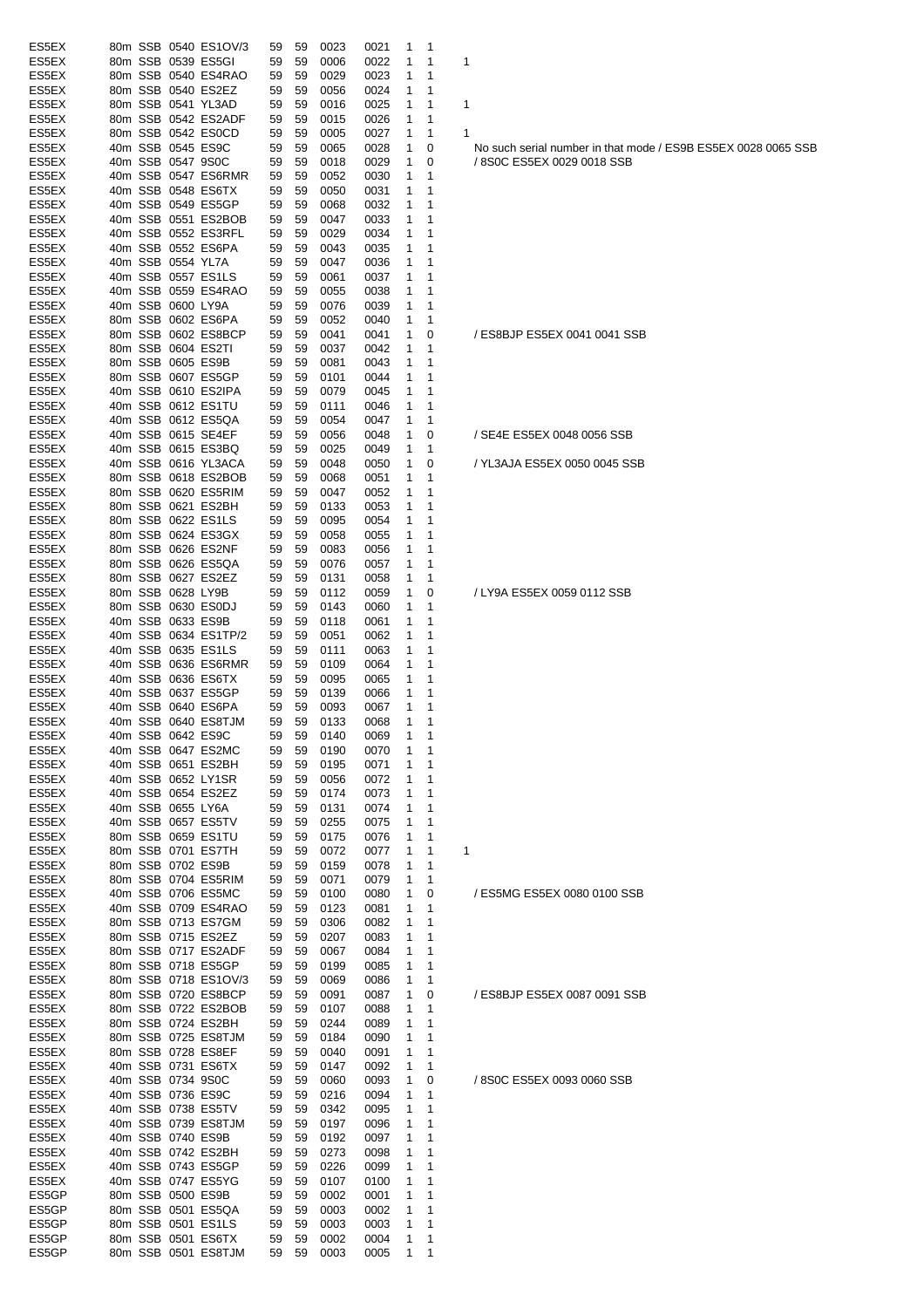| ES5EX          |  | 80m SSB 0540 ES1OV/3                      | 59       | 59       | 0023         | 0021         | 1              | 1            |                                                                 |
|----------------|--|-------------------------------------------|----------|----------|--------------|--------------|----------------|--------------|-----------------------------------------------------------------|
| ES5EX          |  | 80m SSB 0539 ES5GI                        | 59       | 59       | 0006         | 0022         | 1              | 1            | 1                                                               |
| ES5EX          |  | 80m SSB 0540 ES4RAO                       | 59       | 59       | 0029         | 0023         | 1              | 1            |                                                                 |
| ES5EX          |  | 80m SSB 0540 ES2EZ                        | 59       | 59       | 0056         | 0024         | 1              | 1            |                                                                 |
| ES5EX          |  | 80m SSB 0541 YL3AD                        | 59       | 59       | 0016         | 0025         | 1              | 1            | 1                                                               |
| ES5EX          |  | 80m SSB 0542 ES2ADF                       | 59       | 59       | 0015         | 0026         | 1              | 1            |                                                                 |
| ES5EX          |  | 80m SSB 0542 ES0CD                        | 59       | 59       | 0005         | 0027         | 1              | 1            | 1                                                               |
| ES5EX<br>ES5EX |  | 40m SSB 0545 ES9C<br>40m SSB 0547 9S0C    | 59<br>59 | 59<br>59 | 0065<br>0018 | 0028<br>0029 | 1<br>1         | 0<br>0       | No such serial number in that mod<br>/ 8S0C ES5EX 0029 0018 SSB |
| ES5EX          |  | 40m SSB 0547 ES6RMR                       | 59       | 59       | 0052         | 0030         | 1              | 1            |                                                                 |
| ES5EX          |  | 40m SSB 0548 ES6TX                        | 59       | 59       | 0050         | 0031         | 1              | 1            |                                                                 |
| ES5EX          |  | 40m SSB 0549 ES5GP                        | 59       | 59       | 0068         | 0032         | 1              | 1            |                                                                 |
| ES5EX          |  | 40m SSB 0551 ES2BOB                       | 59       | 59       | 0047         | 0033         | 1              | 1            |                                                                 |
| ES5EX          |  | 40m SSB 0552 ES3RFL                       | 59       | 59       | 0029         | 0034         | 1              | 1            |                                                                 |
| ES5EX          |  | 40m SSB 0552 ES6PA                        | 59       | 59       | 0043         | 0035         | 1              | 1            |                                                                 |
| ES5EX          |  | 40m SSB 0554 YL7A                         | 59       | 59       | 0047         | 0036         | 1              | 1            |                                                                 |
| ES5EX          |  | 40m SSB 0557 ES1LS                        | 59       | 59       | 0061         | 0037         | 1              | 1            |                                                                 |
| ES5EX          |  | 40m SSB 0559 ES4RAO                       | 59       | 59       | 0055         | 0038         | 1              | 1            |                                                                 |
| ES5EX          |  | 40m SSB 0600 LY9A                         | 59       | 59       | 0076         | 0039         | 1              | 1            |                                                                 |
| ES5EX          |  | 80m SSB 0602 ES6PA                        | 59       | 59       | 0052         | 0040         | 1              | 1            |                                                                 |
| ES5EX          |  | 80m SSB 0602 ES8BCP                       | 59       | 59       | 0041         | 0041         | 1              | 0            | / ES8BJP ES5EX 0041 0041 SSB                                    |
| ES5EX          |  | 80m SSB 0604 ES2TI                        | 59       | 59       | 0037         | 0042         | 1              | 1            |                                                                 |
| ES5EX          |  | 80m SSB 0605 ES9B                         | 59       | 59       | 0081         | 0043         | 1              | 1            |                                                                 |
| ES5EX          |  | 80m SSB 0607 ES5GP                        | 59       | 59       | 0101         | 0044         | 1              | 1            |                                                                 |
| ES5EX          |  | 40m SSB 0610 ES2IPA                       | 59       | 59       | 0079         | 0045         | 1              | 1            |                                                                 |
| ES5EX          |  | 40m SSB 0612 ES1TU                        | 59       | 59       | 0111         | 0046         | 1              | 1            |                                                                 |
| ES5EX          |  | 40m SSB 0612 ES5QA                        | 59       | 59       | 0054         | 0047         | 1              | 1            |                                                                 |
| ES5EX          |  | 40m SSB 0615 SE4EF                        | 59       | 59       | 0056         | 0048         | 1              | 0            | / SE4E ES5EX 0048 0056 SSB                                      |
| ES5EX          |  | 40m SSB 0615 ES3BQ                        | 59       | 59       | 0025         | 0049         | 1              | $\mathbf{1}$ |                                                                 |
| ES5EX          |  | 40m SSB 0616 YL3ACA                       | 59       | 59       | 0048         | 0050         | 1              | 0            | / YL3AJA ES5EX 0050 0045 SSB                                    |
| ES5EX          |  | 80m SSB 0618 ES2BOB                       | 59       | 59       | 0068         | 0051         | 1              | 1            |                                                                 |
| ES5EX          |  | 80m SSB 0620 ES5RIM                       | 59       | 59       | 0047         | 0052         | 1              | 1            |                                                                 |
| ES5EX          |  | 80m SSB 0621 ES2BH                        | 59       | 59       | 0133         | 0053         | 1              | 1            |                                                                 |
| ES5EX          |  | 80m SSB 0622 ES1LS                        | 59       | 59       | 0095         | 0054         | 1              | 1            |                                                                 |
| ES5EX          |  | 80m SSB 0624 ES3GX                        | 59       | 59       | 0058         | 0055         | 1              | 1<br>1       |                                                                 |
| ES5EX<br>ES5EX |  | 80m SSB 0626 ES2NF<br>80m SSB 0626 ES5QA  | 59<br>59 | 59<br>59 | 0083<br>0076 | 0056<br>0057 | 1<br>1         | 1            |                                                                 |
| ES5EX          |  | 80m SSB 0627 ES2EZ                        | 59       | 59       | 0131         | 0058         | 1              | 1            |                                                                 |
| ES5EX          |  | 80m SSB 0628 LY9B                         | 59       | 59       | 0112         | 0059         | 1              | 0            | / LY9A ES5EX 0059 0112 SSB                                      |
| ES5EX          |  | 80m SSB 0630 ES0DJ                        | 59       | 59       | 0143         | 0060         | 1              | 1            |                                                                 |
| ES5EX          |  | 40m SSB 0633 ES9B                         | 59       | 59       | 0118         | 0061         | 1              | 1            |                                                                 |
| ES5EX          |  | 40m SSB 0634 ES1TP/2                      | 59       | 59       | 0051         | 0062         | 1              | 1            |                                                                 |
| ES5EX          |  | 40m SSB 0635 ES1LS                        | 59       | 59       | 0111         | 0063         | 1              | 1            |                                                                 |
| ES5EX          |  | 40m SSB 0636 ES6RMR                       | 59       | 59       | 0109         | 0064         | 1              | 1            |                                                                 |
| ES5EX          |  | 40m SSB 0636 ES6TX                        | 59       | 59       | 0095         | 0065         | 1              | 1            |                                                                 |
| ES5EX          |  | 40m SSB 0637 ES5GP                        | 59       | 59       | 0139         | 0066         | 1              | 1            |                                                                 |
| ES5EX          |  | 40m SSB 0640 ES6PA                        | 59       | 59       | 0093         | 0067         | 1              | 1            |                                                                 |
| ES5EX          |  | 40m SSB 0640 ES8TJM                       | 59       | 59       | 0133         | 0068         | 1              | 1            |                                                                 |
| ES5EX          |  | 40m SSB 0642 ES9C                         |          |          | 59 59 0140   | 0069         | $\overline{1}$ | $\mathbf{1}$ |                                                                 |
| ES5EX          |  | 40m SSB 0647 ES2MC                        | 59       | 59       | 0190         | 0070         | 1              | 1            |                                                                 |
| ES5EX          |  | 40m SSB 0651 ES2BH                        | 59       | 59       | 0195         | 0071         | 1              | 1            |                                                                 |
| ES5EX          |  | 40m SSB 0652 LY1SR                        | 59       | 59       | 0056         | 0072         | 1              | 1            |                                                                 |
| ES5EX          |  | 40m SSB 0654 ES2EZ                        | 59       | 59       | 0174         | 0073         | 1              | 1            |                                                                 |
| ES5EX          |  | 40m SSB 0655 LY6A                         | 59       | 59       | 0131         | 0074         | 1              | 1            |                                                                 |
| ES5EX          |  | 40m SSB 0657 ES5TV                        | 59       | 59       | 0255         | 0075         | 1              | 1            |                                                                 |
| ES5EX          |  | 80m SSB 0659 ES1TU                        | 59       | 59       | 0175         | 0076         | 1              | 1            |                                                                 |
| ES5EX          |  | 80m SSB 0701 ES7TH                        | 59       | 59       | 0072         | 0077         | 1              | 1            | 1                                                               |
| ES5EX          |  | 80m SSB 0702 ES9B                         | 59       | 59       | 0159         | 0078         | 1              | 1            |                                                                 |
| ES5EX          |  | 80m SSB 0704 ES5RIM                       | 59       | 59       | 0071         | 0079         | 1              | 1            | / ES5MG ES5EX 0080 0100 SSB                                     |
| ES5EX<br>ES5EX |  | 40m SSB 0706 ES5MC<br>40m SSB 0709 ES4RAO | 59       | 59       | 0100         | 0080         | 1<br>1         | 0<br>1       |                                                                 |
| ES5EX          |  | 80m SSB 0713 ES7GM                        | 59<br>59 | 59<br>59 | 0123<br>0306 | 0081<br>0082 | 1              | 1            |                                                                 |
| ES5EX          |  | 80m SSB 0715 ES2EZ                        | 59       | 59       | 0207         | 0083         | 1              | 1            |                                                                 |
| ES5EX          |  | 80m SSB 0717 ES2ADF                       | 59       | 59       | 0067         | 0084         | 1              | 1            |                                                                 |
| ES5EX          |  | 80m SSB 0718 ES5GP                        | 59       | 59       | 0199         | 0085         | 1              | 1            |                                                                 |
| ES5EX          |  | 80m SSB 0718 ES1OV/3                      | 59       | 59       | 0069         | 0086         | 1              | 1            |                                                                 |
| ES5EX          |  | 80m SSB 0720 ES8BCP                       | 59       | 59       | 0091         | 0087         | 1              | 0            | / ES8BJP ES5EX 0087 0091 SSB                                    |
| ES5EX          |  | 80m SSB 0722 ES2BOB                       | 59       | 59       | 0107         | 0088         | 1              | 1            |                                                                 |
| ES5EX          |  | 80m SSB 0724 ES2BH                        | 59       | 59       | 0244         | 0089         | 1              | 1            |                                                                 |
| ES5EX          |  | 80m SSB 0725 ES8TJM                       | 59       | 59       | 0184         | 0090         | 1              | 1            |                                                                 |
| ES5EX          |  | 80m SSB 0728 ES8EF                        | 59       | 59       | 0040         | 0091         | 1              | 1            |                                                                 |
| ES5EX          |  | 40m SSB 0731 ES6TX                        | 59       | 59       | 0147         | 0092         | 1              | 1            |                                                                 |
| ES5EX          |  | 40m SSB 0734 9S0C                         | 59       | 59       | 0060         | 0093         | 1              | 0            | / 8S0C ES5EX 0093 0060 SSB                                      |
| ES5EX          |  | 40m SSB 0736 ES9C                         | 59       | 59       | 0216         | 0094         | 1              | 1            |                                                                 |
| ES5EX          |  | 40m SSB 0738 ES5TV                        | 59       | 59       | 0342         | 0095         | 1              | 1            |                                                                 |
| ES5EX          |  | 40m SSB 0739 ES8TJM                       | 59       | 59       | 0197         | 0096         | 1              | 1            |                                                                 |
| ES5EX          |  | 40m SSB 0740 ES9B                         | 59       | 59       | 0192         | 0097         | 1              | 1            |                                                                 |
| ES5EX          |  | 40m SSB 0742 ES2BH                        | 59       | 59       | 0273         | 0098         | 1              | 1            |                                                                 |
| ES5EX          |  | 40m SSB 0743 ES5GP                        | 59       | 59       | 0226         | 0099         | 1              | 1            |                                                                 |
| ES5EX          |  | 40m SSB 0747 ES5YG                        | 59       | 59       | 0107         | 0100         | 1              | 1            |                                                                 |
| ES5GP          |  | 80m SSB 0500 ES9B                         | 59       | 59       | 0002         | 0001         | 1              | 1            |                                                                 |
| ES5GP          |  | 80m SSB 0501 ES5QA                        | 59       | 59       | 0003         | 0002         | 1              | 1            |                                                                 |
| ES5GP          |  | 80m SSB 0501 ES1LS                        | 59       | 59       | 0003         | 0003         | 1              | 1            |                                                                 |
| ES5GP          |  | 80m SSB 0501 ES6TX                        | 59       | 59       | 0002         | 0004         | 1<br>1         | 1            |                                                                 |
| ES5GP          |  | 80m SSB 0501 ES8TJM                       | 59       | 59       | 0003         | 0005         |                | 1            |                                                                 |

such serial number in that mode / ES9B ES5EX 0028 0065 SSB FOC ES5EX 0029 0018 SSB

### E4E ES5EX 0048 0056 SSB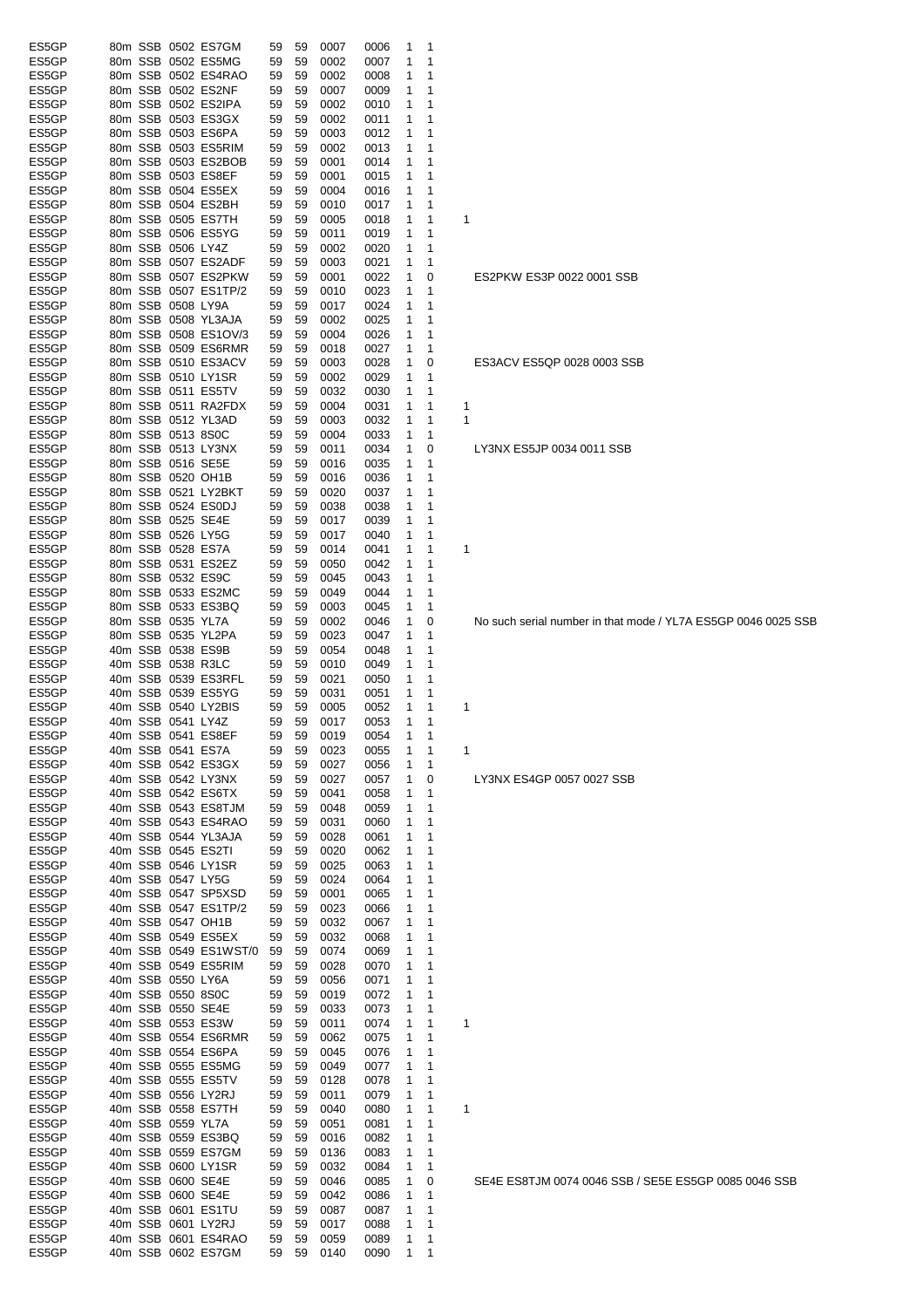| ES5GP |  |                   | 80m SSB 0502 ES7GM    | 59 | 59 | 0007 | 0006 | 1 | 1 |     |
|-------|--|-------------------|-----------------------|----|----|------|------|---|---|-----|
| ES5GP |  |                   | 80m SSB 0502 ES5MG    | 59 | 59 | 0002 | 0007 | 1 | 1 |     |
| ES5GP |  |                   | 80m SSB 0502 ES4RAO   | 59 | 59 | 0002 | 0008 | 1 | 1 |     |
| ES5GP |  |                   | 80m SSB 0502 ES2NF    | 59 | 59 | 0007 | 0009 | 1 | 1 |     |
| ES5GP |  |                   | 80m SSB 0502 ES2IPA   | 59 | 59 | 0002 | 0010 | 1 | 1 |     |
| ES5GP |  |                   | 80m SSB 0503 ES3GX    | 59 | 59 | 0002 | 0011 | 1 | 1 |     |
|       |  |                   |                       |    |    |      |      |   |   |     |
| ES5GP |  |                   | 80m SSB 0503 ES6PA    | 59 | 59 | 0003 | 0012 | 1 | 1 |     |
| ES5GP |  |                   | 80m SSB 0503 ES5RIM   | 59 | 59 | 0002 | 0013 | 1 | 1 |     |
| ES5GP |  |                   | 80m SSB 0503 ES2BOB   | 59 | 59 | 0001 | 0014 | 1 | 1 |     |
| ES5GP |  |                   | 80m SSB 0503 ES8EF    | 59 | 59 | 0001 | 0015 | 1 | 1 |     |
| ES5GP |  |                   | 80m SSB 0504 ES5EX    | 59 | 59 | 0004 | 0016 | 1 | 1 |     |
|       |  |                   | 80m SSB 0504 ES2BH    |    |    |      |      |   | 1 |     |
| ES5GP |  |                   |                       | 59 | 59 | 0010 | 0017 | 1 |   |     |
| ES5GP |  |                   | 80m SSB 0505 ES7TH    | 59 | 59 | 0005 | 0018 | 1 | 1 | 1   |
| ES5GP |  |                   | 80m SSB 0506 ES5YG    | 59 | 59 | 0011 | 0019 | 1 | 1 |     |
| ES5GP |  | 80m SSB 0506 LY4Z |                       | 59 | 59 | 0002 | 0020 | 1 | 1 |     |
| ES5GP |  |                   | 80m SSB 0507 ES2ADF   | 59 | 59 | 0003 | 0021 | 1 | 1 |     |
| ES5GP |  |                   | 80m SSB 0507 ES2PKW   | 59 | 59 | 0001 | 0022 | 1 | 0 | ES: |
|       |  |                   |                       |    |    |      |      |   |   |     |
| ES5GP |  |                   | 80m SSB 0507 ES1TP/2  | 59 | 59 | 0010 | 0023 | 1 | 1 |     |
| ES5GP |  |                   | 80m SSB 0508 LY9A     | 59 | 59 | 0017 | 0024 | 1 | 1 |     |
| ES5GP |  |                   | 80m SSB 0508 YL3AJA   | 59 | 59 | 0002 | 0025 | 1 | 1 |     |
| ES5GP |  |                   | 80m SSB 0508 ES1OV/3  | 59 | 59 | 0004 | 0026 | 1 | 1 |     |
| ES5GP |  |                   | 80m SSB 0509 ES6RMR   | 59 | 59 | 0018 | 0027 | 1 | 1 |     |
| ES5GP |  |                   | 80m SSB 0510 ES3ACV   | 59 | 59 |      |      | 1 | 0 |     |
|       |  |                   |                       |    |    | 0003 | 0028 |   |   | ES: |
| ES5GP |  |                   | 80m SSB 0510 LY1SR    | 59 | 59 | 0002 | 0029 | 1 | 1 |     |
| ES5GP |  |                   | 80m SSB 0511 ES5TV    | 59 | 59 | 0032 | 0030 | 1 | 1 |     |
| ES5GP |  |                   | 80m SSB 0511 RA2FDX   | 59 | 59 | 0004 | 0031 | 1 | 1 | 1   |
| ES5GP |  |                   | 80m SSB 0512 YL3AD    | 59 | 59 | 0003 | 0032 | 1 | 1 | 1   |
|       |  |                   |                       |    |    |      |      |   |   |     |
| ES5GP |  |                   | 80m SSB 0513 8S0C     | 59 | 59 | 0004 | 0033 | 1 | 1 |     |
| ES5GP |  |                   | 80m SSB 0513 LY3NX    | 59 | 59 | 0011 | 0034 | 1 | 0 | LY3 |
| ES5GP |  |                   | 80m SSB 0516 SE5E     | 59 | 59 | 0016 | 0035 | 1 | 1 |     |
| ES5GP |  |                   | 80m SSB 0520 OH1B     | 59 | 59 | 0016 | 0036 | 1 | 1 |     |
| ES5GP |  |                   | 80m SSB 0521 LY2BKT   | 59 | 59 | 0020 | 0037 | 1 | 1 |     |
|       |  |                   |                       |    |    |      |      |   |   |     |
| ES5GP |  |                   | 80m SSB 0524 ES0DJ    | 59 | 59 | 0038 | 0038 | 1 | 1 |     |
| ES5GP |  |                   | 80m SSB 0525 SE4E     | 59 | 59 | 0017 | 0039 | 1 | 1 |     |
| ES5GP |  |                   | 80m SSB 0526 LY5G     | 59 | 59 | 0017 | 0040 | 1 | 1 |     |
| ES5GP |  |                   | 80m SSB 0528 ES7A     | 59 | 59 | 0014 | 0041 | 1 | 1 | 1   |
| ES5GP |  |                   | 80m SSB 0531 ES2EZ    | 59 | 59 | 0050 | 0042 | 1 | 1 |     |
|       |  |                   |                       |    |    |      |      |   |   |     |
| ES5GP |  |                   | 80m SSB 0532 ES9C     | 59 | 59 | 0045 | 0043 | 1 | 1 |     |
| ES5GP |  |                   | 80m SSB 0533 ES2MC    | 59 | 59 | 0049 | 0044 | 1 | 1 |     |
| ES5GP |  |                   | 80m SSB 0533 ES3BQ    | 59 | 59 | 0003 | 0045 | 1 | 1 |     |
| ES5GP |  | 80m SSB 0535 YL7A |                       | 59 | 59 | 0002 | 0046 | 1 | 0 | No  |
| ES5GP |  |                   | 80m SSB 0535 YL2PA    | 59 | 59 | 0023 | 0047 | 1 | 1 |     |
|       |  |                   | 40m SSB 0538 ES9B     |    |    |      |      |   |   |     |
| ES5GP |  |                   |                       | 59 | 59 | 0054 | 0048 | 1 | 1 |     |
| ES5GP |  |                   | 40m SSB 0538 R3LC     | 59 | 59 | 0010 | 0049 | 1 | 1 |     |
| ES5GP |  |                   | 40m SSB 0539 ES3RFL   | 59 | 59 | 0021 | 0050 | 1 | 1 |     |
| ES5GP |  |                   | 40m SSB 0539 ES5YG    | 59 | 59 | 0031 | 0051 | 1 | 1 |     |
| ES5GP |  |                   | 40m SSB 0540 LY2BIS   | 59 | 59 | 0005 | 0052 | 1 | 1 | 1   |
| ES5GP |  | 40m SSB 0541 LY4Z |                       | 59 | 59 |      | 0053 | 1 | 1 |     |
|       |  |                   |                       |    |    | 0017 |      |   |   |     |
| ES5GP |  |                   | 40m SSB 0541 ES8EF    | 59 | 59 | 0019 | 0054 | 1 | 1 |     |
| ES5GP |  |                   | 40m SSB 0541 ES7A     | 59 | 59 | 0023 | 0055 | 1 | 1 | 1   |
| ES5GP |  |                   | 40m SSB 0542 ES3GX    | 59 | 59 | 0027 | 0056 | 1 | 1 |     |
| ES5GP |  |                   | 40m SSB 0542 LY3NX    | 59 | 59 | 0027 | 0057 | 1 | 0 | LY3 |
|       |  |                   |                       |    |    |      |      |   |   |     |
| ES5GP |  |                   | 40m SSB 0542 ES6TX    | 59 | 59 | 0041 | 0058 | 1 | 1 |     |
| ES5GP |  |                   | 40m SSB 0543 ES8TJM   | 59 | 59 | 0048 | 0059 | 1 | 1 |     |
| ES5GP |  |                   | 40m SSB 0543 ES4RAO   | 59 | 59 | 0031 | 0060 | 1 | 1 |     |
| ES5GP |  |                   | 40m SSB 0544 YL3AJA   | 59 | 59 | 0028 | 0061 | 1 | 1 |     |
| ES5GP |  |                   | 40m SSB 0545 ES2TI    | 59 | 59 | 0020 | 0062 | 1 | 1 |     |
| ES5GP |  |                   | 40m SSB 0546 LY1SR    | 59 | 59 | 0025 | 0063 | 1 | 1 |     |
|       |  |                   | 40m SSB 0547 LY5G     |    |    |      |      |   |   |     |
| ES5GP |  |                   |                       | 59 | 59 | 0024 | 0064 | 1 | 1 |     |
| ES5GP |  |                   | 40m SSB 0547 SP5XSD   | 59 | 59 | 0001 | 0065 | 1 | 1 |     |
| ES5GP |  |                   | 40m SSB 0547 ES1TP/2  | 59 | 59 | 0023 | 0066 | 1 | 1 |     |
| ES5GP |  |                   | 40m SSB 0547 OH1B     | 59 | 59 | 0032 | 0067 | 1 | 1 |     |
| ES5GP |  |                   | 40m SSB 0549 ES5EX    | 59 | 59 | 0032 | 0068 | 1 | 1 |     |
| ES5GP |  |                   | 40m SSB 0549 ES1WST/0 | 59 | 59 | 0074 | 0069 | 1 | 1 |     |
|       |  |                   |                       |    |    |      |      |   |   |     |
| ES5GP |  |                   | 40m SSB 0549 ES5RIM   | 59 | 59 | 0028 | 0070 | 1 | 1 |     |
| ES5GP |  |                   | 40m SSB 0550 LY6A     | 59 | 59 | 0056 | 0071 | 1 | 1 |     |
| ES5GP |  |                   | 40m SSB 0550 8S0C     | 59 | 59 | 0019 | 0072 | 1 | 1 |     |
| ES5GP |  |                   | 40m SSB 0550 SE4E     | 59 | 59 | 0033 | 0073 | 1 | 1 |     |
| ES5GP |  |                   | 40m SSB 0553 ES3W     | 59 | 59 | 0011 | 0074 | 1 | 1 | 1   |
|       |  |                   |                       |    |    |      |      |   |   |     |
| ES5GP |  |                   | 40m SSB 0554 ES6RMR   | 59 | 59 | 0062 | 0075 | 1 | 1 |     |
| ES5GP |  |                   | 40m SSB 0554 ES6PA    | 59 | 59 | 0045 | 0076 | 1 | 1 |     |
| ES5GP |  |                   | 40m SSB 0555 ES5MG    | 59 | 59 | 0049 | 0077 | 1 | 1 |     |
| ES5GP |  |                   | 40m SSB 0555 ES5TV    | 59 | 59 | 0128 | 0078 | 1 | 1 |     |
| ES5GP |  |                   | 40m SSB 0556 LY2RJ    | 59 | 59 | 0011 | 0079 | 1 | 1 |     |
|       |  |                   |                       |    |    |      |      | 1 | 1 |     |
| ES5GP |  |                   | 40m SSB 0558 ES7TH    | 59 | 59 | 0040 | 0080 |   |   | 1   |
| ES5GP |  | 40m SSB 0559 YL7A |                       | 59 | 59 | 0051 | 0081 | 1 | 1 |     |
| ES5GP |  |                   | 40m SSB 0559 ES3BQ    | 59 | 59 | 0016 | 0082 | 1 | 1 |     |
| ES5GP |  |                   | 40m SSB 0559 ES7GM    | 59 | 59 | 0136 | 0083 | 1 | 1 |     |
| ES5GP |  |                   | 40m SSB 0600 LY1SR    | 59 | 59 | 0032 | 0084 | 1 | 1 |     |
|       |  |                   |                       |    |    |      |      |   |   |     |
| ES5GP |  |                   | 40m SSB 0600 SE4E     | 59 | 59 | 0046 | 0085 | 1 | 0 | SE  |
| ES5GP |  |                   | 40m SSB 0600 SE4E     | 59 | 59 | 0042 | 0086 | 1 | 1 |     |
| ES5GP |  |                   | 40m SSB 0601 ES1TU    | 59 | 59 | 0087 | 0087 | 1 | 1 |     |
| ES5GP |  |                   | 40m SSB 0601 LY2RJ    | 59 | 59 | 0017 | 0088 | 1 | 1 |     |
| ES5GP |  |                   | 40m SSB 0601 ES4RAO   | 59 | 59 | 0059 | 0089 | 1 | 1 |     |
| ES5GP |  |                   | 40m SSB 0602 ES7GM    | 59 | 59 | 0140 | 0090 | 1 | 1 |     |
|       |  |                   |                       |    |    |      |      |   |   |     |

```
2PKW ES3P 0022 0001 SSB
```
3ACV ES5QP 0028 0003 SSB

3NX ES5JP 0034 0011 SSB

such serial number in that mode / YL7A ES5GP 0046 0025 SSB

3NX ES4GP 0057 0027 SSB

E4E ES8TJM 0074 0046 SSB / SE5E ES5GP 0085 0046 SSB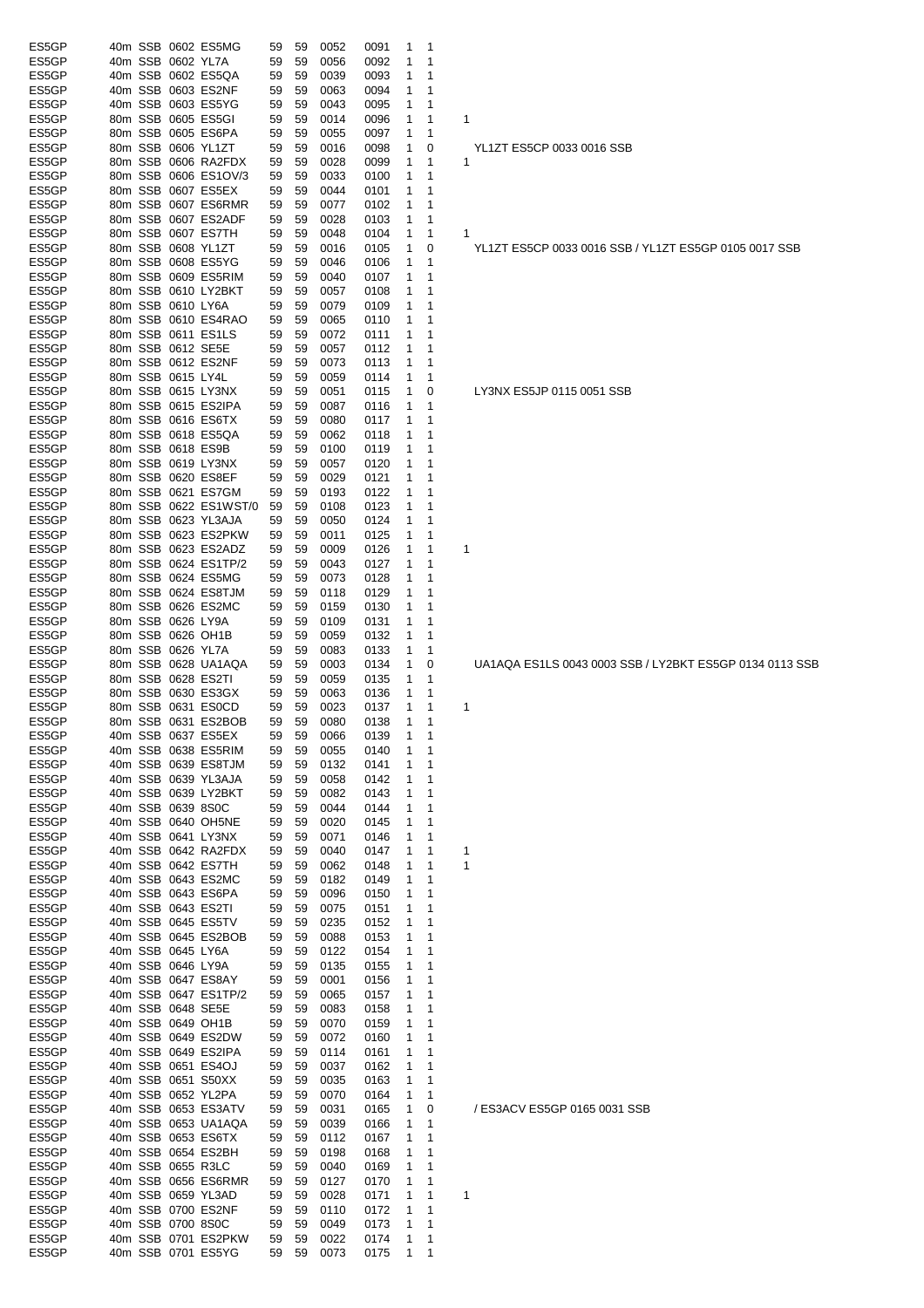| ES5GP          |  |                   | 40m SSB 0602 ES5MG                        |          | 59       |              |              | 1      | -1               |                                                         |
|----------------|--|-------------------|-------------------------------------------|----------|----------|--------------|--------------|--------|------------------|---------------------------------------------------------|
|                |  |                   |                                           | 59       |          | 0052         | 0091         |        | 1                |                                                         |
| ES5GP          |  | 40m SSB 0602 YL7A |                                           | 59       | 59       | 0056         | 0092         | 1      |                  |                                                         |
| ES5GP          |  |                   | 40m SSB 0602 ES5QA                        | 59       | 59       | 0039         | 0093         | 1      | 1                |                                                         |
| ES5GP          |  |                   | 40m SSB 0603 ES2NF                        | 59       | 59       | 0063         | 0094         | 1      | 1                |                                                         |
| ES5GP          |  |                   | 40m SSB 0603 ES5YG                        | 59       | 59       | 0043         | 0095         | 1      | 1                |                                                         |
| ES5GP          |  |                   | 80m SSB 0605 ES5GI                        | 59       | 59       | 0014         | 0096         | 1      | 1                | 1                                                       |
| ES5GP          |  |                   | 80m SSB 0605 ES6PA                        | 59       | 59       | 0055         | 0097         | 1      | 1                |                                                         |
| ES5GP          |  |                   | 80m SSB 0606 YL1ZT                        | 59       | 59       | 0016         | 0098         | 1      | 0                | YL1ZT ES5CP 0033 0016 SSB                               |
| ES5GP          |  |                   | 80m SSB 0606 RA2FDX                       | 59       | 59       | 0028         | 0099         | 1      | 1                | 1                                                       |
| ES5GP          |  |                   | 80m SSB 0606 ES1OV/3                      | 59       | 59       | 0033         | 0100         | 1      | 1                |                                                         |
| ES5GP          |  |                   | 80m SSB 0607 ES5EX                        | 59       | 59       | 0044         | 0101         | 1      | 1                |                                                         |
| ES5GP          |  |                   | 80m SSB 0607 ES6RMR                       | 59       | 59       | 0077         | 0102         | 1      | 1                |                                                         |
| ES5GP          |  |                   | 80m SSB 0607 ES2ADF                       | 59       | 59       | 0028         | 0103         | 1      | 1                |                                                         |
| ES5GP          |  |                   | 80m SSB 0607 ES7TH                        | 59       | 59       | 0048         | 0104         | 1      | 1                | 1                                                       |
| ES5GP          |  |                   | 80m SSB 0608 YL1ZT                        | 59       | 59       | 0016         | 0105         | 1      | 0                | YL1ZT ES5CP 0033 0016 SSB / YL1ZT ES5GP 0105 0017 SSB   |
| ES5GP          |  |                   | 80m SSB 0608 ES5YG                        | 59       | 59       | 0046         | 0106         | 1      | 1                |                                                         |
| ES5GP          |  |                   | 80m SSB 0609 ES5RIM                       | 59       | 59       | 0040         | 0107         | 1      | 1                |                                                         |
| ES5GP          |  |                   | 80m SSB 0610 LY2BKT                       | 59       | 59       | 0057         | 0108         | 1      | 1                |                                                         |
| ES5GP          |  | 80m SSB 0610 LY6A |                                           | 59       | 59       | 0079         | 0109         | 1      | 1                |                                                         |
| ES5GP          |  |                   | 80m SSB 0610 ES4RAO                       | 59       | 59       | 0065         | 0110         | 1      | 1                |                                                         |
| ES5GP          |  |                   | 80m SSB 0611 ES1LS                        | 59       | 59       | 0072         | 0111         | 1      | 1                |                                                         |
| ES5GP          |  |                   | 80m SSB 0612 SE5E                         | 59       | 59       | 0057         | 0112         | 1      | 1                |                                                         |
| ES5GP          |  |                   | 80m SSB 0612 ES2NF                        | 59       | 59       | 0073         | 0113         | 1      | 1                |                                                         |
| ES5GP          |  | 80m SSB 0615 LY4L |                                           | 59       | 59       | 0059         | 0114         | 1      | 1                |                                                         |
| ES5GP          |  |                   | 80m SSB 0615 LY3NX                        | 59       | 59       | 0051         | 0115         | 1      | 0                | LY3NX ES5JP 0115 0051 SSB                               |
| ES5GP          |  |                   | 80m SSB 0615 ES2IPA                       | 59       | 59       | 0087         | 0116         | 1      | 1                |                                                         |
|                |  |                   |                                           |          |          |              |              |        | 1                |                                                         |
| ES5GP          |  |                   | 80m SSB 0616 ES6TX<br>80m SSB 0618 ES5QA  | 59       | 59       | 0080         | 0117         | 1      |                  |                                                         |
| ES5GP          |  |                   |                                           | 59       | 59       | 0062         | 0118         | 1      | 1                |                                                         |
| ES5GP          |  |                   | 80m SSB 0618 ES9B                         | 59       | 59       | 0100         | 0119         | 1      | 1                |                                                         |
| ES5GP          |  |                   | 80m SSB 0619 LY3NX                        | 59       | 59       | 0057         | 0120         | 1      | 1                |                                                         |
| ES5GP          |  |                   | 80m SSB 0620 ES8EF                        | 59       | 59       | 0029         | 0121         | 1      | 1                |                                                         |
| ES5GP          |  |                   | 80m SSB 0621 ES7GM                        | 59       | 59       | 0193         | 0122         | 1      | 1                |                                                         |
| ES5GP          |  |                   | 80m SSB 0622 ES1WST/0                     | 59       | 59       | 0108         | 0123         | 1      | 1                |                                                         |
| ES5GP          |  |                   | 80m SSB 0623 YL3AJA                       | 59       | 59       | 0050         | 0124         | 1      | 1                |                                                         |
| ES5GP          |  |                   | 80m SSB 0623 ES2PKW                       | 59       | 59       | 0011         | 0125         | 1      | 1                |                                                         |
| ES5GP          |  |                   | 80m SSB 0623 ES2ADZ                       | 59       | 59       | 0009         | 0126         | 1      | 1                | 1                                                       |
| ES5GP          |  |                   | 80m SSB 0624 ES1TP/2                      | 59       | 59       | 0043         | 0127         | 1      | 1                |                                                         |
| ES5GP          |  |                   | 80m SSB 0624 ES5MG                        | 59       | 59       | 0073         | 0128         | 1      | 1                |                                                         |
| ES5GP          |  |                   | 80m SSB 0624 ES8TJM                       | 59       | 59       | 0118         | 0129         | 1      | 1                |                                                         |
| ES5GP          |  |                   | 80m SSB 0626 ES2MC                        | 59       | 59       | 0159         | 0130         | 1      | 1                |                                                         |
| ES5GP          |  | 80m SSB 0626 LY9A |                                           | 59       | 59       | 0109         | 0131         | 1      | 1                |                                                         |
| ES5GP          |  |                   | 80m SSB 0626 OH1B                         | 59       | 59       | 0059         | 0132         | 1      | 1                |                                                         |
| ES5GP          |  | 80m SSB 0626 YL7A |                                           | 59       | 59       | 0083         | 0133         | 1      | 1                |                                                         |
| ES5GP          |  |                   | 80m SSB 0628 UA1AQA                       | 59       | 59       | 0003         | 0134         | 1      | 0                | UA1AQA ES1LS 0043 0003 SSB / LY2BKT ES5GP 0134 0113 SSB |
| ES5GP          |  |                   | 80m SSB 0628 ES2TI                        | 59       | 59       | 0059         | 0135         | 1      | 1                |                                                         |
| ES5GP          |  |                   | 80m SSB 0630 ES3GX                        | 59       | 59       | 0063         | 0136         | 1      | 1                |                                                         |
| ES5GP          |  |                   | 80m SSB 0631 ES0CD                        | 59       | 59       | 0023         | 0137         | 1      | 1                | 1                                                       |
| ES5GP          |  |                   | 80m SSB 0631 ES2BOB                       | 59       | 59       | 0080         | 0138         | 1      | 1                |                                                         |
| ES5GP          |  |                   | 40m SSB 0637 ES5EX                        | 59       | 59       | 0066         | 0139         | 1      | 1                |                                                         |
| ES5GP          |  |                   | 40m SSB 0638 ES5RIM                       | 59       | 59       | 0055         | 0140         | 1      | 1                |                                                         |
| ES5GP          |  |                   | 40m SSB 0639 ES8TJM                       | 59       | 59       | 0132         | 0141         | 1      | 1                |                                                         |
| ES5GP          |  |                   | 40m SSB 0639 YL3AJA                       | 59       | 59       | 0058         | 0142         | 1      | 1                |                                                         |
| ES5GP          |  |                   | 40m SSB 0639 LY2BKT                       | 59       | 59       | 0082         | 0143         | 1      | 1                |                                                         |
| ES5GP          |  | 40m SSB 0639 8S0C |                                           | 59       | 59       | 0044         |              | 1      | 1                |                                                         |
|                |  |                   |                                           |          |          |              | 0144         |        |                  |                                                         |
| ES5GP          |  |                   | 40m SSB 0640 OH5NE                        | 59       | 59       | 0020         | 0145         | 1      | 1                |                                                         |
| ES5GP          |  |                   | 40m SSB 0641 LY3NX                        | 59       | 59       | 0071         | 0146         | 1      | 1                |                                                         |
| ES5GP          |  |                   | 40m SSB 0642 RA2FDX                       | 59       | 59       | 0040         | 0147         | 1      | 1                | 1                                                       |
| ES5GP          |  |                   | 40m SSB 0642 ES7TH                        | 59       | 59       | 0062         | 0148         | 1      | 1                | 1                                                       |
| ES5GP          |  |                   | 40m SSB 0643 ES2MC                        | 59       | 59       | 0182         | 0149         | 1      | 1                |                                                         |
| ES5GP          |  |                   | 40m SSB 0643 ES6PA                        | 59       | 59       | 0096         | 0150         | 1      | 1                |                                                         |
| ES5GP          |  |                   | 40m SSB 0643 ES2TI                        | 59       | 59       | 0075         | 0151         | 1      | 1                |                                                         |
| ES5GP          |  |                   | 40m SSB 0645 ES5TV                        | 59       | 59       | 0235         | 0152         | 1      | 1                |                                                         |
| ES5GP          |  |                   | 40m SSB 0645 ES2BOB                       | 59       | 59       | 0088         | 0153         | 1      | 1                |                                                         |
| ES5GP          |  | 40m SSB 0645 LY6A |                                           | 59       | 59       | 0122         | 0154         | 1      | 1                |                                                         |
| ES5GP          |  | 40m SSB 0646 LY9A |                                           | 59       | 59       | 0135         | 0155         | 1      | 1                |                                                         |
| ES5GP          |  |                   | 40m SSB 0647 ES8AY                        | 59       | 59       | 0001         | 0156         | 1      | 1                |                                                         |
| ES5GP          |  |                   | 40m SSB 0647 ES1TP/2                      | 59       | 59       | 0065         | 0157         | 1      | 1                |                                                         |
| ES5GP          |  |                   | 40m SSB 0648 SE5E                         | 59       | 59       | 0083         | 0158         | 1      | 1                |                                                         |
| ES5GP          |  |                   | 40m SSB 0649 OH1B                         | 59       | 59       | 0070         | 0159         | 1      | 1                |                                                         |
| ES5GP          |  |                   | 40m SSB 0649 ES2DW                        | 59       | 59       | 0072         | 0160         | 1      | 1                |                                                         |
| ES5GP          |  |                   | 40m SSB 0649 ES2IPA                       | 59       | 59       | 0114         | 0161         | 1      | 1                |                                                         |
| ES5GP          |  |                   | 40m SSB 0651 ES4OJ                        | 59       | 59       | 0037         | 0162         | 1      | 1                |                                                         |
| ES5GP          |  |                   | 40m SSB 0651 S50XX                        | 59       | 59       | 0035         | 0163         | 1      | 1                |                                                         |
| ES5GP          |  |                   | 40m SSB 0652 YL2PA                        | 59       | 59       | 0070         | 0164         | 1      | 1                |                                                         |
| ES5GP          |  |                   | 40m SSB 0653 ES3ATV                       | 59       | 59       | 0031         | 0165         | 1      | 0                | / ES3ACV ES5GP 0165 0031 SSB                            |
| ES5GP          |  |                   | 40m SSB 0653 UA1AQA                       | 59       | 59       | 0039         | 0166         | 1      | 1                |                                                         |
| ES5GP          |  |                   | 40m SSB 0653 ES6TX                        | 59       | 59       | 0112         | 0167         | 1      | 1                |                                                         |
| ES5GP          |  |                   | 40m SSB 0654 ES2BH                        | 59       | 59       | 0198         | 0168         | 1      | 1                |                                                         |
| ES5GP          |  |                   | 40m SSB 0655 R3LC                         | 59       | 59       | 0040         | 0169         | 1      | 1                |                                                         |
| ES5GP          |  |                   | 40m SSB 0656 ES6RMR                       | 59       | 59       | 0127         | 0170         | 1      | 1                |                                                         |
| ES5GP          |  |                   | 40m SSB 0659 YL3AD                        | 59       | 59       | 0028         | 0171         | 1      | 1                | 1                                                       |
| ES5GP          |  |                   | 40m SSB 0700 ES2NF                        | 59       | 59       | 0110         | 0172         | 1      | 1                |                                                         |
| ES5GP          |  | 40m SSB 0700 8S0C |                                           | 59       | 59       | 0049         | 0173         | 1      | 1                |                                                         |
|                |  |                   |                                           |          |          |              |              |        |                  |                                                         |
|                |  |                   |                                           |          |          |              |              |        |                  |                                                         |
| ES5GP<br>ES5GP |  |                   | 40m SSB 0701 ES2PKW<br>40m SSB 0701 ES5YG | 59<br>59 | 59<br>59 | 0022<br>0073 | 0174<br>0175 | 1<br>1 | 1<br>$\mathbf 1$ |                                                         |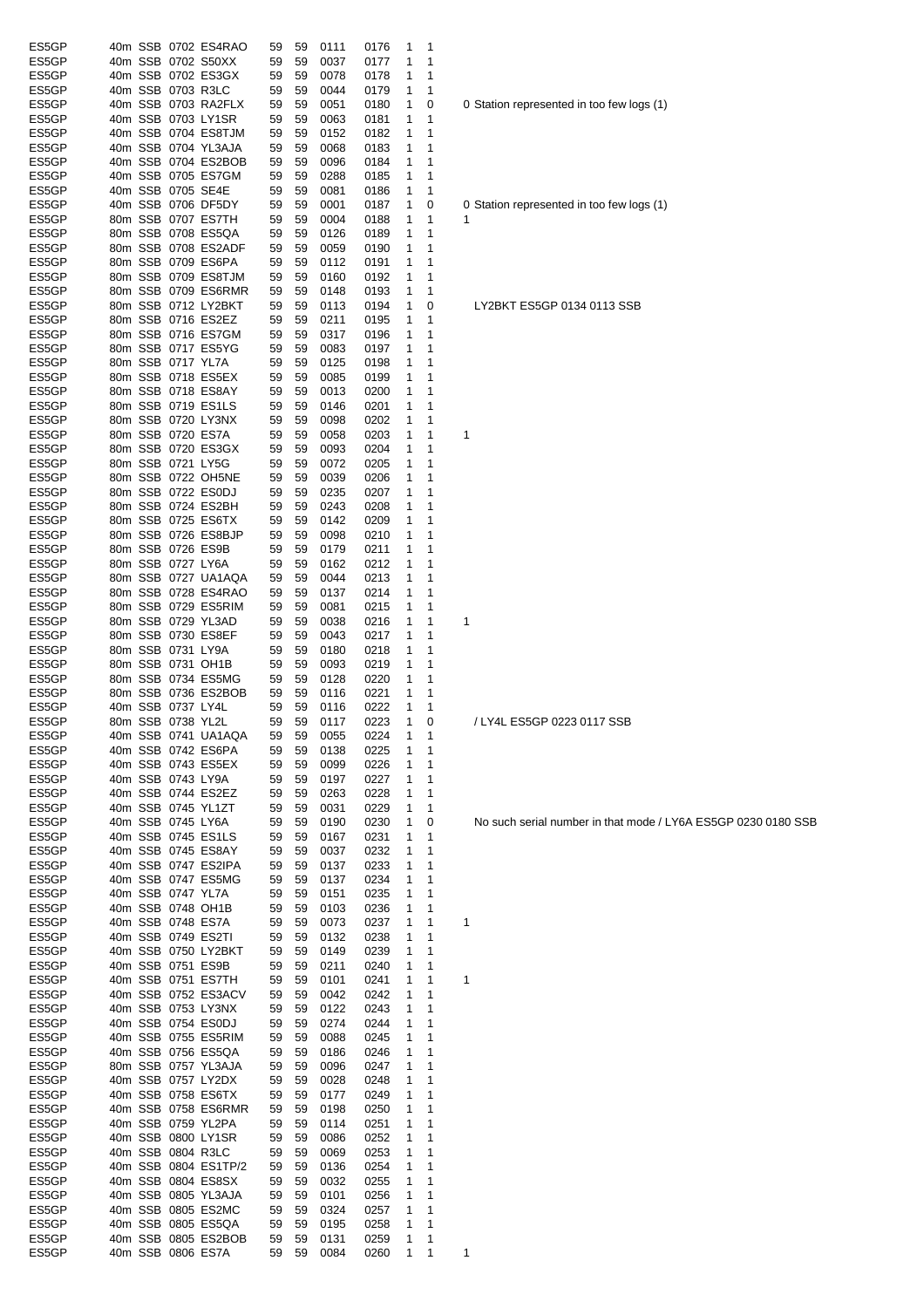| ES5GP          | 40m SSB 0702 ES4RAO                      |                   | 59       | 59       | 0111         | 0176         | 1            | 1                 |                                                               |
|----------------|------------------------------------------|-------------------|----------|----------|--------------|--------------|--------------|-------------------|---------------------------------------------------------------|
| ES5GP          | 40m SSB 0702 S50XX                       |                   | 59       | 59       | 0037         | 0177         | 1            | 1                 |                                                               |
| ES5GP          | 40m SSB 0702 ES3GX                       |                   | 59       | 59       | 0078         | 0178         | 1            | 1                 |                                                               |
| ES5GP          | 40m SSB 0703 R3LC                        |                   | 59       | 59       | 0044         | 0179         | 1            | 1                 |                                                               |
| ES5GP          | 40m SSB 0703 RA2FLX                      |                   | 59       | 59       | 0051         | 0180         | 1            | 0                 | 0 Station represented in too few logs (1)                     |
| ES5GP          | 40m SSB 0703 LY1SR                       |                   | 59       | 59       | 0063         | 0181         | 1            | 1                 |                                                               |
| ES5GP          | 40m SSB 0704 ES8TJM                      |                   | 59       | 59       | 0152         | 0182         | 1            | 1                 |                                                               |
| ES5GP          | 40m SSB 0704 YL3AJA                      |                   | 59       | 59       | 0068         | 0183         | 1            | 1                 |                                                               |
| ES5GP          | 40m SSB 0704 ES2BOB                      |                   | 59       | 59       | 0096         | 0184         | 1            | 1                 |                                                               |
| ES5GP          | 40m SSB 0705 ES7GM                       |                   | 59       | 59       | 0288         | 0185         | 1            | 1                 |                                                               |
| ES5GP          | 40m SSB 0705 SE4E                        |                   | 59       | 59       | 0081         | 0186         | 1            | 1                 |                                                               |
| ES5GP          | 40m SSB 0706 DF5DY                       |                   | 59       | 59       | 0001         | 0187         | 1            | 0                 | 0 Station represented in too few logs (1)                     |
| ES5GP          | 80m SSB 0707 ES7TH                       |                   | 59       | 59       | 0004         | 0188         | 1            | 1                 | 1                                                             |
| ES5GP          | 80m SSB 0708 ES5QA                       |                   | 59       | 59       | 0126         | 0189         | 1            | 1                 |                                                               |
| ES5GP          | 80m SSB 0708 ES2ADF                      |                   |          |          |              |              |              | 1                 |                                                               |
|                |                                          |                   | 59       | 59       | 0059         | 0190         | 1            |                   |                                                               |
| ES5GP          | 80m SSB 0709 ES6PA                       |                   | 59       | 59       | 0112         | 0191         | 1            | 1                 |                                                               |
| ES5GP          | 80m SSB 0709 ES8TJM                      |                   | 59       | 59       | 0160         | 0192         | 1            | 1                 |                                                               |
| ES5GP          | 80m SSB 0709 ES6RMR                      |                   | 59       | 59       | 0148         | 0193         | 1            | 1                 |                                                               |
| ES5GP          | 80m SSB 0712 LY2BKT                      |                   | 59       | 59       | 0113         | 0194         | 1            | 0                 | LY2BKT ES5GP 0134 0113 SSB                                    |
| ES5GP          | 80m SSB 0716 ES2EZ                       |                   | 59       | 59       | 0211         | 0195         | 1            | 1                 |                                                               |
| ES5GP          | 80m SSB 0716 ES7GM                       |                   | 59       | 59       | 0317         | 0196         | 1            | 1                 |                                                               |
| ES5GP          | 80m SSB 0717 ES5YG                       |                   | 59       | 59       | 0083         | 0197         | 1            | 1                 |                                                               |
| ES5GP          | 80m SSB 0717 YL7A                        |                   | 59       | 59       | 0125         | 0198         | 1            | 1                 |                                                               |
| ES5GP          | 80m SSB 0718 ES5EX                       |                   | 59       | 59       | 0085         | 0199         | 1            | 1                 |                                                               |
| ES5GP          | 80m SSB 0718 ES8AY                       |                   | 59       | 59       | 0013         | 0200         | 1            | 1                 |                                                               |
| ES5GP          | 80m SSB 0719 ES1LS                       |                   | 59       | 59       | 0146         | 0201         | 1            | 1                 |                                                               |
| ES5GP          | 80m SSB 0720 LY3NX                       |                   |          | 59       | 0098         | 0202         | 1            | 1                 |                                                               |
|                |                                          |                   | 59       |          |              |              |              |                   |                                                               |
| ES5GP          | 80m SSB 0720 ES7A                        |                   | 59       | 59       | 0058         | 0203         | 1            | 1                 | 1                                                             |
| ES5GP          | 80m SSB 0720 ES3GX                       |                   | 59       | 59       | 0093         | 0204         | 1            | 1                 |                                                               |
| ES5GP          | 80m SSB 0721 LY5G                        |                   | 59       | 59       | 0072         | 0205         | 1            | 1                 |                                                               |
| ES5GP          | 80m SSB 0722 OH5NE                       |                   | 59       | 59       | 0039         | 0206         | 1            | 1                 |                                                               |
| ES5GP          | 80m SSB 0722 ES0DJ                       |                   | 59       | 59       | 0235         | 0207         | 1            | 1                 |                                                               |
| ES5GP          | 80m SSB 0724 ES2BH                       |                   | 59       | 59       | 0243         | 0208         | 1            | 1                 |                                                               |
| ES5GP          | 80m SSB 0725 ES6TX                       |                   | 59       | 59       | 0142         | 0209         | 1            | 1                 |                                                               |
| ES5GP          | 80m SSB 0726 ES8BJP                      |                   | 59       | 59       | 0098         | 0210         | 1            | 1                 |                                                               |
| ES5GP          | 80m SSB 0726 ES9B                        |                   | 59       | 59       | 0179         | 0211         | 1            | 1                 |                                                               |
| ES5GP          | 80m SSB 0727 LY6A                        |                   | 59       | 59       | 0162         | 0212         | 1            | 1                 |                                                               |
| ES5GP          | 80m SSB 0727 UA1AQA                      |                   | 59       | 59       | 0044         | 0213         | 1            | 1                 |                                                               |
|                |                                          |                   |          |          |              |              |              |                   |                                                               |
| ES5GP          | 80m SSB 0728 ES4RAO                      |                   | 59       | 59       | 0137         | 0214         | 1            | 1                 |                                                               |
| ES5GP          | 80m SSB 0729 ES5RIM                      |                   | 59       | 59       | 0081         | 0215         | 1            | 1                 |                                                               |
| ES5GP          | 80m SSB 0729 YL3AD                       |                   | 59       | 59       | 0038         | 0216         | 1            | 1                 | 1                                                             |
| ES5GP          | 80m SSB 0730 ES8EF                       |                   | 59       | 59       | 0043         | 0217         | 1            | 1                 |                                                               |
| ES5GP          | 80m SSB 0731 LY9A                        |                   | 59       | 59       | 0180         | 0218         | 1            | 1                 |                                                               |
| ES5GP          | 80m SSB 0731 OH1B                        |                   | 59       | 59       | 0093         | 0219         | 1            | 1                 |                                                               |
| ES5GP          | 80m SSB 0734 ES5MG                       |                   | 59       | 59       | 0128         | 0220         | 1            | 1                 |                                                               |
| ES5GP          | 80m SSB 0736 ES2BOB                      |                   | 59       | 59       | 0116         | 0221         | 1            | 1                 |                                                               |
| ES5GP          | 40m SSB 0737 LY4L                        |                   | 59       | 59       | 0116         | 0222         | 1            | 1                 |                                                               |
| ES5GP          | 80m SSB 0738 YL2L                        |                   | 59       | 59       | 0117         | 0223         | 1            | 0                 | / LY4L ES5GP 0223 0117 SSB                                    |
| ES5GP          | 40m SSB 0741 UA1AQA                      |                   | 59       | 59       | 0055         | 0224         | $\mathbf{1}$ | 1                 |                                                               |
| ES5GP          | 40m SSB 0742 ES6PA                       |                   | 59       | 59       | 0138         | 0225         | 1            | 1                 |                                                               |
| ES5GP          | 40m SSB 0743 ES5EX                       |                   | 59       | 59       | 0099         | 0226         | 1            | 1                 |                                                               |
|                |                                          |                   |          |          |              |              |              |                   |                                                               |
| ES5GP          | 40m SSB 0743 LY9A                        |                   | 59       | 59       | 0197         | 0227         | 1            | 1                 |                                                               |
| ES5GP          | 40m SSB 0744 ES2EZ                       |                   | 59       | 59       | 0263         | 0228         | 1            | 1                 |                                                               |
| ES5GP          | 40m SSB 0745 YL1ZT                       |                   | 59       | 59       | 0031         | 0229         | 1            | 1                 |                                                               |
| ES5GP          | 40m SSB 0745 LY6A                        |                   | 59       | 59       | 0190         | 0230         | 1            | 0                 | No such serial number in that mode / LY6A ES5GP 0230 0180 SSB |
| ES5GP          | 40m SSB 0745 ES1LS                       |                   | 59       | 59       | 0167         | 0231         | 1            | 1                 |                                                               |
| ES5GP          | 40m SSB 0745 ES8AY                       |                   | 59       | 59       | 0037         | 0232         | 1            | 1                 |                                                               |
| ES5GP          | 40m SSB 0747 ES2IPA                      |                   | 59       | 59       | 0137         | 0233         | 1            | 1                 |                                                               |
| ES5GP          | 40m SSB 0747 ES5MG                       |                   | 59       | 59       | 0137         | 0234         | 1            | 1                 |                                                               |
| ES5GP          | 40m SSB 0747 YL7A                        |                   | 59       | 59       | 0151         | 0235         | 1            | 1                 |                                                               |
| ES5GP          | 40m SSB 0748 OH1B                        |                   |          | 59       | 0103         | 0236         | 1            | 1                 |                                                               |
| ES5GP          |                                          |                   |          |          |              |              |              |                   |                                                               |
|                |                                          |                   | 59       |          |              |              |              |                   |                                                               |
|                |                                          | 40m SSB 0748 ES7A | 59       | 59       | 0073         | 0237         | 1            | 1                 | 1                                                             |
| ES5GP          | 40m SSB 0749 ES2TI                       |                   | 59       | 59       | 0132         | 0238         | 1            | 1                 |                                                               |
| ES5GP          | 40m SSB 0750 LY2BKT                      |                   | 59       | 59       | 0149         | 0239         | 1            | 1                 |                                                               |
| ES5GP          | 40m SSB 0751 ES9B                        |                   | 59       | 59       | 0211         | 0240         | 1            | 1                 |                                                               |
| ES5GP          | 40m SSB 0751 ES7TH                       |                   | 59       | 59       | 0101         | 0241         | 1            | 1                 | 1                                                             |
| ES5GP          | 40m SSB 0752 ES3ACV                      |                   | 59       | 59       | 0042         | 0242         | 1            | 1                 |                                                               |
| ES5GP          | 40m SSB 0753 LY3NX                       |                   | 59       | 59       | 0122         | 0243         | 1            | 1                 |                                                               |
| ES5GP          | 40m SSB 0754 ES0DJ                       |                   | 59       | 59       | 0274         | 0244         | 1            | 1                 |                                                               |
| ES5GP          | 40m SSB 0755 ES5RIM                      |                   | 59       | 59       | 0088         | 0245         | 1            | 1                 |                                                               |
| ES5GP          |                                          |                   | 59       | 59       | 0186         | 0246         | 1            | 1                 |                                                               |
|                | 40m SSB 0756 ES5QA                       |                   |          |          |              |              |              | 1                 |                                                               |
| ES5GP          | 80m SSB 0757 YL3AJA                      |                   | 59       | 59       | 0096         | 0247         | 1            |                   |                                                               |
| ES5GP          | 40m SSB 0757 LY2DX                       |                   | 59       | 59       | 0028         | 0248         | 1            | 1                 |                                                               |
| ES5GP          | 40m SSB 0758 ES6TX                       |                   | 59       | 59       | 0177         | 0249         | 1            | 1                 |                                                               |
| ES5GP          | 40m SSB 0758 ES6RMR                      |                   | 59       | 59       | 0198         | 0250         | 1            | 1                 |                                                               |
| ES5GP          | 40m SSB 0759 YL2PA                       |                   | 59       | 59       | 0114         | 0251         | 1            | 1                 |                                                               |
| ES5GP          | 40m SSB 0800 LY1SR                       |                   | 59       | 59       | 0086         | 0252         | 1            | 1                 |                                                               |
| ES5GP          | 40m SSB 0804 R3LC                        |                   | 59       | 59       | 0069         | 0253         | 1            | 1                 |                                                               |
| ES5GP          | 40m SSB 0804 ES1TP/2                     |                   | 59       | 59       | 0136         | 0254         | 1            | $\mathbf 1$       |                                                               |
| ES5GP          | 40m SSB 0804 ES8SX                       |                   | 59       | 59       | 0032         | 0255         | 1            | $\mathbf 1$       |                                                               |
| ES5GP          | 40m SSB 0805 YL3AJA                      |                   | 59       | 59       | 0101         | 0256         | 1            | 1                 |                                                               |
| ES5GP          | 40m SSB 0805 ES2MC                       |                   | 59       | 59       | 0324         | 0257         | 1            | 1                 |                                                               |
|                |                                          |                   |          |          |              |              |              |                   |                                                               |
| ES5GP          | 40m SSB 0805 ES5QA                       |                   | 59       | 59       | 0195         | 0258         | 1            | 1                 |                                                               |
| ES5GP<br>ES5GP | 40m SSB 0805 ES2BOB<br>40m SSB 0806 ES7A |                   | 59<br>59 | 59<br>59 | 0131<br>0084 | 0259<br>0260 | 1<br>1       | 1<br>$\mathbf{1}$ | 1                                                             |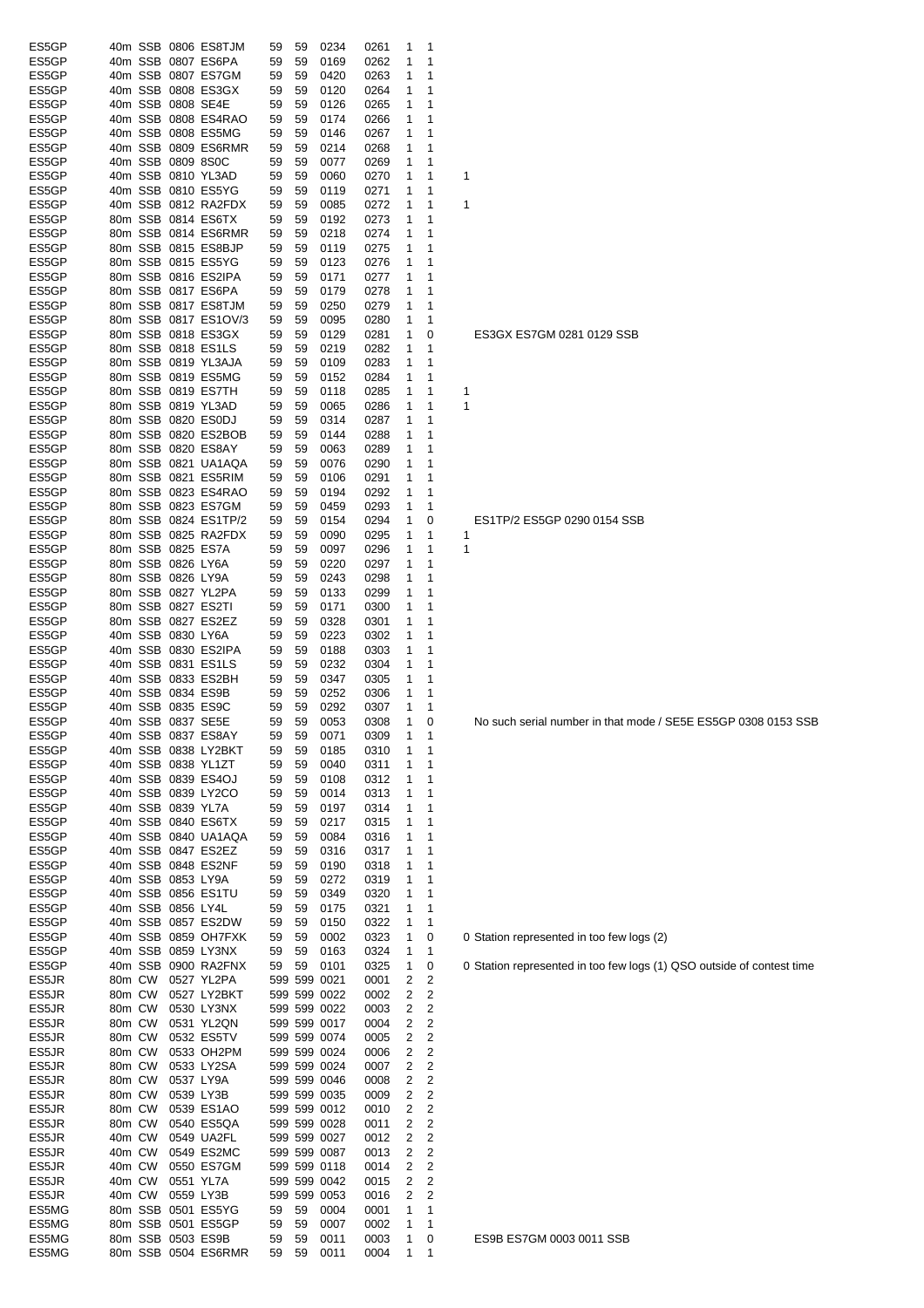| ES5GP          | 40m SSB 0806 ES8TJM                       |             | 0234<br>59<br>59                     | 0261<br>1<br>1                       |                                                                       |
|----------------|-------------------------------------------|-------------|--------------------------------------|--------------------------------------|-----------------------------------------------------------------------|
| ES5GP          | 40m SSB 0807 ES6PA                        |             | 59<br>0169<br>59                     | 0262<br>1<br>1                       |                                                                       |
| ES5GP          | 40m SSB 0807 ES7GM                        |             | 0420<br>59<br>59                     | 1<br>0263<br>1                       |                                                                       |
| ES5GP          | 40m SSB 0808 ES3GX                        |             | 0120<br>59<br>59                     | 0264<br>1<br>1                       |                                                                       |
| ES5GP          | 40m SSB 0808 SE4E                         |             | 0126<br>59<br>59                     | 0265<br>1<br>1                       |                                                                       |
| ES5GP<br>ES5GP | 40m SSB 0808 ES4RAO                       |             | 59<br>59<br>0174                     | 0266<br>1<br>1                       |                                                                       |
| ES5GP          | 40m SSB 0808 ES5MG                        |             | 59<br>0146<br>59                     | 0267<br>1<br>1                       |                                                                       |
| ES5GP          | 40m SSB 0809 ES6RMR<br>40m SSB 0809 8S0C  |             | 0214<br>59<br>59<br>59<br>0077<br>59 | 0268<br>1<br>1<br>0269<br>1<br>1     |                                                                       |
| ES5GP          | 40m SSB 0810 YL3AD                        |             | 59<br>0060<br>59                     | 0270<br>1<br>1                       | 1                                                                     |
| ES5GP          | 40m SSB 0810 ES5YG                        |             | 59<br>0119<br>59                     | 0271<br>1<br>1                       |                                                                       |
| ES5GP          | 40m SSB 0812 RA2FDX                       |             | 59<br>0085<br>59                     | 0272<br>1<br>1                       | 1                                                                     |
| ES5GP          | 80m SSB 0814 ES6TX                        |             | 59<br>0192<br>59                     | 1<br>0273<br>1                       |                                                                       |
| ES5GP          | 80m SSB 0814 ES6RMR                       |             | 0218<br>59<br>59                     | 1<br>0274<br>1                       |                                                                       |
| ES5GP          | 80m SSB 0815 ES8BJP                       |             | 59<br>0119<br>59                     | 0275<br>1<br>1                       |                                                                       |
| ES5GP          | 80m SSB 0815 ES5YG                        |             | 0123<br>59<br>59                     | 0276<br>1<br>1                       |                                                                       |
| ES5GP          | 80m SSB 0816 ES2IPA                       |             | 59<br>59<br>0171                     | 0277<br>1<br>1                       |                                                                       |
| ES5GP          | 80m SSB 0817 ES6PA                        |             | 0179<br>59<br>59                     | 0278<br>1<br>1                       |                                                                       |
| ES5GP          | 80m SSB 0817 ES8TJM                       |             | 59<br>0250<br>59                     | 0279<br>1<br>1                       |                                                                       |
| ES5GP          | 80m SSB 0817 ES1OV/3                      |             | 59<br>0095<br>59                     | 0280<br>1<br>1                       |                                                                       |
| ES5GP          | 80m SSB 0818 ES3GX                        |             | 59<br>59<br>0129                     | 0281<br>1<br>0                       | ES3GX ES7GM 0281 0129 SSB                                             |
| ES5GP          | 80m SSB 0818 ES1LS                        |             | 59<br>0219<br>59                     | 0282<br>1<br>1                       |                                                                       |
| ES5GP          | 80m SSB 0819 YL3AJA                       |             | 59<br>0109<br>59                     | 0283<br>1<br>1                       |                                                                       |
| ES5GP          | 80m SSB 0819 ES5MG                        |             | 0152<br>59<br>59                     | 0284<br>1<br>1                       |                                                                       |
| ES5GP          | 80m SSB 0819 ES7TH                        |             | 0118<br>59<br>59                     | 0285<br>1<br>1                       |                                                                       |
| ES5GP          | 80m SSB 0819 YL3AD                        |             | 0065<br>59<br>59                     | 1<br>0286<br>1                       | 1                                                                     |
| ES5GP          | 80m SSB 0820 ES0DJ                        |             | 0314<br>59<br>59                     | 0287<br>1<br>1                       |                                                                       |
| ES5GP          | 80m SSB 0820 ES2BOB                       |             | 59<br>59<br>0144                     | 0288<br>1<br>1                       |                                                                       |
| ES5GP          | 80m SSB 0820 ES8AY                        |             | 59<br>59<br>0063                     | 0289<br>1<br>1                       |                                                                       |
| ES5GP          | 80m SSB 0821 UA1AQA                       |             | 0076<br>59<br>59                     | 0290<br>1<br>1                       |                                                                       |
| ES5GP          | 80m SSB 0821 ES5RIM                       |             | 0106<br>59<br>59                     | 0291<br>1<br>1                       |                                                                       |
| ES5GP          | 80m SSB 0823 ES4RAO                       |             | 59<br>0194<br>59                     | 0292<br>1<br>1                       |                                                                       |
| ES5GP          | 80m SSB 0823 ES7GM                        |             | 0459<br>59<br>59                     | 0293<br>1<br>1                       |                                                                       |
| ES5GP          | 80m SSB 0824 ES1TP/2                      |             | 59<br>0154<br>59                     | 0294<br>1<br>0                       | ES1TP/2 ES5GP 0290 0154 SSB                                           |
| ES5GP          | 80m SSB 0825 RA2FDX                       |             | 59<br>59<br>0090                     | 0295<br>1<br>$\mathbf{1}$            | 1                                                                     |
| ES5GP<br>ES5GP | 80m SSB 0825 ES7A<br>80m SSB 0826 LY6A    |             | 0097<br>59<br>59<br>0220<br>59<br>59 | 0296<br>1<br>1<br>0297<br>1<br>1     | 1                                                                     |
| ES5GP          | 80m SSB 0826 LY9A                         |             | 0243<br>59<br>59                     | 0298<br>1<br>1                       |                                                                       |
| ES5GP          | 80m SSB 0827 YL2PA                        |             | 0133<br>59<br>59                     | 1<br>0299<br>1                       |                                                                       |
| ES5GP          | 80m SSB 0827 ES2TI                        |             | 0171<br>59<br>59                     | 0300<br>1<br>$\mathbf 1$             |                                                                       |
| ES5GP          | 80m SSB 0827 ES2EZ                        |             | 0328<br>59<br>59                     | 0301<br>1<br>1                       |                                                                       |
| ES5GP          | 40m SSB 0830 LY6A                         |             | 0223<br>59<br>59                     | 0302<br>1<br>1                       |                                                                       |
| ES5GP          | 40m SSB 0830 ES2IPA                       |             | 59<br>59<br>0188                     | 0303<br>1<br>1                       |                                                                       |
| ES5GP          | 40m SSB 0831 ES1LS                        |             | 59<br>0232<br>59                     | 0304<br>1<br>1                       |                                                                       |
| ES5GP          | 40m SSB 0833 ES2BH                        |             | 0347<br>59<br>59                     | 0305<br>1<br>1                       |                                                                       |
| ES5GP          | 40m SSB 0834 ES9B                         |             | 0252<br>59<br>59                     | 0306<br>1<br>1                       |                                                                       |
| ES5GP          | 40m SSB 0835 ES9C                         |             | 0292<br>59<br>59                     | 0307<br>1<br>1                       |                                                                       |
| ES5GP          | 40m SSB 0837 SE5E                         |             | 59<br>59<br>0053                     | 0308<br>1<br>0                       | No such serial number in that mode / SE5E ES5GP 0308 0153 SSB         |
| ES5GP          | 40m SSB 0837 ES8AY                        |             | 59<br>59<br>0071                     | 0309<br>1                            |                                                                       |
| ES5GP          | 40m SSB 0838 LY2BKT                       |             | 59<br>0185<br>59                     | 1<br>0310<br>1                       |                                                                       |
| ES5GP          | 40m SSB 0838 YL1ZT                        |             | 0040<br>59<br>59                     | 0311<br>1<br>1                       |                                                                       |
| ES5GP          | 40m SSB 0839 ES4OJ                        |             | 59<br>0108<br>59                     | 0312<br>1<br>1                       |                                                                       |
| ES5GP          | 40m SSB 0839 LY2CO                        |             | 59<br>0014<br>59                     | 0313<br>1<br>1                       |                                                                       |
| ES5GP          | 40m SSB 0839 YL7A                         |             | 0197<br>59<br>59                     | 0314<br>1<br>1                       |                                                                       |
| ES5GP          | 40m SSB 0840 ES6TX                        |             | 59<br>0217<br>59                     | 0315<br>1<br>1                       |                                                                       |
| ES5GP          | 40m SSB 0840 UA1AQA                       |             | 59<br>0084<br>59                     | 0316<br>1<br>1                       |                                                                       |
| ES5GP          | 40m SSB 0847 ES2EZ                        |             | 59<br>0316<br>59                     | 0317<br>1<br>1                       |                                                                       |
| ES5GP          | 40m SSB 0848 ES2NF                        |             | 59<br>59<br>0190                     | 0318<br>1<br>1                       |                                                                       |
| ES5GP          | 40m SSB 0853 LY9A                         |             | 59<br>0272<br>59                     | 0319<br>1<br>1                       |                                                                       |
| ES5GP<br>ES5GP | 40m SSB 0856 ES1TU<br>40m SSB 0856 LY4L   |             | 59<br>0349<br>59<br>59<br>0175<br>59 | 0320<br>1<br>1<br>0321<br>1<br>1     |                                                                       |
| ES5GP          |                                           |             |                                      |                                      |                                                                       |
| ES5GP          | 40m SSB 0857 ES2DW<br>40m SSB 0859 OH7FXK |             | 0150<br>59<br>59<br>59<br>0002<br>59 | 0322<br>1<br>1<br>0323<br>1<br>0     | 0 Station represented in too few logs (2)                             |
| ES5GP          | 40m SSB 0859 LY3NX                        |             | 59<br>0163<br>59                     | 0324<br>1<br>$\mathbf{1}$            |                                                                       |
| ES5GP          | 40m SSB 0900 RA2FNX                       |             | 59<br>0101<br>59                     | 0325<br>1<br>0                       | 0 Station represented in too few logs (1) QSO outside of contest time |
| ES5JR          | 80m CW                                    | 0527 YL2PA  | 599 599 0021                         | $\overline{\mathbf{c}}$<br>0001<br>2 |                                                                       |
| ES5JR          | 80m CW                                    | 0527 LY2BKT | 599 599 0022                         | 2<br>$\overline{2}$<br>0002          |                                                                       |
| ES5JR          | 80m CW                                    | 0530 LY3NX  | 599 599 0022                         | 2<br>$\overline{\mathbf{c}}$<br>0003 |                                                                       |
| ES5JR          | 80m CW                                    | 0531 YL2QN  | 599 599 0017                         | 0004<br>2<br>2                       |                                                                       |
| ES5JR          | 80m CW                                    | 0532 ES5TV  | 599 599 0074                         | 2<br>$\overline{\mathbf{c}}$<br>0005 |                                                                       |
| ES5JR          | 80m CW                                    | 0533 OH2PM  | 599 599 0024                         | 2<br>$\overline{2}$<br>0006          |                                                                       |
| ES5JR          | 80m CW                                    | 0533 LY2SA  | 599 599 0024                         | 2<br>2<br>0007                       |                                                                       |
| ES5JR          | 80m CW                                    | 0537 LY9A   | 599 599 0046                         | $\overline{\mathbf{c}}$<br>2<br>0008 |                                                                       |
| ES5JR          | 80m CW                                    | 0539 LY3B   | 599 599 0035                         | 2<br>2<br>0009                       |                                                                       |
| ES5JR          | 80m CW                                    | 0539 ES1AO  | 599 599 0012                         | $\overline{\mathbf{c}}$<br>2<br>0010 |                                                                       |
| ES5JR          | 80m CW                                    | 0540 ES5QA  | 599 599 0028                         | 2<br>$\overline{c}$<br>0011          |                                                                       |
| ES5JR          | 40m CW                                    | 0549 UA2FL  | 599 599 0027                         | 2<br>$\overline{\mathbf{c}}$<br>0012 |                                                                       |
| ES5JR          | 40m CW                                    | 0549 ES2MC  | 599 599 0087                         | 2<br>$\overline{2}$<br>0013          |                                                                       |
| ES5JR          | 40m CW                                    | 0550 ES7GM  | 599 599 0118                         | $\overline{\mathbf{c}}$<br>0014<br>2 |                                                                       |
| ES5JR          | 40m CW                                    | 0551 YL7A   | 599 599 0042                         | 2<br>2<br>0015                       |                                                                       |
| ES5JR          | 40m CW                                    | 0559 LY3B   | 599 599 0053                         | 2<br>$\overline{\mathbf{c}}$<br>0016 |                                                                       |
| ES5MG          | 80m SSB 0501 ES5YG                        |             | 59<br>0004<br>59                     | 0001<br>1<br>1                       |                                                                       |
| ES5MG          | 80m SSB 0501 ES5GP                        |             | 59<br>0007<br>59                     | 0002<br>1<br>1                       |                                                                       |
| ES5MG          | 80m SSB 0503 ES9B                         |             | 59<br>59<br>0011                     | 0003<br>1<br>0                       | ES9B ES7GM 0003 0011 SSB                                              |
| ES5MG          | 80m SSB 0504 ES6RMR                       |             | 59<br>59<br>0011                     | 1<br>0004<br>1                       |                                                                       |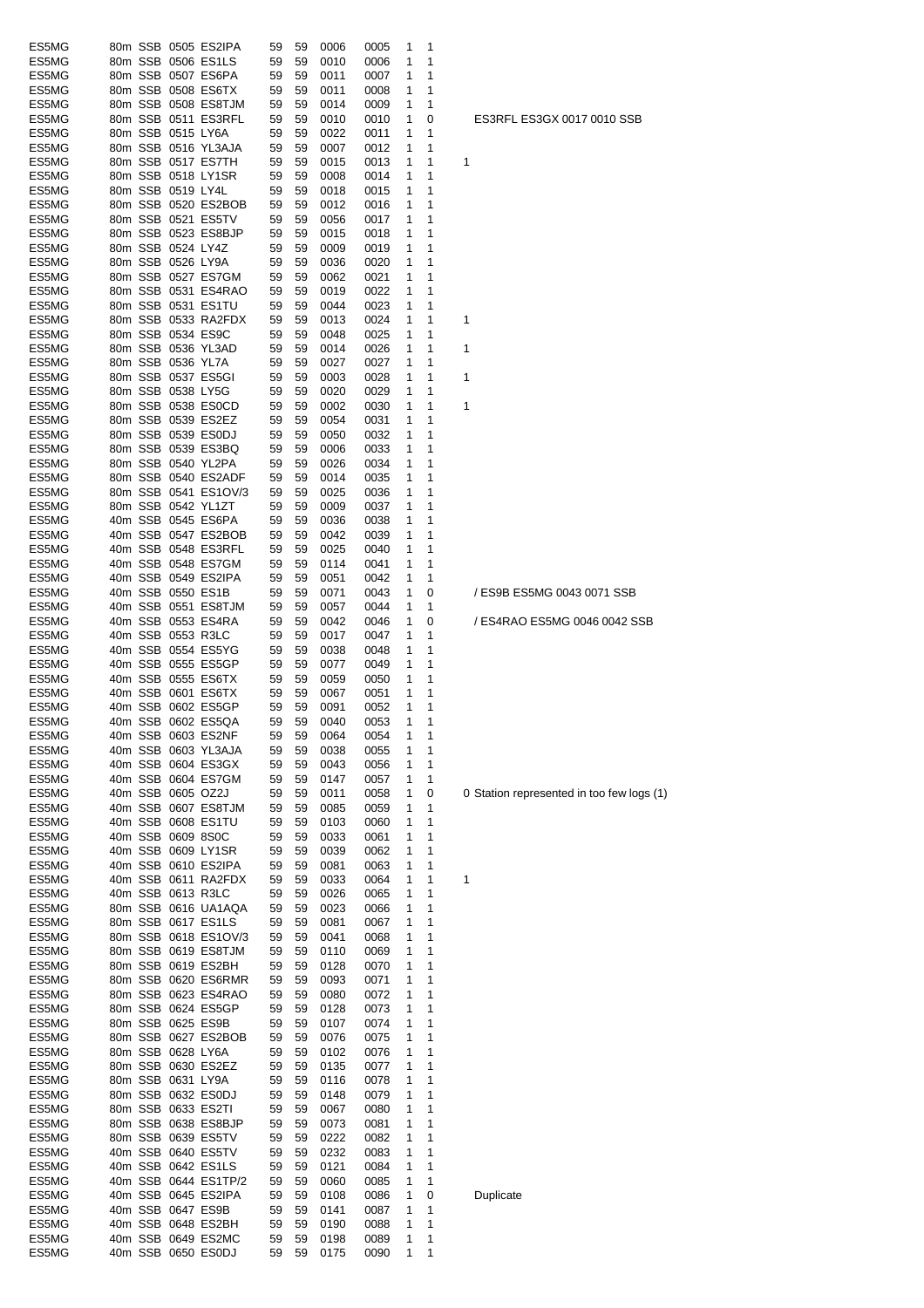| ES5MG          |  |                   | 80m SSB 0505 ES2IPA                         | 59 | 59 | 0006 | 0005 | 1            | 1      |                                     |
|----------------|--|-------------------|---------------------------------------------|----|----|------|------|--------------|--------|-------------------------------------|
| ES5MG          |  |                   | 80m SSB 0506 ES1LS                          | 59 | 59 | 0010 | 0006 | 1            | 1      |                                     |
| ES5MG          |  |                   | 80m SSB 0507 ES6PA                          | 59 | 59 | 0011 | 0007 | 1            | 1      |                                     |
| ES5MG          |  |                   | 80m SSB 0508 ES6TX                          | 59 | 59 | 0011 | 0008 | 1            | 1      |                                     |
| ES5MG          |  |                   | 80m SSB 0508 ES8TJM                         | 59 | 59 | 0014 | 0009 | 1            | 1      |                                     |
| ES5MG          |  |                   | 80m SSB 0511 ES3RFL                         | 59 | 59 | 0010 | 0010 | 1            | 0      | ES3RFL ES3GX 0017 0010 SSE          |
| ES5MG          |  | 80m SSB 0515 LY6A |                                             | 59 | 59 | 0022 | 0011 | 1            | 1      |                                     |
| ES5MG          |  |                   | 80m SSB 0516 YL3AJA                         | 59 | 59 | 0007 | 0012 | 1            | 1      |                                     |
| ES5MG          |  |                   | 80m SSB 0517 ES7TH                          | 59 | 59 | 0015 | 0013 | 1            | 1      | 1                                   |
| ES5MG          |  |                   | 80m SSB 0518 LY1SR                          | 59 | 59 | 0008 | 0014 | 1            | 1      |                                     |
| ES5MG          |  | 80m SSB 0519 LY4L |                                             | 59 | 59 | 0018 | 0015 | 1            | 1      |                                     |
| ES5MG          |  |                   | 80m SSB 0520 ES2BOB                         | 59 | 59 | 0012 | 0016 | 1            | 1      |                                     |
| ES5MG          |  |                   | 80m SSB 0521 ES5TV                          | 59 | 59 | 0056 | 0017 | 1            | 1      |                                     |
| ES5MG          |  |                   | 80m SSB 0523 ES8BJP                         | 59 | 59 | 0015 | 0018 | 1            | 1      |                                     |
| ES5MG          |  | 80m SSB 0524 LY4Z |                                             | 59 | 59 | 0009 | 0019 | 1            | 1      |                                     |
| ES5MG          |  | 80m SSB 0526 LY9A |                                             | 59 | 59 | 0036 | 0020 | 1            | 1      |                                     |
| ES5MG          |  |                   | 80m SSB 0527 ES7GM                          | 59 | 59 | 0062 | 0021 | 1            | 1      |                                     |
| ES5MG          |  |                   | 80m SSB 0531 ES4RAO                         | 59 | 59 | 0019 | 0022 | 1            | 1      |                                     |
| ES5MG          |  |                   | 80m SSB 0531 ES1TU                          | 59 | 59 | 0044 | 0023 | 1            | 1      |                                     |
| ES5MG          |  |                   | 80m SSB 0533 RA2FDX                         | 59 | 59 | 0013 | 0024 | 1            | 1      | 1                                   |
|                |  |                   |                                             |    |    |      |      |              |        |                                     |
| ES5MG          |  |                   | 80m SSB 0534 ES9C                           | 59 | 59 | 0048 | 0025 | 1            | 1      |                                     |
| ES5MG          |  |                   | 80m SSB 0536 YL3AD                          | 59 | 59 | 0014 | 0026 | 1            | 1      | 1                                   |
| ES5MG          |  | 80m SSB 0536 YL7A |                                             | 59 | 59 | 0027 | 0027 | 1            | 1      |                                     |
| ES5MG          |  |                   | 80m SSB 0537 ES5GI                          | 59 | 59 | 0003 | 0028 | 1            | 1      | 1                                   |
| ES5MG          |  |                   | 80m SSB 0538 LY5G                           | 59 | 59 | 0020 | 0029 | 1            | 1      |                                     |
| ES5MG          |  |                   | 80m SSB 0538 ES0CD                          | 59 | 59 | 0002 | 0030 | 1            | 1      | 1                                   |
| ES5MG          |  |                   | 80m SSB 0539 ES2EZ                          | 59 | 59 | 0054 | 0031 | 1            | 1      |                                     |
| ES5MG          |  |                   | 80m SSB 0539 ES0DJ                          | 59 | 59 | 0050 | 0032 | 1            | 1      |                                     |
| ES5MG          |  |                   | 80m SSB 0539 ES3BQ                          | 59 | 59 | 0006 | 0033 | 1            | 1      |                                     |
| ES5MG          |  |                   | 80m SSB 0540 YL2PA                          | 59 | 59 | 0026 | 0034 | 1            | 1      |                                     |
| ES5MG          |  |                   | 80m SSB 0540 ES2ADF                         | 59 | 59 | 0014 | 0035 | 1            | 1      |                                     |
| ES5MG          |  |                   | 80m SSB 0541 ES1OV/3                        | 59 | 59 | 0025 | 0036 | 1            | 1      |                                     |
| ES5MG          |  |                   | 80m SSB 0542 YL1ZT                          | 59 | 59 | 0009 | 0037 | 1            | 1      |                                     |
| ES5MG          |  |                   | 40m SSB 0545 ES6PA                          | 59 | 59 | 0036 | 0038 | 1            | 1      |                                     |
| ES5MG          |  |                   | 40m SSB 0547 ES2BOB                         | 59 | 59 | 0042 | 0039 | 1            | 1      |                                     |
| ES5MG          |  |                   | 40m SSB 0548 ES3RFL                         | 59 | 59 | 0025 | 0040 | 1            | 1      |                                     |
| ES5MG          |  |                   | 40m SSB 0548 ES7GM                          | 59 | 59 | 0114 | 0041 | 1            | 1      |                                     |
| ES5MG          |  |                   | 40m SSB 0549 ES2IPA                         | 59 | 59 | 0051 | 0042 | 1            | 1      |                                     |
| ES5MG          |  |                   | 40m SSB 0550 ES1B                           | 59 | 59 | 0071 | 0043 | 1            | 0      | / ES9B ES5MG 0043 0071 SSB          |
| ES5MG          |  |                   | 40m SSB 0551 ES8TJM                         | 59 | 59 | 0057 | 0044 | 1            | 1      |                                     |
| ES5MG          |  |                   | 40m SSB 0553 ES4RA                          | 59 | 59 |      |      |              |        | / ES4RAO ES5MG 0046 0042 S          |
|                |  |                   |                                             |    |    | 0042 | 0046 | 1            | 0      |                                     |
| ES5MG          |  |                   | 40m SSB 0553 R3LC                           | 59 | 59 | 0017 | 0047 | 1            | 1      |                                     |
| ES5MG          |  |                   | 40m SSB 0554 ES5YG                          | 59 | 59 | 0038 | 0048 | 1            | 1      |                                     |
| ES5MG          |  |                   | 40m SSB 0555 ES5GP                          | 59 | 59 | 0077 | 0049 | 1            | 1      |                                     |
| ES5MG          |  |                   | 40m SSB 0555 ES6TX                          | 59 | 59 | 0059 | 0050 | 1            | 1      |                                     |
| ES5MG          |  |                   | 40m SSB 0601 ES6TX                          | 59 | 59 | 0067 | 0051 | 1            | 1      |                                     |
| ES5MG          |  |                   | 40m SSB 0602 ES5GP                          | 59 | 59 | 0091 | 0052 | 1            | 1      |                                     |
| ES5MG          |  |                   | 40m SSB 0602 ES5QA                          | 59 | 59 | 0040 | 0053 | 1            | 1      |                                     |
| ES5MG          |  |                   | 40m SSB 0603 ES2NF                          | 59 | 59 | 0064 | 0054 | $\mathbf{1}$ | 1      |                                     |
| ES5MG          |  |                   | 40m SSB 0603 YL3AJA                         | 59 | 59 | 0038 | 0055 | 1            | 1      |                                     |
| ES5MG          |  |                   | 40m SSB 0604 ES3GX                          | 59 | 59 | 0043 | 0056 | 1            | 1      |                                     |
| ES5MG          |  |                   | 40m SSB 0604 ES7GM                          | 59 | 59 | 0147 | 0057 | 1            | 1      |                                     |
| ES5MG          |  |                   | 40m SSB 0605 OZ2J                           | 59 | 59 | 0011 | 0058 | 1            | 0      | 0 Station represented in too few lo |
| ES5MG          |  |                   | 40m SSB 0607 ES8TJM                         | 59 | 59 | 0085 | 0059 | 1            | 1      |                                     |
| ES5MG          |  |                   | 40m SSB 0608 ES1TU                          | 59 | 59 | 0103 | 0060 | 1            | 1      |                                     |
| ES5MG          |  |                   | 40m SSB 0609 8S0C                           | 59 | 59 | 0033 | 0061 | 1            | 1      |                                     |
| ES5MG          |  |                   | 40m SSB 0609 LY1SR                          | 59 | 59 | 0039 | 0062 | 1            | 1      |                                     |
| ES5MG          |  |                   | 40m SSB 0610 ES2IPA                         | 59 | 59 | 0081 | 0063 | 1            | 1      |                                     |
| ES5MG          |  |                   | 40m SSB 0611 RA2FDX                         | 59 | 59 | 0033 | 0064 | 1            | 1      | 1                                   |
| ES5MG          |  |                   | 40m SSB 0613 R3LC                           | 59 | 59 | 0026 | 0065 | 1            | 1      |                                     |
| ES5MG          |  |                   | 80m SSB 0616 UA1AQA                         | 59 | 59 | 0023 | 0066 | 1            | 1      |                                     |
| ES5MG          |  |                   | 80m SSB 0617 ES1LS                          | 59 | 59 | 0081 | 0067 | 1            | 1      |                                     |
|                |  |                   |                                             |    |    |      |      |              |        |                                     |
| ES5MG<br>ES5MG |  |                   | 80m SSB 0618 ES1OV/3<br>80m SSB 0619 ES8TJM | 59 | 59 | 0041 | 0068 | 1            | 1<br>1 |                                     |
|                |  |                   |                                             | 59 | 59 | 0110 | 0069 | 1            |        |                                     |
| ES5MG          |  |                   | 80m SSB 0619 ES2BH                          | 59 | 59 | 0128 | 0070 | 1            | 1      |                                     |
| ES5MG          |  |                   | 80m SSB 0620 ES6RMR                         | 59 | 59 | 0093 | 0071 | 1            | 1      |                                     |
| ES5MG          |  |                   | 80m SSB 0623 ES4RAO                         | 59 | 59 | 0080 | 0072 | 1            | 1      |                                     |
| ES5MG          |  |                   | 80m SSB 0624 ES5GP                          | 59 | 59 | 0128 | 0073 | 1            | 1      |                                     |
| ES5MG          |  |                   | 80m SSB 0625 ES9B                           | 59 | 59 | 0107 | 0074 | 1            | 1      |                                     |
| ES5MG          |  |                   | 80m SSB 0627 ES2BOB                         | 59 | 59 | 0076 | 0075 | 1            | 1      |                                     |
| ES5MG          |  |                   | 80m SSB 0628 LY6A                           | 59 | 59 | 0102 | 0076 | 1            | 1      |                                     |
| ES5MG          |  |                   | 80m SSB 0630 ES2EZ                          | 59 | 59 | 0135 | 0077 | 1            | 1      |                                     |
| ES5MG          |  |                   | 80m SSB 0631 LY9A                           | 59 | 59 | 0116 | 0078 | 1            | 1      |                                     |
| ES5MG          |  |                   | 80m SSB 0632 ES0DJ                          | 59 | 59 | 0148 | 0079 | 1            | 1      |                                     |
| ES5MG          |  |                   | 80m SSB 0633 ES2TI                          | 59 | 59 | 0067 | 0080 | 1            | 1      |                                     |
| ES5MG          |  |                   | 80m SSB 0638 ES8BJP                         | 59 | 59 | 0073 | 0081 | 1            | 1      |                                     |
| ES5MG          |  |                   | 80m SSB 0639 ES5TV                          | 59 | 59 | 0222 | 0082 | 1            | 1      |                                     |
| ES5MG          |  |                   | 40m SSB 0640 ES5TV                          | 59 | 59 | 0232 | 0083 | 1            | 1      |                                     |
| ES5MG          |  |                   | 40m SSB 0642 ES1LS                          | 59 | 59 | 0121 | 0084 | 1            | 1      |                                     |
| ES5MG          |  |                   | 40m SSB 0644 ES1TP/2                        | 59 | 59 | 0060 | 0085 | 1            | 1      |                                     |
| ES5MG          |  |                   | 40m SSB 0645 ES2IPA                         | 59 | 59 | 0108 | 0086 | 1            | 0      | Duplicate                           |
| ES5MG          |  |                   | 40m SSB 0647 ES9B                           | 59 | 59 | 0141 | 0087 | 1            | 1      |                                     |
| ES5MG          |  |                   | 40m SSB 0648 ES2BH                          | 59 | 59 | 0190 | 0088 | 1            | 1      |                                     |
| ES5MG          |  |                   | 40m SSB 0649 ES2MC                          | 59 | 59 | 0198 | 0089 | 1            | 1      |                                     |
| ES5MG          |  |                   | 40m SSB 0650 ES0DJ                          | 59 | 59 | 0175 | 0090 | 1            | 1      |                                     |
|                |  |                   |                                             |    |    |      |      |              |        |                                     |

ES4RAO ES5MG 0046 0042 SSB

ation represented in too few logs (1)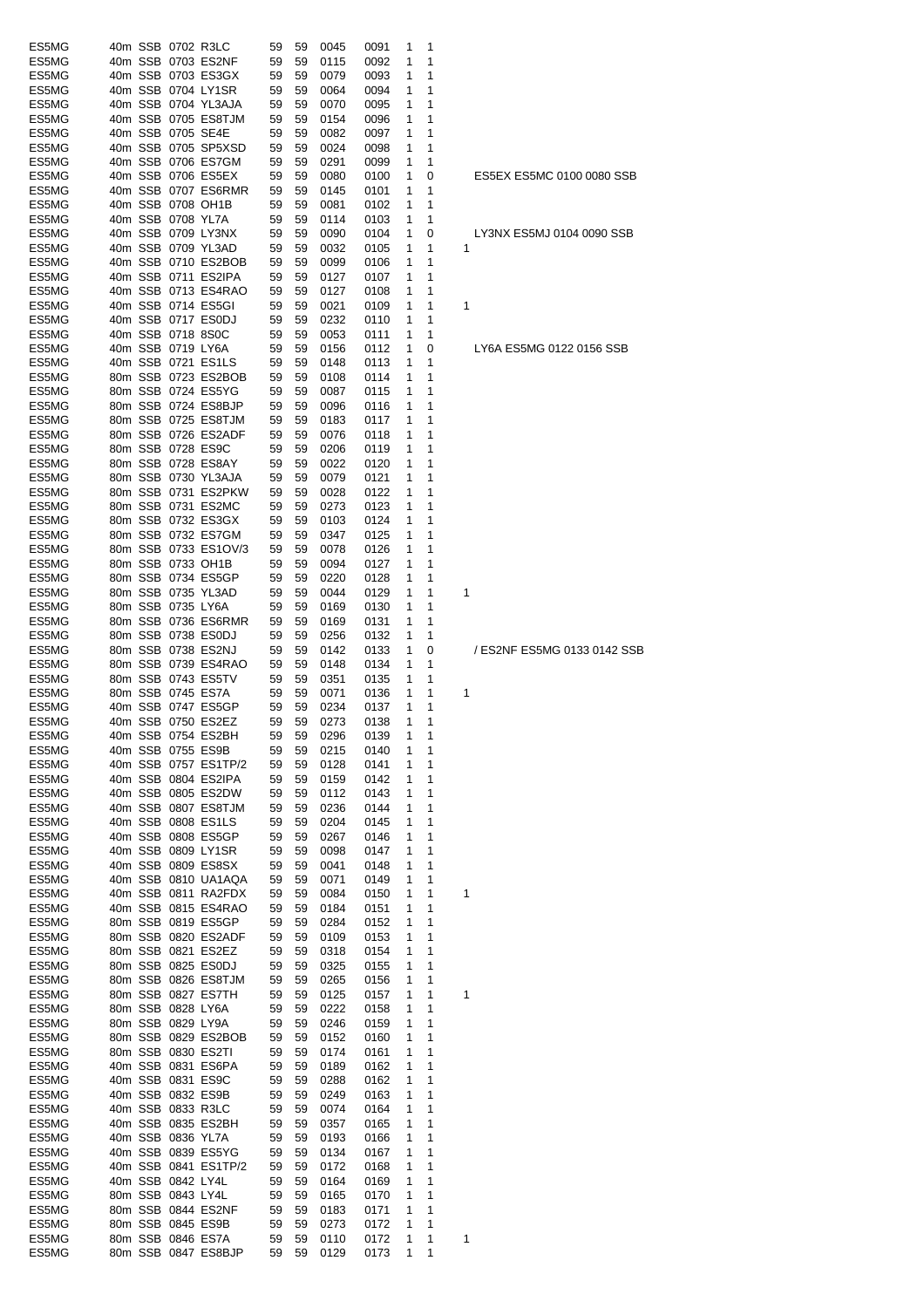| ES5MG          |  | 40m SSB 0702 R3LC |                      | 59 | 59 | 0045         | 0091   | 1 | 1 |                 |
|----------------|--|-------------------|----------------------|----|----|--------------|--------|---|---|-----------------|
| ES5MG          |  |                   | 40m SSB 0703 ES2NF   | 59 | 59 | 0115         | 0092   | 1 | 1 |                 |
| ES5MG          |  |                   | 40m SSB 0703 ES3GX   | 59 | 59 | 0079         | 0093   | 1 | 1 |                 |
| ES5MG          |  |                   | 40m SSB 0704 LY1SR   | 59 | 59 | 0064         | 0094   | 1 | 1 |                 |
| ES5MG          |  |                   | 40m SSB 0704 YL3AJA  | 59 | 59 | 0070         | 0095   | 1 | 1 |                 |
| ES5MG          |  |                   | 40m SSB 0705 ES8TJM  | 59 | 59 | 0154         | 0096   | 1 | 1 |                 |
| ES5MG          |  | 40m SSB 0705 SE4E |                      | 59 | 59 | 0082         | 0097   | 1 | 1 |                 |
| ES5MG          |  |                   | 40m SSB 0705 SP5XSD  | 59 | 59 | 0024         | 0098   | 1 | 1 |                 |
| ES5MG          |  |                   | 40m SSB 0706 ES7GM   | 59 | 59 | 0291         | 0099   | 1 | 1 |                 |
| ES5MG          |  |                   | 40m SSB 0706 ES5EX   | 59 | 59 | 0080         | 0100   | 1 | 0 | ES <sub>5</sub> |
| ES5MG          |  |                   | 40m SSB 0707 ES6RMR  | 59 | 59 | 0145         | 0101   | 1 | 1 |                 |
| ES5MG          |  |                   | 40m SSB 0708 OH1B    | 59 | 59 | 0081         | 0102   | 1 | 1 |                 |
| ES5MG          |  | 40m SSB 0708 YL7A |                      | 59 | 59 | 0114         | 0103   | 1 | 1 |                 |
| ES5MG          |  |                   | 40m SSB 0709 LY3NX   | 59 | 59 | 0090         | 0104   | 1 | 0 | LY3             |
| ES5MG          |  |                   | 40m SSB 0709 YL3AD   | 59 | 59 | 0032         | 0105   | 1 | 1 | 1               |
| ES5MG          |  |                   | 40m SSB 0710 ES2BOB  | 59 | 59 | 0099         | 0106   | 1 | 1 |                 |
| ES5MG          |  |                   | 40m SSB 0711 ES2IPA  | 59 | 59 | 0127         | 0107   | 1 | 1 |                 |
| ES5MG          |  |                   | 40m SSB 0713 ES4RAO  | 59 | 59 | 0127         | 0108   | 1 | 1 |                 |
| ES5MG          |  |                   | 40m SSB 0714 ES5GI   | 59 | 59 | 0021         | 0109   | 1 | 1 | 1               |
|                |  |                   | 40m SSB 0717 ES0DJ   | 59 | 59 |              |        | 1 | 1 |                 |
| ES5MG          |  |                   |                      |    |    | 0232         | 0110   |   |   |                 |
| ES5MG          |  | 40m SSB 0718 8S0C |                      | 59 | 59 | 0053         | 0111   | 1 | 1 |                 |
| ES5MG          |  | 40m SSB 0719 LY6A |                      | 59 | 59 | 0156         | 0112   | 1 | 0 | LY6.            |
| ES5MG          |  |                   | 40m SSB 0721 ES1LS   | 59 | 59 | 0148         | 0113   | 1 | 1 |                 |
| ES5MG          |  |                   | 80m SSB 0723 ES2BOB  | 59 | 59 | 0108         | 0114   | 1 | 1 |                 |
| ES5MG          |  |                   | 80m SSB 0724 ES5YG   | 59 | 59 | 0087         | 0115   | 1 | 1 |                 |
| ES5MG          |  |                   | 80m SSB 0724 ES8BJP  | 59 | 59 | 0096         | 0116   | 1 | 1 |                 |
| ES5MG          |  |                   | 80m SSB 0725 ES8TJM  | 59 | 59 | 0183         | 0117   | 1 | 1 |                 |
| ES5MG          |  |                   | 80m SSB 0726 ES2ADF  | 59 | 59 | 0076         | 0118   | 1 | 1 |                 |
| ES5MG          |  | 80m SSB 0728 ES9C |                      | 59 | 59 | 0206         | 0119   | 1 | 1 |                 |
| ES5MG          |  |                   | 80m SSB 0728 ES8AY   | 59 | 59 | 0022         | 0120   | 1 | 1 |                 |
| ES5MG          |  |                   | 80m SSB 0730 YL3AJA  | 59 | 59 | 0079         | 0121   | 1 | 1 |                 |
| ES5MG          |  |                   | 80m SSB 0731 ES2PKW  | 59 | 59 | 0028         | 0122   | 1 | 1 |                 |
| ES5MG          |  |                   | 80m SSB 0731 ES2MC   | 59 | 59 | 0273         | 0123   | 1 | 1 |                 |
| ES5MG          |  |                   | 80m SSB 0732 ES3GX   | 59 | 59 | 0103         | 0124   | 1 | 1 |                 |
| ES5MG          |  |                   | 80m SSB 0732 ES7GM   | 59 | 59 | 0347         | 0125   | 1 | 1 |                 |
| ES5MG          |  |                   | 80m SSB 0733 ES1OV/3 | 59 | 59 | 0078         | 0126   | 1 | 1 |                 |
| ES5MG          |  |                   | 80m SSB 0733 OH1B    | 59 | 59 | 0094         | 0127   | 1 | 1 |                 |
| ES5MG          |  |                   | 80m SSB 0734 ES5GP   | 59 | 59 | 0220         | 0128   | 1 | 1 |                 |
| ES5MG          |  |                   | 80m SSB 0735 YL3AD   | 59 | 59 | 0044         | 0129   | 1 | 1 | 1               |
| ES5MG          |  | 80m SSB 0735 LY6A |                      | 59 | 59 | 0169         | 0130   | 1 | 1 |                 |
| ES5MG          |  |                   | 80m SSB 0736 ES6RMR  | 59 | 59 | 0169         | 0131   | 1 | 1 |                 |
| ES5MG          |  |                   | 80m SSB 0738 ES0DJ   | 59 | 59 | 0256         | 0132   | 1 | 1 |                 |
| ES5MG          |  |                   | 80m SSB 0738 ES2NJ   | 59 | 59 | 0142         | 0133   | 1 | 0 | /ES             |
| ES5MG          |  |                   | 80m SSB 0739 ES4RAO  | 59 | 59 | 0148         | 0134   | 1 | 1 |                 |
| ES5MG          |  |                   | 80m SSB 0743 ES5TV   | 59 | 59 |              | 0135   | 1 | 1 |                 |
|                |  |                   |                      |    |    | 0351         |        |   | 1 |                 |
| ES5MG          |  | 80m SSB 0745 ES7A | 40m SSB 0747 ES5GP   | 59 | 59 | 0071         | 0136   | 1 |   | 1               |
| ES5MG<br>ES5MG |  |                   |                      | 59 | 59 | 0234         | 0137   | 1 | 1 |                 |
|                |  |                   | 40m SSB 0750 ES2EZ   | 59 | 59 | 0273         | 0138   | 1 | 1 |                 |
| ES5MG          |  |                   | 40m SSB 0754 ES2BH   | 59 |    | 59 0296      | 0139 1 |   | 1 |                 |
| ES5MG          |  | 40m SSB 0755 ES9B |                      | 59 | 59 | 0215         | 0140   | 1 | 1 |                 |
| ES5MG          |  |                   | 40m SSB 0757 ES1TP/2 | 59 | 59 | 0128         | 0141   | 1 | 1 |                 |
| ES5MG          |  |                   | 40m SSB 0804 ES2IPA  | 59 | 59 | 0159         | 0142   | 1 | 1 |                 |
| ES5MG          |  |                   | 40m SSB 0805 ES2DW   | 59 | 59 | 0112         | 0143   | 1 | 1 |                 |
| ES5MG          |  |                   | 40m SSB 0807 ES8TJM  | 59 | 59 | 0236         | 0144   | 1 | 1 |                 |
| ES5MG          |  |                   | 40m SSB 0808 ES1LS   | 59 | 59 | 0204         | 0145   | 1 | 1 |                 |
| ES5MG          |  |                   | 40m SSB 0808 ES5GP   | 59 | 59 | 0267         | 0146   | 1 | 1 |                 |
| ES5MG          |  |                   | 40m SSB 0809 LY1SR   | 59 | 59 | 0098         | 0147   | 1 | 1 |                 |
| ES5MG          |  |                   | 40m SSB 0809 ES8SX   | 59 | 59 | 0041         | 0148   | 1 | 1 |                 |
| ES5MG          |  |                   | 40m SSB 0810 UA1AQA  | 59 | 59 | 0071         | 0149   | 1 | 1 |                 |
| ES5MG          |  |                   | 40m SSB 0811 RA2FDX  | 59 | 59 | 0084         | 0150   | 1 | 1 | 1               |
| ES5MG          |  |                   | 40m SSB 0815 ES4RAO  | 59 | 59 | 0184         | 0151   | 1 | 1 |                 |
| ES5MG          |  |                   | 80m SSB 0819 ES5GP   | 59 | 59 | 0284         | 0152   | 1 | 1 |                 |
| ES5MG          |  |                   | 80m SSB 0820 ES2ADF  | 59 | 59 | 0109         | 0153   | 1 | 1 |                 |
| ES5MG          |  |                   | 80m SSB 0821 ES2EZ   | 59 | 59 | 0318         | 0154   | 1 | 1 |                 |
| ES5MG          |  |                   | 80m SSB 0825 ES0DJ   | 59 | 59 | 0325         | 0155   | 1 | 1 |                 |
| ES5MG          |  |                   | 80m SSB 0826 ES8TJM  | 59 | 59 | 0265         | 0156   | 1 | 1 |                 |
| ES5MG          |  |                   | 80m SSB 0827 ES7TH   | 59 | 59 | 0125         | 0157   | 1 | 1 | 1               |
| ES5MG          |  | 80m SSB 0828 LY6A |                      | 59 | 59 | 0222         | 0158   | 1 | 1 |                 |
| ES5MG          |  | 80m SSB 0829 LY9A |                      | 59 | 59 | 0246         | 0159   | 1 | 1 |                 |
| ES5MG          |  |                   | 80m SSB 0829 ES2BOB  | 59 | 59 | 0152         | 0160   | 1 | 1 |                 |
| ES5MG          |  |                   | 80m SSB 0830 ES2TI   | 59 | 59 | 0174         | 0161   | 1 | 1 |                 |
| ES5MG          |  |                   | 40m SSB 0831 ES6PA   | 59 | 59 | 0189         | 0162   | 1 | 1 |                 |
| ES5MG          |  |                   | 40m SSB 0831 ES9C    | 59 | 59 | 0288         | 0162   | 1 | 1 |                 |
| ES5MG          |  |                   | 40m SSB 0832 ES9B    | 59 | 59 | 0249         | 0163   | 1 | 1 |                 |
| ES5MG          |  | 40m SSB 0833 R3LC |                      | 59 | 59 | 0074         | 0164   | 1 | 1 |                 |
| ES5MG          |  |                   | 40m SSB 0835 ES2BH   | 59 | 59 | 0357         | 0165   | 1 | 1 |                 |
| ES5MG          |  | 40m SSB 0836 YL7A |                      | 59 | 59 | 0193         | 0166   | 1 | 1 |                 |
| ES5MG          |  |                   | 40m SSB 0839 ES5YG   | 59 | 59 | 0134         | 0167   | 1 | 1 |                 |
| ES5MG          |  |                   | 40m SSB 0841 ES1TP/2 | 59 | 59 | 0172         | 0168   | 1 | 1 |                 |
| ES5MG          |  | 40m SSB 0842 LY4L |                      | 59 | 59 | 0164         | 0169   | 1 | 1 |                 |
| ES5MG          |  | 80m SSB 0843 LY4L |                      | 59 | 59 |              | 0170   | 1 | 1 |                 |
| ES5MG          |  |                   | 80m SSB 0844 ES2NF   | 59 | 59 | 0165<br>0183 | 0171   | 1 | 1 |                 |
|                |  |                   |                      |    |    |              |        |   |   |                 |
| ES5MG          |  |                   | 80m SSB 0845 ES9B    | 59 | 59 | 0273         | 0172   | 1 | 1 |                 |
| ES5MG          |  |                   | 80m SSB 0846 ES7A    | 59 | 59 | 0110         | 0172   | 1 | 1 | 1               |
| ES5MG          |  |                   | 80m SSB 0847 ES8BJP  | 59 | 59 | 0129         | 0173   | 1 | 1 |                 |

5EX ES5MC 0100 0080 SSB

NX ES5MJ 0104 0090 SSB

64 ES5MG 0122 0156 SSB

S2NF ES5MG 0133 0142 SSB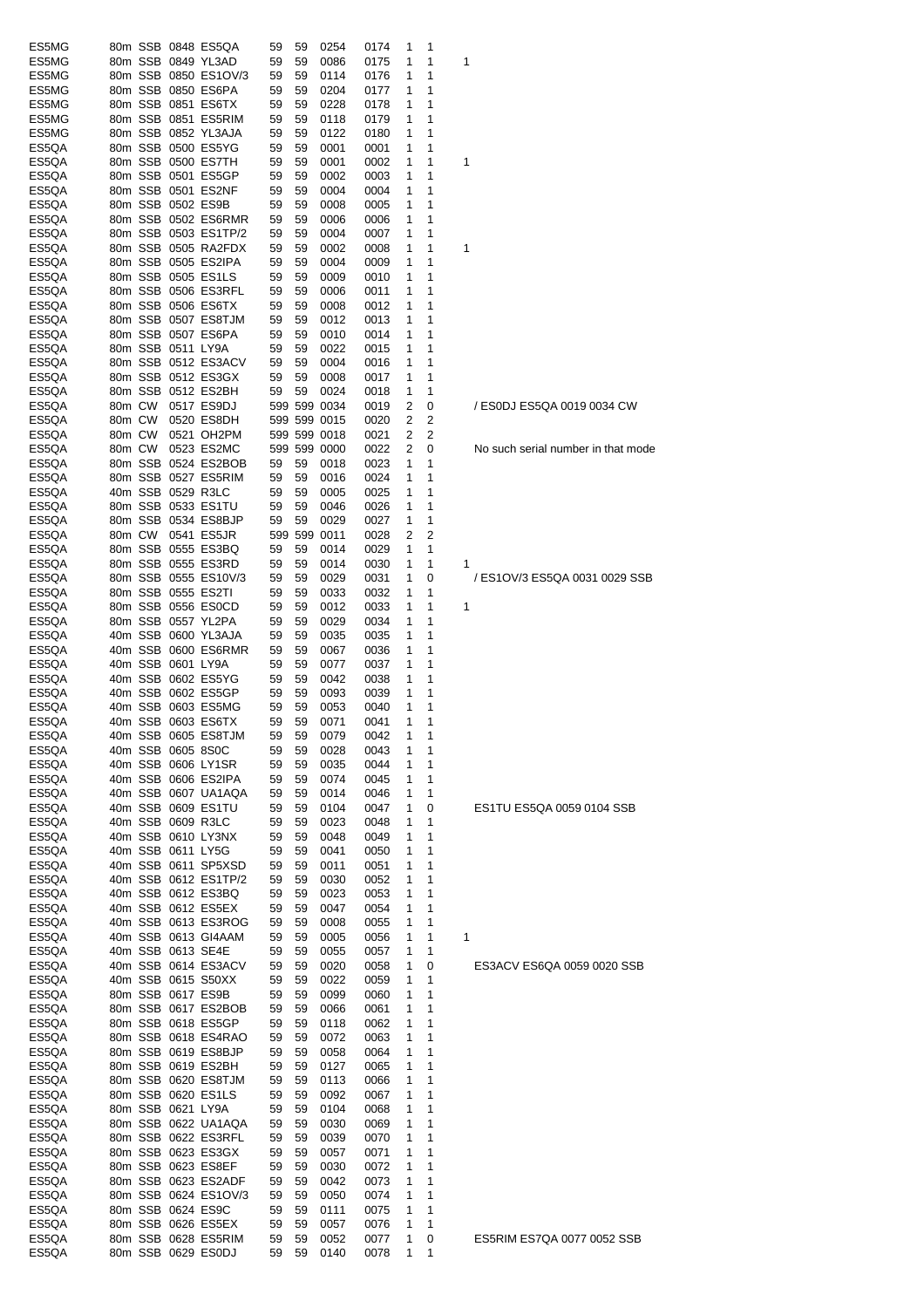| ES5MG |        |                   | 80m SSB 0848 ES5QA   | 59 | 59 | 0254         | 0174 | 1 | 1 |                                    |
|-------|--------|-------------------|----------------------|----|----|--------------|------|---|---|------------------------------------|
| ES5MG |        |                   | 80m SSB 0849 YL3AD   | 59 | 59 | 0086         | 0175 | 1 | 1 | 1                                  |
|       |        |                   |                      |    |    |              |      |   |   |                                    |
| ES5MG |        |                   | 80m SSB 0850 ES1OV/3 | 59 | 59 | 0114         | 0176 | 1 | 1 |                                    |
| ES5MG |        |                   | 80m SSB 0850 ES6PA   | 59 | 59 | 0204         | 0177 | 1 | 1 |                                    |
| ES5MG |        |                   | 80m SSB 0851 ES6TX   | 59 | 59 | 0228         | 0178 | 1 | 1 |                                    |
| ES5MG |        |                   | 80m SSB 0851 ES5RIM  | 59 | 59 | 0118         | 0179 | 1 | 1 |                                    |
| ES5MG |        |                   | 80m SSB 0852 YL3AJA  | 59 | 59 | 0122         | 0180 | 1 | 1 |                                    |
| ES5QA |        |                   | 80m SSB 0500 ES5YG   | 59 | 59 | 0001         | 0001 | 1 | 1 |                                    |
| ES5QA |        |                   | 80m SSB 0500 ES7TH   | 59 | 59 | 0001         | 0002 | 1 | 1 | 1                                  |
|       |        |                   |                      |    |    |              |      |   |   |                                    |
| ES5QA |        |                   | 80m SSB 0501 ES5GP   | 59 | 59 | 0002         | 0003 | 1 | 1 |                                    |
| ES5QA |        |                   | 80m SSB 0501 ES2NF   | 59 | 59 | 0004         | 0004 | 1 | 1 |                                    |
| ES5QA |        | 80m SSB 0502 ES9B |                      | 59 | 59 | 0008         | 0005 | 1 | 1 |                                    |
| ES5QA |        |                   | 80m SSB 0502 ES6RMR  | 59 | 59 | 0006         | 0006 | 1 | 1 |                                    |
| ES5QA |        |                   | 80m SSB 0503 ES1TP/2 | 59 | 59 | 0004         | 0007 | 1 | 1 |                                    |
| ES5QA |        |                   | 80m SSB 0505 RA2FDX  |    |    | 0002         |      |   | 1 |                                    |
|       |        |                   |                      | 59 | 59 |              | 0008 | 1 |   | 1                                  |
| ES5QA |        |                   | 80m SSB 0505 ES2IPA  | 59 | 59 | 0004         | 0009 | 1 | 1 |                                    |
| ES5QA |        |                   | 80m SSB 0505 ES1LS   | 59 | 59 | 0009         | 0010 | 1 | 1 |                                    |
| ES5QA |        |                   | 80m SSB 0506 ES3RFL  | 59 | 59 | 0006         | 0011 | 1 | 1 |                                    |
| ES5QA |        |                   | 80m SSB 0506 ES6TX   | 59 | 59 | 0008         | 0012 | 1 | 1 |                                    |
| ES5QA |        |                   | 80m SSB 0507 ES8TJM  | 59 | 59 | 0012         | 0013 | 1 | 1 |                                    |
| ES5QA |        |                   | 80m SSB 0507 ES6PA   | 59 | 59 | 0010         | 0014 | 1 | 1 |                                    |
|       |        |                   |                      |    |    |              |      |   |   |                                    |
| ES5QA |        | 80m SSB 0511 LY9A |                      | 59 | 59 | 0022         | 0015 | 1 | 1 |                                    |
| ES5QA |        |                   | 80m SSB 0512 ES3ACV  | 59 | 59 | 0004         | 0016 | 1 | 1 |                                    |
| ES5QA |        |                   | 80m SSB 0512 ES3GX   | 59 | 59 | 0008         | 0017 | 1 | 1 |                                    |
| ES5QA |        |                   | 80m SSB 0512 ES2BH   | 59 | 59 | 0024         | 0018 | 1 | 1 |                                    |
| ES5QA | 80m CW |                   | 0517 ES9DJ           |    |    | 599 599 0034 | 0019 | 2 | 0 | / ES0DJ ES5QA 0019 0034 CW         |
| ES5QA | 80m CW |                   | 0520 ES8DH           |    |    | 599 599 0015 | 0020 | 2 | 2 |                                    |
|       |        |                   |                      |    |    |              |      |   |   |                                    |
| ES5QA | 80m CW |                   | 0521 OH2PM           |    |    | 599 599 0018 | 0021 | 2 | 2 |                                    |
| ES5QA | 80m CW |                   | 0523 ES2MC           |    |    | 599 599 0000 | 0022 | 2 | 0 | No such serial number in that mode |
| ES5QA |        |                   | 80m SSB 0524 ES2BOB  | 59 | 59 | 0018         | 0023 | 1 | 1 |                                    |
| ES5QA |        |                   | 80m SSB 0527 ES5RIM  | 59 | 59 | 0016         | 0024 | 1 | 1 |                                    |
| ES5QA |        | 40m SSB 0529 R3LC |                      | 59 | 59 | 0005         | 0025 | 1 | 1 |                                    |
| ES5QA |        |                   | 80m SSB 0533 ES1TU   | 59 | 59 | 0046         | 0026 | 1 | 1 |                                    |
|       |        |                   |                      |    |    |              |      |   |   |                                    |
| ES5QA |        |                   | 80m SSB 0534 ES8BJP  | 59 | 59 | 0029         | 0027 | 1 | 1 |                                    |
| ES5QA | 80m CW |                   | 0541 ES5JR           |    |    | 599 599 0011 | 0028 | 2 | 2 |                                    |
| ES5QA |        |                   | 80m SSB 0555 ES3BQ   | 59 | 59 | 0014         | 0029 | 1 | 1 |                                    |
| ES5QA |        |                   | 80m SSB 0555 ES3RD   | 59 | 59 | 0014         | 0030 | 1 | 1 | 1                                  |
| ES5QA |        |                   | 80m SSB 0555 ES10V/3 | 59 | 59 | 0029         | 0031 | 1 | 0 | / ES1OV/3 ES5QA 0031 0029 SSB      |
| ES5QA |        |                   | 80m SSB 0555 ES2TI   | 59 | 59 | 0033         | 0032 | 1 | 1 |                                    |
| ES5QA |        |                   | 80m SSB 0556 ES0CD   | 59 | 59 | 0012         | 0033 | 1 | 1 | 1                                  |
|       |        |                   |                      |    |    |              |      |   |   |                                    |
| ES5QA |        |                   | 80m SSB 0557 YL2PA   | 59 | 59 | 0029         | 0034 | 1 | 1 |                                    |
| ES5QA |        |                   | 40m SSB 0600 YL3AJA  | 59 | 59 | 0035         | 0035 | 1 | 1 |                                    |
| ES5QA |        |                   | 40m SSB 0600 ES6RMR  | 59 | 59 | 0067         | 0036 | 1 | 1 |                                    |
| ES5QA |        | 40m SSB 0601 LY9A |                      | 59 | 59 | 0077         | 0037 | 1 | 1 |                                    |
| ES5QA |        |                   | 40m SSB 0602 ES5YG   | 59 | 59 | 0042         | 0038 | 1 | 1 |                                    |
| ES5QA |        |                   | 40m SSB 0602 ES5GP   | 59 | 59 | 0093         | 0039 | 1 | 1 |                                    |
|       |        |                   |                      |    |    |              |      |   |   |                                    |
| ES5QA |        |                   | 40m SSB 0603 ES5MG   | 59 | 59 | 0053         | 0040 | 1 | 1 |                                    |
| ES5QA |        |                   | 40m SSB 0603 ES6TX   | 59 | 59 | 0071         | 0041 | 1 | 1 |                                    |
| ES5QA |        |                   | 40m SSB 0605 ES8TJM  | 59 | 59 | 0079         | 0042 | 1 | 1 |                                    |
| ES5QA |        | 40m SSB 0605 8S0C |                      | 59 | 59 | 0028         | 0043 | 1 | 1 |                                    |
| ES5QA |        |                   | 40m SSB 0606 LY1SR   | 59 | 59 | 0035         | 0044 | 1 | 1 |                                    |
| ES5QA |        |                   | 40m SSB 0606 ES2IPA  | 59 | 59 | 0074         | 0045 | 1 | 1 |                                    |
| ES5QA |        |                   | 40m SSB 0607 UA1AQA  | 59 | 59 | 0014         | 0046 | 1 | 1 |                                    |
|       |        |                   |                      |    |    |              |      |   |   |                                    |
| ES5QA |        |                   | 40m SSB 0609 ES1TU   | 59 | 59 | 0104         | 0047 | 1 | 0 | ES1TU ES5QA 0059 0104 SSB          |
| ES5QA |        |                   | 40m SSB 0609 R3LC    | 59 | 59 | 0023         | 0048 | 1 | 1 |                                    |
| ES5QA |        |                   | 40m SSB 0610 LY3NX   | 59 | 59 | 0048         | 0049 | 1 | 1 |                                    |
| ES5QA |        | 40m SSB 0611 LY5G |                      | 59 | 59 | 0041         | 0050 | 1 | 1 |                                    |
| ES5QA |        |                   | 40m SSB 0611 SP5XSD  | 59 | 59 | 0011         | 0051 | 1 | 1 |                                    |
| ES5QA |        |                   | 40m SSB 0612 ES1TP/2 | 59 | 59 | 0030         | 0052 | 1 | 1 |                                    |
|       |        |                   | 40m SSB 0612 ES3BQ   |    |    |              |      |   |   |                                    |
| ES5QA |        |                   |                      | 59 | 59 | 0023         | 0053 | 1 | 1 |                                    |
| ES5QA |        |                   | 40m SSB 0612 ES5EX   | 59 | 59 | 0047         | 0054 | 1 | 1 |                                    |
| ES5QA |        |                   | 40m SSB 0613 ES3ROG  | 59 | 59 | 0008         | 0055 | 1 | 1 |                                    |
| ES5QA |        |                   | 40m SSB 0613 GI4AAM  | 59 | 59 | 0005         | 0056 | 1 | 1 | 1                                  |
| ES5QA |        | 40m SSB 0613 SE4E |                      | 59 | 59 | 0055         | 0057 | 1 | 1 |                                    |
| ES5QA |        |                   | 40m SSB 0614 ES3ACV  | 59 | 59 | 0020         | 0058 | 1 | 0 | ES3ACV ES6QA 0059 0020 SSB         |
| ES5QA |        |                   | 40m SSB 0615 S50XX   | 59 | 59 | 0022         | 0059 | 1 | 1 |                                    |
|       |        |                   |                      |    |    |              |      |   |   |                                    |
| ES5QA |        |                   | 80m SSB 0617 ES9B    | 59 | 59 | 0099         | 0060 | 1 | 1 |                                    |
| ES5QA |        |                   | 80m SSB 0617 ES2BOB  | 59 | 59 | 0066         | 0061 | 1 | 1 |                                    |
| ES5QA |        |                   | 80m SSB 0618 ES5GP   | 59 | 59 | 0118         | 0062 | 1 | 1 |                                    |
| ES5QA |        |                   | 80m SSB 0618 ES4RAO  | 59 | 59 | 0072         | 0063 | 1 | 1 |                                    |
| ES5QA |        |                   | 80m SSB 0619 ES8BJP  | 59 | 59 | 0058         | 0064 | 1 | 1 |                                    |
| ES5QA |        |                   | 80m SSB 0619 ES2BH   | 59 | 59 | 0127         | 0065 | 1 | 1 |                                    |
|       |        |                   |                      |    |    |              |      |   |   |                                    |
| ES5QA |        |                   | 80m SSB 0620 ES8TJM  | 59 | 59 | 0113         | 0066 | 1 | 1 |                                    |
| ES5QA |        |                   | 80m SSB 0620 ES1LS   | 59 | 59 | 0092         | 0067 | 1 | 1 |                                    |
| ES5QA |        | 80m SSB 0621 LY9A |                      | 59 | 59 | 0104         | 0068 | 1 | 1 |                                    |
| ES5QA |        |                   | 80m SSB 0622 UA1AQA  | 59 | 59 | 0030         | 0069 | 1 | 1 |                                    |
| ES5QA |        |                   | 80m SSB 0622 ES3RFL  | 59 | 59 | 0039         | 0070 | 1 | 1 |                                    |
| ES5QA |        |                   | 80m SSB 0623 ES3GX   | 59 | 59 | 0057         | 0071 | 1 | 1 |                                    |
|       |        |                   |                      |    |    |              |      |   |   |                                    |
| ES5QA |        |                   | 80m SSB 0623 ES8EF   | 59 | 59 | 0030         | 0072 | 1 | 1 |                                    |
| ES5QA |        |                   | 80m SSB 0623 ES2ADF  | 59 | 59 | 0042         | 0073 | 1 | 1 |                                    |
| ES5QA |        |                   | 80m SSB 0624 ES1OV/3 | 59 | 59 | 0050         | 0074 | 1 | 1 |                                    |
| ES5QA |        |                   | 80m SSB 0624 ES9C    | 59 | 59 | 0111         | 0075 | 1 | 1 |                                    |
| ES5QA |        |                   | 80m SSB 0626 ES5EX   | 59 | 59 | 0057         | 0076 | 1 | 1 |                                    |
| ES5QA |        |                   | 80m SSB 0628 ES5RIM  | 59 | 59 | 0052         | 0077 | 1 | 0 | ES5RIM ES7QA 0077 0052 SSB         |
| ES5QA |        |                   | 80m SSB 0629 ES0DJ   | 59 | 59 | 0140         | 0078 | 1 | 1 |                                    |
|       |        |                   |                      |    |    |              |      |   |   |                                    |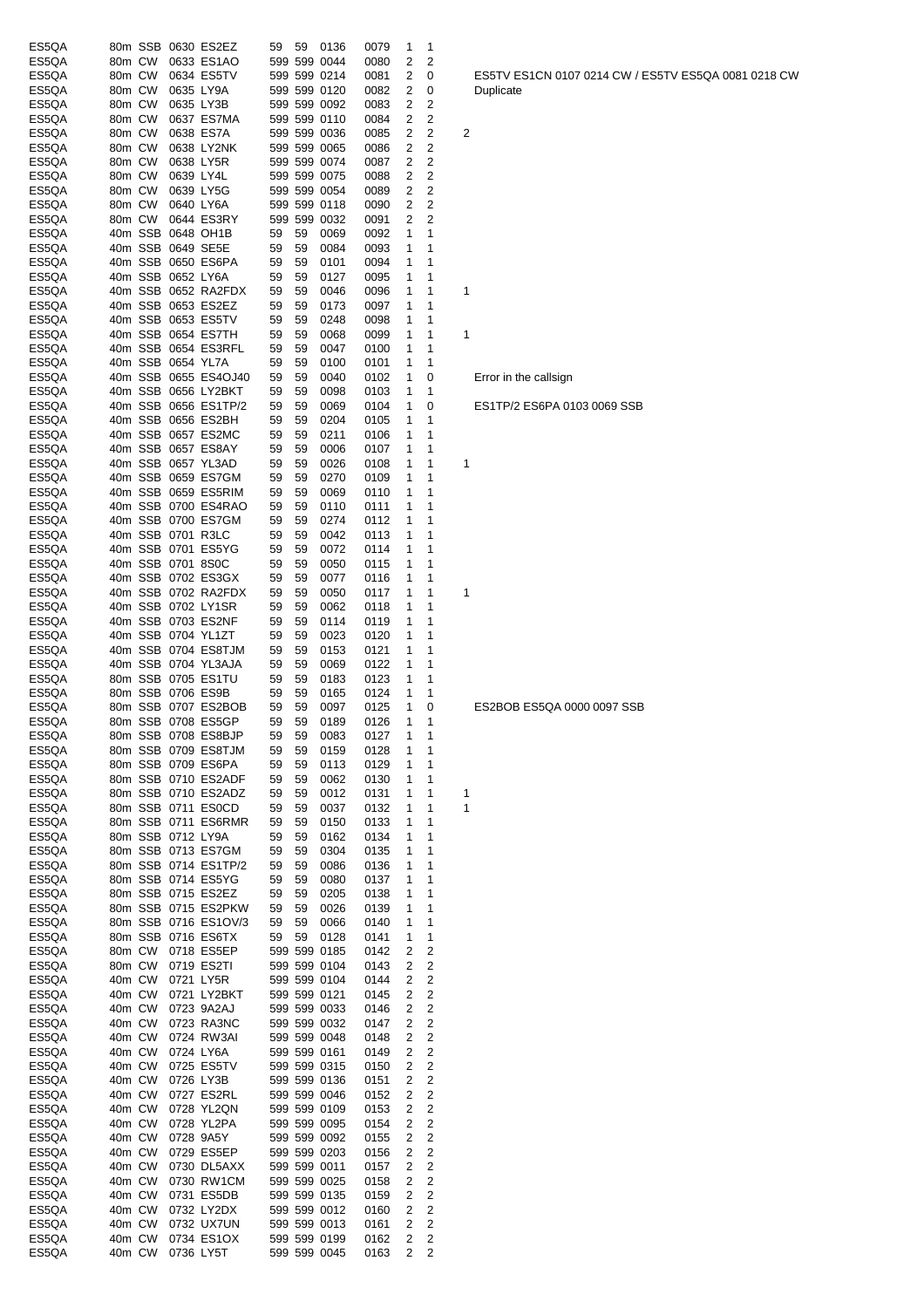| ES5QA          |                  |        |                        | 80m SSB 0630 ES2EZ                          | 59       | 59       | 0136                         | 0079         | 1                            | 1           |                                                     |  |
|----------------|------------------|--------|------------------------|---------------------------------------------|----------|----------|------------------------------|--------------|------------------------------|-------------|-----------------------------------------------------|--|
| ES5QA          | 80m CW           |        |                        | 0633 ES1AO                                  |          |          | 599 599 0044                 | 0080         | 2                            | 2           |                                                     |  |
| ES5QA          | 80m CW           |        |                        | 0634 ES5TV                                  |          |          | 599 599 0214                 | 0081         | 2                            | 0           | ES5TV ES1CN 0107 0214 CW / ES5TV ES5QA 0081 0218 CW |  |
| ES5QA<br>ES5QA | 80m CW<br>80m CW |        | 0635 LY9A<br>0635 LY3B |                                             |          |          | 599 599 0120<br>599 599 0092 | 0082<br>0083 | $\overline{\mathbf{c}}$<br>2 | 0<br>2      | Duplicate                                           |  |
| ES5QA          | 80m CW           |        |                        | 0637 ES7MA                                  |          |          | 599 599 0110                 | 0084         | 2                            | 2           |                                                     |  |
| ES5QA          | 80m CW           |        |                        | 0638 ES7A                                   |          |          | 599 599 0036                 | 0085         | 2                            | 2           | 2                                                   |  |
| ES5QA          | 80m CW           |        |                        | 0638 LY2NK                                  |          |          | 599 599 0065                 | 0086         | 2                            | 2           |                                                     |  |
| ES5QA          | 80m CW           |        |                        | 0638 LY5R                                   |          |          | 599 599 0074                 | 0087         | 2                            | 2           |                                                     |  |
| ES5QA          | 80m CW           |        | 0639 LY4L              |                                             |          |          | 599 599 0075                 | 0088         | 2                            | 2           |                                                     |  |
| ES5QA          | 80m CW           |        |                        | 0639 LY5G                                   |          |          | 599 599 0054                 | 0089         | 2                            | 2           |                                                     |  |
| ES5QA          | 80m CW           |        | 0640 LY6A              |                                             |          |          | 599 599 0118                 | 0090         | 2                            | 2           |                                                     |  |
| ES5QA          | 80m CW           |        |                        | 0644 ES3RY                                  |          |          | 599 599 0032                 | 0091         | 2                            | 2           |                                                     |  |
| ES5QA<br>ES5QA |                  |        |                        | 40m SSB 0648 OH1B<br>40m SSB 0649 SE5E      | 59<br>59 | 59<br>59 | 0069<br>0084                 | 0092<br>0093 | 1<br>1                       | 1<br>1      |                                                     |  |
| ES5QA          |                  |        |                        | 40m SSB 0650 ES6PA                          | 59       | 59       | 0101                         | 0094         | 1                            | 1           |                                                     |  |
| ES5QA          |                  |        | 40m SSB 0652 LY6A      |                                             | 59       | 59       | 0127                         | 0095         | 1                            | 1           |                                                     |  |
| ES5QA          |                  |        |                        | 40m SSB 0652 RA2FDX                         | 59       | 59       | 0046                         | 0096         | 1                            | 1           | 1                                                   |  |
| ES5QA          |                  |        |                        | 40m SSB 0653 ES2EZ                          | 59       | 59       | 0173                         | 0097         | 1                            | 1           |                                                     |  |
| ES5QA          |                  |        |                        | 40m SSB 0653 ES5TV                          | 59       | 59       | 0248                         | 0098         | 1                            | 1           |                                                     |  |
| ES5QA          |                  |        |                        | 40m SSB 0654 ES7TH                          | 59       | 59       | 0068                         | 0099         | 1                            | 1           | 1                                                   |  |
| ES5QA          |                  |        |                        | 40m SSB 0654 ES3RFL                         | 59       | 59       | 0047                         | 0100         | 1                            | 1           |                                                     |  |
| ES5QA          |                  |        | 40m SSB 0654 YL7A      |                                             | 59       | 59       | 0100                         | 0101         | 1                            | 1           |                                                     |  |
| ES5QA          |                  |        |                        | 40m SSB 0655 ES4OJ40                        | 59       | 59       | 0040                         | 0102         | 1                            | 0           | Error in the callsign                               |  |
| ES5QA          |                  |        |                        | 40m SSB 0656 LY2BKT<br>40m SSB 0656 ES1TP/2 | 59       | 59<br>59 | 0098<br>0069                 | 0103<br>0104 | 1<br>1                       | 1<br>0      | ES1TP/2 ES6PA 0103 0069 SSB                         |  |
| ES5QA<br>ES5QA |                  |        |                        | 40m SSB 0656 ES2BH                          | 59<br>59 | 59       | 0204                         | 0105         | 1                            | 1           |                                                     |  |
| ES5QA          |                  |        |                        | 40m SSB 0657 ES2MC                          | 59       | 59       | 0211                         | 0106         | 1                            | 1           |                                                     |  |
| ES5QA          |                  |        |                        | 40m SSB 0657 ES8AY                          | 59       | 59       | 0006                         | 0107         | 1                            | 1           |                                                     |  |
| ES5QA          |                  |        |                        | 40m SSB 0657 YL3AD                          | 59       | 59       | 0026                         | 0108         | 1                            | 1           | 1                                                   |  |
| ES5QA          |                  |        |                        | 40m SSB 0659 ES7GM                          | 59       | 59       | 0270                         | 0109         | 1                            | 1           |                                                     |  |
| ES5QA          |                  |        |                        | 40m SSB 0659 ES5RIM                         | 59       | 59       | 0069                         | 0110         | 1                            | 1           |                                                     |  |
| ES5QA          |                  |        |                        | 40m SSB 0700 ES4RAO                         | 59       | 59       | 0110                         | 0111         | 1                            | 1           |                                                     |  |
| ES5QA          |                  |        |                        | 40m SSB 0700 ES7GM                          | 59       | 59       | 0274                         | 0112         | 1                            | 1           |                                                     |  |
| ES5QA          |                  |        |                        | 40m SSB 0701 R3LC                           | 59       | 59       | 0042                         | 0113         | 1                            | 1           |                                                     |  |
| ES5QA          |                  |        |                        | 40m SSB 0701 ES5YG                          | 59       | 59       | 0072                         | 0114         | 1                            | 1           |                                                     |  |
| ES5QA          |                  |        |                        | 40m SSB 0701 8S0C<br>40m SSB 0702 ES3GX     | 59       | 59<br>59 | 0050<br>0077                 | 0115<br>0116 | 1                            | 1           |                                                     |  |
| ES5QA<br>ES5QA |                  |        |                        | 40m SSB 0702 RA2FDX                         | 59<br>59 | 59       | 0050                         | 0117         | 1<br>1                       | 1<br>1      | 1                                                   |  |
| ES5QA          |                  |        |                        | 40m SSB 0702 LY1SR                          | 59       | 59       | 0062                         | 0118         | 1                            | 1           |                                                     |  |
| ES5QA          |                  |        |                        | 40m SSB 0703 ES2NF                          | 59       | 59       | 0114                         | 0119         | 1                            | 1           |                                                     |  |
| ES5QA          |                  |        |                        | 40m SSB 0704 YL1ZT                          | 59       | 59       | 0023                         | 0120         | 1                            | 1           |                                                     |  |
| ES5QA          |                  |        |                        | 40m SSB 0704 ES8TJM                         | 59       | 59       | 0153                         | 0121         | 1                            | 1           |                                                     |  |
| ES5QA          |                  |        |                        | 40m SSB 0704 YL3AJA                         | 59       | 59       | 0069                         | 0122         | 1                            | 1           |                                                     |  |
| ES5QA          |                  |        |                        | 80m SSB 0705 ES1TU                          | 59       | 59       | 0183                         | 0123         | 1                            | 1           |                                                     |  |
| ES5QA          |                  |        |                        | 80m SSB 0706 ES9B                           | 59       | 59       | 0165                         | 0124         | 1                            | 1           |                                                     |  |
| ES5QA          |                  |        |                        | 80m SSB 0707 ES2BOB<br>80m SSB 0708 ES5GP   | 59       | 59       | 0097                         | 0125         | 1                            | 0           | ES2BOB ES5QA 0000 0097 SSB                          |  |
| ES5QA          |                  |        |                        |                                             | 59       | 59<br>59 | 0189<br>0083                 | 0126         | 1<br>1                       | 1<br>-1     |                                                     |  |
| ES5QA<br>ES5QA |                  |        |                        | 80m SSB 0708 ES8BJP<br>80m SSB 0709 ES8TJM  | 59<br>59 | 59       | 0159                         | 0127<br>0128 | 1                            | 1           |                                                     |  |
| ES5QA          |                  |        |                        | 80m SSB 0709 ES6PA                          | 59       | 59       | 0113                         | 0129         | 1                            | 1           |                                                     |  |
| ES5QA          |                  |        |                        | 80m SSB 0710 ES2ADF                         | 59       | 59       | 0062                         | 0130         | 1                            | 1           |                                                     |  |
| ES5QA          |                  |        |                        | 80m SSB 0710 ES2ADZ                         | 59       | 59       | 0012                         | 0131         | 1                            | 1           | 1                                                   |  |
| ES5QA          |                  |        |                        | 80m SSB 0711 ES0CD                          | 59       | 59       | 0037                         | 0132         | 1                            | 1           | 1                                                   |  |
| ES5QA          |                  |        |                        | 80m SSB 0711 ES6RMR                         | 59       | 59       | 0150                         | 0133         | 1                            | 1           |                                                     |  |
| ES5QA          |                  |        | 80m SSB 0712 LY9A      |                                             | 59       | 59       | 0162                         | 0134         | 1                            | 1           |                                                     |  |
| ES5QA          |                  |        |                        | 80m SSB 0713 ES7GM                          | 59       | 59       | 0304                         | 0135         | 1                            | $\mathbf 1$ |                                                     |  |
| ES5QA          |                  |        |                        | 80m SSB 0714 ES1TP/2                        | 59       | 59       | 0086                         | 0136         | 1                            | 1           |                                                     |  |
| ES5QA<br>ES5QA |                  |        |                        | 80m SSB 0714 ES5YG<br>80m SSB 0715 ES2EZ    | 59<br>59 | 59<br>59 | 0080<br>0205                 | 0137<br>0138 | 1<br>1                       | 1<br>1      |                                                     |  |
| ES5QA          |                  |        |                        | 80m SSB 0715 ES2PKW                         | 59       | 59       | 0026                         | 0139         | 1                            | 1           |                                                     |  |
| ES5QA          |                  |        |                        | 80m SSB 0716 ES1OV/3                        | 59       | 59       | 0066                         | 0140         | 1                            | 1           |                                                     |  |
| ES5QA          |                  |        |                        | 80m SSB 0716 ES6TX                          | 59       | 59       | 0128                         | 0141         | 1                            | 1           |                                                     |  |
| ES5QA          |                  |        |                        | 80m CW 0718 ES5EP                           |          |          | 599 599 0185                 | 0142         | 2                            | 2           |                                                     |  |
| ES5QA          |                  |        |                        | 80m CW 0719 ES2TI                           |          |          | 599 599 0104                 | 0143         | 2                            | 2           |                                                     |  |
| ES5QA          |                  |        |                        | 40m CW 0721 LY5R                            |          |          | 599 599 0104                 | 0144         | 2                            | 2           |                                                     |  |
| ES5QA          |                  | 40m CW |                        | 0721 LY2BKT                                 |          |          | 599 599 0121                 | 0145         | $\overline{\mathbf{c}}$      | 2           |                                                     |  |
| ES5QA          |                  | 40m CW |                        | 0723 9A2AJ                                  |          |          | 599 599 0033                 | 0146         | 2                            | 2           |                                                     |  |
| ES5QA          | 40m CW           |        |                        | 0723 RA3NC                                  |          |          | 599 599 0032                 | 0147         | 2                            | 2           |                                                     |  |
| ES5QA<br>ES5QA | 40m CW           | 40m CW |                        | 0724 RW3AI<br>0724 LY6A                     |          |          | 599 599 0048<br>599 599 0161 | 0148<br>0149 | 2<br>2                       | 2<br>2      |                                                     |  |
| ES5QA          | 40m CW           |        |                        | 0725 ES5TV                                  |          |          | 599 599 0315                 | 0150         | 2                            | 2           |                                                     |  |
| ES5QA          | 40m CW           |        |                        | 0726 LY3B                                   |          |          | 599 599 0136                 | 0151         | 2                            | 2           |                                                     |  |
| ES5QA          | 40m CW           |        |                        | 0727 ES2RL                                  |          |          | 599 599 0046                 | 0152         | 2                            | 2           |                                                     |  |
| ES5QA          | 40m CW           |        |                        | 0728 YL2QN                                  |          |          | 599 599 0109                 | 0153         | 2                            | 2           |                                                     |  |
| ES5QA          | 40m CW           |        |                        | 0728 YL2PA                                  |          |          | 599 599 0095                 | 0154         | 2                            | 2           |                                                     |  |
| ES5QA          |                  | 40m CW |                        | 0728 9A5Y                                   |          |          | 599 599 0092                 | 0155         | 2                            | 2           |                                                     |  |
| ES5QA          | 40m CW           |        |                        | 0729 ES5EP                                  |          |          | 599 599 0203                 | 0156         | 2                            | 2           |                                                     |  |
| ES5QA          |                  | 40m CW |                        | 0730 DL5AXX                                 |          |          | 599 599 0011                 | 0157         | 2                            | 2           |                                                     |  |
| ES5QA          |                  | 40m CW |                        | 0730 RW1CM                                  |          |          | 599 599 0025                 | 0158         | 2                            | 2           |                                                     |  |
| ES5QA<br>ES5QA | 40m CW<br>40m CW |        |                        | 0731 ES5DB<br>0732 LY2DX                    |          |          | 599 599 0135<br>599 599 0012 | 0159<br>0160 | 2<br>2                       | 2<br>2      |                                                     |  |
| ES5QA          | 40m CW           |        |                        | 0732 UX7UN                                  |          |          | 599 599 0013                 | 0161         | 2                            | 2           |                                                     |  |
| ES5QA          | 40m CW           |        |                        | 0734 ES1OX                                  |          |          | 599 599 0199                 | 0162         | 2                            | 2           |                                                     |  |
| ES5QA          | 40m CW           |        | 0736 LY5T              |                                             |          |          | 599 599 0045                 | 0163         | 2                            | 2           |                                                     |  |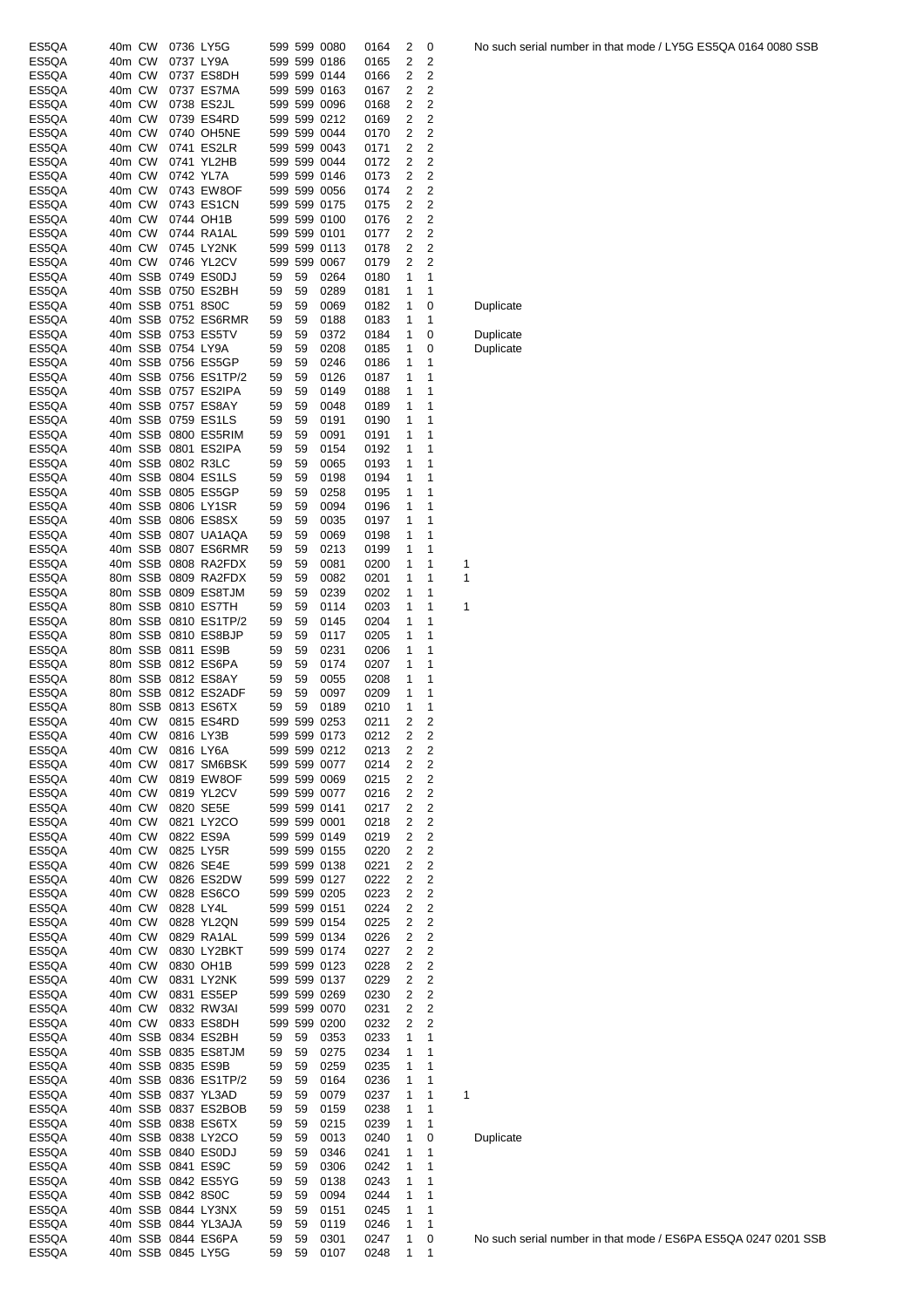| ES5QA | 40m CW |                   | 0736 LY5G            |    |    | 599 599 0080 | 0164 | 2 | 0                       | No such : |
|-------|--------|-------------------|----------------------|----|----|--------------|------|---|-------------------------|-----------|
| ES5QA | 40m CW |                   | 0737 LY9A            |    |    | 599 599 0186 | 0165 | 2 | 2                       |           |
| ES5QA | 40m CW |                   | 0737 ES8DH           |    |    | 599 599 0144 | 0166 | 2 | 2                       |           |
| ES5QA | 40m CW |                   | 0737 ES7MA           |    |    | 599 599 0163 | 0167 | 2 | 2                       |           |
| ES5QA | 40m CW |                   | 0738 ES2JL           |    |    | 599 599 0096 | 0168 | 2 | $\overline{2}$          |           |
| ES5QA | 40m CW |                   | 0739 ES4RD           |    |    | 599 599 0212 | 0169 | 2 | 2                       |           |
| ES5QA | 40m CW |                   | 0740 OH5NE           |    |    | 599 599 0044 | 0170 | 2 | 2                       |           |
| ES5QA | 40m CW |                   | 0741 ES2LR           |    |    | 599 599 0043 | 0171 | 2 | 2                       |           |
| ES5QA | 40m CW |                   | 0741 YL2HB           |    |    | 599 599 0044 | 0172 | 2 | 2                       |           |
| ES5QA | 40m CW |                   | 0742 YL7A            |    |    | 599 599 0146 | 0173 | 2 | $\overline{2}$          |           |
| ES5QA | 40m CW |                   | 0743 EW8OF           |    |    | 599 599 0056 | 0174 | 2 | $\overline{2}$          |           |
| ES5QA | 40m CW |                   | 0743 ES1CN           |    |    | 599 599 0175 | 0175 | 2 | 2                       |           |
| ES5QA | 40m CW |                   | 0744 OH1B            |    |    | 599 599 0100 | 0176 | 2 | 2                       |           |
| ES5QA | 40m CW |                   | 0744 RA1AL           |    |    | 599 599 0101 | 0177 | 2 | 2                       |           |
| ES5QA | 40m CW |                   | 0745 LY2NK           |    |    | 599 599 0113 | 0178 | 2 | 2                       |           |
| ES5QA | 40m CW |                   | 0746 YL2CV           |    |    | 599 599 0067 | 0179 | 2 | $\overline{2}$          |           |
| ES5QA |        |                   | 40m SSB 0749 ES0DJ   | 59 | 59 | 0264         | 0180 | 1 | 1                       |           |
| ES5QA |        |                   | 40m SSB 0750 ES2BH   | 59 | 59 | 0289         | 0181 | 1 | 1                       |           |
| ES5QA |        | 40m SSB 0751 8S0C |                      | 59 | 59 | 0069         | 0182 | 1 | 0                       | Duplicate |
| ES5QA |        |                   | 40m SSB 0752 ES6RMR  | 59 | 59 | 0188         | 0183 | 1 | 1                       |           |
| ES5QA |        |                   | 40m SSB 0753 ES5TV   | 59 | 59 | 0372         | 0184 | 1 | 0                       | Duplicate |
| ES5QA |        | 40m SSB 0754 LY9A |                      | 59 | 59 | 0208         | 0185 | 1 | 0                       | Duplicate |
| ES5QA |        |                   | 40m SSB 0756 ES5GP   | 59 | 59 | 0246         | 0186 | 1 | 1                       |           |
| ES5QA |        |                   | 40m SSB 0756 ES1TP/2 | 59 | 59 | 0126         | 0187 | 1 | 1                       |           |
| ES5QA |        |                   | 40m SSB 0757 ES2IPA  | 59 | 59 | 0149         | 0188 | 1 | 1                       |           |
| ES5QA |        |                   | 40m SSB 0757 ES8AY   | 59 | 59 | 0048         | 0189 | 1 | 1                       |           |
| ES5QA |        |                   | 40m SSB 0759 ES1LS   | 59 | 59 | 0191         | 0190 | 1 | 1                       |           |
| ES5QA |        |                   |                      |    |    |              |      |   | 1                       |           |
|       |        |                   | 40m SSB 0800 ES5RIM  | 59 | 59 | 0091         | 0191 | 1 |                         |           |
| ES5QA |        |                   | 40m SSB 0801 ES2IPA  | 59 | 59 | 0154         | 0192 | 1 | 1                       |           |
| ES5QA |        |                   | 40m SSB 0802 R3LC    | 59 | 59 | 0065         | 0193 | 1 | 1                       |           |
| ES5QA |        |                   | 40m SSB 0804 ES1LS   | 59 | 59 | 0198         | 0194 | 1 | 1                       |           |
| ES5QA |        |                   | 40m SSB 0805 ES5GP   | 59 | 59 | 0258         | 0195 | 1 | 1                       |           |
| ES5QA |        |                   | 40m SSB 0806 LY1SR   | 59 | 59 | 0094         | 0196 | 1 | 1                       |           |
| ES5QA |        |                   | 40m SSB 0806 ES8SX   | 59 | 59 | 0035         | 0197 | 1 | 1                       |           |
| ES5QA |        |                   | 40m SSB 0807 UA1AQA  | 59 | 59 | 0069         | 0198 | 1 | 1                       |           |
| ES5QA |        |                   | 40m SSB 0807 ES6RMR  | 59 | 59 | 0213         | 0199 | 1 | 1                       |           |
| ES5QA |        |                   | 40m SSB 0808 RA2FDX  | 59 | 59 | 0081         | 0200 | 1 | 1                       | 1         |
| ES5QA |        |                   | 80m SSB 0809 RA2FDX  | 59 | 59 | 0082         | 0201 | 1 | 1                       | 1         |
| ES5QA |        |                   | 80m SSB 0809 ES8TJM  | 59 | 59 | 0239         | 0202 | 1 | 1                       |           |
| ES5QA |        |                   | 80m SSB 0810 ES7TH   | 59 | 59 | 0114         | 0203 | 1 | 1                       | 1         |
| ES5QA |        |                   | 80m SSB 0810 ES1TP/2 | 59 | 59 | 0145         | 0204 | 1 | 1                       |           |
| ES5QA |        |                   | 80m SSB 0810 ES8BJP  | 59 | 59 | 0117         | 0205 | 1 | 1                       |           |
| ES5QA |        |                   | 80m SSB 0811 ES9B    | 59 | 59 | 0231         | 0206 | 1 | 1                       |           |
| ES5QA |        |                   | 80m SSB 0812 ES6PA   | 59 | 59 | 0174         | 0207 | 1 | 1                       |           |
| ES5QA |        |                   | 80m SSB 0812 ES8AY   | 59 | 59 | 0055         | 0208 | 1 | 1                       |           |
| ES5QA |        |                   | 80m SSB 0812 ES2ADF  | 59 | 59 | 0097         | 0209 | 1 | 1                       |           |
| ES5QA |        |                   | 80m SSB 0813 ES6TX   | 59 | 59 | 0189         | 0210 | 1 | 1                       |           |
| ES5QA | 40m CW |                   | 0815 ES4RD           |    |    | 599 599 0253 | 0211 | 2 | 2                       |           |
| ES5QA |        | 40m CW 0816 LY3B  |                      |    |    | 599 599 0173 | 0212 | 2 | 2                       |           |
| ES5QA | 40m CW |                   | 0816 LY6A            |    |    | 599 599 0212 | 0213 | 2 | 2                       |           |
| ES5QA | 40m CW |                   | 0817 SM6BSK          |    |    | 599 599 0077 | 0214 | 2 | 2                       |           |
| ES5QA | 40m CW |                   | 0819 EW8OF           |    |    | 599 599 0069 | 0215 | 2 | 2                       |           |
| ES5QA | 40m CW |                   | 0819 YL2CV           |    |    | 599 599 0077 | 0216 | 2 | $\overline{\mathbf{c}}$ |           |
| ES5QA | 40m CW |                   | 0820 SE5E            |    |    | 599 599 0141 | 0217 | 2 | 2                       |           |
| ES5QA | 40m CW |                   | 0821 LY2CO           |    |    | 599 599 0001 | 0218 | 2 | 2                       |           |
| ES5QA | 40m CW |                   | 0822 ES9A            |    |    | 599 599 0149 | 0219 | 2 | 2                       |           |
| ES5QA | 40m CW |                   | 0825 LY5R            |    |    | 599 599 0155 | 0220 | 2 | 2                       |           |
| ES5QA | 40m CW |                   | 0826 SE4E            |    |    | 599 599 0138 | 0221 | 2 | 2                       |           |
| ES5QA | 40m CW |                   | 0826 ES2DW           |    |    | 599 599 0127 | 0222 | 2 | $\overline{\mathbf{c}}$ |           |
| ES5QA | 40m CW |                   | 0828 ES6CO           |    |    | 599 599 0205 | 0223 | 2 | 2                       |           |
| ES5QA | 40m CW |                   | 0828 LY4L            |    |    | 599 599 0151 | 0224 | 2 | 2                       |           |
| ES5QA | 40m CW |                   | 0828 YL2QN           |    |    | 599 599 0154 | 0225 | 2 | 2                       |           |
| ES5QA | 40m CW |                   | 0829 RA1AL           |    |    | 599 599 0134 | 0226 | 2 | 2                       |           |
| ES5QA | 40m CW |                   | 0830 LY2BKT          |    |    | 599 599 0174 | 0227 | 2 | 2                       |           |
| ES5QA | 40m CW |                   | 0830 OH1B            |    |    | 599 599 0123 | 0228 | 2 | 2                       |           |
| ES5QA | 40m CW |                   | 0831 LY2NK           |    |    | 599 599 0137 | 0229 | 2 | $\overline{\mathbf{c}}$ |           |
| ES5QA | 40m CW |                   | 0831 ES5EP           |    |    | 599 599 0269 | 0230 | 2 | 2                       |           |
| ES5QA | 40m CW |                   | 0832 RW3AI           |    |    | 599 599 0070 | 0231 | 2 | $\overline{\mathbf{c}}$ |           |
| ES5QA | 40m CW |                   | 0833 ES8DH           |    |    | 599 599 0200 | 0232 | 2 | 2                       |           |
| ES5QA |        |                   | 40m SSB 0834 ES2BH   | 59 | 59 | 0353         | 0233 | 1 | 1                       |           |
| ES5QA |        |                   | 40m SSB 0835 ES8TJM  | 59 | 59 | 0275         | 0234 | 1 | 1                       |           |
| ES5QA |        |                   | 40m SSB 0835 ES9B    | 59 | 59 | 0259         | 0235 | 1 | 1                       |           |
| ES5QA |        |                   | 40m SSB 0836 ES1TP/2 | 59 | 59 | 0164         | 0236 | 1 | 1                       |           |
| ES5QA |        |                   | 40m SSB 0837 YL3AD   | 59 | 59 | 0079         | 0237 | 1 | 1                       | 1         |
| ES5QA |        |                   | 40m SSB 0837 ES2BOB  | 59 | 59 | 0159         | 0238 | 1 | 1                       |           |
| ES5QA |        |                   | 40m SSB 0838 ES6TX   | 59 | 59 | 0215         | 0239 | 1 | 1                       |           |
| ES5QA |        |                   | 40m SSB 0838 LY2CO   | 59 | 59 | 0013         | 0240 | 1 | 0                       | Duplicate |
| ES5QA |        |                   | 40m SSB 0840 ES0DJ   | 59 | 59 | 0346         | 0241 | 1 | 1                       |           |
| ES5QA |        |                   | 40m SSB 0841 ES9C    | 59 | 59 | 0306         | 0242 | 1 | 1                       |           |
| ES5QA |        |                   | 40m SSB 0842 ES5YG   | 59 | 59 | 0138         | 0243 | 1 | 1                       |           |
| ES5QA |        | 40m SSB 0842 8S0C |                      | 59 | 59 | 0094         | 0244 | 1 | 1                       |           |
| ES5QA |        |                   | 40m SSB 0844 LY3NX   | 59 | 59 | 0151         | 0245 | 1 | 1                       |           |
| ES5QA |        |                   | 40m SSB 0844 YL3AJA  | 59 | 59 | 0119         | 0246 | 1 | 1                       |           |
| ES5QA |        |                   | 40m SSB 0844 ES6PA   | 59 | 59 | 0301         | 0247 | 1 | 0                       | No such s |
| ES5QA |        |                   | 40m SSB 0845 LY5G    | 59 | 59 | 0107         | 0248 | 1 | 1                       |           |
|       |        |                   |                      |    |    |              |      |   |                         |           |

# **Duplicate**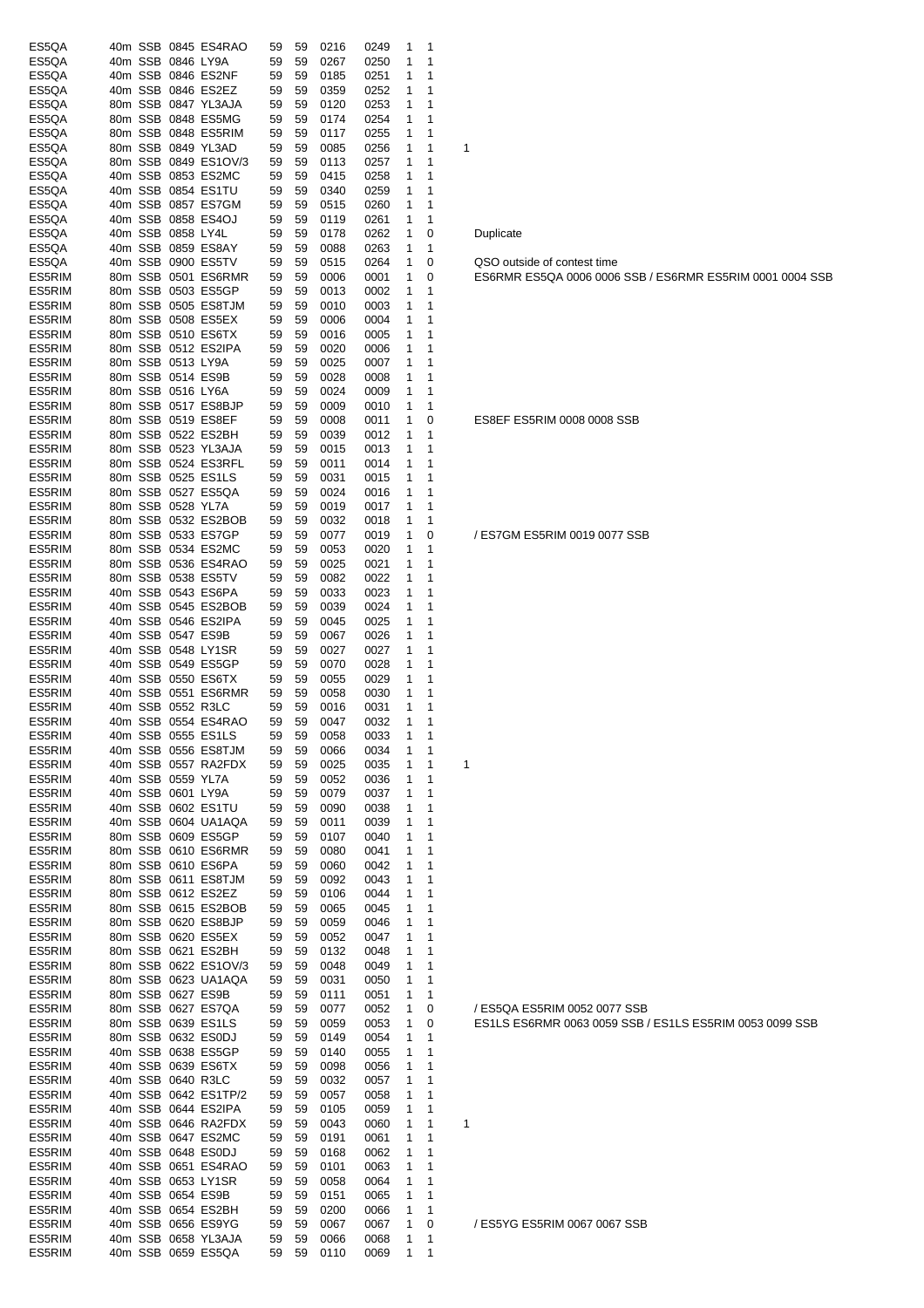| ES5QA            |  |                   | 40m SSB 0845 ES4RAO                       | 59       | 59       | 0216         | 0249         | 1              | 1      |                                                                                         |
|------------------|--|-------------------|-------------------------------------------|----------|----------|--------------|--------------|----------------|--------|-----------------------------------------------------------------------------------------|
| ES5QA<br>ES5QA   |  | 40m SSB 0846 LY9A | 40m SSB 0846 ES2NF                        | 59       | 59<br>59 | 0267<br>0185 | 0250<br>0251 | 1<br>1         | 1<br>1 |                                                                                         |
| ES5QA            |  |                   | 40m SSB 0846 ES2EZ                        | 59<br>59 | 59       | 0359         | 0252         | 1              | 1      |                                                                                         |
| ES5QA            |  |                   | 80m SSB 0847 YL3AJA                       | 59       | 59       | 0120         | 0253         | 1              |        |                                                                                         |
| ES5QA            |  |                   | 80m SSB 0848 ES5MG                        | 59       | 59       | 0174         | 0254         | 1              | 1      |                                                                                         |
| ES5QA            |  |                   | 80m SSB 0848 ES5RIM                       | 59       | 59       | 0117         | 0255         | 1              | 1      |                                                                                         |
| ES5QA            |  |                   | 80m SSB 0849 YL3AD                        | 59       | 59       | 0085         | 0256         | 1              | 1      | 1                                                                                       |
| ES5QA            |  |                   | 80m SSB 0849 ES1OV/3                      | 59       | 59       | 0113         | 0257         | 1              | 1      |                                                                                         |
| ES5QA            |  |                   | 40m SSB 0853 ES2MC                        | 59       | 59       | 0415         | 0258         | 1              | 1      |                                                                                         |
| ES5QA            |  |                   | 40m SSB 0854 ES1TU                        | 59       | 59       | 0340         | 0259         | 1              | 1      |                                                                                         |
| ES5QA            |  |                   | 40m SSB 0857 ES7GM                        | 59       | 59       | 0515         | 0260         | 1              | 1      |                                                                                         |
| ES5QA<br>ES5QA   |  | 40m SSB 0858 LY4L | 40m SSB 0858 ES4OJ                        | 59<br>59 | 59<br>59 | 0119<br>0178 | 0261<br>0262 | 1<br>1         | 1<br>0 | Duplicate                                                                               |
| ES5QA            |  |                   | 40m SSB 0859 ES8AY                        | 59       | 59       | 0088         | 0263         | 1              | 1      |                                                                                         |
| ES5QA            |  |                   | 40m SSB 0900 ES5TV                        | 59       | 59       | 0515         | 0264         | 1              | 0      | QSO outside of contest time                                                             |
| ES5RIM           |  |                   | 80m SSB 0501 ES6RMR                       | 59       | 59       | 0006         | 0001         | 1              | 0      | ES6RMR ES5QA 0006 0006 SSB / ES6RMR ES5RIM 0001 0004 S                                  |
| ES5RIM           |  |                   | 80m SSB 0503 ES5GP                        | 59       | 59       | 0013         | 0002         | 1              | 1      |                                                                                         |
| ES5RIM           |  |                   | 80m SSB 0505 ES8TJM                       | 59       | 59       | 0010         | 0003         | 1              | 1      |                                                                                         |
| ES5RIM           |  |                   | 80m SSB 0508 ES5EX                        | 59       | 59       | 0006         | 0004         | 1              | 1      |                                                                                         |
| ES5RIM           |  |                   | 80m SSB 0510 ES6TX                        | 59       | 59       | 0016         | 0005         | 1              | 1      |                                                                                         |
| ES5RIM           |  |                   | 80m SSB 0512 ES2IPA                       | 59       | 59       | 0020         | 0006         | 1              | 1      |                                                                                         |
| ES5RIM           |  | 80m SSB 0513 LY9A |                                           | 59       | 59<br>59 | 0025         | 0007         | 1<br>1         | 1<br>1 |                                                                                         |
| ES5RIM<br>ES5RIM |  | 80m SSB 0516 LY6A | 80m SSB 0514 ES9B                         | 59<br>59 | 59       | 0028<br>0024 | 0008<br>0009 | 1              | 1      |                                                                                         |
| ES5RIM           |  |                   | 80m SSB 0517 ES8BJP                       | 59       | 59       | 0009         | 0010         | 1              | 1      |                                                                                         |
| ES5RIM           |  |                   | 80m SSB 0519 ES8EF                        | 59       | 59       | 0008         | 0011         | 1              | 0      | ES8EF ES5RIM 0008 0008 SSB                                                              |
| ES5RIM           |  |                   | 80m SSB 0522 ES2BH                        | 59       | 59       | 0039         | 0012         | 1              | 1      |                                                                                         |
| ES5RIM           |  |                   | 80m SSB 0523 YL3AJA                       | 59       | 59       | 0015         | 0013         | 1              | 1      |                                                                                         |
| ES5RIM           |  |                   | 80m SSB 0524 ES3RFL                       | 59       | 59       | 0011         | 0014         | 1              | 1      |                                                                                         |
| ES5RIM           |  |                   | 80m SSB 0525 ES1LS                        | 59       | 59       | 0031         | 0015         | 1              | 1      |                                                                                         |
| ES5RIM           |  |                   | 80m SSB 0527 ES5QA                        | 59       | 59       | 0024         | 0016         | 1              | 1      |                                                                                         |
| ES5RIM           |  | 80m SSB 0528 YL7A |                                           | 59       | 59       | 0019         | 0017         | 1              | 1      |                                                                                         |
| ES5RIM           |  |                   | 80m SSB 0532 ES2BOB                       | 59       | 59       | 0032         | 0018         | 1              | 1      |                                                                                         |
| ES5RIM<br>ES5RIM |  |                   | 80m SSB 0533 ES7GP<br>80m SSB 0534 ES2MC  | 59<br>59 | 59<br>59 | 0077<br>0053 | 0019<br>0020 | 1<br>1         | 0<br>1 | / ES7GM ES5RIM 0019 0077 SSB                                                            |
| ES5RIM           |  |                   | 80m SSB 0536 ES4RAO                       | 59       | 59       | 0025         | 0021         | 1              | 1      |                                                                                         |
| ES5RIM           |  |                   | 80m SSB 0538 ES5TV                        | 59       | 59       | 0082         | 0022         | 1              | 1      |                                                                                         |
| ES5RIM           |  |                   | 40m SSB 0543 ES6PA                        | 59       | 59       | 0033         | 0023         | 1              | 1      |                                                                                         |
| ES5RIM           |  |                   | 40m SSB 0545 ES2BOB                       | 59       | 59       | 0039         | 0024         | 1              | 1      |                                                                                         |
| ES5RIM           |  |                   | 40m SSB 0546 ES2IPA                       | 59       | 59       | 0045         | 0025         | 1              | 1      |                                                                                         |
| ES5RIM           |  |                   | 40m SSB 0547 ES9B                         | 59       | 59       | 0067         | 0026         | 1              | 1      |                                                                                         |
| ES5RIM           |  |                   | 40m SSB 0548 LY1SR                        | 59       | 59       | 0027         | 0027         | 1              | 1      |                                                                                         |
| ES5RIM           |  |                   | 40m SSB 0549 ES5GP                        | 59       | 59       | 0070         | 0028         | 1              | 1      |                                                                                         |
| ES5RIM           |  |                   | 40m SSB 0550 ES6TX                        | 59       | 59       | 0055         | 0029         | 1              | 1      |                                                                                         |
| ES5RIM<br>ES5RIM |  |                   | 40m SSB 0551 ES6RMR<br>40m SSB 0552 R3LC  | 59<br>59 | 59<br>59 | 0058<br>0016 | 0030<br>0031 | 1<br>1         | 1<br>1 |                                                                                         |
| ES5RIM           |  |                   | 40m SSB 0554 ES4RAO                       | 59       | 59       | 0047         | 0032         | 1              | 1      |                                                                                         |
| ES5RIM           |  |                   | 40m SSB 0555 ES1LS                        | 59       | 59       | 0058         | 0033         | $\overline{1}$ | -1     |                                                                                         |
| ES5RIM           |  |                   | 40m SSB 0556 ES8TJM                       | 59       | 59       | 0066         | 0034         | 1              | 1      |                                                                                         |
| ES5RIM           |  |                   | 40m SSB 0557 RA2FDX                       | 59       | 59       | 0025         | 0035         | 1              | 1      | 1                                                                                       |
| ES5RIM           |  | 40m SSB 0559 YL7A |                                           | 59       | 59       | 0052         | 0036         | 1              | 1      |                                                                                         |
| ES5RIM           |  | 40m SSB 0601 LY9A |                                           | 59       | 59       | 0079         | 0037         | 1              | 1      |                                                                                         |
| ES5RIM           |  |                   | 40m SSB 0602 ES1TU                        | 59       | 59       | 0090         | 0038         | 1              | 1      |                                                                                         |
| ES5RIM           |  |                   | 40m SSB 0604 UA1AQA                       | 59       | 59       | 0011         | 0039         | 1              | 1      |                                                                                         |
| ES5RIM           |  |                   | 80m SSB 0609 ES5GP                        | 59       | 59       | 0107         | 0040         | 1              | 1      |                                                                                         |
| ES5RIM<br>ES5RIM |  |                   | 80m SSB 0610 ES6RMR<br>80m SSB 0610 ES6PA | 59       | 59       | 0080<br>0060 | 0041<br>0042 | 1<br>1         | 1<br>1 |                                                                                         |
| ES5RIM           |  |                   | 80m SSB 0611 ES8TJM                       | 59<br>59 | 59<br>59 | 0092         | 0043         | 1              | 1      |                                                                                         |
| ES5RIM           |  |                   | 80m SSB 0612 ES2EZ                        | 59       | 59       | 0106         | 0044         | 1              | 1      |                                                                                         |
| ES5RIM           |  |                   | 80m SSB 0615 ES2BOB                       | 59       | 59       | 0065         | 0045         | 1              | 1      |                                                                                         |
| ES5RIM           |  |                   | 80m SSB 0620 ES8BJP                       | 59       | 59       | 0059         | 0046         | 1              | 1      |                                                                                         |
| ES5RIM           |  |                   | 80m SSB 0620 ES5EX                        | 59       | 59       | 0052         | 0047         | 1              | 1      |                                                                                         |
| ES5RIM           |  |                   | 80m SSB 0621 ES2BH                        | 59       | 59       | 0132         | 0048         | 1              | 1      |                                                                                         |
| ES5RIM           |  |                   | 80m SSB 0622 ES1OV/3                      | 59       | 59       | 0048         | 0049         | 1              | 1      |                                                                                         |
| ES5RIM           |  |                   | 80m SSB 0623 UA1AQA                       | 59       | 59       | 0031         | 0050         | 1              | 1      |                                                                                         |
| ES5RIM<br>ES5RIM |  |                   | 80m SSB 0627 ES9B<br>80m SSB 0627 ES7QA   | 59       | 59       | 0111         | 0051         | 1              | 1      |                                                                                         |
| ES5RIM           |  |                   | 80m SSB 0639 ES1LS                        | 59<br>59 | 59<br>59 | 0077<br>0059 | 0052<br>0053 | 1<br>1         | 0<br>0 | / ES5QA ES5RIM 0052 0077 SSB<br>ES1LS ES6RMR 0063 0059 SSB / ES1LS ES5RIM 0053 0099 SSB |
| ES5RIM           |  |                   | 80m SSB 0632 ES0DJ                        | 59       | 59       | 0149         | 0054         | 1              | 1      |                                                                                         |
| ES5RIM           |  |                   | 40m SSB 0638 ES5GP                        | 59       | 59       | 0140         | 0055         | 1              | 1      |                                                                                         |
| ES5RIM           |  |                   | 40m SSB 0639 ES6TX                        | 59       | 59       | 0098         | 0056         | 1              | 1      |                                                                                         |
| ES5RIM           |  |                   | 40m SSB 0640 R3LC                         | 59       | 59       | 0032         | 0057         | 1              | 1      |                                                                                         |
| ES5RIM           |  |                   | 40m SSB 0642 ES1TP/2                      | 59       | 59       | 0057         | 0058         | 1              | 1      |                                                                                         |
| ES5RIM           |  |                   | 40m SSB 0644 ES2IPA                       | 59       | 59       | 0105         | 0059         | 1              | 1      |                                                                                         |
| ES5RIM           |  |                   | 40m SSB 0646 RA2FDX                       | 59       | 59       | 0043         | 0060         | 1              | 1      | 1                                                                                       |
| ES5RIM           |  |                   | 40m SSB 0647 ES2MC                        | 59       | 59       | 0191         | 0061         | 1              | 1      |                                                                                         |
| ES5RIM           |  |                   | 40m SSB 0648 ES0DJ                        | 59       | 59       | 0168         | 0062         | 1              | 1      |                                                                                         |
| ES5RIM<br>ES5RIM |  |                   | 40m SSB 0651 ES4RAO<br>40m SSB 0653 LY1SR | 59<br>59 | 59<br>59 | 0101<br>0058 | 0063<br>0064 | 1<br>1         | 1<br>1 |                                                                                         |
| ES5RIM           |  |                   | 40m SSB 0654 ES9B                         | 59       | 59       | 0151         | 0065         | 1              | 1      |                                                                                         |
| ES5RIM           |  |                   | 40m SSB 0654 ES2BH                        | 59       | 59       | 0200         | 0066         | 1              | 1      |                                                                                         |
| ES5RIM           |  |                   | 40m SSB 0656 ES9YG                        | 59       | 59       | 0067         | 0067         | 1              | 0      | / ES5YG ES5RIM 0067 0067 SSB                                                            |
| ES5RIM           |  |                   | 40m SSB 0658 YL3AJA                       | 59       | 59       | 0066         | 0068         | 1              | 1      |                                                                                         |
| ES5RIM           |  |                   | 40m SSB 0659 ES5QA                        | 59       | 59       | 0110         | 0069         | 1              | 1      |                                                                                         |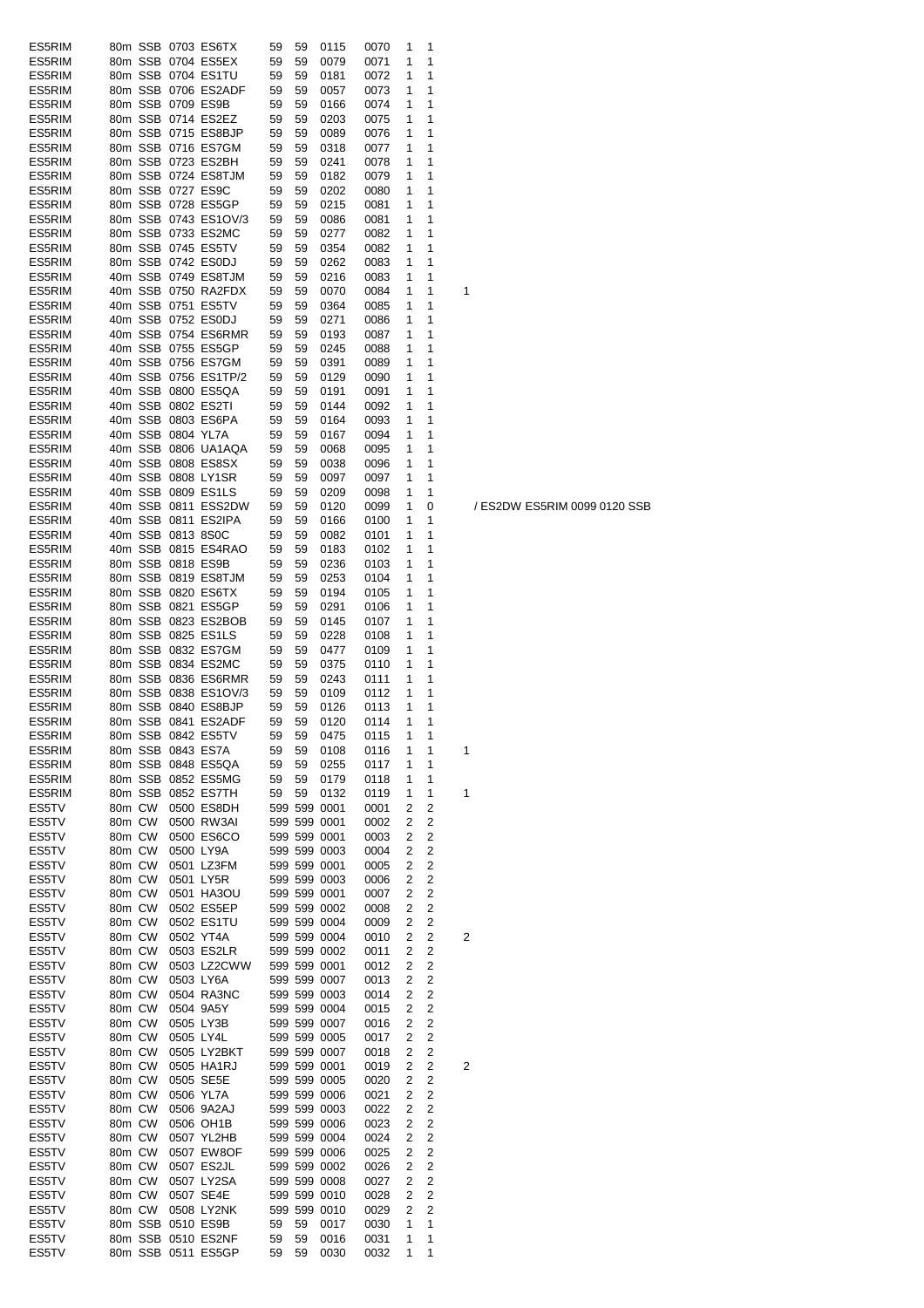| ES5RIM           |                  |         |                   | 80m SSB 0703 ES6TX                         | 59       | 59       | 0115                         | 0070         | 1      | 1              |   |
|------------------|------------------|---------|-------------------|--------------------------------------------|----------|----------|------------------------------|--------------|--------|----------------|---|
| ES5RIM           |                  |         |                   | 80m SSB 0704 ES5EX                         | 59       | 59       | 0079                         | 0071         | 1      | 1              |   |
| ES5RIM           |                  |         |                   | 80m SSB 0704 ES1TU                         | 59       | 59       | 0181                         | 0072         | 1      | 1              |   |
| ES5RIM           |                  |         |                   | 80m SSB 0706 ES2ADF                        | 59       | 59       | 0057                         | 0073         | 1      | 1              |   |
| ES5RIM           |                  |         |                   | 80m SSB 0709 ES9B                          | 59       | 59       | 0166                         | 0074         | 1      | 1              |   |
| ES5RIM           |                  |         |                   | 80m SSB 0714 ES2EZ                         | 59       | 59       | 0203                         | 0075         | 1      | 1              |   |
| ES5RIM           |                  |         |                   | 80m SSB 0715 ES8BJP                        | 59       | 59       | 0089                         | 0076         | 1      | 1              |   |
| ES5RIM           |                  |         |                   | 80m SSB 0716 ES7GM                         | 59       | 59       | 0318                         | 0077         | 1      | 1              |   |
| ES5RIM           |                  |         |                   | 80m SSB 0723 ES2BH                         | 59       | 59       | 0241                         | 0078         | 1      | 1              |   |
| ES5RIM           |                  |         |                   | 80m SSB 0724 ES8TJM                        | 59       | 59       | 0182<br>0202                 | 0079         | 1      | 1              |   |
| ES5RIM<br>ES5RIM |                  |         |                   | 80m SSB 0727 ES9C                          | 59       | 59       |                              | 0080         | 1<br>1 | 1<br>1         |   |
| ES5RIM           |                  |         |                   | 80m SSB 0728 ES5GP<br>80m SSB 0743 ES1OV/3 | 59       | 59       | 0215                         | 0081         | 1      | 1              |   |
| ES5RIM           |                  |         |                   | 80m SSB 0733 ES2MC                         | 59<br>59 | 59<br>59 | 0086<br>0277                 | 0081<br>0082 | 1      | 1              |   |
| ES5RIM           |                  |         |                   | 80m SSB 0745 ES5TV                         | 59       | 59       | 0354                         | 0082         | 1      | 1              |   |
| ES5RIM           |                  |         |                   | 80m SSB 0742 ES0DJ                         | 59       | 59       | 0262                         | 0083         | 1      | 1              |   |
| ES5RIM           |                  |         |                   | 40m SSB 0749 ES8TJM                        | 59       | 59       | 0216                         | 0083         | 1      | 1              |   |
| ES5RIM           |                  |         |                   | 40m SSB 0750 RA2FDX                        | 59       | 59       | 0070                         | 0084         | 1      | 1              | 1 |
| ES5RIM           |                  |         |                   | 40m SSB 0751 ES5TV                         | 59       | 59       | 0364                         | 0085         | 1      | 1              |   |
| ES5RIM           |                  |         |                   | 40m SSB 0752 ES0DJ                         | 59       | 59       | 0271                         | 0086         | 1      | 1              |   |
| ES5RIM           |                  |         |                   | 40m SSB 0754 ES6RMR                        | 59       | 59       | 0193                         | 0087         | 1      | 1              |   |
| ES5RIM           |                  |         |                   | 40m SSB 0755 ES5GP                         | 59       | 59       | 0245                         | 0088         | 1      | 1              |   |
| ES5RIM           |                  |         |                   | 40m SSB 0756 ES7GM                         | 59       | 59       | 0391                         | 0089         | 1      | 1              |   |
| ES5RIM           |                  |         |                   | 40m SSB 0756 ES1TP/2                       | 59       | 59       | 0129                         | 0090         | 1      | 1              |   |
| ES5RIM           |                  |         |                   | 40m SSB 0800 ES5QA                         | 59       | 59       | 0191                         | 0091         | 1      | 1              |   |
| ES5RIM           |                  |         |                   | 40m SSB 0802 ES2TI                         | 59       | 59       | 0144                         | 0092         | 1      | 1              |   |
| ES5RIM           |                  |         |                   | 40m SSB 0803 ES6PA                         | 59       | 59       | 0164                         | 0093         | 1      | 1              |   |
| ES5RIM           |                  |         | 40m SSB 0804 YL7A |                                            | 59       | 59       | 0167                         | 0094         | 1      | 1              |   |
| ES5RIM           |                  |         |                   | 40m SSB 0806 UA1AQA                        | 59       | 59       | 0068                         | 0095         | 1      | 1              |   |
| ES5RIM           |                  |         |                   | 40m SSB 0808 ES8SX                         | 59       | 59       | 0038                         | 0096         | 1      | 1              |   |
| ES5RIM           |                  |         |                   | 40m SSB 0808 LY1SR                         | 59       | 59       | 0097                         | 0097         | 1      | 1              |   |
| ES5RIM           |                  |         |                   | 40m SSB 0809 ES1LS                         | 59       | 59       | 0209                         | 0098         | 1      | 1              |   |
| ES5RIM           |                  |         |                   | 40m SSB 0811 ESS2DW                        | 59       | 59       | 0120                         | 0099         | 1      | 0              |   |
| ES5RIM           |                  |         |                   | 40m SSB 0811 ES2IPA                        | 59       | 59       | 0166                         | 0100         | 1      | 1              |   |
| ES5RIM           |                  |         | 40m SSB 0813 8S0C |                                            | 59       | 59       | 0082                         | 0101         | 1      | 1              |   |
| ES5RIM           |                  |         |                   | 40m SSB 0815 ES4RAO                        | 59       | 59       | 0183                         | 0102         | 1      | 1              |   |
| ES5RIM           |                  |         | 80m SSB 0818 ES9B |                                            | 59       | 59       | 0236                         | 0103         | 1      | 1              |   |
| ES5RIM           |                  |         |                   | 80m SSB 0819 ES8TJM                        | 59       | 59       | 0253                         | 0104         | 1      | 1              |   |
| ES5RIM<br>ES5RIM |                  |         |                   | 80m SSB 0820 ES6TX<br>80m SSB 0821 ES5GP   | 59<br>59 | 59       | 0194                         | 0105         | 1<br>1 | 1<br>1         |   |
| ES5RIM           |                  |         |                   | 80m SSB 0823 ES2BOB                        | 59       | 59<br>59 | 0291<br>0145                 | 0106<br>0107 | 1      | 1              |   |
| ES5RIM           |                  |         |                   | 80m SSB 0825 ES1LS                         | 59       | 59       | 0228                         | 0108         | 1      | 1              |   |
| ES5RIM           |                  |         |                   | 80m SSB 0832 ES7GM                         | 59       | 59       | 0477                         | 0109         | 1      | 1              |   |
| ES5RIM           |                  |         |                   | 80m SSB 0834 ES2MC                         | 59       | 59       | 0375                         | 0110         | 1      | 1              |   |
| ES5RIM           |                  | 80m SSB |                   | 0836 ES6RMR                                | 59       | 59       | 0243                         | 0111         | 1      | 1              |   |
| ES5RIM           |                  | 80m SSB |                   | 0838 ES1OV/3                               | 59       | 59       | 0109                         | 0112         | 1      | 1              |   |
| ES5RIM           |                  |         |                   | 80m SSB 0840 ES8BJP                        | 59       | 59       | 0126                         | 0113         | 1      | 1              |   |
| ES5RIM           |                  |         |                   | 80m SSB 0841 ES2ADF                        | 59       | 59       | 0120                         | 0114         | 1      | 1              |   |
| ES5RIM           |                  |         |                   | 80m SSB 0842 ES51V                         | 59       | 59       | 04/5                         | 0115         | 1      | 1              |   |
| ES5RIM           |                  |         |                   | 80m SSB 0843 ES7A                          | 59       | 59       | 0108                         | 0116         | 1      | 1              | 1 |
| ES5RIM           |                  |         |                   | 80m SSB 0848 ES5QA                         | 59       | 59       | 0255                         | 0117         | 1      | 1              |   |
| ES5RIM           |                  |         |                   | 80m SSB 0852 ES5MG                         | 59       | 59       | 0179                         | 0118         | 1      | 1              |   |
| ES5RIM           |                  | 80m SSB |                   | 0852 ES7TH                                 | 59       | 59       | 0132                         | 0119         | 1      | 1              | 1 |
| ES5TV            | 80m CW           |         |                   | 0500 ES8DH                                 |          |          | 599 599 0001                 | 0001         | 2      | 2              |   |
| ES5TV            | 80m CW           |         |                   | 0500 RW3AI                                 |          |          | 599 599 0001                 | 0002         | 2      | 2              |   |
| ES5TV            | 80m CW           |         |                   | 0500 ES6CO                                 |          |          | 599 599 0001                 | 0003         | 2      | 2              |   |
| ES5TV            | 80m CW           |         |                   | 0500 LY9A                                  |          |          | 599 599 0003                 | 0004         | 2      | 2              |   |
| ES5TV            | 80m CW           |         |                   | 0501 LZ3FM                                 |          |          | 599 599 0001                 | 0005         | 2      | $\overline{2}$ |   |
| ES5TV            | 80m CW           |         |                   | 0501 LY5R                                  |          |          | 599 599 0003                 | 0006         | 2      | 2              |   |
| ES5TV            | 80m CW           |         |                   | 0501 HA3OU                                 |          |          | 599 599 0001                 | 0007         | 2      | 2              |   |
| ES5TV            | 80m CW<br>80m CW |         |                   | 0502 ES5EP<br>0502 ES1TU                   |          |          | 599 599 0002                 | 0008         | 2      | $\overline{2}$ |   |
| ES5TV<br>ES5TV   | 80m CW           |         |                   | 0502 YT4A                                  |          |          | 599 599 0004<br>599 599 0004 | 0009<br>0010 | 2<br>2 | 2<br>2         | 2 |
| ES5TV            | 80m CW           |         |                   | 0503 ES2LR                                 |          |          | 599 599 0002                 | 0011         | 2      | 2              |   |
| ES5TV            | 80m CW           |         |                   | 0503 LZ2CWW                                |          |          | 599 599 0001                 | 0012         | 2      | 2              |   |
| ES5TV            | 80m CW           |         |                   | 0503 LY6A                                  |          |          | 599 599 0007                 | 0013         | 2      | 2              |   |
| ES5TV            | 80m CW           |         |                   | 0504 RA3NC                                 |          |          | 599 599 0003                 | 0014         | 2      | 2              |   |
| ES5TV            | 80m CW           |         |                   | 0504 9A5Y                                  |          |          | 599 599 0004                 | 0015         | 2      | 2              |   |
| ES5TV            | 80m CW           |         |                   | 0505 LY3B                                  |          |          | 599 599 0007                 | 0016         | 2      | 2              |   |
| ES5TV            | 80m CW           |         |                   | 0505 LY4L                                  |          |          | 599 599 0005                 | 0017         | 2      | $\overline{2}$ |   |
| ES5TV            | 80m CW           |         |                   | 0505 LY2BKT                                |          |          | 599 599 0007                 | 0018         | 2      | $\overline{2}$ |   |
| ES5TV            | 80m CW           |         |                   | 0505 HA1RJ                                 |          |          | 599 599 0001                 | 0019         | 2      | 2              | 2 |
| ES5TV            | 80m CW           |         |                   | 0505 SE5E                                  |          |          | 599 599 0005                 | 0020         | 2      | 2              |   |
| ES5TV            | 80m CW           |         |                   | 0506 YL7A                                  |          |          | 599 599 0006                 | 0021         | 2      | $\overline{2}$ |   |
| ES5TV            | 80m CW           |         |                   | 0506 9A2AJ                                 |          |          | 599 599 0003                 | 0022         | 2      | $\overline{2}$ |   |
| ES5TV            | 80m CW           |         |                   | 0506 OH1B                                  |          |          | 599 599 0006                 | 0023         | 2      | 2              |   |
| ES5TV            | 80m CW           |         |                   | 0507 YL2HB                                 |          |          | 599 599 0004                 | 0024         | 2      | 2              |   |
| ES5TV            | 80m CW           |         |                   | 0507 EW8OF                                 |          |          | 599 599 0006                 | 0025         | 2      | 2              |   |
| ES5TV            | 80m CW           |         |                   | 0507 ES2JL                                 |          |          | 599 599 0002                 | 0026         | 2      | 2              |   |
| ES5TV            | 80m CW           |         |                   | 0507 LY2SA                                 |          |          | 599 599 0008                 | 0027         | 2      | 2              |   |
| ES5TV            | 80m CW           |         |                   | 0507 SE4E                                  |          |          | 599 599 0010                 | 0028         | 2      | 2              |   |
| ES5TV            | 80m CW           |         |                   | 0508 LY2NK                                 |          |          | 599 599 0010                 | 0029         | 2      | 2              |   |
| ES5TV            |                  | 80m SSB |                   | 0510 ES9B                                  | 59       | 59       | 0017                         | 0030         | 1      | 1              |   |
| ES5TV<br>ES5TV   |                  |         |                   | 80m SSB 0510 ES2NF<br>80m SSB 0511 ES5GP   | 59<br>59 | 59<br>59 | 0016<br>0030                 | 0031<br>0032 | 1<br>1 | 1<br>1         |   |
|                  |                  |         |                   |                                            |          |          |                              |              |        |                |   |

/ ES2DW ES5RIM 0099 0120 SSB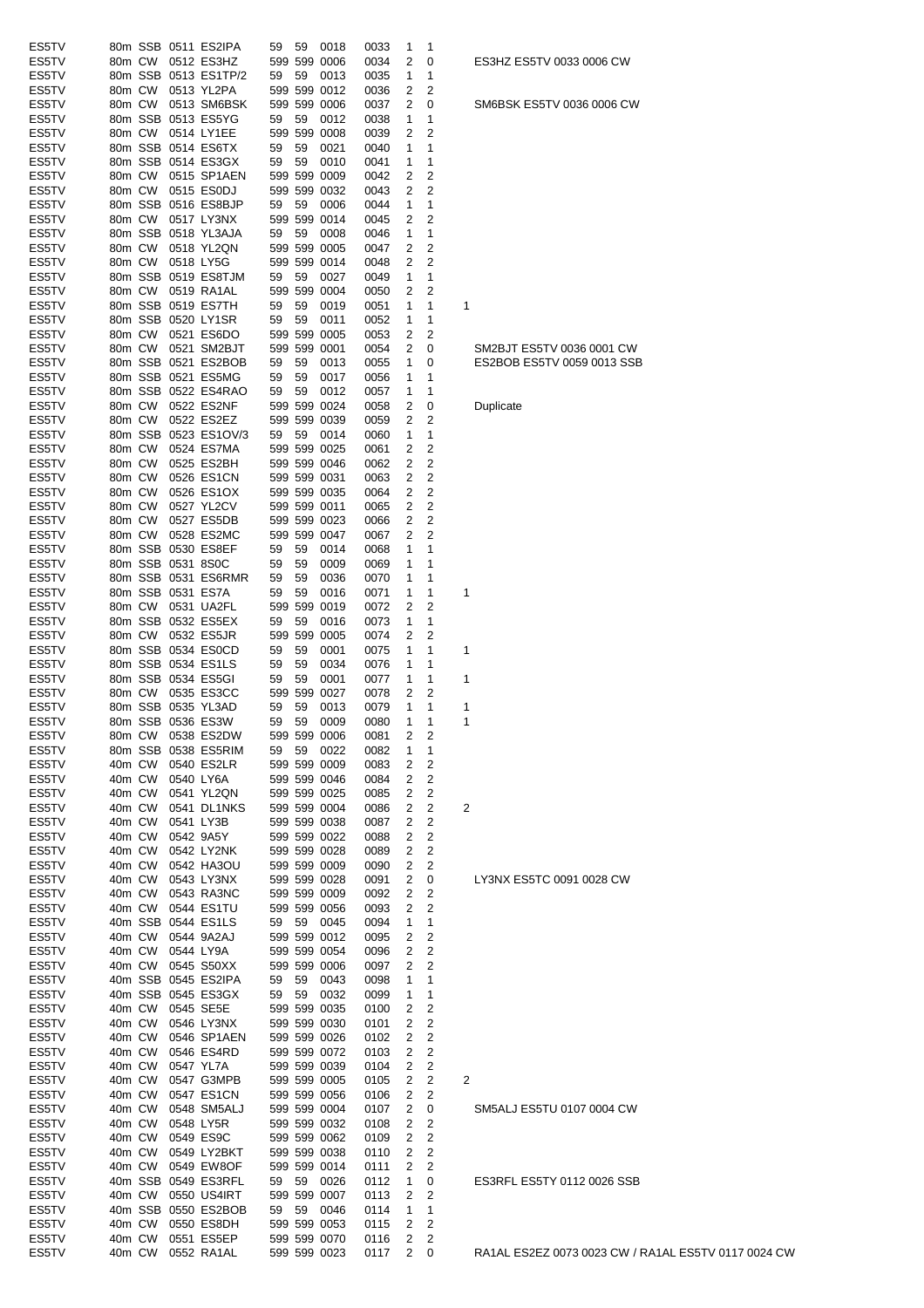| ES5TV |        |         | 80m SSB 0511 ES2IPA | 59 | 59      | 0018         | 0033 | 1 | 1                       |                         |
|-------|--------|---------|---------------------|----|---------|--------------|------|---|-------------------------|-------------------------|
| ES5TV | 80m CW |         | 0512 ES3HZ          |    | 599 599 | 0006         | 0034 | 2 | 0                       |                         |
| ES5TV |        | 80m SSB | 0513 ES1TP/2        | 59 | 59      | 0013         | 0035 | 1 | 1                       |                         |
| ES5TV | 80m CW |         | 0513 YL2PA          |    |         | 599 599 0012 | 0036 | 2 | 2                       |                         |
| ES5TV | 80m CW |         | 0513 SM6BSK         |    |         | 599 599 0006 | 0037 | 2 | 0                       |                         |
| ES5TV |        | 80m SSB | 0513 ES5YG          | 59 | 59      | 0012         | 0038 | 1 | 1                       |                         |
| ES5TV | 80m CW |         | 0514 LY1EE          |    |         | 599 599 0008 | 0039 | 2 | 2                       |                         |
| ES5TV |        | 80m SSB | 0514 ES6TX          | 59 | 59      | 0021         | 0040 | 1 | 1                       |                         |
| ES5TV |        | 80m SSB | 0514 ES3GX          | 59 | 59      | 0010         | 0041 | 1 | 1                       |                         |
| ES5TV | 80m CW |         | 0515 SP1AEN         |    |         |              |      |   | 2                       |                         |
|       |        |         |                     |    |         | 599 599 0009 | 0042 | 2 |                         |                         |
| ES5TV | 80m CW |         | 0515 ES0DJ          |    |         | 599 599 0032 | 0043 | 2 | 2                       |                         |
| ES5TV |        | 80m SSB | 0516 ES8BJP         | 59 | 59      | 0006         | 0044 | 1 | 1                       |                         |
| ES5TV | 80m CW |         | 0517 LY3NX          |    |         | 599 599 0014 | 0045 | 2 | $\overline{c}$          |                         |
| ES5TV |        | 80m SSB | 0518 YL3AJA         | 59 | 59      | 0008         | 0046 | 1 | 1                       |                         |
| ES5TV | 80m CW |         | 0518 YL2QN          |    |         | 599 599 0005 | 0047 | 2 | 2                       |                         |
| ES5TV | 80m CW |         | 0518 LY5G           |    |         | 599 599 0014 | 0048 | 2 | 2                       |                         |
| ES5TV |        | 80m SSB | 0519 ES8TJM         | 59 | 59      | 0027         | 0049 | 1 | 1                       |                         |
| ES5TV | 80m CW |         | 0519 RA1AL          |    |         | 599 599 0004 | 0050 | 2 | 2                       |                         |
| ES5TV |        | 80m SSB | 0519 ES7TH          | 59 | 59      | 0019         | 0051 | 1 | 1                       | 1                       |
| ES5TV |        | 80m SSB | 0520 LY1SR          | 59 | 59      | 0011         | 0052 | 1 | 1                       |                         |
| ES5TV | 80m CW |         | 0521 ES6DO          |    |         | 599 599 0005 | 0053 | 2 | 2                       |                         |
| ES5TV | 80m CW |         | 0521 SM2BJT         |    |         | 599 599 0001 | 0054 | 2 | 0                       |                         |
| ES5TV |        | 80m SSB | 0521 ES2BOB         | 59 | 59      | 0013         | 0055 | 1 | 0                       |                         |
|       |        |         |                     |    |         |              |      |   |                         |                         |
| ES5TV |        | 80m SSB | 0521 ES5MG          | 59 | 59      | 0017         | 0056 | 1 | 1                       |                         |
| ES5TV |        | 80m SSB | 0522 ES4RAO         | 59 | 59      | 0012         | 0057 | 1 | 1                       |                         |
| ES5TV | 80m CW |         | 0522 ES2NF          |    |         | 599 599 0024 | 0058 | 2 | 0                       |                         |
| ES5TV | 80m CW |         | 0522 ES2EZ          |    |         | 599 599 0039 | 0059 | 2 | 2                       |                         |
| ES5TV |        | 80m SSB | 0523 ES1OV/3        | 59 | 59      | 0014         | 0060 | 1 | 1                       |                         |
| ES5TV | 80m CW |         | 0524 ES7MA          |    |         | 599 599 0025 | 0061 | 2 | 2                       |                         |
| ES5TV | 80m CW |         | 0525 ES2BH          |    |         | 599 599 0046 | 0062 | 2 | 2                       |                         |
| ES5TV | 80m CW |         | 0526 ES1CN          |    |         | 599 599 0031 | 0063 | 2 | 2                       |                         |
| ES5TV | 80m CW |         | 0526 ES1OX          |    |         | 599 599 0035 | 0064 | 2 | 2                       |                         |
| ES5TV | 80m CW |         | 0527 YL2CV          |    |         | 599 599 0011 | 0065 | 2 | 2                       |                         |
| ES5TV | 80m CW |         | 0527 ES5DB          |    |         | 599 599 0023 | 0066 | 2 | 2                       |                         |
|       |        |         |                     |    |         |              |      |   | 2                       |                         |
| ES5TV | 80m CW |         | 0528 ES2MC          |    |         | 599 599 0047 | 0067 | 2 |                         |                         |
| ES5TV |        | 80m SSB | 0530 ES8EF          | 59 | 59      | 0014         | 0068 | 1 | 1                       |                         |
| ES5TV |        | 80m SSB | 0531 8S0C           | 59 | 59      | 0009         | 0069 | 1 | 1                       |                         |
| ES5TV |        | 80m SSB | 0531 ES6RMR         | 59 | 59      | 0036         | 0070 | 1 | 1                       |                         |
| ES5TV |        | 80m SSB | 0531 ES7A           | 59 | 59      | 0016         | 0071 | 1 | 1                       | 1                       |
| ES5TV | 80m CW |         | 0531 UA2FL          |    |         | 599 599 0019 | 0072 | 2 | 2                       |                         |
| ES5TV |        | 80m SSB | 0532 ES5EX          | 59 | 59      | 0016         | 0073 | 1 | 1                       |                         |
| ES5TV | 80m CW |         | 0532 ES5JR          |    |         | 599 599 0005 | 0074 | 2 | 2                       |                         |
| ES5TV |        | 80m SSB | 0534 ES0CD          | 59 | 59      | 0001         | 0075 | 1 | 1                       | 1                       |
| ES5TV |        | 80m SSB | 0534 ES1LS          | 59 | 59      | 0034         | 0076 | 1 | 1                       |                         |
| ES5TV |        | 80m SSB | 0534 ES5GI          | 59 | 59      | 0001         | 0077 | 1 | 1                       | 1                       |
| ES5TV | 80m CW |         | 0535 ES3CC          |    |         | 599 599 0027 | 0078 | 2 | 2                       |                         |
| ES5TV |        | 80m SSB | 0535 YL3AD          | 59 | 59      | 0013         | 0079 | 1 | 1                       | 1                       |
| ES5TV |        |         | 80m SSB 0536 ES3W   | 59 | 59      | 0009         | 0080 | 1 | 1                       | 1                       |
|       |        |         |                     |    |         |              |      |   |                         |                         |
| ES5TV |        |         | 80m CW 0538 ES2DW   |    |         | 599 599 0006 | 0081 | 2 | 2                       |                         |
| ES5TV |        |         | 80m SSB 0538 ES5RIM | 59 | 59      | 0022         | 0082 | 1 | 1                       |                         |
| ES5TV | 40m CW |         | 0540 ES2LR          |    |         | 599 599 0009 | 0083 | 2 | $\overline{\mathbf{c}}$ |                         |
| ES5TV | 40m CW |         | 0540 LY6A           |    |         | 599 599 0046 | 0084 | 2 | $\overline{2}$          |                         |
| ES5TV | 40m CW |         | 0541 YL2QN          |    |         | 599 599 0025 | 0085 | 2 | 2                       |                         |
| ES5TV | 40m CW |         | 0541 DL1NKS         |    |         | 599 599 0004 | 0086 | 2 | $\overline{c}$          | $\overline{\mathbf{c}}$ |
| ES5TV | 40m CW |         | 0541 LY3B           |    |         | 599 599 0038 | 0087 | 2 | 2                       |                         |
| ES5TV | 40m CW |         | 0542 9A5Y           |    |         | 599 599 0022 | 0088 | 2 | $\overline{c}$          |                         |
| ES5TV | 40m CW |         | 0542 LY2NK          |    |         | 599 599 0028 | 0089 | 2 | 2                       |                         |
| ES5TV |        | 40m CW  | 0542 HA3OU          |    |         | 599 599 0009 | 0090 | 2 | 2                       |                         |
| ES5TV | 40m CW |         | 0543 LY3NX          |    |         | 599 599 0028 | 0091 | 2 | 0                       |                         |
| ES5TV |        | 40m CW  | 0543 RA3NC          |    |         | 599 599 0009 | 0092 | 2 | 2                       |                         |
| ES5TV | 40m CW |         | 0544 ES1TU          |    |         | 599 599 0056 | 0093 | 2 | 2                       |                         |
| ES5TV |        |         | 40m SSB 0544 ES1LS  | 59 | 59      | 0045         | 0094 | 1 | 1                       |                         |
|       |        |         |                     |    |         |              |      | 2 | $\overline{c}$          |                         |
| ES5TV | 40m CW |         | 0544 9A2AJ          |    |         | 599 599 0012 | 0095 |   |                         |                         |
| ES5TV | 40m CW |         | 0544 LY9A           |    |         | 599 599 0054 | 0096 | 2 | 2                       |                         |
| ES5TV | 40m CW |         | 0545 S50XX          |    |         | 599 599 0006 | 0097 | 2 | 2                       |                         |
| ES5TV |        | 40m SSB | 0545 ES2IPA         | 59 | 59      | 0043         | 0098 | 1 | 1                       |                         |
| ES5TV |        |         | 40m SSB 0545 ES3GX  | 59 | 59      | 0032         | 0099 | 1 | 1                       |                         |
| ES5TV | 40m CW |         | 0545 SE5E           |    |         | 599 599 0035 | 0100 | 2 | 2                       |                         |
| ES5TV | 40m CW |         | 0546 LY3NX          |    |         | 599 599 0030 | 0101 | 2 | 2                       |                         |
| ES5TV | 40m CW |         | 0546 SP1AEN         |    |         | 599 599 0026 | 0102 | 2 | $\overline{c}$          |                         |
| ES5TV |        | 40m CW  | 0546 ES4RD          |    |         | 599 599 0072 | 0103 | 2 | $\overline{c}$          |                         |
| ES5TV | 40m CW |         | 0547 YL7A           |    |         | 599 599 0039 | 0104 | 2 | 2                       |                         |
| ES5TV | 40m CW |         | 0547 G3MPB          |    |         | 599 599 0005 | 0105 | 2 | 2                       | $\overline{c}$          |
| ES5TV | 40m CW |         | 0547 ES1CN          |    |         | 599 599 0056 | 0106 | 2 | 2                       |                         |
| ES5TV | 40m CW |         | 0548 SM5ALJ         |    |         | 599 599 0004 | 0107 | 2 | 0                       |                         |
| ES5TV | 40m CW |         | 0548 LY5R           |    |         | 599 599 0032 | 0108 | 2 | $\overline{c}$          |                         |
|       |        |         |                     |    |         |              |      |   |                         |                         |
| ES5TV | 40m CW |         | 0549 ES9C           |    |         | 599 599 0062 | 0109 | 2 | 2                       |                         |
| ES5TV | 40m CW |         | 0549 LY2BKT         |    |         | 599 599 0038 | 0110 | 2 | 2                       |                         |
| ES5TV | 40m CW |         | 0549 EW8OF          |    |         | 599 599 0014 | 0111 | 2 | 2                       |                         |
| ES5TV |        | 40m SSB | 0549 ES3RFL         | 59 | 59      | 0026         | 0112 | 1 | 0                       |                         |
| ES5TV | 40m CW |         | 0550 US4IRT         |    |         | 599 599 0007 | 0113 | 2 | 2                       |                         |
| ES5TV |        | 40m SSB | 0550 ES2BOB         | 59 | 59      | 0046         | 0114 | 1 | 1                       |                         |
| ES5TV | 40m CW |         | 0550 ES8DH          |    |         | 599 599 0053 | 0115 | 2 | $\overline{c}$          |                         |
| ES5TV |        | 40m CW  | 0551 ES5EP          |    |         | 599 599 0070 | 0116 | 2 | 2                       |                         |
| ES5TV |        | 40m CW  | 0552 RA1AL          |    |         | 599 599 0023 | 0117 | 2 | 0                       |                         |

ES3HZ ES5TV 0033 0006 CW

SM6BSK ES5TV 0036 0006 CW

SM2BJT ES5TV 0036 0001 CW ES2BOB ES5TV 0059 0013 SSB

LY3NX ES5TC 0091 0028 CW

SM5ALJ ES5TU 0107 0004 CW

ES3RFL ES5TY 0112 0026 SSB

**Duplicate** 

RA1AL ES2EZ 0073 0023 CW / RA1AL ES5TV 0117 0024 CW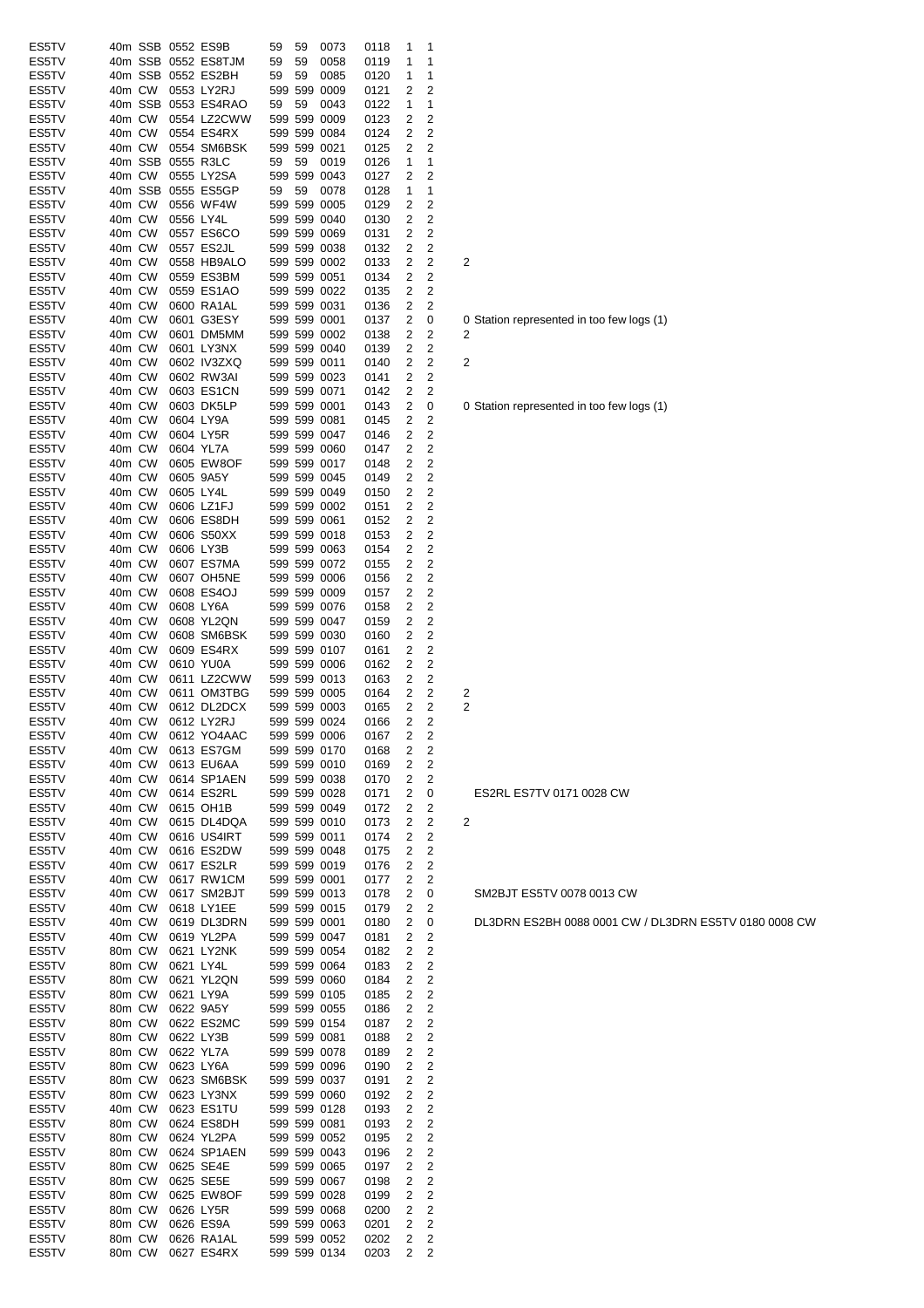| ES5TV          |                  |        | 40m SSB 0552 ES9B                 | 59 | 59 | 0073                         | 0118         | 1      | 1                   |   |                                  |
|----------------|------------------|--------|-----------------------------------|----|----|------------------------------|--------------|--------|---------------------|---|----------------------------------|
| ES5TV          |                  |        | 40m SSB 0552 ES8TJM               | 59 | 59 | 0058                         | 0119         | 1      | 1                   |   |                                  |
| ES5TV          |                  |        | 40m SSB 0552 ES2BH                | 59 | 59 | 0085                         | 0120         | 1      | 1                   |   |                                  |
| ES5TV<br>ES5TV | 40m CW           |        | 0553 LY2RJ<br>40m SSB 0553 ES4RAO | 59 | 59 | 599 599 0009<br>0043         | 0121<br>0122 | 2<br>1 | 2<br>1              |   |                                  |
| ES5TV          | 40m CW           |        | 0554 LZ2CWW                       |    |    | 599 599 0009                 | 0123         | 2      | 2                   |   |                                  |
| ES5TV          | 40m CW           |        | 0554 ES4RX                        |    |    | 599 599 0084                 | 0124         | 2      | 2                   |   |                                  |
| ES5TV          |                  | 40m CW | 0554 SM6BSK                       |    |    | 599 599 0021                 | 0125         | 2      | 2                   |   |                                  |
| ES5TV          |                  |        | 40m SSB 0555 R3LC                 | 59 | 59 | 0019                         | 0126         | 1      | 1                   |   |                                  |
| ES5TV          |                  | 40m CW | 0555 LY2SA<br>40m SSB 0555 ES5GP  |    |    | 599 599 0043                 | 0127         | 2      | 2                   |   |                                  |
| ES5TV<br>ES5TV |                  | 40m CW | 0556 WF4W                         | 59 | 59 | 0078<br>599 599 0005         | 0128<br>0129 | 1<br>2 | 1<br>2              |   |                                  |
| ES5TV          | 40m CW           |        | 0556 LY4L                         |    |    | 599 599 0040                 | 0130         | 2      | 2                   |   |                                  |
| ES5TV          | 40m CW           |        | 0557 ES6CO                        |    |    | 599 599 0069                 | 0131         | 2      | 2                   |   |                                  |
| ES5TV          | 40m CW           |        | 0557 ES2JL                        |    |    | 599 599 0038                 | 0132         | 2      | 2                   |   |                                  |
| ES5TV          | 40m CW           |        | 0558 HB9ALO                       |    |    | 599 599 0002                 | 0133         | 2      | 2                   | 2 |                                  |
| ES5TV          | 40m CW           |        | 0559 ES3BM                        |    |    | 599 599 0051                 | 0134         | 2      | 2                   |   |                                  |
| ES5TV<br>ES5TV | 40m CW<br>40m CW |        | 0559 ES1AO<br>0600 RA1AL          |    |    | 599 599 0022<br>599 599 0031 | 0135<br>0136 | 2<br>2 | 2<br>2              |   |                                  |
| ES5TV          | 40m CW           |        | 0601 G3ESY                        |    |    | 599 599 0001                 | 0137         | 2      | 0                   |   | 0 Station represented in too few |
| ES5TV          | 40m CW           |        | 0601 DM5MM                        |    |    | 599 599 0002                 | 0138         | 2      | 2                   | 2 |                                  |
| ES5TV          | 40m CW           |        | 0601 LY3NX                        |    |    | 599 599 0040                 | 0139         | 2      | 2                   |   |                                  |
| ES5TV          | 40m CW           |        | 0602 IV3ZXQ                       |    |    | 599 599 0011                 | 0140         | 2      | 2                   | 2 |                                  |
| ES5TV          | 40m CW           |        | 0602 RW3AI                        |    |    | 599 599 0023                 | 0141         | 2      | 2                   |   |                                  |
| ES5TV          | 40m CW           |        | 0603 ES1CN                        |    |    | 599 599 0071                 | 0142         | 2      | 2                   |   |                                  |
| ES5TV<br>ES5TV | 40m CW<br>40m CW |        | 0603 DK5LP<br>0604 LY9A           |    |    | 599 599 0001<br>599 599 0081 | 0143<br>0145 | 2<br>2 | 0<br>2              |   | 0 Station represented in too few |
| ES5TV          | 40m CW           |        | 0604 LY5R                         |    |    | 599 599 0047                 | 0146         | 2      | $\overline{c}$      |   |                                  |
| ES5TV          | 40m CW           |        | 0604 YL7A                         |    |    | 599 599 0060                 | 0147         | 2      | 2                   |   |                                  |
| ES5TV          | 40m CW           |        | 0605 EW8OF                        |    |    | 599 599 0017                 | 0148         | 2      | 2                   |   |                                  |
| ES5TV          | 40m CW           |        | 0605 9A5Y                         |    |    | 599 599 0045                 | 0149         | 2      | 2                   |   |                                  |
| ES5TV          | 40m CW           |        | 0605 LY4L                         |    |    | 599 599 0049                 | 0150         | 2      | 2                   |   |                                  |
| ES5TV          | 40m CW           |        | 0606 LZ1FJ                        |    |    | 599 599 0002                 | 0151         | 2      | 2                   |   |                                  |
| ES5TV<br>ES5TV | 40m CW<br>40m CW |        | 0606 ES8DH<br>0606 S50XX          |    |    | 599 599 0061<br>599 599 0018 | 0152<br>0153 | 2<br>2 | 2<br>2              |   |                                  |
| ES5TV          | 40m CW           |        | 0606 LY3B                         |    |    | 599 599 0063                 | 0154         | 2      | 2                   |   |                                  |
| ES5TV          | 40m CW           |        | 0607 ES7MA                        |    |    | 599 599 0072                 | 0155         | 2      | 2                   |   |                                  |
| ES5TV          | 40m CW           |        | 0607 OH5NE                        |    |    | 599 599 0006                 | 0156         | 2      | 2                   |   |                                  |
| ES5TV          | 40m CW           |        | 0608 ES4OJ                        |    |    | 599 599 0009                 | 0157         | 2      | 2                   |   |                                  |
| ES5TV          | 40m CW           |        | 0608 LY6A                         |    |    | 599 599 0076                 | 0158         | 2      | 2                   |   |                                  |
| ES5TV          | 40m CW           |        | 0608 YL2QN                        |    |    | 599 599 0047                 | 0159         | 2      | 2                   |   |                                  |
| ES5TV<br>ES5TV | 40m CW<br>40m CW |        | 0608 SM6BSK<br>0609 ES4RX         |    |    | 599 599 0030<br>599 599 0107 | 0160<br>0161 | 2<br>2 | 2<br>2              |   |                                  |
| ES5TV          | 40m CW           |        | 0610 YU0A                         |    |    | 599 599 0006                 | 0162         | 2      | 2                   |   |                                  |
| ES5TV          | 40m CW           |        | 0611 LZ2CWW                       |    |    | 599 599 0013                 | 0163         | 2      | 2                   |   |                                  |
| ES5TV          | 40m CW           |        | 0611 OM3TBG                       |    |    | 599 599 0005                 | 0164         | 2      | 2                   | 2 |                                  |
| ES5TV          | 40m CW           |        | 0612 DL2DCX                       |    |    | 599 599 0003                 | 0165         | 2      | 2                   | 2 |                                  |
| ES5TV          | 40m CW           |        | 0612 LY2RJ                        |    |    | 599 599 0024                 | 0166         | 2      | 2                   |   |                                  |
| ES5TV<br>ES5TV | 40m CW<br>40m CW |        | 0612 YO4AAC<br>0613 ES7GM         |    |    | 599 599 0006<br>599 599 0170 | 0167<br>0168 | 2<br>2 | 2<br>2              |   |                                  |
| ES5TV          | 40m CW           |        | 0613 EU6AA                        |    |    | 599 599 0010                 | 0169         | 2      | 2                   |   |                                  |
| ES5TV          | 40m CW           |        | 0614 SP1AEN                       |    |    | 599 599 0038                 | 0170         | 2      | 2                   |   |                                  |
| ES5TV          | 40m CW           |        | 0614 ES2RL                        |    |    | 599 599 0028                 | 0171         | 2      | 0                   |   | ES2RL ES7TV 0171 0028 CW         |
| ES5TV          | 40m CW           |        | 0615 OH1B                         |    |    | 599 599 0049                 | 0172         | 2      | 2                   |   |                                  |
| ES5TV          | 40m CW           |        | 0615 DL4DQA                       |    |    | 599 599 0010                 | 0173         | 2      | 2                   | 2 |                                  |
| ES5TV<br>ES5TV | 40m CW<br>40m CW |        | 0616 US4IRT<br>0616 ES2DW         |    |    | 599 599 0011<br>599 599 0048 | 0174<br>0175 | 2<br>2 | 2<br>2              |   |                                  |
| ES5TV          | 40m CW           |        | 0617 ES2LR                        |    |    | 599 599 0019                 | 0176         | 2      | 2                   |   |                                  |
| ES5TV          | 40m CW           |        | 0617 RW1CM                        |    |    | 599 599 0001                 | 0177         | 2      | 2                   |   |                                  |
| ES5TV          | 40m CW           |        | 0617 SM2BJT                       |    |    | 599 599 0013                 | 0178         | 2      | 0                   |   | SM2BJT ES5TV 0078 0013 CV        |
| ES5TV          | 40m CW           |        | 0618 LY1EE                        |    |    | 599 599 0015                 | 0179         | 2      | 2                   |   |                                  |
| ES5TV          | 40m CW           |        | 0619 DL3DRN                       |    |    | 599 599 0001                 | 0180         | 2      | 0                   |   | DL3DRN ES2BH 0088 0001 C         |
| ES5TV<br>ES5TV | 40m CW<br>80m CW |        | 0619 YL2PA<br>0621 LY2NK          |    |    | 599 599 0047<br>599 599 0054 | 0181<br>0182 | 2<br>2 | 2<br>$\overline{c}$ |   |                                  |
| ES5TV          | 80m CW           |        | 0621 LY4L                         |    |    | 599 599 0064                 | 0183         | 2      | 2                   |   |                                  |
| ES5TV          | 80m CW           |        | 0621 YL2QN                        |    |    | 599 599 0060                 | 0184         | 2      | $\overline{c}$      |   |                                  |
| ES5TV          | 80m CW           |        | 0621 LY9A                         |    |    | 599 599 0105                 | 0185         | 2      | 2                   |   |                                  |
| ES5TV          | 80m CW           |        | 0622 9A5Y                         |    |    | 599 599 0055                 | 0186         | 2      | 2                   |   |                                  |
| ES5TV          | 80m CW           |        | 0622 ES2MC                        |    |    | 599 599 0154                 | 0187         | 2      | 2                   |   |                                  |
| ES5TV          | 80m CW<br>80m CW |        | 0622 LY3B<br>0622 YL7A            |    |    | 599 599 0081<br>599 599 0078 | 0188<br>0189 | 2<br>2 | $\overline{c}$<br>2 |   |                                  |
| ES5TV<br>ES5TV | 80m CW           |        | 0623 LY6A                         |    |    | 599 599 0096                 | 0190         | 2      | 2                   |   |                                  |
| ES5TV          | 80m CW           |        | 0623 SM6BSK                       |    |    | 599 599 0037                 | 0191         | 2      | 2                   |   |                                  |
| ES5TV          | 80m CW           |        | 0623 LY3NX                        |    |    | 599 599 0060                 | 0192         | 2      | 2                   |   |                                  |
| ES5TV          | 40m CW           |        | 0623 ES1TU                        |    |    | 599 599 0128                 | 0193         | 2      | 2                   |   |                                  |
| ES5TV          | 80m CW           |        | 0624 ES8DH                        |    |    | 599 599 0081                 | 0193         | 2      | $\overline{c}$      |   |                                  |
| ES5TV<br>ES5TV | 80m CW<br>80m CW |        | 0624 YL2PA<br>0624 SP1AEN         |    |    | 599 599 0052<br>599 599 0043 | 0195<br>0196 | 2<br>2 | 2<br>2              |   |                                  |
| ES5TV          | 80m CW           |        | 0625 SE4E                         |    |    | 599 599 0065                 | 0197         | 2      | 2                   |   |                                  |
| ES5TV          | 80m CW           |        | 0625 SE5E                         |    |    | 599 599 0067                 | 0198         | 2      | 2                   |   |                                  |
| ES5TV          | 80m CW           |        | 0625 EW8OF                        |    |    | 599 599 0028                 | 0199         | 2      | 2                   |   |                                  |
| ES5TV          | 80m CW           |        | 0626 LY5R                         |    |    | 599 599 0068                 | 0200         | 2      | 2                   |   |                                  |
| ES5TV          | 80m CW           |        | 0626 ES9A                         |    |    | 599 599 0063                 | 0201         | 2      | $\overline{c}$      |   |                                  |
| ES5TV<br>ES5TV | 80m CW           | 80m CW | 0626 RA1AL<br>0627 ES4RX          |    |    | 599 599 0052<br>599 599 0134 | 0202<br>0203 | 2<br>2 | 2<br>2              |   |                                  |
|                |                  |        |                                   |    |    |                              |              |        |                     |   |                                  |

| ES2RL ES7TV 0171 0028 CW  |
|---------------------------|
|                           |
| SM2BJT ES5TV 0078 0013 CW |

DL3DRN ES2BH 0088 0001 CW / DL3DRN ES5TV 0180 0008 CW

0 Station represented in too few logs (1)<br>2

0 Station represented in too few logs (1)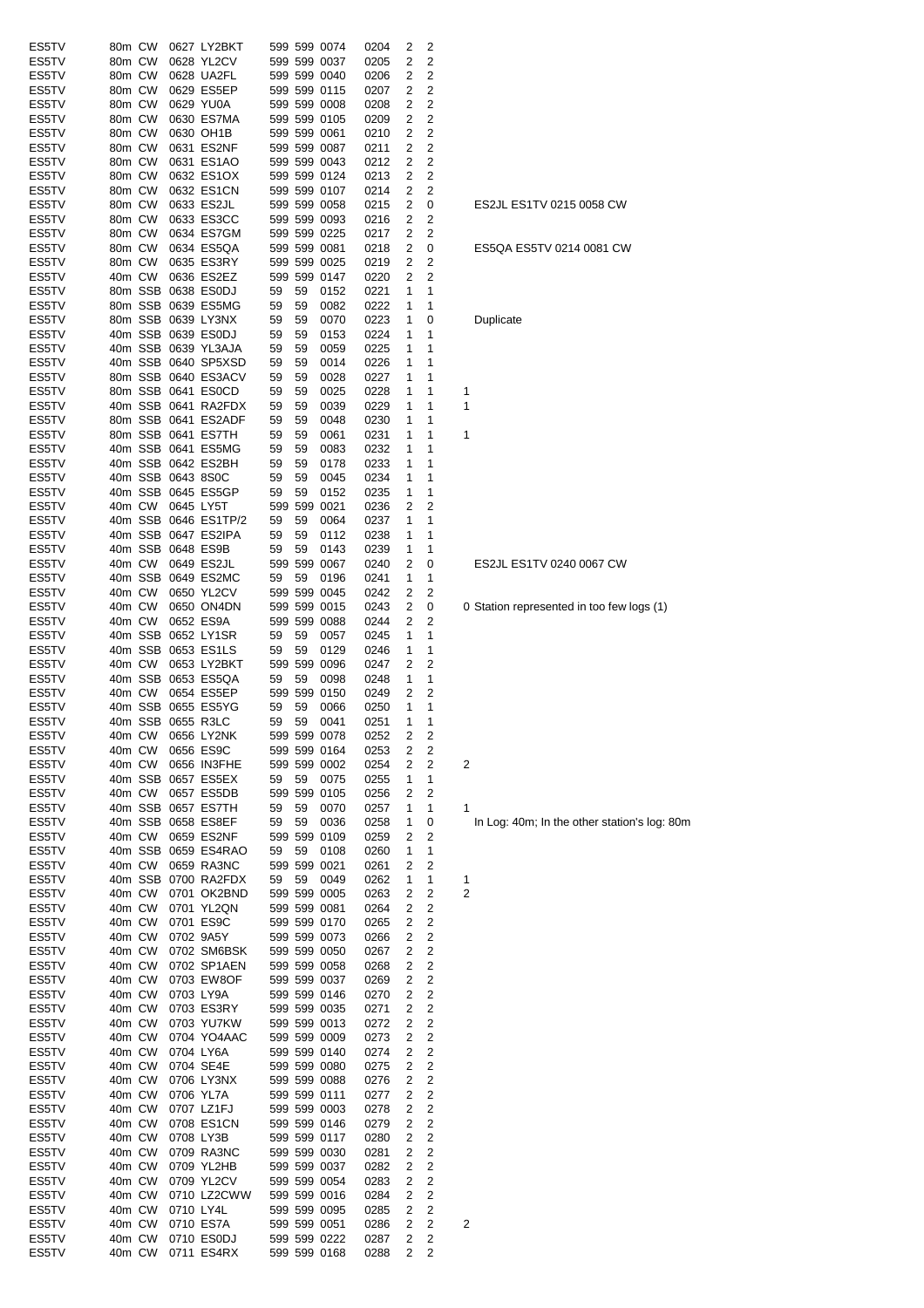| ES5TV | 80m CW |         |                   | 0627 LY2BKT          |    |    | 599 599 0074 | 0204 | 2 | 2                       |                         |
|-------|--------|---------|-------------------|----------------------|----|----|--------------|------|---|-------------------------|-------------------------|
| ES5TV | 80m CW |         |                   | 0628 YL2CV           |    |    | 599 599 0037 | 0205 | 2 | 2                       |                         |
| ES5TV | 80m CW |         |                   | 0628 UA2FL           |    |    | 599 599 0040 | 0206 | 2 | 2                       |                         |
| ES5TV | 80m CW |         |                   | 0629 ES5EP           |    |    | 599 599 0115 | 0207 | 2 | 2                       |                         |
| ES5TV | 80m CW |         |                   | 0629 YU0A            |    |    | 599 599 0008 | 0208 | 2 | 2                       |                         |
| ES5TV | 80m CW |         |                   | 0630 ES7MA           |    |    | 599 599 0105 | 0209 | 2 | 2                       |                         |
| ES5TV | 80m CW |         |                   | 0630 OH1B            |    |    | 599 599 0061 | 0210 | 2 | 2                       |                         |
| ES5TV | 80m CW |         |                   | 0631 ES2NF           |    |    | 599 599 0087 | 0211 | 2 | 2                       |                         |
| ES5TV | 80m CW |         |                   | 0631 ES1AO           |    |    | 599 599 0043 | 0212 | 2 | 2                       |                         |
| ES5TV | 80m CW |         |                   | 0632 ES1OX           |    |    | 599 599 0124 | 0213 | 2 | 2                       |                         |
| ES5TV | 80m CW |         |                   | 0632 ES1CN           |    |    | 599 599 0107 | 0214 | 2 | 2                       |                         |
| ES5TV | 80m CW |         |                   | 0633 ES2JL           |    |    | 599 599 0058 | 0215 | 2 | 0                       |                         |
|       |        |         |                   | 0633 ES3CC           |    |    | 599 599 0093 |      |   |                         |                         |
| ES5TV | 80m CW |         |                   |                      |    |    |              | 0216 | 2 | 2                       |                         |
| ES5TV | 80m CW |         |                   | 0634 ES7GM           |    |    | 599 599 0225 | 0217 | 2 | 2                       |                         |
| ES5TV | 80m CW |         |                   | 0634 ES5QA           |    |    | 599 599 0081 | 0218 | 2 | 0                       |                         |
| ES5TV | 80m CW |         |                   | 0635 ES3RY           |    |    | 599 599 0025 | 0219 | 2 | 2                       |                         |
| ES5TV | 40m CW |         |                   | 0636 ES2EZ           |    |    | 599 599 0147 | 0220 | 2 | 2                       |                         |
| ES5TV |        | 80m SSB |                   | 0638 ES0DJ           | 59 | 59 | 0152         | 0221 | 1 | 1                       |                         |
| ES5TV |        |         |                   | 80m SSB 0639 ES5MG   | 59 | 59 | 0082         | 0222 | 1 | 1                       |                         |
| ES5TV |        |         |                   | 80m SSB 0639 LY3NX   | 59 | 59 | 0070         | 0223 | 1 | 0                       |                         |
| ES5TV |        |         |                   | 40m SSB 0639 ES0DJ   | 59 | 59 | 0153         | 0224 | 1 | 1                       |                         |
| ES5TV |        |         |                   | 40m SSB 0639 YL3AJA  | 59 | 59 | 0059         | 0225 | 1 | 1                       |                         |
| ES5TV |        |         |                   | 40m SSB 0640 SP5XSD  | 59 | 59 | 0014         | 0226 | 1 | 1                       |                         |
| ES5TV |        |         |                   | 80m SSB 0640 ES3ACV  | 59 | 59 | 0028         | 0227 | 1 | 1                       |                         |
| ES5TV |        |         |                   | 80m SSB 0641 ES0CD   | 59 | 59 | 0025         | 0228 | 1 | 1                       | 1                       |
| ES5TV |        |         |                   | 40m SSB 0641 RA2FDX  | 59 | 59 | 0039         | 0229 | 1 | 1                       | 1                       |
| ES5TV |        |         |                   | 80m SSB 0641 ES2ADF  | 59 | 59 | 0048         | 0230 | 1 | 1                       |                         |
| ES5TV |        |         |                   |                      |    |    |              |      |   |                         |                         |
|       |        |         |                   | 80m SSB 0641 ES7TH   | 59 | 59 | 0061         | 0231 | 1 | 1                       | 1                       |
| ES5TV |        |         |                   | 40m SSB 0641 ES5MG   | 59 | 59 | 0083         | 0232 | 1 | 1                       |                         |
| ES5TV |        |         |                   | 40m SSB 0642 ES2BH   | 59 | 59 | 0178         | 0233 | 1 | 1                       |                         |
| ES5TV |        |         | 40m SSB 0643 8S0C |                      | 59 | 59 | 0045         | 0234 | 1 | 1                       |                         |
| ES5TV |        |         |                   | 40m SSB 0645 ES5GP   | 59 | 59 | 0152         | 0235 | 1 | 1                       |                         |
| ES5TV | 40m CW |         | 0645 LY5T         |                      |    |    | 599 599 0021 | 0236 | 2 | 2                       |                         |
| ES5TV |        |         |                   | 40m SSB 0646 ES1TP/2 | 59 | 59 | 0064         | 0237 | 1 | 1                       |                         |
| ES5TV |        | 40m SSB |                   | 0647 ES2IPA          | 59 | 59 | 0112         | 0238 | 1 | 1                       |                         |
| ES5TV |        |         | 40m SSB 0648 ES9B |                      | 59 | 59 | 0143         | 0239 | 1 | 1                       |                         |
| ES5TV | 40m CW |         |                   | 0649 ES2JL           |    |    | 599 599 0067 | 0240 | 2 | 0                       |                         |
| ES5TV |        | 40m SSB |                   | 0649 ES2MC           | 59 | 59 | 0196         | 0241 | 1 | 1                       |                         |
| ES5TV | 40m CW |         |                   | 0650 YL2CV           |    |    | 599 599 0045 | 0242 | 2 | 2                       |                         |
|       |        |         |                   |                      |    |    |              |      |   |                         |                         |
| ES5TV | 40m CW |         |                   | 0650 ON4DN           |    |    | 599 599 0015 | 0243 | 2 | 0                       | 0                       |
| ES5TV | 40m CW |         |                   | 0652 ES9A            |    |    | 599 599 0088 | 0244 | 2 | 2                       |                         |
| ES5TV |        | 40m SSB |                   | 0652 LY1SR           | 59 | 59 | 0057         | 0245 | 1 | 1                       |                         |
| ES5TV |        | 40m SSB |                   | 0653 ES1LS           | 59 | 59 | 0129         | 0246 | 1 | 1                       |                         |
| ES5TV | 40m CW |         |                   | 0653 LY2BKT          |    |    | 599 599 0096 | 0247 | 2 | 2                       |                         |
| ES5TV |        | 40m SSB |                   | 0653 ES5QA           | 59 | 59 | 0098         | 0248 | 1 | 1                       |                         |
| ES5TV | 40m CW |         |                   | 0654 ES5EP           |    |    | 599 599 0150 | 0249 | 2 | 2                       |                         |
| ES5TV |        |         |                   | 40m SSB 0655 ES5YG   | 59 | 59 | 0066         | 0250 | 1 | 1                       |                         |
| ES5TV |        |         | 40m SSB 0655 R3LC |                      | 59 | 59 | 0041         | 0251 | 1 | 1                       |                         |
| ES5TV |        |         |                   | 40m CW 0656 LY2NK    |    |    | 599 599 0078 | 0252 | 2 | 2                       |                         |
| ES5TV | 40m CW |         |                   | 0656 ES9C            |    |    | 599 599 0164 | 0253 | 2 | 2                       |                         |
| ES5TV | 40m CW |         |                   | 0656 IN3FHE          |    |    | 599 599 0002 | 0254 | 2 | 2                       | 2                       |
| ES5TV |        |         |                   | 40m SSB 0657 ES5EX   | 59 | 59 | 0075         | 0255 | 1 | 1                       |                         |
| ES5TV | 40m CW |         |                   | 0657 ES5DB           |    |    | 599 599 0105 | 0256 | 2 | 2                       |                         |
| ES5TV |        | 40m SSB |                   | 0657 ES7TH           | 59 | 59 | 0070         | 0257 | 1 | 1                       | 1                       |
| ES5TV |        |         |                   | 40m SSB 0658 ES8EF   | 59 | 59 | 0036         | 0258 | 1 | 0                       |                         |
| ES5TV | 40m CW |         |                   | 0659 ES2NF           |    |    | 599 599 0109 |      | 2 | 2                       |                         |
|       |        |         |                   |                      |    |    |              | 0259 |   |                         |                         |
| ES5TV |        | 40m SSB |                   | 0659 ES4RAO          | 59 | 59 | 0108         | 0260 | 1 | 1                       |                         |
| ES5TV | 40m CW |         |                   | 0659 RA3NC           |    |    | 599 599 0021 | 0261 | 2 | 2                       |                         |
| ES5TV |        | 40m SSB |                   | 0700 RA2FDX          | 59 | 59 | 0049         | 0262 | 1 | 1                       | 1                       |
| ES5TV | 40m CW |         |                   | 0701 OK2BND          |    |    | 599 599 0005 | 0263 | 2 | 2                       | $\overline{c}$          |
| ES5TV | 40m CW |         |                   | 0701 YL2QN           |    |    | 599 599 0081 | 0264 | 2 | 2                       |                         |
| ES5TV | 40m CW |         |                   | 0701 ES9C            |    |    | 599 599 0170 | 0265 | 2 | 2                       |                         |
| ES5TV | 40m CW |         |                   | 0702 9A5Y            |    |    | 599 599 0073 | 0266 | 2 | 2                       |                         |
| ES5TV | 40m CW |         |                   | 0702 SM6BSK          |    |    | 599 599 0050 | 0267 | 2 | $\overline{c}$          |                         |
| ES5TV | 40m CW |         |                   | 0702 SP1AEN          |    |    | 599 599 0058 | 0268 | 2 | $\overline{c}$          |                         |
| ES5TV | 40m CW |         |                   | 0703 EW8OF           |    |    | 599 599 0037 | 0269 | 2 | $\overline{c}$          |                         |
| ES5TV | 40m CW |         |                   | 0703 LY9A            |    |    | 599 599 0146 | 0270 | 2 | $\overline{c}$          |                         |
| ES5TV | 40m CW |         |                   | 0703 ES3RY           |    |    | 599 599 0035 | 0271 | 2 | 2                       |                         |
| ES5TV | 40m CW |         |                   | 0703 YU7KW           |    |    | 599 599 0013 | 0272 | 2 | 2                       |                         |
| ES5TV | 40m CW |         |                   | 0704 YO4AAC          |    |    | 599 599 0009 | 0273 | 2 | $\overline{\mathbf{c}}$ |                         |
| ES5TV | 40m CW |         |                   | 0704 LY6A            |    |    | 599 599 0140 | 0274 | 2 | 2                       |                         |
| ES5TV | 40m CW |         |                   | 0704 SE4E            |    |    | 599 599 0080 | 0275 | 2 | $\overline{c}$          |                         |
| ES5TV | 40m CW |         |                   | 0706 LY3NX           |    |    | 599 599 0088 | 0276 | 2 | $\overline{c}$          |                         |
|       |        |         |                   |                      |    |    |              |      |   | $\overline{c}$          |                         |
| ES5TV | 40m CW |         |                   | 0706 YL7A            |    |    | 599 599 0111 | 0277 | 2 |                         |                         |
| ES5TV | 40m CW |         |                   | 0707 LZ1FJ           |    |    | 599 599 0003 | 0278 | 2 | $\overline{2}$          |                         |
| ES5TV | 40m CW |         |                   | 0708 ES1CN           |    |    | 599 599 0146 | 0279 | 2 | $\overline{c}$          |                         |
| ES5TV | 40m CW |         |                   | 0708 LY3B            |    |    | 599 599 0117 | 0280 | 2 | $\overline{c}$          |                         |
| ES5TV | 40m CW |         |                   | 0709 RA3NC           |    |    | 599 599 0030 | 0281 | 2 | $\overline{c}$          |                         |
| ES5TV | 40m CW |         |                   | 0709 YL2HB           |    |    | 599 599 0037 | 0282 | 2 | 2                       |                         |
| ES5TV | 40m CW |         |                   | 0709 YL2CV           |    |    | 599 599 0054 | 0283 | 2 | $\overline{c}$          |                         |
| ES5TV | 40m CW |         |                   | 0710 LZ2CWW          |    |    | 599 599 0016 | 0284 | 2 | 2                       |                         |
| ES5TV | 40m CW |         | 0710 LY4L         |                      |    |    | 599 599 0095 | 0285 | 2 | 2                       |                         |
| ES5TV | 40m CW |         |                   | 0710 ES7A            |    |    | 599 599 0051 | 0286 | 2 | 2                       | $\overline{\mathbf{c}}$ |
| ES5TV | 40m CW |         |                   | 0710 ES0DJ           |    |    | 599 599 0222 | 0287 | 2 | 2                       |                         |
| ES5TV | 40m CW |         |                   | 0711 ES4RX           |    |    | 599 599 0168 | 0288 | 2 | 2                       |                         |
|       |        |         |                   |                      |    |    |              |      |   |                         |                         |

### ES2JL ES1TV 0215 0058 CW

# ES5QA ES5TV 0214 0081 CW

# **Duplicate**

# ES2JL ES1TV 0240 0067 CW

# 0 Station represented in too few logs (1)

In Log: 40m; In the other station's log: 80m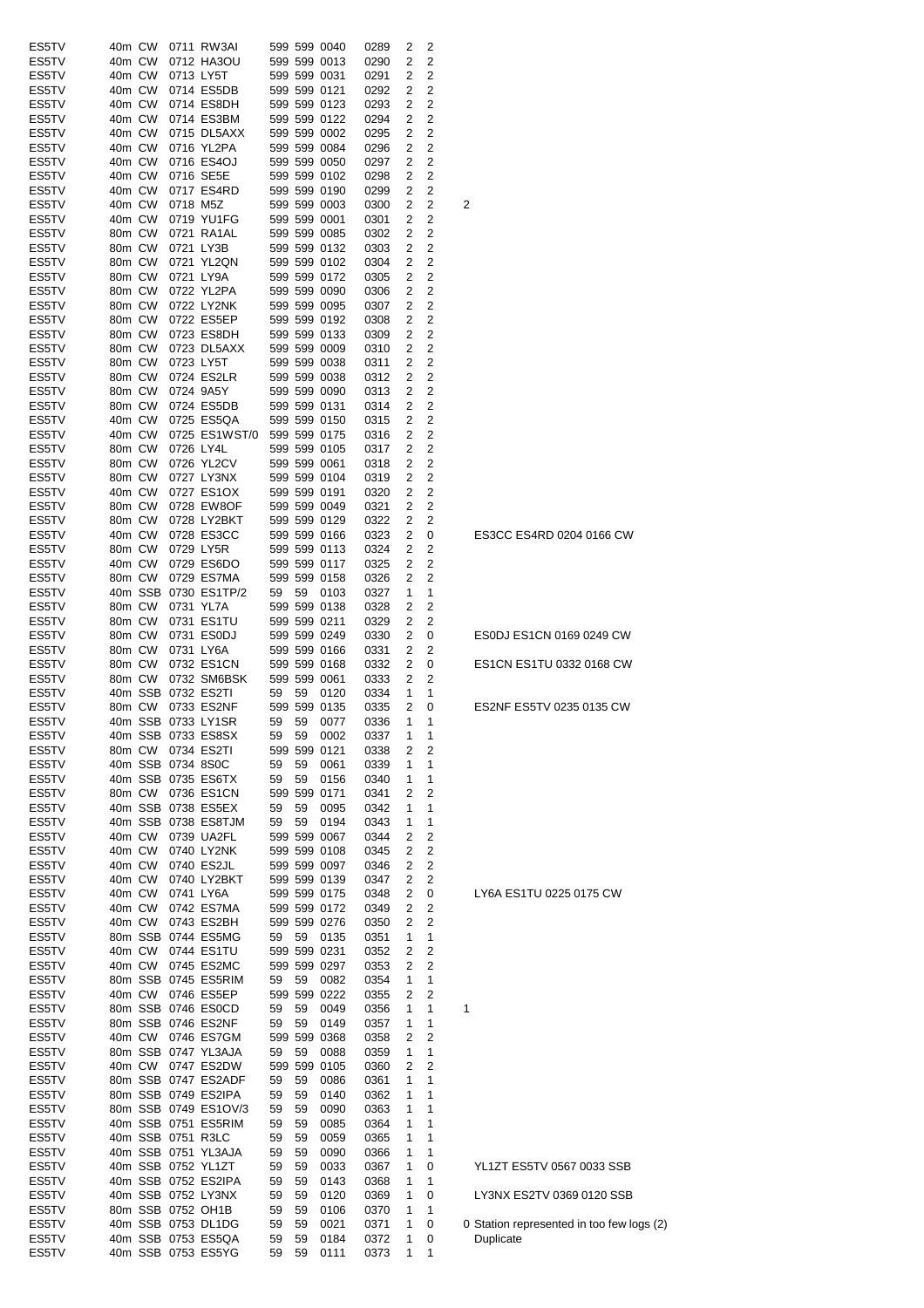| ES5TV | 40m CW |        |                   | 0711 RW3AI           |    |    | 599 599 0040 | 0289 | 2 | 2 |                                     |
|-------|--------|--------|-------------------|----------------------|----|----|--------------|------|---|---|-------------------------------------|
|       |        |        |                   |                      |    |    |              |      |   |   |                                     |
| ES5TV | 40m CW |        |                   | 0712 HA3OU           |    |    | 599 599 0013 | 0290 | 2 | 2 |                                     |
| ES5TV | 40m CW |        |                   | 0713 LY5T            |    |    | 599 599 0031 | 0291 | 2 | 2 |                                     |
| ES5TV | 40m CW |        |                   | 0714 ES5DB           |    |    | 599 599 0121 | 0292 | 2 | 2 |                                     |
| ES5TV | 40m CW |        |                   | 0714 ES8DH           |    |    | 599 599 0123 | 0293 | 2 | 2 |                                     |
| ES5TV | 40m CW |        |                   | 0714 ES3BM           |    |    | 599 599 0122 | 0294 | 2 | 2 |                                     |
| ES5TV | 40m CW |        |                   | 0715 DL5AXX          |    |    | 599 599 0002 | 0295 | 2 | 2 |                                     |
|       |        |        |                   |                      |    |    | 599 599 0084 |      |   |   |                                     |
| ES5TV | 40m CW |        |                   | 0716 YL2PA           |    |    |              | 0296 | 2 | 2 |                                     |
| ES5TV | 40m CW |        |                   | 0716 ES4OJ           |    |    | 599 599 0050 | 0297 | 2 | 2 |                                     |
| ES5TV | 40m CW |        |                   | 0716 SE5E            |    |    | 599 599 0102 | 0298 | 2 | 2 |                                     |
| ES5TV | 40m CW |        |                   | 0717 ES4RD           |    |    | 599 599 0190 | 0299 | 2 | 2 |                                     |
| ES5TV | 40m CW |        | 0718 M5Z          |                      |    |    | 599 599 0003 | 0300 | 2 | 2 | 2                                   |
| ES5TV | 40m CW |        |                   | 0719 YU1FG           |    |    | 599 599 0001 | 0301 | 2 | 2 |                                     |
|       | 80m CW |        |                   |                      |    |    |              |      |   |   |                                     |
| ES5TV |        |        |                   | 0721 RA1AL           |    |    | 599 599 0085 | 0302 | 2 | 2 |                                     |
| ES5TV | 80m CW |        |                   | 0721 LY3B            |    |    | 599 599 0132 | 0303 | 2 | 2 |                                     |
| ES5TV | 80m CW |        |                   | 0721 YL2QN           |    |    | 599 599 0102 | 0304 | 2 | 2 |                                     |
| ES5TV | 80m CW |        |                   | 0721 LY9A            |    |    | 599 599 0172 | 0305 | 2 | 2 |                                     |
| ES5TV | 80m CW |        |                   | 0722 YL2PA           |    |    | 599 599 0090 | 0306 | 2 | 2 |                                     |
| ES5TV | 80m CW |        |                   | 0722 LY2NK           |    |    | 599 599 0095 | 0307 | 2 | 2 |                                     |
|       |        |        |                   |                      |    |    |              |      |   |   |                                     |
| ES5TV | 80m CW |        |                   | 0722 ES5EP           |    |    | 599 599 0192 | 0308 | 2 | 2 |                                     |
| ES5TV | 80m CW |        |                   | 0723 ES8DH           |    |    | 599 599 0133 | 0309 | 2 | 2 |                                     |
| ES5TV | 80m CW |        |                   | 0723 DL5AXX          |    |    | 599 599 0009 | 0310 | 2 | 2 |                                     |
| ES5TV | 80m CW |        |                   | 0723 LY5T            |    |    | 599 599 0038 | 0311 | 2 | 2 |                                     |
| ES5TV | 80m CW |        |                   | 0724 ES2LR           |    |    | 599 599 0038 | 0312 | 2 | 2 |                                     |
| ES5TV | 80m CW |        |                   | 0724 9A5Y            |    |    | 599 599 0090 | 0313 | 2 | 2 |                                     |
| ES5TV | 80m CW |        |                   | 0724 ES5DB           |    |    | 599 599 0131 |      |   | 2 |                                     |
|       |        |        |                   |                      |    |    |              | 0314 | 2 |   |                                     |
| ES5TV | 40m CW |        |                   | 0725 ES5QA           |    |    | 599 599 0150 | 0315 | 2 | 2 |                                     |
| ES5TV | 40m CW |        |                   | 0725 ES1WST/0        |    |    | 599 599 0175 | 0316 | 2 | 2 |                                     |
| ES5TV | 80m CW |        |                   | 0726 LY4L            |    |    | 599 599 0105 | 0317 | 2 | 2 |                                     |
| ES5TV | 80m CW |        |                   | 0726 YL2CV           |    |    | 599 599 0061 | 0318 | 2 | 2 |                                     |
| ES5TV | 80m CW |        |                   | 0727 LY3NX           |    |    | 599 599 0104 |      |   | 2 |                                     |
|       |        |        |                   |                      |    |    |              | 0319 | 2 |   |                                     |
| ES5TV | 40m CW |        |                   | 0727 ES1OX           |    |    | 599 599 0191 | 0320 | 2 | 2 |                                     |
| ES5TV | 80m CW |        |                   | 0728 EW8OF           |    |    | 599 599 0049 | 0321 | 2 | 2 |                                     |
| ES5TV | 80m CW |        |                   | 0728 LY2BKT          |    |    | 599 599 0129 | 0322 | 2 | 2 |                                     |
| ES5TV | 40m CW |        |                   | 0728 ES3CC           |    |    | 599 599 0166 | 0323 | 2 | 0 | ES3CC ES4RD 0204 0166 CW            |
| ES5TV | 80m CW |        |                   | 0729 LY5R            |    |    | 599 599 0113 | 0324 | 2 | 2 |                                     |
|       |        |        |                   |                      |    |    |              |      |   |   |                                     |
| ES5TV | 40m CW |        |                   | 0729 ES6DO           |    |    | 599 599 0117 | 0325 | 2 | 2 |                                     |
| ES5TV | 80m CW |        |                   | 0729 ES7MA           |    |    | 599 599 0158 | 0326 | 2 | 2 |                                     |
| ES5TV |        |        |                   | 40m SSB 0730 ES1TP/2 | 59 | 59 | 0103         | 0327 | 1 | 1 |                                     |
| ES5TV | 80m CW |        |                   | 0731 YL7A            |    |    | 599 599 0138 | 0328 | 2 | 2 |                                     |
| ES5TV | 80m CW |        |                   | 0731 ES1TU           |    |    | 599 599 0211 | 0329 | 2 | 2 |                                     |
| ES5TV | 80m CW |        |                   | 0731 ES0DJ           |    |    | 599 599 0249 |      | 2 |   | ES0DJ ES1CN 0169 0249 CW            |
|       |        |        |                   |                      |    |    |              | 0330 |   | 0 |                                     |
| ES5TV | 80m CW |        |                   | 0731 LY6A            |    |    | 599 599 0166 | 0331 | 2 | 2 |                                     |
| ES5TV | 80m CW |        |                   | 0732 ES1CN           |    |    | 599 599 0168 | 0332 | 2 | 0 | ES1CN ES1TU 0332 0168 CW            |
| ES5TV | 80m CW |        |                   | 0732 SM6BSK          |    |    | 599 599 0061 | 0333 | 2 | 2 |                                     |
| ES5TV |        |        |                   | 40m SSB 0732 ES2TI   | 59 | 59 | 0120         | 0334 | 1 | 1 |                                     |
| ES5TV |        | 80m CW |                   | 0733 ES2NF           |    |    | 599 599 0135 | 0335 | 2 | 0 | ES2NF ES5TV 0235 0135 CW            |
| ES5TV |        |        |                   | 40m SSB 0733 LY1SR   | 59 | 59 | 0077         | 0336 | 1 | 1 |                                     |
|       |        |        |                   |                      |    |    |              |      |   |   |                                     |
| ES5TV |        |        |                   | 40m SSB 0733 ES8SX   | 59 |    | 59 0002      | 0337 | 1 | 1 |                                     |
| ES5TV |        |        |                   | 80m CW 0734 ES2TI    |    |    | 599 599 0121 | 0338 | 2 | 2 |                                     |
| ES5TV |        |        | 40m SSB 0734 8S0C |                      | 59 | 59 | 0061         | 0339 | 1 | 1 |                                     |
| ES5TV |        |        |                   | 40m SSB 0735 ES6TX   | 59 | 59 | 0156         | 0340 | 1 | 1 |                                     |
| ES5TV |        |        |                   | 80m CW 0736 ES1CN    |    |    | 599 599 0171 | 0341 | 2 | 2 |                                     |
|       |        |        |                   |                      |    |    |              |      |   |   |                                     |
| ES5TV |        |        |                   | 40m SSB 0738 ES5EX   | 59 | 59 | 0095         | 0342 | 1 | 1 |                                     |
| ES5TV |        |        |                   | 40m SSB 0738 ES8TJM  | 59 | 59 | 0194         | 0343 | 1 | 1 |                                     |
| ES5TV |        |        |                   | 40m CW 0739 UA2FL    |    |    | 599 599 0067 | 0344 | 2 | 2 |                                     |
| ES5TV |        | 40m CW |                   | 0740 LY2NK           |    |    | 599 599 0108 | 0345 | 2 | 2 |                                     |
| ES5TV |        | 40m CW |                   | 0740 ES2JL           |    |    | 599 599 0097 | 0346 | 2 | 2 |                                     |
|       |        |        |                   |                      |    |    |              |      |   |   |                                     |
| ES5TV |        | 40m CW |                   | 0740 LY2BKT          |    |    | 599 599 0139 | 0347 | 2 | 2 |                                     |
| ES5TV |        | 40m CW |                   | 0741 LY6A            |    |    | 599 599 0175 | 0348 | 2 | 0 | LY6A ES1TU 0225 0175 CW             |
| ES5TV |        | 40m CW |                   | 0742 ES7MA           |    |    | 599 599 0172 | 0349 | 2 | 2 |                                     |
| ES5TV |        | 40m CW |                   | 0743 ES2BH           |    |    | 599 599 0276 | 0350 | 2 | 2 |                                     |
| ES5TV |        |        |                   | 80m SSB 0744 ES5MG   | 59 | 59 | 0135         | 0351 | 1 | 1 |                                     |
| ES5TV |        | 40m CW |                   | 0744 ES1TU           |    |    | 599 599 0231 | 0352 | 2 | 2 |                                     |
| ES5TV |        | 40m CW |                   | 0745 ES2MC           |    |    | 599 599 0297 |      |   |   |                                     |
|       |        |        |                   |                      |    |    |              | 0353 | 2 | 2 |                                     |
| ES5TV |        |        |                   | 80m SSB 0745 ES5RIM  | 59 | 59 | 0082         | 0354 | 1 | 1 |                                     |
| ES5TV |        |        |                   | 40m CW 0746 ES5EP    |    |    | 599 599 0222 | 0355 | 2 | 2 |                                     |
| ES5TV |        |        |                   | 80m SSB 0746 ES0CD   | 59 | 59 | 0049         | 0356 | 1 | 1 | 1                                   |
| ES5TV |        |        |                   | 80m SSB 0746 ES2NF   | 59 | 59 | 0149         | 0357 | 1 | 1 |                                     |
| ES5TV |        |        |                   | 40m CW 0746 ES7GM    |    |    | 599 599 0368 | 0358 | 2 | 2 |                                     |
|       |        |        |                   | 80m SSB 0747 YL3AJA  |    |    |              |      |   |   |                                     |
| ES5TV |        |        |                   |                      | 59 | 59 | 0088         | 0359 | 1 | 1 |                                     |
| ES5TV |        |        |                   | 40m CW 0747 ES2DW    |    |    | 599 599 0105 | 0360 | 2 | 2 |                                     |
| ES5TV |        |        |                   | 80m SSB 0747 ES2ADF  | 59 | 59 | 0086         | 0361 | 1 | 1 |                                     |
| ES5TV |        |        |                   | 80m SSB 0749 ES2IPA  | 59 | 59 | 0140         | 0362 | 1 | 1 |                                     |
| ES5TV |        |        |                   | 80m SSB 0749 ES1OV/3 | 59 | 59 | 0090         | 0363 | 1 | 1 |                                     |
| ES5TV |        |        |                   | 40m SSB 0751 ES5RIM  |    |    |              |      | 1 | 1 |                                     |
|       |        |        |                   |                      | 59 | 59 | 0085         | 0364 |   |   |                                     |
| ES5TV |        |        |                   | 40m SSB 0751 R3LC    | 59 | 59 | 0059         | 0365 | 1 | 1 |                                     |
| ES5TV |        |        |                   | 40m SSB 0751 YL3AJA  | 59 | 59 | 0090         | 0366 | 1 | 1 |                                     |
| ES5TV |        |        |                   | 40m SSB 0752 YL1ZT   | 59 | 59 | 0033         | 0367 | 1 | 0 | YL1ZT ES5TV 0567 0033 SSB           |
| ES5TV |        |        |                   | 40m SSB 0752 ES2IPA  | 59 | 59 | 0143         | 0368 | 1 | 1 |                                     |
| ES5TV |        |        |                   | 40m SSB 0752 LY3NX   | 59 | 59 | 0120         | 0369 | 1 | 0 | LY3NX ES2TV 0369 0120 SSB           |
| ES5TV |        |        |                   | 80m SSB 0752 OH1B    |    |    |              |      |   |   |                                     |
|       |        |        |                   |                      | 59 | 59 | 0106         | 0370 | 1 | 1 |                                     |
| ES5TV |        |        |                   | 40m SSB 0753 DL1DG   | 59 | 59 | 0021         | 0371 | 1 | 0 | 0 Station represented in too few Io |
| ES5TV |        |        |                   | 40m SSB 0753 ES5QA   | 59 | 59 | 0184         | 0372 | 1 | 0 | Duplicate                           |
| ES5TV |        |        |                   | 40m SSB 0753 ES5YG   |    |    |              |      | 1 |   |                                     |

ation represented in too few logs (2)<br>*i*plicate

# 3NX ES2TV 0369 0120 SSB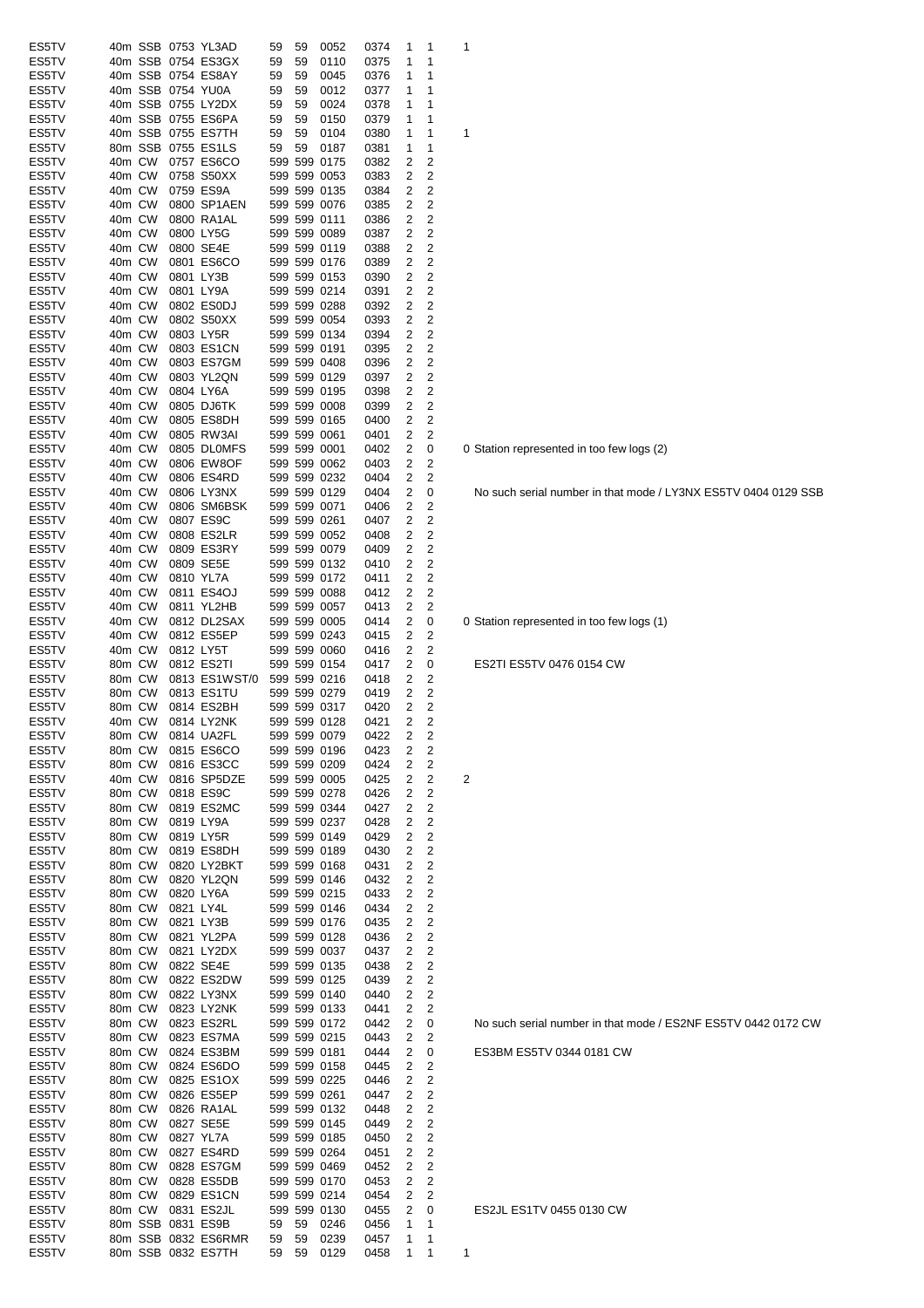| ES5TV |        |        | 40m SSB 0753 YL3AD  | 59   | 59    | 0052         | 0374 | 1              | 1              | 1                       |
|-------|--------|--------|---------------------|------|-------|--------------|------|----------------|----------------|-------------------------|
| ES5TV |        |        | 40m SSB 0754 ES3GX  | 59   | 59    | 0110         | 0375 | 1              | 1              |                         |
| ES5TV |        |        | 40m SSB 0754 ES8AY  | 59   | 59    | 0045         | 0376 | 1              | 1              |                         |
| ES5TV |        |        | 40m SSB 0754 YU0A   | 59   | 59    | 0012         | 0377 | 1              | 1              |                         |
| ES5TV |        |        | 40m SSB 0755 LY2DX  | 59   | 59    | 0024         | 0378 | 1              | 1              |                         |
| ES5TV |        |        | 40m SSB 0755 ES6PA  | 59   | 59    | 0150         | 0379 | 1              | 1              |                         |
| ES5TV |        |        | 40m SSB 0755 ES7TH  | 59   | 59    | 0104         | 0380 | 1              | 1              | 1                       |
| ES5TV |        |        | 80m SSB 0755 ES1LS  | 59   | 59    | 0187         | 0381 | 1              | 1              |                         |
| ES5TV | 40m CW |        | 0757 ES6CO          |      |       | 599 599 0175 | 0382 | 2              | 2              |                         |
| ES5TV | 40m CW |        | 0758 S50XX          |      |       | 599 599 0053 | 0383 | 2              | 2              |                         |
| ES5TV | 40m CW |        | 0759 ES9A           |      |       | 599 599 0135 | 0384 | 2              | 2              |                         |
|       | 40m CW |        | 0800 SP1AEN         |      |       | 599 599 0076 |      | 2              | 2              |                         |
| ES5TV |        |        |                     |      |       |              | 0385 |                |                |                         |
| ES5TV | 40m CW |        | 0800 RA1AL          |      |       | 599 599 0111 | 0386 | 2              | 2              |                         |
| ES5TV | 40m CW |        | 0800 LY5G           |      |       | 599 599 0089 | 0387 | 2              | 2              |                         |
| ES5TV | 40m CW |        | 0800 SE4E           |      |       | 599 599 0119 | 0388 | 2              | $\overline{c}$ |                         |
| ES5TV | 40m CW |        | 0801 ES6CO          |      |       | 599 599 0176 | 0389 | 2              | 2              |                         |
| ES5TV | 40m CW |        | 0801 LY3B           |      |       | 599 599 0153 | 0390 | 2              | $\overline{c}$ |                         |
| ES5TV | 40m CW |        | 0801 LY9A           |      |       | 599 599 0214 | 0391 | 2              | 2              |                         |
| ES5TV | 40m CW |        | 0802 ES0DJ          |      |       | 599 599 0288 | 0392 | 2              | 2              |                         |
| ES5TV | 40m CW |        | 0802 S50XX          |      |       | 599 599 0054 | 0393 | 2              | 2              |                         |
| ES5TV | 40m CW |        | 0803 LY5R           |      |       | 599 599 0134 | 0394 | 2              | 2              |                         |
| ES5TV | 40m CW |        | 0803 ES1CN          |      |       | 599 599 0191 | 0395 | 2              | 2              |                         |
| ES5TV | 40m CW |        | 0803 ES7GM          |      |       | 599 599 0408 | 0396 | 2              | 2              |                         |
| ES5TV | 40m CW |        | 0803 YL2QN          |      |       | 599 599 0129 | 0397 | 2              | $\overline{c}$ |                         |
| ES5TV | 40m CW |        | 0804 LY6A           |      |       | 599 599 0195 | 0398 | 2              | 2              |                         |
| ES5TV | 40m CW |        | 0805 DJ6TK          |      |       | 599 599 0008 | 0399 | 2              | 2              |                         |
| ES5TV | 40m CW |        | 0805 ES8DH          |      |       | 599 599 0165 | 0400 | 2              | 2              |                         |
|       |        |        |                     |      |       |              |      |                |                |                         |
| ES5TV | 40m CW |        | 0805 RW3AI          |      |       | 599 599 0061 | 0401 | 2              | 2              |                         |
| ES5TV | 40m CW |        | 0805 DL0MFS         |      |       | 599 599 0001 | 0402 | 2              | 0              | 0                       |
| ES5TV | 40m CW |        | 0806 EW8OF          |      |       | 599 599 0062 | 0403 | 2              | 2              |                         |
| ES5TV | 40m CW |        | 0806 ES4RD          |      |       | 599 599 0232 | 0404 | 2              | 2              |                         |
| ES5TV | 40m CW |        | 0806 LY3NX          |      |       | 599 599 0129 | 0404 | 2              | 0              |                         |
| ES5TV | 40m CW |        | 0806 SM6BSK         |      |       | 599 599 0071 | 0406 | 2              | 2              |                         |
| ES5TV | 40m CW |        | 0807 ES9C           |      |       | 599 599 0261 | 0407 | 2              | 2              |                         |
| ES5TV | 40m CW |        | 0808 ES2LR          |      |       | 599 599 0052 | 0408 | 2              | 2              |                         |
| ES5TV | 40m CW |        | 0809 ES3RY          |      |       | 599 599 0079 | 0409 | 2              | $\overline{c}$ |                         |
| ES5TV | 40m CW |        | 0809 SE5E           |      |       | 599 599 0132 | 0410 | 2              | $\overline{c}$ |                         |
| ES5TV | 40m CW |        | 0810 YL7A           |      |       | 599 599 0172 | 0411 | 2              | 2              |                         |
| ES5TV | 40m CW |        | 0811 ES4OJ          |      |       | 599 599 0088 | 0412 | 2              | $\overline{2}$ |                         |
| ES5TV | 40m CW |        | 0811 YL2HB          |      |       | 599 599 0057 | 0413 | 2              | 2              |                         |
| ES5TV | 40m CW |        | 0812 DL2SAX         |      |       | 599 599 0005 | 0414 | 2              | 0              | 0                       |
| ES5TV | 40m CW |        | 0812 ES5EP          |      |       | 599 599 0243 | 0415 | 2              | 2              |                         |
| ES5TV | 40m CW |        | 0812 LY5T           |      |       | 599 599 0060 | 0416 | 2              | 2              |                         |
| ES5TV | 80m CW |        | 0812 ES2TI          |      |       | 599 599 0154 | 0417 | 2              | 0              |                         |
| ES5TV | 80m CW |        | 0813 ES1WST/0       |      |       | 599 599 0216 | 0418 | 2              | 2              |                         |
| ES5TV | 80m CW |        | 0813 ES1TU          |      |       | 599 599 0279 |      | 2              | 2              |                         |
|       |        |        |                     |      |       |              | 0419 |                |                |                         |
| ES5TV | 80m CW |        | 0814 ES2BH          |      |       | 599 599 0317 | 0420 | 2              | 2              |                         |
| ES5TV | 40m CW |        | 0814 LY2NK          |      |       | 599 599 0128 | 0421 | 2              | 2              |                         |
| ES5TV |        | 80m CW | 0814 UA2FL          |      |       | 599 599 0079 | 0422 | $\overline{2}$ | 2              |                         |
| ES5TV | 80m CW |        | 0815 ES6CO          |      |       | 599 599 0196 | 0423 | 2              | 2              |                         |
| ES5TV | 80m CW |        | 0816 ES3CC          |      |       | 599 599 0209 | 0424 | 2              | 2              |                         |
| ES5TV | 40m CW |        | 0816 SP5DZE         |      |       | 599 599 0005 | 0425 | 2              | $\overline{2}$ | $\overline{\mathbf{c}}$ |
| ES5TV | 80m CW |        | 0818 ES9C           |      |       | 599 599 0278 | 0426 | 2              | 2              |                         |
| ES5TV | 80m CW |        | 0819 ES2MC          |      |       | 599 599 0344 | 0427 | 2              | 2              |                         |
| ES5TV | 80m CW |        | 0819 LY9A           |      |       | 599 599 0237 | 0428 | 2              | 2              |                         |
| ES5TV | 80m CW |        | 0819 LY5R           |      |       | 599 599 0149 | 0429 | 2              | 2              |                         |
| ES5TV | 80m CW |        | 0819 ES8DH          |      |       | 599 599 0189 | 0430 | 2              | 2              |                         |
| ES5TV | 80m CW |        | 0820 LY2BKT         |      |       | 599 599 0168 | 0431 | 2              | $\overline{2}$ |                         |
| ES5TV | 80m CW |        | 0820 YL2QN          |      |       | 599 599 0146 | 0432 | 2              | $\overline{2}$ |                         |
| ES5TV | 80m CW |        | 0820 LY6A           |      |       | 599 599 0215 | 0433 | 2              | $\overline{2}$ |                         |
| ES5TV | 80m CW |        | 0821 LY4L           |      |       | 599 599 0146 | 0434 | 2              | 2              |                         |
| ES5TV | 80m CW |        | 0821 LY3B           |      |       | 599 599 0176 | 0435 | 2              | 2              |                         |
| ES5TV | 80m CW |        | 0821 YL2PA          |      |       | 599 599 0128 | 0436 | 2              | 2              |                         |
| ES5TV | 80m CW |        | 0821 LY2DX          |      |       | 599 599 0037 | 0437 | 2              | $\overline{2}$ |                         |
| ES5TV | 80m CW |        | 0822 SE4E           |      |       | 599 599 0135 | 0438 | 2              | $\overline{2}$ |                         |
|       |        |        |                     |      |       |              |      | 2              | $\overline{2}$ |                         |
| ES5TV | 80m CW |        | 0822 ES2DW          |      |       | 599 599 0125 | 0439 |                |                |                         |
| ES5TV | 80m CW |        | 0822 LY3NX          |      |       | 599 599 0140 | 0440 | 2              | $\overline{2}$ |                         |
| ES5TV | 80m CW |        | 0823 LY2NK          |      |       | 599 599 0133 | 0441 | 2              | 2              |                         |
| ES5TV | 80m CW |        | 0823 ES2RL          |      |       | 599 599 0172 | 0442 | 2              | 0              |                         |
| ES5TV | 80m CW |        | 0823 ES7MA          |      |       | 599 599 0215 | 0443 | 2              | 2              |                         |
| ES5TV | 80m CW |        | 0824 ES3BM          |      |       | 599 599 0181 | 0444 | 2              | 0              |                         |
| ES5TV | 80m CW |        | 0824 ES6DO          |      |       | 599 599 0158 | 0445 | 2              | 2              |                         |
| ES5TV | 80m CW |        | 0825 ES1OX          |      |       | 599 599 0225 | 0446 | 2              | $\overline{2}$ |                         |
| ES5TV | 80m CW |        | 0826 ES5EP          |      |       | 599 599 0261 | 0447 | 2              | $\overline{2}$ |                         |
| ES5TV | 80m CW |        | 0826 RA1AL          |      |       | 599 599 0132 | 0448 | 2              | $\overline{2}$ |                         |
| ES5TV | 80m CW |        | 0827 SE5E           |      |       | 599 599 0145 | 0449 | 2              | $\overline{2}$ |                         |
| ES5TV | 80m CW |        | 0827 YL7A           |      |       | 599 599 0185 | 0450 | 2              | $\overline{2}$ |                         |
| ES5TV | 80m CW |        | 0827 ES4RD          |      |       | 599 599 0264 | 0451 | 2              | $\overline{2}$ |                         |
| ES5TV |        | 80m CW | 0828 ES7GM          |      |       | 599 599 0469 | 0452 | 2              | 2              |                         |
| ES5TV |        | 80m CW | 0828 ES5DB          |      |       | 599 599 0170 | 0453 | 2              | $\overline{2}$ |                         |
| ES5TV |        | 80m CW | 0829 ES1CN          |      |       | 599 599 0214 | 0454 | 2              | 2              |                         |
| ES5TV |        | 80m CW | 0831 ES2JL          |      |       | 599 599 0130 | 0455 | 2              | 0              |                         |
| ES5TV |        |        | 80m SSB 0831 ES9B   | 59   | 59    | 0246         | 0456 | 1              | 1              |                         |
| ES5TV |        |        | 80m SSB 0832 ES6RMR | - 59 | 59    | 0239         | 0457 | 1              | 1              |                         |
| ES5TV |        |        | 80m SSB 0832 ES7TH  |      | 59 59 | 0129         | 0458 | 1              | 1              | 1                       |
|       |        |        |                     |      |       |              |      |                |                |                         |

0 Station represented in too few logs (2)

No such serial number in that mode / LY3NX ES5TV 0404 0129 SSB

0 Station represented in too few logs (1)

ES2TI ES5TV 0476 0154 CW

No such serial number in that mode / ES2NF ES5TV 0442 0172 CW

ES3BM ES5TV 0344 0181 CW

ES2JL ES1TV 0455 0130 CW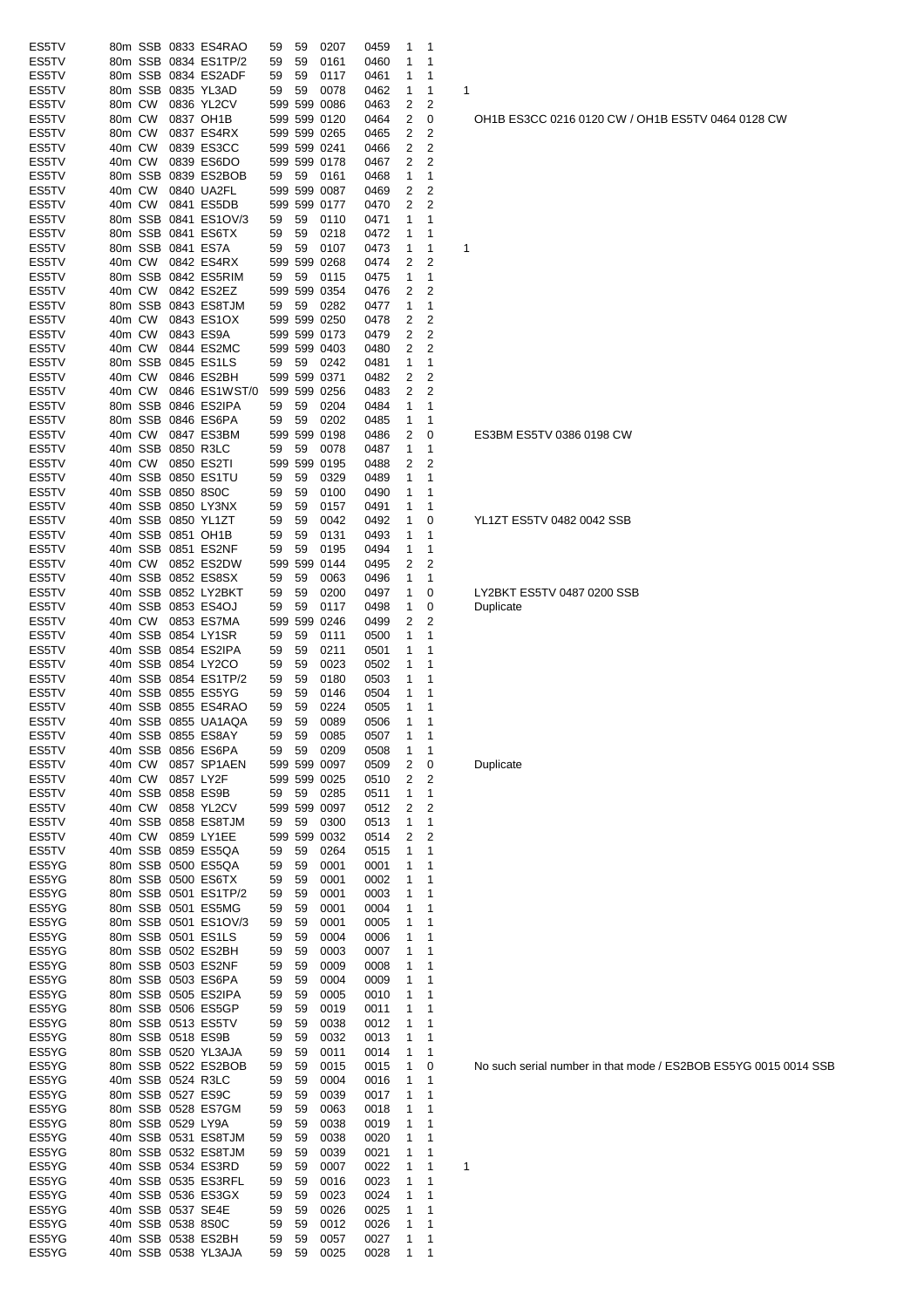| ES5TV          |        |        |                   | 80m SSB 0833 ES4RAO                       | 59 | 59 | 0207                 | 0459         | 1      | 1      |                                 |
|----------------|--------|--------|-------------------|-------------------------------------------|----|----|----------------------|--------------|--------|--------|---------------------------------|
| ES5TV          |        |        |                   | 80m SSB 0834 ES1TP/2                      | 59 | 59 | 0161                 | 0460         | 1      | 1      |                                 |
| ES5TV          |        |        |                   | 80m SSB 0834 ES2ADF                       | 59 | 59 | 0117                 | 0461         | 1      | 1      |                                 |
| ES5TV          |        |        |                   | 80m SSB 0835 YL3AD                        | 59 | 59 | 0078                 | 0462         | 1      | 1      | 1                               |
| ES5TV          | 80m CW |        |                   | 0836 YL2CV                                |    |    | 599 599 0086         | 0463         | 2      | 2      |                                 |
| ES5TV          | 80m CW |        |                   | 0837 OH1B                                 |    |    | 599 599 0120         | 0464         | 2      | 0      | OH <sub>1</sub> B <sub>ES</sub> |
| ES5TV          | 80m CW |        |                   | 0837 ES4RX                                |    |    | 599 599 0265         | 0465         | 2      | 2      |                                 |
| ES5TV          | 40m CW |        |                   | 0839 ES3CC                                |    |    | 599 599 0241         | 0466         | 2      | 2      |                                 |
| ES5TV          | 40m CW |        |                   | 0839 ES6DO                                |    |    | 599 599 0178         | 0467         | 2      | 2      |                                 |
| ES5TV          |        |        |                   | 80m SSB 0839 ES2BOB                       | 59 | 59 | 0161                 | 0468         | 1      | 1      |                                 |
| ES5TV          | 40m CW |        |                   | 0840 UA2FL                                |    |    | 599 599 0087         | 0469         | 2      | 2      |                                 |
| ES5TV          | 40m CW |        |                   | 0841 ES5DB                                |    |    | 599 599 0177         | 0470         | 2      | 2      |                                 |
| ES5TV          |        |        |                   | 80m SSB 0841 ES1OV/3                      | 59 | 59 | 0110                 | 0471         | 1      | 1      |                                 |
| ES5TV          |        |        |                   | 80m SSB 0841 ES6TX                        | 59 | 59 | 0218                 | 0472         | 1      | 1      |                                 |
| ES5TV          |        |        |                   | 80m SSB 0841 ES7A                         | 59 | 59 | 0107                 | 0473         | 1      | 1      | 1                               |
| ES5TV          | 40m CW |        |                   | 0842 ES4RX                                |    |    | 599 599 0268         | 0474         | 2      | 2      |                                 |
| ES5TV          |        |        |                   | 80m SSB 0842 ES5RIM                       | 59 | 59 | 0115                 | 0475         | 1      | 1      |                                 |
| ES5TV          | 40m CW |        |                   | 0842 ES2EZ                                |    |    | 599 599 0354         | 0476         | 2      | 2      |                                 |
| ES5TV          |        |        |                   | 80m SSB 0843 ES8TJM                       | 59 | 59 | 0282                 | 0477         | 1      | 1      |                                 |
| ES5TV          | 40m CW |        |                   | 0843 ES1OX                                |    |    | 599 599 0250         | 0478         | 2      | 2      |                                 |
| ES5TV          | 40m CW |        |                   | 0843 ES9A                                 |    |    | 599 599 0173         | 0479         | 2      | 2      |                                 |
| ES5TV          | 40m CW |        |                   | 0844 ES2MC                                |    |    | 599 599 0403         | 0480         | 2      | 2      |                                 |
| ES5TV          |        |        |                   | 80m SSB 0845 ES1LS                        | 59 | 59 | 0242                 | 0481         | 1      | 1      |                                 |
| ES5TV          | 40m CW |        |                   | 0846 ES2BH                                |    |    | 599 599 0371         | 0482         | 2      | 2      |                                 |
| ES5TV          | 40m CW |        |                   | 0846 ES1WST/0                             |    |    | 599 599 0256         | 0483         | 2      | 2      |                                 |
| ES5TV          |        |        |                   | 80m SSB 0846 ES2IPA                       | 59 | 59 | 0204                 | 0484         | 1      | 1      |                                 |
| ES5TV          |        |        |                   | 80m SSB 0846 ES6PA                        | 59 | 59 | 0202                 | 0485         | 1      | 1      |                                 |
| ES5TV          | 40m CW |        |                   | 0847 ES3BM                                |    |    | 599 599 0198         | 0486         | 2      | 0      | ES3BM E                         |
| ES5TV          |        |        |                   | 40m SSB 0850 R3LC                         | 59 | 59 | 0078                 | 0487         | 1      | 1      |                                 |
| ES5TV          | 40m CW |        |                   | 0850 ES2TI                                |    |    | 599 599 0195         | 0488         | 2      | 2      |                                 |
| ES5TV          |        |        |                   | 40m SSB 0850 ES1TU                        | 59 | 59 | 0329                 | 0489         | 1      | 1      |                                 |
| ES5TV          |        |        | 40m SSB 0850 8S0C |                                           | 59 | 59 | 0100                 | 0490         | 1      | 1      |                                 |
| ES5TV          |        |        |                   | 40m SSB 0850 LY3NX                        | 59 | 59 | 0157                 | 0491         | 1      | 1      |                                 |
| ES5TV          |        |        |                   | 40m SSB 0850 YL1ZT                        | 59 | 59 | 0042                 | 0492         | 1      | 0      | YL1ZT ES                        |
| ES5TV          |        |        |                   | 40m SSB 0851 OH1B                         | 59 | 59 | 0131                 | 0493         | 1      | 1      |                                 |
| ES5TV          |        |        |                   | 40m SSB 0851 ES2NF                        | 59 | 59 | 0195                 | 0494         | 1      | 1      |                                 |
| ES5TV          | 40m CW |        |                   | 0852 ES2DW                                |    |    | 599 599 0144         | 0495         | 2      | 2      |                                 |
| ES5TV          |        |        |                   | 40m SSB 0852 ES8SX                        | 59 | 59 | 0063                 | 0496         | 1      | 1      |                                 |
| ES5TV          |        |        |                   | 40m SSB 0852 LY2BKT                       | 59 | 59 | 0200                 | 0497         | 1      | 0      | LY2BKT I                        |
| ES5TV          |        |        |                   | 40m SSB 0853 ES4OJ                        | 59 | 59 | 0117                 | 0498         | 1      | 0      | Duplicate                       |
| ES5TV          | 40m CW |        |                   | 0853 ES7MA                                |    |    | 599 599 0246         | 0499         | 2      | 2      |                                 |
| ES5TV          |        |        |                   | 40m SSB 0854 LY1SR                        | 59 | 59 | 0111                 | 0500         | 1      | 1      |                                 |
| ES5TV          |        |        |                   | 40m SSB 0854 ES2IPA                       | 59 | 59 | 0211                 | 0501         | 1      | 1      |                                 |
| ES5TV          |        |        |                   | 40m SSB 0854 LY2CO                        | 59 | 59 | 0023                 | 0502         | 1      | 1      |                                 |
| ES5TV          |        |        |                   | 40m SSB 0854 ES1TP/2                      | 59 | 59 | 0180                 | 0503         | 1      | 1      |                                 |
| ES5TV          |        |        |                   | 40m SSB 0855 ES5YG<br>40m SSB 0855 ES4RAO | 59 | 59 | 0146                 | 0504         | 1      | 1      |                                 |
| ES5TV          |        |        |                   |                                           | 59 | 59 | 0224                 | 0505         | 1      | 1<br>1 |                                 |
| ES5TV          |        |        |                   | 40m SSB 0855 UA1AQA<br>40m SSB 0855 ES8AY | 59 | 59 | 0089                 | 0506         | 1<br>1 | 1      |                                 |
| ES5TV          |        |        |                   | 40m SSB 0856 ES6PA                        | 59 | 59 | 0085                 | 0507         |        |        |                                 |
| ES5TV<br>ES5TV | 40m CW |        |                   | 0857 SP1AEN                               | 59 | 59 | 0209<br>599 599 0097 | 0508<br>0509 | 1<br>2 | 1      | Duplicate                       |
| ES5TV          | 40m CW |        |                   | 0857 LY2F                                 |    |    | 599 599 0025         | 0510         | 2      | 0<br>2 |                                 |
| ES5TV          |        |        |                   | 40m SSB 0858 ES9B                         | 59 | 59 | 0285                 | 0511         | 1      | 1      |                                 |
| ES5TV          |        | 40m CW |                   | 0858 YL2CV                                |    |    | 599 599 0097         | 0512         | 2      | 2      |                                 |
| ES5TV          |        |        |                   | 40m SSB 0858 ES8TJM                       | 59 | 59 | 0300                 | 0513         | 1      | 1      |                                 |
| ES5TV          |        | 40m CW |                   | 0859 LY1EE                                |    |    | 599 599 0032         |              | 2      | 2      |                                 |
| ES5TV          |        |        |                   | 40m SSB 0859 ES5QA                        | 59 | 59 | 0264                 | 0514<br>0515 | 1      | 1      |                                 |
| ES5YG          |        |        |                   | 80m SSB 0500 ES5QA                        | 59 | 59 | 0001                 |              | 1      | 1      |                                 |
| ES5YG          |        |        |                   | 80m SSB 0500 ES6TX                        | 59 | 59 | 0001                 | 0001<br>0002 | 1      | 1      |                                 |
| ES5YG          |        |        |                   | 80m SSB 0501 ES1TP/2                      | 59 | 59 | 0001                 | 0003         | 1      | 1      |                                 |
| ES5YG          |        |        |                   | 80m SSB 0501 ES5MG                        | 59 | 59 | 0001                 | 0004         | 1      | 1      |                                 |
| ES5YG          |        |        |                   | 80m SSB 0501 ES1OV/3                      | 59 | 59 | 0001                 | 0005         | 1      | 1      |                                 |
| ES5YG          |        |        |                   | 80m SSB 0501 ES1LS                        | 59 | 59 | 0004                 | 0006         | 1      | 1      |                                 |
| ES5YG          |        |        |                   | 80m SSB 0502 ES2BH                        | 59 | 59 | 0003                 | 0007         | 1      | 1      |                                 |
| ES5YG          |        |        |                   | 80m SSB 0503 ES2NF                        | 59 | 59 | 0009                 | 0008         | 1      | 1      |                                 |
| ES5YG          |        |        |                   | 80m SSB 0503 ES6PA                        | 59 | 59 | 0004                 | 0009         | 1      | 1      |                                 |
| ES5YG          |        |        |                   | 80m SSB 0505 ES2IPA                       | 59 | 59 | 0005                 | 0010         | 1      | 1      |                                 |
| ES5YG          |        |        |                   | 80m SSB 0506 ES5GP                        | 59 | 59 | 0019                 | 0011         | 1      | 1      |                                 |
| ES5YG          |        |        |                   | 80m SSB 0513 ES5TV                        | 59 | 59 | 0038                 | 0012         | 1      | 1      |                                 |
| ES5YG          |        |        |                   | 80m SSB 0518 ES9B                         | 59 | 59 | 0032                 | 0013         | 1      | 1      |                                 |
| ES5YG          |        |        |                   | 80m SSB 0520 YL3AJA                       | 59 | 59 | 0011                 | 0014         | 1      | 1      |                                 |
| ES5YG          |        |        |                   | 80m SSB 0522 ES2BOB                       | 59 | 59 | 0015                 | 0015         | 1      | 0      | No such s                       |
| ES5YG          |        |        |                   | 40m SSB 0524 R3LC                         | 59 | 59 | 0004                 | 0016         | 1      | 1      |                                 |
| ES5YG          |        |        |                   | 80m SSB 0527 ES9C                         | 59 | 59 | 0039                 | 0017         | 1      | 1      |                                 |
| ES5YG          |        |        |                   | 80m SSB 0528 ES7GM                        | 59 | 59 | 0063                 | 0018         | 1      | 1      |                                 |
| ES5YG          |        |        | 80m SSB 0529 LY9A |                                           | 59 | 59 | 0038                 | 0019         | 1      | 1      |                                 |
| ES5YG          |        |        |                   | 40m SSB 0531 ES8TJM                       | 59 | 59 | 0038                 | 0020         | 1      | 1      |                                 |
| ES5YG          |        |        |                   | 80m SSB 0532 ES8TJM                       | 59 | 59 | 0039                 | 0021         | 1      | 1      |                                 |
| ES5YG          |        |        |                   | 40m SSB 0534 ES3RD                        | 59 | 59 | 0007                 | 0022         | 1      | 1      | 1                               |
| ES5YG          |        |        |                   | 40m SSB 0535 ES3RFL                       | 59 | 59 | 0016                 | 0023         | 1      | 1      |                                 |
| ES5YG          |        |        |                   | 40m SSB 0536 ES3GX                        | 59 | 59 | 0023                 | 0024         | 1      | 1      |                                 |
| ES5YG          |        |        |                   | 40m SSB 0537 SE4E                         | 59 | 59 | 0026                 | 0025         | 1      | 1      |                                 |
| ES5YG          |        |        | 40m SSB 0538 8S0C |                                           | 59 | 59 | 0012                 | 0026         | 1      | 1      |                                 |
| ES5YG          |        |        |                   | 40m SSB 0538 ES2BH                        | 59 | 59 | 0057                 | 0027         | 1      | 1      |                                 |
| ES5YG          |        |        |                   | 40m SSB 0538 YL3AJA                       | 59 | 59 | 0025                 | 0028         | 1      | 1      |                                 |
|                |        |        |                   |                                           |    |    |                      |              |        |        |                                 |

OH1B ES3CC 0216 0120 CW / OH1B ES5TV 0464 0128 CW

ES3BM ES5TV 0386 0198 CW

YL1ZT ES5TV 0482 0042 SSB

LY2BKT ES5TV 0487 0200 SSB<br>Duplicate

No such serial number in that mode / ES2BOB ES5YG 0015 0014 SSB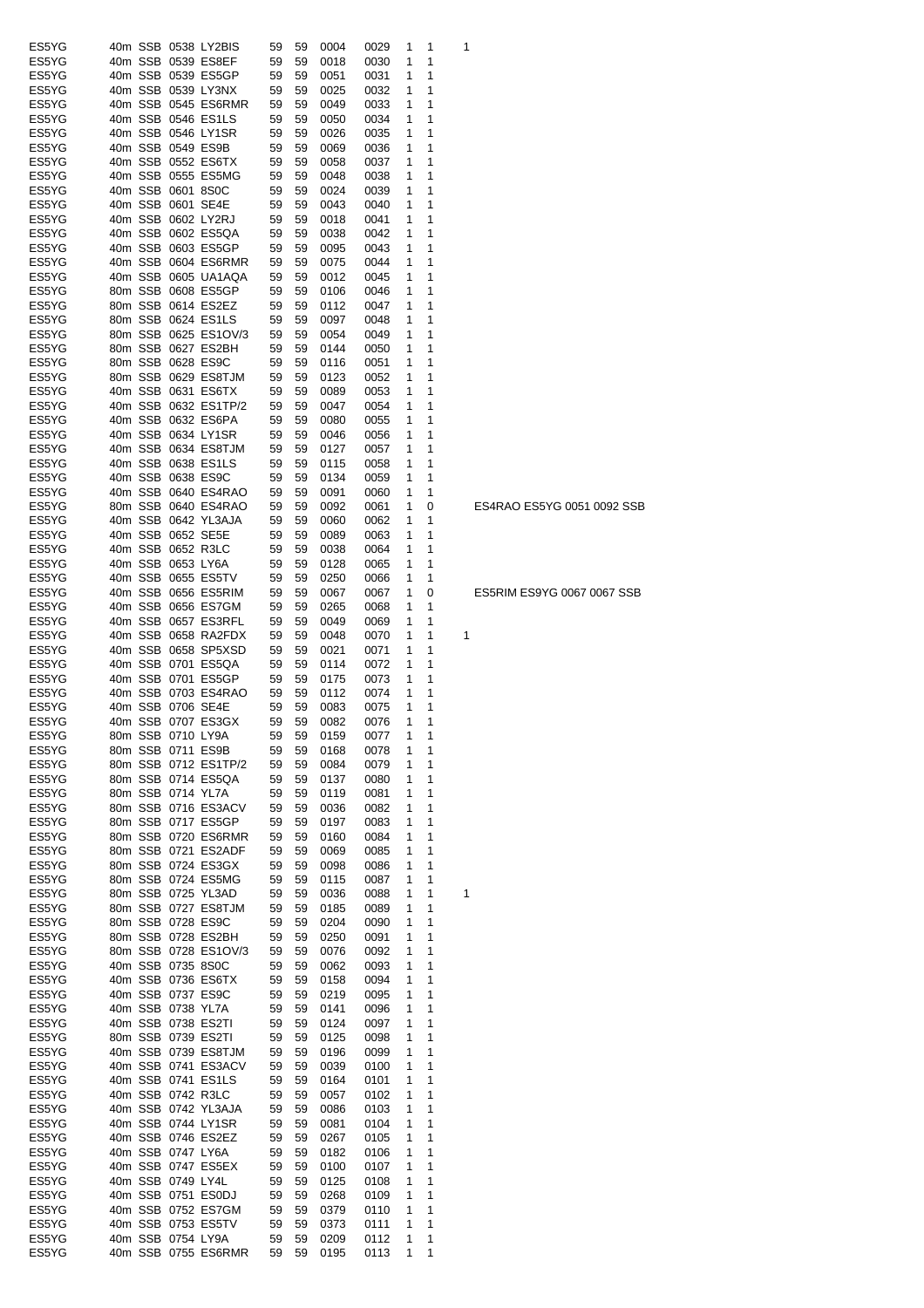| ES5YG          |  |                                        | 40m SSB 0538 LY2BIS                      | 59       | 59       | 0004                | 0029         | 1      | 1            | 1 |
|----------------|--|----------------------------------------|------------------------------------------|----------|----------|---------------------|--------------|--------|--------------|---|
| ES5YG          |  |                                        | 40m SSB 0539 ES8EF                       | 59       | 59       | 0018                | 0030         | 1      | 1            |   |
| ES5YG          |  |                                        | 40m SSB 0539 ES5GP                       | 59       | 59       | 0051                | 0031         | 1      | 1            |   |
| ES5YG          |  |                                        | 40m SSB 0539 LY3NX                       | 59       | 59       | 0025                | 0032         | 1      | 1            |   |
| ES5YG          |  |                                        | 40m SSB 0545 ES6RMR                      | 59       | 59       | 0049                | 0033         | 1      | 1            |   |
| ES5YG          |  |                                        | 40m SSB 0546 ES1LS                       | 59       | 59       | 0050                | 0034         | 1      | 1            |   |
| ES5YG          |  |                                        | 40m SSB 0546 LY1SR                       | 59       | 59       | 0026                | 0035         | 1      | 1            |   |
| ES5YG          |  | 40m SSB 0549 ES9B                      |                                          | 59       | 59       | 0069                | 0036         | 1      | 1            |   |
| ES5YG          |  |                                        | 40m SSB 0552 ES6TX                       | 59       | 59       | 0058                | 0037         | 1      | 1            |   |
| ES5YG<br>ES5YG |  |                                        | 40m SSB 0555 ES5MG                       | 59       | 59       | 0048                | 0038         | 1<br>1 | 1<br>1       |   |
| ES5YG          |  | 40m SSB 0601 8S0C<br>40m SSB 0601 SE4E |                                          | 59<br>59 | 59<br>59 | 0024<br>0043        | 0039<br>0040 | 1      | 1            |   |
| ES5YG          |  |                                        | 40m SSB 0602 LY2RJ                       | 59       | 59       | 0018                | 0041         | 1      | 1            |   |
| ES5YG          |  |                                        | 40m SSB 0602 ES5QA                       | 59       | 59       | 0038                | 0042         | 1      | 1            |   |
| ES5YG          |  |                                        | 40m SSB 0603 ES5GP                       | 59       | 59       | 0095                | 0043         | 1      | 1            |   |
| ES5YG          |  |                                        | 40m SSB 0604 ES6RMR                      | 59       | 59       | 0075                | 0044         | 1      | 1            |   |
| ES5YG          |  |                                        | 40m SSB 0605 UA1AQA                      | 59       | 59       | 0012                | 0045         | 1      | 1            |   |
| ES5YG          |  |                                        | 80m SSB 0608 ES5GP                       | 59       | 59       | 0106                | 0046         | 1      | 1            |   |
| ES5YG          |  |                                        | 80m SSB 0614 ES2EZ                       | 59       | 59       | 0112                | 0047         | 1      | 1            |   |
| ES5YG          |  |                                        | 80m SSB 0624 ES1LS                       | 59       | 59       | 0097                | 0048         | 1      | 1            |   |
| ES5YG          |  |                                        | 80m SSB 0625 ES1OV/3                     | 59       | 59       | 0054                | 0049         | 1      | 1            |   |
| ES5YG          |  |                                        | 80m SSB 0627 ES2BH                       | 59       | 59       | 0144                | 0050         | 1      | 1            |   |
| ES5YG          |  | 80m SSB 0628 ES9C                      |                                          | 59       | 59       | 0116                | 0051         | 1      | 1            |   |
| ES5YG          |  |                                        | 80m SSB 0629 ES8TJM                      | 59       | 59       | 0123                | 0052         | 1      | 1            |   |
| ES5YG          |  |                                        | 40m SSB 0631 ES6TX                       | 59       | 59       | 0089                | 0053         | 1      | 1            |   |
| ES5YG          |  |                                        | 40m SSB 0632 ES1TP/2                     | 59       | 59       | 0047                | 0054         | 1      | 1            |   |
| ES5YG          |  |                                        | 40m SSB 0632 ES6PA                       | 59       | 59       | 0080                | 0055         | 1      | 1            |   |
| ES5YG          |  |                                        | 40m SSB 0634 LY1SR                       | 59       | 59       | 0046                | 0056         | 1      | 1            |   |
| ES5YG          |  |                                        | 40m SSB 0634 ES8TJM                      | 59       | 59       | 0127                | 0057         | 1      | 1            |   |
| ES5YG          |  |                                        | 40m SSB 0638 ES1LS<br>40m SSB 0638 ES9C  | 59       | 59       | 0115                | 0058         | 1      | 1<br>1       |   |
| ES5YG<br>ES5YG |  |                                        | 40m SSB 0640 ES4RAO                      | 59<br>59 | 59<br>59 | 0134<br>0091        | 0059         | 1<br>1 | 1            |   |
| ES5YG          |  |                                        | 80m SSB 0640 ES4RAO                      | 59       | 59       | 0092                | 0060<br>0061 | 1      | 0            |   |
| ES5YG          |  |                                        | 40m SSB 0642 YL3AJA                      | 59       | 59       | 0060                | 0062         | 1      | 1            |   |
| ES5YG          |  | 40m SSB 0652 SE5E                      |                                          | 59       | 59       | 0089                | 0063         | 1      | 1            |   |
| ES5YG          |  | 40m SSB 0652 R3LC                      |                                          | 59       | 59       | 0038                | 0064         | 1      | 1            |   |
| ES5YG          |  | 40m SSB 0653 LY6A                      |                                          | 59       | 59       | 0128                | 0065         | 1      | 1            |   |
| ES5YG          |  |                                        | 40m SSB 0655 ES5TV                       | 59       | 59       | 0250                | 0066         | 1      | 1            |   |
| ES5YG          |  |                                        | 40m SSB 0656 ES5RIM                      | 59       | 59       | 0067                | 0067         | 1      | 0            |   |
| ES5YG          |  |                                        | 40m SSB 0656 ES7GM                       | 59       | 59       | 0265                | 0068         | 1      | 1            |   |
| ES5YG          |  |                                        | 40m SSB 0657 ES3RFL                      | 59       | 59       | 0049                | 0069         | 1      | 1            |   |
| ES5YG          |  |                                        | 40m SSB 0658 RA2FDX                      | 59       | 59       | 0048                | 0070         | 1      | 1            | 1 |
| ES5YG          |  |                                        | 40m SSB 0658 SP5XSD                      | 59       | 59       | 0021                | 0071         | 1      | 1            |   |
| ES5YG          |  |                                        | 40m SSB 0701 ES5QA                       | 59       | 59       | 0114                | 0072         | 1      | 1            |   |
| ES5YG          |  |                                        | 40m SSB 0701 ES5GP                       | 59       | 59       | 0175                | 0073         | 1      | 1            |   |
| ES5YG          |  |                                        | 40m SSB 0703 ES4RAO                      | 59       | 59       | 0112                | 0074         | 1      | 1            |   |
| ES5YG<br>ES5YG |  | 40m SSB 0706 SE4E                      | 40m SSB 0707 ES3GX                       | 59<br>59 | 59<br>59 | 0083                | 0075         | 1<br>1 | 1<br>1       |   |
| ES5YG          |  |                                        | 80m SSB 0710 LY9A                        | 59       | 59       | 0082<br>0159 0077 1 | 0076         |        | $\mathbf{1}$ |   |
| ES5YG          |  |                                        | 80m SSB 0711 ES9B                        | 59       | 59       | 0168                | 0078         | 1      | 1            |   |
| ES5YG          |  |                                        | 80m SSB 0712 ES1TP/2                     | 59       | 59       | 0084                | 0079         | 1      | 1            |   |
| ES5YG          |  |                                        | 80m SSB 0714 ES5QA                       | 59       | 59       | 0137                | 0080         | 1      | 1            |   |
| ES5YG          |  | 80m SSB 0714 YL7A                      |                                          | 59       | 59       | 0119                | 0081         | 1      | 1            |   |
| ES5YG          |  |                                        | 80m SSB 0716 ES3ACV                      | 59       | 59       | 0036                | 0082         | 1      | 1            |   |
| ES5YG          |  |                                        | 80m SSB 0717 ES5GP                       | 59       | 59       | 0197                | 0083         | 1      | 1            |   |
| ES5YG          |  |                                        | 80m SSB 0720 ES6RMR                      | 59       | 59       | 0160                | 0084         | 1      | 1            |   |
| ES5YG          |  |                                        | 80m SSB 0721 ES2ADF                      | 59       | 59       | 0069                | 0085         | 1      | 1            |   |
| ES5YG          |  |                                        | 80m SSB 0724 ES3GX                       | 59       | 59       | 0098                | 0086         | 1      | 1            |   |
| ES5YG          |  |                                        | 80m SSB 0724 ES5MG                       | 59       | 59       | 0115                | 0087         | 1      | 1            |   |
| ES5YG          |  |                                        | 80m SSB 0725 YL3AD                       | 59       | 59       | 0036                | 0088         | 1      | 1            | 1 |
| ES5YG          |  |                                        | 80m SSB 0727 ES8TJM                      | 59       | 59       | 0185                | 0089         | 1      | 1            |   |
| ES5YG          |  | 80m SSB 0728 ES9C                      |                                          | 59       | 59       | 0204                | 0090         | 1      | 1            |   |
| ES5YG          |  |                                        | 80m SSB 0728 ES2BH                       | 59       | 59       | 0250                | 0091         | 1      | 1            |   |
| ES5YG          |  |                                        | 80m SSB 0728 ES1OV/3                     | 59       | 59       | 0076                | 0092         | 1      | 1<br>1       |   |
| ES5YG<br>ES5YG |  | 40m SSB 0735 8S0C                      | 40m SSB 0736 ES6TX                       | 59<br>59 | 59<br>59 | 0062<br>0158        | 0093<br>0094 | 1<br>1 | 1            |   |
| ES5YG          |  |                                        | 40m SSB 0737 ES9C                        | 59       | 59       | 0219                | 0095         | 1      | 1            |   |
| ES5YG          |  | 40m SSB 0738 YL7A                      |                                          | 59       | 59       | 0141                | 0096         | 1      | 1            |   |
| ES5YG          |  |                                        | 40m SSB 0738 ES2TI                       | 59       | 59       | 0124                | 0097         | 1      | 1            |   |
| ES5YG          |  |                                        | 80m SSB 0739 ES2TI                       | 59       | 59       | 0125                | 0098         | 1      | 1            |   |
| ES5YG          |  |                                        | 40m SSB 0739 ES8TJM                      | 59       | 59       | 0196                | 0099         | 1      | 1            |   |
| ES5YG          |  |                                        | 40m SSB 0741 ES3ACV                      | 59       | 59       | 0039                | 0100         | 1      | 1            |   |
| ES5YG          |  |                                        | 40m SSB 0741 ES1LS                       | 59       | 59       | 0164                | 0101         | 1      | 1            |   |
| ES5YG          |  |                                        | 40m SSB 0742 R3LC                        | 59       | 59       | 0057                | 0102         | 1      | 1            |   |
| ES5YG          |  |                                        | 40m SSB 0742 YL3AJA                      | 59       | 59       | 0086                | 0103         | 1      | 1            |   |
| ES5YG          |  |                                        | 40m SSB 0744 LY1SR                       | 59       | 59       | 0081                | 0104         | 1      | 1            |   |
| ES5YG          |  |                                        | 40m SSB 0746 ES2EZ                       | 59       | 59       | 0267                | 0105         | 1      | 1            |   |
| ES5YG          |  | 40m SSB 0747 LY6A                      |                                          | 59       | 59       | 0182                | 0106         | 1      | 1            |   |
| ES5YG          |  |                                        | 40m SSB 0747 ES5EX                       | 59       | 59       | 0100                | 0107         | 1      | 1            |   |
| ES5YG          |  | 40m SSB 0749 LY4L                      |                                          | 59       | 59       | 0125                | 0108         | 1      | 1            |   |
| ES5YG<br>ES5YG |  |                                        | 40m SSB 0751 ES0DJ<br>40m SSB 0752 ES7GM | 59<br>59 | 59<br>59 | 0268<br>0379        | 0109<br>0110 | 1<br>1 | 1<br>1       |   |
| ES5YG          |  |                                        |                                          |          |          |                     |              |        |              |   |
|                |  |                                        |                                          |          |          |                     |              |        |              |   |
| ES5YG          |  | 40m SSB 0754 LY9A                      | 40m SSB 0753 ES5TV                       | 59<br>59 | 59<br>59 | 0373<br>0209        | 0111<br>0112 | 1<br>1 | 1<br>1       |   |

ES4RAO ES5YG 0051 0092 SSB

ES5RIM ES9YG 0067 0067 SSB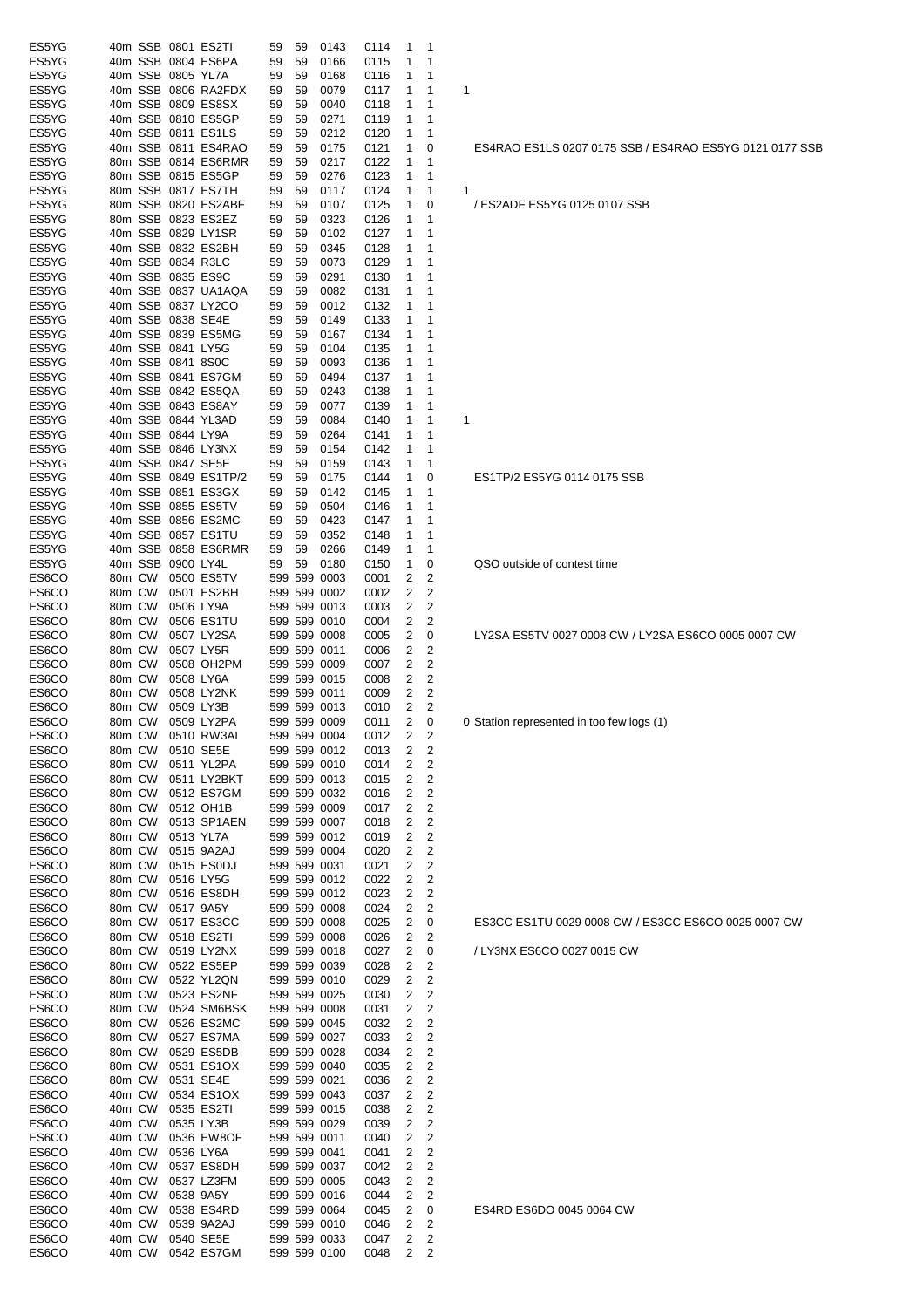| ES5YG          |        |         |                   | 40m SSB 0801 ES2TI   | 59 | 59 | 0143         | 0114 | 1              | 1              |   |
|----------------|--------|---------|-------------------|----------------------|----|----|--------------|------|----------------|----------------|---|
| ES5YG          |        |         |                   | 40m SSB 0804 ES6PA   | 59 | 59 | 0166         | 0115 | 1              | 1              |   |
| ES5YG          |        |         | 40m SSB 0805 YL7A |                      | 59 | 59 | 0168         | 0116 | 1              | 1              |   |
| ES5YG          |        |         |                   | 40m SSB 0806 RA2FDX  | 59 | 59 | 0079         | 0117 | 1              | 1              | 1 |
| ES5YG          |        |         |                   | 40m SSB 0809 ES8SX   | 59 | 59 | 0040         | 0118 | 1              | 1              |   |
| ES5YG          |        |         |                   | 40m SSB 0810 ES5GP   | 59 | 59 | 0271         | 0119 | 1              | 1              |   |
| ES5YG          |        |         |                   | 40m SSB 0811 ES1LS   | 59 | 59 | 0212         | 0120 | 1              | 1              |   |
|                |        |         |                   |                      |    |    |              |      |                |                |   |
| ES5YG          |        |         |                   | 40m SSB 0811 ES4RAO  | 59 | 59 | 0175         | 0121 | 1              | 0              |   |
| ES5YG          |        |         |                   | 80m SSB 0814 ES6RMR  | 59 | 59 | 0217         | 0122 | 1              | 1              |   |
| ES5YG          |        |         |                   | 80m SSB 0815 ES5GP   | 59 | 59 | 0276         | 0123 | 1              | 1              |   |
| ES5YG          |        |         |                   | 80m SSB 0817 ES7TH   | 59 | 59 | 0117         | 0124 | 1              | 1              | 1 |
| ES5YG          |        |         |                   | 80m SSB 0820 ES2ABF  | 59 | 59 | 0107         | 0125 | 1              | 0              |   |
| ES5YG          |        |         |                   | 80m SSB 0823 ES2EZ   | 59 | 59 | 0323         | 0126 | 1              | 1              |   |
|                |        |         |                   |                      |    |    |              |      |                |                |   |
| ES5YG          |        |         |                   | 40m SSB 0829 LY1SR   | 59 | 59 | 0102         | 0127 | 1              | 1              |   |
| ES5YG          |        |         |                   | 40m SSB 0832 ES2BH   | 59 | 59 | 0345         | 0128 | 1              | 1              |   |
| ES5YG          |        |         |                   | 40m SSB 0834 R3LC    | 59 | 59 | 0073         | 0129 | 1              | 1              |   |
| ES5YG          |        |         |                   | 40m SSB 0835 ES9C    | 59 | 59 | 0291         | 0130 | 1              | 1              |   |
| ES5YG          |        |         |                   | 40m SSB 0837 UA1AQA  | 59 | 59 | 0082         | 0131 | 1              | 1              |   |
| ES5YG          |        |         |                   | 40m SSB 0837 LY2CO   | 59 | 59 | 0012         | 0132 | 1              | 1              |   |
| ES5YG          |        |         | 40m SSB 0838 SE4E |                      | 59 | 59 | 0149         | 0133 | 1              | 1              |   |
|                |        |         |                   |                      |    |    |              |      |                |                |   |
| ES5YG          |        |         |                   | 40m SSB 0839 ES5MG   | 59 | 59 | 0167         | 0134 | 1              | 1              |   |
| ES5YG          |        |         | 40m SSB 0841 LY5G |                      | 59 | 59 | 0104         | 0135 | 1              | 1              |   |
| ES5YG          |        |         | 40m SSB 0841 8S0C |                      | 59 | 59 | 0093         | 0136 | 1              | 1              |   |
| ES5YG          |        |         |                   | 40m SSB 0841 ES7GM   | 59 | 59 | 0494         | 0137 | 1              | 1              |   |
| ES5YG          |        |         |                   | 40m SSB 0842 ES5QA   | 59 | 59 | 0243         | 0138 | 1              | 1              |   |
| ES5YG          |        |         |                   | 40m SSB 0843 ES8AY   | 59 | 59 | 0077         | 0139 | 1              | 1              |   |
| ES5YG          |        |         |                   | 40m SSB 0844 YL3AD   |    | 59 |              |      | 1              | 1              |   |
|                |        |         |                   |                      | 59 |    | 0084         | 0140 |                |                | 1 |
| ES5YG          |        |         | 40m SSB 0844 LY9A |                      | 59 | 59 | 0264         | 0141 | 1              | 1              |   |
| ES5YG          |        |         |                   | 40m SSB 0846 LY3NX   | 59 | 59 | 0154         | 0142 | 1              | 1              |   |
| ES5YG          |        |         | 40m SSB 0847 SE5E |                      | 59 | 59 | 0159         | 0143 | 1              | 1              |   |
| ES5YG          |        |         |                   | 40m SSB 0849 ES1TP/2 | 59 | 59 | 0175         | 0144 | 1              | 0              |   |
| ES5YG          |        |         |                   | 40m SSB 0851 ES3GX   | 59 | 59 | 0142         | 0145 | 1              | 1              |   |
| ES5YG          |        |         |                   |                      |    |    |              |      | 1              | 1              |   |
|                |        |         |                   | 40m SSB 0855 ES5TV   | 59 | 59 | 0504         | 0146 |                |                |   |
| ES5YG          |        |         |                   | 40m SSB 0856 ES2MC   | 59 | 59 | 0423         | 0147 | 1              | 1              |   |
| ES5YG          |        |         |                   | 40m SSB 0857 ES1TU   | 59 | 59 | 0352         | 0148 | 1              | 1              |   |
| ES5YG          |        |         |                   | 40m SSB 0858 ES6RMR  | 59 | 59 | 0266         | 0149 | 1              | 1              |   |
| ES5YG          |        | 40m SSB | 0900 LY4L         |                      | 59 | 59 | 0180         | 0150 | 1              | 0              |   |
| ES6CO          | 80m CW |         |                   | 0500 ES5TV           |    |    | 599 599 0003 | 0001 | 2              | 2              |   |
| ES6CO          | 80m CW |         |                   | 0501 ES2BH           |    |    | 599 599 0002 | 0002 | 2              | 2              |   |
|                |        |         |                   |                      |    |    |              |      |                |                |   |
| ES6CO          | 80m CW |         |                   | 0506 LY9A            |    |    | 599 599 0013 | 0003 | 2              | $\overline{c}$ |   |
| ES6CO          | 80m CW |         |                   | 0506 ES1TU           |    |    | 599 599 0010 | 0004 | 2              | 2              |   |
| ES6CO          | 80m CW |         |                   | 0507 LY2SA           |    |    | 599 599 0008 | 0005 | 2              | 0              |   |
| ES6CO          | 80m CW |         |                   | 0507 LY5R            |    |    | 599 599 0011 | 0006 | 2              | 2              |   |
| ES6CO          | 80m CW |         |                   | 0508 OH2PM           |    |    | 599 599 0009 | 0007 | 2              | $\overline{c}$ |   |
| ES6CO          | 80m CW |         |                   | 0508 LY6A            |    |    | 599 599 0015 | 0008 | 2              | 2              |   |
| ES6CO          | 80m CW |         |                   | 0508 LY2NK           |    |    | 599 599 0011 | 0009 | 2              | 2              |   |
|                |        |         |                   |                      |    |    |              |      |                |                |   |
| ES6CO          | 80m CW |         |                   | 0509 LY3B            |    |    | 599 599 0013 | 0010 | 2              | 2              |   |
| ES6CO          | 80m CW |         |                   | 0509 LY2PA           |    |    | 599 599 0009 | 0011 | 2              | 0              | 0 |
| ES6CO          |        |         |                   | 80m CW 0510 RW3AI    |    |    | 599 599 0004 | 0012 | $\overline{2}$ | 2              |   |
| ES6CO          | 80m CW |         |                   | 0510 SE5E            |    |    | 599 599 0012 | 0013 | 2              | 2              |   |
| ES6CO          | 80m CW |         |                   | 0511 YL2PA           |    |    | 599 599 0010 | 0014 | 2              | 2              |   |
| ES6CO          | 80m CW |         |                   | 0511 LY2BKT          |    |    | 599 599 0013 | 0015 | 2              | $\overline{c}$ |   |
|                |        |         |                   |                      |    |    |              | 0016 |                |                |   |
| ES6CO          | 80m CW |         |                   | 0512 ES7GM           |    |    | 599 599 0032 |      | 2              | 2              |   |
| ES6CO          | 80m CW |         |                   | 0512 OH1B            |    |    | 599 599 0009 | 0017 | 2              | 2              |   |
| ES6CO          | 80m CW |         |                   | 0513 SP1AEN          |    |    | 599 599 0007 | 0018 | 2              | 2              |   |
| ES6CO          | 80m CW |         |                   | 0513 YL7A            |    |    | 599 599 0012 | 0019 | 2              | $\overline{c}$ |   |
| ES6CO          | 80m CW |         |                   | 0515 9A2AJ           |    |    | 599 599 0004 | 0020 | 2              | 2              |   |
| ES6CO          | 80m CW |         |                   | 0515 ES0DJ           |    |    | 599 599 0031 | 0021 | 2              | $\overline{c}$ |   |
| ES6CO          | 80m CW |         |                   | 0516 LY5G            |    |    | 599 599 0012 | 0022 | 2              | 2              |   |
| ES6CO          |        |         |                   |                      |    |    | 599 599 0012 |      | 2              |                |   |
|                | 80m CW |         |                   | 0516 ES8DH           |    |    |              | 0023 |                | 2              |   |
| ES6CO          | 80m CW |         |                   | 0517 9A5Y            |    |    | 599 599 0008 | 0024 | 2              | 2              |   |
| ES6CO          | 80m CW |         |                   | 0517 ES3CC           |    |    | 599 599 0008 | 0025 | 2              | 0              |   |
| ES6CO          | 80m CW |         |                   | 0518 ES2TI           |    |    | 599 599 0008 | 0026 | 2              | 2              |   |
| ES6CO          | 80m CW |         |                   | 0519 LY2NX           |    |    | 599 599 0018 | 0027 | 2              | 0              |   |
| ES6CO          | 80m CW |         |                   | 0522 ES5EP           |    |    | 599 599 0039 | 0028 | 2              | 2              |   |
| ES6CO          | 80m CW |         |                   | 0522 YL2QN           |    |    | 599 599 0010 | 0029 | 2              | 2              |   |
|                |        |         |                   | 0523 ES2NF           |    |    | 599 599 0025 |      | 2              | $\overline{2}$ |   |
| ES6CO          | 80m CW |         |                   |                      |    |    |              | 0030 |                |                |   |
| ES6CO          | 80m CW |         |                   | 0524 SM6BSK          |    |    | 599 599 0008 | 0031 | 2              | $\overline{2}$ |   |
| ES6CO          |        |         |                   |                      |    |    |              |      | 2              | $\overline{2}$ |   |
| ES6CO          |        | 80m CW  |                   | 0526 ES2MC           |    |    | 599 599 0045 | 0032 |                |                |   |
| ES6CO          | 80m CW |         |                   | 0527 ES7MA           |    |    | 599 599 0027 | 0033 | 2              | 2              |   |
|                | 80m CW |         |                   | 0529 ES5DB           |    |    | 599 599 0028 | 0034 | 2              | $\overline{2}$ |   |
|                |        |         |                   |                      |    |    |              |      |                |                |   |
| ES6CO          | 80m CW |         |                   | 0531 ES1OX           |    |    | 599 599 0040 | 0035 | 2              | 2              |   |
| ES6CO          | 80m CW |         |                   | 0531 SE4E            |    |    | 599 599 0021 | 0036 | 2              | 2              |   |
| ES6CO          | 40m CW |         |                   | 0534 ES1OX           |    |    | 599 599 0043 | 0037 | 2              | 2              |   |
| ES6CO          | 40m CW |         |                   | 0535 ES2TI           |    |    | 599 599 0015 | 0038 | 2              | $\overline{2}$ |   |
|                | 40m CW |         |                   | 0535 LY3B            |    |    | 599 599 0029 | 0039 | 2              | 2              |   |
| ES6CO<br>ES6CO | 40m CW |         |                   | 0536 EW8OF           |    |    | 599 599 0011 | 0040 | 2              | 2              |   |
|                | 40m CW |         |                   | 0536 LY6A            |    |    | 599 599 0041 | 0041 | 2              | 2              |   |
|                |        |         |                   |                      |    |    |              |      |                |                |   |
| ES6CO          | 40m CW |         |                   | 0537 ES8DH           |    |    | 599 599 0037 | 0042 | 2              | $\overline{2}$ |   |
| ES6CO          | 40m CW |         |                   | 0537 LZ3FM           |    |    | 599 599 0005 | 0043 | 2              | $\overline{2}$ |   |
| ES6CO<br>ES6CO | 40m CW |         |                   | 0538 9A5Y            |    |    | 599 599 0016 | 0044 | 2              | 2              |   |
| ES6CO          | 40m CW |         |                   | 0538 ES4RD           |    |    | 599 599 0064 | 0045 | 2              | 0              |   |
| ES6CO          | 40m CW |         |                   | 0539 9A2AJ           |    |    | 599 599 0010 | 0046 | 2              | 2              |   |
| ES6CO          | 40m CW |         |                   | 0540 SE5E            |    |    | 599 599 0033 | 0047 | 2              | 2              |   |

ES1TP/2 ES5YG 0114 0175 SSB QSO outside of contest time LY2SA ES5TV 0027 0008 CW / LY2SA ES6CO 0005 0007 CW 0 Station represented in too few logs (1)

ES4RAO ES1LS 0207 0175 SSB / ES4RAO ES5YG 0121 0177 SSB

/ ES2ADF ES5YG 0125 0107 SSB

ES3CC ES1TU 0029 0008 CW / ES3CC ES6CO 0025 0007 CW

/ LY3NX ES6CO 0027 0015 CW

ES4RD ES6DO 0045 0064 CW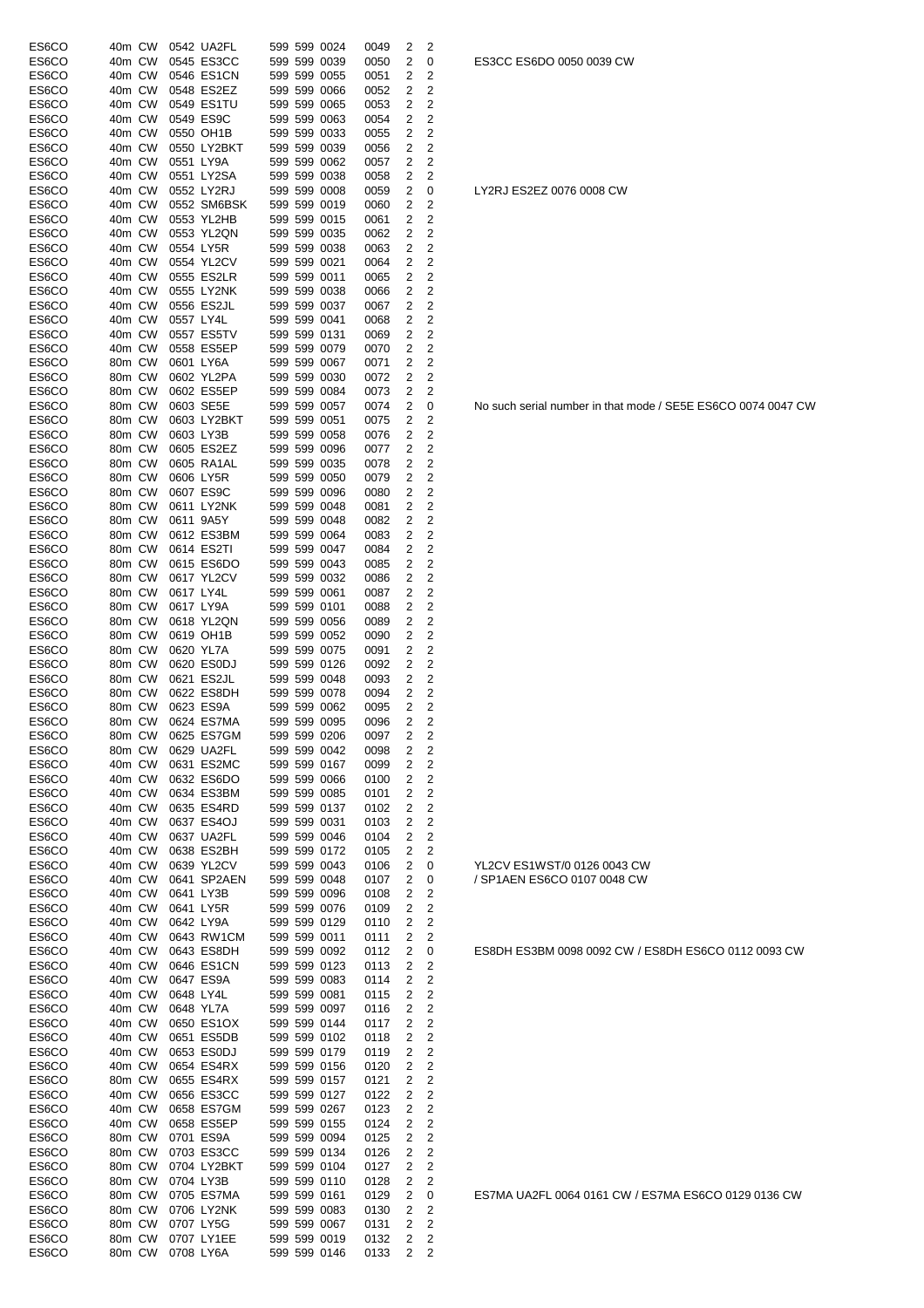| ES6CO          | 40m CW           |           | 0542 UA2FL                |  | 599 599 0024                 | 0049         | 2              | 2                       |
|----------------|------------------|-----------|---------------------------|--|------------------------------|--------------|----------------|-------------------------|
| ES6CO          | 40m CW           |           | 0545 ES3CC                |  | 599 599 0039                 | 0050         | 2              | 0                       |
| ES6CO          | 40m CW           |           | 0546 ES1CN                |  | 599 599 0055                 | 0051         | 2              | 2                       |
| ES6CO          | 40m CW           |           | 0548 ES2EZ                |  | 599 599 0066                 | 0052         | 2              | 2                       |
| ES6CO          | 40m CW           |           | 0549 ES1TU                |  | 599 599 0065                 | 0053         | 2              | 2                       |
| ES6CO          | 40m CW           |           | 0549 ES9C                 |  | 599 599 0063                 | 0054         | 2              | 2                       |
| ES6CO          | 40m CW           |           | 0550 OH1B                 |  | 599 599 0033                 | 0055         | 2              | 2                       |
| ES6CO          | 40m CW           |           | 0550 LY2BKT               |  | 599 599 0039                 | 0056         | 2              | 2                       |
| ES6CO          | 40m CW           | 0551 LY9A |                           |  | 599 599 0062                 | 0057         | 2              | 2                       |
| ES6CO          | 40m CW           |           | 0551 LY2SA                |  | 599 599 0038                 | 0058         | 2              | 2                       |
| ES6CO<br>ES6CO | 40m CW<br>40m CW |           | 0552 LY2RJ<br>0552 SM6BSK |  | 599 599 0008<br>599 599 0019 | 0059<br>0060 | 2<br>2         | 0<br>2                  |
| ES6CO          | 40m CW           |           | 0553 YL2HB                |  | 599 599 0015                 | 0061         | 2              | 2                       |
| ES6CO          | 40m CW           |           | 0553 YL2QN                |  | 599 599 0035                 | 0062         | 2              | 2                       |
| ES6CO          | 40m CW           | 0554 LY5R |                           |  | 599 599 0038                 | 0063         | 2              | 2                       |
| ES6CO          | 40m CW           |           | 0554 YL2CV                |  | 599 599 0021                 | 0064         | 2              | $\overline{2}$          |
| ES6CO          | 40m CW           |           | 0555 ES2LR                |  | 599 599 0011                 | 0065         | 2              | 2                       |
| ES6CO          | 40m CW           |           | 0555 LY2NK                |  | 599 599 0038                 | 0066         | 2              | 2                       |
| ES6CO          | 40m CW           |           | 0556 ES2JL                |  | 599 599 0037                 | 0067         | 2              | $\overline{c}$          |
| ES6CO          | 40m CW           | 0557 LY4L |                           |  | 599 599 0041                 | 0068         | 2              | $\overline{c}$          |
| ES6CO          | 40m CW           |           | 0557 ES5TV                |  | 599 599 0131                 | 0069         | 2              | 2                       |
| ES6CO          | 40m CW           |           | 0558 ES5EP                |  | 599 599 0079                 | 0070         | 2              | 2                       |
| ES6CO          | 80m CW           | 0601 LY6A |                           |  | 599 599 0067                 | 0071         | 2              | 2                       |
| ES6CO          | 80m CW           |           | 0602 YL2PA                |  | 599 599 0030                 | 0072         | 2              | 2                       |
| ES6CO          | 80m CW           |           | 0602 ES5EP                |  | 599 599 0084                 | 0073         | 2              | 2                       |
| ES6CO<br>ES6CO | 80m CW<br>80m CW | 0603 SE5E | 0603 LY2BKT               |  | 599 599 0057<br>599 599 0051 | 0074         | 2<br>2         | 0<br>2                  |
| ES6CO          | 80m CW           | 0603 LY3B |                           |  | 599 599 0058                 | 0075<br>0076 | 2              | 2                       |
| ES6CO          | 80m CW           |           | 0605 ES2EZ                |  | 599 599 0096                 | 0077         | 2              | 2                       |
| ES6CO          | 80m CW           |           | 0605 RA1AL                |  | 599 599 0035                 | 0078         | 2              | 2                       |
| ES6CO          | 80m CW           | 0606 LY5R |                           |  | 599 599 0050                 | 0079         | 2              | 2                       |
| ES6CO          | 80m CW           |           | 0607 ES9C                 |  | 599 599 0096                 | 0080         | 2              | 2                       |
| ES6CO          | 80m CW           |           | 0611 LY2NK                |  | 599 599 0048                 | 0081         | 2              | 2                       |
| ES6CO          | 80m CW           | 0611 9A5Y |                           |  | 599 599 0048                 | 0082         | 2              | 2                       |
| ES6CO          | 80m CW           |           | 0612 ES3BM                |  | 599 599 0064                 | 0083         | 2              | 2                       |
| ES6CO          | 80m CW           |           | 0614 ES2TI                |  | 599 599 0047                 | 0084         | $\overline{2}$ | 2                       |
| ES6CO          | 80m CW           |           | 0615 ES6DO                |  | 599 599 0043                 | 0085         | 2              | 2                       |
| ES6CO          | 80m CW           |           | 0617 YL2CV                |  | 599 599 0032                 | 0086         | 2              | 2                       |
| ES6CO          | 80m CW           | 0617 LY4L |                           |  | 599 599 0061                 | 0087         | 2              | 2                       |
| ES6CO<br>ES6CO | 80m CW<br>80m CW | 0617 LY9A | 0618 YL2QN                |  | 599 599 0101<br>599 599 0056 | 0088<br>0089 | 2<br>2         | 2<br>2                  |
| ES6CO          | 80m CW           |           | 0619 OH1B                 |  | 599 599 0052                 | 0090         | 2              | 2                       |
| ES6CO          | 80m CW           | 0620 YL7A |                           |  | 599 599 0075                 | 0091         | 2              | 2                       |
| ES6CO          | 80m CW           |           | 0620 ES0DJ                |  | 599 599 0126                 | 0092         | 2              | 2                       |
| ES6CO          | 80m CW           |           | 0621 ES2JL                |  | 599 599 0048                 | 0093         | 2              | 2                       |
| ES6CO          | 80m CW           |           | 0622 ES8DH                |  | 599 599 0078                 | 0094         | 2              | 2                       |
| ES6CO          | 80m CW           |           | 0623 ES9A                 |  | 599 599 0062                 | 0095         | 2              | 2                       |
| ES6CO          | 80m CW           |           | 0624 ES7MA                |  | 599 599 0095                 | 0096         | 2              | 2                       |
| ES6CO          | 80m CW           |           | 0625 ES7GM                |  | 599 599 0206                 | 0097         | $\overline{2}$ | $\overline{\mathbf{c}}$ |
| ES6CO          | 80m CW           |           | 0629 UA2FL                |  | 599 599 0042                 | 0098         | 2              | 2                       |
| ES6CO<br>ES6CO | 40m CW<br>40m CW |           | 0631 ES2MC<br>0632 ES6DO  |  | 599 599 0167<br>599 599 0066 | 0099         | 2<br>2         | 2<br>2                  |
| ES6CO          | 40m CW           |           | 0634 ES3BM                |  | 599 599 0085                 | 0100<br>0101 | 2              | $\overline{2}$          |
| ES6CO          | 40m CW           |           | 0635 ES4RD                |  | 599 599 0137                 | 0102         | 2              | $\overline{c}$          |
| ES6CO          | 40m CW           |           | 0637 ES4OJ                |  | 599 599 0031                 | 0103         | 2              | 2                       |
| ES6CO          | 40m CW           |           | 0637 UA2FL                |  | 599 599 0046                 | 0104         | 2              | $\overline{c}$          |
| ES6CO          | 40m CW           |           | 0638 ES2BH                |  | 599 599 0172                 | 0105         | 2              | 2                       |
| ES6CO          | 40m CW           |           | 0639 YL2CV                |  | 599 599 0043                 | 0106         | 2              | 0                       |
| ES6CO          | 40m CW           |           | 0641 SP2AEN               |  | 599 599 0048                 | 0107         | 2              | 0                       |
| ES6CO          | 40m CW           | 0641 LY3B |                           |  | 599 599 0096                 | 0108         | 2              | $\overline{2}$          |
| ES6CO          | 40m CW           | 0641 LY5R |                           |  | 599 599 0076                 | 0109         | 2              | $\overline{2}$          |
| ES6CO          | 40m CW           | 0642 LY9A |                           |  | 599 599 0129                 | 0110         | 2              | $\overline{2}$          |
| ES6CO          | 40m CW           |           | 0643 RW1CM                |  | 599 599 0011                 | 0111         | 2              | 2                       |
| ES6CO<br>ES6CO | 40m CW<br>40m CW |           | 0643 ES8DH<br>0646 ES1CN  |  | 599 599 0092<br>599 599 0123 | 0112<br>0113 | 2<br>2         | 0<br>2                  |
| ES6CO          | 40m CW           |           | 0647 ES9A                 |  | 599 599 0083                 | 0114         | 2              | $\overline{2}$          |
| ES6CO          | 40m CW           | 0648 LY4L |                           |  | 599 599 0081                 | 0115         | 2              | $\overline{2}$          |
| ES6CO          | 40m CW           | 0648 YL7A |                           |  | 599 599 0097                 | 0116         | 2              | 2                       |
| ES6CO          | 40m CW           |           | 0650 ES1OX                |  | 599 599 0144                 | 0117         | 2              | $\overline{2}$          |
| ES6CO          | 40m CW           |           | 0651 ES5DB                |  | 599 599 0102                 | 0118         | 2              | 2                       |
| ES6CO          | 40m CW           |           | 0653 ES0DJ                |  | 599 599 0179                 | 0119         | 2              | 2                       |
| ES6CO          | 40m CW           |           | 0654 ES4RX                |  | 599 599 0156                 | 0120         | 2              | 2                       |
| ES6CO<br>ES6CO | 80m CW<br>40m CW |           | 0655 ES4RX<br>0656 ES3CC  |  | 599 599 0157<br>599 599 0127 | 0121<br>0122 | 2<br>2         | 2<br>$\overline{2}$     |
| ES6CO          | 40m CW           |           | 0658 ES7GM                |  | 599 599 0267                 | 0123         | 2              | $\overline{2}$          |
| ES6CO          | 40m CW           |           | 0658 ES5EP                |  | 599 599 0155                 | 0124         | 2              | 2                       |
| ES6CO          | 80m CW           |           | 0701 ES9A                 |  | 599 599 0094                 | 0125         | 2              | 2                       |
| ES6CO          | 80m CW           |           | 0703 ES3CC                |  | 599 599 0134                 | 0126         | 2              | $\overline{2}$          |
| ES6CO          | 80m CW           |           | 0704 LY2BKT               |  | 599 599 0104                 | 0127         | $\overline{2}$ | 2                       |
| ES6CO          | 80m CW           | 0704 LY3B |                           |  | 599 599 0110                 | 0128         | 2              | 2                       |
| ES6CO          | 80m CW           |           | 0705 ES7MA                |  | 599 599 0161                 | 0129         | 2              | 0                       |
| ES6CO          | 80m CW           |           | 0706 LY2NK                |  | 599 599 0083                 | 0130         | 2              | 2                       |
| ES6CO          | 80m CW           |           | 0707 LY5G                 |  | 599 599 0067                 | 0131         | 2              | 2                       |
| ES6CO          | 80m CW           |           | 0707 LY1EE                |  | 599 599 0019                 | 0132         | 2              | $\overline{c}$          |
| ES6CO          | 80m CW           | 0708 LY6A |                           |  | 599 599 0146                 | 0133         | 2              | 2                       |

LY2RJ ES2EZ 0076 0008 CW

/ SP1AEN ES6CO 0107 0048 CW

YL2CV ES1WST/0 0126 0043 CW

ES8DH ES3BM 0098 0092 CW / ES8DH ES6CO 0112 0093 CW

No such serial number in that mode / SE5E ES6CO 0074 0047 CW

ES7MA UA2FL 0064 0161 CW / ES7MA ES6CO 0129 0136 CW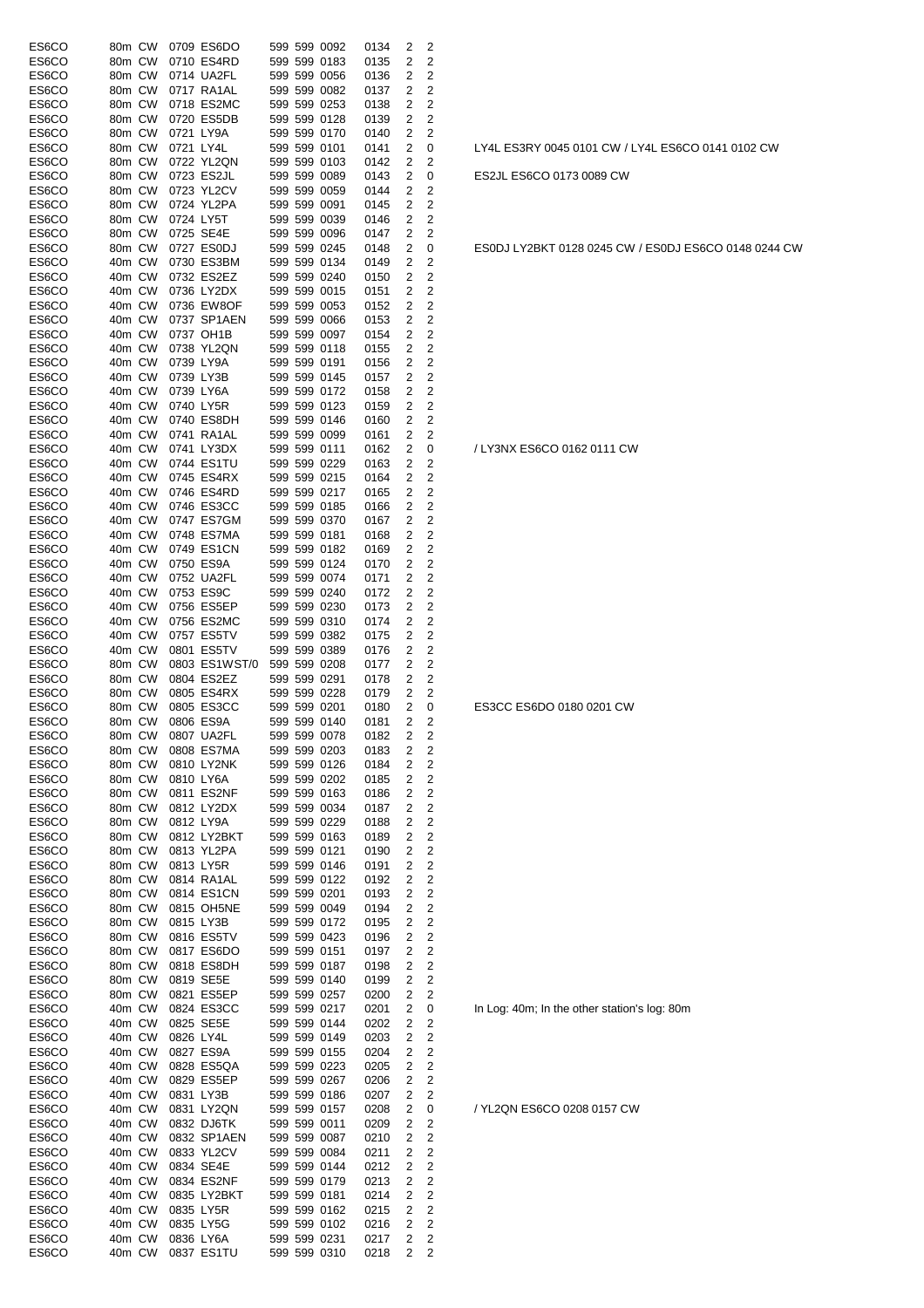| ES6CO | 80m CW |           | 0709 ES6DO    |              | 599 599 0092 | 0134 | 2              | 2                |
|-------|--------|-----------|---------------|--------------|--------------|------|----------------|------------------|
|       |        |           |               |              |              |      |                |                  |
| ES6CO | 80m CW |           | 0710 ES4RD    |              | 599 599 0183 | 0135 | 2              | 2                |
| ES6CO | 80m CW |           | 0714 UA2FL    |              | 599 599 0056 | 0136 | 2              | 2                |
| ES6CO | 80m CW |           | 0717 RA1AL    |              | 599 599 0082 | 0137 | 2              | 2                |
| ES6CO | 80m CW |           | 0718 ES2MC    |              | 599 599 0253 | 0138 | 2              | $\overline{c}$   |
| ES6CO | 80m CW |           | 0720 ES5DB    |              | 599 599 0128 | 0139 | 2              | 2                |
| ES6CO | 80m CW | 0721 LY9A |               |              | 599 599 0170 | 0140 | 2              | 2                |
| ES6CO | 80m CW | 0721 LY4L |               |              | 599 599 0101 | 0141 | 2              | 0                |
|       |        |           |               |              |              |      |                |                  |
| ES6CO | 80m CW |           | 0722 YL2QN    |              | 599 599 0103 | 0142 | 2              | 2                |
| ES6CO | 80m CW |           | 0723 ES2JL    |              | 599 599 0089 | 0143 | 2              | 0                |
| ES6CO | 80m CW |           | 0723 YL2CV    |              | 599 599 0059 | 0144 | 2              | 2                |
| ES6CO | 80m CW |           | 0724 YL2PA    |              | 599 599 0091 | 0145 | 2              | 2                |
| ES6CO | 80m CW | 0724 LY5T |               |              | 599 599 0039 | 0146 | 2              | 2                |
| ES6CO | 80m CW |           | 0725 SE4E     |              | 599 599 0096 | 0147 | 2              | 2                |
| ES6CO | 80m CW |           | 0727 ES0DJ    |              | 599 599 0245 | 0148 | 2              | 0                |
| ES6CO | 40m CW |           |               |              |              |      |                |                  |
|       |        |           | 0730 ES3BM    |              | 599 599 0134 | 0149 | 2              | 2                |
| ES6CO | 40m CW |           | 0732 ES2EZ    |              | 599 599 0240 | 0150 | 2              | 2                |
| ES6CO | 40m CW |           | 0736 LY2DX    |              | 599 599 0015 | 0151 | 2              | 2                |
| ES6CO | 40m CW |           | 0736 EW8OF    |              | 599 599 0053 | 0152 | 2              | 2                |
| ES6CO | 40m CW |           | 0737 SP1AEN   |              | 599 599 0066 | 0153 | 2              | 2                |
| ES6CO | 40m CW |           | 0737 OH1B     |              | 599 599 0097 | 0154 | 2              | 2                |
| ES6CO | 40m CW |           | 0738 YL2QN    |              | 599 599 0118 | 0155 | 2              | 2                |
| ES6CO | 40m CW |           | 0739 LY9A     |              | 599 599 0191 | 0156 | $\overline{2}$ | 2                |
|       |        |           |               |              |              |      |                |                  |
| ES6CO | 40m CW | 0739 LY3B |               |              | 599 599 0145 | 0157 | 2              | 2                |
| ES6CO | 40m CW | 0739 LY6A |               |              | 599 599 0172 | 0158 | 2              | 2                |
| ES6CO | 40m CW |           | 0740 LY5R     |              | 599 599 0123 | 0159 | 2              | 2                |
| ES6CO | 40m CW |           | 0740 ES8DH    |              | 599 599 0146 | 0160 | 2              | 2                |
| ES6CO | 40m CW |           | 0741 RA1AL    |              | 599 599 0099 | 0161 | 2              | 2                |
| ES6CO | 40m CW |           | 0741 LY3DX    |              | 599 599 0111 | 0162 | 2              | 0                |
| ES6CO | 40m CW |           | 0744 ES1TU    |              | 599 599 0229 | 0163 | 2              | 2                |
|       | 40m CW |           | 0745 ES4RX    |              |              |      | 2              | 2                |
| ES6CO |        |           |               |              | 599 599 0215 | 0164 |                |                  |
| ES6CO | 40m CW |           | 0746 ES4RD    |              | 599 599 0217 | 0165 | 2              | 2                |
| ES6CO | 40m CW |           | 0746 ES3CC    |              | 599 599 0185 | 0166 | 2              | 2                |
| ES6CO | 40m CW |           | 0747 ES7GM    |              | 599 599 0370 | 0167 | 2              | 2                |
| ES6CO | 40m CW |           | 0748 ES7MA    |              | 599 599 0181 | 0168 | 2              | 2                |
| ES6CO | 40m CW |           | 0749 ES1CN    |              | 599 599 0182 | 0169 | 2              | 2                |
| ES6CO | 40m CW |           | 0750 ES9A     |              | 599 599 0124 | 0170 | 2              | 2                |
|       |        |           |               |              |              |      |                | 2                |
| ES6CO | 40m CW |           | 0752 UA2FL    |              | 599 599 0074 | 0171 | 2              |                  |
| ES6CO | 40m CW |           | 0753 ES9C     |              | 599 599 0240 | 0172 | 2              | 2                |
| ES6CO | 40m CW |           | 0756 ES5EP    |              | 599 599 0230 | 0173 | 2              | 2                |
| ES6CO | 40m CW |           | 0756 ES2MC    |              | 599 599 0310 | 0174 | 2              | 2                |
| ES6CO | 40m CW |           | 0757 ES5TV    |              | 599 599 0382 | 0175 | 2              | $\overline{c}$   |
| ES6CO | 40m CW |           | 0801 ES5TV    |              | 599 599 0389 | 0176 | 2              | 2                |
| ES6CO | 80m CW |           | 0803 ES1WST/0 |              | 599 599 0208 | 0177 | 2              | 2                |
|       |        |           |               |              |              |      |                |                  |
| ES6CO | 80m CW |           | 0804 ES2EZ    |              | 599 599 0291 | 0178 | 2              | 2                |
| ES6CO | 80m CW |           | 0805 ES4RX    |              | 599 599 0228 | 0179 | 2              | 2                |
| ES6CO | 80m CW |           | 0805 ES3CC    |              | 599 599 0201 | 0180 | $\overline{2}$ | 0                |
| ES6CO | 80m CW |           | 0806 ES9A     |              | 599 599 0140 | 0181 | 2              | $\overline{2}$   |
| ES6CO | 80m CW |           | 0807 UA2FL    |              | 599 599 0078 | 0182 | 2              | $\boldsymbol{2}$ |
| ES6CO | 80m CW |           | 0808 ES7MA    |              | 599 599 0203 | 0183 | 2              | 2                |
| ES6CO | 80m CW |           | 0810 LY2NK    |              | 599 599 0126 | 0184 | 2              | 2                |
| ES6CO | 80m CW |           | 0810 LY6A     |              | 599 599 0202 | 0185 | 2              | 2                |
|       | 80m CW |           |               |              |              | 0186 |                |                  |
| ES6CO |        |           | 0811 ES2NF    |              | 599 599 0163 |      | 2              | 2                |
| ES6CO | 80m CW |           | 0812 LY2DX    |              | 599 599 0034 | 0187 | 2              | $\overline{c}$   |
| ES6CO | 80m CW |           | 0812 LY9A     |              | 599 599 0229 | 0188 | 2              | 2                |
| ES6CO | 80m CW |           | 0812 LY2BKT   |              | 599 599 0163 | 0189 | 2              | 2                |
| ES6CO | 80m CW |           | 0813 YL2PA    |              | 599 599 0121 | 0190 | 2              | 2                |
| ES6CO | 80m CW |           | 0813 LY5R     |              | 599 599 0146 | 0191 | 2              | 2                |
| ES6CO | 80m CW |           | 0814 RA1AL    |              | 599 599 0122 | 0192 | 2              | $\overline{c}$   |
| ES6CO | 80m CW |           | 0814 ES1CN    |              | 599 599 0201 | 0193 | 2              | $\overline{c}$   |
|       |        |           |               |              |              | 0194 | 2              | $\overline{c}$   |
| ES6CO | 80m CW |           | 0815 OH5NE    |              | 599 599 0049 |      |                |                  |
| ES6CO | 80m CW |           | 0815 LY3B     |              | 599 599 0172 | 0195 | 2              | 2                |
| ES6CO | 80m CW |           | 0816 ES5TV    |              | 599 599 0423 | 0196 | 2              | 2                |
| ES6CO | 80m CW |           | 0817 ES6DO    |              | 599 599 0151 | 0197 | 2              | 2                |
| ES6CO | 80m CW |           | 0818 ES8DH    |              | 599 599 0187 | 0198 | 2              | $\overline{c}$   |
| ES6CO | 80m CW |           | 0819 SE5E     |              | 599 599 0140 | 0199 | 2              | 2                |
| ES6CO | 80m CW |           | 0821 ES5EP    |              | 599 599 0257 | 0200 | 2              | $\overline{c}$   |
| ES6CO | 40m CW |           | 0824 ES3CC    |              | 599 599 0217 | 0201 | 2              | 0                |
| ES6CO | 40m CW |           | 0825 SE5E     |              | 599 599 0144 | 0202 | 2              | 2                |
| ES6CO | 40m CW | 0826 LY4L |               |              |              | 0203 |                | $\overline{c}$   |
|       |        |           |               |              | 599 599 0149 |      | 2              |                  |
| ES6CO | 40m CW |           | 0827 ES9A     |              | 599 599 0155 | 0204 | 2              | $\overline{c}$   |
| ES6CO | 40m CW |           | 0828 ES5QA    |              | 599 599 0223 | 0205 | 2              | $\overline{c}$   |
| ES6CO | 40m CW |           | 0829 ES5EP    |              | 599 599 0267 | 0206 | 2              | 2                |
| ES6CO | 40m CW |           | 0831 LY3B     |              | 599 599 0186 | 0207 | 2              | 2                |
| ES6CO | 40m CW |           | 0831 LY2QN    |              | 599 599 0157 | 0208 | 2              | 0                |
| ES6CO | 40m CW |           | 0832 DJ6TK    |              | 599 599 0011 | 0209 | 2              | 2                |
| ES6CO | 40m CW |           | 0832 SP1AEN   |              | 599 599 0087 | 0210 | 2              | 2                |
|       |        |           | 0833 YL2CV    |              |              |      | 2              | $\overline{c}$   |
| ES6CO | 40m CW |           |               |              | 599 599 0084 | 0211 |                |                  |
| ES6CO | 40m CW |           | 0834 SE4E     |              | 599 599 0144 | 0212 | 2              | 2                |
| ES6CO | 40m CW |           | 0834 ES2NF    |              | 599 599 0179 | 0213 | 2              | 2                |
| ES6CO |        |           |               |              |              |      |                | 2                |
|       | 40m CW |           | 0835 LY2BKT   | 599 599 0181 |              | 0214 | 2              |                  |
| ES6CO | 40m CW |           | 0835 LY5R     |              | 599 599 0162 | 0215 | 2              | 2                |
| ES6CO | 40m CW |           | 0835 LY5G     |              | 599 599 0102 | 0216 | 2              | $\overline{c}$   |
| ES6CO | 40m CW |           | 0836 LY6A     |              | 599 599 0231 | 0217 | $\overline{2}$ | $\overline{2}$   |

LY4L ES3RY 0045 0101 CW / LY4L ES6CO 0141 0102 CW

ES2JL ES6CO 0173 0089 CW

ES0DJ LY2BKT 0128 0245 CW / ES0DJ ES6CO 0148 0244 CW

/ LY3NX ES6CO 0162 0111 CW

ES3CC ES6DO 0180 0201 CW

In Log: 40m; In the other station's log: 80m

/ YL2QN ES6CO 0208 0157 CW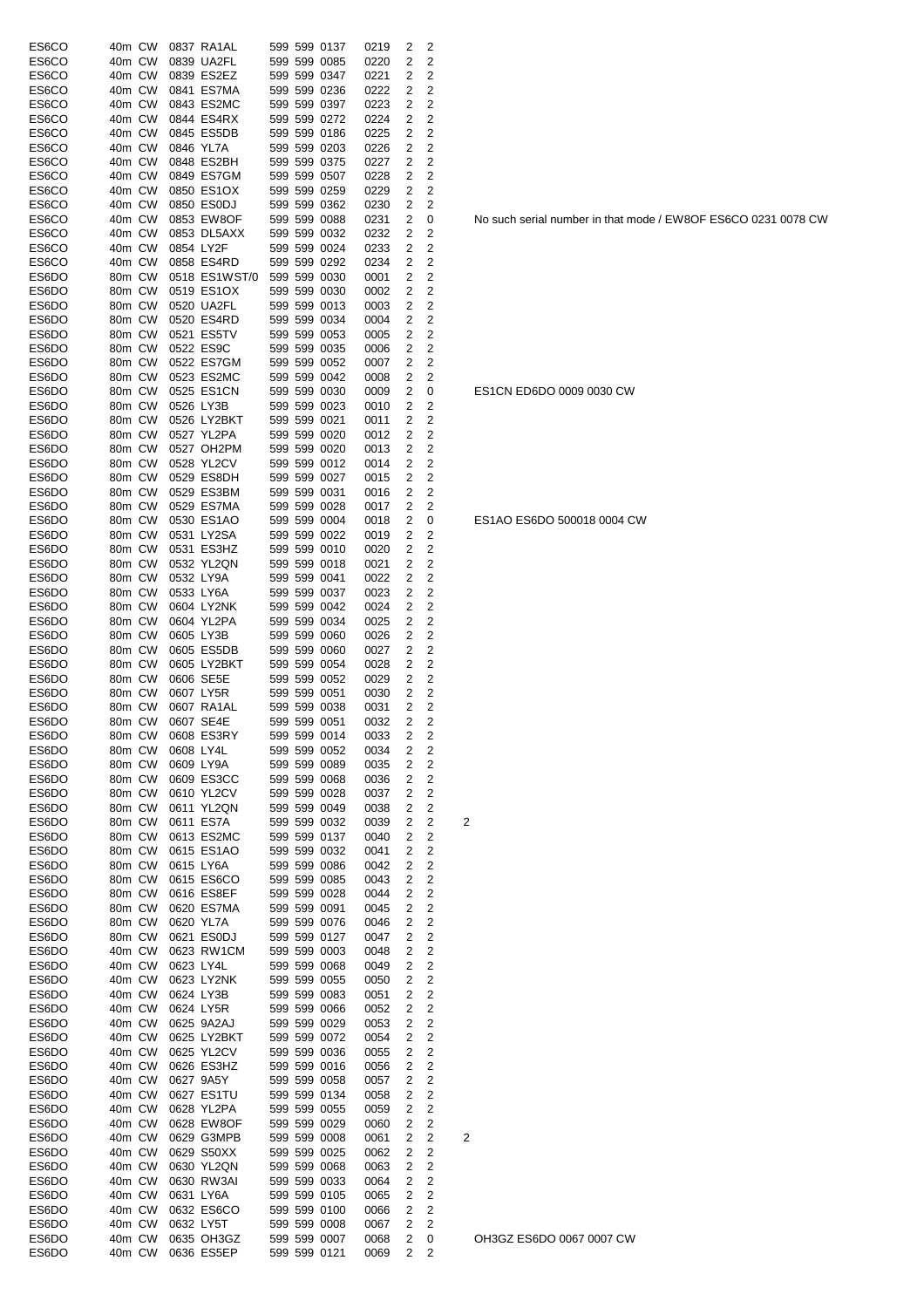| ES6CO          | 40m CW           |           | 0837 RA1AL                  |  | 599 599 0137                 | 0219         | 2              | 2                            |                |
|----------------|------------------|-----------|-----------------------------|--|------------------------------|--------------|----------------|------------------------------|----------------|
| ES6CO          | 40m CW           |           | 0839 UA2FL                  |  | 599 599 0085                 | 0220         | 2              | 2                            |                |
| ES6CO          | 40m CW           |           | 0839 ES2EZ                  |  | 599 599 0347                 | 0221         | 2              | 2                            |                |
| ES6CO          | 40m CW           |           | 0841 ES7MA                  |  | 599 599 0236                 | 0222         | 2              | 2                            |                |
| ES6CO          | 40m CW           |           | 0843 ES2MC<br>0844 ES4RX    |  | 599 599 0397<br>599 599 0272 | 0223         | 2              | 2<br>2                       |                |
| ES6CO<br>ES6CO | 40m CW<br>40m CW |           | 0845 ES5DB                  |  | 599 599 0186                 | 0224<br>0225 | 2<br>2         | 2                            |                |
| ES6CO          | 40m CW           | 0846 YL7A |                             |  | 599 599 0203                 | 0226         | 2              | 2                            |                |
| ES6CO          | 40m CW           |           | 0848 ES2BH                  |  | 599 599 0375                 | 0227         | 2              | 2                            |                |
| ES6CO          | 40m CW           |           | 0849 ES7GM                  |  | 599 599 0507                 | 0228         | 2              | 2                            |                |
| ES6CO          | 40m CW           |           | 0850 ES1OX                  |  | 599 599 0259                 | 0229         | 2              | 2                            |                |
| ES6CO          | 40m CW           |           | 0850 ES0DJ                  |  | 599 599 0362                 | 0230         | 2              | 2                            |                |
| ES6CO          | 40m CW           |           | 0853 EW8OF                  |  | 599 599 0088                 | 0231         | 2              | 0                            |                |
| ES6CO          | 40m CW           |           | 0853 DL5AXX                 |  | 599 599 0032                 | 0232         | 2              | 2                            |                |
| ES6CO          | 40m CW           | 0854 LY2F |                             |  | 599 599 0024                 | 0233         | 2              | 2                            |                |
| ES6CO          | 40m CW           |           | 0858 ES4RD                  |  | 599 599 0292                 | 0234         | 2              | 2                            |                |
| ES6DO          | 80m CW<br>80m CW |           | 0518 ES1WST/0<br>0519 ES1OX |  | 599 599 0030<br>599 599 0030 | 0001         | 2<br>2         | 2<br>2                       |                |
| ES6DO<br>ES6DO | 80m CW           |           | 0520 UA2FL                  |  | 599 599 0013                 | 0002<br>0003 | 2              | 2                            |                |
| ES6DO          | 80m CW           |           | 0520 ES4RD                  |  | 599 599 0034                 | 0004         | 2              | $\overline{2}$               |                |
| ES6DO          | 80m CW           |           | 0521 ES5TV                  |  | 599 599 0053                 | 0005         | 2              | 2                            |                |
| ES6DO          | 80m CW           |           | 0522 ES9C                   |  | 599 599 0035                 | 0006         | 2              | 2                            |                |
| ES6DO          | 80m CW           |           | 0522 ES7GM                  |  | 599 599 0052                 | 0007         | 2              | 2                            |                |
| ES6DO          | 80m CW           |           | 0523 ES2MC                  |  | 599 599 0042                 | 0008         | 2              | 2                            |                |
| ES6DO          | 80m CW           |           | 0525 ES1CN                  |  | 599 599 0030                 | 0009         | 2              | 0                            |                |
| ES6DO          | 80m CW           | 0526 LY3B |                             |  | 599 599 0023                 | 0010         | 2              | 2                            |                |
| ES6DO          | 80m CW           |           | 0526 LY2BKT                 |  | 599 599 0021                 | 0011         | 2              | 2                            |                |
| ES6DO          | 80m CW           |           | 0527 YL2PA                  |  | 599 599 0020                 | 0012         | 2              | $\overline{c}$               |                |
| ES6DO          | 80m CW           |           | 0527 OH2PM                  |  | 599 599 0020                 | 0013         | 2              | 2                            |                |
| ES6DO          | 80m CW           |           | 0528 YL2CV                  |  | 599 599 0012                 | 0014         | 2              | 2                            |                |
| ES6DO          | 80m CW           |           | 0529 ES8DH                  |  | 599 599 0027                 | 0015         | 2              | 2                            |                |
| ES6DO          | 80m CW           |           | 0529 ES3BM                  |  | 599 599 0031                 | 0016         | 2              | 2                            |                |
| ES6DO          | 80m CW           |           | 0529 ES7MA                  |  | 599 599 0028                 | 0017         | 2              | 2                            |                |
| ES6DO          | 80m CW           |           | 0530 ES1AO                  |  | 599 599 0004                 | 0018         | 2              | 0                            |                |
| ES6DO          | 80m CW           |           | 0531 LY2SA                  |  | 599 599 0022                 | 0019         | 2              | 2                            |                |
| ES6DO          | 80m CW           |           | 0531 ES3HZ                  |  | 599 599 0010                 | 0020         | 2              | 2                            |                |
| ES6DO          | 80m CW<br>80m CW |           | 0532 YL2QN<br>0532 LY9A     |  | 599 599 0018<br>599 599 0041 | 0021         | 2<br>2         | 2<br>2                       |                |
| ES6DO<br>ES6DO | 80m CW           |           | 0533 LY6A                   |  | 599 599 0037                 | 0022<br>0023 | 2              | 2                            |                |
| ES6DO          | 80m CW           |           | 0604 LY2NK                  |  | 599 599 0042                 | 0024         | 2              | 2                            |                |
| ES6DO          | 80m CW           |           | 0604 YL2PA                  |  | 599 599 0034                 | 0025         | 2              | 2                            |                |
| ES6DO          | 80m CW           | 0605 LY3B |                             |  | 599 599 0060                 | 0026         | 2              | 2                            |                |
| ES6DO          | 80m CW           |           | 0605 ES5DB                  |  | 599 599 0060                 | 0027         | 2              | 2                            |                |
| ES6DO          | 80m CW           |           | 0605 LY2BKT                 |  | 599 599 0054                 | 0028         | 2              | 2                            |                |
| ES6DO          | 80m CW           |           | 0606 SE5E                   |  | 599 599 0052                 | 0029         | 2              | 2                            |                |
| ES6DO          | 80m CW           | 0607 LY5R |                             |  | 599 599 0051                 | 0030         | 2              | 2                            |                |
| ES6DO          | 80m CW           |           | 0607 RA1AL                  |  | 599 599 0038                 | 0031         | 2              | 2                            |                |
| ES6DO          | 80m CW           |           | 0607 SE4E                   |  | 599 599 0051                 | 0032         | 2              | 2                            |                |
| ES6DO          |                  |           | 80m CW 0608 ES3RY           |  | 599 599 0014                 | 0033         | 2              | 2                            |                |
| ES6DO          | 80m CW           | 0608 LY4L |                             |  | 599 599 0052                 | 0034         | 2              | 2                            |                |
| ES6DO          | 80m CW           |           | 0609 LY9A                   |  | 599 599 0089                 | 0035         | 2              | $\overline{c}$               |                |
| ES6DO          | 80m CW           |           | 0609 ES3CC                  |  | 599 599 0068                 | 0036         | 2              | $\overline{c}$               |                |
| ES6DO          | 80m CW           |           | 0610 YL2CV                  |  | 599 599 0028                 | 0037         | 2              | $\overline{c}$               |                |
| ES6DO<br>ES6DO | 80m CW<br>80m CW |           | 0611 YL2QN<br>0611 ES7A     |  | 599 599 0049<br>599 599 0032 | 0038<br>0039 | 2<br>2         | $\overline{c}$<br>2          | $\overline{c}$ |
| ES6DO          | 80m CW           |           | 0613 ES2MC                  |  | 599 599 0137                 | 0040         | 2              | $\overline{c}$               |                |
| ES6DO          | 80m CW           |           | 0615 ES1AO                  |  | 599 599 0032                 | 0041         | 2              | $\mathbf 2$                  |                |
| ES6DO          | 80m CW           | 0615 LY6A |                             |  | 599 599 0086                 | 0042         | $\overline{2}$ | $\overline{\mathbf{c}}$      |                |
| ES6DO          | 80m CW           |           | 0615 ES6CO                  |  | 599 599 0085                 | 0043         | 2              | 2                            |                |
| ES6DO          | 80m CW           |           | 0616 ES8EF                  |  | 599 599 0028                 | 0044         | 2              | $\overline{\mathbf{c}}$      |                |
| ES6DO          | 80m CW           |           | 0620 ES7MA                  |  | 599 599 0091                 | 0045         | 2              | $\overline{\mathbf{c}}$      |                |
| ES6DO          | 80m CW           |           | 0620 YL7A                   |  | 599 599 0076                 | 0046         | 2              | $\overline{\mathbf{c}}$      |                |
| ES6DO          | 80m CW           |           | 0621 ES0DJ                  |  | 599 599 0127                 | 0047         | 2              | $\overline{\mathbf{c}}$      |                |
| ES6DO          | 40m CW           |           | 0623 RW1CM                  |  | 599 599 0003                 | 0048         | 2              | $\overline{\mathbf{c}}$      |                |
| ES6DO          | 40m CW           |           | 0623 LY4L                   |  | 599 599 0068                 | 0049         | 2              | $\overline{\mathbf{c}}$      |                |
| ES6DO          | 40m CW           |           | 0623 LY2NK                  |  | 599 599 0055                 | 0050         | 2              | $\overline{\mathbf{c}}$      |                |
| ES6DO          | 40m CW           |           | 0624 LY3B                   |  | 599 599 0083                 | 0051         | 2              | 2                            |                |
| ES6DO          | 40m CW           |           | 0624 LY5R                   |  | 599 599 0066                 | 0052         | 2              | 2                            |                |
| ES6DO          | 40m CW           |           | 0625 9A2AJ                  |  | 599 599 0029                 | 0053         | 2              | $\overline{\mathbf{c}}$      |                |
| ES6DO          | 40m CW           |           | 0625 LY2BKT                 |  | 599 599 0072                 | 0054         | 2              | $\mathbf 2$                  |                |
| ES6DO          | 40m CW           |           | 0625 YL2CV                  |  | 599 599 0036                 | 0055         | 2              | $\overline{\mathbf{c}}$      |                |
| ES6DO          | 40m CW           |           | 0626 ES3HZ                  |  | 599 599 0016                 | 0056         | 2              | 2<br>$\overline{\mathbf{c}}$ |                |
| ES6DO<br>ES6DO | 40m CW<br>40m CW |           | 0627 9A5Y<br>0627 ES1TU     |  | 599 599 0058<br>599 599 0134 | 0057<br>0058 | 2<br>2         | 2                            |                |
| ES6DO          | 40m CW           |           | 0628 YL2PA                  |  | 599 599 0055                 | 0059         | 2              | $\overline{\mathbf{c}}$      |                |
| ES6DO          | 40m CW           |           | 0628 EW8OF                  |  | 599 599 0029                 | 0060         | 2              | $\overline{\mathbf{c}}$      |                |
| ES6DO          | 40m CW           |           | 0629 G3MPB                  |  | 599 599 0008                 | 0061         | $\overline{c}$ | $\overline{\mathbf{c}}$      | $\overline{c}$ |
| ES6DO          | 40m CW           |           | 0629 S50XX                  |  | 599 599 0025                 | 0062         | 2              | 2                            |                |
| ES6DO          | 40m CW           |           | 0630 YL2QN                  |  | 599 599 0068                 | 0063         | 2              | 2                            |                |
| ES6DO          | 40m CW           |           | 0630 RW3AI                  |  | 599 599 0033                 | 0064         | 2              | 2                            |                |
| ES6DO          | 40m CW           |           | 0631 LY6A                   |  | 599 599 0105                 | 0065         | 2              | $\mathbf 2$                  |                |
| ES6DO          | 40m CW           |           | 0632 ES6CO                  |  | 599 599 0100                 | 0066         | 2              | $\overline{\mathbf{c}}$      |                |
| ES6DO          | 40m CW           |           | 0632 LY5T                   |  | 599 599 0008                 | 0067         | 2              | $\overline{2}$               |                |
| ES6DO          | 40m CW           |           | 0635 OH3GZ                  |  | 599 599 0007                 | 0068         | 2              | 0                            |                |
| ES6DO          | 40m CW           |           | 0636 ES5EP                  |  | 599 599 0121                 | 0069         | 2              | 2                            |                |

No such serial number in that mode / EW8OF ES6CO 0231 0078 CW

ES1CN ED6DO 0009 0030 CW

ES1AO ES6DO 500018 0004 CW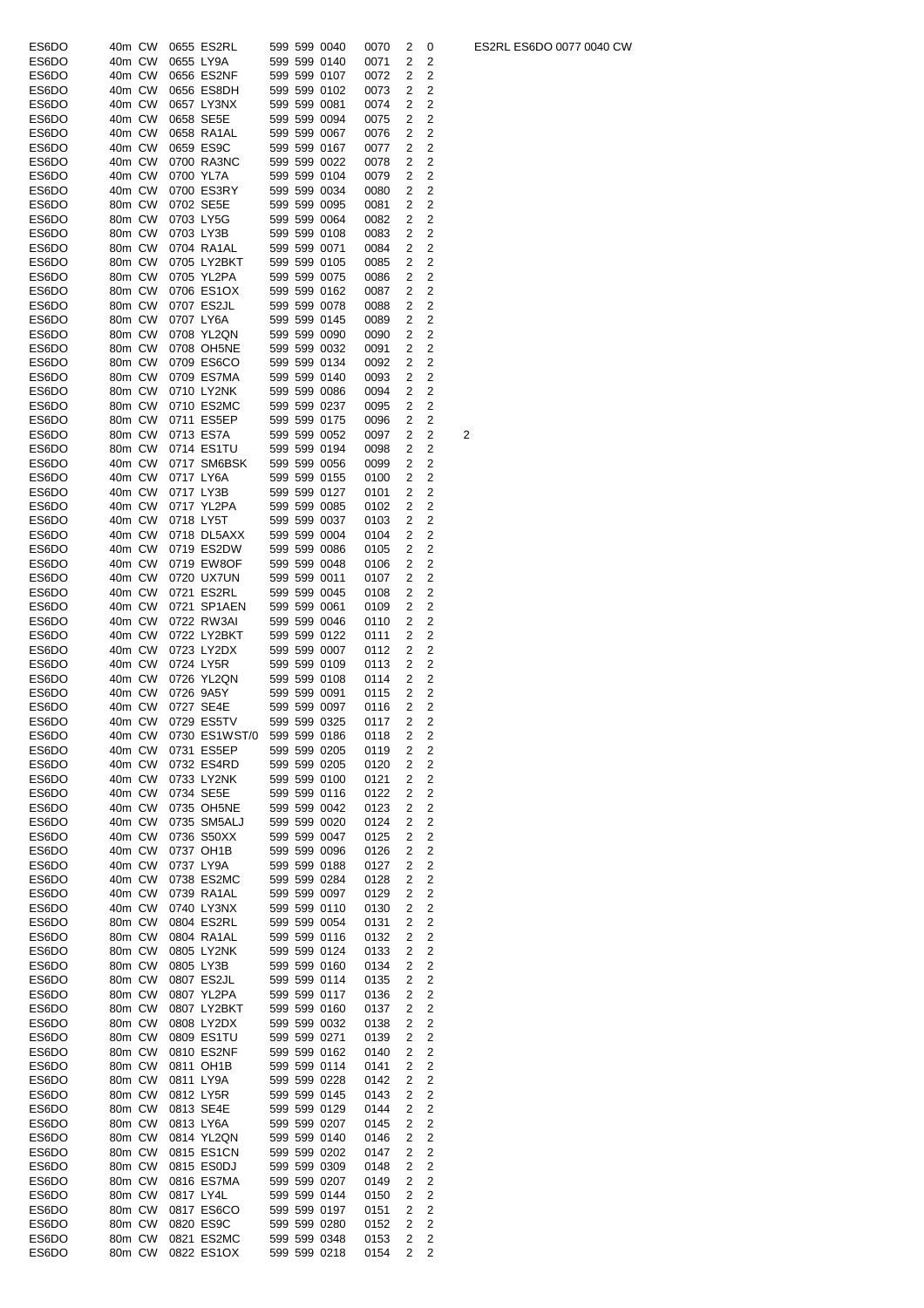| ES6DO | 40m CW |           | 0655 ES2RL    |  | 599 599 0040 | 0070 | 2              | 0                       |   |
|-------|--------|-----------|---------------|--|--------------|------|----------------|-------------------------|---|
| ES6DO | 40m CW |           | 0655 LY9A     |  | 599 599 0140 | 0071 | 2              | 2                       |   |
| ES6DO | 40m CW |           | 0656 ES2NF    |  | 599 599 0107 |      | 2              | 2                       |   |
|       |        |           |               |  |              | 0072 |                |                         |   |
| ES6DO | 40m CW |           | 0656 ES8DH    |  | 599 599 0102 | 0073 | 2              | 2                       |   |
| ES6DO | 40m CW |           | 0657 LY3NX    |  | 599 599 0081 | 0074 | 2              | 2                       |   |
| ES6DO | 40m CW |           | 0658 SE5E     |  | 599 599 0094 | 0075 | 2              | 2                       |   |
| ES6DO | 40m CW |           | 0658 RA1AL    |  | 599 599 0067 | 0076 | 2              | 2                       |   |
| ES6DO | 40m CW |           | 0659 ES9C     |  | 599 599 0167 | 0077 | 2              | 2                       |   |
|       | 40m CW |           |               |  | 599 599 0022 |      | 2              | 2                       |   |
| ES6DO |        |           | 0700 RA3NC    |  |              | 0078 |                |                         |   |
| ES6DO | 40m CW |           | 0700 YL7A     |  | 599 599 0104 | 0079 | 2              | 2                       |   |
| ES6DO | 40m CW |           | 0700 ES3RY    |  | 599 599 0034 | 0080 | 2              | 2                       |   |
| ES6DO | 80m CW |           | 0702 SE5E     |  | 599 599 0095 | 0081 | 2              | 2                       |   |
| ES6DO | 80m CW |           | 0703 LY5G     |  | 599 599 0064 | 0082 | 2              | 2                       |   |
| ES6DO | 80m CW |           | 0703 LY3B     |  | 599 599 0108 | 0083 | 2              | 2                       |   |
|       |        |           |               |  |              |      |                |                         |   |
| ES6DO | 80m CW |           | 0704 RA1AL    |  | 599 599 0071 | 0084 | 2              | 2                       |   |
| ES6DO | 80m CW |           | 0705 LY2BKT   |  | 599 599 0105 | 0085 | 2              | 2                       |   |
| ES6DO | 80m CW |           | 0705 YL2PA    |  | 599 599 0075 | 0086 | 2              | 2                       |   |
| ES6DO | 80m CW |           | 0706 ES1OX    |  | 599 599 0162 | 0087 | 2              | 2                       |   |
| ES6DO | 80m CW |           | 0707 ES2JL    |  | 599 599 0078 | 0088 | 2              | 2                       |   |
| ES6DO | 80m CW |           | 0707 LY6A     |  | 599 599 0145 | 0089 | 2              | 2                       |   |
|       |        |           |               |  |              |      |                |                         |   |
| ES6DO | 80m CW |           | 0708 YL2QN    |  | 599 599 0090 | 0090 | 2              | 2                       |   |
| ES6DO | 80m CW |           | 0708 OH5NE    |  | 599 599 0032 | 0091 | 2              | 2                       |   |
| ES6DO | 80m CW |           | 0709 ES6CO    |  | 599 599 0134 | 0092 | 2              | 2                       |   |
| ES6DO | 80m CW |           | 0709 ES7MA    |  | 599 599 0140 | 0093 | 2              | 2                       |   |
| ES6DO | 80m CW |           | 0710 LY2NK    |  | 599 599 0086 | 0094 | 2              | $\overline{2}$          |   |
|       | 80m CW |           | 0710 ES2MC    |  |              |      | 2              | $\overline{2}$          |   |
| ES6DO |        |           |               |  | 599 599 0237 | 0095 |                |                         |   |
| ES6DO | 80m CW |           | 0711 ES5EP    |  | 599 599 0175 | 0096 | 2              | 2                       |   |
| ES6DO | 80m CW |           | 0713 ES7A     |  | 599 599 0052 | 0097 | 2              | 2                       | 2 |
| ES6DO | 80m CW |           | 0714 ES1TU    |  | 599 599 0194 | 0098 | 2              | 2                       |   |
| ES6DO | 40m CW |           | 0717 SM6BSK   |  | 599 599 0056 | 0099 | 2              | 2                       |   |
| ES6DO | 40m CW |           | 0717 LY6A     |  | 599 599 0155 | 0100 | 2              | 2                       |   |
|       |        |           |               |  |              |      |                |                         |   |
| ES6DO | 40m CW |           | 0717 LY3B     |  | 599 599 0127 | 0101 | 2              | 2                       |   |
| ES6DO | 40m CW |           | 0717 YL2PA    |  | 599 599 0085 | 0102 | 2              | 2                       |   |
| ES6DO | 40m CW | 0718 LY5T |               |  | 599 599 0037 | 0103 | 2              | 2                       |   |
| ES6DO | 40m CW |           | 0718 DL5AXX   |  | 599 599 0004 | 0104 | 2              | 2                       |   |
| ES6DO | 40m CW |           | 0719 ES2DW    |  | 599 599 0086 | 0105 | 2              | 2                       |   |
|       |        |           |               |  |              |      |                |                         |   |
| ES6DO | 40m CW |           | 0719 EW8OF    |  | 599 599 0048 | 0106 | 2              | 2                       |   |
| ES6DO | 40m CW |           | 0720 UX7UN    |  | 599 599 0011 | 0107 | 2              | 2                       |   |
| ES6DO | 40m CW |           | 0721 ES2RL    |  | 599 599 0045 | 0108 | 2              | 2                       |   |
| ES6DO | 40m CW |           | 0721 SP1AEN   |  | 599 599 0061 | 0109 | 2              | 2                       |   |
| ES6DO | 40m CW |           | 0722 RW3AI    |  | 599 599 0046 | 0110 | 2              | 2                       |   |
|       | 40m CW |           | 0722 LY2BKT   |  | 599 599 0122 |      | 2              | 2                       |   |
| ES6DO |        |           |               |  |              | 0111 |                |                         |   |
| ES6DO | 40m CW |           | 0723 LY2DX    |  | 599 599 0007 | 0112 | 2              | 2                       |   |
| ES6DO | 40m CW |           | 0724 LY5R     |  | 599 599 0109 | 0113 | 2              | 2                       |   |
| ES6DO | 40m CW |           | 0726 YL2QN    |  | 599 599 0108 | 0114 | 2              | 2                       |   |
| ES6DO | 40m CW |           | 0726 9A5Y     |  | 599 599 0091 | 0115 | 2              | 2                       |   |
| ES6DO | 40m CW |           | 0727 SE4E     |  | 599 599 0097 | 0116 | 2              | 2                       |   |
|       | 40m CW |           |               |  | 599 599 0325 |      | $\overline{2}$ |                         |   |
| ES6DO |        |           | 0729 ES5TV    |  |              | 0117 |                | 2                       |   |
| ES6DO | 40m CW |           | 0730 ES1WST/0 |  | 599 599 0186 | 0118 | 2              | 2                       |   |
| ES6DO | 40m CW |           | 0731 ES5EP    |  | 599 599 0205 | 0119 | 2              | 2                       |   |
| ES6DO | 40m CW |           | 0732 ES4RD    |  | 599 599 0205 | 0120 | 2              | 2                       |   |
| ES6DO | 40m CW |           | 0733 LY2NK    |  | 599 599 0100 | 0121 | 2              | 2                       |   |
|       |        |           |               |  |              |      |                | 2                       |   |
| ES6DO | 40m CW |           | 0734 SE5E     |  | 599 599 0116 | 0122 | 2              |                         |   |
| ES6DO | 40m CW |           | 0735 OH5NE    |  | 599 599 0042 | 0123 | 2              | 2                       |   |
| ES6DO | 40m CW |           | 0735 SM5ALJ   |  | 599 599 0020 | 0124 | 2              | 2                       |   |
| ES6DO | 40m CW |           | 0736 S50XX    |  | 599 599 0047 | 0125 | 2              | 2                       |   |
| ES6DO | 40m CW |           | 0737 OH1B     |  | 599 599 0096 | 0126 | 2              | 2                       |   |
| ES6DO | 40m CW |           | 0737 LY9A     |  | 599 599 0188 | 0127 | 2              | 2                       |   |
|       |        |           |               |  |              |      |                |                         |   |
| ES6DO | 40m CW |           | 0738 ES2MC    |  | 599 599 0284 | 0128 | 2              | 2                       |   |
| ES6DO | 40m CW |           | 0739 RA1AL    |  | 599 599 0097 | 0129 | 2              | 2                       |   |
| ES6DO | 40m CW |           | 0740 LY3NX    |  | 599 599 0110 | 0130 | 2              | 2                       |   |
| ES6DO | 80m CW |           | 0804 ES2RL    |  | 599 599 0054 | 0131 | 2              | $\overline{2}$          |   |
| ES6DO | 80m CW |           | 0804 RA1AL    |  | 599 599 0116 | 0132 | 2              | $\overline{2}$          |   |
| ES6DO | 80m CW |           | 0805 LY2NK    |  | 599 599 0124 | 0133 | 2              | 2                       |   |
|       | 80m CW |           | 0805 LY3B     |  | 599 599 0160 |      | 2              | 2                       |   |
| ES6DO |        |           |               |  |              | 0134 |                |                         |   |
| ES6DO | 80m CW |           | 0807 ES2JL    |  | 599 599 0114 | 0135 | 2              | $\overline{2}$          |   |
| ES6DO | 80m CW |           | 0807 YL2PA    |  | 599 599 0117 | 0136 | 2              | 2                       |   |
| ES6DO | 80m CW |           | 0807 LY2BKT   |  | 599 599 0160 | 0137 | 2              | 2                       |   |
| ES6DO | 80m CW |           | 0808 LY2DX    |  | 599 599 0032 | 0138 | 2              | 2                       |   |
| ES6DO | 80m CW |           | 0809 ES1TU    |  | 599 599 0271 | 0139 | 2              | 2                       |   |
|       |        |           | 0810 ES2NF    |  |              |      |                |                         |   |
| ES6DO |        |           |               |  | 599 599 0162 | 0140 | 2              | 2                       |   |
| ES6DO | 80m CW |           |               |  |              |      |                |                         |   |
|       | 80m CW |           | 0811 OH1B     |  | 599 599 0114 | 0141 | 2              | 2                       |   |
| ES6DO | 80m CW |           | 0811 LY9A     |  | 599 599 0228 | 0142 | 2              | 2                       |   |
| ES6DO | 80m CW |           | 0812 LY5R     |  | 599 599 0145 | 0143 | 2              | 2                       |   |
|       |        |           |               |  |              |      |                |                         |   |
| ES6DO | 80m CW |           | 0813 SE4E     |  | 599 599 0129 | 0144 | 2              | 2                       |   |
| ES6DO | 80m CW |           | 0813 LY6A     |  | 599 599 0207 | 0145 | 2              | 2                       |   |
| ES6DO | 80m CW |           | 0814 YL2QN    |  | 599 599 0140 | 0146 | 2              | 2                       |   |
| ES6DO | 80m CW |           | 0815 ES1CN    |  | 599 599 0202 | 0147 | 2              | 2                       |   |
|       | 80m CW |           | 0815 ES0DJ    |  | 599 599 0309 |      | 2              |                         |   |
| ES6DO |        |           |               |  |              | 0148 |                | $\overline{2}$          |   |
| ES6DO | 80m CW |           | 0816 ES7MA    |  | 599 599 0207 | 0149 | 2              | 2                       |   |
| ES6DO | 80m CW | 0817 LY4L |               |  | 599 599 0144 | 0150 | 2              | 2                       |   |
| ES6DO | 80m CW |           | 0817 ES6CO    |  | 599 599 0197 | 0151 | 2              | 2                       |   |
| ES6DO | 80m CW |           | 0820 ES9C     |  | 599 599 0280 | 0152 | 2              | 2                       |   |
| ES6DO | 80m CW |           | 0821 ES2MC    |  | 599 599 0348 | 0153 | 2              | $\overline{\mathbf{c}}$ |   |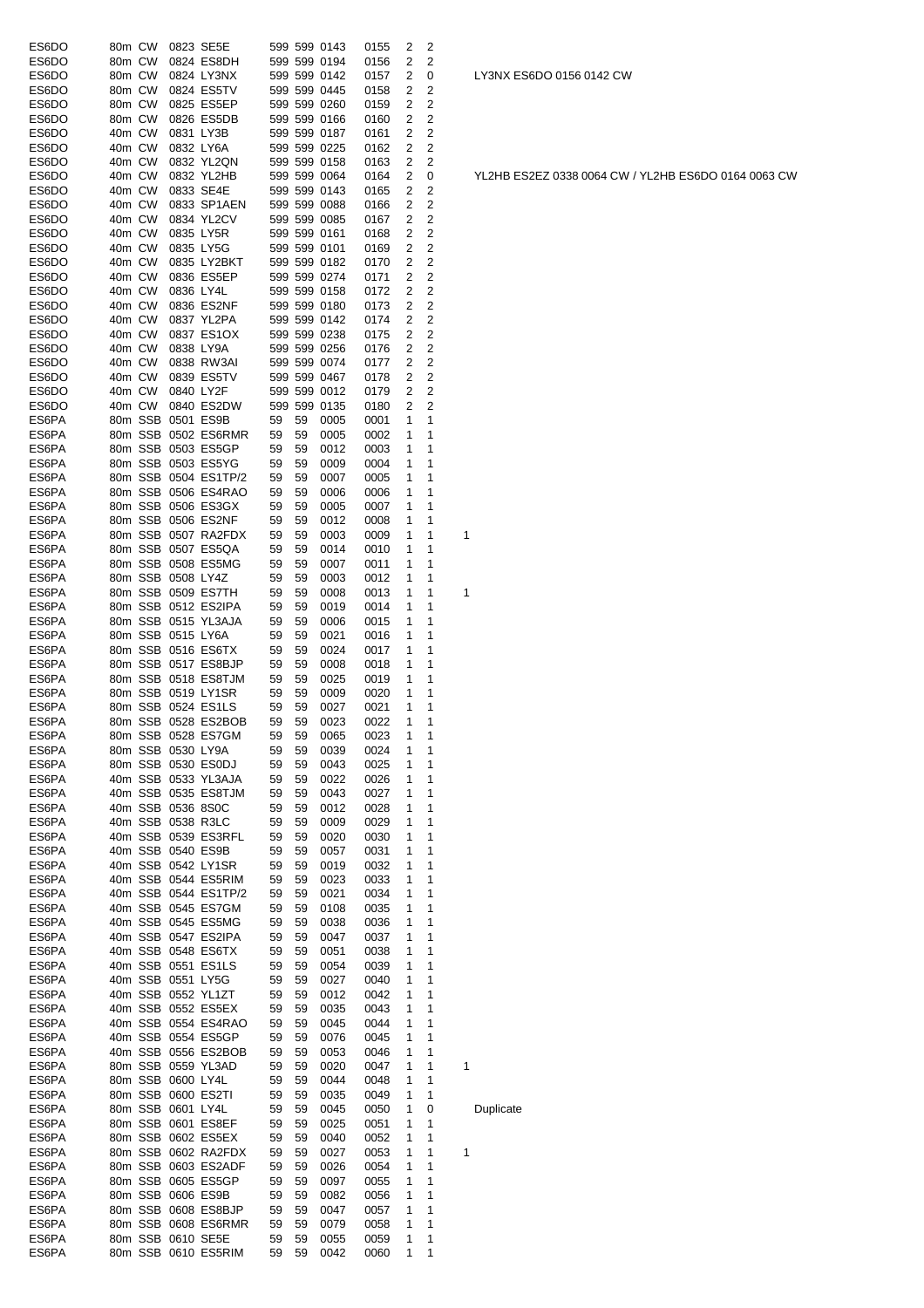| ES6DO | 80m CW |         |                   | 0823 SE5E            |    |    | 599 599 0143 | 0155 | 2            | 2           |   |
|-------|--------|---------|-------------------|----------------------|----|----|--------------|------|--------------|-------------|---|
| ES6DO | 80m CW |         |                   | 0824 ES8DH           |    |    | 599 599 0194 | 0156 | 2            | 2           |   |
| ES6DO | 80m CW |         |                   | 0824 LY3NX           |    |    | 599 599 0142 | 0157 | 2            | 0           |   |
| ES6DO | 80m CW |         |                   | 0824 ES5TV           |    |    | 599 599 0445 | 0158 | 2            | 2           |   |
| ES6DO | 80m CW |         |                   | 0825 ES5EP           |    |    | 599 599 0260 | 0159 | 2            | 2           |   |
| ES6DO | 80m CW |         |                   | 0826 ES5DB           |    |    | 599 599 0166 | 0160 | 2            | 2           |   |
| ES6DO | 40m CW |         |                   | 0831 LY3B            |    |    | 599 599 0187 | 0161 | 2            | 2           |   |
| ES6DO | 40m CW |         |                   | 0832 LY6A            |    |    | 599 599 0225 | 0162 | 2            | 2           |   |
| ES6DO | 40m CW |         |                   | 0832 YL2QN           |    |    | 599 599 0158 | 0163 | 2            | 2           |   |
| ES6DO | 40m CW |         |                   | 0832 YL2HB           |    |    | 599 599 0064 | 0164 | 2            | 0           |   |
| ES6DO | 40m CW |         |                   | 0833 SE4E            |    |    | 599 599 0143 | 0165 | 2            | 2           |   |
| ES6DO | 40m CW |         |                   | 0833 SP1AEN          |    |    | 599 599 0088 | 0166 | 2            | 2           |   |
| ES6DO | 40m CW |         |                   | 0834 YL2CV           |    |    | 599 599 0085 | 0167 | 2            | 2           |   |
| ES6DO | 40m CW |         |                   | 0835 LY5R            |    |    | 599 599 0161 | 0168 | 2            | 2           |   |
| ES6DO | 40m CW |         |                   | 0835 LY5G            |    |    | 599 599 0101 | 0169 | 2            | 2           |   |
| ES6DO | 40m CW |         |                   | 0835 LY2BKT          |    |    | 599 599 0182 | 0170 | 2            | 2           |   |
| ES6DO | 40m CW |         |                   | 0836 ES5EP           |    |    | 599 599 0274 | 0171 | 2            | 2           |   |
| ES6DO | 40m CW |         |                   | 0836 LY4L            |    |    | 599 599 0158 | 0172 | 2            | 2           |   |
| ES6DO | 40m CW |         |                   | 0836 ES2NF           |    |    | 599 599 0180 | 0173 | 2            | 2           |   |
| ES6DO | 40m CW |         |                   | 0837 YL2PA           |    |    | 599 599 0142 | 0174 | 2            | 2           |   |
| ES6DO | 40m CW |         |                   | 0837 ES1OX           |    |    | 599 599 0238 | 0175 | 2            | 2           |   |
| ES6DO | 40m CW |         |                   | 0838 LY9A            |    |    | 599 599 0256 | 0176 | 2            | 2           |   |
| ES6DO | 40m CW |         |                   | 0838 RW3AI           |    |    | 599 599 0074 | 0177 | 2            | 2           |   |
| ES6DO | 40m CW |         |                   | 0839 ES5TV           |    |    | 599 599 0467 | 0178 | 2            | 2           |   |
| ES6DO | 40m CW |         |                   | 0840 LY2F            |    |    | 599 599 0012 | 0179 | 2            | 2           |   |
| ES6DO | 40m CW |         |                   | 0840 ES2DW           |    |    | 599 599 0135 | 0180 | 2            | 2           |   |
| ES6PA |        |         |                   | 80m SSB 0501 ES9B    | 59 | 59 | 0005         | 0001 | 1            | 1           |   |
| ES6PA |        | 80m SSB |                   | 0502 ES6RMR          | 59 | 59 | 0005         | 0002 | 1            | 1           |   |
| ES6PA |        |         |                   | 80m SSB 0503 ES5GP   | 59 | 59 | 0012         | 0003 | 1            | 1           |   |
| ES6PA |        |         |                   | 80m SSB 0503 ES5YG   | 59 | 59 | 0009         | 0004 | 1            | 1           |   |
| ES6PA |        |         |                   | 80m SSB 0504 ES1TP/2 | 59 | 59 | 0007         | 0005 | 1            | 1           |   |
| ES6PA |        |         |                   | 80m SSB 0506 ES4RAO  | 59 | 59 | 0006         | 0006 | 1            | 1           |   |
| ES6PA |        |         |                   | 80m SSB 0506 ES3GX   | 59 | 59 | 0005         | 0007 | 1            | 1           |   |
| ES6PA |        |         |                   | 80m SSB 0506 ES2NF   | 59 | 59 | 0012         | 0008 | 1            | 1           |   |
| ES6PA |        |         |                   | 80m SSB 0507 RA2FDX  | 59 | 59 | 0003         | 0009 | 1            | 1           | 1 |
| ES6PA |        |         |                   | 80m SSB 0507 ES5QA   | 59 | 59 | 0014         | 0010 | 1            | 1           |   |
| ES6PA |        |         |                   | 80m SSB 0508 ES5MG   | 59 | 59 | 0007         | 0011 | 1            | 1           |   |
| ES6PA |        |         | 80m SSB 0508 LY4Z |                      | 59 | 59 | 0003         | 0012 | 1            | 1           |   |
| ES6PA |        |         |                   | 80m SSB 0509 ES7TH   | 59 | 59 | 0008         | 0013 | 1            | 1           | 1 |
| ES6PA |        |         |                   | 80m SSB 0512 ES2IPA  | 59 | 59 | 0019         | 0014 | 1            | 1           |   |
| ES6PA |        |         |                   | 80m SSB 0515 YL3AJA  | 59 | 59 | 0006         | 0015 | 1            | 1           |   |
| ES6PA |        |         | 80m SSB 0515 LY6A |                      | 59 | 59 | 0021         | 0016 | 1            | 1           |   |
| ES6PA |        |         |                   | 80m SSB 0516 ES6TX   | 59 | 59 | 0024         | 0017 | 1            | 1           |   |
| ES6PA |        |         |                   | 80m SSB 0517 ES8BJP  | 59 | 59 | 0008         | 0018 | 1            | 1           |   |
| ES6PA |        |         |                   | 80m SSB 0518 ES8TJM  | 59 | 59 | 0025         | 0019 | 1            | 1           |   |
| ES6PA |        |         |                   | 80m SSB 0519 LY1SR   | 59 | 59 | 0009         | 0020 | 1            | 1           |   |
| ES6PA |        |         |                   | 80m SSB 0524 ES1LS   | 59 | 59 | 0027         | 0021 | 1            | 1           |   |
| ES6PA |        |         |                   | 80m SSB 0528 ES2BOB  | 59 | 59 | 0023         | 0022 | 1            | 1           |   |
| ES6PA |        |         |                   | 80m SSB 0528 ES7GM   | 59 | 59 | 0065         | 0023 | $\mathbf{1}$ | $\mathbf 1$ |   |
| ES6PA |        |         | 80m SSB 0530 LY9A |                      | 59 | 59 | 0039         | 0024 | 1            | 1           |   |
| ES6PA |        |         |                   | 80m SSB 0530 ES0DJ   | 59 | 59 | 0043         | 0025 | 1            | 1           |   |
| ES6PA |        |         |                   | 40m SSB 0533 YL3AJA  | 59 | 59 | 0022         | 0026 | 1            | 1           |   |
| ES6PA |        |         |                   | 40m SSB 0535 ES8TJM  | 59 | 59 | 0043         | 0027 | 1            | 1           |   |
| ES6PA |        |         | 40m SSB 0536 8S0C |                      | 59 | 59 | 0012         | 0028 | 1            | 1           |   |
| ES6PA |        |         |                   | 40m SSB 0538 R3LC    | 59 | 59 | 0009         | 0029 | 1            | 1           |   |
| ES6PA |        |         |                   | 40m SSB 0539 ES3RFL  | 59 | 59 | 0020         | 0030 | 1            | 1           |   |
| ES6PA |        |         |                   | 40m SSB 0540 ES9B    | 59 | 59 | 0057         | 0031 | 1            | 1           |   |
| ES6PA |        |         |                   | 40m SSB 0542 LY1SR   | 59 | 59 | 0019         | 0032 | 1            | 1           |   |
| ES6PA |        |         |                   | 40m SSB 0544 ES5RIM  | 59 | 59 | 0023         | 0033 | 1            | 1           |   |
| ES6PA |        |         |                   | 40m SSB 0544 ES1TP/2 | 59 | 59 | 0021         | 0034 | 1            | 1           |   |
| ES6PA |        |         |                   | 40m SSB 0545 ES7GM   | 59 | 59 | 0108         | 0035 | 1            | 1           |   |
| ES6PA |        |         |                   | 40m SSB 0545 ES5MG   | 59 | 59 | 0038         | 0036 | 1            | 1           |   |
| ES6PA |        |         |                   | 40m SSB 0547 ES2IPA  | 59 | 59 | 0047         | 0037 | 1            | 1           |   |
| ES6PA |        |         |                   | 40m SSB 0548 ES6TX   | 59 | 59 | 0051         | 0038 | 1            | 1           |   |
| ES6PA |        |         |                   | 40m SSB 0551 ES1LS   | 59 | 59 | 0054         | 0039 | 1            | 1           |   |
| ES6PA |        |         |                   | 40m SSB 0551 LY5G    | 59 | 59 | 0027         | 0040 | 1            | 1           |   |
| ES6PA |        |         |                   | 40m SSB 0552 YL1ZT   | 59 | 59 | 0012         | 0042 | 1            | 1           |   |
| ES6PA |        |         |                   | 40m SSB 0552 ES5EX   | 59 | 59 | 0035         | 0043 | 1            | 1           |   |
| ES6PA |        |         |                   | 40m SSB 0554 ES4RAO  | 59 | 59 | 0045         | 0044 | 1            | 1           |   |
| ES6PA |        |         |                   | 40m SSB 0554 ES5GP   | 59 | 59 | 0076         | 0045 | 1            | 1           |   |
| ES6PA |        |         |                   | 40m SSB 0556 ES2BOB  | 59 | 59 | 0053         | 0046 | 1            | 1           |   |
| ES6PA |        |         |                   | 80m SSB 0559 YL3AD   | 59 | 59 | 0020         | 0047 | 1            | 1           | 1 |
| ES6PA |        |         | 80m SSB 0600 LY4L |                      | 59 | 59 | 0044         | 0048 | 1            | 1           |   |
| ES6PA |        |         |                   | 80m SSB 0600 ES2TI   | 59 | 59 | 0035         | 0049 | 1            | 1           |   |
| ES6PA |        |         | 80m SSB 0601 LY4L |                      | 59 | 59 | 0045         | 0050 | 1            | 0           |   |
| ES6PA |        |         |                   | 80m SSB 0601 ES8EF   | 59 | 59 | 0025         | 0051 | 1            | 1           |   |
| ES6PA |        |         |                   | 80m SSB 0602 ES5EX   | 59 | 59 | 0040         | 0052 | 1            | 1           |   |
| ES6PA |        |         |                   | 80m SSB 0602 RA2FDX  | 59 | 59 | 0027         | 0053 | 1            | 1           | 1 |
| ES6PA |        |         |                   | 80m SSB 0603 ES2ADF  | 59 | 59 | 0026         | 0054 | 1            | 1           |   |
| ES6PA |        |         |                   | 80m SSB 0605 ES5GP   | 59 | 59 | 0097         | 0055 | 1            | 1           |   |
| ES6PA |        |         |                   | 80m SSB 0606 ES9B    | 59 | 59 | 0082         | 0056 | 1            | 1           |   |
| ES6PA |        |         |                   | 80m SSB 0608 ES8BJP  | 59 | 59 | 0047         | 0057 | 1            | 1           |   |
| ES6PA |        |         |                   | 80m SSB 0608 ES6RMR  | 59 | 59 | 0079         | 0058 | 1            | 1           |   |
| ES6PA |        |         | 80m SSB 0610 SE5E |                      | 59 | 59 | 0055         | 0059 | 1            | 1           |   |
| ES6PA |        |         |                   | 80m SSB 0610 ES5RIM  | 59 | 59 | 0042         | 0060 | 1            | 1           |   |

LY3NX ES6DO 0156 0142 CW

YL2HB ES2EZ 0338 0064 CW / YL2HB ES6DO 0164 0063 CW

**Duplicate**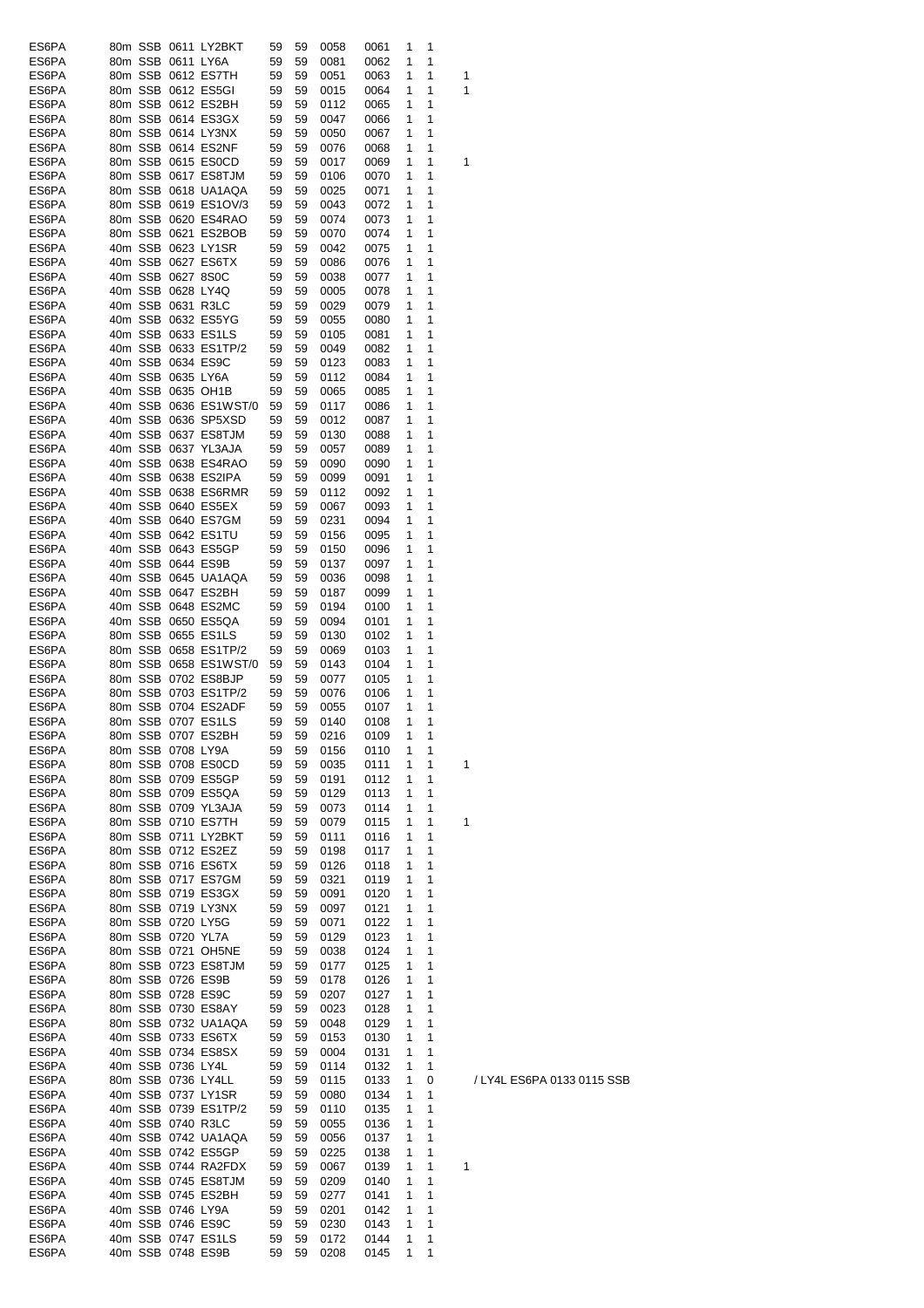| ES6PA          |  |                   | 80m SSB 0611 LY2BKT                     | 59       | 59       | 0058         | 0061         | 1      | 1      |   |
|----------------|--|-------------------|-----------------------------------------|----------|----------|--------------|--------------|--------|--------|---|
| ES6PA          |  | 80m SSB 0611 LY6A |                                         | 59       | 59       | 0081         | 0062         | 1      | 1      |   |
| ES6PA          |  |                   | 80m SSB 0612 ES7TH                      | 59       | 59       | 0051         | 0063         | 1      | 1      | 1 |
| ES6PA          |  |                   | 80m SSB 0612 ES5GI                      | 59       | 59       | 0015         | 0064         | 1      | 1      | 1 |
| ES6PA          |  |                   | 80m SSB 0612 ES2BH                      | 59       | 59       | 0112         | 0065         | 1      | 1      |   |
| ES6PA          |  |                   | 80m SSB 0614 ES3GX                      | 59       | 59       | 0047         | 0066         | 1      | 1      |   |
|                |  |                   |                                         |          |          |              |              |        |        |   |
| ES6PA          |  |                   | 80m SSB 0614 LY3NX                      | 59       | 59       | 0050         | 0067         | 1      | 1      |   |
| ES6PA          |  |                   | 80m SSB 0614 ES2NF                      | 59       | 59       | 0076         | 0068         | 1      | 1      |   |
| ES6PA          |  |                   | 80m SSB 0615 ES0CD                      | 59       | 59       | 0017         | 0069         | 1      | 1      | 1 |
| ES6PA          |  |                   | 80m SSB 0617 ES8TJM                     | 59       | 59       | 0106         | 0070         | 1      | 1      |   |
| ES6PA          |  |                   | 80m SSB 0618 UA1AQA                     | 59       | 59       | 0025         | 0071         | 1      | 1      |   |
| ES6PA          |  |                   | 80m SSB 0619 ES1OV/3                    | 59       | 59       | 0043         | 0072         | 1      | 1      |   |
| ES6PA          |  |                   | 80m SSB 0620 ES4RAO                     | 59       | 59       | 0074         | 0073         | 1      | 1      |   |
| ES6PA          |  |                   | 80m SSB 0621 ES2BOB                     | 59       | 59       | 0070         | 0074         | 1      | 1      |   |
| ES6PA          |  |                   | 40m SSB 0623 LY1SR                      | 59       | 59       | 0042         | 0075         | 1      | 1      |   |
| ES6PA          |  |                   | 40m SSB 0627 ES6TX                      | 59       | 59       | 0086         | 0076         | 1      | 1      |   |
| ES6PA          |  | 40m SSB 0627 8S0C |                                         | 59       | 59       | 0038         | 0077         | 1      | 1      |   |
| ES6PA          |  | 40m SSB 0628 LY4Q |                                         | 59       | 59       | 0005         | 0078         | 1      | 1      |   |
| ES6PA          |  | 40m SSB 0631 R3LC |                                         | 59       | 59       | 0029         | 0079         | 1      | 1      |   |
| ES6PA          |  |                   | 40m SSB 0632 ES5YG                      | 59       | 59       | 0055         | 0080         | 1      | 1      |   |
| ES6PA          |  |                   | 40m SSB 0633 ES1LS                      | 59       | 59       | 0105         | 0081         | 1      | 1      |   |
| ES6PA          |  |                   | 40m SSB 0633 ES1TP/2                    | 59       | 59       | 0049         | 0082         | 1      | 1      |   |
|                |  |                   |                                         |          |          |              |              |        |        |   |
| ES6PA          |  |                   | 40m SSB 0634 ES9C                       | 59       | 59       | 0123         | 0083         | 1      | 1      |   |
| ES6PA          |  | 40m SSB 0635 LY6A |                                         | 59       | 59       | 0112         | 0084         | 1      | 1      |   |
| ES6PA          |  |                   | 40m SSB 0635 OH1B                       | 59       | 59       | 0065         | 0085         | 1      | 1      |   |
| ES6PA          |  |                   | 40m SSB 0636 ES1WST/0                   | 59       | 59       | 0117         | 0086         | 1      | 1      |   |
| ES6PA          |  |                   | 40m SSB 0636 SP5XSD                     | 59       | 59       | 0012         | 0087         | 1      | 1      |   |
| ES6PA          |  |                   | 40m SSB 0637 ES8TJM                     | 59       | 59       | 0130         | 0088         | 1      | 1      |   |
| ES6PA          |  |                   | 40m SSB 0637 YL3AJA                     | 59       | 59       | 0057         | 0089         | 1      | 1      |   |
| ES6PA          |  |                   | 40m SSB 0638 ES4RAO                     | 59       | 59       | 0090         | 0090         | 1      | 1      |   |
| ES6PA          |  |                   | 40m SSB 0638 ES2IPA                     | 59       | 59       | 0099         | 0091         | 1      | 1      |   |
| ES6PA          |  |                   | 40m SSB 0638 ES6RMR                     | 59       | 59       | 0112         | 0092         | 1      | 1      |   |
| ES6PA          |  |                   | 40m SSB 0640 ES5EX                      | 59       | 59       | 0067         | 0093         | 1      | 1      |   |
| ES6PA          |  |                   | 40m SSB 0640 ES7GM                      | 59       | 59       | 0231         | 0094         | 1      | 1      |   |
| ES6PA          |  |                   | 40m SSB 0642 ES1TU                      | 59       | 59       | 0156         | 0095         | 1      | 1      |   |
| ES6PA          |  |                   | 40m SSB 0643 ES5GP                      | 59       | 59       | 0150         | 0096         | 1      | 1      |   |
| ES6PA          |  |                   | 40m SSB 0644 ES9B                       | 59       | 59       | 0137         | 0097         | 1      | 1      |   |
|                |  |                   | 40m SSB 0645 UA1AQA                     |          | 59       |              |              |        |        |   |
| ES6PA          |  |                   |                                         | 59       |          | 0036         | 0098         | 1      | 1      |   |
| ES6PA          |  |                   | 40m SSB 0647 ES2BH                      | 59       | 59       | 0187         | 0099         | 1      | 1      |   |
| ES6PA          |  |                   | 40m SSB 0648 ES2MC                      | 59       | 59       | 0194         | 0100         | 1      | 1      |   |
| ES6PA          |  |                   | 40m SSB 0650 ES5QA                      | 59       | 59       | 0094         | 0101         | 1      | 1      |   |
| ES6PA          |  |                   | 80m SSB 0655 ES1LS                      | 59       | 59       | 0130         | 0102         | 1      | 1      |   |
| ES6PA          |  |                   | 80m SSB 0658 ES1TP/2                    | 59       | 59       | 0069         | 0103         | 1      | 1      |   |
| ES6PA          |  |                   | 80m SSB 0658 ES1WST/0                   | 59       | 59       | 0143         | 0104         | 1      | 1      |   |
| ES6PA          |  |                   | 80m SSB 0702 ES8BJP                     | 59       | 59       | 0077         | 0105         | 1      | 1      |   |
| ES6PA          |  |                   | 80m SSB 0703 ES1TP/2                    | 59       | 59       | 0076         | 0106         | 1      | 1      |   |
| ES6PA          |  |                   | 80m SSB 0704 ES2ADF                     | 59       | 59       | 0055         | 0107         | 1      | 1      |   |
| ES6PA          |  |                   | 80m SSB 0707 ES1LS                      | 59       | 59       | 0140         | 0108         | 1      | 1      |   |
| ES6PA          |  |                   | 80m SSB 0707 ES2BH                      | 59       | 59       | 0216         | 0109         | 1      | 1      |   |
| ES6PA          |  | 80m SSB 0708 LY9A |                                         | 59       | 59       | 0156         | 0110         | 1      | 1      |   |
| ES6PA          |  |                   | 80m SSB 0708 ES0CD                      | 59       | 59       | 0035         | 0111         | 1      | 1      | 1 |
| ES6PA          |  |                   | 80m SSB 0709 ES5GP                      | 59       | 59       | 0191         | 0112         | 1      | 1      |   |
| ES6PA          |  |                   | 80m SSB 0709 ES5QA                      | 59       | 59       | 0129         | 0113         | 1      | 1      |   |
| ES6PA          |  |                   | 80m SSB 0709 YL3AJA                     | 59       | 59       | 0073         | 0114         | 1      | 1      |   |
| ES6PA          |  |                   | 80m SSB 0710 ES7TH                      | 59       | 59       | 0079         | 0115         | 1      | 1      | 1 |
| ES6PA          |  |                   | 80m SSB 0711 LY2BKT                     | 59       | 59       | 0111         | 0116         | 1      | 1      |   |
| ES6PA          |  |                   | 80m SSB 0712 ES2EZ                      | 59       | 59       |              |              | 1      | 1      |   |
|                |  |                   |                                         |          |          | 0198         | 0117         |        |        |   |
| ES6PA          |  |                   | 80m SSB 0716 ES6TX                      | 59       | 59       | 0126         | 0118         | 1      | 1      |   |
| ES6PA          |  |                   | 80m SSB 0717 ES7GM                      | 59       | 59       | 0321         | 0119         | 1      | 1      |   |
| ES6PA          |  |                   | 80m SSB 0719 ES3GX                      | 59       | 59       | 0091         | 0120         | 1      | 1      |   |
| ES6PA          |  |                   | 80m SSB 0719 LY3NX                      | 59       | 59       | 0097         | 0121         | 1      | 1      |   |
| ES6PA          |  | 80m SSB 0720 LY5G |                                         | 59       | 59       | 0071         | 0122         | 1      | 1      |   |
| ES6PA          |  | 80m SSB 0720 YL7A |                                         | 59       | 59       | 0129         | 0123         | 1      | 1      |   |
| ES6PA          |  |                   | 80m SSB 0721 OH5NE                      | 59       | 59       | 0038         | 0124         | 1      | 1      |   |
| ES6PA          |  |                   | 80m SSB 0723 ES8TJM                     | 59       | 59       | 0177         | 0125         | 1      | 1      |   |
| ES6PA          |  |                   | 80m SSB 0726 ES9B                       | 59       | 59       | 0178         | 0126         | 1      | 1      |   |
| ES6PA          |  |                   | 80m SSB 0728 ES9C                       | 59       | 59       | 0207         | 0127         | 1      | 1      |   |
| ES6PA          |  |                   | 80m SSB 0730 ES8AY                      | 59       | 59       | 0023         | 0128         | 1      | 1      |   |
| ES6PA          |  |                   | 80m SSB 0732 UA1AQA                     | 59       | 59       | 0048         | 0129         | 1      | 1      |   |
| ES6PA          |  |                   | 40m SSB 0733 ES6TX                      | 59       | 59       | 0153         | 0130         | 1      | 1      |   |
| ES6PA          |  |                   | 40m SSB 0734 ES8SX                      | 59       | 59       | 0004         | 0131         | 1      | 1      |   |
| ES6PA          |  | 40m SSB 0736 LY4L |                                         | 59       | 59       | 0114         | 0132         | 1      | 1      |   |
| ES6PA          |  |                   | 80m SSB 0736 LY4LL                      | 59       | 59       | 0115         | 0133         | 1      | 0      |   |
| ES6PA          |  |                   | 40m SSB 0737 LY1SR                      | 59       | 59       | 0080         | 0134         | 1      | 1      |   |
| ES6PA          |  |                   | 40m SSB 0739 ES1TP/2                    | 59       | 59       | 0110         | 0135         | 1      | 1      |   |
| ES6PA          |  |                   | 40m SSB 0740 R3LC                       | 59       |          |              |              | 1      | 1      |   |
|                |  |                   |                                         |          | 59       | 0055         | 0136         |        |        |   |
| ES6PA          |  |                   | 40m SSB 0742 UA1AQA                     | 59       | 59       | 0056         | 0137         | 1      | 1      |   |
| ES6PA          |  |                   | 40m SSB 0742 ES5GP                      | 59       | 59       | 0225         | 0138         | 1      | 1      |   |
| ES6PA          |  |                   | 40m SSB 0744 RA2FDX                     | 59       | 59       | 0067         | 0139         | 1      | 1      | 1 |
| ES6PA          |  |                   | 40m SSB 0745 ES8TJM                     | 59       | 59       | 0209         | 0140         | 1      | 1      |   |
| ES6PA          |  |                   | 40m SSB 0745 ES2BH                      | 59       | 59       | 0277         | 0141         | 1      | 1      |   |
| ES6PA          |  |                   | 40m SSB 0746 LY9A                       | 59       | 59       | 0201         | 0142         | 1      |        |   |
|                |  |                   |                                         |          |          |              |              |        | 1      |   |
| ES6PA          |  |                   | 40m SSB 0746 ES9C                       | 59       | 59       | 0230         | 0143         | 1      | 1      |   |
| ES6PA<br>ES6PA |  |                   | 40m SSB 0747 ES1LS<br>40m SSB 0748 ES9B | 59<br>59 | 59<br>59 | 0172<br>0208 | 0144<br>0145 | 1<br>1 | 1<br>1 |   |

/ LY4L ES6PA 0133 0115 SSB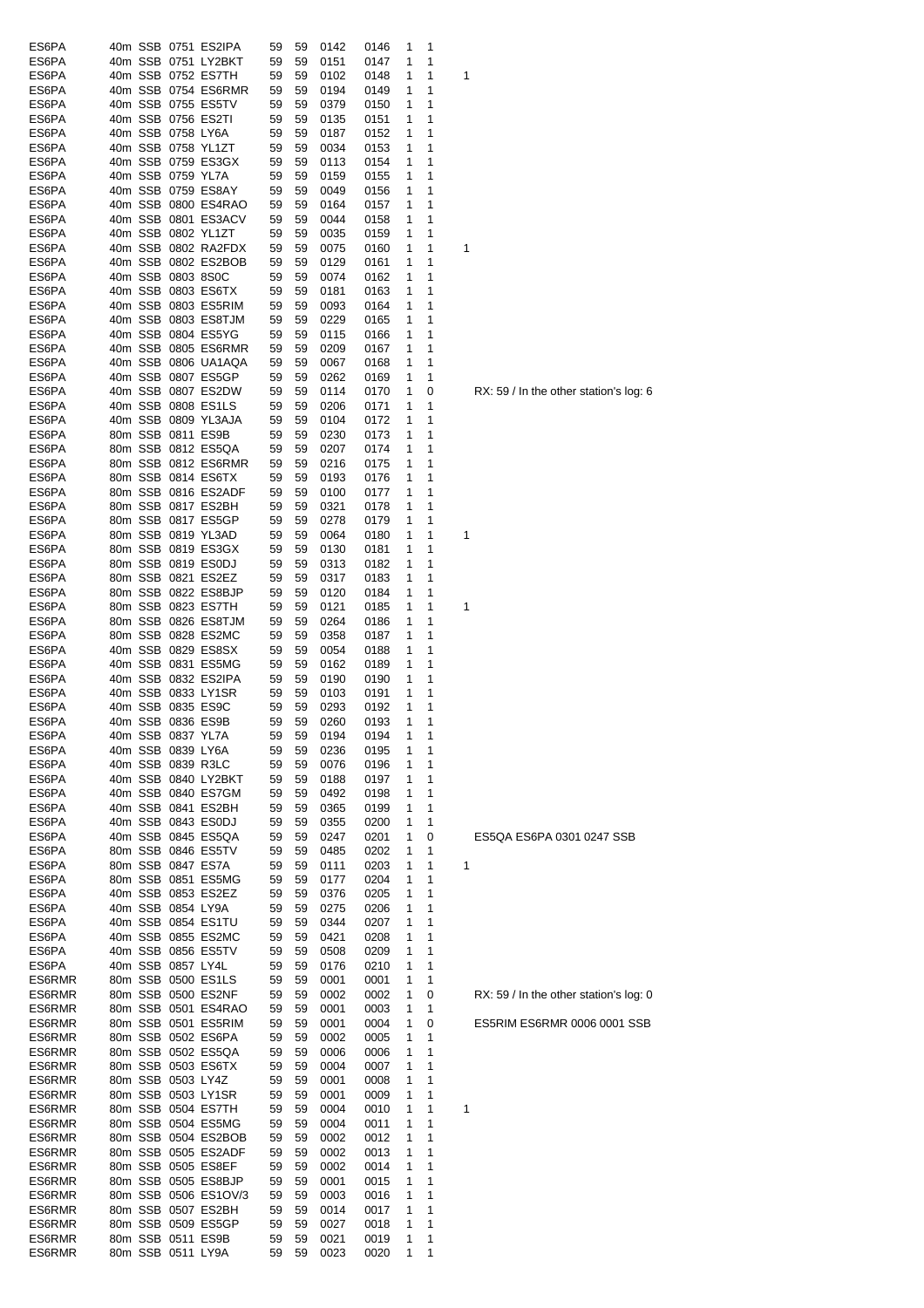| ES6PA  |  |                   | 40m SSB 0751 ES2IPA  | 59 | 59 | 0142    | 0146   | 1 | 1 |   |
|--------|--|-------------------|----------------------|----|----|---------|--------|---|---|---|
| ES6PA  |  |                   | 40m SSB 0751 LY2BKT  | 59 | 59 | 0151    | 0147   | 1 | 1 |   |
| ES6PA  |  |                   | 40m SSB 0752 ES7TH   | 59 | 59 | 0102    | 0148   | 1 | 1 | 1 |
| ES6PA  |  |                   | 40m SSB 0754 ES6RMR  | 59 | 59 | 0194    | 0149   | 1 | 1 |   |
| ES6PA  |  |                   | 40m SSB 0755 ES5TV   | 59 | 59 | 0379    | 0150   | 1 | 1 |   |
| ES6PA  |  |                   | 40m SSB 0756 ES2TI   | 59 | 59 | 0135    | 0151   | 1 | 1 |   |
| ES6PA  |  | 40m SSB 0758 LY6A |                      | 59 | 59 | 0187    |        | 1 | 1 |   |
|        |  |                   |                      |    |    |         | 0152   |   |   |   |
| ES6PA  |  |                   | 40m SSB 0758 YL1ZT   | 59 | 59 | 0034    | 0153   | 1 | 1 |   |
| ES6PA  |  |                   | 40m SSB 0759 ES3GX   | 59 | 59 | 0113    | 0154   | 1 | 1 |   |
| ES6PA  |  | 40m SSB 0759 YL7A |                      | 59 | 59 | 0159    | 0155   | 1 | 1 |   |
| ES6PA  |  |                   | 40m SSB 0759 ES8AY   | 59 | 59 | 0049    | 0156   | 1 | 1 |   |
| ES6PA  |  |                   | 40m SSB 0800 ES4RAO  | 59 | 59 | 0164    | 0157   | 1 | 1 |   |
| ES6PA  |  |                   | 40m SSB 0801 ES3ACV  | 59 | 59 | 0044    | 0158   | 1 | 1 |   |
| ES6PA  |  |                   | 40m SSB 0802 YL1ZT   | 59 | 59 | 0035    | 0159   | 1 | 1 |   |
|        |  |                   |                      |    |    |         |        |   |   |   |
| ES6PA  |  |                   | 40m SSB 0802 RA2FDX  | 59 | 59 | 0075    | 0160   | 1 | 1 | 1 |
| ES6PA  |  |                   | 40m SSB 0802 ES2BOB  | 59 | 59 | 0129    | 0161   | 1 | 1 |   |
| ES6PA  |  | 40m SSB 0803 8S0C |                      | 59 | 59 | 0074    | 0162   | 1 | 1 |   |
| ES6PA  |  |                   | 40m SSB 0803 ES6TX   | 59 | 59 | 0181    | 0163   | 1 | 1 |   |
| ES6PA  |  |                   | 40m SSB 0803 ES5RIM  | 59 | 59 | 0093    | 0164   | 1 | 1 |   |
| ES6PA  |  |                   | 40m SSB 0803 ES8TJM  | 59 | 59 | 0229    | 0165   | 1 | 1 |   |
| ES6PA  |  |                   | 40m SSB 0804 ES5YG   | 59 | 59 | 0115    | 0166   | 1 | 1 |   |
|        |  |                   |                      |    |    |         |        |   | 1 |   |
| ES6PA  |  |                   | 40m SSB 0805 ES6RMR  | 59 | 59 | 0209    | 0167   | 1 |   |   |
| ES6PA  |  |                   | 40m SSB 0806 UA1AQA  | 59 | 59 | 0067    | 0168   | 1 | 1 |   |
| ES6PA  |  |                   | 40m SSB 0807 ES5GP   | 59 | 59 | 0262    | 0169   | 1 | 1 |   |
| ES6PA  |  |                   | 40m SSB 0807 ES2DW   | 59 | 59 | 0114    | 0170   | 1 | 0 | R |
| ES6PA  |  |                   | 40m SSB 0808 ES1LS   | 59 | 59 | 0206    | 0171   | 1 | 1 |   |
| ES6PA  |  |                   | 40m SSB 0809 YL3AJA  | 59 | 59 | 0104    | 0172   | 1 | 1 |   |
| ES6PA  |  |                   | 80m SSB 0811 ES9B    | 59 | 59 | 0230    | 0173   | 1 | 1 |   |
| ES6PA  |  |                   | 80m SSB 0812 ES5QA   | 59 | 59 | 0207    | 0174   | 1 | 1 |   |
|        |  |                   |                      |    |    |         |        |   |   |   |
| ES6PA  |  |                   | 80m SSB 0812 ES6RMR  | 59 | 59 | 0216    | 0175   | 1 | 1 |   |
| ES6PA  |  |                   | 80m SSB 0814 ES6TX   | 59 | 59 | 0193    | 0176   | 1 | 1 |   |
| ES6PA  |  |                   | 80m SSB 0816 ES2ADF  | 59 | 59 | 0100    | 0177   | 1 | 1 |   |
| ES6PA  |  |                   | 80m SSB 0817 ES2BH   | 59 | 59 | 0321    | 0178   | 1 | 1 |   |
| ES6PA  |  |                   | 80m SSB 0817 ES5GP   | 59 | 59 | 0278    | 0179   | 1 | 1 |   |
| ES6PA  |  |                   | 80m SSB 0819 YL3AD   | 59 | 59 | 0064    | 0180   | 1 | 1 | 1 |
| ES6PA  |  |                   | 80m SSB 0819 ES3GX   | 59 | 59 |         |        | 1 | 1 |   |
|        |  |                   |                      |    |    | 0130    | 0181   |   |   |   |
| ES6PA  |  |                   | 80m SSB 0819 ES0DJ   | 59 | 59 | 0313    | 0182   | 1 | 1 |   |
| ES6PA  |  |                   | 80m SSB 0821 ES2EZ   | 59 | 59 | 0317    | 0183   | 1 | 1 |   |
| ES6PA  |  |                   | 80m SSB 0822 ES8BJP  | 59 | 59 | 0120    | 0184   | 1 | 1 |   |
| ES6PA  |  |                   | 80m SSB 0823 ES7TH   | 59 | 59 | 0121    | 0185   | 1 | 1 | 1 |
| ES6PA  |  |                   | 80m SSB 0826 ES8TJM  | 59 | 59 | 0264    | 0186   | 1 | 1 |   |
| ES6PA  |  |                   | 80m SSB 0828 ES2MC   | 59 | 59 | 0358    | 0187   | 1 | 1 |   |
| ES6PA  |  |                   | 40m SSB 0829 ES8SX   | 59 | 59 | 0054    | 0188   | 1 | 1 |   |
| ES6PA  |  |                   | 40m SSB 0831 ES5MG   | 59 | 59 | 0162    | 0189   | 1 | 1 |   |
|        |  |                   |                      |    |    |         |        |   |   |   |
| ES6PA  |  |                   | 40m SSB 0832 ES2IPA  | 59 | 59 | 0190    | 0190   | 1 | 1 |   |
| ES6PA  |  |                   | 40m SSB 0833 LY1SR   | 59 | 59 | 0103    | 0191   | 1 | 1 |   |
| ES6PA  |  |                   | 40m SSB 0835 ES9C    | 59 | 59 | 0293    | 0192   | 1 | 1 |   |
| ES6PA  |  |                   | 40m SSB 0836 ES9B    | 59 | 59 | 0260    | 0193   | 1 | 1 |   |
| ES6PA  |  | 40m SSB 0837 YL7A |                      | 59 |    | 59 0194 | 0194 1 |   | 1 |   |
| ES6PA  |  | 40m SSB 0839 LY6A |                      | 59 | 59 | 0236    | 0195   | 1 | 1 |   |
| ES6PA  |  |                   | 40m SSB 0839 R3LC    | 59 | 59 | 0076    | 0196   | 1 | 1 |   |
| ES6PA  |  |                   | 40m SSB 0840 LY2BKT  | 59 | 59 | 0188    | 0197   | 1 | 1 |   |
| ES6PA  |  |                   | 40m SSB 0840 ES7GM   | 59 | 59 | 0492    |        | 1 | 1 |   |
|        |  |                   |                      |    |    |         | 0198   |   |   |   |
| ES6PA  |  |                   | 40m SSB 0841 ES2BH   | 59 | 59 | 0365    | 0199   | 1 | 1 |   |
| ES6PA  |  |                   | 40m SSB 0843 ES0DJ   | 59 | 59 | 0355    | 0200   | 1 | 1 |   |
| ES6PA  |  |                   | 40m SSB 0845 ES5QA   | 59 | 59 | 0247    | 0201   | 1 | 0 | Ε |
| ES6PA  |  |                   | 80m SSB 0846 ES5TV   | 59 | 59 | 0485    | 0202   | 1 | 1 |   |
| ES6PA  |  |                   | 80m SSB 0847 ES7A    | 59 | 59 | 0111    | 0203   | 1 | 1 | 1 |
| ES6PA  |  |                   | 80m SSB 0851 ES5MG   | 59 | 59 | 0177    | 0204   | 1 | 1 |   |
| ES6PA  |  |                   | 40m SSB 0853 ES2EZ   | 59 | 59 | 0376    | 0205   | 1 | 1 |   |
| ES6PA  |  | 40m SSB 0854 LY9A |                      | 59 | 59 | 0275    | 0206   | 1 | 1 |   |
| ES6PA  |  |                   | 40m SSB 0854 ES1TU   | 59 | 59 | 0344    | 0207   | 1 | 1 |   |
|        |  |                   |                      |    |    |         |        |   |   |   |
| ES6PA  |  |                   | 40m SSB 0855 ES2MC   | 59 | 59 | 0421    | 0208   | 1 | 1 |   |
| ES6PA  |  |                   | 40m SSB 0856 ES5TV   | 59 | 59 | 0508    | 0209   | 1 | 1 |   |
| ES6PA  |  | 40m SSB 0857 LY4L |                      | 59 | 59 | 0176    | 0210   | 1 | 1 |   |
| ES6RMR |  |                   | 80m SSB 0500 ES1LS   | 59 | 59 | 0001    | 0001   | 1 | 1 |   |
| ES6RMR |  |                   | 80m SSB 0500 ES2NF   | 59 | 59 | 0002    | 0002   | 1 | 0 | R |
| ES6RMR |  |                   | 80m SSB 0501 ES4RAO  | 59 | 59 | 0001    | 0003   | 1 | 1 |   |
| ES6RMR |  |                   | 80m SSB 0501 ES5RIM  | 59 | 59 | 0001    | 0004   | 1 | 0 | Е |
| ES6RMR |  |                   | 80m SSB 0502 ES6PA   | 59 |    | 0002    |        | 1 | 1 |   |
|        |  |                   |                      |    | 59 |         | 0005   |   |   |   |
| ES6RMR |  |                   | 80m SSB 0502 ES5QA   | 59 | 59 | 0006    | 0006   | 1 | 1 |   |
| ES6RMR |  |                   | 80m SSB 0503 ES6TX   | 59 | 59 | 0004    | 0007   | 1 | 1 |   |
| ES6RMR |  | 80m SSB 0503 LY4Z |                      | 59 | 59 | 0001    | 0008   | 1 | 1 |   |
| ES6RMR |  |                   | 80m SSB 0503 LY1SR   | 59 | 59 | 0001    | 0009   | 1 | 1 |   |
| ES6RMR |  |                   | 80m SSB 0504 ES7TH   | 59 | 59 | 0004    | 0010   | 1 | 1 | 1 |
| ES6RMR |  |                   | 80m SSB 0504 ES5MG   | 59 | 59 | 0004    | 0011   | 1 | 1 |   |
| ES6RMR |  |                   | 80m SSB 0504 ES2BOB  | 59 | 59 | 0002    | 0012   | 1 | 1 |   |
| ES6RMR |  |                   | 80m SSB 0505 ES2ADF  | 59 | 59 | 0002    | 0013   | 1 | 1 |   |
|        |  |                   |                      |    |    |         |        |   |   |   |
| ES6RMR |  |                   | 80m SSB 0505 ES8EF   | 59 | 59 | 0002    | 0014   | 1 | 1 |   |
| ES6RMR |  |                   | 80m SSB 0505 ES8BJP  | 59 | 59 | 0001    | 0015   | 1 | 1 |   |
| ES6RMR |  |                   | 80m SSB 0506 ES1OV/3 | 59 | 59 | 0003    | 0016   | 1 | 1 |   |
| ES6RMR |  |                   | 80m SSB 0507 ES2BH   | 59 | 59 | 0014    | 0017   | 1 | 1 |   |
| ES6RMR |  |                   | 80m SSB 0509 ES5GP   | 59 | 59 | 0027    | 0018   | 1 | 1 |   |
| ES6RMR |  |                   | 80m SSB 0511 ES9B    | 59 | 59 | 0021    | 0019   | 1 | 1 |   |
| ES6RMR |  | 80m SSB 0511 LY9A |                      | 59 | 59 | 0023    | 0020   | 1 | 1 |   |

 $RX: 59$  / In the other station's log: 6

## ES5QA ES6PA 0301 0247 SSB

 $RX: 59$  / In the other station's log: 0

 $ES5R$ IM ES $6R$ MR 0006 0001 SSB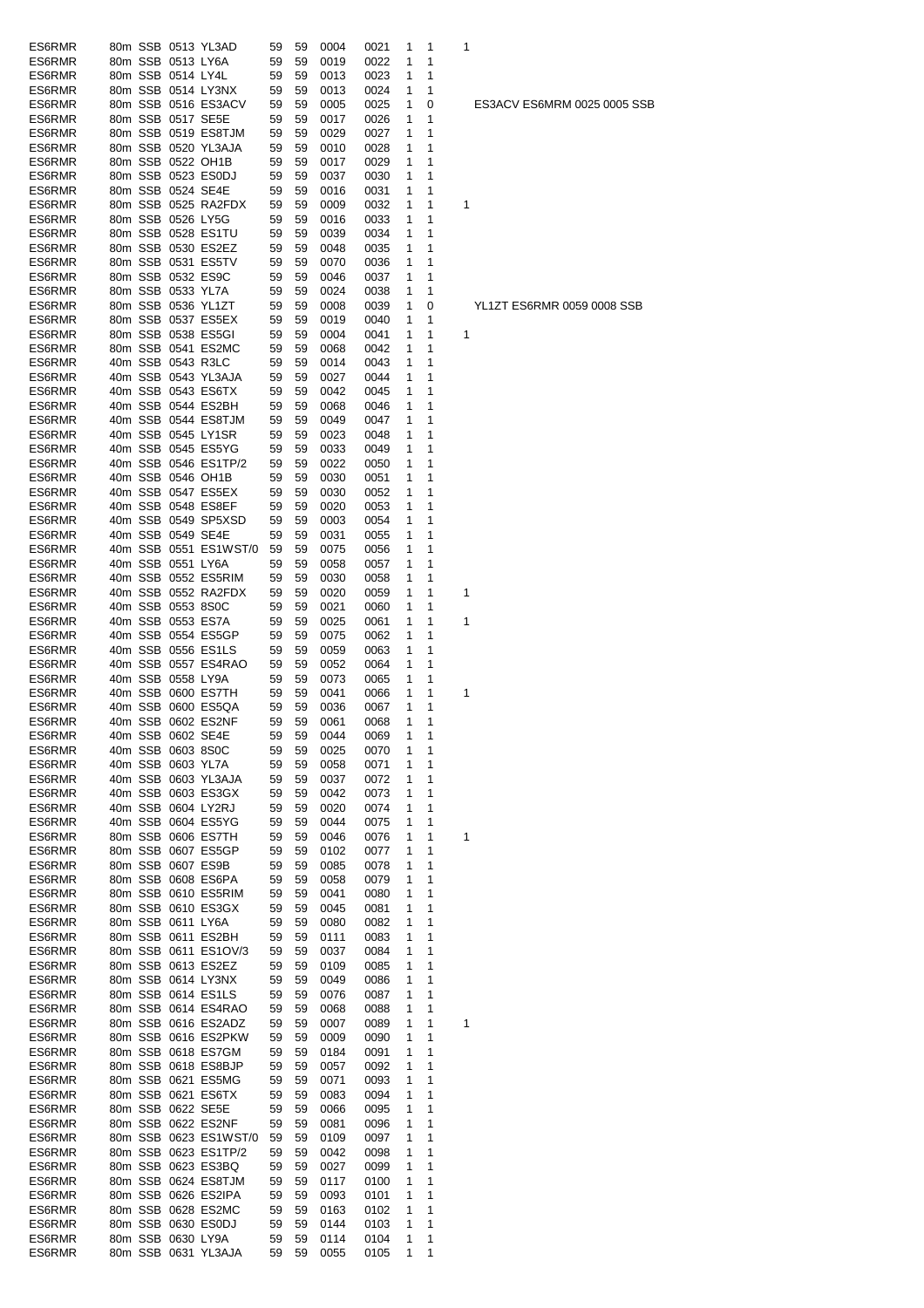| ES6RMR |         |                   | 80m SSB 0513 YL3AD    | 59 | 59 | 0004 | 0021 | 1            | 1 | 1 |
|--------|---------|-------------------|-----------------------|----|----|------|------|--------------|---|---|
| ES6RMR |         | 80m SSB 0513 LY6A |                       | 59 | 59 | 0019 | 0022 | 1            | 1 |   |
| ES6RMR |         | 80m SSB 0514 LY4L |                       | 59 | 59 | 0013 | 0023 | 1            | 1 |   |
| ES6RMR |         |                   | 80m SSB 0514 LY3NX    | 59 | 59 | 0013 | 0024 | 1            | 1 |   |
| ES6RMR |         |                   | 80m SSB 0516 ES3ACV   | 59 | 59 | 0005 | 0025 | 1            | 0 |   |
| ES6RMR |         | 80m SSB 0517 SE5E |                       | 59 | 59 | 0017 | 0026 | 1            | 1 |   |
| ES6RMR |         |                   | 80m SSB 0519 ES8TJM   | 59 | 59 | 0029 | 0027 | 1            | 1 |   |
| ES6RMR |         |                   | 80m SSB 0520 YL3AJA   | 59 | 59 | 0010 | 0028 | 1            | 1 |   |
| ES6RMR |         |                   | 80m SSB 0522 OH1B     | 59 | 59 | 0017 | 0029 | 1            | 1 |   |
| ES6RMR |         |                   | 80m SSB 0523 ES0DJ    | 59 | 59 | 0037 | 0030 | 1            | 1 |   |
| ES6RMR |         | 80m SSB 0524 SE4E |                       | 59 | 59 | 0016 | 0031 | 1            | 1 |   |
| ES6RMR |         |                   | 80m SSB 0525 RA2FDX   | 59 | 59 | 0009 | 0032 | 1            | 1 | 1 |
| ES6RMR |         | 80m SSB 0526 LY5G |                       | 59 | 59 | 0016 | 0033 | 1            | 1 |   |
| ES6RMR |         |                   | 80m SSB 0528 ES1TU    | 59 | 59 | 0039 | 0034 | 1            | 1 |   |
| ES6RMR |         |                   | 80m SSB 0530 ES2EZ    | 59 | 59 | 0048 | 0035 | 1            | 1 |   |
| ES6RMR |         |                   | 80m SSB 0531 ES5TV    | 59 | 59 | 0070 | 0036 | 1            | 1 |   |
| ES6RMR |         |                   | 80m SSB 0532 ES9C     | 59 | 59 | 0046 | 0037 | 1            | 1 |   |
| ES6RMR |         | 80m SSB 0533 YL7A |                       | 59 | 59 | 0024 | 0038 | 1            | 1 |   |
| ES6RMR |         |                   | 80m SSB 0536 YL1ZT    | 59 | 59 | 0008 | 0039 | 1            | 0 |   |
| ES6RMR |         |                   | 80m SSB 0537 ES5EX    | 59 | 59 | 0019 | 0040 | 1            | 1 |   |
| ES6RMR |         |                   | 80m SSB 0538 ES5GI    | 59 | 59 | 0004 | 0041 | 1            | 1 | 1 |
| ES6RMR |         |                   | 80m SSB 0541 ES2MC    | 59 | 59 | 0068 | 0042 | 1            | 1 |   |
| ES6RMR |         | 40m SSB 0543 R3LC |                       | 59 | 59 | 0014 | 0043 | 1            | 1 |   |
| ES6RMR |         |                   | 40m SSB 0543 YL3AJA   | 59 | 59 | 0027 | 0044 | 1            | 1 |   |
| ES6RMR |         |                   | 40m SSB 0543 ES6TX    | 59 | 59 | 0042 | 0045 | 1            | 1 |   |
| ES6RMR |         |                   | 40m SSB 0544 ES2BH    | 59 | 59 | 0068 | 0046 | 1            | 1 |   |
| ES6RMR |         |                   | 40m SSB 0544 ES8TJM   | 59 | 59 | 0049 | 0047 | 1            | 1 |   |
| ES6RMR |         |                   | 40m SSB 0545 LY1SR    | 59 | 59 | 0023 | 0048 | 1            | 1 |   |
| ES6RMR |         |                   | 40m SSB 0545 ES5YG    | 59 | 59 | 0033 | 0049 | 1            | 1 |   |
| ES6RMR |         |                   | 40m SSB 0546 ES1TP/2  | 59 | 59 | 0022 | 0050 | 1            | 1 |   |
| ES6RMR |         |                   | 40m SSB 0546 OH1B     | 59 | 59 | 0030 | 0051 | 1            | 1 |   |
| ES6RMR |         |                   | 40m SSB 0547 ES5EX    | 59 | 59 | 0030 | 0052 | 1            | 1 |   |
| ES6RMR |         |                   | 40m SSB 0548 ES8EF    | 59 | 59 | 0020 | 0053 | 1            | 1 |   |
| ES6RMR |         |                   | 40m SSB 0549 SP5XSD   | 59 | 59 | 0003 | 0054 | 1            | 1 |   |
| ES6RMR |         | 40m SSB 0549 SE4E |                       | 59 | 59 | 0031 | 0055 | 1            | 1 |   |
| ES6RMR |         |                   | 40m SSB 0551 ES1WST/0 | 59 | 59 | 0075 | 0056 | 1            | 1 |   |
| ES6RMR |         | 40m SSB 0551 LY6A |                       | 59 | 59 | 0058 | 0057 | 1            | 1 |   |
| ES6RMR |         |                   | 40m SSB 0552 ES5RIM   | 59 | 59 | 0030 | 0058 | 1            | 1 |   |
| ES6RMR |         |                   | 40m SSB 0552 RA2FDX   | 59 | 59 | 0020 | 0059 | 1            | 1 | 1 |
| ES6RMR |         | 40m SSB 0553 8S0C |                       | 59 | 59 | 0021 | 0060 | 1            | 1 |   |
| ES6RMR |         |                   | 40m SSB 0553 ES7A     | 59 | 59 | 0025 | 0061 | 1            | 1 | 1 |
| ES6RMR | 40m SSB |                   | 0554 ES5GP            | 59 | 59 | 0075 | 0062 | 1            | 1 |   |
| ES6RMR |         |                   | 40m SSB 0556 ES1LS    | 59 | 59 | 0059 | 0063 | 1            | 1 |   |
| ES6RMR |         |                   | 40m SSB 0557 ES4RAO   | 59 | 59 | 0052 | 0064 | 1            | 1 |   |
| ES6RMR |         | 40m SSB 0558 LY9A |                       | 59 | 59 | 0073 | 0065 | 1            | 1 |   |
| ES6RMR |         |                   | 40m SSB 0600 ES7TH    | 59 | 59 | 0041 | 0066 | 1            | 1 | 1 |
| ES6RMR |         |                   | 40m SSB 0600 ES5QA    | 59 | 59 | 0036 | 0067 | 1            | 1 |   |
| ES6RMR |         |                   | 40m SSB 0602 ES2NF    | 59 | 59 | 0061 | 0068 | 1            | 1 |   |
| ES6RMR |         |                   | 40m SSB 0602 SE4E     | 59 | 59 | 0044 | 0069 | $\mathbf{1}$ | 1 |   |
| ES6RMR |         | 40m SSB 0603 8S0C |                       | 59 | 59 | 0025 | 0070 | 1            | 1 |   |
| ES6RMR | 40m SSB |                   | 0603 YL7A             | 59 | 59 | 0058 | 0071 | 1            | 1 |   |
| ES6RMR |         |                   | 40m SSB 0603 YL3AJA   | 59 | 59 | 0037 | 0072 | 1            | 1 |   |
| ES6RMR | 40m SSB |                   | 0603 ES3GX            | 59 | 59 | 0042 | 0073 | 1            | 1 |   |
| ES6RMR | 40m SSB |                   | 0604 LY2RJ            | 59 | 59 | 0020 | 0074 | 1            | 1 |   |
| ES6RMR |         |                   | 40m SSB 0604 ES5YG    | 59 | 59 | 0044 | 0075 | 1            | 1 |   |
| ES6RMR |         |                   | 80m SSB 0606 ES7TH    | 59 | 59 | 0046 | 0076 | 1            | 1 | 1 |
| ES6RMR |         |                   | 80m SSB 0607 ES5GP    | 59 | 59 | 0102 | 0077 | 1            | 1 |   |
| ES6RMR |         | 80m SSB 0607 ES9B |                       | 59 | 59 | 0085 | 0078 | 1            | 1 |   |
| ES6RMR |         |                   | 80m SSB 0608 ES6PA    | 59 | 59 | 0058 | 0079 | 1            | 1 |   |
| ES6RMR |         |                   | 80m SSB 0610 ES5RIM   | 59 | 59 | 0041 | 0080 | 1            | 1 |   |
| ES6RMR |         |                   | 80m SSB 0610 ES3GX    | 59 | 59 | 0045 | 0081 | 1            | 1 |   |
| ES6RMR |         | 80m SSB 0611 LY6A |                       | 59 | 59 | 0080 | 0082 | 1            | 1 |   |
| ES6RMR |         |                   | 80m SSB 0611 ES2BH    | 59 | 59 | 0111 | 0083 | 1            | 1 |   |
| ES6RMR |         |                   | 80m SSB 0611 ES1OV/3  | 59 | 59 | 0037 | 0084 | 1            | 1 |   |
| ES6RMR |         |                   | 80m SSB 0613 ES2EZ    | 59 | 59 | 0109 | 0085 | 1            | 1 |   |
| ES6RMR |         |                   | 80m SSB 0614 LY3NX    | 59 | 59 | 0049 | 0086 | 1            | 1 |   |
| ES6RMR |         |                   | 80m SSB 0614 ES1LS    | 59 | 59 | 0076 | 0087 | 1            | 1 |   |
| ES6RMR |         |                   | 80m SSB 0614 ES4RAO   | 59 | 59 | 0068 | 0088 | 1            | 1 |   |
| ES6RMR |         |                   | 80m SSB 0616 ES2ADZ   | 59 | 59 | 0007 | 0089 | 1            | 1 | 1 |
| ES6RMR |         |                   | 80m SSB 0616 ES2PKW   | 59 | 59 | 0009 | 0090 | 1            | 1 |   |
| ES6RMR |         |                   | 80m SSB 0618 ES7GM    | 59 | 59 | 0184 | 0091 | 1            | 1 |   |
| ES6RMR |         |                   | 80m SSB 0618 ES8BJP   | 59 | 59 | 0057 | 0092 | 1            | 1 |   |
| ES6RMR |         |                   | 80m SSB 0621 ES5MG    | 59 | 59 | 0071 | 0093 | 1            | 1 |   |
| ES6RMR |         |                   | 80m SSB 0621 ES6TX    | 59 | 59 | 0083 | 0094 | 1            | 1 |   |
| ES6RMR |         | 80m SSB 0622 SE5E |                       | 59 | 59 | 0066 | 0095 | 1            | 1 |   |
| ES6RMR |         |                   | 80m SSB 0622 ES2NF    | 59 | 59 | 0081 | 0096 | 1            | 1 |   |
| ES6RMR |         |                   | 80m SSB 0623 ES1WST/0 | 59 | 59 | 0109 | 0097 | 1            | 1 |   |
| ES6RMR |         |                   | 80m SSB 0623 ES1TP/2  | 59 | 59 | 0042 | 0098 | 1            | 1 |   |
| ES6RMR |         |                   | 80m SSB 0623 ES3BQ    | 59 | 59 | 0027 | 0099 | 1            | 1 |   |
| ES6RMR |         |                   | 80m SSB 0624 ES8TJM   | 59 | 59 | 0117 | 0100 | 1            | 1 |   |
| ES6RMR |         |                   | 80m SSB 0626 ES2IPA   | 59 | 59 | 0093 | 0101 | 1            | 1 |   |
| ES6RMR |         |                   | 80m SSB 0628 ES2MC    | 59 | 59 | 0163 | 0102 | 1            | 1 |   |
| ES6RMR |         |                   | 80m SSB 0630 ES0DJ    | 59 | 59 | 0144 | 0103 | 1            | 1 |   |
| ES6RMR |         | 80m SSB 0630 LY9A |                       | 59 | 59 | 0114 | 0104 | 1            | 1 |   |
| ES6RMR |         |                   | 80m SSB 0631 YL3AJA   | 59 | 59 | 0055 | 0105 | 1            | 1 |   |

YL1ZT ES6RMR 0059 0008 SSB

ES3ACV ES6MRM 0025 0005 SSB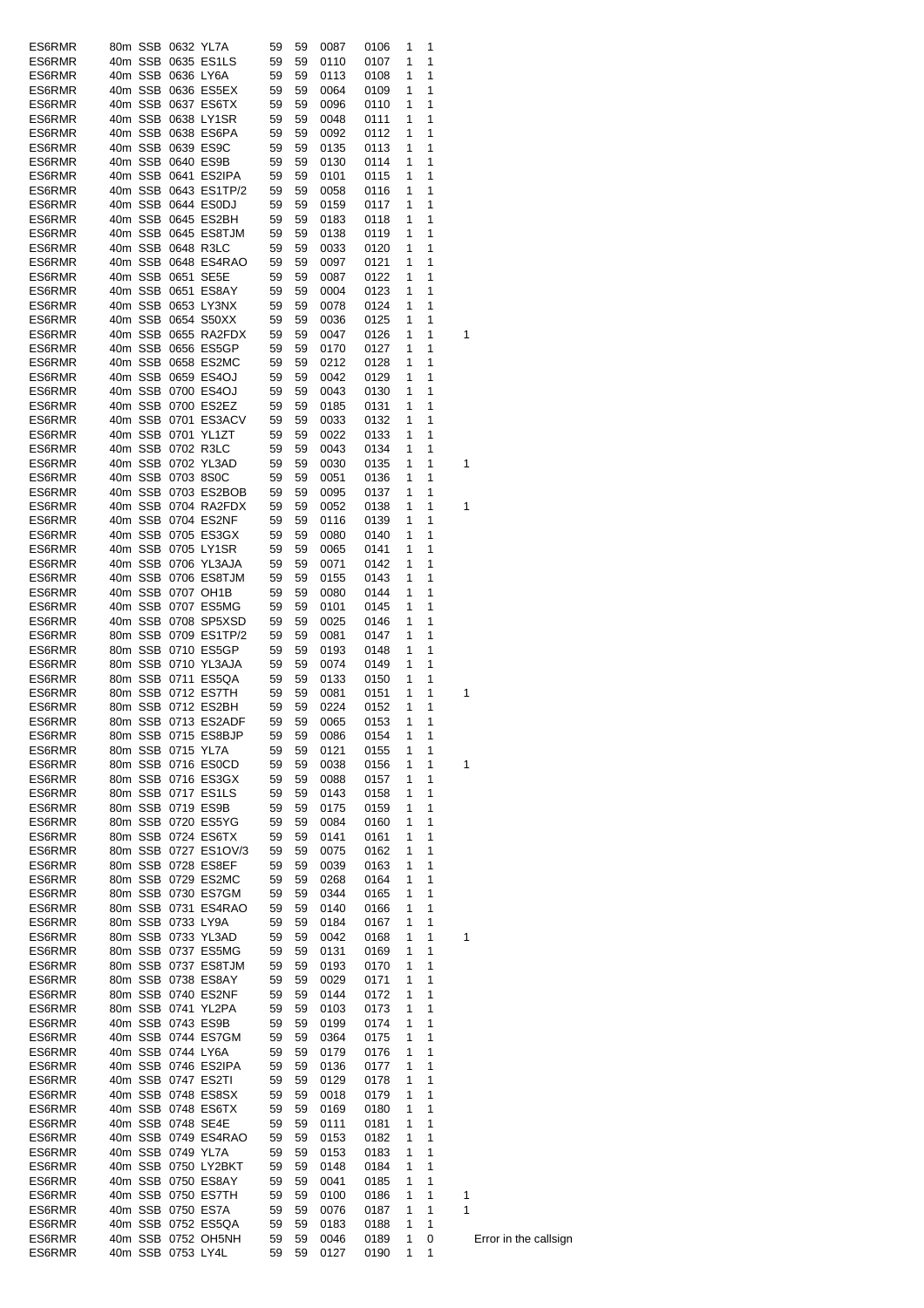| ES6RMR           |  | 80m SSB 0632 YL7A |                                          | 59       | 59       | 0087         | 0106   | 1 | 1 |   |
|------------------|--|-------------------|------------------------------------------|----------|----------|--------------|--------|---|---|---|
| ES6RMR           |  |                   | 40m SSB 0635 ES1LS                       | 59       | 59       | 0110         | 0107   | 1 | 1 |   |
| ES6RMR           |  | 40m SSB 0636 LY6A |                                          | 59       | 59       | 0113         | 0108   | 1 | 1 |   |
| ES6RMR           |  |                   | 40m SSB 0636 ES5EX                       | 59       | 59       | 0064         | 0109   | 1 | 1 |   |
|                  |  |                   | 40m SSB 0637 ES6TX                       | 59       | 59       | 0096         |        | 1 | 1 |   |
| ES6RMR           |  |                   |                                          |          |          | 0048         | 0110   |   | 1 |   |
| ES6RMR           |  |                   | 40m SSB 0638 LY1SR                       | 59       | 59       |              | 0111   | 1 |   |   |
| ES6RMR           |  |                   | 40m SSB 0638 ES6PA                       | 59       | 59       | 0092         | 0112   | 1 | 1 |   |
| ES6RMR           |  |                   | 40m SSB 0639 ES9C                        | 59       | 59       | 0135         | 0113   | 1 | 1 |   |
| ES6RMR           |  |                   | 40m SSB 0640 ES9B                        | 59       | 59       | 0130         | 0114   | 1 | 1 |   |
| ES6RMR           |  |                   | 40m SSB 0641 ES2IPA                      | 59       | 59       | 0101         | 0115   | 1 | 1 |   |
| ES6RMR           |  |                   | 40m SSB 0643 ES1TP/2                     | 59       | 59       | 0058         | 0116   | 1 | 1 |   |
| ES6RMR           |  |                   | 40m SSB 0644 ES0DJ                       | 59       | 59       | 0159         | 0117   | 1 | 1 |   |
| ES6RMR           |  |                   | 40m SSB 0645 ES2BH                       | 59       | 59       | 0183         | 0118   | 1 | 1 |   |
| ES6RMR           |  |                   | 40m SSB 0645 ES8TJM                      | 59       | 59       | 0138         | 0119   | 1 | 1 |   |
| ES6RMR           |  |                   | 40m SSB 0648 R3LC                        | 59       | 59       | 0033         | 0120   | 1 | 1 |   |
| ES6RMR           |  |                   | 40m SSB 0648 ES4RAO                      | 59       | 59       | 0097         | 0121   | 1 | 1 |   |
| ES6RMR           |  |                   | 40m SSB 0651 SE5E                        | 59       | 59       | 0087         | 0122   | 1 | 1 |   |
| ES6RMR           |  |                   | 40m SSB 0651 ES8AY                       | 59       | 59       | 0004         | 0123   | 1 | 1 |   |
| ES6RMR           |  |                   | 40m SSB 0653 LY3NX                       | 59       | 59       | 0078         | 0124   | 1 | 1 |   |
| ES6RMR           |  |                   | 40m SSB 0654 S50XX                       | 59       | 59       | 0036         | 0125   | 1 | 1 |   |
| ES6RMR           |  |                   | 40m SSB 0655 RA2FDX                      | 59       | 59       | 0047         | 0126   | 1 | 1 | 1 |
| ES6RMR           |  |                   | 40m SSB 0656 ES5GP                       | 59       | 59       | 0170         | 0127   | 1 | 1 |   |
| ES6RMR           |  |                   | 40m SSB 0658 ES2MC                       | 59       | 59       | 0212         | 0128   | 1 | 1 |   |
| ES6RMR           |  |                   | 40m SSB 0659 ES4OJ                       | 59       | 59       | 0042         | 0129   | 1 | 1 |   |
|                  |  |                   |                                          |          |          |              |        |   |   |   |
| ES6RMR           |  |                   | 40m SSB 0700 ES4OJ                       | 59       | 59       | 0043         | 0130   | 1 | 1 |   |
| ES6RMR           |  |                   | 40m SSB 0700 ES2EZ                       | 59       | 59       | 0185         | 0131   | 1 | 1 |   |
| ES6RMR           |  |                   | 40m SSB 0701 ES3ACV                      | 59       | 59       | 0033         | 0132   | 1 | 1 |   |
| ES6RMR           |  |                   | 40m SSB 0701 YL1ZT                       | 59       | 59       | 0022         | 0133   | 1 | 1 |   |
| ES6RMR           |  |                   | 40m SSB 0702 R3LC                        | 59       | 59       | 0043         | 0134   | 1 | 1 |   |
| ES6RMR           |  |                   | 40m SSB 0702 YL3AD                       | 59       | 59       | 0030         | 0135   | 1 | 1 | 1 |
| ES6RMR           |  | 40m SSB 0703 8S0C |                                          | 59       | 59       | 0051         | 0136   | 1 | 1 |   |
| ES6RMR           |  |                   | 40m SSB 0703 ES2BOB                      | 59       | 59       | 0095         | 0137   | 1 | 1 |   |
| ES6RMR           |  |                   | 40m SSB 0704 RA2FDX                      | 59       | 59       | 0052         | 0138   | 1 | 1 | 1 |
| ES6RMR           |  |                   | 40m SSB 0704 ES2NF                       | 59       | 59       | 0116         | 0139   | 1 | 1 |   |
| ES6RMR           |  |                   | 40m SSB 0705 ES3GX                       | 59       | 59       | 0080         | 0140   | 1 | 1 |   |
| ES6RMR           |  |                   | 40m SSB 0705 LY1SR                       | 59       | 59       | 0065         | 0141   | 1 | 1 |   |
| ES6RMR           |  |                   | 40m SSB 0706 YL3AJA                      | 59       | 59       | 0071         | 0142   | 1 | 1 |   |
| ES6RMR           |  |                   | 40m SSB 0706 ES8TJM                      | 59       | 59       | 0155         | 0143   | 1 | 1 |   |
| ES6RMR           |  |                   | 40m SSB 0707 OH1B                        | 59       | 59       | 0080         | 0144   | 1 | 1 |   |
|                  |  |                   |                                          |          |          |              |        |   |   |   |
| ES6RMR           |  |                   | 40m SSB 0707 ES5MG                       | 59       | 59       | 0101         | 0145   | 1 | 1 |   |
| ES6RMR           |  |                   | 40m SSB 0708 SP5XSD                      | 59       | 59       | 0025         | 0146   | 1 | 1 |   |
| ES6RMR           |  |                   | 80m SSB 0709 ES1TP/2                     | 59       | 59       | 0081         | 0147   | 1 | 1 |   |
| ES6RMR           |  |                   | 80m SSB 0710 ES5GP                       | 59       | 59       | 0193         | 0148   | 1 | 1 |   |
| ES6RMR           |  |                   | 80m SSB 0710 YL3AJA                      | 59       | 59       | 0074         | 0149   | 1 | 1 |   |
| ES6RMR           |  |                   | 80m SSB 0711 ES5QA                       | 59       | 59       | 0133         | 0150   | 1 | 1 |   |
| ES6RMR           |  |                   | 80m SSB 0712 ES7TH                       | 59       | 59       | 0081         | 0151   | 1 | 1 | 1 |
| ES6RMR           |  |                   | 80m SSB 0712 ES2BH                       | 59       | 59       | 0224         | 0152   | 1 | 1 |   |
| ES6RMR           |  |                   | 80m SSB 0713 ES2ADF                      | 59       | 59       | 0065         | 0153   | 1 | 1 |   |
| ES6RMR           |  |                   | 80m SSB 0715 ES8BJP                      | 59       | 59       | 0086         | 0154 1 |   | 1 |   |
| ES6RMR           |  | 80m SSB 0715 YL7A |                                          | 59       | 59       | 0121         | 0155   | 1 | 1 |   |
| ES6RMR           |  |                   | 80m SSB 0716 ES0CD                       | 59       | 59       | 0038         | 0156   | 1 | 1 | 1 |
| ES6RMR           |  |                   | 80m SSB 0716 ES3GX                       | 59       | 59       | 0088         | 0157   | 1 | 1 |   |
| ES6RMR           |  |                   | 80m SSB 0717 ES1LS                       | 59       | 59       | 0143         | 0158   | 1 | 1 |   |
| ES6RMR           |  |                   | 80m SSB 0719 ES9B                        | 59       | 59       | 0175         | 0159   | 1 | 1 |   |
| ES6RMR           |  |                   | 80m SSB 0720 ES5YG                       | 59       | 59       | 0084         | 0160   | 1 | 1 |   |
| ES6RMR           |  |                   | 80m SSB 0724 ES6TX                       | 59       | 59       | 0141         | 0161   | 1 | 1 |   |
| ES6RMR           |  |                   | 80m SSB 0727 ES1OV/3                     | 59       | 59       | 0075         | 0162   | 1 | 1 |   |
| ES6RMR           |  |                   | 80m SSB 0728 ES8EF                       | 59       | 59       | 0039         | 0163   | 1 | 1 |   |
|                  |  |                   |                                          |          |          |              | 0164   | 1 | 1 |   |
| ES6RMR<br>ES6RMR |  |                   | 80m SSB 0729 ES2MC<br>80m SSB 0730 ES7GM | 59<br>59 | 59<br>59 | 0268<br>0344 | 0165   | 1 | 1 |   |
|                  |  |                   |                                          |          |          |              |        |   | 1 |   |
| ES6RMR           |  |                   | 80m SSB 0731 ES4RAO                      | 59       | 59       | 0140         | 0166   | 1 |   |   |
| ES6RMR           |  | 80m SSB 0733 LY9A |                                          | 59       | 59       | 0184         | 0167   | 1 | 1 |   |
| ES6RMR           |  |                   | 80m SSB 0733 YL3AD                       | 59       | 59       | 0042         | 0168   | 1 | 1 | 1 |
| ES6RMR           |  |                   | 80m SSB 0737 ES5MG                       | 59       | 59       | 0131         | 0169   | 1 | 1 |   |
| ES6RMR           |  |                   | 80m SSB 0737 ES8TJM                      | 59       | 59       | 0193         | 0170   | 1 | 1 |   |
| ES6RMR           |  |                   | 80m SSB 0738 ES8AY                       | 59       | 59       | 0029         | 0171   | 1 | 1 |   |
| ES6RMR           |  |                   | 80m SSB 0740 ES2NF                       | 59       | 59       | 0144         | 0172   | 1 | 1 |   |
| ES6RMR           |  |                   | 80m SSB 0741 YL2PA                       | 59       | 59       | 0103         | 0173   | 1 | 1 |   |
| ES6RMR           |  |                   | 40m SSB 0743 ES9B                        | 59       | 59       | 0199         | 0174   | 1 | 1 |   |
| ES6RMR           |  |                   | 40m SSB 0744 ES7GM                       | 59       | 59       | 0364         | 0175   | 1 | 1 |   |
| ES6RMR           |  | 40m SSB 0744 LY6A |                                          | 59       | 59       | 0179         | 0176   | 1 | 1 |   |
| ES6RMR           |  |                   | 40m SSB 0746 ES2IPA                      | 59       | 59       | 0136         | 0177   | 1 | 1 |   |
| ES6RMR           |  |                   | 40m SSB 0747 ES2TI                       | 59       | 59       | 0129         | 0178   | 1 | 1 |   |
| ES6RMR           |  |                   | 40m SSB 0748 ES8SX                       | 59       | 59       | 0018         | 0179   | 1 | 1 |   |
| ES6RMR           |  |                   | 40m SSB 0748 ES6TX                       | 59       | 59       | 0169         | 0180   | 1 | 1 |   |
| ES6RMR           |  |                   | 40m SSB 0748 SE4E                        | 59       | 59       | 0111         | 0181   | 1 | 1 |   |
| ES6RMR           |  |                   | 40m SSB 0749 ES4RAO                      | 59       | 59       | 0153         | 0182   | 1 | 1 |   |
|                  |  | 40m SSB 0749 YL7A |                                          |          |          |              |        |   | 1 |   |
| ES6RMR           |  |                   |                                          | 59       | 59       | 0153         | 0183   | 1 |   |   |
| ES6RMR           |  |                   | 40m SSB 0750 LY2BKT                      | 59       | 59       | 0148         | 0184   | 1 | 1 |   |
| ES6RMR           |  |                   | 40m SSB 0750 ES8AY                       | 59       | 59       | 0041         | 0185   | 1 | 1 |   |
| ES6RMR           |  |                   | 40m SSB 0750 ES7TH                       | 59       | 59       | 0100         | 0186   | 1 | 1 | 1 |
| ES6RMR           |  |                   | 40m SSB 0750 ES7A                        | 59       | 59       | 0076         | 0187   | 1 | 1 | 1 |
| ES6RMR           |  |                   | 40m SSB 0752 ES5QA                       | 59       | 59       | 0183         | 0188   | 1 | 1 |   |
| ES6RMR           |  |                   | 40m SSB 0752 OH5NH                       | 59       | 59       | 0046         | 0189   | 1 | 0 | Ε |
| ES6RMR           |  | 40m SSB 0753 LY4L |                                          | 59       | 59       | 0127         | 0190   | 1 | 1 |   |

Error in the callsign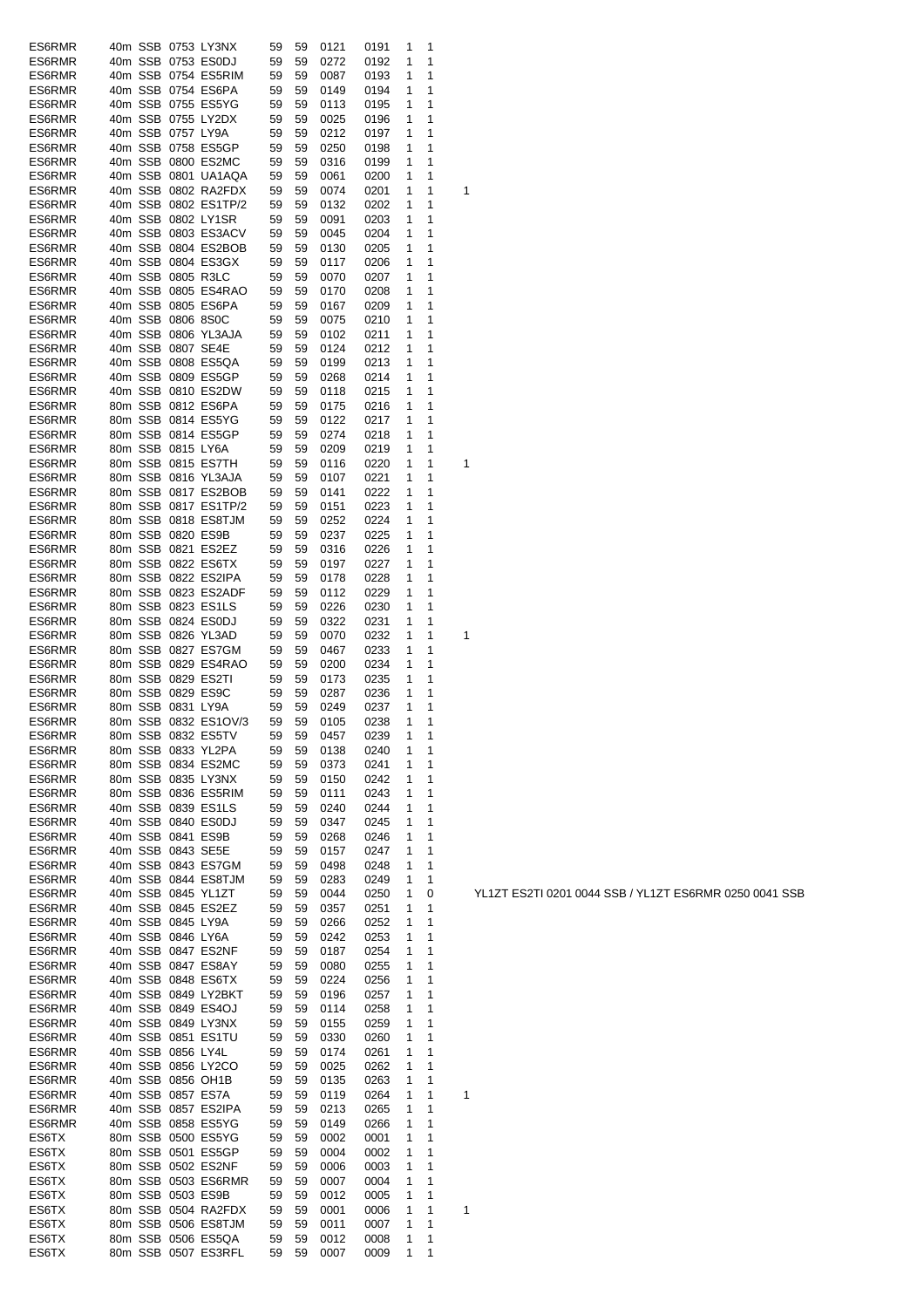| ES6RMR         |         |                   | 40m SSB 0753 LY3NX                        | 59       | 59       | 0121         | 0191         | 1      | 1      |   |
|----------------|---------|-------------------|-------------------------------------------|----------|----------|--------------|--------------|--------|--------|---|
| ES6RMR         |         |                   | 40m SSB 0753 ES0DJ                        | 59       | 59       | 0272         | 0192         | 1      | 1      |   |
| ES6RMR         | 40m SSB |                   | 0754 ES5RIM                               | 59       | 59       | 0087         | 0193         | 1      | 1      |   |
| ES6RMR         | 40m SSB |                   | 0754 ES6PA                                | 59       | 59       | 0149         | 0194         | 1      | 1      |   |
| ES6RMR         |         |                   | 40m SSB 0755 ES5YG                        | 59       | 59       | 0113         | 0195         | 1      | 1      |   |
| ES6RMR         |         |                   | 40m SSB 0755 LY2DX                        | 59       | 59       | 0025         | 0196         | 1      | 1      |   |
| ES6RMR         |         | 40m SSB 0757 LY9A |                                           |          | 59       | 0212         |              | 1      | 1      |   |
|                |         |                   |                                           | 59       |          |              | 0197         |        |        |   |
| ES6RMR         |         |                   | 40m SSB 0758 ES5GP                        | 59       | 59       | 0250         | 0198         | 1      | 1      |   |
| ES6RMR         |         |                   | 40m SSB 0800 ES2MC                        | 59       | 59       | 0316         | 0199         | 1      | 1      |   |
| ES6RMR         |         |                   | 40m SSB 0801 UA1AQA                       | 59       | 59       | 0061         | 0200         | 1      | 1      |   |
| ES6RMR         |         |                   | 40m SSB 0802 RA2FDX                       | 59       | 59       | 0074         | 0201         | 1      | 1      | 1 |
| ES6RMR         |         |                   | 40m SSB 0802 ES1TP/2                      | 59       | 59       | 0132         | 0202         | 1      | 1      |   |
| ES6RMR         |         |                   | 40m SSB 0802 LY1SR                        | 59       | 59       | 0091         | 0203         | 1      | 1      |   |
| ES6RMR         |         |                   | 40m SSB 0803 ES3ACV                       | 59       | 59       | 0045         | 0204         | 1      | 1      |   |
| ES6RMR         | 40m SSB |                   | 0804 ES2BOB                               | 59       | 59       | 0130         | 0205         | 1      | 1      |   |
| ES6RMR         |         |                   | 40m SSB 0804 ES3GX                        | 59       | 59       | 0117         | 0206         | 1      | 1      |   |
| ES6RMR         |         | 40m SSB 0805 R3LC |                                           | 59       | 59       | 0070         | 0207         | 1      | 1      |   |
| ES6RMR         |         |                   | 40m SSB 0805 ES4RAO                       | 59       | 59       | 0170         | 0208         | 1      | 1      |   |
| ES6RMR         | 40m SSB |                   | 0805 ES6PA                                | 59       | 59       | 0167         | 0209         | 1      | 1      |   |
| ES6RMR         |         | 40m SSB 0806 8S0C |                                           | 59       | 59       | 0075         | 0210         | 1      | 1      |   |
| ES6RMR         | 40m SSB |                   | 0806 YL3AJA                               | 59       | 59       | 0102         | 0211         | 1      | 1      |   |
| ES6RMR         |         | 40m SSB 0807 SE4E |                                           | 59       | 59       | 0124         | 0212         | 1      | 1      |   |
| ES6RMR         |         |                   |                                           |          |          |              |              |        |        |   |
|                | 40m SSB |                   | 0808 ES5QA                                | 59       | 59       | 0199         | 0213         | 1      | 1      |   |
| ES6RMR         |         |                   | 40m SSB 0809 ES5GP                        | 59       | 59       | 0268         | 0214         | 1      | 1      |   |
| ES6RMR         |         |                   | 40m SSB 0810 ES2DW                        | 59       | 59       | 0118         | 0215         | 1      | 1      |   |
| ES6RMR         |         |                   | 80m SSB 0812 ES6PA                        | 59       | 59       | 0175         | 0216         | 1      | 1      |   |
| ES6RMR         |         |                   | 80m SSB 0814 ES5YG                        | 59       | 59       | 0122         | 0217         | 1      | 1      |   |
| ES6RMR         | 80m SSB |                   | 0814 ES5GP                                | 59       | 59       | 0274         | 0218         | 1      | 1      |   |
| ES6RMR         |         | 80m SSB 0815 LY6A |                                           | 59       | 59       | 0209         | 0219         | 1      | 1      |   |
| ES6RMR         |         |                   | 80m SSB 0815 ES7TH                        | 59       | 59       | 0116         | 0220         | 1      | 1      | 1 |
| ES6RMR         |         |                   | 80m SSB 0816 YL3AJA                       | 59       | 59       | 0107         | 0221         | 1      | 1      |   |
| ES6RMR         |         |                   | 80m SSB 0817 ES2BOB                       | 59       | 59       | 0141         | 0222         | 1      | 1      |   |
| ES6RMR         |         |                   | 80m SSB 0817 ES1TP/2                      | 59       | 59       | 0151         | 0223         | 1      | 1      |   |
| ES6RMR         |         |                   | 80m SSB 0818 ES8TJM                       | 59       | 59       | 0252         | 0224         | 1      | 1      |   |
| ES6RMR         |         | 80m SSB 0820 ES9B |                                           | 59       | 59       | 0237         | 0225         | 1      | 1      |   |
| ES6RMR         |         |                   | 80m SSB 0821 ES2EZ                        | 59       | 59       | 0316         | 0226         | 1      | 1      |   |
| ES6RMR         |         |                   | 80m SSB 0822 ES6TX                        | 59       | 59       | 0197         | 0227         | 1      | 1      |   |
| ES6RMR         |         |                   | 80m SSB 0822 ES2IPA                       | 59       | 59       | 0178         | 0228         | 1      | 1      |   |
|                |         |                   |                                           |          |          |              |              | 1      | 1      |   |
| ES6RMR         | 80m SSB |                   | 0823 ES2ADF                               | 59       | 59       | 0112         | 0229         |        |        |   |
| ES6RMR         | 80m SSB |                   | 0823 ES1LS                                | 59       | 59       | 0226         | 0230         | 1      | 1      |   |
| ES6RMR         | 80m SSB |                   | 0824 ES0DJ                                | 59       | 59       | 0322         | 0231         | 1      | 1      |   |
| ES6RMR         | 80m SSB |                   | 0826 YL3AD                                | 59       | 59       | 0070         | 0232         | 1      | 1      | 1 |
| ES6RMR         | 80m SSB |                   | 0827 ES7GM                                | 59       | 59       | 0467         | 0233         | 1      | 1      |   |
| ES6RMR         |         |                   | 80m SSB 0829 ES4RAO                       | 59       | 59       | 0200         | 0234         | 1      | 1      |   |
| ES6RMR         | 80m SSB |                   | 0829 ES2TI                                | 59       | 59       | 0173         | 0235         | 1      | 1      |   |
| ES6RMR         | 80m SSB |                   | 0829 ES9C                                 | 59       | 59       | 0287         | 0236         | 1      | 1      |   |
| ES6RMR         |         | 80m SSB 0831 LY9A |                                           | 59       | 59       | 0249         | 0237         | 1      | 1      |   |
| ES6RMR         |         |                   | 80m SSB 0832 ES1OV/3                      | 59       | 59       | 0105         | 0238         | 1      | 1      |   |
|                |         |                   | 80m SSB 0832 ES5TV                        | 59       | 59       | 0457         | 0239         |        | 1      |   |
| ES6RMR         |         |                   |                                           |          |          |              |              | 1      |        |   |
| ES6RMR         |         |                   | 80m SSB 0833 YL2PA                        | 59       | 59       | 0138         | 0240         | 1      | 1      |   |
| ES6RMR         |         |                   | 80m SSB 0834 ES2MC                        | 59       | 59       | 0373         | 0241         | 1      | 1      |   |
|                |         |                   |                                           |          |          |              |              | 1      | 1      |   |
| ES6RMR         |         |                   | 80m SSB 0835 LY3NX                        | 59       | 59       | 0150         | 0242         |        |        |   |
| ES6RMR         |         |                   | 80m SSB 0836 ES5RIM                       | 59       | 59       | 0111         | 0243         | 1      | 1      |   |
| ES6RMR         |         |                   | 40m SSB 0839 ES1LS                        | 59       | 59       | 0240         | 0244         | 1      | 1      |   |
| ES6RMR         |         |                   | 40m SSB 0840 ES0DJ                        | 59       | 59       | 0347         | 0245         | 1      | 1      |   |
| ES6RMR         |         |                   | 40m SSB 0841 ES9B                         | 59       | 59       | 0268         | 0246         | 1      | 1      |   |
| ES6RMR         |         | 40m SSB 0843 SE5E |                                           | 59       | 59       | 0157         | 0247         | 1      | 1      |   |
| ES6RMR         |         |                   | 40m SSB 0843 ES7GM                        | 59       | 59       | 0498         | 0248         | 1      | 1      |   |
| ES6RMR         |         |                   | 40m SSB 0844 ES8TJM                       | 59       | 59       | 0283         | 0249         | 1      | 1      |   |
| ES6RMR         |         |                   | 40m SSB 0845 YL1ZT                        | 59       | 59       | 0044         | 0250         | 1      | 0      |   |
| ES6RMR         |         |                   | 40m SSB 0845 ES2EZ                        | 59       | 59       | 0357         | 0251         | 1      | 1      |   |
| ES6RMR         |         | 40m SSB 0845 LY9A |                                           | 59       | 59       | 0266         | 0252         | 1      | 1      |   |
| ES6RMR         |         | 40m SSB 0846 LY6A |                                           | 59       | 59       | 0242         | 0253         | 1      | 1      |   |
| ES6RMR         |         |                   | 40m SSB 0847 ES2NF                        | 59       | 59       | 0187         | 0254         | 1      | 1      |   |
| ES6RMR         |         |                   | 40m SSB 0847 ES8AY                        | 59       | 59       | 0080         | 0255         | 1      | 1      |   |
| ES6RMR         |         |                   | 40m SSB 0848 ES6TX                        | 59       | 59       | 0224         | 0256         | 1      | 1      |   |
| ES6RMR         |         |                   | 40m SSB 0849 LY2BKT                       | 59       | 59       | 0196         | 0257         | 1      | 1      |   |
| ES6RMR         |         |                   | 40m SSB 0849 ES4OJ                        | 59       | 59       | 0114         | 0258         | 1      | 1      |   |
| ES6RMR         |         |                   | 40m SSB 0849 LY3NX                        | 59       | 59       | 0155         | 0259         | 1      | 1      |   |
| ES6RMR         |         |                   | 40m SSB 0851 ES1TU                        | 59       | 59       | 0330         | 0260         | 1      | 1      |   |
| ES6RMR         |         | 40m SSB 0856 LY4L |                                           | 59       | 59       | 0174         | 0261         | 1      | 1      |   |
| ES6RMR         |         |                   | 40m SSB 0856 LY2CO                        | 59       | 59       | 0025         | 0262         | 1      | 1      |   |
| ES6RMR         |         |                   |                                           | 59       |          |              |              | 1      | 1      |   |
|                |         |                   | 40m SSB 0856 OH1B                         |          | 59       | 0135         | 0263         | 1      | 1      | 1 |
| ES6RMR         |         |                   | 40m SSB 0857 ES7A                         | 59       | 59       | 0119         | 0264         |        |        |   |
| ES6RMR         |         |                   | 40m SSB 0857 ES2IPA                       | 59       | 59       | 0213         | 0265         | 1      | 1      |   |
| ES6RMR         |         |                   | 40m SSB 0858 ES5YG                        | 59       | 59       | 0149         | 0266         | 1      | 1      |   |
| ES6TX          |         |                   | 80m SSB 0500 ES5YG                        | 59       | 59       | 0002         | 0001         | 1      | 1      |   |
| ES6TX          |         |                   | 80m SSB 0501 ES5GP                        | 59       | 59       | 0004         | 0002         | 1      | 1      |   |
| ES6TX          |         |                   | 80m SSB 0502 ES2NF                        | 59       | 59       | 0006         | 0003         | 1      | 1      |   |
| ES6TX          |         |                   | 80m SSB 0503 ES6RMR                       | 59       | 59       | 0007         | 0004         | 1      | 1      |   |
| ES6TX          |         | 80m SSB 0503 ES9B |                                           | 59       | 59       | 0012         | 0005         | 1      | 1      |   |
| ES6TX          |         |                   | 80m SSB 0504 RA2FDX                       | 59       | 59       | 0001         | 0006         | 1      | 1      | 1 |
| ES6TX          |         |                   | 80m SSB 0506 ES8TJM                       | 59       | 59       | 0011         | 0007         | 1      | 1      |   |
| ES6TX<br>ES6TX |         |                   | 80m SSB 0506 ES5QA<br>80m SSB 0507 ES3RFL | 59<br>59 | 59<br>59 | 0012<br>0007 | 0008<br>0009 | 1<br>1 | 1<br>1 |   |

YL1ZT ES2TI 0201 0044 SSB / YL1ZT ES6RMR 0250 0041 SSB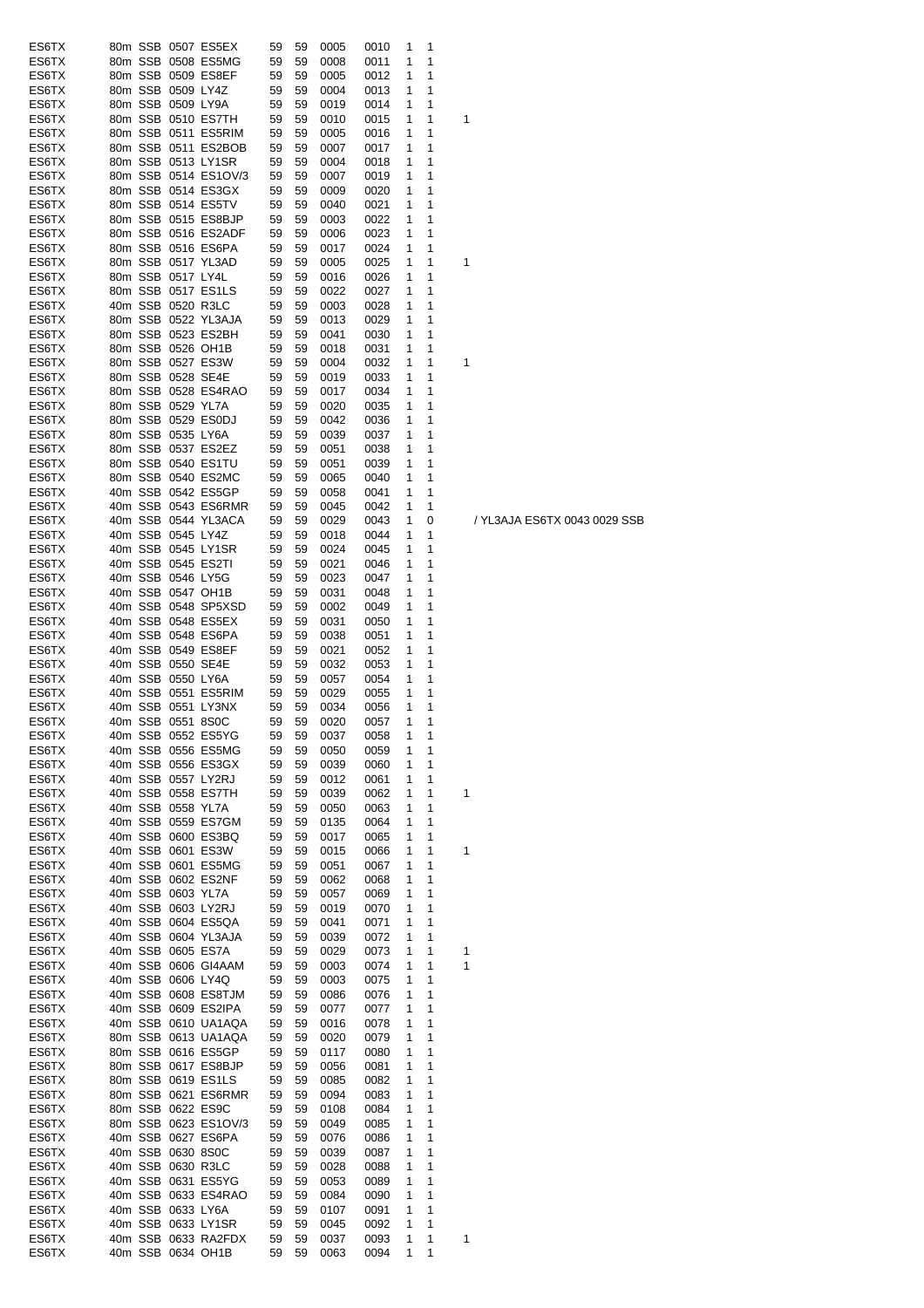| ES6TX |  |                   | 80m SSB 0507 ES5EX   | 59 | 59 | 0005 | 0010 | 1            | 1 |     |
|-------|--|-------------------|----------------------|----|----|------|------|--------------|---|-----|
| ES6TX |  |                   | 80m SSB 0508 ES5MG   | 59 | 59 | 0008 | 0011 | 1            | 1 |     |
| ES6TX |  |                   | 80m SSB 0509 ES8EF   | 59 | 59 | 0005 | 0012 | 1            | 1 |     |
| ES6TX |  | 80m SSB 0509 LY4Z |                      | 59 | 59 | 0004 | 0013 | 1            | 1 |     |
| ES6TX |  | 80m SSB 0509 LY9A |                      | 59 | 59 | 0019 | 0014 | 1            | 1 |     |
| ES6TX |  |                   | 80m SSB 0510 ES7TH   | 59 | 59 | 0010 | 0015 | 1            | 1 | 1   |
| ES6TX |  |                   | 80m SSB 0511 ES5RIM  | 59 | 59 | 0005 | 0016 | 1            | 1 |     |
| ES6TX |  |                   | 80m SSB 0511 ES2BOB  | 59 | 59 | 0007 | 0017 | 1            | 1 |     |
| ES6TX |  |                   | 80m SSB 0513 LY1SR   | 59 | 59 | 0004 | 0018 | 1            | 1 |     |
| ES6TX |  |                   | 80m SSB 0514 ES1OV/3 | 59 | 59 | 0007 | 0019 | 1            | 1 |     |
| ES6TX |  |                   | 80m SSB 0514 ES3GX   | 59 | 59 | 0009 | 0020 | 1            | 1 |     |
|       |  |                   | 80m SSB 0514 ES5TV   | 59 | 59 | 0040 |      | 1            | 1 |     |
| ES6TX |  |                   |                      |    |    |      | 0021 |              |   |     |
| ES6TX |  |                   | 80m SSB 0515 ES8BJP  | 59 | 59 | 0003 | 0022 | 1            | 1 |     |
| ES6TX |  |                   | 80m SSB 0516 ES2ADF  | 59 | 59 | 0006 | 0023 | 1            | 1 |     |
| ES6TX |  |                   | 80m SSB 0516 ES6PA   | 59 | 59 | 0017 | 0024 | 1            | 1 |     |
| ES6TX |  |                   | 80m SSB 0517 YL3AD   | 59 | 59 | 0005 | 0025 | 1            | 1 | 1   |
| ES6TX |  | 80m SSB 0517 LY4L |                      | 59 | 59 | 0016 | 0026 | 1            | 1 |     |
| ES6TX |  |                   | 80m SSB 0517 ES1LS   | 59 | 59 | 0022 | 0027 | 1            | 1 |     |
| ES6TX |  |                   | 40m SSB 0520 R3LC    | 59 | 59 | 0003 | 0028 | 1            | 1 |     |
| ES6TX |  |                   | 80m SSB 0522 YL3AJA  | 59 | 59 | 0013 | 0029 | 1            | 1 |     |
| ES6TX |  |                   | 80m SSB 0523 ES2BH   | 59 | 59 | 0041 | 0030 | 1            | 1 |     |
| ES6TX |  |                   | 80m SSB 0526 OH1B    | 59 | 59 | 0018 | 0031 | 1            | 1 |     |
| ES6TX |  |                   | 80m SSB 0527 ES3W    | 59 | 59 | 0004 | 0032 | 1            | 1 | 1   |
| ES6TX |  |                   | 80m SSB 0528 SE4E    | 59 | 59 | 0019 | 0033 | 1            | 1 |     |
| ES6TX |  |                   | 80m SSB 0528 ES4RAO  | 59 | 59 | 0017 | 0034 | 1            | 1 |     |
| ES6TX |  | 80m SSB 0529 YL7A |                      | 59 | 59 | 0020 | 0035 | 1            | 1 |     |
|       |  |                   |                      |    |    |      |      |              |   |     |
| ES6TX |  |                   | 80m SSB 0529 ES0DJ   | 59 | 59 | 0042 | 0036 | 1            | 1 |     |
| ES6TX |  | 80m SSB 0535 LY6A |                      | 59 | 59 | 0039 | 0037 | 1            | 1 |     |
| ES6TX |  |                   | 80m SSB 0537 ES2EZ   | 59 | 59 | 0051 | 0038 | 1            | 1 |     |
| ES6TX |  |                   | 80m SSB 0540 ES1TU   | 59 | 59 | 0051 | 0039 | 1            | 1 |     |
| ES6TX |  |                   | 80m SSB 0540 ES2MC   | 59 | 59 | 0065 | 0040 | 1            | 1 |     |
| ES6TX |  |                   | 40m SSB 0542 ES5GP   | 59 | 59 | 0058 | 0041 | 1            | 1 |     |
| ES6TX |  |                   | 40m SSB 0543 ES6RMR  | 59 | 59 | 0045 | 0042 | 1            | 1 |     |
| ES6TX |  |                   | 40m SSB 0544 YL3ACA  | 59 | 59 | 0029 | 0043 | 1            | 0 | / ' |
| ES6TX |  | 40m SSB 0545 LY4Z |                      | 59 | 59 | 0018 | 0044 | 1            | 1 |     |
| ES6TX |  |                   | 40m SSB 0545 LY1SR   | 59 | 59 | 0024 | 0045 | 1            | 1 |     |
| ES6TX |  |                   | 40m SSB 0545 ES2TI   | 59 | 59 | 0021 | 0046 | 1            | 1 |     |
| ES6TX |  |                   | 40m SSB 0546 LY5G    | 59 | 59 | 0023 | 0047 | 1            | 1 |     |
| ES6TX |  |                   | 40m SSB 0547 OH1B    | 59 | 59 | 0031 | 0048 | 1            | 1 |     |
| ES6TX |  |                   | 40m SSB 0548 SP5XSD  | 59 | 59 | 0002 | 0049 | 1            | 1 |     |
|       |  |                   |                      |    |    |      |      |              |   |     |
| ES6TX |  |                   | 40m SSB 0548 ES5EX   | 59 | 59 | 0031 | 0050 | 1            | 1 |     |
| ES6TX |  |                   | 40m SSB 0548 ES6PA   | 59 | 59 | 0038 | 0051 | 1            | 1 |     |
| ES6TX |  |                   | 40m SSB 0549 ES8EF   | 59 | 59 | 0021 | 0052 | 1            | 1 |     |
| ES6TX |  |                   | 40m SSB 0550 SE4E    | 59 | 59 | 0032 | 0053 | 1            | 1 |     |
| ES6TX |  | 40m SSB 0550 LY6A |                      | 59 | 59 | 0057 | 0054 | 1            | 1 |     |
| ES6TX |  |                   | 40m SSB 0551 ES5RIM  | 59 | 59 | 0029 | 0055 | 1            | 1 |     |
| ES6TX |  |                   | 40m SSB 0551 LY3NX   | 59 | 59 | 0034 | 0056 | 1            | 1 |     |
| ES6TX |  | 40m SSB 0551 8S0C |                      | 59 | 59 | 0020 | 0057 | 1            | 1 |     |
| ES6TX |  |                   | 40m SSB 0552 ES5YG   | 59 | 59 | 0037 | 0058 | $\mathbf{1}$ | 1 |     |
| ES6TX |  |                   | 40m SSB 0556 ES5MG   | 59 | 59 | 0050 | 0059 | 1            | 1 |     |
| ES6TX |  |                   | 40m SSB 0556 ES3GX   | 59 | 59 | 0039 | 0060 | 1            | 1 |     |
| ES6TX |  |                   | 40m SSB 0557 LY2RJ   | 59 | 59 | 0012 | 0061 | 1            | 1 |     |
| ES6TX |  |                   | 40m SSB 0558 ES7TH   | 59 | 59 | 0039 | 0062 | 1            | 1 | 1   |
| ES6TX |  | 40m SSB 0558 YL7A |                      | 59 | 59 | 0050 | 0063 | 1            | 1 |     |
| ES6TX |  |                   | 40m SSB 0559 ES7GM   | 59 | 59 | 0135 | 0064 | 1            | 1 |     |
|       |  |                   |                      |    |    |      |      | 1            | 1 |     |
| ES6TX |  |                   | 40m SSB 0600 ES3BQ   | 59 | 59 | 0017 | 0065 |              |   |     |
| ES6TX |  |                   | 40m SSB 0601 ES3W    | 59 | 59 | 0015 | 0066 | 1            | 1 | 1   |
| ES6TX |  |                   | 40m SSB 0601 ES5MG   | 59 | 59 | 0051 | 0067 | 1            | 1 |     |
| ES6TX |  |                   | 40m SSB 0602 ES2NF   | 59 | 59 | 0062 | 0068 | 1            | 1 |     |
| ES6TX |  | 40m SSB 0603 YL7A |                      | 59 | 59 | 0057 | 0069 | 1            | 1 |     |
| ES6TX |  |                   | 40m SSB 0603 LY2RJ   | 59 | 59 | 0019 | 0070 | 1            | 1 |     |
| ES6TX |  |                   | 40m SSB 0604 ES5QA   | 59 | 59 | 0041 | 0071 | 1            | 1 |     |
| ES6TX |  |                   | 40m SSB 0604 YL3AJA  | 59 | 59 | 0039 | 0072 | 1            | 1 |     |
| ES6TX |  |                   | 40m SSB 0605 ES7A    | 59 | 59 | 0029 | 0073 | 1            | 1 | 1   |
| ES6TX |  |                   | 40m SSB 0606 GI4AAM  | 59 | 59 | 0003 | 0074 | 1            | 1 | 1   |
| ES6TX |  |                   | 40m SSB 0606 LY4Q    | 59 | 59 | 0003 | 0075 | 1            | 1 |     |
| ES6TX |  |                   | 40m SSB 0608 ES8TJM  | 59 | 59 | 0086 | 0076 | 1            | 1 |     |
| ES6TX |  |                   | 40m SSB 0609 ES2IPA  | 59 | 59 | 0077 | 0077 | 1            | 1 |     |
| ES6TX |  |                   | 40m SSB 0610 UA1AQA  | 59 | 59 | 0016 | 0078 | 1            | 1 |     |
| ES6TX |  |                   | 80m SSB 0613 UA1AQA  | 59 | 59 | 0020 | 0079 | 1            | 1 |     |
| ES6TX |  |                   | 80m SSB 0616 ES5GP   | 59 | 59 | 0117 | 0080 | 1            | 1 |     |
| ES6TX |  |                   | 80m SSB 0617 ES8BJP  | 59 | 59 | 0056 | 0081 | 1            | 1 |     |
| ES6TX |  |                   | 80m SSB 0619 ES1LS   | 59 | 59 | 0085 | 0082 | 1            | 1 |     |
| ES6TX |  |                   | 80m SSB 0621 ES6RMR  | 59 | 59 | 0094 | 0083 | 1            | 1 |     |
|       |  |                   |                      |    |    |      |      | 1            | 1 |     |
| ES6TX |  |                   | 80m SSB 0622 ES9C    | 59 | 59 | 0108 | 0084 |              |   |     |
| ES6TX |  |                   | 80m SSB 0623 ES1OV/3 | 59 | 59 | 0049 | 0085 | 1            | 1 |     |
| ES6TX |  |                   | 40m SSB 0627 ES6PA   | 59 | 59 | 0076 | 0086 | 1            | 1 |     |
| ES6TX |  |                   | 40m SSB 0630 8S0C    | 59 | 59 | 0039 | 0087 | 1            | 1 |     |
| ES6TX |  |                   | 40m SSB 0630 R3LC    | 59 | 59 | 0028 | 0088 | 1            | 1 |     |
| ES6TX |  |                   | 40m SSB 0631 ES5YG   | 59 | 59 | 0053 | 0089 | 1            | 1 |     |
| ES6TX |  |                   | 40m SSB 0633 ES4RAO  | 59 | 59 | 0084 | 0090 | 1            | 1 |     |
| ES6TX |  | 40m SSB 0633 LY6A |                      | 59 | 59 | 0107 | 0091 | 1            | 1 |     |
| ES6TX |  |                   | 40m SSB 0633 LY1SR   | 59 | 59 | 0045 | 0092 | 1            | 1 |     |
| ES6TX |  |                   | 40m SSB 0633 RA2FDX  | 59 | 59 | 0037 | 0093 | 1            | 1 | 1   |
|       |  |                   | 40m SSB 0634 OH1B    | 59 | 59 | 0063 | 0094 | 1            | 1 |     |

YL3AJA ES6TX 0043 0029 SSB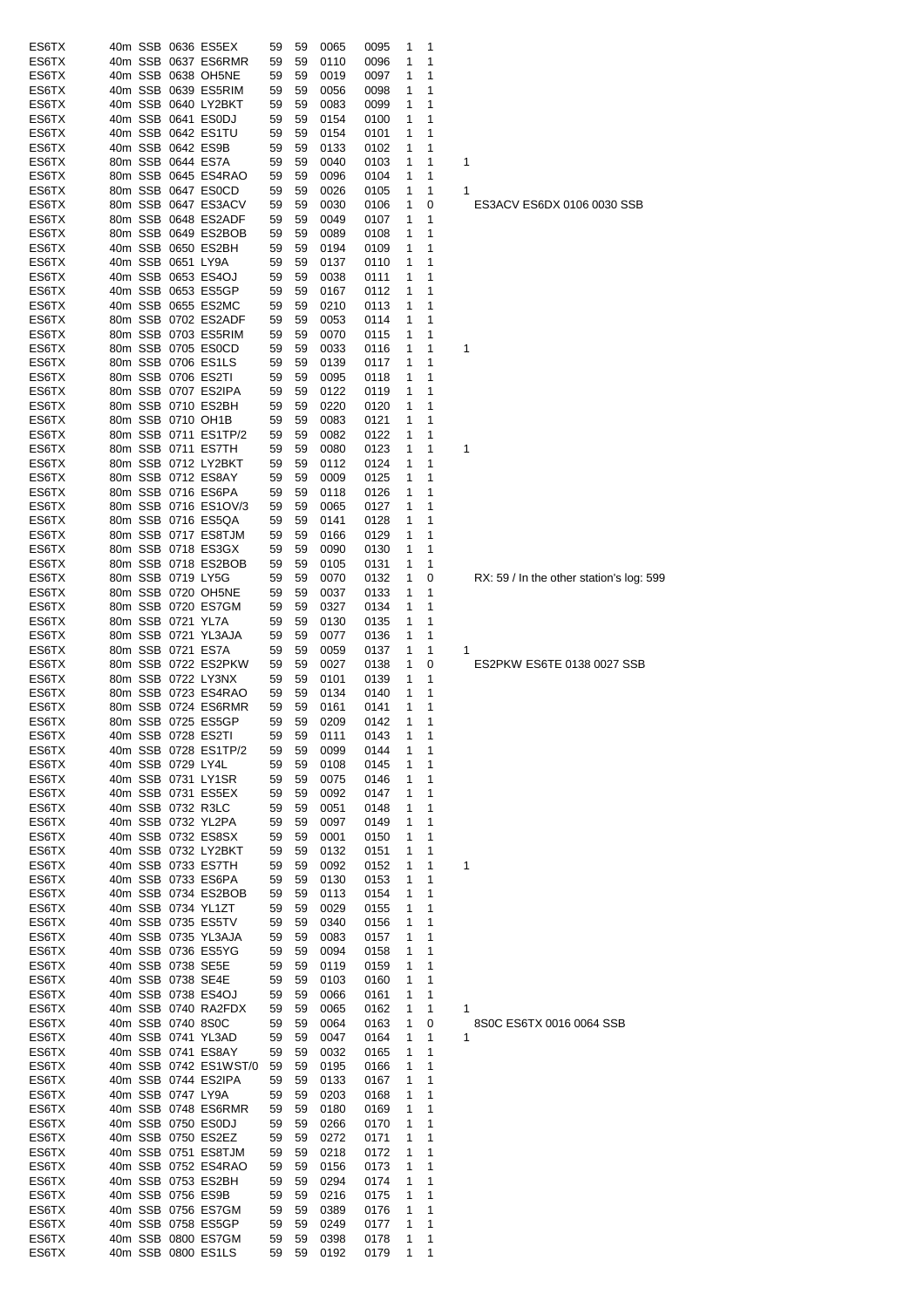| ES6TX          |  | 40m SSB 0636 ES5EX                      | 59       | 59       | 0065         | 0095         | 1      | 1      |                                          |
|----------------|--|-----------------------------------------|----------|----------|--------------|--------------|--------|--------|------------------------------------------|
| ES6TX          |  | 40m SSB 0637 ES6RMR                     | 59       | 59       | 0110         | 0096         | 1      | 1      |                                          |
| ES6TX          |  | 40m SSB 0638 OH5NE                      | 59       | 59       | 0019         | 0097         | 1      | 1      |                                          |
| ES6TX          |  | 40m SSB 0639 ES5RIM                     | 59       | 59       | 0056         | 0098         | 1      | 1      |                                          |
| ES6TX          |  | 40m SSB 0640 LY2BKT                     | 59       | 59       | 0083         | 0099         | 1      | 1      |                                          |
| ES6TX          |  | 40m SSB 0641 ES0DJ                      | 59       | 59       | 0154         | 0100         | 1      | 1      |                                          |
| ES6TX          |  | 40m SSB 0642 ES1TU                      | 59       | 59       | 0154         | 0101         | 1      | 1      |                                          |
| ES6TX          |  | 40m SSB 0642 ES9B                       | 59       | 59       | 0133         | 0102         | 1      | 1      |                                          |
| ES6TX          |  | 80m SSB 0644 ES7A                       | 59       | 59       | 0040         | 0103         | 1      | 1      | 1                                        |
| ES6TX          |  | 80m SSB 0645 ES4RAO                     | 59       | 59       | 0096         | 0104         | 1      | 1      |                                          |
| ES6TX          |  | 80m SSB 0647 ES0CD                      | 59       | 59       | 0026         | 0105         | 1      | 1      | 1                                        |
| ES6TX          |  | 80m SSB 0647 ES3ACV                     | 59       | 59       | 0030         | 0106         | 1      | 0      | ES3ACV ES6DX 0106 0030 SSB               |
| ES6TX          |  | 80m SSB 0648 ES2ADF                     | 59       | 59       | 0049         | 0107         | 1      | 1      |                                          |
| ES6TX          |  | 80m SSB 0649 ES2BOB                     | 59       | 59       | 0089         | 0108         | 1      | 1      |                                          |
| ES6TX          |  | 40m SSB 0650 ES2BH                      | 59       | 59       | 0194         | 0109         | 1      | 1      |                                          |
| ES6TX          |  |                                         |          |          |              |              |        | 1      |                                          |
|                |  | 40m SSB 0651 LY9A                       | 59       | 59       | 0137         | 0110         | 1      |        |                                          |
| ES6TX          |  | 40m SSB 0653 ES4OJ                      | 59       | 59       | 0038         | 0111         | 1      | 1      |                                          |
| ES6TX          |  | 40m SSB 0653 ES5GP                      | 59       | 59       | 0167         | 0112         | 1      | 1      |                                          |
| ES6TX          |  | 40m SSB 0655 ES2MC                      | 59       | 59       | 0210         | 0113         | 1      | 1      |                                          |
| ES6TX          |  | 80m SSB 0702 ES2ADF                     | 59       | 59       | 0053         | 0114         | 1      | 1      |                                          |
| ES6TX          |  | 80m SSB 0703 ES5RIM                     | 59       | 59       | 0070         | 0115         | 1      | 1      |                                          |
| ES6TX          |  | 80m SSB 0705 ES0CD                      | 59       | 59       | 0033         | 0116         | 1      | 1      | 1                                        |
| ES6TX          |  | 80m SSB 0706 ES1LS                      | 59       | 59       | 0139         | 0117         | 1      | 1      |                                          |
| ES6TX          |  | 80m SSB 0706 ES2TI                      | 59       | 59       | 0095         | 0118         | 1      | 1      |                                          |
| ES6TX          |  | 80m SSB 0707 ES2IPA                     | 59       | 59       | 0122         | 0119         | 1      | 1      |                                          |
| ES6TX          |  | 80m SSB 0710 ES2BH                      | 59       | 59       | 0220         | 0120         | 1      | 1      |                                          |
| ES6TX          |  | 80m SSB 0710 OH1B                       | 59       | 59       | 0083         | 0121         | 1      | 1      |                                          |
| ES6TX          |  | 80m SSB 0711 ES1TP/2                    | 59       | 59       | 0082         | 0122         | 1      | 1      |                                          |
| ES6TX          |  | 80m SSB 0711 ES7TH                      | 59       | 59       | 0080         | 0123         | 1      | 1      | 1                                        |
| ES6TX          |  | 80m SSB 0712 LY2BKT                     | 59       | 59       | 0112         | 0124         | 1      | 1      |                                          |
| ES6TX          |  | 80m SSB 0712 ES8AY                      | 59       | 59       | 0009         | 0125         | 1      | 1      |                                          |
|                |  |                                         |          |          |              |              |        |        |                                          |
| ES6TX          |  | 80m SSB 0716 ES6PA                      | 59       | 59       | 0118         | 0126         | 1      | 1      |                                          |
| ES6TX          |  | 80m SSB 0716 ES1OV/3                    | 59       | 59       | 0065         | 0127         | 1      | 1      |                                          |
| ES6TX          |  | 80m SSB 0716 ES5QA                      | 59       | 59       | 0141         | 0128         | 1      | 1      |                                          |
| ES6TX          |  | 80m SSB 0717 ES8TJM                     | 59       | 59       | 0166         | 0129         | 1      | 1      |                                          |
| ES6TX          |  | 80m SSB 0718 ES3GX                      | 59       | 59       | 0090         | 0130         | 1      | 1      |                                          |
| ES6TX          |  | 80m SSB 0718 ES2BOB                     | 59       | 59       | 0105         | 0131         | 1      | 1      |                                          |
| ES6TX          |  | 80m SSB 0719 LY5G                       | 59       | 59       | 0070         | 0132         | 1      | 0      | RX: 59 / In the other station's log: 599 |
| ES6TX          |  | 80m SSB 0720 OH5NE                      | 59       | 59       | 0037         | 0133         | 1      | 1      |                                          |
| ES6TX          |  | 80m SSB 0720 ES7GM                      | 59       | 59       | 0327         | 0134         | 1      | 1      |                                          |
| ES6TX          |  | 80m SSB 0721 YL7A                       | 59       | 59       | 0130         | 0135         | 1      | 1      |                                          |
| ES6TX          |  | 80m SSB 0721 YL3AJA                     | 59       | 59       | 0077         | 0136         | 1      | 1      |                                          |
| ES6TX          |  | 80m SSB 0721 ES7A                       | 59       | 59       | 0059         | 0137         | 1      | 1      | 1                                        |
| ES6TX          |  | 80m SSB 0722 ES2PKW                     | 59       | 59       | 0027         | 0138         | 1      | 0      | ES2PKW ES6TE 0138 0027 SSB               |
| ES6TX          |  | 80m SSB 0722 LY3NX                      | 59       | 59       | 0101         | 0139         | 1      | 1      |                                          |
| ES6TX          |  | 80m SSB 0723 ES4RAO                     | 59       | 59       | 0134         | 0140         | 1      | 1      |                                          |
| ES6TX          |  | 80m SSB 0724 ES6RMR                     | 59       | 59       |              |              | 1      | 1      |                                          |
|                |  |                                         |          |          | 0161         | 0141<br>0142 |        |        |                                          |
| ES6TX          |  | 80m SSB 0725 ES5GP                      | 59       | 59       | 0209         |              | 1      | 1      |                                          |
| ES6TX          |  | 40m SSB 0728 ES2TI                      | 59       | 59       | 0111         | 0143         | 1      | 1      |                                          |
| ES6TX          |  | 40m SSB 0728 ES1TP/2                    | 59       | 59       | 0099         | 0144         | 1      | 1      |                                          |
| ES6TX          |  | 40m SSB 0729 LY4L                       | 59       | 59       | 0108         | 0145         | 1      | 1      |                                          |
| ES6TX          |  | 40m SSB 0731 LY1SR                      | 59       | 59       | 0075         | 0146         | 1      | 1      |                                          |
| ES6TX          |  | 40m SSB 0731 ES5EX                      | 59       | 59       | 0092         | 0147         | 1      | 1      |                                          |
| ES6TX          |  | 40m SSB 0732 R3LC                       | 59       | 59       | 0051         | 0148         | 1      | 1      |                                          |
| ES6TX          |  | 40m SSB 0732 YL2PA                      | 59       | 59       | 0097         | 0149         | 1      | 1      |                                          |
| ES6TX          |  | 40m SSB 0732 ES8SX                      | 59       | 59       | 0001         | 0150         | 1      | 1      |                                          |
| ES6TX          |  | 40m SSB 0732 LY2BKT                     | 59       | 59       | 0132         | 0151         | 1      | 1      |                                          |
| ES6TX          |  | 40m SSB 0733 ES7TH                      | 59       | 59       | 0092         | 0152         | 1      | 1      | 1                                        |
| ES6TX          |  | 40m SSB 0733 ES6PA                      | 59       | 59       | 0130         | 0153         | 1      | 1      |                                          |
| ES6TX          |  | 40m SSB 0734 ES2BOB                     | 59       | 59       | 0113         | 0154         | 1      | 1      |                                          |
| ES6TX          |  | 40m SSB 0734 YL1ZT                      | 59       | 59       | 0029         | 0155         | 1      | 1      |                                          |
| ES6TX          |  | 40m SSB 0735 ES5TV                      | 59       | 59       | 0340         | 0156         | 1      | 1      |                                          |
| ES6TX          |  | 40m SSB 0735 YL3AJA                     | 59       | 59       | 0083         | 0157         | 1      | 1      |                                          |
|                |  |                                         |          |          |              |              |        |        |                                          |
| ES6TX<br>ES6TX |  | 40m SSB 0736 ES5YG<br>40m SSB 0738 SE5E | 59<br>59 | 59<br>59 | 0094<br>0119 | 0158<br>0159 | 1<br>1 | 1<br>1 |                                          |
|                |  |                                         |          |          |              |              |        |        |                                          |
| ES6TX          |  | 40m SSB 0738 SE4E                       | 59       | 59       | 0103         | 0160         | 1      | 1      |                                          |
| ES6TX          |  | 40m SSB 0738 ES4OJ                      | 59       | 59       | 0066         | 0161         | 1      | 1      |                                          |
| ES6TX          |  | 40m SSB 0740 RA2FDX                     | 59       | 59       | 0065         | 0162         | 1      | 1      | 1                                        |
| ES6TX          |  | 40m SSB 0740 8S0C                       | 59       | 59       | 0064         | 0163         | 1      | 0      | 8S0C ES6TX 0016 0064 SSB                 |
| ES6TX          |  | 40m SSB 0741 YL3AD                      | 59       | 59       | 0047         | 0164         | 1      | 1      | 1                                        |
| ES6TX          |  | 40m SSB 0741 ES8AY                      | 59       | 59       | 0032         | 0165         | 1      | 1      |                                          |
| ES6TX          |  | 40m SSB 0742 ES1WST/0                   | 59       | 59       | 0195         | 0166         | 1      | 1      |                                          |
| ES6TX          |  | 40m SSB 0744 ES2IPA                     | 59       | 59       | 0133         | 0167         | 1      | 1      |                                          |
| ES6TX          |  | 40m SSB 0747 LY9A                       | 59       | 59       | 0203         | 0168         | 1      | 1      |                                          |
| ES6TX          |  | 40m SSB 0748 ES6RMR                     | 59       | 59       | 0180         | 0169         | 1      | 1      |                                          |
| ES6TX          |  | 40m SSB 0750 ES0DJ                      | 59       | 59       | 0266         | 0170         | 1      | 1      |                                          |
| ES6TX          |  | 40m SSB 0750 ES2EZ                      | 59       | 59       | 0272         | 0171         | 1      | 1      |                                          |
| ES6TX          |  | 40m SSB 0751 ES8TJM                     | 59       | 59       | 0218         | 0172         | 1      | 1      |                                          |
| ES6TX          |  | 40m SSB 0752 ES4RAO                     | 59       | 59       | 0156         | 0173         | 1      | 1      |                                          |
| ES6TX          |  | 40m SSB 0753 ES2BH                      | 59       | 59       | 0294         | 0174         | 1      | 1      |                                          |
| ES6TX          |  | 40m SSB 0756 ES9B                       | 59       | 59       | 0216         | 0175         | 1      | 1      |                                          |
| ES6TX          |  | 40m SSB 0756 ES7GM                      | 59       | 59       | 0389         | 0176         | 1      | 1      |                                          |
|                |  |                                         |          |          |              |              |        |        |                                          |
| ES6TX          |  | 40m SSB 0758 ES5GP                      | 59       | 59       | 0249         | 0177         | 1      | 1      |                                          |
| ES6TX          |  | 40m SSB 0800 ES7GM                      | 59       | 59       | 0398         | 0178         | 1      | 1      |                                          |
| ES6TX          |  | 40m SSB 0800 ES1LS                      | 59       | 59       | 0192         | 0179         | 1      | 1      |                                          |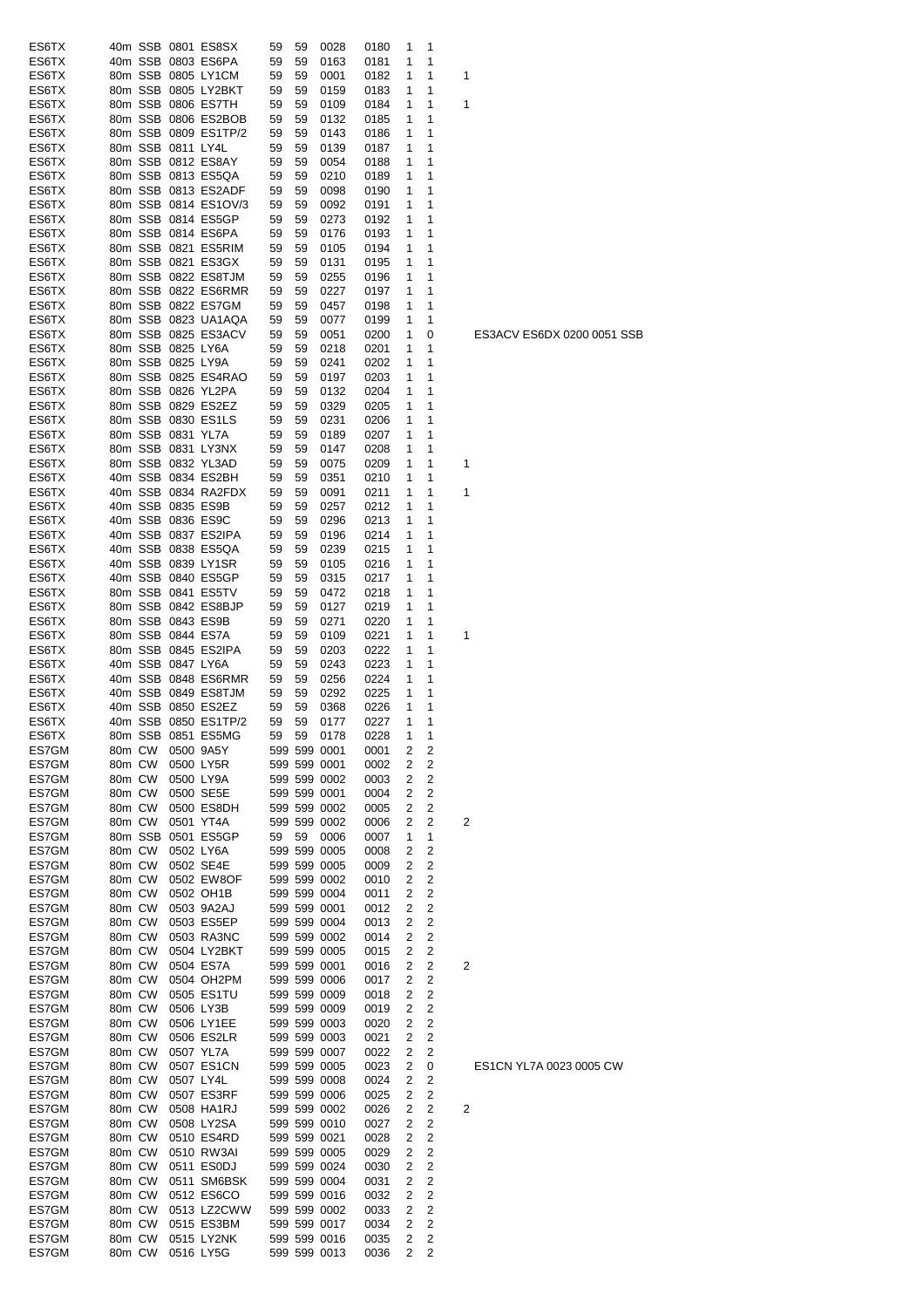|       |        |         |                   |                      |    |    |              |      | 1 |   |    |
|-------|--------|---------|-------------------|----------------------|----|----|--------------|------|---|---|----|
| ES6TX |        |         |                   | 40m SSB 0801 ES8SX   | 59 | 59 | 0028         | 0180 |   | 1 |    |
| ES6TX |        |         |                   | 40m SSB 0803 ES6PA   | 59 | 59 | 0163         | 0181 | 1 | 1 |    |
| ES6TX |        |         |                   | 80m SSB 0805 LY1CM   | 59 | 59 | 0001         | 0182 | 1 | 1 | 1  |
| ES6TX |        |         |                   | 80m SSB 0805 LY2BKT  | 59 | 59 | 0159         | 0183 | 1 | 1 |    |
| ES6TX |        |         |                   | 80m SSB 0806 ES7TH   | 59 | 59 | 0109         | 0184 | 1 | 1 | 1  |
| ES6TX |        |         |                   | 80m SSB 0806 ES2BOB  | 59 | 59 | 0132         | 0185 | 1 | 1 |    |
| ES6TX |        |         |                   | 80m SSB 0809 ES1TP/2 | 59 | 59 | 0143         | 0186 | 1 | 1 |    |
| ES6TX |        |         | 80m SSB 0811 LY4L |                      | 59 | 59 | 0139         | 0187 | 1 | 1 |    |
| ES6TX |        |         |                   | 80m SSB 0812 ES8AY   | 59 | 59 | 0054         | 0188 | 1 | 1 |    |
|       |        |         |                   |                      |    |    |              |      |   |   |    |
| ES6TX |        |         |                   | 80m SSB 0813 ES5QA   | 59 | 59 | 0210         | 0189 | 1 | 1 |    |
| ES6TX |        |         |                   | 80m SSB 0813 ES2ADF  | 59 | 59 | 0098         | 0190 | 1 | 1 |    |
| ES6TX |        |         |                   | 80m SSB 0814 ES1OV/3 | 59 | 59 | 0092         | 0191 | 1 | 1 |    |
| ES6TX |        |         |                   | 80m SSB 0814 ES5GP   | 59 | 59 | 0273         | 0192 | 1 | 1 |    |
| ES6TX |        |         |                   | 80m SSB 0814 ES6PA   | 59 | 59 | 0176         | 0193 | 1 | 1 |    |
| ES6TX |        |         |                   | 80m SSB 0821 ES5RIM  | 59 | 59 | 0105         | 0194 | 1 | 1 |    |
| ES6TX |        |         |                   | 80m SSB 0821 ES3GX   | 59 | 59 | 0131         | 0195 | 1 | 1 |    |
| ES6TX |        |         |                   | 80m SSB 0822 ES8TJM  | 59 | 59 | 0255         | 0196 | 1 | 1 |    |
|       |        |         |                   |                      |    |    |              |      |   |   |    |
| ES6TX |        |         |                   | 80m SSB 0822 ES6RMR  | 59 | 59 | 0227         | 0197 | 1 | 1 |    |
| ES6TX |        |         |                   | 80m SSB 0822 ES7GM   | 59 | 59 | 0457         | 0198 | 1 | 1 |    |
| ES6TX |        |         |                   | 80m SSB 0823 UA1AQA  | 59 | 59 | 0077         | 0199 | 1 | 1 |    |
| ES6TX |        |         |                   | 80m SSB 0825 ES3ACV  | 59 | 59 | 0051         | 0200 | 1 | 0 | E  |
| ES6TX |        |         | 80m SSB 0825 LY6A |                      | 59 | 59 | 0218         | 0201 | 1 | 1 |    |
| ES6TX |        |         | 80m SSB 0825 LY9A |                      | 59 | 59 | 0241         | 0202 | 1 | 1 |    |
| ES6TX |        |         |                   | 80m SSB 0825 ES4RAO  | 59 | 59 | 0197         | 0203 | 1 | 1 |    |
| ES6TX |        |         |                   | 80m SSB 0826 YL2PA   | 59 | 59 | 0132         | 0204 | 1 | 1 |    |
|       |        |         |                   |                      |    |    |              |      |   |   |    |
| ES6TX |        |         |                   | 80m SSB 0829 ES2EZ   | 59 | 59 | 0329         | 0205 | 1 | 1 |    |
| ES6TX |        |         |                   | 80m SSB 0830 ES1LS   | 59 | 59 | 0231         | 0206 | 1 | 1 |    |
| ES6TX |        |         | 80m SSB 0831 YL7A |                      | 59 | 59 | 0189         | 0207 | 1 | 1 |    |
| ES6TX |        |         |                   | 80m SSB 0831 LY3NX   | 59 | 59 | 0147         | 0208 | 1 | 1 |    |
| ES6TX |        |         |                   | 80m SSB 0832 YL3AD   | 59 | 59 | 0075         | 0209 | 1 | 1 | 1  |
| ES6TX |        |         |                   | 40m SSB 0834 ES2BH   | 59 | 59 | 0351         | 0210 | 1 | 1 |    |
| ES6TX |        |         |                   | 40m SSB 0834 RA2FDX  | 59 | 59 | 0091         | 0211 | 1 | 1 | 1  |
| ES6TX |        |         |                   | 40m SSB 0835 ES9B    | 59 | 59 | 0257         | 0212 | 1 | 1 |    |
|       |        |         |                   |                      |    |    |              |      |   |   |    |
| ES6TX |        |         |                   | 40m SSB 0836 ES9C    | 59 | 59 | 0296         | 0213 | 1 | 1 |    |
| ES6TX |        |         |                   | 40m SSB 0837 ES2IPA  | 59 | 59 | 0196         | 0214 | 1 | 1 |    |
| ES6TX |        |         |                   | 40m SSB 0838 ES5QA   | 59 | 59 | 0239         | 0215 | 1 | 1 |    |
| ES6TX |        |         |                   | 40m SSB 0839 LY1SR   | 59 | 59 | 0105         | 0216 | 1 | 1 |    |
| ES6TX |        |         |                   | 40m SSB 0840 ES5GP   | 59 | 59 | 0315         | 0217 | 1 | 1 |    |
| ES6TX |        |         |                   | 80m SSB 0841 ES5TV   | 59 | 59 | 0472         | 0218 | 1 | 1 |    |
| ES6TX |        |         |                   | 80m SSB 0842 ES8BJP  | 59 | 59 | 0127         | 0219 | 1 | 1 |    |
| ES6TX |        |         |                   | 80m SSB 0843 ES9B    | 59 | 59 | 0271         | 0220 | 1 | 1 |    |
|       |        |         |                   |                      |    |    |              |      |   |   |    |
| ES6TX |        |         |                   | 80m SSB 0844 ES7A    | 59 | 59 | 0109         | 0221 | 1 | 1 | 1  |
| ES6TX |        |         |                   | 80m SSB 0845 ES2IPA  | 59 | 59 | 0203         | 0222 | 1 | 1 |    |
| ES6TX |        |         | 40m SSB 0847 LY6A |                      | 59 | 59 | 0243         | 0223 | 1 | 1 |    |
| ES6TX |        |         |                   | 40m SSB 0848 ES6RMR  | 59 | 59 | 0256         | 0224 | 1 | 1 |    |
| ES6TX |        |         |                   | 40m SSB 0849 ES8TJM  | 59 | 59 | 0292         | 0225 | 1 | 1 |    |
| ES6TX |        |         |                   | 40m SSB 0850 ES2EZ   | 59 | 59 | 0368         | 0226 | 1 | 1 |    |
| ES6TX |        |         |                   | 40m SSB 0850 ES1TP/2 | 59 | 59 | 0177         | 0227 | 1 | 1 |    |
| ES6TX |        |         |                   | 80m SSB 0851 ES5MG   | 59 |    | 59 0178      | 0228 | 1 | 1 |    |
| ES7GM | 80m CW |         |                   | 0500 9A5Y            |    |    | 599 599 0001 | 0001 | 2 | 2 |    |
| ES7GM | 80m CW |         |                   |                      |    |    | 599 599 0001 |      | 2 | 2 |    |
|       |        |         |                   | 0500 LY5R            |    |    |              | 0002 |   |   |    |
| ES7GM | 80m CW |         |                   | 0500 LY9A            |    |    | 599 599 0002 | 0003 | 2 | 2 |    |
| ES7GM | 80m CW |         |                   | 0500 SE5E            |    |    | 599 599 0001 | 0004 | 2 | 2 |    |
| ES7GM | 80m CW |         |                   | 0500 ES8DH           |    |    | 599 599 0002 | 0005 | 2 | 2 |    |
| ES7GM | 80m CW |         |                   | 0501 YT4A            |    |    | 599 599 0002 | 0006 | 2 | 2 | 2  |
| ES7GM |        | 80m SSB |                   | 0501 ES5GP           | 59 | 59 | 0006         | 0007 | 1 | 1 |    |
| ES7GM | 80m CW |         |                   | 0502 LY6A            |    |    | 599 599 0005 | 0008 | 2 | 2 |    |
| ES7GM | 80m CW |         |                   | 0502 SE4E            |    |    | 599 599 0005 | 0009 | 2 | 2 |    |
| ES7GM | 80m CW |         |                   | 0502 EW8OF           |    |    | 599 599 0002 | 0010 | 2 | 2 |    |
| ES7GM | 80m CW |         |                   | 0502 OH1B            |    |    | 599 599 0004 | 0011 | 2 | 2 |    |
|       |        |         |                   |                      |    |    |              |      |   |   |    |
| ES7GM | 80m CW |         |                   | 0503 9A2AJ           |    |    | 599 599 0001 | 0012 | 2 | 2 |    |
| ES7GM | 80m CW |         |                   | 0503 ES5EP           |    |    | 599 599 0004 | 0013 | 2 | 2 |    |
| ES7GM | 80m CW |         |                   | 0503 RA3NC           |    |    | 599 599 0002 | 0014 | 2 | 2 |    |
| ES7GM | 80m CW |         |                   | 0504 LY2BKT          |    |    | 599 599 0005 | 0015 | 2 | 2 |    |
| ES7GM | 80m CW |         |                   | 0504 ES7A            |    |    | 599 599 0001 | 0016 | 2 | 2 | 2  |
| ES7GM | 80m CW |         |                   | 0504 OH2PM           |    |    | 599 599 0006 | 0017 | 2 | 2 |    |
| ES7GM | 80m CW |         |                   | 0505 ES1TU           |    |    | 599 599 0009 | 0018 | 2 | 2 |    |
| ES7GM | 80m CW |         |                   | 0506 LY3B            |    |    | 599 599 0009 | 0019 | 2 | 2 |    |
| ES7GM | 80m CW |         |                   | 0506 LY1EE           |    |    | 599 599 0003 | 0020 | 2 | 2 |    |
|       |        |         |                   |                      |    |    |              |      |   |   |    |
| ES7GM | 80m CW |         |                   | 0506 ES2LR           |    |    | 599 599 0003 | 0021 | 2 | 2 |    |
| ES7GM | 80m CW |         |                   | 0507 YL7A            |    |    | 599 599 0007 | 0022 | 2 | 2 |    |
| ES7GM | 80m CW |         |                   | 0507 ES1CN           |    |    | 599 599 0005 | 0023 | 2 | 0 | ES |
| ES7GM | 80m CW |         | 0507 LY4L         |                      |    |    | 599 599 0008 | 0024 | 2 | 2 |    |
| ES7GM | 80m CW |         |                   | 0507 ES3RF           |    |    | 599 599 0006 | 0025 | 2 | 2 |    |
| ES7GM | 80m CW |         |                   | 0508 HA1RJ           |    |    | 599 599 0002 | 0026 | 2 | 2 | 2  |
| ES7GM | 80m CW |         |                   | 0508 LY2SA           |    |    | 599 599 0010 | 0027 | 2 | 2 |    |
| ES7GM | 80m CW |         |                   | 0510 ES4RD           |    |    | 599 599 0021 | 0028 | 2 | 2 |    |
| ES7GM | 80m CW |         |                   | 0510 RW3AI           |    |    | 599 599 0005 | 0029 | 2 | 2 |    |
|       |        |         |                   |                      |    |    |              |      |   |   |    |
| ES7GM | 80m CW |         |                   | 0511 ES0DJ           |    |    | 599 599 0024 | 0030 | 2 | 2 |    |
| ES7GM | 80m CW |         |                   | 0511 SM6BSK          |    |    | 599 599 0004 | 0031 | 2 | 2 |    |
| ES7GM | 80m CW |         |                   | 0512 ES6CO           |    |    | 599 599 0016 | 0032 | 2 | 2 |    |
| ES7GM | 80m CW |         |                   | 0513 LZ2CWW          |    |    | 599 599 0002 | 0033 | 2 | 2 |    |
| ES7GM | 80m CW |         |                   | 0515 ES3BM           |    |    | 599 599 0017 | 0034 | 2 | 2 |    |
| ES7GM | 80m CW |         |                   | 0515 LY2NK           |    |    | 599 599 0016 | 0035 | 2 | 2 |    |
| ES7GM | 80m CW |         |                   | 0516 LY5G            |    |    | 599 599 0013 | 0036 | 2 | 2 |    |

ES3ACV ES6DX 0200 0051 SSB

ES1CN YL7A 0023 0005 CW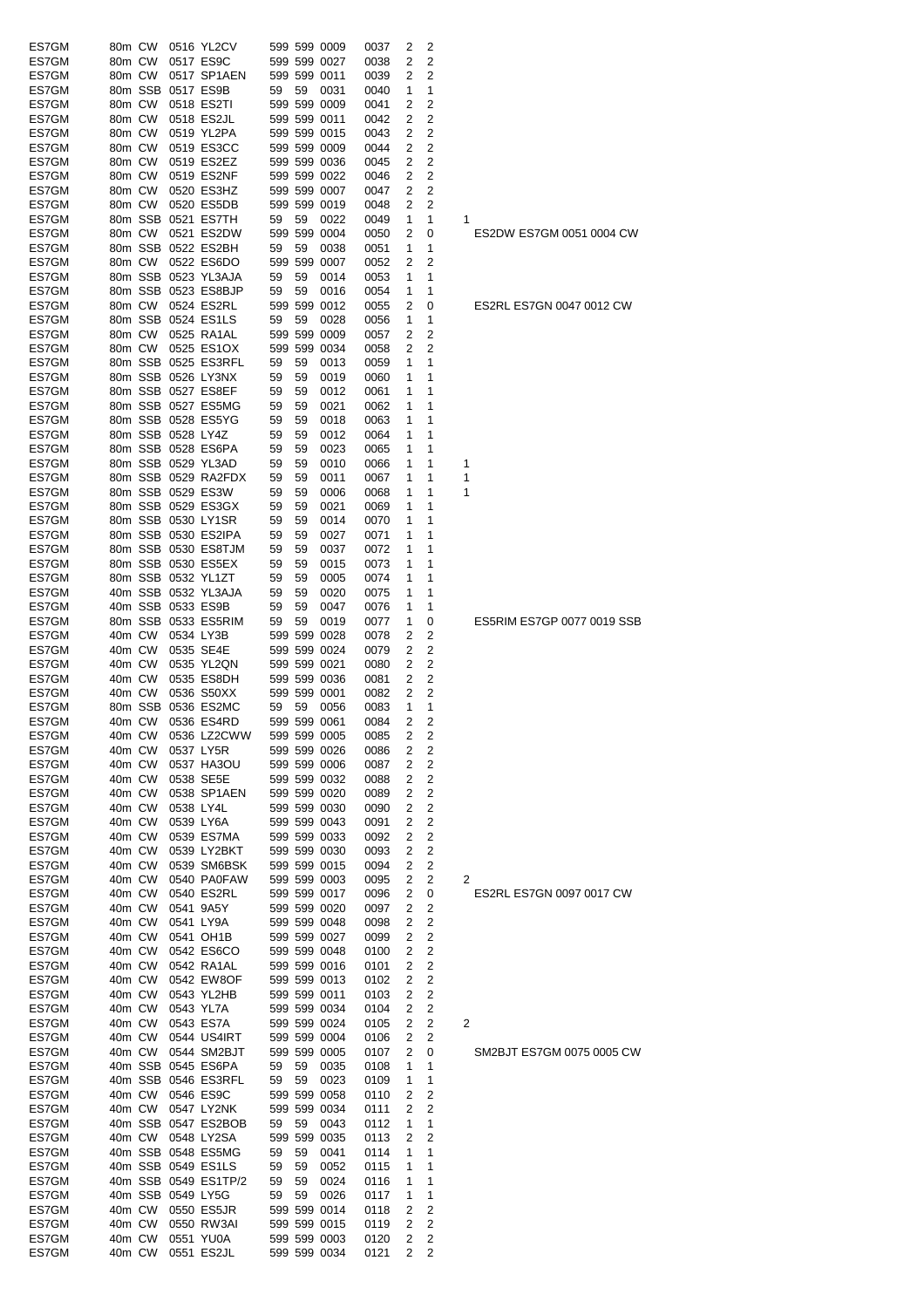| ES7GM | 80m CW |                   |                   | 0516 YL2CV                       |    |    | 599 599 0009                 | 0037 | 2                   | 2              |                            |
|-------|--------|-------------------|-------------------|----------------------------------|----|----|------------------------------|------|---------------------|----------------|----------------------------|
| ES7GM | 80m CW |                   |                   | 0517 ES9C                        |    |    | 599 599 0027                 | 0038 | 2                   | 2              |                            |
| ES7GM | 80m CW |                   |                   | 0517 SP1AEN                      |    |    | 599 599 0011                 | 0039 | 2                   | 2              |                            |
| ES7GM |        |                   |                   | 80m SSB 0517 ES9B                | 59 | 59 | 0031                         | 0040 | 1                   | 1              |                            |
| ES7GM | 80m CW |                   |                   | 0518 ES2TI                       |    |    | 599 599 0009                 | 0041 | 2                   | 2              |                            |
| ES7GM | 80m CW |                   |                   | 0518 ES2JL                       |    |    | 599 599 0011                 | 0042 | 2                   | 2              |                            |
| ES7GM | 80m CW |                   |                   | 0519 YL2PA                       |    |    | 599 599 0015                 | 0043 | 2                   | 2              |                            |
| ES7GM | 80m CW |                   |                   | 0519 ES3CC                       |    |    | 599 599 0009                 | 0044 | 2                   | 2              |                            |
| ES7GM | 80m CW |                   |                   | 0519 ES2EZ                       |    |    | 599 599 0036                 | 0045 | 2                   | 2              |                            |
| ES7GM | 80m CW |                   |                   | 0519 ES2NF                       |    |    | 599 599 0022                 | 0046 | 2                   | 2              |                            |
| ES7GM | 80m CW |                   |                   | 0520 ES3HZ                       |    |    | 599 599 0007                 | 0047 | 2                   | 2              |                            |
| ES7GM | 80m CW |                   |                   | 0520 ES5DB                       |    |    | 599 599 0019                 | 0048 | 2                   | 2              |                            |
| ES7GM |        |                   |                   | 80m SSB 0521 ES7TH               | 59 | 59 | 0022                         | 0049 | 1                   | 1              | 1                          |
| ES7GM |        | 80m CW            |                   | 0521 ES2DW                       |    |    | 599 599 0004                 | 0050 | 2                   | 0              | ES2DW ES7GM 0051 0004 CW   |
| ES7GM |        |                   |                   | 80m SSB 0522 ES2BH               | 59 | 59 | 0038                         | 0051 | 1                   | 1              |                            |
| ES7GM |        | 80m CW            |                   | 0522 ES6DO                       |    |    | 599 599 0007                 | 0052 | 2                   | 2              |                            |
| ES7GM |        |                   |                   | 80m SSB 0523 YL3AJA              | 59 | 59 | 0014                         | 0053 | 1                   | 1              |                            |
| ES7GM |        |                   |                   | 80m SSB 0523 ES8BJP              | 59 | 59 | 0016                         | 0054 | 1                   | 1              |                            |
| ES7GM |        |                   |                   | 80m CW 0524 ES2RL                |    |    | 599 599 0012                 | 0055 | 2                   | 0              | ES2RL ES7GN 0047 0012 CW   |
| ES7GM |        |                   |                   | 80m SSB 0524 ES1LS               | 59 | 59 | 0028                         | 0056 | 1                   | 1              |                            |
| ES7GM |        | 80m CW            |                   | 0525 RA1AL                       |    |    | 599 599 0009                 | 0057 | 2                   | 2              |                            |
| ES7GM | 80m CW |                   |                   | 0525 ES1OX                       |    |    | 599 599 0034                 | 0058 | 2                   | 2              |                            |
| ES7GM |        |                   |                   | 80m SSB 0525 ES3RFL              | 59 | 59 | 0013                         | 0059 | 1                   | 1              |                            |
| ES7GM |        |                   |                   | 80m SSB 0526 LY3NX               | 59 | 59 |                              | 0060 |                     | 1              |                            |
|       |        |                   |                   | 80m SSB 0527 ES8EF               |    |    | 0019                         |      | 1                   |                |                            |
| ES7GM |        |                   |                   |                                  | 59 | 59 | 0012                         | 0061 | 1                   | 1              |                            |
| ES7GM |        |                   |                   | 80m SSB 0527 ES5MG               | 59 | 59 | 0021                         | 0062 | 1                   | 1              |                            |
| ES7GM |        |                   |                   | 80m SSB 0528 ES5YG               | 59 | 59 | 0018                         | 0063 | 1                   | 1              |                            |
| ES7GM |        |                   | 80m SSB 0528 LY4Z |                                  | 59 | 59 | 0012                         | 0064 | 1                   | 1              |                            |
| ES7GM |        |                   |                   | 80m SSB 0528 ES6PA               | 59 | 59 | 0023                         | 0065 | 1                   | 1              |                            |
| ES7GM |        |                   |                   | 80m SSB 0529 YL3AD               | 59 | 59 | 0010                         | 0066 | 1                   | 1              | 1                          |
| ES7GM |        |                   |                   | 80m SSB 0529 RA2FDX              | 59 | 59 | 0011                         | 0067 | 1                   | 1              | 1                          |
| ES7GM |        |                   |                   | 80m SSB 0529 ES3W                | 59 | 59 | 0006                         | 0068 | 1                   | 1              | 1                          |
| ES7GM |        |                   |                   | 80m SSB 0529 ES3GX               | 59 | 59 | 0021                         | 0069 | 1                   | 1              |                            |
| ES7GM |        |                   |                   | 80m SSB 0530 LY1SR               | 59 | 59 | 0014                         | 0070 | 1                   | 1              |                            |
| ES7GM |        |                   |                   | 80m SSB 0530 ES2IPA              | 59 | 59 | 0027                         | 0071 | 1                   | 1              |                            |
| ES7GM |        |                   |                   | 80m SSB 0530 ES8TJM              | 59 | 59 | 0037                         | 0072 | 1                   | 1              |                            |
| ES7GM |        |                   |                   | 80m SSB 0530 ES5EX               | 59 | 59 | 0015                         | 0073 | 1                   | 1              |                            |
| ES7GM |        |                   |                   | 80m SSB 0532 YL1ZT               | 59 | 59 | 0005                         | 0074 | 1                   | 1              |                            |
| ES7GM |        |                   |                   | 40m SSB 0532 YL3AJA              | 59 | 59 | 0020                         | 0075 | 1                   | 1              |                            |
| ES7GM |        |                   |                   | 40m SSB 0533 ES9B                | 59 | 59 | 0047                         | 0076 | 1                   | 1              |                            |
| ES7GM |        |                   |                   | 80m SSB 0533 ES5RIM              | 59 | 59 | 0019                         | 0077 | 1                   | 0              | ES5RIM ES7GP 0077 0019 SSB |
| ES7GM | 40m CW |                   |                   | 0534 LY3B                        |    |    | 599 599 0028                 | 0078 | 2                   | 2              |                            |
| ES7GM | 40m CW |                   |                   | 0535 SE4E                        |    |    | 599 599 0024                 | 0079 | 2                   | 2              |                            |
| ES7GM | 40m CW |                   |                   | 0535 YL2QN                       |    |    | 599 599 0021                 | 0080 | 2                   | $\overline{2}$ |                            |
| ES7GM | 40m CW |                   |                   | 0535 ES8DH                       |    |    | 599 599 0036                 | 0081 | 2                   | 2              |                            |
| ES7GM | 40m CW |                   |                   | 0536 S50XX                       |    |    | 599 599 0001                 | 0082 | 2                   | 2              |                            |
| ES7GM |        |                   |                   | 80m SSB 0536 ES2MC               | 59 | 59 |                              |      |                     | 1              |                            |
|       |        |                   |                   |                                  |    |    | 0056                         | 0083 | 1                   | 2              |                            |
| ES7GM |        | 40m CW            |                   | 0536 ES4RD<br>40m CW 0536 LZ2CWW |    |    | 599 599 0061<br>599 599 0005 | 0084 | 2<br>$\overline{2}$ |                |                            |
| ES7GM |        |                   |                   |                                  |    |    |                              | 0085 |                     | 2              |                            |
| ES7GM | 40m CW |                   |                   | 0537 LY5R                        |    |    | 599 599 0026                 | 0086 | 2                   | 2              |                            |
| ES7GM | 40m CW |                   |                   | 0537 HA3OU                       |    |    | 599 599 0006                 | 0087 | 2                   | 2              |                            |
| ES7GM | 40m CW |                   |                   | 0538 SE5E                        |    |    | 599 599 0032                 | 0088 | 2                   | 2              |                            |
| ES7GM | 40m CW |                   |                   | 0538 SP1AEN                      |    |    | 599 599 0020                 | 0089 | 2                   | 2              |                            |
| ES7GM | 40m CW |                   |                   | 0538 LY4L                        |    |    | 599 599 0030                 | 0090 | 2                   | 2              |                            |
| ES7GM | 40m CW |                   |                   | 0539 LY6A                        |    |    | 599 599 0043                 | 0091 | 2                   | 2              |                            |
| ES7GM |        | 40m CW            |                   | 0539 ES7MA                       |    |    | 599 599 0033                 | 0092 | 2                   | 2              |                            |
| ES7GM | 40m CW |                   |                   | 0539 LY2BKT                      |    |    | 599 599 0030                 | 0093 | 2                   | 2              |                            |
| ES7GM |        | 40m CW            |                   | 0539 SM6BSK                      |    |    | 599 599 0015                 | 0094 | 2                   | 2              |                            |
| ES7GM | 40m CW |                   |                   | 0540 PA0FAW                      |    |    | 599 599 0003                 | 0095 | 2                   | 2              | 2                          |
| ES7GM |        | 40m CW            |                   | 0540 ES2RL                       |    |    | 599 599 0017                 | 0096 | 2                   | 0              | ES2RL ES7GN 0097 0017 CW   |
| ES7GM | 40m CW |                   |                   | 0541 9A5Y                        |    |    | 599 599 0020                 | 0097 | 2                   | 2              |                            |
| ES7GM | 40m CW |                   |                   | 0541 LY9A                        |    |    | 599 599 0048                 | 0098 | 2                   | 2              |                            |
| ES7GM | 40m CW |                   |                   | 0541 OH1B                        |    |    | 599 599 0027                 | 0099 | 2                   | 2              |                            |
| ES7GM | 40m CW |                   |                   | 0542 ES6CO                       |    |    | 599 599 0048                 | 0100 | 2                   | 2              |                            |
| ES7GM | 40m CW |                   |                   | 0542 RA1AL                       |    |    | 599 599 0016                 | 0101 | 2                   | 2              |                            |
| ES7GM | 40m CW |                   |                   | 0542 EW8OF                       |    |    | 599 599 0013                 | 0102 | 2                   | 2              |                            |
| ES7GM | 40m CW |                   |                   | 0543 YL2HB                       |    |    | 599 599 0011                 | 0103 | 2                   | 2              |                            |
| ES7GM | 40m CW |                   |                   | 0543 YL7A                        |    |    | 599 599 0034                 | 0104 | 2                   | 2              |                            |
| ES7GM |        | 40m CW            |                   | 0543 ES7A                        |    |    | 599 599 0024                 | 0105 | 2                   | 2              | 2                          |
| ES7GM |        | 40m CW            |                   | 0544 US4IRT                      |    |    | 599 599 0004                 | 0106 | 2                   | 2              |                            |
| ES7GM |        |                   |                   | 40m CW 0544 SM2BJT               |    |    | 599 599 0005                 | 0107 | 2                   | 0              | SM2BJT ES7GM 0075 0005 CW  |
| ES7GM |        |                   |                   | 40m SSB 0545 ES6PA               |    | 59 |                              |      |                     | 1              |                            |
|       |        |                   |                   |                                  | 59 |    | 0035                         | 0108 | 1                   |                |                            |
| ES7GM |        |                   |                   | 40m SSB 0546 ES3RFL              | 59 | 59 | 0023                         | 0109 | 1                   | 1              |                            |
| ES7GM |        |                   |                   | 40m CW 0546 ES9C                 |    |    | 599 599 0058                 | 0110 | 2                   | 2              |                            |
| ES7GM |        | 40m CW            |                   | 0547 LY2NK                       |    |    | 599 599 0034                 | 0111 | 2                   | 2              |                            |
| ES7GM |        |                   |                   | 40m SSB 0547 ES2BOB              | 59 | 59 | 0043                         | 0112 | 1                   | 1              |                            |
|       |        |                   |                   |                                  |    |    | 599 599 0035                 | 0113 | 2                   | 2              |                            |
| ES7GM |        | 40m CW 0548 LY2SA |                   |                                  |    |    |                              |      |                     |                |                            |
| ES7GM |        |                   |                   | 40m SSB 0548 ES5MG               | 59 | 59 | 0041                         | 0114 | 1                   | 1              |                            |
| ES7GM |        |                   |                   | 40m SSB 0549 ES1LS               | 59 | 59 | 0052                         | 0115 | 1                   | 1              |                            |
| ES7GM |        |                   |                   | 40m SSB 0549 ES1TP/2             | 59 | 59 | 0024                         | 0116 | 1                   | 1              |                            |
| ES7GM |        |                   |                   | 40m SSB 0549 LY5G                | 59 | 59 | 0026                         | 0117 | 1                   | 1              |                            |
| ES7GM |        |                   |                   | 40m CW 0550 ES5JR                |    |    | 599 599 0014                 | 0118 | 2                   | 2              |                            |
| ES7GM |        | 40m CW            |                   | 0550 RW3AI                       |    |    | 599 599 0015                 | 0119 | 2                   | 2              |                            |
| ES7GM |        | 40m CW            |                   | 0551 YU0A                        |    |    | 599 599 0003                 | 0120 | 2                   | 2              |                            |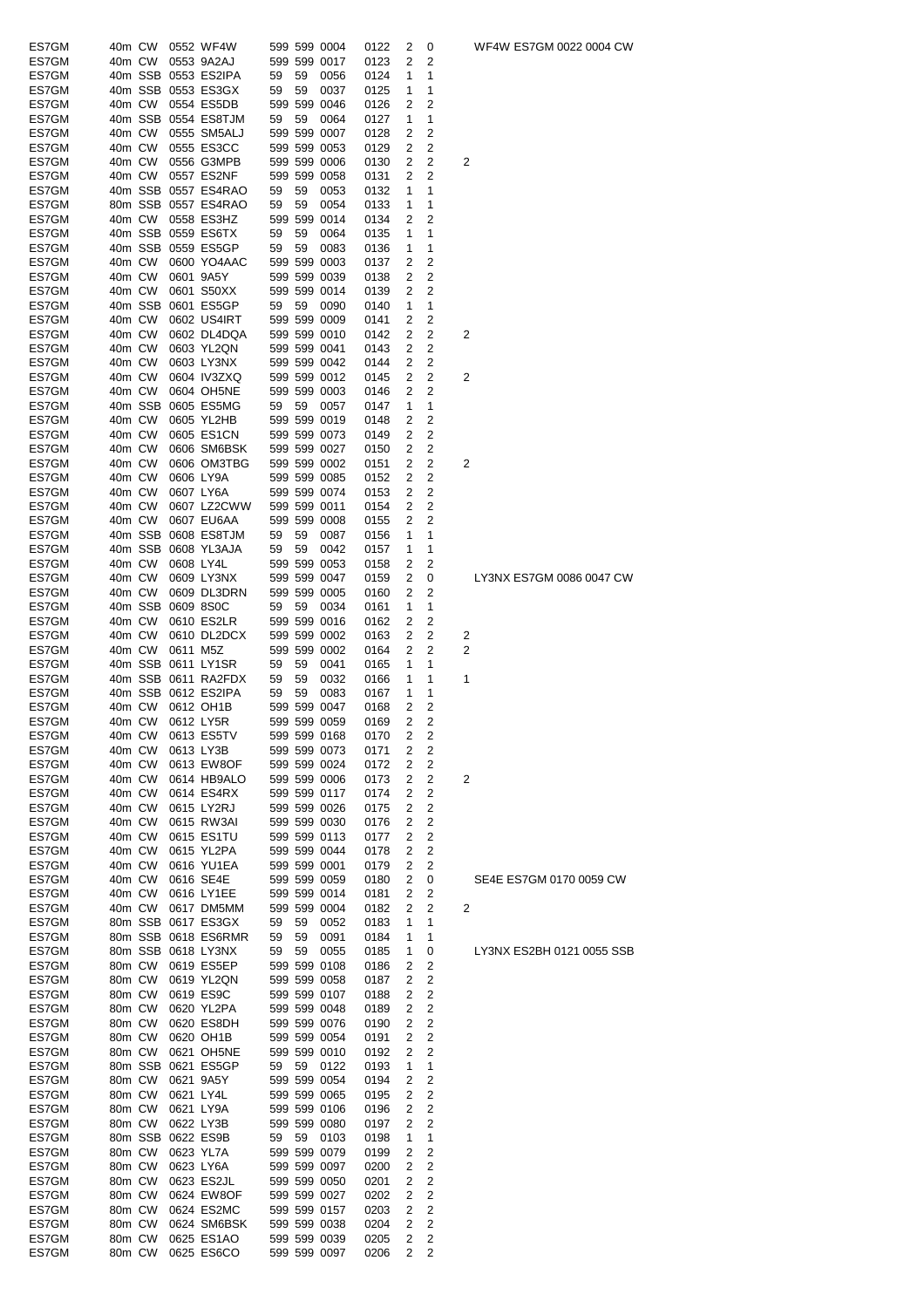| ES7GM          | 40m CW           |        |                   | 0552 WF4W                |    |    | 599 599 0004                 | 0122         | 2              | 0           |   | WF4W ES7GM 0022 0004 CW   |
|----------------|------------------|--------|-------------------|--------------------------|----|----|------------------------------|--------------|----------------|-------------|---|---------------------------|
| ES7GM          | 40m CW           |        |                   | 0553 9A2AJ               |    |    | 599 599 0017                 | 0123         | 2              | 2           |   |                           |
|                |                  |        |                   |                          |    |    |                              |              |                |             |   |                           |
| ES7GM          |                  |        |                   | 40m SSB 0553 ES2IPA      | 59 | 59 | 0056                         | 0124         | 1              | 1           |   |                           |
| ES7GM          |                  |        |                   | 40m SSB 0553 ES3GX       | 59 | 59 | 0037                         | 0125         | 1              | 1           |   |                           |
| ES7GM          |                  | 40m CW |                   | 0554 ES5DB               |    |    | 599 599 0046                 | 0126         | 2              | 2           |   |                           |
|                |                  |        |                   |                          |    |    |                              |              |                |             |   |                           |
| ES7GM          |                  |        |                   | 40m SSB 0554 ES8TJM      | 59 | 59 | 0064                         | 0127         | 1              | 1           |   |                           |
| ES7GM          | 40m CW           |        |                   | 0555 SM5ALJ              |    |    | 599 599 0007                 | 0128         | 2              | 2           |   |                           |
| ES7GM          | 40m CW           |        |                   | 0555 ES3CC               |    |    | 599 599 0053                 | 0129         | 2              | 2           |   |                           |
|                |                  |        |                   |                          |    |    |                              |              |                |             |   |                           |
| ES7GM          | 40m CW           |        |                   | 0556 G3MPB               |    |    | 599 599 0006                 | 0130         | 2              | 2           | 2 |                           |
| ES7GM          |                  | 40m CW |                   | 0557 ES2NF               |    |    | 599 599 0058                 | 0131         | 2              | 2           |   |                           |
| ES7GM          |                  |        |                   | 40m SSB 0557 ES4RAO      | 59 | 59 | 0053                         | 0132         | 1              | 1           |   |                           |
|                |                  |        |                   |                          |    |    |                              |              |                |             |   |                           |
| ES7GM          |                  |        |                   | 80m SSB 0557 ES4RAO      | 59 | 59 | 0054                         | 0133         | 1              | 1           |   |                           |
| ES7GM          | 40m CW           |        |                   | 0558 ES3HZ               |    |    | 599 599 0014                 | 0134         | 2              | 2           |   |                           |
| ES7GM          |                  |        |                   | 40m SSB 0559 ES6TX       | 59 | 59 | 0064                         | 0135         | 1              | 1           |   |                           |
|                |                  |        |                   |                          |    |    |                              |              |                |             |   |                           |
| ES7GM          |                  |        |                   | 40m SSB 0559 ES5GP       | 59 | 59 | 0083                         | 0136         | 1              | 1           |   |                           |
| ES7GM          | 40m CW           |        |                   | 0600 YO4AAC              |    |    | 599 599 0003                 | 0137         | 2              | 2           |   |                           |
| ES7GM          | 40m CW           |        | 0601 9A5Y         |                          |    |    | 599 599 0039                 | 0138         | 2              | 2           |   |                           |
|                |                  |        |                   |                          |    |    |                              |              |                |             |   |                           |
| ES7GM          | 40m CW           |        |                   | 0601 S50XX               |    |    | 599 599 0014                 | 0139         | 2              | 2           |   |                           |
| ES7GM          |                  |        |                   | 40m SSB 0601 ES5GP       | 59 | 59 | 0090                         | 0140         | 1              | 1           |   |                           |
| ES7GM          | 40m CW           |        |                   | 0602 US4IRT              |    |    | 599 599 0009                 | 0141         | 2              | 2           |   |                           |
|                | 40m CW           |        |                   |                          |    |    | 599 599 0010                 | 0142         | 2              | 2           | 2 |                           |
| ES7GM          |                  |        |                   | 0602 DL4DQA              |    |    |                              |              |                |             |   |                           |
| ES7GM          | 40m CW           |        |                   | 0603 YL2QN               |    |    | 599 599 0041                 | 0143         | 2              | 2           |   |                           |
| ES7GM          | 40m CW           |        |                   | 0603 LY3NX               |    |    | 599 599 0042                 | 0144         | 2              | 2           |   |                           |
|                | 40m CW           |        |                   |                          |    |    |                              |              |                |             |   |                           |
| ES7GM          |                  |        |                   | 0604 IV3ZXQ              |    |    | 599 599 0012                 | 0145         | 2              | 2           | 2 |                           |
| ES7GM          | 40m CW           |        |                   | 0604 OH5NE               |    |    | 599 599 0003                 | 0146         | 2              | 2           |   |                           |
| ES7GM          |                  |        |                   | 40m SSB 0605 ES5MG       | 59 | 59 | 0057                         | 0147         | 1              | 1           |   |                           |
|                |                  |        |                   |                          |    |    |                              |              |                |             |   |                           |
| ES7GM          | 40m CW           |        |                   | 0605 YL2HB               |    |    | 599 599 0019                 | 0148         | 2              | 2           |   |                           |
| ES7GM          | 40m CW           |        |                   | 0605 ES1CN               |    |    | 599 599 0073                 | 0149         | 2              | 2           |   |                           |
| ES7GM          | 40m CW           |        |                   | 0606 SM6BSK              |    |    | 599 599 0027                 | 0150         | 2              | 2           |   |                           |
|                |                  |        |                   |                          |    |    |                              |              |                |             |   |                           |
| ES7GM          | 40m CW           |        |                   | 0606 OM3TBG              |    |    | 599 599 0002                 | 0151         | 2              | 2           | 2 |                           |
| ES7GM          | 40m CW           |        |                   | 0606 LY9A                |    |    | 599 599 0085                 | 0152         | 2              | 2           |   |                           |
| ES7GM          | 40m CW           |        |                   | 0607 LY6A                |    |    | 599 599 0074                 | 0153         | 2              | 2           |   |                           |
|                |                  |        |                   |                          |    |    |                              |              |                |             |   |                           |
| ES7GM          | 40m CW           |        |                   | 0607 LZ2CWW              |    |    | 599 599 0011                 | 0154         | 2              | 2           |   |                           |
| ES7GM          | 40m CW           |        |                   | 0607 EU6AA               |    |    | 599 599 0008                 | 0155         | 2              | 2           |   |                           |
| ES7GM          |                  |        |                   | 40m SSB 0608 ES8TJM      | 59 | 59 | 0087                         | 0156         | 1              | 1           |   |                           |
|                |                  |        |                   |                          |    |    |                              |              |                |             |   |                           |
| ES7GM          |                  |        |                   | 40m SSB 0608 YL3AJA      | 59 | 59 | 0042                         | 0157         | 1              | 1           |   |                           |
| ES7GM          | 40m CW           |        | 0608 LY4L         |                          |    |    | 599 599 0053                 | 0158         | 2              | 2           |   |                           |
| ES7GM          | 40m CW           |        |                   | 0609 LY3NX               |    |    | 599 599 0047                 | 0159         | 2              | 0           |   | LY3NX ES7GM 0086 0047 CW  |
|                |                  |        |                   |                          |    |    |                              |              |                |             |   |                           |
| ES7GM          | 40m CW           |        |                   | 0609 DL3DRN              |    |    | 599 599 0005                 | 0160         | 2              | 2           |   |                           |
| ES7GM          |                  |        | 40m SSB 0609 8S0C |                          | 59 | 59 | 0034                         | 0161         | 1              | 1           |   |                           |
| ES7GM          | 40m CW           |        |                   | 0610 ES2LR               |    |    | 599 599 0016                 | 0162         | 2              | 2           |   |                           |
|                |                  |        |                   |                          |    |    |                              |              |                |             |   |                           |
| ES7GM          | 40m CW           |        |                   | 0610 DL2DCX              |    |    | 599 599 0002                 | 0163         | 2              | 2           | 2 |                           |
| ES7GM          | 40m CW           |        | 0611 M5Z          |                          |    |    | 599 599 0002                 | 0164         | 2              | 2           | 2 |                           |
| ES7GM          |                  |        |                   | 40m SSB 0611 LY1SR       | 59 | 59 | 0041                         | 0165         | 1              | 1           |   |                           |
|                |                  |        |                   |                          |    |    |                              |              |                |             |   |                           |
| ES7GM          |                  |        |                   | 40m SSB 0611 RA2FDX      | 59 | 59 | 0032                         | 0166         | 1              | 1           | 1 |                           |
| ES7GM          |                  |        |                   | 40m SSB 0612 ES2IPA      | 59 | 59 | 0083                         | 0167         | 1              | 1           |   |                           |
| ES7GM          | 40m CW           |        |                   | 0612 OH1B                |    |    | 599 599 0047                 | 0168         | 2              | 2           |   |                           |
|                |                  |        |                   |                          |    |    |                              |              |                |             |   |                           |
| ES7GM          |                  | 40m CW | 0612 LY5R         |                          |    |    | 599 599 0059                 | 0169         | 2              | 2           |   |                           |
| ES7GM          |                  |        |                   | 40m CW 0613 ES5TV        |    |    | 599 599 0168                 | 0170         | $\overline{2}$ | 2           |   |                           |
| ES7GM          | 40m CW           |        | 0613 LY3B         |                          |    |    | 599 599 0073                 | 0171         | 2              | 2           |   |                           |
|                |                  |        |                   |                          |    |    |                              |              |                |             |   |                           |
| ES7GM          | 40m CW           |        |                   | 0613 EW8OF               |    |    | 599 599 0024                 | 0172         | 2              | 2           |   |                           |
| ES7GM          | 40m CW           |        |                   | 0614 HB9ALO              |    |    | 599 599 0006                 | 0173         | 2              | 2           | 2 |                           |
| ES7GM          | 40m CW           |        |                   | 0614 ES4RX               |    |    | 599 599 0117                 | 0174         | 2              | 2           |   |                           |
|                |                  |        |                   |                          |    |    |                              |              |                |             |   |                           |
| ES7GM          | 40m CW           |        |                   | 0615 LY2RJ               |    |    | 599 599 0026                 | 0175         | 2              | 2           |   |                           |
| ES7GM          | 40m CW           |        |                   | 0615 RW3AI               |    |    | 599 599 0030                 | 0176         | 2              | 2           |   |                           |
|                |                  |        |                   |                          |    |    |                              |              |                |             |   |                           |
| ES7GM          | 40m CW           |        |                   | 0615 ES1TU               |    |    | 599 599 0113                 | 0177         | 2              | 2           |   |                           |
| ES7GM          | 40m CW           |        |                   | 0615 YL2PA               |    |    | 599 599 0044                 | 0178         | 2              | 2           |   |                           |
| ES7GM          | 40m CW           |        |                   | 0616 YU1EA               |    |    | 599 599 0001                 | 0179         | 2              | 2           |   |                           |
|                | 40m CW           |        |                   | 0616 SE4E                |    |    |                              |              | 2              |             |   | SE4E ES7GM 0170 0059 CW   |
| ES7GM          |                  |        |                   |                          |    |    | 599 599 0059                 | 0180         |                | 0           |   |                           |
| ES7GM          | 40m CW           |        |                   | 0616 LY1EE               |    |    | 599 599 0014                 | 0181         | 2              | 2           |   |                           |
| ES7GM          | 40m CW           |        |                   | 0617 DM5MM               |    |    | 599 599 0004                 | 0182         | 2              | 2           | 2 |                           |
| ES7GM          |                  |        |                   | 80m SSB 0617 ES3GX       | 59 | 59 | 0052                         | 0183         | 1              | 1           |   |                           |
|                |                  |        |                   |                          |    |    |                              |              |                |             |   |                           |
| ES7GM          |                  |        |                   | 80m SSB 0618 ES6RMR      | 59 | 59 | 0091                         |              | 1              | 1           |   |                           |
| ES7GM          |                  |        |                   |                          |    |    |                              | 0184         |                |             |   | LY3NX ES2BH 0121 0055 SSB |
| ES7GM          |                  |        |                   | 80m SSB 0618 LY3NX       | 59 | 59 | 0055                         | 0185         | 1              | 0           |   |                           |
|                |                  |        |                   |                          |    |    |                              |              |                |             |   |                           |
| ES7GM          | 80m CW           |        |                   | 0619 ES5EP               |    |    | 599 599 0108                 | 0186         | 2              | 2           |   |                           |
|                | 80m CW           |        |                   | 0619 YL2QN               |    |    | 599 599 0058                 | 0187         | 2              | $\mathbf 2$ |   |                           |
| ES7GM          | 80m CW           |        |                   | 0619 ES9C                |    |    | 599 599 0107                 | 0188         | 2              | 2           |   |                           |
|                |                  |        |                   |                          |    |    |                              |              |                |             |   |                           |
| ES7GM          | 80m CW           |        |                   | 0620 YL2PA               |    |    | 599 599 0048                 | 0189         | 2              | 2           |   |                           |
| ES7GM          | 80m CW           |        |                   | 0620 ES8DH               |    |    | 599 599 0076                 | 0190         | 2              | 2           |   |                           |
| ES7GM          | 80m CW           |        |                   | 0620 OH1B                |    |    | 599 599 0054                 | 0191         | 2              | 2           |   |                           |
|                |                  |        |                   |                          |    |    |                              |              |                |             |   |                           |
| ES7GM          | 80m CW           |        |                   | 0621 OH5NE               |    |    | 599 599 0010                 | 0192         | 2              | 2           |   |                           |
| ES7GM          |                  |        |                   | 80m SSB 0621 ES5GP       | 59 | 59 | 0122                         | 0193         | 1              | 1           |   |                           |
| ES7GM          | 80m CW           |        |                   | 0621 9A5Y                |    |    | 599 599 0054                 | 0194         | 2              | 2           |   |                           |
|                |                  |        |                   |                          |    |    |                              |              |                |             |   |                           |
| ES7GM          | 80m CW           |        | 0621 LY4L         |                          |    |    | 599 599 0065                 | 0195         | 2              | 2           |   |                           |
| ES7GM          | 80m CW           |        |                   | 0621 LY9A                |    |    | 599 599 0106                 | 0196         | 2              | 2           |   |                           |
| ES7GM          | 80m CW           |        |                   | 0622 LY3B                |    |    | 599 599 0080                 | 0197         | 2              | 2           |   |                           |
|                |                  |        |                   |                          |    |    |                              |              |                |             |   |                           |
| ES7GM          |                  |        | 80m SSB 0622 ES9B |                          | 59 | 59 | 0103                         | 0198         | 1              | 1           |   |                           |
| ES7GM          | 80m CW           |        |                   | 0623 YL7A                |    |    | 599 599 0079                 | 0199         | 2              | 2           |   |                           |
| ES7GM          | 80m CW           |        |                   | 0623 LY6A                |    |    | 599 599 0097                 | 0200         | 2              | $\mathbf 2$ |   |                           |
|                |                  |        |                   |                          |    |    |                              |              |                |             |   |                           |
| ES7GM          | 80m CW           |        |                   | 0623 ES2JL               |    |    | 599 599 0050                 | 0201         | 2              | 2           |   |                           |
| ES7GM          | 80m CW           |        |                   | 0624 EW8OF               |    |    | 599 599 0027                 | 0202         | 2              | 2           |   |                           |
| ES7GM          | 80m CW           |        |                   | 0624 ES2MC               |    |    | 599 599 0157                 | 0203         | 2              | 2           |   |                           |
|                |                  |        |                   |                          |    |    |                              |              |                |             |   |                           |
| ES7GM          | 80m CW           |        |                   | 0624 SM6BSK              |    |    | 599 599 0038                 | 0204         | 2              | 2           |   |                           |
| ES7GM<br>ES7GM | 80m CW<br>80m CW |        |                   | 0625 ES1AO<br>0625 ES6CO |    |    | 599 599 0039<br>599 599 0097 | 0205<br>0206 | 2<br>2         | 2<br>2      |   |                           |

WF4W ES7GM 0022 0004 CW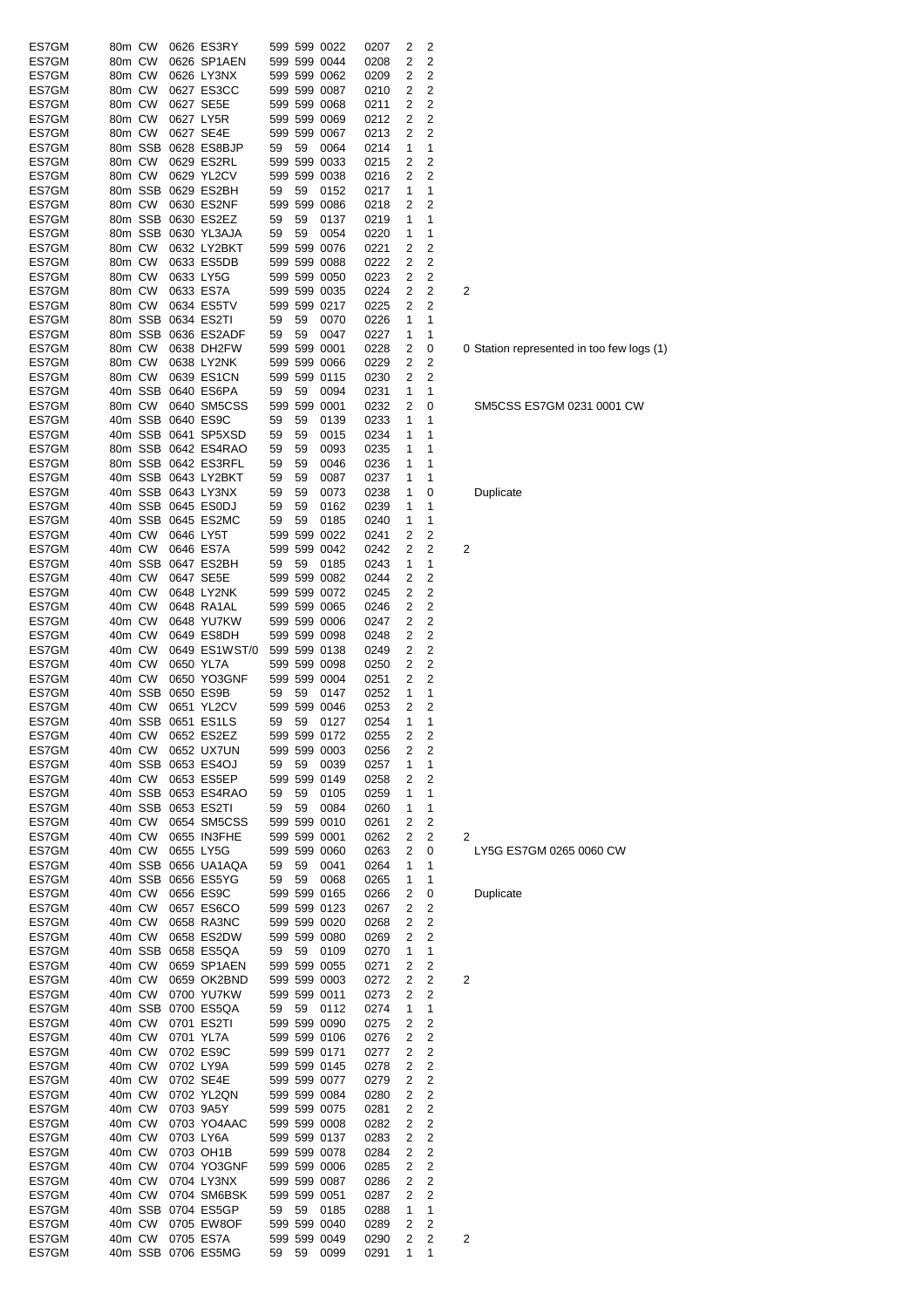| ES7GM          | 80m CW           |        | 0626 ES3RY                         |       |    | 599 599 0022                 | 0207         | 2      | 2      |                                           |
|----------------|------------------|--------|------------------------------------|-------|----|------------------------------|--------------|--------|--------|-------------------------------------------|
| ES7GM          | 80m CW           |        | 0626 SP1AEN                        |       |    | 599 599 0044                 | 0208         | 2      | 2      |                                           |
| ES7GM          | 80m CW           |        | 0626 LY3NX                         |       |    | 599 599 0062                 | 0209         | 2      | 2      |                                           |
| ES7GM          | 80m CW           |        | 0627 ES3CC                         |       |    | 599 599 0087                 | 0210         | 2      | 2      |                                           |
| ES7GM          | 80m CW           |        | 0627 SE5E                          |       |    | 599 599 0068                 | 0211         | 2      | 2      |                                           |
| ES7GM          | 80m CW           |        | 0627 LY5R                          |       |    | 599 599 0069                 | 0212         | 2      | 2      |                                           |
| ES7GM          | 80m CW           |        | 0627 SE4E                          |       |    | 599 599 0067                 | 0213         | 2      | 2      |                                           |
| ES7GM          |                  |        | 80m SSB 0628 ES8BJP                | 59    | 59 | 0064                         | 0214         | 1      | 1      |                                           |
| ES7GM          | 80m CW           |        | 0629 ES2RL                         |       |    | 599 599 0033                 | 0215         | 2      | 2      |                                           |
| ES7GM          | 80m CW           |        | 0629 YL2CV                         |       |    | 599 599 0038                 | 0216         | 2      | 2      |                                           |
| ES7GM          |                  |        | 80m SSB 0629 ES2BH                 | 59    | 59 | 0152                         | 0217         | 1      | 1      |                                           |
| ES7GM          |                  | 80m CW | 0630 ES2NF                         |       |    | 599 599 0086                 | 0218         | 2      | 2      |                                           |
| ES7GM          |                  |        | 80m SSB 0630 ES2EZ                 | 59    | 59 | 0137                         | 0219         | 1      | 1      |                                           |
| ES7GM          | 80m CW           |        | 80m SSB 0630 YL3AJA<br>0632 LY2BKT | 59    | 59 | 0054<br>599 599 0076         | 0220<br>0221 | 1<br>2 | 1<br>2 |                                           |
| ES7GM<br>ES7GM | 80m CW           |        | 0633 ES5DB                         |       |    | 599 599 0088                 | 0222         | 2      | 2      |                                           |
| ES7GM          | 80m CW           |        | 0633 LY5G                          |       |    | 599 599 0050                 | 0223         | 2      | 2      |                                           |
| ES7GM          | 80m CW           |        | 0633 ES7A                          |       |    | 599 599 0035                 | 0224         | 2      | 2      | 2                                         |
| ES7GM          | 80m CW           |        | 0634 ES5TV                         |       |    | 599 599 0217                 | 0225         | 2      | 2      |                                           |
| ES7GM          |                  |        | 80m SSB 0634 ES2TI                 | 59    | 59 | 0070                         | 0226         | 1      | 1      |                                           |
| ES7GM          |                  |        | 80m SSB 0636 ES2ADF                | 59    | 59 | 0047                         | 0227         | 1      | 1      |                                           |
| ES7GM          | 80m CW           |        | 0638 DH2FW                         |       |    | 599 599 0001                 | 0228         | 2      | 0      | 0 Station represented in too few logs (1) |
| ES7GM          | 80m CW           |        | 0638 LY2NK                         |       |    | 599 599 0066                 | 0229         | 2      | 2      |                                           |
| ES7GM          | 80m CW           |        | 0639 ES1CN                         |       |    | 599 599 0115                 | 0230         | 2      | 2      |                                           |
| ES7GM          |                  |        | 40m SSB 0640 ES6PA                 | 59    | 59 | 0094                         | 0231         | 1      | 1      |                                           |
| ES7GM          | 80m CW           |        | 0640 SM5CSS                        |       |    | 599 599 0001                 | 0232         | 2      | 0      | SM5CSS ES7GM 0231 0001 CW                 |
| ES7GM          |                  |        | 40m SSB 0640 ES9C                  | 59    | 59 | 0139                         | 0233         | 1      | 1      |                                           |
| ES7GM          |                  |        | 40m SSB 0641 SP5XSD                | 59    | 59 | 0015                         | 0234         | 1      | 1      |                                           |
| ES7GM          |                  |        | 80m SSB 0642 ES4RAO                | 59    | 59 | 0093                         | 0235         | 1      | 1      |                                           |
| ES7GM          |                  |        | 80m SSB 0642 ES3RFL                | 59    | 59 | 0046                         | 0236         | 1      | 1      |                                           |
| ES7GM          |                  |        | 40m SSB 0643 LY2BKT                | 59    | 59 | 0087                         | 0237         | 1      | 1      |                                           |
| ES7GM          |                  |        | 40m SSB 0643 LY3NX                 | 59    | 59 | 0073                         | 0238         | 1      | 0      | Duplicate                                 |
| ES7GM          |                  |        | 40m SSB 0645 ES0DJ                 | 59    | 59 | 0162                         | 0239         | 1      | 1      |                                           |
| ES7GM          |                  |        | 40m SSB 0645 ES2MC                 | 59    | 59 | 0185                         | 0240         | 1      | 1      |                                           |
| ES7GM          | 40m CW           |        | 0646 LY5T                          |       |    | 599 599 0022                 | 0241         | 2      | 2      |                                           |
| ES7GM          | 40m CW           |        | 0646 ES7A                          |       |    | 599 599 0042                 | 0242         | 2      | 2      | 2                                         |
| ES7GM          |                  |        | 40m SSB 0647 ES2BH                 | 59    | 59 | 0185                         | 0243         | 1      | 1      |                                           |
| ES7GM          | 40m CW           |        | 0647 SE5E                          |       |    | 599 599 0082                 | 0244         | 2      | 2      |                                           |
| ES7GM          | 40m CW           |        | 0648 LY2NK                         |       |    | 599 599 0072                 | 0245         | 2      | 2      |                                           |
| ES7GM          | 40m CW           |        | 0648 RA1AL                         |       |    | 599 599 0065                 | 0246         | 2      | 2      |                                           |
| ES7GM          | 40m CW           |        | 0648 YU7KW                         |       |    | 599 599 0006                 | 0247         | 2      | 2      |                                           |
| ES7GM          | 40m CW           |        | 0649 ES8DH                         |       |    | 599 599 0098                 | 0248         | 2      | 2      |                                           |
| ES7GM          | 40m CW           |        | 0649 ES1WST/0                      |       |    | 599 599 0138                 | 0249         | 2      | 2      |                                           |
| ES7GM          | 40m CW           |        | 0650 YL7A<br>0650 YO3GNF           |       |    | 599 599 0098<br>599 599 0004 | 0250         | 2<br>2 | 2<br>2 |                                           |
| ES7GM<br>ES7GM | 40m CW           |        | 40m SSB 0650 ES9B                  | 59    | 59 | 0147                         | 0251<br>0252 | 1      | 1      |                                           |
| ES7GM          | 40m CW           |        | 0651 YL2CV                         |       |    | 599 599 0046                 | 0253         | 2      | 2      |                                           |
| ES7GM          |                  |        | 40m SSB 0651 ES1LS                 | 59    | 59 | 0127                         | 0254         | 1      | 1      |                                           |
| ES7GM          | 40m CW           |        | 0652 ES2EZ                         |       |    | 599 599 0172                 | 0255         | 2      | 2      |                                           |
| ES7GM          |                  | 40m CW | 0652 UX7UN                         |       |    | 599 599 0003                 | 0256         | 2      | 2      |                                           |
| ES7GM          |                  |        | 40m SSB 0653 ES4OJ                 | 59    | 59 | 0039                         | 0257         | 1      | 1      |                                           |
| ES7GM          |                  | 40m CW | 0653 ES5EP                         |       |    | 599 599 0149                 | 0258         | 2      | 2      |                                           |
| ES7GM          |                  |        | 40m SSB 0653 ES4RAO                | 59    | 59 | 0105                         | 0259         | 1      | 1      |                                           |
| ES7GM          |                  |        | 40m SSB 0653 ES2TI                 | 59    | 59 | 0084                         | 0260         | 1      | 1      |                                           |
| ES7GM          |                  |        | 40m CW 0654 SM5CSS                 |       |    | 599 599 0010                 | 0261         | 2      | 2      |                                           |
| ES7GM          | 40m CW           |        | 0655 IN3FHE                        |       |    | 599 599 0001                 | 0262         | 2      | 2      | 2                                         |
| ES7GM          |                  | 40m CW | 0655 LY5G                          |       |    | 599 599 0060                 | 0263         | 2      | 0      | LY5G ES7GM 0265 0060 CW                   |
| ES7GM          |                  |        | 40m SSB 0656 UA1AQA                | 59    | 59 | 0041                         | 0264         | 1      | 1      |                                           |
| ES7GM          |                  |        | 40m SSB 0656 ES5YG                 | 59    | 59 | 0068                         | 0265         | 1      | 1      |                                           |
| ES7GM          |                  | 40m CW | 0656 ES9C                          |       |    | 599 599 0165                 | 0266         | 2      | 0      | Duplicate                                 |
| ES7GM          | 40m CW           |        | 0657 ES6CO                         |       |    | 599 599 0123                 | 0267         | 2      | 2      |                                           |
| ES7GM          | 40m CW           |        | 0658 RA3NC                         |       |    | 599 599 0020                 | 0268         | 2      | 2      |                                           |
| ES7GM          |                  | 40m CW | 0658 ES2DW                         |       |    | 599 599 0080                 | 0269         | 2      | 2      |                                           |
| ES7GM          |                  |        | 40m SSB 0658 ES5QA                 | 59 59 |    | 0109                         | 0270         | 1      | 1      |                                           |
| ES7GM          | 40m CW           |        | 0659 SP1AEN                        |       |    | 599 599 0055                 | 0271         | 2      | 2      |                                           |
| ES7GM          |                  | 40m CW | 0659 OK2BND                        |       |    | 599 599 0003                 | 0272         | 2      | 2      | 2                                         |
| ES7GM          |                  | 40m CW | 0700 YU7KW                         |       |    | 599 599 0011                 | 0273         | 2      | 2      |                                           |
| ES7GM          |                  |        | 40m SSB 0700 ES5QA                 | 59    | 59 | 0112                         | 0274         | 1      | 1      |                                           |
| ES7GM<br>ES7GM | 40m CW<br>40m CW |        | 0701 ES2TI<br>0701 YL7A            |       |    | 599 599 0090<br>599 599 0106 | 0275<br>0276 | 2<br>2 | 2<br>2 |                                           |
| ES7GM          | 40m CW           |        | 0702 ES9C                          |       |    | 599 599 0171                 | 0277         | 2      | 2      |                                           |
| ES7GM          | 40m CW           |        | 0702 LY9A                          |       |    | 599 599 0145                 | 0278         | 2      | 2      |                                           |
| ES7GM          | 40m CW           |        | 0702 SE4E                          |       |    | 599 599 0077                 | 0279         | 2      | 2      |                                           |
| ES7GM          | 40m CW           |        | 0702 YL2QN                         |       |    | 599 599 0084                 | 0280         | 2      | 2      |                                           |
| ES7GM          | 40m CW           |        | 0703 9A5Y                          |       |    | 599 599 0075                 | 0281         | 2      | 2      |                                           |
| ES7GM          | 40m CW           |        | 0703 YO4AAC                        |       |    | 599 599 0008                 | 0282         | 2      | 2      |                                           |
| ES7GM          | 40m CW           |        | 0703 LY6A                          |       |    | 599 599 0137                 | 0283         | 2      | 2      |                                           |
| ES7GM          | 40m CW           |        | 0703 OH1B                          |       |    | 599 599 0078                 | 0284         | 2      | 2      |                                           |
| ES7GM          | 40m CW           |        | 0704 YO3GNF                        |       |    | 599 599 0006                 | 0285         | 2      | 2      |                                           |
| ES7GM          | 40m CW           |        | 0704 LY3NX                         |       |    | 599 599 0087                 | 0286         | 2      | 2      |                                           |
| ES7GM          |                  | 40m CW | 0704 SM6BSK                        |       |    | 599 599 0051                 | 0287         | 2      | 2      |                                           |
| ES7GM          |                  |        | 40m SSB 0704 ES5GP                 | 59    | 59 | 0185                         | 0288         | 1      | 1      |                                           |
| ES7GM          |                  | 40m CW | 0705 EW8OF                         |       |    | 599 599 0040                 | 0289         | 2      | 2      |                                           |
| ES7GM          |                  | 40m CW | 0705 ES7A                          |       |    | 599 599 0049                 | 0290         | 2      | 2      | 2                                         |
| ES7GM          |                  |        | 40m SSB 0706 ES5MG                 | 59    | 59 | 0099                         | 0291         | 1      | 1      |                                           |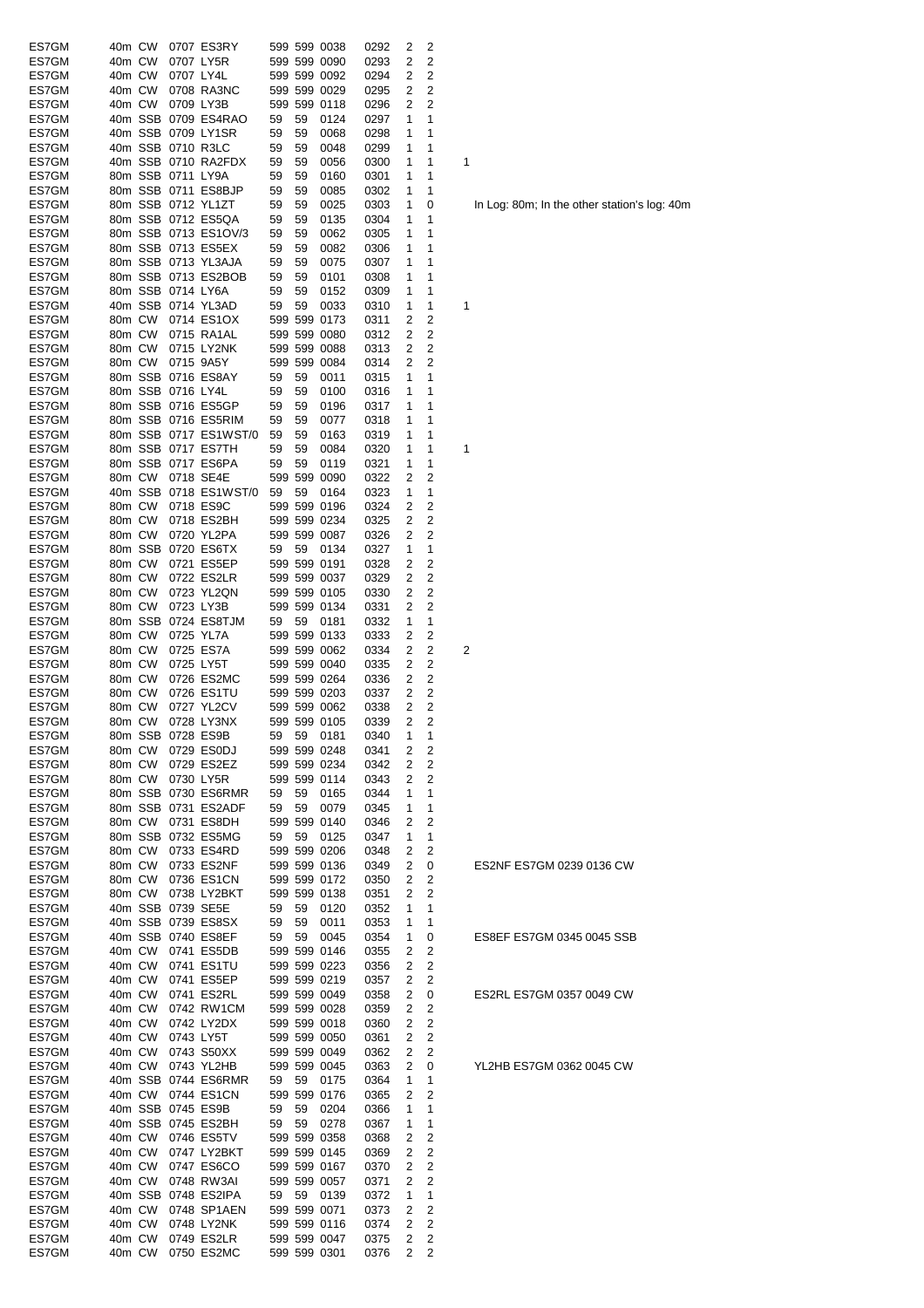| ES7GM          | 40m CW |         |                   | 0707 ES3RY                |    |    | 599 599 0038         | 0292 | 2 | 2              |   |
|----------------|--------|---------|-------------------|---------------------------|----|----|----------------------|------|---|----------------|---|
| ES7GM          | 40m CW |         |                   | 0707 LY5R                 |    |    | 599 599 0090         | 0293 | 2 | 2              |   |
| ES7GM          | 40m CW |         | 0707 LY4L         |                           |    |    | 599 599 0092         | 0294 | 2 | 2              |   |
| ES7GM          | 40m CW |         |                   | 0708 RA3NC                |    |    | 599 599 0029         | 0295 | 2 | $\overline{2}$ |   |
| ES7GM          | 40m CW |         | 0709 LY3B         |                           |    |    | 599 599 0118         | 0296 | 2 | $\overline{2}$ |   |
| ES7GM          |        | 40m SSB |                   | 0709 ES4RAO               | 59 | 59 | 0124                 | 0297 | 1 | 1              |   |
| ES7GM          |        | 40m SSB |                   | 0709 LY1SR                | 59 | 59 | 0068                 | 0298 | 1 | 1              |   |
| ES7GM          |        | 40m SSB |                   | 0710 R3LC                 | 59 | 59 | 0048                 | 0299 | 1 | 1              |   |
| ES7GM          |        |         |                   | 40m SSB 0710 RA2FDX       | 59 | 59 | 0056                 | 0300 | 1 | 1              | 1 |
| ES7GM          |        |         | 80m SSB 0711 LY9A |                           | 59 | 59 | 0160                 | 0301 | 1 | 1              |   |
| ES7GM          |        |         |                   | 80m SSB 0711 ES8BJP       | 59 | 59 | 0085                 | 0302 | 1 | 1              |   |
| ES7GM          |        |         |                   | 80m SSB 0712 YL1ZT        | 59 | 59 | 0025                 | 0303 | 1 | 0              |   |
| ES7GM          |        |         |                   | 80m SSB 0712 ES5QA        | 59 | 59 | 0135                 | 0304 | 1 | 1              |   |
| ES7GM          |        |         |                   | 80m SSB 0713 ES1OV/3      | 59 | 59 | 0062                 | 0305 | 1 | 1              |   |
| ES7GM          |        |         |                   | 80m SSB 0713 ES5EX        | 59 | 59 | 0082                 | 0306 | 1 | 1              |   |
| ES7GM          |        |         |                   | 80m SSB 0713 YL3AJA       | 59 | 59 | 0075                 | 0307 | 1 | 1              |   |
| ES7GM          |        | 80m SSB |                   | 0713 ES2BOB               | 59 | 59 | 0101                 | 0308 | 1 | 1              |   |
| ES7GM          |        | 80m SSB | 0714 LY6A         |                           | 59 | 59 | 0152                 | 0309 | 1 | 1              |   |
| ES7GM          |        | 40m SSB |                   | 0714 YL3AD                | 59 | 59 | 0033                 | 0310 | 1 | 1              | 1 |
| ES7GM          | 80m CW |         |                   | 0714 ES1OX                |    |    | 599 599 0173         | 0311 | 2 | 2              |   |
| ES7GM          | 80m CW |         |                   | 0715 RA1AL                |    |    | 599 599 0080         | 0312 | 2 | 2              |   |
| ES7GM          | 80m CW |         |                   | 0715 LY2NK                |    |    | 599 599 0088         | 0313 | 2 | 2              |   |
| ES7GM          | 80m CW |         | 0715 9A5Y         |                           |    |    | 599 599 0084         | 0314 | 2 | 2              |   |
| ES7GM          |        | 80m SSB |                   | 0716 ES8AY                | 59 | 59 | 0011                 | 0315 | 1 | 1              |   |
| ES7GM          |        | 80m SSB | 0716 LY4L         |                           | 59 | 59 | 0100                 | 0316 | 1 | 1              |   |
| ES7GM          |        | 80m SSB |                   | 0716 ES5GP                | 59 | 59 |                      | 0317 | 1 | 1              |   |
|                |        |         |                   |                           |    |    | 0196                 |      |   |                |   |
| ES7GM          |        |         |                   | 80m SSB 0716 ES5RIM       | 59 | 59 | 0077                 | 0318 | 1 | 1              |   |
| ES7GM          |        | 80m SSB |                   | 0717 ES1WST/0             | 59 | 59 | 0163                 | 0319 | 1 | 1              |   |
| ES7GM          |        | 80m SSB |                   | 0717 ES7TH                | 59 | 59 | 0084                 | 0320 | 1 | 1              | 1 |
| ES7GM          |        | 80m SSB |                   | 0717 ES6PA                | 59 | 59 | 0119                 | 0321 | 1 | 1              |   |
| ES7GM          | 80m CW |         |                   | 0718 SE4E                 |    |    | 599 599 0090         | 0322 | 2 | 2              |   |
| ES7GM          |        | 40m SSB |                   | 0718 ES1WST/0             | 59 | 59 | 0164                 | 0323 | 1 | 1              |   |
| ES7GM          | 80m CW |         |                   | 0718 ES9C                 |    |    | 599 599 0196         | 0324 | 2 | 2              |   |
| ES7GM          | 80m CW |         |                   | 0718 ES2BH                |    |    | 599 599 0234         | 0325 | 2 | 2              |   |
| ES7GM          | 80m CW |         |                   | 0720 YL2PA                |    |    | 599 599 0087         | 0326 | 2 | 2              |   |
| ES7GM          |        | 80m SSB |                   | 0720 ES6TX                | 59 | 59 | 0134                 | 0327 | 1 | 1              |   |
| ES7GM          | 80m CW |         |                   | 0721 ES5EP                |    |    | 599 599 0191         | 0328 | 2 | 2              |   |
| ES7GM          | 80m CW |         |                   | 0722 ES2LR                |    |    | 599 599 0037         | 0329 | 2 | 2              |   |
| ES7GM          | 80m CW |         |                   | 0723 YL2QN                |    |    | 599 599 0105         | 0330 | 2 | 2              |   |
| ES7GM          | 80m CW |         | 0723 LY3B         |                           |    |    | 599 599 0134         | 0331 | 2 | 2              |   |
| ES7GM          |        | 80m SSB |                   | 0724 ES8TJM               | 59 | 59 | 0181                 | 0332 | 1 | 1              |   |
| ES7GM          | 80m CW |         |                   | 0725 YL7A                 |    |    | 599 599 0133         | 0333 | 2 | $\overline{2}$ |   |
| ES7GM          | 80m CW |         |                   | 0725 ES7A                 |    |    | 599 599 0062         | 0334 | 2 | 2              | 2 |
| ES7GM          | 80m CW |         | 0725 LY5T         |                           |    |    | 599 599 0040         | 0335 | 2 | 2              |   |
| ES7GM          | 80m CW |         |                   | 0726 ES2MC                |    |    | 599 599 0264         | 0336 | 2 | 2              |   |
| ES7GM          | 80m CW |         |                   | 0726 ES1TU                |    |    | 599 599 0203         | 0337 | 2 | 2              |   |
| ES7GM          | 80m CW |         |                   | 0727 YL2CV                |    |    | 599 599 0062         | 0338 | 2 | 2              |   |
| ES7GM          | 80m CW |         |                   | 0728 LY3NX                |    |    | 599 599 0105         | 0339 | 2 | 2              |   |
| ES7GM          |        | 80m SSB |                   | 0728 ES9B                 | 59 | 59 | 0181                 | 0340 | 1 | 1              |   |
| ES7GM          | 80m CW |         |                   | 0729 ES0DJ                |    |    | 599 599 0248         | 0341 | 2 | 2              |   |
| ES7GM          | 80m CW |         |                   | 0729 ES2EZ                |    |    | 599 599 0234         | 0342 | 2 | 2              |   |
| ES7GM          | 80m CW |         |                   | 0730 LY5R                 |    |    | 599 599 0114         | 0343 | 2 | 2              |   |
| ES7GM          |        | 80m SSB |                   | 0730 ES6RMR               | 59 | 59 | 0165                 | 0344 | 1 | 1              |   |
| ES7GM          |        | 80m SSB |                   | 0731 ES2ADF               | 59 | 59 | 0079                 | 0345 | 1 | 1              |   |
| ES7GM          | 80m CW |         |                   | 0731 ES8DH                |    |    | 599 599 0140         | 0346 | 2 | 2              |   |
| ES7GM          |        | 80m SSB |                   | 0732 ES5MG                | 59 | 59 | 0125                 | 0347 | 1 | 1              |   |
| ES7GM          | 80m CW |         |                   | 0733 ES4RD                |    |    | 599 599 0206         | 0348 | 2 | 2              |   |
| ES7GM          | 80m CW |         |                   | 0733 ES2NF                |    |    | 599 599 0136         | 0349 | 2 | 0              |   |
| ES7GM          | 80m CW |         |                   | 0736 ES1CN                |    |    | 599 599 0172         | 0350 | 2 | 2              |   |
| ES7GM          | 80m CW |         |                   | 0738 LY2BKT               |    |    | 599 599 0138         | 0351 | 2 | 2              |   |
| ES7GM          |        | 40m SSB |                   | 0739 SE5E                 | 59 | 59 | 0120                 | 0352 | 1 | 1              |   |
| ES7GM          |        | 40m SSB |                   | 0739 ES8SX                | 59 | 59 | 0011                 | 0353 | 1 | 1              |   |
| ES7GM          |        | 40m SSB |                   | 0740 ES8EF                | 59 | 59 | 0045                 | 0354 | 1 | 0              |   |
| ES7GM          | 40m CW |         |                   | 0741 ES5DB                |    |    | 599 599 0146         | 0355 | 2 | 2              |   |
| ES7GM          | 40m CW |         |                   | 0741 ES1TU                |    |    | 599 599 0223         | 0356 | 2 | 2              |   |
| ES7GM          | 40m CW |         |                   | 0741 ES5EP                |    |    | 599 599 0219         | 0357 | 2 | 2              |   |
| ES7GM          | 40m CW |         |                   | 0741 ES2RL                |    |    | 599 599 0049         | 0358 | 2 | 0              |   |
| ES7GM          | 40m CW |         |                   | 0742 RW1CM                |    |    | 599 599 0028         | 0359 | 2 | 2              |   |
| ES7GM          | 40m CW |         |                   | 0742 LY2DX                |    |    | 599 599 0018         | 0360 | 2 | 2              |   |
| ES7GM          | 40m CW |         | 0743 LY5T         |                           |    |    | 599 599 0050         | 0361 | 2 | 2              |   |
| ES7GM          | 40m CW |         |                   | 0743 S50XX                |    |    | 599 599 0049         | 0362 | 2 | 2              |   |
|                | 40m CW |         |                   |                           |    |    | 599 599 0045         |      | 2 |                |   |
| ES7GM<br>ES7GM |        | 40m SSB |                   | 0743 YL2HB<br>0744 ES6RMR |    | 59 |                      | 0363 | 1 | 0<br>1         |   |
|                | 40m CW |         |                   | 0744 ES1CN                | 59 |    | 0175<br>599 599 0176 | 0364 | 2 | 2              |   |
| ES7GM          |        |         |                   |                           |    |    |                      | 0365 |   |                |   |
| ES7GM          |        | 40m SSB |                   | 0745 ES9B                 | 59 | 59 | 0204                 | 0366 | 1 | 1              |   |
| ES7GM          |        | 40m SSB |                   | 0745 ES2BH                | 59 | 59 | 0278                 | 0367 | 1 | 1              |   |
| ES7GM          | 40m CW |         |                   | 0746 ES5TV                |    |    | 599 599 0358         | 0368 | 2 | 2              |   |
| ES7GM          | 40m CW |         |                   | 0747 LY2BKT               |    |    | 599 599 0145         | 0369 | 2 | 2              |   |
| ES7GM          | 40m CW |         |                   | 0747 ES6CO                |    |    | 599 599 0167         | 0370 | 2 | 2              |   |
| ES7GM          | 40m CW |         |                   | 0748 RW3AI                |    |    | 599 599 0057         | 0371 | 2 | 2              |   |
| ES7GM          |        | 40m SSB |                   | 0748 ES2IPA               | 59 | 59 | 0139                 | 0372 | 1 | 1              |   |
| ES7GM          | 40m CW |         |                   | 0748 SP1AEN               |    |    | 599 599 0071         | 0373 | 2 | 2              |   |
| ES7GM          | 40m CW |         |                   | 0748 LY2NK                |    |    | 599 599 0116         | 0374 | 2 | 2              |   |
| ES7GM          | 40m CW |         |                   | 0749 ES2LR                |    |    | 599 599 0047         | 0375 | 2 | 2              |   |
| ES7GM          | 40m CW |         |                   | 0750 ES2MC                |    |    | 599 599 0301         | 0376 | 2 | 2              |   |

In Log: 80m; In the other station's log: 40m

# ES2NF ES7GM 0239 0136 CW

ES8EF ES7GM 0345 0045 SSB

ES2RL ES7GM 0357 0049 CW

YL2HB ES7GM 0362 0045 CW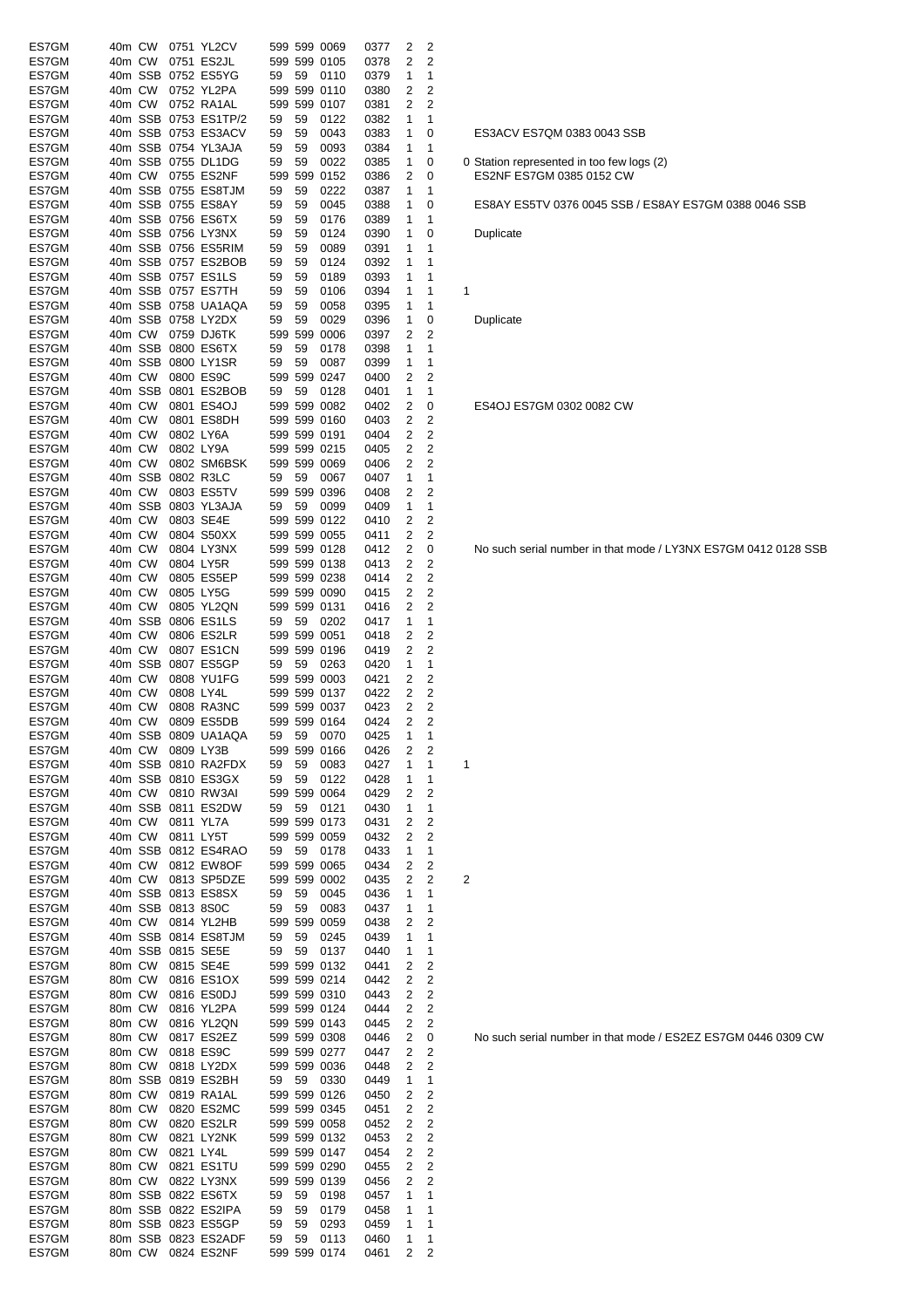| ES7GM | 40m CW            |           | 0751 YL2CV           |    |    | 599 599 0069 | 0377 | 2 | 2                       |                                           |
|-------|-------------------|-----------|----------------------|----|----|--------------|------|---|-------------------------|-------------------------------------------|
|       | 40m CW            |           |                      |    |    |              |      | 2 | 2                       |                                           |
| ES7GM |                   |           | 0751 ES2JL           |    |    | 599 599 0105 | 0378 |   |                         |                                           |
| ES7GM |                   |           | 40m SSB 0752 ES5YG   | 59 | 59 | 0110         | 0379 | 1 | 1                       |                                           |
| ES7GM | 40m CW            |           | 0752 YL2PA           |    |    | 599 599 0110 | 0380 | 2 | 2                       |                                           |
| ES7GM | 40m CW            |           | 0752 RA1AL           |    |    | 599 599 0107 | 0381 | 2 | 2                       |                                           |
| ES7GM |                   |           | 40m SSB 0753 ES1TP/2 | 59 | 59 | 0122         | 0382 | 1 | 1                       |                                           |
| ES7GM |                   |           | 40m SSB 0753 ES3ACV  | 59 | 59 | 0043         | 0383 | 1 | 0                       | ES3ACV ES7QM 0383 0043 SSB                |
| ES7GM |                   |           | 40m SSB 0754 YL3AJA  | 59 | 59 | 0093         | 0384 | 1 | 1                       |                                           |
|       |                   |           | 40m SSB 0755 DL1DG   |    | 59 |              |      |   | 0                       |                                           |
| ES7GM |                   |           |                      | 59 |    | 0022         | 0385 | 1 |                         | 0 Station represented in too few logs (2) |
| ES7GM |                   |           | 40m CW 0755 ES2NF    |    |    | 599 599 0152 | 0386 | 2 | 0                       | ES2NF ES7GM 0385 0152 CW                  |
| ES7GM |                   |           | 40m SSB 0755 ES8TJM  | 59 | 59 | 0222         | 0387 | 1 | 1                       |                                           |
| ES7GM |                   |           | 40m SSB 0755 ES8AY   | 59 | 59 | 0045         | 0388 | 1 | 0                       | ES8AY ES5TV 0376 0045 SSB / ES8/          |
| ES7GM |                   |           | 40m SSB 0756 ES6TX   | 59 | 59 | 0176         | 0389 | 1 | 1                       |                                           |
| ES7GM |                   |           | 40m SSB 0756 LY3NX   | 59 | 59 | 0124         | 0390 | 1 | 0                       | Duplicate                                 |
|       |                   |           | 40m SSB 0756 ES5RIM  |    |    |              |      |   |                         |                                           |
| ES7GM |                   |           |                      | 59 | 59 | 0089         | 0391 | 1 | 1                       |                                           |
| ES7GM |                   |           | 40m SSB 0757 ES2BOB  | 59 | 59 | 0124         | 0392 | 1 | 1                       |                                           |
| ES7GM |                   |           | 40m SSB 0757 ES1LS   | 59 | 59 | 0189         | 0393 | 1 | 1                       |                                           |
| ES7GM |                   |           | 40m SSB 0757 ES7TH   | 59 | 59 | 0106         | 0394 | 1 | 1                       | 1                                         |
| ES7GM |                   |           | 40m SSB 0758 UA1AQA  | 59 | 59 | 0058         | 0395 | 1 | 1                       |                                           |
| ES7GM |                   |           | 40m SSB 0758 LY2DX   | 59 | 59 | 0029         | 0396 | 1 | 0                       | Duplicate                                 |
| ES7GM | 40m CW            |           | 0759 DJ6TK           |    |    | 599 599 0006 | 0397 | 2 | 2                       |                                           |
|       |                   |           |                      |    |    |              |      |   |                         |                                           |
| ES7GM |                   |           | 40m SSB 0800 ES6TX   | 59 | 59 | 0178         | 0398 | 1 | 1                       |                                           |
| ES7GM |                   |           | 40m SSB 0800 LY1SR   | 59 | 59 | 0087         | 0399 | 1 | 1                       |                                           |
| ES7GM | 40m CW            |           | 0800 ES9C            |    |    | 599 599 0247 | 0400 | 2 | 2                       |                                           |
| ES7GM |                   |           | 40m SSB 0801 ES2BOB  | 59 | 59 | 0128         | 0401 | 1 | 1                       |                                           |
| ES7GM | 40m CW            |           | 0801 ES4OJ           |    |    | 599 599 0082 | 0402 | 2 | 0                       | ES4OJ ES7GM 0302 0082 CW                  |
| ES7GM | 40m CW            |           | 0801 ES8DH           |    |    | 599 599 0160 | 0403 | 2 | 2                       |                                           |
|       |                   |           |                      |    |    |              |      |   |                         |                                           |
| ES7GM | 40m CW            |           | 0802 LY6A            |    |    | 599 599 0191 | 0404 | 2 | 2                       |                                           |
| ES7GM | 40m CW            |           | 0802 LY9A            |    |    | 599 599 0215 | 0405 | 2 | 2                       |                                           |
| ES7GM | 40m CW            |           | 0802 SM6BSK          |    |    | 599 599 0069 | 0406 | 2 | 2                       |                                           |
| ES7GM | 40m SSB 0802 R3LC |           |                      | 59 | 59 | 0067         | 0407 | 1 | 1                       |                                           |
| ES7GM | 40m CW            |           | 0803 ES5TV           |    |    | 599 599 0396 | 0408 | 2 | 2                       |                                           |
| ES7GM |                   |           | 40m SSB 0803 YL3AJA  | 59 | 59 | 0099         | 0409 | 1 | 1                       |                                           |
| ES7GM | 40m CW            |           | 0803 SE4E            |    |    | 599 599 0122 | 0410 | 2 | 2                       |                                           |
|       |                   |           |                      |    |    |              |      |   |                         |                                           |
| ES7GM | 40m CW            |           | 0804 S50XX           |    |    | 599 599 0055 | 0411 | 2 | 2                       |                                           |
| ES7GM | 40m CW            |           | 0804 LY3NX           |    |    | 599 599 0128 | 0412 | 2 | 0                       | No such serial number in that mode / I    |
| ES7GM | 40m CW            |           | 0804 LY5R            |    |    | 599 599 0138 | 0413 | 2 | 2                       |                                           |
| ES7GM | 40m CW            |           | 0805 ES5EP           |    |    | 599 599 0238 | 0414 | 2 | $\overline{\mathbf{c}}$ |                                           |
| ES7GM | 40m CW            |           | 0805 LY5G            |    |    | 599 599 0090 | 0415 | 2 | 2                       |                                           |
| ES7GM | 40m CW            |           | 0805 YL2QN           |    |    | 599 599 0131 | 0416 | 2 | 2                       |                                           |
|       |                   |           | 40m SSB 0806 ES1LS   |    |    |              |      |   |                         |                                           |
| ES7GM |                   |           |                      | 59 | 59 | 0202         | 0417 | 1 | 1                       |                                           |
| ES7GM | 40m CW            |           | 0806 ES2LR           |    |    | 599 599 0051 | 0418 | 2 | 2                       |                                           |
| ES7GM | 40m CW            |           | 0807 ES1CN           |    |    | 599 599 0196 | 0419 | 2 | 2                       |                                           |
| ES7GM |                   |           | 40m SSB 0807 ES5GP   | 59 | 59 | 0263         | 0420 | 1 | 1                       |                                           |
| ES7GM | 40m CW            |           | 0808 YU1FG           |    |    | 599 599 0003 | 0421 | 2 | 2                       |                                           |
| ES7GM | 40m CW            | 0808 LY4L |                      |    |    | 599 599 0137 | 0422 | 2 | 2                       |                                           |
| ES7GM | 40m CW            |           | 0808 RA3NC           |    |    | 599 599 0037 | 0423 | 2 | 2                       |                                           |
|       |                   |           |                      |    |    |              |      |   | $\overline{2}$          |                                           |
| ES7GM | 40m CW            |           | 0809 ES5DB           |    |    | 599 599 0164 | 0424 | 2 |                         |                                           |
| ES7GM |                   |           | 40m SSB 0809 UA1AQA  | 59 | 59 | 0070         | 0425 | 1 | $\mathbf{1}$            |                                           |
| ES7GM | 40m CW            |           | 0809 LY3B            |    |    | 599 599 0166 | 0426 | 2 | 2                       |                                           |
| ES7GM |                   |           | 40m SSB 0810 RA2FDX  | 59 | 59 | 0083         | 0427 | 1 | 1                       | 1                                         |
| ES7GM |                   |           | 40m SSB 0810 ES3GX   | 59 | 59 | 0122         | 0428 | 1 | 1                       |                                           |
| ES7GM | 40m CW            |           | 0810 RW3AI           |    |    | 599 599 0064 | 0429 | 2 | 2                       |                                           |
| ES7GM |                   |           | 40m SSB 0811 ES2DW   | 59 | 59 | 0121         | 0430 | 1 | 1                       |                                           |
|       |                   |           |                      |    |    |              |      |   |                         |                                           |
| ES7GM | 40m CW            |           | 0811 YL7A            |    |    | 599 599 0173 | 0431 | 2 | 2                       |                                           |
| ES7GM | 40m CW            | 0811 LY5T |                      |    |    | 599 599 0059 | 0432 | 2 | 2                       |                                           |
| ES7GM |                   |           | 40m SSB 0812 ES4RAO  | 59 | 59 | 0178         | 0433 | 1 | 1                       |                                           |
| ES7GM | 40m CW            |           | 0812 EW8OF           |    |    | 599 599 0065 | 0434 | 2 | 2                       |                                           |
| ES7GM | 40m CW            |           | 0813 SP5DZE          |    |    | 599 599 0002 | 0435 | 2 | 2                       | 2                                         |
| ES7GM |                   |           | 40m SSB 0813 ES8SX   | 59 | 59 | 0045         | 0436 | 1 | 1                       |                                           |
| ES7GM | 40m SSB 0813 8S0C |           |                      |    | 59 |              |      |   | 1                       |                                           |
|       |                   |           |                      | 59 |    | 0083         | 0437 | 1 |                         |                                           |
| ES7GM |                   |           | 40m CW 0814 YL2HB    |    |    | 599 599 0059 | 0438 | 2 | 2                       |                                           |
| ES7GM |                   |           | 40m SSB 0814 ES8TJM  | 59 | 59 | 0245         | 0439 | 1 | 1                       |                                           |
| ES7GM | 40m SSB 0815 SE5E |           |                      | 59 | 59 | 0137         | 0440 | 1 | 1                       |                                           |
| ES7GM | 80m CW            |           | 0815 SE4E            |    |    | 599 599 0132 | 0441 | 2 | 2                       |                                           |
| ES7GM | 80m CW            |           | 0816 ES1OX           |    |    | 599 599 0214 | 0442 | 2 | 2                       |                                           |
| ES7GM | 80m CW            |           | 0816 ES0DJ           |    |    | 599 599 0310 | 0443 | 2 | 2                       |                                           |
| ES7GM | 80m CW            |           | 0816 YL2PA           |    |    | 599 599 0124 | 0444 | 2 | 2                       |                                           |
|       |                   |           |                      |    |    |              |      |   |                         |                                           |
| ES7GM | 80m CW            |           | 0816 YL2QN           |    |    | 599 599 0143 | 0445 | 2 | 2                       |                                           |
| ES7GM | 80m CW            |           | 0817 ES2EZ           |    |    | 599 599 0308 | 0446 | 2 | 0                       | No such serial number in that mode / I    |
| ES7GM | 80m CW            |           | 0818 ES9C            |    |    | 599 599 0277 | 0447 | 2 | 2                       |                                           |
| ES7GM | 80m CW            |           | 0818 LY2DX           |    |    | 599 599 0036 | 0448 | 2 | 2                       |                                           |
| ES7GM |                   |           | 80m SSB 0819 ES2BH   | 59 | 59 | 0330         | 0449 | 1 | 1                       |                                           |
| ES7GM | 80m CW            |           | 0819 RA1AL           |    |    | 599 599 0126 | 0450 | 2 | 2                       |                                           |
| ES7GM | 80m CW            |           | 0820 ES2MC           |    |    | 599 599 0345 |      | 2 | 2                       |                                           |
|       |                   |           |                      |    |    |              | 0451 |   |                         |                                           |
| ES7GM | 80m CW            |           | 0820 ES2LR           |    |    | 599 599 0058 | 0452 | 2 | 2                       |                                           |
| ES7GM | 80m CW            |           | 0821 LY2NK           |    |    | 599 599 0132 | 0453 | 2 | 2                       |                                           |
| ES7GM | 80m CW            | 0821 LY4L |                      |    |    | 599 599 0147 | 0454 | 2 | 2                       |                                           |
| ES7GM | 80m CW            |           | 0821 ES1TU           |    |    | 599 599 0290 | 0455 | 2 | 2                       |                                           |
| ES7GM | 80m CW            |           | 0822 LY3NX           |    |    | 599 599 0139 | 0456 | 2 | 2                       |                                           |
| ES7GM |                   |           | 80m SSB 0822 ES6TX   | 59 | 59 | 0198         | 0457 | 1 | 1                       |                                           |
|       |                   |           |                      |    |    |              |      |   |                         |                                           |
| ES7GM |                   |           | 80m SSB 0822 ES2IPA  | 59 | 59 | 0179         | 0458 | 1 | 1                       |                                           |
| ES7GM |                   |           | 80m SSB 0823 ES5GP   | 59 | 59 | 0293         | 0459 | 1 | 1                       |                                           |
| ES7GM |                   |           | 80m SSB 0823 ES2ADF  | 59 | 59 | 0113         | 0460 | 1 | 1                       |                                           |
| ES7GM | 80m CW            |           | 0824 ES2NF           |    |    | 599 599 0174 | 0461 | 2 | 2                       |                                           |

ES8AY ES5TV 0376 0045 SSB / ES8AY ES7GM 0388 0046 SSB

No such serial number in that mode / LY3NX ES7GM 0412 0128 SSB

No such serial number in that mode / ES2EZ ES7GM 0446 0309 CW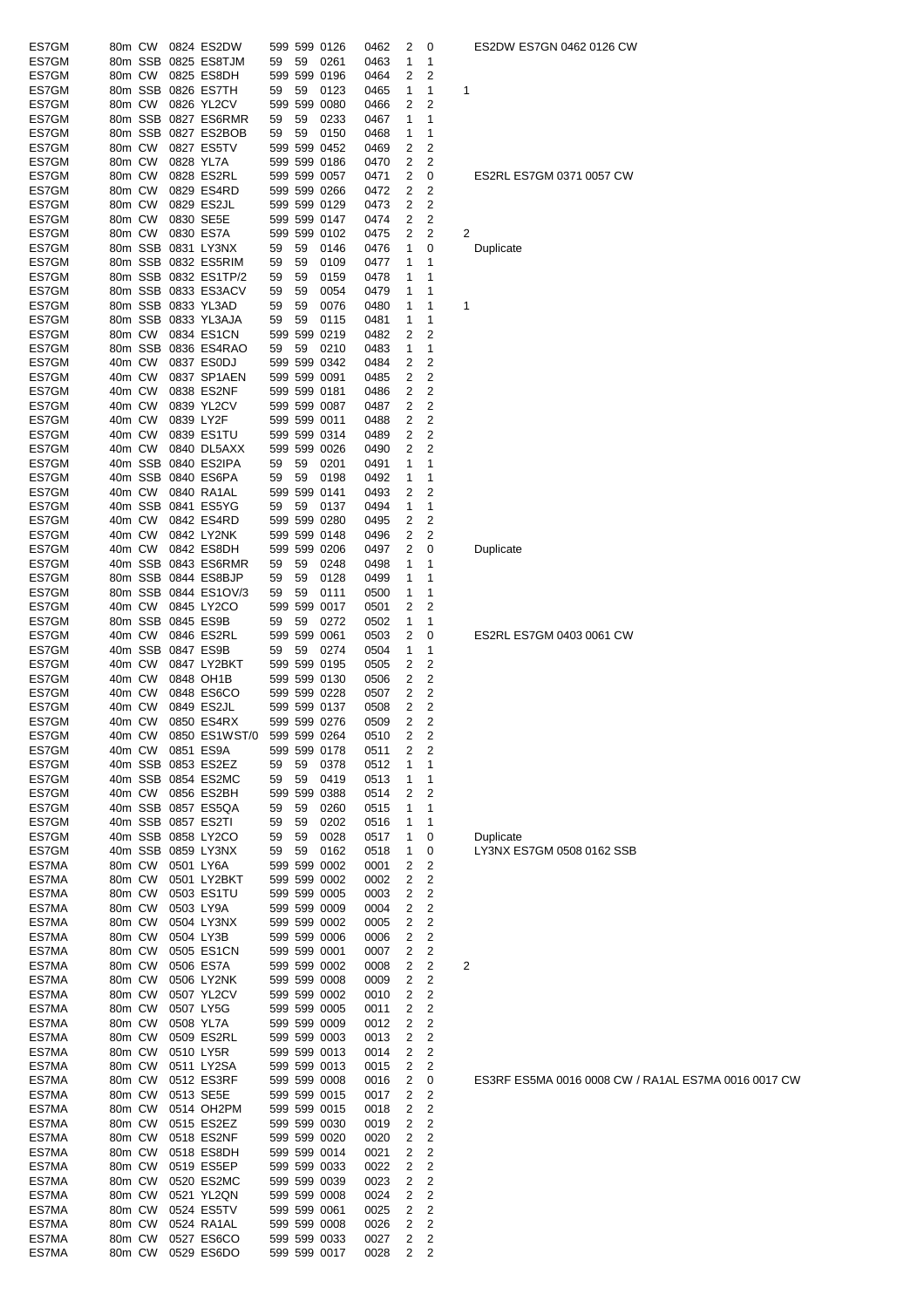| ES7GM          | 80m CW           |        |                   | 0824 ES2DW               |    |    | 599 599 0126                 | 0462         | 2      | 0              |   | ES2DW I   |
|----------------|------------------|--------|-------------------|--------------------------|----|----|------------------------------|--------------|--------|----------------|---|-----------|
| ES7GM          |                  |        |                   | 80m SSB 0825 ES8TJM      | 59 | 59 | 0261                         | 0463         | 1      | 1              |   |           |
| ES7GM          | 80m CW           |        |                   | 0825 ES8DH               |    |    | 599 599 0196                 | 0464         | 2      | 2              |   |           |
| ES7GM          |                  |        |                   | 80m SSB 0826 ES7TH       | 59 | 59 | 0123                         | 0465         | 1      | 1              | 1 |           |
| ES7GM          | 80m CW           |        |                   | 0826 YL2CV               |    |    | 599 599 0080                 |              | 2      | 2              |   |           |
| ES7GM          |                  |        |                   |                          |    |    |                              | 0466         |        |                |   |           |
|                |                  |        |                   | 80m SSB 0827 ES6RMR      | 59 | 59 | 0233                         | 0467         | 1      | 1              |   |           |
| ES7GM          |                  |        |                   | 80m SSB 0827 ES2BOB      | 59 | 59 | 0150                         | 0468         | 1      | 1              |   |           |
| ES7GM          | 80m CW           |        |                   | 0827 ES5TV               |    |    | 599 599 0452                 | 0469         | 2      | 2              |   |           |
| ES7GM          | 80m CW           |        | 0828 YL7A         |                          |    |    | 599 599 0186                 | 0470         | 2      | 2              |   |           |
| ES7GM          | 80m CW           |        |                   | 0828 ES2RL               |    |    | 599 599 0057                 | 0471         | 2      | 0              |   | ES2RL E   |
| ES7GM          | 80m CW           |        |                   | 0829 ES4RD               |    |    | 599 599 0266                 | 0472         | 2      | 2              |   |           |
| ES7GM          | 80m CW           |        |                   | 0829 ES2JL               |    |    | 599 599 0129                 | 0473         | 2      | 2              |   |           |
| ES7GM          | 80m CW           |        |                   | 0830 SE5E                |    |    | 599 599 0147                 | 0474         | 2      | 2              |   |           |
| ES7GM          | 80m CW           |        |                   | 0830 ES7A                |    |    | 599 599 0102                 | 0475         | 2      | 2              | 2 |           |
| ES7GM          |                  |        |                   | 80m SSB 0831 LY3NX       | 59 | 59 | 0146                         | 0476         | 1      | 0              |   | Duplicate |
| ES7GM          |                  |        |                   | 80m SSB 0832 ES5RIM      | 59 | 59 | 0109                         | 0477         | 1      | 1              |   |           |
| ES7GM          |                  |        |                   | 80m SSB 0832 ES1TP/2     | 59 | 59 | 0159                         | 0478         | 1      | 1              |   |           |
|                |                  |        |                   |                          |    |    |                              |              |        |                |   |           |
| ES7GM          |                  |        |                   | 80m SSB 0833 ES3ACV      | 59 | 59 | 0054                         | 0479         | 1      | 1              |   |           |
| ES7GM          |                  |        |                   | 80m SSB 0833 YL3AD       | 59 | 59 | 0076                         | 0480         | 1      | 1              | 1 |           |
| ES7GM          |                  |        |                   | 80m SSB 0833 YL3AJA      | 59 | 59 | 0115                         | 0481         | 1      | 1              |   |           |
| ES7GM          | 80m CW           |        |                   | 0834 ES1CN               |    |    | 599 599 0219                 | 0482         | 2      | 2              |   |           |
| ES7GM          |                  |        |                   | 80m SSB 0836 ES4RAO      | 59 | 59 | 0210                         | 0483         | 1      | 1              |   |           |
| ES7GM          | 40m CW           |        |                   | 0837 ES0DJ               |    |    | 599 599 0342                 | 0484         | 2      | 2              |   |           |
| ES7GM          | 40m CW           |        |                   | 0837 SP1AEN              |    |    | 599 599 0091                 | 0485         | 2      | 2              |   |           |
| ES7GM          | 40m CW           |        |                   | 0838 ES2NF               |    |    | 599 599 0181                 | 0486         | 2      | 2              |   |           |
| ES7GM          | 40m CW           |        |                   | 0839 YL2CV               |    |    | 599 599 0087                 | 0487         | 2      | 2              |   |           |
| ES7GM          | 40m CW           |        | 0839 LY2F         |                          |    |    | 599 599 0011                 | 0488         | 2      | 2              |   |           |
|                |                  |        |                   |                          |    |    |                              |              |        |                |   |           |
| ES7GM          | 40m CW           |        |                   | 0839 ES1TU               |    |    | 599 599 0314                 | 0489         | 2      | 2              |   |           |
| ES7GM          | 40m CW           |        |                   | 0840 DL5AXX              |    |    | 599 599 0026                 | 0490         | 2      | 2              |   |           |
| ES7GM          |                  |        |                   | 40m SSB 0840 ES2IPA      | 59 | 59 | 0201                         | 0491         | 1      | 1              |   |           |
| ES7GM          |                  |        |                   | 40m SSB 0840 ES6PA       | 59 | 59 | 0198                         | 0492         | 1      | 1              |   |           |
| ES7GM          | 40m CW           |        |                   | 0840 RA1AL               |    |    | 599 599 0141                 | 0493         | 2      | 2              |   |           |
| ES7GM          |                  |        |                   | 40m SSB 0841 ES5YG       | 59 | 59 | 0137                         | 0494         | 1      | 1              |   |           |
| ES7GM          | 40m CW           |        |                   | 0842 ES4RD               |    |    | 599 599 0280                 | 0495         | 2      | 2              |   |           |
| ES7GM          | 40m CW           |        |                   | 0842 LY2NK               |    |    | 599 599 0148                 | 0496         | 2      | 2              |   |           |
| ES7GM          | 40m CW           |        |                   | 0842 ES8DH               |    |    | 599 599 0206                 | 0497         | 2      | 0              |   | Duplicate |
| ES7GM          |                  |        |                   | 40m SSB 0843 ES6RMR      | 59 | 59 |                              | 0498         | 1      | 1              |   |           |
|                |                  |        |                   |                          |    |    | 0248                         |              | 1      |                |   |           |
| ES7GM          |                  |        |                   | 80m SSB 0844 ES8BJP      | 59 | 59 | 0128                         | 0499         |        | 1              |   |           |
| ES7GM          |                  |        |                   | 80m SSB 0844 ES1OV/3     | 59 | 59 | 0111                         | 0500         | 1      | 1              |   |           |
| ES7GM          | 40m CW           |        |                   | 0845 LY2CO               |    |    | 599 599 0017                 | 0501         | 2      | 2              |   |           |
| ES7GM          |                  |        | 80m SSB 0845 ES9B |                          | 59 | 59 | 0272                         | 0502         | 1      | 1              |   |           |
| ES7GM          | 40m CW           |        |                   | 0846 ES2RL               |    |    | 599 599 0061                 | 0503         | 2      | 0              |   | ES2RL E   |
| ES7GM          |                  |        | 40m SSB 0847 ES9B |                          | 59 | 59 | 0274                         | 0504         | 1      | 1              |   |           |
| ES7GM          | 40m CW           |        |                   | 0847 LY2BKT              |    |    | 599 599 0195                 | 0505         | 2      | 2              |   |           |
| ES7GM          | 40m CW           |        |                   | 0848 OH1B                |    |    | 599 599 0130                 | 0506         | 2      | 2              |   |           |
| ES7GM          | 40m CW           |        |                   | 0848 ES6CO               |    |    | 599 599 0228                 | 0507         | 2      | 2              |   |           |
| ES7GM          | 40m CW           |        |                   | 0849 ES2JL               |    |    | 599 599 0137                 | 0508         | 2      | 2              |   |           |
| ES7GM          |                  |        |                   | 0850 ES4RX               |    |    |                              |              | 2      | 2              |   |           |
|                | 40m CW           |        |                   |                          |    |    | 599 599 0276                 | 0509         |        |                |   |           |
| ES7GM          | 40m CW           |        |                   | 0850 ES1WST/0            |    |    | 599 599 0264                 | 0510         | 2      | 2              |   |           |
| ES7GM          |                  | 40m CW |                   | 0851 ES9A                |    |    | 599 599 0178                 | 0511         | 2      | 2              |   |           |
| ES7GM          |                  |        |                   | 40m SSB 0853 ES2EZ       | 59 | 59 | 0378                         | 0512         | 1      | 1              |   |           |
| ES7GM          |                  |        |                   | 40m SSB 0854 ES2MC       | 59 | 59 | 0419                         | 0513         | 1      | 1              |   |           |
| ES7GM          |                  | 40m CW |                   | 0856 ES2BH               |    |    | 599 599 0388                 | 0514         | 2      | 2              |   |           |
| ES7GM          |                  |        |                   | 40m SSB 0857 ES5QA       | 59 | 59 | 0260                         | 0515         | 1      | 1              |   |           |
| ES7GM          |                  |        |                   | 40m SSB 0857 ES2TI       | 59 | 59 | 0202                         | 0516         | 1      | 1              |   |           |
| ES7GM          |                  |        |                   | 40m SSB 0858 LY2CO       | 59 | 59 | 0028                         | 0517         | 1      | 0              |   | Duplicate |
| ES7GM          |                  |        |                   | 40m SSB 0859 LY3NX       | 59 | 59 | 0162                         | 0518         | 1      | 0              |   | LY3NX E   |
| ES7MA          | 80m CW           |        | 0501 LY6A         |                          |    |    | 599 599 0002                 | 0001         | 2      | 2              |   |           |
| ES7MA          | 80m CW           |        |                   | 0501 LY2BKT              |    |    | 599 599 0002                 |              |        | 2              |   |           |
|                |                  |        |                   |                          |    |    |                              | 0002         | 2      | $\overline{c}$ |   |           |
| ES7MA          | 80m CW           |        |                   | 0503 ES1TU               |    |    | 599 599 0005                 | 0003         | 2      |                |   |           |
| ES7MA          | 80m CW           |        |                   | 0503 LY9A                |    |    | 599 599 0009                 | 0004         | 2      | 2              |   |           |
| ES7MA          | 80m CW           |        |                   | 0504 LY3NX               |    |    | 599 599 0002                 | 0005         | 2      | $\overline{c}$ |   |           |
| ES7MA          | 80m CW           |        | 0504 LY3B         |                          |    |    | 599 599 0006                 | 0006         | 2      | 2              |   |           |
| ES7MA          | 80m CW           |        |                   | 0505 ES1CN               |    |    | 599 599 0001                 | 0007         | 2      | $\overline{c}$ |   |           |
| ES7MA          | 80m CW           |        |                   | 0506 ES7A                |    |    | 599 599 0002                 | 0008         | 2      | 2              | 2 |           |
| ES7MA          | 80m CW           |        |                   | 0506 LY2NK               |    |    | 599 599 0008                 | 0009         | 2      | 2              |   |           |
| ES7MA          | 80m CW           |        |                   | 0507 YL2CV               |    |    | 599 599 0002                 | 0010         | 2      | 2              |   |           |
| ES7MA          | 80m CW           |        |                   | 0507 LY5G                |    |    | 599 599 0005                 | 0011         | 2      | 2              |   |           |
| ES7MA          | 80m CW           |        |                   | 0508 YL7A                |    |    | 599 599 0009                 | 0012         | 2      | 2              |   |           |
| ES7MA          | 80m CW           |        |                   | 0509 ES2RL               |    |    | 599 599 0003                 | 0013         | 2      | 2              |   |           |
|                |                  |        |                   |                          |    |    |                              |              |        |                |   |           |
| ES7MA          | 80m CW           |        |                   | 0510 LY5R                |    |    | 599 599 0013                 | 0014         | 2      | 2              |   |           |
| ES7MA          | 80m CW           |        |                   | 0511 LY2SA               |    |    | 599 599 0013                 | 0015         | 2      | 2              |   |           |
| ES7MA          | 80m CW           |        |                   | 0512 ES3RF               |    |    | 599 599 0008                 | 0016         | 2      | 0              |   | ES3RF E   |
| ES7MA          | 80m CW           |        |                   | 0513 SE5E                |    |    | 599 599 0015                 | 0017         | 2      | 2              |   |           |
| ES7MA          | 80m CW           |        |                   | 0514 OH2PM               |    |    | 599 599 0015                 | 0018         | 2      | 2              |   |           |
| ES7MA          | 80m CW           |        |                   | 0515 ES2EZ               |    |    | 599 599 0030                 | 0019         | 2      | 2              |   |           |
| ES7MA          | 80m CW           |        |                   | 0518 ES2NF               |    |    | 599 599 0020                 | 0020         | 2      | $\overline{c}$ |   |           |
| ES7MA          | 80m CW           |        |                   | 0518 ES8DH               |    |    | 599 599 0014                 | 0021         | 2      | 2              |   |           |
| ES7MA          | 80m CW           |        |                   | 0519 ES5EP               |    |    | 599 599 0033                 | 0022         | 2      | 2              |   |           |
| ES7MA          | 80m CW           |        |                   | 0520 ES2MC               |    |    | 599 599 0039                 | 0023         | 2      | 2              |   |           |
|                |                  |        |                   |                          |    |    |                              |              |        |                |   |           |
| ES7MA          | 80m CW           |        |                   | 0521 YL2QN               |    |    | 599 599 0008                 | 0024         | 2      | 2              |   |           |
| ES7MA          | 80m CW           |        |                   | 0524 ES5TV               |    |    | 599 599 0061                 | 0025         | 2      | 2              |   |           |
| ES7MA          |                  | 80m CW |                   | 0524 RA1AL               |    |    | 599 599 0008                 | 0026         | 2      | 2              |   |           |
|                |                  |        |                   |                          |    |    |                              |              |        |                |   |           |
| ES7MA<br>ES7MA | 80m CW<br>80m CW |        |                   | 0527 ES6CO<br>0529 ES6DO |    |    | 599 599 0033<br>599 599 0017 | 0027<br>0028 | 2<br>2 | 2<br>2         |   |           |

#### 2DW ES7GN 0462 0126 CW

### ES7GM 0371 0057 CW

2RL ES7GM 0403 0061 CW

.<br>3NX ES7GM 0508 0162 SSB

.<br>33RF ES5MA 0016 0008 CW / RA1AL ES7MA 0016 0017 CW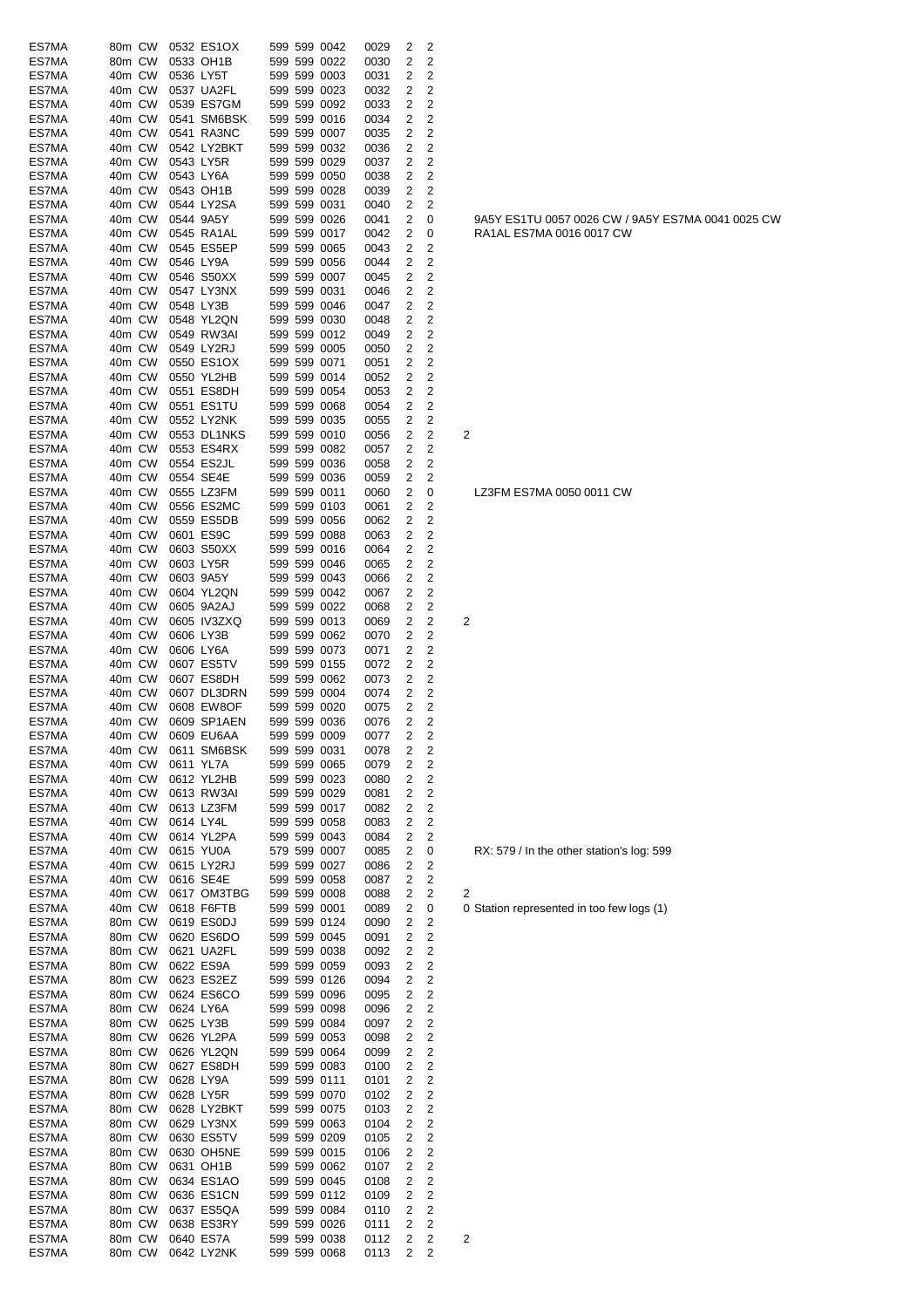| ES7MA          | 80m CW           |           | 0532 ES1OX                | 599 599 0042                 | 0029         | 2      | 2                            |                                                   |
|----------------|------------------|-----------|---------------------------|------------------------------|--------------|--------|------------------------------|---------------------------------------------------|
| ES7MA          | 80m CW           |           | 0533 OH1B                 | 599 599 0022                 | 0030         | 2      | 2                            |                                                   |
| ES7MA          | 40m CW           |           | 0536 LY5T                 | 599 599 0003                 | 0031         | 2      | 2                            |                                                   |
| ES7MA          | 40m CW           |           | 0537 UA2FL                | 599 599 0023                 | 0032         | 2      | $\overline{\mathbf{c}}$      |                                                   |
| ES7MA          | 40m CW           |           | 0539 ES7GM                | 599 599 0092                 | 0033         | 2      | $\overline{2}$               |                                                   |
| ES7MA          | 40m CW           |           | 0541 SM6BSK               | 599 599 0016                 | 0034         | 2      | 2                            |                                                   |
| ES7MA          | 40m CW           |           | 0541 RA3NC<br>0542 LY2BKT | 599 599 0007                 | 0035         | 2      | 2                            |                                                   |
| ES7MA<br>ES7MA | 40m CW<br>40m CW |           | 0543 LY5R                 | 599 599 0032<br>599 599 0029 | 0036<br>0037 | 2<br>2 | 2<br>2                       |                                                   |
| ES7MA          | 40m CW           |           | 0543 LY6A                 | 599 599 0050                 | 0038         | 2      | 2                            |                                                   |
| ES7MA          | 40m CW           |           | 0543 OH1B                 | 599 599 0028                 | 0039         | 2      | 2                            |                                                   |
| ES7MA          | 40m CW           |           | 0544 LY2SA                | 599 599 0031                 | 0040         | 2      | 2                            |                                                   |
| ES7MA          | 40m CW           |           | 0544 9A5Y                 | 599 599 0026                 | 0041         | 2      | 0                            | 9A5Y ES1TU 0057 0026 CW / 9A5Y ES7MA 0041 0025 CW |
| ES7MA          | 40m CW           |           | 0545 RA1AL                | 599 599 0017                 | 0042         | 2      | 0                            | RA1AL ES7MA 0016 0017 CW                          |
| ES7MA          | 40m CW           |           | 0545 ES5EP                | 599 599 0065                 | 0043         | 2      | 2                            |                                                   |
| ES7MA          | 40m CW           |           | 0546 LY9A                 | 599 599 0056                 | 0044         | 2      | $\overline{2}$               |                                                   |
| ES7MA          | 40m CW           |           | 0546 S50XX                | 599 599 0007                 | 0045         | 2      | $\overline{\mathbf{c}}$      |                                                   |
| ES7MA          | 40m CW           |           | 0547 LY3NX                | 599 599 0031                 | 0046         | 2      | $\overline{\mathbf{c}}$      |                                                   |
| ES7MA<br>ES7MA | 40m CW<br>40m CW |           | 0548 LY3B<br>0548 YL2QN   | 599 599 0046<br>599 599 0030 | 0047<br>0048 | 2<br>2 | 2<br>2                       |                                                   |
| ES7MA          | 40m CW           |           | 0549 RW3AI                | 599 599 0012                 | 0049         | 2      | 2                            |                                                   |
| ES7MA          | 40m CW           |           | 0549 LY2RJ                | 599 599 0005                 | 0050         | 2      | $\overline{\mathbf{c}}$      |                                                   |
| ES7MA          | 40m CW           |           | 0550 ES1OX                | 599 599 0071                 | 0051         | 2      | 2                            |                                                   |
| ES7MA          | 40m CW           |           | 0550 YL2HB                | 599 599 0014                 | 0052         | 2      | $\overline{\mathbf{c}}$      |                                                   |
| ES7MA          | 40m CW           |           | 0551 ES8DH                | 599 599 0054                 | 0053         | 2      | 2                            |                                                   |
| ES7MA          | 40m CW           |           | 0551 ES1TU                | 599 599 0068                 | 0054         | 2      | 2                            |                                                   |
| ES7MA          | 40m CW           |           | 0552 LY2NK                | 599 599 0035                 | 0055         | 2      | 2                            |                                                   |
| ES7MA          | 40m CW           |           | 0553 DL1NKS               | 599 599 0010                 | 0056         | 2      | $\overline{\mathbf{c}}$      | 2                                                 |
| ES7MA          | 40m CW           |           | 0553 ES4RX                | 599 599 0082                 | 0057         | 2      | $\overline{2}$               |                                                   |
| ES7MA          | 40m CW           |           | 0554 ES2JL                | 599 599 0036                 | 0058         | 2      | $\overline{2}$               |                                                   |
| ES7MA          | 40m CW           |           | 0554 SE4E                 | 599 599 0036                 | 0059         | 2      | 2                            |                                                   |
| ES7MA          | 40m CW           |           | 0555 LZ3FM                | 599 599 0011                 | 0060         | 2      | 0                            | LZ3FM ES7MA 0050 0011 CW                          |
| ES7MA          | 40m CW           |           | 0556 ES2MC                | 599 599 0103                 | 0061         | 2      | 2                            |                                                   |
| ES7MA          | 40m CW           |           | 0559 ES5DB                | 599 599 0056                 | 0062         | 2      | 2                            |                                                   |
| ES7MA          | 40m CW           |           | 0601 ES9C                 | 599 599 0088                 | 0063         | 2      | $\overline{\mathbf{c}}$      |                                                   |
| ES7MA<br>ES7MA | 40m CW<br>40m CW |           | 0603 S50XX<br>0603 LY5R   | 599 599 0016<br>599 599 0046 | 0064<br>0065 | 2<br>2 | 2<br>2                       |                                                   |
| ES7MA          | 40m CW           |           | 0603 9A5Y                 | 599 599 0043                 | 0066         | 2      | 2                            |                                                   |
| ES7MA          | 40m CW           |           | 0604 YL2QN                | 599 599 0042                 | 0067         | 2      | 2                            |                                                   |
| ES7MA          | 40m CW           |           | 0605 9A2AJ                | 599 599 0022                 | 0068         | 2      | 2                            |                                                   |
| ES7MA          | 40m CW           |           | 0605 IV3ZXQ               | 599 599 0013                 | 0069         | 2      | $\overline{\mathbf{c}}$      | 2                                                 |
| ES7MA          | 40m CW           |           | 0606 LY3B                 | 599 599 0062                 | 0070         | 2      | $\overline{\mathbf{c}}$      |                                                   |
| ES7MA          | 40m CW           |           | 0606 LY6A                 | 599 599 0073                 | 0071         | 2      | 2                            |                                                   |
| ES7MA          | 40m CW           |           | 0607 ES5TV                | 599 599 0155                 | 0072         | 2      | 2                            |                                                   |
| ES7MA          | 40m CW           |           | 0607 ES8DH                | 599 599 0062                 | 0073         | 2      | 2                            |                                                   |
| ES7MA          | 40m CW           |           | 0607 DL3DRN               | 599 599 0004                 | 0074         | 2      | 2                            |                                                   |
| ES7MA<br>ES7MA | 40m CW<br>40m CW |           | 0608 EW8OF<br>0609 SP1AEN | 599 599 0020<br>599 599 0036 | 0075<br>0076 | 2<br>2 | 2<br>2                       |                                                   |
| ES7MA          | 40m CW           |           | 0609 EU6AA                | 599 599 0009                 | 0077         | 2      | 2                            |                                                   |
| ES7MA          | 40m CW           |           | 0611 SM6BSK               | 599 599 0031                 | 0078         | 2      | 2                            |                                                   |
| ES7MA          | 40m CW           |           | 0611 YL7A                 | 599 599 0065                 | 0079         | 2      | 2                            |                                                   |
| ES7MA          | 40m CW           |           | 0612 YL2HB                | 599 599 0023                 | 0080         | 2      | 2                            |                                                   |
| ES7MA          | 40m CW           |           | 0613 RW3AI                | 599 599 0029                 | 0081         | 2      | 2                            |                                                   |
| ES7MA          | 40m CW           |           | 0613 LZ3FM                | 599 599 0017                 | 0082         | 2      | $\overline{\mathbf{c}}$      |                                                   |
| ES7MA          | 40m CW           | 0614 LY4L |                           | 599 599 0058                 | 0083         | 2      | 2                            |                                                   |
| ES7MA          | 40m CW           |           | 0614 YL2PA                | 599 599 0043                 | 0084         | 2      | 2                            |                                                   |
| ES7MA          | 40m CW           |           | 0615 YU0A                 | 579 599 0007                 | 0085         | 2      | 0                            | RX: 579 / In the other station's log: 599         |
| ES7MA          | 40m CW           |           | 0615 LY2RJ                | 599 599 0027                 | 0086         | 2      | 2                            |                                                   |
| ES7MA<br>ES7MA | 40m CW<br>40m CW |           | 0616 SE4E<br>0617 OM3TBG  | 599 599 0058<br>599 599 0008 | 0087<br>0088 | 2<br>2 | $\overline{\mathbf{c}}$<br>2 | 2                                                 |
| ES7MA          | 40m CW           |           | 0618 F6FTB                | 599 599 0001                 | 0089         | 2      | 0                            | 0 Station represented in too few logs (1)         |
| ES7MA          | 80m CW           |           | 0619 ES0DJ                | 599 599 0124                 | 0090         | 2      | 2                            |                                                   |
| ES7MA          | 80m CW           |           | 0620 ES6DO                | 599 599 0045                 | 0091         | 2      | 2                            |                                                   |
| ES7MA          | 80m CW           |           | 0621 UA2FL                | 599 599 0038                 | 0092         | 2      | 2                            |                                                   |
| ES7MA          | 80m CW           |           | 0622 ES9A                 | 599 599 0059                 | 0093         | 2      | 2                            |                                                   |
| ES7MA          | 80m CW           |           | 0623 ES2EZ                | 599 599 0126                 | 0094         | 2      | 2                            |                                                   |
| ES7MA          | 80m CW           |           | 0624 ES6CO                | 599 599 0096                 | 0095         | 2      | $\overline{\mathbf{c}}$      |                                                   |
| ES7MA          | 80m CW           |           | 0624 LY6A                 | 599 599 0098                 | 0096         | 2      | 2                            |                                                   |
| ES7MA          | 80m CW           |           | 0625 LY3B                 | 599 599 0084                 | 0097         | 2      | 2                            |                                                   |
| ES7MA          | 80m CW           |           | 0626 YL2PA                | 599 599 0053                 | 0098         | 2      | 2                            |                                                   |
| ES7MA          | 80m CW           |           | 0626 YL2QN                | 599 599 0064                 | 0099         | 2      | 2                            |                                                   |
| ES7MA          | 80m CW           |           | 0627 ES8DH                | 599 599 0083                 | 0100         | 2      | 2                            |                                                   |
| ES7MA<br>ES7MA | 80m CW<br>80m CW |           | 0628 LY9A<br>0628 LY5R    | 599 599 0111<br>599 599 0070 | 0101<br>0102 | 2<br>2 | 2<br>2                       |                                                   |
| ES7MA          | 80m CW           |           | 0628 LY2BKT               | 599 599 0075                 | 0103         | 2      | 2                            |                                                   |
| ES7MA          | 80m CW           |           | 0629 LY3NX                | 599 599 0063                 | 0104         | 2      | $\overline{\mathbf{c}}$      |                                                   |
| ES7MA          | 80m CW           |           | 0630 ES5TV                | 599 599 0209                 | 0105         | 2      | 2                            |                                                   |
| ES7MA          | 80m CW           |           | 0630 OH5NE                | 599 599 0015                 | 0106         | 2      | $\overline{\mathbf{c}}$      |                                                   |
| ES7MA          | 80m CW           |           | 0631 OH1B                 | 599 599 0062                 | 0107         | 2      | 2                            |                                                   |
| ES7MA          | 80m CW           |           | 0634 ES1AO                | 599 599 0045                 | 0108         | 2      | 2                            |                                                   |
| ES7MA          | 80m CW           |           | 0636 ES1CN                | 599 599 0112                 | 0109         | 2      | 2                            |                                                   |
| ES7MA          | 80m CW           |           | 0637 ES5QA                | 599 599 0084                 | 0110         | 2      | 2                            |                                                   |
| ES7MA          | 80m CW           |           | 0638 ES3RY                | 599 599 0026                 | 0111         | 2      | 2                            |                                                   |
| ES7MA          | 80m CW<br>80m CW |           | 0640 ES7A<br>0642 LY2NK   | 599 599 0038                 | 0112         | 2      | 2                            | 2                                                 |
| ES7MA          |                  |           |                           | 599 599 0068                 | 0113         | 2      | 2                            |                                                   |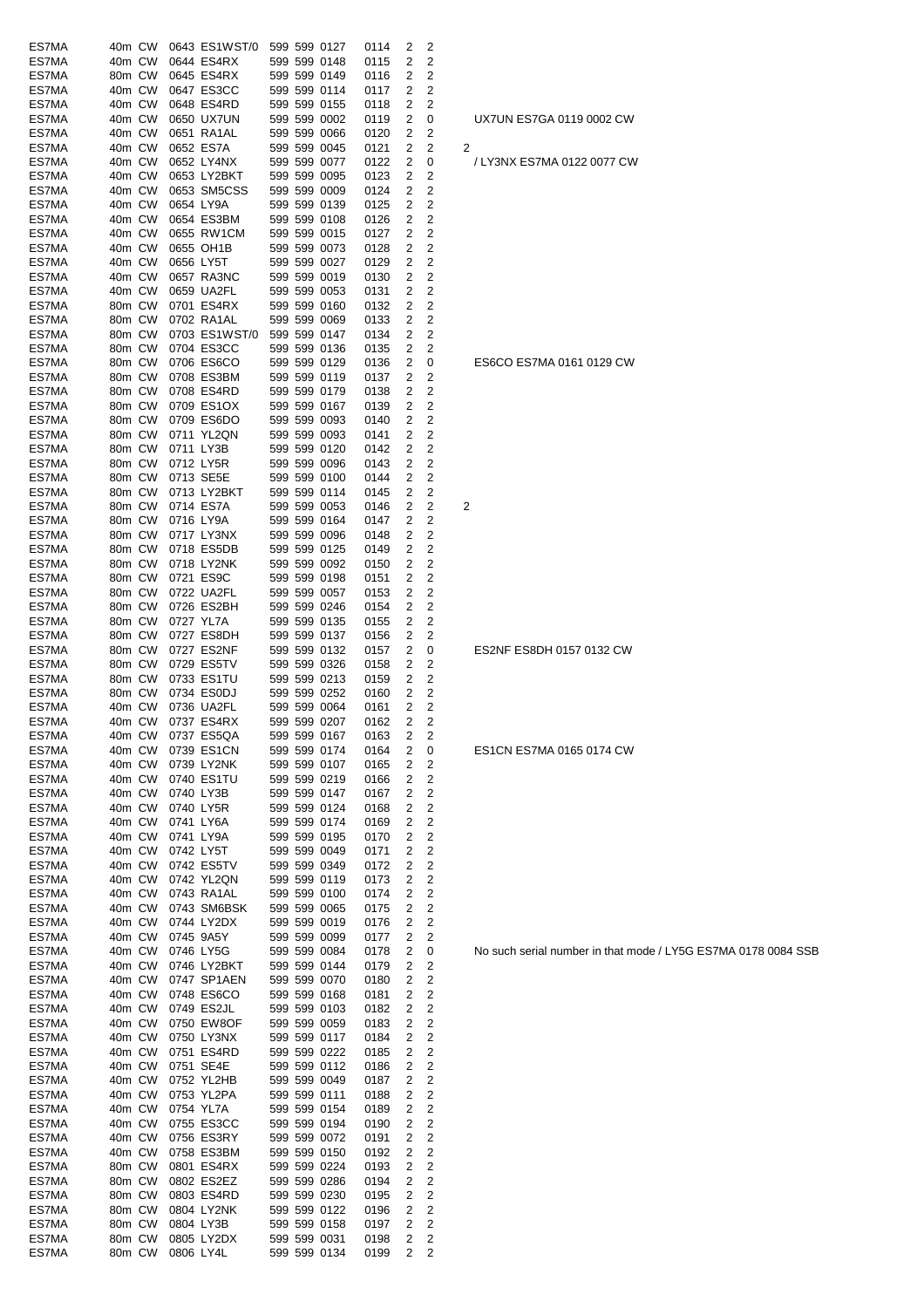| ES7MA | 40m CW |        |           | 0643 ES1WST/0 |  | 599 599 0127 | 0114 | 2            | 2                       |                |
|-------|--------|--------|-----------|---------------|--|--------------|------|--------------|-------------------------|----------------|
| ES7MA | 40m CW |        |           | 0644 ES4RX    |  | 599 599 0148 | 0115 | 2            | 2                       |                |
|       |        |        |           |               |  |              |      | 2            | 2                       |                |
| ES7MA | 80m CW |        |           | 0645 ES4RX    |  | 599 599 0149 | 0116 |              |                         |                |
| ES7MA | 40m CW |        |           | 0647 ES3CC    |  | 599 599 0114 | 0117 | 2            | 2                       |                |
| ES7MA | 40m CW |        |           | 0648 ES4RD    |  | 599 599 0155 | 0118 | 2            | 2                       |                |
| ES7MA | 40m CW |        |           | 0650 UX7UN    |  | 599 599 0002 | 0119 | 2            | 0                       |                |
| ES7MA | 40m CW |        |           | 0651 RA1AL    |  | 599 599 0066 | 0120 | 2            | 2                       |                |
| ES7MA | 40m CW |        |           | 0652 ES7A     |  | 599 599 0045 | 0121 | 2            | 2                       | $\overline{c}$ |
|       | 40m CW |        |           |               |  | 599 599 0077 |      | 2            |                         |                |
| ES7MA |        |        |           | 0652 LY4NX    |  |              | 0122 |              | 0                       |                |
| ES7MA | 40m CW |        |           | 0653 LY2BKT   |  | 599 599 0095 | 0123 | 2            | 2                       |                |
| ES7MA | 40m CW |        |           | 0653 SM5CSS   |  | 599 599 0009 | 0124 | 2            | 2                       |                |
| ES7MA | 40m CW |        | 0654 LY9A |               |  | 599 599 0139 | 0125 | 2            | 2                       |                |
| ES7MA | 40m CW |        |           | 0654 ES3BM    |  | 599 599 0108 | 0126 | 2            | 2                       |                |
| ES7MA | 40m CW |        |           | 0655 RW1CM    |  | 599 599 0015 |      | 2            | 2                       |                |
|       |        |        |           |               |  |              | 0127 |              |                         |                |
| ES7MA | 40m CW |        |           | 0655 OH1B     |  | 599 599 0073 | 0128 | 2            | 2                       |                |
| ES7MA | 40m CW |        |           | 0656 LY5T     |  | 599 599 0027 | 0129 | 2            | 2                       |                |
| ES7MA | 40m CW |        |           | 0657 RA3NC    |  | 599 599 0019 | 0130 | 2            | 2                       |                |
| ES7MA | 40m CW |        |           | 0659 UA2FL    |  | 599 599 0053 | 0131 | 2            | 2                       |                |
| ES7MA | 80m CW |        |           | 0701 ES4RX    |  | 599 599 0160 | 0132 | 2            | 2                       |                |
|       |        |        |           |               |  |              |      |              |                         |                |
| ES7MA | 80m CW |        |           | 0702 RA1AL    |  | 599 599 0069 | 0133 | 2            | 2                       |                |
| ES7MA | 80m CW |        |           | 0703 ES1WST/0 |  | 599 599 0147 | 0134 | 2            | 2                       |                |
| ES7MA | 80m CW |        |           | 0704 ES3CC    |  | 599 599 0136 | 0135 | 2            | 2                       |                |
| ES7MA | 80m CW |        |           | 0706 ES6CO    |  | 599 599 0129 | 0136 | 2            | 0                       |                |
| ES7MA | 80m CW |        |           | 0708 ES3BM    |  | 599 599 0119 | 0137 | 2            | 2                       |                |
|       |        |        |           |               |  |              |      |              |                         |                |
| ES7MA | 80m CW |        |           | 0708 ES4RD    |  | 599 599 0179 | 0138 | 2            | 2                       |                |
| ES7MA | 80m CW |        |           | 0709 ES1OX    |  | 599 599 0167 | 0139 | 2            | 2                       |                |
| ES7MA | 80m CW |        |           | 0709 ES6DO    |  | 599 599 0093 | 0140 | 2            | 2                       |                |
| ES7MA | 80m CW |        |           | 0711 YL2QN    |  | 599 599 0093 | 0141 | 2            | 2                       |                |
| ES7MA | 80m CW |        |           | 0711 LY3B     |  | 599 599 0120 | 0142 | 2            | 2                       |                |
|       |        |        |           |               |  |              |      |              |                         |                |
| ES7MA | 80m CW |        |           | 0712 LY5R     |  | 599 599 0096 | 0143 | 2            | 2                       |                |
| ES7MA | 80m CW |        |           | 0713 SE5E     |  | 599 599 0100 | 0144 | 2            | 2                       |                |
| ES7MA | 80m CW |        |           | 0713 LY2BKT   |  | 599 599 0114 | 0145 | 2            | 2                       |                |
| ES7MA | 80m CW |        |           | 0714 ES7A     |  | 599 599 0053 | 0146 | 2            | 2                       | $\overline{c}$ |
| ES7MA | 80m CW |        |           | 0716 LY9A     |  | 599 599 0164 | 0147 | 2            | 2                       |                |
|       |        |        |           |               |  |              |      |              |                         |                |
| ES7MA | 80m CW |        |           | 0717 LY3NX    |  | 599 599 0096 | 0148 | 2            | 2                       |                |
| ES7MA | 80m CW |        |           | 0718 ES5DB    |  | 599 599 0125 | 0149 | 2            | 2                       |                |
| ES7MA | 80m CW |        |           | 0718 LY2NK    |  | 599 599 0092 | 0150 | 2            | 2                       |                |
| ES7MA | 80m CW |        |           | 0721 ES9C     |  | 599 599 0198 | 0151 | 2            | 2                       |                |
| ES7MA | 80m CW |        |           | 0722 UA2FL    |  | 599 599 0057 | 0153 | 2            | 2                       |                |
|       |        |        |           |               |  |              |      |              |                         |                |
| ES7MA | 80m CW |        |           | 0726 ES2BH    |  | 599 599 0246 | 0154 | 2            | 2                       |                |
| ES7MA | 80m CW |        |           | 0727 YL7A     |  | 599 599 0135 | 0155 | 2            | 2                       |                |
| ES7MA | 80m CW |        |           | 0727 ES8DH    |  | 599 599 0137 | 0156 | 2            | 2                       |                |
| ES7MA | 80m CW |        |           | 0727 ES2NF    |  | 599 599 0132 | 0157 | 2            | 0                       |                |
| ES7MA | 80m CW |        |           | 0729 ES5TV    |  | 599 599 0326 | 0158 | 2            | 2                       |                |
|       |        |        |           |               |  |              |      |              |                         |                |
| ES7MA | 80m CW |        |           | 0733 ES1TU    |  | 599 599 0213 | 0159 | 2            | $\overline{c}$          |                |
| ES7MA | 80m CW |        |           | 0734 ES0DJ    |  | 599 599 0252 | 0160 | 2            | $\overline{c}$          |                |
| ES7MA | 40m CW |        |           | 0736 UA2FL    |  | 599 599 0064 | 0161 | 2            | 2                       |                |
| ES7MA | 40m CW |        |           | 0737 ES4RX    |  | 599 599 0207 | 0162 | 2            | 2                       |                |
| ES7MA |        | 40m CW |           | 0737 ES5QA    |  | 599 599 0167 |      | $\mathbf{2}$ | $\overline{2}$          |                |
|       |        |        |           |               |  |              | 0163 |              |                         |                |
| ES7MA | 40m CW |        |           | 0739 ES1CN    |  | 599 599 0174 | 0164 | 2            | 0                       |                |
| ES7MA | 40m CW |        |           | 0739 LY2NK    |  | 599 599 0107 | 0165 | 2            | 2                       |                |
| ES7MA | 40m CW |        |           | 0740 ES1TU    |  | 599 599 0219 | 0166 | 2            | 2                       |                |
| ES7MA | 40m CW |        |           | 0740 LY3B     |  | 599 599 0147 | 0167 | 2            | 2                       |                |
| ES7MA | 40m CW |        |           | 0740 LY5R     |  | 599 599 0124 | 0168 | 2            | 2                       |                |
|       |        |        |           |               |  |              |      |              |                         |                |
| ES7MA | 40m CW |        |           | 0741 LY6A     |  | 599 599 0174 | 0169 | 2            | 2                       |                |
| ES7MA | 40m CW |        |           | 0741 LY9A     |  | 599 599 0195 | 0170 | 2            | $\overline{c}$          |                |
| ES7MA | 40m CW |        |           | 0742 LY5T     |  | 599 599 0049 | 0171 | 2            | $\overline{c}$          |                |
| ES7MA | 40m CW |        |           | 0742 ES5TV    |  | 599 599 0349 | 0172 | 2            | 2                       |                |
| ES7MA | 40m CW |        |           | 0742 YL2QN    |  | 599 599 0119 | 0173 | 2            | 2                       |                |
|       |        |        |           |               |  |              |      |              |                         |                |
| ES7MA | 40m CW |        |           | 0743 RA1AL    |  | 599 599 0100 | 0174 | 2            | 2                       |                |
| ES7MA | 40m CW |        |           | 0743 SM6BSK   |  | 599 599 0065 | 0175 | 2            | $\overline{2}$          |                |
| ES7MA | 40m CW |        |           | 0744 LY2DX    |  | 599 599 0019 | 0176 | 2            | $\overline{c}$          |                |
| ES7MA | 40m CW |        |           | 0745 9A5Y     |  | 599 599 0099 | 0177 | 2            | 2                       |                |
| ES7MA | 40m CW |        |           | 0746 LY5G     |  | 599 599 0084 | 0178 | 2            | 0                       |                |
|       |        |        |           |               |  |              |      |              |                         |                |
| ES7MA | 40m CW |        |           | 0746 LY2BKT   |  | 599 599 0144 | 0179 | 2            | 2                       |                |
| ES7MA | 40m CW |        |           | 0747 SP1AEN   |  | 599 599 0070 | 0180 | 2            | $\overline{\mathbf{c}}$ |                |
| ES7MA | 40m CW |        |           | 0748 ES6CO    |  | 599 599 0168 | 0181 | 2            | 2                       |                |
| ES7MA | 40m CW |        |           | 0749 ES2JL    |  | 599 599 0103 | 0182 | 2            | $\overline{c}$          |                |
| ES7MA | 40m CW |        |           | 0750 EW8OF    |  | 599 599 0059 | 0183 | 2            | $\overline{c}$          |                |
|       |        |        |           |               |  |              |      |              |                         |                |
| ES7MA | 40m CW |        |           | 0750 LY3NX    |  | 599 599 0117 | 0184 | 2            | $\overline{\mathbf{c}}$ |                |
| ES7MA | 40m CW |        |           | 0751 ES4RD    |  | 599 599 0222 | 0185 | 2            | $\overline{c}$          |                |
| ES7MA | 40m CW |        |           | 0751 SE4E     |  | 599 599 0112 | 0186 | 2            | 2                       |                |
| ES7MA | 40m CW |        |           | 0752 YL2HB    |  | 599 599 0049 | 0187 | 2            | $\overline{c}$          |                |
| ES7MA | 40m CW |        |           | 0753 YL2PA    |  | 599 599 0111 | 0188 | 2            | $\overline{c}$          |                |
|       |        |        |           |               |  |              |      |              |                         |                |
| ES7MA | 40m CW |        |           | 0754 YL7A     |  | 599 599 0154 | 0189 | 2            | $\overline{c}$          |                |
| ES7MA | 40m CW |        |           | 0755 ES3CC    |  | 599 599 0194 | 0190 | 2            | 2                       |                |
| ES7MA | 40m CW |        |           | 0756 ES3RY    |  | 599 599 0072 | 0191 | 2            | $\overline{c}$          |                |
| ES7MA | 40m CW |        |           | 0758 ES3BM    |  | 599 599 0150 | 0192 | 2            | 2                       |                |
| ES7MA | 80m CW |        |           | 0801 ES4RX    |  | 599 599 0224 | 0193 | 2            | $\overline{\mathbf{c}}$ |                |
|       |        |        |           |               |  |              |      |              |                         |                |
| ES7MA | 80m CW |        |           | 0802 ES2EZ    |  | 599 599 0286 | 0194 | 2            | $\overline{c}$          |                |
| ES7MA | 80m CW |        |           | 0803 ES4RD    |  | 599 599 0230 | 0195 | 2            | 2                       |                |
| ES7MA | 80m CW |        |           | 0804 LY2NK    |  | 599 599 0122 | 0196 | 2            | 2                       |                |
| ES7MA | 80m CW |        |           | 0804 LY3B     |  | 599 599 0158 | 0197 | 2            | 2                       |                |
| ES7MA | 80m CW |        |           | 0805 LY2DX    |  | 599 599 0031 | 0198 | 2            | 2                       |                |
|       |        |        |           |               |  |              |      |              |                         |                |
| ES7MA | 80m CW |        |           | 0806 LY4L     |  | 599 599 0134 | 0199 | 2            | 2                       |                |

ES6CO ES7MA 0161 0129 CW

UX7UN ES7GA 0119 0002 CW

/ LY3NX ES7MA 0122 0077 CW

ES2NF ES8DH 0157 0132 CW

ES1CN ES7MA 0165 0174 CW

No such serial number in that mode / LY5G ES7MA 0178 0084 SSB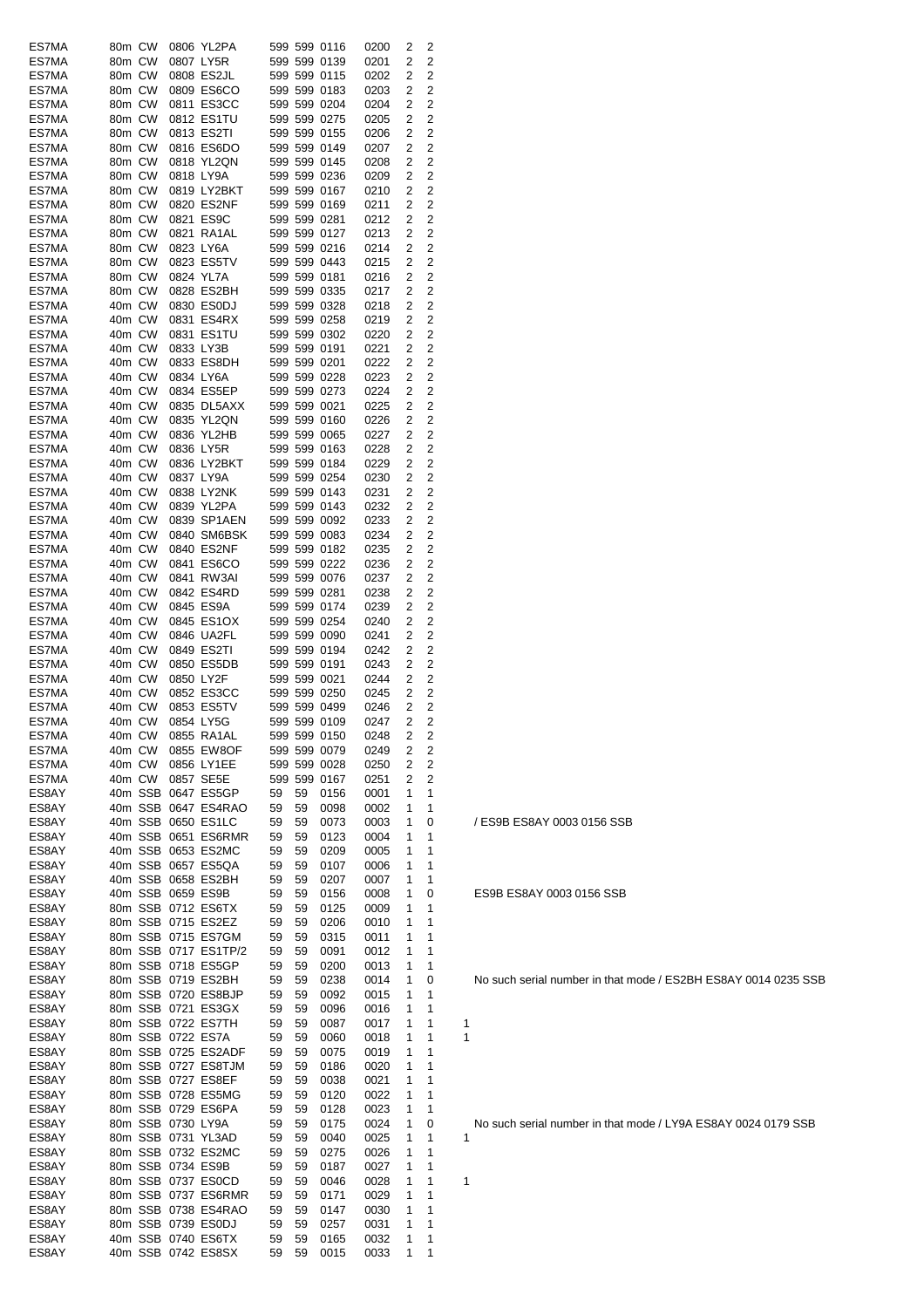| ES7MA          | 80m CW           |                   | 0806 YL2PA                                |          |          | 599 599 0116                 | 0200         | 2              | 2              |   |
|----------------|------------------|-------------------|-------------------------------------------|----------|----------|------------------------------|--------------|----------------|----------------|---|
| ES7MA          | 80m CW<br>80m CW |                   | 0807 LY5R<br>0808 ES2JL                   |          |          | 599 599 0139<br>599 599 0115 | 0201         | 2              | 2<br>2         |   |
| ES7MA<br>ES7MA | 80m CW           |                   | 0809 ES6CO                                |          |          | 599 599 0183                 | 0202<br>0203 | 2<br>2         | 2              |   |
| ES7MA          | 80m CW           |                   | 0811 ES3CC                                |          |          | 599 599 0204                 | 0204         | 2              | 2              |   |
| ES7MA          | 80m CW           |                   | 0812 ES1TU                                |          |          | 599 599 0275                 | 0205         | 2              | 2              |   |
| ES7MA          | 80m CW           |                   | 0813 ES2TI                                |          |          | 599 599 0155                 | 0206         | 2              | 2              |   |
| ES7MA<br>ES7MA | 80m CW<br>80m CW |                   | 0816 ES6DO<br>0818 YL2QN                  |          |          | 599 599 0149<br>599 599 0145 | 0207<br>0208 | 2<br>2         | 2<br>2         |   |
| ES7MA          | 80m CW           |                   | 0818 LY9A                                 |          |          | 599 599 0236                 | 0209         | 2              | 2              |   |
| ES7MA          | 80m CW           |                   | 0819 LY2BKT                               |          |          | 599 599 0167                 | 0210         | 2              | 2              |   |
| ES7MA          | 80m CW           |                   | 0820 ES2NF                                |          |          | 599 599 0169                 | 0211         | 2              | 2              |   |
| ES7MA          | 80m CW           |                   | 0821 ES9C<br>0821 RA1AL                   |          |          | 599 599 0281                 | 0212         | 2              | 2              |   |
| ES7MA<br>ES7MA | 80m CW<br>80m CW |                   | 0823 LY6A                                 |          |          | 599 599 0127<br>599 599 0216 | 0213<br>0214 | 2<br>2         | 2<br>2         |   |
| ES7MA          | 80m CW           |                   | 0823 ES5TV                                |          |          | 599 599 0443                 | 0215         | 2              | 2              |   |
| ES7MA          | 80m CW           |                   | 0824 YL7A                                 |          |          | 599 599 0181                 | 0216         | 2              | 2              |   |
| ES7MA          | 80m CW           |                   | 0828 ES2BH                                |          |          | 599 599 0335                 | 0217         | 2              | 2              |   |
| ES7MA<br>ES7MA | 40m CW<br>40m CW |                   | 0830 ES0DJ<br>0831 ES4RX                  |          |          | 599 599 0328<br>599 599 0258 | 0218<br>0219 | 2<br>2         | 2<br>2         |   |
| ES7MA          | 40m CW           |                   | 0831 ES1TU                                |          |          | 599 599 0302                 | 0220         | 2              | 2              |   |
| ES7MA          | 40m CW           |                   | 0833 LY3B                                 |          |          | 599 599 0191                 | 0221         | 2              | 2              |   |
| ES7MA          | 40m CW           |                   | 0833 ES8DH                                |          |          | 599 599 0201                 | 0222         | 2              | 2              |   |
| ES7MA<br>ES7MA | 40m CW<br>40m CW |                   | 0834 LY6A<br>0834 ES5EP                   |          |          | 599 599 0228<br>599 599 0273 | 0223<br>0224 | 2<br>2         | 2<br>2         |   |
| ES7MA          | 40m CW           |                   | 0835 DL5AXX                               |          |          | 599 599 0021                 | 0225         | 2              | 2              |   |
| ES7MA          | 40m CW           |                   | 0835 YL2QN                                |          |          | 599 599 0160                 | 0226         | 2              | 2              |   |
| ES7MA          | 40m CW           |                   | 0836 YL2HB                                |          |          | 599 599 0065                 | 0227         | 2              | 2              |   |
| ES7MA          | 40m CW           |                   | 0836 LY5R                                 |          |          | 599 599 0163                 | 0228         | 2              | 2              |   |
| ES7MA<br>ES7MA | 40m CW<br>40m CW |                   | 0836 LY2BKT<br>0837 LY9A                  |          |          | 599 599 0184<br>599 599 0254 | 0229<br>0230 | 2<br>2         | 2<br>2         |   |
| ES7MA          | 40m CW           |                   | 0838 LY2NK                                |          |          | 599 599 0143                 | 0231         | 2              | 2              |   |
| ES7MA          | 40m CW           |                   | 0839 YL2PA                                |          |          | 599 599 0143                 | 0232         | 2              | 2              |   |
| ES7MA          | 40m CW           |                   | 0839 SP1AEN                               |          |          | 599 599 0092                 | 0233         | 2              | 2              |   |
| ES7MA<br>ES7MA | 40m CW<br>40m CW |                   | 0840 SM6BSK<br>0840 ES2NF                 |          |          | 599 599 0083<br>599 599 0182 | 0234<br>0235 | 2<br>2         | 2<br>2         |   |
| ES7MA          | 40m CW           |                   | 0841 ES6CO                                |          |          | 599 599 0222                 | 0236         | 2              | 2              |   |
| ES7MA          | 40m CW           |                   | 0841 RW3AI                                |          |          | 599 599 0076                 | 0237         | 2              | 2              |   |
| ES7MA          | 40m CW           |                   | 0842 ES4RD                                |          |          | 599 599 0281                 | 0238         | 2              | 2              |   |
| ES7MA<br>ES7MA | 40m CW<br>40m CW |                   | 0845 ES9A<br>0845 ES1OX                   |          |          | 599 599 0174<br>599 599 0254 | 0239<br>0240 | 2<br>2         | 2<br>2         |   |
| ES7MA          | 40m CW           |                   | 0846 UA2FL                                |          |          | 599 599 0090                 | 0241         | 2              | 2              |   |
| ES7MA          | 40m CW           |                   | 0849 ES2TI                                |          |          | 599 599 0194                 | 0242         | 2              | 2              |   |
| ES7MA          | 40m CW           |                   | 0850 ES5DB                                |          |          | 599 599 0191                 | 0243         | 2              | 2              |   |
| ES7MA<br>ES7MA | 40m CW<br>40m CW |                   | 0850 LY2F<br>0852 ES3CC                   |          |          | 599 599 0021<br>599 599 0250 | 0244<br>0245 | 2<br>2         | 2<br>2         |   |
| ES7MA          | 40m CW           |                   | 0853 ES5TV                                |          |          | 599 599 0499                 | 0246         | 2              | 2              |   |
| ES7MA          | 40m CW           |                   | 0854 LY5G                                 |          |          | 599 599 0109                 | 0247         | 2              | 2              |   |
| ES7MA          |                  |                   | 40m CW 0855 RA1AL                         |          |          | 599 599 0150                 | 0248         | $\overline{2}$ | $\overline{c}$ |   |
| ES7MA<br>ES7MA | 40m CW<br>40m CW |                   | 0855 EW8OF<br>0856 LY1EE                  |          |          | 599 599 0079<br>599 599 0028 | 0249<br>0250 | 2<br>2         | 2<br>2         |   |
| ES7MA          | 40m CW           |                   | 0857 SE5E                                 |          |          | 599 599 0167                 | 0251         | 2              | 2              |   |
| ES8AY          |                  |                   | 40m SSB 0647 ES5GP                        | 59       | 59       | 0156                         | 0001         | 1              | 1              |   |
| ES8AY          |                  |                   | 40m SSB 0647 ES4RAO                       | 59       | 59       | 0098                         | 0002         | 1              | 1              |   |
| ES8AY<br>ES8AY |                  |                   | 40m SSB 0650 ES1LC<br>40m SSB 0651 ES6RMR | 59<br>59 | 59<br>59 | 0073<br>0123                 | 0003<br>0004 | 1<br>1         | 0<br>1         |   |
| ES8AY          |                  |                   | 40m SSB 0653 ES2MC                        | 59       | 59       | 0209                         | 0005         | 1              | 1              |   |
| ES8AY          |                  |                   | 40m SSB 0657 ES5QA                        | 59       | 59       | 0107                         | 0006         | 1              | 1              |   |
| ES8AY          |                  |                   | 40m SSB 0658 ES2BH                        | 59       | 59       | 0207                         | 0007         | 1              | 1              |   |
| ES8AY<br>ES8AY |                  |                   | 40m SSB 0659 ES9B<br>80m SSB 0712 ES6TX   | 59<br>59 | 59<br>59 | 0156<br>0125                 | 0008<br>0009 | 1<br>1         | 0<br>1         |   |
| ES8AY          |                  |                   | 80m SSB 0715 ES2EZ                        | 59       | 59       | 0206                         | 0010         | 1              | 1              |   |
| ES8AY          |                  |                   | 80m SSB 0715 ES7GM                        | 59       | 59       | 0315                         | 0011         | 1              | 1              |   |
| ES8AY          |                  |                   | 80m SSB 0717 ES1TP/2                      | 59       | 59       | 0091                         | 0012         | 1              | 1              |   |
| ES8AY<br>ES8AY |                  |                   | 80m SSB 0718 ES5GP<br>80m SSB 0719 ES2BH  | 59<br>59 | 59<br>59 | 0200<br>0238                 | 0013<br>0014 | 1<br>1         | 1<br>0         |   |
| ES8AY          |                  |                   | 80m SSB 0720 ES8BJP                       | 59       | 59       | 0092                         | 0015         | 1              | 1              |   |
| ES8AY          |                  |                   | 80m SSB 0721 ES3GX                        | 59       | 59       | 0096                         | 0016         | 1              | 1              |   |
| ES8AY          |                  |                   | 80m SSB 0722 ES7TH                        | 59       | 59       | 0087                         | 0017         | 1              | 1              | 1 |
| ES8AY<br>ES8AY |                  |                   | 80m SSB 0722 ES7A<br>80m SSB 0725 ES2ADF  | 59<br>59 | 59<br>59 | 0060<br>0075                 | 0018<br>0019 | 1<br>1         | 1<br>1         | 1 |
| ES8AY          |                  |                   | 80m SSB 0727 ES8TJM                       | 59       | 59       | 0186                         | 0020         | 1              | 1              |   |
| ES8AY          |                  |                   | 80m SSB 0727 ES8EF                        | 59       | 59       | 0038                         | 0021         | 1              | 1              |   |
| ES8AY          |                  |                   | 80m SSB 0728 ES5MG                        | 59       | 59       | 0120                         | 0022         | 1              | 1              |   |
| ES8AY<br>ES8AY |                  | 80m SSB 0730 LY9A | 80m SSB 0729 ES6PA                        | 59<br>59 | 59<br>59 | 0128<br>0175                 | 0023<br>0024 | 1<br>1         | 1<br>0         |   |
| ES8AY          |                  |                   | 80m SSB 0731 YL3AD                        | 59       | 59       | 0040                         | 0025         | 1              | 1              | 1 |
| ES8AY          |                  |                   | 80m SSB 0732 ES2MC                        | 59       | 59       | 0275                         | 0026         | 1              | 1              |   |
| ES8AY          |                  |                   | 80m SSB 0734 ES9B                         | 59       | 59       | 0187                         | 0027         | 1              | 1              |   |
| ES8AY<br>ES8AY |                  |                   | 80m SSB 0737 ES0CD<br>80m SSB 0737 ES6RMR | 59<br>59 | 59<br>59 | 0046<br>0171                 | 0028<br>0029 | 1<br>1         | 1<br>1         | 1 |
| ES8AY          |                  |                   | 80m SSB 0738 ES4RAO                       | 59       | 59       | 0147                         | 0030         | 1              | 1              |   |
| ES8AY          |                  |                   | 80m SSB 0739 ES0DJ                        | 59       | 59       | 0257                         | 0031         | 1              | 1              |   |
| ES8AY          |                  |                   | 40m SSB 0740 ES6TX                        | 59       | 59       | 0165                         | 0032         | 1              | 1              |   |
| ES8AY          |                  |                   | 40m SSB 0742 ES8SX                        | 59       | 59       | 0015                         | 0033         | 1              | 1              |   |

/ ES9B ES8AY 0003 0156 SSB

ES9B ES8AY 0003 0156 SSB

No such serial number in that mode / LY9A ES8AY 0024 0179 SSB<br>1

No such serial number in that mode / ES2BH ES8AY 0014 0235 SSB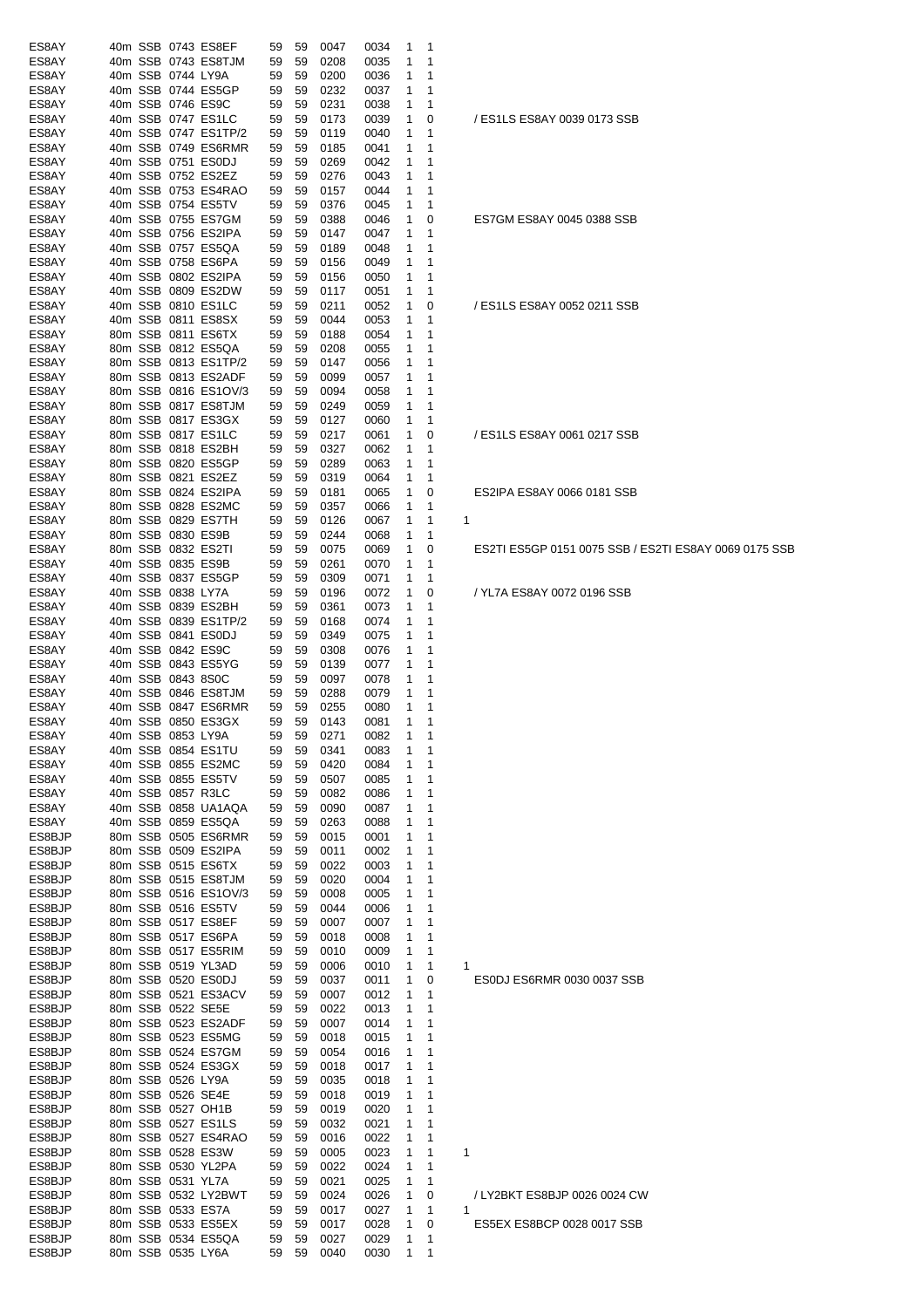| ES8AY  |  |                   | 40m SSB 0743 ES8EF   | 59 | 59 | 0047 | 0034 | -1             | $\mathbf 1$ |                                                       |
|--------|--|-------------------|----------------------|----|----|------|------|----------------|-------------|-------------------------------------------------------|
| ES8AY  |  |                   | 40m SSB 0743 ES8TJM  | 59 | 59 | 0208 | 0035 | 1              | 1           |                                                       |
| ES8AY  |  | 40m SSB 0744 LY9A |                      | 59 | 59 | 0200 | 0036 | 1              | 1           |                                                       |
| ES8AY  |  |                   | 40m SSB 0744 ES5GP   | 59 | 59 | 0232 | 0037 | 1              | 1           |                                                       |
| ES8AY  |  |                   | 40m SSB 0746 ES9C    | 59 | 59 | 0231 | 0038 | 1              | 1           |                                                       |
| ES8AY  |  |                   | 40m SSB 0747 ES1LC   | 59 | 59 | 0173 | 0039 | 1              | 0           | / ES1LS ES8AY 0039 0173 SSB                           |
| ES8AY  |  |                   | 40m SSB 0747 ES1TP/2 | 59 | 59 | 0119 | 0040 | 1              | 1           |                                                       |
| ES8AY  |  |                   | 40m SSB 0749 ES6RMR  | 59 | 59 | 0185 | 0041 | 1              | 1           |                                                       |
| ES8AY  |  |                   | 40m SSB 0751 ES0DJ   | 59 | 59 | 0269 | 0042 | 1              | 1           |                                                       |
|        |  |                   |                      |    |    |      |      |                |             |                                                       |
| ES8AY  |  |                   | 40m SSB 0752 ES2EZ   | 59 | 59 | 0276 | 0043 | 1              | 1           |                                                       |
| ES8AY  |  |                   | 40m SSB 0753 ES4RAO  | 59 | 59 | 0157 | 0044 | 1              | 1           |                                                       |
| ES8AY  |  |                   | 40m SSB 0754 ES5TV   | 59 | 59 | 0376 | 0045 | 1              | 1           |                                                       |
| ES8AY  |  |                   | 40m SSB 0755 ES7GM   | 59 | 59 | 0388 | 0046 | 1              | 0           | ES7GM ES8AY 0045 0388 SSB                             |
| ES8AY  |  |                   | 40m SSB 0756 ES2IPA  | 59 | 59 | 0147 | 0047 | 1              | 1           |                                                       |
| ES8AY  |  |                   | 40m SSB 0757 ES5QA   | 59 | 59 | 0189 | 0048 | 1              | 1           |                                                       |
| ES8AY  |  |                   | 40m SSB 0758 ES6PA   | 59 | 59 | 0156 | 0049 | 1              | 1           |                                                       |
| ES8AY  |  |                   | 40m SSB 0802 ES2IPA  | 59 | 59 | 0156 | 0050 | 1              | 1           |                                                       |
| ES8AY  |  |                   | 40m SSB 0809 ES2DW   | 59 | 59 | 0117 | 0051 | 1              | 1           |                                                       |
| ES8AY  |  |                   | 40m SSB 0810 ES1LC   | 59 | 59 | 0211 | 0052 | 1              | 0           | / ES1LS ES8AY 0052 0211 SSB                           |
| ES8AY  |  |                   | 40m SSB 0811 ES8SX   | 59 | 59 | 0044 | 0053 | 1              | 1           |                                                       |
| ES8AY  |  |                   | 80m SSB 0811 ES6TX   | 59 | 59 | 0188 | 0054 | 1              | 1           |                                                       |
|        |  |                   |                      |    |    |      |      |                |             |                                                       |
| ES8AY  |  |                   | 80m SSB 0812 ES5QA   | 59 | 59 | 0208 | 0055 | 1              | 1           |                                                       |
| ES8AY  |  |                   | 80m SSB 0813 ES1TP/2 | 59 | 59 | 0147 | 0056 | 1              | 1           |                                                       |
| ES8AY  |  |                   | 80m SSB 0813 ES2ADF  | 59 | 59 | 0099 | 0057 | 1              | 1           |                                                       |
| ES8AY  |  |                   | 80m SSB 0816 ES1OV/3 | 59 | 59 | 0094 | 0058 | 1              | $\mathbf 1$ |                                                       |
| ES8AY  |  |                   | 80m SSB 0817 ES8TJM  | 59 | 59 | 0249 | 0059 | 1              | 1           |                                                       |
| ES8AY  |  |                   | 80m SSB 0817 ES3GX   | 59 | 59 | 0127 | 0060 | 1              | 1           |                                                       |
| ES8AY  |  |                   | 80m SSB 0817 ES1LC   | 59 | 59 | 0217 | 0061 | 1              | 0           | / ES1LS ES8AY 0061 0217 SSB                           |
| ES8AY  |  |                   | 80m SSB 0818 ES2BH   | 59 | 59 | 0327 | 0062 | 1              | 1           |                                                       |
| ES8AY  |  |                   | 80m SSB 0820 ES5GP   | 59 | 59 | 0289 | 0063 | 1              | 1           |                                                       |
| ES8AY  |  |                   | 80m SSB 0821 ES2EZ   | 59 | 59 | 0319 | 0064 | 1              | 1           |                                                       |
| ES8AY  |  |                   | 80m SSB 0824 ES2IPA  |    |    | 0181 |      |                |             |                                                       |
|        |  |                   |                      | 59 | 59 |      | 0065 | 1              | 0           | ES2IPA ES8AY 0066 0181 SSB                            |
| ES8AY  |  |                   | 80m SSB 0828 ES2MC   | 59 | 59 | 0357 | 0066 | 1              | 1           |                                                       |
| ES8AY  |  |                   | 80m SSB 0829 ES7TH   | 59 | 59 | 0126 | 0067 | 1              | 1           | 1                                                     |
| ES8AY  |  | 80m SSB 0830 ES9B |                      | 59 | 59 | 0244 | 0068 | 1              | 1           |                                                       |
| ES8AY  |  |                   | 80m SSB 0832 ES2TI   | 59 | 59 | 0075 | 0069 | 1              | 0           | ES2TI ES5GP 0151 0075 SSB / ES2TI ES8AY 0069 0175 SSB |
| ES8AY  |  | 40m SSB 0835 ES9B |                      | 59 | 59 | 0261 | 0070 | 1              | -1          |                                                       |
| ES8AY  |  |                   | 40m SSB 0837 ES5GP   | 59 | 59 | 0309 | 0071 | 1              | 1           |                                                       |
| ES8AY  |  | 40m SSB 0838 LY7A |                      | 59 | 59 | 0196 | 0072 | 1              | 0           | / YL7A ES8AY 0072 0196 SSB                            |
| ES8AY  |  |                   | 40m SSB 0839 ES2BH   | 59 | 59 | 0361 | 0073 | 1              | 1           |                                                       |
| ES8AY  |  |                   | 40m SSB 0839 ES1TP/2 | 59 | 59 | 0168 | 0074 | 1              | 1           |                                                       |
| ES8AY  |  |                   | 40m SSB 0841 ES0DJ   | 59 | 59 | 0349 | 0075 | 1              | 1           |                                                       |
| ES8AY  |  |                   | 40m SSB 0842 ES9C    |    |    |      |      | 1              | 1           |                                                       |
|        |  |                   |                      | 59 | 59 | 0308 | 0076 |                |             |                                                       |
| ES8AY  |  |                   | 40m SSB 0843 ES5YG   | 59 | 59 | 0139 | 0077 | 1              | 1           |                                                       |
| ES8AY  |  | 40m SSB 0843 8S0C |                      | 59 | 59 | 0097 | 0078 | 1              | 1           |                                                       |
| ES8AY  |  |                   | 40m SSB 0846 ES8TJM  | 59 | 59 | 0288 | 0079 | 1              | 1           |                                                       |
| ES8AY  |  |                   | 40m SSB 0847 ES6RMR  | 59 | 59 | 0255 | 0080 | 1              | 1           |                                                       |
| ES8AY  |  |                   | 40m SSB 0850 ES3GX   | 59 | 59 | 0143 | 0081 | 1              | 1           |                                                       |
| ES8AY  |  | 40m SSB 0853 LY9A |                      | 59 | 59 | 0271 | 0082 | $\overline{1}$ | 1           |                                                       |
| ES8AY  |  |                   | 40m SSB 0854 ES1TU   | 59 | 59 | 0341 | 0083 | $\mathbf 1$    | $\mathbf 1$ |                                                       |
| ES8AY  |  |                   | 40m SSB 0855 ES2MC   | 59 | 59 | 0420 | 0084 | 1              | 1           |                                                       |
| ES8AY  |  |                   | 40m SSB 0855 ES5TV   | 59 | 59 | 0507 | 0085 | 1              | 1           |                                                       |
| ES8AY  |  | 40m SSB 0857 R3LC |                      | 59 | 59 | 0082 | 0086 | 1              | 1           |                                                       |
| ES8AY  |  |                   | 40m SSB 0858 UA1AQA  | 59 | 59 | 0090 | 0087 | 1              | 1           |                                                       |
|        |  |                   |                      |    |    |      |      |                |             |                                                       |
| ES8AY  |  |                   | 40m SSB 0859 ES5QA   | 59 | 59 | 0263 | 0088 | 1              | 1           |                                                       |
| ES8BJP |  |                   | 80m SSB 0505 ES6RMR  | 59 | 59 | 0015 | 0001 | 1              | 1           |                                                       |
| ES8BJP |  |                   | 80m SSB 0509 ES2IPA  | 59 | 59 | 0011 | 0002 | 1              | 1           |                                                       |
| ES8BJP |  |                   | 80m SSB 0515 ES6TX   | 59 | 59 | 0022 | 0003 | 1              | 1           |                                                       |
| ES8BJP |  |                   | 80m SSB 0515 ES8TJM  | 59 | 59 | 0020 | 0004 | 1              | 1           |                                                       |
| ES8BJP |  |                   | 80m SSB 0516 ES1OV/3 | 59 | 59 | 0008 | 0005 | 1              | 1           |                                                       |
| ES8BJP |  |                   | 80m SSB 0516 ES5TV   | 59 | 59 | 0044 | 0006 | 1              | 1           |                                                       |
| ES8BJP |  |                   | 80m SSB 0517 ES8EF   | 59 | 59 | 0007 | 0007 | 1              | 1           |                                                       |
| ES8BJP |  |                   | 80m SSB 0517 ES6PA   | 59 | 59 | 0018 | 0008 | 1              | 1           |                                                       |
| ES8BJP |  |                   | 80m SSB 0517 ES5RIM  | 59 | 59 | 0010 | 0009 | 1              | $\mathbf 1$ |                                                       |
| ES8BJP |  |                   | 80m SSB 0519 YL3AD   | 59 | 59 | 0006 | 0010 | 1              | 1           | 1                                                     |
| ES8BJP |  |                   | 80m SSB 0520 ES0DJ   | 59 | 59 | 0037 | 0011 | 1              | 0           | ES0DJ ES6RMR 0030 0037 SSB                            |
|        |  |                   |                      |    |    |      |      |                |             |                                                       |
| ES8BJP |  |                   | 80m SSB 0521 ES3ACV  | 59 | 59 | 0007 | 0012 | 1              | 1           |                                                       |
| ES8BJP |  | 80m SSB 0522 SE5E |                      | 59 | 59 | 0022 | 0013 | 1              | 1           |                                                       |
| ES8BJP |  |                   | 80m SSB 0523 ES2ADF  | 59 | 59 | 0007 | 0014 | 1              | 1           |                                                       |
| ES8BJP |  |                   | 80m SSB 0523 ES5MG   | 59 | 59 | 0018 | 0015 | 1              | 1           |                                                       |
| ES8BJP |  |                   | 80m SSB 0524 ES7GM   | 59 | 59 | 0054 | 0016 | 1              | 1           |                                                       |
| ES8BJP |  |                   | 80m SSB 0524 ES3GX   | 59 | 59 | 0018 | 0017 | 1              | 1           |                                                       |
| ES8BJP |  | 80m SSB 0526 LY9A |                      | 59 | 59 | 0035 | 0018 | 1              | 1           |                                                       |
| ES8BJP |  | 80m SSB 0526 SE4E |                      | 59 | 59 | 0018 | 0019 | 1              | 1           |                                                       |
| ES8BJP |  |                   | 80m SSB 0527 OH1B    | 59 | 59 | 0019 | 0020 | 1              | $\mathbf 1$ |                                                       |
| ES8BJP |  |                   | 80m SSB 0527 ES1LS   | 59 | 59 | 0032 | 0021 | 1              | 1           |                                                       |
|        |  |                   |                      |    |    |      |      |                |             |                                                       |
| ES8BJP |  |                   | 80m SSB 0527 ES4RAO  | 59 | 59 | 0016 | 0022 | 1              | $\mathbf 1$ |                                                       |
| ES8BJP |  |                   | 80m SSB 0528 ES3W    | 59 | 59 | 0005 | 0023 | 1              | 1           | 1                                                     |
| ES8BJP |  |                   | 80m SSB 0530 YL2PA   | 59 | 59 | 0022 | 0024 | 1              | 1           |                                                       |
| ES8BJP |  | 80m SSB 0531 YL7A |                      | 59 | 59 | 0021 | 0025 | 1              | 1           |                                                       |
| ES8BJP |  |                   | 80m SSB 0532 LY2BWT  | 59 | 59 | 0024 | 0026 | 1              | 0           | / LY2BKT ES8BJP 0026 0024 CW                          |
| ES8BJP |  | 80m SSB 0533 ES7A |                      | 59 | 59 | 0017 | 0027 | 1              | 1           | $\mathbf{1}$                                          |
| ES8BJP |  |                   | 80m SSB 0533 ES5EX   | 59 | 59 | 0017 | 0028 | 1              | 0           | ES5EX ES8BCP 0028 0017 SSB                            |
| ES8BJP |  |                   | 80m SSB 0534 ES5QA   | 59 | 59 | 0027 | 0029 | 1              | 1           |                                                       |
| ES8BJP |  | 80m SSB 0535 LY6A |                      | 59 | 59 | 0040 | 0030 | 1              | 1           |                                                       |
|        |  |                   |                      |    |    |      |      |                |             |                                                       |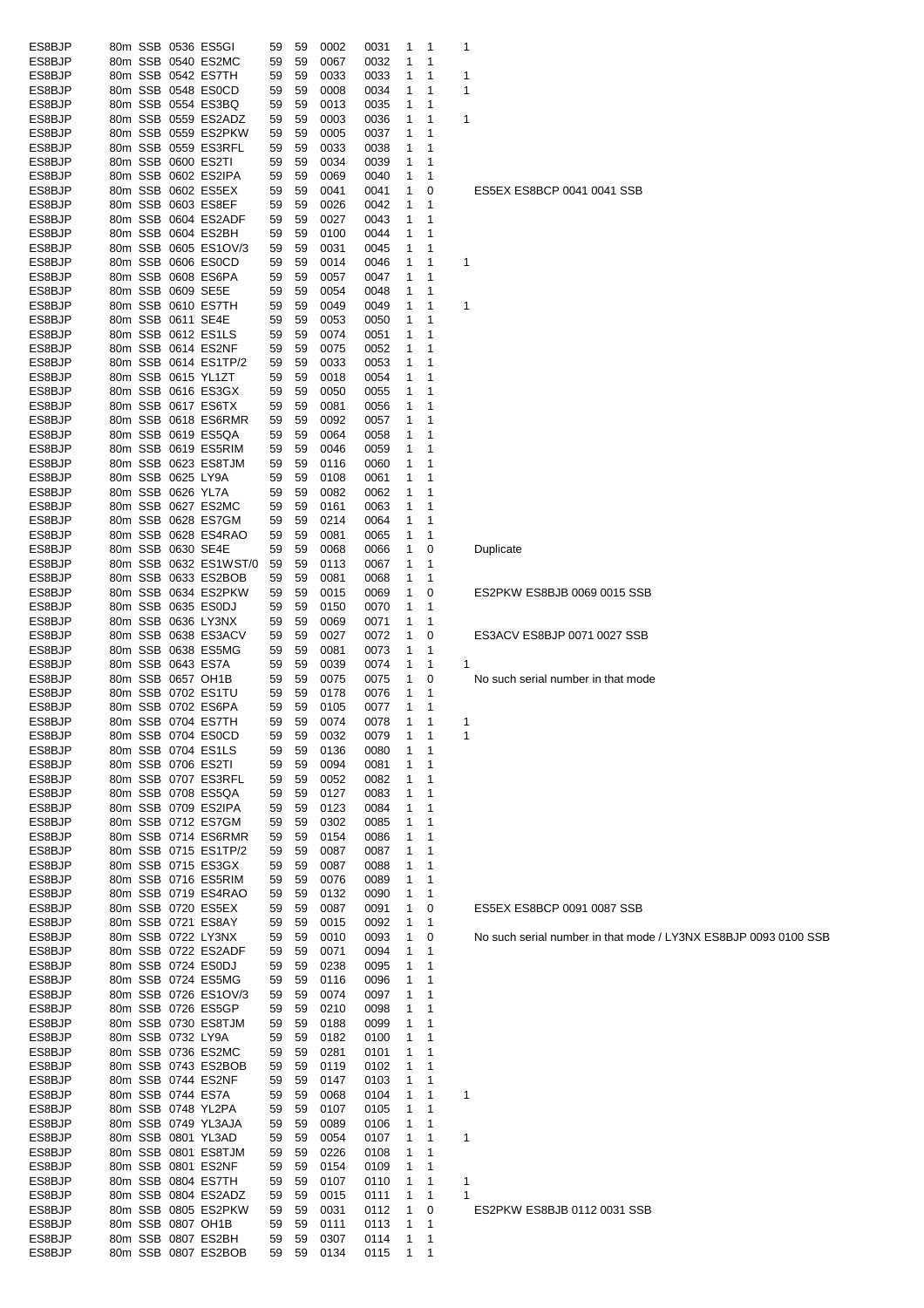| ES8BJP<br>80m SSB 0536 ES5GI<br>0002<br>0031<br>59<br>59<br>1<br>1<br>-1<br>ES8BJP<br>80m SSB 0540 ES2MC<br>59<br>0032<br>59<br>0067<br>1<br>1<br>ES8BJP<br>80m SSB 0542 ES7TH<br>0033<br>59<br>59<br>0033<br>1<br>1<br>1<br>ES8BJP<br>80m SSB 0548 ES0CD<br>59<br>59<br>0008<br>0034<br>1<br>1<br>1<br>ES8BJP<br>80m SSB 0554 ES3BQ<br>0035<br>59<br>59<br>0013<br>1<br>1<br>ES8BJP<br>80m SSB 0559 ES2ADZ<br>59<br>59<br>0003<br>0036<br>1<br>1<br>1<br>ES8BJP<br>80m SSB 0559 ES2PKW<br>0037<br>59<br>59<br>0005<br>1<br>1<br>ES8BJP<br>80m SSB 0559 ES3RFL<br>0038<br>1<br>59<br>59<br>0033<br>1<br>ES8BJP<br>80m SSB 0600 ES2TI<br>0039<br>59<br>59<br>0034<br>1<br>-1<br>80m SSB 0602 ES2IPA<br>ES8BJP<br>59<br>59<br>0069<br>0040<br>1<br>-1<br>ES8BJP<br>80m SSB 0602 ES5EX<br>59<br>59<br>0041<br>0041<br>1<br>0<br>ES5EX ES8BCP 0041 0041 SSB<br>ES8BJP<br>80m SSB 0603 ES8EF<br>0042<br>59<br>59<br>0026<br>1<br>1<br>80m SSB 0604 ES2ADF<br>ES8BJP<br>0027<br>0043<br>59<br>59<br>1<br>1<br>ES8BJP<br>80m SSB 0604 ES2BH<br>59<br>59<br>0100<br>0044<br>1<br>1<br>ES8BJP<br>80m SSB 0605 ES1OV/3<br>59<br>59<br>0031<br>0045<br>1<br>1<br>ES8BJP<br>80m SSB 0606 ES0CD<br>59<br>59<br>0014<br>0046<br>1<br>1<br>1<br>ES8BJP<br>80m SSB 0608 ES6PA<br>59<br>59<br>0057<br>0047<br>1<br>1<br>ES8BJP<br>80m SSB 0609 SE5E<br>59<br>59<br>0054<br>0048<br>1<br>1<br>80m SSB 0610 ES7TH<br>ES8BJP<br>0049<br>0049<br>59<br>59<br>1<br>1<br>1<br>ES8BJP<br>80m SSB 0611 SE4E<br>59<br>59<br>0053<br>0050<br>1<br>1<br>ES8BJP<br>80m SSB 0612 ES1LS<br>0074<br>0051<br>59<br>59<br>1<br>1<br>ES8BJP<br>80m SSB 0614 ES2NF<br>59<br>59<br>0075<br>0052<br>1<br>-1<br>80m SSB 0614 ES1TP/2<br>ES8BJP<br>0053<br>59<br>59<br>0033<br>1<br>-1<br>80m SSB 0615 YL1ZT<br>ES8BJP<br>0054<br>59<br>59<br>0018<br>1<br>1<br>80m SSB 0616 ES3GX<br>ES8BJP<br>59<br>0050<br>0055<br>59<br>1<br>1<br>80m SSB 0617 ES6TX<br>ES8BJP<br>0056<br>59<br>59<br>0081<br>1<br>1<br>ES8BJP<br>80m SSB 0618 ES6RMR<br>59<br>59<br>0092<br>0057<br>1<br>1<br>80m SSB 0619 ES5QA<br>ES8BJP<br>59<br>59<br>0064<br>0058<br>1<br>1<br>ES8BJP<br>80m SSB 0619 ES5RIM<br>59<br>59<br>0046<br>0059<br>1<br>1<br>ES8BJP<br>80m SSB 0623 ES8TJM<br>59<br>59<br>0116<br>0060<br>1<br>1<br>ES8BJP<br>80m SSB 0625 LY9A<br>59<br>59<br>0108<br>0061<br>1<br>1<br>80m SSB 0626 YL7A<br>ES8BJP<br>0062<br>59<br>59<br>0082<br>1<br>1<br>80m SSB 0627 ES2MC<br>ES8BJP<br>0063<br>59<br>59<br>0161<br>1<br>-1<br>ES8BJP<br>80m SSB 0628 ES7GM<br>0214<br>0064<br>59<br>59<br>1<br>1<br>ES8BJP<br>80m SSB 0628 ES4RAO<br>59<br>59<br>0081<br>0065<br>1<br>$\mathbf 1$<br>80m SSB 0630 SE4E<br>ES8BJP<br>59<br>59<br>0068<br>0066<br>1<br>0<br>Duplicate<br>ES8BJP<br>80m SSB 0632 ES1WST/0<br>59<br>59<br>0113<br>0067<br>1<br>1<br>80m SSB 0633 ES2BOB<br>ES8BJP<br>0081<br>0068<br>59<br>59<br>1<br>-1<br>ES8BJP<br>80m SSB 0634 ES2PKW<br>59<br>59<br>0015<br>0069<br>1<br>0<br>ES2PKW ES8BJB 0069 0015 SSB<br>ES8BJP<br>80m SSB 0635 ES0DJ<br>59<br>59<br>0150<br>0070<br>1<br>1<br>ES8BJP<br>80m SSB 0636 LY3NX<br>0071<br>59<br>59<br>0069<br>1<br>1<br>ES8BJP<br>80m SSB 0638 ES3ACV<br>0072<br>ES3ACV ES8BJP 0071 0027 SSB<br>59<br>59<br>0027<br>1<br>0<br>ES8BJP<br>80m SSB 0638 ES5MG<br>59<br>59<br>0081<br>0073<br>1<br>1<br>ES8BJP<br>80m SSB 0643 ES7A<br>0039<br>0074<br>59<br>59<br>1<br>$\mathbf 1$<br>ES8BJP<br>80m SSB 0657 OH1B<br>0075<br>1<br>59<br>59<br>0075<br>0<br>No such serial number in that mode<br>ES8BJP<br>80m SSB 0702 ES1TU<br>0076<br>59<br>59<br>0178<br>1<br>-1<br>80m SSB 0702 ES6PA<br>ES8BJP<br>0077<br>59<br>59<br>0105<br>1<br>1<br>80m SSB 0704 ES7TH<br>0074<br>0078<br>ES8BJP<br>59<br>59<br>1<br>-1<br>1<br>ES8BJP<br>80m SSB 0704 ES0CD<br>59<br>0032<br>0079<br>59<br>ES8BJP<br>80m SSB 0704 ES1LS<br>59<br>59<br>0136<br>0080<br>1<br>$\overline{1}$<br>80m SSB 0706 ES2TI<br>ES8BJP<br>0094<br>59<br>59<br>0081<br>1<br>1<br>ES8BJP<br>80m SSB 0707 ES3RFL<br>0082<br>59<br>59<br>0052<br>1<br>1<br>ES8BJP<br>80m SSB 0708 ES5QA<br>59<br>0127<br>0083<br>1<br>59<br>1<br>ES8BJP<br>80m SSB 0709 ES2IPA<br>59<br>59<br>0123<br>0084<br>1<br>1<br>ES8BJP<br>80m SSB 0712 ES7GM<br>59<br>0302<br>0085<br>59<br>1<br>1<br>80m SSB 0714 ES6RMR<br>ES8BJP<br>0154<br>0086<br>59<br>59<br>1<br>1<br>ES8BJP<br>80m SSB 0715 ES1TP/2<br>0087<br>0087<br>1<br>59<br>59<br>1<br>80m SSB 0715 ES3GX<br>ES8BJP<br>0088<br>59<br>59<br>0087<br>1<br>-1<br>ES8BJP<br>80m SSB 0716 ES5RIM<br>59<br>59<br>0076<br>0089<br>1<br>$\mathbf 1$<br>80m SSB 0719 ES4RAO<br>ES8BJP<br>59<br>59<br>0132<br>0090<br>1<br>1<br>ES8BJP<br>80m SSB 0720 ES5EX<br>59<br>59<br>0087<br>0091<br>1<br>0<br>ES5EX ES8BCP 0091 0087 SSB<br>80m SSB 0721 ES8AY<br>ES8BJP<br>0015<br>0092<br>59<br>59<br>1<br>-1<br>80m SSB 0722 LY3NX<br>ES8BJP<br>0093<br>No such serial number in that mode / LY3NX ES8BJP 0093 0100 SSB<br>59<br>59<br>0010<br>1<br>0<br>ES8BJP<br>80m SSB 0722 ES2ADF<br>0071<br>59<br>59<br>0094<br>1<br>-1<br>80m SSB 0724 ES0DJ<br>ES8BJP<br>59<br>59<br>0238<br>0095<br>1<br>1<br>ES8BJP<br>80m SSB 0724 ES5MG<br>59<br>59<br>0116<br>0096<br>1<br>1<br>ES8BJP<br>80m SSB 0726 ES1OV/3<br>59<br>59<br>0074<br>0097<br>1<br>1<br>ES8BJP<br>80m SSB 0726 ES5GP<br>59<br>59<br>0210<br>0098<br>1<br>1<br>80m SSB 0730 ES8TJM<br>ES8BJP<br>59<br>0188<br>0099<br>1<br>59<br>1<br>80m SSB 0732 LY9A<br>ES8BJP<br>59<br>59<br>0182<br>0100<br>1<br>-1<br>80m SSB 0736 ES2MC<br>ES8BJP<br>0281<br>59<br>59<br>0101<br>1<br>-1<br>ES8BJP<br>80m SSB 0743 ES2BOB<br>0102<br>59<br>0119<br>1<br>59<br>1<br>80m SSB 0744 ES2NF<br>ES8BJP<br>59<br>59<br>0147<br>0103<br>1<br>1<br>80m SSB 0744 ES7A<br>ES8BJP<br>59<br>59<br>0068<br>0104<br>1<br>1<br>1<br>80m SSB 0748 YL2PA<br>ES8BJP<br>59<br>59<br>0107<br>0105<br>1<br>1<br>ES8BJP<br>80m SSB 0749 YL3AJA<br>0106<br>59<br>59<br>0089<br>1<br>1<br>ES8BJP<br>80m SSB 0801 YL3AD<br>59<br>0054<br>0107<br>1<br>1<br>59<br>1<br>80m SSB 0801 ES8TJM<br>ES8BJP<br>59<br>59<br>0226<br>0108<br>1<br>1<br>ES8BJP<br>80m SSB 0801 ES2NF<br>59<br>59<br>0154<br>0109<br>1<br>1<br>ES8BJP<br>80m SSB 0804 ES7TH<br>59<br>59<br>0107<br>0110<br>1<br>1<br>1<br>ES8BJP<br>80m SSB 0804 ES2ADZ<br>0015<br>0111<br>1<br>1<br>59<br>59<br>$\overline{1}$<br>80m SSB 0805 ES2PKW<br>ES8BJP<br>0031<br>ES2PKW ES8BJB 0112 0031 SSB<br>59<br>0112<br>1<br>0<br>59<br>80m SSB 0807 OH1B<br>ES8BJP<br>0113<br>1<br>0111<br>59<br>59<br>$\overline{1}$<br>80m SSB 0807 ES2BH<br>ES8BJP<br>0307<br>59<br>59<br>0114<br>1<br>$\mathbf 1$<br>ES8BJP<br>80m SSB 0807 ES2BOB<br>0115<br>59<br>59<br>0134<br>1<br>$\mathbf{1}$ |  |  |  |  |  |  |  |
|----------------------------------------------------------------------------------------------------------------------------------------------------------------------------------------------------------------------------------------------------------------------------------------------------------------------------------------------------------------------------------------------------------------------------------------------------------------------------------------------------------------------------------------------------------------------------------------------------------------------------------------------------------------------------------------------------------------------------------------------------------------------------------------------------------------------------------------------------------------------------------------------------------------------------------------------------------------------------------------------------------------------------------------------------------------------------------------------------------------------------------------------------------------------------------------------------------------------------------------------------------------------------------------------------------------------------------------------------------------------------------------------------------------------------------------------------------------------------------------------------------------------------------------------------------------------------------------------------------------------------------------------------------------------------------------------------------------------------------------------------------------------------------------------------------------------------------------------------------------------------------------------------------------------------------------------------------------------------------------------------------------------------------------------------------------------------------------------------------------------------------------------------------------------------------------------------------------------------------------------------------------------------------------------------------------------------------------------------------------------------------------------------------------------------------------------------------------------------------------------------------------------------------------------------------------------------------------------------------------------------------------------------------------------------------------------------------------------------------------------------------------------------------------------------------------------------------------------------------------------------------------------------------------------------------------------------------------------------------------------------------------------------------------------------------------------------------------------------------------------------------------------------------------------------------------------------------------------------------------------------------------------------------------------------------------------------------------------------------------------------------------------------------------------------------------------------------------------------------------------------------------------------------------------------------------------------------------------------------------------------------------------------------------------------------------------------------------------------------------------------------------------------------------------------------------------------------------------------------------------------------------------------------------------------------------------------------------------------------------------------------------------------------------------------------------------------------------------------------------------------------------------------------------------------------------------------------------------------------------------------------------------------------------------------------------------------------------------------------------------------------------------------------------------------------------------------------------------------------------------------------------------------------------------------------------------------------------------------------------------------------------------------------------------------------------------------------------------------------------------------------------------------------------------------------------------------------------------------------------------------------------------------------------------------------------------------------------------------------------------------------------------------------------------------------------------------------------------------------------------------------------------------------------------------------------------------------------------------------------------------------------------------------------------------------------------------------------------------------------------------------------------------------------------------------------------------------------------------------------------------------------------------------------------------------------------------------------------------------------------------------------------------------------------------------------------------------------------------------------------------------------------------------------------------------------------------------------------------------------------------------------------------------------------------------------------------------------------------------------------------------------------------------------------------------------------------------------------------------------------------------------------------------------------------------------------------------------------------------------------------------------------------------------------------------------------------------------------------------------------------------------------------------------------------------------------------------------------------------------------------------------------------------------------------------------------------------------------------------------------------------------------------------|--|--|--|--|--|--|--|
|                                                                                                                                                                                                                                                                                                                                                                                                                                                                                                                                                                                                                                                                                                                                                                                                                                                                                                                                                                                                                                                                                                                                                                                                                                                                                                                                                                                                                                                                                                                                                                                                                                                                                                                                                                                                                                                                                                                                                                                                                                                                                                                                                                                                                                                                                                                                                                                                                                                                                                                                                                                                                                                                                                                                                                                                                                                                                                                                                                                                                                                                                                                                                                                                                                                                                                                                                                                                                                                                                                                                                                                                                                                                                                                                                                                                                                                                                                                                                                                                                                                                                                                                                                                                                                                                                                                                                                                                                                                                                                                                                                                                                                                                                                                                                                                                                                                                                                                                                                                                                                                                                                                                                                                                                                                                                                                                                                                                                                                                                                                                                                                                                                                                                                                                                                                                                                                                                                                                                                                                                                                                                                                                                                                                                                                                                                                                                                                                                                                                                                                                                                                                                                                          |  |  |  |  |  |  |  |
|                                                                                                                                                                                                                                                                                                                                                                                                                                                                                                                                                                                                                                                                                                                                                                                                                                                                                                                                                                                                                                                                                                                                                                                                                                                                                                                                                                                                                                                                                                                                                                                                                                                                                                                                                                                                                                                                                                                                                                                                                                                                                                                                                                                                                                                                                                                                                                                                                                                                                                                                                                                                                                                                                                                                                                                                                                                                                                                                                                                                                                                                                                                                                                                                                                                                                                                                                                                                                                                                                                                                                                                                                                                                                                                                                                                                                                                                                                                                                                                                                                                                                                                                                                                                                                                                                                                                                                                                                                                                                                                                                                                                                                                                                                                                                                                                                                                                                                                                                                                                                                                                                                                                                                                                                                                                                                                                                                                                                                                                                                                                                                                                                                                                                                                                                                                                                                                                                                                                                                                                                                                                                                                                                                                                                                                                                                                                                                                                                                                                                                                                                                                                                                                          |  |  |  |  |  |  |  |
|                                                                                                                                                                                                                                                                                                                                                                                                                                                                                                                                                                                                                                                                                                                                                                                                                                                                                                                                                                                                                                                                                                                                                                                                                                                                                                                                                                                                                                                                                                                                                                                                                                                                                                                                                                                                                                                                                                                                                                                                                                                                                                                                                                                                                                                                                                                                                                                                                                                                                                                                                                                                                                                                                                                                                                                                                                                                                                                                                                                                                                                                                                                                                                                                                                                                                                                                                                                                                                                                                                                                                                                                                                                                                                                                                                                                                                                                                                                                                                                                                                                                                                                                                                                                                                                                                                                                                                                                                                                                                                                                                                                                                                                                                                                                                                                                                                                                                                                                                                                                                                                                                                                                                                                                                                                                                                                                                                                                                                                                                                                                                                                                                                                                                                                                                                                                                                                                                                                                                                                                                                                                                                                                                                                                                                                                                                                                                                                                                                                                                                                                                                                                                                                          |  |  |  |  |  |  |  |
|                                                                                                                                                                                                                                                                                                                                                                                                                                                                                                                                                                                                                                                                                                                                                                                                                                                                                                                                                                                                                                                                                                                                                                                                                                                                                                                                                                                                                                                                                                                                                                                                                                                                                                                                                                                                                                                                                                                                                                                                                                                                                                                                                                                                                                                                                                                                                                                                                                                                                                                                                                                                                                                                                                                                                                                                                                                                                                                                                                                                                                                                                                                                                                                                                                                                                                                                                                                                                                                                                                                                                                                                                                                                                                                                                                                                                                                                                                                                                                                                                                                                                                                                                                                                                                                                                                                                                                                                                                                                                                                                                                                                                                                                                                                                                                                                                                                                                                                                                                                                                                                                                                                                                                                                                                                                                                                                                                                                                                                                                                                                                                                                                                                                                                                                                                                                                                                                                                                                                                                                                                                                                                                                                                                                                                                                                                                                                                                                                                                                                                                                                                                                                                                          |  |  |  |  |  |  |  |
|                                                                                                                                                                                                                                                                                                                                                                                                                                                                                                                                                                                                                                                                                                                                                                                                                                                                                                                                                                                                                                                                                                                                                                                                                                                                                                                                                                                                                                                                                                                                                                                                                                                                                                                                                                                                                                                                                                                                                                                                                                                                                                                                                                                                                                                                                                                                                                                                                                                                                                                                                                                                                                                                                                                                                                                                                                                                                                                                                                                                                                                                                                                                                                                                                                                                                                                                                                                                                                                                                                                                                                                                                                                                                                                                                                                                                                                                                                                                                                                                                                                                                                                                                                                                                                                                                                                                                                                                                                                                                                                                                                                                                                                                                                                                                                                                                                                                                                                                                                                                                                                                                                                                                                                                                                                                                                                                                                                                                                                                                                                                                                                                                                                                                                                                                                                                                                                                                                                                                                                                                                                                                                                                                                                                                                                                                                                                                                                                                                                                                                                                                                                                                                                          |  |  |  |  |  |  |  |
|                                                                                                                                                                                                                                                                                                                                                                                                                                                                                                                                                                                                                                                                                                                                                                                                                                                                                                                                                                                                                                                                                                                                                                                                                                                                                                                                                                                                                                                                                                                                                                                                                                                                                                                                                                                                                                                                                                                                                                                                                                                                                                                                                                                                                                                                                                                                                                                                                                                                                                                                                                                                                                                                                                                                                                                                                                                                                                                                                                                                                                                                                                                                                                                                                                                                                                                                                                                                                                                                                                                                                                                                                                                                                                                                                                                                                                                                                                                                                                                                                                                                                                                                                                                                                                                                                                                                                                                                                                                                                                                                                                                                                                                                                                                                                                                                                                                                                                                                                                                                                                                                                                                                                                                                                                                                                                                                                                                                                                                                                                                                                                                                                                                                                                                                                                                                                                                                                                                                                                                                                                                                                                                                                                                                                                                                                                                                                                                                                                                                                                                                                                                                                                                          |  |  |  |  |  |  |  |
|                                                                                                                                                                                                                                                                                                                                                                                                                                                                                                                                                                                                                                                                                                                                                                                                                                                                                                                                                                                                                                                                                                                                                                                                                                                                                                                                                                                                                                                                                                                                                                                                                                                                                                                                                                                                                                                                                                                                                                                                                                                                                                                                                                                                                                                                                                                                                                                                                                                                                                                                                                                                                                                                                                                                                                                                                                                                                                                                                                                                                                                                                                                                                                                                                                                                                                                                                                                                                                                                                                                                                                                                                                                                                                                                                                                                                                                                                                                                                                                                                                                                                                                                                                                                                                                                                                                                                                                                                                                                                                                                                                                                                                                                                                                                                                                                                                                                                                                                                                                                                                                                                                                                                                                                                                                                                                                                                                                                                                                                                                                                                                                                                                                                                                                                                                                                                                                                                                                                                                                                                                                                                                                                                                                                                                                                                                                                                                                                                                                                                                                                                                                                                                                          |  |  |  |  |  |  |  |
|                                                                                                                                                                                                                                                                                                                                                                                                                                                                                                                                                                                                                                                                                                                                                                                                                                                                                                                                                                                                                                                                                                                                                                                                                                                                                                                                                                                                                                                                                                                                                                                                                                                                                                                                                                                                                                                                                                                                                                                                                                                                                                                                                                                                                                                                                                                                                                                                                                                                                                                                                                                                                                                                                                                                                                                                                                                                                                                                                                                                                                                                                                                                                                                                                                                                                                                                                                                                                                                                                                                                                                                                                                                                                                                                                                                                                                                                                                                                                                                                                                                                                                                                                                                                                                                                                                                                                                                                                                                                                                                                                                                                                                                                                                                                                                                                                                                                                                                                                                                                                                                                                                                                                                                                                                                                                                                                                                                                                                                                                                                                                                                                                                                                                                                                                                                                                                                                                                                                                                                                                                                                                                                                                                                                                                                                                                                                                                                                                                                                                                                                                                                                                                                          |  |  |  |  |  |  |  |
|                                                                                                                                                                                                                                                                                                                                                                                                                                                                                                                                                                                                                                                                                                                                                                                                                                                                                                                                                                                                                                                                                                                                                                                                                                                                                                                                                                                                                                                                                                                                                                                                                                                                                                                                                                                                                                                                                                                                                                                                                                                                                                                                                                                                                                                                                                                                                                                                                                                                                                                                                                                                                                                                                                                                                                                                                                                                                                                                                                                                                                                                                                                                                                                                                                                                                                                                                                                                                                                                                                                                                                                                                                                                                                                                                                                                                                                                                                                                                                                                                                                                                                                                                                                                                                                                                                                                                                                                                                                                                                                                                                                                                                                                                                                                                                                                                                                                                                                                                                                                                                                                                                                                                                                                                                                                                                                                                                                                                                                                                                                                                                                                                                                                                                                                                                                                                                                                                                                                                                                                                                                                                                                                                                                                                                                                                                                                                                                                                                                                                                                                                                                                                                                          |  |  |  |  |  |  |  |
|                                                                                                                                                                                                                                                                                                                                                                                                                                                                                                                                                                                                                                                                                                                                                                                                                                                                                                                                                                                                                                                                                                                                                                                                                                                                                                                                                                                                                                                                                                                                                                                                                                                                                                                                                                                                                                                                                                                                                                                                                                                                                                                                                                                                                                                                                                                                                                                                                                                                                                                                                                                                                                                                                                                                                                                                                                                                                                                                                                                                                                                                                                                                                                                                                                                                                                                                                                                                                                                                                                                                                                                                                                                                                                                                                                                                                                                                                                                                                                                                                                                                                                                                                                                                                                                                                                                                                                                                                                                                                                                                                                                                                                                                                                                                                                                                                                                                                                                                                                                                                                                                                                                                                                                                                                                                                                                                                                                                                                                                                                                                                                                                                                                                                                                                                                                                                                                                                                                                                                                                                                                                                                                                                                                                                                                                                                                                                                                                                                                                                                                                                                                                                                                          |  |  |  |  |  |  |  |
|                                                                                                                                                                                                                                                                                                                                                                                                                                                                                                                                                                                                                                                                                                                                                                                                                                                                                                                                                                                                                                                                                                                                                                                                                                                                                                                                                                                                                                                                                                                                                                                                                                                                                                                                                                                                                                                                                                                                                                                                                                                                                                                                                                                                                                                                                                                                                                                                                                                                                                                                                                                                                                                                                                                                                                                                                                                                                                                                                                                                                                                                                                                                                                                                                                                                                                                                                                                                                                                                                                                                                                                                                                                                                                                                                                                                                                                                                                                                                                                                                                                                                                                                                                                                                                                                                                                                                                                                                                                                                                                                                                                                                                                                                                                                                                                                                                                                                                                                                                                                                                                                                                                                                                                                                                                                                                                                                                                                                                                                                                                                                                                                                                                                                                                                                                                                                                                                                                                                                                                                                                                                                                                                                                                                                                                                                                                                                                                                                                                                                                                                                                                                                                                          |  |  |  |  |  |  |  |
|                                                                                                                                                                                                                                                                                                                                                                                                                                                                                                                                                                                                                                                                                                                                                                                                                                                                                                                                                                                                                                                                                                                                                                                                                                                                                                                                                                                                                                                                                                                                                                                                                                                                                                                                                                                                                                                                                                                                                                                                                                                                                                                                                                                                                                                                                                                                                                                                                                                                                                                                                                                                                                                                                                                                                                                                                                                                                                                                                                                                                                                                                                                                                                                                                                                                                                                                                                                                                                                                                                                                                                                                                                                                                                                                                                                                                                                                                                                                                                                                                                                                                                                                                                                                                                                                                                                                                                                                                                                                                                                                                                                                                                                                                                                                                                                                                                                                                                                                                                                                                                                                                                                                                                                                                                                                                                                                                                                                                                                                                                                                                                                                                                                                                                                                                                                                                                                                                                                                                                                                                                                                                                                                                                                                                                                                                                                                                                                                                                                                                                                                                                                                                                                          |  |  |  |  |  |  |  |
|                                                                                                                                                                                                                                                                                                                                                                                                                                                                                                                                                                                                                                                                                                                                                                                                                                                                                                                                                                                                                                                                                                                                                                                                                                                                                                                                                                                                                                                                                                                                                                                                                                                                                                                                                                                                                                                                                                                                                                                                                                                                                                                                                                                                                                                                                                                                                                                                                                                                                                                                                                                                                                                                                                                                                                                                                                                                                                                                                                                                                                                                                                                                                                                                                                                                                                                                                                                                                                                                                                                                                                                                                                                                                                                                                                                                                                                                                                                                                                                                                                                                                                                                                                                                                                                                                                                                                                                                                                                                                                                                                                                                                                                                                                                                                                                                                                                                                                                                                                                                                                                                                                                                                                                                                                                                                                                                                                                                                                                                                                                                                                                                                                                                                                                                                                                                                                                                                                                                                                                                                                                                                                                                                                                                                                                                                                                                                                                                                                                                                                                                                                                                                                                          |  |  |  |  |  |  |  |
|                                                                                                                                                                                                                                                                                                                                                                                                                                                                                                                                                                                                                                                                                                                                                                                                                                                                                                                                                                                                                                                                                                                                                                                                                                                                                                                                                                                                                                                                                                                                                                                                                                                                                                                                                                                                                                                                                                                                                                                                                                                                                                                                                                                                                                                                                                                                                                                                                                                                                                                                                                                                                                                                                                                                                                                                                                                                                                                                                                                                                                                                                                                                                                                                                                                                                                                                                                                                                                                                                                                                                                                                                                                                                                                                                                                                                                                                                                                                                                                                                                                                                                                                                                                                                                                                                                                                                                                                                                                                                                                                                                                                                                                                                                                                                                                                                                                                                                                                                                                                                                                                                                                                                                                                                                                                                                                                                                                                                                                                                                                                                                                                                                                                                                                                                                                                                                                                                                                                                                                                                                                                                                                                                                                                                                                                                                                                                                                                                                                                                                                                                                                                                                                          |  |  |  |  |  |  |  |
|                                                                                                                                                                                                                                                                                                                                                                                                                                                                                                                                                                                                                                                                                                                                                                                                                                                                                                                                                                                                                                                                                                                                                                                                                                                                                                                                                                                                                                                                                                                                                                                                                                                                                                                                                                                                                                                                                                                                                                                                                                                                                                                                                                                                                                                                                                                                                                                                                                                                                                                                                                                                                                                                                                                                                                                                                                                                                                                                                                                                                                                                                                                                                                                                                                                                                                                                                                                                                                                                                                                                                                                                                                                                                                                                                                                                                                                                                                                                                                                                                                                                                                                                                                                                                                                                                                                                                                                                                                                                                                                                                                                                                                                                                                                                                                                                                                                                                                                                                                                                                                                                                                                                                                                                                                                                                                                                                                                                                                                                                                                                                                                                                                                                                                                                                                                                                                                                                                                                                                                                                                                                                                                                                                                                                                                                                                                                                                                                                                                                                                                                                                                                                                                          |  |  |  |  |  |  |  |
|                                                                                                                                                                                                                                                                                                                                                                                                                                                                                                                                                                                                                                                                                                                                                                                                                                                                                                                                                                                                                                                                                                                                                                                                                                                                                                                                                                                                                                                                                                                                                                                                                                                                                                                                                                                                                                                                                                                                                                                                                                                                                                                                                                                                                                                                                                                                                                                                                                                                                                                                                                                                                                                                                                                                                                                                                                                                                                                                                                                                                                                                                                                                                                                                                                                                                                                                                                                                                                                                                                                                                                                                                                                                                                                                                                                                                                                                                                                                                                                                                                                                                                                                                                                                                                                                                                                                                                                                                                                                                                                                                                                                                                                                                                                                                                                                                                                                                                                                                                                                                                                                                                                                                                                                                                                                                                                                                                                                                                                                                                                                                                                                                                                                                                                                                                                                                                                                                                                                                                                                                                                                                                                                                                                                                                                                                                                                                                                                                                                                                                                                                                                                                                                          |  |  |  |  |  |  |  |
|                                                                                                                                                                                                                                                                                                                                                                                                                                                                                                                                                                                                                                                                                                                                                                                                                                                                                                                                                                                                                                                                                                                                                                                                                                                                                                                                                                                                                                                                                                                                                                                                                                                                                                                                                                                                                                                                                                                                                                                                                                                                                                                                                                                                                                                                                                                                                                                                                                                                                                                                                                                                                                                                                                                                                                                                                                                                                                                                                                                                                                                                                                                                                                                                                                                                                                                                                                                                                                                                                                                                                                                                                                                                                                                                                                                                                                                                                                                                                                                                                                                                                                                                                                                                                                                                                                                                                                                                                                                                                                                                                                                                                                                                                                                                                                                                                                                                                                                                                                                                                                                                                                                                                                                                                                                                                                                                                                                                                                                                                                                                                                                                                                                                                                                                                                                                                                                                                                                                                                                                                                                                                                                                                                                                                                                                                                                                                                                                                                                                                                                                                                                                                                                          |  |  |  |  |  |  |  |
|                                                                                                                                                                                                                                                                                                                                                                                                                                                                                                                                                                                                                                                                                                                                                                                                                                                                                                                                                                                                                                                                                                                                                                                                                                                                                                                                                                                                                                                                                                                                                                                                                                                                                                                                                                                                                                                                                                                                                                                                                                                                                                                                                                                                                                                                                                                                                                                                                                                                                                                                                                                                                                                                                                                                                                                                                                                                                                                                                                                                                                                                                                                                                                                                                                                                                                                                                                                                                                                                                                                                                                                                                                                                                                                                                                                                                                                                                                                                                                                                                                                                                                                                                                                                                                                                                                                                                                                                                                                                                                                                                                                                                                                                                                                                                                                                                                                                                                                                                                                                                                                                                                                                                                                                                                                                                                                                                                                                                                                                                                                                                                                                                                                                                                                                                                                                                                                                                                                                                                                                                                                                                                                                                                                                                                                                                                                                                                                                                                                                                                                                                                                                                                                          |  |  |  |  |  |  |  |
|                                                                                                                                                                                                                                                                                                                                                                                                                                                                                                                                                                                                                                                                                                                                                                                                                                                                                                                                                                                                                                                                                                                                                                                                                                                                                                                                                                                                                                                                                                                                                                                                                                                                                                                                                                                                                                                                                                                                                                                                                                                                                                                                                                                                                                                                                                                                                                                                                                                                                                                                                                                                                                                                                                                                                                                                                                                                                                                                                                                                                                                                                                                                                                                                                                                                                                                                                                                                                                                                                                                                                                                                                                                                                                                                                                                                                                                                                                                                                                                                                                                                                                                                                                                                                                                                                                                                                                                                                                                                                                                                                                                                                                                                                                                                                                                                                                                                                                                                                                                                                                                                                                                                                                                                                                                                                                                                                                                                                                                                                                                                                                                                                                                                                                                                                                                                                                                                                                                                                                                                                                                                                                                                                                                                                                                                                                                                                                                                                                                                                                                                                                                                                                                          |  |  |  |  |  |  |  |
|                                                                                                                                                                                                                                                                                                                                                                                                                                                                                                                                                                                                                                                                                                                                                                                                                                                                                                                                                                                                                                                                                                                                                                                                                                                                                                                                                                                                                                                                                                                                                                                                                                                                                                                                                                                                                                                                                                                                                                                                                                                                                                                                                                                                                                                                                                                                                                                                                                                                                                                                                                                                                                                                                                                                                                                                                                                                                                                                                                                                                                                                                                                                                                                                                                                                                                                                                                                                                                                                                                                                                                                                                                                                                                                                                                                                                                                                                                                                                                                                                                                                                                                                                                                                                                                                                                                                                                                                                                                                                                                                                                                                                                                                                                                                                                                                                                                                                                                                                                                                                                                                                                                                                                                                                                                                                                                                                                                                                                                                                                                                                                                                                                                                                                                                                                                                                                                                                                                                                                                                                                                                                                                                                                                                                                                                                                                                                                                                                                                                                                                                                                                                                                                          |  |  |  |  |  |  |  |
|                                                                                                                                                                                                                                                                                                                                                                                                                                                                                                                                                                                                                                                                                                                                                                                                                                                                                                                                                                                                                                                                                                                                                                                                                                                                                                                                                                                                                                                                                                                                                                                                                                                                                                                                                                                                                                                                                                                                                                                                                                                                                                                                                                                                                                                                                                                                                                                                                                                                                                                                                                                                                                                                                                                                                                                                                                                                                                                                                                                                                                                                                                                                                                                                                                                                                                                                                                                                                                                                                                                                                                                                                                                                                                                                                                                                                                                                                                                                                                                                                                                                                                                                                                                                                                                                                                                                                                                                                                                                                                                                                                                                                                                                                                                                                                                                                                                                                                                                                                                                                                                                                                                                                                                                                                                                                                                                                                                                                                                                                                                                                                                                                                                                                                                                                                                                                                                                                                                                                                                                                                                                                                                                                                                                                                                                                                                                                                                                                                                                                                                                                                                                                                                          |  |  |  |  |  |  |  |
|                                                                                                                                                                                                                                                                                                                                                                                                                                                                                                                                                                                                                                                                                                                                                                                                                                                                                                                                                                                                                                                                                                                                                                                                                                                                                                                                                                                                                                                                                                                                                                                                                                                                                                                                                                                                                                                                                                                                                                                                                                                                                                                                                                                                                                                                                                                                                                                                                                                                                                                                                                                                                                                                                                                                                                                                                                                                                                                                                                                                                                                                                                                                                                                                                                                                                                                                                                                                                                                                                                                                                                                                                                                                                                                                                                                                                                                                                                                                                                                                                                                                                                                                                                                                                                                                                                                                                                                                                                                                                                                                                                                                                                                                                                                                                                                                                                                                                                                                                                                                                                                                                                                                                                                                                                                                                                                                                                                                                                                                                                                                                                                                                                                                                                                                                                                                                                                                                                                                                                                                                                                                                                                                                                                                                                                                                                                                                                                                                                                                                                                                                                                                                                                          |  |  |  |  |  |  |  |
|                                                                                                                                                                                                                                                                                                                                                                                                                                                                                                                                                                                                                                                                                                                                                                                                                                                                                                                                                                                                                                                                                                                                                                                                                                                                                                                                                                                                                                                                                                                                                                                                                                                                                                                                                                                                                                                                                                                                                                                                                                                                                                                                                                                                                                                                                                                                                                                                                                                                                                                                                                                                                                                                                                                                                                                                                                                                                                                                                                                                                                                                                                                                                                                                                                                                                                                                                                                                                                                                                                                                                                                                                                                                                                                                                                                                                                                                                                                                                                                                                                                                                                                                                                                                                                                                                                                                                                                                                                                                                                                                                                                                                                                                                                                                                                                                                                                                                                                                                                                                                                                                                                                                                                                                                                                                                                                                                                                                                                                                                                                                                                                                                                                                                                                                                                                                                                                                                                                                                                                                                                                                                                                                                                                                                                                                                                                                                                                                                                                                                                                                                                                                                                                          |  |  |  |  |  |  |  |
|                                                                                                                                                                                                                                                                                                                                                                                                                                                                                                                                                                                                                                                                                                                                                                                                                                                                                                                                                                                                                                                                                                                                                                                                                                                                                                                                                                                                                                                                                                                                                                                                                                                                                                                                                                                                                                                                                                                                                                                                                                                                                                                                                                                                                                                                                                                                                                                                                                                                                                                                                                                                                                                                                                                                                                                                                                                                                                                                                                                                                                                                                                                                                                                                                                                                                                                                                                                                                                                                                                                                                                                                                                                                                                                                                                                                                                                                                                                                                                                                                                                                                                                                                                                                                                                                                                                                                                                                                                                                                                                                                                                                                                                                                                                                                                                                                                                                                                                                                                                                                                                                                                                                                                                                                                                                                                                                                                                                                                                                                                                                                                                                                                                                                                                                                                                                                                                                                                                                                                                                                                                                                                                                                                                                                                                                                                                                                                                                                                                                                                                                                                                                                                                          |  |  |  |  |  |  |  |
|                                                                                                                                                                                                                                                                                                                                                                                                                                                                                                                                                                                                                                                                                                                                                                                                                                                                                                                                                                                                                                                                                                                                                                                                                                                                                                                                                                                                                                                                                                                                                                                                                                                                                                                                                                                                                                                                                                                                                                                                                                                                                                                                                                                                                                                                                                                                                                                                                                                                                                                                                                                                                                                                                                                                                                                                                                                                                                                                                                                                                                                                                                                                                                                                                                                                                                                                                                                                                                                                                                                                                                                                                                                                                                                                                                                                                                                                                                                                                                                                                                                                                                                                                                                                                                                                                                                                                                                                                                                                                                                                                                                                                                                                                                                                                                                                                                                                                                                                                                                                                                                                                                                                                                                                                                                                                                                                                                                                                                                                                                                                                                                                                                                                                                                                                                                                                                                                                                                                                                                                                                                                                                                                                                                                                                                                                                                                                                                                                                                                                                                                                                                                                                                          |  |  |  |  |  |  |  |
|                                                                                                                                                                                                                                                                                                                                                                                                                                                                                                                                                                                                                                                                                                                                                                                                                                                                                                                                                                                                                                                                                                                                                                                                                                                                                                                                                                                                                                                                                                                                                                                                                                                                                                                                                                                                                                                                                                                                                                                                                                                                                                                                                                                                                                                                                                                                                                                                                                                                                                                                                                                                                                                                                                                                                                                                                                                                                                                                                                                                                                                                                                                                                                                                                                                                                                                                                                                                                                                                                                                                                                                                                                                                                                                                                                                                                                                                                                                                                                                                                                                                                                                                                                                                                                                                                                                                                                                                                                                                                                                                                                                                                                                                                                                                                                                                                                                                                                                                                                                                                                                                                                                                                                                                                                                                                                                                                                                                                                                                                                                                                                                                                                                                                                                                                                                                                                                                                                                                                                                                                                                                                                                                                                                                                                                                                                                                                                                                                                                                                                                                                                                                                                                          |  |  |  |  |  |  |  |
|                                                                                                                                                                                                                                                                                                                                                                                                                                                                                                                                                                                                                                                                                                                                                                                                                                                                                                                                                                                                                                                                                                                                                                                                                                                                                                                                                                                                                                                                                                                                                                                                                                                                                                                                                                                                                                                                                                                                                                                                                                                                                                                                                                                                                                                                                                                                                                                                                                                                                                                                                                                                                                                                                                                                                                                                                                                                                                                                                                                                                                                                                                                                                                                                                                                                                                                                                                                                                                                                                                                                                                                                                                                                                                                                                                                                                                                                                                                                                                                                                                                                                                                                                                                                                                                                                                                                                                                                                                                                                                                                                                                                                                                                                                                                                                                                                                                                                                                                                                                                                                                                                                                                                                                                                                                                                                                                                                                                                                                                                                                                                                                                                                                                                                                                                                                                                                                                                                                                                                                                                                                                                                                                                                                                                                                                                                                                                                                                                                                                                                                                                                                                                                                          |  |  |  |  |  |  |  |
|                                                                                                                                                                                                                                                                                                                                                                                                                                                                                                                                                                                                                                                                                                                                                                                                                                                                                                                                                                                                                                                                                                                                                                                                                                                                                                                                                                                                                                                                                                                                                                                                                                                                                                                                                                                                                                                                                                                                                                                                                                                                                                                                                                                                                                                                                                                                                                                                                                                                                                                                                                                                                                                                                                                                                                                                                                                                                                                                                                                                                                                                                                                                                                                                                                                                                                                                                                                                                                                                                                                                                                                                                                                                                                                                                                                                                                                                                                                                                                                                                                                                                                                                                                                                                                                                                                                                                                                                                                                                                                                                                                                                                                                                                                                                                                                                                                                                                                                                                                                                                                                                                                                                                                                                                                                                                                                                                                                                                                                                                                                                                                                                                                                                                                                                                                                                                                                                                                                                                                                                                                                                                                                                                                                                                                                                                                                                                                                                                                                                                                                                                                                                                                                          |  |  |  |  |  |  |  |
|                                                                                                                                                                                                                                                                                                                                                                                                                                                                                                                                                                                                                                                                                                                                                                                                                                                                                                                                                                                                                                                                                                                                                                                                                                                                                                                                                                                                                                                                                                                                                                                                                                                                                                                                                                                                                                                                                                                                                                                                                                                                                                                                                                                                                                                                                                                                                                                                                                                                                                                                                                                                                                                                                                                                                                                                                                                                                                                                                                                                                                                                                                                                                                                                                                                                                                                                                                                                                                                                                                                                                                                                                                                                                                                                                                                                                                                                                                                                                                                                                                                                                                                                                                                                                                                                                                                                                                                                                                                                                                                                                                                                                                                                                                                                                                                                                                                                                                                                                                                                                                                                                                                                                                                                                                                                                                                                                                                                                                                                                                                                                                                                                                                                                                                                                                                                                                                                                                                                                                                                                                                                                                                                                                                                                                                                                                                                                                                                                                                                                                                                                                                                                                                          |  |  |  |  |  |  |  |
|                                                                                                                                                                                                                                                                                                                                                                                                                                                                                                                                                                                                                                                                                                                                                                                                                                                                                                                                                                                                                                                                                                                                                                                                                                                                                                                                                                                                                                                                                                                                                                                                                                                                                                                                                                                                                                                                                                                                                                                                                                                                                                                                                                                                                                                                                                                                                                                                                                                                                                                                                                                                                                                                                                                                                                                                                                                                                                                                                                                                                                                                                                                                                                                                                                                                                                                                                                                                                                                                                                                                                                                                                                                                                                                                                                                                                                                                                                                                                                                                                                                                                                                                                                                                                                                                                                                                                                                                                                                                                                                                                                                                                                                                                                                                                                                                                                                                                                                                                                                                                                                                                                                                                                                                                                                                                                                                                                                                                                                                                                                                                                                                                                                                                                                                                                                                                                                                                                                                                                                                                                                                                                                                                                                                                                                                                                                                                                                                                                                                                                                                                                                                                                                          |  |  |  |  |  |  |  |
|                                                                                                                                                                                                                                                                                                                                                                                                                                                                                                                                                                                                                                                                                                                                                                                                                                                                                                                                                                                                                                                                                                                                                                                                                                                                                                                                                                                                                                                                                                                                                                                                                                                                                                                                                                                                                                                                                                                                                                                                                                                                                                                                                                                                                                                                                                                                                                                                                                                                                                                                                                                                                                                                                                                                                                                                                                                                                                                                                                                                                                                                                                                                                                                                                                                                                                                                                                                                                                                                                                                                                                                                                                                                                                                                                                                                                                                                                                                                                                                                                                                                                                                                                                                                                                                                                                                                                                                                                                                                                                                                                                                                                                                                                                                                                                                                                                                                                                                                                                                                                                                                                                                                                                                                                                                                                                                                                                                                                                                                                                                                                                                                                                                                                                                                                                                                                                                                                                                                                                                                                                                                                                                                                                                                                                                                                                                                                                                                                                                                                                                                                                                                                                                          |  |  |  |  |  |  |  |
|                                                                                                                                                                                                                                                                                                                                                                                                                                                                                                                                                                                                                                                                                                                                                                                                                                                                                                                                                                                                                                                                                                                                                                                                                                                                                                                                                                                                                                                                                                                                                                                                                                                                                                                                                                                                                                                                                                                                                                                                                                                                                                                                                                                                                                                                                                                                                                                                                                                                                                                                                                                                                                                                                                                                                                                                                                                                                                                                                                                                                                                                                                                                                                                                                                                                                                                                                                                                                                                                                                                                                                                                                                                                                                                                                                                                                                                                                                                                                                                                                                                                                                                                                                                                                                                                                                                                                                                                                                                                                                                                                                                                                                                                                                                                                                                                                                                                                                                                                                                                                                                                                                                                                                                                                                                                                                                                                                                                                                                                                                                                                                                                                                                                                                                                                                                                                                                                                                                                                                                                                                                                                                                                                                                                                                                                                                                                                                                                                                                                                                                                                                                                                                                          |  |  |  |  |  |  |  |
|                                                                                                                                                                                                                                                                                                                                                                                                                                                                                                                                                                                                                                                                                                                                                                                                                                                                                                                                                                                                                                                                                                                                                                                                                                                                                                                                                                                                                                                                                                                                                                                                                                                                                                                                                                                                                                                                                                                                                                                                                                                                                                                                                                                                                                                                                                                                                                                                                                                                                                                                                                                                                                                                                                                                                                                                                                                                                                                                                                                                                                                                                                                                                                                                                                                                                                                                                                                                                                                                                                                                                                                                                                                                                                                                                                                                                                                                                                                                                                                                                                                                                                                                                                                                                                                                                                                                                                                                                                                                                                                                                                                                                                                                                                                                                                                                                                                                                                                                                                                                                                                                                                                                                                                                                                                                                                                                                                                                                                                                                                                                                                                                                                                                                                                                                                                                                                                                                                                                                                                                                                                                                                                                                                                                                                                                                                                                                                                                                                                                                                                                                                                                                                                          |  |  |  |  |  |  |  |
|                                                                                                                                                                                                                                                                                                                                                                                                                                                                                                                                                                                                                                                                                                                                                                                                                                                                                                                                                                                                                                                                                                                                                                                                                                                                                                                                                                                                                                                                                                                                                                                                                                                                                                                                                                                                                                                                                                                                                                                                                                                                                                                                                                                                                                                                                                                                                                                                                                                                                                                                                                                                                                                                                                                                                                                                                                                                                                                                                                                                                                                                                                                                                                                                                                                                                                                                                                                                                                                                                                                                                                                                                                                                                                                                                                                                                                                                                                                                                                                                                                                                                                                                                                                                                                                                                                                                                                                                                                                                                                                                                                                                                                                                                                                                                                                                                                                                                                                                                                                                                                                                                                                                                                                                                                                                                                                                                                                                                                                                                                                                                                                                                                                                                                                                                                                                                                                                                                                                                                                                                                                                                                                                                                                                                                                                                                                                                                                                                                                                                                                                                                                                                                                          |  |  |  |  |  |  |  |
|                                                                                                                                                                                                                                                                                                                                                                                                                                                                                                                                                                                                                                                                                                                                                                                                                                                                                                                                                                                                                                                                                                                                                                                                                                                                                                                                                                                                                                                                                                                                                                                                                                                                                                                                                                                                                                                                                                                                                                                                                                                                                                                                                                                                                                                                                                                                                                                                                                                                                                                                                                                                                                                                                                                                                                                                                                                                                                                                                                                                                                                                                                                                                                                                                                                                                                                                                                                                                                                                                                                                                                                                                                                                                                                                                                                                                                                                                                                                                                                                                                                                                                                                                                                                                                                                                                                                                                                                                                                                                                                                                                                                                                                                                                                                                                                                                                                                                                                                                                                                                                                                                                                                                                                                                                                                                                                                                                                                                                                                                                                                                                                                                                                                                                                                                                                                                                                                                                                                                                                                                                                                                                                                                                                                                                                                                                                                                                                                                                                                                                                                                                                                                                                          |  |  |  |  |  |  |  |
|                                                                                                                                                                                                                                                                                                                                                                                                                                                                                                                                                                                                                                                                                                                                                                                                                                                                                                                                                                                                                                                                                                                                                                                                                                                                                                                                                                                                                                                                                                                                                                                                                                                                                                                                                                                                                                                                                                                                                                                                                                                                                                                                                                                                                                                                                                                                                                                                                                                                                                                                                                                                                                                                                                                                                                                                                                                                                                                                                                                                                                                                                                                                                                                                                                                                                                                                                                                                                                                                                                                                                                                                                                                                                                                                                                                                                                                                                                                                                                                                                                                                                                                                                                                                                                                                                                                                                                                                                                                                                                                                                                                                                                                                                                                                                                                                                                                                                                                                                                                                                                                                                                                                                                                                                                                                                                                                                                                                                                                                                                                                                                                                                                                                                                                                                                                                                                                                                                                                                                                                                                                                                                                                                                                                                                                                                                                                                                                                                                                                                                                                                                                                                                                          |  |  |  |  |  |  |  |
|                                                                                                                                                                                                                                                                                                                                                                                                                                                                                                                                                                                                                                                                                                                                                                                                                                                                                                                                                                                                                                                                                                                                                                                                                                                                                                                                                                                                                                                                                                                                                                                                                                                                                                                                                                                                                                                                                                                                                                                                                                                                                                                                                                                                                                                                                                                                                                                                                                                                                                                                                                                                                                                                                                                                                                                                                                                                                                                                                                                                                                                                                                                                                                                                                                                                                                                                                                                                                                                                                                                                                                                                                                                                                                                                                                                                                                                                                                                                                                                                                                                                                                                                                                                                                                                                                                                                                                                                                                                                                                                                                                                                                                                                                                                                                                                                                                                                                                                                                                                                                                                                                                                                                                                                                                                                                                                                                                                                                                                                                                                                                                                                                                                                                                                                                                                                                                                                                                                                                                                                                                                                                                                                                                                                                                                                                                                                                                                                                                                                                                                                                                                                                                                          |  |  |  |  |  |  |  |
|                                                                                                                                                                                                                                                                                                                                                                                                                                                                                                                                                                                                                                                                                                                                                                                                                                                                                                                                                                                                                                                                                                                                                                                                                                                                                                                                                                                                                                                                                                                                                                                                                                                                                                                                                                                                                                                                                                                                                                                                                                                                                                                                                                                                                                                                                                                                                                                                                                                                                                                                                                                                                                                                                                                                                                                                                                                                                                                                                                                                                                                                                                                                                                                                                                                                                                                                                                                                                                                                                                                                                                                                                                                                                                                                                                                                                                                                                                                                                                                                                                                                                                                                                                                                                                                                                                                                                                                                                                                                                                                                                                                                                                                                                                                                                                                                                                                                                                                                                                                                                                                                                                                                                                                                                                                                                                                                                                                                                                                                                                                                                                                                                                                                                                                                                                                                                                                                                                                                                                                                                                                                                                                                                                                                                                                                                                                                                                                                                                                                                                                                                                                                                                                          |  |  |  |  |  |  |  |
|                                                                                                                                                                                                                                                                                                                                                                                                                                                                                                                                                                                                                                                                                                                                                                                                                                                                                                                                                                                                                                                                                                                                                                                                                                                                                                                                                                                                                                                                                                                                                                                                                                                                                                                                                                                                                                                                                                                                                                                                                                                                                                                                                                                                                                                                                                                                                                                                                                                                                                                                                                                                                                                                                                                                                                                                                                                                                                                                                                                                                                                                                                                                                                                                                                                                                                                                                                                                                                                                                                                                                                                                                                                                                                                                                                                                                                                                                                                                                                                                                                                                                                                                                                                                                                                                                                                                                                                                                                                                                                                                                                                                                                                                                                                                                                                                                                                                                                                                                                                                                                                                                                                                                                                                                                                                                                                                                                                                                                                                                                                                                                                                                                                                                                                                                                                                                                                                                                                                                                                                                                                                                                                                                                                                                                                                                                                                                                                                                                                                                                                                                                                                                                                          |  |  |  |  |  |  |  |
|                                                                                                                                                                                                                                                                                                                                                                                                                                                                                                                                                                                                                                                                                                                                                                                                                                                                                                                                                                                                                                                                                                                                                                                                                                                                                                                                                                                                                                                                                                                                                                                                                                                                                                                                                                                                                                                                                                                                                                                                                                                                                                                                                                                                                                                                                                                                                                                                                                                                                                                                                                                                                                                                                                                                                                                                                                                                                                                                                                                                                                                                                                                                                                                                                                                                                                                                                                                                                                                                                                                                                                                                                                                                                                                                                                                                                                                                                                                                                                                                                                                                                                                                                                                                                                                                                                                                                                                                                                                                                                                                                                                                                                                                                                                                                                                                                                                                                                                                                                                                                                                                                                                                                                                                                                                                                                                                                                                                                                                                                                                                                                                                                                                                                                                                                                                                                                                                                                                                                                                                                                                                                                                                                                                                                                                                                                                                                                                                                                                                                                                                                                                                                                                          |  |  |  |  |  |  |  |
|                                                                                                                                                                                                                                                                                                                                                                                                                                                                                                                                                                                                                                                                                                                                                                                                                                                                                                                                                                                                                                                                                                                                                                                                                                                                                                                                                                                                                                                                                                                                                                                                                                                                                                                                                                                                                                                                                                                                                                                                                                                                                                                                                                                                                                                                                                                                                                                                                                                                                                                                                                                                                                                                                                                                                                                                                                                                                                                                                                                                                                                                                                                                                                                                                                                                                                                                                                                                                                                                                                                                                                                                                                                                                                                                                                                                                                                                                                                                                                                                                                                                                                                                                                                                                                                                                                                                                                                                                                                                                                                                                                                                                                                                                                                                                                                                                                                                                                                                                                                                                                                                                                                                                                                                                                                                                                                                                                                                                                                                                                                                                                                                                                                                                                                                                                                                                                                                                                                                                                                                                                                                                                                                                                                                                                                                                                                                                                                                                                                                                                                                                                                                                                                          |  |  |  |  |  |  |  |
|                                                                                                                                                                                                                                                                                                                                                                                                                                                                                                                                                                                                                                                                                                                                                                                                                                                                                                                                                                                                                                                                                                                                                                                                                                                                                                                                                                                                                                                                                                                                                                                                                                                                                                                                                                                                                                                                                                                                                                                                                                                                                                                                                                                                                                                                                                                                                                                                                                                                                                                                                                                                                                                                                                                                                                                                                                                                                                                                                                                                                                                                                                                                                                                                                                                                                                                                                                                                                                                                                                                                                                                                                                                                                                                                                                                                                                                                                                                                                                                                                                                                                                                                                                                                                                                                                                                                                                                                                                                                                                                                                                                                                                                                                                                                                                                                                                                                                                                                                                                                                                                                                                                                                                                                                                                                                                                                                                                                                                                                                                                                                                                                                                                                                                                                                                                                                                                                                                                                                                                                                                                                                                                                                                                                                                                                                                                                                                                                                                                                                                                                                                                                                                                          |  |  |  |  |  |  |  |
|                                                                                                                                                                                                                                                                                                                                                                                                                                                                                                                                                                                                                                                                                                                                                                                                                                                                                                                                                                                                                                                                                                                                                                                                                                                                                                                                                                                                                                                                                                                                                                                                                                                                                                                                                                                                                                                                                                                                                                                                                                                                                                                                                                                                                                                                                                                                                                                                                                                                                                                                                                                                                                                                                                                                                                                                                                                                                                                                                                                                                                                                                                                                                                                                                                                                                                                                                                                                                                                                                                                                                                                                                                                                                                                                                                                                                                                                                                                                                                                                                                                                                                                                                                                                                                                                                                                                                                                                                                                                                                                                                                                                                                                                                                                                                                                                                                                                                                                                                                                                                                                                                                                                                                                                                                                                                                                                                                                                                                                                                                                                                                                                                                                                                                                                                                                                                                                                                                                                                                                                                                                                                                                                                                                                                                                                                                                                                                                                                                                                                                                                                                                                                                                          |  |  |  |  |  |  |  |
|                                                                                                                                                                                                                                                                                                                                                                                                                                                                                                                                                                                                                                                                                                                                                                                                                                                                                                                                                                                                                                                                                                                                                                                                                                                                                                                                                                                                                                                                                                                                                                                                                                                                                                                                                                                                                                                                                                                                                                                                                                                                                                                                                                                                                                                                                                                                                                                                                                                                                                                                                                                                                                                                                                                                                                                                                                                                                                                                                                                                                                                                                                                                                                                                                                                                                                                                                                                                                                                                                                                                                                                                                                                                                                                                                                                                                                                                                                                                                                                                                                                                                                                                                                                                                                                                                                                                                                                                                                                                                                                                                                                                                                                                                                                                                                                                                                                                                                                                                                                                                                                                                                                                                                                                                                                                                                                                                                                                                                                                                                                                                                                                                                                                                                                                                                                                                                                                                                                                                                                                                                                                                                                                                                                                                                                                                                                                                                                                                                                                                                                                                                                                                                                          |  |  |  |  |  |  |  |
|                                                                                                                                                                                                                                                                                                                                                                                                                                                                                                                                                                                                                                                                                                                                                                                                                                                                                                                                                                                                                                                                                                                                                                                                                                                                                                                                                                                                                                                                                                                                                                                                                                                                                                                                                                                                                                                                                                                                                                                                                                                                                                                                                                                                                                                                                                                                                                                                                                                                                                                                                                                                                                                                                                                                                                                                                                                                                                                                                                                                                                                                                                                                                                                                                                                                                                                                                                                                                                                                                                                                                                                                                                                                                                                                                                                                                                                                                                                                                                                                                                                                                                                                                                                                                                                                                                                                                                                                                                                                                                                                                                                                                                                                                                                                                                                                                                                                                                                                                                                                                                                                                                                                                                                                                                                                                                                                                                                                                                                                                                                                                                                                                                                                                                                                                                                                                                                                                                                                                                                                                                                                                                                                                                                                                                                                                                                                                                                                                                                                                                                                                                                                                                                          |  |  |  |  |  |  |  |
|                                                                                                                                                                                                                                                                                                                                                                                                                                                                                                                                                                                                                                                                                                                                                                                                                                                                                                                                                                                                                                                                                                                                                                                                                                                                                                                                                                                                                                                                                                                                                                                                                                                                                                                                                                                                                                                                                                                                                                                                                                                                                                                                                                                                                                                                                                                                                                                                                                                                                                                                                                                                                                                                                                                                                                                                                                                                                                                                                                                                                                                                                                                                                                                                                                                                                                                                                                                                                                                                                                                                                                                                                                                                                                                                                                                                                                                                                                                                                                                                                                                                                                                                                                                                                                                                                                                                                                                                                                                                                                                                                                                                                                                                                                                                                                                                                                                                                                                                                                                                                                                                                                                                                                                                                                                                                                                                                                                                                                                                                                                                                                                                                                                                                                                                                                                                                                                                                                                                                                                                                                                                                                                                                                                                                                                                                                                                                                                                                                                                                                                                                                                                                                                          |  |  |  |  |  |  |  |
|                                                                                                                                                                                                                                                                                                                                                                                                                                                                                                                                                                                                                                                                                                                                                                                                                                                                                                                                                                                                                                                                                                                                                                                                                                                                                                                                                                                                                                                                                                                                                                                                                                                                                                                                                                                                                                                                                                                                                                                                                                                                                                                                                                                                                                                                                                                                                                                                                                                                                                                                                                                                                                                                                                                                                                                                                                                                                                                                                                                                                                                                                                                                                                                                                                                                                                                                                                                                                                                                                                                                                                                                                                                                                                                                                                                                                                                                                                                                                                                                                                                                                                                                                                                                                                                                                                                                                                                                                                                                                                                                                                                                                                                                                                                                                                                                                                                                                                                                                                                                                                                                                                                                                                                                                                                                                                                                                                                                                                                                                                                                                                                                                                                                                                                                                                                                                                                                                                                                                                                                                                                                                                                                                                                                                                                                                                                                                                                                                                                                                                                                                                                                                                                          |  |  |  |  |  |  |  |
|                                                                                                                                                                                                                                                                                                                                                                                                                                                                                                                                                                                                                                                                                                                                                                                                                                                                                                                                                                                                                                                                                                                                                                                                                                                                                                                                                                                                                                                                                                                                                                                                                                                                                                                                                                                                                                                                                                                                                                                                                                                                                                                                                                                                                                                                                                                                                                                                                                                                                                                                                                                                                                                                                                                                                                                                                                                                                                                                                                                                                                                                                                                                                                                                                                                                                                                                                                                                                                                                                                                                                                                                                                                                                                                                                                                                                                                                                                                                                                                                                                                                                                                                                                                                                                                                                                                                                                                                                                                                                                                                                                                                                                                                                                                                                                                                                                                                                                                                                                                                                                                                                                                                                                                                                                                                                                                                                                                                                                                                                                                                                                                                                                                                                                                                                                                                                                                                                                                                                                                                                                                                                                                                                                                                                                                                                                                                                                                                                                                                                                                                                                                                                                                          |  |  |  |  |  |  |  |
|                                                                                                                                                                                                                                                                                                                                                                                                                                                                                                                                                                                                                                                                                                                                                                                                                                                                                                                                                                                                                                                                                                                                                                                                                                                                                                                                                                                                                                                                                                                                                                                                                                                                                                                                                                                                                                                                                                                                                                                                                                                                                                                                                                                                                                                                                                                                                                                                                                                                                                                                                                                                                                                                                                                                                                                                                                                                                                                                                                                                                                                                                                                                                                                                                                                                                                                                                                                                                                                                                                                                                                                                                                                                                                                                                                                                                                                                                                                                                                                                                                                                                                                                                                                                                                                                                                                                                                                                                                                                                                                                                                                                                                                                                                                                                                                                                                                                                                                                                                                                                                                                                                                                                                                                                                                                                                                                                                                                                                                                                                                                                                                                                                                                                                                                                                                                                                                                                                                                                                                                                                                                                                                                                                                                                                                                                                                                                                                                                                                                                                                                                                                                                                                          |  |  |  |  |  |  |  |
|                                                                                                                                                                                                                                                                                                                                                                                                                                                                                                                                                                                                                                                                                                                                                                                                                                                                                                                                                                                                                                                                                                                                                                                                                                                                                                                                                                                                                                                                                                                                                                                                                                                                                                                                                                                                                                                                                                                                                                                                                                                                                                                                                                                                                                                                                                                                                                                                                                                                                                                                                                                                                                                                                                                                                                                                                                                                                                                                                                                                                                                                                                                                                                                                                                                                                                                                                                                                                                                                                                                                                                                                                                                                                                                                                                                                                                                                                                                                                                                                                                                                                                                                                                                                                                                                                                                                                                                                                                                                                                                                                                                                                                                                                                                                                                                                                                                                                                                                                                                                                                                                                                                                                                                                                                                                                                                                                                                                                                                                                                                                                                                                                                                                                                                                                                                                                                                                                                                                                                                                                                                                                                                                                                                                                                                                                                                                                                                                                                                                                                                                                                                                                                                          |  |  |  |  |  |  |  |
|                                                                                                                                                                                                                                                                                                                                                                                                                                                                                                                                                                                                                                                                                                                                                                                                                                                                                                                                                                                                                                                                                                                                                                                                                                                                                                                                                                                                                                                                                                                                                                                                                                                                                                                                                                                                                                                                                                                                                                                                                                                                                                                                                                                                                                                                                                                                                                                                                                                                                                                                                                                                                                                                                                                                                                                                                                                                                                                                                                                                                                                                                                                                                                                                                                                                                                                                                                                                                                                                                                                                                                                                                                                                                                                                                                                                                                                                                                                                                                                                                                                                                                                                                                                                                                                                                                                                                                                                                                                                                                                                                                                                                                                                                                                                                                                                                                                                                                                                                                                                                                                                                                                                                                                                                                                                                                                                                                                                                                                                                                                                                                                                                                                                                                                                                                                                                                                                                                                                                                                                                                                                                                                                                                                                                                                                                                                                                                                                                                                                                                                                                                                                                                                          |  |  |  |  |  |  |  |
|                                                                                                                                                                                                                                                                                                                                                                                                                                                                                                                                                                                                                                                                                                                                                                                                                                                                                                                                                                                                                                                                                                                                                                                                                                                                                                                                                                                                                                                                                                                                                                                                                                                                                                                                                                                                                                                                                                                                                                                                                                                                                                                                                                                                                                                                                                                                                                                                                                                                                                                                                                                                                                                                                                                                                                                                                                                                                                                                                                                                                                                                                                                                                                                                                                                                                                                                                                                                                                                                                                                                                                                                                                                                                                                                                                                                                                                                                                                                                                                                                                                                                                                                                                                                                                                                                                                                                                                                                                                                                                                                                                                                                                                                                                                                                                                                                                                                                                                                                                                                                                                                                                                                                                                                                                                                                                                                                                                                                                                                                                                                                                                                                                                                                                                                                                                                                                                                                                                                                                                                                                                                                                                                                                                                                                                                                                                                                                                                                                                                                                                                                                                                                                                          |  |  |  |  |  |  |  |
|                                                                                                                                                                                                                                                                                                                                                                                                                                                                                                                                                                                                                                                                                                                                                                                                                                                                                                                                                                                                                                                                                                                                                                                                                                                                                                                                                                                                                                                                                                                                                                                                                                                                                                                                                                                                                                                                                                                                                                                                                                                                                                                                                                                                                                                                                                                                                                                                                                                                                                                                                                                                                                                                                                                                                                                                                                                                                                                                                                                                                                                                                                                                                                                                                                                                                                                                                                                                                                                                                                                                                                                                                                                                                                                                                                                                                                                                                                                                                                                                                                                                                                                                                                                                                                                                                                                                                                                                                                                                                                                                                                                                                                                                                                                                                                                                                                                                                                                                                                                                                                                                                                                                                                                                                                                                                                                                                                                                                                                                                                                                                                                                                                                                                                                                                                                                                                                                                                                                                                                                                                                                                                                                                                                                                                                                                                                                                                                                                                                                                                                                                                                                                                                          |  |  |  |  |  |  |  |
|                                                                                                                                                                                                                                                                                                                                                                                                                                                                                                                                                                                                                                                                                                                                                                                                                                                                                                                                                                                                                                                                                                                                                                                                                                                                                                                                                                                                                                                                                                                                                                                                                                                                                                                                                                                                                                                                                                                                                                                                                                                                                                                                                                                                                                                                                                                                                                                                                                                                                                                                                                                                                                                                                                                                                                                                                                                                                                                                                                                                                                                                                                                                                                                                                                                                                                                                                                                                                                                                                                                                                                                                                                                                                                                                                                                                                                                                                                                                                                                                                                                                                                                                                                                                                                                                                                                                                                                                                                                                                                                                                                                                                                                                                                                                                                                                                                                                                                                                                                                                                                                                                                                                                                                                                                                                                                                                                                                                                                                                                                                                                                                                                                                                                                                                                                                                                                                                                                                                                                                                                                                                                                                                                                                                                                                                                                                                                                                                                                                                                                                                                                                                                                                          |  |  |  |  |  |  |  |
|                                                                                                                                                                                                                                                                                                                                                                                                                                                                                                                                                                                                                                                                                                                                                                                                                                                                                                                                                                                                                                                                                                                                                                                                                                                                                                                                                                                                                                                                                                                                                                                                                                                                                                                                                                                                                                                                                                                                                                                                                                                                                                                                                                                                                                                                                                                                                                                                                                                                                                                                                                                                                                                                                                                                                                                                                                                                                                                                                                                                                                                                                                                                                                                                                                                                                                                                                                                                                                                                                                                                                                                                                                                                                                                                                                                                                                                                                                                                                                                                                                                                                                                                                                                                                                                                                                                                                                                                                                                                                                                                                                                                                                                                                                                                                                                                                                                                                                                                                                                                                                                                                                                                                                                                                                                                                                                                                                                                                                                                                                                                                                                                                                                                                                                                                                                                                                                                                                                                                                                                                                                                                                                                                                                                                                                                                                                                                                                                                                                                                                                                                                                                                                                          |  |  |  |  |  |  |  |
|                                                                                                                                                                                                                                                                                                                                                                                                                                                                                                                                                                                                                                                                                                                                                                                                                                                                                                                                                                                                                                                                                                                                                                                                                                                                                                                                                                                                                                                                                                                                                                                                                                                                                                                                                                                                                                                                                                                                                                                                                                                                                                                                                                                                                                                                                                                                                                                                                                                                                                                                                                                                                                                                                                                                                                                                                                                                                                                                                                                                                                                                                                                                                                                                                                                                                                                                                                                                                                                                                                                                                                                                                                                                                                                                                                                                                                                                                                                                                                                                                                                                                                                                                                                                                                                                                                                                                                                                                                                                                                                                                                                                                                                                                                                                                                                                                                                                                                                                                                                                                                                                                                                                                                                                                                                                                                                                                                                                                                                                                                                                                                                                                                                                                                                                                                                                                                                                                                                                                                                                                                                                                                                                                                                                                                                                                                                                                                                                                                                                                                                                                                                                                                                          |  |  |  |  |  |  |  |
|                                                                                                                                                                                                                                                                                                                                                                                                                                                                                                                                                                                                                                                                                                                                                                                                                                                                                                                                                                                                                                                                                                                                                                                                                                                                                                                                                                                                                                                                                                                                                                                                                                                                                                                                                                                                                                                                                                                                                                                                                                                                                                                                                                                                                                                                                                                                                                                                                                                                                                                                                                                                                                                                                                                                                                                                                                                                                                                                                                                                                                                                                                                                                                                                                                                                                                                                                                                                                                                                                                                                                                                                                                                                                                                                                                                                                                                                                                                                                                                                                                                                                                                                                                                                                                                                                                                                                                                                                                                                                                                                                                                                                                                                                                                                                                                                                                                                                                                                                                                                                                                                                                                                                                                                                                                                                                                                                                                                                                                                                                                                                                                                                                                                                                                                                                                                                                                                                                                                                                                                                                                                                                                                                                                                                                                                                                                                                                                                                                                                                                                                                                                                                                                          |  |  |  |  |  |  |  |
|                                                                                                                                                                                                                                                                                                                                                                                                                                                                                                                                                                                                                                                                                                                                                                                                                                                                                                                                                                                                                                                                                                                                                                                                                                                                                                                                                                                                                                                                                                                                                                                                                                                                                                                                                                                                                                                                                                                                                                                                                                                                                                                                                                                                                                                                                                                                                                                                                                                                                                                                                                                                                                                                                                                                                                                                                                                                                                                                                                                                                                                                                                                                                                                                                                                                                                                                                                                                                                                                                                                                                                                                                                                                                                                                                                                                                                                                                                                                                                                                                                                                                                                                                                                                                                                                                                                                                                                                                                                                                                                                                                                                                                                                                                                                                                                                                                                                                                                                                                                                                                                                                                                                                                                                                                                                                                                                                                                                                                                                                                                                                                                                                                                                                                                                                                                                                                                                                                                                                                                                                                                                                                                                                                                                                                                                                                                                                                                                                                                                                                                                                                                                                                                          |  |  |  |  |  |  |  |
|                                                                                                                                                                                                                                                                                                                                                                                                                                                                                                                                                                                                                                                                                                                                                                                                                                                                                                                                                                                                                                                                                                                                                                                                                                                                                                                                                                                                                                                                                                                                                                                                                                                                                                                                                                                                                                                                                                                                                                                                                                                                                                                                                                                                                                                                                                                                                                                                                                                                                                                                                                                                                                                                                                                                                                                                                                                                                                                                                                                                                                                                                                                                                                                                                                                                                                                                                                                                                                                                                                                                                                                                                                                                                                                                                                                                                                                                                                                                                                                                                                                                                                                                                                                                                                                                                                                                                                                                                                                                                                                                                                                                                                                                                                                                                                                                                                                                                                                                                                                                                                                                                                                                                                                                                                                                                                                                                                                                                                                                                                                                                                                                                                                                                                                                                                                                                                                                                                                                                                                                                                                                                                                                                                                                                                                                                                                                                                                                                                                                                                                                                                                                                                                          |  |  |  |  |  |  |  |
|                                                                                                                                                                                                                                                                                                                                                                                                                                                                                                                                                                                                                                                                                                                                                                                                                                                                                                                                                                                                                                                                                                                                                                                                                                                                                                                                                                                                                                                                                                                                                                                                                                                                                                                                                                                                                                                                                                                                                                                                                                                                                                                                                                                                                                                                                                                                                                                                                                                                                                                                                                                                                                                                                                                                                                                                                                                                                                                                                                                                                                                                                                                                                                                                                                                                                                                                                                                                                                                                                                                                                                                                                                                                                                                                                                                                                                                                                                                                                                                                                                                                                                                                                                                                                                                                                                                                                                                                                                                                                                                                                                                                                                                                                                                                                                                                                                                                                                                                                                                                                                                                                                                                                                                                                                                                                                                                                                                                                                                                                                                                                                                                                                                                                                                                                                                                                                                                                                                                                                                                                                                                                                                                                                                                                                                                                                                                                                                                                                                                                                                                                                                                                                                          |  |  |  |  |  |  |  |
|                                                                                                                                                                                                                                                                                                                                                                                                                                                                                                                                                                                                                                                                                                                                                                                                                                                                                                                                                                                                                                                                                                                                                                                                                                                                                                                                                                                                                                                                                                                                                                                                                                                                                                                                                                                                                                                                                                                                                                                                                                                                                                                                                                                                                                                                                                                                                                                                                                                                                                                                                                                                                                                                                                                                                                                                                                                                                                                                                                                                                                                                                                                                                                                                                                                                                                                                                                                                                                                                                                                                                                                                                                                                                                                                                                                                                                                                                                                                                                                                                                                                                                                                                                                                                                                                                                                                                                                                                                                                                                                                                                                                                                                                                                                                                                                                                                                                                                                                                                                                                                                                                                                                                                                                                                                                                                                                                                                                                                                                                                                                                                                                                                                                                                                                                                                                                                                                                                                                                                                                                                                                                                                                                                                                                                                                                                                                                                                                                                                                                                                                                                                                                                                          |  |  |  |  |  |  |  |
|                                                                                                                                                                                                                                                                                                                                                                                                                                                                                                                                                                                                                                                                                                                                                                                                                                                                                                                                                                                                                                                                                                                                                                                                                                                                                                                                                                                                                                                                                                                                                                                                                                                                                                                                                                                                                                                                                                                                                                                                                                                                                                                                                                                                                                                                                                                                                                                                                                                                                                                                                                                                                                                                                                                                                                                                                                                                                                                                                                                                                                                                                                                                                                                                                                                                                                                                                                                                                                                                                                                                                                                                                                                                                                                                                                                                                                                                                                                                                                                                                                                                                                                                                                                                                                                                                                                                                                                                                                                                                                                                                                                                                                                                                                                                                                                                                                                                                                                                                                                                                                                                                                                                                                                                                                                                                                                                                                                                                                                                                                                                                                                                                                                                                                                                                                                                                                                                                                                                                                                                                                                                                                                                                                                                                                                                                                                                                                                                                                                                                                                                                                                                                                                          |  |  |  |  |  |  |  |
|                                                                                                                                                                                                                                                                                                                                                                                                                                                                                                                                                                                                                                                                                                                                                                                                                                                                                                                                                                                                                                                                                                                                                                                                                                                                                                                                                                                                                                                                                                                                                                                                                                                                                                                                                                                                                                                                                                                                                                                                                                                                                                                                                                                                                                                                                                                                                                                                                                                                                                                                                                                                                                                                                                                                                                                                                                                                                                                                                                                                                                                                                                                                                                                                                                                                                                                                                                                                                                                                                                                                                                                                                                                                                                                                                                                                                                                                                                                                                                                                                                                                                                                                                                                                                                                                                                                                                                                                                                                                                                                                                                                                                                                                                                                                                                                                                                                                                                                                                                                                                                                                                                                                                                                                                                                                                                                                                                                                                                                                                                                                                                                                                                                                                                                                                                                                                                                                                                                                                                                                                                                                                                                                                                                                                                                                                                                                                                                                                                                                                                                                                                                                                                                          |  |  |  |  |  |  |  |
|                                                                                                                                                                                                                                                                                                                                                                                                                                                                                                                                                                                                                                                                                                                                                                                                                                                                                                                                                                                                                                                                                                                                                                                                                                                                                                                                                                                                                                                                                                                                                                                                                                                                                                                                                                                                                                                                                                                                                                                                                                                                                                                                                                                                                                                                                                                                                                                                                                                                                                                                                                                                                                                                                                                                                                                                                                                                                                                                                                                                                                                                                                                                                                                                                                                                                                                                                                                                                                                                                                                                                                                                                                                                                                                                                                                                                                                                                                                                                                                                                                                                                                                                                                                                                                                                                                                                                                                                                                                                                                                                                                                                                                                                                                                                                                                                                                                                                                                                                                                                                                                                                                                                                                                                                                                                                                                                                                                                                                                                                                                                                                                                                                                                                                                                                                                                                                                                                                                                                                                                                                                                                                                                                                                                                                                                                                                                                                                                                                                                                                                                                                                                                                                          |  |  |  |  |  |  |  |
|                                                                                                                                                                                                                                                                                                                                                                                                                                                                                                                                                                                                                                                                                                                                                                                                                                                                                                                                                                                                                                                                                                                                                                                                                                                                                                                                                                                                                                                                                                                                                                                                                                                                                                                                                                                                                                                                                                                                                                                                                                                                                                                                                                                                                                                                                                                                                                                                                                                                                                                                                                                                                                                                                                                                                                                                                                                                                                                                                                                                                                                                                                                                                                                                                                                                                                                                                                                                                                                                                                                                                                                                                                                                                                                                                                                                                                                                                                                                                                                                                                                                                                                                                                                                                                                                                                                                                                                                                                                                                                                                                                                                                                                                                                                                                                                                                                                                                                                                                                                                                                                                                                                                                                                                                                                                                                                                                                                                                                                                                                                                                                                                                                                                                                                                                                                                                                                                                                                                                                                                                                                                                                                                                                                                                                                                                                                                                                                                                                                                                                                                                                                                                                                          |  |  |  |  |  |  |  |
|                                                                                                                                                                                                                                                                                                                                                                                                                                                                                                                                                                                                                                                                                                                                                                                                                                                                                                                                                                                                                                                                                                                                                                                                                                                                                                                                                                                                                                                                                                                                                                                                                                                                                                                                                                                                                                                                                                                                                                                                                                                                                                                                                                                                                                                                                                                                                                                                                                                                                                                                                                                                                                                                                                                                                                                                                                                                                                                                                                                                                                                                                                                                                                                                                                                                                                                                                                                                                                                                                                                                                                                                                                                                                                                                                                                                                                                                                                                                                                                                                                                                                                                                                                                                                                                                                                                                                                                                                                                                                                                                                                                                                                                                                                                                                                                                                                                                                                                                                                                                                                                                                                                                                                                                                                                                                                                                                                                                                                                                                                                                                                                                                                                                                                                                                                                                                                                                                                                                                                                                                                                                                                                                                                                                                                                                                                                                                                                                                                                                                                                                                                                                                                                          |  |  |  |  |  |  |  |
|                                                                                                                                                                                                                                                                                                                                                                                                                                                                                                                                                                                                                                                                                                                                                                                                                                                                                                                                                                                                                                                                                                                                                                                                                                                                                                                                                                                                                                                                                                                                                                                                                                                                                                                                                                                                                                                                                                                                                                                                                                                                                                                                                                                                                                                                                                                                                                                                                                                                                                                                                                                                                                                                                                                                                                                                                                                                                                                                                                                                                                                                                                                                                                                                                                                                                                                                                                                                                                                                                                                                                                                                                                                                                                                                                                                                                                                                                                                                                                                                                                                                                                                                                                                                                                                                                                                                                                                                                                                                                                                                                                                                                                                                                                                                                                                                                                                                                                                                                                                                                                                                                                                                                                                                                                                                                                                                                                                                                                                                                                                                                                                                                                                                                                                                                                                                                                                                                                                                                                                                                                                                                                                                                                                                                                                                                                                                                                                                                                                                                                                                                                                                                                                          |  |  |  |  |  |  |  |
|                                                                                                                                                                                                                                                                                                                                                                                                                                                                                                                                                                                                                                                                                                                                                                                                                                                                                                                                                                                                                                                                                                                                                                                                                                                                                                                                                                                                                                                                                                                                                                                                                                                                                                                                                                                                                                                                                                                                                                                                                                                                                                                                                                                                                                                                                                                                                                                                                                                                                                                                                                                                                                                                                                                                                                                                                                                                                                                                                                                                                                                                                                                                                                                                                                                                                                                                                                                                                                                                                                                                                                                                                                                                                                                                                                                                                                                                                                                                                                                                                                                                                                                                                                                                                                                                                                                                                                                                                                                                                                                                                                                                                                                                                                                                                                                                                                                                                                                                                                                                                                                                                                                                                                                                                                                                                                                                                                                                                                                                                                                                                                                                                                                                                                                                                                                                                                                                                                                                                                                                                                                                                                                                                                                                                                                                                                                                                                                                                                                                                                                                                                                                                                                          |  |  |  |  |  |  |  |
|                                                                                                                                                                                                                                                                                                                                                                                                                                                                                                                                                                                                                                                                                                                                                                                                                                                                                                                                                                                                                                                                                                                                                                                                                                                                                                                                                                                                                                                                                                                                                                                                                                                                                                                                                                                                                                                                                                                                                                                                                                                                                                                                                                                                                                                                                                                                                                                                                                                                                                                                                                                                                                                                                                                                                                                                                                                                                                                                                                                                                                                                                                                                                                                                                                                                                                                                                                                                                                                                                                                                                                                                                                                                                                                                                                                                                                                                                                                                                                                                                                                                                                                                                                                                                                                                                                                                                                                                                                                                                                                                                                                                                                                                                                                                                                                                                                                                                                                                                                                                                                                                                                                                                                                                                                                                                                                                                                                                                                                                                                                                                                                                                                                                                                                                                                                                                                                                                                                                                                                                                                                                                                                                                                                                                                                                                                                                                                                                                                                                                                                                                                                                                                                          |  |  |  |  |  |  |  |
|                                                                                                                                                                                                                                                                                                                                                                                                                                                                                                                                                                                                                                                                                                                                                                                                                                                                                                                                                                                                                                                                                                                                                                                                                                                                                                                                                                                                                                                                                                                                                                                                                                                                                                                                                                                                                                                                                                                                                                                                                                                                                                                                                                                                                                                                                                                                                                                                                                                                                                                                                                                                                                                                                                                                                                                                                                                                                                                                                                                                                                                                                                                                                                                                                                                                                                                                                                                                                                                                                                                                                                                                                                                                                                                                                                                                                                                                                                                                                                                                                                                                                                                                                                                                                                                                                                                                                                                                                                                                                                                                                                                                                                                                                                                                                                                                                                                                                                                                                                                                                                                                                                                                                                                                                                                                                                                                                                                                                                                                                                                                                                                                                                                                                                                                                                                                                                                                                                                                                                                                                                                                                                                                                                                                                                                                                                                                                                                                                                                                                                                                                                                                                                                          |  |  |  |  |  |  |  |
|                                                                                                                                                                                                                                                                                                                                                                                                                                                                                                                                                                                                                                                                                                                                                                                                                                                                                                                                                                                                                                                                                                                                                                                                                                                                                                                                                                                                                                                                                                                                                                                                                                                                                                                                                                                                                                                                                                                                                                                                                                                                                                                                                                                                                                                                                                                                                                                                                                                                                                                                                                                                                                                                                                                                                                                                                                                                                                                                                                                                                                                                                                                                                                                                                                                                                                                                                                                                                                                                                                                                                                                                                                                                                                                                                                                                                                                                                                                                                                                                                                                                                                                                                                                                                                                                                                                                                                                                                                                                                                                                                                                                                                                                                                                                                                                                                                                                                                                                                                                                                                                                                                                                                                                                                                                                                                                                                                                                                                                                                                                                                                                                                                                                                                                                                                                                                                                                                                                                                                                                                                                                                                                                                                                                                                                                                                                                                                                                                                                                                                                                                                                                                                                          |  |  |  |  |  |  |  |
|                                                                                                                                                                                                                                                                                                                                                                                                                                                                                                                                                                                                                                                                                                                                                                                                                                                                                                                                                                                                                                                                                                                                                                                                                                                                                                                                                                                                                                                                                                                                                                                                                                                                                                                                                                                                                                                                                                                                                                                                                                                                                                                                                                                                                                                                                                                                                                                                                                                                                                                                                                                                                                                                                                                                                                                                                                                                                                                                                                                                                                                                                                                                                                                                                                                                                                                                                                                                                                                                                                                                                                                                                                                                                                                                                                                                                                                                                                                                                                                                                                                                                                                                                                                                                                                                                                                                                                                                                                                                                                                                                                                                                                                                                                                                                                                                                                                                                                                                                                                                                                                                                                                                                                                                                                                                                                                                                                                                                                                                                                                                                                                                                                                                                                                                                                                                                                                                                                                                                                                                                                                                                                                                                                                                                                                                                                                                                                                                                                                                                                                                                                                                                                                          |  |  |  |  |  |  |  |
|                                                                                                                                                                                                                                                                                                                                                                                                                                                                                                                                                                                                                                                                                                                                                                                                                                                                                                                                                                                                                                                                                                                                                                                                                                                                                                                                                                                                                                                                                                                                                                                                                                                                                                                                                                                                                                                                                                                                                                                                                                                                                                                                                                                                                                                                                                                                                                                                                                                                                                                                                                                                                                                                                                                                                                                                                                                                                                                                                                                                                                                                                                                                                                                                                                                                                                                                                                                                                                                                                                                                                                                                                                                                                                                                                                                                                                                                                                                                                                                                                                                                                                                                                                                                                                                                                                                                                                                                                                                                                                                                                                                                                                                                                                                                                                                                                                                                                                                                                                                                                                                                                                                                                                                                                                                                                                                                                                                                                                                                                                                                                                                                                                                                                                                                                                                                                                                                                                                                                                                                                                                                                                                                                                                                                                                                                                                                                                                                                                                                                                                                                                                                                                                          |  |  |  |  |  |  |  |
|                                                                                                                                                                                                                                                                                                                                                                                                                                                                                                                                                                                                                                                                                                                                                                                                                                                                                                                                                                                                                                                                                                                                                                                                                                                                                                                                                                                                                                                                                                                                                                                                                                                                                                                                                                                                                                                                                                                                                                                                                                                                                                                                                                                                                                                                                                                                                                                                                                                                                                                                                                                                                                                                                                                                                                                                                                                                                                                                                                                                                                                                                                                                                                                                                                                                                                                                                                                                                                                                                                                                                                                                                                                                                                                                                                                                                                                                                                                                                                                                                                                                                                                                                                                                                                                                                                                                                                                                                                                                                                                                                                                                                                                                                                                                                                                                                                                                                                                                                                                                                                                                                                                                                                                                                                                                                                                                                                                                                                                                                                                                                                                                                                                                                                                                                                                                                                                                                                                                                                                                                                                                                                                                                                                                                                                                                                                                                                                                                                                                                                                                                                                                                                                          |  |  |  |  |  |  |  |
|                                                                                                                                                                                                                                                                                                                                                                                                                                                                                                                                                                                                                                                                                                                                                                                                                                                                                                                                                                                                                                                                                                                                                                                                                                                                                                                                                                                                                                                                                                                                                                                                                                                                                                                                                                                                                                                                                                                                                                                                                                                                                                                                                                                                                                                                                                                                                                                                                                                                                                                                                                                                                                                                                                                                                                                                                                                                                                                                                                                                                                                                                                                                                                                                                                                                                                                                                                                                                                                                                                                                                                                                                                                                                                                                                                                                                                                                                                                                                                                                                                                                                                                                                                                                                                                                                                                                                                                                                                                                                                                                                                                                                                                                                                                                                                                                                                                                                                                                                                                                                                                                                                                                                                                                                                                                                                                                                                                                                                                                                                                                                                                                                                                                                                                                                                                                                                                                                                                                                                                                                                                                                                                                                                                                                                                                                                                                                                                                                                                                                                                                                                                                                                                          |  |  |  |  |  |  |  |
|                                                                                                                                                                                                                                                                                                                                                                                                                                                                                                                                                                                                                                                                                                                                                                                                                                                                                                                                                                                                                                                                                                                                                                                                                                                                                                                                                                                                                                                                                                                                                                                                                                                                                                                                                                                                                                                                                                                                                                                                                                                                                                                                                                                                                                                                                                                                                                                                                                                                                                                                                                                                                                                                                                                                                                                                                                                                                                                                                                                                                                                                                                                                                                                                                                                                                                                                                                                                                                                                                                                                                                                                                                                                                                                                                                                                                                                                                                                                                                                                                                                                                                                                                                                                                                                                                                                                                                                                                                                                                                                                                                                                                                                                                                                                                                                                                                                                                                                                                                                                                                                                                                                                                                                                                                                                                                                                                                                                                                                                                                                                                                                                                                                                                                                                                                                                                                                                                                                                                                                                                                                                                                                                                                                                                                                                                                                                                                                                                                                                                                                                                                                                                                                          |  |  |  |  |  |  |  |
|                                                                                                                                                                                                                                                                                                                                                                                                                                                                                                                                                                                                                                                                                                                                                                                                                                                                                                                                                                                                                                                                                                                                                                                                                                                                                                                                                                                                                                                                                                                                                                                                                                                                                                                                                                                                                                                                                                                                                                                                                                                                                                                                                                                                                                                                                                                                                                                                                                                                                                                                                                                                                                                                                                                                                                                                                                                                                                                                                                                                                                                                                                                                                                                                                                                                                                                                                                                                                                                                                                                                                                                                                                                                                                                                                                                                                                                                                                                                                                                                                                                                                                                                                                                                                                                                                                                                                                                                                                                                                                                                                                                                                                                                                                                                                                                                                                                                                                                                                                                                                                                                                                                                                                                                                                                                                                                                                                                                                                                                                                                                                                                                                                                                                                                                                                                                                                                                                                                                                                                                                                                                                                                                                                                                                                                                                                                                                                                                                                                                                                                                                                                                                                                          |  |  |  |  |  |  |  |
|                                                                                                                                                                                                                                                                                                                                                                                                                                                                                                                                                                                                                                                                                                                                                                                                                                                                                                                                                                                                                                                                                                                                                                                                                                                                                                                                                                                                                                                                                                                                                                                                                                                                                                                                                                                                                                                                                                                                                                                                                                                                                                                                                                                                                                                                                                                                                                                                                                                                                                                                                                                                                                                                                                                                                                                                                                                                                                                                                                                                                                                                                                                                                                                                                                                                                                                                                                                                                                                                                                                                                                                                                                                                                                                                                                                                                                                                                                                                                                                                                                                                                                                                                                                                                                                                                                                                                                                                                                                                                                                                                                                                                                                                                                                                                                                                                                                                                                                                                                                                                                                                                                                                                                                                                                                                                                                                                                                                                                                                                                                                                                                                                                                                                                                                                                                                                                                                                                                                                                                                                                                                                                                                                                                                                                                                                                                                                                                                                                                                                                                                                                                                                                                          |  |  |  |  |  |  |  |
|                                                                                                                                                                                                                                                                                                                                                                                                                                                                                                                                                                                                                                                                                                                                                                                                                                                                                                                                                                                                                                                                                                                                                                                                                                                                                                                                                                                                                                                                                                                                                                                                                                                                                                                                                                                                                                                                                                                                                                                                                                                                                                                                                                                                                                                                                                                                                                                                                                                                                                                                                                                                                                                                                                                                                                                                                                                                                                                                                                                                                                                                                                                                                                                                                                                                                                                                                                                                                                                                                                                                                                                                                                                                                                                                                                                                                                                                                                                                                                                                                                                                                                                                                                                                                                                                                                                                                                                                                                                                                                                                                                                                                                                                                                                                                                                                                                                                                                                                                                                                                                                                                                                                                                                                                                                                                                                                                                                                                                                                                                                                                                                                                                                                                                                                                                                                                                                                                                                                                                                                                                                                                                                                                                                                                                                                                                                                                                                                                                                                                                                                                                                                                                                          |  |  |  |  |  |  |  |
|                                                                                                                                                                                                                                                                                                                                                                                                                                                                                                                                                                                                                                                                                                                                                                                                                                                                                                                                                                                                                                                                                                                                                                                                                                                                                                                                                                                                                                                                                                                                                                                                                                                                                                                                                                                                                                                                                                                                                                                                                                                                                                                                                                                                                                                                                                                                                                                                                                                                                                                                                                                                                                                                                                                                                                                                                                                                                                                                                                                                                                                                                                                                                                                                                                                                                                                                                                                                                                                                                                                                                                                                                                                                                                                                                                                                                                                                                                                                                                                                                                                                                                                                                                                                                                                                                                                                                                                                                                                                                                                                                                                                                                                                                                                                                                                                                                                                                                                                                                                                                                                                                                                                                                                                                                                                                                                                                                                                                                                                                                                                                                                                                                                                                                                                                                                                                                                                                                                                                                                                                                                                                                                                                                                                                                                                                                                                                                                                                                                                                                                                                                                                                                                          |  |  |  |  |  |  |  |
|                                                                                                                                                                                                                                                                                                                                                                                                                                                                                                                                                                                                                                                                                                                                                                                                                                                                                                                                                                                                                                                                                                                                                                                                                                                                                                                                                                                                                                                                                                                                                                                                                                                                                                                                                                                                                                                                                                                                                                                                                                                                                                                                                                                                                                                                                                                                                                                                                                                                                                                                                                                                                                                                                                                                                                                                                                                                                                                                                                                                                                                                                                                                                                                                                                                                                                                                                                                                                                                                                                                                                                                                                                                                                                                                                                                                                                                                                                                                                                                                                                                                                                                                                                                                                                                                                                                                                                                                                                                                                                                                                                                                                                                                                                                                                                                                                                                                                                                                                                                                                                                                                                                                                                                                                                                                                                                                                                                                                                                                                                                                                                                                                                                                                                                                                                                                                                                                                                                                                                                                                                                                                                                                                                                                                                                                                                                                                                                                                                                                                                                                                                                                                                                          |  |  |  |  |  |  |  |
|                                                                                                                                                                                                                                                                                                                                                                                                                                                                                                                                                                                                                                                                                                                                                                                                                                                                                                                                                                                                                                                                                                                                                                                                                                                                                                                                                                                                                                                                                                                                                                                                                                                                                                                                                                                                                                                                                                                                                                                                                                                                                                                                                                                                                                                                                                                                                                                                                                                                                                                                                                                                                                                                                                                                                                                                                                                                                                                                                                                                                                                                                                                                                                                                                                                                                                                                                                                                                                                                                                                                                                                                                                                                                                                                                                                                                                                                                                                                                                                                                                                                                                                                                                                                                                                                                                                                                                                                                                                                                                                                                                                                                                                                                                                                                                                                                                                                                                                                                                                                                                                                                                                                                                                                                                                                                                                                                                                                                                                                                                                                                                                                                                                                                                                                                                                                                                                                                                                                                                                                                                                                                                                                                                                                                                                                                                                                                                                                                                                                                                                                                                                                                                                          |  |  |  |  |  |  |  |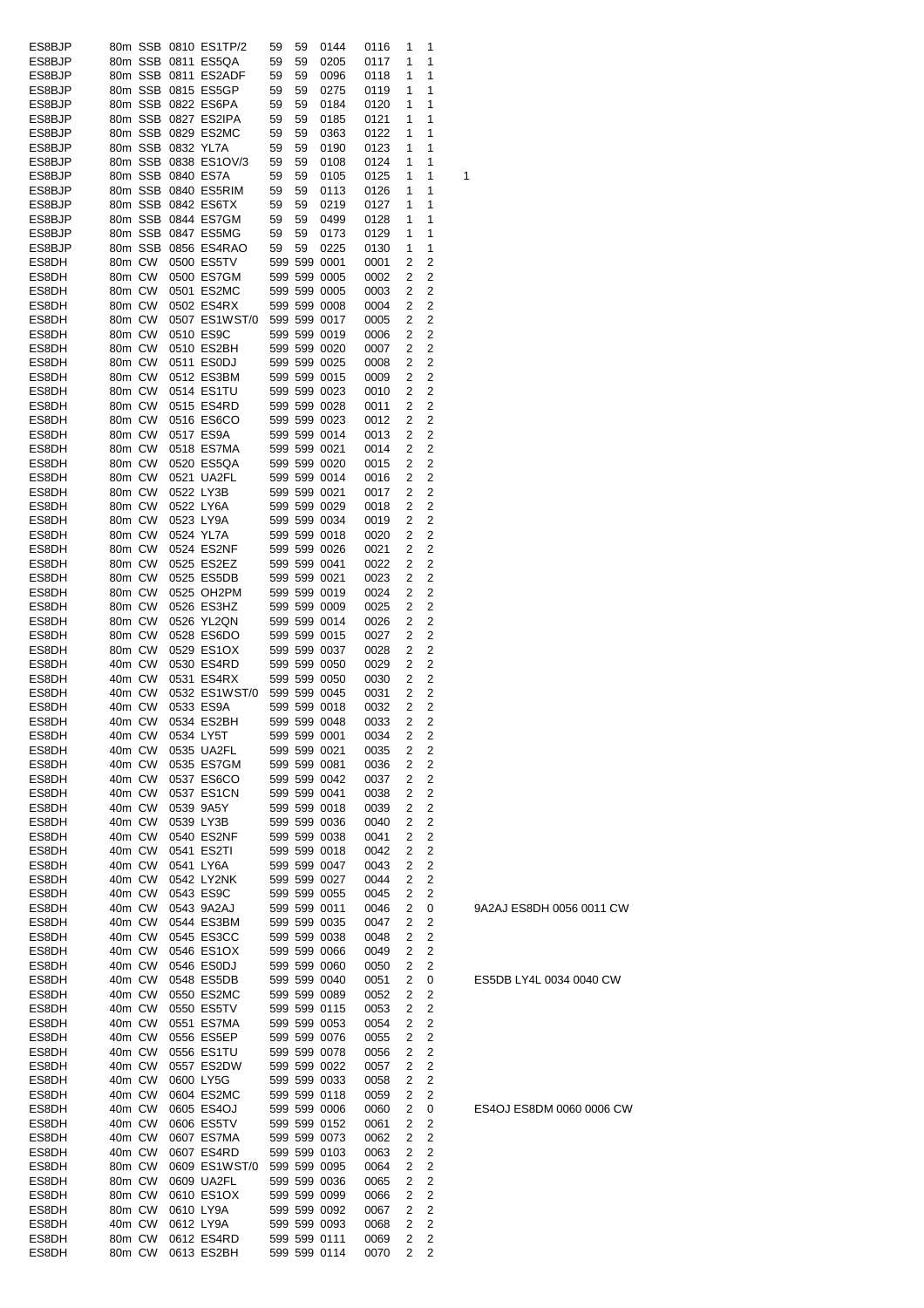| ES8BJP |        |         |                   | 80m SSB 0810 ES1TP/2       | 59 | 59 | 0144         | 0116 | 1 | 1              |   |
|--------|--------|---------|-------------------|----------------------------|----|----|--------------|------|---|----------------|---|
| ES8BJP |        |         |                   | 80m SSB 0811 ES5QA         | 59 | 59 | 0205         | 0117 | 1 | 1              |   |
| ES8BJP |        |         |                   | 80m SSB 0811 ES2ADF        | 59 | 59 | 0096         | 0118 | 1 | 1              |   |
| ES8BJP |        |         |                   | 80m SSB 0815 ES5GP         | 59 | 59 | 0275         | 0119 | 1 | 1              |   |
| ES8BJP |        |         |                   | 80m SSB 0822 ES6PA         | 59 | 59 | 0184         | 0120 | 1 | 1              |   |
| ES8BJP |        |         |                   | 80m SSB 0827 ES2IPA        | 59 | 59 | 0185         | 0121 | 1 | 1              |   |
| ES8BJP |        |         |                   | 80m SSB 0829 ES2MC         | 59 | 59 | 0363         | 0122 | 1 | 1              |   |
| ES8BJP |        |         | 80m SSB 0832 YL7A |                            | 59 | 59 | 0190         | 0123 | 1 | 1              |   |
| ES8BJP |        |         |                   | 80m SSB 0838 ES1OV/3       | 59 | 59 | 0108         | 0124 | 1 | 1              |   |
| ES8BJP |        |         |                   | 80m SSB 0840 ES7A          | 59 | 59 | 0105         | 0125 | 1 | 1              | 1 |
| ES8BJP |        |         |                   | 80m SSB 0840 ES5RIM        | 59 | 59 | 0113         | 0126 | 1 | 1              |   |
| ES8BJP |        |         |                   | 80m SSB 0842 ES6TX         | 59 | 59 | 0219         | 0127 | 1 | 1              |   |
| ES8BJP |        |         |                   | 80m SSB 0844 ES7GM         | 59 | 59 | 0499         | 0128 | 1 | 1              |   |
| ES8BJP |        | 80m SSB |                   | 0847 ES5MG                 | 59 | 59 | 0173         | 0129 | 1 | 1              |   |
| ES8BJP |        | 80m SSB |                   | 0856 ES4RAO                | 59 | 59 | 0225         | 0130 | 1 | 1              |   |
| ES8DH  | 80m CW |         |                   | 0500 ES5TV                 |    |    | 599 599 0001 | 0001 | 2 | 2              |   |
| ES8DH  | 80m CW |         |                   | 0500 ES7GM                 |    |    | 599 599 0005 | 0002 | 2 | 2              |   |
| ES8DH  | 80m CW |         |                   | 0501 ES2MC                 |    |    | 599 599 0005 | 0003 | 2 | 2              |   |
| ES8DH  | 80m CW |         |                   | 0502 ES4RX                 |    |    | 599 599 0008 | 0004 | 2 | 2              |   |
| ES8DH  | 80m CW |         |                   | 0507 ES1WST/0              |    |    | 599 599 0017 | 0005 | 2 | 2              |   |
| ES8DH  | 80m CW |         |                   | 0510 ES9C                  |    |    |              |      | 2 | 2              |   |
|        | 80m CW |         |                   | 0510 ES2BH                 |    |    | 599 599 0019 | 0006 |   |                |   |
| ES8DH  |        |         |                   |                            |    |    | 599 599 0020 | 0007 | 2 | 2              |   |
| ES8DH  | 80m CW |         |                   | 0511 ES0DJ                 |    |    | 599 599 0025 | 0008 | 2 | 2              |   |
| ES8DH  | 80m CW |         |                   | 0512 ES3BM                 |    |    | 599 599 0015 | 0009 | 2 | 2              |   |
| ES8DH  | 80m CW |         |                   | 0514 ES1TU                 |    |    | 599 599 0023 | 0010 | 2 | 2              |   |
| ES8DH  | 80m CW |         |                   | 0515 ES4RD                 |    |    | 599 599 0028 | 0011 | 2 | 2              |   |
| ES8DH  | 80m CW |         |                   | 0516 ES6CO                 |    |    | 599 599 0023 | 0012 | 2 | 2              |   |
| ES8DH  | 80m CW |         |                   | 0517 ES9A                  |    |    | 599 599 0014 | 0013 | 2 | 2              |   |
| ES8DH  | 80m CW |         |                   | 0518 ES7MA                 |    |    | 599 599 0021 | 0014 | 2 | 2              |   |
| ES8DH  | 80m CW |         |                   | 0520 ES5QA                 |    |    | 599 599 0020 | 0015 | 2 | 2              |   |
| ES8DH  | 80m CW |         |                   | 0521 UA2FL                 |    |    | 599 599 0014 | 0016 | 2 | 2              |   |
| ES8DH  | 80m CW |         |                   | 0522 LY3B                  |    |    | 599 599 0021 | 0017 | 2 | 2              |   |
| ES8DH  | 80m CW |         |                   | 0522 LY6A                  |    |    | 599 599 0029 | 0018 | 2 | 2              |   |
| ES8DH  | 80m CW |         |                   | 0523 LY9A                  |    |    | 599 599 0034 | 0019 | 2 | 2              |   |
| ES8DH  | 80m CW |         |                   | 0524 YL7A                  |    |    | 599 599 0018 | 0020 | 2 | 2              |   |
| ES8DH  | 80m CW |         |                   | 0524 ES2NF                 |    |    | 599 599 0026 | 0021 | 2 | 2              |   |
| ES8DH  | 80m CW |         |                   | 0525 ES2EZ                 |    |    | 599 599 0041 | 0022 | 2 | 2              |   |
| ES8DH  | 80m CW |         |                   | 0525 ES5DB                 |    |    | 599 599 0021 | 0023 | 2 | 2              |   |
| ES8DH  | 80m CW |         |                   | 0525 OH2PM                 |    |    | 599 599 0019 |      | 2 | 2              |   |
|        |        |         |                   |                            |    |    |              | 0024 |   | 2              |   |
| ES8DH  | 80m CW |         |                   | 0526 ES3HZ                 |    |    | 599 599 0009 | 0025 | 2 |                |   |
| ES8DH  | 80m CW |         |                   | 0526 YL2QN                 |    |    | 599 599 0014 | 0026 | 2 | 2              |   |
| ES8DH  | 80m CW |         |                   | 0528 ES6DO                 |    |    | 599 599 0015 | 0027 | 2 | 2              |   |
| ES8DH  | 80m CW |         |                   | 0529 ES1OX                 |    |    | 599 599 0037 | 0028 | 2 | 2              |   |
| ES8DH  | 40m CW |         |                   | 0530 ES4RD                 |    |    | 599 599 0050 | 0029 | 2 | 2              |   |
| ES8DH  | 40m CW |         |                   | 0531 ES4RX                 |    |    | 599 599 0050 | 0030 | 2 | 2              |   |
| ES8DH  | 40m CW |         |                   | 0532 ES1WST/0              |    |    | 599 599 0045 | 0031 | 2 | 2              |   |
| ES8DH  | 40m CW |         |                   | 0533 ES9A                  |    |    | 599 599 0018 | 0032 | 2 | 2              |   |
| ES8DH  | 40m CW |         |                   | 0534 ES2BH                 |    |    | 599 599 0048 | 0033 | 2 | 2              |   |
| ES8DH  |        | 40m CW  |                   | 0534 LY5T                  |    |    | 599 599 0001 | 0034 | 2 | 2              |   |
| ES8DH  | 40m CW |         |                   | 0535 UA2FL                 |    |    | 599 599 0021 | 0035 | 2 | 2              |   |
| ES8DH  | 40m CW |         |                   | 0535 ES7GM                 |    |    | 599 599 0081 | 0036 | 2 | 2              |   |
| ES8DH  | 40m CW |         |                   | 0537 ES6CO                 |    |    | 599 599 0042 | 0037 | 2 | 2              |   |
| ES8DH  | 40m CW |         |                   | 0537 ES1CN                 |    |    | 599 599 0041 | 0038 | 2 | 2              |   |
| ES8DH  | 40m CW |         |                   | 0539 9A5Y                  |    |    | 599 599 0018 | 0039 | 2 | $\overline{c}$ |   |
| ES8DH  | 40m CW |         |                   | 0539 LY3B                  |    |    | 599 599 0036 | 0040 | 2 | 2              |   |
| ES8DH  | 40m CW |         |                   | 0540 ES2NF                 |    |    | 599 599 0038 | 0041 | 2 | $\overline{c}$ |   |
| ES8DH  | 40m CW |         |                   | 0541 ES2TI                 |    |    | 599 599 0018 | 0042 | 2 | $\overline{2}$ |   |
| ES8DH  | 40m CW |         |                   | 0541 LY6A                  |    |    | 599 599 0047 | 0043 | 2 | $\overline{c}$ |   |
| ES8DH  | 40m CW |         |                   | 0542 LY2NK                 |    |    | 599 599 0027 | 0044 | 2 | 2              |   |
| ES8DH  | 40m CW |         |                   | 0543 ES9C                  |    |    | 599 599 0055 | 0045 | 2 | 2              |   |
| ES8DH  | 40m CW |         |                   | 0543 9A2AJ                 |    |    | 599 599 0011 | 0046 | 2 | 0              |   |
| ES8DH  | 40m CW |         |                   | 0544 ES3BM                 |    |    | 599 599 0035 | 0047 | 2 | 2              |   |
| ES8DH  | 40m CW |         |                   | 0545 ES3CC                 |    |    | 599 599 0038 | 0048 | 2 | 2              |   |
| ES8DH  | 40m CW |         |                   | 0546 ES1OX                 |    |    | 599 599 0066 | 0049 | 2 | 2              |   |
| ES8DH  | 40m CW |         |                   | 0546 ES0DJ                 |    |    | 599 599 0060 | 0050 | 2 | 2              |   |
|        |        |         |                   | 0548 ES5DB                 |    |    |              |      | 2 |                |   |
| ES8DH  | 40m CW |         |                   |                            |    |    | 599 599 0040 | 0051 |   | 0              |   |
| ES8DH  | 40m CW |         |                   | 0550 ES2MC                 |    |    | 599 599 0089 | 0052 | 2 | 2              |   |
| ES8DH  | 40m CW |         |                   | 0550 ES5TV                 |    |    | 599 599 0115 | 0053 | 2 | 2              |   |
| ES8DH  |        |         |                   |                            |    |    |              |      |   |                |   |
| ES8DH  |        | 40m CW  |                   | 0551 ES7MA                 |    |    | 599 599 0053 | 0054 | 2 | $\overline{c}$ |   |
|        | 40m CW |         |                   | 0556 ES5EP                 |    |    | 599 599 0076 | 0055 | 2 | 2              |   |
| ES8DH  | 40m CW |         |                   | 0556 ES1TU                 |    |    | 599 599 0078 | 0056 | 2 | 2              |   |
| ES8DH  | 40m CW |         |                   | 0557 ES2DW                 |    |    | 599 599 0022 | 0057 | 2 | 2              |   |
| ES8DH  | 40m CW |         |                   | 0600 LY5G                  |    |    | 599 599 0033 | 0058 | 2 | 2              |   |
| ES8DH  | 40m CW |         |                   | 0604 ES2MC                 |    |    | 599 599 0118 | 0059 | 2 | 2              |   |
| ES8DH  | 40m CW |         |                   | 0605 ES4OJ                 |    |    | 599 599 0006 | 0060 | 2 | 0              |   |
| ES8DH  | 40m CW |         |                   | 0606 ES5TV                 |    |    | 599 599 0152 | 0061 | 2 | 2              |   |
| ES8DH  | 40m CW |         |                   | 0607 ES7MA                 |    |    | 599 599 0073 | 0062 | 2 | 2              |   |
| ES8DH  | 40m CW |         |                   | 0607 ES4RD                 |    |    | 599 599 0103 | 0063 | 2 | 2              |   |
| ES8DH  | 80m CW |         |                   | 0609 ES1WST/0 599 599 0095 |    |    |              | 0064 | 2 | 2              |   |
| ES8DH  | 80m CW |         |                   | 0609 UA2FL                 |    |    | 599 599 0036 | 0065 | 2 | 2              |   |
| ES8DH  | 80m CW |         |                   | 0610 ES1OX                 |    |    | 599 599 0099 | 0066 | 2 | 2              |   |
| ES8DH  | 80m CW |         |                   | 0610 LY9A                  |    |    | 599 599 0092 | 0067 | 2 | $\overline{c}$ |   |
| ES8DH  | 40m CW |         |                   | 0612 LY9A                  |    |    | 599 599 0093 | 0068 | 2 | 2              |   |
| ES8DH  | 80m CW |         |                   | 0612 ES4RD                 |    |    | 599 599 0111 | 0069 | 2 | 2              |   |

ES5DB LY4L 0034 0040 CW

ES4OJ ES8DM 0060 0006 CW

9A2AJ ES8DH 0056 0011 CW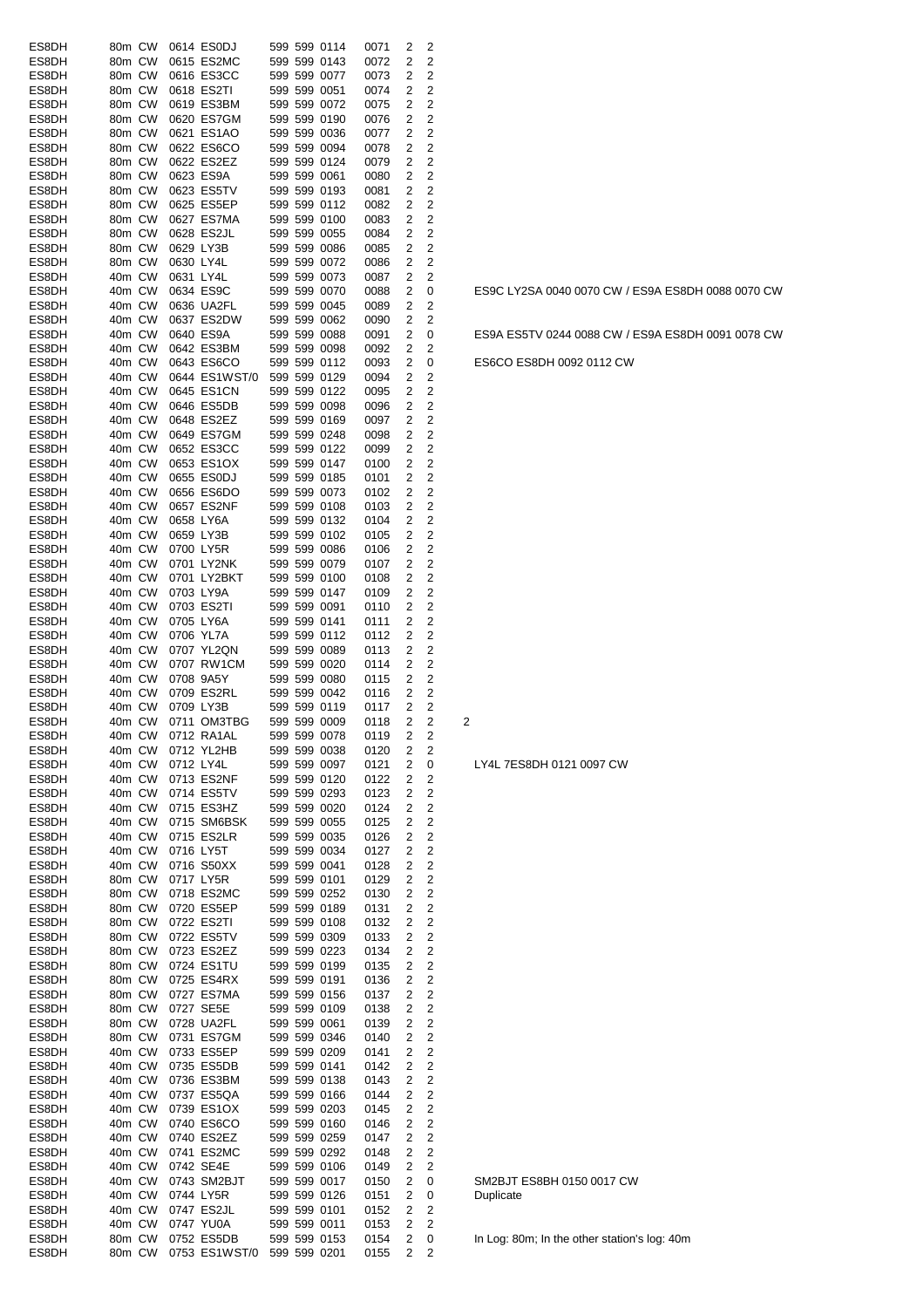| ES8DH | 80m CW |        |           | 0614 ES0DJ        |  | 599 599 0114 | 0071 | 2 | 2                       |                                    |
|-------|--------|--------|-----------|-------------------|--|--------------|------|---|-------------------------|------------------------------------|
| ES8DH | 80m CW |        |           | 0615 ES2MC        |  | 599 599 0143 | 0072 | 2 | 2                       |                                    |
| ES8DH | 80m CW |        |           | 0616 ES3CC        |  | 599 599 0077 | 0073 | 2 | 2                       |                                    |
| ES8DH | 80m CW |        |           | 0618 ES2TI        |  | 599 599 0051 | 0074 | 2 | $\mathbf 2$             |                                    |
| ES8DH | 80m CW |        |           | 0619 ES3BM        |  | 599 599 0072 | 0075 | 2 | 2                       |                                    |
| ES8DH | 80m CW |        |           | 0620 ES7GM        |  | 599 599 0190 | 0076 | 2 | 2                       |                                    |
| ES8DH | 80m CW |        |           | 0621 ES1AO        |  | 599 599 0036 | 0077 | 2 | 2                       |                                    |
|       |        |        |           |                   |  | 599 599 0094 |      | 2 | $\overline{c}$          |                                    |
| ES8DH | 80m CW |        |           | 0622 ES6CO        |  |              | 0078 |   |                         |                                    |
| ES8DH | 80m CW |        |           | 0622 ES2EZ        |  | 599 599 0124 | 0079 | 2 | 2                       |                                    |
| ES8DH | 80m CW |        |           | 0623 ES9A         |  | 599 599 0061 | 0080 | 2 | 2                       |                                    |
| ES8DH | 80m CW |        |           | 0623 ES5TV        |  | 599 599 0193 | 0081 | 2 | 2                       |                                    |
| ES8DH | 80m CW |        |           | 0625 ES5EP        |  | 599 599 0112 | 0082 | 2 | 2                       |                                    |
| ES8DH | 80m CW |        |           | 0627 ES7MA        |  | 599 599 0100 | 0083 | 2 | 2                       |                                    |
| ES8DH | 80m CW |        |           | 0628 ES2JL        |  | 599 599 0055 | 0084 | 2 | 2                       |                                    |
| ES8DH | 80m CW |        |           | 0629 LY3B         |  | 599 599 0086 | 0085 | 2 | $\overline{c}$          |                                    |
| ES8DH | 80m CW |        | 0630 LY4L |                   |  | 599 599 0072 | 0086 | 2 | $\overline{2}$          |                                    |
|       | 40m CW |        | 0631 LY4L |                   |  | 599 599 0073 |      |   | 2                       |                                    |
| ES8DH |        |        |           |                   |  |              | 0087 | 2 |                         |                                    |
| ES8DH | 40m CW |        |           | 0634 ES9C         |  | 599 599 0070 | 0088 | 2 | 0                       | ES9C LY2SA 0040 0070 CW / E        |
| ES8DH | 40m CW |        |           | 0636 UA2FL        |  | 599 599 0045 | 0089 | 2 | 2                       |                                    |
| ES8DH | 40m CW |        |           | 0637 ES2DW        |  | 599 599 0062 | 0090 | 2 | 2                       |                                    |
| ES8DH | 40m CW |        |           | 0640 ES9A         |  | 599 599 0088 | 0091 | 2 | 0                       | ES9A ES5TV 0244 0088 CW / E        |
| ES8DH | 40m CW |        |           | 0642 ES3BM        |  | 599 599 0098 | 0092 | 2 | 2                       |                                    |
| ES8DH | 40m CW |        |           | 0643 ES6CO        |  | 599 599 0112 | 0093 | 2 | 0                       | ES6CO ES8DH 0092 0112 CW           |
| ES8DH | 40m CW |        |           | 0644 ES1WST/0     |  | 599 599 0129 | 0094 | 2 | 2                       |                                    |
| ES8DH | 40m CW |        |           | 0645 ES1CN        |  | 599 599 0122 | 0095 | 2 | 2                       |                                    |
|       |        |        |           |                   |  |              |      |   |                         |                                    |
| ES8DH | 40m CW |        |           | 0646 ES5DB        |  | 599 599 0098 | 0096 | 2 | 2                       |                                    |
| ES8DH | 40m CW |        |           | 0648 ES2EZ        |  | 599 599 0169 | 0097 | 2 | $\overline{2}$          |                                    |
| ES8DH | 40m CW |        |           | 0649 ES7GM        |  | 599 599 0248 | 0098 | 2 | $\overline{c}$          |                                    |
| ES8DH | 40m CW |        |           | 0652 ES3CC        |  | 599 599 0122 | 0099 | 2 | 2                       |                                    |
| ES8DH | 40m CW |        |           | 0653 ES1OX        |  | 599 599 0147 | 0100 | 2 | 2                       |                                    |
| ES8DH | 40m CW |        |           | 0655 ES0DJ        |  | 599 599 0185 | 0101 | 2 | 2                       |                                    |
| ES8DH | 40m CW |        |           | 0656 ES6DO        |  | 599 599 0073 | 0102 | 2 | 2                       |                                    |
|       | 40m CW |        |           | 0657 ES2NF        |  |              |      | 2 | 2                       |                                    |
| ES8DH |        |        |           |                   |  | 599 599 0108 | 0103 |   |                         |                                    |
| ES8DH | 40m CW |        |           | 0658 LY6A         |  | 599 599 0132 | 0104 | 2 | 2                       |                                    |
| ES8DH | 40m CW |        |           | 0659 LY3B         |  | 599 599 0102 | 0105 | 2 | 2                       |                                    |
| ES8DH | 40m CW |        |           | 0700 LY5R         |  | 599 599 0086 | 0106 | 2 | 2                       |                                    |
| ES8DH | 40m CW |        |           | 0701 LY2NK        |  | 599 599 0079 | 0107 | 2 | 2                       |                                    |
| ES8DH | 40m CW |        |           | 0701 LY2BKT       |  | 599 599 0100 | 0108 | 2 | 2                       |                                    |
| ES8DH | 40m CW |        |           | 0703 LY9A         |  | 599 599 0147 | 0109 | 2 | $\overline{c}$          |                                    |
| ES8DH | 40m CW |        |           | 0703 ES2TI        |  | 599 599 0091 | 0110 | 2 | 2                       |                                    |
| ES8DH | 40m CW |        |           | 0705 LY6A         |  | 599 599 0141 | 0111 | 2 | $\overline{c}$          |                                    |
|       |        |        |           |                   |  |              |      |   |                         |                                    |
| ES8DH | 40m CW |        |           | 0706 YL7A         |  | 599 599 0112 | 0112 | 2 | 2                       |                                    |
| ES8DH | 40m CW |        |           | 0707 YL2QN        |  | 599 599 0089 | 0113 | 2 | 2                       |                                    |
| ES8DH | 40m CW |        |           | 0707 RW1CM        |  | 599 599 0020 | 0114 | 2 | 2                       |                                    |
| ES8DH | 40m CW |        |           | 0708 9A5Y         |  | 599 599 0080 | 0115 | 2 | 2                       |                                    |
| ES8DH | 40m CW |        |           | 0709 ES2RL        |  | 599 599 0042 | 0116 | 2 | 2                       |                                    |
| ES8DH | 40m CW |        |           | 0709 LY3B         |  | 599 599 0119 | 0117 | 2 | 2                       |                                    |
| ES8DH |        | 40m CW |           | 0711 OM3TBG       |  | 599 599 0009 | 0118 | 2 | 2                       | 2                                  |
| ES8DH |        |        |           | 40m CW 0712 RA1AL |  | 599 599 0078 | 0119 | 2 | 2                       |                                    |
| ES8DH |        | 40m CW |           | 0712 YL2HB        |  | 599 599 0038 | 0120 | 2 | 2                       |                                    |
| ES8DH | 40m CW |        | 0712 LY4L |                   |  | 599 599 0097 |      | 2 |                         |                                    |
|       |        |        |           |                   |  |              | 0121 |   | 0                       | LY4L 7ES8DH 0121 0097 CW           |
| ES8DH |        | 40m CW |           | 0713 ES2NF        |  | 599 599 0120 | 0122 | 2 | 2                       |                                    |
| ES8DH | 40m CW |        |           | 0714 ES5TV        |  | 599 599 0293 | 0123 | 2 | 2                       |                                    |
| ES8DH | 40m CW |        |           | 0715 ES3HZ        |  | 599 599 0020 | 0124 | 2 | $\overline{\mathbf{c}}$ |                                    |
| ES8DH | 40m CW |        |           | 0715 SM6BSK       |  | 599 599 0055 | 0125 | 2 | 2                       |                                    |
| ES8DH | 40m CW |        |           | 0715 ES2LR        |  | 599 599 0035 | 0126 | 2 | $\overline{\mathbf{c}}$ |                                    |
| ES8DH | 40m CW |        | 0716 LY5T |                   |  | 599 599 0034 | 0127 | 2 | 2                       |                                    |
| ES8DH | 40m CW |        |           | 0716 S50XX        |  | 599 599 0041 | 0128 | 2 | 2                       |                                    |
| ES8DH | 80m CW |        |           | 0717 LY5R         |  | 599 599 0101 | 0129 | 2 | $\overline{\mathbf{c}}$ |                                    |
| ES8DH | 80m CW |        |           | 0718 ES2MC        |  | 599 599 0252 | 0130 | 2 | 2                       |                                    |
|       |        |        |           |                   |  |              |      |   |                         |                                    |
| ES8DH | 80m CW |        |           | 0720 ES5EP        |  | 599 599 0189 | 0131 | 2 | 2                       |                                    |
| ES8DH | 80m CW |        |           | 0722 ES2TI        |  | 599 599 0108 | 0132 | 2 | 2                       |                                    |
| ES8DH |        | 80m CW |           | 0722 ES5TV        |  | 599 599 0309 | 0133 | 2 | 2                       |                                    |
| ES8DH | 80m CW |        |           | 0723 ES2EZ        |  | 599 599 0223 | 0134 | 2 | 2                       |                                    |
| ES8DH |        |        |           | 80m CW 0724 ES1TU |  | 599 599 0199 | 0135 | 2 | $\overline{\mathbf{c}}$ |                                    |
| ES8DH | 80m CW |        |           | 0725 ES4RX        |  | 599 599 0191 | 0136 | 2 | 2                       |                                    |
| ES8DH | 80m CW |        |           | 0727 ES7MA        |  | 599 599 0156 | 0137 | 2 | 2                       |                                    |
| ES8DH | 80m CW |        |           | 0727 SE5E         |  | 599 599 0109 | 0138 | 2 | 2                       |                                    |
| ES8DH |        | 80m CW |           | 0728 UA2FL        |  | 599 599 0061 | 0139 | 2 | $\overline{\mathbf{c}}$ |                                    |
| ES8DH | 80m CW |        |           | 0731 ES7GM        |  | 599 599 0346 | 0140 | 2 | 2                       |                                    |
|       | 40m CW |        |           | 0733 ES5EP        |  |              | 0141 | 2 | 2                       |                                    |
| ES8DH |        |        |           |                   |  | 599 599 0209 |      |   |                         |                                    |
| ES8DH | 40m CW |        |           | 0735 ES5DB        |  | 599 599 0141 | 0142 | 2 | 2                       |                                    |
| ES8DH | 40m CW |        |           | 0736 ES3BM        |  | 599 599 0138 | 0143 | 2 | 2                       |                                    |
| ES8DH |        |        |           | 40m CW 0737 ES5QA |  | 599 599 0166 | 0144 | 2 | 2                       |                                    |
| ES8DH | 40m CW |        |           | 0739 ES1OX        |  | 599 599 0203 | 0145 | 2 | 2                       |                                    |
| ES8DH |        | 40m CW |           | 0740 ES6CO        |  | 599 599 0160 | 0146 | 2 | 2                       |                                    |
| ES8DH | 40m CW |        |           | 0740 ES2EZ        |  | 599 599 0259 | 0147 | 2 | 2                       |                                    |
| ES8DH | 40m CW |        |           | 0741 ES2MC        |  | 599 599 0292 | 0148 | 2 | 2                       |                                    |
| ES8DH | 40m CW |        |           | 0742 SE4E         |  | 599 599 0106 | 0149 | 2 | 2                       |                                    |
| ES8DH | 40m CW |        |           | 0743 SM2BJT       |  | 599 599 0017 | 0150 | 2 | 0                       | SM2BJT ES8BH 0150 0017 CW          |
|       |        |        |           |                   |  |              |      |   |                         |                                    |
| ES8DH | 40m CW |        | 0744 LY5R |                   |  | 599 599 0126 | 0151 | 2 | 0                       | Duplicate                          |
| ES8DH | 40m CW |        |           | 0747 ES2JL        |  | 599 599 0101 | 0152 | 2 | 2                       |                                    |
| ES8DH | 40m CW |        |           | 0747 YU0A         |  | 599 599 0011 | 0153 | 2 | 2                       |                                    |
| ES8DH | 80m CW |        |           | 0752 ES5DB        |  | 599 599 0153 | 0154 | 2 | 0                       | In Log: 80m; In the other station' |
| ES8DH | 80m CW |        |           | 0753 ES1WST/0     |  | 599 599 0201 | 0155 | 2 | 2                       |                                    |

ES9C LY2SA 0040 0070 CW / ES9A ES8DH 0088 0070 CW

ES9A ES5TV 0244 0088 CW / ES9A ES8DH 0091 0078 CW

In Log: 80m; In the other station's log: 40m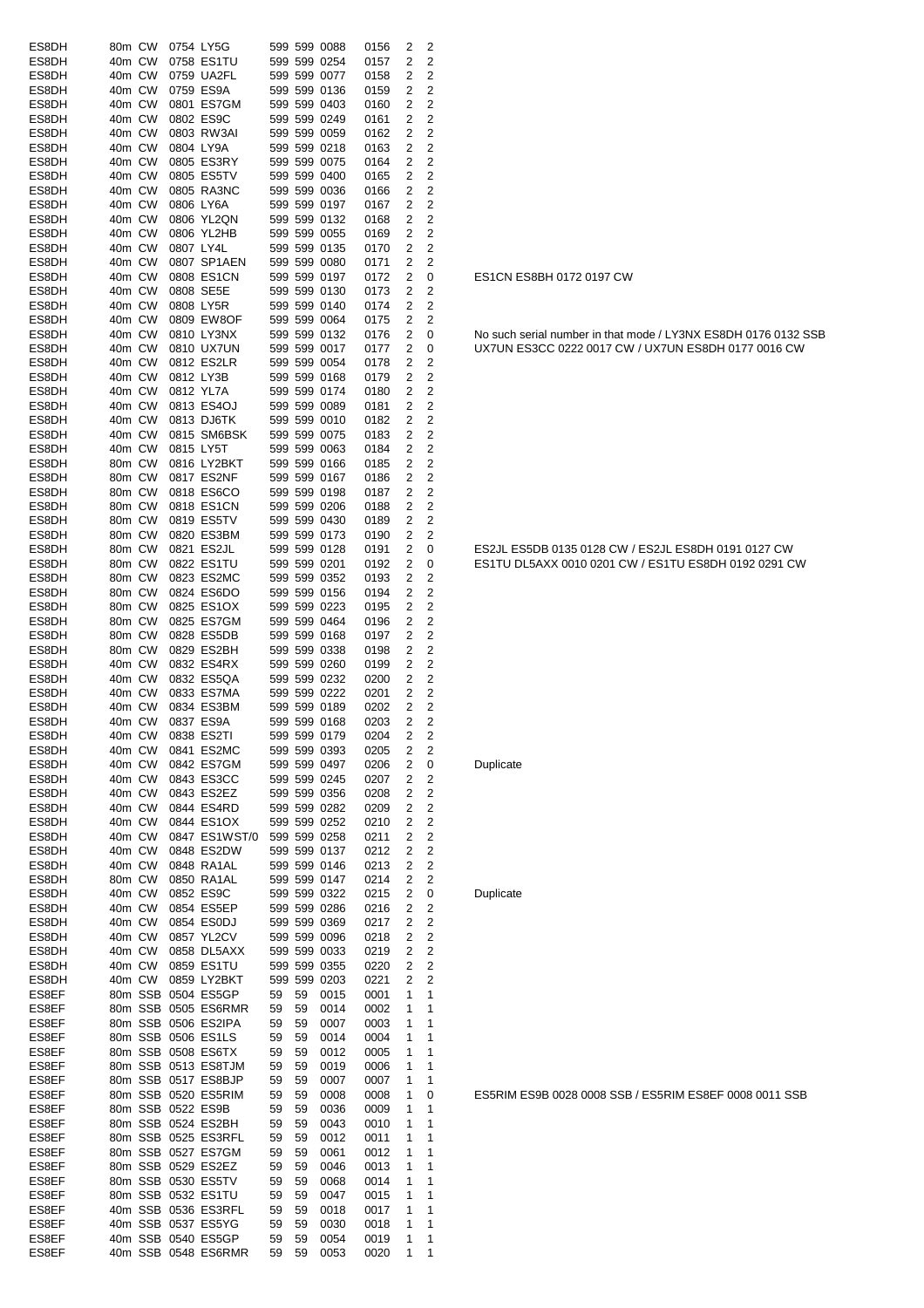| ES8DH          | 80m CW           |           | 0754 LY5G                                 |          |          | 599 599 0088                 | 0156         | 2                   | 2                                |
|----------------|------------------|-----------|-------------------------------------------|----------|----------|------------------------------|--------------|---------------------|----------------------------------|
| ES8DH          | 40m CW<br>40m CW |           | 0758 ES1TU                                |          |          | 599 599 0254                 | 0157         | 2                   | 2<br>$\overline{2}$              |
| ES8DH<br>ES8DH | 40m CW           |           | 0759 UA2FL<br>0759 ES9A                   |          |          | 599 599 0077<br>599 599 0136 | 0158<br>0159 | 2<br>2              | 2                                |
| ES8DH          | 40m CW           |           | 0801 ES7GM                                |          |          | 599 599 0403                 | 0160         | 2                   | $\overline{2}$                   |
| ES8DH          | 40m CW           |           | 0802 ES9C                                 |          |          | 599 599 0249                 | 0161         | 2                   | 2                                |
| ES8DH          | 40m CW           |           | 0803 RW3AI                                |          |          | 599 599 0059                 | 0162         | 2                   | 2                                |
| ES8DH<br>ES8DH | 40m CW<br>40m CW | 0804 LY9A | 0805 ES3RY                                |          |          | 599 599 0218<br>599 599 0075 | 0163<br>0164 | 2<br>2              | $\overline{c}$<br>2              |
| ES8DH          | 40m CW           |           | 0805 ES5TV                                |          |          | 599 599 0400                 | 0165         | 2                   | 2                                |
| ES8DH          | 40m CW           |           | 0805 RA3NC                                |          |          | 599 599 0036                 | 0166         | 2                   | 2                                |
| ES8DH          | 40m CW           |           | 0806 LY6A                                 |          |          | 599 599 0197                 | 0167         | 2                   | 2                                |
| ES8DH          | 40m CW           |           | 0806 YL2QN                                |          |          | 599 599 0132                 | 0168         | 2                   | 2                                |
| ES8DH<br>ES8DH | 40m CW<br>40m CW | 0807 LY4L | 0806 YL2HB                                |          |          | 599 599 0055<br>599 599 0135 | 0169<br>0170 | 2<br>2              | 2<br>2                           |
| ES8DH          | 40m CW           |           | 0807 SP1AEN                               |          |          | 599 599 0080                 | 0171         | 2                   | $\overline{2}$                   |
| ES8DH          | 40m CW           |           | 0808 ES1CN                                |          |          | 599 599 0197                 | 0172         | 2                   | 0                                |
| ES8DH          | 40m CW           |           | 0808 SE5E                                 |          |          | 599 599 0130                 | 0173         | 2                   | $\overline{2}$                   |
| ES8DH<br>ES8DH | 40m CW<br>40m CW |           | 0808 LY5R<br>0809 EW8OF                   |          |          | 599 599 0140<br>599 599 0064 | 0174<br>0175 | 2<br>2              | 2<br>2                           |
| ES8DH          | 40m CW           |           | 0810 LY3NX                                |          |          | 599 599 0132                 | 0176         | 2                   | 0                                |
| ES8DH          | 40m CW           |           | 0810 UX7UN                                |          |          | 599 599 0017                 | 0177         | 2                   | 0                                |
| ES8DH          | 40m CW           |           | 0812 ES2LR                                |          |          | 599 599 0054                 | 0178         | 2                   | 2                                |
| ES8DH          | 40m CW           | 0812 LY3B |                                           |          |          | 599 599 0168                 | 0179         | 2                   | 2                                |
| ES8DH<br>ES8DH | 40m CW<br>40m CW |           | 0812 YL7A<br>0813 ES4OJ                   |          |          | 599 599 0174<br>599 599 0089 | 0180<br>0181 | 2<br>2              | 2<br>2                           |
| ES8DH          | 40m CW           |           | 0813 DJ6TK                                |          |          | 599 599 0010                 | 0182         | 2                   | 2                                |
| ES8DH          | 40m CW           |           | 0815 SM6BSK                               |          |          | 599 599 0075                 | 0183         | 2                   | 2                                |
| ES8DH          | 40m CW           | 0815 LY5T |                                           |          |          | 599 599 0063                 | 0184         | 2                   | 2                                |
| ES8DH          | 80m CW           |           | 0816 LY2BKT                               |          |          | 599 599 0166                 | 0185         | 2                   | 2                                |
| ES8DH<br>ES8DH | 80m CW<br>80m CW |           | 0817 ES2NF<br>0818 ES6CO                  |          |          | 599 599 0167<br>599 599 0198 | 0186<br>0187 | 2<br>2              | 2<br>2                           |
| ES8DH          | 80m CW           |           | 0818 ES1CN                                |          |          | 599 599 0206                 | 0188         | 2                   | $\overline{c}$                   |
| ES8DH          | 80m CW           |           | 0819 ES5TV                                |          |          | 599 599 0430                 | 0189         | 2                   | $\overline{\mathbf{c}}$          |
| ES8DH          | 80m CW           |           | 0820 ES3BM                                |          |          | 599 599 0173                 | 0190         | 2                   | 2                                |
| ES8DH          | 80m CW           |           | 0821 ES2JL                                |          |          | 599 599 0128                 | 0191         | 2                   | 0                                |
| ES8DH<br>ES8DH | 80m CW<br>80m CW |           | 0822 ES1TU<br>0823 ES2MC                  |          |          | 599 599 0201<br>599 599 0352 | 0192<br>0193 | 2<br>$\overline{2}$ | 0<br>2                           |
| ES8DH          | 80m CW           |           | 0824 ES6DO                                |          |          | 599 599 0156                 | 0194         | 2                   | 2                                |
| ES8DH          | 80m CW           |           | 0825 ES1OX                                |          |          | 599 599 0223                 | 0195         | 2                   | $\overline{2}$                   |
| ES8DH          | 80m CW           |           | 0825 ES7GM                                |          |          | 599 599 0464                 | 0196         | 2                   | 2                                |
| ES8DH<br>ES8DH | 80m CW<br>80m CW |           | 0828 ES5DB<br>0829 ES2BH                  |          |          | 599 599 0168<br>599 599 0338 | 0197         | 2<br>2              | 2<br>2                           |
| ES8DH          | 40m CW           |           | 0832 ES4RX                                |          |          | 599 599 0260                 | 0198<br>0199 | 2                   | 2                                |
| ES8DH          | 40m CW           |           | 0832 ES5QA                                |          |          | 599 599 0232                 | 0200         | 2                   | $\overline{c}$                   |
| ES8DH          | 40m CW           |           | 0833 ES7MA                                |          |          | 599 599 0222                 | 0201         | 2                   | $\overline{c}$                   |
| ES8DH          | 40m CW           |           | 0834 ES3BM                                |          |          | 599 599 0189                 | 0202         | 2                   | 2                                |
| ES8DH<br>ES8DH | 40m CW<br>40m CW |           | 0837 ES9A<br>0838 ES2TI                   |          |          | 599 599 0168<br>599 599 0179 | 0203<br>0204 | 2<br>2              | 2<br>2                           |
| ES8DH          | 40m CW           |           | 0841 ES2MC                                |          |          | 599 599 0393                 | 0205         | 2                   | 2                                |
| ES8DH          | 40m CW           |           | 0842 ES7GM                                |          |          | 599 599 0497                 | 0206         | 2                   | 0                                |
| ES8DH          | 40m CW           |           | 0843 ES3CC                                |          |          | 599 599 0245                 | 0207         | 2                   | $\overline{c}$                   |
| ES8DH<br>ES8DH | 40m CW<br>40m CW |           | 0843 ES2EZ<br>0844 ES4RD                  |          |          | 599 599 0356<br>599 599 0282 | 0208<br>0209 | 2<br>2              | 2<br>2                           |
| ES8DH          | 40m CW           |           | 0844 ES1OX                                |          |          | 599 599 0252                 | 0210         | 2                   | $\overline{c}$                   |
| ES8DH          | 40m CW           |           | 0847 ES1WST/0                             |          |          | 599 599 0258                 | 0211         | 2                   | $\overline{c}$                   |
| ES8DH          | 40m CW           |           | 0848 ES2DW                                |          |          | 599 599 0137                 | 0212         | 2                   | 2                                |
| ES8DH          | 40m CW           |           | 0848 RA1AL                                |          |          | 599 599 0146                 | 0213         | 2                   | $\overline{c}$                   |
| ES8DH<br>ES8DH | 80m CW<br>40m CW |           | 0850 RA1AL<br>0852 ES9C                   |          |          | 599 599 0147<br>599 599 0322 | 0214<br>0215 | 2<br>2              | 2<br>0                           |
| ES8DH          | 40m CW           |           | 0854 ES5EP                                |          |          | 599 599 0286                 | 0216         | 2                   | $\overline{c}$                   |
| ES8DH          | 40m CW           |           | 0854 ES0DJ                                |          |          | 599 599 0369                 | 0217         | 2                   | $\overline{c}$                   |
| ES8DH          | 40m CW           |           | 0857 YL2CV                                |          |          | 599 599 0096                 | 0218         | 2                   | $\overline{c}$                   |
| ES8DH<br>ES8DH | 40m CW<br>40m CW |           | 0858 DL5AXX<br>0859 ES1TU                 |          |          | 599 599 0033<br>599 599 0355 | 0219<br>0220 | 2<br>2              | $\overline{c}$<br>$\overline{2}$ |
| ES8DH          | 40m CW           |           | 0859 LY2BKT                               |          |          | 599 599 0203                 | 0221         | 2                   | 2                                |
| ES8EF          |                  |           | 80m SSB 0504 ES5GP                        | 59       | 59       | 0015                         | 0001         | 1                   | 1                                |
| ES8EF          |                  |           | 80m SSB 0505 ES6RMR                       | 59       | 59       | 0014                         | 0002         | 1                   | 1                                |
| ES8EF          |                  |           | 80m SSB 0506 ES2IPA                       | 59       | 59       | 0007                         | 0003         | 1                   | 1                                |
| ES8EF<br>ES8EF |                  |           | 80m SSB 0506 ES1LS<br>80m SSB 0508 ES6TX  | 59<br>59 | 59<br>59 | 0014<br>0012                 | 0004<br>0005 | 1<br>1              | 1<br>1                           |
| ES8EF          |                  |           | 80m SSB 0513 ES8TJM                       | 59       | 59       | 0019                         | 0006         | 1                   | 1                                |
| ES8EF          |                  |           | 80m SSB 0517 ES8BJP                       | 59       | 59       | 0007                         | 0007         | 1                   | 1                                |
| ES8EF          |                  |           | 80m SSB 0520 ES5RIM                       | 59       | 59       | 0008                         | 0008         | 1                   | 0                                |
| ES8EF<br>ES8EF |                  |           | 80m SSB 0522 ES9B<br>80m SSB 0524 ES2BH   | 59<br>59 | 59       | 0036                         | 0009<br>0010 | 1<br>1              | 1<br>1                           |
| ES8EF          |                  |           | 80m SSB 0525 ES3RFL                       | 59       | 59<br>59 | 0043<br>0012                 | 0011         | 1                   | 1                                |
| ES8EF          |                  |           | 80m SSB 0527 ES7GM                        | 59       | 59       | 0061                         | 0012         | 1                   | 1                                |
| ES8EF          |                  |           | 80m SSB 0529 ES2EZ                        | 59       | 59       | 0046                         | 0013         | 1                   | 1                                |
| ES8EF          |                  |           | 80m SSB 0530 ES5TV                        | 59       | 59       | 0068                         | 0014         | 1                   | 1                                |
| ES8EF<br>ES8EF |                  |           | 80m SSB 0532 ES1TU<br>40m SSB 0536 ES3RFL | 59<br>59 | 59<br>59 | 0047<br>0018                 | 0015<br>0017 | 1<br>1              | 1<br>1                           |
| ES8EF          |                  |           | 40m SSB 0537 ES5YG                        | 59       | 59       | 0030                         | 0018         | 1                   | 1                                |
| ES8EF          |                  |           | 40m SSB 0540 ES5GP                        | 59       | 59       | 0054                         | 0019         | 1                   | 1                                |
| ES8EF          |                  |           | 40m SSB 0548 ES6RMR                       | 59       | 59       | 0053                         | 0020         | 1                   | 1                                |

#### ES1CN ES8BH 0172 0197 CW

No such serial number in that mode / LY3NX ES8DH 0176 0132 SSB UX7UN ES3CC 0222 0017 CW / UX7UN ES8DH 0177 0016 CW

ES2JL ES5DB 0135 0128 CW / ES2JL ES8DH 0191 0127 CW ES1TU DL5AXX 0010 0201 CW / ES1TU ES8DH 0192 0291 CW

**Duplicate** 

**Duplicate** 

ES5RIM ES9B 0028 0008 SSB / ES5RIM ES8EF 0008 0011 SSB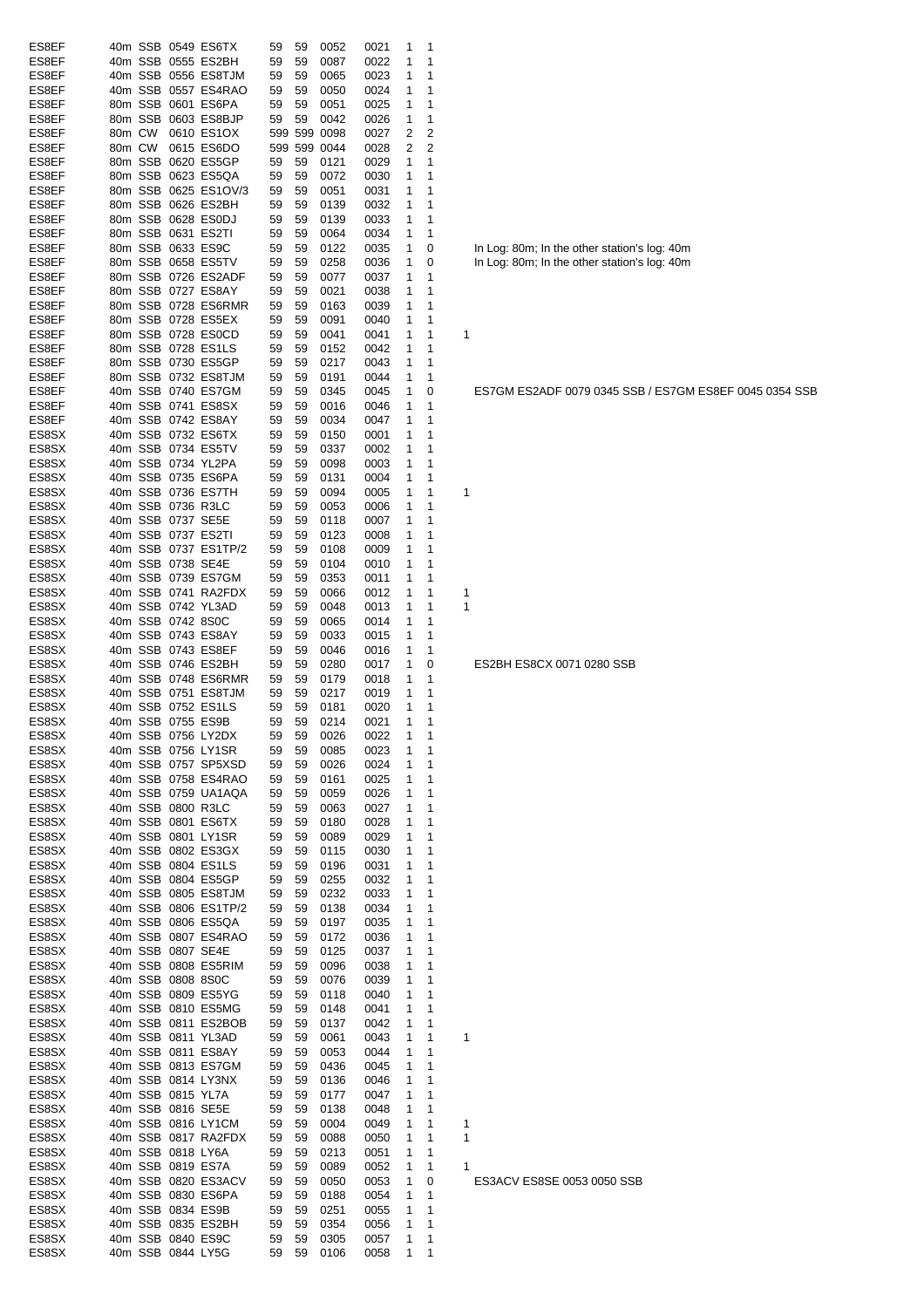| ES8EF          |        |                   | 40m SSB 0549 ES6TX                        | 59       | 59       | 0052                 | 0021         | 1      | 1                   |                                              |
|----------------|--------|-------------------|-------------------------------------------|----------|----------|----------------------|--------------|--------|---------------------|----------------------------------------------|
| ES8EF          |        |                   | 40m SSB 0555 ES2BH                        | 59       | 59       | 0087                 | 0022         | 1      | 1                   |                                              |
| ES8EF          |        |                   | 40m SSB 0556 ES8TJM                       | 59       | 59       | 0065                 | 0023         | 1      | 1                   |                                              |
| ES8EF          |        |                   | 40m SSB 0557 ES4RAO                       | 59       | 59       | 0050                 | 0024         | 1      | 1                   |                                              |
| ES8EF          |        |                   | 80m SSB 0601 ES6PA                        | 59       | 59       | 0051                 | 0025         | 1      | 1                   |                                              |
| ES8EF          |        |                   | 80m SSB 0603 ES8BJP                       | 59       | 59       | 0042                 | 0026         | 1      | 1                   |                                              |
| ES8EF          | 80m CW |                   | 0610 ES1OX                                |          |          | 599 599 0098         | 0027         | 2      | 2                   |                                              |
| ES8EF<br>ES8EF | 80m CW |                   | 0615 ES6DO<br>80m SSB 0620 ES5GP          | 59       | 59       | 599 599 0044<br>0121 | 0028         | 2<br>1 | $\overline{2}$<br>1 |                                              |
| ES8EF          |        |                   | 80m SSB 0623 ES5QA                        | 59       | 59       | 0072                 | 0029<br>0030 | 1      | 1                   |                                              |
| ES8EF          |        |                   | 80m SSB 0625 ES1OV/3                      | 59       | 59       | 0051                 | 0031         | 1      | 1                   |                                              |
| ES8EF          |        |                   | 80m SSB 0626 ES2BH                        | 59       | 59       | 0139                 | 0032         | 1      | 1                   |                                              |
| ES8EF          |        |                   | 80m SSB 0628 ES0DJ                        | 59       | 59       | 0139                 | 0033         | 1      | 1                   |                                              |
| ES8EF          |        |                   | 80m SSB 0631 ES2TI                        | 59       | 59       | 0064                 | 0034         | 1      | 1                   |                                              |
| ES8EF          |        |                   | 80m SSB 0633 ES9C                         | 59       | 59       | 0122                 | 0035         | 1      | 0                   | In Log: 80m; In the other station's log: 40m |
| ES8EF          |        |                   | 80m SSB 0658 ES5TV                        | 59       | 59       | 0258                 | 0036         | 1      | 0                   | In Log: 80m; In the other station's log: 40m |
| ES8EF          |        |                   | 80m SSB 0726 ES2ADF                       | 59       | 59       | 0077                 | 0037         | 1      | 1                   |                                              |
| ES8EF          |        |                   | 80m SSB 0727 ES8AY                        | 59       | 59       | 0021                 | 0038         | 1      | 1                   |                                              |
| ES8EF          |        |                   | 80m SSB 0728 ES6RMR                       | 59       | 59       | 0163                 | 0039         | 1      | 1                   |                                              |
| ES8EF          |        |                   | 80m SSB 0728 ES5EX                        | 59       | 59       | 0091                 | 0040         | 1      | 1                   |                                              |
| ES8EF          |        |                   | 80m SSB 0728 ES0CD                        | 59       | 59       | 0041                 | 0041         | 1      | 1                   | 1                                            |
| ES8EF          |        |                   | 80m SSB 0728 ES1LS                        | 59       | 59       | 0152                 | 0042         | 1      | 1                   |                                              |
| ES8EF          |        |                   | 80m SSB 0730 ES5GP                        | 59       | 59       | 0217                 | 0043         | 1      | 1                   |                                              |
| ES8EF          |        |                   | 80m SSB 0732 ES8TJM                       | 59       | 59       | 0191                 | 0044         | 1      | 1                   |                                              |
| ES8EF          |        |                   | 40m SSB 0740 ES7GM                        | 59       | 59       | 0345                 | 0045         | 1      | 0                   | ES7GM ES2ADF 0079 0345 SSB / ES7GM           |
| ES8EF          |        |                   | 40m SSB 0741 ES8SX                        | 59       | 59       | 0016                 | 0046         | 1      | 1                   |                                              |
| ES8EF          |        |                   | 40m SSB 0742 ES8AY                        | 59       | 59       | 0034                 | 0047         | 1      | 1                   |                                              |
| ES8SX          |        |                   | 40m SSB 0732 ES6TX                        | 59       | 59       | 0150                 | 0001         | 1      | 1                   |                                              |
| ES8SX          |        |                   | 40m SSB 0734 ES5TV                        | 59       | 59       | 0337                 | 0002         | 1      | 1                   |                                              |
| ES8SX          |        |                   | 40m SSB 0734 YL2PA                        | 59       | 59       | 0098                 | 0003         | 1      | 1                   |                                              |
| ES8SX          |        |                   | 40m SSB 0735 ES6PA                        | 59       | 59       | 0131                 | 0004         | 1      | 1                   |                                              |
| ES8SX          |        |                   | 40m SSB 0736 ES7TH                        | 59       | 59       | 0094                 | 0005         | 1      | 1                   | 1                                            |
| ES8SX<br>ES8SX |        |                   | 40m SSB 0736 R3LC<br>40m SSB 0737 SE5E    | 59<br>59 | 59<br>59 | 0053<br>0118         | 0006<br>0007 | 1<br>1 | 1<br>1              |                                              |
| ES8SX          |        |                   | 40m SSB 0737 ES2TI                        | 59       | 59       | 0123                 | 0008         | 1      | 1                   |                                              |
| ES8SX          |        |                   | 40m SSB 0737 ES1TP/2                      | 59       | 59       | 0108                 | 0009         | 1      | 1                   |                                              |
| ES8SX          |        |                   | 40m SSB 0738 SE4E                         | 59       | 59       | 0104                 | 0010         | 1      | 1                   |                                              |
| ES8SX          |        |                   | 40m SSB 0739 ES7GM                        | 59       | 59       | 0353                 | 0011         | 1      | 1                   |                                              |
| ES8SX          |        |                   | 40m SSB 0741 RA2FDX                       | 59       | 59       | 0066                 | 0012         | 1      | 1                   | 1                                            |
| ES8SX          |        |                   | 40m SSB 0742 YL3AD                        | 59       | 59       | 0048                 | 0013         | 1      | 1                   | 1                                            |
| ES8SX          |        | 40m SSB 0742 8S0C |                                           | 59       | 59       | 0065                 | 0014         | 1      | 1                   |                                              |
| ES8SX          |        |                   | 40m SSB 0743 ES8AY                        | 59       | 59       | 0033                 | 0015         | 1      | 1                   |                                              |
| ES8SX          |        |                   | 40m SSB 0743 ES8EF                        | 59       | 59       | 0046                 | 0016         | 1      | 1                   |                                              |
| ES8SX          |        |                   | 40m SSB 0746 ES2BH                        | 59       | 59       | 0280                 | 0017         | 1      | 0                   | ES2BH ES8CX 0071 0280 SSB                    |
| ES8SX          |        |                   | 40m SSB 0748 ES6RMR                       | 59       | 59       | 0179                 | 0018         | 1      | 1                   |                                              |
| ES8SX          |        |                   | 40m SSB 0751 ES8TJM                       | 59       | 59       | 0217                 | 0019         | 1      | 1                   |                                              |
| ES8SX          |        |                   | 40m SSB 0752 ES1LS                        | 59       | 59       | 0181                 | 0020         | 1      | 1                   |                                              |
| ES8SX          |        |                   | 40m SSB 0755 ES9B                         | 59       | 59       | 0214                 | 0021         | 1      | 1                   |                                              |
| ES8SX          |        |                   | 40m SSB 0756 LY2DX                        | 59       |          | 59 0026              | 0022         | 1      | 1                   |                                              |
| ES8SX          |        |                   | 40m SSB 0756 LY1SR                        | 59       | 59       | 0085                 | 0023         | 1      | 1                   |                                              |
| ES8SX          |        |                   | 40m SSB 0757 SP5XSD                       | 59       | 59       | 0026                 | 0024         | 1      | 1                   |                                              |
| ES8SX          |        |                   | 40m SSB 0758 ES4RAO                       | 59       | 59       | 0161                 | 0025         | 1      | 1                   |                                              |
| ES8SX          |        |                   | 40m SSB 0759 UA1AQA                       | 59       | 59       | 0059                 | 0026         | 1      | 1                   |                                              |
| ES8SX          |        |                   | 40m SSB 0800 R3LC                         | 59       | 59       | 0063                 | 0027         | 1      | 1                   |                                              |
| ES8SX<br>ES8SX |        |                   | 40m SSB 0801 ES6TX                        | 59       | 59       | 0180                 | 0028         | 1      | 1                   |                                              |
| ES8SX          |        |                   | 40m SSB 0801 LY1SR<br>40m SSB 0802 ES3GX  | 59<br>59 | 59<br>59 | 0089<br>0115         | 0029<br>0030 | 1<br>1 | 1<br>1              |                                              |
| ES8SX          |        |                   | 40m SSB 0804 ES1LS                        | 59       | 59       | 0196                 | 0031         | 1      | 1                   |                                              |
| ES8SX          |        |                   | 40m SSB 0804 ES5GP                        | 59       | 59       | 0255                 | 0032         | 1      | 1                   |                                              |
| ES8SX          |        |                   | 40m SSB 0805 ES8TJM                       | 59       | 59       | 0232                 | 0033         | 1      | 1                   |                                              |
| ES8SX          |        |                   | 40m SSB 0806 ES1TP/2                      | 59       | 59       | 0138                 | 0034         | 1      | 1                   |                                              |
| ES8SX          |        |                   | 40m SSB 0806 ES5QA                        | 59       | 59       | 0197                 | 0035         | 1      | 1                   |                                              |
| ES8SX          |        |                   | 40m SSB 0807 ES4RAO                       | 59       | 59       | 0172                 | 0036         | 1      | 1                   |                                              |
| ES8SX          |        |                   | 40m SSB 0807 SE4E                         | 59       | 59       | 0125                 | 0037         | 1      | 1                   |                                              |
| ES8SX          |        |                   | 40m SSB 0808 ES5RIM                       | 59       | 59       | 0096                 | 0038         | 1      | 1                   |                                              |
| ES8SX          |        |                   | 40m SSB 0808 8S0C                         | 59       | 59       | 0076                 | 0039         | 1      | 1                   |                                              |
| ES8SX          |        |                   | 40m SSB 0809 ES5YG                        | 59       | 59       | 0118                 | 0040         | 1      | 1                   |                                              |
| ES8SX          |        |                   | 40m SSB 0810 ES5MG                        | 59       | 59       | 0148                 | 0041         | 1      | 1                   |                                              |
| ES8SX          |        |                   | 40m SSB 0811 ES2BOB                       | 59       | 59       | 0137                 | 0042         | 1      | 1                   |                                              |
| ES8SX          |        |                   | 40m SSB 0811 YL3AD                        | 59       | 59       | 0061                 | 0043         | 1      | 1                   | 1                                            |
| ES8SX          |        |                   | 40m SSB 0811 ES8AY                        | 59       | 59       | 0053                 | 0044         | 1      | 1                   |                                              |
| ES8SX          |        |                   | 40m SSB 0813 ES7GM                        | 59       | 59       | 0436                 | 0045         | 1      | 1                   |                                              |
| ES8SX          |        |                   | 40m SSB 0814 LY3NX                        | 59       | 59       | 0136                 | 0046         | 1      | 1                   |                                              |
| ES8SX          |        |                   | 40m SSB 0815 YL7A                         | 59       | 59       | 0177                 | 0047         | 1      | 1                   |                                              |
| ES8SX          |        |                   | 40m SSB 0816 SE5E                         | 59       | 59       | 0138                 | 0048         | 1      | 1                   |                                              |
| ES8SX<br>ES8SX |        |                   | 40m SSB 0816 LY1CM<br>40m SSB 0817 RA2FDX | 59<br>59 | 59       | 0004                 | 0049         | 1      | 1<br>1              | 1<br>1                                       |
| ES8SX          |        |                   | 40m SSB 0818 LY6A                         | 59       | 59<br>59 | 0088<br>0213         | 0050<br>0051 | 1<br>1 | 1                   |                                              |
| ES8SX          |        |                   | 40m SSB 0819 ES7A                         | 59       | 59       | 0089                 | 0052         | 1      | $\mathbf{1}$        | 1                                            |
| ES8SX          |        |                   | 40m SSB 0820 ES3ACV                       | 59       | 59       | 0050                 | 0053         | 1      | 0                   | ES3ACV ES8SE 0053 0050 SSB                   |
| ES8SX          |        |                   |                                           |          |          |                      |              |        |                     |                                              |
|                |        |                   |                                           | 59       |          |                      |              | 1      | 1                   |                                              |
| ES8SX          |        |                   | 40m SSB 0830 ES6PA<br>40m SSB 0834 ES9B   | 59       | 59<br>59 | 0188<br>0251         | 0054<br>0055 | 1      | 1                   |                                              |
| ES8SX          |        |                   | 40m SSB 0835 ES2BH                        | 59       | 59       | 0354                 | 0056         | 1      | 1                   |                                              |
| ES8SX          |        |                   | 40m SSB 0840 ES9C                         | 59       | 59       | 0305                 | 0057         | 1      | 1                   |                                              |

ES7GM ES2ADF 0079 0345 SSB / ES7GM ES8EF 0045 0354 SSB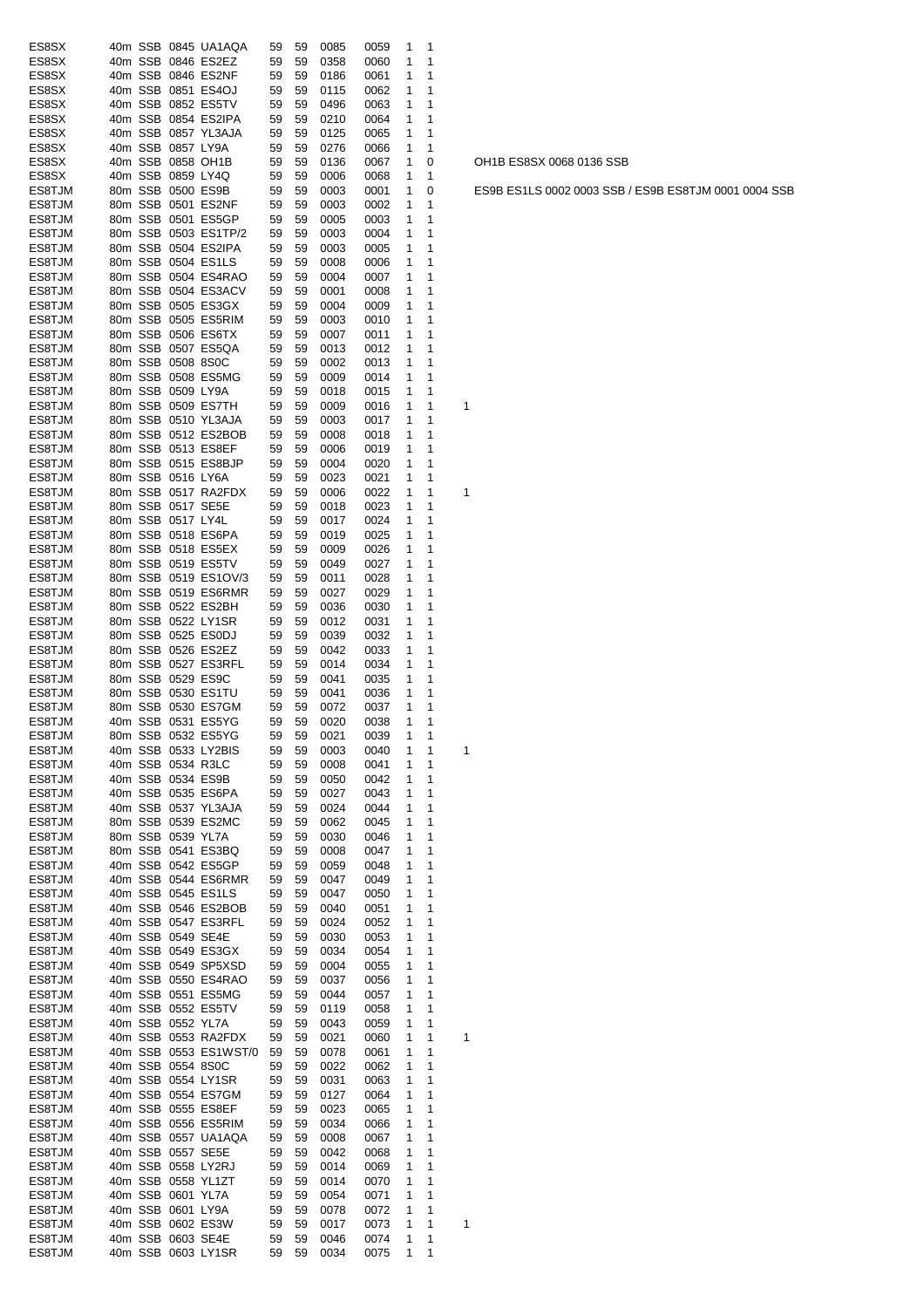| ES8SX  |         |                   | 40m SSB 0845 UA1AQA                      | 59 | 59 | 0085 | 0059         | 1            | 1 |   |
|--------|---------|-------------------|------------------------------------------|----|----|------|--------------|--------------|---|---|
| ES8SX  | 40m SSB |                   | 0846 ES2EZ                               | 59 | 59 | 0358 | 0060         | 1            | 1 |   |
| ES8SX  | 40m SSB |                   | 0846 ES2NF                               | 59 | 59 | 0186 | 0061         | 1            | 1 |   |
| ES8SX  | 40m SSB |                   | 0851 ES4OJ                               | 59 | 59 | 0115 | 0062         | 1            | 1 |   |
| ES8SX  | 40m SSB |                   | 0852 ES5TV                               | 59 | 59 | 0496 | 0063         | 1            | 1 |   |
| ES8SX  |         |                   | 40m SSB 0854 ES2IPA                      | 59 | 59 | 0210 | 0064         | 1            | 1 |   |
| ES8SX  |         |                   | 40m SSB 0857 YL3AJA                      | 59 | 59 | 0125 | 0065         | 1            | 1 |   |
| ES8SX  |         | 40m SSB 0857 LY9A |                                          | 59 | 59 | 0276 | 0066         | 1            | 1 |   |
| ES8SX  |         |                   | 40m SSB 0858 OH1B                        | 59 | 59 | 0136 | 0067         | 1            | 0 |   |
| ES8SX  |         | 40m SSB 0859 LY4Q |                                          | 59 | 59 | 0006 | 0068         | 1            | 1 |   |
| ES8TJM |         |                   | 80m SSB 0500 ES9B                        | 59 | 59 | 0003 | 0001         | 1            | 0 |   |
| ES8TJM | 80m SSB |                   | 0501 ES2NF                               | 59 | 59 | 0003 | 0002         | 1            | 1 |   |
| ES8TJM |         |                   | 80m SSB 0501 ES5GP                       | 59 | 59 | 0005 | 0003         | 1            | 1 |   |
| ES8TJM | 80m SSB |                   | 0503 ES1TP/2                             | 59 | 59 | 0003 | 0004         | 1            | 1 |   |
| ES8TJM | 80m SSB |                   | 0504 ES2IPA                              | 59 | 59 | 0003 | 0005         | 1            | 1 |   |
| ES8TJM |         |                   | 80m SSB 0504 ES1LS                       | 59 | 59 | 0008 | 0006         | 1            | 1 |   |
| ES8TJM |         |                   | 80m SSB 0504 ES4RAO                      | 59 | 59 | 0004 | 0007         | 1            | 1 |   |
| ES8TJM |         |                   | 80m SSB 0504 ES3ACV                      | 59 | 59 | 0001 | 0008         | 1            | 1 |   |
| ES8TJM |         |                   | 80m SSB 0505 ES3GX                       | 59 | 59 | 0004 | 0009         | 1            | 1 |   |
| ES8TJM |         |                   | 80m SSB 0505 ES5RIM                      | 59 | 59 | 0003 | 0010         | 1            | 1 |   |
| ES8TJM |         |                   | 80m SSB 0506 ES6TX                       | 59 | 59 | 0007 | 0011         | 1            | 1 |   |
|        |         |                   |                                          |    |    |      |              |              | 1 |   |
| ES8TJM |         |                   | 80m SSB 0507 ES5QA                       | 59 | 59 | 0013 | 0012         | 1            |   |   |
| ES8TJM |         | 80m SSB 0508 8S0C |                                          | 59 | 59 | 0002 | 0013         | 1            | 1 |   |
| ES8TJM |         |                   | 80m SSB 0508 ES5MG                       | 59 | 59 | 0009 | 0014         | 1            | 1 |   |
| ES8TJM | 80m SSB | 0509 LY9A         |                                          | 59 | 59 | 0018 | 0015         | 1            | 1 |   |
| ES8TJM |         |                   | 80m SSB 0509 ES7TH                       | 59 | 59 | 0009 | 0016         | 1            | 1 | 1 |
| ES8TJM |         |                   | 80m SSB 0510 YL3AJA                      | 59 | 59 | 0003 | 0017         | 1            | 1 |   |
| ES8TJM | 80m SSB |                   | 0512 ES2BOB                              | 59 | 59 | 0008 | 0018         | 1            | 1 |   |
| ES8TJM |         |                   | 80m SSB 0513 ES8EF                       | 59 | 59 | 0006 | 0019         | 1            | 1 |   |
| ES8TJM |         |                   | 80m SSB 0515 ES8BJP                      | 59 | 59 | 0004 | 0020         | 1            | 1 |   |
| ES8TJM |         | 80m SSB 0516 LY6A |                                          | 59 | 59 | 0023 | 0021         | 1            | 1 |   |
| ES8TJM |         |                   | 80m SSB 0517 RA2FDX                      | 59 | 59 | 0006 | 0022         | 1            | 1 | 1 |
| ES8TJM |         |                   | 80m SSB 0517 SE5E                        | 59 | 59 | 0018 | 0023         | 1            | 1 |   |
| ES8TJM |         | 80m SSB 0517 LY4L |                                          | 59 | 59 | 0017 | 0024         | 1            | 1 |   |
| ES8TJM |         |                   | 80m SSB 0518 ES6PA                       | 59 | 59 | 0019 | 0025         | 1            | 1 |   |
| ES8TJM |         |                   | 80m SSB 0518 ES5EX                       | 59 | 59 | 0009 | 0026         | 1            | 1 |   |
| ES8TJM |         |                   | 80m SSB 0519 ES5TV                       | 59 | 59 | 0049 | 0027         | 1            | 1 |   |
| ES8TJM |         |                   | 80m SSB 0519 ES1OV/3                     | 59 | 59 | 0011 | 0028         | 1            | 1 |   |
| ES8TJM |         |                   | 80m SSB 0519 ES6RMR                      | 59 | 59 | 0027 | 0029         | 1            | 1 |   |
| ES8TJM |         |                   | 80m SSB 0522 ES2BH                       | 59 | 59 | 0036 | 0030         | 1            | 1 |   |
| ES8TJM |         |                   | 80m SSB 0522 LY1SR                       | 59 | 59 | 0012 | 0031         | 1            | 1 |   |
| ES8TJM |         |                   | 80m SSB 0525 ES0DJ                       | 59 | 59 | 0039 | 0032         | 1            | 1 |   |
| ES8TJM |         |                   | 80m SSB 0526 ES2EZ                       | 59 | 59 | 0042 | 0033         | 1            | 1 |   |
| ES8TJM |         |                   | 80m SSB 0527 ES3RFL                      | 59 | 59 | 0014 | 0034         | 1            | 1 |   |
| ES8TJM |         |                   | 80m SSB 0529 ES9C                        | 59 | 59 | 0041 | 0035         | 1            | 1 |   |
| ES8TJM |         |                   | 80m SSB 0530 ES1TU                       | 59 | 59 | 0041 | 0036         | 1            | 1 |   |
| ES8TJM |         |                   |                                          | 59 | 59 |      | 0037         | 1            | 1 |   |
| ES8TJM |         |                   | 80m SSB 0530 ES7GM<br>40m SSB 0531 ES5YG |    |    | 0072 |              | 1            | 1 |   |
|        |         |                   |                                          | 59 | 59 | 0020 | 0038         |              | 1 |   |
| ES8TJM |         |                   | 80m SSB 0532 ES5YG                       | 59 | 59 | 0021 | 0039         | $\mathbf{1}$ |   |   |
| ES8TJM |         |                   | 40m SSB 0533 LY2BIS                      | 59 | 59 | 0003 | 0040         | 1            | 1 | 1 |
| ES8TJM |         |                   | 40m SSB 0534 R3LC                        | 59 | 59 | 0008 | 0041         | 1            | 1 |   |
| ES8TJM |         |                   | 40m SSB 0534 ES9B                        | 59 | 59 | 0050 | 0042         | 1            | 1 |   |
| ES8TJM |         |                   | 40m SSB 0535 ES6PA                       | 59 | 59 | 0027 | 0043         | 1            | 1 |   |
| ES8TJM |         |                   | 40m SSB 0537 YL3AJA                      | 59 | 59 | 0024 | 0044         | 1            | 1 |   |
| ES8TJM |         |                   | 80m SSB 0539 ES2MC                       | 59 | 59 | 0062 | 0045         | 1            | 1 |   |
| ES8TJM |         | 80m SSB 0539 YL7A |                                          | 59 | 59 | 0030 | 0046         | 1            | 1 |   |
| ES8TJM |         |                   | 80m SSB 0541 ES3BQ                       | 59 | 59 | 0008 | 0047         | 1            | 1 |   |
| ES8TJM |         |                   | 40m SSB 0542 ES5GP                       | 59 | 59 | 0059 | 0048         | 1            | 1 |   |
| ES8TJM |         |                   | 40m SSB 0544 ES6RMR                      | 59 | 59 | 0047 | 0049         | 1            | 1 |   |
| ES8TJM |         |                   | 40m SSB 0545 ES1LS                       | 59 | 59 | 0047 | 0050         | 1            | 1 |   |
| ES8TJM |         |                   | 40m SSB 0546 ES2BOB                      | 59 | 59 | 0040 | 0051         | 1            | 1 |   |
| ES8TJM |         |                   | 40m SSB 0547 ES3RFL                      | 59 | 59 | 0024 | 0052         | 1            | 1 |   |
| ES8TJM |         | 40m SSB 0549 SE4E |                                          | 59 | 59 | 0030 | 0053         | 1            | 1 |   |
| ES8TJM |         |                   | 40m SSB 0549 ES3GX                       | 59 | 59 | 0034 | 0054         | 1            | 1 |   |
| ES8TJM |         |                   | 40m SSB 0549 SP5XSD                      | 59 | 59 | 0004 | 0055         | 1            | 1 |   |
| ES8TJM |         |                   | 40m SSB 0550 ES4RAO                      | 59 | 59 | 0037 | 0056         | 1            | 1 |   |
| ES8TJM |         |                   | 40m SSB 0551 ES5MG                       | 59 | 59 | 0044 | 0057         | 1            | 1 |   |
| ES8TJM |         |                   | 40m SSB 0552 ES5TV                       | 59 | 59 | 0119 | 0058         | 1            | 1 |   |
| ES8TJM |         | 40m SSB 0552 YL7A |                                          | 59 | 59 | 0043 | 0059         | 1            | 1 |   |
| ES8TJM |         |                   | 40m SSB 0553 RA2FDX                      | 59 | 59 | 0021 | 0060         | 1            | 1 | 1 |
| ES8TJM |         |                   | 40m SSB 0553 ES1WST/0                    | 59 | 59 | 0078 | 0061         | 1            | 1 |   |
| ES8TJM |         | 40m SSB 0554 8S0C |                                          | 59 | 59 | 0022 | 0062         | 1            | 1 |   |
| ES8TJM |         |                   | 40m SSB 0554 LY1SR                       | 59 | 59 | 0031 | 0063         | 1            | 1 |   |
| ES8TJM |         |                   | 40m SSB 0554 ES7GM                       | 59 | 59 | 0127 | 0064         | 1            | 1 |   |
| ES8TJM |         |                   | 40m SSB 0555 ES8EF                       | 59 | 59 | 0023 | 0065         | 1            | 1 |   |
| ES8TJM |         |                   | 40m SSB 0556 ES5RIM                      | 59 | 59 | 0034 | 0066         | 1            | 1 |   |
| ES8TJM |         |                   | 40m SSB 0557 UA1AQA                      | 59 | 59 | 0008 | 0067         | 1            | 1 |   |
| ES8TJM |         | 40m SSB 0557 SE5E |                                          | 59 | 59 | 0042 | 0068         | 1            | 1 |   |
| ES8TJM |         |                   | 40m SSB 0558 LY2RJ                       | 59 | 59 | 0014 | 0069         | 1            | 1 |   |
| ES8TJM |         |                   | 40m SSB 0558 YL1ZT                       | 59 | 59 | 0014 | 0070         | 1            | 1 |   |
| ES8TJM |         | 40m SSB 0601 YL7A |                                          | 59 | 59 | 0054 |              | 1            | 1 |   |
| ES8TJM |         | 40m SSB 0601 LY9A |                                          | 59 | 59 | 0078 | 0071<br>0072 | 1            | 1 |   |
|        |         |                   | 40m SSB 0602 ES3W                        |    |    |      |              |              | 1 |   |
| ES8TJM |         |                   |                                          | 59 | 59 | 0017 | 0073         | 1            |   | 1 |
| ES8TJM |         |                   | 40m SSB 0603 SE4E                        | 59 | 59 | 0046 | 0074         | 1            | 1 |   |
| ES8TJM |         |                   | 40m SSB 0603 LY1SR                       | 59 | 59 | 0034 | 0075         | 1            | 1 |   |

OH1B ES8SX 0068 0136 SSB

ES9B ES1LS 0002 0003 SSB / ES9B ES8TJM 0001 0004 SSB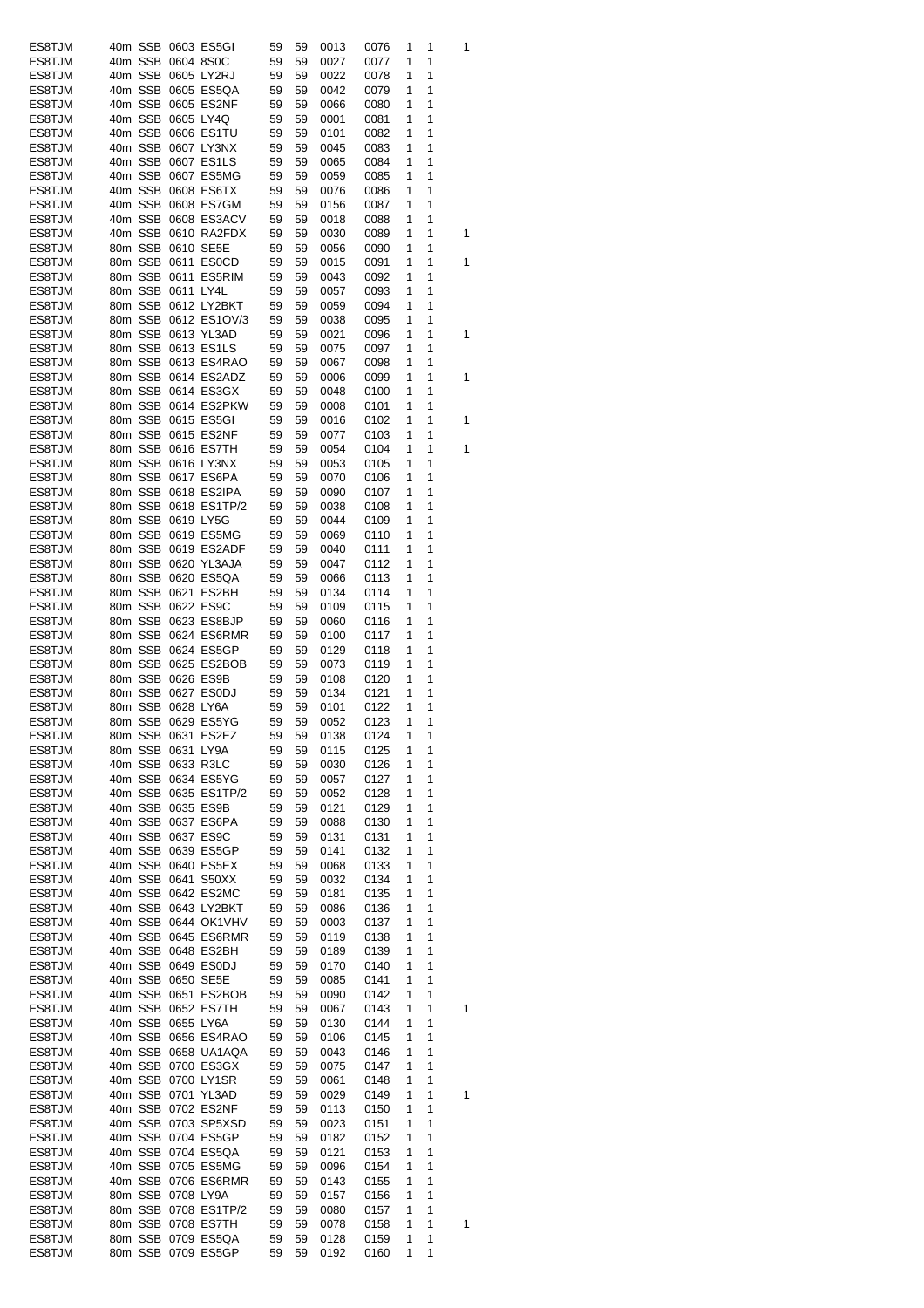| ES8TJM           |  |                   | 40m SSB 0603 ES5GI                       | 59       | 59       | 0013         | 0076         | 1      | 1      | 1 |
|------------------|--|-------------------|------------------------------------------|----------|----------|--------------|--------------|--------|--------|---|
| ES8TJM           |  | 40m SSB 0604 8S0C |                                          | 59       | 59       | 0027         | 0077         | 1      | 1      |   |
| ES8TJM           |  |                   | 40m SSB 0605 LY2RJ                       | 59       | 59       | 0022         | 0078         | 1      | 1      |   |
| ES8TJM           |  |                   | 40m SSB 0605 ES5QA                       | 59       | 59       | 0042         | 0079         | 1      | 1      |   |
| ES8TJM           |  |                   | 40m SSB 0605 ES2NF                       | 59       | 59       | 0066         | 0080         | 1      | 1      |   |
| ES8TJM           |  | 40m SSB 0605 LY4Q |                                          | 59       | 59       | 0001         | 0081         | 1      | 1      |   |
| ES8TJM           |  |                   | 40m SSB 0606 ES1TU                       | 59       | 59       | 0101         | 0082         | 1      | 1      |   |
| ES8TJM           |  |                   | 40m SSB 0607 LY3NX                       | 59       | 59       | 0045         | 0083         | 1      | 1      |   |
| ES8TJM           |  |                   | 40m SSB 0607 ES1LS                       | 59       | 59       | 0065         | 0084         | 1      | 1      |   |
| ES8TJM           |  |                   | 40m SSB 0607 ES5MG                       | 59       | 59       | 0059         | 0085         | 1      | 1      |   |
| ES8TJM           |  |                   | 40m SSB 0608 ES6TX                       | 59       | 59       | 0076         | 0086         | 1      | 1      |   |
| ES8TJM           |  |                   | 40m SSB 0608 ES7GM                       | 59       | 59       | 0156         | 0087         | 1      | 1      |   |
| ES8TJM           |  |                   | 40m SSB 0608 ES3ACV                      | 59       | 59       | 0018         | 0088         | 1      | 1      |   |
| ES8TJM           |  |                   | 40m SSB 0610 RA2FDX                      | 59       | 59       | 0030         | 0089         | 1      | 1      | 1 |
| ES8TJM           |  | 80m SSB 0610 SE5E |                                          | 59       | 59       | 0056         | 0090         | 1      | 1      |   |
| ES8TJM           |  |                   | 80m SSB 0611 ES0CD                       | 59       | 59       | 0015         | 0091         | 1      | 1      | 1 |
| ES8TJM           |  |                   | 80m SSB 0611 ES5RIM                      | 59       | 59       | 0043         | 0092         | 1      | 1      |   |
| ES8TJM           |  | 80m SSB 0611 LY4L |                                          | 59       | 59       | 0057         | 0093         | 1      | 1      |   |
| ES8TJM           |  |                   | 80m SSB 0612 LY2BKT                      | 59       | 59       | 0059         | 0094         | 1      | 1      |   |
| ES8TJM           |  |                   | 80m SSB 0612 ES1OV/3                     | 59       | 59       | 0038         | 0095         | 1      | 1      |   |
| ES8TJM           |  |                   | 80m SSB 0613 YL3AD                       | 59       | 59       | 0021         | 0096         | 1      | 1      | 1 |
| ES8TJM           |  |                   | 80m SSB 0613 ES1LS                       | 59       | 59       | 0075         | 0097         | 1      | 1      |   |
| ES8TJM           |  |                   | 80m SSB 0613 ES4RAO                      | 59       | 59       | 0067         | 0098         | 1      | 1      |   |
| ES8TJM           |  |                   | 80m SSB 0614 ES2ADZ                      | 59       | 59       | 0006         | 0099         | 1      | 1      | 1 |
| ES8TJM           |  |                   | 80m SSB 0614 ES3GX                       | 59       | 59       | 0048         | 0100         | 1      | 1      |   |
| ES8TJM           |  |                   | 80m SSB 0614 ES2PKW                      | 59       | 59       | 0008         | 0101         | 1      | 1      |   |
| ES8TJM           |  |                   | 80m SSB 0615 ES5GI                       | 59       | 59       | 0016         | 0102         | 1      | 1      | 1 |
| ES8TJM           |  |                   | 80m SSB 0615 ES2NF                       | 59       | 59       | 0077         | 0103         | 1      | 1      |   |
| ES8TJM           |  |                   | 80m SSB 0616 ES7TH                       | 59       | 59       | 0054         | 0104         | 1      | 1      | 1 |
| ES8TJM           |  |                   | 80m SSB 0616 LY3NX                       | 59       | 59       | 0053         | 0105         | 1      | 1      |   |
| ES8TJM           |  |                   | 80m SSB 0617 ES6PA                       | 59       | 59       | 0070         | 0106         | 1      | 1      |   |
| ES8TJM           |  |                   | 80m SSB 0618 ES2IPA                      | 59       | 59       | 0090         | 0107         | 1      | 1      |   |
| ES8TJM           |  |                   | 80m SSB 0618 ES1TP/2                     | 59       | 59       | 0038         | 0108         | 1      | 1      |   |
| ES8TJM           |  | 80m SSB 0619 LY5G |                                          | 59       | 59       | 0044         | 0109         | 1      | 1      |   |
| ES8TJM           |  |                   | 80m SSB 0619 ES5MG                       | 59       | 59       | 0069         | 0110         | 1      | 1      |   |
| ES8TJM           |  |                   | 80m SSB 0619 ES2ADF                      | 59       | 59       | 0040         | 0111         | 1      | 1      |   |
| ES8TJM           |  |                   | 80m SSB 0620 YL3AJA                      | 59       | 59       | 0047         | 0112         | 1      | 1      |   |
| ES8TJM           |  |                   | 80m SSB 0620 ES5QA                       | 59       | 59       | 0066         | 0113         | 1      | 1      |   |
| ES8TJM           |  |                   | 80m SSB 0621 ES2BH                       | 59       | 59       | 0134         | 0114         | 1      | 1      |   |
| ES8TJM           |  |                   | 80m SSB 0622 ES9C                        | 59       | 59       | 0109         | 0115         | 1      | 1      |   |
| ES8TJM           |  |                   | 80m SSB 0623 ES8BJP                      | 59       | 59       | 0060         | 0116         | 1      | 1      |   |
| ES8TJM           |  |                   | 80m SSB 0624 ES6RMR                      | 59       | 59       | 0100         | 0117         | 1      | 1      |   |
| ES8TJM           |  |                   | 80m SSB 0624 ES5GP                       | 59       | 59       | 0129         | 0118         | 1      | 1      |   |
| ES8TJM           |  |                   | 80m SSB 0625 ES2BOB                      | 59       | 59       | 0073         | 0119         | 1      | 1      |   |
| ES8TJM           |  |                   | 80m SSB 0626 ES9B                        | 59       | 59       | 0108         | 0120         | 1      | 1      |   |
| ES8TJM           |  |                   | 80m SSB 0627 ES0DJ                       | 59       | 59       | 0134         | 0121         | 1      | 1      |   |
| ES8TJM           |  | 80m SSB 0628 LY6A |                                          | 59       | 59       | 0101         | 0122         | 1      | 1      |   |
| ES8TJM           |  |                   | 80m SSB 0629 ES5YG                       | 59       | 59       | 0052         | 0123         | 1      | 1      |   |
| ES8TJM           |  |                   | 80m SSB 0631 ES2EZ                       | 59       | 59       | 0138         | 0124         | 1      | 1      |   |
| ES8TJM           |  | 80m SSB 0631 LY9A |                                          |          |          |              | 0125         |        | 1      |   |
| ES8TJM           |  |                   | 40m SSB 0633 R3LC                        | 59<br>59 | 59       | 0115<br>0030 | 0126         | 1<br>1 | 1      |   |
|                  |  |                   | 40m SSB 0634 ES5YG                       |          | 59       |              |              | 1      | 1      |   |
| ES8TJM<br>ES8TJM |  |                   | 40m SSB 0635 ES1TP/2                     | 59<br>59 | 59<br>59 | 0057<br>0052 | 0127         | 1      | 1      |   |
| ES8TJM           |  |                   | 40m SSB 0635 ES9B                        | 59       | 59       | 0121         | 0128<br>0129 | 1      | 1      |   |
|                  |  |                   | 40m SSB 0637 ES6PA                       | 59       | 59       |              |              | 1      | 1      |   |
| ES8TJM<br>ES8TJM |  |                   |                                          |          |          | 0088         | 0130         |        |        |   |
|                  |  |                   | 40m SSB 0637 ES9C                        | 59       | 59       | 0131         | 0131         | 1      | 1<br>1 |   |
| ES8TJM           |  |                   | 40m SSB 0639 ES5GP                       | 59       | 59       | 0141         | 0132         | 1      |        |   |
| ES8TJM           |  |                   | 40m SSB 0640 ES5EX<br>40m SSB 0641 S50XX | 59       | 59       | 0068         | 0133         | 1      | 1      |   |
| ES8TJM           |  |                   |                                          | 59       | 59       | 0032         | 0134         | 1      | 1      |   |
| ES8TJM           |  |                   | 40m SSB 0642 ES2MC                       | 59       | 59       | 0181         | 0135         | 1      | 1      |   |
| ES8TJM<br>ES8TJM |  |                   | 40m SSB 0643 LY2BKT                      | 59<br>59 | 59       | 0086         | 0136         | 1<br>1 | 1<br>1 |   |
|                  |  |                   | 40m SSB 0644 OK1VHV                      |          | 59       | 0003         | 0137         |        |        |   |
| ES8TJM           |  |                   | 40m SSB 0645 ES6RMR                      | 59       | 59       | 0119         | 0138         | 1      | 1      |   |
| ES8TJM           |  |                   | 40m SSB 0648 ES2BH                       | 59       | 59       | 0189         | 0139         | 1      | 1      |   |
| ES8TJM           |  |                   | 40m SSB 0649 ES0DJ                       | 59       | 59       | 0170         | 0140         | 1      | 1      |   |
| ES8TJM           |  |                   | 40m SSB 0650 SE5E                        | 59       | 59       | 0085         | 0141         | 1      | 1      |   |
| ES8TJM           |  |                   |                                          |          |          |              |              |        | 1      |   |
| ES8TJM           |  |                   | 40m SSB 0651 ES2BOB                      | 59       | 59       | 0090         | 0142         | 1      |        |   |
| ES8TJM           |  |                   | 40m SSB 0652 ES7TH                       | 59       | 59       | 0067         | 0143         | 1      | 1      | 1 |
|                  |  | 40m SSB 0655 LY6A |                                          | 59       | 59       | 0130         | 0144         | 1      | 1      |   |
| ES8TJM           |  |                   | 40m SSB 0656 ES4RAO                      | 59       | 59       | 0106         | 0145         | 1      | 1      |   |
| ES8TJM           |  |                   | 40m SSB 0658 UA1AQA                      | 59       | 59       | 0043         | 0146         | 1      | 1      |   |
| ES8TJM           |  |                   | 40m SSB 0700 ES3GX                       | 59       | 59       | 0075         | 0147         | 1      | 1      |   |
| ES8TJM           |  |                   | 40m SSB 0700 LY1SR                       | 59       | 59       | 0061         | 0148         | 1      | 1      |   |
| ES8TJM           |  |                   | 40m SSB 0701 YL3AD                       | 59       | 59       | 0029         | 0149         | 1      | 1      | 1 |
| ES8TJM           |  |                   | 40m SSB 0702 ES2NF                       | 59       | 59       | 0113         | 0150         | 1      | 1      |   |
| ES8TJM           |  |                   | 40m SSB 0703 SP5XSD                      | 59       | 59       | 0023         | 0151         | 1      | 1      |   |
| ES8TJM           |  |                   | 40m SSB 0704 ES5GP                       | 59       | 59       | 0182         | 0152         | 1      | 1      |   |
| ES8TJM           |  |                   | 40m SSB 0704 ES5QA                       | 59       | 59       | 0121         | 0153         | 1      | 1      |   |
| ES8TJM           |  |                   | 40m SSB 0705 ES5MG                       | 59       | 59       | 0096         | 0154         | 1      | 1      |   |
| ES8TJM           |  |                   | 40m SSB 0706 ES6RMR                      | 59       | 59       | 0143         | 0155         | 1      | 1      |   |
| ES8TJM           |  | 80m SSB 0708 LY9A |                                          | 59       | 59       | 0157         | 0156         | 1      | 1      |   |
| ES8TJM           |  |                   | 80m SSB 0708 ES1TP/2                     | 59       | 59       | 0080         | 0157         | 1      | 1      |   |
| ES8TJM           |  |                   | 80m SSB 0708 ES7TH                       | 59       | 59       | 0078         | 0158         | 1      | 1      | 1 |
| ES8TJM<br>ES8TJM |  |                   | 80m SSB 0709 ES5QA<br>80m SSB 0709 ES5GP | 59<br>59 | 59<br>59 | 0128<br>0192 | 0159<br>0160 | 1<br>1 | 1<br>1 |   |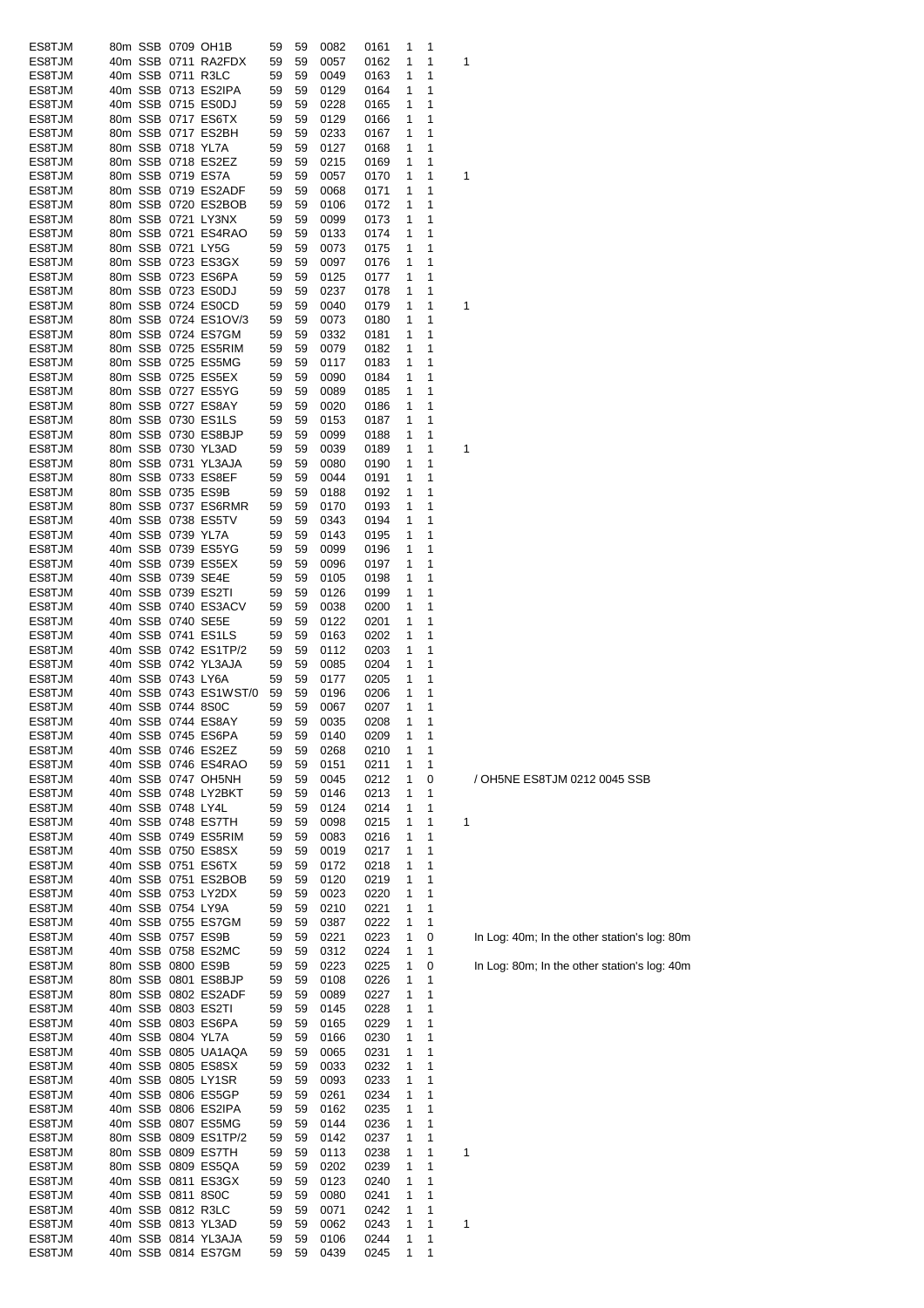| ES8TJM |  |                   | 80m SSB 0709 OH1B     | 59 | 59 | 0082 | 0161 | 1 | 1 |   |
|--------|--|-------------------|-----------------------|----|----|------|------|---|---|---|
| ES8TJM |  |                   | 40m SSB 0711 RA2FDX   | 59 | 59 | 0057 | 0162 | 1 | 1 | 1 |
| ES8TJM |  |                   | 40m SSB 0711 R3LC     | 59 | 59 | 0049 | 0163 | 1 | 1 |   |
| ES8TJM |  |                   | 40m SSB 0713 ES2IPA   | 59 | 59 | 0129 | 0164 | 1 | 1 |   |
| ES8TJM |  |                   | 40m SSB 0715 ES0DJ    | 59 | 59 | 0228 | 0165 | 1 | 1 |   |
| ES8TJM |  |                   | 80m SSB 0717 ES6TX    | 59 | 59 | 0129 | 0166 | 1 | 1 |   |
| ES8TJM |  |                   | 80m SSB 0717 ES2BH    | 59 | 59 | 0233 | 0167 | 1 | 1 |   |
| ES8TJM |  | 80m SSB 0718 YL7A |                       | 59 | 59 | 0127 | 0168 | 1 | 1 |   |
| ES8TJM |  |                   | 80m SSB 0718 ES2EZ    | 59 | 59 | 0215 | 0169 | 1 | 1 |   |
| ES8TJM |  |                   | 80m SSB 0719 ES7A     | 59 | 59 | 0057 | 0170 | 1 | 1 | 1 |
| ES8TJM |  |                   | 80m SSB 0719 ES2ADF   | 59 | 59 | 0068 | 0171 | 1 | 1 |   |
| ES8TJM |  |                   | 80m SSB 0720 ES2BOB   | 59 | 59 | 0106 | 0172 | 1 | 1 |   |
| ES8TJM |  |                   | 80m SSB 0721 LY3NX    | 59 | 59 | 0099 | 0173 | 1 | 1 |   |
| ES8TJM |  |                   | 80m SSB 0721 ES4RAO   | 59 | 59 | 0133 | 0174 | 1 | 1 |   |
| ES8TJM |  |                   | 80m SSB 0721 LY5G     | 59 | 59 | 0073 | 0175 | 1 | 1 |   |
| ES8TJM |  |                   | 80m SSB 0723 ES3GX    | 59 | 59 | 0097 | 0176 | 1 | 1 |   |
| ES8TJM |  |                   | 80m SSB 0723 ES6PA    | 59 | 59 | 0125 | 0177 | 1 | 1 |   |
|        |  |                   | 80m SSB 0723 ES0DJ    |    |    |      |      | 1 | 1 |   |
| ES8TJM |  |                   |                       | 59 | 59 | 0237 | 0178 |   |   |   |
| ES8TJM |  |                   | 80m SSB 0724 ES0CD    | 59 | 59 | 0040 | 0179 | 1 | 1 | 1 |
| ES8TJM |  |                   | 80m SSB 0724 ES1OV/3  | 59 | 59 | 0073 | 0180 | 1 | 1 |   |
| ES8TJM |  |                   | 80m SSB 0724 ES7GM    | 59 | 59 | 0332 | 0181 | 1 | 1 |   |
| ES8TJM |  |                   | 80m SSB 0725 ES5RIM   | 59 | 59 | 0079 | 0182 | 1 | 1 |   |
| ES8TJM |  |                   | 80m SSB 0725 ES5MG    | 59 | 59 | 0117 | 0183 | 1 | 1 |   |
| ES8TJM |  |                   | 80m SSB 0725 ES5EX    | 59 | 59 | 0090 | 0184 | 1 | 1 |   |
| ES8TJM |  |                   | 80m SSB 0727 ES5YG    | 59 | 59 | 0089 | 0185 | 1 | 1 |   |
| ES8TJM |  |                   | 80m SSB 0727 ES8AY    | 59 | 59 | 0020 | 0186 | 1 | 1 |   |
| ES8TJM |  |                   | 80m SSB 0730 ES1LS    | 59 | 59 | 0153 | 0187 | 1 | 1 |   |
| ES8TJM |  |                   | 80m SSB 0730 ES8BJP   | 59 | 59 | 0099 | 0188 | 1 | 1 |   |
| ES8TJM |  |                   | 80m SSB 0730 YL3AD    | 59 | 59 | 0039 | 0189 | 1 | 1 | 1 |
| ES8TJM |  |                   | 80m SSB 0731 YL3AJA   | 59 | 59 | 0080 | 0190 | 1 | 1 |   |
| ES8TJM |  |                   | 80m SSB 0733 ES8EF    | 59 | 59 | 0044 | 0191 | 1 | 1 |   |
| ES8TJM |  |                   | 80m SSB 0735 ES9B     | 59 | 59 | 0188 | 0192 | 1 | 1 |   |
| ES8TJM |  |                   | 80m SSB 0737 ES6RMR   | 59 | 59 | 0170 | 0193 | 1 | 1 |   |
| ES8TJM |  |                   | 40m SSB 0738 ES5TV    | 59 | 59 | 0343 | 0194 | 1 | 1 |   |
| ES8TJM |  | 40m SSB 0739 YL7A |                       | 59 | 59 | 0143 | 0195 | 1 | 1 |   |
| ES8TJM |  |                   | 40m SSB 0739 ES5YG    | 59 | 59 | 0099 | 0196 | 1 | 1 |   |
| ES8TJM |  |                   | 40m SSB 0739 ES5EX    | 59 | 59 | 0096 | 0197 | 1 | 1 |   |
| ES8TJM |  |                   | 40m SSB 0739 SE4E     | 59 | 59 | 0105 | 0198 | 1 | 1 |   |
| ES8TJM |  |                   | 40m SSB 0739 ES2TI    | 59 | 59 | 0126 | 0199 | 1 | 1 |   |
| ES8TJM |  |                   | 40m SSB 0740 ES3ACV   | 59 | 59 | 0038 | 0200 | 1 | 1 |   |
| ES8TJM |  |                   | 40m SSB 0740 SE5E     | 59 | 59 | 0122 | 0201 | 1 | 1 |   |
| ES8TJM |  |                   | 40m SSB 0741 ES1LS    | 59 | 59 | 0163 | 0202 | 1 | 1 |   |
| ES8TJM |  |                   | 40m SSB 0742 ES1TP/2  | 59 | 59 | 0112 | 0203 | 1 | 1 |   |
| ES8TJM |  |                   | 40m SSB 0742 YL3AJA   | 59 | 59 | 0085 | 0204 | 1 | 1 |   |
| ES8TJM |  | 40m SSB 0743 LY6A |                       | 59 | 59 | 0177 | 0205 | 1 | 1 |   |
| ES8TJM |  |                   | 40m SSB 0743 ES1WST/0 | 59 | 59 | 0196 | 0206 | 1 | 1 |   |
| ES8TJM |  | 40m SSB 0744 8S0C |                       | 59 | 59 | 0067 | 0207 | 1 | 1 |   |
| ES8TJM |  |                   | 40m SSB 0744 ES8AY    | 59 | 59 | 0035 | 0208 | 1 | 1 |   |
| ES8TJM |  |                   | 40m SSB 0745 ES6PA    | 59 | 59 | 0140 | 0209 | 1 | 1 |   |
| ES8TJM |  |                   | 40m SSB 0746 ES2EZ    | 59 | 59 | 0268 | 0210 | 1 | 1 |   |
| ES8TJM |  |                   | 40m SSB 0746 ES4RAO   | 59 | 59 | 0151 | 0211 | 1 | 1 |   |
| ES8TJM |  |                   | 40m SSB 0747 OH5NH    | 59 | 59 | 0045 | 0212 | 1 | 0 | T |
| ES8TJM |  |                   | 40m SSB 0748 LY2BKT   | 59 | 59 | 0146 | 0213 | 1 | 1 |   |
| ES8TJM |  | 40m SSB 0748 LY4L |                       | 59 | 59 | 0124 | 0214 | 1 | 1 |   |
| ES8TJM |  |                   | 40m SSB 0748 ES7TH    | 59 | 59 | 0098 | 0215 | 1 | 1 | 1 |
| ES8TJM |  |                   | 40m SSB 0749 ES5RIM   | 59 | 59 | 0083 | 0216 | 1 | 1 |   |
| ES8TJM |  |                   | 40m SSB 0750 ES8SX    | 59 | 59 | 0019 | 0217 | 1 | 1 |   |
| ES8TJM |  |                   | 40m SSB 0751 ES6TX    | 59 | 59 | 0172 | 0218 | 1 | 1 |   |
| ES8TJM |  |                   | 40m SSB 0751 ES2BOB   | 59 | 59 | 0120 | 0219 | 1 | 1 |   |
| ES8TJM |  |                   | 40m SSB 0753 LY2DX    | 59 | 59 | 0023 | 0220 | 1 | 1 |   |
| ES8TJM |  | 40m SSB 0754 LY9A |                       | 59 | 59 | 0210 | 0221 | 1 | 1 |   |
| ES8TJM |  |                   | 40m SSB 0755 ES7GM    | 59 | 59 | 0387 | 0222 | 1 | 1 |   |
| ES8TJM |  |                   | 40m SSB 0757 ES9B     | 59 | 59 | 0221 | 0223 | 1 | 0 | h |
| ES8TJM |  |                   | 40m SSB 0758 ES2MC    | 59 | 59 | 0312 | 0224 | 1 | 1 |   |
| ES8TJM |  |                   | 80m SSB 0800 ES9B     | 59 | 59 | 0223 | 0225 | 1 | 0 | h |
| ES8TJM |  |                   | 80m SSB 0801 ES8BJP   | 59 | 59 | 0108 | 0226 | 1 | 1 |   |
| ES8TJM |  |                   | 80m SSB 0802 ES2ADF   | 59 | 59 | 0089 | 0227 | 1 | 1 |   |
| ES8TJM |  |                   | 40m SSB 0803 ES2TI    | 59 | 59 | 0145 | 0228 | 1 | 1 |   |
| ES8TJM |  |                   | 40m SSB 0803 ES6PA    | 59 | 59 | 0165 | 0229 | 1 | 1 |   |
| ES8TJM |  | 40m SSB 0804 YL7A |                       | 59 | 59 | 0166 | 0230 | 1 | 1 |   |
| ES8TJM |  |                   | 40m SSB 0805 UA1AQA   | 59 | 59 | 0065 | 0231 | 1 | 1 |   |
| ES8TJM |  |                   | 40m SSB 0805 ES8SX    | 59 | 59 | 0033 | 0232 | 1 | 1 |   |
| ES8TJM |  |                   | 40m SSB 0805 LY1SR    | 59 | 59 | 0093 | 0233 | 1 | 1 |   |
| ES8TJM |  |                   | 40m SSB 0806 ES5GP    | 59 | 59 | 0261 | 0234 | 1 | 1 |   |
| ES8TJM |  |                   | 40m SSB 0806 ES2IPA   | 59 | 59 | 0162 | 0235 | 1 | 1 |   |
| ES8TJM |  |                   | 40m SSB 0807 ES5MG    | 59 | 59 | 0144 | 0236 | 1 | 1 |   |
| ES8TJM |  |                   | 80m SSB 0809 ES1TP/2  | 59 | 59 | 0142 | 0237 | 1 | 1 |   |
| ES8TJM |  |                   | 80m SSB 0809 ES7TH    | 59 | 59 | 0113 | 0238 | 1 | 1 | 1 |
| ES8TJM |  |                   | 80m SSB 0809 ES5QA    | 59 | 59 | 0202 | 0239 | 1 | 1 |   |
| ES8TJM |  |                   | 40m SSB 0811 ES3GX    | 59 | 59 | 0123 | 0240 | 1 | 1 |   |
| ES8TJM |  |                   | 40m SSB 0811 8S0C     | 59 | 59 | 0080 | 0241 | 1 | 1 |   |
| ES8TJM |  |                   | 40m SSB 0812 R3LC     | 59 | 59 | 0071 | 0242 | 1 | 1 |   |
| ES8TJM |  |                   | 40m SSB 0813 YL3AD    | 59 | 59 | 0062 | 0243 | 1 | 1 | 1 |
| ES8TJM |  |                   | 40m SSB 0814 YL3AJA   | 59 | 59 | 0106 | 0244 | 1 | 1 |   |
| ES8TJM |  |                   | 40m SSB 0814 ES7GM    | 59 | 59 | 0439 | 0245 | 1 | 1 |   |
|        |  |                   |                       |    |    |      |      |   |   |   |

#### (OH5NE ES8TJM 0212 0045 SSB

In Log: 40m; In the other station's log: 80m

In Log: 80m; In the other station's log: 40m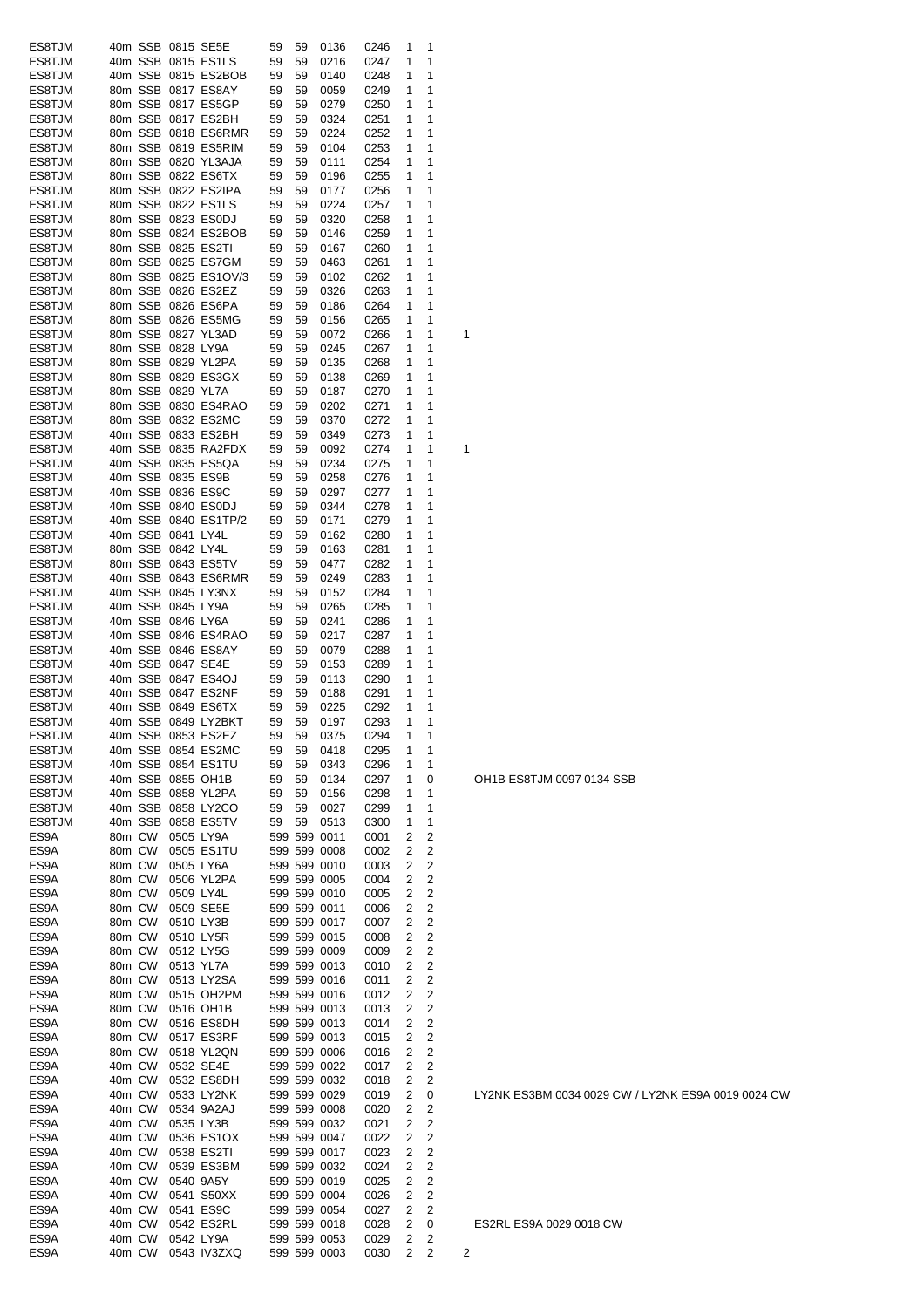| ES8TJM |        |         | 40m SSB 0815 SE5E |                      | 59           | 59 | 0136         | 0246 | 1              | 1                       |   |
|--------|--------|---------|-------------------|----------------------|--------------|----|--------------|------|----------------|-------------------------|---|
| ES8TJM |        | 40m SSB |                   | 0815 ES1LS           | 59           | 59 | 0216         | 0247 | 1              | 1                       |   |
| ES8TJM |        | 40m SSB |                   | 0815 ES2BOB          | 59           | 59 | 0140         | 0248 | 1              | 1                       |   |
| ES8TJM |        | 80m SSB |                   | 0817 ES8AY           | 59           | 59 | 0059         | 0249 | 1              | 1                       |   |
| ES8TJM |        | 80m SSB |                   | 0817 ES5GP           | 59           | 59 | 0279         | 0250 | 1              | 1                       |   |
| ES8TJM |        |         |                   | 80m SSB 0817 ES2BH   | 59           | 59 | 0324         | 0251 | 1              | 1                       |   |
|        |        |         |                   |                      |              |    |              |      |                |                         |   |
| ES8TJM |        |         |                   | 80m SSB 0818 ES6RMR  | 59           | 59 | 0224         | 0252 | 1              | 1                       |   |
| ES8TJM |        |         |                   | 80m SSB 0819 ES5RIM  | 59           | 59 | 0104         | 0253 | 1              | 1                       |   |
| ES8TJM |        |         |                   | 80m SSB 0820 YL3AJA  | 59           | 59 | 0111         | 0254 | 1              | 1                       |   |
| ES8TJM |        |         |                   | 80m SSB 0822 ES6TX   | 59           | 59 | 0196         | 0255 | 1              | 1                       |   |
| ES8TJM |        |         |                   | 80m SSB 0822 ES2IPA  | 59           | 59 | 0177         | 0256 | 1              | 1                       |   |
| ES8TJM |        |         |                   | 80m SSB 0822 ES1LS   | 59           | 59 | 0224         | 0257 | 1              | 1                       |   |
| ES8TJM |        |         |                   | 80m SSB 0823 ES0DJ   | 59           | 59 | 0320         | 0258 | 1              | 1                       |   |
| ES8TJM |        | 80m SSB |                   | 0824 ES2BOB          | 59           | 59 | 0146         | 0259 | 1              | 1                       |   |
| ES8TJM |        | 80m SSB |                   | 0825 ES2TI           | 59           | 59 | 0167         | 0260 | 1              | 1                       |   |
| ES8TJM |        | 80m SSB |                   | 0825 ES7GM           | 59           | 59 | 0463         | 0261 | 1              | 1                       |   |
| ES8TJM |        |         |                   | 80m SSB 0825 ES1OV/3 | 59           | 59 | 0102         | 0262 | 1              | 1                       |   |
| ES8TJM |        |         |                   | 80m SSB 0826 ES2EZ   | 59           | 59 |              |      | 1              | 1                       |   |
|        |        |         |                   |                      |              |    | 0326         | 0263 |                |                         |   |
| ES8TJM |        |         |                   | 80m SSB 0826 ES6PA   | 59           | 59 | 0186         | 0264 | 1              | 1                       |   |
| ES8TJM |        |         |                   | 80m SSB 0826 ES5MG   | 59           | 59 | 0156         | 0265 | 1              | 1                       |   |
| ES8TJM |        |         |                   | 80m SSB 0827 YL3AD   | 59           | 59 | 0072         | 0266 | 1              | 1                       | 1 |
| ES8TJM |        |         | 80m SSB 0828 LY9A |                      | 59           | 59 | 0245         | 0267 | 1              | 1                       |   |
| ES8TJM |        |         |                   | 80m SSB 0829 YL2PA   | 59           | 59 | 0135         | 0268 | 1              | 1                       |   |
| ES8TJM |        |         |                   | 80m SSB 0829 ES3GX   | 59           | 59 | 0138         | 0269 | 1              | 1                       |   |
| ES8TJM |        |         | 80m SSB 0829 YL7A |                      | 59           | 59 | 0187         | 0270 | 1              | 1                       |   |
| ES8TJM |        |         |                   | 80m SSB 0830 ES4RAO  | 59           | 59 | 0202         | 0271 | 1              | 1                       |   |
| ES8TJM |        |         |                   | 80m SSB 0832 ES2MC   | 59           | 59 | 0370         | 0272 | 1              | 1                       |   |
| ES8TJM |        | 40m SSB |                   | 0833 ES2BH           | 59           | 59 | 0349         | 0273 | 1              | 1                       |   |
|        |        |         |                   | 40m SSB 0835 RA2FDX  |              | 59 | 0092         |      | 1              | 1                       | 1 |
| ES8TJM |        |         |                   |                      | 59           |    |              | 0274 |                |                         |   |
| ES8TJM |        |         |                   | 40m SSB 0835 ES5QA   | 59           | 59 | 0234         | 0275 | 1              | 1                       |   |
| ES8TJM |        |         |                   | 40m SSB 0835 ES9B    | 59           | 59 | 0258         | 0276 | 1              | 1                       |   |
| ES8TJM |        |         |                   | 40m SSB 0836 ES9C    | 59           | 59 | 0297         | 0277 | 1              | 1                       |   |
| ES8TJM |        |         |                   | 40m SSB 0840 ES0DJ   | 59           | 59 | 0344         | 0278 | 1              | 1                       |   |
| ES8TJM |        |         |                   | 40m SSB 0840 ES1TP/2 | 59           | 59 | 0171         | 0279 | 1              | 1                       |   |
| ES8TJM |        |         | 40m SSB 0841 LY4L |                      | 59           | 59 | 0162         | 0280 | 1              | 1                       |   |
| ES8TJM |        |         | 80m SSB 0842 LY4L |                      | 59           | 59 | 0163         | 0281 | 1              | 1                       |   |
| ES8TJM |        |         |                   | 80m SSB 0843 ES5TV   | 59           | 59 | 0477         | 0282 | 1              | 1                       |   |
| ES8TJM |        |         |                   | 40m SSB 0843 ES6RMR  | 59           | 59 | 0249         | 0283 | 1              | 1                       |   |
| ES8TJM |        | 40m SSB |                   | 0845 LY3NX           | 59           | 59 | 0152         | 0284 | 1              | 1                       |   |
|        |        |         |                   |                      |              |    |              |      | 1              | 1                       |   |
| ES8TJM |        | 40m SSB |                   | 0845 LY9A            | 59           | 59 | 0265         | 0285 |                |                         |   |
| ES8TJM |        | 40m SSB |                   | 0846 LY6A            | 59           | 59 | 0241         | 0286 | 1              | 1                       |   |
| ES8TJM |        | 40m SSB |                   | 0846 ES4RAO          | 59           | 59 | 0217         | 0287 | 1              | 1                       |   |
| ES8TJM |        | 40m SSB |                   | 0846 ES8AY           | 59           | 59 | 0079         | 0288 | 1              | 1                       |   |
| ES8TJM |        |         | 40m SSB 0847 SE4E |                      | 59           | 59 | 0153         | 0289 | 1              | 1                       |   |
| ES8TJM |        | 40m SSB |                   | 0847 ES4OJ           | 59           | 59 | 0113         | 0290 | 1              | 1                       |   |
| ES8TJM |        | 40m SSB |                   | 0847 ES2NF           | 59           | 59 | 0188         | 0291 | 1              | 1                       |   |
| ES8TJM |        |         |                   | 40m SSB 0849 ES6TX   | 59           | 59 | 0225         | 0292 | 1              | 1                       |   |
| ES8TJM |        |         |                   | 40m SSB 0849 LY2BKT  | 59           | 59 | 0197         | 0293 | 1              | 1                       |   |
| ES8TJM |        |         |                   | 40m SSB 0853 ES2EZ   | 59           | 59 | 0375         | 0294 | $\mathbf{1}$   | 1                       |   |
| ES8TJM |        |         |                   | 40m SSB 0854 ES2MC   | 59           | 59 | 0418         | 0295 | 1              | 1                       |   |
| ES8TJM |        |         |                   | 40m SSB 0854 ES1TU   | 59           | 59 | 0343         | 0296 | 1              | 1                       |   |
|        |        |         |                   |                      |              |    |              |      |                |                         |   |
| ES8TJM |        |         |                   | 40m SSB 0855 OH1B    | 59           | 59 | 0134         | 0297 | 1              | 0                       |   |
| ES8TJM |        |         |                   | 40m SSB 0858 YL2PA   | 59           | 59 | 0156         | 0298 | 1              | 1                       |   |
| ES8TJM |        |         |                   | 40m SSB 0858 LY2CO   | 59           | 59 | 0027         | 0299 | 1              | 1                       |   |
| ES8TJM |        |         |                   | 40m SSB 0858 ES5TV   | 59           | 59 | 0513         | 0300 | 1              | 1                       |   |
| ES9A   |        | 80m CW  |                   | 0505 LY9A            |              |    | 599 599 0011 | 0001 | 2              | 2                       |   |
| ES9A   |        | 80m CW  |                   | 0505 ES1TU           |              |    | 599 599 0008 | 0002 | 2              | 2                       |   |
| ES9A   |        | 80m CW  |                   | 0505 LY6A            |              |    | 599 599 0010 | 0003 | 2              | $\overline{c}$          |   |
| ES9A   |        | 80m CW  |                   | 0506 YL2PA           |              |    | 599 599 0005 | 0004 | 2              | 2                       |   |
| ES9A   | 80m CW |         |                   | 0509 LY4L            |              |    | 599 599 0010 | 0005 | 2              | $\overline{c}$          |   |
| ES9A   | 80m CW |         |                   | 0509 SE5E            |              |    | 599 599 0011 | 0006 | 2              | 2                       |   |
| ES9A   | 80m CW |         |                   | 0510 LY3B            |              |    | 599 599 0017 | 0007 | 2              | $\overline{c}$          |   |
|        |        |         |                   |                      |              |    | 599 599 0015 |      |                |                         |   |
| ES9A   | 80m CW |         |                   | 0510 LY5R            |              |    |              | 0008 | 2              | 2                       |   |
| ES9A   | 80m CW |         |                   | 0512 LY5G            |              |    | 599 599 0009 | 0009 | 2              | $\overline{c}$          |   |
| ES9A   | 80m CW |         |                   | 0513 YL7A            |              |    | 599 599 0013 | 0010 | 2              | $\overline{\mathbf{c}}$ |   |
| ES9A   | 80m CW |         |                   | 0513 LY2SA           |              |    | 599 599 0016 | 0011 | $\overline{2}$ | $\overline{c}$          |   |
| ES9A   | 80m CW |         |                   | 0515 OH2PM           |              |    | 599 599 0016 | 0012 | 2              | $\overline{c}$          |   |
| ES9A   | 80m CW |         |                   | 0516 OH1B            |              |    | 599 599 0013 | 0013 | 2              | $\overline{c}$          |   |
| ES9A   | 80m CW |         |                   | 0516 ES8DH           |              |    | 599 599 0013 | 0014 | 2              | $\overline{c}$          |   |
| ES9A   | 80m CW |         |                   | 0517 ES3RF           |              |    | 599 599 0013 | 0015 | 2              | $\overline{c}$          |   |
| ES9A   | 80m CW |         |                   | 0518 YL2QN           |              |    | 599 599 0006 | 0016 | 2              | $\overline{c}$          |   |
| ES9A   | 40m CW |         |                   | 0532 SE4E            |              |    | 599 599 0022 | 0017 | 2              | $\overline{c}$          |   |
|        |        |         |                   |                      |              |    | 599 599 0032 |      |                | $\overline{c}$          |   |
| ES9A   | 40m CW |         |                   | 0532 ES8DH           |              |    |              | 0018 | 2              |                         |   |
| ES9A   | 40m CW |         |                   | 0533 LY2NK           |              |    | 599 599 0029 | 0019 | 2              | 0                       |   |
| ES9A   | 40m CW |         |                   | 0534 9A2AJ           |              |    | 599 599 0008 | 0020 | 2              | $\overline{c}$          |   |
| ES9A   | 40m CW |         |                   | 0535 LY3B            |              |    | 599 599 0032 | 0021 | 2              | 2                       |   |
| ES9A   | 40m CW |         |                   | 0536 ES1OX           |              |    | 599 599 0047 | 0022 | 2              | $\overline{c}$          |   |
| ES9A   | 40m CW |         |                   | 0538 ES2TI           |              |    | 599 599 0017 | 0023 | 2              | $\overline{c}$          |   |
| ES9A   | 40m CW |         |                   | 0539 ES3BM           |              |    | 599 599 0032 | 0024 | 2              | $\overline{c}$          |   |
| ES9A   | 40m CW |         |                   | 0540 9A5Y            |              |    | 599 599 0019 | 0025 | 2              | 2                       |   |
| ES9A   | 40m CW |         |                   | 0541 S50XX           |              |    | 599 599 0004 | 0026 | 2              | 2                       |   |
| ES9A   | 40m CW |         |                   | 0541 ES9C            |              |    | 599 599 0054 | 0027 | 2              | 2                       |   |
| ES9A   | 40m CW |         |                   | 0542 ES2RL           |              |    | 599 599 0018 | 0028 | 2              | 0                       |   |
|        |        |         |                   |                      |              |    |              |      |                |                         |   |
| ES9A   | 40m CW |         |                   | 0542 LY9A            |              |    | 599 599 0053 | 0029 | 2              | 2                       |   |
| ES9A   |        | 40m CW  |                   | 0543 IV3ZXQ          | 599 599 0003 |    |              | 0030 | $\overline{2}$ | 2                       | 2 |

OH1B ES8TJM 0097 0134 SSB

LY2NK ES3BM 0034 0029 CW / LY2NK ES9A 0019 0024 CW

ES2RL ES9A 0029 0018 CW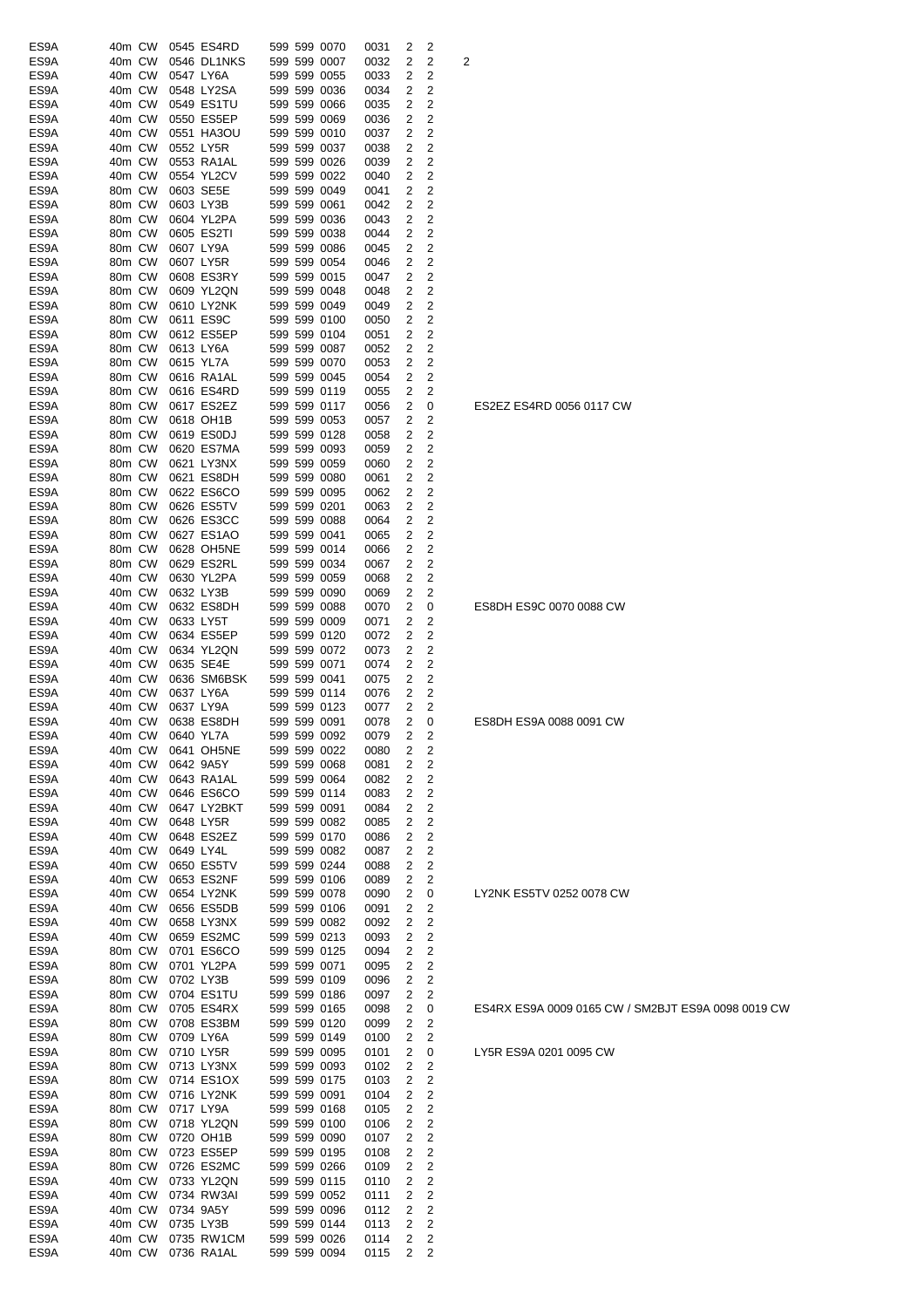| ES9A | 40m CW |        |           | 0545 ES4RD  |  | 599 599 0070 | 0031 | 2 | 2                       |                |
|------|--------|--------|-----------|-------------|--|--------------|------|---|-------------------------|----------------|
| ES9A | 40m CW |        |           | 0546 DL1NKS |  | 599 599 0007 | 0032 | 2 | 2                       | $\overline{c}$ |
| ES9A | 40m CW |        | 0547 LY6A |             |  | 599 599 0055 | 0033 | 2 | $\overline{c}$          |                |
| ES9A | 40m CW |        |           | 0548 LY2SA  |  | 599 599 0036 | 0034 | 2 | 2                       |                |
| ES9A | 40m CW |        |           | 0549 ES1TU  |  | 599 599 0066 | 0035 | 2 | 2                       |                |
|      |        |        |           |             |  |              |      |   |                         |                |
| ES9A | 40m CW |        |           | 0550 ES5EP  |  | 599 599 0069 | 0036 | 2 | 2                       |                |
| ES9A | 40m CW |        |           | 0551 HA3OU  |  | 599 599 0010 | 0037 | 2 | 2                       |                |
| ES9A | 40m CW |        |           | 0552 LY5R   |  | 599 599 0037 | 0038 | 2 | 2                       |                |
| ES9A | 40m CW |        |           | 0553 RA1AL  |  | 599 599 0026 | 0039 | 2 | 2                       |                |
| ES9A | 40m CW |        |           | 0554 YL2CV  |  | 599 599 0022 | 0040 | 2 | 2                       |                |
| ES9A | 80m CW |        |           | 0603 SE5E   |  | 599 599 0049 | 0041 | 2 | 2                       |                |
| ES9A | 80m CW |        |           | 0603 LY3B   |  | 599 599 0061 | 0042 | 2 | 2                       |                |
| ES9A | 80m CW |        |           | 0604 YL2PA  |  | 599 599 0036 | 0043 | 2 | 2                       |                |
| ES9A | 80m CW |        |           | 0605 ES2TI  |  | 599 599 0038 | 0044 | 2 | 2                       |                |
| ES9A | 80m CW |        |           | 0607 LY9A   |  | 599 599 0086 | 0045 | 2 | 2                       |                |
| ES9A |        |        |           |             |  |              | 0046 | 2 | $\overline{2}$          |                |
|      | 80m CW |        |           | 0607 LY5R   |  | 599 599 0054 |      |   |                         |                |
| ES9A | 80m CW |        |           | 0608 ES3RY  |  | 599 599 0015 | 0047 | 2 | 2                       |                |
| ES9A | 80m CW |        |           | 0609 YL2QN  |  | 599 599 0048 | 0048 | 2 | 2                       |                |
| ES9A | 80m CW |        |           | 0610 LY2NK  |  | 599 599 0049 | 0049 | 2 | 2                       |                |
| ES9A | 80m CW |        |           | 0611 ES9C   |  | 599 599 0100 | 0050 | 2 | 2                       |                |
| ES9A | 80m CW |        |           | 0612 ES5EP  |  | 599 599 0104 | 0051 | 2 | 2                       |                |
| ES9A | 80m CW |        |           | 0613 LY6A   |  | 599 599 0087 | 0052 | 2 | 2                       |                |
| ES9A | 80m CW |        |           | 0615 YL7A   |  | 599 599 0070 | 0053 | 2 | 2                       |                |
| ES9A | 80m CW |        |           | 0616 RA1AL  |  | 599 599 0045 | 0054 | 2 | 2                       |                |
| ES9A | 80m CW |        |           | 0616 ES4RD  |  | 599 599 0119 | 0055 | 2 | 2                       |                |
|      | 80m CW |        |           |             |  | 599 599 0117 |      |   |                         |                |
| ES9A |        |        |           | 0617 ES2EZ  |  |              | 0056 | 2 | 0                       |                |
| ES9A | 80m CW |        |           | 0618 OH1B   |  | 599 599 0053 | 0057 | 2 | $\overline{c}$          |                |
| ES9A | 80m CW |        |           | 0619 ES0DJ  |  | 599 599 0128 | 0058 | 2 | 2                       |                |
| ES9A | 80m CW |        |           | 0620 ES7MA  |  | 599 599 0093 | 0059 | 2 | 2                       |                |
| ES9A | 80m CW |        |           | 0621 LY3NX  |  | 599 599 0059 | 0060 | 2 | 2                       |                |
| ES9A | 80m CW |        |           | 0621 ES8DH  |  | 599 599 0080 | 0061 | 2 | 2                       |                |
| ES9A | 80m CW |        |           | 0622 ES6CO  |  | 599 599 0095 | 0062 | 2 | 2                       |                |
| ES9A | 80m CW |        |           | 0626 ES5TV  |  | 599 599 0201 | 0063 | 2 | 2                       |                |
| ES9A | 80m CW |        |           | 0626 ES3CC  |  | 599 599 0088 | 0064 | 2 | 2                       |                |
| ES9A | 80m CW |        |           | 0627 ES1AO  |  | 599 599 0041 | 0065 | 2 | 2                       |                |
| ES9A | 80m CW |        |           | 0628 OH5NE  |  | 599 599 0014 | 0066 | 2 | $\overline{c}$          |                |
| ES9A | 80m CW |        |           | 0629 ES2RL  |  | 599 599 0034 | 0067 | 2 | $\overline{c}$          |                |
| ES9A | 40m CW |        |           | 0630 YL2PA  |  | 599 599 0059 | 0068 | 2 | 2                       |                |
|      |        |        |           |             |  |              |      |   |                         |                |
| ES9A | 40m CW |        | 0632 LY3B |             |  | 599 599 0090 | 0069 | 2 | 2                       |                |
| ES9A | 40m CW |        |           | 0632 ES8DH  |  | 599 599 0088 | 0070 | 2 | 0                       |                |
| ES9A | 40m CW |        | 0633 LY5T |             |  | 599 599 0009 | 0071 | 2 | 2                       |                |
| ES9A | 40m CW |        |           | 0634 ES5EP  |  | 599 599 0120 | 0072 | 2 | 2                       |                |
| ES9A | 40m CW |        |           | 0634 YL2QN  |  | 599 599 0072 | 0073 | 2 | 2                       |                |
| ES9A | 40m CW |        |           | 0635 SE4E   |  | 599 599 0071 | 0074 | 2 | 2                       |                |
| ES9A | 40m CW |        |           | 0636 SM6BSK |  | 599 599 0041 | 0075 | 2 | 2                       |                |
| ES9A | 40m CW |        |           | 0637 LY6A   |  | 599 599 0114 | 0076 | 2 | 2                       |                |
| ES9A | 40m CW |        |           | 0637 LY9A   |  | 599 599 0123 | 0077 | 2 | 2                       |                |
| ES9A | 40m CW |        |           | 0638 ES8DH  |  | 599 599 0091 | 0078 | 2 | 0                       |                |
| ES9A | 40m CW |        | 0640 YL7A |             |  | 599 599 0092 | 0079 | 2 | 2                       |                |
| ES9A | 40m CW |        |           | 0641 OH5NE  |  | 599 599 0022 | 0080 | 2 | 2                       |                |
| ES9A | 40m CW |        |           | 0642 9A5Y   |  | 599 599 0068 | 0081 | 2 | 2                       |                |
| ES9A | 40m CW |        |           | 0643 RA1AL  |  | 599 599 0064 | 0082 | 2 | 2                       |                |
| ES9A | 40m CW |        |           | 0646 ES6CO  |  | 599 599 0114 | 0083 | 2 | $\overline{c}$          |                |
| ES9A | 40m CW |        |           | 0647 LY2BKT |  | 599 599 0091 | 0084 | 2 | 2                       |                |
| ES9A | 40m CW |        |           | 0648 LY5R   |  | 599 599 0082 | 0085 | 2 | $\overline{\mathbf{c}}$ |                |
| ES9A | 40m CW |        |           | 0648 ES2EZ  |  | 599 599 0170 | 0086 | 2 | 2                       |                |
| ES9A | 40m CW |        |           |             |  | 599 599 0082 | 0087 | 2 | 2                       |                |
|      |        |        | 0649 LY4L |             |  |              |      |   |                         |                |
| ES9A | 40m CW |        |           | 0650 ES5TV  |  | 599 599 0244 | 0088 | 2 | 2                       |                |
| ES9A | 40m CW |        |           | 0653 ES2NF  |  | 599 599 0106 | 0089 | 2 | 2                       |                |
| ES9A | 40m CW |        |           | 0654 LY2NK  |  | 599 599 0078 | 0090 | 2 | 0                       |                |
| ES9A | 40m CW |        |           | 0656 ES5DB  |  | 599 599 0106 | 0091 | 2 | $\overline{\mathbf{c}}$ |                |
| ES9A | 40m CW |        |           | 0658 LY3NX  |  | 599 599 0082 | 0092 | 2 | 2                       |                |
| ES9A | 40m CW |        |           | 0659 ES2MC  |  | 599 599 0213 | 0093 | 2 | 2                       |                |
| ES9A | 80m CW |        |           | 0701 ES6CO  |  | 599 599 0125 | 0094 | 2 | $\overline{\mathbf{c}}$ |                |
| ES9A | 80m CW |        |           | 0701 YL2PA  |  | 599 599 0071 | 0095 | 2 | $\overline{\mathbf{c}}$ |                |
| ES9A | 80m CW |        |           | 0702 LY3B   |  | 599 599 0109 | 0096 | 2 | $\overline{\mathbf{c}}$ |                |
| ES9A | 80m CW |        |           | 0704 ES1TU  |  | 599 599 0186 | 0097 | 2 | 2                       |                |
| ES9A | 80m CW |        |           | 0705 ES4RX  |  | 599 599 0165 | 0098 | 2 | 0                       |                |
| ES9A | 80m CW |        |           | 0708 ES3BM  |  | 599 599 0120 | 0099 | 2 | 2                       |                |
| ES9A | 80m CW |        |           | 0709 LY6A   |  | 599 599 0149 | 0100 | 2 | $\overline{\mathbf{c}}$ |                |
| ES9A | 80m CW |        |           | 0710 LY5R   |  | 599 599 0095 | 0101 | 2 | 0                       |                |
| ES9A | 80m CW |        |           | 0713 LY3NX  |  | 599 599 0093 | 0102 | 2 | $\overline{\mathbf{c}}$ |                |
| ES9A | 80m CW |        |           | 0714 ES1OX  |  | 599 599 0175 | 0103 | 2 | $\overline{\mathbf{c}}$ |                |
| ES9A | 80m CW |        |           | 0716 LY2NK  |  | 599 599 0091 | 0104 | 2 | $\overline{\mathbf{c}}$ |                |
| ES9A | 80m CW |        |           | 0717 LY9A   |  | 599 599 0168 | 0105 | 2 | 2                       |                |
|      | 80m CW |        |           | 0718 YL2QN  |  | 599 599 0100 |      | 2 | $\overline{\mathbf{c}}$ |                |
| ES9A |        |        |           |             |  |              | 0106 |   | $\overline{\mathbf{c}}$ |                |
| ES9A | 80m CW |        |           | 0720 OH1B   |  | 599 599 0090 | 0107 | 2 |                         |                |
| ES9A | 80m CW |        |           | 0723 ES5EP  |  | 599 599 0195 | 0108 | 2 | $\overline{\mathbf{c}}$ |                |
| ES9A | 80m CW |        |           | 0726 ES2MC  |  | 599 599 0266 | 0109 | 2 | $\overline{\mathbf{c}}$ |                |
| ES9A | 40m CW |        |           | 0733 YL2QN  |  | 599 599 0115 | 0110 | 2 | 2                       |                |
| ES9A | 40m CW |        |           | 0734 RW3AI  |  | 599 599 0052 | 0111 | 2 | $\overline{\mathbf{c}}$ |                |
| ES9A | 40m CW |        |           | 0734 9A5Y   |  | 599 599 0096 | 0112 | 2 | 2                       |                |
| ES9A | 40m CW |        |           | 0735 LY3B   |  | 599 599 0144 | 0113 | 2 | $\overline{\mathbf{c}}$ |                |
| ES9A | 40m CW |        |           | 0735 RW1CM  |  | 599 599 0026 | 0114 | 2 | $\overline{\mathbf{c}}$ |                |
| ES9A |        | 40m CW |           | 0736 RA1AL  |  | 599 599 0094 | 0115 | 2 | 2                       |                |

### ES4RX ES9A 0009 0165 CW / SM2BJT ES9A 0098 0019 CW

LY5R ES9A 0201 0095 CW

LY2NK ES5TV 0252 0078 CW

ES8DH ES9A 0088 0091 CW

ES8DH ES9C 0070 0088 CW

ES2EZ ES4RD 0056 0117 CW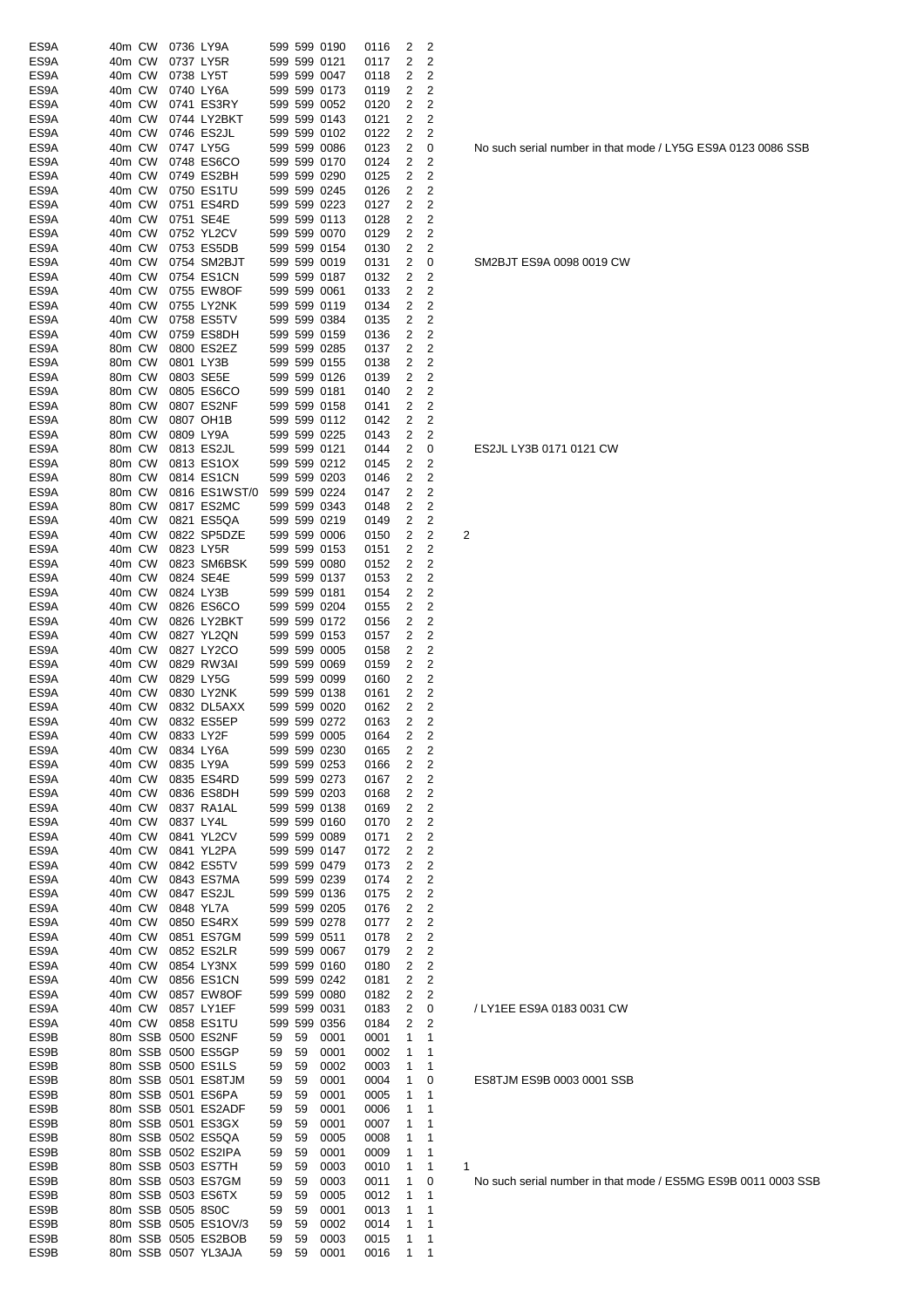| ES9A         | 40m CW           |        |                   | 0736 LY9A                 |    |    | 599 599 0190                 | 0116         | 2                       | 2                                |                         |
|--------------|------------------|--------|-------------------|---------------------------|----|----|------------------------------|--------------|-------------------------|----------------------------------|-------------------------|
| ES9A         | 40m CW           |        |                   | 0737 LY5R                 |    |    | 599 599 0121                 | 0117         | 2                       | 2                                |                         |
| ES9A         | 40m CW           |        |                   | 0738 LY5T                 |    |    | 599 599 0047                 | 0118         | 2                       | 2                                |                         |
| ES9A         | 40m CW           |        |                   | 0740 LY6A                 |    |    | 599 599 0173                 | 0119         | 2                       | 2                                |                         |
| ES9A         | 40m CW           |        |                   | 0741 ES3RY                |    |    | 599 599 0052                 | 0120         | 2                       | 2                                |                         |
| ES9A         | 40m CW           |        |                   | 0744 LY2BKT               |    |    | 599 599 0143                 | 0121         | 2                       | 2                                |                         |
| ES9A         | 40m CW           |        |                   | 0746 ES2JL                |    |    | 599 599 0102                 | 0122         | 2                       | 2                                |                         |
| ES9A         | 40m CW           |        |                   | 0747 LY5G                 |    |    | 599 599 0086                 | 0123         | 2                       | 0                                |                         |
| ES9A         | 40m CW           |        |                   | 0748 ES6CO                |    |    | 599 599 0170                 | 0124         | 2                       | 2                                |                         |
| ES9A         | 40m CW           |        |                   | 0749 ES2BH                |    |    | 599 599 0290                 | 0125         | 2                       | 2                                |                         |
| ES9A         | 40m CW           |        |                   | 0750 ES1TU                |    |    | 599 599 0245                 | 0126         | 2                       | 2                                |                         |
| ES9A         | 40m CW           |        |                   | 0751 ES4RD                |    |    | 599 599 0223                 | 0127         | 2                       | 2                                |                         |
| ES9A         | 40m CW           |        |                   | 0751 SE4E                 |    |    | 599 599 0113                 | 0128         | 2                       | $\overline{c}$                   |                         |
| ES9A         | 40m CW           |        |                   | 0752 YL2CV                |    |    | 599 599 0070                 | 0129         | 2                       | 2                                |                         |
| ES9A         | 40m CW           |        |                   | 0753 ES5DB                |    |    | 599 599 0154                 | 0130         | 2                       | 2                                |                         |
| ES9A<br>ES9A | 40m CW<br>40m CW |        |                   | 0754 SM2BJT<br>0754 ES1CN |    |    | 599 599 0019<br>599 599 0187 | 0131         | 2<br>2                  | 0<br>2                           |                         |
| ES9A         | 40m CW           |        |                   | 0755 EW8OF                |    |    | 599 599 0061                 | 0132<br>0133 | 2                       | 2                                |                         |
| ES9A         | 40m CW           |        |                   | 0755 LY2NK                |    |    | 599 599 0119                 | 0134         | 2                       | 2                                |                         |
| ES9A         | 40m CW           |        |                   | 0758 ES5TV                |    |    | 599 599 0384                 | 0135         | 2                       | 2                                |                         |
| ES9A         | 40m CW           |        |                   | 0759 ES8DH                |    |    | 599 599 0159                 | 0136         | 2                       | 2                                |                         |
| ES9A         | 80m CW           |        |                   | 0800 ES2EZ                |    |    | 599 599 0285                 | 0137         | 2                       | 2                                |                         |
| ES9A         | 80m CW           |        |                   | 0801 LY3B                 |    |    | 599 599 0155                 | 0138         | 2                       | 2                                |                         |
| ES9A         | 80m CW           |        |                   | 0803 SE5E                 |    |    | 599 599 0126                 | 0139         | 2                       | 2                                |                         |
| ES9A         | 80m CW           |        |                   | 0805 ES6CO                |    |    | 599 599 0181                 | 0140         | 2                       | 2                                |                         |
| ES9A         | 80m CW           |        |                   | 0807 ES2NF                |    |    | 599 599 0158                 | 0141         | 2                       | $\overline{c}$                   |                         |
| ES9A         | 80m CW           |        |                   | 0807 OH1B                 |    |    | 599 599 0112                 | 0142         | 2                       | 2                                |                         |
| ES9A         | 80m CW           |        |                   | 0809 LY9A                 |    |    | 599 599 0225                 | 0143         | 2                       | 2                                |                         |
| ES9A         | 80m CW           |        |                   | 0813 ES2JL                |    |    | 599 599 0121                 | 0144         | 2                       | 0                                |                         |
| ES9A         | 80m CW           |        |                   | 0813 ES1OX                |    |    | 599 599 0212                 | 0145         | 2                       | 2                                |                         |
| ES9A         | 80m CW           |        |                   | 0814 ES1CN                |    |    | 599 599 0203                 | 0146         | 2                       | 2                                |                         |
| ES9A         | 80m CW           |        |                   | 0816 ES1WST/0             |    |    | 599 599 0224                 | 0147         | 2                       | 2                                |                         |
| ES9A         | 80m CW           |        |                   | 0817 ES2MC                |    |    | 599 599 0343                 | 0148         | 2                       | 2                                |                         |
| ES9A         | 40m CW           |        |                   | 0821 ES5QA                |    |    | 599 599 0219                 | 0149         | 2                       | 2                                |                         |
| ES9A         | 40m CW           |        |                   | 0822 SP5DZE               |    |    | 599 599 0006                 | 0150         | 2                       | 2                                | $\overline{\mathbf{c}}$ |
| ES9A         | 40m CW           |        |                   | 0823 LY5R                 |    |    | 599 599 0153                 | 0151         | 2                       | 2                                |                         |
| ES9A         | 40m CW           |        |                   | 0823 SM6BSK               |    |    | 599 599 0080                 | 0152         | 2                       | 2                                |                         |
| ES9A         | 40m CW           |        |                   | 0824 SE4E                 |    |    | 599 599 0137                 | 0153         | 2                       | 2                                |                         |
| ES9A         | 40m CW           |        |                   | 0824 LY3B                 |    |    | 599 599 0181                 | 0154         | 2                       | 2                                |                         |
| ES9A         | 40m CW           |        |                   | 0826 ES6CO                |    |    | 599 599 0204                 | 0155         | 2                       | 2                                |                         |
| ES9A         | 40m CW           |        |                   | 0826 LY2BKT               |    |    | 599 599 0172                 | 0156         | 2                       | 2                                |                         |
| ES9A         | 40m CW           |        |                   | 0827 YL2QN                |    |    | 599 599 0153                 | 0157         | 2                       | 2                                |                         |
| ES9A         | 40m CW           |        |                   | 0827 LY2CO                |    |    | 599 599 0005                 | 0158         | 2                       | 2                                |                         |
| ES9A         | 40m CW           |        |                   | 0829 RW3AI                |    |    | 599 599 0069                 | 0159         | 2                       | 2                                |                         |
| ES9A         | 40m CW           |        |                   | 0829 LY5G                 |    |    | 599 599 0099                 | 0160         | 2                       | 2                                |                         |
| ES9A         | 40m CW           |        |                   | 0830 LY2NK                |    |    | 599 599 0138                 | 0161         | 2                       | 2                                |                         |
| ES9A         | 40m CW           |        |                   | 0832 DL5AXX               |    |    | 599 599 0020                 | 0162         | 2                       | 2                                |                         |
| ES9A         | 40m CW           |        |                   | 0832 ES5EP                |    |    | 599 599 0272                 | 0163         | 2                       | 2                                |                         |
| ES9A         |                  | 40m CW |                   | 0833 LY2F                 |    |    | 599 599 0005                 | 0164         | $\overline{\mathbf{c}}$ | 2                                |                         |
| ES9A         | 40m CW           |        |                   | 0834 LY6A                 |    |    | 599 599 0230                 | 0165         | 2                       | 2                                |                         |
| ES9A         | 40m CW           |        |                   | 0835 LY9A                 |    |    | 599 599 0253                 | 0166         | 2                       | 2                                |                         |
| ES9A         | 40m CW           |        |                   | 0835 ES4RD                |    |    | 599 599 0273                 | 0167         | 2                       | $\overline{c}$                   |                         |
| ES9A         | 40m CW           |        |                   | 0836 ES8DH                |    |    | 599 599 0203                 | 0168         | 2                       | $\overline{c}$                   |                         |
| ES9A         | 40m CW           |        |                   | 0837 RA1AL                |    |    | 599 599 0138                 | 0169         | 2                       | $\overline{c}$                   |                         |
| ES9A         | 40m CW           |        |                   | 0837 LY4L                 |    |    | 599 599 0160                 | 0170         | 2                       | $\overline{c}$                   |                         |
| ES9A         | 40m CW           |        |                   | 0841 YL2CV                |    |    | 599 599 0089                 | 0171         | 2                       | 2                                |                         |
| ES9A         | 40m CW           |        |                   | 0841 YL2PA                |    |    | 599 599 0147                 | 0172         | 2                       | $\overline{c}$                   |                         |
| ES9A         | 40m CW           |        |                   | 0842 ES5TV                |    |    | 599 599 0479                 | 0173         | 2                       | 2                                |                         |
| ES9A         | 40m CW           |        |                   | 0843 ES7MA                |    |    | 599 599 0239                 | 0174         | 2                       | 2                                |                         |
| ES9A         | 40m CW           |        |                   | 0847 ES2JL                |    |    | 599 599 0136                 | 0175         | 2                       | 2                                |                         |
| ES9A         | 40m CW           |        |                   | 0848 YL7A                 |    |    | 599 599 0205                 | 0176         | 2                       | 2                                |                         |
| ES9A         | 40m CW           |        |                   | 0850 ES4RX                |    |    | 599 599 0278                 | 0177         | 2                       | $\overline{c}$<br>$\overline{c}$ |                         |
| ES9A<br>ES9A | 40m CW           |        |                   | 0851 ES7GM<br>0852 ES2LR  |    |    | 599 599 0511<br>599 599 0067 | 0178         | 2<br>2                  | 2                                |                         |
| ES9A         | 40m CW<br>40m CW |        |                   | 0854 LY3NX                |    |    | 599 599 0160                 | 0179<br>0180 | 2                       | 2                                |                         |
| ES9A         | 40m CW           |        |                   | 0856 ES1CN                |    |    | 599 599 0242                 | 0181         | 2                       | 2                                |                         |
| ES9A         | 40m CW           |        |                   | 0857 EW8OF                |    |    | 599 599 0080                 | 0182         | 2                       | 2                                |                         |
| ES9A         | 40m CW           |        |                   | 0857 LY1EF                |    |    | 599 599 0031                 | 0183         | 2                       | 0                                |                         |
| ES9A         | 40m CW           |        |                   | 0858 ES1TU                |    |    | 599 599 0356                 | 0184         | 2                       | 2                                |                         |
| ES9B         |                  |        |                   | 80m SSB 0500 ES2NF        | 59 | 59 | 0001                         | 0001         | 1                       | 1                                |                         |
| ES9B         |                  |        |                   | 80m SSB 0500 ES5GP        | 59 | 59 | 0001                         | 0002         | 1                       | 1                                |                         |
| ES9B         |                  |        |                   | 80m SSB 0500 ES1LS        | 59 | 59 | 0002                         | 0003         | 1                       | 1                                |                         |
| ES9B         |                  |        |                   | 80m SSB 0501 ES8TJM       | 59 | 59 | 0001                         | 0004         | 1                       | 0                                |                         |
| ES9B         |                  |        |                   | 80m SSB 0501 ES6PA        | 59 | 59 | 0001                         | 0005         | 1                       | 1                                |                         |
| ES9B         |                  |        |                   | 80m SSB 0501 ES2ADF       | 59 | 59 | 0001                         | 0006         | 1                       | 1                                |                         |
| ES9B         |                  |        |                   | 80m SSB 0501 ES3GX        | 59 | 59 | 0001                         | 0007         | 1                       | 1                                |                         |
| ES9B         |                  |        |                   | 80m SSB 0502 ES5QA        | 59 | 59 | 0005                         | 0008         | 1                       | 1                                |                         |
| ES9B         |                  |        |                   | 80m SSB 0502 ES2IPA       | 59 | 59 | 0001                         | 0009         | 1                       | 1                                |                         |
| ES9B         |                  |        |                   | 80m SSB 0503 ES7TH        | 59 | 59 | 0003                         | 0010         | 1                       | 1                                | 1                       |
| ES9B         |                  |        |                   | 80m SSB 0503 ES7GM        | 59 | 59 | 0003                         | 0011         | 1                       | 0                                |                         |
| ES9B         |                  |        |                   | 80m SSB 0503 ES6TX        | 59 | 59 | 0005                         | 0012         | 1                       | 1                                |                         |
| ES9B         |                  |        | 80m SSB 0505 8S0C |                           | 59 | 59 | 0001                         | 0013         | 1                       | 1                                |                         |
| ES9B         |                  |        |                   | 80m SSB 0505 ES1OV/3      | 59 | 59 | 0002                         | 0014         | 1                       | 1                                |                         |
| ES9B         |                  |        |                   | 80m SSB 0505 ES2BOB       | 59 | 59 | 0003                         | 0015         | 1                       | 1                                |                         |
| ES9B         |                  |        |                   | 80m SSB 0507 YL3AJA       | 59 | 59 | 0001                         | 0016         | 1                       | $\mathbf 1$                      |                         |

No such serial number in that mode / LY5G ES9A 0123 0086 SSB

SM2BJT ES9A 0098 0019 CW

ES2JL LY3B 0171 0121 CW

/ LY1EE ES9A 0183 0031 CW

ES8TJM ES9B 0003 0001 SSB

No such serial number in that mode / ES5MG ES9B 0011 0003 SSB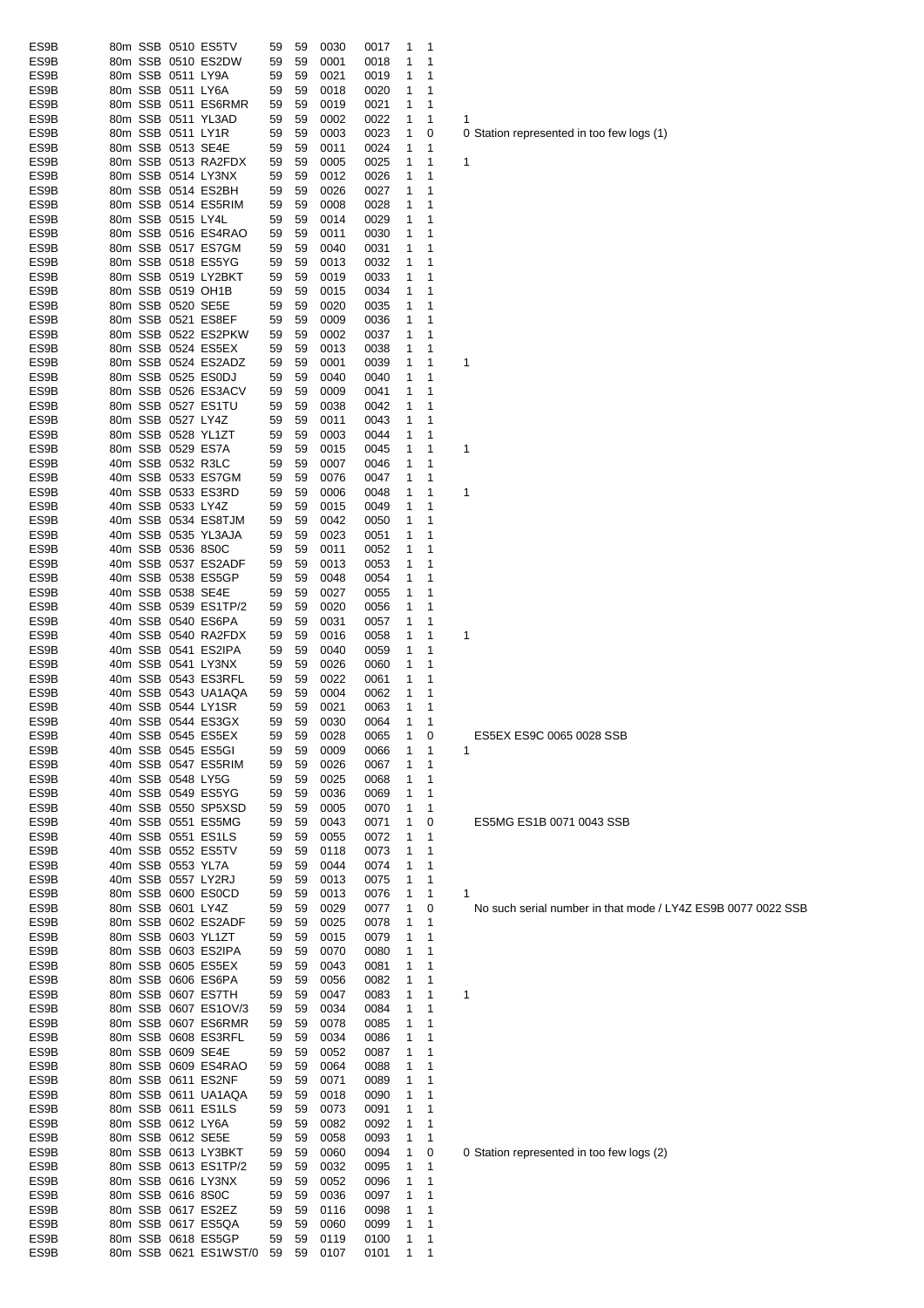| ES9B         | 80m SSB 0510 ES5TV                         |                       | 59       | 59       | 0030         | 0017         | $\overline{1}$ | $\overline{\phantom{1}}$ |                                                              |
|--------------|--------------------------------------------|-----------------------|----------|----------|--------------|--------------|----------------|--------------------------|--------------------------------------------------------------|
| ES9B         | 80m SSB 0510 ES2DW                         |                       | 59       | 59       | 0001         | 0018         | 1              | 1                        |                                                              |
| ES9B         | 80m SSB 0511 LY9A                          |                       | 59       | 59       | 0021         | 0019         | 1              | $\mathbf 1$              |                                                              |
| ES9B         | 80m SSB 0511 LY6A                          |                       | 59       | 59       | 0018         | 0020         | 1              | 1                        |                                                              |
| ES9B         |                                            | 80m SSB 0511 ES6RMR   | 59       | 59       | 0019         | 0021         | $\mathbf{1}$   | 1                        |                                                              |
| ES9B<br>ES9B | 80m SSB 0511 YL3AD<br>80m SSB 0511 LY1R    |                       | 59       | 59<br>59 | 0002         | 0022         | 1              | 1                        | 1                                                            |
| ES9B         | 80m SSB 0513 SE4E                          |                       | 59<br>59 | 59       | 0003<br>0011 | 0023<br>0024 | 1<br>1         | 0<br>1                   | 0 Station represented in too few logs (1)                    |
| ES9B         |                                            | 80m SSB 0513 RA2FDX   | 59       | 59       | 0005         | 0025         | 1              | 1                        | 1                                                            |
| ES9B         | 80m SSB 0514 LY3NX                         |                       | 59       | 59       | 0012         | 0026         | 1              | $\mathbf 1$              |                                                              |
| ES9B         | 80m SSB 0514 ES2BH                         |                       | 59       | 59       | 0026         | 0027         | 1              | 1                        |                                                              |
| ES9B         | 80m SSB 0514 ES5RIM                        |                       | 59       | 59       | 0008         | 0028         | 1              | $\mathbf{1}$             |                                                              |
| ES9B         | 80m SSB 0515 LY4L                          |                       | 59       | 59       | 0014         | 0029         | 1              | $\mathbf 1$              |                                                              |
| ES9B         | 80m SSB 0516 ES4RAO                        |                       | 59       | 59       | 0011         | 0030         | $\mathbf{1}$   | $\mathbf{1}$             |                                                              |
| ES9B         | 80m SSB 0517 ES7GM                         |                       | 59       | 59       | 0040         | 0031         | 1              | $\mathbf 1$              |                                                              |
| ES9B         | 80m SSB 0518 ES5YG                         |                       | 59       | 59       | 0013         | 0032         | 1              | $\mathbf 1$              |                                                              |
| ES9B         | 80m SSB 0519 LY2BKT                        |                       | 59       | 59       | 0019         | 0033         | 1              | 1                        |                                                              |
| ES9B         | 80m SSB 0519 OH1B                          |                       | 59       | 59       | 0015         | 0034         | 1              | 1                        |                                                              |
| ES9B         | 80m SSB 0520 SE5E                          |                       | 59       | 59       | 0020         | 0035         | 1              | 1                        |                                                              |
| ES9B         | 80m SSB 0521 ES8EF                         |                       | 59       | 59       | 0009         | 0036         | 1              | 1                        |                                                              |
| ES9B         |                                            | 80m SSB 0522 ES2PKW   | 59       | 59       | 0002         | 0037         | $\mathbf{1}$   | $\mathbf 1$              |                                                              |
| ES9B         | 80m SSB 0524 ES5EX                         |                       | 59       | 59       | 0013         | 0038         | 1              | $\mathbf 1$              |                                                              |
| ES9B         | 80m SSB 0524 ES2ADZ                        |                       | 59       | 59       | 0001         | 0039         | 1              | $\mathbf{1}$             | 1                                                            |
| ES9B         | 80m SSB 0525 ES0DJ                         |                       | 59       | 59       | 0040         | 0040         | 1              | $\mathbf{1}$             |                                                              |
| ES9B         | 80m SSB 0526 ES3ACV                        |                       | 59       | 59       | 0009         | 0041         | 1              | $\mathbf 1$              |                                                              |
| ES9B         | 80m SSB 0527 ES1TU                         |                       | 59       | 59       | 0038         | 0042         | 1              | $\mathbf 1$              |                                                              |
| ES9B         | 80m SSB 0527 LY4Z                          |                       | 59       | 59       | 0011         | 0043         | 1              | $\mathbf 1$              |                                                              |
| ES9B         | 80m SSB 0528 YL1ZT                         |                       | 59       | 59       | 0003         | 0044         | 1              | 1                        |                                                              |
| ES9B         | 80m SSB 0529 ES7A                          |                       | 59       | 59       | 0015         | 0045         | 1              | $\mathbf 1$              | 1                                                            |
| ES9B         | 40m SSB 0532 R3LC                          |                       | 59       | 59       | 0007         | 0046         | 1              | 1                        |                                                              |
| ES9B         | 40m SSB 0533 ES7GM                         |                       | 59       | 59       | 0076         | 0047         | 1              | 1                        |                                                              |
| ES9B         | 40m SSB 0533 ES3RD                         |                       | 59       | 59       | 0006         | 0048         | 1              | 1                        | 1                                                            |
| ES9B         | 40m SSB 0533 LY4Z                          |                       | 59       | 59       | 0015         | 0049         | 1              | $\mathbf{1}$             |                                                              |
| ES9B         | 40m SSB 0534 ES8TJM                        |                       | 59       | 59       | 0042         | 0050         | $\mathbf{1}$   | $\mathbf 1$              |                                                              |
| ES9B         | 40m SSB 0535 YL3AJA                        |                       | 59       | 59       | 0023         | 0051         | $\mathbf{1}$   | $\mathbf 1$              |                                                              |
| ES9B         | 40m SSB 0536 8S0C                          |                       | 59       | 59       | 0011         | 0052         | $\mathbf{1}$   | $\mathbf 1$              |                                                              |
| ES9B         | 40m SSB 0537 ES2ADF                        |                       | 59       | 59       | 0013         | 0053         | $\mathbf{1}$   | $\mathbf 1$              |                                                              |
| ES9B         | 40m SSB 0538 ES5GP                         |                       | 59       | 59       | 0048         | 0054         | 1              | $\mathbf{1}$             |                                                              |
| ES9B<br>ES9B | 40m SSB 0538 SE4E<br>40m SSB 0539 ES1TP/2  |                       | 59<br>59 | 59<br>59 | 0027<br>0020 | 0055<br>0056 | 1              | 1<br>$\mathbf 1$         |                                                              |
| ES9B         | 40m SSB 0540 ES6PA                         |                       | 59       | 59       | 0031         | 0057         | 1<br>1         | 1                        |                                                              |
| ES9B         | 40m SSB 0540 RA2FDX                        |                       | 59       | 59       | 0016         | 0058         | 1              | 1                        | 1                                                            |
| ES9B         | 40m SSB 0541 ES2IPA                        |                       | 59       | 59       | 0040         | 0059         | 1              | 1                        |                                                              |
| ES9B         | 40m SSB 0541 LY3NX                         |                       | 59       | 59       | 0026         | 0060         | 1              | 1                        |                                                              |
| ES9B         | 40m SSB 0543 ES3RFL                        |                       | 59       | 59       | 0022         | 0061         | 1              | $\mathbf 1$              |                                                              |
| ES9B         | 40m SSB 0543 UA1AQA                        |                       | 59       | 59       | 0004         | 0062         | 1              | $\mathbf 1$              |                                                              |
| ES9B         | 40m SSB 0544 LY1SR                         |                       | 59       | 59       | 0021         | 0063         | $\mathbf{1}$   | 1                        |                                                              |
| ES9B         | 40m SSB 0544 ES3GX                         |                       | 59       | 59       | 0030         | 0064         | $\mathbf{1}$   | $\mathbf 1$              |                                                              |
| ES9B         | 40m SSB 0545 ES5EX                         |                       | 59       | 59       | 0028         | 0065         | $\mathbf{1}$   | 0                        | ES5EX ES9C 0065 0028 SSB                                     |
| ES9B         | 40m SSB 0545 ES5GI                         |                       | 59       | 59       | 0009         | 0066         | 1              | -1                       | 1                                                            |
| ES9B         | 40m SSB 0547 ES5RIM                        |                       | 59       | 59       | 0026         | 0067         | 1              | $\mathbf 1$              |                                                              |
| ES9B         | 40m SSB 0548 LY5G                          |                       | 59       | 59       | 0025         | 0068         | 1              | 1                        |                                                              |
| ES9B         | 40m SSB 0549 ES5YG                         |                       | 59       | 59       | 0036         | 0069         | 1              | 1                        |                                                              |
| ES9B         | 40m SSB 0550 SP5XSD                        |                       | 59       | 59       | 0005         | 0070         | 1              | 1                        |                                                              |
| ES9B         | 40m SSB 0551 ES5MG                         |                       | 59       | 59       | 0043         | 0071         | 1              | 0                        | ES5MG ES1B 0071 0043 SSB                                     |
| ES9B         | 40m SSB 0551 ES1LS                         |                       | 59       | 59       | 0055         | 0072         | 1              | 1                        |                                                              |
| ES9B         | 40m SSB 0552 ES5TV                         |                       | 59       | 59       | 0118         | 0073         | 1              | 1                        |                                                              |
| ES9B         | 40m SSB 0553 YL7A                          |                       | 59       | 59       | 0044         | 0074         | 1              | $\mathbf 1$              |                                                              |
| ES9B         | 40m SSB 0557 LY2RJ                         |                       | 59       | 59       | 0013         | 0075         | 1              | 1                        |                                                              |
| ES9B         | 80m SSB 0600 ES0CD                         |                       | 59       | 59       | 0013         | 0076         | 1              | $\mathbf{1}$             | 1                                                            |
| ES9B         | 80m SSB 0601 LY4Z                          |                       | 59       | 59       | 0029         | 0077         | $\mathbf{1}$   | 0                        | No such serial number in that mode / LY4Z ES9B 0077 0022 SSB |
| ES9B         | 80m SSB 0602 ES2ADF                        |                       | 59       | 59       | 0025         | 0078         | 1              | $\mathbf 1$              |                                                              |
| ES9B         | 80m SSB 0603 YL1ZT                         |                       | 59       | 59       | 0015         | 0079         | 1              | $\mathbf 1$              |                                                              |
| ES9B         | 80m SSB 0603 ES2IPA                        |                       | 59       | 59       | 0070         | 0080         | 1              | $\mathbf{1}$             |                                                              |
| ES9B         | 80m SSB 0605 ES5EX                         |                       | 59       | 59       | 0043         | 0081         | 1              | 1                        |                                                              |
| ES9B         | 80m SSB 0606 ES6PA                         |                       | 59       | 59       | 0056         | 0082         | 1              | 1                        |                                                              |
| ES9B         | 80m SSB 0607 ES7TH                         |                       | 59       | 59       | 0047         | 0083         | 1              | 1                        | 1                                                            |
| ES9B<br>ES9B |                                            | 80m SSB 0607 ES1OV/3  | 59       | 59       | 0034         | 0084         | 1              | 1                        |                                                              |
| ES9B         | 80m SSB 0607 ES6RMR<br>80m SSB 0608 ES3RFL |                       | 59       | 59<br>59 | 0078<br>0034 | 0085<br>0086 | 1              | 1<br>1                   |                                                              |
| ES9B         | 80m SSB 0609 SE4E                          |                       | 59<br>59 | 59       | 0052         | 0087         | 1<br>1         | $\mathbf 1$              |                                                              |
| ES9B         | 80m SSB 0609 ES4RAO                        |                       | 59       | 59       | 0064         | 0088         | 1              | $\mathbf 1$              |                                                              |
| ES9B         | 80m SSB 0611 ES2NF                         |                       | 59       | 59       | 0071         | 0089         | 1              | $\mathbf 1$              |                                                              |
| ES9B         |                                            | 80m SSB 0611 UA1AQA   | 59       | 59       | 0018         | 0090         | 1              | $\mathbf 1$              |                                                              |
| ES9B         | 80m SSB 0611 ES1LS                         |                       | 59       | 59       | 0073         | 0091         | 1              | $\mathbf{1}$             |                                                              |
| ES9B         | 80m SSB 0612 LY6A                          |                       | 59       | 59       | 0082         | 0092         | 1              | 1                        |                                                              |
| ES9B         | 80m SSB 0612 SE5E                          |                       | 59       | 59       | 0058         | 0093         | 1              | $\mathbf 1$              |                                                              |
| ES9B         | 80m SSB 0613 LY3BKT                        |                       | 59       | 59       | 0060         | 0094         | 1              | 0                        | 0 Station represented in too few logs (2)                    |
| ES9B         | 80m SSB 0613 ES1TP/2                       |                       | 59       | 59       | 0032         | 0095         | 1              | 1                        |                                                              |
| ES9B         | 80m SSB 0616 LY3NX                         |                       | 59       | 59       | 0052         | 0096         | 1              | 1                        |                                                              |
| ES9B         | 80m SSB 0616 8S0C                          |                       | 59       | 59       | 0036         | 0097         | 1              | 1                        |                                                              |
| ES9B         | 80m SSB 0617 ES2EZ                         |                       | 59       | 59       | 0116         | 0098         | 1              | 1                        |                                                              |
| ES9B         | 80m SSB 0617 ES5QA                         |                       | 59       | 59       | 0060         | 0099         | 1              | $\mathbf 1$              |                                                              |
| ES9B         | 80m SSB 0618 ES5GP                         |                       | 59       | 59       | 0119         | 0100         | 1              | $\overline{1}$           |                                                              |
| ES9B         |                                            | 80m SSB 0621 ES1WST/0 | 59       | 59       | 0107         | 0101         | $\mathbf{1}$   | $\mathbf{1}$             |                                                              |
|              |                                            |                       |          |          |              |              |                |                          |                                                              |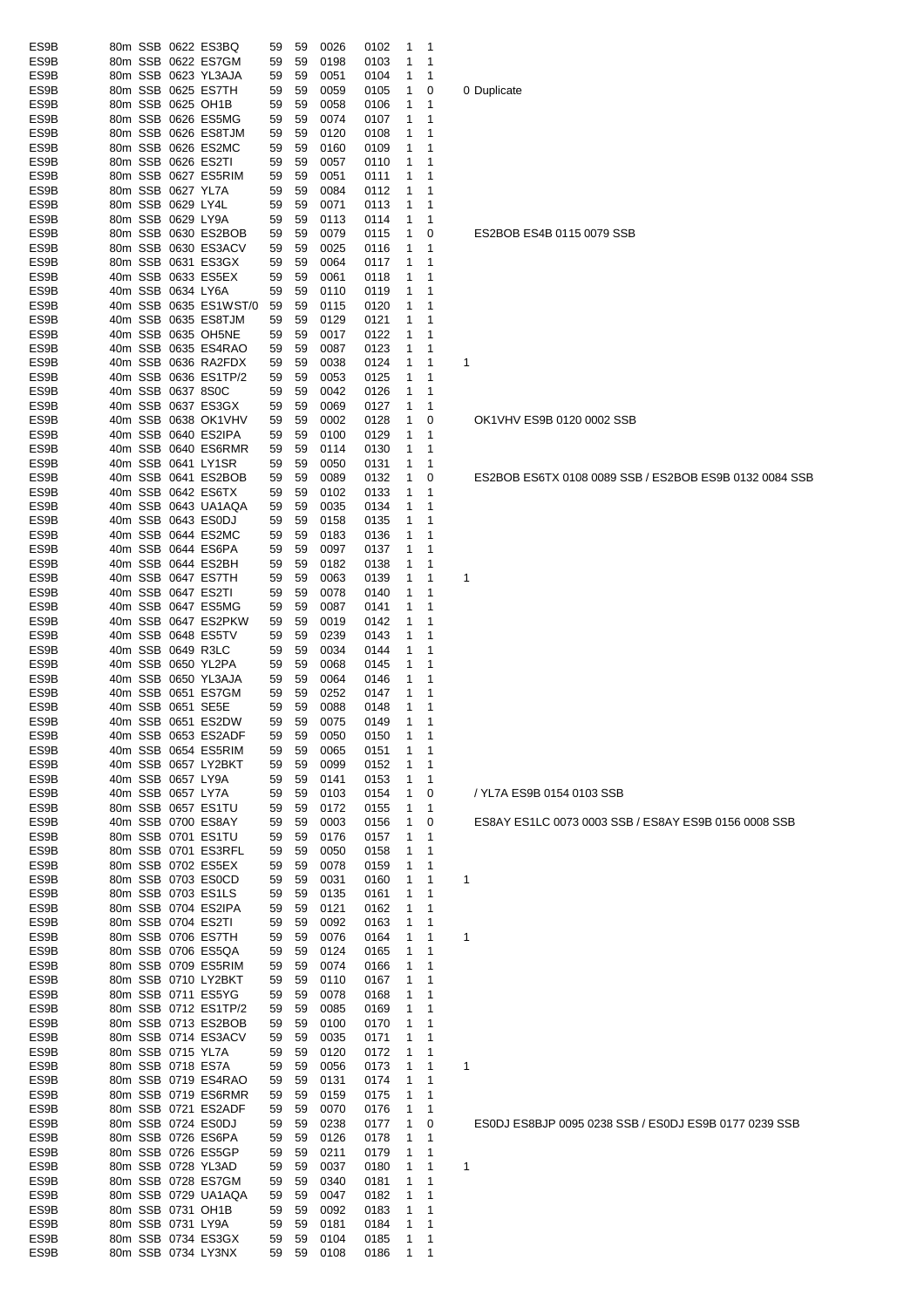| ES9B         |  |                   | 80m SSB 0622 ES3BQ                          | 59       | 59       | 0026         | 0102         | 1<br>1                |                                                        |
|--------------|--|-------------------|---------------------------------------------|----------|----------|--------------|--------------|-----------------------|--------------------------------------------------------|
| ES9B         |  |                   | 80m SSB 0622 ES7GM                          | 59       | 59       | 0198         | 0103         | 1<br>1                |                                                        |
| ES9B<br>ES9B |  |                   | 80m SSB 0623 YL3AJA<br>80m SSB 0625 ES7TH   | 59<br>59 | 59<br>59 | 0051<br>0059 | 0104<br>0105 | 1<br>1<br>1<br>0      |                                                        |
| ES9B         |  |                   | 80m SSB 0625 OH1B                           | 59       | 59       | 0058         | 0106         | 1<br>1                | 0 Duplicate                                            |
| ES9B         |  |                   | 80m SSB 0626 ES5MG                          | 59       | 59       | 0074         | 0107         | 1<br>1                |                                                        |
| ES9B         |  |                   | 80m SSB 0626 ES8TJM                         | 59       | 59       | 0120         | 0108         | 1<br>1                |                                                        |
| ES9B         |  |                   | 80m SSB 0626 ES2MC                          | 59       | 59       | 0160         | 0109         | 1<br>1                |                                                        |
| ES9B         |  |                   | 80m SSB 0626 ES2TI                          | 59       | 59       | 0057         | 0110         | 1<br>1                |                                                        |
| ES9B<br>ES9B |  |                   | 80m SSB 0627 ES5RIM<br>80m SSB 0627 YL7A    | 59<br>59 | 59<br>59 | 0051<br>0084 | 0111<br>0112 | 1<br>1<br>1<br>1      |                                                        |
| ES9B         |  | 80m SSB 0629 LY4L |                                             | 59       | 59       | 0071         | 0113         | 1<br>1                |                                                        |
| ES9B         |  | 80m SSB 0629 LY9A |                                             | 59       | 59       | 0113         | 0114         | 1<br>1                |                                                        |
| ES9B         |  |                   | 80m SSB 0630 ES2BOB                         | 59       | 59       | 0079         | 0115         | 0<br>1                | ES2BOB ES4B 0115 0079 SSB                              |
| ES9B         |  |                   | 80m SSB 0630 ES3ACV                         | 59       | 59       | 0025         | 0116         | 1<br>1                |                                                        |
| ES9B<br>ES9B |  |                   | 80m SSB 0631 ES3GX<br>40m SSB 0633 ES5EX    | 59       | 59<br>59 | 0064         | 0117         | 1<br>1<br>1<br>1      |                                                        |
| ES9B         |  |                   | 40m SSB 0634 LY6A                           | 59<br>59 | 59       | 0061<br>0110 | 0118<br>0119 | 1<br>1                |                                                        |
| ES9B         |  |                   | 40m SSB 0635 ES1WST/0                       | 59       | 59       | 0115         | 0120         | 1<br>1                |                                                        |
| ES9B         |  |                   | 40m SSB 0635 ES8TJM                         | 59       | 59       | 0129         | 0121         | 1<br>1                |                                                        |
| ES9B         |  |                   | 40m SSB 0635 OH5NE                          | 59       | 59       | 0017         | 0122         | 1<br>1                |                                                        |
| ES9B         |  |                   | 40m SSB 0635 ES4RAO                         | 59       | 59       | 0087         | 0123         | 1<br>1                |                                                        |
| ES9B<br>ES9B |  |                   | 40m SSB 0636 RA2FDX<br>40m SSB 0636 ES1TP/2 | 59<br>59 | 59<br>59 | 0038<br>0053 | 0124<br>0125 | 1<br>1<br>1<br>1      | 1                                                      |
| ES9B         |  |                   | 40m SSB 0637 8S0C                           | 59       | 59       | 0042         | 0126         | 1<br>1                |                                                        |
| ES9B         |  |                   | 40m SSB 0637 ES3GX                          | 59       | 59       | 0069         | 0127         | 1<br>1                |                                                        |
| ES9B         |  |                   | 40m SSB 0638 OK1VHV                         | 59       | 59       | 0002         | 0128         | 1<br>0                | OK1VHV ES9B 0120 0002 SSB                              |
| ES9B         |  |                   | 40m SSB 0640 ES2IPA                         | 59       | 59       | 0100         | 0129         | 1<br>1                |                                                        |
| ES9B         |  |                   | 40m SSB 0640 ES6RMR                         | 59       | 59       | 0114         | 0130         | 1<br>1                |                                                        |
| ES9B<br>ES9B |  |                   | 40m SSB 0641 LY1SR<br>40m SSB 0641 ES2BOB   | 59<br>59 | 59<br>59 | 0050<br>0089 | 0131<br>0132 | 1<br>1<br>1<br>0      | ES2BOB ES6TX 0108 0089 SSB / ES2BOB ES9B 0132 0084 SSB |
| ES9B         |  |                   | 40m SSB 0642 ES6TX                          | 59       | 59       | 0102         | 0133         | 1<br>1                |                                                        |
| ES9B         |  |                   | 40m SSB 0643 UA1AQA                         | 59       | 59       | 0035         | 0134         | 1<br>1                |                                                        |
| ES9B         |  |                   | 40m SSB 0643 ES0DJ                          | 59       | 59       | 0158         | 0135         | 1<br>1                |                                                        |
| ES9B         |  |                   | 40m SSB 0644 ES2MC                          | 59       | 59       | 0183         | 0136         | 1<br>1                |                                                        |
| ES9B         |  |                   | 40m SSB 0644 ES6PA                          | 59       | 59       | 0097         | 0137         | 1<br>1                |                                                        |
| ES9B<br>ES9B |  |                   | 40m SSB 0644 ES2BH<br>40m SSB 0647 ES7TH    | 59<br>59 | 59<br>59 | 0182<br>0063 | 0138<br>0139 | 1<br>1<br>1<br>1      | 1                                                      |
| ES9B         |  |                   | 40m SSB 0647 ES2TI                          | 59       | 59       | 0078         | 0140         | 1<br>1                |                                                        |
| ES9B         |  |                   | 40m SSB 0647 ES5MG                          | 59       | 59       | 0087         | 0141         | 1<br>1                |                                                        |
| ES9B         |  |                   | 40m SSB 0647 ES2PKW                         | 59       | 59       | 0019         | 0142         | 1<br>1                |                                                        |
| ES9B         |  |                   | 40m SSB 0648 ES5TV                          | 59       | 59       | 0239         | 0143         | 1<br>1                |                                                        |
| ES9B         |  |                   | 40m SSB 0649 R3LC                           | 59       | 59       | 0034         | 0144         | 1<br>1                |                                                        |
| ES9B<br>ES9B |  |                   | 40m SSB 0650 YL2PA<br>40m SSB 0650 YL3AJA   | 59<br>59 | 59<br>59 | 0068<br>0064 | 0145<br>0146 | 1<br>1<br>1<br>1      |                                                        |
| ES9B         |  |                   | 40m SSB 0651 ES7GM                          | 59       | 59       | 0252         | 0147         | 1<br>1                |                                                        |
| ES9B         |  |                   | 40m SSB 0651 SE5E                           | 59       | 59       | 0088         | 0148         | 1<br>1                |                                                        |
| ES9B         |  |                   | 40m SSB 0651 ES2DW                          | 59       | 59       | 0075         | 0149         | $\mathbf{1}$<br>1     |                                                        |
| ES9B         |  |                   | 40m SSB 0653 ES2ADF                         | 59       | 59       | 0050         | 0150         | 1<br>1                |                                                        |
| ES9B<br>ES9B |  |                   | 40m SSB 0654 ES5RIM<br>40m SSB 0657 LY2BKT  | 59<br>59 | 59<br>59 | 0065<br>0099 | 0151<br>0152 | 1<br>1<br>1<br>1      |                                                        |
| ES9B         |  |                   | 40m SSB 0657 LY9A                           | 59       | 59       | 0141         | 0153         | 1<br>1                |                                                        |
| ES9B         |  |                   | 40m SSB 0657 LY7A                           | 59       | 59       | 0103         | 0154         | 1<br>0                | / YL7A ES9B 0154 0103 SSB                              |
| ES9B         |  |                   | 80m SSB 0657 ES1TU                          | 59       | 59       | 0172         | 0155         | 1<br>1                |                                                        |
| ES9B         |  |                   | 40m SSB 0700 ES8AY                          | 59       | 59       | 0003         | 0156         | 1<br>0                | ES8AY ES1LC 0073 0003 SSB / ES8AY ES9B 0156 0008 SSB   |
| ES9B         |  |                   | 80m SSB 0701 ES1TU                          | 59       | 59       | 0176         | 0157         | 1<br>1                |                                                        |
| ES9B<br>ES9B |  |                   | 80m SSB 0701 ES3RFL<br>80m SSB 0702 ES5EX   | 59<br>59 | 59<br>59 | 0050<br>0078 | 0158<br>0159 | 1<br>1<br>1<br>1      |                                                        |
| ES9B         |  |                   | 80m SSB 0703 ES0CD                          | 59       | 59       | 0031         | 0160         | 1<br>1                | 1                                                      |
| ES9B         |  |                   | 80m SSB 0703 ES1LS                          | 59       | 59       | 0135         | 0161         | 1<br>1                |                                                        |
| ES9B         |  |                   | 80m SSB 0704 ES2IPA                         | 59       | 59       | 0121         | 0162         | 1<br>1                |                                                        |
| ES9B         |  |                   | 80m SSB 0704 ES2TI                          | 59       | 59       | 0092         | 0163         | 1<br>1                |                                                        |
| ES9B         |  |                   | 80m SSB 0706 ES7TH                          | 59       | 59       | 0076         | 0164         | 1<br>1                | 1                                                      |
| ES9B<br>ES9B |  |                   | 80m SSB 0706 ES5QA<br>80m SSB 0709 ES5RIM   | 59<br>59 | 59<br>59 | 0124<br>0074 | 0165<br>0166 | 1<br>1<br>1<br>1      |                                                        |
| ES9B         |  |                   | 80m SSB 0710 LY2BKT                         | 59       | 59       | 0110         | 0167         | 1<br>1                |                                                        |
| ES9B         |  |                   | 80m SSB 0711 ES5YG                          | 59       | 59       | 0078         | 0168         | 1<br>1                |                                                        |
| ES9B         |  |                   | 80m SSB 0712 ES1TP/2                        | 59       | 59       | 0085         | 0169         | 1<br>1                |                                                        |
| ES9B         |  |                   | 80m SSB 0713 ES2BOB                         | 59       | 59       | 0100         | 0170         | 1<br>1                |                                                        |
| ES9B         |  |                   | 80m SSB 0714 ES3ACV                         | 59       | 59       | 0035         | 0171         | 1<br>1                |                                                        |
| ES9B<br>ES9B |  |                   | 80m SSB 0715 YL7A<br>80m SSB 0718 ES7A      | 59<br>59 | 59<br>59 | 0120<br>0056 | 0172<br>0173 | 1<br>1<br>1<br>1      | 1                                                      |
| ES9B         |  |                   | 80m SSB 0719 ES4RAO                         | 59       | 59       | 0131         | 0174         | 1<br>1                |                                                        |
| ES9B         |  |                   | 80m SSB 0719 ES6RMR                         | 59       | 59       | 0159         | 0175         | 1<br>1                |                                                        |
| ES9B         |  |                   | 80m SSB 0721 ES2ADF                         | 59       | 59       | 0070         | 0176         | 1<br>1                |                                                        |
| ES9B         |  |                   | 80m SSB 0724 ES0DJ                          | 59       | 59       | 0238         | 0177         | 1<br>0                | ES0DJ ES8BJP 0095 0238 SSB / ES0DJ ES9B 0177 0239 SSB  |
| ES9B         |  |                   | 80m SSB 0726 ES6PA                          | 59       | 59       | 0126         | 0178         | 1<br>$\mathbf 1$      |                                                        |
| ES9B<br>ES9B |  |                   | 80m SSB 0726 ES5GP<br>80m SSB 0728 YL3AD    | 59<br>59 | 59<br>59 | 0211<br>0037 | 0179<br>0180 | 1<br>1<br>1<br>1      | 1                                                      |
| ES9B         |  |                   | 80m SSB 0728 ES7GM                          | 59       | 59       | 0340         | 0181         | 1<br>1                |                                                        |
| ES9B         |  |                   | 80m SSB 0729 UA1AQA                         | 59       | 59       | 0047         | 0182         | 1<br>1                |                                                        |
| ES9B         |  |                   | 80m SSB 0731 OH1B                           | 59       | 59       | 0092         | 0183         | 1<br>1                |                                                        |
| ES9B         |  |                   | 80m SSB 0731 LY9A                           | 59       | 59       | 0181         | 0184         | 1<br>1                |                                                        |
| ES9B<br>ES9B |  |                   | 80m SSB 0734 ES3GX<br>80m SSB 0734 LY3NX    | 59       | 59       | 0104         | 0185         | 1<br>$\mathbf 1$<br>1 |                                                        |
|              |  |                   |                                             | 59       | 59       | 0108         | 0186         | 1                     |                                                        |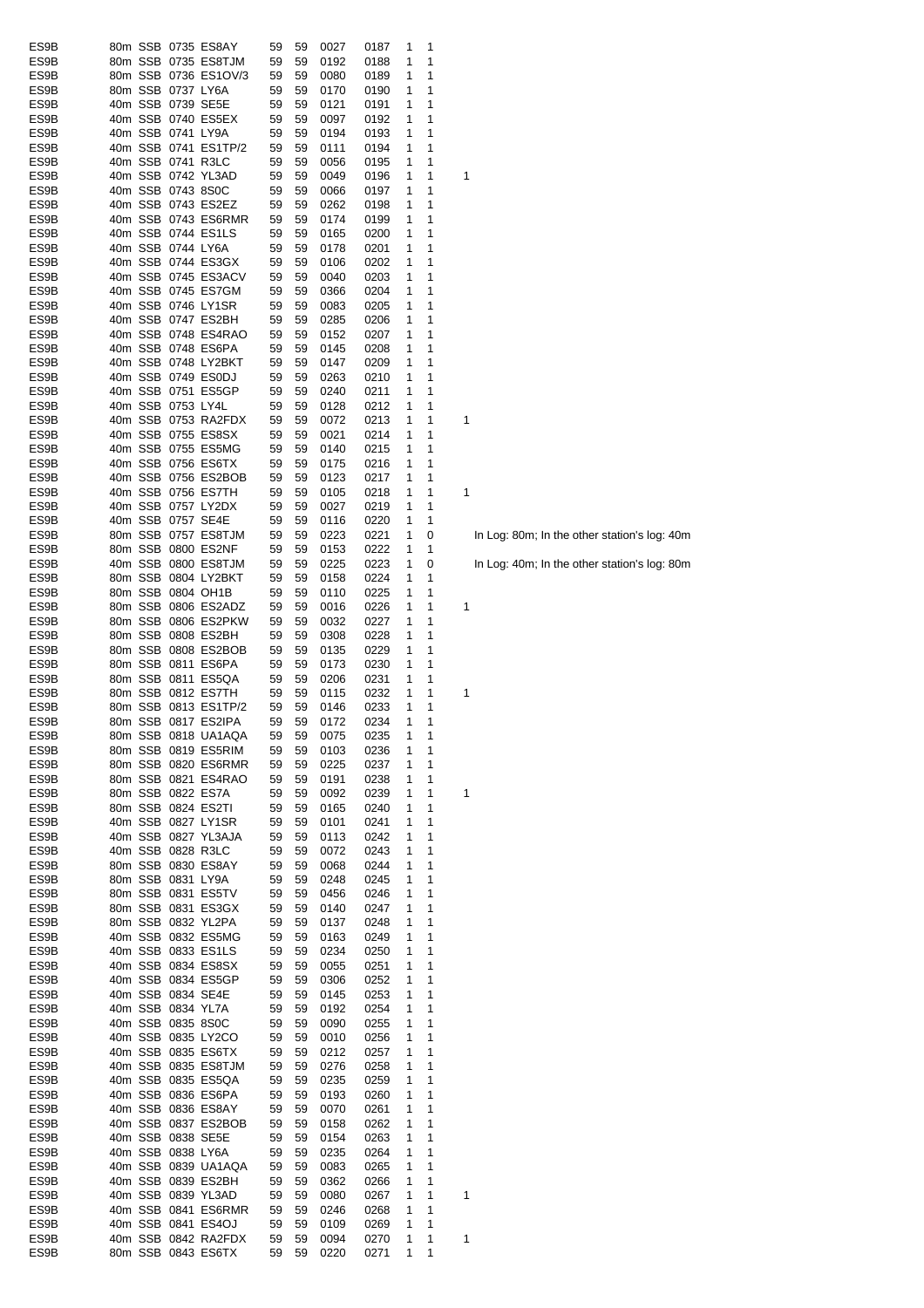| ES9B |         |                   | 80m SSB 0735 ES8AY   | 59 | 59 | 0027 | 0187 | 1 | 1            |   |
|------|---------|-------------------|----------------------|----|----|------|------|---|--------------|---|
| ES9B |         |                   | 80m SSB 0735 ES8TJM  | 59 | 59 | 0192 | 0188 | 1 | 1            |   |
| ES9B |         |                   | 80m SSB 0736 ES1OV/3 | 59 | 59 | 0080 | 0189 | 1 | 1            |   |
| ES9B |         | 80m SSB 0737 LY6A |                      | 59 | 59 | 0170 | 0190 | 1 | 1            |   |
| ES9B |         | 40m SSB 0739 SE5E |                      | 59 | 59 | 0121 | 0191 | 1 | 1            |   |
| ES9B |         |                   | 40m SSB 0740 ES5EX   | 59 | 59 | 0097 | 0192 | 1 | 1            |   |
| ES9B |         | 40m SSB 0741 LY9A |                      | 59 | 59 | 0194 | 0193 | 1 | 1            |   |
| ES9B |         |                   | 40m SSB 0741 ES1TP/2 | 59 | 59 | 0111 | 0194 | 1 | 1            |   |
| ES9B |         | 40m SSB 0741 R3LC |                      | 59 | 59 | 0056 | 0195 | 1 | 1            |   |
| ES9B |         |                   | 40m SSB 0742 YL3AD   | 59 | 59 | 0049 | 0196 | 1 | 1            | 1 |
| ES9B |         | 40m SSB 0743 8S0C |                      | 59 | 59 | 0066 | 0197 | 1 | 1            |   |
| ES9B |         |                   | 40m SSB 0743 ES2EZ   | 59 | 59 | 0262 | 0198 | 1 | 1            |   |
| ES9B |         |                   | 40m SSB 0743 ES6RMR  | 59 | 59 | 0174 | 0199 | 1 | 1            |   |
| ES9B |         |                   | 40m SSB 0744 ES1LS   | 59 | 59 | 0165 | 0200 | 1 | 1            |   |
| ES9B |         | 40m SSB 0744 LY6A |                      | 59 | 59 | 0178 | 0201 | 1 | 1            |   |
| ES9B |         |                   | 40m SSB 0744 ES3GX   | 59 | 59 | 0106 | 0202 | 1 | 1            |   |
| ES9B |         |                   | 40m SSB 0745 ES3ACV  | 59 | 59 | 0040 | 0203 | 1 | 1            |   |
| ES9B |         |                   | 40m SSB 0745 ES7GM   | 59 | 59 | 0366 | 0204 | 1 | 1            |   |
| ES9B |         |                   | 40m SSB 0746 LY1SR   | 59 | 59 | 0083 | 0205 | 1 | 1            |   |
| ES9B |         |                   | 40m SSB 0747 ES2BH   | 59 | 59 | 0285 | 0206 | 1 | 1            |   |
|      |         |                   | 40m SSB 0748 ES4RAO  |    |    |      |      | 1 | 1            |   |
| ES9B |         |                   |                      | 59 | 59 | 0152 | 0207 |   |              |   |
| ES9B |         |                   | 40m SSB 0748 ES6PA   | 59 | 59 | 0145 | 0208 | 1 | 1            |   |
| ES9B |         |                   | 40m SSB 0748 LY2BKT  | 59 | 59 | 0147 | 0209 | 1 | 1            |   |
| ES9B |         |                   | 40m SSB 0749 ES0DJ   | 59 | 59 | 0263 | 0210 | 1 | 1            |   |
| ES9B |         |                   | 40m SSB 0751 ES5GP   | 59 | 59 | 0240 | 0211 | 1 | 1            |   |
| ES9B |         | 40m SSB 0753 LY4L |                      | 59 | 59 | 0128 | 0212 | 1 | 1            |   |
| ES9B |         |                   | 40m SSB 0753 RA2FDX  | 59 | 59 | 0072 | 0213 | 1 | 1            | 1 |
| ES9B |         |                   | 40m SSB 0755 ES8SX   | 59 | 59 | 0021 | 0214 | 1 | 1            |   |
| ES9B |         |                   | 40m SSB 0755 ES5MG   | 59 | 59 | 0140 | 0215 | 1 | 1            |   |
| ES9B |         |                   | 40m SSB 0756 ES6TX   | 59 | 59 | 0175 | 0216 | 1 | 1            |   |
| ES9B |         |                   | 40m SSB 0756 ES2BOB  | 59 | 59 | 0123 | 0217 | 1 | 1            |   |
| ES9B |         |                   | 40m SSB 0756 ES7TH   | 59 | 59 | 0105 | 0218 | 1 | 1            | 1 |
| ES9B |         |                   | 40m SSB 0757 LY2DX   | 59 | 59 | 0027 | 0219 | 1 | 1            |   |
| ES9B |         | 40m SSB 0757 SE4E |                      | 59 | 59 | 0116 | 0220 | 1 | 1            |   |
| ES9B |         |                   | 80m SSB 0757 ES8TJM  | 59 | 59 | 0223 | 0221 | 1 | 0            |   |
| ES9B |         |                   | 80m SSB 0800 ES2NF   | 59 | 59 | 0153 | 0222 | 1 | 1            |   |
| ES9B | 40m SSB |                   | 0800 ES8TJM          | 59 | 59 | 0225 | 0223 | 1 | 0            |   |
| ES9B |         |                   | 80m SSB 0804 LY2BKT  | 59 | 59 | 0158 | 0224 | 1 | 1            |   |
| ES9B | 80m SSB |                   | 0804 OH1B            | 59 | 59 | 0110 | 0225 | 1 | 1            |   |
| ES9B |         |                   | 80m SSB 0806 ES2ADZ  | 59 | 59 | 0016 | 0226 | 1 | 1            | 1 |
| ES9B |         |                   | 80m SSB 0806 ES2PKW  | 59 | 59 | 0032 | 0227 | 1 | 1            |   |
| ES9B |         |                   | 80m SSB 0808 ES2BH   | 59 | 59 | 0308 | 0228 | 1 | 1            |   |
| ES9B |         |                   | 80m SSB 0808 ES2BOB  | 59 | 59 | 0135 | 0229 | 1 | 1            |   |
|      |         |                   | 80m SSB 0811 ES6PA   |    |    | 0173 |      | 1 | 1            |   |
| ES9B |         |                   |                      | 59 | 59 |      | 0230 |   |              |   |
| ES9B |         |                   | 80m SSB 0811 ES5QA   | 59 | 59 | 0206 | 0231 | 1 | 1            |   |
| ES9B |         |                   | 80m SSB 0812 ES7TH   | 59 | 59 | 0115 | 0232 | 1 | 1            | 1 |
| ES9B |         |                   | 80m SSB 0813 ES1TP/2 | 59 | 59 | 0146 | 0233 | 1 | 1            |   |
| ES9B |         |                   | 80m SSB 0817 ES2IPA  | 59 | 59 | 0172 | 0234 | 1 | 1            |   |
| ES9B |         |                   | 80m SSB 0818 UA1AQA  | 59 | 59 | 0075 | 0235 | 1 | $\mathbf{1}$ |   |
| ES9B |         |                   | 80m SSB 0819 ES5RIM  | 59 | 59 | 0103 | 0236 | 1 | 1            |   |
| ES9B |         |                   | 80m SSB 0820 ES6RMR  | 59 | 59 | 0225 | 0237 | 1 | 1            |   |
| ES9B |         |                   | 80m SSB 0821 ES4RAO  | 59 | 59 | 0191 | 0238 | 1 | 1            |   |
| ES9B |         |                   | 80m SSB 0822 ES7A    | 59 | 59 | 0092 | 0239 | 1 | 1            | 1 |
| ES9B |         |                   | 80m SSB 0824 ES2TI   | 59 | 59 | 0165 | 0240 | 1 | 1            |   |
| ES9B |         |                   | 40m SSB 0827 LY1SR   | 59 | 59 | 0101 | 0241 | 1 | 1            |   |
| ES9B |         |                   | 40m SSB 0827 YL3AJA  | 59 | 59 | 0113 | 0242 | 1 | 1            |   |
| ES9B |         | 40m SSB 0828 R3LC |                      | 59 | 59 | 0072 | 0243 | 1 | 1            |   |
| ES9B |         |                   | 80m SSB 0830 ES8AY   | 59 | 59 | 0068 | 0244 | 1 | 1            |   |
| ES9B |         | 80m SSB 0831 LY9A |                      | 59 | 59 | 0248 | 0245 | 1 | 1            |   |
| ES9B |         |                   | 80m SSB 0831 ES5TV   | 59 | 59 | 0456 | 0246 | 1 | 1            |   |
| ES9B |         |                   | 80m SSB 0831 ES3GX   | 59 | 59 | 0140 | 0247 | 1 | 1            |   |
| ES9B |         |                   | 80m SSB 0832 YL2PA   | 59 | 59 | 0137 | 0248 | 1 | 1            |   |
| ES9B |         |                   | 40m SSB 0832 ES5MG   | 59 | 59 | 0163 | 0249 | 1 | 1            |   |
| ES9B |         |                   | 40m SSB 0833 ES1LS   | 59 | 59 | 0234 | 0250 | 1 | 1            |   |
| ES9B |         |                   | 40m SSB 0834 ES8SX   | 59 | 59 | 0055 | 0251 | 1 | 1            |   |
| ES9B |         |                   | 40m SSB 0834 ES5GP   | 59 | 59 | 0306 | 0252 | 1 | 1            |   |
| ES9B |         | 40m SSB 0834 SE4E |                      | 59 | 59 | 0145 | 0253 | 1 | 1            |   |
| ES9B |         | 40m SSB 0834 YL7A |                      | 59 | 59 | 0192 | 0254 | 1 | 1            |   |
| ES9B |         | 40m SSB 0835 8S0C |                      | 59 | 59 | 0090 | 0255 | 1 | 1            |   |
| ES9B |         |                   | 40m SSB 0835 LY2CO   | 59 | 59 | 0010 | 0256 | 1 | 1            |   |
| ES9B |         |                   | 40m SSB 0835 ES6TX   | 59 | 59 | 0212 | 0257 | 1 | 1            |   |
| ES9B |         |                   | 40m SSB 0835 ES8TJM  | 59 | 59 | 0276 | 0258 | 1 | 1            |   |
| ES9B |         |                   | 40m SSB 0835 ES5QA   | 59 | 59 | 0235 | 0259 | 1 | 1            |   |
| ES9B |         |                   | 40m SSB 0836 ES6PA   | 59 | 59 | 0193 | 0260 | 1 | 1            |   |
| ES9B |         |                   | 40m SSB 0836 ES8AY   | 59 | 59 | 0070 | 0261 | 1 | 1            |   |
| ES9B |         |                   | 40m SSB 0837 ES2BOB  | 59 | 59 | 0158 | 0262 | 1 | 1            |   |
| ES9B |         |                   | 40m SSB 0838 SE5E    | 59 | 59 | 0154 | 0263 | 1 | 1            |   |
| ES9B |         | 40m SSB 0838 LY6A |                      | 59 | 59 | 0235 | 0264 | 1 | 1            |   |
| ES9B |         |                   | 40m SSB 0839 UA1AQA  |    |    |      |      |   | 1            |   |
|      |         |                   |                      | 59 | 59 | 0083 | 0265 | 1 |              |   |
| ES9B |         |                   | 40m SSB 0839 ES2BH   | 59 | 59 | 0362 | 0266 | 1 | 1            |   |
| ES9B |         |                   | 40m SSB 0839 YL3AD   | 59 | 59 | 0080 | 0267 | 1 | 1            | 1 |
| ES9B |         |                   | 40m SSB 0841 ES6RMR  | 59 | 59 | 0246 | 0268 | 1 | 1            |   |
| ES9B |         |                   | 40m SSB 0841 ES4OJ   | 59 | 59 | 0109 | 0269 | 1 | 1            |   |
| ES9B |         |                   | 40m SSB 0842 RA2FDX  | 59 | 59 | 0094 | 0270 | 1 | 1            | 1 |
| ES9B |         |                   | 80m SSB 0843 ES6TX   | 59 | 59 | 0220 | 0271 | 1 | 1            |   |

In Log: 80m; In the other station's log: 40m

In Log: 40m; In the other station's log: 80m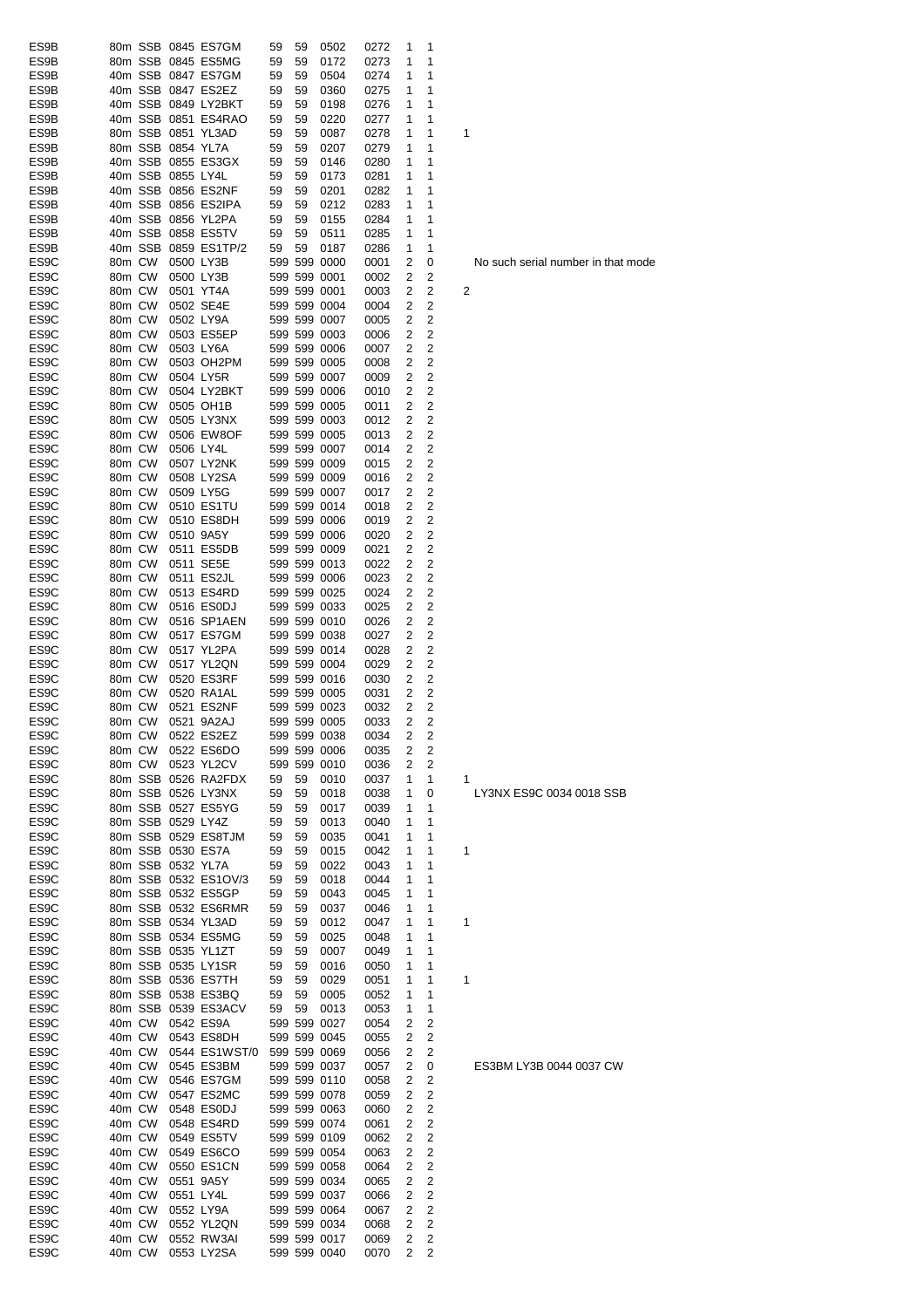| ES9B              |        |        |                   | 80m SSB 0845 ES7GM   | 59 | 59 | 0502         | 0272 | 1 | 1           |                                 |
|-------------------|--------|--------|-------------------|----------------------|----|----|--------------|------|---|-------------|---------------------------------|
| ES9B              |        |        |                   | 80m SSB 0845 ES5MG   | 59 | 59 | 0172         | 0273 | 1 | 1           |                                 |
| ES9B              |        |        |                   | 40m SSB 0847 ES7GM   | 59 | 59 | 0504         | 0274 | 1 | 1           |                                 |
| ES9B              |        |        |                   | 40m SSB 0847 ES2EZ   | 59 | 59 | 0360         | 0275 | 1 | 1           |                                 |
|                   |        |        |                   |                      |    |    |              |      |   |             |                                 |
| ES9B              |        |        |                   | 40m SSB 0849 LY2BKT  | 59 | 59 | 0198         | 0276 | 1 | 1           |                                 |
| ES9B              |        |        |                   | 40m SSB 0851 ES4RAO  | 59 | 59 | 0220         | 0277 | 1 | 1           |                                 |
| ES9B              |        |        |                   | 80m SSB 0851 YL3AD   | 59 | 59 | 0087         | 0278 | 1 | 1<br>1      |                                 |
| ES9B              |        |        | 80m SSB 0854 YL7A |                      | 59 | 59 | 0207         | 0279 | 1 | 1           |                                 |
| ES9B              |        |        |                   | 40m SSB 0855 ES3GX   | 59 | 59 | 0146         | 0280 | 1 | 1           |                                 |
| ES9B              |        |        | 40m SSB 0855 LY4L |                      | 59 | 59 | 0173         | 0281 | 1 | 1           |                                 |
| ES9B              |        |        |                   | 40m SSB 0856 ES2NF   | 59 | 59 | 0201         | 0282 | 1 | 1           |                                 |
| ES9B              |        |        |                   | 40m SSB 0856 ES2IPA  | 59 | 59 | 0212         | 0283 | 1 | 1           |                                 |
| ES9B              |        |        |                   | 40m SSB 0856 YL2PA   | 59 | 59 | 0155         | 0284 | 1 | 1           |                                 |
| ES9B              |        |        |                   | 40m SSB 0858 ES5TV   | 59 | 59 | 0511         | 0285 | 1 | 1           |                                 |
| ES9B              |        |        |                   | 40m SSB 0859 ES1TP/2 | 59 | 59 | 0187         | 0286 | 1 | 1           |                                 |
| ES <sub>9</sub> C | 80m CW |        |                   | 0500 LY3B            |    |    | 599 599 0000 | 0001 | 2 | 0           | No such serial number in that i |
| ES <sub>9</sub> C | 80m CW |        |                   | 0500 LY3B            |    |    | 599 599 0001 | 0002 | 2 | 2           |                                 |
|                   |        |        |                   |                      |    |    |              |      |   |             |                                 |
| ES <sub>9</sub> C | 80m CW |        |                   | 0501 YT4A            |    |    | 599 599 0001 | 0003 | 2 | 2<br>2      |                                 |
| ES <sub>9</sub> C | 80m CW |        |                   | 0502 SE4E            |    |    | 599 599 0004 | 0004 | 2 | 2           |                                 |
| ES <sub>9</sub> C | 80m CW |        |                   | 0502 LY9A            |    |    | 599 599 0007 | 0005 | 2 | 2           |                                 |
| ES <sub>9</sub> C | 80m CW |        |                   | 0503 ES5EP           |    |    | 599 599 0003 | 0006 | 2 | 2           |                                 |
| ES <sub>9</sub> C | 80m CW |        |                   | 0503 LY6A            |    |    | 599 599 0006 | 0007 | 2 | $\mathbf 2$ |                                 |
| ES <sub>9</sub> C | 80m CW |        |                   | 0503 OH2PM           |    |    | 599 599 0005 | 0008 | 2 | 2           |                                 |
| ES <sub>9</sub> C | 80m CW |        |                   | 0504 LY5R            |    |    | 599 599 0007 | 0009 | 2 | $\mathbf 2$ |                                 |
| ES <sub>9</sub> C | 80m CW |        |                   | 0504 LY2BKT          |    |    | 599 599 0006 | 0010 | 2 | 2           |                                 |
| ES <sub>9</sub> C | 80m CW |        |                   | 0505 OH1B            |    |    | 599 599 0005 | 0011 | 2 | 2           |                                 |
| ES <sub>9</sub> C | 80m CW |        |                   | 0505 LY3NX           |    |    | 599 599 0003 | 0012 | 2 | 2           |                                 |
|                   |        |        |                   |                      |    |    |              |      |   |             |                                 |
| ES <sub>9</sub> C | 80m CW |        |                   | 0506 EW8OF           |    |    | 599 599 0005 | 0013 | 2 | $\mathbf 2$ |                                 |
| ES <sub>9</sub> C | 80m CW |        | 0506 LY4L         |                      |    |    | 599 599 0007 | 0014 | 2 | 2           |                                 |
| ES <sub>9</sub> C | 80m CW |        |                   | 0507 LY2NK           |    |    | 599 599 0009 | 0015 | 2 | 2           |                                 |
| ES9C              | 80m CW |        |                   | 0508 LY2SA           |    |    | 599 599 0009 | 0016 | 2 | 2           |                                 |
| ES <sub>9</sub> C | 80m CW |        |                   | 0509 LY5G            |    |    | 599 599 0007 | 0017 | 2 | 2           |                                 |
| ES <sub>9</sub> C | 80m CW |        |                   | 0510 ES1TU           |    |    | 599 599 0014 | 0018 | 2 | 2           |                                 |
| ES <sub>9</sub> C | 80m CW |        |                   | 0510 ES8DH           |    |    | 599 599 0006 | 0019 | 2 | 2           |                                 |
| ES <sub>9</sub> C | 80m CW |        |                   | 0510 9A5Y            |    |    | 599 599 0006 | 0020 | 2 | $\mathbf 2$ |                                 |
|                   |        |        |                   |                      |    |    |              |      |   |             |                                 |
| ES <sub>9</sub> C | 80m CW |        |                   | 0511 ES5DB           |    |    | 599 599 0009 | 0021 | 2 | 2           |                                 |
| ES <sub>9</sub> C | 80m CW |        |                   | 0511 SE5E            |    |    | 599 599 0013 | 0022 | 2 | 2           |                                 |
| ES <sub>9</sub> C | 80m CW |        |                   | 0511 ES2JL           |    |    | 599 599 0006 | 0023 | 2 | 2           |                                 |
| ES <sub>9</sub> C | 80m CW |        |                   | 0513 ES4RD           |    |    | 599 599 0025 | 0024 | 2 | 2           |                                 |
| ES <sub>9</sub> C | 80m CW |        |                   | 0516 ES0DJ           |    |    | 599 599 0033 | 0025 | 2 | 2           |                                 |
| ES <sub>9</sub> C | 80m CW |        |                   | 0516 SP1AEN          |    |    | 599 599 0010 | 0026 | 2 | $\mathbf 2$ |                                 |
| ES <sub>9</sub> C | 80m CW |        |                   | 0517 ES7GM           |    |    | 599 599 0038 | 0027 | 2 | 2           |                                 |
| ES9C              |        |        |                   |                      |    |    |              |      |   | 2           |                                 |
|                   | 80m CW |        |                   | 0517 YL2PA           |    |    | 599 599 0014 | 0028 | 2 |             |                                 |
| ES <sub>9</sub> C | 80m CW |        |                   | 0517 YL2QN           |    |    | 599 599 0004 | 0029 | 2 | 2           |                                 |
| ES <sub>9</sub> C | 80m CW |        |                   | 0520 ES3RF           |    |    | 599 599 0016 | 0030 | 2 | 2           |                                 |
| ES9C              | 80m CW |        |                   | 0520 RA1AL           |    |    | 599 599 0005 | 0031 | 2 | 2           |                                 |
| ES <sub>9</sub> C | 80m CW |        |                   | 0521 ES2NF           |    |    | 599 599 0023 | 0032 | 2 | $\mathbf 2$ |                                 |
| ES <sub>9</sub> C | 80m CW |        |                   | 0521 9A2AJ           |    |    | 599 599 0005 | 0033 | 2 | 2           |                                 |
| ES9C              | 80m CW |        |                   | 0522 ES2EZ           |    |    | 599 599 0038 | 0034 | 2 | 2           |                                 |
| ES <sub>9</sub> C |        | 80m CW |                   | 0522 ES6DO           |    |    | 599 599 0006 | 0035 | 2 | 2           |                                 |
| ES9C              |        |        |                   | 80m CW 0523 YL2CV    |    |    | 599 599 0010 | 0036 | 2 | 2           |                                 |
| ES9C              |        |        |                   |                      |    |    |              |      |   |             |                                 |
|                   |        |        |                   | 80m SSB 0526 RA2FDX  | 59 | 59 | 0010         | 0037 | 1 | 1<br>1      |                                 |
| ES9C              |        |        |                   | 80m SSB 0526 LY3NX   | 59 | 59 | 0018         | 0038 | 1 | 0           | LY3NX ES9C 0034 0018 SSB        |
| ES <sub>9</sub> C |        |        |                   | 80m SSB 0527 ES5YG   | 59 | 59 | 0017         | 0039 | 1 | 1           |                                 |
| ES9C              |        |        | 80m SSB 0529 LY4Z |                      | 59 | 59 | 0013         | 0040 | 1 | 1           |                                 |
| ES <sub>9</sub> C |        |        |                   | 80m SSB 0529 ES8TJM  | 59 | 59 | 0035         | 0041 | 1 | 1           |                                 |
| ES9C              |        |        |                   | 80m SSB 0530 ES7A    | 59 | 59 | 0015         | 0042 | 1 | 1<br>1      |                                 |
| ES9C              |        |        | 80m SSB 0532 YL7A |                      | 59 | 59 | 0022         | 0043 | 1 | 1           |                                 |
| ES9C              |        |        |                   | 80m SSB 0532 ES1OV/3 | 59 | 59 | 0018         | 0044 | 1 | 1           |                                 |
| ES9C              |        |        |                   | 80m SSB 0532 ES5GP   | 59 | 59 | 0043         | 0045 | 1 | 1           |                                 |
| ES9C              |        |        |                   | 80m SSB 0532 ES6RMR  | 59 | 59 | 0037         | 0046 | 1 | 1           |                                 |
|                   |        |        |                   |                      |    |    |              |      |   |             |                                 |
| ES9C              |        |        |                   | 80m SSB 0534 YL3AD   | 59 | 59 | 0012         | 0047 | 1 | 1<br>1      |                                 |
| ES9C              |        |        |                   | 80m SSB 0534 ES5MG   | 59 | 59 | 0025         | 0048 | 1 | 1           |                                 |
| ES9C              |        |        |                   | 80m SSB 0535 YL1ZT   | 59 | 59 | 0007         | 0049 | 1 | 1           |                                 |
| ES9C              |        |        |                   | 80m SSB 0535 LY1SR   | 59 | 59 | 0016         | 0050 | 1 | 1           |                                 |
| ES9C              |        |        |                   | 80m SSB 0536 ES7TH   | 59 | 59 | 0029         | 0051 | 1 | 1<br>1      |                                 |
| ES9C              |        |        |                   | 80m SSB 0538 ES3BQ   | 59 | 59 | 0005         | 0052 | 1 | 1           |                                 |
| ES9C              |        |        |                   | 80m SSB 0539 ES3ACV  | 59 | 59 | 0013         | 0053 | 1 | 1           |                                 |
| ES <sub>9</sub> C |        | 40m CW |                   | 0542 ES9A            |    |    | 599 599 0027 | 0054 | 2 | 2           |                                 |
| ES9C              |        | 40m CW |                   | 0543 ES8DH           |    |    | 599 599 0045 | 0055 | 2 | 2           |                                 |
| ES <sub>9</sub> C |        | 40m CW |                   | 0544 ES1WST/0        |    |    | 599 599 0069 |      | 2 | 2           |                                 |
|                   |        |        |                   |                      |    |    |              | 0056 |   |             |                                 |
| ES9C              |        | 40m CW |                   | 0545 ES3BM           |    |    | 599 599 0037 | 0057 | 2 | 0           | ES3BM LY3B 0044 0037 CW         |
| ES9C              |        | 40m CW |                   | 0546 ES7GM           |    |    | 599 599 0110 | 0058 | 2 | 2           |                                 |
| ES <sub>9</sub> C |        | 40m CW |                   | 0547 ES2MC           |    |    | 599 599 0078 | 0059 | 2 | 2           |                                 |
| ES9C              |        | 40m CW |                   | 0548 ES0DJ           |    |    | 599 599 0063 | 0060 | 2 | 2           |                                 |
| ES9C              | 40m CW |        |                   | 0548 ES4RD           |    |    | 599 599 0074 | 0061 | 2 | 2           |                                 |
| ES9C              | 40m CW |        |                   | 0549 ES5TV           |    |    | 599 599 0109 | 0062 | 2 | 2           |                                 |
| ES9C              | 40m CW |        |                   | 0549 ES6CO           |    |    | 599 599 0054 | 0063 | 2 | $\mathbf 2$ |                                 |
| ES9C              |        |        |                   | 0550 ES1CN           |    |    | 599 599 0058 |      |   | 2           |                                 |
|                   | 40m CW |        |                   |                      |    |    |              | 0064 | 2 |             |                                 |
| ES9C              | 40m CW |        |                   | 0551 9A5Y            |    |    | 599 599 0034 | 0065 | 2 | 2           |                                 |
| ES <sub>9</sub> C | 40m CW |        | 0551 LY4L         |                      |    |    | 599 599 0037 | 0066 | 2 | 2           |                                 |
| ES <sub>9</sub> C |        | 40m CW |                   | 0552 LY9A            |    |    | 599 599 0064 | 0067 | 2 | 2           |                                 |
|                   |        |        |                   |                      |    |    |              |      |   |             |                                 |
| ES <sub>9</sub> C | 40m CW |        |                   | 0552 YL2QN           |    |    | 599 599 0034 | 0068 | 2 | 2           |                                 |
| ES9C              | 40m CW |        |                   | 0552 RW3AI           |    |    | 599 599 0017 | 0069 | 2 | 2           |                                 |

such serial number in that mode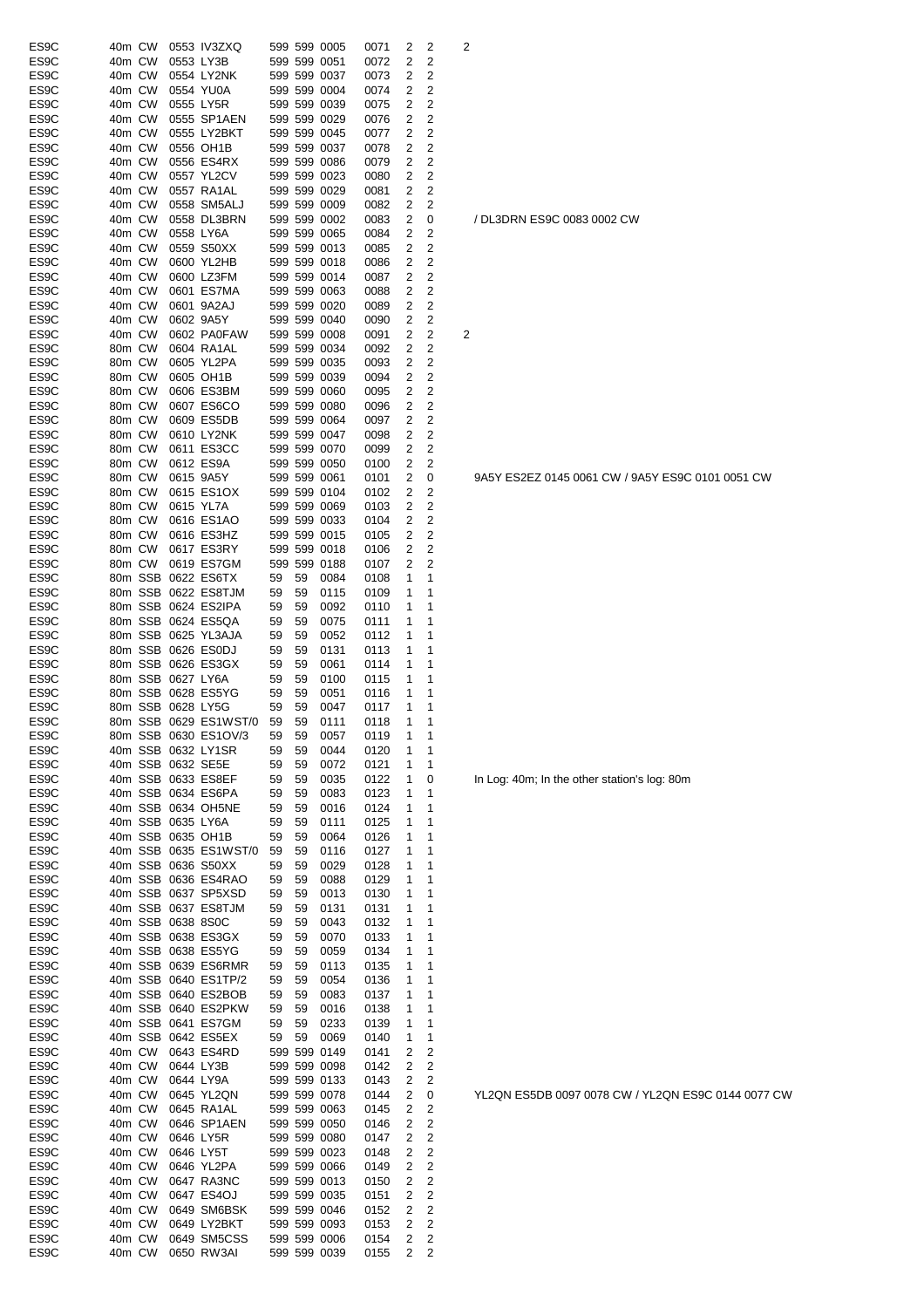| ES <sub>9</sub> C | 40m CW |         |                   | 0553 IV3ZXQ             |          |    | 599 599 0005 | 0071 | 2      | 2              | 2 |
|-------------------|--------|---------|-------------------|-------------------------|----------|----|--------------|------|--------|----------------|---|
| ES <sub>9</sub> C | 40m CW |         |                   | 0553 LY3B               |          |    | 599 599 0051 | 0072 | 2      | 2              |   |
| ES <sub>9</sub> C | 40m CW |         |                   | 0554 LY2NK              |          |    | 599 599 0037 | 0073 | 2      | 2              |   |
| ES <sub>9</sub> C | 40m CW |         |                   | 0554 YU0A               |          |    | 599 599 0004 | 0074 | 2      | 2              |   |
| ES <sub>9</sub> C | 40m CW |         |                   | 0555 LY5R               |          |    | 599 599 0039 | 0075 | 2      | 2              |   |
| ES <sub>9</sub> C | 40m CW |         |                   | 0555 SP1AEN             |          |    | 599 599 0029 | 0076 | 2      | 2              |   |
| ES <sub>9</sub> C | 40m CW |         |                   | 0555 LY2BKT             |          |    | 599 599 0045 | 0077 | 2      | 2              |   |
| ES <sub>9</sub> C | 40m CW |         |                   | 0556 OH1B               |          |    | 599 599 0037 | 0078 | 2      | 2              |   |
| ES <sub>9</sub> C | 40m CW |         |                   | 0556 ES4RX              |          |    | 599 599 0086 | 0079 | 2      | 2              |   |
| ES <sub>9</sub> C | 40m CW |         |                   | 0557 YL2CV              |          |    | 599 599 0023 | 0080 | 2      | 2              |   |
| ES <sub>9</sub> C | 40m CW |         |                   | 0557 RA1AL              |          |    | 599 599 0029 | 0081 | 2      | 2              |   |
| ES <sub>9</sub> C | 40m CW |         |                   | 0558 SM5ALJ             |          |    | 599 599 0009 | 0082 | 2      | 2              |   |
| ES <sub>9</sub> C | 40m CW |         |                   | 0558 DL3BRN             |          |    | 599 599 0002 | 0083 | 2      | 0              |   |
| ES <sub>9</sub> C | 40m CW |         |                   | 0558 LY6A               |          |    | 599 599 0065 | 0084 | 2      | 2              |   |
| ES9C              | 40m CW |         |                   | 0559 S50XX              |          |    | 599 599 0013 | 0085 | 2      | 2              |   |
| ES9C              | 40m CW |         |                   | 0600 YL2HB              |          |    | 599 599 0018 | 0086 | 2      | 2              |   |
| ES <sub>9</sub> C | 40m CW |         |                   | 0600 LZ3FM              |          |    | 599 599 0014 | 0087 | 2      | 2              |   |
| ES <sub>9</sub> C | 40m CW |         |                   | 0601 ES7MA              |          |    | 599 599 0063 |      |        | 2              |   |
| ES <sub>9</sub> C | 40m CW |         |                   | 0601 9A2AJ              |          |    | 599 599 0020 | 0088 | 2<br>2 | 2              |   |
|                   |        |         |                   |                         |          |    |              | 0089 |        |                |   |
| ES <sub>9</sub> C | 40m CW |         |                   | 0602 9A5Y               |          |    | 599 599 0040 | 0090 | 2      | 2              |   |
| ES <sub>9</sub> C | 40m CW |         |                   | 0602 PA0FAW             |          |    | 599 599 0008 | 0091 | 2      | 2              | 2 |
| ES <sub>9</sub> C | 80m CW |         |                   | 0604 RA1AL              |          |    | 599 599 0034 | 0092 | 2      | 2              |   |
| ES <sub>9</sub> C | 80m CW |         |                   | 0605 YL2PA              |          |    | 599 599 0035 | 0093 | 2      | 2              |   |
| ES <sub>9</sub> C | 80m CW |         |                   | 0605 OH1B               |          |    | 599 599 0039 | 0094 | 2      | 2              |   |
| ES <sub>9</sub> C | 80m CW |         |                   | 0606 ES3BM              |          |    | 599 599 0060 | 0095 | 2      | 2              |   |
| ES <sub>9</sub> C | 80m CW |         |                   | 0607 ES6CO              |          |    | 599 599 0080 | 0096 | 2      | 2              |   |
| ES9C              | 80m CW |         |                   | 0609 ES5DB              |          |    | 599 599 0064 | 0097 | 2      | 2              |   |
| ES9C              | 80m CW |         |                   | 0610 LY2NK              |          |    | 599 599 0047 | 0098 | 2      | 2              |   |
| ES <sub>9</sub> C | 80m CW |         |                   | 0611 ES3CC              |          |    | 599 599 0070 | 0099 | 2      | 2              |   |
| ES <sub>9</sub> C | 80m CW |         |                   | 0612 ES9A               |          |    | 599 599 0050 | 0100 | 2      | 2              |   |
| ES9C              | 80m CW |         |                   | 0615 9A5Y               |          |    | 599 599 0061 | 0101 | 2      | 0              |   |
| ES <sub>9</sub> C | 80m CW |         |                   | 0615 ES1OX              |          |    | 599 599 0104 | 0102 | 2      | 2              |   |
| ES <sub>9</sub> C | 80m CW |         |                   | 0615 YL7A               |          |    | 599 599 0069 | 0103 | 2      | 2              |   |
| ES <sub>9</sub> C | 80m CW |         |                   | 0616 ES1AO              |          |    | 599 599 0033 | 0104 | 2      | 2              |   |
| ES <sub>9</sub> C | 80m CW |         |                   | 0616 ES3HZ              |          |    | 599 599 0015 | 0105 | 2      | 2              |   |
| ES <sub>9</sub> C | 80m CW |         |                   | 0617 ES3RY              |          |    | 599 599 0018 | 0106 | 2      | 2              |   |
| ES <sub>9</sub> C | 80m CW |         |                   | 0619 ES7GM              |          |    | 599 599 0188 | 0107 | 2      | 2              |   |
| ES <sub>9</sub> C |        | 80m SSB |                   | 0622 ES6TX              | 59       | 59 | 0084         | 0108 | 1      | 1              |   |
| ES9C              |        | 80m SSB |                   | 0622 ES8TJM             | 59       | 59 | 0115         | 0109 | 1      | 1              |   |
| ES9C              |        |         |                   | 80m SSB 0624 ES2IPA     | 59       | 59 | 0092         | 0110 | 1      | 1              |   |
| ES9C              |        | 80m SSB |                   | 0624 ES5QA              | 59       | 59 | 0075         | 0111 | 1      | 1              |   |
| ES <sub>9</sub> C |        |         |                   | 80m SSB 0625 YL3AJA     | 59       | 59 | 0052         | 0112 | 1      | 1              |   |
| ES9C              |        |         |                   | 80m SSB 0626 ES0DJ      | 59       | 59 | 0131         | 0113 | 1      | 1              |   |
| ES <sub>9</sub> C |        |         |                   | 80m SSB 0626 ES3GX      | 59       | 59 | 0061         | 0114 | 1      | 1              |   |
| ES <sub>9</sub> C |        |         | 80m SSB 0627 LY6A |                         | 59       | 59 | 0100         | 0115 | 1      | 1              |   |
| ES <sub>9</sub> C |        |         |                   | 80m SSB 0628 ES5YG      | 59       | 59 | 0051         | 0116 | 1      | 1              |   |
| ES <sub>9</sub> C |        |         | 80m SSB 0628 LY5G |                         | 59       | 59 | 0047         | 0117 | 1      | 1              |   |
| ES <sub>9</sub> C |        |         |                   | 80m SSB 0629 ES1WST/0   | 59       | 59 | 0111         | 0118 | 1      | 1              |   |
| ES9C              |        |         |                   | 80m SSB 0630 ES1OV/3    | 59       | 59 | 0057         | 0119 | 1      | 1              |   |
| ES9C              |        |         |                   | 40m SSB 0632 LY1SR      |          |    |              |      |        |                |   |
| ES9C              |        |         |                   | 40m SSB 0632 SE5E       | 59<br>59 | 59 | 0044         | 0120 | 1      | 1<br>1         |   |
|                   |        |         |                   |                         |          | 59 | 0072         | 0121 | 1      |                |   |
| ES9C              |        |         |                   | 40m SSB 0633 ES8EF      | 59       | 59 | 0035         | 0122 | 1      | 0              |   |
| ES9C              |        |         |                   | 40m SSB 0634 ES6PA      | 59       | 59 | 0083         | 0123 | 1      | 1              |   |
| ES9C              |        |         |                   | 40m SSB 0634 OH5NE      | 59       | 59 | 0016         | 0124 | 1      | 1              |   |
| ES9C              |        |         | 40m SSB 0635 LY6A |                         | 59       | 59 | 0111         | 0125 | 1      | 1              |   |
| ES <sub>9</sub> C |        |         |                   | 40m SSB 0635 OH1B       | 59       | 59 | 0064         | 0126 | 1      | 1              |   |
| ES <sub>9</sub> C |        |         |                   | 40m SSB 0635 ES1WST/0   | 59       | 59 | 0116         | 0127 | 1      | 1              |   |
| ES9C              |        |         |                   | 40m SSB 0636 S50XX      | 59       | 59 | 0029         | 0128 | 1      | 1              |   |
| ES9C              |        |         |                   | 40m SSB 0636 ES4RAO     | 59       | 59 | 0088         | 0129 | 1      | 1              |   |
| ES9C              |        |         |                   | 40m SSB 0637 SP5XSD     | 59       | 59 | 0013         | 0130 | 1      | 1              |   |
| ES9C              |        |         |                   | 40m SSB 0637 ES8TJM     | 59       | 59 | 0131         | 0131 | 1      | 1              |   |
| ES9C              |        |         | 40m SSB 0638 8S0C |                         | 59       | 59 | 0043         | 0132 | 1      | 1              |   |
| ES9C              |        |         |                   | 40m SSB 0638 ES3GX      | 59       | 59 | 0070         | 0133 | 1      | 1              |   |
| ES9C              |        |         |                   | 40m SSB 0638 ES5YG      | 59       | 59 | 0059         | 0134 | 1      | 1              |   |
| ES9C              |        |         |                   | 40m SSB 0639 ES6RMR     | 59       | 59 | 0113         | 0135 | 1      | 1              |   |
| ES9C              |        |         |                   | 40m SSB 0640 ES1TP/2    | 59       | 59 | 0054         | 0136 | 1      | 1              |   |
| ES9C              |        |         |                   | 40m SSB 0640 ES2BOB     | 59       | 59 | 0083         | 0137 | 1      | 1              |   |
| ES9C              |        |         |                   | 40m SSB 0640 ES2PKW     | 59       | 59 | 0016         | 0138 | 1      | 1              |   |
| ES <sub>9</sub> C |        |         |                   | 40m SSB 0641 ES7GM      | 59       | 59 | 0233         | 0139 | 1      | 1              |   |
| ES9C              |        |         |                   | 40m SSB 0642 ES5EX      | 59       | 59 | 0069         | 0140 | 1      | 1              |   |
| ES9C              |        | 40m CW  |                   | 0643 ES4RD              |          |    | 599 599 0149 | 0141 | 2      | 2              |   |
| ES9C              | 40m CW |         |                   | 0644 LY3B               |          |    | 599 599 0098 | 0142 | 2      | 2              |   |
| ES9C              | 40m CW |         |                   | 0644 LY9A               |          |    | 599 599 0133 | 0143 | 2      | 2              |   |
| ES9C              | 40m CW |         |                   | 0645 YL2QN              |          |    | 599 599 0078 | 0144 | 2      | 0              |   |
| ES9C              | 40m CW |         |                   | 0645 RA1AL              |          |    | 599 599 0063 | 0145 | 2      | 2              |   |
| ES9C              | 40m CW |         |                   | 0646 SP1AEN             |          |    | 599 599 0050 | 0146 | 2      | $\overline{c}$ |   |
| ES9C              | 40m CW |         |                   | 0646 LY5R               |          |    | 599 599 0080 | 0147 | 2      | $\overline{c}$ |   |
| ES9C              | 40m CW |         |                   | 0646 LY5T               |          |    | 599 599 0023 | 0148 | 2      | $\overline{c}$ |   |
| ES <sub>9</sub> C | 40m CW |         |                   | 0646 YL2PA              |          |    | 599 599 0066 | 0149 | 2      | $\overline{c}$ |   |
| ES <sub>9</sub> C | 40m CW |         |                   | 0647 RA3NC              |          |    | 599 599 0013 | 0150 | 2      | 2              |   |
| ES <sub>9</sub> C | 40m CW |         |                   | 0647 ES4OJ              |          |    | 599 599 0035 | 0151 | 2      | 2              |   |
| ES <sub>9</sub> C | 40m CW |         |                   | 0649 SM6BSK             |          |    | 599 599 0046 | 0152 | 2      | 2              |   |
| ES9C              | 40m CW |         |                   | 0649 LY2BKT             |          |    | 599 599 0093 | 0153 | 2      | 2              |   |
| ES9C              | 40m CW |         |                   | 0649 SM5CSS             |          |    | 599 599 0006 | 0154 | 2      | 2              |   |
| ES <sub>9</sub> C |        | 40m CW  |                   | 0650 RW3AI 599 599 0039 |          |    |              | 0155 | 2      | 2              |   |

/ DL3DRN ES9C 0083 0002 CW

9A5Y ES2EZ 0145 0061 CW / 9A5Y ES9C 0101 0051 CW

In Log: 40m; In the other station's log: 80m

YL2QN ES5DB 0097 0078 CW / YL2QN ES9C 0144 0077 CW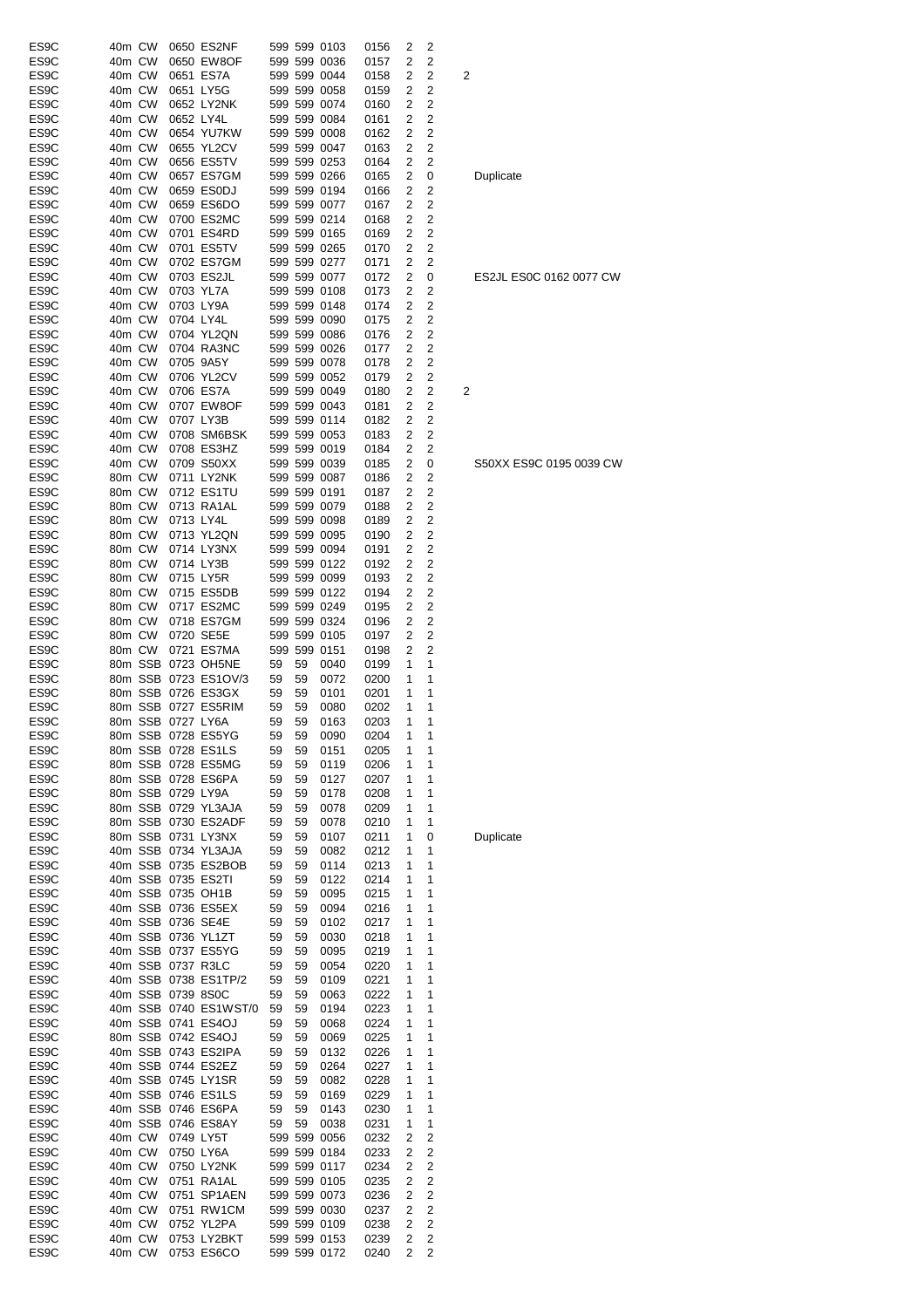| ES9C              | 40m CW |        |                   | 0650 ES2NF            |    |    | 599 599 0103 | 0156 | 2            | 2              |   |
|-------------------|--------|--------|-------------------|-----------------------|----|----|--------------|------|--------------|----------------|---|
| ES9C              | 40m CW |        |                   | 0650 EW8OF            |    |    | 599 599 0036 | 0157 | 2            | 2              |   |
| ES9C              | 40m CW |        |                   | 0651 ES7A             |    |    | 599 599 0044 | 0158 | 2            | 2              | 2 |
| ES9C              | 40m CW |        |                   | 0651 LY5G             |    |    | 599 599 0058 | 0159 | 2            | 2              |   |
| ES9C              | 40m CW |        |                   | 0652 LY2NK            |    |    | 599 599 0074 | 0160 | 2            | 2              |   |
| ES9C              | 40m CW |        | 0652 LY4L         |                       |    |    | 599 599 0084 | 0161 | 2            | 2              |   |
| ES9C              | 40m CW |        |                   | 0654 YU7KW            |    |    | 599 599 0008 | 0162 | 2            | 2              |   |
| ES9C              | 40m CW |        |                   | 0655 YL2CV            |    |    | 599 599 0047 | 0163 | 2            | 2              |   |
| ES <sub>9</sub> C | 40m CW |        |                   | 0656 ES5TV            |    |    | 599 599 0253 | 0164 | 2            | 2              |   |
| ES9C              | 40m CW |        |                   | 0657 ES7GM            |    |    | 599 599 0266 | 0165 | 2            | 0              |   |
| ES <sub>9</sub> C | 40m CW |        |                   | 0659 ES0DJ            |    |    | 599 599 0194 | 0166 | 2            | 2              |   |
| ES9C              | 40m CW |        |                   | 0659 ES6DO            |    |    | 599 599 0077 | 0167 | 2            | 2              |   |
| ES9C              | 40m CW |        |                   | 0700 ES2MC            |    |    | 599 599 0214 | 0168 | 2            | $\overline{c}$ |   |
| ES9C              | 40m CW |        |                   | 0701 ES4RD            |    |    | 599 599 0165 | 0169 | 2            | $\overline{c}$ |   |
| ES <sub>9</sub> C | 40m CW |        |                   | 0701 ES5TV            |    |    | 599 599 0265 | 0170 | 2            | 2              |   |
| ES9C              | 40m CW |        |                   | 0702 ES7GM            |    |    | 599 599 0277 | 0171 | 2            | 2              |   |
| ES9C              | 40m CW |        |                   | 0703 ES2JL            |    |    | 599 599 0077 | 0172 | 2            | 0              |   |
| ES9C              | 40m CW |        |                   | 0703 YL7A             |    |    | 599 599 0108 | 0173 | 2            | 2              |   |
| ES9C              | 40m CW |        |                   | 0703 LY9A             |    |    | 599 599 0148 | 0174 | 2            | 2              |   |
| ES9C              |        |        |                   |                       |    |    | 599 599 0090 |      | 2            | 2              |   |
|                   | 40m CW |        | 0704 LY4L         |                       |    |    |              | 0175 |              |                |   |
| ES9C              | 40m CW |        |                   | 0704 YL2QN            |    |    | 599 599 0086 | 0176 | 2            | 2              |   |
| ES <sub>9</sub> C | 40m CW |        |                   | 0704 RA3NC            |    |    | 599 599 0026 | 0177 | 2            | 2              |   |
| ES9C              | 40m CW |        |                   | 0705 9A5Y             |    |    | 599 599 0078 | 0178 | 2            | 2              |   |
| ES <sub>9</sub> C | 40m CW |        |                   | 0706 YL2CV            |    |    | 599 599 0052 | 0179 | 2            | 2              |   |
| ES9C              | 40m CW |        |                   | 0706 ES7A             |    |    | 599 599 0049 | 0180 | 2            | $\overline{c}$ | 2 |
| ES <sub>9</sub> C | 40m CW |        |                   | 0707 EW8OF            |    |    | 599 599 0043 | 0181 | 2            | 2              |   |
| ES9C              | 40m CW |        |                   | 0707 LY3B             |    |    | 599 599 0114 | 0182 | 2            | 2              |   |
| ES9C              | 40m CW |        |                   | 0708 SM6BSK           |    |    | 599 599 0053 | 0183 | 2            | $\overline{c}$ |   |
| ES9C              | 40m CW |        |                   | 0708 ES3HZ            |    |    | 599 599 0019 | 0184 | 2            | 2              |   |
| ES9C              | 40m CW |        |                   | 0709 S50XX            |    |    | 599 599 0039 | 0185 | 2            | 0              |   |
| ES9C              | 80m CW |        |                   | 0711 LY2NK            |    |    | 599 599 0087 | 0186 | 2            | 2              |   |
| ES9C              | 80m CW |        |                   | 0712 ES1TU            |    |    | 599 599 0191 | 0187 | 2            | 2              |   |
| ES <sub>9</sub> C | 80m CW |        |                   | 0713 RA1AL            |    |    | 599 599 0079 | 0188 | 2            | 2              |   |
| ES9C              | 80m CW |        | 0713 LY4L         |                       |    |    | 599 599 0098 | 0189 | 2            | 2              |   |
| ES <sub>9</sub> C | 80m CW |        |                   | 0713 YL2QN            |    |    | 599 599 0095 | 0190 | 2            | 2              |   |
| ES9C              | 80m CW |        |                   | 0714 LY3NX            |    |    | 599 599 0094 | 0191 | 2            | 2              |   |
| ES <sub>9</sub> C | 80m CW |        |                   | 0714 LY3B             |    |    | 599 599 0122 | 0192 | 2            | 2              |   |
| ES9C              | 80m CW |        |                   | 0715 LY5R             |    |    | 599 599 0099 | 0193 | 2            | 2              |   |
| ES9C              | 80m CW |        |                   | 0715 ES5DB            |    |    | 599 599 0122 | 0194 | 2            | 2              |   |
| ES9C              | 80m CW |        |                   | 0717 ES2MC            |    |    | 599 599 0249 | 0195 | 2            | 2              |   |
| ES9C              | 80m CW |        |                   | 0718 ES7GM            |    |    | 599 599 0324 | 0196 | 2            | 2              |   |
| ES9C              | 80m CW |        |                   | 0720 SE5E             |    |    | 599 599 0105 | 0197 | 2            | 2              |   |
| ES9C              | 80m CW |        |                   | 0721 ES7MA            |    |    | 599 599 0151 | 0198 | 2            | 2              |   |
| ES9C              |        |        |                   | 80m SSB 0723 OH5NE    | 59 | 59 | 0040         | 0199 | 1            | 1              |   |
|                   |        |        |                   | 80m SSB 0723 ES1OV/3  |    |    |              |      | 1            |                |   |
| ES9C              |        |        |                   |                       | 59 | 59 | 0072         | 0200 |              | 1              |   |
| ES <sub>9</sub> C |        |        |                   | 80m SSB 0726 ES3GX    | 59 | 59 | 0101         | 0201 | 1            | 1              |   |
| ES9C              |        |        |                   | 80m SSB 0727 ES5RIM   | 59 | 59 | 0080         | 0202 | 1            | 1              |   |
| ES <sub>9</sub> C |        |        | 80m SSB 0727 LY6A |                       | 59 | 59 | 0163         | 0203 | 1            | 1              |   |
| ES9C              |        |        |                   | 80m SSB 0728 ES5YG    | 59 | 59 | 0090         | 0204 | $\mathbf{1}$ | 1              |   |
| ES9C              |        |        |                   | 80m SSB 0728 ES1LS    | 59 | 59 | 0151         | 0205 | 1            | 1              |   |
| ES9C              |        |        |                   | 80m SSB 0728 ES5MG    | 59 | 59 | 0119         | 0206 | 1            | 1              |   |
| ES <sub>9</sub> C |        |        |                   | 80m SSB 0728 ES6PA    | 59 | 59 | 0127         | 0207 | 1            | 1              |   |
| ES9C              |        |        | 80m SSB 0729 LY9A |                       | 59 | 59 | 0178         | 0208 | 1            | 1              |   |
| ES9C              |        |        |                   | 80m SSB 0729 YL3AJA   | 59 | 59 | 0078         | 0209 | 1            | 1              |   |
| ES9C              |        |        |                   | 80m SSB 0730 ES2ADF   | 59 | 59 | 0078         | 0210 | 1            | 1              |   |
| ES9C              |        |        |                   | 80m SSB 0731 LY3NX    | 59 | 59 | 0107         | 0211 | 1            | 0              |   |
| ES9C              |        |        |                   | 40m SSB 0734 YL3AJA   | 59 | 59 | 0082         | 0212 | 1            | 1              |   |
| ES9C              |        |        |                   | 40m SSB 0735 ES2BOB   | 59 | 59 | 0114         | 0213 | 1            | 1              |   |
| ES9C              |        |        |                   | 40m SSB 0735 ES2TI    | 59 | 59 | 0122         | 0214 | 1            | 1              |   |
| ES9C              |        |        |                   | 40m SSB 0735 OH1B     | 59 | 59 | 0095         | 0215 | 1            | 1              |   |
| ES9C              |        |        |                   | 40m SSB 0736 ES5EX    | 59 | 59 | 0094         | 0216 | 1            | 1              |   |
| ES9C              |        |        |                   | 40m SSB 0736 SE4E     | 59 | 59 | 0102         | 0217 | 1            | 1              |   |
| ES <sub>9</sub> C |        |        |                   | 40m SSB 0736 YL1ZT    | 59 | 59 | 0030         | 0218 | 1            | 1              |   |
| ES9C              |        |        |                   | 40m SSB 0737 ES5YG    | 59 | 59 | 0095         | 0219 | 1            | 1              |   |
| ES <sub>9</sub> C |        |        |                   | 40m SSB 0737 R3LC     | 59 | 59 | 0054         | 0220 | 1            | 1              |   |
| ES9C              |        |        |                   | 40m SSB 0738 ES1TP/2  | 59 | 59 | 0109         | 0221 | 1            | 1              |   |
| ES9C              |        |        | 40m SSB 0739 8S0C |                       | 59 | 59 | 0063         | 0222 | 1            | 1              |   |
| ES9C              |        |        |                   | 40m SSB 0740 ES1WST/0 | 59 | 59 | 0194         | 0223 | 1            | 1              |   |
| ES9C              |        |        |                   | 40m SSB 0741 ES4OJ    | 59 | 59 | 0068         | 0224 | 1            | 1              |   |
| ES <sub>9</sub> C |        |        |                   | 80m SSB 0742 ES4OJ    | 59 | 59 | 0069         | 0225 | 1            | 1              |   |
| ES9C              |        |        |                   | 40m SSB 0743 ES2IPA   | 59 | 59 | 0132         | 0226 | 1            | 1              |   |
| ES9C              |        |        |                   | 40m SSB 0744 ES2EZ    | 59 | 59 | 0264         | 0227 | 1            | 1              |   |
| ES9C              |        |        |                   | 40m SSB 0745 LY1SR    | 59 | 59 | 0082         | 0228 | 1            | 1              |   |
| ES <sub>9</sub> C |        |        |                   | 40m SSB 0746 ES1LS    | 59 | 59 | 0169         | 0229 | 1            | 1              |   |
|                   |        |        |                   |                       |    |    |              |      |              | 1              |   |
| ES9C              |        |        |                   | 40m SSB 0746 ES6PA    | 59 | 59 | 0143         | 0230 | 1            |                |   |
| ES <sub>9</sub> C |        |        |                   | 40m SSB 0746 ES8AY    | 59 | 59 | 0038         | 0231 | 1            | 1              |   |
| ES <sub>9</sub> C | 40m CW |        |                   | 0749 LY5T             |    |    | 599 599 0056 | 0232 | 2            | 2              |   |
| ES9C              | 40m CW |        |                   | 0750 LY6A             |    |    | 599 599 0184 | 0233 | 2            | $\overline{c}$ |   |
| ES9C              | 40m CW |        |                   | 0750 LY2NK            |    |    | 599 599 0117 | 0234 | 2            | $\overline{c}$ |   |
| ES9C              | 40m CW |        |                   | 0751 RA1AL            |    |    | 599 599 0105 | 0235 | 2            | 2              |   |
| ES9C              | 40m CW |        |                   | 0751 SP1AEN           |    |    | 599 599 0073 | 0236 | 2            | 2              |   |
| ES9C              | 40m CW |        |                   | 0751 RW1CM            |    |    | 599 599 0030 | 0237 | 2            | 2              |   |
| ES <sub>9</sub> C | 40m CW |        |                   | 0752 YL2PA            |    |    | 599 599 0109 | 0238 | 2            | 2              |   |
| ES <sub>9</sub> C |        | 40m CW |                   | 0753 LY2BKT           |    |    | 599 599 0153 | 0239 | 2            | 2              |   |
| ES <sub>9</sub> C | 40m CW |        |                   | 0753 ES6CO            |    |    | 599 599 0172 | 0240 | 2            | $\overline{c}$ |   |

Duplicate

# ES2JL ES0C 0162 0077 CW

#### S50XX ES9C 0195 0039 CW

**Duplicate**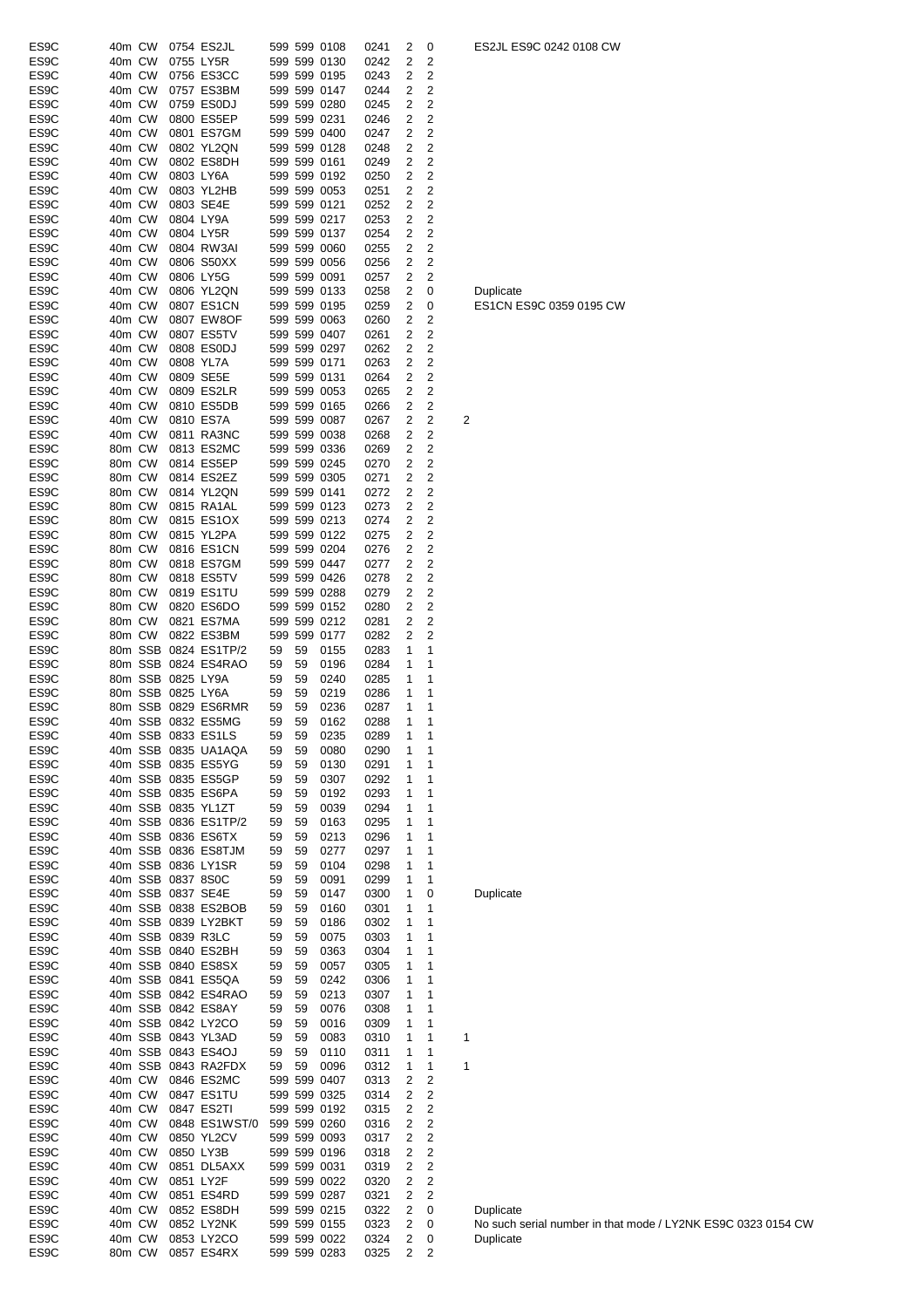| ES9C | 40m CW |        |                   | 0754 ES2JL           |    |              | 599 599 0108 | 0241 | 2                       | 0                       |   | ES2JL ES9C 0242 0108 CW                                      |
|------|--------|--------|-------------------|----------------------|----|--------------|--------------|------|-------------------------|-------------------------|---|--------------------------------------------------------------|
| ES9C | 40m CW |        |                   | 0755 LY5R            |    |              | 599 599 0130 | 0242 | 2                       | 2                       |   |                                                              |
| ES9C | 40m CW |        |                   | 0756 ES3CC           |    |              | 599 599 0195 | 0243 | 2                       | 2                       |   |                                                              |
| ES9C | 40m CW |        |                   | 0757 ES3BM           |    |              | 599 599 0147 | 0244 | 2                       | 2                       |   |                                                              |
| ES9C | 40m CW |        |                   | 0759 ES0DJ           |    |              | 599 599 0280 | 0245 | $\overline{2}$          | $\overline{2}$          |   |                                                              |
| ES9C | 40m CW |        |                   | 0800 ES5EP           |    | 599 599 0231 |              | 0246 | 2                       | 2                       |   |                                                              |
| ES9C | 40m CW |        |                   | 0801 ES7GM           |    |              | 599 599 0400 | 0247 | $\overline{\mathbf{c}}$ | $\overline{\mathbf{c}}$ |   |                                                              |
| ES9C | 40m CW |        |                   | 0802 YL2QN           |    |              | 599 599 0128 | 0248 | $\overline{\mathbf{c}}$ | $\overline{\mathbf{c}}$ |   |                                                              |
| ES9C | 40m CW |        |                   | 0802 ES8DH           |    | 599 599 0161 |              | 0249 | 2                       | 2                       |   |                                                              |
| ES9C | 40m CW |        |                   | 0803 LY6A            |    |              | 599 599 0192 | 0250 | 2                       | 2                       |   |                                                              |
| ES9C | 40m CW |        |                   | 0803 YL2HB           |    |              | 599 599 0053 | 0251 | 2                       | 2                       |   |                                                              |
| ES9C | 40m CW |        |                   | 0803 SE4E            |    | 599 599 0121 |              | 0252 | $\overline{\mathbf{c}}$ | $\overline{\mathbf{c}}$ |   |                                                              |
|      |        |        |                   |                      |    |              |              |      |                         |                         |   |                                                              |
| ES9C | 40m CW |        |                   | 0804 LY9A            |    |              | 599 599 0217 | 0253 | $\overline{\mathbf{c}}$ | $\overline{\mathbf{c}}$ |   |                                                              |
| ES9C | 40m CW |        |                   | 0804 LY5R            |    |              | 599 599 0137 | 0254 | $\overline{\mathbf{c}}$ | $\overline{\mathbf{c}}$ |   |                                                              |
| ES9C | 40m CW |        |                   | 0804 RW3AI           |    |              | 599 599 0060 | 0255 | 2                       | $\overline{\mathbf{c}}$ |   |                                                              |
| ES9C | 40m CW |        |                   | 0806 S50XX           |    |              | 599 599 0056 | 0256 | $\overline{2}$          | 2                       |   |                                                              |
| ES9C | 40m CW |        |                   | 0806 LY5G            |    | 599 599 0091 |              | 0257 | 2                       | 2                       |   |                                                              |
| ES9C | 40m CW |        |                   | 0806 YL2QN           |    |              | 599 599 0133 | 0258 | $\overline{2}$          | 0                       |   | Duplicate                                                    |
| ES9C | 40m CW |        |                   | 0807 ES1CN           |    |              | 599 599 0195 | 0259 | $\overline{\mathbf{c}}$ | 0                       |   | ES1CN ES9C 0359 0195 CW                                      |
| ES9C | 40m CW |        |                   | 0807 EW8OF           |    |              | 599 599 0063 | 0260 | $\overline{2}$          | 2                       |   |                                                              |
| ES9C | 40m CW |        |                   | 0807 ES5TV           |    |              | 599 599 0407 | 0261 | $\overline{\mathbf{c}}$ | $\overline{2}$          |   |                                                              |
| ES9C | 40m CW |        |                   | 0808 ES0DJ           |    |              | 599 599 0297 | 0262 | 2                       | 2                       |   |                                                              |
| ES9C | 40m CW |        |                   | 0808 YL7A            |    | 599 599 0171 |              | 0263 | 2                       | 2                       |   |                                                              |
| ES9C | 40m CW |        |                   | 0809 SE5E            |    | 599 599 0131 |              | 0264 | 2                       | 2                       |   |                                                              |
| ES9C | 40m CW |        |                   | 0809 ES2LR           |    |              | 599 599 0053 | 0265 | $\overline{\mathbf{c}}$ | $\overline{\mathbf{c}}$ |   |                                                              |
|      |        |        |                   |                      |    |              |              |      |                         |                         |   |                                                              |
| ES9C | 40m CW |        |                   | 0810 ES5DB           |    |              | 599 599 0165 | 0266 | $\overline{\mathbf{c}}$ | 2                       |   |                                                              |
| ES9C | 40m CW |        |                   | 0810 ES7A            |    |              | 599 599 0087 | 0267 | $\overline{2}$          | $\overline{\mathbf{c}}$ | 2 |                                                              |
| ES9C | 40m CW |        |                   | 0811 RA3NC           |    |              | 599 599 0038 | 0268 | 2                       | 2                       |   |                                                              |
| ES9C | 80m CW |        |                   | 0813 ES2MC           |    |              | 599 599 0336 | 0269 | 2                       | 2                       |   |                                                              |
| ES9C | 80m CW |        |                   | 0814 ES5EP           |    |              | 599 599 0245 | 0270 | $\overline{\mathbf{c}}$ | 2                       |   |                                                              |
| ES9C | 80m CW |        |                   | 0814 ES2EZ           |    |              | 599 599 0305 | 0271 | $\overline{2}$          | $\overline{2}$          |   |                                                              |
| ES9C | 80m CW |        |                   | 0814 YL2QN           |    | 599 599 0141 |              | 0272 | $\overline{\mathbf{c}}$ | $\overline{\mathbf{c}}$ |   |                                                              |
| ES9C | 80m CW |        |                   | 0815 RA1AL           |    |              | 599 599 0123 | 0273 | $\overline{\mathbf{c}}$ | $\overline{\mathbf{c}}$ |   |                                                              |
| ES9C | 80m CW |        |                   | 0815 ES1OX           |    |              | 599 599 0213 | 0274 | $\overline{\mathbf{c}}$ | $\overline{\mathbf{c}}$ |   |                                                              |
| ES9C | 80m CW |        |                   | 0815 YL2PA           |    |              | 599 599 0122 | 0275 | 2                       | 2                       |   |                                                              |
| ES9C | 80m CW |        |                   | 0816 ES1CN           |    |              | 599 599 0204 | 0276 | 2                       | 2                       |   |                                                              |
|      |        |        |                   |                      |    |              | 599 599 0447 |      |                         |                         |   |                                                              |
| ES9C | 80m CW |        |                   | 0818 ES7GM           |    |              |              | 0277 | 2                       | 2                       |   |                                                              |
| ES9C | 80m CW |        |                   | 0818 ES5TV           |    |              | 599 599 0426 | 0278 | $\overline{\mathbf{c}}$ | $\overline{\mathbf{c}}$ |   |                                                              |
| ES9C | 80m CW |        |                   | 0819 ES1TU           |    |              | 599 599 0288 | 0279 | 2                       | $\overline{\mathbf{c}}$ |   |                                                              |
| ES9C | 80m CW |        |                   | 0820 ES6DO           |    |              | 599 599 0152 | 0280 | 2                       | $\overline{\mathbf{c}}$ |   |                                                              |
| ES9C | 80m CW |        |                   | 0821 ES7MA           |    |              | 599 599 0212 | 0281 | 2                       | 2                       |   |                                                              |
| ES9C | 80m CW |        |                   | 0822 ES3BM           |    |              | 599 599 0177 | 0282 | $\overline{\mathbf{c}}$ | $\overline{2}$          |   |                                                              |
| ES9C |        |        |                   | 80m SSB 0824 ES1TP/2 | 59 | 59           | 0155         | 0283 | 1                       | 1                       |   |                                                              |
| ES9C |        |        |                   | 80m SSB 0824 ES4RAO  | 59 | 59           | 0196         | 0284 | 1                       | 1                       |   |                                                              |
| ES9C |        |        | 80m SSB 0825 LY9A |                      | 59 | 59           | 0240         | 0285 | 1                       | 1                       |   |                                                              |
| ES9C |        |        | 80m SSB 0825 LY6A |                      | 59 | 59           | 0219         | 0286 | 1                       | 1                       |   |                                                              |
| ES9C |        |        |                   | 80m SSB 0829 ES6RMR  | 59 | 59           | 0236         | 0287 | 1                       | 1                       |   |                                                              |
| ES9C |        |        |                   | 40m SSB 0832 ES5MG   | 59 | 59           | 0162         | 0288 | 1                       | 1                       |   |                                                              |
| ES9C |        |        |                   | 40m SSB 0833 ES1LS   | 59 | 59           | 0235         | 0289 | $\mathbf{1}$            | 1                       |   |                                                              |
| ES9C |        |        |                   |                      |    |              |              |      | 1                       | 1                       |   |                                                              |
|      |        |        |                   | 40m SSB 0835 UA1AQA  | 59 | 59           | 0080         | 0290 |                         |                         |   |                                                              |
| ES9C |        |        |                   | 40m SSB 0835 ES5YG   | 59 | 59           | 0130         | 0291 | 1                       | 1                       |   |                                                              |
| ES9C |        |        |                   | 40m SSB 0835 ES5GP   | 59 | 59           | 0307         | 0292 | 1                       | 1                       |   |                                                              |
| ES9C |        |        |                   | 40m SSB 0835 ES6PA   | 59 | 59           | 0192         | 0293 | 1                       | 1                       |   |                                                              |
| ES9C |        |        |                   | 40m SSB 0835 YL1ZT   | 59 | 59           | 0039         | 0294 | 1                       | 1                       |   |                                                              |
| ES9C |        |        |                   | 40m SSB 0836 ES1TP/2 | 59 | 59           | 0163         | 0295 | 1                       | 1                       |   |                                                              |
| ES9C |        |        |                   | 40m SSB 0836 ES6TX   | 59 | 59           | 0213         | 0296 | 1                       | 1                       |   |                                                              |
| ES9C |        |        |                   | 40m SSB 0836 ES8TJM  | 59 | 59           | 0277         | 0297 | 1                       | 1                       |   |                                                              |
| ES9C |        |        |                   | 40m SSB 0836 LY1SR   | 59 | 59           | 0104         | 0298 | 1                       | 1                       |   |                                                              |
| ES9C |        |        | 40m SSB 0837 8S0C |                      | 59 | 59           | 0091         | 0299 | 1                       | 1                       |   |                                                              |
| ES9C |        |        |                   | 40m SSB 0837 SE4E    | 59 | 59           | 0147         | 0300 | 1                       | 0                       |   | Duplicate                                                    |
| ES9C |        |        |                   | 40m SSB 0838 ES2BOB  |    |              |              | 0301 | 1                       | 1                       |   |                                                              |
|      |        |        |                   |                      | 59 | 59           | 0160         |      |                         |                         |   |                                                              |
| ES9C |        |        |                   | 40m SSB 0839 LY2BKT  | 59 | 59           | 0186         | 0302 | 1                       | 1                       |   |                                                              |
| ES9C |        |        |                   | 40m SSB 0839 R3LC    | 59 | 59           | 0075         | 0303 | 1                       | 1                       |   |                                                              |
| ES9C |        |        |                   | 40m SSB 0840 ES2BH   | 59 | 59           | 0363         | 0304 | 1                       | 1                       |   |                                                              |
| ES9C |        |        |                   | 40m SSB 0840 ES8SX   | 59 | 59           | 0057         | 0305 | 1                       | 1                       |   |                                                              |
| ES9C |        |        |                   | 40m SSB 0841 ES5QA   | 59 | 59           | 0242         | 0306 | 1                       | 1                       |   |                                                              |
| ES9C |        |        |                   | 40m SSB 0842 ES4RAO  | 59 | 59           | 0213         | 0307 | 1                       | 1                       |   |                                                              |
| ES9C |        |        |                   | 40m SSB 0842 ES8AY   | 59 | 59           | 0076         | 0308 | 1                       | 1                       |   |                                                              |
| ES9C |        |        |                   | 40m SSB 0842 LY2CO   | 59 | 59           | 0016         | 0309 | 1                       | 1                       |   |                                                              |
| ES9C |        |        |                   | 40m SSB 0843 YL3AD   | 59 | 59           | 0083         | 0310 | 1                       | 1                       | 1 |                                                              |
| ES9C |        |        |                   | 40m SSB 0843 ES4OJ   | 59 | 59           | 0110         | 0311 | 1                       | 1                       |   |                                                              |
| ES9C |        |        |                   | 40m SSB 0843 RA2FDX  | 59 | 59           | 0096         | 0312 | 1                       | 1                       | 1 |                                                              |
| ES9C | 40m CW |        |                   | 0846 ES2MC           |    |              | 599 599 0407 | 0313 | 2                       | 2                       |   |                                                              |
| ES9C | 40m CW |        |                   | 0847 ES1TU           |    |              | 599 599 0325 | 0314 | 2                       | 2                       |   |                                                              |
|      |        |        |                   |                      |    |              |              |      |                         |                         |   |                                                              |
| ES9C | 40m CW |        |                   | 0847 ES2TI           |    |              | 599 599 0192 | 0315 | $\overline{\mathbf{c}}$ | 2                       |   |                                                              |
| ES9C | 40m CW |        |                   | 0848 ES1WST/0        |    |              | 599 599 0260 | 0316 | 2                       | 2                       |   |                                                              |
| ES9C | 40m CW |        |                   | 0850 YL2CV           |    |              | 599 599 0093 | 0317 | 2                       | 2                       |   |                                                              |
| ES9C | 40m CW |        |                   | 0850 LY3B            |    |              | 599 599 0196 | 0318 | 2                       | 2                       |   |                                                              |
| ES9C | 40m CW |        |                   | 0851 DL5AXX          |    | 599 599 0031 |              | 0319 | $\overline{2}$          | 2                       |   |                                                              |
| ES9C | 40m CW |        | 0851 LY2F         |                      |    |              | 599 599 0022 | 0320 | 2                       | 2                       |   |                                                              |
| ES9C | 40m CW |        |                   | 0851 ES4RD           |    |              | 599 599 0287 | 0321 | $\overline{\mathbf{c}}$ | 2                       |   |                                                              |
| ES9C | 40m CW |        |                   | 0852 ES8DH           |    |              | 599 599 0215 | 0322 | 2                       | 0                       |   | Duplicate                                                    |
| ES9C | 40m CW |        |                   | 0852 LY2NK           |    |              | 599 599 0155 | 0323 | 2                       | 0                       |   | No such serial number in that mode / LY2NK ES9C 0323 0154 CW |
| ES9C | 40m CW |        |                   | 0853 LY2CO           |    |              | 599 599 0022 | 0324 | 2                       | 0                       |   | Duplicate                                                    |
| ES9C |        | 80m CW |                   | 0857 ES4RX           |    |              | 599 599 0283 | 0325 | 2                       | 2                       |   |                                                              |
|      |        |        |                   |                      |    |              |              |      |                         |                         |   |                                                              |

ES2JL ES9C 0242 0108 CW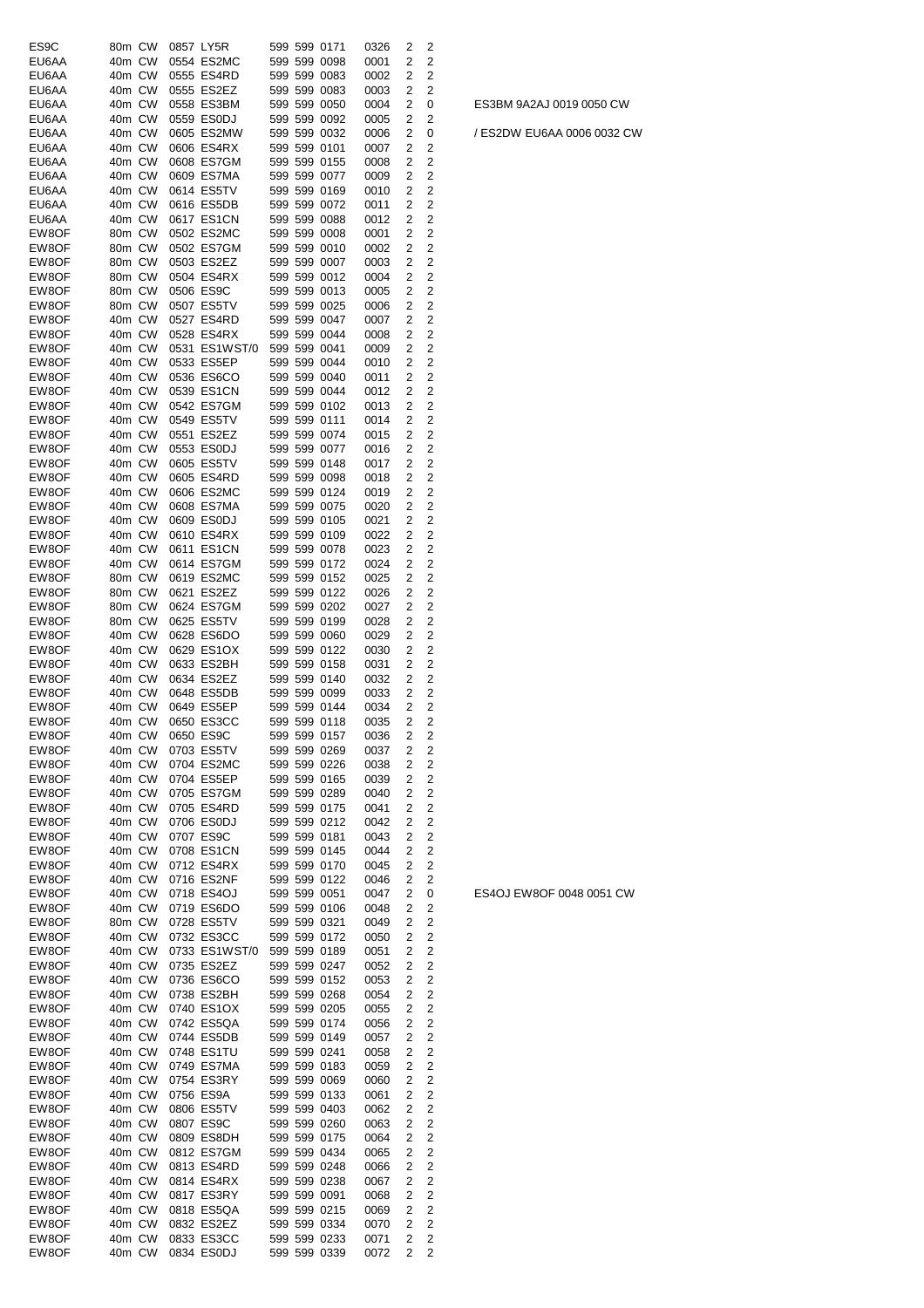| ES9C           | 80m CW           | 0857 LY5R |                          |  | 599 599 0171                 | 0326         | 2      | 2      |
|----------------|------------------|-----------|--------------------------|--|------------------------------|--------------|--------|--------|
| EU6AA          | 40m CW           |           | 0554 ES2MC               |  | 599 599 0098                 | 0001         | 2      | 2      |
| EU6AA          | 40m CW           |           | 0555 ES4RD               |  | 599 599 0083                 | 0002         | 2      | 2      |
| EU6AA<br>EU6AA | 40m CW<br>40m CW |           | 0555 ES2EZ<br>0558 ES3BM |  | 599 599 0083<br>599 599 0050 | 0003<br>0004 | 2<br>2 | 2<br>0 |
| EU6AA          | 40m CW           |           | 0559 ES0DJ               |  | 599 599 0092                 | 0005         | 2      | 2      |
| EU6AA          | 40m CW           |           | 0605 ES2MW               |  | 599 599 0032                 | 0006         | 2      | 0      |
| EU6AA          | 40m CW           |           | 0606 ES4RX               |  | 599 599 0101                 | 0007         | 2      | 2      |
| EU6AA          | 40m CW           |           | 0608 ES7GM               |  | 599 599 0155                 | 0008         | 2      | 2      |
| EU6AA          | 40m CW           |           | 0609 ES7MA               |  | 599 599 0077                 | 0009         | 2      | 2      |
| EU6AA<br>EU6AA | 40m CW<br>40m CW |           | 0614 ES5TV<br>0616 ES5DB |  | 599 599 0169<br>599 599 0072 | 0010<br>0011 | 2<br>2 | 2<br>2 |
| EU6AA          | 40m CW           |           | 0617 ES1CN               |  | 599 599 0088                 | 0012         | 2      | 2      |
| EW8OF          | 80m CW           |           | 0502 ES2MC               |  | 599 599 0008                 | 0001         | 2      | 2      |
| EW8OF          | 80m CW           |           | 0502 ES7GM               |  | 599 599 0010                 | 0002         | 2      | 2      |
| EW8OF          | 80m CW           |           | 0503 ES2EZ               |  | 599 599 0007                 | 0003         | 2      | 2      |
| EW8OF          | 80m CW           |           | 0504 ES4RX               |  | 599 599 0012                 | 0004         | 2      | 2      |
| EW8OF<br>EW8OF | 80m CW<br>80m CW | 0506 ES9C | 0507 ES5TV               |  | 599 599 0013<br>599 599 0025 | 0005         | 2<br>2 | 2<br>2 |
| EW8OF          | 40m CW           |           | 0527 ES4RD               |  | 599 599 0047                 | 0006<br>0007 | 2      | 2      |
| EW8OF          | 40m CW           |           | 0528 ES4RX               |  | 599 599 0044                 | 0008         | 2      | 2      |
| EW8OF          | 40m CW           |           | 0531 ES1WST/0            |  | 599 599 0041                 | 0009         | 2      | 2      |
| EW8OF          | 40m CW           |           | 0533 ES5EP               |  | 599 599 0044                 | 0010         | 2      | 2      |
| EW8OF          | 40m CW           |           | 0536 ES6CO               |  | 599 599 0040                 | 0011         | 2      | 2      |
| EW8OF          | 40m CW           |           | 0539 ES1CN               |  | 599 599 0044                 | 0012         | 2      | 2      |
| EW8OF          | 40m CW           |           | 0542 ES7GM<br>0549 ES5TV |  | 599 599 0102                 | 0013         | 2      | 2      |
| EW8OF<br>EW8OF | 40m CW<br>40m CW |           | 0551 ES2EZ               |  | 599 599 0111<br>599 599 0074 | 0014<br>0015 | 2<br>2 | 2<br>2 |
| EW8OF          | 40m CW           |           | 0553 ES0DJ               |  | 599 599 0077                 | 0016         | 2      | 2      |
| EW8OF          | 40m CW           |           | 0605 ES5TV               |  | 599 599 0148                 | 0017         | 2      | 2      |
| EW8OF          | 40m CW           |           | 0605 ES4RD               |  | 599 599 0098                 | 0018         | 2      | 2      |
| EW8OF          | 40m CW           |           | 0606 ES2MC               |  | 599 599 0124                 | 0019         | 2      | 2      |
| EW8OF          | 40m CW           |           | 0608 ES7MA               |  | 599 599 0075                 | 0020         | 2      | 2      |
| EW8OF          | 40m CW           |           | 0609 ES0DJ               |  | 599 599 0105                 | 0021         | 2      | 2      |
| EW8OF          | 40m CW           |           | 0610 ES4RX               |  | 599 599 0109                 | 0022         | 2      | 2      |
| EW8OF<br>EW8OF | 40m CW<br>40m CW |           | 0611 ES1CN<br>0614 ES7GM |  | 599 599 0078<br>599 599 0172 | 0023<br>0024 | 2<br>2 | 2<br>2 |
| EW8OF          | 80m CW           |           | 0619 ES2MC               |  | 599 599 0152                 | 0025         | 2      | 2      |
| EW8OF          | 80m CW           |           | 0621 ES2EZ               |  | 599 599 0122                 | 0026         | 2      | 2      |
| EW8OF          | 80m CW           |           | 0624 ES7GM               |  | 599 599 0202                 | 0027         | 2      | 2      |
| EW8OF          | 80m CW           |           | 0625 ES5TV               |  | 599 599 0199                 | 0028         | 2      | 2      |
| EW8OF          | 40m CW           |           | 0628 ES6DO               |  | 599 599 0060                 | 0029         | 2      | 2      |
| EW8OF<br>EW8OF | 40m CW<br>40m CW |           | 0629 ES1OX<br>0633 ES2BH |  | 599 599 0122<br>599 599 0158 | 0030<br>0031 | 2<br>2 | 2<br>2 |
| EW8OF          | 40m CW           |           | 0634 ES2EZ               |  | 599 599 0140                 | 0032         | 2      | 2      |
| EW8OF          | 40m CW           |           | 0648 ES5DB               |  | 599 599 0099                 | 0033         | 2      | 2      |
| EW8OF          | 40m CW           |           | 0649 ES5EP               |  | 599 599 0144                 | 0034         | 2      | 2      |
| EW8OF          | 40m CW           |           | 0650 ES3CC               |  | 599 599 0118                 | 0035         | 2      | 2      |
| EW8OF          | 40m CW           | 0650 ES9C |                          |  | 599 599 0157                 | 0036         | 2      | 2      |
| EW8OF<br>EW8OF | 40m CW           |           | 0703 ES5TV<br>0704 ES2MC |  | 599 599 0269                 | 0037<br>0038 | 2<br>2 | 2      |
| EW8OF          | 40m CW<br>40m CW |           | 0704 ES5EP               |  | 599 599 0226<br>599 599 0165 | 0039         | 2      | 2<br>2 |
| EW8OF          | 40m CW           |           | 0705 ES7GM               |  | 599 599 0289                 | 0040         | 2      | 2      |
| EW8OF          | 40m CW           |           | 0705 ES4RD               |  | 599 599 0175                 | 0041         | 2      | 2      |
| EW8OF          | 40m CW           |           | 0706 ES0DJ               |  | 599 599 0212                 | 0042         | 2      | 2      |
| EW8OF          | 40m CW           |           | 0707 ES9C                |  | 599 599 0181                 | 0043         | 2      | 2      |
| EW8OF          | 40m CW           |           | 0708 ES1CN               |  | 599 599 0145                 | 0044         | 2      | 2      |
| EW8OF<br>EW8OF | 40m CW<br>40m CW |           | 0712 ES4RX<br>0716 ES2NF |  | 599 599 0170<br>599 599 0122 | 0045<br>0046 | 2<br>2 | 2<br>2 |
| EW8OF          | 40m CW           |           | 0718 ES4OJ               |  | 599 599 0051                 | 0047         | 2      | 0      |
| EW8OF          | 40m CW           |           | 0719 ES6DO               |  | 599 599 0106                 | 0048         | 2      | 2      |
| EW8OF          | 80m CW           |           | 0728 ES5TV               |  | 599 599 0321                 | 0049         | 2      | 2      |
| EW8OF          | 40m CW           |           | 0732 ES3CC               |  | 599 599 0172                 | 0050         | 2      | 2      |
| EW8OF          | 40m CW           |           | 0733 ES1WST/0            |  | 599 599 0189                 | 0051         | 2      | 2      |
| EW8OF          | 40m CW           |           | 0735 ES2EZ               |  | 599 599 0247                 | 0052         | 2      | 2      |
| EW8OF<br>EW8OF | 40m CW<br>40m CW |           | 0736 ES6CO<br>0738 ES2BH |  | 599 599 0152<br>599 599 0268 | 0053<br>0054 | 2<br>2 | 2<br>2 |
| EW8OF          | 40m CW           |           | 0740 ES1OX               |  | 599 599 0205                 | 0055         | 2      | 2      |
| EW8OF          | 40m CW           |           | 0742 ES5QA               |  | 599 599 0174                 | 0056         | 2      | 2      |
| EW8OF          | 40m CW           |           | 0744 ES5DB               |  | 599 599 0149                 | 0057         | 2      | 2      |
| EW8OF          | 40m CW           |           | 0748 ES1TU               |  | 599 599 0241                 | 0058         | 2      | 2      |
| EW8OF          | 40m CW           |           | 0749 ES7MA               |  | 599 599 0183                 | 0059         | 2      | 2      |
| EW8OF          | 40m CW           |           | 0754 ES3RY               |  | 599 599 0069                 | 0060         | 2      | 2      |
| EW8OF<br>EW8OF | 40m CW<br>40m CW |           | 0756 ES9A<br>0806 ES5TV  |  | 599 599 0133<br>599 599 0403 | 0061<br>0062 | 2<br>2 | 2<br>2 |
| EW8OF          | 40m CW           |           | 0807 ES9C                |  | 599 599 0260                 | 0063         | 2      | 2      |
| EW8OF          | 40m CW           |           | 0809 ES8DH               |  | 599 599 0175                 | 0064         | 2      | 2      |
| EW8OF          | 40m CW           |           | 0812 ES7GM               |  | 599 599 0434                 | 0065         | 2      | 2      |
| EW8OF          | 40m CW           |           | 0813 ES4RD               |  | 599 599 0248                 | 0066         | 2      | 2      |
| EW8OF          | 40m CW           |           | 0814 ES4RX               |  | 599 599 0238                 | 0067         | 2      | 2      |
| EW8OF          | 40m CW           |           | 0817 ES3RY               |  | 599 599 0091                 | 0068         | 2<br>2 | 2<br>2 |
| EW8OF<br>EW8OF | 40m CW<br>40m CW |           | 0818 ES5QA<br>0832 ES2EZ |  | 599 599 0215<br>599 599 0334 | 0069<br>0070 | 2      | 2      |
| EW8OF          | 40m CW           |           | 0833 ES3CC               |  | 599 599 0233                 | 0071         | 2      | 2      |
| EW8OF          | 40m CW           |           | 0834 ES0DJ               |  | 599 599 0339                 | 0072         | 2      | 2      |

ES4OJ EW8OF 0048 0051 CW

/ ES2DW EU6AA 0006 0032 CW

ES3BM 9A2AJ 0019 0050 CW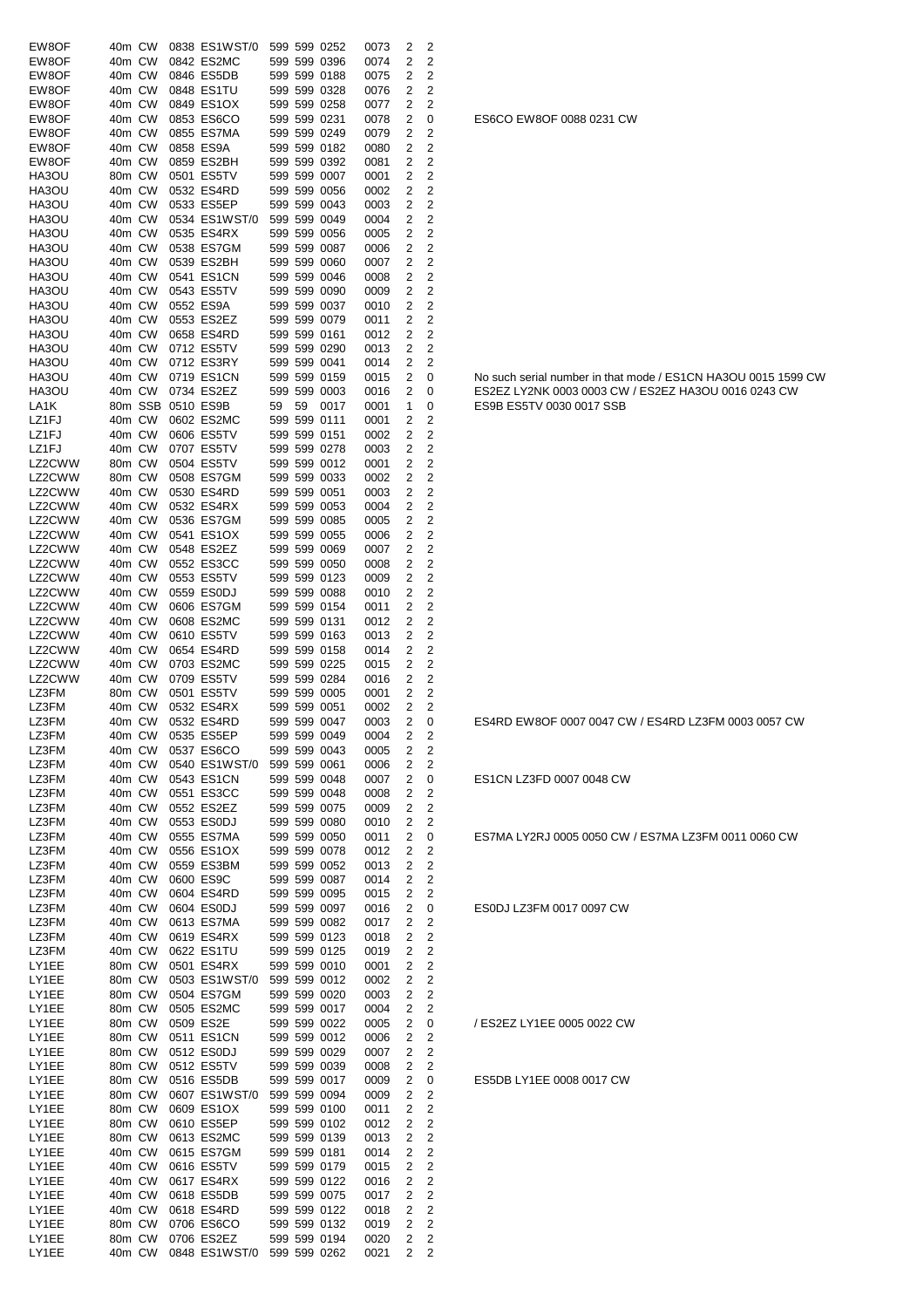| EW8OF            | 40m CW           |        |                                        | 0838 ES1WST/0                             |    |              | 599 599 0252                 | 0073         | 2                   | 2                                         |                                                               |
|------------------|------------------|--------|----------------------------------------|-------------------------------------------|----|--------------|------------------------------|--------------|---------------------|-------------------------------------------|---------------------------------------------------------------|
| EW8OF            | 40m CW           |        |                                        | 0842 ES2MC                                |    |              | 599 599 0396                 | 0074         | 2                   | $\overline{2}$                            |                                                               |
| EW8OF            | 40m CW           |        |                                        | 0846 ES5DB                                |    |              | 599 599 0188                 | 0075         | 2                   | 2                                         |                                                               |
| EW8OF<br>EW8OF   | 40m CW<br>40m CW |        | 0848 ES1TU                             | 0849 ES1OX                                |    |              | 599 599 0328<br>599 599 0258 | 0076<br>0077 | 2<br>2              | $\overline{2}$<br>2                       |                                                               |
| EW8OF            | 40m CW           |        |                                        | 0853 ES6CO                                |    | 599 599 0231 |                              | 0078         | 2                   | 0                                         | ES6CO EW8OF 0088 0231 CW                                      |
| EW8OF            | 40m CW           |        |                                        | 0855 ES7MA                                |    |              | 599 599 0249                 | 0079         | 2                   | 2                                         |                                                               |
| EW8OF            | 40m CW           |        | 0858 ES9A                              |                                           |    |              | 599 599 0182                 | 0080         | 2                   | $\overline{c}$                            |                                                               |
| EW8OF            | 40m CW           |        | 0859 ES2BH                             |                                           |    |              | 599 599 0392                 | 0081         | 2                   | $\overline{c}$                            |                                                               |
| HA3OU<br>HA3OU   | 80m CW<br>40m CW |        | 0501 ES5TV                             | 0532 ES4RD                                |    |              | 599 599 0007<br>599 599 0056 | 0001         | 2<br>2              | $\overline{c}$<br>$\overline{c}$          |                                                               |
| HA3OU            | 40m CW           |        | 0533 ES5EP                             |                                           |    |              | 599 599 0043                 | 0002<br>0003 | 2                   | 2                                         |                                                               |
| HA3OU            | 40m CW           |        |                                        | 0534 ES1WST/0                             |    |              | 599 599 0049                 | 0004         | 2                   | 2                                         |                                                               |
| HA3OU            | 40m CW           |        |                                        | 0535 ES4RX                                |    |              | 599 599 0056                 | 0005         | 2                   | 2                                         |                                                               |
| HA3OU            | 40m CW           |        |                                        | 0538 ES7GM                                |    |              | 599 599 0087                 | 0006         | 2                   | 2                                         |                                                               |
| HA3OU<br>HA3OU   | 40m CW<br>40m CW |        |                                        | 0539 ES2BH<br>0541 ES1CN                  |    |              | 599 599 0060<br>599 599 0046 | 0007<br>0008 | 2<br>2              | 2<br>$\overline{2}$                       |                                                               |
| HA3OU            | 40m CW           |        | 0543 ES5TV                             |                                           |    |              | 599 599 0090                 | 0009         | 2                   | 2                                         |                                                               |
| HA3OU            | 40m CW           |        | 0552 ES9A                              |                                           |    |              | 599 599 0037                 | 0010         | 2                   | $\overline{2}$                            |                                                               |
| HA3OU            | 40m CW           |        | 0553 ES2EZ                             |                                           |    |              | 599 599 0079                 | 0011         | 2                   | $\overline{c}$                            |                                                               |
| HA3OU            | 40m CW           |        |                                        | 0658 ES4RD                                |    | 599 599 0161 |                              | 0012         | 2                   | $\overline{c}$                            |                                                               |
| HA3OU<br>HA3OU   | 40m CW<br>40m CW |        | 0712 ES5TV<br>0712 ES3RY               |                                           |    | 599 599 0041 | 599 599 0290                 | 0013<br>0014 | 2<br>2              | $\overline{c}$<br>2                       |                                                               |
| HA3OU            | 40m CW           |        |                                        | 0719 ES1CN                                |    |              | 599 599 0159                 | 0015         | 2                   | 0                                         | No such serial number in that mode / ES1CN HA3OU 0015 1599 CW |
| HA3OU            | 40m CW           |        | 0734 ES2EZ                             |                                           |    |              | 599 599 0003                 | 0016         | 2                   | 0                                         | ES2EZ LY2NK 0003 0003 CW / ES2EZ HA3OU 0016 0243 CW           |
| LA1K             |                  |        | 80m SSB 0510 ES9B                      |                                           | 59 | 59           | 0017                         | 0001         | 1                   | 0                                         | ES9B ES5TV 0030 0017 SSB                                      |
| LZ1FJ            | 40m CW           |        |                                        | 0602 ES2MC                                |    | 599 599 0111 |                              | 0001         | 2                   | 2                                         |                                                               |
| LZ1FJ            | 40m CW           |        | 0606 ES5TV                             |                                           |    | 599 599 0151 |                              | 0002         | 2                   | $\overline{2}$                            |                                                               |
| LZ1FJ<br>LZ2CWW  | 40m CW<br>80m CW |        | 0707 ES5TV<br>0504 ES5TV               |                                           |    |              | 599 599 0278<br>599 599 0012 | 0003<br>0001 | 2<br>2              | 2<br>$\overline{2}$                       |                                                               |
| LZ2CWW           | 80m CW           |        |                                        | 0508 ES7GM                                |    |              | 599 599 0033                 | 0002         | 2                   | $\overline{c}$                            |                                                               |
| LZ2CWW           | 40m CW           |        |                                        | 0530 ES4RD                                |    | 599 599 0051 |                              | 0003         | 2                   | $\overline{c}$                            |                                                               |
| LZ2CWW           | 40m CW           |        |                                        | 0532 ES4RX                                |    |              | 599 599 0053                 | 0004         | 2                   | $\overline{c}$                            |                                                               |
| LZ2CWW           | 40m CW           |        |                                        | 0536 ES7GM                                |    |              | 599 599 0085                 | 0005         | 2                   | $\overline{c}$                            |                                                               |
| LZ2CWW<br>LZ2CWW | 40m CW<br>40m CW |        | 0548 ES2EZ                             | 0541 ES1OX                                |    |              | 599 599 0055<br>599 599 0069 | 0006<br>0007 | 2<br>2              | $\overline{c}$<br>2                       |                                                               |
| LZ2CWW           | 40m CW           |        |                                        | 0552 ES3CC                                |    |              | 599 599 0050                 | 0008         | 2                   | 2                                         |                                                               |
| LZ2CWW           | 40m CW           |        | 0553 ES5TV                             |                                           |    |              | 599 599 0123                 | 0009         | 2                   | 2                                         |                                                               |
| LZ2CWW           | 40m CW           |        | 0559 ES0DJ                             |                                           |    |              | 599 599 0088                 | 0010         | 2                   | $\overline{2}$                            |                                                               |
| LZ2CWW           | 40m CW           |        |                                        | 0606 ES7GM                                |    |              | 599 599 0154                 | 0011         | 2                   | 2                                         |                                                               |
| LZ2CWW<br>LZ2CWW | 40m CW<br>40m CW |        | 0610 ES5TV                             | 0608 ES2MC                                |    | 599 599 0131 | 599 599 0163                 | 0012<br>0013 | 2<br>2              | $\overline{2}$<br>2                       |                                                               |
| LZ2CWW           | 40m CW           |        |                                        | 0654 ES4RD                                |    |              | 599 599 0158                 | 0014         | 2                   | $\overline{2}$                            |                                                               |
| LZ2CWW           | 40m CW           |        |                                        | 0703 ES2MC                                |    |              | 599 599 0225                 | 0015         | 2                   | $\overline{c}$                            |                                                               |
| LZ2CWW           | 40m CW           |        | 0709 ES5TV                             |                                           |    |              | 599 599 0284                 | 0016         | 2                   | $\overline{c}$                            |                                                               |
| LZ3FM            | 80m CW           |        | 0501 ES5TV                             |                                           |    |              | 599 599 0005                 | 0001         | 2                   | $\overline{c}$                            |                                                               |
| LZ3FM<br>LZ3FM   | 40m CW           |        | 40m CW 0532 ES4RD                      | 0532 ES4RX                                |    | 599 599 0051 | 599 599 0047                 | 0002<br>0003 | 2<br>2              | 2<br>0                                    | ES4RD EW8OF 0007 0047 CW / ES4RD LZ3FM 0003 0057 CW           |
| LZ3FM            |                  |        | 40m CW 0535 ES5EP                      |                                           |    |              | 599 599 0049                 | 0004         | 2                   | 2                                         |                                                               |
| LZ3FM            |                  |        |                                        | 40m CW 0537 ES6CO                         |    |              | 599 599 0043                 | 0005         | $\overline{2}$      | 2                                         |                                                               |
| LZ3FM            |                  |        |                                        | 40m CW 0540 ES1WST/0                      |    |              | 599 599 0061                 | 0006         | 2                   | 2                                         |                                                               |
| LZ3FM            |                  |        |                                        | 40m CW 0543 ES1CN                         |    |              | 599 599 0048                 | 0007         | $\overline{c}$      | 0                                         | ES1CN LZ3FD 0007 0048 CW                                      |
| LZ3FM<br>LZ3FM   |                  |        | 40m CW 0552 ES2EZ                      | 40m CW 0551 ES3CC                         |    |              | 599 599 0048<br>599 599 0075 | 0008<br>0009 | 2<br>$\overline{2}$ | 2<br>$\overline{2}$                       |                                                               |
| LZ3FM            |                  |        | 40m CW 0553 ES0DJ                      |                                           |    |              | 599 599 0080                 | 0010         | $\overline{c}$      | 2                                         |                                                               |
| LZ3FM            |                  |        |                                        | 40m CW 0555 ES7MA                         |    |              | 599 599 0050                 | 0011         | 2                   | 0                                         | ES7MA LY2RJ 0005 0050 CW / ES7MA LZ3FM 0011 0060 CW           |
| LZ3FM            |                  |        |                                        | 40m CW 0556 ES1OX                         |    |              | 599 599 0078                 | 0012         | 2                   | 2                                         |                                                               |
| LZ3FM            |                  |        |                                        | 40m CW 0559 ES3BM                         |    |              | 599 599 0052                 | 0013         | 2                   | $\overline{2}$                            |                                                               |
| LZ3FM<br>LZ3FM   |                  |        | 40m CW 0600 ES9C                       | 40m CW 0604 ES4RD                         |    |              | 599 599 0087<br>599 599 0095 | 0014<br>0015 | 2<br>2              | $\overline{\mathbf{c}}$<br>2              |                                                               |
| LZ3FM            |                  |        | 40m CW 0604 ES0DJ                      |                                           |    |              | 599 599 0097                 | 0016         | 2                   | 0                                         | ES0DJ LZ3FM 0017 0097 CW                                      |
| LZ3FM            |                  |        |                                        | 40m CW 0613 ES7MA                         |    |              | 599 599 0082                 | 0017         | 2                   | 2                                         |                                                               |
| LZ3FM            |                  |        |                                        | 40m CW 0619 ES4RX                         |    |              | 599 599 0123                 | 0018         | 2                   | 2                                         |                                                               |
| LZ3FM            |                  | 40m CW | 0622 ES1TU                             |                                           |    |              | 599 599 0125                 | 0019         | 2                   | 2                                         |                                                               |
| LY1EE<br>LY1EE   |                  |        |                                        | 80m CW 0501 ES4RX<br>80m CW 0503 ES1WST/0 |    |              | 599 599 0010<br>599 599 0012 | 0001<br>0002 | 2<br>2              | $\overline{2}$<br>$\overline{2}$          |                                                               |
| LY1EE            |                  |        |                                        | 80m CW 0504 ES7GM                         |    |              | 599 599 0020                 | 0003         | $\overline{2}$      | $\overline{2}$                            |                                                               |
| LY1EE            |                  |        |                                        | 80m CW 0505 ES2MC                         |    |              | 599 599 0017                 | 0004         | 2                   | 2                                         |                                                               |
| LY1EE            |                  |        | 80m CW 0509 ES2E                       |                                           |    |              | 599 599 0022                 | 0005         | 2                   | 0                                         | / ES2EZ LY1EE 0005 0022 CW                                    |
| LY1EE<br>LY1EE   |                  |        |                                        | 80m CW 0511 ES1CN                         |    |              | 599 599 0012                 | 0006         | 2                   | 2                                         |                                                               |
| LY1EE            |                  |        | 80m CW 0512 ES0DJ<br>80m CW 0512 ES5TV |                                           |    |              | 599 599 0029<br>599 599 0039 | 0007<br>0008 | 2<br>2              | $\overline{2}$<br>2                       |                                                               |
| LY1EE            |                  |        | 80m CW 0516 ES5DB                      |                                           |    |              | 599 599 0017                 | 0009         | 2                   | 0                                         | ES5DB LY1EE 0008 0017 CW                                      |
| LY1EE            |                  |        |                                        | 80m CW 0607 ES1WST/0                      |    |              | 599 599 0094                 | 0009         | 2                   | 2                                         |                                                               |
| LY1EE            |                  |        |                                        | 80m CW 0609 ES1OX                         |    |              | 599 599 0100                 | 0011         | 2                   | 2                                         |                                                               |
| LY1EE            |                  | 80m CW | 0610 ES5EP                             |                                           |    |              | 599 599 0102                 | 0012         | 2                   | 2                                         |                                                               |
| LY1EE<br>LY1EE   |                  | 80m CW |                                        | 0613 ES2MC<br>40m CW 0615 ES7GM           |    |              | 599 599 0139<br>599 599 0181 | 0013<br>0014 | 2<br>$\overline{c}$ | $\overline{\mathbf{c}}$<br>$\overline{2}$ |                                                               |
| LY1EE            |                  |        | 40m CW 0616 ES5TV                      |                                           |    |              | 599 599 0179                 | 0015         | 2                   | $\overline{2}$                            |                                                               |
| LY1EE            |                  |        |                                        | 40m CW 0617 ES4RX                         |    |              | 599 599 0122                 | 0016         | 2                   | $\overline{2}$                            |                                                               |
| LY1EE            |                  |        | 40m CW 0618 ES5DB                      |                                           |    |              | 599 599 0075                 | 0017         | 2                   | $\overline{\mathbf{c}}$                   |                                                               |
| LY1EE            |                  |        |                                        | 40m CW 0618 ES4RD                         |    |              | 599 599 0122                 | 0018         | 2                   | $\overline{2}$                            |                                                               |
| LY1EE<br>LY1EE   |                  |        | 80m CW 0706 ES2EZ                      | 80m CW 0706 ES6CO                         |    |              | 599 599 0132<br>599 599 0194 | 0019<br>0020 | 2<br>2              | $\overline{2}$<br>$\overline{2}$          |                                                               |
| LY1EE            |                  |        |                                        | 40m CW 0848 ES1WST/0                      |    |              | 599 599 0262                 | 0021         | $\overline{2}$      | 2                                         |                                                               |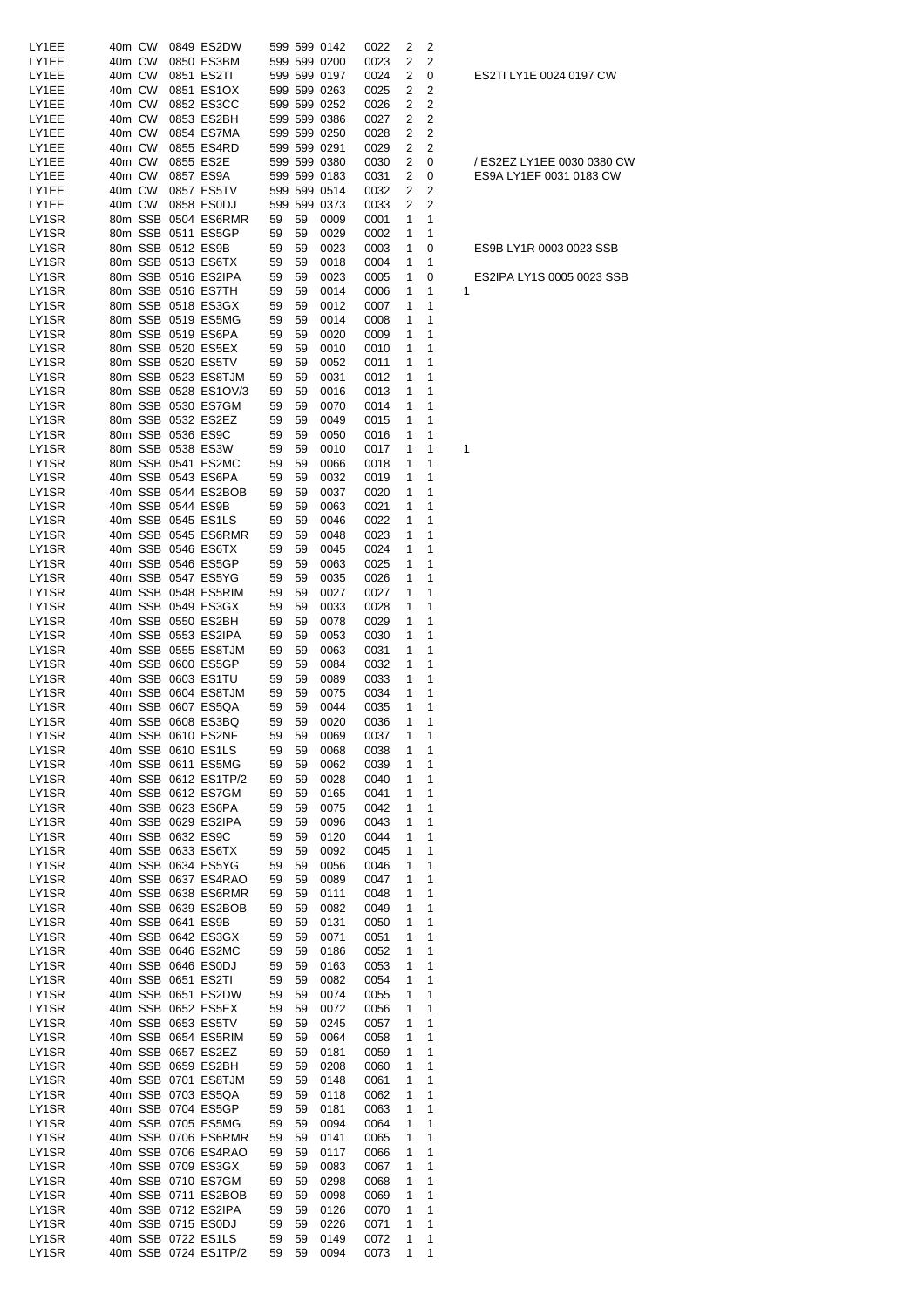| LY1EE          | 40m CW |        | 0849 ES2DW           |    |    | 599 599 0142 | 0022 | 2            | 2 |                            |
|----------------|--------|--------|----------------------|----|----|--------------|------|--------------|---|----------------------------|
|                |        |        |                      |    |    |              |      |              |   |                            |
| LY1EE          | 40m CW |        | 0850 ES3BM           |    |    | 599 599 0200 | 0023 | 2            | 2 |                            |
| LY1EE          | 40m CW |        | 0851 ES2TI           |    |    | 599 599 0197 | 0024 | 2            | 0 | ES2TI LY1E 0024 0197 CW    |
| LY1EE          | 40m CW |        | 0851 ES1OX           |    |    | 599 599 0263 | 0025 | 2            | 2 |                            |
| LY1EE          | 40m CW |        | 0852 ES3CC           |    |    | 599 599 0252 | 0026 | 2            | 2 |                            |
| LY1EE          | 40m CW |        | 0853 ES2BH           |    |    | 599 599 0386 | 0027 | 2            | 2 |                            |
| LY1EE          | 40m CW |        | 0854 ES7MA           |    |    | 599 599 0250 | 0028 | 2            | 2 |                            |
| LY1EE          | 40m CW |        | 0855 ES4RD           |    |    | 599 599 0291 | 0029 | 2            | 2 |                            |
| LY1EE          | 40m CW |        | 0855 ES2E            |    |    | 599 599 0380 | 0030 | 2            | 0 | / ES2EZ LY1EE 0030 0380 CW |
| LY1EE          | 40m CW |        | 0857 ES9A            |    |    | 599 599 0183 | 0031 | 2            | 0 | ES9A LY1EF 0031 0183 CW    |
| LY1EE          | 40m CW |        | 0857 ES5TV           |    |    | 599 599 0514 | 0032 | 2            | 2 |                            |
| LY1EE          |        | 40m CW | 0858 ES0DJ           |    |    | 599 599 0373 | 0033 | 2            | 2 |                            |
| LY1SR          |        |        | 80m SSB 0504 ES6RMR  | 59 | 59 | 0009         | 0001 | 1            | 1 |                            |
| LY1SR          |        |        | 80m SSB 0511 ES5GP   | 59 | 59 | 0029         | 0002 | 1            | 1 |                            |
| LY1SR          |        |        | 80m SSB 0512 ES9B    | 59 | 59 | 0023         | 0003 | 1            | 0 | ES9B LY1R 0003 0023 SSB    |
| LY1SR          |        |        | 80m SSB 0513 ES6TX   | 59 | 59 | 0018         | 0004 | 1            | 1 |                            |
| LY1SR          |        |        | 80m SSB 0516 ES2IPA  | 59 | 59 | 0023         | 0005 | 1            | 0 | ES2IPA LY1S 0005 0023 SSB  |
| LY1SR          |        |        | 80m SSB 0516 ES7TH   | 59 | 59 | 0014         | 0006 | 1            | 1 | 1                          |
| LY1SR          |        |        | 80m SSB 0518 ES3GX   | 59 | 59 | 0012         | 0007 |              | 1 |                            |
|                |        |        |                      |    |    |              |      | 1            |   |                            |
| LY1SR          |        |        | 80m SSB 0519 ES5MG   | 59 | 59 | 0014         | 0008 | 1            | 1 |                            |
| LY1SR          |        |        | 80m SSB 0519 ES6PA   | 59 | 59 | 0020         | 0009 | 1            | 1 |                            |
| LY1SR          |        |        | 80m SSB 0520 ES5EX   | 59 | 59 | 0010         | 0010 | 1            | 1 |                            |
| LY1SR          |        |        | 80m SSB 0520 ES5TV   | 59 | 59 | 0052         | 0011 | 1            | 1 |                            |
| LY1SR          |        |        | 80m SSB 0523 ES8TJM  | 59 | 59 | 0031         | 0012 | 1            | 1 |                            |
| LY1SR          |        |        | 80m SSB 0528 ES1OV/3 | 59 | 59 | 0016         | 0013 | 1            | 1 |                            |
| LY1SR          |        |        | 80m SSB 0530 ES7GM   | 59 | 59 | 0070         | 0014 | 1            | 1 |                            |
| LY1SR          |        |        | 80m SSB 0532 ES2EZ   | 59 | 59 | 0049         | 0015 | 1            | 1 |                            |
| LY1SR          |        |        | 80m SSB 0536 ES9C    | 59 | 59 | 0050         | 0016 | 1            | 1 |                            |
| LY1SR          |        |        | 80m SSB 0538 ES3W    | 59 | 59 | 0010         | 0017 | 1            | 1 | 1                          |
| LY1SR          |        |        | 80m SSB 0541 ES2MC   | 59 | 59 | 0066         | 0018 | 1            | 1 |                            |
| LY1SR          |        |        | 40m SSB 0543 ES6PA   | 59 | 59 | 0032         | 0019 | 1            | 1 |                            |
| LY1SR          |        |        | 40m SSB 0544 ES2BOB  | 59 | 59 | 0037         | 0020 | 1            | 1 |                            |
| LY1SR          |        |        | 40m SSB 0544 ES9B    | 59 | 59 | 0063         | 0021 | 1            | 1 |                            |
|                |        |        |                      |    |    |              |      |              |   |                            |
| LY1SR          |        |        | 40m SSB 0545 ES1LS   | 59 | 59 | 0046         | 0022 | 1            | 1 |                            |
| LY1SR          |        |        | 40m SSB 0545 ES6RMR  | 59 | 59 | 0048         | 0023 | 1            | 1 |                            |
| LY1SR          |        |        | 40m SSB 0546 ES6TX   | 59 | 59 | 0045         | 0024 | 1            | 1 |                            |
| LY1SR          |        |        | 40m SSB 0546 ES5GP   | 59 | 59 | 0063         | 0025 | 1            | 1 |                            |
| LY1SR          |        |        | 40m SSB 0547 ES5YG   | 59 | 59 | 0035         | 0026 | 1            | 1 |                            |
| LY1SR          |        |        | 40m SSB 0548 ES5RIM  | 59 | 59 | 0027         | 0027 | 1            | 1 |                            |
| LY1SR          |        |        | 40m SSB 0549 ES3GX   | 59 | 59 | 0033         | 0028 | 1            | 1 |                            |
| LY1SR          |        |        | 40m SSB 0550 ES2BH   | 59 | 59 | 0078         | 0029 | 1            | 1 |                            |
| LY1SR          |        |        | 40m SSB 0553 ES2IPA  | 59 | 59 | 0053         | 0030 | 1            | 1 |                            |
| LY1SR          |        |        | 40m SSB 0555 ES8TJM  | 59 | 59 | 0063         | 0031 | 1            | 1 |                            |
| LY1SR          |        |        | 40m SSB 0600 ES5GP   | 59 | 59 | 0084         | 0032 | 1            | 1 |                            |
| LY1SR          |        |        | 40m SSB 0603 ES1TU   | 59 | 59 | 0089         | 0033 | 1            | 1 |                            |
| LY1SR          |        |        | 40m SSB 0604 ES8TJM  | 59 | 59 | 0075         | 0034 | 1            | 1 |                            |
| LY1SR          |        |        | 40m SSB 0607 ES5QA   | 59 | 59 | 0044         | 0035 | 1            | 1 |                            |
| LY1SR          |        |        | 40m SSB 0608 ES3BQ   | 59 | 59 | 0020         | 0036 | 1            | 1 |                            |
| LY1SR          |        |        | 40m SSB 0610 ES2NF   |    |    | 59 59 0069   | 0037 | $\mathbf{1}$ | 1 |                            |
|                |        |        |                      |    |    |              |      |              |   |                            |
| LY1SR<br>LY1SR |        |        | 40m SSB 0610 ES1LS   | 59 | 59 | 0068         | 0038 | 1            | 1 |                            |
|                |        |        | 40m SSB 0611 ES5MG   | 59 | 59 | 0062         | 0039 | 1            | 1 |                            |
| LY1SR          |        |        | 40m SSB 0612 ES1TP/2 | 59 | 59 | 0028         | 0040 | 1            | 1 |                            |
| LY1SR          |        |        | 40m SSB 0612 ES7GM   | 59 | 59 | 0165         | 0041 | 1            | 1 |                            |
| LY1SR          |        |        | 40m SSB 0623 ES6PA   | 59 | 59 | 0075         | 0042 | 1            | 1 |                            |
| LY1SR          |        |        | 40m SSB 0629 ES2IPA  | 59 | 59 | 0096         | 0043 | 1            | 1 |                            |
| LY1SR          |        |        | 40m SSB 0632 ES9C    | 59 | 59 | 0120         | 0044 | 1            | 1 |                            |
| LY1SR          |        |        | 40m SSB 0633 ES6TX   | 59 | 59 | 0092         | 0045 | 1            | 1 |                            |
| LY1SR          |        |        | 40m SSB 0634 ES5YG   | 59 | 59 | 0056         | 0046 | 1            | 1 |                            |
| LY1SR          |        |        | 40m SSB 0637 ES4RAO  | 59 | 59 | 0089         | 0047 | 1            | 1 |                            |
| LY1SR          |        |        | 40m SSB 0638 ES6RMR  | 59 | 59 | 0111         | 0048 | 1            | 1 |                            |
| LY1SR          |        |        | 40m SSB 0639 ES2BOB  | 59 | 59 | 0082         | 0049 | 1            | 1 |                            |
| LY1SR          |        |        | 40m SSB 0641 ES9B    | 59 | 59 | 0131         | 0050 | 1            | 1 |                            |
| LY1SR          |        |        | 40m SSB 0642 ES3GX   | 59 | 59 | 0071         | 0051 | 1            | 1 |                            |
| LY1SR          |        |        | 40m SSB 0646 ES2MC   | 59 | 59 | 0186         | 0052 | 1            | 1 |                            |
| LY1SR          |        |        | 40m SSB 0646 ES0DJ   | 59 | 59 | 0163         | 0053 | 1            | 1 |                            |
| LY1SR          |        |        | 40m SSB 0651 ES2TI   | 59 | 59 | 0082         | 0054 | 1            | 1 |                            |
|                |        |        |                      |    |    |              |      |              |   |                            |
| LY1SR          |        |        | 40m SSB 0651 ES2DW   | 59 | 59 | 0074         | 0055 | 1            | 1 |                            |
| LY1SR          |        |        | 40m SSB 0652 ES5EX   | 59 | 59 | 0072         | 0056 | 1            | 1 |                            |
| LY1SR          |        |        | 40m SSB 0653 ES5TV   | 59 | 59 | 0245         | 0057 | 1            | 1 |                            |
| LY1SR          |        |        | 40m SSB 0654 ES5RIM  | 59 | 59 | 0064         | 0058 | 1            | 1 |                            |
| LY1SR          |        |        | 40m SSB 0657 ES2EZ   | 59 | 59 | 0181         | 0059 | 1            | 1 |                            |
| LY1SR          |        |        | 40m SSB 0659 ES2BH   | 59 | 59 | 0208         | 0060 | 1            | 1 |                            |
| LY1SR          |        |        | 40m SSB 0701 ES8TJM  | 59 | 59 | 0148         | 0061 | 1            | 1 |                            |
| LY1SR          |        |        | 40m SSB 0703 ES5QA   | 59 | 59 | 0118         | 0062 | 1            | 1 |                            |
| LY1SR          |        |        | 40m SSB 0704 ES5GP   | 59 | 59 | 0181         | 0063 | 1            | 1 |                            |
| LY1SR          |        |        | 40m SSB 0705 ES5MG   | 59 | 59 | 0094         | 0064 | 1            | 1 |                            |
| LY1SR          |        |        | 40m SSB 0706 ES6RMR  | 59 | 59 | 0141         | 0065 | 1            | 1 |                            |
| LY1SR          |        |        | 40m SSB 0706 ES4RAO  | 59 | 59 | 0117         | 0066 | 1            | 1 |                            |
| LY1SR          |        |        | 40m SSB 0709 ES3GX   | 59 | 59 | 0083         | 0067 | 1            | 1 |                            |
| LY1SR          |        |        | 40m SSB 0710 ES7GM   | 59 | 59 | 0298         | 0068 | 1            | 1 |                            |
| LY1SR          |        |        | 40m SSB 0711 ES2BOB  | 59 | 59 | 0098         | 0069 | 1            | 1 |                            |
| LY1SR          |        |        | 40m SSB 0712 ES2IPA  | 59 | 59 | 0126         | 0070 | 1            | 1 |                            |
| LY1SR          |        |        | 40m SSB 0715 ES0DJ   | 59 | 59 | 0226         | 0071 | 1            | 1 |                            |
| LY1SR          |        |        | 40m SSB 0722 ES1LS   | 59 | 59 | 0149         | 0072 | 1            | 1 |                            |
| LY1SR          |        |        | 40m SSB 0724 ES1TP/2 | 59 | 59 | 0094         | 0073 | 1            | 1 |                            |
|                |        |        |                      |    |    |              |      |              |   |                            |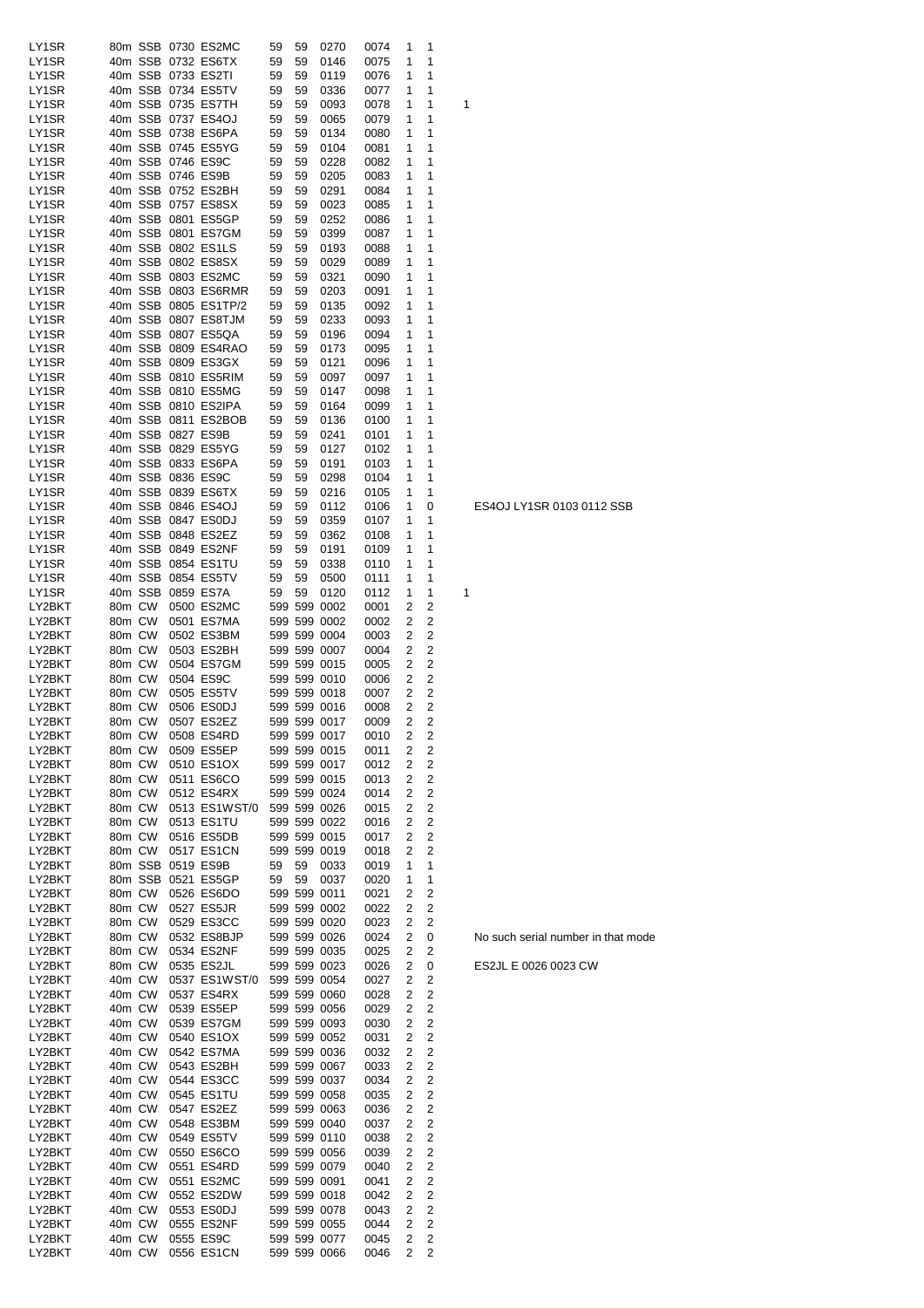| LY1SR            |                  |        | 80m SSB 0730 ES2MC                       | 59       | 59       | 0270                         | 0074         | 1      | 1                   |   |
|------------------|------------------|--------|------------------------------------------|----------|----------|------------------------------|--------------|--------|---------------------|---|
| LY1SR            |                  |        | 40m SSB 0732 ES6TX                       | 59       | 59       | 0146                         | 0075         | 1      | 1                   |   |
| LY1SR            |                  |        | 40m SSB 0733 ES2TI                       | 59       | 59       | 0119                         | 0076         | 1      | 1                   |   |
| LY1SR            |                  |        | 40m SSB 0734 ES5TV                       | 59       | 59       | 0336                         | 0077         | 1      | 1                   |   |
| LY1SR            |                  |        | 40m SSB 0735 ES7TH                       | 59       | 59       | 0093                         | 0078         | 1      | 1                   | 1 |
| LY1SR            |                  |        | 40m SSB 0737 ES4OJ                       | 59       | 59       | 0065                         | 0079         | 1      | 1                   |   |
| LY1SR            |                  |        | 40m SSB 0738 ES6PA                       | 59       | 59       | 0134                         | 0080         | 1      | 1                   |   |
| LY1SR            |                  |        | 40m SSB 0745 ES5YG                       | 59       | 59       | 0104                         | 0081         | 1      | 1                   |   |
| LY1SR            |                  |        | 40m SSB 0746 ES9C                        | 59       | 59       | 0228                         | 0082         | 1      | 1                   |   |
| LY1SR            |                  |        | 40m SSB 0746 ES9B                        | 59       | 59       | 0205                         | 0083         | 1      | 1                   |   |
| LY1SR            |                  |        | 40m SSB 0752 ES2BH<br>40m SSB 0757 ES8SX | 59       | 59       | 0291                         | 0084         | 1<br>1 | 1<br>1              |   |
| LY1SR            |                  |        | 40m SSB 0801 ES5GP                       | 59       | 59       | 0023                         | 0085         | 1      | 1                   |   |
| LY1SR<br>LY1SR   |                  |        | 40m SSB 0801 ES7GM                       | 59<br>59 | 59<br>59 | 0252<br>0399                 | 0086<br>0087 | 1      | 1                   |   |
| LY1SR            |                  |        | 40m SSB 0802 ES1LS                       | 59       | 59       | 0193                         | 0088         | 1      | 1                   |   |
| LY1SR            |                  |        | 40m SSB 0802 ES8SX                       | 59       | 59       | 0029                         | 0089         | 1      | 1                   |   |
| LY1SR            |                  |        | 40m SSB 0803 ES2MC                       | 59       | 59       | 0321                         | 0090         | 1      | 1                   |   |
| LY1SR            |                  |        | 40m SSB 0803 ES6RMR                      | 59       | 59       | 0203                         | 0091         | 1      | 1                   |   |
| LY1SR            |                  |        | 40m SSB 0805 ES1TP/2                     | 59       | 59       | 0135                         | 0092         | 1      | 1                   |   |
| LY1SR            |                  |        | 40m SSB 0807 ES8TJM                      | 59       | 59       | 0233                         | 0093         | 1      | 1                   |   |
| LY1SR            |                  |        | 40m SSB 0807 ES5QA                       | 59       | 59       | 0196                         | 0094         | 1      | 1                   |   |
| LY1SR            |                  |        | 40m SSB 0809 ES4RAO                      | 59       | 59       | 0173                         | 0095         | 1      | 1                   |   |
| LY1SR            |                  |        | 40m SSB 0809 ES3GX                       | 59       | 59       | 0121                         | 0096         | 1      | 1                   |   |
| LY1SR            |                  |        | 40m SSB 0810 ES5RIM                      | 59       | 59       | 0097                         | 0097         | 1      | 1                   |   |
| LY1SR            |                  |        | 40m SSB 0810 ES5MG                       | 59       | 59       | 0147                         | 0098         | 1      | 1                   |   |
| LY1SR            |                  |        | 40m SSB 0810 ES2IPA                      | 59       | 59       | 0164                         | 0099         | 1      | 1                   |   |
| LY1SR            |                  |        | 40m SSB 0811 ES2BOB                      | 59       | 59       | 0136                         | 0100         | 1      | 1                   |   |
| LY1SR            |                  |        | 40m SSB 0827 ES9B                        | 59       | 59       | 0241                         | 0101         | 1      | 1                   |   |
| LY1SR            |                  |        | 40m SSB 0829 ES5YG                       | 59       | 59       | 0127                         | 0102         | 1      | 1                   |   |
| LY1SR            |                  |        | 40m SSB 0833 ES6PA                       | 59       | 59       | 0191                         | 0103         | 1      | 1                   |   |
| LY1SR            |                  |        | 40m SSB 0836 ES9C                        | 59       | 59       | 0298                         | 0104         | 1      | 1                   |   |
| LY1SR            |                  |        | 40m SSB 0839 ES6TX                       | 59       | 59       | 0216                         | 0105         | 1      | 1                   |   |
| LY1SR            |                  |        | 40m SSB 0846 ES4OJ                       | 59       | 59       | 0112                         | 0106         | 1      | 0                   |   |
| LY1SR            |                  |        | 40m SSB 0847 ES0DJ                       | 59       | 59       | 0359                         | 0107         | 1      | 1                   |   |
| LY1SR            |                  |        | 40m SSB 0848 ES2EZ                       | 59       | 59       | 0362                         | 0108         | 1      | 1                   |   |
| LY1SR            |                  |        | 40m SSB 0849 ES2NF<br>40m SSB 0854 ES1TU | 59       | 59       | 0191                         | 0109         | 1<br>1 | 1<br>1              |   |
| LY1SR            |                  |        | 40m SSB 0854 ES5TV                       | 59       | 59       | 0338                         | 0110         | 1      | 1                   |   |
| LY1SR<br>LY1SR   |                  |        | 40m SSB 0859 ES7A                        | 59<br>59 | 59<br>59 | 0500<br>0120                 | 0111<br>0112 | 1      | 1                   | 1 |
| LY2BKT           | 80m CW           |        | 0500 ES2MC                               |          |          | 599 599 0002                 | 0001         | 2      | 2                   |   |
| LY2BKT           |                  | 80m CW | 0501 ES7MA                               |          |          | 599 599 0002                 | 0002         | 2      | 2                   |   |
| LY2BKT           | 80m CW           |        | 0502 ES3BM                               |          |          | 599 599 0004                 | 0003         | 2      | 2                   |   |
| LY2BKT           | 80m CW           |        | 0503 ES2BH                               |          |          | 599 599 0007                 | 0004         | 2      | 2                   |   |
| LY2BKT           | 80m CW           |        | 0504 ES7GM                               |          |          | 599 599 0015                 | 0005         | 2      | 2                   |   |
| LY2BKT           | 80m CW           |        | 0504 ES9C                                |          |          | 599 599 0010                 | 0006         | 2      | 2                   |   |
| LY2BKT           | 80m CW           |        | 0505 ES5TV                               |          |          | 599 599 0018                 | 0007         | 2      | 2                   |   |
| LY2BKT           | 80m CW           |        | 0506 ES0DJ                               |          |          | 599 599 0016                 | 0008         | 2      | 2                   |   |
| LY2BKT           | 80m CW           |        | 0507 ES2EZ                               |          |          | 599 599 0017                 | 0009         | 2      | $\overline{2}$      |   |
| LY2BKT           | 80m CW           |        | 0508 ES4RD                               |          |          | 599 599 0017                 | 0010         | 2      | 2                   |   |
| LY2BKT           | 80m CW           |        | 0509 ES5EP                               |          |          | 599 599 0015                 | 0011         | 2      | 2                   |   |
| LY2BKT           | 80m CW           |        | 0510 ES1OX                               |          |          | 599 599 0017                 | 0012         | 2      | 2                   |   |
| LY2BKT           | 80m CW           |        | 0511 ES6CO                               |          |          | 599 599 0015                 | 0013         | 2      | 2                   |   |
| LY2BKT           | 80m CW           |        | 0512 ES4RX                               |          |          | 599 599 0024                 | 0014         | 2      | $\overline{c}$      |   |
| LY2BKT           | 80m CW           |        | 0513 ES1WST/0                            |          |          | 599 599 0026                 | 0015         | 2      | $\overline{c}$      |   |
| LY2BKT           | 80m CW           |        | 0513 ES1TU                               |          |          | 599 599 0022                 | 0016         | 2      | 2                   |   |
| LY2BKT           | 80m CW           |        | 0516 ES5DB                               |          |          | 599 599 0015                 | 0017         | 2      | 2                   |   |
| LY2BKT           | 80m CW           |        | 0517 ES1CN                               |          |          | 599 599 0019                 | 0018         | 2      | 2                   |   |
| LY2BKT           |                  |        | 80m SSB 0519 ES9B                        | 59       | 59       | 0033                         | 0019         | 1      | 1                   |   |
| LY2BKT<br>LY2BKT | 80m CW           |        | 80m SSB 0521 ES5GP<br>0526 ES6DO         | 59       | 59       | 0037<br>599 599 0011         | 0020         | 1      | 1<br>2              |   |
| LY2BKT           | 80m CW           |        | 0527 ES5JR                               |          |          | 599 599 0002                 | 0021<br>0022 | 2<br>2 | 2                   |   |
| LY2BKT           | 80m CW           |        | 0529 ES3CC                               |          |          | 599 599 0020                 | 0023         | 2      | 2                   |   |
| LY2BKT           | 80m CW           |        | 0532 ES8BJP                              |          |          | 599 599 0026                 | 0024         | 2      | 0                   |   |
| LY2BKT           | 80m CW           |        | 0534 ES2NF                               |          |          | 599 599 0035                 | 0025         | 2      | 2                   |   |
| LY2BKT           | 80m CW           |        | 0535 ES2JL                               |          |          | 599 599 0023                 | 0026         | 2      | 0                   |   |
| LY2BKT           | 40m CW           |        | 0537 ES1WST/0                            |          |          | 599 599 0054                 | 0027         | 2      | 2                   |   |
| LY2BKT           | 40m CW           |        | 0537 ES4RX                               |          |          | 599 599 0060                 | 0028         | 2      | 2                   |   |
| LY2BKT           | 40m CW           |        | 0539 ES5EP                               |          |          | 599 599 0056                 | 0029         | 2      | 2                   |   |
| LY2BKT           | 40m CW           |        | 0539 ES7GM                               |          |          | 599 599 0093                 | 0030         | 2      | 2                   |   |
| LY2BKT           | 40m CW           |        | 0540 ES1OX                               |          |          | 599 599 0052                 | 0031         | 2      | 2                   |   |
| LY2BKT           | 40m CW           |        | 0542 ES7MA                               |          |          | 599 599 0036                 | 0032         | 2      | 2                   |   |
| LY2BKT           | 40m CW           |        | 0543 ES2BH                               |          |          | 599 599 0067                 | 0033         | 2      | 2                   |   |
| LY2BKT           | 40m CW           |        | 0544 ES3CC                               |          |          | 599 599 0037                 | 0034         | 2      | 2                   |   |
| LY2BKT           | 40m CW           |        | 0545 ES1TU                               |          |          | 599 599 0058                 | 0035         | 2      | $\overline{c}$      |   |
| LY2BKT           | 40m CW           |        | 0547 ES2EZ                               |          |          | 599 599 0063                 | 0036         | 2      | 2                   |   |
| LY2BKT           | 40m CW           |        | 0548 ES3BM                               |          |          | 599 599 0040                 | 0037         | 2      | 2                   |   |
| LY2BKT           | 40m CW           |        | 0549 ES5TV                               |          |          | 599 599 0110                 | 0038         | 2      | 2                   |   |
| LY2BKT           | 40m CW           |        | 0550 ES6CO                               |          |          | 599 599 0056                 | 0039         | 2      | 2                   |   |
| LY2BKT           | 40m CW           |        | 0551 ES4RD                               |          |          | 599 599 0079                 | 0040         | 2      | 2                   |   |
| LY2BKT           | 40m CW           |        | 0551 ES2MC                               |          |          | 599 599 0091                 | 0041         | 2      | 2<br>$\overline{c}$ |   |
| LY2BKT<br>LY2BKT | 40m CW<br>40m CW |        | 0552 ES2DW<br>0553 ES0DJ                 |          |          | 599 599 0018<br>599 599 0078 | 0042<br>0043 | 2<br>2 | $\overline{c}$      |   |
| LY2BKT           | 40m CW           |        | 0555 ES2NF                               |          |          | 599 599 0055                 | 0044         | 2      | 2                   |   |
| LY2BKT           | 40m CW           |        | 0555 ES9C                                |          |          | 599 599 0077                 | 0045         | 2      | 2                   |   |
| LY2BKT           | 40m CW           |        | 0556 ES1CN                               |          |          | 599 599 0066                 | 0046         | 2      | $\overline{c}$      |   |

ES4OJ LY1SR 0103 0112 SSB

No such serial number in that mode

ES2JL E 0026 0023 CW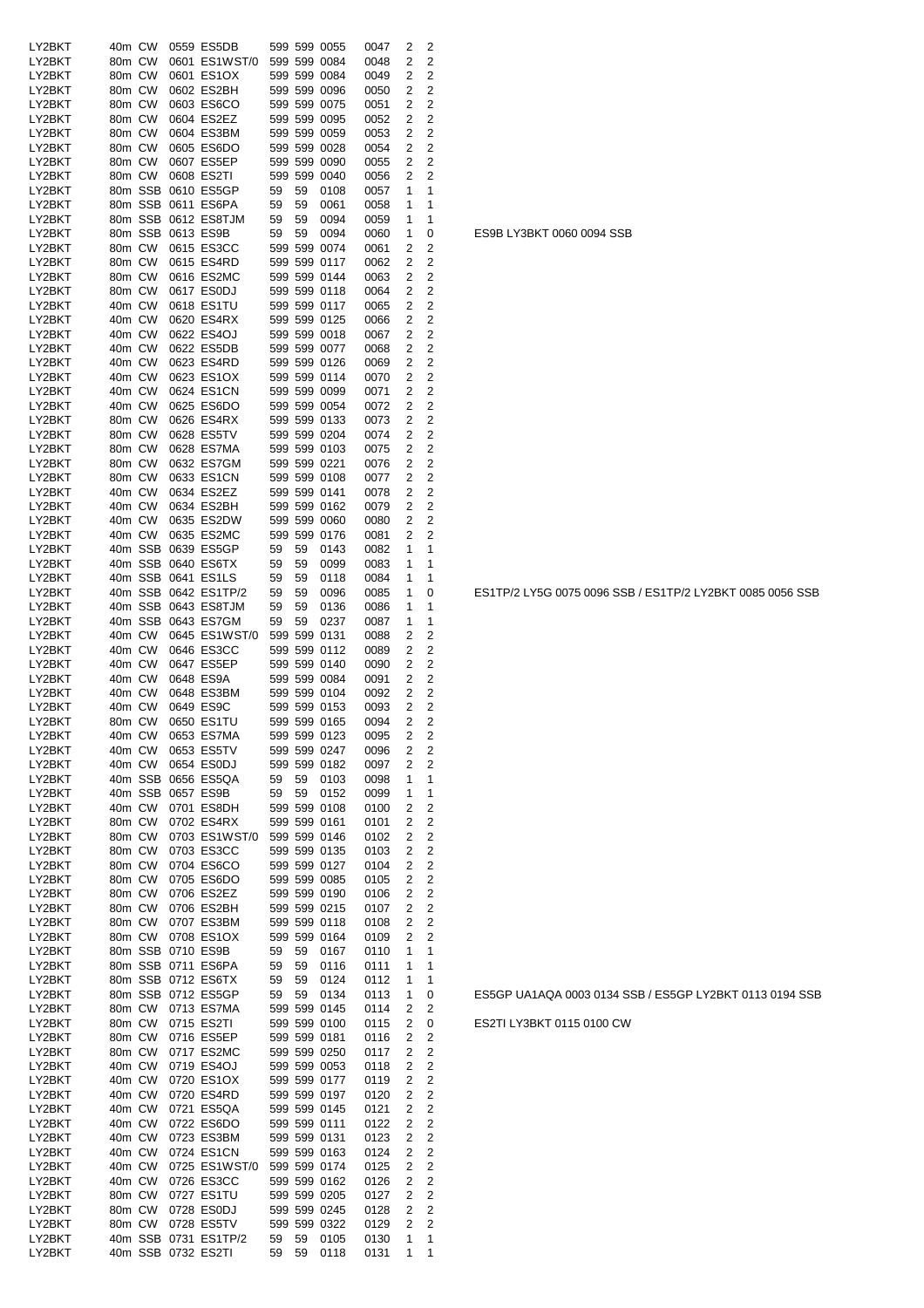| LY2BKT           | 40m CW |                    | 0559 ES5DB                 |          |              | 599 599 0055 | 0047         | 2              | 2              |
|------------------|--------|--------------------|----------------------------|----------|--------------|--------------|--------------|----------------|----------------|
|                  |        |                    |                            |          |              |              |              |                |                |
| LY2BKT           | 80m CW |                    | 0601 ES1WST/0              |          |              | 599 599 0084 | 0048         | 2              | 2              |
| LY2BKT           | 80m CW |                    | 0601 ES1OX                 |          |              | 599 599 0084 | 0049         | 2              | 2              |
| LY2BKT           | 80m CW |                    | 0602 ES2BH                 |          |              | 599 599 0096 | 0050         | 2              | 2              |
|                  |        |                    |                            |          |              |              |              |                |                |
| LY2BKT           | 80m CW |                    | 0603 ES6CO                 |          |              | 599 599 0075 | 0051         | 2              | 2              |
| LY2BKT           | 80m CW |                    | 0604 ES2EZ                 |          |              | 599 599 0095 | 0052         | 2              | 2              |
| LY2BKT           | 80m CW |                    | 0604 ES3BM                 |          |              | 599 599 0059 | 0053         | 2              | 2              |
|                  |        |                    |                            |          |              |              |              |                |                |
| LY2BKT           | 80m CW |                    | 0605 ES6DO                 |          |              | 599 599 0028 | 0054         | 2              | 2              |
| LY2BKT           | 80m CW |                    | 0607 ES5EP                 |          |              | 599 599 0090 | 0055         | 2              | 2              |
| LY2BKT           | 80m CW |                    | 0608 ES2TI                 |          |              | 599 599 0040 | 0056         | 2              | 2              |
|                  |        |                    |                            |          |              |              |              |                |                |
| LY2BKT           |        | 80m SSB            | 0610 ES5GP                 | 59       | 59           | 0108         | 0057         | 1              | 1              |
| LY2BKT           |        | 80m SSB            | 0611 ES6PA                 | 59       | 59           | 0061         | 0058         | 1              | 1              |
| LY2BKT           |        | 80m SSB            | 0612 ES8TJM                | 59       | 59           | 0094         | 0059         | 1              | 1              |
|                  |        |                    |                            |          |              |              |              |                |                |
| LY2BKT           |        | 80m SSB            | 0613 ES9B                  | 59       | 59           | 0094         | 0060         | 1              | 0              |
| LY2BKT           |        | 80m CW             | 0615 ES3CC                 |          |              | 599 599 0074 | 0061         | 2              | 2              |
|                  | 80m CW |                    | 0615 ES4RD                 |          |              |              |              |                | 2              |
| LY2BKT           |        |                    |                            |          |              | 599 599 0117 | 0062         | 2              |                |
| LY2BKT           | 80m CW |                    | 0616 ES2MC                 |          |              | 599 599 0144 | 0063         | 2              | 2              |
| LY2BKT           | 80m CW |                    | 0617 ES0DJ                 |          |              | 599 599 0118 | 0064         | 2              | 2              |
|                  |        |                    |                            |          |              |              |              |                |                |
| LY2BKT           | 40m CW |                    | 0618 ES1TU                 |          |              | 599 599 0117 | 0065         | 2              | 2              |
| LY2BKT           | 40m CW |                    | 0620 ES4RX                 |          |              | 599 599 0125 | 0066         | 2              | 2              |
| LY2BKT           | 40m CW |                    | 0622 ES4OJ                 |          |              | 599 599 0018 | 0067         | 2              | 2              |
|                  | 40m CW |                    |                            |          |              |              |              |                |                |
| LY2BKT           |        |                    | 0622 ES5DB                 |          |              | 599 599 0077 | 0068         | 2              | 2              |
| LY2BKT           | 40m CW |                    | 0623 ES4RD                 |          |              | 599 599 0126 | 0069         | 2              | 2              |
| LY2BKT           | 40m CW |                    | 0623 ES1OX                 |          |              | 599 599 0114 | 0070         | 2              | 2              |
|                  |        |                    |                            |          |              |              |              |                |                |
| LY2BKT           | 40m CW |                    | 0624 ES1CN                 |          |              | 599 599 0099 | 0071         | 2              | 2              |
| LY2BKT           | 40m CW |                    | 0625 ES6DO                 |          |              | 599 599 0054 | 0072         | 2              | 2              |
| LY2BKT           | 80m CW |                    | 0626 ES4RX                 |          |              | 599 599 0133 | 0073         | 2              | 2              |
|                  |        |                    |                            |          |              |              |              |                |                |
| LY2BKT           | 80m CW |                    | 0628 ES5TV                 |          |              | 599 599 0204 | 0074         | 2              | 2              |
| LY2BKT           | 80m CW |                    | 0628 ES7MA                 |          |              | 599 599 0103 | 0075         | 2              | 2              |
| LY2BKT           | 80m CW |                    | 0632 ES7GM                 |          |              | 599 599 0221 | 0076         | 2              | 2              |
|                  |        |                    |                            |          |              |              |              |                |                |
| LY2BKT           | 80m CW |                    | 0633 ES1CN                 |          |              | 599 599 0108 | 0077         | 2              | 2              |
| LY2BKT           |        | 40m CW             | 0634 ES2EZ                 |          |              | 599 599 0141 | 0078         | 2              | 2              |
| LY2BKT           | 40m CW |                    | 0634 ES2BH                 |          |              | 599 599 0162 | 0079         | 2              | $\overline{2}$ |
|                  |        |                    |                            |          |              |              |              |                |                |
| LY2BKT           | 40m CW |                    | 0635 ES2DW                 |          |              | 599 599 0060 | 0080         | 2              | 2              |
| LY2BKT           | 40m CW |                    | 0635 ES2MC                 |          |              | 599 599 0176 | 0081         | 2              | 2              |
| LY2BKT           |        | 40m SSB            | 0639 ES5GP                 | 59       | 59           | 0143         | 0082         | 1              | 1              |
| LY2BKT           |        | 40m SSB            | 0640 ES6TX                 |          | 59           |              |              | 1              | 1              |
|                  |        |                    |                            | 59       |              | 0099         | 0083         |                |                |
| LY2BKT           |        | 40m SSB            | 0641 ES1LS                 | 59       | 59           | 0118         | 0084         | 1              | 1              |
| LY2BKT           |        | 40m SSB            | 0642 ES1TP/2               | 59       | 59           | 0096         | 0085         | 1              | 0              |
| LY2BKT           |        | 40m SSB            | 0643 ES8TJM                | 59       | 59           | 0136         | 0086         | 1              | 1              |
|                  |        |                    |                            |          |              |              |              |                |                |
| LY2BKT           |        | 40m SSB            | 0643 ES7GM                 | 59       | 59           | 0237         | 0087         | 1              | 1              |
| LY2BKT           |        | 40m CW             | 0645 ES1WST/0              |          |              | 599 599 0131 | 0088         | 2              | 2              |
| LY2BKT           | 40m CW |                    | 0646 ES3CC                 |          |              | 599 599 0112 | 0089         | 2              | 2              |
| LY2BKT           | 40m CW |                    | 0647 ES5EP                 |          |              | 599 599 0140 | 0090         | 2              | 2              |
|                  |        |                    |                            |          |              |              |              |                |                |
| LY2BKT           | 40m CW |                    | 0648 ES9A                  |          |              | 599 599 0084 | 0091         | 2              | 2              |
| LY2BKT           | 40m CW |                    | 0648 ES3BM                 |          |              | 599 599 0104 | 0092         | 2              | 2              |
| LY2BKT           | 40m CW |                    | 0649 ES9C                  |          |              | 599 599 0153 | 0093         | 2              | 2              |
|                  | 80m CW |                    |                            |          |              |              |              |                |                |
| LY2BKT           |        |                    | 0650 ES1TU                 |          |              | 599 599 0165 | 0094         | 2              | 2              |
| LY2BKT           | 40m CW |                    | 0653 ES7MA                 |          |              | 599 599 0123 | 0095         | 2              | 2              |
| LY2BKT           | 40m CW |                    | 0653 ES5TV                 |          |              | 599 599 0247 | 0096         | 2              | 2              |
| LY2BKT           |        | 40m CW             | 0654 ES0DJ                 |          |              | 599 599 0182 | 0097         | 2              | 2              |
|                  |        |                    |                            |          |              |              |              |                |                |
| LY2BKT           |        | 40m SSB            | 0656 ES5QA                 | 59       | 59           | 0103         | 0098         | 1              | 1              |
| LY2BKT           |        | 40m SSB            | 0657 ES9B                  | 59       | 59           | 0152         | 0099         | 1              | 1              |
| LY2BKT           |        | 40m CW             | 0701 ES8DH                 |          |              | 599 599 0108 | 0100         | 2              | 2              |
|                  |        |                    |                            |          |              |              |              |                |                |
| LY2BKT           | 80m CW |                    | 0702 ES4RX                 |          |              | 599 599 0161 | 0101         | 2              | 2              |
| LY2BKT           | 80m CW |                    | 0703 ES1WST/0              |          |              | 599 599 0146 | 0102         | 2              | 2              |
| LY2BKT           | 80m CW |                    | 0703 ES3CC                 |          |              | 599 599 0135 | 0103         | 2              | 2              |
|                  | 80m CW |                    |                            |          |              |              |              |                |                |
| LY2BKT           |        |                    | 0704 ES6CO                 |          |              | 599 599 0127 | 0104         | 2              | 2              |
| LY2BKT           | 80m CW |                    | 0705 ES6DO                 |          |              | 599 599 0085 | 0105         | 2              | 2              |
| LY2BKT           | 80m CW |                    | 0706 ES2EZ                 |          |              | 599 599 0190 | 0106         | 2              | 2              |
| LY2BKT           |        | 80m CW             | 0706 ES2BH                 |          |              | 599 599 0215 | 0107         | 2              | 2              |
|                  |        |                    |                            |          |              |              |              |                |                |
| LY2BKT           |        | 80m CW             | 0707 ES3BM                 |          |              | 599 599 0118 | 0108         | 2              | 2              |
| LY2BKT           |        | 80m CW             | 0708 ES1OX                 |          |              | 599 599 0164 | 0109         | 2              | 2              |
| LY2BKT           |        | 80m SSB            | 0710 ES9B                  | 59       | 59           | 0167         | 0110         | 1              | 1              |
| LY2BKT           |        | 80m SSB            | 0711 ES6PA                 | 59       | 59           | 0116         | 0111         | 1              | 1              |
|                  |        |                    |                            |          |              |              |              |                |                |
| LY2BKT           |        | 80m SSB            | 0712 ES6TX                 | 59       | 59           | 0124         | 0112         | 1              | 1              |
| LY2BKT           |        | 80m SSB            | 0712 ES5GP                 | 59       | 59           | 0134         | 0113         | 1              | 0              |
| LY2BKT           |        | 80m CW             | 0713 ES7MA                 |          |              | 599 599 0145 | 0114         | 2              | 2              |
|                  |        |                    |                            |          |              |              |              |                |                |
| LY2BKT           |        | 80m CW             | 0715 ES2TI                 |          |              | 599 599 0100 | 0115         | 2              | 0              |
| LY2BKT           | 80m CW |                    | 0716 ES5EP                 |          |              | 599 599 0181 | 0116         | $\overline{2}$ | 2              |
| LY2BKT           | 80m CW |                    | 0717 ES2MC                 |          |              | 599 599 0250 | 0117         | 2              | 2              |
| LY2BKT           | 40m CW |                    | 0719 ES4OJ                 |          |              | 599 599 0053 | 0118         | 2              | 2              |
|                  |        |                    |                            |          |              |              |              |                |                |
| LY2BKT           | 40m CW |                    | 0720 ES1OX                 |          |              | 599 599 0177 | 0119         | 2              | 2              |
| LY2BKT           | 40m CW |                    | 0720 ES4RD                 |          |              | 599 599 0197 | 0120         | 2              | 2              |
| LY2BKT           |        | 40m CW             | 0721 ES5QA                 |          |              | 599 599 0145 | 0121         | 2              | 2              |
| LY2BKT           |        |                    |                            |          |              |              |              |                |                |
|                  |        |                    | 0722 ES6DO                 |          |              | 599 599 0111 | 0122         | 2              | 2              |
|                  | 40m CW |                    |                            |          | 599 599 0131 |              | 0123         |                |                |
| LY2BKT           | 40m CW |                    | 0723 ES3BM                 |          |              |              |              | 2              | 2              |
| LY2BKT           | 40m CW |                    | 0724 ES1CN                 |          |              | 599 599 0163 | 0124         | 2              | 2              |
|                  |        |                    |                            |          |              |              |              |                |                |
| LY2BKT           | 40m CW |                    | 0725 ES1WST/0              |          |              | 599 599 0174 | 0125         | 2              | 2              |
| LY2BKT           | 40m CW |                    | 0726 ES3CC                 |          |              | 599 599 0162 | 0126         | 2              | 2              |
| LY2BKT           | 80m CW |                    | 0727 ES1TU                 |          |              | 599 599 0205 | 0127         | 2              | 2              |
| LY2BKT           |        |                    |                            |          |              |              | 0128         | 2              |                |
|                  |        | 80m CW             | 0728 ES0DJ                 |          |              | 599 599 0245 |              |                | 2              |
| LY2BKT           |        | 80m CW             | 0728 ES5TV                 |          |              | 599 599 0322 | 0129         | $\overline{2}$ | 2              |
| LY2BKT<br>LY2BKT |        | 40m SSB<br>40m SSB | 0731 ES1TP/2<br>0732 ES2TI | 59<br>59 | 59<br>59     | 0105<br>0118 | 0130<br>0131 | 1<br>1         | 1<br>1         |

ES1TP/2 LY5G 0075 0096 SSB / ES1TP/2 LY2BKT 0085 0056 SSB

ES5GP UA1AQA 0003 0134 SSB / ES5GP LY2BKT 0113 0194 SSB

ES2TI LY3BKT 0115 0100 CW

ES9B LY3BKT 0060 0094 SSB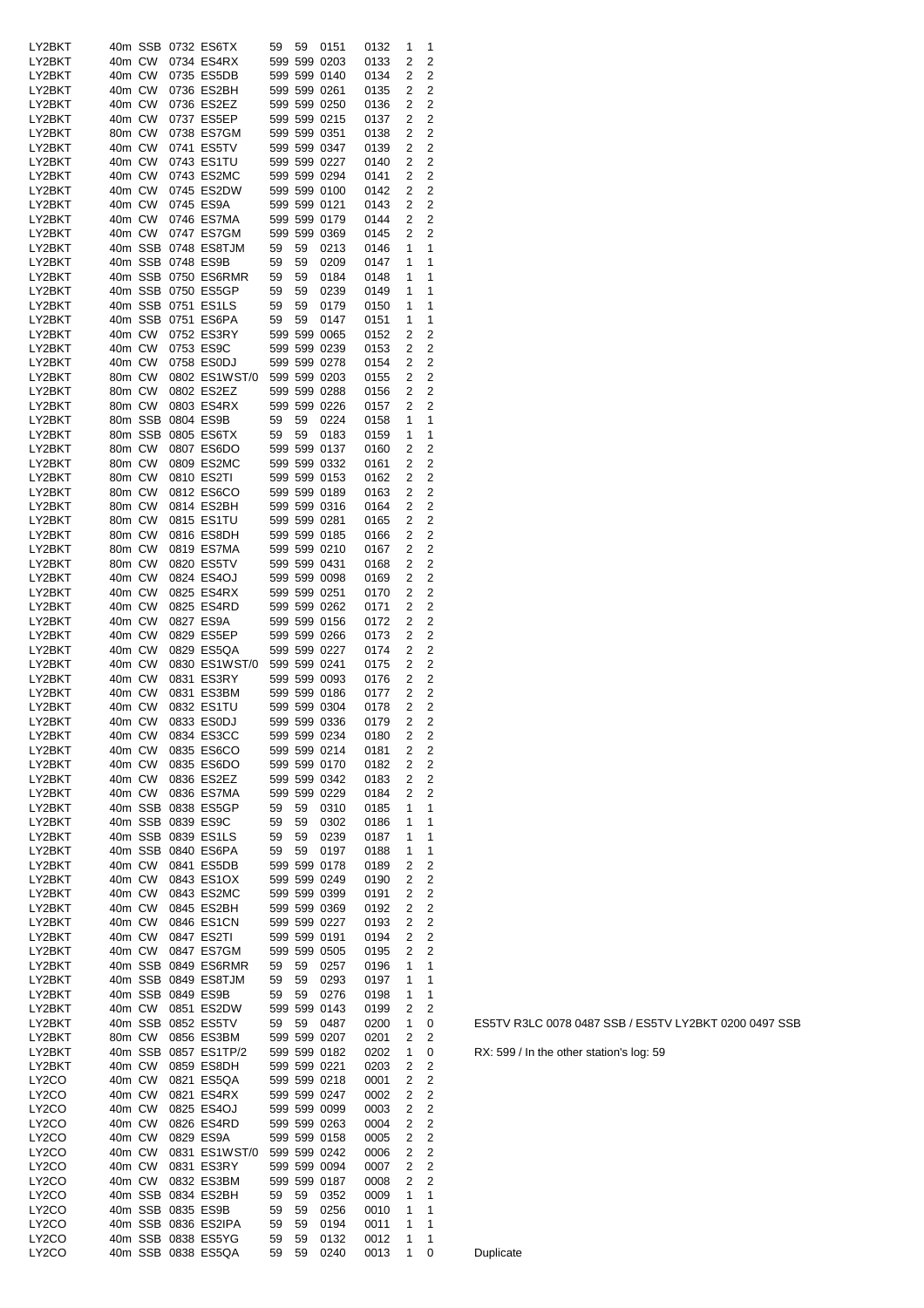| LY2BKT             |        | 40m SSB |                   | 0732 ES6TX          | 59  | 59 | 0151         | 0132 | 1 | 1              |
|--------------------|--------|---------|-------------------|---------------------|-----|----|--------------|------|---|----------------|
| LY2BKT             | 40m CW |         |                   | 0734 ES4RX          | 599 |    | 599 0203     | 0133 | 2 | 2              |
|                    |        |         |                   |                     |     |    |              |      |   |                |
| LY2BKT             | 40m CW |         |                   | 0735 ES5DB          |     |    | 599 599 0140 | 0134 | 2 | 2              |
| LY2BKT             | 40m CW |         |                   | 0736 ES2BH          |     |    | 599 599 0261 | 0135 | 2 | $\overline{2}$ |
|                    |        |         |                   |                     |     |    |              |      |   |                |
| LY2BKT             | 40m CW |         |                   | 0736 ES2EZ          |     |    | 599 599 0250 | 0136 | 2 | $\overline{2}$ |
| LY2BKT             | 40m CW |         |                   | 0737 ES5EP          |     |    | 599 599 0215 | 0137 | 2 | 2              |
| LY2BKT             | 80m CW |         |                   | 0738 ES7GM          |     |    | 599 599 0351 | 0138 | 2 | 2              |
|                    |        |         |                   |                     |     |    |              |      |   |                |
| LY2BKT             | 40m CW |         |                   | 0741 ES5TV          |     |    | 599 599 0347 | 0139 | 2 | 2              |
| LY2BKT             | 40m CW |         |                   | 0743 ES1TU          |     |    | 599 599 0227 | 0140 | 2 | 2              |
|                    |        |         |                   |                     |     |    |              |      |   |                |
| LY2BKT             | 40m CW |         |                   | 0743 ES2MC          |     |    | 599 599 0294 | 0141 | 2 | 2              |
| LY2BKT             | 40m CW |         |                   | 0745 ES2DW          |     |    | 599 599 0100 | 0142 | 2 | 2              |
| LY2BKT             | 40m CW |         |                   | 0745 ES9A           |     |    | 599 599 0121 |      | 2 | $\overline{2}$ |
|                    |        |         |                   |                     |     |    |              | 0143 |   |                |
| LY2BKT             | 40m CW |         |                   | 0746 ES7MA          |     |    | 599 599 0179 | 0144 | 2 | 2              |
| LY2BKT             | 40m CW |         |                   | 0747 ES7GM          |     |    | 599 599 0369 | 0145 | 2 | $\overline{2}$ |
|                    |        |         |                   |                     |     |    |              |      |   |                |
| LY2BKT             |        | 40m SSB |                   | 0748 ES8TJM         | 59  | 59 | 0213         | 0146 | 1 | 1              |
| LY2BKT             |        | 40m SSB |                   | 0748 ES9B           | 59  | 59 | 0209         | 0147 | 1 | 1              |
|                    |        |         |                   |                     |     |    |              |      |   | 1              |
| LY2BKT             |        | 40m SSB |                   | 0750 ES6RMR         | 59  | 59 | 0184         | 0148 | 1 |                |
| LY2BKT             |        | 40m SSB |                   | 0750 ES5GP          | 59  | 59 | 0239         | 0149 | 1 | 1              |
| LY2BKT             |        | 40m SSB |                   | 0751 ES1LS          | 59  | 59 | 0179         | 0150 | 1 | 1              |
|                    |        |         |                   |                     |     |    |              |      |   |                |
| LY2BKT             |        | 40m SSB |                   | 0751 ES6PA          | 59  | 59 | 0147         | 0151 | 1 | 1              |
| LY2BKT             | 40m CW |         |                   | 0752 ES3RY          |     |    | 599 599 0065 | 0152 | 2 | 2              |
| LY2BKT             | 40m CW |         |                   | 0753 ES9C           |     |    | 599 599 0239 |      | 2 | 2              |
|                    |        |         |                   |                     |     |    |              | 0153 |   |                |
| LY2BKT             | 40m CW |         |                   | 0758 ES0DJ          |     |    | 599 599 0278 | 0154 | 2 | 2              |
| LY2BKT             | 80m CW |         |                   | 0802 ES1WST/0       |     |    | 599 599 0203 | 0155 | 2 | $\overline{2}$ |
|                    |        |         |                   |                     |     |    |              |      |   |                |
| LY2BKT             | 80m CW |         |                   | 0802 ES2EZ          |     |    | 599 599 0288 | 0156 | 2 | 2              |
| LY2BKT             | 80m CW |         |                   | 0803 ES4RX          |     |    | 599 599 0226 | 0157 | 2 | $\overline{2}$ |
| LY2BKT             |        | 80m SSB |                   | 0804 ES9B           | 59  | 59 |              |      | 1 | 1              |
|                    |        |         |                   |                     |     |    | 0224         | 0158 |   |                |
| LY2BKT             |        | 80m SSB |                   | 0805 ES6TX          | 59  | 59 | 0183         | 0159 | 1 | 1              |
| LY2BKT             | 80m CW |         |                   | 0807 ES6DO          |     |    | 599 599 0137 | 0160 | 2 | 2              |
|                    |        |         |                   |                     |     |    |              |      |   |                |
| LY2BKT             | 80m CW |         |                   | 0809 ES2MC          |     |    | 599 599 0332 | 0161 | 2 | $\overline{2}$ |
| LY2BKT             | 80m CW |         |                   | 0810 ES2TI          |     |    | 599 599 0153 | 0162 | 2 | $\overline{2}$ |
|                    |        |         |                   |                     |     |    |              |      |   |                |
| LY2BKT             | 80m CW |         |                   | 0812 ES6CO          |     |    | 599 599 0189 | 0163 | 2 | 2              |
| LY2BKT             | 80m CW |         |                   | 0814 ES2BH          |     |    | 599 599 0316 | 0164 | 2 | 2              |
| LY2BKT             | 80m CW |         |                   | 0815 ES1TU          |     |    | 599 599 0281 | 0165 | 2 | 2              |
|                    |        |         |                   |                     |     |    |              |      |   |                |
| LY2BKT             | 80m CW |         |                   | 0816 ES8DH          |     |    | 599 599 0185 | 0166 | 2 | 2              |
| LY2BKT             | 80m CW |         |                   | 0819 ES7MA          |     |    | 599 599 0210 | 0167 | 2 | $\overline{2}$ |
|                    |        |         |                   |                     |     |    |              |      | 2 | $\overline{2}$ |
| LY2BKT             | 80m CW |         |                   | 0820 ES5TV          |     |    | 599 599 0431 | 0168 |   |                |
| LY2BKT             | 40m CW |         |                   | 0824 ES4OJ          |     |    | 599 599 0098 | 0169 | 2 | 2              |
| LY2BKT             | 40m CW |         |                   | 0825 ES4RX          |     |    | 599 599 0251 | 0170 | 2 | 2              |
|                    |        |         |                   |                     |     |    |              |      |   |                |
| LY2BKT             | 40m CW |         |                   | 0825 ES4RD          |     |    | 599 599 0262 | 0171 | 2 | 2              |
| LY2BKT             | 40m CW |         |                   | 0827 ES9A           |     |    | 599 599 0156 | 0172 | 2 | $\overline{2}$ |
| LY2BKT             | 40m CW |         |                   | 0829 ES5EP          |     |    |              |      | 2 | $\overline{2}$ |
|                    |        |         |                   |                     |     |    | 599 599 0266 | 0173 |   |                |
| LY2BKT             | 40m CW |         |                   | 0829 ES5QA          |     |    | 599 599 0227 | 0174 | 2 | 2              |
| LY2BKT             | 40m CW |         |                   | 0830 ES1WST/0       |     |    | 599 599 0241 | 0175 | 2 | 2              |
|                    |        |         |                   |                     |     |    |              |      |   |                |
| LY2BKT             | 40m CW |         |                   | 0831 ES3RY          |     |    | 599 599 0093 | 0176 | 2 | 2              |
| LY2BKT             | 40m CW |         |                   | 0831 ES3BM          |     |    | 599 599 0186 | 0177 | 2 | 2              |
| LY2BKT             | 40m CW |         |                   | 0832 ES1TU          |     |    | 599 599 0304 | 0178 | 2 | 2              |
|                    |        |         |                   |                     |     |    |              |      |   |                |
| LY2BKT             | 40m CW |         |                   | 0833 ES0DJ          |     |    | 599 599 0336 | 0179 | 2 | $\overline{2}$ |
| LY2BKT             | 40m CW |         |                   | 0834 ES3CC          |     |    | 599 599 0234 | 0180 | 2 | 2              |
|                    |        |         |                   |                     |     |    |              |      |   |                |
| LY2BKT             | 40m CW |         |                   | 0835 ES6CO          |     |    | 599 599 0214 | 0181 | 2 | 2              |
| LY2BKT             | 40m CW |         |                   | 0835 ES6DO          |     |    | 599 599 0170 | 0182 | 2 | 2              |
| LY2BKT             | 40m CW |         |                   | 0836 ES2EZ          |     |    | 599 599 0342 | 0183 |   | 2              |
|                    |        |         |                   |                     |     |    |              |      |   |                |
| LY2BKT             |        | 40m CW  |                   | 0836 ES7MA          |     |    |              |      | 2 |                |
| LY2BKT             |        |         |                   |                     |     |    | 599 599 0229 | 0184 | 2 | $\overline{2}$ |
|                    |        |         |                   |                     |     |    |              |      |   |                |
|                    |        | 40m SSB |                   | 0838 ES5GP          | 59  | 59 | 0310         | 0185 | 1 | 1              |
| LY2BKT             |        | 40m SSB |                   | 0839 ES9C           | 59  | 59 | 0302         | 0186 | 1 | 1              |
| LY2BKT             |        | 40m SSB |                   | 0839 ES1LS          | 59  | 59 | 0239         | 0187 | 1 | 1              |
|                    |        |         |                   |                     |     |    |              |      |   |                |
| LY2BKT             |        | 40m SSB |                   | 0840 ES6PA          | 59  | 59 | 0197         | 0188 | 1 | 1              |
| LY2BKT             | 40m CW |         |                   | 0841 ES5DB          |     |    | 599 599 0178 | 0189 | 2 | 2              |
| LY2BKT             | 40m CW |         |                   | 0843 ES1OX          |     |    | 599 599 0249 | 0190 | 2 | 2              |
|                    |        |         |                   |                     |     |    |              |      |   |                |
| LY2BKT             | 40m CW |         |                   | 0843 ES2MC          |     |    | 599 599 0399 | 0191 | 2 | 2              |
| LY2BKT             | 40m CW |         |                   | 0845 ES2BH          |     |    | 599 599 0369 | 0192 | 2 | 2              |
|                    |        |         |                   | 0846 ES1CN          |     |    |              |      |   |                |
| LY2BKT             | 40m CW |         |                   |                     |     |    | 599 599 0227 | 0193 | 2 | 2              |
| LY2BKT             |        | 40m CW  |                   | 0847 ES2TI          |     |    | 599 599 0191 | 0194 | 2 | 2              |
| LY2BKT             | 40m CW |         |                   | 0847 ES7GM          |     |    | 599 599 0505 | 0195 | 2 | 2              |
|                    |        |         |                   |                     |     |    |              |      |   |                |
| LY2BKT             |        |         |                   | 40m SSB 0849 ES6RMR | 59  | 59 | 0257         | 0196 | 1 | 1              |
| LY2BKT             |        | 40m SSB |                   | 0849 ES8TJM         | 59  | 59 | 0293         | 0197 | 1 | 1              |
| LY2BKT             |        | 40m SSB |                   | 0849 ES9B           | 59  | 59 | 0276         | 0198 | 1 | 1              |
|                    |        |         |                   |                     |     |    |              |      |   |                |
| LY2BKT             |        | 40m CW  |                   | 0851 ES2DW          |     |    | 599 599 0143 | 0199 | 2 | 2              |
| LY2BKT             |        | 40m SSB |                   | 0852 ES5TV          | 59  | 59 | 0487         | 0200 | 1 | 0              |
|                    |        |         |                   |                     |     |    |              |      |   |                |
| LY2BKT             |        | 80m CW  |                   | 0856 ES3BM          |     |    | 599 599 0207 | 0201 | 2 | 2              |
| LY2BKT             |        | 40m SSB |                   | 0857 ES1TP/2        |     |    | 599 599 0182 | 0202 | 1 | 0              |
| LY2BKT             |        | 40m CW  |                   | 0859 ES8DH          |     |    | 599 599 0221 | 0203 | 2 | 2              |
|                    |        |         |                   |                     |     |    |              |      |   |                |
| LY <sub>2</sub> CO | 40m CW |         |                   | 0821 ES5QA          |     |    | 599 599 0218 | 0001 | 2 | 2              |
| LY <sub>2</sub> CO | 40m CW |         |                   | 0821 ES4RX          |     |    | 599 599 0247 | 0002 | 2 | 2              |
|                    |        |         |                   |                     |     |    |              |      |   |                |
| LY <sub>2</sub> CO | 40m CW |         |                   | 0825 ES4OJ          |     |    | 599 599 0099 | 0003 | 2 | 2              |
| LY <sub>2</sub> CO | 40m CW |         |                   | 0826 ES4RD          |     |    | 599 599 0263 | 0004 | 2 | 2              |
| LY <sub>2</sub> CO | 40m CW |         |                   | 0829 ES9A           |     |    | 599 599 0158 | 0005 | 2 | 2              |
|                    |        |         |                   |                     |     |    |              |      |   |                |
| LY <sub>2</sub> CO | 40m CW |         |                   | 0831 ES1WST/0       |     |    | 599 599 0242 | 0006 | 2 | 2              |
| LY <sub>2</sub> CO | 40m CW |         |                   | 0831 ES3RY          |     |    | 599 599 0094 | 0007 | 2 | 2              |
|                    |        |         |                   |                     |     |    |              |      | 2 | 2              |
| LY <sub>2</sub> CO | 40m CW |         |                   | 0832 ES3BM          |     |    | 599 599 0187 | 0008 |   |                |
| LY2CO              |        | 40m SSB |                   | 0834 ES2BH          | 59  | 59 | 0352         | 0009 | 1 | 1              |
| LY2CO              |        |         | 40m SSB 0835 ES9B |                     | 59  | 59 | 0256         | 0010 | 1 | 1              |
|                    |        |         |                   |                     |     |    |              |      |   |                |
| LY <sub>2</sub> CO |        |         |                   | 40m SSB 0836 ES2IPA | 59  | 59 | 0194         | 0011 | 1 | 1              |
| LY <sub>2</sub> CO |        |         |                   | 40m SSB 0838 ES5YG  | 59  | 59 | 0132         | 0012 | 1 | 1              |
| LY2CO              |        |         |                   | 40m SSB 0838 ES5QA  | 59  | 59 | 0240         | 0013 | 1 | 0              |

ES5TV R3LC 0078 0487 SSB / ES5TV LY2BKT 0200 0497 SSB

RX: 599 / In the other station's log: 59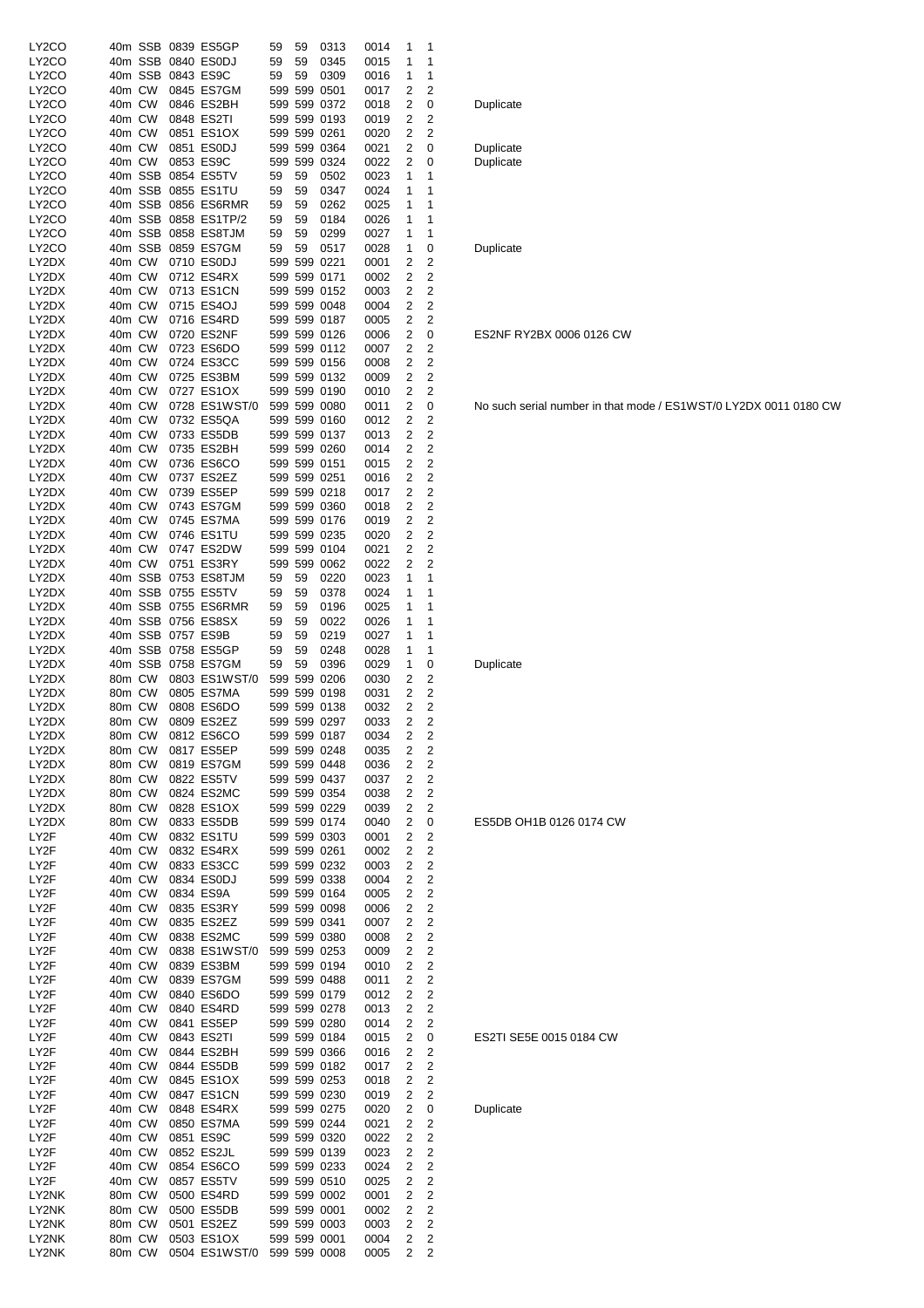| LY2CO          |                  |                   | 40m SSB 0839 ES5GP          | 59           | 59 | 0313                         | 0014         | 1      | 1                       |           |
|----------------|------------------|-------------------|-----------------------------|--------------|----|------------------------------|--------------|--------|-------------------------|-----------|
| LY2CO          |                  |                   | 40m SSB 0840 ES0DJ          | 59           | 59 | 0345                         | 0015         | 1      | 1                       |           |
| LY2CO          | 40m CW           |                   | 40m SSB 0843 ES9C           | 59           | 59 | 0309<br>599 599 0501         | 0016         | 1<br>2 | 1<br>2                  |           |
| LY2CO<br>LY2CO | 40m CW           |                   | 0845 ES7GM<br>0846 ES2BH    |              |    | 599 599 0372                 | 0017<br>0018 | 2      | 0                       | Duplicate |
| LY2CO          | 40m CW           |                   | 0848 ES2TI                  |              |    | 599 599 0193                 | 0019         | 2      | 2                       |           |
| LY2CO          | 40m CW           |                   | 0851 ES1OX                  |              |    | 599 599 0261                 | 0020         | 2      | 2                       |           |
| LY2CO          | 40m CW           |                   | 0851 ES0DJ                  |              |    | 599 599 0364                 | 0021         | 2      | 0                       | Duplicate |
| LY2CO          | 40m CW           |                   | 0853 ES9C                   |              |    | 599 599 0324                 | 0022         | 2      | 0                       | Duplicate |
| LY2CO          |                  |                   | 40m SSB 0854 ES5TV          | 59           | 59 | 0502                         | 0023         | 1      | 1                       |           |
| LY2CO          |                  |                   | 40m SSB 0855 ES1TU          | 59           | 59 | 0347                         | 0024         | 1      | 1                       |           |
| LY2CO          |                  |                   | 40m SSB 0856 ES6RMR         | 59           | 59 | 0262                         | 0025         | 1      | 1                       |           |
| LY2CO          |                  |                   | 40m SSB 0858 ES1TP/2        | 59           | 59 | 0184                         | 0026         | 1      | 1                       |           |
| LY2CO          |                  |                   | 40m SSB 0858 ES8TJM         | 59           | 59 | 0299                         | 0027         | 1      | 1                       |           |
| LY2CO          |                  |                   | 40m SSB 0859 ES7GM          | 59           | 59 | 0517                         | 0028         | 1      | 0                       | Duplicate |
| LY2DX          | 40m CW<br>40m CW |                   | 0710 ES0DJ                  |              |    | 599 599 0221                 | 0001         | 2<br>2 | 2<br>2                  |           |
| LY2DX<br>LY2DX | 40m CW           |                   | 0712 ES4RX<br>0713 ES1CN    |              |    | 599 599 0171<br>599 599 0152 | 0002<br>0003 | 2      | 2                       |           |
| LY2DX          | 40m CW           |                   | 0715 ES4OJ                  |              |    | 599 599 0048                 | 0004         | 2      | 2                       |           |
| LY2DX          | 40m CW           |                   | 0716 ES4RD                  |              |    | 599 599 0187                 | 0005         | 2      | 2                       |           |
| LY2DX          | 40m CW           |                   | 0720 ES2NF                  |              |    | 599 599 0126                 | 0006         | 2      | 0                       | ES2NF R   |
| LY2DX          | 40m CW           |                   | 0723 ES6DO                  |              |    | 599 599 0112                 | 0007         | 2      | 2                       |           |
| LY2DX          | 40m CW           |                   | 0724 ES3CC                  |              |    | 599 599 0156                 | 0008         | 2      | 2                       |           |
| LY2DX          | 40m CW           |                   | 0725 ES3BM                  |              |    | 599 599 0132                 | 0009         | 2      | 2                       |           |
| LY2DX          | 40m CW           |                   | 0727 ES1OX                  |              |    | 599 599 0190                 | 0010         | 2      | 2                       |           |
| LY2DX          | 40m CW           |                   | 0728 ES1WST/0               |              |    | 599 599 0080                 | 0011         | 2      | 0                       | No such s |
| LY2DX          | 40m CW           |                   | 0732 ES5QA                  |              |    | 599 599 0160                 | 0012         | 2      | 2                       |           |
| LY2DX          | 40m CW           |                   | 0733 ES5DB                  |              |    | 599 599 0137                 | 0013         | 2      | 2                       |           |
| LY2DX          | 40m CW           |                   | 0735 ES2BH                  |              |    | 599 599 0260                 | 0014         | 2      | 2                       |           |
| LY2DX          | 40m CW           |                   | 0736 ES6CO                  |              |    | 599 599 0151                 | 0015         | 2      | 2                       |           |
| LY2DX          | 40m CW           |                   | 0737 ES2EZ                  |              |    | 599 599 0251                 | 0016         | 2      | 2                       |           |
| LY2DX<br>LY2DX | 40m CW<br>40m CW |                   | 0739 ES5EP                  |              |    | 599 599 0218<br>599 599 0360 | 0017         | 2<br>2 | 2<br>2                  |           |
| LY2DX          | 40m CW           |                   | 0743 ES7GM<br>0745 ES7MA    |              |    | 599 599 0176                 | 0018<br>0019 | 2      | 2                       |           |
| LY2DX          | 40m CW           |                   | 0746 ES1TU                  |              |    | 599 599 0235                 | 0020         | 2      | 2                       |           |
| LY2DX          | 40m CW           |                   | 0747 ES2DW                  |              |    | 599 599 0104                 | 0021         | 2      | 2                       |           |
| LY2DX          | 40m CW           |                   | 0751 ES3RY                  |              |    | 599 599 0062                 | 0022         | 2      | 2                       |           |
| LY2DX          |                  |                   | 40m SSB 0753 ES8TJM         | 59           | 59 | 0220                         | 0023         | 1      | 1                       |           |
| LY2DX          |                  |                   | 40m SSB 0755 ES5TV          | 59           | 59 | 0378                         | 0024         | 1      | 1                       |           |
| LY2DX          |                  |                   | 40m SSB 0755 ES6RMR         | 59           | 59 | 0196                         | 0025         | 1      | 1                       |           |
| LY2DX          |                  |                   | 40m SSB 0756 ES8SX          | 59           | 59 | 0022                         | 0026         | 1      | 1                       |           |
| LY2DX          |                  | 40m SSB 0757 ES9B |                             | 59           | 59 | 0219                         | 0027         | 1      | 1                       |           |
| LY2DX          |                  |                   | 40m SSB 0758 ES5GP          | 59           | 59 | 0248                         | 0028         | 1      | 1                       |           |
| LY2DX          |                  |                   | 40m SSB 0758 ES7GM          | 59           | 59 | 0396                         | 0029         | 1      | 0                       | Duplicate |
| LY2DX          | 80m CW           |                   | 0803 ES1WST/0               |              |    | 599 599 0206                 | 0030         | 2      | 2                       |           |
| LY2DX          | 80m CW           |                   | 0805 ES7MA                  |              |    | 599 599 0198                 | 0031         | 2      | 2                       |           |
| LY2DX          | 80m CW           |                   | 0808 ES6DO                  |              |    | 599 599 0138                 | 0032         | 2      | 2                       |           |
| LY2DX          | 80m CW           |                   | 0809 ES2EZ                  |              |    | 599 599 0297                 | 0033         | 2      | 2                       |           |
| LY2DX<br>LY2DX | 80m CW<br>80m CW |                   | 0812 ES6CO<br>0817 ES5EP    |              |    | 599 599 0187<br>599 599 0248 | 0034<br>0035 | 2<br>2 | 2<br>2                  |           |
| LY2DX          | 80m CW           |                   | 0819 ES7GM                  |              |    | 599 599 0448                 | 0036         | 2      | 2                       |           |
| LY2DX          | 80m CW           |                   | 0822 ES5TV                  |              |    | 599 599 0437                 | 0037         | 2      | 2                       |           |
| LY2DX          | 80m CW           |                   | 0824 ES2MC                  |              |    | 599 599 0354                 | 0038         | 2      | 2                       |           |
| LY2DX          | 80m CW           |                   | 0828 ES1OX                  |              |    | 599 599 0229                 | 0039         | 2      | 2                       |           |
| LY2DX          | 80m CW           |                   | 0833 ES5DB                  |              |    | 599 599 0174                 | 0040         | 2      | 0                       | ES5DB C   |
| LY2F           | 40m CW           |                   | 0832 ES1TU                  |              |    | 599 599 0303                 | 0001         | 2      | 2                       |           |
| LY2F           | 40m CW           |                   | 0832 ES4RX                  |              |    | 599 599 0261                 | 0002         | 2      | 2                       |           |
| LY2F           | 40m CW           |                   | 0833 ES3CC                  |              |    | 599 599 0232                 | 0003         | 2      | 2                       |           |
| LY2F           | 40m CW           |                   | 0834 ES0DJ                  |              |    | 599 599 0338                 | 0004         | 2      | 2                       |           |
| LY2F           | 40m CW           |                   | 0834 ES9A                   |              |    | 599 599 0164                 | 0005         | 2      | 2                       |           |
| LY2F           | 40m CW           |                   | 0835 ES3RY                  |              |    | 599 599 0098                 | 0006         | 2      | 2                       |           |
| LY2F           | 40m CW           |                   | 0835 ES2EZ                  |              |    | 599 599 0341                 | 0007         | 2      | 2                       |           |
| LY2F<br>LY2F   | 40m CW<br>40m CW |                   | 0838 ES2MC<br>0838 ES1WST/0 |              |    | 599 599 0380<br>599 599 0253 | 0008<br>0009 | 2<br>2 | 2<br>2                  |           |
| LY2F           | 40m CW           |                   | 0839 ES3BM                  |              |    | 599 599 0194                 | 0010         | 2      | $\overline{\mathbf{c}}$ |           |
| LY2F           | 40m CW           |                   | 0839 ES7GM                  |              |    | 599 599 0488                 | 0011         | 2      | 2                       |           |
| LY2F           | 40m CW           |                   | 0840 ES6DO                  |              |    | 599 599 0179                 | 0012         | 2      | $\overline{c}$          |           |
| LY2F           | 40m CW           |                   | 0840 ES4RD                  |              |    | 599 599 0278                 | 0013         | 2      | 2                       |           |
| LY2F           | 40m CW           |                   | 0841 ES5EP                  |              |    | 599 599 0280                 | 0014         | 2      | 2                       |           |
| LY2F           | 40m CW           |                   | 0843 ES2TI                  |              |    | 599 599 0184                 | 0015         | 2      | 0                       | ES2TI SE  |
| LY2F           | 40m CW           |                   | 0844 ES2BH                  |              |    | 599 599 0366                 | 0016         | 2      | 2                       |           |
| LY2F           | 40m CW           |                   | 0844 ES5DB                  |              |    | 599 599 0182                 | 0017         | 2      | 2                       |           |
| LY2F           | 40m CW           |                   | 0845 ES1OX                  |              |    | 599 599 0253                 | 0018         | 2      | 2                       |           |
| LY2F           | 40m CW           |                   | 0847 ES1CN                  |              |    | 599 599 0230                 | 0019         | 2      | 2                       |           |
| LY2F           | 40m CW           |                   | 0848 ES4RX                  |              |    | 599 599 0275                 | 0020         | 2      | 0                       | Duplicate |
| LY2F           | 40m CW           |                   | 0850 ES7MA                  |              |    | 599 599 0244                 | 0021         | 2      | 2                       |           |
| LY2F           | 40m CW           |                   | 0851 ES9C                   |              |    | 599 599 0320                 | 0022         | 2      | 2                       |           |
| LY2F           | 40m CW           |                   | 0852 ES2JL                  |              |    | 599 599 0139                 | 0023         | 2      | 2                       |           |
| LY2F<br>LY2F   | 40m CW<br>40m CW |                   | 0854 ES6CO<br>0857 ES5TV    |              |    | 599 599 0233<br>599 599 0510 | 0024<br>0025 | 2<br>2 | 2<br>2                  |           |
| LY2NK          | 80m CW           |                   | 0500 ES4RD                  |              |    | 599 599 0002                 | 0001         | 2      | 2                       |           |
| LY2NK          |                  |                   |                             |              |    |                              |              |        | 2                       |           |
|                |                  |                   |                             |              |    |                              |              |        |                         |           |
|                | 80m CW           |                   | 0500 ES5DB                  | 599 599 0001 |    |                              | 0002         | 2      |                         |           |
| LY2NK<br>LY2NK | 80m CW<br>80m CW |                   | 0501 ES2EZ<br>0503 ES1OX    |              |    | 599 599 0003<br>599 599 0001 | 0003<br>0004 | 2<br>2 | 2<br>2                  |           |

# Duplicate

#### Duplicate

ES2NF RY2BX 0006 0126 CW

No such serial number in that mode / ES1WST/0 LY2DX 0011 0180 CW

# Duplicate

#### ES5DB OH1B 0126 0174 CW

# ES2TI SE5E 0015 0184 CW

Duplicate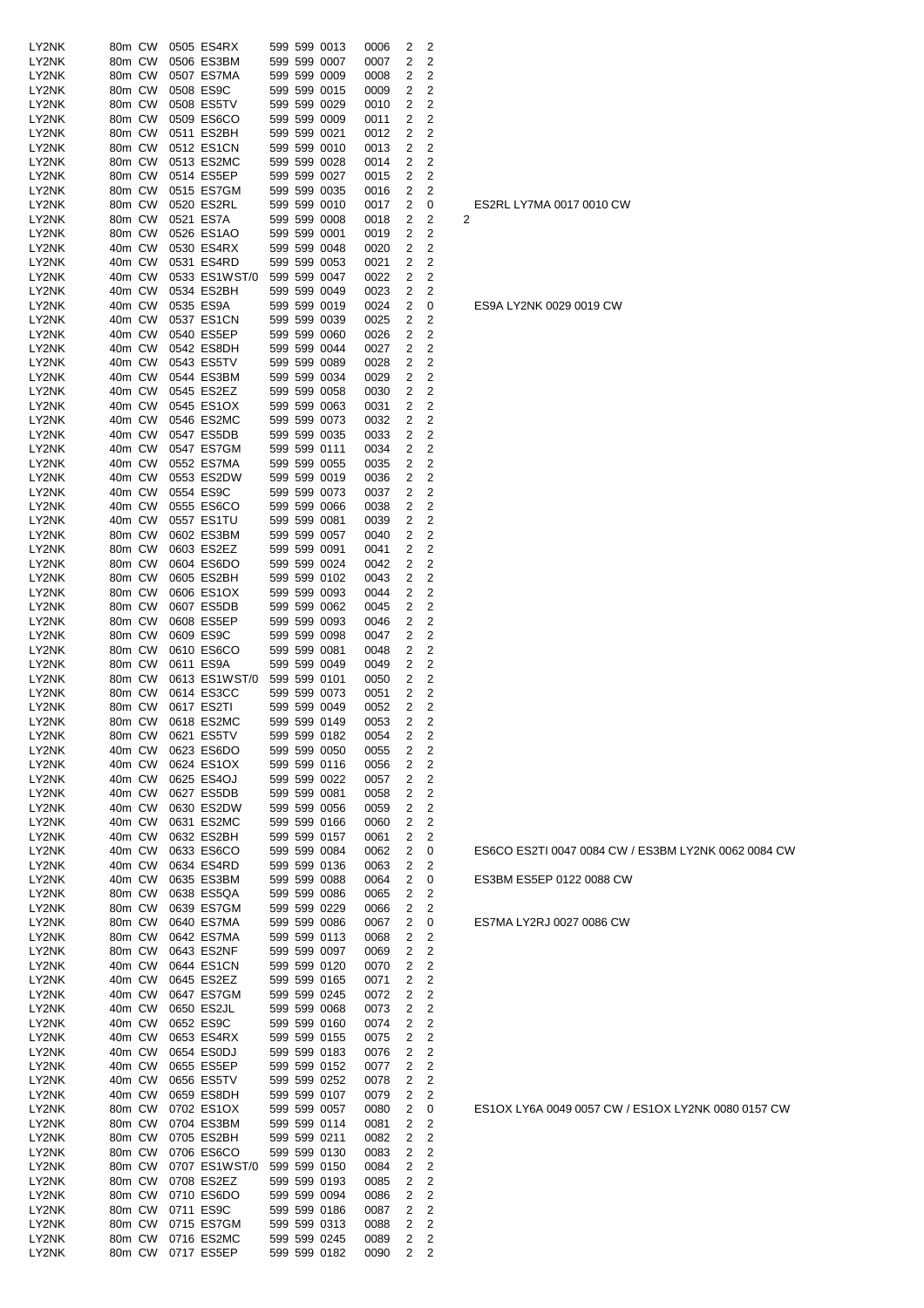| LY2NK          | 80m CW           |  | 0505 ES4RX                               |  | 599 599 0013                 | 0006         | 2              | 2              |   |
|----------------|------------------|--|------------------------------------------|--|------------------------------|--------------|----------------|----------------|---|
| LY2NK          | 80m CW           |  | 0506 ES3BM                               |  | 599 599 0007                 | 0007         | 2              | 2              |   |
| LY2NK<br>LY2NK | 80m CW<br>80m CW |  | 0507 ES7MA<br>0508 ES9C                  |  | 599 599 0009<br>599 599 0015 | 0008<br>0009 | 2<br>2         | 2<br>2         |   |
| LY2NK          | 80m CW           |  | 0508 ES5TV                               |  | 599 599 0029                 | 0010         | 2              | 2              |   |
| LY2NK          | 80m CW           |  | 0509 ES6CO                               |  | 599 599 0009                 | 0011         | 2              | 2              |   |
| LY2NK          | 80m CW           |  | 0511 ES2BH                               |  | 599 599 0021                 | 0012         | 2              | 2              |   |
| LY2NK          | 80m CW<br>80m CW |  | 0512 ES1CN<br>0513 ES2MC                 |  | 599 599 0010<br>599 599 0028 | 0013         | 2<br>2         | 2<br>2         |   |
| LY2NK<br>LY2NK | 80m CW           |  | 0514 ES5EP                               |  | 599 599 0027                 | 0014<br>0015 | 2              | 2              |   |
| LY2NK          | 80m CW           |  | 0515 ES7GM                               |  | 599 599 0035                 | 0016         | 2              | 2              |   |
| LY2NK          | 80m CW           |  | 0520 ES2RL                               |  | 599 599 0010                 | 0017         | 2              | 0              |   |
| LY2NK          | 80m CW           |  | 0521 ES7A                                |  | 599 599 0008                 | 0018         | 2              | 2              | 2 |
| LY2NK<br>LY2NK | 80m CW<br>40m CW |  | 0526 ES1AO<br>0530 ES4RX                 |  | 599 599 0001<br>599 599 0048 | 0019<br>0020 | 2<br>2         | 2<br>2         |   |
| LY2NK          | 40m CW           |  | 0531 ES4RD                               |  | 599 599 0053                 | 0021         | 2              | 2              |   |
| LY2NK          | 40m CW           |  | 0533 ES1WST/0 599 599 0047               |  |                              | 0022         | 2              | 2              |   |
| LY2NK          | 40m CW           |  | 0534 ES2BH                               |  | 599 599 0049                 | 0023         | 2              | 2              |   |
| LY2NK<br>LY2NK | 40m CW<br>40m CW |  | 0535 ES9A<br>0537 ES1CN                  |  | 599 599 0019<br>599 599 0039 | 0024<br>0025 | 2<br>2         | 0<br>2         |   |
| LY2NK          | 40m CW           |  | 0540 ES5EP                               |  | 599 599 0060                 | 0026         | 2              | 2              |   |
| LY2NK          | 40m CW           |  | 0542 ES8DH                               |  | 599 599 0044                 | 0027         | 2              | 2              |   |
| LY2NK          | 40m CW           |  | 0543 ES5TV                               |  | 599 599 0089                 | 0028         | 2              | 2              |   |
| LY2NK          | 40m CW           |  | 0544 ES3BM                               |  | 599 599 0034                 | 0029         | 2              | 2              |   |
| LY2NK<br>LY2NK | 40m CW<br>40m CW |  | 0545 ES2EZ<br>0545 ES1OX                 |  | 599 599 0058<br>599 599 0063 | 0030<br>0031 | 2<br>2         | 2<br>2         |   |
| LY2NK          | 40m CW           |  | 0546 ES2MC                               |  | 599 599 0073                 | 0032         | 2              | 2              |   |
| LY2NK          | 40m CW           |  | 0547 ES5DB                               |  | 599 599 0035                 | 0033         | 2              | 2              |   |
| LY2NK          | 40m CW           |  | 0547 ES7GM                               |  | 599 599 0111                 | 0034         | 2              | 2              |   |
| LY2NK          | 40m CW           |  | 0552 ES7MA                               |  | 599 599 0055                 | 0035         | 2              | 2<br>2         |   |
| LY2NK<br>LY2NK | 40m CW<br>40m CW |  | 0553 ES2DW<br>0554 ES9C                  |  | 599 599 0019<br>599 599 0073 | 0036<br>0037 | 2<br>2         | 2              |   |
| LY2NK          | 40m CW           |  | 0555 ES6CO                               |  | 599 599 0066                 | 0038         | 2              | 2              |   |
| LY2NK          | 40m CW           |  | 0557 ES1TU                               |  | 599 599 0081                 | 0039         | 2              | 2              |   |
| LY2NK          | 80m CW           |  | 0602 ES3BM                               |  | 599 599 0057                 | 0040         | 2              | 2              |   |
| LY2NK<br>LY2NK | 80m CW<br>80m CW |  | 0603 ES2EZ<br>0604 ES6DO                 |  | 599 599 0091<br>599 599 0024 | 0041<br>0042 | 2<br>2         | 2<br>2         |   |
| LY2NK          | 80m CW           |  | 0605 ES2BH                               |  | 599 599 0102                 | 0043         | 2              | 2              |   |
| LY2NK          | 80m CW           |  | 0606 ES1OX                               |  | 599 599 0093                 | 0044         | 2              | 2              |   |
| LY2NK          | 80m CW           |  | 0607 ES5DB                               |  | 599 599 0062                 | 0045         | 2              | 2              |   |
| LY2NK          | 80m CW           |  | 0608 ES5EP                               |  | 599 599 0093                 | 0046         | 2              | 2              |   |
| LY2NK<br>LY2NK | 80m CW<br>80m CW |  | 0609 ES9C<br>0610 ES6CO                  |  | 599 599 0098<br>599 599 0081 | 0047<br>0048 | 2<br>2         | 2<br>2         |   |
| LY2NK          | 80m CW           |  | 0611 ES9A                                |  | 599 599 0049                 | 0049         | 2              | 2              |   |
| LY2NK          | 80m CW           |  | 0613 ES1WST/0 599 599 0101               |  |                              | 0050         | 2              | 2              |   |
| LY2NK          | 80m CW           |  | 0614 ES3CC                               |  | 599 599 0073                 | 0051         | 2              | 2              |   |
| LY2NK<br>LY2NK | 80m CW<br>80m CW |  | 0617 ES2TI<br>0618 ES2MC                 |  | 599 599 0049<br>599 599 0149 | 0052<br>0053 | 2<br>2         | 2<br>2         |   |
| LY2NK          |                  |  | 80m CW 0621 ES5TV                        |  | 599 599 0182                 | 0054         | $\overline{2}$ | 2              |   |
| LY2NK          | 40m CW           |  | 0623 ES6DO                               |  | 599 599 0050                 | 0055         | 2              | 2              |   |
| LY2NK          | 40m CW           |  | 0624 ES1OX                               |  | 599 599 0116                 | 0056         | 2              | 2              |   |
| LY2NK<br>LY2NK | 40m CW<br>40m CW |  | 0625 ES4OJ<br>0627 ES5DB                 |  | 599 599 0022<br>599 599 0081 | 0057<br>0058 | 2<br>2         | 2<br>2         |   |
| LY2NK          | 40m CW           |  | 0630 ES2DW                               |  | 599 599 0056                 | 0059         | 2              | $\overline{c}$ |   |
| LY2NK          | 40m CW           |  | 0631 ES2MC                               |  | 599 599 0166                 | 0060         | 2              | 2              |   |
| LY2NK          | 40m CW           |  | 0632 ES2BH                               |  | 599 599 0157                 | 0061         | 2              | 2              |   |
| LY2NK          | 40m CW           |  | 0633 ES6CO                               |  | 599 599 0084<br>599 599 0136 | 0062<br>0063 | 2              | 0              |   |
| LY2NK<br>LY2NK | 40m CW<br>40m CW |  | 0634 ES4RD<br>0635 ES3BM                 |  | 599 599 0088                 | 0064         | 2<br>2         | 2<br>0         |   |
| LY2NK          | 80m CW           |  | 0638 ES5QA                               |  | 599 599 0086                 | 0065         | 2              | 2              |   |
| LY2NK          | 80m CW           |  | 0639 ES7GM                               |  | 599 599 0229                 | 0066         | 2              | 2              |   |
| LY2NK          | 80m CW           |  | 0640 ES7MA                               |  | 599 599 0086                 | 0067         | 2              | 0              |   |
| LY2NK<br>LY2NK | 80m CW<br>80m CW |  | 0642 ES7MA<br>0643 ES2NF                 |  | 599 599 0113<br>599 599 0097 | 0068<br>0069 | 2<br>2         | 2<br>2         |   |
| LY2NK          | 40m CW           |  | 0644 ES1CN                               |  | 599 599 0120                 | 0070         | 2              | 2              |   |
| LY2NK          | 40m CW           |  | 0645 ES2EZ                               |  | 599 599 0165                 | 0071         | 2              | 2              |   |
| LY2NK          | 40m CW           |  | 0647 ES7GM                               |  | 599 599 0245                 | 0072         | 2              | $\overline{c}$ |   |
| LY2NK<br>LY2NK | 40m CW<br>40m CW |  | 0650 ES2JL<br>0652 ES9C                  |  | 599 599 0068<br>599 599 0160 | 0073<br>0074 | 2<br>2         | 2<br>2         |   |
| LY2NK          | 40m CW           |  | 0653 ES4RX                               |  | 599 599 0155                 | 0075         | 2              | 2              |   |
| LY2NK          | 40m CW           |  | 0654 ES0DJ                               |  | 599 599 0183                 | 0076         | 2              | 2              |   |
| LY2NK          | 40m CW           |  | 0655 ES5EP                               |  | 599 599 0152                 | 0077         | 2              | 2              |   |
| LY2NK<br>LY2NK | 40m CW<br>40m CW |  | 0656 ES5TV<br>0659 ES8DH                 |  | 599 599 0252<br>599 599 0107 | 0078<br>0079 | 2<br>2         | 2<br>2         |   |
| LY2NK          | 80m CW           |  | 0702 ES1OX                               |  | 599 599 0057                 | 0080         | 2              | 0              |   |
| LY2NK          | 80m CW           |  | 0704 ES3BM                               |  | 599 599 0114                 | 0081         | 2              | 2              |   |
| LY2NK          | 80m CW           |  | 0705 ES2BH                               |  | 599 599 0211                 | 0082         | 2              | 2              |   |
| LY2NK          | 80m CW           |  | 0706 ES6CO                               |  | 599 599 0130                 | 0083         | 2              | $\overline{c}$ |   |
| LY2NK<br>LY2NK | 80m CW<br>80m CW |  | 0707 ES1WST/0 599 599 0150<br>0708 ES2EZ |  | 599 599 0193                 | 0084<br>0085 | 2<br>2         | 2<br>2         |   |
| LY2NK          | 80m CW           |  | 0710 ES6DO                               |  | 599 599 0094                 | 0086         | 2              | 2              |   |
| LY2NK          | 80m CW           |  | 0711 ES9C                                |  | 599 599 0186                 | 0087         | 2              | 2              |   |
| LY2NK          | 80m CW           |  | 0715 ES7GM                               |  | 599 599 0313                 | 0088         | 2              | 2              |   |
| LY2NK<br>LY2NK | 80m CW<br>80m CW |  | 0716 ES2MC<br>0717 ES5EP                 |  | 599 599 0245<br>599 599 0182 | 0089<br>0090 | 2<br>2         | 2<br>2         |   |
|                |                  |  |                                          |  |                              |              |                |                |   |

ES1OX LY6A 0049 0057 CW / ES1OX LY2NK 0080 0157 CW

ES7MA LY2RJ 0027 0086 CW

ES3BM ES5EP 0122 0088 CW

ES6CO ES2TI 0047 0084 CW / ES3BM LY2NK 0062 0084 CW

ES9A LY2NK 0029 0019 CW

ES2RL LY7MA 0017 0010 CW<br>2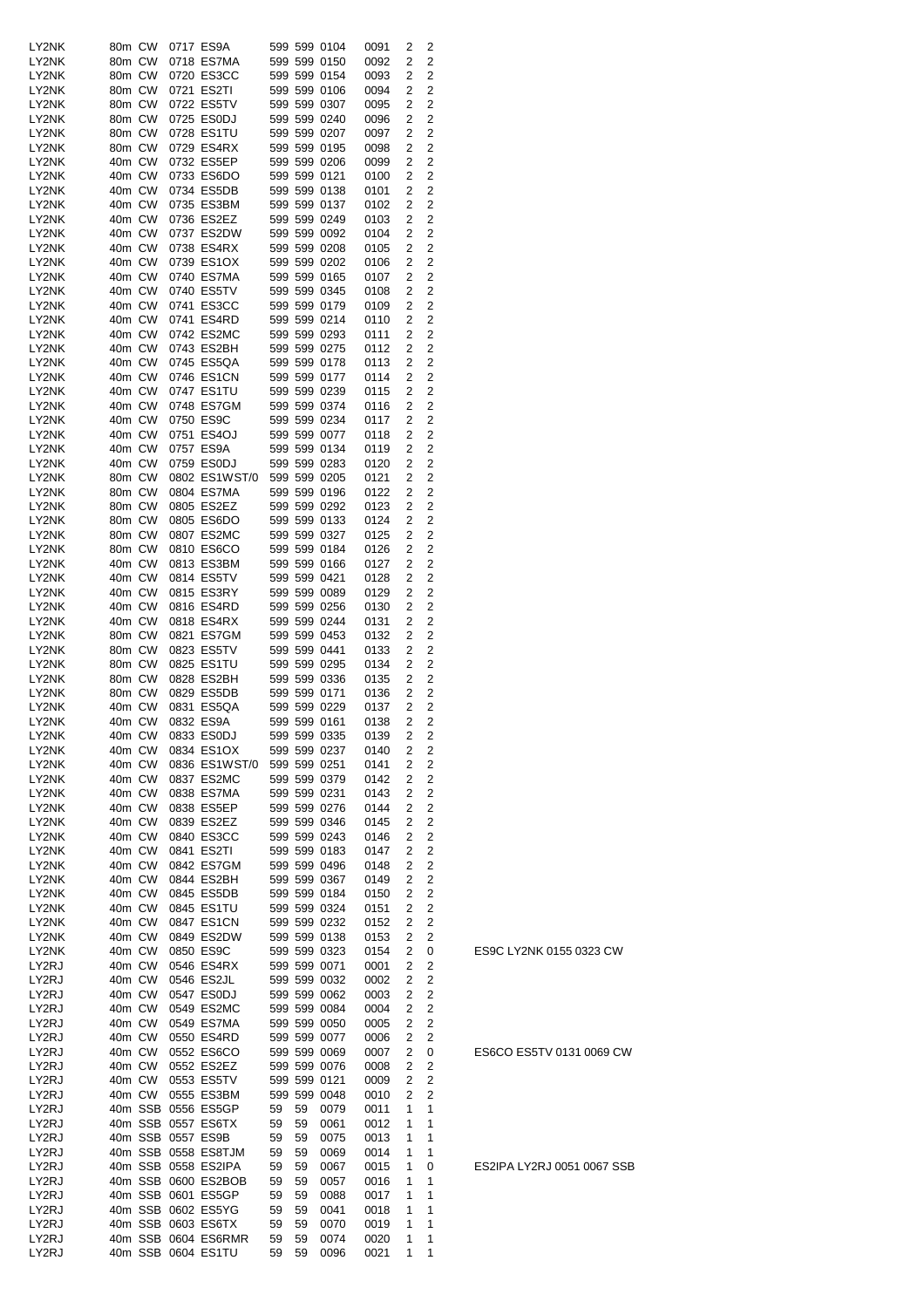| LY2NK          | 80m CW           |  | 0717 ES9A                |    |    | 599 599 0104                 | 0091         | 2              | 2                                |
|----------------|------------------|--|--------------------------|----|----|------------------------------|--------------|----------------|----------------------------------|
| LY2NK          | 80m CW           |  | 0718 ES7MA               |    |    | 599 599 0150                 | 0092         | 2              | $\overline{2}$                   |
| LY2NK          | 80m CW           |  | 0720 ES3CC               |    |    | 599 599 0154                 | 0093         | 2              | 2                                |
| LY2NK          | 80m CW           |  | 0721 ES2TI               |    |    | 599 599 0106                 | 0094         | 2              | 2                                |
| LY2NK          | 80m CW           |  | 0722 ES5TV               |    |    | 599 599 0307                 | 0095         | 2              | 2                                |
| LY2NK<br>LY2NK | 80m CW<br>80m CW |  | 0725 ES0DJ<br>0728 ES1TU |    |    | 599 599 0240<br>599 599 0207 | 0096<br>0097 | 2<br>2         | 2<br>2                           |
| LY2NK          | 80m CW           |  | 0729 ES4RX               |    |    | 599 599 0195                 | 0098         | $\overline{2}$ | 2                                |
| LY2NK          | 40m CW           |  | 0732 ES5EP               |    |    | 599 599 0206                 | 0099         | 2              | 2                                |
| LY2NK          | 40m CW           |  | 0733 ES6DO               |    |    | 599 599 0121                 | 0100         | 2              | 2                                |
| LY2NK          | 40m CW           |  | 0734 ES5DB               |    |    | 599 599 0138                 | 0101         | 2              | 2                                |
| LY2NK          | 40m CW           |  | 0735 ES3BM               |    |    | 599 599 0137                 | 0102         | 2              | 2                                |
| LY2NK          | 40m CW           |  | 0736 ES2EZ               |    |    | 599 599 0249                 | 0103         | 2              | 2                                |
| LY2NK          | 40m CW           |  | 0737 ES2DW               |    |    | 599 599 0092                 | 0104         | 2              | 2                                |
| LY2NK          | 40m CW           |  | 0738 ES4RX               |    |    | 599 599 0208                 | 0105         | 2              | 2                                |
| LY2NK          | 40m CW           |  | 0739 ES1OX               |    |    | 599 599 0202                 | 0106         | 2              | 2                                |
| LY2NK          | 40m CW           |  | 0740 ES7MA               |    |    | 599 599 0165                 | 0107         | 2              | 2                                |
| LY2NK          | 40m CW           |  | 0740 ES5TV               |    |    | 599 599 0345                 | 0108         | 2              | 2                                |
| LY2NK<br>LY2NK | 40m CW<br>40m CW |  | 0741 ES3CC<br>0741 ES4RD |    |    | 599 599 0179<br>599 599 0214 | 0109<br>0110 | 2<br>2         | 2<br>2                           |
| LY2NK          | 40m CW           |  | 0742 ES2MC               |    |    | 599 599 0293                 | 0111         | 2              | 2                                |
| LY2NK          | 40m CW           |  | 0743 ES2BH               |    |    | 599 599 0275                 | 0112         | 2              | 2                                |
| LY2NK          | 40m CW           |  | 0745 ES5QA               |    |    | 599 599 0178                 | 0113         | 2              | 2                                |
| LY2NK          | 40m CW           |  | 0746 ES1CN               |    |    | 599 599 0177                 | 0114         | 2              | 2                                |
| LY2NK          | 40m CW           |  | 0747 ES1TU               |    |    | 599 599 0239                 | 0115         | 2              | $\overline{2}$                   |
| LY2NK          | 40m CW           |  | 0748 ES7GM               |    |    | 599 599 0374                 | 0116         | 2              | 2                                |
| LY2NK          | 40m CW           |  | 0750 ES9C                |    |    | 599 599 0234                 | 0117         | 2              | 2                                |
| LY2NK          | 40m CW           |  | 0751 ES4OJ               |    |    | 599 599 0077                 | 0118         | 2              | 2                                |
| LY2NK          | 40m CW           |  | 0757 ES9A                |    |    | 599 599 0134                 | 0119         | 2              | 2                                |
| LY2NK          | 40m CW           |  | 0759 ES0DJ               |    |    | 599 599 0283                 | 0120         | 2              | 2                                |
| LY2NK          | 80m CW           |  | 0802 ES1WST/0            |    |    | 599 599 0205                 | 0121         | 2              | 2                                |
| LY2NK          | 80m CW           |  | 0804 ES7MA               |    |    | 599 599 0196                 | 0122         | $\overline{2}$ | 2                                |
| LY2NK          | 80m CW           |  | 0805 ES2EZ               |    |    | 599 599 0292                 | 0123         | $\overline{2}$ | 2                                |
| LY2NK          | 80m CW           |  | 0805 ES6DO               |    |    | 599 599 0133                 | 0124         | 2              | 2                                |
| LY2NK          | 80m CW           |  | 0807 ES2MC               |    |    | 599 599 0327                 | 0125         | 2              | 2                                |
| LY2NK          | 80m CW           |  | 0810 ES6CO               |    |    | 599 599 0184                 | 0126         | 2              | 2                                |
| LY2NK          | 40m CW           |  | 0813 ES3BM<br>0814 ES5TV |    |    | 599 599 0166<br>599 599 0421 | 0127         | 2              | 2                                |
| LY2NK<br>LY2NK | 40m CW<br>40m CW |  | 0815 ES3RY               |    |    | 599 599 0089                 | 0128<br>0129 | 2<br>2         | 2<br>2                           |
| LY2NK          | 40m CW           |  | 0816 ES4RD               |    |    | 599 599 0256                 | 0130         | 2              | 2                                |
| LY2NK          | 40m CW           |  | 0818 ES4RX               |    |    | 599 599 0244                 | 0131         | 2              | $\overline{2}$                   |
| LY2NK          | 80m CW           |  | 0821 ES7GM               |    |    | 599 599 0453                 | 0132         | 2              | 2                                |
| LY2NK          | 80m CW           |  | 0823 ES5TV               |    |    | 599 599 0441                 | 0133         | 2              | 2                                |
| LY2NK          | 80m CW           |  | 0825 ES1TU               |    |    | 599 599 0295                 | 0134         | 2              | 2                                |
| LY2NK          | 80m CW           |  | 0828 ES2BH               |    |    | 599 599 0336                 | 0135         | $\overline{2}$ | 2                                |
| LY2NK          | 80m CW           |  | 0829 ES5DB               |    |    | 599 599 0171                 | 0136         | $\overline{2}$ | 2                                |
| LY2NK          | 40m CW           |  | 0831 ES5QA               |    |    | 599 599 0229                 | 0137         | 2              | 2                                |
| LY2NK          | 40m CW           |  | 0832 ES9A                |    |    | 599 599 0161                 | 0138         | $\overline{2}$ | $\overline{2}$                   |
| LY2NK          | 40m CW           |  | 0833 ES0DJ               |    |    | 599 599 0335                 | 0139         | 2              | 2                                |
| LY2NK          | 40m CW           |  | 0834 ES1OX               |    |    | 599 599 0237                 | 0140         | 2              | 2                                |
| LY2NK          | 40m CW           |  | 0836 ES1WST/0            |    |    | 599 599 0251                 | 0141         | 2              | $\overline{c}$                   |
| LY2NK          | 40m CW           |  | 0837 ES2MC               |    |    | 599 599 0379                 | 0142         | 2              | $\overline{c}$                   |
| LY2NK          | 40m CW           |  | 0838 ES7MA               |    |    | 599 599 0231<br>599 599 0276 | 0143         | 2              | $\overline{c}$<br>$\overline{c}$ |
| LY2NK<br>LY2NK | 40m CW<br>40m CW |  | 0838 ES5EP<br>0839 ES2EZ |    |    | 599 599 0346                 | 0144<br>0145 | 2<br>2         | 2                                |
| LY2NK          | 40m CW           |  | 0840 ES3CC               |    |    | 599 599 0243                 | 0146         | 2              | 2                                |
| LY2NK          | 40m CW           |  | 0841 ES2TI               |    |    | 599 599 0183                 | 0147         | 2              | $\overline{c}$                   |
| LY2NK          | 40m CW           |  | 0842 ES7GM               |    |    | 599 599 0496                 | 0148         | 2              | $\overline{c}$                   |
| LY2NK          | 40m CW           |  | 0844 ES2BH               |    |    | 599 599 0367                 | 0149         | 2              | $\overline{c}$                   |
| LY2NK          | 40m CW           |  | 0845 ES5DB               |    |    | 599 599 0184                 | 0150         | 2              | $\overline{c}$                   |
| LY2NK          | 40m CW           |  | 0845 ES1TU               |    |    | 599 599 0324                 | 0151         | 2              | 2                                |
| LY2NK          | 40m CW           |  | 0847 ES1CN               |    |    | 599 599 0232                 | 0152         | 2              | 2                                |
| LY2NK          | 40m CW           |  | 0849 ES2DW               |    |    | 599 599 0138                 | 0153         | 2              | 2                                |
| LY2NK          | 40m CW           |  | 0850 ES9C                |    |    | 599 599 0323                 | 0154         | 2              | 0                                |
| LY2RJ          | 40m CW           |  | 0546 ES4RX               |    |    | 599 599 0071                 | 0001         | 2              | $\overline{c}$                   |
| LY2RJ          | 40m CW           |  | 0546 ES2JL               |    |    | 599 599 0032                 | 0002         | 2              | $\overline{c}$                   |
| LY2RJ          | 40m CW           |  | 0547 ES0DJ               |    |    | 599 599 0062                 | 0003         | 2              | 2                                |
| LY2RJ          | 40m CW           |  | 0549 ES2MC               |    |    | 599 599 0084                 | 0004         | 2<br>2         | 2<br>$\overline{c}$              |
| LY2RJ<br>LY2RJ | 40m CW<br>40m CW |  | 0549 ES7MA<br>0550 ES4RD |    |    | 599 599 0050<br>599 599 0077 | 0005<br>0006 | 2              | 2                                |
| LY2RJ          | 40m CW           |  | 0552 ES6CO               |    |    | 599 599 0069                 | 0007         | 2              | 0                                |
| LY2RJ          | 40m CW           |  | 0552 ES2EZ               |    |    | 599 599 0076                 | 0008         | 2              | 2                                |
| LY2RJ          | 40m CW           |  | 0553 ES5TV               |    |    | 599 599 0121                 | 0009         | 2              | 2                                |
| LY2RJ          | 40m CW           |  | 0555 ES3BM               |    |    | 599 599 0048                 | 0010         | 2              | 2                                |
| LY2RJ          |                  |  | 40m SSB 0556 ES5GP       | 59 | 59 | 0079                         | 0011         | 1              | 1                                |
| LY2RJ          |                  |  | 40m SSB 0557 ES6TX       | 59 | 59 | 0061                         | 0012         | 1              | 1                                |
| LY2RJ          |                  |  | 40m SSB 0557 ES9B        | 59 | 59 | 0075                         | 0013         | 1              | 1                                |
| LY2RJ          |                  |  | 40m SSB 0558 ES8TJM      | 59 | 59 | 0069                         | 0014         | 1              | 1                                |
| LY2RJ          |                  |  | 40m SSB 0558 ES2IPA      | 59 | 59 | 0067                         | 0015         | 1              | 0                                |
| LY2RJ          |                  |  | 40m SSB 0600 ES2BOB      | 59 | 59 | 0057                         | 0016         | 1              | 1                                |
| LY2RJ          |                  |  | 40m SSB 0601 ES5GP       | 59 | 59 | 0088                         | 0017         | 1              | 1                                |
| LY2RJ          |                  |  | 40m SSB 0602 ES5YG       | 59 | 59 | 0041                         | 0018         | 1              | 1                                |
| LY2RJ          |                  |  | 40m SSB 0603 ES6TX       | 59 | 59 | 0070                         | 0019         | 1              | 1                                |
| LY2RJ          |                  |  | 40m SSB 0604 ES6RMR      | 59 | 59 | 0074                         | 0020         | 1              | 1<br>1                           |
| LY2RJ          |                  |  | 40m SSB 0604 ES1TU       | 59 | 59 | 0096                         | 0021         | 1              |                                  |

ES2IPA LY2RJ 0051 0067 SSB

ES9C LY2NK 0155 0323 CW

ES6CO ES5TV 0131 0069 CW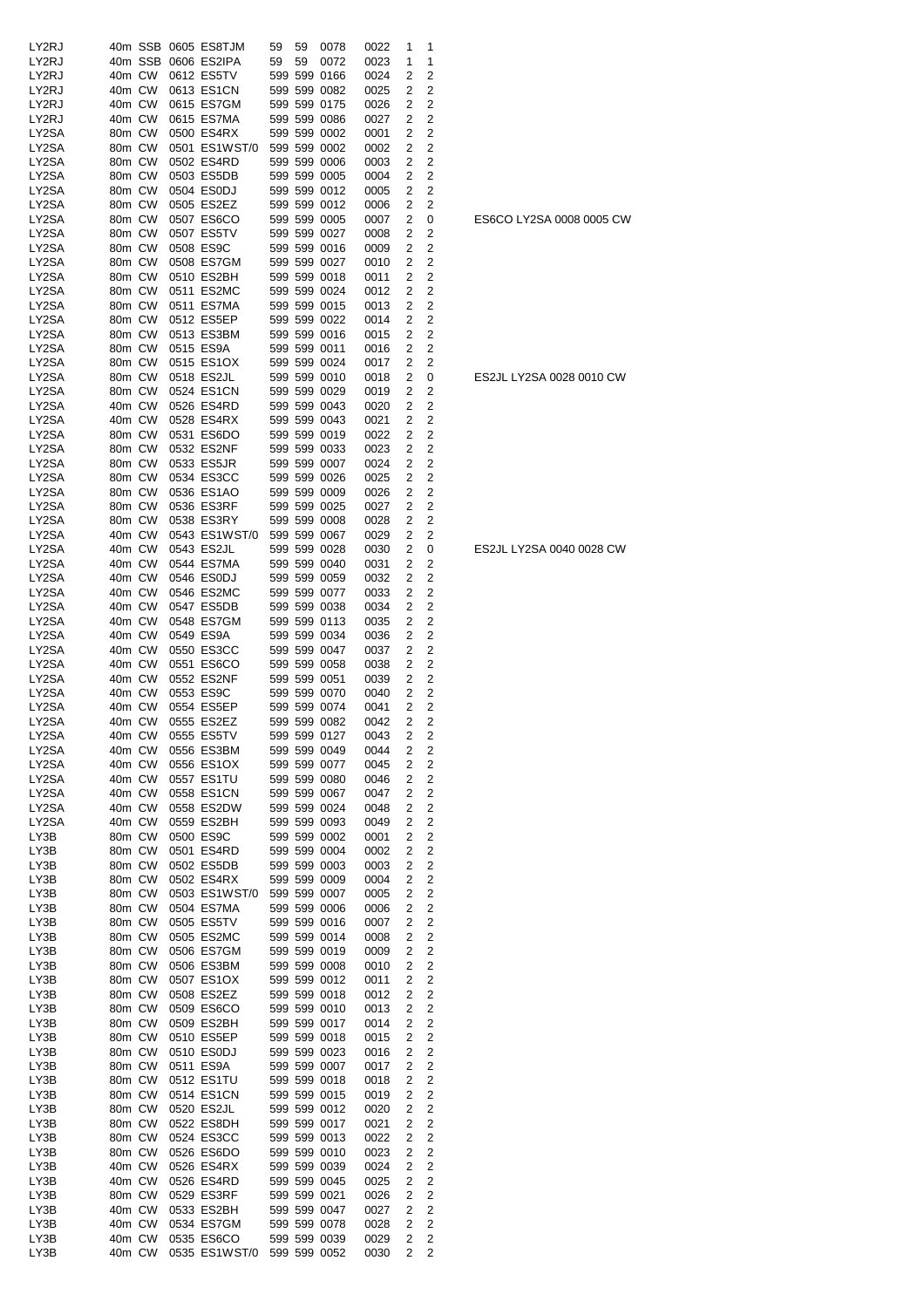| LY2RJ          |                  |         | 40m SSB 0605 ES8TJM         | 59 | 59 | 0078                         | 0022         | 1            | 1                                |
|----------------|------------------|---------|-----------------------------|----|----|------------------------------|--------------|--------------|----------------------------------|
| LY2RJ          |                  | 40m SSB | 0606 ES2IPA                 | 59 | 59 | 0072                         | 0023         | 1            | 1                                |
| LY2RJ          | 40m CW           |         | 0612 ES5TV                  |    |    | 599 599 0166                 | 0024         | 2            | 2                                |
| LY2RJ          | 40m CW           |         | 0613 ES1CN                  |    |    | 599 599 0082                 | 0025         | 2            | 2                                |
| LY2RJ          | 40m CW           |         | 0615 ES7GM                  |    |    | 599 599 0175                 | 0026         | 2            | 2                                |
| LY2RJ          | 40m CW           |         | 0615 ES7MA                  |    |    | 599 599 0086                 | 0027         | 2            | 2                                |
| LY2SA          | 80m CW           |         | 0500 ES4RX                  |    |    | 599 599 0002                 | 0001         | 2            | 2                                |
| LY2SA          | 80m CW           |         | 0501 ES1WST/0               |    |    | 599 599 0002                 | 0002         | 2            | $\overline{2}$                   |
| LY2SA<br>LY2SA | 80m CW<br>80m CW |         | 0502 ES4RD<br>0503 ES5DB    |    |    | 599 599 0006<br>599 599 0005 | 0003<br>0004 | 2            | 2<br>$\overline{c}$              |
| LY2SA          | 80m CW           |         | 0504 ES0DJ                  |    |    | 599 599 0012                 | 0005         | 2<br>2       | 2                                |
| LY2SA          | 80m CW           |         | 0505 ES2EZ                  |    |    | 599 599 0012                 | 0006         | 2            | 2                                |
| LY2SA          | 80m CW           |         | 0507 ES6CO                  |    |    | 599 599 0005                 | 0007         | 2            | 0                                |
| LY2SA          | 80m CW           |         | 0507 ES5TV                  |    |    | 599 599 0027                 | 0008         | 2            | 2                                |
| LY2SA          | 80m CW           |         | 0508 ES9C                   |    |    | 599 599 0016                 | 0009         | 2            | $\overline{c}$                   |
| LY2SA          | 80m CW           |         | 0508 ES7GM                  |    |    | 599 599 0027                 | 0010         | 2            | 2                                |
| LY2SA          | 80m CW           |         | 0510 ES2BH                  |    |    | 599 599 0018                 | 0011         | 2            | 2                                |
| LY2SA          | 80m CW           |         | 0511 ES2MC                  |    |    | 599 599 0024                 | 0012         | 2            | 2                                |
| LY2SA          | 80m CW           |         | 0511 ES7MA                  |    |    | 599 599 0015                 | 0013         | 2            | 2                                |
| LY2SA          | 80m CW           |         | 0512 ES5EP                  |    |    | 599 599 0022                 | 0014         | 2            | 2                                |
| LY2SA          | 80m CW           |         | 0513 ES3BM                  |    |    | 599 599 0016                 | 0015         | 2            | $\overline{2}$                   |
| LY2SA          | 80m CW           |         | 0515 ES9A                   |    |    | 599 599 0011                 | 0016         | 2            | 2                                |
| LY2SA<br>LY2SA | 80m CW<br>80m CW |         | 0515 ES1OX<br>0518 ES2JL    |    |    | 599 599 0024<br>599 599 0010 | 0017<br>0018 | 2<br>2       | 2<br>0                           |
| LY2SA          | 80m CW           |         | 0524 ES1CN                  |    |    | 599 599 0029                 | 0019         | 2            | 2                                |
| LY2SA          | 40m CW           |         | 0526 ES4RD                  |    |    | 599 599 0043                 | 0020         | 2            | 2                                |
| LY2SA          | 40m CW           |         | 0528 ES4RX                  |    |    | 599 599 0043                 | 0021         | 2            | $\overline{c}$                   |
| LY2SA          | 80m CW           |         | 0531 ES6DO                  |    |    | 599 599 0019                 | 0022         | 2            | $\overline{c}$                   |
| LY2SA          | 80m CW           |         | 0532 ES2NF                  |    |    | 599 599 0033                 | 0023         | 2            | 2                                |
| LY2SA          | 80m CW           |         | 0533 ES5JR                  |    |    | 599 599 0007                 | 0024         | 2            | 2                                |
| LY2SA          | 80m CW           |         | 0534 ES3CC                  |    |    | 599 599 0026                 | 0025         | 2            | 2                                |
| LY2SA          | 80m CW           |         | 0536 ES1AO                  |    |    | 599 599 0009                 | 0026         | 2            | 2                                |
| LY2SA          | 80m CW           |         | 0536 ES3RF                  |    |    | 599 599 0025                 | 0027         | 2            | 2                                |
| LY2SA          | 80m CW           |         | 0538 ES3RY                  |    |    | 599 599 0008                 | 0028         | 2            | 2                                |
| LY2SA<br>LY2SA | 40m CW<br>40m CW |         | 0543 ES1WST/0<br>0543 ES2JL |    |    | 599 599 0067<br>599 599 0028 | 0029<br>0030 | 2<br>2       | 2<br>0                           |
| LY2SA          | 40m CW           |         | 0544 ES7MA                  |    |    | 599 599 0040                 | 0031         | 2            | 2                                |
| LY2SA          | 40m CW           |         | 0546 ES0DJ                  |    |    | 599 599 0059                 | 0032         | 2            | 2                                |
| LY2SA          | 40m CW           |         | 0546 ES2MC                  |    |    | 599 599 0077                 | 0033         | 2            | 2                                |
| LY2SA          | 40m CW           |         | 0547 ES5DB                  |    |    | 599 599 0038                 | 0034         | 2            | 2                                |
| LY2SA          | 40m CW           |         | 0548 ES7GM                  |    |    | 599 599 0113                 | 0035         | 2            | 2                                |
| LY2SA          | 40m CW           |         | 0549 ES9A                   |    |    | 599 599 0034                 | 0036         | 2            | 2                                |
| LY2SA<br>LY2SA | 40m CW<br>40m CW |         | 0550 ES3CC<br>0551 ES6CO    |    |    | 599 599 0047<br>599 599 0058 | 0037         | 2<br>2       | 2<br>2                           |
| LY2SA          | 40m CW           |         | 0552 ES2NF                  |    |    | 599 599 0051                 | 0038<br>0039 | 2            | $\overline{2}$                   |
| LY2SA          | 40m CW           |         | 0553 ES9C                   |    |    | 599 599 0070                 | 0040         | 2            | 2                                |
| LY2SA          | 40m CW           |         | 0554 ES5EP                  |    |    | 599 599 0074                 | 0041         | 2            | $\overline{c}$                   |
| LY2SA          | 40m CW           |         | 0555 ES2EZ                  |    |    | 599 599 0082                 | 0042         | 2            | 2                                |
| LY2SA          |                  |         | 40m CW 0555 ES5TV           |    |    | 599 599 0127                 | 0043         | $\mathbf{2}$ | 2                                |
| LY2SA          | 40m CW           |         | 0556 ES3BM                  |    |    | 599 599 0049                 | 0044         | 2            | 2                                |
| LY2SA          | 40m CW           |         | 0556 ES1OX                  |    |    | 599 599 0077                 | 0045         | 2            | 2                                |
| LY2SA<br>LY2SA | 40m CW<br>40m CW |         | 0557 ES1TU<br>0558 ES1CN    |    |    | 599 599 0080<br>599 599 0067 | 0046<br>0047 | 2<br>2       | $\overline{c}$<br>$\overline{c}$ |
| LY2SA          | 40m CW           |         | 0558 ES2DW                  |    |    | 599 599 0024                 | 0048         | 2            | 2                                |
| LY2SA          | 40m CW           |         | 0559 ES2BH                  |    |    | 599 599 0093                 | 0049         | 2            | 2                                |
| LY3B           | 80m CW           |         | 0500 ES9C                   |    |    | 599 599 0002                 | 0001         | 2            | $\overline{2}$                   |
| LY3B           | 80m CW           |         | 0501 ES4RD                  |    |    | 599 599 0004                 | 0002         | 2            | 2                                |
| LY3B           | 80m CW           |         | 0502 ES5DB                  |    |    | 599 599 0003                 | 0003         | 2            | $\overline{c}$                   |
| LY3B           | 80m CW           |         | 0502 ES4RX                  |    |    | 599 599 0009                 | 0004         | 2            | 2                                |
| LY3B           | 80m CW           |         | 0503 ES1WST/0               |    |    | 599 599 0007                 | 0005         | 2            | 2                                |
| LY3B           | 80m CW           |         | 0504 ES7MA                  |    |    | 599 599 0006                 | 0006         | 2            | 2                                |
| LY3B<br>LY3B   | 80m CW<br>80m CW |         | 0505 ES5TV<br>0505 ES2MC    |    |    | 599 599 0016<br>599 599 0014 | 0007<br>0008 | 2<br>2       | $\overline{c}$<br>2              |
| LY3B           | 80m CW           |         | 0506 ES7GM                  |    |    | 599 599 0019                 | 0009         | 2            | $\overline{c}$                   |
| LY3B           | 80m CW           |         | 0506 ES3BM                  |    |    | 599 599 0008                 | 0010         | 2            | 2                                |
| LY3B           | 80m CW           |         | 0507 ES1OX                  |    |    | 599 599 0012                 | 0011         | 2            | 2                                |
| LY3B           | 80m CW           |         | 0508 ES2EZ                  |    |    | 599 599 0018                 | 0012         | 2            | 2                                |
| LY3B           | 80m CW           |         | 0509 ES6CO                  |    |    | 599 599 0010                 | 0013         | 2            | 2                                |
| LY3B           | 80m CW           |         | 0509 ES2BH                  |    |    | 599 599 0017                 | 0014         | 2            | 2                                |
| LY3B           | 80m CW<br>80m CW |         | 0510 ES5EP                  |    |    | 599 599 0018                 | 0015         | 2            | 2<br>$\overline{c}$              |
| LY3B<br>LY3B   | 80m CW           |         | 0510 ES0DJ<br>0511 ES9A     |    |    | 599 599 0023<br>599 599 0007 | 0016         | 2            | 2                                |
| LY3B           | 80m CW           |         | 0512 ES1TU                  |    |    | 599 599 0018                 | 0017<br>0018 | 2<br>2       | 2                                |
| LY3B           | 80m CW           |         | 0514 ES1CN                  |    |    | 599 599 0015                 | 0019         | 2            | 2                                |
| LY3B           | 80m CW           |         | 0520 ES2JL                  |    |    | 599 599 0012                 | 0020         | 2            | $\overline{c}$                   |
| LY3B           | 80m CW           |         | 0522 ES8DH                  |    |    | 599 599 0017                 | 0021         | 2            | $\overline{c}$                   |
| LY3B           | 80m CW           |         | 0524 ES3CC                  |    |    | 599 599 0013                 | 0022         | 2            | 2                                |
| LY3B           | 80m CW           |         | 0526 ES6DO                  |    |    | 599 599 0010                 | 0023         | 2            | 2                                |
| LY3B           | 40m CW           |         | 0526 ES4RX                  |    |    | 599 599 0039                 | 0024         | 2            | 2                                |
| LY3B<br>LY3B   | 40m CW<br>80m CW |         | 0526 ES4RD<br>0529 ES3RF    |    |    | 599 599 0045<br>599 599 0021 | 0025<br>0026 | 2<br>2       | 2<br>2                           |
| LY3B           | 40m CW           |         | 0533 ES2BH                  |    |    | 599 599 0047                 | 0027         | 2            | 2                                |
| LY3B           | 40m CW           |         | 0534 ES7GM                  |    |    | 599 599 0078                 | 0028         | 2            | $\overline{c}$                   |
| LY3B           | 40m CW           |         | 0535 ES6CO                  |    |    | 599 599 0039                 | 0029         | 2            | $\overline{c}$                   |
| LY3B           |                  | 40m CW  | 0535 ES1WST/0 599 599 0052  |    |    |                              | 0030         | 2            | 2                                |

ES6CO LY2SA 0008 0005 CW

ES2JL LY2SA 0028 0010 CW

ES2JL LY2SA 0040 0028 CW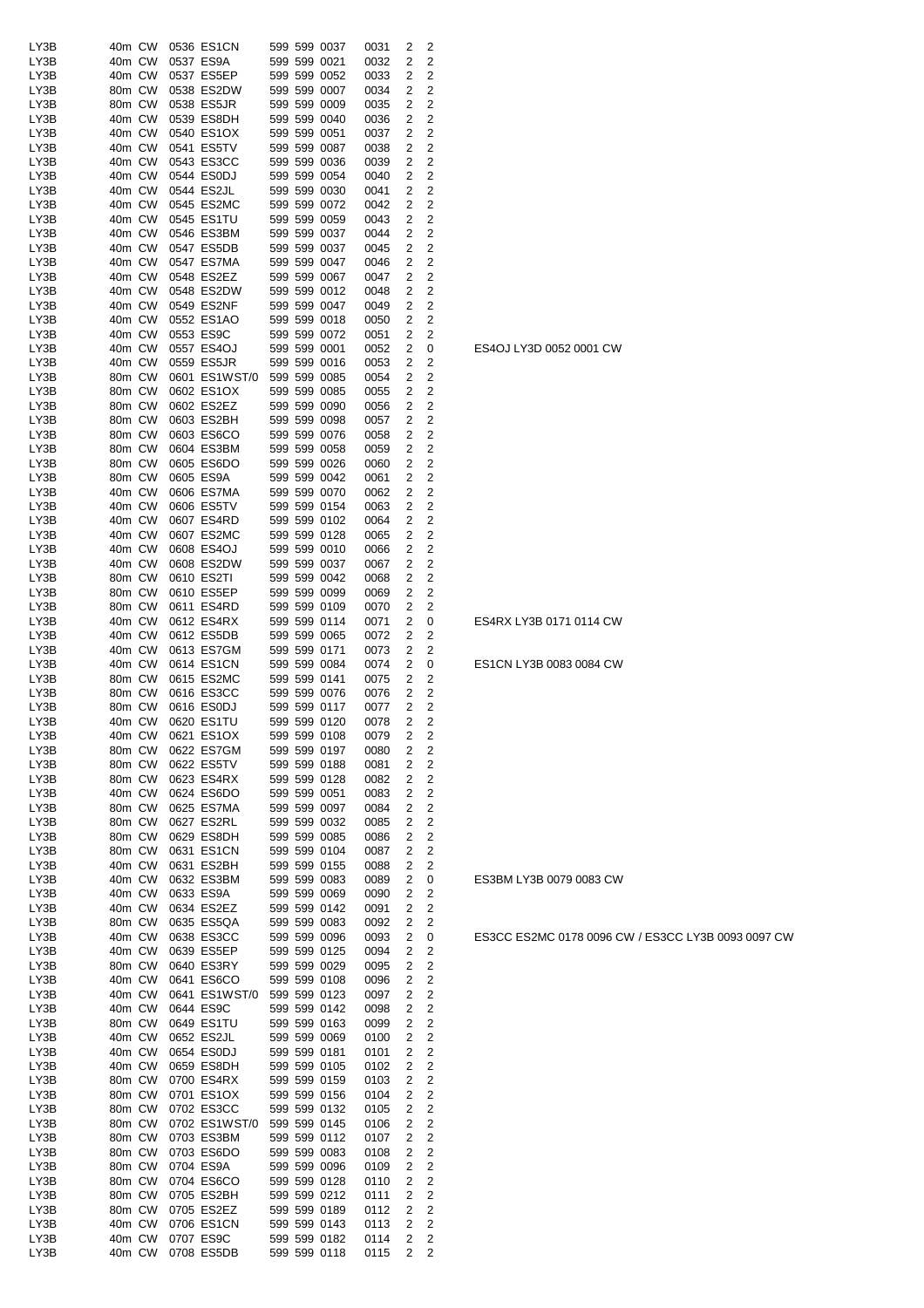| LY3B | 40m CW | 0536 ES1CN    | 599 599 0037 | 0031 | 2 | 2              |
|------|--------|---------------|--------------|------|---|----------------|
| LY3B | 40m CW | 0537 ES9A     | 599 599 0021 | 0032 | 2 | 2              |
| LY3B | 40m CW | 0537 ES5EP    | 599 599 0052 | 0033 | 2 | 2              |
| LY3B | 80m CW | 0538 ES2DW    | 599 599 0007 | 0034 | 2 | 2              |
|      |        |               |              |      |   |                |
| LY3B | 80m CW | 0538 ES5JR    | 599 599 0009 | 0035 | 2 | 2              |
| LY3B | 40m CW | 0539 ES8DH    | 599 599 0040 | 0036 | 2 | 2              |
| LY3B | 40m CW | 0540 ES1OX    | 599 599 0051 | 0037 | 2 | 2              |
| LY3B | 40m CW | 0541 ES5TV    | 599 599 0087 | 0038 | 2 | 2              |
| LY3B | 40m CW | 0543 ES3CC    | 599 599 0036 | 0039 | 2 | 2              |
| LY3B | 40m CW | 0544 ES0DJ    | 599 599 0054 | 0040 | 2 | 2              |
| LY3B | 40m CW | 0544 ES2JL    | 599 599 0030 | 0041 | 2 | 2              |
|      |        |               |              |      |   |                |
| LY3B | 40m CW | 0545 ES2MC    | 599 599 0072 | 0042 | 2 | $\overline{c}$ |
| LY3B | 40m CW | 0545 ES1TU    | 599 599 0059 | 0043 | 2 | $\overline{c}$ |
| LY3B | 40m CW | 0546 ES3BM    | 599 599 0037 | 0044 | 2 | 2              |
| LY3B | 40m CW | 0547 ES5DB    | 599 599 0037 | 0045 | 2 | 2              |
| LY3B | 40m CW | 0547 ES7MA    | 599 599 0047 | 0046 | 2 | 2              |
| LY3B | 40m CW | 0548 ES2EZ    | 599 599 0067 | 0047 | 2 | $\overline{c}$ |
| LY3B | 40m CW | 0548 ES2DW    | 599 599 0012 |      | 2 | $\overline{c}$ |
|      |        |               |              | 0048 |   |                |
| LY3B | 40m CW | 0549 ES2NF    | 599 599 0047 | 0049 | 2 | 2              |
| LY3B | 40m CW | 0552 ES1AO    | 599 599 0018 | 0050 | 2 | 2              |
| LY3B | 40m CW | 0553 ES9C     | 599 599 0072 | 0051 | 2 | 2              |
| LY3B | 40m CW | 0557 ES4OJ    | 599 599 0001 | 0052 | 2 | 0              |
| LY3B | 40m CW | 0559 ES5JR    | 599 599 0016 | 0053 | 2 | 2              |
| LY3B | 80m CW | 0601 ES1WST/0 | 599 599 0085 | 0054 | 2 | $\overline{2}$ |
|      |        |               | 599 599 0085 |      |   |                |
| LY3B | 80m CW | 0602 ES1OX    |              | 0055 | 2 | 2              |
| LY3B | 80m CW | 0602 ES2EZ    | 599 599 0090 | 0056 | 2 | $\overline{c}$ |
| LY3B | 80m CW | 0603 ES2BH    | 599 599 0098 | 0057 | 2 | 2              |
| LY3B | 80m CW | 0603 ES6CO    | 599 599 0076 | 0058 | 2 | 2              |
| LY3B | 80m CW | 0604 ES3BM    | 599 599 0058 | 0059 | 2 | 2              |
| LY3B | 80m CW | 0605 ES6DO    | 599 599 0026 | 0060 | 2 | 2              |
| LY3B | 80m CW | 0605 ES9A     | 599 599 0042 | 0061 | 2 | $\overline{c}$ |
|      |        |               |              |      |   |                |
| LY3B | 40m CW | 0606 ES7MA    | 599 599 0070 | 0062 | 2 | 2              |
| LY3B | 40m CW | 0606 ES5TV    | 599 599 0154 | 0063 | 2 | 2              |
| LY3B | 40m CW | 0607 ES4RD    | 599 599 0102 | 0064 | 2 | 2              |
| LY3B | 40m CW | 0607 ES2MC    | 599 599 0128 | 0065 | 2 | 2              |
| LY3B | 40m CW | 0608 ES4OJ    | 599 599 0010 | 0066 | 2 | 2              |
| LY3B | 40m CW | 0608 ES2DW    | 599 599 0037 | 0067 | 2 | $\overline{2}$ |
| LY3B | 80m CW | 0610 ES2TI    | 599 599 0042 | 0068 | 2 | 2              |
|      |        |               |              |      |   |                |
| LY3B | 80m CW | 0610 ES5EP    | 599 599 0099 | 0069 | 2 | 2              |
| LY3B | 80m CW | 0611 ES4RD    | 599 599 0109 | 0070 | 2 | 2              |
| LY3B | 40m CW | 0612 ES4RX    | 599 599 0114 | 0071 | 2 | 0              |
| LY3B | 40m CW | 0612 ES5DB    | 599 599 0065 | 0072 | 2 | 2              |
| LY3B | 40m CW | 0613 ES7GM    | 599 599 0171 | 0073 | 2 | 2              |
| LY3B | 40m CW | 0614 ES1CN    | 599 599 0084 | 0074 | 2 | 0              |
| LY3B | 80m CW | 0615 ES2MC    | 599 599 0141 | 0075 | 2 | 2              |
|      |        |               |              |      |   |                |
| LY3B | 80m CW | 0616 ES3CC    | 599 599 0076 | 0076 | 2 | 2              |
| LY3B | 80m CW | 0616 ES0DJ    | 599 599 0117 | 0077 | 2 | 2              |
| LY3B | 40m CW | 0620 ES1TU    | 599 599 0120 | 0078 | 2 | $\overline{2}$ |
| LY3B | 40m CW | 0621 ES1OX    | 599 599 0108 | 0079 | 2 | 2              |
| LY3B | 80m CW | 0622 ES7GM    | 599 599 0197 | 0080 | 2 | 2              |
| LY3B | 80m CW | 0622 ES5TV    | 599 599 0188 | 0081 | 2 | 2              |
| LY3B | 80m CW | 0623 ES4RX    | 599 599 0128 | 0082 | 2 | $\overline{c}$ |
|      |        |               |              |      |   |                |
| LY3B | 40m CW | 0624 ES6DO    | 599 599 0051 | 0083 | 2 | 2              |
| LY3B | 80m CW | 0625 ES7MA    | 599 599 0097 | 0084 | 2 | 2              |
| LY3B | 80m CW | 0627 ES2RL    | 599 599 0032 | 0085 | 2 | $\overline{c}$ |
| LY3B | 80m CW | 0629 ES8DH    | 599 599 0085 | 0086 | 2 | $\overline{c}$ |
| LY3B | 80m CW | 0631 ES1CN    | 599 599 0104 | 0087 | 2 | 2              |
| LY3B | 40m CW | 0631 ES2BH    | 599 599 0155 | 0088 | 2 | 2              |
| LY3B | 40m CW | 0632 ES3BM    | 599 599 0083 | 0089 | 2 | 0              |
|      | 40m CW | 0633 ES9A     |              |      | 2 |                |
| LY3B |        |               | 599 599 0069 | 0090 |   | 2              |
| LY3B | 40m CW | 0634 ES2EZ    | 599 599 0142 | 0091 | 2 | $\overline{2}$ |
| LY3B | 80m CW | 0635 ES5QA    | 599 599 0083 | 0092 | 2 | 2              |
| LY3B | 40m CW | 0638 ES3CC    | 599 599 0096 | 0093 | 2 | 0              |
| LY3B | 40m CW | 0639 ES5EP    | 599 599 0125 | 0094 | 2 | 2              |
| LY3B | 80m CW | 0640 ES3RY    | 599 599 0029 | 0095 | 2 | 2              |
| LY3B | 40m CW | 0641 ES6CO    | 599 599 0108 | 0096 | 2 | 2              |
| LY3B | 40m CW | 0641 ES1WST/0 | 599 599 0123 | 0097 | 2 | 2              |
|      |        |               |              |      |   |                |
| LY3B | 40m CW | 0644 ES9C     | 599 599 0142 | 0098 | 2 | 2              |
| LY3B | 80m CW | 0649 ES1TU    | 599 599 0163 | 0099 | 2 | 2              |
| LY3B | 40m CW | 0652 ES2JL    | 599 599 0069 | 0100 | 2 | 2              |
| LY3B | 40m CW | 0654 ES0DJ    | 599 599 0181 | 0101 | 2 | 2              |
| LY3B | 40m CW | 0659 ES8DH    | 599 599 0105 | 0102 | 2 | 2              |
| LY3B | 80m CW | 0700 ES4RX    | 599 599 0159 | 0103 | 2 | 2              |
| LY3B | 80m CW | 0701 ES1OX    | 599 599 0156 | 0104 | 2 | $\overline{c}$ |
|      |        |               |              |      |   |                |
| LY3B | 80m CW | 0702 ES3CC    | 599 599 0132 | 0105 | 2 | 2              |
| LY3B | 80m CW | 0702 ES1WST/0 | 599 599 0145 | 0106 | 2 | 2              |
| LY3B | 80m CW | 0703 ES3BM    | 599 599 0112 | 0107 | 2 | 2              |
| LY3B | 80m CW | 0703 ES6DO    | 599 599 0083 | 0108 | 2 | 2              |
| LY3B | 80m CW | 0704 ES9A     | 599 599 0096 | 0109 | 2 | $\overline{c}$ |
| LY3B | 80m CW | 0704 ES6CO    | 599 599 0128 | 0110 | 2 | 2              |
| LY3B | 80m CW | 0705 ES2BH    | 599 599 0212 | 0111 | 2 | 2              |
| LY3B | 80m CW | 0705 ES2EZ    | 599 599 0189 |      |   | 2              |
|      |        |               |              | 0112 | 2 |                |
| LY3B | 40m CW | 0706 ES1CN    | 599 599 0143 | 0113 | 2 | 2              |
| LY3B | 40m CW | 0707 ES9C     | 599 599 0182 | 0114 | 2 | 2              |
| LY3B | 40m CW | 0708 ES5DB    | 599 599 0118 | 0115 | 2 | 2              |

ES3CC ES2MC 0178 0096 CW / ES3CC LY3B 0093 0097 CW

ES3BM LY3B 0079 0083 CW

ES1CN LY3B 0083 0084 CW

ES4RX LY3B 0171 0114 CW

ES4OJ LY3D 0052 0001 CW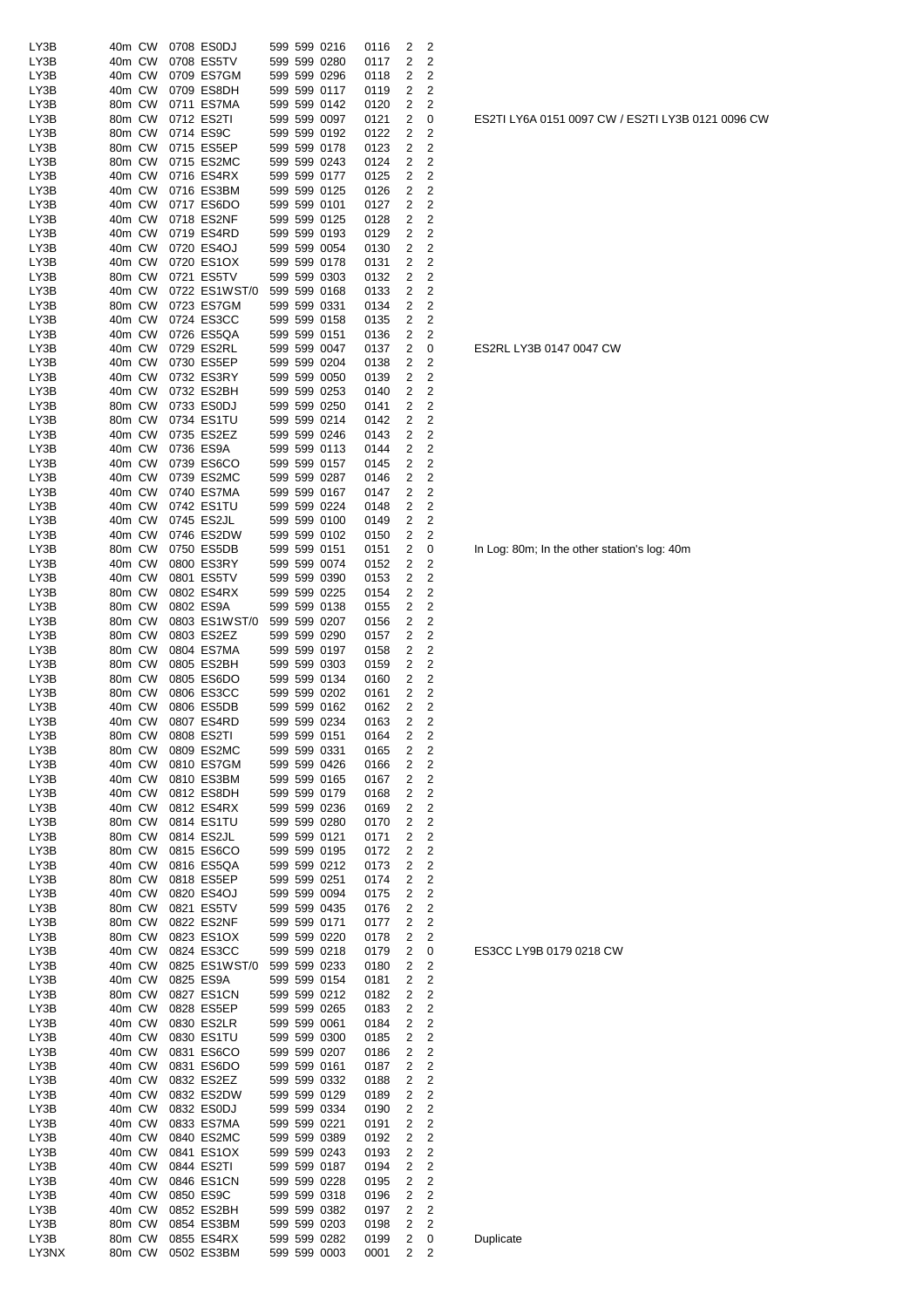| LY3B         | 40m CW           | 0708 ES0DJ               | 599 599 0216                 | 0116         | 2                        | 2                   |  |
|--------------|------------------|--------------------------|------------------------------|--------------|--------------------------|---------------------|--|
| LY3B         | 40m CW           | 0708 ES5TV               | 599 599 0280                 | 0117         | 2                        | 2                   |  |
| LY3B         | 40m CW           | 0709 ES7GM               | 599 599 0296                 | 0118         | 2                        | $\overline{c}$      |  |
| LY3B         | 40m CW           | 0709 ES8DH               | 599 599 0117                 | 0119         | 2                        | 2                   |  |
| LY3B         | 80m CW           | 0711 ES7MA               | 599 599 0142                 | 0120         | 2                        | 2                   |  |
| LY3B         | 80m CW           | 0712 ES2TI               | 599 599 0097                 | 0121         | 2                        | 0                   |  |
| LY3B         | 80m CW           | 0714 ES9C                | 599 599 0192                 | 0122         | 2                        | 2                   |  |
| LY3B         | 80m CW           | 0715 ES5EP               | 599 599 0178                 | 0123         | 2                        | 2                   |  |
| LY3B         | 80m CW           | 0715 ES2MC               | 599 599 0243                 | 0124         | 2                        | 2                   |  |
| LY3B         | 40m CW           | 0716 ES4RX               | 599 599 0177                 | 0125         | 2                        | $\overline{c}$      |  |
| LY3B         | 40m CW           | 0716 ES3BM               | 599 599 0125                 | 0126         | 2                        | $\overline{c}$      |  |
| LY3B         | 40m CW           | 0717 ES6DO               | 599 599 0101                 | 0127         | 2                        | 2                   |  |
| LY3B         | 40m CW           | 0718 ES2NF               | 599 599 0125                 | 0128         | 2                        | 2                   |  |
| LY3B         | 40m CW           | 0719 ES4RD               | 599 599 0193                 | 0129         | 2                        | $\overline{c}$      |  |
| LY3B         | 40m CW           | 0720 ES4OJ               | 599 599 0054                 | 0130         | 2                        | $\overline{c}$      |  |
| LY3B         | 40m CW           | 0720 ES1OX               | 599 599 0178                 | 0131         | 2                        | $\overline{c}$      |  |
| LY3B         | 80m CW           | 0721 ES5TV               | 599 599 0303                 | 0132         | 2                        | 2                   |  |
| LY3B         | 40m CW           | 0722 ES1WST/0            | 599 599 0168                 | 0133         | 2                        | 2                   |  |
| LY3B         | 80m CW           | 0723 ES7GM               | 599 599 0331                 | 0134         | 2                        | $\overline{c}$      |  |
| LY3B         | 40m CW           | 0724 ES3CC               | 599 599 0158                 | 0135         | 2                        | $\overline{c}$      |  |
| LY3B         | 40m CW           | 0726 ES5QA               | 599 599 0151                 | 0136         | 2                        | 2                   |  |
| LY3B         | 40m CW           | 0729 ES2RL               | 599 599 0047                 | 0137         | 2                        | 0                   |  |
| LY3B         | 40m CW           | 0730 ES5EP               | 599 599 0204                 | 0138         | 2                        | 2                   |  |
| LY3B         | 40m CW           | 0732 ES3RY               | 599 599 0050                 | 0139         | 2                        | 2                   |  |
| LY3B         | 40m CW           | 0732 ES2BH               | 599 599 0253                 | 0140         | 2                        | 2                   |  |
| LY3B         | 80m CW           | 0733 ES0DJ               | 599 599 0250                 | 0141         | 2                        | $\overline{c}$      |  |
| LY3B         | 80m CW           | 0734 ES1TU               | 599 599 0214                 | 0142         | 2                        | $\overline{c}$      |  |
| LY3B         | 40m CW           | 0735 ES2EZ               | 599 599 0246                 | 0143         | 2                        | 2                   |  |
| LY3B         | 40m CW           | 0736 ES9A                | 599 599 0113                 | 0144         | 2                        | $\overline{c}$      |  |
| LY3B         | 40m CW           | 0739 ES6CO               | 599 599 0157                 | 0145         | 2                        | 2                   |  |
| LY3B         | 40m CW           | 0739 ES2MC               | 599 599 0287                 | 0146         | 2                        | 2                   |  |
| LY3B         | 40m CW           | 0740 ES7MA               | 599 599 0167                 | 0147         | 2                        | $\overline{c}$      |  |
| LY3B         | 40m CW           | 0742 ES1TU               | 599 599 0224                 | 0148         | 2                        | 2                   |  |
| LY3B         | 40m CW           | 0745 ES2JL               | 599 599 0100                 | 0149         | 2                        | 2                   |  |
| LY3B         | 40m CW           | 0746 ES2DW               | 599 599 0102                 | 0150         | 2                        | 2                   |  |
| LY3B         | 80m CW           | 0750 ES5DB               | 599 599 0151                 | 0151         | 2                        | 0                   |  |
| LY3B         | 40m CW           | 0800 ES3RY               | 599 599 0074                 | 0152         | 2                        | 2                   |  |
| LY3B         | 40m CW           | 0801 ES5TV               | 599 599 0390                 | 0153         | 2                        | 2                   |  |
| LY3B         | 80m CW           | 0802 ES4RX               | 599 599 0225                 | 0154         | 2                        | 2<br>$\overline{c}$ |  |
| LY3B         | 80m CW           | 0802 ES9A                | 599 599 0138                 | 0155         | 2                        |                     |  |
| LY3B         | 80m CW           | 0803 ES1WST/0            | 599 599 0207                 | 0156         | 2                        | 2                   |  |
| LY3B         | 80m CW           | 0803 ES2EZ               | 599 599 0290<br>599 599 0197 | 0157         | 2<br>2                   | 2                   |  |
| LY3B<br>LY3B | 80m CW<br>80m CW | 0804 ES7MA<br>0805 ES2BH | 599 599 0303                 | 0158<br>0159 | 2                        | 2<br>2              |  |
| LY3B         | 80m CW           | 0805 ES6DO               | 599 599 0134                 | 0160         | 2                        | 2                   |  |
| LY3B         | 80m CW           | 0806 ES3CC               | 599 599 0202                 | 0161         | 2                        | 2                   |  |
| LY3B         | 40m CW           | 0806 ES5DB               | 599 599 0162                 | 0162         | 2                        | $\overline{c}$      |  |
| LY3B         | 40m CW           | 0807 ES4RD               | 599 599 0234                 | 0163         | 2                        | 2                   |  |
| LY3B         | 80m CW           | 0808 ES2TI               | 599 599 0151                 | 0164         | $\overline{2}$           | 2                   |  |
| LY3B         | 80m CW           | 0809 ES2MC               | 599 599 0331                 | 0165         | $\overline{\phantom{a}}$ | 2                   |  |
| LY3B         | 40m CW           | 0810 ES7GM               | 599 599 0426                 | 0166         | 2                        | 2                   |  |
| LY3B         | 40m CW           | 0810 ES3BM               | 599 599 0165                 | 0167         | 2                        | $\boldsymbol{2}$    |  |
| LY3B         | 40m CW           | 0812 ES8DH               | 599 599 0179                 | 0168         | $\overline{c}$           | $\overline{c}$      |  |
| LY3B         | 40m CW           | 0812 ES4RX               | 599 599 0236                 | 0169         | 2                        | 2                   |  |
| LY3B         | 80m CW           | 0814 ES1TU               | 599 599 0280                 | 0170         | 2                        | $\boldsymbol{2}$    |  |
| LY3B         | 80m CW           | 0814 ES2JL               | 599 599 0121                 | 0171         | 2                        | $\overline{c}$      |  |
| LY3B         | 80m CW           | 0815 ES6CO               | 599 599 0195                 | 0172         | 2                        | $\overline{c}$      |  |
| LY3B         | 40m CW           | 0816 ES5QA               | 599 599 0212                 | 0173         | 2                        | $\overline{c}$      |  |
| LY3B         | 80m CW           | 0818 ES5EP               | 599 599 0251                 | 0174         | 2                        | $\overline{2}$      |  |
| LY3B         | 40m CW           | 0820 ES4OJ               | 599 599 0094                 | 0175         | 2                        | $\overline{c}$      |  |
| LY3B         | 80m CW           | 0821 ES5TV               | 599 599 0435                 | 0176         | 2                        | 2                   |  |
| LY3B         | 80m CW           | 0822 ES2NF               | 599 599 0171                 | 0177         | 2                        | $\boldsymbol{2}$    |  |
| LY3B         | 80m CW           | 0823 ES1OX               | 599 599 0220                 | 0178         | 2                        | $\boldsymbol{2}$    |  |
| LY3B         | 40m CW           | 0824 ES3CC               | 599 599 0218                 | 0179         | 2                        | 0                   |  |
| LY3B         | 40m CW           | 0825 ES1WST/0            | 599 599 0233                 | 0180         | 2                        | 2                   |  |
| LY3B         | 40m CW           | 0825 ES9A                | 599 599 0154                 | 0181         | 2                        | $\overline{c}$      |  |
| LY3B         | 80m CW           | 0827 ES1CN               | 599 599 0212                 | 0182         | 2                        | 2                   |  |
| LY3B         | 40m CW           | 0828 ES5EP               | 599 599 0265                 | 0183         | 2                        | 2                   |  |
| LY3B         | 40m CW           | 0830 ES2LR               | 599 599 0061                 | 0184         | 2                        | $\overline{c}$      |  |
| LY3B         | 40m CW           | 0830 ES1TU               | 599 599 0300                 | 0185         | 2                        | $\overline{c}$      |  |
| LY3B         | 40m CW           | 0831 ES6CO               | 599 599 0207                 | 0186         | 2                        | $\overline{c}$      |  |
| LY3B         | 40m CW           | 0831 ES6DO               | 599 599 0161                 | 0187         | 2                        | 2                   |  |
| LY3B         | 40m CW           | 0832 ES2EZ               | 599 599 0332                 | 0188         | 2                        | 2                   |  |
| LY3B         | 40m CW           | 0832 ES2DW               | 599 599 0129                 | 0189         | 2                        | 2                   |  |
| LY3B         | 40m CW           | 0832 ES0DJ               | 599 599 0334                 | 0190         | 2                        | $\boldsymbol{2}$    |  |
| LY3B         | 40m CW           | 0833 ES7MA               | 599 599 0221                 | 0191         | 2                        | $\boldsymbol{2}$    |  |
| LY3B         | 40m CW           | 0840 ES2MC               | 599 599 0389                 | 0192         | 2                        | $\boldsymbol{2}$    |  |
| LY3B         | 40m CW           | 0841 ES1OX               | 599 599 0243                 | 0193         | 2                        | $\boldsymbol{2}$    |  |
| LY3B         | 40m CW           | 0844 ES2TI               | 599 599 0187                 | 0194         | 2                        | $\overline{c}$      |  |
| LY3B         | 40m CW           | 0846 ES1CN               | 599 599 0228                 | 0195         | 2                        | 2                   |  |
| LY3B         | 40m CW           | 0850 ES9C                | 599 599 0318                 | 0196         | 2                        | $\overline{c}$      |  |
| LY3B         | 40m CW           | 0852 ES2BH               | 599 599 0382                 | 0197         | 2                        | $\overline{c}$      |  |
| LY3B         | 80m CW           | 0854 ES3BM               | 599 599 0203                 | 0198         | 2                        | $\overline{2}$      |  |
| LY3B         | 80m CW           | 0855 ES4RX               | 599 599 0282                 | 0199         | 2                        | 0                   |  |
| LY3NX        | 80m CW           | 0502 ES3BM               | 599 599 0003                 | 0001         | 2                        | 2                   |  |

**Duplicate** 

ES3CC LY9B 0179 0218 CW

In Log: 80m; In the other station's log: 40m

ES2RL LY3B 0147 0047 CW

ES2TI LY6A 0151 0097 CW / ES2TI LY3B 0121 0096 CW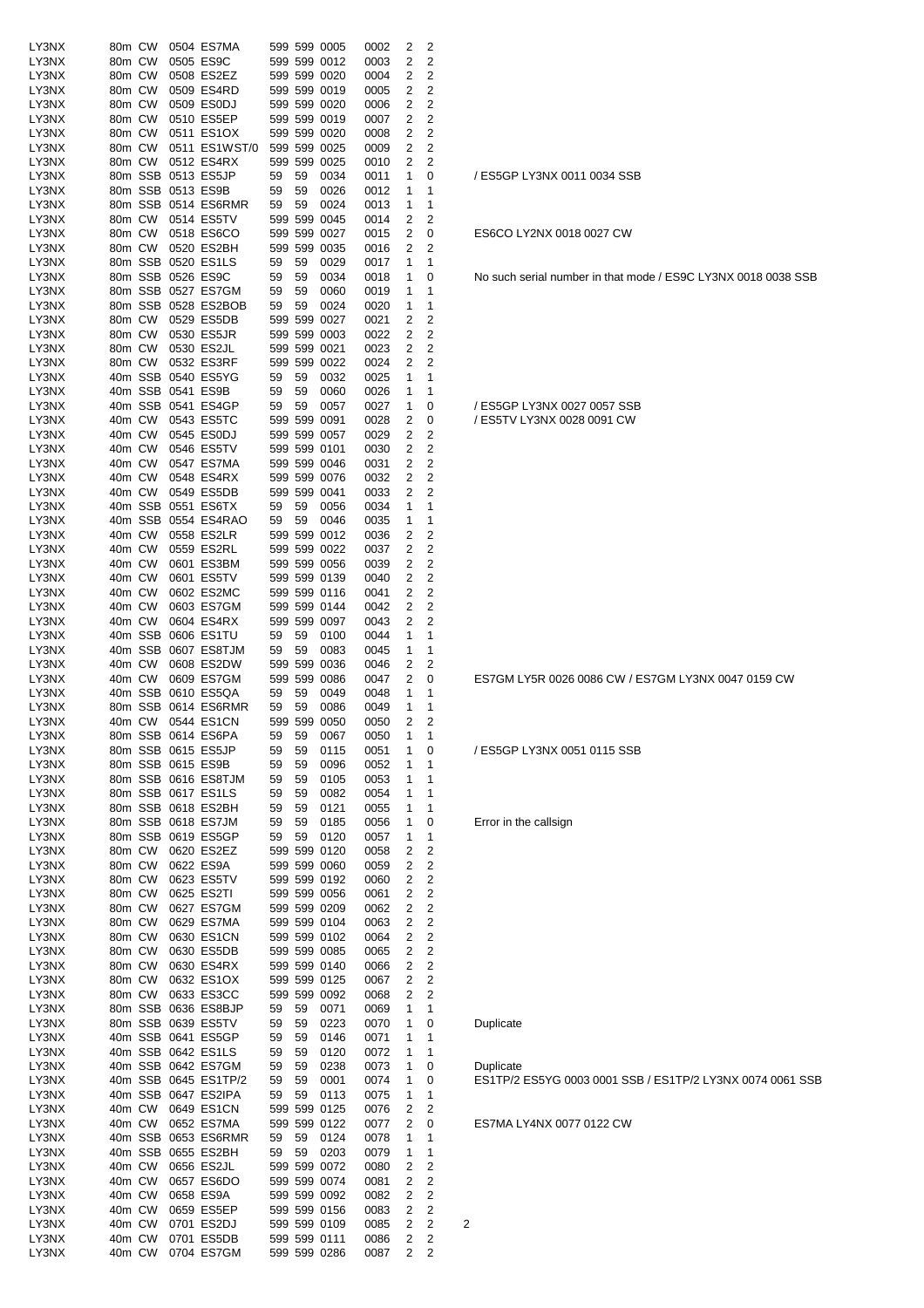| LY3NX          | 80m CW           |                  | 0504 ES7MA                                |          |          | 599 599 0005                 | 0002         | 2      | 2                            |   |                                  |
|----------------|------------------|------------------|-------------------------------------------|----------|----------|------------------------------|--------------|--------|------------------------------|---|----------------------------------|
| LY3NX          | 80m CW           |                  | 0505 ES9C                                 |          |          | 599 599 0012                 | 0003         | 2      | 2                            |   |                                  |
| LY3NX          | 80m CW           |                  | 0508 ES2EZ                                |          |          | 599 599 0020                 | 0004         | 2      | 2                            |   |                                  |
| LY3NX          | 80m CW           |                  | 0509 ES4RD                                |          |          | 599 599 0019                 | 0005         | 2      | 2                            |   |                                  |
| LY3NX          | 80m CW           |                  | 0509 ES0DJ<br>0510 ES5EP                  |          |          | 599 599 0020                 | 0006         | 2      | 2                            |   |                                  |
| LY3NX<br>LY3NX | 80m CW<br>80m CW |                  | 0511 ES1OX                                |          |          | 599 599 0019<br>599 599 0020 | 0007<br>0008 | 2<br>2 | 2<br>$\overline{\mathbf{c}}$ |   |                                  |
| LY3NX          | 80m CW           |                  | 0511 ES1WST/0                             |          |          | 599 599 0025                 | 0009         | 2      | $\overline{c}$               |   |                                  |
| LY3NX          | 80m CW           |                  | 0512 ES4RX                                |          |          | 599 599 0025                 | 0010         | 2      | 2                            |   |                                  |
| LY3NX          |                  |                  | 80m SSB 0513 ES5JP                        | 59       | 59       | 0034                         | 0011         | 1      | 0                            |   | / ES5GP LY3NX 0011 0034 SSB      |
| LY3NX          |                  |                  | 80m SSB 0513 ES9B                         | 59       | 59       | 0026                         | 0012         | 1      | 1                            |   |                                  |
| LY3NX          |                  |                  | 80m SSB 0514 ES6RMR                       | 59       | 59       | 0024                         | 0013         | 1      | 1                            |   |                                  |
| LY3NX          |                  | 80m CW           | 0514 ES5TV                                |          |          | 599 599 0045                 | 0014         | 2      | 2                            |   |                                  |
| LY3NX          | 80m CW           |                  | 0518 ES6CO                                |          |          | 599 599 0027                 | 0015         | 2      | 0                            |   | ES6CO LY2NX 0018 0027 CW         |
| LY3NX          | 80m CW           |                  | 0520 ES2BH                                |          |          | 599 599 0035                 | 0016         | 2      | 2                            |   |                                  |
| LY3NX          |                  |                  | 80m SSB 0520 ES1LS                        | 59       | 59       | 0029                         | 0017         | 1      | 1                            |   |                                  |
| LY3NX          |                  |                  | 80m SSB 0526 ES9C                         | 59       | 59       | 0034                         | 0018         | 1      | 0                            |   | No such serial number in that mo |
| LY3NX<br>LY3NX |                  |                  | 80m SSB 0527 ES7GM<br>80m SSB 0528 ES2BOB | 59<br>59 | 59<br>59 | 0060<br>0024                 | 0019         | 1<br>1 | 1<br>1                       |   |                                  |
| LY3NX          |                  | 80m CW           | 0529 ES5DB                                |          |          | 599 599 0027                 | 0020<br>0021 | 2      | 2                            |   |                                  |
| LY3NX          | 80m CW           |                  | 0530 ES5JR                                |          |          | 599 599 0003                 | 0022         | 2      | $\overline{2}$               |   |                                  |
| LY3NX          | 80m CW           |                  | 0530 ES2JL                                |          |          | 599 599 0021                 | 0023         | 2      | 2                            |   |                                  |
| LY3NX          | 80m CW           |                  | 0532 ES3RF                                |          |          | 599 599 0022                 | 0024         | 2      | 2                            |   |                                  |
| LY3NX          |                  |                  | 40m SSB 0540 ES5YG                        | 59       | 59       | 0032                         | 0025         | 1      | 1                            |   |                                  |
| LY3NX          |                  |                  | 40m SSB 0541 ES9B                         | 59       | 59       | 0060                         | 0026         | 1      | 1                            |   |                                  |
| LY3NX          |                  |                  | 40m SSB 0541 ES4GP                        | 59       | 59       | 0057                         | 0027         | 1      | 0                            |   | / ES5GP LY3NX 0027 0057 SSB      |
| LY3NX          | 40m CW           |                  | 0543 ES5TC                                |          |          | 599 599 0091                 | 0028         | 2      | 0                            |   | / ES5TV LY3NX 0028 0091 CW       |
| LY3NX          | 40m CW           |                  | 0545 ES0DJ                                |          |          | 599 599 0057                 | 0029         | 2      | 2                            |   |                                  |
| LY3NX          | 40m CW           |                  | 0546 ES5TV                                |          |          | 599 599 0101                 | 0030         | 2      | 2                            |   |                                  |
| LY3NX          | 40m CW           |                  | 0547 ES7MA                                |          |          | 599 599 0046                 | 0031         | 2      | 2                            |   |                                  |
| LY3NX          | 40m CW           |                  | 0548 ES4RX                                |          |          | 599 599 0076                 | 0032         | 2      | 2                            |   |                                  |
| LY3NX          | 40m CW           |                  | 0549 ES5DB                                |          |          | 599 599 0041                 | 0033         | 2      | $\overline{2}$               |   |                                  |
| LY3NX          |                  |                  | 40m SSB 0551 ES6TX                        | 59       | 59       | 0056                         | 0034         | 1      | 1                            |   |                                  |
| LY3NX          |                  |                  | 40m SSB 0554 ES4RAO                       | 59       | 59       | 0046                         | 0035         | 1      | 1                            |   |                                  |
| LY3NX          | 40m CW           |                  | 0558 ES2LR                                |          |          | 599 599 0012                 | 0036         | 2      | 2                            |   |                                  |
| LY3NX          | 40m CW           |                  | 0559 ES2RL                                |          |          | 599 599 0022                 | 0037         | 2      | 2                            |   |                                  |
| LY3NX          | 40m CW           |                  | 0601 ES3BM                                |          |          | 599 599 0056                 | 0039         | 2      | 2                            |   |                                  |
| LY3NX          | 40m CW           |                  | 0601 ES5TV                                |          |          | 599 599 0139                 | 0040         | 2      | 2                            |   |                                  |
| LY3NX          | 40m CW<br>40m CW |                  | 0602 ES2MC<br>0603 ES7GM                  |          |          | 599 599 0116<br>599 599 0144 | 0041<br>0042 | 2<br>2 | 2<br>2                       |   |                                  |
| LY3NX<br>LY3NX | 40m CW           |                  | 0604 ES4RX                                |          |          | 599 599 0097                 | 0043         | 2      | 2                            |   |                                  |
| LY3NX          |                  |                  | 40m SSB 0606 ES1TU                        | 59       | 59       | 0100                         | 0044         | 1      | 1                            |   |                                  |
| LY3NX          |                  |                  | 40m SSB 0607 ES8TJM                       | 59       | 59       | 0083                         | 0045         | 1      | 1                            |   |                                  |
| LY3NX          | 40m CW           |                  | 0608 ES2DW                                |          |          | 599 599 0036                 | 0046         | 2      | 2                            |   |                                  |
| LY3NX          | 40m CW           |                  | 0609 ES7GM                                |          |          | 599 599 0086                 | 0047         | 2      | 0                            |   | ES7GM LY5R 0026 0086 CW / E      |
| LY3NX          |                  |                  | 40m SSB 0610 ES5QA                        | 59       | 59       | 0049                         | 0048         | 1      | 1                            |   |                                  |
| LY3NX          |                  |                  | 80m SSB 0614 ES6RMR                       | 59       | 59       | 0086                         | 0049         | 1      | 1                            |   |                                  |
| LY3NX          |                  |                  | 40m CW 0544 ES1CN                         |          |          | 599 599 0050                 | 0050         | 2      | 2                            |   |                                  |
| LY3NX          |                  |                  | 80m SSB 0614 ES6PA                        | 59       | 59       | 0067                         | 0050         | 1      | 1                            |   |                                  |
| LY3NX          |                  |                  | 80m SSB 0615 ES5JP                        | 59       | 59       | 0115                         | 0051         | 1      | 0                            |   | / ES5GP LY3NX 0051 0115 SSB      |
| LY3NX          |                  |                  | 80m SSB 0615 ES9B                         | 59       | 59       | 0096                         | 0052         | 1      | 1                            |   |                                  |
| LY3NX          |                  |                  | 80m SSB 0616 ES8TJM                       | 59       | 59       | 0105                         | 0053         | 1      | 1                            |   |                                  |
| LY3NX          |                  |                  | 80m SSB 0617 ES1LS                        | 59       | 59       | 0082                         | 0054         | 1      | 1                            |   |                                  |
| LY3NX          |                  |                  | 80m SSB 0618 ES2BH                        | 59       | 59       | 0121                         | 0055         | 1      | 1                            |   |                                  |
| LY3NX          |                  |                  | 80m SSB 0618 ES7JM                        | 59       | 59       | 0185                         | 0056         | 1      | 0                            |   | Error in the callsign            |
| LY3NX          |                  |                  | 80m SSB 0619 ES5GP                        | 59       | 59       | 0120                         | 0057         | 1      | 1                            |   |                                  |
| LY3NX<br>LY3NX |                  |                  | 80m CW 0620 ES2EZ                         |          |          | 599 599 0120                 | 0058         | 2      | 2                            |   |                                  |
| LY3NX          |                  | 80m CW<br>80m CW | 0622 ES9A<br>0623 ES5TV                   |          |          | 599 599 0060<br>599 599 0192 | 0059<br>0060 | 2<br>2 | 2<br>2                       |   |                                  |
| LY3NX          |                  | 80m CW           | 0625 ES2TI                                |          |          | 599 599 0056                 | 0061         | 2      | 2                            |   |                                  |
| LY3NX          |                  | 80m CW           | 0627 ES7GM                                |          |          | 599 599 0209                 | 0062         | 2      | 2                            |   |                                  |
| LY3NX          |                  | 80m CW           | 0629 ES7MA                                |          |          | 599 599 0104                 | 0063         | 2      | 2                            |   |                                  |
| LY3NX          |                  | 80m CW           | 0630 ES1CN                                |          |          | 599 599 0102                 | 0064         | 2      | 2                            |   |                                  |
| LY3NX          |                  | 80m CW           | 0630 ES5DB                                |          |          | 599 599 0085                 | 0065         | 2      | 2                            |   |                                  |
| LY3NX          |                  | 80m CW           | 0630 ES4RX                                |          |          | 599 599 0140                 | 0066         | 2      | 2                            |   |                                  |
| LY3NX          |                  | 80m CW           | 0632 ES1OX                                |          |          | 599 599 0125                 | 0067         | 2      | 2                            |   |                                  |
| LY3NX          |                  |                  | 80m CW 0633 ES3CC                         |          |          | 599 599 0092                 | 0068         | 2      | 2                            |   |                                  |
| LY3NX          |                  |                  | 80m SSB 0636 ES8BJP                       | 59       | 59       | 0071                         | 0069         | 1      | 1                            |   |                                  |
| LY3NX          |                  |                  | 80m SSB 0639 ES5TV                        | 59       | 59       | 0223                         | 0070         | 1      | 0                            |   | Duplicate                        |
| LY3NX          |                  |                  | 40m SSB 0641 ES5GP                        | 59       | 59       | 0146                         | 0071         | 1      | 1                            |   |                                  |
| LY3NX          |                  |                  | 40m SSB 0642 ES1LS                        | 59       | 59       | 0120                         | 0072         | 1      | 1                            |   |                                  |
| LY3NX          |                  |                  | 40m SSB 0642 ES7GM                        | 59       | 59       | 0238                         | 0073         | 1      | 0                            |   | Duplicate                        |
| LY3NX          |                  |                  | 40m SSB 0645 ES1TP/2                      | 59       | 59       | 0001                         | 0074         | 1      | 0                            |   | ES1TP/2 ES5YG 0003 0001 SSE      |
| LY3NX          |                  |                  | 40m SSB 0647 ES2IPA                       | 59       | 59       | 0113                         | 0075         | 1      | 1                            |   |                                  |
| LY3NX          |                  |                  | 40m CW 0649 ES1CN                         |          |          | 599 599 0125                 | 0076         | 2      | 2                            |   |                                  |
| LY3NX          |                  | 40m CW           | 0652 ES7MA                                |          |          | 599 599 0122                 | 0077         | 2      | 0                            |   | ES7MA LY4NX 0077 0122 CW         |
| LY3NX          |                  |                  | 40m SSB 0653 ES6RMR                       | 59       | 59       | 0124                         | 0078         | 1      | 1                            |   |                                  |
| LY3NX<br>LY3NX |                  |                  | 40m SSB 0655 ES2BH<br>40m CW 0656 ES2JL   | 59       | 59       | 0203<br>599 599 0072         | 0079<br>0080 | 1<br>2 | 1<br>$\overline{\mathbf{c}}$ |   |                                  |
| LY3NX          |                  | 40m CW           | 0657 ES6DO                                |          |          | 599 599 0074                 | 0081         | 2      | 2                            |   |                                  |
| LY3NX          |                  | 40m CW           | 0658 ES9A                                 |          |          | 599 599 0092                 | 0082         | 2      | 2                            |   |                                  |
| LY3NX          |                  | 40m CW           | 0659 ES5EP                                |          |          | 599 599 0156                 | 0083         | 2      | 2                            |   |                                  |
| LY3NX          |                  | 40m CW           | 0701 ES2DJ                                |          |          | 599 599 0109                 | 0085         | 2      | $\overline{\mathbf{c}}$      | 2 |                                  |
| LY3NX          |                  | 40m CW           | 0701 ES5DB                                |          |          | 599 599 0111                 | 0086         | 2      | 2                            |   |                                  |
| LY3NX          |                  |                  | 40m CW 0704 ES7GM                         |          |          | 599 599 0286                 | 0087         | 2      | $\overline{\mathbf{c}}$      |   |                                  |

No such serial number in that mode / ES9C LY3NX 0018 0038 SSB

#### ES7GM LY5R 0026 0086 CW / ES7GM LY3NX 0047 0159 CW

# **Duplicate**

**Duplicate** ES1TP/2 ES5YG 0003 0001 SSB / ES1TP/2 LY3NX 0074 0061 SSB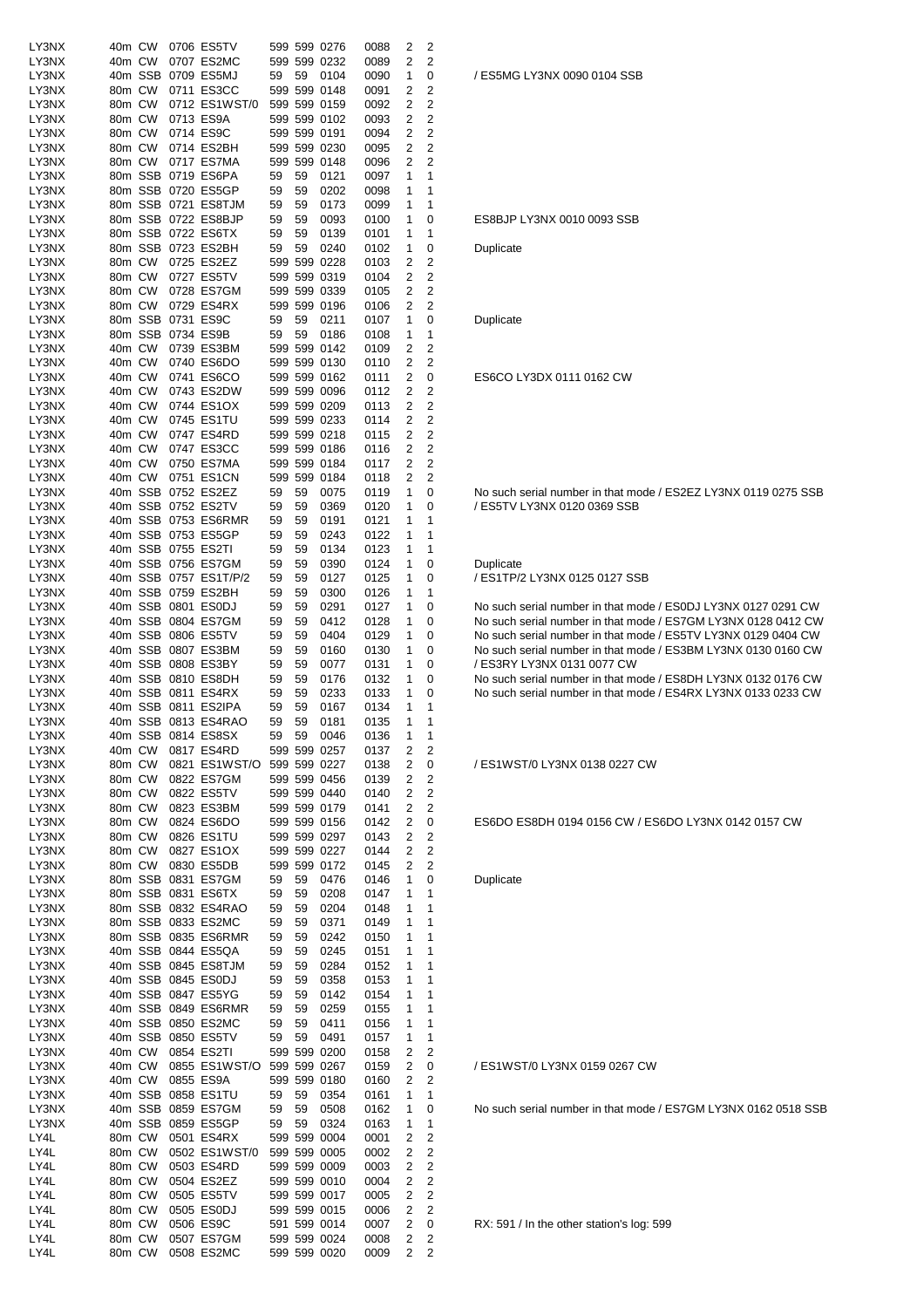| LY3NX          | 40m CW           |        | 0706 ES5TV                                 |          |          | 599 599 0276                 | 0088         | 2      | 2                                |                        |
|----------------|------------------|--------|--------------------------------------------|----------|----------|------------------------------|--------------|--------|----------------------------------|------------------------|
| LY3NX<br>LY3NX | 40m CW           |        | 0707 ES2MC<br>40m SSB 0709 ES5MJ           | 59       | 59       | 599 599 0232<br>0104         | 0089<br>0090 | 2<br>1 | 2<br>0                           | /ES5MG                 |
| LY3NX          | 80m CW           |        | 0711 ES3CC                                 |          |          | 599 599 0148                 | 0091         | 2      | 2                                |                        |
| LY3NX          | 80m CW           |        | 0712 ES1WST/0                              |          |          | 599 599 0159                 | 0092         | 2      | $\overline{2}$                   |                        |
| LY3NX          | 80m CW           |        | 0713 ES9A                                  |          |          | 599 599 0102                 | 0093         | 2      | 2                                |                        |
| LY3NX<br>LY3NX | 80m CW<br>80m CW |        | 0714 ES9C<br>0714 ES2BH                    |          |          | 599 599 0191<br>599 599 0230 | 0094<br>0095 | 2<br>2 | $\overline{2}$<br>$\overline{c}$ |                        |
| LY3NX          | 80m CW           |        | 0717 ES7MA                                 |          |          | 599 599 0148                 | 0096         | 2      | $\overline{2}$                   |                        |
| LY3NX          |                  |        | 80m SSB 0719 ES6PA                         | 59       | 59       | 0121                         | 0097         | 1      | 1                                |                        |
| LY3NX          |                  |        | 80m SSB 0720 ES5GP                         | 59       | 59       | 0202                         | 0098         | 1      | 1                                |                        |
| LY3NX<br>LY3NX |                  |        | 80m SSB 0721 ES8TJM<br>80m SSB 0722 ES8BJP | 59<br>59 | 59       | 0173                         | 0099         | 1<br>1 | 1<br>0                           | ES8BJP I               |
| LY3NX          |                  |        | 80m SSB 0722 ES6TX                         | 59       | 59<br>59 | 0093<br>0139                 | 0100<br>0101 | 1      | 1                                |                        |
| LY3NX          |                  |        | 80m SSB 0723 ES2BH                         | 59       | 59       | 0240                         | 0102         | 1      | 0                                | Duplicate              |
| LY3NX          | 80m CW           |        | 0725 ES2EZ                                 |          |          | 599 599 0228                 | 0103         | 2      | 2                                |                        |
| LY3NX          | 80m CW           |        | 0727 ES5TV                                 |          |          | 599 599 0319                 | 0104         | 2<br>2 | 2<br>$\overline{2}$              |                        |
| LY3NX<br>LY3NX | 80m CW<br>80m CW |        | 0728 ES7GM<br>0729 ES4RX                   |          |          | 599 599 0339<br>599 599 0196 | 0105<br>0106 | 2      | $\overline{2}$                   |                        |
| LY3NX          |                  |        | 80m SSB 0731 ES9C                          | 59       | 59       | 0211                         | 0107         | 1      | 0                                | Duplicate              |
| LY3NX          |                  |        | 80m SSB 0734 ES9B                          | 59       | 59       | 0186                         | 0108         | 1      | 1                                |                        |
| LY3NX          | 40m CW           |        | 0739 ES3BM                                 |          |          | 599 599 0142                 | 0109         | 2      | 2                                |                        |
| LY3NX<br>LY3NX | 40m CW<br>40m CW |        | 0740 ES6DO<br>0741 ES6CO                   |          |          | 599 599 0130<br>599 599 0162 | 0110<br>0111 | 2<br>2 | 2<br>0                           | ES6CO L                |
| LY3NX          | 40m CW           |        | 0743 ES2DW                                 |          |          | 599 599 0096                 | 0112         | 2      | 2                                |                        |
| LY3NX          | 40m CW           |        | 0744 ES1OX                                 |          |          | 599 599 0209                 | 0113         | 2      | 2                                |                        |
| LY3NX          | 40m CW           |        | 0745 ES1TU                                 |          |          | 599 599 0233                 | 0114         | 2      | $\overline{\mathbf{c}}$          |                        |
| LY3NX          | 40m CW           |        | 0747 ES4RD                                 |          |          | 599 599 0218                 | 0115         | 2      | 2                                |                        |
| LY3NX<br>LY3NX | 40m CW<br>40m CW |        | 0747 ES3CC<br>0750 ES7MA                   |          |          | 599 599 0186<br>599 599 0184 | 0116<br>0117 | 2<br>2 | 2<br>2                           |                        |
| LY3NX          | 40m CW           |        | 0751 ES1CN                                 |          |          | 599 599 0184                 | 0118         | 2      | $\overline{2}$                   |                        |
| LY3NX          |                  |        | 40m SSB 0752 ES2EZ                         | 59       | 59       | 0075                         | 0119         | 1      | 0                                | No such :              |
| LY3NX          |                  |        | 40m SSB 0752 ES2TV                         | 59       | 59       | 0369                         | 0120         | 1      | 0                                | / ES5TV I              |
| LY3NX          |                  |        | 40m SSB 0753 ES6RMR                        | 59       | 59       | 0191                         | 0121         | 1      | 1                                |                        |
| LY3NX<br>LY3NX |                  |        | 40m SSB 0753 ES5GP<br>40m SSB 0755 ES2TI   | 59<br>59 | 59<br>59 | 0243<br>0134                 | 0122<br>0123 | 1<br>1 | 1<br>1                           |                        |
| LY3NX          |                  |        | 40m SSB 0756 ES7GM                         | 59       | 59       | 0390                         | 0124         | 1      | 0                                | Duplicate              |
| LY3NX          |                  |        | 40m SSB 0757 ES1T/P/2                      | 59       | 59       | 0127                         | 0125         | 1      | 0                                | /ES1TP/                |
| LY3NX          |                  |        | 40m SSB 0759 ES2BH                         | 59       | 59       | 0300                         | 0126         | 1      | 1                                |                        |
| LY3NX          |                  |        | 40m SSB 0801 ES0DJ                         | 59       | 59       | 0291                         | 0127         | 1      | 0                                | No such s              |
| LY3NX<br>LY3NX |                  |        | 40m SSB 0804 ES7GM<br>40m SSB 0806 ES5TV   | 59<br>59 | 59<br>59 | 0412<br>0404                 | 0128<br>0129 | 1<br>1 | 0<br>0                           | No such :<br>No such : |
| LY3NX          |                  |        | 40m SSB 0807 ES3BM                         | 59       | 59       | 0160                         | 0130         | 1      | 0                                | No such :              |
| LY3NX          |                  |        | 40m SSB 0808 ES3BY                         | 59       | 59       | 0077                         | 0131         | 1      | 0                                | /ES3RY                 |
| LY3NX          |                  |        | 40m SSB 0810 ES8DH                         | 59       | 59       | 0176                         | 0132         | 1      | 0                                | No such s              |
| LY3NX          |                  |        | 40m SSB 0811 ES4RX<br>40m SSB 0811 ES2IPA  | 59       | 59       | 0233                         | 0133         | 1      | 0                                | No such :              |
| LY3NX<br>LY3NX |                  |        | 40m SSB 0813 ES4RAO                        | 59<br>59 | 59<br>59 | 0167<br>0181                 | 0134<br>0135 | 1<br>1 | 1<br>1                           |                        |
| LY3NX          |                  |        | 40m SSB 0814 ES8SX                         | 59       | 59       | 0046                         | 0136         | 1      | 1                                |                        |
| LY3NX          | 40m CW           |        | 0817 ES4RD                                 |          |          | 599 599 0257                 | 0137         | 2      | 2                                |                        |
| LY3NX          | 80m CW           |        | 0821 ES1WST/O 599 599 0227                 |          |          |                              | 0138         | 2      | 0                                | /ES1WS                 |
| LY3NX<br>LY3NX | 80m CW<br>80m CW |        | 0822 ES7GM<br>0822 ES5TV                   |          |          | 599 599 0456<br>599 599 0440 | 0139<br>0140 | 2<br>2 | 2<br>2                           |                        |
| LY3NX          | 80m CW           |        | 0823 ES3BM                                 |          |          | 599 599 0179                 | 0141         | 2      | 2                                |                        |
| LY3NX          | 80m CW           |        | 0824 ES6DO                                 |          |          | 599 599 0156                 | 0142         | 2      | 0                                | ES6DO E                |
| LY3NX          | 80m CW           |        | 0826 ES1TU                                 |          |          | 599 599 0297                 | 0143         | 2      | 2                                |                        |
| LY3NX          | 80m CW           |        | 0827 ES1OX                                 |          |          | 599 599 0227                 | 0144         | 2      | $\overline{\mathbf{c}}$          |                        |
| LY3NX<br>LY3NX |                  | 80m CW | 0830 ES5DB<br>80m SSB 0831 ES7GM           | 59       | 59       | 599 599 0172<br>0476         | 0145<br>0146 | 2<br>1 | 2<br>0                           | Duplicate              |
| LY3NX          |                  |        | 80m SSB 0831 ES6TX                         | 59       | 59       | 0208                         | 0147         | 1      | 1                                |                        |
| LY3NX          |                  |        | 80m SSB 0832 ES4RAO                        | 59       | 59       | 0204                         | 0148         | 1      | 1                                |                        |
| LY3NX          |                  |        | 80m SSB 0833 ES2MC                         | 59       | 59       | 0371                         | 0149         | 1      | 1                                |                        |
| LY3NX          |                  |        | 80m SSB 0835 ES6RMR                        | 59       | 59       | 0242                         | 0150         | 1      | 1                                |                        |
| LY3NX<br>LY3NX |                  |        | 40m SSB 0844 ES5QA<br>40m SSB 0845 ES8TJM  | 59<br>59 | 59<br>59 | 0245<br>0284                 | 0151<br>0152 | 1<br>1 | 1<br>1                           |                        |
| LY3NX          |                  |        | 40m SSB 0845 ES0DJ                         | 59       | 59       | 0358                         | 0153         | 1      | 1                                |                        |
| LY3NX          |                  |        | 40m SSB 0847 ES5YG                         | 59       | 59       | 0142                         | 0154         | 1      | 1                                |                        |
| LY3NX          |                  |        | 40m SSB 0849 ES6RMR                        | 59       | 59       | 0259                         | 0155         | 1      | 1                                |                        |
| LY3NX<br>LY3NX |                  |        | 40m SSB 0850 ES2MC<br>40m SSB 0850 ES5TV   | 59<br>59 | 59<br>59 | 0411<br>0491                 | 0156         | 1<br>1 | 1<br>1                           |                        |
| LY3NX          |                  | 40m CW | 0854 ES2TI                                 |          |          | 599 599 0200                 | 0157<br>0158 | 2      | 2                                |                        |
| LY3NX          | 40m CW           |        | 0855 ES1WST/O 599 599 0267                 |          |          |                              | 0159         | 2      | 0                                | /ES1WS                 |
| LY3NX          |                  | 40m CW | 0855 ES9A                                  |          |          | 599 599 0180                 | 0160         | 2      | 2                                |                        |
| LY3NX          |                  |        | 40m SSB 0858 ES1TU                         | 59       | 59       | 0354                         | 0161         | 1      | 1                                |                        |
| LY3NX<br>LY3NX |                  |        | 40m SSB 0859 ES7GM<br>40m SSB 0859 ES5GP   | 59<br>59 | 59<br>59 | 0508<br>0324                 | 0162<br>0163 | 1<br>1 | 0<br>1                           | No such s              |
| LY4L           | 80m CW           |        | 0501 ES4RX                                 |          |          | 599 599 0004                 | 0001         | 2      | 2                                |                        |
| LY4L           | 80m CW           |        | 0502 ES1WST/0                              |          |          | 599 599 0005                 | 0002         | 2      | 2                                |                        |
| LY4L           | 80m CW           |        | 0503 ES4RD                                 |          |          | 599 599 0009                 | 0003         | 2      | $\overline{\mathbf{c}}$          |                        |
| LY4L           | 80m CW           |        | 0504 ES2EZ                                 |          |          | 599 599 0010                 | 0004         | 2      | 2                                |                        |
| LY4L<br>LY4L   | 80m CW<br>80m CW |        | 0505 ES5TV<br>0505 ES0DJ                   |          |          | 599 599 0017<br>599 599 0015 | 0005<br>0006 | 2<br>2 | $\overline{\mathbf{c}}$<br>2     |                        |
| LY4L           | 80m CW           |        | 0506 ES9C                                  |          |          | 591 599 0014                 | 0007         | 2      | 0                                | RX: 591 /              |
| LY4L           | 80m CW           |        | 0507 ES7GM                                 |          |          | 599 599 0024                 | 0008         | 2      | 2                                |                        |
| LY4L           | 80m CW           |        | 0508 ES2MC                                 |          |          | 599 599 0020                 | 0009         | 2      | 2                                |                        |

/ ES5MG LY3NX 0090 0104 SSB

ES8BJP LY3NX 0010 0093 SSB

ES6CO LY3DX 0111 0162 CW

No such serial number in that mode / ES2EZ LY3NX 0119 0275 SSB / ES5TV LY3NX 0120 0369 SSB

/ ES1TP/2 LY3NX 0125 0127 SSB

No such serial number in that mode / ES0DJ LY3NX 0127 0291 CW No such serial number in that mode / ES7GM LY3NX 0128 0412 CW No such serial number in that mode / ES5TV LY3NX 0129 0404 CW No such serial number in that mode / ES3BM LY3NX 0130 0160 CW / ES3RY LY3NX 0131 0077 CW

No such serial number in that mode / ES8DH LY3NX 0132 0176 CW No such serial number in that mode / ES4RX LY3NX 0133 0233 CW

LY3NX 80m CW 0821 ES1WST/O 599 599 0227 0138 2 0 / ES1WST/0 LY3NX 0138 0227 CW

ES6DO ES8DH 0194 0156 CW / ES6DO LY3NX 0142 0157 CW

**Duplicate** 

LY3NX 40m CW 0855 ES1WST/O 599 599 0267 0159 2 0 / ES1WST/0 LY3NX 0159 0267 CW

No such serial number in that mode / ES7GM LY3NX 0162 0518 SSB

RX: 591 / In the other station's log: 599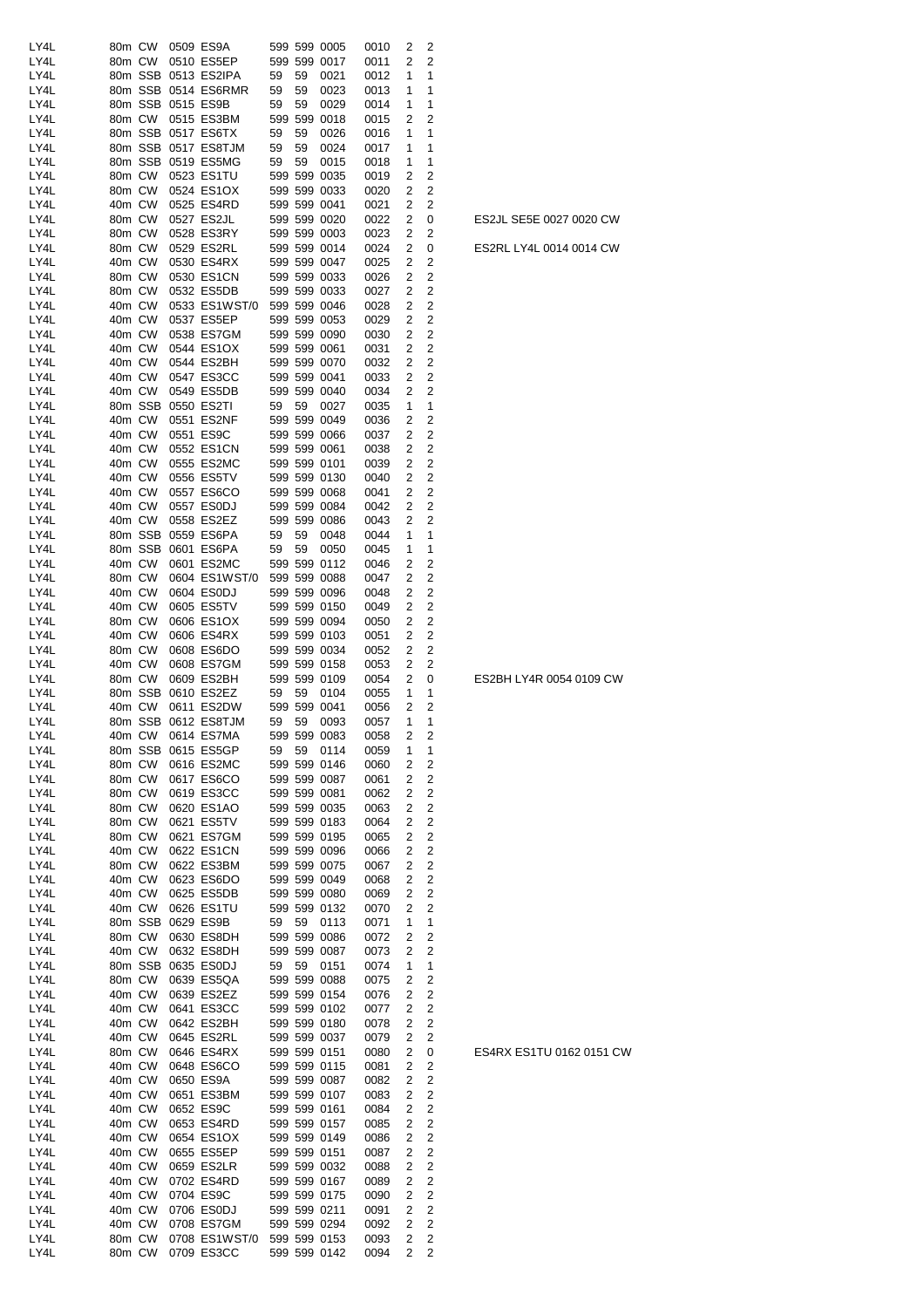| LY4L | 80m CW  |         |                   | 0509 ES9A           |    |         | 599 599 0005 | 0010 | 2              | 2              |
|------|---------|---------|-------------------|---------------------|----|---------|--------------|------|----------------|----------------|
| LY4L | 80m CW  |         |                   | 0510 ES5EP          |    |         | 599 599 0017 | 0011 | 2              | 2              |
| LY4L |         | 80m SSB |                   | 0513 ES2IPA         | 59 | 59      | 0021         | 0012 | 1              | 1              |
| LY4L |         |         |                   | 80m SSB 0514 ES6RMR | 59 | 59      | 0023         | 0013 | 1              | 1              |
| LY4L |         |         | 80m SSB 0515 ES9B |                     | 59 | 59      | 0029         | 0014 | 1              | 1              |
| LY4L | 80m CW  |         |                   | 0515 ES3BM          |    | 599 599 | 0018         | 0015 | 2              | 2              |
| LY4L |         | 80m SSB |                   | 0517 ES6TX          | 59 | 59      | 0026         | 0016 | 1              | 1              |
| LY4L |         | 80m SSB |                   | 0517 ES8TJM         | 59 | 59      | 0024         | 0017 | 1              | 1              |
| LY4L |         | 80m SSB |                   | 0519 ES5MG          | 59 | 59      | 0015         | 0018 | 1              | 1              |
| LY4L | 80m CW  |         |                   | 0523 ES1TU          |    |         | 599 599 0035 | 0019 | 2              | 2              |
| LY4L | 80m CW  |         |                   | 0524 ES1OX          |    |         | 599 599 0033 | 0020 | 2              | 2              |
|      | 40m CW  |         |                   |                     |    |         |              |      |                |                |
| LY4L |         |         |                   | 0525 ES4RD          |    |         | 599 599 0041 | 0021 | 2              | 2              |
| LY4L | 80m CW  |         |                   | 0527 ES2JL          |    |         | 599 599 0020 | 0022 | 2              | 0              |
| LY4L | 80m CW  |         |                   | 0528 ES3RY          |    |         | 599 599 0003 | 0023 | 2              | 2              |
| LY4L | 80m CW  |         |                   | 0529 ES2RL          |    |         | 599 599 0014 | 0024 | 2              | 0              |
| LY4L | 40m CW  |         |                   | 0530 ES4RX          |    |         | 599 599 0047 | 0025 | 2              | 2              |
| LY4L | 80m CW  |         |                   | 0530 ES1CN          |    |         | 599 599 0033 | 0026 | 2              | 2              |
| LY4L | 80m CW  |         |                   | 0532 ES5DB          |    |         | 599 599 0033 | 0027 | 2              | 2              |
| LY4L | 40m CW  |         |                   | 0533 ES1WST/0       |    |         | 599 599 0046 | 0028 | 2              | 2              |
| LY4L | 40m CW  |         |                   | 0537 ES5EP          |    |         | 599 599 0053 | 0029 | 2              | 2              |
| LY4L | 40m CW  |         |                   | 0538 ES7GM          |    |         | 599 599 0090 | 0030 | 2              | 2              |
| LY4L | 40m CW  |         |                   | 0544 ES1OX          |    |         | 599 599 0061 | 0031 | 2              | 2              |
| LY4L | 40m CW  |         |                   | 0544 ES2BH          |    |         | 599 599 0070 | 0032 | 2              | 2              |
| LY4L | 40m CW  |         |                   | 0547 ES3CC          |    |         | 599 599 0041 | 0033 | 2              | 2              |
| LY4L | 40m CW  |         |                   | 0549 ES5DB          |    |         | 599 599 0040 | 0034 | 2              | 2              |
| LY4L | 80m SSB |         |                   | 0550 ES2TI          | 59 | 59      | 0027         | 0035 | 1              | 1              |
| LY4L | 40m CW  |         |                   | 0551 ES2NF          |    |         | 599 599 0049 | 0036 | 2              | 2              |
| LY4L | 40m CW  |         |                   | 0551 ES9C           |    |         | 599 599 0066 | 0037 | 2              | 2              |
| LY4L | 40m CW  |         |                   | 0552 ES1CN          |    |         | 599 599 0061 | 0038 | 2              | 2              |
| LY4L | 40m CW  |         |                   | 0555 ES2MC          |    |         | 599 599 0101 | 0039 | 2              | 2              |
| LY4L | 40m CW  |         |                   | 0556 ES5TV          |    |         | 599 599 0130 | 0040 | 2              | 2              |
| LY4L | 40m CW  |         |                   | 0557 ES6CO          |    |         | 599 599 0068 | 0041 | 2              | 2              |
| LY4L | 40m CW  |         |                   | 0557 ES0DJ          |    |         | 599 599 0084 | 0042 | 2              | 2              |
| LY4L | 40m CW  |         |                   | 0558 ES2EZ          |    |         | 599 599 0086 | 0043 | 2              | 2              |
| LY4L |         | 80m SSB |                   |                     | 59 |         |              |      | 1              | 1              |
|      |         |         |                   | 0559 ES6PA          |    | 59      | 0048         | 0044 |                |                |
| LY4L |         | 80m SSB |                   | 0601 ES6PA          | 59 | 59      | 0050         | 0045 | 1              | 1              |
| LY4L | 40m CW  |         |                   | 0601 ES2MC          |    |         | 599 599 0112 | 0046 | 2              | 2              |
| LY4L | 80m CW  |         |                   | 0604 ES1WST/0       |    |         | 599 599 0088 | 0047 | 2              | 2              |
| LY4L | 40m CW  |         |                   | 0604 ES0DJ          |    |         | 599 599 0096 | 0048 | 2              | 2              |
| LY4L | 40m CW  |         |                   | 0605 ES5TV          |    |         | 599 599 0150 | 0049 | 2              | 2              |
| LY4L | 80m CW  |         |                   | 0606 ES1OX          |    |         | 599 599 0094 | 0050 | 2              | 2              |
| LY4L | 40m CW  |         |                   | 0606 ES4RX          |    |         | 599 599 0103 | 0051 | 2              | 2              |
| LY4L | 80m CW  |         |                   | 0608 ES6DO          |    |         | 599 599 0034 | 0052 | 2              | 2              |
| LY4L | 40m CW  |         |                   | 0608 ES7GM          |    |         | 599 599 0158 | 0053 | 2              | 2              |
| LY4L | 80m CW  |         |                   | 0609 ES2BH          |    |         | 599 599 0109 | 0054 | $\overline{2}$ | 0              |
| LY4L |         | 80m SSB |                   | 0610 ES2EZ          | 59 | 59      | 0104         | 0055 | 1              | 1              |
| LY4L | 40m CW  |         |                   | 0611 ES2DW          |    |         | 599 599 0041 | 0056 | 2              | 2              |
| LY4L |         |         |                   | 80m SSB 0612 ES8TJM | 59 | 59      | 0093         | 0057 | 1              | 1              |
| LY4L |         |         |                   | 40m CW 0614 ES7MA   |    |         | 599 599 0083 | 0058 | $\overline{2}$ | 2              |
| LY4L |         |         |                   | 80m SSB 0615 ES5GP  | 59 | 59      | 0114         | 0059 | 1              | 1              |
| LY4L | 80m CW  |         |                   | 0616 ES2MC          |    |         | 599 599 0146 | 0060 | 2              | 2              |
| LY4L | 80m CW  |         |                   | 0617 ES6CO          |    |         | 599 599 0087 | 0061 | 2              | 2              |
| LY4L | 80m CW  |         |                   | 0619 ES3CC          |    |         | 599 599 0081 | 0062 | 2              | 2              |
| LY4L | 80m CW  |         |                   | 0620 ES1AO          |    |         | 599 599 0035 | 0063 | 2              | 2              |
| LY4L | 80m CW  |         |                   | 0621 ES5TV          |    |         | 599 599 0183 | 0064 | 2              | 2              |
| LY4L | 80m CW  |         |                   | 0621 ES7GM          |    |         | 599 599 0195 | 0065 | 2              | 2              |
| LY4L | 40m CW  |         |                   | 0622 ES1CN          |    |         | 599 599 0096 | 0066 | 2              | 2              |
| LY4L | 80m CW  |         |                   | 0622 ES3BM          |    |         | 599 599 0075 | 0067 | 2              | $\overline{c}$ |
| LY4L | 40m CW  |         |                   | 0623 ES6DO          |    |         | 599 599 0049 | 0068 | 2              | 2              |
| LY4L | 40m CW  |         |                   | 0625 ES5DB          |    |         | 599 599 0080 | 0069 | 2              | 2              |
| LY4L | 40m CW  |         |                   | 0626 ES1TU          |    |         | 599 599 0132 | 0070 | 2              | 2              |
| LY4L |         |         |                   | 80m SSB 0629 ES9B   | 59 | 59      | 0113         | 0071 | 1              | 1              |
| LY4L | 80m CW  |         |                   | 0630 ES8DH          |    |         | 599 599 0086 | 0072 | 2              | 2              |
| LY4L | 40m CW  |         |                   |                     |    |         |              |      |                |                |
|      |         |         |                   | 0632 ES8DH          |    |         | 599 599 0087 | 0073 | 2              | 2              |
| LY4L |         | 80m SSB |                   | 0635 ES0DJ          | 59 | 59      | 0151         | 0074 | 1              | 1              |
| LY4L | 80m CW  |         |                   | 0639 ES5QA          |    |         | 599 599 0088 | 0075 | 2              | 2              |
| LY4L | 40m CW  |         |                   | 0639 ES2EZ          |    |         | 599 599 0154 | 0076 | 2              | 2              |
| LY4L | 40m CW  |         |                   | 0641 ES3CC          |    |         | 599 599 0102 | 0077 | 2              | 2              |
| LY4L | 40m CW  |         |                   | 0642 ES2BH          |    |         | 599 599 0180 | 0078 | 2              | 2              |
| LY4L | 40m CW  |         |                   | 0645 ES2RL          |    |         | 599 599 0037 | 0079 | 2              | 2              |
| LY4L | 80m CW  |         |                   | 0646 ES4RX          |    |         | 599 599 0151 | 0080 | 2              | 0              |
| LY4L | 40m CW  |         |                   | 0648 ES6CO          |    |         | 599 599 0115 | 0081 | 2              | 2              |
| LY4L | 40m CW  |         |                   | 0650 ES9A           |    |         | 599 599 0087 | 0082 | 2              | 2              |
| LY4L | 40m CW  |         |                   | 0651 ES3BM          |    |         | 599 599 0107 | 0083 | 2              | 2              |
| LY4L | 40m CW  |         |                   | 0652 ES9C           |    |         | 599 599 0161 | 0084 | 2              | 2              |
| LY4L | 40m CW  |         |                   | 0653 ES4RD          |    |         | 599 599 0157 | 0085 | 2              | 2              |
| LY4L | 40m CW  |         |                   | 0654 ES1OX          |    |         | 599 599 0149 | 0086 | 2              | 2              |
| LY4L | 40m CW  |         |                   | 0655 ES5EP          |    |         | 599 599 0151 | 0087 | 2              | 2              |
| LY4L | 40m CW  |         |                   | 0659 ES2LR          |    |         | 599 599 0032 | 0088 | 2              | 2              |
| LY4L | 40m CW  |         |                   | 0702 ES4RD          |    |         | 599 599 0167 | 0089 | 2              | 2              |
| LY4L | 40m CW  |         |                   | 0704 ES9C           |    |         | 599 599 0175 | 0090 | 2              | 2              |
| LY4L | 40m CW  |         |                   | 0706 ES0DJ          |    |         | 599 599 0211 | 0091 | 2              | 2              |
| LY4L | 40m CW  |         |                   | 0708 ES7GM          |    |         | 599 599 0294 | 0092 | 2              | $\overline{c}$ |
| LY4L | 80m CW  |         |                   | 0708 ES1WST/0       |    |         | 599 599 0153 | 0093 | 2              | 2              |
| LY4L | 80m CW  |         |                   | 0709 ES3CC          |    |         | 599 599 0142 | 0094 | 2              | 2              |

ES4RX ES1TU 0162 0151 CW

ES2BH LY4R 0054 0109 CW

ES2RL LY4L 0014 0014 CW

ES2JL SE5E 0027 0020 CW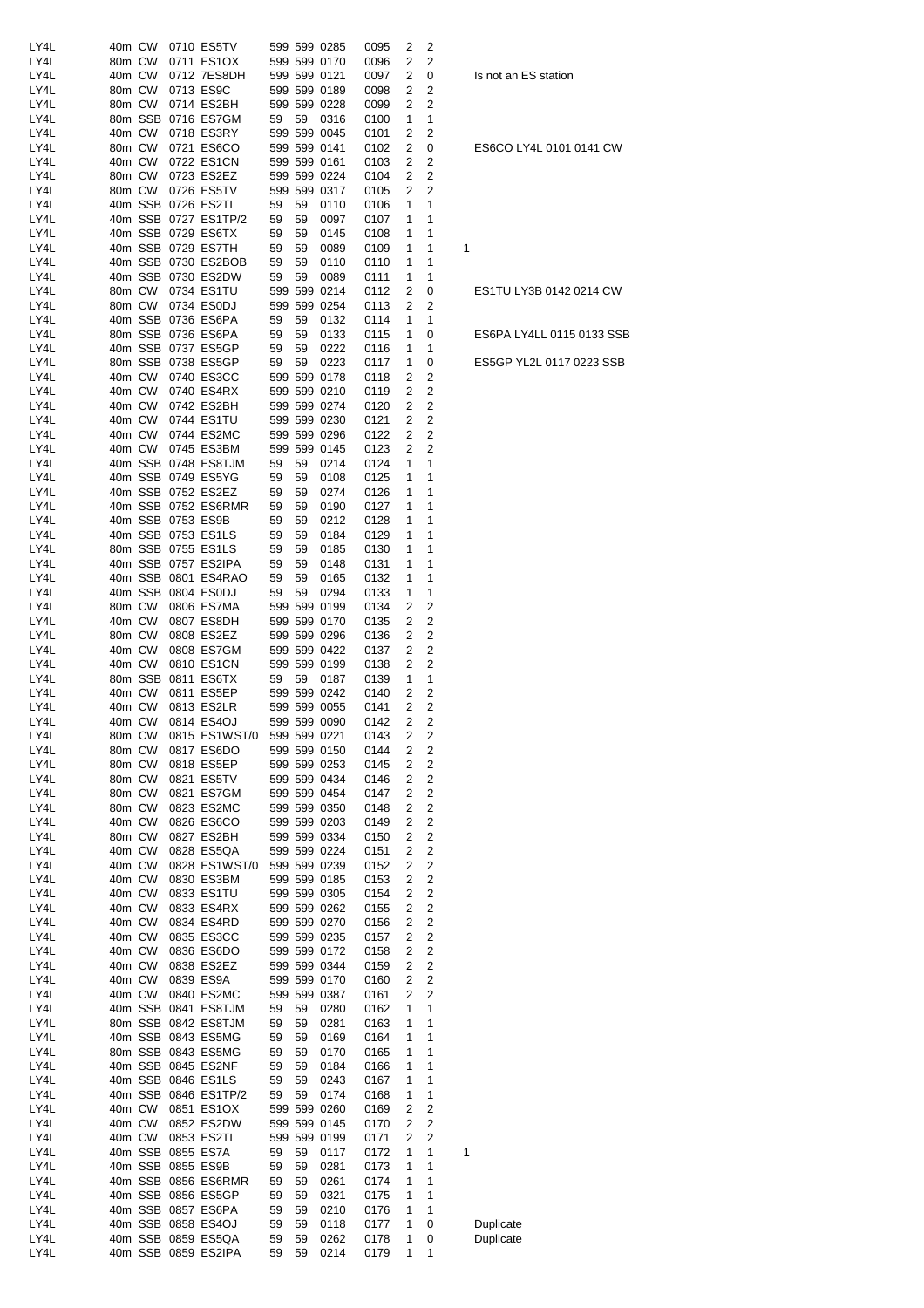| LY4L         | 40m CW           |                  | 0710 ES5TV                                 |          |          | 599 599 0285                 | 0095         | 2      | 2                       |           |
|--------------|------------------|------------------|--------------------------------------------|----------|----------|------------------------------|--------------|--------|-------------------------|-----------|
| LY4L         | 80m CW           |                  | 0711 ES1OX                                 |          |          | 599 599 0170                 | 0096         | 2      | 2                       |           |
| LY4L<br>LY4L | 40m CW<br>80m CW |                  | 0712 7ES8DH<br>0713 ES9C                   |          |          | 599 599 0121<br>599 599 0189 | 0097<br>0098 | 2<br>2 | 0<br>2                  | Is not an |
| LY4L         | 80m CW           |                  | 0714 ES2BH                                 |          |          | 599 599 0228                 | 0099         | 2      | 2                       |           |
| LY4L         |                  |                  | 80m SSB 0716 ES7GM                         | 59       | 59       | 0316                         | 0100         | 1      | 1                       |           |
| LY4L         | 40m CW           |                  | 0718 ES3RY                                 |          |          | 599 599 0045                 | 0101         | 2      | 2                       |           |
| LY4L         | 80m CW           |                  | 0721 ES6CO                                 |          |          | 599 599 0141                 | 0102         | 2      | 0                       | ES6CO L   |
| LY4L         | 40m CW           |                  | 0722 ES1CN                                 |          |          | 599 599 0161                 | 0103         | 2      | 2                       |           |
| LY4L<br>LY4L | 80m CW<br>80m CW |                  | 0723 ES2EZ<br>0726 ES5TV                   |          |          | 599 599 0224<br>599 599 0317 | 0104<br>0105 | 2<br>2 | 2<br>2                  |           |
| LY4L         |                  |                  | 40m SSB 0726 ES2TI                         | 59       | 59       | 0110                         | 0106         | 1      | 1                       |           |
| LY4L         |                  |                  | 40m SSB 0727 ES1TP/2                       | 59       | 59       | 0097                         | 0107         | 1      | 1                       |           |
| LY4L         |                  |                  | 40m SSB 0729 ES6TX                         | 59       | 59       | 0145                         | 0108         | 1      | 1                       |           |
| LY4L         |                  |                  | 40m SSB 0729 ES7TH                         | 59       | 59       | 0089                         | 0109         | 1      | 1                       | 1         |
| LY4L         |                  |                  | 40m SSB 0730 ES2BOB                        | 59       | 59       | 0110                         | 0110         | 1      | 1                       |           |
| LY4L<br>LY4L | 80m CW           |                  | 40m SSB 0730 ES2DW<br>0734 ES1TU           | 59       | 59       | 0089<br>599 599 0214         | 0111<br>0112 | 1<br>2 | 1<br>0                  | ES1TU L'  |
| LY4L         | 80m CW           |                  | 0734 ES0DJ                                 |          |          | 599 599 0254                 | 0113         | 2      | 2                       |           |
| LY4L         |                  |                  | 40m SSB 0736 ES6PA                         | 59       | 59       | 0132                         | 0114         | 1      | 1                       |           |
| LY4L         |                  |                  | 80m SSB 0736 ES6PA                         | 59       | 59       | 0133                         | 0115         | 1      | 0                       | ES6PA L'  |
| LY4L         |                  |                  | 40m SSB 0737 ES5GP                         | 59       | 59       | 0222                         | 0116         | 1      | 1                       |           |
| LY4L         |                  |                  | 80m SSB 0738 ES5GP                         | 59       | 59       | 0223                         | 0117         | 1      | 0                       | ES5GP Y   |
| LY4L<br>LY4L |                  | 40m CW<br>40m CW | 0740 ES3CC<br>0740 ES4RX                   |          |          | 599 599 0178<br>599 599 0210 | 0118<br>0119 | 2<br>2 | 2<br>2                  |           |
| LY4L         | 40m CW           |                  | 0742 ES2BH                                 |          |          | 599 599 0274                 | 0120         | 2      | 2                       |           |
| LY4L         | 40m CW           |                  | 0744 ES1TU                                 |          |          | 599 599 0230                 | 0121         | 2      | $\overline{c}$          |           |
| LY4L         | 40m CW           |                  | 0744 ES2MC                                 |          |          | 599 599 0296                 | 0122         | 2      | 2                       |           |
| LY4L         |                  | 40m CW           | 0745 ES3BM                                 |          |          | 599 599 0145                 | 0123         | 2      | 2                       |           |
| LY4L         |                  |                  | 40m SSB 0748 ES8TJM                        | 59       | 59       | 0214                         | 0124         | 1      | 1                       |           |
| LY4L<br>LY4L |                  |                  | 40m SSB 0749 ES5YG<br>40m SSB 0752 ES2EZ   | 59<br>59 | 59<br>59 | 0108<br>0274                 | 0125<br>0126 | 1<br>1 | 1<br>1                  |           |
| LY4L         |                  |                  | 40m SSB 0752 ES6RMR                        | 59       | 59       | 0190                         | 0127         | 1      | 1                       |           |
| LY4L         |                  |                  | 40m SSB 0753 ES9B                          | 59       | 59       | 0212                         | 0128         | 1      | 1                       |           |
| LY4L         |                  |                  | 40m SSB 0753 ES1LS                         | 59       | 59       | 0184                         | 0129         | 1      | 1                       |           |
| LY4L         |                  |                  | 80m SSB 0755 ES1LS                         | 59       | 59       | 0185                         | 0130         | 1      | 1                       |           |
| LY4L         |                  |                  | 40m SSB 0757 ES2IPA                        | 59       | 59       | 0148                         | 0131         | 1      | 1                       |           |
| LY4L<br>LY4L |                  |                  | 40m SSB 0801 ES4RAO<br>40m SSB 0804 ES0DJ  | 59<br>59 | 59<br>59 | 0165<br>0294                 | 0132<br>0133 | 1<br>1 | 1<br>1                  |           |
| LY4L         | 80m CW           |                  | 0806 ES7MA                                 |          |          | 599 599 0199                 | 0134         | 2      | 2                       |           |
| LY4L         | 40m CW           |                  | 0807 ES8DH                                 |          |          | 599 599 0170                 | 0135         | 2      | 2                       |           |
| LY4L         | 80m CW           |                  | 0808 ES2EZ                                 |          |          | 599 599 0296                 | 0136         | 2      | 2                       |           |
| LY4L         | 40m CW           |                  | 0808 ES7GM                                 |          |          | 599 599 0422                 | 0137         | 2      | 2                       |           |
| LY4L         | 40m CW           |                  | 0810 ES1CN                                 |          |          | 599 599 0199                 | 0138         | 2      | 2                       |           |
| LY4L<br>LY4L | 40m CW           |                  | 80m SSB 0811 ES6TX<br>0811 ES5EP           | 59       | 59       | 0187<br>599 599 0242         | 0139<br>0140 | 1<br>2 | 1<br>2                  |           |
| LY4L         | 40m CW           |                  | 0813 ES2LR                                 |          |          | 599 599 0055                 | 0141         | 2      | 2                       |           |
| LY4L         | 40m CW           |                  | 0814 ES4OJ                                 |          |          | 599 599 0090                 | 0142         | 2      | 2                       |           |
| LY4L         |                  |                  | 80m CW 0815 ES1WST/0 599 599 0221          |          |          |                              | 0143         | 2      | 2                       |           |
| LY4L         | 80m CW           |                  | 0817 ES6DO                                 |          |          | 599 599 0150                 | 0144         | 2      | 2                       |           |
| LY4L         | 80m CW           |                  | 0818 ES5EP                                 |          |          | 599 599 0253                 | 0145         | 2      | 2                       |           |
| LY4L<br>LY4L | 80m CW<br>80m CW |                  | 0821 ES5TV<br>0821 ES7GM                   |          |          | 599 599 0434<br>599 599 0454 | 0146<br>0147 | 2<br>2 | 2<br>2                  |           |
| LY4L         | 80m CW           |                  | 0823 ES2MC                                 |          |          | 599 599 0350                 | 0148         | 2      | 2                       |           |
| LY4L         | 40m CW           |                  | 0826 ES6CO                                 |          |          | 599 599 0203                 | 0149         | 2      | 2                       |           |
| LY4L         | 80m CW           |                  | 0827 ES2BH                                 |          |          | 599 599 0334                 | 0150         | 2      | 2                       |           |
| LY4L         | 40m CW           |                  | 0828 ES5QA                                 |          |          | 599 599 0224                 | 0151         | 2      | 2                       |           |
| LY4L         | 40m CW           |                  | 0828 ES1WST/0                              |          |          | 599 599 0239                 | 0152         | 2      | 2                       |           |
| LY4L<br>LY4L | 40m CW<br>40m CW |                  | 0830 ES3BM<br>0833 ES1TU                   |          |          | 599 599 0185<br>599 599 0305 | 0153<br>0154 | 2<br>2 | 2<br>2                  |           |
| LY4L         | 40m CW           |                  | 0833 ES4RX                                 |          |          | 599 599 0262                 | 0155         | 2      | 2                       |           |
| LY4L         | 40m CW           |                  | 0834 ES4RD                                 |          |          | 599 599 0270                 | 0156         | 2      | 2                       |           |
| LY4L         | 40m CW           |                  | 0835 ES3CC                                 |          |          | 599 599 0235                 | 0157         | 2      | 2                       |           |
| LY4L         | 40m CW           |                  | 0836 ES6DO                                 |          |          | 599 599 0172                 | 0158         | 2      | $\overline{\mathbf{c}}$ |           |
| LY4L         | 40m CW           |                  | 0838 ES2EZ                                 |          |          | 599 599 0344                 | 0159         | 2      | 2                       |           |
| LY4L<br>LY4L |                  | 40m CW<br>40m CW | 0839 ES9A<br>0840 ES2MC                    |          |          | 599 599 0170<br>599 599 0387 | 0160<br>0161 | 2<br>2 | 2<br>2                  |           |
| LY4L         |                  |                  | 40m SSB 0841 ES8TJM                        | 59       | 59       | 0280                         | 0162         | 1      | 1                       |           |
| LY4L         |                  |                  | 80m SSB 0842 ES8TJM                        | 59       | 59       | 0281                         | 0163         | 1      | 1                       |           |
| LY4L         |                  |                  | 40m SSB 0843 ES5MG                         | 59       | 59       | 0169                         | 0164         | 1      | 1                       |           |
| LY4L         |                  |                  | 80m SSB 0843 ES5MG                         | 59       | 59       | 0170                         | 0165         | 1      | 1                       |           |
| LY4L         |                  |                  | 40m SSB 0845 ES2NF                         | 59       | 59       | 0184                         | 0166         | 1      | 1                       |           |
| LY4L<br>LY4L |                  |                  | 40m SSB 0846 ES1LS<br>40m SSB 0846 ES1TP/2 | 59<br>59 | 59<br>59 | 0243<br>0174                 | 0167<br>0168 | 1<br>1 | 1<br>1                  |           |
| LY4L         |                  |                  | 40m CW 0851 ES1OX                          |          |          | 599 599 0260                 | 0169         | 2      | 2                       |           |
| LY4L         |                  | 40m CW           | 0852 ES2DW                                 |          |          | 599 599 0145                 | 0170         | 2      | 2                       |           |
| LY4L         |                  | 40m CW           | 0853 ES2TI                                 |          |          | 599 599 0199                 | 0171         | 2      | 2                       |           |
| LY4L         |                  |                  | 40m SSB 0855 ES7A                          | 59       | 59       | 0117                         | 0172         | 1      | 1                       | 1         |
| LY4L         |                  |                  | 40m SSB 0855 ES9B                          | 59       | 59       | 0281                         | 0173         | 1      | 1                       |           |
| LY4L         |                  |                  | 40m SSB 0856 ES6RMR                        | 59<br>59 | 59       | 0261                         | 0174         | 1      | 1<br>1                  |           |
| LY4L<br>LY4L |                  |                  | 40m SSB 0856 ES5GP<br>40m SSB 0857 ES6PA   | 59       | 59<br>59 | 0321<br>0210                 | 0175<br>0176 | 1<br>1 | 1                       |           |
| LY4L         |                  |                  | 40m SSB 0858 ES4OJ                         | 59       | 59       | 0118                         | 0177         | 1      | 0                       | Duplicate |
| LY4L         |                  |                  | 40m SSB 0859 ES5QA                         | 59       | 59       | 0262                         | 0178         | 1      | 0                       | Duplicate |
| LY4L         |                  |                  | 40m SSB 0859 ES2IPA                        | 59       | 59       | 0214                         | 0179         | 1      | 1                       |           |

Is not an ES station

ES6CO LY4L 0101 0141 CW

ES1TU LY3B 0142 0214 CW

ES6PA LY4LL 0115 0133 SSB

ES5GP YL2L 0117 0223 SSB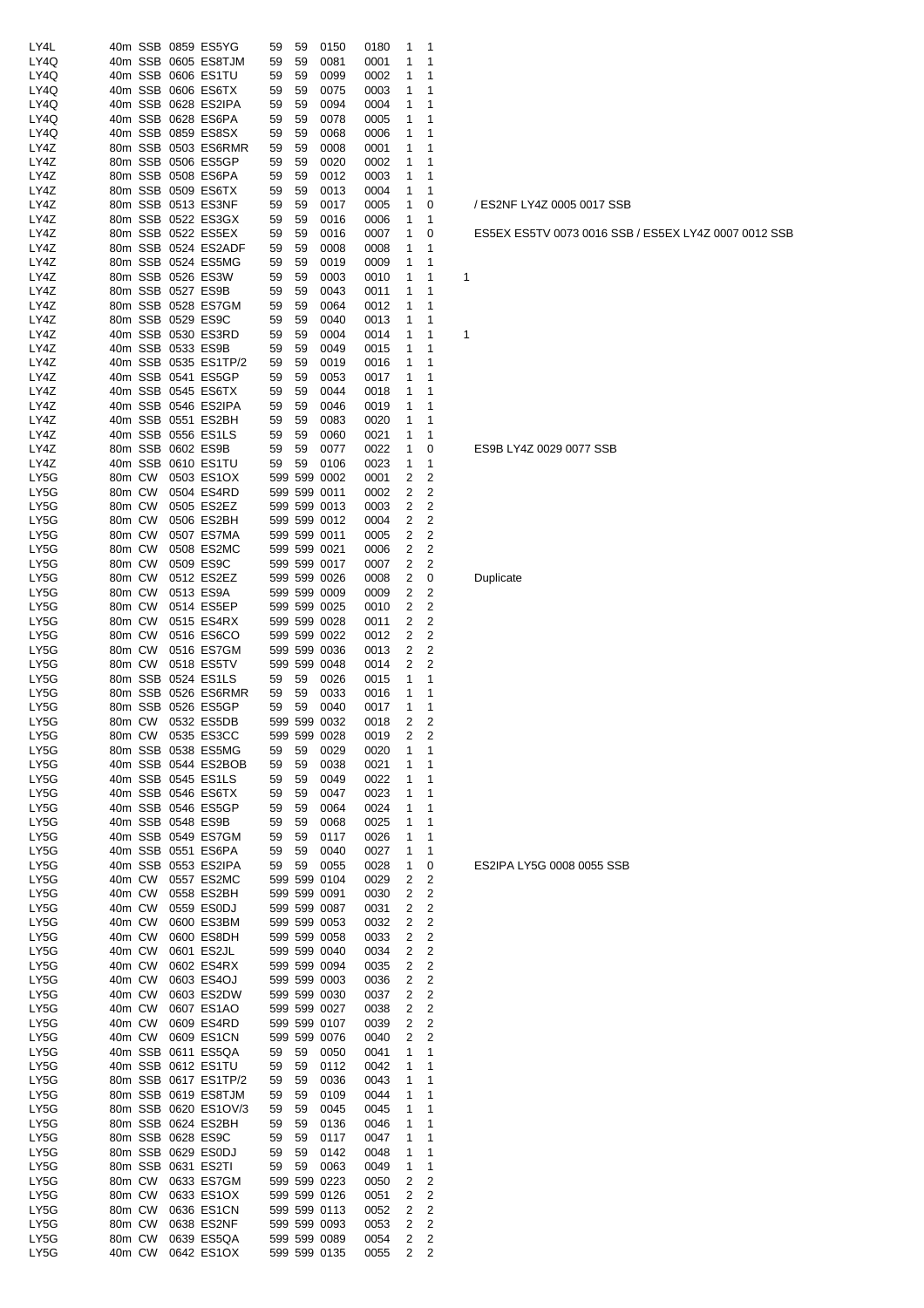| LY4L         |        |                  |                   | 40m SSB 0859 ES5YG                          | 59       | 59       | 0150                         | 0180         | 1              | 1                                |   |
|--------------|--------|------------------|-------------------|---------------------------------------------|----------|----------|------------------------------|--------------|----------------|----------------------------------|---|
| LY4Q         |        |                  |                   | 40m SSB 0605 ES8TJM                         | 59       | 59       | 0081                         | 0001         | 1              | 1                                |   |
| LY4Q         |        |                  |                   | 40m SSB 0606 ES1TU                          | 59       | 59       | 0099                         | 0002         | 1              | 1                                |   |
| LY4Q         |        |                  |                   | 40m SSB 0606 ES6TX                          | 59       | 59       | 0075                         | 0003         | 1              | 1                                |   |
| LY4Q         |        |                  |                   | 40m SSB 0628 ES2IPA                         | 59       | 59       | 0094                         | 0004         | 1              | 1                                |   |
| LY4Q         |        |                  |                   | 40m SSB 0628 ES6PA                          | 59       | 59       | 0078                         | 0005         | 1              | 1                                |   |
| LY4Q         |        |                  |                   | 40m SSB 0859 ES8SX                          | 59       | 59       | 0068                         | 0006         | 1              | 1                                |   |
| LY4Z         |        |                  |                   | 80m SSB 0503 ES6RMR                         | 59       | 59       | 0008                         | 0001         | 1              | 1                                |   |
| LY4Z         |        |                  |                   | 80m SSB 0506 ES5GP                          | 59       | 59       | 0020                         | 0002         | 1              | 1                                |   |
| LY4Z         |        |                  |                   | 80m SSB 0508 ES6PA                          | 59       | 59       | 0012                         | 0003         | 1              | 1                                |   |
| LY4Z         |        |                  |                   | 80m SSB 0509 ES6TX                          | 59       | 59       | 0013                         | 0004         | 1              | 1                                |   |
| LY4Z         |        |                  |                   | 80m SSB 0513 ES3NF                          | 59       | 59       | 0017                         | 0005         | 1              | 0                                |   |
| LY4Z         |        |                  |                   | 80m SSB 0522 ES3GX                          | 59       | 59       | 0016                         | 0006         | 1              | 1                                |   |
| LY4Z         |        |                  |                   | 80m SSB 0522 ES5EX                          | 59       | 59       | 0016                         | 0007         | 1              | 0                                |   |
| LY4Z         |        |                  |                   | 80m SSB 0524 ES2ADF                         | 59       | 59       | 0008                         | 0008         | 1              | 1                                |   |
| LY4Z         |        |                  |                   | 80m SSB 0524 ES5MG                          | 59       | 59       | 0019                         | 0009         | 1              | 1                                |   |
| LY4Z         |        |                  |                   | 80m SSB 0526 ES3W                           | 59       | 59       | 0003                         | 0010         | 1              | 1                                | 1 |
| LY4Z         |        |                  |                   | 80m SSB 0527 ES9B                           | 59       | 59       | 0043                         | 0011         | 1              | 1                                |   |
| LY4Z         |        |                  |                   | 80m SSB 0528 ES7GM                          | 59       | 59       | 0064                         | 0012         | 1              | 1                                |   |
| LY4Z         |        |                  |                   | 80m SSB 0529 ES9C                           | 59       | 59       | 0040                         | 0013         | 1              | 1                                |   |
| LY4Z         |        |                  |                   | 40m SSB 0530 ES3RD                          | 59       | 59       | 0004                         | 0014         | 1              | 1                                | 1 |
| LY4Z         |        |                  | 40m SSB 0533 ES9B |                                             | 59       | 59       | 0049                         | 0015         | 1              | 1                                |   |
| LY4Z         |        |                  |                   | 40m SSB 0535 ES1TP/2                        | 59       | 59       | 0019                         | 0016         | 1              | 1                                |   |
| LY4Z         |        |                  |                   | 40m SSB 0541 ES5GP                          | 59       | 59       | 0053                         | 0017         | 1              | 1                                |   |
| LY4Z         |        |                  |                   | 40m SSB 0545 ES6TX                          | 59       | 59       | 0044                         | 0018         | 1              | 1                                |   |
| LY4Z         |        |                  |                   | 40m SSB 0546 ES2IPA                         | 59       | 59       | 0046                         | 0019         | 1              | 1                                |   |
| LY4Z         |        |                  |                   | 40m SSB 0551 ES2BH                          | 59       | 59       | 0083                         | 0020         | 1              | 1                                |   |
| LY4Z         |        |                  |                   | 40m SSB 0556 ES1LS                          | 59       | 59       | 0060                         | 0021         | 1              | 1                                |   |
| LY4Z         |        |                  |                   | 80m SSB 0602 ES9B                           | 59       | 59       | 0077                         | 0022         | 1              | 0                                |   |
| LY4Z         |        | 40m SSB          |                   | 0610 ES1TU                                  | 59       | 59       | 0106                         | 0023         | 1              | 1                                |   |
| LY5G         | 80m CW |                  |                   | 0503 ES1OX                                  |          |          | 599 599 0002                 | 0001         | 2              | 2                                |   |
| LY5G         | 80m CW |                  |                   | 0504 ES4RD                                  |          |          | 599 599 0011                 | 0002         | 2              | $\overline{c}$                   |   |
| LY5G         | 80m CW |                  |                   | 0505 ES2EZ                                  |          |          | 599 599 0013                 | 0003         | 2              | $\overline{c}$                   |   |
| LY5G         | 80m CW |                  |                   | 0506 ES2BH                                  |          |          | 599 599 0012                 | 0004         | 2              | 2                                |   |
| LY5G         | 80m CW |                  |                   | 0507 ES7MA                                  |          |          | 599 599 0011                 | 0005         | 2              | 2                                |   |
| LY5G         | 80m CW |                  |                   | 0508 ES2MC                                  |          |          | 599 599 0021                 | 0006         | 2              | 2                                |   |
| LY5G         | 80m CW |                  |                   | 0509 ES9C                                   |          |          | 599 599 0017                 | 0007         | 2              | 2                                |   |
| LY5G         | 80m CW |                  |                   | 0512 ES2EZ                                  |          |          | 599 599 0026                 | 0008         | 2              | 0                                |   |
| LY5G         | 80m CW |                  |                   | 0513 ES9A                                   |          |          | 599 599 0009                 | 0009         | 2              | $\overline{c}$                   |   |
| LY5G         | 80m CW |                  |                   | 0514 ES5EP                                  |          |          | 599 599 0025                 | 0010         | 2              | $\overline{c}$                   |   |
| LY5G         | 80m CW |                  |                   | 0515 ES4RX                                  |          |          | 599 599 0028                 | 0011         | 2              | 2                                |   |
| LY5G         | 80m CW |                  |                   | 0516 ES6CO                                  |          |          | 599 599 0022                 | 0012         | 2              | 2                                |   |
| LY5G         | 80m CW |                  |                   | 0516 ES7GM                                  |          |          | 599 599 0036                 | 0013         | 2              | 2                                |   |
| LY5G         | 80m CW |                  |                   | 0518 ES5TV                                  |          |          | 599 599 0048                 | 0014         | 2              | 2                                |   |
| LY5G         |        | 80m SSB          |                   | 0524 ES1LS                                  | 59       | 59       | 0026                         | 0015         | 1              | 1                                |   |
| LY5G         |        |                  |                   | 80m SSB 0526 ES6RMR                         | 59       | 59       | 0033                         | 0016         | 1              | 1                                |   |
| LY5G         |        |                  |                   | 80m SSB 0526 ES5GP                          | 59       | 59       | 0040                         | 0017         | 1              | 1                                |   |
| LY5G         | 80m CW |                  |                   | 0532 ES5DB                                  |          |          | 599 599 0032                 | 0018         | 2              | 2                                |   |
| LY5G         |        |                  |                   | 80m CW 0535 ES3CC                           |          |          | 599 599 0028                 | 0019         | $\overline{2}$ | $\overline{\mathbf{c}}$          |   |
| LY5G         |        |                  |                   | 80m SSB 0538 ES5MG                          | 59       | 59       | 0029                         | 0020         | 1              | 1                                |   |
| LY5G         |        |                  |                   | 40m SSB 0544 ES2BOB                         | 59       | 59       | 0038                         | 0021         | 1              | 1                                |   |
| LY5G         |        |                  |                   | 40m SSB 0545 ES1LS                          | 59       | 59       | 0049                         | 0022         | 1              | 1                                |   |
| LY5G         |        |                  |                   | 40m SSB 0546 ES6TX                          | 59       | 59       | 0047                         | 0023         | 1              | 1                                |   |
| LY5G         |        |                  |                   | 40m SSB 0546 ES5GP                          | 59       | 59       | 0064                         | 0024         | 1              | 1                                |   |
| LY5G         |        |                  |                   | 40m SSB 0548 ES9B                           | 59       | 59       | 0068                         | 0025         | 1              | 1                                |   |
| LY5G         |        |                  |                   | 40m SSB 0549 ES7GM                          | 59       | 59       | 0117                         | 0026         | 1              | 1                                |   |
| LY5G         |        |                  |                   | 40m SSB 0551 ES6PA                          | 59       | 59       | 0040                         | 0027         | 1              | 1                                |   |
| LY5G         |        |                  |                   | 40m SSB 0553 ES2IPA                         | 59       | 59       | 0055                         | 0028         | 1              | 0                                |   |
| LY5G         |        | 40m CW           |                   | 0557 ES2MC                                  |          |          | 599 599 0104                 | 0029         | 2              | 2                                |   |
| LY5G         |        | 40m CW           |                   | 0558 ES2BH                                  |          |          | 599 599 0091                 | 0030         | 2              | 2                                |   |
| LY5G         |        | 40m CW           |                   | 0559 ES0DJ                                  |          |          | 599 599 0087                 | 0031         | 2              | $\overline{c}$                   |   |
| LY5G         |        | 40m CW           |                   | 0600 ES3BM                                  |          |          | 599 599 0053                 | 0032         | 2              | $\overline{c}$                   |   |
| LY5G         |        | 40m CW           |                   | 0600 ES8DH                                  |          |          | 599 599 0058                 | 0033         | 2              | 2                                |   |
| LY5G         | 40m CW |                  |                   | 0601 ES2JL                                  |          |          | 599 599 0040                 | 0034         | 2              | $\overline{c}$<br>$\overline{c}$ |   |
| LY5G         |        | 40m CW           |                   | 0602 ES4RX                                  |          |          | 599 599 0094                 | 0035         | 2<br>2         | $\overline{2}$                   |   |
| LY5G         |        | 40m CW<br>40m CW |                   | 0603 ES4OJ<br>0603 ES2DW                    |          |          | 599 599 0003<br>599 599 0030 | 0036         |                | $\overline{c}$                   |   |
| LY5G<br>LY5G |        | 40m CW           |                   | 0607 ES1AO                                  |          |          | 599 599 0027                 | 0037         | 2<br>2         | $\overline{c}$                   |   |
| LY5G         |        | 40m CW           |                   | 0609 ES4RD                                  |          |          | 599 599 0107                 | 0038         | 2              | $\overline{c}$                   |   |
| LY5G         |        | 40m CW           |                   | 0609 ES1CN                                  |          |          | 599 599 0076                 | 0039<br>0040 | 2              | 2                                |   |
| LY5G         |        |                  |                   | 40m SSB 0611 ES5QA                          | 59       | 59       | 0050                         | 0041         | 1              | 1                                |   |
| LY5G         |        |                  |                   | 40m SSB 0612 ES1TU                          | 59       | 59       | 0112                         | 0042         | 1              | 1                                |   |
|              |        |                  |                   |                                             | 59       |          |                              |              | 1              | 1                                |   |
| LY5G<br>LY5G |        |                  |                   | 80m SSB 0617 ES1TP/2<br>80m SSB 0619 ES8TJM | 59       | 59<br>59 | 0036<br>0109                 | 0043<br>0044 | 1              | 1                                |   |
|              |        |                  |                   |                                             |          |          |                              |              | 1              | 1                                |   |
| LY5G         |        |                  |                   | 80m SSB 0620 ES1OV/3                        | 59       | 59       | 0045                         | 0045         |                |                                  |   |
| LY5G<br>LY5G |        |                  |                   | 80m SSB 0624 ES2BH<br>80m SSB 0628 ES9C     | 59       | 59       | 0136                         | 0046         | 1<br>1         | 1<br>1                           |   |
| LY5G         |        |                  |                   | 80m SSB 0629 ES0DJ                          | 59<br>59 | 59<br>59 | 0117<br>0142                 | 0047         | 1              | 1                                |   |
| LY5G         |        |                  |                   | 80m SSB 0631 ES2TI                          | 59       | 59       | 0063                         | 0048<br>0049 | 1              | 1                                |   |
| LY5G         |        | 80m CW           |                   | 0633 ES7GM                                  |          |          | 599 599 0223                 | 0050         | 2              | 2                                |   |
| LY5G         |        | 80m CW           |                   | 0633 ES1OX                                  |          |          | 599 599 0126                 |              | 2              | 2                                |   |
| LY5G         |        | 80m CW           |                   | 0636 ES1CN                                  |          |          | 599 599 0113                 | 0051<br>0052 | 2              | $\overline{c}$                   |   |
|              |        |                  |                   |                                             |          |          | 599 599 0093                 |              |                |                                  |   |
| LY5G<br>LY5G |        | 80m CW           |                   | 0638 ES2NF<br>0639 ES5QA                    |          |          |                              | 0053         | 2              | 2<br>$\overline{c}$              |   |
| LY5G         |        | 80m CW<br>40m CW |                   | 0642 ES1OX 599 599 0135                     |          |          | 599 599 0089                 | 0054<br>0055 | 2<br>2         | 2                                |   |
|              |        |                  |                   |                                             |          |          |                              |              |                |                                  |   |

#### / ES2NF LY4Z 0005 0017 SSB

ES5EX ES5TV 0073 0016 SSB / ES5EX LY4Z 0007 0012 SSB

#### ES9B LY4Z 0029 0077 SSB

Duplicate

ES2IPA LY5G 0008 0055 SSB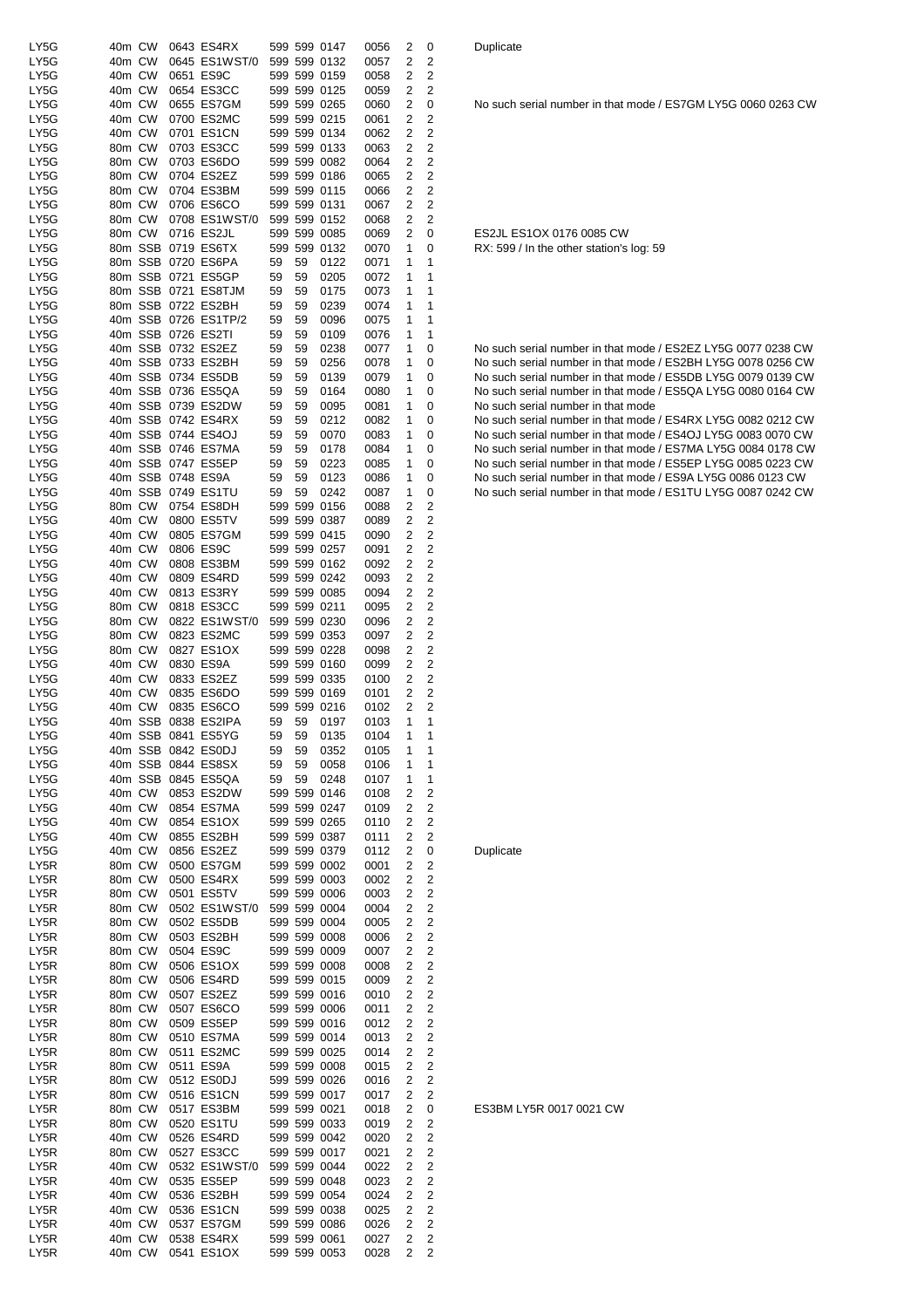| LY5G | 40m CW |         |                   | 0643 ES4RX               |    |    | 599 599 0147 | 0056 | 2 | 0                       |
|------|--------|---------|-------------------|--------------------------|----|----|--------------|------|---|-------------------------|
| LY5G | 40m CW |         |                   | 0645 ES1WST/0            |    |    | 599 599 0132 | 0057 | 2 | 2                       |
| LY5G | 40m CW |         |                   | 0651 ES9C                |    |    | 599 599 0159 | 0058 | 2 | 2                       |
| LY5G | 40m CW |         |                   | 0654 ES3CC               |    |    | 599 599 0125 | 0059 | 2 | 2                       |
| LY5G | 40m CW |         |                   | 0655 ES7GM               |    |    | 599 599 0265 | 0060 | 2 | 0                       |
|      | 40m CW |         |                   | 0700 ES2MC               |    |    |              |      | 2 | $\overline{\mathbf{c}}$ |
| LY5G | 40m CW |         |                   |                          |    |    | 599 599 0215 | 0061 |   |                         |
| LY5G |        |         |                   | 0701 ES1CN               |    |    | 599 599 0134 | 0062 | 2 | 2                       |
| LY5G | 80m CW |         |                   | 0703 ES3CC               |    |    | 599 599 0133 | 0063 | 2 | 2                       |
| LY5G | 80m CW |         |                   | 0703 ES6DO               |    |    | 599 599 0082 | 0064 | 2 | 2                       |
| LY5G | 80m CW |         |                   | 0704 ES2EZ               |    |    | 599 599 0186 | 0065 | 2 | $\overline{2}$          |
| LY5G | 80m CW |         |                   | 0704 ES3BM               |    |    | 599 599 0115 | 0066 | 2 | 2                       |
| LY5G | 80m CW |         |                   | 0706 ES6CO               |    |    | 599 599 0131 | 0067 | 2 | $\overline{c}$          |
| LY5G | 80m CW |         |                   | 0708 ES1WST/0            |    |    | 599 599 0152 | 0068 | 2 | 2                       |
| LY5G | 80m CW |         |                   | 0716 ES2JL               |    |    | 599 599 0085 | 0069 | 2 | 0                       |
| LY5G |        |         |                   | 80m SSB 0719 ES6TX       |    |    | 599 599 0132 | 0070 | 1 | 0                       |
| LY5G |        |         |                   | 80m SSB 0720 ES6PA       | 59 | 59 | 0122         | 0071 | 1 | 1                       |
| LY5G |        |         |                   | 80m SSB 0721 ES5GP       | 59 | 59 | 0205         | 0072 | 1 | 1                       |
| LY5G |        |         |                   | 80m SSB 0721 ES8TJM      | 59 | 59 | 0175         | 0073 | 1 | 1                       |
| LY5G |        |         |                   | 80m SSB 0722 ES2BH       | 59 | 59 | 0239         | 0074 | 1 | 1                       |
| LY5G |        |         |                   | 40m SSB 0726 ES1TP/2     | 59 | 59 | 0096         | 0075 | 1 | 1                       |
| LY5G |        |         |                   | 40m SSB 0726 ES2TI       | 59 | 59 | 0109         | 0076 | 1 | 1                       |
| LY5G |        |         |                   | 40m SSB 0732 ES2EZ       | 59 | 59 | 0238         | 0077 | 1 | 0                       |
|      |        |         |                   | 40m SSB 0733 ES2BH       | 59 | 59 | 0256         | 0078 | 1 |                         |
| LY5G |        |         |                   |                          |    |    |              |      |   | 0                       |
| LY5G |        |         |                   | 40m SSB 0734 ES5DB       | 59 | 59 | 0139         | 0079 | 1 | 0                       |
| LY5G |        |         |                   | 40m SSB 0736 ES5QA       | 59 | 59 | 0164         | 0080 | 1 | 0                       |
| LY5G |        |         |                   | 40m SSB 0739 ES2DW       | 59 | 59 | 0095         | 0081 | 1 | 0                       |
| LY5G |        |         |                   | 40m SSB 0742 ES4RX       | 59 | 59 | 0212         | 0082 | 1 | 0                       |
| LY5G |        |         |                   | 40m SSB 0744 ES4OJ       | 59 | 59 | 0070         | 0083 | 1 | 0                       |
| LY5G |        |         |                   | 40m SSB 0746 ES7MA       | 59 | 59 | 0178         | 0084 | 1 | 0                       |
| LY5G |        |         |                   | 40m SSB 0747 ES5EP       | 59 | 59 | 0223         | 0085 | 1 | 0                       |
| LY5G |        |         | 40m SSB 0748 ES9A |                          | 59 | 59 | 0123         | 0086 | 1 | 0                       |
| LY5G |        | 40m SSB |                   | 0749 ES1TU               | 59 | 59 | 0242         | 0087 | 1 | 0                       |
| LY5G | 80m CW |         |                   | 0754 ES8DH               |    |    | 599 599 0156 | 0088 | 2 | 2                       |
| LY5G | 40m CW |         |                   | 0800 ES5TV               |    |    | 599 599 0387 | 0089 | 2 | 2                       |
| LY5G | 40m CW |         |                   | 0805 ES7GM               |    |    | 599 599 0415 | 0090 | 2 | 2                       |
| LY5G | 40m CW |         |                   | 0806 ES9C                |    |    | 599 599 0257 | 0091 | 2 | $\overline{2}$          |
| LY5G | 40m CW |         |                   | 0808 ES3BM               |    |    | 599 599 0162 | 0092 | 2 | 2                       |
|      |        |         |                   |                          |    |    |              |      |   |                         |
| LY5G | 40m CW |         |                   | 0809 ES4RD               |    |    | 599 599 0242 | 0093 | 2 | $\overline{c}$          |
| LY5G | 40m CW |         |                   | 0813 ES3RY               |    |    | 599 599 0085 | 0094 | 2 | 2                       |
| LY5G | 80m CW |         |                   | 0818 ES3CC               |    |    | 599 599 0211 | 0095 | 2 | 2                       |
| LY5G | 80m CW |         |                   | 0822 ES1WST/0            |    |    | 599 599 0230 | 0096 | 2 | 2                       |
| LY5G | 80m CW |         |                   | 0823 ES2MC               |    |    | 599 599 0353 | 0097 | 2 | $\overline{2}$          |
| LY5G | 80m CW |         |                   | 0827 ES1OX               |    |    | 599 599 0228 | 0098 | 2 | $\overline{\mathbf{c}}$ |
| LY5G | 40m CW |         |                   | 0830 ES9A                |    |    | 599 599 0160 | 0099 | 2 | 2                       |
| LY5G | 40m CW |         |                   | 0833 ES2EZ               |    |    | 599 599 0335 | 0100 | 2 | 2                       |
| LY5G | 40m CW |         |                   | 0835 ES6DO               |    |    | 599 599 0169 | 0101 | 2 | 2                       |
| LY5G | 40m CW |         |                   | 0835 ES6CO               |    |    | 599 599 0216 | 0102 | 2 | 2                       |
| LY5G |        | 40m SSB |                   | 0838 ES2IPA              | 59 | 59 | 0197         | 0103 | 1 | 1                       |
| LY5G |        |         |                   | 40m SSB 0841 ES5YG       | 59 | 59 | 0135         | 0104 | 1 | 1                       |
| LY5G |        |         |                   | 40m SSB 0842 ES0DJ       | 59 | 59 | 0352         | 0105 | 1 | 1                       |
| LY5G |        |         |                   | 40m SSB 0844 ES8SX       | 59 | 59 | 0058         | 0106 | 1 | 1                       |
| LY5G |        | 40m SSB |                   | 0845 ES5QA               | 59 | 59 | 0248         | 0107 | 1 | 1                       |
| LY5G | 40m CW |         |                   | 0853 ES2DW               |    |    | 599 599 0146 |      |   | $\overline{\mathbf{c}}$ |
|      |        |         |                   |                          |    |    |              |      |   |                         |
| LY5G |        |         |                   |                          |    |    |              | 0108 | 2 |                         |
| LY5G |        | 40m CW  |                   | 0854 ES7MA               |    |    | 599 599 0247 | 0109 | 2 | 2                       |
|      | 40m CW |         |                   | 0854 ES1OX               |    |    | 599 599 0265 | 0110 | 2 | $\overline{\mathbf{c}}$ |
| LY5G | 40m CW |         |                   | 0855 ES2BH               |    |    | 599 599 0387 | 0111 | 2 | $\overline{\mathbf{c}}$ |
| LY5G | 40m CW |         |                   | 0856 ES2EZ               |    |    | 599 599 0379 | 0112 | 2 | 0                       |
| LY5R | 80m CW |         |                   | 0500 ES7GM               |    |    | 599 599 0002 | 0001 | 2 | 2                       |
| LY5R | 80m CW |         |                   | 0500 ES4RX               |    |    | 599 599 0003 | 0002 | 2 | $\overline{2}$          |
| LY5R | 80m CW |         |                   | 0501 ES5TV               |    |    | 599 599 0006 | 0003 | 2 | $\overline{\mathbf{c}}$ |
| LY5R | 80m CW |         |                   | 0502 ES1WST/0            |    |    | 599 599 0004 | 0004 | 2 | 2                       |
| LY5R | 80m CW |         |                   | 0502 ES5DB               |    |    | 599 599 0004 | 0005 | 2 | $\overline{\mathbf{c}}$ |
| LY5R | 80m CW |         |                   | 0503 ES2BH               |    |    | 599 599 0008 | 0006 | 2 | 2                       |
| LY5R | 80m CW |         |                   | 0504 ES9C                |    |    | 599 599 0009 | 0007 | 2 | $\overline{\mathbf{c}}$ |
| LY5R | 80m CW |         |                   | 0506 ES1OX               |    |    | 599 599 0008 | 0008 | 2 | 2                       |
|      |        |         |                   |                          |    |    |              |      | 2 |                         |
| LY5R | 80m CW |         |                   | 0506 ES4RD<br>0507 ES2EZ |    |    | 599 599 0015 | 0009 | 2 | $\overline{\mathbf{c}}$ |
| LY5R | 80m CW |         |                   |                          |    |    | 599 599 0016 | 0010 | 2 | $\mathbf 2$             |
| LY5R | 80m CW |         |                   | 0507 ES6CO               |    |    | 599 599 0006 | 0011 |   | $\overline{\mathbf{c}}$ |
| LY5R | 80m CW |         |                   | 0509 ES5EP               |    |    | 599 599 0016 | 0012 | 2 | $\overline{\mathbf{c}}$ |
| LY5R | 80m CW |         |                   | 0510 ES7MA               |    |    | 599 599 0014 | 0013 | 2 | 2                       |
| LY5R | 80m CW |         |                   | 0511 ES2MC               |    |    | 599 599 0025 | 0014 | 2 | 2                       |
| LY5R | 80m CW |         |                   | 0511 ES9A                |    |    | 599 599 0008 | 0015 | 2 | 2                       |
| LY5R | 80m CW |         |                   | 0512 ES0DJ               |    |    | 599 599 0026 | 0016 | 2 | $\overline{c}$          |
| LY5R | 80m CW |         |                   | 0516 ES1CN               |    |    | 599 599 0017 | 0017 | 2 | 2                       |
| LY5R | 80m CW |         |                   | 0517 ES3BM               |    |    | 599 599 0021 | 0018 | 2 | 0                       |
| LY5R | 80m CW |         |                   | 0520 ES1TU               |    |    | 599 599 0033 | 0019 | 2 | 2                       |
| LY5R | 40m CW |         |                   | 0526 ES4RD               |    |    | 599 599 0042 | 0020 | 2 | 2                       |
| LY5R | 80m CW |         |                   | 0527 ES3CC               |    |    | 599 599 0017 | 0021 | 2 | 2                       |
| LY5R | 40m CW |         |                   | 0532 ES1WST/0            |    |    | 599 599 0044 | 0022 | 2 | $\overline{c}$          |
| LY5R | 40m CW |         |                   | 0535 ES5EP               |    |    | 599 599 0048 | 0023 | 2 | $\overline{c}$          |
| LY5R | 40m CW |         |                   | 0536 ES2BH               |    |    | 599 599 0054 | 0024 | 2 | $\overline{c}$          |
| LY5R | 40m CW |         |                   | 0536 ES1CN               |    |    | 599 599 0038 | 0025 | 2 | 2                       |
| LY5R | 40m CW |         |                   | 0537 ES7GM               |    |    | 599 599 0086 | 0026 | 2 | 2                       |
| LY5R | 40m CW |         |                   | 0538 ES4RX               |    |    | 599 599 0061 | 0027 | 2 | 2                       |

No such serial number in that mode / ES7GM LY5G 0060 0263 CW

ES2JL ES1OX 0176 0085 CW RX: 599 / In the other station's log: 59

No such serial number in that mode / ES2EZ LY5G 0077 0238 CW No such serial number in that mode / ES2BH LY5G 0078 0256 CW No such serial number in that mode / ES5DB LY5G 0079 0139 CW No such serial number in that mode / ES5QA LY5G 0080 0164 CW No such serial number in that mode LYS SUCH SERIE HUMLER IN MAIN HOLE No such serial number in that mode / ES4OJ LY5G 0083 0070 CW No such serial number in that mode / ES7MA LY5G 0084 0178 CW No such serial number in that mode / ES5EP LY5G 0085 0223 CW No such serial number in that mode / ES9A LY5G 0086 0123 CW No such serial number in that mode / ES1TU LY5G 0087 0242 CW

**Duplicate** 

ES3BM LY5R 0017 0021 CW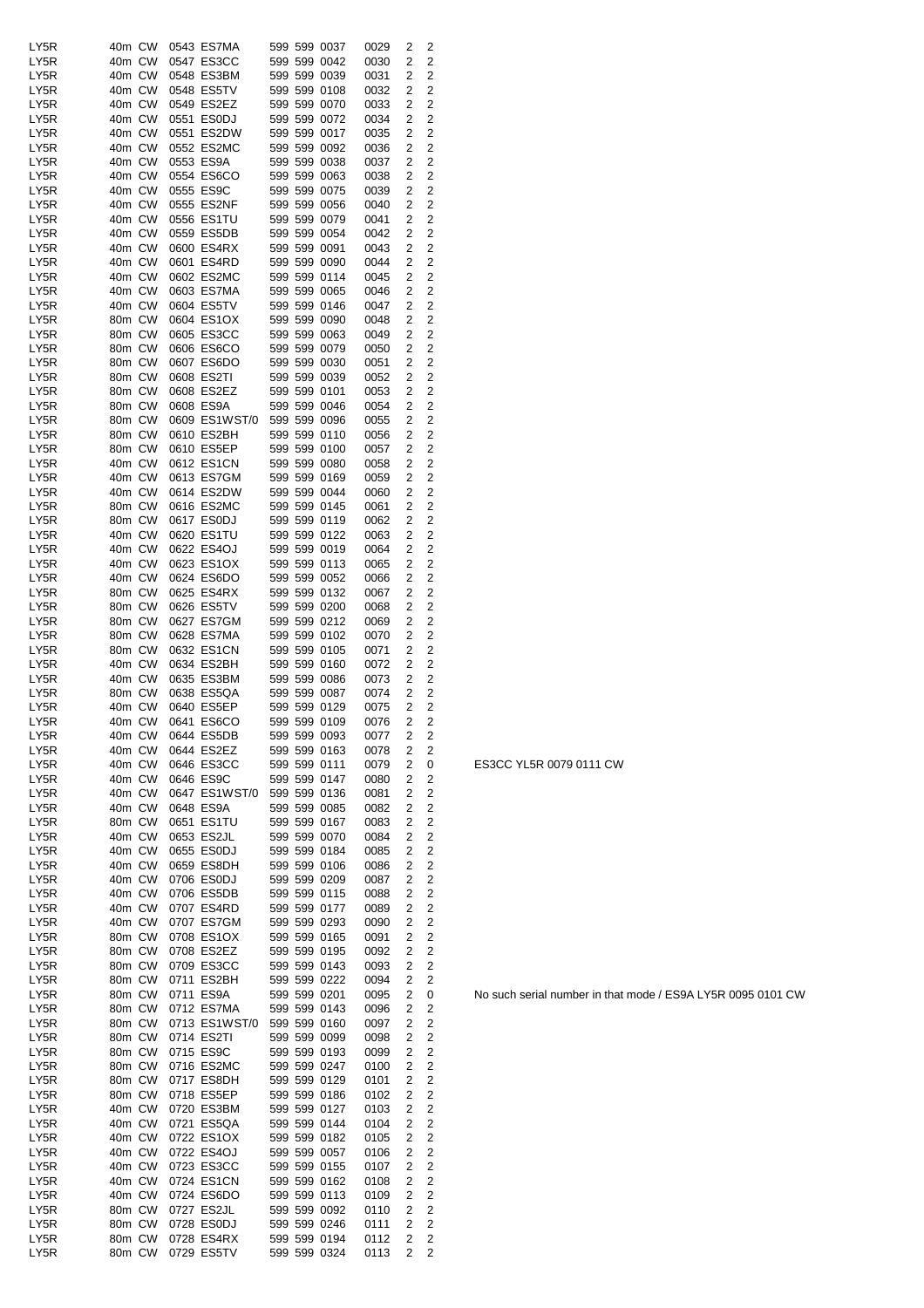| LY5R | 40m CW |           | 0543 ES7MA    | 599 599 0037<br>0029<br>2<br>2              |  |
|------|--------|-----------|---------------|---------------------------------------------|--|
| LY5R | 40m CW |           | 0547 ES3CC    | 599 599 0042<br>2<br>2<br>0030              |  |
|      |        |           |               |                                             |  |
| LY5R | 40m CW |           | 0548 ES3BM    | 599 599 0039<br>2<br>0031<br>2              |  |
| LY5R | 40m CW |           | 0548 ES5TV    | 599 599 0108<br>2<br>2<br>0032              |  |
|      |        |           |               |                                             |  |
| LY5R | 40m CW |           | 0549 ES2EZ    | 599 599 0070<br>2<br>2<br>0033              |  |
| LY5R | 40m CW |           | 0551 ES0DJ    | 599 599 0072<br>2<br>0034<br>2              |  |
| LY5R | 40m CW |           | 0551 ES2DW    | 599 599 0017<br>2<br>2<br>0035              |  |
|      |        |           |               |                                             |  |
| LY5R | 40m CW |           | 0552 ES2MC    | 599 599 0092<br>2<br>0036<br>2              |  |
| LY5R | 40m CW | 0553 ES9A |               | 599 599 0038<br>2<br>2<br>0037              |  |
|      |        |           |               |                                             |  |
| LY5R | 40m CW |           | 0554 ES6CO    | 599 599 0063<br>2<br>2<br>0038              |  |
| LY5R | 40m CW | 0555 ES9C |               | 599 599 0075<br>2<br>2<br>0039              |  |
|      |        |           |               |                                             |  |
| LY5R | 40m CW |           | 0555 ES2NF    | 2<br>599 599 0056<br>2<br>0040              |  |
| LY5R | 40m CW |           | 0556 ES1TU    | 599 599 0079<br>2<br>2<br>0041              |  |
|      |        |           |               |                                             |  |
| LY5R | 40m CW |           | 0559 ES5DB    | 599 599 0054<br>2<br>0042<br>2              |  |
| LY5R | 40m CW |           | 0600 ES4RX    | 599 599 0091<br>2<br>0043<br>2              |  |
| LY5R | 40m CW |           | 0601 ES4RD    | 599 599 0090<br>0044<br>2<br>2              |  |
|      |        |           |               |                                             |  |
| LY5R | 40m CW |           | 0602 ES2MC    | 599 599 0114<br>2<br>0045<br>2              |  |
| LY5R | 40m CW |           | 0603 ES7MA    | 2<br>599 599 0065<br>2<br>0046              |  |
|      | 40m CW |           | 0604 ES5TV    | 599 599 0146<br>2                           |  |
| LY5R |        |           |               | 0047<br>2                                   |  |
| LY5R | 80m CW |           | 0604 ES1OX    | 599 599 0090<br>2<br>0048<br>2              |  |
| LY5R | 80m CW |           | 0605 ES3CC    | 599 599 0063<br>2<br>2<br>0049              |  |
|      |        |           |               |                                             |  |
| LY5R | 80m CW |           | 0606 ES6CO    | 599 599 0079<br>2<br>2<br>0050              |  |
| LY5R | 80m CW |           | 0607 ES6DO    | 599 599 0030<br>2<br>2<br>0051              |  |
| LY5R | 80m CW |           | 0608 ES2TI    | 2<br>2                                      |  |
|      |        |           |               | 599 599 0039<br>0052                        |  |
| LY5R | 80m CW |           | 0608 ES2EZ    | 2<br>599 599 0101<br>0053<br>2              |  |
| LY5R | 80m CW | 0608 ES9A |               | 599 599 0046<br>2<br>0054<br>2              |  |
|      |        |           |               |                                             |  |
| LY5R | 80m CW |           | 0609 ES1WST/0 | 599 599 0096<br>2<br>0055<br>2              |  |
| LY5R | 80m CW |           | 0610 ES2BH    | 599 599 0110<br>2<br>2<br>0056              |  |
|      |        |           |               |                                             |  |
| LY5R | 80m CW |           | 0610 ES5EP    | 599 599 0100<br>2<br>2<br>0057              |  |
| LY5R | 40m CW |           | 0612 ES1CN    | 599 599 0080<br>2<br>0058<br>2              |  |
| LY5R | 40m CW |           | 0613 ES7GM    | 599 599 0169<br>2<br>2                      |  |
|      |        |           |               | 0059                                        |  |
| LY5R | 40m CW |           | 0614 ES2DW    | 599 599 0044<br>2<br>0060<br>2              |  |
| LY5R | 80m CW |           | 0616 ES2MC    | 599 599 0145<br>2<br>2<br>0061              |  |
|      |        |           |               |                                             |  |
| LY5R | 80m CW |           | 0617 ES0DJ    | 599 599 0119<br>2<br>2<br>0062              |  |
| LY5R | 40m CW |           | 0620 ES1TU    | 599 599 0122<br>2<br>2<br>0063              |  |
|      |        |           |               |                                             |  |
| LY5R | 40m CW |           | 0622 ES4OJ    | $\overline{2}$<br>599 599 0019<br>2<br>0064 |  |
| LY5R | 40m CW |           | 0623 ES1OX    | 2<br>599 599 0113<br>2<br>0065              |  |
| LY5R | 40m CW |           | 0624 ES6DO    | 599 599 0052<br>2<br>0066<br>2              |  |
|      |        |           |               |                                             |  |
| LY5R | 80m CW |           | 0625 ES4RX    | 599 599 0132<br>2<br>0067<br>2              |  |
| LY5R | 80m CW |           | 0626 ES5TV    | 599 599 0200<br>2<br>0068<br>2              |  |
|      |        |           |               |                                             |  |
| LY5R | 80m CW |           | 0627 ES7GM    | 599 599 0212<br>2<br>2<br>0069              |  |
| LY5R | 80m CW |           | 0628 ES7MA    | 599 599 0102<br>2<br>2<br>0070              |  |
| LY5R | 80m CW |           | 0632 ES1CN    | 599 599 0105<br>2<br>2<br>0071              |  |
|      |        |           |               |                                             |  |
| LY5R | 40m CW |           | 0634 ES2BH    | 599 599 0160<br>2<br>2<br>0072              |  |
| LY5R | 40m CW |           | 0635 ES3BM    | 599 599 0086<br>2<br>2<br>0073              |  |
|      |        |           |               |                                             |  |
| LY5R | 80m CW |           | 0638 ES5QA    | 599 599 0087<br>2<br>2<br>0074              |  |
| LY5R | 40m CW |           | 0640 ES5EP    | 599 599 0129<br>2<br>2<br>0075              |  |
| LY5R | 40m CW |           | 0641 ES6CO    | 599 599 0109<br>2<br>2<br>0076              |  |
|      |        |           |               |                                             |  |
| LY5R | 40m CW |           | 0644 ES5DB    | $\overline{c}$<br>2<br>599 599 0093<br>0077 |  |
| LY5R | 40m CW |           | 0644 ES2EZ    | 599 599 0163<br>2<br>2<br>0078              |  |
|      |        |           |               |                                             |  |
| LY5R | 40m CW |           | 0646 ES3CC    | 599 599 0111<br>2<br>0079<br>0              |  |
| LY5R | 40m CW | 0646 ES9C |               | 599 599 0147<br>2<br>2<br>0080              |  |
| LY5R | 40m CW |           | 0647 ES1WST/0 | 599 599 0136<br>0081<br>2<br>2              |  |
|      |        |           |               |                                             |  |
| LY5R | 40m CW | 0648 ES9A |               | 599 599 0085<br>2<br>2<br>0082              |  |
| LY5R | 80m CW |           | 0651 ES1TU    | 2<br>599 599 0167<br>2<br>0083              |  |
|      |        |           |               |                                             |  |
| LY5R | 40m CW |           | 0653 ES2JL    | 599 599 0070<br>2<br>0084<br>2              |  |
| LY5R | 40m CW |           | 0655 ES0DJ    | 599 599 0184<br>2<br>2<br>0085              |  |
| LY5R | 40m CW |           | 0659 ES8DH    | 599 599 0106<br>2<br>0086<br>2              |  |
|      |        |           |               |                                             |  |
| LY5R | 40m CW |           | 0706 ES0DJ    | 599 599 0209<br>2<br>2<br>0087              |  |
| LY5R | 40m CW |           | 0706 ES5DB    | 599 599 0115<br>2<br>2<br>0088              |  |
| LY5R | 40m CW |           | 0707 ES4RD    | 2<br>599 599 0177<br>2                      |  |
|      |        |           |               | 0089                                        |  |
| LY5R | 40m CW |           | 0707 ES7GM    | 599 599 0293<br>2<br>0090<br>2              |  |
| LY5R | 80m CW |           | 0708 ES1OX    | 599 599 0165<br>2<br>2<br>0091              |  |
|      |        |           |               |                                             |  |
| LY5R | 80m CW |           | 0708 ES2EZ    | 599 599 0195<br>2<br>2<br>0092              |  |
| LY5R | 80m CW |           | 0709 ES3CC    | 599 599 0143<br>2<br>0093<br>2              |  |
| LY5R | 80m CW |           | 0711 ES2BH    | 599 599 0222<br>0094<br>2<br>2              |  |
|      |        |           |               |                                             |  |
| LY5R | 80m CW | 0711 ES9A |               | 599 599 0201<br>0095<br>2<br>0              |  |
| LY5R | 80m CW |           | 0712 ES7MA    | 599 599 0143<br>2<br>2<br>0096              |  |
|      |        |           |               |                                             |  |
| LY5R | 80m CW |           | 0713 ES1WST/0 | 599 599 0160<br>2<br>0097<br>2              |  |
| LY5R | 80m CW |           | 0714 ES2TI    | 599 599 0099<br>2<br>2<br>0098              |  |
| LY5R | 80m CW | 0715 ES9C |               | 599 599 0193<br>2<br>0099<br>2              |  |
|      |        |           |               |                                             |  |
| LY5R | 80m CW |           | 0716 ES2MC    | 599 599 0247<br>2<br>2<br>0100              |  |
| LY5R | 80m CW |           | 0717 ES8DH    | 2<br>599 599 0129<br>2<br>0101              |  |
|      |        |           |               |                                             |  |
| LY5R | 80m CW |           | 0718 ES5EP    | 2<br>599 599 0186<br>2<br>0102              |  |
| LY5R | 40m CW |           | 0720 ES3BM    | 599 599 0127<br>2<br>0103<br>2              |  |
|      |        |           |               |                                             |  |
| LY5R | 40m CW |           | 0721 ES5QA    | 599 599 0144<br>2<br>2<br>0104              |  |
| LY5R | 40m CW |           | 0722 ES1OX    | 599 599 0182<br>2<br>0105<br>2              |  |
| LY5R | 40m CW |           | 0722 ES4OJ    | 599 599 0057<br>2<br>2<br>0106              |  |
|      |        |           |               |                                             |  |
| LY5R | 40m CW |           | 0723 ES3CC    | 599 599 0155<br>0107<br>2<br>2              |  |
| LY5R | 40m CW |           | 0724 ES1CN    | 599 599 0162<br>2<br>0108<br>2              |  |
|      |        |           |               |                                             |  |
| LY5R | 40m CW |           | 0724 ES6DO    | 599 599 0113<br>2<br>2<br>0109              |  |
| LY5R | 80m CW |           | 0727 ES2JL    | 599 599 0092<br>0110<br>2<br>2              |  |
| LY5R | 80m CW |           | 0728 ES0DJ    | 599 599 0246<br>2<br>2<br>0111              |  |
|      |        |           |               |                                             |  |
| LY5R | 80m CW |           | 0728 ES4RX    | 599 599 0194<br>2<br>2<br>0112              |  |
| LY5R | 80m CW |           | 0729 ES5TV    | 599 599 0324<br>2<br>2<br>0113              |  |
|      |        |           |               |                                             |  |

ES3CC YL5R 0079 0111 CW

No such serial number in that mode / ES9A LY5R 0095 0101 CW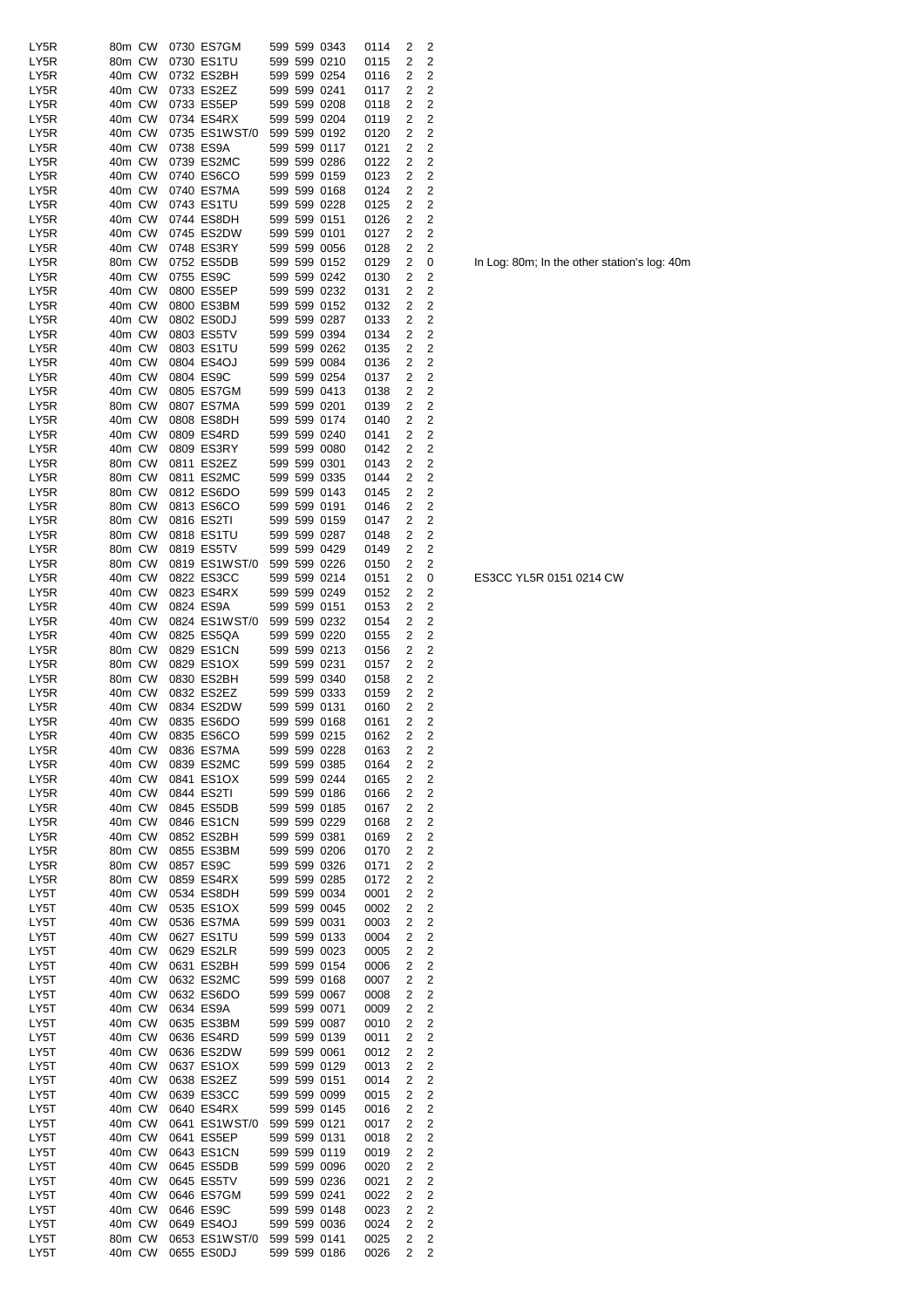| LY5R | 80m CW            | 0730 ES7GM                 |  | 599 599 0343 | 0114              | 2              | 2                       |  |
|------|-------------------|----------------------------|--|--------------|-------------------|----------------|-------------------------|--|
| LY5R | 80m CW            | 0730 ES1TU                 |  | 599 599 0210 | 0115              | 2              | $\overline{c}$          |  |
| LY5R | 40m CW            | 0732 ES2BH                 |  | 599 599 0254 | 0116              | 2              | $\overline{c}$          |  |
| LY5R | 40m CW            | 0733 ES2EZ                 |  | 599 599 0241 | 0117              | 2              | $\mathbf 2$             |  |
| LY5R | 40m CW            | 0733 ES5EP                 |  | 599 599 0208 | 0118              | 2              | $\overline{2}$          |  |
| LY5R | 40m CW            | 0734 ES4RX                 |  | 599 599 0204 |                   | 2              | 2                       |  |
|      |                   | 0735 ES1WST/0              |  | 599 599 0192 | 0119              |                | $\mathbf 2$             |  |
| LY5R | 40m CW            |                            |  |              | 0120              | 2              |                         |  |
| LY5R | 40m CW            | 0738 ES9A                  |  | 599 599 0117 | 0121              | 2              | $\mathbf 2$             |  |
| LY5R | 40m CW            | 0739 ES2MC                 |  | 599 599 0286 | 0122              | 2              | $\mathbf 2$             |  |
| LY5R | 40m CW            | 0740 ES6CO                 |  | 599 599 0159 | 0123              | 2              | $\mathbf 2$             |  |
| LY5R | 40m CW            | 0740 ES7MA                 |  | 599 599 0168 | 0124              | 2              | 2                       |  |
| LY5R | 40m CW            | 0743 ES1TU                 |  | 599 599 0228 | 0125              | 2              | $\mathbf 2$             |  |
| LY5R | 40m CW            | 0744 ES8DH                 |  | 599 599 0151 | 0126              | 2              | 2                       |  |
| LY5R | 40m CW            | 0745 ES2DW                 |  | 599 599 0101 | 0127              | 2              | $\overline{c}$          |  |
| LY5R | 40m CW            | 0748 ES3RY                 |  | 599 599 0056 | 0128              | 2              | $\overline{c}$          |  |
| LY5R | 80m CW            | 0752 ES5DB                 |  | 599 599 0152 | 0129              | 2              | 0                       |  |
| LY5R | 40m CW            | 0755 ES9C                  |  | 599 599 0242 | 0130              | 2              | 2                       |  |
| LY5R | 40m CW            | 0800 ES5EP                 |  | 599 599 0232 | 0131              | 2              | $\overline{2}$          |  |
| LY5R | 40m CW            | 0800 ES3BM                 |  | 599 599 0152 | 0132              | 2              | $\mathbf 2$             |  |
| LY5R | 40m CW            | 0802 ES0DJ                 |  | 599 599 0287 | 0133              | 2              | $\mathbf 2$             |  |
| LY5R | 40m CW            | 0803 ES5TV                 |  | 599 599 0394 | 0134              | 2              | $\mathbf 2$             |  |
| LY5R | 40m CW            | 0803 ES1TU                 |  | 599 599 0262 | 0135              | 2              | 2                       |  |
| LY5R | 40m CW            | 0804 ES4OJ                 |  | 599 599 0084 | 0136              | 2              | $\mathbf 2$             |  |
| LY5R | 40m CW            | 0804 ES9C                  |  | 599 599 0254 | 0137              | 2              | $\overline{c}$          |  |
| LY5R | 40m CW            | 0805 ES7GM                 |  | 599 599 0413 | 0138              | 2              | $\overline{c}$          |  |
| LY5R | 80m CW            | 0807 ES7MA                 |  | 599 599 0201 | 0139              | 2              | 2                       |  |
| LY5R | 40m CW            | 0808 ES8DH                 |  | 599 599 0174 | 0140              | 2              | $\mathbf 2$             |  |
| LY5R | 40m CW            | 0809 ES4RD                 |  | 599 599 0240 | 0141              | 2              | $\overline{c}$          |  |
| LY5R | 40m CW            | 0809 ES3RY                 |  | 599 599 0080 | 0142              | 2              | $\overline{c}$          |  |
| LY5R | 80m CW            | 0811 ES2EZ                 |  | 599 599 0301 | 0143              | 2              | $\overline{2}$          |  |
| LY5R | 80m CW            | 0811 ES2MC                 |  | 599 599 0335 | 0144              | 2              | $\overline{2}$          |  |
| LY5R | 80m CW            | 0812 ES6DO                 |  | 599 599 0143 | 0145              | 2              | $\mathbf 2$             |  |
| LY5R | 80m CW            | 0813 ES6CO                 |  | 599 599 0191 | 0146              | 2              | $\mathbf 2$             |  |
| LY5R | 80m CW            | 0816 ES2TI                 |  | 599 599 0159 | 0147              | 2              | $\mathbf 2$             |  |
| LY5R | 80m CW            | 0818 ES1TU                 |  | 599 599 0287 | 0148              | 2              | $\overline{c}$          |  |
| LY5R | 80m CW            | 0819 ES5TV                 |  | 599 599 0429 | 0149              | 2              | $\mathbf 2$             |  |
| LY5R | 80m CW            | 0819 ES1WST/0              |  | 599 599 0226 | 0150              | 2              | 2                       |  |
| LY5R | 40m CW            | 0822 ES3CC                 |  | 599 599 0214 | 0151              | 2              | 0                       |  |
| LY5R | 40m CW            | 0823 ES4RX                 |  | 599 599 0249 | 0152              | 2              | $\overline{c}$          |  |
| LY5R | 40m CW            | 0824 ES9A                  |  | 599 599 0151 | 0153              | 2              | $\overline{c}$          |  |
| LY5R | 40m CW            | 0824 ES1WST/0              |  | 599 599 0232 | 0154              | 2              | $\overline{c}$          |  |
| LY5R | 40m CW            | 0825 ES5QA                 |  | 599 599 0220 | 0155              | 2              | $\overline{2}$          |  |
| LY5R | 80m CW            | 0829 ES1CN                 |  | 599 599 0213 | 0156              | 2              | 2                       |  |
| LY5R | 80m CW            | 0829 ES1OX                 |  | 599 599 0231 | 0157              | 2              | $\mathbf 2$             |  |
| LY5R | 80m CW            | 0830 ES2BH                 |  | 599 599 0340 | 0158              | 2              | $\mathbf 2$             |  |
| LY5R | 40m CW            | 0832 ES2EZ                 |  | 599 599 0333 | 0159              | 2              | $\boldsymbol{2}$        |  |
| LY5R | 40m CW            | 0834 ES2DW                 |  | 599 599 0131 | 0160              | 2              | $\boldsymbol{2}$        |  |
| LY5R | 40m CW            | 0835 ES6DO                 |  | 599 599 0168 | 0161              | 2              | $\overline{c}$          |  |
| LY5R | 40m CW 0835 ES6CO |                            |  |              | 599 599 0215 0162 | $\overline{2}$ | $\sqrt{2}$              |  |
| LY5R | 40m CW            | 0836 ES7MA                 |  | 599 599 0228 | 0163              | 2              | $\overline{\mathbf{c}}$ |  |
| LY5R | 40m CW            | 0839 ES2MC                 |  | 599 599 0385 | 0164              | 2              | $\boldsymbol{2}$        |  |
| LY5R | 40m CW            | 0841 ES1OX                 |  | 599 599 0244 | 0165              | $\overline{c}$ | $\mathbf 2$             |  |
| LY5R | 40m CW            | 0844 ES2TI                 |  | 599 599 0186 | 0166              | 2              | $\boldsymbol{2}$        |  |
| LY5R | 40m CW            | 0845 ES5DB                 |  | 599 599 0185 | 0167              | 2              | 2                       |  |
| LY5R | 40m CW            | 0846 ES1CN                 |  | 599 599 0229 | 0168              | 2              | $\mathbf 2$             |  |
| LY5R | 40m CW            | 0852 ES2BH                 |  | 599 599 0381 | 0169              | 2              | $\boldsymbol{2}$        |  |
| LY5R | 80m CW            | 0855 ES3BM                 |  | 599 599 0206 | 0170              | 2              | $\boldsymbol{2}$        |  |
| LY5R | 80m CW            | 0857 ES9C                  |  | 599 599 0326 | 0171              | $\overline{c}$ | $\mathbf 2$             |  |
| LY5R | 80m CW            | 0859 ES4RX                 |  | 599 599 0285 | 0172              | 2              | $\boldsymbol{2}$        |  |
| LY5T | 40m CW            | 0534 ES8DH                 |  | 599 599 0034 | 0001              | 2              | $\mathbf 2$             |  |
| LY5T | 40m CW            | 0535 ES1OX                 |  | 599 599 0045 | 0002              | 2              | $\boldsymbol{2}$        |  |
| LY5T | 40m CW            | 0536 ES7MA                 |  | 599 599 0031 | 0003              | 2              | 2                       |  |
| LY5T | 40m CW            | 0627 ES1TU                 |  | 599 599 0133 | 0004              | $\overline{c}$ | $\boldsymbol{2}$        |  |
| LY5T | 40m CW            | 0629 ES2LR                 |  | 599 599 0023 | 0005              | $\overline{c}$ | $\mathbf 2$             |  |
| LY5T | 40m CW            | 0631 ES2BH                 |  | 599 599 0154 | 0006              | 2              | $\boldsymbol{2}$        |  |
| LY5T | 40m CW            | 0632 ES2MC                 |  | 599 599 0168 | 0007              | 2              | $\boldsymbol{2}$        |  |
| LY5T | 40m CW            | 0632 ES6DO                 |  | 599 599 0067 | 0008              | 2              | 2                       |  |
| LY5T | 40m CW            | 0634 ES9A                  |  | 599 599 0071 | 0009              | 2              | 2                       |  |
| LY5T | 40m CW            | 0635 ES3BM                 |  | 599 599 0087 | 0010              | 2              | $\boldsymbol{2}$        |  |
| LY5T | 40m CW            | 0636 ES4RD                 |  | 599 599 0139 | 0011              | 2              | $\mathbf 2$             |  |
| LY5T | 40m CW            | 0636 ES2DW                 |  | 599 599 0061 | 0012              | $\overline{c}$ | $\mathbf 2$             |  |
| LY5T | 40m CW            | 0637 ES1OX                 |  | 599 599 0129 | 0013              | 2              | $\boldsymbol{2}$        |  |
| LY5T | 40m CW            | 0638 ES2EZ                 |  | 599 599 0151 | 0014              | 2              | $\mathbf 2$             |  |
| LY5T | 40m CW            | 0639 ES3CC                 |  | 599 599 0099 | 0015              | 2              | $\overline{\mathbf{c}}$ |  |
| LY5T | 40m CW            | 0640 ES4RX                 |  | 599 599 0145 | 0016              | 2              | $\mathbf 2$             |  |
| LY5T | 40m CW            | 0641 ES1WST/0              |  | 599 599 0121 | 0017              | 2              | $\mathbf 2$             |  |
| LY5T | 40m CW            | 0641 ES5EP                 |  | 599 599 0131 | 0018              | 2              | $\mathbf 2$             |  |
| LY5T | 40m CW            | 0643 ES1CN                 |  | 599 599 0119 | 0019              | 2              | $\mathbf 2$             |  |
| LY5T | 40m CW            | 0645 ES5DB                 |  | 599 599 0096 | 0020              | 2              | $\boldsymbol{2}$        |  |
| LY5T | 40m CW            | 0645 ES5TV                 |  | 599 599 0236 | 0021              | 2              | 2                       |  |
| LY5T | 40m CW            | 0646 ES7GM                 |  | 599 599 0241 | 0022              | 2              | $\mathbf 2$             |  |
| LY5T | 40m CW            | 0646 ES9C                  |  | 599 599 0148 | 0023              | 2              | $\mathbf 2$             |  |
| LY5T | 40m CW            | 0649 ES4OJ                 |  | 599 599 0036 | 0024              | 2              | $\overline{2}$          |  |
| LY5T | 80m CW            | 0653 ES1WST/0 599 599 0141 |  |              | 0025              | $\overline{c}$ | $\boldsymbol{2}$        |  |
| LY5T | 40m CW            | 0655 ES0DJ 599 599 0186    |  |              | 0026              | 2              | 2                       |  |
|      |                   |                            |  |              |                   |                |                         |  |

In Log: 80m; In the other station's log: 40m

ES3CC YL5R 0151 0214 CW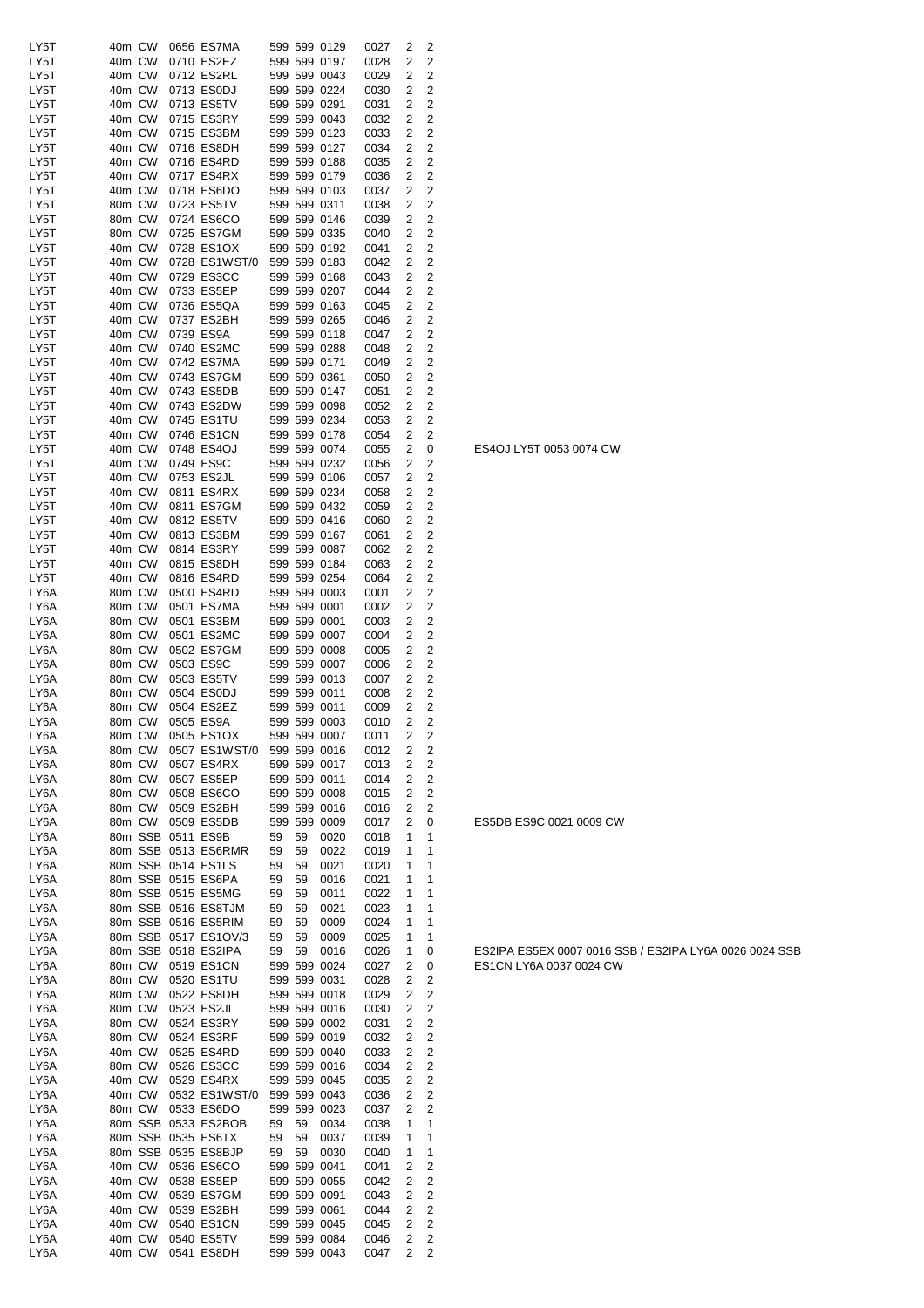| LY5T | 40m CW |         | 0656 ES7MA           |    |    | 599 599 0129 | 0027 | 2                       | 2              |
|------|--------|---------|----------------------|----|----|--------------|------|-------------------------|----------------|
| LY5T | 40m CW |         | 0710 ES2EZ           |    |    | 599 599 0197 | 0028 | 2                       | 2              |
|      |        |         |                      |    |    |              |      |                         |                |
| LY5T | 40m CW |         | 0712 ES2RL           |    |    | 599 599 0043 | 0029 | 2                       | 2              |
| LY5T | 40m CW |         | 0713 ES0DJ           |    |    | 599 599 0224 | 0030 | 2                       | 2              |
| LY5T | 40m CW |         | 0713 ES5TV           |    |    | 599 599 0291 | 0031 | $\overline{2}$          | $\overline{c}$ |
| LY5T | 40m CW |         | 0715 ES3RY           |    |    | 599 599 0043 | 0032 | 2                       | 2              |
| LY5T | 40m CW |         | 0715 ES3BM           |    |    | 599 599 0123 | 0033 | 2                       | $\overline{c}$ |
| LY5T | 40m CW |         | 0716 ES8DH           |    |    | 599 599 0127 |      | 2                       |                |
|      |        |         |                      |    |    |              | 0034 |                         | 2              |
| LY5T | 40m CW |         | 0716 ES4RD           |    |    | 599 599 0188 | 0035 | 2                       | 2              |
| LY5T | 40m CW |         | 0717 ES4RX           |    |    | 599 599 0179 | 0036 | 2                       | $\overline{c}$ |
| LY5T | 40m CW |         | 0718 ES6DO           |    |    | 599 599 0103 | 0037 | $\overline{\mathbf{c}}$ | $\overline{c}$ |
| LY5T | 80m CW |         | 0723 ES5TV           |    |    | 599 599 0311 | 0038 | 2                       | $\overline{c}$ |
| LY5T | 80m CW |         | 0724 ES6CO           |    |    | 599 599 0146 |      | 2                       | $\overline{c}$ |
|      |        |         |                      |    |    |              | 0039 |                         |                |
| LY5T | 80m CW |         | 0725 ES7GM           |    |    | 599 599 0335 | 0040 | 2                       | 2              |
| LY5T | 40m CW |         | 0728 ES1OX           |    |    | 599 599 0192 | 0041 | 2                       | $\overline{2}$ |
| LY5T | 40m CW |         | 0728 ES1WST/0        |    |    | 599 599 0183 | 0042 | 2                       | $\overline{c}$ |
| LY5T | 40m CW |         | 0729 ES3CC           |    |    | 599 599 0168 | 0043 | 2                       | $\overline{c}$ |
| LY5T | 40m CW |         | 0733 ES5EP           |    |    | 599 599 0207 | 0044 | 2                       | $\overline{c}$ |
|      |        |         |                      |    |    |              |      |                         |                |
| LY5T | 40m CW |         | 0736 ES5QA           |    |    | 599 599 0163 | 0045 | 2                       | 2              |
| LY5T | 40m CW |         | 0737 ES2BH           |    |    | 599 599 0265 | 0046 | 2                       | $\overline{c}$ |
| LY5T | 40m CW |         | 0739 ES9A            |    |    | 599 599 0118 | 0047 | 2                       | 2              |
| LY5T | 40m CW |         | 0740 ES2MC           |    |    | 599 599 0288 | 0048 | 2                       | $\overline{c}$ |
| LY5T | 40m CW |         | 0742 ES7MA           |    |    | 599 599 0171 | 0049 | $\overline{\mathbf{c}}$ | $\overline{c}$ |
|      |        |         |                      |    |    |              |      |                         |                |
| LY5T | 40m CW |         | 0743 ES7GM           |    |    | 599 599 0361 | 0050 | 2                       | $\overline{c}$ |
| LY5T | 40m CW |         | 0743 ES5DB           |    |    | 599 599 0147 | 0051 | 2                       | $\overline{c}$ |
| LY5T | 40m CW |         | 0743 ES2DW           |    |    | 599 599 0098 | 0052 | 2                       | $\overline{c}$ |
| LY5T | 40m CW |         | 0745 ES1TU           |    |    | 599 599 0234 | 0053 | 2                       | 2              |
| LY5T | 40m CW |         | 0746 ES1CN           |    |    | 599 599 0178 | 0054 | 2                       | $\overline{2}$ |
|      |        |         |                      |    |    |              |      |                         |                |
| LY5T | 40m CW |         | 0748 ES4OJ           |    |    | 599 599 0074 | 0055 | $\overline{2}$          | 0              |
| LY5T | 40m CW |         | 0749 ES9C            |    |    | 599 599 0232 | 0056 | 2                       | $\overline{c}$ |
| LY5T | 40m CW |         | 0753 ES2JL           |    |    | 599 599 0106 | 0057 | 2                       | $\overline{c}$ |
| LY5T | 40m CW |         | 0811 ES4RX           |    |    | 599 599 0234 | 0058 | 2                       | 2              |
| LY5T | 40m CW |         | 0811 ES7GM           |    |    | 599 599 0432 | 0059 | 2                       | 2              |
|      |        |         |                      |    |    |              |      |                         |                |
| LY5T | 40m CW |         | 0812 ES5TV           |    |    | 599 599 0416 | 0060 | 2                       | 2              |
| LY5T | 40m CW |         | 0813 ES3BM           |    |    | 599 599 0167 | 0061 | 2                       | 2              |
| LY5T | 40m CW |         | 0814 ES3RY           |    |    | 599 599 0087 | 0062 | 2                       | $\overline{2}$ |
| LY5T | 40m CW |         | 0815 ES8DH           |    |    | 599 599 0184 | 0063 | 2                       | 2              |
| LY5T | 40m CW |         | 0816 ES4RD           |    |    | 599 599 0254 | 0064 | 2                       | $\overline{c}$ |
|      |        |         |                      |    |    |              |      |                         |                |
| LY6A | 80m CW |         | 0500 ES4RD           |    |    | 599 599 0003 | 0001 | 2                       | $\overline{2}$ |
| LY6A | 80m CW |         | 0501 ES7MA           |    |    | 599 599 0001 | 0002 | 2                       | 2              |
| LY6A | 80m CW |         | 0501 ES3BM           |    |    | 599 599 0001 | 0003 | 2                       | $\overline{2}$ |
| LY6A | 80m CW |         | 0501 ES2MC           |    |    | 599 599 0007 | 0004 | $\overline{2}$          | $\overline{c}$ |
| LY6A | 80m CW |         | 0502 ES7GM           |    |    | 599 599 0008 | 0005 | 2                       | 2              |
|      |        |         |                      |    |    |              |      |                         |                |
| LY6A | 80m CW |         | 0503 ES9C            |    |    | 599 599 0007 | 0006 | 2                       | $\overline{c}$ |
| LY6A | 80m CW |         | 0503 ES5TV           |    |    | 599 599 0013 | 0007 | 2                       | 2              |
| LY6A | 80m CW |         | 0504 ES0DJ           |    |    | 599 599 0011 | 0008 | 2                       | 2              |
| LY6A | 80m CW |         | 0504 ES2EZ           |    |    | 599 599 0011 | 0009 | 2                       | $\overline{c}$ |
| LY6A | 80m CW |         | 0505 ES9A            |    |    | 599 599 0003 | 0010 | 2                       | 2              |
|      |        |         |                      |    |    |              |      |                         |                |
| LY6A | 80m CW |         | 0505 ES1OX           |    |    | 599 599 0007 | 0011 | 2                       | 2              |
| LY6A | 80m CW |         | 0507 ES1WST/0        |    |    | 599 599 0016 | 0012 | 2                       | 2              |
| LY6A | 80m CW |         | 0507 ES4RX           |    |    | 599 599 0017 | 0013 | 2                       | 2              |
| LY6A | 80m CW |         | 0507 ES5EP           |    |    | 599 599 0011 | 0014 | 2                       | $\overline{c}$ |
| LY6A | 80m CW |         | 0508 ES6CO           |    |    | 599 599 0008 | 0015 | 2                       | $\overline{c}$ |
|      |        |         | 0509 ES2BH           |    |    |              |      |                         |                |
| LY6A | 80m CW |         |                      |    |    | 599 599 0016 | 0016 | 2                       | $\overline{2}$ |
| LY6A | 80m CW |         | 0509 ES5DB           |    |    | 599 599 0009 | 0017 | $\overline{2}$          | 0              |
| LY6A |        |         | 80m SSB 0511 ES9B    | 59 | 59 | 0020         | 0018 | 1                       | 1              |
| LY6A |        |         | 80m SSB 0513 ES6RMR  | 59 | 59 | 0022         | 0019 | 1                       | 1              |
| LY6A |        |         | 80m SSB 0514 ES1LS   | 59 | 59 | 0021         | 0020 | 1                       | 1              |
|      |        |         |                      |    |    |              |      |                         |                |
| LY6A |        |         | 80m SSB 0515 ES6PA   | 59 | 59 | 0016         | 0021 | 1                       | 1              |
| LY6A |        |         | 80m SSB 0515 ES5MG   | 59 | 59 | 0011         | 0022 | 1                       | 1              |
| LY6A |        |         | 80m SSB 0516 ES8TJM  | 59 | 59 | 0021         | 0023 | 1                       | 1              |
| LY6A |        |         | 80m SSB 0516 ES5RIM  | 59 | 59 | 0009         | 0024 | 1                       | 1              |
| LY6A |        |         | 80m SSB 0517 ES1OV/3 | 59 | 59 | 0009         | 0025 | 1                       | $\mathbf 1$    |
|      |        |         |                      |    |    |              |      |                         |                |
| LY6A |        |         | 80m SSB 0518 ES2IPA  | 59 | 59 | 0016         | 0026 | 1                       | 0              |
| LY6A | 80m CW |         | 0519 ES1CN           |    |    | 599 599 0024 | 0027 | 2                       | 0              |
| LY6A | 80m CW |         | 0520 ES1TU           |    |    | 599 599 0031 | 0028 | 2                       | 2              |
| LY6A | 80m CW |         | 0522 ES8DH           |    |    | 599 599 0018 | 0029 | 2                       | $\overline{c}$ |
| LY6A | 80m CW |         | 0523 ES2JL           |    |    | 599 599 0016 | 0030 | 2                       | 2              |
|      |        |         |                      |    |    |              |      |                         |                |
| LY6A | 80m CW |         | 0524 ES3RY           |    |    | 599 599 0002 | 0031 | 2                       | $\overline{c}$ |
| LY6A | 80m CW |         | 0524 ES3RF           |    |    | 599 599 0019 | 0032 | 2                       | $\overline{c}$ |
| LY6A | 40m CW |         | 0525 ES4RD           |    |    | 599 599 0040 | 0033 | 2                       | 2              |
| LY6A | 80m CW |         | 0526 ES3CC           |    |    | 599 599 0016 | 0034 | 2                       | $\overline{c}$ |
|      | 40m CW |         | 0529 ES4RX           |    |    |              |      | 2                       | $\overline{c}$ |
| LY6A |        |         |                      |    |    | 599 599 0045 | 0035 |                         |                |
| LY6A | 40m CW |         | 0532 ES1WST/0        |    |    | 599 599 0043 | 0036 | 2                       | $\overline{c}$ |
| LY6A | 80m CW |         | 0533 ES6DO           |    |    | 599 599 0023 | 0037 | 2                       | $\overline{c}$ |
| LY6A |        |         | 80m SSB 0533 ES2BOB  | 59 | 59 | 0034         | 0038 | 1                       | 1              |
| LY6A |        | 80m SSB | 0535 ES6TX           | 59 | 59 | 0037         | 0039 | 1                       | 1              |
|      |        |         |                      |    |    |              |      |                         |                |
| LY6A |        | 80m SSB | 0535 ES8BJP          | 59 | 59 | 0030         | 0040 | 1                       | 1              |
| LY6A | 40m CW |         | 0536 ES6CO           |    |    | 599 599 0041 | 0041 | 2                       | $\overline{c}$ |
| LY6A | 40m CW |         | 0538 ES5EP           |    |    | 599 599 0055 | 0042 | 2                       | 2              |
| LY6A | 40m CW |         | 0539 ES7GM           |    |    | 599 599 0091 | 0043 | 2                       | 2              |
|      | 40m CW |         |                      |    |    | 599 599 0061 |      | 2                       | 2              |
| LY6A |        |         | 0539 ES2BH           |    |    |              | 0044 |                         |                |
| LY6A | 40m CW |         | 0540 ES1CN           |    |    | 599 599 0045 | 0045 | 2                       | $\overline{c}$ |
| LY6A | 40m CW |         | 0540 ES5TV           |    |    | 599 599 0084 | 0046 | 2                       | 2              |
| LY6A | 40m CW |         | 0541 ES8DH           |    |    | 599 599 0043 | 0047 | 2                       | $\overline{2}$ |
|      |        |         |                      |    |    |              |      |                         |                |

ES4OJ LY5T 0053 0074 CW

ES5DB ES9C 0021 0009 CW

ES2IPA ES5EX 0007 0016 SSB / ES2IPA LY6A 0026 0024 SSB ES1CN LY6A 0037 0024 CW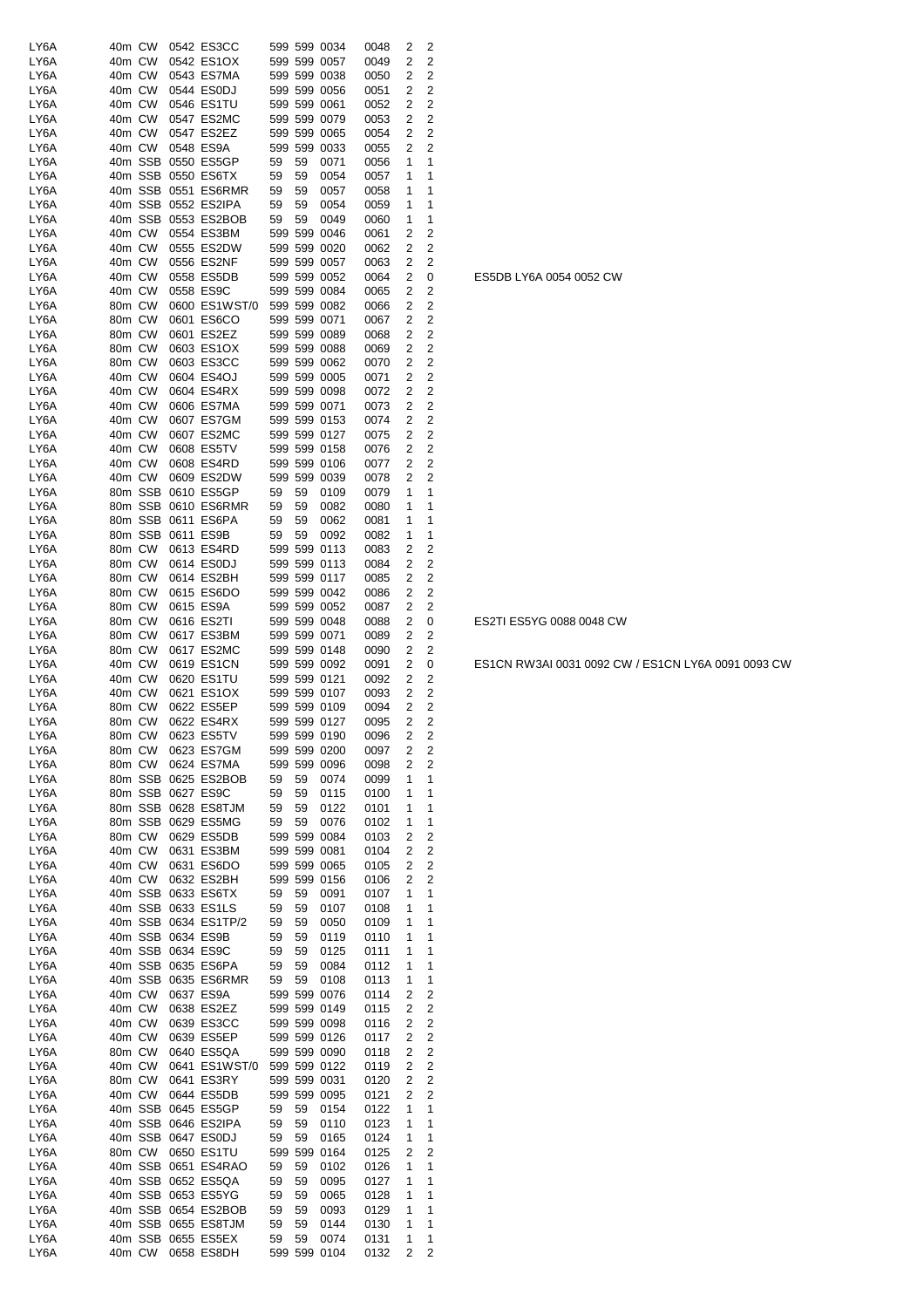| LY6A | 40m CW |         | 0542 ES3CC           |    |         | 599 599 0034 | 0048 | 2              | 2                       |
|------|--------|---------|----------------------|----|---------|--------------|------|----------------|-------------------------|
| LY6A | 40m CW |         | 0542 ES1OX           |    |         | 599 599 0057 | 0049 | 2              | $\overline{c}$          |
| LY6A | 40m CW |         | 0543 ES7MA           |    |         | 599 599 0038 | 0050 | 2              | $\overline{c}$          |
| LY6A | 40m CW |         | 0544 ES0DJ           |    |         | 599 599 0056 | 0051 | 2              | $\overline{c}$          |
| LY6A | 40m CW |         | 0546 ES1TU           |    |         | 599 599 0061 | 0052 | 2              | $\overline{c}$          |
| LY6A | 40m CW |         | 0547 ES2MC           |    |         | 599 599 0079 | 0053 | 2              | $\overline{c}$          |
| LY6A | 40m CW |         | 0547 ES2EZ           |    |         | 599 599 0065 | 0054 | 2              | $\overline{2}$          |
| LY6A | 40m CW |         | 0548 ES9A            |    | 599 599 | 0033         | 0055 | 2              | $\overline{2}$          |
| LY6A |        |         | 40m SSB 0550 ES5GP   | 59 | 59      | 0071         | 0056 | 1              | 1                       |
| LY6A |        | 40m SSB | 0550 ES6TX           | 59 | 59      | 0054         | 0057 | 1              | 1                       |
| LY6A |        |         | 40m SSB 0551 ES6RMR  | 59 | 59      | 0057         | 0058 | 1              | 1                       |
| LY6A |        |         | 40m SSB 0552 ES2IPA  | 59 | 59      | 0054         | 0059 | 1              | 1                       |
| LY6A |        |         | 40m SSB 0553 ES2BOB  | 59 | 59      | 0049         | 0060 | 1              | 1                       |
| LY6A | 40m CW |         | 0554 ES3BM           |    |         | 599 599 0046 | 0061 | 2              | 2                       |
| LY6A | 40m CW |         | 0555 ES2DW           |    |         | 599 599 0020 | 0062 | 2              | $\overline{c}$          |
| LY6A | 40m CW |         | 0556 ES2NF           |    |         | 599 599 0057 | 0063 | 2              | 2                       |
| LY6A | 40m CW |         | 0558 ES5DB           |    |         | 599 599 0052 | 0064 | 2              | 0                       |
| LY6A | 40m CW |         | 0558 ES9C            |    |         | 599 599 0084 | 0065 | 2              | $\overline{c}$          |
| LY6A | 80m CW |         | 0600 ES1WST/0        |    |         | 599 599 0082 | 0066 | 2              | $\overline{2}$          |
| LY6A | 80m CW |         | 0601 ES6CO           |    |         | 599 599 0071 | 0067 | 2              | $\overline{2}$          |
| LY6A | 80m CW |         | 0601 ES2EZ           |    |         | 599 599 0089 | 0068 | 2              | $\overline{c}$          |
| LY6A | 80m CW |         | 0603 ES1OX           |    |         | 599 599 0088 | 0069 | 2              | $\overline{2}$          |
| LY6A | 80m CW |         | 0603 ES3CC           |    |         | 599 599 0062 | 0070 | 2              | $\overline{c}$          |
| LY6A | 40m CW |         | 0604 ES4OJ           |    |         | 599 599 0005 | 0071 | 2              | $\overline{c}$          |
| LY6A | 40m CW |         | 0604 ES4RX           |    |         | 599 599 0098 | 0072 | 2              | $\overline{c}$          |
| LY6A | 40m CW |         | 0606 ES7MA           |    |         | 599 599 0071 | 0073 | 2              | 2                       |
| LY6A | 40m CW |         | 0607 ES7GM           |    |         | 599 599 0153 | 0074 | 2              | $\overline{c}$          |
| LY6A | 40m CW |         | 0607 ES2MC           |    |         | 599 599 0127 | 0075 | 2              | $\overline{c}$          |
| LY6A | 40m CW |         | 0608 ES5TV           |    |         | 599 599 0158 | 0076 | 2              | $\overline{c}$          |
| LY6A | 40m CW |         | 0608 ES4RD           |    |         | 599 599 0106 | 0077 | 2              | $\overline{c}$          |
| LY6A | 40m CW |         | 0609 ES2DW           |    |         | 599 599 0039 | 0078 | 2              | $\overline{2}$          |
| LY6A |        | 80m SSB | 0610 ES5GP           | 59 | 59      | 0109         | 0079 | 1              | 1                       |
| LY6A |        |         | 80m SSB 0610 ES6RMR  | 59 | 59      | 0082         | 0080 | 1              | 1                       |
| LY6A |        | 80m SSB | 0611 ES6PA           | 59 | 59      | 0062         | 0081 | 1              | 1                       |
|      |        | 80m SSB | 0611 ES9B            | 59 | 59      |              |      | 1              | 1                       |
| LY6A | 80m CW |         | 0613 ES4RD           |    |         | 0092         | 0082 |                | $\overline{c}$          |
| LY6A | 80m CW |         |                      |    |         | 599 599 0113 | 0083 | 2<br>2         | $\overline{c}$          |
| LY6A |        |         | 0614 ES0DJ           |    |         | 599 599 0113 | 0084 |                | $\overline{c}$          |
| LY6A | 80m CW |         | 0614 ES2BH           |    |         | 599 599 0117 | 0085 | 2              |                         |
| LY6A | 80m CW |         | 0615 ES6DO           |    |         | 599 599 0042 | 0086 | 2              | $\overline{c}$          |
| LY6A | 80m CW |         | 0615 ES9A            |    |         | 599 599 0052 | 0087 | 2              | 2                       |
| LY6A | 80m CW |         | 0616 ES2TI           |    |         | 599 599 0048 | 0088 | 2              | 0                       |
| LY6A | 80m CW |         | 0617 ES3BM           |    |         | 599 599 0071 | 0089 | 2              | $\overline{c}$          |
| LY6A | 80m CW |         | 0617 ES2MC           |    |         | 599 599 0148 | 0090 | 2              | $\overline{c}$          |
| LY6A | 40m CW |         | 0619 ES1CN           |    |         | 599 599 0092 | 0091 | 2              | 0                       |
| LY6A | 40m CW |         | 0620 ES1TU           |    |         | 599 599 0121 | 0092 | 2              | $\overline{c}$          |
| LY6A | 40m CW |         | 0621 ES1OX           |    |         | 599 599 0107 | 0093 | 2              | $\overline{c}$          |
| LY6A | 80m CW |         | 0622 ES5EP           |    |         | 599 599 0109 | 0094 | 2              | $\overline{c}$          |
| LY6A | 80m CW |         | 0622 ES4RX           |    |         | 599 599 0127 | 0095 | 2              | $\overline{2}$          |
| LY6A |        | 80m CW  | 0623 ES5TV           |    |         | 599 599 0190 | 0096 | $\overline{2}$ | $\overline{c}$          |
| LY6A |        | 80m CW  | 0623 ES7GM           |    |         | 599 599 0200 | 0097 | 2              | 2                       |
| LY6A |        |         | 80m CW 0624 ES7MA    |    |         | 599 599 0096 | 0098 | 2              | 2                       |
| LY6A |        |         | 80m SSB 0625 ES2BOB  | 59 | 59      | 0074         | 0099 | 1              | 1                       |
| LY6A |        |         | 80m SSB 0627 ES9C    | 59 | 59      | 0115         | 0100 | 1              | 1                       |
| LY6A |        |         | 80m SSB 0628 ES8TJM  | 59 | 59      | 0122         | 0101 | 1              | 1                       |
| LY6A |        |         | 80m SSB 0629 ES5MG   | 59 | 59      | 0076         | 0102 | 1              | $\mathbf{1}$            |
| LY6A |        | 80m CW  | 0629 ES5DB           |    |         | 599 599 0084 | 0103 | 2              | 2                       |
| LY6A |        | 40m CW  | 0631 ES3BM           |    |         | 599 599 0081 | 0104 | 2              | $\overline{c}$          |
| LY6A |        | 40m CW  | 0631 ES6DO           |    |         | 599 599 0065 | 0105 | 2              | $\overline{c}$          |
| LY6A |        |         | 40m CW 0632 ES2BH    |    |         | 599 599 0156 | 0106 | 2              | $\overline{2}$          |
| LY6A |        |         | 40m SSB 0633 ES6TX   | 59 | 59      | 0091         | 0107 | 1              | 1                       |
| LY6A |        |         | 40m SSB 0633 ES1LS   | 59 | 59      | 0107         | 0108 | 1              | 1                       |
| LY6A |        |         | 40m SSB 0634 ES1TP/2 | 59 | 59      | 0050         | 0109 | 1              | 1                       |
| LY6A |        |         | 40m SSB 0634 ES9B    | 59 | 59      | 0119         | 0110 | 1              | 1                       |
| LY6A |        |         | 40m SSB 0634 ES9C    | 59 | 59      | 0125         | 0111 | 1              | 1                       |
| LY6A |        |         | 40m SSB 0635 ES6PA   | 59 | 59      | 0084         | 0112 | 1              | 1                       |
| LY6A |        |         | 40m SSB 0635 ES6RMR  | 59 | 59      | 0108         | 0113 | 1              | $\mathbf{1}$            |
| LY6A |        | 40m CW  | 0637 ES9A            |    |         | 599 599 0076 | 0114 | 2              | $\overline{c}$          |
| LY6A | 40m CW |         | 0638 ES2EZ           |    |         | 599 599 0149 | 0115 | 2              | $\overline{c}$          |
| LY6A | 40m CW |         | 0639 ES3CC           |    |         | 599 599 0098 | 0116 | 2              | $\overline{c}$          |
| LY6A |        | 40m CW  | 0639 ES5EP           |    |         | 599 599 0126 | 0117 | 2              | $\overline{c}$          |
| LY6A |        | 80m CW  | 0640 ES5QA           |    |         | 599 599 0090 | 0118 | 2              | $\overline{\mathbf{c}}$ |
| LY6A |        |         | 40m CW 0641 ES1WST/0 |    |         | 599 599 0122 | 0119 | 2              | $\overline{c}$          |
| LY6A |        | 80m CW  | 0641 ES3RY           |    |         | 599 599 0031 | 0120 | 2              | $\overline{c}$          |
| LY6A |        | 40m CW  | 0644 ES5DB           |    |         | 599 599 0095 | 0121 | 2              | $\overline{c}$          |
| LY6A |        |         | 40m SSB 0645 ES5GP   | 59 | 59      | 0154         | 0122 | 1              | 1                       |
| LY6A |        |         | 40m SSB 0646 ES2IPA  | 59 | 59      | 0110         | 0123 | 1              | 1                       |
| LY6A |        |         | 40m SSB 0647 ES0DJ   | 59 | 59      | 0165         | 0124 | 1              | 1                       |
| LY6A |        | 80m CW  | 0650 ES1TU           |    |         | 599 599 0164 | 0125 | 2              | $\overline{c}$          |
| LY6A |        |         | 40m SSB 0651 ES4RAO  | 59 | 59      | 0102         | 0126 | 1              | 1                       |
| LY6A |        |         | 40m SSB 0652 ES5QA   | 59 | 59      | 0095         | 0127 | 1              | 1                       |
| LY6A |        |         | 40m SSB 0653 ES5YG   | 59 | 59      | 0065         | 0128 | 1              | 1                       |
| LY6A |        |         | 40m SSB 0654 ES2BOB  | 59 | 59      | 0093         | 0129 | 1              | 1                       |
| LY6A |        |         | 40m SSB 0655 ES8TJM  | 59 | 59      | 0144         | 0130 | 1              | $\mathbf{1}$            |
| LY6A |        |         | 40m SSB 0655 ES5EX   | 59 | 59      | 0074         | 0131 | 1              | 1                       |
| LY6A |        |         | 40m CW 0658 ES8DH    |    |         | 599 599 0104 | 0132 | 2              | $\overline{2}$          |

ES5DB LY6A 0054 0052 CW

ES2TI ES5YG 0088 0048 CW

ES1CN RW3AI 0031 0092 CW / ES1CN LY6A 0091 0093 CW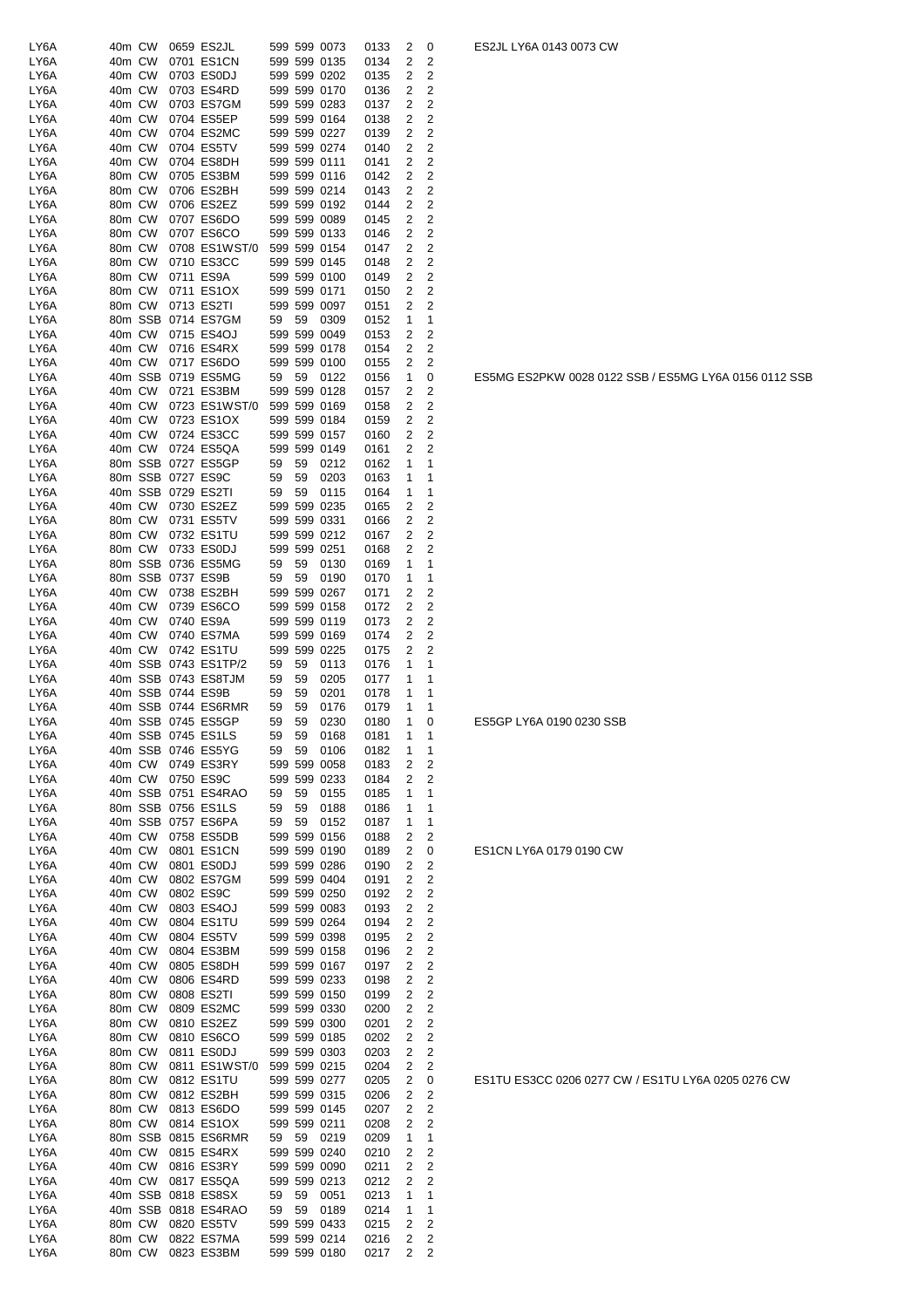| LY6A         | 40m CW           |        | 0659 ES2JL                               |          |          | 599 599 0073                 | 0133         | 2      | 0                            | ES2JL LY6A 0143 0073 CW  |
|--------------|------------------|--------|------------------------------------------|----------|----------|------------------------------|--------------|--------|------------------------------|--------------------------|
| LY6A         | 40m CW           |        | 0701 ES1CN                               |          |          | 599 599 0135                 | 0134         | 2      | 2                            |                          |
| LY6A         | 40m CW           |        | 0703 ES0DJ                               |          |          | 599 599 0202                 | 0135         | 2      | 2                            |                          |
| LY6A         | 40m CW           |        | 0703 ES4RD                               |          |          | 599 599 0170                 | 0136         | 2      | 2                            |                          |
| LY6A         | 40m CW           |        | 0703 ES7GM                               |          |          | 599 599 0283                 | 0137         | 2      | $\mathbf 2$                  |                          |
| LY6A         | 40m CW           |        | 0704 ES5EP                               |          |          | 599 599 0164                 | 0138         | 2      | 2                            |                          |
| LY6A         | 40m CW           |        | 0704 ES2MC                               |          |          | 599 599 0227                 | 0139         | 2      | $\mathbf 2$                  |                          |
| LY6A         | 40m CW           |        | 0704 ES5TV                               |          |          | 599 599 0274                 | 0140         | 2      | 2                            |                          |
| LY6A         | 40m CW           |        | 0704 ES8DH                               |          |          | 599 599 0111                 | 0141         | 2      | 2                            |                          |
| LY6A         | 80m CW           |        | 0705 ES3BM                               |          |          | 599 599 0116                 | 0142         | 2      | 2                            |                          |
| LY6A         | 80m CW           |        | 0706 ES2BH                               |          |          | 599 599 0214                 | 0143         | 2      | 2                            |                          |
| LY6A         | 80m CW           |        | 0706 ES2EZ                               |          |          | 599 599 0192                 | 0144         | 2      | 2                            |                          |
| LY6A         | 80m CW           |        | 0707 ES6DO                               |          |          | 599 599 0089                 | 0145         | 2      | 2                            |                          |
| LY6A         | 80m CW           |        | 0707 ES6CO                               |          |          | 599 599 0133                 | 0146         | 2      | 2                            |                          |
| LY6A         | 80m CW           |        | 0708 ES1WST/0                            |          |          | 599 599 0154                 | 0147         | 2      | 2                            |                          |
| LY6A         | 80m CW           |        | 0710 ES3CC                               |          |          | 599 599 0145                 | 0148         | 2      | 2                            |                          |
| LY6A         | 80m CW           |        | 0711 ES9A                                |          |          | 599 599 0100                 | 0149         | 2      | 2                            |                          |
| LY6A         | 80m CW           |        | 0711 ES1OX                               |          |          | 599 599 0171                 | 0150         | 2      | $\mathbf 2$                  |                          |
| LY6A         | 80m CW           |        | 0713 ES2TI                               |          |          | 599 599 0097                 | 0151         | 2      | 2                            |                          |
| LY6A         |                  |        | 80m SSB 0714 ES7GM                       | 59       | 59       | 0309                         | 0152         | 1      | 1                            |                          |
| LY6A         | 40m CW           |        | 0715 ES4OJ                               |          |          | 599 599 0049                 | 0153         | 2      | 2                            |                          |
| LY6A         | 40m CW<br>40m CW |        | 0716 ES4RX                               |          |          | 599 599 0178                 | 0154         | 2      | 2                            |                          |
| LY6A         |                  |        | 0717 ES6DO                               |          |          | 599 599 0100                 | 0155         | 2      | 2                            |                          |
| LY6A         |                  |        | 40m SSB 0719 ES5MG                       | 59       | 59       | 0122                         | 0156         | 1      | 0                            | ES5MG ES2PKW 0028 0122   |
| LY6A         | 40m CW           |        | 0721 ES3BM                               |          |          | 599 599 0128                 | 0157         | 2      | 2                            |                          |
| LY6A         | 40m CW           |        | 0723 ES1WST/0                            |          |          | 599 599 0169                 | 0158         | 2      | 2                            |                          |
| LY6A         | 40m CW           |        | 0723 ES1OX                               |          |          | 599 599 0184                 | 0159         | 2      | 2                            |                          |
| LY6A         | 40m CW           |        | 0724 ES3CC                               |          |          | 599 599 0157                 | 0160         | 2      | 2                            |                          |
| LY6A         | 40m CW           |        | 0724 ES5QA                               |          |          | 599 599 0149                 | 0161         | 2      | 2                            |                          |
| LY6A         |                  |        | 80m SSB 0727 ES5GP                       | 59       | 59       | 0212                         | 0162         | 1      | 1                            |                          |
| LY6A         |                  |        | 80m SSB 0727 ES9C                        | 59       | 59       | 0203                         | 0163         | 1      | 1                            |                          |
| LY6A         |                  |        | 40m SSB 0729 ES2TI                       | 59       | 59       | 0115                         | 0164         | 1      | 1                            |                          |
| LY6A         | 40m CW           |        | 0730 ES2EZ                               |          |          | 599 599 0235                 | 0165         | 2      | 2                            |                          |
| LY6A         | 80m CW           |        | 0731 ES5TV                               |          |          | 599 599 0331                 | 0166         | 2      | 2                            |                          |
| LY6A         | 80m CW           |        | 0732 ES1TU                               |          |          | 599 599 0212                 | 0167         | 2      | 2                            |                          |
| LY6A         | 80m CW           |        | 0733 ES0DJ                               |          |          | 599 599 0251                 | 0168         | 2      | 2                            |                          |
| LY6A         |                  |        | 80m SSB 0736 ES5MG                       | 59       | 59       | 0130                         | 0169         | 1      | 1                            |                          |
| LY6A         |                  |        | 80m SSB 0737 ES9B                        | 59       | 59       | 0190                         | 0170         | 1      | 1                            |                          |
| LY6A         | 40m CW           |        | 0738 ES2BH                               |          |          | 599 599 0267                 | 0171         | 2      | 2                            |                          |
| LY6A         | 40m CW           |        | 0739 ES6CO                               |          |          | 599 599 0158                 | 0172         | 2<br>2 | 2                            |                          |
| LY6A         | 40m CW           |        | 0740 ES9A                                |          |          | 599 599 0119                 | 0173         |        | 2<br>$\mathbf 2$             |                          |
| LY6A         | 40m CW<br>40m CW |        | 0740 ES7MA<br>0742 ES1TU                 |          |          | 599 599 0169                 | 0174         | 2<br>2 | 2                            |                          |
| LY6A         |                  |        |                                          |          |          | 599 599 0225                 | 0175         |        |                              |                          |
| LY6A         |                  |        | 40m SSB 0743 ES1TP/2                     | 59       | 59       | 0113                         | 0176         | 1      | 1                            |                          |
| LY6A<br>LY6A |                  |        | 40m SSB 0743 ES8TJM<br>40m SSB 0744 ES9B | 59<br>59 | 59<br>59 | 0205<br>0201                 | 0177         | 1<br>1 | 1<br>1                       |                          |
|              |                  |        | 40m SSB 0744 ES6RMR                      |          | 59       |                              | 0178         |        |                              |                          |
| LY6A<br>LY6A |                  |        | 40m SSB 0745 ES5GP                       | 59<br>59 | 59       | 0176<br>0230                 | 0179<br>0180 | 1<br>1 | 1<br>0                       | ES5GP LY6A 0190 0230 SSE |
|              |                  |        |                                          |          |          |                              |              |        |                              |                          |
| LY6A         |                  |        | 40m SSB 0745 ES1LS<br>40m SSB 0746 ES5YG | 59       | 59<br>59 | 0168<br>0106                 | 0181         | 1      | 1                            |                          |
| LY6A<br>LY6A |                  | 40m CW | 0749 ES3RY                               | 59       |          |                              | 0182<br>0183 | 1<br>2 | 1<br>$\overline{\mathbf{c}}$ |                          |
| LY6A         |                  | 40m CW | 0750 ES9C                                |          |          | 599 599 0058<br>599 599 0233 | 0184         | 2      | 2                            |                          |
|              |                  |        |                                          |          |          |                              |              |        |                              |                          |
| LY6A         |                  |        | 40m SSB 0751 ES4RAO                      | 59       | 59       | 0155                         | 0185         | 1      | 1                            |                          |
| LY6A<br>LY6A |                  |        | 80m SSB 0756 ES1LS<br>40m SSB 0757 ES6PA | 59       | 59<br>59 | 0188<br>0152                 | 0186         | 1      | 1<br>1                       |                          |
| LY6A         | 40m CW           |        |                                          | 59       |          |                              | 0187         | 1      |                              |                          |
| LY6A         | 40m CW           |        | 0758 ES5DB<br>0801 ES1CN                 |          |          | 599 599 0156<br>599 599 0190 | 0188<br>0189 | 2      | 2                            |                          |
| LY6A         | 40m CW           |        | 0801 ES0DJ                               |          |          | 599 599 0286                 | 0190         | 2<br>2 | 0                            | ES1CN LY6A 0179 0190 CW  |
| LY6A         | 40m CW           |        | 0802 ES7GM                               |          |          | 599 599 0404                 | 0191         | 2      | 2<br>2                       |                          |
| LY6A         | 40m CW           |        | 0802 ES9C                                |          |          | 599 599 0250                 | 0192         | 2      | 2                            |                          |
| LY6A         | 40m CW           |        | 0803 ES4OJ                               |          |          | 599 599 0083                 | 0193         | 2      | 2                            |                          |
| LY6A         | 40m CW           |        | 0804 ES1TU                               |          |          | 599 599 0264                 | 0194         | 2      |                              |                          |
| LY6A         | 40m CW           |        | 0804 ES5TV                               |          |          | 599 599 0398                 | 0195         | 2      | 2<br>2                       |                          |
| LY6A         | 40m CW           |        | 0804 ES3BM                               |          |          | 599 599 0158                 | 0196         | 2      | 2                            |                          |
| LY6A         | 40m CW           |        | 0805 ES8DH                               |          |          | 599 599 0167                 | 0197         | 2      | 2                            |                          |
| LY6A         | 40m CW           |        | 0806 ES4RD                               |          |          | 599 599 0233                 | 0198         | 2      | $\overline{\mathbf{c}}$      |                          |
| LY6A         | 80m CW           |        | 0808 ES2TI                               |          |          | 599 599 0150                 | 0199         | 2      | 2                            |                          |
| LY6A         | 80m CW           |        | 0809 ES2MC                               |          |          | 599 599 0330                 | 0200         | 2      | $\overline{\mathbf{c}}$      |                          |
| LY6A         | 80m CW           |        | 0810 ES2EZ                               |          |          | 599 599 0300                 | 0201         | 2      | $\boldsymbol{2}$             |                          |
| LY6A         | 80m CW           |        | 0810 ES6CO                               |          |          | 599 599 0185                 | 0202         | 2      | $\overline{\mathbf{c}}$      |                          |
| LY6A         | 80m CW           |        | 0811 ES0DJ                               |          |          | 599 599 0303                 | 0203         | 2      | 2                            |                          |
| LY6A         | 80m CW           |        | 0811 ES1WST/0                            |          |          | 599 599 0215                 | 0204         | 2      | 2                            |                          |
| LY6A         | 80m CW           |        | 0812 ES1TU                               |          |          | 599 599 0277                 | 0205         | 2      | 0                            | ES1TU ES3CC 0206 0277 C  |
| LY6A         | 80m CW           |        | 0812 ES2BH                               |          |          | 599 599 0315                 | 0206         | 2      | 2                            |                          |
| LY6A         | 80m CW           |        | 0813 ES6DO                               |          |          | 599 599 0145                 | 0207         | 2      | 2                            |                          |
| LY6A         | 80m CW           |        | 0814 ES1OX                               |          |          | 599 599 0211                 | 0208         | 2      | 2                            |                          |
| LY6A         |                  |        | 80m SSB 0815 ES6RMR                      | 59       | 59       | 0219                         | 0209         | 1      | 1                            |                          |
| LY6A         |                  | 40m CW | 0815 ES4RX                               |          |          | 599 599 0240                 | 0210         | 2      | 2                            |                          |
| LY6A         |                  | 40m CW | 0816 ES3RY                               |          |          | 599 599 0090                 | 0211         | 2      | 2                            |                          |
| LY6A         |                  | 40m CW | 0817 ES5QA                               |          |          | 599 599 0213                 | 0212         | 2      | 2                            |                          |
| LY6A         |                  |        | 40m SSB 0818 ES8SX                       | 59       | 59       | 0051                         | 0213         | 1      | 1                            |                          |
| LY6A         |                  |        | 40m SSB 0818 ES4RAO                      | 59       | 59       | 0189                         | 0214         | 1      | 1                            |                          |
| LY6A         | 80m CW           |        | 0820 ES5TV                               |          |          | 599 599 0433                 | 0215         | 2      | 2                            |                          |
| LY6A         | 80m CW           |        | 0822 ES7MA                               |          |          | 599 599 0214                 | 0216         | 2      | 2                            |                          |
| LY6A         | 80m CW           |        | 0823 ES3BM                               |          |          | 599 599 0180                 | 0217         | 2      | 2                            |                          |
|              |                  |        |                                          |          |          |                              |              |        |                              |                          |

ES1TU ES3CC 0206 0277 CW / ES1TU LY6A 0205 0276 CW

#### ES1CN LY6A 0179 0190 CW

ES5GP LY6A 0190 0230 SSB

ES5MG ES2PKW 0028 0122 SSB / ES5MG LY6A 0156 0112 SSB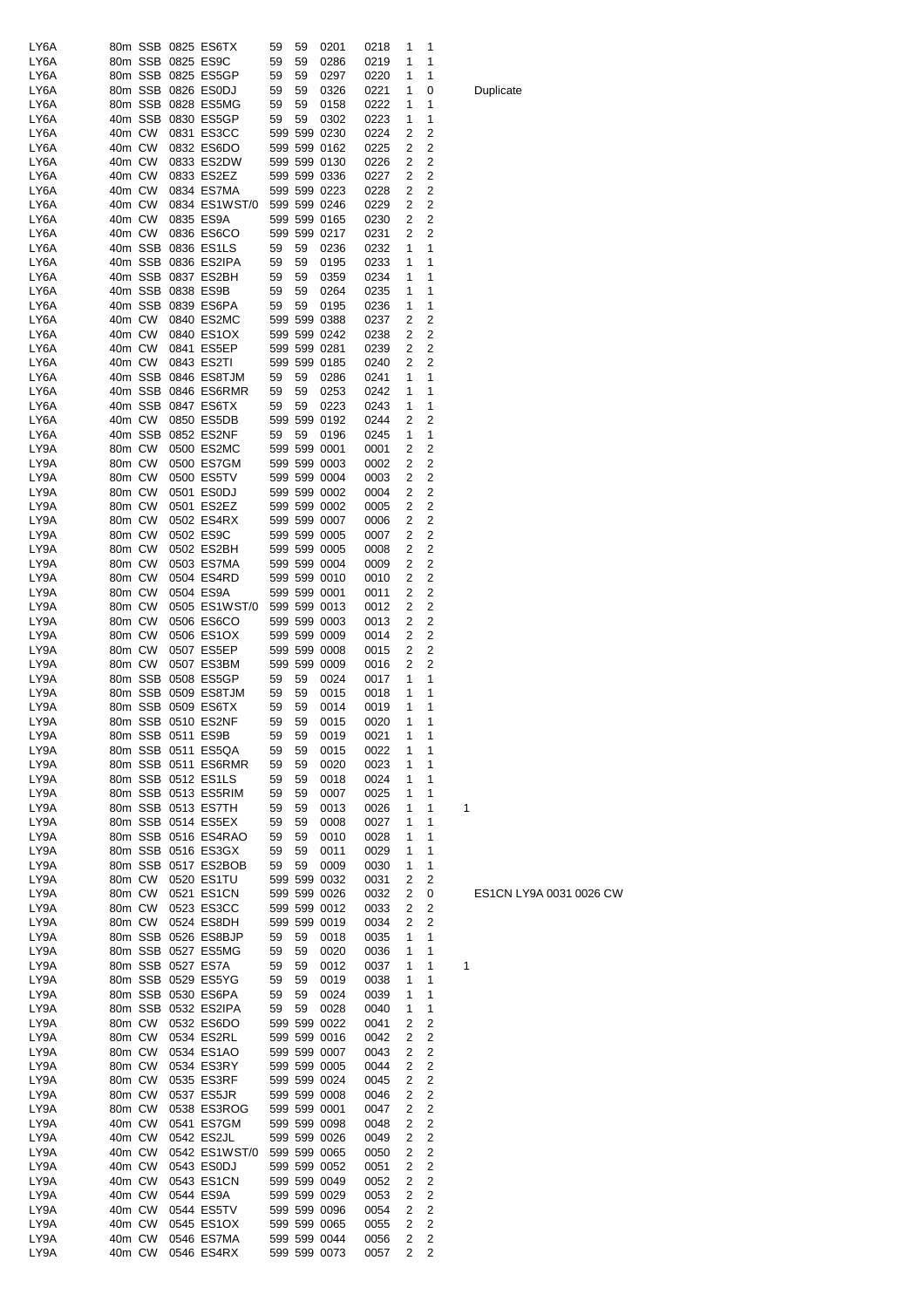| LY6A |        |        |                   | 80m SSB 0825 ES6TX         | 59 | 59 | 0201         | 0218 | 1 | 1                       |   |
|------|--------|--------|-------------------|----------------------------|----|----|--------------|------|---|-------------------------|---|
| LY6A |        |        |                   | 80m SSB 0825 ES9C          | 59 | 59 | 0286         | 0219 | 1 | 1                       |   |
| LY6A |        |        |                   | 80m SSB 0825 ES5GP         | 59 | 59 | 0297         | 0220 | 1 | 1                       |   |
| LY6A |        |        |                   | 80m SSB 0826 ES0DJ         | 59 | 59 | 0326         | 0221 | 1 | 0                       |   |
| LY6A |        |        |                   | 80m SSB 0828 ES5MG         | 59 | 59 | 0158         | 0222 | 1 | 1                       |   |
| LY6A |        |        |                   | 40m SSB 0830 ES5GP         | 59 | 59 | 0302         | 0223 | 1 | 1                       |   |
| LY6A | 40m CW |        |                   | 0831 ES3CC                 |    |    | 599 599 0230 | 0224 | 2 | 2                       |   |
| LY6A | 40m CW |        |                   | 0832 ES6DO                 |    |    | 599 599 0162 | 0225 | 2 | 2                       |   |
| LY6A | 40m CW |        |                   | 0833 ES2DW                 |    |    | 599 599 0130 | 0226 | 2 | 2                       |   |
| LY6A | 40m CW |        |                   | 0833 ES2EZ                 |    |    | 599 599 0336 | 0227 | 2 | 2                       |   |
| LY6A | 40m CW |        |                   | 0834 ES7MA                 |    |    | 599 599 0223 | 0228 | 2 | 2                       |   |
| LY6A | 40m CW |        |                   | 0834 ES1WST/0              |    |    | 599 599 0246 | 0229 | 2 | 2                       |   |
| LY6A | 40m CW |        |                   | 0835 ES9A                  |    |    | 599 599 0165 | 0230 | 2 | $\overline{\mathbf{c}}$ |   |
| LY6A | 40m CW |        |                   | 0836 ES6CO                 |    |    | 599 599 0217 | 0231 | 2 | 2                       |   |
| LY6A |        |        |                   | 40m SSB 0836 ES1LS         | 59 | 59 | 0236         | 0232 | 1 | 1                       |   |
| LY6A |        |        |                   | 40m SSB 0836 ES2IPA        | 59 | 59 | 0195         | 0233 | 1 | 1                       |   |
| LY6A |        |        |                   | 40m SSB 0837 ES2BH         | 59 | 59 | 0359         | 0234 | 1 | 1                       |   |
| LY6A |        |        | 40m SSB 0838 ES9B |                            | 59 | 59 | 0264         | 0235 | 1 | 1                       |   |
| LY6A |        |        |                   | 40m SSB 0839 ES6PA         | 59 | 59 | 0195         | 0236 | 1 | 1                       |   |
| LY6A |        | 40m CW |                   | 0840 ES2MC                 |    |    | 599 599 0388 | 0237 | 2 | 2                       |   |
| LY6A |        | 40m CW |                   | 0840 ES1OX                 |    |    | 599 599 0242 | 0238 | 2 | 2                       |   |
| LY6A | 40m CW |        |                   | 0841 ES5EP                 |    |    | 599 599 0281 | 0239 | 2 | 2                       |   |
| LY6A | 40m CW |        |                   | 0843 ES2TI                 |    |    | 599 599 0185 | 0240 | 2 | 2                       |   |
| LY6A |        |        |                   | 40m SSB 0846 ES8TJM        | 59 | 59 |              |      | 1 | 1                       |   |
|      |        |        |                   |                            |    |    | 0286         | 0241 |   |                         |   |
| LY6A |        |        |                   | 40m SSB 0846 ES6RMR        | 59 | 59 | 0253         | 0242 | 1 | 1                       |   |
| LY6A |        |        |                   | 40m SSB 0847 ES6TX         | 59 | 59 | 0223         | 0243 | 1 | 1                       |   |
| LY6A | 40m CW |        |                   | 0850 ES5DB                 |    |    | 599 599 0192 | 0244 | 2 | 2                       |   |
| LY6A |        |        |                   | 40m SSB 0852 ES2NF         | 59 | 59 | 0196         | 0245 | 1 | 1                       |   |
| LY9A | 80m CW |        |                   | 0500 ES2MC                 |    |    | 599 599 0001 | 0001 | 2 | 2                       |   |
| LY9A | 80m CW |        |                   | 0500 ES7GM                 |    |    | 599 599 0003 | 0002 | 2 | 2                       |   |
| LY9A | 80m CW |        |                   | 0500 ES5TV                 |    |    | 599 599 0004 | 0003 | 2 | 2                       |   |
| LY9A | 80m CW |        |                   | 0501 ES0DJ                 |    |    | 599 599 0002 | 0004 | 2 | 2                       |   |
| LY9A | 80m CW |        |                   | 0501 ES2EZ                 |    |    | 599 599 0002 | 0005 | 2 | 2                       |   |
| LY9A | 80m CW |        |                   | 0502 ES4RX                 |    |    | 599 599 0007 | 0006 | 2 | 2                       |   |
| LY9A | 80m CW |        |                   | 0502 ES9C                  |    |    | 599 599 0005 | 0007 | 2 | 2                       |   |
| LY9A | 80m CW |        |                   | 0502 ES2BH                 |    |    | 599 599 0005 | 0008 | 2 | 2                       |   |
| LY9A | 80m CW |        |                   | 0503 ES7MA                 |    |    | 599 599 0004 | 0009 | 2 | 2                       |   |
| LY9A | 80m CW |        |                   | 0504 ES4RD                 |    |    | 599 599 0010 | 0010 | 2 | 2                       |   |
| LY9A | 80m CW |        |                   | 0504 ES9A                  |    |    | 599 599 0001 | 0011 | 2 | 2                       |   |
| LY9A | 80m CW |        |                   | 0505 ES1WST/0              |    |    | 599 599 0013 | 0012 | 2 | 2                       |   |
| LY9A | 80m CW |        |                   | 0506 ES6CO                 |    |    | 599 599 0003 | 0013 | 2 | 2                       |   |
| LY9A | 80m CW |        |                   | 0506 ES1OX                 |    |    | 599 599 0009 | 0014 | 2 | 2                       |   |
| LY9A | 80m CW |        |                   | 0507 ES5EP                 |    |    | 599 599 0008 | 0015 | 2 | 2                       |   |
| LY9A | 80m CW |        |                   | 0507 ES3BM                 |    |    | 599 599 0009 | 0016 | 2 | 2                       |   |
| LY9A |        |        |                   | 80m SSB 0508 ES5GP         | 59 | 59 | 0024         | 0017 | 1 | 1                       |   |
| LY9A |        |        |                   | 80m SSB 0509 ES8TJM        | 59 | 59 | 0015         | 0018 | 1 | 1                       |   |
| LY9A |        |        |                   | 80m SSB 0509 ES6TX         | 59 | 59 | 0014         | 0019 | 1 | 1                       |   |
| LY9A |        |        |                   | 80m SSB 0510 ES2NF         | 59 | 59 | 0015         | 0020 | 1 | 1                       |   |
| LY9A |        |        |                   | 80m SSB 0511 ES9B          | 59 | 59 | 0019         | 0021 | 1 | 1                       |   |
| LY9A |        |        |                   | 80m SSB 0511 ES5QA         | 59 | 59 | 0015         | 0022 | 1 | 1                       |   |
| LY9A |        |        |                   | 80m SSB 0511 ES6RMR        | 59 | 59 | 0020         | 0023 | 1 | 1                       |   |
| LY9A |        |        |                   | 80m SSB 0512 ES1LS         | 59 | 59 | 0018         | 0024 | 1 | 1                       |   |
| LY9A |        |        |                   | 80m SSB 0513 ES5RIM        | 59 | 59 | 0007         | 0025 | 1 | 1                       |   |
| LY9A |        |        |                   | 80m SSB 0513 ES7TH         | 59 | 59 | 0013         | 0026 | 1 | 1                       | 1 |
|      |        |        |                   |                            |    |    |              |      |   |                         |   |
| LY9A |        |        |                   | 80m SSB 0514 ES5EX         | 59 | 59 | 0008         | 0027 | 1 | 1                       |   |
| LY9A |        |        |                   | 80m SSB 0516 ES4RAO        | 59 | 59 | 0010         | 0028 | 1 | 1                       |   |
| LY9A |        |        |                   | 80m SSB 0516 ES3GX         | 59 | 59 | 0011         | 0029 | 1 | 1                       |   |
| LY9A |        |        |                   | 80m SSB 0517 ES2BOB        | 59 | 59 | 0009         | 0030 | 1 | 1                       |   |
| LY9A |        | 80m CW |                   | 0520 ES1TU                 |    |    | 599 599 0032 | 0031 | 2 | 2                       |   |
| LY9A |        | 80m CW |                   | 0521 ES1CN                 |    |    | 599 599 0026 | 0032 | 2 | 0                       |   |
| LY9A |        | 80m CW |                   | 0523 ES3CC                 |    |    | 599 599 0012 | 0033 | 2 | $\overline{\mathbf{c}}$ |   |
| LY9A |        | 80m CW |                   | 0524 ES8DH                 |    |    | 599 599 0019 | 0034 | 2 | 2                       |   |
| LY9A |        |        |                   | 80m SSB 0526 ES8BJP        | 59 | 59 | 0018         | 0035 | 1 | 1                       |   |
| LY9A |        |        |                   | 80m SSB 0527 ES5MG         | 59 | 59 | 0020         | 0036 | 1 | 1                       |   |
| LY9A |        |        |                   | 80m SSB 0527 ES7A          | 59 | 59 | 0012         | 0037 | 1 | 1                       | 1 |
| LY9A |        |        |                   | 80m SSB 0529 ES5YG         | 59 | 59 | 0019         | 0038 | 1 | 1                       |   |
| LY9A |        |        |                   | 80m SSB 0530 ES6PA         | 59 | 59 | 0024         | 0039 | 1 | 1                       |   |
| LY9A |        |        |                   | 80m SSB 0532 ES2IPA        | 59 | 59 | 0028         | 0040 | 1 | 1                       |   |
| LY9A |        | 80m CW |                   | 0532 ES6DO                 |    |    | 599 599 0022 | 0041 | 2 | 2                       |   |
| LY9A |        | 80m CW |                   | 0534 ES2RL                 |    |    | 599 599 0016 | 0042 | 2 | $\overline{\mathbf{c}}$ |   |
| LY9A |        | 80m CW |                   | 0534 ES1AO                 |    |    | 599 599 0007 | 0043 | 2 | 2                       |   |
| LY9A |        | 80m CW |                   | 0534 ES3RY                 |    |    | 599 599 0005 | 0044 | 2 | 2                       |   |
| LY9A | 80m CW |        |                   | 0535 ES3RF                 |    |    | 599 599 0024 | 0045 | 2 | 2                       |   |
| LY9A | 80m CW |        |                   | 0537 ES5JR                 |    |    | 599 599 0008 | 0046 | 2 | 2                       |   |
| LY9A | 80m CW |        |                   | 0538 ES3ROG                |    |    | 599 599 0001 | 0047 | 2 | $\overline{\mathbf{c}}$ |   |
| LY9A | 40m CW |        |                   | 0541 ES7GM                 |    |    | 599 599 0098 | 0048 | 2 | 2                       |   |
| LY9A | 40m CW |        |                   | 0542 ES2JL                 |    |    | 599 599 0026 | 0049 | 2 | 2                       |   |
| LY9A | 40m CW |        |                   | 0542 ES1WST/0 599 599 0065 |    |    |              | 0050 | 2 | $\overline{\mathbf{c}}$ |   |
| LY9A | 40m CW |        |                   | 0543 ES0DJ                 |    |    | 599 599 0052 | 0051 | 2 | $\overline{\mathbf{c}}$ |   |
| LY9A | 40m CW |        |                   | 0543 ES1CN                 |    |    | 599 599 0049 | 0052 | 2 | $\overline{\mathbf{c}}$ |   |
| LY9A | 40m CW |        |                   | 0544 ES9A                  |    |    | 599 599 0029 | 0053 | 2 | 2                       |   |
| LY9A | 40m CW |        |                   | 0544 ES5TV                 |    |    | 599 599 0096 | 0054 | 2 | $\overline{\mathbf{c}}$ |   |
| LY9A | 40m CW |        |                   | 0545 ES1OX                 |    |    | 599 599 0065 | 0055 | 2 | 2                       |   |
| LY9A | 40m CW |        |                   | 0546 ES7MA                 |    |    | 599 599 0044 | 0056 | 2 | $\overline{\mathbf{c}}$ |   |
| LY9A | 40m CW |        |                   | 0546 ES4RX                 |    |    | 599 599 0073 | 0057 | 2 | $\overline{\mathbf{c}}$ |   |

Duplicate

ES1CN LY9A 0031 0026 CW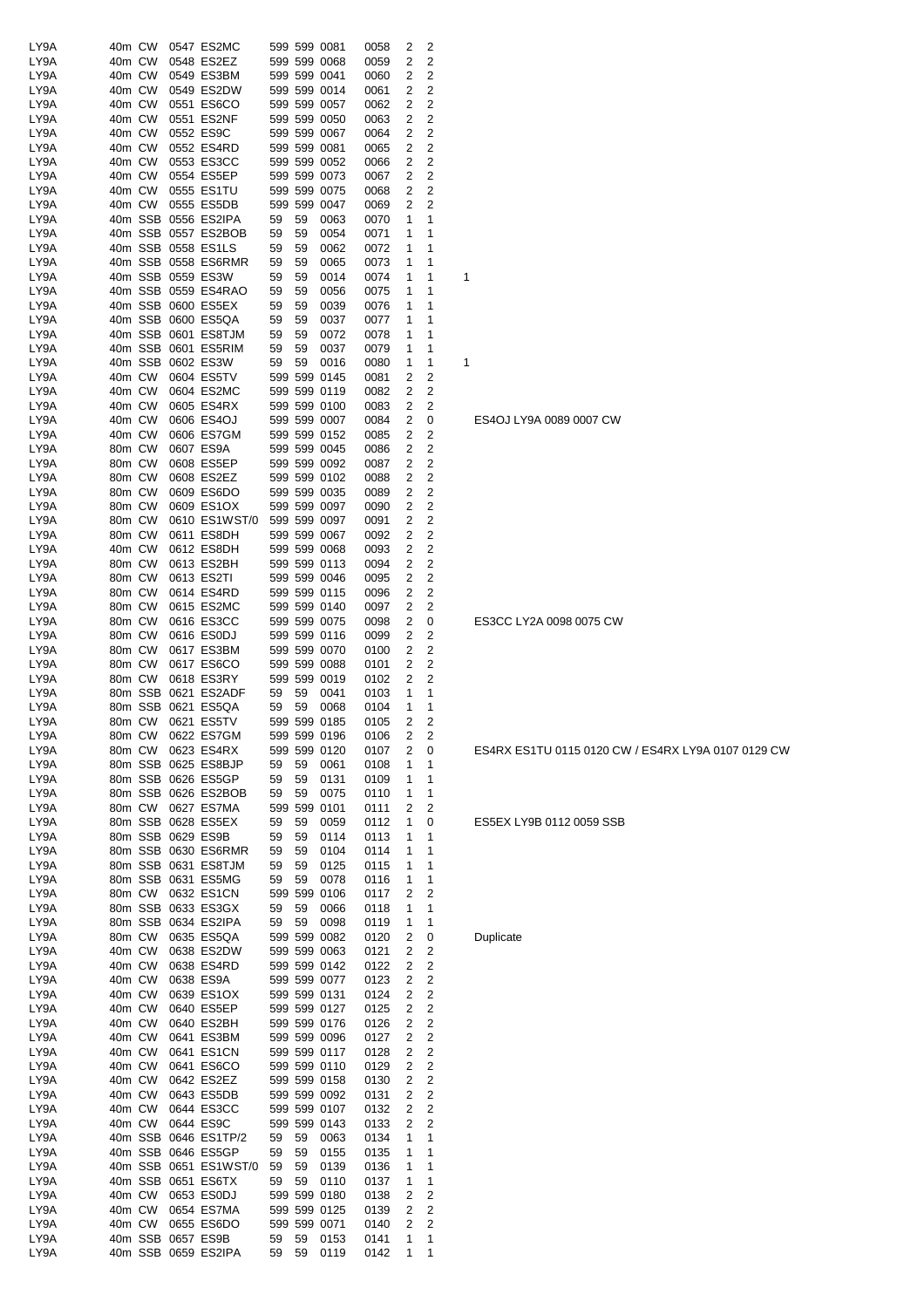| LY9A | 40m CW               | 0547 ES2MC            |    |    | 599 599 0081 | 0058 | 2              | 2                       |   |
|------|----------------------|-----------------------|----|----|--------------|------|----------------|-------------------------|---|
| LY9A | 40m CW               | 0548 ES2EZ            |    |    | 599 599 0068 | 0059 | 2              | $\overline{2}$          |   |
|      |                      |                       |    |    | 599 599 0041 |      |                | $\overline{2}$          |   |
| LY9A | 40m CW               | 0549 ES3BM            |    |    |              | 0060 | 2              |                         |   |
| LY9A | 40m CW               | 0549 ES2DW            |    |    | 599 599 0014 | 0061 | 2              | $\overline{\mathbf{c}}$ |   |
| LY9A | 40m CW               | 0551 ES6CO            |    |    | 599 599 0057 | 0062 | 2              | 2                       |   |
| LY9A | 40m CW               | 0551 ES2NF            |    |    | 599 599 0050 | 0063 | 2              | 2                       |   |
| LY9A | 40m CW               | 0552 ES9C             |    |    | 599 599 0067 | 0064 | 2              | $\overline{2}$          |   |
| LY9A | 40m CW               | 0552 ES4RD            |    |    | 599 599 0081 | 0065 | 2              | $\overline{2}$          |   |
| LY9A | 40m CW               | 0553 ES3CC            |    |    | 599 599 0052 | 0066 | 2              | $\overline{2}$          |   |
|      |                      |                       |    |    |              |      |                | $\overline{\mathbf{c}}$ |   |
| LY9A | 40m CW               | 0554 ES5EP            |    |    | 599 599 0073 | 0067 | 2              |                         |   |
| LY9A | 40m CW               | 0555 ES1TU            |    |    | 599 599 0075 | 0068 | 2              | $\overline{2}$          |   |
| LY9A | 40m CW               | 0555 ES5DB            |    |    | 599 599 0047 | 0069 | 2              | 2                       |   |
| LY9A | 40m SSB 0556 ES2IPA  |                       | 59 | 59 | 0063         | 0070 | 1              | 1                       |   |
| LY9A | 40m SSB 0557 ES2BOB  |                       | 59 | 59 | 0054         | 0071 | 1              | 1                       |   |
| LY9A | 40m SSB 0558 ES1LS   |                       | 59 | 59 | 0062         | 0072 | 1              | 1                       |   |
|      |                      |                       |    |    |              |      |                |                         |   |
| LY9A | 40m SSB 0558 ES6RMR  |                       | 59 | 59 | 0065         | 0073 | 1              | 1                       |   |
| LY9A | 40m SSB 0559 ES3W    |                       | 59 | 59 | 0014         | 0074 | 1              | 1                       | 1 |
| LY9A | 40m SSB 0559 ES4RAO  |                       | 59 | 59 | 0056         | 0075 | 1              | 1                       |   |
| LY9A | 40m SSB 0600 ES5EX   |                       | 59 | 59 | 0039         | 0076 | 1              | 1                       |   |
| LY9A | 40m SSB 0600 ES5QA   |                       | 59 | 59 | 0037         | 0077 | 1              | 1                       |   |
| LY9A | 40m SSB 0601 ES8TJM  |                       | 59 | 59 | 0072         | 0078 | 1              | 1                       |   |
| LY9A | 40m SSB 0601 ES5RIM  |                       | 59 | 59 | 0037         | 0079 | 1              | 1                       |   |
|      | 40m SSB 0602 ES3W    |                       |    |    |              |      |                |                         |   |
| LY9A |                      |                       | 59 | 59 | 0016         | 0080 | 1              | 1                       | 1 |
| LY9A | 40m CW               | 0604 ES5TV            |    |    | 599 599 0145 | 0081 | 2              | 2                       |   |
| LY9A | 40m CW               | 0604 ES2MC            |    |    | 599 599 0119 | 0082 | 2              | $\overline{2}$          |   |
| LY9A | 40m CW               | 0605 ES4RX            |    |    | 599 599 0100 | 0083 | 2              | 2                       |   |
| LY9A | 40m CW               | 0606 ES4OJ            |    |    | 599 599 0007 | 0084 | 2              | 0                       |   |
| LY9A | 40m CW               | 0606 ES7GM            |    |    | 599 599 0152 | 0085 | 2              | $\overline{\mathbf{c}}$ |   |
|      | 80m CW               |                       |    |    |              |      |                |                         |   |
| LY9A |                      | 0607 ES9A             |    |    | 599 599 0045 | 0086 | 2              | $\overline{\mathbf{c}}$ |   |
| LY9A | 80m CW               | 0608 ES5EP            |    |    | 599 599 0092 | 0087 | 2              | 2                       |   |
| LY9A | 80m CW               | 0608 ES2EZ            |    |    | 599 599 0102 | 0088 | 2              | 2                       |   |
| LY9A | 80m CW               | 0609 ES6DO            |    |    | 599 599 0035 | 0089 | 2              | $\overline{2}$          |   |
| LY9A | 80m CW               | 0609 ES1OX            |    |    | 599 599 0097 | 0090 | $\overline{2}$ | $\overline{2}$          |   |
| LY9A | 80m CW               | 0610 ES1WST/0         |    |    | 599 599 0097 | 0091 | 2              | $\overline{2}$          |   |
|      |                      |                       |    |    |              |      |                | $\overline{2}$          |   |
| LY9A | 80m CW               | 0611 ES8DH            |    |    | 599 599 0067 | 0092 | 2              |                         |   |
| LY9A | 40m CW               | 0612 ES8DH            |    |    | 599 599 0068 | 0093 | 2              | 2                       |   |
| LY9A | 80m CW               | 0613 ES2BH            |    |    | 599 599 0113 | 0094 | 2              | 2                       |   |
| LY9A | 80m CW               | 0613 ES2TI            |    |    | 599 599 0046 | 0095 | 2              | $\overline{2}$          |   |
| LY9A | 80m CW               | 0614 ES4RD            |    |    | 599 599 0115 | 0096 | 2              | $\overline{2}$          |   |
| LY9A | 80m CW               | 0615 ES2MC            |    |    | 599 599 0140 | 0097 | 2              | $\overline{2}$          |   |
| LY9A | 80m CW               | 0616 ES3CC            |    |    | 599 599 0075 | 0098 | 2              | 0                       |   |
|      |                      |                       |    |    |              |      |                |                         |   |
| LY9A | 80m CW               | 0616 ES0DJ            |    |    | 599 599 0116 | 0099 | 2              | 2                       |   |
| LY9A | 80m CW               | 0617 ES3BM            |    |    | 599 599 0070 | 0100 | 2              | 2                       |   |
| LY9A | 80m CW               | 0617 ES6CO            |    |    | 599 599 0088 | 0101 | 2              | $\overline{2}$          |   |
| LY9A | 80m CW               | 0618 ES3RY            |    |    | 599 599 0019 | 0102 | 2              | $\overline{2}$          |   |
| LY9A | 80m SSB 0621 ES2ADF  |                       | 59 | 59 | 0041         | 0103 | 1              | 1                       |   |
| LY9A | 80m SSB 0621 ES5QA   |                       | 59 | 59 | 0068         | 0104 | 1              | 1                       |   |
| LY9A | 80m CW               | 0621 ES5TV            |    |    | 599 599 0185 | 0105 | 2              | 2                       |   |
|      |                      |                       |    |    |              |      |                |                         |   |
| LY9A | 80m CW               | 0622 ES7GM            |    |    | 599 599 0196 | 0106 | 2              | 2                       |   |
| LY9A | 80m CW               | 0623 ES4RX            |    |    | 599 599 0120 | 0107 | 2              | 0                       |   |
| LY9A | 80m SSB 0625 ES8BJP  |                       | 59 | 59 | 0061         | 0108 | 1              | 1                       |   |
| LY9A | 80m SSB 0626 ES5GP   |                       | 59 | 59 | 0131         | 0109 | 1              | 1                       |   |
| LY9A | 80m SSB 0626 ES2BOB  |                       | 59 | 59 | 0075         | 0110 | 1              | 1                       |   |
| LY9A | 80m CW               | 0627 ES7MA            |    |    | 599 599 0101 | 0111 | 2              | 2                       |   |
| LY9A | 80m SSB 0628 ES5EX   |                       | 59 | 59 | 0059         | 0112 | 1              | 0                       |   |
|      |                      |                       |    |    |              | 0113 |                |                         |   |
| LY9A | 80m SSB 0629 ES9B    |                       | 59 | 59 | 0114         |      | 1              | 1                       |   |
| LY9A | 80m SSB 0630 ES6RMR  |                       | 59 | 59 | 0104         | 0114 | 1              | 1                       |   |
| LY9A | 80m SSB 0631 ES8TJM  |                       | 59 | 59 | 0125         | 0115 | 1              | 1                       |   |
| LY9A | 80m SSB 0631 ES5MG   |                       | 59 | 59 | 0078         | 0116 | 1              | 1                       |   |
| LY9A | 80m CW               | 0632 ES1CN            |    |    | 599 599 0106 | 0117 | 2              | 2                       |   |
| LY9A | 80m SSB 0633 ES3GX   |                       | 59 | 59 | 0066         | 0118 | 1              | 1                       |   |
| LY9A | 80m SSB 0634 ES2IPA  |                       | 59 | 59 | 0098         | 0119 | 1              | 1                       |   |
| LY9A | 80m CW               | 0635 ES5QA            |    |    | 599 599 0082 | 0120 | 2              | 0                       |   |
|      | 40m CW               |                       |    |    |              |      |                | $\overline{2}$          |   |
| LY9A |                      | 0638 ES2DW            |    |    | 599 599 0063 | 0121 | 2              |                         |   |
| LY9A | 40m CW               | 0638 ES4RD            |    |    | 599 599 0142 | 0122 | 2              | 2                       |   |
| LY9A | 40m CW               | 0638 ES9A             |    |    | 599 599 0077 | 0123 | 2              | $\overline{c}$          |   |
| LY9A | 40m CW               | 0639 ES1OX            |    |    | 599 599 0131 | 0124 | 2              | 2                       |   |
| LY9A | 40m CW               | 0640 ES5EP            |    |    | 599 599 0127 | 0125 | 2              | $\overline{2}$          |   |
| LY9A | 40m CW               | 0640 ES2BH            |    |    | 599 599 0176 | 0126 | 2              | $\overline{c}$          |   |
| LY9A | 40m CW               | 0641 ES3BM            |    |    | 599 599 0096 | 0127 | 2              | $\overline{2}$          |   |
|      |                      |                       |    |    |              |      |                | $\overline{c}$          |   |
| LY9A | 40m CW               | 0641 ES1CN            |    |    | 599 599 0117 | 0128 | 2              |                         |   |
| LY9A | 40m CW               | 0641 ES6CO            |    |    | 599 599 0110 | 0129 | 2              | $\overline{\mathbf{c}}$ |   |
| LY9A | 40m CW               | 0642 ES2EZ            |    |    | 599 599 0158 | 0130 | 2              | 2                       |   |
| LY9A | 40m CW               | 0643 ES5DB            |    |    | 599 599 0092 | 0131 | 2              | 2                       |   |
| LY9A | 40m CW               | 0644 ES3CC            |    |    | 599 599 0107 | 0132 | 2              | $\overline{2}$          |   |
| LY9A | 40m CW               | 0644 ES9C             |    |    | 599 599 0143 | 0133 | 2              | $\overline{2}$          |   |
| LY9A | 40m SSB 0646 ES1TP/2 |                       | 59 | 59 | 0063         | 0134 | 1              | 1                       |   |
|      |                      |                       |    |    |              |      |                |                         |   |
| LY9A | 40m SSB 0646 ES5GP   |                       | 59 | 59 | 0155         | 0135 | 1              | 1                       |   |
| LY9A |                      | 40m SSB 0651 ES1WST/0 | 59 | 59 | 0139         | 0136 | 1              | 1                       |   |
| LY9A | 40m SSB 0651 ES6TX   |                       | 59 | 59 | 0110         | 0137 | 1              | 1                       |   |
| LY9A | 40m CW               | 0653 ES0DJ            |    |    | 599 599 0180 | 0138 | 2              | $\overline{2}$          |   |
| LY9A | 40m CW               | 0654 ES7MA            |    |    | 599 599 0125 | 0139 | 2              | 2                       |   |
| LY9A | 40m CW               | 0655 ES6DO            |    |    | 599 599 0071 | 0140 | 2              | $\overline{2}$          |   |
|      | 40m SSB 0657 ES9B    |                       |    |    |              |      |                |                         |   |
| LY9A |                      |                       | 59 | 59 | 0153         | 0141 | 1              | 1                       |   |
| LY9A | 40m SSB 0659 ES2IPA  |                       | 59 | 59 | 0119         | 0142 | 1              | 1                       |   |

# **Duplicate**

ES5EX LY9B 0112 0059 SSB

ES4RX ES1TU 0115 0120 CW / ES4RX LY9A 0107 0129 CW

ES3CC LY2A 0098 0075 CW

ES4OJ LY9A 0089 0007 CW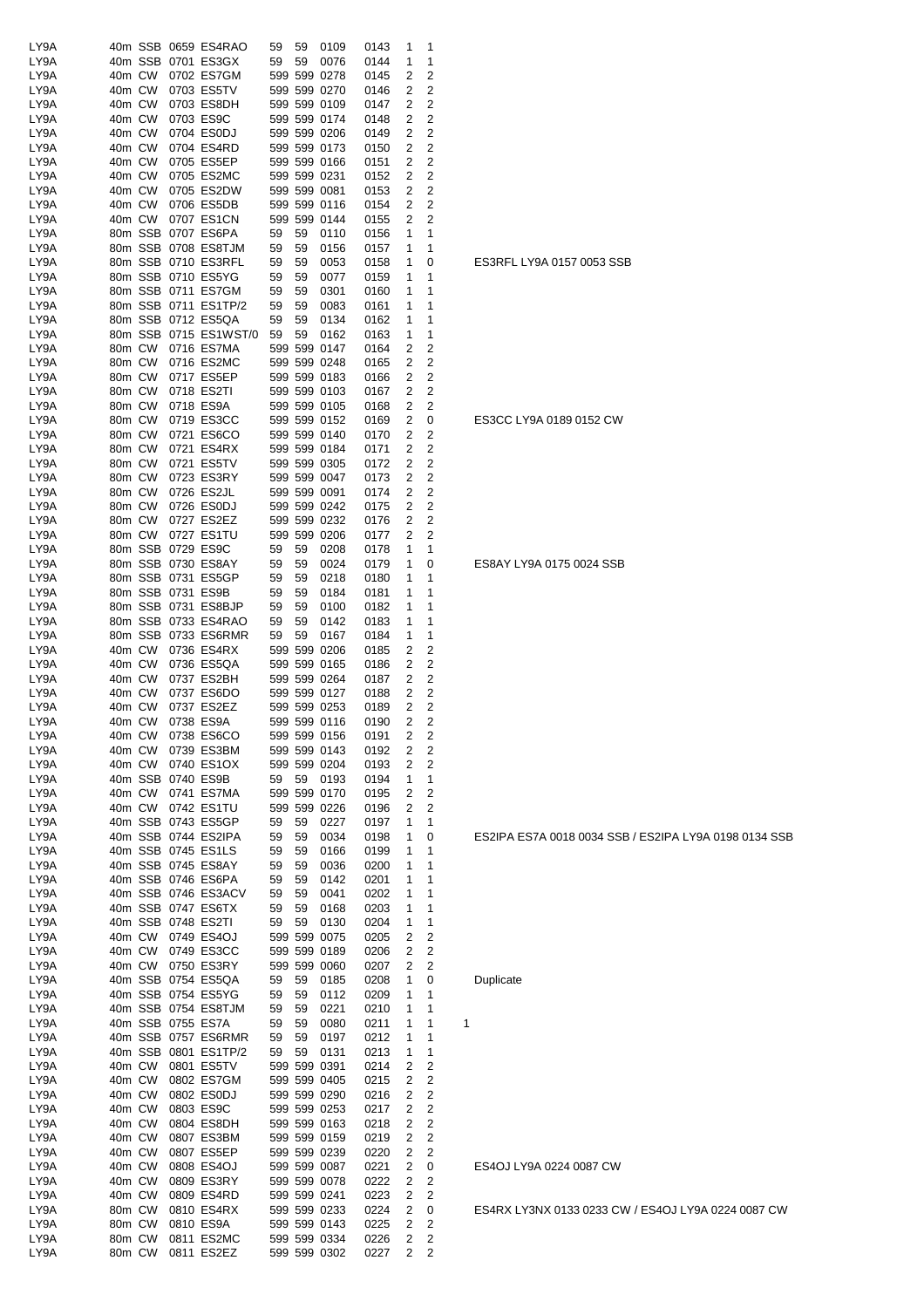| LY9A |        |        | 40m SSB 0659 ES4RAO   | 59 | 59 | 0109         | 0143 | 1 | 1              |   |
|------|--------|--------|-----------------------|----|----|--------------|------|---|----------------|---|
| LY9A |        |        | 40m SSB 0701 ES3GX    | 59 | 59 | 0076         | 0144 | 1 | 1              |   |
| LY9A |        | 40m CW | 0702 ES7GM            |    |    | 599 599 0278 | 0145 | 2 | 2              |   |
| LY9A | 40m CW |        | 0703 ES5TV            |    |    | 599 599 0270 | 0146 | 2 | $\overline{c}$ |   |
|      |        |        |                       |    |    |              |      |   |                |   |
| LY9A |        | 40m CW | 0703 ES8DH            |    |    | 599 599 0109 | 0147 | 2 | 2              |   |
| LY9A | 40m CW |        | 0703 ES9C             |    |    | 599 599 0174 | 0148 | 2 | 2              |   |
| LY9A | 40m CW |        | 0704 ES0DJ            |    |    | 599 599 0206 | 0149 | 2 | $\overline{c}$ |   |
| LY9A |        | 40m CW | 0704 ES4RD            |    |    | 599 599 0173 | 0150 | 2 | 2              |   |
|      |        |        |                       |    |    |              |      |   |                |   |
| LY9A |        | 40m CW | 0705 ES5EP            |    |    | 599 599 0166 | 0151 | 2 | 2              |   |
| LY9A |        | 40m CW | 0705 ES2MC            |    |    | 599 599 0231 | 0152 | 2 | 2              |   |
| LY9A |        | 40m CW | 0705 ES2DW            |    |    | 599 599 0081 | 0153 | 2 | $\overline{c}$ |   |
|      |        |        |                       |    |    |              |      |   |                |   |
| LY9A |        | 40m CW | 0706 ES5DB            |    |    | 599 599 0116 | 0154 | 2 | 2              |   |
| LY9A |        | 40m CW | 0707 ES1CN            |    |    | 599 599 0144 | 0155 | 2 | 2              |   |
| LY9A |        |        | 80m SSB 0707 ES6PA    | 59 | 59 | 0110         | 0156 | 1 | 1              |   |
| LY9A |        |        | 80m SSB 0708 ES8TJM   | 59 | 59 | 0156         | 0157 | 1 | 1              |   |
|      |        |        |                       |    |    |              |      |   |                |   |
| LY9A |        |        | 80m SSB 0710 ES3RFL   | 59 | 59 | 0053         | 0158 | 1 | 0              |   |
| LY9A |        |        | 80m SSB 0710 ES5YG    | 59 | 59 | 0077         | 0159 | 1 | 1              |   |
| LY9A |        |        | 80m SSB 0711 ES7GM    | 59 | 59 | 0301         | 0160 | 1 | 1              |   |
|      |        |        |                       |    |    |              |      | 1 | 1              |   |
| LY9A |        |        | 80m SSB 0711 ES1TP/2  | 59 | 59 | 0083         | 0161 |   |                |   |
| LY9A |        |        | 80m SSB 0712 ES5QA    | 59 | 59 | 0134         | 0162 | 1 | 1              |   |
| LY9A |        |        | 80m SSB 0715 ES1WST/0 | 59 | 59 | 0162         | 0163 | 1 | 1              |   |
| LY9A |        | 80m CW | 0716 ES7MA            |    |    | 599 599 0147 | 0164 | 2 | 2              |   |
|      |        |        |                       |    |    |              |      |   |                |   |
| LY9A |        | 80m CW | 0716 ES2MC            |    |    | 599 599 0248 | 0165 | 2 | 2              |   |
| LY9A |        | 80m CW | 0717 ES5EP            |    |    | 599 599 0183 | 0166 | 2 | 2              |   |
| LY9A |        | 80m CW | 0718 ES2TI            |    |    | 599 599 0103 | 0167 | 2 | 2              |   |
| LY9A |        | 80m CW | 0718 ES9A             |    |    | 599 599 0105 | 0168 | 2 | 2              |   |
|      |        |        |                       |    |    |              |      |   |                |   |
| LY9A |        | 80m CW | 0719 ES3CC            |    |    | 599 599 0152 | 0169 | 2 | 0              |   |
| LY9A |        | 80m CW | 0721 ES6CO            |    |    | 599 599 0140 | 0170 | 2 | $\overline{c}$ |   |
| LY9A |        | 80m CW | 0721 ES4RX            |    |    | 599 599 0184 | 0171 | 2 | $\overline{c}$ |   |
|      |        |        |                       |    |    |              |      |   |                |   |
| LY9A |        | 80m CW | 0721 ES5TV            |    |    | 599 599 0305 | 0172 | 2 | 2              |   |
| LY9A |        | 80m CW | 0723 ES3RY            |    |    | 599 599 0047 | 0173 | 2 | 2              |   |
| LY9A |        | 80m CW | 0726 ES2JL            |    |    | 599 599 0091 | 0174 | 2 | 2              |   |
|      |        |        |                       |    |    |              |      |   |                |   |
| LY9A |        | 80m CW | 0726 ES0DJ            |    |    | 599 599 0242 | 0175 | 2 | 2              |   |
| LY9A |        | 80m CW | 0727 ES2EZ            |    |    | 599 599 0232 | 0176 | 2 | 2              |   |
| LY9A |        | 80m CW | 0727 ES1TU            |    |    | 599 599 0206 | 0177 | 2 | 2              |   |
| LY9A |        |        | 80m SSB 0729 ES9C     | 59 | 59 | 0208         |      | 1 | 1              |   |
|      |        |        |                       |    |    |              | 0178 |   |                |   |
| LY9A |        |        | 80m SSB 0730 ES8AY    | 59 | 59 | 0024         | 0179 | 1 | 0              |   |
| LY9A |        |        | 80m SSB 0731 ES5GP    | 59 | 59 | 0218         | 0180 | 1 | 1              |   |
| LY9A |        |        | 80m SSB 0731 ES9B     | 59 | 59 | 0184         | 0181 | 1 | 1              |   |
|      |        |        |                       |    |    |              |      |   |                |   |
| LY9A |        |        | 80m SSB 0731 ES8BJP   | 59 | 59 | 0100         | 0182 | 1 | 1              |   |
| LY9A |        |        | 80m SSB 0733 ES4RAO   | 59 | 59 | 0142         | 0183 | 1 | 1              |   |
| LY9A |        |        | 80m SSB 0733 ES6RMR   | 59 | 59 | 0167         | 0184 | 1 | 1              |   |
| LY9A |        | 40m CW | 0736 ES4RX            |    |    | 599 599 0206 | 0185 | 2 | 2              |   |
|      |        |        |                       |    |    |              |      |   |                |   |
| LY9A |        | 40m CW | 0736 ES5QA            |    |    | 599 599 0165 | 0186 | 2 | 2              |   |
| LY9A |        | 40m CW | 0737 ES2BH            |    |    | 599 599 0264 | 0187 | 2 | 2              |   |
| LY9A |        | 40m CW | 0737 ES6DO            |    |    | 599 599 0127 | 0188 | 2 | 2              |   |
|      |        |        |                       |    |    |              |      |   |                |   |
| LY9A |        | 40m CW | 0737 ES2EZ            |    |    | 599 599 0253 | 0189 | 2 | 2              |   |
| LY9A |        | 40m CW | 0738 ES9A             |    |    | 599 599 0116 | 0190 | 2 | 2              |   |
| LY9A | 40m CW |        | 0738 ES6CO            |    |    | 599 599 0156 | 0191 | 2 | 2              |   |
| LY9A |        | 40m CW | 0739 ES3BM            |    |    | 599 599 0143 | 0192 | 2 | 2              |   |
|      |        |        |                       |    |    |              |      |   |                |   |
| LY9A |        | 40m CW | 0740 ES1OX            |    |    | 599 599 0204 | 0193 | 2 | 2              |   |
| LY9A |        |        | 40m SSB 0740 ES9B     | 59 | 59 | 0193         | 0194 | 1 | 1              |   |
| LY9A |        | 40m CW | 0741 ES7MA            |    |    | 599 599 0170 | 0195 | 2 | $\overline{c}$ |   |
| LY9A |        | 40m CW | 0742 ES1TU            |    |    | 599 599 0226 | 0196 | 2 | $\overline{c}$ |   |
|      |        |        |                       |    |    |              |      |   |                |   |
| LY9A |        |        | 40m SSB 0743 ES5GP    | 59 | 59 | 0227         | 0197 | 1 | 1              |   |
| LY9A |        |        | 40m SSB 0744 ES2IPA   | 59 | 59 | 0034         | 0198 | 1 | 0              |   |
| LY9A |        |        | 40m SSB 0745 ES1LS    | 59 | 59 | 0166         | 0199 | 1 | 1              |   |
|      |        |        |                       |    |    |              |      |   |                |   |
| LY9A |        |        | 40m SSB 0745 ES8AY    | 59 | 59 | 0036         | 0200 | 1 | 1              |   |
| LY9A |        |        | 40m SSB 0746 ES6PA    | 59 | 59 | 0142         | 0201 | 1 | 1              |   |
| LY9A |        |        | 40m SSB 0746 ES3ACV   | 59 | 59 | 0041         | 0202 | 1 | 1              |   |
| LY9A |        |        | 40m SSB 0747 ES6TX    | 59 | 59 | 0168         | 0203 | 1 | 1              |   |
| LY9A |        |        | 40m SSB 0748 ES2TI    | 59 | 59 | 0130         | 0204 | 1 | 1              |   |
|      |        |        |                       |    |    |              |      |   |                |   |
| LY9A |        | 40m CW | 0749 ES4OJ            |    |    | 599 599 0075 | 0205 | 2 | 2              |   |
| LY9A |        | 40m CW | 0749 ES3CC            |    |    | 599 599 0189 | 0206 | 2 | 2              |   |
| LY9A |        | 40m CW | 0750 ES3RY            |    |    | 599 599 0060 | 0207 | 2 | $\overline{c}$ |   |
|      |        |        |                       |    |    |              |      |   |                |   |
| LY9A |        |        | 40m SSB 0754 ES5QA    | 59 | 59 | 0185         | 0208 | 1 | 0              |   |
| LY9A |        |        | 40m SSB 0754 ES5YG    | 59 | 59 | 0112         | 0209 | 1 | 1              |   |
| LY9A |        |        | 40m SSB 0754 ES8TJM   | 59 | 59 | 0221         | 0210 | 1 | 1              |   |
| LY9A |        |        | 40m SSB 0755 ES7A     | 59 | 59 | 0080         | 0211 | 1 | 1              | 1 |
|      |        |        |                       |    |    |              |      |   |                |   |
| LY9A |        |        | 40m SSB 0757 ES6RMR   | 59 | 59 | 0197         | 0212 | 1 | 1              |   |
| LY9A |        |        | 40m SSB 0801 ES1TP/2  | 59 | 59 | 0131         | 0213 | 1 | 1              |   |
| LY9A |        | 40m CW | 0801 ES5TV            |    |    | 599 599 0391 | 0214 | 2 | 2              |   |
| LY9A |        | 40m CW | 0802 ES7GM            |    |    | 599 599 0405 |      | 2 | 2              |   |
|      |        |        |                       |    |    |              | 0215 |   |                |   |
| LY9A |        | 40m CW | 0802 ES0DJ            |    |    | 599 599 0290 | 0216 | 2 | 2              |   |
| LY9A | 40m CW |        | 0803 ES9C             |    |    | 599 599 0253 | 0217 | 2 | $\overline{c}$ |   |
| LY9A |        | 40m CW | 0804 ES8DH            |    |    | 599 599 0163 | 0218 | 2 | $\overline{c}$ |   |
|      |        |        |                       |    |    |              |      |   |                |   |
| LY9A | 40m CW |        | 0807 ES3BM            |    |    | 599 599 0159 | 0219 | 2 | 2              |   |
| LY9A | 40m CW |        | 0807 ES5EP            |    |    | 599 599 0239 | 0220 | 2 | $\overline{c}$ |   |
| LY9A | 40m CW |        | 0808 ES4OJ            |    |    | 599 599 0087 | 0221 | 2 | 0              |   |
| LY9A | 40m CW |        | 0809 ES3RY            |    |    | 599 599 0078 | 0222 | 2 | 2              |   |
|      |        |        |                       |    |    |              |      |   |                |   |
| LY9A | 40m CW |        | 0809 ES4RD            |    |    | 599 599 0241 | 0223 | 2 | 2              |   |
| LY9A | 80m CW |        | 0810 ES4RX            |    |    | 599 599 0233 | 0224 | 2 | 0              |   |
| LY9A | 80m CW |        | 0810 ES9A             |    |    | 599 599 0143 | 0225 | 2 | $\overline{c}$ |   |
| LY9A |        | 80m CW |                       |    |    | 599 599 0334 |      |   |                |   |
|      |        | 80m CW | 0811 ES2MC            |    |    |              | 0226 | 2 | 2<br>2         |   |
| LY9A |        |        | 0811 ES2EZ            |    |    | 599 599 0302 | 0227 | 2 |                |   |

# ES4RX LY3NX 0133 0233 CW / ES4OJ LY9A 0224 0087 CW

ES4OJ LY9A 0224 0087 CW

**Duplicate** 

ES2IPA ES7A 0018 0034 SSB / ES2IPA LY9A 0198 0134 SSB

ES8AY LY9A 0175 0024 SSB

ES3CC LY9A 0189 0152 CW

ES3RFL LY9A 0157 0053 SSB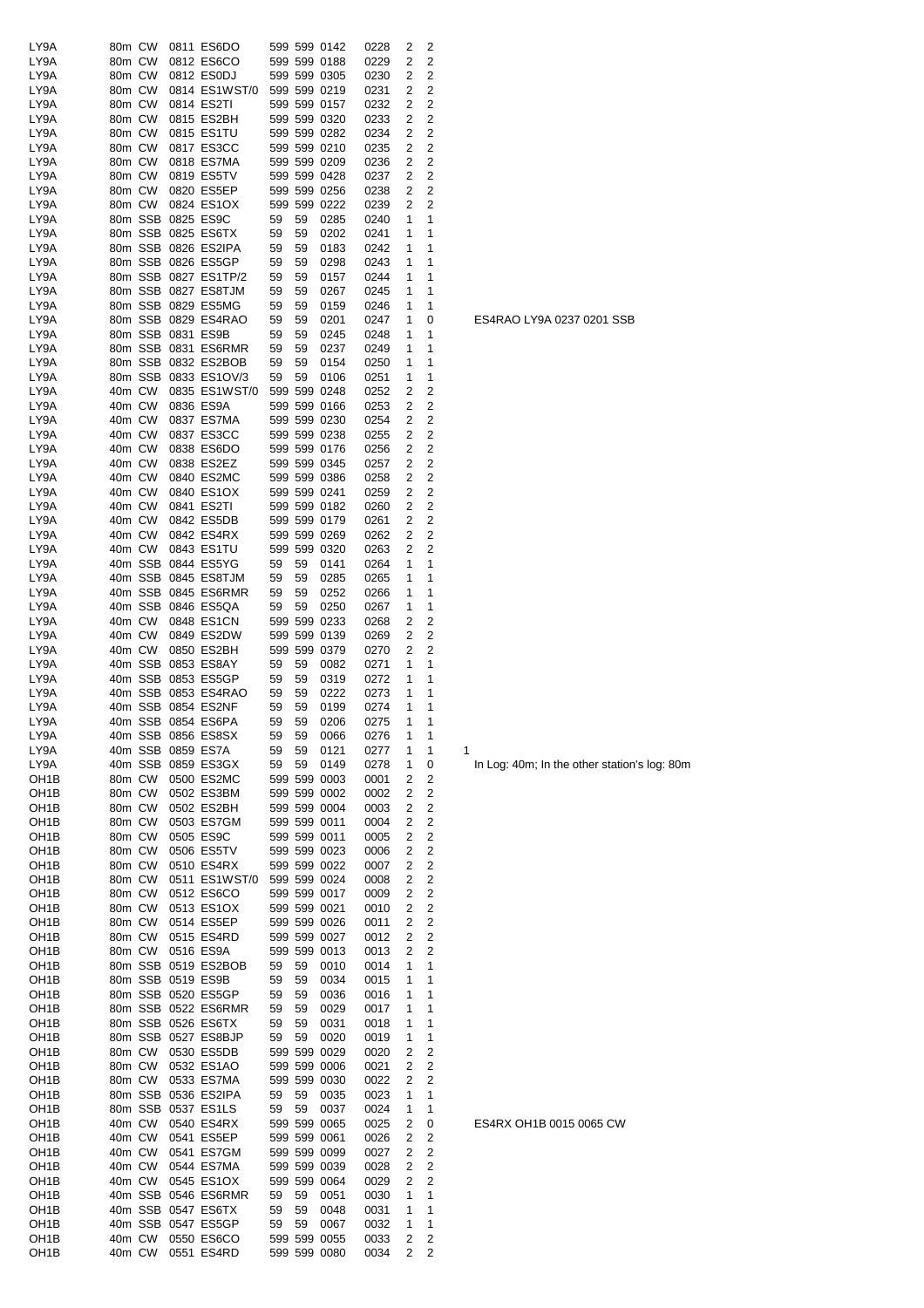| LY9A              | 80m CW |         |                   | 0811 ES6DO                 |     |    | 599 599 0142 | 0228 | 2 | 2              |   |
|-------------------|--------|---------|-------------------|----------------------------|-----|----|--------------|------|---|----------------|---|
| LY9A              | 80m CW |         |                   | 0812 ES6CO                 |     |    | 599 599 0188 | 0229 | 2 | 2              |   |
| LY9A              | 80m CW |         |                   | 0812 ES0DJ                 |     |    | 599 599 0305 | 0230 | 2 | 2              |   |
| LY9A              | 80m CW |         |                   | 0814 ES1WST/0 599 599 0219 |     |    |              | 0231 | 2 | 2              |   |
| LY9A              | 80m CW |         |                   | 0814 ES2TI                 |     |    | 599 599 0157 | 0232 | 2 | 2              |   |
| LY9A              | 80m CW |         |                   | 0815 ES2BH                 |     |    | 599 599 0320 | 0233 | 2 | 2              |   |
| LY9A              | 80m CW |         |                   | 0815 ES1TU                 |     |    | 599 599 0282 | 0234 | 2 | 2              |   |
| LY9A              | 80m CW |         |                   | 0817 ES3CC                 |     |    | 599 599 0210 | 0235 | 2 | 2              |   |
| LY9A              | 80m CW |         |                   | 0818 ES7MA                 |     |    | 599 599 0209 | 0236 | 2 | 2              |   |
| LY9A              | 80m CW |         |                   | 0819 ES5TV                 |     |    | 599 599 0428 | 0237 | 2 | 2              |   |
| LY9A              | 80m CW |         |                   | 0820 ES5EP                 |     |    | 599 599 0256 | 0238 | 2 | 2              |   |
| LY9A              |        | 80m CW  |                   | 0824 ES1OX                 |     |    | 599 599 0222 | 0239 | 2 | 2              |   |
| LY9A              |        |         | 80m SSB 0825 ES9C |                            | 59  | 59 | 0285         | 0240 | 1 | 1              |   |
| LY9A              |        |         |                   | 80m SSB 0825 ES6TX         | 59  | 59 | 0202         | 0241 | 1 | 1              |   |
| LY9A              |        |         |                   | 80m SSB 0826 ES2IPA        | 59  | 59 | 0183         | 0242 | 1 | 1              |   |
| LY9A              |        |         |                   | 80m SSB 0826 ES5GP         | 59  | 59 | 0298         | 0243 | 1 | 1              |   |
| LY9A              |        |         |                   | 80m SSB 0827 ES1TP/2       | 59  | 59 | 0157         | 0244 | 1 | 1              |   |
| LY9A              |        |         |                   | 80m SSB 0827 ES8TJM        | 59  | 59 | 0267         | 0245 | 1 | 1              |   |
| LY9A              |        |         |                   | 80m SSB 0829 ES5MG         | 59  | 59 | 0159         | 0246 | 1 | 1              |   |
|                   |        |         |                   |                            |     |    |              |      |   |                |   |
| LY9A              |        |         |                   | 80m SSB 0829 ES4RAO        | 59  | 59 | 0201         | 0247 | 1 | 0              |   |
| LY9A              |        |         | 80m SSB 0831 ES9B |                            | 59  | 59 | 0245         | 0248 | 1 | 1              |   |
| LY9A              |        |         |                   | 80m SSB 0831 ES6RMR        | 59  | 59 | 0237         | 0249 | 1 | 1              |   |
| LY9A              |        |         |                   | 80m SSB 0832 ES2BOB        | 59  | 59 | 0154         | 0250 | 1 | 1              |   |
| LY9A              |        |         |                   | 80m SSB 0833 ES1OV/3       | 59  | 59 | 0106         | 0251 | 1 | 1              |   |
| LY9A              |        | 40m CW  |                   | 0835 ES1WST/0              |     |    | 599 599 0248 | 0252 | 2 | 2              |   |
| LY9A              | 40m CW |         |                   | 0836 ES9A                  |     |    | 599 599 0166 | 0253 | 2 | 2              |   |
| LY9A              | 40m CW |         |                   | 0837 ES7MA                 |     |    | 599 599 0230 | 0254 | 2 | 2              |   |
| LY9A              | 40m CW |         |                   | 0837 ES3CC                 |     |    | 599 599 0238 | 0255 | 2 | 2              |   |
| LY9A              | 40m CW |         |                   | 0838 ES6DO                 |     |    | 599 599 0176 | 0256 | 2 | 2              |   |
| LY9A              | 40m CW |         |                   | 0838 ES2EZ                 |     |    | 599 599 0345 | 0257 | 2 | 2              |   |
| LY9A              | 40m CW |         |                   | 0840 ES2MC                 |     |    | 599 599 0386 | 0258 | 2 | 2              |   |
| LY9A              | 40m CW |         |                   | 0840 ES1OX                 |     |    | 599 599 0241 | 0259 | 2 | 2              |   |
| LY9A              | 40m CW |         |                   | 0841 ES2TI                 |     |    | 599 599 0182 | 0260 | 2 | 2              |   |
| LY9A              | 40m CW |         |                   | 0842 ES5DB                 |     |    | 599 599 0179 | 0261 | 2 | 2              |   |
| LY9A              | 40m CW |         |                   | 0842 ES4RX                 |     |    | 599 599 0269 | 0262 | 2 | 2              |   |
| LY9A              | 40m CW |         |                   | 0843 ES1TU                 |     |    | 599 599 0320 | 0263 | 2 | 2              |   |
| LY9A              |        |         |                   | 40m SSB 0844 ES5YG         | 59  | 59 | 0141         | 0264 | 1 | 1              |   |
| LY9A              |        |         |                   |                            |     |    |              |      | 1 | 1              |   |
|                   |        |         |                   | 40m SSB 0845 ES8TJM        | 59  | 59 | 0285         | 0265 |   |                |   |
| LY9A              |        |         |                   | 40m SSB 0845 ES6RMR        | 59  | 59 | 0252         | 0266 | 1 | 1              |   |
| LY9A              |        |         |                   | 40m SSB 0846 ES5QA         | 59  | 59 | 0250         | 0267 | 1 | 1              |   |
| LY9A              | 40m CW |         |                   | 0848 ES1CN                 |     |    | 599 599 0233 | 0268 | 2 | 2              |   |
| LY9A              |        | 40m CW  |                   | 0849 ES2DW                 |     |    | 599 599 0139 | 0269 | 2 | 2              |   |
| LY9A              | 40m CW |         |                   | 0850 ES2BH                 |     |    | 599 599 0379 | 0270 | 2 | 2              |   |
| LY9A              |        |         |                   | 40m SSB 0853 ES8AY         | 59  | 59 | 0082         | 0271 | 1 | 1              |   |
| LY9A              |        |         |                   | 40m SSB 0853 ES5GP         | 59  | 59 | 0319         | 0272 | 1 | 1              |   |
| LY9A              |        |         |                   | 40m SSB 0853 ES4RAO        | -59 | 59 | 0222         | 0273 | 1 | 1              |   |
| LY9A              |        |         |                   | 40m SSB 0854 ES2NF         | 59  | 59 | 0199         | 0274 | 1 | 1              |   |
| LY9A              |        |         |                   | 40m SSB 0854 ES6PA         | 59  | 59 | 0206         | 0275 | 1 | 1              |   |
| LY9A              |        |         |                   | 40m SSB 0856 ES8SX         | 59  | 59 | 0066         | 0276 | 1 | 1              |   |
| LY9A              |        |         | 40m SSB 0859 ES7A |                            | 59  | 59 | 0121         | 0277 | 1 | 1              | 1 |
| LY9A              |        | 40m SSB |                   | 0859 ES3GX                 | 59  | 59 | 0149         | 0278 | 1 | 0              |   |
| OH1B              | 80m CW |         |                   | 0500 ES2MC                 |     |    | 599 599 0003 | 0001 | 2 | 2              |   |
| OH <sub>1</sub> B | 80m CW |         |                   | 0502 ES3BM                 |     |    | 599 599 0002 | 0002 | 2 | 2              |   |
| OH <sub>1</sub> B | 80m CW |         |                   | 0502 ES2BH                 |     |    | 599 599 0004 | 0003 | 2 | 2              |   |
| OH <sub>1</sub> B | 80m CW |         |                   | 0503 ES7GM                 |     |    | 599 599 0011 | 0004 | 2 | $\overline{c}$ |   |
| OH <sub>1</sub> B | 80m CW |         |                   | 0505 ES9C                  |     |    | 599 599 0011 | 0005 | 2 | 2              |   |
| OH1B              | 80m CW |         |                   | 0506 ES5TV                 |     |    | 599 599 0023 | 0006 | 2 | 2              |   |
| OH1B              | 80m CW |         |                   | 0510 ES4RX                 |     |    | 599 599 0022 | 0007 | 2 | 2              |   |
| OH <sub>1</sub> B | 80m CW |         |                   | 0511 ES1WST/0              |     |    | 599 599 0024 | 0008 | 2 | 2              |   |
| OH <sub>1</sub> B | 80m CW |         |                   | 0512 ES6CO                 |     |    | 599 599 0017 | 0009 | 2 | 2              |   |
|                   |        |         |                   | 0513 ES1OX                 |     |    | 599 599 0021 |      |   |                |   |
| OH <sub>1</sub> B | 80m CW |         |                   |                            |     |    |              | 0010 | 2 | 2              |   |
| OH <sub>1</sub> B | 80m CW |         |                   | 0514 ES5EP                 |     |    | 599 599 0026 | 0011 | 2 | 2              |   |
| OH <sub>1</sub> B | 80m CW |         |                   | 0515 ES4RD                 |     |    | 599 599 0027 | 0012 | 2 | 2              |   |
| OH <sub>1</sub> B |        | 80m CW  |                   | 0516 ES9A                  |     |    | 599 599 0013 | 0013 | 2 | 2              |   |
| OH1B              |        |         |                   | 80m SSB 0519 ES2BOB        | 59  | 59 | 0010         | 0014 | 1 | 1              |   |
| OH1B              |        |         | 80m SSB 0519 ES9B |                            | 59  | 59 | 0034         | 0015 | 1 | 1              |   |
| OH <sub>1</sub> B |        |         |                   | 80m SSB 0520 ES5GP         | 59  | 59 | 0036         | 0016 | 1 | 1              |   |
| OH1B              |        |         |                   | 80m SSB 0522 ES6RMR        | 59  | 59 | 0029         | 0017 | 1 | 1              |   |
| OH <sub>1</sub> B |        |         |                   | 80m SSB 0526 ES6TX         | 59  | 59 | 0031         | 0018 | 1 | 1              |   |
| OH1B              |        |         |                   | 80m SSB 0527 ES8BJP        | 59  | 59 | 0020         | 0019 | 1 | 1              |   |
| OH1B              |        | 80m CW  |                   | 0530 ES5DB                 |     |    | 599 599 0029 | 0020 | 2 | 2              |   |
| OH1B              | 80m CW |         |                   | 0532 ES1AO                 |     |    | 599 599 0006 | 0021 | 2 | 2              |   |
| OH <sub>1</sub> B | 80m CW |         |                   | 0533 ES7MA                 |     |    | 599 599 0030 | 0022 | 2 | 2              |   |
| OH1B              |        |         |                   | 80m SSB 0536 ES2IPA        | 59  | 59 | 0035         | 0023 | 1 | 1              |   |
| OH <sub>1</sub> B |        |         |                   | 80m SSB 0537 ES1LS         | 59  | 59 | 0037         | 0024 | 1 | 1              |   |
| OH <sub>1</sub> B | 40m CW |         |                   | 0540 ES4RX                 |     |    | 599 599 0065 | 0025 | 2 | 0              |   |
| OH1B              | 40m CW |         |                   | 0541 ES5EP                 |     |    | 599 599 0061 | 0026 | 2 | 2              |   |
| OH <sub>1</sub> B | 40m CW |         |                   | 0541 ES7GM                 |     |    | 599 599 0099 | 0027 | 2 | 2              |   |
| OH <sub>1</sub> B | 40m CW |         |                   | 0544 ES7MA                 |     |    | 599 599 0039 | 0028 | 2 | 2              |   |
| OH <sub>1</sub> B | 40m CW |         |                   | 0545 ES1OX                 |     |    | 599 599 0064 | 0029 | 2 | 2              |   |
| OH1B              |        | 40m SSB |                   | 0546 ES6RMR                | 59  | 59 | 0051         | 0030 | 1 | 1              |   |
| OH1B              |        | 40m SSB |                   | 0547 ES6TX                 | 59  | 59 | 0048         | 0031 | 1 | 1              |   |
| OH1B              |        |         |                   | 40m SSB 0547 ES5GP         | 59  | 59 | 0067         | 0032 | 1 | 1              |   |
|                   |        |         |                   |                            |     |    |              |      |   |                |   |
| OH <sub>1</sub> B | 40m CW |         |                   | 0550 ES6CO                 |     |    | 599 599 0055 | 0033 | 2 | 2              |   |
| OH <sub>1</sub> B |        | 40m CW  |                   | 0551 ES4RD                 |     |    | 599 599 0080 | 0034 | 2 | 2              |   |

ES4RAO LY9A 0237 0201 SSB

In Log: 40m; In the other station's log: 80m

ES4RX OH1B 0015 0065 CW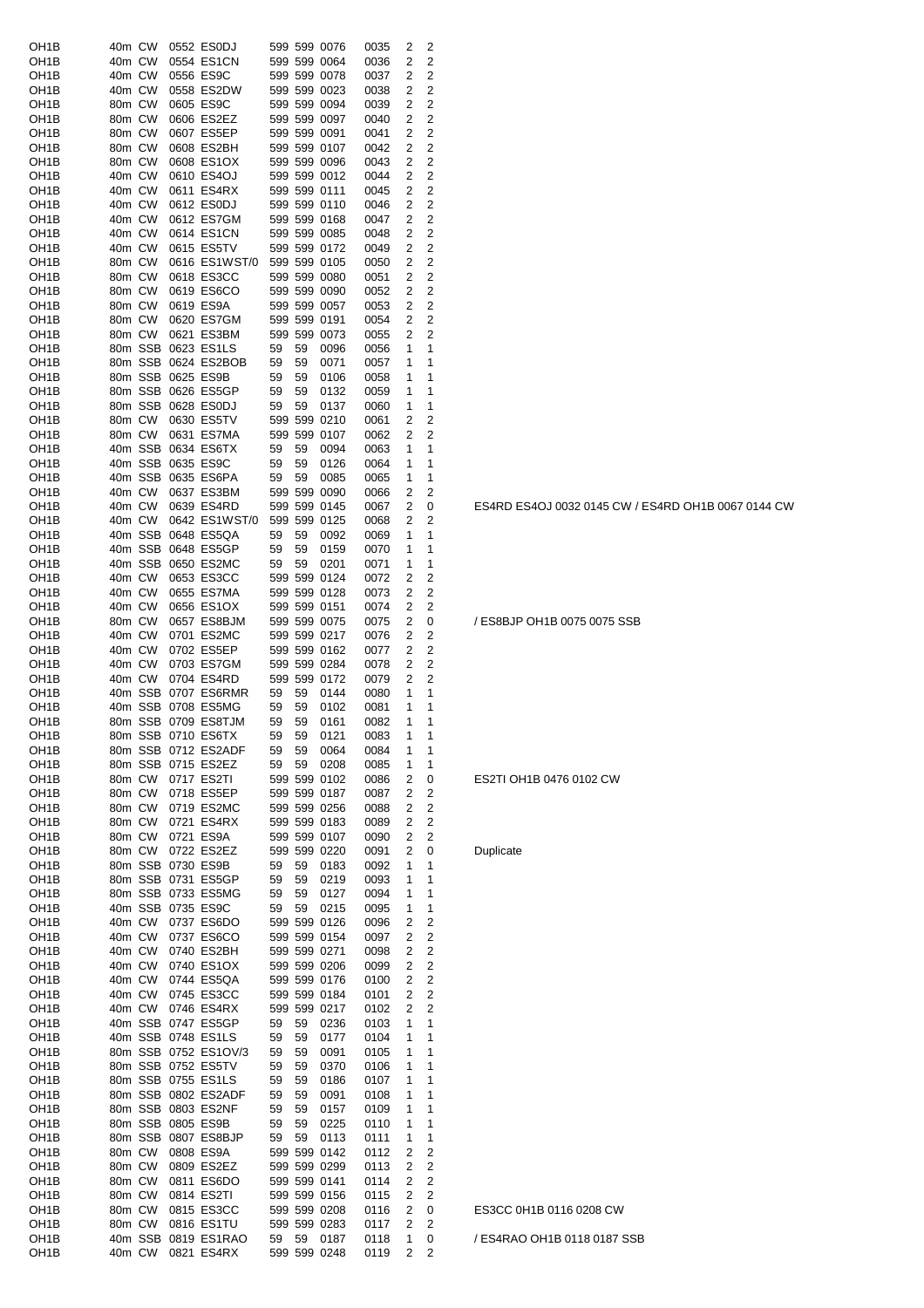| 40m CW<br>40m CW<br>0554 ES1CN<br>OH1B       |          |    | 599 599 0076 | 0035 |      | 2              | 2                       |  |
|----------------------------------------------|----------|----|--------------|------|------|----------------|-------------------------|--|
|                                              |          |    | 599 599 0064 |      | 0036 | 2              | $\overline{c}$          |  |
| 40m CW<br>0556 ES9C<br>OH1B                  |          |    | 599 599 0078 |      | 0037 | 2              | $\overline{\mathbf{c}}$ |  |
| 40m CW<br>0558 ES2DW<br>OH <sub>1</sub> B    |          |    | 599 599 0023 |      | 0038 | 2              | 2                       |  |
| 80m CW<br>0605 ES9C<br>OH1B                  |          |    | 599 599 0094 |      | 0039 | 2              | 2                       |  |
| 80m CW<br>0606 ES2EZ<br>OH1B                 |          |    | 599 599 0097 |      | 0040 | 2              | 2                       |  |
| 0607 ES5EP<br>80m CW<br>OH1B                 |          |    | 599 599 0091 |      | 0041 | $\overline{2}$ | 2                       |  |
| 80m CW<br>0608 ES2BH<br>OH <sub>1</sub> B    |          |    | 599 599 0107 |      | 0042 | 2              | $\overline{c}$          |  |
| 80m CW<br>0608 ES1OX<br>OH1B                 |          |    | 599 599 0096 |      | 0043 | 2              | $\overline{2}$          |  |
|                                              |          |    |              |      |      |                |                         |  |
| OH <sub>1</sub> B<br>40m CW<br>0610 ES4OJ    |          |    | 599 599 0012 |      | 0044 | 2              | 2                       |  |
| 40m CW<br>0611 ES4RX<br>OH1B                 |          |    | 599 599 0111 |      | 0045 | 2              | 2                       |  |
| OH <sub>1</sub> B<br>40m CW<br>0612 ES0DJ    |          |    | 599 599 0110 |      | 0046 | 2              | 2                       |  |
| 40m CW<br>0612 ES7GM<br>OH <sub>1</sub> B    |          |    | 599 599 0168 |      | 0047 | 2              | 2                       |  |
| 40m CW<br>0614 ES1CN<br>OH <sub>1</sub> B    |          |    | 599 599 0085 |      | 0048 | 2              | $\overline{c}$          |  |
| 40m CW<br>0615 ES5TV<br>OH <sub>1</sub> B    |          |    | 599 599 0172 |      | 0049 | 2              | $\overline{c}$          |  |
| 80m CW<br>0616 ES1WST/0<br>OH <sub>1</sub> B |          |    | 599 599 0105 |      | 0050 | 2              | 2                       |  |
| 80m CW<br>0618 ES3CC<br>OH1B                 |          |    | 599 599 0080 |      | 0051 | 2              | 2                       |  |
| 80m CW<br>0619 ES6CO<br>OH1B                 |          |    | 599 599 0090 |      | 0052 | 2              | 2                       |  |
| 80m CW<br>0619 ES9A<br>OH1B                  |          |    | 599 599 0057 |      | 0053 | $\overline{2}$ | 2                       |  |
| 80m CW<br>0620 ES7GM<br>OH1B                 |          |    | 599 599 0191 |      | 0054 | 2              | 2                       |  |
| 80m CW<br>0621 ES3BM<br>OH1B                 |          |    | 599 599 0073 |      | 0055 | 2              | 2                       |  |
| 80m SSB<br>0623 ES1LS<br>OH <sub>1</sub> B   | 59       | 59 | 0096         |      | 0056 | 1              | 1                       |  |
| 80m SSB<br>0624 ES2BOB<br>OH1B               | 59       | 59 | 0071         |      | 0057 | 1              | 1                       |  |
| 80m SSB<br>0625 ES9B<br>OH <sub>1</sub> B    | 59       | 59 | 0106         |      | 0058 | 1              | 1                       |  |
| 80m SSB<br>0626 ES5GP<br>OH <sub>1</sub> B   | 59       | 59 | 0132         |      |      | 1              | 1                       |  |
| 80m SSB<br>0628 ES0DJ<br>OH <sub>1</sub> B   |          |    |              |      | 0059 |                | 1                       |  |
|                                              | 59       | 59 | 0137         |      | 0060 | 1              |                         |  |
| 80m CW<br>0630 ES5TV<br>OH1B                 |          |    | 599 599 0210 |      | 0061 | 2              | $\overline{c}$          |  |
| 80m CW<br>0631 ES7MA<br>OH <sub>1</sub> B    |          |    | 599 599 0107 |      | 0062 | 2              | 2                       |  |
| 40m SSB<br>0634 ES6TX<br>OH1B                | 59       | 59 | 0094         |      | 0063 | 1              | 1                       |  |
| 40m SSB<br>0635 ES9C<br>OH1B                 | 59       | 59 | 0126         |      | 0064 | 1              | 1                       |  |
| 40m SSB<br>0635 ES6PA<br>OH1B                | 59       | 59 | 0085         |      | 0065 | 1              | 1                       |  |
| 40m CW<br>0637 ES3BM<br>OH1B                 |          |    | 599 599 0090 |      | 0066 | 2              | 2                       |  |
| 40m CW<br>0639 ES4RD<br>OH1B                 |          |    | 599 599 0145 |      | 0067 | 2              | 0                       |  |
| 40m CW<br>0642 ES1WST/0<br>OH1B              |          |    | 599 599 0125 |      | 0068 | 2              | 2                       |  |
| 40m SSB<br>0648 ES5QA<br>OH1B                | 59       | 59 | 0092         |      | 0069 | 1              | 1                       |  |
| 40m SSB<br>0648 ES5GP<br>OH <sub>1</sub> B   | 59       | 59 | 0159         |      | 0070 | 1              | 1                       |  |
| 40m SSB<br>0650 ES2MC<br>OH1B                | 59       | 59 | 0201         |      | 0071 | 1              | 1                       |  |
| 40m CW<br>0653 ES3CC<br>OH <sub>1</sub> B    |          |    | 599 599 0124 |      | 0072 | 2              | $\overline{c}$          |  |
| 40m CW<br>0655 ES7MA                         |          |    | 599 599 0128 |      |      | 2              | $\overline{c}$          |  |
| OH1B                                         |          |    |              |      | 0073 |                | $\overline{2}$          |  |
| 40m CW<br>0656 ES1OX<br>OH1B                 |          |    | 599 599 0151 |      | 0074 | 2              |                         |  |
| 80m CW<br>0657 ES8BJM<br>OH <sub>1</sub> B   |          |    | 599 599 0075 |      | 0075 | 2              | 0                       |  |
| 40m CW<br>0701 ES2MC<br>OH1B                 |          |    | 599 599 0217 |      | 0076 | 2              | 2                       |  |
|                                              |          |    |              |      |      |                |                         |  |
| 40m CW<br>0702 ES5EP<br>OH <sub>1</sub> B    |          |    | 599 599 0162 | 0077 |      | 2              | 2                       |  |
| 40m CW<br>0703 ES7GM<br>OH1B                 |          |    | 599 599 0284 |      | 0078 | $\overline{2}$ | 2                       |  |
| 40m CW<br>0704 ES4RD<br>OH1B                 |          |    | 599 599 0172 |      | 0079 | 2              | 2                       |  |
| 40m SSB<br>0707 ES6RMR<br>OH1B               | 59       | 59 | 0144         |      | 0080 | 1              | 1                       |  |
| OH <sub>1</sub> B<br>40m SSB<br>0708 ES5MG   | 59       | 59 | 0102         | 0081 |      | 1              | 1                       |  |
| 80m SSB 0709 ES8TJM<br>OH <sub>1</sub> B     | 59       | 59 | 0161         |      | 0082 | 1              | 1                       |  |
| OH <sub>1</sub> B<br>80m SSB 0710 ES6TX      | 59       | 59 | 0121         |      |      | 1              | 1                       |  |
| 80m SSB 0712 ES2ADF                          |          |    |              |      | 0083 | 1              | 1                       |  |
| OH <sub>1</sub> B                            | 59<br>59 | 59 | 0064         |      | 0084 | 1              | 1                       |  |
| OH <sub>1</sub> B<br>80m SSB 0715 ES2EZ      |          | 59 | 0208         |      | 0085 |                |                         |  |
| 80m CW<br>0717 ES2TI<br>OH <sub>1</sub> B    |          |    | 599 599 0102 |      | 0086 | 2              | 0                       |  |
| 80m CW<br>0718 ES5EP<br>OH <sub>1</sub> B    |          |    | 599 599 0187 |      | 0087 | 2              | 2                       |  |
| 80m CW<br>0719 ES2MC<br>OH <sub>1</sub> B    |          |    | 599 599 0256 |      | 0088 | 2              | 2                       |  |
| OH <sub>1</sub> B<br>80m CW<br>0721 ES4RX    |          |    | 599 599 0183 |      | 0089 | 2              | $\overline{c}$          |  |
| 0721 ES9A<br>OH <sub>1</sub> B<br>80m CW     |          |    | 599 599 0107 |      | 0090 | 2              | $\overline{2}$          |  |
| 80m CW<br>0722 ES2EZ<br>OH1B                 |          |    | 599 599 0220 |      | 0091 | 2              | 0                       |  |
| 80m SSB 0730 ES9B<br>OH <sub>1</sub> B       | 59       | 59 | 0183         |      | 0092 | 1              | 1                       |  |
| 80m SSB 0731 ES5GP<br>OH <sub>1</sub> B      | 59       | 59 | 0219         |      | 0093 | 1              | 1                       |  |
| OH <sub>1</sub> B<br>80m SSB 0733 ES5MG      | 59       | 59 | 0127         |      | 0094 | 1              | 1                       |  |
| 40m SSB 0735 ES9C<br>OH <sub>1</sub> B       | 59       | 59 | 0215         |      | 0095 | 1              | 1                       |  |
| 40m CW<br>OH <sub>1</sub> B<br>0737 ES6DO    |          |    | 599 599 0126 |      | 0096 | 2              | $\overline{c}$          |  |
| 40m CW<br>OH <sub>1</sub> B<br>0737 ES6CO    |          |    | 599 599 0154 |      | 0097 | 2              | $\overline{c}$          |  |
| 40m CW<br>OH <sub>1</sub> B<br>0740 ES2BH    |          |    | 599 599 0271 |      | 0098 | 2              | $\mathbf 2$             |  |
| 40m CW<br>0740 ES1OX<br>OH <sub>1</sub> B    |          |    | 599 599 0206 |      | 0099 | 2              | $\overline{c}$          |  |
| 40m CW<br>0744 ES5QA<br>OH <sub>1</sub> B    |          |    | 599 599 0176 |      | 0100 | 2              | $\overline{c}$          |  |
| 0745 ES3CC<br>OH <sub>1</sub> B<br>40m CW    |          |    | 599 599 0184 | 0101 |      | 2              | $\overline{2}$          |  |
|                                              |          |    |              |      |      | 2              | 2                       |  |
| 40m CW<br>0746 ES4RX<br>OH1B                 |          |    | 599 599 0217 |      | 0102 | 1              | $\mathbf{1}$            |  |
| OH <sub>1</sub> B<br>40m SSB 0747 ES5GP      | 59       | 59 | 0236         |      | 0103 | 1              |                         |  |
| OH <sub>1</sub> B<br>40m SSB 0748 ES1LS      | 59       | 59 | 0177         |      | 0104 |                | 1                       |  |
| 80m SSB 0752 ES1OV/3<br>OH <sub>1</sub> B    | 59       | 59 | 0091         |      | 0105 | 1              | 1                       |  |
| OH <sub>1</sub> B<br>80m SSB 0752 ES5TV      | 59       | 59 | 0370         |      | 0106 | 1              | 1                       |  |
| 80m SSB 0755 ES1LS<br>OH <sub>1</sub> B      | 59       | 59 | 0186         |      | 0107 | 1              | 1                       |  |
| OH <sub>1</sub> B<br>80m SSB 0802 ES2ADF     | 59       | 59 | 0091         |      | 0108 | 1              | 1                       |  |
| 80m SSB 0803 ES2NF<br>OH <sub>1</sub> B      | 59       | 59 | 0157         |      | 0109 | 1              | 1                       |  |
| OH <sub>1</sub> B<br>80m SSB 0805 ES9B       | 59       | 59 | 0225         |      | 0110 | 1              | 1                       |  |
| 80m SSB 0807 ES8BJP<br>OH <sub>1</sub> B     | 59       | 59 | 0113         |      | 0111 | 1              | 1                       |  |
| OH <sub>1</sub> B<br>80m CW<br>0808 ES9A     |          |    | 599 599 0142 |      | 0112 | 2              | $\overline{2}$          |  |
| 80m CW<br>OH <sub>1</sub> B<br>0809 ES2EZ    |          |    | 599 599 0299 |      | 0113 | 2              | $\overline{2}$          |  |
| OH <sub>1</sub> B<br>80m CW<br>0811 ES6DO    |          |    | 599 599 0141 |      | 0114 | 2              | $\overline{2}$          |  |
| 80m CW<br>0814 ES2TI<br>OH <sub>1</sub> B    |          |    | 599 599 0156 |      | 0115 | 2              | 2                       |  |
| 80m CW<br>0815 ES3CC<br>OH <sub>1</sub> B    |          |    | 599 599 0208 |      | 0116 | 2              | 0                       |  |
| OH <sub>1</sub> B<br>80m CW<br>0816 ES1TU    |          |    | 599 599 0283 |      | 0117 | 2              | $\overline{c}$          |  |
| OH <sub>1</sub> B<br>40m SSB 0819 ES1RAO     | 59       | 59 | 0187         |      | 0118 | 1              | 0                       |  |

ES4RD ES4OJ 0032 0145 CW / ES4RD OH1B 0067 0144 CW

/ ES8BJP OH1B 0075 0075 SSB

ES2TI OH1B 0476 0102 CW

Duplicate

# ES3CC 0H1B 0116 0208 CW

/ ES4RAO OH1B 0118 0187 SSB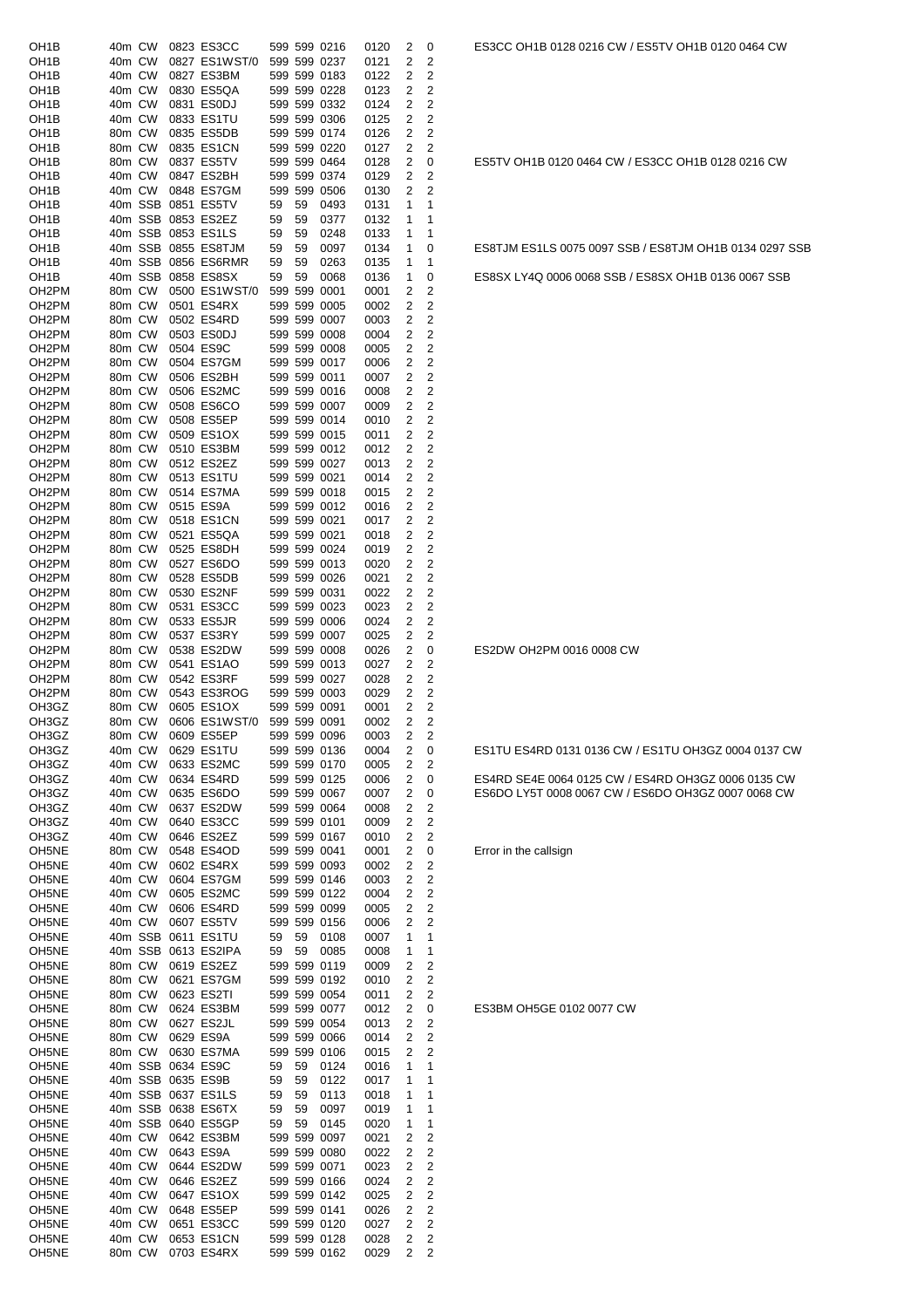| OH1B                                     | 40m CW           |         |                   | 0823 ES3CC                                |          |          | 599 599 0216                 | 0120         | 2            | 0              |
|------------------------------------------|------------------|---------|-------------------|-------------------------------------------|----------|----------|------------------------------|--------------|--------------|----------------|
| OH1B                                     | 40m CW           |         |                   | 0827 ES1WST/0                             |          |          | 599 599 0237                 | 0121         | 2            | 2              |
| OH1B                                     | 40m CW           |         |                   | 0827 ES3BM                                |          |          | 599 599 0183                 | 0122         | 2            | 2              |
| OH1B                                     | 40m CW<br>40m CW |         |                   | 0830 ES5QA<br>0831 ES0DJ                  |          |          | 599 599 0228                 | 0123         | 2            | 2<br>2         |
| OH1B<br>OH1B                             | 40m CW           |         |                   | 0833 ES1TU                                |          |          | 599 599 0332<br>599 599 0306 | 0124<br>0125 | 2<br>2       | 2              |
| OH1B                                     | 80m CW           |         |                   | 0835 ES5DB                                |          |          | 599 599 0174                 | 0126         | 2            | 2              |
| OH <sub>1</sub> B                        | 80m CW           |         |                   | 0835 ES1CN                                |          |          | 599 599 0220                 | 0127         | 2            | 2              |
| OH1B                                     | 80m CW           |         |                   | 0837 ES5TV                                |          |          | 599 599 0464                 | 0128         | 2            | 0              |
| OH1B                                     | 40m CW           |         |                   | 0847 ES2BH                                |          |          | 599 599 0374                 | 0129         | 2            | 2              |
| OH1B                                     | 40m CW           |         |                   | 0848 ES7GM                                |          |          | 599 599 0506                 | 0130         | 2            | 2              |
| OH1B                                     |                  | 40m SSB |                   | 0851 ES5TV                                | 59       | 59       | 0493                         | 0131         | 1            | 1              |
| OH1B                                     |                  |         |                   | 40m SSB 0853 ES2EZ                        | 59       | 59       | 0377                         | 0132         | 1            | 1              |
| OH1B<br>OH1B                             |                  |         |                   | 40m SSB 0853 ES1LS<br>40m SSB 0855 ES8TJM | 59<br>59 | 59<br>59 | 0248<br>0097                 | 0133<br>0134 | 1<br>1       | 1<br>0         |
| OH1B                                     |                  | 40m SSB |                   | 0856 ES6RMR                               | 59       | 59       | 0263                         | 0135         | 1            | 1              |
| OH1B                                     |                  | 40m SSB |                   | 0858 ES8SX                                | 59       | 59       | 0068                         | 0136         | 1            | 0              |
| OH <sub>2</sub> PM                       | 80m CW           |         |                   | 0500 ES1WST/0                             |          |          | 599 599 0001                 | 0001         | 2            | 2              |
| OH <sub>2</sub> PM                       | 80m CW           |         |                   | 0501 ES4RX                                |          |          | 599 599 0005                 | 0002         | 2            | 2              |
| OH <sub>2</sub> PM                       | 80m CW           |         |                   | 0502 ES4RD                                |          |          | 599 599 0007                 | 0003         | 2            | 2              |
| OH <sub>2</sub> PM                       | 80m CW           |         |                   | 0503 ES0DJ                                |          |          | 599 599 0008                 | 0004         | 2            | 2              |
| OH <sub>2</sub> PM                       | 80m CW           |         |                   | 0504 ES9C                                 |          |          | 599 599 0008                 | 0005         | 2            | 2              |
| OH <sub>2</sub> PM                       | 80m CW           |         |                   | 0504 ES7GM                                |          |          | 599 599 0017                 | 0006         | 2            | 2              |
| OH <sub>2</sub> PM<br>OH <sub>2</sub> PM | 80m CW<br>80m CW |         |                   | 0506 ES2BH<br>0506 ES2MC                  |          |          | 599 599 0011<br>599 599 0016 | 0007<br>0008 | 2<br>2       | 2<br>2         |
| OH <sub>2</sub> PM                       | 80m CW           |         |                   | 0508 ES6CO                                |          |          | 599 599 0007                 | 0009         | 2            | 2              |
| OH <sub>2</sub> PM                       | 80m CW           |         |                   | 0508 ES5EP                                |          |          | 599 599 0014                 | 0010         | 2            | 2              |
| OH <sub>2</sub> PM                       | 80m CW           |         |                   | 0509 ES1OX                                |          |          | 599 599 0015                 | 0011         | 2            | 2              |
| OH <sub>2</sub> PM                       | 80m CW           |         |                   | 0510 ES3BM                                |          |          | 599 599 0012                 | 0012         | 2            | 2              |
| OH <sub>2</sub> PM                       | 80m CW           |         |                   | 0512 ES2EZ                                |          |          | 599 599 0027                 | 0013         | 2            | 2              |
| OH <sub>2</sub> PM                       | 80m CW           |         |                   | 0513 ES1TU                                |          |          | 599 599 0021                 | 0014         | 2            | 2              |
| OH <sub>2</sub> PM                       | 80m CW           |         |                   | 0514 ES7MA                                |          |          | 599 599 0018                 | 0015         | 2            | 2              |
| OH <sub>2</sub> PM                       | 80m CW           |         |                   | 0515 ES9A                                 |          |          | 599 599 0012                 | 0016         | 2            | 2              |
| OH <sub>2</sub> PM<br>OH <sub>2</sub> PM | 80m CW<br>80m CW |         |                   | 0518 ES1CN<br>0521 ES5QA                  |          |          | 599 599 0021<br>599 599 0021 | 0017<br>0018 | 2<br>2       | 2<br>2         |
| OH <sub>2</sub> PM                       | 80m CW           |         |                   | 0525 ES8DH                                |          |          | 599 599 0024                 | 0019         | 2            | 2              |
| OH <sub>2</sub> PM                       | 80m CW           |         |                   | 0527 ES6DO                                |          |          | 599 599 0013                 | 0020         | 2            | 2              |
| OH <sub>2</sub> PM                       | 80m CW           |         |                   | 0528 ES5DB                                |          |          | 599 599 0026                 | 0021         | 2            | 2              |
| OH <sub>2</sub> PM                       | 80m CW           |         |                   | 0530 ES2NF                                |          |          | 599 599 0031                 | 0022         | 2            | 2              |
| OH <sub>2</sub> PM                       | 80m CW           |         |                   | 0531 ES3CC                                |          |          | 599 599 0023                 | 0023         | 2            | 2              |
| OH <sub>2</sub> PM                       | 80m CW           |         |                   | 0533 ES5JR                                |          |          | 599 599 0006                 | 0024         | 2            | 2              |
| OH <sub>2</sub> PM                       | 80m CW           |         |                   | 0537 ES3RY                                |          |          | 599 599 0007                 | 0025         | 2            | 2              |
| OH <sub>2</sub> PM<br>OH <sub>2</sub> PM | 80m CW<br>80m CW |         |                   | 0538 ES2DW<br>0541 ES1AO                  |          |          | 599 599 0008<br>599 599 0013 | 0026<br>0027 | 2<br>2       | 0<br>2         |
| OH <sub>2</sub> PM                       | 80m CW           |         |                   | 0542 ES3RF                                |          |          | 599 599 0027                 | 0028         | 2            | 2              |
| OH <sub>2</sub> PM                       | 80m CW           |         |                   | 0543 ES3ROG                               |          |          | 599 599 0003                 | 0029         | 2            | 2              |
| OH3GZ                                    | 80m CW           |         |                   | 0605 ES1OX                                |          |          | 599 599 0091                 | 0001         | 2            | 2              |
| OH3GZ                                    | 80m CW           |         |                   | 0606 ES1WST/0                             |          |          | 599 599 0091                 | 0002         | 2            | 2              |
| OH3GZ                                    |                  | 80m CW  |                   | 0609 ES5EP                                |          |          | 599 599 0096                 | 0003         | $\mathbf{2}$ | 2              |
| OH3GZ                                    | 40m CW           |         |                   | 0629 ES1TU                                |          |          | 599 599 0136                 | 0004         |              | 0              |
| OH3GZ                                    |                  |         |                   |                                           |          |          |                              |              | 2            |                |
|                                          |                  | 40m CW  |                   | 0633 ES2MC                                |          |          | 599 599 0170                 | 0005         | 2            | 2              |
| OH3GZ                                    | 40m CW           |         |                   | 0634 ES4RD                                |          |          | 599 599 0125                 | 0006         | 2            | 0              |
| OH3GZ                                    | 40m CW           |         |                   | 0635 ES6DO                                |          |          | 599 599 0067                 | 0007         | 2            | 0              |
| OH3GZ                                    | 40m CW           |         |                   | 0637 ES2DW                                |          |          | 599 599 0064                 | 0008         | 2            | 2              |
| OH3GZ<br>OH3GZ                           | 40m CW<br>40m CW |         |                   | 0640 ES3CC<br>0646 ES2EZ                  |          |          | 599 599 0101<br>599 599 0167 | 0009<br>0010 | 2<br>2       | 2<br>2         |
| OH <sub>5NE</sub>                        | 80m CW           |         |                   | 0548 ES4OD                                |          |          | 599 599 0041                 | 0001         | 2            | 0              |
| OH <sub>5</sub> NE                       | 40m CW           |         |                   | 0602 ES4RX                                |          |          | 599 599 0093                 | 0002         | 2            | 2              |
| OH5NE                                    | 40m CW           |         |                   | 0604 ES7GM                                |          |          | 599 599 0146                 | 0003         | 2            | 2              |
| OH5NE                                    | 40m CW           |         |                   | 0605 ES2MC                                |          |          | 599 599 0122                 | 0004         | 2            | 2              |
| OH <sub>5</sub> NE                       | 40m CW           |         |                   | 0606 ES4RD                                |          |          | 599 599 0099                 | 0005         | 2            | 2              |
| OH <sub>5</sub> NE                       | 40m CW           |         |                   | 0607 ES5TV                                |          |          | 599 599 0156                 | 0006         | 2            | 2              |
| OH <sub>5</sub> NE                       |                  | 40m SSB |                   | 0611 ES1TU                                | 59       | 59       | 0108                         | 0007         | 1            | 1              |
| OH <sub>5</sub> NE<br>OH5NE              | 80m CW           |         |                   | 40m SSB 0613 ES2IPA<br>0619 ES2EZ         | 59       | 59       | 0085<br>599 599 0119         | 0008<br>0009 | 1<br>2       | 1<br>2         |
| OH <sub>5</sub> NE                       | 80m CW           |         |                   | 0621 ES7GM                                |          |          | 599 599 0192                 | 0010         | 2            | 2              |
| OH <sub>5</sub> NE                       | 80m CW           |         |                   | 0623 ES2TI                                |          |          | 599 599 0054                 | 0011         | 2            | 2              |
| OH5NE                                    | 80m CW           |         |                   | 0624 ES3BM                                |          |          | 599 599 0077                 | 0012         | 2            | 0              |
| OH <sub>5NE</sub>                        | 80m CW           |         |                   | 0627 ES2JL                                |          |          | 599 599 0054                 | 0013         | 2            | 2              |
| OH <sub>5NE</sub>                        | 80m CW           |         |                   | 0629 ES9A                                 |          |          | 599 599 0066                 | 0014         | 2            | 2              |
| OH <sub>5</sub> NE                       | 80m CW           |         |                   | 0630 ES7MA                                |          |          | 599 599 0106                 | 0015         | 2            | 2              |
| OH <sub>5NE</sub>                        |                  |         | 40m SSB 0634 ES9C |                                           | 59       | 59       | 0124                         | 0016         | 1<br>1       | 1              |
| OH <sub>5</sub> NE<br>OH5NE              |                  | 40m SSB |                   | 40m SSB 0635 ES9B<br>0637 ES1LS           | 59<br>59 | 59<br>59 | 0122<br>0113                 | 0017<br>0018 | 1            | 1<br>1         |
| OH <sub>5</sub> NE                       |                  |         |                   | 40m SSB 0638 ES6TX                        | 59       | 59       | 0097                         | 0019         | 1            | 1              |
| OH <sub>5NE</sub>                        |                  | 40m SSB |                   | 0640 ES5GP                                | 59       | 59       | 0145                         | 0020         | 1            | 1              |
| OH5NE                                    | 40m CW           |         |                   | 0642 ES3BM                                |          |          | 599 599 0097                 | 0021         | 2            | 2              |
| OH <sub>5NE</sub>                        | 40m CW           |         |                   | 0643 ES9A                                 |          |          | 599 599 0080                 | 0022         | 2            | 2              |
| OH <sub>5NE</sub>                        | 40m CW           |         |                   | 0644 ES2DW                                |          |          | 599 599 0071                 | 0023         | 2            | 2              |
| OH <sub>5</sub> NE                       | 40m CW           |         |                   | 0646 ES2EZ                                |          |          | 599 599 0166                 | 0024         | 2            | 2              |
| OH <sub>5NE</sub>                        | 40m CW           |         |                   | 0647 ES1OX                                |          |          | 599 599 0142                 | 0025         | 2            | 2              |
| OH5NE<br>OH <sub>5NE</sub>               | 40m CW<br>40m CW |         |                   | 0648 ES5EP<br>0651 ES3CC                  |          |          | 599 599 0141<br>599 599 0120 | 0026<br>0027 | 2<br>2       | 2<br>2         |
| OH <sub>5NE</sub>                        | 40m CW           |         |                   | 0653 ES1CN                                |          |          | 599 599 0128                 | 0028         | 2            | $\overline{c}$ |

ES5TV OH1B 0120 0464 CW / ES3CC OH1B 0128 0216 CW

ES8TJM ES1LS 0075 0097 SSB / ES8TJM OH1B 0134 0297 SSB ES8SX LY4Q 0006 0068 SSB / ES8SX OH1B 0136 0067 SSB

ES2DW OH2PM 0016 0008 CW

ES1TU ES4RD 0131 0136 CW / ES1TU OH3GZ 0004 0137 CW

ES4RD SE4E 0064 0125 CW / ES4RD OH3GZ 0006 0135 CW ES6DO LY5T 0008 0067 CW / ES6DO OH3GZ 0007 0068 CW

Error in the callsign

ES3BM OH5GE 0102 0077 CW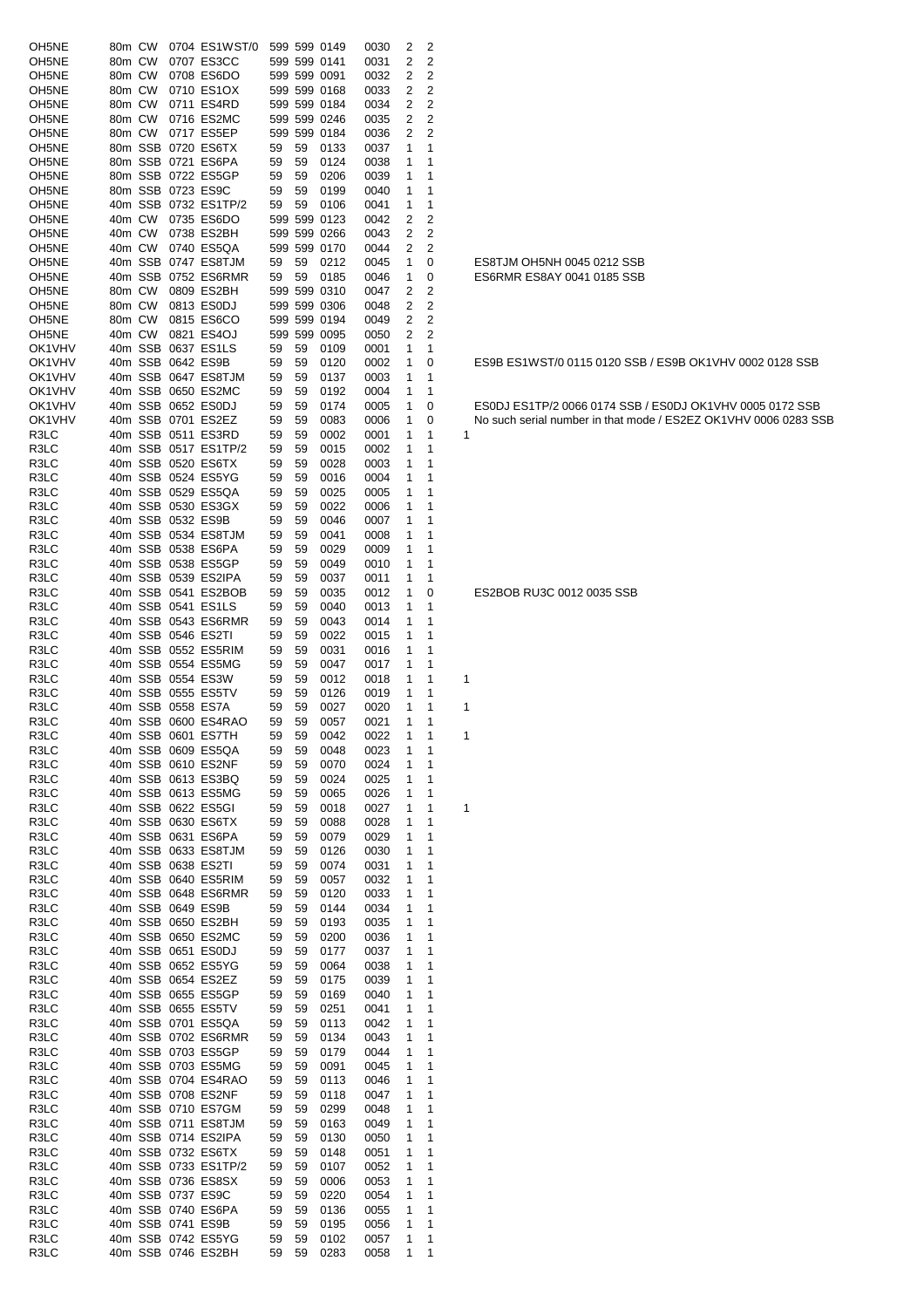| OH5NE              | 80m CW |        | 0704 ES1WST/0                           |    |    | 599 599 0149 | 0030 | 2           | 2              |                                                                 |
|--------------------|--------|--------|-----------------------------------------|----|----|--------------|------|-------------|----------------|-----------------------------------------------------------------|
|                    |        |        |                                         |    |    |              |      |             |                |                                                                 |
| OH5NE              | 80m CW |        | 0707 ES3CC                              |    |    | 599 599 0141 | 0031 | 2           | $\overline{2}$ |                                                                 |
| OH5NE              | 80m CW |        | 0708 ES6DO                              |    |    | 599 599 0091 | 0032 | 2           | 2              |                                                                 |
| OH5NE              | 80m CW |        | 0710 ES1OX                              |    |    | 599 599 0168 | 0033 | 2           | $\overline{2}$ |                                                                 |
| OH5NE              | 80m CW |        | 0711 ES4RD                              |    |    | 599 599 0184 | 0034 | 2           | 2              |                                                                 |
| OH5NE              | 80m CW |        | 0716 ES2MC                              |    |    | 599 599 0246 | 0035 | 2           | $\overline{c}$ |                                                                 |
| OH5NE              |        | 80m CW | 0717 ES5EP                              |    |    | 599 599 0184 | 0036 | 2           | 2              |                                                                 |
| OH <sub>5NE</sub>  |        |        | 80m SSB 0720 ES6TX                      | 59 | 59 | 0133         | 0037 | 1           | 1              |                                                                 |
| OH5NE              |        |        | 80m SSB 0721 ES6PA                      | 59 | 59 | 0124         | 0038 |             | 1              |                                                                 |
| OH5NE              |        |        | 80m SSB 0722 ES5GP                      | 59 | 59 | 0206         | 0039 | 1           | 1              |                                                                 |
| OH5NE              |        |        | 80m SSB 0723 ES9C                       | 59 | 59 | 0199         | 0040 |             | 1              |                                                                 |
| OH5NE              |        |        | 40m SSB 0732 ES1TP/2                    | 59 | 59 | 0106         | 0041 | 1           | 1              |                                                                 |
| OH5NE              |        |        | 40m CW 0735 ES6DO                       |    |    | 599 599 0123 | 0042 | 2           | 2              |                                                                 |
| OH <sub>5NE</sub>  | 40m CW |        | 0738 ES2BH                              |    |    | 599 599 0266 | 0043 | 2           | 2              |                                                                 |
| OH <sub>5</sub> NE |        |        | 40m CW 0740 ES5QA                       |    |    | 599 599 0170 | 0044 | 2           | 2              |                                                                 |
| OH5NE              |        |        | 40m SSB 0747 ES8TJM                     | 59 | 59 | 0212         | 0045 | 1           | 0              | ES8TJM OH5NH 0045 0212 SSB                                      |
| OH5NE              |        |        | 40m SSB 0752 ES6RMR                     | 59 | 59 | 0185         | 0046 | 1           | 0              | ES6RMR ES8AY 0041 0185 SSB                                      |
| OH5NE              | 80m CW |        | 0809 ES2BH                              |    |    | 599 599 0310 | 0047 | 2           | 2              |                                                                 |
| OH5NE              | 80m CW |        | 0813 ES0DJ                              |    |    | 599 599 0306 | 0048 | 2           | 2              |                                                                 |
| OH5NE              | 80m CW |        | 0815 ES6CO                              |    |    | 599 599 0194 | 0049 | 2           | 2              |                                                                 |
| OH5NE              |        | 40m CW | 0821 ES4OJ                              |    |    | 599 599 0095 | 0050 | 2           | 2              |                                                                 |
|                    |        |        |                                         |    | 59 |              |      |             |                |                                                                 |
| OK1VHV<br>OK1VHV   |        |        | 40m SSB 0637 ES1LS<br>40m SSB 0642 ES9B | 59 |    | 0109         | 0001 | 1           | 1              |                                                                 |
|                    |        |        |                                         | 59 | 59 | 0120         | 0002 | 1           | 0              | ES9B ES1WST/0 0115 0120 SSB / ES9B OK1VHV 0002 0128 SSB         |
| OK1VHV             |        |        | 40m SSB 0647 ES8TJM                     | 59 | 59 | 0137         | 0003 | 1           | 1              |                                                                 |
| OK1VHV             |        |        | 40m SSB 0650 ES2MC                      | 59 | 59 | 0192         | 0004 | 1           | 1              |                                                                 |
| OK1VHV             |        |        | 40m SSB 0652 ES0DJ                      | 59 | 59 | 0174         | 0005 | 1           | 0              | ESODJ ES1TP/2 0066 0174 SSB / ESODJ OK1VHV 0005 0172 SSB        |
| OK1VHV             |        |        | 40m SSB 0701 ES2EZ                      | 59 | 59 | 0083         | 0006 | 1           | 0              | No such serial number in that mode / ES2EZ OK1VHV 0006 0283 SSB |
| R3LC               |        |        | 40m SSB 0511 ES3RD                      | 59 | 59 | 0002         | 0001 | 1           | 1              | 1                                                               |
| R3LC               |        |        | 40m SSB 0517 ES1TP/2                    | 59 | 59 | 0015         | 0002 | 1           | 1              |                                                                 |
| R3LC               |        |        | 40m SSB 0520 ES6TX                      | 59 | 59 | 0028         | 0003 | 1           | 1              |                                                                 |
| R3LC               |        |        | 40m SSB 0524 ES5YG                      | 59 | 59 | 0016         | 0004 | 1           | 1              |                                                                 |
| R3LC               |        |        | 40m SSB 0529 ES5QA                      | 59 | 59 | 0025         | 0005 | 1           | 1              |                                                                 |
| R3LC               |        |        | 40m SSB 0530 ES3GX                      | 59 | 59 | 0022         | 0006 |             | 1              |                                                                 |
| R3LC               |        |        | 40m SSB 0532 ES9B                       | 59 | 59 | 0046         | 0007 | 1           | 1              |                                                                 |
| R3LC               |        |        | 40m SSB 0534 ES8TJM                     | 59 | 59 | 0041         | 0008 | 1           | 1              |                                                                 |
| R3LC               |        |        | 40m SSB 0538 ES6PA                      | 59 | 59 | 0029         | 0009 | 1           | 1              |                                                                 |
| R3LC               |        |        | 40m SSB 0538 ES5GP                      | 59 | 59 | 0049         | 0010 | 1           | 1              |                                                                 |
| R3LC               |        |        | 40m SSB 0539 ES2IPA                     | 59 | 59 | 0037         | 0011 | 1           | 1              |                                                                 |
| R3LC               |        |        | 40m SSB 0541 ES2BOB                     | 59 | 59 | 0035         | 0012 | 1           | 0              | ES2BOB RU3C 0012 0035 SSB                                       |
| R3LC               |        |        | 40m SSB 0541 ES1LS                      | 59 | 59 | 0040         | 0013 | 1           | 1              |                                                                 |
| R3LC               |        |        | 40m SSB 0543 ES6RMR                     | 59 | 59 | 0043         | 0014 | 1           | 1              |                                                                 |
| R3LC               |        |        | 40m SSB 0546 ES2TI                      | 59 | 59 | 0022         | 0015 | 1           | 1              |                                                                 |
| R3LC               |        |        | 40m SSB 0552 ES5RIM                     | 59 | 59 | 0031         | 0016 | 1           | 1              |                                                                 |
| R3LC               |        |        | 40m SSB 0554 ES5MG                      | 59 | 59 | 0047         | 0017 | 1           | 1              |                                                                 |
|                    |        |        | 40m SSB 0554 ES3W                       |    |    |              |      |             |                |                                                                 |
| R3LC               |        |        |                                         | 59 | 59 | 0012         | 0018 | 1           | 1              | 1                                                               |
| R3LC               |        |        | 40m SSB 0555 ES5TV                      | 59 | 59 | 0126         | 0019 | 1           | 1              |                                                                 |
| R3LC               |        |        | 40m SSB 0558 ES7A                       | 59 | 59 | 0027         | 0020 | 1           | 1              | 1                                                               |
| R3LC               |        |        | 40m SSB 0600 ES4RAO                     | 59 | 59 | 0057         | 0021 | 1           | 1              |                                                                 |
| R3LC               |        |        | 40m SSB 0601 ES7TH                      | 59 | 59 | 0042         | 0022 | $1 \quad 1$ |                | -1                                                              |
| R3LC               |        |        | 40m SSB 0609 ES5QA                      | 59 | 59 | 0048         | 0023 | 1           | 1              |                                                                 |
| R3LC               |        |        | 40m SSB 0610 ES2NF                      | 59 | 59 | 0070         | 0024 |             |                |                                                                 |
| R3LC               |        |        | 40m SSB 0613 ES3BQ                      | 59 | 59 | 0024         | 0025 | 1           | 1              |                                                                 |
| R3LC               |        |        | 40m SSB 0613 ES5MG                      | 59 | 59 | 0065         | 0026 | 1           | 1              |                                                                 |
| R3LC               |        |        | 40m SSB 0622 ES5GI                      | 59 | 59 | 0018         | 0027 | 1           | 1              | 1                                                               |
| R3LC               |        |        | 40m SSB 0630 ES6TX                      | 59 | 59 | 0088         | 0028 | 1           | 1              |                                                                 |
| R3LC               |        |        | 40m SSB 0631 ES6PA                      | 59 | 59 | 0079         | 0029 | 1           | 1              |                                                                 |
| R3LC               |        |        | 40m SSB 0633 ES8TJM                     | 59 | 59 | 0126         | 0030 | 1           | 1              |                                                                 |
| R3LC               |        |        | 40m SSB 0638 ES2TI                      | 59 | 59 | 0074         | 0031 | 1           | 1              |                                                                 |
| R3LC               |        |        | 40m SSB 0640 ES5RIM                     | 59 | 59 | 0057         | 0032 | 1           | 1              |                                                                 |
| R3LC               |        |        | 40m SSB 0648 ES6RMR                     | 59 | 59 | 0120         | 0033 | 1           | 1              |                                                                 |
| R3LC               |        |        | 40m SSB 0649 ES9B                       | 59 | 59 | 0144         | 0034 |             | 1              |                                                                 |
| R3LC               |        |        | 40m SSB 0650 ES2BH                      | 59 | 59 | 0193         | 0035 | 1           | 1              |                                                                 |
| R3LC               |        |        | 40m SSB 0650 ES2MC                      | 59 | 59 | 0200         | 0036 |             | 1              |                                                                 |
| R3LC               |        |        | 40m SSB 0651 ES0DJ                      | 59 | 59 | 0177         | 0037 | 1           | 1              |                                                                 |
| R3LC               |        |        | 40m SSB 0652 ES5YG                      | 59 | 59 | 0064         | 0038 | 1           | 1              |                                                                 |
| R3LC               |        |        | 40m SSB 0654 ES2EZ                      | 59 | 59 | 0175         | 0039 | 1           | 1              |                                                                 |
| R3LC               |        |        | 40m SSB 0655 ES5GP                      | 59 | 59 | 0169         | 0040 | 1           | 1              |                                                                 |
| R3LC               |        |        | 40m SSB 0655 ES5TV                      | 59 | 59 | 0251         | 0041 | 1           | 1              |                                                                 |
| R3LC               |        |        | 40m SSB 0701 ES5QA                      | 59 | 59 | 0113         | 0042 | 1           | 1              |                                                                 |
| R3LC               |        |        | 40m SSB 0702 ES6RMR                     | 59 | 59 | 0134         | 0043 |             | 1              |                                                                 |
| R3LC               |        |        | 40m SSB 0703 ES5GP                      | 59 | 59 | 0179         | 0044 | 1           | 1              |                                                                 |
| R3LC               |        |        | 40m SSB 0703 ES5MG                      | 59 | 59 | 0091         | 0045 |             | 1              |                                                                 |
| R3LC               |        |        | 40m SSB 0704 ES4RAO                     |    | 59 | 0113         | 0046 |             | 1              |                                                                 |
|                    |        |        | 40m SSB 0708 ES2NF                      | 59 |    |              |      |             | 1              |                                                                 |
| R3LC               |        |        |                                         | 59 | 59 | 0118         | 0047 |             |                |                                                                 |
| R3LC               |        |        | 40m SSB 0710 ES7GM                      | 59 | 59 | 0299         | 0048 |             | 1              |                                                                 |
| R3LC               |        |        | 40m SSB 0711 ES8TJM                     | 59 | 59 | 0163         | 0049 |             | 1              |                                                                 |
| R3LC               |        |        | 40m SSB 0714 ES2IPA                     | 59 | 59 | 0130         | 0050 | 1           | 1              |                                                                 |
| R3LC               |        |        | 40m SSB 0732 ES6TX                      | 59 | 59 | 0148         | 0051 | 1           | 1              |                                                                 |
| R3LC               |        |        | 40m SSB 0733 ES1TP/2                    | 59 | 59 | 0107         | 0052 |             | 1              |                                                                 |
| R3LC               |        |        | 40m SSB 0736 ES8SX                      | 59 | 59 | 0006         | 0053 | 1           | 1              |                                                                 |
| R3LC               |        |        | 40m SSB 0737 ES9C                       | 59 | 59 | 0220         | 0054 | 1           | 1              |                                                                 |
| R3LC               |        |        | 40m SSB 0740 ES6PA                      | 59 | 59 | 0136         | 0055 | 1           | 1              |                                                                 |
| R3LC               |        |        | 40m SSB 0741 ES9B                       | 59 | 59 | 0195         | 0056 | 1           | 1              |                                                                 |
| R3LC               |        |        | 40m SSB 0742 ES5YG                      | 59 | 59 | 0102         | 0057 | 1           | 1              |                                                                 |
| R3LC               |        |        | 40m SSB 0746 ES2BH                      | 59 | 59 | 0283         | 0058 | 1           | 1              |                                                                 |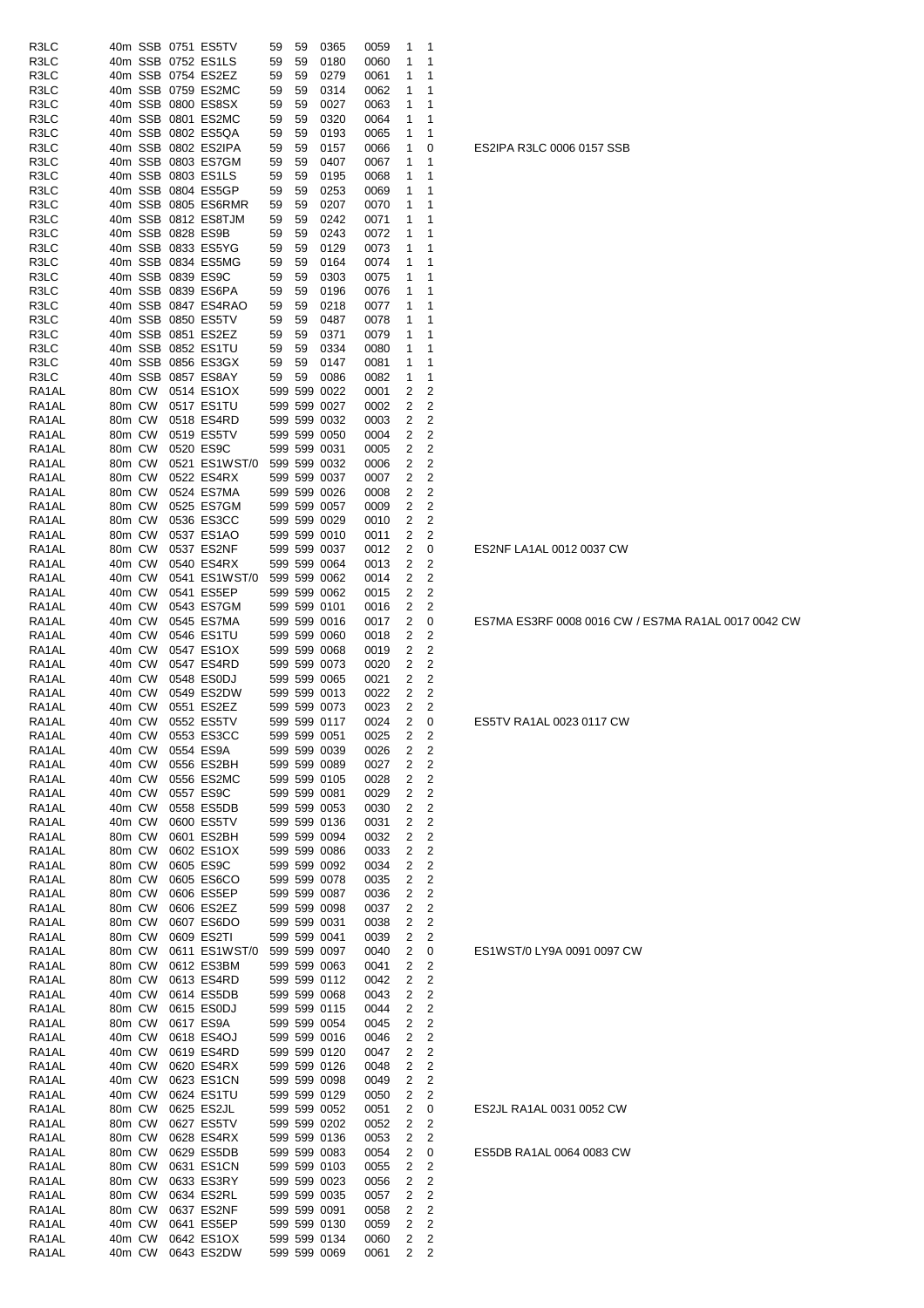| R3LC  |        |        |                   | 40m SSB 0751 ES5TV  | 59 | 59 | 0365                         | 0059 | 1              | 1                       |
|-------|--------|--------|-------------------|---------------------|----|----|------------------------------|------|----------------|-------------------------|
| R3LC  |        |        |                   | 40m SSB 0752 ES1LS  | 59 | 59 | 0180                         | 0060 | 1              | 1                       |
| R3LC  |        |        |                   | 40m SSB 0754 ES2EZ  | 59 | 59 | 0279                         | 0061 | 1              | 1                       |
| R3LC  |        |        |                   | 40m SSB 0759 ES2MC  | 59 | 59 | 0314                         | 0062 | 1              | 1                       |
| R3LC  |        |        |                   | 40m SSB 0800 ES8SX  | 59 | 59 | 0027                         | 0063 | 1              | 1                       |
| R3LC  |        |        |                   | 40m SSB 0801 ES2MC  | 59 | 59 | 0320                         | 0064 | 1              | 1                       |
| R3LC  |        |        |                   | 40m SSB 0802 ES5QA  | 59 | 59 | 0193                         | 0065 | 1              | 1                       |
| R3LC  |        |        |                   | 40m SSB 0802 ES2IPA | 59 | 59 | 0157                         | 0066 | 1              | 0                       |
|       |        |        |                   | 40m SSB 0803 ES7GM  | 59 | 59 |                              |      | 1              | 1                       |
| R3LC  |        |        |                   |                     |    |    | 0407                         | 0067 |                | 1                       |
| R3LC  |        |        |                   | 40m SSB 0803 ES1LS  | 59 | 59 | 0195                         | 0068 | 1              | 1                       |
| R3LC  |        |        |                   | 40m SSB 0804 ES5GP  | 59 | 59 | 0253                         | 0069 | 1              |                         |
| R3LC  |        |        |                   | 40m SSB 0805 ES6RMR | 59 | 59 | 0207                         | 0070 | 1              | 1                       |
| R3LC  |        |        |                   | 40m SSB 0812 ES8TJM | 59 | 59 | 0242                         | 0071 | 1              | 1                       |
| R3LC  |        |        | 40m SSB 0828 ES9B |                     | 59 | 59 | 0243                         | 0072 | 1              | 1                       |
| R3LC  |        |        |                   | 40m SSB 0833 ES5YG  | 59 | 59 | 0129                         | 0073 | 1              | 1                       |
| R3LC  |        |        |                   | 40m SSB 0834 ES5MG  | 59 | 59 | 0164                         | 0074 | 1              | 1                       |
| R3LC  |        |        | 40m SSB 0839 ES9C |                     | 59 | 59 | 0303                         | 0075 | 1              | 1                       |
| R3LC  |        |        |                   | 40m SSB 0839 ES6PA  | 59 | 59 | 0196                         | 0076 | 1              | 1                       |
| R3LC  |        |        |                   | 40m SSB 0847 ES4RAO | 59 | 59 | 0218                         | 0077 | 1              | 1                       |
| R3LC  |        |        |                   | 40m SSB 0850 ES5TV  | 59 | 59 | 0487                         | 0078 | 1              | 1                       |
| R3LC  |        |        |                   | 40m SSB 0851 ES2EZ  | 59 | 59 | 0371                         | 0079 | 1              | 1                       |
| R3LC  |        |        |                   | 40m SSB 0852 ES1TU  | 59 | 59 | 0334                         | 0080 | 1              | 1                       |
| R3LC  |        |        |                   | 40m SSB 0856 ES3GX  | 59 | 59 | 0147                         | 0081 | 1              | 1                       |
| R3LC  |        |        |                   | 40m SSB 0857 ES8AY  | 59 | 59 | 0086                         | 0082 | 1              | 1                       |
| RA1AL |        | 80m CW |                   | 0514 ES1OX          |    |    | 599 599 0022                 | 0001 | 2              | 2                       |
| RA1AL | 80m CW |        |                   | 0517 ES1TU          |    |    | 599 599 0027                 | 0002 | 2              | $\overline{c}$          |
| RA1AL |        | 80m CW |                   | 0518 ES4RD          |    |    | 599 599 0032                 | 0003 | 2              | 2                       |
| RA1AL | 80m CW |        |                   | 0519 ES5TV          |    |    | 599 599 0050                 | 0004 | 2              | 2                       |
| RA1AL | 80m CW |        |                   | 0520 ES9C           |    |    | 599 599 0031                 | 0005 | 2              | 2                       |
| RA1AL | 80m CW |        |                   | 0521 ES1WST/0       |    |    | 599 599 0032                 | 0006 | 2              | 2                       |
| RA1AL | 80m CW |        |                   | 0522 ES4RX          |    |    | 599 599 0037                 | 0007 | 2              | 2                       |
| RA1AL | 80m CW |        |                   | 0524 ES7MA          |    |    | 599 599 0026                 | 0008 | 2              | $\overline{2}$          |
| RA1AL | 80m CW |        |                   | 0525 ES7GM          |    |    | 599 599 0057                 | 0009 | 2              | 2                       |
| RA1AL | 80m CW |        |                   | 0536 ES3CC          |    |    | 599 599 0029                 | 0010 | 2              | 2                       |
| RA1AL | 80m CW |        |                   | 0537 ES1AO          |    |    | 599 599 0010                 | 0011 | 2              | 2                       |
| RA1AL | 80m CW |        |                   | 0537 ES2NF          |    |    | 599 599 0037                 | 0012 | 2              | 0                       |
| RA1AL | 40m CW |        |                   | 0540 ES4RX          |    |    | 599 599 0064                 | 0013 | 2              | 2                       |
| RA1AL | 40m CW |        |                   | 0541 ES1WST/0       |    |    | 599 599 0062                 | 0014 | 2              | $\overline{2}$          |
|       |        |        |                   |                     |    |    |                              |      |                |                         |
| RA1AL | 40m CW |        |                   | 0541 ES5EP          |    |    | 599 599 0062                 | 0015 | 2              | 2                       |
| RA1AL | 40m CW |        |                   | 0543 ES7GM          |    |    | 599 599 0101                 | 0016 | 2              | 2                       |
| RA1AL | 40m CW |        |                   | 0545 ES7MA          |    |    | 599 599 0016                 | 0017 | 2              | 0                       |
| RA1AL | 40m CW |        |                   | 0546 ES1TU          |    |    | 599 599 0060                 | 0018 | 2              | 2                       |
| RA1AL | 40m CW |        |                   | 0547 ES1OX          |    |    | 599 599 0068                 | 0019 | 2              | 2                       |
| RA1AL | 40m CW |        |                   | 0547 ES4RD          |    |    | 599 599 0073                 | 0020 | 2              | $\overline{c}$          |
| RA1AL | 40m CW |        |                   | 0548 ES0DJ          |    |    | 599 599 0065                 | 0021 | 2              | 2                       |
| RA1AL | 40m CW |        |                   | 0549 ES2DW          |    |    | 599 599 0013                 | 0022 | 2              | 2                       |
| RA1AL | 40m CW |        |                   | 0551 ES2EZ          |    |    | 599 599 0073                 | 0023 | 2              | 2                       |
| RA1AL | 40m CW |        |                   | 0552 ES5TV          |    |    | 599 599 0117                 | 0024 | 2              | 0                       |
| RA1AL |        |        |                   | 40m CW 0553 ES3CC   |    |    | 599 599 0051                 | 0025 | $\overline{2}$ | 2                       |
| RA1AL | 40m CW |        |                   | 0554 ES9A           |    |    | 599 599 0039                 | 0026 | 2              | 2                       |
| RA1AL | 40m CW |        |                   | 0556 ES2BH          |    |    | 599 599 0089                 | 0027 | 2              | $\overline{c}$          |
| RA1AL | 40m CW |        |                   | 0556 ES2MC          |    |    | 599 599 0105                 | 0028 | 2              | $\overline{c}$          |
| RA1AL | 40m CW |        |                   | 0557 ES9C           |    |    | 599 599 0081                 | 0029 | 2              | $\overline{c}$          |
| RA1AL | 40m CW |        |                   | 0558 ES5DB          |    |    | 599 599 0053                 | 0030 | 2              | 2                       |
| RA1AL | 40m CW |        |                   | 0600 ES5TV          |    |    | 599 599 0136                 | 0031 | 2              | $\overline{\mathbf{c}}$ |
| RA1AL | 80m CW |        |                   | 0601 ES2BH          |    |    | 599 599 0094                 | 0032 | 2              | $\overline{c}$          |
| RA1AL | 80m CW |        |                   | 0602 ES1OX          |    |    | 599 599 0086                 | 0033 | 2              | $\overline{c}$          |
| RA1AL | 80m CW |        |                   | 0605 ES9C           |    |    | 599 599 0092                 | 0034 | 2              | 2                       |
| RA1AL | 80m CW |        |                   | 0605 ES6CO          |    |    | 599 599 0078                 | 0035 | 2              | $\overline{2}$          |
| RA1AL | 80m CW |        |                   | 0606 ES5EP          |    |    | 599 599 0087                 | 0036 | 2              | $\overline{c}$          |
| RA1AL | 80m CW |        |                   | 0606 ES2EZ          |    |    | 599 599 0098                 | 0037 | 2              | $\overline{c}$          |
| RA1AL | 80m CW |        |                   | 0607 ES6DO          |    |    | 599 599 0031                 | 0038 | 2              | $\overline{c}$          |
| RA1AL | 80m CW |        |                   | 0609 ES2TI          |    |    | 599 599 0041                 | 0039 | 2              | 2                       |
| RA1AL | 80m CW |        |                   | 0611 ES1WST/0       |    |    | 599 599 0097                 | 0040 | 2              | 0                       |
| RA1AL | 80m CW |        |                   | 0612 ES3BM          |    |    | 599 599 0063                 | 0041 | 2              | 2                       |
| RA1AL | 80m CW |        |                   | 0613 ES4RD          |    |    | 599 599 0112                 | 0042 | 2              | $\overline{c}$          |
| RA1AL | 40m CW |        |                   | 0614 ES5DB          |    |    | 599 599 0068                 | 0043 | 2              | $\overline{c}$          |
| RA1AL | 80m CW |        |                   | 0615 ES0DJ          |    |    | 599 599 0115                 | 0044 | 2              | $\overline{\mathbf{c}}$ |
| RA1AL | 80m CW |        |                   | 0617 ES9A           |    |    | 599 599 0054                 | 0045 | 2              | $\overline{c}$          |
| RA1AL | 40m CW |        |                   | 0618 ES4OJ          |    |    | 599 599 0016                 | 0046 | 2              | 2                       |
| RA1AL | 40m CW |        |                   | 0619 ES4RD          |    |    | 599 599 0120                 | 0047 | 2              | 2                       |
| RA1AL | 40m CW |        |                   | 0620 ES4RX          |    |    | 599 599 0126                 | 0048 | 2              | $\overline{2}$          |
| RA1AL | 40m CW |        |                   | 0623 ES1CN          |    |    | 599 599 0098                 | 0049 | 2              | $\overline{c}$          |
| RA1AL | 40m CW |        |                   | 0624 ES1TU          |    |    | 599 599 0129                 | 0050 | 2              | 2                       |
| RA1AL | 80m CW |        |                   | 0625 ES2JL          |    |    | 599 599 0052                 | 0051 | 2              | 0                       |
| RA1AL | 80m CW |        |                   | 0627 ES5TV          |    |    | 599 599 0202                 | 0052 | 2              | 2                       |
| RA1AL | 80m CW |        |                   | 0628 ES4RX          |    |    | 599 599 0136                 | 0053 | 2              | 2                       |
| RA1AL | 80m CW |        |                   | 0629 ES5DB          |    |    | 599 599 0083                 | 0054 | 2              | 0                       |
| RA1AL | 80m CW |        |                   | 0631 ES1CN          |    |    | 599 599 0103                 | 0055 | 2              | $\overline{\mathbf{c}}$ |
| RA1AL | 80m CW |        |                   | 0633 ES3RY          |    |    | 599 599 0023                 | 0056 | 2              | 2                       |
| RA1AL | 80m CW |        |                   | 0634 ES2RL          |    |    | 599 599 0035                 | 0057 | 2              | $\overline{\mathbf{c}}$ |
| RA1AL | 80m CW |        |                   | 0637 ES2NF          |    |    | 599 599 0091                 | 0058 | 2              | 2                       |
| RA1AL | 40m CW |        |                   | 0641 ES5EP          |    |    |                              | 0059 | 2              | $\overline{2}$          |
|       |        |        |                   | 0642 ES1OX          |    |    | 599 599 0130<br>599 599 0134 |      | 2              | 2                       |
| RA1AL | 40m CW |        |                   |                     |    |    |                              | 0060 |                |                         |
| RA1AL |        | 40m CW |                   | 0643 ES2DW          |    |    | 599 599 0069                 | 0061 | 2              | 2                       |

ES2IPA R3LC 0006 0157 SSB

ES2NF LA1AL 0012 0037 CW

ES5TV RA1AL 0023 0117 CW

ES7MA ES3RF 0008 0016 CW / ES7MA RA1AL 0017 0042 CW

# ES2JL RA1AL 0031 0052 CW

ES1WST/0 LY9A 0091 0097 CW

ES5DB RA1AL 0064 0083 CW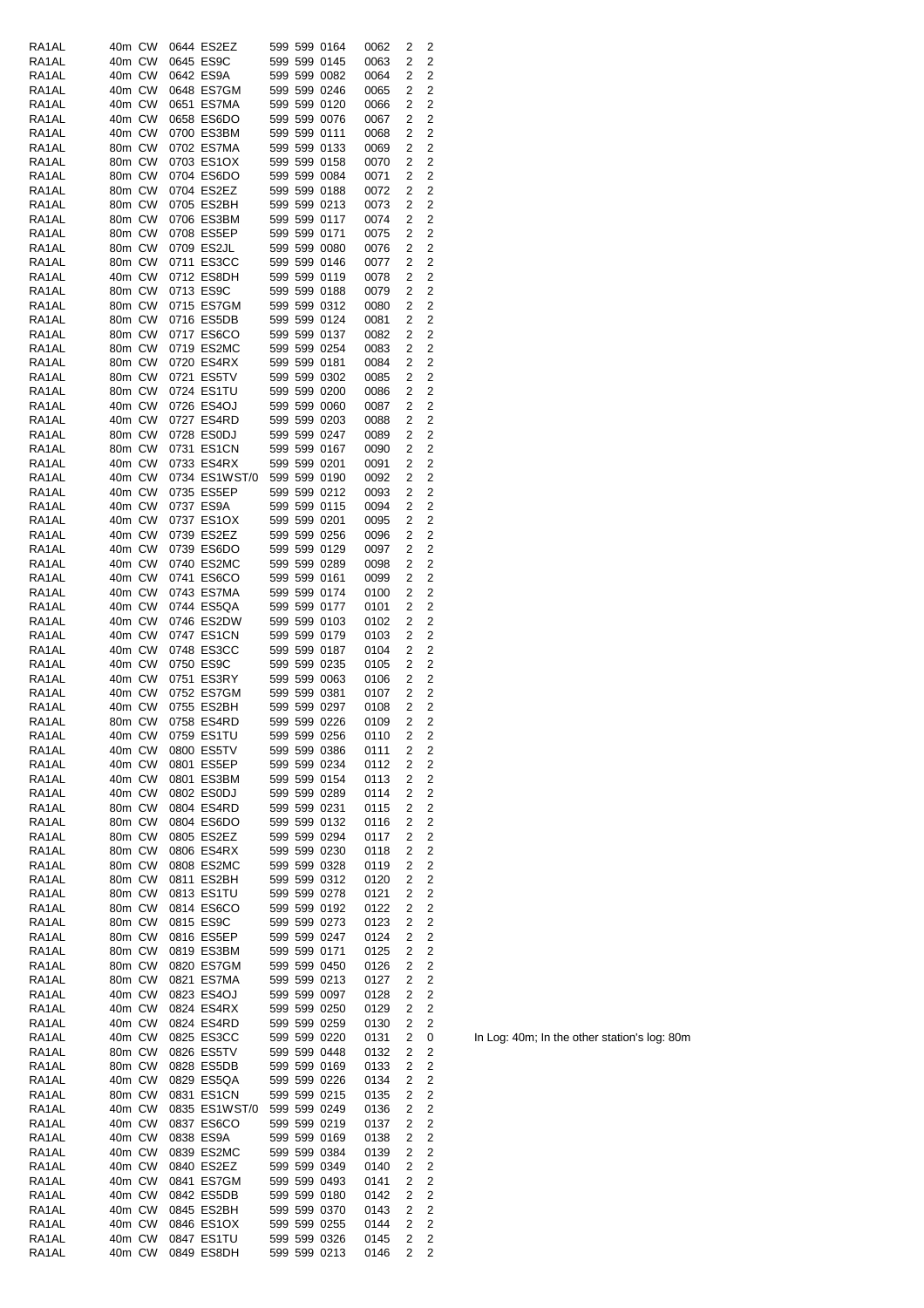| RA1AL          | 40m CW           |            | 0644 ES2EZ               |              | 599 599 0164                 | 0062         | 2              | 2                                |
|----------------|------------------|------------|--------------------------|--------------|------------------------------|--------------|----------------|----------------------------------|
| RA1AL          | 40m CW           |            | 0645 ES9C                |              | 599 599 0145                 | 0063         | 2              | $\overline{2}$                   |
| RA1AL          | 40m CW           |            | 0642 ES9A                |              | 599 599 0082                 | 0064         | 2              | 2                                |
| RA1AL          | 40m CW           |            | 0648 ES7GM               |              | 599 599 0246                 | 0065         | 2              | $\overline{2}$                   |
| RA1AL          | 40m CW           |            | 0651 ES7MA               |              | 599 599 0120                 | 0066         | 2              | 2                                |
| RA1AL          | 40m CW           |            | 0658 ES6DO               |              | 599 599 0076                 | 0067         | 2              | $\overline{2}$                   |
| RA1AL          | 40m CW           |            | 0700 ES3BM               |              | 599 599 0111                 | 0068         | 2              | 2                                |
| RA1AL          | 80m CW           |            | 0702 ES7MA               |              | 599 599 0133                 | 0069         | 2              | 2                                |
| RA1AL          | 80m CW           |            | 0703 ES1OX               |              | 599 599 0158                 | 0070         | 2              | 2                                |
| RA1AL          | 80m CW           |            | 0704 ES6DO               |              | 599 599 0084                 | 0071         | 2              | 2                                |
| RA1AL          | 80m CW           |            | 0704 ES2EZ               |              | 599 599 0188                 | 0072         | 2              | 2                                |
| RA1AL          | 80m CW           |            | 0705 ES2BH               |              | 599 599 0213                 | 0073         | $\overline{2}$ | 2                                |
| RA1AL          | 80m CW           |            | 0706 ES3BM               |              | 599 599 0117                 | 0074         | 2              | $\overline{2}$                   |
| RA1AL          | 80m CW           |            | 0708 ES5EP               |              | 599 599 0171                 | 0075         | 2              | 2                                |
| RA1AL          | 80m CW           |            | 0709 ES2JL               |              | 599 599 0080                 | 0076         | 2              | $\overline{2}$                   |
| RA1AL          | 80m CW           |            | 0711 ES3CC               |              | 599 599 0146                 | 0077         | 2              | 2                                |
| RA1AL          | 40m CW           |            | 0712 ES8DH               |              | 599 599 0119                 | 0078         | 2              | $\overline{2}$                   |
| RA1AL          | 80m CW           |            | 0713 ES9C                |              | 599 599 0188                 |              | 2              | $\overline{2}$                   |
|                |                  |            |                          |              |                              | 0079         |                |                                  |
| RA1AL          | 80m CW           |            | 0715 ES7GM               |              | 599 599 0312                 | 0080         | 2              | $\overline{\mathbf{c}}$          |
| RA1AL          | 80m CW           |            | 0716 ES5DB               |              | 599 599 0124                 | 0081         | 2              | $\overline{c}$                   |
| RA1AL          | 80m CW           |            | 0717 ES6CO               |              | 599 599 0137                 | 0082         | 2              | 2                                |
| RA1AL          | 80m CW           |            | 0719 ES2MC               |              | 599 599 0254                 | 0083         | 2              | 2                                |
| RA1AL          | 80m CW           |            | 0720 ES4RX               |              | 599 599 0181                 | 0084         | 2              | 2                                |
| RA1AL          | 80m CW           |            | 0721 ES5TV               |              | 599 599 0302                 | 0085         | $\overline{2}$ | 2                                |
| RA1AL          | 80m CW           |            | 0724 ES1TU               |              | 599 599 0200                 | 0086         | 2              | $\overline{c}$                   |
| RA1AL          | 40m CW           |            | 0726 ES4OJ               |              | 599 599 0060                 | 0087         | 2              | 2                                |
| RA1AL          | 40m CW           |            | 0727 ES4RD               |              | 599 599 0203                 | 0088         | 2              | $\overline{2}$                   |
| RA1AL          | 80m CW           |            | 0728 ES0DJ               |              | 599 599 0247                 | 0089         | 2              | $\overline{2}$                   |
| RA1AL          | 80m CW           |            | 0731 ES1CN               |              | 599 599 0167                 | 0090         | 2              | 2                                |
| RA1AL          | 40m CW           |            | 0733 ES4RX               |              | 599 599 0201                 | 0091         | 2              | $\overline{2}$                   |
| RA1AL          | 40m CW           |            | 0734 ES1WST/0            |              | 599 599 0190                 | 0092         | 2              | 2                                |
| RA1AL          | 40m CW           |            | 0735 ES5EP               |              | 599 599 0212                 | 0093         | 2              | $\overline{2}$                   |
| RA1AL          | 40m CW           |            | 0737 ES9A                |              | 599 599 0115                 | 0094         | 2              | 2                                |
| RA1AL          | 40m CW           |            | 0737 ES1OX               |              | 599 599 0201                 | 0095         | 2              | 2                                |
| RA1AL          | 40m CW           |            | 0739 ES2EZ               |              | 599 599 0256                 | 0096         | 2              | 2                                |
| RA1AL          | 40m CW           |            | 0739 ES6DO               |              | 599 599 0129                 | 0097         | $\overline{2}$ | 2                                |
| RA1AL          | 40m CW           |            | 0740 ES2MC               |              | 599 599 0289                 | 0098         | 2              | 2                                |
| RA1AL          | 40m CW           |            | 0741 ES6CO               |              | 599 599 0161                 | 0099         | 2              | 2                                |
| RA1AL          | 40m CW           |            | 0743 ES7MA               |              | 599 599 0174                 | 0100         | 2              | $\overline{2}$                   |
| RA1AL          | 40m CW           |            | 0744 ES5QA               |              | 599 599 0177                 | 0101         | 2              | 2                                |
| RA1AL          | 40m CW           |            | 0746 ES2DW               |              | 599 599 0103                 | 0102         | 2              | $\overline{2}$                   |
| RA1AL          | 40m CW           |            | 0747 ES1CN               |              | 599 599 0179                 | 0103         | 2              | 2                                |
| RA1AL          | 40m CW           |            | 0748 ES3CC               |              | 599 599 0187                 | 0104         | 2              | $\overline{2}$                   |
| RA1AL          | 40m CW           |            | 0750 ES9C                |              | 599 599 0235                 | 0105         | 2              | $\overline{2}$                   |
| RA1AL          | 40m CW           |            | 0751 ES3RY               |              | 599 599 0063                 | 0106         | 2              | 2                                |
| RA1AL          | 40m CW           |            | 0752 ES7GM               |              | 599 599 0381                 | 0107         | 2              | 2                                |
| RA1AL          | 40m CW           |            | 0755 ES2BH               |              | 599 599 0297                 | 0108         | 2              | $\overline{c}$                   |
| RA1AL          | 80m CW           |            | 0758 ES4RD               |              | 599 599 0226                 | 0109         | 2              | 2                                |
| RA1AL          | 40m CW           |            | 0759 ES1TU               |              | 599 599 0256                 | 0110         | 2              | $\overline{c}$                   |
| RA1AL          | 40m CW           |            | 0800 ES5TV               |              | 599 599 0386                 | 0111         |                |                                  |
|                |                  |            |                          |              |                              |              | 2<br>2         | 2<br>$\overline{c}$              |
| RA1AL          | 40m CW           |            | 0801 ES5EP               |              | 599 599 0234                 | 0112         |                |                                  |
| RA1AL          | 40m CW           |            | 0801 ES3BM               |              | 599 599 0154                 | 0113         | 2              | $\overline{2}$                   |
| RA1AL          | 40m CW           |            | 0802 ES0DJ               |              | 599 599 0289                 | 0114         | 2              | $\overline{2}$                   |
| RA1AL          | 80m CW           |            | 0804 ES4RD               |              | 599 599 0231                 | 0115         | 2              | $\overline{2}$                   |
| RA1AL          | 80m CW           |            | 0804 ES6DO               |              | 599 599 0132                 | 0116         | 2              | $\overline{c}$                   |
| RA1AL          | 80m CW           |            | 0805 ES2EZ               |              | 599 599 0294                 | 0117         | 2              | $\overline{\mathbf{c}}$          |
| RA1AL          | 80m CW           |            | 0806 ES4RX               |              | 599 599 0230                 | 0118         | 2              | $\overline{c}$                   |
| RA1AL          | 80m CW           |            | 0808 ES2MC               |              | 599 599 0328                 | 0119         | 2              | $\overline{c}$                   |
| RA1AL          | 80m CW           |            | 0811 ES2BH               |              | 599 599 0312                 | 0120         | 2              | $\overline{c}$                   |
| RA1AL          | 80m CW           |            | 0813 ES1TU               |              | 599 599 0278                 | 0121         | 2              | $\overline{c}$                   |
| RA1AL          | 80m CW           |            | 0814 ES6CO               |              | 599 599 0192                 | 0122         | 2              | $\overline{c}$                   |
| RA1AL          | 80m CW           |            | 0815 ES9C                |              | 599 599 0273                 | 0123         | 2              | $\overline{c}$                   |
| RA1AL          | 80m CW           |            | 0816 ES5EP               |              | 599 599 0247                 | 0124         | 2              | $\overline{c}$                   |
| RA1AL          | 80m CW           |            | 0819 ES3BM               |              | 599 599 0171                 | 0125         | 2              | $\overline{2}$                   |
| RA1AL          | 80m CW           |            | 0820 ES7GM               |              | 599 599 0450                 | 0126         | 2              | 2                                |
| RA1AL          | 80m CW           | 0821 ES7MA |                          |              |                              |              | 2              | $\overline{c}$                   |
| RA1AL          |                  |            |                          | 599 599 0213 |                              | 0127         |                |                                  |
| RA1AL          | 40m CW           |            | 0823 ES4OJ               |              | 599 599 0097                 | 0128         | 2              | $\overline{2}$                   |
|                | 40m CW           |            | 0824 ES4RX               |              | 599 599 0250                 | 0129         | 2              | $\overline{c}$                   |
| RA1AL          | 40m CW           |            | 0824 ES4RD               |              | 599 599 0259                 | 0130         | 2              | $\overline{c}$                   |
| RA1AL          | 40m CW           |            | 0825 ES3CC               |              | 599 599 0220                 | 0131         | 2              | 0                                |
| RA1AL          | 80m CW           |            | 0826 ES5TV               |              | 599 599 0448                 | 0132         | 2              | 2                                |
| RA1AL          | 80m CW           |            | 0828 ES5DB               |              | 599 599 0169                 | 0133         | 2              | $\overline{c}$                   |
| RA1AL          | 40m CW           |            | 0829 ES5QA               |              | 599 599 0226                 | 0134         | 2              | $\overline{c}$                   |
| RA1AL          | 80m CW           |            | 0831 ES1CN               |              | 599 599 0215                 | 0135         | $\overline{2}$ | $\overline{c}$                   |
| RA1AL          | 40m CW           |            | 0835 ES1WST/0            |              | 599 599 0249                 | 0136         | 2              | $\overline{c}$                   |
| RA1AL          | 40m CW           |            | 0837 ES6CO               |              | 599 599 0219                 | 0137         | 2              | $\overline{2}$                   |
| RA1AL          | 40m CW           |            | 0838 ES9A                |              | 599 599 0169                 | 0138         | 2              | 2                                |
| RA1AL          | 40m CW           |            | 0839 ES2MC               |              | 599 599 0384                 | 0139         | 2              | $\overline{2}$                   |
| RA1AL          | 40m CW           |            | 0840 ES2EZ               |              | 599 599 0349                 | 0140         | 2              | $\overline{c}$                   |
| RA1AL          | 40m CW           |            | 0841 ES7GM               |              | 599 599 0493                 | 0141         | 2              | $\overline{c}$                   |
| RA1AL          | 40m CW           |            | 0842 ES5DB               |              | 599 599 0180                 | 0142         | 2              |                                  |
| RA1AL          | 40m CW           |            | 0845 ES2BH               |              | 599 599 0370                 | 0143         | 2              | $\overline{c}$<br>$\overline{c}$ |
|                |                  |            |                          |              |                              |              |                |                                  |
| RA1AL          | 40m CW           |            | 0846 ES1OX               |              | 599 599 0255                 | 0144         | 2              | $\overline{c}$                   |
| RA1AL<br>RA1AL | 40m CW<br>40m CW |            | 0847 ES1TU<br>0849 ES8DH |              | 599 599 0326<br>599 599 0213 | 0145<br>0146 | 2<br>2         | 2<br>2                           |

In Log: 40m; In the other station's log: 80m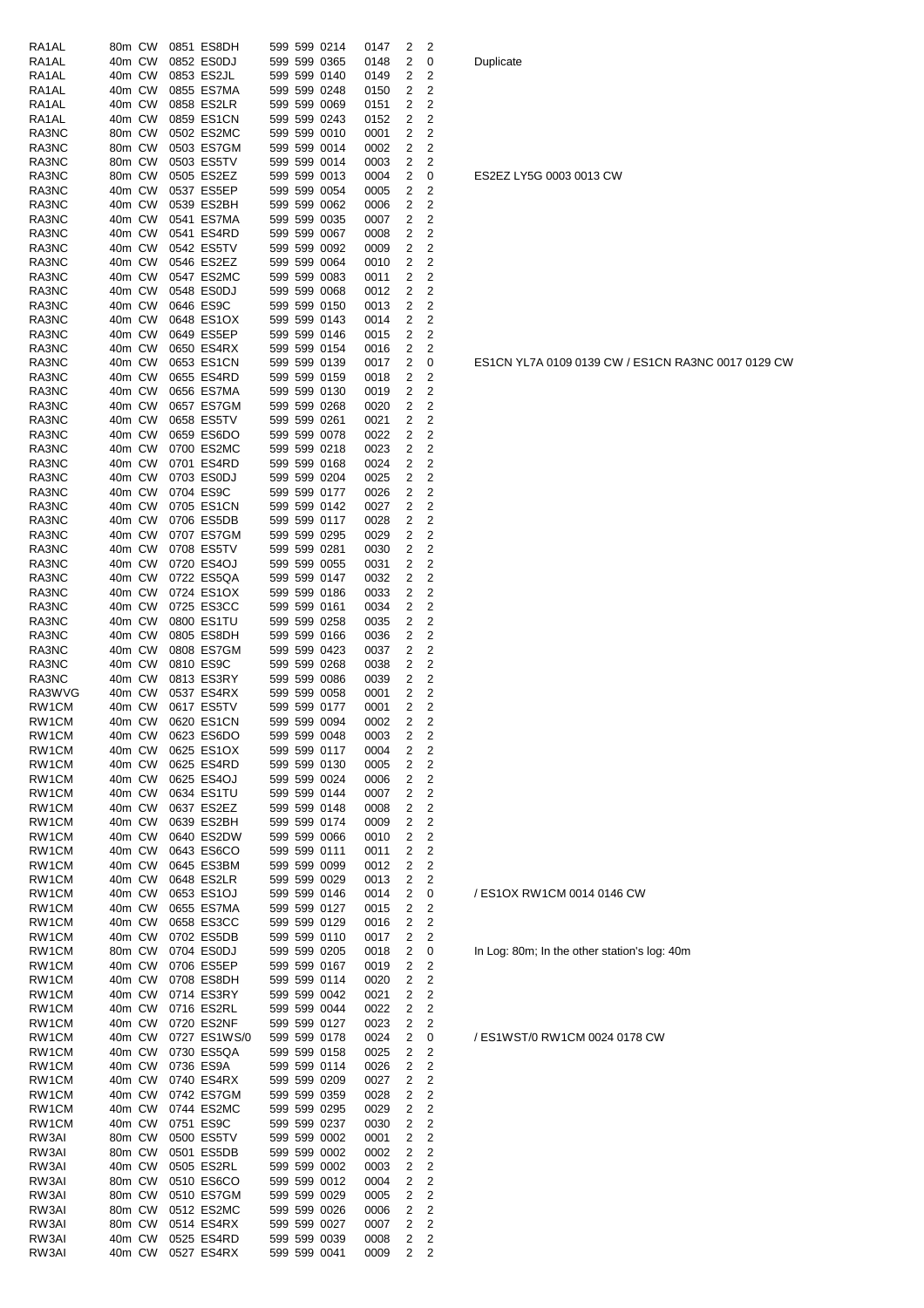| RA1AL              | 80m CW           |  | 0851 ES8DH               |  | 599 599 0214                 | 0147         | 2              | 2                   |
|--------------------|------------------|--|--------------------------|--|------------------------------|--------------|----------------|---------------------|
| RA1AL              | 40m CW           |  | 0852 ES0DJ               |  | 599 599 0365                 | 0148         | 2              | 0                   |
| RA1AL              | 40m CW           |  | 0853 ES2JL               |  | 599 599 0140                 | 0149         | 2              | 2                   |
| RA1AL              | 40m CW           |  | 0855 ES7MA               |  | 599 599 0248                 | 0150         | 2              | 2                   |
| RA1AL              | 40m CW           |  | 0858 ES2LR               |  | 599 599 0069                 | 0151         | 2              | 2                   |
| RA1AL              | 40m CW           |  | 0859 ES1CN               |  | 599 599 0243                 | 0152         | 2              | 2                   |
| RA3NC              | 80m CW           |  | 0502 ES2MC               |  | 599 599 0010                 | 0001         | 2              | 2                   |
| RA3NC              | 80m CW           |  | 0503 ES7GM               |  | 599 599 0014                 | 0002         | 2              | 2                   |
| RA3NC              | 80m CW           |  | 0503 ES5TV               |  | 599 599 0014                 | 0003         | 2              | 2                   |
| RA3NC              | 80m CW           |  | 0505 ES2EZ               |  | 599 599 0013                 | 0004         | 2              | 0                   |
| RA3NC              | 40m CW           |  | 0537 ES5EP               |  | 599 599 0054                 | 0005         | 2              | 2                   |
| RA3NC              | 40m CW           |  | 0539 ES2BH               |  | 599 599 0062                 | 0006         | 2              | $\overline{2}$      |
| RA3NC              | 40m CW           |  | 0541 ES7MA               |  | 599 599 0035                 | 0007         | 2              | $\overline{2}$      |
| RA3NC              | 40m CW           |  | 0541 ES4RD               |  | 599 599 0067                 | 0008         | 2              | $\overline{2}$      |
| RA3NC              | 40m CW           |  | 0542 ES5TV               |  | 599 599 0092                 | 0009         | 2              | 2                   |
| RA3NC              | 40m CW           |  | 0546 ES2EZ               |  | 599 599 0064                 | 0010         | 2              | 2                   |
| RA3NC              | 40m CW           |  | 0547 ES2MC               |  | 599 599 0083                 | 0011         | 2              | 2                   |
| RA3NC              | 40m CW           |  | 0548 ES0DJ               |  | 599 599 0068                 | 0012         | 2              | 2                   |
| RA3NC              | 40m CW           |  | 0646 ES9C                |  | 599 599 0150                 | 0013         | 2              | $\overline{c}$      |
| RA3NC              | 40m CW           |  | 0648 ES1OX               |  | 599 599 0143                 | 0014         | 2              | 2                   |
| RA3NC              | 40m CW           |  | 0649 ES5EP               |  | 599 599 0146                 | 0015         | 2              | 2                   |
| RA3NC              | 40m CW           |  | 0650 ES4RX               |  | 599 599 0154                 | 0016         | 2              | 2                   |
| RA3NC              | 40m CW           |  | 0653 ES1CN               |  | 599 599 0139                 | 0017         | 2              | 0                   |
| RA3NC              | 40m CW           |  | 0655 ES4RD               |  | 599 599 0159                 | 0018         | 2              | $\overline{2}$      |
| RA3NC              | 40m CW           |  | 0656 ES7MA               |  | 599 599 0130                 | 0019         | 2              | 2                   |
| RA3NC              | 40m CW           |  | 0657 ES7GM               |  | 599 599 0268                 | 0020         | 2              | 2                   |
| RA3NC              | 40m CW           |  | 0658 ES5TV               |  | 599 599 0261                 | 0021         | 2              | 2                   |
| RA3NC              | 40m CW           |  | 0659 ES6DO               |  | 599 599 0078                 | 0022         | 2              | 2                   |
| RA3NC              | 40m CW           |  | 0700 ES2MC               |  | 599 599 0218                 | 0023         | 2              | 2                   |
| RA3NC              | 40m CW           |  | 0701 ES4RD               |  | 599 599 0168                 | 0024         | 2              | $\overline{2}$      |
| RA3NC              | 40m CW           |  | 0703 ES0DJ               |  | 599 599 0204                 | 0025         | 2              | 2                   |
| RA3NC              | 40m CW           |  | 0704 ES9C                |  | 599 599 0177                 | 0026         | 2              | 2                   |
| RA3NC              | 40m CW           |  | 0705 ES1CN               |  | 599 599 0142                 | 0027         | 2              | 2                   |
| RA3NC              | 40m CW           |  | 0706 ES5DB               |  | 599 599 0117                 | 0028         | 2              | 2                   |
| RA3NC              | 40m CW           |  | 0707 ES7GM               |  | 599 599 0295                 | 0029         | 2              | 2                   |
| RA3NC              | 40m CW           |  | 0708 ES5TV               |  | 599 599 0281                 | 0030         | 2              | $\overline{2}$      |
| RA3NC              | 40m CW           |  | 0720 ES4OJ               |  | 599 599 0055                 | 0031         | 2              | $\overline{2}$      |
| RA3NC              | 40m CW           |  | 0722 ES5QA               |  | 599 599 0147                 |              |                | 2                   |
|                    |                  |  |                          |  |                              | 0032         | 2              |                     |
| RA3NC<br>RA3NC     | 40m CW<br>40m CW |  | 0724 ES1OX<br>0725 ES3CC |  | 599 599 0186<br>599 599 0161 | 0033         | 2              | 2<br>2              |
|                    |                  |  |                          |  |                              | 0034         | 2              |                     |
| RA3NC              | 40m CW           |  | 0800 ES1TU               |  | 599 599 0258                 | 0035         | 2              | 2                   |
| RA3NC              | 40m CW           |  | 0805 ES8DH               |  | 599 599 0166                 | 0036         | 2              | 2                   |
| RA3NC              | 40m CW<br>40m CW |  | 0808 ES7GM               |  | 599 599 0423                 | 0037         | 2              | 2                   |
| RA3NC              |                  |  | 0810 ES9C                |  | 599 599 0268                 | 0038<br>0039 | 2              | 2                   |
| RA3NC<br>RA3WVG    | 40m CW<br>40m CW |  | 0813 ES3RY               |  | 599 599 0086<br>599 599 0058 |              | 2              | 2                   |
|                    |                  |  | 0537 ES4RX               |  |                              | 0001         | 2              | 2<br>$\overline{2}$ |
| RW1CM<br>RW1CM     | 40m CW<br>40m CW |  | 0617 ES5TV<br>0620 ES1CN |  | 599 599 0177<br>599 599 0094 | 0001<br>0002 | 2<br>2         | 2                   |
| RW1CM              | 40m CW           |  | 0623 ES6DO               |  | 599 599 0048                 | 0003         | $\overline{2}$ | $\mathbf 2$         |
|                    |                  |  |                          |  |                              |              |                |                     |
| RW1CM<br>RW1CM     | 40m CW           |  | 0625 ES1OX               |  | 599 599 0117<br>599 599 0130 | 0004         | 2              | 2                   |
|                    | 40m CW           |  | 0625 ES4RD               |  |                              | 0005         | 2              | 2                   |
| RW1CM              | 40m CW           |  | 0625 ES4OJ               |  | 599 599 0024                 | 0006         | 2              | 2                   |
| RW1CM              | 40m CW           |  | 0634 ES1TU               |  | 599 599 0144                 | 0007         | 2              | 2                   |
| RW1CM              | 40m CW           |  | 0637 ES2EZ               |  | 599 599 0148                 | 0008         | 2              | 2                   |
| RW1CM              | 40m CW           |  | 0639 ES2BH               |  | 599 599 0174                 | 0009         | 2              | 2                   |
| RW1CM              | 40m CW           |  | 0640 ES2DW               |  | 599 599 0066                 | 0010         | 2              | $\overline{c}$      |
| RW <sub>1</sub> CM | 40m CW           |  | 0643 ES6CO               |  | 599 599 0111                 | 0011         | 2              | 2                   |
| RW1CM              | 40m CW           |  | 0645 ES3BM               |  | 599 599 0099                 | 0012         | 2              | 2                   |
| RW1CM              | 40m CW           |  | 0648 ES2LR               |  | 599 599 0029<br>599 599 0146 | 0013         | 2              | 2                   |
| RW1CM              | 40m CW           |  | 0653 ES1OJ               |  |                              | 0014         | 2              | 0                   |
| RW1CM              | 40m CW           |  | 0655 ES7MA               |  | 599 599 0127                 | 0015         | 2              | 2                   |
| RW1CM              | 40m CW           |  | 0658 ES3CC               |  | 599 599 0129                 | 0016         | 2              | 2                   |
| RW1CM              | 40m CW           |  | 0702 ES5DB               |  | 599 599 0110                 | 0017         | 2              | 2                   |
| RW1CM              | 80m CW           |  | 0704 ES0DJ               |  | 599 599 0205                 | 0018         | 2              | 0                   |
| RW1CM              | 40m CW           |  | 0706 ES5EP               |  | 599 599 0167                 | 0019         | 2              | 2                   |
| RW1CM              | 40m CW           |  | 0708 ES8DH               |  | 599 599 0114                 | 0020         | 2              | 2                   |
| RW1CM              | 40m CW           |  | 0714 ES3RY               |  | 599 599 0042                 | 0021         | 2              | 2                   |
| RW1CM              | 40m CW           |  | 0716 ES2RL               |  | 599 599 0044                 | 0022         | 2              | 2                   |
| RW1CM              | 40m CW           |  | 0720 ES2NF               |  | 599 599 0127                 | 0023         | 2              | 2                   |
| RW1CM              | 40m CW           |  | 0727 ES1WS/0             |  | 599 599 0178                 | 0024         | 2              | 0                   |
| RW1CM              | 40m CW           |  | 0730 ES5QA               |  | 599 599 0158                 | 0025         | 2              | 2                   |
| RW1CM              | 40m CW           |  | 0736 ES9A                |  | 599 599 0114                 | 0026         | 2              | 2                   |
| RW1CM              | 40m CW           |  | 0740 ES4RX               |  | 599 599 0209                 | 0027         | 2              | $\overline{2}$      |
| RW1CM              | 40m CW           |  | 0742 ES7GM               |  | 599 599 0359                 | 0028         | 2              | 2                   |
| RW1CM              | 40m CW           |  | 0744 ES2MC               |  | 599 599 0295                 | 0029         | 2              | 2                   |
| RW1CM              | 40m CW           |  | 0751 ES9C                |  | 599 599 0237                 | 0030         | 2              | 2                   |
| RW3AI              | 80m CW           |  | 0500 ES5TV               |  | 599 599 0002                 | 0001         | 2              | 2                   |
| RW3AI              | 80m CW           |  | 0501 ES5DB               |  | 599 599 0002                 | 0002         | 2              | 2                   |
| RW3AI              | 40m CW           |  | 0505 ES2RL               |  | 599 599 0002                 | 0003         | 2              | 2                   |
| RW3AI              | 80m CW           |  | 0510 ES6CO               |  | 599 599 0012                 | 0004         | 2              | 2                   |
| RW3AI              | 80m CW           |  | 0510 ES7GM               |  | 599 599 0029                 | 0005         | 2              | 2                   |
| RW3AI              | 80m CW           |  | 0512 ES2MC               |  | 599 599 0026                 | 0006         | 2              | 2                   |
| RW3AI              | 80m CW           |  | 0514 ES4RX               |  | 599 599 0027                 | 0007         | 2              | 2                   |
| RW3AI              | 40m CW           |  | 0525 ES4RD               |  | 599 599 0039                 | 0008         | 2              | 2                   |
| RW3AI              | 40m CW           |  | 0527 ES4RX               |  | 599 599 0041                 | 0009         | 2              | 2                   |

**Duplicate** 

ES2EZ LY5G 0003 0013 CW

/ ES1OX RW1CM 0014 0146 CW

In Log: 80m; In the other station's log: 40m

/ ES1WST/0 RW1CM 0024 0178 CW

ES1CN YL7A 0109 0139 CW / ES1CN RA3NC 0017 0129 CW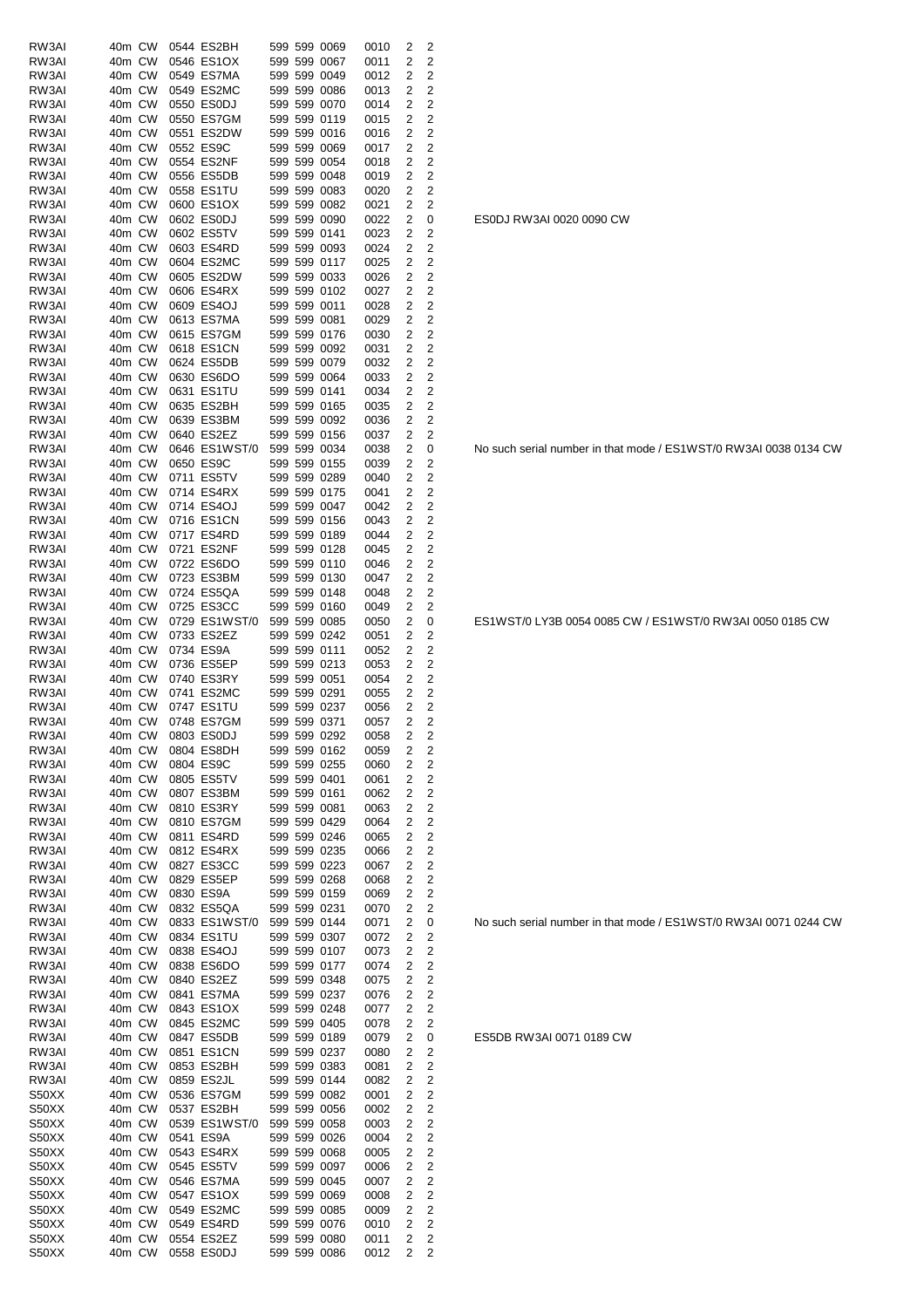| RW3AI          | 40m CW           |        | 0544 ES2BH                  |  | 599 599 0069                 | 0010         | 2            | 2                   |
|----------------|------------------|--------|-----------------------------|--|------------------------------|--------------|--------------|---------------------|
| RW3AI          | 40m CW           |        | 0546 ES1OX                  |  | 599 599 0067                 | 0011         | 2            | 2                   |
| RW3AI          | 40m CW           |        | 0549 ES7MA                  |  | 599 599 0049                 | 0012         | 2            | 2                   |
| RW3AI          | 40m CW           |        | 0549 ES2MC                  |  | 599 599 0086                 | 0013         | 2            | 2                   |
| RW3AI<br>RW3AI | 40m CW<br>40m CW |        | 0550 ES0DJ<br>0550 ES7GM    |  | 599 599 0070<br>599 599 0119 | 0014<br>0015 | 2<br>2       | 2<br>2              |
| RW3AI          | 40m CW           |        | 0551 ES2DW                  |  | 599 599 0016                 | 0016         | 2            | 2                   |
| RW3AI          | 40m CW           |        | 0552 ES9C                   |  | 599 599 0069                 | 0017         | 2            | $\overline{c}$      |
| RW3AI          | 40m CW           |        | 0554 ES2NF                  |  | 599 599 0054                 | 0018         | 2            | 2                   |
| RW3AI          | 40m CW           |        | 0556 ES5DB                  |  | 599 599 0048                 | 0019         | 2            | 2                   |
| RW3AI          | 40m CW           |        | 0558 ES1TU                  |  | 599 599 0083                 | 0020         | 2            | 2                   |
| RW3AI          | 40m CW           |        | 0600 ES1OX                  |  | 599 599 0082                 | 0021         | 2            | 2                   |
| RW3AI          | 40m CW           |        | 0602 ES0DJ                  |  | 599 599 0090                 | 0022         | 2            | 0                   |
| RW3AI          | 40m CW           |        | 0602 ES5TV                  |  | 599 599 0141                 | 0023         | 2            | 2                   |
| RW3AI<br>RW3AI | 40m CW<br>40m CW |        | 0603 ES4RD<br>0604 ES2MC    |  | 599 599 0093<br>599 599 0117 | 0024<br>0025 | 2<br>2       | 2<br>2              |
| RW3AI          | 40m CW           |        | 0605 ES2DW                  |  | 599 599 0033                 | 0026         | 2            | 2                   |
| RW3AI          | 40m CW           |        | 0606 ES4RX                  |  | 599 599 0102                 | 0027         | 2            | 2                   |
| RW3AI          | 40m CW           |        | 0609 ES4OJ                  |  | 599 599 0011                 | 0028         | 2            | 2                   |
| RW3AI          | 40m CW           |        | 0613 ES7MA                  |  | 599 599 0081                 | 0029         | 2            | 2                   |
| RW3AI          | 40m CW           |        | 0615 ES7GM                  |  | 599 599 0176                 | 0030         | 2            | 2                   |
| RW3AI          | 40m CW           |        | 0618 ES1CN                  |  | 599 599 0092                 | 0031         | 2            | 2                   |
| RW3AI          | 40m CW           |        | 0624 ES5DB                  |  | 599 599 0079                 | 0032         | 2            | 2                   |
| RW3AI<br>RW3AI | 40m CW           |        | 0630 ES6DO                  |  | 599 599 0064                 | 0033<br>0034 | 2            | 2<br>2              |
| RW3AI          | 40m CW<br>40m CW |        | 0631 ES1TU<br>0635 ES2BH    |  | 599 599 0141<br>599 599 0165 | 0035         | 2<br>2       | 2                   |
| RW3AI          | 40m CW           |        | 0639 ES3BM                  |  | 599 599 0092                 | 0036         | 2            | 2                   |
| RW3AI          | 40m CW           |        | 0640 ES2EZ                  |  | 599 599 0156                 | 0037         | 2            | 2                   |
| RW3AI          | 40m CW           |        | 0646 ES1WST/0               |  | 599 599 0034                 | 0038         | 2            | 0                   |
| RW3AI          | 40m CW           |        | 0650 ES9C                   |  | 599 599 0155                 | 0039         | 2            | 2                   |
| RW3AI          | 40m CW           |        | 0711 ES5TV                  |  | 599 599 0289                 | 0040         | 2            | 2                   |
| RW3AI          | 40m CW           |        | 0714 ES4RX                  |  | 599 599 0175                 | 0041         | 2            | 2                   |
| RW3AI          | 40m CW           |        | 0714 ES4OJ                  |  | 599 599 0047                 | 0042         | 2            | 2                   |
| RW3AI          | 40m CW           |        | 0716 ES1CN                  |  | 599 599 0156                 | 0043         | 2            | 2                   |
| RW3AI<br>RW3AI | 40m CW<br>40m CW |        | 0717 ES4RD<br>0721 ES2NF    |  | 599 599 0189<br>599 599 0128 | 0044<br>0045 | 2<br>2       | 2<br>2              |
| RW3AI          | 40m CW           |        | 0722 ES6DO                  |  | 599 599 0110                 | 0046         | 2            | 2                   |
| RW3AI          | 40m CW           |        | 0723 ES3BM                  |  | 599 599 0130                 | 0047         | 2            | 2                   |
| RW3AI          | 40m CW           |        | 0724 ES5QA                  |  | 599 599 0148                 | 0048         | 2            | 2                   |
| RW3AI          | 40m CW           |        | 0725 ES3CC                  |  | 599 599 0160                 | 0049         | 2            | 2                   |
| RW3AI          | 40m CW           |        | 0729 ES1WST/0               |  | 599 599 0085                 | 0050         | 2            | 0                   |
| RW3AI          | 40m CW           |        | 0733 ES2EZ                  |  | 599 599 0242                 | 0051         | 2            | 2                   |
| RW3AI          | 40m CW           |        | 0734 ES9A                   |  | 599 599 0111                 | 0052         | 2            | 2                   |
| RW3AI<br>RW3AI | 40m CW<br>40m CW |        | 0736 ES5EP<br>0740 ES3RY    |  | 599 599 0213<br>599 599 0051 | 0053         | 2            | 2<br>$\overline{c}$ |
| RW3AI          | 40m CW           |        | 0741 ES2MC                  |  | 599 599 0291                 | 0054<br>0055 | 2<br>2       | 2                   |
| RW3AI          | 40m CW           |        | 0747 ES1TU                  |  | 599 599 0237                 | 0056         | 2            | $\overline{c}$      |
| RW3AI          | 40m CW           |        | 0748 ES7GM                  |  | 599 599 0371                 | 0057         | 2            | 2                   |
| RW3AI          |                  | 40m CW | 0803 ES0DJ                  |  | 599 599 0292                 | 0058         | $\mathbf{2}$ | 2                   |
| RW3AI          | 40m CW           |        | 0804 ES8DH                  |  | 599 599 0162                 | 0059         | 2            | 2                   |
| RW3AI          | 40m CW           |        | 0804 ES9C                   |  | 599 599 0255                 | 0060         | 2            | 2                   |
| RW3AI          | 40m CW           |        | 0805 ES5TV                  |  | 599 599 0401                 | 0061         | 2            | 2                   |
| RW3AI<br>RW3AI | 40m CW           |        | 0807 ES3BM<br>0810 ES3RY    |  | 599 599 0161<br>599 599 0081 | 0062         | 2            | 2<br>2              |
| RW3AI          | 40m CW<br>40m CW |        | 0810 ES7GM                  |  | 599 599 0429                 | 0063<br>0064 | 2<br>2       | 2                   |
| RW3AI          | 40m CW           |        | 0811 ES4RD                  |  | 599 599 0246                 | 0065         | 2            | $\overline{2}$      |
| RW3AI          | 40m CW           |        | 0812 ES4RX                  |  | 599 599 0235                 | 0066         | 2            | 2                   |
| RW3AI          | 40m CW           |        | 0827 ES3CC                  |  | 599 599 0223                 | 0067         | 2            | $\overline{c}$      |
| RW3AI          | 40m CW           |        | 0829 ES5EP                  |  | 599 599 0268                 | 0068         | 2            | 2                   |
| RW3AI          | 40m CW           |        | 0830 ES9A                   |  | 599 599 0159                 | 0069         | 2            | 2                   |
| RW3AI          | 40m CW           |        | 0832 ES5QA                  |  | 599 599 0231                 | 0070         | 2            | 2                   |
| RW3AI<br>RW3AI | 40m CW<br>40m CW |        | 0833 ES1WST/0<br>0834 ES1TU |  | 599 599 0144<br>599 599 0307 | 0071         | 2            | 0                   |
| RW3AI          | 40m CW           |        | 0838 ES4OJ                  |  | 599 599 0107                 | 0072<br>0073 | 2<br>2       | 2<br>2              |
| RW3AI          | 40m CW           |        | 0838 ES6DO                  |  | 599 599 0177                 | 0074         | 2            | 2                   |
| RW3AI          | 40m CW           |        | 0840 ES2EZ                  |  | 599 599 0348                 | 0075         | 2            | 2                   |
| RW3AI          | 40m CW           |        | 0841 ES7MA                  |  | 599 599 0237                 | 0076         | 2            | 2                   |
| RW3AI          | 40m CW           |        | 0843 ES1OX                  |  | 599 599 0248                 | 0077         | 2            | 2                   |
| RW3AI          | 40m CW           |        | 0845 ES2MC                  |  | 599 599 0405                 | 0078         | 2            | $\overline{2}$      |
| RW3AI          | 40m CW           |        | 0847 ES5DB                  |  | 599 599 0189                 | 0079         | 2            | 0                   |
| RW3AI          | 40m CW           |        | 0851 ES1CN                  |  | 599 599 0237                 | 0080         | 2            | 2                   |
| RW3AI          | 40m CW<br>40m CW |        | 0853 ES2BH                  |  | 599 599 0383                 | 0081         | 2            | 2                   |
| RW3AI<br>S50XX | 40m CW           |        | 0859 ES2JL<br>0536 ES7GM    |  | 599 599 0144<br>599 599 0082 | 0082<br>0001 | 2<br>2       | 2<br>2              |
| S50XX          | 40m CW           |        | 0537 ES2BH                  |  | 599 599 0056                 | 0002         | 2            | $\overline{c}$      |
| S50XX          | 40m CW           |        | 0539 ES1WST/0               |  | 599 599 0058                 | 0003         | 2            | 2                   |
| S50XX          | 40m CW           |        | 0541 ES9A                   |  | 599 599 0026                 | 0004         | 2            | 2                   |
| S50XX          | 40m CW           |        | 0543 ES4RX                  |  | 599 599 0068                 | 0005         | 2            | 2                   |
| S50XX          | 40m CW           |        | 0545 ES5TV                  |  | 599 599 0097                 | 0006         | 2            | 2                   |
| S50XX          | 40m CW           |        | 0546 ES7MA                  |  | 599 599 0045                 | 0007         | 2            | 2                   |
| S50XX          | 40m CW           |        | 0547 ES1OX                  |  | 599 599 0069                 | 0008         | 2            | 2<br>$\overline{2}$ |
| S50XX<br>S50XX | 40m CW<br>40m CW |        | 0549 ES2MC<br>0549 ES4RD    |  | 599 599 0085<br>599 599 0076 | 0009<br>0010 | 2<br>2       | 2                   |
| S50XX          | 40m CW           |        | 0554 ES2EZ                  |  | 599 599 0080                 | 0011         | 2            | 2                   |
| S50XX          | 40m CW           |        | 0558 ES0DJ                  |  | 599 599 0086                 | 0012         | 2            | 2                   |

ES0DJ RW3AI 0020 0090 CW

No such serial number in that mode / ES1WST/0 RW3AI 0038 0134 CW

ES1WST/0 LY3B 0054 0085 CW / ES1WST/0 RW3AI 0050 0185 CW

No such serial number in that mode / ES1WST/0 RW3AI 0071 0244 CW

ES5DB RW3AI 0071 0189 CW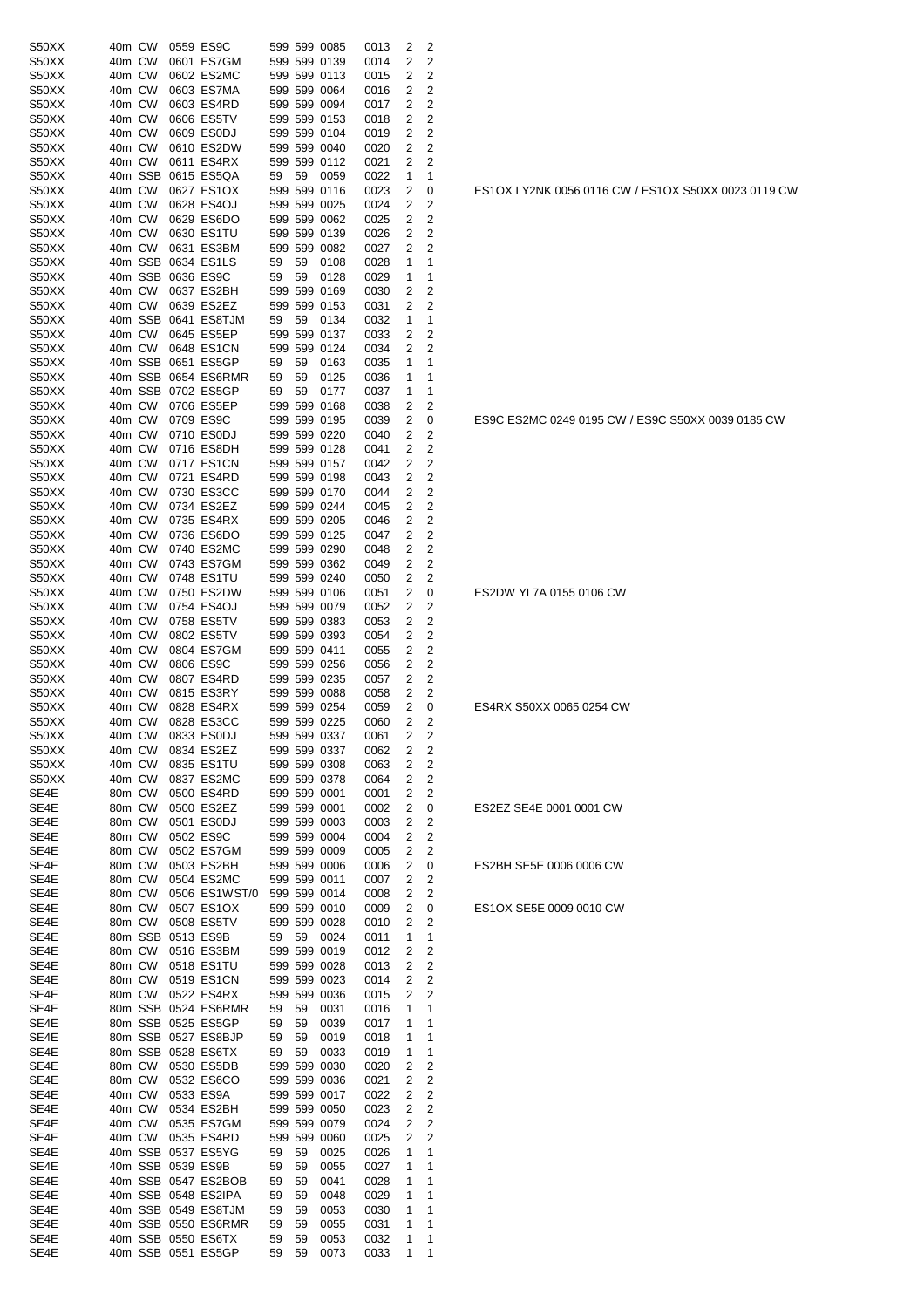| S50XX | 40m CW |         | 0559 ES9C           |     |    | 599 599 0085 | 0013 | 2              | 2              |
|-------|--------|---------|---------------------|-----|----|--------------|------|----------------|----------------|
| S50XX | 40m CW |         | 0601 ES7GM          |     |    | 599 599 0139 | 0014 | 2              | 2              |
| S50XX | 40m CW |         | 0602 ES2MC          |     |    | 599 599 0113 | 0015 | 2              | 2              |
| S50XX | 40m CW |         | 0603 ES7MA          |     |    | 599 599 0064 | 0016 | 2              | 2              |
| S50XX | 40m CW |         | 0603 ES4RD          |     |    | 599 599 0094 | 0017 | $\overline{2}$ | 2              |
| S50XX | 40m CW |         | 0606 ES5TV          |     |    | 599 599 0153 | 0018 | 2              | 2              |
| S50XX | 40m CW |         | 0609 ES0DJ          |     |    | 599 599 0104 | 0019 | 2              | 2              |
| S50XX | 40m CW |         | 0610 ES2DW          |     |    | 599 599 0040 | 0020 | 2              | 2              |
| S50XX | 40m CW |         | 0611 ES4RX          |     |    | 599 599 0112 | 0021 | 2              | 2              |
| S50XX |        | 40m SSB | 0615 ES5QA          | 59  | 59 | 0059         | 0022 | 1              | 1              |
| S50XX | 40m CW |         | 0627 ES1OX          |     |    | 599 599 0116 | 0023 | 2              | 0              |
| S50XX | 40m CW |         | 0628 ES4OJ          |     |    | 599 599 0025 | 0024 | 2              | 2              |
| S50XX | 40m CW |         | 0629 ES6DO          |     |    | 599 599 0062 | 0025 | 2              | 2              |
| S50XX | 40m CW |         | 0630 ES1TU          |     |    | 599 599 0139 | 0026 | 2              | 2              |
| S50XX | 40m CW |         | 0631 ES3BM          |     |    | 599 599 0082 | 0027 | 2              | 2              |
| S50XX |        | 40m SSB | 0634 ES1LS          | 59  | 59 | 0108         | 0028 | 1              | 1              |
| S50XX |        | 40m SSB | 0636 ES9C           | 59  | 59 | 0128         | 0029 | 1              | 1              |
| S50XX | 40m CW |         | 0637 ES2BH          |     |    | 599 599 0169 | 0030 | 2              | 2              |
| S50XX | 40m CW |         | 0639 ES2EZ          |     |    | 599 599 0153 | 0031 | 2              | 2              |
| S50XX |        | 40m SSB | 0641 ES8TJM         | 59  | 59 | 0134         | 0032 | 1              | 1              |
| S50XX | 40m CW |         | 0645 ES5EP          |     |    | 599 599 0137 | 0033 | 2              | 2              |
| S50XX | 40m CW |         | 0648 ES1CN          | 599 |    | 599 0124     | 0034 | 2              | 2              |
| S50XX |        | 40m SSB | 0651 ES5GP          | 59  | 59 | 0163         | 0035 | 1              | 1              |
| S50XX |        | 40m SSB | 0654 ES6RMR         | 59  | 59 | 0125         | 0036 | 1              | 1              |
| S50XX |        | 40m SSB | 0702 ES5GP          | 59  | 59 | 0177         | 0037 | 1              | 1              |
| S50XX | 40m CW |         | 0706 ES5EP          |     |    | 599 599 0168 | 0038 | 2              | 2              |
| S50XX | 40m CW |         | 0709 ES9C           |     |    | 599 599 0195 | 0039 | 2              | 0              |
| S50XX | 40m CW |         | 0710 ES0DJ          |     |    | 599 599 0220 | 0040 | 2              | 2              |
| S50XX | 40m CW |         | 0716 ES8DH          |     |    | 599 599 0128 | 0041 | 2              | 2              |
| S50XX | 40m CW |         | 0717 ES1CN          |     |    | 599 599 0157 | 0042 | 2              | 2              |
| S50XX | 40m CW |         | 0721 ES4RD          |     |    | 599 599 0198 | 0043 | 2              | 2              |
| S50XX | 40m CW |         | 0730 ES3CC          |     |    | 599 599 0170 | 0044 | 2              | 2              |
| S50XX | 40m CW |         | 0734 ES2EZ          |     |    | 599 599 0244 | 0045 | 2              | 2              |
| S50XX | 40m CW |         | 0735 ES4RX          |     |    | 599 599 0205 | 0046 | 2              | 2              |
| S50XX | 40m CW |         | 0736 ES6DO          |     |    | 599 599 0125 | 0047 | 2              | 2              |
| S50XX | 40m CW |         | 0740 ES2MC          |     |    | 599 599 0290 | 0048 | 2              | 2              |
| S50XX | 40m CW |         | 0743 ES7GM          |     |    | 599 599 0362 | 0049 | 2              | 2              |
| S50XX | 40m CW |         | 0748 ES1TU          |     |    | 599 599 0240 | 0050 | 2              | 2              |
| S50XX | 40m CW |         | 0750 ES2DW          |     |    | 599 599 0106 | 0051 | 2              | 0              |
| S50XX | 40m CW |         | 0754 ES4OJ          |     |    | 599 599 0079 | 0052 | 2              | 2              |
| S50XX | 40m CW |         | 0758 ES5TV          |     |    | 599 599 0383 | 0053 | 2              | 2              |
| S50XX | 40m CW |         | 0802 ES5TV          |     |    | 599 599 0393 | 0054 | 2              | 2              |
| S50XX | 40m CW |         | 0804 ES7GM          |     |    | 599 599 0411 | 0055 | 2              | 2              |
| S50XX | 40m CW |         | 0806 ES9C           |     |    | 599 599 0256 | 0056 | 2              | 2              |
| S50XX | 40m CW |         | 0807 ES4RD          |     |    | 599 599 0235 | 0057 | 2              | 2              |
| S50XX | 40m CW |         | 0815 ES3RY          |     |    | 599 599 0088 | 0058 | 2              | 2              |
| S50XX | 40m CW |         | 0828 ES4RX          |     |    | 599 599 0254 | 0059 | 2              | 0              |
| S50XX | 40m CW |         | 0828 ES3CC          |     |    | 599 599 0225 | 0060 | 2              | 2              |
| S50XX |        | 40m CW  | 0833 ES0DJ          |     |    | 599 599 0337 | 0061 | 2              | 2              |
| S50XX | 40m CW |         | 0834 ES2EZ          |     |    | 599 599 0337 | 0062 | 2              | 2              |
| S50XX | 40m CW |         | 0835 ES1TU          |     |    | 599 599 0308 | 0063 | 2              | $\overline{c}$ |
| S50XX | 40m CW |         | 0837 ES2MC          |     |    | 599 599 0378 | 0064 | 2              | 2              |
| SE4E  | 80m CW |         | 0500 ES4RD          |     |    | 599 599 0001 | 0001 | 2              | 2              |
| SE4E  | 80m CW |         | 0500 ES2EZ          |     |    | 599 599 0001 | 0002 | 2              | 0              |
| SE4E  | 80m CW |         | 0501 ES0DJ          |     |    | 599 599 0003 | 0003 | 2              | $\overline{c}$ |
| SE4E  | 80m CW |         | 0502 ES9C           |     |    | 599 599 0004 | 0004 | 2              | $\overline{c}$ |
| SE4E  | 80m CW |         | 0502 ES7GM          |     |    | 599 599 0009 | 0005 | 2              | $\overline{c}$ |
| SE4E  | 80m CW |         | 0503 ES2BH          |     |    | 599 599 0006 | 0006 | 2              | 0              |
| SE4E  | 80m CW |         | 0504 ES2MC          |     |    | 599 599 0011 | 0007 | 2              | 2              |
| SE4E  | 80m CW |         | 0506 ES1WST/0       |     |    | 599 599 0014 | 0008 | 2              | $\overline{c}$ |
| SE4E  | 80m CW |         | 0507 ES1OX          |     |    | 599 599 0010 | 0009 | 2              | 0              |
| SE4E  | 80m CW |         | 0508 ES5TV          |     |    | 599 599 0028 | 0010 | 2              | $\overline{c}$ |
| SE4E  |        |         | 80m SSB 0513 ES9B   | 59  | 59 | 0024         | 0011 | 1              | 1              |
| SE4E  | 80m CW |         | 0516 ES3BM          |     |    | 599 599 0019 | 0012 | 2              | $\overline{c}$ |
| SE4E  | 80m CW |         | 0518 ES1TU          |     |    | 599 599 0028 | 0013 | 2              | 2              |
| SE4E  | 80m CW |         | 0519 ES1CN          |     |    | 599 599 0023 | 0014 | 2              | 2              |
| SE4E  | 80m CW |         | 0522 ES4RX          |     |    | 599 599 0036 | 0015 | 2              | 2              |
| SE4E  |        |         | 80m SSB 0524 ES6RMR | 59  | 59 | 0031         | 0016 | 1              | 1              |
| SE4E  |        |         | 80m SSB 0525 ES5GP  | 59  | 59 | 0039         | 0017 | 1              | 1              |
| SE4E  |        |         | 80m SSB 0527 ES8BJP | 59  | 59 | 0019         | 0018 | 1              | 1              |
| SE4E  |        |         | 80m SSB 0528 ES6TX  | 59  | 59 | 0033         | 0019 | 1              | 1              |
| SE4E  | 80m CW |         | 0530 ES5DB          |     |    | 599 599 0030 | 0020 | 2              | 2              |
| SE4E  | 80m CW |         | 0532 ES6CO          |     |    | 599 599 0036 | 0021 | 2              | $\overline{c}$ |
| SE4E  | 40m CW |         | 0533 ES9A           |     |    | 599 599 0017 | 0022 | 2              | 2              |
| SE4E  | 40m CW |         | 0534 ES2BH          |     |    | 599 599 0050 | 0023 | 2              | $\overline{c}$ |
| SE4E  | 40m CW |         | 0535 ES7GM          |     |    | 599 599 0079 | 0024 | 2              | 2              |
| SE4E  |        | 40m CW  | 0535 ES4RD          |     |    | 599 599 0060 | 0025 | 2              | 2              |
| SE4E  |        |         | 40m SSB 0537 ES5YG  | 59  | 59 | 0025         | 0026 | 1              | 1              |
| SE4E  |        |         | 40m SSB 0539 ES9B   | 59  | 59 | 0055         | 0027 | 1              | 1              |
| SE4E  |        |         | 40m SSB 0547 ES2BOB | 59  | 59 | 0041         | 0028 | 1              | 1              |
| SE4E  |        |         | 40m SSB 0548 ES2IPA | 59  | 59 | 0048         | 0029 | 1              | 1              |
| SE4E  |        |         | 40m SSB 0549 ES8TJM | 59  | 59 | 0053         | 0030 | 1              | 1              |
| SE4E  |        |         | 40m SSB 0550 ES6RMR | 59  | 59 | 0055         | 0031 | 1              | 1              |
| SE4E  |        |         | 40m SSB 0550 ES6TX  | 59  | 59 | 0053         | 0032 | 1              | 1              |
| SE4E  |        |         | 40m SSB 0551 ES5GP  | 59  | 59 | 0073         | 0033 | 1              | 1              |
|       |        |         |                     |     |    |              |      |                |                |

ES1OX LY2NK 0056 0116 CW / ES1OX S50XX 0023 0119 CW

ES9C ES2MC 0249 0195 CW / ES9C S50XX 0039 0185 CW

ES2DW YL7A 0155 0106 CW

ES4RX S50XX 0065 0254 CW

ES2EZ SE4E 0001 0001 CW

ES2BH SE5E 0006 0006 CW

ES1OX SE5E 0009 0010 CW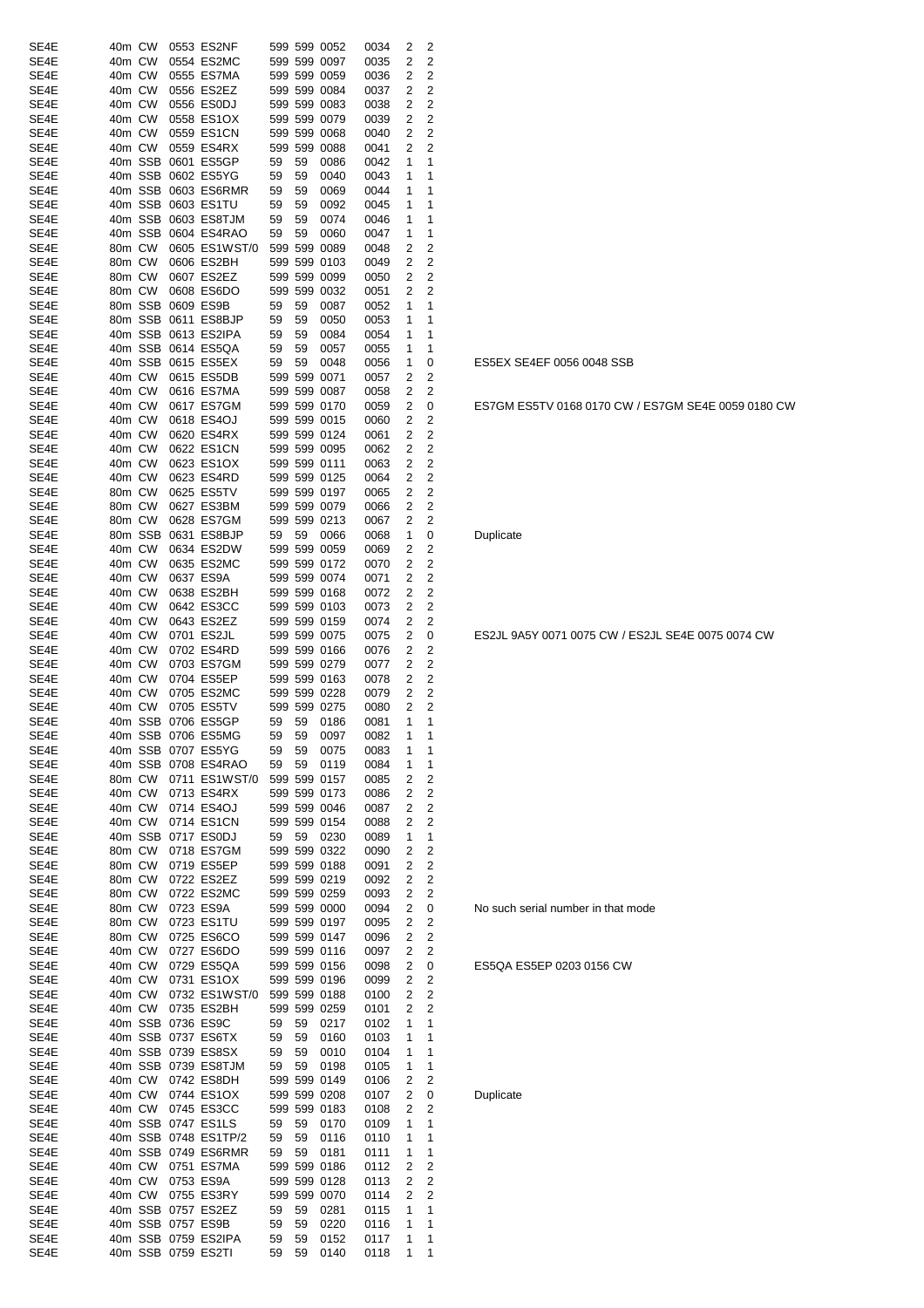| SE4E         | 40m CW           |         |           | 0553 ES2NF               |          |          | 599 599 0052 | 0034         | 2      | 2              |
|--------------|------------------|---------|-----------|--------------------------|----------|----------|--------------|--------------|--------|----------------|
| SE4E         | 40m CW           |         |           | 0554 ES2MC               |          |          | 599 599 0097 | 0035         | 2      | 2              |
| SE4E         | 40m CW           |         |           | 0555 ES7MA               |          |          | 599 599 0059 | 0036         | 2      | 2              |
| SE4E         | 40m CW           |         |           | 0556 ES2EZ               |          |          | 599 599 0084 | 0037         | 2      | 2              |
| SE4E         | 40m CW           |         |           | 0556 ES0DJ               |          |          | 599 599 0083 | 0038         | 2      | 2              |
| SE4E         | 40m CW           |         |           | 0558 ES1OX               |          |          | 599 599 0079 | 0039         | 2      | 2              |
| SE4E         | 40m CW           |         |           | 0559 ES1CN               |          |          | 599 599 0068 | 0040         | 2      | 2              |
| SE4E         | 40m CW           |         |           | 0559 ES4RX               |          | 599 599  | 0088         | 0041         | 2      | 2              |
| SE4E         |                  | 40m SSB |           | 0601 ES5GP               | 59       | 59       | 0086         | 0042         | 1      | 1              |
| SE4E         | 40m SSB          |         |           | 0602 ES5YG               | 59       | 59       | 0040         | 0043         | 1      | 1              |
| SE4E         |                  | 40m SSB |           | 0603 ES6RMR              | 59       | 59       | 0069         | 0044         | 1      | 1              |
| SE4E         |                  | 40m SSB |           | 0603 ES1TU               | 59       | 59       | 0092         | 0045         | 1      | 1              |
| SE4E         |                  | 40m SSB |           | 0603 ES8TJM              | 59       | 59       | 0074         | 0046         | 1      | 1              |
| SE4E         |                  | 40m SSB |           | 0604 ES4RAO              | 59       | 59       | 0060         | 0047         | 1      | 1              |
| SE4E         | 80m CW           |         |           | 0605 ES1WST/0            |          |          | 599 599 0089 | 0048         | 2      | 2              |
| SE4E         | 80m CW           |         |           | 0606 ES2BH               |          |          | 599 599 0103 | 0049         | 2      | 2              |
| SE4E         | 80m CW           |         |           | 0607 ES2EZ               |          |          | 599 599 0099 | 0050         | 2      | 2              |
| SE4E         | 80m CW           |         |           | 0608 ES6DO               |          |          | 599 599 0032 | 0051         | 2      | 2              |
| SE4E         |                  | 80m SSB | 0609 ES9B |                          | 59       | 59       | 0087         | 0052         | 1      | 1              |
| SE4E         |                  | 80m SSB |           | 0611 ES8BJP              | 59       | 59       | 0050         | 0053         | 1      | 1              |
| SE4E         |                  | 40m SSB |           | 0613 ES2IPA              | 59       | 59       | 0084         | 0054         | 1      | 1              |
| SE4E         | 40m SSB          |         |           | 0614 ES5QA               | 59       | 59       | 0057         | 0055         | 1      | 1              |
| SE4E         | 40m SSB          |         |           | 0615 ES5EX               | 59       | 59       | 0048         | 0056         | 1      | 0              |
| SE4E         | 40m CW           |         |           | 0615 ES5DB               |          |          | 599 599 0071 | 0057         | 2      | 2              |
| SE4E         | 40m CW           |         |           | 0616 ES7MA               |          |          | 599 599 0087 | 0058         | 2      | 2              |
| SE4E         | 40m CW           |         |           | 0617 ES7GM               |          |          | 599 599 0170 | 0059         | 2      | 0              |
| SE4E         | 40m CW           |         |           | 0618 ES4OJ               |          |          | 599 599 0015 | 0060         | 2      | 2              |
| SE4E         | 40m CW           |         |           | 0620 ES4RX               |          |          | 599 599 0124 | 0061         | 2      | 2              |
| SE4E         | 40m CW           |         |           | 0622 ES1CN               |          |          | 599 599 0095 | 0062         | 2      | 2              |
| SE4E         | 40m CW           |         |           | 0623 ES1OX               |          |          | 599 599 0111 | 0063         | 2      | 2              |
| SE4E         | 40m CW           |         |           | 0623 ES4RD               |          |          | 599 599 0125 | 0064         | 2      | 2              |
| SE4E         | 80m CW           |         |           | 0625 ES5TV               |          |          | 599 599 0197 | 0065         | 2      | 2              |
| SE4E         | 80m CW           |         |           | 0627 ES3BM               |          |          | 599 599 0079 | 0066         | 2      | 2              |
| SE4E         | 80m CW           |         |           | 0628 ES7GM               |          |          | 599 599 0213 | 0067         | 2      | 2              |
| SE4E         |                  | 80m SSB |           | 0631 ES8BJP              | 59       | 59       | 0066         | 0068         | 1      | 0              |
| SE4E         | 40m CW           |         |           | 0634 ES2DW               |          |          | 599 599 0059 | 0069         | 2      | 2              |
| SE4E         | 40m CW           |         |           | 0635 ES2MC               |          |          | 599 599 0172 | 0070         | 2      | 2              |
| SE4E         | 40m CW           |         |           | 0637 ES9A                |          |          | 599 599 0074 | 0071         | 2      | 2              |
| SE4E         | 40m CW           |         |           | 0638 ES2BH               |          |          | 599 599 0168 | 0072         | 2      | 2              |
| SE4E         | 40m CW           |         |           | 0642 ES3CC               |          |          | 599 599 0103 | 0073         | 2      | 2              |
| SE4E         | 40m CW           |         |           | 0643 ES2EZ               |          |          | 599 599 0159 | 0074         | 2      | 2              |
| SE4E         | 40m CW           |         |           | 0701 ES2JL               |          |          | 599 599 0075 | 0075         | 2      | 0              |
| SE4E         | 40m CW<br>40m CW |         |           | 0702 ES4RD               |          |          | 599 599 0166 | 0076         | 2      | 2              |
| SE4E         |                  |         |           | 0703 ES7GM               |          |          | 599 599 0279 | 0077         | 2      | 2              |
| SE4E         | 40m CW           |         |           | 0704 ES5EP               |          |          | 599 599 0163 | 0078         | 2      | 2              |
| SE4E         | 40m CW<br>40m CW |         |           | 0705 ES2MC               |          |          | 599 599 0228 | 0079         | 2      | $\overline{c}$ |
| SE4E         | 40m SSB          |         |           | 0705 ES5TV<br>0706 ES5GP |          | 59       | 599 599 0275 | 0080<br>0081 | 2<br>1 | 2              |
| SE4E<br>SE4E |                  |         |           | 40m SSB 0706 ES5MG       | 59<br>59 | 59       | 0186         |              |        | 1<br>1         |
|              |                  |         |           | 40m SSB 0707 ES5YG       | 59       |          | 0097         | 0082         | 1      | 1              |
| SE4E<br>SE4E |                  |         |           | 40m SSB 0708 ES4RAO      | 59       | 59<br>59 | 0075<br>0119 | 0083<br>0084 | 1<br>1 | 1              |
| SE4E         | 80m CW           |         |           | 0711 ES1WST/0            |          |          | 599 599 0157 | 0085         | 2      | 2              |
| SE4E         | 40m CW           |         |           | 0713 ES4RX               |          |          | 599 599 0173 | 0086         | 2      | 2              |
| SE4E         | 40m CW           |         |           | 0714 ES4OJ               |          |          | 599 599 0046 | 0087         | 2      | 2              |
| SE4E         | 40m CW           |         |           | 0714 ES1CN               |          |          | 599 599 0154 | 0088         | 2      | 2              |
| SE4E         |                  | 40m SSB |           | 0717 ES0DJ               | 59       | 59       | 0230         | 0089         | 1      | 1              |
| SE4E         | 80m CW           |         |           | 0718 ES7GM               |          |          | 599 599 0322 | 0090         | 2      | 2              |
| SE4E         | 80m CW           |         |           | 0719 ES5EP               |          |          | 599 599 0188 | 0091         | 2      | 2              |
| SE4E         | 80m CW           |         |           | 0722 ES2EZ               |          |          | 599 599 0219 | 0092         | 2      | 2              |
| SE4E         | 80m CW           |         |           | 0722 ES2MC               |          |          | 599 599 0259 | 0093         | 2      | 2              |
| SE4E         | 80m CW           |         |           | 0723 ES9A                |          |          | 599 599 0000 | 0094         | 2      | 0              |
| SE4E         | 80m CW           |         |           | 0723 ES1TU               |          |          | 599 599 0197 | 0095         | 2      | 2              |
| SE4E         | 80m CW           |         |           | 0725 ES6CO               |          |          | 599 599 0147 | 0096         | 2      | 2              |
| SE4E         | 40m CW           |         |           | 0727 ES6DO               |          |          | 599 599 0116 | 0097         | 2      | 2              |
| SE4E         | 40m CW           |         |           | 0729 ES5QA               |          |          | 599 599 0156 | 0098         | 2      | 0              |
| SE4E         | 40m CW           |         |           | 0731 ES1OX               |          |          | 599 599 0196 | 0099         | 2      | 2              |
| SE4E         | 40m CW           |         |           | 0732 ES1WST/0            |          |          | 599 599 0188 | 0100         | 2      | 2              |
| SE4E         | 40m CW           |         |           | 0735 ES2BH               |          |          | 599 599 0259 | 0101         | 2      | 2              |
| SE4E         |                  |         |           | 40m SSB 0736 ES9C        | 59       | 59       | 0217         | 0102         | 1      | 1              |
| SE4E         |                  |         |           | 40m SSB 0737 ES6TX       | 59       | 59       | 0160         | 0103         | 1      | 1              |
| SE4E         |                  |         |           | 40m SSB 0739 ES8SX       | 59       | 59       | 0010         | 0104         | 1      | 1              |
| SE4E         |                  |         |           | 40m SSB 0739 ES8TJM      | 59       | 59       | 0198         | 0105         | 1      | 1              |
| SE4E         | 40m CW           |         |           | 0742 ES8DH               |          |          | 599 599 0149 | 0106         | 2      | 2              |
| SE4E         |                  | 40m CW  |           | 0744 ES1OX               |          |          | 599 599 0208 | 0107         | 2      | 0              |
| SE4E         |                  | 40m CW  |           | 0745 ES3CC               |          |          | 599 599 0183 | 0108         | 2      | 2              |
| SE4E         |                  |         |           | 40m SSB 0747 ES1LS       | 59       | 59       | 0170         | 0109         | 1      | 1              |
| SE4E         |                  |         |           | 40m SSB 0748 ES1TP/2     | 59       | 59       | 0116         | 0110         | 1      | 1              |
| SE4E         |                  |         |           | 40m SSB 0749 ES6RMR      | 59       | 59       | 0181         | 0111         | 1      | 1              |
| SE4E         | 40m CW           |         |           | 0751 ES7MA               |          |          | 599 599 0186 | 0112         | 2      | 2              |
| SE4E         | 40m CW           |         |           | 0753 ES9A                |          |          | 599 599 0128 | 0113         | 2      | 2              |
| SE4E         | 40m CW           |         |           | 0755 ES3RY               |          |          | 599 599 0070 | 0114         | 2      | 2              |
| SE4E         |                  |         |           | 40m SSB 0757 ES2EZ       | 59       | 59       | 0281         | 0115         | 1      | 1              |
| SE4E         |                  |         |           | 40m SSB 0757 ES9B        | 59       | 59       | 0220         | 0116         | 1      | 1              |
|              |                  |         |           |                          |          |          |              |              |        |                |
| SE4E         |                  |         |           | 40m SSB 0759 ES2IPA      | 59       | 59       | 0152         | 0117         | 1      | 1              |

ES5EX SE4EF 0056 0048 SSB

**Duplicate** 

ES7GM ES5TV 0168 0170 CW / ES7GM SE4E 0059 0180 CW

ES2JL 9A5Y 0071 0075 CW / ES2JL SE4E 0075 0074 CW

### No such serial number in that mode

ES5QA ES5EP 0203 0156 CW

## Duplicate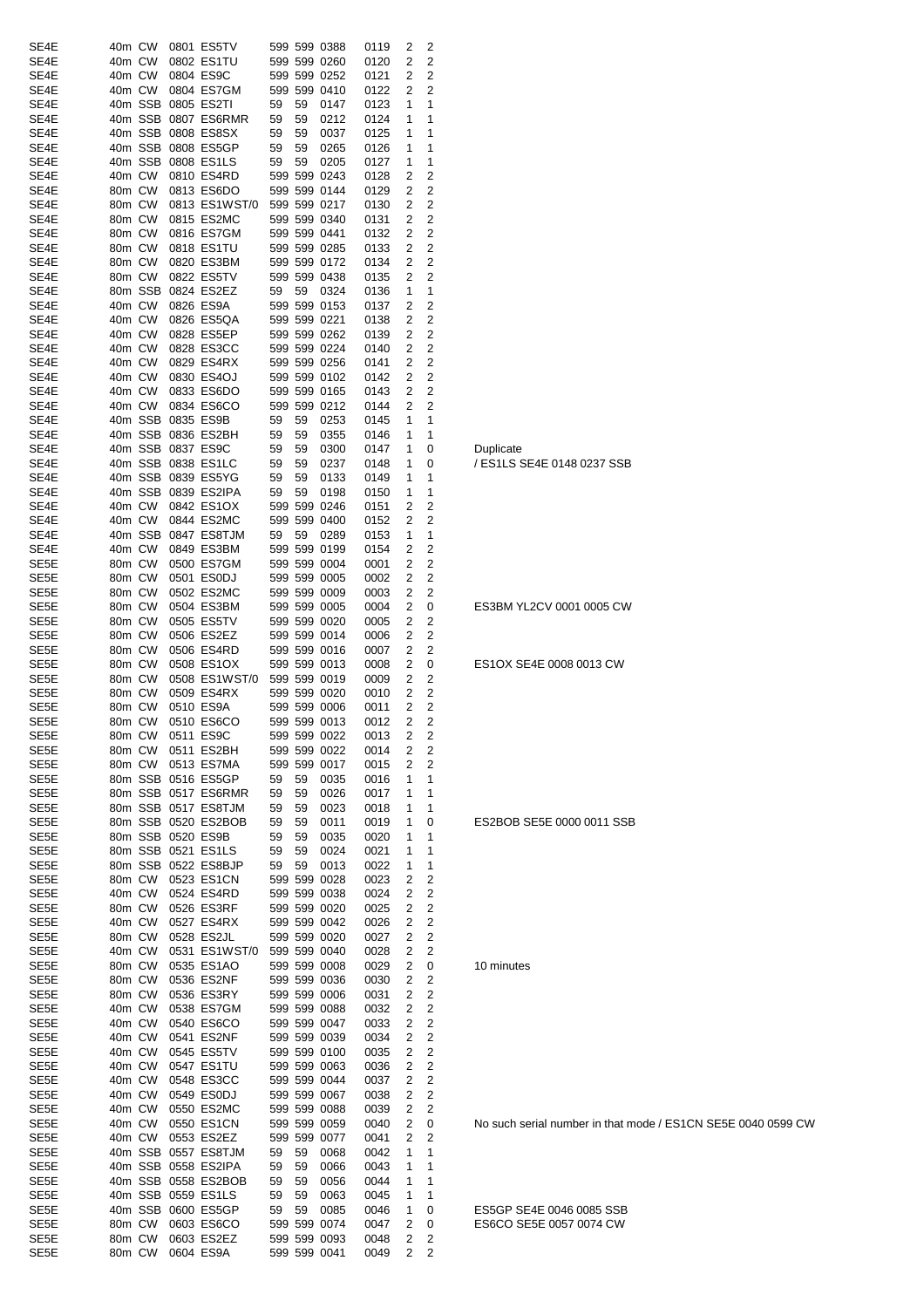| SE4E                 | 40m CW |        | 0801 ES5TV              |    |    | 599 599 0388                 | 0119         | 2              | 2      |                                 |
|----------------------|--------|--------|-------------------------|----|----|------------------------------|--------------|----------------|--------|---------------------------------|
|                      |        |        |                         |    |    |                              |              |                |        |                                 |
| SE4E                 | 40m CW |        | 0802 ES1TU              |    |    | 599 599 0260                 | 0120         | 2              | 2      |                                 |
| SE4E                 | 40m CW |        | 0804 ES9C               |    |    | 599 599 0252                 | 0121         | 2              | 2      |                                 |
| SE4E                 |        | 40m CW | 0804 ES7GM              |    |    | 599 599 0410                 | 0122         | 2              | 2      |                                 |
| SE4E                 |        |        | 40m SSB 0805 ES2TI      | 59 | 59 | 0147                         | 0123         | 1              | 1      |                                 |
| SE4E                 |        |        | 40m SSB 0807 ES6RMR     | 59 | 59 | 0212                         | 0124         | 1              | 1      |                                 |
| SE4E                 |        |        | 40m SSB 0808 ES8SX      | 59 | 59 | 0037                         | 0125         | 1              | 1      |                                 |
| SE4E                 |        |        | 40m SSB 0808 ES5GP      | 59 | 59 | 0265                         | 0126         | 1              | 1      |                                 |
| SE4E                 |        |        | 40m SSB 0808 ES1LS      | 59 | 59 | 0205                         | 0127         | 1              | 1      |                                 |
|                      |        |        |                         |    |    |                              |              |                |        |                                 |
| SE4E                 | 40m CW |        | 0810 ES4RD              |    |    | 599 599 0243                 | 0128         | 2              | 2      |                                 |
| SE4E                 | 80m CW |        | 0813 ES6DO              |    |    | 599 599 0144                 | 0129         | 2              | 2      |                                 |
| SE4E                 | 80m CW |        | 0813 ES1WST/0           |    |    | 599 599 0217                 | 0130         | 2              | 2      |                                 |
| SE4E                 | 80m CW |        | 0815 ES2MC              |    |    | 599 599 0340                 | 0131         | 2              | 2      |                                 |
| SE4E                 | 80m CW |        | 0816 ES7GM              |    |    | 599 599 0441                 | 0132         | 2              | 2      |                                 |
| SE4E                 | 80m CW |        | 0818 ES1TU              |    |    | 599 599 0285                 | 0133         | 2              | 2      |                                 |
|                      | 80m CW |        |                         |    |    |                              |              | 2              | 2      |                                 |
| SE4E                 |        |        | 0820 ES3BM              |    |    | 599 599 0172                 | 0134         |                |        |                                 |
| SE4E                 | 80m CW |        | 0822 ES5TV              |    |    | 599 599 0438                 | 0135         | 2              | 2      |                                 |
| SE4E                 |        |        | 80m SSB 0824 ES2EZ      | 59 | 59 | 0324                         | 0136         | 1              | 1      |                                 |
| SE4E                 | 40m CW |        | 0826 ES9A               |    |    | 599 599 0153                 | 0137         | 2              | 2      |                                 |
| SE4E                 | 40m CW |        | 0826 ES5QA              |    |    | 599 599 0221                 | 0138         | 2              | 2      |                                 |
| SE4E                 | 40m CW |        | 0828 ES5EP              |    |    | 599 599 0262                 | 0139         | 2              | 2      |                                 |
| SE4E                 | 40m CW |        | 0828 ES3CC              |    |    | 599 599 0224                 | 0140         | 2              | 2      |                                 |
| SE4E                 | 40m CW |        | 0829 ES4RX              |    |    | 599 599 0256                 | 0141         | 2              | 2      |                                 |
|                      |        |        |                         |    |    |                              |              |                |        |                                 |
| SE4E                 | 40m CW |        | 0830 ES4OJ              |    |    | 599 599 0102                 | 0142         | 2              | 2      |                                 |
| SE4E                 | 40m CW |        | 0833 ES6DO              |    |    | 599 599 0165                 | 0143         | 2              | 2      |                                 |
| SE4E                 | 40m CW |        | 0834 ES6CO              |    |    | 599 599 0212                 | 0144         | 2              | 2      |                                 |
| SE4E                 |        |        | 40m SSB 0835 ES9B       | 59 | 59 | 0253                         | 0145         | 1              | 1      |                                 |
| SE4E                 |        |        | 40m SSB 0836 ES2BH      | 59 | 59 | 0355                         | 0146         | 1              | 1      |                                 |
| SE4E                 |        |        | 40m SSB 0837 ES9C       | 59 | 59 | 0300                         | 0147         | 1              | 0      | Duplicate                       |
| SE4E                 |        |        | 40m SSB 0838 ES1LC      | 59 | 59 | 0237                         | 0148         | 1              | 0      | / ES1LS SE4E 0148 0237 SSB      |
|                      |        |        |                         |    |    |                              | 0149         |                | 1      |                                 |
| SE4E                 |        |        | 40m SSB 0839 ES5YG      | 59 | 59 | 0133                         |              | 1              |        |                                 |
| SE4E                 |        |        | 40m SSB 0839 ES2IPA     | 59 | 59 | 0198                         | 0150         | 1              | 1      |                                 |
| SE4E                 | 40m CW |        | 0842 ES1OX              |    |    | 599 599 0246                 | 0151         | 2              | 2      |                                 |
| SE4E                 | 40m CW |        | 0844 ES2MC              |    |    | 599 599 0400                 | 0152         | 2              | 2      |                                 |
| SE4E                 |        |        | 40m SSB 0847 ES8TJM     | 59 | 59 | 0289                         | 0153         | 1              | 1      |                                 |
| SE4E                 | 40m CW |        | 0849 ES3BM              |    |    | 599 599 0199                 | 0154         | 2              | 2      |                                 |
| SE5E                 | 80m CW |        | 0500 ES7GM              |    |    | 599 599 0004                 | 0001         | 2              | 2      |                                 |
|                      |        |        |                         |    |    |                              |              |                |        |                                 |
| SE5E                 | 80m CW |        | 0501 ES0DJ              |    |    | 599 599 0005                 | 0002         | 2              | 2      |                                 |
| SE5E                 | 80m CW |        | 0502 ES2MC              |    |    | 599 599 0009                 | 0003         | 2              | 2      |                                 |
| SE5E                 | 80m CW |        | 0504 ES3BM              |    |    | 599 599 0005                 | 0004         | 2              | 0      | ES3BM YL2CV 0001 0005 CW        |
| SE5E                 | 80m CW |        | 0505 ES5TV              |    |    | 599 599 0020                 | 0005         | 2              | 2      |                                 |
| SE5E                 | 80m CW |        | 0506 ES2EZ              |    |    | 599 599 0014                 | 0006         | 2              | 2      |                                 |
| SE5E                 | 80m CW |        | 0506 ES4RD              |    |    | 599 599 0016                 | 0007         | 2              | 2      |                                 |
| SE5E                 | 80m CW |        | 0508 ES1OX              |    |    | 599 599 0013                 | 0008         | 2              | 0      | ES1OX SE4E 0008 0013 CW         |
|                      |        |        |                         |    |    |                              |              | 2              | 2      |                                 |
| SE5E                 | 80m CW |        | 0508 ES1WST/0           |    |    | 599 599 0019                 | 0009         |                |        |                                 |
| SE5E                 | 80m CW |        | 0509 ES4RX              |    |    | 599 599 0020                 | 0010         | 2              | 2      |                                 |
| SE5E                 | 80m CW |        | 0510 ES9A               |    |    | 599 599 0006                 | 0011         | 2              | 2      |                                 |
| SE5E                 | 80m CW |        | 0510 ES6CO              |    |    | 599 599 0013                 | 0012         | 2              | 2      |                                 |
| SE5E                 |        |        | 80m CW 0511 ES9C        |    |    | 599 599 0022                 | 0013         | $\overline{2}$ | 2      |                                 |
| SE5E                 |        |        | 80m CW 0511 ES2BH       |    |    | 599 599 0022                 | 0014         | 2              | 2      |                                 |
| SE5E                 |        |        | 80m CW 0513 ES7MA       |    |    | 599 599 0017                 | 0015         | 2              | 2      |                                 |
| SE5E                 |        |        | 80m SSB 0516 ES5GP      |    |    |                              |              |                | 1      |                                 |
|                      |        |        |                         | 59 | 59 | 0035                         | 0016         | 1              |        |                                 |
| SE5E                 |        |        | 80m SSB 0517 ES6RMR     | 59 | 59 | 0026                         | 0017         | 1              | 1      |                                 |
| SE5E                 |        |        | 80m SSB 0517 ES8TJM     | 59 | 59 | 0023                         | 0018         | 1              | 1      |                                 |
| SE5E                 |        |        | 80m SSB 0520 ES2BOB     | 59 | 59 | 0011                         | 0019         | 1              | 0      | ES2BOB SE5E 0000 0011 SSE       |
| SE5E                 |        |        | 80m SSB 0520 ES9B       | 59 | 59 | 0035                         | 0020         | 1              | 1      |                                 |
| SE5E                 |        |        | 80m SSB 0521 ES1LS      | 59 | 59 | 0024                         | 0021         | 1              | 1      |                                 |
| SE5E                 |        |        | 80m SSB 0522 ES8BJP     | 59 | 59 | 0013                         | 0022         | 1              | 1      |                                 |
| SE5E                 |        |        | 80m CW 0523 ES1CN       |    |    | 599 599 0028                 | 0023         | 2              | 2      |                                 |
| SE5E                 |        | 40m CW | 0524 ES4RD              |    |    |                              |              | 2              | 2      |                                 |
|                      |        |        |                         |    |    | 599 599 0038                 | 0024         |                |        |                                 |
| SE5E                 |        | 80m CW | 0526 ES3RF              |    |    | 599 599 0020                 | 0025         | 2              | 2      |                                 |
| SE5E                 | 40m CW |        | 0527 ES4RX              |    |    | 599 599 0042                 | 0026         | 2              | 2      |                                 |
| SE5E                 | 80m CW |        | 0528 ES2JL              |    |    | 599 599 0020                 | 0027         | 2              | 2      |                                 |
| SE5E                 | 40m CW |        | 0531 ES1WST/0           |    |    | 599 599 0040                 | 0028         | 2              | 2      |                                 |
| SE5E                 |        | 80m CW | 0535 ES1AO              |    |    | 599 599 0008                 | 0029         | 2              | 0      | 10 minutes                      |
| SE5E                 | 80m CW |        | 0536 ES2NF              |    |    | 599 599 0036                 | 0030         | 2              | 2      |                                 |
| SE5E                 |        | 80m CW | 0536 ES3RY              |    |    | 599 599 0006                 | 0031         | 2              | 2      |                                 |
| SE5E                 |        |        |                         |    |    |                              |              |                |        |                                 |
|                      |        |        |                         |    |    |                              |              |                |        |                                 |
|                      | 40m CW |        | 0538 ES7GM              |    |    | 599 599 0088                 | 0032         | 2              | 2      |                                 |
| SE5E                 | 40m CW |        | 0540 ES6CO              |    |    | 599 599 0047                 | 0033         | 2              | 2      |                                 |
| SE5E                 | 40m CW |        | 0541 ES2NF              |    |    | 599 599 0039                 | 0034         | 2              | 2      |                                 |
| SE5E                 | 40m CW |        | 0545 ES5TV              |    |    | 599 599 0100                 | 0035         | 2              | 2      |                                 |
| SE5E                 | 40m CW |        | 0547 ES1TU              |    |    | 599 599 0063                 | 0036         | 2              | 2      |                                 |
|                      |        |        |                         |    |    |                              |              | 2              |        |                                 |
| SE5E                 | 40m CW |        | 0548 ES3CC              |    |    | 599 599 0044                 | 0037         |                | 2      |                                 |
| SE5E                 | 40m CW |        | 0549 ES0DJ              |    |    | 599 599 0067                 | 0038         | 2              | 2      |                                 |
| SE5E                 | 40m CW |        | 0550 ES2MC              |    |    | 599 599 0088                 | 0039         | 2              | 2      |                                 |
| SE5E                 | 40m CW |        | 0550 ES1CN              |    |    | 599 599 0059                 | 0040         | 2              | 0      | No such serial number in that n |
| SE5E                 |        | 40m CW | 0553 ES2EZ              |    |    | 599 599 0077                 | 0041         | 2              | 2      |                                 |
|                      |        |        | 40m SSB 0557 ES8TJM     | 59 | 59 | 0068                         | 0042         | 1              | 1      |                                 |
|                      |        |        | 40m SSB 0558 ES2IPA     | 59 | 59 | 0066                         | 0043         | 1              | 1      |                                 |
| SE5E<br>SE5E<br>SE5E |        |        | 40m SSB 0558 ES2BOB     | 59 | 59 | 0056                         | 0044         | 1              | 1      |                                 |
|                      |        |        |                         |    |    |                              |              |                |        |                                 |
|                      |        |        | 40m SSB 0559 ES1LS      | 59 | 59 | 0063                         | 0045         | 1              | 1      |                                 |
| SE5E<br>SE5E         |        |        | 40m SSB 0600 ES5GP      | 59 | 59 | 0085                         | 0046         | 1              | 0      | ES5GP SE4E 0046 0085 SSB        |
| SE5E                 |        | 80m CW | 0603 ES6CO              |    |    | 599 599 0074                 | 0047         | 2              | 0      | ES6CO SE5E 0057 0074 CW         |
| SE5E<br>SE5E         | 80m CW | 80m CW | 0603 ES2EZ<br>0604 ES9A |    |    | 599 599 0093<br>599 599 0041 | 0048<br>0049 | 2<br>2         | 2<br>2 |                                 |

No such serial number in that mode / ES1CN SE5E 0040 0599 CW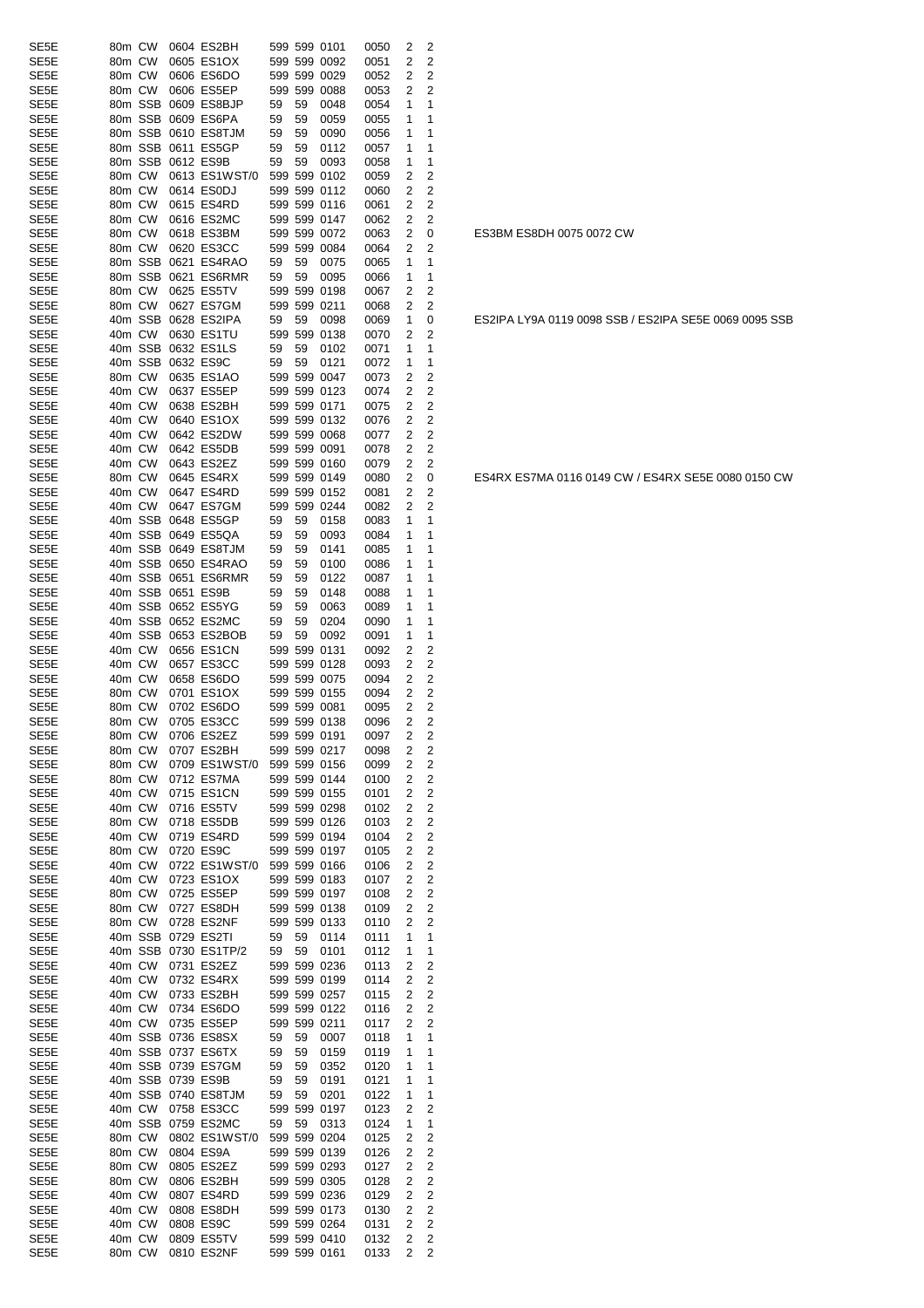| SE5E                      | 80m CW           |                  | 0604 ES2BH                               |          |          | 599 599 0101                                 | 0050         | 2      | 2                                |
|---------------------------|------------------|------------------|------------------------------------------|----------|----------|----------------------------------------------|--------------|--------|----------------------------------|
| SE5E                      | 80m CW           |                  | 0605 ES1OX                               |          |          | 599 599 0092                                 | 0051         | 2      | 2                                |
| SE5E                      | 80m CW           |                  | 0606 ES6DO                               |          |          | 599 599 0029                                 | 0052         | 2      | $\overline{c}$                   |
| SE5E                      | 80m CW           |                  | 0606 ES5EP                               |          |          | 599 599 0088                                 | 0053         | 2      | 2                                |
| SE5E                      |                  | 80m SSB          | 0609 ES8BJP                              | 59       | 59       | 0048                                         | 0054         | 1      | 1                                |
| SE5E                      |                  | 80m SSB          | 0609 ES6PA                               | 59       | 59       | 0059                                         | 0055         | 1      | 1                                |
| SE5E                      |                  | 80m SSB          | 0610 ES8TJM                              | 59       | 59       | 0090                                         | 0056         | 1      | 1                                |
| SE5E                      |                  | 80m SSB          | 0611 ES5GP                               | 59       | 59       | 0112                                         | 0057         | 1      | 1                                |
| SE5E                      |                  | 80m SSB          | 0612 ES9B                                | 59       | 59       | 0093                                         | 0058         | 1      | 1                                |
| SE5E                      | 80m CW           |                  | 0613 ES1WST/0                            |          |          | 599 599 0102                                 | 0059         | 2      | $\overline{c}$                   |
| SE5E                      | 80m CW           |                  | 0614 ES0DJ                               |          |          | 599 599 0112                                 | 0060         | 2      | $\overline{c}$                   |
| SE5E                      | 80m CW           |                  | 0615 ES4RD                               |          |          | 599 599 0116                                 | 0061         | 2      | $\overline{c}$                   |
| SE5E                      | 80m CW           |                  | 0616 ES2MC                               |          |          | 599 599 0147                                 | 0062         | 2      | 2                                |
| SE5E                      | 80m CW           |                  | 0618 ES3BM                               |          |          | 599 599 0072                                 | 0063         | 2      | 0                                |
| SE5E                      | 80m CW           |                  | 0620 ES3CC                               |          |          | 599 599 0084                                 | 0064         | 2      | 2                                |
| SE5E                      |                  | 80m SSB          | 0621 ES4RAO                              | 59       | 59       | 0075                                         | 0065         | 1      | 1                                |
| SE5E                      |                  | 80m SSB          | 0621 ES6RMR                              | 59       | 59       | 0095                                         | 0066         | 1      | 1                                |
| SE5E                      | 80m CW           |                  | 0625 ES5TV                               |          |          | 599 599 0198                                 | 0067         | 2      | $\overline{c}$                   |
| SE5E                      | 80m CW           |                  | 0627 ES7GM                               |          |          | 599 599 0211                                 | 0068         | 2      | 2                                |
| SE5E                      |                  | 40m SSB          | 0628 ES2IPA                              | 59       | 59       | 0098                                         | 0069         | 1      | 0                                |
| SE5E                      | 40m CW           |                  | 0630 ES1TU                               |          |          | 599 599 0138                                 | 0070         | 2      | 2                                |
| SE5E                      |                  | 40m SSB          | 0632 ES1LS                               |          |          |                                              |              | 1      | 1                                |
| SE5E                      |                  | 40m SSB          | 0632 ES9C                                | 59<br>59 | 59<br>59 | 0102<br>0121                                 | 0071         | 1      | 1                                |
| SE5E                      | 80m CW           |                  | 0635 ES1AO                               |          |          | 599 599 0047                                 | 0072<br>0073 |        | 2                                |
| SE5E                      | 40m CW           |                  | 0637 ES5EP                               |          |          | 599 599 0123                                 |              | 2<br>2 | $\overline{c}$                   |
|                           | 40m CW           |                  | 0638 ES2BH                               |          |          | 599 599 0171                                 | 0074<br>0075 | 2      | 2                                |
| SE5E                      | 40m CW           |                  |                                          |          |          | 599 599 0132                                 |              |        | $\overline{c}$                   |
| SE5E                      |                  |                  | 0640 ES1OX                               |          |          |                                              | 0076         | 2      |                                  |
| SE5E                      | 40m CW           |                  | 0642 ES2DW                               |          |          | 599 599 0068                                 | 0077         | 2      | $\overline{c}$                   |
| SE5E                      | 40m CW           |                  | 0642 ES5DB                               |          |          | 599 599 0091                                 | 0078         | 2      | $\overline{c}$                   |
| SE5E                      | 40m CW           |                  | 0643 ES2EZ                               |          |          | 599 599 0160                                 | 0079         | 2      | $\overline{c}$                   |
| SE5E                      | 80m CW           |                  | 0645 ES4RX                               |          |          | 599 599 0149                                 | 0080         | 2      | 0                                |
| SE5E                      | 40m CW           |                  | 0647 ES4RD                               |          |          | 599 599 0152                                 | 0081         | 2      | 2                                |
| SE5E                      | 40m CW           |                  | 0647 ES7GM                               |          |          | 599 599 0244                                 | 0082         | 2      | $\overline{2}$                   |
| SE5E                      |                  | 40m SSB          | 0648 ES5GP                               | 59       | 59       | 0158                                         | 0083         | 1      | 1                                |
| SE5E                      |                  | 40m SSB          | 0649 ES5QA                               | 59       | 59       | 0093                                         | 0084         | 1      | 1                                |
| SE5E                      |                  | 40m SSB          | 0649 ES8TJM                              | 59       | 59       | 0141                                         | 0085         | 1      | 1                                |
| SE5E                      |                  | 40m SSB          | 0650 ES4RAO                              | 59       | 59       | 0100                                         | 0086         | 1      | 1                                |
| SE5E                      |                  | 40m SSB          | 0651 ES6RMR                              | 59       | 59       | 0122                                         | 0087         | 1      | 1                                |
| SE5E                      |                  | 40m SSB          | 0651 ES9B                                | 59       | 59       | 0148                                         | 0088         | 1      | 1                                |
| SE5E                      |                  | 40m SSB          | 0652 ES5YG                               | 59       | 59       | 0063                                         | 0089         | 1      | 1                                |
| SE5E                      |                  | 40m SSB          | 0652 ES2MC                               | 59       | 59       | 0204                                         | 0090         | 1      | 1                                |
| SE5E                      |                  | 40m SSB          | 0653 ES2BOB                              | 59       | 59       | 0092                                         | 0091         | 1      | 1                                |
| SE5E                      | 40m CW           |                  | 0656 ES1CN                               |          |          | 599 599 0131<br>599 599 0128                 | 0092         | 2      | 2                                |
| SE5E                      | 40m CW           |                  | 0657 ES3CC                               |          |          |                                              | 0093         | 2      | 2                                |
| SE5E<br>SE <sub>5</sub> E | 40m CW<br>80m CW |                  | 0658 ES6DO<br>0701 ES1OX                 |          |          | 599 599 0075<br>599 599 0155                 | 0094<br>0094 | 2<br>2 | $\overline{c}$<br>$\overline{c}$ |
| SE5E                      | 80m CW           |                  | 0702 ES6DO                               |          |          | 599 599 0081                                 |              | 2      | $\overline{c}$                   |
| SE5E                      | 80m CW           |                  | 0705 ES3CC                               |          |          | 599 599 0138                                 | 0095         | 2      | 2                                |
| SE5E                      |                  | 80m CW           | 0706 ES2EZ                               |          |          | 599 599 0191                                 | 0096<br>0097 | 2      | $\overline{c}$                   |
| SE5E                      | 80m CW           |                  | 0707 ES2BH                               |          |          | 599 599 0217                                 | 0098         |        |                                  |
| SE5E                      | 80m CW           |                  | 0709 ES1WST/0 599 599 0156               |          |          |                                              | 0099         | 2<br>2 | 2<br>2                           |
| SE5E                      | 80m CW           |                  | 0712 ES7MA                               |          |          | 599 599 0144                                 | 0100         | 2      | 2                                |
|                           | 40m CW           |                  | 0715 ES1CN                               |          |          | 599 599 0155                                 |              | 2      | $\overline{c}$                   |
| SE5E<br>SE5E              | 40m CW           |                  | 0716 ES5TV                               |          |          | 599 599 0298                                 | 0101         | 2      | 2                                |
|                           |                  |                  |                                          |          |          |                                              | 0102         |        | $\overline{c}$                   |
| SE5E                      | 80m CW<br>40m CW |                  | 0718 ES5DB<br>0719 ES4RD                 |          |          | 599 599 0126<br>599 599 0194                 | 0103         | 2      |                                  |
| SE5E<br>SE5E              |                  |                  | 0720 ES9C                                |          |          | 599 599 0197                                 | 0104         | 2      | 2<br>2                           |
| SE5E                      | 80m CW<br>40m CW |                  |                                          |          |          |                                              | 0105         | 2<br>2 | $\overline{c}$                   |
|                           | 40m CW           |                  | 0722 ES1WST/0 599 599 0166               |          |          |                                              | 0106<br>0107 |        |                                  |
| SE5E<br>SE5E              | 80m CW           |                  | 0723 ES1OX<br>0725 ES5EP                 |          |          | 599 599 0183<br>599 599 0197                 |              | 2<br>2 | 2<br>$\overline{c}$              |
|                           |                  |                  |                                          |          |          |                                              | 0108         |        |                                  |
| SE5E<br>SE5E              |                  | 80m CW<br>80m CW | 0727 ES8DH<br>0728 ES2NF                 |          |          | 599 599 0138<br>599 599 0133                 | 0109<br>0110 | 2<br>2 | 2<br>2                           |
| SE5E                      |                  |                  | 40m SSB 0729 ES2TI                       | 59       | 59       | 0114                                         | 0111         | 1      | 1                                |
| SE <sub>5</sub> E         |                  |                  | 40m SSB 0730 ES1TP/2                     | 59       | 59       | 0101                                         | 0112         | 1      | 1                                |
| SE5E                      |                  | 40m CW           | 0731 ES2EZ                               |          |          | 599 599 0236                                 | 0113         | 2      | 2                                |
| SE5E                      |                  | 40m CW           | 0732 ES4RX                               |          |          | 599 599 0199                                 | 0114         | 2      | $\overline{c}$                   |
| SE5E                      |                  | 40m CW           | 0733 ES2BH                               |          |          | 599 599 0257                                 | 0115         | 2      | $\overline{c}$                   |
| SE5E                      |                  | 40m CW           | 0734 ES6DO                               |          |          | 599 599 0122                                 | 0116         | 2      | 2                                |
| SE5E                      |                  | 40m CW           | 0735 ES5EP                               |          |          | 599 599 0211                                 |              | 2      | 2                                |
|                           |                  |                  |                                          |          |          |                                              | 0117         |        |                                  |
| SE5E<br>SE5E              |                  |                  | 40m SSB 0736 ES8SX<br>40m SSB 0737 ES6TX | 59<br>59 | 59<br>59 | 0007<br>0159                                 | 0118<br>0119 | 1<br>1 | 1<br>1                           |
|                           |                  |                  |                                          |          |          |                                              |              |        |                                  |
| SE5E<br>SE <sub>5</sub> E |                  |                  | 40m SSB 0739 ES7GM<br>40m SSB 0739 ES9B  | 59<br>59 | 59<br>59 | 0352                                         | 0120<br>0121 | 1<br>1 | 1<br>1                           |
| SE5E                      |                  |                  | 40m SSB 0740 ES8TJM                      |          |          | 0191                                         |              | 1      | 1                                |
|                           |                  |                  |                                          | 59       | 59       | 0201                                         | 0122         |        | 2                                |
| SE5E<br>SE5E              |                  | 40m CW           | 0758 ES3CC                               |          |          | 599 599 0197                                 | 0123         | 2<br>1 |                                  |
|                           |                  |                  | 40m SSB 0759 ES2MC                       | 59       | 59       | 0313                                         | 0124         | 2      | 1<br>$\overline{c}$              |
| SE5E<br>SE5E              | 80m CW           |                  | 0802 ES1WST/0 599 599 0204               |          |          |                                              | 0125         |        | $\overline{c}$                   |
|                           | 80m CW           |                  | 0804 ES9A                                |          |          | 599 599 0139                                 | 0126         | 2      | $\overline{c}$                   |
| SE5E<br>SE5E              | 80m CW<br>80m CW |                  | 0805 ES2EZ<br>0806 ES2BH                 |          |          | 599 599 0293<br>599 599 0305                 | 0127         | 2<br>2 | 2                                |
|                           |                  |                  |                                          |          |          |                                              | 0128         |        |                                  |
| SE <sub>5</sub> E         | 40m CW           |                  | 0807 ES4RD                               |          |          | 599 599 0236                                 | 0129         | 2      | 2                                |
| SE5E<br>SE5E              | 40m CW<br>40m CW |                  | 0808 ES8DH                               |          |          | 599 599 0173                                 | 0130         | 2<br>2 | 2                                |
|                           |                  |                  | 0808 ES9C                                |          |          | 599 599 0264<br>599 599 0264<br>599 599 0410 | 0131         |        | 2                                |
| SE5E                      | 40m CW           | 80m CW           | 0809 ES5TV                               |          |          |                                              | 0132         | 2<br>2 | $\overline{2}$<br>2              |
| SE5E                      |                  |                  | 0810 ES2NF 599 599 0161                  |          |          |                                              | 0133         |        |                                  |

ES3BM ES8DH 0075 0072 CW

ES2IPA LY9A 0119 0098 SSB / ES2IPA SE5E 0069 0095 SSB

ES4RX ES7MA 0116 0149 CW / ES4RX SE5E 0080 0150 CW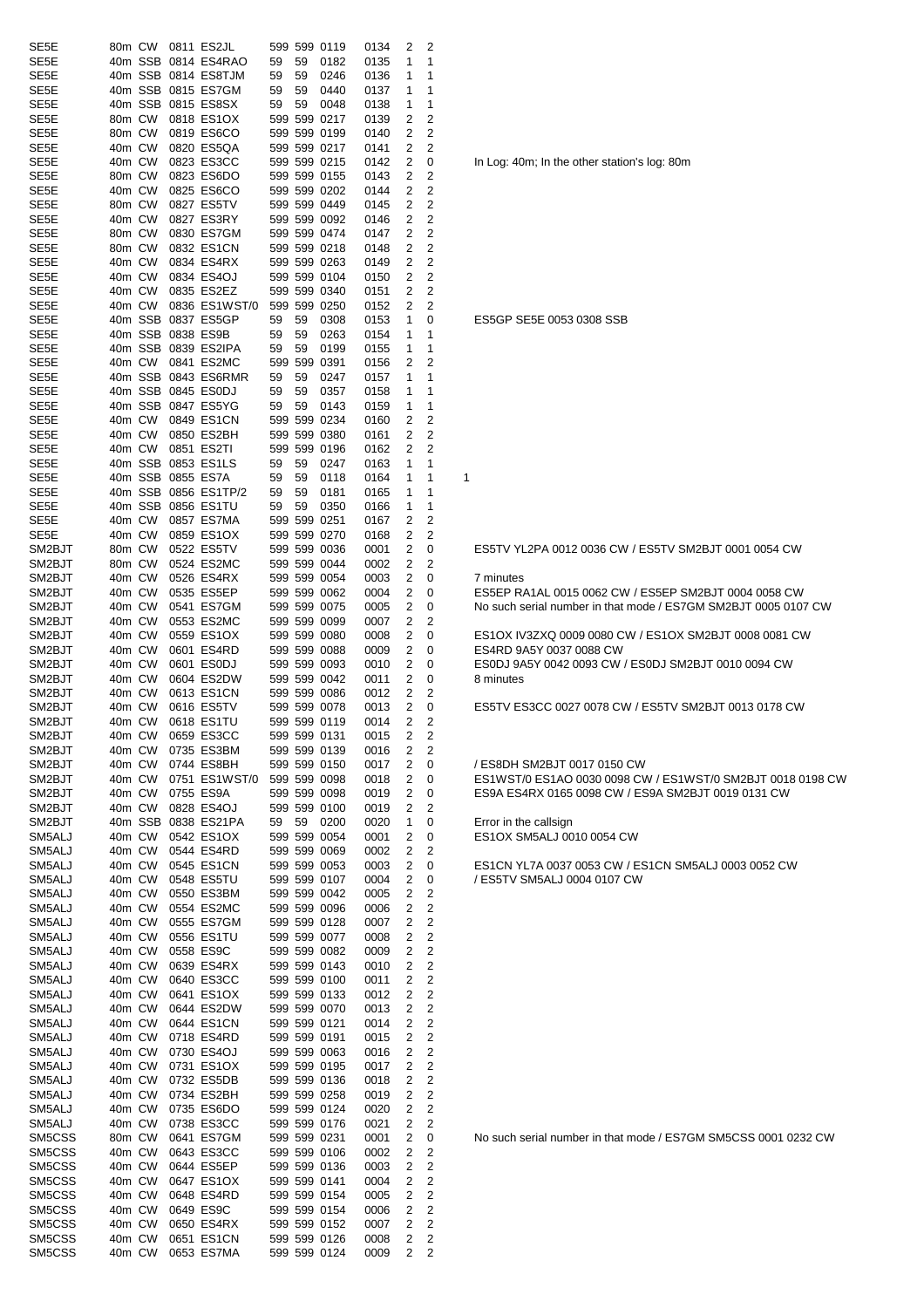| SE <sub>5</sub> E                      | 80m CW                       |        | 0811 ES2JL               |    |    | 599 599 0119                 | 0134         | 2              | 2                |                    |
|----------------------------------------|------------------------------|--------|--------------------------|----|----|------------------------------|--------------|----------------|------------------|--------------------|
| SE <sub>5</sub> E                      |                              |        | 40m SSB 0814 ES4RAO      | 59 | 59 | 0182                         | 0135         | 1              | 1                |                    |
| SE5E                                   |                              |        | 40m SSB 0814 ES8TJM      | 59 | 59 | 0246                         | 0136         | 1              | 1                |                    |
| SE <sub>5</sub> E                      |                              |        | 40m SSB 0815 ES7GM       | 59 | 59 | 0440                         | 0137         | 1              | 1                |                    |
| SE <sub>5</sub> E                      |                              |        | 40m SSB 0815 ES8SX       | 59 | 59 | 0048                         | 0138         | 1              | 1                |                    |
| SE <sub>5</sub> E                      | 80m CW                       |        | 0818 ES1OX               |    |    | 599 599 0217                 | 0139         | 2              | 2                |                    |
| SE <sub>5</sub> E                      | 80m CW                       |        | 0819 ES6CO               |    |    | 599 599 0199                 | 0140         | 2              | 2                |                    |
| SE <sub>5</sub> E                      | 40m CW                       |        | 0820 ES5QA               |    |    | 599 599 0217                 | 0141         | 2              | 2                |                    |
| SE <sub>5</sub> E                      | 40m CW                       |        | 0823 ES3CC               |    |    | 599 599 0215                 | 0142         | 2              | 0                | In Log: 40         |
| SE <sub>5</sub> E<br>SE <sub>5</sub> E | 80m CW<br>40m CW             |        | 0823 ES6DO<br>0825 ES6CO |    |    | 599 599 0155<br>599 599 0202 | 0143         | 2<br>2         | 2<br>2           |                    |
| SE <sub>5</sub> E                      | 80m CW                       |        | 0827 ES5TV               |    |    | 599 599 0449                 | 0144         | 2              | 2                |                    |
| SE <sub>5</sub> E                      | 40m CW                       |        | 0827 ES3RY               |    |    | 599 599 0092                 | 0145<br>0146 | 2              | 2                |                    |
| SE <sub>5</sub> E                      | 80m CW                       |        | 0830 ES7GM               |    |    | 599 599 0474                 | 0147         | 2              | 2                |                    |
| SE <sub>5</sub> E                      | 80m CW                       |        | 0832 ES1CN               |    |    | 599 599 0218                 | 0148         | 2              | 2                |                    |
| SE <sub>5</sub> E                      | 40m CW                       |        | 0834 ES4RX               |    |    | 599 599 0263                 | 0149         | 2              | $\overline{c}$   |                    |
| SE <sub>5</sub> E                      | 40m CW                       |        | 0834 ES4OJ               |    |    | 599 599 0104                 | 0150         | 2              | 2                |                    |
| SE <sub>5</sub> E                      | 40m CW                       |        | 0835 ES2EZ               |    |    | 599 599 0340                 | 0151         | 2              | 2                |                    |
| SE <sub>5</sub> E                      | 40m CW                       |        | 0836 ES1WST/0            |    |    | 599 599 0250                 | 0152         | 2              | 2                |                    |
| SE <sub>5</sub> E                      |                              |        | 40m SSB 0837 ES5GP       | 59 | 59 | 0308                         | 0153         | 1              | 0                | ES5GP S            |
| SE <sub>5</sub> E                      |                              |        | 40m SSB 0838 ES9B        | 59 | 59 | 0263                         | 0154         | 1              | 1                |                    |
| SE <sub>5</sub> E                      |                              |        | 40m SSB 0839 ES2IPA      | 59 | 59 | 0199                         | 0155         | 1              | 1                |                    |
| SE <sub>5</sub> E                      | 40m CW                       |        | 0841 ES2MC               |    |    | 599 599 0391                 | 0156         | 2              | 2                |                    |
| SE <sub>5</sub> E                      |                              |        | 40m SSB 0843 ES6RMR      | 59 | 59 | 0247                         | 0157         | 1              | 1                |                    |
| SE <sub>5</sub> E                      |                              |        | 40m SSB 0845 ES0DJ       | 59 | 59 | 0357                         | 0158         | 1              | 1                |                    |
| SE <sub>5</sub> E                      |                              |        | 40m SSB 0847 ES5YG       | 59 | 59 | 0143                         | 0159         | 1              | 1                |                    |
| SE <sub>5</sub> E                      | 40m CW                       |        | 0849 ES1CN               |    |    | 599 599 0234                 | 0160         | 2              | $\overline{c}$   |                    |
| SE <sub>5</sub> E                      | 40m CW                       |        | 0850 ES2BH               |    |    | 599 599 0380                 | 0161         | 2              | 2                |                    |
| SE <sub>5</sub> E                      | 40m CW                       |        | 0851 ES2TI               |    |    | 599 599 0196                 | 0162         | 2              | 2                |                    |
| SE <sub>5</sub> E                      |                              |        | 40m SSB 0853 ES1LS       | 59 | 59 | 0247                         | 0163         | 1              | 1                |                    |
| SE <sub>5</sub> E                      |                              |        | 40m SSB 0855 ES7A        | 59 | 59 | 0118                         | 0164         | 1              | 1                | 1                  |
| SE <sub>5</sub> E                      |                              |        | 40m SSB 0856 ES1TP/2     | 59 | 59 | 0181                         | 0165         | 1              | 1                |                    |
| SE <sub>5</sub> E                      |                              |        | 40m SSB 0856 ES1TU       | 59 | 59 | 0350                         | 0166         | 1              | 1                |                    |
| SE <sub>5</sub> E                      | 40m CW                       |        | 0857 ES7MA               |    |    | 599 599 0251                 | 0167         | 2              | 2                |                    |
| SE <sub>5</sub> E                      | 40m CW                       |        | 0859 ES1OX               |    |    | 599 599 0270                 | 0168         | 2              | 2                |                    |
| SM2BJT                                 | 80m CW                       |        | 0522 ES5TV               |    |    | 599 599 0036                 | 0001         | 2              | 0                | ES5TV YI           |
| SM2BJT                                 | 80m CW                       |        | 0524 ES2MC               |    |    | 599 599 0044                 | 0002         | 2              | 2                |                    |
| SM2BJT                                 | 40m CW                       |        | 0526 ES4RX               |    |    | 599 599 0054                 | 0003         | 2              | 0                | 7 minutes          |
| SM2BJT                                 | 40m CW                       |        | 0535 ES5EP               |    |    | 599 599 0062                 | 0004         | 2              | 0                | ES5EP R.           |
| SM2BJT                                 | 40m CW                       |        | 0541 ES7GM               |    |    | 599 599 0075                 | 0005         | 2              | 0                | No such s          |
| SM2BJT                                 | 40m CW                       |        | 0553 ES2MC               |    |    | 599 599 0099                 | 0007         | 2              | 2                |                    |
| SM2BJT                                 | 40m CW                       |        | 0559 ES1OX               |    |    | 599 599 0080                 | 0008         | 2              | 0                | ES1OX <sub>I</sub> |
| SM2BJT                                 | 40m CW                       |        | 0601 ES4RD               |    |    | 599 599 0088                 | 0009         | 2              | 0                | ES4RD 9            |
| SM2BJT                                 | 40m CW                       |        | 0601 ES0DJ               |    |    | 599 599 0093                 | 0010         | 2              | 0                | ESODJ 9A           |
| SM2BJT                                 | 40m CW                       |        | 0604 ES2DW               |    |    | 599 599 0042                 | 0011         | 2              | 0                | 8 minutes          |
| SM2BJT                                 | 40m CW                       |        | 0613 ES1CN               |    |    | 599 599 0086                 | 0012         | 2              | 2                |                    |
| SM2BJT                                 | 40m CW<br>40m CW             |        | 0616 ES5TV<br>0618 ES1TU |    |    | 599 599 0078                 | 0013         | 2              | 0                | ES5TV E            |
| SM2BJT                                 |                              | 40m CW |                          |    |    | 599 599 0119                 | 0014         | 2              | 2                |                    |
| SM2BJT<br>SM2BJT                       | 40m CW                       |        | 0659 ES3CC<br>0735 ES3BM |    |    | 599 599 0131                 | 0015         | $\overline{c}$ | 2<br>2           |                    |
| SM2BJT                                 | 40m CW                       |        | 0744 ES8BH               |    |    | 599 599 0139<br>599 599 0150 | 0016<br>0017 | 2<br>2         | 0                | /ES8DH             |
| SM2BJT                                 | 40m CW                       |        | 0751 ES1WST/0            |    |    | 599 599 0098                 | 0018         | 2              | 0                | ES1WST/            |
| SM2BJT                                 | 40m CW                       |        | 0755 ES9A                |    |    | 599 599 0098                 | 0019         | 2              | 0                | ES9A ES            |
| SM2BJT                                 | 40m CW                       |        | 0828 ES4OJ               |    |    | 599 599 0100                 | 0019         | 2              | 2                |                    |
| SM2BJT                                 |                              |        | 40m SSB 0838 ES21PA      | 59 | 59 | 0200                         | 0020         | 1              | 0                | Error in th        |
| SM5ALJ                                 | 40m CW                       |        | 0542 ES1OX               |    |    | 599 599 0054                 | 0001         | 2              | 0                | ES1OX S            |
| SM5ALJ                                 | 40m CW                       |        | 0544 ES4RD               |    |    | 599 599 0069                 | 0002         | 2              | 2                |                    |
| SM5ALJ                                 | 40m CW                       |        | 0545 ES1CN               |    |    | 599 599 0053                 | 0003         | 2              | 0                | ES1CNY             |
| SM5ALJ                                 | 40m CW                       |        | 0548 ES5TU               |    |    | 599 599 0107                 | 0004         | 2              | 0                | /ES5TV \$          |
| SM5ALJ                                 | 40m CW                       |        | 0550 ES3BM               |    |    | 599 599 0042                 | 0005         | 2              | 2                |                    |
| SM5ALJ                                 | 40m CW                       |        | 0554 ES2MC               |    |    | 599 599 0096                 | 0006         | 2              | 2                |                    |
| SM5ALJ                                 | 40m CW                       |        | 0555 ES7GM               |    |    | 599 599 0128                 | 0007         | 2              | 2                |                    |
| SM5ALJ                                 | 40m CW                       |        | 0556 ES1TU               |    |    | 599 599 0077                 | 0008         | 2              | 2                |                    |
| SM5ALJ                                 | 40m CW                       |        | 0558 ES9C                |    |    | 599 599 0082                 | 0009         | 2              | $\overline{c}$   |                    |
| SM5ALJ                                 | 40m CW                       |        | 0639 ES4RX               |    |    | 599 599 0143                 | 0010         | 2              | 2                |                    |
| SM5ALJ                                 | 40m CW                       |        | 0640 ES3CC               |    |    | 599 599 0100                 | 0011         | 2              | $\overline{c}$   |                    |
| SM5ALJ                                 | 40m CW                       |        | 0641 ES1OX               |    |    | 599 599 0133                 | 0012         | 2              | 2                |                    |
| SM5ALJ                                 | 40m CW                       |        | 0644 ES2DW               |    |    | 599 599 0070                 | 0013         | 2              | 2                |                    |
| SM5ALJ                                 | 40m CW                       |        | 0644 ES1CN               |    |    | 599 599 0121                 | 0014         | 2              | 2                |                    |
| SM5ALJ                                 | 40m CW                       |        | 0718 ES4RD               |    |    | 599 599 0191                 | 0015         | 2              | 2                |                    |
| SM5ALJ                                 | 40m CW                       |        | 0730 ES4OJ               |    |    | 599 599 0063                 | 0016         | 2              | 2                |                    |
| SM5ALJ                                 | 40m CW                       |        | 0731 ES1OX               |    |    | 599 599 0195                 | 0017         | 2              | 2                |                    |
| SM5ALJ                                 | 40m CW                       |        | 0732 ES5DB               |    |    | 599 599 0136                 | 0018         | 2              | 2                |                    |
| SM5ALJ                                 | 40m CW                       |        | 0734 ES2BH               |    |    | 599 599 0258                 | 0019         | 2              | 2                |                    |
| SM5ALJ                                 | 40m CW                       |        | 0735 ES6DO               |    |    | 599 599 0124                 | 0020         | 2              | 2                |                    |
| SM5ALJ                                 | 40m CW                       |        | 0738 ES3CC               |    |    | 599 599 0176                 | 0021         | 2              | 2                |                    |
| SM5CSS                                 | 80m CW                       |        | 0641 ES7GM               |    |    | 599 599 0231                 | 0001         | 2              | 0                | No such s          |
| SM5CSS                                 | 40m CW                       |        | 0643 ES3CC               |    |    | 599 599 0106                 | 0002         | 2              | 2                |                    |
| SM5CSS                                 | 40m CW                       |        | 0644 ES5EP               |    |    | 599 599 0136                 | 0003         | 2              | 2                |                    |
| SM5CSS                                 | 40m CW                       |        | 0647 ES1OX               |    |    | 599 599 0141                 | 0004         | 2              | 2                |                    |
| SM5CSS                                 | 40m CW                       |        | 0648 ES4RD               |    |    | 599 599 0154                 | 0005         | 2              | 2                |                    |
| SM5CSS                                 | 40m CW                       |        | 0649 ES9C                |    |    | 599 599 0154                 | 0006         | 2              | 2                |                    |
| SM5CSS                                 | 40m CW                       |        | 0650 ES4RX               |    |    | 599 599 0152                 | 0007         | 2              | 2<br>$\mathbf 2$ |                    |
| SM5CSS<br>SM5CSS                       | 40m CW<br>40 <sub>m</sub> CW |        | 0651 ES1CN<br>0653 ES7MA |    |    | 599 599 0126<br>599 599 0124 | 0008<br>0009 | 2<br>2         | 2                |                    |
|                                        |                              |        |                          |    |    |                              |              |                |                  |                    |

In Log: 40m; In the other station's log: 80m

ES5GP SE5E 0053 0308 SSB

ES5TV YL2PA 0012 0036 CW / ES5TV SM2BJT 0001 0054 CW

ES5EP RA1AL 0015 0062 CW / ES5EP SM2BJT 0004 0058 CW No such serial number in that mode / ES7GM SM2BJT 0005 0107 CW

ES0DJ 9A5Y 0042 0093 CW / ES0DJ SM2BJT 0010 0094 CW

ES1OX IV3ZXQ 0009 0080 CW / ES1OX SM2BJT 0008 0081 CW

ES5TV ES3CC 0027 0078 CW / ES5TV SM2BJT 0013 0178 CW

/ ES8DH SM2BJT 0017 0150 CW

ES4RD 9A5Y 0037 0088 CW

ES1WST/0 ES1AO 0030 0098 CW / ES1WST/0 SM2BJT 0018 0198 CW ES9A ES4RX 0165 0098 CW / ES9A SM2BJT 0019 0131 CW

Error in the callsign ES1OX SM5ALJ 0010 0054 CW

ES1CN YL7A 0037 0053 CW / ES1CN SM5ALJ 0003 0052 CW / ES5TV SM5ALJ 0004 0107 CW

No such serial number in that mode / ES7GM SM5CSS 0001 0232 CW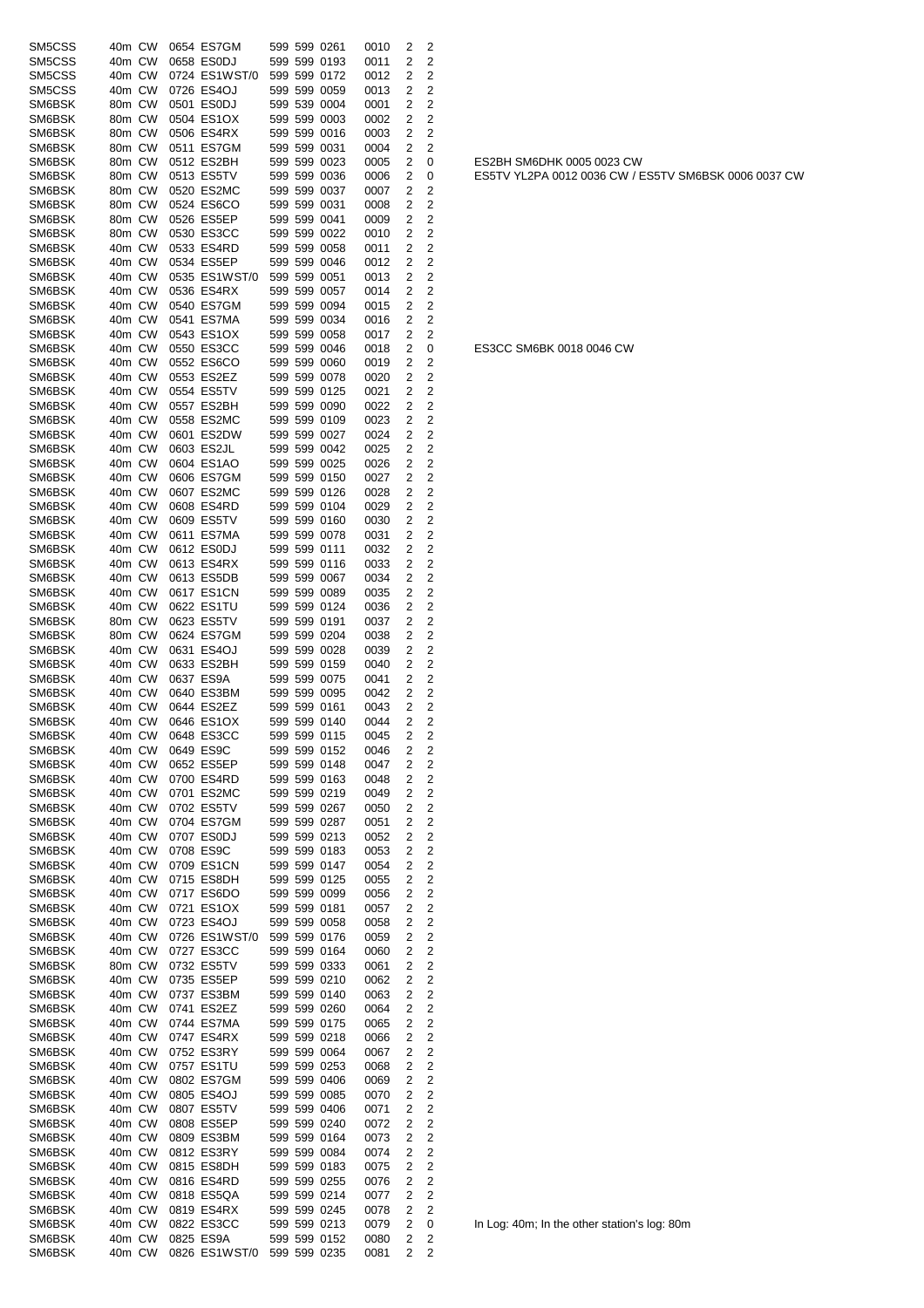| SM5CSS           | 40m CW           |        | 0654 ES7GM               | 599 599 0261                 | 0010         | 2      | $\overline{2}$               |                                                      |
|------------------|------------------|--------|--------------------------|------------------------------|--------------|--------|------------------------------|------------------------------------------------------|
| SM5CSS           | 40m CW           |        | 0658 ES0DJ               | 599 599 0193                 | 0011         | 2      | 2                            |                                                      |
| SM5CSS           | 40m CW           |        | 0724 ES1WST/0            | 599 599 0172                 | 0012         | 2      | 2                            |                                                      |
| SM5CSS           | 40m CW           |        | 0726 ES4OJ               | 599 599 0059                 | 0013         | 2      | 2                            |                                                      |
| SM6BSK           | 80m CW           |        | 0501 ES0DJ               | 599 539 0004                 | 0001         | 2      | 2                            |                                                      |
| SM6BSK           | 80m CW           |        | 0504 ES1OX               | 599 599 0003                 | 0002         | 2      | 2                            |                                                      |
| SM6BSK           | 80m CW           |        | 0506 ES4RX               | 599 599 0016                 | 0003         | 2      | 2                            |                                                      |
| SM6BSK           | 80m CW           |        | 0511 ES7GM               | 599 599 0031                 | 0004         | 2      | 2                            |                                                      |
| SM6BSK           | 80m CW           |        | 0512 ES2BH               | 599 599 0023                 | 0005         | 2      | 0                            | ES2BH SM6DHK 0005 0023 CW                            |
| SM6BSK           | 80m CW           |        | 0513 ES5TV               | 599 599 0036                 | 0006         | 2      | 0                            | ES5TV YL2PA 0012 0036 CW / ES5TV SM6BSK 0006 0037 CW |
| SM6BSK           | 80m CW           |        | 0520 ES2MC               | 599 599 0037                 | 0007         | 2      | 2                            |                                                      |
| SM6BSK           | 80m CW           |        | 0524 ES6CO               | 599 599 0031                 | 0008         | 2      | 2                            |                                                      |
| SM6BSK           | 80m CW           |        | 0526 ES5EP               | 599 599 0041                 | 0009         | 2      | $\overline{2}$               |                                                      |
| SM6BSK           | 80m CW           |        | 0530 ES3CC               | 599 599 0022                 | 0010         | 2      | 2                            |                                                      |
| SM6BSK           | 40m CW           |        | 0533 ES4RD               | 599 599 0058                 | 0011         | 2      | 2                            |                                                      |
| SM6BSK           | 40m CW           |        | 0534 ES5EP               | 599 599 0046                 | 0012         | 2      | 2                            |                                                      |
| SM6BSK           | 40m CW           |        | 0535 ES1WST/0            | 599 599 0051                 | 0013         | 2      | $\overline{2}$               |                                                      |
| SM6BSK           | 40m CW           |        | 0536 ES4RX               | 599 599 0057                 | 0014         | 2      | 2                            |                                                      |
| SM6BSK           | 40m CW           |        | 0540 ES7GM               | 599 599 0094                 | 0015         | 2      | 2                            |                                                      |
| SM6BSK           | 40m CW           |        | 0541 ES7MA               | 599 599 0034                 | 0016         | 2      | 2                            |                                                      |
| SM6BSK           | 40m CW           |        | 0543 ES1OX               | 599 599 0058                 | 0017         | 2      | 2                            |                                                      |
| SM6BSK           | 40m CW           |        | 0550 ES3CC               | 599 599 0046                 | 0018         | 2      | 0                            | ES3CC SM6BK 0018 0046 CW                             |
| SM6BSK           | 40m CW           |        | 0552 ES6CO               | 599 599 0060                 | 0019         | 2      | 2                            |                                                      |
| SM6BSK           | 40m CW           |        | 0553 ES2EZ               | 599 599 0078                 | 0020         | 2      | 2                            |                                                      |
| SM6BSK           | 40m CW           |        | 0554 ES5TV               | 599 599 0125                 | 0021         | 2      | 2                            |                                                      |
| SM6BSK           | 40m CW           |        | 0557 ES2BH               | 599 599 0090                 | 0022         | 2      | $\overline{2}$               |                                                      |
| SM6BSK           | 40m CW           |        | 0558 ES2MC               | 599 599 0109                 | 0023         | 2      | $\overline{2}$               |                                                      |
| SM6BSK           | 40m CW           |        | 0601 ES2DW               | 599 599 0027                 | 0024         | 2      | $\overline{2}$               |                                                      |
| SM6BSK           | 40m CW           |        | 0603 ES2JL               | 599 599 0042                 | 0025         | 2      | 2                            |                                                      |
| SM6BSK           | 40m CW           |        | 0604 ES1AO               | 599 599 0025                 | 0026         | 2      | $\overline{2}$               |                                                      |
| SM6BSK           | 40m CW           |        | 0606 ES7GM               | 599 599 0150                 | 0027         | 2      | 2                            |                                                      |
| SM6BSK           | 40m CW           |        | 0607 ES2MC               | 599 599 0126                 | 0028         | 2      | 2                            |                                                      |
| SM6BSK           | 40m CW           |        | 0608 ES4RD               | 599 599 0104                 | 0029         | 2      | 2                            |                                                      |
| SM6BSK           | 40m CW           |        | 0609 ES5TV               | 599 599 0160                 | 0030         | 2      | 2                            |                                                      |
| SM6BSK           | 40m CW           |        | 0611 ES7MA               | 599 599 0078                 | 0031         | 2      | 2                            |                                                      |
| SM6BSK           | 40m CW           |        | 0612 ES0DJ               | 599 599 0111                 | 0032         | 2      | 2                            |                                                      |
| SM6BSK           | 40m CW           |        | 0613 ES4RX               | 599 599 0116                 | 0033         | 2      | 2                            |                                                      |
| SM6BSK           | 40m CW           |        | 0613 ES5DB               | 599 599 0067                 | 0034         | 2      | 2                            |                                                      |
| SM6BSK           | 40m CW           |        | 0617 ES1CN               | 599 599 0089                 | 0035         | 2      | 2                            |                                                      |
| SM6BSK           | 40m CW           |        | 0622 ES1TU               | 599 599 0124                 | 0036         | 2      | 2                            |                                                      |
| SM6BSK           | 80m CW           |        | 0623 ES5TV               | 599 599 0191                 | 0037         | 2      | $\overline{2}$               |                                                      |
| SM6BSK           | 80m CW           |        | 0624 ES7GM               | 599 599 0204                 | 0038         | 2      | 2                            |                                                      |
| SM6BSK           | 40m CW           |        | 0631 ES4OJ               | 599 599 0028                 | 0039         | 2      | 2                            |                                                      |
| SM6BSK           | 40m CW           |        | 0633 ES2BH               | 599 599 0159                 | 0040         | 2      | 2                            |                                                      |
| SM6BSK           | 40m CW           |        | 0637 ES9A                | 599 599 0075                 | 0041         | 2      | 2                            |                                                      |
| SM6BSK           | 40m CW           |        | 0640 ES3BM               | 599 599 0095                 | 0042         | 2      | 2                            |                                                      |
| SM6BSK           | 40m CW           |        | 0644 ES2EZ<br>0646 ES1OX | 599 599 0161                 | 0043         | 2      | 2                            |                                                      |
| SM6BSK           | 40m CW           |        |                          | 599 599 0140                 | 0044         | 2      | 2                            |                                                      |
| SM6BSK           |                  |        | 40m CW 0648 ES3CC        | 599 599 0115                 | 0045         | 2      | 2                            |                                                      |
| SM6BSK<br>SM6BSK | 40m CW<br>40m CW |        | 0649 ES9C<br>0652 ES5EP  | 599 599 0152<br>599 599 0148 | 0046         | 2<br>2 | $\overline{2}$               |                                                      |
| SM6BSK           | 40m CW           |        | 0700 ES4RD               | 599 599 0163                 | 0047<br>0048 | 2      | 2<br>$\overline{\mathbf{c}}$ |                                                      |
| SM6BSK           | 40m CW           |        | 0701 ES2MC               | 599 599 0219                 | 0049         | 2      | 2                            |                                                      |
| SM6BSK           | 40m CW           |        | 0702 ES5TV               | 599 599 0267                 | 0050         | 2      | 2                            |                                                      |
| SM6BSK           | 40m CW           |        | 0704 ES7GM               | 599 599 0287                 |              |        | 2                            |                                                      |
| SM6BSK           |                  |        |                          | 599 599 0213                 | 0051         | 2      |                              |                                                      |
|                  | 40m CW           |        | 0707 ES0DJ               | 599 599 0183                 | 0052         | 2      | 2                            |                                                      |
| SM6BSK<br>SM6BSK | 40m CW           |        | 0708 ES9C                |                              | 0053         | 2      | 2                            |                                                      |
| SM6BSK           | 40m CW           |        | 0709 ES1CN               | 599 599 0147                 | 0054         | 2      | 2                            |                                                      |
| SM6BSK           | 40m CW<br>40m CW |        | 0715 ES8DH<br>0717 ES6DO | 599 599 0125<br>599 599 0099 | 0055<br>0056 | 2<br>2 | 2<br>2                       |                                                      |
| SM6BSK           | 40m CW           |        | 0721 ES1OX               | 599 599 0181                 | 0057         | 2      | 2                            |                                                      |
| SM6BSK           | 40m CW           |        | 0723 ES4OJ               | 599 599 0058                 | 0058         | 2      | 2                            |                                                      |
| SM6BSK           | 40m CW           |        | 0726 ES1WST/0            | 599 599 0176                 | 0059         | 2      | 2                            |                                                      |
| SM6BSK           | 40m CW           |        | 0727 ES3CC               | 599 599 0164                 | 0060         | 2      | 2                            |                                                      |
| SM6BSK           | 80m CW           |        | 0732 ES5TV               | 599 599 0333                 | 0061         | 2      | 2                            |                                                      |
| SM6BSK           | 40m CW           |        | 0735 ES5EP               | 599 599 0210                 | 0062         | 2      | 2                            |                                                      |
| SM6BSK           | 40m CW           |        | 0737 ES3BM               | 599 599 0140                 | 0063         | 2      | 2                            |                                                      |
| SM6BSK           | 40m CW           |        | 0741 ES2EZ               | 599 599 0260                 | 0064         | 2      | 2                            |                                                      |
| SM6BSK           | 40m CW           |        | 0744 ES7MA               | 599 599 0175                 | 0065         | 2      | 2                            |                                                      |
| SM6BSK           | 40m CW           |        | 0747 ES4RX               | 599 599 0218                 | 0066         | 2      | 2                            |                                                      |
| SM6BSK           | 40m CW           |        | 0752 ES3RY               | 599 599 0064                 | 0067         | 2      | 2                            |                                                      |
| SM6BSK           | 40m CW           |        | 0757 ES1TU               | 599 599 0253                 | 0068         | 2      | 2                            |                                                      |
| SM6BSK           | 40m CW           |        | 0802 ES7GM               | 599 599 0406                 | 0069         | 2      | 2                            |                                                      |
| SM6BSK           |                  |        | 0805 ES4OJ               |                              | 0070         | 2      | 2                            |                                                      |
| SM6BSK           | 40m CW<br>40m CW |        | 0807 ES5TV               | 599 599 0085<br>599 599 0406 | 0071         | 2      | 2                            |                                                      |
| SM6BSK           | 40m CW           |        | 0808 ES5EP               | 599 599 0240                 |              | 2      | 2                            |                                                      |
| SM6BSK           | 40m CW           |        | 0809 ES3BM               | 599 599 0164                 | 0072<br>0073 | 2      | 2                            |                                                      |
| SM6BSK           | 40m CW           |        | 0812 ES3RY               | 599 599 0084                 | 0074         | 2      | 2                            |                                                      |
| SM6BSK           | 40m CW           |        | 0815 ES8DH               | 599 599 0183                 |              |        | 2                            |                                                      |
| SM6BSK           | 40m CW           |        | 0816 ES4RD               | 599 599 0255                 | 0075<br>0076 | 2<br>2 | 2                            |                                                      |
| SM6BSK           | 40m CW           |        | 0818 ES5QA               | 599 599 0214                 | 0077         | 2      | 2                            |                                                      |
| SM6BSK           | 40m CW           |        | 0819 ES4RX               | 599 599 0245                 | 0078         | 2      | 2                            |                                                      |
| SM6BSK           | 40m CW           |        | 0822 ES3CC               | 599 599 0213                 | 0079         | 2      | 0                            | In Log: 40m; In the other station's log: 80m         |
| SM6BSK           | 40m CW           |        | 0825 ES9A                | 599 599 0152                 | 0080         | 2      | 2                            |                                                      |
| SM6BSK           |                  | 40m CW | 0826 ES1WST/0            |                              |              | 2      | 2                            |                                                      |
|                  |                  |        |                          | 599 599 0235                 | 0081         |        |                              |                                                      |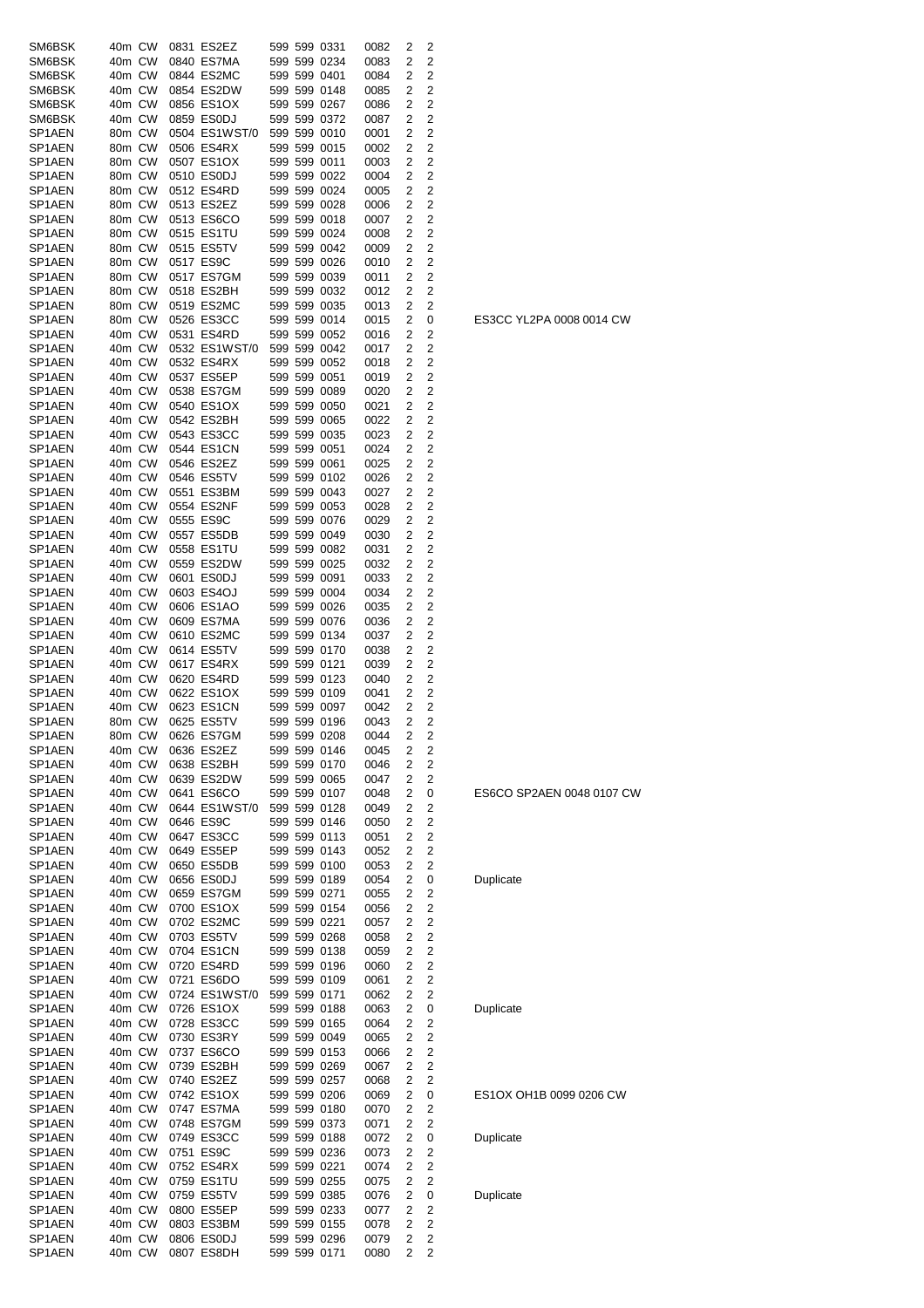| SM6BSK                        | 40m CW           |  | 0831 ES2EZ                  |  | 599 599 0331                 | 0082         | 2              | 2                   |
|-------------------------------|------------------|--|-----------------------------|--|------------------------------|--------------|----------------|---------------------|
| SM6BSK                        | 40m CW           |  | 0840 ES7MA                  |  | 599 599 0234                 | 0083         | 2              | 2                   |
| SM6BSK                        | 40m CW           |  | 0844 ES2MC                  |  | 599 599 0401                 | 0084         | 2              | 2<br>$\overline{2}$ |
| SM6BSK<br>SM6BSK              | 40m CW<br>40m CW |  | 0854 ES2DW<br>0856 ES1OX    |  | 599 599 0148<br>599 599 0267 | 0085<br>0086 | 2<br>2         | $\overline{2}$      |
| SM6BSK                        | 40m CW           |  | 0859 ES0DJ                  |  | 599 599 0372                 | 0087         | 2              | 2                   |
| SP1AEN                        | 80m CW           |  | 0504 ES1WST/0               |  | 599 599 0010                 | 0001         | 2              | 2                   |
| SP1AEN                        | 80m CW           |  | 0506 ES4RX                  |  | 599 599 0015                 | 0002         | 2              | 2                   |
| SP1AEN<br>SP1AEN              | 80m CW<br>80m CW |  | 0507 ES1OX<br>0510 ES0DJ    |  | 599 599 0011<br>599 599 0022 | 0003         | 2<br>2         | 2<br>$\overline{2}$ |
| SP1AEN                        | 80m CW           |  | 0512 ES4RD                  |  | 599 599 0024                 | 0004<br>0005 | 2              | 2                   |
| SP1AEN                        | 80m CW           |  | 0513 ES2EZ                  |  | 599 599 0028                 | 0006         | $\overline{2}$ | $\overline{2}$      |
| SP1AEN                        | 80m CW           |  | 0513 ES6CO                  |  | 599 599 0018                 | 0007         | 2              | 2                   |
| SP1AEN                        | 80m CW           |  | 0515 ES1TU                  |  | 599 599 0024                 | 0008         | 2              | 2                   |
| SP1AEN                        | 80m CW           |  | 0515 ES5TV                  |  | 599 599 0042                 | 0009         | 2              | 2                   |
| SP1AEN<br>SP1AEN              | 80m CW<br>80m CW |  | 0517 ES9C<br>0517 ES7GM     |  | 599 599 0026<br>599 599 0039 | 0010<br>0011 | 2<br>2         | 2<br>2              |
| SP1AEN                        | 80m CW           |  | 0518 ES2BH                  |  | 599 599 0032                 | 0012         | 2              | 2                   |
| SP1AEN                        | 80m CW           |  | 0519 ES2MC                  |  | 599 599 0035                 | 0013         | 2              | 2                   |
| SP1AEN                        | 80m CW           |  | 0526 ES3CC                  |  | 599 599 0014                 | 0015         | 2              | 0                   |
| SP1AEN<br>SP1AEN              | 40m CW           |  | 0531 ES4RD<br>0532 ES1WST/0 |  | 599 599 0052                 | 0016         | 2              | 2                   |
| SP1AEN                        | 40m CW<br>40m CW |  | 0532 ES4RX                  |  | 599 599 0042<br>599 599 0052 | 0017<br>0018 | 2<br>2         | 2<br>2              |
| SP1AEN                        | 40m CW           |  | 0537 ES5EP                  |  | 599 599 0051                 | 0019         | 2              | 2                   |
| SP1AEN                        | 40m CW           |  | 0538 ES7GM                  |  | 599 599 0089                 | 0020         | 2              | 2                   |
| SP1AEN                        | 40m CW           |  | 0540 ES1OX                  |  | 599 599 0050                 | 0021         | 2              | 2                   |
| SP1AEN                        | 40m CW           |  | 0542 ES2BH                  |  | 599 599 0065                 | 0022         | 2              | 2                   |
| SP <sub>1</sub> AEN<br>SP1AEN | 40m CW<br>40m CW |  | 0543 ES3CC<br>0544 ES1CN    |  | 599 599 0035<br>599 599 0051 | 0023<br>0024 | 2<br>2         | $\overline{2}$<br>2 |
| SP1AEN                        | 40m CW           |  | 0546 ES2EZ                  |  | 599 599 0061                 | 0025         | 2              | 2                   |
| SP1AEN                        | 40m CW           |  | 0546 ES5TV                  |  | 599 599 0102                 | 0026         | 2              | 2                   |
| SP1AEN                        | 40m CW           |  | 0551 ES3BM                  |  | 599 599 0043                 | 0027         | 2              | 2                   |
| SP1AEN                        | 40m CW           |  | 0554 ES2NF                  |  | 599 599 0053                 | 0028         | 2              | 2                   |
| SP1AEN<br>SP1AEN              | 40m CW<br>40m CW |  | 0555 ES9C<br>0557 ES5DB     |  | 599 599 0076<br>599 599 0049 | 0029         | 2<br>2         | 2<br>2              |
| SP1AEN                        | 40m CW           |  | 0558 ES1TU                  |  | 599 599 0082                 | 0030<br>0031 | 2              | $\overline{2}$      |
| SP1AEN                        | 40m CW           |  | 0559 ES2DW                  |  | 599 599 0025                 | 0032         | 2              | 2                   |
| SP1AEN                        | 40m CW           |  | 0601 ES0DJ                  |  | 599 599 0091                 | 0033         | 2              | 2                   |
| SP1AEN                        | 40m CW           |  | 0603 ES4OJ                  |  | 599 599 0004                 | 0034         | 2              | 2                   |
| SP1AEN<br>SP1AEN              | 40m CW<br>40m CW |  | 0606 ES1AO<br>0609 ES7MA    |  | 599 599 0026<br>599 599 0076 | 0035<br>0036 | 2<br>2         | 2<br>2              |
| SP <sub>1</sub> AEN           | 40m CW           |  | 0610 ES2MC                  |  | 599 599 0134                 | 0037         | 2              | $\overline{2}$      |
| SP1AEN                        | 40m CW           |  | 0614 ES5TV                  |  | 599 599 0170                 | 0038         | 2              | 2                   |
| SP1AEN                        | 40m CW           |  | 0617 ES4RX                  |  | 599 599 0121                 | 0039         | 2              | 2                   |
| SP1AEN                        | 40m CW           |  | 0620 ES4RD                  |  | 599 599 0123                 | 0040         | 2              | 2                   |
| SP <sub>1</sub> AEN<br>SP1AEN | 40m CW<br>40m CW |  | 0622 ES1OX<br>0623 ES1CN    |  | 599 599 0109<br>599 599 0097 | 0041<br>0042 | 2<br>2         | 2<br>2              |
| SP1AEN                        | 80m CW           |  | 0625 ES5TV                  |  | 599 599 0196                 | 0043         | 2              | $\overline{2}$      |
| SP1AEN                        | 80m CW           |  | 0626 ES7GM                  |  | 599 599 0208                 | 0044         | $\overline{c}$ | 2                   |
| SP1AEN                        | 40m CW           |  | 0636 ES2EZ                  |  | 599 599 0146                 | 0045         | 2              | 2                   |
| SP1AEN                        | 40m CW           |  | 0638 ES2BH                  |  | 599 599 0170                 | 0046         | 2              | 2                   |
| SP1AEN<br>SP1AEN              | 40m CW<br>40m CW |  | 0639 ES2DW<br>0641 ES6CO    |  | 599 599 0065<br>599 599 0107 | 0047<br>0048 | 2<br>2         | 2<br>0              |
| SP1AEN                        | 40m CW           |  | 0644 ES1WST/0               |  | 599 599 0128                 | 0049         | 2              | 2                   |
| SP1AEN                        | 40m CW           |  | 0646 ES9C                   |  | 599 599 0146                 | 0050         | 2              | 2                   |
| SP1AEN                        | 40m CW           |  | 0647 ES3CC                  |  | 599 599 0113                 | 0051         | 2              | 2                   |
| SP1AEN                        | 40m CW           |  | 0649 ES5EP                  |  | 599 599 0143                 | 0052         | 2              | 2                   |
| SP1AEN<br>SP1AEN              | 40m CW<br>40m CW |  | 0650 ES5DB<br>0656 ES0DJ    |  | 599 599 0100<br>599 599 0189 | 0053<br>0054 | 2<br>2         | 2<br>0              |
| SP1AEN                        | 40m CW           |  | 0659 ES7GM                  |  | 599 599 0271                 | 0055         | 2              | 2                   |
| SP1AEN                        | 40m CW           |  | 0700 ES1OX                  |  | 599 599 0154                 | 0056         | 2              | 2                   |
| SP1AEN                        | 40m CW           |  | 0702 ES2MC                  |  | 599 599 0221                 | 0057         | 2              | 2                   |
| SP1AEN                        | 40m CW           |  | 0703 ES5TV                  |  | 599 599 0268                 | 0058         | 2              | 2                   |
| SP1AEN<br>SP1AEN              | 40m CW<br>40m CW |  | 0704 ES1CN<br>0720 ES4RD    |  | 599 599 0138<br>599 599 0196 | 0059<br>0060 | 2<br>2         | 2<br>2              |
| SP1AEN                        | 40m CW           |  | 0721 ES6DO                  |  | 599 599 0109                 | 0061         | 2              | 2                   |
| SP1AEN                        | 40m CW           |  | 0724 ES1WST/0               |  | 599 599 0171                 | 0062         | 2              | 2                   |
| SP1AEN                        | 40m CW           |  | 0726 ES1OX                  |  | 599 599 0188                 | 0063         | 2              | 0                   |
| SP1AEN                        | 40m CW           |  | 0728 ES3CC                  |  | 599 599 0165                 | 0064         | 2              | 2                   |
| SP1AEN<br>SP1AEN              | 40m CW<br>40m CW |  | 0730 ES3RY<br>0737 ES6CO    |  | 599 599 0049<br>599 599 0153 | 0065<br>0066 | 2<br>2         | 2<br>2              |
| SP1AEN                        | 40m CW           |  | 0739 ES2BH                  |  | 599 599 0269                 | 0067         | 2              | 2                   |
| SP1AEN                        | 40m CW           |  | 0740 ES2EZ                  |  | 599 599 0257                 | 0068         | 2              | 2                   |
| SP1AEN                        | 40m CW           |  | 0742 ES1OX                  |  | 599 599 0206                 | 0069         | 2              | 0                   |
| SP1AEN                        | 40m CW           |  | 0747 ES7MA                  |  | 599 599 0180                 | 0070         | 2              | 2                   |
| SP1AEN<br>SP1AEN              | 40m CW<br>40m CW |  | 0748 ES7GM<br>0749 ES3CC    |  | 599 599 0373<br>599 599 0188 | 0071<br>0072 | 2<br>2         | 2<br>0              |
| SP1AEN                        | 40m CW           |  | 0751 ES9C                   |  | 599 599 0236                 | 0073         | 2              | 2                   |
| SP1AEN                        | 40m CW           |  | 0752 ES4RX                  |  | 599 599 0221                 | 0074         | 2              | 2                   |
| SP1AEN                        | 40m CW           |  | 0759 ES1TU                  |  | 599 599 0255                 | 0075         | 2              | 2                   |
| SP1AEN                        | 40m CW           |  | 0759 ES5TV                  |  | 599 599 0385                 | 0076         | 2              | 0                   |
| SP1AEN<br>SP1AEN              | 40m CW<br>40m CW |  | 0800 ES5EP<br>0803 ES3BM    |  | 599 599 0233<br>599 599 0155 | 0077<br>0078 | 2<br>2         | 2<br>2              |
| SP1AEN                        | 40m CW           |  | 0806 ES0DJ                  |  | 599 599 0296                 | 0079         | 2              | 2                   |
| SP1AEN                        | 40m CW           |  | 0807 ES8DH                  |  | 599 599 0171                 | 0080         | $\overline{c}$ | 2                   |

ES3CC YL2PA 0008 0014 CW

### ES6CO SP2AEN 0048 0107 CW

**Duplicate** 

## Duplicate

# ES1OX OH1B 0099 0206 CW

**Duplicate** 

Duplicate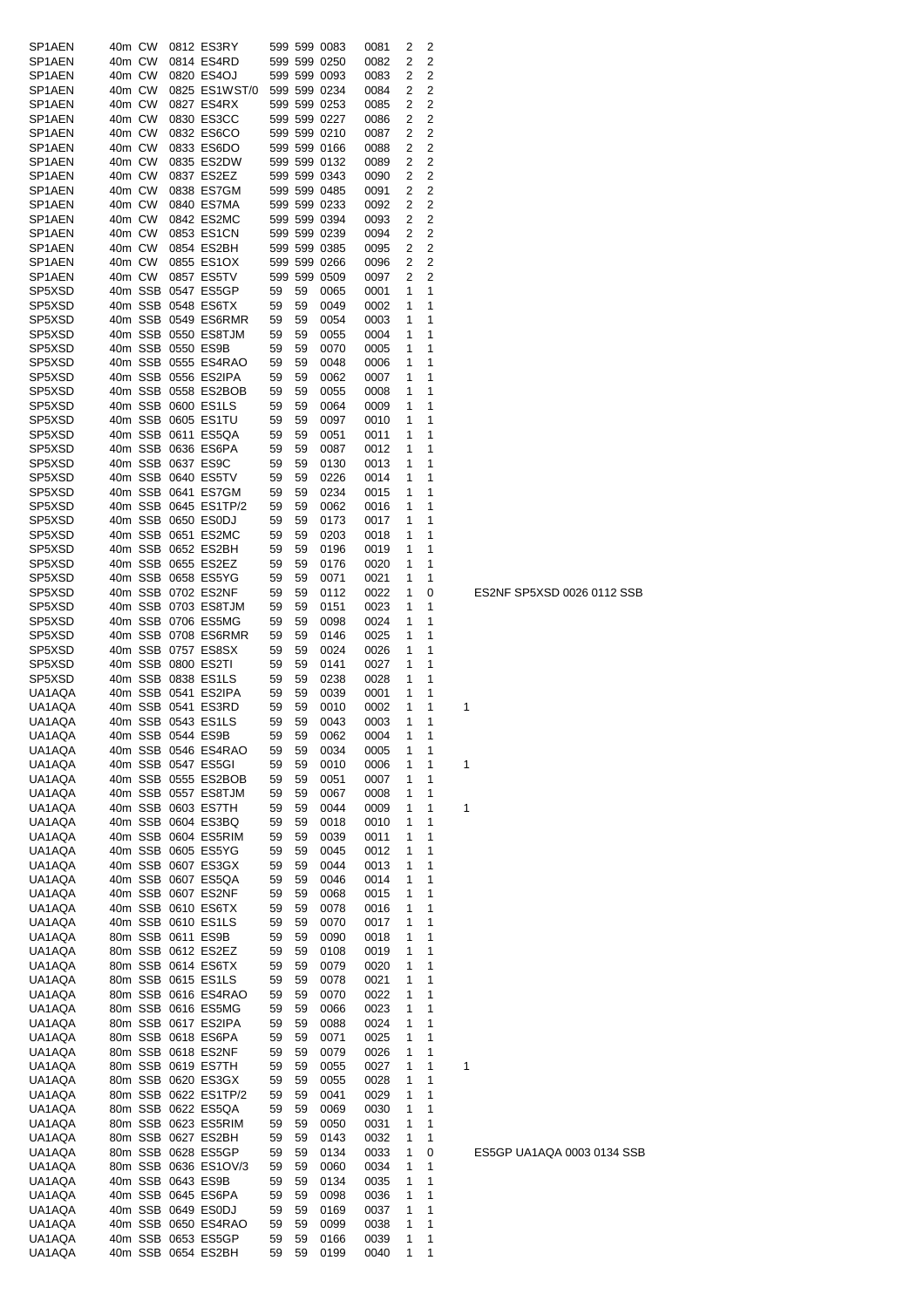| SP1AEN           | 40m CW           |                   | 0812 ES3RY                                 |          |          | 599 599 0083                 | 0081         | 2      | 2                   |   |
|------------------|------------------|-------------------|--------------------------------------------|----------|----------|------------------------------|--------------|--------|---------------------|---|
| SP1AEN           | 40m CW           |                   | 0814 ES4RD                                 |          |          | 599 599 0250                 | 0082         | 2      | 2                   |   |
| SP1AEN<br>SP1AEN | 40m CW<br>40m CW |                   | 0820 ES4OJ<br>0825 ES1WST/0                |          |          | 599 599 0093<br>599 599 0234 | 0083<br>0084 | 2<br>2 | 2<br>$\overline{2}$ |   |
| SP1AEN           | 40m CW           |                   | 0827 ES4RX                                 |          |          | 599 599 0253                 | 0085         | 2      | $\overline{2}$      |   |
| SP1AEN           | 40m CW           |                   | 0830 ES3CC                                 |          |          | 599 599 0227                 | 0086         | 2      | $\overline{2}$      |   |
| SP1AEN           | 40m CW           |                   | 0832 ES6CO                                 |          |          | 599 599 0210                 | 0087         | 2      | 2                   |   |
| SP1AEN           | 40m CW           |                   | 0833 ES6DO                                 |          |          | 599 599 0166                 | 0088         | 2      | 2                   |   |
| SP1AEN           | 40m CW           |                   | 0835 ES2DW                                 |          |          | 599 599 0132                 | 0089         | 2      | 2                   |   |
| SP1AEN           | 40m CW           |                   | 0837 ES2EZ                                 |          |          | 599 599 0343                 | 0090         | 2      | $\overline{2}$      |   |
| SP1AEN           | 40m CW           |                   | 0838 ES7GM                                 |          |          | 599 599 0485                 | 0091         | 2      | 2                   |   |
| SP1AEN<br>SP1AEN | 40m CW<br>40m CW |                   | 0840 ES7MA<br>0842 ES2MC                   |          |          | 599 599 0233<br>599 599 0394 | 0092<br>0093 | 2<br>2 | 2<br>2              |   |
| SP1AEN           | 40m CW           |                   | 0853 ES1CN                                 |          |          | 599 599 0239                 | 0094         | 2      | 2                   |   |
| SP1AEN           | 40m CW           |                   | 0854 ES2BH                                 |          |          | 599 599 0385                 | 0095         | 2      | 2                   |   |
| SP1AEN           | 40m CW           |                   | 0855 ES1OX                                 |          |          | 599 599 0266                 | 0096         | 2      | 2                   |   |
| SP1AEN           | 40m CW           |                   | 0857 ES5TV                                 |          |          | 599 599 0509                 | 0097         | 2      | $\overline{2}$      |   |
| SP5XSD           |                  |                   | 40m SSB 0547 ES5GP                         | 59       | 59       | 0065                         | 0001         | 1      | 1                   |   |
| SP5XSD           |                  |                   | 40m SSB 0548 ES6TX                         | 59       | 59       | 0049                         | 0002         | 1      | 1                   |   |
| SP5XSD<br>SP5XSD |                  |                   | 40m SSB 0549 ES6RMR<br>40m SSB 0550 ES8TJM | 59       | 59       | 0054                         | 0003         | 1<br>1 | 1<br>1              |   |
| SP5XSD           |                  | 40m SSB 0550 ES9B |                                            | 59<br>59 | 59<br>59 | 0055<br>0070                 | 0004<br>0005 | 1      | 1                   |   |
| SP5XSD           |                  |                   | 40m SSB 0555 ES4RAO                        | 59       | 59       | 0048                         | 0006         | 1      | 1                   |   |
| SP5XSD           |                  |                   | 40m SSB 0556 ES2IPA                        | 59       | 59       | 0062                         | 0007         | 1      | 1                   |   |
| SP5XSD           |                  |                   | 40m SSB 0558 ES2BOB                        | 59       | 59       | 0055                         | 0008         | 1      | 1                   |   |
| SP5XSD           |                  |                   | 40m SSB 0600 ES1LS                         | 59       | 59       | 0064                         | 0009         | 1      | 1                   |   |
| SP5XSD           |                  |                   | 40m SSB 0605 ES1TU                         | 59       | 59       | 0097                         | 0010         | 1      | 1                   |   |
| SP5XSD           |                  |                   | 40m SSB 0611 ES5QA                         | 59       | 59       | 0051                         | 0011         | 1      | 1                   |   |
| SP5XSD           |                  |                   | 40m SSB 0636 ES6PA<br>40m SSB 0637 ES9C    | 59       | 59       | 0087                         | 0012         | 1<br>1 | 1<br>1              |   |
| SP5XSD<br>SP5XSD |                  |                   | 40m SSB 0640 ES5TV                         | 59<br>59 | 59<br>59 | 0130<br>0226                 | 0013<br>0014 | 1      | 1                   |   |
| SP5XSD           |                  |                   | 40m SSB 0641 ES7GM                         | 59       | 59       | 0234                         | 0015         | 1      | 1                   |   |
| SP5XSD           |                  |                   | 40m SSB 0645 ES1TP/2                       | 59       | 59       | 0062                         | 0016         | 1      | 1                   |   |
| SP5XSD           |                  |                   | 40m SSB 0650 ES0DJ                         | 59       | 59       | 0173                         | 0017         | 1      | 1                   |   |
| SP5XSD           |                  |                   | 40m SSB 0651 ES2MC                         | 59       | 59       | 0203                         | 0018         | 1      | 1                   |   |
| SP5XSD           |                  |                   | 40m SSB 0652 ES2BH                         | 59       | 59       | 0196                         | 0019         | 1      | 1                   |   |
| SP5XSD           |                  |                   | 40m SSB 0655 ES2EZ                         | 59       | 59       | 0176                         | 0020         | 1      | 1                   |   |
| SP5XSD<br>SP5XSD |                  |                   | 40m SSB 0658 ES5YG<br>40m SSB 0702 ES2NF   | 59<br>59 | 59<br>59 | 0071<br>0112                 | 0021<br>0022 | 1<br>1 | 1<br>0              |   |
| SP5XSD           |                  |                   | 40m SSB 0703 ES8TJM                        | 59       | 59       | 0151                         | 0023         | 1      | 1                   |   |
| SP5XSD           |                  |                   | 40m SSB 0706 ES5MG                         | 59       | 59       | 0098                         | 0024         | 1      | 1                   |   |
| SP5XSD           |                  |                   | 40m SSB 0708 ES6RMR                        | 59       | 59       | 0146                         | 0025         | 1      | 1                   |   |
| SP5XSD           |                  |                   | 40m SSB 0757 ES8SX                         | 59       | 59       | 0024                         | 0026         | 1      | 1                   |   |
| SP5XSD           |                  |                   | 40m SSB 0800 ES2TI                         | 59       | 59       | 0141                         | 0027         | 1      | 1                   |   |
| SP5XSD           |                  |                   | 40m SSB 0838 ES1LS                         | 59       | 59       | 0238                         | 0028         | 1      | 1                   |   |
| UA1AQA<br>UA1AQA |                  |                   | 40m SSB 0541 ES2IPA<br>40m SSB 0541 ES3RD  | 59<br>59 | 59<br>59 | 0039                         | 0001         | 1<br>1 | 1<br>1              | 1 |
| UA1AQA           |                  |                   | 40m SSB 0543 ES1LS                         | 59       | 59       | 0010<br>0043                 | 0002<br>0003 | 1      | 1                   |   |
| UA1AQA           |                  | 40m SSB 0544 ES9B |                                            | 59       | 59       | 0062                         | 0004         | 1      | 1                   |   |
| UA1AQA           |                  |                   | 40m SSB 0546 ES4RAO                        | 59       | 59       | 0034                         | 0005         | 1      | 1                   |   |
| UA1AQA           |                  |                   | 40m SSB 0547 ES5GI                         | 59       | 59       | 0010                         | 0006         | 1      | 1                   | 1 |
| UA1AQA           |                  |                   | 40m SSB 0555 ES2BOB                        | 59       | 59       | 0051                         | 0007         | 1      | 1                   |   |
| UA1AQA           |                  |                   | 40m SSB 0557 ES8TJM                        | 59       | 59       | 0067                         | 0008         | 1      | 1                   |   |
| UA1AQA           |                  |                   | 40m SSB 0603 ES7TH                         | 59       | 59       | 0044                         | 0009         | 1<br>1 | 1<br>1              | 1 |
| UA1AQA<br>UA1AQA |                  |                   | 40m SSB 0604 ES3BQ<br>40m SSB 0604 ES5RIM  | 59<br>59 | 59<br>59 | 0018<br>0039                 | 0010<br>0011 | 1      | 1                   |   |
| UA1AQA           |                  |                   | 40m SSB 0605 ES5YG                         | 59       | 59       | 0045                         | 0012         | 1      | 1                   |   |
| UA1AQA           |                  |                   | 40m SSB 0607 ES3GX                         | 59       | 59       | 0044                         | 0013         | 1      | 1                   |   |
| UA1AQA           |                  |                   | 40m SSB 0607 ES5QA                         | 59       | 59       | 0046                         | 0014         | 1      | 1                   |   |
| UA1AQA           |                  |                   | 40m SSB 0607 ES2NF                         | 59       | 59       | 0068                         | 0015         | 1      | 1                   |   |
| UA1AQA           |                  |                   | 40m SSB 0610 ES6TX                         | 59       | 59       | 0078                         | 0016         | 1      | 1                   |   |
| UA1AQA<br>UA1AQA |                  |                   | 40m SSB 0610 ES1LS<br>80m SSB 0611 ES9B    | 59<br>59 | 59<br>59 | 0070<br>0090                 | 0017<br>0018 | 1<br>1 | 1<br>1              |   |
| UA1AQA           |                  |                   | 80m SSB 0612 ES2EZ                         | 59       | 59       | 0108                         | 0019         | 1      | 1                   |   |
| UA1AQA           |                  |                   | 80m SSB 0614 ES6TX                         | 59       | 59       | 0079                         | 0020         | 1      | 1                   |   |
| UA1AQA           |                  |                   | 80m SSB 0615 ES1LS                         | 59       | 59       | 0078                         | 0021         | 1      | 1                   |   |
| UA1AQA           |                  |                   | 80m SSB 0616 ES4RAO                        | 59       | 59       | 0070                         | 0022         | 1      | 1                   |   |
| UA1AQA           |                  |                   | 80m SSB 0616 ES5MG                         | 59       | 59       | 0066                         | 0023         | 1      | 1                   |   |
| UA1AQA           |                  |                   | 80m SSB 0617 ES2IPA                        | 59       | 59       | 0088                         | 0024         | 1      | 1                   |   |
| UA1AQA<br>UA1AQA |                  |                   | 80m SSB 0618 ES6PA<br>80m SSB 0618 ES2NF   | 59<br>59 | 59<br>59 | 0071<br>0079                 | 0025<br>0026 | 1<br>1 | 1<br>1              |   |
| UA1AQA           |                  |                   | 80m SSB 0619 ES7TH                         | 59       | 59       | 0055                         | 0027         | 1      | 1                   | 1 |
| UA1AQA           |                  |                   | 80m SSB 0620 ES3GX                         | 59       | 59       | 0055                         | 0028         | 1      | 1                   |   |
| UA1AQA           |                  |                   | 80m SSB 0622 ES1TP/2                       | 59       | 59       | 0041                         | 0029         | 1      | 1                   |   |
| UA1AQA           |                  |                   | 80m SSB 0622 ES5QA                         | 59       | 59       | 0069                         | 0030         | 1      | 1                   |   |
| UA1AQA           |                  |                   | 80m SSB 0623 ES5RIM                        | 59       | 59       | 0050                         | 0031         | 1      | 1                   |   |
| UA1AQA           |                  |                   | 80m SSB 0627 ES2BH                         | 59       | 59       | 0143                         | 0032         | 1      | 1                   |   |
| UA1AQA           |                  |                   | 80m SSB 0628 ES5GP                         | 59       | 59       | 0134                         | 0033         | 1      | 0                   |   |
| UA1AQA<br>UA1AQA |                  |                   | 80m SSB 0636 ES1OV/3<br>40m SSB 0643 ES9B  | 59<br>59 | 59<br>59 | 0060<br>0134                 | 0034<br>0035 | 1<br>1 | 1<br>1              |   |
| UA1AQA           |                  |                   | 40m SSB 0645 ES6PA                         | 59       | 59       | 0098                         | 0036         | 1      | 1                   |   |
| UA1AQA           |                  |                   | 40m SSB 0649 ES0DJ                         | 59       | 59       | 0169                         | 0037         | 1      | 1                   |   |
| UA1AQA           |                  |                   | 40m SSB 0650 ES4RAO                        | 59       | 59       | 0099                         | 0038         | 1      | 1                   |   |
| UA1AQA           |                  |                   | 40m SSB 0653 ES5GP                         | 59       | 59       | 0166                         | 0039         | 1      | 1                   |   |
| UA1AQA           |                  |                   | 40m SSB 0654 ES2BH                         | 59       | 59       | 0199                         | 0040         | 1      | 1                   |   |

# ES5GP UA1AQA 0003 0134 SSB

ES2NF SP5XSD 0026 0112 SSB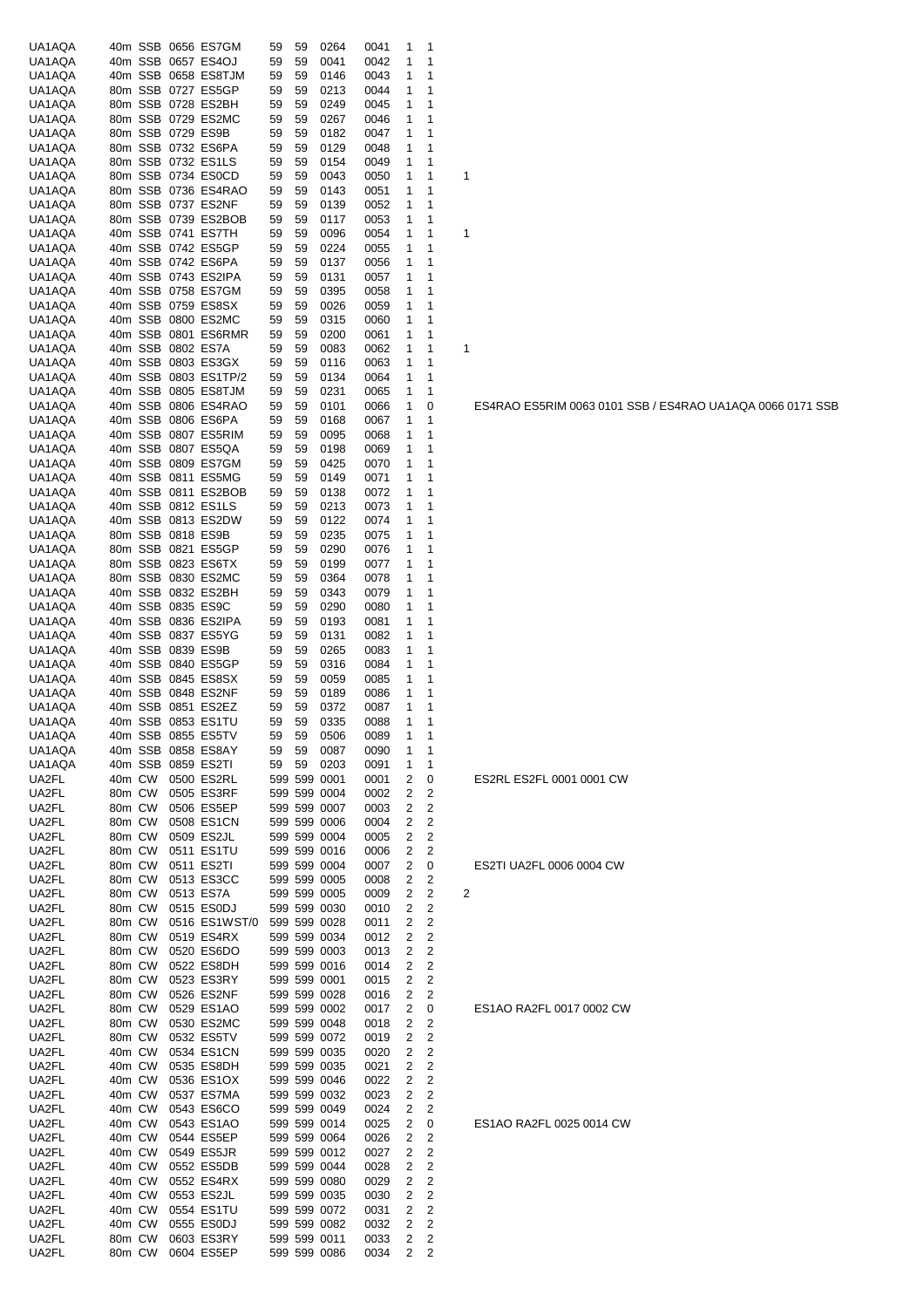| UA1AQA           |        |                   | 40m SSB 0656 ES7GM                        | 59       | 59       | 0264         | 0041         | 1      | 1              |   |
|------------------|--------|-------------------|-------------------------------------------|----------|----------|--------------|--------------|--------|----------------|---|
| UA1AQA           |        |                   | 40m SSB 0657 ES4OJ                        | 59       | 59       | 0041         | 0042         | 1      | 1              |   |
| UA1AQA           |        |                   | 40m SSB 0658 ES8TJM                       | 59       | 59       | 0146         | 0043         | 1      | 1              |   |
| UA1AQA           |        |                   | 80m SSB 0727 ES5GP                        | 59       | 59       | 0213         | 0044         | 1      | 1              |   |
| UA1AQA           |        |                   | 80m SSB 0728 ES2BH                        | 59       | 59       | 0249         | 0045         | 1      | 1              |   |
| UA1AQA           |        |                   | 80m SSB 0729 ES2MC                        | 59       | 59       | 0267         | 0046         | 1      | 1              |   |
| UA1AQA           |        |                   | 80m SSB 0729 ES9B                         | 59       | 59       | 0182         | 0047         | 1      | 1              |   |
| UA1AQA           |        |                   | 80m SSB 0732 ES6PA                        | 59       | 59       | 0129         | 0048         | 1      | 1              |   |
| UA1AQA           |        |                   | 80m SSB 0732 ES1LS                        | 59       | 59       | 0154         | 0049         | 1      | 1              |   |
| UA1AQA           |        |                   | 80m SSB 0734 ES0CD                        | 59       | 59       | 0043         | 0050         | 1      | 1              | 1 |
| UA1AQA           |        |                   | 80m SSB 0736 ES4RAO                       | 59       | 59       | 0143         | 0051         | 1      | 1              |   |
| UA1AQA           |        |                   | 80m SSB 0737 ES2NF                        | 59       | 59       | 0139         | 0052         | 1      | 1              |   |
| UA1AQA           |        |                   | 80m SSB 0739 ES2BOB                       | 59       | 59       | 0117         | 0053         | 1      | 1              |   |
| UA1AQA           |        |                   | 40m SSB 0741 ES7TH                        | 59       | 59       | 0096         | 0054         | 1      | 1              | 1 |
| UA1AQA           |        |                   | 40m SSB 0742 ES5GP                        | 59       | 59       | 0224         | 0055         | 1      | 1              |   |
| UA1AQA           |        |                   | 40m SSB 0742 ES6PA                        | 59       | 59       | 0137         | 0056         | 1      | 1              |   |
| UA1AQA           |        |                   | 40m SSB 0743 ES2IPA                       | 59       | 59       | 0131         | 0057         | 1      | 1              |   |
| UA1AQA           |        |                   | 40m SSB 0758 ES7GM                        | 59       | 59       | 0395         | 0058         | 1      | 1              |   |
| UA1AQA           |        |                   | 40m SSB 0759 ES8SX                        | 59       | 59       | 0026         | 0059         | 1      | 1              |   |
| UA1AQA           |        |                   | 40m SSB 0800 ES2MC                        | 59       | 59       | 0315         | 0060         | 1      | 1              |   |
| UA1AQA           |        |                   | 40m SSB 0801 ES6RMR                       | 59       | 59       | 0200         | 0061         | 1      | 1              |   |
| UA1AQA           |        | 40m SSB 0802 ES7A |                                           | 59       | 59       | 0083         | 0062         | 1      | 1              | 1 |
| UA1AQA           |        |                   | 40m SSB 0803 ES3GX                        | 59       | 59       | 0116         | 0063         | 1      | 1              |   |
| UA1AQA           |        |                   | 40m SSB 0803 ES1TP/2                      | 59       | 59       | 0134         | 0064         | 1      | 1              |   |
| UA1AQA           |        |                   | 40m SSB 0805 ES8TJM                       | 59       | 59       | 0231         | 0065         | 1      | 1              |   |
| UA1AQA           |        |                   | 40m SSB 0806 ES4RAO                       | 59       | 59       | 0101         | 0066         | 1      | 0              |   |
| UA1AQA           |        |                   | 40m SSB 0806 ES6PA                        | 59       | 59       | 0168         | 0067         | 1      | 1              |   |
| UA1AQA           |        |                   | 40m SSB 0807 ES5RIM                       | 59       | 59       | 0095         | 0068         | 1      | 1              |   |
| UA1AQA           |        |                   | 40m SSB 0807 ES5QA                        | 59       | 59       | 0198         | 0069         | 1      | 1              |   |
| UA1AQA           |        |                   | 40m SSB 0809 ES7GM                        | 59       | 59       | 0425         | 0070         | 1      | 1              |   |
| UA1AQA           |        |                   | 40m SSB 0811 ES5MG                        | 59       | 59       | 0149         | 0071         | 1      | 1              |   |
| UA1AQA           |        |                   | 40m SSB 0811 ES2BOB                       | 59       | 59       | 0138         | 0072         | 1      | 1              |   |
| UA1AQA           |        |                   | 40m SSB 0812 ES1LS                        | 59       | 59       | 0213         | 0073         | 1      | 1              |   |
| UA1AQA           |        |                   | 40m SSB 0813 ES2DW                        | 59       | 59       | 0122         | 0074         | 1      | 1              |   |
| UA1AQA           |        | 80m SSB 0818 ES9B |                                           | 59       | 59       | 0235         | 0075         | 1      | 1              |   |
| UA1AQA           |        |                   | 80m SSB 0821 ES5GP                        | 59       | 59       | 0290         | 0076         | 1      | 1              |   |
| UA1AQA           |        |                   | 80m SSB 0823 ES6TX                        | 59       | 59       | 0199         | 0077         | 1      | 1              |   |
| UA1AQA           |        |                   | 80m SSB 0830 ES2MC                        | 59       | 59       | 0364         | 0078         | 1      | 1              |   |
| UA1AQA           |        |                   | 40m SSB 0832 ES2BH                        | 59       | 59       | 0343         | 0079         | 1<br>1 | 1<br>1         |   |
| UA1AQA           |        |                   | 40m SSB 0835 ES9C                         | 59<br>59 | 59<br>59 | 0290         | 0080         | 1      | 1              |   |
| UA1AQA           |        |                   | 40m SSB 0836 ES2IPA<br>40m SSB 0837 ES5YG |          | 59       | 0193<br>0131 | 0081         | 1      | 1              |   |
| UA1AQA<br>UA1AQA |        | 40m SSB 0839 ES9B |                                           | 59<br>59 | 59       | 0265         | 0082<br>0083 | 1      | 1              |   |
| UA1AQA           |        |                   | 40m SSB 0840 ES5GP                        | 59       | 59       | 0316         | 0084         | 1      | 1              |   |
| UA1AQA           |        |                   | 40m SSB 0845 ES8SX                        | 59       | 59       | 0059         | 0085         | 1      | 1              |   |
| UA1AQA           |        |                   | 40m SSB 0848 ES2NF                        | 59       | 59       | 0189         | 0086         | 1      | 1              |   |
| UA1AQA           |        |                   | 40m SSB 0851 ES2EZ                        | 59       | 59       | 0372         | 0087         | 1      | 1              |   |
| UA1AQA           |        |                   | 40m SSB 0853 ES1TU                        | 59       | 59       | 0335         | 0088         | 1      | 1              |   |
| UA1AQA           |        |                   | 40m SSB 0855 ES5TV                        |          | 59 59    | 0506 0089 1  |              |        | 1              |   |
| UA1AQA           |        |                   | 40m SSB 0858 ES8AY                        | 59       | 59       | 0087         | 0090         | 1      | 1              |   |
| UA1AQA           |        |                   | 40m SSB 0859 ES2TI                        | 59       | 59       | 0203         | 0091         | 1      | 1              |   |
| UA2FL            | 40m CW |                   | 0500 ES2RL                                |          |          | 599 599 0001 | 0001         | 2      | 0              |   |
| UA2FL            | 80m CW |                   | 0505 ES3RF                                |          |          | 599 599 0004 | 0002         | 2      | 2              |   |
| UA2FL            | 80m CW |                   | 0506 ES5EP                                |          |          | 599 599 0007 | 0003         | 2      | 2              |   |
| UA2FL            | 80m CW |                   | 0508 ES1CN                                |          |          | 599 599 0006 | 0004         | 2      | 2              |   |
| UA2FL            | 80m CW |                   | 0509 ES2JL                                |          |          | 599 599 0004 | 0005         | 2      | 2              |   |
| UA2FL            | 80m CW |                   | 0511 ES1TU                                |          |          | 599 599 0016 | 0006         | 2      | 2              |   |
| UA2FL            | 80m CW |                   | 0511 ES2TI                                |          |          | 599 599 0004 | 0007         | 2      | 0              |   |
| UA2FL            | 80m CW |                   | 0513 ES3CC                                |          |          | 599 599 0005 | 0008         | 2      | 2              |   |
| UA2FL            | 80m CW |                   | 0513 ES7A                                 |          |          | 599 599 0005 | 0009         | 2      | 2              | 2 |
| UA2FL            | 80m CW |                   | 0515 ES0DJ                                |          |          | 599 599 0030 | 0010         | 2      | 2              |   |
| UA2FL            | 80m CW |                   | 0516 ES1WST/0 599 599 0028                |          |          |              | 0011         | 2      | 2              |   |
| UA2FL            | 80m CW |                   | 0519 ES4RX                                |          |          | 599 599 0034 | 0012         | 2      | 2              |   |
| UA2FL            | 80m CW |                   | 0520 ES6DO                                |          |          | 599 599 0003 | 0013         | 2      | 2              |   |
| UA2FL            | 80m CW |                   | 0522 ES8DH                                |          |          | 599 599 0016 | 0014         | 2      | 2              |   |
| UA2FL            | 80m CW |                   | 0523 ES3RY                                |          |          | 599 599 0001 | 0015         | 2      | 2              |   |
| UA2FL            | 80m CW |                   | 0526 ES2NF                                |          |          | 599 599 0028 | 0016         | 2      | 2              |   |
| UA2FL            | 80m CW |                   | 0529 ES1AO                                |          |          | 599 599 0002 | 0017         | 2      | 0              |   |
| UA2FL            | 80m CW |                   | 0530 ES2MC                                |          |          | 599 599 0048 | 0018         | 2      | 2              |   |
| UA2FL            | 80m CW |                   | 0532 ES5TV                                |          |          | 599 599 0072 | 0019         | 2      | 2              |   |
| UA2FL            | 40m CW |                   | 0534 ES1CN                                |          |          | 599 599 0035 | 0020         | 2      | $\overline{2}$ |   |
| UA2FL            | 40m CW |                   | 0535 ES8DH                                |          |          | 599 599 0035 | 0021         | 2      | 2              |   |
| UA2FL            | 40m CW |                   | 0536 ES1OX                                |          |          | 599 599 0046 | 0022         | 2      | 2              |   |
| UA2FL            | 40m CW |                   | 0537 ES7MA                                |          |          | 599 599 0032 | 0023         | 2      | $\overline{2}$ |   |
| UA2FL            | 40m CW |                   | 0543 ES6CO                                |          |          | 599 599 0049 | 0024         | 2      | 2              |   |
| UA2FL            | 40m CW |                   | 0543 ES1AO                                |          |          | 599 599 0014 | 0025         | 2      | 0              |   |
| UA2FL            | 40m CW |                   | 0544 ES5EP                                |          |          | 599 599 0064 | 0026         | 2      | 2              |   |
| UA2FL            | 40m CW |                   | 0549 ES5JR                                |          |          | 599 599 0012 | 0027         | 2      | 2              |   |
| UA2FL            | 40m CW |                   | 0552 ES5DB                                |          |          | 599 599 0044 | 0028         | 2      | 2              |   |
| UA2FL            | 40m CW |                   | 0552 ES4RX                                |          |          | 599 599 0080 | 0029         | 2      | $\overline{2}$ |   |
| UA2FL            | 40m CW |                   | 0553 ES2JL                                |          |          | 599 599 0035 | 0030         | 2      | 2              |   |
| UA2FL            | 40m CW |                   | 0554 ES1TU                                |          |          | 599 599 0072 | 0031         | 2      | 2              |   |
| UA2FL            | 40m CW |                   | 0555 ES0DJ                                |          |          | 599 599 0082 | 0032         | 2      | 2              |   |
| UA2FL            | 80m CW |                   | 0603 ES3RY                                |          |          | 599 599 0011 | 0033         | 2      | 2              |   |
| UA2FL            | 80m CW |                   | 0604 ES5EP                                |          |          | 599 599 0086 | 0034         | 2      | 2              |   |

ES1AO RA2FL 0025 0014 CW

ES1AO RA2FL 0017 0002 CW

ES2TI UA2FL 0006 0004 CW

ES2RL ES2FL 0001 0001 CW

ES4RAO ES5RIM 0063 0101 SSB / ES4RAO UA1AQA 0066 0171 SSB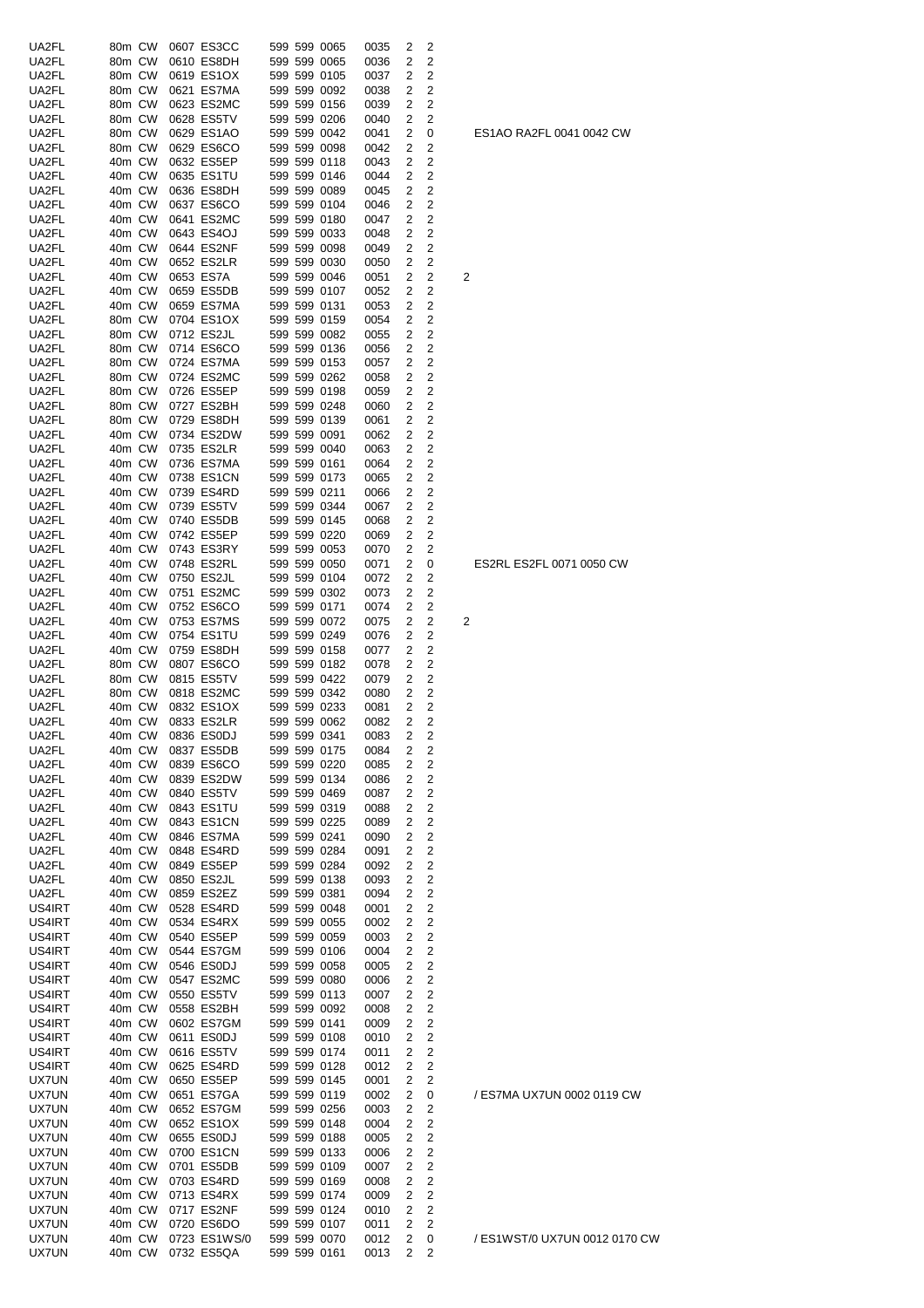| UA2FL          | 80m CW           | 0607 ES3CC                 |              | 599 599 0065                 | 0035         | 2              | 2              |   |
|----------------|------------------|----------------------------|--------------|------------------------------|--------------|----------------|----------------|---|
| UA2FL          | 80m CW           | 0610 ES8DH                 |              | 599 599 0065                 | 0036         | 2              | 2              |   |
| UA2FL          | 80m CW           | 0619 ES1OX                 |              | 599 599 0105                 | 0037         | 2              | 2              |   |
| UA2FL          | 80m CW           | 0621 ES7MA                 |              | 599 599 0092                 | 0038         | 2              | 2              |   |
| UA2FL          | 80m CW           | 0623 ES2MC                 |              | 599 599 0156                 | 0039         | 2              | 2              |   |
| UA2FL          | 80m CW           | 0628 ES5TV                 |              | 599 599 0206                 | 0040         | 2              | 2              |   |
| UA2FL          | 80m CW           | 0629 ES1AO                 |              | 599 599 0042                 | 0041         | 2              | 0              |   |
| UA2FL          | 80m CW           | 0629 ES6CO                 |              | 599 599 0098                 |              | 2              | 2              |   |
|                |                  |                            |              |                              | 0042         |                |                |   |
| UA2FL          | 40m CW           | 0632 ES5EP                 |              | 599 599 0118                 | 0043         | 2              | 2              |   |
| UA2FL          | 40m CW           | 0635 ES1TU                 |              | 599 599 0146                 | 0044         | 2              | 2              |   |
| UA2FL          | 40m CW           | 0636 ES8DH                 |              | 599 599 0089                 | 0045         | 2              | 2              |   |
| UA2FL          | 40m CW           | 0637 ES6CO                 |              | 599 599 0104                 | 0046         | 2              | 2              |   |
| UA2FL          | 40m CW           | 0641 ES2MC                 |              | 599 599 0180                 | 0047         | 2              | 2              |   |
| UA2FL          | 40m CW           | 0643 ES4OJ                 |              | 599 599 0033                 | 0048         | 2              | 2              |   |
| UA2FL          | 40m CW           | 0644 ES2NF                 |              | 599 599 0098                 | 0049         | 2              | 2              |   |
| UA2FL          | 40m CW           | 0652 ES2LR                 |              | 599 599 0030                 | 0050         | 2              | 2              |   |
| UA2FL          | 40m CW           | 0653 ES7A                  |              | 599 599 0046                 | 0051         | 2              | 2              | 2 |
| UA2FL          | 40m CW           | 0659 ES5DB                 |              | 599 599 0107                 | 0052         | 2              | 2              |   |
| UA2FL          | 40m CW           | 0659 ES7MA                 |              | 599 599 0131                 | 0053         | 2              | 2              |   |
| UA2FL          | 80m CW           | 0704 ES1OX                 |              | 599 599 0159                 | 0054         | 2              | 2              |   |
| UA2FL          | 80m CW           | 0712 ES2JL                 |              | 599 599 0082                 | 0055         | 2              | 2              |   |
|                |                  |                            |              |                              |              |                |                |   |
| UA2FL          | 80m CW           | 0714 ES6CO                 |              | 599 599 0136                 | 0056         | 2              | 2              |   |
| UA2FL          | 80m CW           | 0724 ES7MA                 |              | 599 599 0153                 | 0057         | 2              | 2              |   |
| UA2FL          | 80m CW           | 0724 ES2MC                 |              | 599 599 0262                 | 0058         | 2              | 2              |   |
| UA2FL          | 80m CW           | 0726 ES5EP                 |              | 599 599 0198                 | 0059         | 2              | 2              |   |
| UA2FL          | 80m CW           | 0727 ES2BH                 |              | 599 599 0248                 | 0060         | 2              | 2              |   |
| UA2FL          | 80m CW           | 0729 ES8DH                 |              | 599 599 0139                 | 0061         | 2              | 2              |   |
| UA2FL          | 40m CW           | 0734 ES2DW                 |              | 599 599 0091                 | 0062         | 2              | 2              |   |
| UA2FL          | 40m CW           | 0735 ES2LR                 |              | 599 599 0040                 | 0063         | 2              | 2              |   |
| UA2FL          | 40m CW           | 0736 ES7MA                 |              | 599 599 0161                 | 0064         | 2              | 2              |   |
| UA2FL          | 40m CW           | 0738 ES1CN                 |              | 599 599 0173                 | 0065         | 2              | 2              |   |
| UA2FL          | 40m CW           | 0739 ES4RD                 |              | 599 599 0211                 | 0066         | 2              | 2              |   |
| UA2FL          | 40m CW           | 0739 ES5TV                 |              | 599 599 0344                 | 0067         | 2              | 2              |   |
| UA2FL          | 40m CW           | 0740 ES5DB                 |              | 599 599 0145                 |              | 2              | $\overline{c}$ |   |
|                |                  |                            |              |                              | 0068         |                |                |   |
| UA2FL          | 40m CW           | 0742 ES5EP                 |              | 599 599 0220                 | 0069         | 2              | 2              |   |
| UA2FL          | 40m CW           | 0743 ES3RY                 |              | 599 599 0053                 | 0070         | 2              | 2              |   |
| UA2FL          | 40m CW           | 0748 ES2RL                 |              | 599 599 0050                 | 0071         | 2              | 0              |   |
| UA2FL          | 40m CW           | 0750 ES2JL                 |              | 599 599 0104                 | 0072         | 2              | 2              |   |
| UA2FL          | 40m CW           | 0751 ES2MC                 |              | 599 599 0302                 | 0073         | 2              | 2              |   |
| UA2FL          | 40m CW           | 0752 ES6CO                 |              | 599 599 0171                 | 0074         | 2              | 2              |   |
| UA2FL          | 40m CW           | 0753 ES7MS                 |              | 599 599 0072                 | 0075         | 2              | 2              | 2 |
| UA2FL          | 40m CW           | 0754 ES1TU                 |              | 599 599 0249                 | 0076         | 2              | 2              |   |
| UA2FL          | 40m CW           | 0759 ES8DH                 |              | 599 599 0158                 | 0077         | 2              | 2              |   |
| UA2FL          | 80m CW           | 0807 ES6CO                 |              | 599 599 0182                 | 0078         | 2              | 2              |   |
| UA2FL          | 80m CW           | 0815 ES5TV                 |              | 599 599 0422                 | 0079         | 2              | $\overline{c}$ |   |
| UA2FL          | 80m CW           | 0818 ES2MC                 |              | 599 599 0342                 | 0080         | 2              | 2              |   |
| UA2FL          | 40m CW           | 0832 ES1OX                 |              | 599 599 0233                 | 0081         | 2              | 2              |   |
| UA2FL          | 40m CW           | 0833 ES2LR                 |              | 599 599 0062                 | 0082         | 2              | 2              |   |
| UA2FL          |                  | 40m CW 0836 ES0DJ          |              | 599 599 0341                 | 0083         | $\overline{2}$ | $\overline{2}$ |   |
|                | 40m CW           | 0837 ES5DB                 |              |                              |              |                |                |   |
| UA2FL          |                  |                            |              | 599 599 0175                 | 0084         | 2              | 2              |   |
| UA2FL          | 40m CW           | 0839 ES6CO                 |              | 599 599 0220                 | 0085         | 2              | 2              |   |
| UA2FL          | 40m CW           | 0839 ES2DW                 |              | 599 599 0134                 | 0086         | 2              | 2              |   |
| UA2FL          | 40m CW           | 0840 ES5TV                 |              | 599 599 0469                 | 0087         | 2              | 2              |   |
| UA2FL          | 40m CW           | 0843 ES1TU                 |              | 599 599 0319                 | 0088         | 2              | 2              |   |
| UA2FL          | 40m CW           | 0843 ES1CN                 |              | 599 599 0225                 | 0089         | 2              | $\overline{c}$ |   |
| UA2FL          | 40m CW           | 0846 ES7MA                 |              | 599 599 0241                 | 0090         | 2              | 2              |   |
| UA2FL          | 40m CW           | 0848 ES4RD                 |              | 599 599 0284                 | 0091         | 2              | 2              |   |
| UA2FL          | 40m CW           | 0849 ES5EP                 |              | 599 599 0284                 | 0092         | 2              | $\overline{c}$ |   |
| UA2FL          | 40m CW           | 0850 ES2JL                 |              | 599 599 0138                 | 0093         | 2              | 2              |   |
| UA2FL          | 40m CW           | 0859 ES2EZ                 |              | 599 599 0381                 | 0094         | 2              | 2              |   |
| US4IRT         | 40m CW           | 0528 ES4RD                 |              | 599 599 0048                 | 0001         | 2              | 2              |   |
| US4IRT         | 40m CW           | 0534 ES4RX                 |              | 599 599 0055                 | 0002         | 2              | $\overline{c}$ |   |
| US4IRT         | 40m CW           | 0540 ES5EP                 |              | 599 599 0059                 | 0003         | 2              | 2              |   |
| US4IRT         | 40m CW           | 0544 ES7GM                 |              | 599 599 0106                 | 0004         | 2              | $\overline{c}$ |   |
|                |                  |                            |              |                              |              |                |                |   |
| US4IRT         | 40m CW           | 0546 ES0DJ                 |              | 599 599 0058                 | 0005         | 2              | 2              |   |
| US4IRT         | 40m CW           | 0547 ES2MC                 |              | 599 599 0080                 | 0006         | 2              | $\overline{c}$ |   |
| US4IRT         | 40m CW           | 0550 ES5TV                 |              | 599 599 0113                 | 0007         | 2              | $\overline{c}$ |   |
| US4IRT         | 40m CW           | 0558 ES2BH                 |              | 599 599 0092                 | 0008         | 2              | $\overline{c}$ |   |
| US4IRT         | 40m CW           | 0602 ES7GM                 |              | 599 599 0141                 | 0009         | 2              | $\overline{c}$ |   |
| US4IRT         | 40m CW           | 0611 ES0DJ                 |              | 599 599 0108                 | 0010         | 2              | 2              |   |
| US4IRT         | 40m CW           | 0616 ES5TV                 |              | 599 599 0174                 | 0011         | 2              | $\overline{c}$ |   |
| US4IRT         | 40m CW           | 0625 ES4RD                 |              | 599 599 0128                 | 0012         | 2              | 2              |   |
| <b>UX7UN</b>   | 40m CW           | 0650 ES5EP                 |              | 599 599 0145                 | 0001         | 2              | 2              |   |
| <b>UX7UN</b>   | 40m CW           | 0651 ES7GA                 |              | 599 599 0119                 | 0002         | 2              | 0              |   |
| <b>UX7UN</b>   | 40m CW           | 0652 ES7GM                 |              | 599 599 0256                 | 0003         | 2              | $\overline{c}$ |   |
| <b>UX7UN</b>   | 40m CW           | 0652 ES1OX                 |              | 599 599 0148                 | 0004         | 2              | 2              |   |
| <b>UX7UN</b>   |                  | 0655 ES0DJ                 |              | 599 599 0188                 | 0005         | 2              | $\overline{2}$ |   |
|                |                  |                            |              |                              | 0006         | 2              |                |   |
|                | 40m CW           |                            |              |                              |              |                |                |   |
| <b>UX7UN</b>   | 40m CW           | 0700 ES1CN                 | 599 599 0133 |                              |              |                | 2              |   |
| <b>UX7UN</b>   | 40m CW           | 0701 ES5DB                 |              | 599 599 0109                 | 0007         | 2              | $\overline{2}$ |   |
| <b>UX7UN</b>   | 40m CW           | 0703 ES4RD                 |              | 599 599 0169                 | 0008         | 2              | 2              |   |
| <b>UX7UN</b>   | 40m CW           | 0713 ES4RX                 |              | 599 599 0174                 | 0009         | 2              | 2              |   |
| <b>UX7UN</b>   | 40m CW           | 0717 ES2NF                 |              | 599 599 0124                 | 0010         | 2              | $\overline{2}$ |   |
| <b>UX7UN</b>   | 40m CW           | 0720 ES6DO                 |              | 599 599 0107                 | 0011         | 2              | 2              |   |
| UX7UN<br>UX7UN | 40m CW<br>40m CW | 0723 ES1WS/0<br>0732 ES5QA |              | 599 599 0070<br>599 599 0161 | 0012<br>0013 | 2<br>2         | 0<br>2         |   |

ES1AO RA2FL 0041 0042 CW

ES2RL ES2FL 0071 0050 CW

/ ES7MA UX7UN 0002 0119 CW

/ ES1WST/0 UX7UN 0012 0170 CW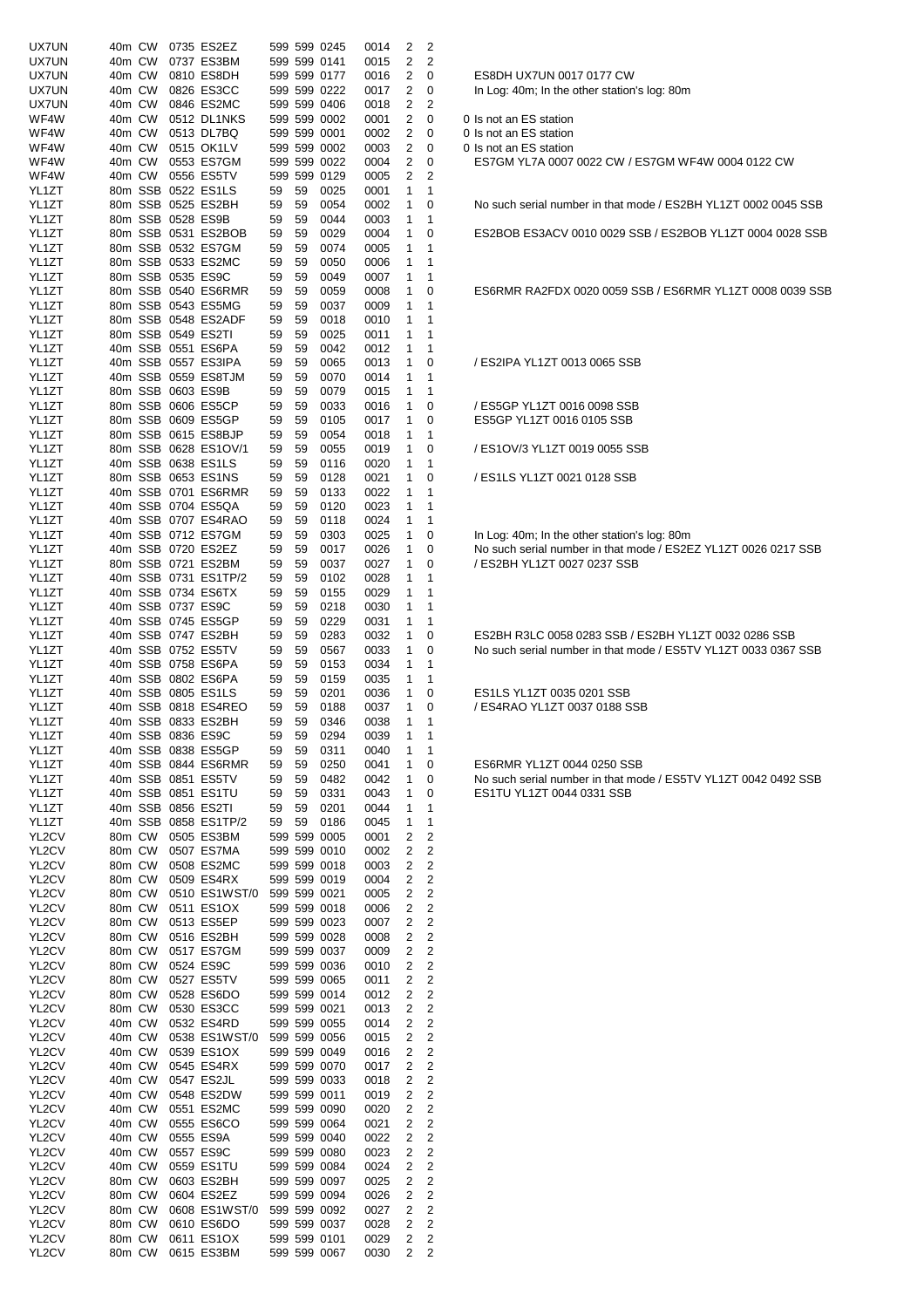| <b>UX7UN</b> | 40m CW |         | 0735 ES2EZ           |    |    | 599 599 0245 | 0014 | 2              | 2                            |  |
|--------------|--------|---------|----------------------|----|----|--------------|------|----------------|------------------------------|--|
| <b>UX7UN</b> | 40m CW |         | 0737 ES3BM           |    |    | 599 599 0141 | 0015 | 2              | 2                            |  |
| <b>UX7UN</b> | 40m CW |         | 0810 ES8DH           |    |    | 599 599 0177 | 0016 | 2              | 0                            |  |
| <b>UX7UN</b> | 40m CW |         | 0826 ES3CC           |    |    | 599 599 0222 | 0017 | 2              | 0                            |  |
| <b>UX7UN</b> | 40m CW |         | 0846 ES2MC           |    |    | 599 599 0406 | 0018 | 2              | 2                            |  |
| WF4W         | 40m CW |         | 0512 DL1NKS          |    |    | 599 599 0002 | 0001 | 2              | 0                            |  |
| WF4W         | 40m CW |         | 0513 DL7BQ           |    |    | 599 599 0001 | 0002 | 2              | 0                            |  |
| WF4W         | 40m CW |         | 0515 OK1LV           |    |    | 599 599 0002 | 0003 | 2              | 0                            |  |
| WF4W         | 40m CW |         | 0553 ES7GM           |    |    | 599 599 0022 | 0004 | 2              | 0                            |  |
| WF4W         | 40m CW |         | 0556 ES5TV           |    |    | 599 599 0129 | 0005 | 2              | 2                            |  |
| YL1ZT        |        |         | 80m SSB 0522 ES1LS   | 59 | 59 | 0025         | 0001 | 1              | 1                            |  |
| YL1ZT        |        |         | 80m SSB 0525 ES2BH   | 59 | 59 | 0054         | 0002 | 1              | 0                            |  |
| YL1ZT        |        |         | 80m SSB 0528 ES9B    | 59 | 59 | 0044         | 0003 | 1              | 1                            |  |
| YL1ZT        |        |         | 80m SSB 0531 ES2BOB  | 59 | 59 | 0029         | 0004 | 1              | 0                            |  |
| YL1ZT        |        |         | 80m SSB 0532 ES7GM   | 59 | 59 | 0074         | 0005 | 1              | 1                            |  |
| YL1ZT        |        |         | 80m SSB 0533 ES2MC   | 59 | 59 | 0050         | 0006 | 1              | 1                            |  |
| YL1ZT        |        |         | 80m SSB 0535 ES9C    | 59 | 59 | 0049         | 0007 | 1              | 1                            |  |
| YL1ZT        |        |         | 80m SSB 0540 ES6RMR  | 59 | 59 | 0059         | 0008 | 1              | 0                            |  |
| YL1ZT        |        |         | 80m SSB 0543 ES5MG   | 59 | 59 | 0037         | 0009 | 1              | 1                            |  |
| YL1ZT        |        |         | 80m SSB 0548 ES2ADF  | 59 | 59 | 0018         | 0010 | 1              | 1                            |  |
| YL1ZT        |        |         | 80m SSB 0549 ES2TI   | 59 | 59 | 0025         | 0011 | 1              | 1                            |  |
| YL1ZT        |        |         | 40m SSB 0551 ES6PA   | 59 | 59 | 0042         | 0012 | 1              | 1                            |  |
| YL1ZT        |        |         | 40m SSB 0557 ES3IPA  | 59 | 59 | 0065         | 0013 | 1              | 0                            |  |
| YL1ZT        |        |         | 40m SSB 0559 ES8TJM  | 59 | 59 | 0070         | 0014 | 1              | 1                            |  |
| YL1ZT        |        |         | 80m SSB 0603 ES9B    | 59 | 59 | 0079         | 0015 | 1              | 1                            |  |
| YL1ZT        |        |         | 80m SSB 0606 ES5CP   | 59 | 59 | 0033         | 0016 | 1              | 0                            |  |
| YL1ZT        |        |         | 80m SSB 0609 ES5GP   | 59 | 59 | 0105         | 0017 | 1              | 0                            |  |
| YL1ZT        |        |         | 80m SSB 0615 ES8BJP  | 59 | 59 | 0054         | 0018 | 1              | $\mathbf{1}$                 |  |
| YL1ZT        |        |         | 80m SSB 0628 ES1OV/1 | 59 | 59 | 0055         | 0019 | 1              | 0                            |  |
| YL1ZT        |        |         | 40m SSB 0638 ES1LS   | 59 | 59 | 0116         | 0020 | 1              | 1                            |  |
|              |        |         | 80m SSB 0653 ES1NS   | 59 | 59 |              |      | 1              | 0                            |  |
| YL1ZT        |        |         |                      |    |    | 0128         | 0021 |                |                              |  |
| YL1ZT        |        |         | 40m SSB 0701 ES6RMR  | 59 | 59 | 0133         | 0022 | 1              | 1                            |  |
| YL1ZT        |        |         | 40m SSB 0704 ES5QA   | 59 | 59 | 0120         | 0023 | 1              | 1                            |  |
| YL1ZT        |        |         | 40m SSB 0707 ES4RAO  | 59 | 59 | 0118         | 0024 | 1              | 1                            |  |
| YL1ZT        |        |         | 40m SSB 0712 ES7GM   | 59 | 59 | 0303         | 0025 | 1              | 0                            |  |
| YL1ZT        |        |         | 40m SSB 0720 ES2EZ   | 59 | 59 | 0017         | 0026 | 1              | 0                            |  |
| YL1ZT        |        |         | 80m SSB 0721 ES2BM   | 59 | 59 | 0037         | 0027 | 1              | 0                            |  |
| YL1ZT        |        |         | 40m SSB 0731 ES1TP/2 | 59 | 59 | 0102         | 0028 | 1              | 1                            |  |
| YL1ZT        |        |         | 40m SSB 0734 ES6TX   | 59 | 59 | 0155         | 0029 | 1              | 1                            |  |
| YL1ZT        |        |         | 40m SSB 0737 ES9C    | 59 | 59 | 0218         | 0030 | 1              | 1                            |  |
| YL1ZT        |        |         | 40m SSB 0745 ES5GP   | 59 | 59 | 0229         | 0031 | 1              | $\mathbf{1}$                 |  |
| YL1ZT        |        |         | 40m SSB 0747 ES2BH   | 59 | 59 | 0283         | 0032 | 1              | 0                            |  |
| YL1ZT        |        |         | 40m SSB 0752 ES5TV   | 59 | 59 | 0567         | 0033 | 1              | 0                            |  |
| YL1ZT        |        |         | 40m SSB 0758 ES6PA   | 59 | 59 | 0153         | 0034 | 1              | 1                            |  |
| YL1ZT        |        |         | 40m SSB 0802 ES6PA   | 59 | 59 | 0159         | 0035 | 1              | 1                            |  |
| YL1ZT        |        |         | 40m SSB 0805 ES1LS   | 59 | 59 | 0201         | 0036 | 1              | 0                            |  |
| YL1ZT        |        | 40m SSB | 0818 ES4REO          | 59 | 59 | 0188         | 0037 | 1              | 0                            |  |
| YL1ZT        |        |         | 40m SSB 0833 ES2BH   | 59 | 59 | 0346         | 0038 | 1              | 1                            |  |
| YL1ZT        |        |         | 40m SSB 0836 ES9C    | 59 | 59 | 0294         | 0039 | $\mathbf{1}$   | $\mathbf{1}$                 |  |
| YL1ZT        |        |         | 40m SSB 0838 ES5GP   | 59 | 59 | 0311         | 0040 | 1              | 1                            |  |
| YL1ZT        |        |         | 40m SSB 0844 ES6RMR  | 59 | 59 | 0250         | 0041 | 1              | 0                            |  |
| YL1ZT        |        |         | 40m SSB 0851 ES5TV   | 59 | 59 | 0482         | 0042 | 1              | 0                            |  |
| YL1ZT        |        |         | 40m SSB 0851 ES1TU   | 59 | 59 | 0331         | 0043 | 1              | 0                            |  |
| YL1ZT        |        |         | 40m SSB 0856 ES2TI   | 59 | 59 | 0201         | 0044 | 1              | 1                            |  |
| YL1ZT        |        |         | 40m SSB 0858 ES1TP/2 | 59 | 59 | 0186         | 0045 | 1              | 1                            |  |
| YL2CV        | 80m CW |         | 0505 ES3BM           |    |    | 599 599 0005 | 0001 | 2              | $\overline{\mathbf{c}}$      |  |
| YL2CV        | 80m CW |         | 0507 ES7MA           |    |    | 599 599 0010 | 0002 | 2              | 2                            |  |
| YL2CV        | 80m CW |         | 0508 ES2MC           |    |    | 599 599 0018 | 0003 | $\overline{c}$ | $\overline{c}$               |  |
| YL2CV        | 80m CW |         | 0509 ES4RX           |    |    | 599 599 0019 | 0004 | 2              | $\overline{c}$               |  |
| YL2CV        | 80m CW |         | 0510 ES1WST/0        |    |    | 599 599 0021 | 0005 | 2              | $\overline{c}$               |  |
| YL2CV        | 80m CW |         | 0511 ES1OX           |    |    | 599 599 0018 | 0006 | 2              | $\mathbf 2$                  |  |
| YL2CV        | 80m CW |         | 0513 ES5EP           |    |    | 599 599 0023 | 0007 | 2              | $\mathbf 2$                  |  |
| YL2CV        | 80m CW |         | 0516 ES2BH           |    |    | 599 599 0028 | 0008 | 2              | $\mathbf 2$                  |  |
| YL2CV        | 80m CW |         | 0517 ES7GM           |    |    | 599 599 0037 | 0009 | 2              | $\mathbf 2$                  |  |
| YL2CV        | 80m CW |         | 0524 ES9C            |    |    | 599 599 0036 | 0010 | 2              | $\mathbf 2$                  |  |
| YL2CV        | 80m CW |         | 0527 ES5TV           |    |    | 599 599 0065 | 0011 | $\overline{c}$ | $\overline{c}$               |  |
| YL2CV        | 80m CW |         | 0528 ES6DO           |    |    | 599 599 0014 | 0012 | 2              | $\overline{c}$               |  |
| YL2CV        | 80m CW |         | 0530 ES3CC           |    |    | 599 599 0021 | 0013 | 2              | $\overline{c}$               |  |
| YL2CV        | 40m CW |         | 0532 ES4RD           |    |    | 599 599 0055 | 0014 | 2              | 2                            |  |
| YL2CV        | 40m CW |         | 0538 ES1WST/0        |    |    | 599 599 0056 | 0015 | 2              | $\overline{c}$               |  |
| YL2CV        | 40m CW |         | 0539 ES1OX           |    |    | 599 599 0049 | 0016 | 2              | $\overline{c}$               |  |
| YL2CV        | 40m CW |         | 0545 ES4RX           |    |    | 599 599 0070 | 0017 | 2              | $\overline{c}$               |  |
| YL2CV        | 40m CW |         | 0547 ES2JL           |    |    | 599 599 0033 | 0018 | 2              | 2                            |  |
| YL2CV        | 40m CW |         | 0548 ES2DW           |    |    | 599 599 0011 | 0019 | 2              | 2                            |  |
| YL2CV        | 40m CW |         | 0551 ES2MC           |    |    | 599 599 0090 | 0020 | 2              | $\mathbf 2$                  |  |
| YL2CV        | 40m CW |         | 0555 ES6CO           |    |    | 599 599 0064 | 0021 | 2              | $\mathbf 2$                  |  |
| YL2CV        | 40m CW |         | 0555 ES9A            |    |    | 599 599 0040 | 0022 | 2              | $\mathbf 2$                  |  |
| YL2CV        | 40m CW |         | 0557 ES9C            |    |    | 599 599 0080 | 0023 | 2              | $\overline{c}$               |  |
| YL2CV        | 40m CW |         | 0559 ES1TU           |    |    | 599 599 0084 | 0024 | 2              | $\overline{c}$               |  |
| YL2CV        |        |         | 0603 ES2BH           |    |    | 599 599 0097 | 0025 | 2              | 2                            |  |
|              | 80m CW |         |                      |    |    |              |      |                |                              |  |
| YL2CV        | 80m CW |         | 0604 ES2EZ           |    |    | 599 599 0094 | 0026 | 2              | $\overline{c}$               |  |
| YL2CV        | 80m CW |         | 0608 ES1WST/0        |    |    | 599 599 0092 | 0027 | 2              |                              |  |
| YL2CV        | 80m CW |         | 0610 ES6DO           |    |    | 599 599 0037 | 0028 | $\overline{c}$ | 2<br>$\overline{\mathbf{c}}$ |  |
| YL2CV        | 80m CW |         | 0611 ES1OX           |    |    | 599 599 0101 | 0029 | 2              | 2                            |  |

ES8DH UX7UN 0017 0177 CW In Log: 40m; In the other station's log: 80m

0 Is not an ES station

0 Is not an ES station

0 Is not an ES station

ES7GM YL7A 0007 0022 CW / ES7GM WF4W 0004 0122 CW

No such serial number in that mode / ES2BH YL1ZT 0002 0045 SSB

ES2BOB ES3ACV 0010 0029 SSB / ES2BOB YL1ZT 0004 0028 SSB

ES6RMR RA2FDX 0020 0059 SSB / ES6RMR YL1ZT 0008 0039 SSB

/ ES2IPA YL1ZT 0013 0065 SSB

/ ES5GP YL1ZT 0016 0098 SSB YL1ZT 80m SSB 0609 ES5GP 59 59 0105 0017 1 0 ES5GP YL1ZT 0016 0105 SSB

/ ES1OV/3 YL1ZT 0019 0055 SSB

/ ES1LS YL1ZT 0021 0128 SSB

In Log: 40m; In the other station's log: 80m No such serial number in that mode / ES2EZ YL1ZT 0026 0217 SSB / ES2BH YL1ZT 0027 0237 SSB

ES2BH R3LC 0058 0283 SSB / ES2BH YL1ZT 0032 0286 SSB No such serial number in that mode / ES5TV YL1ZT 0033 0367 SSB

ES1LS YL1ZT 0035 0201 SSB / ES4RAO YL1ZT 0037 0188 SSB

ES6RMR YL1ZT 0044 0250 SSB No such serial number in that mode / ES5TV YL1ZT 0042 0492 SSB ES1TU YL1ZT 0044 0331 SSB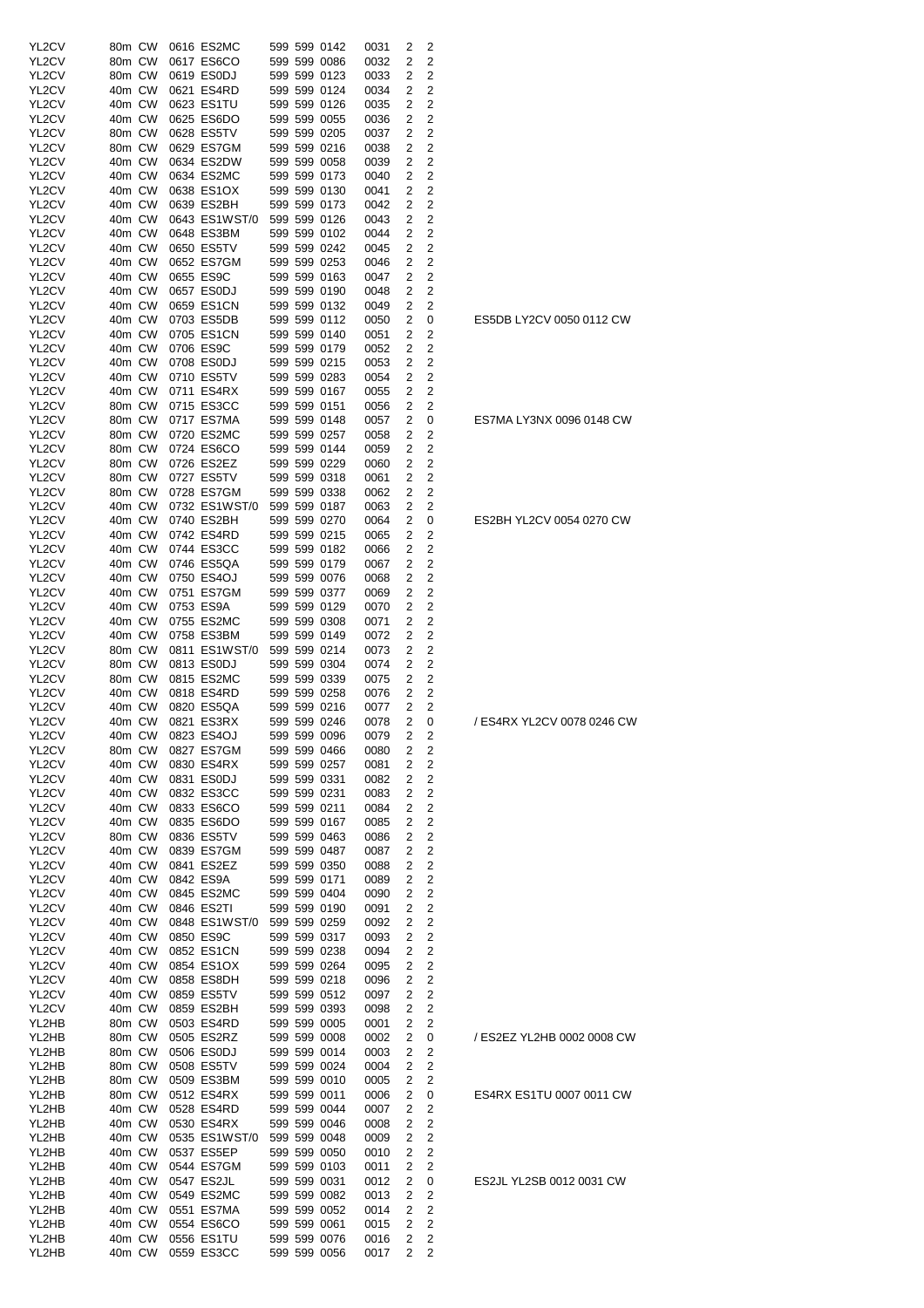| YL <sub>2</sub> CV | 80m CW           | 0616 ES2MC                  | 599 599 0142                 | 0031         | 2              | 2                            |                            |
|--------------------|------------------|-----------------------------|------------------------------|--------------|----------------|------------------------------|----------------------------|
| YL2CV              | 80m CW           | 0617 ES6CO                  | 599 599 0086                 | 0032         | 2              | 2                            |                            |
| YL2CV              | 80m CW           | 0619 ES0DJ                  | 599 599 0123                 | 0033         | 2              | 2                            |                            |
| YL2CV              | 40m CW<br>40m CW | 0621 ES4RD                  | 599 599 0124<br>599 599 0126 | 0034         | 2              | 2<br>2                       |                            |
| YL2CV<br>YL2CV     | 40m CW           | 0623 ES1TU<br>0625 ES6DO    | 599 599 0055                 | 0035<br>0036 | 2<br>2         | 2                            |                            |
| YL2CV              | 80m CW           | 0628 ES5TV                  | 599 599 0205                 | 0037         | 2              | 2                            |                            |
| YL2CV              | 80m CW           | 0629 ES7GM                  | 599 599 0216                 | 0038         | 2              | 2                            |                            |
| YL2CV              | 40m CW           | 0634 ES2DW                  | 599 599 0058                 | 0039         | 2              | 2                            |                            |
| YL2CV              | 40m CW           | 0634 ES2MC                  | 599 599 0173                 | 0040         | 2              | 2                            |                            |
| YL2CV              | 40m CW           | 0638 ES1OX                  | 599 599 0130                 | 0041         | 2              | 2                            |                            |
| YL2CV              | 40m CW           | 0639 ES2BH                  | 599 599 0173                 | 0042         | 2              | 2                            |                            |
| YL2CV              | 40m CW           | 0643 ES1WST/0               | 599 599 0126                 | 0043         | 2              | 2                            |                            |
| YL2CV              | 40m CW           | 0648 ES3BM                  | 599 599 0102                 | 0044         | 2              | 2                            |                            |
| YL2CV<br>YL2CV     | 40m CW<br>40m CW | 0650 ES5TV<br>0652 ES7GM    | 599 599 0242<br>599 599 0253 | 0045<br>0046 | 2<br>2         | 2<br>2                       |                            |
| YL2CV              | 40m CW           | 0655 ES9C                   | 599 599 0163                 | 0047         | 2              | 2                            |                            |
| YL2CV              | 40m CW           | 0657 ES0DJ                  | 599 599 0190                 | 0048         | 2              | 2                            |                            |
| YL2CV              | 40m CW           | 0659 ES1CN                  | 599 599 0132                 | 0049         | 2              | 2                            |                            |
| YL2CV              | 40m CW           | 0703 ES5DB                  | 599 599 0112                 | 0050         | 2              | 0                            | ES5DB LY2CV 0050 0112 CW   |
| YL2CV              | 40m CW           | 0705 ES1CN                  | 599 599 0140                 | 0051         | 2              | 2                            |                            |
| YL2CV              | 40m CW           | 0706 ES9C                   | 599 599 0179                 | 0052         | 2              | 2                            |                            |
| YL2CV              | 40m CW           | 0708 ES0DJ                  | 599 599 0215                 | 0053         | 2              | 2                            |                            |
| YL2CV              | 40m CW           | 0710 ES5TV                  | 599 599 0283                 | 0054         | 2              | 2                            |                            |
| YL2CV<br>YL2CV     | 40m CW<br>80m CW | 0711 ES4RX<br>0715 ES3CC    | 599 599 0167<br>599 599 0151 | 0055<br>0056 | 2<br>2         | 2<br>2                       |                            |
| YL2CV              | 80m CW           | 0717 ES7MA                  | 599 599 0148                 | 0057         | 2              | 0                            | ES7MA LY3NX 0096 0148 CW   |
| YL2CV              | 80m CW           | 0720 ES2MC                  | 599 599 0257                 | 0058         | 2              | 2                            |                            |
| YL2CV              | 80m CW           | 0724 ES6CO                  | 599 599 0144                 | 0059         | 2              | 2                            |                            |
| YL2CV              | 80m CW           | 0726 ES2EZ                  | 599 599 0229                 | 0060         | 2              | 2                            |                            |
| YL2CV              | 80m CW           | 0727 ES5TV                  | 599 599 0318                 | 0061         | 2              | 2                            |                            |
| YL2CV              | 80m CW           | 0728 ES7GM                  | 599 599 0338                 | 0062         | 2              | 2                            |                            |
| YL2CV              | 40m CW           | 0732 ES1WST/0               | 599 599 0187                 | 0063         | 2              | 2                            |                            |
| YL2CV              | 40m CW           | 0740 ES2BH                  | 599 599 0270                 | 0064         | 2              | 0                            | ES2BH YL2CV 0054 0270 CW   |
| YL2CV              | 40m CW           | 0742 ES4RD                  | 599 599 0215                 | 0065         | 2              | 2                            |                            |
| YL2CV<br>YL2CV     | 40m CW<br>40m CW | 0744 ES3CC<br>0746 ES5QA    | 599 599 0182<br>599 599 0179 | 0066<br>0067 | 2<br>2         | 2<br>2                       |                            |
| YL2CV              | 40m CW           | 0750 ES4OJ                  | 599 599 0076                 | 0068         | 2              | 2                            |                            |
| YL2CV              | 40m CW           | 0751 ES7GM                  | 599 599 0377                 | 0069         | 2              | 2                            |                            |
| YL2CV              | 40m CW           | 0753 ES9A                   | 599 599 0129                 | 0070         | 2              | 2                            |                            |
| YL2CV              | 40m CW           | 0755 ES2MC                  | 599 599 0308                 | 0071         | 2              | 2                            |                            |
| YL2CV              | 40m CW           | 0758 ES3BM                  | 599 599 0149                 | 0072         | 2              | 2                            |                            |
| YL2CV              | 80m CW           | 0811 ES1WST/0               | 599 599 0214                 | 0073         | 2              | 2                            |                            |
| YL2CV              | 80m CW           | 0813 ES0DJ                  | 599 599 0304                 | 0074         | 2              | 2                            |                            |
| YL2CV<br>YL2CV     | 80m CW<br>40m CW | 0815 ES2MC<br>0818 ES4RD    | 599 599 0339<br>599 599 0258 | 0075<br>0076 | 2<br>2         | 2<br>2                       |                            |
| YL2CV              | 40m CW           | 0820 ES5QA                  | 599 599 0216                 | 0077         | 2              | 2                            |                            |
| YL2CV              | 40m CW           | 0821 ES3RX                  | 599 599 0246                 | 0078         | 2              | 0                            | / ES4RX YL2CV 0078 0246 CW |
| YL2CV              | 40m CW           | 0823 ES4OJ                  | 599 599 0096                 | 0079         | 2              | 2                            |                            |
| YL2CV              | 80m CW           | 0827 ES7GM                  | 599 599 0466                 | 0080         | 2              | $\overline{\mathbf{c}}$      |                            |
| YL2CV              | 40m CW           | 0830 ES4RX                  | 599 599 0257                 | 0081         | 2              | 2                            |                            |
| YL2CV              | 40m CW           | 0831 ES0DJ                  | 599 599 0331                 | 0082         | 2              | 2                            |                            |
| YL2CV              | 40m CW           | 0832 ES3CC                  | 599 599 0231                 | 0083         | 2              | 2                            |                            |
| YL2CV              | 40m CW           | 0833 ES6CO                  | 599 599 0211                 | 0084         | 2              | 2                            |                            |
| YL2CV<br>YL2CV     | 40m CW           | 0835 ES6DO                  | 599 599 0167                 | 0085         | 2              | $\overline{\mathbf{c}}$      |                            |
| YL2CV              | 80m CW<br>40m CW | 0836 ES5TV<br>0839 ES7GM    | 599 599 0463<br>599 599 0487 | 0086<br>0087 | 2<br>2         | 2<br>2                       |                            |
| YL2CV              | 40m CW           | 0841 ES2EZ                  | 599 599 0350                 | 0088         | 2              | 2                            |                            |
| YL2CV              | 40m CW           | 0842 ES9A                   | 599 599 0171                 | 0089         | 2              | 2                            |                            |
| YL2CV              | 40m CW           | 0845 ES2MC                  | 599 599 0404                 | 0090         | 2              | 2                            |                            |
| YL2CV              | 40m CW           | 0846 ES2TI                  | 599 599 0190                 | 0091         | 2              | 2                            |                            |
| YL2CV              | 40m CW           | 0848 ES1WST/0               | 599 599 0259                 | 0092         | 2              | 2                            |                            |
| YL2CV              | 40m CW           | 0850 ES9C                   | 599 599 0317                 | 0093         | 2              | 2                            |                            |
| YL2CV              | 40m CW           | 0852 ES1CN                  | 599 599 0238                 | 0094         | 2              | 2                            |                            |
| YL2CV              | 40m CW           | 0854 ES1OX                  | 599 599 0264                 | 0095         | 2              | 2                            |                            |
| YL2CV<br>YL2CV     | 40m CW<br>40m CW | 0858 ES8DH<br>0859 ES5TV    | 599 599 0218<br>599 599 0512 | 0096<br>0097 | 2<br>2         | 2<br>$\overline{\mathbf{c}}$ |                            |
| YL2CV              | 40m CW           | 0859 ES2BH                  | 599 599 0393                 | 0098         | 2              | 2                            |                            |
| YL2HB              | 80m CW           | 0503 ES4RD                  | 599 599 0005                 | 0001         | 2              | 2                            |                            |
| YL2HB              | 80m CW           | 0505 ES2RZ                  | 599 599 0008                 | 0002         | 2              | 0                            | / ES2EZ YL2HB 0002 0008 CW |
| YL2HB              | 80m CW           | 0506 ES0DJ                  | 599 599 0014                 | 0003         | 2              | 2                            |                            |
| YL2HB              | 80m CW           | 0508 ES5TV                  | 599 599 0024                 | 0004         | 2              | 2                            |                            |
| YL2HB              | 80m CW           | 0509 ES3BM                  | 599 599 0010                 | 0005         | 2              | 2                            |                            |
| YL2HB              | 80m CW           | 0512 ES4RX                  | 599 599 0011                 | 0006         | 2              | 0                            | ES4RX ES1TU 0007 0011 CW   |
| YL2HB              | 40m CW           | 0528 ES4RD                  | 599 599 0044                 | 0007         | 2              | 2                            |                            |
| YL2HB<br>YL2HB     | 40m CW<br>40m CW | 0530 ES4RX                  | 599 599 0046                 | 0008         | 2<br>2         | 2<br>2                       |                            |
| YL2HB              | 40m CW           | 0535 ES1WST/0<br>0537 ES5EP | 599 599 0048<br>599 599 0050 | 0009<br>0010 | 2              | 2                            |                            |
| YL2HB              | 40m CW           | 0544 ES7GM                  | 599 599 0103                 | 0011         | 2              | 2                            |                            |
| YL2HB              | 40m CW           | 0547 ES2JL                  | 599 599 0031                 | 0012         | 2              | 0                            | ES2JL YL2SB 0012 0031 CW   |
| YL2HB              | 40m CW           | 0549 ES2MC                  | 599 599 0082                 | 0013         | 2              | 2                            |                            |
| YL2HB              | 40m CW           | 0551 ES7MA                  | 599 599 0052                 | 0014         | 2              | 2                            |                            |
| YL2HB              | 40m CW           | 0554 ES6CO                  | 599 599 0061                 | 0015         | 2              | 2                            |                            |
| YL2HB              | 40m CW           | 0556 ES1TU                  | 599 599 0076                 | 0016         | 2              | 2                            |                            |
| YL2HB              | 40m CW           | 0559 ES3CC                  | 599 599 0056                 | 0017         | $\overline{2}$ | 2                            |                            |

| S4RX YL2CV 0078 0246 CW |  |
|-------------------------|--|
|                         |  |
|                         |  |
|                         |  |
| S2EZ YL2HB 0002 0008 CW |  |
| 34RX ES1TU 0007 0011 CW |  |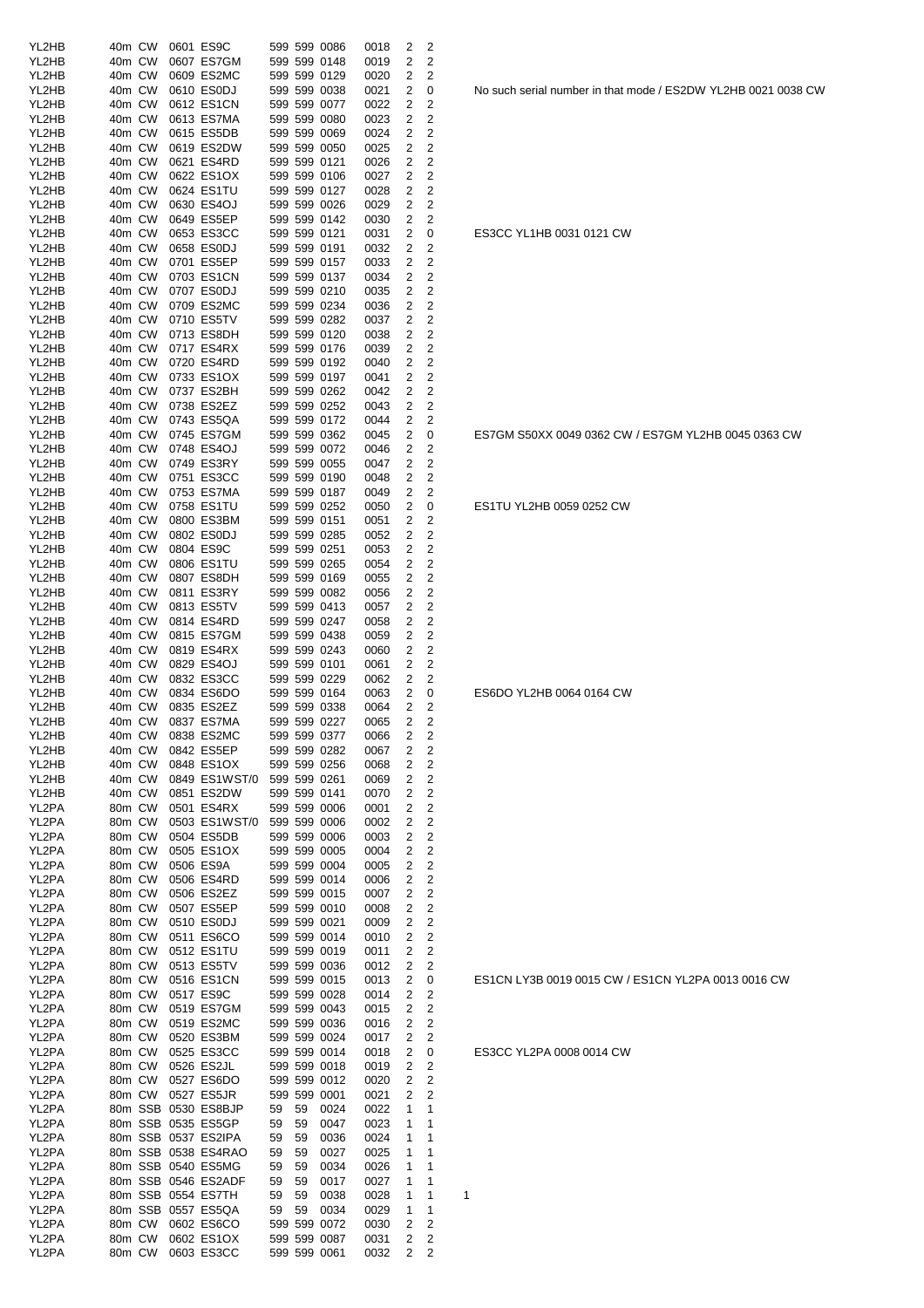| YL2HB          | 40m CW                       |        | 0601 ES9C                      |    |    | 599 599 0086                 | 0018 | 2            | 2                       |   |
|----------------|------------------------------|--------|--------------------------------|----|----|------------------------------|------|--------------|-------------------------|---|
| YL2HB          | 40m CW                       |        | 0607 ES7GM                     |    |    | 599 599 0148                 | 0019 | 2            | 2                       |   |
| YL2HB          | 40m CW                       |        | 0609 ES2MC                     |    |    | 599 599 0129                 | 0020 | 2            | 2                       |   |
| YL2HB          | 40m CW                       |        | 0610 ES0DJ                     |    |    | 599 599 0038                 | 0021 | 2            | 0                       |   |
| YL2HB          | 40m CW                       |        | 0612 ES1CN                     |    |    | 599 599 0077                 | 0022 | 2            | 2                       |   |
| YL2HB          | 40m CW                       |        | 0613 ES7MA                     |    |    | 599 599 0080                 | 0023 | 2            | 2                       |   |
| YL2HB          | 40m CW                       |        | 0615 ES5DB                     |    |    | 599 599 0069                 | 0024 | 2            | 2                       |   |
| YL2HB          | 40m CW                       |        | 0619 ES2DW                     |    |    | 599 599 0050                 | 0025 | 2            | 2                       |   |
| YL2HB          | 40m CW                       |        | 0621 ES4RD                     |    |    | 599 599 0121                 | 0026 | 2            | 2                       |   |
| YL2HB          | 40m CW                       |        | 0622 ES1OX                     |    |    | 599 599 0106                 | 0027 | 2            | 2                       |   |
| YL2HB          | 40m CW                       |        | 0624 ES1TU                     |    |    | 599 599 0127                 | 0028 | 2            | 2                       |   |
| YL2HB          | 40m CW                       |        | 0630 ES4OJ                     |    |    | 599 599 0026                 | 0029 | 2            | 2                       |   |
| YL2HB          | 40m CW                       |        | 0649 ES5EP                     |    |    | 599 599 0142                 | 0030 | 2            | 2                       |   |
| YL2HB          | 40m CW                       |        | 0653 ES3CC                     |    |    | 599 599 0121                 | 0031 | 2            | 0                       |   |
| YL2HB          | 40m CW                       |        | 0658 ES0DJ                     |    |    | 599 599 0191                 | 0032 | 2            | 2                       |   |
| YL2HB          | 40m CW                       |        | 0701 ES5EP                     |    |    | 599 599 0157                 | 0033 | 2            | 2                       |   |
| YL2HB          | 40m CW                       |        | 0703 ES1CN                     |    |    | 599 599 0137                 | 0034 | 2            | 2                       |   |
| YL2HB          | 40m CW                       |        | 0707 ES0DJ                     |    |    | 599 599 0210                 | 0035 | 2            | 2                       |   |
| YL2HB          | 40m CW                       |        | 0709 ES2MC                     |    |    | 599 599 0234                 | 0036 | 2            | 2                       |   |
| YL2HB          | 40m CW                       |        | 0710 ES5TV                     |    |    | 599 599 0282                 | 0037 | 2            | 2                       |   |
| YL2HB          | 40m CW                       |        | 0713 ES8DH                     |    |    | 599 599 0120                 | 0038 | 2            | 2                       |   |
| YL2HB          | 40m CW                       |        | 0717 ES4RX                     |    |    | 599 599 0176                 | 0039 | 2            | 2                       |   |
| YL2HB          | 40m CW                       |        | 0720 ES4RD                     |    |    | 599 599 0192                 | 0040 | 2            | 2                       |   |
| YL2HB          | 40m CW                       |        | 0733 ES1OX                     |    |    | 599 599 0197                 | 0041 | 2            | 2                       |   |
| YL2HB          | 40m CW                       |        | 0737 ES2BH                     |    |    | 599 599 0262                 | 0042 | 2            | 2                       |   |
| YL2HB          | 40m CW                       |        | 0738 ES2EZ                     |    |    | 599 599 0252                 | 0043 | 2            | 2                       |   |
| YL2HB          | 40m CW                       |        | 0743 ES5QA                     |    |    | 599 599 0172                 | 0044 | 2            | 2                       |   |
| YL2HB          | 40m CW                       |        | 0745 ES7GM                     |    |    | 599 599 0362                 | 0045 | 2            | 0                       |   |
| YL2HB          |                              | 40m CW | 0748 ES4OJ                     |    |    | 599 599 0072                 | 0046 | 2            | 2                       |   |
| YL2HB          | 40m CW                       |        | 0749 ES3RY                     |    |    | 599 599 0055                 | 0047 | 2            | 2                       |   |
| YL2HB          | 40m CW                       |        | 0751 ES3CC                     |    |    | 599 599 0190                 | 0048 | 2            | 2                       |   |
| YL2HB          | 40m CW                       |        | 0753 ES7MA                     |    |    | 599 599 0187                 | 0049 | 2            | 2                       |   |
| YL2HB          | 40m CW                       |        | 0758 ES1TU                     |    |    | 599 599 0252                 | 0050 | 2            | 0                       |   |
| YL2HB          | 40m CW                       |        | 0800 ES3BM                     |    |    | 599 599 0151                 |      | 2            | 2                       |   |
| YL2HB          | 40m CW                       |        | 0802 ES0DJ                     |    |    | 599 599 0285                 | 0051 | 2            | 2                       |   |
|                |                              |        |                                |    |    |                              | 0052 |              | 2                       |   |
| YL2HB<br>YL2HB | 40m CW                       |        | 0804 ES9C<br>0806 ES1TU        |    |    | 599 599 0251<br>599 599 0265 | 0053 | 2<br>2       | 2                       |   |
|                | 40m CW                       |        |                                |    |    |                              | 0054 |              |                         |   |
| YL2HB          | 40m CW                       |        | 0807 ES8DH                     |    |    | 599 599 0169                 | 0055 | 2            | 2                       |   |
| YL2HB          | 40m CW                       |        | 0811 ES3RY                     |    |    | 599 599 0082                 | 0056 | 2            | 2                       |   |
| YL2HB          | 40m CW                       |        | 0813 ES5TV                     |    |    | 599 599 0413                 | 0057 | 2            | 2                       |   |
| YL2HB          | 40m CW                       |        | 0814 ES4RD                     |    |    | 599 599 0247                 | 0058 | 2            | 2                       |   |
| YL2HB          | 40m CW                       |        | 0815 ES7GM                     |    |    | 599 599 0438                 | 0059 | 2            | 2                       |   |
| YL2HB          | 40m CW                       |        | 0819 ES4RX                     |    |    | 599 599 0243                 | 0060 | 2            | 2                       |   |
| YL2HB          | 40m CW                       |        | 0829 ES4OJ                     |    |    | 599 599 0101                 | 0061 | 2            | 2                       |   |
| YL2HB          | 40m CW                       |        | 0832 ES3CC                     |    |    | 599 599 0229                 | 0062 | 2            | 2                       |   |
| YL2HB          | 40m CW<br>40 <sub>m</sub> CW |        | 0834 ES6DO                     |    |    | 599 599 0164                 | 0063 | 2            | 0                       |   |
| YL2HB          |                              |        | 0835 ES2EZ                     |    |    | 599 599 0338                 | 0064 | 2<br>2       | 2<br>2                  |   |
| YL2HB          | 40m CW                       |        | 0837 ES7MA                     |    |    | 599 599 0227                 | 0065 |              |                         |   |
| YL2HB          |                              |        | 40m CW 0838 ES2MC              |    |    | 599 599 0377                 | 0066 | $\mathbf{2}$ | 2                       |   |
| YL2HB          | 40m CW                       |        | 0842 ES5EP                     |    |    | 599 599 0282<br>599 599 0256 | 0067 | 2            | 2                       |   |
| YL2HB          | 40m CW                       |        | 0848 ES1OX                     |    |    |                              | 0068 | 2            | 2                       |   |
| YL2HB          | 40m CW                       |        | 0849 ES1WST/0 599 599 0261     |    |    |                              | 0069 | 2            | $\overline{c}$          |   |
| YL2HB          | 40m CW                       |        | 0851 ES2DW                     |    |    | 599 599 0141                 | 0070 | 2            | 2<br>$\overline{c}$     |   |
| YL2PA          | 80m CW                       |        | 0501 ES4RX                     |    |    | 599 599 0006                 | 0001 | 2            |                         |   |
| YL2PA          | 80m CW                       |        | 0503 ES1WST/0                  |    |    | 599 599 0006                 | 0002 | 2            | 2                       |   |
| YL2PA          | 80m CW                       |        | 0504 ES5DB                     |    |    | 599 599 0006                 | 0003 | 2            | 2                       |   |
| YL2PA          | 80m CW                       |        | 0505 ES1OX<br>0506 ES9A        |    |    | 599 599 0005                 | 0004 | 2            | 2                       |   |
| YL2PA          | 80m CW                       |        |                                |    |    | 599 599 0004                 | 0005 | 2            | 2                       |   |
| YL2PA          | 80m CW<br>80m CW             |        | 0506 ES4RD                     |    |    | 599 599 0014<br>599 599 0015 | 0006 | 2<br>2       | 2<br>$\overline{c}$     |   |
| YL2PA          |                              |        | 0506 ES2EZ                     |    |    |                              | 0007 |              |                         |   |
| YL2PA<br>YL2PA | 80m CW                       |        | 0507 ES5EP                     |    |    | 599 599 0010                 | 0008 | 2            | $\overline{c}$          |   |
|                | 80m CW                       |        | 0510 ES0DJ                     |    |    | 599 599 0021                 | 0009 | 2            | 2                       |   |
| YL2PA          | 80m CW                       |        | 0511 ES6CO                     |    |    | 599 599 0014                 | 0010 | 2            | 2                       |   |
| YL2PA          | 80m CW                       |        | 0512 ES1TU                     |    |    | 599 599 0019                 | 0011 | 2            | 2                       |   |
| YL2PA          | 80m CW                       |        | 0513 ES5TV                     |    |    | 599 599 0036                 | 0012 | 2            | $\overline{c}$          |   |
| YL2PA          | 80m CW                       |        | 0516 ES1CN                     |    |    | 599 599 0015                 | 0013 | 2            | 0                       |   |
| YL2PA          | 80m CW                       |        | 0517 ES9C                      |    |    | 599 599 0028                 | 0014 | 2            | $\overline{c}$          |   |
| YL2PA          | 80m CW                       |        | 0519 ES7GM                     |    |    | 599 599 0043                 | 0015 | 2            | 2                       |   |
| YL2PA          | 80m CW                       |        | 0519 ES2MC                     |    |    | 599 599 0036                 | 0016 | 2            | 2                       |   |
| YL2PA          | 80m CW                       |        | 0520 ES3BM                     |    |    | 599 599 0024                 | 0017 | 2            | 2                       |   |
| YL2PA          |                              | 80m CW | 0525 ES3CC                     |    |    | 599 599 0014                 | 0018 | 2            | 0                       |   |
| YL2PA          |                              | 80m CW | 0526 ES2JL                     |    |    | 599 599 0018                 | 0019 | 2            | 2                       |   |
| YL2PA          |                              | 80m CW | 0527 ES6DO                     |    |    | 599 599 0012                 | 0020 | 2            | $\overline{\mathbf{c}}$ |   |
| YL2PA          |                              | 80m CW | 0527 ES5JR                     |    |    | 599 599 0001                 | 0021 | 2            | 2                       |   |
| YL2PA          |                              |        | 80m SSB 0530 ES8BJP            | 59 | 59 | 0024                         | 0022 | 1            | 1                       |   |
| YL2PA          |                              |        | 80m SSB 0535 ES5GP             | 59 | 59 | 0047                         | 0023 | 1            | 1                       |   |
| YL2PA          |                              |        | 80m SSB 0537 ES2IPA            | 59 | 59 | 0036                         | 0024 | 1            | 1                       |   |
| YL2PA          |                              |        | 80m SSB 0538 ES4RAO            | 59 | 59 | 0027                         | 0025 | 1            | 1                       |   |
| YL2PA          |                              |        | 80m SSB 0540 ES5MG             | 59 | 59 | 0034                         | 0026 | 1            | 1                       |   |
| YL2PA          |                              |        | 80m SSB 0546 ES2ADF            | 59 | 59 | 0017                         | 0027 | 1            | 1                       |   |
| YL2PA          |                              |        | 80m SSB 0554 ES7TH             | 59 | 59 | 0038                         | 0028 | 1            | 1                       | 1 |
| YL2PA          |                              |        | 80m SSB 0557 ES5QA             | 59 | 59 | 0034                         | 0029 | 1            | 1                       |   |
| YL2PA          |                              | 80m CW | 0602 ES6CO                     |    |    | 599 599 0072                 | 0030 | 2            | 2                       |   |
| YL2PA          |                              | 80m CW | 0602 ES1OX                     |    |    | 599 599 0087                 | 0031 | 2            | 2                       |   |
| YL2PA          |                              |        | 80m CW 0603 ES3CC 599 599 0061 |    |    |                              | 0032 | 2            | 2                       |   |

No such serial number in that mode / ES2DW YL2HB 0021 0038 CW

ES3CC YL1HB 0031 0121 CW

ES7GM S50XX 0049 0362 CW / ES7GM YL2HB 0045 0363 CW

ES1TU YL2HB 0059 0252 CW

ES6DO YL2HB 0064 0164 CW

ES1CN LY3B 0019 0015 CW / ES1CN YL2PA 0013 0016 CW

ES3CC YL2PA 0008 0014 CW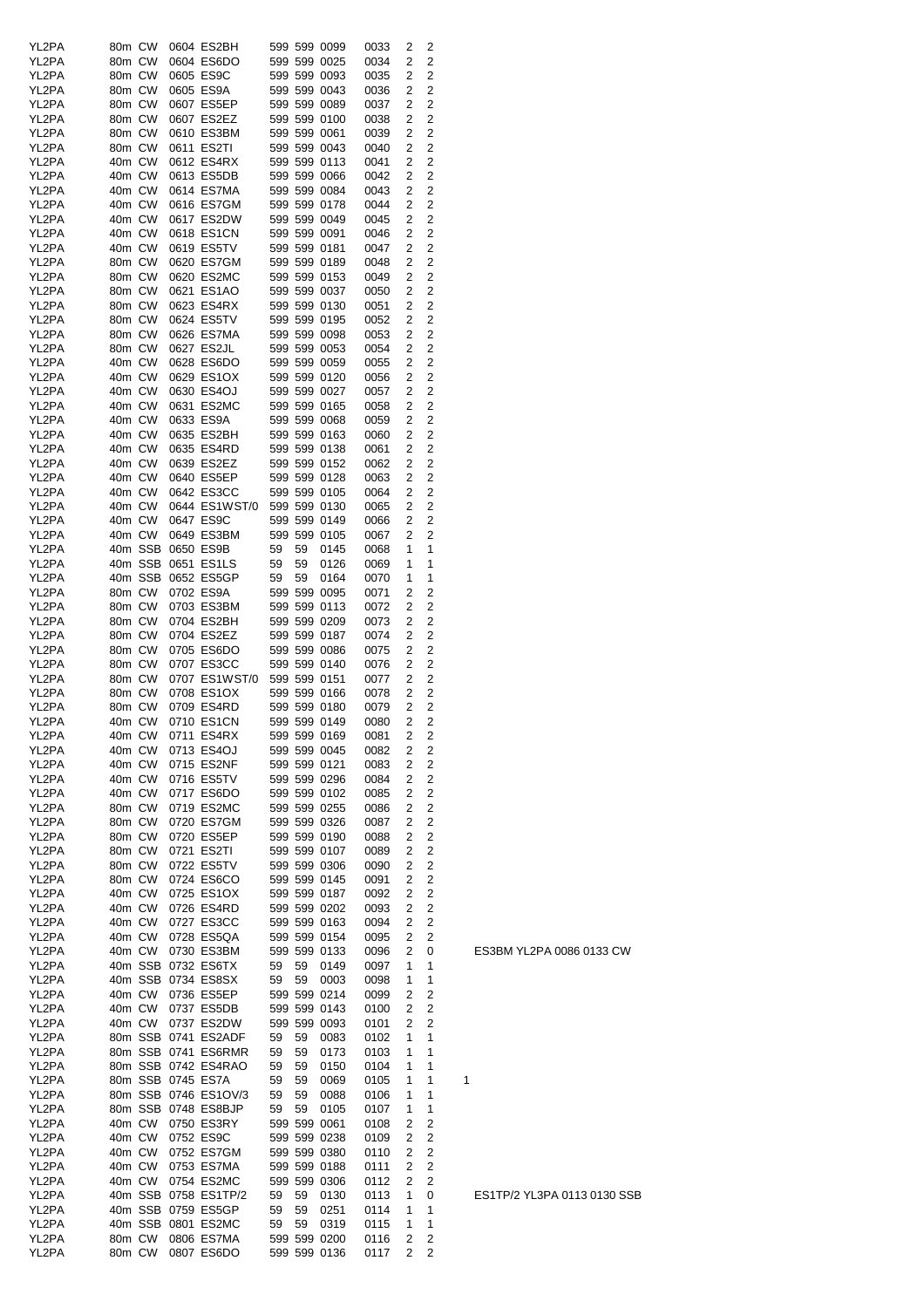| 2<br>80m CW<br>0604 ES6DO<br>2<br>YL2PA<br>599 599 0025<br>0034<br>0605 ES9C<br>2<br>2<br>YL2PA<br>80m CW<br>599 599 0093<br>0035<br>2<br>YL2PA<br>80m CW<br>0605 ES9A<br>599 599 0043<br>2<br>0036<br>$\overline{2}$<br>YL2PA<br>80m CW<br>0607 ES5EP<br>599 599 0089<br>2<br>0037<br>$\overline{2}$<br>YL2PA<br>80m CW<br>0607 ES2EZ<br>599 599 0100<br>2<br>0038<br>2<br>YL2PA<br>80m CW<br>0610 ES3BM<br>599 599 0061<br>2<br>0039<br>YL2PA<br>80m CW<br>0611 ES2TI<br>599 599 0043<br>2<br>2<br>0040<br>YL2PA<br>40m CW<br>0612 ES4RX<br>599 599 0113<br>2<br>2<br>0041<br>YL2PA<br>40m CW<br>0613 ES5DB<br>599 599 0066<br>2<br>2<br>0042<br>2<br>YL2PA<br>40m CW<br>0614 ES7MA<br>599 599 0084<br>2<br>0043<br>2<br>YL2PA<br>40m CW<br>0616 ES7GM<br>599 599 0178<br>2<br>0044<br>2<br>$\overline{c}$<br>40m CW<br>0617 ES2DW<br>599 599 0049<br>YL2PA<br>0045<br>2<br>2<br>YL2PA<br>40m CW<br>0618 ES1CN<br>599 599 0091<br>0046<br>2<br>YL2PA<br>40m CW<br>0619 ES5TV<br>599 599 0181<br>2<br>0047<br>2<br>YL2PA<br>80m CW<br>0620 ES7GM<br>599 599 0189<br>2<br>0048<br>2<br>YL2PA<br>80m CW<br>599 599 0153<br>2<br>0620 ES2MC<br>0049<br>2<br>YL2PA<br>80m CW<br>0621 ES1AO<br>599 599 0037<br>2<br>0050<br>2<br>YL2PA<br>80m CW<br>0623 ES4RX<br>599 599 0130<br>2<br>0051<br>2<br>0624 ES5TV<br>599 599 0195<br>2<br>YL2PA<br>80m CW<br>0052<br>YL2PA<br>80m CW<br>0626 ES7MA<br>599 599 0098<br>2<br>2<br>0053<br>YL2PA<br>80m CW<br>0627 ES2JL<br>599 599 0053<br>2<br>2<br>0054<br>YL2PA<br>40m CW<br>0628 ES6DO<br>599 599 0059<br>2<br>2<br>0055<br>2<br>YL2PA<br>40m CW<br>0629 ES1OX<br>599 599 0120<br>2<br>0056<br>$\overline{c}$<br>40m CW<br>0630 ES4OJ<br>599 599 0027<br>2<br>YL2PA<br>0057<br>2<br>2<br>YL2PA<br>40m CW<br>0631 ES2MC<br>599 599 0165<br>0058<br>40m CW<br>0633 ES9A<br>599 599 0068<br>2<br>2<br>YL2PA<br>0059<br>2<br>YL2PA<br>40m CW<br>0635 ES2BH<br>599 599 0163<br>2<br>0060<br>YL2PA<br>40m CW<br>0635 ES4RD<br>599 599 0138<br>2<br>2<br>0061<br>$\overline{2}$<br>YL2PA<br>40m CW<br>0639 ES2EZ<br>599 599 0152<br>2<br>0062<br>2<br>YL2PA<br>40m CW<br>0640 ES5EP<br>599 599 0128<br>2<br>0063<br>2<br>YL2PA<br>40m CW<br>0642 ES3CC<br>599 599 0105<br>2<br>0064<br>YL2PA<br>40m CW<br>0644 ES1WST/0<br>599 599 0130<br>2<br>2<br>0065<br>YL2PA<br>40m CW<br>0647 ES9C<br>599 599 0149<br>2<br>2<br>0066<br>YL2PA<br>40m CW<br>0649 ES3BM<br>599 599 0105<br>2<br>2<br>0067<br>40m SSB<br>YL2PA<br>0650 ES9B<br>59<br>1<br>1<br>59<br>0145<br>0068<br>YL2PA<br>40m SSB<br>0651 ES1LS<br>59<br>1<br>1<br>59<br>0126<br>0069<br>40m SSB 0652 ES5GP<br>59<br>59<br>1<br>YL2PA<br>0164<br>0070<br>1<br>YL2PA<br>80m CW<br>0702 ES9A<br>599 599 0095<br>2<br>2<br>0071<br>80m CW<br>599 599 0113<br>2<br>YL2PA<br>0703 ES3BM<br>0072<br>2<br>2<br>YL2PA<br>80m CW<br>0704 ES2BH<br>599 599 0209<br>2<br>0073<br>2<br>YL2PA<br>80m CW<br>0704 ES2EZ<br>599 599 0187<br>2<br>0074<br>2<br>YL2PA<br>80m CW<br>0705 ES6DO<br>599 599 0086<br>2<br>0075<br>2<br>YL2PA<br>0707 ES3CC<br>599 599 0140<br>2<br>80m CW<br>0076<br>YL2PA<br>80m CW<br>0707 ES1WST/0<br>599 599 0151<br>2<br>2<br>0077<br>YL2PA<br>0708 ES1OX<br>599 599 0166<br>2<br>2<br>80m CW<br>0078<br>80m CW<br>0709 ES4RD<br>599 599 0180<br>2<br>2<br>YL2PA<br>0079<br>YL2PA<br>40m CW<br>0710 ES1CN<br>599 599 0149<br>2<br>2<br>0080<br>YL2PA<br>40m CW<br>0711 ES4RX<br>599 599 0169<br>0081<br>2<br>2<br>40m CW<br>0713 ES4OJ<br>599 599 0045<br>2<br>$\overline{\mathbf{c}}$<br>YL2PA<br>0082<br>$\overline{c}$<br>40m CW<br>0715 ES2NF<br>599 599 0121<br>2<br>YL2PA<br>0083<br>2<br>YL2PA<br>40m CW<br>0716 ES5TV<br>599 599 0296<br>2<br>0084<br>$\overline{c}$<br>YL2PA<br>40m CW<br>0717 ES6DO<br>599 599 0102<br>2<br>0085<br>$\overline{c}$<br>YL2PA<br>80m CW<br>0719 ES2MC<br>599 599 0255<br>2<br>0086<br>$\overline{c}$<br>YL2PA<br>80m CW<br>0720 ES7GM<br>599 599 0326<br>2<br>0087<br>$\overline{c}$<br>YL2PA<br>80m CW<br>0720 ES5EP<br>599 599 0190<br>2<br>0088<br>$\overline{c}$<br>0721 ES2TI<br>599 599 0107<br>2<br>YL2PA<br>80m CW<br>0089<br>2<br>YL2PA<br>80m CW<br>0722 ES5TV<br>599 599 0306<br>2<br>0090<br>599 599 0145<br>$\overline{c}$<br>YL2PA<br>80m CW<br>0724 ES6CO<br>2<br>0091<br>2<br>YL2PA<br>40m CW<br>0725 ES1OX<br>599 599 0187<br>2<br>0092<br>599 599 0202<br>$\overline{c}$<br>YL2PA<br>40m CW<br>0726 ES4RD<br>2<br>0093<br>$\overline{c}$<br>YL2PA<br>40m CW<br>0727 ES3CC<br>599 599 0163<br>2<br>0094<br>$\overline{c}$<br>40m CW<br>599 599 0154<br>2<br>YL2PA<br>0728 ES5QA<br>0095<br>YL2PA<br>40m CW<br>0730 ES3BM<br>599 599 0133<br>2<br>0<br>0096<br>40m SSB 0732 ES6TX<br>59<br>59<br>1<br>1<br>YL2PA<br>0149<br>0097<br>YL2PA<br>40m SSB 0734 ES8SX<br>59<br>59<br>1<br>1<br>0003<br>0098<br>2<br>YL2PA<br>40m CW<br>0736 ES5EP<br>599 599 0214<br>2<br>0099<br>YL2PA<br>40m CW<br>0737 ES5DB<br>599 599 0143<br>2<br>2<br>0100<br>2<br>YL2PA<br>40m CW<br>0737 ES2DW<br>599 599 0093<br>2<br>0101<br>YL2PA<br>80m SSB 0741 ES2ADF<br>59<br>59<br>0083<br>1<br>1<br>0102<br>YL2PA<br>80m SSB 0741 ES6RMR<br>59<br>1<br>59<br>0173<br>0103<br>1<br>YL2PA<br>80m SSB 0742 ES4RAO<br>59<br>0150<br>1<br>59<br>0104<br>1<br>80m SSB 0745 ES7A<br>1<br>YL2PA<br>59<br>59<br>0069<br>0105<br>1<br>1<br>YL2PA<br>80m SSB 0746 ES1OV/3<br>1<br>1<br>59<br>59<br>0088<br>0106<br>1<br>80m SSB 0748 ES8BJP<br>59<br>YL2PA<br>59<br>0105<br>0107<br>1<br>YL2PA<br>40m CW<br>0750 ES3RY<br>599 599 0061<br>2<br>2<br>0108<br>40m CW<br>0752 ES9C<br>599 599 0238<br>2<br>2<br>YL2PA<br>0109<br>2<br>YL2PA<br>40m CW<br>0752 ES7GM<br>599 599 0380<br>2<br>0110<br>2<br>YL2PA<br>40m CW<br>0753 ES7MA<br>599 599 0188<br>2<br>0111<br>2<br>YL2PA<br>40m CW<br>0754 ES2MC<br>599 599 0306<br>2<br>0112<br>YL2PA<br>40m SSB 0758 ES1TP/2<br>59<br>1<br>0<br>59<br>0130<br>0113<br>YL2PA<br>40m SSB 0759 ES5GP<br>59<br>1<br>59<br>0251<br>0114<br>1<br>YL2PA<br>40m SSB 0801 ES2MC<br>59<br>59<br>0319<br>1<br>0115<br>1<br>YL2PA<br>80m CW<br>0806 ES7MA<br>599 599 0200<br>2<br>0116<br>2<br>2<br>YL2PA<br>80m CW<br>0807 ES6DO<br>599 599 0136<br>2<br>0117 | YL2PA | 80m CW |  | 0604 ES2BH |  | 599 599 0099 | 0033 | 2 | 2 |  |
|--------------------------------------------------------------------------------------------------------------------------------------------------------------------------------------------------------------------------------------------------------------------------------------------------------------------------------------------------------------------------------------------------------------------------------------------------------------------------------------------------------------------------------------------------------------------------------------------------------------------------------------------------------------------------------------------------------------------------------------------------------------------------------------------------------------------------------------------------------------------------------------------------------------------------------------------------------------------------------------------------------------------------------------------------------------------------------------------------------------------------------------------------------------------------------------------------------------------------------------------------------------------------------------------------------------------------------------------------------------------------------------------------------------------------------------------------------------------------------------------------------------------------------------------------------------------------------------------------------------------------------------------------------------------------------------------------------------------------------------------------------------------------------------------------------------------------------------------------------------------------------------------------------------------------------------------------------------------------------------------------------------------------------------------------------------------------------------------------------------------------------------------------------------------------------------------------------------------------------------------------------------------------------------------------------------------------------------------------------------------------------------------------------------------------------------------------------------------------------------------------------------------------------------------------------------------------------------------------------------------------------------------------------------------------------------------------------------------------------------------------------------------------------------------------------------------------------------------------------------------------------------------------------------------------------------------------------------------------------------------------------------------------------------------------------------------------------------------------------------------------------------------------------------------------------------------------------------------------------------------------------------------------------------------------------------------------------------------------------------------------------------------------------------------------------------------------------------------------------------------------------------------------------------------------------------------------------------------------------------------------------------------------------------------------------------------------------------------------------------------------------------------------------------------------------------------------------------------------------------------------------------------------------------------------------------------------------------------------------------------------------------------------------------------------------------------------------------------------------------------------------------------------------------------------------------------------------------------------------------------------------------------------------------------------------------------------------------------------------------------------------------------------------------------------------------------------------------------------------------------------------------------------------------------------------------------------------------------------------------------------------------------------------------------------------------------------------------------------------------------------------------------------------------------------------------------------------------------------------------------------------------------------------------------------------------------------------------------------------------------------------------------------------------------------------------------------------------------------------------------------------------------------------------------------------------------------------------------------------------------------------------------------------------------------------------------------------------------------------------------------------------------------------------------------------------------------------------------------------------------------------------------------------------------------------------------------------------------------------------------------------------------------------------------------------------------------------------------------------------------------------------------------------------------------------------------------------------------------------------------------------------------------------------------------------------------------------------------------------------------------------------------------------------------------------------------------------------------------------------------------------|-------|--------|--|------------|--|--------------|------|---|---|--|
|                                                                                                                                                                                                                                                                                                                                                                                                                                                                                                                                                                                                                                                                                                                                                                                                                                                                                                                                                                                                                                                                                                                                                                                                                                                                                                                                                                                                                                                                                                                                                                                                                                                                                                                                                                                                                                                                                                                                                                                                                                                                                                                                                                                                                                                                                                                                                                                                                                                                                                                                                                                                                                                                                                                                                                                                                                                                                                                                                                                                                                                                                                                                                                                                                                                                                                                                                                                                                                                                                                                                                                                                                                                                                                                                                                                                                                                                                                                                                                                                                                                                                                                                                                                                                                                                                                                                                                                                                                                                                                                                                                                                                                                                                                                                                                                                                                                                                                                                                                                                                                                                                                                                                                                                                                                                                                                                                                                                                                                                                                                                                                                                                                                                                                                                                                                                                                                                                                                                                                                                                                                                                                                                |       |        |  |            |  |              |      |   |   |  |
|                                                                                                                                                                                                                                                                                                                                                                                                                                                                                                                                                                                                                                                                                                                                                                                                                                                                                                                                                                                                                                                                                                                                                                                                                                                                                                                                                                                                                                                                                                                                                                                                                                                                                                                                                                                                                                                                                                                                                                                                                                                                                                                                                                                                                                                                                                                                                                                                                                                                                                                                                                                                                                                                                                                                                                                                                                                                                                                                                                                                                                                                                                                                                                                                                                                                                                                                                                                                                                                                                                                                                                                                                                                                                                                                                                                                                                                                                                                                                                                                                                                                                                                                                                                                                                                                                                                                                                                                                                                                                                                                                                                                                                                                                                                                                                                                                                                                                                                                                                                                                                                                                                                                                                                                                                                                                                                                                                                                                                                                                                                                                                                                                                                                                                                                                                                                                                                                                                                                                                                                                                                                                                                                |       |        |  |            |  |              |      |   |   |  |
|                                                                                                                                                                                                                                                                                                                                                                                                                                                                                                                                                                                                                                                                                                                                                                                                                                                                                                                                                                                                                                                                                                                                                                                                                                                                                                                                                                                                                                                                                                                                                                                                                                                                                                                                                                                                                                                                                                                                                                                                                                                                                                                                                                                                                                                                                                                                                                                                                                                                                                                                                                                                                                                                                                                                                                                                                                                                                                                                                                                                                                                                                                                                                                                                                                                                                                                                                                                                                                                                                                                                                                                                                                                                                                                                                                                                                                                                                                                                                                                                                                                                                                                                                                                                                                                                                                                                                                                                                                                                                                                                                                                                                                                                                                                                                                                                                                                                                                                                                                                                                                                                                                                                                                                                                                                                                                                                                                                                                                                                                                                                                                                                                                                                                                                                                                                                                                                                                                                                                                                                                                                                                                                                |       |        |  |            |  |              |      |   |   |  |
|                                                                                                                                                                                                                                                                                                                                                                                                                                                                                                                                                                                                                                                                                                                                                                                                                                                                                                                                                                                                                                                                                                                                                                                                                                                                                                                                                                                                                                                                                                                                                                                                                                                                                                                                                                                                                                                                                                                                                                                                                                                                                                                                                                                                                                                                                                                                                                                                                                                                                                                                                                                                                                                                                                                                                                                                                                                                                                                                                                                                                                                                                                                                                                                                                                                                                                                                                                                                                                                                                                                                                                                                                                                                                                                                                                                                                                                                                                                                                                                                                                                                                                                                                                                                                                                                                                                                                                                                                                                                                                                                                                                                                                                                                                                                                                                                                                                                                                                                                                                                                                                                                                                                                                                                                                                                                                                                                                                                                                                                                                                                                                                                                                                                                                                                                                                                                                                                                                                                                                                                                                                                                                                                |       |        |  |            |  |              |      |   |   |  |
|                                                                                                                                                                                                                                                                                                                                                                                                                                                                                                                                                                                                                                                                                                                                                                                                                                                                                                                                                                                                                                                                                                                                                                                                                                                                                                                                                                                                                                                                                                                                                                                                                                                                                                                                                                                                                                                                                                                                                                                                                                                                                                                                                                                                                                                                                                                                                                                                                                                                                                                                                                                                                                                                                                                                                                                                                                                                                                                                                                                                                                                                                                                                                                                                                                                                                                                                                                                                                                                                                                                                                                                                                                                                                                                                                                                                                                                                                                                                                                                                                                                                                                                                                                                                                                                                                                                                                                                                                                                                                                                                                                                                                                                                                                                                                                                                                                                                                                                                                                                                                                                                                                                                                                                                                                                                                                                                                                                                                                                                                                                                                                                                                                                                                                                                                                                                                                                                                                                                                                                                                                                                                                                                |       |        |  |            |  |              |      |   |   |  |
|                                                                                                                                                                                                                                                                                                                                                                                                                                                                                                                                                                                                                                                                                                                                                                                                                                                                                                                                                                                                                                                                                                                                                                                                                                                                                                                                                                                                                                                                                                                                                                                                                                                                                                                                                                                                                                                                                                                                                                                                                                                                                                                                                                                                                                                                                                                                                                                                                                                                                                                                                                                                                                                                                                                                                                                                                                                                                                                                                                                                                                                                                                                                                                                                                                                                                                                                                                                                                                                                                                                                                                                                                                                                                                                                                                                                                                                                                                                                                                                                                                                                                                                                                                                                                                                                                                                                                                                                                                                                                                                                                                                                                                                                                                                                                                                                                                                                                                                                                                                                                                                                                                                                                                                                                                                                                                                                                                                                                                                                                                                                                                                                                                                                                                                                                                                                                                                                                                                                                                                                                                                                                                                                |       |        |  |            |  |              |      |   |   |  |
|                                                                                                                                                                                                                                                                                                                                                                                                                                                                                                                                                                                                                                                                                                                                                                                                                                                                                                                                                                                                                                                                                                                                                                                                                                                                                                                                                                                                                                                                                                                                                                                                                                                                                                                                                                                                                                                                                                                                                                                                                                                                                                                                                                                                                                                                                                                                                                                                                                                                                                                                                                                                                                                                                                                                                                                                                                                                                                                                                                                                                                                                                                                                                                                                                                                                                                                                                                                                                                                                                                                                                                                                                                                                                                                                                                                                                                                                                                                                                                                                                                                                                                                                                                                                                                                                                                                                                                                                                                                                                                                                                                                                                                                                                                                                                                                                                                                                                                                                                                                                                                                                                                                                                                                                                                                                                                                                                                                                                                                                                                                                                                                                                                                                                                                                                                                                                                                                                                                                                                                                                                                                                                                                |       |        |  |            |  |              |      |   |   |  |
|                                                                                                                                                                                                                                                                                                                                                                                                                                                                                                                                                                                                                                                                                                                                                                                                                                                                                                                                                                                                                                                                                                                                                                                                                                                                                                                                                                                                                                                                                                                                                                                                                                                                                                                                                                                                                                                                                                                                                                                                                                                                                                                                                                                                                                                                                                                                                                                                                                                                                                                                                                                                                                                                                                                                                                                                                                                                                                                                                                                                                                                                                                                                                                                                                                                                                                                                                                                                                                                                                                                                                                                                                                                                                                                                                                                                                                                                                                                                                                                                                                                                                                                                                                                                                                                                                                                                                                                                                                                                                                                                                                                                                                                                                                                                                                                                                                                                                                                                                                                                                                                                                                                                                                                                                                                                                                                                                                                                                                                                                                                                                                                                                                                                                                                                                                                                                                                                                                                                                                                                                                                                                                                                |       |        |  |            |  |              |      |   |   |  |
|                                                                                                                                                                                                                                                                                                                                                                                                                                                                                                                                                                                                                                                                                                                                                                                                                                                                                                                                                                                                                                                                                                                                                                                                                                                                                                                                                                                                                                                                                                                                                                                                                                                                                                                                                                                                                                                                                                                                                                                                                                                                                                                                                                                                                                                                                                                                                                                                                                                                                                                                                                                                                                                                                                                                                                                                                                                                                                                                                                                                                                                                                                                                                                                                                                                                                                                                                                                                                                                                                                                                                                                                                                                                                                                                                                                                                                                                                                                                                                                                                                                                                                                                                                                                                                                                                                                                                                                                                                                                                                                                                                                                                                                                                                                                                                                                                                                                                                                                                                                                                                                                                                                                                                                                                                                                                                                                                                                                                                                                                                                                                                                                                                                                                                                                                                                                                                                                                                                                                                                                                                                                                                                                |       |        |  |            |  |              |      |   |   |  |
|                                                                                                                                                                                                                                                                                                                                                                                                                                                                                                                                                                                                                                                                                                                                                                                                                                                                                                                                                                                                                                                                                                                                                                                                                                                                                                                                                                                                                                                                                                                                                                                                                                                                                                                                                                                                                                                                                                                                                                                                                                                                                                                                                                                                                                                                                                                                                                                                                                                                                                                                                                                                                                                                                                                                                                                                                                                                                                                                                                                                                                                                                                                                                                                                                                                                                                                                                                                                                                                                                                                                                                                                                                                                                                                                                                                                                                                                                                                                                                                                                                                                                                                                                                                                                                                                                                                                                                                                                                                                                                                                                                                                                                                                                                                                                                                                                                                                                                                                                                                                                                                                                                                                                                                                                                                                                                                                                                                                                                                                                                                                                                                                                                                                                                                                                                                                                                                                                                                                                                                                                                                                                                                                |       |        |  |            |  |              |      |   |   |  |
|                                                                                                                                                                                                                                                                                                                                                                                                                                                                                                                                                                                                                                                                                                                                                                                                                                                                                                                                                                                                                                                                                                                                                                                                                                                                                                                                                                                                                                                                                                                                                                                                                                                                                                                                                                                                                                                                                                                                                                                                                                                                                                                                                                                                                                                                                                                                                                                                                                                                                                                                                                                                                                                                                                                                                                                                                                                                                                                                                                                                                                                                                                                                                                                                                                                                                                                                                                                                                                                                                                                                                                                                                                                                                                                                                                                                                                                                                                                                                                                                                                                                                                                                                                                                                                                                                                                                                                                                                                                                                                                                                                                                                                                                                                                                                                                                                                                                                                                                                                                                                                                                                                                                                                                                                                                                                                                                                                                                                                                                                                                                                                                                                                                                                                                                                                                                                                                                                                                                                                                                                                                                                                                                |       |        |  |            |  |              |      |   |   |  |
|                                                                                                                                                                                                                                                                                                                                                                                                                                                                                                                                                                                                                                                                                                                                                                                                                                                                                                                                                                                                                                                                                                                                                                                                                                                                                                                                                                                                                                                                                                                                                                                                                                                                                                                                                                                                                                                                                                                                                                                                                                                                                                                                                                                                                                                                                                                                                                                                                                                                                                                                                                                                                                                                                                                                                                                                                                                                                                                                                                                                                                                                                                                                                                                                                                                                                                                                                                                                                                                                                                                                                                                                                                                                                                                                                                                                                                                                                                                                                                                                                                                                                                                                                                                                                                                                                                                                                                                                                                                                                                                                                                                                                                                                                                                                                                                                                                                                                                                                                                                                                                                                                                                                                                                                                                                                                                                                                                                                                                                                                                                                                                                                                                                                                                                                                                                                                                                                                                                                                                                                                                                                                                                                |       |        |  |            |  |              |      |   |   |  |
|                                                                                                                                                                                                                                                                                                                                                                                                                                                                                                                                                                                                                                                                                                                                                                                                                                                                                                                                                                                                                                                                                                                                                                                                                                                                                                                                                                                                                                                                                                                                                                                                                                                                                                                                                                                                                                                                                                                                                                                                                                                                                                                                                                                                                                                                                                                                                                                                                                                                                                                                                                                                                                                                                                                                                                                                                                                                                                                                                                                                                                                                                                                                                                                                                                                                                                                                                                                                                                                                                                                                                                                                                                                                                                                                                                                                                                                                                                                                                                                                                                                                                                                                                                                                                                                                                                                                                                                                                                                                                                                                                                                                                                                                                                                                                                                                                                                                                                                                                                                                                                                                                                                                                                                                                                                                                                                                                                                                                                                                                                                                                                                                                                                                                                                                                                                                                                                                                                                                                                                                                                                                                                                                |       |        |  |            |  |              |      |   |   |  |
|                                                                                                                                                                                                                                                                                                                                                                                                                                                                                                                                                                                                                                                                                                                                                                                                                                                                                                                                                                                                                                                                                                                                                                                                                                                                                                                                                                                                                                                                                                                                                                                                                                                                                                                                                                                                                                                                                                                                                                                                                                                                                                                                                                                                                                                                                                                                                                                                                                                                                                                                                                                                                                                                                                                                                                                                                                                                                                                                                                                                                                                                                                                                                                                                                                                                                                                                                                                                                                                                                                                                                                                                                                                                                                                                                                                                                                                                                                                                                                                                                                                                                                                                                                                                                                                                                                                                                                                                                                                                                                                                                                                                                                                                                                                                                                                                                                                                                                                                                                                                                                                                                                                                                                                                                                                                                                                                                                                                                                                                                                                                                                                                                                                                                                                                                                                                                                                                                                                                                                                                                                                                                                                                |       |        |  |            |  |              |      |   |   |  |
|                                                                                                                                                                                                                                                                                                                                                                                                                                                                                                                                                                                                                                                                                                                                                                                                                                                                                                                                                                                                                                                                                                                                                                                                                                                                                                                                                                                                                                                                                                                                                                                                                                                                                                                                                                                                                                                                                                                                                                                                                                                                                                                                                                                                                                                                                                                                                                                                                                                                                                                                                                                                                                                                                                                                                                                                                                                                                                                                                                                                                                                                                                                                                                                                                                                                                                                                                                                                                                                                                                                                                                                                                                                                                                                                                                                                                                                                                                                                                                                                                                                                                                                                                                                                                                                                                                                                                                                                                                                                                                                                                                                                                                                                                                                                                                                                                                                                                                                                                                                                                                                                                                                                                                                                                                                                                                                                                                                                                                                                                                                                                                                                                                                                                                                                                                                                                                                                                                                                                                                                                                                                                                                                |       |        |  |            |  |              |      |   |   |  |
|                                                                                                                                                                                                                                                                                                                                                                                                                                                                                                                                                                                                                                                                                                                                                                                                                                                                                                                                                                                                                                                                                                                                                                                                                                                                                                                                                                                                                                                                                                                                                                                                                                                                                                                                                                                                                                                                                                                                                                                                                                                                                                                                                                                                                                                                                                                                                                                                                                                                                                                                                                                                                                                                                                                                                                                                                                                                                                                                                                                                                                                                                                                                                                                                                                                                                                                                                                                                                                                                                                                                                                                                                                                                                                                                                                                                                                                                                                                                                                                                                                                                                                                                                                                                                                                                                                                                                                                                                                                                                                                                                                                                                                                                                                                                                                                                                                                                                                                                                                                                                                                                                                                                                                                                                                                                                                                                                                                                                                                                                                                                                                                                                                                                                                                                                                                                                                                                                                                                                                                                                                                                                                                                |       |        |  |            |  |              |      |   |   |  |
|                                                                                                                                                                                                                                                                                                                                                                                                                                                                                                                                                                                                                                                                                                                                                                                                                                                                                                                                                                                                                                                                                                                                                                                                                                                                                                                                                                                                                                                                                                                                                                                                                                                                                                                                                                                                                                                                                                                                                                                                                                                                                                                                                                                                                                                                                                                                                                                                                                                                                                                                                                                                                                                                                                                                                                                                                                                                                                                                                                                                                                                                                                                                                                                                                                                                                                                                                                                                                                                                                                                                                                                                                                                                                                                                                                                                                                                                                                                                                                                                                                                                                                                                                                                                                                                                                                                                                                                                                                                                                                                                                                                                                                                                                                                                                                                                                                                                                                                                                                                                                                                                                                                                                                                                                                                                                                                                                                                                                                                                                                                                                                                                                                                                                                                                                                                                                                                                                                                                                                                                                                                                                                                                |       |        |  |            |  |              |      |   |   |  |
|                                                                                                                                                                                                                                                                                                                                                                                                                                                                                                                                                                                                                                                                                                                                                                                                                                                                                                                                                                                                                                                                                                                                                                                                                                                                                                                                                                                                                                                                                                                                                                                                                                                                                                                                                                                                                                                                                                                                                                                                                                                                                                                                                                                                                                                                                                                                                                                                                                                                                                                                                                                                                                                                                                                                                                                                                                                                                                                                                                                                                                                                                                                                                                                                                                                                                                                                                                                                                                                                                                                                                                                                                                                                                                                                                                                                                                                                                                                                                                                                                                                                                                                                                                                                                                                                                                                                                                                                                                                                                                                                                                                                                                                                                                                                                                                                                                                                                                                                                                                                                                                                                                                                                                                                                                                                                                                                                                                                                                                                                                                                                                                                                                                                                                                                                                                                                                                                                                                                                                                                                                                                                                                                |       |        |  |            |  |              |      |   |   |  |
|                                                                                                                                                                                                                                                                                                                                                                                                                                                                                                                                                                                                                                                                                                                                                                                                                                                                                                                                                                                                                                                                                                                                                                                                                                                                                                                                                                                                                                                                                                                                                                                                                                                                                                                                                                                                                                                                                                                                                                                                                                                                                                                                                                                                                                                                                                                                                                                                                                                                                                                                                                                                                                                                                                                                                                                                                                                                                                                                                                                                                                                                                                                                                                                                                                                                                                                                                                                                                                                                                                                                                                                                                                                                                                                                                                                                                                                                                                                                                                                                                                                                                                                                                                                                                                                                                                                                                                                                                                                                                                                                                                                                                                                                                                                                                                                                                                                                                                                                                                                                                                                                                                                                                                                                                                                                                                                                                                                                                                                                                                                                                                                                                                                                                                                                                                                                                                                                                                                                                                                                                                                                                                                                |       |        |  |            |  |              |      |   |   |  |
|                                                                                                                                                                                                                                                                                                                                                                                                                                                                                                                                                                                                                                                                                                                                                                                                                                                                                                                                                                                                                                                                                                                                                                                                                                                                                                                                                                                                                                                                                                                                                                                                                                                                                                                                                                                                                                                                                                                                                                                                                                                                                                                                                                                                                                                                                                                                                                                                                                                                                                                                                                                                                                                                                                                                                                                                                                                                                                                                                                                                                                                                                                                                                                                                                                                                                                                                                                                                                                                                                                                                                                                                                                                                                                                                                                                                                                                                                                                                                                                                                                                                                                                                                                                                                                                                                                                                                                                                                                                                                                                                                                                                                                                                                                                                                                                                                                                                                                                                                                                                                                                                                                                                                                                                                                                                                                                                                                                                                                                                                                                                                                                                                                                                                                                                                                                                                                                                                                                                                                                                                                                                                                                                |       |        |  |            |  |              |      |   |   |  |
|                                                                                                                                                                                                                                                                                                                                                                                                                                                                                                                                                                                                                                                                                                                                                                                                                                                                                                                                                                                                                                                                                                                                                                                                                                                                                                                                                                                                                                                                                                                                                                                                                                                                                                                                                                                                                                                                                                                                                                                                                                                                                                                                                                                                                                                                                                                                                                                                                                                                                                                                                                                                                                                                                                                                                                                                                                                                                                                                                                                                                                                                                                                                                                                                                                                                                                                                                                                                                                                                                                                                                                                                                                                                                                                                                                                                                                                                                                                                                                                                                                                                                                                                                                                                                                                                                                                                                                                                                                                                                                                                                                                                                                                                                                                                                                                                                                                                                                                                                                                                                                                                                                                                                                                                                                                                                                                                                                                                                                                                                                                                                                                                                                                                                                                                                                                                                                                                                                                                                                                                                                                                                                                                |       |        |  |            |  |              |      |   |   |  |
|                                                                                                                                                                                                                                                                                                                                                                                                                                                                                                                                                                                                                                                                                                                                                                                                                                                                                                                                                                                                                                                                                                                                                                                                                                                                                                                                                                                                                                                                                                                                                                                                                                                                                                                                                                                                                                                                                                                                                                                                                                                                                                                                                                                                                                                                                                                                                                                                                                                                                                                                                                                                                                                                                                                                                                                                                                                                                                                                                                                                                                                                                                                                                                                                                                                                                                                                                                                                                                                                                                                                                                                                                                                                                                                                                                                                                                                                                                                                                                                                                                                                                                                                                                                                                                                                                                                                                                                                                                                                                                                                                                                                                                                                                                                                                                                                                                                                                                                                                                                                                                                                                                                                                                                                                                                                                                                                                                                                                                                                                                                                                                                                                                                                                                                                                                                                                                                                                                                                                                                                                                                                                                                                |       |        |  |            |  |              |      |   |   |  |
|                                                                                                                                                                                                                                                                                                                                                                                                                                                                                                                                                                                                                                                                                                                                                                                                                                                                                                                                                                                                                                                                                                                                                                                                                                                                                                                                                                                                                                                                                                                                                                                                                                                                                                                                                                                                                                                                                                                                                                                                                                                                                                                                                                                                                                                                                                                                                                                                                                                                                                                                                                                                                                                                                                                                                                                                                                                                                                                                                                                                                                                                                                                                                                                                                                                                                                                                                                                                                                                                                                                                                                                                                                                                                                                                                                                                                                                                                                                                                                                                                                                                                                                                                                                                                                                                                                                                                                                                                                                                                                                                                                                                                                                                                                                                                                                                                                                                                                                                                                                                                                                                                                                                                                                                                                                                                                                                                                                                                                                                                                                                                                                                                                                                                                                                                                                                                                                                                                                                                                                                                                                                                                                                |       |        |  |            |  |              |      |   |   |  |
|                                                                                                                                                                                                                                                                                                                                                                                                                                                                                                                                                                                                                                                                                                                                                                                                                                                                                                                                                                                                                                                                                                                                                                                                                                                                                                                                                                                                                                                                                                                                                                                                                                                                                                                                                                                                                                                                                                                                                                                                                                                                                                                                                                                                                                                                                                                                                                                                                                                                                                                                                                                                                                                                                                                                                                                                                                                                                                                                                                                                                                                                                                                                                                                                                                                                                                                                                                                                                                                                                                                                                                                                                                                                                                                                                                                                                                                                                                                                                                                                                                                                                                                                                                                                                                                                                                                                                                                                                                                                                                                                                                                                                                                                                                                                                                                                                                                                                                                                                                                                                                                                                                                                                                                                                                                                                                                                                                                                                                                                                                                                                                                                                                                                                                                                                                                                                                                                                                                                                                                                                                                                                                                                |       |        |  |            |  |              |      |   |   |  |
|                                                                                                                                                                                                                                                                                                                                                                                                                                                                                                                                                                                                                                                                                                                                                                                                                                                                                                                                                                                                                                                                                                                                                                                                                                                                                                                                                                                                                                                                                                                                                                                                                                                                                                                                                                                                                                                                                                                                                                                                                                                                                                                                                                                                                                                                                                                                                                                                                                                                                                                                                                                                                                                                                                                                                                                                                                                                                                                                                                                                                                                                                                                                                                                                                                                                                                                                                                                                                                                                                                                                                                                                                                                                                                                                                                                                                                                                                                                                                                                                                                                                                                                                                                                                                                                                                                                                                                                                                                                                                                                                                                                                                                                                                                                                                                                                                                                                                                                                                                                                                                                                                                                                                                                                                                                                                                                                                                                                                                                                                                                                                                                                                                                                                                                                                                                                                                                                                                                                                                                                                                                                                                                                |       |        |  |            |  |              |      |   |   |  |
|                                                                                                                                                                                                                                                                                                                                                                                                                                                                                                                                                                                                                                                                                                                                                                                                                                                                                                                                                                                                                                                                                                                                                                                                                                                                                                                                                                                                                                                                                                                                                                                                                                                                                                                                                                                                                                                                                                                                                                                                                                                                                                                                                                                                                                                                                                                                                                                                                                                                                                                                                                                                                                                                                                                                                                                                                                                                                                                                                                                                                                                                                                                                                                                                                                                                                                                                                                                                                                                                                                                                                                                                                                                                                                                                                                                                                                                                                                                                                                                                                                                                                                                                                                                                                                                                                                                                                                                                                                                                                                                                                                                                                                                                                                                                                                                                                                                                                                                                                                                                                                                                                                                                                                                                                                                                                                                                                                                                                                                                                                                                                                                                                                                                                                                                                                                                                                                                                                                                                                                                                                                                                                                                |       |        |  |            |  |              |      |   |   |  |
|                                                                                                                                                                                                                                                                                                                                                                                                                                                                                                                                                                                                                                                                                                                                                                                                                                                                                                                                                                                                                                                                                                                                                                                                                                                                                                                                                                                                                                                                                                                                                                                                                                                                                                                                                                                                                                                                                                                                                                                                                                                                                                                                                                                                                                                                                                                                                                                                                                                                                                                                                                                                                                                                                                                                                                                                                                                                                                                                                                                                                                                                                                                                                                                                                                                                                                                                                                                                                                                                                                                                                                                                                                                                                                                                                                                                                                                                                                                                                                                                                                                                                                                                                                                                                                                                                                                                                                                                                                                                                                                                                                                                                                                                                                                                                                                                                                                                                                                                                                                                                                                                                                                                                                                                                                                                                                                                                                                                                                                                                                                                                                                                                                                                                                                                                                                                                                                                                                                                                                                                                                                                                                                                |       |        |  |            |  |              |      |   |   |  |
|                                                                                                                                                                                                                                                                                                                                                                                                                                                                                                                                                                                                                                                                                                                                                                                                                                                                                                                                                                                                                                                                                                                                                                                                                                                                                                                                                                                                                                                                                                                                                                                                                                                                                                                                                                                                                                                                                                                                                                                                                                                                                                                                                                                                                                                                                                                                                                                                                                                                                                                                                                                                                                                                                                                                                                                                                                                                                                                                                                                                                                                                                                                                                                                                                                                                                                                                                                                                                                                                                                                                                                                                                                                                                                                                                                                                                                                                                                                                                                                                                                                                                                                                                                                                                                                                                                                                                                                                                                                                                                                                                                                                                                                                                                                                                                                                                                                                                                                                                                                                                                                                                                                                                                                                                                                                                                                                                                                                                                                                                                                                                                                                                                                                                                                                                                                                                                                                                                                                                                                                                                                                                                                                |       |        |  |            |  |              |      |   |   |  |
|                                                                                                                                                                                                                                                                                                                                                                                                                                                                                                                                                                                                                                                                                                                                                                                                                                                                                                                                                                                                                                                                                                                                                                                                                                                                                                                                                                                                                                                                                                                                                                                                                                                                                                                                                                                                                                                                                                                                                                                                                                                                                                                                                                                                                                                                                                                                                                                                                                                                                                                                                                                                                                                                                                                                                                                                                                                                                                                                                                                                                                                                                                                                                                                                                                                                                                                                                                                                                                                                                                                                                                                                                                                                                                                                                                                                                                                                                                                                                                                                                                                                                                                                                                                                                                                                                                                                                                                                                                                                                                                                                                                                                                                                                                                                                                                                                                                                                                                                                                                                                                                                                                                                                                                                                                                                                                                                                                                                                                                                                                                                                                                                                                                                                                                                                                                                                                                                                                                                                                                                                                                                                                                                |       |        |  |            |  |              |      |   |   |  |
|                                                                                                                                                                                                                                                                                                                                                                                                                                                                                                                                                                                                                                                                                                                                                                                                                                                                                                                                                                                                                                                                                                                                                                                                                                                                                                                                                                                                                                                                                                                                                                                                                                                                                                                                                                                                                                                                                                                                                                                                                                                                                                                                                                                                                                                                                                                                                                                                                                                                                                                                                                                                                                                                                                                                                                                                                                                                                                                                                                                                                                                                                                                                                                                                                                                                                                                                                                                                                                                                                                                                                                                                                                                                                                                                                                                                                                                                                                                                                                                                                                                                                                                                                                                                                                                                                                                                                                                                                                                                                                                                                                                                                                                                                                                                                                                                                                                                                                                                                                                                                                                                                                                                                                                                                                                                                                                                                                                                                                                                                                                                                                                                                                                                                                                                                                                                                                                                                                                                                                                                                                                                                                                                |       |        |  |            |  |              |      |   |   |  |
|                                                                                                                                                                                                                                                                                                                                                                                                                                                                                                                                                                                                                                                                                                                                                                                                                                                                                                                                                                                                                                                                                                                                                                                                                                                                                                                                                                                                                                                                                                                                                                                                                                                                                                                                                                                                                                                                                                                                                                                                                                                                                                                                                                                                                                                                                                                                                                                                                                                                                                                                                                                                                                                                                                                                                                                                                                                                                                                                                                                                                                                                                                                                                                                                                                                                                                                                                                                                                                                                                                                                                                                                                                                                                                                                                                                                                                                                                                                                                                                                                                                                                                                                                                                                                                                                                                                                                                                                                                                                                                                                                                                                                                                                                                                                                                                                                                                                                                                                                                                                                                                                                                                                                                                                                                                                                                                                                                                                                                                                                                                                                                                                                                                                                                                                                                                                                                                                                                                                                                                                                                                                                                                                |       |        |  |            |  |              |      |   |   |  |
|                                                                                                                                                                                                                                                                                                                                                                                                                                                                                                                                                                                                                                                                                                                                                                                                                                                                                                                                                                                                                                                                                                                                                                                                                                                                                                                                                                                                                                                                                                                                                                                                                                                                                                                                                                                                                                                                                                                                                                                                                                                                                                                                                                                                                                                                                                                                                                                                                                                                                                                                                                                                                                                                                                                                                                                                                                                                                                                                                                                                                                                                                                                                                                                                                                                                                                                                                                                                                                                                                                                                                                                                                                                                                                                                                                                                                                                                                                                                                                                                                                                                                                                                                                                                                                                                                                                                                                                                                                                                                                                                                                                                                                                                                                                                                                                                                                                                                                                                                                                                                                                                                                                                                                                                                                                                                                                                                                                                                                                                                                                                                                                                                                                                                                                                                                                                                                                                                                                                                                                                                                                                                                                                |       |        |  |            |  |              |      |   |   |  |
|                                                                                                                                                                                                                                                                                                                                                                                                                                                                                                                                                                                                                                                                                                                                                                                                                                                                                                                                                                                                                                                                                                                                                                                                                                                                                                                                                                                                                                                                                                                                                                                                                                                                                                                                                                                                                                                                                                                                                                                                                                                                                                                                                                                                                                                                                                                                                                                                                                                                                                                                                                                                                                                                                                                                                                                                                                                                                                                                                                                                                                                                                                                                                                                                                                                                                                                                                                                                                                                                                                                                                                                                                                                                                                                                                                                                                                                                                                                                                                                                                                                                                                                                                                                                                                                                                                                                                                                                                                                                                                                                                                                                                                                                                                                                                                                                                                                                                                                                                                                                                                                                                                                                                                                                                                                                                                                                                                                                                                                                                                                                                                                                                                                                                                                                                                                                                                                                                                                                                                                                                                                                                                                                |       |        |  |            |  |              |      |   |   |  |
|                                                                                                                                                                                                                                                                                                                                                                                                                                                                                                                                                                                                                                                                                                                                                                                                                                                                                                                                                                                                                                                                                                                                                                                                                                                                                                                                                                                                                                                                                                                                                                                                                                                                                                                                                                                                                                                                                                                                                                                                                                                                                                                                                                                                                                                                                                                                                                                                                                                                                                                                                                                                                                                                                                                                                                                                                                                                                                                                                                                                                                                                                                                                                                                                                                                                                                                                                                                                                                                                                                                                                                                                                                                                                                                                                                                                                                                                                                                                                                                                                                                                                                                                                                                                                                                                                                                                                                                                                                                                                                                                                                                                                                                                                                                                                                                                                                                                                                                                                                                                                                                                                                                                                                                                                                                                                                                                                                                                                                                                                                                                                                                                                                                                                                                                                                                                                                                                                                                                                                                                                                                                                                                                |       |        |  |            |  |              |      |   |   |  |
|                                                                                                                                                                                                                                                                                                                                                                                                                                                                                                                                                                                                                                                                                                                                                                                                                                                                                                                                                                                                                                                                                                                                                                                                                                                                                                                                                                                                                                                                                                                                                                                                                                                                                                                                                                                                                                                                                                                                                                                                                                                                                                                                                                                                                                                                                                                                                                                                                                                                                                                                                                                                                                                                                                                                                                                                                                                                                                                                                                                                                                                                                                                                                                                                                                                                                                                                                                                                                                                                                                                                                                                                                                                                                                                                                                                                                                                                                                                                                                                                                                                                                                                                                                                                                                                                                                                                                                                                                                                                                                                                                                                                                                                                                                                                                                                                                                                                                                                                                                                                                                                                                                                                                                                                                                                                                                                                                                                                                                                                                                                                                                                                                                                                                                                                                                                                                                                                                                                                                                                                                                                                                                                                |       |        |  |            |  |              |      |   |   |  |
|                                                                                                                                                                                                                                                                                                                                                                                                                                                                                                                                                                                                                                                                                                                                                                                                                                                                                                                                                                                                                                                                                                                                                                                                                                                                                                                                                                                                                                                                                                                                                                                                                                                                                                                                                                                                                                                                                                                                                                                                                                                                                                                                                                                                                                                                                                                                                                                                                                                                                                                                                                                                                                                                                                                                                                                                                                                                                                                                                                                                                                                                                                                                                                                                                                                                                                                                                                                                                                                                                                                                                                                                                                                                                                                                                                                                                                                                                                                                                                                                                                                                                                                                                                                                                                                                                                                                                                                                                                                                                                                                                                                                                                                                                                                                                                                                                                                                                                                                                                                                                                                                                                                                                                                                                                                                                                                                                                                                                                                                                                                                                                                                                                                                                                                                                                                                                                                                                                                                                                                                                                                                                                                                |       |        |  |            |  |              |      |   |   |  |
|                                                                                                                                                                                                                                                                                                                                                                                                                                                                                                                                                                                                                                                                                                                                                                                                                                                                                                                                                                                                                                                                                                                                                                                                                                                                                                                                                                                                                                                                                                                                                                                                                                                                                                                                                                                                                                                                                                                                                                                                                                                                                                                                                                                                                                                                                                                                                                                                                                                                                                                                                                                                                                                                                                                                                                                                                                                                                                                                                                                                                                                                                                                                                                                                                                                                                                                                                                                                                                                                                                                                                                                                                                                                                                                                                                                                                                                                                                                                                                                                                                                                                                                                                                                                                                                                                                                                                                                                                                                                                                                                                                                                                                                                                                                                                                                                                                                                                                                                                                                                                                                                                                                                                                                                                                                                                                                                                                                                                                                                                                                                                                                                                                                                                                                                                                                                                                                                                                                                                                                                                                                                                                                                |       |        |  |            |  |              |      |   |   |  |
|                                                                                                                                                                                                                                                                                                                                                                                                                                                                                                                                                                                                                                                                                                                                                                                                                                                                                                                                                                                                                                                                                                                                                                                                                                                                                                                                                                                                                                                                                                                                                                                                                                                                                                                                                                                                                                                                                                                                                                                                                                                                                                                                                                                                                                                                                                                                                                                                                                                                                                                                                                                                                                                                                                                                                                                                                                                                                                                                                                                                                                                                                                                                                                                                                                                                                                                                                                                                                                                                                                                                                                                                                                                                                                                                                                                                                                                                                                                                                                                                                                                                                                                                                                                                                                                                                                                                                                                                                                                                                                                                                                                                                                                                                                                                                                                                                                                                                                                                                                                                                                                                                                                                                                                                                                                                                                                                                                                                                                                                                                                                                                                                                                                                                                                                                                                                                                                                                                                                                                                                                                                                                                                                |       |        |  |            |  |              |      |   |   |  |
|                                                                                                                                                                                                                                                                                                                                                                                                                                                                                                                                                                                                                                                                                                                                                                                                                                                                                                                                                                                                                                                                                                                                                                                                                                                                                                                                                                                                                                                                                                                                                                                                                                                                                                                                                                                                                                                                                                                                                                                                                                                                                                                                                                                                                                                                                                                                                                                                                                                                                                                                                                                                                                                                                                                                                                                                                                                                                                                                                                                                                                                                                                                                                                                                                                                                                                                                                                                                                                                                                                                                                                                                                                                                                                                                                                                                                                                                                                                                                                                                                                                                                                                                                                                                                                                                                                                                                                                                                                                                                                                                                                                                                                                                                                                                                                                                                                                                                                                                                                                                                                                                                                                                                                                                                                                                                                                                                                                                                                                                                                                                                                                                                                                                                                                                                                                                                                                                                                                                                                                                                                                                                                                                |       |        |  |            |  |              |      |   |   |  |
|                                                                                                                                                                                                                                                                                                                                                                                                                                                                                                                                                                                                                                                                                                                                                                                                                                                                                                                                                                                                                                                                                                                                                                                                                                                                                                                                                                                                                                                                                                                                                                                                                                                                                                                                                                                                                                                                                                                                                                                                                                                                                                                                                                                                                                                                                                                                                                                                                                                                                                                                                                                                                                                                                                                                                                                                                                                                                                                                                                                                                                                                                                                                                                                                                                                                                                                                                                                                                                                                                                                                                                                                                                                                                                                                                                                                                                                                                                                                                                                                                                                                                                                                                                                                                                                                                                                                                                                                                                                                                                                                                                                                                                                                                                                                                                                                                                                                                                                                                                                                                                                                                                                                                                                                                                                                                                                                                                                                                                                                                                                                                                                                                                                                                                                                                                                                                                                                                                                                                                                                                                                                                                                                |       |        |  |            |  |              |      |   |   |  |
|                                                                                                                                                                                                                                                                                                                                                                                                                                                                                                                                                                                                                                                                                                                                                                                                                                                                                                                                                                                                                                                                                                                                                                                                                                                                                                                                                                                                                                                                                                                                                                                                                                                                                                                                                                                                                                                                                                                                                                                                                                                                                                                                                                                                                                                                                                                                                                                                                                                                                                                                                                                                                                                                                                                                                                                                                                                                                                                                                                                                                                                                                                                                                                                                                                                                                                                                                                                                                                                                                                                                                                                                                                                                                                                                                                                                                                                                                                                                                                                                                                                                                                                                                                                                                                                                                                                                                                                                                                                                                                                                                                                                                                                                                                                                                                                                                                                                                                                                                                                                                                                                                                                                                                                                                                                                                                                                                                                                                                                                                                                                                                                                                                                                                                                                                                                                                                                                                                                                                                                                                                                                                                                                |       |        |  |            |  |              |      |   |   |  |
|                                                                                                                                                                                                                                                                                                                                                                                                                                                                                                                                                                                                                                                                                                                                                                                                                                                                                                                                                                                                                                                                                                                                                                                                                                                                                                                                                                                                                                                                                                                                                                                                                                                                                                                                                                                                                                                                                                                                                                                                                                                                                                                                                                                                                                                                                                                                                                                                                                                                                                                                                                                                                                                                                                                                                                                                                                                                                                                                                                                                                                                                                                                                                                                                                                                                                                                                                                                                                                                                                                                                                                                                                                                                                                                                                                                                                                                                                                                                                                                                                                                                                                                                                                                                                                                                                                                                                                                                                                                                                                                                                                                                                                                                                                                                                                                                                                                                                                                                                                                                                                                                                                                                                                                                                                                                                                                                                                                                                                                                                                                                                                                                                                                                                                                                                                                                                                                                                                                                                                                                                                                                                                                                |       |        |  |            |  |              |      |   |   |  |
|                                                                                                                                                                                                                                                                                                                                                                                                                                                                                                                                                                                                                                                                                                                                                                                                                                                                                                                                                                                                                                                                                                                                                                                                                                                                                                                                                                                                                                                                                                                                                                                                                                                                                                                                                                                                                                                                                                                                                                                                                                                                                                                                                                                                                                                                                                                                                                                                                                                                                                                                                                                                                                                                                                                                                                                                                                                                                                                                                                                                                                                                                                                                                                                                                                                                                                                                                                                                                                                                                                                                                                                                                                                                                                                                                                                                                                                                                                                                                                                                                                                                                                                                                                                                                                                                                                                                                                                                                                                                                                                                                                                                                                                                                                                                                                                                                                                                                                                                                                                                                                                                                                                                                                                                                                                                                                                                                                                                                                                                                                                                                                                                                                                                                                                                                                                                                                                                                                                                                                                                                                                                                                                                |       |        |  |            |  |              |      |   |   |  |
|                                                                                                                                                                                                                                                                                                                                                                                                                                                                                                                                                                                                                                                                                                                                                                                                                                                                                                                                                                                                                                                                                                                                                                                                                                                                                                                                                                                                                                                                                                                                                                                                                                                                                                                                                                                                                                                                                                                                                                                                                                                                                                                                                                                                                                                                                                                                                                                                                                                                                                                                                                                                                                                                                                                                                                                                                                                                                                                                                                                                                                                                                                                                                                                                                                                                                                                                                                                                                                                                                                                                                                                                                                                                                                                                                                                                                                                                                                                                                                                                                                                                                                                                                                                                                                                                                                                                                                                                                                                                                                                                                                                                                                                                                                                                                                                                                                                                                                                                                                                                                                                                                                                                                                                                                                                                                                                                                                                                                                                                                                                                                                                                                                                                                                                                                                                                                                                                                                                                                                                                                                                                                                                                |       |        |  |            |  |              |      |   |   |  |
|                                                                                                                                                                                                                                                                                                                                                                                                                                                                                                                                                                                                                                                                                                                                                                                                                                                                                                                                                                                                                                                                                                                                                                                                                                                                                                                                                                                                                                                                                                                                                                                                                                                                                                                                                                                                                                                                                                                                                                                                                                                                                                                                                                                                                                                                                                                                                                                                                                                                                                                                                                                                                                                                                                                                                                                                                                                                                                                                                                                                                                                                                                                                                                                                                                                                                                                                                                                                                                                                                                                                                                                                                                                                                                                                                                                                                                                                                                                                                                                                                                                                                                                                                                                                                                                                                                                                                                                                                                                                                                                                                                                                                                                                                                                                                                                                                                                                                                                                                                                                                                                                                                                                                                                                                                                                                                                                                                                                                                                                                                                                                                                                                                                                                                                                                                                                                                                                                                                                                                                                                                                                                                                                |       |        |  |            |  |              |      |   |   |  |
|                                                                                                                                                                                                                                                                                                                                                                                                                                                                                                                                                                                                                                                                                                                                                                                                                                                                                                                                                                                                                                                                                                                                                                                                                                                                                                                                                                                                                                                                                                                                                                                                                                                                                                                                                                                                                                                                                                                                                                                                                                                                                                                                                                                                                                                                                                                                                                                                                                                                                                                                                                                                                                                                                                                                                                                                                                                                                                                                                                                                                                                                                                                                                                                                                                                                                                                                                                                                                                                                                                                                                                                                                                                                                                                                                                                                                                                                                                                                                                                                                                                                                                                                                                                                                                                                                                                                                                                                                                                                                                                                                                                                                                                                                                                                                                                                                                                                                                                                                                                                                                                                                                                                                                                                                                                                                                                                                                                                                                                                                                                                                                                                                                                                                                                                                                                                                                                                                                                                                                                                                                                                                                                                |       |        |  |            |  |              |      |   |   |  |
|                                                                                                                                                                                                                                                                                                                                                                                                                                                                                                                                                                                                                                                                                                                                                                                                                                                                                                                                                                                                                                                                                                                                                                                                                                                                                                                                                                                                                                                                                                                                                                                                                                                                                                                                                                                                                                                                                                                                                                                                                                                                                                                                                                                                                                                                                                                                                                                                                                                                                                                                                                                                                                                                                                                                                                                                                                                                                                                                                                                                                                                                                                                                                                                                                                                                                                                                                                                                                                                                                                                                                                                                                                                                                                                                                                                                                                                                                                                                                                                                                                                                                                                                                                                                                                                                                                                                                                                                                                                                                                                                                                                                                                                                                                                                                                                                                                                                                                                                                                                                                                                                                                                                                                                                                                                                                                                                                                                                                                                                                                                                                                                                                                                                                                                                                                                                                                                                                                                                                                                                                                                                                                                                |       |        |  |            |  |              |      |   |   |  |
|                                                                                                                                                                                                                                                                                                                                                                                                                                                                                                                                                                                                                                                                                                                                                                                                                                                                                                                                                                                                                                                                                                                                                                                                                                                                                                                                                                                                                                                                                                                                                                                                                                                                                                                                                                                                                                                                                                                                                                                                                                                                                                                                                                                                                                                                                                                                                                                                                                                                                                                                                                                                                                                                                                                                                                                                                                                                                                                                                                                                                                                                                                                                                                                                                                                                                                                                                                                                                                                                                                                                                                                                                                                                                                                                                                                                                                                                                                                                                                                                                                                                                                                                                                                                                                                                                                                                                                                                                                                                                                                                                                                                                                                                                                                                                                                                                                                                                                                                                                                                                                                                                                                                                                                                                                                                                                                                                                                                                                                                                                                                                                                                                                                                                                                                                                                                                                                                                                                                                                                                                                                                                                                                |       |        |  |            |  |              |      |   |   |  |
|                                                                                                                                                                                                                                                                                                                                                                                                                                                                                                                                                                                                                                                                                                                                                                                                                                                                                                                                                                                                                                                                                                                                                                                                                                                                                                                                                                                                                                                                                                                                                                                                                                                                                                                                                                                                                                                                                                                                                                                                                                                                                                                                                                                                                                                                                                                                                                                                                                                                                                                                                                                                                                                                                                                                                                                                                                                                                                                                                                                                                                                                                                                                                                                                                                                                                                                                                                                                                                                                                                                                                                                                                                                                                                                                                                                                                                                                                                                                                                                                                                                                                                                                                                                                                                                                                                                                                                                                                                                                                                                                                                                                                                                                                                                                                                                                                                                                                                                                                                                                                                                                                                                                                                                                                                                                                                                                                                                                                                                                                                                                                                                                                                                                                                                                                                                                                                                                                                                                                                                                                                                                                                                                |       |        |  |            |  |              |      |   |   |  |
|                                                                                                                                                                                                                                                                                                                                                                                                                                                                                                                                                                                                                                                                                                                                                                                                                                                                                                                                                                                                                                                                                                                                                                                                                                                                                                                                                                                                                                                                                                                                                                                                                                                                                                                                                                                                                                                                                                                                                                                                                                                                                                                                                                                                                                                                                                                                                                                                                                                                                                                                                                                                                                                                                                                                                                                                                                                                                                                                                                                                                                                                                                                                                                                                                                                                                                                                                                                                                                                                                                                                                                                                                                                                                                                                                                                                                                                                                                                                                                                                                                                                                                                                                                                                                                                                                                                                                                                                                                                                                                                                                                                                                                                                                                                                                                                                                                                                                                                                                                                                                                                                                                                                                                                                                                                                                                                                                                                                                                                                                                                                                                                                                                                                                                                                                                                                                                                                                                                                                                                                                                                                                                                                |       |        |  |            |  |              |      |   |   |  |
|                                                                                                                                                                                                                                                                                                                                                                                                                                                                                                                                                                                                                                                                                                                                                                                                                                                                                                                                                                                                                                                                                                                                                                                                                                                                                                                                                                                                                                                                                                                                                                                                                                                                                                                                                                                                                                                                                                                                                                                                                                                                                                                                                                                                                                                                                                                                                                                                                                                                                                                                                                                                                                                                                                                                                                                                                                                                                                                                                                                                                                                                                                                                                                                                                                                                                                                                                                                                                                                                                                                                                                                                                                                                                                                                                                                                                                                                                                                                                                                                                                                                                                                                                                                                                                                                                                                                                                                                                                                                                                                                                                                                                                                                                                                                                                                                                                                                                                                                                                                                                                                                                                                                                                                                                                                                                                                                                                                                                                                                                                                                                                                                                                                                                                                                                                                                                                                                                                                                                                                                                                                                                                                                |       |        |  |            |  |              |      |   |   |  |
|                                                                                                                                                                                                                                                                                                                                                                                                                                                                                                                                                                                                                                                                                                                                                                                                                                                                                                                                                                                                                                                                                                                                                                                                                                                                                                                                                                                                                                                                                                                                                                                                                                                                                                                                                                                                                                                                                                                                                                                                                                                                                                                                                                                                                                                                                                                                                                                                                                                                                                                                                                                                                                                                                                                                                                                                                                                                                                                                                                                                                                                                                                                                                                                                                                                                                                                                                                                                                                                                                                                                                                                                                                                                                                                                                                                                                                                                                                                                                                                                                                                                                                                                                                                                                                                                                                                                                                                                                                                                                                                                                                                                                                                                                                                                                                                                                                                                                                                                                                                                                                                                                                                                                                                                                                                                                                                                                                                                                                                                                                                                                                                                                                                                                                                                                                                                                                                                                                                                                                                                                                                                                                                                |       |        |  |            |  |              |      |   |   |  |
|                                                                                                                                                                                                                                                                                                                                                                                                                                                                                                                                                                                                                                                                                                                                                                                                                                                                                                                                                                                                                                                                                                                                                                                                                                                                                                                                                                                                                                                                                                                                                                                                                                                                                                                                                                                                                                                                                                                                                                                                                                                                                                                                                                                                                                                                                                                                                                                                                                                                                                                                                                                                                                                                                                                                                                                                                                                                                                                                                                                                                                                                                                                                                                                                                                                                                                                                                                                                                                                                                                                                                                                                                                                                                                                                                                                                                                                                                                                                                                                                                                                                                                                                                                                                                                                                                                                                                                                                                                                                                                                                                                                                                                                                                                                                                                                                                                                                                                                                                                                                                                                                                                                                                                                                                                                                                                                                                                                                                                                                                                                                                                                                                                                                                                                                                                                                                                                                                                                                                                                                                                                                                                                                |       |        |  |            |  |              |      |   |   |  |
|                                                                                                                                                                                                                                                                                                                                                                                                                                                                                                                                                                                                                                                                                                                                                                                                                                                                                                                                                                                                                                                                                                                                                                                                                                                                                                                                                                                                                                                                                                                                                                                                                                                                                                                                                                                                                                                                                                                                                                                                                                                                                                                                                                                                                                                                                                                                                                                                                                                                                                                                                                                                                                                                                                                                                                                                                                                                                                                                                                                                                                                                                                                                                                                                                                                                                                                                                                                                                                                                                                                                                                                                                                                                                                                                                                                                                                                                                                                                                                                                                                                                                                                                                                                                                                                                                                                                                                                                                                                                                                                                                                                                                                                                                                                                                                                                                                                                                                                                                                                                                                                                                                                                                                                                                                                                                                                                                                                                                                                                                                                                                                                                                                                                                                                                                                                                                                                                                                                                                                                                                                                                                                                                |       |        |  |            |  |              |      |   |   |  |
|                                                                                                                                                                                                                                                                                                                                                                                                                                                                                                                                                                                                                                                                                                                                                                                                                                                                                                                                                                                                                                                                                                                                                                                                                                                                                                                                                                                                                                                                                                                                                                                                                                                                                                                                                                                                                                                                                                                                                                                                                                                                                                                                                                                                                                                                                                                                                                                                                                                                                                                                                                                                                                                                                                                                                                                                                                                                                                                                                                                                                                                                                                                                                                                                                                                                                                                                                                                                                                                                                                                                                                                                                                                                                                                                                                                                                                                                                                                                                                                                                                                                                                                                                                                                                                                                                                                                                                                                                                                                                                                                                                                                                                                                                                                                                                                                                                                                                                                                                                                                                                                                                                                                                                                                                                                                                                                                                                                                                                                                                                                                                                                                                                                                                                                                                                                                                                                                                                                                                                                                                                                                                                                                |       |        |  |            |  |              |      |   |   |  |
|                                                                                                                                                                                                                                                                                                                                                                                                                                                                                                                                                                                                                                                                                                                                                                                                                                                                                                                                                                                                                                                                                                                                                                                                                                                                                                                                                                                                                                                                                                                                                                                                                                                                                                                                                                                                                                                                                                                                                                                                                                                                                                                                                                                                                                                                                                                                                                                                                                                                                                                                                                                                                                                                                                                                                                                                                                                                                                                                                                                                                                                                                                                                                                                                                                                                                                                                                                                                                                                                                                                                                                                                                                                                                                                                                                                                                                                                                                                                                                                                                                                                                                                                                                                                                                                                                                                                                                                                                                                                                                                                                                                                                                                                                                                                                                                                                                                                                                                                                                                                                                                                                                                                                                                                                                                                                                                                                                                                                                                                                                                                                                                                                                                                                                                                                                                                                                                                                                                                                                                                                                                                                                                                |       |        |  |            |  |              |      |   |   |  |
|                                                                                                                                                                                                                                                                                                                                                                                                                                                                                                                                                                                                                                                                                                                                                                                                                                                                                                                                                                                                                                                                                                                                                                                                                                                                                                                                                                                                                                                                                                                                                                                                                                                                                                                                                                                                                                                                                                                                                                                                                                                                                                                                                                                                                                                                                                                                                                                                                                                                                                                                                                                                                                                                                                                                                                                                                                                                                                                                                                                                                                                                                                                                                                                                                                                                                                                                                                                                                                                                                                                                                                                                                                                                                                                                                                                                                                                                                                                                                                                                                                                                                                                                                                                                                                                                                                                                                                                                                                                                                                                                                                                                                                                                                                                                                                                                                                                                                                                                                                                                                                                                                                                                                                                                                                                                                                                                                                                                                                                                                                                                                                                                                                                                                                                                                                                                                                                                                                                                                                                                                                                                                                                                |       |        |  |            |  |              |      |   |   |  |
|                                                                                                                                                                                                                                                                                                                                                                                                                                                                                                                                                                                                                                                                                                                                                                                                                                                                                                                                                                                                                                                                                                                                                                                                                                                                                                                                                                                                                                                                                                                                                                                                                                                                                                                                                                                                                                                                                                                                                                                                                                                                                                                                                                                                                                                                                                                                                                                                                                                                                                                                                                                                                                                                                                                                                                                                                                                                                                                                                                                                                                                                                                                                                                                                                                                                                                                                                                                                                                                                                                                                                                                                                                                                                                                                                                                                                                                                                                                                                                                                                                                                                                                                                                                                                                                                                                                                                                                                                                                                                                                                                                                                                                                                                                                                                                                                                                                                                                                                                                                                                                                                                                                                                                                                                                                                                                                                                                                                                                                                                                                                                                                                                                                                                                                                                                                                                                                                                                                                                                                                                                                                                                                                |       |        |  |            |  |              |      |   |   |  |
|                                                                                                                                                                                                                                                                                                                                                                                                                                                                                                                                                                                                                                                                                                                                                                                                                                                                                                                                                                                                                                                                                                                                                                                                                                                                                                                                                                                                                                                                                                                                                                                                                                                                                                                                                                                                                                                                                                                                                                                                                                                                                                                                                                                                                                                                                                                                                                                                                                                                                                                                                                                                                                                                                                                                                                                                                                                                                                                                                                                                                                                                                                                                                                                                                                                                                                                                                                                                                                                                                                                                                                                                                                                                                                                                                                                                                                                                                                                                                                                                                                                                                                                                                                                                                                                                                                                                                                                                                                                                                                                                                                                                                                                                                                                                                                                                                                                                                                                                                                                                                                                                                                                                                                                                                                                                                                                                                                                                                                                                                                                                                                                                                                                                                                                                                                                                                                                                                                                                                                                                                                                                                                                                |       |        |  |            |  |              |      |   |   |  |
|                                                                                                                                                                                                                                                                                                                                                                                                                                                                                                                                                                                                                                                                                                                                                                                                                                                                                                                                                                                                                                                                                                                                                                                                                                                                                                                                                                                                                                                                                                                                                                                                                                                                                                                                                                                                                                                                                                                                                                                                                                                                                                                                                                                                                                                                                                                                                                                                                                                                                                                                                                                                                                                                                                                                                                                                                                                                                                                                                                                                                                                                                                                                                                                                                                                                                                                                                                                                                                                                                                                                                                                                                                                                                                                                                                                                                                                                                                                                                                                                                                                                                                                                                                                                                                                                                                                                                                                                                                                                                                                                                                                                                                                                                                                                                                                                                                                                                                                                                                                                                                                                                                                                                                                                                                                                                                                                                                                                                                                                                                                                                                                                                                                                                                                                                                                                                                                                                                                                                                                                                                                                                                                                |       |        |  |            |  |              |      |   |   |  |
|                                                                                                                                                                                                                                                                                                                                                                                                                                                                                                                                                                                                                                                                                                                                                                                                                                                                                                                                                                                                                                                                                                                                                                                                                                                                                                                                                                                                                                                                                                                                                                                                                                                                                                                                                                                                                                                                                                                                                                                                                                                                                                                                                                                                                                                                                                                                                                                                                                                                                                                                                                                                                                                                                                                                                                                                                                                                                                                                                                                                                                                                                                                                                                                                                                                                                                                                                                                                                                                                                                                                                                                                                                                                                                                                                                                                                                                                                                                                                                                                                                                                                                                                                                                                                                                                                                                                                                                                                                                                                                                                                                                                                                                                                                                                                                                                                                                                                                                                                                                                                                                                                                                                                                                                                                                                                                                                                                                                                                                                                                                                                                                                                                                                                                                                                                                                                                                                                                                                                                                                                                                                                                                                |       |        |  |            |  |              |      |   |   |  |
|                                                                                                                                                                                                                                                                                                                                                                                                                                                                                                                                                                                                                                                                                                                                                                                                                                                                                                                                                                                                                                                                                                                                                                                                                                                                                                                                                                                                                                                                                                                                                                                                                                                                                                                                                                                                                                                                                                                                                                                                                                                                                                                                                                                                                                                                                                                                                                                                                                                                                                                                                                                                                                                                                                                                                                                                                                                                                                                                                                                                                                                                                                                                                                                                                                                                                                                                                                                                                                                                                                                                                                                                                                                                                                                                                                                                                                                                                                                                                                                                                                                                                                                                                                                                                                                                                                                                                                                                                                                                                                                                                                                                                                                                                                                                                                                                                                                                                                                                                                                                                                                                                                                                                                                                                                                                                                                                                                                                                                                                                                                                                                                                                                                                                                                                                                                                                                                                                                                                                                                                                                                                                                                                |       |        |  |            |  |              |      |   |   |  |
|                                                                                                                                                                                                                                                                                                                                                                                                                                                                                                                                                                                                                                                                                                                                                                                                                                                                                                                                                                                                                                                                                                                                                                                                                                                                                                                                                                                                                                                                                                                                                                                                                                                                                                                                                                                                                                                                                                                                                                                                                                                                                                                                                                                                                                                                                                                                                                                                                                                                                                                                                                                                                                                                                                                                                                                                                                                                                                                                                                                                                                                                                                                                                                                                                                                                                                                                                                                                                                                                                                                                                                                                                                                                                                                                                                                                                                                                                                                                                                                                                                                                                                                                                                                                                                                                                                                                                                                                                                                                                                                                                                                                                                                                                                                                                                                                                                                                                                                                                                                                                                                                                                                                                                                                                                                                                                                                                                                                                                                                                                                                                                                                                                                                                                                                                                                                                                                                                                                                                                                                                                                                                                                                |       |        |  |            |  |              |      |   |   |  |
|                                                                                                                                                                                                                                                                                                                                                                                                                                                                                                                                                                                                                                                                                                                                                                                                                                                                                                                                                                                                                                                                                                                                                                                                                                                                                                                                                                                                                                                                                                                                                                                                                                                                                                                                                                                                                                                                                                                                                                                                                                                                                                                                                                                                                                                                                                                                                                                                                                                                                                                                                                                                                                                                                                                                                                                                                                                                                                                                                                                                                                                                                                                                                                                                                                                                                                                                                                                                                                                                                                                                                                                                                                                                                                                                                                                                                                                                                                                                                                                                                                                                                                                                                                                                                                                                                                                                                                                                                                                                                                                                                                                                                                                                                                                                                                                                                                                                                                                                                                                                                                                                                                                                                                                                                                                                                                                                                                                                                                                                                                                                                                                                                                                                                                                                                                                                                                                                                                                                                                                                                                                                                                                                |       |        |  |            |  |              |      |   |   |  |
|                                                                                                                                                                                                                                                                                                                                                                                                                                                                                                                                                                                                                                                                                                                                                                                                                                                                                                                                                                                                                                                                                                                                                                                                                                                                                                                                                                                                                                                                                                                                                                                                                                                                                                                                                                                                                                                                                                                                                                                                                                                                                                                                                                                                                                                                                                                                                                                                                                                                                                                                                                                                                                                                                                                                                                                                                                                                                                                                                                                                                                                                                                                                                                                                                                                                                                                                                                                                                                                                                                                                                                                                                                                                                                                                                                                                                                                                                                                                                                                                                                                                                                                                                                                                                                                                                                                                                                                                                                                                                                                                                                                                                                                                                                                                                                                                                                                                                                                                                                                                                                                                                                                                                                                                                                                                                                                                                                                                                                                                                                                                                                                                                                                                                                                                                                                                                                                                                                                                                                                                                                                                                                                                |       |        |  |            |  |              |      |   |   |  |
|                                                                                                                                                                                                                                                                                                                                                                                                                                                                                                                                                                                                                                                                                                                                                                                                                                                                                                                                                                                                                                                                                                                                                                                                                                                                                                                                                                                                                                                                                                                                                                                                                                                                                                                                                                                                                                                                                                                                                                                                                                                                                                                                                                                                                                                                                                                                                                                                                                                                                                                                                                                                                                                                                                                                                                                                                                                                                                                                                                                                                                                                                                                                                                                                                                                                                                                                                                                                                                                                                                                                                                                                                                                                                                                                                                                                                                                                                                                                                                                                                                                                                                                                                                                                                                                                                                                                                                                                                                                                                                                                                                                                                                                                                                                                                                                                                                                                                                                                                                                                                                                                                                                                                                                                                                                                                                                                                                                                                                                                                                                                                                                                                                                                                                                                                                                                                                                                                                                                                                                                                                                                                                                                |       |        |  |            |  |              |      |   |   |  |
|                                                                                                                                                                                                                                                                                                                                                                                                                                                                                                                                                                                                                                                                                                                                                                                                                                                                                                                                                                                                                                                                                                                                                                                                                                                                                                                                                                                                                                                                                                                                                                                                                                                                                                                                                                                                                                                                                                                                                                                                                                                                                                                                                                                                                                                                                                                                                                                                                                                                                                                                                                                                                                                                                                                                                                                                                                                                                                                                                                                                                                                                                                                                                                                                                                                                                                                                                                                                                                                                                                                                                                                                                                                                                                                                                                                                                                                                                                                                                                                                                                                                                                                                                                                                                                                                                                                                                                                                                                                                                                                                                                                                                                                                                                                                                                                                                                                                                                                                                                                                                                                                                                                                                                                                                                                                                                                                                                                                                                                                                                                                                                                                                                                                                                                                                                                                                                                                                                                                                                                                                                                                                                                                |       |        |  |            |  |              |      |   |   |  |
|                                                                                                                                                                                                                                                                                                                                                                                                                                                                                                                                                                                                                                                                                                                                                                                                                                                                                                                                                                                                                                                                                                                                                                                                                                                                                                                                                                                                                                                                                                                                                                                                                                                                                                                                                                                                                                                                                                                                                                                                                                                                                                                                                                                                                                                                                                                                                                                                                                                                                                                                                                                                                                                                                                                                                                                                                                                                                                                                                                                                                                                                                                                                                                                                                                                                                                                                                                                                                                                                                                                                                                                                                                                                                                                                                                                                                                                                                                                                                                                                                                                                                                                                                                                                                                                                                                                                                                                                                                                                                                                                                                                                                                                                                                                                                                                                                                                                                                                                                                                                                                                                                                                                                                                                                                                                                                                                                                                                                                                                                                                                                                                                                                                                                                                                                                                                                                                                                                                                                                                                                                                                                                                                |       |        |  |            |  |              |      |   |   |  |
|                                                                                                                                                                                                                                                                                                                                                                                                                                                                                                                                                                                                                                                                                                                                                                                                                                                                                                                                                                                                                                                                                                                                                                                                                                                                                                                                                                                                                                                                                                                                                                                                                                                                                                                                                                                                                                                                                                                                                                                                                                                                                                                                                                                                                                                                                                                                                                                                                                                                                                                                                                                                                                                                                                                                                                                                                                                                                                                                                                                                                                                                                                                                                                                                                                                                                                                                                                                                                                                                                                                                                                                                                                                                                                                                                                                                                                                                                                                                                                                                                                                                                                                                                                                                                                                                                                                                                                                                                                                                                                                                                                                                                                                                                                                                                                                                                                                                                                                                                                                                                                                                                                                                                                                                                                                                                                                                                                                                                                                                                                                                                                                                                                                                                                                                                                                                                                                                                                                                                                                                                                                                                                                                |       |        |  |            |  |              |      |   |   |  |
|                                                                                                                                                                                                                                                                                                                                                                                                                                                                                                                                                                                                                                                                                                                                                                                                                                                                                                                                                                                                                                                                                                                                                                                                                                                                                                                                                                                                                                                                                                                                                                                                                                                                                                                                                                                                                                                                                                                                                                                                                                                                                                                                                                                                                                                                                                                                                                                                                                                                                                                                                                                                                                                                                                                                                                                                                                                                                                                                                                                                                                                                                                                                                                                                                                                                                                                                                                                                                                                                                                                                                                                                                                                                                                                                                                                                                                                                                                                                                                                                                                                                                                                                                                                                                                                                                                                                                                                                                                                                                                                                                                                                                                                                                                                                                                                                                                                                                                                                                                                                                                                                                                                                                                                                                                                                                                                                                                                                                                                                                                                                                                                                                                                                                                                                                                                                                                                                                                                                                                                                                                                                                                                                |       |        |  |            |  |              |      |   |   |  |
|                                                                                                                                                                                                                                                                                                                                                                                                                                                                                                                                                                                                                                                                                                                                                                                                                                                                                                                                                                                                                                                                                                                                                                                                                                                                                                                                                                                                                                                                                                                                                                                                                                                                                                                                                                                                                                                                                                                                                                                                                                                                                                                                                                                                                                                                                                                                                                                                                                                                                                                                                                                                                                                                                                                                                                                                                                                                                                                                                                                                                                                                                                                                                                                                                                                                                                                                                                                                                                                                                                                                                                                                                                                                                                                                                                                                                                                                                                                                                                                                                                                                                                                                                                                                                                                                                                                                                                                                                                                                                                                                                                                                                                                                                                                                                                                                                                                                                                                                                                                                                                                                                                                                                                                                                                                                                                                                                                                                                                                                                                                                                                                                                                                                                                                                                                                                                                                                                                                                                                                                                                                                                                                                |       |        |  |            |  |              |      |   |   |  |
|                                                                                                                                                                                                                                                                                                                                                                                                                                                                                                                                                                                                                                                                                                                                                                                                                                                                                                                                                                                                                                                                                                                                                                                                                                                                                                                                                                                                                                                                                                                                                                                                                                                                                                                                                                                                                                                                                                                                                                                                                                                                                                                                                                                                                                                                                                                                                                                                                                                                                                                                                                                                                                                                                                                                                                                                                                                                                                                                                                                                                                                                                                                                                                                                                                                                                                                                                                                                                                                                                                                                                                                                                                                                                                                                                                                                                                                                                                                                                                                                                                                                                                                                                                                                                                                                                                                                                                                                                                                                                                                                                                                                                                                                                                                                                                                                                                                                                                                                                                                                                                                                                                                                                                                                                                                                                                                                                                                                                                                                                                                                                                                                                                                                                                                                                                                                                                                                                                                                                                                                                                                                                                                                |       |        |  |            |  |              |      |   |   |  |
|                                                                                                                                                                                                                                                                                                                                                                                                                                                                                                                                                                                                                                                                                                                                                                                                                                                                                                                                                                                                                                                                                                                                                                                                                                                                                                                                                                                                                                                                                                                                                                                                                                                                                                                                                                                                                                                                                                                                                                                                                                                                                                                                                                                                                                                                                                                                                                                                                                                                                                                                                                                                                                                                                                                                                                                                                                                                                                                                                                                                                                                                                                                                                                                                                                                                                                                                                                                                                                                                                                                                                                                                                                                                                                                                                                                                                                                                                                                                                                                                                                                                                                                                                                                                                                                                                                                                                                                                                                                                                                                                                                                                                                                                                                                                                                                                                                                                                                                                                                                                                                                                                                                                                                                                                                                                                                                                                                                                                                                                                                                                                                                                                                                                                                                                                                                                                                                                                                                                                                                                                                                                                                                                |       |        |  |            |  |              |      |   |   |  |

### ES1TP/2 YL3PA 0113 0130 SSB

ES3BM YL2PA 0086 0133 CW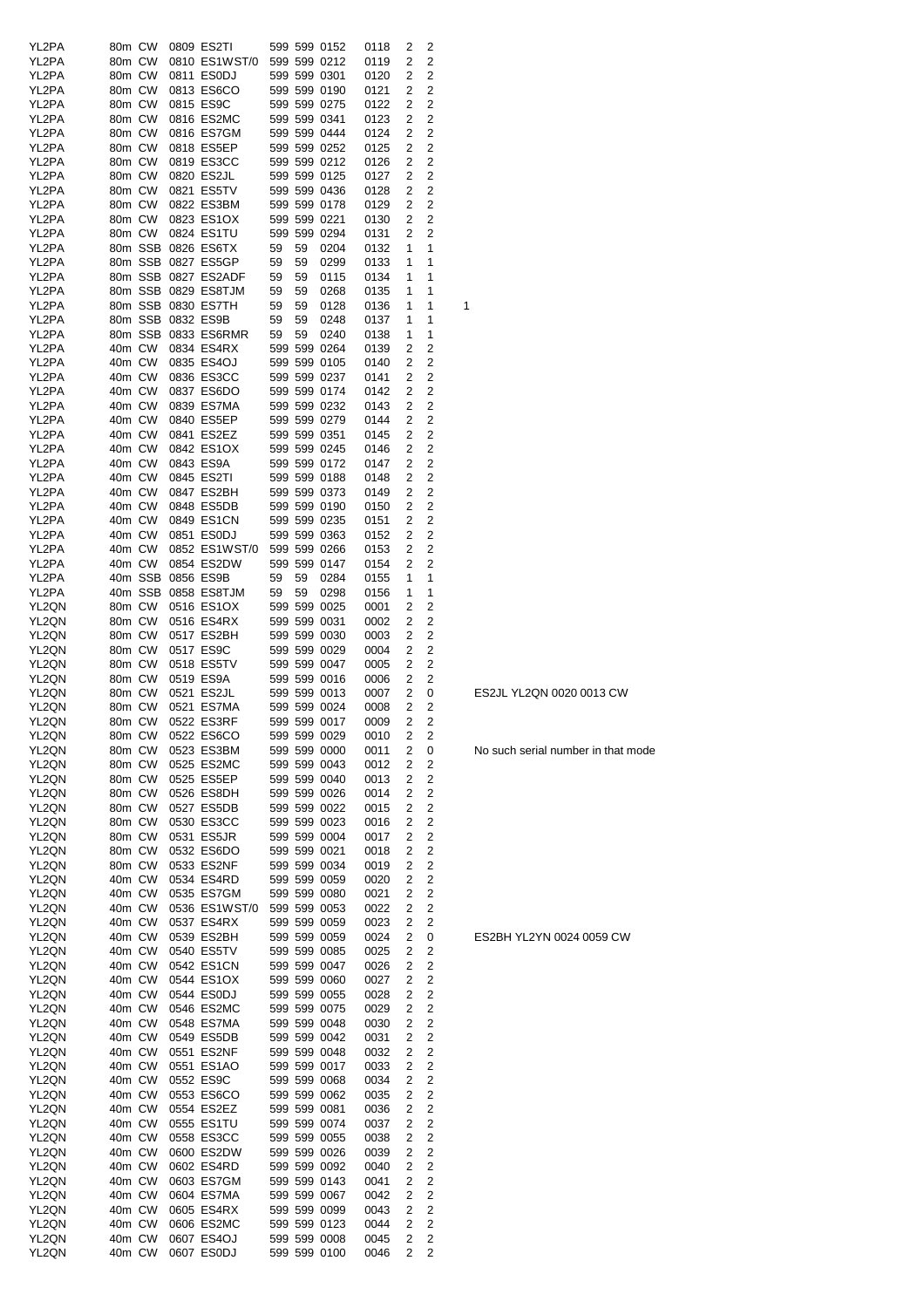| YL2PA | 80m CW |         |                   | 0809 ES2TI                 |    |    | 599 599 0152                 | 0118 | 2              | 2                       |   |
|-------|--------|---------|-------------------|----------------------------|----|----|------------------------------|------|----------------|-------------------------|---|
| YL2PA | 80m CW |         |                   | 0810 ES1WST/0              |    |    | 599 599 0212                 | 0119 | 2              | 2                       |   |
| YL2PA | 80m CW |         |                   | 0811 ES0DJ                 |    |    | 599 599 0301                 | 0120 | 2              | 2                       |   |
| YL2PA | 80m CW |         |                   | 0813 ES6CO                 |    |    | 599 599 0190                 | 0121 | 2              | 2                       |   |
| YL2PA | 80m CW |         |                   | 0815 ES9C                  |    |    | 599 599 0275                 |      |                | 2                       |   |
|       |        |         |                   |                            |    |    |                              | 0122 | 2              |                         |   |
| YL2PA | 80m CW |         |                   | 0816 ES2MC                 |    |    | 599 599 0341                 | 0123 | 2              | 2                       |   |
| YL2PA | 80m CW |         |                   | 0816 ES7GM                 |    |    | 599 599 0444                 | 0124 | 2              | 2                       |   |
| YL2PA | 80m CW |         |                   | 0818 ES5EP                 |    |    | 599 599 0252                 | 0125 | 2              | 2                       |   |
| YL2PA | 80m CW |         |                   | 0819 ES3CC                 |    |    | 599 599 0212                 | 0126 | 2              | 2                       |   |
| YL2PA | 80m CW |         |                   | 0820 ES2JL                 |    |    | 599 599 0125                 | 0127 | 2              | 2                       |   |
| YL2PA | 80m CW |         |                   | 0821 ES5TV                 |    |    | 599 599 0436                 | 0128 | 2              | $\overline{c}$          |   |
| YL2PA |        | 80m CW  |                   | 0822 ES3BM                 |    |    | 599 599 0178                 | 0129 | 2              | 2                       |   |
| YL2PA |        | 80m CW  |                   | 0823 ES1OX                 |    |    | 599 599 0221                 | 0130 | 2              | 2                       |   |
| YL2PA |        | 80m CW  |                   | 0824 ES1TU                 |    |    | 599 599 0294                 | 0131 | 2              | 2                       |   |
| YL2PA |        |         |                   | 80m SSB 0826 ES6TX         | 59 | 59 | 0204                         | 0132 | 1              | 1                       |   |
| YL2PA |        |         |                   | 80m SSB 0827 ES5GP         | 59 | 59 | 0299                         | 0133 | 1              | 1                       |   |
|       |        |         |                   |                            | 59 | 59 |                              |      |                | 1                       |   |
| YL2PA |        |         |                   | 80m SSB 0827 ES2ADF        |    |    | 0115                         | 0134 | 1              |                         |   |
| YL2PA |        |         |                   | 80m SSB 0829 ES8TJM        | 59 | 59 | 0268                         | 0135 | 1              | 1                       |   |
| YL2PA |        |         |                   | 80m SSB 0830 ES7TH         | 59 | 59 | 0128                         | 0136 | 1              | 1                       | 1 |
| YL2PA |        |         | 80m SSB 0832 ES9B |                            | 59 | 59 | 0248                         | 0137 | 1              | 1                       |   |
| YL2PA |        |         |                   | 80m SSB 0833 ES6RMR        | 59 | 59 | 0240                         | 0138 | 1              | 1                       |   |
| YL2PA |        | 40m CW  |                   | 0834 ES4RX                 |    |    | 599 599 0264                 | 0139 | 2              | 2                       |   |
| YL2PA | 40m CW |         |                   | 0835 ES4OJ                 |    |    | 599 599 0105                 | 0140 | 2              | 2                       |   |
| YL2PA | 40m CW |         |                   | 0836 ES3CC                 |    |    | 599 599 0237                 | 0141 | 2              | $\overline{c}$          |   |
| YL2PA | 40m CW |         |                   | 0837 ES6DO                 |    |    | 599 599 0174                 |      | 2              | 2                       |   |
|       |        |         |                   |                            |    |    |                              | 0142 |                |                         |   |
| YL2PA | 40m CW |         |                   | 0839 ES7MA                 |    |    | 599 599 0232                 | 0143 | 2              | $\overline{c}$          |   |
| YL2PA | 40m CW |         |                   | 0840 ES5EP                 |    |    | 599 599 0279                 | 0144 | 2              | 2                       |   |
| YL2PA | 40m CW |         |                   | 0841 ES2EZ                 |    |    | 599 599 0351                 | 0145 | 2              | 2                       |   |
| YL2PA | 40m CW |         |                   | 0842 ES1OX                 |    |    | 599 599 0245                 | 0146 | 2              | $\overline{2}$          |   |
| YL2PA | 40m CW |         |                   | 0843 ES9A                  |    |    | 599 599 0172                 | 0147 | 2              | 2                       |   |
| YL2PA | 40m CW |         |                   | 0845 ES2TI                 |    |    | 599 599 0188                 | 0148 | 2              | 2                       |   |
| YL2PA | 40m CW |         |                   | 0847 ES2BH                 |    |    | 599 599 0373                 | 0149 | 2              | $\overline{c}$          |   |
|       |        |         |                   |                            |    |    |                              |      |                |                         |   |
| YL2PA | 40m CW |         |                   | 0848 ES5DB                 |    |    | 599 599 0190                 | 0150 | 2              | 2                       |   |
| YL2PA | 40m CW |         |                   | 0849 ES1CN                 |    |    | 599 599 0235                 | 0151 | 2              | 2                       |   |
| YL2PA | 40m CW |         |                   | 0851 ES0DJ                 |    |    | 599 599 0363                 | 0152 | 2              | 2                       |   |
| YL2PA | 40m CW |         |                   | 0852 ES1WST/0              |    |    | 599 599 0266                 | 0153 | 2              | 2                       |   |
| YL2PA | 40m CW |         |                   | 0854 ES2DW                 |    |    | 599 599 0147                 | 0154 | 2              | 2                       |   |
| YL2PA |        | 40m SSB |                   | 0856 ES9B                  | 59 | 59 | 0284                         | 0155 | 1              | 1                       |   |
| YL2PA |        | 40m SSB |                   | 0858 ES8TJM                | 59 | 59 | 0298                         | 0156 | 1              | 1                       |   |
|       |        |         |                   |                            |    |    |                              |      |                | 2                       |   |
| YL2QN | 80m CW |         |                   | 0516 ES1OX                 |    |    | 599 599 0025                 | 0001 | 2              |                         |   |
| YL2QN | 80m CW |         |                   | 0516 ES4RX                 |    |    | 599 599 0031                 | 0002 | 2              | 2                       |   |
| YL2QN | 80m CW |         |                   | 0517 ES2BH                 |    |    | 599 599 0030                 | 0003 | 2              | 2                       |   |
| YL2QN | 80m CW |         |                   | 0517 ES9C                  |    |    | 599 599 0029                 | 0004 | 2              | 2                       |   |
| YL2QN | 80m CW |         |                   | 0518 ES5TV                 |    |    | 599 599 0047                 | 0005 | 2              | 2                       |   |
| YL2QN | 80m CW |         |                   | 0519 ES9A                  |    |    | 599 599 0016                 | 0006 | 2              | 2                       |   |
| YL2QN | 80m CW |         |                   | 0521 ES2JL                 |    |    | 599 599 0013                 | 0007 | 2              | 0                       |   |
| YL2QN |        | 80m CW  |                   | 0521 ES7MA                 |    |    | 599 599 0024                 | 0008 | 2              | $\overline{c}$          |   |
| YL2QN |        | 80m CW  |                   | 0522 ES3RF                 |    |    | 599 599 0017                 |      | 2              | 2                       |   |
|       |        |         |                   |                            |    |    |                              | 0009 |                |                         |   |
| YL2QN |        |         |                   | 80m CW 0522 ES6CO          |    |    | 599 599 0029                 | 0010 | $\overline{2}$ | $\overline{c}$          |   |
| YL2QN |        | 80m CW  |                   | 0523 ES3BM                 |    |    | 599 599 0000                 | 0011 | 2              | 0                       |   |
| YL2QN |        | 80m CW  |                   | 0525 ES2MC                 |    |    | 599 599 0043                 | 0012 | 2              | 2                       |   |
| YL2QN |        | 80m CW  |                   | 0525 ES5EP                 |    |    | 599 599 0040                 | 0013 | 2              | $\overline{c}$          |   |
| YL2QN | 80m CW |         |                   | 0526 ES8DH                 |    |    | 599 599 0026                 | 0014 | 2              | $\overline{\mathbf{c}}$ |   |
| YL2QN | 80m CW |         |                   | 0527 ES5DB                 |    |    | 599 599 0022                 | 0015 | 2              | $\overline{c}$          |   |
| YL2QN | 80m CW |         |                   | 0530 ES3CC                 |    |    | 599 599 0023                 | 0016 | 2              | $\overline{c}$          |   |
| YL2QN | 80m CW |         |                   | 0531 ES5JR                 |    |    | 599 599 0004                 | 0017 | $\overline{c}$ | $\overline{c}$          |   |
|       |        |         |                   |                            |    |    |                              |      |                | $\overline{c}$          |   |
| YL2QN | 80m CW |         |                   | 0532 ES6DO                 |    |    | 599 599 0021                 | 0018 | 2              |                         |   |
| YL2QN | 80m CW |         |                   | 0533 ES2NF                 |    |    | 599 599 0034                 | 0019 | 2              | $\overline{\mathbf{c}}$ |   |
| YL2QN | 40m CW |         |                   | 0534 ES4RD                 |    |    | 599 599 0059                 | 0020 | 2              | $\overline{\mathbf{c}}$ |   |
| YL2QN | 40m CW |         |                   | 0535 ES7GM                 |    |    | 599 599 0080                 | 0021 | 2              | $\overline{c}$          |   |
| YL2QN | 40m CW |         |                   | 0536 ES1WST/0 599 599 0053 |    |    |                              | 0022 | 2              | $\overline{c}$          |   |
| YL2QN | 40m CW |         |                   | 0537 ES4RX                 |    |    | 599 599 0059                 | 0023 | 2              | 2                       |   |
| YL2QN | 40m CW |         |                   | 0539 ES2BH                 |    |    | 599 599 0059                 | 0024 | 2              | 0                       |   |
| YL2QN | 40m CW |         |                   | 0540 ES5TV                 |    |    | 599 599 0085                 | 0025 | 2              | 2                       |   |
| YL2QN | 40m CW |         |                   | 0542 ES1CN                 |    |    | 599 599 0047                 | 0026 | 2              | 2                       |   |
|       |        |         |                   | 0544 ES1OX                 |    |    |                              |      | 2              | $\overline{2}$          |   |
| YL2QN |        | 40m CW  |                   |                            |    |    | 599 599 0060                 | 0027 |                |                         |   |
| YL2QN | 40m CW |         |                   | 0544 ES0DJ                 |    |    | 599 599 0055                 | 0028 | 2              | $\overline{2}$          |   |
| YL2QN | 40m CW |         |                   | 0546 ES2MC                 |    |    | 599 599 0075                 | 0029 | 2              | 2                       |   |
| YL2QN | 40m CW |         |                   | 0548 ES7MA                 |    |    | 599 599 0048                 | 0030 | 2              | $\overline{2}$          |   |
| YL2QN | 40m CW |         |                   | 0549 ES5DB                 |    |    | 599 599 0042                 | 0031 | 2              | $\overline{2}$          |   |
| YL2QN | 40m CW |         |                   | 0551 ES2NF                 |    |    | 599 599 0048                 | 0032 | 2              | $\overline{\mathbf{c}}$ |   |
| YL2QN | 40m CW |         |                   | 0551 ES1AO                 |    |    | 599 599 0017                 | 0033 | 2              | 2                       |   |
| YL2QN | 40m CW |         |                   | 0552 ES9C                  |    |    | 599 599 0068                 | 0034 | 2              | 2                       |   |
| YL2QN | 40m CW |         |                   | 0553 ES6CO                 |    |    | 599 599 0062                 | 0035 | 2              | 2                       |   |
|       |        |         |                   |                            |    |    |                              |      |                |                         |   |
| YL2QN | 40m CW |         |                   | 0554 ES2EZ                 |    |    | 599 599 0081                 | 0036 | 2              | 2                       |   |
| YL2QN | 40m CW |         |                   | 0555 ES1TU                 |    |    | 599 599 0074                 | 0037 | 2              | 2                       |   |
| YL2QN | 40m CW |         |                   | 0558 ES3CC                 |    |    | 599 599 0055                 | 0038 | 2              | 2                       |   |
| YL2QN | 40m CW |         |                   | 0600 ES2DW                 |    |    | 599 599 0026                 | 0039 | 2              | $\overline{2}$          |   |
| YL2QN | 40m CW |         |                   | 0602 ES4RD                 |    |    | 599 599 0092                 | 0040 | 2              | $\overline{2}$          |   |
| YL2QN | 40m CW |         |                   | 0603 ES7GM                 |    |    | 599 599 0143                 | 0041 | 2              | $\overline{2}$          |   |
| YL2QN | 40m CW |         |                   | 0604 ES7MA                 |    |    | 599 599 0067                 | 0042 | 2              | 2                       |   |
| YL2QN | 40m CW |         |                   | 0605 ES4RX                 |    |    | 599 599 0099                 | 0043 | 2              | $\overline{2}$          |   |
|       |        |         |                   |                            |    |    |                              |      |                |                         |   |
| YL2QN | 40m CW |         |                   | 0606 ES2MC                 |    |    | 599 599 0123                 | 0044 | 2              | $\overline{2}$          |   |
| YL2QN | 40m CW |         |                   | 0607 ES4OJ                 |    |    | 599 599 0008<br>599 599 0100 | 0045 | 2<br>2         | $\overline{\mathbf{c}}$ |   |
| YL2QN | 40m CW |         | 0607 ES0DJ        |                            |    |    |                              | 0046 |                | 2                       |   |

ES2JL YL2QN 0020 0013 CW

No such serial number in that mode

ES2BH YL2YN 0024 0059 CW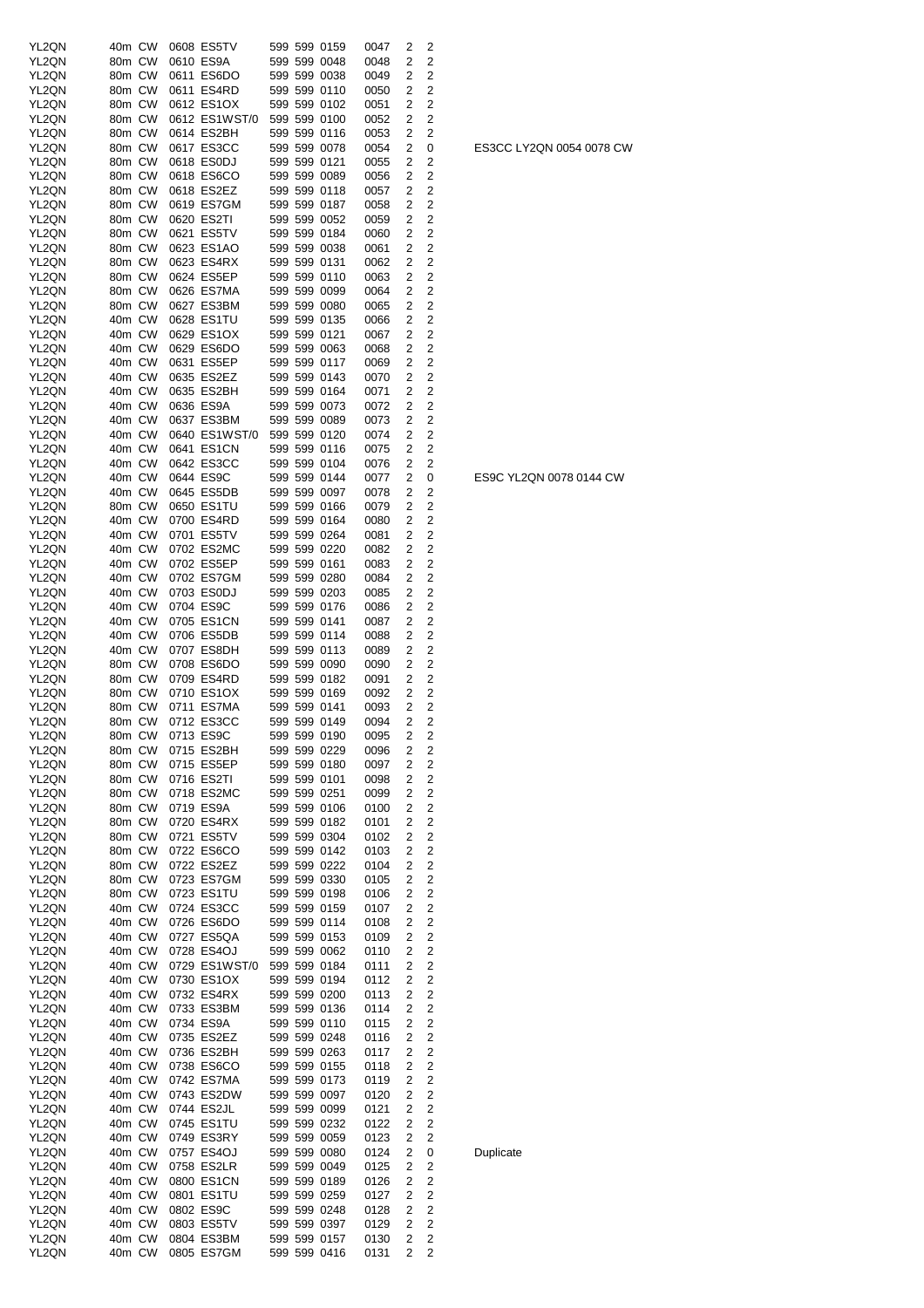| YL2QN | 40m CW | 0608 ES5TV    | 599 599 0159 | 0047<br>2              | 2                       |
|-------|--------|---------------|--------------|------------------------|-------------------------|
|       |        |               |              |                        |                         |
| YL2QN | 80m CW | 0610 ES9A     | 599 599 0048 | 2<br>0048              | $\overline{2}$          |
| YL2QN | 80m CW | 0611 ES6DO    | 599 599 0038 | $\overline{2}$<br>0049 | 2                       |
| YL2QN | 80m CW | 0611 ES4RD    | 599 599 0110 | 2<br>0050              | 2                       |
|       |        |               |              |                        |                         |
| YL2QN | 80m CW | 0612 ES1OX    | 599 599 0102 | 2<br>0051              | 2                       |
| YL2QN | 80m CW | 0612 ES1WST/0 | 599 599 0100 | 2<br>0052              | 2                       |
|       |        |               |              |                        |                         |
| YL2QN | 80m CW | 0614 ES2BH    | 599 599 0116 | $\overline{2}$<br>0053 | 2                       |
| YL2QN | 80m CW | 0617 ES3CC    | 599 599 0078 | 2<br>0054              | 0                       |
|       |        |               |              |                        |                         |
| YL2QN | 80m CW | 0618 ES0DJ    | 599 599 0121 | 2<br>0055              | 2                       |
| YL2QN | 80m CW | 0618 ES6CO    | 599 599 0089 | $\overline{c}$<br>0056 | 2                       |
|       |        |               |              |                        | $\overline{2}$          |
| YL2QN | 80m CW | 0618 ES2EZ    | 599 599 0118 | 2<br>0057              |                         |
| YL2QN | 80m CW | 0619 ES7GM    | 599 599 0187 | 2<br>0058              | 2                       |
| YL2QN | 80m CW | 0620 ES2TI    |              |                        |                         |
|       |        |               | 599 599 0052 | 2<br>0059              | $\overline{2}$          |
| YL2QN | 80m CW | 0621 ES5TV    | 599 599 0184 | 2<br>0060              | $\overline{2}$          |
| YL2QN | 80m CW | 0623 ES1AO    | 599 599 0038 | 2<br>0061              | $\overline{2}$          |
|       |        |               |              |                        |                         |
| YL2QN | 80m CW | 0623 ES4RX    | 599 599 0131 | 2<br>0062              | $\mathbf 2$             |
| YL2QN | 80m CW | 0624 ES5EP    | 599 599 0110 | $\overline{c}$<br>0063 | $\overline{\mathbf{c}}$ |
|       |        |               |              |                        |                         |
| YL2QN | 80m CW | 0626 ES7MA    | 599 599 0099 | $\overline{2}$<br>0064 | $\overline{2}$          |
| YL2QN | 80m CW | 0627 ES3BM    | 599 599 0080 | 2<br>0065              | 2                       |
| YL2QN | 40m CW | 0628 ES1TU    | 599 599 0135 | 2<br>0066              | 2                       |
|       |        |               |              |                        |                         |
| YL2QN | 40m CW | 0629 ES1OX    | 599 599 0121 | 2<br>0067              | 2                       |
| YL2QN | 40m CW | 0629 ES6DO    | 599 599 0063 | 2<br>0068              | 2                       |
|       |        |               |              |                        |                         |
| YL2QN | 40m CW | 0631 ES5EP    | 599 599 0117 | 2<br>0069              | 2                       |
| YL2QN | 40m CW | 0635 ES2EZ    | 599 599 0143 | 2<br>0070              | $\overline{2}$          |
|       |        |               |              |                        |                         |
| YL2QN | 40m CW | 0635 ES2BH    | 599 599 0164 | 2<br>0071              | 2                       |
| YL2QN | 40m CW | 0636 ES9A     | 599 599 0073 | 2<br>0072              | $\overline{2}$          |
| YL2QN | 40m CW | 0637 ES3BM    | 599 599 0089 | 2<br>0073              | $\overline{2}$          |
|       |        |               |              |                        |                         |
| YL2QN | 40m CW | 0640 ES1WST/0 | 599 599 0120 | $\overline{c}$<br>0074 | $\overline{\mathbf{c}}$ |
| YL2QN | 40m CW | 0641 ES1CN    | 599 599 0116 | 2<br>0075              | $\overline{2}$          |
|       |        |               |              |                        |                         |
| YL2QN | 40m CW | 0642 ES3CC    | 599 599 0104 | 2<br>0076              | 2                       |
| YL2QN | 40m CW | 0644 ES9C     | 599 599 0144 | 2<br>0077              | 0                       |
|       |        |               |              |                        |                         |
| YL2QN | 40m CW | 0645 ES5DB    | 599 599 0097 | 2<br>0078              | 2                       |
| YL2QN | 80m CW | 0650 ES1TU    | 599 599 0166 | $\overline{2}$<br>0079 | $\overline{2}$          |
|       |        |               |              |                        |                         |
| YL2QN | 40m CW | 0700 ES4RD    | 599 599 0164 | 2<br>0080              | 2                       |
| YL2QN | 40m CW | 0701 ES5TV    | 599 599 0264 | 2<br>0081              | 2                       |
|       | 40m CW | 0702 ES2MC    | 599 599 0220 | 2                      | $\overline{2}$          |
| YL2QN |        |               |              | 0082                   |                         |
| YL2QN | 40m CW | 0702 ES5EP    | 599 599 0161 | 2<br>0083              | $\overline{2}$          |
| YL2QN | 40m CW | 0702 ES7GM    | 599 599 0280 | 2<br>0084              | $\overline{2}$          |
|       |        |               |              |                        |                         |
| YL2QN | 40m CW | 0703 ES0DJ    | 599 599 0203 | 2<br>0085              | $\overline{2}$          |
| YL2QN | 40m CW | 0704 ES9C     | 599 599 0176 | 2<br>0086              | $\overline{2}$          |
|       |        |               |              |                        |                         |
| YL2QN | 40m CW | 0705 ES1CN    | 599 599 0141 | 2<br>0087              | 2                       |
| YL2QN | 40m CW | 0706 ES5DB    | 599 599 0114 | 2<br>0088              | $\overline{2}$          |
| YL2QN | 40m CW | 0707 ES8DH    | 599 599 0113 | 2<br>0089              | 2                       |
|       |        |               |              |                        |                         |
| YL2QN | 80m CW | 0708 ES6DO    | 599 599 0090 | 2<br>0090              | 2                       |
| YL2QN | 80m CW | 0709 ES4RD    | 599 599 0182 | $\overline{2}$<br>0091 | $\overline{2}$          |
|       |        |               |              |                        |                         |
| YL2QN | 80m CW | 0710 ES1OX    | 599 599 0169 | 2<br>0092              | 2                       |
| YL2QN | 80m CW | 0711 ES7MA    | 599 599 0141 | 2<br>0093              | 2                       |
| YL2QN | 80m CW | 0712 ES3CC    | 599 599 0149 | $\overline{2}$<br>0094 | $\overline{2}$          |
|       |        |               |              |                        |                         |
| YL2QN | 80m CW | 0713 ES9C     | 599 599 0190 | 0095<br>2              | 2                       |
| YL2QN | 80m CW | 0715 ES2BH    | 599 599 0229 | 0096<br>2              | 2                       |
|       |        |               |              |                        |                         |
| YL2QN | 80m CW | 0715 ES5EP    | 599 599 0180 | 2<br>0097              | $\overline{2}$          |
| YL2QN | 80m CW | 0716 ES2TI    | 599 599 0101 | 2<br>0098              | $\overline{2}$          |
| YL2QN | 80m CW | 0718 ES2MC    | 599 599 0251 | 2<br>0099              | $\overline{\mathbf{c}}$ |
|       |        |               |              |                        |                         |
| YL2QN | 80m CW | 0719 ES9A     | 599 599 0106 | 2<br>0100              | $\overline{\mathbf{c}}$ |
| YL2QN | 80m CW | 0720 ES4RX    | 599 599 0182 | 2<br>0101              | 2                       |
|       |        |               |              |                        |                         |
| YL2QN | 80m CW | 0721 ES5TV    | 599 599 0304 | 2<br>0102              | $\overline{c}$          |
| YL2QN | 80m CW | 0722 ES6CO    | 599 599 0142 | 2<br>0103              | 2                       |
| YL2QN | 80m CW | 0722 ES2EZ    | 599 599 0222 | 2<br>0104              | 2                       |
|       |        |               |              |                        |                         |
| YL2QN | 80m CW | 0723 ES7GM    | 599 599 0330 | 2<br>0105              | 2                       |
| YL2QN | 80m CW | 0723 ES1TU    | 599 599 0198 | 2<br>0106              | 2                       |
| YL2QN | 40m CW | 0724 ES3CC    | 599 599 0159 | 2                      | $\overline{2}$          |
|       |        |               |              | 0107                   |                         |
| YL2QN | 40m CW | 0726 ES6DO    | 599 599 0114 | 2<br>0108              | $\overline{2}$          |
| YL2QN | 40m CW | 0727 ES5QA    | 599 599 0153 | 2<br>0109              | $\overline{2}$          |
|       |        |               |              |                        |                         |
| YL2QN | 40m CW | 0728 ES4OJ    | 599 599 0062 | $\overline{2}$<br>0110 | $\overline{2}$          |
| YL2QN | 40m CW | 0729 ES1WST/0 | 599 599 0184 | 2<br>0111              | $\overline{2}$          |
|       | 40m CW | 0730 ES1OX    | 599 599 0194 | 2                      | $\overline{\mathbf{c}}$ |
| YL2QN |        |               |              | 0112                   |                         |
| YL2QN | 40m CW | 0732 ES4RX    | 599 599 0200 | 2<br>0113              | 2                       |
| YL2QN | 40m CW | 0733 ES3BM    | 599 599 0136 | 2<br>0114              | 2                       |
|       |        |               |              |                        |                         |
| YL2QN | 40m CW | 0734 ES9A     | 599 599 0110 | 2<br>0115              | $\overline{c}$          |
| YL2QN | 40m CW | 0735 ES2EZ    | 599 599 0248 | $\overline{2}$<br>0116 | 2                       |
|       |        |               |              |                        |                         |
| YL2QN | 40m CW | 0736 ES2BH    | 599 599 0263 | 2<br>0117              | 2                       |
| YL2QN | 40m CW | 0738 ES6CO    | 599 599 0155 | 2<br>0118              | 2                       |
| YL2QN | 40m CW | 0742 ES7MA    | 599 599 0173 | 2                      | 2                       |
|       |        |               |              | 0119                   |                         |
| YL2QN | 40m CW | 0743 ES2DW    | 599 599 0097 | 2<br>0120              | 2                       |
| YL2QN | 40m CW | 0744 ES2JL    | 599 599 0099 | 0121<br>2              | $\overline{2}$          |
|       |        |               |              |                        |                         |
| YL2QN | 40m CW | 0745 ES1TU    | 599 599 0232 | 2<br>0122              | $\overline{2}$          |
| YL2QN | 40m CW | 0749 ES3RY    | 599 599 0059 | 0123<br>2              | 2                       |
|       |        |               |              |                        |                         |
| YL2QN | 40m CW | 0757 ES4OJ    | 599 599 0080 | 2<br>0124              | 0                       |
| YL2QN | 40m CW | 0758 ES2LR    | 599 599 0049 | 0125<br>2              | 2                       |
|       | 40m CW |               | 599 599 0189 | 2                      | 2                       |
| YL2QN |        | 0800 ES1CN    |              | 0126                   |                         |
| YL2QN | 40m CW | 0801 ES1TU    | 599 599 0259 | 2<br>0127              | 2                       |
| YL2QN | 40m CW | 0802 ES9C     | 599 599 0248 | 2<br>0128              | $\overline{c}$          |
|       |        |               |              |                        |                         |
| YL2QN | 40m CW | 0803 ES5TV    | 599 599 0397 | 2<br>0129              | 2                       |
| YL2QN | 40m CW | 0804 ES3BM    | 599 599 0157 | 2<br>0130              | $\overline{c}$          |
|       |        |               |              |                        | 2                       |
| YL2QN | 40m CW | 0805 ES7GM    | 599 599 0416 | 2<br>0131              |                         |

ES9C YL2QN 0078 0144 CW

ES3CC LY2QN 0054 0078 CW

Duplicate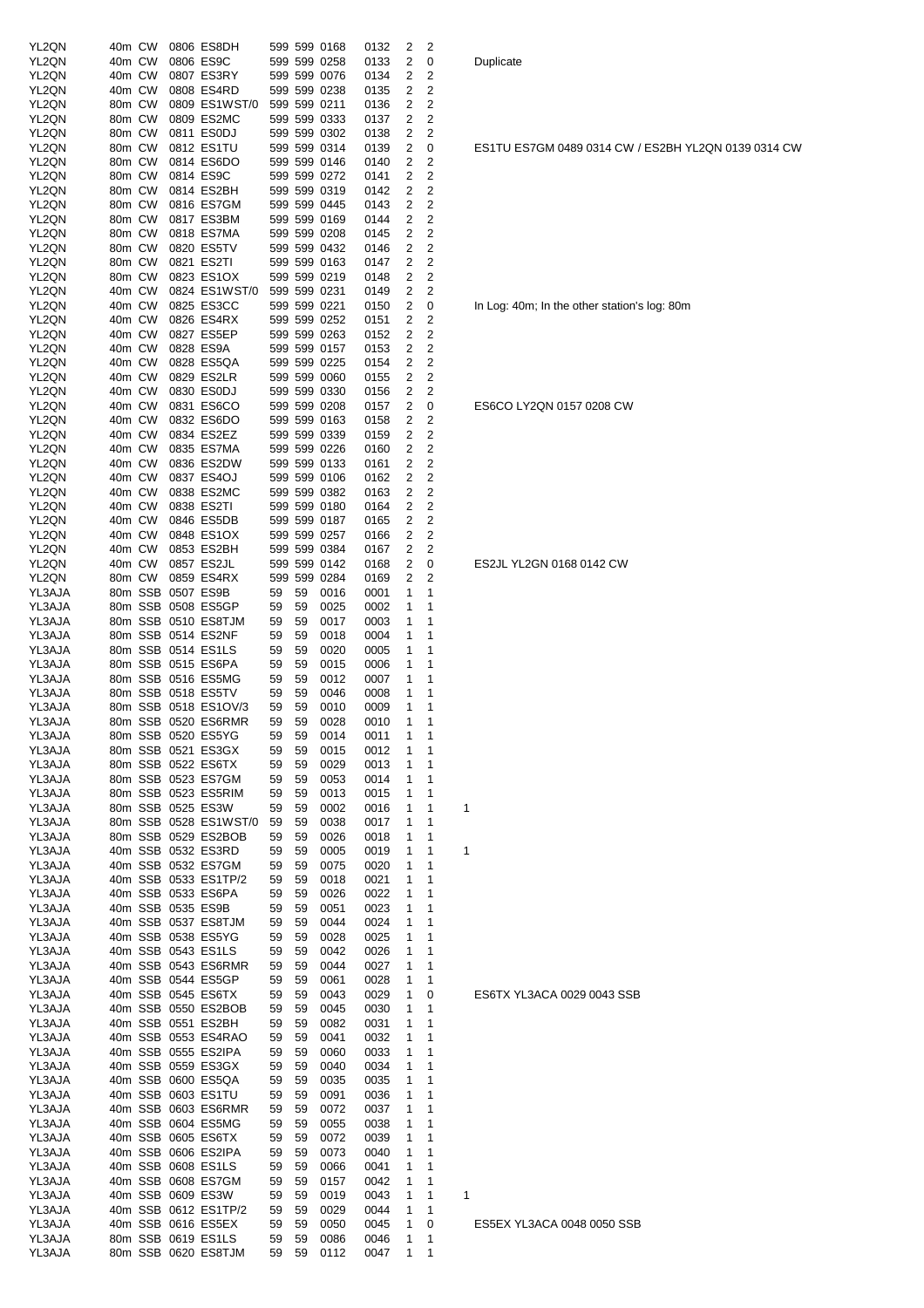| YL2QN  | 40m CW |  | 0806 ES8DH             |    |    |              |      | 2 |                |            |
|--------|--------|--|------------------------|----|----|--------------|------|---|----------------|------------|
|        |        |  |                        |    |    | 599 599 0168 | 0132 |   | 2              |            |
| YL2QN  | 40m CW |  | 0806 ES9C              |    |    | 599 599 0258 | 0133 | 2 | 0              | Duplicate  |
| YL2QN  | 40m CW |  | 0807 ES3RY             |    |    | 599 599 0076 | 0134 | 2 | 2              |            |
| YL2QN  | 40m CW |  | 0808 ES4RD             |    |    | 599 599 0238 | 0135 | 2 | 2              |            |
| YL2QN  | 80m CW |  | 0809 ES1WST/0          |    |    | 599 599 0211 | 0136 | 2 | 2              |            |
| YL2QN  | 80m CW |  | 0809 ES2MC             |    |    | 599 599 0333 | 0137 | 2 | 2              |            |
| YL2QN  | 80m CW |  | 0811 ES0DJ             |    |    | 599 599 0302 | 0138 | 2 | 2              |            |
| YL2QN  | 80m CW |  | 0812 ES1TU             |    |    | 599 599 0314 | 0139 | 2 | 0              | ES1TU E    |
| YL2QN  | 80m CW |  | 0814 ES6DO             |    |    | 599 599 0146 | 0140 | 2 | 2              |            |
| YL2QN  | 80m CW |  | 0814 ES9C              |    |    | 599 599 0272 | 0141 | 2 | 2              |            |
| YL2QN  | 80m CW |  | 0814 ES2BH             |    |    | 599 599 0319 | 0142 | 2 | 2              |            |
| YL2QN  | 80m CW |  | 0816 ES7GM             |    |    | 599 599 0445 | 0143 | 2 | 2              |            |
| YL2QN  | 80m CW |  | 0817 ES3BM             |    |    | 599 599 0169 | 0144 | 2 | 2              |            |
| YL2QN  | 80m CW |  | 0818 ES7MA             |    |    | 599 599 0208 | 0145 | 2 | 2              |            |
| YL2QN  | 80m CW |  | 0820 ES5TV             |    |    | 599 599 0432 | 0146 | 2 | 2              |            |
| YL2QN  | 80m CW |  | 0821 ES2TI             |    |    | 599 599 0163 | 0147 | 2 | $\overline{c}$ |            |
| YL2QN  | 80m CW |  | 0823 ES1OX             |    |    | 599 599 0219 | 0148 | 2 | 2              |            |
| YL2QN  | 40m CW |  | 0824 ES1WST/0          |    |    | 599 599 0231 | 0149 | 2 | 2              |            |
| YL2QN  | 40m CW |  | 0825 ES3CC             |    |    | 599 599 0221 | 0150 | 2 | 0              | In Log: 40 |
| YL2QN  | 40m CW |  | 0826 ES4RX             |    |    | 599 599 0252 | 0151 | 2 | 2              |            |
| YL2QN  | 40m CW |  | 0827 ES5EP             |    |    | 599 599 0263 | 0152 | 2 | $\overline{c}$ |            |
| YL2QN  | 40m CW |  | 0828 ES9A              |    |    | 599 599 0157 | 0153 | 2 | 2              |            |
| YL2QN  | 40m CW |  | 0828 ES5QA             |    |    | 599 599 0225 | 0154 | 2 | 2              |            |
| YL2QN  | 40m CW |  | 0829 ES2LR             |    |    | 599 599 0060 | 0155 | 2 | 2              |            |
| YL2QN  | 40m CW |  | 0830 ES0DJ             |    |    | 599 599 0330 | 0156 | 2 | 2              |            |
| YL2QN  | 40m CW |  | 0831 ES6CO             |    |    | 599 599 0208 | 0157 | 2 | 0              | ES6CO L    |
| YL2QN  | 40m CW |  | 0832 ES6DO             |    |    | 599 599 0163 | 0158 | 2 | 2              |            |
| YL2QN  | 40m CW |  | 0834 ES2EZ             |    |    | 599 599 0339 | 0159 | 2 | 2              |            |
| YL2QN  | 40m CW |  | 0835 ES7MA             |    |    | 599 599 0226 | 0160 | 2 | $\overline{c}$ |            |
| YL2QN  | 40m CW |  | 0836 ES2DW             |    |    | 599 599 0133 | 0161 | 2 | 2              |            |
|        | 40m CW |  | 0837 ES4OJ             |    |    | 599 599 0106 |      | 2 | 2              |            |
| YL2QN  |        |  |                        |    |    |              | 0162 |   |                |            |
| YL2QN  | 40m CW |  | 0838 ES2MC             |    |    | 599 599 0382 | 0163 | 2 | 2              |            |
| YL2QN  | 40m CW |  | 0838 ES2TI             |    |    | 599 599 0180 | 0164 | 2 | 2              |            |
| YL2QN  | 40m CW |  | 0846 ES5DB             |    |    | 599 599 0187 | 0165 | 2 | 2              |            |
| YL2QN  | 40m CW |  | 0848 ES1OX             |    |    | 599 599 0257 | 0166 | 2 | 2              |            |
| YL2QN  | 40m CW |  | 0853 ES2BH             |    |    | 599 599 0384 | 0167 | 2 | 2              |            |
| YL2QN  | 40m CW |  | 0857 ES2JL             |    |    | 599 599 0142 | 0168 | 2 | 0              | ES2JL YI   |
| YL2QN  | 80m CW |  | 0859 ES4RX             |    |    | 599 599 0284 | 0169 | 2 | 2              |            |
| YL3AJA |        |  | 80m SSB 0507 ES9B      | 59 | 59 | 0016         | 0001 | 1 | 1              |            |
| YL3AJA |        |  | 80m SSB 0508 ES5GP     | 59 | 59 | 0025         | 0002 | 1 | 1              |            |
| YL3AJA |        |  | 80m SSB 0510 ES8TJM    | 59 | 59 | 0017         | 0003 | 1 | 1              |            |
| YL3AJA |        |  | 80m SSB 0514 ES2NF     | 59 | 59 | 0018         | 0004 | 1 | 1              |            |
| YL3AJA |        |  | 80m SSB 0514 ES1LS     | 59 | 59 | 0020         | 0005 | 1 | 1              |            |
| YL3AJA |        |  | 80m SSB 0515 ES6PA     | 59 | 59 | 0015         | 0006 | 1 | 1              |            |
| YL3AJA |        |  | 80m SSB 0516 ES5MG     | 59 | 59 | 0012         | 0007 | 1 | 1              |            |
| YL3AJA |        |  | 80m SSB 0518 ES5TV     | 59 | 59 | 0046         | 0008 | 1 | 1              |            |
| YL3AJA |        |  | 80m SSB 0518 ES1OV/3   | 59 | 59 | 0010         | 0009 | 1 | 1              |            |
| YL3AJA |        |  | 80m SSB 0520 ES6RMR    | 59 | 59 | 0028         | 0010 | 1 | 1              |            |
| YL3AJA |        |  | 80m SSB 0520 ES5YG     | 59 | 59 | 0014         | 0011 | 1 | 1              |            |
| YL3AJA |        |  | 80m SSB 0521 ES3GX     | 59 | 59 | 0015         | 0012 | 1 | 1              |            |
| YL3AJA |        |  | 80m SSB 0522 ES6TX     | 59 | 59 | 0029         | 0013 | 1 | 1              |            |
| YL3AJA |        |  | 80m SSB 0523 ES7GM     | 59 | 59 | 0053         | 0014 | 1 | 1              |            |
| YL3AJA |        |  | 80m SSB 0523 ES5RIM    | 59 | 59 | 0013         | 0015 | 1 | 1              |            |
| YL3AJA |        |  | 80m SSB 0525 ES3W      | 59 | 59 | 0002         | 0016 | 1 | 1              | 1          |
| YL3AJA |        |  | 80m SSB 0528 ES1WST/0  | 59 | 59 | 0038         | 0017 | 1 | 1              |            |
| YL3AJA |        |  | 80m SSB 0529 ES2BOB    | 59 | 59 | 0026         | 0018 | 1 | 1              |            |
| YL3AJA |        |  | 40m SSB 0532 ES3RD     | 59 | 59 | 0005         | 0019 | 1 | 1              | 1          |
| YL3AJA |        |  | 40m SSB 0532 ES7GM     | 59 | 59 | 0075         | 0020 | 1 | 1              |            |
| YL3AJA |        |  | 40m SSB 0533 ES1TP/2   | 59 | 59 | 0018         | 0021 | 1 | 1              |            |
| YL3AJA |        |  | 40m SSB 0533 ES6PA     | 59 | 59 | 0026         | 0022 | 1 | 1              |            |
| YL3AJA |        |  | 40m SSB 0535 ES9B      | 59 | 59 | 0051         | 0023 | 1 | 1              |            |
| YL3AJA |        |  | 40m SSB 0537 ES8TJM    | 59 | 59 | 0044         | 0024 | 1 | 1              |            |
| YL3AJA |        |  |                        |    |    |              |      | 1 | 1              |            |
|        |        |  | 40m SSB 0538 ES5YG     | 59 | 59 | 0028         | 0025 |   |                |            |
| YL3AJA |        |  | 40m SSB 0543 ES1LS     | 59 | 59 | 0042         | 0026 | 1 | 1              |            |
| YL3AJA |        |  | 40m SSB 0543 ES6RMR    | 59 | 59 | 0044         | 0027 | 1 | 1              |            |
| YL3AJA |        |  | 40m SSB 0544 ES5GP     | 59 | 59 | 0061         | 0028 | 1 | 1              |            |
| YL3AJA |        |  | 40m SSB 0545 ES6TX     | 59 | 59 | 0043         | 0029 | 1 | 0              | ES6TX Y    |
| YL3AJA |        |  | 40m SSB 0550 ES2BOB    | 59 | 59 | 0045         | 0030 | 1 | 1              |            |
| YL3AJA |        |  | 40m SSB 0551 ES2BH     | 59 | 59 | 0082         | 0031 | 1 | 1              |            |
| YL3AJA |        |  | 40m SSB 0553 ES4RAO    | 59 | 59 | 0041         | 0032 | 1 | 1              |            |
| YL3AJA |        |  | 40m SSB 0555 ES2IPA    | 59 | 59 | 0060         | 0033 | 1 | 1              |            |
| YL3AJA |        |  | 40m SSB 0559 ES3GX     | 59 | 59 | 0040         | 0034 | 1 | 1              |            |
| YL3AJA |        |  | 40m SSB 0600 ES5QA     | 59 | 59 | 0035         | 0035 | 1 | 1              |            |
| YL3AJA |        |  | 40m SSB 0603 ES1TU     | 59 | 59 | 0091         | 0036 | 1 | 1              |            |
| YL3AJA |        |  | 40m SSB 0603 ES6RMR    | 59 | 59 | 0072         | 0037 | 1 | 1              |            |
| YL3AJA |        |  | 40m SSB 0604 ES5MG     | 59 | 59 | 0055         | 0038 | 1 | 1              |            |
| YL3AJA |        |  | 40m SSB 0605 ES6TX     | 59 | 59 | 0072         | 0039 | 1 | 1              |            |
| YL3AJA |        |  | 40m SSB 0606 ES2IPA    | 59 | 59 | 0073         | 0040 | 1 | 1              |            |
| YL3AJA |        |  | 40m SSB 0608 ES1LS     | 59 | 59 | 0066         | 0041 | 1 | 1              |            |
| YL3AJA |        |  | 40m SSB 0608 ES7GM     | 59 | 59 | 0157         | 0042 | 1 | 1              |            |
| YL3AJA |        |  | 40m SSB 0609 ES3W      | 59 | 59 | 0019         | 0043 | 1 | 1              | 1          |
| YL3AJA |        |  | 40m SSB 0612 ES1TP/2   | 59 | 59 | 0029         | 0044 | 1 | 1              |            |
| YL3AJA |        |  | 40m SSB 0616 ES5EX     | 59 | 59 | 0050         | 0045 | 1 | 0              | ES5EX Y    |
| YL3AJA |        |  | 80m SSB 0619 ES1LS     | 59 | 59 | 0086         | 0046 | 1 | 1              |            |
|        |        |  | 80m SSB 0620 ES8TJM 59 |    | 59 | 0112         | 0047 | 1 | 1              |            |

ES1TU ES7GM 0489 0314 CW / ES2BH YL2QN 0139 0314 CW

In Log: 40m; In the other station's log: 80m

ES6CO LY2QN 0157 0208 CW

ES2JL YL2GN 0168 0142 CW

ES6TX YL3ACA 0029 0043 SSB

ES5EX YL3ACA 0048 0050 SSB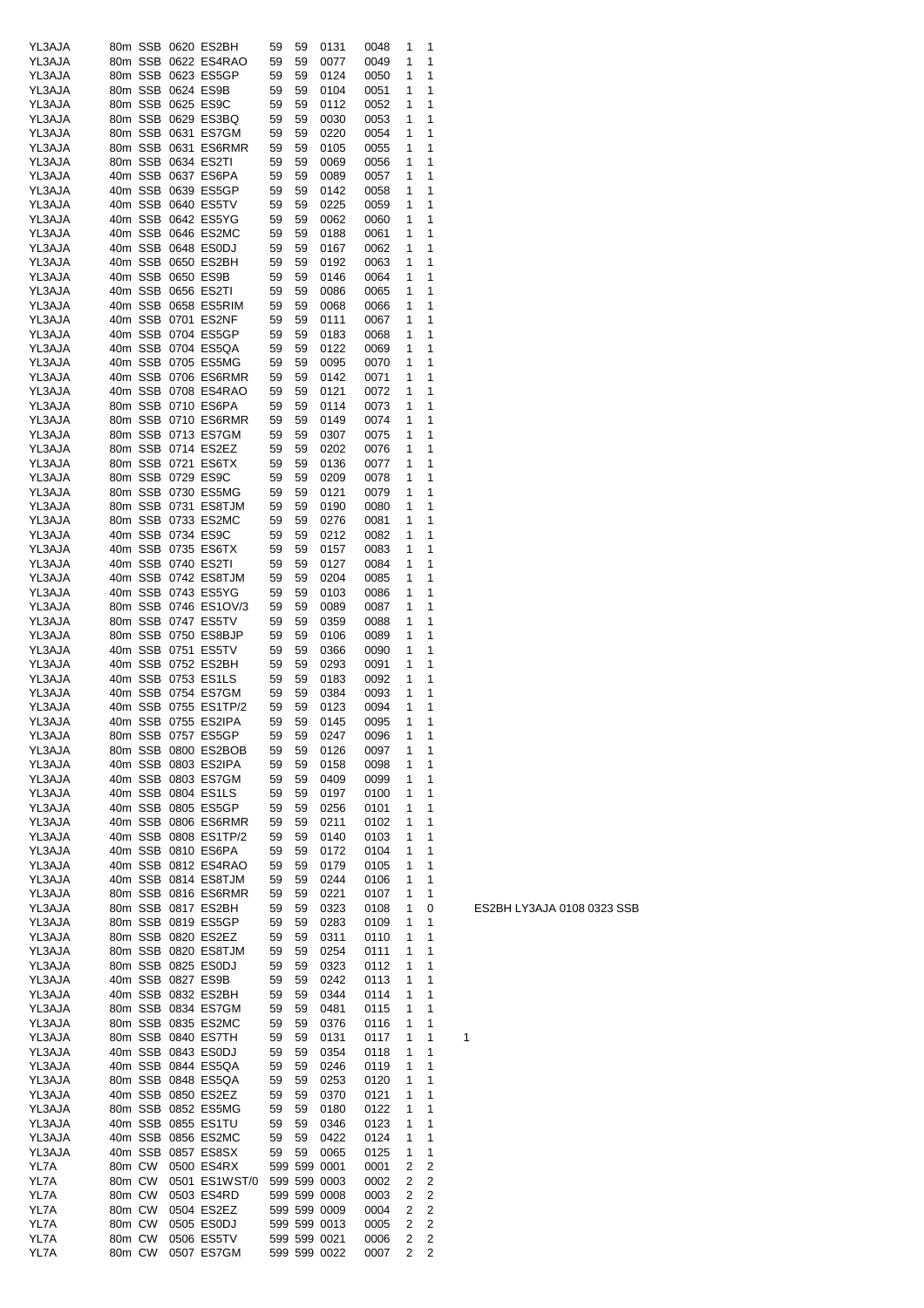| YL3AJA |        |        | 80m SSB 0620 ES2BH   | 59 | 59 | 0131         | 0048 | 1 | 1                       |   |
|--------|--------|--------|----------------------|----|----|--------------|------|---|-------------------------|---|
| YL3AJA |        |        | 80m SSB 0622 ES4RAO  | 59 | 59 | 0077         | 0049 | 1 | 1                       |   |
| YL3AJA |        |        | 80m SSB 0623 ES5GP   | 59 | 59 | 0124         | 0050 | 1 | 1                       |   |
|        |        |        |                      |    |    |              |      | 1 | 1                       |   |
| YL3AJA |        |        | 80m SSB 0624 ES9B    | 59 | 59 | 0104         | 0051 |   |                         |   |
| YL3AJA |        |        | 80m SSB 0625 ES9C    | 59 | 59 | 0112         | 0052 | 1 | 1                       |   |
| YL3AJA |        |        | 80m SSB 0629 ES3BQ   | 59 | 59 | 0030         | 0053 | 1 | 1                       |   |
| YL3AJA |        |        | 80m SSB 0631 ES7GM   | 59 | 59 | 0220         | 0054 | 1 | 1                       |   |
| YL3AJA |        |        | 80m SSB 0631 ES6RMR  | 59 | 59 | 0105         | 0055 | 1 | 1                       |   |
| YL3AJA |        |        | 80m SSB 0634 ES2TI   | 59 | 59 | 0069         | 0056 | 1 | 1                       |   |
|        |        |        | 40m SSB 0637 ES6PA   |    |    |              |      | 1 | 1                       |   |
| YL3AJA |        |        |                      | 59 | 59 | 0089         | 0057 |   |                         |   |
| YL3AJA |        |        | 40m SSB 0639 ES5GP   | 59 | 59 | 0142         | 0058 | 1 | 1                       |   |
| YL3AJA |        |        | 40m SSB 0640 ES5TV   | 59 | 59 | 0225         | 0059 | 1 | 1                       |   |
| YL3AJA |        |        | 40m SSB 0642 ES5YG   | 59 | 59 | 0062         | 0060 | 1 | 1                       |   |
| YL3AJA |        |        | 40m SSB 0646 ES2MC   | 59 | 59 | 0188         | 0061 | 1 | 1                       |   |
| YL3AJA |        |        | 40m SSB 0648 ES0DJ   | 59 | 59 | 0167         | 0062 | 1 | 1                       |   |
|        |        |        | 40m SSB 0650 ES2BH   |    | 59 |              |      | 1 | 1                       |   |
| YL3AJA |        |        |                      | 59 |    | 0192         | 0063 |   |                         |   |
| YL3AJA |        |        | 40m SSB 0650 ES9B    | 59 | 59 | 0146         | 0064 | 1 | 1                       |   |
| YL3AJA |        |        | 40m SSB 0656 ES2TI   | 59 | 59 | 0086         | 0065 | 1 | 1                       |   |
| YL3AJA |        |        | 40m SSB 0658 ES5RIM  | 59 | 59 | 0068         | 0066 | 1 | 1                       |   |
| YL3AJA |        |        | 40m SSB 0701 ES2NF   | 59 | 59 | 0111         | 0067 | 1 | 1                       |   |
| YL3AJA |        |        | 40m SSB 0704 ES5GP   | 59 | 59 | 0183         | 0068 | 1 | 1                       |   |
| YL3AJA |        |        | 40m SSB 0704 ES5QA   | 59 | 59 | 0122         | 0069 | 1 | 1                       |   |
|        |        |        |                      |    |    |              |      |   |                         |   |
| YL3AJA |        |        | 40m SSB 0705 ES5MG   | 59 | 59 | 0095         | 0070 | 1 | 1                       |   |
| YL3AJA |        |        | 40m SSB 0706 ES6RMR  | 59 | 59 | 0142         | 0071 | 1 | 1                       |   |
| YL3AJA |        |        | 40m SSB 0708 ES4RAO  | 59 | 59 | 0121         | 0072 | 1 | 1                       |   |
| YL3AJA |        |        | 80m SSB 0710 ES6PA   | 59 | 59 | 0114         | 0073 | 1 | 1                       |   |
| YL3AJA |        |        | 80m SSB 0710 ES6RMR  | 59 | 59 | 0149         | 0074 | 1 | 1                       |   |
|        |        |        | 80m SSB 0713 ES7GM   |    |    |              |      |   |                         |   |
| YL3AJA |        |        |                      | 59 | 59 | 0307         | 0075 | 1 | 1                       |   |
| YL3AJA |        |        | 80m SSB 0714 ES2EZ   | 59 | 59 | 0202         | 0076 | 1 | 1                       |   |
| YL3AJA |        |        | 80m SSB 0721 ES6TX   | 59 | 59 | 0136         | 0077 | 1 | 1                       |   |
| YL3AJA |        |        | 80m SSB 0729 ES9C    | 59 | 59 | 0209         | 0078 | 1 | 1                       |   |
| YL3AJA |        |        | 80m SSB 0730 ES5MG   | 59 | 59 | 0121         | 0079 | 1 | 1                       |   |
| YL3AJA |        |        | 80m SSB 0731 ES8TJM  | 59 | 59 | 0190         | 0080 | 1 | 1                       |   |
|        |        |        |                      |    |    |              |      |   |                         |   |
| YL3AJA |        |        | 80m SSB 0733 ES2MC   | 59 | 59 | 0276         | 0081 | 1 | 1                       |   |
| YL3AJA |        |        | 40m SSB 0734 ES9C    | 59 | 59 | 0212         | 0082 | 1 | 1                       |   |
| YL3AJA |        |        | 40m SSB 0735 ES6TX   | 59 | 59 | 0157         | 0083 | 1 | 1                       |   |
| YL3AJA |        |        | 40m SSB 0740 ES2TI   | 59 | 59 | 0127         | 0084 | 1 | 1                       |   |
| YL3AJA |        |        | 40m SSB 0742 ES8TJM  | 59 | 59 | 0204         | 0085 | 1 | 1                       |   |
| YL3AJA |        |        | 40m SSB 0743 ES5YG   | 59 | 59 | 0103         | 0086 | 1 | 1                       |   |
|        |        |        |                      |    |    |              |      |   | 1                       |   |
| YL3AJA |        |        | 80m SSB 0746 ES1OV/3 | 59 | 59 | 0089         | 0087 | 1 |                         |   |
| YL3AJA |        |        | 80m SSB 0747 ES5TV   | 59 | 59 | 0359         | 0088 | 1 | 1                       |   |
| YL3AJA |        |        | 80m SSB 0750 ES8BJP  | 59 | 59 | 0106         | 0089 | 1 | 1                       |   |
| YL3AJA |        |        | 40m SSB 0751 ES5TV   | 59 | 59 | 0366         | 0090 | 1 | 1                       |   |
| YL3AJA |        |        | 40m SSB 0752 ES2BH   | 59 | 59 | 0293         | 0091 | 1 | 1                       |   |
| YL3AJA |        |        | 40m SSB 0753 ES1LS   | 59 | 59 | 0183         | 0092 | 1 | 1                       |   |
|        |        |        |                      |    |    |              |      |   |                         |   |
| YL3AJA |        |        | 40m SSB 0754 ES7GM   | 59 | 59 | 0384         | 0093 | 1 | 1                       |   |
| YL3AJA |        |        | 40m SSB 0755 ES1TP/2 | 59 | 59 | 0123         | 0094 | 1 | 1                       |   |
| YL3AJA |        |        | 40m SSB 0755 ES2IPA  | 59 | 59 | 0145         | 0095 | 1 | 1                       |   |
| YL3AJA |        |        | 80m SSB 0757 ES5GP   | 59 | 59 | 0247         | 0096 | 1 | 1                       |   |
| YL3AJA |        |        | 80m SSB 0800 ES2BOB  | 59 | 59 | 0126         | 0097 | 1 | 1                       |   |
| YL3AJA |        |        | 40m SSB 0803 ES2IPA  | 59 | 59 | 0158         | 0098 | 1 | 1                       |   |
|        |        |        |                      |    |    |              |      |   |                         |   |
| YL3AJA |        |        | 40m SSB 0803 ES7GM   | 59 | 59 | 0409         | 0099 | 1 | 1                       |   |
| YL3AJA |        |        | 40m SSB 0804 ES1LS   | 59 | 59 | 0197         | 0100 | 1 | 1                       |   |
| YL3AJA |        |        | 40m SSB 0805 ES5GP   | 59 | 59 | 0256         | 0101 | 1 | 1                       |   |
| YL3AJA |        |        | 40m SSB 0806 ES6RMR  | 59 | 59 | 0211         | 0102 | 1 | 1                       |   |
| YL3AJA |        |        | 40m SSB 0808 ES1TP/2 | 59 | 59 | 0140         | 0103 | 1 | 1                       |   |
| YL3AJA |        |        | 40m SSB 0810 ES6PA   | 59 | 59 | 0172         | 0104 | 1 | 1                       |   |
|        |        |        |                      |    |    |              |      |   |                         |   |
| YL3AJA |        |        | 40m SSB 0812 ES4RAO  | 59 | 59 | 0179         | 0105 | 1 | 1                       |   |
| YL3AJA |        |        | 40m SSB 0814 ES8TJM  | 59 | 59 | 0244         | 0106 | 1 | 1                       |   |
| YL3AJA |        |        | 80m SSB 0816 ES6RMR  | 59 | 59 | 0221         | 0107 | 1 | 1                       |   |
| YL3AJA |        |        | 80m SSB 0817 ES2BH   | 59 | 59 | 0323         | 0108 | 1 | 0                       |   |
| YL3AJA |        |        | 80m SSB 0819 ES5GP   | 59 | 59 | 0283         | 0109 | 1 | 1                       |   |
| YL3AJA |        |        | 80m SSB 0820 ES2EZ   | 59 | 59 | 0311         | 0110 | 1 | 1                       |   |
| YL3AJA |        |        | 80m SSB 0820 ES8TJM  | 59 | 59 | 0254         | 0111 | 1 | 1                       |   |
|        |        |        |                      |    |    |              |      |   |                         |   |
| YL3AJA |        |        | 80m SSB 0825 ES0DJ   | 59 | 59 | 0323         | 0112 | 1 | 1                       |   |
| YL3AJA |        |        | 40m SSB 0827 ES9B    | 59 | 59 | 0242         | 0113 | 1 | 1                       |   |
| YL3AJA |        |        | 40m SSB 0832 ES2BH   | 59 | 59 | 0344         | 0114 | 1 | 1                       |   |
| YL3AJA |        |        | 80m SSB 0834 ES7GM   | 59 | 59 | 0481         | 0115 | 1 | 1                       |   |
| YL3AJA |        |        | 80m SSB 0835 ES2MC   | 59 | 59 | 0376         | 0116 | 1 | 1                       |   |
| YL3AJA |        |        | 80m SSB 0840 ES7TH   |    |    |              |      | 1 | 1                       |   |
|        |        |        |                      | 59 | 59 | 0131         | 0117 |   |                         | 1 |
| YL3AJA |        |        | 40m SSB 0843 ES0DJ   | 59 | 59 | 0354         | 0118 | 1 | 1                       |   |
| YL3AJA |        |        | 40m SSB 0844 ES5QA   | 59 | 59 | 0246         | 0119 | 1 | 1                       |   |
| YL3AJA |        |        | 80m SSB 0848 ES5QA   | 59 | 59 | 0253         | 0120 | 1 | 1                       |   |
| YL3AJA |        |        | 40m SSB 0850 ES2EZ   | 59 | 59 | 0370         | 0121 | 1 | 1                       |   |
| YL3AJA |        |        | 80m SSB 0852 ES5MG   | 59 | 59 | 0180         | 0122 | 1 | 1                       |   |
|        |        |        |                      |    |    |              |      | 1 | 1                       |   |
| YL3AJA |        |        | 40m SSB 0855 ES1TU   | 59 | 59 | 0346         | 0123 |   |                         |   |
| YL3AJA |        |        | 40m SSB 0856 ES2MC   | 59 | 59 | 0422         | 0124 | 1 | 1                       |   |
| YL3AJA |        |        | 40m SSB 0857 ES8SX   | 59 | 59 | 0065         | 0125 | 1 | 1                       |   |
| YL7A   |        | 80m CW | 0500 ES4RX           |    |    | 599 599 0001 | 0001 | 2 | 2                       |   |
| YL7A   | 80m CW |        | 0501 ES1WST/0        |    |    | 599 599 0003 | 0002 | 2 | 2                       |   |
| YL7A   | 80m CW |        | 0503 ES4RD           |    |    | 599 599 0008 | 0003 | 2 | $\overline{c}$          |   |
|        |        |        |                      |    |    |              |      |   |                         |   |
| YL7A   | 80m CW |        | 0504 ES2EZ           |    |    | 599 599 0009 | 0004 | 2 | 2                       |   |
| YL7A   | 80m CW |        | 0505 ES0DJ           |    |    | 599 599 0013 | 0005 | 2 | $\overline{c}$          |   |
| YL7A   | 80m CW |        | 0506 ES5TV           |    |    | 599 599 0021 | 0006 | 2 | $\overline{\mathbf{c}}$ |   |
| YL7A   |        | 80m CW | 0507 ES7GM           |    |    | 599 599 0022 | 0007 | 2 | $\overline{c}$          |   |
|        |        |        |                      |    |    |              |      |   |                         |   |

ES2BH LY3AJA 0108 0323 SSB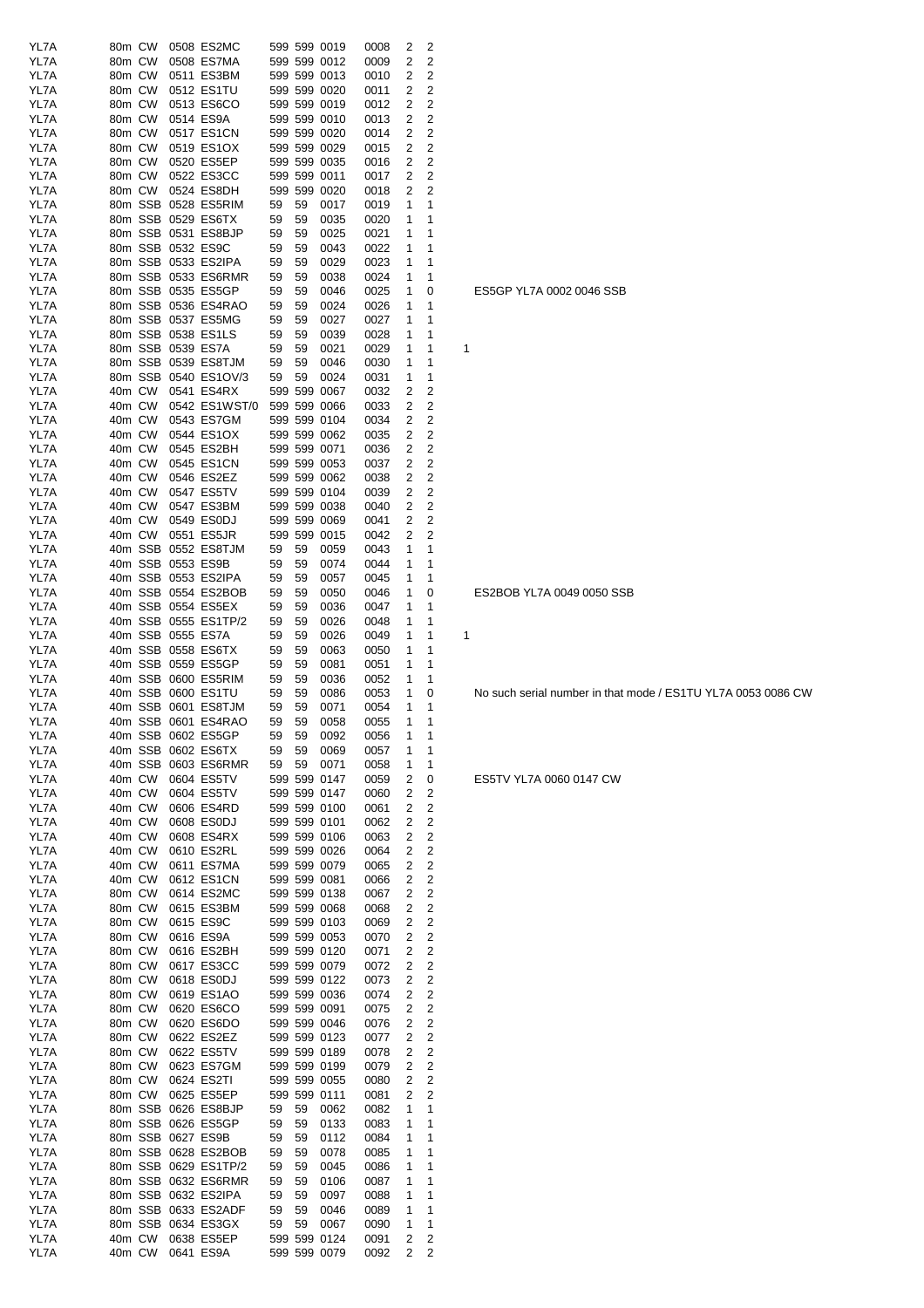| YL7A         | 80m CW           |                  |                   | 0508 ES2MC                                    |          |          | 599 599 0019                 | 0008         | 2              | 2                                         |   |
|--------------|------------------|------------------|-------------------|-----------------------------------------------|----------|----------|------------------------------|--------------|----------------|-------------------------------------------|---|
| YL7A         | 80m CW           |                  |                   | 0508 ES7MA                                    |          |          | 599 599 0012                 | 0009         | 2              | 2                                         |   |
| YL7A         | 80m CW           |                  |                   | 0511 ES3BM                                    |          |          | 599 599 0013                 | 0010         | 2              | 2                                         |   |
| YL7A         | 80m CW           |                  |                   | 0512 ES1TU                                    |          |          | 599 599 0020                 | 0011         | 2              | 2                                         |   |
| YL7A         | 80m CW           |                  |                   | 0513 ES6CO                                    |          |          | 599 599 0019                 | 0012         | 2              | $\overline{c}$                            |   |
| YL7A         | 80m CW           |                  |                   | 0514 ES9A                                     |          |          | 599 599 0010                 | 0013         | 2              | $\overline{c}$                            |   |
| YL7A         | 80m CW           |                  |                   | 0517 ES1CN                                    |          |          | 599 599 0020                 | 0014         | 2              | 2                                         |   |
| YL7A         | 80m CW           |                  |                   | 0519 ES1OX                                    |          |          | 599 599 0029                 | 0015         | 2              | $\overline{c}$<br>2                       |   |
| YL7A<br>YL7A | 80m CW<br>80m CW |                  |                   | 0520 ES5EP<br>0522 ES3CC                      |          |          | 599 599 0035<br>599 599 0011 | 0016<br>0017 | 2<br>2         | 2                                         |   |
| YL7A         |                  | 80m CW           |                   | 0524 ES8DH                                    |          |          | 599 599 0020                 | 0018         | 2              | 2                                         |   |
| YL7A         |                  |                  |                   | 80m SSB 0528 ES5RIM                           | 59       | 59       | 0017                         | 0019         | 1              | 1                                         |   |
| YL7A         |                  |                  |                   | 80m SSB 0529 ES6TX                            | 59       | 59       | 0035                         | 0020         | 1              | 1                                         |   |
| YL7A         |                  |                  |                   | 80m SSB 0531 ES8BJP                           | 59       | 59       | 0025                         | 0021         | 1              | 1                                         |   |
| YL7A         |                  |                  |                   | 80m SSB 0532 ES9C                             | 59       | 59       | 0043                         | 0022         | 1              | 1                                         |   |
| YL7A         |                  |                  |                   | 80m SSB 0533 ES2IPA                           | 59       | 59       | 0029                         | 0023         | 1              | 1                                         |   |
| YL7A         |                  |                  |                   | 80m SSB 0533 ES6RMR                           | 59       | 59       | 0038                         | 0024         | 1              | 1                                         |   |
| YL7A         |                  |                  |                   | 80m SSB 0535 ES5GP                            | 59       | 59       | 0046                         | 0025         | 1              | 0                                         |   |
| YL7A         |                  |                  |                   | 80m SSB 0536 ES4RAO                           | 59       | 59       | 0024                         | 0026         | 1              | 1                                         |   |
| YL7A         |                  |                  |                   | 80m SSB 0537 ES5MG                            | 59       | 59       | 0027                         | 0027         | 1              | 1                                         |   |
| YL7A<br>YL7A |                  |                  | 80m SSB 0539 ES7A | 80m SSB 0538 ES1LS                            | 59       | 59       | 0039<br>0021                 | 0028         | 1<br>1         | 1<br>1                                    |   |
| YL7A         |                  |                  |                   | 80m SSB 0539 ES8TJM                           | 59<br>59 | 59<br>59 | 0046                         | 0029<br>0030 | 1              | 1                                         | 1 |
| YL7A         |                  |                  |                   | 80m SSB 0540 ES1OV/3                          | 59       | 59       | 0024                         | 0031         | 1              | 1                                         |   |
| YL7A         |                  | 40m CW           |                   | 0541 ES4RX                                    |          |          | 599 599 0067                 | 0032         | 2              | 2                                         |   |
| YL7A         | 40m CW           |                  |                   | 0542 ES1WST/0                                 |          |          | 599 599 0066                 | 0033         | 2              | 2                                         |   |
| YL7A         | 40m CW           |                  |                   | 0543 ES7GM                                    |          |          | 599 599 0104                 | 0034         | 2              | 2                                         |   |
| YL7A         | 40m CW           |                  |                   | 0544 ES1OX                                    |          |          | 599 599 0062                 | 0035         | 2              | 2                                         |   |
| YL7A         | 40m CW           |                  |                   | 0545 ES2BH                                    |          |          | 599 599 0071                 | 0036         | 2              | 2                                         |   |
| YL7A         | 40m CW           |                  |                   | 0545 ES1CN                                    |          |          | 599 599 0053                 | 0037         | 2              | $\overline{c}$                            |   |
| YL7A         | 40m CW           |                  |                   | 0546 ES2EZ                                    |          |          | 599 599 0062                 | 0038         | 2              | $\overline{c}$                            |   |
| YL7A         | 40m CW           |                  |                   | 0547 ES5TV                                    |          |          | 599 599 0104                 | 0039         | 2              | $\overline{c}$                            |   |
| YL7A         | 40m CW           |                  |                   | 0547 ES3BM                                    |          |          | 599 599 0038                 | 0040         | 2              | 2<br>$\overline{c}$                       |   |
| YL7A<br>YL7A | 40m CW<br>40m CW |                  |                   | 0549 ES0DJ<br>0551 ES5JR                      |          |          | 599 599 0069<br>599 599 0015 | 0041<br>0042 | 2<br>2         | 2                                         |   |
| YL7A         |                  | 40m SSB          |                   | 0552 ES8TJM                                   | 59       | 59       | 0059                         | 0043         | 1              | 1                                         |   |
| YL7A         |                  |                  | 40m SSB 0553 ES9B |                                               | 59       | 59       | 0074                         | 0044         | 1              | 1                                         |   |
| YL7A         |                  |                  |                   | 40m SSB 0553 ES2IPA                           | 59       | 59       | 0057                         | 0045         | 1              | 1                                         |   |
| YL7A         |                  |                  |                   | 40m SSB 0554 ES2BOB                           | 59       | 59       | 0050                         | 0046         | 1              | 0                                         |   |
| YL7A         |                  |                  |                   | 40m SSB 0554 ES5EX                            | 59       | 59       | 0036                         | 0047         | 1              | 1                                         |   |
| YL7A         |                  |                  |                   | 40m SSB 0555 ES1TP/2                          | 59       | 59       | 0026                         | 0048         | 1              | 1                                         |   |
| YL7A         |                  |                  | 40m SSB 0555 ES7A |                                               | 59       | 59       | 0026                         | 0049         | 1              | 1                                         | 1 |
| YL7A         |                  |                  |                   | 40m SSB 0558 ES6TX                            | 59       | 59       | 0063                         | 0050         | 1              | 1                                         |   |
| YL7A<br>YL7A |                  |                  |                   | 40m SSB 0559 ES5GP<br>40m SSB 0600 ES5RIM     | 59<br>59 | 59<br>59 | 0081<br>0036                 | 0051<br>0052 | 1<br>1         | 1<br>1                                    |   |
| YL7A         |                  |                  |                   | 40m SSB 0600 ES1TU                            | 59       | 59       | 0086                         | 0053         | 1              | 0                                         |   |
| YL7A         |                  |                  |                   | 40m SSB 0601 ES8TJM                           | 59       | 59       | 0071                         | 0054         | 1              | 1                                         |   |
| YL7A         |                  |                  |                   | 40m SSB 0601 ES4RAO                           | 59       | 59       | 0058                         | 0055         | 1              | 1                                         |   |
| YL7A         |                  |                  |                   | 40m SSB 0602 ES5GP                            | 59       | 59       | 0092                         | 0056         | $\mathbf{1}$   | 1                                         |   |
| YL7A         |                  |                  |                   | 40m SSB 0602 ES6TX                            | 59       | 59       | 0069                         | 0057         | 1              | 1                                         |   |
| YL7A         |                  |                  |                   | 40m SSB 0603 ES6RMR                           | 59       | 59       | 0071                         | 0058         | 1              | 1                                         |   |
| YL7A         |                  | 40m CW           |                   | 0604 ES5TV                                    |          |          | 599 599 0147                 | 0059         | 2              | 0                                         |   |
| YL7A         |                  | 40m CW           |                   | 0604 ES5TV                                    |          |          | 599 599 0147                 | 0060         | 2              | 2                                         |   |
| YL7A<br>YL7A |                  | 40m CW<br>40m CW |                   | 0606 ES4RD<br>0608 ES0DJ                      |          |          | 599 599 0100<br>599 599 0101 | 0061<br>0062 | 2<br>2         | 2<br>2                                    |   |
| YL7A         | 40m CW           |                  |                   | 0608 ES4RX                                    |          |          | 599 599 0106                 | 0063         | 2              | 2                                         |   |
| YL7A         |                  | 40m CW           |                   | 0610 ES2RL                                    |          |          | 599 599 0026                 | 0064         | 2              | 2                                         |   |
| YL7A         | 40m CW           |                  |                   | 0611 ES7MA                                    |          |          | 599 599 0079                 | 0065         | 2              | $\overline{c}$                            |   |
| YL7A         | 40m CW           |                  |                   | 0612 ES1CN                                    |          |          | 599 599 0081                 | 0066         | 2              | 2                                         |   |
| YL7A         | 80m CW           |                  |                   | 0614 ES2MC                                    |          |          | 599 599 0138                 | 0067         | 2              | $\overline{c}$                            |   |
| YL7A         |                  | 80m CW           |                   | 0615 ES3BM                                    |          |          | 599 599 0068                 | 0068         | 2              | 2                                         |   |
| YL7A         | 80m CW           |                  |                   | 0615 ES9C                                     |          |          | 599 599 0103                 | 0069         | 2              | $\overline{c}$                            |   |
| YL7A         | 80m CW           |                  |                   | 0616 ES9A                                     |          |          | 599 599 0053                 | 0070         | 2              | 2                                         |   |
| YL7A<br>YL7A | 80m CW<br>80m CW |                  |                   | 0616 ES2BH<br>0617 ES3CC                      |          |          | 599 599 0120<br>599 599 0079 | 0071<br>0072 | 2<br>2         | $\overline{c}$<br>$\overline{\mathbf{c}}$ |   |
| YL7A         |                  | 80m CW           |                   | 0618 ES0DJ                                    |          |          | 599 599 0122                 | 0073         | $\overline{2}$ | $\overline{c}$                            |   |
| YL7A         |                  | 80m CW           |                   | 0619 ES1AO                                    |          |          | 599 599 0036                 | 0074         | 2              | $\overline{c}$                            |   |
| YL7A         |                  | 80m CW           |                   | 0620 ES6CO                                    |          |          | 599 599 0091                 | 0075         | 2              | $\overline{c}$                            |   |
| YL7A         |                  | 80m CW           |                   | 0620 ES6DO                                    |          |          | 599 599 0046                 | 0076         | 2              | $\overline{c}$                            |   |
| YL7A         |                  | 80m CW           |                   | 0622 ES2EZ                                    |          |          | 599 599 0123                 | 0077         | 2              | $\overline{c}$                            |   |
| YL7A         |                  | 80m CW           |                   | 0622 ES5TV                                    |          |          | 599 599 0189                 | 0078         | 2              | $\overline{c}$                            |   |
| YL7A         |                  | 80m CW           |                   | 0623 ES7GM                                    |          |          | 599 599 0199                 | 0079         | 2              | $\overline{c}$                            |   |
| YL7A         |                  | 80m CW           |                   | 0624 ES2TI                                    |          |          | 599 599 0055                 | 0080         | 2              | $\overline{c}$                            |   |
| YL7A         |                  | 80m CW           |                   | 0625 ES5EP                                    |          |          | 599 599 0111                 | 0081         | 2              | 2                                         |   |
| YL7A<br>YL7A |                  |                  |                   | 80m SSB 0626 ES8BJP<br>80m SSB 0626 ES5GP     | 59<br>59 | 59<br>59 | 0062<br>0133                 | 0082         | 1<br>1         | 1<br>1                                    |   |
| YL7A         |                  |                  |                   | 80m SSB 0627 ES9B                             | 59       | 59       | 0112                         | 0083<br>0084 | 1              | 1                                         |   |
| YL7A         |                  |                  |                   | 80m SSB 0628 ES2BOB                           | 59       | 59       | 0078                         | 0085         | 1              | 1                                         |   |
| YL7A         |                  |                  |                   | 80m SSB 0629 ES1TP/2                          | 59       | 59       | 0045                         | 0086         | 1              | 1                                         |   |
| YL7A         |                  |                  |                   | 80m SSB 0632 ES6RMR                           | 59       | 59       | 0106                         | 0087         | 1              | 1                                         |   |
| YL7A         |                  |                  |                   | 80m SSB 0632 ES2IPA                           | 59       | 59       | 0097                         | 0088         | 1              | 1                                         |   |
| YL7A         |                  |                  |                   | 80m SSB 0633 ES2ADF                           | 59       | 59       | 0046                         | 0089         | 1              | 1                                         |   |
| YL7A         |                  |                  |                   | 80m SSB 0634 ES3GX<br>0638 ES5EP 599 599 0124 | 59       | 59       | 0067                         | 0090         | 1              | 1                                         |   |
| YL7A<br>YL7A |                  | 40m CW<br>40m CW |                   | 0641 ES9A                                     |          |          | 599 599 0079                 | 0091<br>0092 | 2<br>2         | 2<br>2                                    |   |
|              |                  |                  |                   |                                               |          |          |                              |              |                |                                           |   |

### ES5GP YL7A 0002 0046 SSB

## ES2BOB YL7A 0049 0050 SSB

No such serial number in that mode / ES1TU YL7A 0053 0086 CW

### ES5TV YL7A 0060 0147 CW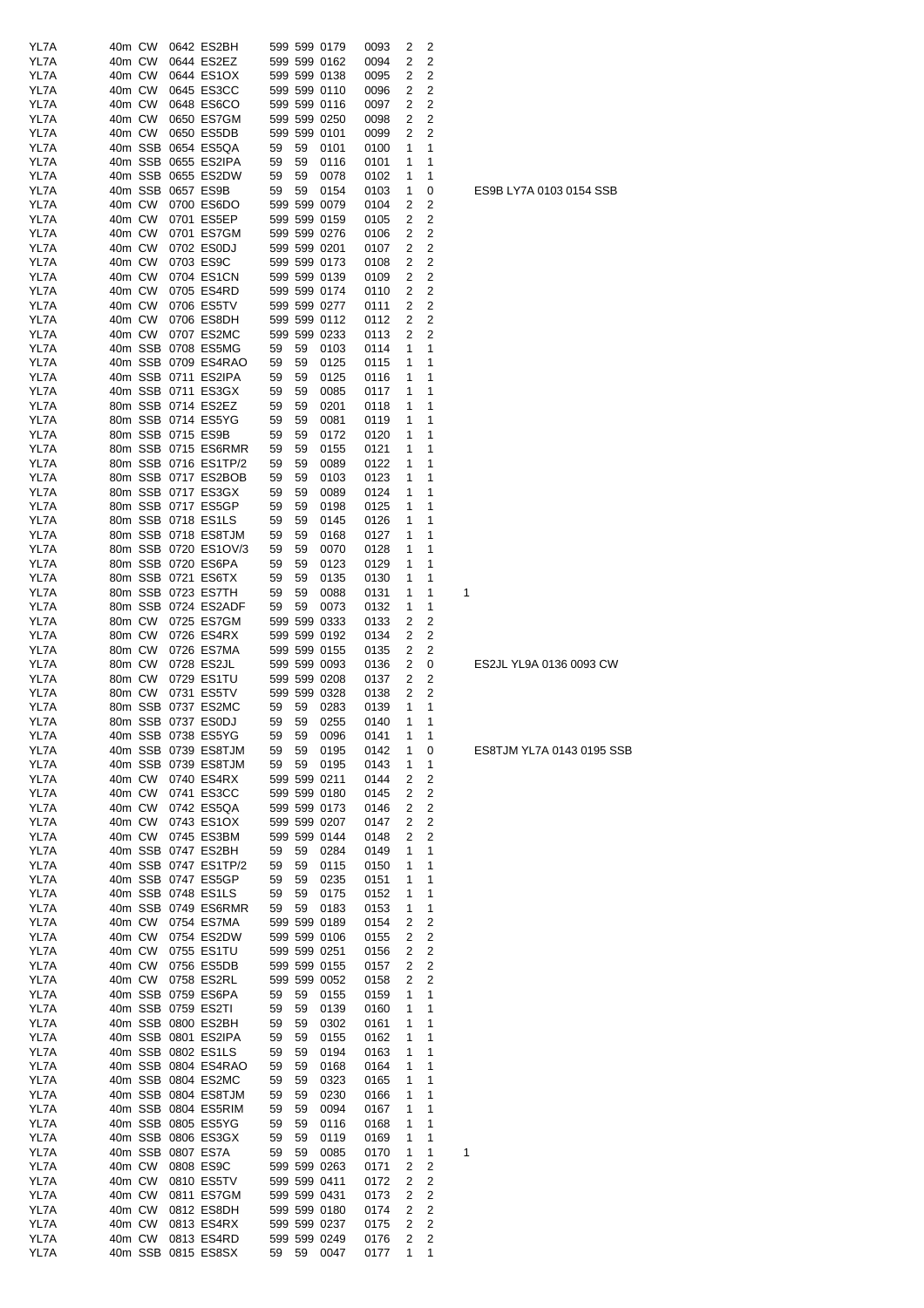| YL7A         | 40m CW |        |                   | 0642 ES2BH           |    |         | 599 599 0179 | 0093 | 2      | 2      |                          |
|--------------|--------|--------|-------------------|----------------------|----|---------|--------------|------|--------|--------|--------------------------|
| YL7A         | 40m CW |        |                   | 0644 ES2EZ           |    |         | 599 599 0162 | 0094 | 2      | 2      |                          |
| YL7A         | 40m CW |        |                   | 0644 ES1OX           |    |         | 599 599 0138 | 0095 | 2      | 2      |                          |
| YL7A         |        | 40m CW |                   | 0645 ES3CC           |    |         | 599 599 0110 | 0096 | 2      | 2      |                          |
| YL7A         | 40m CW |        |                   | 0648 ES6CO           |    |         | 599 599 0116 | 0097 | 2      | 2      |                          |
| YL7A         | 40m CW |        |                   | 0650 ES7GM           |    |         | 599 599 0250 | 0098 | 2      | 2      |                          |
| YL7A         |        | 40m CW |                   | 0650 ES5DB           |    |         | 599 599 0101 | 0099 | 2      | 2      |                          |
| YL7A         |        |        |                   | 40m SSB 0654 ES5QA   | 59 | 59      | 0101         | 0100 | 1      | 1      |                          |
| YL7A         |        |        |                   | 40m SSB 0655 ES2IPA  | 59 | 59      | 0116         | 0101 | 1      | 1      |                          |
| YL7A         |        |        |                   | 40m SSB 0655 ES2DW   | 59 | 59      | 0078         | 0102 | 1      | 1      |                          |
| YL7A         |        |        | 40m SSB 0657 ES9B |                      | 59 | 59      | 0154         | 0103 | 1      | 0      | ES9B LY7A 0103 0154 SSB  |
| YL7A         | 40m CW |        |                   | 0700 ES6DO           |    |         | 599 599 0079 | 0104 | 2      | 2      |                          |
| YL7A         | 40m CW |        |                   | 0701 ES5EP           |    |         | 599 599 0159 | 0105 | 2      | 2      |                          |
| YL7A         | 40m CW |        |                   | 0701 ES7GM           |    |         | 599 599 0276 | 0106 | 2      | 2      |                          |
| YL7A         | 40m CW |        |                   | 0702 ES0DJ           |    |         | 599 599 0201 | 0107 | 2      | 2      |                          |
| YL7A         |        | 40m CW |                   | 0703 ES9C            |    |         | 599 599 0173 | 0108 | 2      | 2      |                          |
| YL7A         |        | 40m CW |                   | 0704 ES1CN           |    |         | 599 599 0139 | 0109 | 2      | 2      |                          |
| YL7A         |        | 40m CW |                   | 0705 ES4RD           |    |         | 599 599 0174 | 0110 | 2      | 2      |                          |
| YL7A         |        | 40m CW |                   | 0706 ES5TV           |    |         | 599 599 0277 | 0111 | 2      | 2      |                          |
| YL7A         |        | 40m CW |                   | 0706 ES8DH           |    |         | 599 599 0112 | 0112 | 2      | 2      |                          |
| YL7A         |        | 40m CW |                   | 0707 ES2MC           |    |         | 599 599 0233 | 0113 | 2      | 2      |                          |
|              |        |        |                   |                      |    |         |              | 0114 |        |        |                          |
| YL7A<br>YL7A |        |        |                   | 40m SSB 0708 ES5MG   | 59 | 59      | 0103         |      | 1      | 1<br>1 |                          |
|              |        |        |                   | 40m SSB 0709 ES4RAO  | 59 | 59      | 0125         | 0115 | 1      |        |                          |
| YL7A         |        |        |                   | 40m SSB 0711 ES2IPA  | 59 | 59      | 0125         | 0116 | 1      | 1      |                          |
| YL7A         |        |        |                   | 40m SSB 0711 ES3GX   | 59 | 59      | 0085         | 0117 | 1      | 1      |                          |
| YL7A         |        |        |                   | 80m SSB 0714 ES2EZ   | 59 | 59      | 0201         | 0118 | 1      | 1      |                          |
| YL7A         |        |        |                   | 80m SSB 0714 ES5YG   | 59 | 59      | 0081         | 0119 | 1      | 1      |                          |
| YL7A         |        |        | 80m SSB 0715 ES9B |                      | 59 | 59      | 0172         | 0120 | 1      | 1      |                          |
| YL7A         |        |        |                   | 80m SSB 0715 ES6RMR  | 59 | 59      | 0155         | 0121 | 1      | 1      |                          |
| YL7A         |        |        |                   | 80m SSB 0716 ES1TP/2 | 59 | 59      | 0089         | 0122 | 1      | 1      |                          |
| YL7A         |        |        |                   | 80m SSB 0717 ES2BOB  | 59 | 59      | 0103         | 0123 | 1      | 1      |                          |
| YL7A         |        |        |                   | 80m SSB 0717 ES3GX   | 59 | 59      | 0089         | 0124 | 1      | 1      |                          |
| YL7A         |        |        |                   | 80m SSB 0717 ES5GP   | 59 | 59      | 0198         | 0125 | 1      | 1      |                          |
| YL7A         |        |        |                   | 80m SSB 0718 ES1LS   | 59 | 59      | 0145         | 0126 | 1      | 1      |                          |
| YL7A         |        |        |                   | 80m SSB 0718 ES8TJM  | 59 | 59      | 0168         | 0127 | 1      | 1      |                          |
| YL7A         |        |        |                   | 80m SSB 0720 ES1OV/3 | 59 | 59      | 0070         | 0128 | 1      | 1      |                          |
| YL7A         |        |        |                   | 80m SSB 0720 ES6PA   | 59 | 59      | 0123         | 0129 | 1      | 1      |                          |
| YL7A         |        |        |                   | 80m SSB 0721 ES6TX   | 59 | 59      | 0135         | 0130 | 1      | 1      |                          |
| YL7A         |        |        |                   | 80m SSB 0723 ES7TH   | 59 | 59      | 0088         | 0131 | 1      | 1<br>1 |                          |
| YL7A         |        |        |                   | 80m SSB 0724 ES2ADF  | 59 | 59      | 0073         | 0132 | 1      | 1      |                          |
| YL7A         |        | 80m CW |                   | 0725 ES7GM           |    |         | 599 599 0333 | 0133 | 2      | 2      |                          |
|              |        | 80m CW |                   | 0726 ES4RX           |    |         | 599 599 0192 |      |        |        |                          |
| YL7A         |        |        |                   |                      |    |         |              | 0134 | 2<br>2 | 2<br>2 |                          |
| YL7A         |        | 80m CW |                   | 0726 ES7MA           |    |         | 599 599 0155 | 0135 |        |        | ES2JL YL9A 0136 0093 CW  |
| YL7A         |        | 80m CW |                   | 0728 ES2JL           |    |         | 599 599 0093 | 0136 | 2      | 0      |                          |
| YL7A         | 80m CW |        |                   | 0729 ES1TU           |    |         | 599 599 0208 | 0137 | 2      | 2      |                          |
| YL7A         |        | 80m CW |                   | 0731 ES5TV           |    |         | 599 599 0328 | 0138 | 2      | 2      |                          |
| YL7A         |        |        |                   | 80m SSB 0737 ES2MC   | 59 | 59      | 0283         | 0139 | 1      | 1      |                          |
| YL7A         |        |        |                   | 80m SSB 0737 ES0DJ   | 59 | 59      | 0255         | 0140 | 1      | 1      |                          |
|              |        |        |                   | 40m SSB 0738 ES5YG   | 59 |         | 59 0096      | 0141 | 1      |        |                          |
| YL7A         |        |        |                   |                      |    |         |              |      |        |        | ES8TJM YL7A 0143 0195 SS |
| YL7A         |        |        |                   | 40m SSB 0739 ES8TJM  | 59 | 59 0195 |              | 0142 | 1      | 0      |                          |
| YL7A         |        |        |                   | 40m SSB 0739 ES8TJM  | 59 |         | 59 0195      | 0143 | 1      | 1      |                          |
| YL7A         |        |        |                   | 40m CW 0740 ES4RX    |    |         | 599 599 0211 | 0144 | 2      | 2      |                          |
| YL7A         |        |        |                   | 40m CW 0741 ES3CC    |    |         | 599 599 0180 | 0145 | 2      | 2      |                          |
| YL7A         |        | 40m CW |                   | 0742 ES5QA           |    |         | 599 599 0173 | 0146 | 2      | 2      |                          |
| YL7A         |        |        |                   | 40m CW 0743 ES1OX    |    |         | 599 599 0207 | 0147 | 2      | 2      |                          |
| YL7A         |        |        |                   | 40m CW 0745 ES3BM    |    |         | 599 599 0144 | 0148 | 2      | 2      |                          |
| YL7A         |        |        |                   | 40m SSB 0747 ES2BH   | 59 | 59      | 0284         | 0149 | 1      | 1      |                          |
| YL7A         |        |        |                   | 40m SSB 0747 ES1TP/2 | 59 | 59      | 0115         | 0150 | 1      | 1      |                          |
| YL7A         |        |        |                   | 40m SSB 0747 ES5GP   | 59 | 59      | 0235         | 0151 | 1      | 1      |                          |
| YL7A         |        |        |                   | 40m SSB 0748 ES1LS   | 59 | 59      | 0175         | 0152 | 1      | 1      |                          |
| YL7A         |        |        |                   | 40m SSB 0749 ES6RMR  | 59 | 59      | 0183         | 0153 | 1      | 1      |                          |
| YL7A         |        |        |                   | 40m CW 0754 ES7MA    |    |         | 599 599 0189 | 0154 | 2      | 2      |                          |
|              |        |        |                   |                      |    |         |              |      |        |        |                          |
| YL7A         |        |        |                   | 40m CW 0754 ES2DW    |    |         | 599 599 0106 | 0155 | 2      | 2      |                          |
| YL7A         |        |        |                   | 40m CW 0755 ES1TU    |    |         | 599 599 0251 | 0156 | 2      | 2      |                          |
| YL7A         |        |        |                   | 40m CW 0756 ES5DB    |    |         | 599 599 0155 | 0157 | 2      | 2      |                          |
| YL7A         |        |        |                   | 40m CW 0758 ES2RL    |    |         | 599 599 0052 | 0158 | 2      | 2      |                          |
| YL7A         |        |        |                   | 40m SSB 0759 ES6PA   | 59 | 59      | 0155         | 0159 | 1      | 1      |                          |
| YL7A         |        |        |                   | 40m SSB 0759 ES2TI   | 59 | 59      | 0139         | 0160 | 1      | 1      |                          |
| YL7A         |        |        |                   | 40m SSB 0800 ES2BH   | 59 | 59      | 0302         | 0161 | 1      | 1      |                          |
| YL7A         |        |        |                   | 40m SSB 0801 ES2IPA  | 59 | 59      | 0155         | 0162 | 1      | 1      |                          |
| YL7A         |        |        |                   | 40m SSB 0802 ES1LS   | 59 | 59      | 0194         | 0163 | 1      | 1      |                          |
| YL7A         |        |        |                   | 40m SSB 0804 ES4RAO  | 59 | 59      | 0168         | 0164 | 1      | 1      |                          |
| YL7A         |        |        |                   | 40m SSB 0804 ES2MC   | 59 | 59      | 0323         | 0165 | 1      | 1      |                          |
| YL7A         |        |        |                   | 40m SSB 0804 ES8TJM  | 59 | 59      | 0230         | 0166 | 1      | 1      |                          |
| YL7A         |        |        |                   | 40m SSB 0804 ES5RIM  | 59 | 59      | 0094         | 0167 | 1      | 1      |                          |
| YL7A         |        |        |                   | 40m SSB 0805 ES5YG   | 59 | 59      | 0116         | 0168 | 1      | 1      |                          |
| YL7A         |        |        |                   | 40m SSB 0806 ES3GX   | 59 | 59      | 0119         | 0169 | 1      | 1      |                          |
| YL7A         |        |        |                   | 40m SSB 0807 ES7A    | 59 | 59      | 0085         | 0170 | 1      | 1<br>1 |                          |
| YL7A         |        |        |                   | 40m CW 0808 ES9C     |    |         | 599 599 0263 | 0171 | 2      | 2      |                          |
| YL7A         |        | 40m CW |                   | 0810 ES5TV           |    |         | 599 599 0411 | 0172 | 2      | 2      |                          |
| YL7A         |        | 40m CW |                   | 0811 ES7GM           |    |         | 599 599 0431 | 0173 | 2      | 2      |                          |
| YL7A         |        | 40m CW |                   | 0812 ES8DH           |    |         | 599 599 0180 | 0174 | 2      | 2      |                          |
| YL7A         |        | 40m CW |                   | 0813 ES4RX           |    |         | 599 599 0237 | 0175 | 2      | 2      |                          |
| YL7A         |        |        |                   | 40m CW 0813 ES4RD    |    |         | 599 599 0249 | 0176 | 2      | 2      |                          |

ES8TJM YL7A 0143 0195 SSB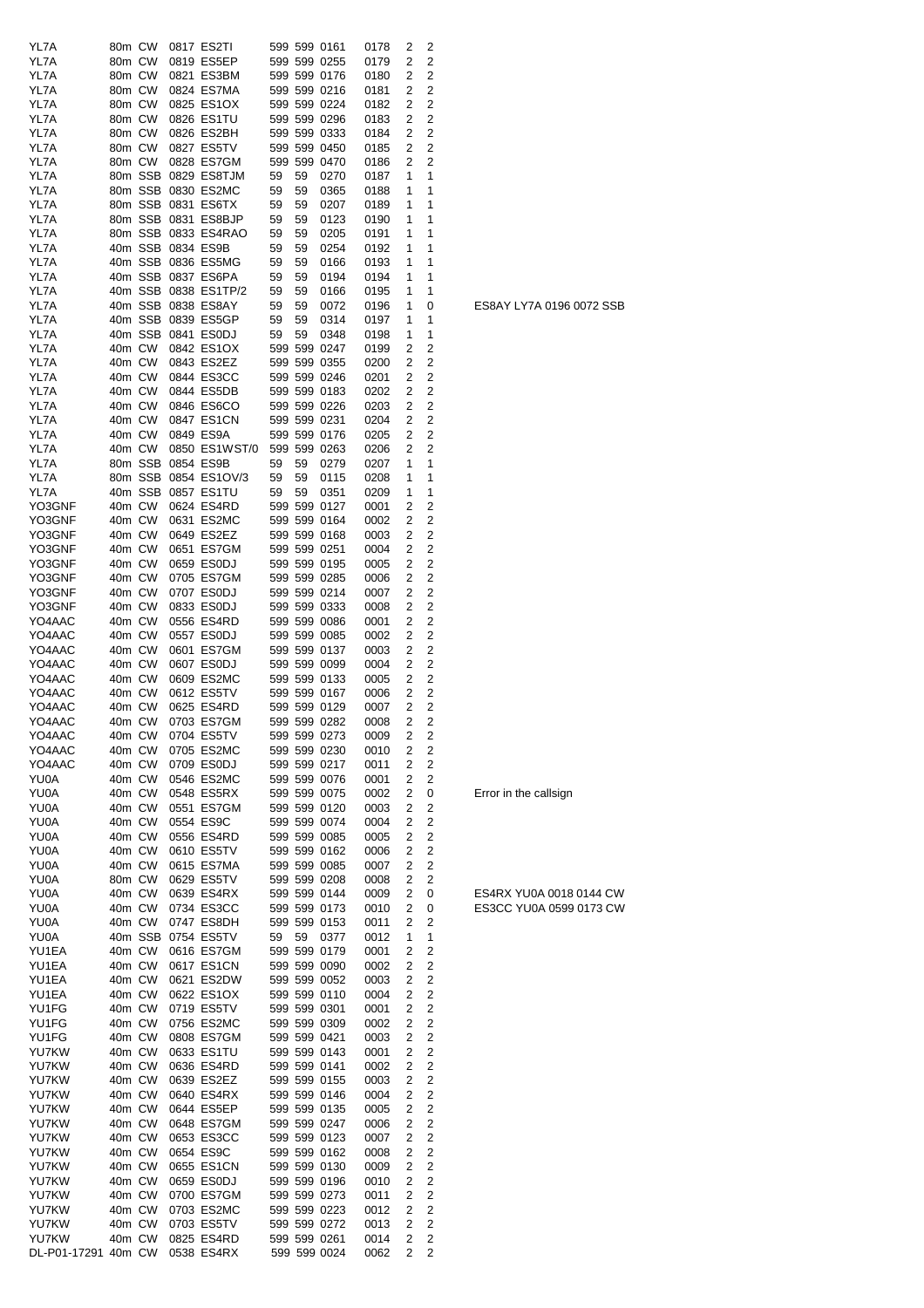| YL7A                | 80m CW |        | 0817 ES2TI           |    |    | 599 599 0161 | 0178 | 2 | 2              |                          |
|---------------------|--------|--------|----------------------|----|----|--------------|------|---|----------------|--------------------------|
|                     |        |        |                      |    |    |              |      |   |                |                          |
| YL7A                | 80m CW |        | 0819 ES5EP           |    |    | 599 599 0255 | 0179 | 2 | 2              |                          |
| YL7A                | 80m CW |        | 0821 ES3BM           |    |    | 599 599 0176 | 0180 | 2 | 2              |                          |
| YL7A                | 80m CW |        | 0824 ES7MA           |    |    | 599 599 0216 | 0181 | 2 | 2              |                          |
| YL7A                | 80m CW |        | 0825 ES1OX           |    |    | 599 599 0224 | 0182 | 2 | 2              |                          |
| YL7A                | 80m CW |        | 0826 ES1TU           |    |    | 599 599 0296 | 0183 | 2 | 2              |                          |
| YL7A                | 80m CW |        | 0826 ES2BH           |    |    | 599 599 0333 | 0184 | 2 | 2              |                          |
| YL7A                | 80m CW |        | 0827 ES5TV           |    |    | 599 599 0450 | 0185 | 2 | $\overline{c}$ |                          |
|                     |        |        |                      |    |    |              |      |   |                |                          |
| YL7A                |        | 80m CW | 0828 ES7GM           |    |    | 599 599 0470 | 0186 | 2 | 2              |                          |
| YL7A                |        |        | 80m SSB 0829 ES8TJM  | 59 | 59 | 0270         | 0187 | 1 | 1              |                          |
| YL7A                |        |        | 80m SSB 0830 ES2MC   | 59 | 59 | 0365         | 0188 | 1 | 1              |                          |
| YL7A                |        |        | 80m SSB 0831 ES6TX   | 59 | 59 | 0207         | 0189 | 1 | 1              |                          |
| YL7A                |        |        | 80m SSB 0831 ES8BJP  | 59 | 59 | 0123         | 0190 | 1 | 1              |                          |
| YL7A                |        |        | 80m SSB 0833 ES4RAO  | 59 | 59 | 0205         | 0191 | 1 | 1              |                          |
| YL7A                |        |        | 40m SSB 0834 ES9B    | 59 | 59 | 0254         | 0192 | 1 | 1              |                          |
|                     |        |        |                      |    |    |              |      |   |                |                          |
| YL7A                |        |        | 40m SSB 0836 ES5MG   | 59 | 59 | 0166         | 0193 | 1 | 1              |                          |
| YL7A                |        |        | 40m SSB 0837 ES6PA   | 59 | 59 | 0194         | 0194 | 1 | 1              |                          |
| YL7A                |        |        | 40m SSB 0838 ES1TP/2 | 59 | 59 | 0166         | 0195 | 1 | 1              |                          |
| YL7A                |        |        | 40m SSB 0838 ES8AY   | 59 | 59 | 0072         | 0196 | 1 | 0              | ES8AY LY7A 0196 0072 SSB |
| YL7A                |        |        | 40m SSB 0839 ES5GP   | 59 | 59 | 0314         | 0197 | 1 | 1              |                          |
| YL7A                |        |        | 40m SSB 0841 ES0DJ   | 59 | 59 | 0348         | 0198 | 1 | 1              |                          |
| YL7A                | 40m CW |        | 0842 ES1OX           |    |    | 599 599 0247 | 0199 | 2 | 2              |                          |
| YL7A                | 40m CW |        | 0843 ES2EZ           |    |    | 599 599 0355 | 0200 | 2 | 2              |                          |
|                     | 40m CW |        |                      |    |    |              |      |   |                |                          |
| YL7A                |        |        | 0844 ES3CC           |    |    | 599 599 0246 | 0201 | 2 | 2              |                          |
| YL7A                | 40m CW |        | 0844 ES5DB           |    |    | 599 599 0183 | 0202 | 2 | 2              |                          |
| YL7A                | 40m CW |        | 0846 ES6CO           |    |    | 599 599 0226 | 0203 | 2 | 2              |                          |
| YL7A                | 40m CW |        | 0847 ES1CN           |    |    | 599 599 0231 | 0204 | 2 | $\overline{c}$ |                          |
| YL7A                | 40m CW |        | 0849 ES9A            |    |    | 599 599 0176 | 0205 | 2 | 2              |                          |
| YL7A                | 40m CW |        | 0850 ES1WST/0        |    |    | 599 599 0263 | 0206 | 2 | 2              |                          |
| YL7A                |        |        | 80m SSB 0854 ES9B    | 59 | 59 | 0279         | 0207 | 1 | 1              |                          |
|                     |        |        | 80m SSB 0854 ES1OV/3 |    | 59 |              | 0208 |   | 1              |                          |
| YL7A                |        |        |                      | 59 |    | 0115         |      | 1 |                |                          |
| YL7A                |        |        | 40m SSB 0857 ES1TU   | 59 | 59 | 0351         | 0209 | 1 | 1              |                          |
| YO3GNF              | 40m CW |        | 0624 ES4RD           |    |    | 599 599 0127 | 0001 | 2 | 2              |                          |
| YO3GNF              | 40m CW |        | 0631 ES2MC           |    |    | 599 599 0164 | 0002 | 2 | 2              |                          |
| YO3GNF              | 40m CW |        | 0649 ES2EZ           |    |    | 599 599 0168 | 0003 | 2 | 2              |                          |
| YO3GNF              | 40m CW |        | 0651 ES7GM           |    |    | 599 599 0251 | 0004 | 2 | 2              |                          |
| YO3GNF              | 40m CW |        | 0659 ES0DJ           |    |    | 599 599 0195 | 0005 | 2 | 2              |                          |
| YO3GNF              | 40m CW |        | 0705 ES7GM           |    |    | 599 599 0285 | 0006 | 2 | 2              |                          |
|                     |        |        |                      |    |    |              |      |   |                |                          |
| YO3GNF              | 40m CW |        | 0707 ES0DJ           |    |    | 599 599 0214 | 0007 | 2 | 2              |                          |
| YO3GNF              | 40m CW |        | 0833 ES0DJ           |    |    | 599 599 0333 | 0008 | 2 | 2              |                          |
| YO4AAC              | 40m CW |        | 0556 ES4RD           |    |    | 599 599 0086 | 0001 | 2 | 2              |                          |
| YO4AAC              | 40m CW |        | 0557 ES0DJ           |    |    | 599 599 0085 | 0002 | 2 | 2              |                          |
| YO4AAC              | 40m CW |        | 0601 ES7GM           |    |    | 599 599 0137 | 0003 | 2 | 2              |                          |
| YO4AAC              | 40m CW |        | 0607 ES0DJ           |    |    | 599 599 0099 | 0004 | 2 | 2              |                          |
| YO4AAC              | 40m CW |        | 0609 ES2MC           |    |    | 599 599 0133 | 0005 | 2 | 2              |                          |
|                     |        |        | 0612 ES5TV           |    |    | 599 599 0167 |      |   | 2              |                          |
| YO4AAC              | 40m CW |        |                      |    |    |              | 0006 | 2 |                |                          |
| YO4AAC              | 40m CW |        | 0625 ES4RD           |    |    | 599 599 0129 | 0007 | 2 | 2              |                          |
| YO4AAC              |        | 40m CW | 0703 ES7GM           |    |    | 599 599 0282 | 0008 | 2 | 2              |                          |
| YO4AAC              |        |        | 40m CW 0704 ES5TV    |    |    | 599 599 0273 | 0009 | 2 | 2              |                          |
| YO4AAC              |        | 40m CW | 0705 ES2MC           |    |    | 599 599 0230 | 0010 | 2 | 2              |                          |
| YO4AAC              | 40m CW |        | 0709 ES0DJ           |    |    | 599 599 0217 | 0011 | 2 | 2              |                          |
| YU0A                |        | 40m CW | 0546 ES2MC           |    |    | 599 599 0076 | 0001 | 2 | 2              |                          |
| YU0A                | 40m CW |        | 0548 ES5RX           |    |    | 599 599 0075 | 0002 | 2 | 0              | Error in the callsign    |
|                     |        |        |                      |    |    |              |      |   |                |                          |
| YU0A                | 40m CW |        | 0551 ES7GM           |    |    | 599 599 0120 | 0003 | 2 | 2              |                          |
| YU0A                | 40m CW |        | 0554 ES9C            |    |    | 599 599 0074 | 0004 | 2 | 2              |                          |
| YU0A                | 40m CW |        | 0556 ES4RD           |    |    | 599 599 0085 | 0005 | 2 | $\overline{c}$ |                          |
| YU0A                | 40m CW |        | 0610 ES5TV           |    |    | 599 599 0162 | 0006 | 2 | 2              |                          |
| YU0A                |        | 40m CW | 0615 ES7MA           |    |    | 599 599 0085 | 0007 | 2 | $\overline{c}$ |                          |
| YU0A                |        | 80m CW | 0629 ES5TV           |    |    | 599 599 0208 | 0008 | 2 | 2              |                          |
| YU0A                |        | 40m CW | 0639 ES4RX           |    |    | 599 599 0144 | 0009 | 2 | 0              | ES4RX YU0A 0018 0144 CW  |
| YU0A                |        | 40m CW | 0734 ES3CC           |    |    | 599 599 0173 | 0010 | 2 | 0              | ES3CC YU0A 0599 0173 CW  |
|                     |        |        |                      |    |    |              |      |   |                |                          |
| YU0A                |        | 40m CW | 0747 ES8DH           |    |    | 599 599 0153 | 0011 | 2 | 2              |                          |
| YU0A                |        |        | 40m SSB 0754 ES5TV   | 59 | 59 | 0377         | 0012 | 1 | 1              |                          |
| YU1EA               |        | 40m CW | 0616 ES7GM           |    |    | 599 599 0179 | 0001 | 2 | 2              |                          |
| YU1EA               |        | 40m CW | 0617 ES1CN           |    |    | 599 599 0090 | 0002 | 2 | 2              |                          |
| YU1EA               |        | 40m CW | 0621 ES2DW           |    |    | 599 599 0052 | 0003 | 2 | 2              |                          |
| YU1EA               | 40m CW |        | 0622 ES1OX           |    |    | 599 599 0110 | 0004 | 2 | 2              |                          |
| YU1FG               | 40m CW |        | 0719 ES5TV           |    |    | 599 599 0301 | 0001 | 2 | 2              |                          |
| YU1FG               | 40m CW |        | 0756 ES2MC           |    |    | 599 599 0309 | 0002 | 2 | 2              |                          |
| YU1FG               |        | 40m CW | 0808 ES7GM           |    |    | 599 599 0421 |      |   | 2              |                          |
|                     |        |        |                      |    |    |              | 0003 | 2 |                |                          |
| YU7KW               |        | 40m CW | 0633 ES1TU           |    |    | 599 599 0143 | 0001 | 2 | 2              |                          |
| YU7KW               |        | 40m CW | 0636 ES4RD           |    |    | 599 599 0141 | 0002 | 2 | 2              |                          |
| YU7KW               | 40m CW |        | 0639 ES2EZ           |    |    | 599 599 0155 | 0003 | 2 | 2              |                          |
| YU7KW               |        | 40m CW | 0640 ES4RX           |    |    | 599 599 0146 | 0004 | 2 | 2              |                          |
| YU7KW               | 40m CW |        | 0644 ES5EP           |    |    | 599 599 0135 | 0005 | 2 | 2              |                          |
| YU7KW               | 40m CW |        | 0648 ES7GM           |    |    | 599 599 0247 | 0006 | 2 | 2              |                          |
| YU7KW               | 40m CW |        | 0653 ES3CC           |    |    | 599 599 0123 | 0007 | 2 | 2              |                          |
| YU7KW               | 40m CW |        | 0654 ES9C            |    |    | 599 599 0162 |      |   | 2              |                          |
|                     |        |        |                      |    |    |              | 0008 | 2 |                |                          |
| YU7KW               | 40m CW |        | 0655 ES1CN           |    |    | 599 599 0130 | 0009 | 2 | 2              |                          |
| YU7KW               | 40m CW |        | 0659 ES0DJ           |    |    | 599 599 0196 | 0010 | 2 | 2              |                          |
| YU7KW               | 40m CW |        | 0700 ES7GM           |    |    | 599 599 0273 | 0011 | 2 | 2              |                          |
| YU7KW               | 40m CW |        | 0703 ES2MC           |    |    | 599 599 0223 | 0012 | 2 | $\overline{c}$ |                          |
| YU7KW               |        | 40m CW | 0703 ES5TV           |    |    | 599 599 0272 | 0013 | 2 | $\overline{c}$ |                          |
| YU7KW               | 40m CW |        | 0825 ES4RD           |    |    | 599 599 0261 | 0014 | 2 | 2              |                          |
| DL-P01-17291 40m CW |        |        | 0538 ES4RX           |    |    | 599 599 0024 | 0062 | 2 | 2              |                          |
|                     |        |        |                      |    |    |              |      |   |                |                          |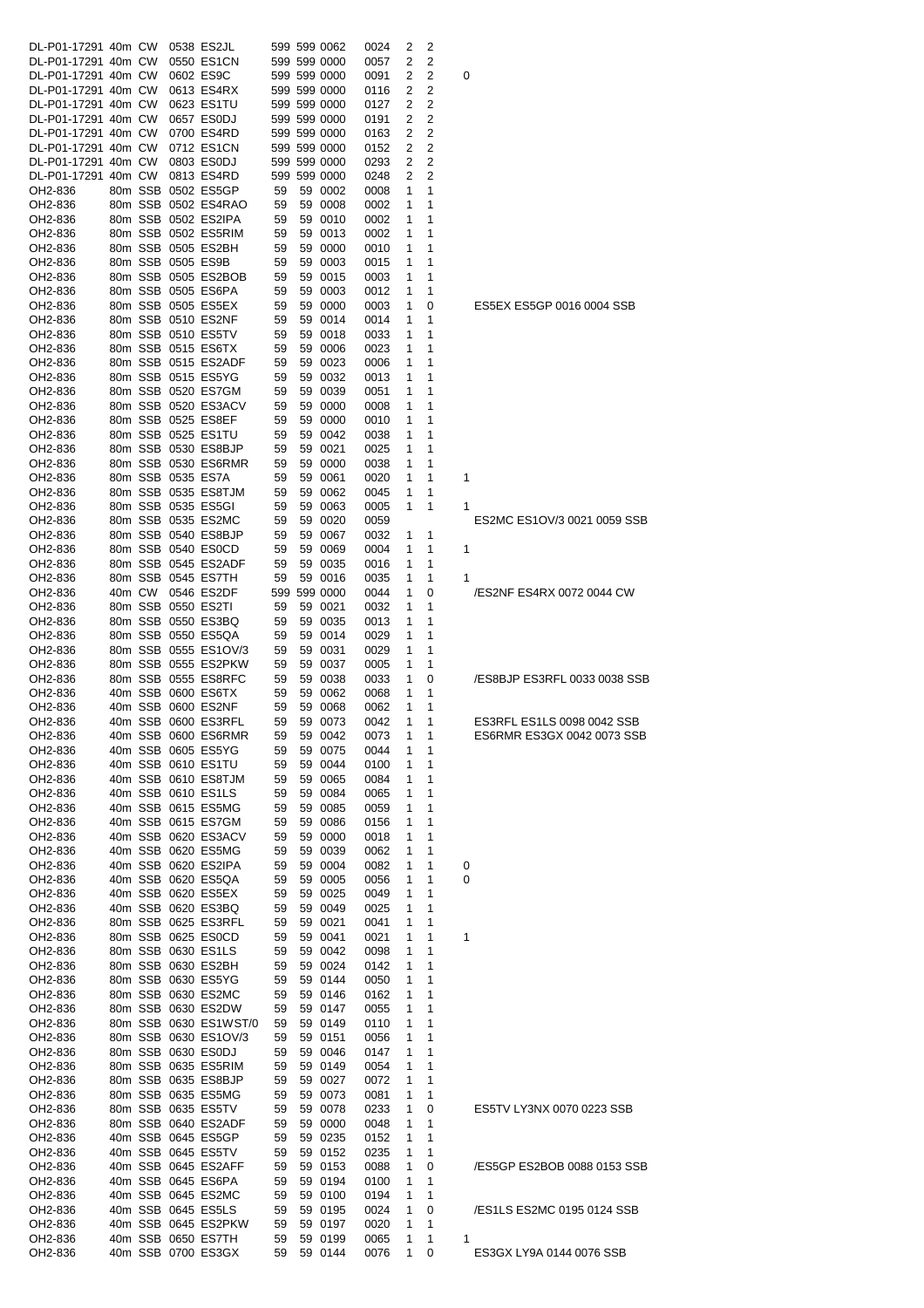| DL-P01-17291 40m CW |  | 0538 ES2JL                                 |          | 599 599 0062       | 0024         | 2         | 2           |   |                              |
|---------------------|--|--------------------------------------------|----------|--------------------|--------------|-----------|-------------|---|------------------------------|
| DL-P01-17291 40m CW |  | 0550 ES1CN                                 |          | 599 599 0000       | 0057         | 2         | 2           |   |                              |
| DL-P01-17291 40m CW |  | 0602 ES9C                                  |          | 599 599 0000       | 0091         | 2         | 2           | 0 |                              |
| DL-P01-17291 40m CW |  | 0613 ES4RX                                 |          | 599 599 0000       | 0116         | 2         | 2           |   |                              |
| DL-P01-17291 40m CW |  | 0623 ES1TU                                 |          | 599 599 0000       | 0127         | 2         | 2           |   |                              |
| DL-P01-17291 40m CW |  | 0657 ES0DJ                                 |          | 599 599 0000       | 0191         | 2         | 2           |   |                              |
| DL-P01-17291 40m CW |  | 0700 ES4RD                                 |          | 599 599 0000       | 0163         | 2         | 2           |   |                              |
| DL-P01-17291 40m CW |  | 0712 ES1CN                                 |          | 599 599 0000       | 0152         | 2         | 2           |   |                              |
| DL-P01-17291 40m CW |  | 0803 ES0DJ                                 |          | 599 599 0000       | 0293         | 2         | 2           |   |                              |
| DL-P01-17291 40m CW |  | 0813 ES4RD                                 |          | 599 599 0000       | 0248         | 2         | 2           |   |                              |
| OH2-836             |  | 80m SSB 0502 ES5GP                         | 59       | 59 0002            | 0008         | 1         | 1           |   |                              |
| OH2-836             |  | 80m SSB 0502 ES4RAO                        | 59       | 59 0008            | 0002         | 1         | 1           |   |                              |
| OH2-836             |  | 80m SSB 0502 ES2IPA                        | 59       | 59 0010            | 0002         | 1         | 1           |   |                              |
| OH2-836             |  | 80m SSB 0502 ES5RIM                        | 59       | 59 0013            | 0002         | 1         | 1           |   |                              |
| OH2-836             |  | 80m SSB 0505 ES2BH                         | 59       | 59 0000            | 0010         | 1         | 1           |   |                              |
| OH2-836             |  | 80m SSB 0505 ES9B                          | 59       | 59 0003            | 0015         | 1         | 1           |   |                              |
| OH2-836             |  | 80m SSB 0505 ES2BOB                        | 59       | 59 0015            | 0003         | 1         | 1           |   |                              |
| OH2-836             |  | 80m SSB 0505 ES6PA                         | 59       | 59 0003            | 0012         | 1         | 1           |   |                              |
| OH2-836             |  | 80m SSB 0505 ES5EX                         | 59       | 59 0000            | 0003         | 1         | 0           |   | ES5EX ES5GP 0016 0004 SSB    |
| OH2-836             |  | 80m SSB 0510 ES2NF                         | 59       | 59 0014            | 0014         | 1         | 1           |   |                              |
| OH2-836             |  | 80m SSB 0510 ES5TV                         | 59       | 59 0018            | 0033         | 1         | 1           |   |                              |
| OH2-836             |  | 80m SSB 0515 ES6TX                         | 59       | 59 0006            | 0023         | 1         | 1           |   |                              |
| OH2-836             |  | 80m SSB 0515 ES2ADF                        | 59       | 59 0023            | 0006         | 1         | 1           |   |                              |
| OH2-836             |  | 80m SSB 0515 ES5YG                         | 59       | 59 0032            | 0013         | 1         | 1           |   |                              |
| OH2-836             |  | 80m SSB 0520 ES7GM                         | 59       | 59 0039            | 0051         | 1         | 1           |   |                              |
| OH2-836             |  | 80m SSB 0520 ES3ACV                        | 59       | 59 0000            | 0008         | 1         | 1           |   |                              |
| OH2-836             |  | 80m SSB 0525 ES8EF                         | 59       | 59 0000            | 0010         | 1         | 1           |   |                              |
| OH2-836             |  | 80m SSB 0525 ES1TU                         | 59       | 59 0042            | 0038         | 1         | 1           |   |                              |
| OH2-836             |  | 80m SSB 0530 ES8BJP                        | 59       | 59 0021            | 0025         | 1         | 1           |   |                              |
| OH2-836             |  | 80m SSB 0530 ES6RMR                        | 59       | 59 0000            | 0038         | 1         | 1           |   |                              |
| OH2-836             |  | 80m SSB 0535 ES7A                          | 59       | 59 0061            | 0020         | 1         | 1           | 1 |                              |
| OH2-836             |  | 80m SSB 0535 ES8TJM                        | 59       | 59 0062            | 0045         | 1         | 1           |   |                              |
| OH2-836             |  | 80m SSB 0535 ES5GI                         | 59       | 59 0063            | 0005         | 1         | 1           | 1 |                              |
| OH2-836             |  | 80m SSB 0535 ES2MC                         | 59       | 59 0020            | 0059         |           |             |   | ES2MC ES1OV/3 0021 0059 SSB  |
| OH2-836             |  | 80m SSB 0540 ES8BJP                        | 59       | 59 0067            | 0032         | 1         | 1           |   |                              |
| OH2-836             |  | 80m SSB 0540 ES0CD                         | 59       | 59 0069            | 0004         | 1         | 1           | 1 |                              |
| OH2-836             |  | 80m SSB 0545 ES2ADF                        | 59       | 59 0035            | 0016         | 1         | 1           |   |                              |
| OH2-836             |  | 80m SSB 0545 ES7TH                         | 59       | 59 0016            | 0035         | 1         | 1           | 1 |                              |
| OH2-836             |  | 40m CW 0546 ES2DF                          |          | 599 599 0000       | 0044         | 1         | 0           |   | /ES2NF ES4RX 0072 0044 CW    |
| OH2-836             |  | 80m SSB 0550 ES2TI                         | 59       | 59 0021            | 0032         | 1         | 1           |   |                              |
| OH2-836             |  | 80m SSB 0550 ES3BQ                         | 59       | 59 0035            | 0013         | 1         | 1           |   |                              |
| OH2-836             |  | 80m SSB 0550 ES5QA                         | 59       | 59 0014            | 0029         | 1         | 1           |   |                              |
| OH2-836             |  | 80m SSB 0555 ES1OV/3                       | 59       | 59 0031            | 0029         | 1         | 1           |   |                              |
| OH2-836             |  | 80m SSB 0555 ES2PKW                        | 59       | 59 0037            | 0005         | 1         | 1           |   |                              |
| OH2-836             |  | 80m SSB 0555 ES8RFC                        | 59       | 59 0038            | 0033         | 1         | 0           |   | /ES8BJP ES3RFL 0033 0038 SSB |
| OH2-836             |  | 40m SSB 0600 ES6TX                         | 59       | 59 0062            | 0068         | 1         | 1           |   |                              |
| OH2-836             |  | 40m SSB 0600 ES2NF                         | 59       | 59 0068            | 0062         | 1         | 1           |   |                              |
| OH2-836             |  | 40m SSB 0600 ES3RFL                        | 59       | 59 0073            | 0042         | 1         | 1           |   | ES3RFL ES1LS 0098 0042 SSB   |
| OH2-836             |  | 40m SSB 0600 ES6RMR                        | 59       | 59 0042            | 0073         | $1 \quad$ | $\mathbf 1$ |   | ES6RMR ES3GX 0042 0073 SSB   |
| OH2-836             |  | 40m SSB 0605 ES5YG                         | 59       | 59 0075            | 0044         | 1         | 1           |   |                              |
| OH2-836             |  | 40m SSB 0610 ES1TU                         | 59       | 59 0044            | 0100         | 1         | 1           |   |                              |
| OH2-836             |  | 40m SSB 0610 ES8TJM                        | 59       | 59 0065            | 0084         | 1         | 1           |   |                              |
| OH2-836             |  | 40m SSB 0610 ES1LS                         | 59       | 59 0084            | 0065         | 1         | 1           |   |                              |
| OH2-836             |  | 40m SSB 0615 ES5MG                         | 59       | 59 0085            | 0059         | 1         | 1           |   |                              |
| OH2-836             |  | 40m SSB 0615 ES7GM                         | 59       | 59 0086            | 0156         | 1         | 1           |   |                              |
| OH2-836             |  | 40m SSB 0620 ES3ACV                        | 59       | 59 0000            | 0018         | 1         | 1           |   |                              |
| OH2-836             |  | 40m SSB 0620 ES5MG                         | 59       | 59 0039            | 0062         | 1         | 1           |   |                              |
| OH2-836             |  | 40m SSB 0620 ES2IPA                        | 59       | 59 0004            | 0082         | 1         | 1           | 0 |                              |
| OH2-836             |  | 40m SSB 0620 ES5QA                         | 59       | 59 0005            | 0056         | 1         | 1           | 0 |                              |
| OH2-836             |  | 40m SSB 0620 ES5EX                         | 59       | 59 0025            | 0049         | 1         | 1           |   |                              |
| OH2-836             |  | 40m SSB 0620 ES3BQ                         | 59       | 59 0049            | 0025         | 1         | 1           |   |                              |
| OH2-836             |  | 80m SSB 0625 ES3RFL                        | 59       | 59 0021            | 0041         | 1         | 1           |   |                              |
| OH2-836             |  | 80m SSB 0625 ES0CD                         | 59       | 59 0041            | 0021         | 1         | 1           | 1 |                              |
| OH2-836             |  | 80m SSB 0630 ES1LS                         | 59       | 59 0042            | 0098         | 1         | 1           |   |                              |
| OH2-836             |  | 80m SSB 0630 ES2BH                         | 59       | 59 0024            | 0142         | 1         | 1           |   |                              |
| OH2-836             |  | 80m SSB 0630 ES5YG                         | 59       | 59 0144            | 0050         | 1         | 1           |   |                              |
| OH2-836             |  | 80m SSB 0630 ES2MC<br>80m SSB 0630 ES2DW   | 59       | 59 0146            | 0162         | 1         | 1<br>1      |   |                              |
| OH2-836<br>OH2-836  |  | 80m SSB 0630 ES1WST/0                      | 59<br>59 | 59 0147<br>59 0149 | 0055<br>0110 | 1<br>1    | 1           |   |                              |
|                     |  | 80m SSB 0630 ES1OV/3                       |          |                    | 0056         |           | 1           |   |                              |
| OH2-836<br>OH2-836  |  | 80m SSB 0630 ES0DJ                         | 59<br>59 | 59 0151<br>59 0046 | 0147         | 1<br>1    | 1           |   |                              |
|                     |  |                                            |          |                    |              |           |             |   |                              |
| OH2-836<br>OH2-836  |  | 80m SSB 0635 ES5RIM<br>80m SSB 0635 ES8BJP | 59<br>59 | 59 0149<br>59 0027 | 0054<br>0072 | 1<br>1    | 1<br>1      |   |                              |
| OH2-836             |  | 80m SSB 0635 ES5MG                         | 59       | 59 0073            | 0081         | 1         | 1           |   |                              |
| OH2-836             |  | 80m SSB 0635 ES5TV                         | 59       | 59 0078            | 0233         | 1         | 0           |   | ES5TV LY3NX 0070 0223 SSB    |
| OH2-836             |  | 80m SSB 0640 ES2ADF                        | 59       | 59 0000            | 0048         | 1         | 1           |   |                              |
| OH2-836             |  | 40m SSB 0645 ES5GP                         | 59       | 59 0235            | 0152         | 1         | 1           |   |                              |
| OH2-836             |  | 40m SSB 0645 ES5TV                         | 59       | 59 0152            | 0235         | 1         | 1           |   |                              |
| OH2-836             |  | 40m SSB 0645 ES2AFF                        | 59       | 59 0153            | 0088         | 1         | 0           |   | /ES5GP ES2BOB 0088 0153 SSB  |
| OH2-836             |  | 40m SSB 0645 ES6PA                         | 59       | 59 0194            | 0100         | 1         | 1           |   |                              |
| OH2-836             |  | 40m SSB 0645 ES2MC                         | 59       | 59 0100            | 0194         | 1         | 1           |   |                              |
| OH2-836             |  | 40m SSB 0645 ES5LS                         | 59       | 59 0195            | 0024         | 1         | 0           |   | /ES1LS ES2MC 0195 0124 SSB   |
| OH2-836             |  | 40m SSB 0645 ES2PKW                        | 59       | 59 0197            | 0020         | 1         | 1           |   |                              |
| OH2-836             |  | 40m SSB 0650 ES7TH                         | 59       | 59 0199            | 0065         | 1         | 1           | 1 |                              |
| OH2-836             |  | 40m SSB 0700 ES3GX                         | 59       | 59 0144            | 0076         | 1         | 0           |   | ES3GX LY9A 0144 0076 SSB     |
|                     |  |                                            |          |                    |              |           |             |   |                              |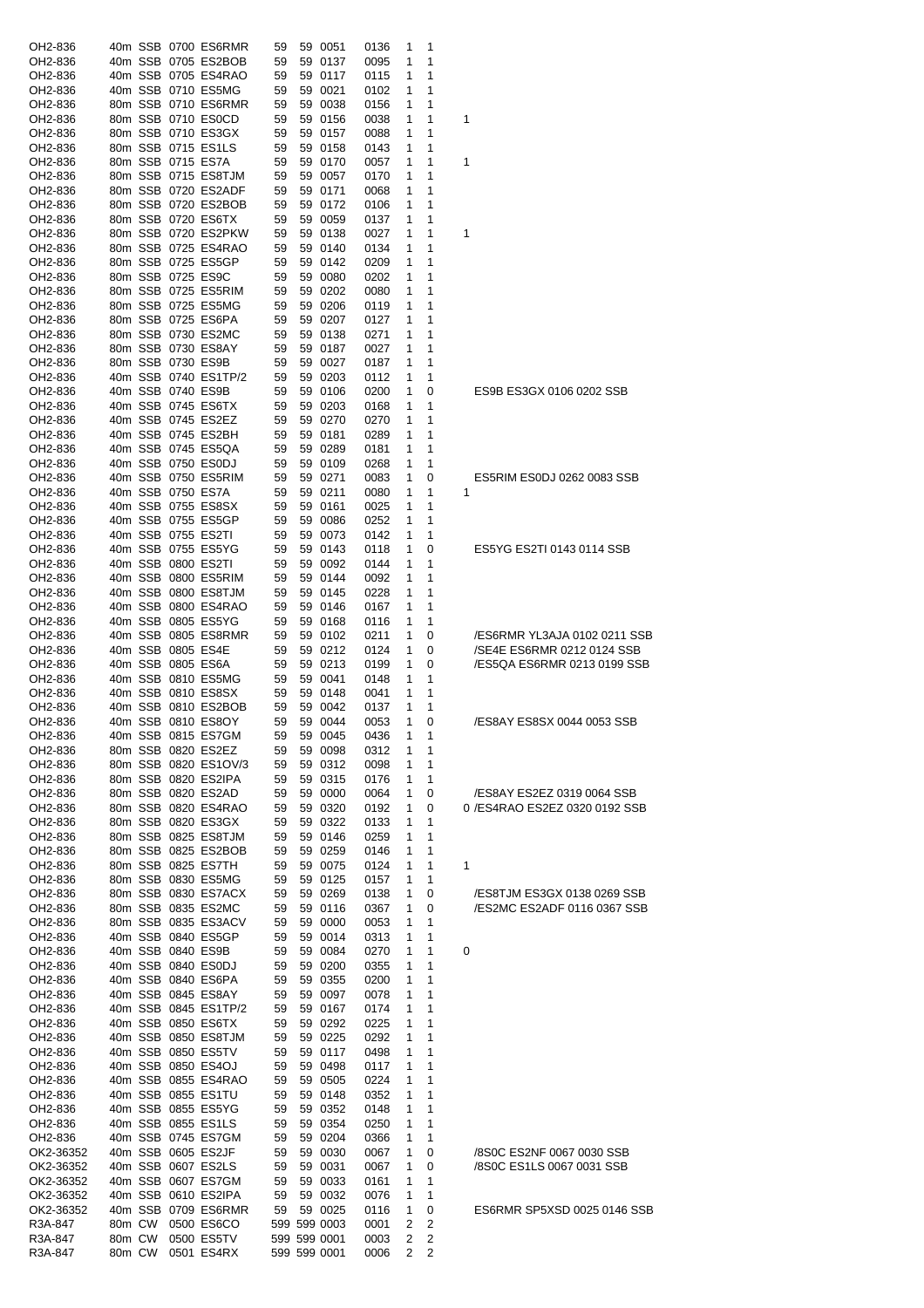| OH2-836            |        | 40m SSB 0700 ES6RMR             | 59 | 59 0051                      | 0136         | 1      | 1                   |                                |
|--------------------|--------|---------------------------------|----|------------------------------|--------------|--------|---------------------|--------------------------------|
| OH2-836            |        | 40m SSB 0705 ES2BOB             | 59 | 59 0137                      | 0095         | 1      | 1                   |                                |
|                    |        |                                 |    |                              |              |        |                     |                                |
| OH2-836            |        | 40m SSB 0705 ES4RAO             | 59 | 59 0117                      | 0115         | 1      | 1                   |                                |
| OH2-836            |        | 40m SSB 0710 ES5MG              | 59 | 59 0021                      | 0102         | 1      | 1                   |                                |
| OH2-836            |        | 80m SSB 0710 ES6RMR             | 59 | 59 0038                      | 0156         | 1      | 1                   |                                |
| OH2-836            |        | 80m SSB 0710 ES0CD              | 59 | 59 0156                      | 0038         | 1      | 1                   | 1                              |
| OH2-836            |        | 80m SSB 0710 ES3GX              | 59 | 59 0157                      | 0088         | 1      | 1                   |                                |
| OH2-836            |        | 80m SSB 0715 ES1LS              | 59 | 59 0158                      | 0143         | 1      | 1                   |                                |
| OH2-836            |        | 80m SSB 0715 ES7A               | 59 | 59 0170                      | 0057         | 1      | 1                   | 1                              |
| OH2-836            |        | 80m SSB 0715 ES8TJM             | 59 | 59 0057                      | 0170         | 1      | 1                   |                                |
|                    |        |                                 |    | 59 0171                      |              |        | 1                   |                                |
| OH2-836            |        | 80m SSB 0720 ES2ADF             | 59 |                              | 0068         | 1      |                     |                                |
| OH2-836            |        | 80m SSB 0720 ES2BOB             | 59 | 59 0172                      | 0106         | 1      | 1                   |                                |
| OH2-836            |        | 80m SSB 0720 ES6TX              | 59 | 59 0059                      | 0137         | 1      | 1                   |                                |
| OH2-836            |        | 80m SSB 0720 ES2PKW             | 59 | 59 0138                      | 0027         | 1      | 1                   | 1                              |
| OH2-836            |        | 80m SSB 0725 ES4RAO             | 59 | 59 0140                      | 0134         | 1      | 1                   |                                |
| OH2-836            |        | 80m SSB 0725 ES5GP              | 59 | 59 0142                      | 0209         | 1      | 1                   |                                |
| OH2-836            |        | 80m SSB 0725 ES9C               | 59 | 59 0080                      | 0202         | 1      | 1                   |                                |
| OH2-836            |        | 80m SSB 0725 ES5RIM             | 59 | 59 0202                      | 0080         | 1      | 1                   |                                |
| OH2-836            |        | 80m SSB 0725 ES5MG              | 59 | 59 0206                      | 0119         | 1      | 1                   |                                |
| OH2-836            |        | 80m SSB 0725 ES6PA              | 59 | 59 0207                      | 0127         | 1      | 1                   |                                |
|                    |        | 80m SSB 0730 ES2MC              | 59 | 59 0138                      |              |        | 1                   |                                |
| OH2-836            |        |                                 |    |                              | 0271         | 1      |                     |                                |
| OH2-836            |        | 80m SSB 0730 ES8AY              | 59 | 59 0187                      | 0027         | 1      | 1                   |                                |
| OH2-836            |        | 80m SSB 0730 ES9B               | 59 | 59 0027                      | 0187         | 1      | 1                   |                                |
| OH2-836            |        | 40m SSB 0740 ES1TP/2            | 59 | 59 0203                      | 0112         | 1      | 1                   |                                |
| OH2-836            |        | 40m SSB 0740 ES9B               | 59 | 59 0106                      | 0200         | 1      | 0                   | ES9B ES3GX 0106 0202 SSB       |
| OH2-836            |        | 40m SSB 0745 ES6TX              | 59 | 59 0203                      | 0168         | 1      | 1                   |                                |
| OH2-836            |        | 40m SSB 0745 ES2EZ              | 59 | 59 0270                      | 0270         | 1      | 1                   |                                |
| OH2-836            |        | 40m SSB 0745 ES2BH              | 59 | 59 0181                      | 0289         | 1      | 1                   |                                |
| OH2-836            |        | 40m SSB 0745 ES5QA              | 59 | 59 0289                      | 0181         | 1      | 1                   |                                |
| OH2-836            |        | 40m SSB 0750 ES0DJ              | 59 | 59 0109                      | 0268         | 1      | 1                   |                                |
| OH2-836            |        | 40m SSB 0750 ES5RIM             |    | 59 0271                      |              |        |                     | ES5RIM ES0DJ 0262 0083 SSB     |
|                    |        |                                 | 59 |                              | 0083         | 1      | 0                   |                                |
| OH2-836            |        | 40m SSB 0750 ES7A               | 59 | 59 0211                      | 0080         | 1      | 1                   | 1                              |
| OH2-836            |        | 40m SSB 0755 ES8SX              | 59 | 59 0161                      | 0025         | 1      | 1                   |                                |
| OH2-836            |        | 40m SSB 0755 ES5GP              | 59 | 59 0086                      | 0252         | 1      | 1                   |                                |
| OH2-836            |        | 40m SSB 0755 ES2TI              | 59 | 59 0073                      | 0142         | 1      | 1                   |                                |
| OH2-836            |        | 40m SSB 0755 ES5YG              | 59 | 59 0143                      | 0118         | 1      | 0                   | ES5YG ES2TI 0143 0114 SSB      |
| OH2-836            |        | 40m SSB 0800 ES2TI              | 59 | 59 0092                      | 0144         | 1      | 1                   |                                |
| OH2-836            |        | 40m SSB 0800 ES5RIM             | 59 | 59 0144                      | 0092         | 1      | 1                   |                                |
| OH2-836            |        | 40m SSB 0800 ES8TJM             | 59 | 59 0145                      | 0228         | 1      | 1                   |                                |
| OH2-836            |        | 40m SSB 0800 ES4RAO             | 59 | 59 0146                      | 0167         | 1      | 1                   |                                |
| OH2-836            |        | 40m SSB 0805 ES5YG              | 59 | 59 0168                      | 0116         | 1      | 1                   |                                |
| OH2-836            |        | 40m SSB 0805 ES8RMR             | 59 | 59 0102                      | 0211         | 1      | 0                   | /ES6RMR YL3AJA 0102 0211 SSB   |
| OH2-836            |        | 40m SSB 0805 ES4E               | 59 | 59 0212                      | 0124         | 1      | 0                   | /SE4E ES6RMR 0212 0124 SSB     |
|                    |        |                                 |    |                              |              |        |                     | /ES5QA ES6RMR 0213 0199 SSB    |
| OH2-836            |        | 40m SSB 0805 ES6A               | 59 | 59 0213                      | 0199         | 1      | 0                   |                                |
| OH2-836            |        | 40m SSB 0810 ES5MG              | 59 | 59 0041                      | 0148         | 1      | 1                   |                                |
| OH2-836            |        | 40m SSB 0810 ES8SX              | 59 | 59 0148                      | 0041         | 1      | 1                   |                                |
| OH2-836            |        | 40m SSB 0810 ES2BOB             | 59 | 59 0042                      | 0137         | 1      | 1                   |                                |
| OH2-836            |        | 40m SSB 0810 ES8OY              | 59 | 59 0044                      | 0053         | 1      | 0                   | /ES8AY ES8SX 0044 0053 SSB     |
| OH2-836            |        | 40m SSB 0815 ES7GM              | 59 | 59 0045                      | 0436         | 1      | 1                   |                                |
| OH2-836            |        | 80m SSB 0820 ES2EZ              | 59 | 59 0098                      | 0312         | 1      | 1                   |                                |
| OH2-836            |        | 80m SSB 0820 ES1OV/3            | 59 | 59 0312                      | 0098         | 1      | 1                   |                                |
| OH2-836            |        | 80m SSB 0820 ES2IPA             | 59 | 59 0315                      | 0176         | 1      | 1                   |                                |
| OH2-836            |        | 80m SSB 0820 ES2AD              | 59 | 59 0000                      | 0064         | 1      | 0                   | /ES8AY ES2EZ 0319 0064 SSB     |
| OH2-836            |        | 80m SSB 0820 ES4RAO             | 59 | 59 0320                      | 0192         | 1      | 0                   | 0 / ES4RAO ES2EZ 0320 0192 SSB |
| OH2-836            |        | 80m SSB 0820 ES3GX              | 59 | 59 0322                      | 0133         | 1      | 1                   |                                |
| OH2-836            |        | 80m SSB 0825 ES8TJM             | 59 | 59 0146                      | 0259         | 1      | 1                   |                                |
| OH2-836            |        | 80m SSB 0825 ES2BOB             | 59 | 59 0259                      | 0146         | 1      | 1                   |                                |
| OH2-836            |        | 80m SSB 0825 ES7TH              | 59 | 59 0075                      | 0124         | 1      | 1                   | 1                              |
| OH2-836            |        | 80m SSB 0830 ES5MG              | 59 | 59 0125                      | 0157         | 1      | 1                   |                                |
| OH2-836            |        | 80m SSB 0830 ES7ACX             | 59 | 59 0269                      | 0138         | 1      | 0                   | /ES8TJM ES3GX 0138 0269 SSB    |
| OH2-836            |        | 80m SSB 0835 ES2MC              | 59 | 59 0116                      | 0367         | 1      | 0                   | /ES2MC ES2ADF 0116 0367 SSB    |
| OH2-836            |        | 80m SSB 0835 ES3ACV             | 59 | 59 0000                      |              | 1      | 1                   |                                |
|                    |        |                                 |    |                              | 0053         |        |                     |                                |
| OH2-836            |        | 40m SSB 0840 ES5GP              | 59 | 59 0014                      | 0313         | 1      | 1                   |                                |
| OH2-836            |        | 40m SSB 0840 ES9B               | 59 | 59 0084                      | 0270         | 1      | 1                   | 0                              |
| OH2-836            |        | 40m SSB 0840 ES0DJ              | 59 | 59 0200                      | 0355         | 1      | 1                   |                                |
| OH2-836            |        | 40m SSB 0840 ES6PA              | 59 | 59 0355                      | 0200         | 1      | 1                   |                                |
| OH2-836            |        | 40m SSB 0845 ES8AY              | 59 | 59 0097                      | 0078         | 1      | 1                   |                                |
| OH2-836            |        | 40m SSB 0845 ES1TP/2            | 59 | 59 0167                      | 0174         | 1      | 1                   |                                |
| OH2-836            |        | 40m SSB 0850 ES6TX              | 59 | 59 0292                      | 0225         | 1      | 1                   |                                |
| OH2-836            |        | 40m SSB 0850 ES8TJM             | 59 | 59 0225                      | 0292         | 1      | 1                   |                                |
| OH2-836            |        | 40m SSB 0850 ES5TV              | 59 | 59 0117                      | 0498         | 1      | 1                   |                                |
| OH2-836            |        | 40m SSB 0850 ES4OJ              | 59 | 59 0498                      | 0117         | 1      | 1                   |                                |
| OH2-836            |        | 40m SSB 0855 ES4RAO             | 59 | 59 0505                      | 0224         | 1      | 1                   |                                |
| OH2-836            |        | 40m SSB 0855 ES1TU              | 59 | 59 0148                      | 0352         | 1      | 1                   |                                |
| OH2-836            |        | 40m SSB 0855 ES5YG              | 59 | 59 0352                      | 0148         | 1      | 1                   |                                |
| OH2-836            |        | 40m SSB 0855 ES1LS              | 59 | 59 0354                      | 0250         | 1      | 1                   |                                |
| OH2-836            |        | 40m SSB 0745 ES7GM              | 59 | 59 0204                      | 0366         | 1      | 1                   |                                |
| OK2-36352          |        | 40m SSB 0605 ES2JF              | 59 | 59 0030                      | 0067         | 1      | 0                   | /8S0C ES2NF 0067 0030 SSB      |
| OK2-36352          |        | 40m SSB 0607 ES2LS              | 59 | 59 0031                      | 0067         | 1      | 0                   | /8S0C ES1LS 0067 0031 SSB      |
| OK2-36352          |        | 40m SSB 0607 ES7GM              | 59 | 59 0033                      | 0161         | 1      | 1                   |                                |
| OK2-36352          |        | 40m SSB 0610 ES2IPA             | 59 | 59 0032                      | 0076         | 1      | 1                   |                                |
| OK2-36352          |        | 40m SSB 0709 ES6RMR             | 59 | 59 0025                      | 0116         | 1      | 0                   | ES6RMR SP5XSD 0025 0146 SSB    |
| R3A-847            |        | 80m CW 0500 ES6CO               |    | 599 599 0003                 |              | 2      | 2                   |                                |
|                    |        |                                 |    |                              | 0001         |        |                     |                                |
|                    |        |                                 |    |                              |              |        |                     |                                |
| R3A-847<br>R3A-847 | 80m CW | 0500 ES5TV<br>80m CW 0501 ES4RX |    | 599 599 0001<br>599 599 0001 | 0003<br>0006 | 2<br>2 | 2<br>$\overline{c}$ |                                |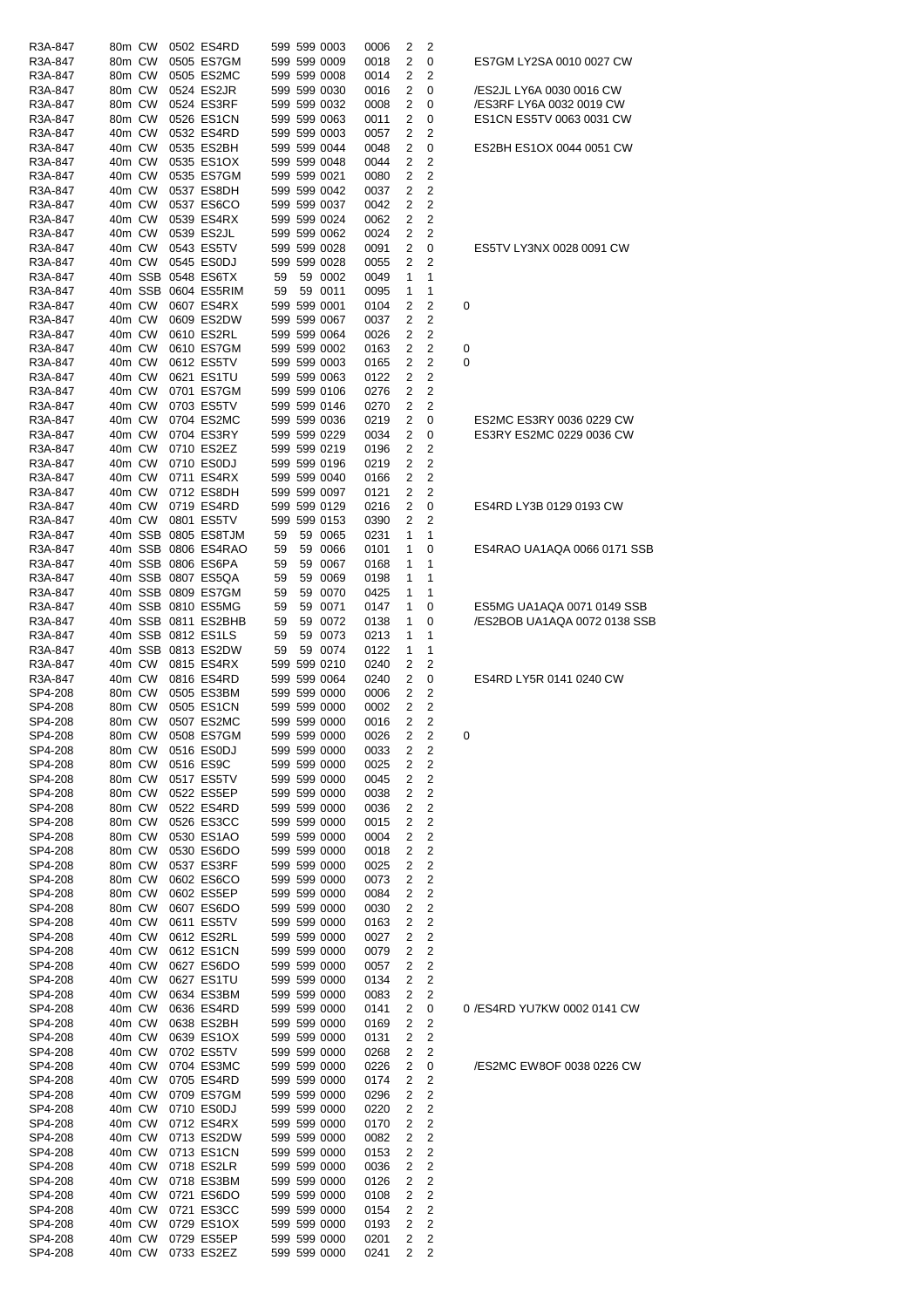| R3A-847            | 80m CW |        | 0502 ES4RD               |    | 599 599 0003                 | 0006         | 2      | 2                            |   |                              |
|--------------------|--------|--------|--------------------------|----|------------------------------|--------------|--------|------------------------------|---|------------------------------|
| R3A-847            |        | 80m CW | 0505 ES7GM               |    | 599 599 0009                 | 0018         | 2      | 0                            |   | ES7GM LY2SA 0010 0027 CW     |
| R3A-847            | 80m CW |        | 0505 ES2MC               |    | 599 599 0008                 | 0014         | 2      | 2                            |   |                              |
| R3A-847            |        | 80m CW | 0524 ES2JR               |    | 599 599 0030                 | 0016         | 2      | 0                            |   | /ES2JL LY6A 0030 0016 CW     |
| R3A-847            |        | 80m CW | 0524 ES3RF               |    | 599 599 0032                 | 0008         | 2      | 0                            |   | /ES3RF LY6A 0032 0019 CW     |
|                    |        |        |                          |    |                              | 0011         | 2      | 0                            |   | ES1CN ES5TV 0063 0031 CW     |
| R3A-847            |        | 80m CW | 0526 ES1CN               |    | 599 599 0063                 |              |        | 2                            |   |                              |
| R3A-847            |        | 40m CW | 0532 ES4RD               |    | 599 599 0003                 | 0057         | 2      |                              |   |                              |
| R3A-847            |        | 40m CW | 0535 ES2BH               |    | 599 599 0044                 | 0048         | 2      | 0                            |   | ES2BH ES1OX 0044 0051 CW     |
| R3A-847            |        | 40m CW | 0535 ES1OX               |    | 599 599 0048                 | 0044         | 2      | 2                            |   |                              |
| R3A-847            |        | 40m CW | 0535 ES7GM               |    | 599 599 0021                 | 0080         | 2      | $\overline{2}$               |   |                              |
| R3A-847            |        | 40m CW | 0537 ES8DH               |    | 599 599 0042                 | 0037         | 2      | 2                            |   |                              |
| R3A-847            |        | 40m CW | 0537 ES6CO               |    | 599 599 0037                 | 0042         | 2      | 2                            |   |                              |
| R3A-847            | 40m CW |        | 0539 ES4RX               |    | 599 599 0024                 | 0062         | 2      | 2                            |   |                              |
| R3A-847            |        | 40m CW | 0539 ES2JL               |    | 599 599 0062                 | 0024         | 2      | 2                            |   |                              |
| R3A-847            |        | 40m CW | 0543 ES5TV               |    | 599 599 0028                 | 0091         | 2      | 0                            |   | ES5TV LY3NX 0028 0091 CW     |
| R3A-847            |        | 40m CW | 0545 ES0DJ               |    | 599 599 0028                 | 0055         | 2      | 2                            |   |                              |
| R3A-847            |        |        | 40m SSB 0548 ES6TX       | 59 | 59 0002                      | 0049         | 1      | 1                            |   |                              |
| R3A-847            |        |        | 40m SSB 0604 ES5RIM      | 59 | 59 0011                      | 0095         | 1      | 1                            |   |                              |
| R3A-847            |        | 40m CW | 0607 ES4RX               |    | 599 599 0001                 | 0104         | 2      | 2                            | 0 |                              |
| R3A-847            |        | 40m CW | 0609 ES2DW               |    | 599 599 0067                 | 0037         | 2      | 2                            |   |                              |
| R3A-847            |        | 40m CW | 0610 ES2RL               |    | 599 599 0064                 | 0026         | 2      | 2                            |   |                              |
| R3A-847            |        | 40m CW | 0610 ES7GM               |    | 599 599 0002                 | 0163         | 2      | 2                            | 0 |                              |
|                    |        |        | 0612 ES5TV               |    | 599 599 0003                 |              |        | 2                            | 0 |                              |
| R3A-847            |        | 40m CW |                          |    |                              | 0165         | 2      |                              |   |                              |
| R3A-847            |        | 40m CW | 0621 ES1TU               |    | 599 599 0063                 | 0122         | 2      | 2                            |   |                              |
| R3A-847            |        | 40m CW | 0701 ES7GM               |    | 599 599 0106                 | 0276         | 2      | 2                            |   |                              |
| R3A-847            | 40m CW |        | 0703 ES5TV               |    | 599 599 0146                 | 0270         | 2      | 2                            |   |                              |
| R3A-847            |        | 40m CW | 0704 ES2MC               |    | 599 599 0036                 | 0219         | 2      | 0                            |   | ES2MC ES3RY 0036 0229 CW     |
| R3A-847            |        | 40m CW | 0704 ES3RY               |    | 599 599 0229                 | 0034         | 2      | 0                            |   | ES3RY ES2MC 0229 0036 CW     |
| R3A-847            |        | 40m CW | 0710 ES2EZ               |    | 599 599 0219                 | 0196         | 2      | 2                            |   |                              |
| R3A-847            |        | 40m CW | 0710 ES0DJ               |    | 599 599 0196                 | 0219         | 2      | 2                            |   |                              |
| R3A-847            |        | 40m CW | 0711 ES4RX               |    | 599 599 0040                 | 0166         | 2      | 2                            |   |                              |
| R3A-847            |        | 40m CW | 0712 ES8DH               |    | 599 599 0097                 | 0121         | 2      | 2                            |   |                              |
| R3A-847            |        | 40m CW | 0719 ES4RD               |    | 599 599 0129                 | 0216         | 2      | 0                            |   | ES4RD LY3B 0129 0193 CW      |
| R3A-847            |        | 40m CW | 0801 ES5TV               |    | 599 599 0153                 | 0390         | 2      | 2                            |   |                              |
| R3A-847            |        |        | 40m SSB 0805 ES8TJM      | 59 | 59 0065                      | 0231         | 1      | 1                            |   |                              |
| R3A-847            |        |        | 40m SSB 0806 ES4RAO      | 59 | 59 0066                      | 0101         | 1      | 0                            |   | ES4RAO UA1AQA 0066 0171 SSB  |
| R3A-847            |        |        | 40m SSB 0806 ES6PA       | 59 | 59 0067                      | 0168         | 1      | 1                            |   |                              |
| R3A-847            |        |        | 40m SSB 0807 ES5QA       | 59 | 59 0069                      | 0198         | 1      | 1                            |   |                              |
| R3A-847            |        |        | 40m SSB 0809 ES7GM       | 59 | 59 0070                      | 0425         | 1      | 1                            |   |                              |
|                    |        |        | 40m SSB 0810 ES5MG       | 59 | 59 0071                      | 0147         | 1      | 0                            |   | ES5MG UA1AQA 0071 0149 SSB   |
| R3A-847            |        |        |                          |    |                              |              |        |                              |   |                              |
| R3A-847            |        |        | 40m SSB 0811 ES2BHB      | 59 | 59 0072                      | 0138         | 1      | 0                            |   | /ES2BOB UA1AQA 0072 0138 SSB |
| R3A-847            |        |        | 40m SSB 0812 ES1LS       | 59 | 59 0073                      | 0213         | 1      | 1                            |   |                              |
| R3A-847            |        |        | 40m SSB 0813 ES2DW       | 59 | 59 0074                      | 0122         | 1      | 1                            |   |                              |
| R3A-847            |        | 40m CW | 0815 ES4RX               |    | 599 599 0210                 | 0240         | 2      | 2                            |   |                              |
| R3A-847            |        | 40m CW | 0816 ES4RD               |    | 599 599 0064                 | 0240         | 2      | 0                            |   | ES4RD LY5R 0141 0240 CW      |
| SP4-208            |        | 80m CW | 0505 ES3BM               |    | 599 599 0000                 | 0006         | 2      | 2                            |   |                              |
| SP4-208            |        | 80m CW | 0505 ES1CN               |    | 599 599 0000                 | 0002         | 2      | 2                            |   |                              |
| SP4-208            |        | 80m CW | 0507 ES2MC               |    | 599 599 0000                 | 0016         | 2      | 2                            |   |                              |
| SP4-208            |        |        | 80m CW 0508 ES7GM        |    | 599 599 0000                 | 0026         |        | 2 <sub>2</sub>               | 0 |                              |
| SP4-208            | 80m CW |        | 0516 ES0DJ               |    | 599 599 0000                 | 0033         | 2      | 2                            |   |                              |
| SP4-208            | 80m CW |        | 0516 ES9C                |    | 599 599 0000                 | 0025         | 2      | $\overline{\mathbf{c}}$      |   |                              |
| SP4-208            |        | 80m CW | 0517 ES5TV               |    | 599 599 0000                 | 0045         | 2      | 2                            |   |                              |
| SP4-208            | 80m CW |        | 0522 ES5EP               |    | 599 599 0000                 | 0038         | 2      | 2                            |   |                              |
| SP4-208            | 80m CW |        | 0522 ES4RD               |    | 599 599 0000                 | 0036         | 2      | 2                            |   |                              |
| SP4-208            | 80m CW |        | 0526 ES3CC               |    | 599 599 0000                 | 0015         | 2      | 2                            |   |                              |
| SP4-208            | 80m CW |        | 0530 ES1AO               |    | 599 599 0000                 | 0004         | 2      | 2                            |   |                              |
| SP4-208            | 80m CW |        | 0530 ES6DO               |    | 599 599 0000                 | 0018         | 2      | 2                            |   |                              |
| SP4-208            | 80m CW |        | 0537 ES3RF               |    | 599 599 0000                 | 0025         | 2      | 2                            |   |                              |
|                    |        |        |                          |    |                              |              |        |                              |   |                              |
| SP4-208<br>SP4-208 | 80m CW | 80m CW | 0602 ES6CO<br>0602 ES5EP |    | 599 599 0000<br>599 599 0000 | 0073<br>0084 | 2<br>2 | $\overline{\mathbf{c}}$<br>2 |   |                              |
|                    |        |        |                          |    |                              |              |        |                              |   |                              |
| SP4-208            | 80m CW |        | 0607 ES6DO               |    | 599 599 0000                 | 0030         | 2      | 2                            |   |                              |
| SP4-208            | 40m CW |        | 0611 ES5TV               |    | 599 599 0000                 | 0163         | 2      | 2                            |   |                              |
| SP4-208            | 40m CW |        | 0612 ES2RL               |    | 599 599 0000                 | 0027         | 2      | 2                            |   |                              |
| SP4-208            | 40m CW |        | 0612 ES1CN               |    | 599 599 0000                 | 0079         | 2      | 2                            |   |                              |
| SP4-208            | 40m CW |        | 0627 ES6DO               |    | 599 599 0000                 | 0057         | 2      | 2                            |   |                              |
| SP4-208            | 40m CW |        | 0627 ES1TU               |    | 599 599 0000                 | 0134         | 2      | 2                            |   |                              |
| SP4-208            | 40m CW |        | 0634 ES3BM               |    | 599 599 0000                 | 0083         | 2      | 2                            |   |                              |
| SP4-208            | 40m CW |        | 0636 ES4RD               |    | 599 599 0000                 | 0141         | 2      | 0                            |   | 0 /ES4RD YU7KW 0002 0141 CW  |
| SP4-208            | 40m CW |        | 0638 ES2BH               |    | 599 599 0000                 | 0169         | 2      | 2                            |   |                              |
| SP4-208            | 40m CW |        | 0639 ES1OX               |    | 599 599 0000                 | 0131         | 2      | 2                            |   |                              |
| SP4-208            |        | 40m CW | 0702 ES5TV               |    | 599 599 0000                 | 0268         | 2      | $\overline{\mathbf{c}}$      |   |                              |
| SP4-208            | 40m CW |        | 0704 ES3MC               |    | 599 599 0000                 | 0226         | 2      | 0                            |   | /ES2MC EW8OF 0038 0226 CW    |
| SP4-208            |        | 40m CW | 0705 ES4RD               |    | 599 599 0000                 | 0174         | 2      | 2                            |   |                              |
| SP4-208            | 40m CW |        | 0709 ES7GM               |    | 599 599 0000                 | 0296         | 2      | 2                            |   |                              |
| SP4-208            | 40m CW |        | 0710 ES0DJ               |    | 599 599 0000                 | 0220         | 2      | 2                            |   |                              |
| SP4-208            | 40m CW |        | 0712 ES4RX               |    | 599 599 0000                 | 0170         | 2      | 2                            |   |                              |
| SP4-208            | 40m CW |        | 0713 ES2DW               |    | 599 599 0000                 | 0082         | 2      | 2                            |   |                              |
| SP4-208            | 40m CW |        | 0713 ES1CN               |    | 599 599 0000                 | 0153         | 2      | 2                            |   |                              |
| SP4-208            | 40m CW |        | 0718 ES2LR               |    | 599 599 0000                 |              |        | 2                            |   |                              |
|                    |        |        |                          |    | 599 599 0000                 | 0036         | 2      |                              |   |                              |
| SP4-208            |        | 40m CW | 0718 ES3BM               |    |                              | 0126         | 2      | 2                            |   |                              |
| SP4-208            | 40m CW |        | 0721 ES6DO               |    | 599 599 0000                 | 0108         | 2      | $\overline{2}$               |   |                              |
| SP4-208            |        | 40m CW | 0721 ES3CC               |    | 599 599 0000                 | 0154         | 2      | $\overline{\mathbf{c}}$      |   |                              |
| SP4-208            |        | 40m CW | 0729 ES1OX               |    | 599 599 0000                 | 0193         | 2      | 2                            |   |                              |
| SP4-208            |        | 40m CW | 0729 ES5EP               |    | 599 599 0000                 | 0201         | 2      | $\overline{c}$               |   |                              |
| SP4-208            |        |        | 40m CW 0733 ES2EZ        |    | 599 599 0000                 | 0241         | 2      | $\overline{2}$               |   |                              |
|                    |        |        |                          |    |                              |              |        |                              |   |                              |

| 5TV LY3NX 0028 0091 CW                                 |
|--------------------------------------------------------|
|                                                        |
| 2MC ES3RY 0036 0229 CW<br>3RY ES2MC 0229 0036 CW       |
| 4RD LY3B 0129 0193 CW                                  |
| 4RAO UA1AQA 0066 0171 SSB                              |
| 5MG UA1AQA 0071 0149 SSB<br>S2BOB UA1AQA 0072 0138 SSB |
| 4RD LY5R 0141 0240 CW                                  |
|                                                        |
|                                                        |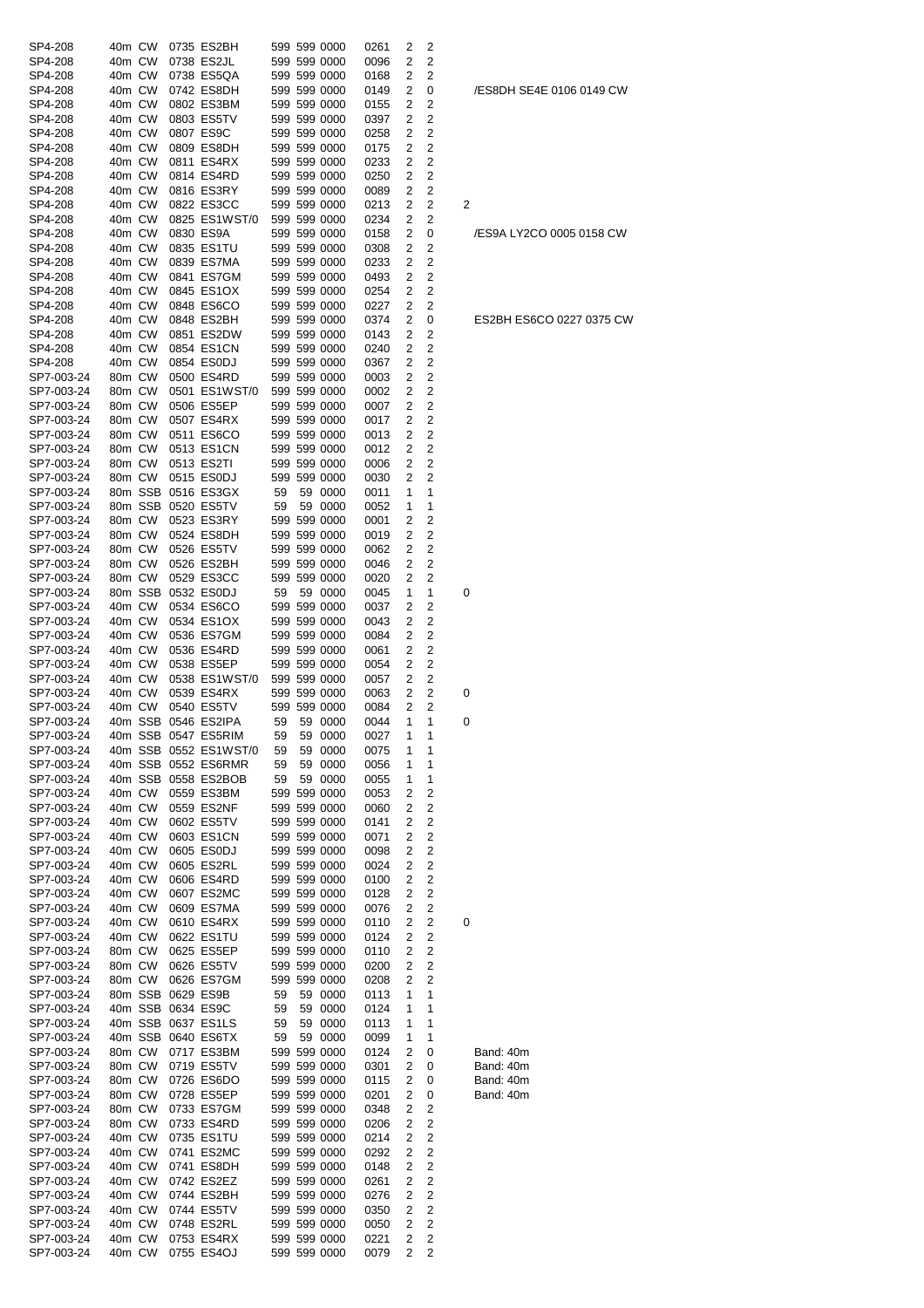| SP4-208    | 40m CW |         | 0735 ES2BH            |    | 599 599 0000 | 0261 | 2 | 2              |   |           |
|------------|--------|---------|-----------------------|----|--------------|------|---|----------------|---|-----------|
| SP4-208    | 40m CW |         | 0738 ES2JL            |    | 599 599 0000 | 0096 | 2 | 2              |   |           |
| SP4-208    | 40m CW |         | 0738 ES5QA            |    | 599 599 0000 | 0168 | 2 | 2              |   |           |
| SP4-208    | 40m CW |         | 0742 ES8DH            |    | 599 599 0000 | 0149 | 2 | 0              |   | /ES8DH SE |
| SP4-208    | 40m CW |         | 0802 ES3BM            |    | 599 599 0000 | 0155 | 2 | 2              |   |           |
| SP4-208    | 40m CW |         | 0803 ES5TV            |    | 599 599 0000 | 0397 | 2 | 2              |   |           |
| SP4-208    | 40m CW |         | 0807 ES9C             |    | 599 599 0000 | 0258 | 2 | 2              |   |           |
| SP4-208    | 40m CW |         | 0809 ES8DH            |    | 599 599 0000 | 0175 | 2 | 2              |   |           |
| SP4-208    | 40m CW |         | 0811 ES4RX            |    | 599 599 0000 | 0233 | 2 | 2              |   |           |
| SP4-208    | 40m CW |         | 0814 ES4RD            |    | 599 599 0000 | 0250 | 2 | 2              |   |           |
| SP4-208    | 40m CW |         | 0816 ES3RY            |    | 599 599 0000 | 0089 | 2 | 2              |   |           |
| SP4-208    | 40m CW |         | 0822 ES3CC            |    | 599 599 0000 | 0213 | 2 | 2              | 2 |           |
| SP4-208    | 40m CW |         | 0825 ES1WST/0         |    | 599 599 0000 | 0234 | 2 | 2              |   |           |
| SP4-208    | 40m CW |         | 0830 ES9A             |    | 599 599 0000 | 0158 | 2 | 0              |   | /ES9A LY2 |
| SP4-208    | 40m CW |         | 0835 ES1TU            |    | 599 599 0000 | 0308 | 2 | 2              |   |           |
| SP4-208    | 40m CW |         | 0839 ES7MA            |    | 599 599 0000 | 0233 | 2 | 2              |   |           |
| SP4-208    | 40m CW |         | 0841 ES7GM            |    | 599 599 0000 | 0493 | 2 | 2              |   |           |
| SP4-208    | 40m CW |         | 0845 ES1OX            |    | 599 599 0000 | 0254 | 2 | 2              |   |           |
| SP4-208    | 40m CW |         | 0848 ES6CO            |    | 599 599 0000 | 0227 | 2 | 2              |   |           |
| SP4-208    | 40m CW |         | 0848 ES2BH            |    | 599 599 0000 | 0374 | 2 | 0              |   | ES2BH ES  |
| SP4-208    |        |         |                       |    |              |      | 2 | 2              |   |           |
|            | 40m CW |         | 0851 ES2DW            |    | 599 599 0000 | 0143 |   |                |   |           |
| SP4-208    | 40m CW |         | 0854 ES1CN            |    | 599 599 0000 | 0240 | 2 | 2              |   |           |
| SP4-208    | 40m CW |         | 0854 ES0DJ            |    | 599 599 0000 | 0367 | 2 | 2              |   |           |
| SP7-003-24 | 80m CW |         | 0500 ES4RD            |    | 599 599 0000 | 0003 | 2 | 2              |   |           |
| SP7-003-24 | 80m CW |         | 0501 ES1WST/0         |    | 599 599 0000 | 0002 | 2 | 2              |   |           |
| SP7-003-24 | 80m CW |         | 0506 ES5EP            |    | 599 599 0000 | 0007 | 2 | 2              |   |           |
| SP7-003-24 | 80m CW |         | 0507 ES4RX            |    | 599 599 0000 | 0017 | 2 | 2              |   |           |
| SP7-003-24 | 80m CW |         | 0511 ES6CO            |    | 599 599 0000 | 0013 | 2 | 2              |   |           |
| SP7-003-24 | 80m CW |         | 0513 ES1CN            |    | 599 599 0000 | 0012 | 2 | 2              |   |           |
| SP7-003-24 | 80m CW |         | 0513 ES2TI            |    | 599 599 0000 | 0006 | 2 | 2              |   |           |
| SP7-003-24 | 80m CW |         | 0515 ES0DJ            |    | 599 599 0000 | 0030 | 2 | 2              |   |           |
| SP7-003-24 |        |         | 80m SSB 0516 ES3GX    | 59 | 59 0000      | 0011 | 1 | 1              |   |           |
| SP7-003-24 |        |         | 80m SSB 0520 ES5TV    | 59 | 59 0000      | 0052 | 1 | 1              |   |           |
| SP7-003-24 | 80m CW |         | 0523 ES3RY            |    | 599 599 0000 | 0001 | 2 | 2              |   |           |
| SP7-003-24 | 80m CW |         | 0524 ES8DH            |    | 599 599 0000 | 0019 | 2 | 2              |   |           |
| SP7-003-24 | 80m CW |         | 0526 ES5TV            |    | 599 599 0000 | 0062 | 2 | 2              |   |           |
| SP7-003-24 | 80m CW |         | 0526 ES2BH            |    | 599 599 0000 | 0046 | 2 | 2              |   |           |
| SP7-003-24 | 80m CW |         | 0529 ES3CC            |    | 599 599 0000 | 0020 | 2 | 2              |   |           |
| SP7-003-24 |        | 80m SSB | 0532 ES0DJ            | 59 | 59 0000      | 0045 | 1 | 1              | 0 |           |
| SP7-003-24 | 40m CW |         | 0534 ES6CO            |    | 599 599 0000 | 0037 | 2 | 2              |   |           |
| SP7-003-24 | 40m CW |         | 0534 ES1OX            |    | 599 599 0000 |      | 2 | 2              |   |           |
|            |        |         |                       |    |              | 0043 |   |                |   |           |
| SP7-003-24 | 40m CW |         | 0536 ES7GM            |    | 599 599 0000 | 0084 | 2 | 2              |   |           |
| SP7-003-24 | 40m CW |         | 0536 ES4RD            |    | 599 599 0000 | 0061 | 2 | 2              |   |           |
| SP7-003-24 | 40m CW |         | 0538 ES5EP            |    | 599 599 0000 | 0054 | 2 | 2              |   |           |
| SP7-003-24 | 40m CW |         | 0538 ES1WST/0         |    | 599 599 0000 | 0057 | 2 | 2              |   |           |
| SP7-003-24 | 40m CW |         | 0539 ES4RX            |    | 599 599 0000 | 0063 | 2 | 2              | 0 |           |
| SP7-003-24 | 40m CW |         | 0540 ES5TV            |    | 599 599 0000 | 0084 | 2 | 2              |   |           |
| SP7-003-24 |        |         | 40m SSB 0546 ES2IPA   | 59 | 59 0000      | 0044 | 1 | 1              | 0 |           |
| SP7-003-24 |        |         | 40m SSB 0547 ES5RIM   | 59 | 59 0000      | 0027 | 1 |                |   |           |
| SP7-003-24 |        |         | 40m SSB 0552 ES1WST/0 | 59 | 59 0000      | 0075 | 1 | 1              |   |           |
| SP7-003-24 |        |         | 40m SSB 0552 ES6RMR   | 59 | 59 0000      | 0056 | 1 | 1              |   |           |
| SP7-003-24 |        |         | 40m SSB 0558 ES2BOB   | 59 | 59 0000      | 0055 | 1 | 1              |   |           |
| SP7-003-24 | 40m CW |         | 0559 ES3BM            |    | 599 599 0000 | 0053 | 2 | 2              |   |           |
| SP7-003-24 | 40m CW |         | 0559 ES2NF            |    | 599 599 0000 | 0060 | 2 | 2              |   |           |
| SP7-003-24 | 40m CW |         | 0602 ES5TV            |    | 599 599 0000 | 0141 | 2 | 2              |   |           |
| SP7-003-24 | 40m CW |         | 0603 ES1CN            |    | 599 599 0000 | 0071 | 2 | 2              |   |           |
| SP7-003-24 | 40m CW |         | 0605 ES0DJ            |    | 599 599 0000 | 0098 | 2 | 2              |   |           |
| SP7-003-24 | 40m CW |         | 0605 ES2RL            |    | 599 599 0000 | 0024 | 2 | 2              |   |           |
| SP7-003-24 | 40m CW |         | 0606 ES4RD            |    | 599 599 0000 | 0100 | 2 | 2              |   |           |
| SP7-003-24 | 40m CW |         | 0607 ES2MC            |    | 599 599 0000 | 0128 | 2 | 2              |   |           |
| SP7-003-24 | 40m CW |         | 0609 ES7MA            |    | 599 599 0000 | 0076 | 2 | 2              |   |           |
| SP7-003-24 | 40m CW |         | 0610 ES4RX            |    | 599 599 0000 | 0110 | 2 | 2              | 0 |           |
| SP7-003-24 | 40m CW |         | 0622 ES1TU            |    | 599 599 0000 | 0124 | 2 | 2              |   |           |
| SP7-003-24 | 80m CW |         | 0625 ES5EP            |    | 599 599 0000 | 0110 | 2 | 2              |   |           |
| SP7-003-24 | 80m CW |         | 0626 ES5TV            |    | 599 599 0000 | 0200 | 2 | 2              |   |           |
| SP7-003-24 | 80m CW |         | 0626 ES7GM            |    | 599 599 0000 | 0208 | 2 | 2              |   |           |
| SP7-003-24 |        |         | 80m SSB 0629 ES9B     | 59 | 59 0000      | 0113 | 1 | 1              |   |           |
| SP7-003-24 |        |         | 40m SSB 0634 ES9C     | 59 | 59 0000      | 0124 | 1 | 1              |   |           |
|            |        |         | 40m SSB 0637 ES1LS    |    |              |      |   |                |   |           |
| SP7-003-24 |        |         |                       | 59 | 59 0000      | 0113 | 1 | 1              |   |           |
| SP7-003-24 |        |         | 40m SSB 0640 ES6TX    | 59 | 59 0000      | 0099 | 1 | 1              |   |           |
| SP7-003-24 | 80m CW |         | 0717 ES3BM            |    | 599 599 0000 | 0124 | 2 | 0              |   | Band: 40m |
| SP7-003-24 | 80m CW |         | 0719 ES5TV            |    | 599 599 0000 | 0301 | 2 | 0              |   | Band: 40m |
| SP7-003-24 | 80m CW |         | 0726 ES6DO            |    | 599 599 0000 | 0115 | 2 | 0              |   | Band: 40m |
| SP7-003-24 | 80m CW |         | 0728 ES5EP            |    | 599 599 0000 | 0201 | 2 | 0              |   | Band: 40m |
| SP7-003-24 | 80m CW |         | 0733 ES7GM            |    | 599 599 0000 | 0348 | 2 | 2              |   |           |
| SP7-003-24 | 80m CW |         | 0733 ES4RD            |    | 599 599 0000 | 0206 | 2 | 2              |   |           |
| SP7-003-24 | 40m CW |         | 0735 ES1TU            |    | 599 599 0000 | 0214 | 2 | 2              |   |           |
| SP7-003-24 | 40m CW |         | 0741 ES2MC            |    | 599 599 0000 | 0292 | 2 | 2              |   |           |
| SP7-003-24 | 40m CW |         | 0741 ES8DH            |    | 599 599 0000 | 0148 | 2 | 2              |   |           |
| SP7-003-24 | 40m CW |         | 0742 ES2EZ            |    | 599 599 0000 | 0261 | 2 | 2              |   |           |
| SP7-003-24 | 40m CW |         | 0744 ES2BH            |    | 599 599 0000 | 0276 | 2 | 2              |   |           |
| SP7-003-24 | 40m CW |         | 0744 ES5TV            |    | 599 599 0000 | 0350 | 2 | 2              |   |           |
| SP7-003-24 | 40m CW |         | 0748 ES2RL            |    | 599 599 0000 | 0050 | 2 | 2              |   |           |
| SP7-003-24 | 40m CW |         | 0753 ES4RX            |    | 599 599 0000 | 0221 | 2 | $\overline{c}$ |   |           |
|            |        | 40m CW  | 0755 ES4OJ            |    | 599 599 0000 | 0079 | 2 | 2              |   |           |

/ES8DH SE4E 0106 0149 CW

/ES9A LY2CO 0005 0158 CW

### ES2BH ES6CO 0227 0375 CW